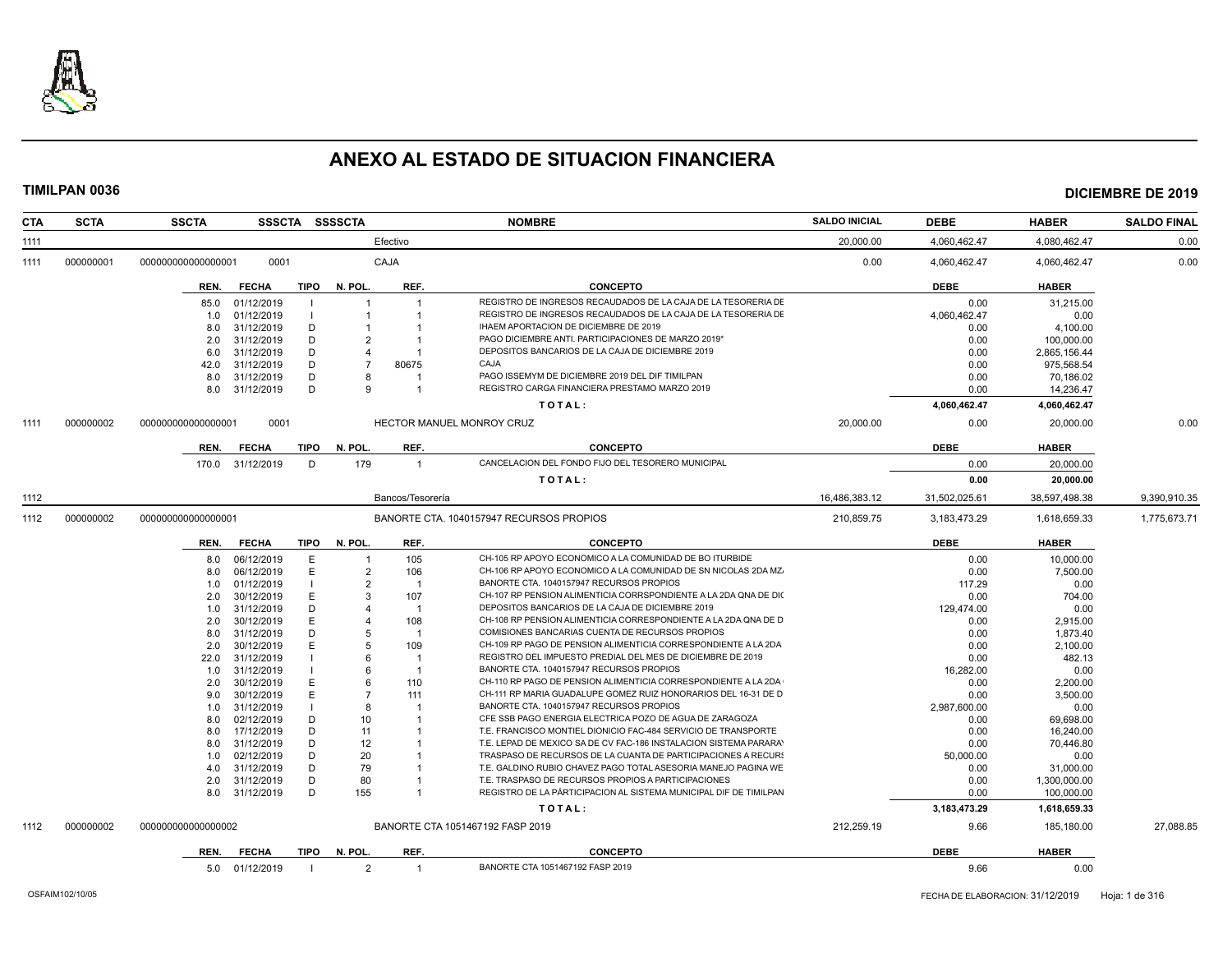

| <b>CTA</b> | <b>SCTA</b> | <b>SSCTA</b>       |                |      | SSSCTA SSSSCTA |                  | <b>NOMBRE</b>                                                     | <b>SALDO INICIAL</b> | DEBE            | <b>HABER</b>  | <b>SALDO FINAL</b> |
|------------|-------------|--------------------|----------------|------|----------------|------------------|-------------------------------------------------------------------|----------------------|-----------------|---------------|--------------------|
| 1111       |             |                    |                |      |                | Efectivo         |                                                                   | 20,000.00            | 4.060.462.47    | 4.080.462.47  | 0.00               |
| 1111       | 000000001   | 000000000000000001 | 0001           |      |                | CAJA             |                                                                   | 0.00                 | 4.060.462.47    | 4.060.462.47  | 0.00               |
|            |             | REN.               | <b>FECHA</b>   | TIPO | N. POL.        | REF.             | <b>CONCEPTO</b>                                                   |                      | <b>DEBE</b>     | <b>HABER</b>  |                    |
|            |             | 85.0               | 01/12/2019     |      |                |                  | REGISTRO DE INGRESOS RECAUDADOS DE LA CAJA DE LA TESORERIA DE     |                      | 0.00            | 31,215.00     |                    |
|            |             | 1.0                | 01/12/2019     |      |                |                  | REGISTRO DE INGRESOS RECAUDADOS DE LA CAJA DE LA TESORERIA DE     |                      | 4,060,462.47    | 0.00          |                    |
|            |             | 8.0                | 31/12/2019     | D    |                |                  | IHAEM APORTACION DE DICIEMBRE DE 2019                             |                      | 0.00            | 4.100.00      |                    |
|            |             | 2.0                | 31/12/2019     | D    | $\mathfrak{p}$ |                  | PAGO DICIEMBRE ANTI. PARTICIPACIONES DE MARZO 2019*               |                      | 0.00            | 100,000.00    |                    |
|            |             | 6.0                | 31/12/2019     | Ð    | Δ              |                  | DEPOSITOS BANCARIOS DE LA CAJA DE DICIEMBRE 2019                  |                      | 0.00            | 2,865,156.44  |                    |
|            |             | 42.0               | 31/12/2019     | D    |                | 80675            | CAJA                                                              |                      | 0.00            | 975,568.54    |                    |
|            |             | 8.0                | 31/12/2019     | D    |                |                  | PAGO ISSEMYM DE DICIEMBRE 2019 DEL DIF TIMILPAN                   |                      | 0.00            | 70,186.02     |                    |
|            |             | 8.0                | 31/12/2019     | D    | 9              |                  | REGISTRO CARGA FINANCIERA PRESTAMO MARZO 2019                     |                      | 0.00            | 14,236.47     |                    |
|            |             |                    |                |      |                |                  | TOTAL:                                                            |                      | 4,060,462.47    | 4,060,462.47  |                    |
| 1111       | 000000002   | 000000000000000001 | 0001           |      |                |                  | HECTOR MANUEL MONROY CRUZ                                         | 20,000.00            | 0.00            | 20,000.00     | 0.00               |
|            |             | REN.               | <b>FECHA</b>   | TIPO | N. POL.        | REF.             | <b>CONCEPTO</b>                                                   |                      | <b>DEBE</b>     | <b>HABER</b>  |                    |
|            |             | 170.0              | 31/12/2019     | D    | 179            | $\overline{1}$   | CANCELACION DEL FONDO FIJO DEL TESORERO MUNICIPAL                 |                      | 0.00            | 20,000.00     |                    |
|            |             |                    |                |      |                |                  | TOTAL:                                                            |                      | 0.00            | 20,000.00     |                    |
| 1112       |             |                    |                |      |                | Bancos/Tesorería |                                                                   | 16,486,383.12        | 31,502,025.61   | 38,597,498.38 | 9,390,910.35       |
| 1112       | 000000002   | 000000000000000001 |                |      |                |                  | BANORTE CTA. 1040157947 RECURSOS PROPIOS                          | 210,859.75           | 3,183,473.29    | 1,618,659.33  | 1,775,673.71       |
|            |             |                    |                |      |                |                  |                                                                   |                      |                 |               |                    |
|            |             | REN.               | <b>FECHA</b>   | TIPO | N. POL.        | REF.             | <b>CONCEPTO</b>                                                   |                      | <b>DEBE</b>     | <b>HABER</b>  |                    |
|            |             | 8.0                | 06/12/2019     | E    |                | 105              | CH-105 RP APOYO ECONOMICO A LA COMUNIDAD DE BO ITURBIDE           |                      | 0.00            | 10,000.00     |                    |
|            |             | 8.0                | 06/12/2019     | E    | $\overline{2}$ | 106              | CH-106 RP APOYO ECONOMICO A LA COMUNIDAD DE SN NICOLAS 2DA MZ.    |                      | 0.00            | 7,500.00      |                    |
|            |             | 1.0                | 01/12/2019     |      | $\overline{2}$ | - 1              | BANORTE CTA, 1040157947 RECURSOS PROPIOS                          |                      | 117.29          | 0.00          |                    |
|            |             | 2.0                | 30/12/2019     | Е    | 3              | 107              | CH-107 RP PENSION ALIMENTICIA CORRSPONDIENTE A LA 2DA QNA DE DI(  |                      | 0.00            | 704.00        |                    |
|            |             | 1.0                | 31/12/2019     | Ð    |                | $\overline{1}$   | DEPOSITOS BANCARIOS DE LA CAJA DE DICIEMBRE 2019                  |                      | 129,474.00      | 0.00          |                    |
|            |             | 2.0                | 30/12/2019     | Е    |                | 108              | CH-108 RP PENSION ALIMENTICIA CORRESPONDIENTE A LA 2DA QNA DE D   |                      | 0.00            | 2,915.00      |                    |
|            |             | 8.0                | 31/12/2019     | D    |                |                  | COMISIONES BANCARIAS CUENTA DE RECURSOS PROPIOS                   |                      | 0.00            | 1,873.40      |                    |
|            |             | 2.0                | 30/12/2019     | Е    | 5              | 109              | CH-109 RP PAGO DE PENSION ALIMENTICIA CORRESPONDIENTE A LA 2DA    |                      | 0.00            | 2,100.00      |                    |
|            |             | 22.0               | 31/12/2019     |      |                |                  | REGISTRO DEL IMPUESTO PREDIAL DEL MES DE DICIEMBRE DE 2019        |                      | 0.00            | 482.13        |                    |
|            |             | 1.0                | 31/12/2019     |      | 6              |                  | BANORTE CTA. 1040157947 RECURSOS PROPIOS                          |                      | 16,282.00       | 0.00          |                    |
|            |             | 2.0                | 30/12/2019     | Е    | 6              | 110              | CH-110 RP PAGO DE PENSION ALIMENTICIA CORRESPONDIENTE A LA 2DA    |                      | 0.00            | 2,200.00      |                    |
|            |             | 9.0                | 30/12/2019     | Ε    |                | 111              | CH-111 RP MARIA GUADALUPE GOMEZ RUIZ HONORARIOS DEL 16-31 DE D    |                      | 0.00            | 3,500.00      |                    |
|            |             | 1.0                | 31/12/2019     |      | 8              |                  | BANORTE CTA. 1040157947 RECURSOS PROPIOS                          |                      | 2.987.600.00    | 0.00          |                    |
|            |             | 8.0                | 02/12/2019     | D    | 10             |                  | CFE SSB PAGO ENERGIA ELECTRICA POZO DE AGUA DE ZARAGOZA           |                      | 0.00            | 69,698.00     |                    |
|            |             | 8.0                | 17/12/2019     | D    | 11             |                  | T.E. FRANCISCO MONTIEL DIONICIO FAC-484 SERVICIO DE TRANSPORTE    |                      | 0.00            | 16,240.00     |                    |
|            |             | 8.0                | 31/12/2019     | D    | 12             |                  | T.E. LEPAD DE MEXICO SA DE CV FAC-186 INSTALACION SISTEMA PARARAY |                      | 0.00            | 70,446.80     |                    |
|            |             | 1.0                | 02/12/2019     | D    | 20             |                  | TRASPASO DE RECURSOS DE LA CUANTA DE PARTICIPACIONES A RECURS     |                      | 50,000.00       | 0.00          |                    |
|            |             | 4.0                | 31/12/2019     | D    | 79             |                  | T.E. GALDINO RUBIO CHAVEZ PAGO TOTAL ASESORIA MANEJO PAGINA WE    |                      | 0.00            | 31,000.00     |                    |
|            |             | 2.0                | 31/12/2019     | D    | 80             |                  | T.E. TRASPASO DE RECURSOS PROPIOS A PARTICIPACIONES               |                      | 0.00            | 1,300,000.00  |                    |
|            |             | 8.0                | 31/12/2019     | D    | 155            |                  | REGISTRO DE LA PÁRTICIPACION AL SISTEMA MUNICIPAL DIF DE TIMILPAN |                      | 0.00            | 100,000.00    |                    |
|            |             |                    |                |      |                |                  | TOTAL:                                                            |                      | 3, 183, 473. 29 | 1,618,659.33  |                    |
| 1112       | 000000002   | 000000000000000002 |                |      |                |                  | BANORTE CTA 1051467192 FASP 2019                                  | 212.259.19           | 9.66            | 185.180.00    | 27.088.85          |
|            |             | REN.               | <b>FECHA</b>   |      | TIPO N. POL.   | REF.             | <b>CONCEPTO</b>                                                   |                      | <b>DEBE</b>     | <b>HABER</b>  |                    |
|            |             |                    | 5.0 01/12/2019 |      | $\overline{2}$ |                  | BANORTE CTA 1051467192 FASP 2019                                  |                      | 9.66            | 0.00          |                    |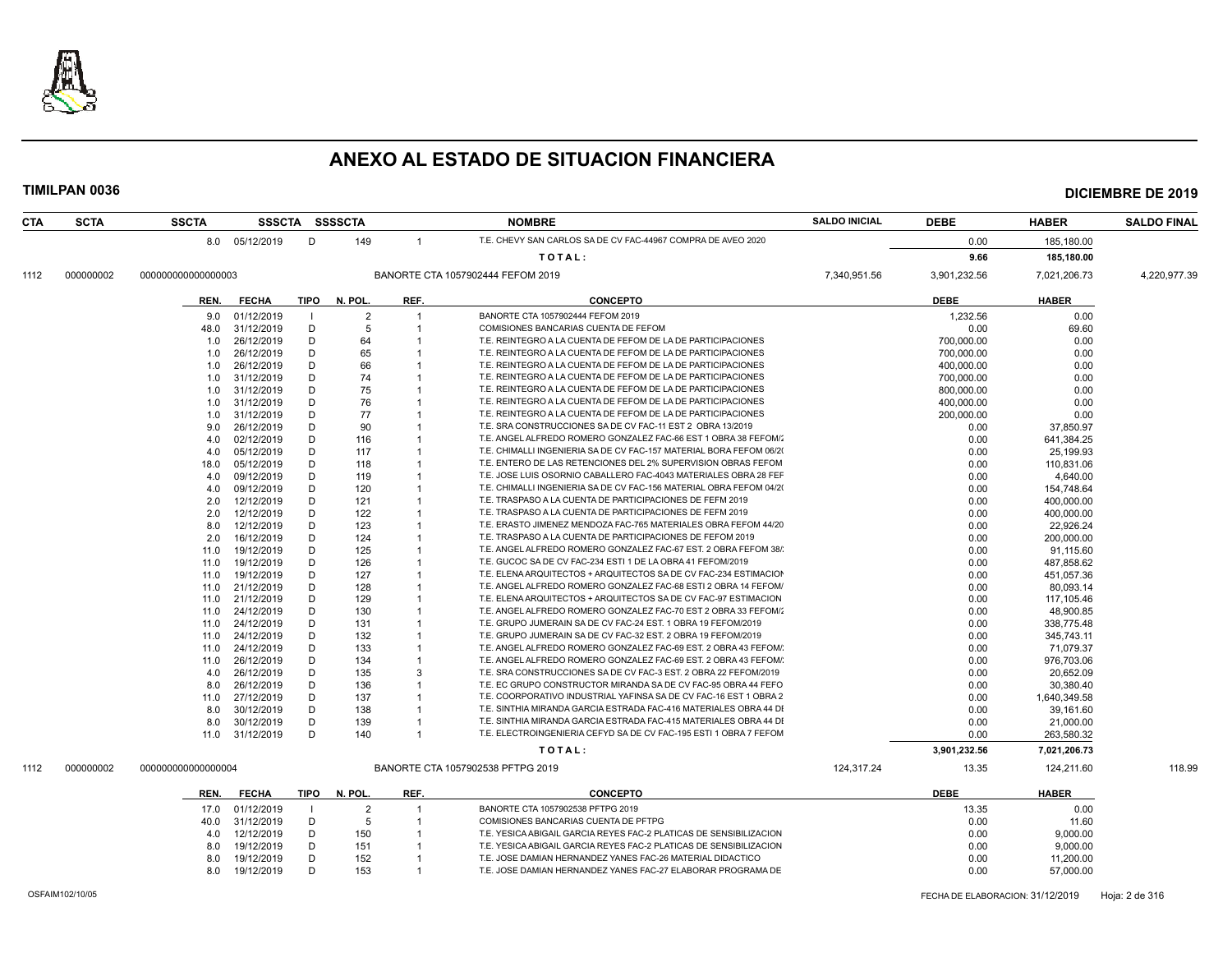

| <b>CTA</b> | <b>SCTA</b>     | <b>SSCTA</b>       |                |      | SSSCTA SSSSCTA |                | <b>NOMBRE</b>                                                       | <b>SALDO INICIAL</b> | <b>DEBE</b>                      | <b>HABER</b> | <b>SALDO FINAL</b> |
|------------|-----------------|--------------------|----------------|------|----------------|----------------|---------------------------------------------------------------------|----------------------|----------------------------------|--------------|--------------------|
|            |                 |                    | 8.0 05/12/2019 | D    | 149            | $\overline{1}$ | T.E. CHEVY SAN CARLOS SA DE CV FAC-44967 COMPRA DE AVEO 2020        |                      | 0.00                             | 185,180.00   |                    |
|            |                 |                    |                |      |                |                | TOTAL:                                                              |                      | 9.66                             | 185,180.00   |                    |
|            | 000000002       | 000000000000000003 |                |      |                |                | BANORTE CTA 1057902444 FEFOM 2019                                   | 7,340,951.56         | 3,901,232.56                     | 7.021.206.73 | 4,220,977.39       |
| 1112       |                 |                    |                |      |                |                |                                                                     |                      |                                  |              |                    |
|            |                 | REN.               | <b>FECHA</b>   | TIPO | N. POL.        | REF.           | <b>CONCEPTO</b>                                                     |                      | <b>DEBE</b>                      | <b>HABER</b> |                    |
|            |                 | 9.0                | 01/12/2019     |      | $\overline{2}$ | $\overline{1}$ | BANORTE CTA 1057902444 FEFOM 2019                                   |                      | 1,232.56                         | 0.00         |                    |
|            |                 | 48.0               | 31/12/2019     | D    | 5              | $\overline{1}$ | COMISIONES BANCARIAS CUENTA DE FEFOM                                |                      | 0.00                             | 69.60        |                    |
|            |                 | 1.0                | 26/12/2019     | D    | 64             | -1             | T.E. REINTEGRO A LA CUENTA DE FEFOM DE LA DE PARTICIPACIONES        |                      | 700,000.00                       | 0.00         |                    |
|            |                 | 1.0                | 26/12/2019     | D    | 65             |                | T.E. REINTEGRO A LA CUENTA DE FEFOM DE LA DE PARTICIPACIONES        |                      | 700.000.00                       | 0.00         |                    |
|            |                 | 1.0                | 26/12/2019     | D    | 66             | $\overline{1}$ | T.E. REINTEGRO A LA CUENTA DE FEFOM DE LA DE PARTICIPACIONES        |                      | 400,000.00                       | 0.00         |                    |
|            |                 | 1.0                | 31/12/2019     | D    | 74             | -1             | T.E. REINTEGRO A LA CUENTA DE FEFOM DE LA DE PARTICIPACIONES        |                      | 700,000.00                       | 0.00         |                    |
|            |                 | 1.0                | 31/12/2019     | D    | 75             |                | T.E. REINTEGRO A LA CUENTA DE FEFOM DE LA DE PARTICIPACIONES        |                      | 800.000.00                       | 0.00         |                    |
|            |                 | 1.0                | 31/12/2019     | D    | 76             | $\overline{1}$ | T.E. REINTEGRO A LA CUENTA DE FEFOM DE LA DE PARTICIPACIONES        |                      | 400,000.00                       | 0.00         |                    |
|            |                 | 1.0                | 31/12/2019     | D    | 77             | -1             | T.E. REINTEGRO A LA CUENTA DE FEFOM DE LA DE PARTICIPACIONES        |                      | 200,000.00                       | 0.00         |                    |
|            |                 | 9.0                | 26/12/2019     | D    | 90             |                | T.E. SRA CONSTRUCCIONES SA DE CV FAC-11 EST 2 OBRA 13/2019          |                      | 0.00                             | 37,850.97    |                    |
|            |                 | 4.0                | 02/12/2019     | D    | 116            | $\overline{1}$ | T.E. ANGEL ALFREDO ROMERO GONZALEZ FAC-66 EST 1 OBRA 38 FEFOM/2     |                      | 0.00                             | 641,384.25   |                    |
|            |                 | 4.0                | 05/12/2019     | D    | 117            | -1             | T.E. CHIMALLI INGENIERIA SA DE CV FAC-157 MATERIAL BORA FEFOM 06/20 |                      | 0.00                             | 25,199.93    |                    |
|            |                 | 18.0               | 05/12/2019     | D    | 118            |                | T.E. ENTERO DE LAS RETENCIONES DEL 2% SUPERVISION OBRAS FEFOM       |                      | 0.00                             | 110,831.06   |                    |
|            |                 | 4.0                | 09/12/2019     | D    | 119            | $\overline{1}$ | T.E. JOSE LUIS OSORNIO CABALLERO FAC-4043 MATERIALES OBRA 28 FEF    |                      | 0.00                             | 4,640.00     |                    |
|            |                 | 4.0                | 09/12/2019     | D    | 120            | -1             | T.E. CHIMALLI INGENIERIA SA DE CV FAC-156 MATERIAL OBRA FEFOM 04/20 |                      | 0.00                             | 154,748.64   |                    |
|            |                 | 2.0                | 12/12/2019     | D    | 121            |                | T.E. TRASPASO A LA CUENTA DE PARTICIPACIONES DE FEFM 2019           |                      | 0.00                             | 400,000.00   |                    |
|            |                 | 2.0                | 12/12/2019     | D    | 122            | $\overline{1}$ | T.E. TRASPASO A LA CUENTA DE PARTICIPACIONES DE FEFM 2019           |                      | 0.00                             | 400,000.00   |                    |
|            |                 | 8.0                | 12/12/2019     | D    | 123            | $\overline{1}$ | T.E. ERASTO JIMENEZ MENDOZA FAC-765 MATERIALES OBRA FEFOM 44/20     |                      | 0.00                             | 22,926.24    |                    |
|            |                 | 2.0                | 16/12/2019     | D    | 124            |                | T.E. TRASPASO A LA CUENTA DE PARTICIPACIONES DE FEFOM 2019          |                      | 0.00                             | 200,000.00   |                    |
|            |                 | 11.0               | 19/12/2019     | D    | 125            | $\overline{1}$ | T.E. ANGEL ALFREDO ROMERO GONZALEZ FAC-67 EST. 2 OBRA FEFOM 38/     |                      | 0.00                             | 91,115.60    |                    |
|            |                 | 11.0               | 19/12/2019     | D    | 126            | $\overline{1}$ | T.E. GUCOC SA DE CV FAC-234 ESTI 1 DE LA OBRA 41 FEFOM/2019         |                      | 0.00                             | 487,858.62   |                    |
|            |                 | 11.0               | 19/12/2019     | D    | 127            | $\overline{1}$ | T.E. ELENA ARQUITECTOS + ARQUITECTOS SA DE CV FAC-234 ESTIMACION    |                      | 0.00                             | 451,057.36   |                    |
|            |                 | 11.0               | 21/12/2019     | D    | 128            | $\overline{1}$ | T.E. ANGEL ALFREDO ROMERO GONZALEZ FAC-68 ESTI 2 OBRA 14 FEFOM/     |                      | 0.00                             | 80,093.14    |                    |
|            |                 | 11.0               | 21/12/2019     | D    | 129            | -1             | T.E. ELENA ARQUITECTOS + ARQUITECTOS SA DE CV FAC-97 ESTIMACION     |                      | 0.00                             | 117,105.46   |                    |
|            |                 | 11.0               | 24/12/2019     | D    | 130            |                | T.E. ANGEL ALFREDO ROMERO GONZALEZ FAC-70 EST 2 OBRA 33 FEFOM/      |                      | 0.00                             | 48,900.85    |                    |
|            |                 | 11.0               | 24/12/2019     | D    | 131            | $\overline{1}$ | T.E. GRUPO JUMERAIN SA DE CV FAC-24 EST. 1 OBRA 19 FEFOM/2019       |                      | 0.00                             | 338,775.48   |                    |
|            |                 | 11.0               | 24/12/2019     | D    | 132            | -1             | T.E. GRUPO JUMERAIN SA DE CV FAC-32 EST. 2 OBRA 19 FEFOM/2019       |                      | 0.00                             | 345,743.11   |                    |
|            |                 | 11.0               | 24/12/2019     | D    | 133            | $\overline{1}$ | T.E. ANGEL ALFREDO ROMERO GONZALEZ FAC-69 EST. 2 OBRA 43 FEFOM/     |                      | 0.00                             | 71,079.37    |                    |
|            |                 | 11.0               | 26/12/2019     | D    | 134            | $\overline{1}$ | T.E. ANGEL ALFREDO ROMERO GONZALEZ FAC-69 EST. 2 OBRA 43 FEFOM/     |                      | 0.00                             | 976,703.06   |                    |
|            |                 | 4.0                | 26/12/2019     | D    | 135            | 3              | T.E. SRA CONSTRUCCIONES SA DE CV FAC-3 EST. 2 OBRA 22 FEFOM/2019    |                      | 0.00                             | 20,652.09    |                    |
|            |                 | 8.0                | 26/12/2019     | D    | 136            |                | T.E. EC GRUPO CONSTRUCTOR MIRANDA SA DE CV FAC-95 OBRA 44 FEFO      |                      | 0.00                             | 30,380.40    |                    |
|            |                 | 11.0               | 27/12/2019     | D    | 137            | $\overline{1}$ | T.E. COORPORATIVO INDUSTRIAL YAFINSA SA DE CV FAC-16 EST 1 OBRA 2   |                      | 0.00                             | 1,640,349.58 |                    |
|            |                 | 8.0                | 30/12/2019     | D    | 138            | $\overline{1}$ | T.E. SINTHIA MIRANDA GARCIA ESTRADA FAC-416 MATERIALES OBRA 44 DI   |                      | 0.00                             | 39,161.60    |                    |
|            |                 | 8.0                | 30/12/2019     | D    | 139            |                | T.E. SINTHIA MIRANDA GARCIA ESTRADA FAC-415 MATERIALES OBRA 44 DI   |                      | 0.00                             | 21,000.00    |                    |
|            |                 | 11.0               | 31/12/2019     | D    | 140            | $\overline{1}$ | T.E. ELECTROINGENIERIA CEFYD SA DE CV FAC-195 ESTI 1 OBRA 7 FEFOM   |                      | 0.00                             | 263,580.32   |                    |
|            |                 |                    |                |      |                |                | TOTAL:                                                              |                      | 3,901,232.56                     | 7,021,206.73 |                    |
| 1112       | 000000002       | 000000000000000004 |                |      |                |                | BANORTE CTA 1057902538 PFTPG 2019                                   | 124,317.24           | 13.35                            | 124,211.60   | 118.99             |
|            |                 |                    |                |      |                |                |                                                                     |                      |                                  |              |                    |
|            |                 | REN.               | <b>FECHA</b>   | TIPO | N. POL.        | REF.           | <b>CONCEPTO</b>                                                     |                      | <b>DEBE</b>                      | <b>HABER</b> |                    |
|            |                 | 17.0               | 01/12/2019     |      | $\overline{2}$ | $\overline{1}$ | BANORTE CTA 1057902538 PFTPG 2019                                   |                      | 13.35                            | 0.00         |                    |
|            |                 | 40.0               | 31/12/2019     | D    | 5              | $\overline{1}$ | COMISIONES BANCARIAS CUENTA DE PFTPG                                |                      | 0.00                             | 11.60        |                    |
|            |                 | 4.0                | 12/12/2019     | D    | 150            | $\overline{1}$ | T.E. YESICA ABIGAIL GARCIA REYES FAC-2 PLATICAS DE SENSIBILIZACION  |                      | 0.00                             | 9,000.00     |                    |
|            |                 | 8.0                | 19/12/2019     | D    | 151            | $\overline{1}$ | T.E. YESICA ABIGAIL GARCIA REYES FAC-2 PLATICAS DE SENSIBILIZACION  |                      | 0.00                             | 9,000.00     |                    |
|            |                 | 8.0                | 19/12/2019     | D    | 152            | -1             | T.E. JOSE DAMIAN HERNANDEZ YANES FAC-26 MATERIAL DIDACTICO          |                      | 0.00                             | 11,200.00    |                    |
|            |                 | 8.0                | 19/12/2019     | D    | 153            | $\overline{1}$ | T.E. JOSE DAMIAN HERNANDEZ YANES FAC-27 ELABORAR PROGRAMA DE        |                      | 0.00                             | 57,000.00    |                    |
|            |                 |                    |                |      |                |                |                                                                     |                      |                                  |              |                    |
|            | OSFAIM102/10/05 |                    |                |      |                |                |                                                                     |                      | FECHA DE ELABORACION: 31/12/2019 |              | Hoja: 2 de 316     |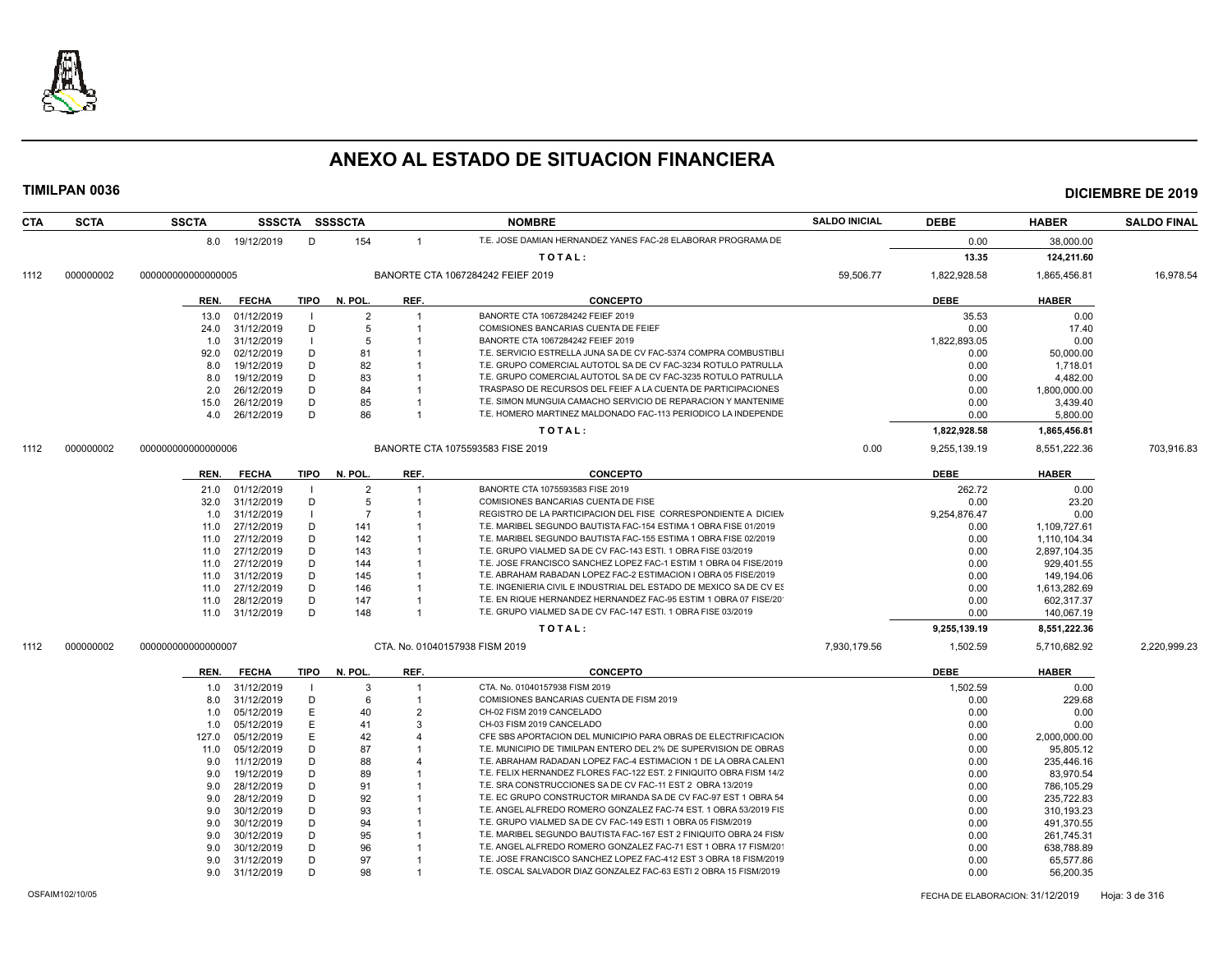

| <b>CTA</b> | <b>SCTA</b> | <b>SSCTA</b>       |     | <b>SSSCTA</b>   |        | <b>SSSSCTA</b> |                | <b>NOMBRE</b>                                                                                                                          | <b>SALDO INICIAL</b> | <b>DEBE</b>  | <b>HABER</b> | <b>SALDO FINAL</b> |
|------------|-------------|--------------------|-----|-----------------|--------|----------------|----------------|----------------------------------------------------------------------------------------------------------------------------------------|----------------------|--------------|--------------|--------------------|
|            |             |                    |     | 8.0 19/12/2019  | D      | 154            | $\overline{1}$ | T.E. JOSE DAMIAN HERNANDEZ YANES FAC-28 ELABORAR PROGRAMA DE                                                                           |                      | 0.00         | 38,000.00    |                    |
|            |             |                    |     |                 |        |                |                | TOTAL:                                                                                                                                 |                      | 13.35        | 124,211.60   |                    |
| 1112       | 000000002   | 000000000000000005 |     |                 |        |                |                | BANORTE CTA 1067284242 FEIEF 2019                                                                                                      | 59,506.77            | 1,822,928.58 | 1,865,456.81 | 16,978.54          |
|            |             | REN.               |     | <b>FECHA</b>    |        | TIPO N. POL.   | REF.           | <b>CONCEPTO</b>                                                                                                                        |                      | <b>DEBE</b>  | <b>HABER</b> |                    |
|            |             |                    |     |                 |        |                |                |                                                                                                                                        |                      |              |              |                    |
|            |             | 13.0               |     | 01/12/2019      |        | 2              | -1             | BANORTE CTA 1067284242 FEIEF 2019                                                                                                      |                      | 35.53        | 0.00         |                    |
|            |             | 24.0               |     | 31/12/2019      | D      | 5              | -1             | COMISIONES BANCARIAS CUENTA DE FEIEF                                                                                                   |                      | 0.00         | 17.40        |                    |
|            |             | 1.0                |     | 31/12/2019      |        | -5             |                | BANORTE CTA 1067284242 FEIEF 2019                                                                                                      |                      | 1,822,893.05 | 0.00         |                    |
|            |             | 92.0               |     | 02/12/2019      | D      | 81             |                | T.E. SERVICIO ESTRELLA JUNA SA DE CV FAC-5374 COMPRA COMBUSTIBL                                                                        |                      | 0.00         | 50,000.00    |                    |
|            |             | 8.0                |     | 19/12/2019      | D      | 82             |                | T.E. GRUPO COMERCIAL AUTOTOL SA DE CV FAC-3234 ROTULO PATRULLA                                                                         |                      | 0.00         | 1,718.01     |                    |
|            |             | 8.0                |     | 19/12/2019      | D      | 83             |                | T.E. GRUPO COMERCIAL AUTOTOL SA DE CV FAC-3235 ROTULO PATRULLA                                                                         |                      | 0.00         | 4,482.00     |                    |
|            |             | 2.0                |     | 26/12/2019      | D      | 84             |                | TRASPASO DE RECURSOS DEL FEIEF A LA CUENTA DE PARTICIPACIONES                                                                          |                      | 0.00         | 1,800,000.00 |                    |
|            |             | 15.0               |     | 26/12/2019      | D      | 85             |                | T.E. SIMON MUNGUIA CAMACHO SERVICIO DE REPARACION Y MANTENIME                                                                          |                      | 0.00         | 3,439.40     |                    |
|            |             | 4.0                |     | 26/12/2019      | D      | 86             |                | T.E. HOMERO MARTINEZ MALDONADO FAC-113 PERIODICO LA INDEPENDE                                                                          |                      | 0.00         | 5,800.00     |                    |
|            |             |                    |     |                 |        |                |                | TOTAL:                                                                                                                                 |                      | 1,822,928.58 | 1,865,456.81 |                    |
| 1112       | 000000002   | 000000000000000006 |     |                 |        |                |                | BANORTE CTA 1075593583 FISE 2019                                                                                                       | 0.00                 | 9,255,139.19 | 8,551,222.36 | 703,916.83         |
|            |             | REN.               |     | <b>FECHA</b>    | TIPO   | N. POL.        | REF.           | <b>CONCEPTO</b>                                                                                                                        |                      | <b>DEBE</b>  | <b>HABER</b> |                    |
|            |             | 21.0               |     | 01/12/2019      |        | $\overline{2}$ |                | BANORTE CTA 1075593583 FISE 2019                                                                                                       |                      | 262.72       | 0.00         |                    |
|            |             | 32.0               |     | 31/12/2019      | D      | 5              |                | COMISIONES BANCARIAS CUENTA DE FISE                                                                                                    |                      | 0.00         | 23.20        |                    |
|            |             | 1.0                |     | 31/12/2019      |        | $\overline{7}$ |                | REGISTRO DE LA PARTICIPACION DEL FISE CORRESPONDIENTE A DICIEN                                                                         |                      | 9,254,876.47 | 0.00         |                    |
|            |             | 11.0               |     | 27/12/2019      | D      | 141            |                | T.E. MARIBEL SEGUNDO BAUTISTA FAC-154 ESTIMA 1 OBRA FISE 01/2019                                                                       |                      | 0.00         | 1,109,727.61 |                    |
|            |             | 11.0               |     | 27/12/2019      | D      | 142            |                | T.E. MARIBEL SEGUNDO BAUTISTA FAC-155 ESTIMA 1 OBRA FISE 02/2019                                                                       |                      | 0.00         | 1,110,104.34 |                    |
|            |             | 11.0               |     | 27/12/2019      | D      | 143            |                | T.E. GRUPO VIALMED SA DE CV FAC-143 ESTI. 1 OBRA FISE 03/2019                                                                          |                      | 0.00         | 2,897,104.35 |                    |
|            |             | 11.0               |     | 27/12/2019      | D      | 144            |                | T.E. JOSE FRANCISCO SANCHEZ LOPEZ FAC-1 ESTIM 1 OBRA 04 FISE/2019                                                                      |                      | 0.00         | 929,401.55   |                    |
|            |             | 11.0               |     | 31/12/2019      | D      | 145            |                | T.E. ABRAHAM RABADAN LOPEZ FAC-2 ESTIMACION I OBRA 05 FISE/2019                                                                        |                      | 0.00         | 149,194.06   |                    |
|            |             | 11.0               |     | 27/12/2019      | D      | 146            |                | T.E. INGENIERIA CIVIL E INDUSTRIAL DEL ESTADO DE MEXICO SA DE CV ES                                                                    |                      | 0.00         | 1,613,282.69 |                    |
|            |             | 11.0               |     | 28/12/2019      | D      | 147            |                | T.E. EN RIQUE HERNANDEZ HERNANDEZ FAC-95 ESTIM 1 OBRA 07 FISE/20                                                                       |                      | 0.00         | 602,317.37   |                    |
|            |             |                    |     | 11.0 31/12/2019 | D      | 148            | -1             | T.E. GRUPO VIALMED SA DE CV FAC-147 ESTI, 1 OBRA FISE 03/2019                                                                          |                      | 0.00         | 140,067.19   |                    |
|            |             |                    |     |                 |        |                |                | TOTAL:                                                                                                                                 |                      | 9,255,139.19 | 8,551,222.36 |                    |
| 1112       | 000000002   | 000000000000000007 |     |                 |        |                |                | CTA. No. 01040157938 FISM 2019                                                                                                         | 7,930,179.56         | 1,502.59     | 5,710,682.92 | 2,220,999.23       |
|            |             | REN.               |     | <b>FECHA</b>    | TIPO   | N. POL.        | REF.           | <b>CONCEPTO</b>                                                                                                                        |                      | <b>DEBE</b>  | <b>HABER</b> |                    |
|            |             |                    |     | 31/12/2019      |        | 3              | -1             | CTA. No. 01040157938 FISM 2019                                                                                                         |                      | 1,502.59     | 0.00         |                    |
|            |             |                    | 1.0 |                 |        |                |                | COMISIONES BANCARIAS CUENTA DE FISM 2019                                                                                               |                      |              |              |                    |
|            |             | 8.0                |     | 31/12/2019      | D<br>Е | 6              | $\overline{2}$ | CH-02 FISM 2019 CANCELADO                                                                                                              |                      | 0.00         | 229.68       |                    |
|            |             | 1.0                |     | 05/12/2019      | E      | 40             | 3              | CH-03 FISM 2019 CANCELADO                                                                                                              |                      | 0.00         | 0.00         |                    |
|            |             | 1.0                |     | 05/12/2019      | Е      | 41             |                | CFE SBS APORTACION DEL MUNICIPIO PARA OBRAS DE ELECTRIFICACION                                                                         |                      | 0.00         | 0.00         |                    |
|            |             | 127.0              |     | 05/12/2019      | D      | 42<br>87       |                | T.E. MUNICIPIO DE TIMILPAN ENTERO DEL 2% DE SUPERVISION DE OBRAS                                                                       |                      | 0.00         | 2,000,000.00 |                    |
|            |             | 11.0               |     | 05/12/2019      | D      |                |                | T.E. ABRAHAM RADADAN LOPEZ FAC-4 ESTIMACION 1 DE LA OBRA CALENT                                                                        |                      | 0.00         | 95,805.12    |                    |
|            |             | 9.0                |     | 11/12/2019      |        | 88             |                |                                                                                                                                        |                      | 0.00         | 235,446.16   |                    |
|            |             | 9.0                |     | 19/12/2019      | D      | 89             |                | T.E. FELIX HERNANDEZ FLORES FAC-122 EST. 2 FINIQUITO OBRA FISM 14/2                                                                    |                      | 0.00         | 83,970.54    |                    |
|            |             | 9.0                |     | 28/12/2019      | D<br>D | 91             |                | T.E. SRA CONSTRUCCIONES SA DE CV FAC-11 EST 2 OBRA 13/2019                                                                             |                      | 0.00         | 786,105.29   |                    |
|            |             | 9.0                |     | 28/12/2019      | D      | 92             |                | T.E. EC GRUPO CONSTRUCTOR MIRANDA SA DE CV FAC-97 EST 1 OBRA 54                                                                        |                      | 0.00         | 235,722.83   |                    |
|            |             | 9.0                |     | 30/12/2019      |        | 93             |                | T.E. ANGEL ALFREDO ROMERO GONZALEZ FAC-74 EST. 1 OBRA 53/2019 FIS<br>T.E. GRUPO VIALMED SA DE CV FAC-149 ESTI 1 OBRA 05 FISM/2019      |                      | 0.00         | 310,193.23   |                    |
|            |             | 9.0                |     | 30/12/2019      | D      | 94             |                |                                                                                                                                        |                      | 0.00         | 491,370.55   |                    |
|            |             | 9.0                |     | 30/12/2019      | D      | 95             |                | T.E. MARIBEL SEGUNDO BAUTISTA FAC-167 EST 2 FINIQUITO OBRA 24 FISM                                                                     |                      | 0.00         | 261,745.31   |                    |
|            |             | 9.0                |     | 30/12/2019      | D<br>D | 96             |                | T.E. ANGEL ALFREDO ROMERO GONZALEZ FAC-71 EST 1 OBRA 17 FISM/20                                                                        |                      | 0.00         | 638,788.89   |                    |
|            |             | 9.0                |     | 31/12/2019      | D      | 97<br>98       |                | T.E. JOSE FRANCISCO SANCHEZ LOPEZ FAC-412 EST 3 OBRA 18 FISM/2019<br>T.E. OSCAL SALVADOR DIAZ GONZALEZ FAC-63 ESTI 2 OBRA 15 FISM/2019 |                      | 0.00         | 65,577.86    |                    |
|            |             |                    | 9.0 | 31/12/2019      |        |                |                |                                                                                                                                        |                      | 0.00         | 56,200.35    |                    |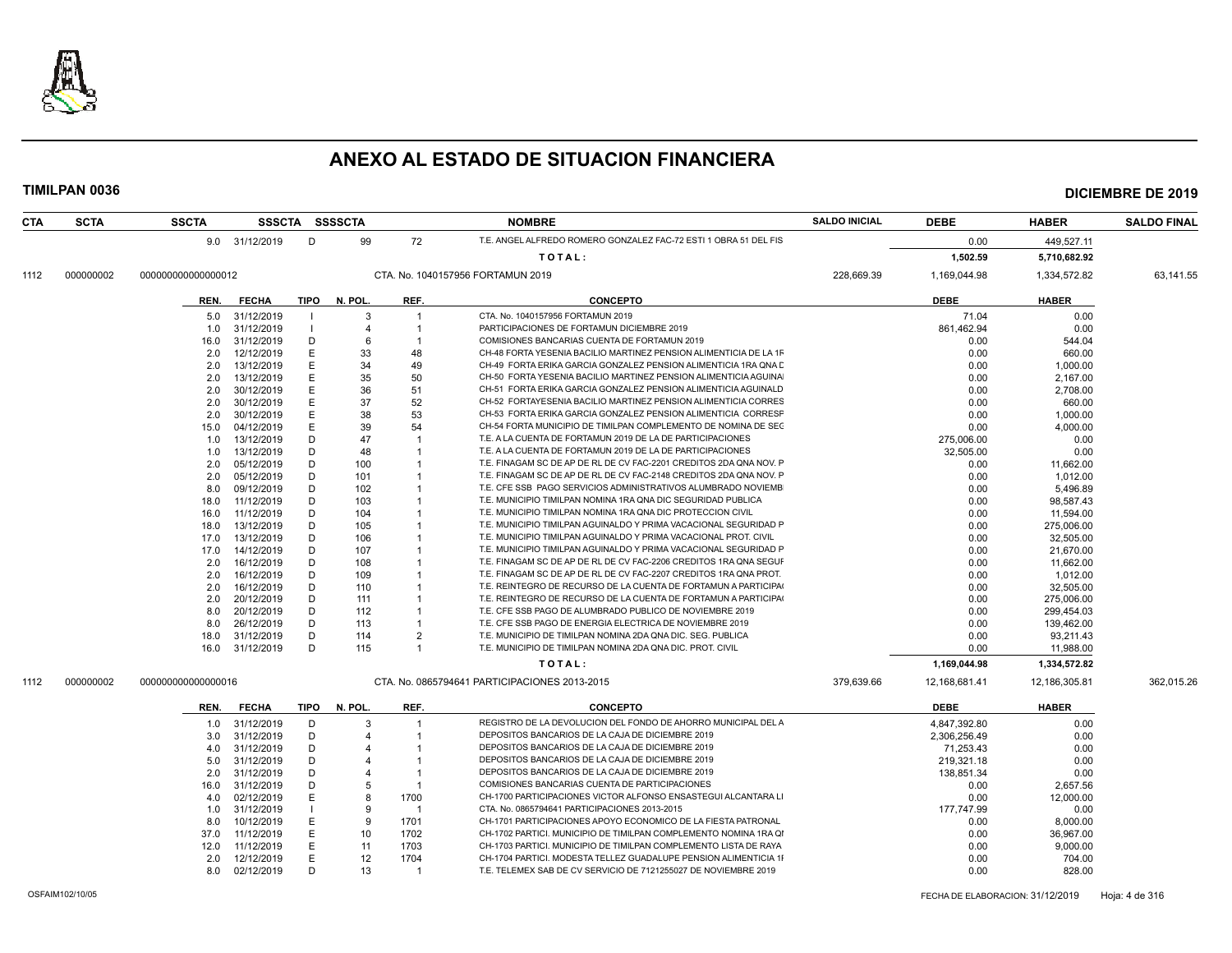

### **TIMILPAN 0036 DICIEMBRE DE 2019**

| <b>CTA</b> | <b>SCTA</b> | <b>SSCTA</b>       |      |                 |             | SSSCTA SSSSCTA |                | <b>NOMBRE</b>                                                      | <b>SALDO INICIAL</b> | <b>DEBE</b>   | <b>HABER</b>  | <b>SALDO FINAL</b> |
|------------|-------------|--------------------|------|-----------------|-------------|----------------|----------------|--------------------------------------------------------------------|----------------------|---------------|---------------|--------------------|
|            |             |                    |      | 9.0 31/12/2019  | D           | 99             | 72             | T.E. ANGEL ALFREDO ROMERO GONZALEZ FAC-72 ESTI 1 OBRA 51 DEL FIS   |                      | 0.00          | 449,527.11    |                    |
|            |             |                    |      |                 |             |                |                | TOTAL:                                                             |                      | 1,502.59      | 5,710,682.92  |                    |
| 1112       | 000000002   | 00000000000000012  |      |                 |             |                |                | CTA, No. 1040157956 FORTAMUN 2019                                  | 228,669.39           | 1,169,044.98  | 1,334,572.82  | 63,141.55          |
|            |             |                    |      |                 |             |                |                |                                                                    |                      |               |               |                    |
|            |             |                    | REN. | <b>FECHA</b>    | TIPO        | N. POL.        | REF.           | <b>CONCEPTO</b>                                                    |                      | <b>DEBE</b>   | <b>HABER</b>  |                    |
|            |             |                    | 5.0  | 31/12/2019      |             | 3              | $\overline{1}$ | CTA. No. 1040157956 FORTAMUN 2019                                  |                      | 71.04         | 0.00          |                    |
|            |             |                    | 1.0  | 31/12/2019      |             | 4              |                | PARTICIPACIONES DE FORTAMUN DICIEMBRE 2019                         |                      | 861,462.94    | 0.00          |                    |
|            |             |                    | 16.0 | 31/12/2019      | D           | 6              |                | COMISIONES BANCARIAS CUENTA DE FORTAMUN 2019                       |                      | 0.00          | 544.04        |                    |
|            |             |                    | 2.0  | 12/12/2019      |             | 33             | 48             | CH-48 FORTA YESENIA BACILIO MARTINEZ PENSION ALIMENTICIA DE LA 1F  |                      | 0.00          | 660.00        |                    |
|            |             |                    | 2.0  | 13/12/2019      |             | 34             | 49             | CH-49 FORTA ERIKA GARCIA GONZALEZ PENSION ALIMENTICIA 1RA QNA E    |                      | 0.00          | 1,000.00      |                    |
|            |             |                    | 2.0  | 13/12/2019      |             | 35             | 50             | CH-50 FORTA YESENIA BACILIO MARTINEZ PENSION ALIMENTICIA AGUINA    |                      | 0.00          | 2,167.00      |                    |
|            |             |                    | 2.0  | 30/12/2019      |             | 36             | 51             | CH-51 FORTA ERIKA GARCIA GONZALEZ PENSION ALIMENTICIA AGUINALD     |                      | 0.00          | 2,708.00      |                    |
|            |             |                    | 2.0  | 30/12/2019      |             | 37             | 52             | CH-52 FORTAYESENIA BACILIO MARTINEZ PENSION ALIMENTICIA CORRES     |                      | 0.00          | 660.00        |                    |
|            |             |                    | 2.0  | 30/12/2019      |             | 38             | 53             | CH-53 FORTA ERIKA GARCIA GONZALEZ PENSION ALIMENTICIA CORRESF      |                      | 0.00          | 1,000.00      |                    |
|            |             |                    | 15.0 | 04/12/2019      |             | 39             | 54             | CH-54 FORTA MUNICIPIO DE TIMILPAN COMPLEMENTO DE NOMINA DE SEC     |                      | 0.00          | 4,000.00      |                    |
|            |             |                    | 1.0  | 13/12/2019      | D           | 47             |                | T.E. A LA CUENTA DE FORTAMUN 2019 DE LA DE PARTICIPACIONES         |                      | 275,006.00    | 0.00          |                    |
|            |             |                    | 1.0  | 13/12/2019      | D           | 48             |                | T.E. A LA CUENTA DE FORTAMUN 2019 DE LA DE PARTICIPACIONES         |                      | 32,505.00     | 0.00          |                    |
|            |             |                    | 2.0  | 05/12/2019      | D           | 100            |                | T.E. FINAGAM SC DE AP DE RL DE CV FAC-2201 CREDITOS 2DA QNA NOV. F |                      | 0.00          | 11,662.00     |                    |
|            |             |                    | 2.0  | 05/12/2019      | D           | 101            |                | T.E. FINAGAM SC DE AP DE RL DE CV FAC-2148 CREDITOS 2DA QNA NOV. F |                      | 0.00          | 1,012.00      |                    |
|            |             |                    | 8.0  | 09/12/2019      | D           | 102            |                | T.E. CFE SSB PAGO SERVICIOS ADMINISTRATIVOS ALUMBRADO NOVIEMB      |                      | 0.00          | 5,496.89      |                    |
|            |             |                    | 18.0 | 11/12/2019      | D           | 103            |                | T.E. MUNICIPIO TIMILPAN NOMINA 1RA QNA DIC SEGURIDAD PUBLICA       |                      | 0.00          | 98,587.43     |                    |
|            |             |                    | 16.0 | 11/12/2019      | D           | 104            |                | T.E. MUNICIPIO TIMILPAN NOMINA 1RA QNA DIC PROTECCION CIVIL        |                      | 0.00          | 11,594.00     |                    |
|            |             |                    | 18.0 | 13/12/2019      | D           | 105            |                | T.E. MUNICIPIO TIMILPAN AGUINALDO Y PRIMA VACACIONAL SEGURIDAD F   |                      | 0.00          | 275,006.00    |                    |
|            |             |                    | 17.0 | 13/12/2019      | D           | 106            |                | T.E. MUNICIPIO TIMILPAN AGUINALDO Y PRIMA VACACIONAL PROT. CIVIL   |                      | 0.00          | 32,505.00     |                    |
|            |             |                    | 17.0 | 14/12/2019      | D           | 107            |                | T.E. MUNICIPIO TIMILPAN AGUINALDO Y PRIMA VACACIONAL SEGURIDAD F   |                      | 0.00          | 21,670.00     |                    |
|            |             |                    | 2.0  | 16/12/2019      | D           | 108            |                | T.E. FINAGAM SC DE AP DE RL DE CV FAC-2206 CREDITOS 1RA QNA SEGUF  |                      | 0.00          | 11,662.00     |                    |
|            |             |                    | 2.0  | 16/12/2019      | D           | 109            |                | T.E. FINAGAM SC DE AP DE RL DE CV FAC-2207 CREDITOS 1RA QNA PROT.  |                      | 0.00          | 1,012.00      |                    |
|            |             |                    | 2.0  | 16/12/2019      | D           | 110            |                | T.E. REINTEGRO DE RECURSO DE LA CUENTA DE FORTAMUN A PARTICIPA     |                      | 0.00          | 32,505.00     |                    |
|            |             |                    | 2.0  | 20/12/2019      | D           | 111            |                | T.E. REINTEGRO DE RECURSO DE LA CUENTA DE FORTAMUN A PARTICIPA     |                      | 0.00          | 275,006.00    |                    |
|            |             |                    | 8.0  | 20/12/2019      | D           | 112            |                | T.E. CFE SSB PAGO DE ALUMBRADO PUBLICO DE NOVIEMBRE 2019           |                      | 0.00          | 299,454.03    |                    |
|            |             |                    | 8.0  | 26/12/2019      | D           | 113            |                | T.E. CFE SSB PAGO DE ENERGIA ELECTRICA DE NOVIEMBRE 2019           |                      | 0.00          | 139,462.00    |                    |
|            |             |                    | 18.0 | 31/12/2019      | D           | 114            | $\overline{2}$ | T.E. MUNICIPIO DE TIMILPAN NOMINA 2DA QNA DIC. SEG. PUBLICA        |                      | 0.00          | 93,211.43     |                    |
|            |             |                    |      | 16.0 31/12/2019 | D           | 115            | $\overline{1}$ | T.E. MUNICIPIO DE TIMILPAN NOMINA 2DA QNA DIC. PROT. CIVIL         |                      | 0.00          | 11,988.00     |                    |
|            |             |                    |      |                 |             |                |                | TOTAL:                                                             |                      | 1,169,044.98  | 1,334,572.82  |                    |
| 1112       | 000000002   | 000000000000000016 |      |                 |             |                |                | CTA. No. 0865794641 PARTICIPACIONES 2013-2015                      | 379,639.66           | 12,168,681.41 | 12,186,305.81 | 362,015.26         |
|            |             |                    | REN. | <b>FECHA</b>    | <b>TIPO</b> | N. POL.        | REF.           | <b>CONCEPTO</b>                                                    |                      | <b>DEBE</b>   | <b>HABER</b>  |                    |
|            |             |                    | 1.0  | 31/12/2019      | D           | 3              | -1             | REGISTRO DE LA DEVOLUCION DEL FONDO DE AHORRO MUNICIPAL DEL A      |                      | 4,847,392.80  | 0.00          |                    |
|            |             |                    | 3.0  | 31/12/2019      | D           |                |                | DEPOSITOS BANCARIOS DE LA CAJA DE DICIEMBRE 2019                   |                      | 2,306,256.49  | 0.00          |                    |
|            |             |                    | 4.0  | 31/12/2019      | D           |                |                | DEPOSITOS BANCARIOS DE LA CAJA DE DICIEMBRE 2019                   |                      | 71,253.43     | 0.00          |                    |
|            |             |                    | 5.0  | 31/12/2019      | D           |                |                | DEPOSITOS BANCARIOS DE LA CAJA DE DICIEMBRE 2019                   |                      | 219,321.18    | 0.00          |                    |
|            |             |                    | 2.0  | 31/12/2019      | D           |                |                | DEPOSITOS BANCARIOS DE LA CAJA DE DICIEMBRE 2019                   |                      | 138,851.34    | 0.00          |                    |
|            |             |                    | 16.0 | 31/12/2019      | D           |                | -1             | COMISIONES BANCARIAS CUENTA DE PARTICIPACIONES                     |                      | 0.00          | 2,657.56      |                    |
|            |             |                    | 4.0  | 02/12/2019      | Е           |                | 1700           | CH-1700 PARTICIPACIONES VICTOR ALFONSO ENSASTEGUI ALCANTARA LI     |                      | 0.00          | 12,000.00     |                    |
|            |             |                    | 1.0  | 31/12/2019      |             | 9              | -1             | CTA. No. 0865794641 PARTICIPACIONES 2013-2015                      |                      | 177,747.99    | 0.00          |                    |
|            |             |                    | 8.0  | 10/12/2019      |             | <sub>9</sub>   | 1701           | CH-1701 PARTICIPACIONES APOYO ECONOMICO DE LA FIESTA PATRONAL      |                      | 0.00          | 8,000.00      |                    |
|            |             |                    | 37.0 | 11/12/2019      |             | 10             | 1702           | CH-1702 PARTICI. MUNICIPIO DE TIMILPAN COMPLEMENTO NOMINA 1RA QI   |                      | 0.00          | 36,967.00     |                    |
|            |             |                    | 12.0 | 11/12/2019      | Е           | 11             | 1703           | CH-1703 PARTICI. MUNICIPIO DE TIMILPAN COMPLEMENTO LISTA DE RAYA   |                      | 0.00          | 9,000.00      |                    |
|            |             |                    | 2.0  | 12/12/2019      | E           | 12             | 1704           | CH-1704 PARTICI. MODESTA TELLEZ GUADALUPE PENSION ALIMENTICIA 1I   |                      | 0.00          | 704.00        |                    |
|            |             |                    | 8.0  | 02/12/2019      | D           | 13             | $\overline{1}$ | T.E. TELEMEX SAB DE CV SERVICIO DE 7121255027 DE NOVIEMBRE 2019    |                      | 0.00          | 828.00        |                    |
|            |             |                    |      |                 |             |                |                |                                                                    |                      |               |               |                    |

OSFAIM102/10/05 FECHA DE ELABORACION: 31/12/2019 Hoja: 4 de 316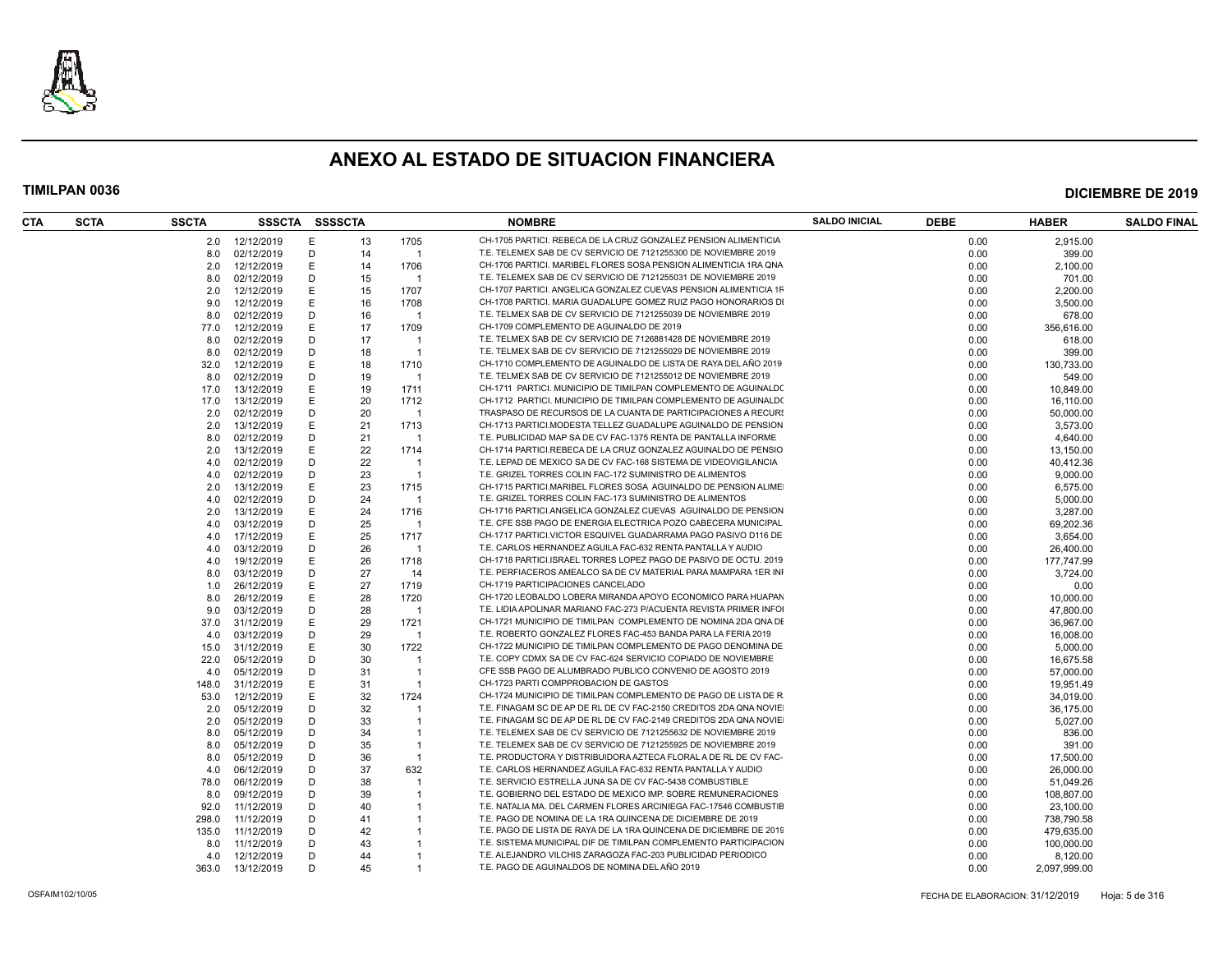

| <b>CTA</b> | <b>SCTA</b> | <b>SSCTA</b> | SSSCTA     |   | <b>SSSSCTA</b> |                | <b>NOMBRE</b>                                                                                        | <b>SALDO INICIAL</b> | <b>DEBE</b> | <b>HABER</b>         | <b>SALDO FINAL</b> |
|------------|-------------|--------------|------------|---|----------------|----------------|------------------------------------------------------------------------------------------------------|----------------------|-------------|----------------------|--------------------|
|            |             | 2.0          | 12/12/2019 |   | 13             | 1705           | CH-1705 PARTICI. REBECA DE LA CRUZ GONZALEZ PENSION ALIMENTICIA                                      |                      | 0.00        | 2.915.00             |                    |
|            |             | 8.0          | 02/12/2019 | D | 14             | $\overline{1}$ | T.E. TELEMEX SAB DE CV SERVICIO DE 7121255300 DE NOVIEMBRE 2019                                      |                      | 0.00        | 399.00               |                    |
|            |             | 2.0          | 12/12/2019 | Е | 14             | 1706           | CH-1706 PARTICI, MARIBEL FLORES SOSA PENSION ALIMENTICIA 1RA QNA                                     |                      | 0.00        | 2,100.00             |                    |
|            |             | 8.0          | 02/12/2019 | D | 15             | - 1            | T.E. TELEMEX SAB DE CV SERVICIO DE 7121255031 DE NOVIEMBRE 2019                                      |                      | 0.00        | 701.00               |                    |
|            |             | 2.0          | 12/12/2019 | Е | 15             | 1707           | CH-1707 PARTICI. ANGELICA GONZALEZ CUEVAS PENSION ALIMENTICIA 1F                                     |                      | 0.00        | 2.200.00             |                    |
|            |             | 9.0          | 12/12/2019 | E | 16             | 1708           | CH-1708 PARTICI. MARIA GUADALUPE GOMEZ RUIZ PAGO HONORARIOS DI                                       |                      | 0.00        | 3,500.00             |                    |
|            |             | 8.0          | 02/12/2019 | D | 16             | - 1            | T.E. TELMEX SAB DE CV SERVICIO DE 7121255039 DE NOVIEMBRE 2019                                       |                      | 0.00        | 678.00               |                    |
|            |             | 77.0         | 12/12/2019 | Ε | 17             | 1709           | CH-1709 COMPLEMENTO DE AGUINALDO DE 2019                                                             |                      | 0.00        | 356,616.00           |                    |
|            |             | 8.0          | 02/12/2019 | D | 17             |                | T.E. TELMEX SAB DE CV SERVICIO DE 7126881428 DE NOVIEMBRE 2019                                       |                      | 0.00        | 618.00               |                    |
|            |             | 8.0          | 02/12/2019 | D | 18             | -1             | T.E. TELMEX SAB DE CV SERVICIO DE 7121255029 DE NOVIEMBRE 2019                                       |                      | 0.00        | 399.00               |                    |
|            |             | 32.0         | 12/12/2019 |   | 18             | 1710           | CH-1710 COMPLEMENTO DE AGUINALDO DE LISTA DE RAYA DEL AÑO 2019                                       |                      | 0.00        | 130.733.00           |                    |
|            |             | 8.0          | 02/12/2019 | D | 19             | - 1            | T.E. TELMEX SAB DE CV SERVICIO DE 7121255012 DE NOVIEMBRE 2019                                       |                      | 0.00        | 549.00               |                    |
|            |             | 17.0         | 13/12/2019 | F | 19             | 1711           | CH-1711 PARTICI. MUNICIPIO DE TIMILPAN COMPLEMENTO DE AGUINALDO                                      |                      | 0.00        | 10.849.00            |                    |
|            |             | 17.0         | 13/12/2019 |   | 20             | 1712           | CH-1712 PARTICI. MUNICIPIO DE TIMILPAN COMPLEMENTO DE AGUINALDO                                      |                      | 0.00        | 16,110.00            |                    |
|            |             | 2.0          | 02/12/2019 | D | 20             | - 1            | TRASPASO DE RECURSOS DE LA CUANTA DE PARTICIPACIONES A RECURS                                        |                      | 0.00        | 50,000.00            |                    |
|            |             | 2.0          | 13/12/2019 | Ε | 21             | 1713           | CH-1713 PARTICI.MODESTA TELLEZ GUADALUPE AGUINALDO DE PENSION                                        |                      | 0.00        | 3,573.00             |                    |
|            |             | 8.0          | 02/12/2019 | D | 21             | -1             | T.E. PUBLICIDAD MAP SA DE CV FAC-1375 RENTA DE PANTALLA INFORME                                      |                      | 0.00        | 4,640.00             |                    |
|            |             | 2.0          | 13/12/2019 | Е | 22             | 1714           | CH-1714 PARTICI.REBECA DE LA CRUZ GONZALEZ AGUINALDO DE PENSIO                                       |                      | 0.00        | 13,150.00            |                    |
|            |             | 4.0          | 02/12/2019 | D | 22             | - 1            | T.E. LEPAD DE MEXICO SA DE CV FAC-168 SISTEMA DE VIDEOVIGILANCIA                                     |                      | 0.00        | 40,412.36            |                    |
|            |             | 4.0          | 02/12/2019 | D | 23             | - 1            | T.E. GRIZEL TORRES COLIN FAC-172 SUMINISTRO DE ALIMENTOS                                             |                      | 0.00        | 9.000.00             |                    |
|            |             | 2.0          | 13/12/2019 | Е | 23             | 1715           | CH-1715 PARTICI.MARIBEL FLORES SOSA AGUINALDO DE PENSION ALIME                                       |                      | 0.00        | 6,575.00             |                    |
|            |             | 4.0          | 02/12/2019 | Ð | 24             | - 1            | T.E. GRIZEL TORRES COLIN FAC-173 SUMINISTRO DE ALIMENTOS                                             |                      | 0.00        |                      |                    |
|            |             | 2.0          | 13/12/2019 | Е | 24             | 1716           | CH-1716 PARTICI.ANGELICA GONZALEZ CUEVAS AGUINALDO DE PENSION                                        |                      | 0.00        | 5,000.00<br>3,287.00 |                    |
|            |             |              |            | D |                | - 1            | T.E. CFE SSB PAGO DE ENERGIA ELECTRICA POZO CABECERA MUNICIPAL                                       |                      |             |                      |                    |
|            |             | 4.0          | 03/12/2019 |   | 25             |                | CH-1717 PARTICI.VICTOR ESQUIVEL GUADARRAMA PAGO PASIVO D116 DE                                       |                      | 0.00        | 69,202.36            |                    |
|            |             | 4.0          | 17/12/2019 | D | 25             | 1717<br>- 1    | T.E. CARLOS HERNANDEZ AGUILA FAC-632 RENTA PANTALLA Y AUDIO                                          |                      | 0.00        | 3,654.00             |                    |
|            |             | 4.0          | 03/12/2019 |   | 26             |                |                                                                                                      |                      | 0.00        | 26,400.00            |                    |
|            |             | 4.0          | 19/12/2019 |   | 26             | 1718           | CH-1718 PARTICI.ISRAEL TORRES LOPEZ PAGO DE PASIVO DE OCTU. 2019                                     |                      | 0.00        | 177,747.99           |                    |
|            |             | 8.0          | 03/12/2019 | D | 27             | 14             | T.E. PERFIACEROS AMEALCO SA DE CV MATERIAL PARA MAMPARA 1ER INI<br>CH-1719 PARTICIPACIONES CANCELADO |                      | 0.00        | 3,724.00             |                    |
|            |             | 1.0          | 26/12/2019 |   | 27             | 1719           |                                                                                                      |                      | 0.00        | 0.00                 |                    |
|            |             | 8.0          | 26/12/2019 | Ε | 28             | 1720           | CH-1720 LEOBALDO LOBERA MIRANDA APOYO ECONOMICO PARA HUAPAN                                          |                      | 0.00        | 10,000.00            |                    |
|            |             | 9.0          | 03/12/2019 | D | 28             |                | T.E. LIDIA APOLINAR MARIANO FAC-273 P/ACUENTA REVISTA PRIMER INFOI                                   |                      | 0.00        | 47,800.00            |                    |
|            |             | 37.0         | 31/12/2019 | E | 29             | 1721           | CH-1721 MUNICIPIO DE TIMILPAN COMPLEMENTO DE NOMINA 2DA QNA DE                                       |                      | 0.00        | 36,967.00            |                    |
|            |             | 4.0          | 03/12/2019 | D | 29             | $\overline{1}$ | T.E. ROBERTO GONZALEZ FLORES FAC-453 BANDA PARA LA FERIA 2019                                        |                      | 0.00        | 16,008.00            |                    |
|            |             | 15.0         | 31/12/2019 | Ε | 30             | 1722           | CH-1722 MUNICIPIO DE TIMILPAN COMPLEMENTO DE PAGO DENOMINA DE                                        |                      | 0.00        | 5,000.00             |                    |
|            |             | 22.0         | 05/12/2019 | D | 30             | -1             | T.E. COPY CDMX SA DE CV FAC-624 SERVICIO COPIADO DE NOVIEMBRE                                        |                      | 0.00        | 16,675.58            |                    |
|            |             | 4.0          | 05/12/2019 | D | 31             | -1             | CFE SSB PAGO DE ALUMBRADO PUBLICO CONVENIO DE AGOSTO 2019                                            |                      | 0.00        | 57,000.00            |                    |
|            |             | 148.0        | 31/12/2019 | E | 31             |                | CH-1723 PARTI COMPPROBACION DE GASTOS                                                                |                      | 0.00        | 19,951.49            |                    |
|            |             | 53.0         | 12/12/2019 | Е | 32             | 1724           | CH-1724 MUNICIPIO DE TIMILPAN COMPLEMENTO DE PAGO DE LISTA DE R                                      |                      | 0.00        | 34.019.00            |                    |
|            |             | 2.0          | 05/12/2019 | D | 32             |                | T.E. FINAGAM SC DE AP DE RL DE CV FAC-2150 CREDITOS 2DA QNA NOVIE                                    |                      | 0.00        | 36,175.00            |                    |
|            |             | 2.0          | 05/12/2019 | D | 33             |                | T.E. FINAGAM SC DE AP DE RL DE CV FAC-2149 CREDITOS 2DA QNA NOVIE                                    |                      | 0.00        | 5,027.00             |                    |
|            |             | 8.0          | 05/12/2019 | D | 34             | -1             | T.E. TELEMEX SAB DE CV SERVICIO DE 7121255632 DE NOVIEMBRE 2019                                      |                      | 0.00        | 836.00               |                    |
|            |             | 8.0          | 05/12/2019 | D | 35             | -1             | T.E. TELEMEX SAB DE CV SERVICIO DE 7121255925 DE NOVIEMBRE 2019                                      |                      | 0.00        | 391.00               |                    |
|            |             | 8.0          | 05/12/2019 | D | 36             | - 1            | T.E. PRODUCTORA Y DISTRIBUIDORA AZTECA FLORAL A DE RL DE CV FAC-                                     |                      | 0.00        | 17,500.00            |                    |
|            |             | 4.0          | 06/12/2019 | D | 37             | 632            | T.E. CARLOS HERNANDEZ AGUILA FAC-632 RENTA PANTALLA Y AUDIO                                          |                      | 0.00        | 26,000.00            |                    |
|            |             | 78.0         | 06/12/2019 | D | 38             |                | T.E. SERVICIO ESTRELLA JUNA SA DE CV FAC-5438 COMBUSTIBLE                                            |                      | 0.00        | 51,049.26            |                    |
|            |             | 8.0          | 09/12/2019 | D | 39             |                | T.E. GOBIERNO DEL ESTADO DE MEXICO IMP. SOBRE REMUNERACIONES                                         |                      | 0.00        | 108,807.00           |                    |
|            |             | 92.0         | 11/12/2019 | D | 40             |                | T.E. NATALIA MA. DEL CARMEN FLORES ARCINIEGA FAC-17546 COMBUSTIE                                     |                      | 0.00        | 23,100.00            |                    |
|            |             | 298.0        | 11/12/2019 | D | 41             |                | T.E. PAGO DE NOMINA DE LA 1RA QUINCENA DE DICIEMBRE DE 2019                                          |                      | 0.00        | 738,790.58           |                    |
|            |             | 135.0        | 11/12/2019 | D | 42             |                | T.E. PAGO DE LISTA DE RAYA DE LA 1RA QUINCENA DE DICIEMBRE DE 2019                                   |                      | 0.00        | 479,635.00           |                    |
|            |             | 8.0          | 11/12/2019 | D | 43             |                | T.E. SISTEMA MUNICIPAL DIF DE TIMILPAN COMPLEMENTO PARTICIPACION                                     |                      | 0.00        | 100,000.00           |                    |
|            |             | 4.0          | 12/12/2019 | D | 44             |                | T.E. ALEJANDRO VILCHIS ZARAGOZA FAC-203 PUBLICIDAD PERIODICO                                         |                      | 0.00        | 8,120.00             |                    |
|            |             | 363.0        | 13/12/2019 | D | 45             |                | T.E. PAGO DE AGUINALDOS DE NOMINA DEL AÑO 2019                                                       |                      | 0.00        | 2,097,999.00         |                    |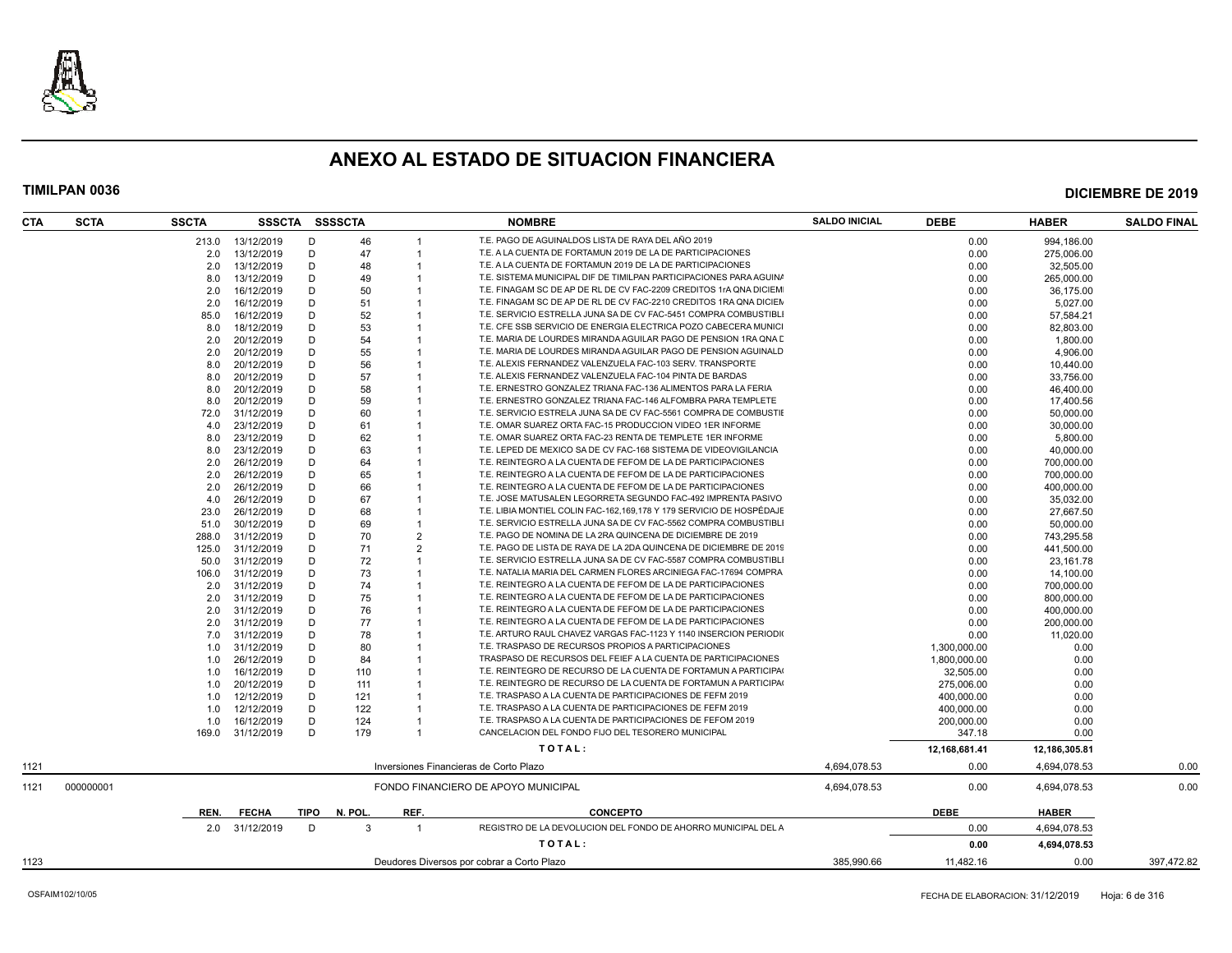

| CTA  | <b>SCTA</b> | <b>SSCTA</b> | SSSCTA SSSSCTA           |        |            |                | <b>NOMBRE</b>                                                        | <b>SALDO INICIAL</b> | <b>DEBE</b>   | <b>HABER</b>      | <b>SALDO FINAL</b> |
|------|-------------|--------------|--------------------------|--------|------------|----------------|----------------------------------------------------------------------|----------------------|---------------|-------------------|--------------------|
|      |             | 213.0        | 13/12/2019               | D      | 46         |                | T.E. PAGO DE AGUINALDOS LISTA DE RAYA DEL AÑO 2019                   |                      | 0.00          | 994,186.00        |                    |
|      |             | 2.0          | 13/12/2019               | D      | 47         |                | T.E. A LA CUENTA DE FORTAMUN 2019 DE LA DE PARTICIPACIONES           |                      | 0.00          | 275,006.00        |                    |
|      |             | 2.0          | 13/12/2019               | D      | 48         |                | T.E. A LA CUENTA DE FORTAMUN 2019 DE LA DE PARTICIPACIONES           |                      | 0.00          | 32,505.00         |                    |
|      |             | 8.0          | 13/12/2019               | D      | 49         |                | T.E. SISTEMA MUNICIPAL DIF DE TIMILPAN PARTICIPACIONES PARA AGUINA   |                      | 0.00          | 265,000.00        |                    |
|      |             | 2.0          | 16/12/2019               | D      | 50         |                | T.E. FINAGAM SC DE AP DE RL DE CV FAC-2209 CREDITOS 1rA QNA DICIEM   |                      | 0.00          | 36,175.00         |                    |
|      |             | 2.0          | 16/12/2019               | D      | 51         |                | T.E. FINAGAM SC DE AP DE RL DE CV FAC-2210 CREDITOS 1RA QNA DICIEN   |                      | 0.00          | 5,027.00          |                    |
|      |             | 85.0         | 16/12/2019               | D      | 52         |                | T.E. SERVICIO ESTRELLA JUNA SA DE CV FAC-5451 COMPRA COMBUSTIBLI     |                      | 0.00          | 57,584.21         |                    |
|      |             | 8.0          | 18/12/2019               | D      | 53         |                | T.E. CFE SSB SERVICIO DE ENERGIA ELECTRICA POZO CABECERA MUNICI      |                      | 0.00          | 82,803.00         |                    |
|      |             | 2.0          | 20/12/2019               | D      | 54         |                | T.E. MARIA DE LOURDES MIRANDA AGUILAR PAGO DE PENSION 1RA QNA D      |                      | 0.00          | 1,800.00          |                    |
|      |             | 2.0          | 20/12/2019               | D      | 55         |                | T.E. MARIA DE LOURDES MIRANDA AGUILAR PAGO DE PENSION AGUINALD       |                      | 0.00          | 4.906.00          |                    |
|      |             | 8.0          | 20/12/2019               | D      | 56         |                | T.E. ALEXIS FERNANDEZ VALENZUELA FAC-103 SERV. TRANSPORTE            |                      | 0.00          | 10,440.00         |                    |
|      |             | 8.0          | 20/12/2019               | D      | 57         |                | T.E. ALEXIS FERNANDEZ VALENZUELA FAC-104 PINTA DE BARDAS             |                      | 0.00          | 33,756.00         |                    |
|      |             | 8.0          | 20/12/2019               | D      | 58         |                | T.E. ERNESTRO GONZALEZ TRIANA FAC-136 ALIMENTOS PARA LA FERIA        |                      | 0.00          | 46,400.00         |                    |
|      |             | 8.0          | 20/12/2019               | D      | 59         |                | T.E. ERNESTRO GONZALEZ TRIANA FAC-146 ALFOMBRA PARA TEMPLETE         |                      | 0.00          | 17,400.56         |                    |
|      |             | 72.0         | 31/12/2019               | D      | 60         |                | T.E. SERVICIO ESTRELA JUNA SA DE CV FAC-5561 COMPRA DE COMBUSTIE     |                      | 0.00          | 50.000.00         |                    |
|      |             | 4.0          | 23/12/2019               | D      | 61         |                | T.E. OMAR SUAREZ ORTA FAC-15 PRODUCCION VIDEO 1ER INFORME            |                      | 0.00          | 30,000.00         |                    |
|      |             | 8.0          | 23/12/2019               | D      | 62         |                | T.E. OMAR SUAREZ ORTA FAC-23 RENTA DE TEMPLETE 1ER INFORME           |                      | 0.00          | 5,800.00          |                    |
|      |             | 8.0          | 23/12/2019               | D      | 63         |                | T.E. LEPED DE MEXICO SA DE CV FAC-168 SISTEMA DE VIDEOVIGILANCIA     |                      | 0.00          | 40,000.00         |                    |
|      |             | 2.0          | 26/12/2019               | D      | 64         |                | T.E. REINTEGRO A LA CUENTA DE FEFOM DE LA DE PARTICIPACIONES         |                      | 0.00          | 700,000.00        |                    |
|      |             | 2.0          | 26/12/2019               | D      | 65         |                | T.E. REINTEGRO A LA CUENTA DE FEFOM DE LA DE PARTICIPACIONES         |                      | 0.00          | 700,000.00        |                    |
|      |             | 2.0          | 26/12/2019               | D      | 66         |                | T.E. REINTEGRO A LA CUENTA DE FEFOM DE LA DE PARTICIPACIONES         |                      | 0.00          | 400.000.00        |                    |
|      |             | 4.0          | 26/12/2019               | D      | 67         |                | T.E. JOSE MATUSALEN LEGORRETA SEGUNDO FAC-492 IMPRENTA PASIVO        |                      | 0.00          | 35,032.00         |                    |
|      |             | 23.0         | 26/12/2019               | D      | 68         |                | T.E. LIBIA MONTIEL COLIN FAC-162,169,178 Y 179 SERVICIO DE HOSPÉDAJE |                      | 0.00          | 27,667.50         |                    |
|      |             | 51.0         | 30/12/2019               | D      | 69         |                | T.E. SERVICIO ESTRELLA JUNA SA DE CV FAC-5562 COMPRA COMBUSTIBLI     |                      | 0.00          | 50,000.00         |                    |
|      |             | 288.0        | 31/12/2019               | D      | 70         | $\overline{2}$ | T.E. PAGO DE NOMINA DE LA 2RA QUINCENA DE DICIEMBRE DE 2019          |                      | 0.00          | 743,295.58        |                    |
|      |             | 125.0        | 31/12/2019               | D      | 71         | $\overline{2}$ | T.E. PAGO DE LISTA DE RAYA DE LA 2DA QUINCENA DE DICIEMBRE DE 2019   |                      | 0.00          | 441.500.00        |                    |
|      |             | 50.0         | 31/12/2019               | D      | 72         |                | T.E. SERVICIO ESTRELLA JUNA SA DE CV FAC-5587 COMPRA COMBUSTIBLI     |                      | 0.00          | 23,161.78         |                    |
|      |             | 106.0        | 31/12/2019               | D      | 73         |                | T.E. NATALIA MARIA DEL CARMEN FLORES ARCINIEGA FAC-17694 COMPRA      |                      | 0.00          | 14,100.00         |                    |
|      |             | 2.0          | 31/12/2019               | D      | 74         |                | T.E. REINTEGRO A LA CUENTA DE FEFOM DE LA DE PARTICIPACIONES         |                      | 0.00          | 700,000.00        |                    |
|      |             | 2.0          | 31/12/2019               | D      | 75         |                | T.E. REINTEGRO A LA CUENTA DE FEFOM DE LA DE PARTICIPACIONES         |                      | 0.00          | 800,000.00        |                    |
|      |             | 2.0          | 31/12/2019               | D      | 76         |                | T.E. REINTEGRO A LA CUENTA DE FEFOM DE LA DE PARTICIPACIONES         |                      | 0.00          | 400,000.00        |                    |
|      |             | 2.0          | 31/12/2019               | D      | 77         |                | T.E. REINTEGRO A LA CUENTA DE FEFOM DE LA DE PARTICIPACIONES         |                      | 0.00          | 200,000.00        |                    |
|      |             | 7.0          | 31/12/2019               | D      | 78         |                | T.E. ARTURO RAUL CHAVEZ VARGAS FAC-1123 Y 1140 INSERCION PERIODI     |                      | 0.00          |                   |                    |
|      |             |              | 31/12/2019               | D      | 80         |                | T.E. TRASPASO DE RECURSOS PROPIOS A PARTICIPACIONES                  |                      | 1,300,000.00  | 11,020.00<br>0.00 |                    |
|      |             | 1.0          |                          | D      |            |                | TRASPASO DE RECURSOS DEL FEIEF A LA CUENTA DE PARTICIPACIONES        |                      |               |                   |                    |
|      |             | 1.0          | 26/12/2019               |        | 84         |                | T.E. REINTEGRO DE RECURSO DE LA CUENTA DE FORTAMUN A PARTICIPA       |                      | 1,800,000.00  | 0.00              |                    |
|      |             | 1.0          | 16/12/2019<br>20/12/2019 | D<br>D | 110<br>111 |                | T.E. REINTEGRO DE RECURSO DE LA CUENTA DE FORTAMUN A PARTICIPA       |                      | 32,505.00     | 0.00              |                    |
|      |             | 1.0          |                          | D      |            |                | T.E. TRASPASO A LA CUENTA DE PARTICIPACIONES DE FEFM 2019            |                      | 275,006.00    | 0.00              |                    |
|      |             | 1.0          | 12/12/2019               |        | 121        |                | T.E. TRASPASO A LA CUENTA DE PARTICIPACIONES DE FEFM 2019            |                      | 400,000.00    | 0.00              |                    |
|      |             | 1.0          | 12/12/2019               | D      | 122        |                | T.E. TRASPASO A LA CUENTA DE PARTICIPACIONES DE FEFOM 2019           |                      | 400,000.00    | 0.00              |                    |
|      |             | 1.0          | 16/12/2019               | D      | 124        | $\overline{1}$ | CANCELACION DEL FONDO FIJO DEL TESORERO MUNICIPAL                    |                      | 200,000.00    | 0.00              |                    |
|      |             | 169.0        | 31/12/2019               | D      | 179        |                |                                                                      |                      | 347.18        | 0.00              |                    |
|      |             |              |                          |        |            |                | TOTAL:                                                               |                      | 12,168,681.41 | 12,186,305.81     |                    |
| 1121 |             |              |                          |        |            |                | Inversiones Financieras de Corto Plazo                               | 4,694,078.53         | 0.00          | 4,694,078.53      | 0.00               |
| 1121 | 000000001   |              |                          |        |            |                | FONDO FINANCIERO DE APOYO MUNICIPAL                                  | 4,694,078.53         | 0.00          | 4,694,078.53      | 0.00               |
|      |             | REN.         | <b>FECHA</b>             | TIPO   | N. POL.    | REF.           | <b>CONCEPTO</b>                                                      |                      | <b>DEBE</b>   | <b>HABER</b>      |                    |
|      |             |              | 2.0 31/12/2019           | D      | 3          |                | REGISTRO DE LA DEVOLUCION DEL FONDO DE AHORRO MUNICIPAL DEL A        |                      | 0.00          | 4,694,078.53      |                    |
|      |             |              |                          |        |            |                | TOTAL:                                                               |                      | 0.00          | 4,694,078.53      |                    |
| 1123 |             |              |                          |        |            |                | Deudores Diversos por cobrar a Corto Plazo                           | 385,990.66           | 11,482.16     | 0.00              | 397,472.82         |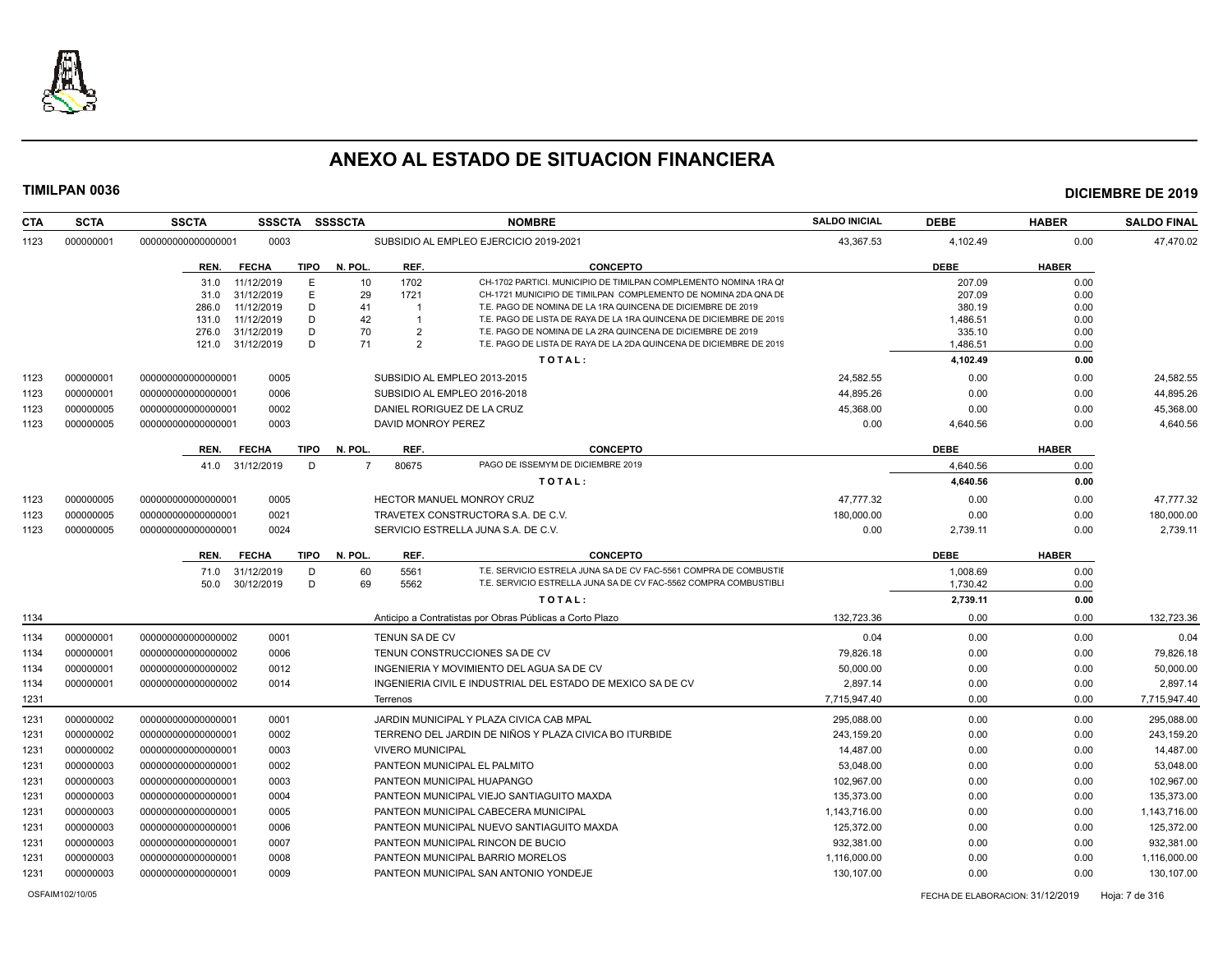

| <b>CTA</b><br><b>SCTA</b> | <b>SSCTA</b>       | <b>SSSCTA</b>                      | <b>SSSSCTA</b> |                         | <b>NOMBRE</b>                                                                                                                       | <b>SALDO INICIAL</b> | <b>DEBE</b>                      | <b>HABER</b> | <b>SALDO FINAL</b> |
|---------------------------|--------------------|------------------------------------|----------------|-------------------------|-------------------------------------------------------------------------------------------------------------------------------------|----------------------|----------------------------------|--------------|--------------------|
| 000000001<br>1123         | 000000000000000001 | 0003                               |                |                         | SUBSIDIO AL EMPLEO EJERCICIO 2019-2021                                                                                              | 43,367.53            | 4,102.49                         | 0.00         | 47,470.02          |
|                           | REN.               | <b>FECHA</b><br><b>TIPO</b>        | N. POL         | REF.                    | <b>CONCEPTO</b>                                                                                                                     |                      | <b>DEBE</b>                      | <b>HABER</b> |                    |
|                           | 31.0               | 11/12/2019<br>E                    | 10             | 1702                    | CH-1702 PARTICI, MUNICIPIO DE TIMILPAN COMPLEMENTO NOMINA 1RA QI                                                                    |                      | 207.09                           | 0.00         |                    |
|                           | 31.0               | 31/12/2019<br>E                    | 29             | 1721                    | CH-1721 MUNICIPIO DE TIMILPAN COMPLEMENTO DE NOMINA 2DA QNA DE                                                                      |                      | 207.09                           | 0.00         |                    |
|                           | 286.0<br>131.0     | 11/12/2019<br>D<br>11/12/2019<br>D | 41<br>42       | -1<br>$\overline{1}$    | T.E. PAGO DE NOMINA DE LA 1RA QUINCENA DE DICIEMBRE DE 2019<br>T.E. PAGO DE LISTA DE RAYA DE LA 1RA QUINCENA DE DICIEMBRE DE 2019   |                      | 380.19<br>1,486.51               | 0.00<br>0.00 |                    |
|                           | 276.0              | 31/12/2019<br>D                    | 70             | $\overline{2}$          | T.E. PAGO DE NOMINA DE LA 2RA QUINCENA DE DICIEMBRE DE 2019                                                                         |                      | 335.10                           | 0.00         |                    |
|                           | 121.0              | D<br>31/12/2019                    | 71             | $\overline{2}$          | T.E. PAGO DE LISTA DE RAYA DE LA 2DA QUINCENA DE DICIEMBRE DE 2019                                                                  |                      | 1,486.51                         | 0.00         |                    |
|                           |                    |                                    |                |                         | TOTAL:                                                                                                                              |                      | 4,102.49                         | 0.00         |                    |
| 000000001<br>1123         | 000000000000000001 | 0005                               |                |                         | SUBSIDIO AL EMPLEO 2013-2015                                                                                                        | 24.582.55            | 0.00                             | 0.00         | 24.582.55          |
| 000000001<br>1123         | 000000000000000001 | 0006                               |                |                         | SUBSIDIO AL EMPLEO 2016-2018                                                                                                        | 44,895.26            | 0.00                             | 0.00         | 44,895.26          |
| 000000005<br>1123         | 000000000000000001 | 0002                               |                |                         | DANIEL RORIGUEZ DE LA CRUZ                                                                                                          | 45.368.00            | 0.00                             | 0.00         | 45,368.00          |
| 000000005<br>1123         | 000000000000000001 | 0003                               |                | DAVID MONROY PEREZ      |                                                                                                                                     | 0.00                 | 4.640.56                         | 0.00         | 4,640.56           |
|                           | REN.               | <b>TIPO</b><br><b>FECHA</b>        | N. POL         | REF.                    | <b>CONCEPTO</b>                                                                                                                     |                      | <b>DEBE</b>                      | <b>HABER</b> |                    |
|                           | 41.0               | D<br>31/12/2019                    | $\overline{7}$ | 80675                   | PAGO DE ISSEMYM DE DICIEMBRE 2019                                                                                                   |                      | 4.640.56                         | 0.00         |                    |
|                           |                    |                                    |                |                         | TOTAL:                                                                                                                              |                      | 4,640.56                         | 0.00         |                    |
| 1123<br>000000005         | 000000000000000001 | 0005                               |                |                         | HECTOR MANUEL MONROY CRUZ                                                                                                           | 47,777.32            | 0.00                             | 0.00         | 47,777.32          |
| 000000005<br>1123         | 000000000000000001 | 0021                               |                |                         | TRAVETEX CONSTRUCTORA S.A. DE C.V.                                                                                                  | 180,000.00           | 0.00                             | 0.00         | 180,000.00         |
| 000000005<br>1123         | 000000000000000001 | 0024                               |                |                         | SERVICIO ESTRELLA JUNA S.A. DE C.V.                                                                                                 | 0.00                 | 2,739.11                         | 0.00         | 2,739.11           |
|                           | REN.               | <b>FECHA</b><br><b>TIPO</b>        | N. POL         | REF.                    | <b>CONCEPTO</b>                                                                                                                     |                      | <b>DEBE</b>                      | <b>HABER</b> |                    |
|                           | 71.0<br>50.0       | D<br>31/12/2019<br>D<br>30/12/2019 | 60<br>69       | 5561<br>5562            | T.E. SERVICIO ESTRELA JUNA SA DE CV FAC-5561 COMPRA DE COMBUSTIE<br>T.E. SERVICIO ESTRELLA JUNA SA DE CV FAC-5562 COMPRA COMBUSTIBL |                      | 1.008.69<br>1,730.42             | 0.00<br>0.00 |                    |
|                           |                    |                                    |                |                         | TOTAL:                                                                                                                              |                      | 2,739.11                         | 0.00         |                    |
| 1134                      |                    |                                    |                |                         | Anticipo a Contratistas por Obras Públicas a Corto Plazo                                                                            | 132.723.36           | 0.00                             | 0.00         | 132,723.36         |
| 000000001<br>1134         | 000000000000000002 | 0001                               |                | TENUN SA DE CV          |                                                                                                                                     | 0.04                 | 0.00                             | 0.00         | 0.04               |
| 1134<br>000000001         | 000000000000000002 | 0006                               |                |                         | TENUN CONSTRUCCIONES SA DE CV                                                                                                       | 79,826.18            | 0.00                             | 0.00         | 79,826.18          |
| 000000001<br>1134         | 000000000000000002 | 0012                               |                |                         | INGENIERIA Y MOVIMIENTO DEL AGUA SA DE CV                                                                                           | 50.000.00            | 0.00                             | 0.00         | 50,000.00          |
| 000000001<br>1134         | 00000000000000002  | 0014                               |                |                         | INGENIERIA CIVIL E INDUSTRIAL DEL ESTADO DE MEXICO SA DE CV                                                                         | 2,897.14             | 0.00                             | 0.00         | 2,897.14           |
| 1231                      |                    |                                    |                | Terrenos                |                                                                                                                                     | 7,715,947.40         | 0.00                             | 0.00         | 7,715,947.40       |
| 1231<br>000000002         | 000000000000000001 | 0001                               |                |                         | JARDIN MUNICIPAL Y PLAZA CIVICA CAB MPAL                                                                                            | 295.088.00           | 0.00                             | 0.00         | 295.088.00         |
| 1231<br>000000002         | 000000000000000001 | 0002                               |                |                         | TERRENO DEL JARDIN DE NIÑOS Y PLAZA CIVICA BO ITURBIDE                                                                              | 243,159.20           | 0.00                             | 0.00         | 243,159.20         |
| 000000002<br>1231         | 000000000000000001 | 0003                               |                | <b>VIVERO MUNICIPAL</b> |                                                                                                                                     | 14,487.00            | 0.00                             | 0.00         | 14,487.00          |
| 000000003<br>1231         | 000000000000000001 | 0002                               |                |                         | PANTEON MUNICIPAL EL PALMITO                                                                                                        | 53,048.00            | 0.00                             | 0.00         | 53,048.00          |
| 1231<br>000000003         | 000000000000000001 | 0003                               |                |                         | PANTEON MUNICIPAL HUAPANGO                                                                                                          | 102,967.00           | 0.00                             | 0.00         | 102,967.00         |
| 1231<br>000000003         | 000000000000000001 | 0004                               |                |                         | PANTEON MUNICIPAL VIEJO SANTIAGUITO MAXDA                                                                                           | 135,373.00           | 0.00                             | 0.00         | 135,373.00         |
| 1231<br>000000003         | 000000000000000001 | 0005                               |                |                         | PANTEON MUNICIPAL CABECERA MUNICIPAL                                                                                                | 1.143.716.00         | 0.00                             | 0.00         | 1,143,716.00       |
| 1231<br>000000003         | 000000000000000001 | 0006                               |                |                         | PANTEON MUNICIPAL NUEVO SANTIAGUITO MAXDA                                                                                           | 125,372.00           | 0.00                             | 0.00         | 125,372.00         |
| 000000003<br>1231         | 000000000000000001 | 0007                               |                |                         | PANTEON MUNICIPAL RINCON DE BUCIO                                                                                                   | 932,381.00           | 0.00                             | 0.00         | 932,381.00         |
| 1231<br>000000003         | 000000000000000001 | 0008                               |                |                         | PANTEON MUNICIPAL BARRIO MORELOS                                                                                                    | 1,116,000.00         | 0.00                             | 0.00         | 1,116,000.00       |
| 1231<br>000000003         | 000000000000000001 | 0009                               |                |                         | PANTEON MUNICIPAL SAN ANTONIO YONDEJE                                                                                               | 130,107.00           | 0.00                             | 0.00         | 130,107.00         |
| OSFAIM102/10/05           |                    |                                    |                |                         |                                                                                                                                     |                      | FECHA DE ELABORACION: 31/12/2019 |              | Hoja: 7 de 316     |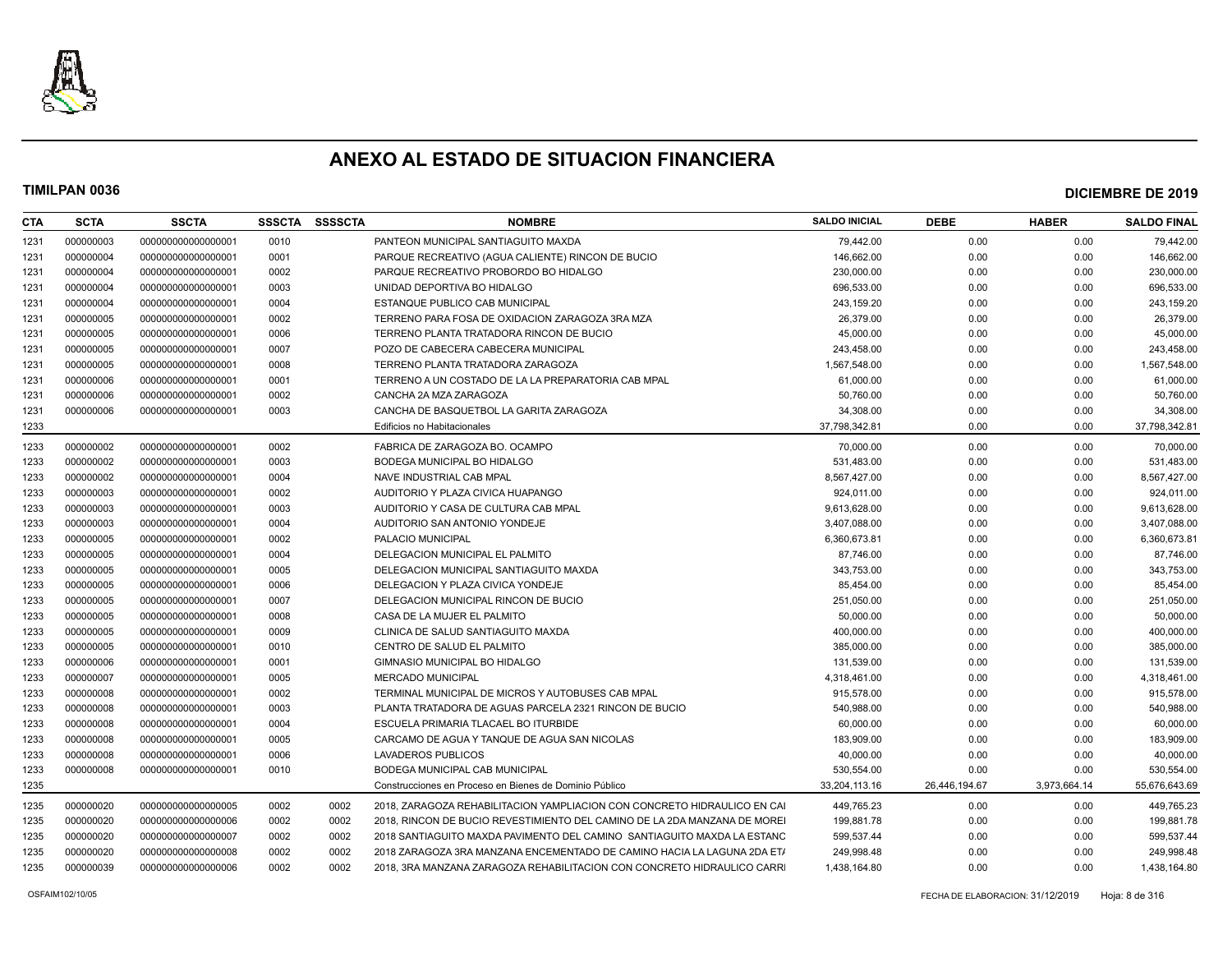

| CTA  | <b>SCTA</b> | <b>SSCTA</b>       | <b>SSSCTA</b> | <b>SSSSCTA</b> | <b>NOMBRE</b>                                                             | <b>SALDO INICIAL</b> | <b>DEBE</b>   | <b>HABER</b> | <b>SALDO FINAL</b> |
|------|-------------|--------------------|---------------|----------------|---------------------------------------------------------------------------|----------------------|---------------|--------------|--------------------|
| 1231 | 000000003   | 00000000000000001  | 0010          |                | PANTEON MUNICIPAL SANTIAGUITO MAXDA                                       | 79,442.00            | 0.00          | 0.00         | 79,442.00          |
| 1231 | 000000004   | 000000000000000001 | 0001          |                | PARQUE RECREATIVO (AGUA CALIENTE) RINCON DE BUCIO                         | 146.662.00           | 0.00          | 0.00         | 146,662.00         |
| 1231 | 000000004   | 000000000000000001 | 0002          |                | PARQUE RECREATIVO PROBORDO BO HIDALGO                                     | 230,000.00           | 0.00          | 0.00         | 230,000.00         |
| 1231 | 000000004   | 000000000000000001 | 0003          |                | UNIDAD DEPORTIVA BO HIDALGO                                               | 696,533.00           | 0.00          | 0.00         | 696,533.00         |
| 1231 | 000000004   | 000000000000000001 | 0004          |                | ESTANQUE PUBLICO CAB MUNICIPAL                                            | 243.159.20           | 0.00          | 0.00         | 243,159.20         |
| 1231 | 000000005   | 000000000000000001 | 0002          |                | TERRENO PARA FOSA DE OXIDACION ZARAGOZA 3RA MZA                           | 26,379.00            | 0.00          | 0.00         | 26,379.00          |
| 1231 | 000000005   | 000000000000000001 | 0006          |                | TERRENO PLANTA TRATADORA RINCON DE BUCIO                                  | 45,000.00            | 0.00          | 0.00         | 45,000.00          |
| 1231 | 000000005   | 000000000000000001 | 0007          |                | POZO DE CABECERA CABECERA MUNICIPAL                                       | 243,458.00           | 0.00          | 0.00         | 243,458.00         |
| 1231 | 000000005   | 00000000000000001  | 0008          |                | TERRENO PLANTA TRATADORA ZARAGOZA                                         | 1,567,548.00         | 0.00          | 0.00         | 1,567,548.00       |
| 1231 | 000000006   | 00000000000000001  | 0001          |                | TERRENO A UN COSTADO DE LA LA PREPARATORIA CAB MPAL                       | 61,000.00            | 0.00          | 0.00         | 61,000.00          |
| 1231 | 000000006   | 000000000000000001 | 0002          |                | CANCHA 2A MZA ZARAGOZA                                                    | 50,760.00            | 0.00          | 0.00         | 50,760.00          |
| 1231 | 000000006   | 00000000000000001  | 0003          |                | CANCHA DE BASQUETBOL LA GARITA ZARAGOZA                                   | 34,308.00            | 0.00          | 0.00         | 34,308.00          |
| 1233 |             |                    |               |                | Edificios no Habitacionales                                               | 37,798,342.81        | 0.00          | 0.00         | 37,798,342.81      |
| 1233 | 000000002   | 000000000000000001 | 0002          |                | FABRICA DE ZARAGOZA BO. OCAMPO                                            | 70,000.00            | 0.00          | 0.00         | 70,000.00          |
| 1233 | 000000002   | 000000000000000001 | 0003          |                | BODEGA MUNICIPAL BO HIDALGO                                               | 531,483.00           | 0.00          | 0.00         | 531,483.00         |
| 1233 | 000000002   | 000000000000000001 | 0004          |                | NAVE INDUSTRIAL CAB MPAL                                                  | 8,567,427.00         | 0.00          | 0.00         | 8,567,427.00       |
| 1233 | 000000003   | 000000000000000001 | 0002          |                | AUDITORIO Y PLAZA CIVICA HUAPANGO                                         | 924,011.00           | 0.00          | 0.00         | 924,011.00         |
| 1233 | 000000003   | 000000000000000001 | 0003          |                | AUDITORIO Y CASA DE CULTURA CAB MPAL                                      | 9,613,628.00         | 0.00          | 0.00         | 9,613,628.00       |
| 1233 | 000000003   | 000000000000000001 | 0004          |                | AUDITORIO SAN ANTONIO YONDEJE                                             | 3,407,088.00         | 0.00          | 0.00         | 3,407,088.00       |
| 1233 | 000000005   | 00000000000000001  | 0002          |                | PALACIO MUNICIPAL                                                         | 6,360,673.81         | 0.00          | 0.00         | 6,360,673.81       |
| 1233 | 000000005   | 000000000000000001 | 0004          |                | DELEGACION MUNICIPAL EL PALMITO                                           | 87,746.00            | 0.00          | 0.00         | 87,746.00          |
| 1233 | 000000005   | 000000000000000001 | 0005          |                | DELEGACION MUNICIPAL SANTIAGUITO MAXDA                                    | 343,753.00           | 0.00          | 0.00         | 343,753.00         |
| 1233 | 000000005   | 000000000000000001 | 0006          |                | DELEGACION Y PLAZA CIVICA YONDEJE                                         | 85,454.00            | 0.00          | 0.00         | 85,454.00          |
| 1233 | 000000005   | 000000000000000001 | 0007          |                | DELEGACION MUNICIPAL RINCON DE BUCIO                                      | 251,050.00           | 0.00          | 0.00         | 251,050.00         |
| 1233 | 000000005   | 000000000000000001 | 0008          |                | CASA DE LA MUJER EL PALMITO                                               | 50,000.00            | 0.00          | 0.00         | 50,000.00          |
| 1233 | 000000005   | 000000000000000001 | 0009          |                | CLINICA DE SALUD SANTIAGUITO MAXDA                                        | 400,000.00           | 0.00          | 0.00         | 400,000.00         |
| 1233 | 000000005   | 000000000000000001 | 0010          |                | CENTRO DE SALUD EL PALMITO                                                | 385,000.00           | 0.00          | 0.00         | 385,000.00         |
| 1233 | 000000006   | 000000000000000001 | 0001          |                | GIMNASIO MUNICIPAL BO HIDALGO                                             | 131.539.00           | 0.00          | 0.00         | 131,539.00         |
| 1233 | 000000007   | 000000000000000001 | 0005          |                | <b>MERCADO MUNICIPAL</b>                                                  | 4,318,461.00         | 0.00          | 0.00         | 4,318,461.00       |
| 1233 | 000000008   | 000000000000000001 | 0002          |                | TERMINAL MUNICIPAL DE MICROS Y AUTOBUSES CAB MPAL                         | 915,578.00           | 0.00          | 0.00         | 915,578.00         |
| 1233 | 000000008   | 000000000000000001 | 0003          |                | PLANTA TRATADORA DE AGUAS PARCELA 2321 RINCON DE BUCIO                    | 540,988.00           | 0.00          | 0.00         | 540,988.00         |
| 1233 | 000000008   | 000000000000000001 | 0004          |                | ESCUELA PRIMARIA TLACAEL BO ITURBIDE                                      | 60.000.00            | 0.00          | 0.00         | 60,000.00          |
| 1233 | 000000008   | 000000000000000001 | 0005          |                | CARCAMO DE AGUA Y TANQUE DE AGUA SAN NICOLAS                              | 183,909.00           | 0.00          | 0.00         | 183,909.00         |
| 1233 | 000000008   | 000000000000000001 | 0006          |                | <b>LAVADEROS PUBLICOS</b>                                                 | 40,000.00            | 0.00          | 0.00         | 40,000.00          |
| 1233 | 000000008   | 000000000000000001 | 0010          |                | BODEGA MUNICIPAL CAB MUNICIPAL                                            | 530,554.00           | 0.00          | 0.00         | 530,554.00         |
| 1235 |             |                    |               |                | Construcciones en Proceso en Bienes de Dominio Público                    | 33,204,113.16        | 26,446,194.67 | 3,973,664.14 | 55,676,643.69      |
| 1235 | 000000020   | 000000000000000005 | 0002          | 0002           | 2018, ZARAGOZA REHABILITACION YAMPLIACION CON CONCRETO HIDRAULICO EN CAI  | 449,765.23           | 0.00          | 0.00         | 449,765.23         |
| 1235 | 000000020   | 000000000000000006 | 0002          | 0002           | 2018. RINCON DE BUCIO REVESTIMIENTO DEL CAMINO DE LA 2DA MANZANA DE MOREI | 199,881.78           | 0.00          | 0.00         | 199,881.78         |
| 1235 | 000000020   | 000000000000000007 | 0002          | 0002           | 2018 SANTIAGUITO MAXDA PAVIMENTO DEL CAMINO SANTIAGUITO MAXDA LA ESTANC   | 599,537.44           | 0.00          | 0.00         | 599,537.44         |
| 1235 | 000000020   | 000000000000000008 | 0002          | 0002           | 2018 ZARAGOZA 3RA MANZANA ENCEMENTADO DE CAMINO HACIA LA LAGUNA 2DA ETA   | 249,998.48           | 0.00          | 0.00         | 249,998.48         |
| 1235 | 000000039   | 000000000000000006 | 0002          | 0002           | 2018. 3RA MANZANA ZARAGOZA REHABILITACION CON CONCRETO HIDRAULICO CARRI   | 1.438.164.80         | 0.00          | 0.00         | 1,438,164.80       |
|      |             |                    |               |                |                                                                           |                      |               |              |                    |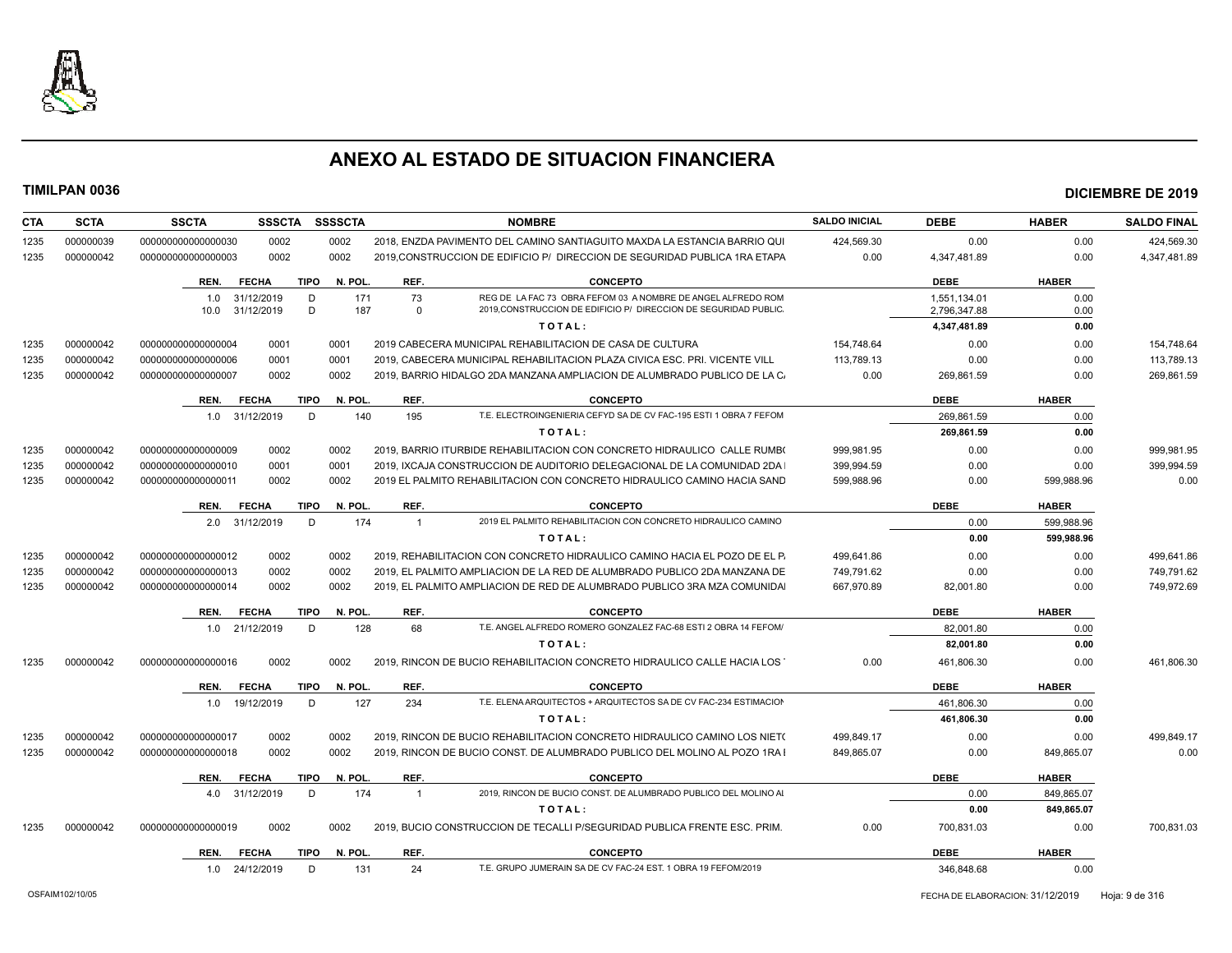

| CTA  | <b>SCTA</b> | <b>SSCTA</b><br><b>SSSCTA</b>       | <b>SSSSCTA</b> | <b>NOMBRE</b>                                                                     | <b>SALDO INICIAL</b> | <b>DEBE</b>  | <b>HABER</b> | <b>SALDO FINAL</b> |
|------|-------------|-------------------------------------|----------------|-----------------------------------------------------------------------------------|----------------------|--------------|--------------|--------------------|
| 1235 | 000000039   | 0002<br>000000000000000030          | 0002           | 2018. ENZDA PAVIMENTO DEL CAMINO SANTIAGUITO MAXDA LA ESTANCIA BARRIO QUI         | 424,569.30           | 0.00         | 0.00         | 424,569.30         |
| 1235 | 000000042   | 0002<br>000000000000000003          | 0002           | 2019, CONSTRUCCION DE EDIFICIO P/ DIRECCION DE SEGURIDAD PUBLICA 1RA ETAPA        | 0.00                 | 4,347,481.89 | 0.00         | 4,347,481.89       |
|      |             | <b>FECHA</b><br><b>TIPO</b><br>REN. | N. POL.        | REF.<br><b>CONCEPTO</b>                                                           |                      | <b>DEBE</b>  | <b>HABER</b> |                    |
|      |             | 31/12/2019<br>D<br>1.0              | 171            | 73<br>REG DE LA FAC 73 OBRA FEFOM 03 A NOMBRE DE ANGEL ALFREDO ROM                |                      | 1,551,134.01 | 0.00         |                    |
|      |             | D<br>10.0<br>31/12/2019             | 187            | 2019.CONSTRUCCION DE EDIFICIO P/ DIRECCION DE SEGURIDAD PUBLIC<br>$\Omega$        |                      | 2,796,347.88 | 0.00         |                    |
|      |             |                                     |                | TOTAL:                                                                            |                      | 4,347,481.89 | 0.00         |                    |
| 1235 | 000000042   | 0001<br>000000000000000004          | 0001           | 2019 CABECERA MUNICIPAL REHABILITACION DE CASA DE CULTURA                         | 154,748.64           | 0.00         | 0.00         | 154,748.64         |
| 1235 | 000000042   | 0001<br>000000000000000006          | 0001           | 2019, CABECERA MUNICIPAL REHABILITACION PLAZA CIVICA ESC. PRI. VICENTE VILL       | 113.789.13           | 0.00         | 0.00         | 113.789.13         |
| 1235 | 000000042   | 00000000000000007<br>0002           | 0002           | 2019, BARRIO HIDALGO 2DA MANZANA AMPLIACION DE ALUMBRADO PUBLICO DE LA C          | 0.00                 | 269,861.59   | 0.00         | 269,861.59         |
|      |             | <b>FECHA</b><br><b>TIPO</b><br>REN. | N. POL.        | REF.<br><b>CONCEPTO</b>                                                           |                      | <b>DEBE</b>  | <b>HABER</b> |                    |
|      |             | D<br>1.0<br>31/12/2019              | 140            | 195<br>T.E. ELECTROINGENIERIA CEFYD SA DE CV FAC-195 ESTI 1 OBRA 7 FEFOM          |                      | 269,861.59   | 0.00         |                    |
|      |             |                                     |                | TOTAL:                                                                            |                      | 269,861.59   | 0.00         |                    |
| 1235 | 000000042   | 0002<br>000000000000000009          | 0002           | 2019, BARRIO ITURBIDE REHABILITACION CON CONCRETO HIDRAULICO CALLE RUMBO          | 999.981.95           | 0.00         | 0.00         | 999,981.95         |
| 1235 | 000000042   | 0001<br>000000000000000010          | 0001           | 2019, IXCAJA CONSTRUCCION DE AUDITORIO DELEGACIONAL DE LA COMUNIDAD 2DA           | 399,994.59           | 0.00         | 0.00         | 399,994.59         |
| 1235 | 000000042   | 000000000000000011<br>0002          | 0002           | 2019 EL PALMITO REHABILITACION CON CONCRETO HIDRAULICO CAMINO HACIA SAND          | 599.988.96           | 0.00         | 599,988.96   | 0.00               |
|      |             | <b>FECHA</b><br><b>TIPO</b><br>REN. | N. POL.        | REF.<br><b>CONCEPTO</b>                                                           |                      | <b>DEBE</b>  | <b>HABER</b> |                    |
|      |             | 31/12/2019<br>D<br>2.0              | 174            | 2019 EL PALMITO REHABILITACION CON CONCRETO HIDRAULICO CAMINO<br>$\overline{1}$   |                      | 0.00         | 599,988.96   |                    |
|      |             |                                     |                | TOTAL:                                                                            |                      | 0.00         | 599,988.96   |                    |
| 1235 | 000000042   | 0002<br>00000000000000012           | 0002           | 2019. REHABILITACION CON CONCRETO HIDRAULICO CAMINO HACIA EL POZO DE EL P.        | 499.641.86           | 0.00         | 0.00         | 499.641.86         |
| 1235 | 000000042   | 00000000000000013<br>0002           | 0002           | 2019. EL PALMITO AMPLIACION DE LA RED DE ALUMBRADO PUBLICO 2DA MANZANA DE         | 749.791.62           | 0.00         | 0.00         | 749,791.62         |
| 1235 | 000000042   | 00000000000000014<br>0002           | 0002           | 2019, EL PALMITO AMPLIACION DE RED DE ALUMBRADO PUBLICO 3RA MZA COMUNIDAI         | 667,970.89           | 82,001.80    | 0.00         | 749,972.69         |
|      |             | <b>FECHA</b><br><b>TIPO</b><br>REN. | N. POL.        | REF.<br><b>CONCEPTO</b>                                                           |                      | <b>DEBE</b>  | <b>HABER</b> |                    |
|      |             | 21/12/2019<br>D<br>1.0              | 128            | 68<br>T.E. ANGEL ALFREDO ROMERO GONZALEZ FAC-68 ESTI 2 OBRA 14 FEFOM/             |                      | 82.001.80    | 0.00         |                    |
|      |             |                                     |                | TOTAL:                                                                            |                      | 82.001.80    | 0.00         |                    |
| 1235 | 000000042   | 0002<br>00000000000000016           | 0002           | 2019. RINCON DE BUCIO REHABILITACION CONCRETO HIDRAULICO CALLE HACIA LOS          | 0.00                 | 461,806.30   | 0.00         | 461,806.30         |
|      |             | <b>FECHA</b><br><b>TIPO</b><br>REN. | N. POL.        | REF.<br><b>CONCEPTO</b>                                                           |                      | <b>DEBE</b>  | <b>HABER</b> |                    |
|      |             | 19/12/2019<br>D<br>1.0              | 127            | T.E. ELENA ARQUITECTOS + ARQUITECTOS SA DE CV FAC-234 ESTIMACION<br>234           |                      | 461.806.30   | 0.00         |                    |
|      |             |                                     |                | TOTAL:                                                                            |                      | 461,806.30   | 0.00         |                    |
| 1235 | 000000042   | 0002<br>000000000000000017          | 0002           | 2019. RINCON DE BUCIO REHABILITACION CONCRETO HIDRAULICO CAMINO LOS NIETO         | 499,849.17           | 0.00         | 0.00         | 499,849.17         |
| 1235 | 000000042   | 0002<br>00000000000000018           | 0002           | 2019. RINCON DE BUCIO CONST. DE ALUMBRADO PUBLICO DEL MOLINO AL POZO 1RA I        | 849.865.07           | 0.00         | 849.865.07   | 0.00               |
|      |             | <b>FECHA</b><br><b>TIPO</b><br>REN. | N. POL.        | REF.<br><b>CONCEPTO</b>                                                           |                      | <b>DEBE</b>  | <b>HABER</b> |                    |
|      |             | 31/12/2019<br>D<br>4.0              | 174            | 2019, RINCON DE BUCIO CONST. DE ALUMBRADO PUBLICO DEL MOLINO AI<br>$\overline{1}$ |                      | 0.00         | 849,865.07   |                    |
|      |             |                                     |                | TOTAL:                                                                            |                      | 0.00         | 849.865.07   |                    |
| 1235 | 000000042   | 0002<br>000000000000000019          | 0002           | 2019, BUCIO CONSTRUCCION DE TECALLI P/SEGURIDAD PUBLICA FRENTE ESC. PRIM.         | 0.00                 | 700,831.03   | 0.00         | 700.831.03         |
|      |             | <b>FECHA</b><br>TIPO<br>REN.        | N. POL.        | REF.<br><b>CONCEPTO</b>                                                           |                      | <b>DEBE</b>  | <b>HABER</b> |                    |
|      |             | 1.0 24/12/2019<br>D                 | 131            | T.E. GRUPO JUMERAIN SA DE CV FAC-24 EST. 1 OBRA 19 FEFOM/2019<br>24               |                      | 346.848.68   | 0.00         |                    |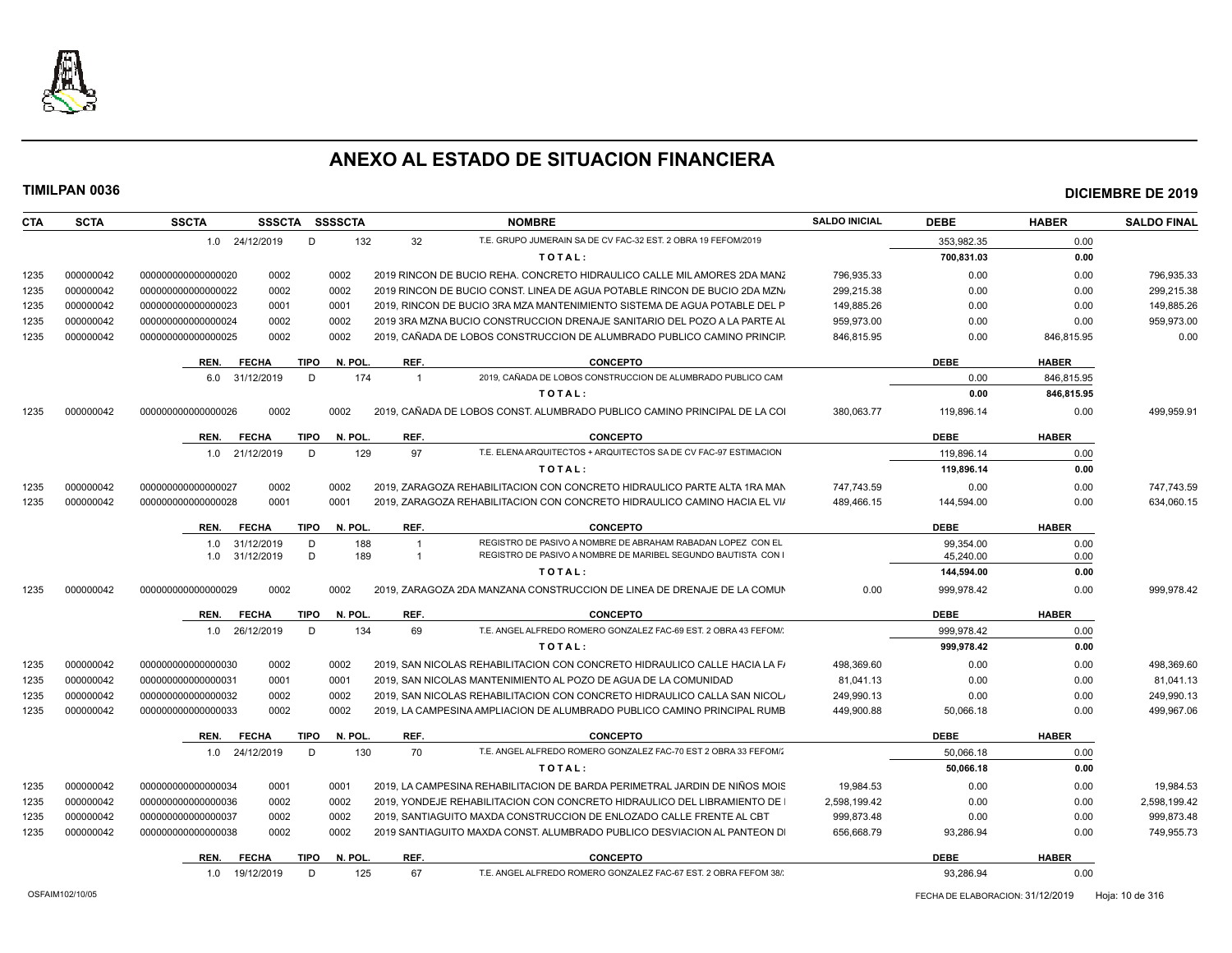

| <b>CTA</b> | <b>SCTA</b> | <b>SSCTA</b><br><b>SSSCTA</b> | <b>SSSSCTA</b>         |                | <b>NOMBRE</b>                                                              | <b>SALDO INICIAL</b> | <b>DEBE</b> | <b>HABER</b> | <b>SALDO FINAL</b> |
|------------|-------------|-------------------------------|------------------------|----------------|----------------------------------------------------------------------------|----------------------|-------------|--------------|--------------------|
|            |             | 1.0 24/12/2019                | D<br>132               | 32             | T.E. GRUPO JUMERAIN SA DE CV FAC-32 EST. 2 OBRA 19 FEFOM/2019              |                      | 353.982.35  | 0.00         |                    |
|            |             |                               |                        |                | TOTAL:                                                                     |                      | 700,831.03  | 0.00         |                    |
| 1235       | 000000042   | 0002<br>000000000000000020    | 0002                   |                | 2019 RINCON DE BUCIO REHA. CONCRETO HIDRAULICO CALLE MIL AMORES 2DA MANZ   | 796,935.33           | 0.00        | 0.00         | 796.935.33         |
| 1235       | 000000042   | 0002<br>00000000000000022     | 0002                   |                | 2019 RINCON DE BUCIO CONST. LINEA DE AGUA POTABLE RINCON DE BUCIO 2DA MZN. | 299.215.38           | 0.00        | 0.00         | 299,215.38         |
| 1235       | 000000042   | 00000000000000023<br>0001     | 0001                   |                | 2019. RINCON DE BUCIO 3RA MZA MANTENIMIENTO SISTEMA DE AGUA POTABLE DEL P  | 149,885.26           | 0.00        | 0.00         | 149,885.26         |
| 1235       | 000000042   | 0002<br>00000000000000024     | 0002                   |                | 2019 3RA MZNA BUCIO CONSTRUCCION DRENAJE SANITARIO DEL POZO A LA PARTE AL  | 959,973.00           | 0.00        | 0.00         | 959,973.00         |
| 1235       | 000000042   | 0002<br>000000000000000025    | 0002                   |                | 2019, CAÑADA DE LOBOS CONSTRUCCION DE ALUMBRADO PUBLICO CAMINO PRINCIP.    | 846,815.95           | 0.00        | 846,815.95   | 0.00               |
|            |             | REN.<br><b>FECHA</b>          | <b>TIPO</b><br>N. POL. | REF.           | <b>CONCEPTO</b>                                                            |                      | <b>DEBE</b> | <b>HABER</b> |                    |
|            |             | 31/12/2019<br>6.0             | 174<br>D               | $\overline{1}$ | 2019, CAÑADA DE LOBOS CONSTRUCCION DE ALUMBRADO PUBLICO CAM                |                      | 0.00        | 846,815.95   |                    |
|            |             |                               |                        |                | TOTAL:                                                                     |                      | 0.00        | 846,815.95   |                    |
| 1235       | 000000042   | 0002<br>000000000000000026    | 0002                   |                | 2019. CAÑADA DE LOBOS CONST. ALUMBRADO PUBLICO CAMINO PRINCIPAL DE LA COI  | 380.063.77           | 119.896.14  | 0.00         | 499.959.91         |
|            |             | REN.<br><b>FECHA</b>          | <b>TIPO</b><br>N. POL. | REF.           | <b>CONCEPTO</b>                                                            |                      | <b>DEBE</b> | <b>HABER</b> |                    |
|            |             | 1.0 21/12/2019                | 129<br>D               | 97             | T.E. ELENA ARQUITECTOS + ARQUITECTOS SA DE CV FAC-97 ESTIMACION            |                      | 119,896.14  | 0.00         |                    |
|            |             |                               |                        |                | TOTAL:                                                                     |                      | 119,896.14  | 0.00         |                    |
| 1235       | 000000042   | 0002<br>000000000000000027    | 0002                   |                | 2019, ZARAGOZA REHABILITACION CON CONCRETO HIDRAULICO PARTE ALTA 1RA MAN   | 747.743.59           | 0.00        | 0.00         | 747.743.59         |
| 1235       | 000000042   | 0001<br>000000000000000028    | 0001                   |                | 2019, ZARAGOZA REHABILITACION CON CONCRETO HIDRAULICO CAMINO HACIA EL VIA  | 489,466.15           | 144,594.00  | 0.00         | 634,060.15         |
|            |             | <b>FECHA</b><br>REN.          | <b>TIPO</b><br>N. POL. | REF.           | <b>CONCEPTO</b>                                                            |                      | <b>DEBE</b> | <b>HABER</b> |                    |
|            |             | 31/12/2019<br>1.0             | D<br>188               | $\overline{1}$ | REGISTRO DE PASIVO A NOMBRE DE ABRAHAM RABADAN LOPEZ CON EL                |                      | 99.354.00   | 0.00         |                    |
|            |             | 31/12/2019<br>1.0             | D<br>189               | $\overline{1}$ | REGISTRO DE PASIVO A NOMBRE DE MARIBEL SEGUNDO BAUTISTA CON                |                      | 45,240.00   | 0.00         |                    |
|            |             |                               |                        |                | TOTAL:                                                                     |                      | 144,594.00  | 0.00         |                    |
| 1235       | 000000042   | 00000000000000029<br>0002     | 0002                   |                | 2019, ZARAGOZA 2DA MANZANA CONSTRUCCION DE LINEA DE DRENAJE DE LA COMUN    | 0.00                 | 999,978.42  | 0.00         | 999.978.42         |
|            |             | <b>FECHA</b><br>REN.          | <b>TIPO</b><br>N. POL. | REF.           | <b>CONCEPTO</b>                                                            |                      | <b>DEBE</b> | <b>HABER</b> |                    |
|            |             | 26/12/2019<br>1.0             | D<br>134               | 69             | T.E. ANGEL ALFREDO ROMERO GONZALEZ FAC-69 EST. 2 OBRA 43 FEFOM/            |                      | 999.978.42  | 0.00         |                    |
|            |             |                               |                        |                | TOTAL:                                                                     |                      | 999.978.42  | 0.00         |                    |
| 1235       | 000000042   | 0002<br>000000000000000030    | 0002                   |                | 2019. SAN NICOLAS REHABILITACION CON CONCRETO HIDRAULICO CALLE HACIA LA FA | 498.369.60           | 0.00        | 0.00         | 498.369.60         |
| 1235       | 000000042   | 0001<br>000000000000000031    | 0001                   |                | 2019, SAN NICOLAS MANTENIMIENTO AL POZO DE AGUA DE LA COMUNIDAD            | 81,041.13            | 0.00        | 0.00         | 81,041.13          |
| 1235       | 000000042   | 0002<br>000000000000000032    | 0002                   |                | 2019, SAN NICOLAS REHABILITACION CON CONCRETO HIDRAULICO CALLA SAN NICOLA  | 249,990.13           | 0.00        | 0.00         | 249,990.13         |
| 1235       | 000000042   | 000000000000000033<br>0002    | 0002                   |                | 2019. LA CAMPESINA AMPLIACION DE ALUMBRADO PUBLICO CAMINO PRINCIPAL RUMB   | 449.900.88           | 50,066.18   | 0.00         | 499,967.06         |
|            |             | REN.<br><b>FECHA</b>          | <b>TIPO</b><br>N. POL. | REF.           | <b>CONCEPTO</b>                                                            |                      | <b>DEBE</b> | <b>HABER</b> |                    |
|            |             | 1.0 24/12/2019                | D<br>130               | 70             | T.E. ANGEL ALFREDO ROMERO GONZALEZ FAC-70 EST 2 OBRA 33 FEFOM/             |                      | 50.066.18   | 0.00         |                    |
|            |             |                               |                        |                | TOTAL:                                                                     |                      | 50,066.18   | 0.00         |                    |
| 1235       | 000000042   | 0001<br>000000000000000034    | 0001                   |                | 2019, LA CAMPESINA REHABILITACION DE BARDA PERIMETRAL JARDIN DE NIÑOS MOIS | 19,984.53            | 0.00        | 0.00         | 19,984.53          |
| 1235       | 000000042   | 0002<br>000000000000000036    | 0002                   |                | 2019, YONDEJE REHABILITACION CON CONCRETO HIDRAULICO DEL LIBRAMIENTO DE    | 2,598,199.42         | 0.00        | 0.00         | 2,598,199.42       |
| 1235       | 000000042   | 000000000000000037<br>0002    | 0002                   |                | 2019, SANTIAGUITO MAXDA CONSTRUCCION DE ENLOZADO CALLE FRENTE AL CBT       | 999,873.48           | 0.00        | 0.00         | 999,873.48         |
| 1235       | 000000042   | 000000000000000038<br>0002    | 0002                   |                | 2019 SANTIAGUITO MAXDA CONST. ALUMBRADO PUBLICO DESVIACION AL PANTEON DI   | 656,668.79           | 93,286.94   | 0.00         | 749,955.73         |
|            |             | <b>FECHA</b><br>REN.          | <b>TIPO</b><br>N. POL. | REF.           | <b>CONCEPTO</b>                                                            |                      | <b>DEBE</b> | <b>HABER</b> |                    |
|            |             | 19/12/2019<br>1.0             | D<br>125               | 67             | T.E. ANGEL ALFREDO ROMERO GONZALEZ FAC-67 EST, 2 OBRA FEFOM 38/            |                      | 93,286.94   | 0.00         |                    |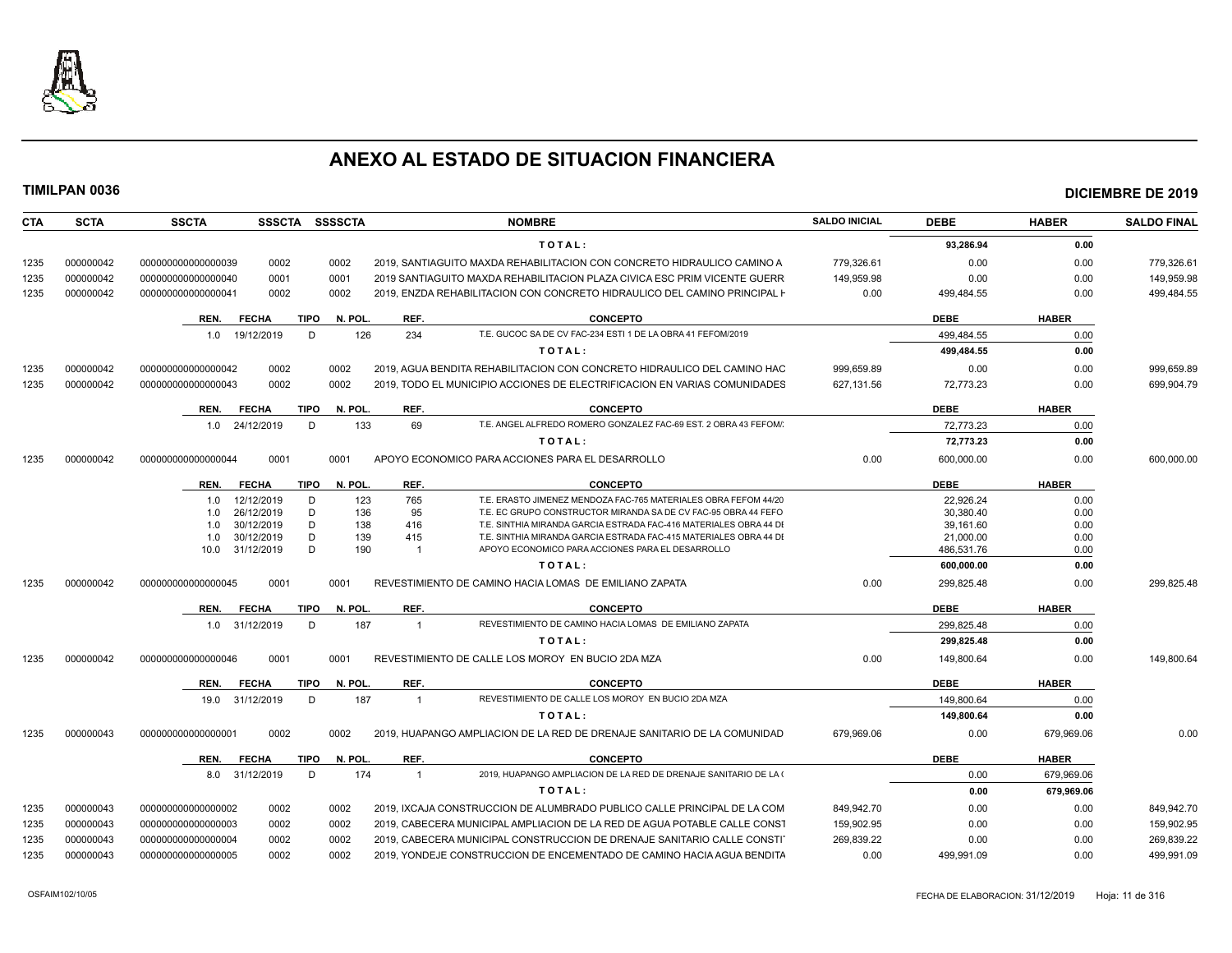

| <b>CTA</b> | <b>SCTA</b> | <b>SSCTA</b>         |      | SSSCTA SSSSCTA         |                         | <b>NOMBRE</b>                                                              | <b>SALDO INICIAL</b> | <b>DEBE</b> | <b>HABER</b> | <b>SALDO FINAL</b> |
|------------|-------------|----------------------|------|------------------------|-------------------------|----------------------------------------------------------------------------|----------------------|-------------|--------------|--------------------|
|            |             |                      |      |                        |                         | TOTAL:                                                                     |                      | 93,286.94   | 0.00         |                    |
| 1235       | 000000042   | 000000000000000039   | 0002 | 0002                   |                         | 2019. SANTIAGUITO MAXDA REHABILITACION CON CONCRETO HIDRAULICO CAMINO A    | 779,326.61           | 0.00        | 0.00         | 779,326.61         |
| 1235       | 000000042   | 000000000000000040   | 0001 | 0001                   |                         | 2019 SANTIAGUITO MAXDA REHABILITACION PLAZA CIVICA ESC PRIM VICENTE GUERRI | 149.959.98           | 0.00        | 0.00         | 149.959.98         |
| 1235       | 000000042   | 000000000000000041   | 0002 | 0002                   |                         | 2019. ENZDA REHABILITACION CON CONCRETO HIDRAULICO DEL CAMINO PRINCIPAL F  | 0.00                 | 499,484.55  | 0.00         | 499,484.55         |
|            |             | REN.<br><b>FECHA</b> |      | <b>TIPO</b><br>N. POL. | REF.                    | <b>CONCEPTO</b>                                                            |                      | <b>DEBE</b> | <b>HABER</b> |                    |
|            |             | 19/12/2019<br>1.0    |      | 126<br>D               | 234                     | T.E. GUCOC SA DE CV FAC-234 ESTI 1 DE LA OBRA 41 FEFOM/2019                |                      | 499,484.55  | 0.00         |                    |
|            |             |                      |      |                        |                         | TOTAL:                                                                     |                      | 499,484.55  | 0.00         |                    |
| 1235       | 000000042   | 000000000000000042   | 0002 | 0002                   |                         | 2019, AGUA BENDITA REHABILITACION CON CONCRETO HIDRAULICO DEL CAMINO HAC   | 999.659.89           | 0.00        | 0.00         | 999.659.89         |
| 1235       | 000000042   | 000000000000000043   | 0002 | 0002                   |                         | 2019, TODO EL MUNICIPIO ACCIONES DE ELECTRIFICACION EN VARIAS COMUNIDADES  | 627,131.56           | 72,773.23   | 0.00         | 699.904.79         |
|            |             | <b>FECHA</b><br>REN. |      | <b>TIPO</b><br>N. POL  | REF.                    | <b>CONCEPTO</b>                                                            |                      | <b>DEBE</b> | <b>HABER</b> |                    |
|            |             | 24/12/2019<br>1.0    |      | 133<br>D               | 69                      | T.E. ANGEL ALFREDO ROMERO GONZALEZ FAC-69 EST, 2 OBRA 43 FEFOM/            |                      | 72,773.23   | 0.00         |                    |
|            |             |                      |      |                        |                         | TOTAL:                                                                     |                      |             | 0.00         |                    |
|            |             |                      |      |                        |                         |                                                                            |                      | 72,773.23   |              |                    |
| 1235       | 000000042   | 000000000000000044   | 0001 | 0001                   |                         | APOYO ECONOMICO PARA ACCIONES PARA EL DESARROLLO                           | 0.00                 | 600,000.00  | 0.00         | 600,000.00         |
|            |             | <b>FECHA</b><br>REN. |      | <b>TIPO</b><br>N. POL  | REF.                    | <b>CONCEPTO</b>                                                            |                      | <b>DEBE</b> | <b>HABER</b> |                    |
|            |             | 12/12/2019<br>1.0    |      | D<br>123               | 765                     | T.E. ERASTO JIMENEZ MENDOZA FAC-765 MATERIALES OBRA FEFOM 44/20            |                      | 22,926.24   | 0.00         |                    |
|            |             | 26/12/2019<br>1.0    |      | D<br>136               | 95                      | T.E. EC GRUPO CONSTRUCTOR MIRANDA SA DE CV FAC-95 OBRA 44 FEFO             |                      | 30,380.40   | 0.00         |                    |
|            |             | 30/12/2019<br>1.0    |      | D<br>138               | 416                     | T.E. SINTHIA MIRANDA GARCIA ESTRADA FAC-416 MATERIALES OBRA 44 DI          |                      | 39,161.60   | 0.00         |                    |
|            |             | 30/12/2019<br>1.0    |      | 139<br>D               | 415                     | T.E. SINTHIA MIRANDA GARCIA ESTRADA FAC-415 MATERIALES OBRA 44 DI          |                      | 21,000.00   | 0.00         |                    |
|            |             | 31/12/2019<br>10.0   |      | D<br>190               | $\overline{1}$          | APOYO ECONOMICO PARA ACCIONES PARA EL DESARROLLO                           |                      | 486.531.76  | 0.00         |                    |
|            |             |                      |      |                        |                         | TOTAL:                                                                     |                      | 600,000.00  | 0.00         |                    |
| 1235       | 000000042   | 000000000000000045   | 0001 | 0001                   |                         | REVESTIMIENTO DE CAMINO HACIA LOMAS DE EMILIANO ZAPATA                     | 0.00                 | 299,825.48  | 0.00         | 299,825.48         |
|            |             | REN.<br><b>FECHA</b> |      | <b>TIPO</b><br>N. POL  | REF.                    | <b>CONCEPTO</b>                                                            |                      | <b>DEBE</b> | <b>HABER</b> |                    |
|            |             | 31/12/2019<br>1.0    |      | D<br>187               | $\overline{\mathbf{1}}$ | REVESTIMIENTO DE CAMINO HACIA LOMAS DE EMILIANO ZAPATA                     |                      | 299,825.48  | 0.00         |                    |
|            |             |                      |      |                        |                         | TOTAL:                                                                     |                      | 299,825.48  | 0.00         |                    |
| 1235       | 000000042   | 000000000000000046   | 0001 | 0001                   |                         | REVESTIMIENTO DE CALLE LOS MOROY EN BUCIO 2DA MZA                          | 0.00                 | 149,800.64  | 0.00         | 149,800.64         |
|            |             | REN.<br><b>FECHA</b> |      | TIPO<br>N. POL.        | REF.                    | <b>CONCEPTO</b>                                                            |                      | <b>DEBE</b> | <b>HABER</b> |                    |
|            |             | 31/12/2019<br>19.0   |      | D<br>187               | $\overline{1}$          | REVESTIMIENTO DE CALLE LOS MOROY EN BUCIO 2DA MZA                          |                      | 149.800.64  | 0.00         |                    |
|            |             |                      |      |                        |                         | TOTAL:                                                                     |                      | 149,800.64  | 0.00         |                    |
| 1235       | 000000043   | 00000000000000000    | 0002 | 0002                   |                         | 2019, HUAPANGO AMPLIACION DE LA RED DE DRENAJE SANITARIO DE LA COMUNIDAD   | 679,969.06           | 0.00        | 679,969.06   | 0.00               |
|            |             | <b>FECHA</b><br>REN. |      | <b>TIPO</b><br>N. POL. | REF.                    | <b>CONCEPTO</b>                                                            |                      | <b>DEBE</b> | <b>HABER</b> |                    |
|            |             | 8.0 31/12/2019       |      | 174<br>D               | $\overline{1}$          | 2019, HUAPANGO AMPLIACION DE LA RED DE DRENAJE SANITARIO DE LA (           |                      | 0.00        | 679,969.06   |                    |
|            |             |                      |      |                        |                         | TOTAL:                                                                     |                      | 0.00        | 679,969.06   |                    |
| 1235       | 000000043   | 000000000000000002   | 0002 | 0002                   |                         | 2019. IXCAJA CONSTRUCCION DE ALUMBRADO PUBLICO CALLE PRINCIPAL DE LA COM   | 849.942.70           | 0.00        | 0.00         | 849,942.70         |
| 1235       | 000000043   | 000000000000000003   | 0002 | 0002                   |                         | 2019, CABECERA MUNICIPAL AMPLIACION DE LA RED DE AGUA POTABLE CALLE CONST  | 159,902.95           | 0.00        | 0.00         | 159,902.95         |
| 1235       | 000000043   | 000000000000000004   | 0002 | 0002                   |                         | 2019, CABECERA MUNICIPAL CONSTRUCCION DE DRENAJE SANITARIO CALLE CONSTI    | 269,839.22           | 0.00        | 0.00         | 269,839.22         |
| 1235       | 000000043   | 00000000000000005    | 0002 | 0002                   |                         | 2019, YONDEJE CONSTRUCCION DE ENCEMENTADO DE CAMINO HACIA AGUA BENDITA     | 0.00                 | 499.991.09  | 0.00         | 499,991.09         |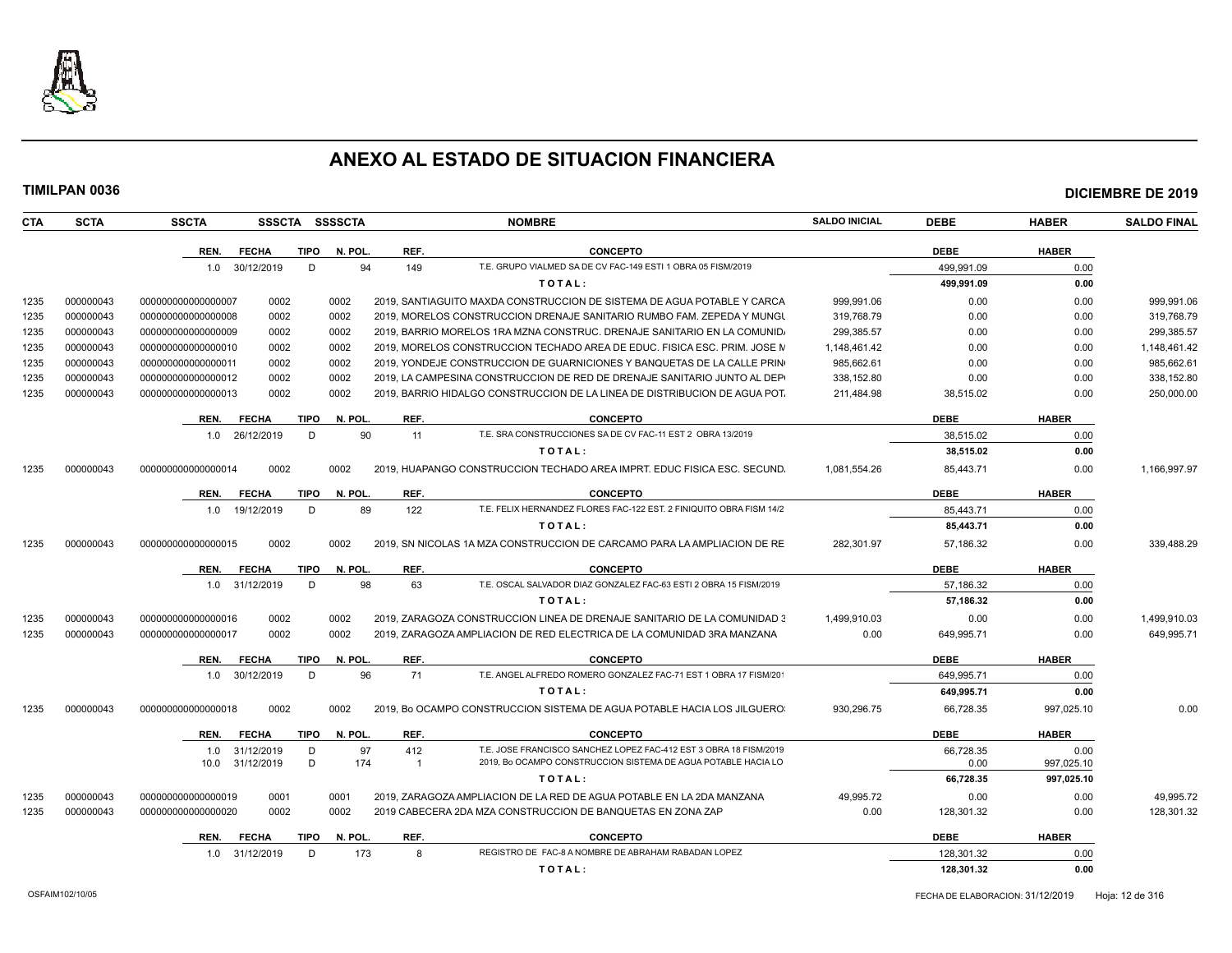

|            |             |                    |                          |             |           |                       |                                                                                                                                    |                      |                   |                    | <b>DICIEMBRE DE 2019</b> |
|------------|-------------|--------------------|--------------------------|-------------|-----------|-----------------------|------------------------------------------------------------------------------------------------------------------------------------|----------------------|-------------------|--------------------|--------------------------|
| <b>CTA</b> | <b>SCTA</b> | <b>SSCTA</b>       | SSSCTA SSSSCTA           |             |           |                       | <b>NOMBRE</b>                                                                                                                      | <b>SALDO INICIAL</b> | <b>DEBE</b>       | <b>HABER</b>       | <b>SALDO FINAL</b>       |
|            |             | REN.               | <b>FECHA</b>             | <b>TIPO</b> | N. POL.   | REF.                  | <b>CONCEPTO</b>                                                                                                                    |                      | <b>DEBE</b>       | <b>HABER</b>       |                          |
|            |             |                    | 1.0 30/12/2019           | D           | 94        | 149                   | T.E. GRUPO VIALMED SA DE CV FAC-149 ESTI 1 OBRA 05 FISM/2019                                                                       |                      | 499,991.09        | 0.00               |                          |
|            |             |                    |                          |             |           |                       | TOTAL:                                                                                                                             |                      | 499,991.09        | 0.00               |                          |
| 1235       | 000000043   | 000000000000000007 | 0002                     |             | 0002      |                       | 2019, SANTIAGUITO MAXDA CONSTRUCCION DE SISTEMA DE AGUA POTABLE Y CARCA                                                            | 999,991.06           | 0.00              | 0.00               | 999,991.06               |
| 1235       | 000000043   | 000000000000000008 | 0002                     |             | 0002      |                       | 2019, MORELOS CONSTRUCCION DRENAJE SANITARIO RUMBO FAM. ZEPEDA Y MUNGU                                                             | 319,768.79           | 0.00              | 0.00               | 319,768.79               |
| 1235       | 000000043   | 000000000000000009 | 0002                     |             | 0002      |                       | 2019, BARRIO MORELOS 1RA MZNA CONSTRUC. DRENAJE SANITARIO EN LA COMUNIDA                                                           | 299,385.57           | 0.00              | 0.00               | 299,385.57               |
| 1235       | 000000043   | 000000000000000010 | 0002                     |             | 0002      |                       | 2019, MORELOS CONSTRUCCION TECHADO AREA DE EDUC, FISICA ESC, PRIM, JOSE M                                                          | 1,148,461.42         | 0.00              | 0.00               | 1,148,461.42             |
| 1235       | 000000043   | 00000000000000011  | 0002                     |             | 0002      |                       | 2019, YONDEJE CONSTRUCCION DE GUARNICIONES Y BANQUETAS DE LA CALLE PRIN                                                            | 985,662.61           | 0.00              | 0.00               | 985,662.61               |
| 1235       | 000000043   | 000000000000000012 | 0002                     |             | 0002      |                       | 2019, LA CAMPESINA CONSTRUCCION DE RED DE DRENAJE SANITARIO JUNTO AL DEPI                                                          | 338,152.80           | 0.00              | 0.00               | 338,152.80               |
| 1235       | 000000043   | 000000000000000013 | 0002                     |             | 0002      |                       | 2019, BARRIO HIDALGO CONSTRUCCION DE LA LINEA DE DISTRIBUCION DE AGUA POT.                                                         | 211,484.98           | 38,515.02         | 0.00               | 250,000.00               |
|            |             | REN.               | <b>FECHA</b>             | <b>TIPO</b> | N. POL    | REF.                  | <b>CONCEPTO</b>                                                                                                                    |                      | <b>DEBE</b>       | <b>HABER</b>       |                          |
|            |             | 1.0                | 26/12/2019               | D           | 90        | 11                    | T.E. SRA CONSTRUCCIONES SA DE CV FAC-11 EST 2 OBRA 13/2019                                                                         |                      | 38.515.02         | 0.00               |                          |
|            |             |                    |                          |             |           |                       | TOTAL:                                                                                                                             |                      | 38,515.02         | 0.00               |                          |
| 1235       | 000000043   | 000000000000000014 | 0002                     |             | 0002      |                       | 2019, HUAPANGO CONSTRUCCION TECHADO AREA IMPRT, EDUC FISICA ESC, SECUND.                                                           | 1.081.554.26         | 85,443.71         | 0.00               | 1.166.997.97             |
|            |             | REN.               | <b>FECHA</b>             | <b>TIPO</b> | N. POL    | REF.                  | <b>CONCEPTO</b>                                                                                                                    |                      | <b>DEBE</b>       | <b>HABER</b>       |                          |
|            |             |                    | 1.0 19/12/2019           | D           | 89        | 122                   | T.E. FELIX HERNANDEZ FLORES FAC-122 EST. 2 FINIQUITO OBRA FISM 14/2                                                                |                      | 85,443.71         | 0.00               |                          |
|            |             |                    |                          |             |           |                       | TOTAL:                                                                                                                             |                      | 85,443.71         | 0.00               |                          |
| 1235       | 000000043   | 000000000000000015 | 0002                     |             | 0002      |                       | 2019. SN NICOLAS 1A MZA CONSTRUCCION DE CARCAMO PARA LA AMPLIACION DE RE                                                           | 282,301.97           | 57,186.32         | 0.00               | 339,488.29               |
|            |             | REN.               | <b>FECHA</b>             | TIPO        | N. POL.   | REF.                  | <b>CONCEPTO</b>                                                                                                                    |                      | <b>DEBE</b>       | <b>HABER</b>       |                          |
|            |             |                    | 1.0 31/12/2019           | D           | 98        | 63                    | T.E. OSCAL SALVADOR DIAZ GONZALEZ FAC-63 ESTI 2 OBRA 15 FISM/2019                                                                  |                      | 57,186.32         | 0.00               |                          |
|            |             |                    |                          |             |           |                       | TOTAL:                                                                                                                             |                      | 57,186.32         | 0.00               |                          |
| 1235       | 000000043   | 000000000000000016 | 0002                     |             | 0002      |                       | 2019, ZARAGOZA CONSTRUCCION LINEA DE DRENAJE SANITARIO DE LA COMUNIDAD 3                                                           | 1,499,910.03         | 0.00              | 0.00               | 1,499,910.03             |
| 1235       | 000000043   | 000000000000000017 | 0002                     |             | 0002      |                       | 2019, ZARAGOZA AMPLIACION DE RED ELECTRICA DE LA COMUNIDAD 3RA MANZANA                                                             | 0.00                 | 649,995.71        | 0.00               | 649,995.71               |
|            |             | REN.               | <b>FECHA</b>             | <b>TIPO</b> | N. POL    | REF.                  | <b>CONCEPTO</b>                                                                                                                    |                      | <b>DEBE</b>       | <b>HABER</b>       |                          |
|            |             |                    | 1.0 30/12/2019           | D           | 96        | 71                    | T.E. ANGEL ALFREDO ROMERO GONZALEZ FAC-71 EST 1 OBRA 17 FISM/20                                                                    |                      | 649,995.71        | 0.00               |                          |
|            |             |                    |                          |             |           |                       | TOTAL:                                                                                                                             |                      | 649,995.71        | 0.00               |                          |
| 1235       | 000000043   | 000000000000000018 | 0002                     |             | 0002      |                       | 2019, Bo OCAMPO CONSTRUCCION SISTEMA DE AGUA POTABLE HACIA LOS JILGUERO                                                            | 930,296.75           | 66,728.35         | 997,025.10         | 0.00                     |
|            |             | REN.               | <b>FECHA</b>             | TIPO        | N. POL.   | REF.                  | <b>CONCEPTO</b>                                                                                                                    |                      | <b>DEBE</b>       | <b>HABER</b>       |                          |
|            |             | 1.0<br>10.0        | 31/12/2019<br>31/12/2019 | D<br>D      | 97<br>174 | 412<br>$\overline{1}$ | T.E. JOSE FRANCISCO SANCHEZ LOPEZ FAC-412 EST 3 OBRA 18 FISM/2019<br>2019. Bo OCAMPO CONSTRUCCION SISTEMA DE AGUA POTABLE HACIA LO |                      | 66,728.35<br>0.00 | 0.00<br>997,025.10 |                          |
|            |             |                    |                          |             |           |                       | TOTAL:                                                                                                                             |                      | 66,728.35         | 997,025.10         |                          |
| 1235       | 000000043   | 000000000000000019 | 0001                     |             | 0001      |                       | 2019, ZARAGOZA AMPLIACION DE LA RED DE AGUA POTABLE EN LA 2DA MANZANA                                                              | 49,995.72            | 0.00              | 0.00               | 49,995.72                |
| 1235       | 000000043   | 000000000000000020 | 0002                     |             | 0002      |                       | 2019 CABECERA 2DA MZA CONSTRUCCION DE BANQUETAS EN ZONA ZAP                                                                        | 0.00                 | 128,301.32        | 0.00               | 128,301.32               |
|            |             | REN.               | <b>FECHA</b>             | <b>TIPO</b> | N. POL.   | REF.                  | <b>CONCEPTO</b>                                                                                                                    |                      | <b>DEBE</b>       | <b>HABER</b>       |                          |
|            |             |                    | 1.0 31/12/2019           | D           | 173       | 8                     | REGISTRO DE FAC-8 A NOMBRE DE ABRAHAM RABADAN LOPEZ                                                                                |                      | 128,301.32        | 0.00               |                          |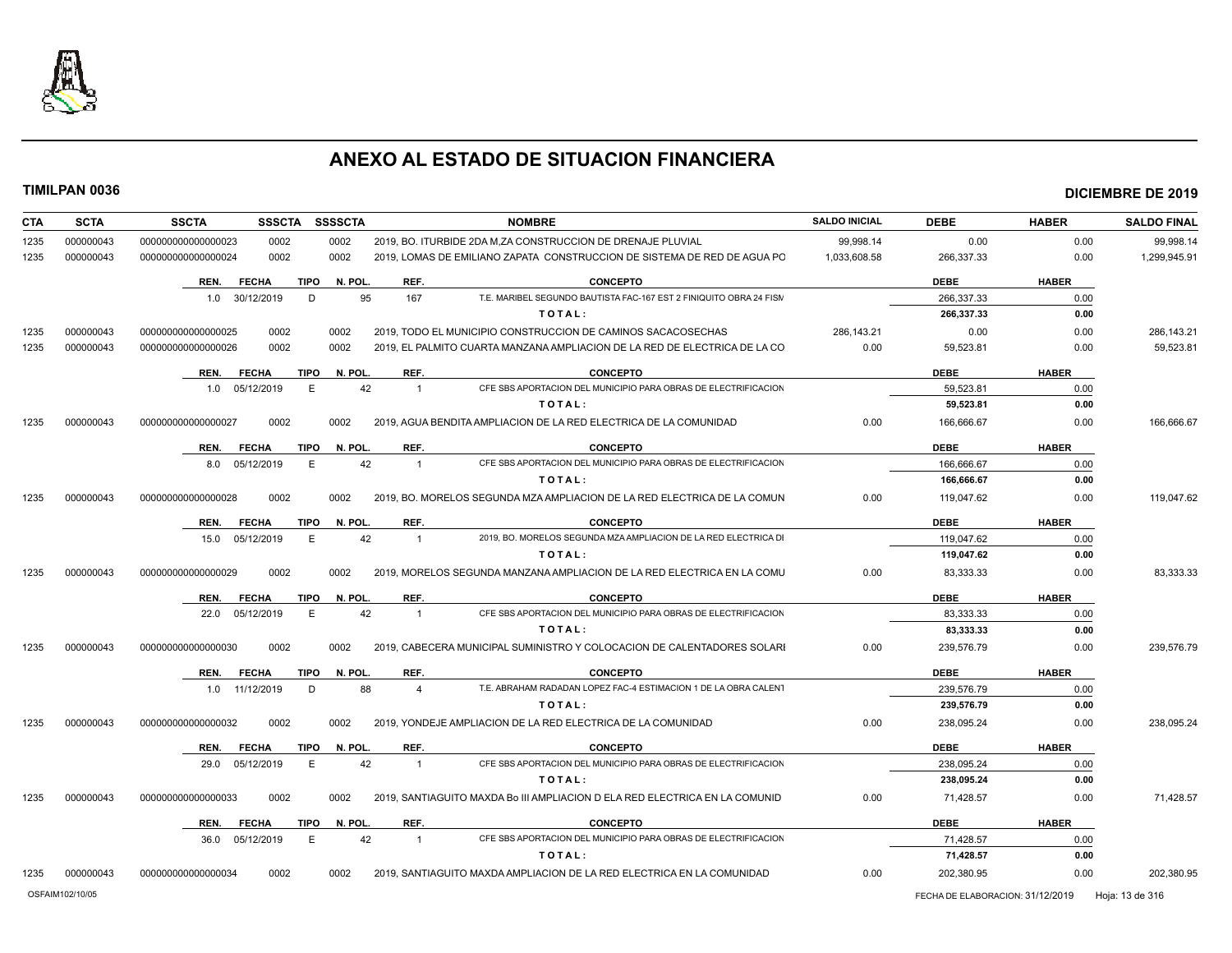

| <b>CTA</b> | <b>SCTA</b> | <b>SSCTA</b>         | <b>SSSCTA</b> | <b>SSSSCTA</b> |                       | <b>NOMBRE</b>                                                               | <b>SALDO INICIAL</b> | <b>DEBE</b> | <b>HABER</b> | <b>SALDO FINAL</b> |
|------------|-------------|----------------------|---------------|----------------|-----------------------|-----------------------------------------------------------------------------|----------------------|-------------|--------------|--------------------|
| 1235       | 000000043   | 000000000000000023   | 0002          | 0002           |                       | 2019, BO. ITURBIDE 2DA M, ZA CONSTRUCCION DE DRENAJE PLUVIAL                | 99,998.14            | 0.00        | 0.00         | 99,998.14          |
| 1235       | 000000043   | 00000000000000024    | 0002          | 0002           |                       | 2019, LOMAS DE EMILIANO ZAPATA CONSTRUCCION DE SISTEMA DE RED DE AGUA PO    | 1,033,608.58         | 266,337.33  | 0.00         | 1,299,945.91       |
|            |             | REN.<br><b>FECHA</b> | <b>TIPO</b>   | N. POL.        | REF.                  | <b>CONCEPTO</b>                                                             |                      | <b>DEBE</b> | <b>HABER</b> |                    |
|            |             | 1.0 30/12/2019       | D             | 95             | 167                   | T.E. MARIBEL SEGUNDO BAUTISTA FAC-167 EST 2 FINIQUITO OBRA 24 FISM          |                      | 266.337.33  | 0.00         |                    |
|            |             |                      |               |                |                       | TOTAL:                                                                      |                      | 266,337.33  | 0.00         |                    |
| 1235       | 000000043   | 000000000000000025   | 0002          | 0002           |                       | 2019, TODO EL MUNICIPIO CONSTRUCCION DE CAMINOS SACACOSECHAS                | 286,143.21           | 0.00        | 0.00         | 286,143.21         |
| 1235       | 000000043   | 000000000000000026   | 0002          | 0002           |                       | 2019. EL PALMITO CUARTA MANZANA AMPLIACION DE LA RED DE ELECTRICA DE LA CO  | 0.00                 | 59,523.81   | 0.00         | 59,523.81          |
|            |             | REN.<br><b>FECHA</b> | <b>TIPO</b>   | N. POL.        | REF.                  | <b>CONCEPTO</b>                                                             |                      | <b>DEBE</b> | <b>HABER</b> |                    |
|            |             | 1.0 05/12/2019       | E             | 42             | $\overline{1}$        | CFE SBS APORTACION DEL MUNICIPIO PARA OBRAS DE ELECTRIFICACION              |                      | 59.523.81   | 0.00         |                    |
|            |             |                      |               |                |                       | TOTAL:                                                                      |                      | 59,523.81   | 0.00         |                    |
| 1235       | 000000043   | 000000000000000027   | 0002          | 0002           |                       | 2019, AGUA BENDITA AMPLIACION DE LA RED ELECTRICA DE LA COMUNIDAD           | 0.00                 | 166,666.67  | 0.00         | 166,666.67         |
|            |             | <b>FECHA</b><br>REN. | <b>TIPO</b>   | N. POL         | REF.                  | <b>CONCEPTO</b>                                                             |                      | <b>DEBE</b> | <b>HABER</b> |                    |
|            |             | 05/12/2019<br>8.0    | E             | 42             | $\overline{1}$        | CFE SBS APORTACION DEL MUNICIPIO PARA OBRAS DE ELECTRIFICACION              |                      | 166.666.67  | 0.00         |                    |
|            |             |                      |               |                |                       | TOTAL:                                                                      |                      | 166,666.67  | 0.00         |                    |
| 1235       | 000000043   | 000000000000000028   | 0002          | 0002           |                       | 2019, BO, MORELOS SEGUNDA MZA AMPLIACION DE LA RED ELECTRICA DE LA COMUN    | 0.00                 | 119.047.62  | 0.00         | 119.047.62         |
|            |             | REN.<br><b>FECHA</b> | TIPO          | N. POL.        | REF.                  | <b>CONCEPTO</b>                                                             |                      | <b>DEBE</b> | <b>HABER</b> |                    |
|            |             | 15.0 05/12/2019      | Е             | 42             | $\overline{1}$        | 2019, BO, MORELOS SEGUNDA MZA AMPLIACION DE LA RED ELECTRICA DI             |                      | 119.047.62  | 0.00         |                    |
|            |             |                      |               |                |                       | TOTAL:                                                                      |                      | 119,047.62  | 0.00         |                    |
| 1235       | 000000043   | 000000000000000029   | 0002          | 0002           |                       | 2019. MORELOS SEGUNDA MANZANA AMPLIACION DE LA RED ELECTRICA EN LA COMU     | 0.00                 | 83,333.33   | 0.00         | 83,333.33          |
|            |             | <b>FECHA</b><br>REN. | <b>TIPO</b>   | N. POL.        | REF.                  | <b>CONCEPTO</b>                                                             |                      | <b>DEBE</b> | <b>HABER</b> |                    |
|            |             | 05/12/2019<br>22.0   | Е             | 42             | $\overline{1}$        | CFE SBS APORTACION DEL MUNICIPIO PARA OBRAS DE ELECTRIFICACION              |                      | 83,333.33   | 0.00         |                    |
|            |             |                      |               |                |                       | TOTAL:                                                                      |                      | 83,333.33   | 0.00         |                    |
| 1235       | 000000043   | 000000000000000030   | 0002          | 0002           |                       | 2019, CABECERA MUNICIPAL SUMINISTRO Y COLOCACION DE CALENTADORES SOLARI     | 0.00                 | 239,576.79  | 0.00         | 239,576.79         |
|            |             | <b>FECHA</b><br>REN. | TIPO          | N. POL.        | REF.                  | <b>CONCEPTO</b>                                                             |                      | <b>DEBE</b> | <b>HABER</b> |                    |
|            |             | 11/12/2019<br>1.0    | D             | 88             | $\boldsymbol{\Delta}$ | T.E. ABRAHAM RADADAN LOPEZ FAC-4 ESTIMACION 1 DE LA OBRA CALENT             |                      | 239,576.79  | 0.00         |                    |
|            |             |                      |               |                |                       | TOTAL:                                                                      |                      | 239,576.79  | 0.00         |                    |
| 1235       | 000000043   | 000000000000000032   | 0002          | 0002           |                       | 2019. YONDEJE AMPLIACION DE LA RED ELECTRICA DE LA COMUNIDAD                | 0.00                 | 238,095.24  | 0.00         | 238,095.24         |
|            |             | <b>FECHA</b><br>REN. | <b>TIPO</b>   | N. POL.        | REF.                  | <b>CONCEPTO</b>                                                             |                      | <b>DEBE</b> | <b>HABER</b> |                    |
|            |             | 29.0 05/12/2019      | E             | 42             | $\overline{1}$        | CFE SBS APORTACION DEL MUNICIPIO PARA OBRAS DE ELECTRIFICACION              |                      | 238.095.24  | 0.00         |                    |
|            |             |                      |               |                |                       | TOTAL:                                                                      |                      | 238,095.24  | 0.00         |                    |
| 1235       | 000000043   | 000000000000000033   | 0002          | 0002           |                       | 2019, SANTIAGUITO MAXDA Bo III AMPLIACION D ELA RED ELECTRICA EN LA COMUNID | 0.00                 | 71,428.57   | 0.00         | 71,428.57          |
|            |             | <b>FECHA</b><br>REN. | <b>TIPO</b>   | N. POL         | REF.                  | <b>CONCEPTO</b>                                                             |                      | <b>DEBE</b> | <b>HABER</b> |                    |
|            |             | 05/12/2019<br>36.0   | E             | 42             | $\overline{1}$        | CFE SBS APORTACION DEL MUNICIPIO PARA OBRAS DE ELECTRIFICACION              |                      | 71,428.57   | 0.00         |                    |
|            |             |                      |               |                |                       | TOTAL:                                                                      |                      | 71,428.57   | 0.00         |                    |
| 1235       | 000000043   | 000000000000000034   | 0002          | 0002           |                       | 2019. SANTIAGUITO MAXDA AMPLIACION DE LA RED ELECTRICA EN LA COMUNIDAD      | 0.00                 | 202,380.95  | 0.00         | 202,380.95         |
|            |             |                      |               |                |                       |                                                                             |                      |             |              |                    |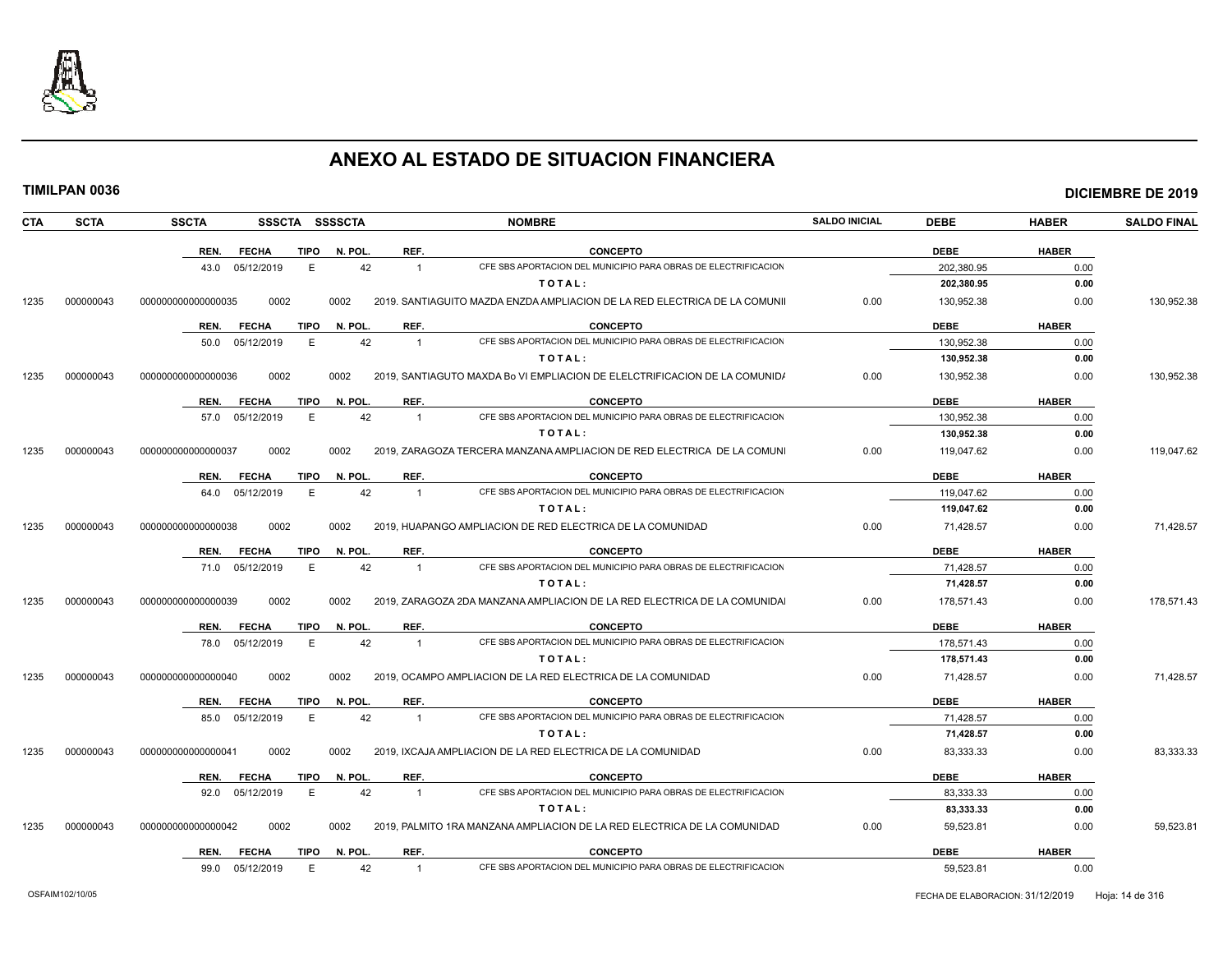

|--|

| CTA  | <b>SCTA</b> | <b>SSCTA</b><br>SSSCTA SSSSCTA      |                      | <b>NOMBRE</b>                                                                    | <b>SALDO INICIAL</b> | <b>DEBE</b> | <b>HABER</b> | <b>SALDO FINAL</b> |
|------|-------------|-------------------------------------|----------------------|----------------------------------------------------------------------------------|----------------------|-------------|--------------|--------------------|
|      |             | REN.<br><b>FECHA</b><br>TIPO        | REF.<br>N. POL.      | <b>CONCEPTO</b>                                                                  |                      | <b>DEBE</b> | <b>HABER</b> |                    |
|      |             | 43.0 05/12/2019<br>Е                | 42                   | CFE SBS APORTACION DEL MUNICIPIO PARA OBRAS DE ELECTRIFICACION<br>$\overline{1}$ |                      | 202,380.95  | 0.00         |                    |
|      |             |                                     |                      | TOTAL:                                                                           |                      | 202,380.95  | 0.00         |                    |
| 1235 | 000000043   | 0002<br>000000000000000035          | 0002                 | 2019. SANTIAGUITO MAZDA ENZDA AMPLIACION DE LA RED ELECTRICA DE LA COMUNII       | 0.00                 | 130.952.38  | 0.00         | 130.952.38         |
|      |             | REN.<br><b>FECHA</b><br><b>TIPO</b> | N. POL<br>REF.       | <b>CONCEPTO</b>                                                                  |                      | <b>DEBE</b> | <b>HABER</b> |                    |
|      |             | 05/12/2019<br>E<br>50.0             | 42                   | CFE SBS APORTACION DEL MUNICIPIO PARA OBRAS DE ELECTRIFICACION<br>$\overline{1}$ |                      | 130,952.38  | 0.00         |                    |
|      |             |                                     |                      | TOTAL:                                                                           |                      | 130,952.38  | 0.00         |                    |
| 1235 | 000000043   | 000000000000000036<br>0002          | 0002                 | 2019, SANTIAGUTO MAXDA Bo VI EMPLIACION DE ELELCTRIFICACION DE LA COMUNIDA       | 0.00                 | 130,952.38  | 0.00         | 130,952.38         |
|      |             | REN.<br><b>FECHA</b><br><b>TIPO</b> | N. POL.<br>REF.      | <b>CONCEPTO</b>                                                                  |                      | <b>DEBE</b> | <b>HABER</b> |                    |
|      |             | E<br>05/12/2019<br>57.0             | 42                   | CFE SBS APORTACION DEL MUNICIPIO PARA OBRAS DE ELECTRIFICACION<br>$\overline{1}$ |                      | 130.952.38  | 0.00         |                    |
|      |             |                                     |                      | TOTAL:                                                                           |                      | 130,952.38  | 0.00         |                    |
| 1235 | 000000043   | 000000000000000037<br>0002          | 0002                 | 2019, ZARAGOZA TERCERA MANZANA AMPLIACION DE RED ELECTRICA DE LA COMUNI          | 0.00                 | 119,047.62  | 0.00         | 119,047.62         |
|      |             | <b>FECHA</b><br>REN.<br><b>TIPO</b> | N. POL.<br>REF.      | <b>CONCEPTO</b>                                                                  |                      | <b>DEBE</b> | <b>HABER</b> |                    |
|      |             | 64.0 05/12/2019<br>E                | 42                   | CFE SBS APORTACION DEL MUNICIPIO PARA OBRAS DE ELECTRIFICACION<br>$\overline{1}$ |                      | 119.047.62  | 0.00         |                    |
|      |             |                                     |                      | TOTAL:                                                                           |                      | 119,047.62  | 0.00         |                    |
| 1235 | 000000043   | 0002<br>000000000000000038          | 0002                 | 2019. HUAPANGO AMPLIACION DE RED ELECTRICA DE LA COMUNIDAD                       | 0.00                 | 71,428.57   | 0.00         | 71,428.57          |
|      |             | REN.<br><b>FECHA</b><br><b>TIPO</b> | REF.<br>N. POL.      | <b>CONCEPTO</b>                                                                  |                      | <b>DEBE</b> | <b>HABER</b> |                    |
|      |             | 71.0 05/12/2019<br>E                | 42                   | CFE SBS APORTACION DEL MUNICIPIO PARA OBRAS DE ELECTRIFICACION<br>$\overline{1}$ |                      | 71,428.57   | 0.00         |                    |
|      |             |                                     |                      | TOTAL:                                                                           |                      | 71,428.57   | 0.00         |                    |
| 1235 | 000000043   | 000000000000000039<br>0002          | 0002                 | 2019, ZARAGOZA 2DA MANZANA AMPLIACION DE LA RED ELECTRICA DE LA COMUNIDAI        | 0.00                 | 178,571.43  | 0.00         | 178,571.43         |
|      |             | REN.<br><b>FECHA</b><br><b>TIPO</b> | N. POL.<br>REF.      | <b>CONCEPTO</b>                                                                  |                      | <b>DEBE</b> | <b>HABER</b> |                    |
|      |             | 05/12/2019<br>E<br>78.0             | 42                   | CFE SBS APORTACION DEL MUNICIPIO PARA OBRAS DE ELECTRIFICACION<br>$\overline{1}$ |                      | 178,571.43  | 0.00         |                    |
|      |             |                                     |                      | TOTAL:                                                                           |                      | 178,571.43  | 0.00         |                    |
| 1235 | 000000043   | 0002<br>000000000000000040          | 0002                 | 2019, OCAMPO AMPLIACION DE LA RED ELECTRICA DE LA COMUNIDAD                      | 0.00                 | 71,428.57   | 0.00         | 71,428.57          |
|      |             | <b>FECHA</b><br><b>TIPO</b><br>REN. | N. POL.<br>REF.      | <b>CONCEPTO</b>                                                                  |                      | <b>DEBE</b> | <b>HABER</b> |                    |
|      |             | 05/12/2019<br>E<br>85.0             | 42                   | CFE SBS APORTACION DEL MUNICIPIO PARA OBRAS DE ELECTRIFICACION<br>$\overline{1}$ |                      | 71.428.57   | 0.00         |                    |
|      |             |                                     |                      | TOTAL:                                                                           |                      | 71,428.57   | 0.00         |                    |
| 1235 | 000000043   | 000000000000000041<br>0002          | 0002                 | 2019, IXCAJA AMPLIACION DE LA RED ELECTRICA DE LA COMUNIDAD                      | 0.00                 | 83,333.33   | 0.00         | 83,333.33          |
|      |             | <b>FECHA</b><br>REN.<br><b>TIPO</b> | N. POL.<br>REF.      | <b>CONCEPTO</b>                                                                  |                      | <b>DEBE</b> | <b>HABER</b> |                    |
|      |             | 92.0 05/12/2019<br>Е                | 42                   | CFE SBS APORTACION DEL MUNICIPIO PARA OBRAS DE ELECTRIFICACION<br>$\overline{1}$ |                      | 83,333.33   | 0.00         |                    |
|      |             |                                     |                      | TOTAL:                                                                           |                      | 83,333.33   | 0.00         |                    |
| 1235 | 000000043   | 0002<br>000000000000000042          | 0002                 | 2019, PALMITO 1RA MANZANA AMPLIACION DE LA RED ELECTRICA DE LA COMUNIDAD         | 0.00                 | 59,523.81   | 0.00         | 59.523.81          |
|      |             | REN.<br><b>FECHA</b>                | TIPO N. POL.<br>REF. | <b>CONCEPTO</b>                                                                  |                      | <b>DEBE</b> | <b>HABER</b> |                    |
|      |             | E<br>99.0 05/12/2019                | 42                   | CFE SBS APORTACION DEL MUNICIPIO PARA OBRAS DE ELECTRIFICACION<br>$\overline{1}$ |                      | 59,523.81   | 0.00         |                    |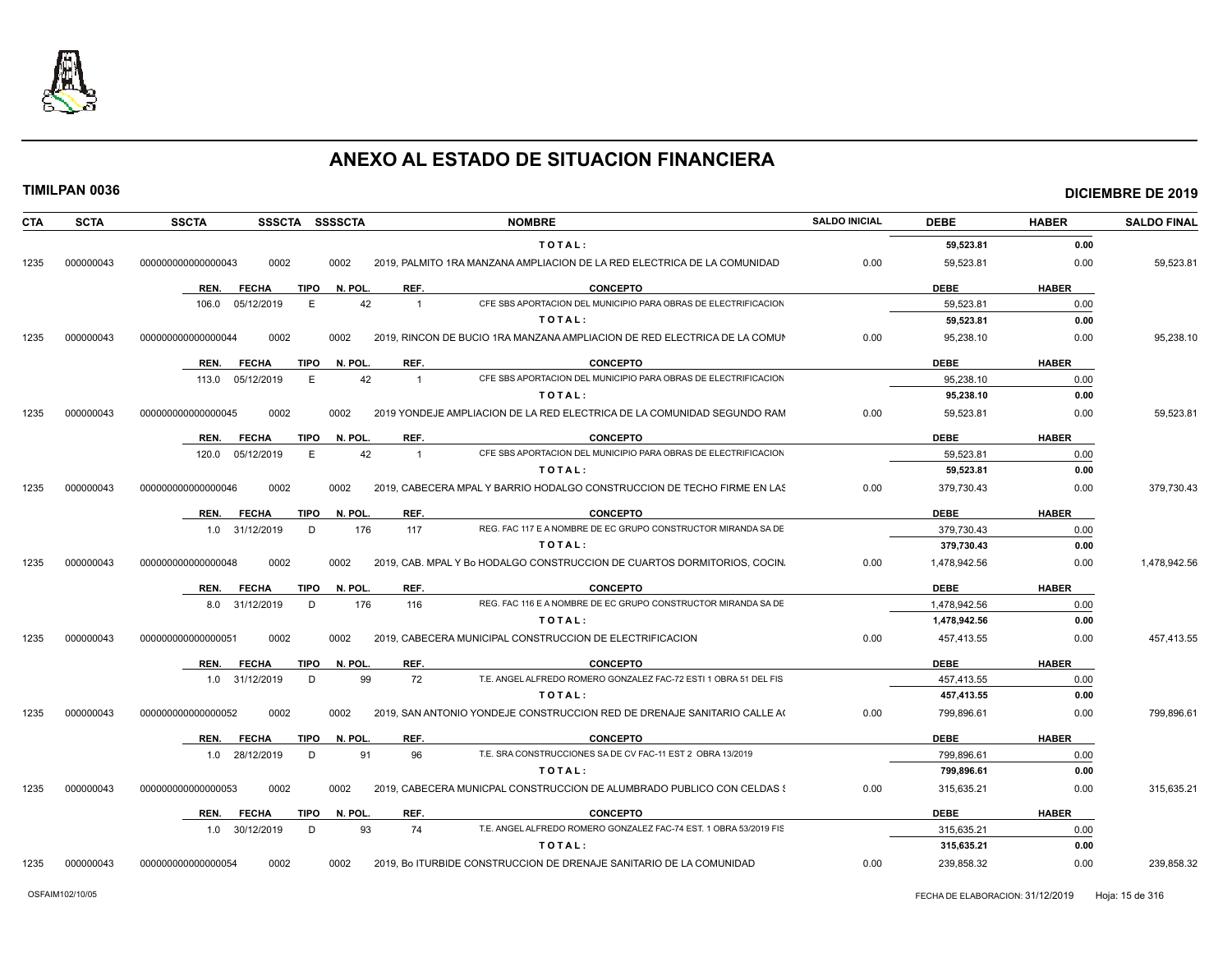

|  |  |  |  |  |  | TIMILPAN 0036 |  |
|--|--|--|--|--|--|---------------|--|
|--|--|--|--|--|--|---------------|--|

| <b>CTA</b> | <b>SCTA</b> | <b>SSCTA</b><br>SSSCTA SSSSCTA                 | <b>NOMBRE</b>                                                                          | <b>SALDO INICIAL</b> | <b>DEBE</b>  | <b>HABER</b> | <b>SALDO FINAL</b> |
|------------|-------------|------------------------------------------------|----------------------------------------------------------------------------------------|----------------------|--------------|--------------|--------------------|
|            |             |                                                | TOTAL:                                                                                 |                      | 59,523.81    | 0.00         |                    |
| 1235       | 000000043   | 0002<br>000000000000000043<br>0002             | 2019, PALMITO 1RA MANZANA AMPLIACION DE LA RED ELECTRICA DE LA COMUNIDAD               | 0.00                 | 59,523.81    | 0.00         | 59,523.81          |
|            |             | <b>TIPO</b><br>N. POL.<br><b>FECHA</b><br>REN. | REF.<br><b>CONCEPTO</b>                                                                |                      | <b>DEBE</b>  | <b>HABER</b> |                    |
|            |             | 106.0 05/12/2019<br>E                          | 42<br>CFE SBS APORTACION DEL MUNICIPIO PARA OBRAS DE ELECTRIFICACION<br>$\overline{1}$ |                      | 59,523.81    | 0.00         |                    |
|            |             |                                                | TOTAL:                                                                                 |                      | 59,523.81    | 0.00         |                    |
| 1235       | 000000043   | 0002<br>000000000000000044<br>0002             | 2019, RINCON DE BUCIO 1RA MANZANA AMPLIACION DE RED ELECTRICA DE LA COMUN              | 0.00                 | 95,238.10    | 0.00         | 95,238.10          |
|            |             | <b>FECHA</b><br><b>TIPO</b><br>N. POL.<br>REN. | REF.<br><b>CONCEPTO</b>                                                                |                      | <b>DEBE</b>  | <b>HABER</b> |                    |
|            |             | 05/12/2019<br>E<br>113.0                       | CFE SBS APORTACION DEL MUNICIPIO PARA OBRAS DE ELECTRIFICACION<br>42<br>$\overline{1}$ |                      | 95.238.10    | 0.00         |                    |
|            |             |                                                | TOTAL:                                                                                 |                      | 95,238.10    | 0.00         |                    |
| 1235       | 000000043   | 000000000000000045<br>0002<br>0002             | 2019 YONDEJE AMPLIACION DE LA RED ELECTRICA DE LA COMUNIDAD SEGUNDO RAM                | 0.00                 | 59,523.81    | 0.00         | 59,523.81          |
|            |             | <b>FECHA</b><br><b>TIPO</b><br>N. POL.<br>REN. | <b>CONCEPTO</b><br>REF.                                                                |                      | <b>DEBE</b>  | <b>HABER</b> |                    |
|            |             | 120.0 05/12/2019<br>E                          | 42<br>CFE SBS APORTACION DEL MUNICIPIO PARA OBRAS DE ELECTRIFICACION<br>$\overline{1}$ |                      | 59,523.81    | 0.00         |                    |
|            |             |                                                | TOTAL:                                                                                 |                      | 59,523.81    | 0.00         |                    |
| 1235       | 000000043   | 0002<br>0002<br>000000000000000046             | 2019. CABECERA MPAL Y BARRIO HODALGO CONSTRUCCION DE TECHO FIRME EN LAS                | 0.00                 | 379,730.43   | 0.00         | 379,730.43         |
|            |             | N. POL.<br><b>FECHA</b><br>TIPO<br>REN.        | REF.<br><b>CONCEPTO</b>                                                                |                      | <b>DEBE</b>  | <b>HABER</b> |                    |
|            |             | 176<br>1.0 31/12/2019<br>D                     | REG. FAC 117 E A NOMBRE DE EC GRUPO CONSTRUCTOR MIRANDA SA DE<br>117                   |                      | 379,730.43   | 0.00         |                    |
|            |             |                                                | TOTAL:                                                                                 |                      | 379,730.43   | 0.00         |                    |
| 1235       | 000000043   | 000000000000000048<br>0002<br>0002             | 2019, CAB. MPAL Y Bo HODALGO CONSTRUCCION DE CUARTOS DORMITORIOS, COCIN.               | 0.00                 | 1,478,942.56 | 0.00         | 1,478,942.56       |
|            |             | <b>FECHA</b><br><b>TIPO</b><br>N. POL.<br>REN. | REF.<br><b>CONCEPTO</b>                                                                |                      | <b>DEBE</b>  | <b>HABER</b> |                    |
|            |             | 8.0 31/12/2019<br>D<br>176                     | REG. FAC 116 E A NOMBRE DE EC GRUPO CONSTRUCTOR MIRANDA SA DE<br>116                   |                      | 1,478,942.56 | 0.00         |                    |
|            |             |                                                | TOTAL:                                                                                 |                      | 1,478,942.56 | 0.00         |                    |
| 1235       | 000000043   | 0002<br>0002<br>000000000000000051             | 2019, CABECERA MUNICIPAL CONSTRUCCION DE ELECTRIFICACION                               | 0.00                 | 457,413.55   | 0.00         | 457,413.55         |
|            |             | <b>TIPO</b><br>N. POL.<br><b>FECHA</b><br>REN. | REF.<br><b>CONCEPTO</b>                                                                |                      | <b>DEBE</b>  | <b>HABER</b> |                    |
|            |             | 1.0 31/12/2019<br>D                            | 99<br>T.E. ANGEL ALFREDO ROMERO GONZALEZ FAC-72 ESTI 1 OBRA 51 DEL FIS<br>72           |                      | 457,413.55   | 0.00         |                    |
|            |             |                                                | TOTAL:                                                                                 |                      | 457,413.55   | 0.00         |                    |
| 1235       | 000000043   | 000000000000000052<br>0002<br>0002             | 2019, SAN ANTONIO YONDEJE CONSTRUCCION RED DE DRENAJE SANITARIO CALLE A(               | 0.00                 | 799,896.61   | 0.00         | 799,896.61         |
|            |             | <b>FECHA</b><br>TIPO<br>N. POL.<br>REN.        | REF.<br><b>CONCEPTO</b>                                                                |                      | <b>DEBE</b>  | <b>HABER</b> |                    |
|            |             | 91<br>1.0 28/12/2019<br>D                      | T.E. SRA CONSTRUCCIONES SA DE CV FAC-11 EST 2 OBRA 13/2019<br>96                       |                      | 799,896.61   | 0.00         |                    |
|            |             |                                                | TOTAL:                                                                                 |                      | 799,896.61   | 0.00         |                    |
| 1235       | 000000043   | 000000000000000053<br>0002<br>0002             | 2019, CABECERA MUNICPAL CONSTRUCCION DE ALUMBRADO PUBLICO CON CELDAS {                 | 0.00                 | 315,635.21   | 0.00         | 315,635.21         |
|            |             | <b>FECHA</b><br><b>TIPO</b><br>N. POL.<br>REN. | REF.<br><b>CONCEPTO</b>                                                                |                      | <b>DEBE</b>  | <b>HABER</b> |                    |
|            |             | 1.0 30/12/2019<br>D                            | T.E. ANGEL ALFREDO ROMERO GONZALEZ FAC-74 EST. 1 OBRA 53/2019 FIS<br>93<br>74          |                      | 315,635.21   | 0.00         |                    |
|            |             |                                                | TOTAL:                                                                                 |                      | 315,635.21   | 0.00         |                    |
| 1235       | 000000043   | 000000000000000054<br>0002<br>0002             | 2019, Bo ITURBIDE CONSTRUCCION DE DRENAJE SANITARIO DE LA COMUNIDAD                    | 0.00                 | 239,858.32   | 0.00         | 239,858.32         |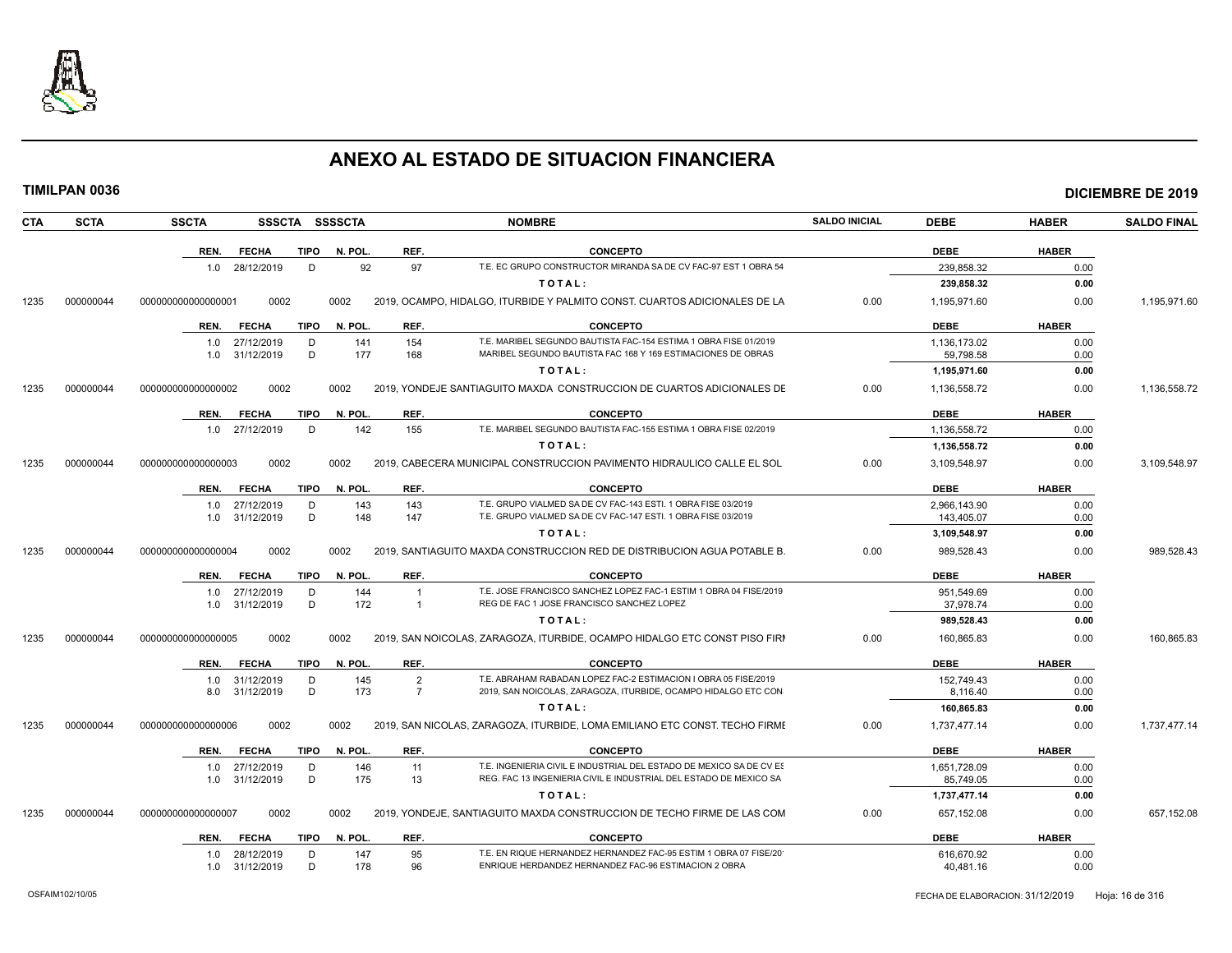

| <b>TIMILPAN 0036</b> |             |                    |                                  |             |                |                                  |                                                                                                                                          |                      |                            |              | <b>DICIEMBRE DE 2019</b> |
|----------------------|-------------|--------------------|----------------------------------|-------------|----------------|----------------------------------|------------------------------------------------------------------------------------------------------------------------------------------|----------------------|----------------------------|--------------|--------------------------|
| <b>CTA</b>           | <b>SCTA</b> | <b>SSCTA</b>       |                                  |             | SSSCTA SSSSCTA |                                  | <b>NOMBRE</b>                                                                                                                            | <b>SALDO INICIAL</b> | <b>DEBE</b>                | <b>HABER</b> | <b>SALDO FINAL</b>       |
|                      |             | REN.               | <b>FECHA</b>                     | TIPO        | N. POL         | REF.                             | <b>CONCEPTO</b>                                                                                                                          |                      | <b>DEBE</b>                | <b>HABER</b> |                          |
|                      |             |                    | 1.0 28/12/2019                   | D           | 92             | 97                               | T.E. EC GRUPO CONSTRUCTOR MIRANDA SA DE CV FAC-97 EST 1 OBRA 54                                                                          |                      | 239,858.32                 | 0.00         |                          |
|                      |             |                    |                                  |             |                |                                  | TOTAL:                                                                                                                                   |                      | 239,858.32                 | 0.00         |                          |
| 000000044<br>1235    |             | 000000000000000001 | 0002                             |             | 0002           |                                  | 2019, OCAMPO, HIDALGO, ITURBIDE Y PALMITO CONST. CUARTOS ADICIONALES DE LA                                                               | 0.00                 | 1,195,971.60               | 0.00         | 1,195,971.60             |
|                      |             | REN.               | <b>FECHA</b>                     | <b>TIPO</b> | N. POL.        | REF.                             | <b>CONCEPTO</b>                                                                                                                          |                      | <b>DEBE</b>                | <b>HABER</b> |                          |
|                      |             | 1.0                | 1.0 27/12/2019<br>31/12/2019     | D<br>D      | 141<br>177     | 154<br>168                       | T.E. MARIBEL SEGUNDO BAUTISTA FAC-154 ESTIMA 1 OBRA FISE 01/2019<br>MARIBEL SEGUNDO BAUTISTA FAC 168 Y 169 ESTIMACIONES DE OBRAS         |                      | 1,136,173.02<br>59,798.58  | 0.00<br>0.00 |                          |
|                      |             |                    |                                  |             |                |                                  | TOTAL:                                                                                                                                   |                      | 1,195,971.60               | 0.00         |                          |
| 000000044<br>1235    |             | 00000000000000002  | 0002                             |             | 0002           |                                  | 2019, YONDEJE SANTIAGUITO MAXDA CONSTRUCCION DE CUARTOS ADICIONALES DE                                                                   | 0.00                 | 1,136,558.72               | 0.00         | 1,136,558.72             |
|                      |             | REN.               | <b>FECHA</b>                     | TIPO        | N. POL.        | REF.                             | <b>CONCEPTO</b>                                                                                                                          |                      | <b>DEBE</b>                | <b>HABER</b> |                          |
|                      |             |                    | 1.0 27/12/2019                   | D           | 142            | 155                              | T.E. MARIBEL SEGUNDO BAUTISTA FAC-155 ESTIMA 1 OBRA FISE 02/2019                                                                         |                      | 1,136,558.72               | 0.00         |                          |
|                      |             |                    |                                  |             |                |                                  | TOTAL:                                                                                                                                   |                      | 1,136,558.72               | 0.00         |                          |
| 000000044<br>1235    |             | 000000000000000003 | 0002                             |             | 0002           |                                  | 2019, CABECERA MUNICIPAL CONSTRUCCION PAVIMENTO HIDRAULICO CALLE EL SOL                                                                  | 0.00                 | 3,109,548.97               | 0.00         | 3,109,548.97             |
|                      |             | REN.               | <b>FECHA</b>                     | TIPO        | N. POL.        | REF.                             | <b>CONCEPTO</b>                                                                                                                          |                      | <b>DEBE</b>                | <b>HABER</b> |                          |
|                      |             |                    | 1.0 27/12/2019<br>1.0 31/12/2019 | D<br>D      | 143<br>148     | 143<br>147                       | T.E. GRUPO VIALMED SA DE CV FAC-143 ESTI. 1 OBRA FISE 03/2019<br>T.E. GRUPO VIALMED SA DE CV FAC-147 ESTI, 1 OBRA FISE 03/2019           |                      | 2,966,143.90<br>143,405.07 | 0.00<br>0.00 |                          |
|                      |             |                    |                                  |             |                |                                  | TOTAL:                                                                                                                                   |                      | 3,109,548.97               | 0.00         |                          |
| 000000044<br>1235    |             | 000000000000000004 | 0002                             |             | 0002           |                                  | 2019, SANTIAGUITO MAXDA CONSTRUCCION RED DE DISTRIBUCION AGUA POTABLE B.                                                                 | 0.00                 | 989,528.43                 | 0.00         | 989,528.43               |
|                      |             | REN.               | <b>FECHA</b>                     | <b>TIPO</b> | N. POL.        | REF.                             | <b>CONCEPTO</b>                                                                                                                          |                      | <b>DEBE</b>                | <b>HABER</b> |                          |
|                      |             | 1.0                | 1.0 27/12/2019<br>31/12/2019     | D<br>D      | 144<br>172     | $\overline{1}$                   | T.E. JOSE FRANCISCO SANCHEZ LOPEZ FAC-1 ESTIM 1 OBRA 04 FISE/2019<br>REG DE FAC 1 JOSE FRANCISCO SANCHEZ LOPEZ                           |                      | 951,549.69<br>37,978.74    | 0.00<br>0.00 |                          |
|                      |             |                    |                                  |             |                |                                  | TOTAL:                                                                                                                                   |                      | 989,528.43                 | 0.00         |                          |
| 1235<br>000000044    |             | 000000000000000005 | 0002                             |             | 0002           |                                  | 2019, SAN NOICOLAS, ZARAGOZA, ITURBIDE, OCAMPO HIDALGO ETC CONST PISO FIRM                                                               | 0.00                 | 160,865.83                 | 0.00         | 160,865.83               |
|                      |             | REN.               | <b>FECHA</b>                     | TIPO        | N. POL.        | REF.                             | <b>CONCEPTO</b>                                                                                                                          |                      | <b>DEBE</b>                | <b>HABER</b> |                          |
|                      |             |                    | 1.0 31/12/2019<br>8.0 31/12/2019 | D<br>D      | 145<br>173     | $\overline{2}$<br>$\overline{7}$ | T.E. ABRAHAM RABADAN LOPEZ FAC-2 ESTIMACION I OBRA 05 FISE/2019<br>2019, SAN NOICOLAS, ZARAGOZA, ITURBIDE, OCAMPO HIDALGO ETC CON        |                      | 152,749.43<br>8,116.40     | 0.00<br>0.00 |                          |
|                      |             |                    |                                  |             |                |                                  | TOTAL:                                                                                                                                   |                      | 160,865.83                 | 0.00         |                          |
| 000000044<br>1235    |             | 000000000000000006 | 0002                             |             | 0002           |                                  | 2019, SAN NICOLAS, ZARAGOZA, ITURBIDE, LOMA EMILIANO ETC CONST. TECHO FIRME                                                              | 0.00                 | 1,737,477.14               | 0.00         | 1,737,477.14             |
|                      |             | REN.               | <b>FECHA</b>                     | <b>TIPO</b> | N. POL.        | REF.                             | <b>CONCEPTO</b>                                                                                                                          |                      | <b>DEBE</b>                | <b>HABER</b> |                          |
|                      |             |                    | 1.0 27/12/2019<br>1.0 31/12/2019 | D<br>D      | 146<br>175     | 11<br>13                         | T.E. INGENIERIA CIVIL E INDUSTRIAL DEL ESTADO DE MEXICO SA DE CV ES<br>REG. FAC 13 INGENIERIA CIVIL E INDUSTRIAL DEL ESTADO DE MEXICO SA |                      | 1,651,728.09<br>85,749.05  | 0.00<br>0.00 |                          |
|                      |             |                    |                                  |             |                |                                  | TOTAL:                                                                                                                                   |                      | 1,737,477.14               | 0.00         |                          |
| 000000044<br>1235    |             | 000000000000000007 | 0002                             |             | 0002           |                                  | 2019, YONDEJE, SANTIAGUITO MAXDA CONSTRUCCION DE TECHO FIRME DE LAS COM                                                                  | 0.00                 | 657,152.08                 | 0.00         | 657,152.08               |
|                      |             | REN.               | <b>FECHA</b>                     | TIPO        | N. POL.        | REF.                             | <b>CONCEPTO</b>                                                                                                                          |                      | <b>DEBE</b>                | <b>HABER</b> |                          |
|                      |             |                    | 1.0 28/12/2019<br>1.0 31/12/2019 | D<br>D      | 147<br>178     | 95<br>96                         | T.E. EN RIQUE HERNANDEZ HERNANDEZ FAC-95 ESTIM 1 OBRA 07 FISE/20<br>ENRIQUE HERDANDEZ HERNANDEZ FAC-96 ESTIMACION 2 OBRA                 |                      | 616,670.92<br>40,481.16    | 0.00<br>0.00 |                          |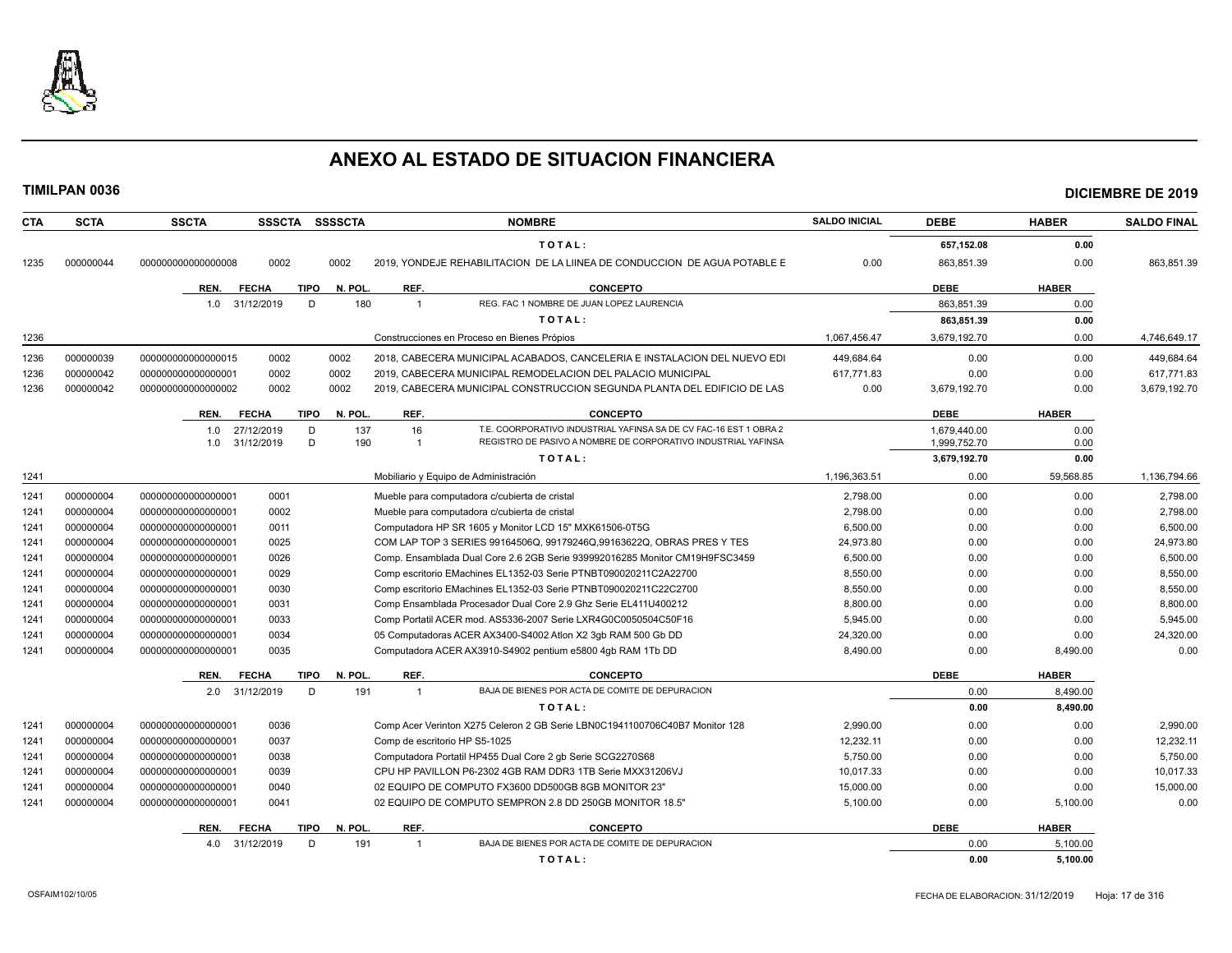

| <b>CTA</b> | <b>SCTA</b> | <b>SSCTA</b>       | <b>SSSCTA</b> | <b>SSSSCTA</b>         |                               | <b>NOMBRE</b>                                                               | <b>SALDO INICIAL</b> | <b>DEBE</b>  | <b>HABER</b> | <b>SALDO FINAL</b> |
|------------|-------------|--------------------|---------------|------------------------|-------------------------------|-----------------------------------------------------------------------------|----------------------|--------------|--------------|--------------------|
|            |             |                    |               |                        |                               | TOTAL:                                                                      |                      | 657,152.08   | 0.00         |                    |
| 1235       | 000000044   | 000000000000000008 | 0002          | 0002                   |                               | 2019, YONDEJE REHABILITACION DE LA LIINEA DE CONDUCCION DE AGUA POTABLE E   | 0.00                 | 863,851.39   | 0.00         | 863,851.39         |
|            |             | REN.               | <b>FECHA</b>  | <b>TIPO</b><br>N. POL. | REF.                          | <b>CONCEPTO</b>                                                             |                      | <b>DEBE</b>  | <b>HABER</b> |                    |
|            |             | 1.0                | 31/12/2019    | D                      | 180<br>$\overline{1}$         | REG. FAC 1 NOMBRE DE JUAN LOPEZ LAURENCIA                                   |                      | 863,851.39   | 0.00         |                    |
|            |             |                    |               |                        |                               | TOTAL:                                                                      |                      | 863,851.39   | 0.00         |                    |
| 1236       |             |                    |               |                        |                               | Construcciones en Proceso en Bienes Própios                                 | 1,067,456.47         | 3,679,192.70 | 0.00         | 4,746,649.17       |
| 1236       | 000000039   | 00000000000000015  | 0002          | 0002                   |                               | 2018, CABECERA MUNICIPAL ACABADOS, CANCELERIA E INSTALACION DEL NUEVO EDI   | 449.684.64           | 0.00         | 0.00         | 449,684.64         |
| 1236       | 000000042   | 00000000000000001  | 0002          | 0002                   |                               | 2019, CABECERA MUNICIPAL REMODELACION DEL PALACIO MUNICIPAL                 | 617,771.83           | 0.00         | 0.00         | 617,771.83         |
| 1236       | 000000042   | 000000000000000002 | 0002          | 0002                   |                               | 2019, CABECERA MUNICIPAL CONSTRUCCION SEGUNDA PLANTA DEL EDIFICIO DE LAS    | 0.00                 | 3,679,192.70 | 0.00         | 3,679,192.70       |
|            |             | REN.               | <b>FECHA</b>  | <b>TIPO</b><br>N. POL. | REF.                          | <b>CONCEPTO</b>                                                             |                      | <b>DEBE</b>  | <b>HABER</b> |                    |
|            |             | 1.0                | 27/12/2019    | D                      | 137<br>16                     | T.E. COORPORATIVO INDUSTRIAL YAFINSA SA DE CV FAC-16 EST 1 OBRA 2           |                      | 1,679,440.00 | 0.00         |                    |
|            |             | 1.0                | 31/12/2019    | D                      | 190<br>-1                     | REGISTRO DE PASIVO A NOMBRE DE CORPORATIVO INDUSTRIAL YAFINSA               |                      | 1,999,752.70 | 0.00         |                    |
|            |             |                    |               |                        |                               | TOTAL:                                                                      |                      | 3,679,192.70 | 0.00         |                    |
| 1241       |             |                    |               |                        |                               | Mobiliario y Equipo de Administración                                       | 1,196,363.51         | 0.00         | 59,568.85    | 1,136,794.66       |
| 1241       | 000000004   | 00000000000000001  | 0001          |                        |                               | Mueble para computadora c/cubierta de cristal                               | 2,798.00             | 0.00         | 0.00         | 2,798.00           |
| 1241       | 000000004   | 00000000000000001  | 0002          |                        |                               | Mueble para computadora c/cubierta de cristal                               | 2,798.00             | 0.00         | 0.00         | 2,798.00           |
| 1241       | 000000004   | 00000000000000001  | 0011          |                        |                               | Computadora HP SR 1605 y Monitor LCD 15" MXK61506-0T5G                      | 6.500.00             | 0.00         | 0.00         | 6.500.00           |
| 1241       | 000000004   | 00000000000000001  | 0025          |                        |                               | COM LAP TOP 3 SERIES 99164506Q, 99179246Q, 99163622Q, OBRAS PRES Y TES      | 24,973.80            | 0.00         | 0.00         | 24,973.80          |
| 1241       | 000000004   | 00000000000000001  | 0026          |                        |                               | Comp. Ensamblada Dual Core 2.6 2GB Serie 939992016285 Monitor CM19H9FSC3459 | 6,500.00             | 0.00         | 0.00         | 6,500.00           |
| 1241       | 000000004   | 00000000000000001  | 0029          |                        |                               | Comp escritorio EMachines EL1352-03 Serie PTNBT090020211C2A22700            | 8,550.00             | 0.00         | 0.00         | 8,550.00           |
| 1241       | 000000004   | 00000000000000001  | 0030          |                        |                               | Comp escritorio EMachines EL1352-03 Serie PTNBT090020211C22C2700            | 8,550.00             | 0.00         | 0.00         | 8,550.00           |
| 1241       | 000000004   | 00000000000000001  | 0031          |                        |                               | Comp Ensamblada Procesador Dual Core 2.9 Ghz Serie EL411U400212             | 8,800.00             | 0.00         | 0.00         | 8,800.00           |
| 1241       | 000000004   | 00000000000000001  | 0033          |                        |                               | Comp Portatil ACER mod. AS5336-2007 Serie LXR4G0C0050504C50F16              | 5,945.00             | 0.00         | 0.00         | 5,945.00           |
| 1241       | 000000004   | 00000000000000001  | 0034          |                        |                               | 05 Computadoras ACER AX3400-S4002 Atlon X2 3qb RAM 500 Gb DD                | 24,320.00            | 0.00         | 0.00         | 24,320.00          |
| 1241       | 000000004   | 00000000000000001  | 0035          |                        |                               | Computadora ACER AX3910-S4902 pentium e5800 4qb RAM 1Tb DD                  | 8,490.00             | 0.00         | 8,490.00     | 0.00               |
|            |             | REN.               | <b>FECHA</b>  | <b>TIPO</b><br>N. POL. | REF.                          | <b>CONCEPTO</b>                                                             |                      | <b>DEBE</b>  | <b>HABER</b> |                    |
|            |             | 2.0 31/12/2019     |               | D                      | 191<br>$\overline{1}$         | BAJA DE BIENES POR ACTA DE COMITE DE DEPURACION                             |                      | 0.00         | 8,490.00     |                    |
|            |             |                    |               |                        |                               | TOTAL:                                                                      |                      | 0.00         | 8,490.00     |                    |
| 1241       | 000000004   | 00000000000000001  | 0036          |                        |                               | Comp Acer Verinton X275 Celeron 2 GB Serie LBN0C1941100706C40B7 Monitor 128 | 2,990.00             | 0.00         | 0.00         | 2,990.00           |
| 1241       | 000000004   | 00000000000000001  | 0037          |                        | Comp de escritorio HP S5-1025 |                                                                             | 12,232.11            | 0.00         | 0.00         | 12,232.11          |
| 1241       | 000000004   | 00000000000000001  | 0038          |                        |                               | Computadora Portatil HP455 Dual Core 2 gb Serie SCG2270S68                  | 5.750.00             | 0.00         | 0.00         | 5.750.00           |
| 1241       | 000000004   | 00000000000000001  | 0039          |                        |                               | CPU HP PAVILLON P6-2302 4GB RAM DDR3 1TB Serie MXX31206VJ                   | 10,017.33            | 0.00         | 0.00         | 10,017.33          |
| 1241       | 000000004   | 000000000000000001 | 0040          |                        |                               | 02 EQUIPO DE COMPUTO FX3600 DD500GB 8GB MONITOR 23"                         | 15,000.00            | 0.00         | 0.00         | 15,000.00          |
| 1241       | 000000004   | 00000000000000001  | 0041          |                        |                               | 02 EQUIPO DE COMPUTO SEMPRON 2.8 DD 250GB MONITOR 18.5"                     | 5,100.00             | 0.00         | 5,100.00     | 0.00               |
|            |             | REN.               | <b>FECHA</b>  | N. POL.<br>TIPO        | REF.                          | <b>CONCEPTO</b>                                                             |                      | <b>DEBE</b>  | <b>HABER</b> |                    |
|            |             | 4.0                | 31/12/2019    | D.                     | 191<br>$\overline{1}$         | BAJA DE BIENES POR ACTA DE COMITE DE DEPURACION                             |                      | 0.00         | 5.100.00     |                    |
|            |             |                    |               |                        |                               | TOTAL:                                                                      |                      | 0.00         | 5,100.00     |                    |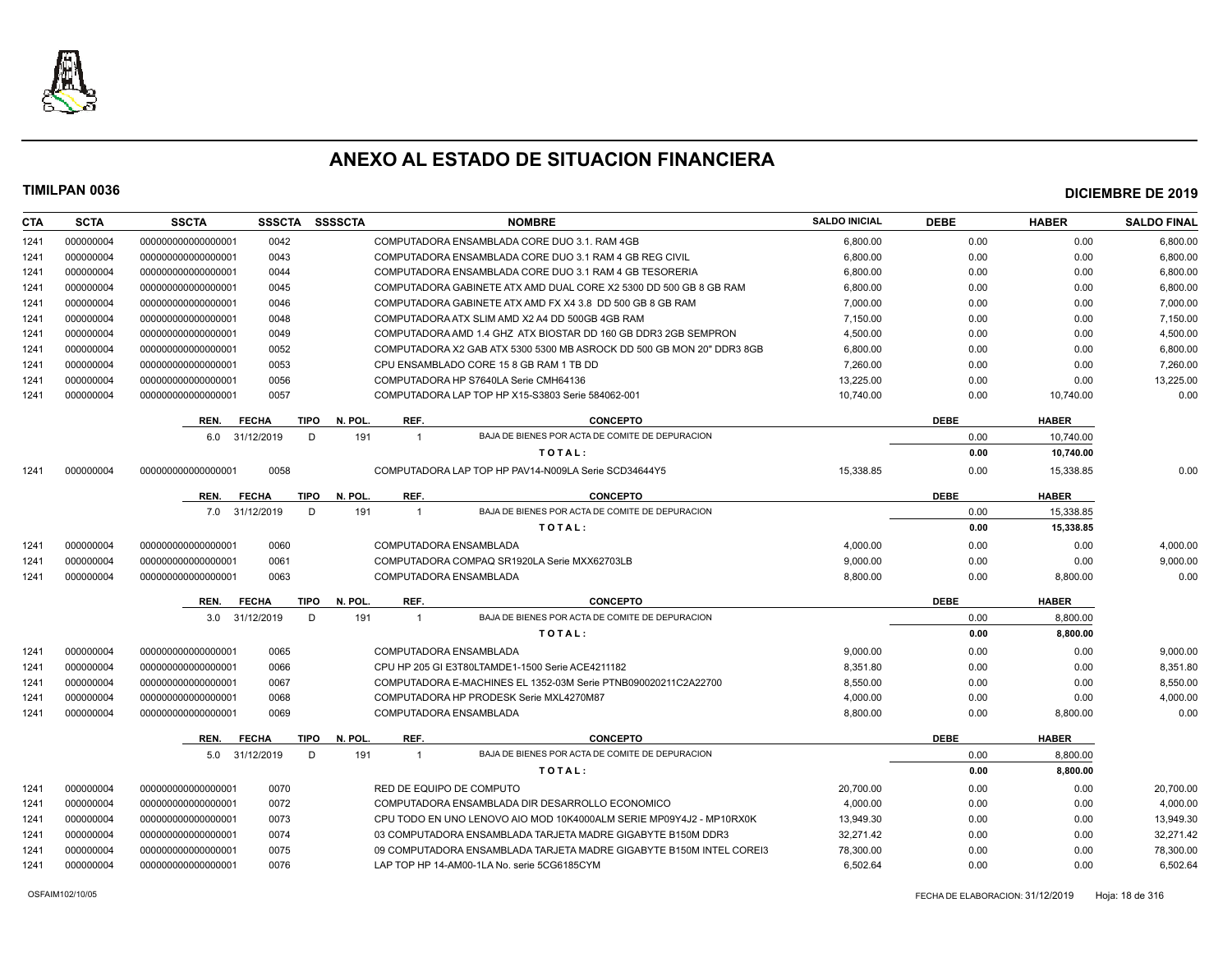

| <b>CTA</b> | <b>SCTA</b> | <b>SSCTA</b>       | <b>SSSCTA</b> | <b>SSSSCTA</b>         |                          | <b>NOMBRE</b>                                                         | <b>SALDO INICIAL</b> | <b>DEBE</b> | <b>HABER</b> | <b>SALDO FINAL</b> |
|------------|-------------|--------------------|---------------|------------------------|--------------------------|-----------------------------------------------------------------------|----------------------|-------------|--------------|--------------------|
| 1241       | 000000004   | 00000000000000001  | 0042          |                        |                          | COMPUTADORA ENSAMBLADA CORE DUO 3.1. RAM 4GB                          | 6,800.00             | 0.00        | 0.00         | 6,800.00           |
| 1241       | 000000004   | 000000000000000001 | 0043          |                        |                          | COMPUTADORA ENSAMBLADA CORE DUO 3.1 RAM 4 GB REG CIVIL                | 6.800.00             | 0.00        | 0.00         | 6.800.00           |
| 1241       | 000000004   | 000000000000000001 | 0044          |                        |                          | COMPUTADORA ENSAMBLADA CORE DUO 3.1 RAM 4 GB TESORERIA                | 6,800.00             | 0.00        | 0.00         | 6,800.00           |
| 1241       | 000000004   | 000000000000000001 | 0045          |                        |                          | COMPUTADORA GABINETE ATX AMD DUAL CORE X2 5300 DD 500 GB 8 GB RAM     | 6,800.00             | 0.00        | 0.00         | 6,800.00           |
| 1241       | 000000004   | 000000000000000001 | 0046          |                        |                          | COMPUTADORA GABINETE ATX AMD FX X4 3.8 DD 500 GB 8 GB RAM             | 7,000.00             | 0.00        | 0.00         | 7,000.00           |
| 1241       | 000000004   | 000000000000000001 | 0048          |                        |                          | COMPUTADORA ATX SLIM AMD X2 A4 DD 500GB 4GB RAM                       | 7,150.00             | 0.00        | 0.00         | 7,150.00           |
| 1241       | 000000004   | 000000000000000001 | 0049          |                        |                          | COMPUTADORA AMD 1.4 GHZ ATX BIOSTAR DD 160 GB DDR3 2GB SEMPRON        | 4,500.00             | 0.00        | 0.00         | 4,500.00           |
| 1241       | 000000004   | 000000000000000001 | 0052          |                        |                          | COMPUTADORA X2 GAB ATX 5300 5300 MB ASROCK DD 500 GB MON 20" DDR3 8GB | 6,800.00             | 0.00        | 0.00         | 6,800.00           |
| 1241       | 000000004   | 000000000000000001 | 0053          |                        |                          | CPU ENSAMBLADO CORE 15 8 GB RAM 1 TB DD                               | 7,260.00             | 0.00        | 0.00         | 7,260.00           |
| 1241       | 000000004   | 000000000000000001 | 0056          |                        |                          | COMPUTADORA HP S7640LA Serie CMH64136                                 | 13,225.00            | 0.00        | 0.00         | 13,225.00          |
| 1241       | 000000004   | 000000000000000001 | 0057          |                        |                          | COMPUTADORA LAP TOP HP X15-S3803 Serie 584062-001                     | 10,740.00            | 0.00        | 10,740.00    | 0.00               |
|            |             | REN.               | <b>FECHA</b>  | <b>TIPO</b><br>N. POL. | REF.                     | <b>CONCEPTO</b>                                                       |                      | <b>DEBE</b> | <b>HABER</b> |                    |
|            |             | 6.0 31/12/2019     |               | 191<br>D               | $\mathbf{1}$             | BAJA DE BIENES POR ACTA DE COMITE DE DEPURACION                       |                      | 0.00        | 10,740.00    |                    |
|            |             |                    |               |                        |                          | TOTAL:                                                                |                      | 0.00        | 10,740.00    |                    |
| 1241       | 000000004   | 000000000000000001 | 0058          |                        |                          | COMPUTADORA LAP TOP HP PAV14-N009LA Serie SCD34644Y5                  | 15.338.85            | 0.00        | 15,338.85    | 0.00               |
|            |             | REN.               | <b>FECHA</b>  | <b>TIPO</b><br>N. POL  | REF.                     | <b>CONCEPTO</b>                                                       |                      | <b>DEBE</b> | <b>HABER</b> |                    |
|            |             | 7.0                | 31/12/2019    | D<br>191               | $\overline{1}$           | BAJA DE BIENES POR ACTA DE COMITE DE DEPURACION                       |                      | 0.00        | 15,338.85    |                    |
|            |             |                    |               |                        |                          | TOTAL:                                                                |                      | 0.00        | 15,338.85    |                    |
| 1241       | 000000004   | 000000000000000001 | 0060          |                        | COMPUTADORA ENSAMBLADA   |                                                                       | 4,000.00             | 0.00        | 0.00         | 4,000.00           |
| 1241       | 000000004   | 000000000000000001 | 0061          |                        |                          | COMPUTADORA COMPAQ SR1920LA Serie MXX62703LB                          | 9,000.00             | 0.00        | 0.00         | 9,000.00           |
| 1241       | 000000004   | 000000000000000001 | 0063          |                        | COMPUTADORA ENSAMBLADA   |                                                                       | 8,800.00             | 0.00        | 8,800.00     | 0.00               |
|            |             |                    |               |                        |                          |                                                                       |                      |             |              |                    |
|            |             | REN.               | <b>FECHA</b>  | <b>TIPO</b><br>N. POL  | REF.                     | <b>CONCEPTO</b>                                                       |                      | <b>DEBE</b> | <b>HABER</b> |                    |
|            |             | 3.0                | 31/12/2019    | D<br>191               | $\overline{1}$           | BAJA DE BIENES POR ACTA DE COMITE DE DEPURACION                       |                      | 0.00        | 8.800.00     |                    |
|            |             |                    |               |                        |                          | TOTAL:                                                                |                      | 0.00        | 8.800.00     |                    |
| 1241       | 000000004   | 000000000000000001 | 0065          |                        | COMPUTADORA ENSAMBLADA   |                                                                       | 9,000.00             | 0.00        | 0.00         | 9,000.00           |
| 1241       | 000000004   | 000000000000000001 | 0066          |                        |                          | CPU HP 205 GI E3T80LTAMDE1-1500 Serie ACE4211182                      | 8,351.80             | 0.00        | 0.00         | 8,351.80           |
| 1241       | 000000004   | 000000000000000001 | 0067          |                        |                          | COMPUTADORA E-MACHINES EL 1352-03M Serie PTNB090020211C2A22700        | 8,550.00             | 0.00        | 0.00         | 8,550.00           |
| 1241       | 000000004   | 000000000000000001 | 0068          |                        |                          | COMPUTADORA HP PRODESK Serie MXL4270M87                               | 4,000.00             | 0.00        | 0.00         | 4,000.00           |
| 1241       | 000000004   | 000000000000000001 | 0069          |                        | COMPUTADORA ENSAMBLADA   |                                                                       | 8,800.00             | 0.00        | 8,800.00     | 0.00               |
|            |             | REN.               | <b>FECHA</b>  | <b>TIPO</b><br>N. POL  | REF.                     | <b>CONCEPTO</b>                                                       |                      | <b>DEBE</b> | <b>HABER</b> |                    |
|            |             | 5.0                | 31/12/2019    | D<br>191               | $\overline{1}$           | BAJA DE BIENES POR ACTA DE COMITE DE DEPURACION                       |                      | 0.00        | 8,800.00     |                    |
|            |             |                    |               |                        |                          | TOTAL:                                                                |                      | 0.00        | 8,800.00     |                    |
| 1241       | 000000004   | 000000000000000001 | 0070          |                        | RED DE EQUIPO DE COMPUTO |                                                                       | 20,700.00            | 0.00        | 0.00         | 20,700.00          |
| 1241       | 000000004   | 000000000000000001 | 0072          |                        |                          | COMPUTADORA ENSAMBLADA DIR DESARROLLO ECONOMICO                       | 4.000.00             | 0.00        | 0.00         | 4,000.00           |
| 1241       | 000000004   | 000000000000000001 | 0073          |                        |                          | CPU TODO EN UNO LENOVO AIO MOD 10K4000ALM SERIE MP09Y4J2 - MP10RX0K   | 13,949.30            | 0.00        | 0.00         | 13,949.30          |
| 1241       | 000000004   | 000000000000000001 | 0074          |                        |                          | 03 COMPUTADORA ENSAMBLADA TARJETA MADRE GIGABYTE B150M DDR3           | 32,271.42            | 0.00        | 0.00         | 32,271.42          |
| 1241       | 000000004   | 000000000000000001 | 0075          |                        |                          | 09 COMPUTADORA ENSAMBLADA TARJETA MADRE GIGABYTE B150M INTEL COREI3   | 78,300.00            | 0.00        | 0.00         | 78,300.00          |
| 1241       | 000000004   | 000000000000000001 | 0076          |                        |                          | LAP TOP HP 14-AM00-1LA No. serie 5CG6185CYM                           | 6,502.64             | 0.00        | 0.00         | 6,502.64           |
|            |             |                    |               |                        |                          |                                                                       |                      |             |              |                    |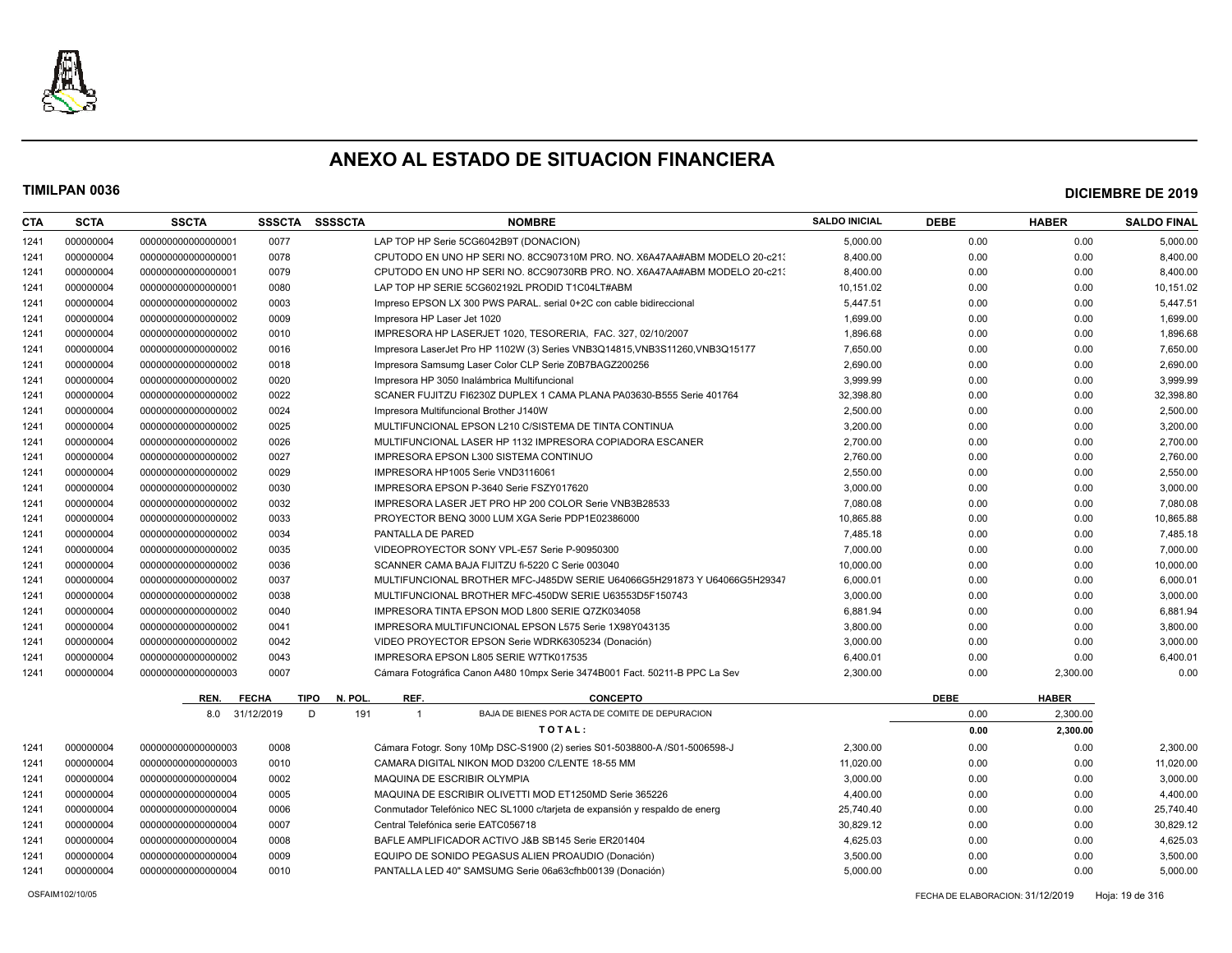

### **TIMILPAN 0036 DICIEMBRE DE 2019**

| <b>CTA</b> | <b>SCTA</b> | <b>SSCTA</b>       | <b>SSSCTA</b> | <b>SSSSCTA</b>                 | <b>NOMBRE</b>                                                                 | <b>SALDO INICIAL</b> | <b>DEBE</b> | <b>HABER</b> | <b>SALDO FINAL</b> |
|------------|-------------|--------------------|---------------|--------------------------------|-------------------------------------------------------------------------------|----------------------|-------------|--------------|--------------------|
| 1241       | 000000004   | 00000000000000001  | 0077          |                                | LAP TOP HP Serie 5CG6042B9T (DONACION)                                        | 5,000.00             | 0.00        | 0.00         | 5,000.00           |
| 1241       | 000000004   | 00000000000000001  | 0078          |                                | CPUTODO EN UNO HP SERI NO. 8CC907310M PRO. NO. X6A47AA#ABM MODELO 20-c213     | 8,400.00             | 0.00        | 0.00         | 8,400.00           |
| 1241       | 000000004   | 00000000000000001  | 0079          |                                | CPUTODO EN UNO HP SERI NO. 8CC90730RB PRO. NO. X6A47AA#ABM MODELO 20-c211     | 8.400.00             | 0.00        | 0.00         | 8,400.00           |
| 1241       | 000000004   | 00000000000000001  | 0080          |                                | LAP TOP HP SERIE 5CG602192L PRODID T1C04LT#ABM                                | 10,151.02            | 0.00        | 0.00         | 10,151.02          |
| 1241       | 000000004   | 00000000000000002  | 0003          |                                | Impreso EPSON LX 300 PWS PARAL, serial 0+2C con cable bidireccional           | 5,447.51             | 0.00        | 0.00         | 5,447.51           |
| 1241       | 000000004   | 00000000000000002  | 0009          |                                | Impresora HP Laser Jet 1020                                                   | 1,699.00             | 0.00        | 0.00         | 1,699.00           |
| 1241       | 000000004   | 00000000000000002  | 0010          |                                | IMPRESORA HP LASERJET 1020, TESORERIA, FAC, 327, 02/10/2007                   | 1.896.68             | 0.00        | 0.00         | 1,896.68           |
| 1241       | 000000004   | 00000000000000002  | 0016          |                                | Impresora LaserJet Pro HP 1102W (3) Series VNB3Q14815, VNB3S11260, VNB3Q15177 | 7,650.00             | 0.00        | 0.00         | 7,650.00           |
| 1241       | 000000004   | 00000000000000002  | 0018          |                                | Impresora Samsumg Laser Color CLP Serie Z0B7BAGZ200256                        | 2,690.00             | 0.00        | 0.00         | 2,690.00           |
| 1241       | 000000004   | 00000000000000002  | 0020          |                                | Impresora HP 3050 Inalámbrica Multifuncional                                  | 3.999.99             | 0.00        | 0.00         | 3,999.99           |
| 1241       | 000000004   | 00000000000000002  | 0022          |                                | SCANER FUJITZU FI6230Z DUPLEX 1 CAMA PLANA PA03630-B555 Serie 401764          | 32,398.80            | 0.00        | 0.00         | 32,398.80          |
| 1241       | 000000004   | 00000000000000002  | 0024          |                                | Impresora Multifuncional Brother J140W                                        | 2,500.00             | 0.00        | 0.00         | 2,500.00           |
| 1241       | 000000004   | 00000000000000002  | 0025          |                                | MULTIFUNCIONAL EPSON L210 C/SISTEMA DE TINTA CONTINUA                         | 3,200.00             | 0.00        | 0.00         | 3,200.00           |
| 1241       | 000000004   | 00000000000000002  | 0026          |                                | MULTIFUNCIONAL LASER HP 1132 IMPRESORA COPIADORA ESCANER                      | 2,700.00             | 0.00        | 0.00         | 2,700.00           |
| 1241       | 000000004   | 00000000000000002  | 0027          |                                | IMPRESORA EPSON L300 SISTEMA CONTINUO                                         | 2,760.00             | 0.00        | 0.00         | 2,760.00           |
| 1241       | 000000004   | 00000000000000002  | 0029          |                                | IMPRESORA HP1005 Serie VND3116061                                             | 2,550.00             | 0.00        | 0.00         | 2,550.00           |
| 1241       | 000000004   | 00000000000000002  | 0030          |                                | IMPRESORA EPSON P-3640 Serie FSZY017620                                       | 3,000.00             | 0.00        | 0.00         | 3,000.00           |
| 1241       | 000000004   | 00000000000000002  | 0032          |                                | IMPRESORA LASER JET PRO HP 200 COLOR Serie VNB3B28533                         | 7,080.08             | 0.00        | 0.00         | 7,080.08           |
| 1241       | 000000004   | 00000000000000002  | 0033          |                                | PROYECTOR BENQ 3000 LUM XGA Serie PDP1E02386000                               | 10,865.88            | 0.00        | 0.00         | 10,865.88          |
| 1241       | 000000004   | 00000000000000002  | 0034          | PANTALLA DE PARED              |                                                                               | 7,485.18             | 0.00        | 0.00         | 7,485.18           |
| 1241       | 000000004   | 00000000000000002  | 0035          |                                | VIDEOPROYECTOR SONY VPL-E57 Serie P-90950300                                  | 7,000.00             | 0.00        | 0.00         | 7,000.00           |
| 1241       | 000000004   | 00000000000000002  | 0036          |                                | SCANNER CAMA BAJA FIJITZU fi-5220 C Serie 003040                              | 10,000.00            | 0.00        | 0.00         | 10,000.00          |
| 1241       | 000000004   | 00000000000000002  | 0037          |                                | MULTIFUNCIONAL BROTHER MFC-J485DW SERIE U64066G5H291873 Y U64066G5H29347      | 6,000.01             | 0.00        | 0.00         | 6,000.01           |
| 1241       | 000000004   | 00000000000000002  | 0038          |                                | MULTIFUNCIONAL BROTHER MFC-450DW SERIE U63553D5F150743                        | 3,000.00             | 0.00        | 0.00         | 3,000.00           |
| 1241       | 000000004   | 00000000000000002  | 0040          |                                | IMPRESORA TINTA EPSON MOD L800 SERIE Q7ZK034058                               | 6,881.94             | 0.00        | 0.00         | 6,881.94           |
| 1241       | 000000004   | 00000000000000002  | 0041          |                                | IMPRESORA MULTIFUNCIONAL EPSON L575 Serie 1X98Y043135                         | 3,800.00             | 0.00        | 0.00         | 3,800.00           |
| 1241       | 000000004   | 00000000000000002  | 0042          |                                | VIDEO PROYECTOR EPSON Serie WDRK6305234 (Donación)                            | 3,000.00             | 0.00        | 0.00         | 3,000.00           |
| 1241       | 000000004   | 00000000000000002  | 0043          |                                | IMPRESORA EPSON L805 SERIE W7TK017535                                         | 6,400.01             | 0.00        | 0.00         | 6,400.01           |
| 1241       | 000000004   | 000000000000000003 | 0007          |                                | Cámara Fotográfica Canon A480 10mpx Serie 3474B001 Fact. 50211-B PPC La Sev   | 2,300.00             | 0.00        | 2,300.00     | 0.00               |
|            |             | REN.               | <b>FECHA</b>  | <b>TIPO</b><br>N. POL.<br>REF. | <b>CONCEPTO</b>                                                               |                      | <b>DEBE</b> | <b>HABER</b> |                    |
|            |             | 8.0                | 31/12/2019    | D<br>191<br>$\overline{1}$     | BAJA DE BIENES POR ACTA DE COMITE DE DEPURACION                               |                      | 0.00        | 2,300.00     |                    |
|            |             |                    |               |                                | TOTAL:                                                                        |                      | 0.00        | 2,300.00     |                    |
| 1241       | 000000004   | 000000000000000003 | 0008          |                                | Cámara Fotogr. Sony 10Mp DSC-S1900 (2) series S01-5038800-A /S01-5006598-J    | 2,300.00             | 0.00        | 0.00         | 2,300.00           |
| 1241       | 000000004   | 000000000000000003 | 0010          |                                | CAMARA DIGITAL NIKON MOD D3200 C/LENTE 18-55 MM                               | 11,020.00            | 0.00        | 0.00         | 11,020.00          |
| 1241       | 000000004   | 00000000000000004  | 0002          |                                | MAQUINA DE ESCRIBIR OLYMPIA                                                   | 3,000.00             | 0.00        | 0.00         | 3,000.00           |
| 1241       | 000000004   | 00000000000000004  | 0005          |                                | MAQUINA DE ESCRIBIR OLIVETTI MOD ET1250MD Serie 365226                        | 4,400.00             | 0.00        | 0.00         | 4,400.00           |
| 1241       | 000000004   | 000000000000000004 | 0006          |                                | Conmutador Telefónico NEC SL1000 c/tarjeta de expansión y respaldo de energ   | 25,740.40            | 0.00        | 0.00         | 25,740.40          |
| 1241       | 000000004   | 000000000000000004 | 0007          |                                | Central Telefónica serie EATC056718                                           | 30,829.12            | 0.00        | 0.00         | 30,829.12          |
| 1241       | 000000004   | 00000000000000004  | 0008          |                                | BAFLE AMPLIFICADOR ACTIVO J&B SB145 Serie ER201404                            | 4,625.03             | 0.00        | 0.00         | 4,625.03           |
| 1241       | 000000004   | 00000000000000004  | 0009          |                                | EQUIPO DE SONIDO PEGASUS ALIEN PROAUDIO (Donación)                            | 3,500.00             | 0.00        | 0.00         | 3,500.00           |
| 1241       | 000000004   | 00000000000000004  | 0010          |                                | PANTALLA LED 40" SAMSUMG Serie 06a63cfhb00139 (Donación)                      | 5,000.00             | 0.00        | 0.00         | 5,000.00           |
|            |             |                    |               |                                |                                                                               |                      |             |              |                    |

OSFAIM102/10/05 FECHA DE ELABORACION: 31/12/2019 Hoja: 19 de 316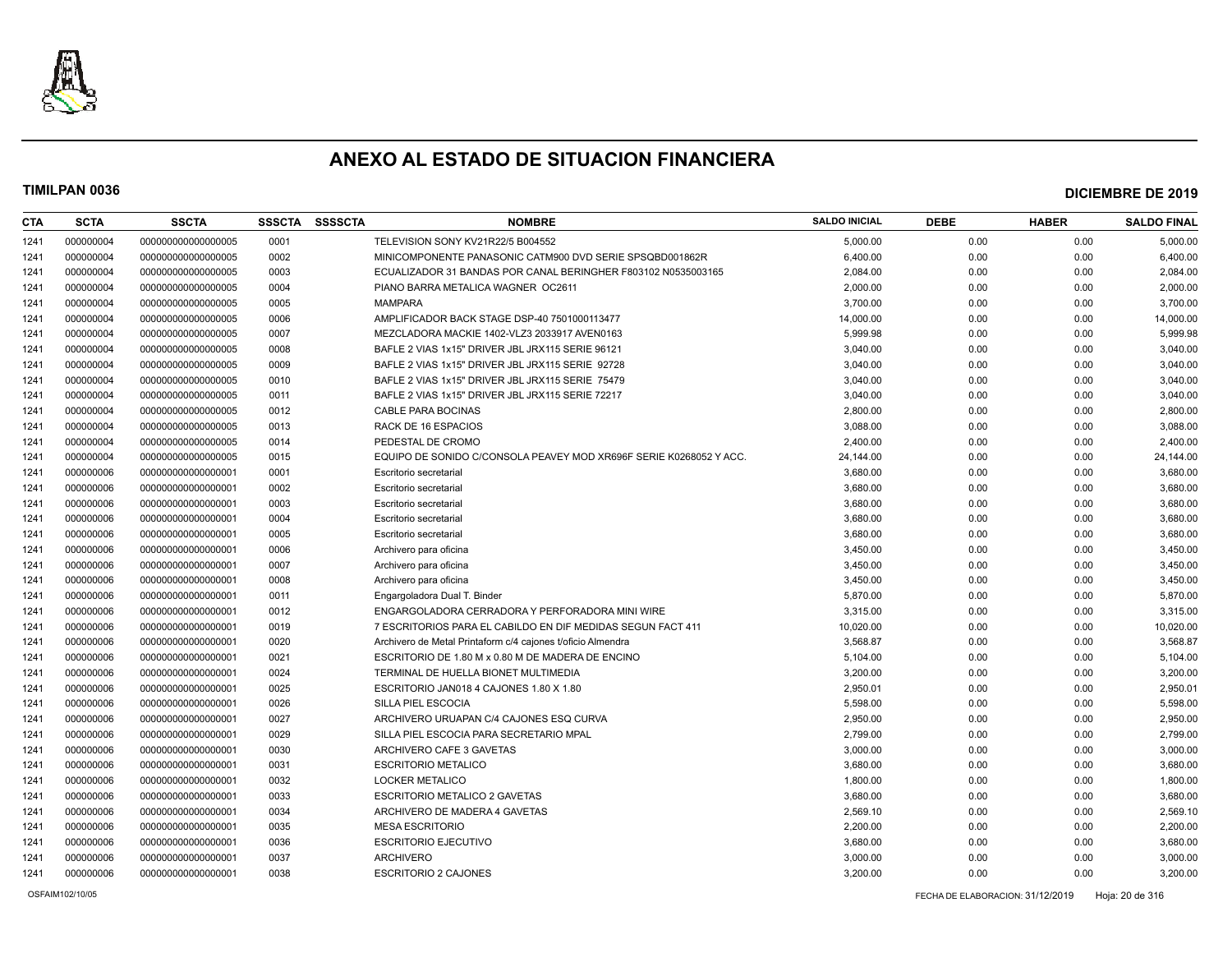

| CTA  | <b>SCTA</b> | <b>SSCTA</b>       | <b>SSSCTA</b> | <b>SSSSCTA</b> | <b>NOMBRE</b>                                                      | <b>SALDO INICIAL</b> | <b>DEBE</b> | <b>HABER</b> | <b>SALDO FINAL</b> |
|------|-------------|--------------------|---------------|----------------|--------------------------------------------------------------------|----------------------|-------------|--------------|--------------------|
| 1241 | 000000004   | 000000000000000005 | 0001          |                | TELEVISION SONY KV21R22/5 B004552                                  | 5,000.00             | 0.00        | 0.00         | 5,000.00           |
| 1241 | 000000004   | 000000000000000005 | 0002          |                | MINICOMPONENTE PANASONIC CATM900 DVD SERIE SPSQBD001862R           | 6,400.00             | 0.00        | 0.00         | 6,400.00           |
| 1241 | 000000004   | 000000000000000005 | 0003          |                | ECUALIZADOR 31 BANDAS POR CANAL BERINGHER F803102 N0535003165      | 2,084.00             | 0.00        | 0.00         | 2,084.00           |
| 1241 | 000000004   | 000000000000000005 | 0004          |                | PIANO BARRA METALICA WAGNER OC2611                                 | 2,000.00             | 0.00        | 0.00         | 2,000.00           |
| 1241 | 000000004   | 000000000000000005 | 0005          |                | <b>MAMPARA</b>                                                     | 3,700.00             | 0.00        | 0.00         | 3,700.00           |
| 1241 | 000000004   | 000000000000000005 | 0006          |                | AMPLIFICADOR BACK STAGE DSP-40 7501000113477                       | 14,000.00            | 0.00        | 0.00         | 14,000.00          |
| 1241 | 000000004   | 000000000000000005 | 0007          |                | MEZCLADORA MACKIE 1402-VLZ3 2033917 AVEN0163                       | 5,999.98             | 0.00        | 0.00         | 5,999.98           |
| 1241 | 000000004   | 000000000000000005 | 0008          |                | BAFLE 2 VIAS 1x15" DRIVER JBL JRX115 SERIE 96121                   | 3,040.00             | 0.00        | 0.00         | 3,040.00           |
| 1241 | 000000004   | 000000000000000005 | 0009          |                | BAFLE 2 VIAS 1x15" DRIVER JBL JRX115 SERIE 92728                   | 3,040.00             | 0.00        | 0.00         | 3,040.00           |
| 1241 | 000000004   | 000000000000000005 | 0010          |                | BAFLE 2 VIAS 1x15" DRIVER JBL JRX115 SERIE 75479                   | 3,040.00             | 0.00        | 0.00         | 3,040.00           |
| 1241 | 000000004   | 000000000000000005 | 0011          |                | BAFLE 2 VIAS 1x15" DRIVER JBL JRX115 SERIE 72217                   | 3,040.00             | 0.00        | 0.00         | 3,040.00           |
| 1241 | 000000004   | 000000000000000005 | 0012          |                | <b>CABLE PARA BOCINAS</b>                                          | 2,800.00             | 0.00        | 0.00         | 2,800.00           |
| 1241 | 000000004   | 000000000000000005 | 0013          |                | RACK DE 16 ESPACIOS                                                | 3,088.00             | 0.00        | 0.00         | 3,088.00           |
| 1241 | 000000004   | 000000000000000005 | 0014          |                | PEDESTAL DE CROMO                                                  | 2,400.00             | 0.00        | 0.00         | 2,400.00           |
| 1241 | 000000004   | 000000000000000005 | 0015          |                | EQUIPO DE SONIDO C/CONSOLA PEAVEY MOD XR696F SERIE K0268052 Y ACC. | 24,144.00            | 0.00        | 0.00         | 24,144.00          |
| 1241 | 000000006   | 000000000000000001 | 0001          |                | Escritorio secretarial                                             | 3,680.00             | 0.00        | 0.00         | 3,680.00           |
| 1241 | 000000006   | 000000000000000001 | 0002          |                | Escritorio secretarial                                             | 3,680.00             | 0.00        | 0.00         | 3,680.00           |
| 1241 | 000000006   | 000000000000000001 | 0003          |                | Escritorio secretarial                                             | 3,680.00             | 0.00        | 0.00         | 3,680.00           |
| 1241 | 000000006   | 000000000000000001 | 0004          |                | Escritorio secretarial                                             | 3,680.00             | 0.00        | 0.00         | 3,680.00           |
| 1241 | 000000006   | 000000000000000001 | 0005          |                | Escritorio secretarial                                             | 3,680.00             | 0.00        | 0.00         | 3,680.00           |
| 1241 | 000000006   | 000000000000000001 | 0006          |                | Archivero para oficina                                             | 3,450.00             | 0.00        | 0.00         | 3,450.00           |
| 1241 | 000000006   | 000000000000000001 | 0007          |                | Archivero para oficina                                             | 3,450.00             | 0.00        | 0.00         | 3,450.00           |
| 1241 | 000000006   | 000000000000000001 | 0008          |                | Archivero para oficina                                             | 3,450.00             | 0.00        | 0.00         | 3,450.00           |
| 1241 | 000000006   | 00000000000000001  | 0011          |                | Engargoladora Dual T. Binder                                       | 5,870.00             | 0.00        | 0.00         | 5,870.00           |
| 1241 | 000000006   | 00000000000000001  | 0012          |                | ENGARGOLADORA CERRADORA Y PERFORADORA MINI WIRE                    | 3,315.00             | 0.00        | 0.00         | 3,315.00           |
| 1241 | 000000006   | 00000000000000001  | 0019          |                | 7 ESCRITORIOS PARA EL CABILDO EN DIF MEDIDAS SEGUN FACT 411        | 10,020.00            | 0.00        | 0.00         | 10,020.00          |
| 1241 | 000000006   | 00000000000000001  | 0020          |                | Archivero de Metal Printaform c/4 cajones t/oficio Almendra        | 3,568.87             | 0.00        | 0.00         | 3,568.87           |
| 1241 | 000000006   | 00000000000000001  | 0021          |                | ESCRITORIO DE 1.80 M x 0.80 M DE MADERA DE ENCINO                  | 5,104.00             | 0.00        | 0.00         | 5,104.00           |
| 1241 | 000000006   | 00000000000000001  | 0024          |                | TERMINAL DE HUELLA BIONET MULTIMEDIA                               | 3,200.00             | 0.00        | 0.00         | 3,200.00           |
| 1241 | 000000006   | 000000000000000001 | 0025          |                | ESCRITORIO JAN018 4 CAJONES 1.80 X 1.80                            | 2,950.01             | 0.00        | 0.00         | 2,950.01           |
| 1241 | 000000006   | 00000000000000001  | 0026          |                | SILLA PIEL ESCOCIA                                                 | 5,598.00             | 0.00        | 0.00         | 5,598.00           |
| 1241 | 000000006   | 000000000000000001 | 0027          |                | ARCHIVERO URUAPAN C/4 CAJONES ESQ CURVA                            | 2,950.00             | 0.00        | 0.00         | 2,950.00           |
| 1241 | 000000006   | 000000000000000001 | 0029          |                | SILLA PIEL ESCOCIA PARA SECRETARIO MPAL                            | 2,799.00             | 0.00        | 0.00         | 2,799.00           |
| 1241 | 000000006   | 000000000000000001 | 0030          |                | ARCHIVERO CAFE 3 GAVETAS                                           | 3,000.00             | 0.00        | 0.00         | 3,000.00           |
| 1241 | 000000006   | 000000000000000001 | 0031          |                | <b>ESCRITORIO METALICO</b>                                         | 3,680.00             | 0.00        | 0.00         | 3,680.00           |
| 1241 | 000000006   | 000000000000000001 | 0032          |                | <b>LOCKER METALICO</b>                                             | 1,800.00             | 0.00        | 0.00         | 1,800.00           |
| 1241 | 000000006   | 000000000000000001 | 0033          |                | <b>ESCRITORIO METALICO 2 GAVETAS</b>                               | 3,680.00             | 0.00        | 0.00         | 3,680.00           |
| 1241 | 000000006   | 000000000000000001 | 0034          |                | ARCHIVERO DE MADERA 4 GAVETAS                                      | 2,569.10             | 0.00        | 0.00         | 2,569.10           |
| 1241 | 000000006   | 000000000000000001 | 0035          |                | <b>MESA ESCRITORIO</b>                                             | 2,200.00             | 0.00        | 0.00         | 2,200.00           |
| 1241 | 000000006   | 000000000000000001 | 0036          |                | <b>ESCRITORIO EJECUTIVO</b>                                        | 3,680.00             | 0.00        | 0.00         | 3,680.00           |
| 1241 | 000000006   | 000000000000000001 | 0037          |                | <b>ARCHIVERO</b>                                                   | 3,000.00             | 0.00        | 0.00         | 3,000.00           |
| 1241 | 000000006   | 00000000000000001  | 0038          |                | <b>ESCRITORIO 2 CAJONES</b>                                        | 3,200.00             | 0.00        | 0.00         | 3,200.00           |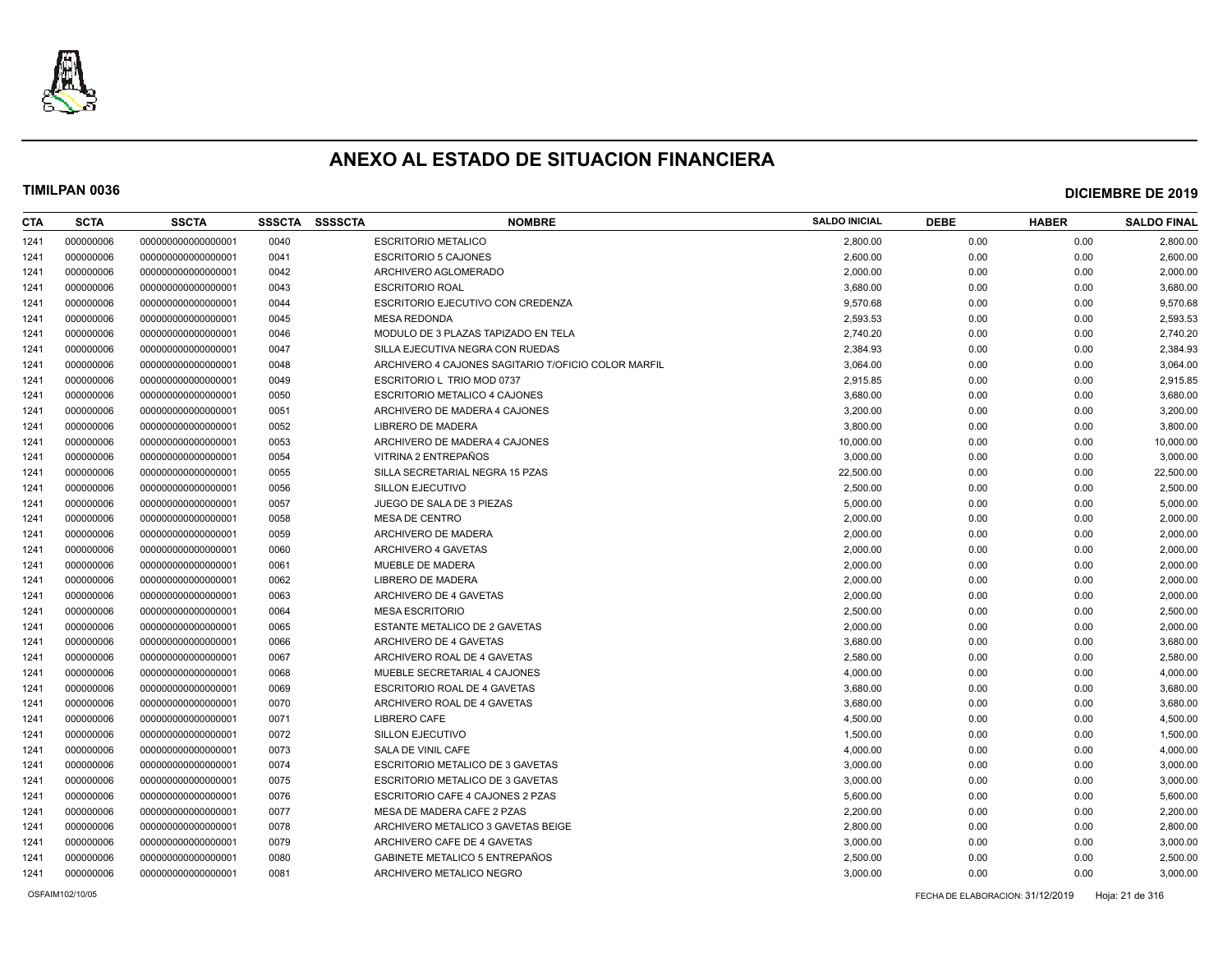

| CTA  | <b>SCTA</b> | <b>SSCTA</b>       | <b>SSSCTA</b> | <b>SSSSCTA</b> | <b>NOMBRE</b>                                       | <b>SALDO INICIAL</b> | <b>DEBE</b> | <b>HABER</b> | <b>SALDO FINAL</b> |
|------|-------------|--------------------|---------------|----------------|-----------------------------------------------------|----------------------|-------------|--------------|--------------------|
| 1241 | 000000006   | 00000000000000001  | 0040          |                | <b>ESCRITORIO METALICO</b>                          | 2,800.00             | 0.00        | 0.00         | 2,800.00           |
| 1241 | 000000006   | 000000000000000001 | 0041          |                | <b>ESCRITORIO 5 CAJONES</b>                         | 2.600.00             | 0.00        | 0.00         | 2,600.00           |
| 1241 | 000000006   | 000000000000000001 | 0042          |                | ARCHIVERO AGLOMERADO                                | 2,000.00             | 0.00        | 0.00         | 2,000.00           |
| 1241 | 000000006   | 000000000000000001 | 0043          |                | <b>ESCRITORIO ROAL</b>                              | 3,680.00             | 0.00        | 0.00         | 3,680.00           |
| 1241 | 000000006   | 000000000000000001 | 0044          |                | ESCRITORIO EJECUTIVO CON CREDENZA                   | 9,570.68             | 0.00        | 0.00         | 9,570.68           |
| 1241 | 000000006   | 000000000000000001 | 0045          |                | <b>MESA REDONDA</b>                                 | 2,593.53             | 0.00        | 0.00         | 2,593.53           |
| 1241 | 000000006   | 000000000000000001 | 0046          |                | MODULO DE 3 PLAZAS TAPIZADO EN TELA                 | 2,740.20             | 0.00        | 0.00         | 2,740.20           |
| 1241 | 000000006   | 000000000000000001 | 0047          |                | SILLA EJECUTIVA NEGRA CON RUEDAS                    | 2,384.93             | 0.00        | 0.00         | 2,384.93           |
| 1241 | 000000006   | 000000000000000001 | 0048          |                | ARCHIVERO 4 CAJONES SAGITARIO T/OFICIO COLOR MARFIL | 3,064.00             | 0.00        | 0.00         | 3,064.00           |
| 1241 | 000000006   | 000000000000000001 | 0049          |                | ESCRITORIO L TRIO MOD 0737                          | 2,915.85             | 0.00        | 0.00         | 2,915.85           |
| 1241 | 000000006   | 000000000000000001 | 0050          |                | <b>ESCRITORIO METALICO 4 CAJONES</b>                | 3,680.00             | 0.00        | 0.00         | 3,680.00           |
| 1241 | 000000006   | 000000000000000001 | 0051          |                | ARCHIVERO DE MADERA 4 CAJONES                       | 3,200.00             | 0.00        | 0.00         | 3,200.00           |
| 1241 | 000000006   | 000000000000000001 | 0052          |                | LIBRERO DE MADERA                                   | 3,800.00             | 0.00        | 0.00         | 3,800.00           |
| 1241 | 000000006   | 000000000000000001 | 0053          |                | ARCHIVERO DE MADERA 4 CAJONES                       | 10,000.00            | 0.00        | 0.00         | 10,000.00          |
| 1241 | 000000006   | 000000000000000001 | 0054          |                | VITRINA 2 ENTREPAÑOS                                | 3,000.00             | 0.00        | 0.00         | 3,000.00           |
| 1241 | 000000006   | 000000000000000001 | 0055          |                | SILLA SECRETARIAL NEGRA 15 PZAS                     | 22,500.00            | 0.00        | 0.00         | 22,500.00          |
| 1241 | 000000006   | 000000000000000001 | 0056          |                | SILLON EJECUTIVO                                    | 2,500.00             | 0.00        | 0.00         | 2,500.00           |
| 1241 | 000000006   | 000000000000000001 | 0057          |                | JUEGO DE SALA DE 3 PIEZAS                           | 5,000.00             | 0.00        | 0.00         | 5,000.00           |
| 1241 | 000000006   | 000000000000000001 | 0058          |                | <b>MESA DE CENTRO</b>                               | 2,000.00             | 0.00        | 0.00         | 2,000.00           |
| 1241 | 000000006   | 000000000000000001 | 0059          |                | ARCHIVERO DE MADERA                                 | 2,000.00             | 0.00        | 0.00         | 2,000.00           |
| 1241 | 000000006   | 000000000000000001 | 0060          |                | ARCHIVERO 4 GAVETAS                                 | 2,000.00             | 0.00        | 0.00         | 2,000.00           |
| 1241 | 000000006   | 000000000000000001 | 0061          |                | MUEBLE DE MADERA                                    | 2,000.00             | 0.00        | 0.00         | 2,000.00           |
| 1241 | 000000006   | 000000000000000001 | 0062          |                | LIBRERO DE MADERA                                   | 2,000.00             | 0.00        | 0.00         | 2,000.00           |
| 1241 | 000000006   | 000000000000000001 | 0063          |                | ARCHIVERO DE 4 GAVETAS                              | 2,000.00             | 0.00        | 0.00         | 2,000.00           |
| 1241 | 000000006   | 000000000000000001 | 0064          |                | <b>MESA ESCRITORIO</b>                              | 2,500.00             | 0.00        | 0.00         | 2,500.00           |
| 1241 | 000000006   | 000000000000000001 | 0065          |                | ESTANTE METALICO DE 2 GAVETAS                       | 2,000.00             | 0.00        | 0.00         | 2,000.00           |
| 1241 | 000000006   | 00000000000000001  | 0066          |                | ARCHIVERO DE 4 GAVETAS                              | 3,680.00             | 0.00        | 0.00         | 3,680.00           |
| 1241 | 000000006   | 000000000000000001 | 0067          |                | ARCHIVERO ROAL DE 4 GAVETAS                         | 2,580.00             | 0.00        | 0.00         | 2,580.00           |
| 1241 | 000000006   | 000000000000000001 | 0068          |                | MUEBLE SECRETARIAL 4 CAJONES                        | 4,000.00             | 0.00        | 0.00         | 4,000.00           |
| 1241 | 000000006   | 000000000000000001 | 0069          |                | ESCRITORIO ROAL DE 4 GAVETAS                        | 3,680.00             | 0.00        | 0.00         | 3,680.00           |
| 1241 | 000000006   | 000000000000000001 | 0070          |                | ARCHIVERO ROAL DE 4 GAVETAS                         | 3,680.00             | 0.00        | 0.00         | 3,680.00           |
| 1241 | 000000006   | 00000000000000001  | 0071          |                | <b>LIBRERO CAFE</b>                                 | 4,500.00             | 0.00        | 0.00         | 4,500.00           |
| 1241 | 000000006   | 000000000000000001 | 0072          |                | SILLON EJECUTIVO                                    | 1,500.00             | 0.00        | 0.00         | 1,500.00           |
| 1241 | 000000006   | 000000000000000001 | 0073          |                | SALA DE VINIL CAFE                                  | 4,000.00             | 0.00        | 0.00         | 4,000.00           |
| 1241 | 000000006   | 000000000000000001 | 0074          |                | ESCRITORIO METALICO DE 3 GAVETAS                    | 3,000.00             | 0.00        | 0.00         | 3,000.00           |
| 1241 | 000000006   | 000000000000000001 | 0075          |                | ESCRITORIO METALICO DE 3 GAVETAS                    | 3,000.00             | 0.00        | 0.00         | 3,000.00           |
| 1241 | 000000006   | 000000000000000001 | 0076          |                | ESCRITORIO CAFE 4 CAJONES 2 PZAS                    | 5,600.00             | 0.00        | 0.00         | 5,600.00           |
| 1241 | 000000006   | 000000000000000001 | 0077          |                | MESA DE MADERA CAFE 2 PZAS                          | 2,200.00             | 0.00        | 0.00         | 2,200.00           |
| 1241 | 000000006   | 000000000000000001 | 0078          |                | ARCHIVERO METALICO 3 GAVETAS BEIGE                  | 2,800.00             | 0.00        | 0.00         | 2,800.00           |
| 1241 | 000000006   | 000000000000000001 | 0079          |                | ARCHIVERO CAFE DE 4 GAVETAS                         | 3,000.00             | 0.00        | 0.00         | 3,000.00           |
| 1241 | 000000006   | 00000000000000001  | 0080          |                | <b>GABINETE METALICO 5 ENTREPAÑOS</b>               | 2,500.00             | 0.00        | 0.00         | 2,500.00           |
| 1241 | 000000006   | 00000000000000001  | 0081          |                | ARCHIVERO METALICO NEGRO                            | 3,000.00             | 0.00        | 0.00         | 3,000.00           |
|      |             |                    |               |                |                                                     |                      |             |              |                    |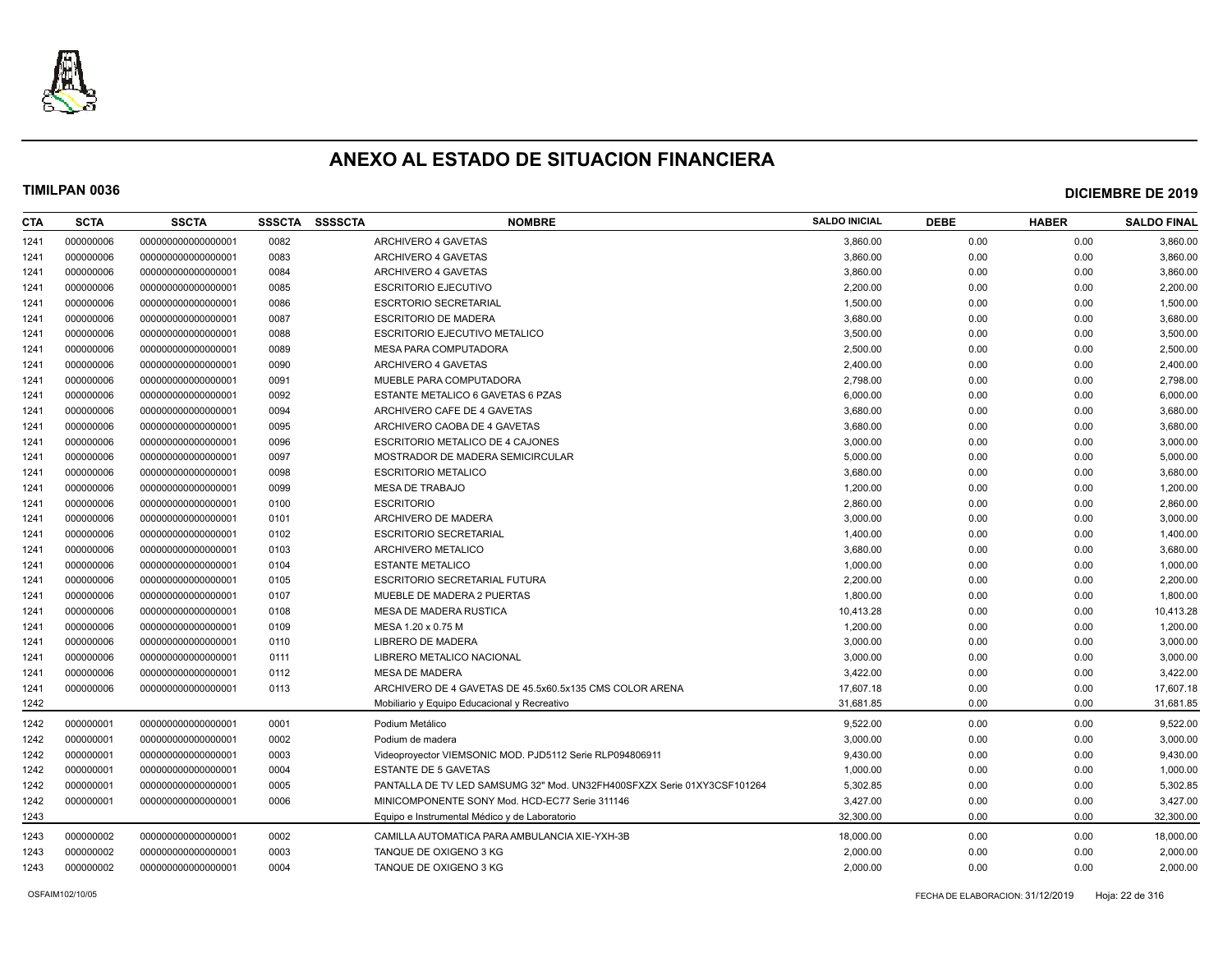

| CTA  | <b>SCTA</b> | <b>SSCTA</b>       | <b>SSSCTA</b> | <b>SSSSCTA</b> | <b>NOMBRE</b>                                                           | <b>SALDO INICIAL</b> | <b>DEBE</b> | <b>HABER</b> | <b>SALDO FINAL</b> |
|------|-------------|--------------------|---------------|----------------|-------------------------------------------------------------------------|----------------------|-------------|--------------|--------------------|
| 1241 | 000000006   | 00000000000000001  | 0082          |                | ARCHIVERO 4 GAVETAS                                                     | 3,860.00             | 0.00        | 0.00         | 3,860.00           |
| 1241 | 000000006   | 000000000000000001 | 0083          |                | ARCHIVERO 4 GAVETAS                                                     | 3,860.00             | 0.00        | 0.00         | 3,860.00           |
| 1241 | 000000006   | 000000000000000001 | 0084          |                | ARCHIVERO 4 GAVETAS                                                     | 3,860.00             | 0.00        | 0.00         | 3,860.00           |
| 1241 | 000000006   | 000000000000000001 | 0085          |                | <b>ESCRITORIO EJECUTIVO</b>                                             | 2,200.00             | 0.00        | 0.00         | 2,200.00           |
| 1241 | 000000006   | 000000000000000001 | 0086          |                | <b>ESCRTORIO SECRETARIAL</b>                                            | 1,500.00             | 0.00        | 0.00         | 1,500.00           |
| 1241 | 000000006   | 000000000000000001 | 0087          |                | <b>ESCRITORIO DE MADERA</b>                                             | 3,680.00             | 0.00        | 0.00         | 3,680.00           |
| 1241 | 000000006   | 000000000000000001 | 0088          |                | <b>ESCRITORIO EJECUTIVO METALICO</b>                                    | 3,500.00             | 0.00        | 0.00         | 3,500.00           |
| 1241 | 000000006   | 00000000000000001  | 0089          |                | MESA PARA COMPUTADORA                                                   | 2,500.00             | 0.00        | 0.00         | 2,500.00           |
| 1241 | 000000006   | 000000000000000001 | 0090          |                | ARCHIVERO 4 GAVETAS                                                     | 2,400.00             | 0.00        | 0.00         | 2,400.00           |
| 1241 | 000000006   | 000000000000000001 | 0091          |                | MUEBLE PARA COMPUTADORA                                                 | 2,798.00             | 0.00        | 0.00         | 2,798.00           |
| 1241 | 000000006   | 000000000000000001 | 0092          |                | ESTANTE METALICO 6 GAVETAS 6 PZAS                                       | 6,000.00             | 0.00        | 0.00         | 6,000.00           |
| 1241 | 000000006   | 000000000000000001 | 0094          |                | ARCHIVERO CAFE DE 4 GAVETAS                                             | 3,680.00             | 0.00        | 0.00         | 3,680.00           |
| 1241 | 000000006   | 000000000000000001 | 0095          |                | ARCHIVERO CAOBA DE 4 GAVETAS                                            | 3,680.00             | 0.00        | 0.00         | 3,680.00           |
| 1241 | 000000006   | 000000000000000001 | 0096          |                | ESCRITORIO METALICO DE 4 CAJONES                                        | 3,000.00             | 0.00        | 0.00         | 3,000.00           |
| 1241 | 000000006   | 000000000000000001 | 0097          |                | MOSTRADOR DE MADERA SEMICIRCULAR                                        | 5,000.00             | 0.00        | 0.00         | 5,000.00           |
| 1241 | 000000006   | 000000000000000001 | 0098          |                | <b>ESCRITORIO METALICO</b>                                              | 3,680.00             | 0.00        | 0.00         | 3,680.00           |
| 1241 | 000000006   | 000000000000000001 | 0099          |                | <b>MESA DE TRABAJO</b>                                                  | 1,200.00             | 0.00        | 0.00         | 1,200.00           |
| 1241 | 000000006   | 00000000000000001  | 0100          |                | <b>ESCRITORIO</b>                                                       | 2,860.00             | 0.00        | 0.00         | 2,860.00           |
| 1241 | 000000006   | 000000000000000001 | 0101          |                | ARCHIVERO DE MADERA                                                     | 3,000.00             | 0.00        | 0.00         | 3,000.00           |
| 1241 | 000000006   | 000000000000000001 | 0102          |                | <b>ESCRITORIO SECRETARIAL</b>                                           | 1,400.00             | 0.00        | 0.00         | 1,400.00           |
| 1241 | 000000006   | 000000000000000001 | 0103          |                | ARCHIVERO METALICO                                                      | 3,680.00             | 0.00        | 0.00         | 3,680.00           |
| 1241 | 000000006   | 000000000000000001 | 0104          |                | <b>ESTANTE METALICO</b>                                                 | 1,000.00             | 0.00        | 0.00         | 1,000.00           |
| 1241 | 000000006   | 000000000000000001 | 0105          |                | ESCRITORIO SECRETARIAL FUTURA                                           | 2,200.00             | 0.00        | 0.00         | 2,200.00           |
| 1241 | 000000006   | 000000000000000001 | 0107          |                | MUEBLE DE MADERA 2 PUERTAS                                              | 1,800.00             | 0.00        | 0.00         | 1,800.00           |
| 1241 | 000000006   | 000000000000000001 | 0108          |                | MESA DE MADERA RUSTICA                                                  | 10,413.28            | 0.00        | 0.00         | 10,413.28          |
| 1241 | 000000006   | 000000000000000001 | 0109          |                | MESA 1.20 x 0.75 M                                                      | 1,200.00             | 0.00        | 0.00         | 1,200.00           |
| 1241 | 000000006   | 000000000000000001 | 0110          |                | LIBRERO DE MADERA                                                       | 3,000.00             | 0.00        | 0.00         | 3,000.00           |
| 1241 | 000000006   | 000000000000000001 | 0111          |                | LIBRERO METALICO NACIONAL                                               | 3,000.00             | 0.00        | 0.00         | 3,000.00           |
| 1241 | 000000006   | 000000000000000001 | 0112          |                | <b>MESA DE MADERA</b>                                                   | 3,422.00             | 0.00        | 0.00         | 3,422.00           |
| 1241 | 000000006   | 00000000000000001  | 0113          |                | ARCHIVERO DE 4 GAVETAS DE 45.5x60.5x135 CMS COLOR ARENA                 | 17,607.18            | 0.00        | 0.00         | 17,607.18          |
| 1242 |             |                    |               |                | Mobiliario y Equipo Educacional y Recreativo                            | 31,681.85            | 0.00        | 0.00         | 31,681.85          |
| 1242 | 000000001   | 000000000000000001 | 0001          |                | Podium Metálico                                                         | 9,522.00             | 0.00        | 0.00         | 9,522.00           |
| 1242 | 000000001   | 000000000000000001 | 0002          |                | Podium de madera                                                        | 3,000.00             | 0.00        | 0.00         | 3,000.00           |
| 1242 | 000000001   | 000000000000000001 | 0003          |                | Videoproyector VIEMSONIC MOD. PJD5112 Serie RLP094806911                | 9,430.00             | 0.00        | 0.00         | 9,430.00           |
| 1242 | 000000001   | 000000000000000001 | 0004          |                | <b>ESTANTE DE 5 GAVETAS</b>                                             | 1,000.00             | 0.00        | 0.00         | 1,000.00           |
| 1242 | 000000001   | 000000000000000001 | 0005          |                | PANTALLA DE TV LED SAMSUMG 32" Mod. UN32FH400SFXZX Serie 01XY3CSF101264 | 5,302.85             | 0.00        | 0.00         | 5,302.85           |
| 1242 | 000000001   | 000000000000000001 | 0006          |                | MINICOMPONENTE SONY Mod. HCD-EC77 Serie 311146                          | 3,427.00             | 0.00        | 0.00         | 3,427.00           |
| 1243 |             |                    |               |                | Equipo e Instrumental Médico y de Laboratorio                           | 32,300.00            | 0.00        | 0.00         | 32,300.00          |
| 1243 | 000000002   | 00000000000000001  | 0002          |                | CAMILLA AUTOMATICA PARA AMBULANCIA XIE-YXH-3B                           | 18,000.00            | 0.00        | 0.00         | 18,000.00          |
| 1243 | 000000002   | 000000000000000001 | 0003          |                | TANQUE DE OXIGENO 3 KG                                                  | 2,000.00             | 0.00        | 0.00         | 2,000.00           |
| 1243 | 000000002   | 000000000000000001 | 0004          |                | TANQUE DE OXIGENO 3 KG                                                  | 2.000.00             | 0.00        | 0.00         | 2,000.00           |
|      |             |                    |               |                |                                                                         |                      |             |              |                    |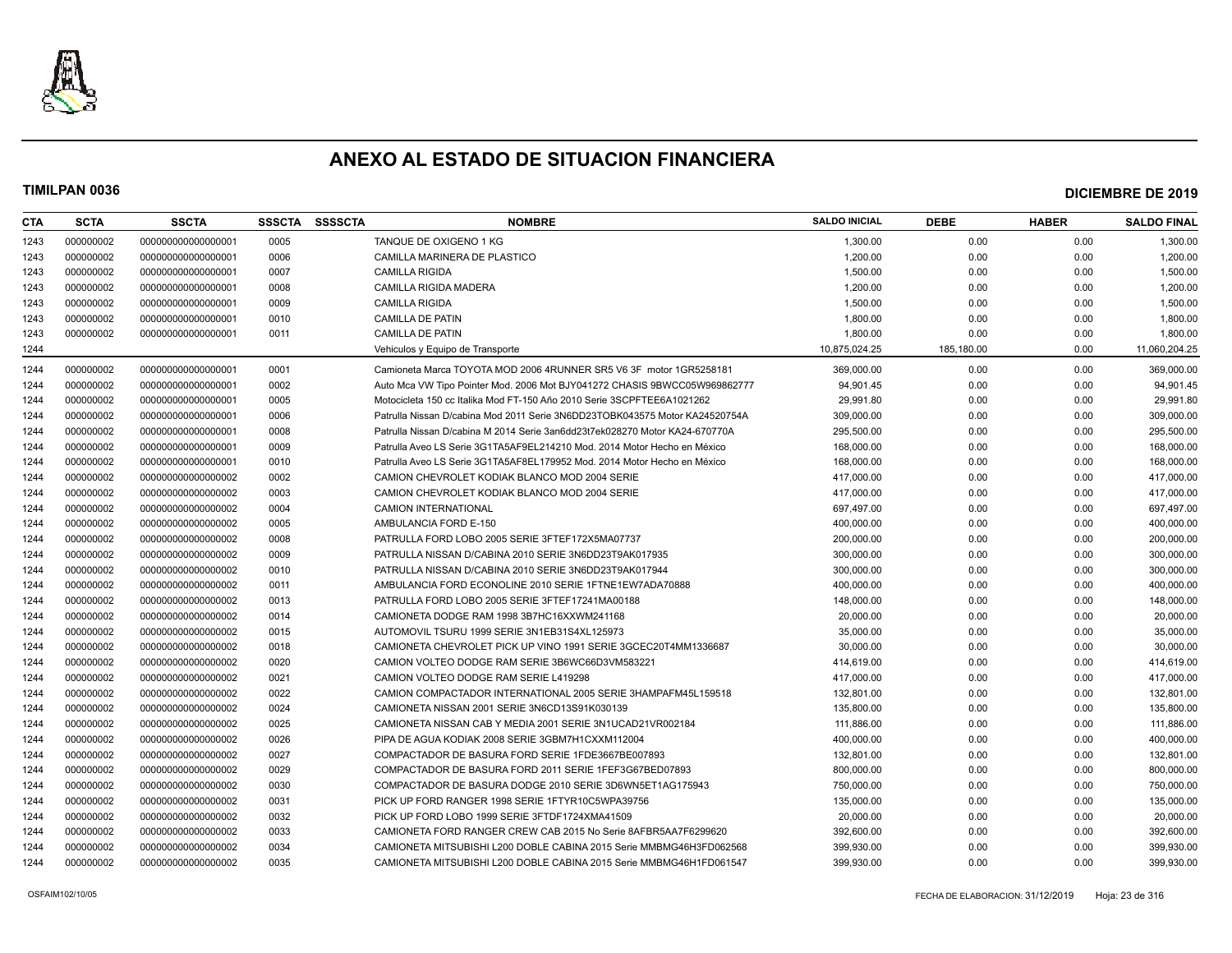

| <b>CTA</b> | <b>SCTA</b> | <b>SSCTA</b>       | <b>SSSCTA</b> | <b>SSSSCTA</b> | <b>NOMBRE</b>                                                               | <b>SALDO INICIAL</b> | <b>DEBE</b> | <b>HABER</b> | <b>SALDO FINAL</b> |
|------------|-------------|--------------------|---------------|----------------|-----------------------------------------------------------------------------|----------------------|-------------|--------------|--------------------|
| 1243       | 000000002   | 000000000000000001 | 0005          |                | TANQUE DE OXIGENO 1 KG                                                      | 1,300.00             | 0.00        | 0.00         | 1,300.00           |
| 1243       | 000000002   | 000000000000000001 | 0006          |                | CAMILLA MARINERA DE PLASTICO                                                | 1,200.00             | 0.00        | 0.00         | 1,200.00           |
| 1243       | 000000002   | 000000000000000001 | 0007          |                | <b>CAMILLA RIGIDA</b>                                                       | 1,500.00             | 0.00        | 0.00         | 1,500.00           |
| 1243       | 000000002   | 00000000000000001  | 0008          |                | <b>CAMILLA RIGIDA MADERA</b>                                                | 1,200.00             | 0.00        | 0.00         | 1,200.00           |
| 1243       | 000000002   | 000000000000000001 | 0009          |                | <b>CAMILLA RIGIDA</b>                                                       | 1,500.00             | 0.00        | 0.00         | 1,500.00           |
| 1243       | 000000002   | 000000000000000001 | 0010          |                | <b>CAMILLA DE PATIN</b>                                                     | 1,800.00             | 0.00        | 0.00         | 1,800.00           |
| 1243       | 000000002   | 00000000000000001  | 0011          |                | <b>CAMILLA DE PATIN</b>                                                     | 1.800.00             | 0.00        | 0.00         | 1,800.00           |
| 1244       |             |                    |               |                | Vehiculos y Equipo de Transporte                                            | 10,875,024.25        | 185,180.00  | 0.00         | 11,060,204.25      |
| 1244       | 000000002   | 000000000000000001 | 0001          |                | Camioneta Marca TOYOTA MOD 2006 4RUNNER SR5 V6 3F motor 1GR5258181          | 369,000.00           | 0.00        | 0.00         | 369,000.00         |
| 1244       | 000000002   | 000000000000000001 | 0002          |                | Auto Mca VW Tipo Pointer Mod. 2006 Mot BJY041272 CHASIS 9BWCC05W969862777   | 94,901.45            | 0.00        | 0.00         | 94,901.45          |
| 1244       | 000000002   | 000000000000000001 | 0005          |                | Motocicleta 150 cc Italika Mod FT-150 Año 2010 Serie 3SCPFTEE6A1021262      | 29,991.80            | 0.00        | 0.00         | 29,991.80          |
| 1244       | 000000002   | 000000000000000001 | 0006          |                | Patrulla Nissan D/cabina Mod 2011 Serie 3N6DD23TOBK043575 Motor KA24520754A | 309,000.00           | 0.00        | 0.00         | 309,000.00         |
| 1244       | 000000002   | 000000000000000001 | 0008          |                | Patrulla Nissan D/cabina M 2014 Serie 3an6dd23t7ek028270 Motor KA24-670770A | 295,500.00           | 0.00        | 0.00         | 295,500.00         |
| 1244       | 000000002   | 000000000000000001 | 0009          |                | Patrulla Aveo LS Serie 3G1TA5AF9EL214210 Mod. 2014 Motor Hecho en México    | 168,000.00           | 0.00        | 0.00         | 168,000.00         |
| 1244       | 000000002   | 00000000000000001  | 0010          |                | Patrulla Aveo LS Serie 3G1TA5AF8EL179952 Mod. 2014 Motor Hecho en México    | 168,000.00           | 0.00        | 0.00         | 168,000.00         |
| 1244       | 000000002   | 000000000000000002 | 0002          |                | CAMION CHEVROLET KODIAK BLANCO MOD 2004 SERIE                               | 417,000.00           | 0.00        | 0.00         | 417,000.00         |
| 1244       | 000000002   | 00000000000000002  | 0003          |                | CAMION CHEVROLET KODIAK BLANCO MOD 2004 SERIE                               | 417.000.00           | 0.00        | 0.00         | 417,000.00         |
| 1244       | 000000002   | 000000000000000002 | 0004          |                | <b>CAMION INTERNATIONAL</b>                                                 | 697,497.00           | 0.00        | 0.00         | 697,497.00         |
| 1244       | 000000002   | 000000000000000002 | 0005          |                | AMBULANCIA FORD E-150                                                       | 400,000.00           | 0.00        | 0.00         | 400,000.00         |
| 1244       | 000000002   | 000000000000000002 | 0008          |                | PATRULLA FORD LOBO 2005 SERIE 3FTEF172X5MA07737                             | 200,000.00           | 0.00        | 0.00         | 200,000.00         |
| 1244       | 000000002   | 000000000000000002 | 0009          |                | PATRULLA NISSAN D/CABINA 2010 SERIE 3N6DD23T9AK017935                       | 300,000.00           | 0.00        | 0.00         | 300,000.00         |
| 1244       | 000000002   | 00000000000000002  | 0010          |                | PATRULLA NISSAN D/CABINA 2010 SERIE 3N6DD23T9AK017944                       | 300.000.00           | 0.00        | 0.00         | 300,000.00         |
| 1244       | 000000002   | 00000000000000002  | 0011          |                | AMBULANCIA FORD ECONOLINE 2010 SERIE 1FTNE1EW7ADA70888                      | 400,000.00           | 0.00        | 0.00         | 400,000.00         |
| 1244       | 000000002   | 000000000000000002 | 0013          |                | PATRULLA FORD LOBO 2005 SERIE 3FTEF17241MA00188                             | 148,000.00           | 0.00        | 0.00         | 148,000.00         |
| 1244       | 000000002   | 000000000000000002 | 0014          |                | CAMIONETA DODGE RAM 1998 3B7HC16XXWM241168                                  | 20,000.00            | 0.00        | 0.00         | 20,000.00          |
| 1244       | 000000002   | 000000000000000002 | 0015          |                | AUTOMOVIL TSURU 1999 SERIE 3N1EB31S4XL125973                                | 35,000.00            | 0.00        | 0.00         | 35,000.00          |
| 1244       | 000000002   | 00000000000000002  | 0018          |                | CAMIONETA CHEVROLET PICK UP VINO 1991 SERIE 3GCEC20T4MM1336687              | 30,000.00            | 0.00        | 0.00         | 30,000.00          |
| 1244       | 000000002   | 00000000000000002  | 0020          |                | CAMION VOLTEO DODGE RAM SERIE 3B6WC66D3VM583221                             | 414,619.00           | 0.00        | 0.00         | 414,619.00         |
| 1244       | 000000002   | 000000000000000002 | 0021          |                | CAMION VOLTEO DODGE RAM SERIE L419298                                       | 417,000.00           | 0.00        | 0.00         | 417,000.00         |
| 1244       | 000000002   | 000000000000000002 | 0022          |                | CAMION COMPACTADOR INTERNATIONAL 2005 SERIE 3HAMPAFM45L159518               | 132,801.00           | 0.00        | 0.00         | 132,801.00         |
| 1244       | 000000002   | 000000000000000002 | 0024          |                | CAMIONETA NISSAN 2001 SERIE 3N6CD13S91K030139                               | 135.800.00           | 0.00        | 0.00         | 135,800.00         |
| 1244       | 000000002   | 00000000000000002  | 0025          |                | CAMIONETA NISSAN CAB Y MEDIA 2001 SERIE 3N1UCAD21VR002184                   | 111,886.00           | 0.00        | 0.00         | 111,886.00         |
| 1244       | 000000002   | 000000000000000002 | 0026          |                | PIPA DE AGUA KODIAK 2008 SERIE 3GBM7H1CXXM112004                            | 400.000.00           | 0.00        | 0.00         | 400,000.00         |
| 1244       | 000000002   | 000000000000000002 | 0027          |                | COMPACTADOR DE BASURA FORD SERIE 1FDE3667BE007893                           | 132,801.00           | 0.00        | 0.00         | 132,801.00         |
| 1244       | 000000002   | 000000000000000002 | 0029          |                | COMPACTADOR DE BASURA FORD 2011 SERIE 1FEF3G67BED07893                      | 800,000.00           | 0.00        | 0.00         | 800,000.00         |
| 1244       | 000000002   | 000000000000000002 | 0030          |                | COMPACTADOR DE BASURA DODGE 2010 SERIE 3D6WN5ET1AG175943                    | 750,000.00           | 0.00        | 0.00         | 750,000.00         |
| 1244       | 000000002   | 00000000000000002  | 0031          |                | PICK UP FORD RANGER 1998 SERIE 1FTYR10C5WPA39756                            | 135.000.00           | 0.00        | 0.00         | 135,000.00         |
| 1244       | 000000002   | 00000000000000002  | 0032          |                | PICK UP FORD LOBO 1999 SERIE 3FTDF1724XMA41509                              | 20,000.00            | 0.00        | 0.00         | 20,000.00          |
| 1244       | 000000002   | 000000000000000002 | 0033          |                | CAMIONETA FORD RANGER CREW CAB 2015 No Serie 8AFBR5AA7F6299620              | 392,600.00           | 0.00        | 0.00         | 392,600.00         |
| 1244       | 000000002   | 000000000000000002 | 0034          |                | CAMIONETA MITSUBISHI L200 DOBLE CABINA 2015 Serie MMBMG46H3FD062568         | 399,930.00           | 0.00        | 0.00         | 399,930.00         |
| 1244       | 000000002   | 000000000000000002 | 0035          |                | CAMIONETA MITSUBISHI L200 DOBLE CABINA 2015 Serie MMBMG46H1FD061547         | 399,930.00           | 0.00        | 0.00         | 399,930.00         |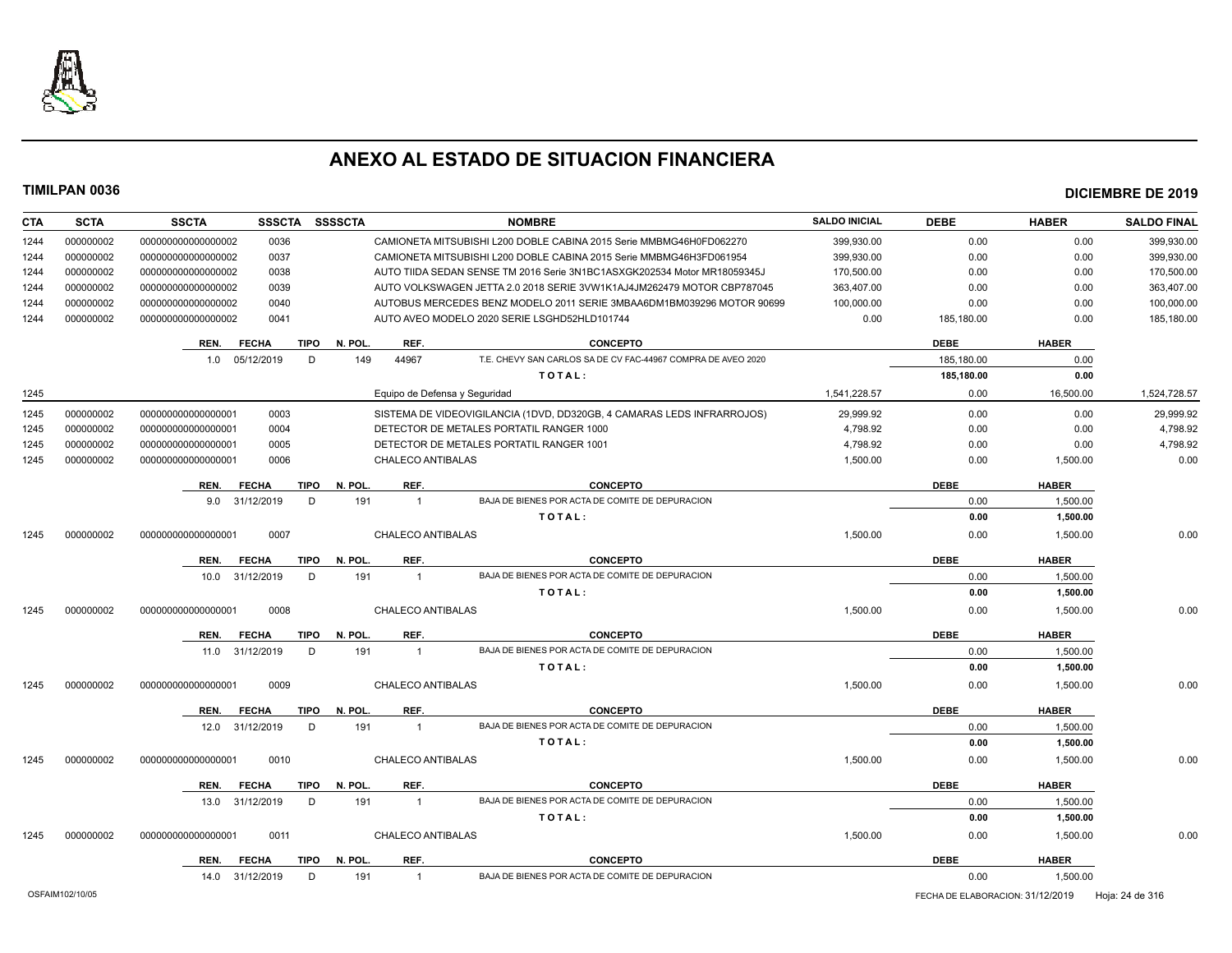

| <b>CTA</b> | <b>SCTA</b>     | <b>SSCTA</b>       |              | SSSCTA SSSSCTA         |                          | <b>NOMBRE</b>                                                            | <b>SALDO INICIAL</b> | <b>DEBE</b>                      | <b>HABER</b> | <b>SALDO FINAL</b> |
|------------|-----------------|--------------------|--------------|------------------------|--------------------------|--------------------------------------------------------------------------|----------------------|----------------------------------|--------------|--------------------|
| 1244       | 000000002       | 000000000000000002 | 0036         |                        |                          | CAMIONETA MITSUBISHI L200 DOBLE CABINA 2015 Serie MMBMG46H0FD062270      | 399,930.00           | 0.00                             | 0.00         | 399,930.00         |
| 1244       | 000000002       | 000000000000000002 | 0037         |                        |                          | CAMIONETA MITSUBISHI L200 DOBLE CABINA 2015 Serie MMBMG46H3FD061954      | 399,930.00           | 0.00                             | 0.00         | 399,930.00         |
| 1244       | 000000002       | 000000000000000002 | 0038         |                        |                          | AUTO TIIDA SEDAN SENSE TM 2016 Serie 3N1BC1ASXGK202534 Motor MR18059345J | 170,500.00           | 0.00                             | 0.00         | 170,500.00         |
| 1244       | 000000002       | 000000000000000002 | 0039         |                        |                          | AUTO VOLKSWAGEN JETTA 2.0 2018 SERIE 3VW1K1AJ4JM262479 MOTOR CBP787045   | 363.407.00           | 0.00                             | 0.00         | 363.407.00         |
| 1244       | 000000002       | 000000000000000002 | 0040         |                        |                          | AUTOBUS MERCEDES BENZ MODELO 2011 SERIE 3MBAA6DM1BM039296 MOTOR 90699    | 100,000.00           | 0.00                             | 0.00         | 100,000.00         |
| 1244       | 000000002       | 000000000000000002 | 0041         |                        |                          | AUTO AVEO MODELO 2020 SERIE LSGHD52HLD101744                             | 0.00                 | 185,180.00                       | 0.00         | 185,180.00         |
|            |                 | REN.               | <b>FECHA</b> | TIPO<br>N. POL         | REF.                     | <b>CONCEPTO</b>                                                          |                      | <b>DEBE</b>                      | <b>HABER</b> |                    |
|            |                 | 1.0                | 05/12/2019   | D<br>149               | 44967                    | T.E. CHEVY SAN CARLOS SA DE CV FAC-44967 COMPRA DE AVEO 2020             |                      | 185,180.00                       | 0.00         |                    |
|            |                 |                    |              |                        |                          | TOTAL:                                                                   |                      | 185,180.00                       | 0.00         |                    |
| 1245       |                 |                    |              |                        |                          | Equipo de Defensa y Seguridad                                            | 1,541,228.57         | 0.00                             | 16,500.00    | 1,524,728.57       |
| 1245       | 000000002       | 00000000000000001  | 0003         |                        |                          | SISTEMA DE VIDEOVIGILANCIA (1DVD, DD320GB, 4 CAMARAS LEDS INFRARROJOS)   | 29.999.92            | 0.00                             | 0.00         | 29,999.92          |
| 1245       | 000000002       | 000000000000000001 | 0004         |                        |                          | DETECTOR DE METALES PORTATIL RANGER 1000                                 | 4,798.92             | 0.00                             | 0.00         | 4,798.92           |
| 1245       | 000000002       | 000000000000000001 | 0005         |                        |                          | DETECTOR DE METALES PORTATIL RANGER 1001                                 | 4,798.92             | 0.00                             | 0.00         | 4,798.92           |
| 1245       | 000000002       | 000000000000000001 | 0006         |                        | <b>CHALECO ANTIBALAS</b> |                                                                          | 1,500.00             | 0.00                             | 1,500.00     | 0.00               |
|            |                 | REN.               | <b>FECHA</b> | N. POL.<br><b>TIPO</b> | REF.                     | <b>CONCEPTO</b>                                                          |                      | <b>DEBE</b>                      | <b>HABER</b> |                    |
|            |                 | 9.0 31/12/2019     |              | 191<br>D               | $\overline{1}$           | BAJA DE BIENES POR ACTA DE COMITE DE DEPURACION                          |                      | 0.00                             | 1,500.00     |                    |
|            |                 |                    |              |                        |                          | TOTAL:                                                                   |                      | 0.00                             | 1.500.00     |                    |
| 1245       | 000000002       | 000000000000000001 | 0007         |                        | CHALECO ANTIBALAS        |                                                                          | 1,500.00             | 0.00                             | 1,500.00     | 0.00               |
|            |                 | REN.               | <b>FECHA</b> | <b>TIPO</b><br>N. POL. | REF.                     | <b>CONCEPTO</b>                                                          |                      | <b>DEBE</b>                      | <b>HABER</b> |                    |
|            |                 | 10.0 31/12/2019    |              | D<br>191               | $\overline{1}$           | BAJA DE BIENES POR ACTA DE COMITE DE DEPURACION                          |                      | 0.00                             | 1,500.00     |                    |
|            |                 |                    |              |                        |                          | TOTAL:                                                                   |                      | 0.00                             | 1.500.00     |                    |
| 1245       | 000000002       | 000000000000000001 | 0008         |                        | <b>CHALECO ANTIBALAS</b> |                                                                          | 1,500.00             | 0.00                             | 1,500.00     | 0.00               |
|            |                 | REN.               | <b>FECHA</b> | <b>TIPO</b><br>N. POL. | REF.                     | <b>CONCEPTO</b>                                                          |                      | <b>DEBE</b>                      | <b>HABER</b> |                    |
|            |                 | 11.0               | 31/12/2019   | D<br>191               | $\overline{1}$           | BAJA DE BIENES POR ACTA DE COMITE DE DEPURACION                          |                      | 0.00                             | 1,500.00     |                    |
|            |                 |                    |              |                        |                          | TOTAL:                                                                   |                      | 0.00                             | 1,500.00     |                    |
| 1245       | 000000002       | 000000000000000001 | 0009         |                        | <b>CHALECO ANTIBALAS</b> |                                                                          | 1,500.00             | 0.00                             | 1,500.00     | 0.00               |
|            |                 | REN.               | <b>FECHA</b> | N. POL.<br><b>TIPO</b> | REF.                     | <b>CONCEPTO</b>                                                          |                      | <b>DEBE</b>                      | <b>HABER</b> |                    |
|            |                 | 12.0               | 31/12/2019   | 191<br>D               | $\overline{1}$           | BAJA DE BIENES POR ACTA DE COMITE DE DEPURACION                          |                      | 0.00                             | 1,500.00     |                    |
|            |                 |                    |              |                        |                          | TOTAL:                                                                   |                      | 0.00                             | 1,500.00     |                    |
| 1245       | 000000002       | 000000000000000001 | 0010         |                        | <b>CHALECO ANTIBALAS</b> |                                                                          | 1,500.00             | 0.00                             | 1,500.00     | 0.00               |
|            |                 | REN.               | <b>FECHA</b> | <b>TIPO</b><br>N. POL  | REF.                     | <b>CONCEPTO</b>                                                          |                      | <b>DEBE</b>                      | <b>HABER</b> |                    |
|            |                 | 13.0               | 31/12/2019   | 191<br>D               | $\overline{1}$           | BAJA DE BIENES POR ACTA DE COMITE DE DEPURACION                          |                      | 0.00                             | 1,500.00     |                    |
|            |                 |                    |              |                        |                          | TOTAL:                                                                   |                      | 0.00                             | 1,500.00     |                    |
| 1245       | 000000002       | 000000000000000001 | 0011         |                        | <b>CHALECO ANTIBALAS</b> |                                                                          | 1,500.00             | 0.00                             | 1,500.00     | 0.00               |
|            |                 | REN.               | <b>FECHA</b> | N. POL.<br><b>TIPO</b> | REF.                     | <b>CONCEPTO</b>                                                          |                      | <b>DEBE</b>                      | <b>HABER</b> |                    |
|            |                 | 14.0               | 31/12/2019   | D<br>191               | $\mathbf{1}$             | BAJA DE BIENES POR ACTA DE COMITE DE DEPURACION                          |                      | 0.00                             | 1,500.00     |                    |
|            |                 |                    |              |                        |                          |                                                                          |                      |                                  |              |                    |
|            | OSFAIM102/10/05 |                    |              |                        |                          |                                                                          |                      | FECHA DE ELABORACION: 31/12/2019 |              | Hoja: 24 de 316    |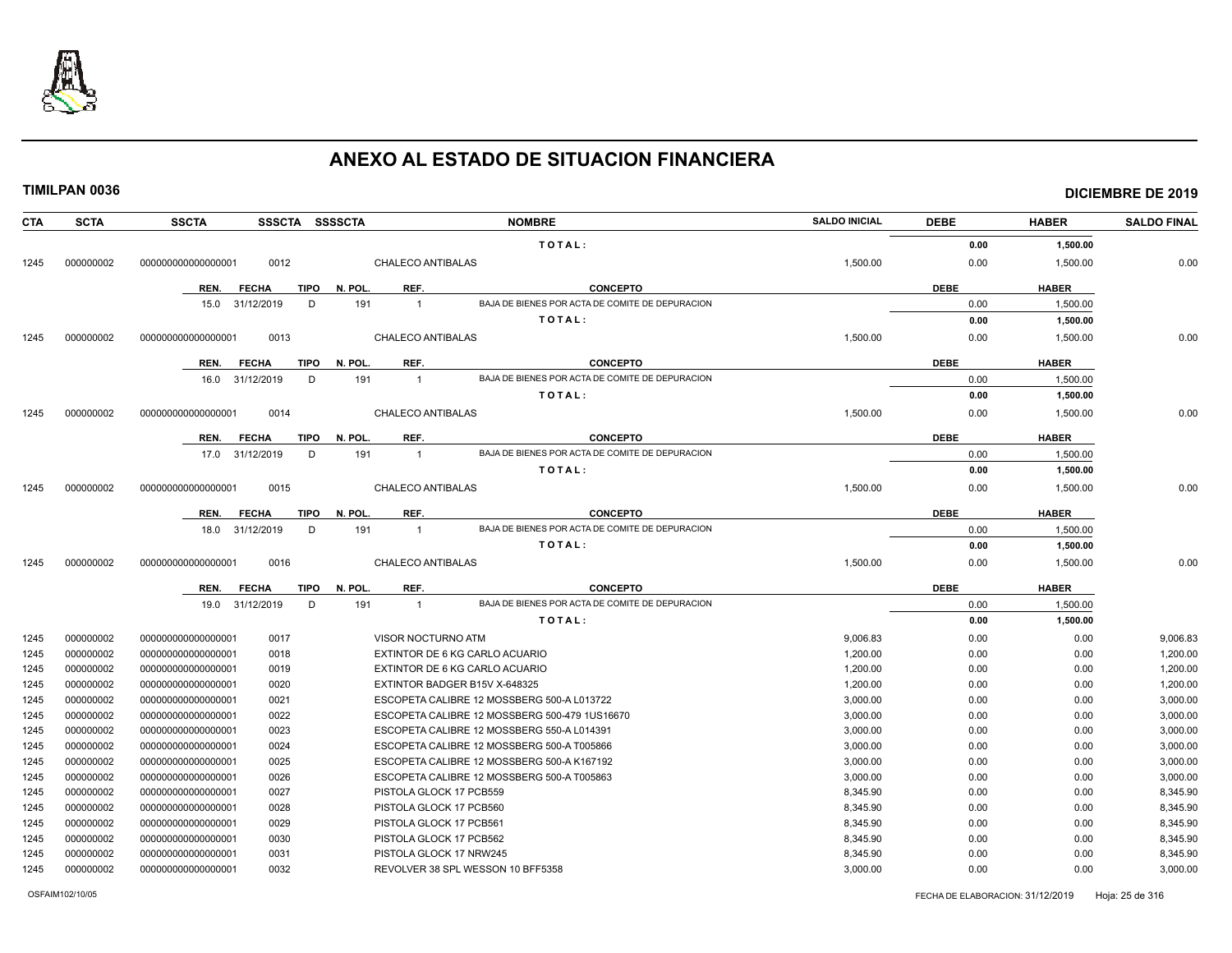

| CTA  | <b>SCTA</b> | <b>SSCTA</b>         | <b>SSSCTA</b>   | SSSSCTA |                          | <b>NOMBRE</b>                                   | <b>SALDO INICIAL</b> | <b>DEBE</b> | <b>HABER</b> | <b>SALDO FINAL</b> |
|------|-------------|----------------------|-----------------|---------|--------------------------|-------------------------------------------------|----------------------|-------------|--------------|--------------------|
|      |             |                      |                 |         |                          | TOTAL:                                          |                      | 0.00        | 1,500.00     |                    |
| 1245 | 000000002   | 00000000000000001    | 0012            |         | CHALECO ANTIBALAS        |                                                 | 1,500.00             | 0.00        | 1,500.00     | 0.00               |
|      |             | REN.<br><b>FECHA</b> | <b>TIPO</b>     | N. POL. | REF.                     | <b>CONCEPTO</b>                                 |                      | <b>DEBE</b> | <b>HABER</b> |                    |
|      |             | 15.0                 | 31/12/2019<br>D | 191     | $\overline{1}$           | BAJA DE BIENES POR ACTA DE COMITE DE DEPURACION |                      | 0.00        | 1,500.00     |                    |
|      |             |                      |                 |         |                          | TOTAL:                                          |                      | 0.00        | 1,500.00     |                    |
| 1245 | 000000002   | 000000000000000001   | 0013            |         | <b>CHALECO ANTIBALAS</b> |                                                 | 1,500.00             | 0.00        | 1,500.00     | 0.00               |
|      |             |                      |                 |         |                          |                                                 |                      |             |              |                    |
|      |             | REN.<br><b>FECHA</b> | <b>TIPO</b>     | N. POL. | REF.                     | <b>CONCEPTO</b>                                 |                      | <b>DEBE</b> | <b>HABER</b> |                    |
|      |             | 16.0 31/12/2019      | D               | 191     | $\overline{1}$           | BAJA DE BIENES POR ACTA DE COMITE DE DEPURACION |                      | 0.00        | 1,500.00     |                    |
|      |             |                      |                 |         |                          | TOTAL:                                          |                      | 0.00        | 1,500.00     |                    |
| 1245 | 000000002   | 000000000000000001   | 0014            |         | <b>CHALECO ANTIBALAS</b> |                                                 | 1.500.00             | 0.00        | 1.500.00     | 0.00               |
|      |             | REN.<br><b>FECHA</b> | <b>TIPO</b>     | N. POL  | REF.                     | <b>CONCEPTO</b>                                 |                      | <b>DEBE</b> | <b>HABER</b> |                    |
|      |             | 17.0                 | 31/12/2019<br>D | 191     | $\overline{1}$           | BAJA DE BIENES POR ACTA DE COMITE DE DEPURACION |                      | 0.00        | 1,500.00     |                    |
|      |             |                      |                 |         |                          | TOTAL:                                          |                      | 0.00        | 1,500.00     |                    |
| 1245 | 000000002   | 000000000000000001   | 0015            |         | <b>CHALECO ANTIBALAS</b> |                                                 | 1,500.00             | 0.00        | 1,500.00     | 0.00               |
|      |             | REN.<br><b>FECHA</b> | <b>TIPO</b>     | N. POL  | REF.                     | <b>CONCEPTO</b>                                 |                      | <b>DEBE</b> | <b>HABER</b> |                    |
|      |             | 18.0                 | 31/12/2019<br>D | 191     | $\overline{1}$           | BAJA DE BIENES POR ACTA DE COMITE DE DEPURACION |                      | 0.00        | 1,500.00     |                    |
|      |             |                      |                 |         |                          | TOTAL:                                          |                      | 0.00        | 1,500.00     |                    |
|      | 000000002   | 00000000000000001    | 0016            |         | <b>CHALECO ANTIBALAS</b> |                                                 | 1,500.00             | 0.00        | 1,500.00     | 0.00               |
| 1245 |             |                      |                 |         |                          |                                                 |                      |             |              |                    |
|      |             | REN.<br><b>FECHA</b> | <b>TIPO</b>     | N. POL. | REF.                     | <b>CONCEPTO</b>                                 |                      | <b>DEBE</b> | <b>HABER</b> |                    |
|      |             | 19.0 31/12/2019      | D               | 191     | $\overline{1}$           | BAJA DE BIENES POR ACTA DE COMITE DE DEPURACION |                      | 0.00        | 1,500.00     |                    |
|      |             |                      |                 |         |                          | TOTAL:                                          |                      | 0.00        | 1,500.00     |                    |
| 1245 | 000000002   | 000000000000000001   | 0017            |         | VISOR NOCTURNO ATM       |                                                 | 9,006.83             | 0.00        | 0.00         | 9,006.83           |
| 1245 | 000000002   | 00000000000000001    | 0018            |         |                          | EXTINTOR DE 6 KG CARLO ACUARIO                  | 1.200.00             | 0.00        | 0.00         | 1,200.00           |
| 1245 | 000000002   | 00000000000000001    | 0019            |         |                          | EXTINTOR DE 6 KG CARLO ACUARIO                  | 1,200.00             | 0.00        | 0.00         | 1,200.00           |
| 1245 | 000000002   | 00000000000000001    | 0020            |         |                          | EXTINTOR BADGER B15V X-648325                   | 1,200.00             | 0.00        | 0.00         | 1,200.00           |
| 1245 | 000000002   | 000000000000000001   | 0021            |         |                          | ESCOPETA CALIBRE 12 MOSSBERG 500-A L013722      | 3,000.00             | 0.00        | 0.00         | 3,000.00           |
| 1245 | 000000002   | 000000000000000001   | 0022            |         |                          | ESCOPETA CALIBRE 12 MOSSBERG 500-479 1US16670   | 3,000.00             | 0.00        | 0.00         | 3,000.00           |
| 1245 | 000000002   | 00000000000000001    | 0023            |         |                          | ESCOPETA CALIBRE 12 MOSSBERG 550-A L014391      | 3,000.00             | 0.00        | 0.00         | 3,000.00           |
| 1245 | 000000002   | 000000000000000001   | 0024            |         |                          | ESCOPETA CALIBRE 12 MOSSBERG 500-A T005866      | 3,000.00             | 0.00        | 0.00         | 3,000.00           |
| 1245 | 000000002   | 000000000000000001   | 0025            |         |                          | ESCOPETA CALIBRE 12 MOSSBERG 500-A K167192      | 3,000.00             | 0.00        | 0.00         | 3,000.00           |
| 1245 | 000000002   | 000000000000000001   | 0026            |         |                          | ESCOPETA CALIBRE 12 MOSSBERG 500-A T005863      | 3,000.00             | 0.00        | 0.00         | 3,000.00           |
| 1245 | 000000002   | 000000000000000001   | 0027            |         | PISTOLA GLOCK 17 PCB559  |                                                 | 8,345.90             | 0.00        | 0.00         | 8,345.90           |
| 1245 | 000000002   | 000000000000000001   | 0028            |         | PISTOLA GLOCK 17 PCB560  |                                                 | 8,345.90             | 0.00        | 0.00         | 8,345.90           |
| 1245 | 000000002   | 000000000000000001   | 0029            |         | PISTOLA GLOCK 17 PCB561  |                                                 | 8.345.90             | 0.00        | 0.00         | 8,345.90           |
| 1245 | 000000002   | 000000000000000001   | 0030            |         | PISTOLA GLOCK 17 PCB562  |                                                 | 8,345.90             | 0.00        | 0.00         | 8,345.90           |
| 1245 | 000000002   | 000000000000000001   | 0031            |         | PISTOLA GLOCK 17 NRW245  |                                                 | 8,345.90             | 0.00        | 0.00         | 8,345.90           |
| 1245 | 000000002   | 00000000000000001    | 0032            |         |                          | REVOLVER 38 SPL WESSON 10 BFF5358               | 3,000.00             | 0.00        | 0.00         | 3,000.00           |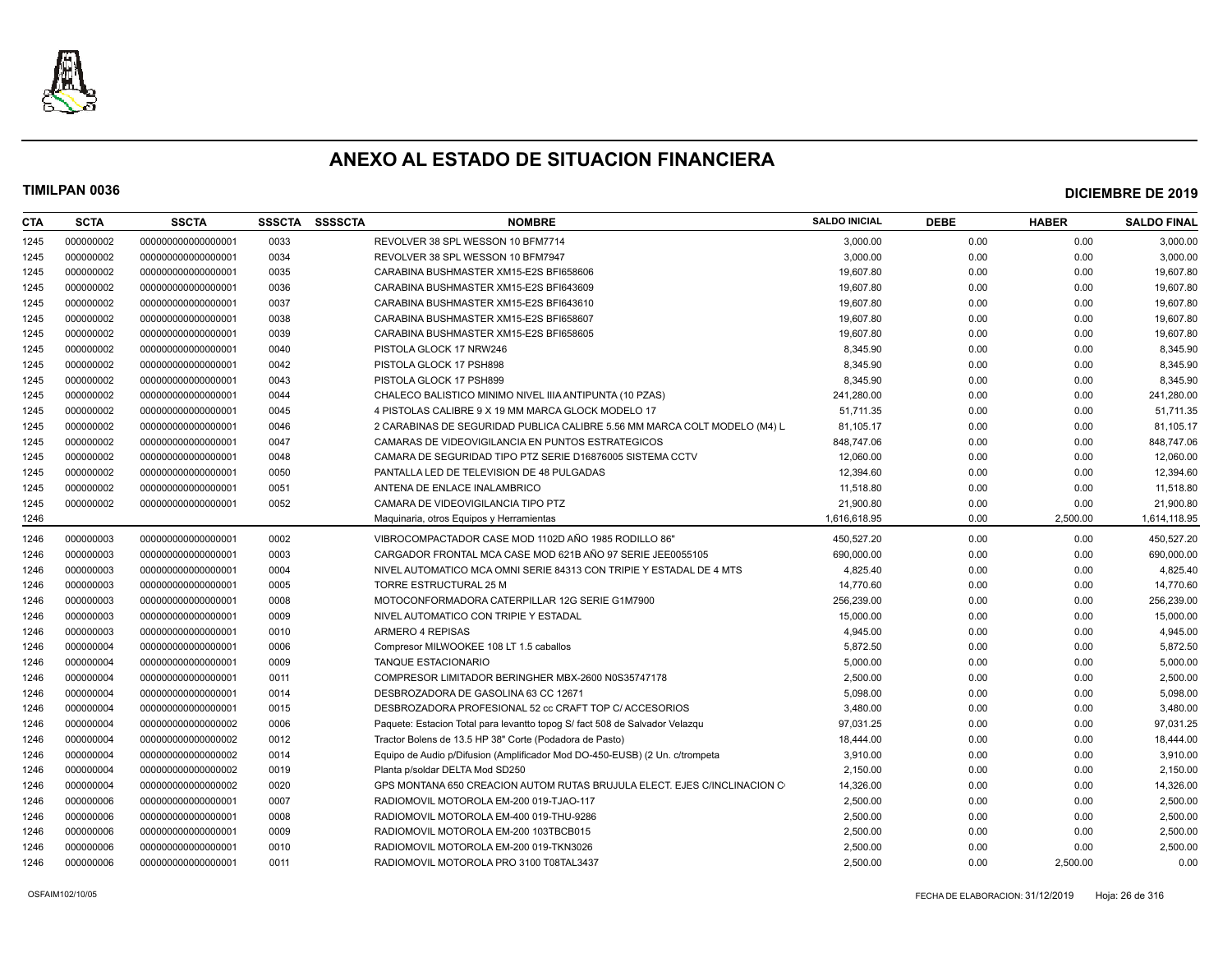

| CTA  | <b>SCTA</b> | <b>SSCTA</b>       | <b>SSSCTA</b> | <b>SSSSCTA</b> | <b>NOMBRE</b>                                                               | <b>SALDO INICIAL</b> | <b>DEBE</b> | <b>HABER</b> | <b>SALDO FINAL</b> |
|------|-------------|--------------------|---------------|----------------|-----------------------------------------------------------------------------|----------------------|-------------|--------------|--------------------|
| 1245 | 000000002   | 000000000000000001 | 0033          |                | REVOLVER 38 SPL WESSON 10 BFM7714                                           | 3,000.00             | 0.00        | 0.00         | 3,000.00           |
| 1245 | 000000002   | 000000000000000001 | 0034          |                | REVOLVER 38 SPL WESSON 10 BFM7947                                           | 3.000.00             | 0.00        | 0.00         | 3,000.00           |
| 1245 | 000000002   | 000000000000000001 | 0035          |                | CARABINA BUSHMASTER XM15-E2S BFI658606                                      | 19,607.80            | 0.00        | 0.00         | 19,607.80          |
| 1245 | 000000002   | 000000000000000001 | 0036          |                | CARABINA BUSHMASTER XM15-E2S BFI643609                                      | 19.607.80            | 0.00        | 0.00         | 19,607.80          |
| 1245 | 000000002   | 000000000000000001 | 0037          |                | CARABINA BUSHMASTER XM15-E2S BFI643610                                      | 19,607.80            | 0.00        | 0.00         | 19,607.80          |
| 1245 | 000000002   | 000000000000000001 | 0038          |                | CARABINA BUSHMASTER XM15-E2S BFI658607                                      | 19,607.80            | 0.00        | 0.00         | 19,607.80          |
| 1245 | 000000002   | 000000000000000001 | 0039          |                | CARABINA BUSHMASTER XM15-E2S BFI658605                                      | 19,607.80            | 0.00        | 0.00         | 19,607.80          |
| 1245 | 000000002   | 000000000000000001 | 0040          |                | PISTOLA GLOCK 17 NRW246                                                     | 8.345.90             | 0.00        | 0.00         | 8,345.90           |
| 1245 | 000000002   | 000000000000000001 | 0042          |                | PISTOLA GLOCK 17 PSH898                                                     | 8,345.90             | 0.00        | 0.00         | 8,345.90           |
| 1245 | 000000002   | 000000000000000001 | 0043          |                | PISTOLA GLOCK 17 PSH899                                                     | 8,345.90             | 0.00        | 0.00         | 8,345.90           |
| 1245 | 000000002   | 000000000000000001 | 0044          |                | CHALECO BALISTICO MINIMO NIVEL IIIA ANTIPUNTA (10 PZAS)                     | 241,280.00           | 0.00        | 0.00         | 241,280.00         |
| 1245 | 000000002   | 000000000000000001 | 0045          |                | 4 PISTOLAS CALIBRE 9 X 19 MM MARCA GLOCK MODELO 17                          | 51.711.35            | 0.00        | 0.00         | 51,711.35          |
| 1245 | 000000002   | 000000000000000001 | 0046          |                | 2 CARABINAS DE SEGURIDAD PUBLICA CALIBRE 5.56 MM MARCA COLT MODELO (M4) L   | 81,105.17            | 0.00        | 0.00         | 81,105.17          |
| 1245 | 000000002   | 000000000000000001 | 0047          |                | CAMARAS DE VIDEOVIGILANCIA EN PUNTOS ESTRATEGICOS                           | 848,747.06           | 0.00        | 0.00         | 848,747.06         |
| 1245 | 000000002   | 000000000000000001 | 0048          |                | CAMARA DE SEGURIDAD TIPO PTZ SERIE D16876005 SISTEMA CCTV                   | 12,060.00            | 0.00        | 0.00         | 12,060.00          |
| 1245 | 000000002   | 000000000000000001 | 0050          |                | PANTALLA LED DE TELEVISION DE 48 PULGADAS                                   | 12,394.60            | 0.00        | 0.00         | 12,394.60          |
| 1245 | 000000002   | 00000000000000001  | 0051          |                | ANTENA DE ENLACE INALAMBRICO                                                | 11,518.80            | 0.00        | 0.00         | 11,518.80          |
| 1245 | 000000002   | 00000000000000001  | 0052          |                | CAMARA DE VIDEOVIGILANCIA TIPO PTZ                                          | 21,900.80            | 0.00        | 0.00         | 21,900.80          |
| 1246 |             |                    |               |                | Maquinaria, otros Equipos y Herramientas                                    | 1,616,618.95         | 0.00        | 2,500.00     | 1,614,118.95       |
| 1246 | 000000003   | 000000000000000001 | 0002          |                | VIBROCOMPACTADOR CASE MOD 1102D AÑO 1985 RODILLO 86"                        | 450,527.20           | 0.00        | 0.00         | 450,527.20         |
| 1246 | 000000003   | 000000000000000001 | 0003          |                | CARGADOR FRONTAL MCA CASE MOD 621B AÑO 97 SERIE JEE0055105                  | 690,000.00           | 0.00        | 0.00         | 690,000.00         |
| 1246 | 000000003   | 000000000000000001 | 0004          |                | NIVEL AUTOMATICO MCA OMNI SERIE 84313 CON TRIPIE Y ESTADAL DE 4 MTS         | 4,825.40             | 0.00        | 0.00         | 4,825.40           |
| 1246 | 000000003   | 000000000000000001 | 0005          |                | TORRE ESTRUCTURAL 25 M                                                      | 14,770.60            | 0.00        | 0.00         | 14,770.60          |
| 1246 | 000000003   | 00000000000000001  | 0008          |                | MOTOCONFORMADORA CATERPILLAR 12G SERIE G1M7900                              | 256,239.00           | 0.00        | 0.00         | 256,239.00         |
| 1246 | 000000003   | 000000000000000001 | 0009          |                | NIVEL AUTOMATICO CON TRIPIE Y ESTADAL                                       | 15,000.00            | 0.00        | 0.00         | 15,000.00          |
| 1246 | 000000003   | 000000000000000001 | 0010          |                | ARMERO 4 REPISAS                                                            | 4,945.00             | 0.00        | 0.00         | 4,945.00           |
| 1246 | 000000004   | 000000000000000001 | 0006          |                | Compresor MILWOOKEE 108 LT 1.5 caballos                                     | 5,872.50             | 0.00        | 0.00         | 5,872.50           |
| 1246 | 000000004   | 000000000000000001 | 0009          |                | <b>TANQUE ESTACIONARIO</b>                                                  | 5,000.00             | 0.00        | 0.00         | 5,000.00           |
| 1246 | 000000004   | 000000000000000001 | 0011          |                | COMPRESOR LIMITADOR BERINGHER MBX-2600 N0S35747178                          | 2,500.00             | 0.00        | 0.00         | 2,500.00           |
| 1246 | 000000004   | 000000000000000001 | 0014          |                | DESBROZADORA DE GASOLINA 63 CC 12671                                        | 5,098.00             | 0.00        | 0.00         | 5,098.00           |
| 1246 | 000000004   | 000000000000000001 | 0015          |                | DESBROZADORA PROFESIONAL 52 cc CRAFT TOP C/ ACCESORIOS                      | 3,480.00             | 0.00        | 0.00         | 3,480.00           |
| 1246 | 000000004   | 000000000000000002 | 0006          |                | Paquete: Estacion Total para levantto topog S/ fact 508 de Salvador Velazqu | 97,031.25            | 0.00        | 0.00         | 97,031.25          |
| 1246 | 000000004   | 000000000000000002 | 0012          |                | Tractor Bolens de 13.5 HP 38" Corte (Podadora de Pasto)                     | 18,444.00            | 0.00        | 0.00         | 18,444.00          |
| 1246 | 000000004   | 000000000000000002 | 0014          |                | Equipo de Audio p/Difusion (Amplificador Mod DO-450-EUSB) (2 Un. c/trompeta | 3,910.00             | 0.00        | 0.00         | 3,910.00           |
| 1246 | 000000004   | 000000000000000002 | 0019          |                | Planta p/soldar DELTA Mod SD250                                             | 2,150.00             | 0.00        | 0.00         | 2,150.00           |
| 1246 | 000000004   | 00000000000000002  | 0020          |                | GPS MONTANA 650 CREACION AUTOM RUTAS BRUJULA ELECT. EJES C/INCLINACION C    | 14,326.00            | 0.00        | 0.00         | 14,326.00          |
| 1246 | 000000006   | 000000000000000001 | 0007          |                | RADIOMOVIL MOTOROLA EM-200 019-TJAO-117                                     | 2,500.00             | 0.00        | 0.00         | 2,500.00           |
| 1246 | 000000006   | 000000000000000001 | 0008          |                | RADIOMOVIL MOTOROLA EM-400 019-THU-9286                                     | 2,500.00             | 0.00        | 0.00         | 2,500.00           |
| 1246 | 000000006   | 000000000000000001 | 0009          |                | RADIOMOVIL MOTOROLA EM-200 103TBCB015                                       | 2,500.00             | 0.00        | 0.00         | 2,500.00           |
| 1246 | 000000006   | 000000000000000001 | 0010          |                | RADIOMOVIL MOTOROLA EM-200 019-TKN3026                                      | 2,500.00             | 0.00        | 0.00         | 2,500.00           |
| 1246 | 000000006   | 00000000000000001  | 0011          |                | RADIOMOVIL MOTOROLA PRO 3100 T08TAL3437                                     | 2,500.00             | 0.00        | 2,500.00     | 0.00               |
|      |             |                    |               |                |                                                                             |                      |             |              |                    |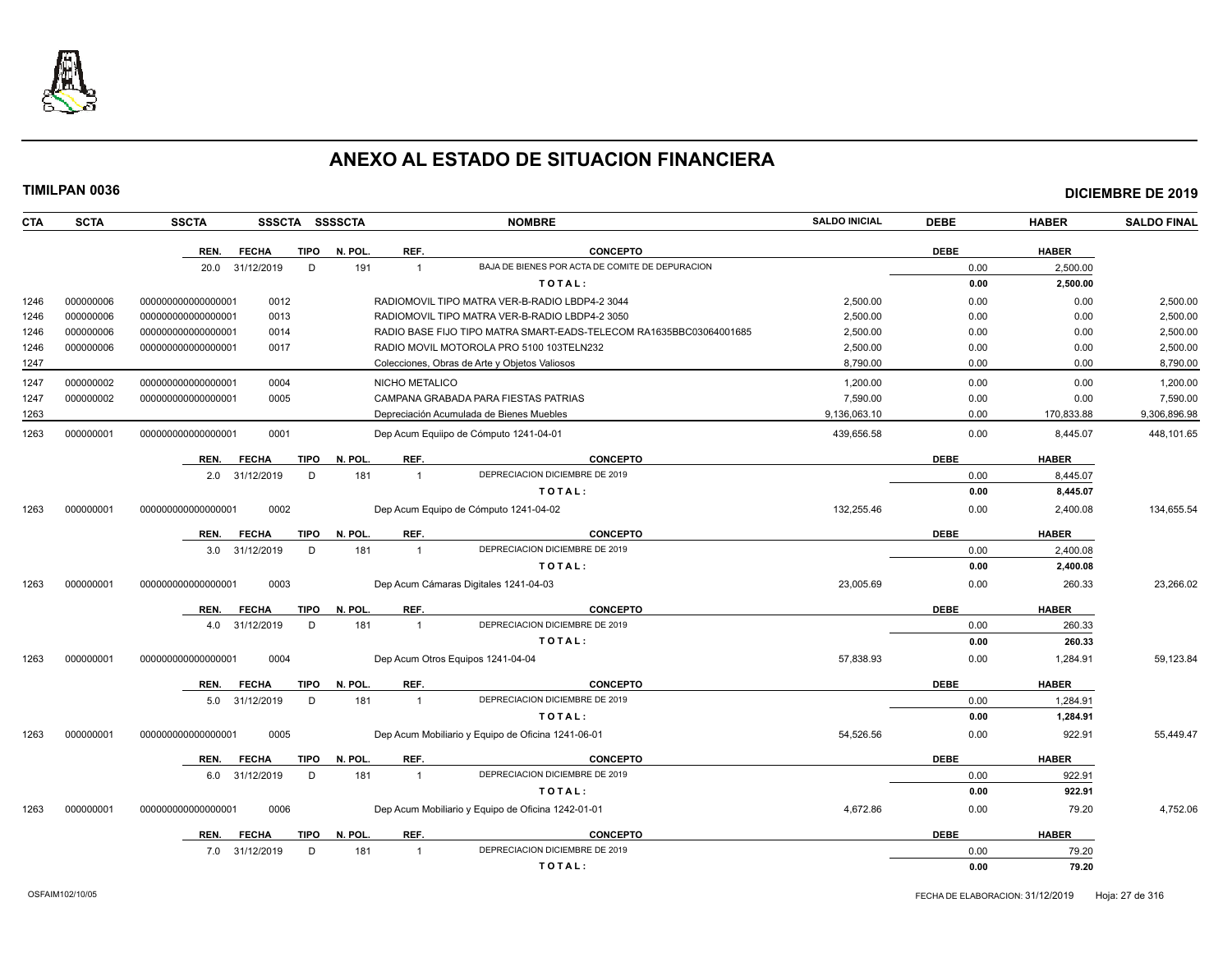

| <b>CTA</b> | <b>SCTA</b> | <b>SSCTA</b><br><b>SSSCTA</b>       | <b>SSSSCTA</b>        | <b>NOMBRE</b>                                                      | <b>SALDO INICIAL</b> | <b>DEBE</b> | <b>HABER</b> | <b>SALDO FINAL</b> |
|------------|-------------|-------------------------------------|-----------------------|--------------------------------------------------------------------|----------------------|-------------|--------------|--------------------|
|            |             | <b>TIPO</b><br>REN.<br><b>FECHA</b> | N. POL<br>REF.        | <b>CONCEPTO</b>                                                    |                      | <b>DEBE</b> | <b>HABER</b> |                    |
|            |             | 20.0 31/12/2019<br>D                | 191<br>$\overline{1}$ | BAJA DE BIENES POR ACTA DE COMITE DE DEPURACION                    |                      | 0.00        | 2,500.00     |                    |
|            |             |                                     |                       | TOTAL:                                                             |                      | 0.00        | 2,500.00     |                    |
| 1246       | 000000006   | 00000000000000001<br>0012           |                       | RADIOMOVIL TIPO MATRA VER-B-RADIO LBDP4-2 3044                     | 2,500.00             | 0.00        | 0.00         | 2,500.00           |
| 1246       | 000000006   | 0013<br>00000000000000000           |                       | RADIOMOVIL TIPO MATRA VER-B-RADIO LBDP4-2 3050                     | 2,500.00             | 0.00        | 0.00         | 2,500.00           |
| 1246       | 000000006   | 000000000000000001<br>0014          |                       | RADIO BASE FIJO TIPO MATRA SMART-EADS-TELECOM RA1635BBC03064001685 | 2,500.00             | 0.00        | 0.00         | 2,500.00           |
| 1246       | 000000006   | 000000000000000001<br>0017          |                       | RADIO MOVIL MOTOROLA PRO 5100 103TELN232                           | 2.500.00             | 0.00        | 0.00         | 2,500.00           |
| 1247       |             |                                     |                       | Colecciones, Obras de Arte y Objetos Valiosos                      | 8,790.00             | 0.00        | 0.00         | 8,790.00           |
| 1247       | 000000002   | 0004<br>00000000000000001           | NICHO METALICO        |                                                                    | 1.200.00             | 0.00        | 0.00         | 1,200.00           |
| 1247       | 000000002   | 000000000000000001<br>0005          |                       | CAMPANA GRABADA PARA FIESTAS PATRIAS                               | 7,590.00             | 0.00        | 0.00         | 7,590.00           |
| 1263       |             |                                     |                       | Depreciación Acumulada de Bienes Muebles                           | 9,136,063.10         | 0.00        | 170,833.88   | 9,306,896.98       |
| 1263       | 000000001   | 0001<br>00000000000000001           |                       | Dep Acum Equiipo de Cómputo 1241-04-01                             | 439,656.58           | 0.00        | 8,445.07     | 448,101.65         |
|            |             | REN.<br><b>FECHA</b><br><b>TIPO</b> | REF.<br>N. POL        | <b>CONCEPTO</b>                                                    |                      | <b>DEBE</b> | <b>HABER</b> |                    |
|            |             | 2.0 31/12/2019<br>D                 | 181<br>$\overline{1}$ | DEPRECIACION DICIEMBRE DE 2019                                     |                      | 0.00        | 8,445.07     |                    |
|            |             |                                     |                       | TOTAL:                                                             |                      | 0.00        | 8,445.07     |                    |
| 1263       | 000000001   | 0002<br>00000000000000000           |                       | Dep Acum Equipo de Cómputo 1241-04-02                              | 132,255.46           | 0.00        | 2,400.08     | 134,655.54         |
|            |             | REN.<br><b>FECHA</b><br><b>TIPO</b> | REF.<br>N. POL.       | <b>CONCEPTO</b>                                                    |                      | <b>DEBE</b> | <b>HABER</b> |                    |
|            |             | 3.0 31/12/2019<br>D                 | 181<br>$\overline{1}$ | DEPRECIACION DICIEMBRE DE 2019                                     |                      | 0.00        | 2,400.08     |                    |
|            |             |                                     |                       | TOTAL:                                                             |                      | 0.00        | 2,400.08     |                    |
| 1263       | 000000001   | 000000000000000001<br>0003          |                       | Dep Acum Cámaras Digitales 1241-04-03                              | 23,005.69            | 0.00        | 260.33       | 23,266.02          |
|            |             | REN.<br><b>FECHA</b><br><b>TIPO</b> | N. POL.<br>REF.       | <b>CONCEPTO</b>                                                    |                      | <b>DEBE</b> | <b>HABER</b> |                    |
|            |             | D<br>4.0 31/12/2019                 | 181<br>$\overline{1}$ | DEPRECIACION DICIEMBRE DE 2019                                     |                      | 0.00        | 260.33       |                    |
|            |             |                                     |                       | TOTAL:                                                             |                      | 0.00        | 260.33       |                    |
| 1263       | 000000001   | 0004<br>00000000000000000           |                       | Dep Acum Otros Equipos 1241-04-04                                  | 57,838.93            | 0.00        | 1,284.91     | 59,123.84          |
|            |             | REN.<br><b>FECHA</b><br><b>TIPO</b> | REF.<br>N. POL.       | <b>CONCEPTO</b>                                                    |                      | <b>DEBE</b> | <b>HABER</b> |                    |
|            |             | 5.0 31/12/2019<br>D                 | 181<br>$\overline{1}$ | DEPRECIACION DICIEMBRE DE 2019                                     |                      | 0.00        | 1,284.91     |                    |
|            |             |                                     |                       | TOTAL:                                                             |                      | 0.00        | 1,284.91     |                    |
| 1263       | 000000001   | 0005<br>000000000000000001          |                       | Dep Acum Mobiliario y Equipo de Oficina 1241-06-01                 | 54,526.56            | 0.00        | 922.91       | 55,449.47          |
|            |             | REN.<br><b>FECHA</b><br><b>TIPO</b> | N. POL<br>REF.        | <b>CONCEPTO</b>                                                    |                      | <b>DEBE</b> | <b>HABER</b> |                    |
|            |             | 6.0 31/12/2019<br>D                 | 181<br>$\overline{1}$ | DEPRECIACION DICIEMBRE DE 2019                                     |                      | 0.00        | 922.91       |                    |
|            |             |                                     |                       | TOTAL:                                                             |                      | 0.00        | 922.91       |                    |
| 1263       | 000000001   | 0006<br>00000000000000000           |                       | Dep Acum Mobiliario y Equipo de Oficina 1242-01-01                 | 4,672.86             | 0.00        | 79.20        | 4,752.06           |
|            |             | REN.<br><b>FECHA</b><br><b>TIPO</b> | N. POL<br>REF.        | <b>CONCEPTO</b>                                                    |                      | <b>DEBE</b> | <b>HABER</b> |                    |
|            |             | 7.0 31/12/2019<br>D                 | 181<br>$\overline{1}$ | DEPRECIACION DICIEMBRE DE 2019                                     |                      | 0.00        | 79.20        |                    |
|            |             |                                     |                       | TOTAL:                                                             |                      | 0.00        | 79.20        |                    |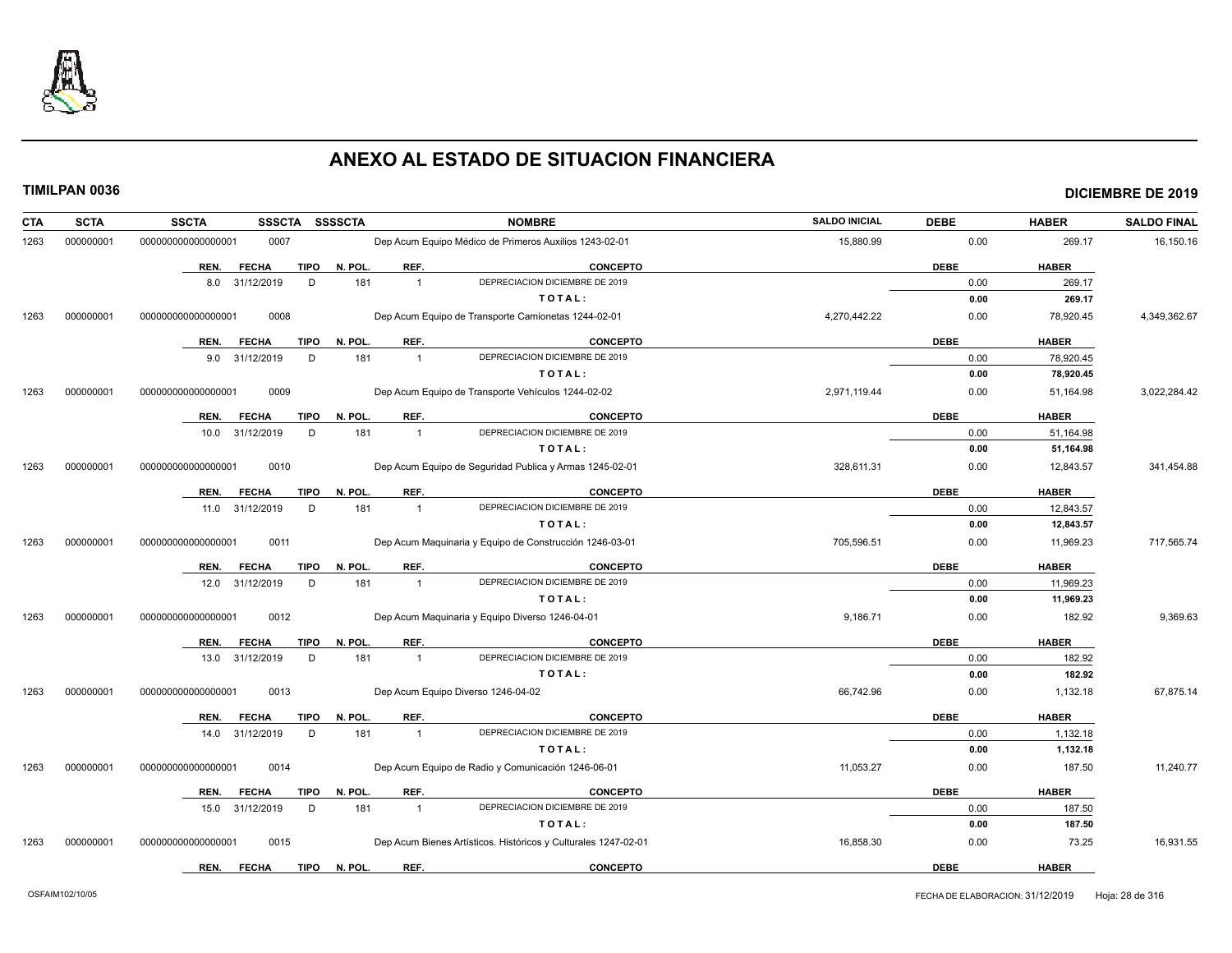

| CTA  | <b>SCTA</b> | <b>SSCTA</b><br>SSSCTA SSSSCTA      |                       | <b>NOMBRE</b>                                                  | <b>SALDO INICIAL</b> | <b>DEBE</b> | <b>HABER</b> | <b>SALDO FINAL</b> |
|------|-------------|-------------------------------------|-----------------------|----------------------------------------------------------------|----------------------|-------------|--------------|--------------------|
| 1263 | 000000001   | 00000000000000001<br>0007           |                       | Dep Acum Equipo Médico de Primeros Auxilios 1243-02-01         | 15,880.99            | 0.00        | 269.17       | 16,150.16          |
|      |             | <b>FECHA</b><br>TIPO<br>REN.        | REF.<br>N. POL.       | <b>CONCEPTO</b>                                                |                      | <b>DEBE</b> | <b>HABER</b> |                    |
|      |             | 8.0 31/12/2019<br>D                 | 181<br>$\overline{1}$ | DEPRECIACION DICIEMBRE DE 2019                                 |                      | 0.00        | 269.17       |                    |
|      |             |                                     |                       | TOTAL:                                                         |                      | 0.00        | 269.17       |                    |
| 1263 | 000000001   | 0008<br>000000000000000001          |                       | Dep Acum Equipo de Transporte Camionetas 1244-02-01            | 4,270,442.22         | 0.00        | 78,920.45    | 4,349,362.67       |
|      |             | <b>FECHA</b><br>REN.                | TIPO N. POL.<br>REF.  | <b>CONCEPTO</b>                                                |                      | <b>DEBE</b> | <b>HABER</b> |                    |
|      |             | 9.0 31/12/2019<br>D                 | 181<br>$\overline{1}$ | DEPRECIACION DICIEMBRE DE 2019                                 |                      | 0.00        | 78,920.45    |                    |
|      |             |                                     |                       | TOTAL:                                                         |                      | 0.00        | 78,920.45    |                    |
| 1263 | 000000001   | 0009<br>000000000000000001          |                       | Dep Acum Equipo de Transporte Vehículos 1244-02-02             | 2,971,119.44         | 0.00        | 51,164.98    | 3,022,284.42       |
|      |             | <b>TIPO</b><br><b>FECHA</b><br>REN. | N. POL.<br>REF.       | <b>CONCEPTO</b>                                                |                      | <b>DEBE</b> | <b>HABER</b> |                    |
|      |             | 10.0 31/12/2019<br>D                | 181<br>$\overline{1}$ | DEPRECIACION DICIEMBRE DE 2019                                 |                      | 0.00        | 51,164.98    |                    |
|      |             |                                     |                       | TOTAL:                                                         |                      | 0.00        | 51,164.98    |                    |
| 1263 | 000000001   | 0010<br>000000000000000001          |                       | Dep Acum Equipo de Seguridad Publica y Armas 1245-02-01        | 328,611.31           | 0.00        | 12,843.57    | 341,454.88         |
|      |             | <b>FECHA</b><br><b>TIPO</b><br>REN. | N. POL.<br>REF.       | <b>CONCEPTO</b>                                                |                      | <b>DEBE</b> | <b>HABER</b> |                    |
|      |             | 11.0 31/12/2019<br>D                | 181<br>$\overline{1}$ | DEPRECIACION DICIEMBRE DE 2019                                 |                      | 0.00        | 12,843.57    |                    |
|      |             |                                     |                       | TOTAL:                                                         |                      | 0.00        | 12,843.57    |                    |
| 1263 | 000000001   | 0011<br>000000000000000001          |                       | Dep Acum Maquinaria y Equipo de Construcción 1246-03-01        | 705,596.51           | 0.00        | 11,969.23    | 717,565.74         |
|      |             | <b>FECHA</b><br><b>TIPO</b><br>REN. | REF.<br>N. POL.       | <b>CONCEPTO</b>                                                |                      | <b>DEBE</b> | <b>HABER</b> |                    |
|      |             | 12.0 31/12/2019<br>D                | 181<br>$\overline{1}$ | DEPRECIACION DICIEMBRE DE 2019                                 |                      | 0.00        | 11,969.23    |                    |
|      |             |                                     |                       | TOTAL:                                                         |                      | 0.00        | 11,969.23    |                    |
| 1263 | 000000001   | 0012<br>000000000000000001          |                       | Dep Acum Maguinaria y Equipo Diverso 1246-04-01                | 9,186.71             | 0.00        | 182.92       | 9,369.63           |
|      |             | <b>FECHA</b><br>REN.                | TIPO N. POL.<br>REF.  | <b>CONCEPTO</b>                                                |                      | <b>DEBE</b> | <b>HABER</b> |                    |
|      |             | 13.0 31/12/2019<br>D                | 181<br>$\overline{1}$ | DEPRECIACION DICIEMBRE DE 2019                                 |                      | 0.00        | 182.92       |                    |
|      |             |                                     |                       | TOTAL:                                                         |                      | 0.00        | 182.92       |                    |
| 1263 | 000000001   | 000000000000000001<br>0013          |                       | Dep Acum Equipo Diverso 1246-04-02                             | 66,742.96            | 0.00        | 1,132.18     | 67,875.14          |
|      |             | <b>FECHA</b><br><b>TIPO</b><br>REN. | N. POL.<br>REF.       | CONCEPTO                                                       |                      | <b>DEBE</b> | <b>HABER</b> |                    |
|      |             | 14.0 31/12/2019<br>D                | 181<br>$\overline{1}$ | DEPRECIACION DICIEMBRE DE 2019                                 |                      | 0.00        | 1,132.18     |                    |
|      |             |                                     |                       | TOTAL:                                                         |                      | 0.00        | 1,132.18     |                    |
| 1263 | 000000001   | 0014<br>000000000000000001          |                       | Dep Acum Equipo de Radio y Comunicación 1246-06-01             | 11,053.27            | 0.00        | 187.50       | 11,240.77          |
|      |             | <b>FECHA</b><br><b>TIPO</b><br>REN. | N. POL.<br>REF.       | CONCEPTO                                                       |                      | <b>DEBE</b> | <b>HABER</b> |                    |
|      |             | D<br>15.0 31/12/2019                | 181<br>$\overline{1}$ | DEPRECIACION DICIEMBRE DE 2019                                 |                      | 0.00        | 187.50       |                    |
|      |             |                                     |                       | TOTAL:                                                         |                      | 0.00        | 187.50       |                    |
| 1263 | 000000001   | 0015<br>000000000000000001          |                       | Dep Acum Bienes Artísticos. Históricos y Culturales 1247-02-01 | 16,858.30            | 0.00        | 73.25        | 16,931.55          |
|      |             | <b>FECHA</b><br>REN.                | TIPO N. POL.<br>REF.  | <b>CONCEPTO</b>                                                |                      | <b>DEBE</b> | <b>HABER</b> |                    |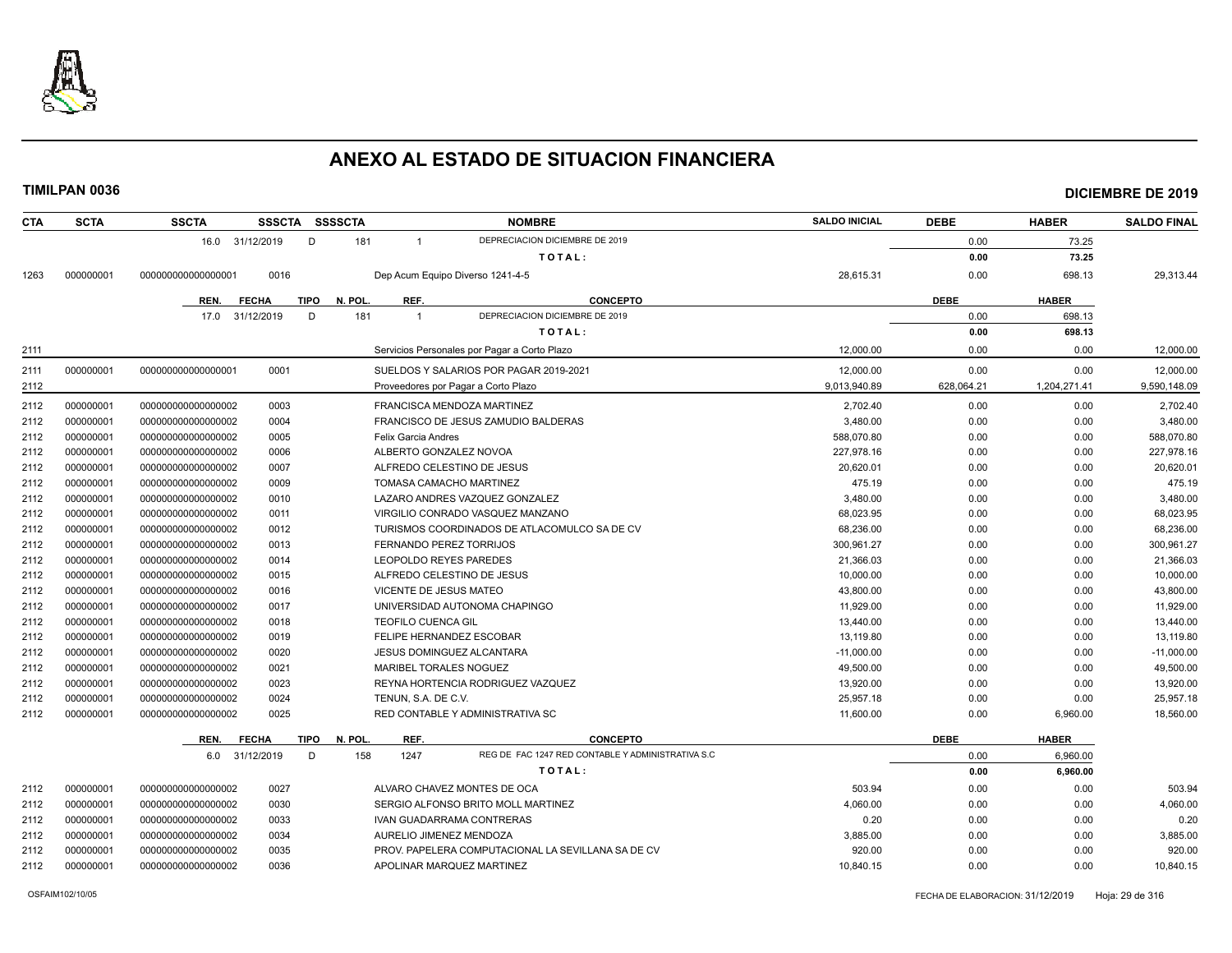

| <b>CTA</b> | <b>SCTA</b> | <b>SSCTA</b>       |                             | SSSCTA SSSSCTA |                           | <b>NOMBRE</b>                                      | <b>SALDO INICIAL</b> | <b>DEBE</b> | <b>HABER</b> | <b>SALDO FINAL</b> |
|------------|-------------|--------------------|-----------------------------|----------------|---------------------------|----------------------------------------------------|----------------------|-------------|--------------|--------------------|
|            |             |                    | 16.0 31/12/2019             | D<br>181       | $\overline{1}$            | DEPRECIACION DICIEMBRE DE 2019                     |                      | 0.00        | 73.25        |                    |
|            |             |                    |                             |                |                           | TOTAL:                                             |                      | 0.00        | 73.25        |                    |
| 1263       | 000000001   | 000000000000000001 | 0016                        |                |                           | Dep Acum Equipo Diverso 1241-4-5                   | 28,615.31            | 0.00        | 698.13       | 29,313.44          |
|            |             | REN.               | <b>FECHA</b><br><b>TIPO</b> | N. POL         | REF.                      | <b>CONCEPTO</b>                                    |                      | <b>DEBE</b> | <b>HABER</b> |                    |
|            |             | 17.0               | 31/12/2019                  | D<br>181       | $\overline{1}$            | DEPRECIACION DICIEMBRE DE 2019                     |                      | 0.00        | 698.13       |                    |
|            |             |                    |                             |                |                           | TOTAL:                                             |                      | 0.00        | 698.13       |                    |
| 2111       |             |                    |                             |                |                           | Servicios Personales por Pagar a Corto Plazo       | 12,000.00            | 0.00        | 0.00         | 12,000.00          |
| 2111       | 000000001   | 00000000000000001  | 0001                        |                |                           | SUELDOS Y SALARIOS POR PAGAR 2019-2021             | 12.000.00            | 0.00        | 0.00         | 12.000.00          |
| 2112       |             |                    |                             |                |                           | Proveedores por Pagar a Corto Plazo                | 9,013,940.89         | 628,064.21  | 1,204,271.41 | 9,590,148.09       |
| 2112       | 000000001   | 000000000000000002 | 0003                        |                |                           | FRANCISCA MENDOZA MARTINEZ                         | 2,702.40             | 0.00        | 0.00         | 2,702.40           |
| 2112       | 000000001   | 000000000000000002 | 0004                        |                |                           | FRANCISCO DE JESUS ZAMUDIO BALDERAS                | 3,480.00             | 0.00        | 0.00         | 3,480.00           |
| 2112       | 000000001   | 000000000000000002 | 0005                        |                | Felix Garcia Andres       |                                                    | 588,070.80           | 0.00        | 0.00         | 588,070.80         |
| 2112       | 000000001   | 00000000000000002  | 0006                        |                |                           | ALBERTO GONZALEZ NOVOA                             | 227,978.16           | 0.00        | 0.00         | 227,978.16         |
| 2112       | 000000001   | 000000000000000002 | 0007                        |                |                           | ALFREDO CELESTINO DE JESUS                         | 20,620.01            | 0.00        | 0.00         | 20,620.01          |
| 2112       | 000000001   | 000000000000000002 | 0009                        |                |                           | TOMASA CAMACHO MARTINEZ                            | 475.19               | 0.00        | 0.00         | 475.19             |
| 2112       | 000000001   | 00000000000000002  | 0010                        |                |                           | LAZARO ANDRES VAZQUEZ GONZALEZ                     | 3,480.00             | 0.00        | 0.00         | 3,480.00           |
| 2112       | 000000001   | 00000000000000002  | 0011                        |                |                           | VIRGILIO CONRADO VASQUEZ MANZANO                   | 68,023.95            | 0.00        | 0.00         | 68,023.95          |
| 2112       | 000000001   | 000000000000000002 | 0012                        |                |                           | TURISMOS COORDINADOS DE ATLACOMULCO SA DE CV       | 68,236.00            | 0.00        | 0.00         | 68,236.00          |
| 2112       | 000000001   | 000000000000000002 | 0013                        |                |                           | FERNANDO PEREZ TORRIJOS                            | 300,961.27           | 0.00        | 0.00         | 300,961.27         |
| 2112       | 000000001   | 000000000000000002 | 0014                        |                |                           | LEOPOLDO REYES PAREDES                             | 21,366.03            | 0.00        | 0.00         | 21,366.03          |
| 2112       | 000000001   | 000000000000000002 | 0015                        |                |                           | ALFREDO CELESTINO DE JESUS                         | 10,000.00            | 0.00        | 0.00         | 10,000.00          |
| 2112       | 000000001   | 000000000000000002 | 0016                        |                | VICENTE DE JESUS MATEO    |                                                    | 43,800.00            | 0.00        | 0.00         | 43,800.00          |
| 2112       | 000000001   | 000000000000000002 | 0017                        |                |                           | UNIVERSIDAD AUTONOMA CHAPINGO                      | 11,929.00            | 0.00        | 0.00         | 11,929.00          |
| 2112       | 000000001   | 00000000000000002  | 0018                        |                | <b>TEOFILO CUENCA GIL</b> |                                                    | 13,440.00            | 0.00        | 0.00         | 13,440.00          |
| 2112       | 000000001   | 000000000000000002 | 0019                        |                |                           | <b>FELIPE HERNANDEZ ESCOBAR</b>                    | 13,119.80            | 0.00        | 0.00         | 13,119.80          |
| 2112       | 000000001   | 00000000000000002  | 0020                        |                |                           | <b>JESUS DOMINGUEZ ALCANTARA</b>                   | $-11,000.00$         | 0.00        | 0.00         | $-11,000.00$       |
| 2112       | 000000001   | 00000000000000002  | 0021                        |                | MARIBEL TORALES NOGUEZ    |                                                    | 49,500.00            | 0.00        | 0.00         | 49,500.00          |
| 2112       | 000000001   | 00000000000000002  | 0023                        |                |                           | REYNA HORTENCIA RODRIGUEZ VAZQUEZ                  | 13,920.00            | 0.00        | 0.00         | 13,920.00          |
| 2112       | 000000001   | 000000000000000002 | 0024                        |                | TENUN. S.A. DE C.V.       |                                                    | 25,957.18            | 0.00        | 0.00         | 25,957.18          |
| 2112       | 000000001   | 000000000000000002 | 0025                        |                |                           | RED CONTABLE Y ADMINISTRATIVA SC                   | 11,600.00            | 0.00        | 6,960.00     | 18,560.00          |
|            |             | REN.               | <b>FECHA</b><br><b>TIPO</b> | N. POL.        | REF.                      | <b>CONCEPTO</b>                                    |                      | <b>DEBE</b> | <b>HABER</b> |                    |
|            |             |                    | 6.0 31/12/2019              | D<br>158       | 1247                      | REG DE FAC 1247 RED CONTABLE Y ADMINISTRATIVA S.C. |                      | 0.00        | 6,960.00     |                    |
|            |             |                    |                             |                |                           | TOTAL:                                             |                      | 0.00        | 6,960.00     |                    |
| 2112       | 000000001   | 000000000000000002 | 0027                        |                |                           | ALVARO CHAVEZ MONTES DE OCA                        | 503.94               | 0.00        | 0.00         | 503.94             |
| 2112       | 000000001   | 00000000000000002  | 0030                        |                |                           | SERGIO ALFONSO BRITO MOLL MARTINEZ                 | 4,060.00             | 0.00        | 0.00         | 4,060.00           |
| 2112       | 000000001   | 000000000000000002 | 0033                        |                |                           | IVAN GUADARRAMA CONTRERAS                          | 0.20                 | 0.00        | 0.00         | 0.20               |
| 2112       | 000000001   | 00000000000000002  | 0034                        |                |                           | AURELIO JIMENEZ MENDOZA                            | 3,885.00             | 0.00        | 0.00         | 3,885.00           |
| 2112       | 000000001   | 00000000000000002  | 0035                        |                |                           | PROV. PAPELERA COMPUTACIONAL LA SEVILLANA SA DE CV | 920.00               | 0.00        | 0.00         | 920.00             |
| 2112       | 000000001   | 00000000000000002  | 0036                        |                |                           | APOLINAR MARQUEZ MARTINEZ                          | 10.840.15            | 0.00        | 0.00         | 10,840.15          |
|            |             |                    |                             |                |                           |                                                    |                      |             |              |                    |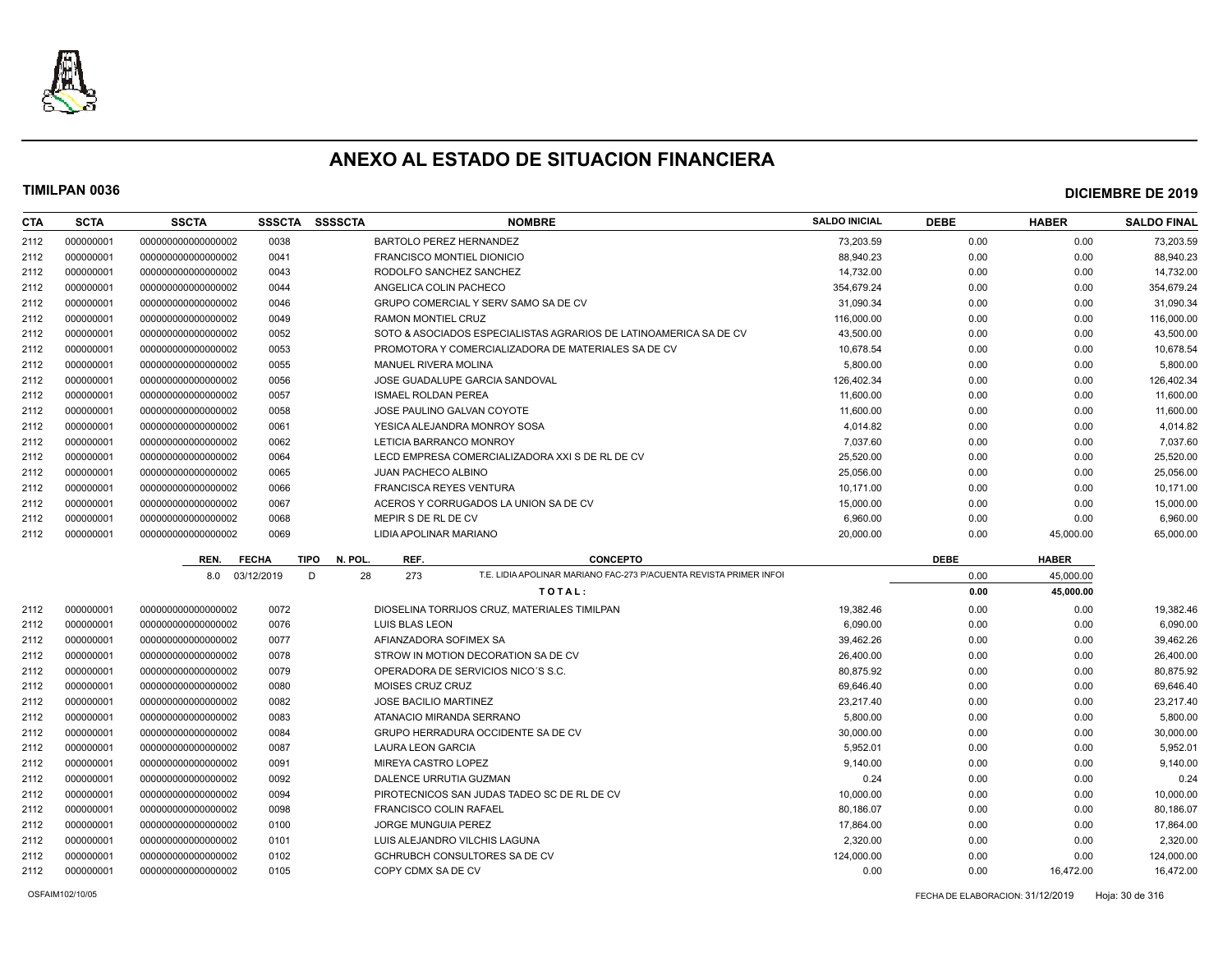

| <b>CTA</b> | <b>SCTA</b> | <b>SSCTA</b>       | <b>SSSCTA</b> | <b>SSSSCTA</b>         | <b>NOMBRE</b>                                                             | <b>SALDO INICIAL</b> | <b>DEBE</b> | <b>HABER</b> | <b>SALDO FINAL</b> |
|------------|-------------|--------------------|---------------|------------------------|---------------------------------------------------------------------------|----------------------|-------------|--------------|--------------------|
| 2112       | 000000001   | 000000000000000002 | 0038          |                        | BARTOLO PEREZ HERNANDEZ                                                   | 73,203.59            | 0.00        | 0.00         | 73,203.59          |
| 2112       | 000000001   | 000000000000000002 | 0041          |                        | <b>FRANCISCO MONTIEL DIONICIO</b>                                         | 88.940.23            | 0.00        | 0.00         | 88,940.23          |
| 2112       | 000000001   | 000000000000000002 | 0043          |                        | RODOLFO SANCHEZ SANCHEZ                                                   | 14,732.00            | 0.00        | 0.00         | 14,732.00          |
| 2112       | 000000001   | 000000000000000002 | 0044          |                        | ANGELICA COLIN PACHECO                                                    | 354,679.24           | 0.00        | 0.00         | 354,679.24         |
| 2112       | 000000001   | 000000000000000002 | 0046          |                        | GRUPO COMERCIAL Y SERV SAMO SA DE CV                                      | 31,090.34            | 0.00        | 0.00         | 31,090.34          |
| 2112       | 000000001   | 000000000000000002 | 0049          |                        | RAMON MONTIEL CRUZ                                                        | 116,000.00           | 0.00        | 0.00         | 116,000.00         |
| 2112       | 000000001   | 000000000000000002 | 0052          |                        | SOTO & ASOCIADOS ESPECIALISTAS AGRARIOS DE LATINOAMERICA SA DE CV         | 43.500.00            | 0.00        | 0.00         | 43,500.00          |
| 2112       | 000000001   | 000000000000000002 | 0053          |                        | PROMOTORA Y COMERCIALIZADORA DE MATERIALES SA DE CV                       | 10,678.54            | 0.00        | 0.00         | 10,678.54          |
| 2112       | 000000001   | 000000000000000002 | 0055          |                        | <b>MANUEL RIVERA MOLINA</b>                                               | 5.800.00             | 0.00        | 0.00         | 5,800.00           |
| 2112       | 000000001   | 000000000000000002 | 0056          |                        | JOSE GUADALUPE GARCIA SANDOVAL                                            | 126,402.34           | 0.00        | 0.00         | 126,402.34         |
| 2112       | 000000001   | 000000000000000002 | 0057          |                        | <b>ISMAEL ROLDAN PEREA</b>                                                | 11,600.00            | 0.00        | 0.00         | 11,600.00          |
| 2112       | 000000001   | 000000000000000002 | 0058          |                        | JOSE PAULINO GALVAN COYOTE                                                | 11,600.00            | 0.00        | 0.00         | 11,600.00          |
| 2112       | 000000001   | 000000000000000002 | 0061          |                        | YESICA ALEJANDRA MONROY SOSA                                              | 4,014.82             | 0.00        | 0.00         | 4,014.82           |
| 2112       | 000000001   | 000000000000000002 | 0062          |                        | LETICIA BARRANCO MONROY                                                   | 7,037.60             | 0.00        | 0.00         | 7,037.60           |
| 2112       | 000000001   | 000000000000000002 | 0064          |                        | LECD EMPRESA COMERCIALIZADORA XXI S DE RL DE CV                           | 25,520.00            | 0.00        | 0.00         | 25,520.00          |
| 2112       | 000000001   | 000000000000000002 | 0065          |                        | <b>JUAN PACHECO ALBINO</b>                                                | 25,056.00            | 0.00        | 0.00         | 25,056.00          |
| 2112       | 000000001   | 000000000000000002 | 0066          |                        | <b>FRANCISCA REYES VENTURA</b>                                            | 10.171.00            | 0.00        | 0.00         | 10,171.00          |
| 2112       | 000000001   | 000000000000000002 | 0067          |                        | ACEROS Y CORRUGADOS LA UNION SA DE CV                                     | 15.000.00            | 0.00        | 0.00         | 15,000.00          |
| 2112       | 000000001   | 000000000000000002 | 0068          |                        | MEPIR S DE RL DE CV                                                       | 6,960.00             | 0.00        | 0.00         | 6,960.00           |
| 2112       | 000000001   | 000000000000000002 | 0069          |                        | LIDIA APOLINAR MARIANO                                                    | 20,000.00            | 0.00        | 45,000.00    | 65,000.00          |
|            |             | REN.               | <b>FECHA</b>  | <b>TIPO</b><br>N. POL. | REF.<br><b>CONCEPTO</b>                                                   |                      | <b>DEBE</b> | <b>HABER</b> |                    |
|            |             | 8.0                | 03/12/2019    | D<br>28                | T.E. LIDIA APOLINAR MARIANO FAC-273 P/ACUENTA REVISTA PRIMER INFOI<br>273 |                      | 0.00        | 45,000.00    |                    |
|            |             |                    |               |                        | TOTAL:                                                                    |                      | 0.00        | 45,000.00    |                    |
| 2112       | 000000001   |                    |               |                        |                                                                           |                      |             |              |                    |
| 2112       | 000000001   | 000000000000000002 | 0072          |                        | DIOSELINA TORRIJOS CRUZ, MATERIALES TIMILPAN                              | 19,382.46            | 0.00        | 0.00         | 19,382.46          |
| 2112       |             | 000000000000000002 | 0076          |                        | <b>LUIS BLAS LEON</b>                                                     | 6,090.00             | 0.00        | 0.00         | 6,090.00           |
|            | 000000001   | 000000000000000002 | 0077          |                        | AFIANZADORA SOFIMEX SA                                                    | 39,462.26            | 0.00        | 0.00         | 39,462.26          |
| 2112       | 000000001   | 000000000000000002 | 0078          |                        | STROW IN MOTION DECORATION SA DE CV                                       | 26,400.00            | 0.00        | 0.00         | 26,400.00          |
| 2112       | 000000001   | 000000000000000002 | 0079          |                        | OPERADORA DE SERVICIOS NICO'S S.C.                                        | 80.875.92            | 0.00        | 0.00         | 80,875.92          |
| 2112       | 000000001   | 000000000000000002 | 0080          |                        | <b>MOISES CRUZ CRUZ</b>                                                   | 69,646.40            | 0.00        | 0.00         | 69,646.40          |
| 2112       | 000000001   | 000000000000000002 | 0082          |                        | <b>JOSE BACILIO MARTINEZ</b>                                              | 23,217.40            | 0.00        | 0.00         | 23,217.40          |
| 2112       | 000000001   | 000000000000000002 | 0083          |                        | ATANACIO MIRANDA SERRANO                                                  | 5,800.00             | 0.00        | 0.00         | 5,800.00           |
| 2112       | 000000001   | 000000000000000002 | 0084          |                        | GRUPO HERRADURA OCCIDENTE SA DE CV                                        | 30,000.00            | 0.00        | 0.00         | 30,000.00          |
| 2112       | 000000001   | 000000000000000002 | 0087          |                        | <b>LAURA LEON GARCIA</b>                                                  | 5,952.01             | 0.00        | 0.00         | 5,952.01           |
| 2112       | 000000001   | 000000000000000002 | 0091          |                        | <b>MIREYA CASTRO LOPEZ</b>                                                | 9,140.00             | 0.00        | 0.00         | 9,140.00           |
| 2112       | 000000001   | 000000000000000002 | 0092          |                        | DALENCE URRUTIA GUZMAN                                                    | 0.24                 | 0.00        | 0.00         | 0.24               |
| 2112       | 000000001   | 000000000000000002 | 0094          |                        | PIROTECNICOS SAN JUDAS TADEO SC DE RL DE CV                               | 10,000.00            | 0.00        | 0.00         | 10,000.00          |
| 2112       | 000000001   | 000000000000000002 | 0098          |                        | <b>FRANCISCO COLIN RAFAEL</b>                                             | 80,186.07            | 0.00        | 0.00         | 80,186.07          |
| 2112       | 000000001   | 000000000000000002 | 0100          |                        | <b>JORGE MUNGUIA PEREZ</b>                                                | 17,864.00            | 0.00        | 0.00         | 17,864.00          |
| 2112       | 000000001   | 000000000000000002 | 0101          |                        | LUIS ALEJANDRO VILCHIS LAGUNA                                             | 2,320.00             | 0.00        | 0.00         | 2,320.00           |
| 2112       | 000000001   | 000000000000000002 | 0102          |                        | GCHRUBCH CONSULTORES SA DE CV                                             | 124,000.00           | 0.00        | 0.00         | 124,000.00         |
| 2112       | 000000001   | 000000000000000002 | 0105          |                        | COPY CDMX SA DE CV                                                        | 0.00                 | 0.00        | 16.472.00    | 16,472.00          |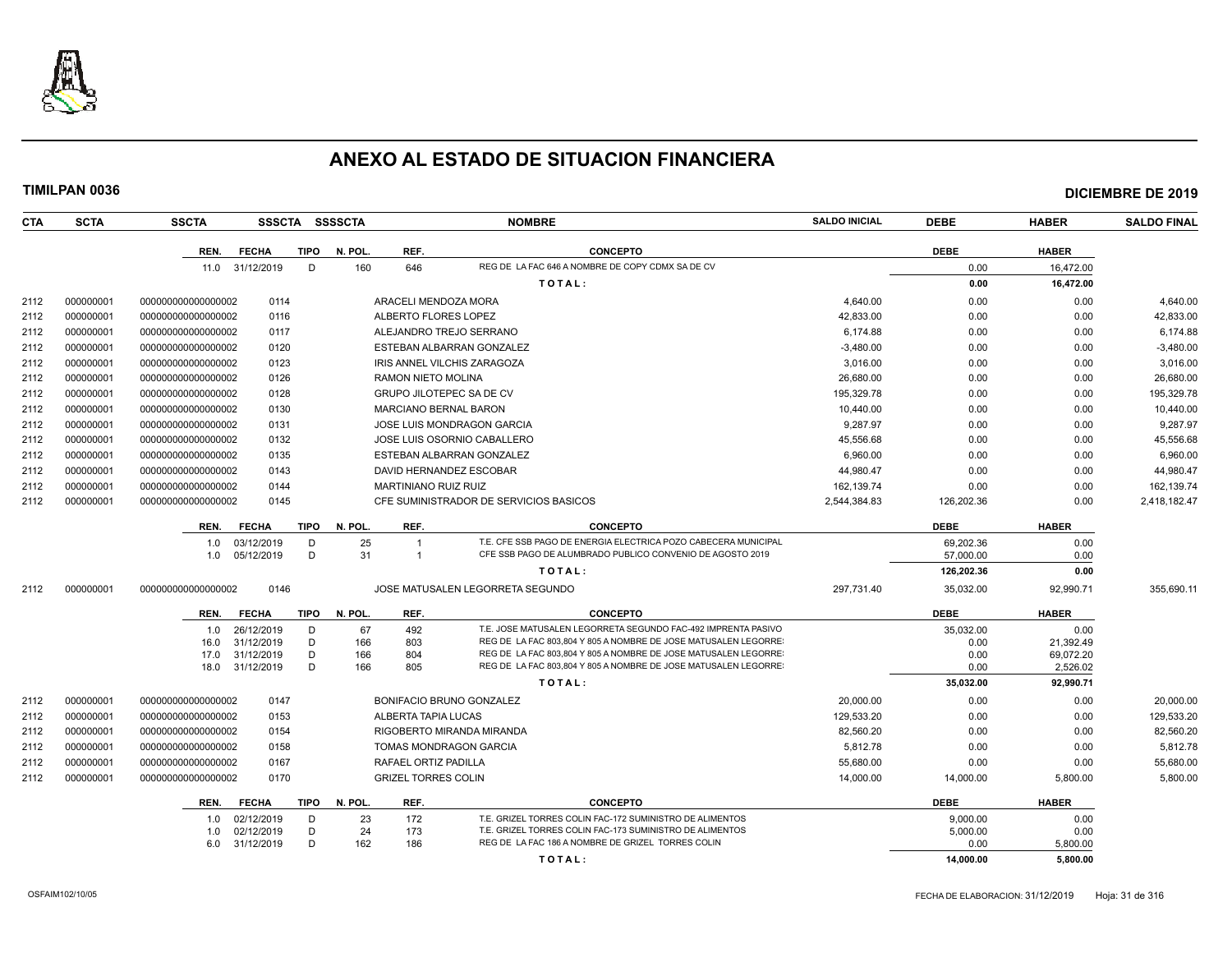

| <b>CTA</b> | <b>SCTA</b> | <b>SSCTA</b>       | <b>SSSCTA</b>   |             | <b>SSSSCTA</b> |                              | <b>NOMBRE</b>                                                  | <b>SALDO INICIAL</b> | <b>DEBE</b> | <b>HABER</b> | <b>SALDO FINAL</b> |
|------------|-------------|--------------------|-----------------|-------------|----------------|------------------------------|----------------------------------------------------------------|----------------------|-------------|--------------|--------------------|
|            |             | REN.               | <b>FECHA</b>    | TIPO        | N. POL.        | REF.                         | <b>CONCEPTO</b>                                                |                      | <b>DEBE</b> | <b>HABER</b> |                    |
|            |             |                    | 11.0 31/12/2019 | D           | 160            | 646                          | REG DE LA FAC 646 A NOMBRE DE COPY CDMX SA DE CV               |                      | 0.00        | 16.472.00    |                    |
|            |             |                    |                 |             |                |                              | TOTAL:                                                         |                      | 0.00        | 16,472.00    |                    |
| 2112       | 000000001   | 00000000000000002  | 0114            |             |                | ARACELI MENDOZA MORA         |                                                                | 4,640.00             | 0.00        | 0.00         | 4,640.00           |
| 2112       | 000000001   | 00000000000000002  | 0116            |             |                | ALBERTO FLORES LOPEZ         |                                                                | 42,833.00            | 0.00        | 0.00         | 42,833.00          |
| 2112       | 000000001   | 00000000000000002  | 0117            |             |                |                              | ALEJANDRO TREJO SERRANO                                        | 6.174.88             | 0.00        | 0.00         | 6,174.88           |
| 2112       | 000000001   | 00000000000000002  | 0120            |             |                |                              | ESTEBAN ALBARRAN GONZALEZ                                      | $-3,480.00$          | 0.00        | 0.00         | $-3,480.00$        |
| 2112       | 000000001   | 00000000000000002  | 0123            |             |                |                              | IRIS ANNEL VILCHIS ZARAGOZA                                    | 3,016.00             | 0.00        | 0.00         | 3,016.00           |
| 2112       | 000000001   | 00000000000000002  | 0126            |             |                | RAMON NIETO MOLINA           |                                                                | 26,680.00            | 0.00        | 0.00         | 26,680.00          |
| 2112       | 000000001   | 00000000000000002  | 0128            |             |                |                              | <b>GRUPO JILOTEPEC SA DE CV</b>                                | 195,329.78           | 0.00        | 0.00         | 195,329.78         |
| 2112       | 000000001   | 00000000000000002  | 0130            |             |                | <b>MARCIANO BERNAL BARON</b> |                                                                | 10,440.00            | 0.00        | 0.00         | 10,440.00          |
| 2112       | 000000001   | 000000000000000002 | 0131            |             |                |                              | <b>JOSE LUIS MONDRAGON GARCIA</b>                              | 9,287.97             | 0.00        | 0.00         | 9,287.97           |
| 2112       | 000000001   | 00000000000000002  | 0132            |             |                |                              | JOSE LUIS OSORNIO CABALLERO                                    | 45,556.68            | 0.00        | 0.00         | 45,556.68          |
| 2112       | 000000001   | 00000000000000002  | 0135            |             |                |                              | ESTEBAN ALBARRAN GONZALEZ                                      | 6,960.00             | 0.00        | 0.00         | 6,960.00           |
| 2112       | 000000001   | 000000000000000002 | 0143            |             |                |                              | DAVID HERNANDEZ ESCOBAR                                        | 44,980.47            | 0.00        | 0.00         | 44,980.47          |
| 2112       | 000000001   | 00000000000000002  | 0144            |             |                | <b>MARTINIANO RUIZ RUIZ</b>  |                                                                | 162,139.74           | 0.00        | 0.00         | 162,139.74         |
| 2112       | 000000001   | 000000000000000002 | 0145            |             |                |                              | CFE SUMINISTRADOR DE SERVICIOS BASICOS                         | 2,544,384.83         | 126,202.36  | 0.00         | 2,418,182.47       |
|            |             | REN.               | <b>FECHA</b>    | <b>TIPO</b> | N. POL.        | REF.                         | <b>CONCEPTO</b>                                                |                      | <b>DEBE</b> | <b>HABER</b> |                    |
|            |             | 1.0                | 03/12/2019      | D           | 25             |                              | T.E. CFE SSB PAGO DE ENERGIA ELECTRICA POZO CABECERA MUNICIPAL |                      | 69,202.36   | 0.00         |                    |
|            |             | 1.0                | 05/12/2019      | D           | 31             | $\overline{1}$               | CFE SSB PAGO DE ALUMBRADO PUBLICO CONVENIO DE AGOSTO 2019      |                      | 57,000.00   | 0.00         |                    |
|            |             |                    |                 |             |                |                              | TOTAL:                                                         |                      | 126,202.36  | 0.00         |                    |
| 2112       | 000000001   | 00000000000000002  | 0146            |             |                |                              | JOSE MATUSALEN LEGORRETA SEGUNDO                               | 297,731.40           | 35,032.00   | 92,990.71    | 355,690.11         |
|            |             | REN.               | <b>FECHA</b>    | <b>TIPO</b> | N. POL.        | REF.                         | <b>CONCEPTO</b>                                                |                      | <b>DEBE</b> | <b>HABER</b> |                    |
|            |             | 1.0                | 26/12/2019      | D           | 67             | 492                          | T.E. JOSE MATUSALEN LEGORRETA SEGUNDO FAC-492 IMPRENTA PASIVO  |                      | 35,032.00   | 0.00         |                    |
|            |             | 16.0               | 31/12/2019      | D           | 166            | 803                          | REG DE LA FAC 803,804 Y 805 A NOMBRE DE JOSE MATUSALEN LEGORRE |                      | 0.00        | 21.392.49    |                    |
|            |             | 17.0               | 31/12/2019      | D           | 166            | 804                          | REG DE LA FAC 803,804 Y 805 A NOMBRE DE JOSE MATUSALEN LEGORRE |                      | 0.00        | 69,072.20    |                    |
|            |             | 18.0               | 31/12/2019      | D           | 166            | 805                          | REG DE LA FAC 803,804 Y 805 A NOMBRE DE JOSE MATUSALEN LEGORRE |                      | 0.00        | 2,526.02     |                    |
|            |             |                    |                 |             |                |                              | TOTAL:                                                         |                      | 35,032.00   | 92,990.71    |                    |
| 2112       | 000000001   | 000000000000000002 | 0147            |             |                |                              | BONIFACIO BRUNO GONZALEZ                                       | 20,000.00            | 0.00        | 0.00         | 20,000.00          |
| 2112       | 000000001   | 000000000000000002 | 0153            |             |                | ALBERTA TAPIA LUCAS          |                                                                | 129,533.20           | 0.00        | 0.00         | 129,533.20         |
| 2112       | 000000001   | 00000000000000002  | 0154            |             |                |                              | RIGOBERTO MIRANDA MIRANDA                                      | 82,560.20            | 0.00        | 0.00         | 82,560.20          |
| 2112       | 000000001   | 000000000000000002 | 0158            |             |                |                              | TOMAS MONDRAGON GARCIA                                         | 5,812.78             | 0.00        | 0.00         | 5,812.78           |
| 2112       | 000000001   | 00000000000000002  | 0167            |             |                | RAFAEL ORTIZ PADILLA         |                                                                | 55,680.00            | 0.00        | 0.00         | 55,680.00          |
| 2112       | 000000001   | 00000000000000002  | 0170            |             |                | <b>GRIZEL TORRES COLIN</b>   |                                                                | 14,000.00            | 14,000.00   | 5,800.00     | 5,800.00           |
|            |             | REN.               | <b>FECHA</b>    | <b>TIPO</b> | N. POL.        | REF.                         | <b>CONCEPTO</b>                                                |                      | <b>DEBE</b> | <b>HABER</b> |                    |
|            |             | 1.0                | 02/12/2019      | D           | 23             | 172                          | T.E. GRIZEL TORRES COLIN FAC-172 SUMINISTRO DE ALIMENTOS       |                      | 9.000.00    | 0.00         |                    |
|            |             | 1.0                | 02/12/2019      | D           | 24             | 173                          | T.E. GRIZEL TORRES COLIN FAC-173 SUMINISTRO DE ALIMENTOS       |                      | 5,000.00    | 0.00         |                    |
|            |             | 6.0                | 31/12/2019      | D.          | 162            | 186                          | REG DE LA FAC 186 A NOMBRE DE GRIZEL TORRES COLIN              |                      | 0.00        | 5,800.00     |                    |
|            |             |                    |                 |             |                |                              | TOTAL:                                                         |                      | 14,000.00   | 5,800.00     |                    |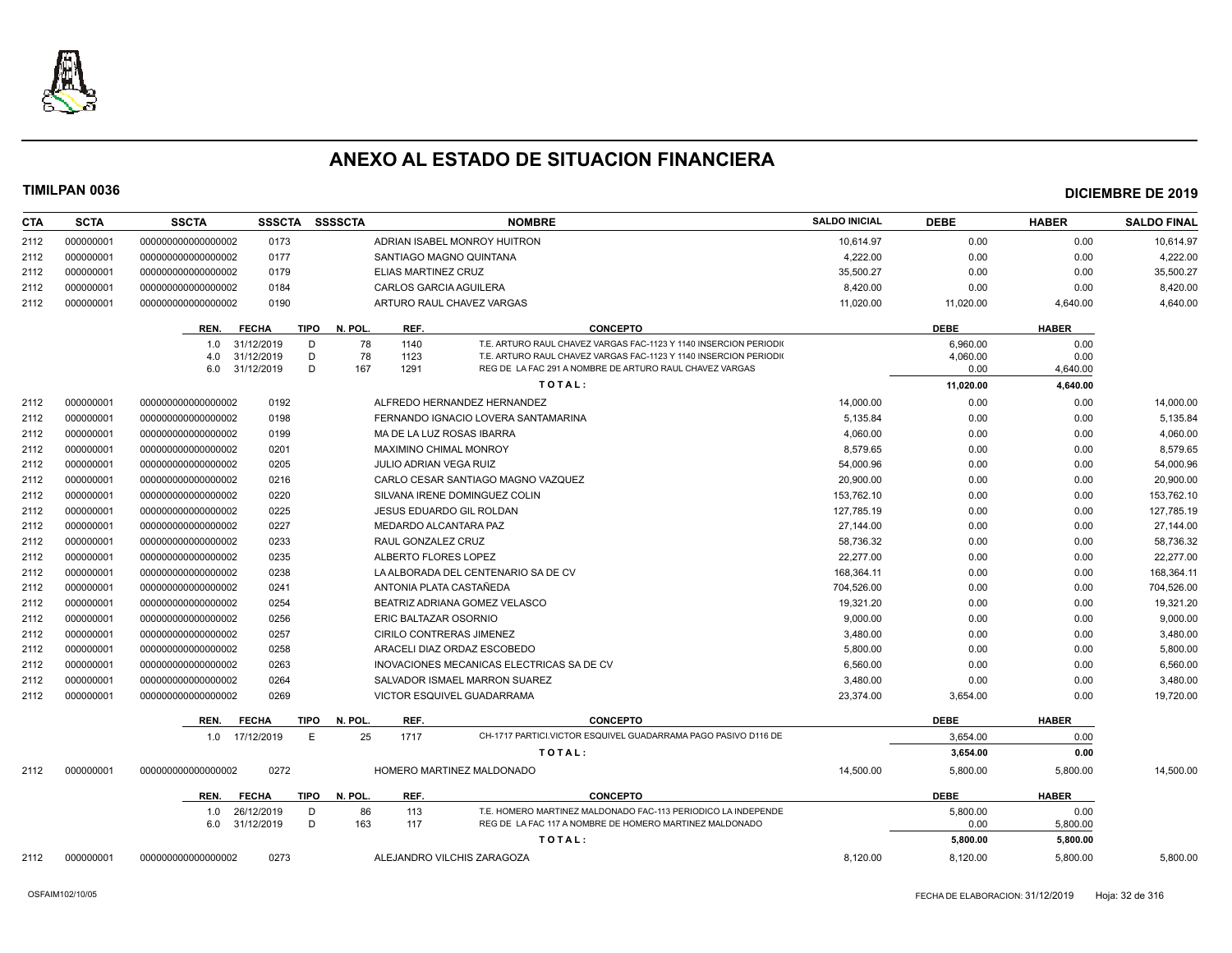

| CTA  | <b>SCTA</b> | <b>SSCTA</b>       | <b>SSSCTA</b>  | <b>SSSSCTA</b>         |                               | <b>NOMBRE</b>                                                    | <b>SALDO INICIAL</b> | <b>DEBE</b> | <b>HABER</b> | <b>SALDO FINAL</b> |
|------|-------------|--------------------|----------------|------------------------|-------------------------------|------------------------------------------------------------------|----------------------|-------------|--------------|--------------------|
| 2112 | 000000001   | 00000000000000002  | 0173           |                        |                               | ADRIAN ISABEL MONROY HUITRON                                     | 10.614.97            | 0.00        | 0.00         | 10.614.97          |
| 2112 | 000000001   | 00000000000000002  | 0177           |                        |                               | SANTIAGO MAGNO QUINTANA                                          | 4.222.00             | 0.00        | 0.00         | 4,222.00           |
| 2112 | 000000001   | 00000000000000002  | 0179           |                        | ELIAS MARTINEZ CRUZ           |                                                                  | 35,500.27            | 0.00        | 0.00         | 35,500.27          |
| 2112 | 000000001   | 00000000000000002  | 0184           |                        | <b>CARLOS GARCIA AGUILERA</b> |                                                                  | 8,420.00             | 0.00        | 0.00         | 8,420.00           |
| 2112 | 000000001   | 00000000000000002  | 0190           |                        |                               | ARTURO RAUL CHAVEZ VARGAS                                        | 11,020.00            | 11,020.00   | 4,640.00     | 4,640.00           |
|      |             | REN.               | <b>FECHA</b>   | N. POL.<br>TIPO        | REF.                          | <b>CONCEPTO</b>                                                  |                      | <b>DEBE</b> | <b>HABER</b> |                    |
|      |             | 1.0                | 31/12/2019     | 78<br>D                | 1140                          | T.E. ARTURO RAUL CHAVEZ VARGAS FAC-1123 Y 1140 INSERCION PERIODI |                      | 6,960.00    | 0.00         |                    |
|      |             | 4.0                | 31/12/2019     | D<br>78                | 1123                          | T.E. ARTURO RAUL CHAVEZ VARGAS FAC-1123 Y 1140 INSERCION PERIODI |                      | 4,060.00    | 0.00         |                    |
|      |             | 6.0                | 31/12/2019     | D<br>167               | 1291                          | REG DE LA FAC 291 A NOMBRE DE ARTURO RAUL CHAVEZ VARGAS          |                      | 0.00        | 4,640.00     |                    |
|      |             |                    |                |                        |                               | TOTAL:                                                           |                      | 11,020.00   | 4,640.00     |                    |
| 2112 | 000000001   | 00000000000000002  | 0192           |                        |                               | ALFREDO HERNANDEZ HERNANDEZ                                      | 14,000.00            | 0.00        | 0.00         | 14,000.00          |
| 2112 | 000000001   | 00000000000000002  | 0198           |                        |                               | FERNANDO IGNACIO LOVERA SANTAMARINA                              | 5,135.84             | 0.00        | 0.00         | 5,135.84           |
| 2112 | 000000001   | 00000000000000002  | 0199           |                        |                               | MA DE LA LUZ ROSAS IBARRA                                        | 4,060.00             | 0.00        | 0.00         | 4,060.00           |
| 2112 | 000000001   | 00000000000000002  | 0201           |                        | MAXIMINO CHIMAL MONROY        |                                                                  | 8,579.65             | 0.00        | 0.00         | 8,579.65           |
| 2112 | 000000001   | 00000000000000002  | 0205           |                        | JULIO ADRIAN VEGA RUIZ        |                                                                  | 54,000.96            | 0.00        | 0.00         | 54,000.96          |
| 2112 | 000000001   | 00000000000000002  | 0216           |                        |                               | CARLO CESAR SANTIAGO MAGNO VAZQUEZ                               | 20,900.00            | 0.00        | 0.00         | 20,900.00          |
| 2112 | 000000001   | 00000000000000002  | 0220           |                        |                               | SILVANA IRENE DOMINGUEZ COLIN                                    | 153,762.10           | 0.00        | 0.00         | 153,762.10         |
| 2112 | 000000001   | 00000000000000002  | 0225           |                        |                               | JESUS EDUARDO GIL ROLDAN                                         | 127,785.19           | 0.00        | 0.00         | 127,785.19         |
| 2112 | 000000001   | 00000000000000002  | 0227           |                        | MEDARDO ALCANTARA PAZ         |                                                                  | 27,144.00            | 0.00        | 0.00         | 27,144.00          |
| 2112 | 000000001   | 00000000000000002  | 0233           |                        | RAUL GONZALEZ CRUZ            |                                                                  | 58,736.32            | 0.00        | 0.00         | 58,736.32          |
| 2112 | 000000001   | 00000000000000002  | 0235           |                        | ALBERTO FLORES LOPEZ          |                                                                  | 22.277.00            | 0.00        | 0.00         | 22,277.00          |
| 2112 | 000000001   | 00000000000000002  | 0238           |                        |                               | LA ALBORADA DEL CENTENARIO SA DE CV                              | 168,364.11           | 0.00        | 0.00         | 168,364.11         |
| 2112 | 000000001   | 00000000000000002  | 0241           |                        | ANTONIA PLATA CASTAÑEDA       |                                                                  | 704.526.00           | 0.00        | 0.00         | 704,526.00         |
| 2112 | 000000001   | 00000000000000002  | 0254           |                        |                               | BEATRIZ ADRIANA GOMEZ VELASCO                                    | 19,321.20            | 0.00        | 0.00         | 19,321.20          |
| 2112 | 000000001   | 00000000000000002  | 0256           |                        | ERIC BALTAZAR OSORNIO         |                                                                  | 9,000.00             | 0.00        | 0.00         | 9,000.00           |
| 2112 | 000000001   | 00000000000000002  | 0257           |                        |                               | CIRILO CONTRERAS JIMENEZ                                         | 3,480.00             | 0.00        | 0.00         | 3,480.00           |
| 2112 | 000000001   | 00000000000000002  | 0258           |                        |                               | ARACELI DIAZ ORDAZ ESCOBEDO                                      | 5,800.00             | 0.00        | 0.00         | 5,800.00           |
| 2112 | 000000001   | 00000000000000002  | 0263           |                        |                               | INOVACIONES MECANICAS ELECTRICAS SA DE CV                        | 6,560.00             | 0.00        | 0.00         | 6,560.00           |
| 2112 | 000000001   | 00000000000000002  | 0264           |                        |                               | SALVADOR ISMAEL MARRON SUAREZ                                    | 3,480.00             | 0.00        | 0.00         | 3,480.00           |
| 2112 | 000000001   | 000000000000000002 | 0269           |                        |                               | <b>VICTOR ESQUIVEL GUADARRAMA</b>                                | 23.374.00            | 3,654.00    | 0.00         | 19,720.00          |
|      |             | REN.               | <b>FECHA</b>   | <b>TIPO</b><br>N. POL. | REF.                          | <b>CONCEPTO</b>                                                  |                      | <b>DEBE</b> | <b>HABER</b> |                    |
|      |             |                    | 1.0 17/12/2019 | E<br>25                | 1717                          | CH-1717 PARTICI.VICTOR ESQUIVEL GUADARRAMA PAGO PASIVO D116 DE   |                      | 3.654.00    | 0.00         |                    |
|      |             |                    |                |                        |                               | TOTAL:                                                           |                      | 3,654.00    | 0.00         |                    |
| 2112 | 000000001   | 00000000000000002  | 0272           |                        |                               | HOMERO MARTINEZ MALDONADO                                        | 14,500.00            | 5,800.00    | 5,800.00     | 14,500.00          |
|      |             | REN.               | <b>FECHA</b>   | TIPO<br>N. POL.        | REF.                          | <b>CONCEPTO</b>                                                  |                      | <b>DEBE</b> | <b>HABER</b> |                    |
|      |             | 1.0                | 26/12/2019     | D<br>86                | 113                           | T.E. HOMERO MARTINEZ MALDONADO FAC-113 PERIODICO LA INDEPENDE    |                      | 5,800.00    | 0.00         |                    |
|      |             | 6.0                | 31/12/2019     | D<br>163               | 117                           | REG DE LA FAC 117 A NOMBRE DE HOMERO MARTINEZ MALDONADO          |                      | 0.00        | 5,800.00     |                    |
|      |             |                    |                |                        |                               | TOTAL:                                                           |                      | 5,800.00    | 5,800.00     |                    |
| 2112 | 000000001   | 00000000000000002  | 0273           |                        |                               | ALEJANDRO VILCHIS ZARAGOZA                                       | 8,120.00             | 8,120.00    | 5,800.00     | 5.800.00           |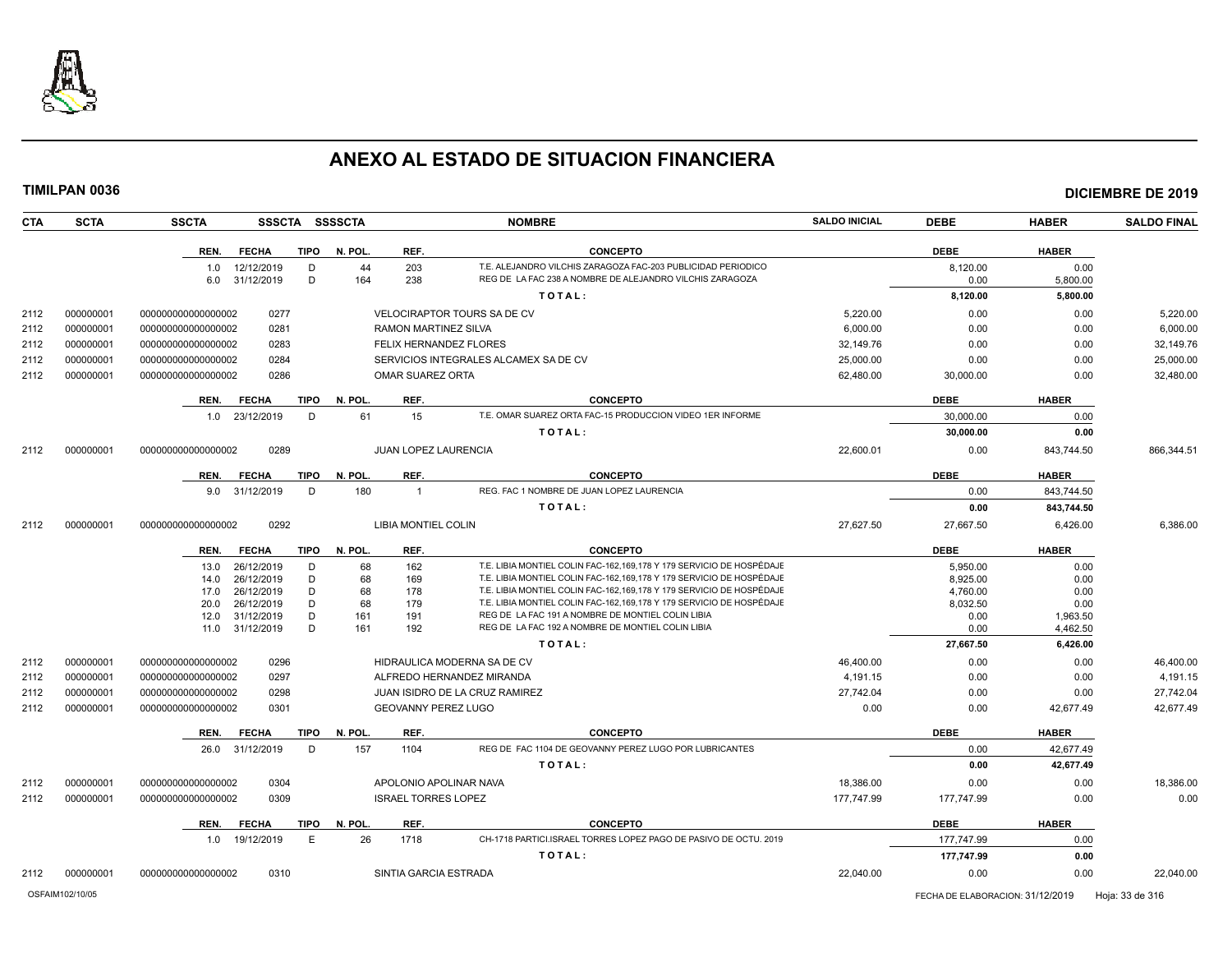

| <b>CTA</b> | <b>SCTA</b> | <b>SSCTA</b>       |                          |             | SSSCTA SSSSCTA |                             | <b>NOMBRE</b>                                                                                                                                | <b>SALDO INICIAL</b> | <b>DEBE</b>      | <b>HABER</b>     | <b>SALDO FINAL</b> |
|------------|-------------|--------------------|--------------------------|-------------|----------------|-----------------------------|----------------------------------------------------------------------------------------------------------------------------------------------|----------------------|------------------|------------------|--------------------|
|            |             | REN.               | <b>FECHA</b>             | <b>TIPO</b> | N. POL.        | REF.                        | <b>CONCEPTO</b>                                                                                                                              |                      | <b>DEBE</b>      | <b>HABER</b>     |                    |
|            |             | 1.0                | 12/12/2019               | D           | 44             | 203                         | T.E. ALEJANDRO VILCHIS ZARAGOZA FAC-203 PUBLICIDAD PERIODICO                                                                                 |                      | 8,120.00         | 0.00             |                    |
|            |             | 6.0                | 31/12/2019               | D           | 164            | 238                         | REG DE LA FAC 238 A NOMBRE DE ALEJANDRO VILCHIS ZARAGOZA                                                                                     |                      | 0.00             | 5,800.00         |                    |
|            |             |                    |                          |             |                |                             | TOTAL:                                                                                                                                       |                      | 8,120.00         | 5,800.00         |                    |
| 2112       | 000000001   | 000000000000000002 | 0277                     |             |                |                             | <b>VELOCIRAPTOR TOURS SA DE CV</b>                                                                                                           | 5,220.00             | 0.00             | 0.00             | 5.220.00           |
| 2112       | 000000001   | 000000000000000002 | 0281                     |             |                | RAMON MARTINEZ SILVA        |                                                                                                                                              | 6,000.00             | 0.00             | 0.00             | 6,000.00           |
| 2112       | 000000001   | 00000000000000002  | 0283                     |             |                |                             | FELIX HERNANDEZ FLORES                                                                                                                       | 32,149.76            | 0.00             | 0.00             | 32,149.76          |
| 2112       | 000000001   | 00000000000000002  | 0284                     |             |                |                             | SERVICIOS INTEGRALES ALCAMEX SA DE CV                                                                                                        | 25,000.00            | 0.00             | 0.00             | 25,000.00          |
| 2112       | 000000001   | 00000000000000002  | 0286                     |             |                | <b>OMAR SUAREZ ORTA</b>     |                                                                                                                                              | 62,480.00            | 30,000.00        | 0.00             | 32,480.00          |
|            |             | REN.               | <b>FECHA</b>             | <b>TIPO</b> | N. POL.        | REF.                        | <b>CONCEPTO</b>                                                                                                                              |                      | <b>DEBE</b>      | <b>HABER</b>     |                    |
|            |             | 1.0                | 23/12/2019               | D           | 61             | 15                          | T.E. OMAR SUAREZ ORTA FAC-15 PRODUCCION VIDEO 1ER INFORME                                                                                    |                      | 30,000.00        | 0.00             |                    |
|            |             |                    |                          |             |                |                             | TOTAL:                                                                                                                                       |                      | 30,000.00        | 0.00             |                    |
| 2112       | 000000001   | 00000000000000002  | 0289                     |             |                | <b>JUAN LOPEZ LAURENCIA</b> |                                                                                                                                              | 22,600.01            | 0.00             | 843,744.50       | 866,344.51         |
|            |             | REN.               | <b>FECHA</b>             | TIPO        | N. POL         | REF.                        | <b>CONCEPTO</b>                                                                                                                              |                      | <b>DEBE</b>      | <b>HABER</b>     |                    |
|            |             | 9.0                | 31/12/2019               | D           | 180            | $\overline{1}$              | REG. FAC 1 NOMBRE DE JUAN LOPEZ LAURENCIA                                                                                                    |                      | 0.00             | 843,744.50       |                    |
|            |             |                    |                          |             |                |                             | TOTAL:                                                                                                                                       |                      | 0.00             | 843,744.50       |                    |
| 2112       | 000000001   | 00000000000000002  | 0292                     |             |                | LIBIA MONTIEL COLIN         |                                                                                                                                              | 27,627.50            | 27,667.50        | 6,426.00         | 6,386.00           |
|            |             | REN.               | <b>FECHA</b>             | <b>TIPO</b> | N. POL.        | REF.                        | <b>CONCEPTO</b>                                                                                                                              |                      | <b>DEBE</b>      | <b>HABER</b>     |                    |
|            |             | 13.0               | 26/12/2019               | D           | 68             | 162                         | T.E. LIBIA MONTIEL COLIN FAC-162.169.178 Y 179 SERVICIO DE HOSPÉDAJE                                                                         |                      | 5,950.00         | 0.00             |                    |
|            |             | 14.0               | 26/12/2019               | D           | 68             | 169                         | T.E. LIBIA MONTIEL COLIN FAC-162,169,178 Y 179 SERVICIO DE HOSPÉDAJE                                                                         |                      | 8,925.00         | 0.00             |                    |
|            |             | 17.0               | 26/12/2019               | D           | 68             | 178                         | T.E. LIBIA MONTIEL COLIN FAC-162,169,178 Y 179 SERVICIO DE HOSPÉDAJE<br>T.E. LIBIA MONTIEL COLIN FAC-162,169,178 Y 179 SERVICIO DE HOSPÉDAJE |                      | 4,760.00         | 0.00             |                    |
|            |             | 20.0<br>12.0       | 26/12/2019<br>31/12/2019 | D<br>D      | 68<br>161      | 179<br>191                  | REG DE LA FAC 191 A NOMBRE DE MONTIEL COLIN LIBIA                                                                                            |                      | 8,032.50<br>0.00 | 0.00<br>1.963.50 |                    |
|            |             | 11.0               | 31/12/2019               | D           | 161            | 192                         | REG DE LA FAC 192 A NOMBRE DE MONTIEL COLIN LIBIA                                                                                            |                      | 0.00             | 4,462.50         |                    |
|            |             |                    |                          |             |                |                             | TOTAL:                                                                                                                                       |                      | 27,667.50        | 6,426.00         |                    |
| 2112       | 000000001   | 00000000000000002  | 0296                     |             |                |                             | HIDRAULICA MODERNA SA DE CV                                                                                                                  | 46.400.00            | 0.00             | 0.00             | 46,400.00          |
| 2112       | 000000001   | 000000000000000002 | 0297                     |             |                |                             | ALFREDO HERNANDEZ MIRANDA                                                                                                                    | 4.191.15             | 0.00             | 0.00             | 4.191.15           |
| 2112       | 000000001   | 00000000000000002  | 0298                     |             |                |                             | JUAN ISIDRO DE LA CRUZ RAMIREZ                                                                                                               | 27,742.04            | 0.00             | 0.00             | 27,742.04          |
| 2112       | 000000001   | 00000000000000002  | 0301                     |             |                | <b>GEOVANNY PEREZ LUGO</b>  |                                                                                                                                              | 0.00                 | 0.00             | 42,677.49        | 42,677.49          |
|            |             | REN.               | <b>FECHA</b>             | <b>TIPO</b> | N. POL.        | REF.                        | <b>CONCEPTO</b>                                                                                                                              |                      | <b>DEBE</b>      | <b>HABER</b>     |                    |
|            |             | 26.0               | 31/12/2019               | D           | 157            | 1104                        | REG DE FAC 1104 DE GEOVANNY PEREZ LUGO POR LUBRICANTES                                                                                       |                      | 0.00             | 42,677.49        |                    |
|            |             |                    |                          |             |                |                             | TOTAL:                                                                                                                                       |                      | 0.00             | 42,677.49        |                    |
| 2112       | 000000001   | 00000000000000002  | 0304                     |             |                |                             | APOLONIO APOLINAR NAVA                                                                                                                       | 18,386.00            | 0.00             | 0.00             | 18,386.00          |
| 2112       | 000000001   | 00000000000000002  | 0309                     |             |                | <b>ISRAEL TORRES LOPEZ</b>  |                                                                                                                                              | 177,747.99           | 177,747.99       | 0.00             | 0.00               |
|            |             | REN.               | <b>FECHA</b>             | <b>TIPO</b> | N. POL.        | REF.                        | <b>CONCEPTO</b>                                                                                                                              |                      | <b>DEBE</b>      | <b>HABER</b>     |                    |
|            |             | 1.0                | 19/12/2019               | Ε           | 26             | 1718                        | CH-1718 PARTICI.ISRAEL TORRES LOPEZ PAGO DE PASIVO DE OCTU. 2019                                                                             |                      | 177,747.99       | 0.00             |                    |
|            |             |                    |                          |             |                |                             | TOTAL:                                                                                                                                       |                      | 177,747.99       | 0.00             |                    |
|            |             |                    |                          |             |                |                             |                                                                                                                                              |                      |                  |                  |                    |
| 2112       | 000000001   | 00000000000000002  | 0310                     |             |                | SINTIA GARCIA ESTRADA       |                                                                                                                                              | 22,040.00            | 0.00             | 0.00             | 22.040.00          |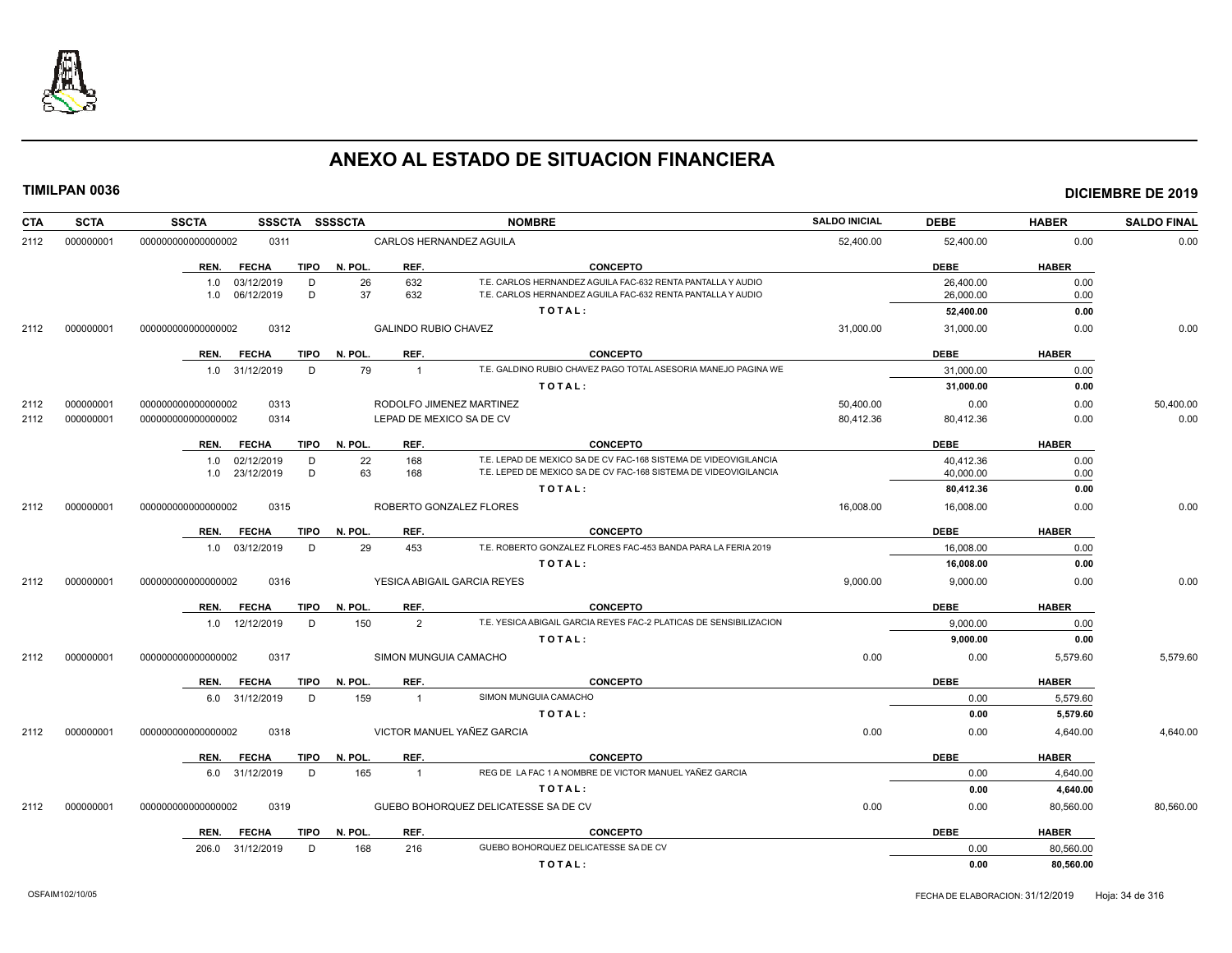

| <b>CTA</b> | <b>SCTA</b> | <b>SSCTA</b><br>SSSCTA SSSSCTA             |                        | <b>NOMBRE</b>                                                                                                              | <b>SALDO INICIAL</b> | <b>DEBE</b>            | <b>HABER</b> | <b>SALDO FINAL</b> |
|------------|-------------|--------------------------------------------|------------------------|----------------------------------------------------------------------------------------------------------------------------|----------------------|------------------------|--------------|--------------------|
| 2112       | 000000001   | 000000000000000002<br>0311                 |                        | CARLOS HERNANDEZ AGUILA                                                                                                    | 52,400.00            | 52,400.00              | 0.00         | 0.00               |
|            |             | <b>FECHA</b><br>REN.                       | TIPO N. POL.<br>REF.   | <b>CONCEPTO</b>                                                                                                            |                      | <b>DEBE</b>            | <b>HABER</b> |                    |
|            |             | 1.0 03/12/2019<br>D<br>D<br>1.0 06/12/2019 | 26<br>632<br>37<br>632 | T.E. CARLOS HERNANDEZ AGUILA FAC-632 RENTA PANTALLA Y AUDIO<br>T.E. CARLOS HERNANDEZ AGUILA FAC-632 RENTA PANTALLA Y AUDIO |                      | 26,400.00<br>26,000.00 | 0.00<br>0.00 |                    |
|            |             |                                            |                        | TOTAL:                                                                                                                     |                      | 52,400.00              | 0.00         |                    |
| 2112       | 000000001   | 000000000000000002<br>0312                 |                        | <b>GALINDO RUBIO CHAVEZ</b>                                                                                                | 31,000.00            | 31,000.00              | 0.00         | 0.00               |
|            |             | <b>FECHA</b><br>TIPO<br>REN.               | REF.<br>N. POL.        | <b>CONCEPTO</b>                                                                                                            |                      | <b>DEBE</b>            | <b>HABER</b> |                    |
|            |             | 1.0 31/12/2019<br>D                        | 79                     | T.E. GALDINO RUBIO CHAVEZ PAGO TOTAL ASESORIA MANEJO PAGINA WE<br>$\overline{1}$                                           |                      | 31,000.00              | 0.00         |                    |
|            |             |                                            |                        | TOTAL:                                                                                                                     |                      | 31,000.00              | 0.00         |                    |
| 2112       | 000000001   | 0313<br>000000000000000002                 |                        | RODOLFO JIMENEZ MARTINEZ                                                                                                   | 50,400.00            | 0.00                   | 0.00         | 50,400.00          |
| 2112       | 000000001   | 0314<br>000000000000000002                 |                        | LEPAD DE MEXICO SA DE CV                                                                                                   | 80,412.36            | 80,412.36              | 0.00         | 0.00               |
|            |             | <b>FECHA</b><br>TIPO<br>REN.               | N. POL.<br>REF.        | <b>CONCEPTO</b>                                                                                                            |                      | <b>DEBE</b>            | <b>HABER</b> |                    |
|            |             | 1.0 02/12/2019<br>D                        | 22<br>168              | T.E. LEPAD DE MEXICO SA DE CV FAC-168 SISTEMA DE VIDEOVIGILANCIA                                                           |                      | 40,412.36              | 0.00         |                    |
|            |             | 1.0 23/12/2019<br>D                        | 63<br>168              | T.E. LEPED DE MEXICO SA DE CV FAC-168 SISTEMA DE VIDEOVIGILANCIA                                                           |                      | 40,000.00              | 0.00         |                    |
|            |             |                                            |                        | TOTAL:                                                                                                                     |                      | 80,412.36              | 0.00         |                    |
| 2112       | 000000001   | 000000000000000002<br>0315                 |                        | ROBERTO GONZALEZ FLORES                                                                                                    | 16,008.00            | 16,008.00              | 0.00         | 0.00               |
|            |             | <b>FECHA</b><br>TIPO<br>REN.               | N. POL.<br>REF.        | <b>CONCEPTO</b>                                                                                                            |                      | <b>DEBE</b>            | <b>HABER</b> |                    |
|            |             | 1.0 03/12/2019<br>D                        | 29<br>453              | T.E. ROBERTO GONZALEZ FLORES FAC-453 BANDA PARA LA FERIA 2019                                                              |                      | 16.008.00              | 0.00         |                    |
|            |             |                                            |                        | TOTAL:                                                                                                                     |                      | 16,008.00              | 0.00         |                    |
| 2112       | 000000001   | 000000000000000002<br>0316                 |                        | YESICA ABIGAIL GARCIA REYES                                                                                                | 9,000.00             | 9,000.00               | 0.00         | 0.00               |
|            |             | REN. FECHA                                 | TIPO N. POL.<br>REF.   | <b>CONCEPTO</b>                                                                                                            |                      | <b>DEBE</b>            | <b>HABER</b> |                    |
|            |             | 1.0 12/12/2019<br>D                        | 150                    | T.E. YESICA ABIGAIL GARCIA REYES FAC-2 PLATICAS DE SENSIBILIZACION<br>2                                                    |                      | 9.000.00               | 0.00         |                    |
|            |             |                                            |                        | TOTAL:                                                                                                                     |                      | 9,000.00               | 0.00         |                    |
| 2112       | 000000001   | 000000000000000002<br>0317                 |                        | SIMON MUNGUIA CAMACHO                                                                                                      | 0.00                 | 0.00                   | 5,579.60     | 5,579.60           |
|            |             | <b>FECHA</b><br><b>TIPO</b><br>REN.        | N. POL.<br>REF.        | <b>CONCEPTO</b>                                                                                                            |                      | <b>DEBE</b>            | <b>HABER</b> |                    |
|            |             | D<br>6.0 31/12/2019                        | 159<br>$\overline{1}$  | SIMON MUNGUIA CAMACHO                                                                                                      |                      | 0.00                   | 5,579.60     |                    |
|            |             |                                            |                        | TOTAL:                                                                                                                     |                      | 0.00                   | 5,579.60     |                    |
| 2112       | 000000001   | 000000000000000002<br>0318                 |                        | VICTOR MANUEL YAÑEZ GARCIA                                                                                                 | 0.00                 | 0.00                   | 4,640.00     | 4,640.00           |
|            |             | TIPO<br>REN. FECHA                         | N. POL.<br>REF.        | <b>CONCEPTO</b>                                                                                                            |                      | <b>DEBE</b>            | <b>HABER</b> |                    |
|            |             | D<br>6.0 31/12/2019                        | 165<br>$\overline{1}$  | REG DE LA FAC 1 A NOMBRE DE VICTOR MANUEL YAÑEZ GARCIA                                                                     |                      | 0.00                   | 4,640.00     |                    |
|            |             |                                            |                        | TOTAL:                                                                                                                     |                      | 0.00                   | 4,640.00     |                    |
| 2112       | 000000001   | 0319<br>000000000000000002                 |                        | GUEBO BOHORQUEZ DELICATESSE SA DE CV                                                                                       | 0.00                 | 0.00                   | 80,560.00    | 80,560.00          |
|            |             | REN.<br>FECHA<br>TIPO                      | N. POL.<br>REF.        | <b>CONCEPTO</b>                                                                                                            |                      | <b>DEBE</b>            | <b>HABER</b> |                    |
|            |             | 206.0 31/12/2019<br>D                      | 168<br>216             | GUEBO BOHORQUEZ DELICATESSE SA DE CV                                                                                       |                      | 0.00                   | 80,560.00    |                    |
|            |             |                                            |                        | TOTAL:                                                                                                                     |                      | 0.00                   | 80,560.00    |                    |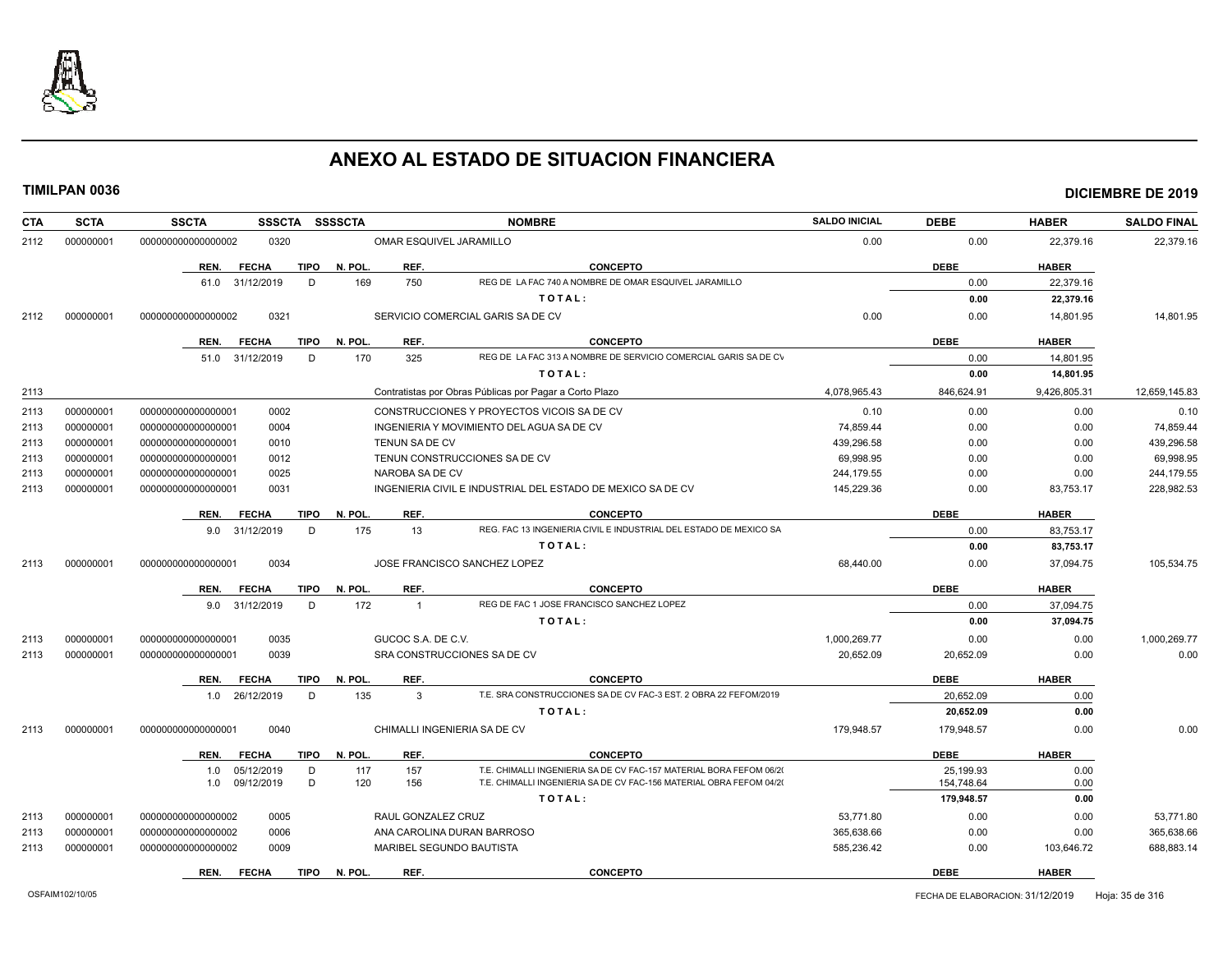

| CTA  | <b>SCTA</b> | <b>SSCTA</b><br>SSSCTA SSSSCTA      |                              | <b>NOMBRE</b>                                                       | <b>SALDO INICIAL</b> | <b>DEBE</b> | <b>HABER</b> | <b>SALDO FINAL</b> |
|------|-------------|-------------------------------------|------------------------------|---------------------------------------------------------------------|----------------------|-------------|--------------|--------------------|
| 2112 | 000000001   | 000000000000000002<br>0320          | 0.00                         | 0.00                                                                | 22,379.16            | 22,379.16   |              |                    |
|      |             | REN.<br><b>FECHA</b><br>TIPO        | N. POL.<br>REF.              | <b>CONCEPTO</b>                                                     |                      | <b>DEBE</b> | <b>HABER</b> |                    |
|      |             | D<br>61.0 31/12/2019                | 169<br>750                   | REG DE LA FAC 740 A NOMBRE DE OMAR ESQUIVEL JARAMILLO               |                      | 0.00        | 22,379.16    |                    |
|      |             |                                     |                              | TOTAL:                                                              |                      | 0.00        | 22,379.16    |                    |
| 2112 | 000000001   | 0321<br>000000000000000002          |                              | SERVICIO COMERCIAL GARIS SA DE CV                                   | 0.00                 | 0.00        | 14,801.95    | 14,801.95          |
|      |             | <b>FECHA</b><br><b>TIPO</b><br>REN. | REF.<br>N. POL.              | <b>CONCEPTO</b>                                                     |                      | <b>DEBE</b> | <b>HABER</b> |                    |
|      |             | D<br>51.0<br>31/12/2019             | 170<br>325                   | REG DE LA FAC 313 A NOMBRE DE SERVICIO COMERCIAL GARIS SA DE CV     |                      | 0.00        | 14,801.95    |                    |
|      |             |                                     |                              | TOTAL:                                                              |                      | 0.00        | 14,801.95    |                    |
| 2113 |             |                                     |                              | Contratistas por Obras Públicas por Pagar a Corto Plazo             | 4,078,965.43         | 846,624.91  | 9,426,805.31 | 12,659,145.83      |
| 2113 | 000000001   | 0002<br>000000000000000001          |                              | CONSTRUCCIONES Y PROYECTOS VICOIS SA DE CV                          | 0.10                 | 0.00        | 0.00         | 0.10               |
| 2113 | 000000001   | 00000000000000001<br>0004           |                              | INGENIERIA Y MOVIMIENTO DEL AGUA SA DE CV                           | 74,859.44            | 0.00        | 0.00         | 74,859.44          |
| 2113 | 000000001   | 0010<br>000000000000000001          | <b>TENUN SA DE CV</b>        |                                                                     | 439.296.58           | 0.00        | 0.00         | 439,296.58         |
| 2113 | 000000001   | 0012<br>000000000000000001          |                              | TENUN CONSTRUCCIONES SA DE CV                                       | 69.998.95            | 0.00        | 0.00         | 69,998.95          |
| 2113 | 000000001   | 000000000000000001<br>0025          | NAROBA SA DE CV              |                                                                     | 244,179.55           | 0.00        | 0.00         | 244,179.55         |
| 2113 | 000000001   | 0031<br>00000000000000001           |                              | INGENIERIA CIVIL E INDUSTRIAL DEL ESTADO DE MEXICO SA DE CV         | 145.229.36           | 0.00        | 83,753.17    | 228,982.53         |
|      |             | <b>FECHA</b><br>TIPO<br>REN.        | REF.<br>N. POL.              | <b>CONCEPTO</b>                                                     |                      | <b>DEBE</b> | <b>HABER</b> |                    |
|      |             | D<br>9.0 31/12/2019                 | 175<br>13                    | REG. FAC 13 INGENIERIA CIVIL E INDUSTRIAL DEL ESTADO DE MEXICO SA   |                      | 0.00        | 83,753.17    |                    |
|      |             |                                     |                              | TOTAL:                                                              |                      | 0.00        | 83,753.17    |                    |
| 2113 | 000000001   | 000000000000000001<br>0034          |                              | JOSE FRANCISCO SANCHEZ LOPEZ                                        | 68,440.00            | 0.00        | 37,094.75    | 105,534.75         |
|      |             | <b>FECHA</b><br><b>TIPO</b><br>REN. | N. POL.<br>REF.              | <b>CONCEPTO</b>                                                     |                      | <b>DEBE</b> | <b>HABER</b> |                    |
|      |             | 9.0 31/12/2019<br>D                 | 172<br>$\overline{1}$        | REG DE FAC 1 JOSE FRANCISCO SANCHEZ LOPEZ                           |                      | 0.00        | 37.094.75    |                    |
|      |             |                                     |                              | TOTAL:                                                              |                      | 0.00        | 37,094.75    |                    |
| 2113 | 000000001   | 0035<br>000000000000000001          | GUCOC S.A. DE C.V.           |                                                                     | 1,000,269.77         | 0.00        | 0.00         | 1,000,269.77       |
| 2113 | 000000001   | 0039<br>000000000000000001          |                              | SRA CONSTRUCCIONES SA DE CV                                         | 20,652.09            | 20,652.09   | 0.00         | 0.00               |
|      |             | REN.<br><b>FECHA</b><br>TIPO        | REF.<br>N. POL.              | <b>CONCEPTO</b>                                                     |                      | <b>DEBE</b> | <b>HABER</b> |                    |
|      |             | 1.0 26/12/2019<br>D                 | 135<br>3                     | T.E. SRA CONSTRUCCIONES SA DE CV FAC-3 EST. 2 OBRA 22 FEFOM/2019    |                      | 20,652.09   | 0.00         |                    |
|      |             |                                     |                              | TOTAL:                                                              |                      | 20,652.09   | 0.00         |                    |
| 2113 | 000000001   | 000000000000000001<br>0040          | CHIMALLI INGENIERIA SA DE CV |                                                                     | 179,948.57           | 179,948.57  | 0.00         | 0.00               |
|      |             | <b>FECHA</b><br><b>TIPO</b><br>REN. | REF.<br>N. POL.              | <b>CONCEPTO</b>                                                     |                      | <b>DEBE</b> | <b>HABER</b> |                    |
|      |             | 05/12/2019<br>D<br>1.0              | 157<br>117                   | T.E. CHIMALLI INGENIERIA SA DE CV FAC-157 MATERIAL BORA FEFOM 06/20 |                      | 25.199.93   | 0.00         |                    |
|      |             | D<br>1.0 09/12/2019                 | 120<br>156                   | T.E. CHIMALLI INGENIERIA SA DE CV FAC-156 MATERIAL OBRA FEFOM 04/20 |                      | 154,748.64  | 0.00         |                    |
|      |             |                                     |                              | TOTAL:                                                              |                      | 179,948.57  | 0.00         |                    |
| 2113 | 000000001   | 0005<br>000000000000000002          | RAUL GONZALEZ CRUZ           |                                                                     | 53,771.80            | 0.00        | 0.00         | 53,771.80          |
| 2113 | 000000001   | 0006<br>000000000000000002          |                              | ANA CAROLINA DURAN BARROSO                                          | 365,638.66           | 0.00        | 0.00         | 365,638.66         |
| 2113 | 000000001   | 000000000000000002<br>0009          | MARIBEL SEGUNDO BAUTISTA     |                                                                     | 585,236.42           | 0.00        | 103,646.72   | 688,883.14         |
|      |             | <b>FECHA</b><br><b>TIPO</b><br>REN. | N. POL.<br>REF.              | <b>CONCEPTO</b>                                                     |                      | <b>DEBE</b> | <b>HABER</b> |                    |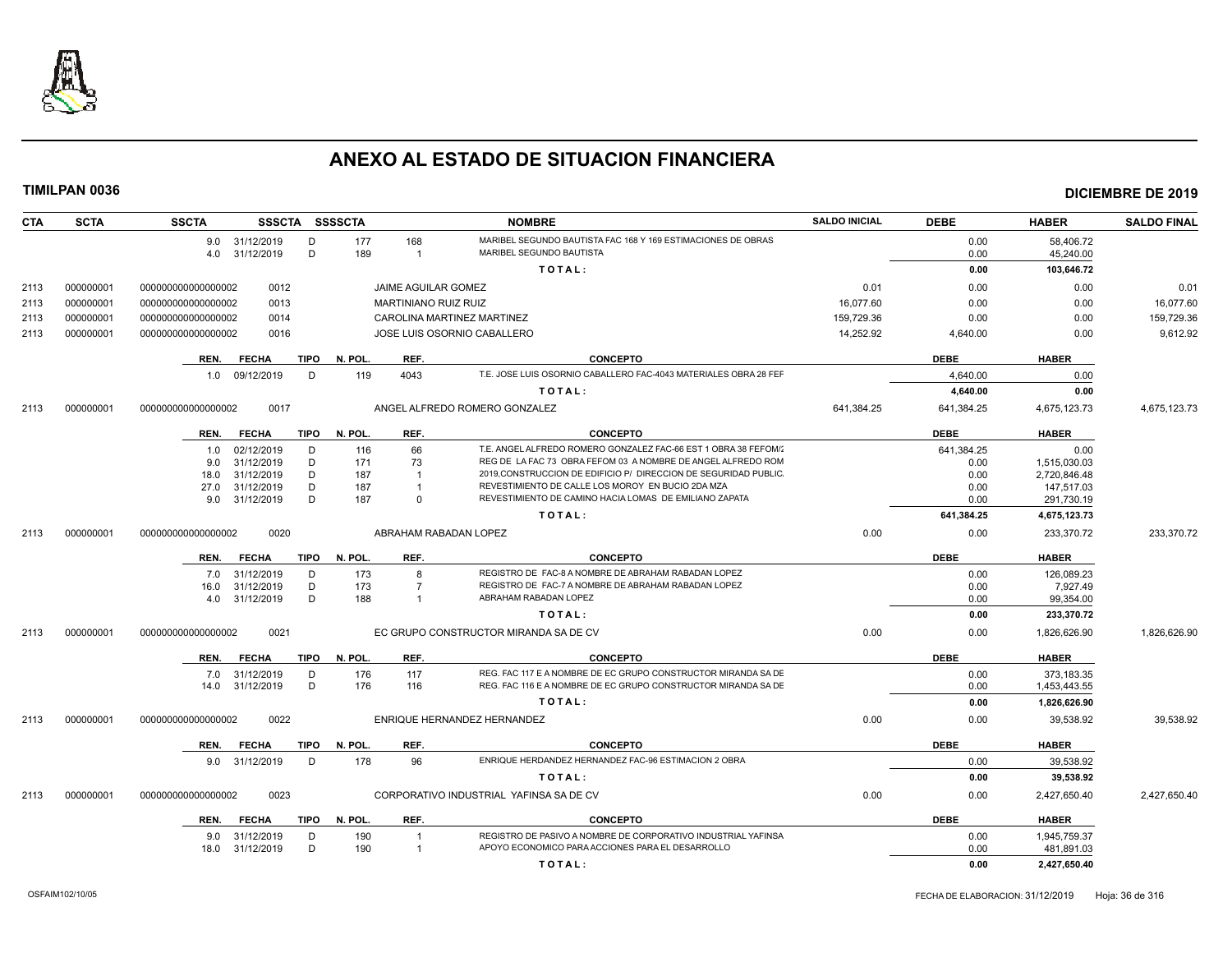

| <b>CTA</b> | <b>SCTA</b> | <b>SSCTA</b>                                              | SSSCTA SSSSCTA                        |                             | <b>NOMBRE</b>                                                                       | <b>SALDO INICIAL</b> | <b>DEBE</b> | <b>HABER</b> | <b>SALDO FINAL</b> |
|------------|-------------|-----------------------------------------------------------|---------------------------------------|-----------------------------|-------------------------------------------------------------------------------------|----------------------|-------------|--------------|--------------------|
|            |             | 9.0 31/12/2019                                            | D                                     | 177<br>168                  | MARIBEL SEGUNDO BAUTISTA FAC 168 Y 169 ESTIMACIONES DE OBRAS                        |                      | 0.00        | 58,406.72    |                    |
|            |             | 4.0 31/12/2019                                            | D                                     | 189<br>$\overline{1}$       | MARIBEL SEGUNDO BAUTISTA                                                            |                      | 0.00        | 45,240.00    |                    |
|            |             |                                                           |                                       |                             | TOTAL:                                                                              |                      | 0.00        | 103,646.72   |                    |
| 2113       | 000000001   | 0012<br>000000000000000002                                |                                       | JAIME AGUILAR GOMEZ         |                                                                                     |                      | 0.00        | 0.00         | 0.01               |
| 2113       | 000000001   | 0013<br>000000000000000002                                |                                       | <b>MARTINIANO RUIZ RUIZ</b> |                                                                                     |                      | 0.00        | 0.00         | 16.077.60          |
| 2113       | 000000001   | 000000000000000002<br>0014                                |                                       | CAROLINA MARTINEZ MARTINEZ  |                                                                                     |                      | 0.00        | 0.00         | 159,729.36         |
| 2113       | 000000001   | 000000000000000002<br>0016<br>JOSE LUIS OSORNIO CABALLERO |                                       |                             |                                                                                     | 14,252.92            | 4,640.00    | 0.00         | 9,612.92           |
|            |             |                                                           |                                       |                             |                                                                                     |                      |             |              |                    |
|            |             | REN.<br><b>FECHA</b>                                      | TIPO<br>N. POL.                       | REF.                        | <b>CONCEPTO</b><br>T.E. JOSE LUIS OSORNIO CABALLERO FAC-4043 MATERIALES OBRA 28 FEF |                      | DEBE        | <b>HABER</b> |                    |
|            |             | 09/12/2019<br>1.0                                         | D                                     | 119<br>4043                 |                                                                                     |                      | 4.640.00    | 0.00         |                    |
|            |             |                                                           |                                       |                             | TOTAL:                                                                              |                      | 4,640.00    | 0.00         |                    |
| 2113       | 000000001   | 0017<br>000000000000000002                                |                                       |                             | ANGEL ALFREDO ROMERO GONZALEZ                                                       | 641.384.25           | 641,384.25  | 4,675,123.73 | 4,675,123.73       |
|            |             | REN.<br><b>FECHA</b>                                      | TIPO N. POL.                          | REF.                        | <b>CONCEPTO</b>                                                                     |                      | <b>DEBE</b> | <b>HABER</b> |                    |
|            |             | 02/12/2019<br>1.0                                         | D                                     | 66<br>116                   | T.E. ANGEL ALFREDO ROMERO GONZALEZ FAC-66 EST 1 OBRA 38 FEFOM/                      |                      | 641.384.25  | 0.00         |                    |
|            |             | 31/12/2019<br>9.0                                         | D                                     | 73<br>171                   | REG DE LA FAC 73 OBRA FEFOM 03 A NOMBRE DE ANGEL ALFREDO ROM                        |                      | 0.00        | 1,515,030.03 |                    |
|            |             | 31/12/2019<br>18.0                                        | D                                     | 187<br>$\overline{1}$       | 2019, CONSTRUCCION DE EDIFICIO P/ DIRECCION DE SEGURIDAD PUBLIC                     |                      | 0.00        | 2.720.846.48 |                    |
|            |             | 31/12/2019<br>27.0                                        | D                                     | 187                         | REVESTIMIENTO DE CALLE LOS MOROY EN BUCIO 2DA MZA                                   |                      | 0.00        | 147,517.03   |                    |
|            |             | 9.0 31/12/2019                                            | D                                     | 187<br>$\Omega$             | REVESTIMIENTO DE CAMINO HACIA LOMAS DE EMILIANO ZAPATA                              |                      | 0.00        | 291,730.19   |                    |
|            |             |                                                           |                                       |                             | TOTAL:                                                                              |                      | 641,384.25  | 4,675,123.73 |                    |
| 2113       | 000000001   | 0020<br>000000000000000002                                |                                       |                             | ABRAHAM RABADAN LOPEZ                                                               | 0.00                 | 0.00        | 233,370.72   | 233,370.72         |
|            |             | REN.<br><b>FECHA</b>                                      | TIPO<br>N. POL.                       | REF.                        | <b>CONCEPTO</b>                                                                     |                      | <b>DEBE</b> | <b>HABER</b> |                    |
|            |             | 31/12/2019<br>7.0                                         | D                                     | 173<br>8                    | REGISTRO DE FAC-8 A NOMBRE DE ABRAHAM RABADAN LOPEZ                                 |                      | 0.00        | 126,089.23   |                    |
|            |             | 31/12/2019<br>16.0                                        | D                                     | 173<br>$\overline{7}$       | REGISTRO DE FAC-7 A NOMBRE DE ABRAHAM RABADAN LOPEZ                                 |                      | 0.00        | 7,927.49     |                    |
|            |             | 31/12/2019<br>4.0                                         | D                                     | 188<br>-1                   | ABRAHAM RABADAN LOPEZ                                                               |                      | 0.00        | 99,354.00    |                    |
|            |             |                                                           |                                       |                             | TOTAL:                                                                              |                      | 0.00        | 233,370.72   |                    |
| 2113       | 000000001   | 0021<br>000000000000000002                                | EC GRUPO CONSTRUCTOR MIRANDA SA DE CV |                             |                                                                                     |                      | 0.00        | 1,826,626.90 | 1,826,626.90       |
|            |             | REN.<br><b>FECHA</b>                                      | N. POL.<br>TIPO                       | REF.                        | <b>CONCEPTO</b>                                                                     |                      | <b>DEBE</b> | <b>HABER</b> |                    |
|            |             | 7.0 31/12/2019                                            | D                                     | 176<br>117                  | REG. FAC 117 E A NOMBRE DE EC GRUPO CONSTRUCTOR MIRANDA SA DE                       |                      | 0.00        | 373,183.35   |                    |
|            |             | 31/12/2019<br>14.0                                        | D                                     | 176<br>116                  | REG. FAC 116 E A NOMBRE DE EC GRUPO CONSTRUCTOR MIRANDA SA DE                       |                      | 0.00        | 1,453,443.55 |                    |
|            |             |                                                           |                                       |                             | TOTAL:                                                                              |                      | 0.00        | 1,826,626.90 |                    |
| 2113       | 000000001   | 0022<br>000000000000000002                                |                                       |                             | ENRIQUE HERNANDEZ HERNANDEZ                                                         | 0.00                 | 0.00        | 39,538.92    | 39,538.92          |
|            |             |                                                           |                                       |                             |                                                                                     |                      |             |              |                    |
|            |             | REN.<br><b>FECHA</b>                                      | N. POL.<br>TIPO<br>D                  | REF.<br>96                  | <b>CONCEPTO</b><br>ENRIQUE HERDANDEZ HERNANDEZ FAC-96 ESTIMACION 2 OBRA             |                      | <b>DEBE</b> | <b>HABER</b> |                    |
|            |             | 9.0 31/12/2019                                            |                                       | 178                         |                                                                                     |                      | 0.00        | 39,538.92    |                    |
|            |             |                                                           |                                       |                             | TOTAL:                                                                              |                      | 0.00        | 39,538.92    |                    |
| 2113       | 000000001   | 000000000000000002<br>0023                                |                                       |                             | CORPORATIVO INDUSTRIAL YAFINSA SA DE CV                                             | 0.00                 | 0.00        | 2,427,650.40 | 2,427,650.40       |
|            |             | <b>FECHA</b><br>REN.                                      | TIPO<br>N. POL.                       | REF.                        | <b>CONCEPTO</b>                                                                     |                      | <b>DEBE</b> | <b>HABER</b> |                    |
|            |             | 31/12/2019<br>9.0                                         | D                                     | 190<br>$\overline{1}$       | REGISTRO DE PASIVO A NOMBRE DE CORPORATIVO INDUSTRIAL YAFINSA                       |                      | 0.00        | 1.945.759.37 |                    |
|            |             | 31/12/2019<br>18.0                                        | D                                     | 190<br>$\overline{1}$       | APOYO ECONOMICO PARA ACCIONES PARA EL DESARROLLO                                    |                      | 0.00        | 481,891.03   |                    |
|            |             |                                                           |                                       |                             | TOTAL:                                                                              |                      | 0.00        | 2,427,650.40 |                    |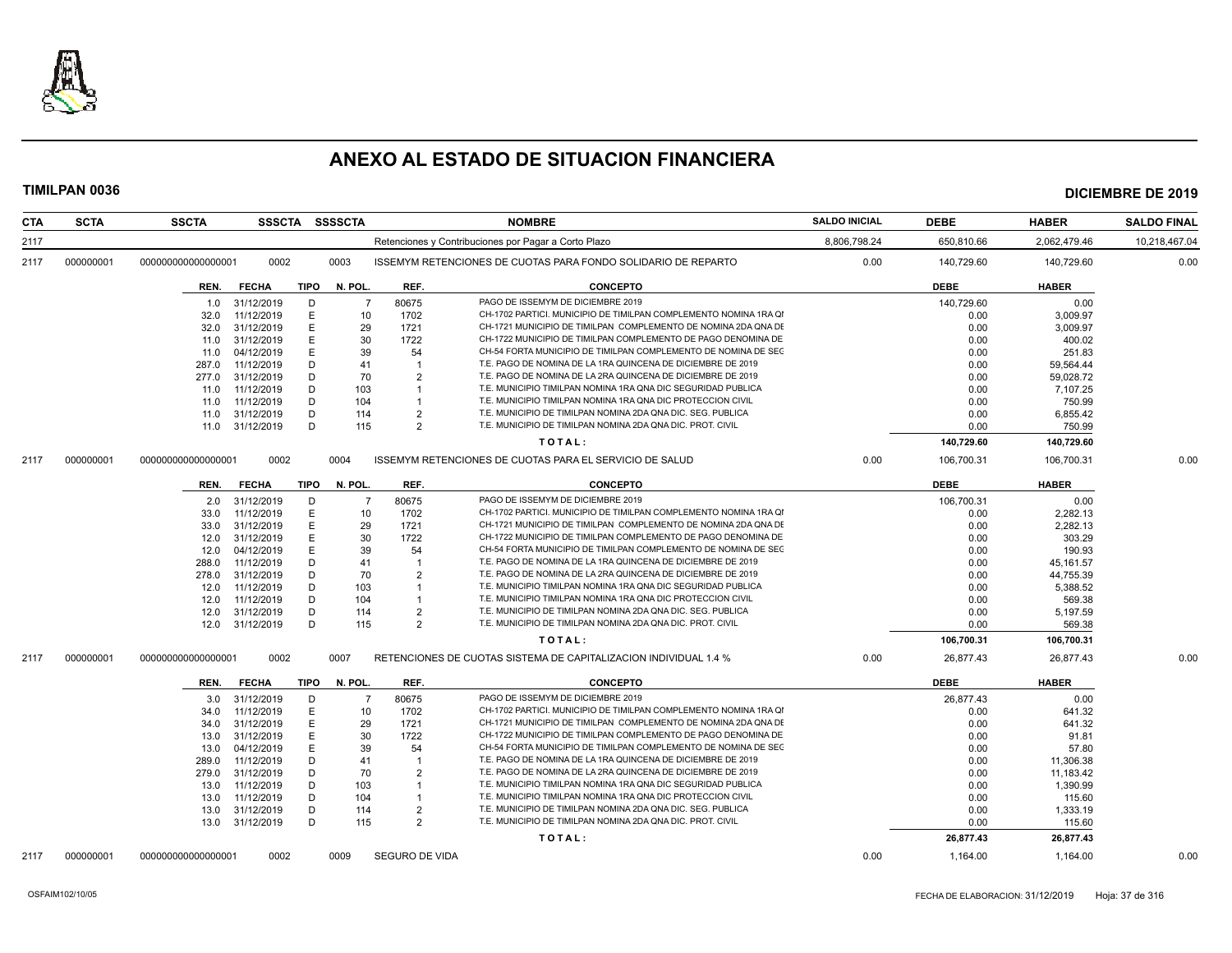

| <b>CTA</b> | <b>SCTA</b> | <b>SSCTA</b>       |                          |             | SSSCTA SSSSCTA |                | <b>NOMBRE</b>                                                                                         | <b>SALDO INICIAL</b> | <b>DEBE</b>  | <b>HABER</b>        | <b>SALDO FINAL</b> |
|------------|-------------|--------------------|--------------------------|-------------|----------------|----------------|-------------------------------------------------------------------------------------------------------|----------------------|--------------|---------------------|--------------------|
| 2117       |             |                    |                          |             |                |                | Retenciones y Contribuciones por Pagar a Corto Plazo                                                  | 8,806,798.24         | 650,810.66   | 2,062,479.46        | 10,218,467.04      |
| 2117       | 000000001   | 000000000000000001 | 0002                     |             | 0003           |                | ISSEMYM RETENCIONES DE CUOTAS PARA FONDO SOLIDARIO DE REPARTO                                         | 0.00                 | 140,729.60   | 140,729.60          | 0.00               |
|            |             | REN.               | <b>FECHA</b>             | TIPO        | N. POL.        | REF.           | <b>CONCEPTO</b>                                                                                       |                      | <b>DEBE</b>  | <b>HABER</b>        |                    |
|            |             | 1.0                | 31/12/2019               | D           | $\overline{7}$ | 80675          | PAGO DE ISSEMYM DE DICIEMBRE 2019                                                                     |                      | 140.729.60   | 0.00                |                    |
|            |             | 32.0               | 11/12/2019               | Е           | 10             | 1702           | CH-1702 PARTICI, MUNICIPIO DE TIMILPAN COMPLEMENTO NOMINA 1RA QI                                      |                      | 0.00         | 3,009.97            |                    |
|            |             | 32.0               | 31/12/2019               | E           | 29             | 1721           | CH-1721 MUNICIPIO DE TIMILPAN COMPLEMENTO DE NOMINA 2DA QNA DE                                        |                      | 0.00         | 3.009.97            |                    |
|            |             | 11.0               | 31/12/2019               | E           | 30             | 1722           | CH-1722 MUNICIPIO DE TIMILPAN COMPLEMENTO DE PAGO DENOMINA DE                                         |                      | 0.00         | 400.02              |                    |
|            |             | 11.0               | 04/12/2019               | E           | 39             | 54             | CH-54 FORTA MUNICIPIO DE TIMILPAN COMPLEMENTO DE NOMINA DE SEC                                        |                      | 0.00         | 251.83              |                    |
|            |             | 287.0              | 11/12/2019               | D           | 41             | $\overline{1}$ | T.E. PAGO DE NOMINA DE LA 1RA QUINCENA DE DICIEMBRE DE 2019                                           |                      | 0.00         | 59,564.44           |                    |
|            |             | 277.0              | 31/12/2019               | D           | 70             | $\mathcal{P}$  | T.E. PAGO DE NOMINA DE LA 2RA QUINCENA DE DICIEMBRE DE 2019                                           |                      | 0.00         | 59,028.72           |                    |
|            |             | 11.0               | 11/12/2019               | D           | 103            | $\mathbf{1}$   | T.E. MUNICIPIO TIMILPAN NOMINA 1RA QNA DIC SEGURIDAD PUBLICA                                          |                      | 0.00         | 7,107.25            |                    |
|            |             | 11.0               | 11/12/2019               | D           | 104            |                | T.E. MUNICIPIO TIMILPAN NOMINA 1RA QNA DIC PROTECCION CIVIL                                           |                      | 0.00         | 750.99              |                    |
|            |             | 11.0               | 31/12/2019               | D           | 114            | $\overline{2}$ | T.E. MUNICIPIO DE TIMILPAN NOMINA 2DA QNA DIC. SEG. PUBLICA                                           |                      | 0.00         | 6,855.42            |                    |
|            |             | 11.0               | 31/12/2019               | D           | 115            | $\mathcal{P}$  | T.E. MUNICIPIO DE TIMILPAN NOMINA 2DA QNA DIC. PROT. CIVIL                                            |                      | 0.00         | 750.99              |                    |
|            |             |                    |                          |             |                |                | TOTAL:                                                                                                |                      | 140,729.60   | 140,729.60          |                    |
| 2117       | 000000001   | 000000000000000001 | 0002                     |             | 0004           |                | ISSEMYM RETENCIONES DE CUOTAS PARA EL SERVICIO DE SALUD                                               | 0.00                 | 106,700.31   | 106,700.31          | 0.00               |
|            |             | REN.               | <b>FECHA</b>             | TIPO        | N. POL.        | REF.           | <b>CONCEPTO</b>                                                                                       |                      | <b>DEBE</b>  | <b>HABER</b>        |                    |
|            |             | 2.0                | 31/12/2019               | D           | - 7            | 80675          | PAGO DE ISSEMYM DE DICIEMBRE 2019                                                                     |                      | 106,700.31   | 0.00                |                    |
|            |             | 33.0               | 11/12/2019               | E           | 10             | 1702           | CH-1702 PARTICI. MUNICIPIO DE TIMILPAN COMPLEMENTO NOMINA 1RA QI                                      |                      | 0.00         | 2,282.13            |                    |
|            |             | 33.0               | 31/12/2019               | E.          | 29             | 1721           | CH-1721 MUNICIPIO DE TIMILPAN COMPLEMENTO DE NOMINA 2DA QNA DE                                        |                      | 0.00         | 2.282.13            |                    |
|            |             | 12.0               | 31/12/2019               | E           | 30             | 1722           | CH-1722 MUNICIPIO DE TIMILPAN COMPLEMENTO DE PAGO DENOMINA DE                                         |                      | 0.00         | 303.29              |                    |
|            |             | 12.0               | 04/12/2019               | E           | 39             | 54             | CH-54 FORTA MUNICIPIO DE TIMILPAN COMPLEMENTO DE NOMINA DE SEC                                        |                      | 0.00         | 190.93              |                    |
|            |             | 288.0              | 11/12/2019               | D           | 41             |                | T.E. PAGO DE NOMINA DE LA 1RA QUINCENA DE DICIEMBRE DE 2019                                           |                      | 0.00         | 45,161.57           |                    |
|            |             | 278.0              | 31/12/2019               | D           | 70             | $\mathcal{P}$  | T.E. PAGO DE NOMINA DE LA 2RA QUINCENA DE DICIEMBRE DE 2019                                           |                      | 0.00         | 44,755.39           |                    |
|            |             | 12.0               | 11/12/2019               | D           | 103            |                | T.E. MUNICIPIO TIMILPAN NOMINA 1RA QNA DIC SEGURIDAD PUBLICA                                          |                      | 0.00         | 5,388.52            |                    |
|            |             | 12.0               | 11/12/2019               | D           | 104            |                | T.E. MUNICIPIO TIMILPAN NOMINA 1RA QNA DIC PROTECCION CIVIL                                           |                      | 0.00         | 569.38              |                    |
|            |             | 12.0               | 31/12/2019               | D           | 114            | $\overline{2}$ | T.E. MUNICIPIO DE TIMILPAN NOMINA 2DA QNA DIC. SEG. PUBLICA                                           |                      | 0.00         | 5,197.59            |                    |
|            |             | 12.0               | 31/12/2019               | D           | 115            | $\overline{2}$ | T.E. MUNICIPIO DE TIMILPAN NOMINA 2DA QNA DIC. PROT. CIVIL                                            |                      | 0.00         | 569.38              |                    |
|            |             |                    |                          |             |                |                | TOTAL:                                                                                                |                      | 106,700.31   | 106,700.31          |                    |
| 2117       | 000000001   | 00000000000000000  | 0002                     |             | 0007           |                | RETENCIONES DE CUOTAS SISTEMA DE CAPITALIZACION INDIVIDUAL 1.4 %                                      | 0.00                 | 26,877.43    | 26,877.43           | 0.00               |
|            |             |                    | <b>FECHA</b>             | <b>TIPO</b> | N. POL.        | REF.           | <b>CONCEPTO</b>                                                                                       |                      | <b>DEBE</b>  | <b>HABER</b>        |                    |
|            |             | REN.               |                          |             |                |                |                                                                                                       |                      |              |                     |                    |
|            |             | 3.0                | 31/12/2019               | D           | $\overline{7}$ | 80675          | PAGO DE ISSEMYM DE DICIEMBRE 2019<br>CH-1702 PARTICI. MUNICIPIO DE TIMILPAN COMPLEMENTO NOMINA 1RA QI |                      | 26,877.43    | 0.00                |                    |
|            |             | 34.0               | 11/12/2019               | E<br>E      | 10             | 1702           | CH-1721 MUNICIPIO DE TIMILPAN COMPLEMENTO DE NOMINA 2DA QNA DE                                        |                      | 0.00         | 641.32              |                    |
|            |             | 34.0<br>13.0       | 31/12/2019<br>31/12/2019 | E           | 29<br>30       | 1721<br>1722   | CH-1722 MUNICIPIO DE TIMILPAN COMPLEMENTO DE PAGO DENOMINA DE                                         |                      | 0.00<br>0.00 | 641.32<br>91.81     |                    |
|            |             | 13.0               | 04/12/2019               | E           | 39             | 54             | CH-54 FORTA MUNICIPIO DE TIMILPAN COMPLEMENTO DE NOMINA DE SEC                                        |                      | 0.00         | 57.80               |                    |
|            |             | 289.0              | 11/12/2019               | D           | 41             | -1             | T.E. PAGO DE NOMINA DE LA 1RA QUINCENA DE DICIEMBRE DE 2019                                           |                      | 0.00         | 11,306.38           |                    |
|            |             | 279.0              | 31/12/2019               | D           | 70             | $\overline{2}$ | T.E. PAGO DE NOMINA DE LA 2RA QUINCENA DE DICIEMBRE DE 2019                                           |                      | 0.00         | 11,183.42           |                    |
|            |             | 13.0               | 11/12/2019               | D           | 103            |                | T.E. MUNICIPIO TIMILPAN NOMINA 1RA QNA DIC SEGURIDAD PUBLICA                                          |                      | 0.00         | 1,390.99            |                    |
|            |             | 13.0               | 11/12/2019               | D           | 104            |                | T.E. MUNICIPIO TIMILPAN NOMINA 1RA QNA DIC PROTECCION CIVIL                                           |                      | 0.00         | 115.60              |                    |
|            |             | 13.0               | 31/12/2019               | D           | 114            | $\overline{2}$ | T.E. MUNICIPIO DE TIMILPAN NOMINA 2DA QNA DIC. SEG. PUBLICA                                           |                      | 0.00         | 1,333.19            |                    |
|            |             | 13.0               | 31/12/2019               | D           | 115            | 2              | T.E. MUNICIPIO DE TIMILPAN NOMINA 2DA QNA DIC. PROT. CIVIL                                            |                      | 0.00         |                     |                    |
|            |             |                    |                          |             |                |                | TOTAL:                                                                                                |                      | 26,877.43    | 115.60<br>26,877.43 |                    |
|            | 000000001   |                    | 0002                     |             | 0009           | SEGURO DE VIDA |                                                                                                       | 0.00                 | 1,164.00     | 1,164.00            | 0.00               |
| 2117       |             | 000000000000000001 |                          |             |                |                |                                                                                                       |                      |              |                     |                    |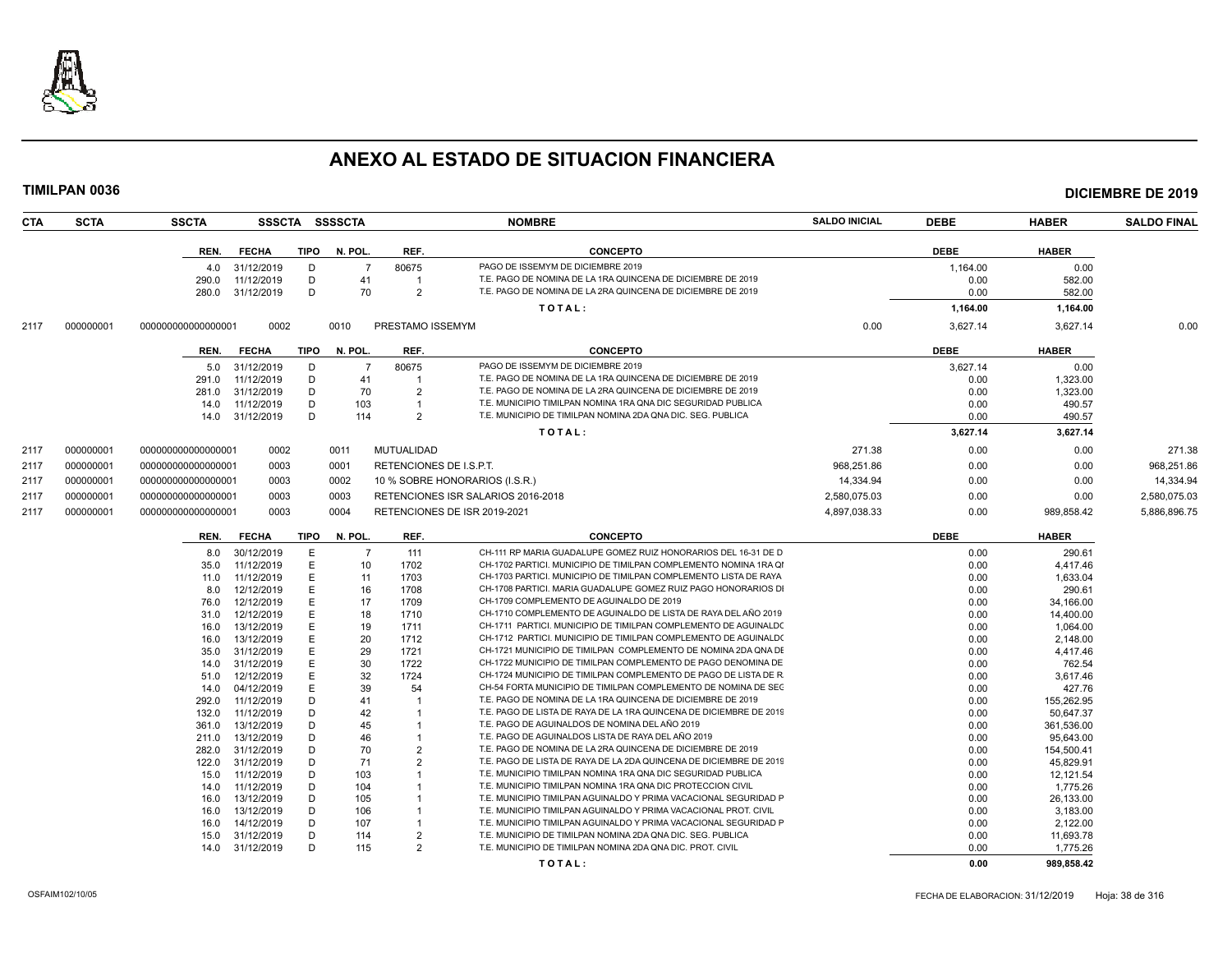

| CTA  | <b>SCTA</b> | <b>SSCTA</b>       |              |             | SSSCTA SSSSCTA |                         | <b>NOMBRE</b>                                                      | <b>SALDO INICIAL</b> | <b>DEBE</b> | <b>HABER</b> | <b>SALDO FINAL</b> |
|------|-------------|--------------------|--------------|-------------|----------------|-------------------------|--------------------------------------------------------------------|----------------------|-------------|--------------|--------------------|
|      |             | REN.               | <b>FECHA</b> | <b>TIPO</b> | N. POL.        | REF.                    | <b>CONCEPTO</b>                                                    |                      | <b>DEBE</b> | <b>HABER</b> |                    |
|      |             | 4.0                | 31/12/2019   | D           | $\overline{7}$ | 80675                   | PAGO DE ISSEMYM DE DICIEMBRE 2019                                  |                      | 1,164.00    | 0.00         |                    |
|      |             | 290.0              | 11/12/2019   | D           | 41             | $\mathbf 1$             | T.E. PAGO DE NOMINA DE LA 1RA QUINCENA DE DICIEMBRE DE 2019        |                      | 0.00        | 582.00       |                    |
|      |             | 280.0              | 31/12/2019   | D           | 70             | 2                       | T.E. PAGO DE NOMINA DE LA 2RA QUINCENA DE DICIEMBRE DE 2019        |                      | 0.00        | 582.00       |                    |
|      |             |                    |              |             |                |                         | TOTAL:                                                             |                      | 1,164.00    | 1,164.00     |                    |
|      |             |                    |              |             |                |                         |                                                                    |                      |             |              |                    |
| 2117 | 000000001   | 000000000000000001 | 0002         |             | 0010           | PRESTAMO ISSEMYM        |                                                                    | 0.00                 | 3.627.14    | 3,627.14     | 0.00               |
|      |             | REN.               | <b>FECHA</b> | TIPO        | N. POL.        | REF.                    | <b>CONCEPTO</b>                                                    |                      | <b>DEBE</b> | <b>HABER</b> |                    |
|      |             | 5.0                | 31/12/2019   | D           | $\overline{7}$ | 80675                   | PAGO DE ISSEMYM DE DICIEMBRE 2019                                  |                      | 3,627.14    | 0.00         |                    |
|      |             | 291.0              | 11/12/2019   | D           | 41             | 1                       | T.E. PAGO DE NOMINA DE LA 1RA QUINCENA DE DICIEMBRE DE 2019        |                      | 0.00        | 1,323.00     |                    |
|      |             | 281.0              | 31/12/2019   | D           | 70             | $\overline{2}$          | T.E. PAGO DE NOMINA DE LA 2RA QUINCENA DE DICIEMBRE DE 2019        |                      | 0.00        | 1,323.00     |                    |
|      |             | 14.0               | 11/12/2019   | D           | 103            | $\mathbf 1$             | T.E. MUNICIPIO TIMILPAN NOMINA 1RA QNA DIC SEGURIDAD PUBLICA       |                      | 0.00        | 490.57       |                    |
|      |             | 14.0               | 31/12/2019   | D           | 114            | $\overline{2}$          | T.E. MUNICIPIO DE TIMILPAN NOMINA 2DA QNA DIC. SEG. PUBLICA        |                      | 0.00        | 490.57       |                    |
|      |             |                    |              |             |                |                         | TOTAL:                                                             |                      | 3,627.14    | 3,627.14     |                    |
| 2117 | 000000001   | 000000000000000001 | 0002         |             | 0011           | MUTUALIDAD              |                                                                    | 271.38               | 0.00        | 0.00         | 271.38             |
| 2117 | 000000001   | 000000000000000001 | 0003         |             | 0001           | RETENCIONES DE I.S.P.T. |                                                                    | 968,251.86           | 0.00        | 0.00         | 968,251.86         |
| 2117 | 000000001   | 000000000000000001 | 0003         |             | 0002           |                         | 10 % SOBRE HONORARIOS (I.S.R.)                                     | 14,334.94            | 0.00        | 0.00         | 14,334.94          |
| 2117 | 000000001   | 000000000000000001 | 0003         |             | 0003           |                         | RETENCIONES ISR SALARIOS 2016-2018                                 | 2,580,075.03         | 0.00        | 0.00         | 2,580,075.03       |
| 2117 | 000000001   | 000000000000000001 | 0003         |             | 0004           |                         | RETENCIONES DE ISR 2019-2021                                       | 4,897,038.33         | 0.00        | 989,858.42   | 5,886,896.75       |
|      |             | REN.               | <b>FECHA</b> | TIPO        | N. POL.        | REF.                    | <b>CONCEPTO</b>                                                    |                      | <b>DEBE</b> | <b>HABER</b> |                    |
|      |             | 8.0                | 30/12/2019   | E           | $\overline{7}$ | 111                     | CH-111 RP MARIA GUADALUPE GOMEZ RUIZ HONORARIOS DEL 16-31 DE D     |                      | 0.00        | 290.61       |                    |
|      |             | 35.0               | 11/12/2019   | E           | 10             | 1702                    | CH-1702 PARTICI. MUNICIPIO DE TIMILPAN COMPLEMENTO NOMINA 1RA QI   |                      | 0.00        | 4,417.46     |                    |
|      |             | 11.0               | 11/12/2019   | E           | 11             | 1703                    | CH-1703 PARTICI. MUNICIPIO DE TIMILPAN COMPLEMENTO LISTA DE RAYA   |                      | 0.00        | 1,633.04     |                    |
|      |             | 8.0                | 12/12/2019   | E           | 16             | 1708                    | CH-1708 PARTICI. MARIA GUADALUPE GOMEZ RUIZ PAGO HONORARIOS DI     |                      | 0.00        | 290.61       |                    |
|      |             | 76.0               | 12/12/2019   | E           | 17             | 1709                    | CH-1709 COMPLEMENTO DE AGUINALDO DE 2019                           |                      | 0.00        | 34,166.00    |                    |
|      |             | 31.0               | 12/12/2019   | Е           | 18             | 1710                    | CH-1710 COMPLEMENTO DE AGUINALDO DE LISTA DE RAYA DEL AÑO 2019     |                      | 0.00        | 14,400.00    |                    |
|      |             | 16.0               | 13/12/2019   | E           | 19             | 1711                    | CH-1711 PARTICI. MUNICIPIO DE TIMILPAN COMPLEMENTO DE AGUINALD(    |                      | 0.00        | 1,064.00     |                    |
|      |             | 16.0               | 13/12/2019   | Е           | 20             | 1712                    | CH-1712 PARTICI. MUNICIPIO DE TIMILPAN COMPLEMENTO DE AGUINALDO    |                      | 0.00        | 2,148.00     |                    |
|      |             | 35.0               | 31/12/2019   | Е           | 29             | 1721                    | CH-1721 MUNICIPIO DE TIMILPAN COMPLEMENTO DE NOMINA 2DA QNA DE     |                      | 0.00        | 4,417.46     |                    |
|      |             | 14.0               | 31/12/2019   | Е           | 30             | 1722                    | CH-1722 MUNICIPIO DE TIMILPAN COMPLEMENTO DE PAGO DENOMINA DE      |                      | 0.00        | 762.54       |                    |
|      |             | 51.0               | 12/12/2019   | Е           | 32             | 1724                    | CH-1724 MUNICIPIO DE TIMILPAN COMPLEMENTO DE PAGO DE LISTA DE R    |                      | 0.00        | 3,617.46     |                    |
|      |             | 14.0               | 04/12/2019   | Е           | 39             | 54                      | CH-54 FORTA MUNICIPIO DE TIMILPAN COMPLEMENTO DE NOMINA DE SEC     |                      | 0.00        | 427.76       |                    |
|      |             | 292.0              | 11/12/2019   | D           | 41             |                         | T.E. PAGO DE NOMINA DE LA 1RA QUINCENA DE DICIEMBRE DE 2019        |                      | 0.00        | 155,262.95   |                    |
|      |             | 132.0              | 11/12/2019   | D           | 42             |                         | T.E. PAGO DE LISTA DE RAYA DE LA 1RA QUINCENA DE DICIEMBRE DE 2019 |                      | 0.00        | 50,647.37    |                    |
|      |             | 361.0              | 13/12/2019   | D           | 45             |                         | T.E. PAGO DE AGUINALDOS DE NOMINA DEL AÑO 2019                     |                      | 0.00        | 361,536.00   |                    |
|      |             | 211.0              | 13/12/2019   | D           | 46             |                         | T.E. PAGO DE AGUINALDOS LISTA DE RAYA DEL AÑO 2019                 |                      | 0.00        | 95,643.00    |                    |
|      |             | 282.0              | 31/12/2019   | D           | 70             | $\overline{2}$          | T.E. PAGO DE NOMINA DE LA 2RA QUINCENA DE DICIEMBRE DE 2019        |                      | 0.00        | 154,500.41   |                    |
|      |             | 122.0              | 31/12/2019   | D           | 71             | $\overline{2}$          | T.E. PAGO DE LISTA DE RAYA DE LA 2DA QUINCENA DE DICIEMBRE DE 2019 |                      | 0.00        | 45.829.91    |                    |
|      |             | 15.0               | 11/12/2019   | D           | 103            |                         | T.E. MUNICIPIO TIMILPAN NOMINA 1RA QNA DIC SEGURIDAD PUBLICA       |                      | 0.00        | 12,121.54    |                    |
|      |             | 14.0               | 11/12/2019   | D           | 104            |                         | T.E. MUNICIPIO TIMILPAN NOMINA 1RA QNA DIC PROTECCION CIVIL        |                      | 0.00        | 1.775.26     |                    |
|      |             | 16.0               | 13/12/2019   | D           | 105            |                         | T.E. MUNICIPIO TIMILPAN AGUINALDO Y PRIMA VACACIONAL SEGURIDAD P   |                      | 0.00        | 26,133.00    |                    |
|      |             | 16.0               | 13/12/2019   | D           | 106            |                         | T.E. MUNICIPIO TIMILPAN AGUINALDO Y PRIMA VACACIONAL PROT. CIVIL   |                      | 0.00        | 3,183.00     |                    |
|      |             | 16.0               | 14/12/2019   | D           | 107            |                         | T.E. MUNICIPIO TIMILPAN AGUINALDO Y PRIMA VACACIONAL SEGURIDAD P   |                      | 0.00        | 2,122.00     |                    |
|      |             | 15.0               | 31/12/2019   | D           | 114            | $\overline{2}$          | T.E. MUNICIPIO DE TIMILPAN NOMINA 2DA QNA DIC. SEG. PUBLICA        |                      | 0.00        | 11,693.78    |                    |
|      |             | 14.0               | 31/12/2019   | D           | 115            | $\overline{2}$          | T.E. MUNICIPIO DE TIMILPAN NOMINA 2DA QNA DIC. PROT. CIVIL         |                      | 0.00        | 1,775.26     |                    |
|      |             |                    |              |             |                |                         | TOTAL:                                                             |                      | 0.00        | 989,858.42   |                    |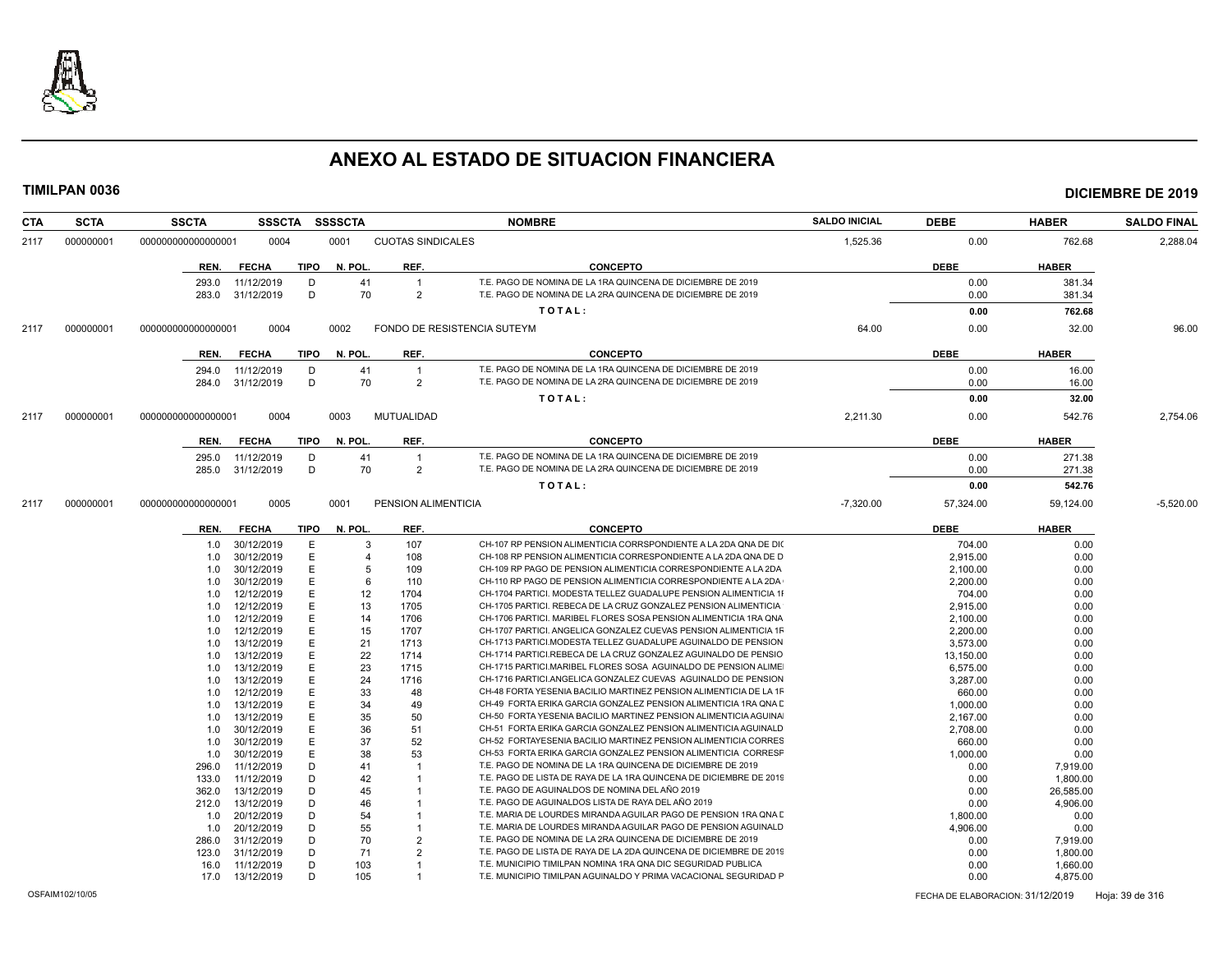

| CTA  | <b>SCTA</b> | <b>SSCTA</b>       | <b>SSSCTA</b>            |             | <b>SSSSCTA</b> |                                  | <b>NOMBRE</b>                                                                                                                     | <b>SALDO INICIAL</b> | <b>DEBE</b>      | <b>HABER</b>     | <b>SALDO FINAL</b> |
|------|-------------|--------------------|--------------------------|-------------|----------------|----------------------------------|-----------------------------------------------------------------------------------------------------------------------------------|----------------------|------------------|------------------|--------------------|
| 2117 | 000000001   | 000000000000000001 | 0004                     |             | 0001           | <b>CUOTAS SINDICALES</b>         |                                                                                                                                   | 1,525.36             | 0.00             | 762.68           | 2,288.04           |
|      |             | REN.               | <b>FECHA</b>             | TIPO        | N. POL.        | REF.                             | <b>CONCEPTO</b>                                                                                                                   |                      | <b>DEBE</b>      | <b>HABER</b>     |                    |
|      |             |                    |                          |             |                |                                  |                                                                                                                                   |                      |                  |                  |                    |
|      |             | 293.0              | 11/12/2019               | D<br>D      | 41             | $\overline{1}$<br>$\overline{2}$ | T.E. PAGO DE NOMINA DE LA 1RA QUINCENA DE DICIEMBRE DE 2019<br>T.E. PAGO DE NOMINA DE LA 2RA QUINCENA DE DICIEMBRE DE 2019        |                      | 0.00             | 381.34           |                    |
|      |             | 283.0              | 31/12/2019               |             | 70             |                                  |                                                                                                                                   |                      | 0.00             | 381.34           |                    |
|      |             |                    |                          |             |                |                                  | TOTAL:                                                                                                                            |                      | 0.00             | 762.68           |                    |
| 2117 | 000000001   | 000000000000000001 | 0004                     |             | 0002           |                                  | FONDO DE RESISTENCIA SUTEYM                                                                                                       | 64.00                | 0.00             | 32.00            | 96.00              |
|      |             | REN.               | <b>FECHA</b>             | <b>TIPO</b> | N. POL.        | REF.                             | <b>CONCEPTO</b>                                                                                                                   |                      | <b>DEBE</b>      | <b>HABER</b>     |                    |
|      |             | 294.0              | 11/12/2019               | D           | 41             | $\overline{1}$                   | T.E. PAGO DE NOMINA DE LA 1RA QUINCENA DE DICIEMBRE DE 2019                                                                       |                      | 0.00             | 16.00            |                    |
|      |             | 284.0              | 31/12/2019               | D           | 70             | $\overline{2}$                   | T.E. PAGO DE NOMINA DE LA 2RA QUINCENA DE DICIEMBRE DE 2019                                                                       |                      | 0.00             | 16.00            |                    |
|      |             |                    |                          |             |                |                                  | TOTAL:                                                                                                                            |                      | 0.00             | 32.00            |                    |
|      |             |                    |                          |             |                |                                  |                                                                                                                                   |                      |                  |                  |                    |
| 2117 | 000000001   | 00000000000000001  | 0004                     |             | 0003           | MUTUALIDAD                       |                                                                                                                                   | 2,211.30             | 0.00             | 542.76           | 2,754.06           |
|      |             | REN.               | <b>FECHA</b>             | <b>TIPO</b> | N. POL.        | REF.                             | <b>CONCEPTO</b>                                                                                                                   |                      | <b>DEBE</b>      | <b>HABER</b>     |                    |
|      |             | 295.0              | 11/12/2019               | D           | 41             | $\overline{1}$                   | T.E. PAGO DE NOMINA DE LA 1RA QUINCENA DE DICIEMBRE DE 2019                                                                       |                      | 0.00             | 271.38           |                    |
|      |             | 285.0              | 31/12/2019               | D           | 70             | $\overline{2}$                   | T.E. PAGO DE NOMINA DE LA 2RA QUINCENA DE DICIEMBRE DE 2019                                                                       |                      | 0.00             | 271.38           |                    |
|      |             |                    |                          |             |                |                                  | TOTAL:                                                                                                                            |                      | 0.00             | 542.76           |                    |
| 2117 | 000000001   | 000000000000000001 | 0005                     |             | 0001           | PENSION ALIMENTICIA              |                                                                                                                                   | $-7,320.00$          | 57,324.00        | 59,124.00        | $-5,520.00$        |
|      |             | REN.               | <b>FECHA</b>             | <b>TIPO</b> | N. POL.        | REF.                             | <b>CONCEPTO</b>                                                                                                                   |                      | <b>DEBE</b>      | <b>HABER</b>     |                    |
|      |             | 1.0                | 30/12/2019               | E.          | 3              | 107                              | CH-107 RP PENSION ALIMENTICIA CORRSPONDIENTE A LA 2DA QNA DE DI(                                                                  |                      | 704.00           | 0.00             |                    |
|      |             | 1.0                | 30/12/2019               | E.          | $\overline{4}$ | 108                              | CH-108 RP PENSION ALIMENTICIA CORRESPONDIENTE A LA 2DA QNA DE D                                                                   |                      | 2,915.00         | 0.00             |                    |
|      |             | 1.0                | 30/12/2019               | E.          | 5              | 109                              | CH-109 RP PAGO DE PENSION ALIMENTICIA CORRESPONDIENTE A LA 2DA                                                                    |                      | 2,100.00         | 0.00             |                    |
|      |             | 1.0                | 30/12/2019               | E.          | 6              | 110                              | CH-110 RP PAGO DE PENSION ALIMENTICIA CORRESPONDIENTE A LA 2DA                                                                    |                      | 2,200.00         | 0.00             |                    |
|      |             | 1.0                | 12/12/2019               | E           | 12             | 1704                             | CH-1704 PARTICI. MODESTA TELLEZ GUADALUPE PENSION ALIMENTICIA 1I                                                                  |                      | 704.00           | 0.00             |                    |
|      |             | 1.0                | 12/12/2019               | E           | 13             | 1705                             | CH-1705 PARTICI. REBECA DE LA CRUZ GONZALEZ PENSION ALIMENTICIA                                                                   |                      | 2,915.00         | 0.00             |                    |
|      |             | 1.0                | 12/12/2019               | E.          | 14             | 1706                             | CH-1706 PARTICI. MARIBEL FLORES SOSA PENSION ALIMENTICIA 1RA QNA                                                                  |                      | 2,100.00         | 0.00             |                    |
|      |             | 1.0                | 12/12/2019               | E           | 15             | 1707                             | CH-1707 PARTICI. ANGELICA GONZALEZ CUEVAS PENSION ALIMENTICIA 1F                                                                  |                      | 2.200.00         | 0.00             |                    |
|      |             | 1.0                | 13/12/2019               | E           | 21             | 1713                             | CH-1713 PARTICI.MODESTA TELLEZ GUADALUPE AGUINALDO DE PENSION                                                                     |                      | 3,573.00         | 0.00             |                    |
|      |             | 1.0                | 13/12/2019               | E.          | 22             | 1714                             | CH-1714 PARTICI.REBECA DE LA CRUZ GONZALEZ AGUINALDO DE PENSIO                                                                    |                      | 13,150.00        | 0.00             |                    |
|      |             | 1.0                | 13/12/2019               | E           | 23             | 1715                             | CH-1715 PARTICI.MARIBEL FLORES SOSA AGUINALDO DE PENSION ALIME                                                                    |                      | 6,575.00         | 0.00             |                    |
|      |             | 1.0                | 13/12/2019               | Е           | 24             | 1716                             | CH-1716 PARTICI.ANGELICA GONZALEZ CUEVAS AGUINALDO DE PENSION                                                                     |                      | 3,287.00         | 0.00             |                    |
|      |             | 1.0                | 12/12/2019               | E           | 33             | 48                               | CH-48 FORTA YESENIA BACILIO MARTINEZ PENSION ALIMENTICIA DE LA 1F                                                                 |                      | 660.00           | 0.00             |                    |
|      |             | 1.0                | 13/12/2019               | E           | 34             | 49                               | CH-49 FORTA ERIKA GARCIA GONZALEZ PENSION ALIMENTICIA 1RA QNA E                                                                   |                      | 1,000.00         | 0.00             |                    |
|      |             | 1.0                | 13/12/2019               | E           | 35             | 50                               | CH-50 FORTA YESENIA BACILIO MARTINEZ PENSION ALIMENTICIA AGUINA                                                                   |                      | 2,167.00         | 0.00             |                    |
|      |             | 1.0                | 30/12/2019               | E           | 36             | 51                               | CH-51 FORTA ERIKA GARCIA GONZALEZ PENSION ALIMENTICIA AGUINALD                                                                    |                      | 2.708.00         | 0.00             |                    |
|      |             | 1.0                | 30/12/2019               | E           | 37             | 52                               | CH-52 FORTAYESENIA BACILIO MARTINEZ PENSION ALIMENTICIA CORRES                                                                    |                      | 660.00           | 0.00             |                    |
|      |             | 1.0                | 30/12/2019               | E.          | 38             | 53                               | CH-53 FORTA ERIKA GARCIA GONZALEZ PENSION ALIMENTICIA CORRESF                                                                     |                      | 1,000.00         | 0.00             |                    |
|      |             | 296.0              | 11/12/2019               | D           | 41             |                                  | T.E. PAGO DE NOMINA DE LA 1RA QUINCENA DE DICIEMBRE DE 2019                                                                       |                      | 0.00             | 7.919.00         |                    |
|      |             | 133.0              | 11/12/2019               | D           | 42             |                                  | T.E. PAGO DE LISTA DE RAYA DE LA 1RA QUINCENA DE DICIEMBRE DE 2019                                                                |                      | 0.00             | 1,800.00         |                    |
|      |             | 362.0              | 13/12/2019               | D           | 45             |                                  | T.E. PAGO DE AGUINALDOS DE NOMINA DEL AÑO 2019                                                                                    |                      | 0.00             | 26,585.00        |                    |
|      |             | 212.0              | 13/12/2019               | D           | 46             |                                  | T.E. PAGO DE AGUINALDOS LISTA DE RAYA DEL AÑO 2019                                                                                |                      | 0.00             | 4,906.00         |                    |
|      |             | 1.0                | 20/12/2019               | D<br>D      | 54<br>55       |                                  | T.E. MARIA DE LOURDES MIRANDA AGUILAR PAGO DE PENSION 1RA QNA [<br>T.E. MARIA DE LOURDES MIRANDA AGUILAR PAGO DE PENSION AGUINALD |                      | 1,800.00         | 0.00             |                    |
|      |             | 1.0<br>286.0       | 20/12/2019<br>31/12/2019 | D           | 70             | $\overline{2}$                   | T.E. PAGO DE NOMINA DE LA 2RA QUINCENA DE DICIEMBRE DE 2019                                                                       |                      | 4,906.00<br>0.00 | 0.00<br>7,919.00 |                    |
|      |             | 123.0              | 31/12/2019               | D           | 71             | $\mathcal{P}$                    | T.E. PAGO DE LISTA DE RAYA DE LA 2DA QUINCENA DE DICIEMBRE DE 2019                                                                |                      | 0.00             | 1,800.00         |                    |
|      |             | 16.0               | 11/12/2019               | D           | 103            |                                  | T.E. MUNICIPIO TIMILPAN NOMINA 1RA QNA DIC SEGURIDAD PUBLICA                                                                      |                      | 0.00             | 1,660.00         |                    |
|      |             |                    | 17.0  13/12/2019         | D           | 105            |                                  | T.E. MUNICIPIO TIMILPAN AGUINALDO Y PRIMA VACACIONAL SEGURIDAD F                                                                  |                      | 0.00             | 4,875.00         |                    |
|      |             |                    |                          |             |                |                                  |                                                                                                                                   |                      |                  |                  |                    |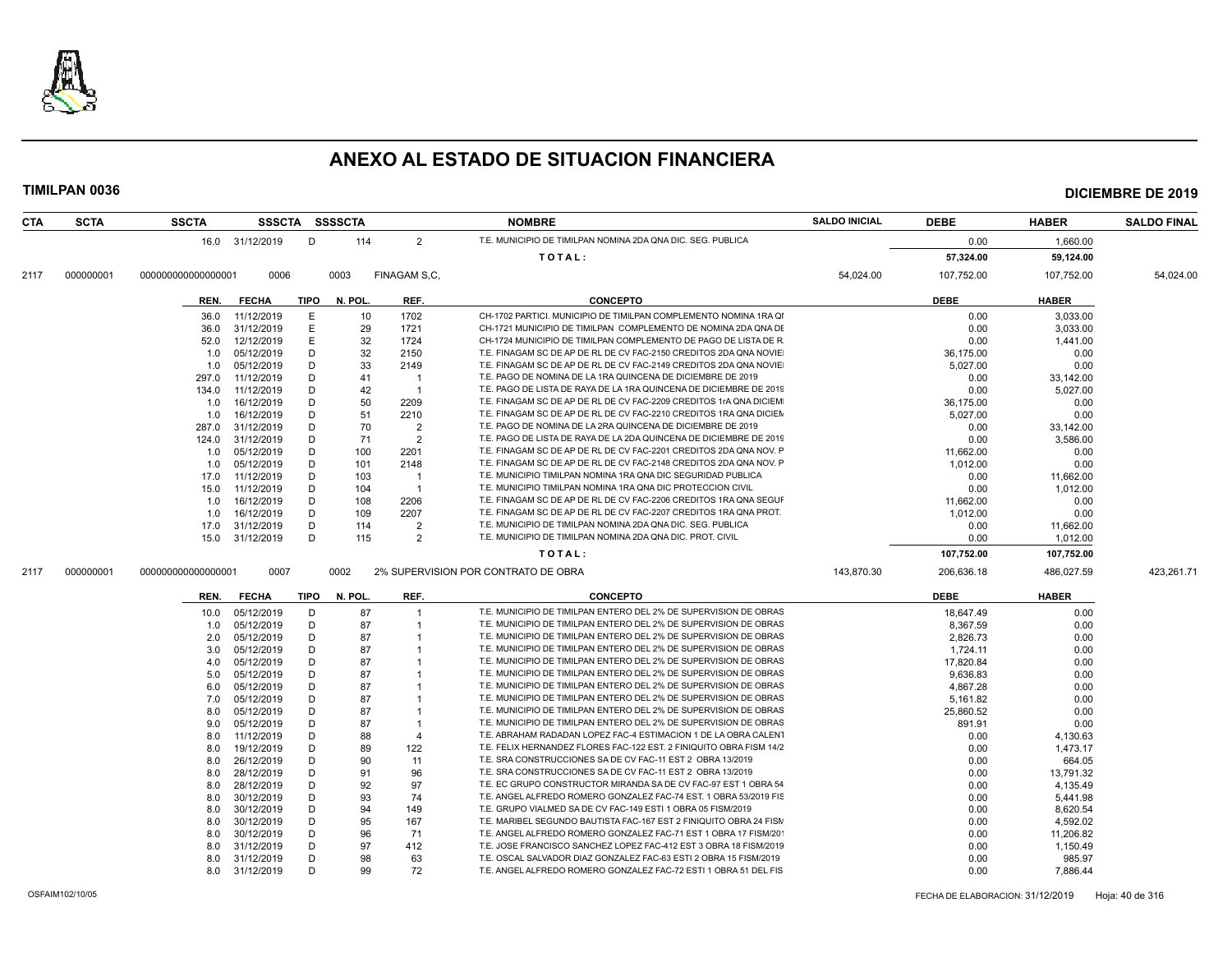

| CTA  | <b>SCTA</b> | <b>SSCTA</b>       |                 |        | SSSCTA SSSSCTA |                         | <b>NOMBRE</b>                                                       | <b>SALDO INICIAL</b> | <b>DEBE</b> | <b>HABER</b> | <b>SALDO FINAL</b> |
|------|-------------|--------------------|-----------------|--------|----------------|-------------------------|---------------------------------------------------------------------|----------------------|-------------|--------------|--------------------|
|      |             |                    | 16.0 31/12/2019 | D      | 114            | $\overline{2}$          | T.E. MUNICIPIO DE TIMILPAN NOMINA 2DA QNA DIC. SEG. PUBLICA         |                      | 0.00        | 1.660.00     |                    |
|      |             |                    |                 |        |                |                         | TOTAL:                                                              |                      | 57,324.00   | 59,124.00    |                    |
| 2117 | 000000001   | 00000000000000001  | 0006            |        | 0003           | FINAGAM S,C,            |                                                                     | 54,024.00            | 107,752.00  | 107,752.00   | 54,024.00          |
|      |             | REN.               | <b>FECHA</b>    | TIPO   | N. POL.        | REF.                    | <b>CONCEPTO</b>                                                     |                      | <b>DEBE</b> | <b>HABER</b> |                    |
|      |             | 36.0               | 11/12/2019      | Е      | 10             | 1702                    | CH-1702 PARTICI, MUNICIPIO DE TIMILPAN COMPLEMENTO NOMINA 1RA QI    |                      | 0.00        | 3.033.00     |                    |
|      |             | 36.0               | 31/12/2019      | Ε      | 29             | 1721                    | CH-1721 MUNICIPIO DE TIMILPAN COMPLEMENTO DE NOMINA 2DA QNA DE      |                      | 0.00        | 3,033.00     |                    |
|      |             | 52.0               | 12/12/2019      | E      | 32             | 1724                    | CH-1724 MUNICIPIO DE TIMILPAN COMPLEMENTO DE PAGO DE LISTA DE R     |                      | 0.00        | 1,441.00     |                    |
|      |             | 1.0                | 05/12/2019      | D      | 32             | 2150                    | T.E. FINAGAM SC DE AP DE RL DE CV FAC-2150 CREDITOS 2DA QNA NOVIE   |                      | 36.175.00   | 0.00         |                    |
|      |             | 1.0                | 05/12/2019      | D      | 33             | 2149                    | T.E. FINAGAM SC DE AP DE RL DE CV FAC-2149 CREDITOS 2DA QNA NOVIE   |                      | 5.027.00    | 0.00         |                    |
|      |             | 297.0              | 11/12/2019      | Ð      | 41             | -1                      | T.E. PAGO DE NOMINA DE LA 1RA QUINCENA DE DICIEMBRE DE 2019         |                      | 0.00        | 33,142.00    |                    |
|      |             | 134.0              | 11/12/2019      | D      | 42             | $\overline{\mathbf{1}}$ | T.E. PAGO DE LISTA DE RAYA DE LA 1RA QUINCENA DE DICIEMBRE DE 2019  |                      | 0.00        | 5,027.00     |                    |
|      |             | 1.0                | 16/12/2019      | D      | 50             | 2209                    | T.E. FINAGAM SC DE AP DE RL DE CV FAC-2209 CREDITOS 1rA QNA DICIEM  |                      | 36,175.00   | 0.00         |                    |
|      |             | 1.0                | 16/12/2019      | D      | 51             | 2210                    | T.E. FINAGAM SC DE AP DE RL DE CV FAC-2210 CREDITOS 1RA QNA DICIEN  |                      | 5.027.00    | 0.00         |                    |
|      |             | 287.0              | 31/12/2019      | D      | 70             | $\overline{2}$          | T.E. PAGO DE NOMINA DE LA 2RA QUINCENA DE DICIEMBRE DE 2019         |                      | 0.00        | 33,142.00    |                    |
|      |             | 124.0              | 31/12/2019      | D      | 71             | $\overline{2}$          | T.E. PAGO DE LISTA DE RAYA DE LA 2DA QUINCENA DE DICIEMBRE DE 2019  |                      | 0.00        | 3,586.00     |                    |
|      |             | 1.0                | 05/12/2019      | D      | 100            | 2201                    | T.E. FINAGAM SC DE AP DE RL DE CV FAC-2201 CREDITOS 2DA QNA NOV. P  |                      | 11,662.00   | 0.00         |                    |
|      |             | 1.0                | 05/12/2019      | D      | 101            | 2148                    | T.E. FINAGAM SC DE AP DE RL DE CV FAC-2148 CREDITOS 2DA QNA NOV. F  |                      | 1,012.00    | 0.00         |                    |
|      |             | 17.0               | 11/12/2019      | D      | 103            | - 1                     | T.E. MUNICIPIO TIMILPAN NOMINA 1RA QNA DIC SEGURIDAD PUBLICA        |                      | 0.00        | 11,662.00    |                    |
|      |             | 15.0               | 11/12/2019      | D      | 104            | $\overline{1}$          | T.E. MUNICIPIO TIMILPAN NOMINA 1RA QNA DIC PROTECCION CIVIL         |                      | 0.00        | 1,012.00     |                    |
|      |             | 1.0                | 16/12/2019      | D      | 108            | 2206                    | T.E. FINAGAM SC DE AP DE RL DE CV FAC-2206 CREDITOS 1RA QNA SEGUR   |                      | 11,662.00   | 0.00         |                    |
|      |             | 1.0                | 16/12/2019      | D      | 109            | 2207                    | T.E. FINAGAM SC DE AP DE RL DE CV FAC-2207 CREDITOS 1RA QNA PROT.   |                      | 1,012.00    | 0.00         |                    |
|      |             | 17.0               | 31/12/2019      | D      | 114            | $\overline{2}$          | T.E. MUNICIPIO DE TIMILPAN NOMINA 2DA QNA DIC. SEG. PUBLICA         |                      | 0.00        | 11,662.00    |                    |
|      |             | 15.0               | 31/12/2019      | D      | 115            | $\overline{2}$          | T.E. MUNICIPIO DE TIMILPAN NOMINA 2DA QNA DIC. PROT. CIVIL          |                      | 0.00        | 1,012.00     |                    |
|      |             |                    |                 |        |                |                         | TOTAL:                                                              |                      | 107,752.00  | 107,752.00   |                    |
| 2117 | 000000001   | 000000000000000001 | 0007            |        | 0002           |                         | 2% SUPERVISION POR CONTRATO DE OBRA                                 | 143,870.30           | 206,636.18  | 486,027.59   | 423,261.71         |
|      |             | REN.               | <b>FECHA</b>    | TIPO   | N. POL.        | REF.                    | <b>CONCEPTO</b>                                                     |                      | <b>DEBE</b> | <b>HABER</b> |                    |
|      |             | 10.0               | 05/12/2019      | D      | 87             |                         | T.E. MUNICIPIO DE TIMILPAN ENTERO DEL 2% DE SUPERVISION DE OBRAS    |                      | 18.647.49   | 0.00         |                    |
|      |             | 1.0                | 05/12/2019      | D      | 87             | $\overline{1}$          | T.E. MUNICIPIO DE TIMILPAN ENTERO DEL 2% DE SUPERVISION DE OBRAS    |                      | 8,367.59    | 0.00         |                    |
|      |             | 2.0                | 05/12/2019      | D      | 87             |                         | T.E. MUNICIPIO DE TIMILPAN ENTERO DEL 2% DE SUPERVISION DE OBRAS    |                      | 2,826.73    | 0.00         |                    |
|      |             | 3.0                | 05/12/2019      | D      | 87             |                         | T.E. MUNICIPIO DE TIMILPAN ENTERO DEL 2% DE SUPERVISION DE OBRAS    |                      | 1,724.11    | 0.00         |                    |
|      |             | 4.0                | 05/12/2019      | D      | 87             |                         | T.E. MUNICIPIO DE TIMILPAN ENTERO DEL 2% DE SUPERVISION DE OBRAS    |                      | 17,820.84   | 0.00         |                    |
|      |             | 5.0                | 05/12/2019      | D      | 87             |                         | T.E. MUNICIPIO DE TIMILPAN ENTERO DEL 2% DE SUPERVISION DE OBRAS    |                      | 9,636.83    | 0.00         |                    |
|      |             | 6.0                | 05/12/2019      | D      | 87             |                         | T.E. MUNICIPIO DE TIMILPAN ENTERO DEL 2% DE SUPERVISION DE OBRAS    |                      | 4,867.28    | 0.00         |                    |
|      |             | 7.0                | 05/12/2019      | D      | 87             |                         | T.E. MUNICIPIO DE TIMILPAN ENTERO DEL 2% DE SUPERVISION DE OBRAS    |                      | 5,161.82    | 0.00         |                    |
|      |             | 8.0                | 05/12/2019      | D      | 87             |                         | T.E. MUNICIPIO DE TIMILPAN ENTERO DEL 2% DE SUPERVISION DE OBRAS    |                      | 25,860.52   | 0.00         |                    |
|      |             | 9.0                | 05/12/2019      | D      | 87             |                         | T.E. MUNICIPIO DE TIMILPAN ENTERO DEL 2% DE SUPERVISION DE OBRAS    |                      | 891.91      | 0.00         |                    |
|      |             | 8.0                | 11/12/2019      | D      | 88             | 4                       | T.E. ABRAHAM RADADAN LOPEZ FAC-4 ESTIMACION 1 DE LA OBRA CALENT     |                      | 0.00        | 4,130.63     |                    |
|      |             | 8.0                | 19/12/2019      | D      | 89             | 122                     | T.E. FELIX HERNANDEZ FLORES FAC-122 EST. 2 FINIQUITO OBRA FISM 14/2 |                      | 0.00        | 1,473.17     |                    |
|      |             | 8.0                | 26/12/2019      | D      | 90             | 11                      | T.E. SRA CONSTRUCCIONES SA DE CV FAC-11 EST 2 OBRA 13/2019          |                      | 0.00        | 664.05       |                    |
|      |             | 8.0                | 28/12/2019      | D      | 91             | 96                      | T.E. SRA CONSTRUCCIONES SA DE CV FAC-11 EST 2 OBRA 13/2019          |                      | 0.00        | 13,791.32    |                    |
|      |             | 8.0                | 28/12/2019      | D      | 92             | 97                      | T.E. EC GRUPO CONSTRUCTOR MIRANDA SA DE CV FAC-97 EST 1 OBRA 54     |                      | 0.00        | 4,135.49     |                    |
|      |             | 8.0                | 30/12/2019      | D      | 93             | 74                      | T.E. ANGEL ALFREDO ROMERO GONZALEZ FAC-74 EST. 1 OBRA 53/2019 FIS   |                      | 0.00        | 5,441.98     |                    |
|      |             | 8.0                | 30/12/2019      | D      | 94             | 149                     | T.E. GRUPO VIALMED SA DE CV FAC-149 ESTI 1 OBRA 05 FISM/2019        |                      | 0.00        | 8,620.54     |                    |
|      |             | 8.0                | 30/12/2019      | D      | 95             | 167                     | T.E. MARIBEL SEGUNDO BAUTISTA FAC-167 EST 2 FINIQUITO OBRA 24 FISM  |                      | 0.00        | 4,592.02     |                    |
|      |             | 8.0                | 30/12/2019      | D      | 96             | 71                      | T.E. ANGEL ALFREDO ROMERO GONZALEZ FAC-71 EST 1 OBRA 17 FISM/20     |                      | 0.00        | 11,206.82    |                    |
|      |             | 8.0                | 31/12/2019      | D      | 97             | 412                     | T.E. JOSE FRANCISCO SANCHEZ LOPEZ FAC-412 EST 3 OBRA 18 FISM/2019   |                      | 0.00        | 1,150.49     |                    |
|      |             | 8.0                | 31/12/2019      | D<br>D | 98             | 63                      | T.E. OSCAL SALVADOR DIAZ GONZALEZ FAC-63 ESTI 2 OBRA 15 FISM/2019   |                      | 0.00        | 985.97       |                    |
|      |             | 8.0                | 31/12/2019      |        | 99             | 72                      | T.E. ANGEL ALFREDO ROMERO GONZALEZ FAC-72 ESTI 1 OBRA 51 DEL FIS    |                      | 0.00        | 7,886.44     |                    |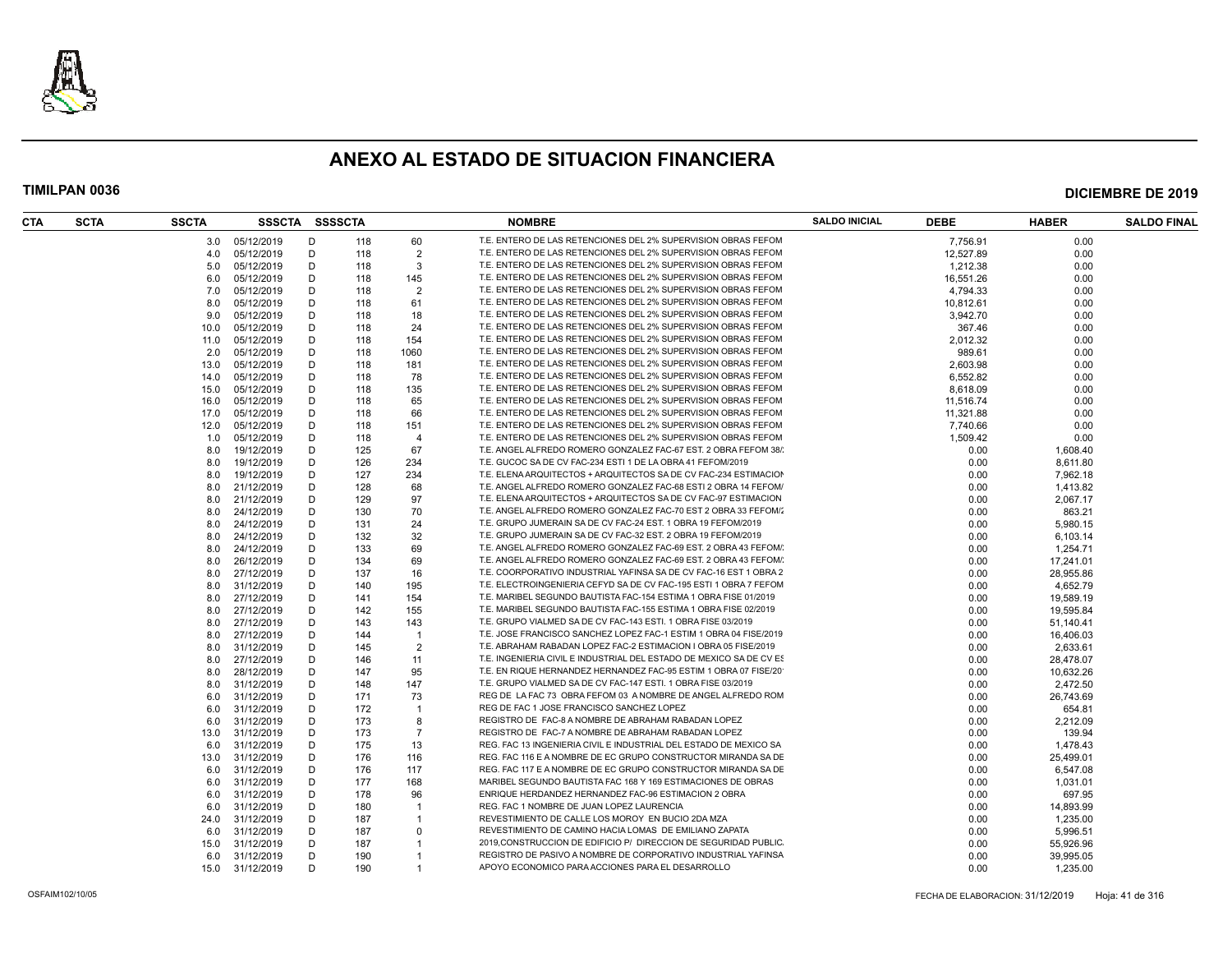

| CTA | <b>SCTA</b> | <b>SSCTA</b> | SSSCTA SSSSCTA  |   |     |                         | <b>NOMBRE</b>                                                       | <b>SALDO INICIAL</b> | <b>DEBE</b> | <b>HABER</b> | <b>SALDO FINAL</b> |
|-----|-------------|--------------|-----------------|---|-----|-------------------------|---------------------------------------------------------------------|----------------------|-------------|--------------|--------------------|
|     |             | 3.0          | 05/12/2019      | D | 118 | 60                      | T.E. ENTERO DE LAS RETENCIONES DEL 2% SUPERVISION OBRAS FEFOM       |                      | 7,756.91    | 0.00         |                    |
|     |             | 4.0          | 05/12/2019      | D | 118 | $\overline{2}$          | T.E. ENTERO DE LAS RETENCIONES DEL 2% SUPERVISION OBRAS FEFOM       |                      | 12.527.89   | 0.00         |                    |
|     |             | 5.0          | 05/12/2019      | D | 118 | 3                       | T.E. ENTERO DE LAS RETENCIONES DEL 2% SUPERVISION OBRAS FEFOM       |                      | 1,212.38    | 0.00         |                    |
|     |             | 6.0          | 05/12/2019      | D | 118 | 145                     | T.E. ENTERO DE LAS RETENCIONES DEL 2% SUPERVISION OBRAS FEFOM       |                      | 16,551.26   | 0.00         |                    |
|     |             | 7.0          | 05/12/2019      | D | 118 | $\overline{2}$          | T.E. ENTERO DE LAS RETENCIONES DEL 2% SUPERVISION OBRAS FEFOM       |                      | 4,794.33    | 0.00         |                    |
|     |             | 8.0          | 05/12/2019      | D | 118 | 61                      | T.E. ENTERO DE LAS RETENCIONES DEL 2% SUPERVISION OBRAS FEFOM       |                      | 10,812.61   | 0.00         |                    |
|     |             | 9.0          | 05/12/2019      | D | 118 | 18                      | T.E. ENTERO DE LAS RETENCIONES DEL 2% SUPERVISION OBRAS FEFOM       |                      | 3,942.70    | 0.00         |                    |
|     |             | 10.0         | 05/12/2019      | D | 118 | 24                      | T.E. ENTERO DE LAS RETENCIONES DEL 2% SUPERVISION OBRAS FEFOM       |                      | 367.46      | 0.00         |                    |
|     |             | 11.0         | 05/12/2019      | D | 118 | 154                     | T.E. ENTERO DE LAS RETENCIONES DEL 2% SUPERVISION OBRAS FEFOM       |                      | 2,012.32    | 0.00         |                    |
|     |             | 2.0          | 05/12/2019      | D | 118 | 1060                    | T.E. ENTERO DE LAS RETENCIONES DEL 2% SUPERVISION OBRAS FEFOM       |                      | 989.61      | 0.00         |                    |
|     |             | 13.0         | 05/12/2019      | D | 118 | 181                     | T.E. ENTERO DE LAS RETENCIONES DEL 2% SUPERVISION OBRAS FEFOM       |                      | 2.603.98    | 0.00         |                    |
|     |             | 14.0         | 05/12/2019      | D | 118 | 78                      | T.E. ENTERO DE LAS RETENCIONES DEL 2% SUPERVISION OBRAS FEFOM       |                      | 6,552.82    | 0.00         |                    |
|     |             | 15.0         | 05/12/2019      | D | 118 | 135                     | T.E. ENTERO DE LAS RETENCIONES DEL 2% SUPERVISION OBRAS FEFOM       |                      | 8,618.09    | 0.00         |                    |
|     |             | 16.0         | 05/12/2019      | D | 118 | 65                      | T.E. ENTERO DE LAS RETENCIONES DEL 2% SUPERVISION OBRAS FEFOM       |                      | 11,516.74   | 0.00         |                    |
|     |             | 17.0         | 05/12/2019      | D | 118 | 66                      | T.E. ENTERO DE LAS RETENCIONES DEL 2% SUPERVISION OBRAS FEFOM       |                      | 11.321.88   | 0.00         |                    |
|     |             | 12.0         | 05/12/2019      | D | 118 | 151                     | T.E. ENTERO DE LAS RETENCIONES DEL 2% SUPERVISION OBRAS FEFOM       |                      | 7,740.66    | 0.00         |                    |
|     |             | 1.0          | 05/12/2019      | D | 118 | $\overline{4}$          | T.E. ENTERO DE LAS RETENCIONES DEL 2% SUPERVISION OBRAS FEFOM       |                      | 1,509.42    | 0.00         |                    |
|     |             |              | 19/12/2019      | D | 125 | 67                      | T.E. ANGEL ALFREDO ROMERO GONZALEZ FAC-67 EST. 2 OBRA FEFOM 38/     |                      | 0.00        | 1,608.40     |                    |
|     |             | 8.0          |                 | D | 126 | 234                     | T.E. GUCOC SA DE CV FAC-234 ESTI 1 DE LA OBRA 41 FEFOM/2019         |                      | 0.00        |              |                    |
|     |             | 8.0          | 19/12/2019      |   |     |                         |                                                                     |                      |             | 8,611.80     |                    |
|     |             | 8.0          | 19/12/2019      | D | 127 | 234                     | T.E. ELENA ARQUITECTOS + ARQUITECTOS SA DE CV FAC-234 ESTIMACION    |                      | 0.00        | 7.962.18     |                    |
|     |             | 8.0          | 21/12/2019      | D | 128 | 68                      | T.E. ANGEL ALFREDO ROMERO GONZALEZ FAC-68 ESTI 2 OBRA 14 FEFOM/     |                      | 0.00        | 1,413.82     |                    |
|     |             | 8.0          | 21/12/2019      | D | 129 | 97                      | T.E. ELENA ARQUITECTOS + ARQUITECTOS SA DE CV FAC-97 ESTIMACION     |                      | 0.00        | 2,067.17     |                    |
|     |             | 8.0          | 24/12/2019      | D | 130 | 70                      | T.E. ANGEL ALFREDO ROMERO GONZALEZ FAC-70 EST 2 OBRA 33 FEFOM/      |                      | 0.00        | 863.21       |                    |
|     |             | 8.0          | 24/12/2019      | D | 131 | 24                      | T.E. GRUPO JUMERAIN SA DE CV FAC-24 EST. 1 OBRA 19 FEFOM/2019       |                      | 0.00        | 5.980.15     |                    |
|     |             | 8.0          | 24/12/2019      | D | 132 | 32                      | T.E. GRUPO JUMERAIN SA DE CV FAC-32 EST. 2 OBRA 19 FEFOM/2019       |                      | 0.00        | 6,103.14     |                    |
|     |             | 8.0          | 24/12/2019      | D | 133 | 69                      | T.E. ANGEL ALFREDO ROMERO GONZALEZ FAC-69 EST. 2 OBRA 43 FEFOM/     |                      | 0.00        | 1,254.71     |                    |
|     |             | 8.0          | 26/12/2019      | D | 134 | 69                      | T.E. ANGEL ALFREDO ROMERO GONZALEZ FAC-69 EST. 2 OBRA 43 FEFOM/     |                      | 0.00        | 17,241.01    |                    |
|     |             | 8.0          | 27/12/2019      | D | 137 | 16                      | T.E. COORPORATIVO INDUSTRIAL YAFINSA SA DE CV FAC-16 EST 1 OBRA 2   |                      | 0.00        | 28,955.86    |                    |
|     |             | 8.0          | 31/12/2019      | D | 140 | 195                     | T.E. ELECTROINGENIERIA CEFYD SA DE CV FAC-195 ESTI 1 OBRA 7 FEFOM   |                      | 0.00        | 4.652.79     |                    |
|     |             | 8.0          | 27/12/2019      | D | 141 | 154                     | T.E. MARIBEL SEGUNDO BAUTISTA FAC-154 ESTIMA 1 OBRA FISE 01/2019    |                      | 0.00        | 19,589.19    |                    |
|     |             | 8.0          | 27/12/2019      | D | 142 | 155                     | T.E. MARIBEL SEGUNDO BAUTISTA FAC-155 ESTIMA 1 OBRA FISE 02/2019    |                      | 0.00        | 19,595.84    |                    |
|     |             | 8.0          | 27/12/2019      | D | 143 | 143                     | T.E. GRUPO VIALMED SA DE CV FAC-143 ESTI. 1 OBRA FISE 03/2019       |                      | 0.00        | 51,140.41    |                    |
|     |             | 8.0          | 27/12/2019      | D | 144 | $\overline{1}$          | T.E. JOSE FRANCISCO SANCHEZ LOPEZ FAC-1 ESTIM 1 OBRA 04 FISE/2019   |                      | 0.00        | 16,406.03    |                    |
|     |             | 8.0          | 31/12/2019      | D | 145 | 2                       | T.E. ABRAHAM RABADAN LOPEZ FAC-2 ESTIMACION I OBRA 05 FISE/2019     |                      | 0.00        | 2,633.61     |                    |
|     |             | 8.0          | 27/12/2019      | D | 146 | 11                      | T.E. INGENIERIA CIVIL E INDUSTRIAL DEL ESTADO DE MEXICO SA DE CV ES |                      | 0.00        | 28,478.07    |                    |
|     |             | 8.0          | 28/12/2019      | D | 147 | 95                      | T.E. EN RIQUE HERNANDEZ HERNANDEZ FAC-95 ESTIM 1 OBRA 07 FISE/20    |                      | 0.00        | 10,632.26    |                    |
|     |             | 8.0          | 31/12/2019      | D | 148 | 147                     | T.E. GRUPO VIALMED SA DE CV FAC-147 ESTI. 1 OBRA FISE 03/2019       |                      | 0.00        | 2,472.50     |                    |
|     |             | 6.0          | 31/12/2019      | D | 171 | 73                      | REG DE LA FAC 73 OBRA FEFOM 03 A NOMBRE DE ANGEL ALFREDO ROM        |                      | 0.00        | 26,743.69    |                    |
|     |             | 6.0          | 31/12/2019      | D | 172 | $\overline{\mathbf{1}}$ | REG DE FAC 1 JOSE FRANCISCO SANCHEZ LOPEZ                           |                      | 0.00        | 654.81       |                    |
|     |             | 6.0          | 31/12/2019      | D | 173 | 8                       | REGISTRO DE FAC-8 A NOMBRE DE ABRAHAM RABADAN LOPEZ                 |                      | 0.00        | 2,212.09     |                    |
|     |             | 13.0         | 31/12/2019      | D | 173 | $\overline{7}$          | REGISTRO DE FAC-7 A NOMBRE DE ABRAHAM RABADAN LOPEZ                 |                      | 0.00        | 139.94       |                    |
|     |             | 6.0          | 31/12/2019      | D | 175 | 13                      | REG. FAC 13 INGENIERIA CIVIL E INDUSTRIAL DEL ESTADO DE MEXICO SA   |                      | 0.00        | 1,478.43     |                    |
|     |             | 13.0         | 31/12/2019      | D | 176 | 116                     | REG. FAC 116 E A NOMBRE DE EC GRUPO CONSTRUCTOR MIRANDA SA DE       |                      | 0.00        | 25,499.01    |                    |
|     |             | 6.0          | 31/12/2019      | D | 176 | 117                     | REG. FAC 117 E A NOMBRE DE EC GRUPO CONSTRUCTOR MIRANDA SA DE       |                      | 0.00        | 6,547.08     |                    |
|     |             | 6.0          | 31/12/2019      | D | 177 | 168                     | MARIBEL SEGUNDO BAUTISTA FAC 168 Y 169 ESTIMACIONES DE OBRAS        |                      | 0.00        | 1,031.01     |                    |
|     |             | 6.0          | 31/12/2019      | D | 178 | 96                      | ENRIQUE HERDANDEZ HERNANDEZ FAC-96 ESTIMACION 2 OBRA                |                      | 0.00        | 697.95       |                    |
|     |             | 6.0          | 31/12/2019      | D | 180 | $\overline{1}$          | REG. FAC 1 NOMBRE DE JUAN LOPEZ LAURENCIA                           |                      | 0.00        | 14,893.99    |                    |
|     |             | 24.0         | 31/12/2019      | D | 187 | $\mathbf{1}$            | REVESTIMIENTO DE CALLE LOS MOROY EN BUCIO 2DA MZA                   |                      | 0.00        | 1,235.00     |                    |
|     |             | 6.0          | 31/12/2019      | D | 187 | $\Omega$                | REVESTIMIENTO DE CAMINO HACIA LOMAS DE EMILIANO ZAPATA              |                      | 0.00        | 5,996.51     |                    |
|     |             | 15.0         | 31/12/2019      | D | 187 | $\overline{\mathbf{1}}$ | 2019, CONSTRUCCION DE EDIFICIO P/ DIRECCION DE SEGURIDAD PUBLIC     |                      | 0.00        | 55,926.96    |                    |
|     |             | 6.0          | 31/12/2019      | D | 190 | $\overline{1}$          | REGISTRO DE PASIVO A NOMBRE DE CORPORATIVO INDUSTRIAL YAFINSA       |                      | 0.00        | 39,995.05    |                    |
|     |             |              | 15.0 31/12/2019 | D | 190 | $\overline{1}$          | APOYO ECONOMICO PARA ACCIONES PARA EL DESARROLLO                    |                      | 0.00        |              |                    |
|     |             |              |                 |   |     |                         |                                                                     |                      |             | 1,235.00     |                    |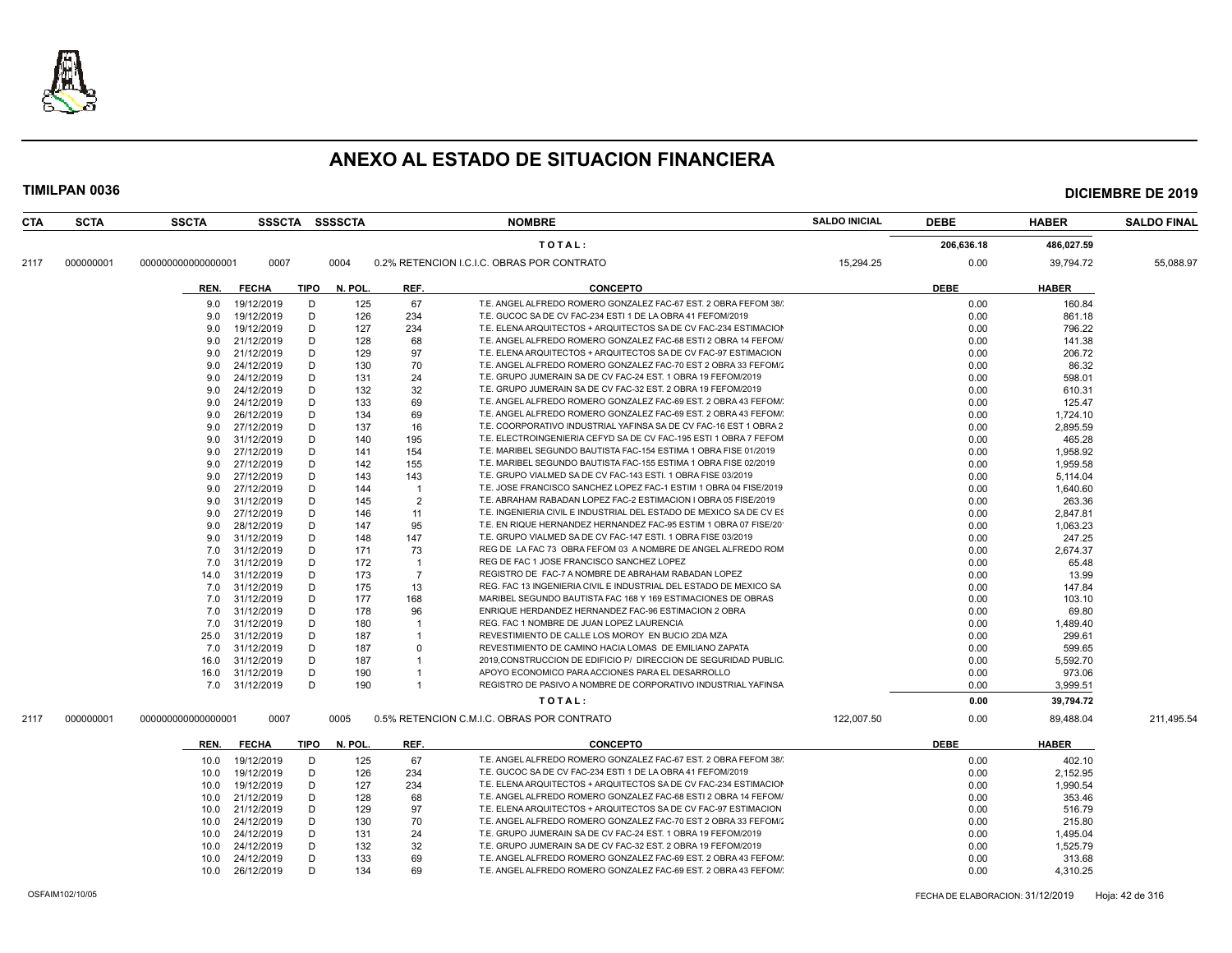

| <b>CTA</b> | <b>SCTA</b> | <b>SSCTA</b>       |              |      | SSSCTA SSSSCTA |                | <b>NOMBRE</b>                                                       | <b>SALDO INICIAL</b> | <b>DEBE</b> | <b>HABER</b>       | <b>SALDO FINAL</b> |
|------------|-------------|--------------------|--------------|------|----------------|----------------|---------------------------------------------------------------------|----------------------|-------------|--------------------|--------------------|
|            |             |                    |              |      |                |                | TOTAL:                                                              |                      | 206,636.18  | 486.027.59         |                    |
| 2117       | 000000001   | 000000000000000001 | 0007         |      | 0004           |                | 0.2% RETENCION I.C.I.C. OBRAS POR CONTRATO                          | 15,294.25            | 0.00        | 39,794.72          | 55,088.97          |
|            |             | REN.               | <b>FECHA</b> | TIPO | N. POL.        | REF.           | <b>CONCEPTO</b>                                                     |                      | <b>DEBE</b> | <b>HABER</b>       |                    |
|            |             | 9.0                | 19/12/2019   | D    | 125            | 67             | T.E. ANGEL ALFREDO ROMERO GONZALEZ FAC-67 EST. 2 OBRA FEFOM 38/     |                      | 0.00        | 160.84             |                    |
|            |             | 9.0                | 19/12/2019   | D    | 126            | 234            | T.E. GUCOC SA DE CV FAC-234 ESTI 1 DE LA OBRA 41 FEFOM/2019         |                      | 0.00        | 861.18             |                    |
|            |             | 9.0                | 19/12/2019   | D    | 127            | 234            | T.E. ELENA ARQUITECTOS + ARQUITECTOS SA DE CV FAC-234 ESTIMACION    |                      | 0.00        | 796.22             |                    |
|            |             | 9.0                | 21/12/2019   | D    | 128            | 68             | T.E. ANGEL ALFREDO ROMERO GONZALEZ FAC-68 ESTI 2 OBRA 14 FEFOM/     |                      | 0.00        | 141.38             |                    |
|            |             | 9.0                | 21/12/2019   | D    | 129            | 97             | T.E. ELENA ARQUITECTOS + ARQUITECTOS SA DE CV FAC-97 ESTIMACION     |                      | 0.00        | 206.72             |                    |
|            |             | 9.0                | 24/12/2019   | D    | 130            | 70             | T.E. ANGEL ALFREDO ROMERO GONZALEZ FAC-70 EST 2 OBRA 33 FEFOM/      |                      | 0.00        | 86.32              |                    |
|            |             | 9.0                | 24/12/2019   | D    | 131            | 24             | T.E. GRUPO JUMERAIN SA DE CV FAC-24 EST. 1 OBRA 19 FEFOM/2019       |                      | 0.00        | 598.01             |                    |
|            |             | 9.0                | 24/12/2019   | D    | 132            | 32             | T.E. GRUPO JUMERAIN SA DE CV FAC-32 EST. 2 OBRA 19 FEFOM/2019       |                      | 0.00        | 610.31             |                    |
|            |             | 9.0                | 24/12/2019   | D    | 133            | 69             | T.E. ANGEL ALFREDO ROMERO GONZALEZ FAC-69 EST. 2 OBRA 43 FEFOM/     |                      | 0.00        | 125.47             |                    |
|            |             | 9.0                | 26/12/2019   | D    | 134            | 69             | T.E. ANGEL ALFREDO ROMERO GONZALEZ FAC-69 EST. 2 OBRA 43 FEFOM/     |                      | 0.00        | 1,724.10           |                    |
|            |             | 9.0                | 27/12/2019   | D    | 137            | 16             | T.E. COORPORATIVO INDUSTRIAL YAFINSA SA DE CV FAC-16 EST 1 OBRA 2   |                      | 0.00        | 2.895.59           |                    |
|            |             | 9.0                | 31/12/2019   | D    | 140            | 195            | T.E. ELECTROINGENIERIA CEFYD SA DE CV FAC-195 ESTI 1 OBRA 7 FEFOM   |                      | 0.00        | 465.28             |                    |
|            |             | 9.0                | 27/12/2019   | D    | 141            | 154            | T.E. MARIBEL SEGUNDO BAUTISTA FAC-154 ESTIMA 1 OBRA FISE 01/2019    |                      | 0.00        | 1,958.92           |                    |
|            |             | 9.0                | 27/12/2019   | D    | 142            | 155            | T.E. MARIBEL SEGUNDO BAUTISTA FAC-155 ESTIMA 1 OBRA FISE 02/2019    |                      | 0.00        | 1,959.58           |                    |
|            |             | 9.0                | 27/12/2019   | D    | 143            | 143            | T.E. GRUPO VIALMED SA DE CV FAC-143 ESTI. 1 OBRA FISE 03/2019       |                      | 0.00        | 5,114.04           |                    |
|            |             | 9.0                | 27/12/2019   | D    | 144            | -1             | T.E. JOSE FRANCISCO SANCHEZ LOPEZ FAC-1 ESTIM 1 OBRA 04 FISE/2019   |                      | 0.00        | 1,640.60           |                    |
|            |             | 9.0                | 31/12/2019   | D    | 145            | $\overline{2}$ | T.E. ABRAHAM RABADAN LOPEZ FAC-2 ESTIMACION I OBRA 05 FISE/2019     |                      | 0.00        | 263.36             |                    |
|            |             | 9.0                | 27/12/2019   | D    | 146            | 11             | T.E. INGENIERIA CIVIL E INDUSTRIAL DEL ESTADO DE MEXICO SA DE CV ES |                      | 0.00        | 2.847.81           |                    |
|            |             | 9.0                | 28/12/2019   | D    | 147            | 95             | T.E. EN RIQUE HERNANDEZ HERNANDEZ FAC-95 ESTIM 1 OBRA 07 FISE/20    |                      | 0.00        | 1.063.23           |                    |
|            |             | 9.0                | 31/12/2019   | D    | 148            | 147            | T.E. GRUPO VIALMED SA DE CV FAC-147 ESTI. 1 OBRA FISE 03/2019       |                      | 0.00        | 247.25             |                    |
|            |             | 7.0                | 31/12/2019   | D    | 171            | 73             | REG DE LA FAC 73 OBRA FEFOM 03 A NOMBRE DE ANGEL ALFREDO ROM        |                      | 0.00        | 2,674.37           |                    |
|            |             | 7.0                | 31/12/2019   | D    | 172            | -1             | REG DE FAC 1 JOSE FRANCISCO SANCHEZ LOPEZ                           |                      | 0.00        | 65.48              |                    |
|            |             | 14.0               | 31/12/2019   | D    | 173            | $\overline{7}$ | REGISTRO DE FAC-7 A NOMBRE DE ABRAHAM RABADAN LOPEZ                 |                      | 0.00        | 13.99              |                    |
|            |             | 7.0                | 31/12/2019   | D    | 175            | 13             | REG. FAC 13 INGENIERIA CIVIL E INDUSTRIAL DEL ESTADO DE MEXICO SA   |                      | 0.00        | 147.84             |                    |
|            |             | 7.0                | 31/12/2019   | D    | 177            | 168            | MARIBEL SEGUNDO BAUTISTA FAC 168 Y 169 ESTIMACIONES DE OBRAS        |                      | 0.00        | 103.10             |                    |
|            |             | 7.0                | 31/12/2019   | D    | 178            | 96             | ENRIQUE HERDANDEZ HERNANDEZ FAC-96 ESTIMACION 2 OBRA                |                      | 0.00        | 69.80              |                    |
|            |             | 7.0                | 31/12/2019   | D    | 180            | -1             | REG. FAC 1 NOMBRE DE JUAN LOPEZ LAURENCIA                           |                      | 0.00        | 1,489.40           |                    |
|            |             | 25.0               | 31/12/2019   | D    | 187            |                | REVESTIMIENTO DE CALLE LOS MOROY EN BUCIO 2DA MZA                   |                      | 0.00        | 299.61             |                    |
|            |             | 7.0                | 31/12/2019   | D    | 187            | $\Omega$       | REVESTIMIENTO DE CAMINO HACIA LOMAS DE EMILIANO ZAPATA              |                      | 0.00        | 599.65             |                    |
|            |             | 16.0               | 31/12/2019   | D    | 187            |                | 2019, CONSTRUCCION DE EDIFICIO P/ DIRECCION DE SEGURIDAD PUBLIC     |                      | 0.00        | 5,592.70           |                    |
|            |             | 16.0               | 31/12/2019   | D    | 190            |                | APOYO ECONOMICO PARA ACCIONES PARA EL DESARROLLO                    |                      | 0.00        | 973.06             |                    |
|            |             | 7.0                | 31/12/2019   | D    | 190            | $\mathbf{1}$   | REGISTRO DE PASIVO A NOMBRE DE CORPORATIVO INDUSTRIAL YAFINSA       |                      | 0.00        | 3,999.51           |                    |
|            |             |                    |              |      |                |                | TOTAL:                                                              |                      | 0.00        | 39,794.72          |                    |
| 2117       | 000000001   | 000000000000000001 | 0007         |      | 0005           |                | 0.5% RETENCION C.M.I.C. OBRAS POR CONTRATO                          | 122,007.50           | 0.00        | 89.488.04          | 211,495.54         |
|            |             | REN.               | <b>FECHA</b> | TIPO | N. POL.        | REF.           | <b>CONCEPTO</b>                                                     |                      | <b>DEBE</b> | <b>HABER</b>       |                    |
|            |             | 10.0               | 19/12/2019   | D    | 125            | 67             | T.E. ANGEL ALFREDO ROMERO GONZALEZ FAC-67 EST. 2 OBRA FEFOM 38/     |                      | 0.00        | 402.10             |                    |
|            |             | 10.0               | 19/12/2019   | D    | 126            | 234            | T.E. GUCOC SA DE CV FAC-234 ESTI 1 DE LA OBRA 41 FEFOM/2019         |                      | 0.00        | 2,152.95           |                    |
|            |             | 10.0               | 19/12/2019   | D    | 127            | 234            | T.E. ELENA ARQUITECTOS + ARQUITECTOS SA DE CV FAC-234 ESTIMACION    |                      | 0.00        | 1,990.54           |                    |
|            |             | 10.0               | 21/12/2019   | D    | 128            | 68             | T.E. ANGEL ALFREDO ROMERO GONZALEZ FAC-68 ESTI 2 OBRA 14 FEFOM/     |                      | 0.00        | 353.46             |                    |
|            |             | 10.0               | 21/12/2019   | D    | 129            | 97             | T.E. ELENA ARQUITECTOS + ARQUITECTOS SA DE CV FAC-97 ESTIMACION     |                      | 0.00        | 516.79             |                    |
|            |             | 10.0               | 24/12/2019   | D    | 130            | 70             | T.E. ANGEL ALFREDO ROMERO GONZALEZ FAC-70 EST 2 OBRA 33 FEFOM/      |                      | 0.00        | 215.80             |                    |
|            |             | 10.0               | 24/12/2019   | D    | 131            | 24             | T.E. GRUPO JUMERAIN SA DE CV FAC-24 EST. 1 OBRA 19 FEFOM/2019       |                      | 0.00        | 1.495.04           |                    |
|            |             |                    | 24/12/2019   | D    | 132            | 32             | T.E. GRUPO JUMERAIN SA DE CV FAC-32 EST. 2 OBRA 19 FEFOM/2019       |                      | 0.00        |                    |                    |
|            |             | 10.0               | 24/12/2019   | D    | 133            | 69             | T.E. ANGEL ALFREDO ROMERO GONZALEZ FAC-69 EST. 2 OBRA 43 FEFOM/     |                      | 0.00        | 1,525.79<br>313.68 |                    |
|            |             | 10.0               |              |      |                | 69             | T.E. ANGEL ALFREDO ROMERO GONZALEZ FAC-69 EST. 2 OBRA 43 FEFOM/     |                      |             |                    |                    |
|            |             | 10.0               | 26/12/2019   | D    | 134            |                |                                                                     |                      | 0.00        | 4,310.25           |                    |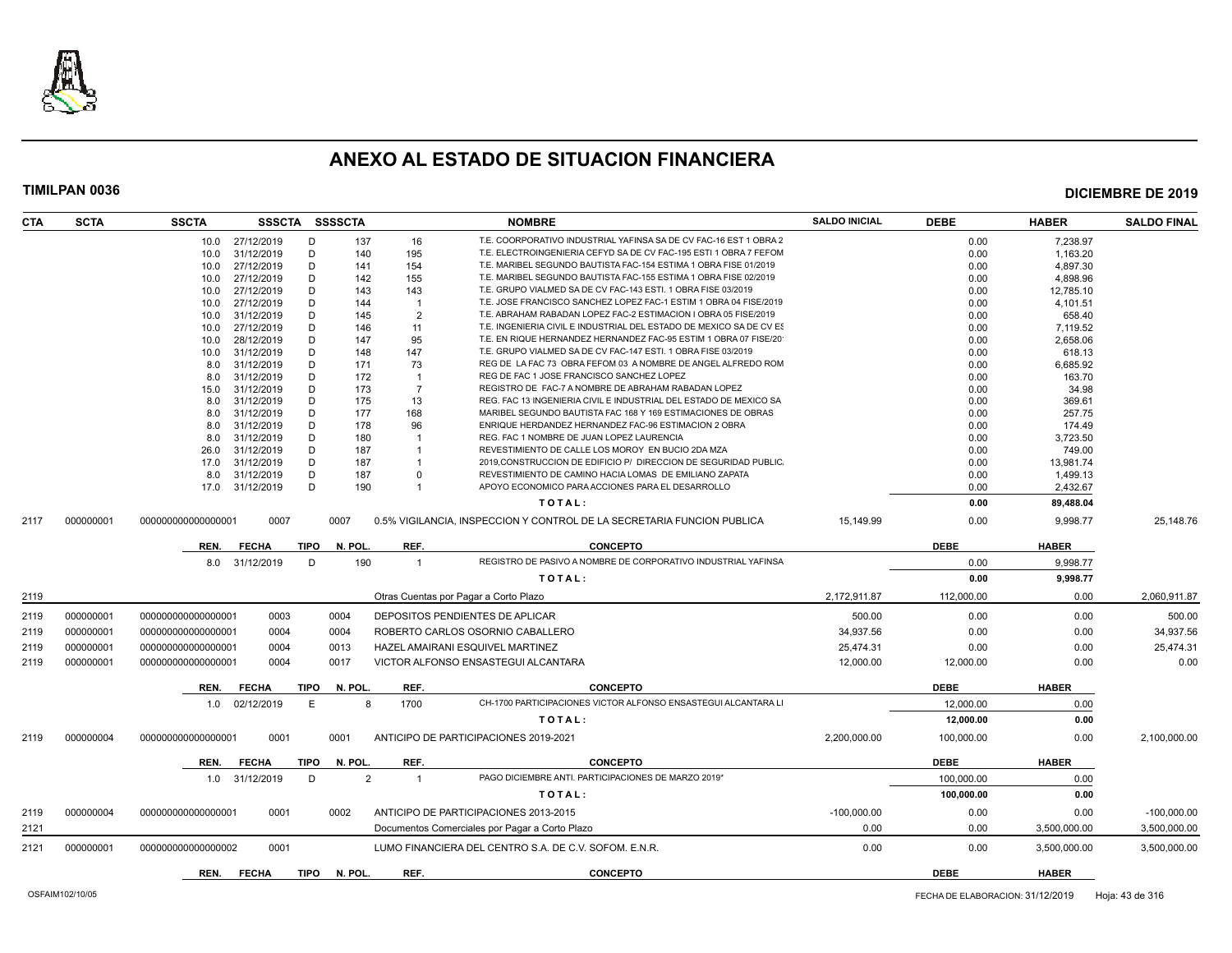

| <b>CTA</b> | <b>SCTA</b> | <b>SSCTA</b>       | <b>SSSCTA</b>  | <b>SSSSCTA</b> |                |                         | <b>NOMBRE</b>                                                          | <b>SALDO INICIAL</b> | <b>DEBE</b> | <b>HABER</b> | <b>SALDO FINAL</b> |
|------------|-------------|--------------------|----------------|----------------|----------------|-------------------------|------------------------------------------------------------------------|----------------------|-------------|--------------|--------------------|
|            |             | 10.0               | 27/12/2019     | D              | 137            | 16                      | T.E. COORPORATIVO INDUSTRIAL YAFINSA SA DE CV FAC-16 EST 1 OBRA 2      |                      | 0.00        | 7,238.97     |                    |
|            |             | 10.0               | 31/12/2019     | D              | 140            | 195                     | T.E. ELECTROINGENIERIA CEFYD SA DE CV FAC-195 ESTI 1 OBRA 7 FEFOM      |                      | 0.00        | 1,163.20     |                    |
|            |             | 10.0               | 27/12/2019     | D              | 141            | 154                     | T.E. MARIBEL SEGUNDO BAUTISTA FAC-154 ESTIMA 1 OBRA FISE 01/2019       |                      | 0.00        | 4,897.30     |                    |
|            |             | 10.0               | 27/12/2019     | D              | 142            | 155                     | T.E. MARIBEL SEGUNDO BAUTISTA FAC-155 ESTIMA 1 OBRA FISE 02/2019       |                      | 0.00        | 4,898.96     |                    |
|            |             | 10.0               | 27/12/2019     | D              | 143            | 143                     | T.E. GRUPO VIALMED SA DE CV FAC-143 ESTI. 1 OBRA FISE 03/2019          |                      | 0.00        | 12,785.10    |                    |
|            |             | 10.0               | 27/12/2019     | D              | 144            |                         | T.E. JOSE FRANCISCO SANCHEZ LOPEZ FAC-1 ESTIM 1 OBRA 04 FISE/2019      |                      | 0.00        | 4,101.51     |                    |
|            |             | 10.0               | 31/12/2019     | D              | 145            | $\overline{2}$          | T.E. ABRAHAM RABADAN LOPEZ FAC-2 ESTIMACION I OBRA 05 FISE/2019        |                      | 0.00        | 658.40       |                    |
|            |             | 10.0               | 27/12/2019     | D              | 146            | 11                      | T.E. INGENIERIA CIVIL E INDUSTRIAL DEL ESTADO DE MEXICO SA DE CV ES    |                      | 0.00        | 7,119.52     |                    |
|            |             | 10.0               | 28/12/2019     | D              | 147            | 95                      | T.E. EN RIQUE HERNANDEZ HERNANDEZ FAC-95 ESTIM 1 OBRA 07 FISE/20       |                      | 0.00        | 2,658.06     |                    |
|            |             | 10.0               | 31/12/2019     | D              | 148            | 147                     | T.E. GRUPO VIALMED SA DE CV FAC-147 ESTI. 1 OBRA FISE 03/2019          |                      | 0.00        | 618.13       |                    |
|            |             | 8.0                | 31/12/2019     | D              | 171            | 73                      | REG DE LA FAC 73 OBRA FEFOM 03 A NOMBRE DE ANGEL ALFREDO ROM           |                      | 0.00        | 6.685.92     |                    |
|            |             | 8.0                | 31/12/2019     | D              | 172            | $\overline{\mathbf{1}}$ | REG DE FAC 1 JOSE FRANCISCO SANCHEZ LOPEZ                              |                      | 0.00        | 163.70       |                    |
|            |             | 15.0               | 31/12/2019     | D              | 173            | $\overline{7}$          | REGISTRO DE FAC-7 A NOMBRE DE ABRAHAM RABADAN LOPEZ                    |                      | 0.00        | 34.98        |                    |
|            |             | 8.0                | 31/12/2019     | D              | 175            | 13                      | REG. FAC 13 INGENIERIA CIVIL E INDUSTRIAL DEL ESTADO DE MEXICO SA      |                      | 0.00        | 369.61       |                    |
|            |             | 8.0                | 31/12/2019     | D              | 177            | 168                     | MARIBEL SEGUNDO BAUTISTA FAC 168 Y 169 ESTIMACIONES DE OBRAS           |                      | 0.00        | 257.75       |                    |
|            |             | 8.0                | 31/12/2019     | D              | 178            | 96                      | ENRIQUE HERDANDEZ HERNANDEZ FAC-96 ESTIMACION 2 OBRA                   |                      | 0.00        | 174.49       |                    |
|            |             | 8.0                | 31/12/2019     | D              | 180            |                         | REG. FAC 1 NOMBRE DE JUAN LOPEZ LAURENCIA                              |                      | 0.00        | 3,723.50     |                    |
|            |             |                    |                |                |                |                         | REVESTIMIENTO DE CALLE LOS MOROY EN BUCIO 2DA MZA                      |                      |             |              |                    |
|            |             | 26.0               | 31/12/2019     | D              | 187            |                         | 2019, CONSTRUCCION DE EDIFICIO P/ DIRECCION DE SEGURIDAD PUBLIC        |                      | 0.00        | 749.00       |                    |
|            |             | 17.0               | 31/12/2019     | D              | 187            |                         |                                                                        |                      | 0.00        | 13,981.74    |                    |
|            |             | 8.0                | 31/12/2019     | D              | 187            | $\Omega$                | REVESTIMIENTO DE CAMINO HACIA LOMAS DE EMILIANO ZAPATA                 |                      | 0.00        | 1,499.13     |                    |
|            |             | 17.0               | 31/12/2019     | D              | 190            |                         | APOYO ECONOMICO PARA ACCIONES PARA EL DESARROLLO                       |                      | 0.00        | 2,432.67     |                    |
|            |             |                    |                |                |                |                         | TOTAL:                                                                 |                      | 0.00        | 89,488.04    |                    |
| 2117       | 000000001   | 00000000000000000  | 0007           |                | 0007           |                         | 0.5% VIGILANCIA, INSPECCION Y CONTROL DE LA SECRETARIA FUNCION PUBLICA | 15.149.99            | 0.00        | 9,998.77     | 25,148.76          |
|            |             | REN.               | <b>FECHA</b>   | <b>TIPO</b>    | N. POL.        | REF.                    | <b>CONCEPTO</b>                                                        |                      | <b>DEBE</b> | <b>HABER</b> |                    |
|            |             |                    | 8.0 31/12/2019 | D              | 190            | $\overline{1}$          | REGISTRO DE PASIVO A NOMBRE DE CORPORATIVO INDUSTRIAL YAFINSA          |                      | 0.00        | 9,998.77     |                    |
|            |             |                    |                |                |                |                         | TOTAL:                                                                 |                      | 0.00        | 9,998.77     |                    |
| 2119       |             |                    |                |                |                |                         | Otras Cuentas por Pagar a Corto Plazo                                  | 2.172.911.87         | 112,000.00  | 0.00         | 2,060,911.87       |
| 2119       | 000000001   | 000000000000000001 | 0003           | 0004           |                |                         | DEPOSITOS PENDIENTES DE APLICAR                                        | 500.00               | 0.00        | 0.00         | 500.00             |
| 2119       | 000000001   | 000000000000000001 | 0004           | 0004           |                |                         | ROBERTO CARLOS OSORNIO CABALLERO                                       | 34.937.56            | 0.00        | 0.00         | 34.937.56          |
|            |             |                    | 0004           | 0013           |                |                         | HAZEL AMAIRANI ESQUIVEL MARTINEZ                                       | 25,474.31            | 0.00        | 0.00         | 25,474.31          |
| 2119       | 000000001   | 000000000000000001 |                |                |                |                         |                                                                        |                      |             |              |                    |
| 2119       | 000000001   | 000000000000000001 | 0004           | 0017           |                |                         | VICTOR ALFONSO ENSASTEGUI ALCANTARA                                    | 12,000.00            | 12,000.00   | 0.00         | 0.00               |
|            |             | REN.               | <b>FECHA</b>   | <b>TIPO</b>    | N. POL         | REF.                    | <b>CONCEPTO</b>                                                        |                      | <b>DEBE</b> | <b>HABER</b> |                    |
|            |             | 1.0                | 02/12/2019     | E              | 8              | 1700                    | CH-1700 PARTICIPACIONES VICTOR ALFONSO ENSASTEGUI ALCANTARA LI         |                      | 12,000.00   | 0.00         |                    |
|            |             |                    |                |                |                |                         | TOTAL:                                                                 |                      | 12,000.00   | 0.00         |                    |
| 2119       | 000000004   | 00000000000000000  | 0001           | 0001           |                |                         | ANTICIPO DE PARTICIPACIONES 2019-2021                                  | 2,200,000.00         | 100,000.00  | 0.00         | 2,100,000.00       |
|            |             |                    |                |                |                |                         |                                                                        |                      |             |              |                    |
|            |             | REN.               | <b>FECHA</b>   | <b>TIPO</b>    | N. POL         | REF.                    | <b>CONCEPTO</b>                                                        |                      | <b>DEBE</b> | <b>HABER</b> |                    |
|            |             |                    | 1.0 31/12/2019 | D              | $\overline{2}$ | $\overline{1}$          | PAGO DICIEMBRE ANTI. PARTICIPACIONES DE MARZO 2019*                    |                      | 100,000.00  | 0.00         |                    |
|            |             |                    |                |                |                |                         | TOTAL:                                                                 |                      | 100,000.00  | 0.00         |                    |
| 2119       | 000000004   | 000000000000000001 | 0001           |                | 0002           |                         | ANTICIPO DE PARTICIPACIONES 2013-2015                                  | $-100,000.00$        | 0.00        | 0.00         | $-100,000.00$      |
| 2121       |             |                    |                |                |                |                         | Documentos Comerciales por Pagar a Corto Plazo                         | 0.00                 | 0.00        | 3,500,000.00 | 3,500,000.00       |
| 2121       | 000000001   | 00000000000000002  | 0001           |                |                |                         | LUMO FINANCIERA DEL CENTRO S.A. DE C.V. SOFOM. E.N.R.                  | 0.00                 | 0.00        | 3,500,000.00 | 3,500,000.00       |
|            |             | REN.               | <b>FECHA</b>   | TIPO           | N. POL         | REF.                    | <b>CONCEPTO</b>                                                        |                      | <b>DEBE</b> | <b>HABER</b> |                    |
|            |             |                    |                |                |                |                         |                                                                        |                      |             |              |                    |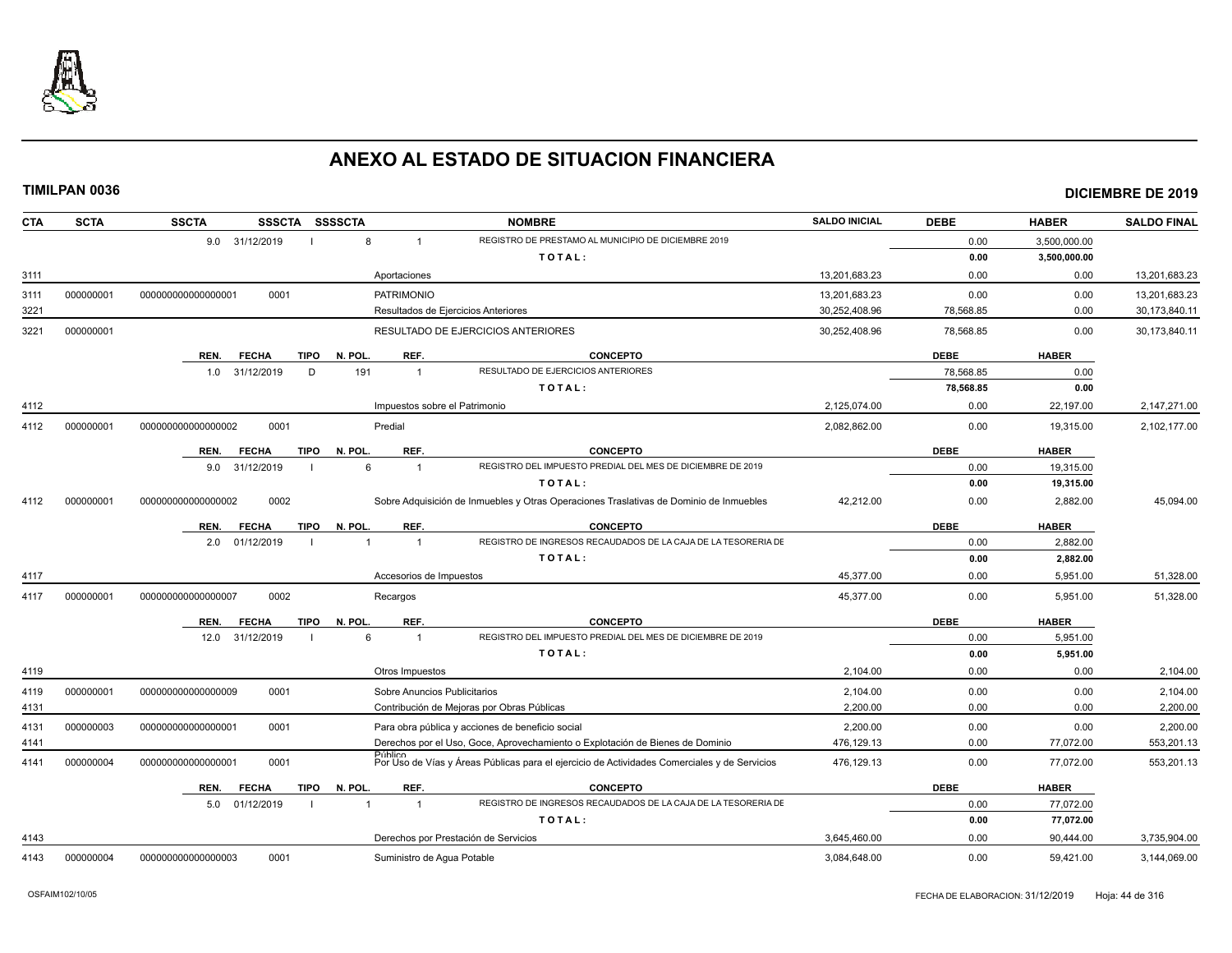

| <b>CTA</b> | <b>SCTA</b> | <b>SSCTA</b>                        | SSSCTA SSSSCTA                | <b>NOMBRE</b>                                                                                | <b>SALDO INICIAL</b> | <b>DEBE</b> | <b>HABER</b> | <b>SALDO FINAL</b> |
|------------|-------------|-------------------------------------|-------------------------------|----------------------------------------------------------------------------------------------|----------------------|-------------|--------------|--------------------|
|            |             | 9.0 31/12/2019                      | 8                             | REGISTRO DE PRESTAMO AL MUNICIPIO DE DICIEMBRE 2019                                          |                      | 0.00        | 3,500,000.00 |                    |
|            |             |                                     |                               | TOTAL:                                                                                       |                      | 0.00        | 3,500,000.00 |                    |
| 3111       |             |                                     | Aportaciones                  |                                                                                              | 13,201,683.23        | 0.00        | 0.00         | 13,201,683.23      |
| 3111       | 000000001   | 0001<br>000000000000000001          | <b>PATRIMONIO</b>             |                                                                                              | 13,201,683.23        | 0.00        | 0.00         | 13,201,683.23      |
| 3221       |             |                                     |                               | Resultados de Ejercicios Anteriores                                                          | 30,252,408.96        | 78,568.85   | 0.00         | 30,173,840.11      |
| 3221       | 000000001   |                                     |                               | RESULTADO DE EJERCICIOS ANTERIORES                                                           | 30,252,408.96        | 78,568.85   | 0.00         | 30,173,840.11      |
|            |             | REN.<br><b>FECHA</b>                | REF.<br>N. POL.<br>TIPO       | <b>CONCEPTO</b>                                                                              |                      | <b>DEBE</b> | <b>HABER</b> |                    |
|            |             | 31/12/2019<br>1.0                   | D<br>191<br>$\overline{1}$    | RESULTADO DE EJERCICIOS ANTERIORES                                                           |                      | 78,568.85   | 0.00         |                    |
|            |             |                                     |                               | TOTAL:                                                                                       |                      | 78,568.85   | 0.00         |                    |
| 4112       |             |                                     | Impuestos sobre el Patrimonio |                                                                                              | 2,125,074.00         | 0.00        | 22,197.00    | 2,147,271.00       |
| 4112       | 000000001   | 0001<br>000000000000000002          | Predial                       |                                                                                              | 2.082.862.00         | 0.00        | 19.315.00    | 2,102,177.00       |
|            |             | <b>FECHA</b><br><b>TIPO</b><br>REN. | REF.<br>N. POL.               | <b>CONCEPTO</b>                                                                              |                      | <b>DEBE</b> | <b>HABER</b> |                    |
|            |             | 31/12/2019<br>9.0                   | 6                             | REGISTRO DEL IMPUESTO PREDIAL DEL MES DE DICIEMBRE DE 2019                                   |                      | 0.00        | 19,315.00    |                    |
|            |             |                                     |                               | TOTAL:                                                                                       |                      | 0.00        | 19,315.00    |                    |
| 4112       | 000000001   | 0002<br>00000000000000002           |                               | Sobre Adquisición de Inmuebles y Otras Operaciones Traslativas de Dominio de Inmuebles       | 42,212.00            | 0.00        | 2,882.00     | 45,094.00          |
|            |             | REN.<br><b>FECHA</b>                | TIPO<br>N. POL.<br>REF.       | <b>CONCEPTO</b>                                                                              |                      | <b>DEBE</b> | <b>HABER</b> |                    |
|            |             | 01/12/2019<br>2.0                   | 1<br>$\overline{1}$           | REGISTRO DE INGRESOS RECAUDADOS DE LA CAJA DE LA TESORERIA DE                                |                      | 0.00        | 2,882.00     |                    |
|            |             |                                     |                               | TOTAL:                                                                                       |                      | 0.00        | 2,882.00     |                    |
| 4117       |             |                                     | Accesorios de Impuestos       |                                                                                              | 45,377.00            | 0.00        | 5,951.00     | 51,328.00          |
| 4117       | 000000001   | 0002<br>00000000000000007           | Recargos                      |                                                                                              | 45.377.00            | 0.00        | 5,951.00     | 51,328.00          |
|            |             | <b>FECHA</b><br>REN.                | <b>TIPO</b><br>N. POL<br>REF. | <b>CONCEPTO</b>                                                                              |                      | <b>DEBE</b> | <b>HABER</b> |                    |
|            |             | 31/12/2019<br>12.0                  | 6<br>$\overline{1}$           | REGISTRO DEL IMPUESTO PREDIAL DEL MES DE DICIEMBRE DE 2019                                   |                      | 0.00        | 5,951.00     |                    |
|            |             |                                     |                               | TOTAL:                                                                                       |                      | 0.00        | 5,951.00     |                    |
| 4119       |             |                                     | Otros Impuestos               |                                                                                              | 2,104.00             | 0.00        | 0.00         | 2,104.00           |
| 4119       | 000000001   | 0001<br>000000000000000009          | Sobre Anuncios Publicitarios  |                                                                                              | 2,104.00             | 0.00        | 0.00         | 2,104.00           |
| 4131       |             |                                     |                               | Contribución de Mejoras por Obras Públicas                                                   | 2,200.00             | 0.00        | 0.00         | 2,200.00           |
| 4131       | 000000003   | 0001<br>00000000000000001           |                               | Para obra pública y acciones de beneficio social                                             | 2,200.00             | 0.00        | 0.00         | 2,200.00           |
| 4141       |             |                                     |                               | Derechos por el Uso, Goce, Aprovechamiento o Explotación de Bienes de Dominio                | 476,129.13           | 0.00        | 77,072.00    | 553,201.13         |
| 4141       | 000000004   | 0001<br>00000000000000001           | <b>Público</b>                | Por Uso de Vías y Áreas Públicas para el ejercicio de Actividades Comerciales y de Servicios | 476,129.13           | 0.00        | 77,072.00    | 553,201.13         |
|            |             | REN.<br><b>FECHA</b>                | TIPO<br>N. POL<br>REF.        | <b>CONCEPTO</b>                                                                              |                      | <b>DEBE</b> | <b>HABER</b> |                    |
|            |             | 01/12/2019<br>5.0                   | 1<br>$\overline{1}$           | REGISTRO DE INGRESOS RECAUDADOS DE LA CAJA DE LA TESORERIA DE                                |                      | 0.00        | 77,072.00    |                    |
|            |             |                                     |                               | TOTAL:                                                                                       |                      | 0.00        | 77,072.00    |                    |
| 4143       |             |                                     |                               | Derechos por Prestación de Servicios                                                         | 3,645,460.00         | 0.00        | 90,444.00    | 3,735,904.00       |
| 4143       | 000000004   | 000000000000000003<br>0001          | Suministro de Aqua Potable    |                                                                                              | 3,084,648.00         | 0.00        | 59,421.00    | 3,144,069.00       |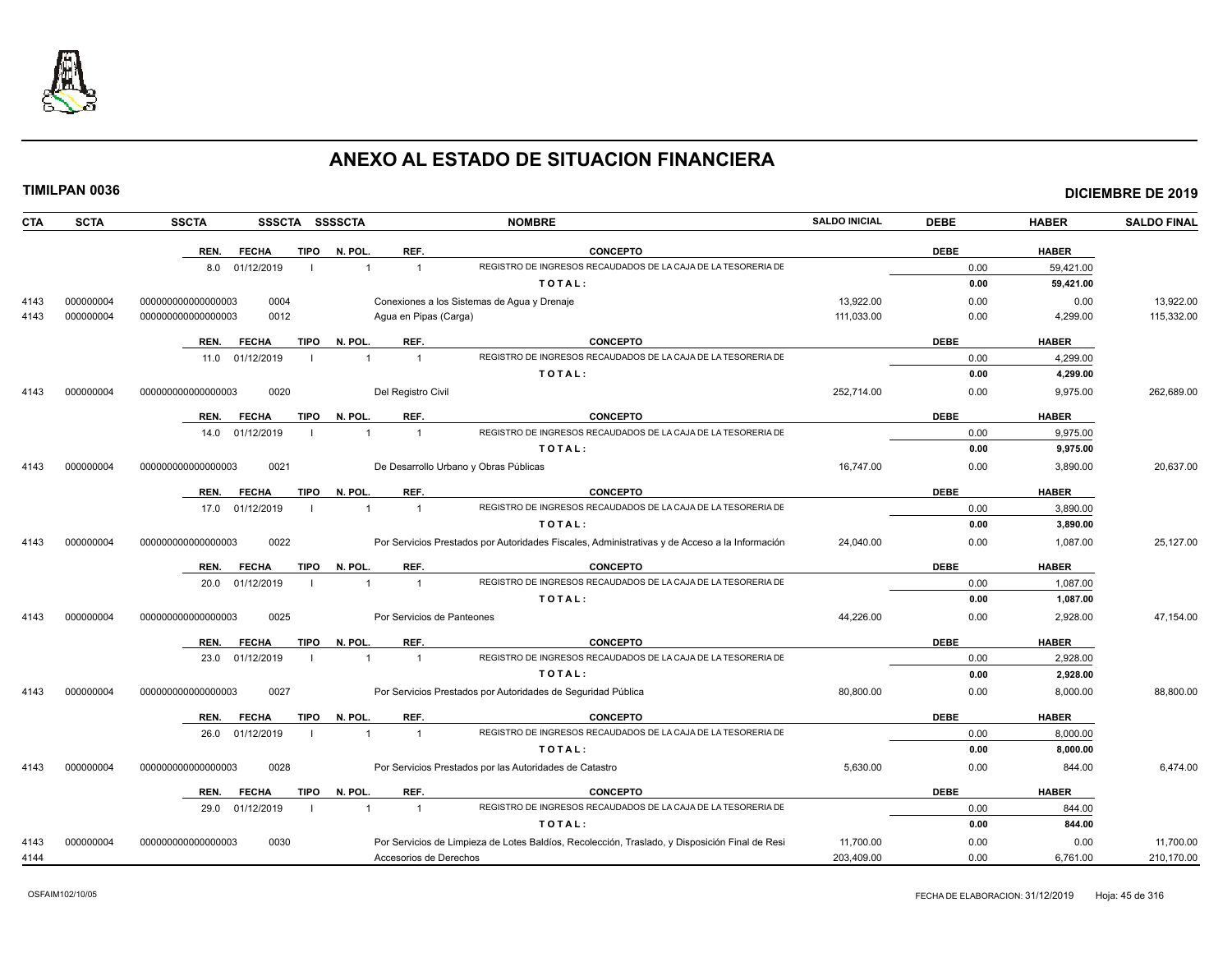

|            | <b>TIMILPAN 0036</b> |                    |                 |                |                |                            |                                                                                                |                      |             |              | <b>DICIEMBRE DE 2019</b> |
|------------|----------------------|--------------------|-----------------|----------------|----------------|----------------------------|------------------------------------------------------------------------------------------------|----------------------|-------------|--------------|--------------------------|
| <b>CTA</b> | <b>SCTA</b>          | <b>SSCTA</b>       |                 |                | SSSCTA SSSSCTA |                            | <b>NOMBRE</b>                                                                                  | <b>SALDO INICIAL</b> | <b>DEBE</b> | <b>HABER</b> | <b>SALDO FINAL</b>       |
|            |                      | REN.               | <b>FECHA</b>    | <b>TIPO</b>    | N. POL.        | REF.                       | <b>CONCEPTO</b>                                                                                |                      | <b>DEBE</b> | <b>HABER</b> |                          |
|            |                      |                    | 8.0 01/12/2019  | - 1            | $\overline{1}$ | $\mathbf{1}$               | REGISTRO DE INGRESOS RECAUDADOS DE LA CAJA DE LA TESORERIA DE                                  |                      | 0.00        | 59,421.00    |                          |
|            |                      |                    |                 |                |                |                            | TOTAL:                                                                                         |                      | 0.00        | 59,421.00    |                          |
| 4143       | 000000004            | 000000000000000003 | 0004            |                |                |                            | Conexiones a los Sistemas de Agua y Drenaje                                                    | 13,922.00            | 0.00        | 0.00         | 13,922.00                |
| 4143       | 000000004            | 00000000000000003  | 0012            |                |                | Agua en Pipas (Carga)      |                                                                                                | 111,033.00           | 0.00        | 4,299.00     | 115,332.00               |
|            |                      | REN.               | <b>FECHA</b>    | <b>TIPO</b>    | N. POL.        | REF.                       | <b>CONCEPTO</b>                                                                                |                      | <b>DEBE</b> | <b>HABER</b> |                          |
|            |                      | 11.0               | 01/12/2019      | $\blacksquare$ | $\overline{1}$ | $\overline{1}$             | REGISTRO DE INGRESOS RECAUDADOS DE LA CAJA DE LA TESORERIA DE                                  |                      | 0.00        | 4,299.00     |                          |
|            |                      |                    |                 |                |                |                            | TOTAL:                                                                                         |                      | 0.00        | 4,299.00     |                          |
| 4143       | 000000004            | 000000000000000003 | 0020            |                |                | Del Registro Civil         |                                                                                                | 252,714.00           | 0.00        | 9,975.00     | 262,689.00               |
|            |                      |                    |                 |                |                |                            |                                                                                                |                      |             |              |                          |
|            |                      | REN.               | <b>FECHA</b>    | <b>TIPO</b>    | N. POL.        | REF.                       | <b>CONCEPTO</b>                                                                                |                      | <b>DEBE</b> | <b>HABER</b> |                          |
|            |                      |                    | 14.0 01/12/2019 | $\blacksquare$ | $\overline{1}$ | $\overline{1}$             | REGISTRO DE INGRESOS RECAUDADOS DE LA CAJA DE LA TESORERIA DE                                  |                      | 0.00        | 9,975.00     |                          |
|            |                      |                    |                 |                |                |                            | TOTAL:                                                                                         |                      | 0.00        | 9,975.00     |                          |
| 4143       | 000000004            | 000000000000000003 | 0021            |                |                |                            | De Desarrollo Urbano y Obras Públicas                                                          | 16,747.00            | 0.00        | 3,890.00     | 20,637.00                |
|            |                      | REN.               | <b>FECHA</b>    | TIPO           | N. POL.        | REF.                       | <b>CONCEPTO</b>                                                                                |                      | <b>DEBE</b> | <b>HABER</b> |                          |
|            |                      | 17.0               | 01/12/2019      | $\blacksquare$ | $\mathbf{1}$   | $\overline{1}$             | REGISTRO DE INGRESOS RECAUDADOS DE LA CAJA DE LA TESORERIA DE                                  |                      | 0.00        | 3,890.00     |                          |
|            |                      |                    |                 |                |                |                            | TOTAL:                                                                                         |                      | 0.00        | 3,890.00     |                          |
| 4143       | 000000004            | 000000000000000003 | 0022            |                |                |                            | Por Servicios Prestados por Autoridades Fiscales, Administrativas y de Acceso a la Información | 24,040.00            | 0.00        | 1,087.00     | 25,127.00                |
|            |                      | REN.               | <b>FECHA</b>    | <b>TIPO</b>    | N. POL.        | REF.                       | <b>CONCEPTO</b>                                                                                |                      | <b>DEBE</b> | <b>HABER</b> |                          |
|            |                      |                    | 20.0 01/12/2019 | - 1            | $\mathbf 1$    | $\overline{1}$             | REGISTRO DE INGRESOS RECAUDADOS DE LA CAJA DE LA TESORERIA DE                                  |                      | 0.00        | 1,087.00     |                          |
|            |                      |                    |                 |                |                |                            | TOTAL:                                                                                         |                      | 0.00        | 1,087.00     |                          |
| 4143       | 000000004            | 000000000000000003 | 0025            |                |                | Por Servicios de Panteones |                                                                                                | 44,226.00            | 0.00        | 2,928.00     | 47,154.00                |
|            |                      | REN.               | <b>FECHA</b>    | <b>TIPO</b>    | N. POL.        | REF.                       | <b>CONCEPTO</b>                                                                                |                      | <b>DEBE</b> | <b>HABER</b> |                          |
|            |                      |                    | 23.0 01/12/2019 | $\blacksquare$ | $\overline{1}$ | $\overline{1}$             | REGISTRO DE INGRESOS RECAUDADOS DE LA CAJA DE LA TESORERIA DE                                  |                      | 0.00        | 2,928.00     |                          |
|            |                      |                    |                 |                |                |                            | TOTAL:                                                                                         |                      | 0.00        | 2,928.00     |                          |
| 4143       | 000000004            | 000000000000000003 | 0027            |                |                |                            | Por Servicios Prestados por Autoridades de Seguridad Pública                                   | 80,800.00            | 0.00        | 8,000.00     | 88,800.00                |
|            |                      | REN.               | <b>FECHA</b>    | <b>TIPO</b>    | N. POL.        | REF.                       | <b>CONCEPTO</b>                                                                                |                      | <b>DEBE</b> | <b>HABER</b> |                          |
|            |                      | 26.0               | 01/12/2019      | - 1            | $\overline{1}$ | $\overline{1}$             | REGISTRO DE INGRESOS RECAUDADOS DE LA CAJA DE LA TESORERIA DE                                  |                      | 0.00        | 8,000.00     |                          |
|            |                      |                    |                 |                |                |                            | TOTAL:                                                                                         |                      | 0.00        | 8,000.00     |                          |
| 4143       | 000000004            | 000000000000000003 | 0028            |                |                |                            | Por Servicios Prestados por las Autoridades de Catastro                                        | 5.630.00             | 0.00        | 844.00       | 6,474.00                 |
|            |                      | REN.               | <b>FECHA</b>    | <b>TIPO</b>    | N. POL.        | REF.                       | <b>CONCEPTO</b>                                                                                |                      | <b>DEBE</b> | <b>HABER</b> |                          |
|            |                      |                    | 29.0 01/12/2019 | - 1            | $\overline{1}$ | $\overline{1}$             | REGISTRO DE INGRESOS RECAUDADOS DE LA CAJA DE LA TESORERIA DE                                  |                      | 0.00        | 844.00       |                          |
|            |                      |                    |                 |                |                |                            | TOTAL:                                                                                         |                      | 0.00        | 844.00       |                          |
| 4143       | 000000004            | 00000000000000003  | 0030            |                |                |                            | Por Servicios de Limpieza de Lotes Baldíos, Recolección, Traslado, y Disposición Final de Resi | 11,700.00            | 0.00        | 0.00         | 11,700.00                |
| 4144       |                      |                    |                 |                |                | Accesorios de Derechos     |                                                                                                | 203,409.00           | 0.00        | 6,761.00     | 210,170.00               |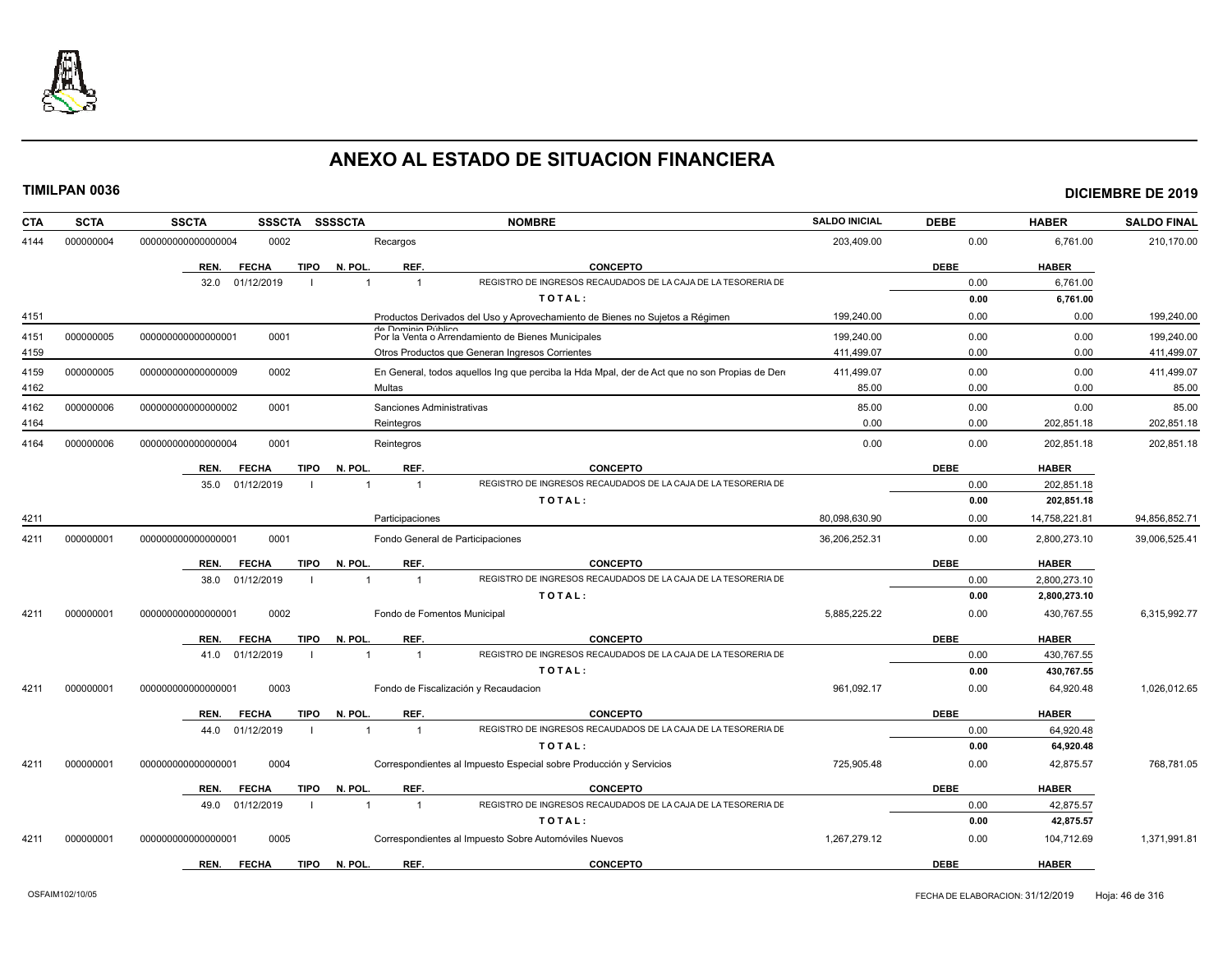

| <b>SCTA</b><br><b>CTA</b> | <b>SSCTA</b><br><b>SSSCTA</b>       | <b>SSSSCTA</b>                   | <b>NOMBRE</b>                                                                                 | <b>SALDO INICIAL</b> | <b>DEBE</b> | <b>HABER</b>  | <b>SALDO FINAL</b> |
|---------------------------|-------------------------------------|----------------------------------|-----------------------------------------------------------------------------------------------|----------------------|-------------|---------------|--------------------|
| 4144<br>000000004         | 0002<br>000000000000000004          | Recargos                         |                                                                                               | 203,409.00           | 0.00        | 6,761.00      | 210,170.00         |
|                           | <b>FECHA</b><br><b>TIPO</b><br>REN. | N. POL<br>REF.                   | <b>CONCEPTO</b>                                                                               |                      | <b>DEBE</b> | <b>HABER</b>  |                    |
|                           | 01/12/2019<br>32.0                  | $\overline{1}$                   | REGISTRO DE INGRESOS RECAUDADOS DE LA CAJA DE LA TESORERIA DE                                 |                      | 0.00        | 6,761.00      |                    |
|                           |                                     |                                  | TOTAL:                                                                                        |                      | 0.00        | 6,761.00      |                    |
| 4151                      |                                     |                                  | Productos Derivados del Uso y Aprovechamiento de Bienes no Sujetos a Régimen                  | 199,240.00           | 0.00        | 0.00          | 199,240.00         |
| 4151<br>000000005         | 0001<br>00000000000000001           | de Dominio Público               | Por la Venta o Arrendamiento de Bienes Municipales                                            | 199,240.00           | 0.00        | 0.00          | 199,240.00         |
| 4159                      |                                     |                                  | Otros Productos que Generan Ingresos Corrientes                                               | 411,499.07           | 0.00        | 0.00          | 411,499.07         |
| 4159<br>000000005         | 0002<br>000000000000000009          |                                  | En General, todos aquellos Ing que perciba la Hda Mpal, der de Act que no son Propias de Dere | 411,499.07           | 0.00        | 0.00          | 411,499.07         |
| 4162                      |                                     | Multas                           |                                                                                               | 85.00                | 0.00        | 0.00          | 85.00              |
| 4162<br>000000006         | 0001<br>000000000000000002          | Sanciones Administrativas        |                                                                                               | 85.00                | 0.00        | 0.00          | 85.00              |
| 4164                      |                                     | Reintegros                       |                                                                                               | 0.00                 | 0.00        | 202,851.18    | 202,851.18         |
| 000000006<br>4164         | 0001<br>000000000000000004          | Reintegros                       |                                                                                               | 0.00                 | 0.00        | 202,851.18    | 202,851.18         |
|                           | <b>TIPO</b><br>REN.<br><b>FECHA</b> | N. POL.<br>REF.                  | <b>CONCEPTO</b>                                                                               |                      | <b>DEBE</b> | <b>HABER</b>  |                    |
|                           | 35.0<br>01/12/2019                  | $\overline{1}$                   | REGISTRO DE INGRESOS RECAUDADOS DE LA CAJA DE LA TESORERIA DE                                 |                      | 0.00        | 202,851.18    |                    |
|                           |                                     |                                  | TOTAL:                                                                                        |                      | 0.00        | 202,851.18    |                    |
| 4211                      |                                     | Participaciones                  |                                                                                               | 80,098,630.90        | 0.00        | 14,758,221.81 | 94,856,852.71      |
| 4211<br>000000001         | 000000000000000001<br>0001          |                                  | Fondo General de Participaciones                                                              | 36,206,252.31        | 0.00        | 2,800,273.10  | 39,006,525.41      |
|                           | REN.<br><b>FECHA</b><br><b>TIPO</b> | REF.<br>N. POL                   | <b>CONCEPTO</b>                                                                               |                      | <b>DEBE</b> | <b>HABER</b>  |                    |
|                           | 38.0<br>01/12/2019                  | $\overline{1}$                   | REGISTRO DE INGRESOS RECAUDADOS DE LA CAJA DE LA TESORERIA DE                                 |                      | 0.00        | 2,800,273.10  |                    |
|                           |                                     |                                  | TOTAL:                                                                                        |                      | 0.00        | 2,800,273.10  |                    |
| 4211<br>000000001         | 0002<br>000000000000000001          | Fondo de Fomentos Municipal      |                                                                                               | 5.885.225.22         | 0.00        | 430,767.55    | 6,315,992.77       |
|                           | REN.<br><b>FECHA</b><br><b>TIPO</b> | N. POL.<br>REF.                  | <b>CONCEPTO</b>                                                                               |                      | <b>DEBE</b> | <b>HABER</b>  |                    |
|                           | 41.0<br>01/12/2019                  | $\overline{\mathbf{1}}$          | REGISTRO DE INGRESOS RECAUDADOS DE LA CAJA DE LA TESORERIA DE                                 |                      | 0.00        | 430,767.55    |                    |
|                           |                                     |                                  | TOTAL:                                                                                        |                      | 0.00        | 430,767.55    |                    |
| 000000001<br>4211         | 0003<br>000000000000000001          |                                  | Fondo de Fiscalización y Recaudacion                                                          | 961.092.17           | 0.00        | 64,920.48     | 1,026,012.65       |
|                           | REN.<br><b>FECHA</b><br><b>TIPO</b> | N. POL<br>REF.                   | <b>CONCEPTO</b>                                                                               |                      | <b>DEBE</b> | <b>HABER</b>  |                    |
|                           | 01/12/2019<br>44.0                  | $\overline{1}$<br>$\overline{1}$ | REGISTRO DE INGRESOS RECAUDADOS DE LA CAJA DE LA TESORERIA DE                                 |                      | 0.00        | 64,920.48     |                    |
|                           |                                     |                                  | TOTAL:                                                                                        |                      | 0.00        | 64,920.48     |                    |
| 4211<br>000000001         | 0004<br>000000000000000001          |                                  | Correspondientes al Impuesto Especial sobre Producción y Servicios                            | 725,905.48           | 0.00        | 42,875.57     | 768,781.05         |
|                           | <b>FECHA</b><br><b>TIPO</b><br>REN. | REF.<br>N. POL.                  | <b>CONCEPTO</b>                                                                               |                      | <b>DEBE</b> | <b>HABER</b>  |                    |
|                           | 49.0<br>01/12/2019                  | $\overline{1}$<br>$\mathbf{1}$   | REGISTRO DE INGRESOS RECAUDADOS DE LA CAJA DE LA TESORERIA DE                                 |                      | 0.00        | 42,875.57     |                    |
|                           |                                     |                                  | TOTAL:                                                                                        |                      | 0.00        | 42,875.57     |                    |
| 4211<br>000000001         | 0005<br>00000000000000000           |                                  | Correspondientes al Impuesto Sobre Automóviles Nuevos                                         | 1,267,279.12         | 0.00        | 104,712.69    | 1,371,991.81       |
|                           | REN.<br><b>FECHA</b><br><b>TIPO</b> | N. POL.<br>REF.                  | <b>CONCEPTO</b>                                                                               |                      | <b>DEBE</b> | <b>HABER</b>  |                    |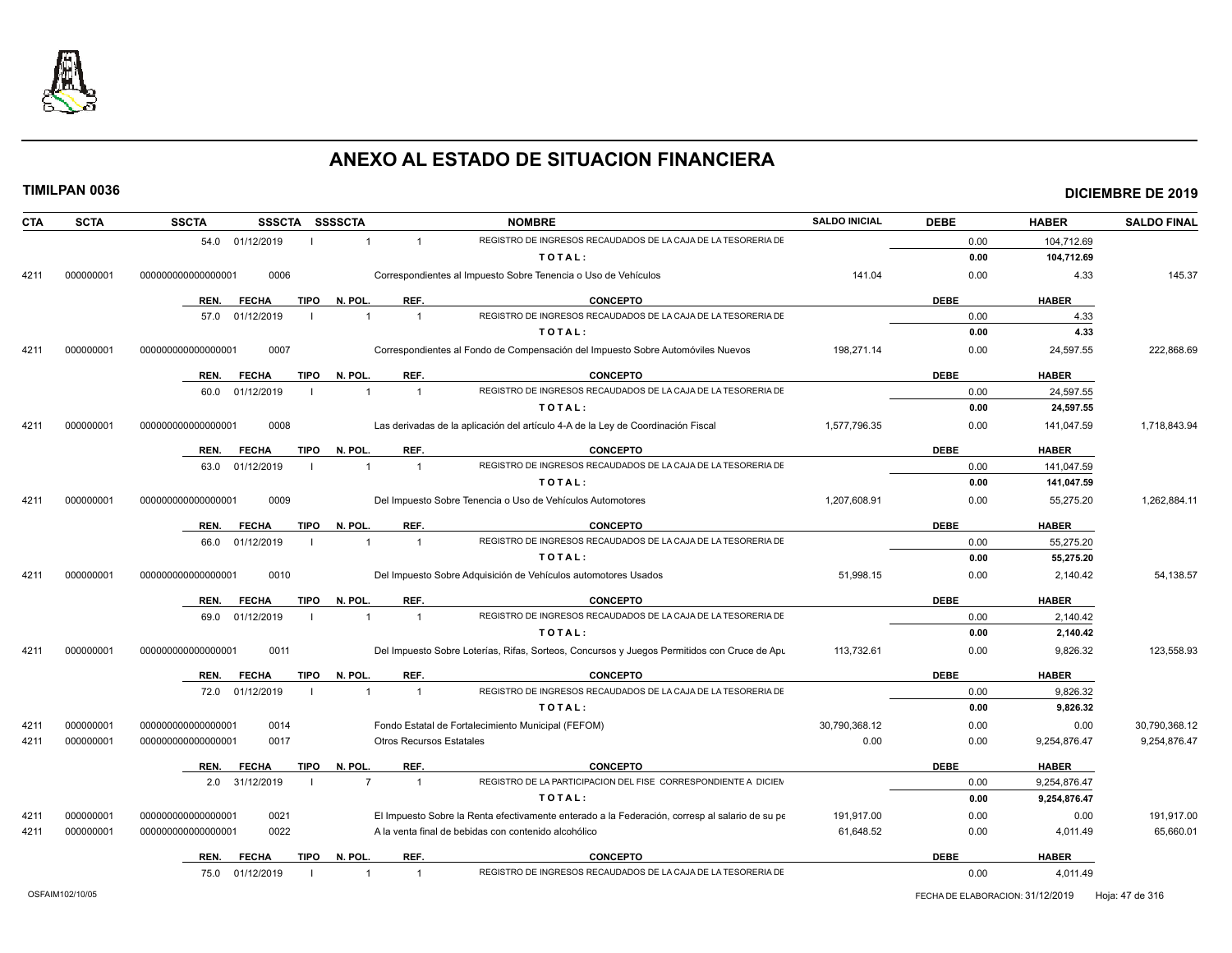

| <b>SCTA</b><br>CTA | SSSCTA SSSSCTA<br><b>SSCTA</b>      |                |                                 | <b>NOMBRE</b>                                                                                  | <b>SALDO INICIAL</b> | <b>DEBE</b> | <b>HABER</b> | <b>SALDO FINAL</b> |
|--------------------|-------------------------------------|----------------|---------------------------------|------------------------------------------------------------------------------------------------|----------------------|-------------|--------------|--------------------|
|                    | 54.0 01/12/2019                     | $\mathbf{1}$   | $\overline{1}$                  | REGISTRO DE INGRESOS RECAUDADOS DE LA CAJA DE LA TESORERIA DE                                  |                      | 0.00        | 104,712.69   |                    |
|                    |                                     |                |                                 | TOTAL:                                                                                         |                      | 0.00        | 104,712.69   |                    |
| 000000001<br>4211  | 000000000000000001<br>0006          |                |                                 | Correspondientes al Impuesto Sobre Tenencia o Uso de Vehículos                                 | 141.04               | 0.00        | 4.33         | 145.37             |
|                    | TIPO<br><b>FECHA</b><br>REN.        | N. POL.        | REF.                            | <b>CONCEPTO</b>                                                                                |                      | <b>DEBE</b> | <b>HABER</b> |                    |
|                    | 57.0 01/12/2019                     | $\overline{1}$ | $\overline{1}$                  | REGISTRO DE INGRESOS RECAUDADOS DE LA CAJA DE LA TESORERIA DE                                  |                      | 0.00        | 4.33         |                    |
|                    |                                     |                |                                 | TOTAL:                                                                                         |                      | 0.00        | 4.33         |                    |
| 000000001<br>4211  | 000000000000000001<br>0007          |                |                                 | Correspondientes al Fondo de Compensación del Impuesto Sobre Automóviles Nuevos                | 198,271.14           | 0.00        | 24,597.55    | 222,868.69         |
|                    | REN.<br><b>FECHA</b><br>TIPO        | N. POL.        | REF.                            | <b>CONCEPTO</b>                                                                                |                      | <b>DEBE</b> | <b>HABER</b> |                    |
|                    | 60.0 01/12/2019                     | $\overline{1}$ | $\overline{1}$                  | REGISTRO DE INGRESOS RECAUDADOS DE LA CAJA DE LA TESORERIA DE                                  |                      | 0.00        | 24,597.55    |                    |
|                    |                                     |                |                                 | TOTAL:                                                                                         |                      | 0.00        | 24,597.55    |                    |
| 000000001<br>4211  | 0008<br>000000000000000001          |                |                                 | Las derivadas de la aplicación del artículo 4-A de la Ley de Coordinación Fiscal               | 1,577,796.35         | 0.00        | 141,047.59   | 1,718,843.94       |
|                    | <b>FECHA</b><br><b>TIPO</b><br>REN. | N. POL.        | REF.                            | <b>CONCEPTO</b>                                                                                |                      | <b>DEBE</b> | <b>HABER</b> |                    |
|                    | 63.0<br>01/12/2019                  | $\overline{1}$ | $\overline{1}$                  | REGISTRO DE INGRESOS RECAUDADOS DE LA CAJA DE LA TESORERIA DE                                  |                      | 0.00        | 141,047.59   |                    |
|                    |                                     |                |                                 | TOTAL:                                                                                         |                      | 0.00        | 141,047.59   |                    |
| 4211<br>000000001  | 0009<br>000000000000000001          |                |                                 | Del Impuesto Sobre Tenencia o Uso de Vehículos Automotores                                     | 1,207,608.91         | 0.00        | 55,275.20    | 1,262,884.11       |
|                    | <b>TIPO</b><br>REN.<br><b>FECHA</b> | N. POL.        | REF.                            | <b>CONCEPTO</b>                                                                                |                      | <b>DEBE</b> | <b>HABER</b> |                    |
|                    | 01/12/2019<br>66.0                  | $\mathbf{1}$   | $\overline{1}$                  | REGISTRO DE INGRESOS RECAUDADOS DE LA CAJA DE LA TESORERIA DE                                  |                      | 0.00        | 55,275.20    |                    |
|                    |                                     |                |                                 | TOTAL:                                                                                         |                      | 0.00        | 55,275.20    |                    |
| 000000001<br>4211  | 0010<br>000000000000000001          |                |                                 | Del Impuesto Sobre Adquisición de Vehículos automotores Usados                                 | 51,998.15            | 0.00        | 2,140.42     | 54,138.57          |
|                    | <b>TIPO</b><br>REN.<br><b>FECHA</b> | N. POL.        | REF.                            | <b>CONCEPTO</b>                                                                                |                      | <b>DEBE</b> | <b>HABER</b> |                    |
|                    | 01/12/2019<br>69.0                  | $\mathbf{1}$   | $\overline{1}$                  | REGISTRO DE INGRESOS RECAUDADOS DE LA CAJA DE LA TESORERIA DE                                  |                      | 0.00        | 2,140.42     |                    |
|                    |                                     |                |                                 | TOTAL:                                                                                         |                      | 0.00        | 2,140.42     |                    |
| 000000001<br>4211  | 00000000000000001<br>0011           |                |                                 | Del Impuesto Sobre Loterías, Rifas, Sorteos, Concursos y Juegos Permitidos con Cruce de Apu    | 113.732.61           | 0.00        | 9,826.32     | 123,558.93         |
|                    | <b>TIPO</b><br>REN.<br><b>FECHA</b> | N. POL.        | REF.                            | <b>CONCEPTO</b>                                                                                |                      | <b>DEBE</b> | <b>HABER</b> |                    |
|                    | 72.0 01/12/2019                     | $\mathbf{1}$   | $\overline{1}$                  | REGISTRO DE INGRESOS RECAUDADOS DE LA CAJA DE LA TESORERIA DE                                  |                      | 0.00        | 9,826.32     |                    |
|                    |                                     |                |                                 | TOTAL:                                                                                         |                      | 0.00        | 9,826.32     |                    |
| 000000001<br>4211  | 000000000000000001<br>0014          |                |                                 | Fondo Estatal de Fortalecimiento Municipal (FEFOM)                                             | 30,790,368.12        | 0.00        | 0.00         | 30,790,368.12      |
| 000000001<br>4211  | 000000000000000001<br>0017          |                | <b>Otros Recursos Estatales</b> |                                                                                                | 0.00                 | 0.00        | 9,254,876.47 | 9,254,876.47       |
|                    | <b>TIPO</b><br>REN.<br><b>FECHA</b> | N. POL.        | REF.                            | <b>CONCEPTO</b>                                                                                |                      | <b>DEBE</b> | <b>HABER</b> |                    |
|                    | 2.0 31/12/2019                      | $\overline{7}$ | $\overline{1}$                  | REGISTRO DE LA PARTICIPACION DEL FISE CORRESPONDIENTE A DICIEN                                 |                      | 0.00        | 9,254,876.47 |                    |
|                    |                                     |                |                                 | TOTAL:                                                                                         |                      | 0.00        | 9,254,876.47 |                    |
| 000000001<br>4211  | 0021<br>000000000000000001          |                |                                 | El Impuesto Sobre la Renta efectivamente enterado a la Federación, corresp al salario de su pe | 191,917.00           | 0.00        | 0.00         | 191,917.00         |
| 4211<br>000000001  | 0022<br>000000000000000001          |                |                                 | A la venta final de bebidas con contenido alcohólico                                           | 61,648.52            | 0.00        | 4,011.49     | 65,660.01          |
|                    | <b>FECHA</b><br>REN.                | TIPO N. POL.   | REF.                            | <b>CONCEPTO</b>                                                                                |                      | <b>DEBE</b> | <b>HABER</b> |                    |
|                    | 75.0 01/12/2019                     | $\mathbf{1}$   | $\overline{1}$                  | REGISTRO DE INGRESOS RECAUDADOS DE LA CAJA DE LA TESORERIA DE                                  |                      | 0.00        | 4,011.49     |                    |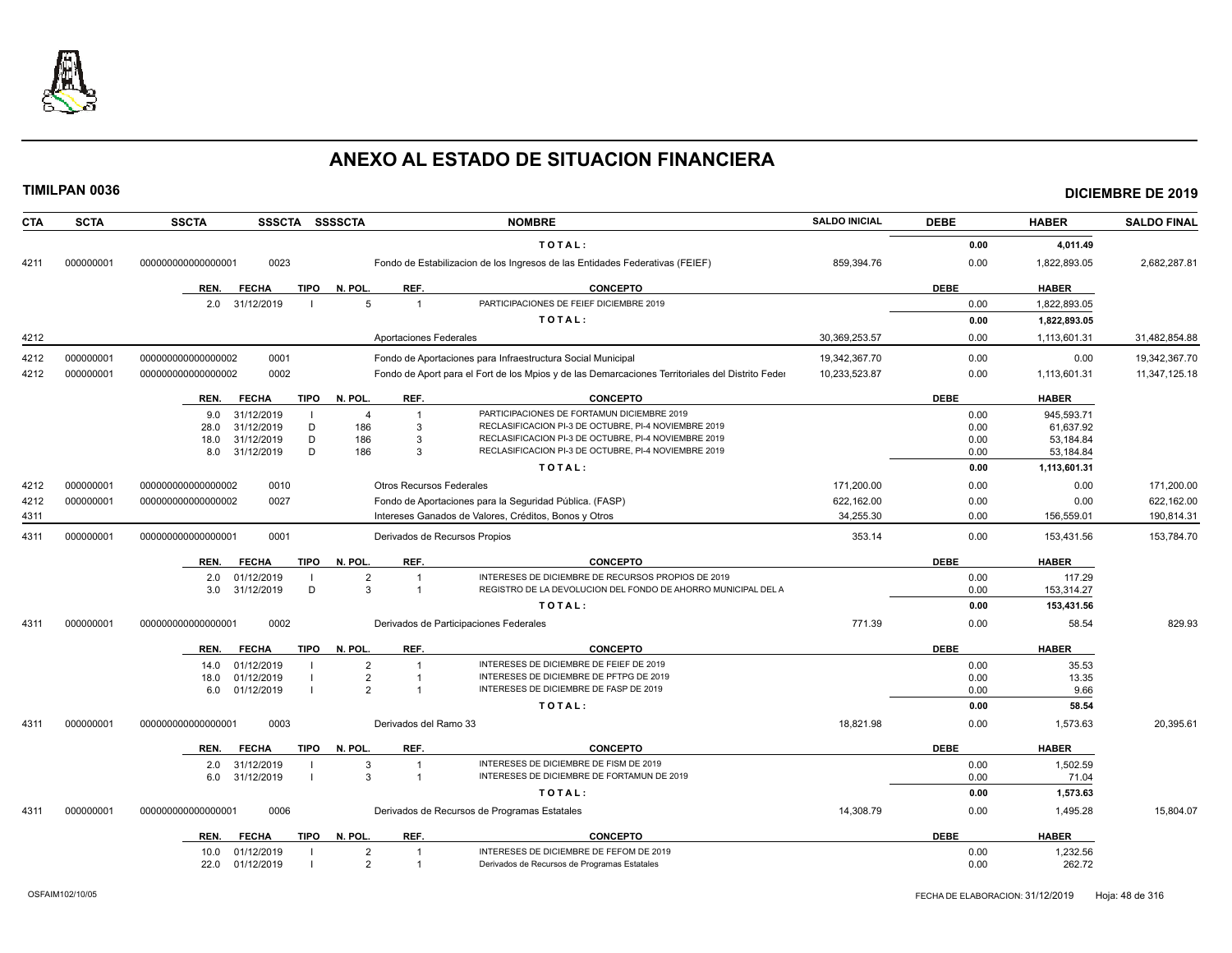

| <b>CTA</b> | <b>SCTA</b> | <b>SSCTA</b>       |              | SSSCTA SSSSCTA         |                                  | <b>NOMBRE</b>                                                                                    | <b>SALDO INICIAL</b> | <b>DEBE</b> | <b>HABER</b> | <b>SALDO FINAL</b> |
|------------|-------------|--------------------|--------------|------------------------|----------------------------------|--------------------------------------------------------------------------------------------------|----------------------|-------------|--------------|--------------------|
|            |             |                    |              |                        |                                  | TOTAL:                                                                                           |                      | 0.00        | 4,011.49     |                    |
| 4211       | 000000001   | 000000000000000001 | 0023         |                        |                                  | Fondo de Estabilizacion de los Ingresos de las Entidades Federativas (FEIEF)                     | 859,394.76           | 0.00        | 1,822,893.05 | 2,682,287.81       |
|            |             | REN.               | <b>FECHA</b> | N. POL.<br><b>TIPO</b> | REF.                             | <b>CONCEPTO</b>                                                                                  |                      | <b>DEBE</b> | <b>HABER</b> |                    |
|            |             | 2.0                | 31/12/2019   |                        | 5<br>$\overline{1}$              | PARTICIPACIONES DE FEIEF DICIEMBRE 2019                                                          |                      | 0.00        | 1,822,893.05 |                    |
|            |             |                    |              |                        |                                  | TOTAL:                                                                                           |                      | 0.00        | 1,822,893.05 |                    |
| 4212       |             |                    |              |                        | <b>Aportaciones Federales</b>    |                                                                                                  | 30,369,253.57        | 0.00        | 1,113,601.31 | 31,482,854.88      |
|            |             |                    |              |                        |                                  |                                                                                                  |                      |             |              |                    |
| 4212       | 000000001   | 00000000000000002  | 0001         |                        |                                  | Fondo de Aportaciones para Infraestructura Social Municipal                                      | 19,342,367.70        | 0.00        | 0.00         | 19,342,367.70      |
| 4212       | 000000001   | 000000000000000002 | 0002         |                        |                                  | Fondo de Aport para el Fort de los Mpios y de las Demarcaciones Territoriales del Distrito Feder | 10,233,523.87        | 0.00        | 1,113,601.31 | 11,347,125.18      |
|            |             | REN.               | <b>FECHA</b> | <b>TIPO</b><br>N. POL. | REF.                             | <b>CONCEPTO</b>                                                                                  |                      | <b>DEBE</b> | <b>HABER</b> |                    |
|            |             | 9.0                | 31/12/2019   |                        | $\overline{4}$<br>$\overline{1}$ | PARTICIPACIONES DE FORTAMUN DICIEMBRE 2019                                                       |                      | 0.00        | 945.593.71   |                    |
|            |             | 28.0               | 31/12/2019   | D                      | 186<br>3                         | RECLASIFICACION PI-3 DE OCTUBRE, PI-4 NOVIEMBRE 2019                                             |                      | 0.00        | 61,637.92    |                    |
|            |             | 18.0               | 31/12/2019   | D                      | 186<br>3                         | RECLASIFICACION PI-3 DE OCTUBRE, PI-4 NOVIEMBRE 2019                                             |                      | 0.00        | 53,184.84    |                    |
|            |             | 8.0                | 31/12/2019   | D                      | 186<br>3                         | RECLASIFICACION PI-3 DE OCTUBRE, PI-4 NOVIEMBRE 2019                                             |                      | 0.00        | 53,184.84    |                    |
|            |             |                    |              |                        |                                  | TOTAL:                                                                                           |                      | 0.00        | 1,113,601.31 |                    |
| 4212       | 000000001   | 000000000000000002 | 0010         |                        | <b>Otros Recursos Federales</b>  |                                                                                                  | 171,200.00           | 0.00        | 0.00         | 171,200.00         |
| 4212       | 000000001   | 000000000000000002 | 0027         |                        |                                  | Fondo de Aportaciones para la Seguridad Pública. (FASP)                                          | 622,162.00           | 0.00        | 0.00         | 622.162.00         |
| 4311       |             |                    |              |                        |                                  | Intereses Ganados de Valores, Créditos, Bonos y Otros                                            | 34,255.30            | 0.00        | 156,559.01   | 190,814.31         |
| 4311       | 000000001   | 000000000000000001 | 0001         |                        | Derivados de Recursos Propios    |                                                                                                  | 353.14               | 0.00        | 153,431.56   | 153,784.70         |
|            |             | REN.               | <b>FECHA</b> | <b>TIPO</b><br>N. POL  | REF.                             | <b>CONCEPTO</b>                                                                                  |                      | <b>DEBE</b> | <b>HABER</b> |                    |
|            |             | 2.0                | 01/12/2019   |                        | $\overline{2}$                   | INTERESES DE DICIEMBRE DE RECURSOS PROPIOS DE 2019                                               |                      | 0.00        | 117.29       |                    |
|            |             | 3.0                | 31/12/2019   | D                      | $\mathcal{R}$<br>$\overline{1}$  | REGISTRO DE LA DEVOLUCION DEL FONDO DE AHORRO MUNICIPAL DEL A                                    |                      | 0.00        | 153,314.27   |                    |
|            |             |                    |              |                        |                                  | TOTAL:                                                                                           |                      | 0.00        | 153,431.56   |                    |
| 4311       | 000000001   | 000000000000000001 | 0002         |                        |                                  | Derivados de Participaciones Federales                                                           | 771.39               | 0.00        | 58.54        | 829.93             |
|            |             | REN.               | <b>FECHA</b> | <b>TIPO</b><br>N. POL. | REF.                             | <b>CONCEPTO</b>                                                                                  |                      | <b>DEBE</b> | <b>HABER</b> |                    |
|            |             | 14.0               | 01/12/2019   |                        | $\overline{2}$<br>$\overline{1}$ | INTERESES DE DICIEMBRE DE FEIEF DE 2019                                                          |                      | 0.00        | 35.53        |                    |
|            |             | 18.0               | 01/12/2019   |                        | $\overline{2}$                   | INTERESES DE DICIEMBRE DE PFTPG DE 2019                                                          |                      | 0.00        | 13.35        |                    |
|            |             | 6.0                | 01/12/2019   |                        | $\mathcal{P}$                    | INTERESES DE DICIEMBRE DE FASP DE 2019                                                           |                      | 0.00        | 9.66         |                    |
|            |             |                    |              |                        |                                  | TOTAL:                                                                                           |                      | 0.00        | 58.54        |                    |
| 4311       | 000000001   | 00000000000000000  | 0003         |                        | Derivados del Ramo 33            |                                                                                                  | 18.821.98            | 0.00        | 1,573.63     | 20,395.61          |
|            |             | REN.               | <b>FECHA</b> | N. POL.<br><b>TIPO</b> | REF.                             | <b>CONCEPTO</b>                                                                                  |                      | <b>DEBE</b> | <b>HABER</b> |                    |
|            |             | 2.0                | 31/12/2019   |                        | 3<br>$\overline{1}$              | INTERESES DE DICIEMBRE DE FISM DE 2019                                                           |                      | 0.00        | 1,502.59     |                    |
|            |             | 6.0                | 31/12/2019   | $\blacksquare$         | 3<br>$\overline{1}$              | INTERESES DE DICIEMBRE DE FORTAMUN DE 2019                                                       |                      | 0.00        | 71.04        |                    |
|            |             |                    |              |                        |                                  | TOTAL:                                                                                           |                      | 0.00        | 1,573.63     |                    |
| 4311       | 000000001   | 000000000000000001 | 0006         |                        |                                  | Derivados de Recursos de Programas Estatales                                                     | 14,308.79            | 0.00        | 1,495.28     | 15,804.07          |
|            |             | REN.               | <b>FECHA</b> | N. POL.<br>TIPO        | REF.                             | <b>CONCEPTO</b>                                                                                  |                      | <b>DEBE</b> | <b>HABER</b> |                    |
|            |             | 10.0               | 01/12/2019   | $\blacksquare$         | $\overline{2}$<br>$\mathbf{1}$   | INTERESES DE DICIEMBRE DE FEFOM DE 2019                                                          |                      | 0.00        | 1,232.56     |                    |
|            |             | 22.0               | 01/12/2019   |                        | 2                                | Derivados de Recursos de Programas Estatales                                                     |                      | 0.00        | 262.72       |                    |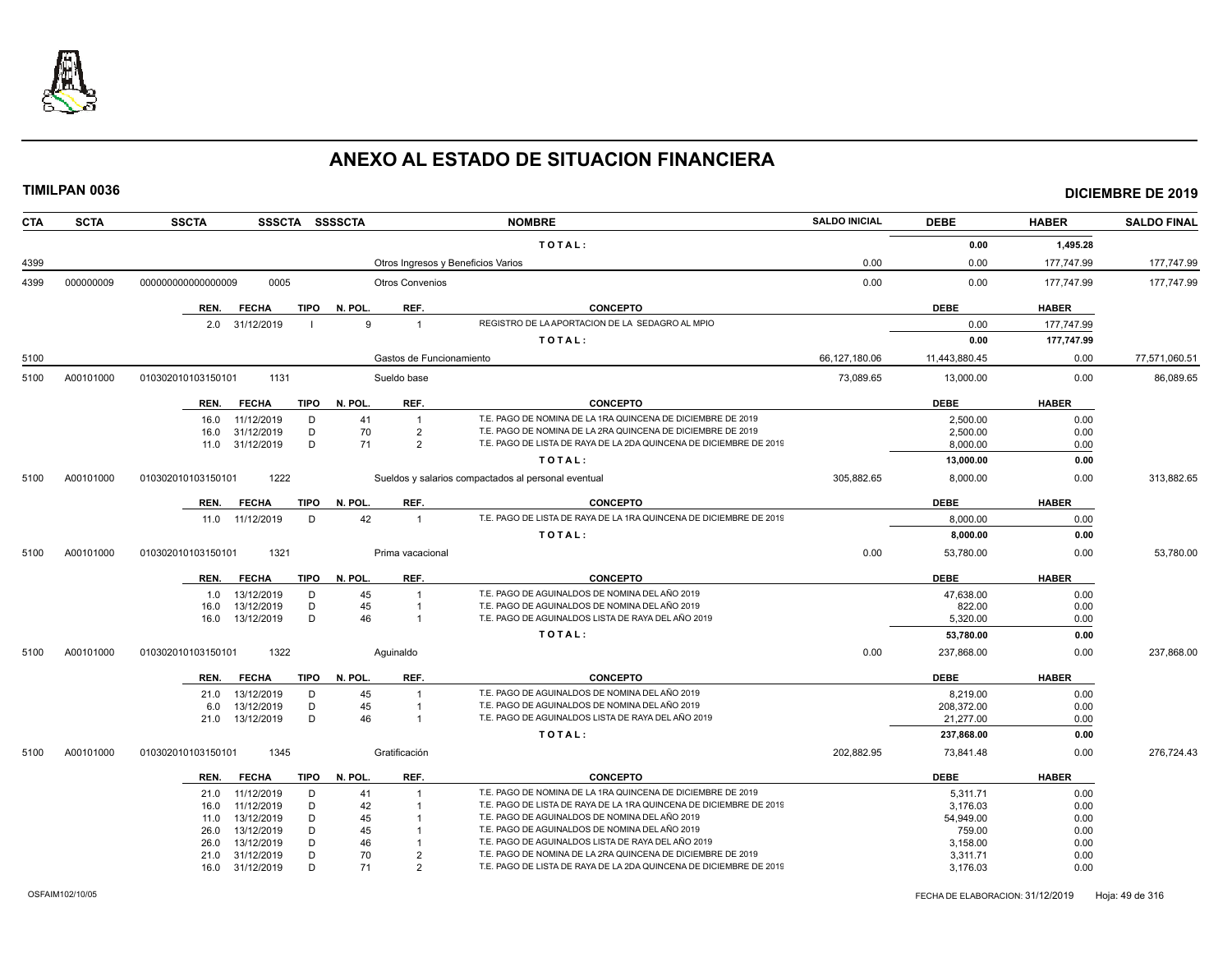

| <b>CTA</b> | <b>SCTA</b> | <b>SSCTA</b><br><b>SSSCTA</b>              | <b>SSSSCTA</b>                     | <b>NOMBRE</b>                                                                                    | <b>SALDO INICIAL</b> | <b>DEBE</b>        | <b>HABER</b> | <b>SALDO FINAL</b> |
|------------|-------------|--------------------------------------------|------------------------------------|--------------------------------------------------------------------------------------------------|----------------------|--------------------|--------------|--------------------|
|            |             |                                            |                                    | TOTAL:                                                                                           |                      | 0.00               | 1,495.28     |                    |
| 4399       |             |                                            | Otros Ingresos y Beneficios Varios |                                                                                                  | 0.00                 | 0.00               | 177,747.99   | 177,747.99         |
| 4399       | 000000009   | 0005<br>000000000000000009                 | <b>Otros Convenios</b>             |                                                                                                  | 0.00                 | 0.00               | 177,747.99   | 177,747.99         |
|            |             | <b>FECHA</b><br>TIPO<br>REN.               | N. POL.<br>REF.                    | <b>CONCEPTO</b>                                                                                  |                      | <b>DEBE</b>        | <b>HABER</b> |                    |
|            |             | 2.0 31/12/2019                             | $\mathbf{q}$<br>$\overline{1}$     | REGISTRO DE LA APORTACION DE LA SEDAGRO AL MPIO                                                  |                      | 0.00               | 177,747.99   |                    |
|            |             |                                            |                                    | TOTAL:                                                                                           |                      | 0.00               | 177,747.99   |                    |
| 5100       |             |                                            | Gastos de Funcionamiento           |                                                                                                  | 66,127,180.06        | 11,443,880.45      | 0.00         | 77,571,060.51      |
| 5100       | A00101000   | 010302010103150101<br>1131                 | Sueldo base                        |                                                                                                  | 73,089.65            | 13,000.00          | 0.00         | 86,089.65          |
|            |             | <b>FECHA</b><br>TIPO<br>REN.               | REF.<br>N. POL.                    | <b>CONCEPTO</b>                                                                                  |                      | <b>DEBE</b>        | <b>HABER</b> |                    |
|            |             | 11/12/2019<br>D<br>16.0                    | 41<br>$\overline{1}$               | T.E. PAGO DE NOMINA DE LA 1RA QUINCENA DE DICIEMBRE DE 2019                                      |                      | 2,500.00           | 0.00         |                    |
|            |             | 31/12/2019<br>D<br>16.0                    | 70<br>$\overline{2}$               | T.E. PAGO DE NOMINA DE LA 2RA QUINCENA DE DICIEMBRE DE 2019                                      |                      | 2,500.00           | 0.00         |                    |
|            |             | D<br>11.0 31/12/2019                       | 71<br>$\overline{2}$               | T.E. PAGO DE LISTA DE RAYA DE LA 2DA QUINCENA DE DICIEMBRE DE 2019                               |                      | 8,000.00           | 0.00         |                    |
|            |             |                                            |                                    | TOTAL:                                                                                           |                      | 13,000.00          | 0.00         |                    |
| 5100       | A00101000   | 1222<br>010302010103150101                 |                                    | Sueldos y salarios compactados al personal eventual                                              | 305,882.65           | 8,000.00           | 0.00         | 313,882.65         |
|            |             | <b>FECHA</b><br><b>TIPO</b><br>REN.        | N. POL.<br>REF.                    | <b>CONCEPTO</b>                                                                                  |                      | <b>DEBE</b>        | <b>HABER</b> |                    |
|            |             | 11.0 11/12/2019<br>D                       | 42<br>$\overline{1}$               | T.E. PAGO DE LISTA DE RAYA DE LA 1RA QUINCENA DE DICIEMBRE DE 2019                               |                      | 8,000.00           | 0.00         |                    |
|            |             |                                            |                                    | TOTAL:                                                                                           |                      | 8,000.00           | 0.00         |                    |
| 5100       | A00101000   | 1321<br>010302010103150101                 | Prima vacacional                   |                                                                                                  | 0.00                 | 53,780.00          | 0.00         | 53,780.00          |
|            |             |                                            |                                    |                                                                                                  |                      |                    |              |                    |
|            |             | <b>FECHA</b><br><b>TIPO</b><br>REN.        | N. POL.<br>REF.                    | <b>CONCEPTO</b>                                                                                  |                      | <b>DEBE</b>        | <b>HABER</b> |                    |
|            |             | 13/12/2019<br>D<br>1.0                     | 45<br>$\overline{1}$               | T.E. PAGO DE AGUINALDOS DE NOMINA DEL AÑO 2019<br>T.E. PAGO DE AGUINALDOS DE NOMINA DEL AÑO 2019 |                      | 47,638.00          | 0.00         |                    |
|            |             | D<br>13/12/2019<br>16.0<br>13/12/2019<br>D | 45<br>$\overline{1}$<br>46         | T.E. PAGO DE AGUINALDOS LISTA DE RAYA DEL AÑO 2019                                               |                      | 822.00<br>5,320.00 | 0.00<br>0.00 |                    |
|            |             | 16.0                                       |                                    |                                                                                                  |                      |                    |              |                    |
|            |             |                                            |                                    | TOTAL:                                                                                           |                      | 53,780.00          | 0.00         |                    |
| 5100       | A00101000   | 1322<br>010302010103150101                 | Aquinaldo                          |                                                                                                  | 0.00                 | 237,868.00         | 0.00         | 237,868.00         |
|            |             | <b>FECHA</b><br>TIPO<br>REN.               | N. POL.<br>REF.                    | <b>CONCEPTO</b>                                                                                  |                      | <b>DEBE</b>        | <b>HABER</b> |                    |
|            |             | 13/12/2019<br>D<br>21.0                    | 45                                 | T.E. PAGO DE AGUINALDOS DE NOMINA DEL AÑO 2019                                                   |                      | 8,219.00           | 0.00         |                    |
|            |             | 13/12/2019<br>D<br>6.0                     | 45                                 | T.E. PAGO DE AGUINALDOS DE NOMINA DEL AÑO 2019                                                   |                      | 208,372.00         | 0.00         |                    |
|            |             | 13/12/2019<br>D<br>21.0                    | 46<br>$\overline{1}$               | T.E. PAGO DE AGUINALDOS LISTA DE RAYA DEL AÑO 2019                                               |                      | 21,277.00          | 0.00         |                    |
|            |             |                                            |                                    | TOTAL:                                                                                           |                      | 237,868.00         | 0.00         |                    |
| 5100       | A00101000   | 1345<br>010302010103150101                 | Gratificación                      |                                                                                                  | 202.882.95           | 73,841.48          | 0.00         | 276.724.43         |
|            |             | <b>FECHA</b><br><b>TIPO</b><br>REN.        | REF.<br>N. POL.                    | <b>CONCEPTO</b>                                                                                  |                      | <b>DEBE</b>        | <b>HABER</b> |                    |
|            |             | 11/12/2019<br>D<br>21.0                    | 41                                 | T.E. PAGO DE NOMINA DE LA 1RA QUINCENA DE DICIEMBRE DE 2019                                      |                      | 5,311.71           | 0.00         |                    |
|            |             | 11/12/2019<br>D<br>16.0                    | 42                                 | T.E. PAGO DE LISTA DE RAYA DE LA 1RA QUINCENA DE DICIEMBRE DE 2019                               |                      | 3,176.03           | 0.00         |                    |
|            |             | D<br>13/12/2019<br>11.0                    | 45                                 | T.E. PAGO DE AGUINALDOS DE NOMINA DEL AÑO 2019                                                   |                      | 54,949.00          | 0.00         |                    |
|            |             | 13/12/2019<br>D<br>26.0                    | 45                                 | T.E. PAGO DE AGUINALDOS DE NOMINA DEL AÑO 2019                                                   |                      | 759.00             | 0.00         |                    |
|            |             | 13/12/2019<br>D<br>26.0                    | 46                                 | T.E. PAGO DE AGUINALDOS LISTA DE RAYA DEL AÑO 2019                                               |                      | 3,158.00           | 0.00         |                    |
|            |             | D<br>31/12/2019<br>21.0                    | 70<br>$\overline{2}$               | T.E. PAGO DE NOMINA DE LA 2RA QUINCENA DE DICIEMBRE DE 2019                                      |                      | 3,311.71           | 0.00         |                    |
|            |             | D<br>16.0 31/12/2019                       | 71<br>$\overline{2}$               | T.E. PAGO DE LISTA DE RAYA DE LA 2DA QUINCENA DE DICIEMBRE DE 2019                               |                      | 3,176.03           | 0.00         |                    |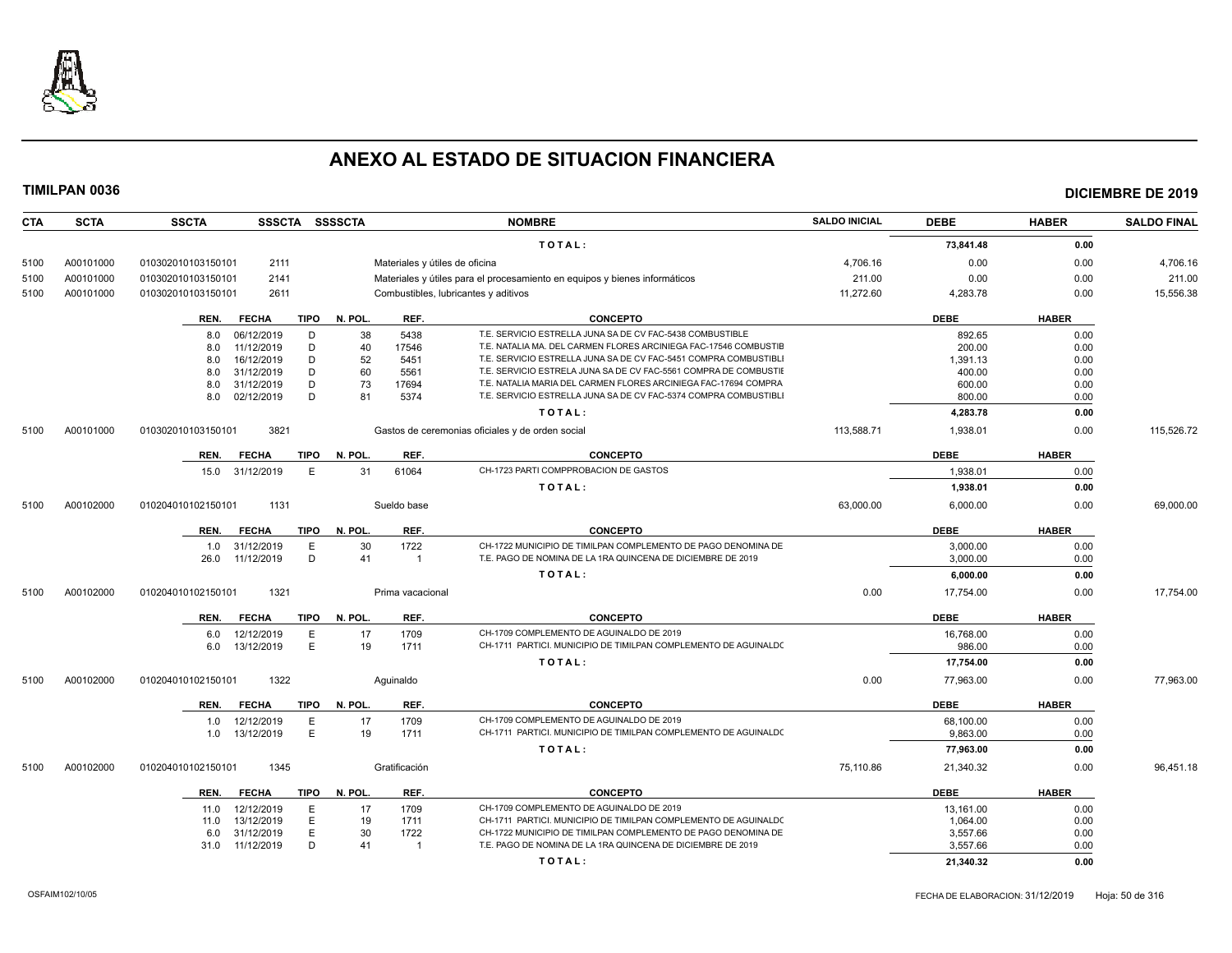

**TIMILPAN 0036 DICIEMBRE DE 2019**

| CTA  | <b>SCTA</b> | <b>SSCTA</b>       | SSSCTA SSSSCTA |             |         |                                | <b>NOMBRE</b>                                                              | <b>SALDO INICIAL</b> | <b>DEBE</b>         | <b>HABER</b> | <b>SALDO FINAL</b> |
|------|-------------|--------------------|----------------|-------------|---------|--------------------------------|----------------------------------------------------------------------------|----------------------|---------------------|--------------|--------------------|
|      |             |                    |                |             |         |                                | TOTAL:                                                                     |                      | 73,841.48           | 0.00         |                    |
| 5100 | A00101000   | 010302010103150101 | 2111           |             |         | Materiales y útiles de oficina |                                                                            | 4,706.16             | 0.00                | 0.00         | 4,706.16           |
| 5100 | A00101000   | 010302010103150101 | 2141           |             |         |                                | Materiales y útiles para el procesamiento en equipos y bienes informáticos | 211.00               | 0.00                | 0.00         | 211.00             |
| 5100 | A00101000   | 010302010103150101 | 2611           |             |         |                                | Combustibles, lubricantes y aditivos                                       | 11,272.60            | 4,283.78            | 0.00         | 15,556.38          |
|      |             |                    |                |             |         |                                |                                                                            |                      |                     |              |                    |
|      |             | REN.               | <b>FECHA</b>   | <b>TIPO</b> | N. POL. | REF.                           | <b>CONCEPTO</b>                                                            |                      | <b>DEBE</b>         | <b>HABER</b> |                    |
|      |             | 8.0                | 06/12/2019     | D           | 38      | 5438                           | T.E. SERVICIO ESTRELLA JUNA SA DE CV FAC-5438 COMBUSTIBLE                  |                      | 892.65              | 0.00         |                    |
|      |             | 8.0                | 11/12/2019     | D           | 40      | 17546                          | T.E. NATALIA MA. DEL CARMEN FLORES ARCINIEGA FAC-17546 COMBUSTIE           |                      | 200.00              | 0.00         |                    |
|      |             | 8.0                | 16/12/2019     | D           | 52      | 5451                           | T.E. SERVICIO ESTRELLA JUNA SA DE CV FAC-5451 COMPRA COMBUSTIBLI           |                      | 1,391.13            | 0.00         |                    |
|      |             | 8.0                | 31/12/2019     | D           | 60      | 5561                           | T.E. SERVICIO ESTRELA JUNA SA DE CV FAC-5561 COMPRA DE COMBUSTIE           |                      | 400.00              | 0.00         |                    |
|      |             | 8.0                | 31/12/2019     | D           | 73      | 17694                          | T.E. NATALIA MARIA DEL CARMEN FLORES ARCINIEGA FAC-17694 COMPRA            |                      | 600.00              | 0.00         |                    |
|      |             | 8.0                | 02/12/2019     | D           | 81      | 5374                           | T.E. SERVICIO ESTRELLA JUNA SA DE CV FAC-5374 COMPRA COMBUSTIBLI           |                      | 800.00              | 0.00         |                    |
|      |             |                    |                |             |         |                                | TOTAL:                                                                     |                      | 4,283.78            | 0.00         |                    |
| 5100 | A00101000   | 010302010103150101 | 3821           |             |         |                                | Gastos de ceremonias oficiales y de orden social                           | 113,588.71           | 1,938.01            | 0.00         | 115,526.72         |
|      |             | REN.               | <b>FECHA</b>   | TIPO        | N. POL. | REF.                           | <b>CONCEPTO</b>                                                            |                      | <b>DEBE</b>         | <b>HABER</b> |                    |
|      |             | 15.0               | 31/12/2019     | E           | 31      | 61064                          | CH-1723 PARTI COMPPROBACION DE GASTOS                                      |                      | 1,938.01            | 0.00         |                    |
|      |             |                    |                |             |         |                                | TOTAL:                                                                     |                      | 1,938.01            | 0.00         |                    |
| 5100 | A00102000   | 010204010102150101 | 1131           |             |         | Sueldo base                    |                                                                            | 63,000.00            | 6,000.00            | 0.00         | 69,000.00          |
|      |             | REN.               | <b>FECHA</b>   | <b>TIPO</b> | N. POL. | REF.                           | <b>CONCEPTO</b>                                                            |                      | <b>DEBE</b>         | <b>HABER</b> |                    |
|      |             | 1.0                | 31/12/2019     | E           | 30      | 1722                           | CH-1722 MUNICIPIO DE TIMILPAN COMPLEMENTO DE PAGO DENOMINA DE              |                      | 3,000.00            | 0.00         |                    |
|      |             | 26.0               | 11/12/2019     | D           | 41      | $\overline{1}$                 | T.E. PAGO DE NOMINA DE LA 1RA QUINCENA DE DICIEMBRE DE 2019                |                      | 3,000.00            | 0.00         |                    |
|      |             |                    |                |             |         |                                | TOTAL:                                                                     |                      | 6,000.00            | 0.00         |                    |
| 5100 | A00102000   | 010204010102150101 | 1321           |             |         | Prima vacacional               |                                                                            | 0.00                 | 17,754.00           | 0.00         | 17,754.00          |
|      |             |                    | <b>FECHA</b>   |             | N. POL. | REF.                           | <b>CONCEPTO</b>                                                            |                      | <b>DEBE</b>         | <b>HABER</b> |                    |
|      |             | REN.               | 12/12/2019     | TIPO        | 17      | 1709                           | CH-1709 COMPLEMENTO DE AGUINALDO DE 2019                                   |                      |                     | 0.00         |                    |
|      |             | 6.0<br>6.0         | 13/12/2019     | E<br>E      | 19      | 1711                           | CH-1711 PARTICI. MUNICIPIO DE TIMILPAN COMPLEMENTO DE AGUINALDO            |                      | 16,768.00<br>986.00 | 0.00         |                    |
|      |             |                    |                |             |         |                                | TOTAL:                                                                     |                      | 17,754.00           | 0.00         |                    |
|      |             |                    |                |             |         |                                |                                                                            |                      |                     |              |                    |
| 5100 | A00102000   | 010204010102150101 | 1322           |             |         | Aquinaldo                      |                                                                            | 0.00                 | 77,963.00           | 0.00         | 77,963.00          |
|      |             | REN.               | <b>FECHA</b>   | <b>TIPO</b> | N. POL. | REF.                           | <b>CONCEPTO</b>                                                            |                      | <b>DEBE</b>         | <b>HABER</b> |                    |
|      |             | 1.0                | 12/12/2019     | $\mathsf E$ | 17      | 1709                           | CH-1709 COMPLEMENTO DE AGUINALDO DE 2019                                   |                      | 68,100.00           | 0.00         |                    |
|      |             | 1.0                | 13/12/2019     | E           | 19      | 1711                           | CH-1711 PARTICI. MUNICIPIO DE TIMILPAN COMPLEMENTO DE AGUINALDO            |                      | 9.863.00            | 0.00         |                    |
|      |             |                    |                |             |         |                                | TOTAL:                                                                     |                      | 77,963.00           | 0.00         |                    |
| 5100 | A00102000   | 010204010102150101 | 1345           |             |         | Gratificación                  |                                                                            | 75,110.86            | 21,340.32           | 0.00         | 96,451.18          |
|      |             | REN.               | <b>FECHA</b>   | TIPO        | N. POL. | REF.                           | <b>CONCEPTO</b>                                                            |                      | <b>DEBE</b>         | <b>HABER</b> |                    |
|      |             | 11.0               | 12/12/2019     | E           | 17      | 1709                           | CH-1709 COMPLEMENTO DE AGUINALDO DE 2019                                   |                      | 13,161.00           | 0.00         |                    |
|      |             | 11.0               | 13/12/2019     | E           | 19      | 1711                           | CH-1711 PARTICI. MUNICIPIO DE TIMILPAN COMPLEMENTO DE AGUINALD(            |                      | 1,064.00            | 0.00         |                    |
|      |             | 6.0                | 31/12/2019     | E           | 30      | 1722                           | CH-1722 MUNICIPIO DE TIMILPAN COMPLEMENTO DE PAGO DENOMINA DE              |                      | 3.557.66            | 0.00         |                    |
|      |             | 31.0               | 11/12/2019     | D           | 41      |                                | T.E. PAGO DE NOMINA DE LA 1RA QUINCENA DE DICIEMBRE DE 2019                |                      | 3,557.66            | 0.00         |                    |

**T O T A L : 21,340.32 0.00**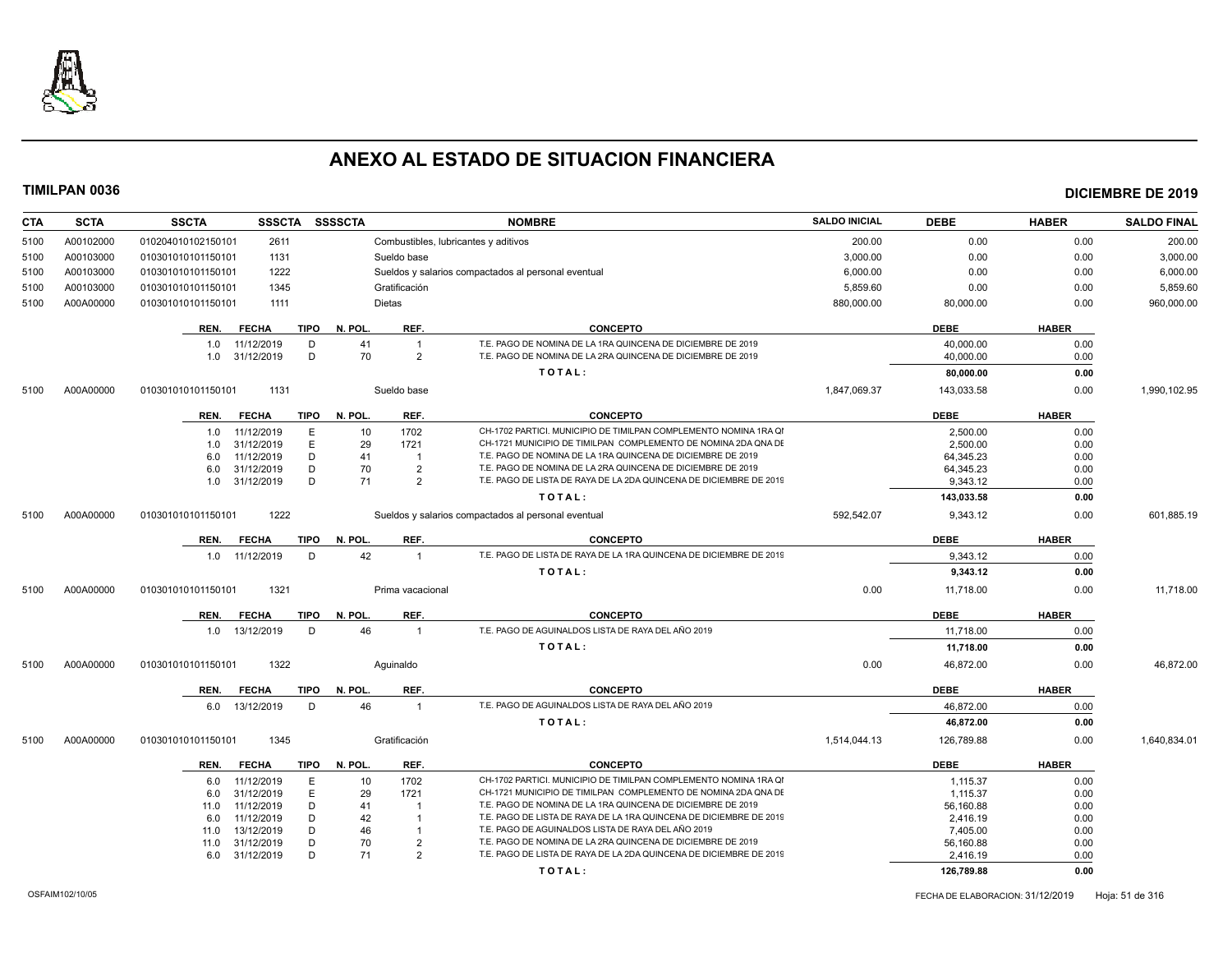

| <b>CTA</b> | <b>SCTA</b> | <b>SSCTA</b>       | <b>SSSCTA</b>  |             | SSSSCTA      |                  | <b>NOMBRE</b>                                                      | <b>SALDO INICIAL</b> | <b>DEBE</b> | <b>HABER</b> | <b>SALDO FINAL</b> |
|------------|-------------|--------------------|----------------|-------------|--------------|------------------|--------------------------------------------------------------------|----------------------|-------------|--------------|--------------------|
| 5100       | A00102000   | 010204010102150101 | 2611           |             |              |                  | Combustibles, lubricantes y aditivos                               | 200.00               | 0.00        | 0.00         | 200.00             |
| 5100       | A00103000   | 010301010101150101 | 1131           |             |              | Sueldo base      |                                                                    | 3,000.00             | 0.00        | 0.00         | 3,000.00           |
| 5100       | A00103000   | 010301010101150101 | 1222           |             |              |                  | Sueldos y salarios compactados al personal eventual                | 6,000.00             | 0.00        | 0.00         | 6,000.00           |
| 5100       | A00103000   | 010301010101150101 | 1345           |             |              | Gratificación    |                                                                    | 5,859.60             | 0.00        | 0.00         | 5,859.60           |
| 5100       | A00A00000   | 010301010101150101 | 1111           |             |              | <b>Dietas</b>    |                                                                    | 880,000.00           | 80,000.00   | 0.00         | 960,000.00         |
|            |             |                    |                |             |              |                  |                                                                    |                      |             |              |                    |
|            |             | REN.               | <b>FECHA</b>   |             | TIPO N. POL. | REF.             | <b>CONCEPTO</b>                                                    |                      | <b>DEBE</b> | <b>HABER</b> |                    |
|            |             | 1.0                | 11/12/2019     | D           | 41           | $\overline{1}$   | T.E. PAGO DE NOMINA DE LA 1RA QUINCENA DE DICIEMBRE DE 2019        |                      | 40,000.00   | 0.00         |                    |
|            |             |                    | 1.0 31/12/2019 | D           | 70           | $\overline{2}$   | T.E. PAGO DE NOMINA DE LA 2RA QUINCENA DE DICIEMBRE DE 2019        |                      | 40,000.00   | 0.00         |                    |
|            |             |                    |                |             |              |                  | TOTAL:                                                             |                      | 80,000.00   | 0.00         |                    |
| 5100       | A00A00000   | 010301010101150101 | 1131           |             |              | Sueldo base      |                                                                    | 1,847,069.37         | 143,033.58  | 0.00         | 1,990,102.95       |
|            |             |                    |                |             |              |                  |                                                                    |                      |             |              |                    |
|            |             | REN.               | <b>FECHA</b>   |             | TIPO N. POL. | REF.             | <b>CONCEPTO</b>                                                    |                      | <b>DEBE</b> | <b>HABER</b> |                    |
|            |             | 1.0                | 11/12/2019     | E.          | 10           | 1702             | CH-1702 PARTICI. MUNICIPIO DE TIMILPAN COMPLEMENTO NOMINA 1RA QI   |                      | 2.500.00    | 0.00         |                    |
|            |             | 1.0                | 31/12/2019     | E.          | 29           | 1721             | CH-1721 MUNICIPIO DE TIMILPAN COMPLEMENTO DE NOMINA 2DA QNA DE     |                      | 2,500.00    | 0.00         |                    |
|            |             | 6.0                | 11/12/2019     | D           | 41           | $\overline{1}$   | T.E. PAGO DE NOMINA DE LA 1RA QUINCENA DE DICIEMBRE DE 2019        |                      | 64,345.23   | 0.00         |                    |
|            |             | 6.0                | 31/12/2019     | D           | 70           | $\overline{2}$   | T.E. PAGO DE NOMINA DE LA 2RA QUINCENA DE DICIEMBRE DE 2019        |                      | 64,345.23   | 0.00         |                    |
|            |             |                    | 1.0 31/12/2019 | D           | 71           | $\overline{2}$   | T.E. PAGO DE LISTA DE RAYA DE LA 2DA QUINCENA DE DICIEMBRE DE 2019 |                      | 9,343.12    | 0.00         |                    |
|            |             |                    |                |             |              |                  | TOTAL:                                                             |                      | 143,033.58  | 0.00         |                    |
| 5100       | A00A00000   | 010301010101150101 | 1222           |             |              |                  | Sueldos y salarios compactados al personal eventual                | 592,542.07           | 9,343.12    | 0.00         | 601,885.19         |
|            |             | REN.               | <b>FECHA</b>   | TIPO        | N. POL.      | REF.             | <b>CONCEPTO</b>                                                    |                      | <b>DEBE</b> | <b>HABER</b> |                    |
|            |             |                    | 1.0 11/12/2019 | D           | 42           | $\overline{1}$   | T.E. PAGO DE LISTA DE RAYA DE LA 1RA QUINCENA DE DICIEMBRE DE 2019 |                      | 9,343.12    | 0.00         |                    |
|            |             |                    |                |             |              |                  | TOTAL:                                                             |                      | 9,343.12    | 0.00         |                    |
| 5100       | A00A00000   | 010301010101150101 | 1321           |             |              | Prima vacacional |                                                                    | 0.00                 | 11,718.00   | 0.00         | 11,718.00          |
|            |             |                    |                |             |              |                  |                                                                    |                      |             |              |                    |
|            |             | REN.               | <b>FECHA</b>   | <b>TIPO</b> | N. POL.      | REF.             | <b>CONCEPTO</b>                                                    |                      | <b>DEBE</b> | <b>HABER</b> |                    |
|            |             |                    | 1.0 13/12/2019 | D           | 46           | $\overline{1}$   | T.E. PAGO DE AGUINALDOS LISTA DE RAYA DEL AÑO 2019                 |                      | 11,718.00   | 0.00         |                    |
|            |             |                    |                |             |              |                  | TOTAL:                                                             |                      | 11,718.00   | 0.00         |                    |
| 5100       | A00A00000   | 010301010101150101 | 1322           |             |              | Aquinaldo        |                                                                    | 0.00                 | 46,872.00   | 0.00         | 46,872.00          |
|            |             | REN.               | <b>FECHA</b>   | <b>TIPO</b> | N. POL.      | REF.             | <b>CONCEPTO</b>                                                    |                      | <b>DEBE</b> | <b>HABER</b> |                    |
|            |             | 6.0                | 13/12/2019     | D           | 46           | $\overline{1}$   | T.E. PAGO DE AGUINALDOS LISTA DE RAYA DEL AÑO 2019                 |                      | 46,872.00   | 0.00         |                    |
|            |             |                    |                |             |              |                  | TOTAL:                                                             |                      | 46,872.00   | 0.00         |                    |
|            |             |                    |                |             |              |                  |                                                                    |                      |             |              |                    |
| 5100       | A00A00000   | 010301010101150101 | 1345           |             |              | Gratificación    |                                                                    | 1,514,044.13         | 126,789.88  | 0.00         | 1,640,834.01       |
|            |             | REN.               | <b>FECHA</b>   | <b>TIPO</b> | N. POL.      | REF.             | <b>CONCEPTO</b>                                                    |                      | <b>DEBE</b> | <b>HABER</b> |                    |
|            |             | 6.0                | 11/12/2019     | E           | 10           | 1702             | CH-1702 PARTICI. MUNICIPIO DE TIMILPAN COMPLEMENTO NOMINA 1RA QI   |                      | 1,115.37    | 0.00         |                    |
|            |             | 6.0                | 31/12/2019     | E           | 29           | 1721             | CH-1721 MUNICIPIO DE TIMILPAN COMPLEMENTO DE NOMINA 2DA QNA DE     |                      | 1,115.37    | 0.00         |                    |
|            |             | 11.0               | 11/12/2019     | D           | 41           | - 1              | T.E. PAGO DE NOMINA DE LA 1RA QUINCENA DE DICIEMBRE DE 2019        |                      | 56,160.88   | 0.00         |                    |
|            |             | 6.0                | 11/12/2019     | D           | 42           | $\overline{1}$   | T.E. PAGO DE LISTA DE RAYA DE LA 1RA QUINCENA DE DICIEMBRE DE 2019 |                      | 2,416.19    | 0.00         |                    |
|            |             | 11.0               | 13/12/2019     | D           | 46           | $\mathbf{1}$     | T.E. PAGO DE AGUINALDOS LISTA DE RAYA DEL AÑO 2019                 |                      | 7,405.00    | 0.00         |                    |
|            |             | 11.0               | 31/12/2019     | D           | 70           | $\overline{2}$   | T.E. PAGO DE NOMINA DE LA 2RA QUINCENA DE DICIEMBRE DE 2019        |                      | 56,160.88   | 0.00         |                    |
|            |             |                    | 6.0 31/12/2019 | D           | 71           | $\overline{2}$   | T.E. PAGO DE LISTA DE RAYA DE LA 2DA QUINCENA DE DICIEMBRE DE 2019 |                      | 2,416.19    | 0.00         |                    |
|            |             |                    |                |             |              |                  | TOTAL:                                                             |                      | 126,789.88  | 0.00         |                    |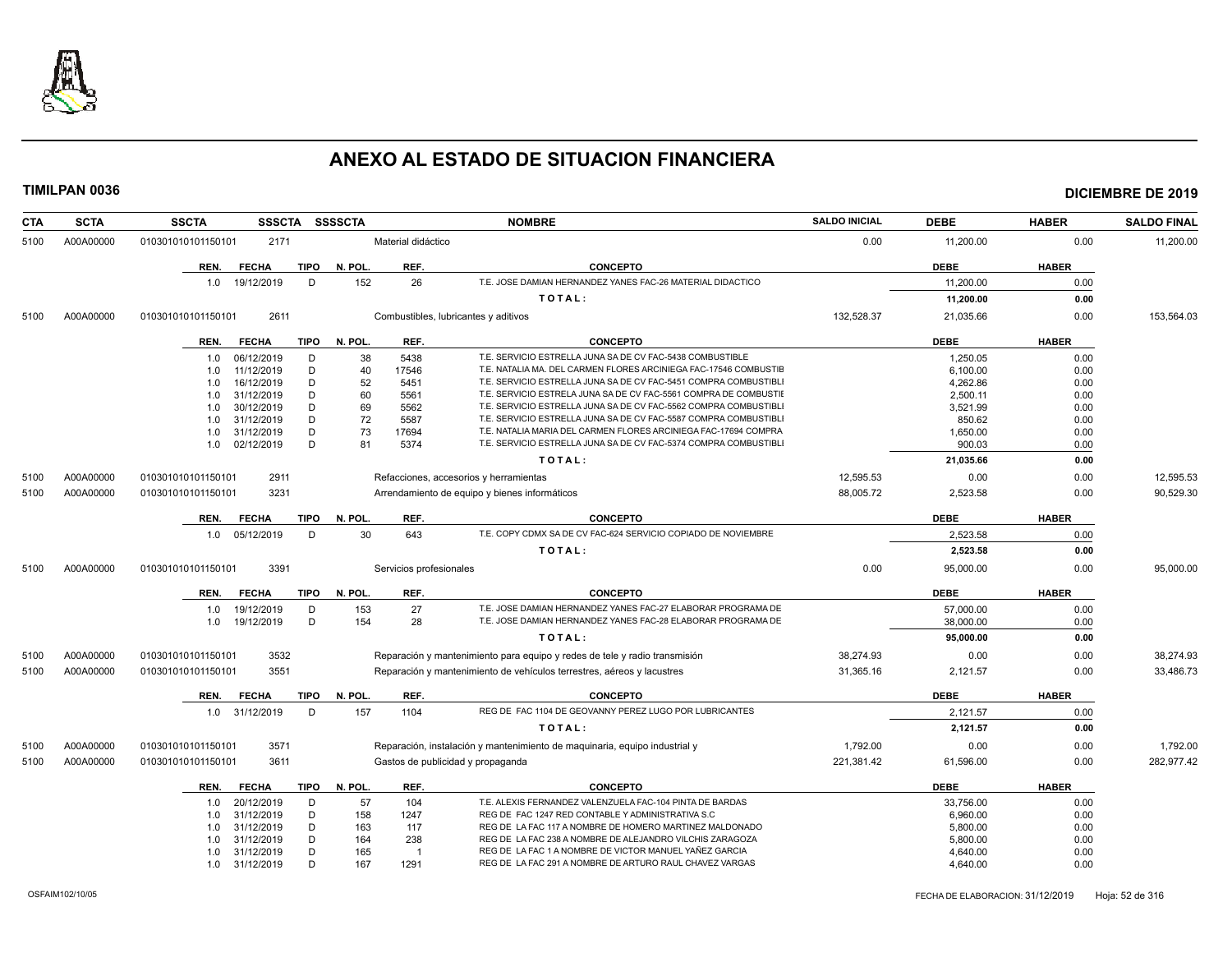

| <b>CTA</b> | <b>SCTA</b> | <b>SSCTA</b><br><b>SSSCTA</b>       | <b>SSSSCTA</b>          | <b>NOMBRE</b>                                                              | <b>SALDO INICIAL</b> | <b>DEBE</b> | <b>HABER</b> | <b>SALDO FINAL</b> |
|------------|-------------|-------------------------------------|-------------------------|----------------------------------------------------------------------------|----------------------|-------------|--------------|--------------------|
| 5100       | A00A00000   | 2171<br>010301010101150101          | Material didáctico      |                                                                            | 0.00                 | 11,200.00   | 0.00         | 11,200.00          |
|            |             | <b>FECHA</b><br><b>TIPO</b><br>REN. | N. POL.<br>REF.         | <b>CONCEPTO</b>                                                            |                      | <b>DEBE</b> | <b>HABER</b> |                    |
|            |             | 19/12/2019<br>D<br>1.0              | 152<br>26               | T.E. JOSE DAMIAN HERNANDEZ YANES FAC-26 MATERIAL DIDACTICO                 |                      | 11.200.00   | 0.00         |                    |
|            |             |                                     |                         | TOTAL:                                                                     |                      | 11,200.00   | 0.00         |                    |
| 5100       | A00A00000   | 2611<br>010301010101150101          |                         | Combustibles, lubricantes y aditivos                                       | 132,528.37           | 21,035.66   | 0.00         | 153,564.03         |
|            |             |                                     |                         |                                                                            |                      |             |              |                    |
|            |             | <b>FECHA</b><br><b>TIPO</b><br>REN. | N. POL.<br>REF.         | <b>CONCEPTO</b>                                                            |                      | <b>DEBE</b> | <b>HABER</b> |                    |
|            |             | 06/12/2019<br>D<br>1.0              | 38<br>5438              | T.E. SERVICIO ESTRELLA JUNA SA DE CV FAC-5438 COMBUSTIBLE                  |                      | 1,250.05    | 0.00         |                    |
|            |             | 11/12/2019<br>D<br>1.0              | 40<br>17546             | T.E. NATALIA MA. DEL CARMEN FLORES ARCINIEGA FAC-17546 COMBUSTIE           |                      | 6.100.00    | 0.00         |                    |
|            |             | D<br>16/12/2019<br>1.0              | 52<br>5451              | T.E. SERVICIO ESTRELLA JUNA SA DE CV FAC-5451 COMPRA COMBUSTIBLI           |                      | 4,262.86    | 0.00         |                    |
|            |             | 31/12/2019<br>D<br>1.0              | 60<br>5561              | T.E. SERVICIO ESTRELA JUNA SA DE CV FAC-5561 COMPRA DE COMBUSTIE           |                      | 2,500.11    | 0.00         |                    |
|            |             | 30/12/2019<br>D<br>1.0              | 69<br>5562              | T.E. SERVICIO ESTRELLA JUNA SA DE CV FAC-5562 COMPRA COMBUSTIBL            |                      | 3,521.99    | 0.00         |                    |
|            |             | 31/12/2019<br>D<br>1.0              | 72<br>5587              | T.E. SERVICIO ESTRELLA JUNA SA DE CV FAC-5587 COMPRA COMBUSTIBL            |                      | 850.62      | 0.00         |                    |
|            |             | D<br>31/12/2019<br>1.0              | 73<br>17694             | T.E. NATALIA MARIA DEL CARMEN FLORES ARCINIEGA FAC-17694 COMPRA            |                      | 1,650.00    | 0.00         |                    |
|            |             | D<br>02/12/2019<br>1.0              | 81<br>5374              | T.E. SERVICIO ESTRELLA JUNA SA DE CV FAC-5374 COMPRA COMBUSTIBL            |                      | 900.03      | 0.00         |                    |
|            |             |                                     |                         | TOTAL:                                                                     |                      | 21,035.66   | 0.00         |                    |
| 5100       | A00A00000   | 2911<br>010301010101150101          |                         | Refacciones, accesorios y herramientas                                     | 12,595.53            | 0.00        | 0.00         | 12,595.53          |
| 5100       | A00A00000   | 3231<br>010301010101150101          |                         | Arrendamiento de equipo y bienes informáticos                              | 88,005.72            | 2,523.58    | 0.00         | 90,529.30          |
|            |             | <b>FECHA</b><br><b>TIPO</b><br>REN. | REF.<br>N. POL.         | <b>CONCEPTO</b>                                                            |                      | <b>DEBE</b> | <b>HABER</b> |                    |
|            |             | 1.0 05/12/2019<br>D                 | 30<br>643               | T.E. COPY CDMX SA DE CV FAC-624 SERVICIO COPIADO DE NOVIEMBRE              |                      | 2,523.58    | 0.00         |                    |
|            |             |                                     |                         | TOTAL:                                                                     |                      | 2,523.58    | 0.00         |                    |
|            |             |                                     |                         |                                                                            |                      |             |              |                    |
| 5100       | A00A00000   | 3391<br>010301010101150101          | Servicios profesionales |                                                                            | 0.00                 | 95.000.00   | 0.00         | 95.000.00          |
|            |             | <b>TIPO</b><br>REN.<br><b>FECHA</b> | N. POL.<br>REF.         | <b>CONCEPTO</b>                                                            |                      | <b>DEBE</b> | <b>HABER</b> |                    |
|            |             | D<br>19/12/2019<br>1.0              | 153<br>27               | T.E. JOSE DAMIAN HERNANDEZ YANES FAC-27 ELABORAR PROGRAMA DE               |                      | 57,000.00   | 0.00         |                    |
|            |             | D<br>19/12/2019<br>1.0              | 154<br>28               | T.E. JOSE DAMIAN HERNANDEZ YANES FAC-28 ELABORAR PROGRAMA DE               |                      | 38,000.00   | 0.00         |                    |
|            |             |                                     |                         | TOTAL:                                                                     |                      | 95,000.00   | 0.00         |                    |
| 5100       | A00A00000   | 3532<br>010301010101150101          |                         | Reparación y mantenimiento para equipo y redes de tele y radio transmisión | 38,274.93            | 0.00        | 0.00         | 38,274.93          |
| 5100       | A00A00000   | 3551<br>010301010101150101          |                         | Reparación y mantenimiento de vehículos terrestres, aéreos y lacustres     | 31,365.16            | 2,121.57    | 0.00         | 33,486.73          |
|            |             | <b>TIPO</b><br>REN.<br><b>FECHA</b> | N. POL.<br>REF.         | <b>CONCEPTO</b>                                                            |                      | <b>DEBE</b> | <b>HABER</b> |                    |
|            |             | 1.0 31/12/2019<br>D                 | 157<br>1104             | REG DE FAC 1104 DE GEOVANNY PEREZ LUGO POR LUBRICANTES                     |                      | 2,121.57    | 0.00         |                    |
|            |             |                                     |                         | TOTAL:                                                                     |                      | 2,121.57    | 0.00         |                    |
| 5100       | A00A00000   | 3571<br>010301010101150101          |                         | Reparación, instalación y mantenimiento de maquinaria, equipo industrial y | 1,792.00             | 0.00        | 0.00         | 1,792.00           |
| 5100       | A00A00000   | 3611<br>010301010101150101          |                         | Gastos de publicidad y propaganda                                          | 221,381.42           | 61,596.00   | 0.00         | 282,977.42         |
|            |             |                                     |                         |                                                                            |                      |             |              |                    |
|            |             | <b>FECHA</b><br>TIPO<br>REN.        | N. POL.<br>REF.         | <b>CONCEPTO</b>                                                            |                      | DEBE        | <b>HABER</b> |                    |
|            |             | 20/12/2019<br>D<br>1.0              | 57<br>104               | T.E. ALEXIS FERNANDEZ VALENZUELA FAC-104 PINTA DE BARDAS                   |                      | 33,756.00   | 0.00         |                    |
|            |             | D<br>31/12/2019<br>1.0              | 158<br>1247             | REG DE FAC 1247 RED CONTABLE Y ADMINISTRATIVA S.C                          |                      | 6,960.00    | 0.00         |                    |
|            |             | 31/12/2019<br>D<br>1.0              | 163<br>117              | REG DE LA FAC 117 A NOMBRE DE HOMERO MARTINEZ MALDONADO                    |                      | 5,800.00    | 0.00         |                    |
|            |             | D<br>31/12/2019<br>1.0              | 164<br>238              | REG DE LA FAC 238 A NOMBRE DE ALEJANDRO VILCHIS ZARAGOZA                   |                      | 5,800.00    | 0.00         |                    |
|            |             | D<br>31/12/2019<br>1.0              | 165                     | REG DE LA FAC 1 A NOMBRE DE VICTOR MANUEL YAÑEZ GARCIA                     |                      | 4,640.00    | 0.00         |                    |
|            |             | D<br>1.0 31/12/2019                 | 167<br>1291             | REG DE LA FAC 291 A NOMBRE DE ARTURO RAUL CHAVEZ VARGAS                    |                      | 4,640.00    | 0.00         |                    |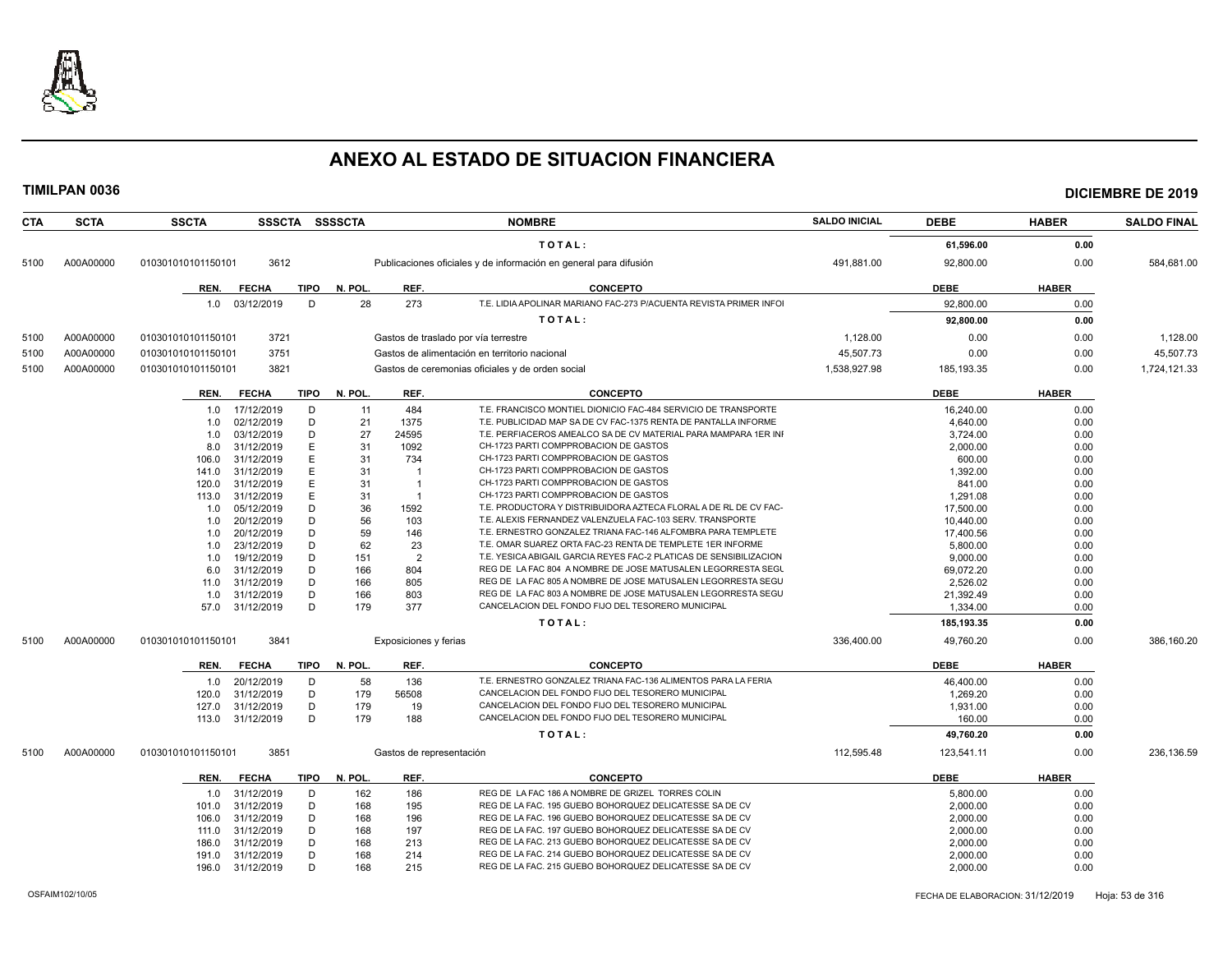

| CTA  | <b>SCTA</b> | <b>SSCTA</b>       |                  |             | SSSCTA SSSSCTA |                          | <b>NOMBRE</b>                                                      | <b>SALDO INICIAL</b> | <b>DEBE</b>  | <b>HABER</b> | <b>SALDO FINAL</b> |
|------|-------------|--------------------|------------------|-------------|----------------|--------------------------|--------------------------------------------------------------------|----------------------|--------------|--------------|--------------------|
|      |             |                    |                  |             |                |                          | TOTAL:                                                             |                      | 61,596.00    | 0.00         |                    |
| 5100 | A00A00000   | 010301010101150101 | 3612             |             |                |                          | Publicaciones oficiales y de información en general para difusión  | 491,881.00           | 92,800.00    | 0.00         | 584,681.00         |
|      |             |                    |                  |             |                |                          |                                                                    |                      |              |              |                    |
|      |             | REN.               | <b>FECHA</b>     | <b>TIPO</b> | N. POL.        | REF.                     | <b>CONCEPTO</b>                                                    |                      | <b>DEBE</b>  | <b>HABER</b> |                    |
|      |             |                    | 1.0 03/12/2019   | D           | 28             | 273                      | T.E. LIDIA APOLINAR MARIANO FAC-273 P/ACUENTA REVISTA PRIMER INFOI |                      | 92,800.00    | 0.00         |                    |
|      |             |                    |                  |             |                |                          | TOTAL:                                                             |                      | 92,800.00    | 0.00         |                    |
| 5100 | A00A00000   | 010301010101150101 | 3721             |             |                |                          | Gastos de traslado por vía terrestre                               | 1,128.00             | 0.00         | 0.00         | 1,128.00           |
| 5100 | A00A00000   | 010301010101150101 | 3751             |             |                |                          | Gastos de alimentación en territorio nacional                      | 45,507.73            | 0.00         | 0.00         | 45,507.73          |
| 5100 | A00A00000   | 010301010101150101 | 3821             |             |                |                          | Gastos de ceremonias oficiales y de orden social                   | 1,538,927.98         | 185, 193. 35 | 0.00         | 1,724,121.33       |
|      |             |                    |                  |             |                |                          |                                                                    |                      |              |              |                    |
|      |             | REN.               | <b>FECHA</b>     | TIPO        | N. POL.        | REF.                     | <b>CONCEPTO</b>                                                    |                      | <b>DEBE</b>  | <b>HABER</b> |                    |
|      |             | 1.0                | 17/12/2019       | D           | 11             | 484                      | T.E. FRANCISCO MONTIEL DIONICIO FAC-484 SERVICIO DE TRANSPORTE     |                      | 16,240.00    | 0.00         |                    |
|      |             | 1.0                | 02/12/2019       | D           | 21             | 1375                     | T.E. PUBLICIDAD MAP SA DE CV FAC-1375 RENTA DE PANTALLA INFORME    |                      | 4,640.00     | 0.00         |                    |
|      |             | 1.0                | 03/12/2019       | D           | 27             | 24595                    | T.E. PERFIACEROS AMEALCO SA DE CV MATERIAL PARA MAMPARA 1ER INI    |                      | 3,724.00     | 0.00         |                    |
|      |             | 8.0                | 31/12/2019       | E           | 31             | 1092                     | CH-1723 PARTI COMPPROBACION DE GASTOS                              |                      | 2,000.00     | 0.00         |                    |
|      |             | 106.0              | 31/12/2019       | E           | 31             | 734                      | CH-1723 PARTI COMPPROBACION DE GASTOS                              |                      | 600.00       | 0.00         |                    |
|      |             | 141.0              | 31/12/2019       | Е           | 31             | -1                       | CH-1723 PARTI COMPPROBACION DE GASTOS                              |                      | 1,392.00     | 0.00         |                    |
|      |             | 120.0              | 31/12/2019       | Ε           | 31             | -1                       | CH-1723 PARTI COMPPROBACION DE GASTOS                              |                      | 841.00       | 0.00         |                    |
|      |             | 113.0              | 31/12/2019       | E           | 31             | $\overline{1}$           | CH-1723 PARTI COMPPROBACION DE GASTOS                              |                      | 1,291.08     | 0.00         |                    |
|      |             | 1.0                | 05/12/2019       | D           | 36             | 1592                     | T.E. PRODUCTORA Y DISTRIBUIDORA AZTECA FLORAL A DE RL DE CV FAC-   |                      | 17.500.00    | 0.00         |                    |
|      |             | 1.0                | 20/12/2019       | D           | 56             | 103                      | T.E. ALEXIS FERNANDEZ VALENZUELA FAC-103 SERV. TRANSPORTE          |                      | 10,440.00    | 0.00         |                    |
|      |             | 1.0                | 20/12/2019       | D           | 59             | 146                      | T.E. ERNESTRO GONZALEZ TRIANA FAC-146 ALFOMBRA PARA TEMPLETE       |                      | 17,400.56    | 0.00         |                    |
|      |             | 1.0                | 23/12/2019       | D           | 62             | 23                       | T.E. OMAR SUAREZ ORTA FAC-23 RENTA DE TEMPLETE 1ER INFORME         |                      | 5,800.00     | 0.00         |                    |
|      |             | 1.0                | 19/12/2019       | D           | 151            | $\overline{2}$           | T.E. YESICA ABIGAIL GARCIA REYES FAC-2 PLATICAS DE SENSIBILIZACION |                      | 9,000.00     | 0.00         |                    |
|      |             | 6.0                | 31/12/2019       | D           | 166            | 804                      | REG DE LA FAC 804 A NOMBRE DE JOSE MATUSALEN LEGORRESTA SEGU       |                      | 69.072.20    | 0.00         |                    |
|      |             | 11.0               | 31/12/2019       | D           | 166            | 805                      | REG DE LA FAC 805 A NOMBRE DE JOSE MATUSALEN LEGORRESTA SEGU       |                      | 2,526.02     | 0.00         |                    |
|      |             | 1.0                | 31/12/2019       | D           | 166            | 803                      | REG DE LA FAC 803 A NOMBRE DE JOSE MATUSALEN LEGORRESTA SEGU       |                      | 21,392.49    | 0.00         |                    |
|      |             | 57.0               | 31/12/2019       | D           | 179            | 377                      | CANCELACION DEL FONDO FIJO DEL TESORERO MUNICIPAL                  |                      | 1,334.00     | 0.00         |                    |
|      |             |                    |                  |             |                |                          | TOTAL:                                                             |                      | 185,193.35   | 0.00         |                    |
| 5100 | A00A00000   | 010301010101150101 | 3841             |             |                | Exposiciones y ferias    |                                                                    | 336.400.00           | 49,760.20    | 0.00         | 386.160.20         |
|      |             | REN.               | FECHA            | TIPO        | N. POL.        | REF.                     | <b>CONCEPTO</b>                                                    |                      | <b>DEBE</b>  | <b>HABER</b> |                    |
|      |             | 1.0                | 20/12/2019       | D           | 58             | 136                      | T.E. ERNESTRO GONZALEZ TRIANA FAC-136 ALIMENTOS PARA LA FERIA      |                      | 46,400.00    | 0.00         |                    |
|      |             | 120.0              | 31/12/2019       | D           | 179            | 56508                    | CANCELACION DEL FONDO FIJO DEL TESORERO MUNICIPAL                  |                      | 1,269.20     | 0.00         |                    |
|      |             | 127.0              | 31/12/2019       | D           | 179            | 19                       | CANCELACION DEL FONDO FIJO DEL TESORERO MUNICIPAL                  |                      | 1,931.00     | 0.00         |                    |
|      |             | 113.0              | 31/12/2019       | D           | 179            | 188                      | CANCELACION DEL FONDO FIJO DEL TESORERO MUNICIPAL                  |                      | 160.00       | 0.00         |                    |
|      |             |                    |                  |             |                |                          | TOTAL:                                                             |                      | 49,760.20    | 0.00         |                    |
| 5100 | A00A00000   | 010301010101150101 | 3851             |             |                | Gastos de representación |                                                                    | 112,595.48           | 123,541.11   | 0.00         | 236,136.59         |
|      |             |                    |                  |             |                |                          |                                                                    |                      |              |              |                    |
|      |             | REN.               | <b>FECHA</b>     | <b>TIPO</b> | N. POL.        | REF.                     | <b>CONCEPTO</b>                                                    |                      | <b>DEBE</b>  | <b>HABER</b> |                    |
|      |             | 1.0                | 31/12/2019       | D           | 162            | 186                      | REG DE LA FAC 186 A NOMBRE DE GRIZEL TORRES COLIN                  |                      | 5,800.00     | 0.00         |                    |
|      |             | 101.0              | 31/12/2019       | D           | 168            | 195                      | REG DE LA FAC. 195 GUEBO BOHORQUEZ DELICATESSE SA DE CV            |                      | 2,000.00     | 0.00         |                    |
|      |             | 106.0              | 31/12/2019       | D           | 168            | 196                      | REG DE LA FAC. 196 GUEBO BOHORQUEZ DELICATESSE SA DE CV            |                      | 2,000.00     | 0.00         |                    |
|      |             | 111.0              | 31/12/2019       | D           | 168            | 197                      | REG DE LA FAC. 197 GUEBO BOHORQUEZ DELICATESSE SA DE CV            |                      | 2.000.00     | 0.00         |                    |
|      |             | 186.0              | 31/12/2019       | D           | 168            | 213                      | REG DE LA FAC. 213 GUEBO BOHORQUEZ DELICATESSE SA DE CV            |                      | 2,000.00     | 0.00         |                    |
|      |             | 191.0              | 31/12/2019       | D           | 168            | 214                      | REG DE LA FAC. 214 GUEBO BOHORQUEZ DELICATESSE SA DE CV            |                      | 2,000.00     | 0.00         |                    |
|      |             |                    | 196.0 31/12/2019 | D           | 168            | 215                      | REG DE LA FAC. 215 GUEBO BOHORQUEZ DELICATESSE SA DE CV            |                      | 2,000.00     | 0.00         |                    |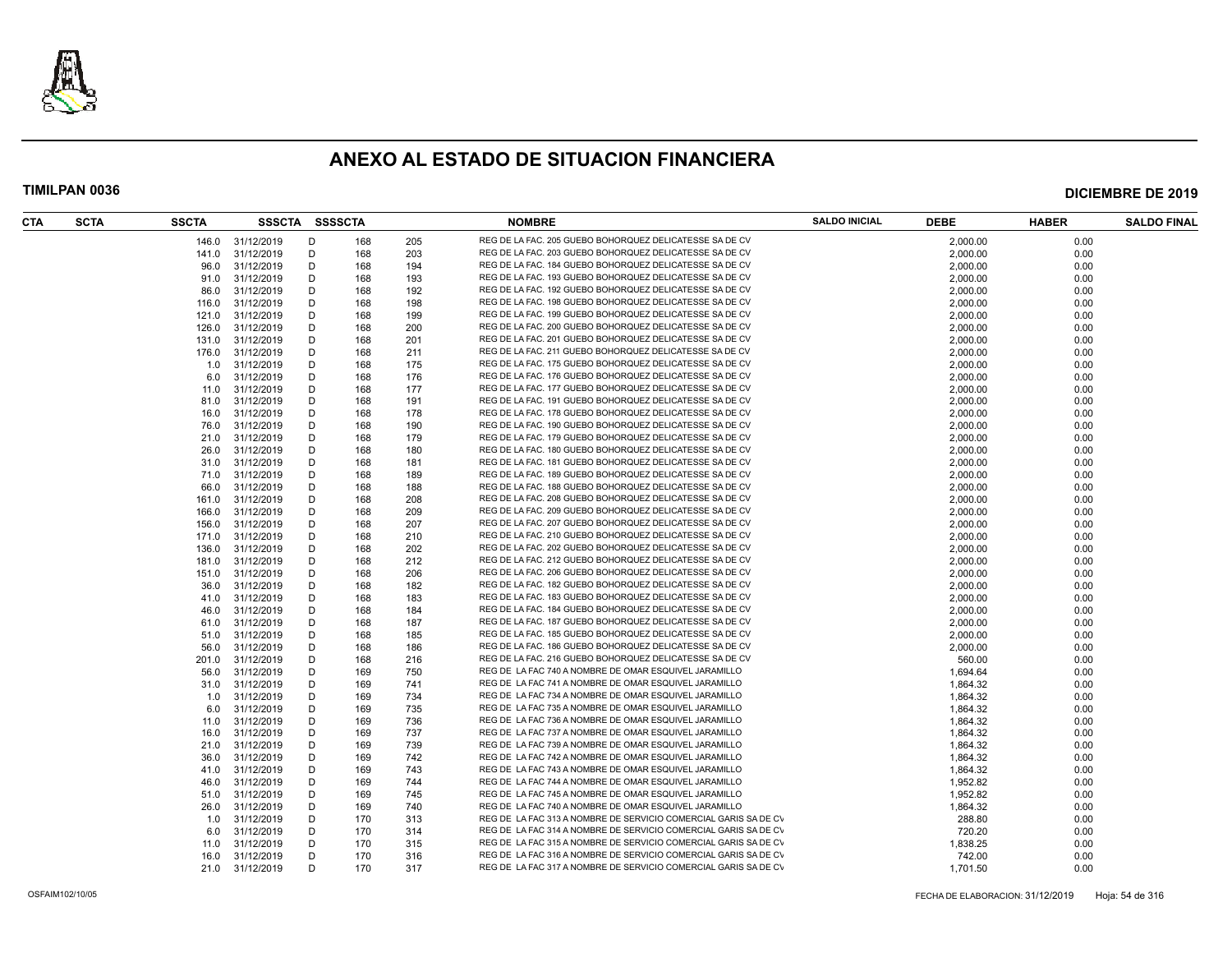

| CTA<br><b>SCTA</b> | <b>SSCTA</b> | SSSCTA SSSSCTA   |   |     |     | <b>NOMBRE</b>                                                   | <b>SALDO INICIAL</b> | <b>DEBE</b> | <b>HABER</b> | <b>SALDO FINAL</b> |
|--------------------|--------------|------------------|---|-----|-----|-----------------------------------------------------------------|----------------------|-------------|--------------|--------------------|
|                    |              | 146.0 31/12/2019 | D | 168 | 205 | REG DE LA FAC. 205 GUEBO BOHORQUEZ DELICATESSE SA DE CV         |                      | 2.000.00    | 0.00         |                    |
|                    | 141.0        | 31/12/2019       | D | 168 | 203 | REG DE LA FAC. 203 GUEBO BOHORQUEZ DELICATESSE SA DE CV         |                      | 2,000.00    | 0.00         |                    |
|                    | 96.0         | 31/12/2019       | D | 168 | 194 | REG DE LA FAC. 184 GUEBO BOHORQUEZ DELICATESSE SA DE CV         |                      | 2,000.00    | 0.00         |                    |
|                    | 91.0         | 31/12/2019       | D | 168 | 193 | REG DE LA FAC. 193 GUEBO BOHORQUEZ DELICATESSE SA DE CV         |                      | 2,000.00    | 0.00         |                    |
|                    | 86.0         | 31/12/2019       | D | 168 | 192 | REG DE LA FAC. 192 GUEBO BOHORQUEZ DELICATESSE SA DE CV         |                      | 2,000.00    | 0.00         |                    |
|                    | 116.0        | 31/12/2019       | D | 168 | 198 | REG DE LA FAC. 198 GUEBO BOHORQUEZ DELICATESSE SA DE CV         |                      | 2,000.00    | 0.00         |                    |
|                    | 121.0        | 31/12/2019       | D | 168 | 199 | REG DE LA FAC. 199 GUEBO BOHORQUEZ DELICATESSE SA DE CV         |                      | 2,000.00    | 0.00         |                    |
|                    | 126.0        | 31/12/2019       | D | 168 | 200 | REG DE LA FAC. 200 GUEBO BOHORQUEZ DELICATESSE SA DE CV         |                      | 2,000.00    | 0.00         |                    |
|                    | 131.0        | 31/12/2019       | D | 168 | 201 | REG DE LA FAC. 201 GUEBO BOHORQUEZ DELICATESSE SA DE CV         |                      | 2,000.00    | 0.00         |                    |
|                    | 176.0        | 31/12/2019       | D | 168 | 211 | REG DE LA FAC. 211 GUEBO BOHORQUEZ DELICATESSE SA DE CV         |                      | 2,000.00    | 0.00         |                    |
|                    | 1.0          | 31/12/2019       | D | 168 | 175 | REG DE LA FAC. 175 GUEBO BOHORQUEZ DELICATESSE SA DE CV         |                      | 2,000.00    | 0.00         |                    |
|                    | 6.0          | 31/12/2019       | D | 168 | 176 | REG DE LA FAC. 176 GUEBO BOHORQUEZ DELICATESSE SA DE CV         |                      | 2,000.00    | 0.00         |                    |
|                    | 11.0         | 31/12/2019       | D | 168 | 177 | REG DE LA FAC. 177 GUEBO BOHORQUEZ DELICATESSE SA DE CV         |                      | 2,000.00    | 0.00         |                    |
|                    | 81.0         | 31/12/2019       | D | 168 | 191 | REG DE LA FAC. 191 GUEBO BOHORQUEZ DELICATESSE SA DE CV         |                      | 2,000.00    | 0.00         |                    |
|                    | 16.0         | 31/12/2019       | D | 168 | 178 | REG DE LA FAC. 178 GUEBO BOHORQUEZ DELICATESSE SA DE CV         |                      | 2,000.00    | 0.00         |                    |
|                    | 76.0         | 31/12/2019       | D | 168 | 190 | REG DE LA FAC. 190 GUEBO BOHORQUEZ DELICATESSE SA DE CV         |                      | 2,000.00    | 0.00         |                    |
|                    | 21.0         | 31/12/2019       | D | 168 | 179 | REG DE LA FAC. 179 GUEBO BOHORQUEZ DELICATESSE SA DE CV         |                      | 2,000.00    | 0.00         |                    |
|                    | 26.0         | 31/12/2019       | D | 168 | 180 | REG DE LA FAC. 180 GUEBO BOHORQUEZ DELICATESSE SA DE CV         |                      | 2,000.00    | 0.00         |                    |
|                    |              |                  |   |     |     | REG DE LA FAC. 181 GUEBO BOHORQUEZ DELICATESSE SA DE CV         |                      |             |              |                    |
|                    | 31.0         | 31/12/2019       | D | 168 | 181 |                                                                 |                      | 2,000.00    | 0.00         |                    |
|                    | 71.0         | 31/12/2019       | D | 168 | 189 | REG DE LA FAC. 189 GUEBO BOHORQUEZ DELICATESSE SA DE CV         |                      | 2,000.00    | 0.00         |                    |
|                    | 66.0         | 31/12/2019       | D | 168 | 188 | REG DE LA FAC. 188 GUEBO BOHORQUEZ DELICATESSE SA DE CV         |                      | 2,000.00    | 0.00         |                    |
|                    | 161.0        | 31/12/2019       | D | 168 | 208 | REG DE LA FAC. 208 GUEBO BOHORQUEZ DELICATESSE SA DE CV         |                      | 2,000.00    | 0.00         |                    |
|                    | 166.0        | 31/12/2019       | D | 168 | 209 | REG DE LA FAC. 209 GUEBO BOHORQUEZ DELICATESSE SA DE CV         |                      | 2,000.00    | 0.00         |                    |
|                    | 156.0        | 31/12/2019       | D | 168 | 207 | REG DE LA FAC. 207 GUEBO BOHORQUEZ DELICATESSE SA DE CV         |                      | 2,000.00    | 0.00         |                    |
|                    | 171.0        | 31/12/2019       | D | 168 | 210 | REG DE LA FAC. 210 GUEBO BOHORQUEZ DELICATESSE SA DE CV         |                      | 2,000.00    | 0.00         |                    |
|                    | 136.0        | 31/12/2019       | D | 168 | 202 | REG DE LA FAC. 202 GUEBO BOHORQUEZ DELICATESSE SA DE CV         |                      | 2,000.00    | 0.00         |                    |
|                    | 181.0        | 31/12/2019       | D | 168 | 212 | REG DE LA FAC. 212 GUEBO BOHORQUEZ DELICATESSE SA DE CV         |                      | 2,000.00    | 0.00         |                    |
|                    | 151.0        | 31/12/2019       | D | 168 | 206 | REG DE LA FAC. 206 GUEBO BOHORQUEZ DELICATESSE SA DE CV         |                      | 2,000.00    | 0.00         |                    |
|                    | 36.0         | 31/12/2019       | D | 168 | 182 | REG DE LA FAC. 182 GUEBO BOHORQUEZ DELICATESSE SA DE CV         |                      | 2,000.00    | 0.00         |                    |
|                    | 41.0         | 31/12/2019       | D | 168 | 183 | REG DE LA FAC. 183 GUEBO BOHORQUEZ DELICATESSE SA DE CV         |                      | 2,000.00    | 0.00         |                    |
|                    | 46.0         | 31/12/2019       | D | 168 | 184 | REG DE LA FAC. 184 GUEBO BOHORQUEZ DELICATESSE SA DE CV         |                      | 2,000.00    | 0.00         |                    |
|                    | 61.0         | 31/12/2019       | D | 168 | 187 | REG DE LA FAC. 187 GUEBO BOHORQUEZ DELICATESSE SA DE CV         |                      | 2,000.00    | 0.00         |                    |
|                    | 51.0         | 31/12/2019       | D | 168 | 185 | REG DE LA FAC. 185 GUEBO BOHORQUEZ DELICATESSE SA DE CV         |                      | 2,000.00    | 0.00         |                    |
|                    | 56.0         | 31/12/2019       | D | 168 | 186 | REG DE LA FAC. 186 GUEBO BOHORQUEZ DELICATESSE SA DE CV         |                      | 2,000.00    | 0.00         |                    |
|                    | 201.0        | 31/12/2019       | D | 168 | 216 | REG DE LA FAC. 216 GUEBO BOHORQUEZ DELICATESSE SA DE CV         |                      | 560.00      | 0.00         |                    |
|                    | 56.0         | 31/12/2019       | D | 169 | 750 | REG DE LA FAC 740 A NOMBRE DE OMAR ESQUIVEL JARAMILLO           |                      | 1.694.64    | 0.00         |                    |
|                    | 31.0         | 31/12/2019       | D | 169 | 741 | REG DE LA FAC 741 A NOMBRE DE OMAR ESQUIVEL JARAMILLO           |                      | 1,864.32    | 0.00         |                    |
|                    | 1.0          | 31/12/2019       | D | 169 | 734 | REG DE LA FAC 734 A NOMBRE DE OMAR ESQUIVEL JARAMILLO           |                      | 1,864.32    | 0.00         |                    |
|                    | 6.0          | 31/12/2019       | D | 169 | 735 | REG DE LA FAC 735 A NOMBRE DE OMAR ESQUIVEL JARAMILLO           |                      | 1,864.32    | 0.00         |                    |
|                    | 11.0         | 31/12/2019       | D | 169 | 736 | REG DE LA FAC 736 A NOMBRE DE OMAR ESQUIVEL JARAMILLO           |                      | 1,864.32    | 0.00         |                    |
|                    | 16.0         | 31/12/2019       | D | 169 | 737 | REG DE LA FAC 737 A NOMBRE DE OMAR ESQUIVEL JARAMILLO           |                      | 1,864.32    | 0.00         |                    |
|                    | 21.0         | 31/12/2019       | D | 169 | 739 | REG DE LA FAC 739 A NOMBRE DE OMAR ESQUIVEL JARAMILLO           |                      | 1,864.32    | 0.00         |                    |
|                    |              | 31/12/2019       | D | 169 | 742 | REG DE LA FAC 742 A NOMBRE DE OMAR ESQUIVEL JARAMILLO           |                      | 1,864.32    | 0.00         |                    |
|                    | 36.0         |                  |   |     |     | REG DE LA FAC 743 A NOMBRE DE OMAR ESQUIVEL JARAMILLO           |                      |             |              |                    |
|                    | 41.0         | 31/12/2019       | D | 169 | 743 | REG DE LA FAC 744 A NOMBRE DE OMAR ESQUIVEL JARAMILLO           |                      | 1,864.32    | 0.00         |                    |
|                    | 46.0         | 31/12/2019       | D | 169 | 744 |                                                                 |                      | 1,952.82    | 0.00         |                    |
|                    | 51.0         | 31/12/2019       | D | 169 | 745 | REG DE LA FAC 745 A NOMBRE DE OMAR ESQUIVEL JARAMILLO           |                      | 1,952.82    | 0.00         |                    |
|                    | 26.0         | 31/12/2019       | D | 169 | 740 | REG DE LA FAC 740 A NOMBRE DE OMAR ESQUIVEL JARAMILLO           |                      | 1,864.32    | 0.00         |                    |
|                    | 1.0          | 31/12/2019       | D | 170 | 313 | REG DE LA FAC 313 A NOMBRE DE SERVICIO COMERCIAL GARIS SA DE CV |                      | 288.80      | 0.00         |                    |
|                    | 6.0          | 31/12/2019       | D | 170 | 314 | REG DE LA FAC 314 A NOMBRE DE SERVICIO COMERCIAL GARIS SA DE CV |                      | 720.20      | 0.00         |                    |
|                    | 11.0         | 31/12/2019       | D | 170 | 315 | REG DE LA FAC 315 A NOMBRE DE SERVICIO COMERCIAL GARIS SA DE CV |                      | 1,838.25    | 0.00         |                    |
|                    | 16.0         | 31/12/2019       | D | 170 | 316 | REG DE LA FAC 316 A NOMBRE DE SERVICIO COMERCIAL GARIS SA DE CV |                      | 742.00      | 0.00         |                    |
|                    |              | 21.0 31/12/2019  | D | 170 | 317 | REG DE LA FAC 317 A NOMBRE DE SERVICIO COMERCIAL GARIS SA DE CV |                      | 1.701.50    | 0.00         |                    |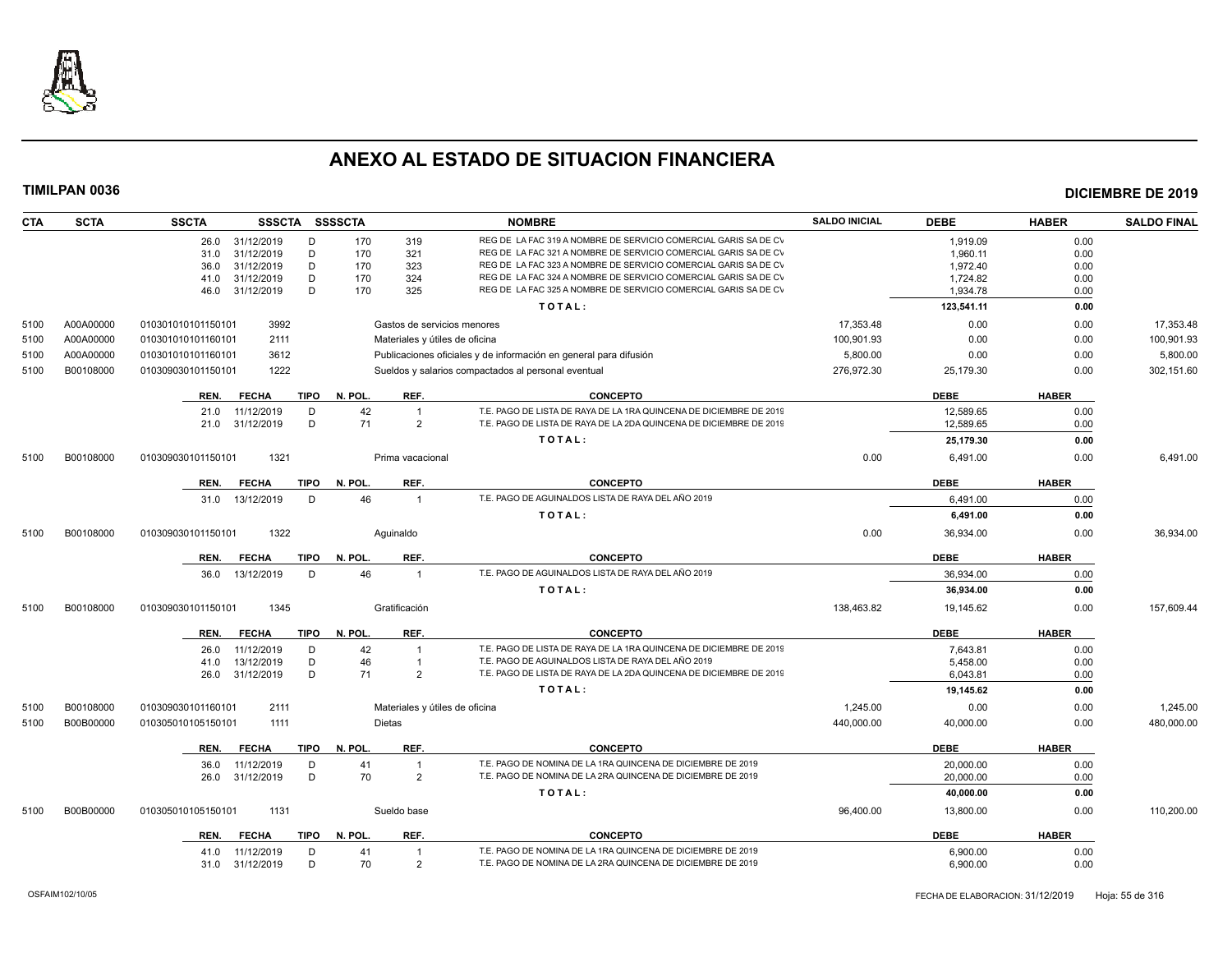

| <b>CTA</b> | <b>SCTA</b> | <b>SSCTA</b><br>SSSCTA SSSSCTA                         |               |                                  | <b>NOMBRE</b>                                                                                                              | <b>SALDO INICIAL</b> | <b>DEBE</b>            | <b>HABER</b> | <b>SALDO FINAL</b> |
|------------|-------------|--------------------------------------------------------|---------------|----------------------------------|----------------------------------------------------------------------------------------------------------------------------|----------------------|------------------------|--------------|--------------------|
|            |             | 31/12/2019<br>D<br>26.0                                | 170           | 319                              | REG DE LA FAC 319 A NOMBRE DE SERVICIO COMERCIAL GARIS SA DE CV                                                            |                      | 1,919.09               | 0.00         |                    |
|            |             | 31/12/2019<br>D<br>31.0                                | 170           | 321                              | REG DE LA FAC 321 A NOMBRE DE SERVICIO COMERCIAL GARIS SA DE CV                                                            |                      | 1.960.11               | 0.00         |                    |
|            |             | 31/12/2019<br>36.0                                     | D<br>170      | 323                              | REG DE LA FAC 323 A NOMBRE DE SERVICIO COMERCIAL GARIS SA DE CV                                                            |                      | 1.972.40               | 0.00         |                    |
|            |             | D<br>31/12/2019<br>41.0                                | 170           | 324                              | REG DE LA FAC 324 A NOMBRE DE SERVICIO COMERCIAL GARIS SA DE CV                                                            |                      | 1,724.82               | 0.00         |                    |
|            |             | D<br>31/12/2019<br>46.0                                | 170           | 325                              | REG DE LA FAC 325 A NOMBRE DE SERVICIO COMERCIAL GARIS SA DE CV                                                            |                      | 1,934.78               | 0.00         |                    |
|            |             |                                                        |               |                                  | TOTAL:                                                                                                                     |                      | 123,541.11             | 0.00         |                    |
| 5100       | A00A00000   | 3992<br>010301010101150101                             |               | Gastos de servicios menores      |                                                                                                                            | 17,353.48            | 0.00                   | 0.00         | 17,353.48          |
| 5100       | A00A00000   | 2111<br>010301010101160101                             |               | Materiales y útiles de oficina   |                                                                                                                            | 100,901.93           | 0.00                   | 0.00         | 100,901.93         |
| 5100       | A00A00000   | 010301010101160101<br>3612                             |               |                                  | Publicaciones oficiales y de información en general para difusión                                                          | 5,800.00             | 0.00                   | 0.00         | 5,800.00           |
| 5100       | B00108000   | 1222<br>010309030101150101                             |               |                                  | Sueldos y salarios compactados al personal eventual                                                                        | 276,972.30           | 25,179.30              | 0.00         | 302,151.60         |
|            |             | <b>TIPO</b><br><b>FECHA</b><br>REN.                    | N. POL.       | REF.                             | <b>CONCEPTO</b>                                                                                                            |                      | <b>DEBE</b>            | <b>HABER</b> |                    |
|            |             | 11/12/2019<br>D<br>21.0                                | 42            | $\overline{1}$                   | T.E. PAGO DE LISTA DE RAYA DE LA 1RA QUINCENA DE DICIEMBRE DE 2019                                                         |                      | 12,589.65              | 0.00         |                    |
|            |             | 31/12/2019<br>21.0                                     | D<br>71       | $\overline{2}$                   | T.E. PAGO DE LISTA DE RAYA DE LA 2DA QUINCENA DE DICIEMBRE DE 2019                                                         |                      | 12,589.65              | 0.00         |                    |
|            |             |                                                        |               |                                  | TOTAL:                                                                                                                     |                      | 25,179.30              | 0.00         |                    |
| 5100       | B00108000   | 010309030101150101<br>1321                             |               | Prima vacacional                 |                                                                                                                            | 0.00                 | 6,491.00               | 0.00         | 6,491.00           |
|            |             |                                                        |               |                                  |                                                                                                                            |                      |                        |              |                    |
|            |             | <b>FECHA</b><br><b>TIPO</b><br>REN.<br>13/12/2019<br>D | N. POL.<br>46 | REF.<br>$\overline{1}$           | <b>CONCEPTO</b><br>T.E. PAGO DE AGUINALDOS LISTA DE RAYA DEL AÑO 2019                                                      |                      | <b>DEBE</b>            | <b>HABER</b> |                    |
|            |             | 31.0                                                   |               |                                  | TOTAL:                                                                                                                     |                      | 6,491.00               | 0.00<br>0.00 |                    |
|            |             |                                                        |               |                                  |                                                                                                                            |                      | 6,491.00               |              |                    |
| 5100       | B00108000   | 1322<br>010309030101150101                             |               | Aquinaldo                        |                                                                                                                            | 0.00                 | 36,934.00              | 0.00         | 36,934.00          |
|            |             | <b>FECHA</b><br><b>TIPO</b><br>REN.                    | N. POL        | REF.                             | <b>CONCEPTO</b>                                                                                                            |                      | <b>DEBE</b>            | <b>HABER</b> |                    |
|            |             | 13/12/2019<br>D<br>36.0                                | 46            | $\overline{1}$                   | T.E. PAGO DE AGUINALDOS LISTA DE RAYA DEL AÑO 2019                                                                         |                      | 36,934.00              | 0.00         |                    |
|            |             |                                                        |               |                                  | TOTAL:                                                                                                                     |                      | 36,934.00              | 0.00         |                    |
| 5100       | B00108000   | 1345<br>010309030101150101                             |               | Gratificación                    |                                                                                                                            | 138,463.82           | 19,145.62              | 0.00         | 157,609.44         |
|            |             | <b>FECHA</b><br>TIPO<br>REN.                           | N. POL.       | REF.                             | <b>CONCEPTO</b>                                                                                                            |                      | <b>DEBE</b>            | <b>HABER</b> |                    |
|            |             | 11/12/2019<br>D<br>26.0                                | 42            | $\overline{1}$                   | T.E. PAGO DE LISTA DE RAYA DE LA 1RA QUINCENA DE DICIEMBRE DE 2019                                                         |                      | 7,643.81               | 0.00         |                    |
|            |             | D<br>13/12/2019<br>41.0                                | 46            | $\overline{1}$                   | T.E. PAGO DE AGUINALDOS LISTA DE RAYA DEL AÑO 2019                                                                         |                      | 5,458.00               | 0.00         |                    |
|            |             | 31/12/2019<br>26.0                                     | D<br>71       | $\overline{2}$                   | T.E. PAGO DE LISTA DE RAYA DE LA 2DA QUINCENA DE DICIEMBRE DE 2019                                                         |                      | 6.043.81               | 0.00         |                    |
|            |             |                                                        |               |                                  | TOTAL:                                                                                                                     |                      | 19,145.62              | 0.00         |                    |
| 5100       | B00108000   | 2111<br>010309030101160101                             |               | Materiales y útiles de oficina   |                                                                                                                            | 1,245.00             | 0.00                   | 0.00         | 1,245.00           |
| 5100       | B00B00000   | 1111<br>010305010105150101                             |               | <b>Dietas</b>                    |                                                                                                                            | 440,000.00           | 40,000.00              | 0.00         | 480,000.00         |
|            |             |                                                        |               |                                  |                                                                                                                            |                      |                        |              |                    |
|            |             | <b>FECHA</b><br><b>TIPO</b><br>REN.                    | N. POL        | REF.                             | <b>CONCEPTO</b>                                                                                                            |                      | <b>DEBE</b>            | <b>HABER</b> |                    |
|            |             | 11/12/2019<br>D<br>36.0<br>31/12/2019<br>D<br>26.0     | 41<br>70      | $\overline{1}$<br>$\overline{2}$ | T.E. PAGO DE NOMINA DE LA 1RA QUINCENA DE DICIEMBRE DE 2019<br>T.E. PAGO DE NOMINA DE LA 2RA QUINCENA DE DICIEMBRE DE 2019 |                      | 20,000.00<br>20,000.00 | 0.00<br>0.00 |                    |
|            |             |                                                        |               |                                  | TOTAL:                                                                                                                     |                      |                        |              |                    |
|            |             |                                                        |               |                                  |                                                                                                                            |                      | 40.000.00              | 0.00         |                    |
| 5100       | B00B00000   | 1131<br>010305010105150101                             |               | Sueldo base                      |                                                                                                                            | 96,400.00            | 13,800.00              | 0.00         | 110,200.00         |
|            |             | <b>FECHA</b><br>TIPO<br>REN.                           | N. POL.       | REF.                             | <b>CONCEPTO</b>                                                                                                            |                      | <b>DEBE</b>            | <b>HABER</b> |                    |
|            |             | 11/12/2019<br>D<br>41.0                                | 41            |                                  | T.E. PAGO DE NOMINA DE LA 1RA QUINCENA DE DICIEMBRE DE 2019                                                                |                      | 6,900.00               | 0.00         |                    |
|            |             | 31/12/2019<br>31.0                                     | D<br>70       | 2                                | T.E. PAGO DE NOMINA DE LA 2RA QUINCENA DE DICIEMBRE DE 2019                                                                |                      | 6,900.00               | 0.00         |                    |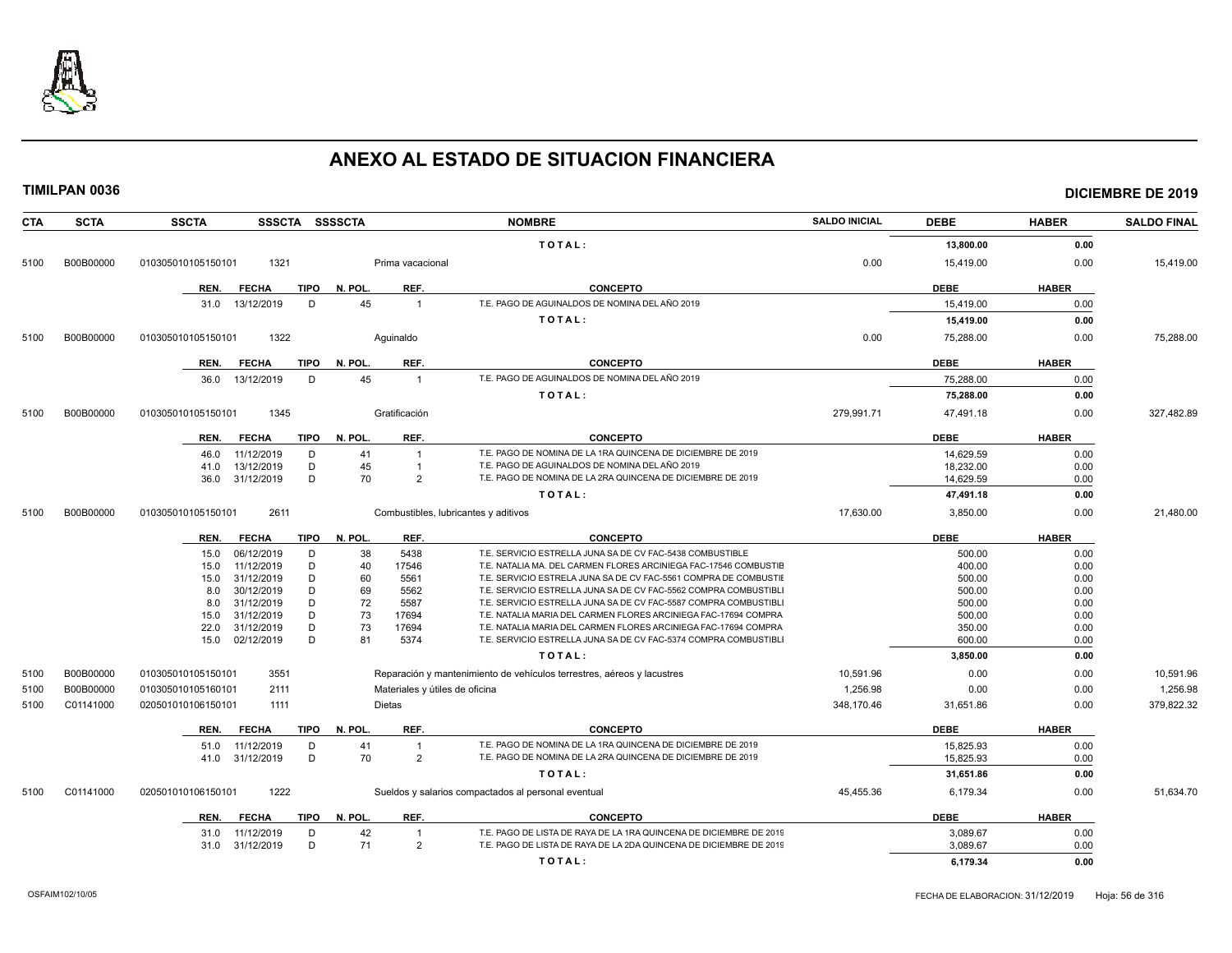

| <b>CTA</b> | <b>SCTA</b> | <b>SSCTA</b><br>SSSCTA SSSSCTA                     |                                      | <b>NOMBRE</b>                                                                                                                       | <b>SALDO INICIAL</b> | <b>DEBE</b>      | <b>HABER</b> | <b>SALDO FINAL</b> |
|------------|-------------|----------------------------------------------------|--------------------------------------|-------------------------------------------------------------------------------------------------------------------------------------|----------------------|------------------|--------------|--------------------|
|            |             |                                                    |                                      | TOTAL:                                                                                                                              |                      | 13,800.00        | 0.00         |                    |
| 5100       | B00B00000   | 1321<br>010305010105150101                         | Prima vacacional                     |                                                                                                                                     | 0.00                 | 15,419.00        | 0.00         | 15,419.00          |
|            |             | REN.<br><b>FECHA</b><br>TIPO                       | REF.<br>N. POL.                      | <b>CONCEPTO</b>                                                                                                                     |                      | <b>DEBE</b>      | <b>HABER</b> |                    |
|            |             | 31.0 13/12/2019<br>D                               | 45<br>$\mathbf{1}$                   | T.E. PAGO DE AGUINALDOS DE NOMINA DEL AÑO 2019                                                                                      |                      | 15,419.00        | 0.00         |                    |
|            |             |                                                    |                                      |                                                                                                                                     |                      |                  |              |                    |
|            |             |                                                    |                                      | TOTAL:                                                                                                                              |                      | 15,419.00        | 0.00         |                    |
| 5100       | B00B00000   | 1322<br>010305010105150101                         | Aguinaldo                            |                                                                                                                                     | 0.00                 | 75,288.00        | 0.00         | 75,288.00          |
|            |             | <b>FECHA</b><br><b>TIPO</b><br>REN.                | REF.<br>N. POL.                      | <b>CONCEPTO</b>                                                                                                                     |                      | <b>DEBE</b>      | <b>HABER</b> |                    |
|            |             | 13/12/2019<br>D<br>36.0                            | 45<br>$\overline{1}$                 | T.E. PAGO DE AGUINALDOS DE NOMINA DEL AÑO 2019                                                                                      |                      | 75.288.00        | 0.00         |                    |
|            |             |                                                    |                                      | TOTAL:                                                                                                                              |                      | 75,288.00        | 0.00         |                    |
| 5100       | B00B00000   | 1345<br>010305010105150101                         | Gratificación                        |                                                                                                                                     | 279,991.71           | 47,491.18        | 0.00         | 327,482.89         |
|            |             |                                                    |                                      |                                                                                                                                     |                      |                  |              |                    |
|            |             | <b>FECHA</b><br><b>TIPO</b><br>REN.                | N. POL.<br>REF.                      | <b>CONCEPTO</b>                                                                                                                     |                      | <b>DEBE</b>      | <b>HABER</b> |                    |
|            |             | 11/12/2019<br>D<br>46.0                            | 41<br>$\mathbf{1}$                   | T.E. PAGO DE NOMINA DE LA 1RA QUINCENA DE DICIEMBRE DE 2019                                                                         |                      | 14,629.59        | 0.00         |                    |
|            |             | D<br>13/12/2019<br>41.0                            | 45<br>$\mathbf{1}$                   | T.E. PAGO DE AGUINALDOS DE NOMINA DEL AÑO 2019                                                                                      |                      | 18,232.00        | 0.00         |                    |
|            |             | 31/12/2019<br>D<br>36.0                            | 70<br>2                              | T.E. PAGO DE NOMINA DE LA 2RA QUINCENA DE DICIEMBRE DE 2019                                                                         |                      | 14,629.59        | 0.00         |                    |
|            |             |                                                    |                                      | TOTAL:                                                                                                                              |                      | 47,491.18        | 0.00         |                    |
| 5100       | B00B00000   | 2611<br>010305010105150101                         | Combustibles, lubricantes y aditivos |                                                                                                                                     | 17,630.00            | 3,850.00         | 0.00         | 21,480.00          |
|            |             | <b>FECHA</b><br><b>TIPO</b><br>REN.                | N. POL.<br>REF.                      | <b>CONCEPTO</b>                                                                                                                     |                      | <b>DEBE</b>      | <b>HABER</b> |                    |
|            |             | 06/12/2019<br>D<br>15.0                            | 38<br>5438                           | T.E. SERVICIO ESTRELLA JUNA SA DE CV FAC-5438 COMBUSTIBLE                                                                           |                      | 500.00           | 0.00         |                    |
|            |             | 11/12/2019<br>D<br>15.0                            | 40<br>17546                          | T.E. NATALIA MA, DEL CARMEN FLORES ARCINIEGA FAC-17546 COMBUSTIE                                                                    |                      | 400.00           | 0.00         |                    |
|            |             | 31/12/2019<br>D<br>15.0                            | 60<br>5561                           | T.E. SERVICIO ESTRELA JUNA SA DE CV FAC-5561 COMPRA DE COMBUSTIE                                                                    |                      | 500.00           | 0.00         |                    |
|            |             | 30/12/2019<br>D<br>8.0                             | 69<br>5562                           | T.E. SERVICIO ESTRELLA JUNA SA DE CV FAC-5562 COMPRA COMBUSTIBLI                                                                    |                      | 500.00           | 0.00         |                    |
|            |             | D<br>31/12/2019<br>8.0                             | 72<br>5587                           | T.E. SERVICIO ESTRELLA JUNA SA DE CV FAC-5587 COMPRA COMBUSTIBLI                                                                    |                      | 500.00           | 0.00         |                    |
|            |             | 31/12/2019<br>D<br>15.0                            | 73<br>17694                          | T.E. NATALIA MARIA DEL CARMEN FLORES ARCINIEGA FAC-17694 COMPRA                                                                     |                      | 500.00           | 0.00         |                    |
|            |             | 31/12/2019<br>D<br>22.0<br>D<br>02/12/2019<br>15.0 | 73<br>17694<br>81<br>5374            | T.E. NATALIA MARIA DEL CARMEN FLORES ARCINIEGA FAC-17694 COMPRA<br>T.E. SERVICIO ESTRELLA JUNA SA DE CV FAC-5374 COMPRA COMBUSTIBLI |                      | 350.00<br>600.00 | 0.00<br>0.00 |                    |
|            |             |                                                    |                                      | TOTAL:                                                                                                                              |                      | 3,850.00         | 0.00         |                    |
| 5100       | B00B00000   | 3551<br>010305010105150101                         |                                      | Reparación y mantenimiento de vehículos terrestres, aéreos y lacustres                                                              | 10,591.96            | 0.00             | 0.00         | 10,591.96          |
| 5100       | B00B00000   | 010305010105160101<br>2111                         | Materiales y útiles de oficina       |                                                                                                                                     | 1,256.98             | 0.00             | 0.00         | 1,256.98           |
|            | C01141000   | 1111                                               | Dietas                               |                                                                                                                                     | 348,170.46           |                  | 0.00         |                    |
| 5100       |             | 020501010106150101                                 |                                      |                                                                                                                                     |                      | 31,651.86        |              | 379,822.32         |
|            |             | REN.<br><b>FECHA</b><br><b>TIPO</b>                | N. POL.<br>REF.                      | <b>CONCEPTO</b>                                                                                                                     |                      | <b>DEBE</b>      | <b>HABER</b> |                    |
|            |             | 51.0<br>11/12/2019<br>D                            | 41<br>$\mathbf{1}$                   | T.E. PAGO DE NOMINA DE LA 1RA QUINCENA DE DICIEMBRE DE 2019                                                                         |                      | 15,825.93        | 0.00         |                    |
|            |             | 41.0 31/12/2019<br>D                               | 70<br>2                              | T.E. PAGO DE NOMINA DE LA 2RA QUINCENA DE DICIEMBRE DE 2019                                                                         |                      | 15.825.93        | 0.00         |                    |
|            |             |                                                    |                                      | TOTAL:                                                                                                                              |                      | 31,651.86        | 0.00         |                    |
| 5100       | C01141000   | 1222<br>020501010106150101                         |                                      | Sueldos y salarios compactados al personal eventual                                                                                 | 45,455.36            | 6,179.34         | 0.00         | 51,634.70          |
|            |             | <b>TIPO</b><br>REN.<br><b>FECHA</b>                | N. POL.<br>REF.                      | <b>CONCEPTO</b>                                                                                                                     |                      | <b>DEBE</b>      | <b>HABER</b> |                    |
|            |             | 11/12/2019<br>D<br>31.0                            | 42<br>$\mathbf{1}$                   | T.E. PAGO DE LISTA DE RAYA DE LA 1RA QUINCENA DE DICIEMBRE DE 2019                                                                  |                      | 3,089.67         | 0.00         |                    |
|            |             | 31.0 31/12/2019<br>D                               | 71<br>2                              | T.E. PAGO DE LISTA DE RAYA DE LA 2DA QUINCENA DE DICIEMBRE DE 2019                                                                  |                      | 3.089.67         | 0.00         |                    |
|            |             |                                                    |                                      | TOTAL:                                                                                                                              |                      | 6,179.34         | 0.00         |                    |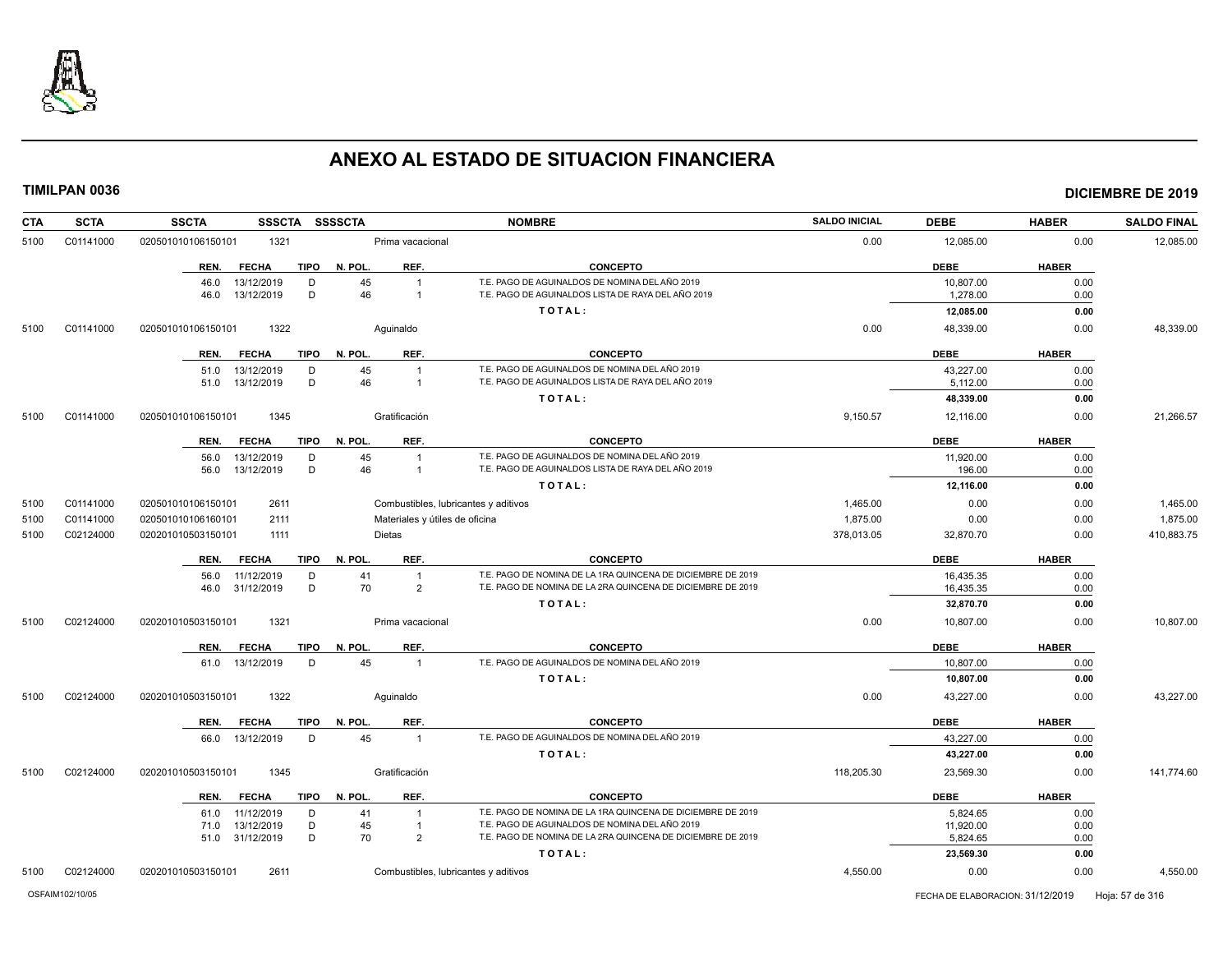

| <b>CTA</b> | <b>SCTA</b> | <b>SSCTA</b><br><b>SSSCTA</b>                      | <b>SSSSCTA</b>                               | <b>NOMBRE</b>                                                                                                              | <b>SALDO INICIAL</b> | <b>DEBE</b>            | <b>HABER</b> | <b>SALDO FINAL</b> |
|------------|-------------|----------------------------------------------------|----------------------------------------------|----------------------------------------------------------------------------------------------------------------------------|----------------------|------------------------|--------------|--------------------|
| 5100       | C01141000   | 1321<br>020501010106150101                         | Prima vacacional                             |                                                                                                                            | 0.00                 | 12,085.00              | 0.00         | 12,085.00          |
|            |             | <b>FECHA</b><br><b>TIPO</b><br>REN.                | N. POL.<br>REF.                              | <b>CONCEPTO</b>                                                                                                            |                      | <b>DEBE</b>            | <b>HABER</b> |                    |
|            |             | 13/12/2019<br>D<br>46.0<br>13/12/2019<br>D<br>46.0 | 45<br>$\overline{1}$<br>46<br>$\overline{1}$ | T.E. PAGO DE AGUINALDOS DE NOMINA DEL AÑO 2019<br>T.E. PAGO DE AGUINALDOS LISTA DE RAYA DEL AÑO 2019                       |                      | 10,807.00<br>1,278.00  | 0.00<br>0.00 |                    |
|            |             |                                                    |                                              | TOTAL:                                                                                                                     |                      | 12,085.00              | 0.00         |                    |
| 5100       | C01141000   | 1322<br>020501010106150101                         | Aquinaldo                                    |                                                                                                                            | 0.00                 | 48,339.00              | 0.00         | 48,339.00          |
|            |             |                                                    |                                              |                                                                                                                            |                      |                        |              |                    |
|            |             | <b>FECHA</b><br>TIPO<br>REN.                       | REF.<br>N. POL.                              | <b>CONCEPTO</b>                                                                                                            |                      | <b>DEBE</b>            | <b>HABER</b> |                    |
|            |             | 13/12/2019<br>D<br>51.0<br>13/12/2019<br>D<br>51.0 | 45<br>46<br>$\overline{1}$                   | T.E. PAGO DE AGUINALDOS DE NOMINA DEL AÑO 2019<br>T.E. PAGO DE AGUINALDOS LISTA DE RAYA DEL AÑO 2019                       |                      | 43,227.00<br>5,112.00  | 0.00<br>0.00 |                    |
|            |             |                                                    |                                              | TOTAL:                                                                                                                     |                      | 48,339.00              | 0.00         |                    |
| 5100       | C01141000   | 1345<br>020501010106150101                         | Gratificación                                |                                                                                                                            | 9,150.57             | 12,116.00              | 0.00         | 21,266.57          |
|            |             |                                                    |                                              |                                                                                                                            |                      |                        |              |                    |
|            |             | <b>FECHA</b><br><b>TIPO</b><br>REN.                | N. POL.<br>REF.                              | <b>CONCEPTO</b>                                                                                                            |                      | <b>DEBE</b>            | <b>HABER</b> |                    |
|            |             | 13/12/2019<br>D<br>56.0<br>D                       | 45<br>$\overline{1}$<br>46<br>$\overline{1}$ | T.E. PAGO DE AGUINALDOS DE NOMINA DEL AÑO 2019<br>T.E. PAGO DE AGUINALDOS LISTA DE RAYA DEL AÑO 2019                       |                      | 11,920.00              | 0.00         |                    |
|            |             | 56.0<br>13/12/2019                                 |                                              | TOTAL:                                                                                                                     |                      | 196.00<br>12,116.00    | 0.00<br>0.00 |                    |
| 5100       | C01141000   | 020501010106150101<br>2611                         | Combustibles, lubricantes y aditivos         |                                                                                                                            | 1,465.00             | 0.00                   | 0.00         | 1,465.00           |
| 5100       | C01141000   | 2111<br>020501010106160101                         | Materiales y útiles de oficina               |                                                                                                                            | 1,875.00             | 0.00                   | 0.00         | 1,875.00           |
| 5100       | C02124000   | 020201010503150101<br>1111                         | Dietas                                       |                                                                                                                            | 378,013.05           | 32,870.70              | 0.00         | 410,883.75         |
|            |             |                                                    |                                              |                                                                                                                            |                      |                        |              |                    |
|            |             | <b>FECHA</b><br><b>TIPO</b><br>REN.                | N. POL.<br>REF.                              | <b>CONCEPTO</b>                                                                                                            |                      | <b>DEBE</b>            | <b>HABER</b> |                    |
|            |             | 11/12/2019<br>D<br>56.0<br>D<br>46.0 31/12/2019    | 41<br>$\overline{1}$<br>70<br>$\overline{2}$ | T.E. PAGO DE NOMINA DE LA 1RA QUINCENA DE DICIEMBRE DE 2019<br>T.E. PAGO DE NOMINA DE LA 2RA QUINCENA DE DICIEMBRE DE 2019 |                      | 16.435.35<br>16,435.35 | 0.00<br>0.00 |                    |
|            |             |                                                    |                                              | TOTAL:                                                                                                                     |                      | 32,870.70              | 0.00         |                    |
| 5100       | C02124000   | 1321<br>020201010503150101                         | Prima vacacional                             |                                                                                                                            | 0.00                 | 10,807.00              | 0.00         | 10,807.00          |
|            |             |                                                    |                                              |                                                                                                                            |                      |                        |              |                    |
|            |             | <b>FECHA</b><br><b>TIPO</b><br>REN.                | N. POL.<br>REF.                              | <b>CONCEPTO</b>                                                                                                            |                      | <b>DEBE</b>            | <b>HABER</b> |                    |
|            |             | 61.0 13/12/2019<br>D                               | 45<br>$\overline{1}$                         | T.E. PAGO DE AGUINALDOS DE NOMINA DEL AÑO 2019                                                                             |                      | 10,807.00              | 0.00         |                    |
|            |             |                                                    |                                              | TOTAL:                                                                                                                     |                      | 10,807.00              | 0.00         |                    |
| 5100       | C02124000   | 1322<br>020201010503150101                         | Aquinaldo                                    |                                                                                                                            | 0.00                 | 43,227.00              | 0.00         | 43,227.00          |
|            |             | <b>TIPO</b><br><b>FECHA</b><br>REN.                | N. POL.<br>REF.                              | <b>CONCEPTO</b>                                                                                                            |                      | <b>DEBE</b>            | <b>HABER</b> |                    |
|            |             | 13/12/2019<br>D<br>66.0                            | 45<br>$\overline{1}$                         | T.E. PAGO DE AGUINALDOS DE NOMINA DEL AÑO 2019                                                                             |                      | 43,227.00              | 0.00         |                    |
|            |             |                                                    |                                              | TOTAL:                                                                                                                     |                      | 43,227.00              | 0.00         |                    |
| 5100       | C02124000   | 1345<br>020201010503150101                         | Gratificación                                |                                                                                                                            | 118,205.30           | 23,569.30              | 0.00         | 141,774.60         |
|            |             | <b>FECHA</b><br>TIPO<br>REN.                       | N. POL.<br>REF.                              | <b>CONCEPTO</b>                                                                                                            |                      | <b>DEBE</b>            | <b>HABER</b> |                    |
|            |             | 11/12/2019<br>D<br>61.0                            | 41<br>$\overline{1}$                         | T.E. PAGO DE NOMINA DE LA 1RA QUINCENA DE DICIEMBRE DE 2019                                                                |                      | 5,824.65               | 0.00         |                    |
|            |             | D<br>13/12/2019<br>71.0                            | 45<br>$\overline{1}$                         | T.E. PAGO DE AGUINALDOS DE NOMINA DEL AÑO 2019<br>T.E. PAGO DE NOMINA DE LA 2RA QUINCENA DE DICIEMBRE DE 2019              |                      | 11,920.00              | 0.00         |                    |
|            |             | D<br>51.0 31/12/2019                               | 70<br>$\overline{2}$                         | TOTAL:                                                                                                                     |                      | 5.824.65<br>23,569.30  | 0.00<br>0.00 |                    |
| 5100       | C02124000   | 020201010503150101<br>2611                         | Combustibles, lubricantes y aditivos         |                                                                                                                            | 4,550.00             | 0.00                   | 0.00         | 4,550.00           |
|            |             |                                                    |                                              |                                                                                                                            |                      |                        |              |                    |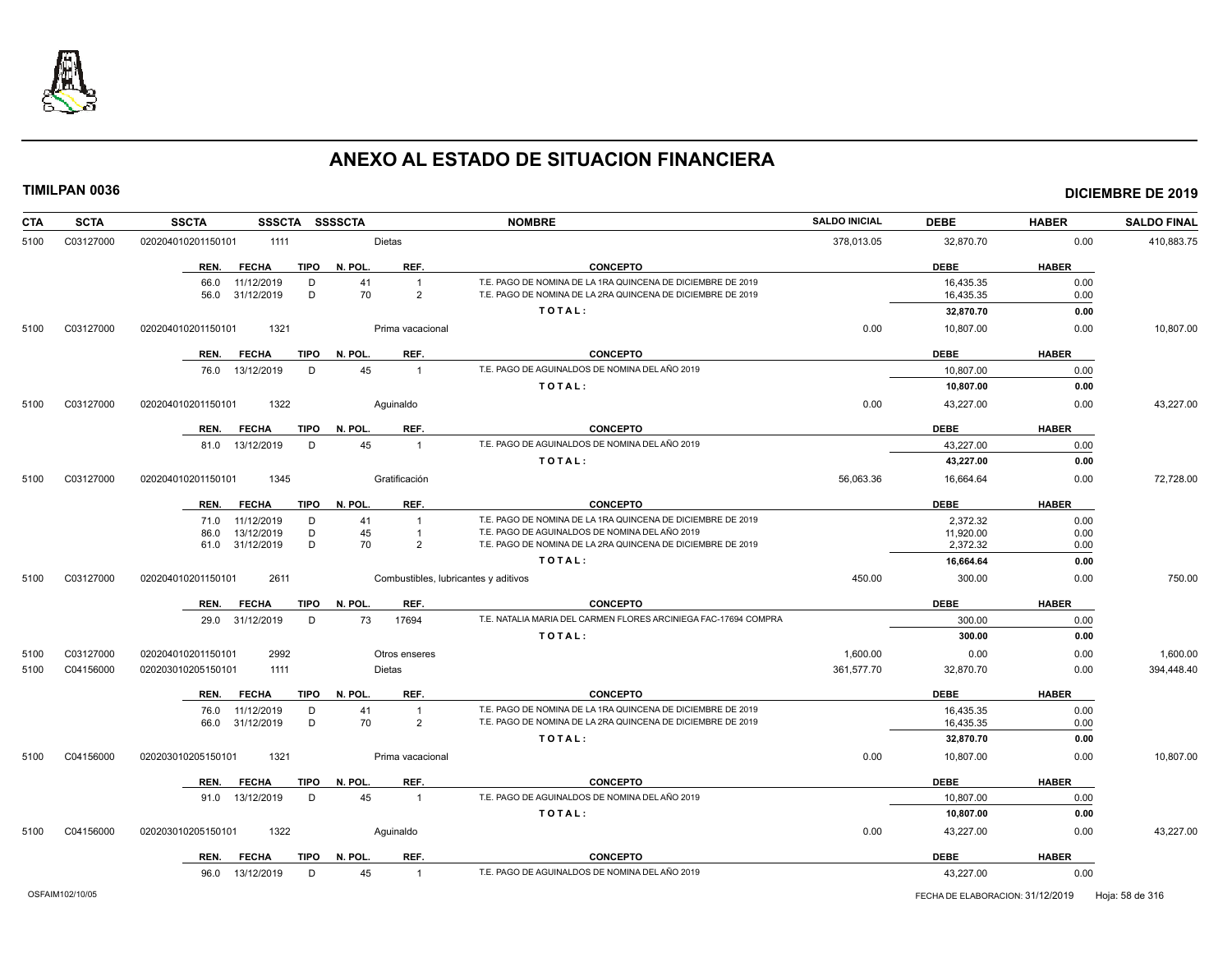

| CTA  | <b>SCTA</b> | <b>SSCTA</b><br>SSSCTA SSSSCTA      |                                      | <b>NOMBRE</b>                                                   | <b>SALDO INICIAL</b> | <b>DEBE</b> | <b>HABER</b> | <b>SALDO FINAL</b> |
|------|-------------|-------------------------------------|--------------------------------------|-----------------------------------------------------------------|----------------------|-------------|--------------|--------------------|
| 5100 | C03127000   | 020204010201150101<br>1111          | Dietas                               |                                                                 | 378,013.05           | 32,870.70   | 0.00         | 410,883.75         |
|      |             | REN.<br><b>FECHA</b><br>TIPO        | N. POL.<br>REF.                      | <b>CONCEPTO</b>                                                 |                      | <b>DEBE</b> | <b>HABER</b> |                    |
|      |             | D<br>66.0<br>11/12/2019             | 41<br>$\overline{1}$                 | T.E. PAGO DE NOMINA DE LA 1RA QUINCENA DE DICIEMBRE DE 2019     |                      | 16,435.35   | 0.00         |                    |
|      |             | D<br>31/12/2019<br>56.0             | 70<br>$\overline{2}$                 | T.E. PAGO DE NOMINA DE LA 2RA QUINCENA DE DICIEMBRE DE 2019     |                      | 16,435.35   | 0.00         |                    |
|      |             |                                     |                                      | TOTAL:                                                          |                      | 32,870.70   | 0.00         |                    |
| 5100 | C03127000   | 1321<br>020204010201150101          | Prima vacacional                     |                                                                 | 0.00                 | 10,807.00   | 0.00         | 10,807.00          |
|      |             | <b>FECHA</b><br><b>TIPO</b><br>REN. | N. POL.<br>REF.                      | <b>CONCEPTO</b>                                                 |                      | <b>DEBE</b> | <b>HABER</b> |                    |
|      |             | 76.0 13/12/2019<br>D                | 45<br>$\overline{1}$                 | T.E. PAGO DE AGUINALDOS DE NOMINA DEL AÑO 2019                  |                      | 10.807.00   | 0.00         |                    |
|      |             |                                     |                                      | TOTAL:                                                          |                      | 10.807.00   | 0.00         |                    |
| 5100 | C03127000   | 1322<br>020204010201150101          | Aguinaldo                            |                                                                 | 0.00                 | 43,227.00   | 0.00         | 43,227.00          |
|      |             | <b>FECHA</b><br>TIPO<br>REN.        | N. POL.<br>REF.                      | <b>CONCEPTO</b>                                                 |                      | DEBE        | <b>HABER</b> |                    |
|      |             | D<br>81.0 13/12/2019                | 45<br>$\overline{1}$                 | T.E. PAGO DE AGUINALDOS DE NOMINA DEL AÑO 2019                  |                      | 43,227.00   | 0.00         |                    |
|      |             |                                     |                                      | TOTAL:                                                          |                      | 43,227.00   | 0.00         |                    |
| 5100 | C03127000   | 020204010201150101<br>1345          | Gratificación                        |                                                                 | 56,063.36            | 16,664.64   | 0.00         | 72,728.00          |
|      |             | REN.<br><b>FECHA</b>                | REF.<br>TIPO N. POL.                 | <b>CONCEPTO</b>                                                 |                      | <b>DEBE</b> | <b>HABER</b> |                    |
|      |             | 11/12/2019<br>D<br>71.0             | 41<br>$\overline{1}$                 | T.E. PAGO DE NOMINA DE LA 1RA QUINCENA DE DICIEMBRE DE 2019     |                      | 2,372.32    | 0.00         |                    |
|      |             | 13/12/2019<br>D<br>86.0             | 45<br>$\overline{1}$                 | T.E. PAGO DE AGUINALDOS DE NOMINA DEL AÑO 2019                  |                      | 11,920.00   | 0.00         |                    |
|      |             | D<br>61.0 31/12/2019                | 70<br>$\overline{2}$                 | T.E. PAGO DE NOMINA DE LA 2RA QUINCENA DE DICIEMBRE DE 2019     |                      | 2,372.32    | 0.00         |                    |
|      |             |                                     |                                      | TOTAL:                                                          |                      | 16,664.64   | 0.00         |                    |
| 5100 | C03127000   | 2611<br>020204010201150101          | Combustibles, lubricantes y aditivos |                                                                 | 450.00               | 300.00      | 0.00         | 750.00             |
|      |             | REN.<br><b>FECHA</b><br>TIPO        | N. POL.<br>REF.                      | <b>CONCEPTO</b>                                                 |                      | <b>DEBE</b> | <b>HABER</b> |                    |
|      |             | 29.0 31/12/2019<br>D                | 73<br>17694                          | T.E. NATALIA MARIA DEL CARMEN FLORES ARCINIEGA FAC-17694 COMPRA |                      | 300.00      | 0.00         |                    |
|      |             |                                     |                                      | TOTAL:                                                          |                      | 300.00      | 0.00         |                    |
| 5100 | C03127000   | 020204010201150101<br>2992          | Otros enseres                        |                                                                 | 1,600.00             | 0.00        | 0.00         | 1,600.00           |
| 5100 | C04156000   | 020203010205150101<br>1111          | <b>Dietas</b>                        |                                                                 | 361,577.70           | 32,870.70   | 0.00         | 394,448.40         |
|      |             | <b>FECHA</b><br>TIPO<br>REN.        | REF.<br>N. POL.                      | <b>CONCEPTO</b>                                                 |                      | <b>DEBE</b> | <b>HABER</b> |                    |
|      |             | 76.0<br>11/12/2019<br>D             | 41<br>$\overline{1}$                 | T.E. PAGO DE NOMINA DE LA 1RA QUINCENA DE DICIEMBRE DE 2019     |                      | 16.435.35   | 0.00         |                    |
|      |             | D<br>66.0 31/12/2019                | 70<br>$\overline{2}$                 | T.E. PAGO DE NOMINA DE LA 2RA QUINCENA DE DICIEMBRE DE 2019     |                      | 16,435.35   | 0.00         |                    |
|      |             |                                     |                                      | TOTAL:                                                          |                      | 32,870.70   | 0.00         |                    |
| 5100 | C04156000   | 1321<br>020203010205150101          | Prima vacacional                     |                                                                 | 0.00                 | 10,807.00   | 0.00         | 10,807.00          |
|      |             | REN.<br><b>FECHA</b><br>TIPO        | N. POL.<br>REF.                      | <b>CONCEPTO</b>                                                 |                      | <b>DEBE</b> | <b>HABER</b> |                    |
|      |             | 91.0 13/12/2019<br>D                | 45<br>$\overline{1}$                 | T.E. PAGO DE AGUINALDOS DE NOMINA DEL AÑO 2019                  |                      | 10.807.00   | 0.00         |                    |
|      |             |                                     |                                      | TOTAL:                                                          |                      | 10,807.00   | 0.00         |                    |
| 5100 | C04156000   | 020203010205150101<br>1322          | Aguinaldo                            |                                                                 | 0.00                 | 43,227.00   | 0.00         | 43,227.00          |
|      |             | TIPO<br>REN.<br><b>FECHA</b>        | N. POL.<br>REF.                      | <b>CONCEPTO</b>                                                 |                      | <b>DEBE</b> | <b>HABER</b> |                    |
|      |             | 96.0 13/12/2019<br>D                | 45<br>$\overline{1}$                 | T.E. PAGO DE AGUINALDOS DE NOMINA DEL AÑO 2019                  |                      | 43,227.00   | 0.00         |                    |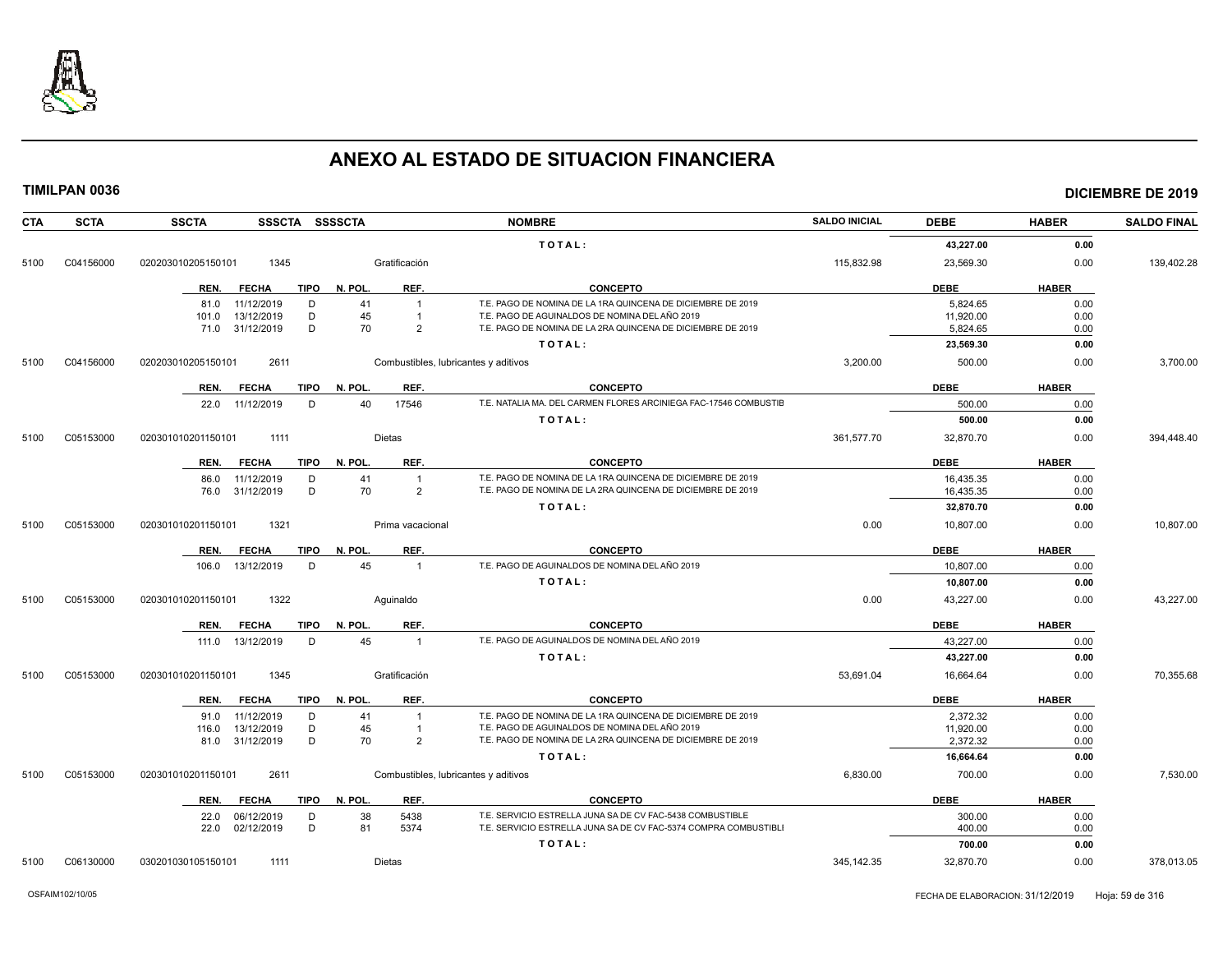

| <b>CTA</b> | <b>SCTA</b> | <b>SSCTA</b><br>SSSCTA SSSSCTA      |                                      | <b>NOMBRE</b>                                                    | <b>SALDO INICIAL</b> | <b>DEBE</b> | <b>HABER</b> | <b>SALDO FINAL</b> |
|------------|-------------|-------------------------------------|--------------------------------------|------------------------------------------------------------------|----------------------|-------------|--------------|--------------------|
|            |             |                                     |                                      | TOTAL:                                                           |                      | 43,227.00   | 0.00         |                    |
| 5100       | C04156000   | 1345<br>020203010205150101          | Gratificación                        |                                                                  | 115,832.98           | 23,569.30   | 0.00         | 139,402.28         |
|            |             | REN.<br><b>FECHA</b><br>TIPO        | REF.<br>N. POL                       | <b>CONCEPTO</b>                                                  |                      | <b>DEBE</b> | <b>HABER</b> |                    |
|            |             | 11/12/2019<br>D<br>81.0             | 41<br>$\mathbf{1}$                   | T.E. PAGO DE NOMINA DE LA 1RA QUINCENA DE DICIEMBRE DE 2019      |                      | 5,824.65    | 0.00         |                    |
|            |             | 13/12/2019<br>D<br>101.0            | 45<br>$\overline{1}$                 | T.E. PAGO DE AGUINALDOS DE NOMINA DEL AÑO 2019                   |                      | 11,920.00   | 0.00         |                    |
|            |             | D<br>71.0<br>31/12/2019             | 70<br>2                              | T.E. PAGO DE NOMINA DE LA 2RA QUINCENA DE DICIEMBRE DE 2019      |                      | 5,824.65    | 0.00         |                    |
|            |             |                                     |                                      | TOTAL:                                                           |                      | 23,569.30   | 0.00         |                    |
| 5100       | C04156000   | 020203010205150101<br>2611          | Combustibles, lubricantes y aditivos |                                                                  | 3,200.00             | 500.00      | 0.00         | 3,700.00           |
|            |             | <b>TIPO</b><br>REN.<br><b>FECHA</b> | REF.<br>N. POL                       | <b>CONCEPTO</b>                                                  |                      | <b>DEBE</b> | <b>HABER</b> |                    |
|            |             | 22.0 11/12/2019<br>D                | 40<br>17546                          | T.E. NATALIA MA. DEL CARMEN FLORES ARCINIEGA FAC-17546 COMBUSTIE |                      | 500.00      | 0.00         |                    |
|            |             |                                     |                                      | TOTAL:                                                           |                      | 500.00      | 0.00         |                    |
| 5100       | C05153000   | 1111<br>020301010201150101          | Dietas                               |                                                                  | 361,577.70           | 32,870.70   | 0.00         | 394,448.40         |
|            |             | <b>FECHA</b><br><b>TIPO</b><br>REN. | REF.<br>N. POL.                      | <b>CONCEPTO</b>                                                  |                      | <b>DEBE</b> | <b>HABER</b> |                    |
|            |             | 11/12/2019<br>D<br>86.0             | 41<br>$\overline{1}$                 | T.E. PAGO DE NOMINA DE LA 1RA QUINCENA DE DICIEMBRE DE 2019      |                      | 16,435.35   | 0.00         |                    |
|            |             | D<br>31/12/2019<br>76.0             | 70<br>$\overline{2}$                 | T.E. PAGO DE NOMINA DE LA 2RA QUINCENA DE DICIEMBRE DE 2019      |                      | 16.435.35   | 0.00         |                    |
|            |             |                                     |                                      | TOTAL:                                                           |                      | 32,870.70   | 0.00         |                    |
| 5100       | C05153000   | 1321<br>020301010201150101          | Prima vacacional                     |                                                                  | 0.00                 | 10,807.00   | 0.00         | 10,807.00          |
|            |             | <b>FECHA</b><br><b>TIPO</b><br>REN. | REF.<br>N. POL.                      | <b>CONCEPTO</b>                                                  |                      | <b>DEBE</b> | <b>HABER</b> |                    |
|            |             | 13/12/2019<br>D<br>106.0            | 45<br>$\overline{1}$                 | T.E. PAGO DE AGUINALDOS DE NOMINA DEL AÑO 2019                   |                      | 10,807.00   | 0.00         |                    |
|            |             |                                     |                                      | TOTAL:                                                           |                      | 10,807.00   | 0.00         |                    |
| 5100       | C05153000   | 1322<br>020301010201150101          | Aquinaldo                            |                                                                  | 0.00                 | 43,227.00   | 0.00         | 43,227.00          |
|            |             | <b>FECHA</b><br><b>TIPO</b><br>REN. | REF.<br>N. POL                       | <b>CONCEPTO</b>                                                  |                      | <b>DEBE</b> | <b>HABER</b> |                    |
|            |             | 13/12/2019<br>D<br>111.0            | 45<br>$\overline{1}$                 | T.E. PAGO DE AGUINALDOS DE NOMINA DEL AÑO 2019                   |                      | 43,227.00   | 0.00         |                    |
|            |             |                                     |                                      | TOTAL:                                                           |                      | 43,227.00   | 0.00         |                    |
| 5100       | C05153000   | 1345<br>020301010201150101          | Gratificación                        |                                                                  | 53,691.04            | 16,664.64   | 0.00         | 70,355.68          |
|            |             | <b>TIPO</b><br>REN.<br><b>FECHA</b> | REF.<br>N. POL.                      | <b>CONCEPTO</b>                                                  |                      | <b>DEBE</b> | <b>HABER</b> |                    |
|            |             | 11/12/2019<br>91.0<br>D             | 41<br>$\overline{1}$                 | T.E. PAGO DE NOMINA DE LA 1RA QUINCENA DE DICIEMBRE DE 2019      |                      | 2,372.32    | 0.00         |                    |
|            |             | D<br>13/12/2019<br>116.0            | 45<br>$\overline{1}$                 | T.E. PAGO DE AGUINALDOS DE NOMINA DEL AÑO 2019                   |                      | 11,920.00   | 0.00         |                    |
|            |             | D<br>31/12/2019<br>81.0             | 70<br>$\overline{2}$                 | T.E. PAGO DE NOMINA DE LA 2RA QUINCENA DE DICIEMBRE DE 2019      |                      | 2.372.32    | 0.00         |                    |
|            |             |                                     |                                      | TOTAL:                                                           |                      | 16,664.64   | 0.00         |                    |
| 5100       | C05153000   | 2611<br>020301010201150101          | Combustibles, lubricantes y aditivos |                                                                  | 6,830.00             | 700.00      | 0.00         | 7,530.00           |
|            |             | REN.<br><b>FECHA</b><br>TIPO        | N. POL.<br>REF.                      | <b>CONCEPTO</b>                                                  |                      | <b>DEBE</b> | <b>HABER</b> |                    |
|            |             | 06/12/2019<br>D<br>22.0             | 38<br>5438                           | T.E. SERVICIO ESTRELLA JUNA SA DE CV FAC-5438 COMBUSTIBLE        |                      | 300.00      | 0.00         |                    |
|            |             | D<br>02/12/2019<br>22.0             | 81<br>5374                           | T.E. SERVICIO ESTRELLA JUNA SA DE CV FAC-5374 COMPRA COMBUSTIBL  |                      | 400.00      | 0.00         |                    |
|            |             |                                     |                                      | TOTAL:                                                           |                      | 700.00      | 0.00         |                    |
| 5100       | C06130000   | 030201030105150101<br>1111          | Dietas                               |                                                                  | 345,142.35           | 32,870.70   | 0.00         | 378,013.05         |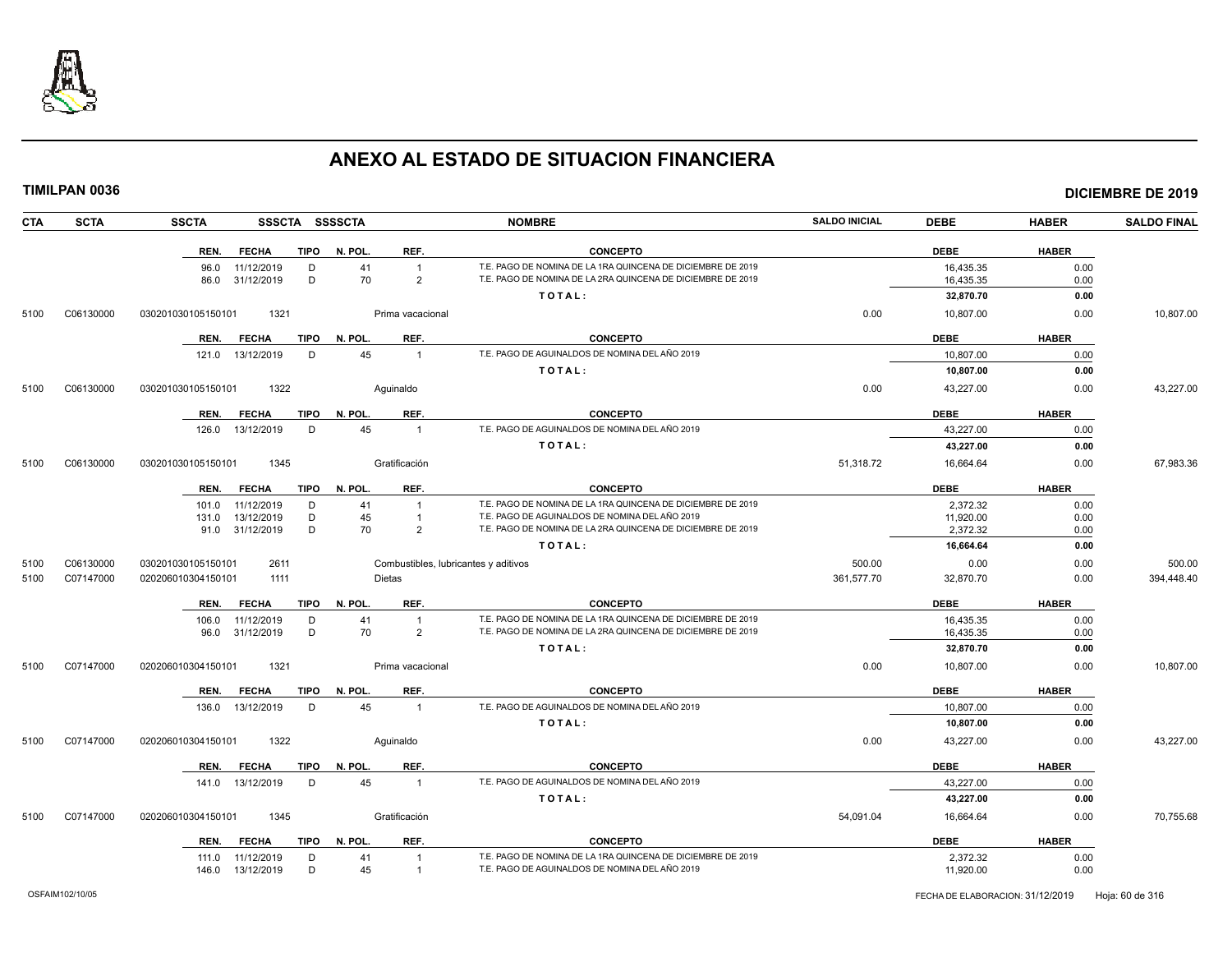

**CTA SCTA SSCTA SSSCTA SSSSCTA NOMBRE SALDO INICIAL DEBE HABER SALDO FINAL TIMILPAN 0036 DICIEMBRE DE 2019 REN. FECHA TIPO N. POL. REF. CONCEPTO DEBE HABER** 96.0 11/12/2019 D 41 1 T.E. PAGO DE NOMINA DE LA 1RA QUINCENA DE DICIEMBRE DE 2019<br>86.0 31/12/2019 D 70 2 T.E. PAGO DE NOMINA DE LA 2RA QUINCENA DE DICIEMBRE DE 2019 16.435.35 16.435.35 0.00 T.E. PAGO DE NOMINA DE LA 2RA QUINCENA DE DICIEMBRE DE 2019 **T O T A L : 32,870.70 0.00** 5100 C06130000 030201030105150101 1321 Prima vacacional 0.00 10,807.00 0.00 10,807.00 **REN. FECHA TIPO N. POL. REF. CONCEPTO DEBE HABER** 121.0 13/12/2019 D 45 1 T.E. PAGO DE AGUINALDOS DE NOMINA DEL AÑO 2019 10,807.00 10,807.00 0.00 **T O T A L : 10,807.00 0.00** 5100 C06130000 030201030105150101 1322 Aguinaldo 0.00 43,227.00 0.00 43,227.00 **REN. FECHA TIPO N. POL. REF. CONCEPTO DEBE HABER** 126.0 13/12/2019 D 45 1 T.E. PAGO DE AGUINALDOS DE NOMINA DEL AÑO 2019 43,227.00 43,227.00 0.00 **T O T A L : 43,227.00 0.00** 5100 C06130000 030201030105150101 1345 Gratificación 51,318.72 16,664.64 0.00 67,983.36 **REN. FECHA TIPO N. POL. REF. CONCEPTO DEBE HABER** 101.0 11/12/2019 D 41 1 T.E. PAGO DE NOMINA DE LA 1RA QUINCENA DE DICIEMBRE DE 2019 2,372.32 0.00 131.0 13/12/2019 D 45 1 T.E. PAGO DE AGUINALDOS DE NOMINA DEL AÑO 2019 11,920.00 0.00 91.0 31/12/2019 D 70 2 T.E. PAGO DE NOMINA DE LA 2RA QUINCENA DE DICIEMBRE DE 2019 2,372.32 0.00 **T O T A L : 16,664.64 0.00** 5100 C06130000 030201030105150101 2611 Combustibles, lubricantes y aditivos 500.00 0.00 0.00 500.00 5100 C07147000 020206010304150101 1111 Dietas 361,577.70 0.00 394,448.40 **REN. FECHA TIPO N. POL. REF. CONCEPTO DEBE HABER** 106.0 11/12/2019 D 41 1 T.E. PAGO DE NOMINA DE LA 1RA QUINCENA DE DICIEMBRE DE 2019<br>16.0 31/12/2019 D 70 2 T.E. PAGO DE NOMINA DE LA 2RA QUINCENA DE DICIEMBRE DE 2019 16,435.35 16,435.35 0.00 T.E. PAGO DE NOMINA DE LA 2RA QUINCENA DE DICIEMBRE DE 2019 **T O T A L : 32,870.70 0.00** 5100 C07147000 020206010304150101 1321 Prima vacacional 0.00 10,807.00 0.00 10,807.00 **REN. FECHA TIPO N. POL. REF. CONCEPTO DEBE HABER** 136.0 13/12/2019 D 45 1 T.E. PAGO DE AGUINALDOS DE NOMINA DEL AÑO 2019 10,807 0.00 10,807.00 0.00 **T O T A L : 10,807.00 0.00** 5100 C07147000 020206010304150101 1322 Aguinaldo 0.00 43,227.00 0.00 43,227.00 **REN. FECHA TIPO N. POL. REF. CONCEPTO DEBE HABER** 141.0 13/12/2019 D 45 1 T.E. PAGO DE AGUINALDOS DE NOMINA DEL AÑO 2019 43,227.00 43,227.00 0.00 **T O T A L : 43,227.00 0.00** 5100 C07147000 020206010304150101 1345 Gratificación 54,091.04 16,664.64 0.00 70,755.68 **REN. FECHA TIPO N. POL. REF. CONCEPTO DEBE HABER** 111.0 11/12/2019 D 41 1 T.E. PAGO DE NOMINA DE LA 1RA QUINCENA DE DICIEMBRE DE 2019 2,372,32 2000 2,372.32 0.00

146.0 13/12/2019 D 45 1 T.E. PAGO DE AGUINALDOS DE NOMINA DEL AÑO 2019 11,920.00 0.00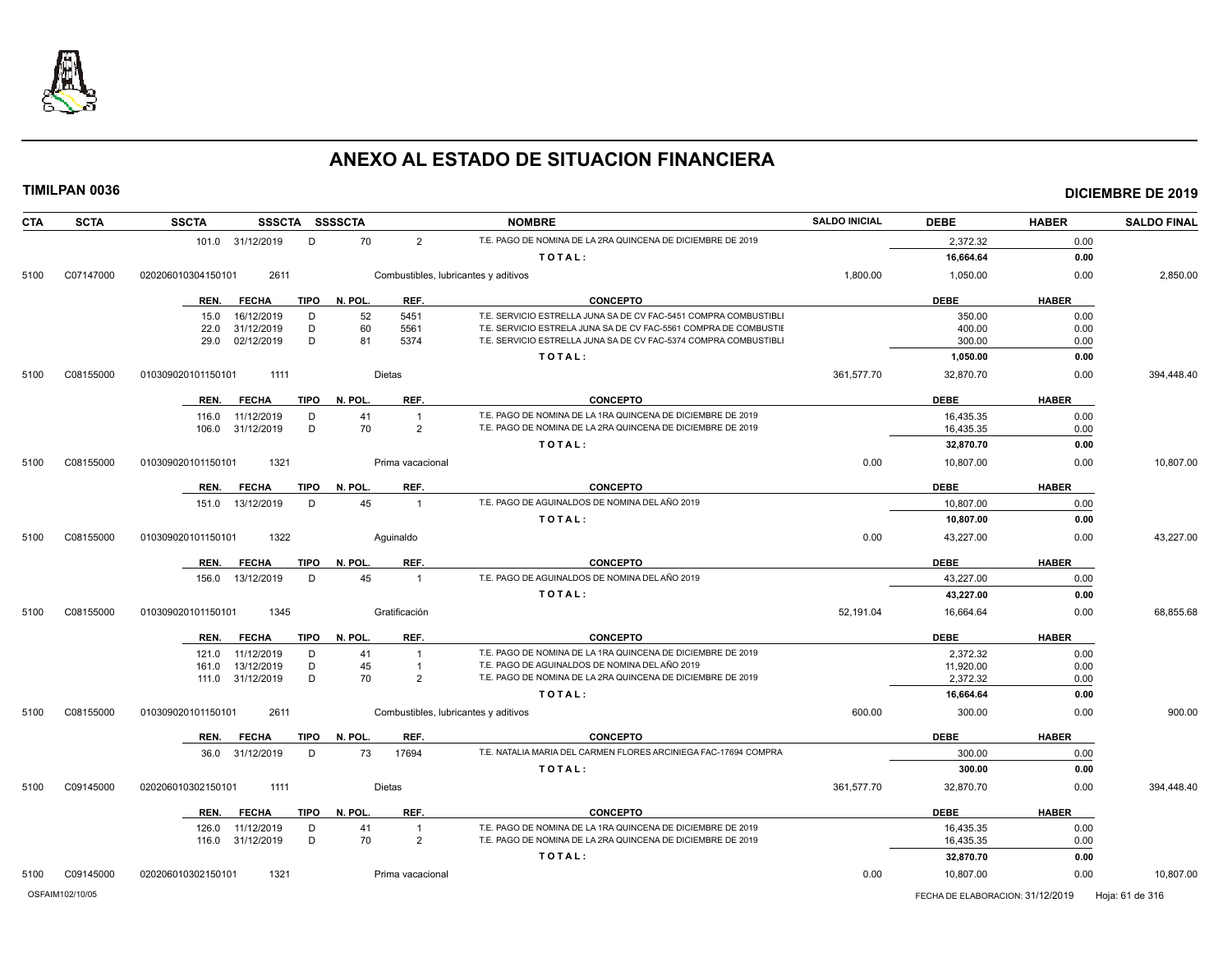

| <b>CTA</b><br><b>SCTA</b> | <b>SSCTA</b><br>SSSCTA SSSSCTA                       |                                             | <b>NOMBRE</b>                                                                                                 | <b>SALDO INICIAL</b> | <b>DEBE</b>                      | <b>HABER</b> | <b>SALDO FINAL</b> |
|---------------------------|------------------------------------------------------|---------------------------------------------|---------------------------------------------------------------------------------------------------------------|----------------------|----------------------------------|--------------|--------------------|
|                           | 101.0 31/12/2019<br>D                                | 70<br>$\overline{2}$                        | T.E. PAGO DE NOMINA DE LA 2RA QUINCENA DE DICIEMBRE DE 2019                                                   |                      | 2,372.32                         | 0.00         |                    |
|                           |                                                      |                                             | TOTAL:                                                                                                        |                      | 16,664.64                        | 0.00         |                    |
| C07147000<br>5100         | 020206010304150101<br>2611                           | Combustibles, lubricantes y aditivos        |                                                                                                               | 1,800.00             | 1,050.00                         | 0.00         | 2,850.00           |
|                           | <b>TIPO</b><br>REN.<br><b>FECHA</b>                  | N. POL<br>REF.                              | <b>CONCEPTO</b>                                                                                               |                      | <b>DEBE</b>                      | <b>HABER</b> |                    |
|                           | 16/12/2019<br>D<br>15.0                              | 52<br>5451                                  | T.E. SERVICIO ESTRELLA JUNA SA DE CV FAC-5451 COMPRA COMBUSTIBLI                                              |                      | 350.00                           | 0.00         |                    |
|                           | 31/12/2019<br>D<br>22.0                              | 60<br>5561                                  | T.E. SERVICIO ESTRELA JUNA SA DE CV FAC-5561 COMPRA DE COMBUSTIE                                              |                      | 400.00                           | 0.00         |                    |
|                           | D<br>29.0<br>02/12/2019                              | 81<br>5374                                  | T.E. SERVICIO ESTRELLA JUNA SA DE CV FAC-5374 COMPRA COMBUSTIBLI                                              |                      | 300.00                           | 0.00         |                    |
|                           |                                                      |                                             | TOTAL:                                                                                                        |                      | 1,050.00                         | 0.00         |                    |
| C08155000<br>5100         | 010309020101150101<br>1111                           | <b>Dietas</b>                               |                                                                                                               | 361,577.70           | 32,870.70                        | 0.00         | 394,448.40         |
|                           | <b>TIPO</b><br>REN.<br><b>FECHA</b>                  | N. POL.<br>REF.                             | <b>CONCEPTO</b>                                                                                               |                      | <b>DEBE</b>                      | <b>HABER</b> |                    |
|                           | D<br>116.0<br>11/12/2019                             | 41<br>$\overline{1}$                        | T.E. PAGO DE NOMINA DE LA 1RA QUINCENA DE DICIEMBRE DE 2019                                                   |                      | 16,435.35                        | 0.00         |                    |
|                           | 31/12/2019<br>D<br>106.0                             | 70<br>2                                     | T.E. PAGO DE NOMINA DE LA 2RA QUINCENA DE DICIEMBRE DE 2019                                                   |                      | 16,435.35                        | 0.00         |                    |
|                           |                                                      |                                             | TOTAL:                                                                                                        |                      | 32,870.70                        | 0.00         |                    |
| C08155000<br>5100         | 1321<br>010309020101150101                           | Prima vacacional                            |                                                                                                               | 0.00                 | 10,807.00                        | 0.00         | 10,807.00          |
|                           | TIPO<br>REN.<br><b>FECHA</b>                         | N. POL.<br>REF.                             | <b>CONCEPTO</b>                                                                                               |                      | <b>DEBE</b>                      | <b>HABER</b> |                    |
|                           | 13/12/2019<br>D<br>151.0                             | 45<br>$\overline{1}$                        | T.E. PAGO DE AGUINALDOS DE NOMINA DEL AÑO 2019                                                                |                      | 10,807.00                        | 0.00         |                    |
|                           |                                                      |                                             | TOTAL:                                                                                                        |                      | 10,807.00                        | 0.00         |                    |
| C08155000<br>5100         | 1322<br>010309020101150101                           | Aquinaldo                                   |                                                                                                               | 0.00                 | 43,227.00                        | 0.00         | 43,227.00          |
|                           | REN.<br><b>FECHA</b><br><b>TIPO</b>                  | N. POL<br>REF.                              | <b>CONCEPTO</b>                                                                                               |                      | <b>DEBE</b>                      | <b>HABER</b> |                    |
|                           | D<br>156.0<br>13/12/2019                             | 45<br>$\overline{1}$                        | T.E. PAGO DE AGUINALDOS DE NOMINA DEL AÑO 2019                                                                |                      | 43.227.00                        | 0.00         |                    |
|                           |                                                      |                                             | TOTAL:                                                                                                        |                      | 43,227.00                        | 0.00         |                    |
| C08155000<br>5100         | 1345<br>010309020101150101                           | Gratificación                               |                                                                                                               | 52,191.04            | 16,664.64                        | 0.00         | 68,855.68          |
|                           |                                                      |                                             |                                                                                                               |                      |                                  |              |                    |
|                           | <b>TIPO</b><br>REN.<br><b>FECHA</b>                  | N. POL.<br>REF.                             | <b>CONCEPTO</b>                                                                                               |                      | <b>DEBE</b>                      | <b>HABER</b> |                    |
|                           | 11/12/2019<br>D<br>121.0                             | 41<br>$\overline{1}$                        | T.E. PAGO DE NOMINA DE LA 1RA QUINCENA DE DICIEMBRE DE 2019<br>T.E. PAGO DE AGUINALDOS DE NOMINA DEL AÑO 2019 |                      | 2,372.32                         | 0.00         |                    |
|                           | 13/12/2019<br>D<br>161.0<br>D<br>111.0<br>31/12/2019 | 45<br>$\overline{1}$<br>70<br>$\mathcal{P}$ | T.E. PAGO DE NOMINA DE LA 2RA QUINCENA DE DICIEMBRE DE 2019                                                   |                      | 11,920.00<br>2,372.32            | 0.00<br>0.00 |                    |
|                           |                                                      |                                             | TOTAL:                                                                                                        |                      | 16,664.64                        | 0.00         |                    |
| C08155000<br>5100         | 2611                                                 |                                             |                                                                                                               | 600.00               | 300.00                           | 0.00         | 900.00             |
|                           | 010309020101150101                                   | Combustibles, lubricantes y aditivos        |                                                                                                               |                      |                                  |              |                    |
|                           | <b>TIPO</b><br>REN.<br><b>FECHA</b>                  | N. POL.<br>REF.                             | <b>CONCEPTO</b>                                                                                               |                      | <b>DEBE</b>                      | <b>HABER</b> |                    |
|                           | 36.0 31/12/2019<br>D                                 | 73<br>17694                                 | T.E. NATALIA MARIA DEL CARMEN FLORES ARCINIEGA FAC-17694 COMPRA                                               |                      | 300.00                           | 0.00         |                    |
|                           |                                                      |                                             | TOTAL:                                                                                                        |                      | 300.00                           | 0.00         |                    |
| 5100<br>C09145000         | 020206010302150101<br>1111                           | Dietas                                      |                                                                                                               | 361,577.70           | 32,870.70                        | 0.00         | 394,448.40         |
|                           | <b>TIPO</b><br>REN.<br><b>FECHA</b>                  | N. POL.<br>REF.                             | <b>CONCEPTO</b>                                                                                               |                      | <b>DEBE</b>                      | <b>HABER</b> |                    |
|                           | 11/12/2019<br>D<br>126.0                             | 41<br>$\overline{1}$                        | T.E. PAGO DE NOMINA DE LA 1RA QUINCENA DE DICIEMBRE DE 2019                                                   |                      | 16,435.35                        | 0.00         |                    |
|                           | 116.0 31/12/2019<br>D                                | 70<br>$\overline{2}$                        | T.E. PAGO DE NOMINA DE LA 2RA QUINCENA DE DICIEMBRE DE 2019                                                   |                      | 16,435.35                        | 0.00         |                    |
|                           |                                                      |                                             | TOTAL:                                                                                                        |                      | 32,870.70                        | 0.00         |                    |
| C09145000<br>5100         | 020206010302150101<br>1321                           | Prima vacacional                            |                                                                                                               | 0.00                 | 10,807.00                        | 0.00         | 10,807.00          |
| OSFAIM102/10/05           |                                                      |                                             |                                                                                                               |                      | FECHA DE ELABORACION: 31/12/2019 |              | Hoja: 61 de 316    |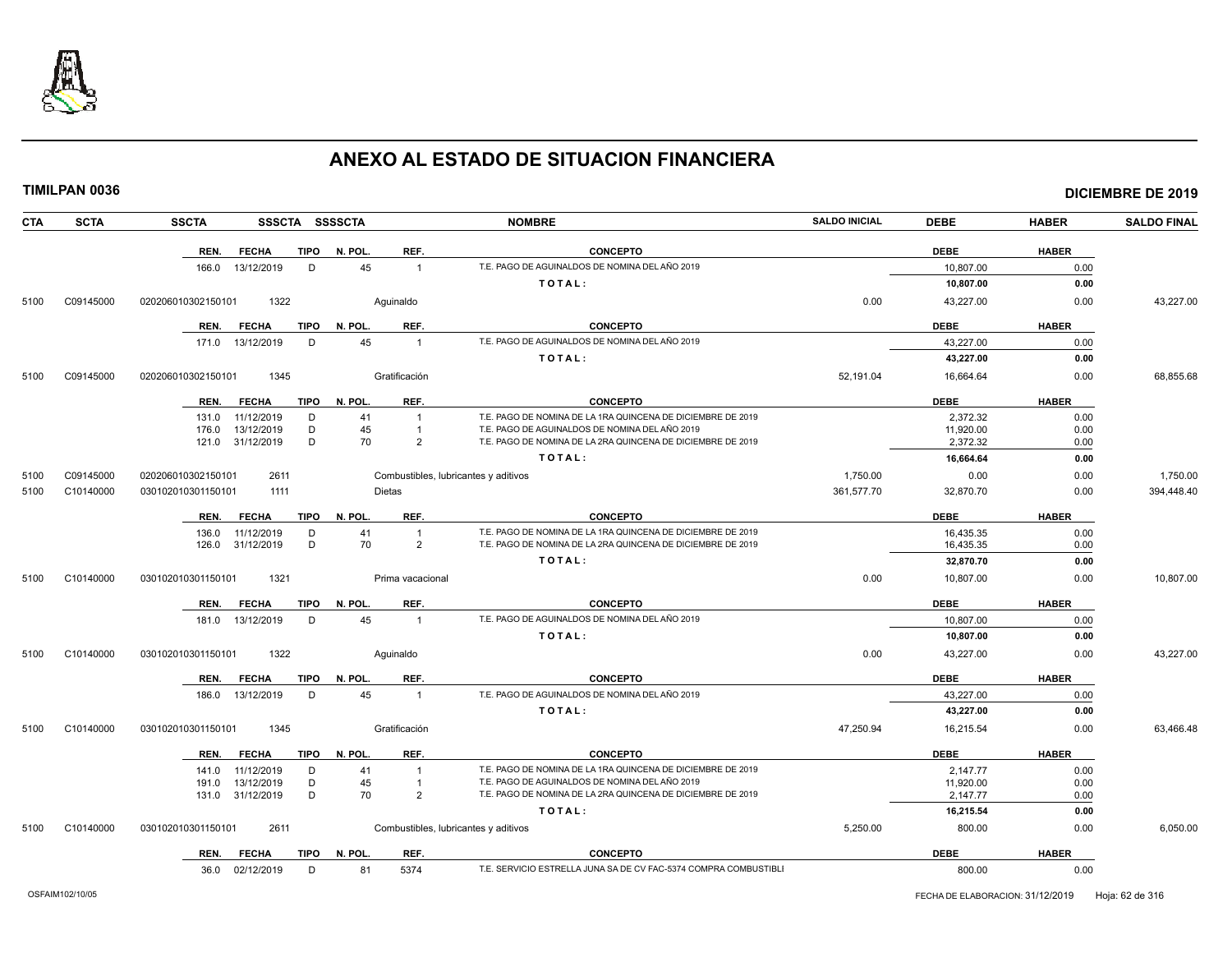

| CTA  | <b>SCTA</b> | <b>SSCTA</b><br>SSSCTA SSSSCTA      |         |                                      | <b>NOMBRE</b>                                                                                                 | <b>SALDO INICIAL</b> | <b>DEBE</b> | <b>HABER</b> | <b>SALDO FINAL</b> |
|------|-------------|-------------------------------------|---------|--------------------------------------|---------------------------------------------------------------------------------------------------------------|----------------------|-------------|--------------|--------------------|
|      |             | <b>TIPO</b><br>REN.<br><b>FECHA</b> | N. POL. | REF.                                 | <b>CONCEPTO</b>                                                                                               |                      | <b>DEBE</b> | <b>HABER</b> |                    |
|      |             | 13/12/2019<br>D<br>166.0            | 45      | $\overline{1}$                       | T.E. PAGO DE AGUINALDOS DE NOMINA DEL AÑO 2019                                                                |                      | 10,807.00   | 0.00         |                    |
|      |             |                                     |         |                                      | TOTAL:                                                                                                        |                      | 10,807.00   | 0.00         |                    |
| 5100 | C09145000   | 020206010302150101<br>1322          |         | Aquinaldo                            |                                                                                                               | 0.00                 | 43,227.00   | 0.00         | 43,227.00          |
|      |             | <b>TIPO</b><br>REN.<br><b>FECHA</b> | N. POL. | REF.                                 | <b>CONCEPTO</b>                                                                                               |                      | <b>DEBE</b> | <b>HABER</b> |                    |
|      |             | 13/12/2019<br>D<br>171.0            | 45      | $\overline{1}$                       | T.E. PAGO DE AGUINALDOS DE NOMINA DEL AÑO 2019                                                                |                      | 43,227.00   | 0.00         |                    |
|      |             |                                     |         |                                      | TOTAL:                                                                                                        |                      | 43,227.00   | 0.00         |                    |
| 5100 | C09145000   | 1345<br>020206010302150101          |         | Gratificación                        |                                                                                                               | 52,191.04            | 16,664.64   | 0.00         | 68,855.68          |
|      |             | <b>FECHA</b><br><b>TIPO</b><br>REN. | N. POL. | REF.                                 | <b>CONCEPTO</b>                                                                                               |                      | <b>DEBE</b> | <b>HABER</b> |                    |
|      |             | 11/12/2019<br>D<br>131.0            | 41      |                                      | T.E. PAGO DE NOMINA DE LA 1RA QUINCENA DE DICIEMBRE DE 2019                                                   |                      | 2,372.32    | 0.00         |                    |
|      |             | 13/12/2019<br>D<br>176.0            | 45      |                                      | T.E. PAGO DE AGUINALDOS DE NOMINA DEL AÑO 2019<br>T.E. PAGO DE NOMINA DE LA 2RA QUINCENA DE DICIEMBRE DE 2019 |                      | 11,920.00   | 0.00         |                    |
|      |             | D<br>31/12/2019<br>121.0            | 70      | $\overline{2}$                       | TOTAL:                                                                                                        |                      | 2,372.32    | 0.00         |                    |
|      |             |                                     |         |                                      |                                                                                                               |                      | 16,664.64   | 0.00         |                    |
| 5100 | C09145000   | 020206010302150101<br>2611          |         | Combustibles, lubricantes y aditivos |                                                                                                               | 1,750.00             | 0.00        | 0.00         | 1,750.00           |
| 5100 | C10140000   | 030102010301150101<br>1111          |         | <b>Dietas</b>                        |                                                                                                               | 361,577.70           | 32,870.70   | 0.00         | 394,448.40         |
|      |             | <b>TIPO</b><br>REN.<br><b>FECHA</b> | N. POL. | REF.                                 | <b>CONCEPTO</b>                                                                                               |                      | <b>DEBE</b> | <b>HABER</b> |                    |
|      |             | 11/12/2019<br>136.0<br>D            | 41      |                                      | T.E. PAGO DE NOMINA DE LA 1RA QUINCENA DE DICIEMBRE DE 2019                                                   |                      | 16,435.35   | 0.00         |                    |
|      |             | D<br>126.0<br>31/12/2019            | 70      | $\overline{2}$                       | T.E. PAGO DE NOMINA DE LA 2RA QUINCENA DE DICIEMBRE DE 2019                                                   |                      | 16,435.35   | 0.00         |                    |
|      |             |                                     |         |                                      | TOTAL:                                                                                                        |                      | 32,870.70   | 0.00         |                    |
| 5100 | C10140000   | 030102010301150101<br>1321          |         | Prima vacacional                     |                                                                                                               | 0.00                 | 10,807.00   | 0.00         | 10,807.00          |
|      |             | <b>FECHA</b><br><b>TIPO</b><br>REN. | N. POL. | REF.                                 | <b>CONCEPTO</b>                                                                                               |                      | <b>DEBE</b> | <b>HABER</b> |                    |
|      |             | D<br>13/12/2019<br>181.0            | 45      | $\mathbf{1}$                         | T.E. PAGO DE AGUINALDOS DE NOMINA DEL AÑO 2019                                                                |                      | 10.807.00   | 0.00         |                    |
|      |             |                                     |         |                                      | TOTAL:                                                                                                        |                      | 10,807.00   | 0.00         |                    |
| 5100 | C10140000   | 1322<br>030102010301150101          |         | Aguinaldo                            |                                                                                                               | 0.00                 | 43,227.00   | 0.00         | 43,227.00          |
|      |             | <b>FECHA</b><br><b>TIPO</b><br>REN. | N. POL. | REF.                                 | <b>CONCEPTO</b>                                                                                               |                      | <b>DEBE</b> | <b>HABER</b> |                    |
|      |             | 186.0<br>13/12/2019<br>D            | 45      | $\overline{1}$                       | T.E. PAGO DE AGUINALDOS DE NOMINA DEL AÑO 2019                                                                |                      | 43,227.00   | 0.00         |                    |
|      |             |                                     |         |                                      | TOTAL:                                                                                                        |                      | 43,227.00   | 0.00         |                    |
| 5100 | C10140000   | 030102010301150101<br>1345          |         | Gratificación                        |                                                                                                               | 47,250.94            | 16,215.54   | 0.00         | 63,466.48          |
|      |             | REN.<br><b>FECHA</b><br>TIPO        | N. POL. | REF.                                 | <b>CONCEPTO</b>                                                                                               |                      | <b>DEBE</b> | <b>HABER</b> |                    |
|      |             | D<br>11/12/2019<br>141.0            | 41      |                                      | T.E. PAGO DE NOMINA DE LA 1RA QUINCENA DE DICIEMBRE DE 2019                                                   |                      | 2,147.77    | 0.00         |                    |
|      |             | 13/12/2019<br>D<br>191.0            | 45      |                                      | T.E. PAGO DE AGUINALDOS DE NOMINA DEL AÑO 2019                                                                |                      | 11,920.00   | 0.00         |                    |
|      |             | D<br>31/12/2019<br>131.0            | 70      | 2                                    | T.E. PAGO DE NOMINA DE LA 2RA QUINCENA DE DICIEMBRE DE 2019                                                   |                      | 2,147.77    | 0.00         |                    |
|      |             |                                     |         |                                      | TOTAL:                                                                                                        |                      | 16,215.54   | 0.00         |                    |
| 5100 | C10140000   | 2611<br>030102010301150101          |         | Combustibles, lubricantes y aditivos |                                                                                                               | 5,250.00             | 800.00      | 0.00         | 6,050.00           |
|      |             | TIPO<br>REN.<br><b>FECHA</b>        | N. POL. | REF.                                 | <b>CONCEPTO</b>                                                                                               |                      | <b>DEBE</b> | <b>HABER</b> |                    |
|      |             | 36.0 02/12/2019<br>D                | 81      | 5374                                 | T.E. SERVICIO ESTRELLA JUNA SA DE CV FAC-5374 COMPRA COMBUSTIBLI                                              |                      | 800.00      | 0.00         |                    |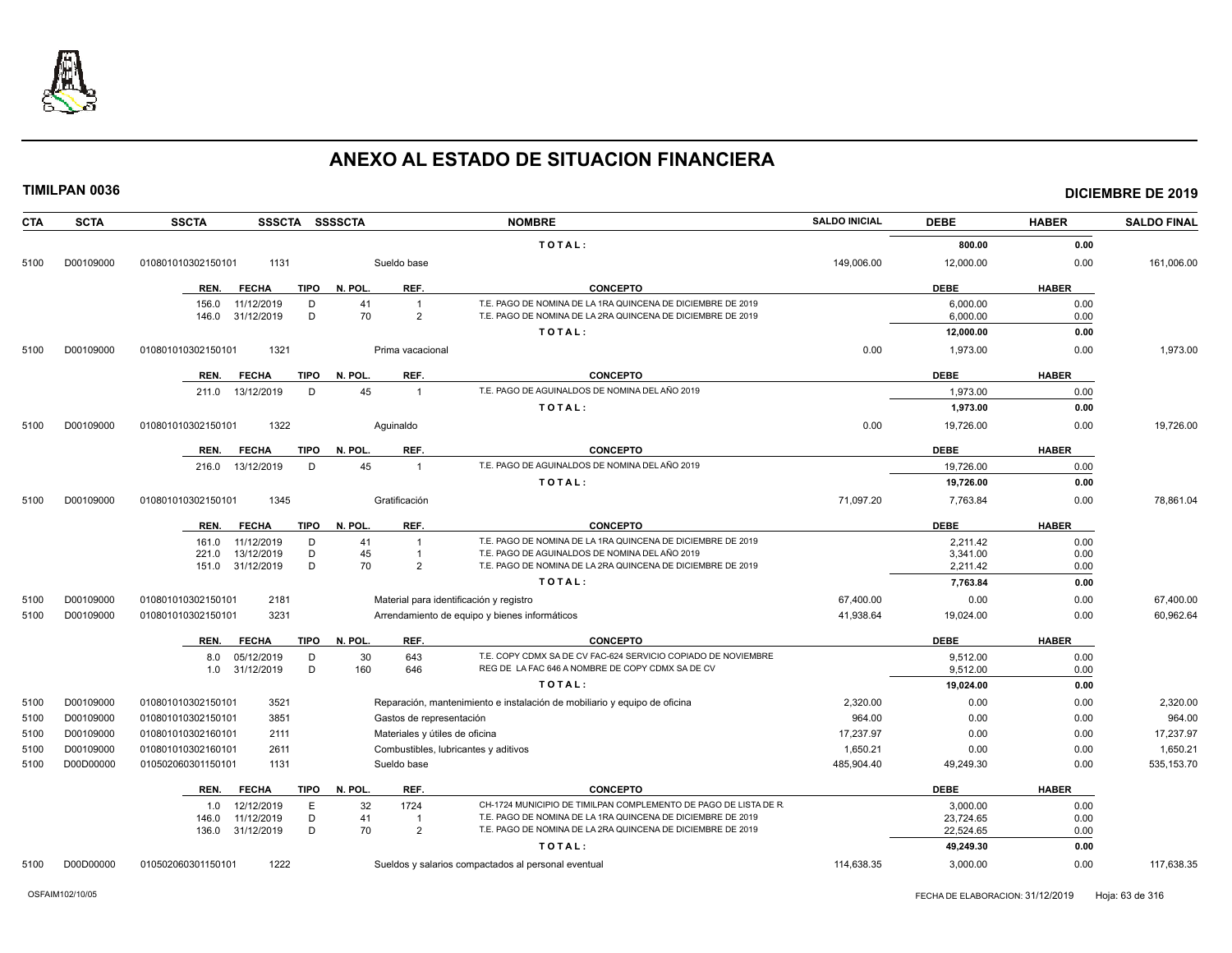

| <b>CTA</b> | <b>SCTA</b> | <b>SSCTA</b><br>SSSCTA SSSSCTA      |                                | <b>NOMBRE</b>                                                             | <b>SALDO INICIAL</b> | <b>DEBE</b> | <b>HABER</b> | <b>SALDO FINAL</b> |
|------------|-------------|-------------------------------------|--------------------------------|---------------------------------------------------------------------------|----------------------|-------------|--------------|--------------------|
|            |             |                                     |                                | TOTAL:                                                                    |                      | 800.00      | 0.00         |                    |
| 5100       | D00109000   | 1131<br>010801010302150101          | Sueldo base                    |                                                                           | 149,006.00           | 12,000.00   | 0.00         | 161,006.00         |
|            |             | <b>TIPO</b><br>REN.<br><b>FECHA</b> | N. POL.<br>REF.                | <b>CONCEPTO</b>                                                           |                      | <b>DEBE</b> | <b>HABER</b> |                    |
|            |             | D<br>156.0<br>11/12/2019            | 41<br>$\overline{1}$           | T.E. PAGO DE NOMINA DE LA 1RA QUINCENA DE DICIEMBRE DE 2019               |                      | 6,000.00    | 0.00         |                    |
|            |             | 146.0<br>31/12/2019<br>D            | 70<br>$\overline{2}$           | T.E. PAGO DE NOMINA DE LA 2RA QUINCENA DE DICIEMBRE DE 2019               |                      | 6,000.00    | 0.00         |                    |
|            |             |                                     |                                | TOTAL:                                                                    |                      | 12,000.00   | 0.00         |                    |
| 5100       | D00109000   | 1321<br>010801010302150101          | Prima vacacional               |                                                                           | 0.00                 | 1,973.00    | 0.00         | 1,973.00           |
|            |             | <b>FECHA</b><br>TIPO<br>REN.        | REF.<br>N. POL                 | <b>CONCEPTO</b>                                                           |                      | <b>DEBE</b> | <b>HABER</b> |                    |
|            |             | 13/12/2019<br>D<br>211.0            | 45<br>$\overline{1}$           | T.E. PAGO DE AGUINALDOS DE NOMINA DEL AÑO 2019                            |                      | 1,973.00    | 0.00         |                    |
|            |             |                                     |                                | TOTAL:                                                                    |                      | 1,973.00    | 0.00         |                    |
| 5100       | D00109000   | 1322<br>010801010302150101          | Aquinaldo                      |                                                                           | 0.00                 | 19,726.00   | 0.00         | 19,726.00          |
|            |             | <b>TIPO</b><br>REN.<br><b>FECHA</b> | REF.<br>N. POL.                | <b>CONCEPTO</b>                                                           |                      | <b>DEBE</b> | <b>HABER</b> |                    |
|            |             | 13/12/2019<br>D<br>216.0            | 45<br>$\mathbf{1}$             | T.E. PAGO DE AGUINALDOS DE NOMINA DEL AÑO 2019                            |                      | 19,726.00   | 0.00         |                    |
|            |             |                                     |                                | TOTAL:                                                                    |                      | 19,726.00   | 0.00         |                    |
| 5100       | D00109000   | 1345<br>010801010302150101          | Gratificación                  |                                                                           | 71,097.20            | 7,763.84    | 0.00         | 78,861.04          |
|            |             | <b>TIPO</b><br>REN.<br><b>FECHA</b> | REF.<br>N. POL.                | <b>CONCEPTO</b>                                                           |                      | <b>DEBE</b> | <b>HABER</b> |                    |
|            |             | 11/12/2019<br>D<br>161.0            | 41<br>$\overline{1}$           | T.E. PAGO DE NOMINA DE LA 1RA QUINCENA DE DICIEMBRE DE 2019               |                      | 2,211.42    | 0.00         |                    |
|            |             | D<br>13/12/2019<br>221.0            | 45                             | T.E. PAGO DE AGUINALDOS DE NOMINA DEL AÑO 2019                            |                      | 3,341.00    | 0.00         |                    |
|            |             | D<br>31/12/2019<br>151.0            | 70<br>2                        | T.E. PAGO DE NOMINA DE LA 2RA QUINCENA DE DICIEMBRE DE 2019               |                      | 2.211.42    | 0.00         |                    |
|            |             |                                     |                                | TOTAL:                                                                    |                      | 7,763.84    | 0.00         |                    |
| 5100       | D00109000   | 2181<br>010801010302150101          |                                | Material para identificación y registro                                   | 67,400.00            | 0.00        | 0.00         | 67,400.00          |
| 5100       | D00109000   | 3231<br>010801010302150101          |                                | Arrendamiento de equipo y bienes informáticos                             | 41,938.64            | 19,024.00   | 0.00         | 60,962.64          |
|            |             | <b>TIPO</b><br>REN.<br><b>FECHA</b> | REF.<br>N. POL.                | <b>CONCEPTO</b>                                                           |                      | <b>DEBE</b> | <b>HABER</b> |                    |
|            |             | 05/12/2019<br>D<br>8.0              | 30<br>643                      | T.E. COPY CDMX SA DE CV FAC-624 SERVICIO COPIADO DE NOVIEMBRE             |                      | 9,512.00    | 0.00         |                    |
|            |             | D<br>31/12/2019<br>1.0              | 160<br>646                     | REG DE LA FAC 646 A NOMBRE DE COPY CDMX SA DE CV                          |                      | 9,512.00    | 0.00         |                    |
|            |             |                                     |                                | TOTAL:                                                                    |                      | 19,024.00   | 0.00         |                    |
| 5100       | D00109000   | 3521<br>010801010302150101          |                                | Reparación, mantenimiento e instalación de mobiliario y equipo de oficina | 2,320.00             | 0.00        | 0.00         | 2,320.00           |
| 5100       | D00109000   | 3851<br>010801010302150101          | Gastos de representación       |                                                                           | 964.00               | 0.00        | 0.00         | 964.00             |
| 5100       | D00109000   | 010801010302160101<br>2111          | Materiales y útiles de oficina |                                                                           | 17,237.97            | 0.00        | 0.00         | 17,237.97          |
| 5100       | D00109000   | 010801010302160101<br>2611          |                                | Combustibles, lubricantes y aditivos                                      | 1,650.21             | 0.00        | 0.00         | 1,650.21           |
| 5100       | D00D00000   | 010502060301150101<br>1131          | Sueldo base                    |                                                                           | 485,904.40           | 49,249.30   | 0.00         | 535, 153.70        |
|            |             | <b>TIPO</b><br><b>FECHA</b><br>REN. | N. POL<br>REF.                 | <b>CONCEPTO</b>                                                           |                      | <b>DEBE</b> | <b>HABER</b> |                    |
|            |             | 12/12/2019<br>E<br>1.0              | 32<br>1724                     | CH-1724 MUNICIPIO DE TIMILPAN COMPLEMENTO DE PAGO DE LISTA DE R           |                      | 3,000.00    | 0.00         |                    |
|            |             | 11/12/2019<br>D<br>146.0            | 41<br>-1                       | T.E. PAGO DE NOMINA DE LA 1RA QUINCENA DE DICIEMBRE DE 2019               |                      | 23,724.65   | 0.00         |                    |
|            |             | D<br>31/12/2019<br>136.0            | 70<br>2                        | T.E. PAGO DE NOMINA DE LA 2RA QUINCENA DE DICIEMBRE DE 2019               |                      | 22,524.65   | 0.00         |                    |
|            |             |                                     |                                | TOTAL:                                                                    |                      | 49,249.30   | 0.00         |                    |
| 5100       | D00D00000   | 010502060301150101<br>1222          |                                | Sueldos y salarios compactados al personal eventual                       | 114,638.35           | 3,000.00    | 0.00         | 117,638.35         |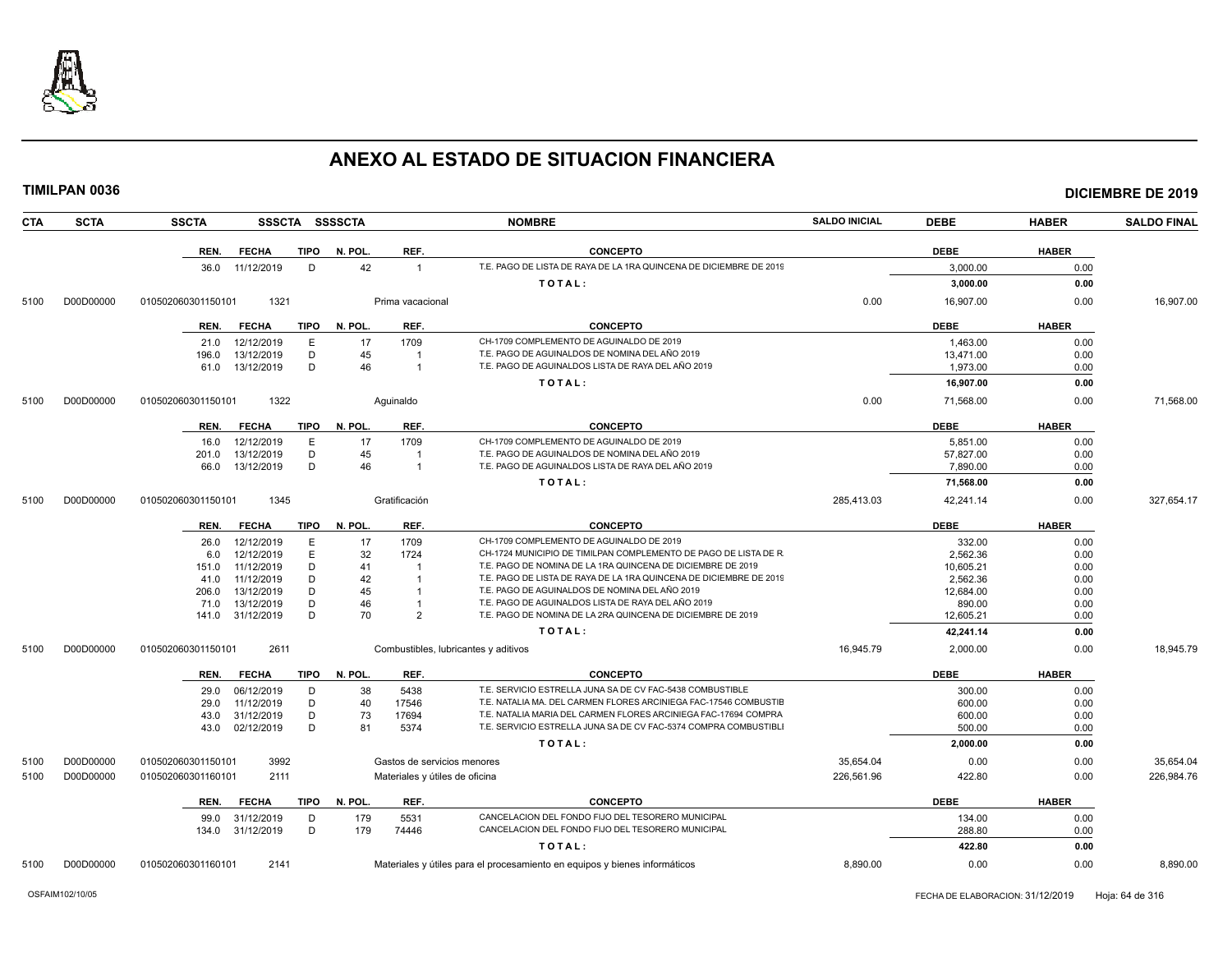

| <b>CTA</b> | <b>SCTA</b> | <b>SSCTA</b>       |              | SSSCTA SSSSCTA |         |                                      | <b>NOMBRE</b>                                                              | <b>SALDO INICIAL</b> | <b>DEBE</b> | <b>HABER</b> | <b>SALDO FINAL</b> |
|------------|-------------|--------------------|--------------|----------------|---------|--------------------------------------|----------------------------------------------------------------------------|----------------------|-------------|--------------|--------------------|
|            |             | REN.               | <b>FECHA</b> | TIPO           | N. POL. | REF.                                 | <b>CONCEPTO</b>                                                            |                      | <b>DEBE</b> | <b>HABER</b> |                    |
|            |             | 36.0               | 11/12/2019   | D              | 42      | $\mathbf{1}$                         | T.E. PAGO DE LISTA DE RAYA DE LA 1RA QUINCENA DE DICIEMBRE DE 2019         |                      | 3,000.00    | 0.00         |                    |
|            |             |                    |              |                |         |                                      | TOTAL:                                                                     |                      | 3,000.00    | 0.00         |                    |
| 5100       | D00D00000   | 010502060301150101 |              | 1321           |         | Prima vacacional                     |                                                                            | 0.00                 | 16,907.00   | 0.00         | 16,907.00          |
|            |             |                    |              |                |         |                                      |                                                                            |                      |             |              |                    |
|            |             | REN.               | <b>FECHA</b> | <b>TIPO</b>    | N. POL. | REF.                                 | <b>CONCEPTO</b>                                                            |                      | <b>DEBE</b> | <b>HABER</b> |                    |
|            |             | 21.0               | 12/12/2019   | E              | 17      | 1709                                 | CH-1709 COMPLEMENTO DE AGUINALDO DE 2019                                   |                      | 1,463.00    | 0.00         |                    |
|            |             | 196.0              | 13/12/2019   | D              | 45      | -1                                   | T.E. PAGO DE AGUINALDOS DE NOMINA DEL AÑO 2019                             |                      | 13,471.00   | 0.00         |                    |
|            |             | 61.0               | 13/12/2019   | D              | 46      | $\mathbf{1}$                         | T.E. PAGO DE AGUINALDOS LISTA DE RAYA DEL AÑO 2019                         |                      | 1,973.00    | 0.00         |                    |
|            |             |                    |              |                |         |                                      | TOTAL:                                                                     |                      | 16,907.00   | 0.00         |                    |
| 5100       | D00D00000   | 010502060301150101 |              | 1322           |         | Aquinaldo                            |                                                                            | 0.00                 | 71,568.00   | 0.00         | 71.568.00          |
|            |             | REN.               | <b>FECHA</b> | <b>TIPO</b>    | N. POL. | REF.                                 | <b>CONCEPTO</b>                                                            |                      | <b>DEBE</b> | <b>HABER</b> |                    |
|            |             | 16.0               | 12/12/2019   | E              | 17      | 1709                                 | CH-1709 COMPLEMENTO DE AGUINALDO DE 2019                                   |                      | 5,851.00    | 0.00         |                    |
|            |             | 201.0              | 13/12/2019   | D              | 45      | -1                                   | T.E. PAGO DE AGUINALDOS DE NOMINA DEL AÑO 2019                             |                      | 57,827.00   | 0.00         |                    |
|            |             | 66.0               | 13/12/2019   | D              | 46      | $\mathbf{1}$                         | T.E. PAGO DE AGUINALDOS LISTA DE RAYA DEL AÑO 2019                         |                      | 7.890.00    | 0.00         |                    |
|            |             |                    |              |                |         |                                      | TOTAL:                                                                     |                      | 71,568.00   | 0.00         |                    |
| 5100       | D00D00000   | 010502060301150101 |              | 1345           |         | Gratificación                        |                                                                            | 285,413.03           | 42,241.14   | 0.00         | 327,654.17         |
|            |             | REN.               | <b>FECHA</b> | <b>TIPO</b>    | N. POL. | REF.                                 | <b>CONCEPTO</b>                                                            |                      | <b>DEBE</b> | <b>HABER</b> |                    |
|            |             | 26.0               | 12/12/2019   | E              | 17      | 1709                                 | CH-1709 COMPLEMENTO DE AGUINALDO DE 2019                                   |                      | 332.00      | 0.00         |                    |
|            |             | 6.0                | 12/12/2019   | E              | 32      | 1724                                 | CH-1724 MUNICIPIO DE TIMILPAN COMPLEMENTO DE PAGO DE LISTA DE R            |                      | 2,562.36    | 0.00         |                    |
|            |             | 151.0              | 11/12/2019   | D              | 41      | -1                                   | T.E. PAGO DE NOMINA DE LA 1RA QUINCENA DE DICIEMBRE DE 2019                |                      | 10,605.21   | 0.00         |                    |
|            |             | 41.0               | 11/12/2019   | D              | 42      | $\overline{1}$                       | T.E. PAGO DE LISTA DE RAYA DE LA 1RA QUINCENA DE DICIEMBRE DE 2019         |                      | 2.562.36    | 0.00         |                    |
|            |             | 206.0              | 13/12/2019   | D              | 45      | $\mathbf{1}$                         | T.E. PAGO DE AGUINALDOS DE NOMINA DEL AÑO 2019                             |                      | 12,684.00   | 0.00         |                    |
|            |             | 71.0               | 13/12/2019   | D              | 46      | $\mathbf{1}$                         | T.E. PAGO DE AGUINALDOS LISTA DE RAYA DEL AÑO 2019                         |                      | 890.00      | 0.00         |                    |
|            |             | 141.0              | 31/12/2019   | D              | 70      | 2                                    | T.E. PAGO DE NOMINA DE LA 2RA QUINCENA DE DICIEMBRE DE 2019                |                      | 12,605.21   | 0.00         |                    |
|            |             |                    |              |                |         |                                      | TOTAL:                                                                     |                      | 42,241.14   | 0.00         |                    |
| 5100       | D00D00000   | 010502060301150101 |              | 2611           |         | Combustibles, lubricantes y aditivos |                                                                            | 16,945.79            | 2,000.00    | 0.00         | 18,945.79          |
|            |             | REN.               | <b>FECHA</b> | <b>TIPO</b>    | N. POL. | REF.                                 | <b>CONCEPTO</b>                                                            |                      | <b>DEBE</b> | <b>HABER</b> |                    |
|            |             | 29.0               | 06/12/2019   | D              | 38      | 5438                                 | T.E. SERVICIO ESTRELLA JUNA SA DE CV FAC-5438 COMBUSTIBLE                  |                      | 300.00      | 0.00         |                    |
|            |             | 29.0               | 11/12/2019   | D              | 40      | 17546                                | T.E. NATALIA MA. DEL CARMEN FLORES ARCINIEGA FAC-17546 COMBUSTIE           |                      | 600.00      | 0.00         |                    |
|            |             | 43.0               | 31/12/2019   | D              | 73      | 17694                                | T.E. NATALIA MARIA DEL CARMEN FLORES ARCINIEGA FAC-17694 COMPRA            |                      | 600.00      | 0.00         |                    |
|            |             | 43.0               | 02/12/2019   | D              | 81      | 5374                                 | T.E. SERVICIO ESTRELLA JUNA SA DE CV FAC-5374 COMPRA COMBUSTIBLI           |                      | 500.00      | 0.00         |                    |
|            |             |                    |              |                |         |                                      | TOTAL:                                                                     |                      | 2,000.00    | 0.00         |                    |
| 5100       | D00D00000   | 010502060301150101 |              | 3992           |         | Gastos de servicios menores          |                                                                            | 35,654.04            | 0.00        | 0.00         | 35,654.04          |
| 5100       | D00D00000   | 010502060301160101 |              | 2111           |         | Materiales y útiles de oficina       |                                                                            | 226,561.96           | 422.80      | 0.00         | 226,984.76         |
|            |             | REN.               | <b>FECHA</b> | <b>TIPO</b>    | N. POL. | REF.                                 | <b>CONCEPTO</b>                                                            |                      | <b>DEBE</b> | <b>HABER</b> |                    |
|            |             | 99.0               | 31/12/2019   | D              | 179     | 5531                                 | CANCELACION DEL FONDO FIJO DEL TESORERO MUNICIPAL                          |                      | 134.00      | 0.00         |                    |
|            |             | 134.0              | 31/12/2019   | D              | 179     | 74446                                | CANCELACION DEL FONDO FIJO DEL TESORERO MUNICIPAL                          |                      | 288.80      | 0.00         |                    |
|            |             |                    |              |                |         |                                      | TOTAL:                                                                     |                      | 422.80      | 0.00         |                    |
| 5100       | D00D00000   | 010502060301160101 |              | 2141           |         |                                      | Materiales y útiles para el procesamiento en equipos y bienes informáticos | 8,890.00             | 0.00        | 0.00         | 8,890.00           |
|            |             |                    |              |                |         |                                      |                                                                            |                      |             |              |                    |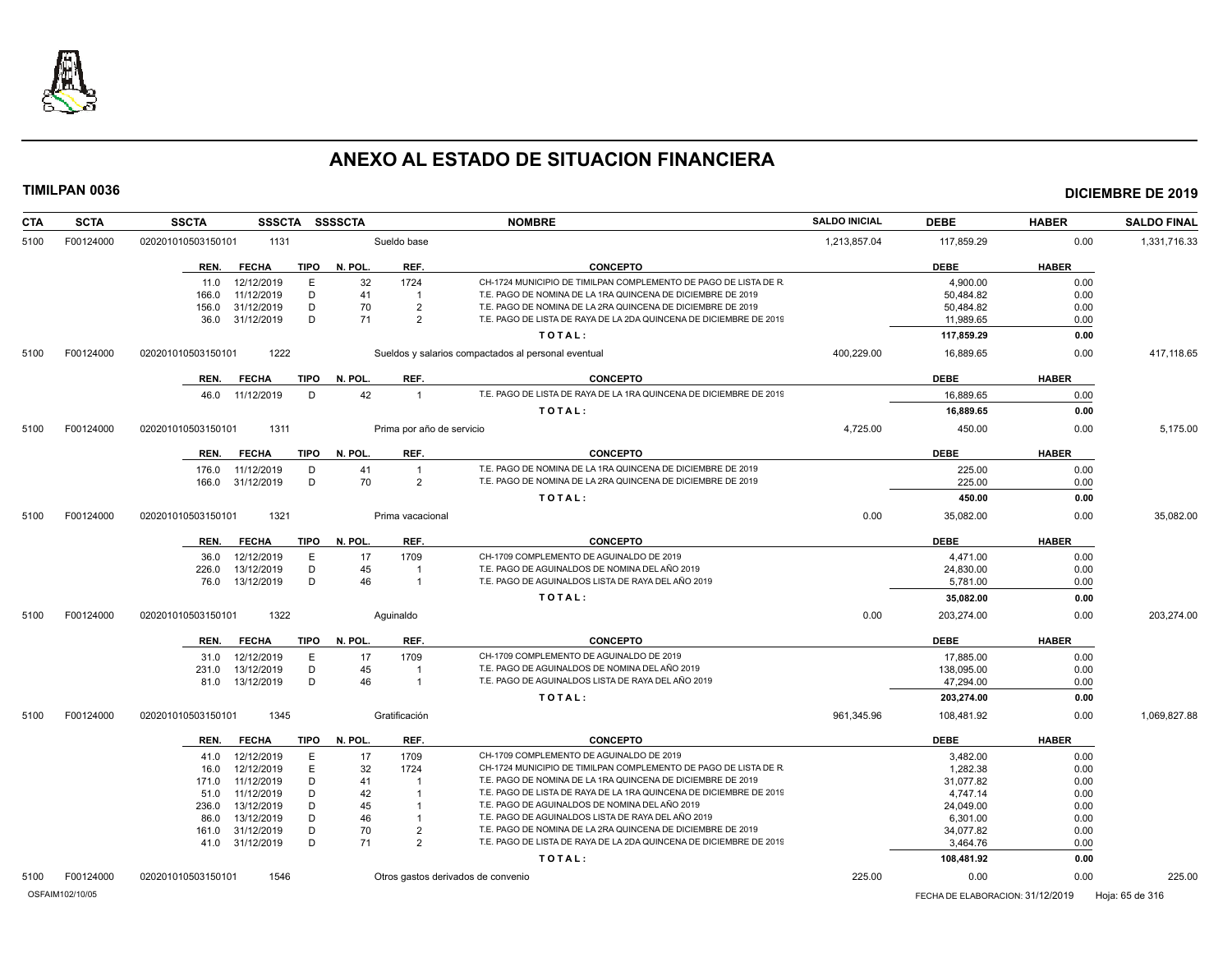

| <b>CTA</b> | <b>SCTA</b>     | <b>SSCTA</b><br><b>SSSCTA</b>       | <b>SSSSCTA</b>                     | <b>NOMBRE</b>                                                      | <b>SALDO INICIAL</b> | <b>DEBE</b>                      | <b>HABER</b> | <b>SALDO FINAL</b> |
|------------|-----------------|-------------------------------------|------------------------------------|--------------------------------------------------------------------|----------------------|----------------------------------|--------------|--------------------|
| 5100       | F00124000       | 020201010503150101<br>1131          | Sueldo base                        |                                                                    | 1,213,857.04         | 117,859.29                       | 0.00         | 1,331,716.33       |
|            |                 | <b>TIPO</b><br>REN.<br><b>FECHA</b> | N. POL.<br>REF.                    | <b>CONCEPTO</b>                                                    |                      | <b>DEBE</b>                      | <b>HABER</b> |                    |
|            |                 | 12/12/2019<br>Ε<br>11.0             | 32<br>1724                         | CH-1724 MUNICIPIO DE TIMILPAN COMPLEMENTO DE PAGO DE LISTA DE R    |                      | 4,900.00                         | 0.00         |                    |
|            |                 | 11/12/2019<br>166.0<br>D            | 41<br>-1                           | T.E. PAGO DE NOMINA DE LA 1RA QUINCENA DE DICIEMBRE DE 2019        |                      | 50,484.82                        | 0.00         |                    |
|            |                 | 31/12/2019<br>D<br>156.0            | 70<br>$\overline{2}$               | T.E. PAGO DE NOMINA DE LA 2RA QUINCENA DE DICIEMBRE DE 2019        |                      | 50,484.82                        | 0.00         |                    |
|            |                 | 31/12/2019<br>D<br>36.0             | 71<br>$\overline{2}$               | T.E. PAGO DE LISTA DE RAYA DE LA 2DA QUINCENA DE DICIEMBRE DE 2019 |                      | 11,989.65                        | 0.00         |                    |
|            |                 |                                     |                                    | TOTAL:                                                             |                      | 117,859.29                       | 0.00         |                    |
| 5100       | F00124000       | 020201010503150101<br>1222          |                                    | Sueldos y salarios compactados al personal eventual                | 400,229.00           | 16,889.65                        | 0.00         | 417,118.65         |
|            |                 | <b>FECHA</b><br>TIPO<br>REN.        | N. POL.<br>REF.                    | <b>CONCEPTO</b>                                                    |                      | <b>DEBE</b>                      | <b>HABER</b> |                    |
|            |                 | 11/12/2019<br>D<br>46.0             | 42<br>$\overline{1}$               | T.E. PAGO DE LISTA DE RAYA DE LA 1RA QUINCENA DE DICIEMBRE DE 2019 |                      | 16.889.65                        | 0.00         |                    |
|            |                 |                                     |                                    | TOTAL:                                                             |                      | 16,889.65                        | 0.00         |                    |
|            |                 |                                     |                                    |                                                                    |                      |                                  |              |                    |
| 5100       | F00124000       | 1311<br>020201010503150101          | Prima por año de servicio          |                                                                    | 4,725.00             | 450.00                           | 0.00         | 5,175.00           |
|            |                 | <b>FECHA</b><br><b>TIPO</b><br>REN. | N. POL.<br>REF.                    | <b>CONCEPTO</b>                                                    |                      | <b>DEBE</b>                      | <b>HABER</b> |                    |
|            |                 | 176.0<br>11/12/2019<br>D            | 41<br>$\overline{1}$               | T.E. PAGO DE NOMINA DE LA 1RA QUINCENA DE DICIEMBRE DE 2019        |                      | 225.00                           | 0.00         |                    |
|            |                 | 31/12/2019<br>D<br>166.0            | 70<br>$\overline{2}$               | T.E. PAGO DE NOMINA DE LA 2RA QUINCENA DE DICIEMBRE DE 2019        |                      | 225.00                           | 0.00         |                    |
|            |                 |                                     |                                    | TOTAL:                                                             |                      | 450.00                           | 0.00         |                    |
| 5100       | F00124000       | 1321<br>020201010503150101          | Prima vacacional                   |                                                                    | 0.00                 | 35,082.00                        | 0.00         | 35,082.00          |
|            |                 | <b>FECHA</b><br><b>TIPO</b><br>REN. | N. POL.<br>REF.                    | <b>CONCEPTO</b>                                                    |                      | <b>DEBE</b>                      | <b>HABER</b> |                    |
|            |                 | 12/12/2019<br>E<br>36.0             | 17<br>1709                         | CH-1709 COMPLEMENTO DE AGUINALDO DE 2019                           |                      | 4,471.00                         | 0.00         |                    |
|            |                 | 13/12/2019<br>D<br>226.0            | 45<br>-1                           | T.E. PAGO DE AGUINALDOS DE NOMINA DEL AÑO 2019                     |                      | 24,830.00                        | 0.00         |                    |
|            |                 | 13/12/2019<br>D<br>76.0             | 46<br>$\overline{1}$               | T.E. PAGO DE AGUINALDOS LISTA DE RAYA DEL AÑO 2019                 |                      | 5,781.00                         | 0.00         |                    |
|            |                 |                                     |                                    | TOTAL:                                                             |                      | 35,082.00                        | 0.00         |                    |
| 5100       | F00124000       | 1322<br>020201010503150101          | Aguinaldo                          |                                                                    | 0.00                 | 203,274.00                       | 0.00         | 203,274.00         |
|            |                 | <b>TIPO</b><br>REN.<br><b>FECHA</b> | N. POL.<br>REF.                    | <b>CONCEPTO</b>                                                    |                      | <b>DEBE</b>                      | <b>HABER</b> |                    |
|            |                 | 12/12/2019<br>Ε<br>31.0             | 17<br>1709                         | CH-1709 COMPLEMENTO DE AGUINALDO DE 2019                           |                      | 17,885.00                        | 0.00         |                    |
|            |                 | 13/12/2019<br>D<br>231.0            | 45<br>-1                           | T.E. PAGO DE AGUINALDOS DE NOMINA DEL AÑO 2019                     |                      | 138.095.00                       | 0.00         |                    |
|            |                 | 81.0 13/12/2019<br>D                | 46<br>$\overline{1}$               | T.E. PAGO DE AGUINALDOS LISTA DE RAYA DEL AÑO 2019                 |                      | 47,294.00                        | 0.00         |                    |
|            |                 |                                     |                                    | TOTAL:                                                             |                      | 203,274.00                       | 0.00         |                    |
| 5100       | F00124000       | 020201010503150101<br>1345          | Gratificación                      |                                                                    | 961.345.96           | 108.481.92                       | 0.00         | 1.069.827.88       |
|            |                 | <b>FECHA</b><br><b>TIPO</b><br>REN. | REF.<br>N. POL.                    | <b>CONCEPTO</b>                                                    |                      | <b>DEBE</b>                      | <b>HABER</b> |                    |
|            |                 | 12/12/2019<br>Ε<br>41.0             | 17<br>1709                         | CH-1709 COMPLEMENTO DE AGUINALDO DE 2019                           |                      | 3,482.00                         | 0.00         |                    |
|            |                 | 12/12/2019<br>Ε<br>16.0             | 32<br>1724                         | CH-1724 MUNICIPIO DE TIMILPAN COMPLEMENTO DE PAGO DE LISTA DE R    |                      | 1,282.38                         | 0.00         |                    |
|            |                 | 11/12/2019<br>D<br>171.0            | 41<br>-1                           | T.E. PAGO DE NOMINA DE LA 1RA QUINCENA DE DICIEMBRE DE 2019        |                      | 31,077.82                        | 0.00         |                    |
|            |                 | 11/12/2019<br>D<br>51.0             | 42<br>-1                           | T.E. PAGO DE LISTA DE RAYA DE LA 1RA QUINCENA DE DICIEMBRE DE 2019 |                      | 4,747.14                         | 0.00         |                    |
|            |                 | 13/12/2019<br>D<br>236.0            | 45<br>-1                           | T.E. PAGO DE AGUINALDOS DE NOMINA DEL AÑO 2019                     |                      | 24,049.00                        | 0.00         |                    |
|            |                 | 13/12/2019<br>D<br>86.0             | 46<br>$\overline{1}$               | T.E. PAGO DE AGUINALDOS LISTA DE RAYA DEL AÑO 2019                 |                      | 6,301.00                         | 0.00         |                    |
|            |                 | 31/12/2019<br>D<br>161.0            | 70<br>$\overline{2}$               | T.E. PAGO DE NOMINA DE LA 2RA QUINCENA DE DICIEMBRE DE 2019        |                      | 34,077.82                        | 0.00         |                    |
|            |                 | D<br>41.0 31/12/2019                | 71<br>2                            | T.E. PAGO DE LISTA DE RAYA DE LA 2DA QUINCENA DE DICIEMBRE DE 2019 |                      | 3,464.76                         | 0.00         |                    |
|            |                 |                                     |                                    | TOTAL:                                                             |                      | 108,481.92                       | 0.00         |                    |
| 5100       | F00124000       | 020201010503150101<br>1546          | Otros gastos derivados de convenio |                                                                    | 225.00               | 0.00                             | 0.00         | 225.00             |
|            | OSFAIM102/10/05 |                                     |                                    |                                                                    |                      | FECHA DE ELABORACION: 31/12/2019 |              | Hoja: 65 de 316    |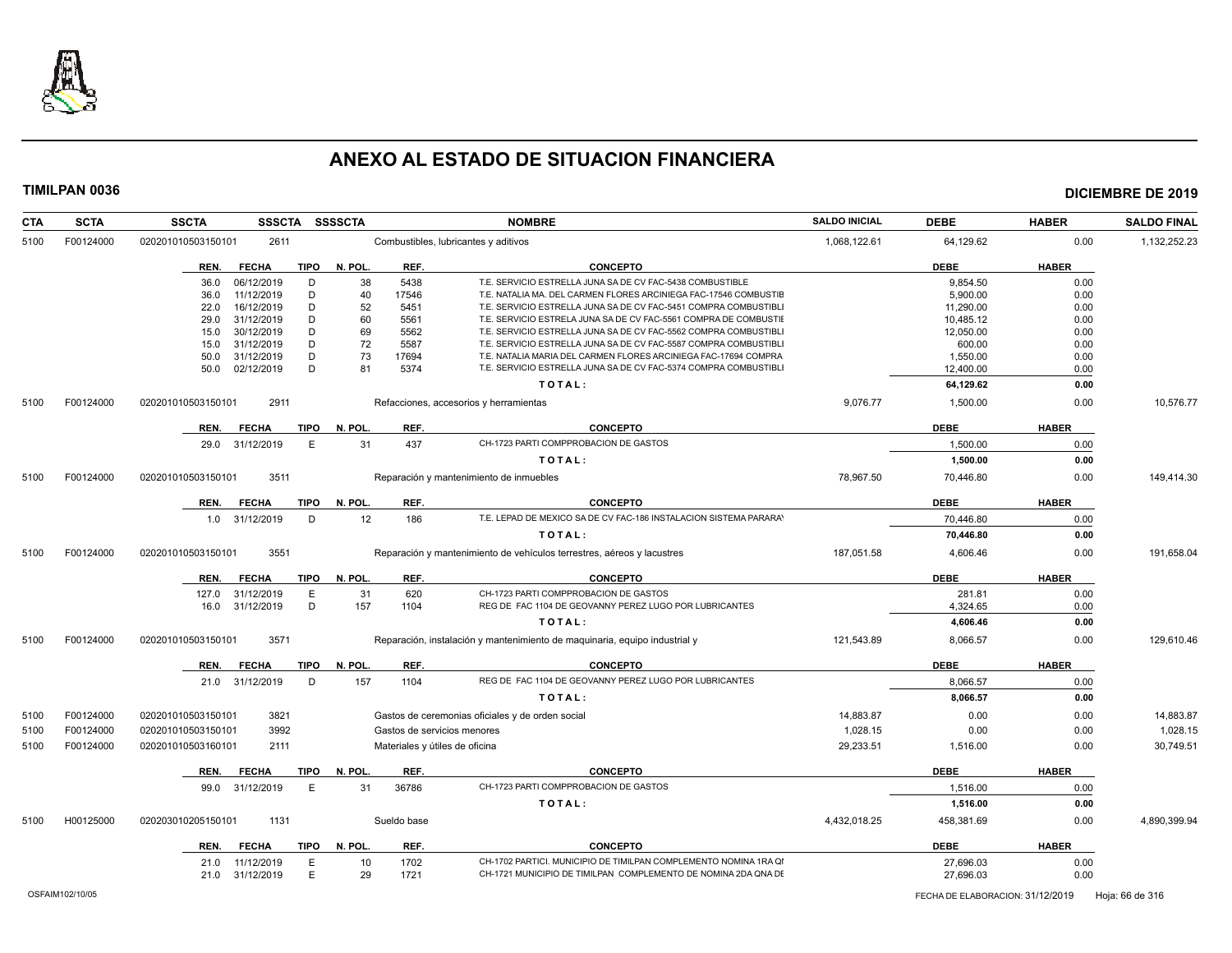

| <b>CTA</b> | <b>SCTA</b> | <b>SSCTA</b><br><b>SSSCTA</b>        | <b>SSSSCTA</b> |               | <b>NOMBRE</b>                                                                                                                      | <b>SALDO INICIAL</b> | <b>DEBE</b>           | <b>HABER</b> | <b>SALDO FINAL</b> |
|------------|-------------|--------------------------------------|----------------|---------------|------------------------------------------------------------------------------------------------------------------------------------|----------------------|-----------------------|--------------|--------------------|
| 5100       | F00124000   | 2611<br>020201010503150101           |                |               | Combustibles, lubricantes y aditivos                                                                                               | 1,068,122.61         | 64,129.62             | 0.00         | 1,132,252.23       |
|            |             | <b>TIPO</b><br>REN.<br><b>FECHA</b>  | N. POL.        | REF.          | <b>CONCEPTO</b>                                                                                                                    |                      | <b>DEBE</b>           | <b>HABER</b> |                    |
|            |             | 06/12/2019<br>D<br>36.0              | 38             | 5438          | T.E. SERVICIO ESTRELLA JUNA SA DE CV FAC-5438 COMBUSTIBLE                                                                          |                      | 9,854.50              | 0.00         |                    |
|            |             | D<br>11/12/2019<br>36.0              | 40             | 17546         | T.E. NATALIA MA. DEL CARMEN FLORES ARCINIEGA FAC-17546 COMBUSTIE                                                                   |                      | 5,900.00              | 0.00         |                    |
|            |             | D<br>16/12/2019<br>22.0              | 52             | 5451          | T.E. SERVICIO ESTRELLA JUNA SA DE CV FAC-5451 COMPRA COMBUSTIBL                                                                    |                      | 11,290.00             | 0.00         |                    |
|            |             | 31/12/2019<br>D<br>29.0              | 60             | 5561          | T.E. SERVICIO ESTRELA JUNA SA DE CV FAC-5561 COMPRA DE COMBUSTII                                                                   |                      | 10,485.12             | 0.00         |                    |
|            |             | 30/12/2019<br>D<br>15.0              | 69             | 5562          | T.E. SERVICIO ESTRELLA JUNA SA DE CV FAC-5562 COMPRA COMBUSTIBLI                                                                   |                      | 12.050.00             | 0.00         |                    |
|            |             | D<br>31/12/2019<br>15.0              | 72             | 5587          | T.E. SERVICIO ESTRELLA JUNA SA DE CV FAC-5587 COMPRA COMBUSTIBL<br>T.E. NATALIA MARIA DEL CARMEN FLORES ARCINIEGA FAC-17694 COMPRA |                      | 600.00                | 0.00         |                    |
|            |             | D<br>31/12/2019<br>50.0<br>D<br>50.0 | 73<br>81       | 17694<br>5374 | T.E. SERVICIO ESTRELLA JUNA SA DE CV FAC-5374 COMPRA COMBUSTIBL                                                                    |                      | 1,550.00              | 0.00         |                    |
|            |             | 02/12/2019                           |                |               |                                                                                                                                    |                      | 12,400.00             | 0.00         |                    |
| 5100       | F00124000   | 2911<br>020201010503150101           |                |               | TOTAL:                                                                                                                             | 9,076.77             | 64,129.62<br>1,500.00 | 0.00<br>0.00 | 10,576.77          |
|            |             |                                      |                |               | Refacciones, accesorios y herramientas                                                                                             |                      |                       |              |                    |
|            |             | <b>FECHA</b><br>TIPO<br>REN.         | N. POL.        | REF.          | <b>CONCEPTO</b>                                                                                                                    |                      | <b>DEBE</b>           | <b>HABER</b> |                    |
|            |             | E<br>29.0 31/12/2019                 | 31             | 437           | CH-1723 PARTI COMPPROBACION DE GASTOS                                                                                              |                      | 1,500.00              | 0.00         |                    |
|            |             |                                      |                |               | TOTAL:                                                                                                                             |                      | 1,500.00              | 0.00         |                    |
| 5100       | F00124000   | 020201010503150101<br>3511           |                |               | Reparación y mantenimiento de inmuebles                                                                                            | 78,967.50            | 70,446.80             | 0.00         | 149,414.30         |
|            |             | REN.<br><b>FECHA</b><br>TIPO         | N. POL.        | REF.          | <b>CONCEPTO</b>                                                                                                                    |                      | <b>DEBE</b>           | <b>HABER</b> |                    |
|            |             | 1.0 31/12/2019<br>D                  | 12             | 186           | T.E. LEPAD DE MEXICO SA DE CV FAC-186 INSTALACION SISTEMA PARARA'                                                                  |                      | 70,446.80             | 0.00         |                    |
|            |             |                                      |                |               | TOTAL:                                                                                                                             |                      | 70,446.80             | 0.00         |                    |
| 5100       | F00124000   | 3551<br>020201010503150101           |                |               | Reparación y mantenimiento de vehículos terrestres, aéreos y lacustres                                                             | 187,051.58           | 4,606.46              | 0.00         | 191,658.04         |
|            |             | <b>TIPO</b><br>REN.<br><b>FECHA</b>  | N. POL.        | REF.          | <b>CONCEPTO</b>                                                                                                                    |                      | <b>DEBE</b>           | <b>HABER</b> |                    |
|            |             | 127.0<br>31/12/2019<br>Е             | 31             | 620           | CH-1723 PARTI COMPPROBACION DE GASTOS                                                                                              |                      | 281.81                | 0.00         |                    |
|            |             | D<br>31/12/2019<br>16.0              | 157            | 1104          | REG DE FAC 1104 DE GEOVANNY PEREZ LUGO POR LUBRICANTES                                                                             |                      | 4,324.65              | 0.00         |                    |
|            |             |                                      |                |               | TOTAL:                                                                                                                             |                      | 4,606.46              | 0.00         |                    |
| 5100       | F00124000   | 020201010503150101<br>3571           |                |               | Reparación, instalación y mantenimiento de maquinaria, equipo industrial y                                                         | 121,543.89           | 8,066.57              | 0.00         | 129,610.46         |
|            |             | REN.<br><b>FECHA</b><br>TIPO         | N. POL.        | REF.          | <b>CONCEPTO</b>                                                                                                                    |                      | <b>DEBE</b>           | <b>HABER</b> |                    |
|            |             | 21.0 31/12/2019<br>D                 | 157            | 1104          | REG DE FAC 1104 DE GEOVANNY PEREZ LUGO POR LUBRICANTES                                                                             |                      | 8,066.57              |              |                    |
|            |             |                                      |                |               | TOTAL:                                                                                                                             |                      | 8,066.57              | 0.00<br>0.00 |                    |
|            |             |                                      |                |               |                                                                                                                                    |                      |                       |              |                    |
| 5100       | F00124000   | 3821<br>020201010503150101           |                |               | Gastos de ceremonias oficiales y de orden social                                                                                   | 14,883.87            | 0.00                  | 0.00         | 14,883.87          |
| 5100       | F00124000   | 020201010503150101<br>3992           |                |               | Gastos de servicios menores                                                                                                        | 1,028.15             | 0.00                  | 0.00         | 1,028.15           |
| 5100       | F00124000   | 020201010503160101<br>2111           |                |               | Materiales y útiles de oficina                                                                                                     | 29,233.51            | 1,516.00              | 0.00         | 30,749.51          |
|            |             | <b>TIPO</b><br>REN.<br><b>FECHA</b>  | N. POL         | REF.          | <b>CONCEPTO</b>                                                                                                                    |                      | <b>DEBE</b>           | <b>HABER</b> |                    |
|            |             | 99.0 31/12/2019<br>E                 | 31             | 36786         | CH-1723 PARTI COMPPROBACION DE GASTOS                                                                                              |                      | 1,516.00              | 0.00         |                    |
|            |             |                                      |                |               | TOTAL:                                                                                                                             |                      | 1,516.00              | 0.00         |                    |
| 5100       | H00125000   | 020203010205150101<br>1131           |                | Sueldo base   |                                                                                                                                    | 4,432,018.25         | 458,381.69            | 0.00         | 4,890,399.94       |
|            |             | <b>FECHA</b><br>TIPO<br>REN.         | N. POL.        | REF.          | <b>CONCEPTO</b>                                                                                                                    |                      | <b>DEBE</b>           | <b>HABER</b> |                    |
|            |             | 11/12/2019<br>Е<br>21.0              | 10             | 1702          | CH-1702 PARTICI. MUNICIPIO DE TIMILPAN COMPLEMENTO NOMINA 1RA QI                                                                   |                      | 27,696.03             | 0.00         |                    |
|            |             | 21.0 31/12/2019<br>Ε                 | 29             | 1721          | CH-1721 MUNICIPIO DE TIMILPAN COMPLEMENTO DE NOMINA 2DA QNA DE                                                                     |                      | 27,696.03             | 0.00         |                    |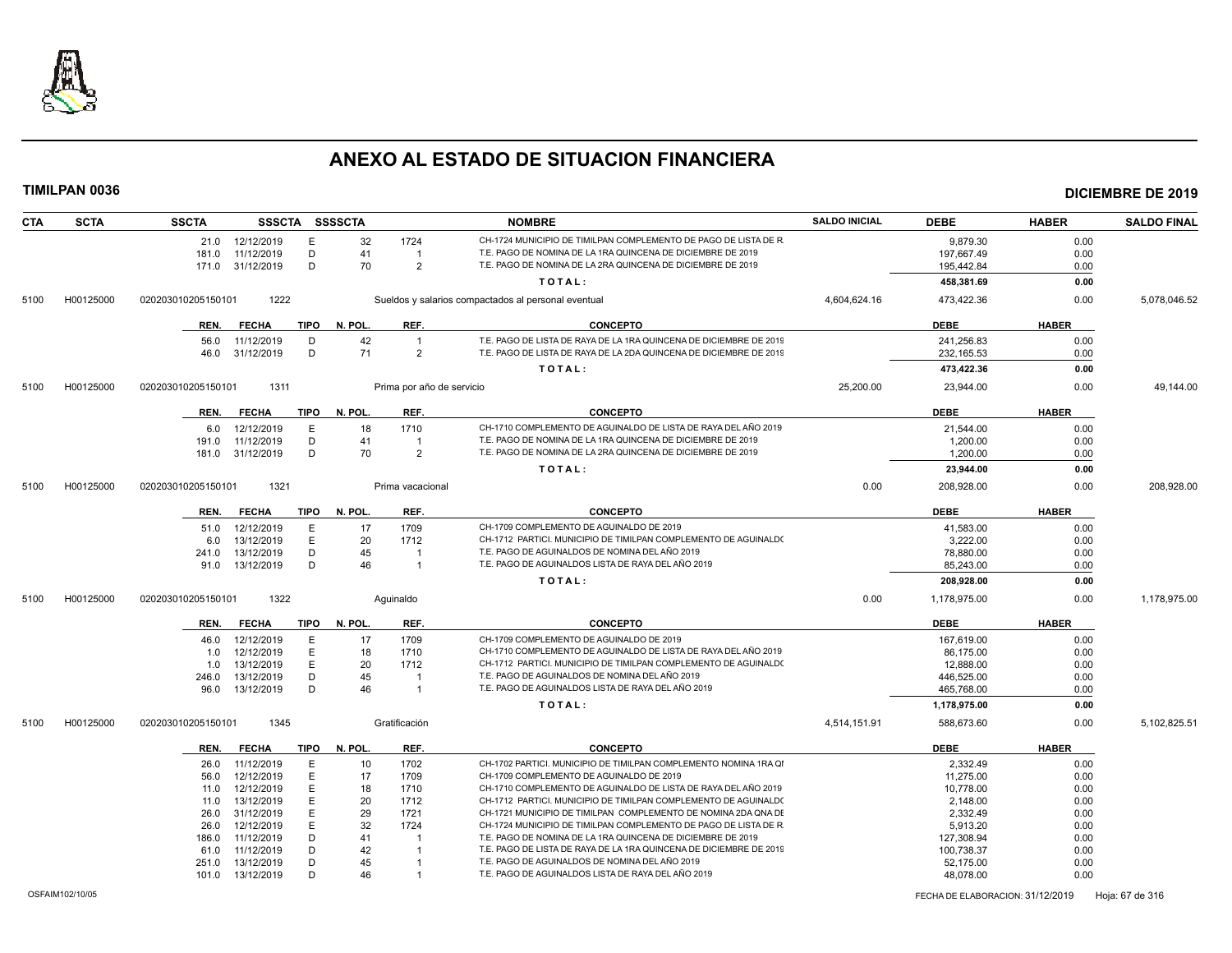

| CH-1724 MUNICIPIO DE TIMILPAN COMPLEMENTO DE PAGO DE LISTA DE R<br>12/12/2019<br>Е<br>32<br>1724<br>0.00<br>21.0<br>9.879.30<br>11/12/2019<br>D<br>41<br>T.E. PAGO DE NOMINA DE LA 1RA QUINCENA DE DICIEMBRE DE 2019<br>0.00<br>181.0<br>197,667.49<br>$\mathbf{1}$<br>31/12/2019<br>D<br>70<br>$\overline{2}$<br>T.E. PAGO DE NOMINA DE LA 2RA QUINCENA DE DICIEMBRE DE 2019<br>195,442.84<br>0.00<br>171.0<br>TOTAL:<br>0.00<br>458,381.69<br>1222<br>H00125000<br>4,604,624.16<br>473,422.36<br>0.00<br>020203010205150101<br>Sueldos y salarios compactados al personal eventual<br>5100<br>REF.<br><b>HABER</b><br><b>TIPO</b><br>N. POL.<br><b>CONCEPTO</b><br><b>DEBE</b><br>REN.<br><b>FECHA</b><br>42<br>T.E. PAGO DE LISTA DE RAYA DE LA 1RA QUINCENA DE DICIEMBRE DE 2019<br>D<br>241,256.83<br>0.00<br>56.0<br>11/12/2019<br>$\overline{1}$<br>D<br>71<br>T.E. PAGO DE LISTA DE RAYA DE LA 2DA QUINCENA DE DICIEMBRE DE 2019<br>31/12/2019<br>2<br>232, 165.53<br>0.00<br>46.0<br>TOTAL:<br>473,422.36<br>0.00<br>25,200.00<br>H00125000<br>020203010205150101<br>1311<br>Prima por año de servicio<br>23,944.00<br>0.00<br>5100<br><b>FECHA</b><br><b>TIPO</b><br>N. POL.<br>REF.<br><b>CONCEPTO</b><br><b>DEBE</b><br><b>HABER</b><br>REN.<br>CH-1710 COMPLEMENTO DE AGUINALDO DE LISTA DE RAYA DEL AÑO 2019<br>12/12/2019<br>Ε<br>1710<br>18<br>21,544.00<br>0.00<br>6.0<br>T.E. PAGO DE NOMINA DE LA 1RA QUINCENA DE DICIEMBRE DE 2019<br>11/12/2019<br>D<br>41<br>1,200.00<br>0.00<br>191.0<br>$\overline{1}$<br>31/12/2019<br>D<br>70<br>$\overline{2}$<br>T.E. PAGO DE NOMINA DE LA 2RA QUINCENA DE DICIEMBRE DE 2019<br>0.00<br>1,200.00<br>181.0<br>TOTAL:<br>23,944.00<br>0.00<br>H00125000<br>1321<br>0.00<br>208,928.00<br>0.00<br>020203010205150101<br>Prima vacacional<br>5100<br><b>TIPO</b><br>N. POL.<br>REF.<br><b>CONCEPTO</b><br><b>DEBE</b><br><b>HABER</b><br><b>FECHA</b><br>REN.<br>CH-1709 COMPLEMENTO DE AGUINALDO DE 2019<br>1709<br>12/12/2019<br>Е<br>17<br>41,583.00<br>0.00<br>51.0<br>E<br>CH-1712 PARTICI. MUNICIPIO DE TIMILPAN COMPLEMENTO DE AGUINALD(<br>13/12/2019<br>20<br>1712<br>3,222.00<br>0.00<br>6.0<br>T.E. PAGO DE AGUINALDOS DE NOMINA DEL AÑO 2019<br>D<br>13/12/2019<br>45<br>0.00<br>241.0<br>78,880.00<br>$\overline{1}$<br>T.E. PAGO DE AGUINALDOS LISTA DE RAYA DEL AÑO 2019<br>D<br>46<br>13/12/2019<br>85,243.00<br>0.00<br>91.0<br>$\overline{1}$<br>TOTAL:<br>208,928.00<br>0.00<br>1322<br>H00125000<br>0.00<br>1,178,975.00<br>0.00<br>020203010205150101<br>Aguinaldo<br>5100<br>TIPO<br>N. POL.<br>REF.<br><b>CONCEPTO</b><br><b>DEBE</b><br><b>HABER</b><br>REN.<br><b>FECHA</b><br>CH-1709 COMPLEMENTO DE AGUINALDO DE 2019<br>12/12/2019<br>E<br>17<br>1709<br>167,619.00<br>0.00<br>46.0<br>CH-1710 COMPLEMENTO DE AGUINALDO DE LISTA DE RAYA DEL AÑO 2019<br>E<br>18<br>12/12/2019<br>1710<br>86,175.00<br>0.00<br>1.0<br>CH-1712 PARTICI. MUNICIPIO DE TIMILPAN COMPLEMENTO DE AGUINALD(<br>13/12/2019<br>E<br>20<br>1712<br>1.0<br>12,888.00<br>0.00<br>T.E. PAGO DE AGUINALDOS DE NOMINA DEL AÑO 2019<br>D<br>45<br>446,525.00<br>13/12/2019<br>0.00<br>246.0<br>T.E. PAGO DE AGUINALDOS LISTA DE RAYA DEL AÑO 2019<br>D<br>46<br>13/12/2019<br>465,768.00<br>0.00<br>96.0<br>$\overline{1}$<br>TOTAL:<br>1,178,975.00<br>0.00<br>H00125000<br>1345<br>Gratificación<br>4,514,151.91<br>588,673.60<br>020203010205150101<br>0.00<br>5100<br><b>FECHA</b><br><b>TIPO</b><br>N. POL.<br>REF.<br><b>CONCEPTO</b><br><b>DEBE</b><br><b>HABER</b><br>REN.<br>E<br>1702<br>CH-1702 PARTICI. MUNICIPIO DE TIMILPAN COMPLEMENTO NOMINA 1RA QI<br>2,332.49<br>11/12/2019<br>10<br>0.00<br>26.0<br>12/12/2019<br>E.<br>17<br>1709<br>CH-1709 COMPLEMENTO DE AGUINALDO DE 2019<br>11,275.00<br>0.00<br>56.0<br>CH-1710 COMPLEMENTO DE AGUINALDO DE LISTA DE RAYA DEL AÑO 2019<br>12/12/2019<br>E<br>18<br>1710<br>10,778.00<br>0.00<br>11.0<br>Ε<br>20<br>CH-1712 PARTICI. MUNICIPIO DE TIMILPAN COMPLEMENTO DE AGUINALD(<br>13/12/2019<br>1712<br>0.00<br>11.0<br>2,148.00<br>CH-1721 MUNICIPIO DE TIMILPAN COMPLEMENTO DE NOMINA 2DA QNA DE<br>E<br>29<br>31/12/2019<br>1721<br>2,332.49<br>0.00<br>26.0<br>32<br>CH-1724 MUNICIPIO DE TIMILPAN COMPLEMENTO DE PAGO DE LISTA DE R<br>12/12/2019<br>E<br>1724<br>5,913.20<br>0.00<br>26.0<br>T.E. PAGO DE NOMINA DE LA 1RA QUINCENA DE DICIEMBRE DE 2019<br>D<br>41<br>11/12/2019<br>127,308.94<br>0.00<br>186.0<br>T.E. PAGO DE LISTA DE RAYA DE LA 1RA QUINCENA DE DICIEMBRE DE 2019<br>11/12/2019<br>D<br>42<br>100,738.37<br>0.00<br>61.0<br>T.E. PAGO DE AGUINALDOS DE NOMINA DEL AÑO 2019<br>D<br>45<br>13/12/2019<br>52,175.00<br>0.00<br>251.0<br>D<br>46<br>T.E. PAGO DE AGUINALDOS LISTA DE RAYA DEL AÑO 2019<br>48,078.00<br>0.00<br>101.0<br>13/12/2019 | <b>CTA</b> | <b>SCTA</b> | <b>SSCTA</b> | <b>SSSCTA</b> | <b>SSSSCTA</b> | <b>NOMBRE</b> | <b>SALDO INICIAL</b> | <b>DEBE</b> | <b>HABER</b> | <b>SALDO FINAL</b> |
|----------------------------------------------------------------------------------------------------------------------------------------------------------------------------------------------------------------------------------------------------------------------------------------------------------------------------------------------------------------------------------------------------------------------------------------------------------------------------------------------------------------------------------------------------------------------------------------------------------------------------------------------------------------------------------------------------------------------------------------------------------------------------------------------------------------------------------------------------------------------------------------------------------------------------------------------------------------------------------------------------------------------------------------------------------------------------------------------------------------------------------------------------------------------------------------------------------------------------------------------------------------------------------------------------------------------------------------------------------------------------------------------------------------------------------------------------------------------------------------------------------------------------------------------------------------------------------------------------------------------------------------------------------------------------------------------------------------------------------------------------------------------------------------------------------------------------------------------------------------------------------------------------------------------------------------------------------------------------------------------------------------------------------------------------------------------------------------------------------------------------------------------------------------------------------------------------------------------------------------------------------------------------------------------------------------------------------------------------------------------------------------------------------------------------------------------------------------------------------------------------------------------------------------------------------------------------------------------------------------------------------------------------------------------------------------------------------------------------------------------------------------------------------------------------------------------------------------------------------------------------------------------------------------------------------------------------------------------------------------------------------------------------------------------------------------------------------------------------------------------------------------------------------------------------------------------------------------------------------------------------------------------------------------------------------------------------------------------------------------------------------------------------------------------------------------------------------------------------------------------------------------------------------------------------------------------------------------------------------------------------------------------------------------------------------------------------------------------------------------------------------------------------------------------------------------------------------------------------------------------------------------------------------------------------------------------------------------------------------------------------------------------------------------------------------------------------------------------------------------------------------------------------------------------------------------------------------------------------------------------------------------------------------------------------------------------------------------------------------------------------------------------------------------------------------------------------------------------------------------------------------------------------------------------------------------------------------------------------------------------------------------------------------------------------------------------------------------------------------------------------------------------------------------------|------------|-------------|--------------|---------------|----------------|---------------|----------------------|-------------|--------------|--------------------|
|                                                                                                                                                                                                                                                                                                                                                                                                                                                                                                                                                                                                                                                                                                                                                                                                                                                                                                                                                                                                                                                                                                                                                                                                                                                                                                                                                                                                                                                                                                                                                                                                                                                                                                                                                                                                                                                                                                                                                                                                                                                                                                                                                                                                                                                                                                                                                                                                                                                                                                                                                                                                                                                                                                                                                                                                                                                                                                                                                                                                                                                                                                                                                                                                                                                                                                                                                                                                                                                                                                                                                                                                                                                                                                                                                                                                                                                                                                                                                                                                                                                                                                                                                                                                                                                                                                                                                                                                                                                                                                                                                                                                                                                                                                                                                                                              |            |             |              |               |                |               |                      |             |              |                    |
| 5,102,825.51                                                                                                                                                                                                                                                                                                                                                                                                                                                                                                                                                                                                                                                                                                                                                                                                                                                                                                                                                                                                                                                                                                                                                                                                                                                                                                                                                                                                                                                                                                                                                                                                                                                                                                                                                                                                                                                                                                                                                                                                                                                                                                                                                                                                                                                                                                                                                                                                                                                                                                                                                                                                                                                                                                                                                                                                                                                                                                                                                                                                                                                                                                                                                                                                                                                                                                                                                                                                                                                                                                                                                                                                                                                                                                                                                                                                                                                                                                                                                                                                                                                                                                                                                                                                                                                                                                                                                                                                                                                                                                                                                                                                                                                                                                                                                                                 |            |             |              |               |                |               |                      |             |              |                    |
|                                                                                                                                                                                                                                                                                                                                                                                                                                                                                                                                                                                                                                                                                                                                                                                                                                                                                                                                                                                                                                                                                                                                                                                                                                                                                                                                                                                                                                                                                                                                                                                                                                                                                                                                                                                                                                                                                                                                                                                                                                                                                                                                                                                                                                                                                                                                                                                                                                                                                                                                                                                                                                                                                                                                                                                                                                                                                                                                                                                                                                                                                                                                                                                                                                                                                                                                                                                                                                                                                                                                                                                                                                                                                                                                                                                                                                                                                                                                                                                                                                                                                                                                                                                                                                                                                                                                                                                                                                                                                                                                                                                                                                                                                                                                                                                              |            |             |              |               |                |               |                      |             |              |                    |
|                                                                                                                                                                                                                                                                                                                                                                                                                                                                                                                                                                                                                                                                                                                                                                                                                                                                                                                                                                                                                                                                                                                                                                                                                                                                                                                                                                                                                                                                                                                                                                                                                                                                                                                                                                                                                                                                                                                                                                                                                                                                                                                                                                                                                                                                                                                                                                                                                                                                                                                                                                                                                                                                                                                                                                                                                                                                                                                                                                                                                                                                                                                                                                                                                                                                                                                                                                                                                                                                                                                                                                                                                                                                                                                                                                                                                                                                                                                                                                                                                                                                                                                                                                                                                                                                                                                                                                                                                                                                                                                                                                                                                                                                                                                                                                                              |            |             |              |               |                |               |                      |             |              |                    |
|                                                                                                                                                                                                                                                                                                                                                                                                                                                                                                                                                                                                                                                                                                                                                                                                                                                                                                                                                                                                                                                                                                                                                                                                                                                                                                                                                                                                                                                                                                                                                                                                                                                                                                                                                                                                                                                                                                                                                                                                                                                                                                                                                                                                                                                                                                                                                                                                                                                                                                                                                                                                                                                                                                                                                                                                                                                                                                                                                                                                                                                                                                                                                                                                                                                                                                                                                                                                                                                                                                                                                                                                                                                                                                                                                                                                                                                                                                                                                                                                                                                                                                                                                                                                                                                                                                                                                                                                                                                                                                                                                                                                                                                                                                                                                                                              |            |             |              |               |                |               |                      |             |              | 5,078,046.52       |
|                                                                                                                                                                                                                                                                                                                                                                                                                                                                                                                                                                                                                                                                                                                                                                                                                                                                                                                                                                                                                                                                                                                                                                                                                                                                                                                                                                                                                                                                                                                                                                                                                                                                                                                                                                                                                                                                                                                                                                                                                                                                                                                                                                                                                                                                                                                                                                                                                                                                                                                                                                                                                                                                                                                                                                                                                                                                                                                                                                                                                                                                                                                                                                                                                                                                                                                                                                                                                                                                                                                                                                                                                                                                                                                                                                                                                                                                                                                                                                                                                                                                                                                                                                                                                                                                                                                                                                                                                                                                                                                                                                                                                                                                                                                                                                                              |            |             |              |               |                |               |                      |             |              |                    |
|                                                                                                                                                                                                                                                                                                                                                                                                                                                                                                                                                                                                                                                                                                                                                                                                                                                                                                                                                                                                                                                                                                                                                                                                                                                                                                                                                                                                                                                                                                                                                                                                                                                                                                                                                                                                                                                                                                                                                                                                                                                                                                                                                                                                                                                                                                                                                                                                                                                                                                                                                                                                                                                                                                                                                                                                                                                                                                                                                                                                                                                                                                                                                                                                                                                                                                                                                                                                                                                                                                                                                                                                                                                                                                                                                                                                                                                                                                                                                                                                                                                                                                                                                                                                                                                                                                                                                                                                                                                                                                                                                                                                                                                                                                                                                                                              |            |             |              |               |                |               |                      |             |              |                    |
| 49,144.00<br>208,928.00<br>1,178,975.00                                                                                                                                                                                                                                                                                                                                                                                                                                                                                                                                                                                                                                                                                                                                                                                                                                                                                                                                                                                                                                                                                                                                                                                                                                                                                                                                                                                                                                                                                                                                                                                                                                                                                                                                                                                                                                                                                                                                                                                                                                                                                                                                                                                                                                                                                                                                                                                                                                                                                                                                                                                                                                                                                                                                                                                                                                                                                                                                                                                                                                                                                                                                                                                                                                                                                                                                                                                                                                                                                                                                                                                                                                                                                                                                                                                                                                                                                                                                                                                                                                                                                                                                                                                                                                                                                                                                                                                                                                                                                                                                                                                                                                                                                                                                                      |            |             |              |               |                |               |                      |             |              |                    |
|                                                                                                                                                                                                                                                                                                                                                                                                                                                                                                                                                                                                                                                                                                                                                                                                                                                                                                                                                                                                                                                                                                                                                                                                                                                                                                                                                                                                                                                                                                                                                                                                                                                                                                                                                                                                                                                                                                                                                                                                                                                                                                                                                                                                                                                                                                                                                                                                                                                                                                                                                                                                                                                                                                                                                                                                                                                                                                                                                                                                                                                                                                                                                                                                                                                                                                                                                                                                                                                                                                                                                                                                                                                                                                                                                                                                                                                                                                                                                                                                                                                                                                                                                                                                                                                                                                                                                                                                                                                                                                                                                                                                                                                                                                                                                                                              |            |             |              |               |                |               |                      |             |              |                    |
|                                                                                                                                                                                                                                                                                                                                                                                                                                                                                                                                                                                                                                                                                                                                                                                                                                                                                                                                                                                                                                                                                                                                                                                                                                                                                                                                                                                                                                                                                                                                                                                                                                                                                                                                                                                                                                                                                                                                                                                                                                                                                                                                                                                                                                                                                                                                                                                                                                                                                                                                                                                                                                                                                                                                                                                                                                                                                                                                                                                                                                                                                                                                                                                                                                                                                                                                                                                                                                                                                                                                                                                                                                                                                                                                                                                                                                                                                                                                                                                                                                                                                                                                                                                                                                                                                                                                                                                                                                                                                                                                                                                                                                                                                                                                                                                              |            |             |              |               |                |               |                      |             |              |                    |
|                                                                                                                                                                                                                                                                                                                                                                                                                                                                                                                                                                                                                                                                                                                                                                                                                                                                                                                                                                                                                                                                                                                                                                                                                                                                                                                                                                                                                                                                                                                                                                                                                                                                                                                                                                                                                                                                                                                                                                                                                                                                                                                                                                                                                                                                                                                                                                                                                                                                                                                                                                                                                                                                                                                                                                                                                                                                                                                                                                                                                                                                                                                                                                                                                                                                                                                                                                                                                                                                                                                                                                                                                                                                                                                                                                                                                                                                                                                                                                                                                                                                                                                                                                                                                                                                                                                                                                                                                                                                                                                                                                                                                                                                                                                                                                                              |            |             |              |               |                |               |                      |             |              |                    |
|                                                                                                                                                                                                                                                                                                                                                                                                                                                                                                                                                                                                                                                                                                                                                                                                                                                                                                                                                                                                                                                                                                                                                                                                                                                                                                                                                                                                                                                                                                                                                                                                                                                                                                                                                                                                                                                                                                                                                                                                                                                                                                                                                                                                                                                                                                                                                                                                                                                                                                                                                                                                                                                                                                                                                                                                                                                                                                                                                                                                                                                                                                                                                                                                                                                                                                                                                                                                                                                                                                                                                                                                                                                                                                                                                                                                                                                                                                                                                                                                                                                                                                                                                                                                                                                                                                                                                                                                                                                                                                                                                                                                                                                                                                                                                                                              |            |             |              |               |                |               |                      |             |              |                    |
|                                                                                                                                                                                                                                                                                                                                                                                                                                                                                                                                                                                                                                                                                                                                                                                                                                                                                                                                                                                                                                                                                                                                                                                                                                                                                                                                                                                                                                                                                                                                                                                                                                                                                                                                                                                                                                                                                                                                                                                                                                                                                                                                                                                                                                                                                                                                                                                                                                                                                                                                                                                                                                                                                                                                                                                                                                                                                                                                                                                                                                                                                                                                                                                                                                                                                                                                                                                                                                                                                                                                                                                                                                                                                                                                                                                                                                                                                                                                                                                                                                                                                                                                                                                                                                                                                                                                                                                                                                                                                                                                                                                                                                                                                                                                                                                              |            |             |              |               |                |               |                      |             |              |                    |
|                                                                                                                                                                                                                                                                                                                                                                                                                                                                                                                                                                                                                                                                                                                                                                                                                                                                                                                                                                                                                                                                                                                                                                                                                                                                                                                                                                                                                                                                                                                                                                                                                                                                                                                                                                                                                                                                                                                                                                                                                                                                                                                                                                                                                                                                                                                                                                                                                                                                                                                                                                                                                                                                                                                                                                                                                                                                                                                                                                                                                                                                                                                                                                                                                                                                                                                                                                                                                                                                                                                                                                                                                                                                                                                                                                                                                                                                                                                                                                                                                                                                                                                                                                                                                                                                                                                                                                                                                                                                                                                                                                                                                                                                                                                                                                                              |            |             |              |               |                |               |                      |             |              |                    |
|                                                                                                                                                                                                                                                                                                                                                                                                                                                                                                                                                                                                                                                                                                                                                                                                                                                                                                                                                                                                                                                                                                                                                                                                                                                                                                                                                                                                                                                                                                                                                                                                                                                                                                                                                                                                                                                                                                                                                                                                                                                                                                                                                                                                                                                                                                                                                                                                                                                                                                                                                                                                                                                                                                                                                                                                                                                                                                                                                                                                                                                                                                                                                                                                                                                                                                                                                                                                                                                                                                                                                                                                                                                                                                                                                                                                                                                                                                                                                                                                                                                                                                                                                                                                                                                                                                                                                                                                                                                                                                                                                                                                                                                                                                                                                                                              |            |             |              |               |                |               |                      |             |              |                    |
|                                                                                                                                                                                                                                                                                                                                                                                                                                                                                                                                                                                                                                                                                                                                                                                                                                                                                                                                                                                                                                                                                                                                                                                                                                                                                                                                                                                                                                                                                                                                                                                                                                                                                                                                                                                                                                                                                                                                                                                                                                                                                                                                                                                                                                                                                                                                                                                                                                                                                                                                                                                                                                                                                                                                                                                                                                                                                                                                                                                                                                                                                                                                                                                                                                                                                                                                                                                                                                                                                                                                                                                                                                                                                                                                                                                                                                                                                                                                                                                                                                                                                                                                                                                                                                                                                                                                                                                                                                                                                                                                                                                                                                                                                                                                                                                              |            |             |              |               |                |               |                      |             |              |                    |
|                                                                                                                                                                                                                                                                                                                                                                                                                                                                                                                                                                                                                                                                                                                                                                                                                                                                                                                                                                                                                                                                                                                                                                                                                                                                                                                                                                                                                                                                                                                                                                                                                                                                                                                                                                                                                                                                                                                                                                                                                                                                                                                                                                                                                                                                                                                                                                                                                                                                                                                                                                                                                                                                                                                                                                                                                                                                                                                                                                                                                                                                                                                                                                                                                                                                                                                                                                                                                                                                                                                                                                                                                                                                                                                                                                                                                                                                                                                                                                                                                                                                                                                                                                                                                                                                                                                                                                                                                                                                                                                                                                                                                                                                                                                                                                                              |            |             |              |               |                |               |                      |             |              |                    |
|                                                                                                                                                                                                                                                                                                                                                                                                                                                                                                                                                                                                                                                                                                                                                                                                                                                                                                                                                                                                                                                                                                                                                                                                                                                                                                                                                                                                                                                                                                                                                                                                                                                                                                                                                                                                                                                                                                                                                                                                                                                                                                                                                                                                                                                                                                                                                                                                                                                                                                                                                                                                                                                                                                                                                                                                                                                                                                                                                                                                                                                                                                                                                                                                                                                                                                                                                                                                                                                                                                                                                                                                                                                                                                                                                                                                                                                                                                                                                                                                                                                                                                                                                                                                                                                                                                                                                                                                                                                                                                                                                                                                                                                                                                                                                                                              |            |             |              |               |                |               |                      |             |              |                    |
|                                                                                                                                                                                                                                                                                                                                                                                                                                                                                                                                                                                                                                                                                                                                                                                                                                                                                                                                                                                                                                                                                                                                                                                                                                                                                                                                                                                                                                                                                                                                                                                                                                                                                                                                                                                                                                                                                                                                                                                                                                                                                                                                                                                                                                                                                                                                                                                                                                                                                                                                                                                                                                                                                                                                                                                                                                                                                                                                                                                                                                                                                                                                                                                                                                                                                                                                                                                                                                                                                                                                                                                                                                                                                                                                                                                                                                                                                                                                                                                                                                                                                                                                                                                                                                                                                                                                                                                                                                                                                                                                                                                                                                                                                                                                                                                              |            |             |              |               |                |               |                      |             |              |                    |
|                                                                                                                                                                                                                                                                                                                                                                                                                                                                                                                                                                                                                                                                                                                                                                                                                                                                                                                                                                                                                                                                                                                                                                                                                                                                                                                                                                                                                                                                                                                                                                                                                                                                                                                                                                                                                                                                                                                                                                                                                                                                                                                                                                                                                                                                                                                                                                                                                                                                                                                                                                                                                                                                                                                                                                                                                                                                                                                                                                                                                                                                                                                                                                                                                                                                                                                                                                                                                                                                                                                                                                                                                                                                                                                                                                                                                                                                                                                                                                                                                                                                                                                                                                                                                                                                                                                                                                                                                                                                                                                                                                                                                                                                                                                                                                                              |            |             |              |               |                |               |                      |             |              |                    |
|                                                                                                                                                                                                                                                                                                                                                                                                                                                                                                                                                                                                                                                                                                                                                                                                                                                                                                                                                                                                                                                                                                                                                                                                                                                                                                                                                                                                                                                                                                                                                                                                                                                                                                                                                                                                                                                                                                                                                                                                                                                                                                                                                                                                                                                                                                                                                                                                                                                                                                                                                                                                                                                                                                                                                                                                                                                                                                                                                                                                                                                                                                                                                                                                                                                                                                                                                                                                                                                                                                                                                                                                                                                                                                                                                                                                                                                                                                                                                                                                                                                                                                                                                                                                                                                                                                                                                                                                                                                                                                                                                                                                                                                                                                                                                                                              |            |             |              |               |                |               |                      |             |              |                    |
|                                                                                                                                                                                                                                                                                                                                                                                                                                                                                                                                                                                                                                                                                                                                                                                                                                                                                                                                                                                                                                                                                                                                                                                                                                                                                                                                                                                                                                                                                                                                                                                                                                                                                                                                                                                                                                                                                                                                                                                                                                                                                                                                                                                                                                                                                                                                                                                                                                                                                                                                                                                                                                                                                                                                                                                                                                                                                                                                                                                                                                                                                                                                                                                                                                                                                                                                                                                                                                                                                                                                                                                                                                                                                                                                                                                                                                                                                                                                                                                                                                                                                                                                                                                                                                                                                                                                                                                                                                                                                                                                                                                                                                                                                                                                                                                              |            |             |              |               |                |               |                      |             |              |                    |
|                                                                                                                                                                                                                                                                                                                                                                                                                                                                                                                                                                                                                                                                                                                                                                                                                                                                                                                                                                                                                                                                                                                                                                                                                                                                                                                                                                                                                                                                                                                                                                                                                                                                                                                                                                                                                                                                                                                                                                                                                                                                                                                                                                                                                                                                                                                                                                                                                                                                                                                                                                                                                                                                                                                                                                                                                                                                                                                                                                                                                                                                                                                                                                                                                                                                                                                                                                                                                                                                                                                                                                                                                                                                                                                                                                                                                                                                                                                                                                                                                                                                                                                                                                                                                                                                                                                                                                                                                                                                                                                                                                                                                                                                                                                                                                                              |            |             |              |               |                |               |                      |             |              |                    |
|                                                                                                                                                                                                                                                                                                                                                                                                                                                                                                                                                                                                                                                                                                                                                                                                                                                                                                                                                                                                                                                                                                                                                                                                                                                                                                                                                                                                                                                                                                                                                                                                                                                                                                                                                                                                                                                                                                                                                                                                                                                                                                                                                                                                                                                                                                                                                                                                                                                                                                                                                                                                                                                                                                                                                                                                                                                                                                                                                                                                                                                                                                                                                                                                                                                                                                                                                                                                                                                                                                                                                                                                                                                                                                                                                                                                                                                                                                                                                                                                                                                                                                                                                                                                                                                                                                                                                                                                                                                                                                                                                                                                                                                                                                                                                                                              |            |             |              |               |                |               |                      |             |              |                    |
|                                                                                                                                                                                                                                                                                                                                                                                                                                                                                                                                                                                                                                                                                                                                                                                                                                                                                                                                                                                                                                                                                                                                                                                                                                                                                                                                                                                                                                                                                                                                                                                                                                                                                                                                                                                                                                                                                                                                                                                                                                                                                                                                                                                                                                                                                                                                                                                                                                                                                                                                                                                                                                                                                                                                                                                                                                                                                                                                                                                                                                                                                                                                                                                                                                                                                                                                                                                                                                                                                                                                                                                                                                                                                                                                                                                                                                                                                                                                                                                                                                                                                                                                                                                                                                                                                                                                                                                                                                                                                                                                                                                                                                                                                                                                                                                              |            |             |              |               |                |               |                      |             |              |                    |
|                                                                                                                                                                                                                                                                                                                                                                                                                                                                                                                                                                                                                                                                                                                                                                                                                                                                                                                                                                                                                                                                                                                                                                                                                                                                                                                                                                                                                                                                                                                                                                                                                                                                                                                                                                                                                                                                                                                                                                                                                                                                                                                                                                                                                                                                                                                                                                                                                                                                                                                                                                                                                                                                                                                                                                                                                                                                                                                                                                                                                                                                                                                                                                                                                                                                                                                                                                                                                                                                                                                                                                                                                                                                                                                                                                                                                                                                                                                                                                                                                                                                                                                                                                                                                                                                                                                                                                                                                                                                                                                                                                                                                                                                                                                                                                                              |            |             |              |               |                |               |                      |             |              |                    |
|                                                                                                                                                                                                                                                                                                                                                                                                                                                                                                                                                                                                                                                                                                                                                                                                                                                                                                                                                                                                                                                                                                                                                                                                                                                                                                                                                                                                                                                                                                                                                                                                                                                                                                                                                                                                                                                                                                                                                                                                                                                                                                                                                                                                                                                                                                                                                                                                                                                                                                                                                                                                                                                                                                                                                                                                                                                                                                                                                                                                                                                                                                                                                                                                                                                                                                                                                                                                                                                                                                                                                                                                                                                                                                                                                                                                                                                                                                                                                                                                                                                                                                                                                                                                                                                                                                                                                                                                                                                                                                                                                                                                                                                                                                                                                                                              |            |             |              |               |                |               |                      |             |              |                    |
|                                                                                                                                                                                                                                                                                                                                                                                                                                                                                                                                                                                                                                                                                                                                                                                                                                                                                                                                                                                                                                                                                                                                                                                                                                                                                                                                                                                                                                                                                                                                                                                                                                                                                                                                                                                                                                                                                                                                                                                                                                                                                                                                                                                                                                                                                                                                                                                                                                                                                                                                                                                                                                                                                                                                                                                                                                                                                                                                                                                                                                                                                                                                                                                                                                                                                                                                                                                                                                                                                                                                                                                                                                                                                                                                                                                                                                                                                                                                                                                                                                                                                                                                                                                                                                                                                                                                                                                                                                                                                                                                                                                                                                                                                                                                                                                              |            |             |              |               |                |               |                      |             |              |                    |
|                                                                                                                                                                                                                                                                                                                                                                                                                                                                                                                                                                                                                                                                                                                                                                                                                                                                                                                                                                                                                                                                                                                                                                                                                                                                                                                                                                                                                                                                                                                                                                                                                                                                                                                                                                                                                                                                                                                                                                                                                                                                                                                                                                                                                                                                                                                                                                                                                                                                                                                                                                                                                                                                                                                                                                                                                                                                                                                                                                                                                                                                                                                                                                                                                                                                                                                                                                                                                                                                                                                                                                                                                                                                                                                                                                                                                                                                                                                                                                                                                                                                                                                                                                                                                                                                                                                                                                                                                                                                                                                                                                                                                                                                                                                                                                                              |            |             |              |               |                |               |                      |             |              |                    |
|                                                                                                                                                                                                                                                                                                                                                                                                                                                                                                                                                                                                                                                                                                                                                                                                                                                                                                                                                                                                                                                                                                                                                                                                                                                                                                                                                                                                                                                                                                                                                                                                                                                                                                                                                                                                                                                                                                                                                                                                                                                                                                                                                                                                                                                                                                                                                                                                                                                                                                                                                                                                                                                                                                                                                                                                                                                                                                                                                                                                                                                                                                                                                                                                                                                                                                                                                                                                                                                                                                                                                                                                                                                                                                                                                                                                                                                                                                                                                                                                                                                                                                                                                                                                                                                                                                                                                                                                                                                                                                                                                                                                                                                                                                                                                                                              |            |             |              |               |                |               |                      |             |              |                    |
|                                                                                                                                                                                                                                                                                                                                                                                                                                                                                                                                                                                                                                                                                                                                                                                                                                                                                                                                                                                                                                                                                                                                                                                                                                                                                                                                                                                                                                                                                                                                                                                                                                                                                                                                                                                                                                                                                                                                                                                                                                                                                                                                                                                                                                                                                                                                                                                                                                                                                                                                                                                                                                                                                                                                                                                                                                                                                                                                                                                                                                                                                                                                                                                                                                                                                                                                                                                                                                                                                                                                                                                                                                                                                                                                                                                                                                                                                                                                                                                                                                                                                                                                                                                                                                                                                                                                                                                                                                                                                                                                                                                                                                                                                                                                                                                              |            |             |              |               |                |               |                      |             |              |                    |
|                                                                                                                                                                                                                                                                                                                                                                                                                                                                                                                                                                                                                                                                                                                                                                                                                                                                                                                                                                                                                                                                                                                                                                                                                                                                                                                                                                                                                                                                                                                                                                                                                                                                                                                                                                                                                                                                                                                                                                                                                                                                                                                                                                                                                                                                                                                                                                                                                                                                                                                                                                                                                                                                                                                                                                                                                                                                                                                                                                                                                                                                                                                                                                                                                                                                                                                                                                                                                                                                                                                                                                                                                                                                                                                                                                                                                                                                                                                                                                                                                                                                                                                                                                                                                                                                                                                                                                                                                                                                                                                                                                                                                                                                                                                                                                                              |            |             |              |               |                |               |                      |             |              |                    |
|                                                                                                                                                                                                                                                                                                                                                                                                                                                                                                                                                                                                                                                                                                                                                                                                                                                                                                                                                                                                                                                                                                                                                                                                                                                                                                                                                                                                                                                                                                                                                                                                                                                                                                                                                                                                                                                                                                                                                                                                                                                                                                                                                                                                                                                                                                                                                                                                                                                                                                                                                                                                                                                                                                                                                                                                                                                                                                                                                                                                                                                                                                                                                                                                                                                                                                                                                                                                                                                                                                                                                                                                                                                                                                                                                                                                                                                                                                                                                                                                                                                                                                                                                                                                                                                                                                                                                                                                                                                                                                                                                                                                                                                                                                                                                                                              |            |             |              |               |                |               |                      |             |              |                    |
|                                                                                                                                                                                                                                                                                                                                                                                                                                                                                                                                                                                                                                                                                                                                                                                                                                                                                                                                                                                                                                                                                                                                                                                                                                                                                                                                                                                                                                                                                                                                                                                                                                                                                                                                                                                                                                                                                                                                                                                                                                                                                                                                                                                                                                                                                                                                                                                                                                                                                                                                                                                                                                                                                                                                                                                                                                                                                                                                                                                                                                                                                                                                                                                                                                                                                                                                                                                                                                                                                                                                                                                                                                                                                                                                                                                                                                                                                                                                                                                                                                                                                                                                                                                                                                                                                                                                                                                                                                                                                                                                                                                                                                                                                                                                                                                              |            |             |              |               |                |               |                      |             |              |                    |
|                                                                                                                                                                                                                                                                                                                                                                                                                                                                                                                                                                                                                                                                                                                                                                                                                                                                                                                                                                                                                                                                                                                                                                                                                                                                                                                                                                                                                                                                                                                                                                                                                                                                                                                                                                                                                                                                                                                                                                                                                                                                                                                                                                                                                                                                                                                                                                                                                                                                                                                                                                                                                                                                                                                                                                                                                                                                                                                                                                                                                                                                                                                                                                                                                                                                                                                                                                                                                                                                                                                                                                                                                                                                                                                                                                                                                                                                                                                                                                                                                                                                                                                                                                                                                                                                                                                                                                                                                                                                                                                                                                                                                                                                                                                                                                                              |            |             |              |               |                |               |                      |             |              |                    |
|                                                                                                                                                                                                                                                                                                                                                                                                                                                                                                                                                                                                                                                                                                                                                                                                                                                                                                                                                                                                                                                                                                                                                                                                                                                                                                                                                                                                                                                                                                                                                                                                                                                                                                                                                                                                                                                                                                                                                                                                                                                                                                                                                                                                                                                                                                                                                                                                                                                                                                                                                                                                                                                                                                                                                                                                                                                                                                                                                                                                                                                                                                                                                                                                                                                                                                                                                                                                                                                                                                                                                                                                                                                                                                                                                                                                                                                                                                                                                                                                                                                                                                                                                                                                                                                                                                                                                                                                                                                                                                                                                                                                                                                                                                                                                                                              |            |             |              |               |                |               |                      |             |              |                    |
|                                                                                                                                                                                                                                                                                                                                                                                                                                                                                                                                                                                                                                                                                                                                                                                                                                                                                                                                                                                                                                                                                                                                                                                                                                                                                                                                                                                                                                                                                                                                                                                                                                                                                                                                                                                                                                                                                                                                                                                                                                                                                                                                                                                                                                                                                                                                                                                                                                                                                                                                                                                                                                                                                                                                                                                                                                                                                                                                                                                                                                                                                                                                                                                                                                                                                                                                                                                                                                                                                                                                                                                                                                                                                                                                                                                                                                                                                                                                                                                                                                                                                                                                                                                                                                                                                                                                                                                                                                                                                                                                                                                                                                                                                                                                                                                              |            |             |              |               |                |               |                      |             |              |                    |
|                                                                                                                                                                                                                                                                                                                                                                                                                                                                                                                                                                                                                                                                                                                                                                                                                                                                                                                                                                                                                                                                                                                                                                                                                                                                                                                                                                                                                                                                                                                                                                                                                                                                                                                                                                                                                                                                                                                                                                                                                                                                                                                                                                                                                                                                                                                                                                                                                                                                                                                                                                                                                                                                                                                                                                                                                                                                                                                                                                                                                                                                                                                                                                                                                                                                                                                                                                                                                                                                                                                                                                                                                                                                                                                                                                                                                                                                                                                                                                                                                                                                                                                                                                                                                                                                                                                                                                                                                                                                                                                                                                                                                                                                                                                                                                                              |            |             |              |               |                |               |                      |             |              |                    |
|                                                                                                                                                                                                                                                                                                                                                                                                                                                                                                                                                                                                                                                                                                                                                                                                                                                                                                                                                                                                                                                                                                                                                                                                                                                                                                                                                                                                                                                                                                                                                                                                                                                                                                                                                                                                                                                                                                                                                                                                                                                                                                                                                                                                                                                                                                                                                                                                                                                                                                                                                                                                                                                                                                                                                                                                                                                                                                                                                                                                                                                                                                                                                                                                                                                                                                                                                                                                                                                                                                                                                                                                                                                                                                                                                                                                                                                                                                                                                                                                                                                                                                                                                                                                                                                                                                                                                                                                                                                                                                                                                                                                                                                                                                                                                                                              |            |             |              |               |                |               |                      |             |              |                    |
|                                                                                                                                                                                                                                                                                                                                                                                                                                                                                                                                                                                                                                                                                                                                                                                                                                                                                                                                                                                                                                                                                                                                                                                                                                                                                                                                                                                                                                                                                                                                                                                                                                                                                                                                                                                                                                                                                                                                                                                                                                                                                                                                                                                                                                                                                                                                                                                                                                                                                                                                                                                                                                                                                                                                                                                                                                                                                                                                                                                                                                                                                                                                                                                                                                                                                                                                                                                                                                                                                                                                                                                                                                                                                                                                                                                                                                                                                                                                                                                                                                                                                                                                                                                                                                                                                                                                                                                                                                                                                                                                                                                                                                                                                                                                                                                              |            |             |              |               |                |               |                      |             |              |                    |
|                                                                                                                                                                                                                                                                                                                                                                                                                                                                                                                                                                                                                                                                                                                                                                                                                                                                                                                                                                                                                                                                                                                                                                                                                                                                                                                                                                                                                                                                                                                                                                                                                                                                                                                                                                                                                                                                                                                                                                                                                                                                                                                                                                                                                                                                                                                                                                                                                                                                                                                                                                                                                                                                                                                                                                                                                                                                                                                                                                                                                                                                                                                                                                                                                                                                                                                                                                                                                                                                                                                                                                                                                                                                                                                                                                                                                                                                                                                                                                                                                                                                                                                                                                                                                                                                                                                                                                                                                                                                                                                                                                                                                                                                                                                                                                                              |            |             |              |               |                |               |                      |             |              |                    |
|                                                                                                                                                                                                                                                                                                                                                                                                                                                                                                                                                                                                                                                                                                                                                                                                                                                                                                                                                                                                                                                                                                                                                                                                                                                                                                                                                                                                                                                                                                                                                                                                                                                                                                                                                                                                                                                                                                                                                                                                                                                                                                                                                                                                                                                                                                                                                                                                                                                                                                                                                                                                                                                                                                                                                                                                                                                                                                                                                                                                                                                                                                                                                                                                                                                                                                                                                                                                                                                                                                                                                                                                                                                                                                                                                                                                                                                                                                                                                                                                                                                                                                                                                                                                                                                                                                                                                                                                                                                                                                                                                                                                                                                                                                                                                                                              |            |             |              |               |                |               |                      |             |              |                    |
|                                                                                                                                                                                                                                                                                                                                                                                                                                                                                                                                                                                                                                                                                                                                                                                                                                                                                                                                                                                                                                                                                                                                                                                                                                                                                                                                                                                                                                                                                                                                                                                                                                                                                                                                                                                                                                                                                                                                                                                                                                                                                                                                                                                                                                                                                                                                                                                                                                                                                                                                                                                                                                                                                                                                                                                                                                                                                                                                                                                                                                                                                                                                                                                                                                                                                                                                                                                                                                                                                                                                                                                                                                                                                                                                                                                                                                                                                                                                                                                                                                                                                                                                                                                                                                                                                                                                                                                                                                                                                                                                                                                                                                                                                                                                                                                              |            |             |              |               |                |               |                      |             |              |                    |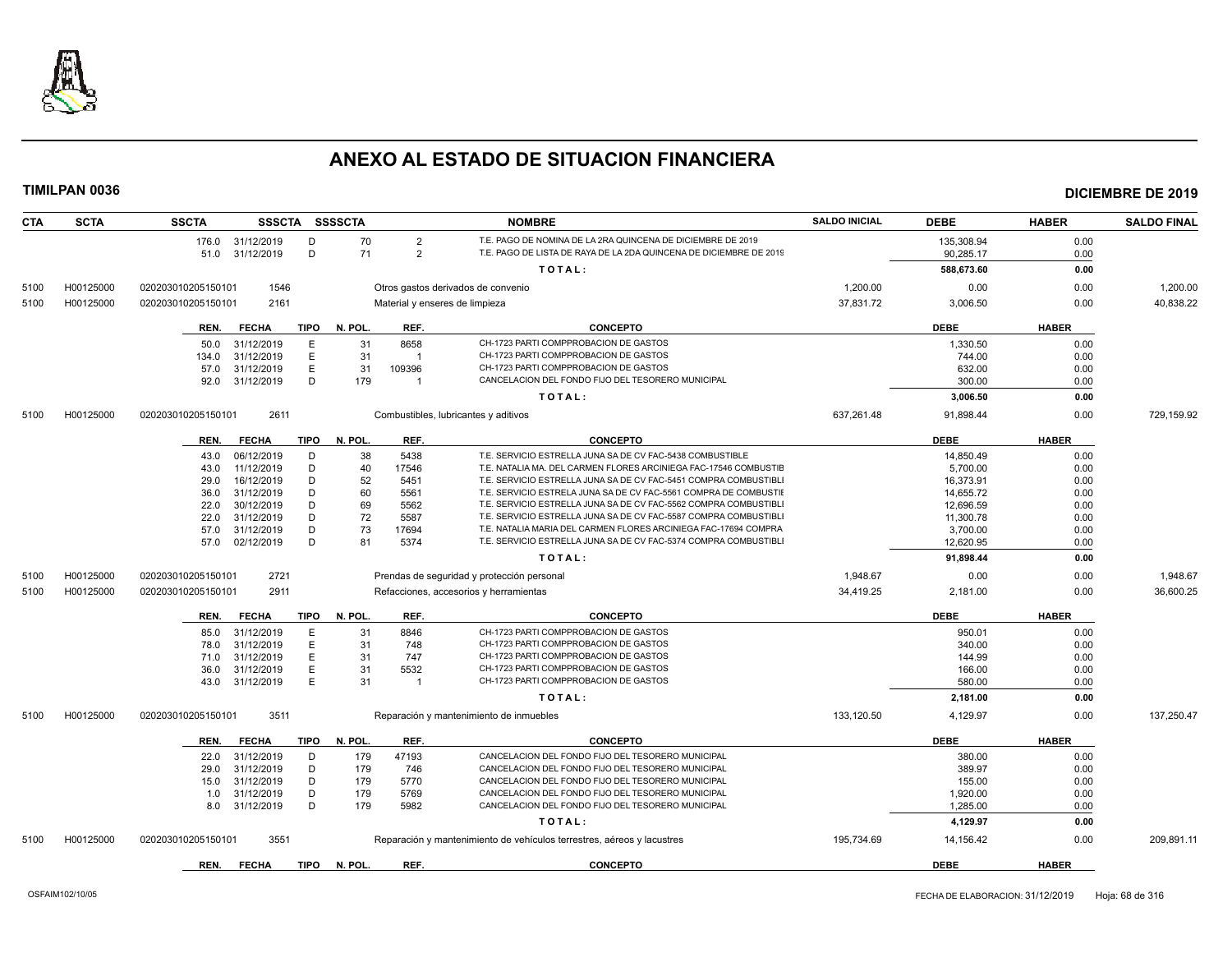

| <b>CTA</b> | <b>SCTA</b> | <b>SSCTA</b>       |                          |             | SSSCTA SSSSCTA |                | <b>NOMBRE</b>                                                                                          | <b>SALDO INICIAL</b> | <b>DEBE</b>          | <b>HABER</b> | <b>SALDO FINAL</b> |
|------------|-------------|--------------------|--------------------------|-------------|----------------|----------------|--------------------------------------------------------------------------------------------------------|----------------------|----------------------|--------------|--------------------|
|            |             |                    | 176.0 31/12/2019         | D           | 70             | 2              | T.E. PAGO DE NOMINA DE LA 2RA QUINCENA DE DICIEMBRE DE 2019                                            |                      | 135,308.94           | 0.00         |                    |
|            |             |                    | 51.0 31/12/2019          | D           | 71             | $\overline{2}$ | T.E. PAGO DE LISTA DE RAYA DE LA 2DA QUINCENA DE DICIEMBRE DE 2019                                     |                      | 90,285.17            | 0.00         |                    |
|            |             |                    |                          |             |                |                | TOTAL:                                                                                                 |                      | 588,673.60           | 0.00         |                    |
| 5100       | H00125000   | 020203010205150101 | 1546                     |             |                |                | Otros gastos derivados de convenio                                                                     | 1,200.00             | 0.00                 | 0.00         | 1,200.00           |
| 5100       | H00125000   | 020203010205150101 | 2161                     |             |                |                | Material y enseres de limpieza                                                                         | 37,831.72            | 3,006.50             | 0.00         | 40,838.22          |
|            |             |                    |                          |             |                |                |                                                                                                        |                      |                      |              |                    |
|            |             | REN.               | <b>FECHA</b>             | TIPO        | N. POL.        | REF.           | <b>CONCEPTO</b>                                                                                        |                      | DEBE                 | <b>HABER</b> |                    |
|            |             | 50.0               | 31/12/2019               | Е           | 31             | 8658           | CH-1723 PARTI COMPPROBACION DE GASTOS                                                                  |                      | 1,330.50             | 0.00         |                    |
|            |             | 134.0              | 31/12/2019               | E           | 31             | $\overline{1}$ | CH-1723 PARTI COMPPROBACION DE GASTOS                                                                  |                      | 744.00               | 0.00         |                    |
|            |             | 57.0               | 31/12/2019               | E           | 31             | 109396         | CH-1723 PARTI COMPPROBACION DE GASTOS                                                                  |                      | 632.00               | 0.00         |                    |
|            |             | 92.0               | 31/12/2019               | D           | 179            | $\overline{1}$ | CANCELACION DEL FONDO FIJO DEL TESORERO MUNICIPAL                                                      |                      | 300.00               | 0.00         |                    |
|            |             |                    |                          |             |                |                | TOTAL:                                                                                                 |                      | 3,006.50             | 0.00         |                    |
| 5100       | H00125000   | 020203010205150101 | 2611                     |             |                |                | Combustibles, lubricantes y aditivos                                                                   | 637,261.48           | 91,898.44            | 0.00         | 729,159.92         |
|            |             |                    |                          |             |                |                |                                                                                                        |                      |                      |              |                    |
|            |             | REN.               | <b>FECHA</b>             | TIPO        | N. POL.        | REF.           | <b>CONCEPTO</b>                                                                                        |                      | <b>DEBE</b>          | <b>HABER</b> |                    |
|            |             | 43.0               | 06/12/2019               | D           | 38             | 5438           | T.E. SERVICIO ESTRELLA JUNA SA DE CV FAC-5438 COMBUSTIBLE                                              |                      | 14,850.49            | 0.00         |                    |
|            |             | 43.0               | 11/12/2019               | D           | 40             | 17546          | T.E. NATALIA MA. DEL CARMEN FLORES ARCINIEGA FAC-17546 COMBUSTIE                                       |                      | 5.700.00             | 0.00         |                    |
|            |             | 29.0               | 16/12/2019               | D           | 52             | 5451           | T.E. SERVICIO ESTRELLA JUNA SA DE CV FAC-5451 COMPRA COMBUSTIBL                                        |                      | 16,373.91            | 0.00         |                    |
|            |             | 36.0               | 31/12/2019               | D           | 60             | 5561           | T.E. SERVICIO ESTRELA JUNA SA DE CV FAC-5561 COMPRA DE COMBUSTII                                       |                      | 14,655.72            | 0.00         |                    |
|            |             | 22.0               | 30/12/2019               | D           | 69             | 5562           | T.E. SERVICIO ESTRELLA JUNA SA DE CV FAC-5562 COMPRA COMBUSTIBLI                                       |                      | 12.696.59            | 0.00         |                    |
|            |             | 22.0               | 31/12/2019               | D           | 72             | 5587           | T.E. SERVICIO ESTRELLA JUNA SA DE CV FAC-5587 COMPRA COMBUSTIBL                                        |                      | 11,300.78            | 0.00         |                    |
|            |             | 57.0               | 31/12/2019               | D           | 73             | 17694          | T.E. NATALIA MARIA DEL CARMEN FLORES ARCINIEGA FAC-17694 COMPRA                                        |                      | 3,700.00             | 0.00         |                    |
|            |             | 57.0               | 02/12/2019               | D           | 81             | 5374           | T.E. SERVICIO ESTRELLA JUNA SA DE CV FAC-5374 COMPRA COMBUSTIBL                                        |                      | 12,620.95            | 0.00         |                    |
|            |             |                    |                          |             |                |                | TOTAL:                                                                                                 |                      | 91,898.44            | 0.00         |                    |
| 5100       | H00125000   | 020203010205150101 | 2721                     |             |                |                | Prendas de seguridad y protección personal                                                             | 1,948.67             | 0.00                 | 0.00         | 1,948.67           |
| 5100       | H00125000   | 020203010205150101 | 2911                     |             |                |                | Refacciones, accesorios y herramientas                                                                 | 34,419.25            | 2,181.00             | 0.00         | 36,600.25          |
|            |             | REN.               | <b>FECHA</b>             | TIPO        | N. POL.        | REF.           | <b>CONCEPTO</b>                                                                                        |                      | <b>DEBE</b>          | <b>HABER</b> |                    |
|            |             | 85.0               | 31/12/2019               | Е           | 31             | 8846           | CH-1723 PARTI COMPPROBACION DE GASTOS                                                                  |                      | 950.01               | 0.00         |                    |
|            |             | 78.0               | 31/12/2019               | E           | 31             | 748            | CH-1723 PARTI COMPPROBACION DE GASTOS                                                                  |                      | 340.00               | 0.00         |                    |
|            |             | 71.0               | 31/12/2019               | E           | 31             | 747            | CH-1723 PARTI COMPPROBACION DE GASTOS                                                                  |                      | 144.99               | 0.00         |                    |
|            |             | 36.0               | 31/12/2019               | E           | 31             | 5532           | CH-1723 PARTI COMPPROBACION DE GASTOS                                                                  |                      | 166.00               | 0.00         |                    |
|            |             | 43.0               | 31/12/2019               | E           | 31             | $\overline{1}$ | CH-1723 PARTI COMPPROBACION DE GASTOS                                                                  |                      | 580.00               | 0.00         |                    |
|            |             |                    |                          |             |                |                | TOTAL:                                                                                                 |                      | 2,181.00             | 0.00         |                    |
| 5100       | H00125000   | 020203010205150101 | 3511                     |             |                |                | Reparación y mantenimiento de inmuebles                                                                | 133,120.50           | 4,129.97             | 0.00         | 137,250.47         |
|            |             |                    |                          |             |                |                |                                                                                                        |                      |                      |              |                    |
|            |             | REN.               | <b>FECHA</b>             | TIPO        | N. POL.        | REF.           | <b>CONCEPTO</b><br>CANCELACION DEL FONDO FIJO DEL TESORERO MUNICIPAL                                   |                      | <b>DEBE</b>          | <b>HABER</b> |                    |
|            |             |                    | 22.0 31/12/2019          | D           | 179            | 47193          | CANCELACION DEL FONDO FIJO DEL TESORERO MUNICIPAL                                                      |                      | 380.00               | 0.00         |                    |
|            |             | 29.0               | 31/12/2019               | D           | 179            | 746            |                                                                                                        |                      | 389.97               | 0.00         |                    |
|            |             | 15.0               | 31/12/2019               | D           | 179            | 5770           | CANCELACION DEL FONDO FIJO DEL TESORERO MUNICIPAL                                                      |                      | 155.00               | 0.00         |                    |
|            |             | 1.0                | 31/12/2019<br>31/12/2019 | D<br>D      | 179<br>179     | 5769<br>5982   | CANCELACION DEL FONDO FIJO DEL TESORERO MUNICIPAL<br>CANCELACION DEL FONDO FIJO DEL TESORERO MUNICIPAL |                      | 1,920.00<br>1.285.00 | 0.00         |                    |
|            |             | 8.0                |                          |             |                |                |                                                                                                        |                      |                      | 0.00         |                    |
|            |             |                    |                          |             |                |                | TOTAL:                                                                                                 |                      | 4,129.97             | 0.00         |                    |
| 5100       | H00125000   | 020203010205150101 | 3551                     |             |                |                | Reparación y mantenimiento de vehículos terrestres, aéreos y lacustres                                 | 195,734.69           | 14,156.42            | 0.00         | 209,891.11         |
|            |             | REN.               | <b>FECHA</b>             | <b>TIPO</b> | N. POL.        | REF.           | <b>CONCEPTO</b>                                                                                        |                      | <b>DEBE</b>          | <b>HABER</b> |                    |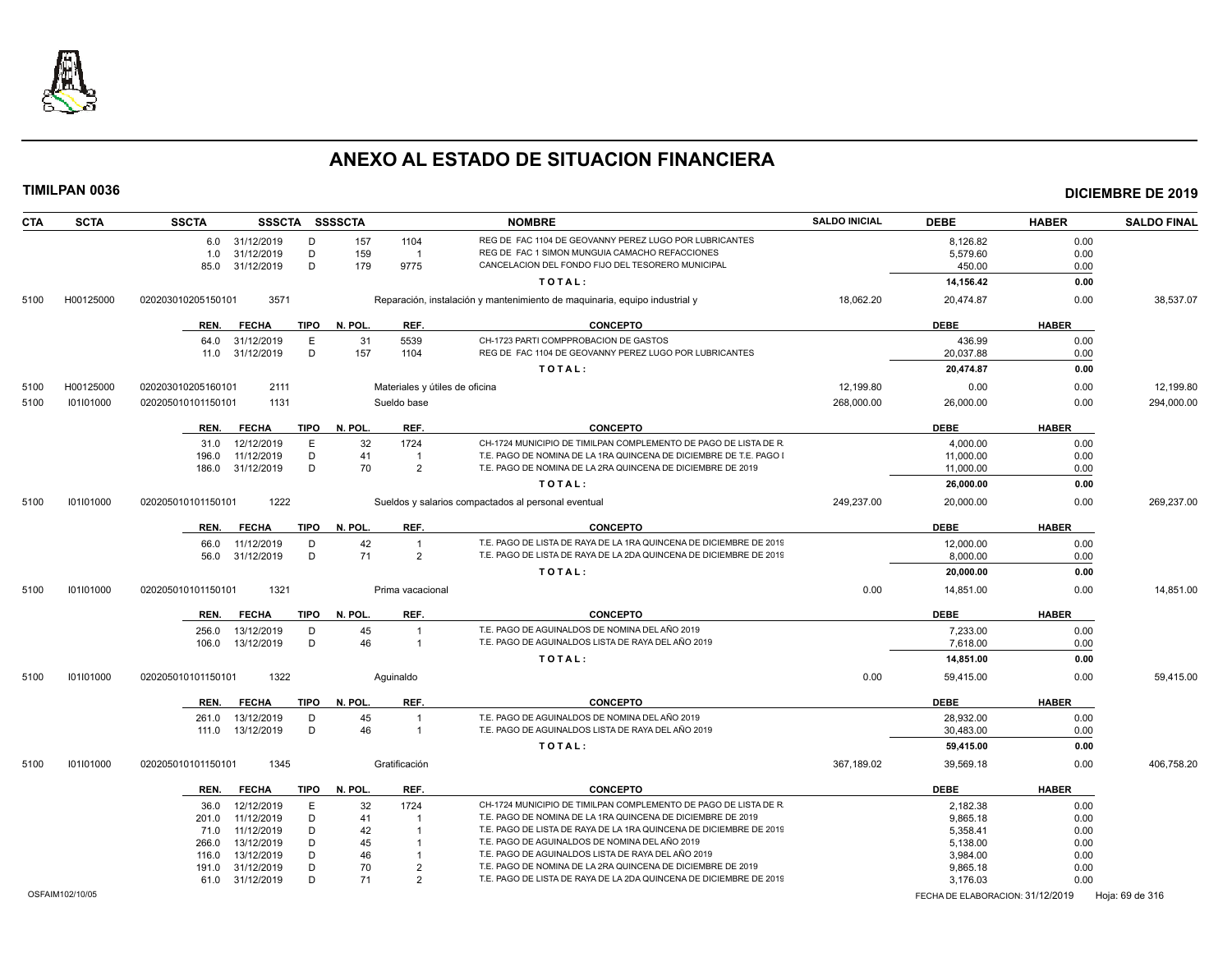

| <b>CTA</b> | <b>SCTA</b> | <b>SSCTA</b>       |                 |             | SSSCTA SSSSCTA |                                | <b>NOMBRE</b>                                                              | <b>SALDO INICIAL</b> | <b>DEBE</b> | <b>HABER</b> | <b>SALDO FINAL</b> |
|------------|-------------|--------------------|-----------------|-------------|----------------|--------------------------------|----------------------------------------------------------------------------|----------------------|-------------|--------------|--------------------|
|            |             |                    | 6.0 31/12/2019  | D           | 157            | 1104                           | REG DE FAC 1104 DE GEOVANNY PEREZ LUGO POR LUBRICANTES                     |                      | 8,126.82    | 0.00         |                    |
|            |             | 1.0                | 31/12/2019      | D           | 159            | $\overline{1}$                 | REG DE FAC 1 SIMON MUNGUIA CAMACHO REFACCIONES                             |                      | 5,579.60    | 0.00         |                    |
|            |             | 85.0               | 31/12/2019      | D           | 179            | 9775                           | CANCELACION DEL FONDO FIJO DEL TESORERO MUNICIPAL                          |                      | 450.00      | 0.00         |                    |
|            |             |                    |                 |             |                |                                | TOTAL:                                                                     |                      | 14,156.42   | 0.00         |                    |
| 5100       | H00125000   | 020203010205150101 | 3571            |             |                |                                | Reparación, instalación y mantenimiento de maquinaria, equipo industrial y | 18,062.20            | 20,474.87   | 0.00         | 38,537.07          |
|            |             | REN.               | <b>FECHA</b>    | TIPO        | N. POL.        | REF.                           | <b>CONCEPTO</b>                                                            |                      | <b>DEBE</b> | <b>HABER</b> |                    |
|            |             | 64.0               | 31/12/2019      | E           | 31             | 5539                           | CH-1723 PARTI COMPPROBACION DE GASTOS                                      |                      | 436.99      | 0.00         |                    |
|            |             | 11.0               | 31/12/2019      | D           | 157            | 1104                           | REG DE FAC 1104 DE GEOVANNY PEREZ LUGO POR LUBRICANTES                     |                      | 20,037.88   | 0.00         |                    |
|            |             |                    |                 |             |                |                                | TOTAL:                                                                     |                      | 20,474.87   | 0.00         |                    |
| 5100       | H00125000   | 020203010205160101 | 2111            |             |                | Materiales y útiles de oficina |                                                                            | 12,199.80            | 0.00        | 0.00         | 12.199.80          |
| 5100       | 101101000   | 020205010101150101 | 1131            |             |                | Sueldo base                    |                                                                            | 268,000.00           | 26,000.00   | 0.00         | 294,000.00         |
|            |             | REN.               | <b>FECHA</b>    | <b>TIPO</b> | N. POL.        | REF.                           | <b>CONCEPTO</b>                                                            |                      | <b>DEBE</b> | <b>HABER</b> |                    |
|            |             | 31.0               | 12/12/2019      | Ε           | 32             | 1724                           | CH-1724 MUNICIPIO DE TIMILPAN COMPLEMENTO DE PAGO DE LISTA DE R            |                      | 4,000.00    | 0.00         |                    |
|            |             | 196.0              | 11/12/2019      | D           | 41             | $\overline{1}$                 | T.E. PAGO DE NOMINA DE LA 1RA QUINCENA DE DICIEMBRE DE T.E. PAGO           |                      | 11,000.00   | 0.00         |                    |
|            |             | 186.0              | 31/12/2019      | D           | 70             | $\mathcal{P}$                  | T.E. PAGO DE NOMINA DE LA 2RA QUINCENA DE DICIEMBRE DE 2019                |                      | 11.000.00   | 0.00         |                    |
|            |             |                    |                 |             |                |                                | TOTAL:                                                                     |                      | 26,000.00   | 0.00         |                    |
| 5100       | 101101000   | 020205010101150101 | 1222            |             |                |                                | Sueldos y salarios compactados al personal eventual                        | 249.237.00           | 20,000.00   | 0.00         | 269.237.00         |
|            |             |                    |                 |             |                |                                |                                                                            |                      |             |              |                    |
|            |             | REN.               | <b>FECHA</b>    | TIPO        | N. POL.        | REF.                           | <b>CONCEPTO</b>                                                            |                      | <b>DEBE</b> | <b>HABER</b> |                    |
|            |             | 66.0               | 11/12/2019      | D           | 42             | $\overline{1}$                 | T.E. PAGO DE LISTA DE RAYA DE LA 1RA QUINCENA DE DICIEMBRE DE 2019         |                      | 12,000.00   | 0.00         |                    |
|            |             | 56.0               | 31/12/2019      | D           | 71             | $\overline{2}$                 | T.E. PAGO DE LISTA DE RAYA DE LA 2DA QUINCENA DE DICIEMBRE DE 2019         |                      | 8,000.00    | 0.00         |                    |
|            |             |                    |                 |             |                |                                | TOTAL:                                                                     |                      | 20,000.00   | 0.00         |                    |
| 5100       | 101101000   | 020205010101150101 | 1321            |             |                | Prima vacacional               |                                                                            | 0.00                 | 14,851.00   | 0.00         | 14,851.00          |
|            |             | REN.               | <b>FECHA</b>    | <b>TIPO</b> | N. POL.        | REF.                           | <b>CONCEPTO</b>                                                            |                      | <b>DEBE</b> | <b>HABER</b> |                    |
|            |             | 256.0              | 13/12/2019      | D           | 45             | $\mathbf 1$                    | T.E. PAGO DE AGUINALDOS DE NOMINA DEL AÑO 2019                             |                      | 7.233.00    | 0.00         |                    |
|            |             | 106.0              | 13/12/2019      | D           | 46             | $\overline{1}$                 | T.E. PAGO DE AGUINALDOS LISTA DE RAYA DEL AÑO 2019                         |                      | 7,618.00    | 0.00         |                    |
|            |             |                    |                 |             |                |                                | TOTAL:                                                                     |                      | 14,851.00   | 0.00         |                    |
| 5100       | 101101000   | 020205010101150101 | 1322            |             |                | Aquinaldo                      |                                                                            | 0.00                 | 59,415.00   | 0.00         | 59,415.00          |
|            |             | REN.               | <b>FECHA</b>    | <b>TIPO</b> | N. POL.        | REF.                           | <b>CONCEPTO</b>                                                            |                      | <b>DEBE</b> | <b>HABER</b> |                    |
|            |             | 261.0              | 13/12/2019      | D           | 45             | $\overline{1}$                 | T.E. PAGO DE AGUINALDOS DE NOMINA DEL AÑO 2019                             |                      | 28,932.00   | 0.00         |                    |
|            |             | 111.0              | 13/12/2019      | D           | 46             | $\overline{1}$                 | T.E. PAGO DE AGUINALDOS LISTA DE RAYA DEL AÑO 2019                         |                      | 30.483.00   | 0.00         |                    |
|            |             |                    |                 |             |                |                                | TOTAL:                                                                     |                      | 59,415.00   | 0.00         |                    |
| 5100       | 101101000   | 020205010101150101 | 1345            |             |                | Gratificación                  |                                                                            | 367,189.02           | 39,569.18   | 0.00         | 406,758.20         |
|            |             | REN.               | <b>FECHA</b>    | <b>TIPO</b> | N. POL.        | REF.                           | <b>CONCEPTO</b>                                                            |                      | <b>DEBE</b> | <b>HABER</b> |                    |
|            |             | 36.0               | 12/12/2019      | E           | 32             | 1724                           | CH-1724 MUNICIPIO DE TIMILPAN COMPLEMENTO DE PAGO DE LISTA DE R            |                      | 2,182.38    | 0.00         |                    |
|            |             | 201.0              | 11/12/2019      | D           | 41             |                                | T.E. PAGO DE NOMINA DE LA 1RA QUINCENA DE DICIEMBRE DE 2019                |                      | 9,865.18    | 0.00         |                    |
|            |             | 71.0               | 11/12/2019      | D           | 42             |                                | T.E. PAGO DE LISTA DE RAYA DE LA 1RA QUINCENA DE DICIEMBRE DE 2019         |                      | 5,358.41    | 0.00         |                    |
|            |             | 266.0              | 13/12/2019      | D           | 45             |                                | T.E. PAGO DE AGUINALDOS DE NOMINA DEL AÑO 2019                             |                      | 5,138.00    | 0.00         |                    |
|            |             | 116.0              | 13/12/2019      | D           | 46             |                                | T.E. PAGO DE AGUINALDOS LISTA DE RAYA DEL AÑO 2019                         |                      | 3,984.00    | 0.00         |                    |
|            |             | 191.0              | 31/12/2019      | D           | 70             | $\overline{2}$                 | T.E. PAGO DE NOMINA DE LA 2RA QUINCENA DE DICIEMBRE DE 2019                |                      | 9,865.18    | 0.00         |                    |
|            |             |                    | 61.0 31/12/2019 | D           | 71             | $\mathcal{P}$                  | T.E. PAGO DE LISTA DE RAYA DE LA 2DA QUINCENA DE DICIEMBRE DE 2019         |                      | 3,176.03    | 0.00         |                    |
|            |             |                    |                 |             |                |                                |                                                                            |                      |             |              |                    |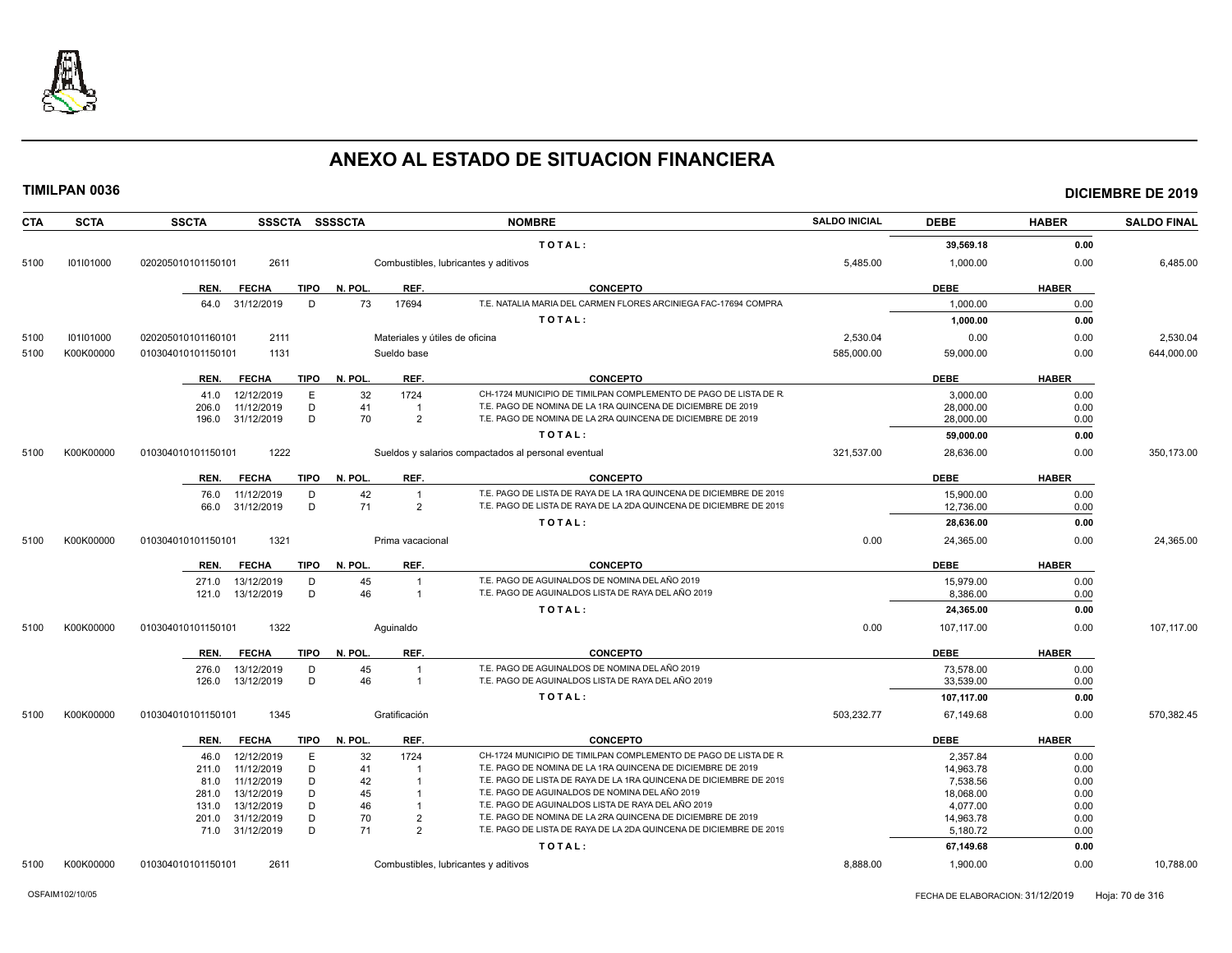

| <b>CTA</b> | <b>SCTA</b> | <b>SSCTA</b><br>SSSCTA SSSSCTA      |                                        | <b>NOMBRE</b>                                                                                                              | <b>SALDO INICIAL</b> | <b>DEBE</b> | <b>HABER</b> | <b>SALDO FINAL</b> |
|------------|-------------|-------------------------------------|----------------------------------------|----------------------------------------------------------------------------------------------------------------------------|----------------------|-------------|--------------|--------------------|
|            |             |                                     |                                        | TOTAL:                                                                                                                     |                      | 39.569.18   | 0.00         |                    |
| 5100       | 101101000   | 2611<br>020205010101150101          |                                        | Combustibles, lubricantes y aditivos                                                                                       | 5,485.00             | 1,000.00    | 0.00         | 6,485.00           |
|            |             | <b>FECHA</b><br>TIPO<br>REN.        | N. POL.<br>REF.                        | <b>CONCEPTO</b>                                                                                                            |                      | <b>DEBE</b> | <b>HABER</b> |                    |
|            |             | 64.0 31/12/2019<br>D                | 73<br>17694                            | T.E. NATALIA MARIA DEL CARMEN FLORES ARCINIEGA FAC-17694 COMPRA                                                            |                      | 1,000.00    | 0.00         |                    |
|            |             |                                     |                                        | TOTAL:                                                                                                                     |                      | 1,000.00    | 0.00         |                    |
| 5100       | 101101000   | 2111<br>020205010101160101          | Materiales y útiles de oficina         |                                                                                                                            | 2,530.04             | 0.00        | 0.00         | 2,530.04           |
| 5100       | K00K00000   | 1131<br>010304010101150101          | Sueldo base                            |                                                                                                                            | 585.000.00           | 59,000.00   | 0.00         | 644.000.00         |
|            |             |                                     |                                        |                                                                                                                            |                      |             |              |                    |
|            |             | <b>FECHA</b><br><b>TIPO</b><br>REN. | REF.<br>N. POL.                        | <b>CONCEPTO</b>                                                                                                            |                      | <b>DEBE</b> | <b>HABER</b> |                    |
|            |             | 12/12/2019<br>41.0<br>Е             | 32<br>1724                             | CH-1724 MUNICIPIO DE TIMILPAN COMPLEMENTO DE PAGO DE LISTA DE R                                                            |                      | 3,000.00    | 0.00         |                    |
|            |             | 11/12/2019<br>D<br>206.0<br>D       | 41<br>$\overline{1}$<br>$\overline{2}$ | T.E. PAGO DE NOMINA DE LA 1RA QUINCENA DE DICIEMBRE DE 2019<br>T.E. PAGO DE NOMINA DE LA 2RA QUINCENA DE DICIEMBRE DE 2019 |                      | 28,000.00   | 0.00         |                    |
|            |             | 31/12/2019<br>196.0                 | 70                                     |                                                                                                                            |                      | 28,000.00   | 0.00         |                    |
|            |             |                                     |                                        | TOTAL:                                                                                                                     |                      | 59.000.00   | 0.00         |                    |
| 5100       | K00K00000   | 1222<br>010304010101150101          |                                        | Sueldos y salarios compactados al personal eventual                                                                        | 321,537.00           | 28,636.00   | 0.00         | 350,173.00         |
|            |             | <b>FECHA</b><br>REN.<br>TIPO        | N. POL.<br>REF.                        | <b>CONCEPTO</b>                                                                                                            |                      | <b>DEBE</b> | <b>HABER</b> |                    |
|            |             | 76.0<br>11/12/2019<br>D             | 42<br>$\overline{1}$                   | T.E. PAGO DE LISTA DE RAYA DE LA 1RA QUINCENA DE DICIEMBRE DE 2019                                                         |                      | 15,900.00   | 0.00         |                    |
|            |             | D<br>31/12/2019<br>66.0             | 71<br>$\overline{2}$                   | T.E. PAGO DE LISTA DE RAYA DE LA 2DA QUINCENA DE DICIEMBRE DE 2019                                                         |                      | 12,736.00   | 0.00         |                    |
|            |             |                                     |                                        | TOTAL:                                                                                                                     |                      | 28,636.00   | 0.00         |                    |
| 5100       | K00K00000   | 1321<br>010304010101150101          | Prima vacacional                       |                                                                                                                            | 0.00                 | 24,365.00   | 0.00         | 24,365.00          |
|            |             | <b>FECHA</b><br><b>TIPO</b><br>REN. | N. POL.<br>REF.                        | <b>CONCEPTO</b>                                                                                                            |                      | <b>DEBE</b> | <b>HABER</b> |                    |
|            |             | 13/12/2019<br>271.0<br>D            | 45<br>$\overline{1}$                   | T.E. PAGO DE AGUINALDOS DE NOMINA DEL AÑO 2019                                                                             |                      | 15.979.00   | 0.00         |                    |
|            |             | 13/12/2019<br>D<br>121.0            | 46<br>$\overline{1}$                   | T.E. PAGO DE AGUINALDOS LISTA DE RAYA DEL AÑO 2019                                                                         |                      | 8.386.00    | 0.00         |                    |
|            |             |                                     |                                        | TOTAL:                                                                                                                     |                      | 24,365.00   | 0.00         |                    |
| 5100       | K00K00000   | 010304010101150101<br>1322          | Aquinaldo                              |                                                                                                                            | 0.00                 | 107,117.00  | 0.00         | 107,117.00         |
|            |             | <b>FECHA</b><br><b>TIPO</b><br>REN. | N. POL.<br>REF.                        | <b>CONCEPTO</b>                                                                                                            |                      | <b>DEBE</b> | <b>HABER</b> |                    |
|            |             | 276.0<br>13/12/2019<br>D            | 45<br>$\overline{1}$                   | T.E. PAGO DE AGUINALDOS DE NOMINA DEL AÑO 2019                                                                             |                      | 73,578.00   | 0.00         |                    |
|            |             | D<br>13/12/2019<br>126.0            | 46<br>$\overline{1}$                   | T.E. PAGO DE AGUINALDOS LISTA DE RAYA DEL AÑO 2019                                                                         |                      | 33,539.00   | 0.00         |                    |
|            |             |                                     |                                        | TOTAL:                                                                                                                     |                      | 107,117.00  | 0.00         |                    |
| 5100       | K00K00000   | 010304010101150101<br>1345          | Gratificación                          |                                                                                                                            | 503,232.77           | 67,149.68   | 0.00         | 570,382.45         |
|            |             | REN.<br><b>FECHA</b><br><b>TIPO</b> | REF.<br>N. POL.                        | <b>CONCEPTO</b>                                                                                                            |                      | <b>DEBE</b> | <b>HABER</b> |                    |
|            |             | 12/12/2019<br>Ε<br>46.0             | 32<br>1724                             | CH-1724 MUNICIPIO DE TIMILPAN COMPLEMENTO DE PAGO DE LISTA DE R                                                            |                      | 2,357.84    | 0.00         |                    |
|            |             | 11/12/2019<br>D<br>211.0            | 41<br>-1                               | T.E. PAGO DE NOMINA DE LA 1RA QUINCENA DE DICIEMBRE DE 2019                                                                |                      | 14,963.78   | 0.00         |                    |
|            |             | 11/12/2019<br>D<br>81.0             | 42                                     | T.E. PAGO DE LISTA DE RAYA DE LA 1RA QUINCENA DE DICIEMBRE DE 2019                                                         |                      | 7,538.56    | 0.00         |                    |
|            |             | 13/12/2019<br>D<br>281.0            | 45<br>$\overline{1}$                   | T.E. PAGO DE AGUINALDOS DE NOMINA DEL AÑO 2019                                                                             |                      | 18,068.00   | 0.00         |                    |
|            |             | D<br>13/12/2019<br>131.0            | 46<br>$\overline{1}$                   | T.E. PAGO DE AGUINALDOS LISTA DE RAYA DEL AÑO 2019                                                                         |                      | 4,077.00    | 0.00         |                    |
|            |             | 31/12/2019<br>D<br>201.0            | 70<br>$\overline{2}$                   | T.E. PAGO DE NOMINA DE LA 2RA QUINCENA DE DICIEMBRE DE 2019                                                                |                      | 14,963.78   | 0.00         |                    |
|            |             | 71.0 31/12/2019<br>D                | 71<br>$\overline{2}$                   | T.E. PAGO DE LISTA DE RAYA DE LA 2DA QUINCENA DE DICIEMBRE DE 2019                                                         |                      | 5,180.72    | 0.00         |                    |
|            |             |                                     |                                        | TOTAL:                                                                                                                     |                      | 67,149.68   | 0.00         |                    |
| 5100       | K00K00000   | 010304010101150101<br>2611          |                                        | Combustibles, lubricantes y aditivos                                                                                       | 8,888.00             | 1,900.00    | 0.00         | 10,788.00          |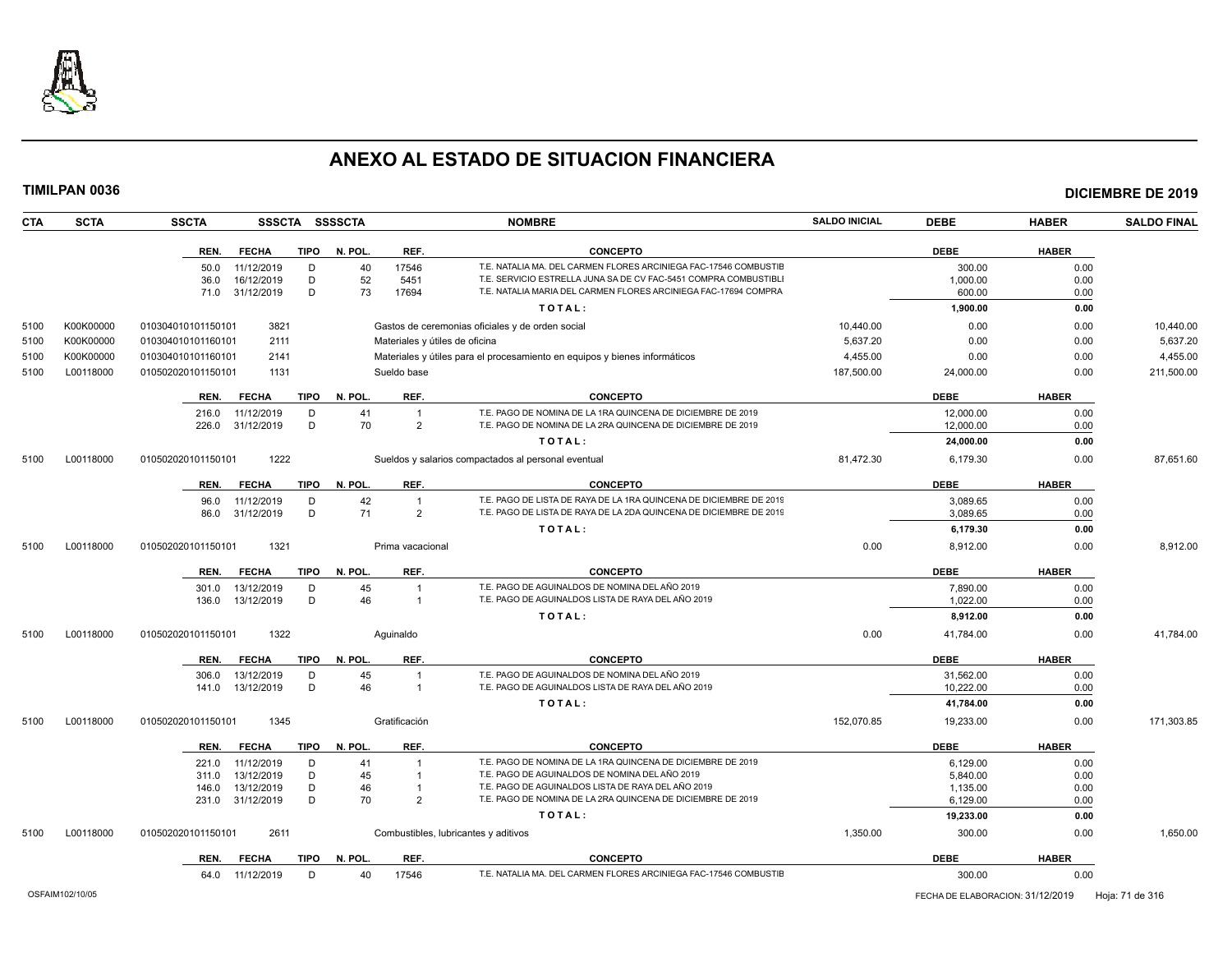

| CTA  | <b>SCTA</b> | <b>SSCTA</b><br>SSSCTA SSSSCTA                       |              |                                  | <b>NOMBRE</b>                                                                                        | <b>SALDO INICIAL</b> | <b>DEBE</b>          | <b>HABER</b> | <b>SALDO FINAL</b> |
|------|-------------|------------------------------------------------------|--------------|----------------------------------|------------------------------------------------------------------------------------------------------|----------------------|----------------------|--------------|--------------------|
|      |             | REN.<br><b>FECHA</b><br><b>TIPO</b>                  | N. POL.      | REF.                             | <b>CONCEPTO</b>                                                                                      |                      | <b>DEBE</b>          | <b>HABER</b> |                    |
|      |             | 50.0<br>11/12/2019<br>D                              | 40           | 17546                            | T.E. NATALIA MA, DEL CARMEN FLORES ARCINIEGA FAC-17546 COMBUSTIE                                     |                      | 300.00               | 0.00         |                    |
|      |             | 16/12/2019<br>D<br>36.0                              | 52           | 5451                             | T.E. SERVICIO ESTRELLA JUNA SA DE CV FAC-5451 COMPRA COMBUSTIBLI                                     |                      | 1,000.00             | 0.00         |                    |
|      |             | 31/12/2019<br>D<br>71.0                              | 73           | 17694                            | T.E. NATALIA MARIA DEL CARMEN FLORES ARCINIEGA FAC-17694 COMPRA                                      |                      | 600.00               | 0.00         |                    |
|      |             |                                                      |              |                                  | TOTAL:                                                                                               |                      | 1,900.00             | 0.00         |                    |
| 5100 | K00K00000   | 3821<br>010304010101150101                           |              |                                  | Gastos de ceremonias oficiales y de orden social                                                     | 10,440.00            | 0.00                 | 0.00         | 10,440.00          |
| 5100 | K00K00000   | 2111<br>010304010101160101                           |              | Materiales y útiles de oficina   |                                                                                                      | 5,637.20             | 0.00                 | 0.00         | 5,637.20           |
| 5100 | K00K00000   | 010304010101160101<br>2141                           |              |                                  | Materiales y útiles para el procesamiento en equipos y bienes informáticos                           | 4,455.00             | 0.00                 | 0.00         | 4,455.00           |
| 5100 | L00118000   | 010502020101150101<br>1131                           |              | Sueldo base                      |                                                                                                      | 187,500.00           | 24,000.00            | 0.00         | 211,500.00         |
|      |             | <b>FECHA</b><br><b>TIPO</b><br>REN.                  | N. POL.      | REF.                             | <b>CONCEPTO</b>                                                                                      |                      | <b>DEBE</b>          | <b>HABER</b> |                    |
|      |             | 216.0<br>11/12/2019<br>D                             | 41           | $\overline{1}$                   | T.E. PAGO DE NOMINA DE LA 1RA QUINCENA DE DICIEMBRE DE 2019                                          |                      | 12,000.00            | 0.00         |                    |
|      |             | D<br>226.0<br>31/12/2019                             | 70           | $\overline{2}$                   | T.E. PAGO DE NOMINA DE LA 2RA QUINCENA DE DICIEMBRE DE 2019                                          |                      | 12,000.00            | 0.00         |                    |
|      |             |                                                      |              |                                  | TOTAL:                                                                                               |                      | 24,000.00            | 0.00         |                    |
| 5100 | L00118000   | 1222<br>010502020101150101                           |              |                                  | Sueldos y salarios compactados al personal eventual                                                  | 81,472.30            | 6,179.30             | 0.00         | 87,651.60          |
|      |             | <b>FECHA</b><br><b>TIPO</b><br>REN.                  | N. POL.      | REF.                             | <b>CONCEPTO</b>                                                                                      |                      | <b>DEBE</b>          | <b>HABER</b> |                    |
|      |             | 11/12/2019<br>D<br>96.0                              | 42           | $\overline{1}$                   | T.E. PAGO DE LISTA DE RAYA DE LA 1RA QUINCENA DE DICIEMBRE DE 2019                                   |                      | 3,089.65             | 0.00         |                    |
|      |             | 31/12/2019<br>D<br>86.0                              | 71           | 2                                | T.E. PAGO DE LISTA DE RAYA DE LA 2DA QUINCENA DE DICIEMBRE DE 2019                                   |                      | 3,089.65             | 0.00         |                    |
|      |             |                                                      |              |                                  | TOTAL:                                                                                               |                      | 6,179.30             | 0.00         |                    |
| 5100 | L00118000   | 010502020101150101<br>1321                           |              | Prima vacacional                 |                                                                                                      | 0.00                 | 8,912.00             | 0.00         | 8,912.00           |
|      |             | REN.<br><b>FECHA</b><br><b>TIPO</b>                  | N. POL.      | REF.                             | <b>CONCEPTO</b>                                                                                      |                      | <b>DEBE</b>          | <b>HABER</b> |                    |
|      |             | 13/12/2019<br>D<br>301.0                             | 45           |                                  | T.E. PAGO DE AGUINALDOS DE NOMINA DEL AÑO 2019                                                       |                      | 7,890.00             | 0.00         |                    |
|      |             | 13/12/2019<br>D<br>136.0                             | 46           | $\overline{1}$                   | T.E. PAGO DE AGUINALDOS LISTA DE RAYA DEL AÑO 2019                                                   |                      | 1,022.00             | 0.00         |                    |
|      |             |                                                      |              |                                  | TOTAL:                                                                                               |                      | 8,912.00             | 0.00         |                    |
| 5100 | L00118000   | 1322<br>010502020101150101                           |              | Aquinaldo                        |                                                                                                      | 0.00                 | 41,784.00            | 0.00         | 41.784.00          |
|      |             | <b>FECHA</b><br>REN.<br>TIPO                         | N. POL.      | REF.                             | <b>CONCEPTO</b>                                                                                      |                      | <b>DEBE</b>          | <b>HABER</b> |                    |
|      |             | 13/12/2019<br>D<br>306.0                             | 45           | -1                               | T.E. PAGO DE AGUINALDOS DE NOMINA DEL AÑO 2019                                                       |                      | 31,562.00            | 0.00         |                    |
|      |             | D<br>13/12/2019<br>141.0                             | 46           | $\overline{1}$                   | T.E. PAGO DE AGUINALDOS LISTA DE RAYA DEL AÑO 2019                                                   |                      | 10,222.00            | 0.00         |                    |
|      |             |                                                      |              |                                  | TOTAL:                                                                                               |                      | 41,784.00            | 0.00         |                    |
| 5100 | L00118000   | 1345<br>010502020101150101                           |              | Gratificación                    |                                                                                                      | 152,070.85           | 19,233.00            | 0.00         | 171,303.85         |
|      |             | REN.<br><b>FECHA</b><br><b>TIPO</b>                  | N. POL.      | REF.                             | <b>CONCEPTO</b>                                                                                      |                      | <b>DEBE</b>          | <b>HABER</b> |                    |
|      |             | 11/12/2019<br>221.0<br>D                             | 41           | $\overline{1}$                   | T.E. PAGO DE NOMINA DE LA 1RA QUINCENA DE DICIEMBRE DE 2019                                          |                      | 6,129.00             | 0.00         |                    |
|      |             | 13/12/2019<br>D<br>311.0                             | 45           | $\overline{1}$<br>$\overline{1}$ | T.E. PAGO DE AGUINALDOS DE NOMINA DEL AÑO 2019<br>T.E. PAGO DE AGUINALDOS LISTA DE RAYA DEL AÑO 2019 |                      | 5,840.00             | 0.00         |                    |
|      |             | 13/12/2019<br>D<br>146.0<br>31/12/2019<br>D<br>231.0 | 46<br>70     | $\overline{2}$                   | T.E. PAGO DE NOMINA DE LA 2RA QUINCENA DE DICIEMBRE DE 2019                                          |                      | 1,135.00<br>6,129.00 | 0.00<br>0.00 |                    |
|      |             |                                                      |              |                                  | TOTAL:                                                                                               |                      | 19,233.00            | 0.00         |                    |
| 5100 | L00118000   | 2611<br>010502020101150101                           |              |                                  | Combustibles, lubricantes y aditivos                                                                 | 1,350.00             | 300.00               | 0.00         | 1,650.00           |
|      |             | REN. FECHA                                           | TIPO N. POL. | REF.                             | <b>CONCEPTO</b>                                                                                      |                      | <b>DEBE</b>          | <b>HABER</b> |                    |
|      |             |                                                      |              |                                  |                                                                                                      |                      |                      |              |                    |

| T.E. NATALIA MA. DEL CARMEN FLORES ARCINIEGA FAC-17546 COMBUSTIE<br>11/12/2019<br>1754<br>$\Lambda$ $\cap$<br>04.U | . .<br>300.00<br>0.00 |  |
|--------------------------------------------------------------------------------------------------------------------|-----------------------|--|
|--------------------------------------------------------------------------------------------------------------------|-----------------------|--|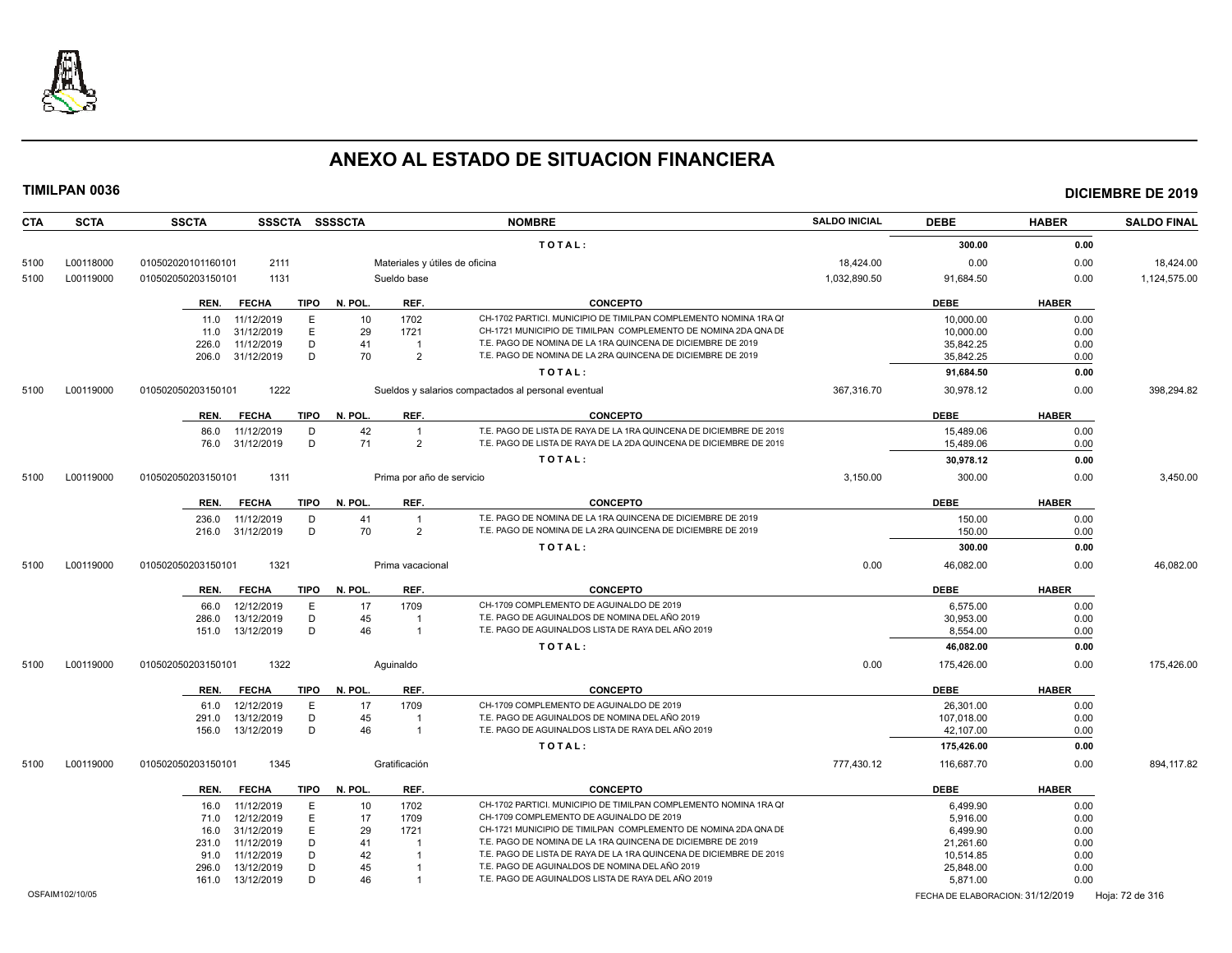

| <b>CTA</b> | <b>SCTA</b>     | <b>SSCTA</b><br>SSSCTA SSSSCTA             |                 |                                | <b>NOMBRE</b>                                                                                                                      | <b>SALDO INICIAL</b> | <b>DEBE</b>                      | <b>HABER</b> | <b>SALDO FINAL</b> |
|------------|-----------------|--------------------------------------------|-----------------|--------------------------------|------------------------------------------------------------------------------------------------------------------------------------|----------------------|----------------------------------|--------------|--------------------|
|            |                 |                                            |                 |                                | TOTAL:                                                                                                                             |                      | 300.00                           | 0.00         |                    |
| 5100       | L00118000       | 2111<br>010502020101160101                 |                 | Materiales y útiles de oficina |                                                                                                                                    | 18,424.00            | 0.00                             | 0.00         | 18,424.00          |
| 5100       | L00119000       | 010502050203150101<br>1131                 |                 | Sueldo base                    |                                                                                                                                    | 1,032,890.50         | 91,684.50                        | 0.00         | 1,124,575.00       |
|            |                 |                                            |                 |                                |                                                                                                                                    |                      |                                  |              |                    |
|            |                 | <b>FECHA</b><br>TIPO<br>REN.               | N. POL.         | REF.                           | <b>CONCEPTO</b>                                                                                                                    |                      | <b>DEBE</b>                      | <b>HABER</b> |                    |
|            |                 | 11/12/2019<br>E<br>11.0                    | 10              | 1702                           | CH-1702 PARTICI, MUNICIPIO DE TIMILPAN COMPLEMENTO NOMINA 1RA QI<br>CH-1721 MUNICIPIO DE TIMILPAN COMPLEMENTO DE NOMINA 2DA QNA DE |                      | 10.000.00                        | 0.00         |                    |
|            |                 | E<br>31/12/2019<br>11.0<br>11/12/2019<br>D | 29<br>41        | 1721<br>$\overline{1}$         | T.E. PAGO DE NOMINA DE LA 1RA QUINCENA DE DICIEMBRE DE 2019                                                                        |                      | 10.000.00                        | 0.00         |                    |
|            |                 | 226.0<br>31/12/2019<br>D<br>206.0          | 70              | $\overline{2}$                 | T.E. PAGO DE NOMINA DE LA 2RA QUINCENA DE DICIEMBRE DE 2019                                                                        |                      | 35,842.25<br>35,842.25           | 0.00<br>0.00 |                    |
|            |                 |                                            |                 |                                | TOTAL:                                                                                                                             |                      |                                  | 0.00         |                    |
|            |                 |                                            |                 |                                |                                                                                                                                    |                      | 91,684.50                        |              |                    |
| 5100       | L00119000       | 1222<br>010502050203150101                 |                 |                                | Sueldos y salarios compactados al personal eventual                                                                                | 367,316.70           | 30,978.12                        | 0.00         | 398,294.82         |
|            |                 | <b>FECHA</b><br>TIPO<br>REN.               | N. POL.         | REF.                           | <b>CONCEPTO</b>                                                                                                                    |                      | <b>DEBE</b>                      | <b>HABER</b> |                    |
|            |                 | D<br>11/12/2019<br>86.0                    | 42              | $\overline{1}$                 | T.E. PAGO DE LISTA DE RAYA DE LA 1RA QUINCENA DE DICIEMBRE DE 2019                                                                 |                      | 15,489.06                        | 0.00         |                    |
|            |                 | D<br>76.0 31/12/2019                       | 71              | $\overline{2}$                 | T.E. PAGO DE LISTA DE RAYA DE LA 2DA QUINCENA DE DICIEMBRE DE 2019                                                                 |                      | 15,489.06                        | 0.00         |                    |
|            |                 |                                            |                 |                                | TOTAL:                                                                                                                             |                      | 30,978.12                        | 0.00         |                    |
| 5100       | L00119000       | 1311<br>010502050203150101                 |                 | Prima por año de servicio      |                                                                                                                                    | 3,150.00             | 300.00                           | 0.00         | 3,450.00           |
|            |                 | REN.<br><b>FECHA</b><br>TIPO               | N. POL.         | REF.                           | <b>CONCEPTO</b>                                                                                                                    |                      | <b>DEBE</b>                      | <b>HABER</b> |                    |
|            |                 | 11/12/2019<br>D<br>236.0                   | 41              | $\overline{1}$                 | T.E. PAGO DE NOMINA DE LA 1RA QUINCENA DE DICIEMBRE DE 2019                                                                        |                      | 150.00                           | 0.00         |                    |
|            |                 | D<br>31/12/2019<br>216.0                   | 70              | $\mathcal{P}$                  | T.E. PAGO DE NOMINA DE LA 2RA QUINCENA DE DICIEMBRE DE 2019                                                                        |                      | 150.00                           | 0.00         |                    |
|            |                 |                                            |                 |                                | TOTAL:                                                                                                                             |                      | 300.00                           | 0.00         |                    |
| 5100       | L00119000       | 010502050203150101<br>1321                 |                 | Prima vacacional               |                                                                                                                                    | 0.00                 | 46,082.00                        | 0.00         | 46,082.00          |
|            |                 |                                            |                 |                                |                                                                                                                                    |                      |                                  |              |                    |
|            |                 | REN.<br><b>FECHA</b><br>TIPO               | N. POL.         | REF.                           | <b>CONCEPTO</b>                                                                                                                    |                      | <b>DEBE</b>                      | <b>HABER</b> |                    |
|            |                 | Ε<br>12/12/2019<br>66.0                    | 17              | 1709                           | CH-1709 COMPLEMENTO DE AGUINALDO DE 2019                                                                                           |                      | 6,575.00                         | 0.00         |                    |
|            |                 | 13/12/2019<br>D<br>286.0                   | 45              |                                | T.E. PAGO DE AGUINALDOS DE NOMINA DEL AÑO 2019                                                                                     |                      | 30,953.00                        | 0.00         |                    |
|            |                 | 13/12/2019<br>D<br>151.0                   | 46              | $\overline{1}$                 | T.E. PAGO DE AGUINALDOS LISTA DE RAYA DEL AÑO 2019                                                                                 |                      | 8,554.00                         | 0.00         |                    |
|            |                 |                                            |                 |                                | TOTAL:                                                                                                                             |                      | 46,082.00                        | 0.00         |                    |
| 5100       | L00119000       | 010502050203150101<br>1322                 |                 | Aquinaldo                      |                                                                                                                                    | 0.00                 | 175,426.00                       | 0.00         | 175,426.00         |
|            |                 | <b>FECHA</b><br><b>TIPO</b><br>REN.        | N. POL.         | REF.                           | <b>CONCEPTO</b>                                                                                                                    |                      | DEBE                             | <b>HABER</b> |                    |
|            |                 | 12/12/2019<br>E<br>61.0                    | 17              | 1709                           | CH-1709 COMPLEMENTO DE AGUINALDO DE 2019                                                                                           |                      | 26,301.00                        | 0.00         |                    |
|            |                 | 13/12/2019<br>D<br>291.0                   | 45              |                                | T.E. PAGO DE AGUINALDOS DE NOMINA DEL AÑO 2019                                                                                     |                      | 107,018.00                       | 0.00         |                    |
|            |                 | D<br>13/12/2019<br>156.0                   | 46              | $\overline{\mathbf{1}}$        | T.E. PAGO DE AGUINALDOS LISTA DE RAYA DEL AÑO 2019                                                                                 |                      | 42,107.00                        | 0.00         |                    |
|            |                 |                                            |                 |                                | TOTAL:                                                                                                                             |                      | 175,426.00                       | 0.00         |                    |
| 5100       | L00119000       | 1345<br>010502050203150101                 |                 | Gratificación                  |                                                                                                                                    | 777,430.12           | 116,687.70                       | 0.00         | 894,117.82         |
|            |                 | <b>FECHA</b><br>TIPO<br>REN.               | N. POL.         | REF.                           | <b>CONCEPTO</b>                                                                                                                    |                      | <b>DEBE</b>                      | <b>HABER</b> |                    |
|            |                 | 11/12/2019<br>E<br>16.0                    | 10 <sup>°</sup> | 1702                           | CH-1702 PARTICI. MUNICIPIO DE TIMILPAN COMPLEMENTO NOMINA 1RA QI                                                                   |                      | 6,499.90                         | 0.00         |                    |
|            |                 | 12/12/2019<br>E<br>71.0                    | 17              | 1709                           | CH-1709 COMPLEMENTO DE AGUINALDO DE 2019                                                                                           |                      | 5,916.00                         | 0.00         |                    |
|            |                 | 31/12/2019<br>E<br>16.0                    | 29              | 1721                           | CH-1721 MUNICIPIO DE TIMILPAN COMPLEMENTO DE NOMINA 2DA QNA DE                                                                     |                      | 6.499.90                         | 0.00         |                    |
|            |                 | D<br>11/12/2019<br>231.0                   | 41              |                                | T.E. PAGO DE NOMINA DE LA 1RA QUINCENA DE DICIEMBRE DE 2019                                                                        |                      | 21,261.60                        | 0.00         |                    |
|            |                 | D<br>11/12/2019<br>91.0                    | 42              |                                | T.E. PAGO DE LISTA DE RAYA DE LA 1RA QUINCENA DE DICIEMBRE DE 2019                                                                 |                      | 10,514.85                        | 0.00         |                    |
|            |                 | D<br>13/12/2019<br>296.0                   | 45              |                                | T.E. PAGO DE AGUINALDOS DE NOMINA DEL AÑO 2019                                                                                     |                      | 25,848.00                        | 0.00         |                    |
|            |                 | 13/12/2019<br>D<br>161.0                   | 46              | $\overline{1}$                 | T.E. PAGO DE AGUINALDOS LISTA DE RAYA DEL AÑO 2019                                                                                 |                      | 5,871.00                         | 0.00         |                    |
|            | OSFAIM102/10/05 |                                            |                 |                                |                                                                                                                                    |                      | FECHA DE ELABORACION: 31/12/2019 |              | Hoja: 72 de 316    |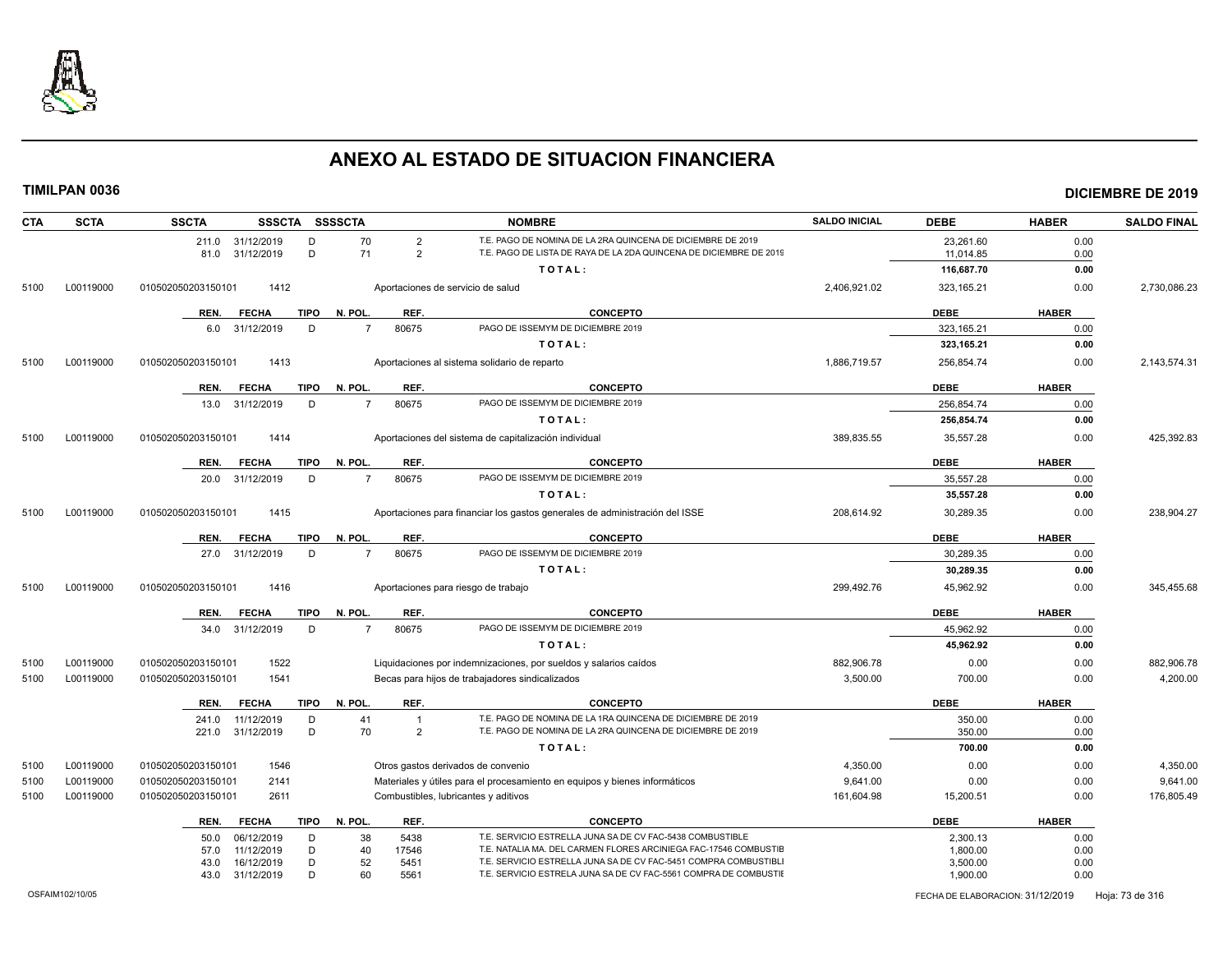

| <b>CTA</b><br><b>SCTA</b> | <b>SSCTA</b><br>SSSCTA SSSSCTA                     |                                   | <b>NOMBRE</b>                                                                                                                        | <b>SALDO INICIAL</b> | <b>DEBE</b>          | <b>HABER</b> | <b>SALDO FINAL</b> |
|---------------------------|----------------------------------------------------|-----------------------------------|--------------------------------------------------------------------------------------------------------------------------------------|----------------------|----------------------|--------------|--------------------|
|                           | 211.0 31/12/2019<br>D                              | 70<br>$\overline{2}$              | T.E. PAGO DE NOMINA DE LA 2RA QUINCENA DE DICIEMBRE DE 2019                                                                          |                      | 23,261.60            | 0.00         |                    |
|                           | D<br>81.0 31/12/2019                               | 71<br>$\overline{2}$              | T.E. PAGO DE LISTA DE RAYA DE LA 2DA QUINCENA DE DICIEMBRE DE 2019                                                                   |                      | 11,014.85            | 0.00         |                    |
|                           |                                                    |                                   | TOTAL:                                                                                                                               |                      | 116,687.70           | 0.00         |                    |
| L00119000<br>5100         | 1412<br>010502050203150101                         | Aportaciones de servicio de salud |                                                                                                                                      | 2,406,921.02         | 323, 165.21          | 0.00         | 2,730,086.23       |
|                           | REN.<br><b>FECHA</b><br>TIPO                       | N. POL.<br>REF.                   | <b>CONCEPTO</b>                                                                                                                      |                      | <b>DEBE</b>          | <b>HABER</b> |                    |
|                           | 31/12/2019<br>D<br>6.0                             | $\overline{7}$<br>80675           | PAGO DE ISSEMYM DE DICIEMBRE 2019                                                                                                    |                      | 323.165.21           | 0.00         |                    |
|                           |                                                    |                                   | TOTAL:                                                                                                                               |                      | 323,165.21           | 0.00         |                    |
| L00119000<br>5100         | 1413<br>010502050203150101                         |                                   | Aportaciones al sistema solidario de reparto                                                                                         | 1,886,719.57         | 256,854.74           | 0.00         | 2,143,574.31       |
|                           | <b>FECHA</b><br><b>TIPO</b><br>REN.                | N. POL.<br>REF.                   | <b>CONCEPTO</b>                                                                                                                      |                      | <b>DEBE</b>          | <b>HABER</b> |                    |
|                           | 13.0 31/12/2019<br>D                               | 80675<br>$\overline{7}$           | PAGO DE ISSEMYM DE DICIEMBRE 2019                                                                                                    |                      | 256,854.74           | 0.00         |                    |
|                           |                                                    |                                   | TOTAL:                                                                                                                               |                      | 256,854.74           | 0.00         |                    |
| L00119000<br>5100         | 1414<br>010502050203150101                         |                                   | Aportaciones del sistema de capitalización individual                                                                                | 389,835.55           | 35,557.28            | 0.00         | 425,392.83         |
|                           | <b>FECHA</b><br><b>TIPO</b><br>REN.                | REF.<br>N. POL.                   | <b>CONCEPTO</b>                                                                                                                      |                      | <b>DEBE</b>          | <b>HABER</b> |                    |
|                           | 31/12/2019<br>D<br>20.0                            | $\overline{7}$<br>80675           | PAGO DE ISSEMYM DE DICIEMBRE 2019                                                                                                    |                      | 35,557.28            | 0.00         |                    |
|                           |                                                    |                                   | TOTAL:                                                                                                                               |                      | 35.557.28            | 0.00         |                    |
| L00119000<br>5100         | 1415<br>010502050203150101                         |                                   | Aportaciones para financiar los gastos generales de administración del ISSE                                                          | 208,614.92           | 30,289.35            | 0.00         | 238,904.27         |
|                           | <b>TIPO</b><br>REN.<br><b>FECHA</b>                | N. POL.<br>REF.                   | <b>CONCEPTO</b>                                                                                                                      |                      | <b>DEBE</b>          | <b>HABER</b> |                    |
|                           | D<br>27.0 31/12/2019                               | $\overline{7}$<br>80675           | PAGO DE ISSEMYM DE DICIEMBRE 2019                                                                                                    |                      | 30,289.35            | 0.00         |                    |
|                           |                                                    |                                   | TOTAL:                                                                                                                               |                      | 30,289.35            | 0.00         |                    |
| L00119000<br>5100         | 1416<br>010502050203150101                         |                                   | Aportaciones para riesgo de trabajo                                                                                                  | 299,492.76           | 45,962.92            | 0.00         | 345,455.68         |
|                           | TIPO<br>REN.<br><b>FECHA</b>                       | N. POL.<br>REF.                   | <b>CONCEPTO</b>                                                                                                                      |                      | <b>DEBE</b>          | <b>HABER</b> |                    |
|                           | 34.0 31/12/2019<br>D                               | $\overline{7}$<br>80675           | PAGO DE ISSEMYM DE DICIEMBRE 2019                                                                                                    |                      | 45.962.92            | 0.00         |                    |
|                           |                                                    |                                   | TOTAL:                                                                                                                               |                      | 45,962.92            | 0.00         |                    |
| L00119000<br>5100         | 1522<br>010502050203150101                         |                                   | Liquidaciones por indemnizaciones, por sueldos y salarios caídos                                                                     | 882,906.78           | 0.00                 | 0.00         | 882,906.78         |
| 5100<br>L00119000         | 1541<br>010502050203150101                         |                                   | Becas para hijos de trabajadores sindicalizados                                                                                      | 3,500.00             | 700.00               | 0.00         | 4,200.00           |
|                           | <b>FECHA</b><br><b>TIPO</b><br>REN.                | N. POL.<br>REF.                   | <b>CONCEPTO</b>                                                                                                                      |                      | <b>DEBE</b>          | <b>HABER</b> |                    |
|                           | 241.0<br>11/12/2019<br>D                           | 41<br>$\overline{1}$              | T.E. PAGO DE NOMINA DE LA 1RA QUINCENA DE DICIEMBRE DE 2019                                                                          |                      | 350.00               | 0.00         |                    |
|                           | 221.0 31/12/2019<br>D                              | 70<br>$\overline{2}$              | T.E. PAGO DE NOMINA DE LA 2RA QUINCENA DE DICIEMBRE DE 2019                                                                          |                      | 350.00               | 0.00         |                    |
|                           |                                                    |                                   | TOTAL:                                                                                                                               |                      | 700.00               | 0.00         |                    |
| L00119000<br>5100         | 1546<br>010502050203150101                         |                                   | Otros gastos derivados de convenio                                                                                                   | 4,350.00             | 0.00                 | 0.00         | 4,350.00           |
| L00119000<br>5100         | 010502050203150101<br>2141                         |                                   | Materiales y útiles para el procesamiento en equipos y bienes informáticos                                                           | 9,641.00             | 0.00                 | 0.00         | 9,641.00           |
| 5100<br>L00119000         | 010502050203150101<br>2611                         |                                   | Combustibles, lubricantes y aditivos                                                                                                 | 161,604.98           | 15,200.51            | 0.00         | 176,805.49         |
|                           | REN.<br><b>FECHA</b><br>TIPO                       | N. POL.<br>REF.                   | <b>CONCEPTO</b>                                                                                                                      |                      | <b>DEBE</b>          | <b>HABER</b> |                    |
|                           |                                                    |                                   | T.E. SERVICIO ESTRELLA JUNA SA DE CV FAC-5438 COMBUSTIBLE                                                                            |                      | 2,300.13             | 0.00         |                    |
|                           | 06/12/2019<br>50.0<br>D                            | 38<br>5438                        |                                                                                                                                      |                      |                      |              |                    |
|                           | 57.0<br>11/12/2019<br>D<br>D<br>16/12/2019<br>43.0 | 40<br>17546<br>52<br>5451         | T.E. NATALIA MA. DEL CARMEN FLORES ARCINIEGA FAC-17546 COMBUSTIE<br>T.E. SERVICIO ESTRELLA JUNA SA DE CV FAC-5451 COMPRA COMBUSTIBLI |                      | 1,800.00<br>3.500.00 | 0.00<br>0.00 |                    |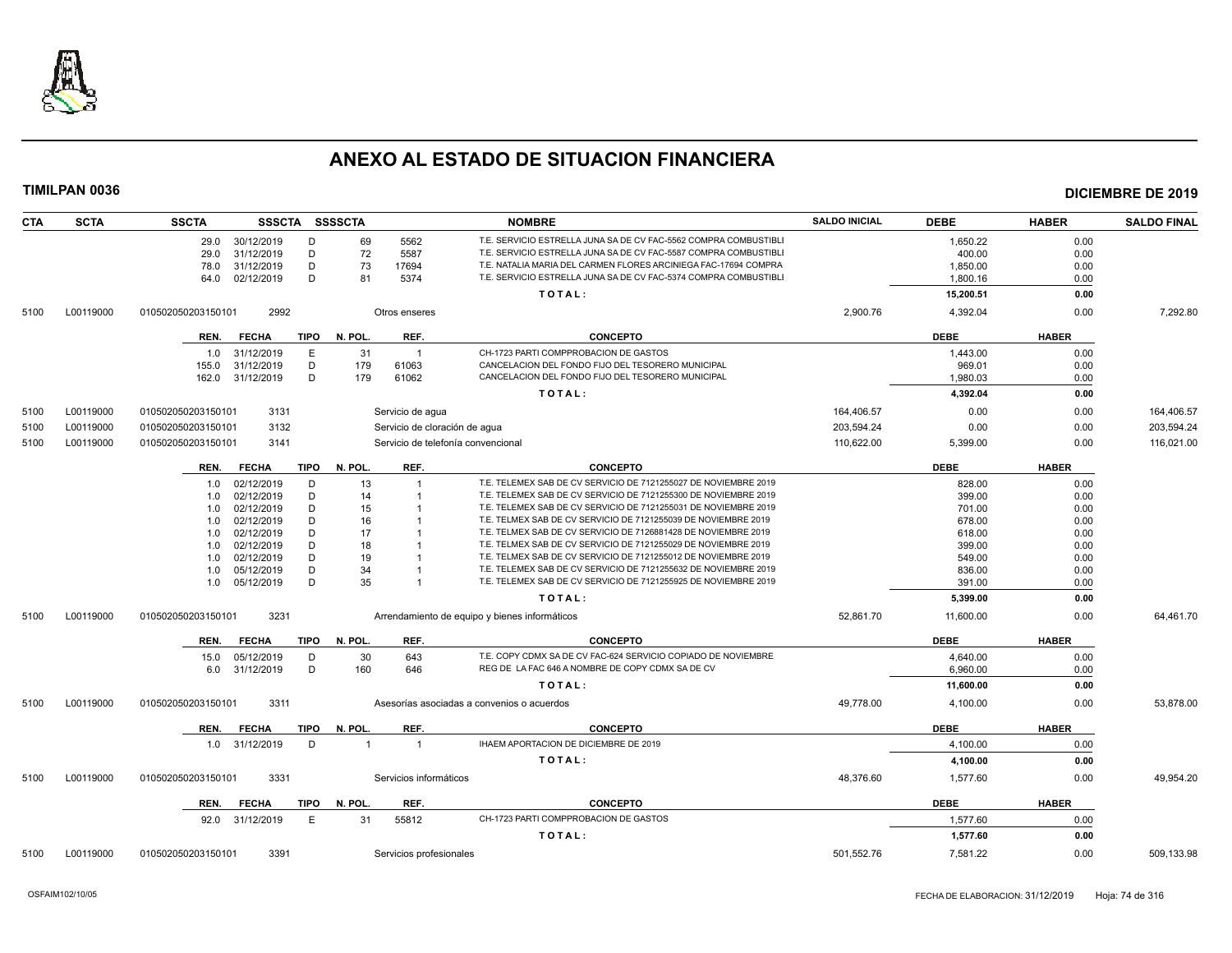

| <b>CTA</b> | <b>SCTA</b> | <b>SSCTA</b>                        | SSSCTA SSSSCTA                        | <b>NOMBRE</b>                                                    | <b>SALDO INICIAL</b> | <b>DEBE</b> | <b>HABER</b> | <b>SALDO FINAL</b> |
|------------|-------------|-------------------------------------|---------------------------------------|------------------------------------------------------------------|----------------------|-------------|--------------|--------------------|
|            |             | 29.0<br>30/12/2019                  | D<br>69<br>5562                       | T.E. SERVICIO ESTRELLA JUNA SA DE CV FAC-5562 COMPRA COMBUSTIBLI |                      | 1,650.22    | 0.00         |                    |
|            |             | 29.0<br>31/12/2019                  | D<br>72<br>5587                       | T.E. SERVICIO ESTRELLA JUNA SA DE CV FAC-5587 COMPRA COMBUSTIBLI |                      | 400.00      | 0.00         |                    |
|            |             | 31/12/2019<br>78.0                  | D<br>73<br>17694                      | T.E. NATALIA MARIA DEL CARMEN FLORES ARCINIEGA FAC-17694 COMPRA  |                      | 1,850.00    | 0.00         |                    |
|            |             | 02/12/2019<br>64.0                  | D<br>81<br>5374                       | T.E. SERVICIO ESTRELLA JUNA SA DE CV FAC-5374 COMPRA COMBUSTIBLI |                      | 1,800.16    | 0.00         |                    |
|            |             |                                     |                                       | TOTAL:                                                           |                      | 15,200.51   | 0.00         |                    |
| 5100       | L00119000   | 010502050203150101<br>2992          | Otros enseres                         |                                                                  | 2,900.76             | 4,392.04    | 0.00         | 7,292.80           |
|            |             | <b>TIPO</b><br><b>FECHA</b><br>REN. | N. POL.<br>REF.                       | <b>CONCEPTO</b>                                                  |                      | <b>DEBE</b> | <b>HABER</b> |                    |
|            |             | E<br>31/12/2019<br>1.0              | 31<br>$\overline{1}$                  | CH-1723 PARTI COMPPROBACION DE GASTOS                            |                      | 1,443.00    | 0.00         |                    |
|            |             | 31/12/2019<br>155.0                 | D<br>179<br>61063                     | CANCELACION DEL FONDO FIJO DEL TESORERO MUNICIPAL                |                      | 969.01      | 0.00         |                    |
|            |             | 162.0<br>31/12/2019                 | D<br>179<br>61062                     | CANCELACION DEL FONDO FIJO DEL TESORERO MUNICIPAL                |                      | 1,980.03    | 0.00         |                    |
|            |             |                                     |                                       |                                                                  |                      |             |              |                    |
|            |             |                                     |                                       | TOTAL:                                                           |                      | 4.392.04    | 0.00         |                    |
| 5100       | L00119000   | 3131<br>010502050203150101          | Servicio de agua                      |                                                                  | 164,406.57           | 0.00        | 0.00         | 164,406.57         |
| 5100       | L00119000   | 010502050203150101<br>3132          |                                       | Servicio de cloración de agua                                    | 203,594.24           | 0.00        | 0.00         | 203,594.24         |
| 5100       | L00119000   | 3141<br>010502050203150101          |                                       | Servicio de telefonía convencional                               | 110,622.00           | 5,399.00    | 0.00         | 116,021.00         |
|            |             | <b>TIPO</b><br><b>FECHA</b><br>REN. | REF.<br>N. POL.                       | <b>CONCEPTO</b>                                                  |                      | <b>DEBE</b> | <b>HABER</b> |                    |
|            |             | 02/12/2019<br>D<br>1.0              | 13                                    | T.E. TELEMEX SAB DE CV SERVICIO DE 7121255027 DE NOVIEMBRE 2019  |                      | 828.00      | 0.00         |                    |
|            |             | 02/12/2019<br>1.0                   | D<br>14                               | T.E. TELEMEX SAB DE CV SERVICIO DE 7121255300 DE NOVIEMBRE 2019  |                      | 399.00      | 0.00         |                    |
|            |             | 02/12/2019<br>1.0                   | D<br>15                               | T.E. TELEMEX SAB DE CV SERVICIO DE 7121255031 DE NOVIEMBRE 2019  |                      | 701.00      | 0.00         |                    |
|            |             | 02/12/2019<br>1.0                   | D<br>16                               | T.E. TELMEX SAB DE CV SERVICIO DE 7121255039 DE NOVIEMBRE 2019   |                      | 678.00      | 0.00         |                    |
|            |             | 02/12/2019<br>1.0                   | D<br>17                               | T.E. TELMEX SAB DE CV SERVICIO DE 7126881428 DE NOVIEMBRE 2019   |                      | 618.00      | 0.00         |                    |
|            |             | 02/12/2019<br>1.0                   | D<br>18                               | T.E. TELMEX SAB DE CV SERVICIO DE 7121255029 DE NOVIEMBRE 2019   |                      | 399.00      | 0.00         |                    |
|            |             | 02/12/2019<br>1.0                   | D<br>19                               | T.E. TELMEX SAB DE CV SERVICIO DE 7121255012 DE NOVIEMBRE 2019   |                      | 549.00      | 0.00         |                    |
|            |             | 05/12/2019<br>1.0                   | 34<br>D                               | T.E. TELEMEX SAB DE CV SERVICIO DE 7121255632 DE NOVIEMBRE 2019  |                      | 836.00      | 0.00         |                    |
|            |             | 05/12/2019<br>1.0                   | D<br>35                               | T.E. TELEMEX SAB DE CV SERVICIO DE 7121255925 DE NOVIEMBRE 2019  |                      | 391.00      | 0.00         |                    |
|            |             |                                     |                                       | TOTAL:                                                           |                      | 5,399.00    | 0.00         |                    |
| 5100       | L00119000   | 3231<br>010502050203150101          |                                       | Arrendamiento de equipo y bienes informáticos                    | 52,861.70            | 11,600.00   | 0.00         | 64,461.70          |
|            |             | <b>FECHA</b><br><b>TIPO</b><br>REN. | REF.<br>N. POL.                       | <b>CONCEPTO</b>                                                  |                      | <b>DEBE</b> | <b>HABER</b> |                    |
|            |             | 05/12/2019<br>15.0                  | 30<br>643<br>D                        | T.E. COPY CDMX SA DE CV FAC-624 SERVICIO COPIADO DE NOVIEMBRE    |                      | 4,640.00    | 0.00         |                    |
|            |             | 31/12/2019<br>6.0                   | D<br>160<br>646                       | REG DE LA FAC 646 A NOMBRE DE COPY CDMX SA DE CV                 |                      | 6,960.00    | 0.00         |                    |
|            |             |                                     |                                       | TOTAL:                                                           |                      | 11,600.00   | 0.00         |                    |
| 5100       | L00119000   | 3311<br>010502050203150101          |                                       | Asesorías asociadas a convenios o acuerdos                       | 49,778.00            | 4,100.00    | 0.00         | 53,878.00          |
|            |             | <b>FECHA</b><br><b>TIPO</b><br>REN. | REF.<br>N. POL.                       | <b>CONCEPTO</b>                                                  |                      | <b>DEBE</b> | <b>HABER</b> |                    |
|            |             | 31/12/2019<br>1.0                   | D<br>$\overline{1}$<br>$\overline{1}$ | IHAEM APORTACION DE DICIEMBRE DE 2019                            |                      | 4,100.00    | 0.00         |                    |
|            |             |                                     |                                       | TOTAL:                                                           |                      |             |              |                    |
|            |             |                                     |                                       |                                                                  |                      | 4,100.00    | 0.00         |                    |
| 5100       | L00119000   | 3331<br>010502050203150101          | Servicios informáticos                |                                                                  | 48,376.60            | 1,577.60    | 0.00         | 49,954.20          |
|            |             | <b>TIPO</b><br>REN.<br><b>FECHA</b> | N. POL.<br>REF.                       | <b>CONCEPTO</b>                                                  |                      | <b>DEBE</b> | <b>HABER</b> |                    |
|            |             | 31/12/2019<br>92.0                  | E<br>55812<br>31                      | CH-1723 PARTI COMPPROBACION DE GASTOS                            |                      | 1,577.60    | 0.00         |                    |
|            |             |                                     |                                       | TOTAL:                                                           |                      | 1,577.60    | 0.00         |                    |
| 5100       | L00119000   | 3391<br>010502050203150101          | Servicios profesionales               |                                                                  | 501,552.76           | 7,581.22    | 0.00         | 509,133.98         |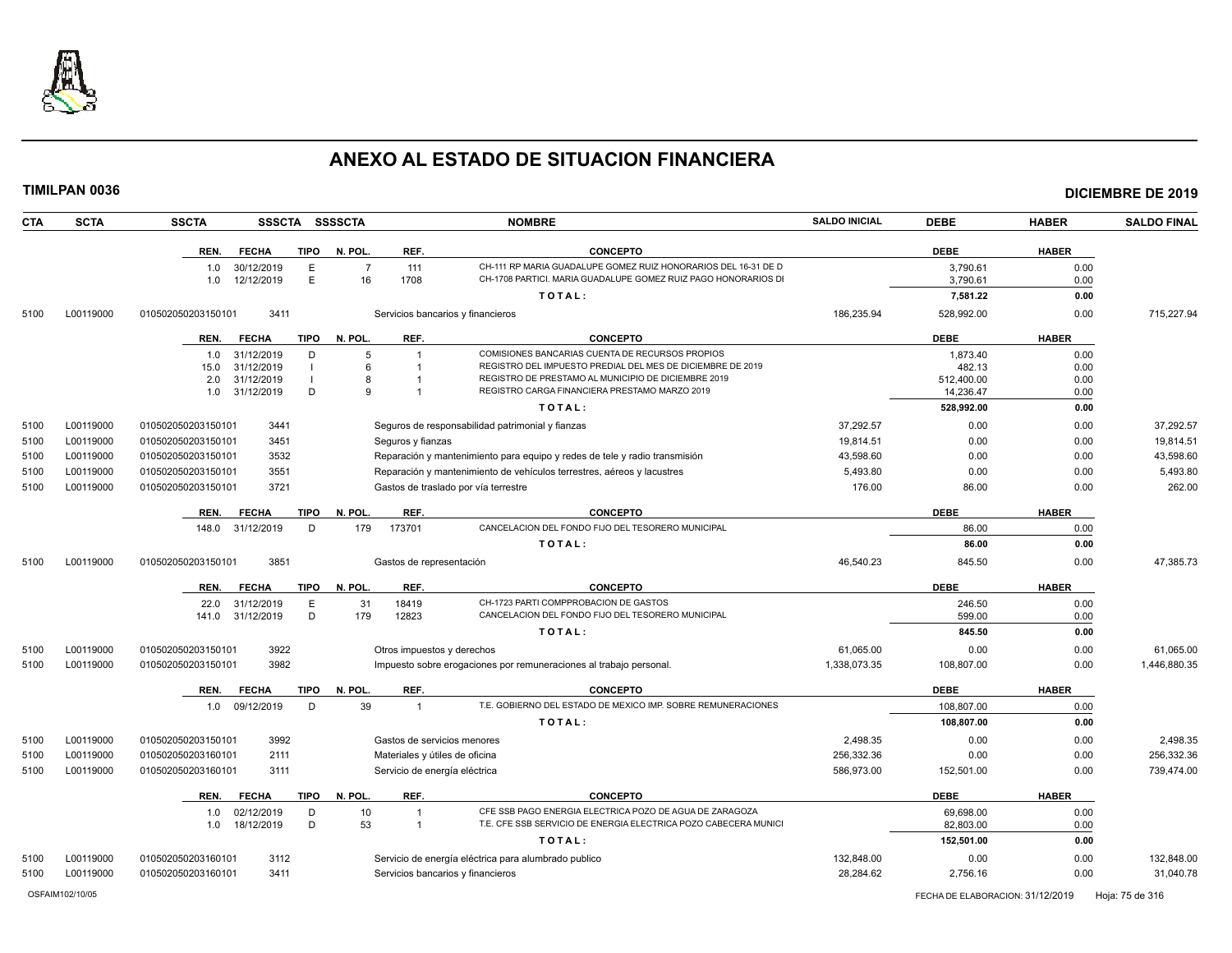

| <b>CTA</b> | <b>SCTA</b> | <b>SSCTA</b><br><b>SSSCTA</b>       | <b>SSSSCTA</b><br><b>NOMBRE</b>                                                         | <b>SALDO INICIAL</b> | <b>DEBE</b> | <b>HABER</b> | <b>SALDO FINAL</b> |
|------------|-------------|-------------------------------------|-----------------------------------------------------------------------------------------|----------------------|-------------|--------------|--------------------|
|            |             | <b>TIPO</b><br>REN.<br><b>FECHA</b> | N. POL.<br>REF.<br><b>CONCEPTO</b>                                                      |                      | <b>DEBE</b> | <b>HABER</b> |                    |
|            |             | 30/12/2019<br>E<br>1.0              | CH-111 RP MARIA GUADALUPE GOMEZ RUIZ HONORARIOS DEL 16-31 DE D<br>$\overline{7}$<br>111 |                      | 3.790.61    | 0.00         |                    |
|            |             | E<br>12/12/2019<br>1.0              | 1708<br>16<br>CH-1708 PARTICI. MARIA GUADALUPE GOMEZ RUIZ PAGO HONORARIOS DI            |                      | 3,790.61    | 0.00         |                    |
|            |             |                                     | TOTAL:                                                                                  |                      | 7,581.22    | 0.00         |                    |
| 5100       | L00119000   | 010502050203150101<br>3411          | Servicios bancarios y financieros                                                       | 186,235.94           | 528,992.00  | 0.00         | 715,227.94         |
|            |             | <b>TIPO</b><br>REN.<br><b>FECHA</b> | N. POL.<br>REF.<br><b>CONCEPTO</b>                                                      |                      | <b>DEBE</b> | <b>HABER</b> |                    |
|            |             | 31/12/2019<br>D<br>1.0              | COMISIONES BANCARIAS CUENTA DE RECURSOS PROPIOS<br>5                                    |                      | 1.873.40    | 0.00         |                    |
|            |             | 31/12/2019<br>15.0<br>$\mathbf{I}$  | REGISTRO DEL IMPUESTO PREDIAL DEL MES DE DICIEMBRE DE 2019<br>6                         |                      | 482.13      | 0.00         |                    |
|            |             | 31/12/2019<br>2.0                   | REGISTRO DE PRESTAMO AL MUNICIPIO DE DICIEMBRE 2019<br>8                                |                      | 512,400.00  | 0.00         |                    |
|            |             | D<br>1.0 31/12/2019                 | REGISTRO CARGA FINANCIERA PRESTAMO MARZO 2019<br>9                                      |                      | 14.236.47   | 0.00         |                    |
|            |             |                                     | TOTAL:                                                                                  |                      | 528,992.00  | 0.00         |                    |
| 5100       | L00119000   | 3441<br>010502050203150101          | Seguros de responsabilidad patrimonial y fianzas                                        | 37,292.57            | 0.00        | 0.00         | 37,292.57          |
| 5100       | L00119000   | 010502050203150101<br>3451          | Seguros y fianzas                                                                       | 19,814.51            | 0.00        | 0.00         | 19,814.51          |
| 5100       | L00119000   | 010502050203150101<br>3532          | Reparación y mantenimiento para equipo y redes de tele y radio transmisión              | 43,598.60            | 0.00        | 0.00         | 43,598.60          |
| 5100       | L00119000   | 010502050203150101<br>3551          | Reparación y mantenimiento de vehículos terrestres, aéreos y lacustres                  | 5,493.80             | 0.00        | 0.00         | 5,493.80           |
| 5100       | L00119000   | 3721<br>010502050203150101          | Gastos de traslado por vía terrestre                                                    | 176.00               | 86.00       | 0.00         | 262.00             |
|            |             | <b>TIPO</b><br>REN.<br><b>FECHA</b> | N. POL.<br>REF.<br><b>CONCEPTO</b>                                                      |                      | <b>DEBE</b> | <b>HABER</b> |                    |
|            |             | 31/12/2019<br>D<br>148.0            | CANCELACION DEL FONDO FIJO DEL TESORERO MUNICIPAL<br>179<br>173701                      |                      | 86.00       | 0.00         |                    |
|            |             |                                     | TOTAL:                                                                                  |                      | 86.00       | 0.00         |                    |
| 5100       | L00119000   | 3851<br>010502050203150101          | Gastos de representación                                                                | 46.540.23            | 845.50      | 0.00         | 47.385.73          |
|            |             | <b>FECHA</b><br>TIPO<br>REN.        | REF.<br><b>CONCEPTO</b><br>N. POL.                                                      |                      | <b>DEBE</b> | <b>HABER</b> |                    |
|            |             | E<br>22.0<br>31/12/2019             | CH-1723 PARTI COMPPROBACION DE GASTOS<br>18419<br>31                                    |                      | 246.50      | 0.00         |                    |
|            |             | D<br>141.0 31/12/2019               | CANCELACION DEL FONDO FIJO DEL TESORERO MUNICIPAL<br>179<br>12823                       |                      | 599.00      | 0.00         |                    |
|            |             |                                     | TOTAL:                                                                                  |                      | 845.50      | 0.00         |                    |
| 5100       | L00119000   | 010502050203150101<br>3922          | Otros impuestos y derechos                                                              | 61,065.00            | 0.00        | 0.00         | 61,065.00          |
| 5100       | L00119000   | 010502050203150101<br>3982          | Impuesto sobre erogaciones por remuneraciones al trabajo personal.                      | 1,338,073.35         | 108,807.00  | 0.00         | 1,446,880.35       |
|            |             | <b>FECHA</b><br><b>TIPO</b><br>REN. | N. POL.<br>REF.<br><b>CONCEPTO</b>                                                      |                      | <b>DEBE</b> | <b>HABER</b> |                    |
|            |             | 1.0 09/12/2019<br>D                 | 39<br>T.E. GOBIERNO DEL ESTADO DE MEXICO IMP. SOBRE REMUNERACIONES<br>$\overline{1}$    |                      | 108,807.00  | 0.00         |                    |
|            |             |                                     | TOTAL:                                                                                  |                      | 108,807.00  | 0.00         |                    |
| 5100       | L00119000   | 3992<br>010502050203150101          | Gastos de servicios menores                                                             | 2,498.35             | 0.00        | 0.00         | 2,498.35           |
| 5100       | L00119000   | 010502050203160101<br>2111          | Materiales y útiles de oficina                                                          | 256,332.36           | 0.00        | 0.00         | 256,332.36         |
| 5100       | L00119000   | 010502050203160101<br>3111          | Servicio de energía eléctrica                                                           | 586.973.00           | 152,501.00  | 0.00         | 739.474.00         |
|            |             | REN.<br><b>FECHA</b><br><b>TIPO</b> | REF.<br><b>CONCEPTO</b><br>N. POL.                                                      |                      | <b>DEBE</b> | <b>HABER</b> |                    |
|            |             | 02/12/2019<br>D<br>1.0              | CFE SSB PAGO ENERGIA ELECTRICA POZO DE AGUA DE ZARAGOZA<br>10<br>$\overline{1}$         |                      | 69,698.00   | 0.00         |                    |
|            |             | D<br>18/12/2019<br>1.0              | 53<br>T.E. CFE SSB SERVICIO DE ENERGIA ELECTRICA POZO CABECERA MUNICI<br>-1             |                      | 82,803.00   | 0.00         |                    |
|            |             |                                     |                                                                                         |                      |             |              |                    |
|            |             |                                     | TOTAL:                                                                                  |                      | 152,501.00  | 0.00         |                    |
| 5100       | L00119000   | 3112<br>010502050203160101          | Servicio de energía eléctrica para alumbrado publico                                    | 132,848.00           | 0.00        | 0.00         | 132,848.00         |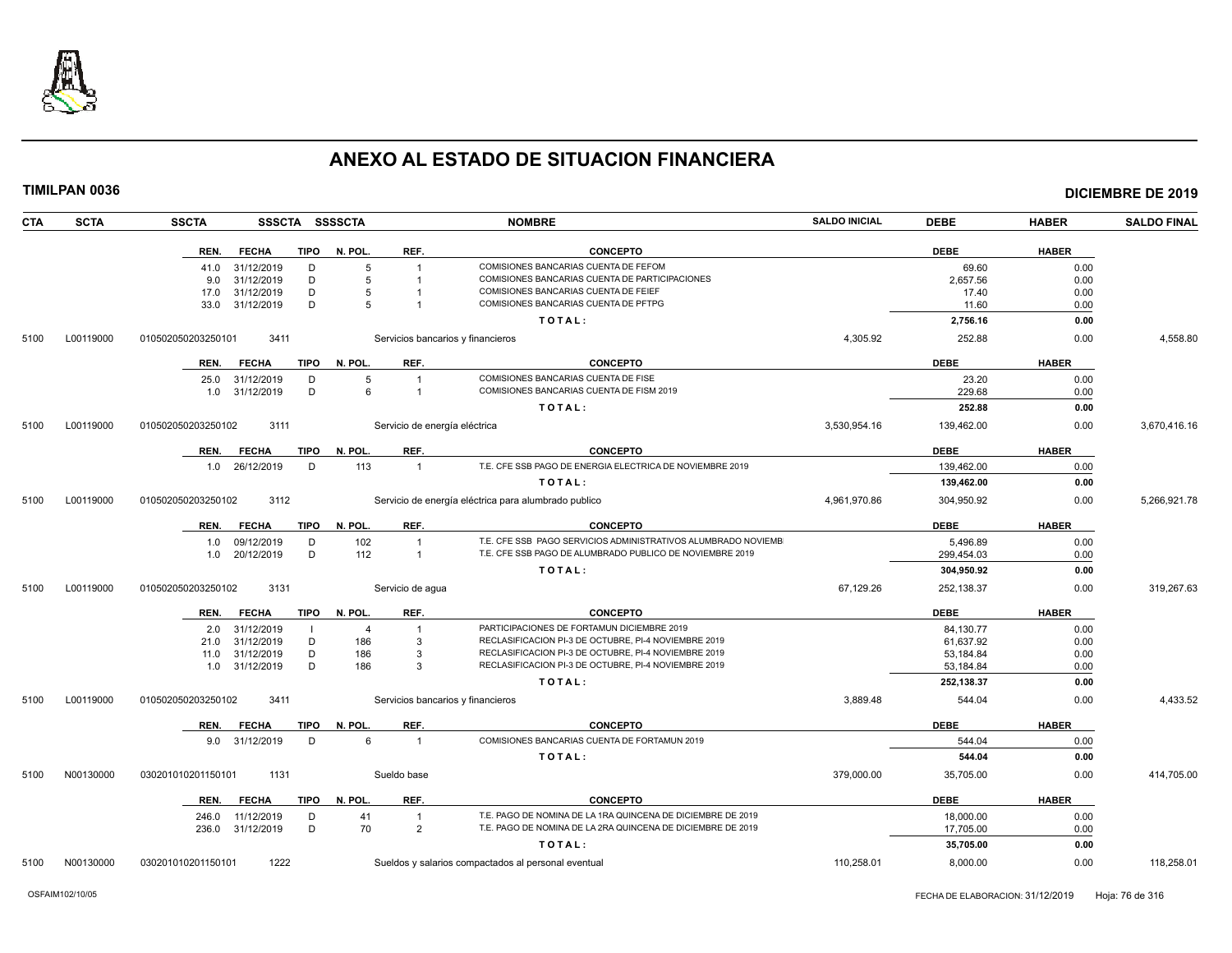

| <b>CTA</b> | <b>SCTA</b> | <b>SSCTA</b><br>SSSCTA SSSSCTA      |                                   | <b>NOMBRE</b>                                                 | <b>SALDO INICIAL</b> | <b>DEBE</b> | <b>HABER</b> | <b>SALDO FINAL</b> |
|------------|-------------|-------------------------------------|-----------------------------------|---------------------------------------------------------------|----------------------|-------------|--------------|--------------------|
|            |             | REN.<br><b>FECHA</b><br>TIPO        | N. POL.<br>REF.                   | <b>CONCEPTO</b>                                               |                      | <b>DEBE</b> | <b>HABER</b> |                    |
|            |             | 41.0 31/12/2019<br>D                | 5                                 | COMISIONES BANCARIAS CUENTA DE FEFOM                          |                      | 69.60       | 0.00         |                    |
|            |             | 31/12/2019<br>D<br>9.0              | 5                                 | COMISIONES BANCARIAS CUENTA DE PARTICIPACIONES                |                      | 2,657.56    | 0.00         |                    |
|            |             | 31/12/2019<br>D<br>17.0             | 5                                 | COMISIONES BANCARIAS CUENTA DE FEIEF                          |                      | 17.40       | 0.00         |                    |
|            |             | 31/12/2019<br>D<br>33.0             | 5                                 | COMISIONES BANCARIAS CUENTA DE PFTPG                          |                      | 11.60       | 0.00         |                    |
|            |             |                                     |                                   | TOTAL:                                                        |                      | 2,756.16    | 0.00         |                    |
| 5100       | L00119000   | 3411<br>010502050203250101          | Servicios bancarios y financieros |                                                               | 4,305.92             | 252.88      | 0.00         | 4,558.80           |
|            |             | <b>FECHA</b><br><b>TIPO</b><br>REN. | N. POL.<br>REF.                   | <b>CONCEPTO</b>                                               |                      | <b>DEBE</b> | <b>HABER</b> |                    |
|            |             | 31/12/2019<br>25.0<br>D             | 5                                 | COMISIONES BANCARIAS CUENTA DE FISE                           |                      | 23.20       | 0.00         |                    |
|            |             | 31/12/2019<br>D<br>1.0              | 6<br>$\overline{1}$               | COMISIONES BANCARIAS CUENTA DE FISM 2019                      |                      | 229.68      | 0.00         |                    |
|            |             |                                     |                                   | TOTAL:                                                        |                      | 252.88      | 0.00         |                    |
| 5100       | L00119000   | 3111<br>010502050203250102          | Servicio de energía eléctrica     |                                                               | 3,530,954.16         | 139,462.00  | 0.00         | 3,670,416.16       |
|            |             | <b>TIPO</b><br>REN.<br><b>FECHA</b> | N. POL.<br>REF.                   | <b>CONCEPTO</b>                                               |                      | <b>DEBE</b> | <b>HABER</b> |                    |
|            |             | 1.0 26/12/2019<br>D                 | 113<br>$\overline{1}$             | T.E. CFE SSB PAGO DE ENERGIA ELECTRICA DE NOVIEMBRE 2019      |                      | 139,462.00  | 0.00         |                    |
|            |             |                                     |                                   | TOTAL:                                                        |                      | 139,462.00  | 0.00         |                    |
| 5100       | L00119000   | 010502050203250102<br>3112          |                                   | Servicio de energía eléctrica para alumbrado publico          | 4.961.970.86         | 304.950.92  | 0.00         | 5.266.921.78       |
|            |             | <b>TIPO</b><br><b>FECHA</b><br>REN. | REF.<br>N. POL.                   | <b>CONCEPTO</b>                                               |                      | <b>DEBE</b> | <b>HABER</b> |                    |
|            |             | 09/12/2019<br>D<br>1.0              | 102<br>$\overline{1}$             | T.E. CFE SSB PAGO SERVICIOS ADMINISTRATIVOS ALUMBRADO NOVIEMB |                      | 5,496.89    | 0.00         |                    |
|            |             | D<br>1.0 20/12/2019                 | 112<br>$\overline{1}$             | T.E. CFE SSB PAGO DE ALUMBRADO PUBLICO DE NOVIEMBRE 2019      |                      | 299,454.03  | 0.00         |                    |
|            |             |                                     |                                   | TOTAL:                                                        |                      | 304,950.92  | 0.00         |                    |
| 5100       | L00119000   | 010502050203250102<br>3131          | Servicio de agua                  |                                                               | 67,129.26            | 252,138.37  | 0.00         | 319,267.63         |
|            |             | <b>FECHA</b><br><b>TIPO</b><br>REN. | REF.<br>N. POL.                   | <b>CONCEPTO</b>                                               |                      | <b>DEBE</b> | <b>HABER</b> |                    |
|            |             | 31/12/2019<br>2.0                   | $\overline{4}$<br>$\overline{1}$  | PARTICIPACIONES DE FORTAMUN DICIEMBRE 2019                    |                      | 84,130.77   | 0.00         |                    |
|            |             | 31/12/2019<br>D<br>21.0             | 186<br>-3                         | RECLASIFICACION PI-3 DE OCTUBRE, PI-4 NOVIEMBRE 2019          |                      | 61.637.92   | 0.00         |                    |
|            |             | D<br>31/12/2019<br>11.0             | 186<br>-3                         | RECLASIFICACION PI-3 DE OCTUBRE, PI-4 NOVIEMBRE 2019          |                      | 53,184.84   | 0.00         |                    |
|            |             | D<br>31/12/2019<br>1.0              | 186<br>$\mathbf{3}$               | RECLASIFICACION PI-3 DE OCTUBRE, PI-4 NOVIEMBRE 2019          |                      | 53,184.84   | 0.00         |                    |
|            |             |                                     |                                   | TOTAL:                                                        |                      | 252,138.37  | 0.00         |                    |
| 5100       | L00119000   | 010502050203250102<br>3411          | Servicios bancarios y financieros |                                                               | 3,889.48             | 544.04      | 0.00         | 4,433.52           |
|            |             | REN.<br><b>FECHA</b><br>TIPO        | REF.<br>N. POL.                   | <b>CONCEPTO</b>                                               |                      | <b>DEBE</b> | <b>HABER</b> |                    |
|            |             | 9.0 31/12/2019<br>D                 | 6<br>$\overline{1}$               | COMISIONES BANCARIAS CUENTA DE FORTAMUN 2019                  |                      | 544.04      | 0.00         |                    |
|            |             |                                     |                                   | TOTAL:                                                        |                      | 544.04      | 0.00         |                    |
| 5100       | N00130000   | 1131<br>030201010201150101          | Sueldo base                       |                                                               | 379,000.00           | 35,705.00   | 0.00         | 414,705.00         |
|            |             | <b>FECHA</b><br>REN.                | TIPO N. POL.<br>REF.              | <b>CONCEPTO</b>                                               |                      | <b>DEBE</b> | <b>HABER</b> |                    |
|            |             | 11/12/2019<br>D<br>246.0            | 41<br>$\overline{1}$              | T.E. PAGO DE NOMINA DE LA 1RA QUINCENA DE DICIEMBRE DE 2019   |                      | 18,000.00   | 0.00         |                    |
|            |             | 236.0 31/12/2019<br>D               | 70<br>$\overline{2}$              | T.E. PAGO DE NOMINA DE LA 2RA QUINCENA DE DICIEMBRE DE 2019   |                      | 17,705.00   | 0.00         |                    |
|            |             |                                     |                                   | TOTAL:                                                        |                      | 35,705.00   | 0.00         |                    |
| 5100       | N00130000   | 1222<br>030201010201150101          |                                   | Sueldos y salarios compactados al personal eventual           | 110.258.01           | 8.000.00    | 0.00         | 118.258.01         |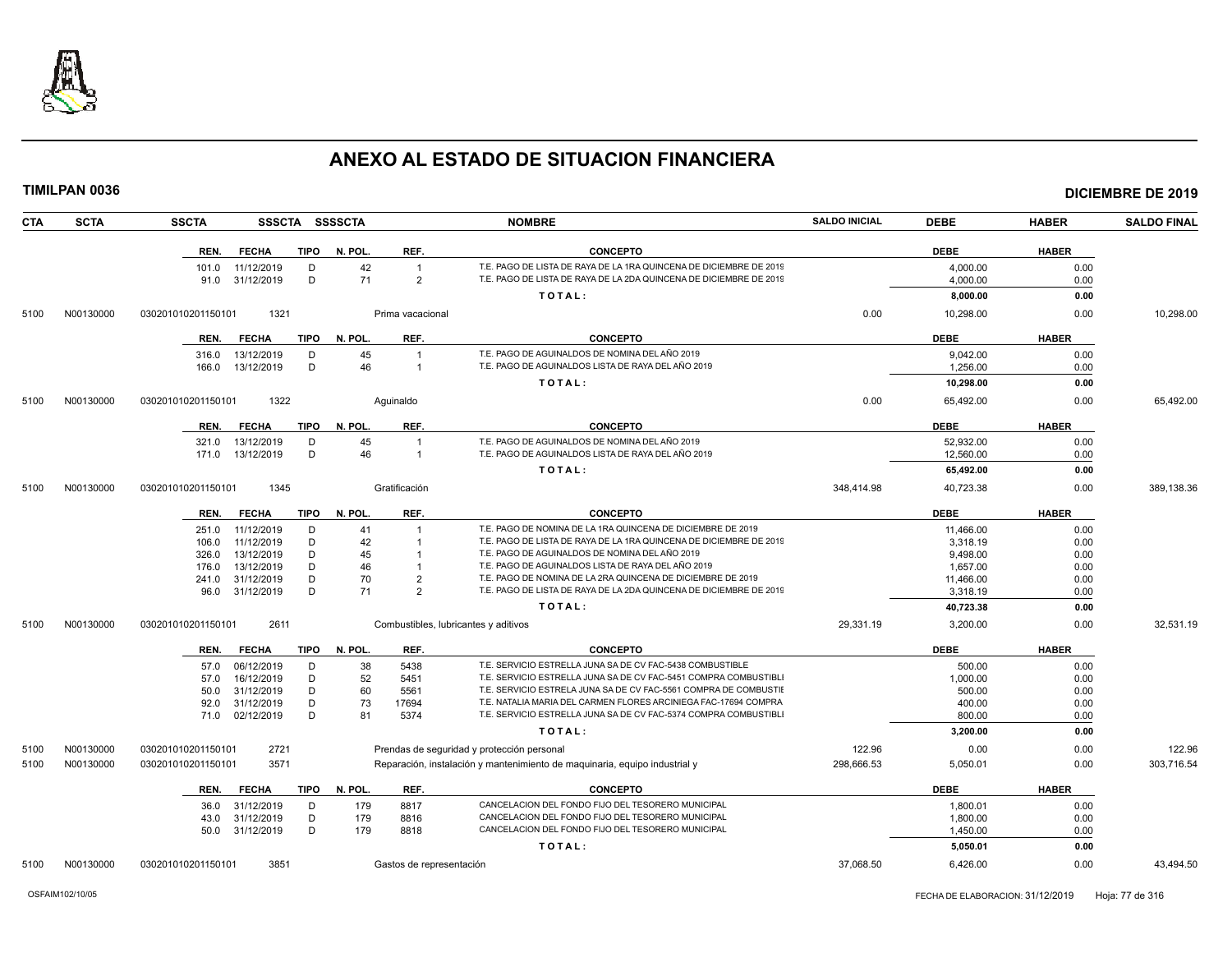

| <b>CTA</b> | <b>SCTA</b> | <b>SSCTA</b>                               | SSSCTA SSSSCTA     |                                      | <b>NOMBRE</b>                                                                                                     | <b>SALDO INICIAL</b> | <b>DEBE</b>           | <b>HABER</b> | <b>SALDO FINAL</b> |
|------------|-------------|--------------------------------------------|--------------------|--------------------------------------|-------------------------------------------------------------------------------------------------------------------|----------------------|-----------------------|--------------|--------------------|
|            |             | <b>FECHA</b><br>TIPO<br>REN.               | N. POL.            | REF.                                 | <b>CONCEPTO</b>                                                                                                   |                      | <b>DEBE</b>           | <b>HABER</b> |                    |
|            |             | 11/12/2019<br>101.0                        | 42<br>D            | $\overline{1}$                       | T.E. PAGO DE LISTA DE RAYA DE LA 1RA QUINCENA DE DICIEMBRE DE 2019                                                |                      | 4,000.00              | 0.00         |                    |
|            |             | 91.0 31/12/2019                            | D<br>71            | $\overline{2}$                       | T.E. PAGO DE LISTA DE RAYA DE LA 2DA QUINCENA DE DICIEMBRE DE 2019                                                |                      | 4.000.00              | 0.00         |                    |
|            |             |                                            |                    |                                      | TOTAL:                                                                                                            |                      | 8,000.00              | 0.00         |                    |
| 5100       | N00130000   | 030201010201150101<br>1321                 |                    | Prima vacacional                     |                                                                                                                   | 0.00                 | 10,298.00             | 0.00         | 10,298.00          |
|            |             | <b>FECHA</b><br>REN.                       | TIPO N. POL.       | REF.                                 | <b>CONCEPTO</b>                                                                                                   |                      | <b>DEBE</b>           | <b>HABER</b> |                    |
|            |             | 13/12/2019<br>316.0                        | 45<br>D            | $\overline{1}$                       | T.E. PAGO DE AGUINALDOS DE NOMINA DEL AÑO 2019                                                                    |                      | 9.042.00              | 0.00         |                    |
|            |             | 166.0<br>13/12/2019                        | D<br>46            | $\overline{1}$                       | T.E. PAGO DE AGUINALDOS LISTA DE RAYA DEL AÑO 2019                                                                |                      | 1.256.00              | 0.00         |                    |
|            |             |                                            |                    |                                      | TOTAL:                                                                                                            |                      | 10,298.00             | 0.00         |                    |
| 5100       | N00130000   | 1322<br>030201010201150101                 |                    | Aquinaldo                            |                                                                                                                   | 0.00                 | 65,492.00             | 0.00         | 65,492.00          |
|            |             | REN.<br><b>FECHA</b>                       | TIPO N. POL.       | REF.                                 | <b>CONCEPTO</b>                                                                                                   |                      | <b>DEBE</b>           | <b>HABER</b> |                    |
|            |             | 13/12/2019<br>321.0                        | 45<br>D            | $\overline{1}$                       | T.E. PAGO DE AGUINALDOS DE NOMINA DEL AÑO 2019                                                                    |                      | 52,932.00             | 0.00         |                    |
|            |             | 13/12/2019<br>171.0                        | 46<br>D            | $\overline{1}$                       | T.E. PAGO DE AGUINALDOS LISTA DE RAYA DEL AÑO 2019                                                                |                      | 12.560.00             | 0.00         |                    |
|            |             |                                            |                    |                                      | TOTAL:                                                                                                            |                      | 65,492.00             | 0.00         |                    |
| 5100       | N00130000   | 030201010201150101<br>1345                 |                    | Gratificación                        |                                                                                                                   | 348,414.98           | 40,723.38             | 0.00         | 389,138.36         |
|            |             | <b>FECHA</b><br>TIPO<br>REN.               | N. POL.            | REF.                                 | <b>CONCEPTO</b>                                                                                                   |                      | <b>DEBE</b>           | <b>HABER</b> |                    |
|            |             | 11/12/2019<br>251.0                        | 41<br>D            |                                      | T.E. PAGO DE NOMINA DE LA 1RA QUINCENA DE DICIEMBRE DE 2019                                                       |                      | 11.466.00             | 0.00         |                    |
|            |             | 11/12/2019<br>106.0                        | D<br>42            |                                      | T.E. PAGO DE LISTA DE RAYA DE LA 1RA QUINCENA DE DICIEMBRE DE 2019                                                |                      | 3,318.19              | 0.00         |                    |
|            |             | 13/12/2019<br>326.0                        | D<br>45            |                                      | T.E. PAGO DE AGUINALDOS DE NOMINA DEL AÑO 2019                                                                    |                      | 9,498.00              | 0.00         |                    |
|            |             | 13/12/2019<br>176.0<br>31/12/2019<br>241.0 | D<br>46<br>D<br>70 | $\mathbf{1}$<br>$\overline{2}$       | T.E. PAGO DE AGUINALDOS LISTA DE RAYA DEL AÑO 2019<br>T.E. PAGO DE NOMINA DE LA 2RA QUINCENA DE DICIEMBRE DE 2019 |                      | 1,657.00<br>11,466.00 | 0.00<br>0.00 |                    |
|            |             | 31/12/2019<br>96.0                         | D<br>71            | $\overline{2}$                       | T.E. PAGO DE LISTA DE RAYA DE LA 2DA QUINCENA DE DICIEMBRE DE 2019                                                |                      | 3,318.19              | 0.00         |                    |
|            |             |                                            |                    |                                      | TOTAL:                                                                                                            |                      | 40,723.38             | 0.00         |                    |
| 5100       | N00130000   | 030201010201150101<br>2611                 |                    | Combustibles, lubricantes y aditivos |                                                                                                                   | 29,331.19            | 3,200.00              | 0.00         | 32,531.19          |
|            |             | <b>FECHA</b><br>TIPO<br>REN.               | N. POL.            | REF.                                 | <b>CONCEPTO</b>                                                                                                   |                      | <b>DEBE</b>           | <b>HABER</b> |                    |
|            |             | 06/12/2019<br>57.0                         | 38<br>D            | 5438                                 | T.E. SERVICIO ESTRELLA JUNA SA DE CV FAC-5438 COMBUSTIBLE                                                         |                      | 500.00                | 0.00         |                    |
|            |             | 16/12/2019<br>57.0                         | 52<br>D            | 5451                                 | T.E. SERVICIO ESTRELLA JUNA SA DE CV FAC-5451 COMPRA COMBUSTIBLI                                                  |                      | 1,000.00              | 0.00         |                    |
|            |             | 31/12/2019<br>50.0                         | D<br>60            | 5561                                 | T.E. SERVICIO ESTRELA JUNA SA DE CV FAC-5561 COMPRA DE COMBUSTIE                                                  |                      | 500.00                | 0.00         |                    |
|            |             | 31/12/2019<br>92.0                         | 73<br>D            | 17694                                | T.E. NATALIA MARIA DEL CARMEN FLORES ARCINIEGA FAC-17694 COMPRA                                                   |                      | 400.00                | 0.00         |                    |
|            |             | 71.0 02/12/2019                            | D<br>81            | 5374                                 | T.E. SERVICIO ESTRELLA JUNA SA DE CV FAC-5374 COMPRA COMBUSTIBLI                                                  |                      | 800.00                | 0.00         |                    |
|            |             |                                            |                    |                                      | TOTAL:                                                                                                            |                      | 3,200.00              | 0.00         |                    |
| 5100       | N00130000   | 2721<br>030201010201150101                 |                    |                                      | Prendas de seguridad y protección personal                                                                        | 122.96               | 0.00                  | 0.00         | 122.96             |
| 5100       | N00130000   | 3571<br>030201010201150101                 |                    |                                      | Reparación, instalación y mantenimiento de maquinaria, equipo industrial y                                        | 298,666.53           | 5,050.01              | 0.00         | 303,716.54         |
|            |             | REN.<br><b>FECHA</b>                       | TIPO<br>N. POL.    | REF.                                 | <b>CONCEPTO</b>                                                                                                   |                      | <b>DEBE</b>           | <b>HABER</b> |                    |
|            |             | 31/12/2019<br>36.0                         | D<br>179           | 8817                                 | CANCELACION DEL FONDO FIJO DEL TESORERO MUNICIPAL                                                                 |                      | 1,800.01              | 0.00         |                    |
|            |             | 31/12/2019<br>43.0                         | D<br>179           | 8816                                 | CANCELACION DEL FONDO FIJO DEL TESORERO MUNICIPAL                                                                 |                      | 1,800.00              | 0.00         |                    |
|            |             | 50.0 31/12/2019                            | D<br>179           | 8818                                 | CANCELACION DEL FONDO FIJO DEL TESORERO MUNICIPAL<br>TOTAL:                                                       |                      | 1,450.00<br>5,050.01  | 0.00<br>0.00 |                    |
| 5100       | N00130000   | 030201010201150101<br>3851                 |                    | Gastos de representación             |                                                                                                                   | 37,068.50            | 6,426.00              | 0.00         | 43.494.50          |
|            |             |                                            |                    |                                      |                                                                                                                   |                      |                       |              |                    |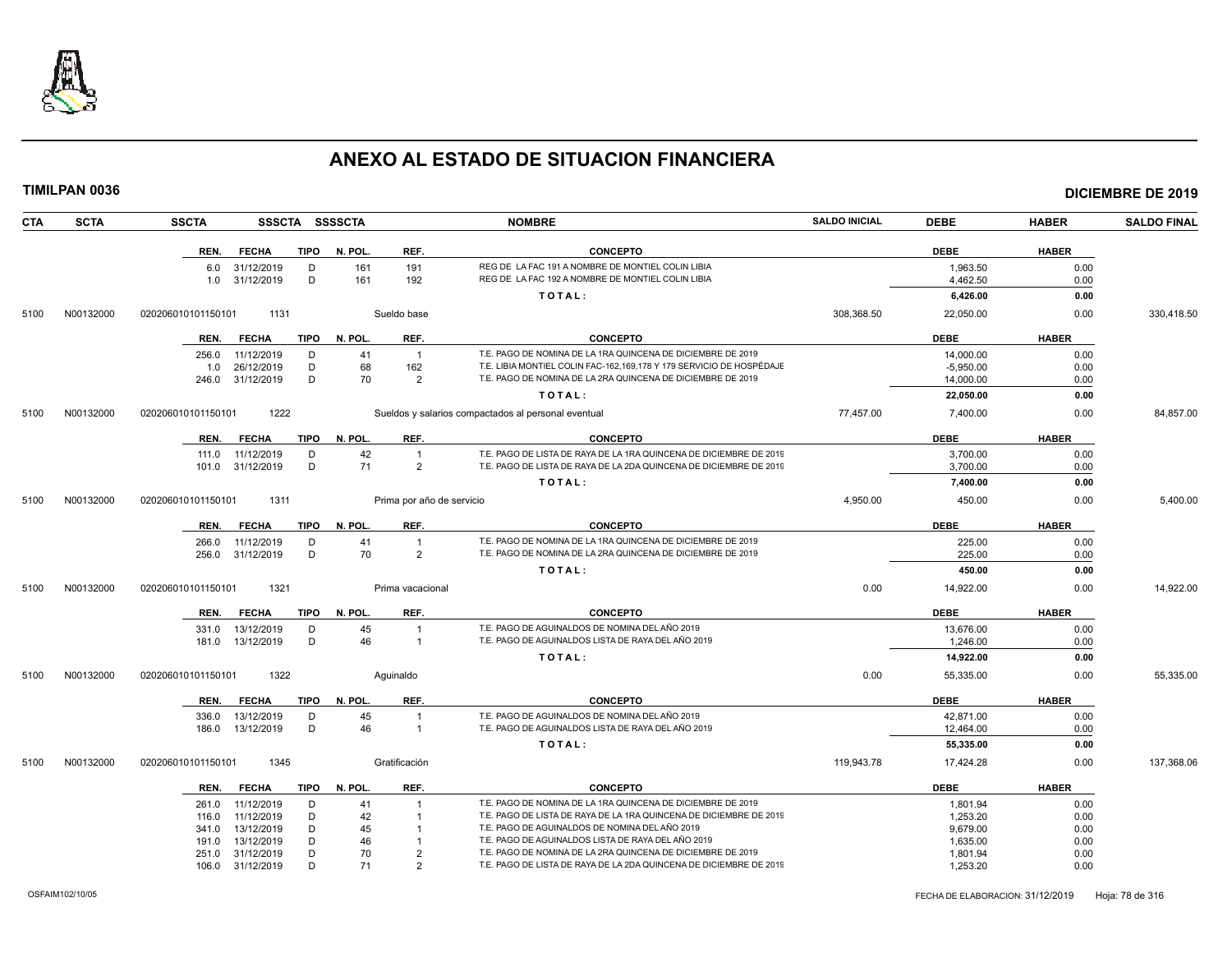

|      | <b>TIMILPAN 0036</b> |                    |       |                              |             |                |                           |                                                                                                                      |                      |                      |              | <b>DICIEMBRE DE 2019</b> |
|------|----------------------|--------------------|-------|------------------------------|-------------|----------------|---------------------------|----------------------------------------------------------------------------------------------------------------------|----------------------|----------------------|--------------|--------------------------|
| CTA  | <b>SCTA</b>          | <b>SSCTA</b>       |       |                              |             | SSSCTA SSSSCTA |                           | <b>NOMBRE</b>                                                                                                        | <b>SALDO INICIAL</b> | <b>DEBE</b>          | <b>HABER</b> | <b>SALDO FINAL</b>       |
|      |                      |                    | REN.  | <b>FECHA</b>                 | TIPO        | N. POL.        | REF.                      | <b>CONCEPTO</b>                                                                                                      |                      | <b>DEBE</b>          | <b>HABER</b> |                          |
|      |                      |                    | 6.0   | 31/12/2019<br>1.0 31/12/2019 | D<br>D      | 161<br>161     | 191<br>192                | REG DE LA FAC 191 A NOMBRE DE MONTIEL COLIN LIBIA<br>REG DE LA FAC 192 A NOMBRE DE MONTIEL COLIN LIBIA               |                      | 1,963.50<br>4,462.50 | 0.00<br>0.00 |                          |
|      |                      |                    |       |                              |             |                |                           | TOTAL:                                                                                                               |                      | 6,426.00             | 0.00         |                          |
| 5100 | N00132000            | 020206010101150101 |       | 1131                         |             |                | Sueldo base               |                                                                                                                      | 308,368.50           | 22,050.00            | 0.00         | 330,418.50               |
|      |                      |                    | REN.  | <b>FECHA</b>                 | TIPO        | N. POL.        | REF.                      | <b>CONCEPTO</b>                                                                                                      |                      | <b>DEBE</b>          | <b>HABER</b> |                          |
|      |                      | 256.0              |       | 11/12/2019                   | D           | 41             | $\overline{1}$            | T.E. PAGO DE NOMINA DE LA 1RA QUINCENA DE DICIEMBRE DE 2019                                                          |                      | 14,000.00            | 0.00         |                          |
|      |                      |                    | 1.0   | 26/12/2019                   | D           | 68             | 162                       | T.E. LIBIA MONTIEL COLIN FAC-162,169,178 Y 179 SERVICIO DE HOSPÉDAJE                                                 |                      | $-5,950.00$          | 0.00         |                          |
|      |                      |                    | 246.0 | 31/12/2019                   | D           | 70             | $\overline{2}$            | T.E. PAGO DE NOMINA DE LA 2RA QUINCENA DE DICIEMBRE DE 2019                                                          |                      | 14,000.00            | 0.00         |                          |
|      |                      |                    |       |                              |             |                |                           | TOTAL:                                                                                                               |                      | 22,050.00            | 0.00         |                          |
| 5100 | N00132000            | 020206010101150101 |       | 1222                         |             |                |                           | Sueldos y salarios compactados al personal eventual                                                                  | 77,457.00            | 7,400.00             | 0.00         | 84,857.00                |
|      |                      | REN.               |       | <b>FECHA</b>                 | <b>TIPO</b> | N. POL.        | REF.                      | <b>CONCEPTO</b>                                                                                                      |                      | <b>DEBE</b>          | <b>HABER</b> |                          |
|      |                      |                    | 111.0 | 11/12/2019                   | D           | 42             | $\overline{1}$            | T.E. PAGO DE LISTA DE RAYA DE LA 1RA QUINCENA DE DICIEMBRE DE 2019                                                   |                      | 3,700.00             | 0.00         |                          |
|      |                      | 101.0              |       | 31/12/2019                   | D           | 71             | $\overline{2}$            | T.E. PAGO DE LISTA DE RAYA DE LA 2DA QUINCENA DE DICIEMBRE DE 2019                                                   |                      | 3,700.00             | 0.00         |                          |
|      |                      |                    |       |                              |             |                |                           | TOTAL:                                                                                                               |                      | 7,400.00             | 0.00         |                          |
| 5100 | N00132000            | 020206010101150101 |       | 1311                         |             |                | Prima por año de servicio |                                                                                                                      | 4,950.00             | 450.00               | 0.00         | 5,400.00                 |
|      |                      |                    | REN.  | <b>FECHA</b>                 | TIPO        | N. POL.        | REF.                      | <b>CONCEPTO</b>                                                                                                      |                      | <b>DEBE</b>          | <b>HABER</b> |                          |
|      |                      | 266.0              |       | 11/12/2019                   | D           | 41             | $\overline{1}$            | T.E. PAGO DE NOMINA DE LA 1RA QUINCENA DE DICIEMBRE DE 2019                                                          |                      | 225.00               | 0.00         |                          |
|      |                      |                    | 256.0 | 31/12/2019                   | D           | 70             | $\overline{2}$            | T.E. PAGO DE NOMINA DE LA 2RA QUINCENA DE DICIEMBRE DE 2019                                                          |                      | 225.00               | 0.00         |                          |
|      |                      |                    |       |                              |             |                |                           | TOTAL:                                                                                                               |                      | 450.00               | 0.00         |                          |
| 5100 | N00132000            | 020206010101150101 |       | 1321                         |             |                | Prima vacacional          |                                                                                                                      | 0.00                 | 14,922.00            | 0.00         | 14,922.00                |
|      |                      | REN.               |       | <b>FECHA</b>                 | <b>TIPO</b> | N. POL.        | REF.                      | <b>CONCEPTO</b>                                                                                                      |                      | <b>DEBE</b>          | <b>HABER</b> |                          |
|      |                      | 331.0              |       | 13/12/2019                   | D           | 45             | -1                        | T.E. PAGO DE AGUINALDOS DE NOMINA DEL AÑO 2019                                                                       |                      | 13.676.00            | 0.00         |                          |
|      |                      | 181.0              |       | 13/12/2019                   | D           | 46             | $\overline{1}$            | T.E. PAGO DE AGUINALDOS LISTA DE RAYA DEL AÑO 2019                                                                   |                      | 1,246.00             | 0.00         |                          |
|      |                      |                    |       |                              |             |                |                           | TOTAL:                                                                                                               |                      | 14,922.00            | 0.00         |                          |
| 5100 | N00132000            | 020206010101150101 |       | 1322                         |             |                | Aguinaldo                 |                                                                                                                      | 0.00                 | 55,335.00            | 0.00         | 55,335.00                |
|      |                      | REN.               |       | <b>FECHA</b>                 | <b>TIPO</b> | N. POL.        | REF.                      | <b>CONCEPTO</b>                                                                                                      |                      | <b>DEBE</b>          | <b>HABER</b> |                          |
|      |                      | 336.0              |       | 13/12/2019                   | D           | 45             | $\overline{1}$            | T.E. PAGO DE AGUINALDOS DE NOMINA DEL AÑO 2019<br>T.E. PAGO DE AGUINALDOS LISTA DE RAYA DEL AÑO 2019                 |                      | 42,871.00            | 0.00         |                          |
|      |                      | 186.0              |       | 13/12/2019                   | D           | 46             | $\overline{1}$            | TOTAL:                                                                                                               |                      | 12,464.00            | 0.00         |                          |
|      |                      |                    |       |                              |             |                |                           |                                                                                                                      |                      | 55,335.00            | 0.00         |                          |
| 5100 | N00132000            | 020206010101150101 |       | 1345                         |             |                | Gratificación             |                                                                                                                      | 119,943.78           | 17,424.28            | 0.00         | 137,368.06               |
|      |                      |                    | REN.  | <b>FECHA</b>                 | TIPO        | N. POL.        | REF.                      | <b>CONCEPTO</b>                                                                                                      |                      | <b>DEBE</b>          | <b>HABER</b> |                          |
|      |                      | 261.0              |       | 11/12/2019                   | D           | 41             | -1                        | T.E. PAGO DE NOMINA DE LA 1RA QUINCENA DE DICIEMBRE DE 2019                                                          |                      | 1,801.94             | 0.00         |                          |
|      |                      | 116.0              |       | 11/12/2019                   | D           | 42             | $\overline{1}$            | T.E. PAGO DE LISTA DE RAYA DE LA 1RA QUINCENA DE DICIEMBRE DE 2019<br>T.E. PAGO DE AGUINALDOS DE NOMINA DEL AÑO 2019 |                      | 1,253.20             | 0.00         |                          |
|      |                      | 341.0              |       | 13/12/2019                   | D<br>D      | 45             | $\overline{1}$            | T.E. PAGO DE AGUINALDOS LISTA DE RAYA DEL AÑO 2019                                                                   |                      | 9,679.00             | 0.00         |                          |
|      |                      | 191.0              | 251.0 | 13/12/2019<br>31/12/2019     | D           | 46<br>70       | $\overline{2}$            | T.E. PAGO DE NOMINA DE LA 2RA QUINCENA DE DICIEMBRE DE 2019                                                          |                      | 1,635.00<br>1,801.94 | 0.00<br>0.00 |                          |
|      |                      |                    |       | 106.0 31/12/2019             | D           | 71             | $\overline{2}$            | T.E. PAGO DE LISTA DE RAYA DE LA 2DA QUINCENA DE DICIEMBRE DE 2019                                                   |                      | 1,253.20             | 0.00         |                          |
|      |                      |                    |       |                              |             |                |                           |                                                                                                                      |                      |                      |              |                          |

106.0 31/12/2019 D 71 2 T.E. PAGO DE LISTA DE RAYA DE LA 2DA QUINCENA DE DICIEMBRE DE 2019 1,253.20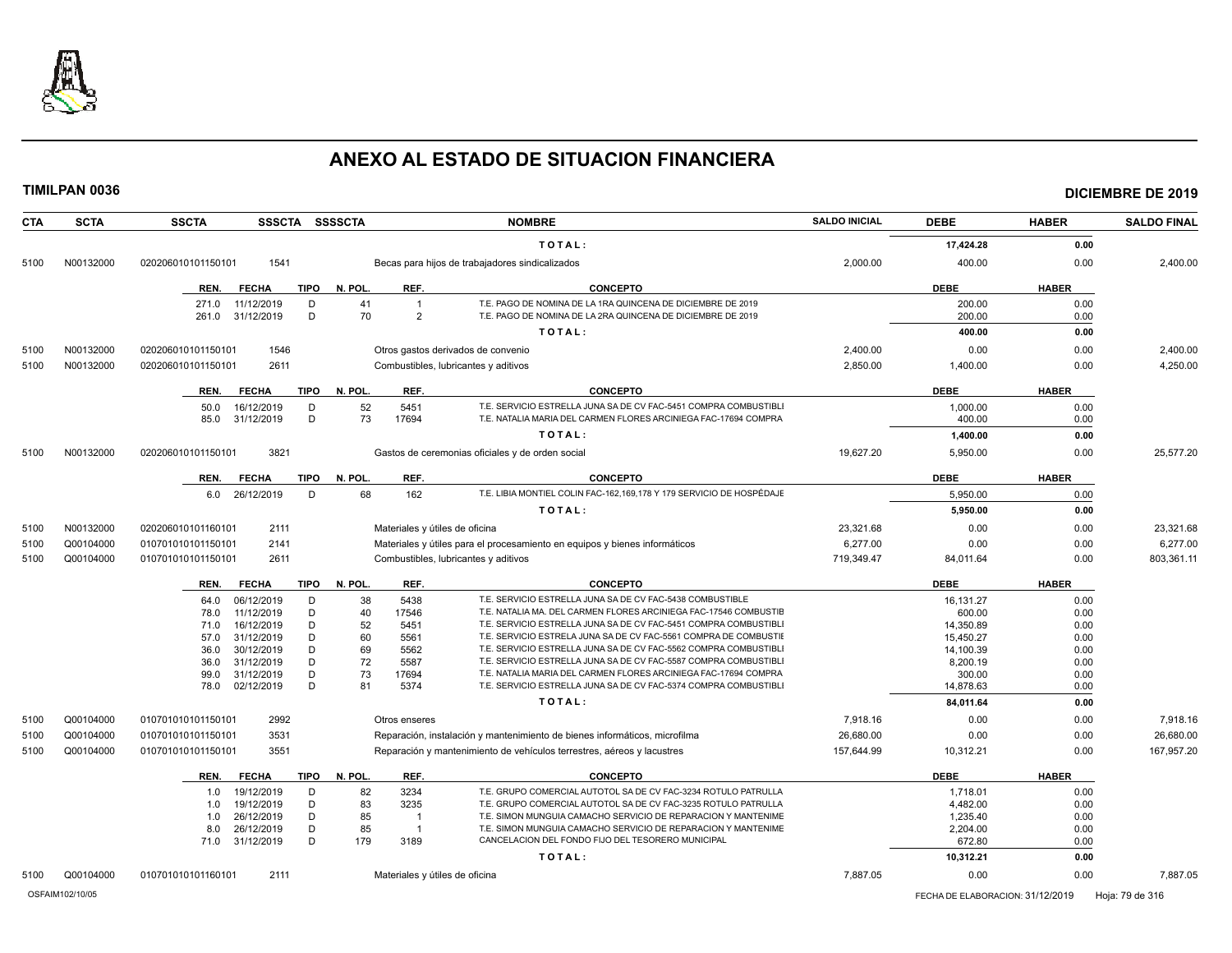

| <b>CTA</b>      | <b>SCTA</b> | <b>SSCTA</b>                             |             | SSSCTA SSSSCTA |                        | <b>NOMBRE</b>                                                                                                                        | <b>SALDO INICIAL</b> | <b>DEBE</b>                      | <b>HABER</b> | <b>SALDO FINAL</b> |
|-----------------|-------------|------------------------------------------|-------------|----------------|------------------------|--------------------------------------------------------------------------------------------------------------------------------------|----------------------|----------------------------------|--------------|--------------------|
|                 |             |                                          |             |                |                        | TOTAL:                                                                                                                               |                      | 17,424.28                        | 0.00         |                    |
| 5100            | N00132000   | 1541<br>020206010101150101               |             |                |                        | Becas para hijos de trabajadores sindicalizados                                                                                      | 2,000.00             | 400.00                           | 0.00         | 2,400.00           |
|                 |             | REN.<br><b>FECHA</b>                     | <b>TIPO</b> | N. POL.        | REF.                   | <b>CONCEPTO</b>                                                                                                                      |                      | <b>DEBE</b>                      | <b>HABER</b> |                    |
|                 |             | 271.0<br>11/12/2019                      | D           | 41             | $\overline{1}$         | T.E. PAGO DE NOMINA DE LA 1RA QUINCENA DE DICIEMBRE DE 2019                                                                          |                      | 200.00                           | 0.00         |                    |
|                 |             | 261.0<br>31/12/2019                      | D           | 70             | $\overline{2}$         | T.E. PAGO DE NOMINA DE LA 2RA QUINCENA DE DICIEMBRE DE 2019                                                                          |                      | 200.00                           | 0.00         |                    |
|                 |             |                                          |             |                |                        | TOTAL:                                                                                                                               |                      | 400.00                           | 0.00         |                    |
| 5100            | N00132000   | 1546<br>020206010101150101               |             |                |                        | Otros gastos derivados de convenio                                                                                                   | 2,400.00             | 0.00                             | 0.00         | 2,400.00           |
| 5100            | N00132000   | 020206010101150101<br>2611               |             |                |                        | Combustibles, lubricantes y aditivos                                                                                                 | 2,850.00             | 1,400.00                         | 0.00         | 4,250.00           |
|                 |             |                                          |             |                |                        |                                                                                                                                      |                      |                                  |              |                    |
|                 |             | <b>FECHA</b><br>REN.                     | <b>TIPO</b> | N. POL.        | REF.                   | <b>CONCEPTO</b>                                                                                                                      |                      | <b>DEBE</b>                      | <b>HABER</b> |                    |
|                 |             | 50.0<br>16/12/2019<br>85.0<br>31/12/2019 | D<br>D      | 52<br>73       | 5451<br>17694          | T.E. SERVICIO ESTRELLA JUNA SA DE CV FAC-5451 COMPRA COMBUSTIBLI<br>T.E. NATALIA MARIA DEL CARMEN FLORES ARCINIEGA FAC-17694 COMPRA  |                      | 1,000.00<br>400.00               | 0.00<br>0.00 |                    |
|                 |             |                                          |             |                |                        |                                                                                                                                      |                      |                                  |              |                    |
|                 |             |                                          |             |                |                        | TOTAL:                                                                                                                               |                      | 1,400.00                         | 0.00         |                    |
| 5100            | N00132000   | 3821<br>020206010101150101               |             |                |                        | Gastos de ceremonias oficiales y de orden social                                                                                     | 19,627.20            | 5,950.00                         | 0.00         | 25,577.20          |
|                 |             | REN.<br><b>FECHA</b>                     | <b>TIPO</b> | N. POL.        | REF.                   | <b>CONCEPTO</b>                                                                                                                      |                      | <b>DEBE</b>                      | <b>HABER</b> |                    |
|                 |             | 26/12/2019<br>6.0                        | D           | 68             | 162                    | T.E. LIBIA MONTIEL COLIN FAC-162,169,178 Y 179 SERVICIO DE HOSPÉDAJE                                                                 |                      | 5,950.00                         | 0.00         |                    |
|                 |             |                                          |             |                |                        | TOTAL:                                                                                                                               |                      | 5,950.00                         | 0.00         |                    |
| 5100            | N00132000   | 2111<br>020206010101160101               |             |                |                        | Materiales y útiles de oficina                                                                                                       | 23,321.68            | 0.00                             | 0.00         | 23,321.68          |
| 5100            | Q00104000   | 010701010101150101<br>2141               |             |                |                        | Materiales y útiles para el procesamiento en equipos y bienes informáticos                                                           | 6,277.00             | 0.00                             | 0.00         | 6,277.00           |
| 5100            | Q00104000   | 2611<br>010701010101150101               |             |                |                        | Combustibles, lubricantes y aditivos                                                                                                 | 719,349.47           | 84,011.64                        | 0.00         | 803,361.11         |
|                 |             |                                          |             |                |                        |                                                                                                                                      |                      |                                  |              |                    |
|                 |             | <b>FECHA</b><br>REN.                     | TIPO        | N. POL.        | REF.                   | CONCEPTO                                                                                                                             |                      | <b>DEBE</b>                      | <b>HABER</b> |                    |
|                 |             | 64.0<br>06/12/2019                       | D           | 38             | 5438                   | T.E. SERVICIO ESTRELLA JUNA SA DE CV FAC-5438 COMBUSTIBLE                                                                            |                      | 16,131.27                        | 0.00         |                    |
|                 |             | 11/12/2019<br>78.0                       | D           | 40             | 17546                  | T.E. NATALIA MA. DEL CARMEN FLORES ARCINIEGA FAC-17546 COMBUSTIE                                                                     |                      | 600.00                           | 0.00         |                    |
|                 |             | 16/12/2019<br>71.0                       | D<br>D      | 52<br>60       | 5451                   | T.E. SERVICIO ESTRELLA JUNA SA DE CV FAC-5451 COMPRA COMBUSTIBLI<br>T.E. SERVICIO ESTRELA JUNA SA DE CV FAC-5561 COMPRA DE COMBUSTII |                      | 14,350.89                        | 0.00         |                    |
|                 |             | 57.0<br>31/12/2019<br>30/12/2019<br>36.0 | D           | 69             | 5561<br>5562           | T.E. SERVICIO ESTRELLA JUNA SA DE CV FAC-5562 COMPRA COMBUSTIBLI                                                                     |                      | 15,450.27<br>14,100.39           | 0.00<br>0.00 |                    |
|                 |             | 31/12/2019<br>36.0                       | D           | 72             | 5587                   | T.E. SERVICIO ESTRELLA JUNA SA DE CV FAC-5587 COMPRA COMBUSTIBLI                                                                     |                      | 8,200.19                         | 0.00         |                    |
|                 |             | 31/12/2019<br>99.0                       | D           | 73             | 17694                  | T.E. NATALIA MARIA DEL CARMEN FLORES ARCINIEGA FAC-17694 COMPRA                                                                      |                      | 300.00                           | 0.00         |                    |
|                 |             | 02/12/2019<br>78.0                       | D           | 81             | 5374                   | T.E. SERVICIO ESTRELLA JUNA SA DE CV FAC-5374 COMPRA COMBUSTIBLI                                                                     |                      | 14,878.63                        | 0.00         |                    |
|                 |             |                                          |             |                |                        | TOTAL:                                                                                                                               |                      | 84,011.64                        | 0.00         |                    |
| 5100            | Q00104000   | 2992<br>010701010101150101               |             |                | Otros enseres          |                                                                                                                                      | 7,918.16             | 0.00                             | 0.00         | 7,918.16           |
| 5100            | Q00104000   | 3531<br>010701010101150101               |             |                |                        | Reparación, instalación y mantenimiento de bienes informáticos, microfilma                                                           | 26,680.00            | 0.00                             | 0.00         | 26,680.00          |
| 5100            | Q00104000   | 010701010101150101<br>3551               |             |                |                        | Reparación y mantenimiento de vehículos terrestres, aéreos y lacustres                                                               | 157,644.99           | 10,312.21                        | 0.00         | 167,957.20         |
|                 |             |                                          |             |                |                        |                                                                                                                                      |                      |                                  |              |                    |
|                 |             | <b>FECHA</b><br>REN.                     | <b>TIPO</b> | N. POL.        | REF.                   | <b>CONCEPTO</b>                                                                                                                      |                      | <b>DEBE</b>                      | <b>HABER</b> |                    |
|                 |             | 19/12/2019<br>1.0                        | D           | 82<br>83       | 3234                   | T.E. GRUPO COMERCIAL AUTOTOL SA DE CV FAC-3234 ROTULO PATRULLA<br>T.E. GRUPO COMERCIAL AUTOTOL SA DE CV FAC-3235 ROTULO PATRULLA     |                      | 1,718.01                         | 0.00         |                    |
|                 |             | 19/12/2019<br>1.0                        | D<br>D      | 85             | 3235<br>$\overline{1}$ | T.E. SIMON MUNGUIA CAMACHO SERVICIO DE REPARACION Y MANTENIME                                                                        |                      | 4,482.00                         | 0.00         |                    |
|                 |             | 26/12/2019<br>1.0                        | D           | 85             |                        | T.E. SIMON MUNGUIA CAMACHO SERVICIO DE REPARACION Y MANTENIME                                                                        |                      | 1,235.40                         | 0.00<br>0.00 |                    |
|                 |             | 26/12/2019<br>8.0<br>71.0 31/12/2019     | D           | 179            | 3189                   | CANCELACION DEL FONDO FIJO DEL TESORERO MUNICIPAL                                                                                    |                      | 2,204.00<br>672.80               | 0.00         |                    |
|                 |             |                                          |             |                |                        | TOTAL:                                                                                                                               |                      | 10,312.21                        | 0.00         |                    |
|                 |             |                                          |             |                |                        |                                                                                                                                      |                      |                                  |              |                    |
| 5100            | Q00104000   | 010701010101160101<br>2111               |             |                |                        | Materiales y útiles de oficina                                                                                                       | 7,887.05             | 0.00                             | 0.00         | 7,887.05           |
| OSFAIM102/10/05 |             |                                          |             |                |                        |                                                                                                                                      |                      | FECHA DE ELABORACION: 31/12/2019 |              | Hoja: 79 de 316    |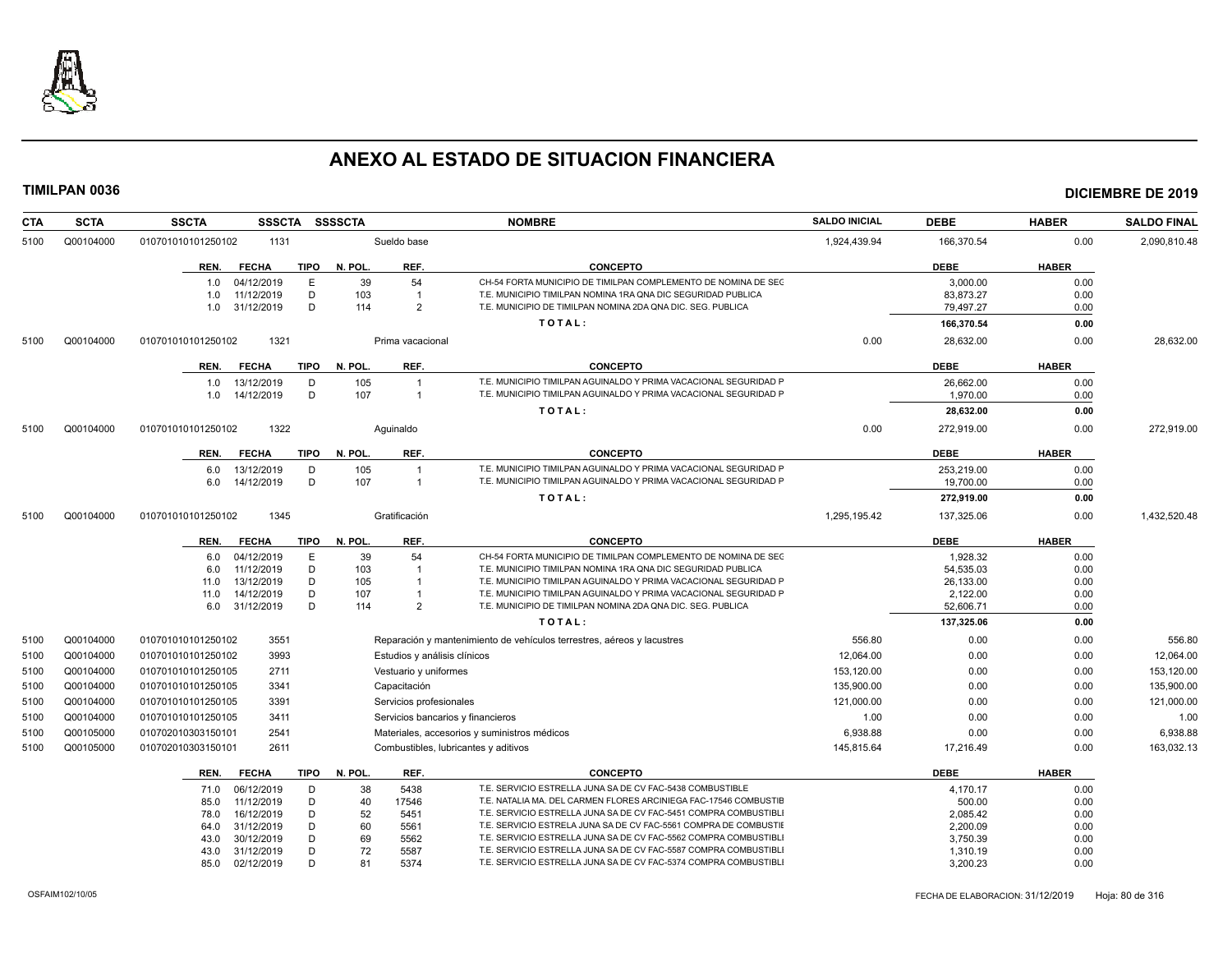

| <b>CTA</b> | <b>SCTA</b> | <b>SSCTA</b><br><b>SSSCTA</b>       | <b>SSSSCTA</b>                       | <b>NOMBRE</b>                                                          | <b>SALDO INICIAL</b> | <b>DEBE</b> | <b>HABER</b> | <b>SALDO FINAL</b> |
|------------|-------------|-------------------------------------|--------------------------------------|------------------------------------------------------------------------|----------------------|-------------|--------------|--------------------|
| 5100       | Q00104000   | 010701010101250102<br>1131          | Sueldo base                          |                                                                        | 1,924,439.94         | 166,370.54  | 0.00         | 2,090,810.48       |
|            |             | <b>FECHA</b><br>TIPO<br>REN.        | REF.<br>N. POL.                      | <b>CONCEPTO</b>                                                        |                      | <b>DEBE</b> | <b>HABER</b> |                    |
|            |             | 04/12/2019<br>E<br>1.0              | 39<br>54                             | CH-54 FORTA MUNICIPIO DE TIMILPAN COMPLEMENTO DE NOMINA DE SEC         |                      | 3.000.00    | 0.00         |                    |
|            |             | 11/12/2019<br>D<br>1.0              | 103<br>$\overline{1}$                | T.E. MUNICIPIO TIMILPAN NOMINA 1RA QNA DIC SEGURIDAD PUBLICA           |                      | 83,873.27   | 0.00         |                    |
|            |             | 31/12/2019<br>D<br>1.0              | 114<br>2                             | T.E. MUNICIPIO DE TIMILPAN NOMINA 2DA QNA DIC. SEG. PUBLICA            |                      | 79,497.27   | 0.00         |                    |
|            |             |                                     |                                      | TOTAL:                                                                 |                      | 166,370.54  | 0.00         |                    |
| 5100       | Q00104000   | 010701010101250102<br>1321          | Prima vacacional                     |                                                                        | 0.00                 | 28,632.00   | 0.00         | 28,632.00          |
|            |             | <b>FECHA</b><br>TIPO<br>REN.        | N. POL.<br>REF.                      | <b>CONCEPTO</b>                                                        |                      | <b>DEBE</b> | <b>HABER</b> |                    |
|            |             | 13/12/2019<br>D<br>1.0              | 105<br>$\overline{1}$                | T.E. MUNICIPIO TIMILPAN AGUINALDO Y PRIMA VACACIONAL SEGURIDAD P       |                      | 26,662.00   | 0.00         |                    |
|            |             | 14/12/2019<br>D<br>1.0              | 107<br>$\overline{1}$                | T.E. MUNICIPIO TIMILPAN AGUINALDO Y PRIMA VACACIONAL SEGURIDAD F       |                      | 1,970.00    | 0.00         |                    |
|            |             |                                     |                                      | TOTAL:                                                                 |                      | 28,632.00   | 0.00         |                    |
| 5100       | Q00104000   | 1322<br>010701010101250102          | Aquinaldo                            |                                                                        | 0.00                 | 272,919.00  | 0.00         | 272,919.00         |
|            |             | <b>FECHA</b><br><b>TIPO</b><br>REN. | N. POL.<br>REF.                      | <b>CONCEPTO</b>                                                        |                      | <b>DEBE</b> | <b>HABER</b> |                    |
|            |             | 13/12/2019<br>D<br>6.0              | 105                                  | T.E. MUNICIPIO TIMILPAN AGUINALDO Y PRIMA VACACIONAL SEGURIDAD F       |                      | 253,219.00  | 0.00         |                    |
|            |             | 14/12/2019<br>D<br>6.0              | 107<br>$\overline{1}$                | T.E. MUNICIPIO TIMILPAN AGUINALDO Y PRIMA VACACIONAL SEGURIDAD F       |                      | 19,700.00   | 0.00         |                    |
|            |             |                                     |                                      | TOTAL:                                                                 |                      | 272,919.00  | 0.00         |                    |
| 5100       | Q00104000   | 1345<br>010701010101250102          | Gratificación                        |                                                                        | 1,295,195.42         | 137,325.06  | 0.00         | 1,432,520.48       |
|            |             | <b>FECHA</b><br><b>TIPO</b><br>REN. | N. POL.<br>REF.                      | <b>CONCEPTO</b>                                                        |                      | <b>DEBE</b> | <b>HABER</b> |                    |
|            |             | 04/12/2019<br>E<br>6.0              | 39<br>54                             | CH-54 FORTA MUNICIPIO DE TIMILPAN COMPLEMENTO DE NOMINA DE SEC         |                      | 1,928.32    | 0.00         |                    |
|            |             | 11/12/2019<br>D<br>6.0              | 103<br>$\overline{1}$                | T.E. MUNICIPIO TIMILPAN NOMINA 1RA QNA DIC SEGURIDAD PUBLICA           |                      | 54,535.03   | 0.00         |                    |
|            |             | 13/12/2019<br>D<br>11.0             | 105<br>$\overline{1}$                | T.E. MUNICIPIO TIMILPAN AGUINALDO Y PRIMA VACACIONAL SEGURIDAD P       |                      | 26,133.00   | 0.00         |                    |
|            |             | 14/12/2019<br>D<br>11.0             | 107                                  | T.E. MUNICIPIO TIMILPAN AGUINALDO Y PRIMA VACACIONAL SEGURIDAD P       |                      | 2,122.00    | 0.00         |                    |
|            |             | D<br>31/12/2019<br>6.0              | 114<br>2                             | T.E. MUNICIPIO DE TIMILPAN NOMINA 2DA QNA DIC. SEG. PUBLICA            |                      | 52,606.71   | 0.00         |                    |
|            |             |                                     |                                      | TOTAL:                                                                 |                      | 137,325.06  | 0.00         |                    |
| 5100       | Q00104000   | 3551<br>010701010101250102          |                                      | Reparación y mantenimiento de vehículos terrestres, aéreos y lacustres | 556.80               | 0.00        | 0.00         | 556.80             |
| 5100       | Q00104000   | 3993<br>010701010101250102          | Estudios y análisis clínicos         |                                                                        | 12,064.00            | 0.00        | 0.00         | 12,064.00          |
| 5100       | Q00104000   | 2711<br>010701010101250105          | Vestuario y uniformes                |                                                                        | 153,120.00           | 0.00        | 0.00         | 153,120.00         |
| 5100       | Q00104000   | 3341<br>010701010101250105          | Capacitación                         |                                                                        | 135.900.00           | 0.00        | 0.00         | 135,900.00         |
| 5100       | Q00104000   | 3391<br>010701010101250105          | Servicios profesionales              |                                                                        | 121,000.00           | 0.00        | 0.00         | 121,000.00         |
| 5100       | Q00104000   | 3411<br>010701010101250105          | Servicios bancarios y financieros    |                                                                        | 1.00                 | 0.00        | 0.00         | 1.00               |
| 5100       | Q00105000   | 2541<br>010702010303150101          |                                      | Materiales, accesorios y suministros médicos                           | 6,938.88             | 0.00        | 0.00         | 6,938.88           |
| 5100       | Q00105000   | 2611<br>010702010303150101          | Combustibles, lubricantes y aditivos |                                                                        | 145.815.64           | 17.216.49   | 0.00         | 163.032.13         |
|            |             | <b>FECHA</b><br>TIPO<br>REN.        | N. POL.<br>REF.                      | <b>CONCEPTO</b>                                                        |                      | <b>DEBE</b> | <b>HABER</b> |                    |
|            |             | 06/12/2019<br>D<br>71.0             | 38<br>5438                           | T.E. SERVICIO ESTRELLA JUNA SA DE CV FAC-5438 COMBUSTIBLE              |                      | 4,170.17    | 0.00         |                    |
|            |             | 11/12/2019<br>D<br>85.0             | 40<br>17546                          | T.E. NATALIA MA. DEL CARMEN FLORES ARCINIEGA FAC-17546 COMBUSTIE       |                      | 500.00      | 0.00         |                    |
|            |             | 16/12/2019<br>D<br>78.0             | 52<br>5451                           | T.E. SERVICIO ESTRELLA JUNA SA DE CV FAC-5451 COMPRA COMBUSTIBLI       |                      | 2,085.42    | 0.00         |                    |
|            |             | 31/12/2019<br>D<br>64.0             | 60<br>5561                           | T.E. SERVICIO ESTRELA JUNA SA DE CV FAC-5561 COMPRA DE COMBUSTIE       |                      | 2,200.09    | 0.00         |                    |
|            |             | 30/12/2019<br>D<br>43.0             | 69<br>5562                           | T.E. SERVICIO ESTRELLA JUNA SA DE CV FAC-5562 COMPRA COMBUSTIBLI       |                      | 3,750.39    | 0.00         |                    |
|            |             | 31/12/2019<br>D<br>43.0             | 72<br>5587                           | T.E. SERVICIO ESTRELLA JUNA SA DE CV FAC-5587 COMPRA COMBUSTIBLI       |                      | 1,310.19    | 0.00         |                    |
|            |             | 85.0<br>02/12/2019<br>D             | 81<br>5374                           | T.E. SERVICIO ESTRELLA JUNA SA DE CV FAC-5374 COMPRA COMBUSTIBLI       |                      | 3,200.23    | 0.00         |                    |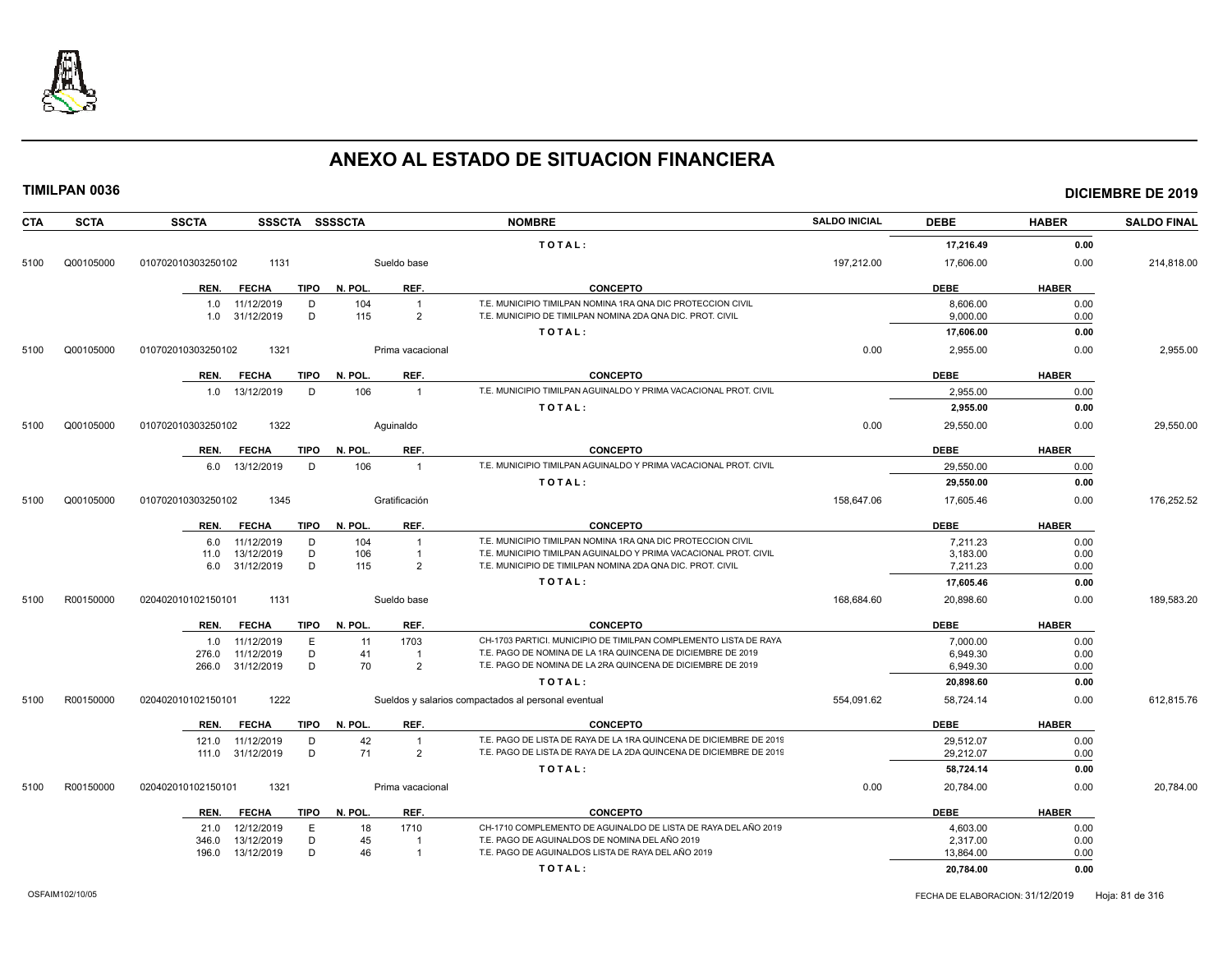

| <b>CTA</b> | <b>SCTA</b> | <b>SSCTA</b><br>SSSCTA SSSSCTA      |                       | <b>NOMBRE</b>                                                      | <b>SALDO INICIAL</b> | <b>DEBE</b> | <b>HABER</b> | <b>SALDO FINAL</b> |
|------------|-------------|-------------------------------------|-----------------------|--------------------------------------------------------------------|----------------------|-------------|--------------|--------------------|
|            |             |                                     |                       | TOTAL:                                                             |                      | 17,216.49   | 0.00         |                    |
| 5100       | Q00105000   | 010702010303250102<br>1131          | Sueldo base           |                                                                    | 197,212.00           | 17,606.00   | 0.00         | 214,818.00         |
|            |             | <b>FECHA</b><br>TIPO<br>REN.        | REF.<br>N. POL.       | <b>CONCEPTO</b>                                                    |                      | <b>DEBE</b> | <b>HABER</b> |                    |
|            |             | 11/12/2019<br>D<br>1.0              | 104<br>$\overline{1}$ | T.E. MUNICIPIO TIMILPAN NOMINA 1RA QNA DIC PROTECCION CIVIL        |                      | 8.606.00    | 0.00         |                    |
|            |             | 31/12/2019<br>D<br>1.0              | 115<br>2              | T.E. MUNICIPIO DE TIMILPAN NOMINA 2DA QNA DIC. PROT. CIVIL         |                      | 9,000.00    | 0.00         |                    |
|            |             |                                     |                       | TOTAL:                                                             |                      | 17,606.00   | 0.00         |                    |
| 5100       | Q00105000   | 1321<br>010702010303250102          | Prima vacacional      |                                                                    | 0.00                 | 2,955.00    | 0.00         | 2,955.00           |
|            |             | <b>FECHA</b><br>TIPO<br>REN.        | REF.<br>N. POL.       | <b>CONCEPTO</b>                                                    |                      | <b>DEBE</b> | <b>HABER</b> |                    |
|            |             | 1.0 13/12/2019<br>D                 | 106<br>$\overline{1}$ | T.E. MUNICIPIO TIMILPAN AGUINALDO Y PRIMA VACACIONAL PROT. CIVIL   |                      | 2.955.00    | 0.00         |                    |
|            |             |                                     |                       | TOTAL:                                                             |                      | 2,955.00    | 0.00         |                    |
| 5100       | Q00105000   | 1322<br>010702010303250102          | Aquinaldo             |                                                                    | 0.00                 | 29,550.00   | 0.00         | 29,550.00          |
|            |             | <b>TIPO</b><br><b>FECHA</b><br>REN. | N. POL.<br>REF.       | <b>CONCEPTO</b>                                                    |                      | <b>DEBE</b> | <b>HABER</b> |                    |
|            |             | 13/12/2019<br>D<br>6.0              | 106<br>$\overline{1}$ | T.E. MUNICIPIO TIMILPAN AGUINALDO Y PRIMA VACACIONAL PROT. CIVIL   |                      | 29,550.00   | 0.00         |                    |
|            |             |                                     |                       | TOTAL:                                                             |                      | 29,550.00   | 0.00         |                    |
| 5100       | Q00105000   | 1345<br>010702010303250102          | Gratificación         |                                                                    | 158,647.06           | 17,605.46   | 0.00         | 176,252.52         |
|            |             | <b>FECHA</b><br><b>TIPO</b><br>REN. | N. POL.<br>REF.       | <b>CONCEPTO</b>                                                    |                      | <b>DEBE</b> | <b>HABER</b> |                    |
|            |             | 11/12/2019<br>D<br>6.0              | 104<br>$\overline{1}$ | T.E. MUNICIPIO TIMILPAN NOMINA 1RA QNA DIC PROTECCION CIVIL        |                      | 7,211.23    | 0.00         |                    |
|            |             | D<br>13/12/2019<br>11.0             | 106<br>$\overline{1}$ | T.E. MUNICIPIO TIMILPAN AGUINALDO Y PRIMA VACACIONAL PROT. CIVIL   |                      | 3,183.00    | 0.00         |                    |
|            |             | D<br>31/12/2019<br>6.0              | 115<br>$\overline{2}$ | T.E. MUNICIPIO DE TIMILPAN NOMINA 2DA QNA DIC. PROT. CIVIL         |                      | 7,211.23    | 0.00         |                    |
|            |             |                                     |                       | TOTAL:                                                             |                      | 17,605.46   | 0.00         |                    |
| 5100       | R00150000   | 1131<br>020402010102150101          | Sueldo base           |                                                                    | 168,684.60           | 20,898.60   | 0.00         | 189,583.20         |
|            |             | <b>FECHA</b><br>REN.<br>TIPO        | N. POL.<br>REF.       | <b>CONCEPTO</b>                                                    |                      | <b>DEBE</b> | <b>HABER</b> |                    |
|            |             | 11/12/2019<br>E<br>1.0              | 11<br>1703            | CH-1703 PARTICI. MUNICIPIO DE TIMILPAN COMPLEMENTO LISTA DE RAYA   |                      | 7,000.00    | 0.00         |                    |
|            |             | 11/12/2019<br>D<br>276.0            | 41<br>$\mathbf{1}$    | T.E. PAGO DE NOMINA DE LA 1RA QUINCENA DE DICIEMBRE DE 2019        |                      | 6.949.30    | 0.00         |                    |
|            |             | D<br>31/12/2019<br>266.0            | 70<br>$\overline{2}$  | T.E. PAGO DE NOMINA DE LA 2RA QUINCENA DE DICIEMBRE DE 2019        |                      | 6,949.30    | 0.00         |                    |
|            |             |                                     |                       | TOTAL:                                                             |                      | 20,898.60   | 0.00         |                    |
| 5100       | R00150000   | 1222<br>020402010102150101          |                       | Sueldos y salarios compactados al personal eventual                | 554,091.62           | 58,724.14   | 0.00         | 612,815.76         |
|            |             | REN.<br><b>FECHA</b><br>TIPO        | N. POL.<br>REF.       | <b>CONCEPTO</b>                                                    |                      | <b>DEBE</b> | <b>HABER</b> |                    |
|            |             | 11/12/2019<br>D<br>121.0            | 42<br>$\overline{1}$  | T.E. PAGO DE LISTA DE RAYA DE LA 1RA QUINCENA DE DICIEMBRE DE 2019 |                      | 29,512.07   | 0.00         |                    |
|            |             | 111.0 31/12/2019<br>D               | 71<br>$\overline{2}$  | T.E. PAGO DE LISTA DE RAYA DE LA 2DA QUINCENA DE DICIEMBRE DE 2019 |                      | 29,212.07   | 0.00         |                    |
|            |             |                                     |                       | TOTAL:                                                             |                      | 58,724.14   | 0.00         |                    |
| 5100       | R00150000   | 1321<br>020402010102150101          | Prima vacacional      |                                                                    | 0.00                 | 20,784.00   | 0.00         | 20.784.00          |
|            |             | <b>FECHA</b><br>TIPO<br>REN.        | REF.<br>N. POL.       | <b>CONCEPTO</b>                                                    |                      | <b>DEBE</b> | <b>HABER</b> |                    |
|            |             | 12/12/2019<br>E<br>21.0             | 18<br>1710            | CH-1710 COMPLEMENTO DE AGUINALDO DE LISTA DE RAYA DEL AÑO 2019     |                      | 4,603.00    | 0.00         |                    |
|            |             | D<br>13/12/2019<br>346.0            | 45                    | T.E. PAGO DE AGUINALDOS DE NOMINA DEL AÑO 2019                     |                      | 2,317.00    | 0.00         |                    |
|            |             | 13/12/2019<br>D<br>196.0            | 46<br>$\overline{1}$  | T.E. PAGO DE AGUINALDOS LISTA DE RAYA DEL AÑO 2019                 |                      | 13,864.00   | 0.00         |                    |
|            |             |                                     |                       | TOTAL:                                                             |                      | 20,784.00   | 0.00         |                    |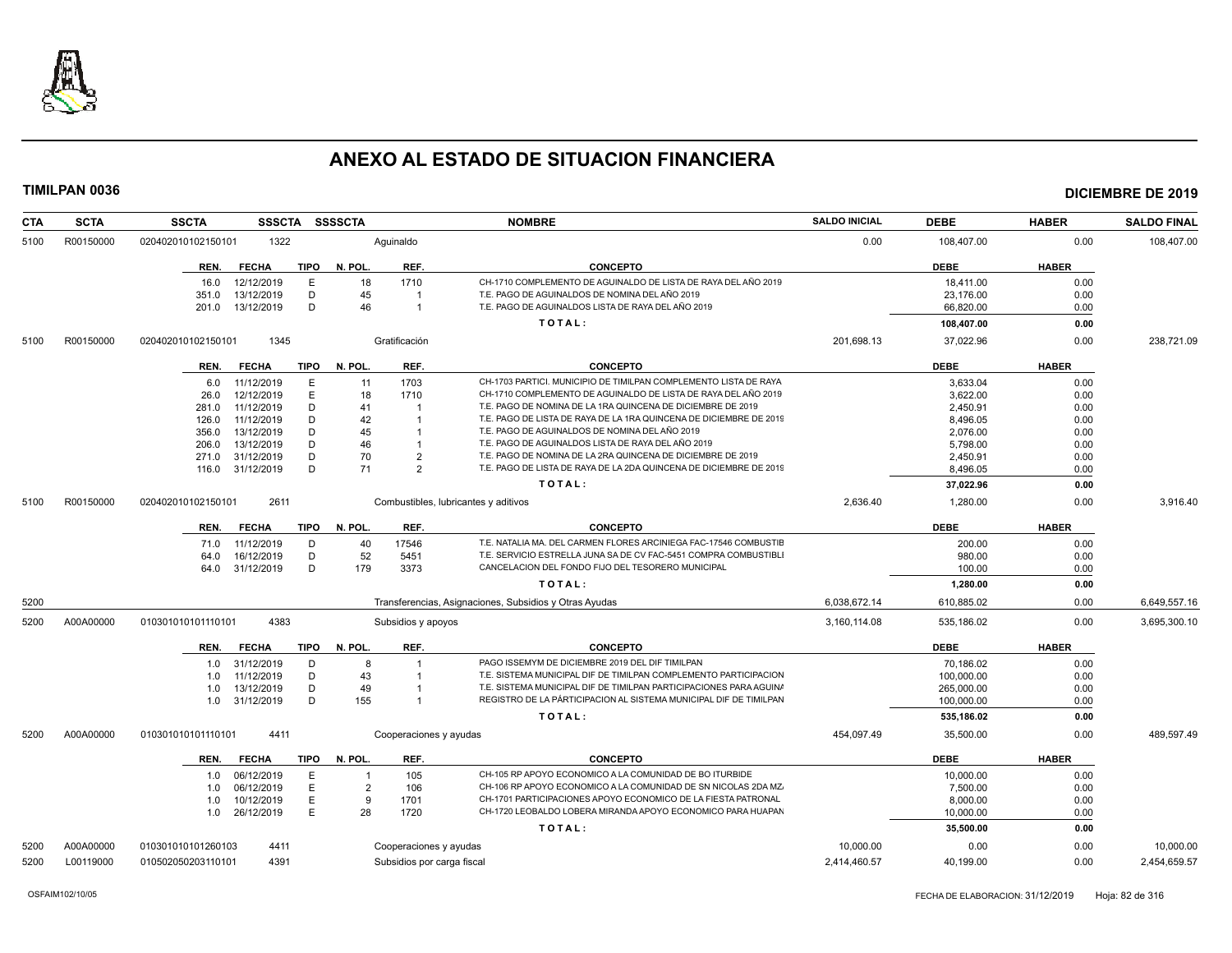

| <b>CTA</b> | <b>SCTA</b> | <b>SSCTA</b><br><b>SSSCTA</b> | <b>SSSSCTA</b>                 | <b>NOMBRE</b>                                                      | <b>SALDO INICIAL</b> | <b>DEBE</b> | <b>HABER</b> | <b>SALDO FINAL</b> |
|------------|-------------|-------------------------------|--------------------------------|--------------------------------------------------------------------|----------------------|-------------|--------------|--------------------|
| 5100       | R00150000   | 1322<br>020402010102150101    | Aquinaldo                      |                                                                    | 0.00                 | 108,407.00  | 0.00         | 108,407.00         |
|            |             | REN.<br><b>FECHA</b><br>TIPO  | N. POL.<br>REF.                | <b>CONCEPTO</b>                                                    |                      | <b>DEBE</b> | <b>HABER</b> |                    |
|            |             | 12/12/2019<br>E<br>16.0       | 18<br>1710                     | CH-1710 COMPLEMENTO DE AGUINALDO DE LISTA DE RAYA DEL AÑO 2019     |                      | 18,411.00   | 0.00         |                    |
|            |             | 13/12/2019<br>D<br>351.0      | 45                             | T.E. PAGO DE AGUINALDOS DE NOMINA DEL AÑO 2019                     |                      | 23,176.00   | 0.00         |                    |
|            |             | D<br>201.0<br>13/12/2019      | 46<br>$\overline{1}$           | T.E. PAGO DE AGUINALDOS LISTA DE RAYA DEL AÑO 2019                 |                      | 66,820.00   | 0.00         |                    |
|            |             |                               |                                | TOTAL:                                                             |                      | 108,407.00  | 0.00         |                    |
| 5100       | R00150000   | 1345<br>020402010102150101    | Gratificación                  |                                                                    | 201,698.13           | 37,022.96   | 0.00         | 238,721.09         |
|            |             | <b>FECHA</b><br>TIPO<br>REN.  | REF.<br>N. POL.                | <b>CONCEPTO</b>                                                    |                      | <b>DEBE</b> | <b>HABER</b> |                    |
|            |             | 11/12/2019<br>E<br>6.0        | 11<br>1703                     | CH-1703 PARTICI, MUNICIPIO DE TIMILPAN COMPLEMENTO LISTA DE RAYA   |                      | 3,633.04    | 0.00         |                    |
|            |             | E<br>26.0<br>12/12/2019       | 18<br>1710                     | CH-1710 COMPLEMENTO DE AGUINALDO DE LISTA DE RAYA DEL AÑO 2019     |                      | 3,622.00    | 0.00         |                    |
|            |             | D<br>11/12/2019<br>281.0      | 41                             | T.E. PAGO DE NOMINA DE LA 1RA QUINCENA DE DICIEMBRE DE 2019        |                      | 2,450.91    | 0.00         |                    |
|            |             | 11/12/2019<br>D<br>126.0      | 42                             | T.E. PAGO DE LISTA DE RAYA DE LA 1RA QUINCENA DE DICIEMBRE DE 2019 |                      | 8,496.05    | 0.00         |                    |
|            |             | 13/12/2019<br>D<br>356.0      | 45                             | T.E. PAGO DE AGUINALDOS DE NOMINA DEL AÑO 2019                     |                      | 2,076.00    | 0.00         |                    |
|            |             | 13/12/2019<br>D<br>206.0      | 46                             | T.E. PAGO DE AGUINALDOS LISTA DE RAYA DEL AÑO 2019                 |                      | 5,798.00    | 0.00         |                    |
|            |             | D<br>271.0<br>31/12/2019      | 70<br>$\overline{2}$           | T.E. PAGO DE NOMINA DE LA 2RA QUINCENA DE DICIEMBRE DE 2019        |                      | 2,450.91    | 0.00         |                    |
|            |             | 31/12/2019<br>D<br>116.0      | 71<br>$\overline{2}$           | T.E. PAGO DE LISTA DE RAYA DE LA 2DA QUINCENA DE DICIEMBRE DE 2019 |                      | 8,496.05    | 0.00         |                    |
|            |             |                               |                                | TOTAL:                                                             |                      | 37,022.96   | 0.00         |                    |
| 5100       | R00150000   | 020402010102150101<br>2611    |                                | Combustibles, lubricantes y aditivos                               | 2,636.40             | 1,280.00    | 0.00         | 3.916.40           |
|            |             | <b>FECHA</b><br>TIPO<br>REN.  | N. POL.<br>REF.                | <b>CONCEPTO</b>                                                    |                      | <b>DEBE</b> | <b>HABER</b> |                    |
|            |             | 11/12/2019<br>D<br>71.0       | 17546<br>40                    | T.E. NATALIA MA. DEL CARMEN FLORES ARCINIEGA FAC-17546 COMBUSTIE   |                      | 200.00      | 0.00         |                    |
|            |             | D<br>16/12/2019<br>64.0       | 52<br>5451                     | T.E. SERVICIO ESTRELLA JUNA SA DE CV FAC-5451 COMPRA COMBUSTIBLI   |                      | 980.00      | 0.00         |                    |
|            |             | D<br>31/12/2019<br>64.0       | 179<br>3373                    | CANCELACION DEL FONDO FIJO DEL TESORERO MUNICIPAL                  |                      | 100.00      | 0.00         |                    |
|            |             |                               |                                | TOTAL:                                                             |                      | 1,280.00    | 0.00         |                    |
| 5200       |             |                               |                                | Transferencias, Asignaciones, Subsidios y Otras Ayudas             | 6,038,672.14         | 610,885.02  | 0.00         | 6,649,557.16       |
| 5200       | A00A00000   | 4383<br>010301010101110101    | Subsidios y apoyos             |                                                                    | 3.160.114.08         | 535.186.02  | 0.00         | 3.695.300.10       |
|            |             | <b>FECHA</b><br>TIPO<br>REN.  | REF.<br>N. POL.                | <b>CONCEPTO</b>                                                    |                      | <b>DEBE</b> | <b>HABER</b> |                    |
|            |             | 31/12/2019<br>D<br>1.0        | -8                             | PAGO ISSEMYM DE DICIEMBRE 2019 DEL DIF TIMILPAN                    |                      | 70,186.02   | 0.00         |                    |
|            |             | 11/12/2019<br>D<br>1.0        | 43                             | T.E. SISTEMA MUNICIPAL DIF DE TIMILPAN COMPLEMENTO PARTICIPACION   |                      | 100,000.00  | 0.00         |                    |
|            |             | 13/12/2019<br>D<br>1.0        | 49                             | T.E. SISTEMA MUNICIPAL DIF DE TIMILPAN PARTICIPACIONES PARA AGUIN/ |                      | 265.000.00  | 0.00         |                    |
|            |             | D<br>31/12/2019<br>1.0        | 155                            | REGISTRO DE LA PÁRTICIPACION AL SISTEMA MUNICIPAL DIF DE TIMILPAN  |                      | 100,000.00  | 0.00         |                    |
|            |             |                               |                                | TOTAL:                                                             |                      | 535,186.02  | 0.00         |                    |
| 5200       | A00A00000   | 4411<br>010301010101110101    | Cooperaciones y ayudas         |                                                                    | 454,097.49           | 35,500.00   | 0.00         | 489,597.49         |
|            |             | REN.<br><b>FECHA</b><br>TIPO  | N. POL.<br>REF.                | <b>CONCEPTO</b>                                                    |                      | <b>DEBE</b> | <b>HABER</b> |                    |
|            |             |                               |                                |                                                                    |                      |             |              |                    |
|            |             | 06/12/2019<br>E<br>1.0        | 105<br>$\overline{\mathbf{1}}$ | CH-105 RP APOYO ECONOMICO A LA COMUNIDAD DE BO ITURBIDE            |                      | 10,000.00   | 0.00         |                    |
|            |             | 06/12/2019<br>E<br>1.0        | $\overline{2}$<br>106          | CH-106 RP APOYO ECONOMICO A LA COMUNIDAD DE SN NICOLAS 2DA MZ.     |                      | 7,500.00    | 0.00         |                    |
|            |             | 10/12/2019<br>E<br>1.0        | 1701<br>-9                     | CH-1701 PARTICIPACIONES APOYO ECONOMICO DE LA FIESTA PATRONAL      |                      | 8,000.00    | 0.00         |                    |
|            |             | E<br>26/12/2019<br>1.0        | 28<br>1720                     | CH-1720 LEOBALDO LOBERA MIRANDA APOYO ECONOMICO PARA HUAPAN        |                      | 10,000.00   | 0.00         |                    |
|            |             |                               |                                | TOTAL:                                                             |                      | 35,500.00   | 0.00         |                    |
| 5200       | A00A00000   | 010301010101260103<br>4411    | Cooperaciones y ayudas         |                                                                    | 10.000.00            | 0.00        | 0.00         | 10.000.00          |
| 5200       | L00119000   | 010502050203110101<br>4391    | Subsidios por carga fiscal     |                                                                    | 2,414,460.57         | 40,199.00   | 0.00         | 2,454,659.57       |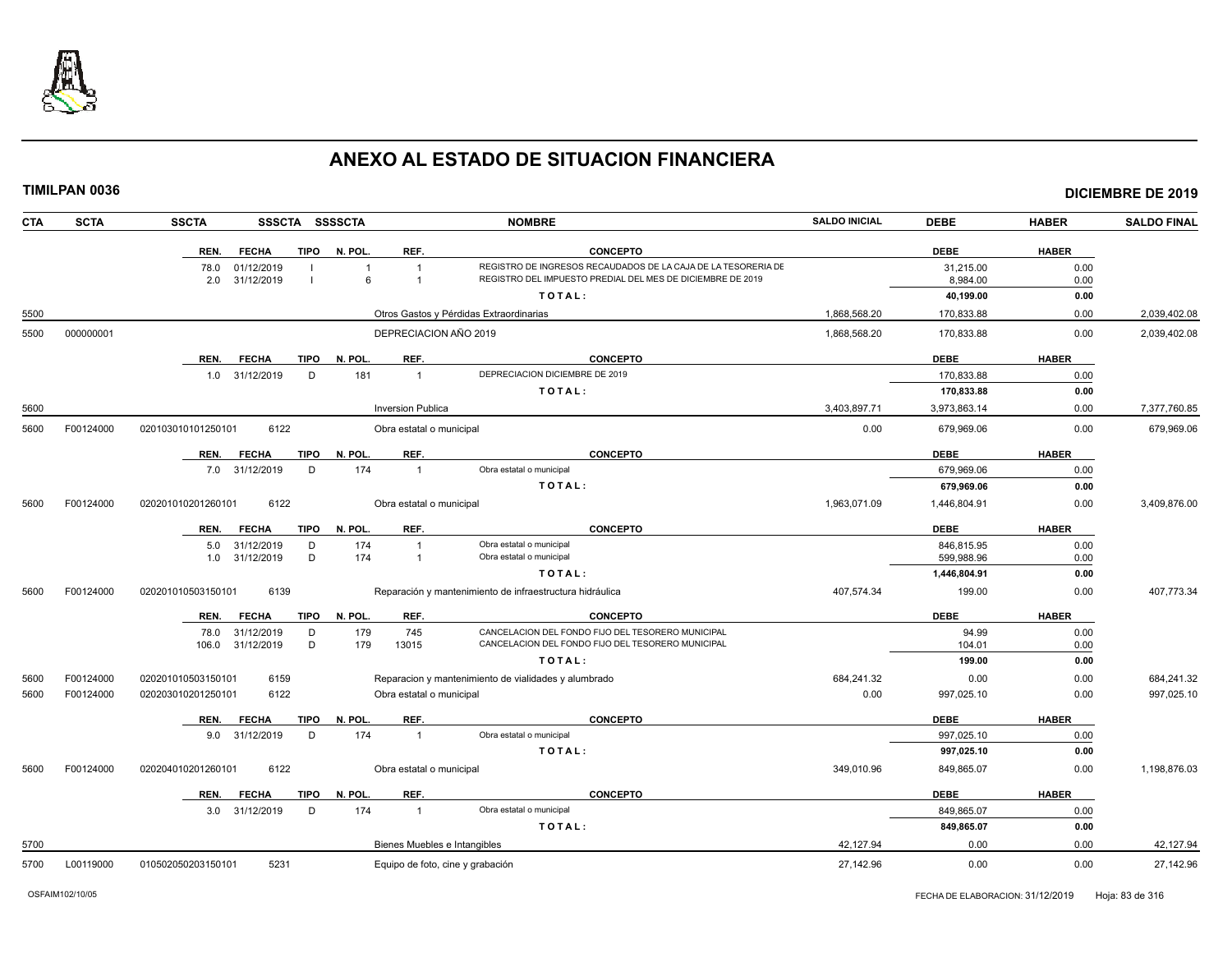

| <b>CTA</b> | <b>SCTA</b> | <b>SSCTA</b>               | SSSCTA SSSSCTA |                          | <b>NOMBRE</b>                                                 | <b>SALDO INICIAL</b> | <b>DEBE</b>  | <b>HABER</b> | <b>SALDO FINAL</b> |
|------------|-------------|----------------------------|----------------|--------------------------|---------------------------------------------------------------|----------------------|--------------|--------------|--------------------|
|            |             | REN.<br><b>FECHA</b>       | <b>TIPO</b>    | N. POL.<br>REF.          | <b>CONCEPTO</b>                                               |                      | <b>DEBE</b>  | <b>HABER</b> |                    |
|            |             | 78.0<br>01/12/2019         |                |                          | REGISTRO DE INGRESOS RECAUDADOS DE LA CAJA DE LA TESORERIA DE |                      | 31,215.00    | 0.00         |                    |
|            |             | 2.0<br>31/12/2019          |                | 6<br>$\overline{1}$      | REGISTRO DEL IMPUESTO PREDIAL DEL MES DE DICIEMBRE DE 2019    |                      | 8,984.00     | 0.00         |                    |
|            |             |                            |                |                          | TOTAL:                                                        |                      | 40,199.00    | 0.00         |                    |
| 5500       |             |                            |                |                          | Otros Gastos y Pérdidas Extraordinarias                       | 1,868,568.20         | 170,833.88   | 0.00         | 2,039,402.08       |
| 5500       | 000000001   |                            |                | DEPRECIACION AÑO 2019    |                                                               | 1.868.568.20         | 170,833.88   | 0.00         | 2,039,402.08       |
|            |             | REN.<br><b>FECHA</b>       | <b>TIPO</b>    | REF.<br>N. POL.          | <b>CONCEPTO</b>                                               |                      | <b>DEBE</b>  | <b>HABER</b> |                    |
|            |             | 31/12/2019<br>1.0          | D              | 181<br>$\overline{1}$    | DEPRECIACION DICIEMBRE DE 2019                                |                      | 170,833.88   | 0.00         |                    |
|            |             |                            |                |                          | TOTAL:                                                        |                      | 170,833.88   | 0.00         |                    |
| 5600       |             |                            |                | <b>Inversion Publica</b> |                                                               | 3,403,897.71         | 3,973,863.14 | 0.00         | 7,377,760.85       |
| 5600       | F00124000   | 6122<br>020103010101250101 |                | Obra estatal o municipal |                                                               | 0.00                 | 679.969.06   | 0.00         | 679,969.06         |
|            |             | REN.<br><b>FECHA</b>       | <b>TIPO</b>    | N. POL.<br>REF.          | <b>CONCEPTO</b>                                               |                      | <b>DEBE</b>  | <b>HABER</b> |                    |
|            |             | 7.0 31/12/2019             | D              | 174<br>$\overline{1}$    | Obra estatal o municipal                                      |                      | 679,969.06   | 0.00         |                    |
|            |             |                            |                |                          | TOTAL:                                                        |                      | 679,969.06   | 0.00         |                    |
| 5600       | F00124000   | 6122<br>020201010201260101 |                | Obra estatal o municipal |                                                               | 1,963,071.09         | 1,446,804.91 | 0.00         | 3,409,876.00       |
|            |             | <b>FECHA</b><br>REN.       | <b>TIPO</b>    | REF.<br>N. POL.          | <b>CONCEPTO</b>                                               |                      | <b>DEBE</b>  | <b>HABER</b> |                    |
|            |             | 31/12/2019<br>5.0          | D              | 174<br>$\overline{1}$    | Obra estatal o municipal                                      |                      | 846,815.95   | 0.00         |                    |
|            |             | 31/12/2019<br>1.0          | D              | 174<br>$\overline{1}$    | Obra estatal o municipal                                      |                      | 599,988.96   | 0.00         |                    |
|            |             |                            |                |                          | TOTAL:                                                        |                      | 1,446,804.91 | 0.00         |                    |
| 5600       | F00124000   | 6139<br>020201010503150101 |                |                          | Reparación y mantenimiento de infraestructura hidráulica      | 407,574.34           | 199.00       | 0.00         | 407,773.34         |
|            |             | <b>FECHA</b><br>REN.       | <b>TIPO</b>    | N. POL.<br>REF.          | <b>CONCEPTO</b>                                               |                      | <b>DEBE</b>  | <b>HABER</b> |                    |
|            |             | 78.0<br>31/12/2019         | D              | 745<br>179               | CANCELACION DEL FONDO FIJO DEL TESORERO MUNICIPAL             |                      | 94.99        | 0.00         |                    |
|            |             | 106.0<br>31/12/2019        | D              | 179<br>13015             | CANCELACION DEL FONDO FIJO DEL TESORERO MUNICIPAL             |                      | 104.01       | 0.00         |                    |
|            |             |                            |                |                          | TOTAL:                                                        |                      | 199.00       | 0.00         |                    |
| 5600       | F00124000   | 6159<br>020201010503150101 |                |                          | Reparacion y mantenimiento de vialidades y alumbrado          | 684,241.32           | 0.00         | 0.00         | 684,241.32         |
| 5600       | F00124000   | 020203010201250101<br>6122 |                | Obra estatal o municipal |                                                               | 0.00                 | 997.025.10   | 0.00         | 997,025.10         |
|            |             | REN.<br><b>FECHA</b>       | <b>TIPO</b>    | N. POL.<br>REF.          | <b>CONCEPTO</b>                                               |                      | <b>DEBE</b>  | <b>HABER</b> |                    |
|            |             | 9.0 31/12/2019             | D              | 174<br>$\overline{1}$    | Obra estatal o municipal                                      |                      | 997.025.10   | 0.00         |                    |
|            |             |                            |                |                          | TOTAL:                                                        |                      | 997,025.10   | 0.00         |                    |
| 5600       | F00124000   | 6122<br>020204010201260101 |                | Obra estatal o municipal |                                                               | 349,010.96           | 849,865.07   | 0.00         | 1,198,876.03       |
|            |             | REN.<br><b>FECHA</b>       | TIPO           | REF.<br>N. POL.          | <b>CONCEPTO</b>                                               |                      | <b>DEBE</b>  | <b>HABER</b> |                    |
|            |             | 3.0 31/12/2019             | D              | 174<br>$\overline{1}$    | Obra estatal o municipal                                      |                      | 849,865.07   | 0.00         |                    |
|            |             |                            |                |                          | TOTAL:                                                        |                      | 849,865.07   | 0.00         |                    |
| 5700       |             |                            |                |                          | Bienes Muebles e Intangibles                                  | 42,127.94            | 0.00         | 0.00         | 42,127.94          |
| 5700       | L00119000   | 010502050203150101<br>5231 |                |                          | Equipo de foto, cine y grabación                              | 27,142.96            | 0.00         | 0.00         | 27,142.96          |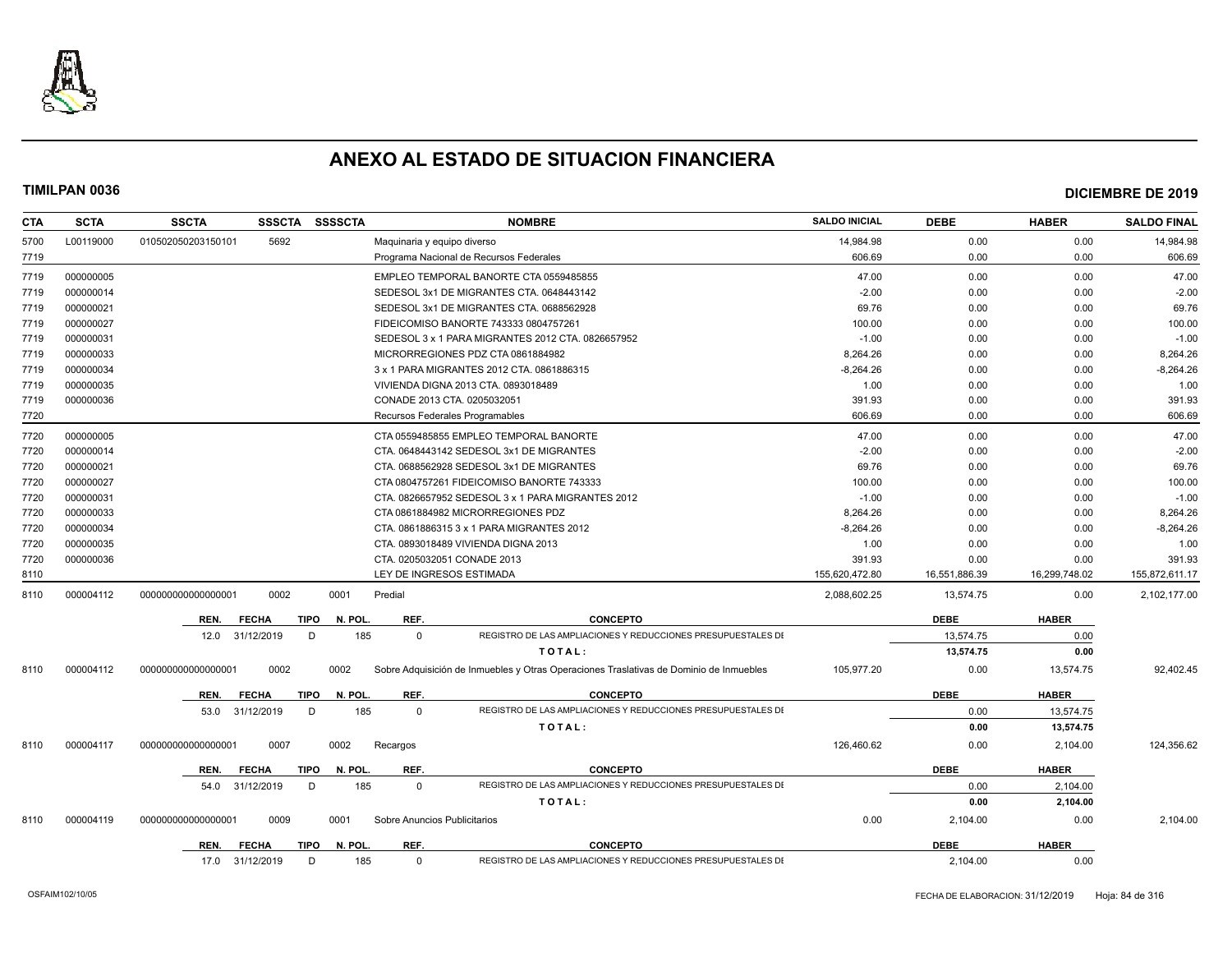

| <b>CTA</b> | <b>SCTA</b> | <b>SSCTA</b>       | <b>SSSCTA</b> | <b>SSSSCTA</b>         |              | <b>NOMBRE</b>                                                                          | <b>SALDO INICIAL</b> | <b>DEBE</b>   | <b>HABER</b>  | <b>SALDO FINAL</b> |
|------------|-------------|--------------------|---------------|------------------------|--------------|----------------------------------------------------------------------------------------|----------------------|---------------|---------------|--------------------|
| 5700       | L00119000   | 010502050203150101 | 5692          |                        |              | Maguinaria y equipo diverso                                                            | 14.984.98            | 0.00          | 0.00          | 14.984.98          |
| 7719       |             |                    |               |                        |              | Programa Nacional de Recursos Federales                                                | 606.69               | 0.00          | 0.00          | 606.69             |
| 7719       | 000000005   |                    |               |                        |              | EMPLEO TEMPORAL BANORTE CTA 0559485855                                                 | 47.00                | 0.00          | 0.00          | 47.00              |
| 7719       | 000000014   |                    |               |                        |              | SEDESOL 3x1 DE MIGRANTES CTA. 0648443142                                               | $-2.00$              | 0.00          | 0.00          | $-2.00$            |
| 7719       | 000000021   |                    |               |                        |              | SEDESOL 3x1 DE MIGRANTES CTA. 0688562928                                               | 69.76                | 0.00          | 0.00          | 69.76              |
| 7719       | 000000027   |                    |               |                        |              | FIDEICOMISO BANORTE 743333 0804757261                                                  | 100.00               | 0.00          | 0.00          | 100.00             |
| 7719       | 000000031   |                    |               |                        |              | SEDESOL 3 x 1 PARA MIGRANTES 2012 CTA. 0826657952                                      | $-1.00$              | 0.00          | 0.00          | $-1.00$            |
| 7719       | 000000033   |                    |               |                        |              | MICRORREGIONES PDZ CTA 0861884982                                                      | 8,264.26             | 0.00          | 0.00          | 8,264.26           |
| 7719       | 000000034   |                    |               |                        |              | 3 x 1 PARA MIGRANTES 2012 CTA. 0861886315                                              | $-8,264.26$          | 0.00          | 0.00          | $-8,264.26$        |
| 7719       | 000000035   |                    |               |                        |              | VIVIENDA DIGNA 2013 CTA. 0893018489                                                    | 1.00                 | 0.00          | 0.00          | 1.00               |
| 7719       | 000000036   |                    |               |                        |              | CONADE 2013 CTA. 0205032051                                                            | 391.93               | 0.00          | 0.00          | 391.93             |
| 7720       |             |                    |               |                        |              | Recursos Federales Programables                                                        | 606.69               | 0.00          | 0.00          | 606.69             |
| 7720       | 000000005   |                    |               |                        |              | CTA 0559485855 EMPLEO TEMPORAL BANORTE                                                 | 47.00                | 0.00          | 0.00          | 47.00              |
| 7720       | 000000014   |                    |               |                        |              | CTA. 0648443142 SEDESOL 3x1 DE MIGRANTES                                               | $-2.00$              | 0.00          | 0.00          | $-2.00$            |
| 7720       | 000000021   |                    |               |                        |              | CTA. 0688562928 SEDESOL 3x1 DE MIGRANTES                                               | 69.76                | 0.00          | 0.00          | 69.76              |
| 7720       | 000000027   |                    |               |                        |              | CTA 0804757261 FIDEICOMISO BANORTE 743333                                              | 100.00               | 0.00          | 0.00          | 100.00             |
| 7720       | 000000031   |                    |               |                        |              | CTA. 0826657952 SEDESOL 3 x 1 PARA MIGRANTES 2012                                      | $-1.00$              | 0.00          | 0.00          | $-1.00$            |
| 7720       | 000000033   |                    |               |                        |              | CTA 0861884982 MICRORREGIONES PDZ                                                      | 8,264.26             | 0.00          | 0.00          | 8,264.26           |
| 7720       | 000000034   |                    |               |                        |              | CTA. 0861886315 3 x 1 PARA MIGRANTES 2012                                              | $-8,264.26$          | 0.00          | 0.00          | $-8,264.26$        |
| 7720       | 000000035   |                    |               |                        |              | CTA. 0893018489 VIVIENDA DIGNA 2013                                                    | 1.00                 | 0.00          | 0.00          | 1.00               |
| 7720       | 000000036   |                    |               |                        |              | CTA. 0205032051 CONADE 2013                                                            | 391.93               | 0.00          | 0.00          | 391.93             |
| 8110       |             |                    |               |                        |              | LEY DE INGRESOS ESTIMADA                                                               | 155,620,472.80       | 16,551,886.39 | 16,299,748.02 | 155,872,611.17     |
| 8110       | 000004112   | 00000000000000001  | 0002          | 0001                   | Predial      |                                                                                        | 2,088,602.25         | 13.574.75     | 0.00          | 2,102,177.00       |
|            |             | REN.               | <b>FECHA</b>  | <b>TIPO</b><br>N. POL  | REF.         | <b>CONCEPTO</b>                                                                        |                      | <b>DEBE</b>   | <b>HABER</b>  |                    |
|            |             | 12.0               | 31/12/2019    | D<br>185               | $\Omega$     | REGISTRO DE LAS AMPLIACIONES Y REDUCCIONES PRESUPUESTALES DI                           |                      | 13,574.75     | 0.00          |                    |
|            |             |                    |               |                        |              | TOTAL:                                                                                 |                      | 13,574.75     | 0.00          |                    |
| 8110       | 000004112   | 00000000000000000  | 0002          | 0002                   |              | Sobre Adquisición de Inmuebles y Otras Operaciones Traslativas de Dominio de Inmuebles | 105,977.20           | 0.00          | 13,574.75     | 92,402.45          |
|            |             |                    |               |                        |              |                                                                                        |                      |               |               |                    |
|            |             | REN.               | <b>FECHA</b>  | N. POL.<br><b>TIPO</b> | REF.         | <b>CONCEPTO</b>                                                                        |                      | <b>DEBE</b>   | <b>HABER</b>  |                    |
|            |             | 53.0               | 31/12/2019    | 185<br>D               | $\Omega$     | REGISTRO DE LAS AMPLIACIONES Y REDUCCIONES PRESUPUESTALES DI                           |                      | 0.00          | 13,574.75     |                    |
|            |             |                    |               |                        |              | TOTAL:                                                                                 |                      | 0.00          | 13,574.75     |                    |
| 8110       | 000004117   | 00000000000000000  | 0007          | 0002                   | Recargos     |                                                                                        | 126,460.62           | 0.00          | 2,104.00      | 124,356.62         |
|            |             | REN.               | <b>FECHA</b>  | <b>TIPO</b><br>N. POL. | REF.         | <b>CONCEPTO</b>                                                                        |                      | <b>DEBE</b>   | <b>HABER</b>  |                    |
|            |             | 54.0               | 31/12/2019    | 185<br>D               | $\mathbf{0}$ | REGISTRO DE LAS AMPLIACIONES Y REDUCCIONES PRESUPUESTALES DI                           |                      | 0.00          | 2,104.00      |                    |
|            |             |                    |               |                        |              | TOTAL:                                                                                 |                      | 0.00          | 2,104.00      |                    |
| 8110       | 000004119   | 00000000000000000  | 0009          | 0001                   |              | Sobre Anuncios Publicitarios                                                           | 0.00                 | 2,104.00      | 0.00          | 2,104.00           |
|            |             | REN.               | <b>FECHA</b>  | N. POL.<br>TIPO        | REF.         | <b>CONCEPTO</b>                                                                        |                      | <b>DEBE</b>   | <b>HABER</b>  |                    |
|            |             | 17.0 31/12/2019    |               | D<br>185               | $\Omega$     | REGISTRO DE LAS AMPLIACIONES Y REDUCCIONES PRESUPUESTALES DI                           |                      | 2,104.00      | 0.00          |                    |
|            |             |                    |               |                        |              |                                                                                        |                      |               |               |                    |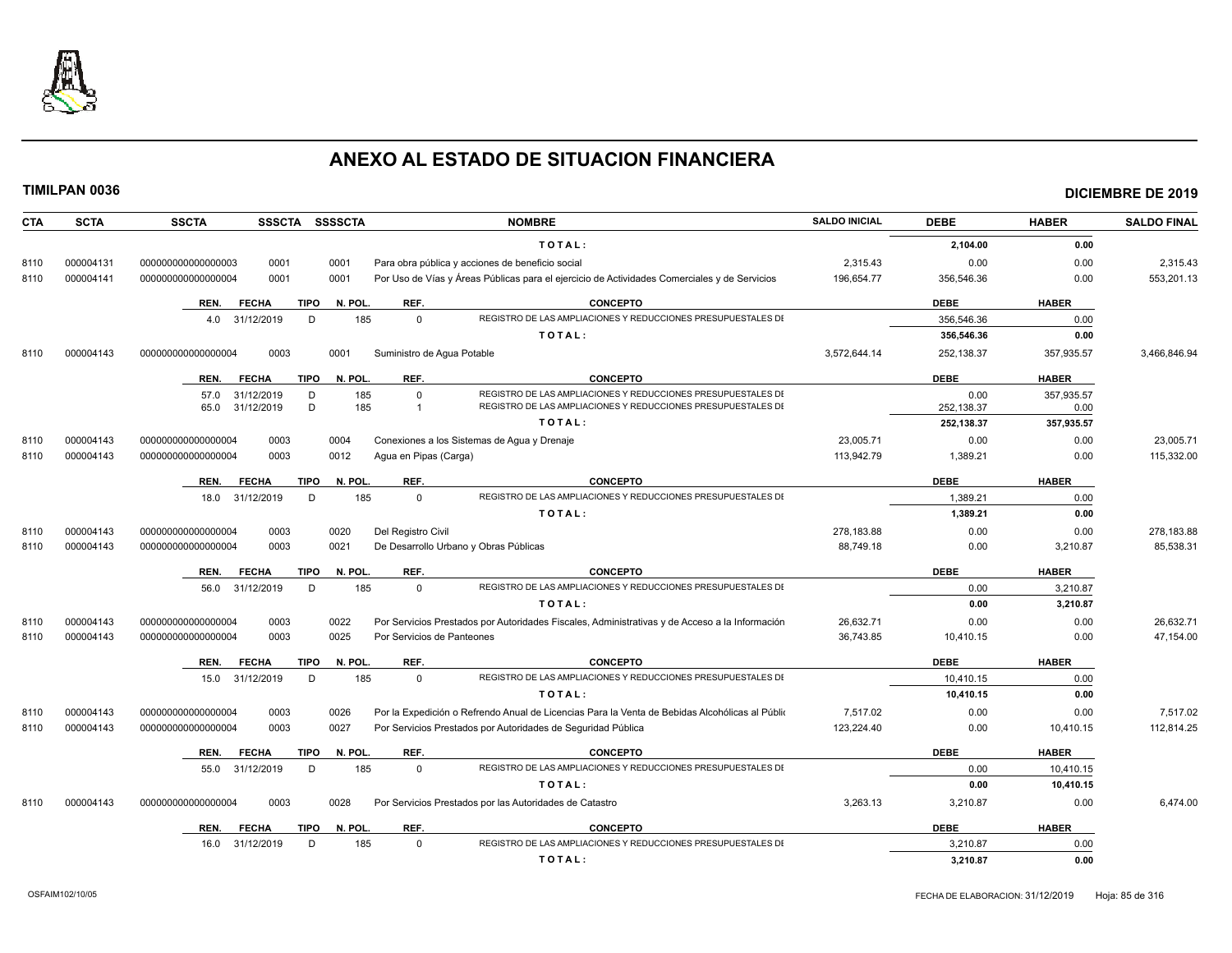

| <b>SCTA</b><br><b>CTA</b> | <b>SSCTA</b><br><b>SSSCTA</b><br><b>SSSSCTA</b> | <b>NOMBRE</b>                                                                                  | <b>SALDO INICIAL</b> | <b>DEBE</b> | <b>HABER</b> | <b>SALDO FINAL</b> |
|---------------------------|-------------------------------------------------|------------------------------------------------------------------------------------------------|----------------------|-------------|--------------|--------------------|
|                           |                                                 | TOTAL:                                                                                         |                      | 2,104.00    | 0.00         |                    |
| 000004131<br>8110         | 0001<br>000000000000000003<br>0001              | Para obra pública y acciones de beneficio social                                               | 2,315.43             | 0.00        | 0.00         | 2,315.43           |
| 000004141<br>8110         | 0001<br>0001<br>000000000000000004              | Por Uso de Vías y Áreas Públicas para el ejercicio de Actividades Comerciales y de Servicios   | 196.654.77           | 356.546.36  | 0.00         | 553,201.13         |
|                           | <b>TIPO</b><br>REN.<br><b>FECHA</b>             | REF.<br>N. POL.<br><b>CONCEPTO</b>                                                             |                      | <b>DEBE</b> | <b>HABER</b> |                    |
|                           | 4.0 31/12/2019<br>D                             | 185<br>$\Omega$<br>REGISTRO DE LAS AMPLIACIONES Y REDUCCIONES PRESUPUESTALES DI                |                      | 356.546.36  | 0.00         |                    |
|                           |                                                 | TOTAL:                                                                                         |                      | 356,546.36  | 0.00         |                    |
| 000004143<br>8110         | 0003<br>0001<br>000000000000000004              | Suministro de Agua Potable                                                                     | 3,572,644.14         | 252,138.37  | 357,935.57   | 3,466,846.94       |
|                           | <b>FECHA</b><br><b>TIPO</b><br>REN.             | <b>CONCEPTO</b><br>N. POL.<br>REF.                                                             |                      | <b>DEBE</b> | <b>HABER</b> |                    |
|                           | 31/12/2019<br>D<br>57.0                         | 185<br>$\Omega$<br>REGISTRO DE LAS AMPLIACIONES Y REDUCCIONES PRESUPUESTALES DI                |                      | 0.00        | 357,935.57   |                    |
|                           | D<br>31/12/2019<br>65.0                         | 185<br>REGISTRO DE LAS AMPLIACIONES Y REDUCCIONES PRESUPUESTALES DI                            |                      | 252,138.37  | 0.00         |                    |
|                           |                                                 | TOTAL:                                                                                         |                      | 252.138.37  | 357,935.57   |                    |
| 000004143<br>8110         | 0003<br>0004<br>000000000000000004              | Conexiones a los Sistemas de Aqua y Drenaje                                                    | 23,005.71            | 0.00        | 0.00         | 23,005.71          |
| 000004143<br>8110         | 0003<br>0012<br>000000000000000004              | Agua en Pipas (Carga)                                                                          | 113,942.79           | 1,389.21    | 0.00         | 115,332.00         |
|                           | <b>FECHA</b><br><b>TIPO</b><br>REN.             | N. POL.<br>REF.<br><b>CONCEPTO</b>                                                             |                      | <b>DEBE</b> | <b>HABER</b> |                    |
|                           | D<br>31/12/2019<br>18.0                         | REGISTRO DE LAS AMPLIACIONES Y REDUCCIONES PRESUPUESTALES DI<br>185<br>$\mathbf 0$             |                      | 1,389.21    | 0.00         |                    |
|                           |                                                 | TOTAL:                                                                                         |                      | 1,389.21    | 0.00         |                    |
| 000004143<br>8110         | 0020<br>000000000000000004<br>0003              | Del Registro Civil                                                                             | 278,183.88           | 0.00        | 0.00         | 278,183.88         |
| 8110<br>000004143         | 000000000000000004<br>0003<br>0021              | De Desarrollo Urbano y Obras Públicas                                                          | 88.749.18            | 0.00        | 3,210.87     | 85,538.31          |
|                           | REN.<br><b>FECHA</b><br><b>TIPO</b>             | N. POL.<br>REF.<br><b>CONCEPTO</b>                                                             |                      | <b>DEBE</b> | <b>HABER</b> |                    |
|                           | 31/12/2019<br>D<br>56.0                         | REGISTRO DE LAS AMPLIACIONES Y REDUCCIONES PRESUPUESTALES DI<br>185<br>$\Omega$                |                      | 0.00        | 3.210.87     |                    |
|                           |                                                 | TOTAL:                                                                                         |                      | 0.00        | 3,210.87     |                    |
| 000004143<br>8110         | 000000000000000004<br>0003<br>0022              | Por Servicios Prestados por Autoridades Fiscales, Administrativas y de Acceso a la Información | 26,632.71            | 0.00        | 0.00         | 26,632.71          |
| 8110<br>000004143         | 0025<br>000000000000000004<br>0003              | Por Servicios de Panteones                                                                     | 36,743.85            | 10,410.15   | 0.00         | 47,154.00          |
|                           | <b>FECHA</b><br><b>TIPO</b><br>REN.             | REF.<br><b>CONCEPTO</b><br>N. POL                                                              |                      | <b>DEBE</b> | <b>HABER</b> |                    |
|                           | 31/12/2019<br>D<br>15.0                         | REGISTRO DE LAS AMPLIACIONES Y REDUCCIONES PRESUPUESTALES DI<br>$\mathbf 0$<br>185             |                      | 10,410.15   | 0.00         |                    |
|                           |                                                 | TOTAL:                                                                                         |                      | 10,410.15   | 0.00         |                    |
| 000004143<br>8110         | 000000000000000004<br>0003<br>0026              | Por la Expedición o Refrendo Anual de Licencias Para la Venta de Bebidas Alcohólicas al Públio | 7,517.02             | 0.00        | 0.00         | 7,517.02           |
| 000004143<br>8110         | 000000000000000004<br>0003<br>0027              | Por Servicios Prestados por Autoridades de Seguridad Pública                                   | 123,224.40           | 0.00        | 10,410.15    | 112,814.25         |
|                           | <b>TIPO</b><br>REN.<br><b>FECHA</b>             | N. POL.<br>REF.<br><b>CONCEPTO</b>                                                             |                      | <b>DEBE</b> | <b>HABER</b> |                    |
|                           | 31/12/2019<br>D<br>55.0                         | REGISTRO DE LAS AMPLIACIONES Y REDUCCIONES PRESUPUESTALES DI<br>185<br>$\mathbf 0$             |                      | 0.00        | 10,410.15    |                    |
|                           |                                                 | TOTAL:                                                                                         |                      | 0.00        | 10,410.15    |                    |
| 000004143<br>8110         | 0003<br>0028<br>000000000000000004              | Por Servicios Prestados por las Autoridades de Catastro                                        | 3,263.13             | 3,210.87    | 0.00         | 6,474.00           |
|                           | <b>FECHA</b><br>TIPO<br>REN.                    | N. POL.<br>REF.<br><b>CONCEPTO</b>                                                             |                      | <b>DEBE</b> | <b>HABER</b> |                    |
|                           | 16.0 31/12/2019<br>D                            | REGISTRO DE LAS AMPLIACIONES Y REDUCCIONES PRESUPUESTALES DI<br>185<br>$\Omega$                |                      | 3.210.87    | 0.00         |                    |
|                           |                                                 | TOTAL:                                                                                         |                      | 3.210.87    | 0.00         |                    |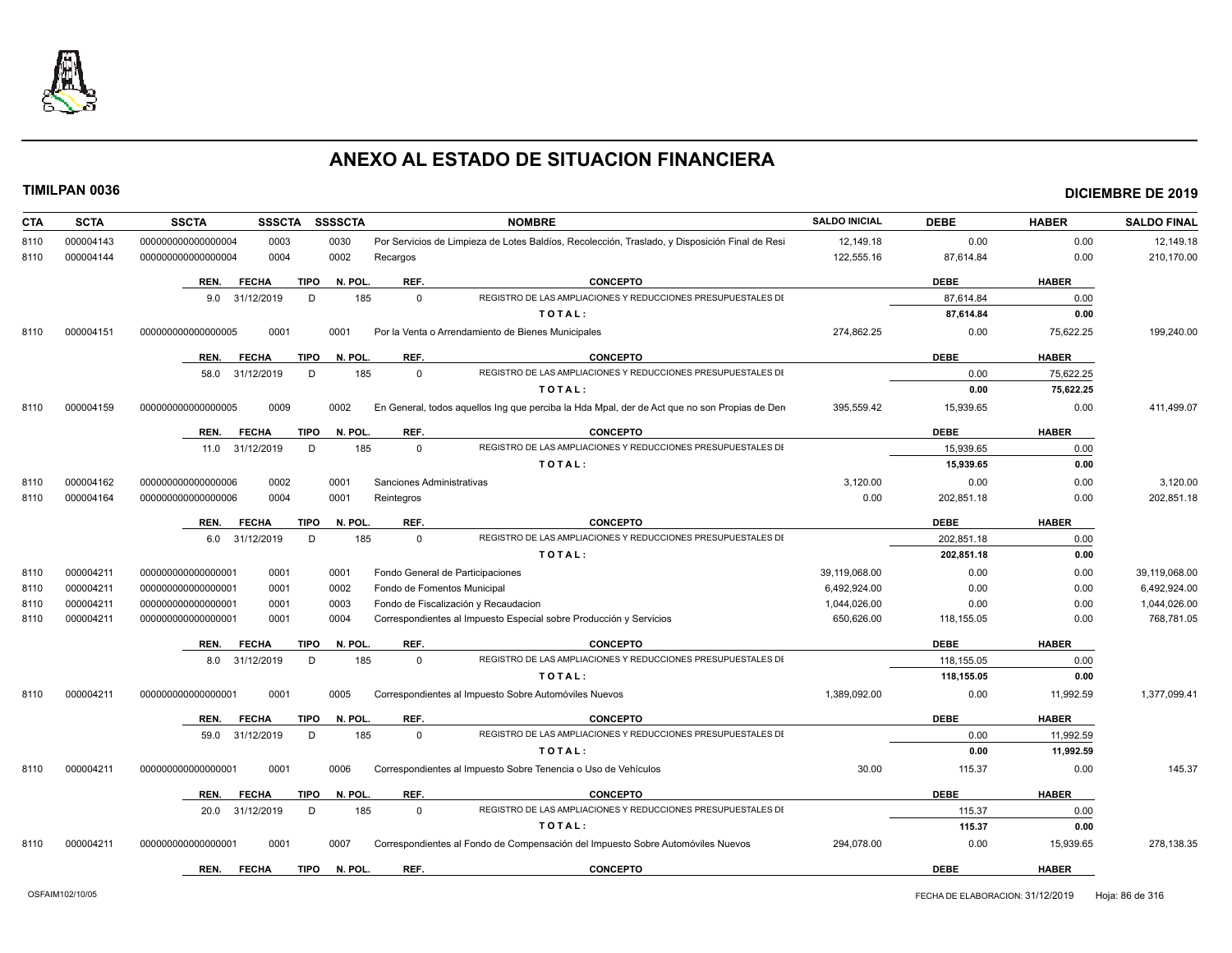

| <b>SCTA</b><br>CTA | <b>SSCTA</b>       | <b>SSSCTA</b>   | <b>SSSSCTA</b>         |                             | <b>NOMBRE</b>                                                                                  | <b>SALDO INICIAL</b> | <b>DEBE</b> | <b>HABER</b> | <b>SALDO FINAL</b> |
|--------------------|--------------------|-----------------|------------------------|-----------------------------|------------------------------------------------------------------------------------------------|----------------------|-------------|--------------|--------------------|
| 000004143<br>8110  | 000000000000000004 | 0003            | 0030                   |                             | Por Servicios de Limpieza de Lotes Baldíos, Recolección, Traslado, y Disposición Final de Resi | 12,149.18            | 0.00        | 0.00         | 12,149.18          |
| 000004144<br>8110  | 000000000000000004 | 0004            | 0002                   | Recargos                    |                                                                                                | 122,555.16           | 87,614.84   | 0.00         | 210,170.00         |
|                    | REN.               | <b>FECHA</b>    | <b>TIPO</b><br>N. POL. | REF.                        | <b>CONCEPTO</b>                                                                                |                      | <b>DEBE</b> | <b>HABER</b> |                    |
|                    | 9.0                | 31/12/2019      | D<br>185               | $\mathbf 0$                 | REGISTRO DE LAS AMPLIACIONES Y REDUCCIONES PRESUPUESTALES DI                                   |                      | 87.614.84   | 0.00         |                    |
|                    |                    |                 |                        |                             | TOTAL:                                                                                         |                      | 87,614.84   | 0.00         |                    |
| 000004151<br>8110  | 000000000000000005 | 0001            | 0001                   |                             | Por la Venta o Arrendamiento de Bienes Municipales                                             | 274,862.25           | 0.00        | 75,622.25    | 199,240.00         |
|                    | REN.               | <b>FECHA</b>    | <b>TIPO</b><br>N. POL. | REF.                        | <b>CONCEPTO</b>                                                                                |                      | <b>DEBE</b> | <b>HABER</b> |                    |
|                    |                    | 58.0 31/12/2019 | D<br>185               | $\overline{0}$              | REGISTRO DE LAS AMPLIACIONES Y REDUCCIONES PRESUPUESTALES DI                                   |                      | 0.00        | 75,622.25    |                    |
|                    |                    |                 |                        |                             | TOTAL:                                                                                         |                      | 0.00        | 75,622.25    |                    |
| 000004159<br>8110  | 000000000000000005 | 0009            | 0002                   |                             | En General, todos aquellos Ing que perciba la Hda Mpal, der de Act que no son Propias de Dere  | 395,559.42           | 15,939.65   | 0.00         | 411,499.07         |
|                    | REN.               | <b>FECHA</b>    | <b>TIPO</b><br>N. POL. | REF.                        | <b>CONCEPTO</b>                                                                                |                      | <b>DEBE</b> | <b>HABER</b> |                    |
|                    |                    | 11.0 31/12/2019 | D<br>185               | $\overline{0}$              | REGISTRO DE LAS AMPLIACIONES Y REDUCCIONES PRESUPUESTALES DI                                   |                      | 15,939.65   | 0.00         |                    |
|                    |                    |                 |                        |                             | TOTAL:                                                                                         |                      | 15,939.65   | 0.00         |                    |
| 000004162<br>8110  | 000000000000000006 | 0002            | 0001                   | Sanciones Administrativas   |                                                                                                | 3,120.00             | 0.00        | 0.00         | 3,120.00           |
| 8110<br>000004164  | 000000000000000006 | 0004            | 0001                   | Reintegros                  |                                                                                                | 0.00                 | 202,851.18  | 0.00         | 202,851.18         |
|                    | REN.               | <b>FECHA</b>    | <b>TIPO</b><br>N. POL. | REF.                        | <b>CONCEPTO</b>                                                                                |                      | <b>DEBE</b> | <b>HABER</b> |                    |
|                    |                    | 6.0 31/12/2019  | D<br>185               | $\Omega$                    | REGISTRO DE LAS AMPLIACIONES Y REDUCCIONES PRESUPUESTALES DI                                   |                      | 202,851.18  | 0.00         |                    |
|                    |                    |                 |                        |                             | TOTAL:                                                                                         |                      | 202,851.18  | 0.00         |                    |
| 000004211<br>8110  | 000000000000000001 | 0001            | 0001                   |                             | Fondo General de Participaciones                                                               | 39,119,068.00        | 0.00        | 0.00         | 39,119,068.00      |
| 000004211<br>8110  | 000000000000000001 | 0001            | 0002                   | Fondo de Fomentos Municipal |                                                                                                | 6,492,924.00         | 0.00        | 0.00         | 6,492,924.00       |
| 000004211<br>8110  | 00000000000000001  | 0001            | 0003                   |                             | Fondo de Fiscalización y Recaudacion                                                           | 1,044,026.00         | 0.00        | 0.00         | 1,044,026.00       |
| 000004211<br>8110  | 000000000000000001 | 0001            | 0004                   |                             | Correspondientes al Impuesto Especial sobre Producción y Servicios                             | 650,626.00           | 118,155.05  | 0.00         | 768,781.05         |
|                    | REN.               | <b>FECHA</b>    | <b>TIPO</b><br>N. POL. | REF.                        | <b>CONCEPTO</b>                                                                                |                      | <b>DEBE</b> | <b>HABER</b> |                    |
|                    |                    | 8.0 31/12/2019  | D<br>185               | $\Omega$                    | REGISTRO DE LAS AMPLIACIONES Y REDUCCIONES PRESUPUESTALES DI                                   |                      | 118,155.05  | 0.00         |                    |
|                    |                    |                 |                        |                             | TOTAL:                                                                                         |                      | 118,155.05  | 0.00         |                    |
| 000004211<br>8110  | 000000000000000001 | 0001            | 0005                   |                             | Correspondientes al Impuesto Sobre Automóviles Nuevos                                          | 1.389.092.00         | 0.00        | 11,992.59    | 1,377,099.41       |
|                    | REN.               | <b>FECHA</b>    | TIPO<br>N. POL.        | REF.                        | <b>CONCEPTO</b>                                                                                |                      | <b>DEBE</b> | <b>HABER</b> |                    |
|                    |                    | 59.0 31/12/2019 | D<br>185               | $\Omega$                    | REGISTRO DE LAS AMPLIACIONES Y REDUCCIONES PRESUPUESTALES DI                                   |                      | 0.00        | 11,992.59    |                    |
|                    |                    |                 |                        |                             | TOTAL:                                                                                         |                      | 0.00        | 11,992.59    |                    |
| 000004211<br>8110  | 000000000000000001 | 0001            | 0006                   |                             | Correspondientes al Impuesto Sobre Tenencia o Uso de Vehículos                                 | 30.00                | 115.37      | 0.00         | 145.37             |
|                    | REN.               | <b>FECHA</b>    | <b>TIPO</b><br>N. POL. | REF.                        | <b>CONCEPTO</b>                                                                                |                      | <b>DEBE</b> | <b>HABER</b> |                    |
|                    |                    | 20.0 31/12/2019 | D<br>185               | $\mathbf 0$                 | REGISTRO DE LAS AMPLIACIONES Y REDUCCIONES PRESUPUESTALES DI                                   |                      | 115.37      | 0.00         |                    |
|                    |                    |                 |                        |                             | TOTAL:                                                                                         |                      | 115.37      | 0.00         |                    |
| 8110<br>000004211  | 000000000000000001 | 0001            | 0007                   |                             | Correspondientes al Fondo de Compensación del Impuesto Sobre Automóviles Nuevos                | 294,078.00           | 0.00        | 15,939.65    | 278,138.35         |
|                    | REN.               | <b>FECHA</b>    | TIPO<br>N. POL.        | REF.                        | <b>CONCEPTO</b>                                                                                |                      | DEBE        | <b>HABER</b> |                    |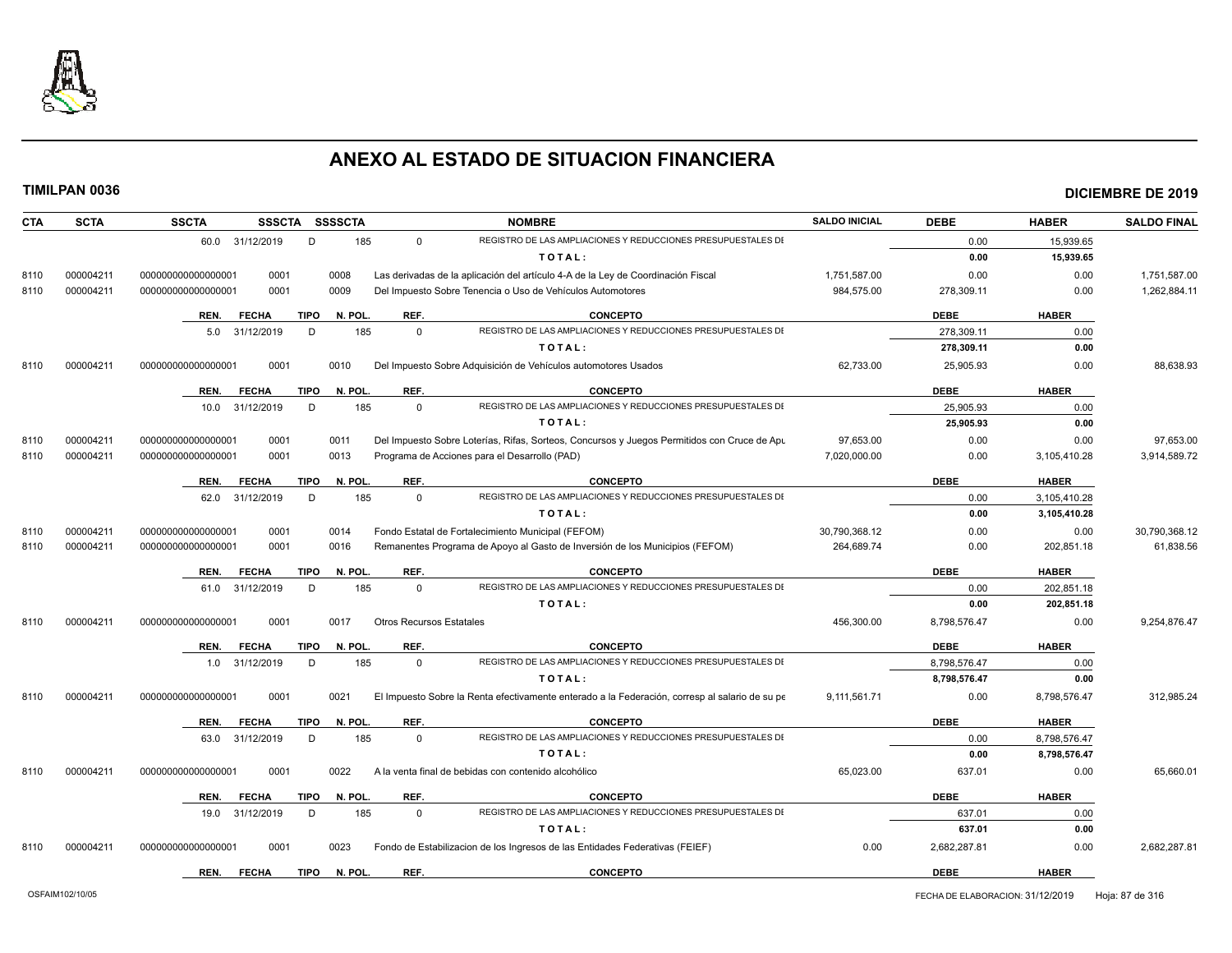

| <b>CTA</b>        | <b>SCTA</b> | <b>SSCTA</b>         |      | SSSCTA SSSSCTA         |                                 | <b>NOMBRE</b>                                                                                  | <b>SALDO INICIAL</b> | <b>DEBE</b>  | <b>HABER</b> | <b>SALDO FINAL</b> |
|-------------------|-------------|----------------------|------|------------------------|---------------------------------|------------------------------------------------------------------------------------------------|----------------------|--------------|--------------|--------------------|
|                   |             | 60.0 31/12/2019      |      | D<br>185               | $\Omega$                        | REGISTRO DE LAS AMPLIACIONES Y REDUCCIONES PRESUPUESTALES DI                                   |                      | 0.00         | 15,939.65    |                    |
|                   |             |                      |      |                        |                                 | TOTAL:                                                                                         |                      | 0.00         | 15,939.65    |                    |
| 000004211<br>8110 |             | 000000000000000001   | 0001 | 0008                   |                                 | Las derivadas de la aplicación del artículo 4-A de la Ley de Coordinación Fiscal               | 1,751,587.00         | 0.00         | 0.00         | 1,751,587.00       |
| 000004211<br>8110 |             | 00000000000000001    | 0001 | 0009                   |                                 | Del Impuesto Sobre Tenencia o Uso de Vehículos Automotores                                     | 984,575.00           | 278,309.11   | 0.00         | 1,262,884.11       |
|                   |             | <b>FECHA</b><br>REN. |      | <b>TIPO</b><br>N. POL. | REF.                            | <b>CONCEPTO</b>                                                                                |                      | <b>DEBE</b>  | <b>HABER</b> |                    |
|                   |             | 31/12/2019<br>5.0    |      | D<br>185               | $\Omega$                        | REGISTRO DE LAS AMPLIACIONES Y REDUCCIONES PRESUPUESTALES DI                                   |                      | 278,309.11   | 0.00         |                    |
|                   |             |                      |      |                        |                                 | TOTAL:                                                                                         |                      | 278,309.11   | 0.00         |                    |
| 000004211<br>8110 |             | 000000000000000001   | 0001 | 0010                   |                                 | Del Impuesto Sobre Adquisición de Vehículos automotores Usados                                 | 62,733.00            | 25,905.93    | 0.00         | 88,638.93          |
|                   |             | <b>FECHA</b><br>REN. |      | TIPO<br>N. POL.        | REF.                            | <b>CONCEPTO</b>                                                                                |                      | <b>DEBE</b>  | <b>HABER</b> |                    |
|                   |             | 10.0 31/12/2019      |      | D<br>185               | $\mathbf 0$                     | REGISTRO DE LAS AMPLIACIONES Y REDUCCIONES PRESUPUESTALES DI                                   |                      | 25,905.93    | 0.00         |                    |
|                   |             |                      |      |                        |                                 | TOTAL:                                                                                         |                      | 25,905.93    | 0.00         |                    |
| 000004211<br>8110 |             | 00000000000000001    | 0001 | 0011                   |                                 | Del Impuesto Sobre Loterías, Rifas, Sorteos, Concursos y Juegos Permitidos con Cruce de Apu    | 97.653.00            | 0.00         | 0.00         | 97.653.00          |
| 000004211<br>8110 |             | 000000000000000001   | 0001 | 0013                   |                                 | Programa de Acciones para el Desarrollo (PAD)                                                  | 7,020,000.00         | 0.00         | 3,105,410.28 | 3,914,589.72       |
|                   |             | <b>FECHA</b><br>REN. |      | N. POL.<br><b>TIPO</b> | REF.                            | <b>CONCEPTO</b>                                                                                |                      | <b>DEBE</b>  | <b>HABER</b> |                    |
|                   |             | 62.0 31/12/2019      |      | 185<br>D               | $\Omega$                        | REGISTRO DE LAS AMPLIACIONES Y REDUCCIONES PRESUPUESTALES DI                                   |                      | 0.00         | 3,105,410.28 |                    |
|                   |             |                      |      |                        |                                 | TOTAL:                                                                                         |                      | 0.00         | 3,105,410.28 |                    |
| 000004211<br>8110 |             | 000000000000000001   | 0001 | 0014                   |                                 | Fondo Estatal de Fortalecimiento Municipal (FEFOM)                                             | 30,790,368.12        | 0.00         | 0.00         | 30,790,368.12      |
| 8110<br>000004211 |             | 000000000000000001   | 0001 | 0016                   |                                 | Remanentes Programa de Apoyo al Gasto de Inversión de los Municipios (FEFOM)                   | 264,689.74           | 0.00         | 202,851.18   | 61,838.56          |
|                   |             | REN.<br><b>FECHA</b> |      | <b>TIPO</b><br>N. POL. | REF.                            | <b>CONCEPTO</b>                                                                                |                      | <b>DEBE</b>  | <b>HABER</b> |                    |
|                   |             | 61.0 31/12/2019      |      | 185<br>D               | $\mathbf 0$                     | REGISTRO DE LAS AMPLIACIONES Y REDUCCIONES PRESUPUESTALES DI                                   |                      | 0.00         | 202,851.18   |                    |
|                   |             |                      |      |                        |                                 | TOTAL:                                                                                         |                      | 0.00         | 202,851.18   |                    |
| 000004211<br>8110 |             | 000000000000000001   | 0001 | 0017                   | <b>Otros Recursos Estatales</b> |                                                                                                | 456,300.00           | 8,798,576.47 | 0.00         | 9,254,876.47       |
|                   |             | REN.<br><b>FECHA</b> |      | TIPO<br>N. POL.        | REF.                            | <b>CONCEPTO</b>                                                                                |                      | <b>DEBE</b>  | <b>HABER</b> |                    |
|                   |             | 1.0 31/12/2019       |      | D<br>185               | $\Omega$                        | REGISTRO DE LAS AMPLIACIONES Y REDUCCIONES PRESUPUESTALES DI                                   |                      | 8,798,576.47 | 0.00         |                    |
|                   |             |                      |      |                        |                                 | TOTAL:                                                                                         |                      | 8,798,576.47 | 0.00         |                    |
| 000004211<br>8110 |             | 000000000000000001   | 0001 | 0021                   |                                 | El Impuesto Sobre la Renta efectivamente enterado a la Federación, corresp al salario de su pe | 9,111,561.71         | 0.00         | 8,798,576.47 | 312,985.24         |
|                   |             | <b>FECHA</b><br>REN. |      | <b>TIPO</b><br>N. POL. | REF.                            | <b>CONCEPTO</b>                                                                                |                      | <b>DEBE</b>  | <b>HABER</b> |                    |
|                   |             | 63.0 31/12/2019      |      | D<br>185               | $\Omega$                        | REGISTRO DE LAS AMPLIACIONES Y REDUCCIONES PRESUPUESTALES DI                                   |                      | 0.00         | 8,798,576.47 |                    |
|                   |             |                      |      |                        |                                 | TOTAL:                                                                                         |                      | 0.00         | 8,798,576.47 |                    |
| 000004211<br>8110 |             | 000000000000000001   | 0001 | 0022                   |                                 | A la venta final de bebidas con contenido alcohólico                                           | 65,023.00            | 637.01       | 0.00         | 65,660.01          |
|                   |             | REN.<br><b>FECHA</b> |      | TIPO<br>N. POL.        | REF.                            | <b>CONCEPTO</b>                                                                                |                      | <b>DEBE</b>  | <b>HABER</b> |                    |
|                   |             | 31/12/2019<br>19.0   |      | D<br>185               | $\Omega$                        | REGISTRO DE LAS AMPLIACIONES Y REDUCCIONES PRESUPUESTALES DI                                   |                      | 637.01       | 0.00         |                    |
|                   |             |                      |      |                        |                                 | TOTAL:                                                                                         |                      | 637.01       | 0.00         |                    |
| 000004211<br>8110 |             | 000000000000000001   | 0001 | 0023                   |                                 | Fondo de Estabilizacion de los Ingresos de las Entidades Federativas (FEIEF)                   | 0.00                 | 2,682,287.81 | 0.00         | 2,682,287.81       |
|                   |             | <b>FECHA</b><br>REN. |      | <b>TIPO</b><br>N. POL. | REF.                            | <b>CONCEPTO</b>                                                                                |                      | <b>DEBE</b>  | <b>HABER</b> |                    |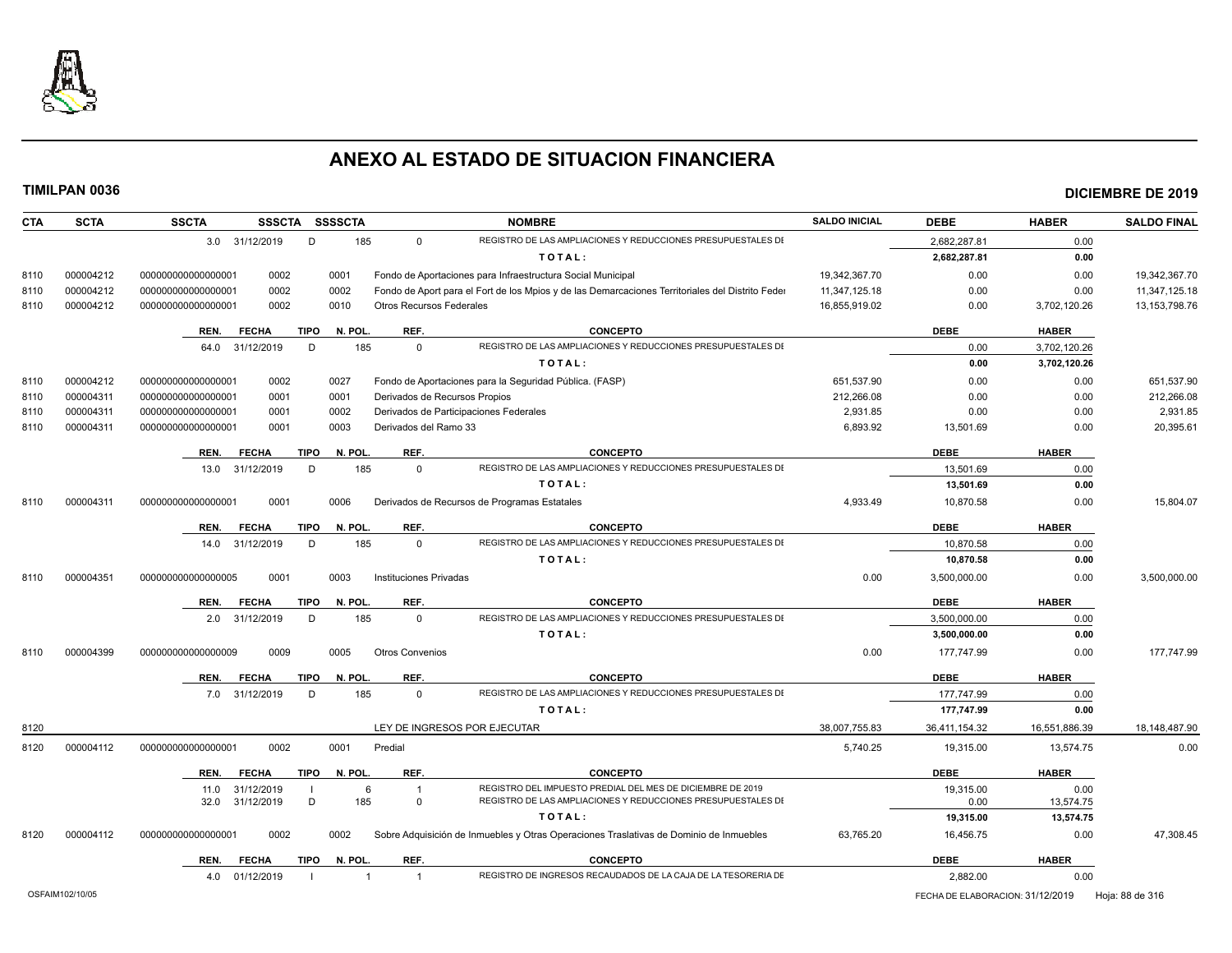

| <b>SCTA</b><br><b>CTA</b> | <b>SSCTA</b>       | <b>SSSCTA</b>   | <b>SSSSCTA</b>         |                                 | <b>NOMBRE</b>                                                                                    | <b>SALDO INICIAL</b> | <b>DEBE</b>                      | <b>HABER</b>  | <b>SALDO FINAL</b> |
|---------------------------|--------------------|-----------------|------------------------|---------------------------------|--------------------------------------------------------------------------------------------------|----------------------|----------------------------------|---------------|--------------------|
|                           |                    | 3.0 31/12/2019  | 185<br>D               | $\Omega$                        | REGISTRO DE LAS AMPLIACIONES Y REDUCCIONES PRESUPUESTALES DI                                     |                      | 2,682,287.81                     | 0.00          |                    |
|                           |                    |                 |                        |                                 | TOTAL:                                                                                           |                      | 2,682,287.81                     | 0.00          |                    |
| 000004212<br>8110         | 000000000000000001 | 0002            | 0001                   |                                 | Fondo de Aportaciones para Infraestructura Social Municipal                                      | 19,342,367.70        | 0.00                             | 0.00          | 19,342,367.70      |
| 8110<br>000004212         | 000000000000000001 | 0002            | 0002                   |                                 | Fondo de Aport para el Fort de los Mpios y de las Demarcaciones Territoriales del Distrito Feder | 11,347,125.18        | 0.00                             | 0.00          | 11,347,125.18      |
| 000004212<br>8110         | 000000000000000001 | 0002            | 0010                   | <b>Otros Recursos Federales</b> |                                                                                                  | 16,855,919.02        | 0.00                             | 3,702,120.26  | 13, 153, 798. 76   |
|                           | REN.               | <b>FECHA</b>    | <b>TIPO</b><br>N. POL. | REF.                            | <b>CONCEPTO</b>                                                                                  |                      | <b>DEBE</b>                      | <b>HABER</b>  |                    |
|                           | 64.0               | 31/12/2019      | D<br>185               | $\Omega$                        | REGISTRO DE LAS AMPLIACIONES Y REDUCCIONES PRESUPUESTALES DI                                     |                      | 0.00                             | 3,702,120.26  |                    |
|                           |                    |                 |                        |                                 | TOTAL:                                                                                           |                      | 0.00                             | 3,702,120.26  |                    |
| 000004212<br>8110         | 000000000000000001 | 0002            | 0027                   |                                 | Fondo de Aportaciones para la Seguridad Pública. (FASP)                                          | 651,537.90           | 0.00                             | 0.00          | 651,537.90         |
| 000004311<br>8110         | 000000000000000001 | 0001            | 0001                   |                                 | Derivados de Recursos Propios                                                                    | 212.266.08           | 0.00                             | 0.00          | 212,266.08         |
| 000004311<br>8110         | 000000000000000001 | 0001            | 0002                   |                                 | Derivados de Participaciones Federales                                                           | 2,931.85             | 0.00                             | 0.00          | 2,931.85           |
| 000004311<br>8110         | 000000000000000001 | 0001            | 0003                   | Derivados del Ramo 33           |                                                                                                  | 6,893.92             | 13,501.69                        | 0.00          | 20,395.61          |
|                           |                    |                 |                        |                                 |                                                                                                  |                      |                                  |               |                    |
|                           | REN.               | <b>FECHA</b>    | TIPO<br>N. POL.        | REF.                            | <b>CONCEPTO</b>                                                                                  |                      | <b>DEBE</b>                      | <b>HABER</b>  |                    |
|                           | 13.0               | 31/12/2019      | 185<br>D               | $\Omega$                        | REGISTRO DE LAS AMPLIACIONES Y REDUCCIONES PRESUPUESTALES DI                                     |                      | 13,501.69                        | 0.00          |                    |
|                           |                    |                 |                        |                                 | TOTAL:                                                                                           |                      | 13,501.69                        | 0.00          |                    |
| 000004311<br>8110         | 000000000000000001 | 0001            | 0006                   |                                 | Derivados de Recursos de Programas Estatales                                                     | 4,933.49             | 10,870.58                        | 0.00          | 15,804.07          |
|                           | REN.               | <b>FECHA</b>    | <b>TIPO</b><br>N. POL  | REF.                            | <b>CONCEPTO</b>                                                                                  |                      | <b>DEBE</b>                      | <b>HABER</b>  |                    |
|                           |                    | 14.0 31/12/2019 | 185<br>D               | $\mathbf 0$                     | REGISTRO DE LAS AMPLIACIONES Y REDUCCIONES PRESUPUESTALES DI                                     |                      | 10,870.58                        | 0.00          |                    |
|                           |                    |                 |                        |                                 | TOTAL:                                                                                           |                      | 10,870.58                        | 0.00          |                    |
| 000004351<br>8110         | 000000000000000005 | 0001            | 0003                   | Instituciones Privadas          |                                                                                                  | 0.00                 | 3,500,000.00                     | 0.00          | 3,500,000.00       |
|                           | REN.               | <b>FECHA</b>    | <b>TIPO</b><br>N. POL. | REF.                            | <b>CONCEPTO</b>                                                                                  |                      | <b>DEBE</b>                      | <b>HABER</b>  |                    |
|                           |                    | 2.0 31/12/2019  | 185<br>D               | $\Omega$                        | REGISTRO DE LAS AMPLIACIONES Y REDUCCIONES PRESUPUESTALES DI                                     |                      | 3,500,000.00                     | 0.00          |                    |
|                           |                    |                 |                        |                                 | TOTAL:                                                                                           |                      | 3,500,000.00                     | 0.00          |                    |
| 000004399<br>8110         | 000000000000000009 | 0009            | 0005                   | <b>Otros Convenios</b>          |                                                                                                  | 0.00                 | 177.747.99                       | 0.00          | 177.747.99         |
|                           |                    |                 |                        |                                 |                                                                                                  |                      |                                  |               |                    |
|                           | REN.               | <b>FECHA</b>    | <b>TIPO</b><br>N. POL. | REF.                            | <b>CONCEPTO</b>                                                                                  |                      | <b>DEBE</b>                      | <b>HABER</b>  |                    |
|                           |                    | 7.0 31/12/2019  | D<br>185               | $\mathbf 0$                     | REGISTRO DE LAS AMPLIACIONES Y REDUCCIONES PRESUPUESTALES DI                                     |                      | 177,747.99                       | 0.00          |                    |
|                           |                    |                 |                        |                                 | TOTAL:                                                                                           |                      | 177,747.99                       | 0.00          |                    |
| 8120                      |                    |                 |                        |                                 | LEY DE INGRESOS POR EJECUTAR                                                                     | 38,007,755.83        | 36,411,154.32                    | 16,551,886.39 | 18,148,487.90      |
| 8120<br>000004112         | 000000000000000001 | 0002            | 0001                   | Predial                         |                                                                                                  | 5,740.25             | 19,315.00                        | 13,574.75     | 0.00               |
|                           | REN.               | <b>FECHA</b>    | <b>TIPO</b><br>N. POL. | REF.                            | <b>CONCEPTO</b>                                                                                  |                      | <b>DEBE</b>                      | <b>HABER</b>  |                    |
|                           | 11.0               | 31/12/2019      | 6                      | $\overline{1}$                  | REGISTRO DEL IMPUESTO PREDIAL DEL MES DE DICIEMBRE DE 2019                                       |                      | 19.315.00                        | 0.00          |                    |
|                           | 32.0               | 31/12/2019      | D<br>185               | $\Omega$                        | REGISTRO DE LAS AMPLIACIONES Y REDUCCIONES PRESUPUESTALES DI                                     |                      | 0.00                             | 13,574.75     |                    |
|                           |                    |                 |                        |                                 | TOTAL:                                                                                           |                      | 19,315.00                        | 13,574.75     |                    |
| 8120<br>000004112         | 000000000000000001 | 0002            | 0002                   |                                 | Sobre Adquisición de Inmuebles y Otras Operaciones Traslativas de Dominio de Inmuebles           | 63,765.20            | 16,456.75                        | 0.00          | 47,308.45          |
|                           | REN.               | <b>FECHA</b>    | <b>TIPO</b><br>N. POL  | REF.                            | <b>CONCEPTO</b>                                                                                  |                      | <b>DEBE</b>                      | <b>HABER</b>  |                    |
|                           |                    | 4.0 01/12/2019  | $\mathbf 1$            | $\overline{1}$                  | REGISTRO DE INGRESOS RECAUDADOS DE LA CAJA DE LA TESORERIA DE                                    |                      | 2,882.00                         | 0.00          |                    |
| OSFAIM102/10/05           |                    |                 |                        |                                 |                                                                                                  |                      | FECHA DE ELABORACION: 31/12/2019 |               | Hoja: 88 de 316    |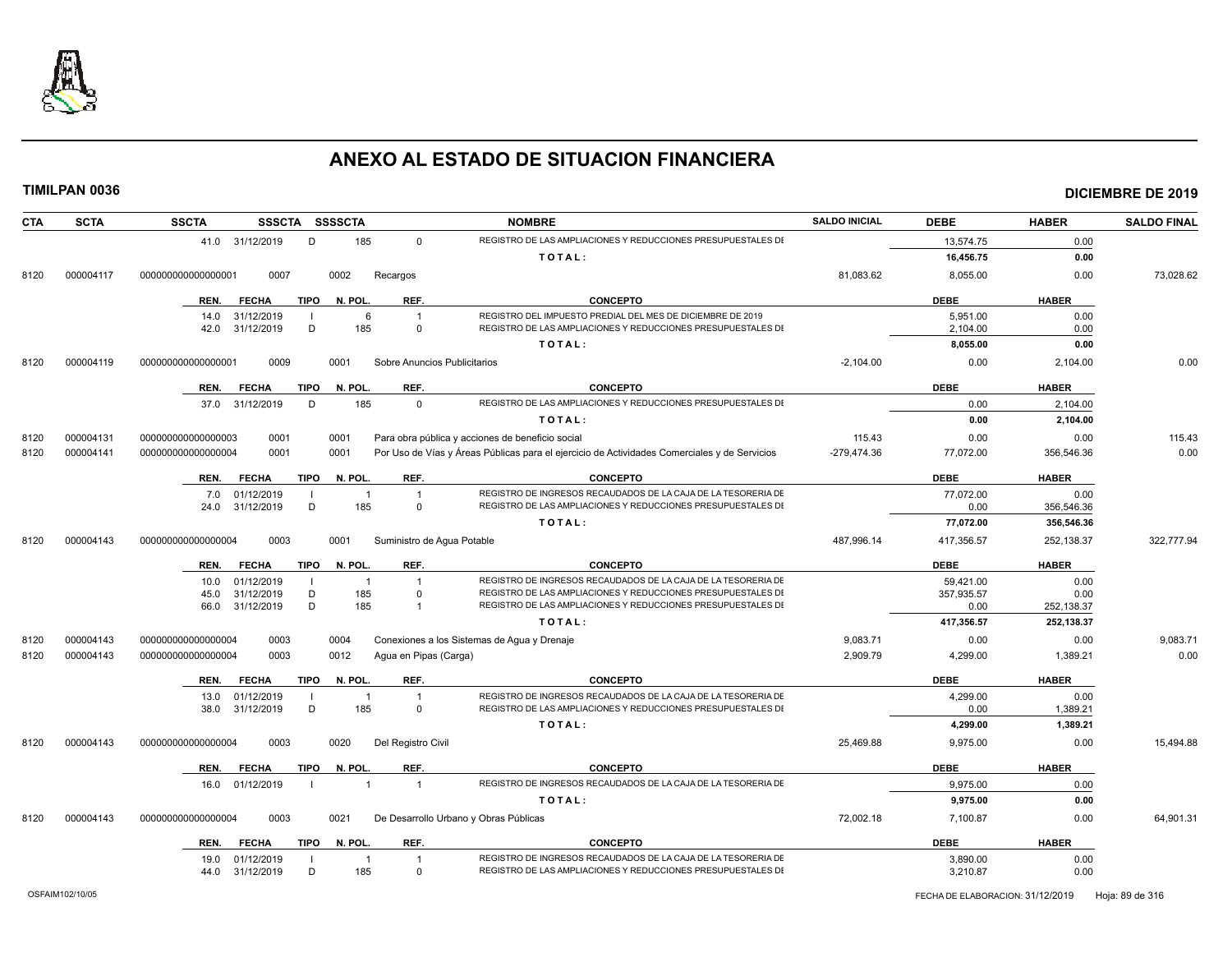

| <b>SCTA</b><br>CTA | <b>SSCTA</b><br><b>SSSCTA</b> | <b>SSSSCTA</b>          | <b>NOMBRE</b>                                                                                | <b>SALDO INICIAL</b> | <b>DEBE</b> | <b>HABER</b> | <b>SALDO FINAL</b> |
|--------------------|-------------------------------|-------------------------|----------------------------------------------------------------------------------------------|----------------------|-------------|--------------|--------------------|
|                    | 41.0 31/12/2019               | D<br>185                | REGISTRO DE LAS AMPLIACIONES Y REDUCCIONES PRESUPUESTALES DI<br>$\Omega$                     |                      | 13,574.75   | 0.00         |                    |
|                    |                               |                         | TOTAL:                                                                                       |                      | 16,456.75   | 0.00         |                    |
| 000004117<br>8120  | 00000000000000001<br>0007     | 0002<br>Recargos        |                                                                                              | 81,083.62            | 8,055.00    | 0.00         | 73,028.62          |
|                    | <b>FECHA</b><br>REN.          | <b>TIPO</b><br>N. POL.  | REF.<br><b>CONCEPTO</b>                                                                      |                      | <b>DEBE</b> | <b>HABER</b> |                    |
|                    | 31/12/2019<br>14.0            | 6                       | REGISTRO DEL IMPUESTO PREDIAL DEL MES DE DICIEMBRE DE 2019<br>$\mathbf{1}$                   |                      | 5,951.00    | 0.00         |                    |
|                    | 42.0 31/12/2019               | D<br>185                | REGISTRO DE LAS AMPLIACIONES Y REDUCCIONES PRESUPUESTALES DI<br>$\overline{0}$               |                      | 2,104.00    | 0.00         |                    |
|                    |                               |                         | TOTAL:                                                                                       |                      | 8,055.00    | 0.00         |                    |
| 000004119<br>8120  | 0009<br>000000000000000001    | 0001                    | Sobre Anuncios Publicitarios                                                                 | $-2.104.00$          | 0.00        | 2.104.00     | 0.00               |
|                    | <b>FECHA</b><br>REN.          | <b>TIPO</b><br>N. POL   | REF.<br><b>CONCEPTO</b>                                                                      |                      | <b>DEBE</b> | <b>HABER</b> |                    |
|                    | 31/12/2019<br>37.0            | D<br>185                | REGISTRO DE LAS AMPLIACIONES Y REDUCCIONES PRESUPUESTALES DI<br>$\Omega$                     |                      | 0.00        | 2,104.00     |                    |
|                    |                               |                         | TOTAL:                                                                                       |                      | 0.00        | 2,104.00     |                    |
| 000004131<br>8120  | 000000000000000003<br>0001    | 0001                    | Para obra pública y acciones de beneficio social                                             | 115.43               | 0.00        | 0.00         | 115.43             |
| 000004141<br>8120  | 0001<br>000000000000000004    | 0001                    | Por Uso de Vías y Áreas Públicas para el ejercicio de Actividades Comerciales y de Servicios | -279,474.36          | 77,072.00   | 356,546.36   | 0.00               |
|                    | REN.<br><b>FECHA</b>          | <b>TIPO</b><br>N. POL.  | REF.<br><b>CONCEPTO</b>                                                                      |                      | <b>DEBE</b> | <b>HABER</b> |                    |
|                    | 01/12/2019<br>7.0             | $\overline{1}$          | REGISTRO DE INGRESOS RECAUDADOS DE LA CAJA DE LA TESORERIA DE<br>$\overline{1}$              |                      | 77,072.00   | 0.00         |                    |
|                    | 31/12/2019<br>24.0            | D<br>185                | REGISTRO DE LAS AMPLIACIONES Y REDUCCIONES PRESUPUESTALES DI<br>$\Omega$                     |                      | 0.00        | 356,546.36   |                    |
|                    |                               |                         | TOTAL:                                                                                       |                      | 77.072.00   | 356.546.36   |                    |
| 000004143<br>8120  | 0003<br>000000000000000004    | 0001                    | Suministro de Aqua Potable                                                                   | 487,996.14           | 417,356.57  | 252,138.37   | 322,777.94         |
|                    | REN.<br><b>FECHA</b>          | N. POL.<br><b>TIPO</b>  | REF.<br><b>CONCEPTO</b>                                                                      |                      | <b>DEBE</b> | <b>HABER</b> |                    |
|                    | 01/12/2019<br>10.0            | $\overline{1}$          | REGISTRO DE INGRESOS RECAUDADOS DE LA CAJA DE LA TESORERIA DE                                |                      | 59,421.00   | 0.00         |                    |
|                    | 31/12/2019<br>45.0            | D<br>185                | REGISTRO DE LAS AMPLIACIONES Y REDUCCIONES PRESUPUESTALES DI<br>$\Omega$                     |                      | 357,935.57  | 0.00         |                    |
|                    | 31/12/2019<br>66.0            | D<br>185                | REGISTRO DE LAS AMPLIACIONES Y REDUCCIONES PRESUPUESTALES DI<br>$\overline{1}$               |                      | 0.00        | 252,138.37   |                    |
|                    |                               |                         | TOTAL:                                                                                       |                      | 417,356.57  | 252,138.37   |                    |
| 000004143<br>8120  | 000000000000000004<br>0003    | 0004                    | Conexiones a los Sistemas de Agua y Drenaje                                                  | 9,083.71             | 0.00        | 0.00         | 9,083.71           |
| 8120<br>000004143  | 000000000000000004<br>0003    | 0012                    | Agua en Pipas (Carga)                                                                        | 2,909.79             | 4,299.00    | 1,389.21     | 0.00               |
|                    | <b>FECHA</b><br>REN.          | <b>TIPO</b><br>N. POL.  | REF.<br><b>CONCEPTO</b>                                                                      |                      | <b>DEBE</b> | <b>HABER</b> |                    |
|                    | 01/12/2019<br>13.0            | $\overline{\mathbf{1}}$ | REGISTRO DE INGRESOS RECAUDADOS DE LA CAJA DE LA TESORERIA DE                                |                      | 4.299.00    | 0.00         |                    |
|                    | 38.0<br>31/12/2019            | D<br>185                | REGISTRO DE LAS AMPLIACIONES Y REDUCCIONES PRESUPUESTALES DI<br>$\Omega$                     |                      | 0.00        | 1,389.21     |                    |
|                    |                               |                         | TOTAL:                                                                                       |                      | 4,299.00    | 1,389.21     |                    |
| 000004143<br>8120  | 0003<br>000000000000000004    | 0020                    | Del Registro Civil                                                                           | 25,469.88            | 9,975.00    | 0.00         | 15,494.88          |
|                    | REN.<br><b>FECHA</b>          | N. POL.<br><b>TIPO</b>  | REF.<br><b>CONCEPTO</b>                                                                      |                      | <b>DEBE</b> | <b>HABER</b> |                    |
|                    | 16.0 01/12/2019               | $\overline{1}$          | REGISTRO DE INGRESOS RECAUDADOS DE LA CAJA DE LA TESORERIA DE<br>$\overline{1}$              |                      | 9,975.00    | 0.00         |                    |
|                    |                               |                         | TOTAL:                                                                                       |                      | 9,975.00    | 0.00         |                    |
| 000004143<br>8120  | 000000000000000004<br>0003    | 0021                    | De Desarrollo Urbano y Obras Públicas                                                        | 72,002.18            | 7,100.87    | 0.00         | 64,901.31          |
|                    | <b>FECHA</b><br>REN.          | <b>TIPO</b><br>N. POL.  | REF.<br><b>CONCEPTO</b>                                                                      |                      | <b>DEBE</b> | <b>HABER</b> |                    |
|                    | 01/12/2019<br>19.0            | $\overline{1}$          | REGISTRO DE INGRESOS RECAUDADOS DE LA CAJA DE LA TESORERIA DE                                |                      | 3,890.00    | 0.00         |                    |
|                    | 31/12/2019<br>44.0            | D<br>185                | REGISTRO DE LAS AMPLIACIONES Y REDUCCIONES PRESUPUESTALES DI<br>$\overline{0}$               |                      | 3,210.87    | 0.00         |                    |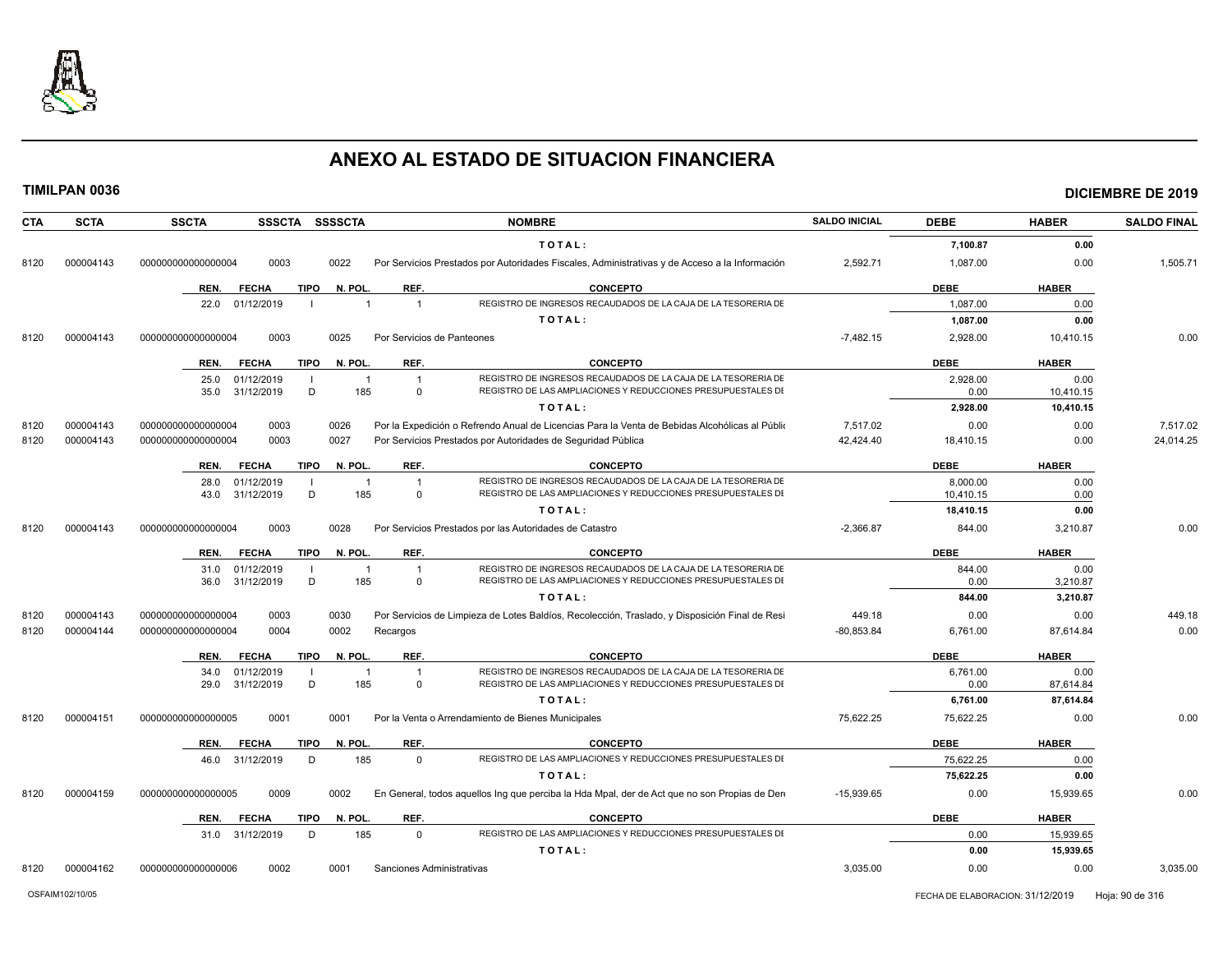

| CTA          | <b>SCTA</b>            | <b>SSCTA</b><br><b>SSSCTA</b><br>SSSSCTA                                             | <b>NOMBRE</b>                                                                                                                 | <b>SALDO INICIAL</b>   | <b>DEBE</b>      | <b>HABER</b>      | <b>SALDO FINAL</b> |
|--------------|------------------------|--------------------------------------------------------------------------------------|-------------------------------------------------------------------------------------------------------------------------------|------------------------|------------------|-------------------|--------------------|
|              |                        |                                                                                      | TOTAL:                                                                                                                        |                        | 7,100.87         | 0.00              |                    |
| 8120         | 000004143              | 000000000000000004<br>0003<br>0022                                                   | Por Servicios Prestados por Autoridades Fiscales, Administrativas y de Acceso a la Información                                | 2,592.71               | 1,087.00         | 0.00              | 1,505.71           |
|              |                        | <b>TIPO</b><br>N. POL.<br>REF.<br>REN.<br><b>FECHA</b>                               | <b>CONCEPTO</b>                                                                                                               |                        | <b>DEBE</b>      | <b>HABER</b>      |                    |
|              |                        | 01/12/2019<br>22.0<br>$\overline{1}$                                                 | REGISTRO DE INGRESOS RECAUDADOS DE LA CAJA DE LA TESORERIA DE                                                                 |                        | 1,087.00         | 0.00              |                    |
|              |                        |                                                                                      | TOTAL:                                                                                                                        |                        | 1,087.00         | 0.00              |                    |
| 8120         | 000004143              | 0003<br>0025<br>Por Servicios de Panteones<br>000000000000000004                     |                                                                                                                               | $-7.482.15$            | 2.928.00         | 10.410.15         | 0.00               |
|              |                        | REF.<br>REN.<br><b>FECHA</b><br>TIPO<br>N. POL.                                      | <b>CONCEPTO</b>                                                                                                               |                        | <b>DEBE</b>      | <b>HABER</b>      |                    |
|              |                        | 25.0<br>01/12/2019<br>$\overline{1}$<br>$\overline{1}$                               | REGISTRO DE INGRESOS RECAUDADOS DE LA CAJA DE LA TESORERIA DE                                                                 |                        | 2,928.00         | 0.00              |                    |
|              |                        | D<br>185<br>31/12/2019<br>35.0<br>$\Omega$                                           | REGISTRO DE LAS AMPLIACIONES Y REDUCCIONES PRESUPUESTALES DI                                                                  |                        | 0.00             | 10,410.15         |                    |
|              |                        |                                                                                      | TOTAL:                                                                                                                        |                        | 2,928.00         | 10,410.15         |                    |
| 8120         | 000004143              | 0003<br>000000000000000004<br>0026                                                   | Por la Expedición o Refrendo Anual de Licencias Para la Venta de Bebidas Alcohólicas al Públio                                | 7,517.02               | 0.00             | 0.00              | 7.517.02           |
| 8120         | 000004143              | 0003<br>0027<br>000000000000000004                                                   | Por Servicios Prestados por Autoridades de Seguridad Pública                                                                  | 42,424.40              | 18,410.15        | 0.00              | 24,014.25          |
|              |                        | <b>FECHA</b><br>TIPO<br>N. POL.<br>REF.<br>REN.                                      | <b>CONCEPTO</b>                                                                                                               |                        | <b>DEBE</b>      | <b>HABER</b>      |                    |
|              |                        | 28.0<br>01/12/2019<br>$\overline{1}$<br>$\overline{1}$                               | REGISTRO DE INGRESOS RECAUDADOS DE LA CAJA DE LA TESORERIA DE                                                                 |                        | 8,000.00         | 0.00              |                    |
|              |                        | D<br>185<br>31/12/2019<br>$\mathbf 0$<br>43.0                                        | REGISTRO DE LAS AMPLIACIONES Y REDUCCIONES PRESUPUESTALES DI                                                                  |                        | 10,410.15        | 0.00              |                    |
|              |                        |                                                                                      | TOTAL:                                                                                                                        |                        | 18,410.15        | 0.00              |                    |
| 8120         | 000004143              | 0003<br>000000000000000004<br>0028                                                   | Por Servicios Prestados por las Autoridades de Catastro                                                                       | $-2,366.87$            | 844.00           | 3,210.87          | 0.00               |
|              |                        | <b>FECHA</b><br>N. POL.<br>REF.<br>REN.<br>TIPO                                      | <b>CONCEPTO</b>                                                                                                               |                        | <b>DEBE</b>      | <b>HABER</b>      |                    |
|              |                        | 01/12/2019<br>31.0<br>-1<br>-1                                                       | REGISTRO DE INGRESOS RECAUDADOS DE LA CAJA DE LA TESORERIA DE<br>REGISTRO DE LAS AMPLIACIONES Y REDUCCIONES PRESUPUESTALES DI |                        | 844.00           | 0.00              |                    |
|              |                        | 31/12/2019<br>D<br>185<br>36.0<br>$\Omega$                                           | TOTAL:                                                                                                                        |                        | 0.00<br>844.00   | 3,210.87          |                    |
|              |                        |                                                                                      |                                                                                                                               |                        |                  | 3,210.87          |                    |
| 8120<br>8120 | 000004143<br>000004144 | 0003<br>000000000000000004<br>0030<br>000000000000000004<br>0004<br>0002<br>Recargos | Por Servicios de Limpieza de Lotes Baldíos, Recolección, Traslado, y Disposición Final de Resi                                | 449.18<br>$-80,853.84$ | 0.00<br>6,761.00 | 0.00<br>87,614.84 | 449.18<br>0.00     |
|              |                        |                                                                                      |                                                                                                                               |                        |                  |                   |                    |
|              |                        | <b>FECHA</b><br>N. POL.<br>REF.<br>REN.<br><b>TIPO</b>                               | <b>CONCEPTO</b>                                                                                                               |                        | <b>DEBE</b>      | <b>HABER</b>      |                    |
|              |                        | 01/12/2019<br>34.0<br>-1<br>31/12/2019<br>D<br>185<br>29.0<br>$\mathbf 0$            | REGISTRO DE INGRESOS RECAUDADOS DE LA CAJA DE LA TESORERIA DE<br>REGISTRO DE LAS AMPLIACIONES Y REDUCCIONES PRESUPUESTALES DI |                        | 6.761.00<br>0.00 | 0.00<br>87,614.84 |                    |
|              |                        |                                                                                      | TOTAL:                                                                                                                        |                        | 6,761.00         | 87.614.84         |                    |
| 8120         | 000004151              | 0001<br>0001<br>000000000000000005                                                   | Por la Venta o Arrendamiento de Bienes Municipales                                                                            | 75.622.25              | 75.622.25        | 0.00              | 0.00               |
|              |                        |                                                                                      |                                                                                                                               |                        |                  |                   |                    |
|              |                        | REF.<br>REN.<br><b>FECHA</b><br><b>TIPO</b><br>N. POL.                               | <b>CONCEPTO</b>                                                                                                               |                        | <b>DEBE</b>      | <b>HABER</b>      |                    |
|              |                        | 185<br>31/12/2019<br>D<br>$\mathbf 0$<br>46.0                                        | REGISTRO DE LAS AMPLIACIONES Y REDUCCIONES PRESUPUESTALES DI                                                                  |                        | 75,622.25        | 0.00              |                    |
|              |                        |                                                                                      | TOTAL:                                                                                                                        |                        | 75,622.25        | 0.00              |                    |
| 8120         | 000004159              | 0009<br>0002<br>000000000000000005                                                   | En General, todos aquellos Ing que perciba la Hda Mpal, der de Act que no son Propias de Dere                                 | $-15,939.65$           | 0.00             | 15,939.65         | 0.00               |
|              |                        | REN.<br><b>FECHA</b><br><b>TIPO</b><br>N. POL.<br>REF.                               | <b>CONCEPTO</b>                                                                                                               |                        | <b>DEBE</b>      | <b>HABER</b>      |                    |
|              |                        | D<br>185<br>31.0 31/12/2019<br>$\Omega$                                              | REGISTRO DE LAS AMPLIACIONES Y REDUCCIONES PRESUPUESTALES DI                                                                  |                        | 0.00             | 15,939.65         |                    |
|              |                        |                                                                                      | TOTAL:                                                                                                                        |                        | 0.00             | 15,939.65         |                    |
| 8120         | 000004162              | 0002<br>000000000000000006<br>0001<br>Sanciones Administrativas                      |                                                                                                                               | 3,035.00               | 0.00             | 0.00              | 3,035.00           |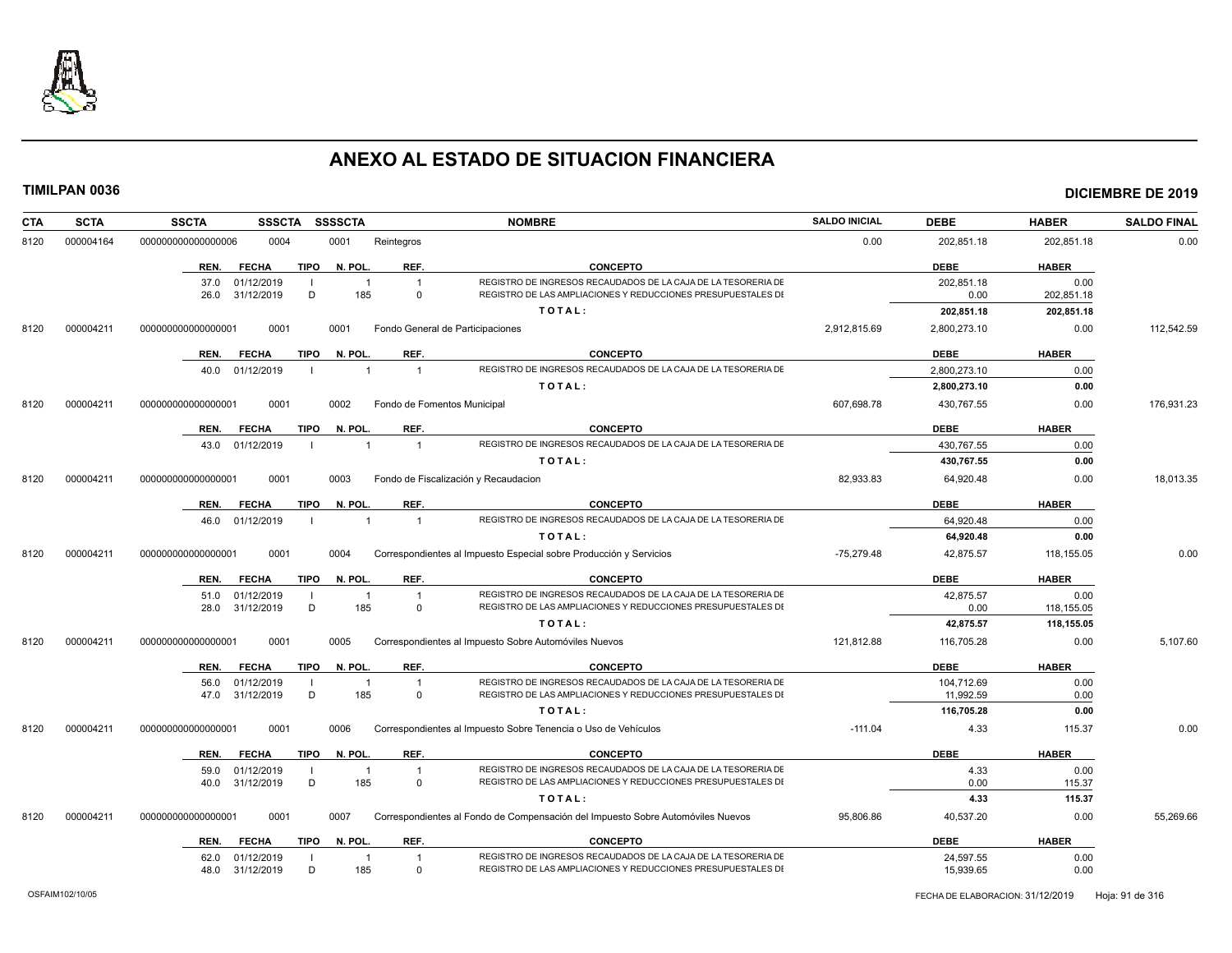

| CTA  | <b>SCTA</b> | <b>SSCTA</b><br><b>SSSCTA</b>                 | <b>SSSSCTA</b>                 |                                  | <b>NOMBRE</b>                                                                                                                 | <b>SALDO INICIAL</b> | <b>DEBE</b>            | <b>HABER</b>             | <b>SALDO FINAL</b> |
|------|-------------|-----------------------------------------------|--------------------------------|----------------------------------|-------------------------------------------------------------------------------------------------------------------------------|----------------------|------------------------|--------------------------|--------------------|
| 8120 | 000004164   | 000000000000000006<br>0004                    | 0001                           | Reintegros                       |                                                                                                                               | 0.00                 | 202,851.18             | 202,851.18               | 0.00               |
|      |             | <b>TIPO</b><br>REN.<br><b>FECHA</b>           | N. POL.                        | REF.                             | <b>CONCEPTO</b>                                                                                                               |                      | <b>DEBE</b>            | <b>HABER</b>             |                    |
|      |             | 37.0<br>01/12/2019<br>31/12/2019<br>D         | $\overline{\mathbf{1}}$<br>185 | $\overline{1}$<br>$\Omega$       | REGISTRO DE INGRESOS RECAUDADOS DE LA CAJA DE LA TESORERIA DE<br>REGISTRO DE LAS AMPLIACIONES Y REDUCCIONES PRESUPUESTALES DI |                      | 202,851.18<br>0.00     | 0.00                     |                    |
|      |             | 26.0                                          |                                |                                  | TOTAL:                                                                                                                        |                      | 202,851.18             | 202,851.18<br>202,851.18 |                    |
| 8120 | 000004211   | 00000000000000001<br>0001                     | 0001                           | Fondo General de Participaciones |                                                                                                                               | 2,912,815.69         | 2,800,273.10           | 0.00                     | 112,542.59         |
|      |             |                                               |                                |                                  |                                                                                                                               |                      |                        |                          |                    |
|      |             | <b>FECHA</b><br><b>TIPO</b><br>REN.           | N. POL                         | REF.                             | <b>CONCEPTO</b>                                                                                                               |                      | <b>DEBE</b>            | <b>HABER</b>             |                    |
|      |             | 01/12/2019<br>40.0                            | $\overline{1}$                 | $\overline{1}$                   | REGISTRO DE INGRESOS RECAUDADOS DE LA CAJA DE LA TESORERIA DE                                                                 |                      | 2,800,273.10           | 0.00                     |                    |
|      |             |                                               |                                |                                  | TOTAL:                                                                                                                        |                      | 2,800,273.10           | 0.00                     |                    |
| 8120 | 000004211   | 000000000000000001<br>0001                    | 0002                           | Fondo de Fomentos Municipal      |                                                                                                                               | 607.698.78           | 430,767.55             | 0.00                     | 176,931.23         |
|      |             | <b>TIPO</b><br>REN.<br><b>FECHA</b>           | N. POL                         | REF.                             | <b>CONCEPTO</b>                                                                                                               |                      | <b>DEBE</b>            | <b>HABER</b>             |                    |
|      |             | 43.0 01/12/2019                               |                                | $\overline{1}$                   | REGISTRO DE INGRESOS RECAUDADOS DE LA CAJA DE LA TESORERIA DE                                                                 |                      | 430.767.55             | 0.00                     |                    |
|      |             |                                               |                                |                                  | TOTAL:                                                                                                                        |                      | 430,767.55             | 0.00                     |                    |
| 8120 | 000004211   | 0001<br>000000000000000001                    | 0003                           |                                  | Fondo de Fiscalización y Recaudacion                                                                                          | 82,933.83            | 64,920.48              | 0.00                     | 18,013.35          |
|      |             | <b>TIPO</b><br>REN.<br><b>FECHA</b>           | N. POL                         | REF.                             | <b>CONCEPTO</b>                                                                                                               |                      | <b>DEBE</b>            | <b>HABER</b>             |                    |
|      |             | 01/12/2019<br>46.0                            | $\overline{1}$                 | $\overline{1}$                   | REGISTRO DE INGRESOS RECAUDADOS DE LA CAJA DE LA TESORERIA DE                                                                 |                      | 64,920.48              | 0.00                     |                    |
|      |             |                                               |                                |                                  | TOTAL:                                                                                                                        |                      | 64,920.48              | 0.00                     |                    |
| 8120 | 000004211   | 0001<br>000000000000000001                    | 0004                           |                                  | Correspondientes al Impuesto Especial sobre Producción y Servicios                                                            | $-75.279.48$         | 42.875.57              | 118,155.05               | 0.00               |
|      |             | <b>TIPO</b><br>REN.<br><b>FECHA</b>           | N. POL.                        | REF.                             | <b>CONCEPTO</b>                                                                                                               |                      | <b>DEBE</b>            | <b>HABER</b>             |                    |
|      |             | 51.0 01/12/2019                               | $\overline{\mathbf{1}}$        | $\overline{1}$                   | REGISTRO DE INGRESOS RECAUDADOS DE LA CAJA DE LA TESORERIA DE                                                                 |                      | 42,875.57              | 0.00                     |                    |
|      |             | 31/12/2019<br>D<br>28.0                       | 185                            | $\Omega$                         | REGISTRO DE LAS AMPLIACIONES Y REDUCCIONES PRESUPUESTALES DI                                                                  |                      | 0.00                   | 118,155.05               |                    |
|      |             |                                               |                                |                                  | TOTAL:                                                                                                                        |                      | 42,875.57              | 118,155.05               |                    |
| 8120 | 000004211   | 00000000000000001<br>0001                     | 0005                           |                                  | Correspondientes al Impuesto Sobre Automóviles Nuevos                                                                         | 121,812.88           | 116,705.28             | 0.00                     | 5,107.60           |
|      |             | REN.<br><b>FECHA</b><br><b>TIPO</b>           | N. POL.                        | REF.                             | <b>CONCEPTO</b>                                                                                                               |                      | <b>DEBE</b>            | <b>HABER</b>             |                    |
|      |             | 56.0<br>01/12/2019                            | -1                             | $\overline{1}$                   | REGISTRO DE INGRESOS RECAUDADOS DE LA CAJA DE LA TESORERIA DE                                                                 |                      | 104,712.69             | 0.00                     |                    |
|      |             | 47.0 31/12/2019<br>D                          | 185                            | $\Omega$                         | REGISTRO DE LAS AMPLIACIONES Y REDUCCIONES PRESUPUESTALES DI                                                                  |                      | 11,992.59              | 0.00                     |                    |
|      |             |                                               |                                |                                  | TOTAL:                                                                                                                        |                      | 116,705.28             | 0.00                     | 0.00               |
| 8120 | 000004211   | 0001<br>00000000000000001                     | 0006                           |                                  | Correspondientes al Impuesto Sobre Tenencia o Uso de Vehículos                                                                | $-111.04$            | 4.33                   | 115.37                   |                    |
|      |             | <b>TIPO</b><br>REN.<br><b>FECHA</b>           | N. POL.                        | REF.                             | <b>CONCEPTO</b>                                                                                                               |                      | <b>DEBE</b>            | <b>HABER</b>             |                    |
|      |             | 01/12/2019<br>59.0                            | $\overline{1}$                 | $\mathbf{1}$                     | REGISTRO DE INGRESOS RECAUDADOS DE LA CAJA DE LA TESORERIA DE<br>REGISTRO DE LAS AMPLIACIONES Y REDUCCIONES PRESUPUESTALES DI |                      | 4.33                   | 0.00                     |                    |
|      |             | D<br>31/12/2019<br>40.0                       | 185                            | $\Omega$                         | TOTAL:                                                                                                                        |                      | 0.00<br>4.33           | 115.37<br>115.37         |                    |
| 8120 | 000004211   | 00000000000000001<br>0001                     | 0007                           |                                  | Correspondientes al Fondo de Compensación del Impuesto Sobre Automóviles Nuevos                                               | 95,806.86            | 40,537.20              | 0.00                     | 55,269.66          |
|      |             |                                               |                                |                                  |                                                                                                                               |                      |                        |                          |                    |
|      |             | <b>TIPO</b><br>REN.<br><b>FECHA</b>           | N. POL.                        | REF.                             | <b>CONCEPTO</b>                                                                                                               |                      | <b>DEBE</b>            | <b>HABER</b>             |                    |
|      |             | 62.0<br>01/12/2019<br>31/12/2019<br>D<br>48.0 | -1<br>185                      | $\overline{1}$<br>$\Omega$       | REGISTRO DE INGRESOS RECAUDADOS DE LA CAJA DE LA TESORERIA DE<br>REGISTRO DE LAS AMPLIACIONES Y REDUCCIONES PRESUPUESTALES DI |                      | 24,597.55<br>15,939.65 | 0.00<br>0.00             |                    |
|      |             |                                               |                                |                                  |                                                                                                                               |                      |                        |                          |                    |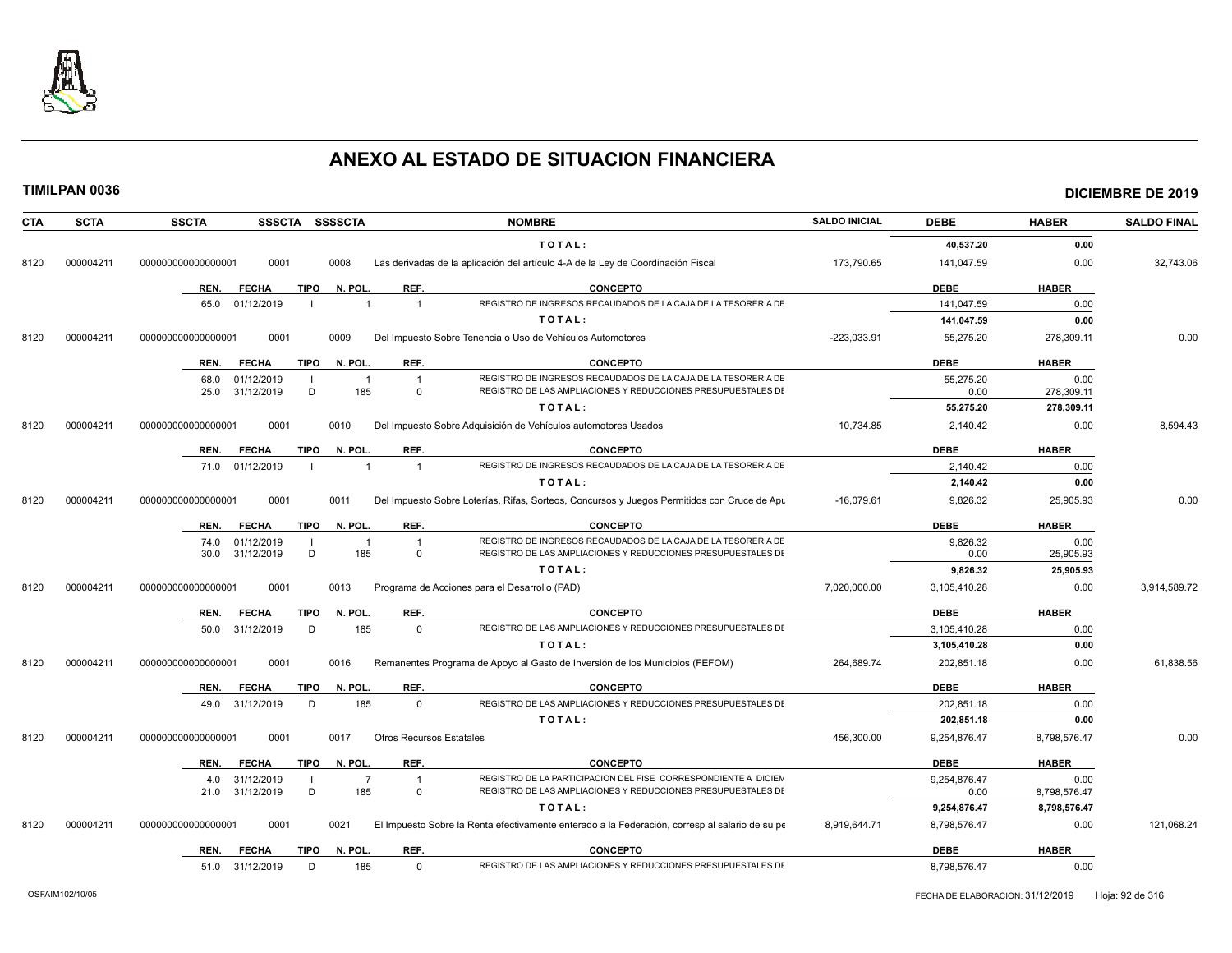

| <b>CTA</b> | <b>SCTA</b> | <b>SSCTA</b>       |                          |                     | SSSCTA SSSSCTA        |                                 | <b>NOMBRE</b>                                                                                                                 | <b>SALDO INICIAL</b> | <b>DEBE</b>                  | <b>HABER</b>         | <b>SALDO FINAL</b> |
|------------|-------------|--------------------|--------------------------|---------------------|-----------------------|---------------------------------|-------------------------------------------------------------------------------------------------------------------------------|----------------------|------------------------------|----------------------|--------------------|
|            |             |                    |                          |                     |                       |                                 | TOTAL:                                                                                                                        |                      | 40,537.20                    | 0.00                 |                    |
| 8120       | 000004211   | 00000000000000001  | 0001                     |                     | 0008                  |                                 | Las derivadas de la aplicación del artículo 4-A de la Ley de Coordinación Fiscal                                              | 173,790.65           | 141,047.59                   | 0.00                 | 32,743.06          |
|            |             | REN.               | <b>FECHA</b>             | <b>TIPO</b>         | N. POL.               | REF.                            | <b>CONCEPTO</b>                                                                                                               |                      | <b>DEBE</b>                  | <b>HABER</b>         |                    |
|            |             |                    | 65.0 01/12/2019          | $\blacksquare$      | $\overline{1}$        | $\overline{1}$                  | REGISTRO DE INGRESOS RECAUDADOS DE LA CAJA DE LA TESORERIA DE                                                                 |                      | 141,047.59                   | 0.00                 |                    |
|            |             |                    |                          |                     |                       |                                 | TOTAL:                                                                                                                        |                      | 141,047.59                   | 0.00                 |                    |
| 8120       | 000004211   | 000000000000000001 | 0001                     |                     | 0009                  |                                 | Del Impuesto Sobre Tenencia o Uso de Vehículos Automotores                                                                    | $-223,033.91$        | 55,275.20                    | 278,309.11           | 0.00               |
|            |             | REN.               | <b>FECHA</b>             | TIPO                | N. POL.               | REF.                            | <b>CONCEPTO</b>                                                                                                               |                      | <b>DEBE</b>                  | <b>HABER</b>         |                    |
|            |             | 68.0               | 01/12/2019               | - 1                 | $\overline{1}$        | $\overline{1}$                  | REGISTRO DE INGRESOS RECAUDADOS DE LA CAJA DE LA TESORERIA DE                                                                 |                      | 55,275.20                    | 0.00                 |                    |
|            |             | 25.0               | 31/12/2019               | D                   | 185                   | $\mathbf 0$                     | REGISTRO DE LAS AMPLIACIONES Y REDUCCIONES PRESUPUESTALES DI                                                                  |                      | 0.00                         | 278,309.11           |                    |
|            |             |                    |                          |                     |                       |                                 | TOTAL:                                                                                                                        |                      | 55,275.20                    | 278,309.11           |                    |
| 8120       | 000004211   | 000000000000000001 | 0001                     |                     | 0010                  |                                 | Del Impuesto Sobre Adquisición de Vehículos automotores Usados                                                                | 10,734.85            | 2,140.42                     | 0.00                 | 8,594.43           |
|            |             | REN.               | <b>FECHA</b>             | <b>TIPO</b>         | N. POL.               | REF.                            | <b>CONCEPTO</b>                                                                                                               |                      | <b>DEBE</b>                  | <b>HABER</b>         |                    |
|            |             |                    | 71.0 01/12/2019          | $\mathbf{I}$        | $\overline{1}$        | $\overline{1}$                  | REGISTRO DE INGRESOS RECAUDADOS DE LA CAJA DE LA TESORERIA DE                                                                 |                      | 2,140.42                     | 0.00                 |                    |
|            |             |                    |                          |                     |                       |                                 | TOTAL:                                                                                                                        |                      | 2,140.42                     | 0.00                 |                    |
| 8120       | 000004211   | 00000000000000001  | 0001                     |                     | 0011                  |                                 | Del Impuesto Sobre Loterías, Rifas, Sorteos, Concursos y Juegos Permitidos con Cruce de Apu                                   | $-16,079.61$         | 9,826.32                     | 25,905.93            | 0.00               |
|            |             | REN.               | <b>FECHA</b>             | <b>TIPO</b>         | N. POL.               | REF.                            | CONCEPTO                                                                                                                      |                      | <b>DEBE</b>                  | <b>HABER</b>         |                    |
|            |             | 74.0<br>30.0       | 01/12/2019<br>31/12/2019 | $\blacksquare$<br>D | $\overline{1}$<br>185 | $\overline{1}$<br>$\mathbf 0$   | REGISTRO DE INGRESOS RECAUDADOS DE LA CAJA DE LA TESORERIA DE<br>REGISTRO DE LAS AMPLIACIONES Y REDUCCIONES PRESUPUESTALES DI |                      | 9,826.32<br>0.00             | 0.00<br>25,905.93    |                    |
|            |             |                    |                          |                     |                       |                                 | TOTAL:                                                                                                                        |                      | 9,826.32                     | 25,905.93            |                    |
| 8120       | 000004211   | 000000000000000001 | 0001                     |                     | 0013                  |                                 | Programa de Acciones para el Desarrollo (PAD)                                                                                 | 7,020,000.00         | 3,105,410.28                 | 0.00                 | 3,914,589.72       |
|            |             | REN.               | <b>FECHA</b>             | <b>TIPO</b>         | N. POL.               | REF.                            | <b>CONCEPTO</b>                                                                                                               |                      | <b>DEBE</b>                  | <b>HABER</b>         |                    |
|            |             |                    | 50.0 31/12/2019          | D                   | 185                   | $\Omega$                        | REGISTRO DE LAS AMPLIACIONES Y REDUCCIONES PRESUPUESTALES DI                                                                  |                      | 3.105.410.28                 | 0.00                 |                    |
|            |             |                    |                          |                     |                       |                                 | TOTAL:                                                                                                                        |                      | 3,105,410.28                 | 0.00                 |                    |
| 8120       | 000004211   | 00000000000000001  | 0001                     |                     | 0016                  |                                 | Remanentes Programa de Apoyo al Gasto de Inversión de los Municipios (FEFOM)                                                  | 264,689.74           | 202,851.18                   | 0.00                 | 61,838.56          |
|            |             | REN.               | <b>FECHA</b>             | TIPO                | N. POL.               | REF.                            | <b>CONCEPTO</b>                                                                                                               |                      | <b>DEBE</b>                  | <b>HABER</b>         |                    |
|            |             | 49.0               | 31/12/2019               | D                   | 185                   | $\mathbf 0$                     | REGISTRO DE LAS AMPLIACIONES Y REDUCCIONES PRESUPUESTALES DI                                                                  |                      | 202,851.18                   | 0.00                 |                    |
|            |             |                    |                          |                     |                       |                                 | TOTAL:                                                                                                                        |                      | 202,851.18                   | 0.00                 |                    |
| 8120       | 000004211   | 00000000000000001  | 0001                     |                     | 0017                  | <b>Otros Recursos Estatales</b> |                                                                                                                               | 456,300.00           | 9,254,876.47                 | 8,798,576.47         | 0.00               |
|            |             | REN.               | <b>FECHA</b>             | <b>TIPO</b>         | N. POL.               | REF.                            | <b>CONCEPTO</b>                                                                                                               |                      | <b>DEBE</b>                  | <b>HABER</b>         |                    |
|            |             | 4.0                | 31/12/2019               | -1                  | $\overline{7}$        | $\overline{1}$                  | REGISTRO DE LA PARTICIPACION DEL FISE CORRESPONDIENTE A DICIEN                                                                |                      | 9,254,876.47                 | 0.00                 |                    |
|            |             | 21.0               | 31/12/2019               | D                   | 185                   | $\mathbf 0$                     | REGISTRO DE LAS AMPLIACIONES Y REDUCCIONES PRESUPUESTALES DI<br>TOTAL:                                                        |                      | 0.00                         | 8,798,576.47         |                    |
| 8120       | 000004211   | 000000000000000001 | 0001                     |                     | 0021                  |                                 | El Impuesto Sobre la Renta efectivamente enterado a la Federación, corresp al salario de su pe                                | 8.919.644.71         | 9,254,876.47<br>8,798,576.47 | 8,798,576.47<br>0.00 | 121,068.24         |
|            |             | REN.               | <b>FECHA</b>             | <b>TIPO</b>         | N. POL.               | REF.                            | <b>CONCEPTO</b>                                                                                                               |                      | <b>DEBE</b>                  | <b>HABER</b>         |                    |
|            |             |                    |                          |                     |                       |                                 |                                                                                                                               |                      |                              |                      |                    |

51.0 31/12/2019 D 185 0 REGISTRO DE LAS AMPLIACIONES Y REDUCCIONES PRESUPUESTALES DI 8,798,576.47 6.00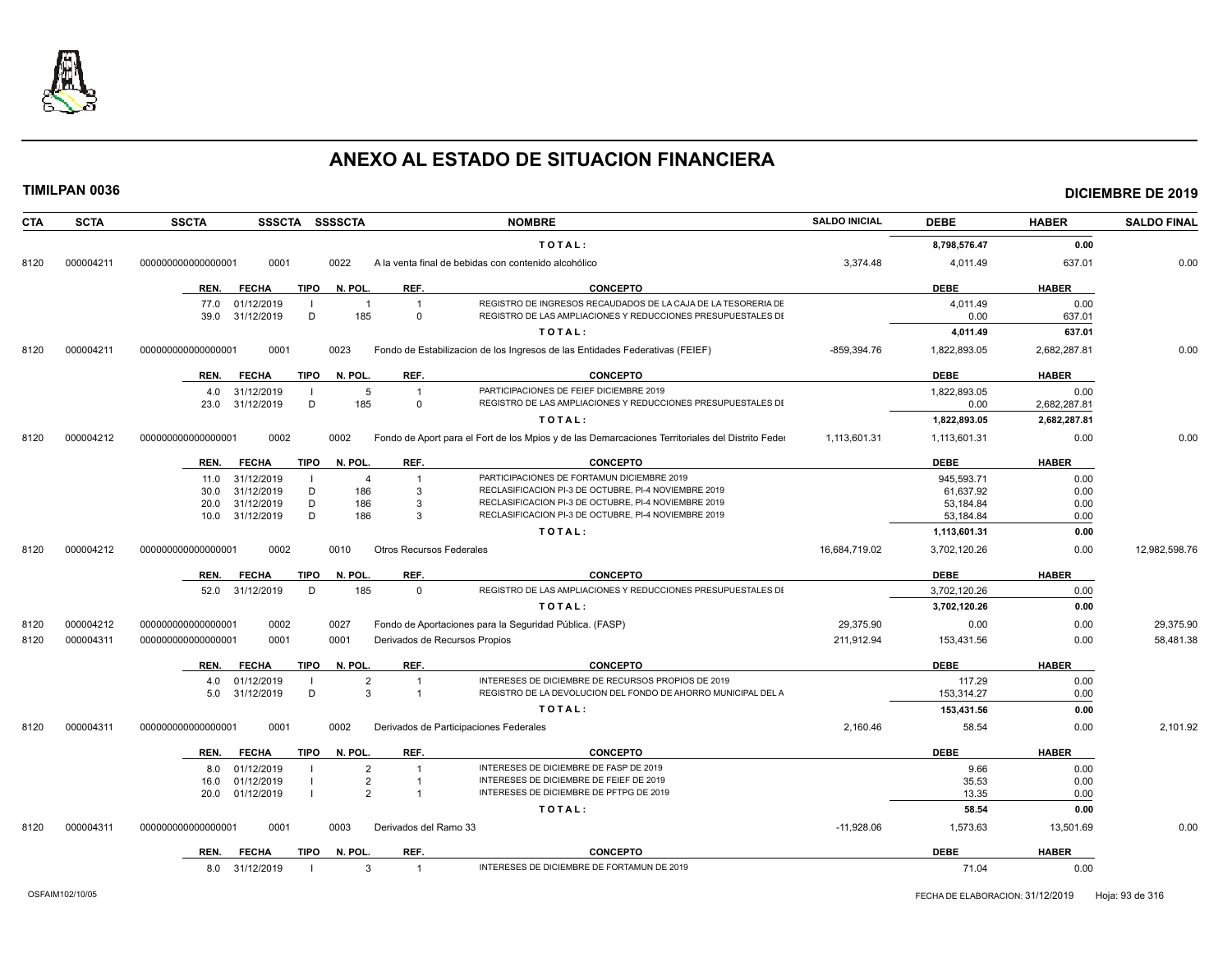

## **TIMILPAN 0036 DICIEMBRE DE 2019**

## **CTA SCTA SSCTA SSSCTA SSSSCTA NOMBRE SALDO INICIAL DEBE HABER SALDO FINAL T O T A L : 8,798,576.47 0.00** 8120 000004211 00000000000000001 0001 0022 A la venta final de bebidas con contenido alcohólico 3,374.48 4,011.49 4,011.49 637.01 637.01 0.00 **REN. FECHA TIPO N. POL. REF. CONCEPTO DEBE HABER** 77.0 01/12/2019 I 1 1 1 REGISTRO DE INGRESOS RECAUDADOS DE LA CAJA DE LA TESORERIA DE 1 1000 1,000 1 1 1 1 0.00

|      |           | -----------                         |                                         |                                                                                                  |               |              | $\mathsf{v}.\mathsf{v}$ |               |
|------|-----------|-------------------------------------|-----------------------------------------|--------------------------------------------------------------------------------------------------|---------------|--------------|-------------------------|---------------|
|      |           | 31/12/2019<br>D<br>39.0             | 185<br>$\Omega$                         | REGISTRO DE LAS AMPLIACIONES Y REDUCCIONES PRESUPUESTALES DI                                     |               | 0.00         | 637.01                  |               |
|      |           |                                     |                                         | TOTAL:                                                                                           |               | 4,011.49     | 637.01                  |               |
| 8120 | 000004211 | 000000000000000001<br>0001          | 0023                                    | Fondo de Estabilizacion de los Ingresos de las Entidades Federativas (FEIEF)                     | $-859,394.76$ | 1,822,893.05 | 2,682,287.81            | 0.00          |
|      |           | FECHA<br>REN.                       | REF.<br>TIPO N. POL.                    | <b>CONCEPTO</b>                                                                                  |               | <b>DEBE</b>  | <b>HABER</b>            |               |
|      |           | 31/12/2019<br>4.0                   | 5                                       | PARTICIPACIONES DE FEIEF DICIEMBRE 2019                                                          |               | 1,822,893.05 | 0.00                    |               |
|      |           | 31/12/2019<br>D<br>23.0             | 185<br>$\Omega$                         | REGISTRO DE LAS AMPLIACIONES Y REDUCCIONES PRESUPUESTALES DI                                     |               | 0.00         | 2,682,287.81            |               |
|      |           |                                     |                                         | TOTAL:                                                                                           |               | 1,822,893.05 | 2,682,287.81            |               |
| 8120 | 000004212 | 0002<br>000000000000000001          | 0002                                    | Fondo de Aport para el Fort de los Mpios y de las Demarcaciones Territoriales del Distrito Feder | 1,113,601.31  | 1,113,601.31 | 0.00                    | 0.00          |
|      |           | <b>FECHA</b><br><b>TIPO</b><br>REN. | N. POL.<br>REF.                         | <b>CONCEPTO</b>                                                                                  |               | <b>DEBE</b>  | <b>HABER</b>            |               |
|      |           | 31/12/2019<br>11.0                  | $\overline{4}$                          | PARTICIPACIONES DE FORTAMUN DICIEMBRE 2019                                                       |               | 945.593.71   | 0.00                    |               |
|      |           | 31/12/2019<br>D<br>30.0             | 186<br>3                                | RECLASIFICACION PI-3 DE OCTUBRE, PI-4 NOVIEMBRE 2019                                             |               | 61,637.92    | 0.00                    |               |
|      |           | 31/12/2019<br>D<br>20.0             | 186<br>3                                | RECLASIFICACION PI-3 DE OCTUBRE, PI-4 NOVIEMBRE 2019                                             |               | 53,184.84    | 0.00                    |               |
|      |           | D<br>31/12/2019<br>10.0             | 186<br>3                                | RECLASIFICACION PI-3 DE OCTUBRE, PI-4 NOVIEMBRE 2019                                             |               | 53,184.84    | 0.00                    |               |
|      |           |                                     |                                         | TOTAL:                                                                                           |               | 1,113,601.31 | 0.00                    |               |
| 8120 | 000004212 | 0002<br>000000000000000001          | 0010<br><b>Otros Recursos Federales</b> |                                                                                                  | 16.684.719.02 | 3,702,120.26 | 0.00                    | 12,982,598.76 |
|      |           | <b>FECHA</b><br><b>TIPO</b><br>REN. | REF.<br>N. POL.                         | <b>CONCEPTO</b>                                                                                  |               | <b>DEBE</b>  | <b>HABER</b>            |               |
|      |           | 31/12/2019<br>D<br>52.0             | 185<br>$\Omega$                         | REGISTRO DE LAS AMPLIACIONES Y REDUCCIONES PRESUPUESTALES DI                                     |               | 3,702,120.26 | 0.00                    |               |
|      |           |                                     |                                         | TOTAL:                                                                                           |               | 3,702,120.26 | 0.00                    |               |
| 8120 | 000004212 | 00000000000000001<br>0002           | 0027                                    | Fondo de Aportaciones para la Seguridad Pública. (FASP)                                          | 29,375.90     | 0.00         | 0.00                    | 29,375.90     |
| 8120 | 000004311 | 0001<br>000000000000000001          | 0001                                    | Derivados de Recursos Propios                                                                    | 211,912.94    | 153,431.56   | 0.00                    | 58,481.38     |
|      |           | <b>FECHA</b><br>REN.                | TIPO N. POL.<br>REF.                    | <b>CONCEPTO</b>                                                                                  |               | <b>DEBE</b>  | <b>HABER</b>            |               |
|      |           | 01/12/2019<br>4.0                   | $\overline{2}$                          | INTERESES DE DICIEMBRE DE RECURSOS PROPIOS DE 2019                                               |               | 117.29       | 0.00                    |               |
|      |           | D<br>31/12/2019<br>5.0              | $\mathbf{3}$                            | REGISTRO DE LA DEVOLUCION DEL FONDO DE AHORRO MUNICIPAL DEL A                                    |               | 153,314.27   | 0.00                    |               |
|      |           |                                     |                                         | TOTAL:                                                                                           |               | 153,431.56   | 0.00                    |               |
| 8120 | 000004311 | 00000000000000001<br>0001           | 0002                                    | Derivados de Participaciones Federales                                                           | 2,160.46      | 58.54        | 0.00                    | 2,101.92      |
|      |           | <b>FECHA</b><br>REN.                | TIPO N. POL.<br>REF.                    | <b>CONCEPTO</b>                                                                                  |               | <b>DEBE</b>  | <b>HABER</b>            |               |
|      |           | 01/12/2019<br>8.0                   | $\overline{2}$                          | INTERESES DE DICIEMBRE DE FASP DE 2019                                                           |               | 9.66         | 0.00                    |               |
|      |           | 01/12/2019<br>16.0                  | $\overline{2}$                          | INTERESES DE DICIEMBRE DE FEIEF DE 2019                                                          |               | 35.53        | 0.00                    |               |
|      |           | 01/12/2019<br>20.0                  | $\overline{2}$                          | INTERESES DE DICIEMBRE DE PFTPG DE 2019                                                          |               | 13.35        | 0.00                    |               |
|      |           |                                     |                                         | TOTAL:                                                                                           |               | 58.54        | 0.00                    |               |
| 8120 | 000004311 | 000000000000000001<br>0001          | 0003<br>Derivados del Ramo 33           |                                                                                                  | $-11,928.06$  | 1,573.63     | 13,501.69               | 0.00          |
|      |           |                                     |                                         |                                                                                                  |               |              |                         |               |

| <b>REN</b><br><b>ECHA</b> | <b>TIPO</b> | N. POL. | <b>REI</b> | <b>CONCEPTC</b>                                                | <b>DEBI</b> | <b>HABER</b> |
|---------------------------|-------------|---------|------------|----------------------------------------------------------------|-------------|--------------|
| 8.O                       |             |         |            | <b>E DICIEMBRE DE F'</b><br><b>DRTAMUN DE</b><br>10 ۱<br>INITI | $\cdots$    | 0.00         |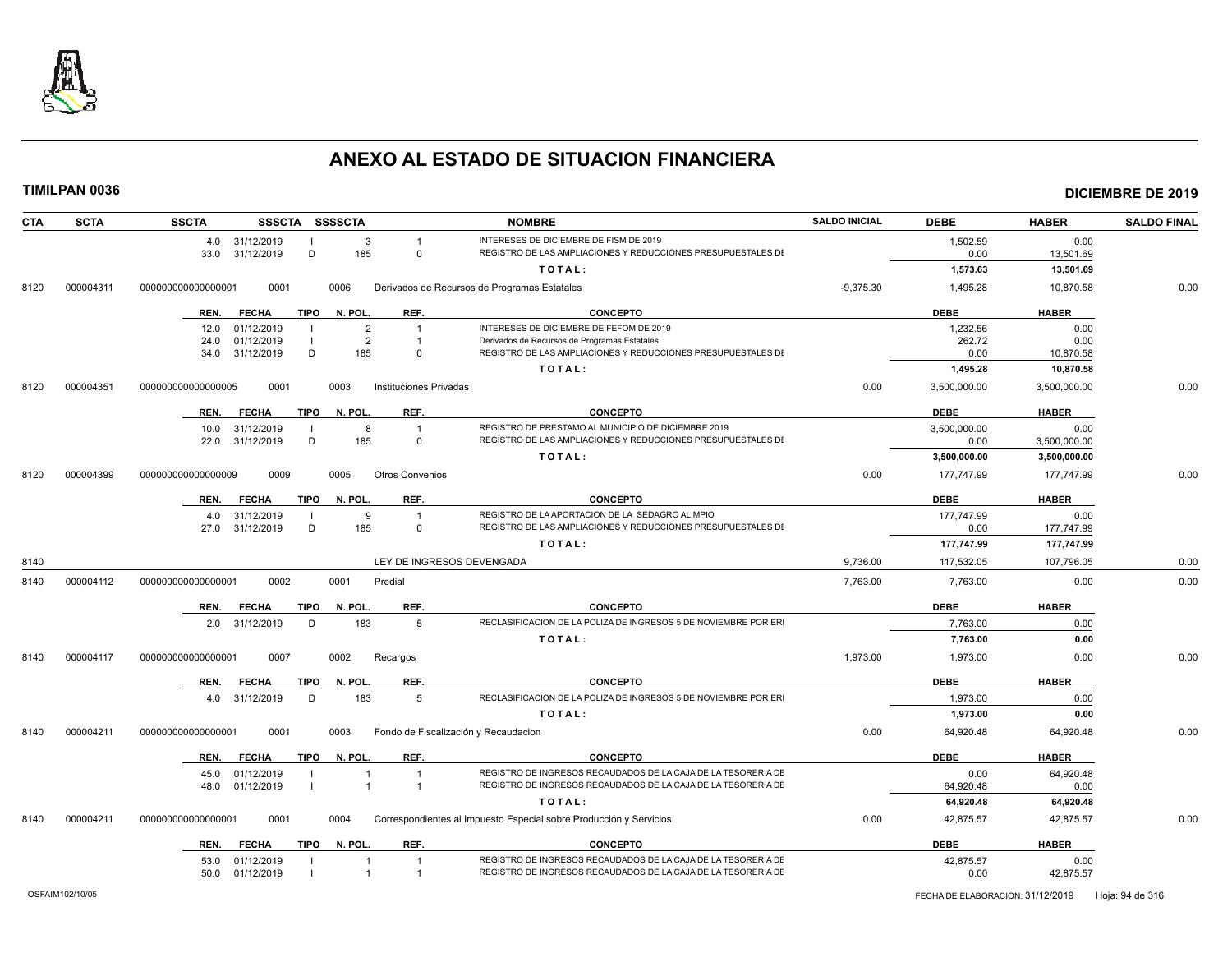

| <b>CTA</b> | <b>SCTA</b> | <b>SSCTA</b>                             |      | SSSCTA SSSSCTA      |                                      | <b>NOMBRE</b>                                                                                                       | <b>SALDO INICIAL</b> | <b>DEBE</b>          | <b>HABER</b>         | <b>SALDO FINAL</b> |
|------------|-------------|------------------------------------------|------|---------------------|--------------------------------------|---------------------------------------------------------------------------------------------------------------------|----------------------|----------------------|----------------------|--------------------|
|            |             | 4.0 31/12/2019<br>33.0 31/12/2019        | D    | $\mathbf{3}$<br>185 | $\Omega$                             | INTERESES DE DICIEMBRE DE FISM DE 2019<br>REGISTRO DE LAS AMPLIACIONES Y REDUCCIONES PRESUPUESTALES DI              |                      | 1,502.59<br>0.00     | 0.00<br>13,501.69    |                    |
|            |             |                                          |      |                     |                                      | TOTAL:                                                                                                              |                      | 1,573.63             | 13,501.69            |                    |
| 8120       | 000004311   | 0001<br>000000000000000001               |      | 0006                |                                      | Derivados de Recursos de Programas Estatales                                                                        | $-9,375.30$          | 1,495.28             | 10,870.58            | 0.00               |
|            |             | REN.<br><b>FECHA</b>                     | TIPO | N. POL.             | REF.                                 | <b>CONCEPTO</b>                                                                                                     |                      | <b>DEBE</b>          | <b>HABER</b>         |                    |
|            |             | 01/12/2019<br>12.0                       |      | $\overline{2}$      | $\overline{1}$                       | INTERESES DE DICIEMBRE DE FEFOM DE 2019                                                                             |                      | 1,232.56             | 0.00                 |                    |
|            |             | 01/12/2019<br>24.0                       |      | $\overline{2}$      | $\overline{1}$                       | Derivados de Recursos de Programas Estatales                                                                        |                      | 262.72               | 0.00                 |                    |
|            |             | 34.0 31/12/2019                          | D    | 185                 | $\Omega$                             | REGISTRO DE LAS AMPLIACIONES Y REDUCCIONES PRESUPUESTALES DI                                                        |                      | 0.00                 | 10,870.58            |                    |
|            |             |                                          |      |                     |                                      | TOTAL:                                                                                                              |                      | 1,495.28             | 10,870.58            |                    |
| 8120       | 000004351   | 000000000000000005<br>0001               |      | 0003                | Instituciones Privadas               |                                                                                                                     | 0.00                 | 3,500,000.00         | 3,500,000.00         | 0.00               |
|            |             | REN.<br><b>FECHA</b>                     | TIPO | N. POL.             | REF.                                 | <b>CONCEPTO</b>                                                                                                     |                      | <b>DEBE</b>          | <b>HABER</b>         |                    |
|            |             | 31/12/2019<br>10.0<br>31/12/2019<br>22.0 | D    | 8<br>185            | $\Omega$                             | REGISTRO DE PRESTAMO AL MUNICIPIO DE DICIEMBRE 2019<br>REGISTRO DE LAS AMPLIACIONES Y REDUCCIONES PRESUPUESTALES DI |                      | 3,500,000.00<br>0.00 | 0.00<br>3,500,000.00 |                    |
|            |             |                                          |      |                     |                                      |                                                                                                                     |                      |                      |                      |                    |
|            |             |                                          |      |                     |                                      | TOTAL:                                                                                                              |                      | 3,500,000.00         | 3,500,000.00         |                    |
| 8120       | 000004399   | 0009<br>000000000000000009               |      | 0005                | <b>Otros Convenios</b>               |                                                                                                                     | 0.00                 | 177,747.99           | 177,747.99           | 0.00               |
|            |             | <b>FECHA</b><br>REN.                     | TIPO | N. POL.             | REF.                                 | <b>CONCEPTO</b>                                                                                                     |                      | <b>DEBE</b>          | <b>HABER</b>         |                    |
|            |             | 31/12/2019<br>4.0                        |      | 9                   |                                      | REGISTRO DE LA APORTACION DE LA SEDAGRO AL MPIO                                                                     |                      | 177,747.99           | 0.00                 |                    |
|            |             | 27.0<br>31/12/2019                       | D    | 185                 | $\Omega$                             | REGISTRO DE LAS AMPLIACIONES Y REDUCCIONES PRESUPUESTALES DI                                                        |                      | 0.00                 | 177,747.99           |                    |
|            |             |                                          |      |                     |                                      | TOTAL:                                                                                                              |                      | 177,747.99           | 177,747.99           |                    |
| 8140       |             |                                          |      |                     | LEY DE INGRESOS DEVENGADA            |                                                                                                                     | 9,736.00             | 117,532.05           | 107,796.05           | 0.00               |
| 8140       | 000004112   | 0002<br>000000000000000001               |      | 0001                | Predial                              |                                                                                                                     | 7,763.00             | 7,763.00             | 0.00                 | 0.00               |
|            |             | REN.<br><b>FECHA</b>                     | TIPO | N. POL.             | REF.                                 | <b>CONCEPTO</b>                                                                                                     |                      | <b>DEBE</b>          | <b>HABER</b>         |                    |
|            |             | 2.0 31/12/2019                           | D    | 183                 | -5                                   | RECLASIFICACION DE LA POLIZA DE INGRESOS 5 DE NOVIEMBRE POR ER                                                      |                      | 7,763.00             | 0.00                 |                    |
|            |             |                                          |      |                     |                                      | TOTAL:                                                                                                              |                      | 7,763.00             | 0.00                 |                    |
| 8140       | 000004117   | 0007<br>000000000000000001               |      | 0002                | Recargos                             |                                                                                                                     | 1,973.00             | 1,973.00             | 0.00                 | 0.00               |
|            |             | REN.<br><b>FECHA</b>                     | TIPO | N. POL.             | REF.                                 | <b>CONCEPTO</b>                                                                                                     |                      | <b>DEBE</b>          | <b>HABER</b>         |                    |
|            |             | 4.0 31/12/2019                           | D    | 183                 | 5                                    | RECLASIFICACION DE LA POLIZA DE INGRESOS 5 DE NOVIEMBRE POR ER                                                      |                      | 1,973.00             | 0.00                 |                    |
|            |             |                                          |      |                     |                                      | TOTAL:                                                                                                              |                      | 1,973.00             | 0.00                 |                    |
| 8140       | 000004211   | 000000000000000001<br>0001               |      | 0003                | Fondo de Fiscalización y Recaudacion |                                                                                                                     | 0.00                 | 64,920.48            | 64,920.48            | 0.00               |
|            |             | <b>FECHA</b><br>REN.                     | TIPO | N. POL.             | REF.                                 | <b>CONCEPTO</b>                                                                                                     |                      | <b>DEBE</b>          | <b>HABER</b>         |                    |
|            |             | 01/12/2019<br>45.0                       |      | -1                  | $\overline{1}$                       | REGISTRO DE INGRESOS RECAUDADOS DE LA CAJA DE LA TESORERIA DE                                                       |                      | 0.00                 | 64,920.48            |                    |
|            |             | 48.0 01/12/2019                          |      | $\overline{1}$      | $\overline{1}$                       | REGISTRO DE INGRESOS RECAUDADOS DE LA CAJA DE LA TESORERIA DE                                                       |                      | 64,920.48            | 0.00                 |                    |
|            |             |                                          |      |                     |                                      | TOTAL:                                                                                                              |                      | 64,920.48            | 64,920.48            |                    |
| 8140       | 000004211   | 0001<br>000000000000000001               |      | 0004                |                                      | Correspondientes al Impuesto Especial sobre Producción y Servicios                                                  | 0.00                 | 42,875.57            | 42,875.57            | 0.00               |
|            |             | REN.<br><b>FECHA</b>                     |      | TIPO N. POL.        | REF.                                 | <b>CONCEPTO</b>                                                                                                     |                      | <b>DEBE</b>          | <b>HABER</b>         |                    |
|            |             | 53.0 01/12/2019                          |      |                     | $\overline{1}$                       | REGISTRO DE INGRESOS RECAUDADOS DE LA CAJA DE LA TESORERIA DE                                                       |                      | 42,875.57            | 0.00                 |                    |
|            |             | 50.0 01/12/2019                          |      |                     |                                      | REGISTRO DE INGRESOS RECAUDADOS DE LA CAJA DE LA TESORERIA DE                                                       |                      | 0.00                 | 42,875.57            |                    |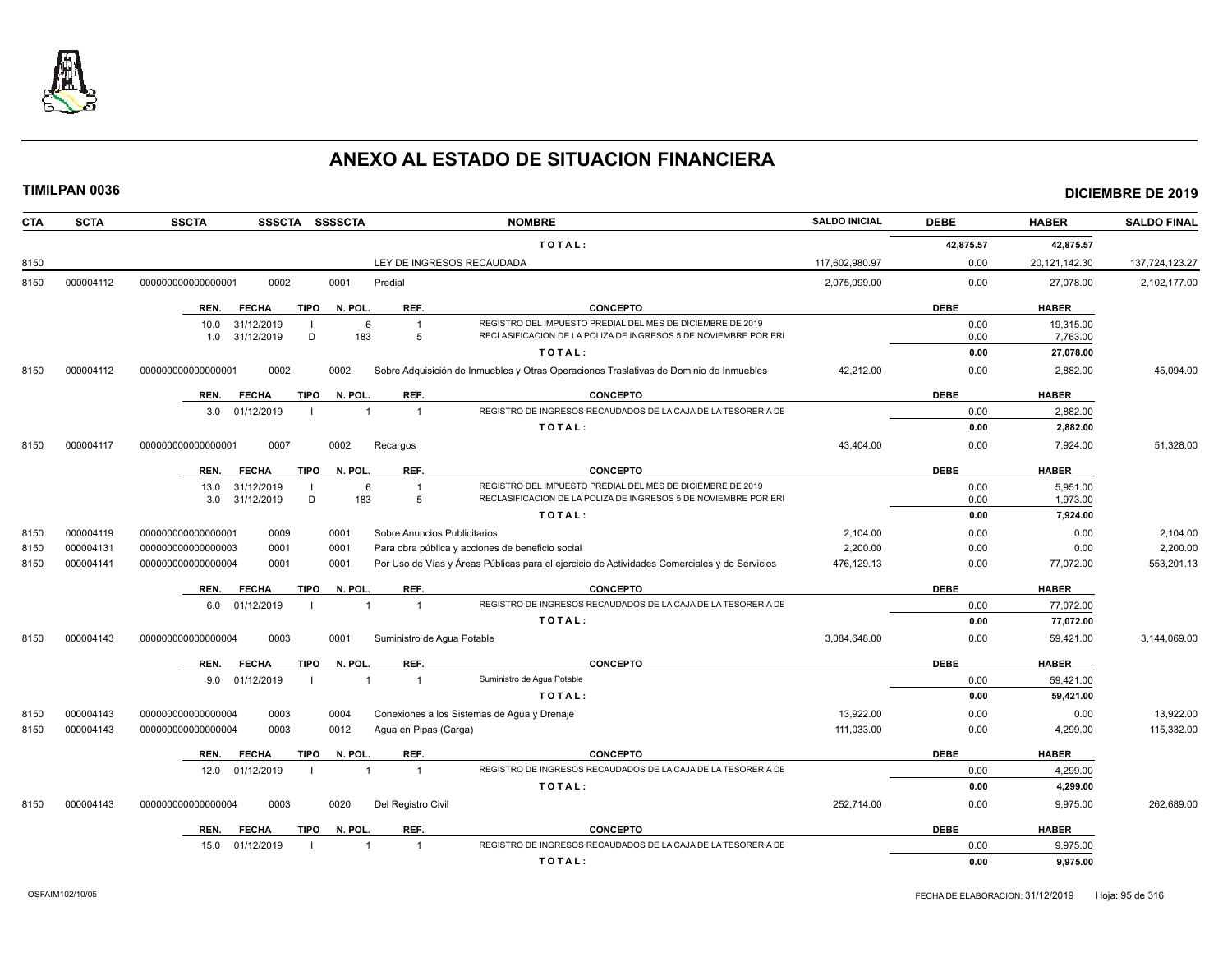

| <b>CTA</b> | <b>SCTA</b> | <b>SSCTA</b>               | SSSCTA SSSSCTA          |                              | <b>NOMBRE</b>                                                                                | <b>SALDO INICIAL</b> | <b>DEBE</b> | <b>HABER</b>     | <b>SALDO FINAL</b> |
|------------|-------------|----------------------------|-------------------------|------------------------------|----------------------------------------------------------------------------------------------|----------------------|-------------|------------------|--------------------|
|            |             |                            |                         |                              | TOTAL:                                                                                       |                      | 42,875.57   | 42,875.57        |                    |
| 8150       |             |                            |                         |                              | LEY DE INGRESOS RECAUDADA                                                                    | 117,602,980.97       | 0.00        | 20, 121, 142. 30 | 137,724,123.27     |
| 8150       | 000004112   | 0002<br>00000000000000001  | 0001                    | Predial                      |                                                                                              | 2,075,099.00         | 0.00        | 27,078.00        | 2,102,177.00       |
|            |             | REN.<br><b>FECHA</b>       | TIPO<br>N. POL.         | REF.                         | <b>CONCEPTO</b>                                                                              |                      | <b>DEBE</b> | <b>HABER</b>     |                    |
|            |             | 31/12/2019<br>10.0         |                         | 6                            | REGISTRO DEL IMPUESTO PREDIAL DEL MES DE DICIEMBRE DE 2019                                   |                      | 0.00        | 19,315.00        |                    |
|            |             | 31/12/2019<br>1.0          | D<br>183                | 5                            | RECLASIFICACION DE LA POLIZA DE INGRESOS 5 DE NOVIEMBRE POR ER                               |                      | 0.00        | 7,763.00         |                    |
|            |             |                            |                         |                              | TOTAL:                                                                                       |                      | 0.00        | 27,078.00        |                    |
| 8150       | 000004112   | 0002<br>000000000000000001 | 0002                    |                              | Sobre Adquisición de Inmuebles y Otras Operaciones Traslativas de Dominio de Inmuebles       | 42,212.00            | 0.00        | 2,882.00         | 45,094.00          |
|            |             | REN.<br><b>FECHA</b>       | <b>TIPO</b><br>N. POL.  | REF.                         | <b>CONCEPTO</b>                                                                              |                      | <b>DEBE</b> | <b>HABER</b>     |                    |
|            |             | 3.0 01/12/2019             |                         | $\overline{1}$               | REGISTRO DE INGRESOS RECAUDADOS DE LA CAJA DE LA TESORERIA DE                                |                      | 0.00        | 2,882.00         |                    |
|            |             |                            |                         |                              | TOTAL:                                                                                       |                      | 0.00        | 2,882.00         |                    |
| 8150       | 000004117   | 0007<br>000000000000000001 | 0002                    | Recargos                     |                                                                                              | 43,404.00            | 0.00        | 7,924.00         | 51,328.00          |
|            |             | <b>FECHA</b><br>REN.       | <b>TIPO</b><br>N. POL.  | REF.                         | <b>CONCEPTO</b>                                                                              |                      | <b>DEBE</b> | <b>HABER</b>     |                    |
|            |             | 13.0<br>31/12/2019         |                         | 6                            | REGISTRO DEL IMPUESTO PREDIAL DEL MES DE DICIEMBRE DE 2019                                   |                      | 0.00        | 5.951.00         |                    |
|            |             | 31/12/2019<br>3.0          | D<br>183                | 5                            | RECLASIFICACION DE LA POLIZA DE INGRESOS 5 DE NOVIEMBRE POR ER                               |                      | 0.00        | 1,973.00         |                    |
|            |             |                            |                         |                              | TOTAL:                                                                                       |                      | 0.00        | 7,924.00         |                    |
| 8150       | 000004119   | 00000000000000001<br>0009  | 0001                    | Sobre Anuncios Publicitarios |                                                                                              | 2,104.00             | 0.00        | 0.00             | 2,104.00           |
| 8150       | 000004131   | 000000000000000003<br>0001 | 0001                    |                              | Para obra pública y acciones de beneficio social                                             | 2.200.00             | 0.00        | 0.00             | 2,200.00           |
| 8150       | 000004141   | 000000000000000004<br>0001 | 0001                    |                              | Por Uso de Vías y Áreas Públicas para el ejercicio de Actividades Comerciales y de Servicios | 476,129.13           | 0.00        | 77,072.00        | 553,201.13         |
|            |             | REN.<br><b>FECHA</b>       | <b>TIPO</b><br>N. POL.  | REF.                         | <b>CONCEPTO</b>                                                                              |                      | <b>DEBE</b> | <b>HABER</b>     |                    |
|            |             | 6.0 01/12/2019             | $\overline{\mathbf{1}}$ | $\overline{1}$               | REGISTRO DE INGRESOS RECAUDADOS DE LA CAJA DE LA TESORERIA DE                                |                      | 0.00        | 77,072.00        |                    |
|            |             |                            |                         |                              | TOTAL:                                                                                       |                      | 0.00        | 77.072.00        |                    |
| 8150       | 000004143   | 0003<br>000000000000000004 | 0001                    | Suministro de Agua Potable   |                                                                                              | 3,084,648.00         | 0.00        | 59,421.00        | 3,144,069.00       |
|            |             | <b>FECHA</b><br>REN.       | <b>TIPO</b><br>N. POL.  | REF.                         | <b>CONCEPTO</b>                                                                              |                      | <b>DEBE</b> | <b>HABER</b>     |                    |
|            |             | 01/12/2019<br>9.0          | $\overline{1}$          | $\mathbf{1}$                 | Suministro de Agua Potable                                                                   |                      | 0.00        | 59,421.00        |                    |
|            |             |                            |                         |                              | TOTAL:                                                                                       |                      | 0.00        | 59,421.00        |                    |
| 8150       | 000004143   | 000000000000000004<br>0003 | 0004                    |                              | Conexiones a los Sistemas de Agua y Drenaje                                                  | 13,922.00            | 0.00        | 0.00             | 13,922.00          |
| 8150       | 000004143   | 0003<br>000000000000000004 | 0012                    | Agua en Pipas (Carga)        |                                                                                              | 111,033.00           | 0.00        | 4,299.00         | 115,332.00         |
|            |             | REN.<br><b>FECHA</b>       | <b>TIPO</b><br>N. POL   | REF.                         | <b>CONCEPTO</b>                                                                              |                      | <b>DEBE</b> | <b>HABER</b>     |                    |
|            |             | 01/12/2019<br>12.0         | $\overline{1}$          | $\overline{1}$               | REGISTRO DE INGRESOS RECAUDADOS DE LA CAJA DE LA TESORERIA DE                                |                      | 0.00        | 4,299.00         |                    |
|            |             |                            |                         |                              | TOTAL:                                                                                       |                      | 0.00        | 4,299.00         |                    |
| 8150       | 000004143   | 0003<br>000000000000000004 | 0020                    | Del Registro Civil           |                                                                                              | 252,714.00           | 0.00        | 9,975.00         | 262,689.00         |
|            |             | REN.<br><b>FECHA</b>       | <b>TIPO</b><br>N. POL.  | REF.                         | <b>CONCEPTO</b>                                                                              |                      | <b>DEBE</b> | <b>HABER</b>     |                    |
|            |             | 01/12/2019<br>15.0         |                         | $\overline{1}$               | REGISTRO DE INGRESOS RECAUDADOS DE LA CAJA DE LA TESORERIA DE                                |                      | 0.00        | 9,975.00         |                    |
|            |             |                            |                         |                              | TOTAL:                                                                                       |                      | 0.00        | 9,975.00         |                    |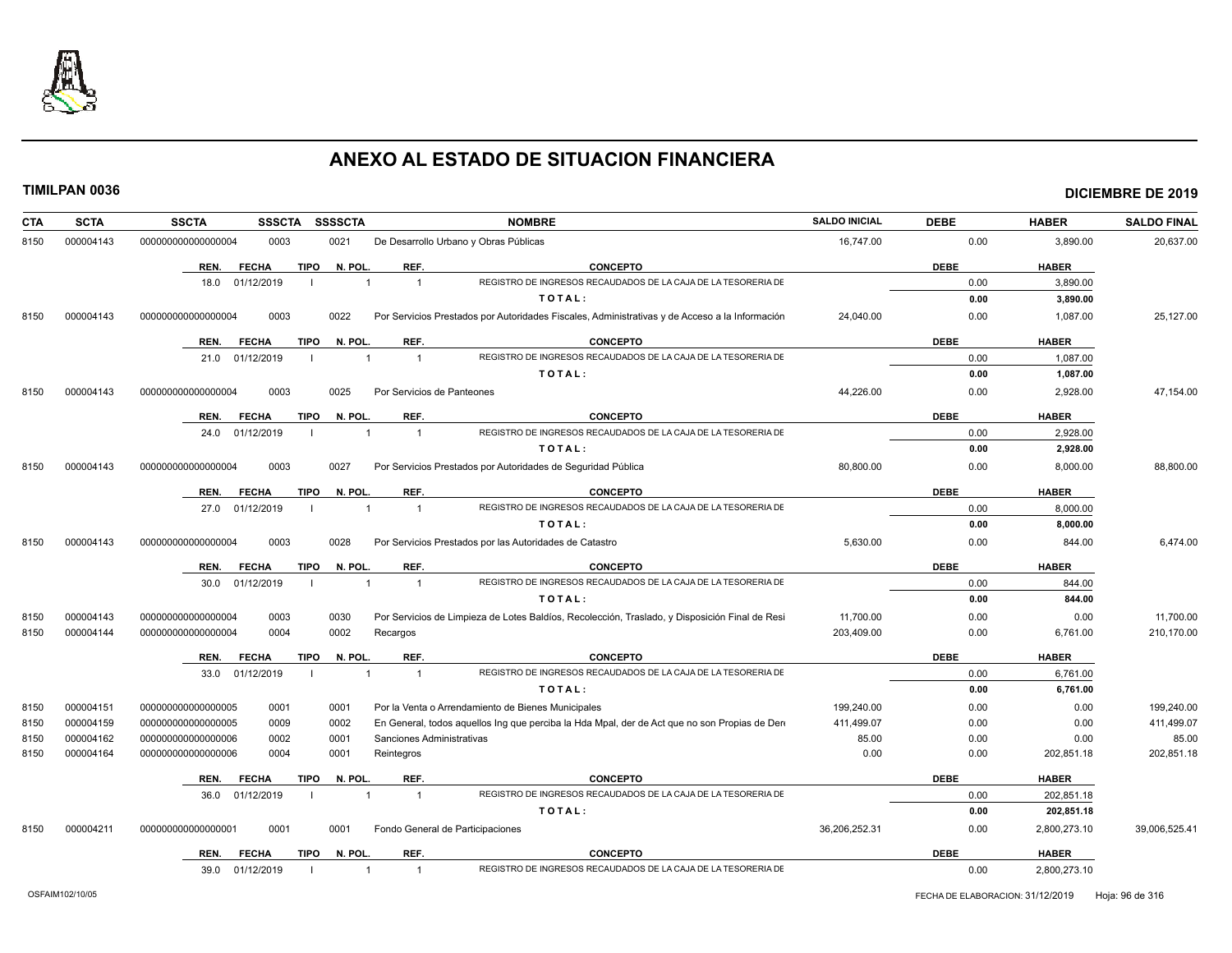

| 000004143<br>0003<br>0021<br>16,747.00<br>0.00<br>3,890.00<br>8150<br>000000000000000004<br>De Desarrollo Urbano y Obras Públicas<br>REF.<br><b>CONCEPTO</b><br><b>DEBE</b><br><b>HABER</b><br><b>FECHA</b><br><b>TIPO</b><br>N. POL.<br>REN.<br>REGISTRO DE INGRESOS RECAUDADOS DE LA CAJA DE LA TESORERIA DE<br>18.0 01/12/2019<br>$\overline{1}$<br>0.00<br>3,890.00<br>$\mathbf{1}$<br>TOTAL:<br>0.00<br>3,890.00<br>0003<br>Por Servicios Prestados por Autoridades Fiscales, Administrativas y de Acceso a la Información<br>24,040.00<br>0.00<br>8150<br>000004143<br>000000000000000004<br>0022<br>1,087.00<br><b>TIPO</b><br>N. POL.<br>REF.<br><b>CONCEPTO</b><br><b>DEBE</b><br><b>HABER</b><br>REN.<br><b>FECHA</b><br>REGISTRO DE INGRESOS RECAUDADOS DE LA CAJA DE LA TESORERIA DE<br>01/12/2019<br>0.00<br>1,087.00<br>$\overline{1}$<br>21.0<br>$\overline{1}$<br>TOTAL:<br>1,087.00<br>0.00<br>0003<br>44,226.00<br>000004143<br>0025<br>Por Servicios de Panteones<br>0.00<br>2,928.00<br>8150<br>000000000000000004<br>REF.<br><b>DEBE</b><br><b>HABER</b><br>TIPO<br>N. POL.<br><b>CONCEPTO</b><br>REN.<br><b>FECHA</b><br>REGISTRO DE INGRESOS RECAUDADOS DE LA CAJA DE LA TESORERIA DE<br>01/12/2019<br>0.00<br>2,928.00<br>24.0<br>$\overline{1}$<br>$\overline{1}$<br>TOTAL:<br>0.00<br>2,928.00<br>0003<br>8150<br>000004143<br>000000000000000004<br>0027<br>Por Servicios Prestados por Autoridades de Seguridad Pública<br>80,800.00<br>0.00<br>8,000.00<br><b>FECHA</b><br><b>TIPO</b><br>N. POL.<br>REF.<br><b>CONCEPTO</b><br><b>DEBE</b><br><b>HABER</b><br>REN.<br>REGISTRO DE INGRESOS RECAUDADOS DE LA CAJA DE LA TESORERIA DE<br>27.0 01/12/2019<br>$\overline{1}$<br>0.00<br>8,000.00<br>$\overline{1}$<br>TOTAL:<br>0.00<br>8,000.00<br>000004143<br>0003<br>0028<br>Por Servicios Prestados por las Autoridades de Catastro<br>5.630.00<br>0.00<br>844.00<br>8150<br>000000000000000004<br>REF.<br><b>CONCEPTO</b><br><b>DEBE</b><br><b>HABER</b><br><b>FECHA</b><br><b>TIPO</b><br>N. POL.<br>REN.<br>REGISTRO DE INGRESOS RECAUDADOS DE LA CAJA DE LA TESORERIA DE<br>$\overline{1}$<br>0.00<br>844.00<br>30.0<br>01/12/2019<br>$\overline{1}$<br>TOTAL:<br>0.00<br>844.00<br>000004143<br>Por Servicios de Limpieza de Lotes Baldíos, Recolección, Traslado, y Disposición Final de Resi<br>11,700.00<br>8150<br>000000000000000004<br>0003<br>0030<br>0.00<br>0.00<br>0004<br>0002<br>203,409.00<br>8150<br>000004144<br>00000000000000004<br>Recargos<br>0.00<br>6,761.00<br><b>TIPO</b><br>N. POL.<br>REF.<br><b>CONCEPTO</b><br><b>DEBE</b><br><b>HABER</b><br>REN.<br><b>FECHA</b><br>REGISTRO DE INGRESOS RECAUDADOS DE LA CAJA DE LA TESORERIA DE<br>01/12/2019<br>$\overline{1}$<br>0.00<br>6,761.00<br>33.0<br>$\mathbf{1}$<br>TOTAL:<br>0.00<br>6,761.00<br>199,240.00<br>000004151<br>000000000000000005<br>0001<br>0001<br>Por la Venta o Arrendamiento de Bienes Municipales<br>0.00<br>0.00<br>8150<br>000004159<br>00000000000000005<br>0009<br>0002<br>En General, todos aquellos Ing que perciba la Hda Mpal, der de Act que no son Propias de Dere<br>411,499.07<br>0.00<br>0.00<br>8150<br>85.00<br>000004162<br>0001<br>Sanciones Administrativas<br>0.00<br>0.00<br>8150<br>000000000000000006<br>0002<br>0.00<br>8150<br>000004164<br>00000000000000006<br>0004<br>0001<br>Reintegros<br>0.00<br>202,851.18<br>N. POL.<br>REF.<br><b>DEBE</b><br><b>HABER</b><br>REN.<br><b>FECHA</b><br><b>TIPO</b><br><b>CONCEPTO</b><br>REGISTRO DE INGRESOS RECAUDADOS DE LA CAJA DE LA TESORERIA DE<br>01/12/2019<br>36.0<br>$\overline{1}$<br>$\overline{1}$<br>0.00<br>202,851.18<br>TOTAL:<br>0.00<br>202,851.18<br>0001<br>0001<br>Fondo General de Participaciones<br>36,206,252.31<br>0.00<br>2,800,273.10<br>8150<br>000004211<br>000000000000000001<br><b>TIPO</b><br>N. POL.<br>REF.<br><b>CONCEPTO</b><br><b>DEBE</b><br><b>HABER</b><br><b>FECHA</b><br>REN.<br>REGISTRO DE INGRESOS RECAUDADOS DE LA CAJA DE LA TESORERIA DE<br>01/12/2019<br>0.00<br>2,800,273.10<br>39.0<br>$\overline{1}$<br>$\overline{1}$ | <b>CTA</b> | <b>SCTA</b> | <b>SSCTA</b><br><b>SSSCTA</b> | <b>SSSSCTA</b><br><b>NOMBRE</b> | <b>SALDO INICIAL</b> | <b>DEBE</b> | <b>HABER</b> | <b>SALDO FINAL</b> |
|---------------------------------------------------------------------------------------------------------------------------------------------------------------------------------------------------------------------------------------------------------------------------------------------------------------------------------------------------------------------------------------------------------------------------------------------------------------------------------------------------------------------------------------------------------------------------------------------------------------------------------------------------------------------------------------------------------------------------------------------------------------------------------------------------------------------------------------------------------------------------------------------------------------------------------------------------------------------------------------------------------------------------------------------------------------------------------------------------------------------------------------------------------------------------------------------------------------------------------------------------------------------------------------------------------------------------------------------------------------------------------------------------------------------------------------------------------------------------------------------------------------------------------------------------------------------------------------------------------------------------------------------------------------------------------------------------------------------------------------------------------------------------------------------------------------------------------------------------------------------------------------------------------------------------------------------------------------------------------------------------------------------------------------------------------------------------------------------------------------------------------------------------------------------------------------------------------------------------------------------------------------------------------------------------------------------------------------------------------------------------------------------------------------------------------------------------------------------------------------------------------------------------------------------------------------------------------------------------------------------------------------------------------------------------------------------------------------------------------------------------------------------------------------------------------------------------------------------------------------------------------------------------------------------------------------------------------------------------------------------------------------------------------------------------------------------------------------------------------------------------------------------------------------------------------------------------------------------------------------------------------------------------------------------------------------------------------------------------------------------------------------------------------------------------------------------------------------------------------------------------------------------------------------------------------------------------------------------------------------------------------------------------------------------------------------------------------------------------------------------------------------------------------------------------------------------------------------------------------------------------------------------------------------------------------------------------------------------------------------------------------------------------------------------------------------------------------|------------|-------------|-------------------------------|---------------------------------|----------------------|-------------|--------------|--------------------|
|                                                                                                                                                                                                                                                                                                                                                                                                                                                                                                                                                                                                                                                                                                                                                                                                                                                                                                                                                                                                                                                                                                                                                                                                                                                                                                                                                                                                                                                                                                                                                                                                                                                                                                                                                                                                                                                                                                                                                                                                                                                                                                                                                                                                                                                                                                                                                                                                                                                                                                                                                                                                                                                                                                                                                                                                                                                                                                                                                                                                                                                                                                                                                                                                                                                                                                                                                                                                                                                                                                                                                                                                                                                                                                                                                                                                                                                                                                                                                                                                                                                                                 |            |             |                               |                                 |                      |             |              | 20,637.00          |
|                                                                                                                                                                                                                                                                                                                                                                                                                                                                                                                                                                                                                                                                                                                                                                                                                                                                                                                                                                                                                                                                                                                                                                                                                                                                                                                                                                                                                                                                                                                                                                                                                                                                                                                                                                                                                                                                                                                                                                                                                                                                                                                                                                                                                                                                                                                                                                                                                                                                                                                                                                                                                                                                                                                                                                                                                                                                                                                                                                                                                                                                                                                                                                                                                                                                                                                                                                                                                                                                                                                                                                                                                                                                                                                                                                                                                                                                                                                                                                                                                                                                                 |            |             |                               |                                 |                      |             |              |                    |
|                                                                                                                                                                                                                                                                                                                                                                                                                                                                                                                                                                                                                                                                                                                                                                                                                                                                                                                                                                                                                                                                                                                                                                                                                                                                                                                                                                                                                                                                                                                                                                                                                                                                                                                                                                                                                                                                                                                                                                                                                                                                                                                                                                                                                                                                                                                                                                                                                                                                                                                                                                                                                                                                                                                                                                                                                                                                                                                                                                                                                                                                                                                                                                                                                                                                                                                                                                                                                                                                                                                                                                                                                                                                                                                                                                                                                                                                                                                                                                                                                                                                                 |            |             |                               |                                 |                      |             |              |                    |
|                                                                                                                                                                                                                                                                                                                                                                                                                                                                                                                                                                                                                                                                                                                                                                                                                                                                                                                                                                                                                                                                                                                                                                                                                                                                                                                                                                                                                                                                                                                                                                                                                                                                                                                                                                                                                                                                                                                                                                                                                                                                                                                                                                                                                                                                                                                                                                                                                                                                                                                                                                                                                                                                                                                                                                                                                                                                                                                                                                                                                                                                                                                                                                                                                                                                                                                                                                                                                                                                                                                                                                                                                                                                                                                                                                                                                                                                                                                                                                                                                                                                                 |            |             |                               |                                 |                      |             |              |                    |
|                                                                                                                                                                                                                                                                                                                                                                                                                                                                                                                                                                                                                                                                                                                                                                                                                                                                                                                                                                                                                                                                                                                                                                                                                                                                                                                                                                                                                                                                                                                                                                                                                                                                                                                                                                                                                                                                                                                                                                                                                                                                                                                                                                                                                                                                                                                                                                                                                                                                                                                                                                                                                                                                                                                                                                                                                                                                                                                                                                                                                                                                                                                                                                                                                                                                                                                                                                                                                                                                                                                                                                                                                                                                                                                                                                                                                                                                                                                                                                                                                                                                                 |            |             |                               |                                 |                      |             |              | 25,127.00          |
|                                                                                                                                                                                                                                                                                                                                                                                                                                                                                                                                                                                                                                                                                                                                                                                                                                                                                                                                                                                                                                                                                                                                                                                                                                                                                                                                                                                                                                                                                                                                                                                                                                                                                                                                                                                                                                                                                                                                                                                                                                                                                                                                                                                                                                                                                                                                                                                                                                                                                                                                                                                                                                                                                                                                                                                                                                                                                                                                                                                                                                                                                                                                                                                                                                                                                                                                                                                                                                                                                                                                                                                                                                                                                                                                                                                                                                                                                                                                                                                                                                                                                 |            |             |                               |                                 |                      |             |              |                    |
|                                                                                                                                                                                                                                                                                                                                                                                                                                                                                                                                                                                                                                                                                                                                                                                                                                                                                                                                                                                                                                                                                                                                                                                                                                                                                                                                                                                                                                                                                                                                                                                                                                                                                                                                                                                                                                                                                                                                                                                                                                                                                                                                                                                                                                                                                                                                                                                                                                                                                                                                                                                                                                                                                                                                                                                                                                                                                                                                                                                                                                                                                                                                                                                                                                                                                                                                                                                                                                                                                                                                                                                                                                                                                                                                                                                                                                                                                                                                                                                                                                                                                 |            |             |                               |                                 |                      |             |              |                    |
|                                                                                                                                                                                                                                                                                                                                                                                                                                                                                                                                                                                                                                                                                                                                                                                                                                                                                                                                                                                                                                                                                                                                                                                                                                                                                                                                                                                                                                                                                                                                                                                                                                                                                                                                                                                                                                                                                                                                                                                                                                                                                                                                                                                                                                                                                                                                                                                                                                                                                                                                                                                                                                                                                                                                                                                                                                                                                                                                                                                                                                                                                                                                                                                                                                                                                                                                                                                                                                                                                                                                                                                                                                                                                                                                                                                                                                                                                                                                                                                                                                                                                 |            |             |                               |                                 |                      |             |              |                    |
|                                                                                                                                                                                                                                                                                                                                                                                                                                                                                                                                                                                                                                                                                                                                                                                                                                                                                                                                                                                                                                                                                                                                                                                                                                                                                                                                                                                                                                                                                                                                                                                                                                                                                                                                                                                                                                                                                                                                                                                                                                                                                                                                                                                                                                                                                                                                                                                                                                                                                                                                                                                                                                                                                                                                                                                                                                                                                                                                                                                                                                                                                                                                                                                                                                                                                                                                                                                                                                                                                                                                                                                                                                                                                                                                                                                                                                                                                                                                                                                                                                                                                 |            |             |                               |                                 |                      |             |              | 47,154.00          |
|                                                                                                                                                                                                                                                                                                                                                                                                                                                                                                                                                                                                                                                                                                                                                                                                                                                                                                                                                                                                                                                                                                                                                                                                                                                                                                                                                                                                                                                                                                                                                                                                                                                                                                                                                                                                                                                                                                                                                                                                                                                                                                                                                                                                                                                                                                                                                                                                                                                                                                                                                                                                                                                                                                                                                                                                                                                                                                                                                                                                                                                                                                                                                                                                                                                                                                                                                                                                                                                                                                                                                                                                                                                                                                                                                                                                                                                                                                                                                                                                                                                                                 |            |             |                               |                                 |                      |             |              |                    |
|                                                                                                                                                                                                                                                                                                                                                                                                                                                                                                                                                                                                                                                                                                                                                                                                                                                                                                                                                                                                                                                                                                                                                                                                                                                                                                                                                                                                                                                                                                                                                                                                                                                                                                                                                                                                                                                                                                                                                                                                                                                                                                                                                                                                                                                                                                                                                                                                                                                                                                                                                                                                                                                                                                                                                                                                                                                                                                                                                                                                                                                                                                                                                                                                                                                                                                                                                                                                                                                                                                                                                                                                                                                                                                                                                                                                                                                                                                                                                                                                                                                                                 |            |             |                               |                                 |                      |             |              |                    |
|                                                                                                                                                                                                                                                                                                                                                                                                                                                                                                                                                                                                                                                                                                                                                                                                                                                                                                                                                                                                                                                                                                                                                                                                                                                                                                                                                                                                                                                                                                                                                                                                                                                                                                                                                                                                                                                                                                                                                                                                                                                                                                                                                                                                                                                                                                                                                                                                                                                                                                                                                                                                                                                                                                                                                                                                                                                                                                                                                                                                                                                                                                                                                                                                                                                                                                                                                                                                                                                                                                                                                                                                                                                                                                                                                                                                                                                                                                                                                                                                                                                                                 |            |             |                               |                                 |                      |             |              |                    |
|                                                                                                                                                                                                                                                                                                                                                                                                                                                                                                                                                                                                                                                                                                                                                                                                                                                                                                                                                                                                                                                                                                                                                                                                                                                                                                                                                                                                                                                                                                                                                                                                                                                                                                                                                                                                                                                                                                                                                                                                                                                                                                                                                                                                                                                                                                                                                                                                                                                                                                                                                                                                                                                                                                                                                                                                                                                                                                                                                                                                                                                                                                                                                                                                                                                                                                                                                                                                                                                                                                                                                                                                                                                                                                                                                                                                                                                                                                                                                                                                                                                                                 |            |             |                               |                                 |                      |             |              | 88,800.00          |
|                                                                                                                                                                                                                                                                                                                                                                                                                                                                                                                                                                                                                                                                                                                                                                                                                                                                                                                                                                                                                                                                                                                                                                                                                                                                                                                                                                                                                                                                                                                                                                                                                                                                                                                                                                                                                                                                                                                                                                                                                                                                                                                                                                                                                                                                                                                                                                                                                                                                                                                                                                                                                                                                                                                                                                                                                                                                                                                                                                                                                                                                                                                                                                                                                                                                                                                                                                                                                                                                                                                                                                                                                                                                                                                                                                                                                                                                                                                                                                                                                                                                                 |            |             |                               |                                 |                      |             |              |                    |
|                                                                                                                                                                                                                                                                                                                                                                                                                                                                                                                                                                                                                                                                                                                                                                                                                                                                                                                                                                                                                                                                                                                                                                                                                                                                                                                                                                                                                                                                                                                                                                                                                                                                                                                                                                                                                                                                                                                                                                                                                                                                                                                                                                                                                                                                                                                                                                                                                                                                                                                                                                                                                                                                                                                                                                                                                                                                                                                                                                                                                                                                                                                                                                                                                                                                                                                                                                                                                                                                                                                                                                                                                                                                                                                                                                                                                                                                                                                                                                                                                                                                                 |            |             |                               |                                 |                      |             |              |                    |
|                                                                                                                                                                                                                                                                                                                                                                                                                                                                                                                                                                                                                                                                                                                                                                                                                                                                                                                                                                                                                                                                                                                                                                                                                                                                                                                                                                                                                                                                                                                                                                                                                                                                                                                                                                                                                                                                                                                                                                                                                                                                                                                                                                                                                                                                                                                                                                                                                                                                                                                                                                                                                                                                                                                                                                                                                                                                                                                                                                                                                                                                                                                                                                                                                                                                                                                                                                                                                                                                                                                                                                                                                                                                                                                                                                                                                                                                                                                                                                                                                                                                                 |            |             |                               |                                 |                      |             |              |                    |
|                                                                                                                                                                                                                                                                                                                                                                                                                                                                                                                                                                                                                                                                                                                                                                                                                                                                                                                                                                                                                                                                                                                                                                                                                                                                                                                                                                                                                                                                                                                                                                                                                                                                                                                                                                                                                                                                                                                                                                                                                                                                                                                                                                                                                                                                                                                                                                                                                                                                                                                                                                                                                                                                                                                                                                                                                                                                                                                                                                                                                                                                                                                                                                                                                                                                                                                                                                                                                                                                                                                                                                                                                                                                                                                                                                                                                                                                                                                                                                                                                                                                                 |            |             |                               |                                 |                      |             |              | 6.474.00           |
|                                                                                                                                                                                                                                                                                                                                                                                                                                                                                                                                                                                                                                                                                                                                                                                                                                                                                                                                                                                                                                                                                                                                                                                                                                                                                                                                                                                                                                                                                                                                                                                                                                                                                                                                                                                                                                                                                                                                                                                                                                                                                                                                                                                                                                                                                                                                                                                                                                                                                                                                                                                                                                                                                                                                                                                                                                                                                                                                                                                                                                                                                                                                                                                                                                                                                                                                                                                                                                                                                                                                                                                                                                                                                                                                                                                                                                                                                                                                                                                                                                                                                 |            |             |                               |                                 |                      |             |              |                    |
|                                                                                                                                                                                                                                                                                                                                                                                                                                                                                                                                                                                                                                                                                                                                                                                                                                                                                                                                                                                                                                                                                                                                                                                                                                                                                                                                                                                                                                                                                                                                                                                                                                                                                                                                                                                                                                                                                                                                                                                                                                                                                                                                                                                                                                                                                                                                                                                                                                                                                                                                                                                                                                                                                                                                                                                                                                                                                                                                                                                                                                                                                                                                                                                                                                                                                                                                                                                                                                                                                                                                                                                                                                                                                                                                                                                                                                                                                                                                                                                                                                                                                 |            |             |                               |                                 |                      |             |              |                    |
|                                                                                                                                                                                                                                                                                                                                                                                                                                                                                                                                                                                                                                                                                                                                                                                                                                                                                                                                                                                                                                                                                                                                                                                                                                                                                                                                                                                                                                                                                                                                                                                                                                                                                                                                                                                                                                                                                                                                                                                                                                                                                                                                                                                                                                                                                                                                                                                                                                                                                                                                                                                                                                                                                                                                                                                                                                                                                                                                                                                                                                                                                                                                                                                                                                                                                                                                                                                                                                                                                                                                                                                                                                                                                                                                                                                                                                                                                                                                                                                                                                                                                 |            |             |                               |                                 |                      |             |              |                    |
|                                                                                                                                                                                                                                                                                                                                                                                                                                                                                                                                                                                                                                                                                                                                                                                                                                                                                                                                                                                                                                                                                                                                                                                                                                                                                                                                                                                                                                                                                                                                                                                                                                                                                                                                                                                                                                                                                                                                                                                                                                                                                                                                                                                                                                                                                                                                                                                                                                                                                                                                                                                                                                                                                                                                                                                                                                                                                                                                                                                                                                                                                                                                                                                                                                                                                                                                                                                                                                                                                                                                                                                                                                                                                                                                                                                                                                                                                                                                                                                                                                                                                 |            |             |                               |                                 |                      |             |              | 11,700.00          |
|                                                                                                                                                                                                                                                                                                                                                                                                                                                                                                                                                                                                                                                                                                                                                                                                                                                                                                                                                                                                                                                                                                                                                                                                                                                                                                                                                                                                                                                                                                                                                                                                                                                                                                                                                                                                                                                                                                                                                                                                                                                                                                                                                                                                                                                                                                                                                                                                                                                                                                                                                                                                                                                                                                                                                                                                                                                                                                                                                                                                                                                                                                                                                                                                                                                                                                                                                                                                                                                                                                                                                                                                                                                                                                                                                                                                                                                                                                                                                                                                                                                                                 |            |             |                               |                                 |                      |             |              | 210,170.00         |
|                                                                                                                                                                                                                                                                                                                                                                                                                                                                                                                                                                                                                                                                                                                                                                                                                                                                                                                                                                                                                                                                                                                                                                                                                                                                                                                                                                                                                                                                                                                                                                                                                                                                                                                                                                                                                                                                                                                                                                                                                                                                                                                                                                                                                                                                                                                                                                                                                                                                                                                                                                                                                                                                                                                                                                                                                                                                                                                                                                                                                                                                                                                                                                                                                                                                                                                                                                                                                                                                                                                                                                                                                                                                                                                                                                                                                                                                                                                                                                                                                                                                                 |            |             |                               |                                 |                      |             |              |                    |
|                                                                                                                                                                                                                                                                                                                                                                                                                                                                                                                                                                                                                                                                                                                                                                                                                                                                                                                                                                                                                                                                                                                                                                                                                                                                                                                                                                                                                                                                                                                                                                                                                                                                                                                                                                                                                                                                                                                                                                                                                                                                                                                                                                                                                                                                                                                                                                                                                                                                                                                                                                                                                                                                                                                                                                                                                                                                                                                                                                                                                                                                                                                                                                                                                                                                                                                                                                                                                                                                                                                                                                                                                                                                                                                                                                                                                                                                                                                                                                                                                                                                                 |            |             |                               |                                 |                      |             |              |                    |
|                                                                                                                                                                                                                                                                                                                                                                                                                                                                                                                                                                                                                                                                                                                                                                                                                                                                                                                                                                                                                                                                                                                                                                                                                                                                                                                                                                                                                                                                                                                                                                                                                                                                                                                                                                                                                                                                                                                                                                                                                                                                                                                                                                                                                                                                                                                                                                                                                                                                                                                                                                                                                                                                                                                                                                                                                                                                                                                                                                                                                                                                                                                                                                                                                                                                                                                                                                                                                                                                                                                                                                                                                                                                                                                                                                                                                                                                                                                                                                                                                                                                                 |            |             |                               |                                 |                      |             |              |                    |
|                                                                                                                                                                                                                                                                                                                                                                                                                                                                                                                                                                                                                                                                                                                                                                                                                                                                                                                                                                                                                                                                                                                                                                                                                                                                                                                                                                                                                                                                                                                                                                                                                                                                                                                                                                                                                                                                                                                                                                                                                                                                                                                                                                                                                                                                                                                                                                                                                                                                                                                                                                                                                                                                                                                                                                                                                                                                                                                                                                                                                                                                                                                                                                                                                                                                                                                                                                                                                                                                                                                                                                                                                                                                                                                                                                                                                                                                                                                                                                                                                                                                                 |            |             |                               |                                 |                      |             |              | 199,240.00         |
|                                                                                                                                                                                                                                                                                                                                                                                                                                                                                                                                                                                                                                                                                                                                                                                                                                                                                                                                                                                                                                                                                                                                                                                                                                                                                                                                                                                                                                                                                                                                                                                                                                                                                                                                                                                                                                                                                                                                                                                                                                                                                                                                                                                                                                                                                                                                                                                                                                                                                                                                                                                                                                                                                                                                                                                                                                                                                                                                                                                                                                                                                                                                                                                                                                                                                                                                                                                                                                                                                                                                                                                                                                                                                                                                                                                                                                                                                                                                                                                                                                                                                 |            |             |                               |                                 |                      |             |              | 411,499.07         |
|                                                                                                                                                                                                                                                                                                                                                                                                                                                                                                                                                                                                                                                                                                                                                                                                                                                                                                                                                                                                                                                                                                                                                                                                                                                                                                                                                                                                                                                                                                                                                                                                                                                                                                                                                                                                                                                                                                                                                                                                                                                                                                                                                                                                                                                                                                                                                                                                                                                                                                                                                                                                                                                                                                                                                                                                                                                                                                                                                                                                                                                                                                                                                                                                                                                                                                                                                                                                                                                                                                                                                                                                                                                                                                                                                                                                                                                                                                                                                                                                                                                                                 |            |             |                               |                                 |                      |             |              | 85.00              |
|                                                                                                                                                                                                                                                                                                                                                                                                                                                                                                                                                                                                                                                                                                                                                                                                                                                                                                                                                                                                                                                                                                                                                                                                                                                                                                                                                                                                                                                                                                                                                                                                                                                                                                                                                                                                                                                                                                                                                                                                                                                                                                                                                                                                                                                                                                                                                                                                                                                                                                                                                                                                                                                                                                                                                                                                                                                                                                                                                                                                                                                                                                                                                                                                                                                                                                                                                                                                                                                                                                                                                                                                                                                                                                                                                                                                                                                                                                                                                                                                                                                                                 |            |             |                               |                                 |                      |             |              | 202,851.18         |
|                                                                                                                                                                                                                                                                                                                                                                                                                                                                                                                                                                                                                                                                                                                                                                                                                                                                                                                                                                                                                                                                                                                                                                                                                                                                                                                                                                                                                                                                                                                                                                                                                                                                                                                                                                                                                                                                                                                                                                                                                                                                                                                                                                                                                                                                                                                                                                                                                                                                                                                                                                                                                                                                                                                                                                                                                                                                                                                                                                                                                                                                                                                                                                                                                                                                                                                                                                                                                                                                                                                                                                                                                                                                                                                                                                                                                                                                                                                                                                                                                                                                                 |            |             |                               |                                 |                      |             |              |                    |
|                                                                                                                                                                                                                                                                                                                                                                                                                                                                                                                                                                                                                                                                                                                                                                                                                                                                                                                                                                                                                                                                                                                                                                                                                                                                                                                                                                                                                                                                                                                                                                                                                                                                                                                                                                                                                                                                                                                                                                                                                                                                                                                                                                                                                                                                                                                                                                                                                                                                                                                                                                                                                                                                                                                                                                                                                                                                                                                                                                                                                                                                                                                                                                                                                                                                                                                                                                                                                                                                                                                                                                                                                                                                                                                                                                                                                                                                                                                                                                                                                                                                                 |            |             |                               |                                 |                      |             |              |                    |
|                                                                                                                                                                                                                                                                                                                                                                                                                                                                                                                                                                                                                                                                                                                                                                                                                                                                                                                                                                                                                                                                                                                                                                                                                                                                                                                                                                                                                                                                                                                                                                                                                                                                                                                                                                                                                                                                                                                                                                                                                                                                                                                                                                                                                                                                                                                                                                                                                                                                                                                                                                                                                                                                                                                                                                                                                                                                                                                                                                                                                                                                                                                                                                                                                                                                                                                                                                                                                                                                                                                                                                                                                                                                                                                                                                                                                                                                                                                                                                                                                                                                                 |            |             |                               |                                 |                      |             |              |                    |
|                                                                                                                                                                                                                                                                                                                                                                                                                                                                                                                                                                                                                                                                                                                                                                                                                                                                                                                                                                                                                                                                                                                                                                                                                                                                                                                                                                                                                                                                                                                                                                                                                                                                                                                                                                                                                                                                                                                                                                                                                                                                                                                                                                                                                                                                                                                                                                                                                                                                                                                                                                                                                                                                                                                                                                                                                                                                                                                                                                                                                                                                                                                                                                                                                                                                                                                                                                                                                                                                                                                                                                                                                                                                                                                                                                                                                                                                                                                                                                                                                                                                                 |            |             |                               |                                 |                      |             |              | 39,006,525.41      |
|                                                                                                                                                                                                                                                                                                                                                                                                                                                                                                                                                                                                                                                                                                                                                                                                                                                                                                                                                                                                                                                                                                                                                                                                                                                                                                                                                                                                                                                                                                                                                                                                                                                                                                                                                                                                                                                                                                                                                                                                                                                                                                                                                                                                                                                                                                                                                                                                                                                                                                                                                                                                                                                                                                                                                                                                                                                                                                                                                                                                                                                                                                                                                                                                                                                                                                                                                                                                                                                                                                                                                                                                                                                                                                                                                                                                                                                                                                                                                                                                                                                                                 |            |             |                               |                                 |                      |             |              |                    |
|                                                                                                                                                                                                                                                                                                                                                                                                                                                                                                                                                                                                                                                                                                                                                                                                                                                                                                                                                                                                                                                                                                                                                                                                                                                                                                                                                                                                                                                                                                                                                                                                                                                                                                                                                                                                                                                                                                                                                                                                                                                                                                                                                                                                                                                                                                                                                                                                                                                                                                                                                                                                                                                                                                                                                                                                                                                                                                                                                                                                                                                                                                                                                                                                                                                                                                                                                                                                                                                                                                                                                                                                                                                                                                                                                                                                                                                                                                                                                                                                                                                                                 |            |             |                               |                                 |                      |             |              |                    |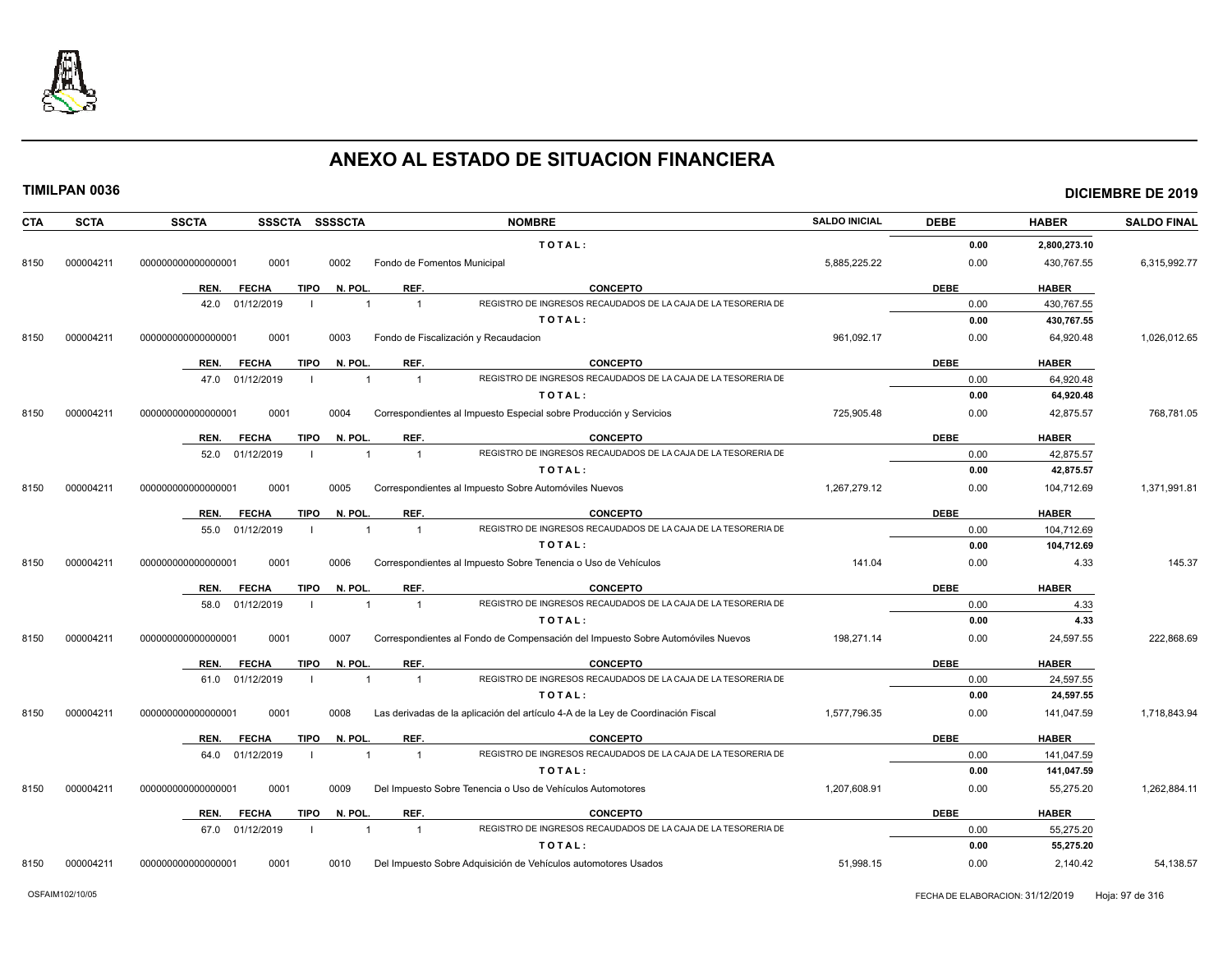

## **TIMILPAN 0036 DICIEMBRE DE 2019**

| <b>CTA</b> | <b>SCTA</b> | <b>SSCTA</b>         | SSSCTA SSSSCTA |             |                         |                             | <b>NOMBRE</b>                                                                    | <b>SALDO INICIAL</b> | <b>DEBE</b> | <b>HABER</b> | <b>SALDO FINAL</b> |
|------------|-------------|----------------------|----------------|-------------|-------------------------|-----------------------------|----------------------------------------------------------------------------------|----------------------|-------------|--------------|--------------------|
|            |             |                      |                |             |                         |                             | TOTAL:                                                                           |                      | 0.00        | 2,800,273.10 |                    |
| 8150       | 000004211   | 00000000000000001    | 0001           |             | 0002                    | Fondo de Fomentos Municipal |                                                                                  | 5,885,225.22         | 0.00        | 430,767.55   | 6,315,992.77       |
|            |             | REN.<br><b>FECHA</b> |                | <b>TIPO</b> | N. POL.                 | REF.                        | <b>CONCEPTO</b>                                                                  |                      | <b>DEBE</b> | <b>HABER</b> |                    |
|            |             | 42.0                 | 01/12/2019     |             |                         | $\overline{1}$              | REGISTRO DE INGRESOS RECAUDADOS DE LA CAJA DE LA TESORERIA DE                    |                      | 0.00        | 430,767.55   |                    |
|            |             |                      |                |             |                         |                             | TOTAL:                                                                           |                      | 0.00        | 430,767.55   |                    |
| 8150       | 000004211   | 000000000000000001   | 0001           |             | 0003                    |                             | Fondo de Fiscalización y Recaudacion                                             | 961,092.17           | 0.00        | 64,920.48    | 1,026,012.65       |
|            |             | REN.<br><b>FECHA</b> |                | <b>TIPO</b> | N. POL                  | REF.                        | <b>CONCEPTO</b>                                                                  |                      | <b>DEBE</b> | <b>HABER</b> |                    |
|            |             | 47.0                 | 01/12/2019     |             |                         |                             | REGISTRO DE INGRESOS RECAUDADOS DE LA CAJA DE LA TESORERIA DE                    |                      | 0.00        | 64,920.48    |                    |
|            |             |                      |                |             |                         |                             | TOTAL:                                                                           |                      | 0.00        | 64,920.48    |                    |
| 8150       | 000004211   | 00000000000000001    | 0001           |             | 0004                    |                             | Correspondientes al Impuesto Especial sobre Producción y Servicios               | 725,905.48           | 0.00        | 42,875.57    | 768,781.05         |
|            |             | REN.                 | <b>FECHA</b>   | <b>TIPO</b> | N. POL                  | REF.                        | <b>CONCEPTO</b>                                                                  |                      | <b>DEBE</b> | <b>HABER</b> |                    |
|            |             | 52.0                 | 01/12/2019     |             |                         | $\overline{1}$              | REGISTRO DE INGRESOS RECAUDADOS DE LA CAJA DE LA TESORERIA DE                    |                      | 0.00        | 42,875.57    |                    |
|            |             |                      |                |             |                         |                             | TOTAL:                                                                           |                      | 0.00        | 42,875.57    |                    |
| 8150       | 000004211   | 00000000000000001    | 0001           |             | 0005                    |                             | Correspondientes al Impuesto Sobre Automóviles Nuevos                            | 1,267,279.12         | 0.00        | 104,712.69   | 1,371,991.81       |
|            |             | REN.<br><b>FECHA</b> |                | TIPO        | N. POL                  | REF.                        | <b>CONCEPTO</b>                                                                  |                      | <b>DEBE</b> | <b>HABER</b> |                    |
|            |             | 55.0                 | 01/12/2019     |             |                         |                             | REGISTRO DE INGRESOS RECAUDADOS DE LA CAJA DE LA TESORERIA DE                    |                      | 0.00        | 104,712.69   |                    |
|            |             |                      |                |             |                         |                             | TOTAL:                                                                           |                      | 0.00        | 104,712.69   |                    |
| 8150       | 000004211   | 000000000000000001   | 0001           |             | 0006                    |                             | Correspondientes al Impuesto Sobre Tenencia o Uso de Vehículos                   | 141.04               | 0.00        | 4.33         | 145.37             |
|            |             | REN.                 | <b>FECHA</b>   | TIPO        | N. POL.                 | REF.                        | <b>CONCEPTO</b>                                                                  |                      | <b>DEBE</b> | <b>HABER</b> |                    |
|            |             | 58.0                 | 01/12/2019     |             | $\overline{\mathbf{1}}$ | $\overline{1}$              | REGISTRO DE INGRESOS RECAUDADOS DE LA CAJA DE LA TESORERIA DE                    |                      | 0.00        | 4.33         |                    |
|            |             |                      |                |             |                         |                             | TOTAL:                                                                           |                      | 0.00        | 4.33         |                    |
| 8150       | 000004211   | 000000000000000001   | 0001           |             | 0007                    |                             | Correspondientes al Fondo de Compensación del Impuesto Sobre Automóviles Nuevos  | 198,271.14           | 0.00        | 24,597.55    | 222,868.69         |
|            |             | REN.                 | <b>FECHA</b>   | <b>TIPO</b> | N. POL                  | REF.                        | <b>CONCEPTO</b>                                                                  |                      | <b>DEBE</b> | <b>HABER</b> |                    |
|            |             | 61.0                 | 01/12/2019     |             |                         |                             | REGISTRO DE INGRESOS RECAUDADOS DE LA CAJA DE LA TESORERIA DE                    |                      | 0.00        | 24,597.55    |                    |
|            |             |                      |                |             |                         |                             | TOTAL:                                                                           |                      | 0.00        | 24,597.55    |                    |
| 8150       | 000004211   | 00000000000000001    | 0001           |             | 0008                    |                             | Las derivadas de la aplicación del artículo 4-A de la Ley de Coordinación Fiscal | 1,577,796.35         | 0.00        | 141,047.59   | 1,718,843.94       |
|            |             | REN.                 | <b>FECHA</b>   | <b>TIPO</b> | N. POL                  | REF.                        | <b>CONCEPTO</b>                                                                  |                      | <b>DEBE</b> | <b>HABER</b> |                    |
|            |             | 64.0                 | 01/12/2019     |             |                         | $\overline{1}$              | REGISTRO DE INGRESOS RECAUDADOS DE LA CAJA DE LA TESORERIA DE                    |                      | 0.00        | 141,047.59   |                    |
|            |             |                      |                |             |                         |                             | TOTAL:                                                                           |                      | 0.00        | 141,047.59   |                    |
| 8150       | 000004211   | 00000000000000000    | 0001           |             | 0009                    |                             | Del Impuesto Sobre Tenencia o Uso de Vehículos Automotores                       | 1,207,608.91         | 0.00        | 55,275.20    | 1,262,884.11       |
|            |             | REN.                 | <b>FECHA</b>   | <b>TIPO</b> | N. POL                  | REF.                        | <b>CONCEPTO</b>                                                                  |                      | <b>DEBE</b> | <b>HABER</b> |                    |
|            |             | 67.0                 | 01/12/2019     |             |                         |                             | REGISTRO DE INGRESOS RECAUDADOS DE LA CAJA DE LA TESORERIA DE                    |                      | 0.00        | 55,275.20    |                    |
|            |             |                      |                |             |                         |                             | TOTAL:                                                                           |                      | 0.00        | 55,275.20    |                    |

8150 000004211 000000000000000001 0001 0010 Del Impuesto Sobre Adquisición de Vehículos automotores Usados 51,998.15 0.00 2,140.42 54,138.57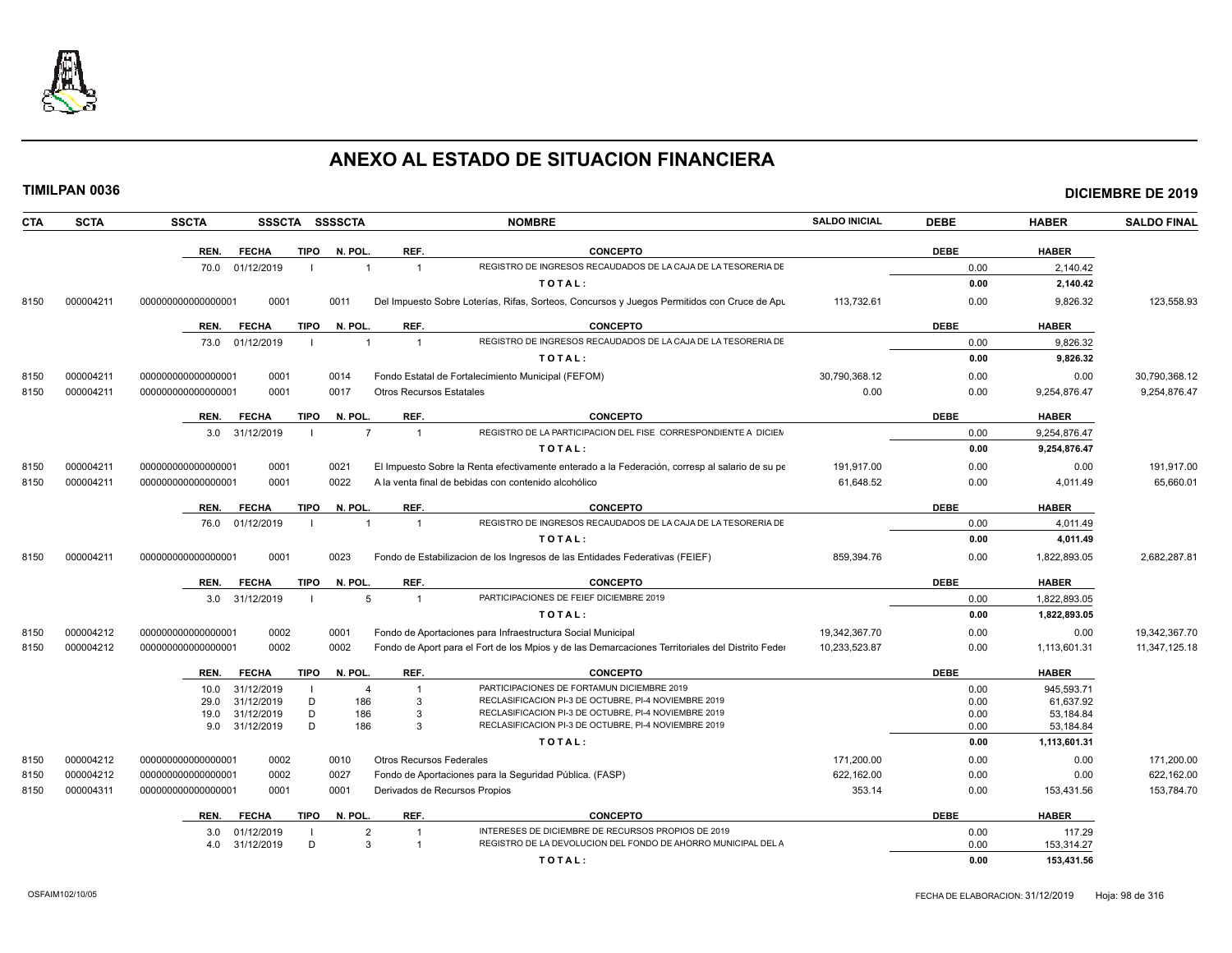

|--|

| CTA  | <b>SCTA</b> | <b>SSCTA</b><br><b>SSSCTA</b>           |                | <b>SSSSCTA</b> |                                 | <b>NOMBRE</b>                                                                                                | <b>SALDO INICIAL</b> | <b>DEBE</b>  | <b>HABER</b>           | <b>SALDO FINAL</b> |
|------|-------------|-----------------------------------------|----------------|----------------|---------------------------------|--------------------------------------------------------------------------------------------------------------|----------------------|--------------|------------------------|--------------------|
|      |             | REN.<br><b>FECHA</b>                    | <b>TIPO</b>    | N. POL.        | REF.                            | <b>CONCEPTO</b>                                                                                              |                      | <b>DEBE</b>  | <b>HABER</b>           |                    |
|      |             | 01/12/2019<br>70.0                      |                | $\overline{1}$ | $\overline{1}$                  | REGISTRO DE INGRESOS RECAUDADOS DE LA CAJA DE LA TESORERIA DE                                                |                      | 0.00         | 2,140.42               |                    |
|      |             |                                         |                |                |                                 | TOTAL:                                                                                                       |                      | 0.00         | 2,140.42               |                    |
| 8150 | 000004211   | 000000000000000001<br>0001              |                | 0011           |                                 | Del Impuesto Sobre Loterías, Rifas, Sorteos, Concursos y Juegos Permitidos con Cruce de Apu                  | 113.732.61           | 0.00         | 9.826.32               | 123.558.93         |
|      |             | REN.<br><b>FECHA</b>                    | <b>TIPO</b>    | N. POL.        | REF.                            | <b>CONCEPTO</b>                                                                                              |                      | <b>DEBE</b>  | <b>HABER</b>           |                    |
|      |             | 73.0 01/12/2019                         | $\blacksquare$ | $\overline{1}$ | $\overline{1}$                  | REGISTRO DE INGRESOS RECAUDADOS DE LA CAJA DE LA TESORERIA DE                                                |                      | 0.00         | 9,826.32               |                    |
|      |             |                                         |                |                |                                 | TOTAL:                                                                                                       |                      | 0.00         | 9,826.32               |                    |
| 8150 | 000004211   | 0001<br>000000000000000001              |                | 0014           |                                 | Fondo Estatal de Fortalecimiento Municipal (FEFOM)                                                           | 30,790,368.12        | 0.00         | 0.00                   | 30,790,368.12      |
| 8150 | 000004211   | 0001<br>000000000000000001              |                | 0017           | <b>Otros Recursos Estatales</b> |                                                                                                              | 0.00                 | 0.00         | 9,254,876.47           | 9,254,876.47       |
|      |             | REN.<br><b>FECHA</b>                    | <b>TIPO</b>    | N. POL.        | REF.                            | <b>CONCEPTO</b>                                                                                              |                      | <b>DEBE</b>  | <b>HABER</b>           |                    |
|      |             | 3.0 31/12/2019                          |                | $\overline{7}$ | $\overline{1}$                  | REGISTRO DE LA PARTICIPACION DEL FISE CORRESPONDIENTE A DICIEN                                               |                      | 0.00         | 9,254,876.47           |                    |
|      |             |                                         |                |                |                                 | TOTAL:                                                                                                       |                      | 0.00         | 9.254.876.47           |                    |
| 8150 | 000004211   | 0001<br>000000000000000001              |                | 0021           |                                 | El Impuesto Sobre la Renta efectivamente enterado a la Federación, corresp al salario de su pe               | 191.917.00           | 0.00         | 0.00                   | 191.917.00         |
| 8150 | 000004211   | 0001<br>000000000000000001              |                | 0022           |                                 | A la venta final de bebidas con contenido alcohólico                                                         | 61,648.52            | 0.00         | 4,011.49               | 65,660.01          |
|      |             | REN.<br><b>FECHA</b>                    | <b>TIPO</b>    | N. POL.        | REF.                            | <b>CONCEPTO</b>                                                                                              |                      | <b>DEBE</b>  | <b>HABER</b>           |                    |
|      |             | 76.0 01/12/2019                         |                | $\overline{1}$ | $\overline{1}$                  | REGISTRO DE INGRESOS RECAUDADOS DE LA CAJA DE LA TESORERIA DE                                                |                      | 0.00         | 4,011.49               |                    |
|      |             |                                         |                |                |                                 | TOTAL:                                                                                                       |                      | 0.00         | 4,011.49               |                    |
| 8150 | 000004211   | 0001<br>000000000000000001              |                | 0023           |                                 | Fondo de Estabilizacion de los Ingresos de las Entidades Federativas (FEIEF)                                 | 859,394.76           | 0.00         | 1,822,893.05           | 2,682,287.81       |
|      |             | <b>FECHA</b><br>REN.                    | <b>TIPO</b>    | N. POL.        | REF.                            | <b>CONCEPTO</b>                                                                                              |                      | <b>DEBE</b>  | <b>HABER</b>           |                    |
|      |             | 3.0 31/12/2019                          | $\blacksquare$ | 5              | $\overline{1}$                  | PARTICIPACIONES DE FEIEF DICIEMBRE 2019                                                                      |                      | 0.00         | 1,822,893.05           |                    |
|      |             |                                         |                |                |                                 | TOTAL:                                                                                                       |                      | 0.00         | 1,822,893.05           |                    |
| 8150 | 000004212   | 0002<br>000000000000000001              |                | 0001           |                                 | Fondo de Aportaciones para Infraestructura Social Municipal                                                  | 19.342.367.70        | 0.00         | 0.00                   | 19,342,367.70      |
| 8150 | 000004212   | 0002<br>000000000000000001              |                | 0002           |                                 | Fondo de Aport para el Fort de los Mpios y de las Demarcaciones Territoriales del Distrito Feder             | 10,233,523.87        | 0.00         | 1,113,601.31           | 11,347,125.18      |
|      |             | REN.<br><b>FECHA</b>                    | <b>TIPO</b>    | N. POL.        | REF.                            | <b>CONCEPTO</b>                                                                                              |                      | <b>DEBE</b>  | <b>HABER</b>           |                    |
|      |             | 31/12/2019<br>10.0                      | - 1            | $\overline{4}$ | -1                              | PARTICIPACIONES DE FORTAMUN DICIEMBRE 2019                                                                   |                      | 0.00         | 945,593.71             |                    |
|      |             | 31/12/2019<br>29.0                      | D<br>D         | 186            | $\mathbf{3}$<br>3               | RECLASIFICACION PI-3 DE OCTUBRE, PI-4 NOVIEMBRE 2019<br>RECLASIFICACION PI-3 DE OCTUBRE, PI-4 NOVIEMBRE 2019 |                      | 0.00         | 61.637.92              |                    |
|      |             | 31/12/2019<br>19.0<br>9.0<br>31/12/2019 | D              | 186<br>186     | 3                               | RECLASIFICACION PI-3 DE OCTUBRE, PI-4 NOVIEMBRE 2019                                                         |                      | 0.00<br>0.00 | 53,184.84<br>53,184.84 |                    |
|      |             |                                         |                |                |                                 | TOTAL:                                                                                                       |                      | 0.00         | 1,113,601.31           |                    |
| 8150 | 000004212   | 0002<br>000000000000000001              |                | 0010           | <b>Otros Recursos Federales</b> |                                                                                                              | 171,200.00           | 0.00         | 0.00                   | 171,200.00         |
| 8150 | 000004212   | 0002<br>000000000000000001              |                | 0027           |                                 | Fondo de Aportaciones para la Seguridad Pública. (FASP)                                                      | 622,162.00           | 0.00         | 0.00                   | 622,162.00         |
| 8150 | 000004311   | 0001<br>000000000000000001              |                | 0001           | Derivados de Recursos Propios   |                                                                                                              | 353.14               | 0.00         | 153,431.56             | 153,784.70         |
|      |             | <b>FECHA</b><br>REN.                    | TIPO           | N. POL.        | REF.                            | <b>CONCEPTO</b>                                                                                              |                      | <b>DEBE</b>  | <b>HABER</b>           |                    |
|      |             | 01/12/2019<br>3.0                       |                | 2              |                                 | INTERESES DE DICIEMBRE DE RECURSOS PROPIOS DE 2019                                                           |                      | 0.00         | 117.29                 |                    |
|      |             | 4.0<br>31/12/2019                       | D              | 3              | $\overline{1}$                  | REGISTRO DE LA DEVOLUCION DEL FONDO DE AHORRO MUNICIPAL DEL A                                                |                      | 0.00         | 153,314.27             |                    |

**T O T A L : 0.00 153,431.56**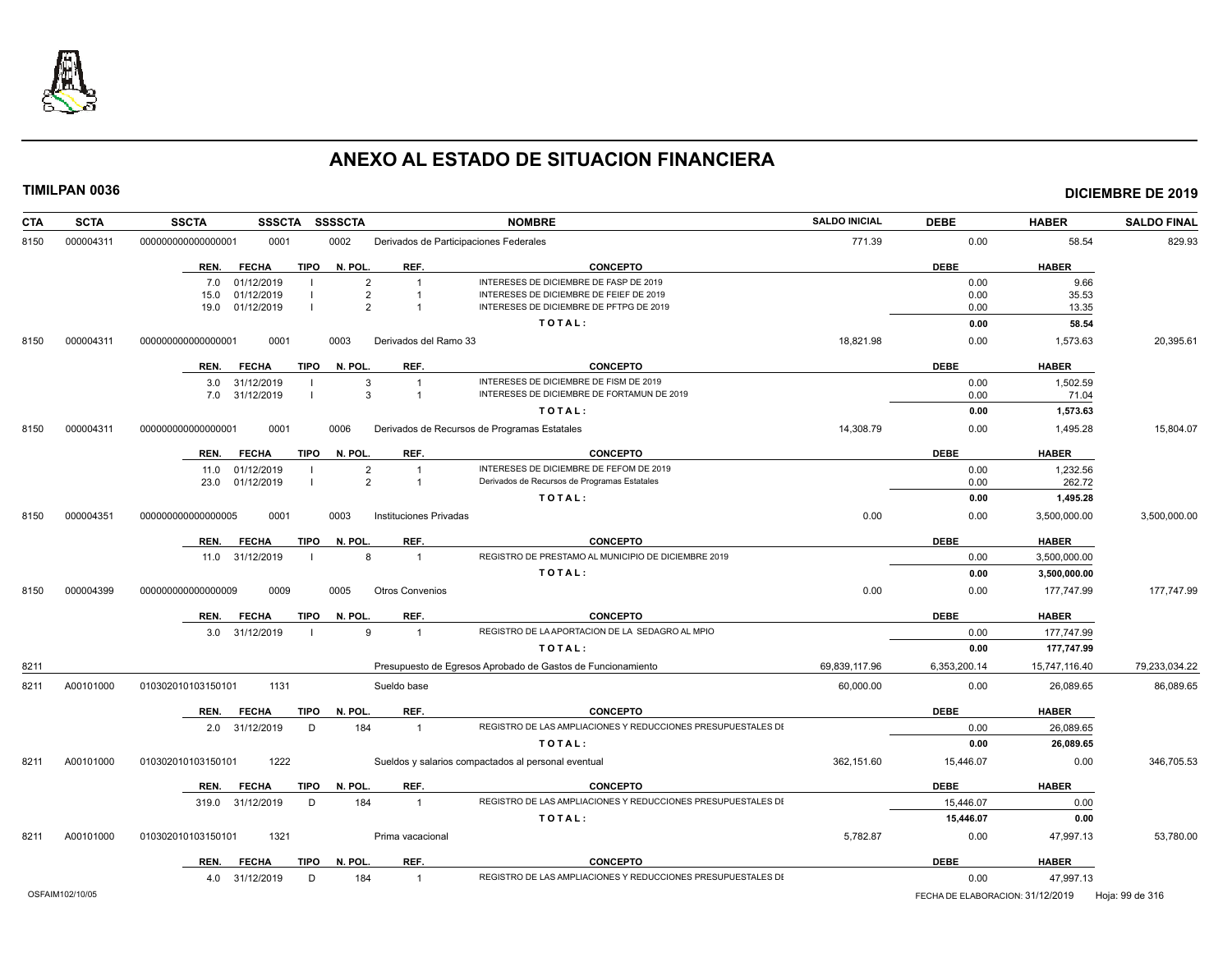

| <b>SCTA</b><br><b>CTA</b> | <b>SSCTA</b>       | <b>SSSCTA</b>        | <b>SSSSCTA</b>         |                                        | <b>NOMBRE</b>                                                | <b>SALDO INICIAL</b> | <b>DEBE</b>                      | <b>HABER</b>  | <b>SALDO FINAL</b> |
|---------------------------|--------------------|----------------------|------------------------|----------------------------------------|--------------------------------------------------------------|----------------------|----------------------------------|---------------|--------------------|
| 000004311<br>8150         | 000000000000000001 | 0001                 | 0002                   | Derivados de Participaciones Federales |                                                              | 771.39               | 0.00                             | 58.54         | 829.93             |
|                           |                    | <b>FECHA</b><br>REN. | <b>TIPO</b><br>N. POL. | REF.                                   | <b>CONCEPTO</b>                                              |                      | <b>DEBE</b>                      | <b>HABER</b>  |                    |
|                           |                    | 01/12/2019<br>7.0    |                        | $\overline{2}$<br>$\overline{1}$       | INTERESES DE DICIEMBRE DE FASP DE 2019                       |                      | 0.00                             | 9.66          |                    |
|                           |                    | 01/12/2019<br>15.0   |                        | $\overline{2}$                         | INTERESES DE DICIEMBRE DE FEIEF DE 2019                      |                      | 0.00                             | 35.53         |                    |
|                           |                    | 19.0 01/12/2019      |                        | 2<br>$\overline{1}$                    | INTERESES DE DICIEMBRE DE PFTPG DE 2019                      |                      | 0.00                             | 13.35         |                    |
|                           |                    |                      |                        |                                        | TOTAL:                                                       |                      | 0.00                             | 58.54         |                    |
| 000004311<br>8150         | 000000000000000001 | 0001                 | 0003                   | Derivados del Ramo 33                  |                                                              | 18,821.98            | 0.00                             | 1,573.63      | 20,395.61          |
|                           |                    | REN.<br><b>FECHA</b> | TIPO<br>N. POL.        | REF.                                   | <b>CONCEPTO</b>                                              |                      | <b>DEBE</b>                      | <b>HABER</b>  |                    |
|                           |                    | 3.0 31/12/2019       |                        | 3<br>$\overline{1}$                    | INTERESES DE DICIEMBRE DE FISM DE 2019                       |                      | 0.00                             | 1,502.59      |                    |
|                           |                    | 7.0 31/12/2019       |                        | 3<br>$\overline{1}$                    | INTERESES DE DICIEMBRE DE FORTAMUN DE 2019                   |                      | 0.00                             | 71.04         |                    |
|                           |                    |                      |                        |                                        | TOTAL:                                                       |                      | 0.00                             | 1,573.63      |                    |
| 000004311<br>8150         | 00000000000000001  | 0001                 | 0006                   |                                        | Derivados de Recursos de Programas Estatales                 | 14,308.79            | 0.00                             | 1,495.28      | 15,804.07          |
|                           |                    | <b>FECHA</b><br>REN. | <b>TIPO</b><br>N. POL. | REF.                                   | <b>CONCEPTO</b>                                              |                      | <b>DEBE</b>                      | <b>HABER</b>  |                    |
|                           |                    | 11.0 01/12/2019      |                        | $\overline{2}$<br>$\overline{1}$       | INTERESES DE DICIEMBRE DE FEFOM DE 2019                      |                      | 0.00                             | 1,232.56      |                    |
|                           |                    | 23.0 01/12/2019      |                        | $\overline{2}$<br>$\overline{1}$       | Derivados de Recursos de Programas Estatales                 |                      | 0.00                             | 262.72        |                    |
|                           |                    |                      |                        |                                        | TOTAL:                                                       |                      | 0.00                             | 1,495.28      |                    |
| 000004351<br>8150         | 000000000000000005 | 0001                 | 0003                   | Instituciones Privadas                 |                                                              | 0.00                 | 0.00                             | 3,500,000.00  | 3,500,000.00       |
|                           |                    | <b>FECHA</b><br>REN. | <b>TIPO</b><br>N. POL. | REF.                                   | <b>CONCEPTO</b>                                              |                      | <b>DEBE</b>                      | <b>HABER</b>  |                    |
|                           |                    | 11.0 31/12/2019      |                        | 8<br>$\overline{1}$                    | REGISTRO DE PRESTAMO AL MUNICIPIO DE DICIEMBRE 2019          |                      | 0.00                             | 3,500,000.00  |                    |
|                           |                    |                      |                        |                                        | TOTAL:                                                       |                      | 0.00                             | 3,500,000.00  |                    |
| 000004399<br>8150         | 000000000000000009 | 0009                 | 0005                   | <b>Otros Convenios</b>                 |                                                              | 0.00                 | 0.00                             | 177,747.99    | 177,747.99         |
|                           |                    | <b>FECHA</b><br>REN. | TIPO<br>N. POL.        | REF.                                   | <b>CONCEPTO</b>                                              |                      | <b>DEBE</b>                      | <b>HABER</b>  |                    |
|                           |                    | 3.0 31/12/2019       |                        | 9<br>$\overline{1}$                    | REGISTRO DE LA APORTACION DE LA SEDAGRO AL MPIO              |                      | 0.00                             | 177,747.99    |                    |
|                           |                    |                      |                        |                                        | TOTAL:                                                       |                      | 0.00                             | 177,747.99    |                    |
| 8211                      |                    |                      |                        |                                        | Presupuesto de Egresos Aprobado de Gastos de Funcionamiento  | 69,839,117.96        | 6,353,200.14                     | 15,747,116.40 | 79,233,034.22      |
| 8211<br>A00101000         | 010302010103150101 | 1131                 |                        | Sueldo base                            |                                                              | 60,000.00            | 0.00                             | 26,089.65     | 86,089.65          |
|                           |                    | REN.<br><b>FECHA</b> | TIPO<br>N. POL.        | REF.                                   | <b>CONCEPTO</b>                                              |                      | <b>DEBE</b>                      | <b>HABER</b>  |                    |
|                           |                    | 2.0 31/12/2019       | 184<br>D               | $\overline{1}$                         | REGISTRO DE LAS AMPLIACIONES Y REDUCCIONES PRESUPUESTALES DI |                      | 0.00                             | 26,089.65     |                    |
|                           |                    |                      |                        |                                        | TOTAL:                                                       |                      | 0.00                             | 26,089.65     |                    |
| A00101000<br>8211         | 010302010103150101 | 1222                 |                        |                                        | Sueldos y salarios compactados al personal eventual          | 362.151.60           | 15,446.07                        | 0.00          | 346,705.53         |
|                           |                    | REN.<br><b>FECHA</b> | <b>TIPO</b><br>N. POL. | REF.                                   | <b>CONCEPTO</b>                                              |                      | <b>DEBE</b>                      | <b>HABER</b>  |                    |
|                           |                    | 319.0 31/12/2019     | 184<br>D               | $\mathbf{1}$                           | REGISTRO DE LAS AMPLIACIONES Y REDUCCIONES PRESUPUESTALES DI |                      | 15,446.07                        | 0.00          |                    |
|                           |                    |                      |                        |                                        | TOTAL:                                                       |                      | 15,446.07                        | 0.00          |                    |
| A00101000<br>8211         | 010302010103150101 | 1321                 |                        | Prima vacacional                       |                                                              | 5,782.87             | 0.00                             | 47,997.13     | 53,780.00          |
|                           |                    | <b>FECHA</b><br>REN. | <b>TIPO</b><br>N. POL. | REF.                                   | <b>CONCEPTO</b>                                              |                      | <b>DEBE</b>                      | <b>HABER</b>  |                    |
|                           |                    | 4.0 31/12/2019       | D<br>184               | $\overline{1}$                         | REGISTRO DE LAS AMPLIACIONES Y REDUCCIONES PRESUPUESTALES DI |                      | 0.00                             | 47,997.13     |                    |
| OSFAIM102/10/05           |                    |                      |                        |                                        |                                                              |                      | FECHA DE ELABORACION: 31/12/2019 |               | Hoja: 99 de 316    |
|                           |                    |                      |                        |                                        |                                                              |                      |                                  |               |                    |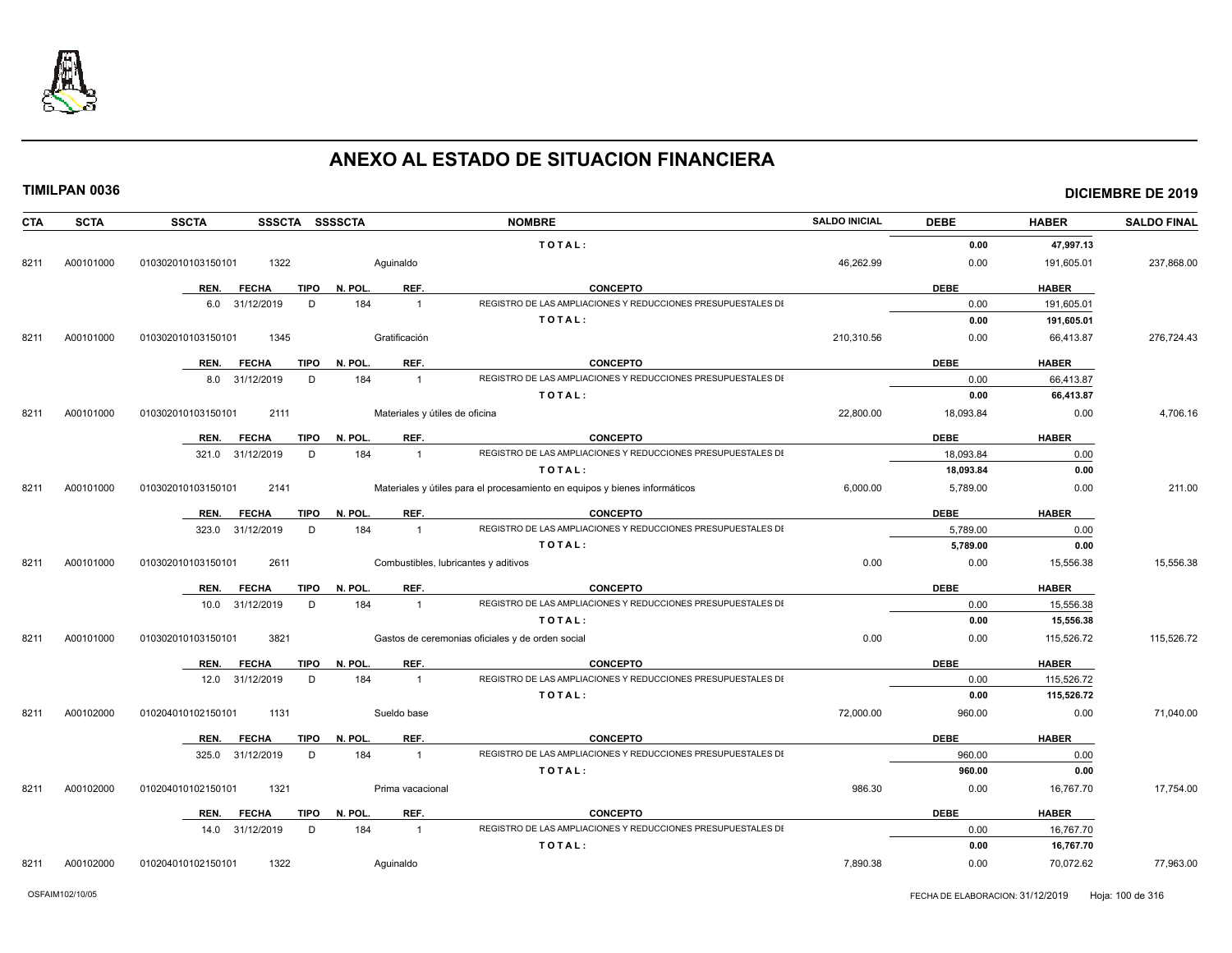

**TIMILPAN 0036 DICIEMBRE DE 2019**

| <b>CTA</b> | <b>SCTA</b> | <b>SSCTA</b>               | SSSCTA SSSSCTA         |                                | <b>NOMBRE</b>                                                              | <b>SALDO INICIAL</b> | <b>DEBE</b> | <b>HABER</b> | <b>SALDO FINAL</b> |
|------------|-------------|----------------------------|------------------------|--------------------------------|----------------------------------------------------------------------------|----------------------|-------------|--------------|--------------------|
|            |             |                            |                        |                                | TOTAL:                                                                     |                      | 0.00        | 47,997.13    |                    |
| 8211       | A00101000   | 1322<br>010302010103150101 |                        | Aguinaldo                      |                                                                            | 46,262.99            | 0.00        | 191,605.01   | 237,868.00         |
|            |             | REN.<br><b>FECHA</b>       | N. POL.<br>TIPO        | REF.                           | <b>CONCEPTO</b>                                                            |                      | <b>DEBE</b> | <b>HABER</b> |                    |
|            |             | 6.0 31/12/2019             | D                      | 184<br>$\overline{1}$          | REGISTRO DE LAS AMPLIACIONES Y REDUCCIONES PRESUPUESTALES DI               |                      | 0.00        | 191,605.01   |                    |
|            |             |                            |                        |                                | TOTAL:                                                                     |                      | 0.00        | 191,605.01   |                    |
| 8211       | A00101000   | 1345<br>010302010103150101 |                        | Gratificación                  |                                                                            | 210,310.56           | 0.00        | 66,413.87    | 276,724.43         |
|            |             | REN.<br><b>FECHA</b>       | TIPO<br>N. POL.        | REF.                           | <b>CONCEPTO</b>                                                            |                      | <b>DEBE</b> | <b>HABER</b> |                    |
|            |             | 31/12/2019<br>8.0          | D                      | 184<br>$\overline{1}$          | REGISTRO DE LAS AMPLIACIONES Y REDUCCIONES PRESUPUESTALES DI               |                      | 0.00        | 66.413.87    |                    |
|            |             |                            |                        |                                | TOTAL:                                                                     |                      | 0.00        | 66,413.87    |                    |
| 8211       | A00101000   | 010302010103150101<br>2111 |                        | Materiales y útiles de oficina |                                                                            | 22,800.00            | 18,093.84   | 0.00         | 4,706.16           |
|            |             | REN.<br><b>FECHA</b>       | TIPO<br>N. POL.        | REF.                           | <b>CONCEPTO</b>                                                            |                      | <b>DEBE</b> | <b>HABER</b> |                    |
|            |             | 321.0 31/12/2019           | D                      | 184<br>$\overline{1}$          | REGISTRO DE LAS AMPLIACIONES Y REDUCCIONES PRESUPUESTALES DI               |                      | 18,093.84   | 0.00         |                    |
|            |             |                            |                        |                                | TOTAL:                                                                     |                      | 18,093.84   | 0.00         |                    |
| 8211       | A00101000   | 010302010103150101<br>2141 |                        |                                | Materiales y útiles para el procesamiento en equipos y bienes informáticos | 6,000.00             | 5,789.00    | 0.00         | 211.00             |
|            |             | REN.<br><b>FECHA</b>       | TIPO N. POL.           | REF.                           | <b>CONCEPTO</b>                                                            |                      | <b>DEBE</b> | <b>HABER</b> |                    |
|            |             | 31/12/2019<br>323.0        | D                      | 184<br>$\overline{1}$          | REGISTRO DE LAS AMPLIACIONES Y REDUCCIONES PRESUPUESTALES DI               |                      | 5,789.00    | 0.00         |                    |
|            |             |                            |                        |                                | TOTAL:                                                                     |                      | 5,789.00    | 0.00         |                    |
| 8211       | A00101000   | 2611<br>010302010103150101 |                        |                                | Combustibles, lubricantes y aditivos                                       | 0.00                 | 0.00        | 15,556.38    | 15,556.38          |
|            |             | REN.<br><b>FECHA</b>       | TIPO<br>N. POL.        | REF.                           | <b>CONCEPTO</b>                                                            |                      | <b>DEBE</b> | <b>HABER</b> |                    |
|            |             | 31/12/2019<br>10.0         | D                      | 184<br>$\overline{1}$          | REGISTRO DE LAS AMPLIACIONES Y REDUCCIONES PRESUPUESTALES DI               |                      | 0.00        | 15,556.38    |                    |
|            |             |                            |                        |                                | TOTAL:                                                                     |                      | 0.00        | 15,556.38    |                    |
| 8211       | A00101000   | 3821<br>010302010103150101 |                        |                                | Gastos de ceremonias oficiales y de orden social                           | 0.00                 | 0.00        | 115,526.72   | 115,526.72         |
|            |             | <b>FECHA</b><br>REN.       | <b>TIPO</b><br>N. POL. | REF.                           | <b>CONCEPTO</b>                                                            |                      | <b>DEBE</b> | <b>HABER</b> |                    |
|            |             | 12.0 31/12/2019            | D                      | 184<br>$\overline{1}$          | REGISTRO DE LAS AMPLIACIONES Y REDUCCIONES PRESUPUESTALES DI               |                      | 0.00        | 115,526.72   |                    |
|            |             |                            |                        |                                | TOTAL:                                                                     |                      | 0.00        | 115,526.72   |                    |
| 8211       | A00102000   | 1131<br>010204010102150101 |                        | Sueldo base                    |                                                                            | 72,000.00            | 960.00      | 0.00         | 71,040.00          |
|            |             | <b>FECHA</b><br>REN.       | <b>TIPO</b><br>N. POL. | REF.                           | <b>CONCEPTO</b>                                                            |                      | <b>DEBE</b> | <b>HABER</b> |                    |
|            |             | 31/12/2019<br>325.0        | D                      | 184<br>$\overline{1}$          | REGISTRO DE LAS AMPLIACIONES Y REDUCCIONES PRESUPUESTALES DI               |                      | 960.00      | 0.00         |                    |
|            |             |                            |                        |                                | TOTAL:                                                                     |                      | 960.00      | 0.00         |                    |
| 8211       | A00102000   | 1321<br>010204010102150101 |                        | Prima vacacional               |                                                                            | 986.30               | 0.00        | 16,767.70    | 17,754.00          |
|            |             | REN.<br><b>FECHA</b>       | TIPO<br>N. POL.        | REF.                           | <b>CONCEPTO</b>                                                            |                      | <b>DEBE</b> | <b>HABER</b> |                    |
|            |             | 31/12/2019<br>14.0         | D                      | 184<br>$\overline{1}$          | REGISTRO DE LAS AMPLIACIONES Y REDUCCIONES PRESUPUESTALES DI               |                      | 0.00        | 16,767.70    |                    |
|            |             |                            |                        |                                | TOTAL:                                                                     |                      | 0.00        | 16,767.70    |                    |

8211 A00102000 010204010102150101 1322 Aguinaldo 7,890.38 0.00 70,072.62 77,963.00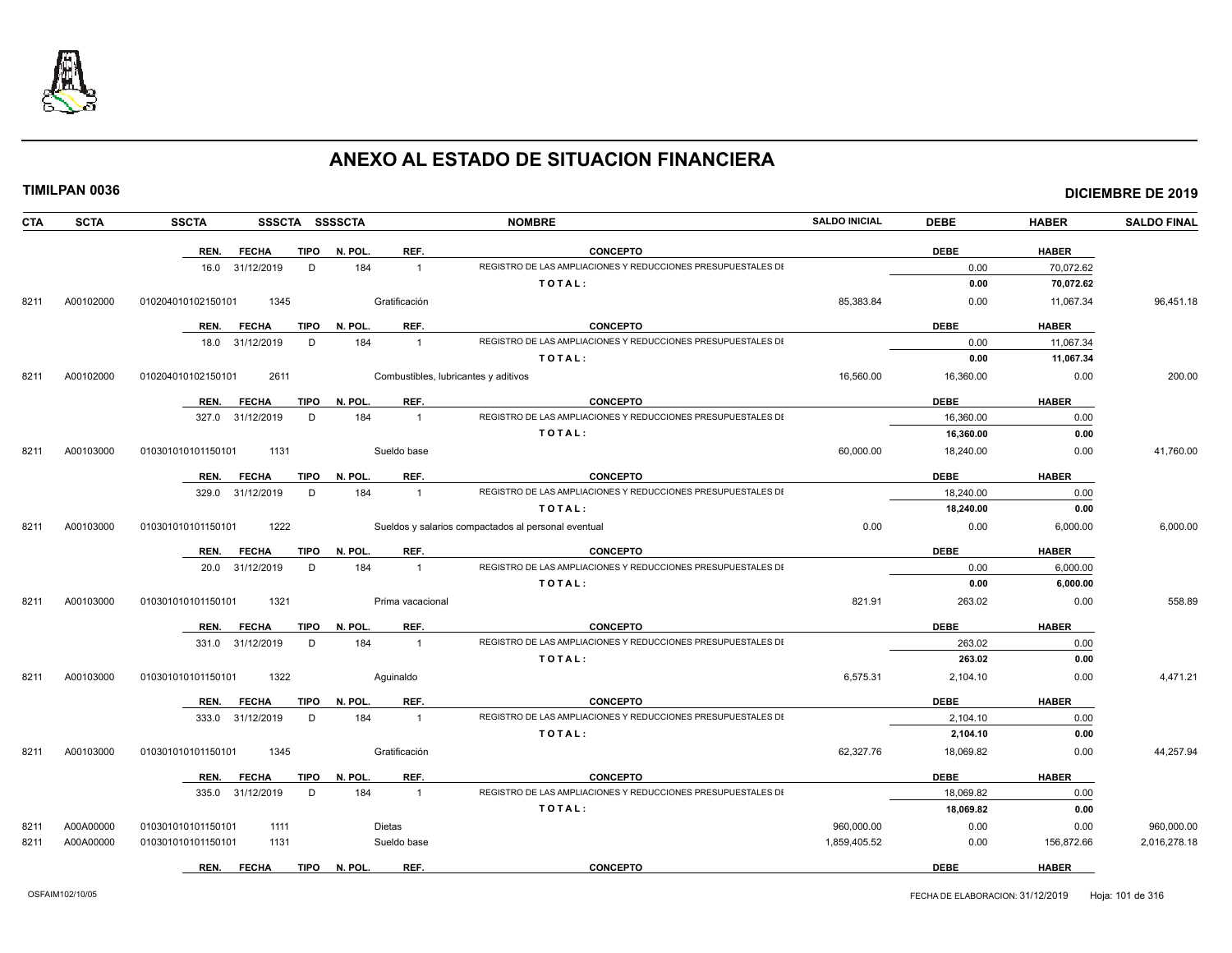

| <b>CTA</b> | <b>SCTA</b> | <b>SSCTA</b><br>SSSCTA SSSSCTA      |                       | <b>NOMBRE</b>                                                | <b>SALDO INICIAL</b> | <b>DEBE</b> | <b>HABER</b> | <b>SALDO FINAL</b> |
|------------|-------------|-------------------------------------|-----------------------|--------------------------------------------------------------|----------------------|-------------|--------------|--------------------|
|            |             | <b>FECHA</b><br><b>TIPO</b><br>REN. | N. POL<br>REF.        | <b>CONCEPTO</b>                                              |                      | <b>DEBE</b> | <b>HABER</b> |                    |
|            |             | 16.0 31/12/2019<br>D                | 184<br>$\overline{1}$ | REGISTRO DE LAS AMPLIACIONES Y REDUCCIONES PRESUPUESTALES DI |                      | 0.00        | 70,072.62    |                    |
|            |             |                                     |                       | TOTAL:                                                       |                      | 0.00        | 70,072.62    |                    |
| 8211       | A00102000   | 010204010102150101<br>1345          | Gratificación         |                                                              | 85,383.84            | 0.00        | 11,067.34    | 96,451.18          |
|            |             | REN.<br><b>FECHA</b><br>TIPO        | REF.<br>N. POL.       | <b>CONCEPTO</b>                                              |                      | <b>DEBE</b> | <b>HABER</b> |                    |
|            |             | 18.0 31/12/2019<br>D                | 184<br>$\overline{1}$ | REGISTRO DE LAS AMPLIACIONES Y REDUCCIONES PRESUPUESTALES DI |                      | 0.00        | 11,067.34    |                    |
|            |             |                                     |                       | TOTAL:                                                       |                      | 0.00        | 11,067.34    |                    |
| 8211       | A00102000   | 2611<br>010204010102150101          |                       | Combustibles, lubricantes y aditivos                         | 16,560.00            | 16,360.00   | 0.00         | 200.00             |
|            |             | <b>FECHA</b><br><b>TIPO</b><br>REN. | REF.<br>N. POL.       | <b>CONCEPTO</b>                                              |                      | <b>DEBE</b> | <b>HABER</b> |                    |
|            |             | 327.0 31/12/2019<br>D               | 184<br>$\overline{1}$ | REGISTRO DE LAS AMPLIACIONES Y REDUCCIONES PRESUPUESTALES DI |                      | 16,360.00   | 0.00         |                    |
|            |             |                                     |                       | TOTAL:                                                       |                      | 16,360.00   | 0.00         |                    |
| 8211       | A00103000   | 1131<br>010301010101150101          | Sueldo base           |                                                              | 60,000.00            | 18,240.00   | 0.00         | 41,760.00          |
|            |             | REN.<br><b>FECHA</b><br><b>TIPO</b> | N. POL<br>REF.        | <b>CONCEPTO</b>                                              |                      | <b>DEBE</b> | <b>HABER</b> |                    |
|            |             | 329.0 31/12/2019<br>D               | 184<br>$\overline{1}$ | REGISTRO DE LAS AMPLIACIONES Y REDUCCIONES PRESUPUESTALES DI |                      | 18,240.00   | 0.00         |                    |
|            |             |                                     |                       | TOTAL:                                                       |                      | 18,240.00   | 0.00         |                    |
| 8211       | A00103000   | 1222<br>010301010101150101          |                       | Sueldos y salarios compactados al personal eventual          | 0.00                 | 0.00        | 6,000.00     | 6,000.00           |
|            |             | REN.<br><b>FECHA</b><br><b>TIPO</b> | REF.<br>N. POL.       | <b>CONCEPTO</b>                                              |                      | <b>DEBE</b> | <b>HABER</b> |                    |
|            |             | 20.0 31/12/2019<br>D                | 184<br>$\overline{1}$ | REGISTRO DE LAS AMPLIACIONES Y REDUCCIONES PRESUPUESTALES DI |                      | 0.00        | 6,000.00     |                    |
|            |             |                                     |                       | TOTAL:                                                       |                      | 0.00        | 6,000.00     |                    |
| 8211       | A00103000   | 1321<br>010301010101150101          | Prima vacacional      |                                                              | 821.91               | 263.02      | 0.00         | 558.89             |
|            |             | REN.<br><b>FECHA</b><br>TIPO        | N. POL.<br>REF.       | <b>CONCEPTO</b>                                              |                      | <b>DEBE</b> | <b>HABER</b> |                    |
|            |             | 331.0 31/12/2019<br>D               | 184<br>$\overline{1}$ | REGISTRO DE LAS AMPLIACIONES Y REDUCCIONES PRESUPUESTALES DI |                      | 263.02      | 0.00         |                    |
|            |             |                                     |                       | TOTAL:                                                       |                      | 263.02      | 0.00         |                    |
| 8211       | A00103000   | 1322<br>010301010101150101          | Aquinaldo             |                                                              | 6,575.31             | 2,104.10    | 0.00         | 4,471.21           |
|            |             | REN.<br><b>FECHA</b><br>TIPO        | REF.<br>N. POL.       | <b>CONCEPTO</b>                                              |                      | <b>DEBE</b> | <b>HABER</b> |                    |
|            |             | 333.0 31/12/2019<br>D               | 184<br>$\overline{1}$ | REGISTRO DE LAS AMPLIACIONES Y REDUCCIONES PRESUPUESTALES DI |                      | 2,104.10    | 0.00         |                    |
|            |             |                                     |                       | TOTAL:                                                       |                      | 2,104.10    | 0.00         |                    |
| 8211       | A00103000   | 010301010101150101<br>1345          | Gratificación         |                                                              | 62,327.76            | 18,069.82   | 0.00         | 44,257.94          |
|            |             | REN.<br><b>FECHA</b><br><b>TIPO</b> | REF.<br>N. POL        | <b>CONCEPTO</b>                                              |                      | <b>DEBE</b> | <b>HABER</b> |                    |
|            |             | 335.0 31/12/2019<br>D               | 184<br>$\overline{1}$ | REGISTRO DE LAS AMPLIACIONES Y REDUCCIONES PRESUPUESTALES DI |                      | 18,069.82   | 0.00         |                    |
|            |             |                                     |                       | TOTAL:                                                       |                      | 18,069.82   | 0.00         |                    |
| 8211       | A00A00000   | 010301010101150101<br>1111          | Dietas                |                                                              | 960,000.00           | 0.00        | 0.00         | 960,000.00         |
| 8211       | A00A00000   | 010301010101150101<br>1131          | Sueldo base           |                                                              | 1,859,405.52         | 0.00        | 156,872.66   | 2,016,278.18       |
|            |             | REN.<br><b>FECHA</b><br>TIPO        | N. POL.<br>REF.       | <b>CONCEPTO</b>                                              |                      | <b>DEBE</b> | <b>HABER</b> |                    |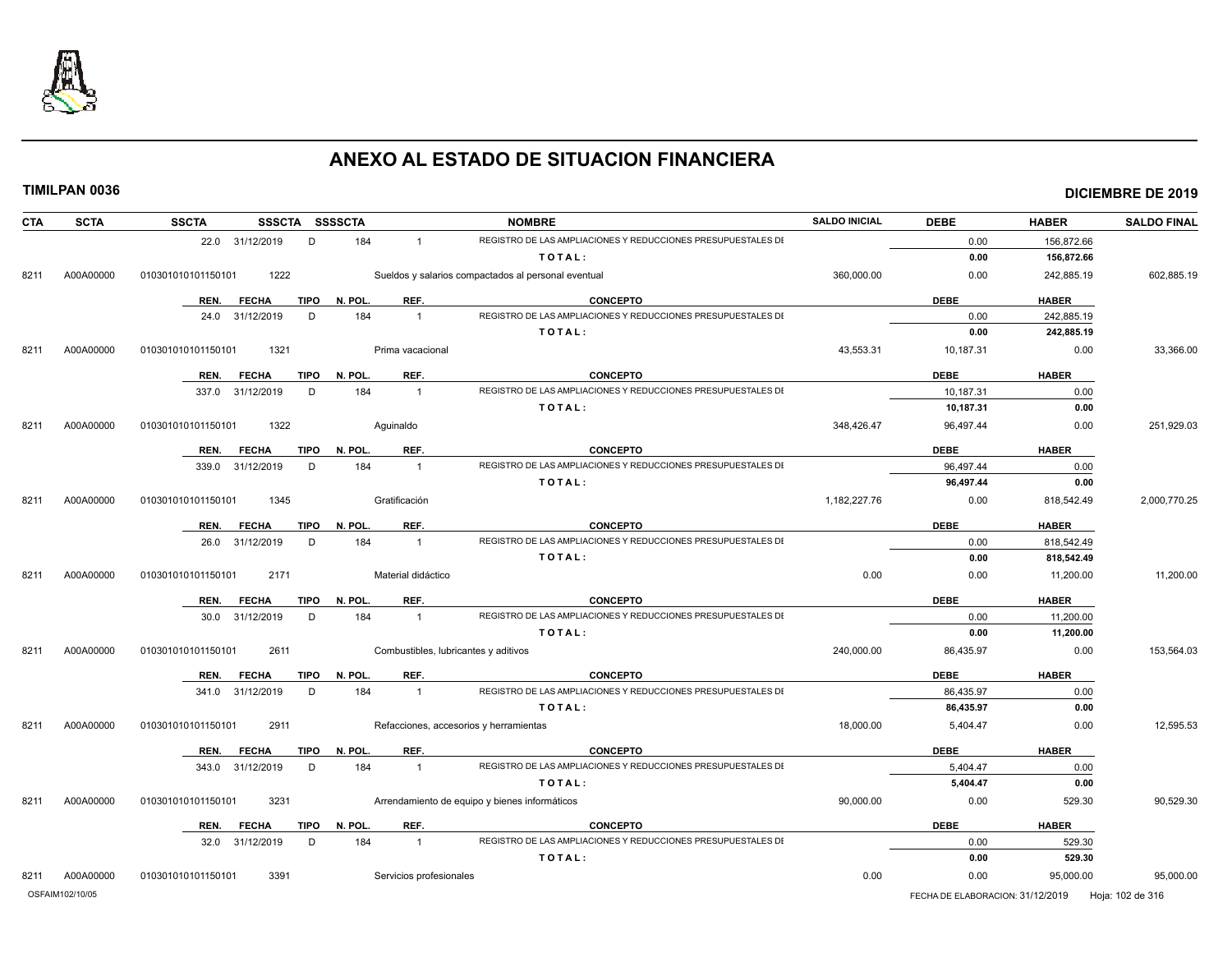

| <b>CTA</b> | <b>SCTA</b>     | <b>SSCTA</b>               | SSSCTA SSSSCTA                |                                      | <b>NOMBRE</b>                                                | <b>SALDO INICIAL</b> | <b>DEBE</b>                      | <b>HABER</b>         | <b>SALDO FINAL</b> |
|------------|-----------------|----------------------------|-------------------------------|--------------------------------------|--------------------------------------------------------------|----------------------|----------------------------------|----------------------|--------------------|
|            |                 | 22.0 31/12/2019            | D<br>184                      | $\overline{1}$                       | REGISTRO DE LAS AMPLIACIONES Y REDUCCIONES PRESUPUESTALES DI |                      | 0.00                             | 156,872.66           |                    |
|            |                 |                            |                               |                                      | TOTAL:                                                       |                      | 0.00                             | 156,872.66           |                    |
| 8211       | A00A00000       | 1222<br>010301010101150101 |                               |                                      | Sueldos y salarios compactados al personal eventual          | 360,000.00           | 0.00                             | 242,885.19           | 602,885.19         |
|            |                 | REN.<br><b>FECHA</b>       | <b>TIPO</b><br>N. POL.        | REF.                                 | <b>CONCEPTO</b>                                              |                      | <b>DEBE</b>                      | <b>HABER</b>         |                    |
|            |                 | 24.0 31/12/2019            | 184<br>D                      | $\overline{1}$                       | REGISTRO DE LAS AMPLIACIONES Y REDUCCIONES PRESUPUESTALES DI |                      | 0.00                             | 242,885.19           |                    |
|            |                 |                            |                               |                                      | TOTAL:                                                       |                      | 0.00                             | 242,885.19           |                    |
| 8211       | A00A00000       | 1321<br>010301010101150101 |                               | Prima vacacional                     |                                                              | 43,553.31            | 10,187.31                        | 0.00                 | 33,366.00          |
|            |                 |                            |                               |                                      | <b>CONCEPTO</b>                                              |                      |                                  |                      |                    |
|            |                 | REN.<br><b>FECHA</b>       | <b>TIPO</b><br>N. POL.<br>184 | REF.<br>$\overline{1}$               | REGISTRO DE LAS AMPLIACIONES Y REDUCCIONES PRESUPUESTALES DI |                      | <b>DEBE</b>                      | <b>HABER</b><br>0.00 |                    |
|            |                 | 337.0 31/12/2019           | D                             |                                      | TOTAL:                                                       |                      | 10,187.31                        | 0.00                 |                    |
|            |                 |                            |                               |                                      |                                                              |                      | 10,187.31                        |                      |                    |
| 8211       | A00A00000       | 010301010101150101<br>1322 |                               | Aquinaldo                            |                                                              | 348,426.47           | 96,497.44                        | 0.00                 | 251,929.03         |
|            |                 | REN.<br><b>FECHA</b>       | N. POL.<br><b>TIPO</b>        | REF.                                 | <b>CONCEPTO</b>                                              |                      | <b>DEBE</b>                      | <b>HABER</b>         |                    |
|            |                 | 339.0 31/12/2019           | 184<br>D                      | $\overline{1}$                       | REGISTRO DE LAS AMPLIACIONES Y REDUCCIONES PRESUPUESTALES DI |                      | 96,497.44                        | 0.00                 |                    |
|            |                 |                            |                               |                                      | TOTAL:                                                       |                      | 96,497.44                        | 0.00                 |                    |
| 8211       | A00A00000       | 010301010101150101<br>1345 |                               | Gratificación                        |                                                              | 1,182,227.76         | 0.00                             | 818,542.49           | 2,000,770.25       |
|            |                 | REN.<br><b>FECHA</b>       | <b>TIPO</b><br>N. POL.        | REF.                                 | <b>CONCEPTO</b>                                              |                      | <b>DEBE</b>                      | <b>HABER</b>         |                    |
|            |                 | 26.0 31/12/2019            | 184<br>D                      | $\overline{1}$                       | REGISTRO DE LAS AMPLIACIONES Y REDUCCIONES PRESUPUESTALES DI |                      | 0.00                             | 818,542.49           |                    |
|            |                 |                            |                               |                                      | TOTAL:                                                       |                      | 0.00                             | 818,542.49           |                    |
| 8211       | A00A00000       | 2171<br>010301010101150101 |                               | Material didáctico                   |                                                              | 0.00                 | 0.00                             | 11,200.00            | 11,200.00          |
|            |                 | <b>FECHA</b><br>REN.       | <b>TIPO</b><br>N. POL.        | REF.                                 | <b>CONCEPTO</b>                                              |                      | <b>DEBE</b>                      | <b>HABER</b>         |                    |
|            |                 | 30.0 31/12/2019            | 184<br>D                      | $\overline{1}$                       | REGISTRO DE LAS AMPLIACIONES Y REDUCCIONES PRESUPUESTALES DI |                      | 0.00                             | 11,200.00            |                    |
|            |                 |                            |                               |                                      | TOTAL:                                                       |                      | 0.00                             | 11,200.00            |                    |
| 8211       | A00A00000       | 010301010101150101<br>2611 |                               | Combustibles, lubricantes y aditivos |                                                              | 240,000.00           | 86,435.97                        | 0.00                 | 153,564.03         |
|            |                 | <b>FECHA</b><br>REN.       | N. POL.<br><b>TIPO</b>        | REF.                                 | <b>CONCEPTO</b>                                              |                      | <b>DEBE</b>                      | <b>HABER</b>         |                    |
|            |                 | 341.0 31/12/2019           | 184<br>D                      | $\overline{1}$                       | REGISTRO DE LAS AMPLIACIONES Y REDUCCIONES PRESUPUESTALES DI |                      | 86.435.97                        | 0.00                 |                    |
|            |                 |                            |                               |                                      | TOTAL:                                                       |                      | 86,435.97                        | 0.00                 |                    |
| 8211       | A00A00000       | 2911<br>010301010101150101 |                               |                                      | Refacciones, accesorios y herramientas                       | 18,000.00            | 5,404.47                         | 0.00                 | 12,595.53          |
|            |                 |                            |                               |                                      |                                                              |                      |                                  |                      |                    |
|            |                 | <b>FECHA</b><br>REN.       | <b>TIPO</b><br>N. POL.        | REF.                                 | <b>CONCEPTO</b>                                              |                      | <b>DEBE</b>                      | <b>HABER</b>         |                    |
|            |                 | 343.0 31/12/2019           | 184<br>D                      | $\overline{1}$                       | REGISTRO DE LAS AMPLIACIONES Y REDUCCIONES PRESUPUESTALES DI |                      | 5,404.47                         | 0.00                 |                    |
|            |                 |                            |                               |                                      | TOTAL:                                                       |                      | 5,404.47                         | 0.00                 |                    |
| 8211       | A00A00000       | 010301010101150101<br>3231 |                               |                                      | Arrendamiento de equipo y bienes informáticos                | 90,000.00            | 0.00                             | 529.30               | 90,529.30          |
|            |                 | REN. FECHA                 | N. POL.<br>TIPO               | REF.                                 | <b>CONCEPTO</b>                                              |                      | <b>DEBE</b>                      | <b>HABER</b>         |                    |
|            |                 | 32.0 31/12/2019            | 184<br>D                      | $\overline{1}$                       | REGISTRO DE LAS AMPLIACIONES Y REDUCCIONES PRESUPUESTALES DI |                      | 0.00                             | 529.30               |                    |
|            |                 |                            |                               |                                      | TOTAL:                                                       |                      | 0.00                             | 529.30               |                    |
| 8211       | A00A00000       | 010301010101150101<br>3391 |                               | Servicios profesionales              |                                                              | 0.00                 | 0.00                             | 95,000.00            | 95,000.00          |
|            | OSFAIM102/10/05 |                            |                               |                                      |                                                              |                      | FECHA DE ELABORACION: 31/12/2019 |                      | Hoja: 102 de 316   |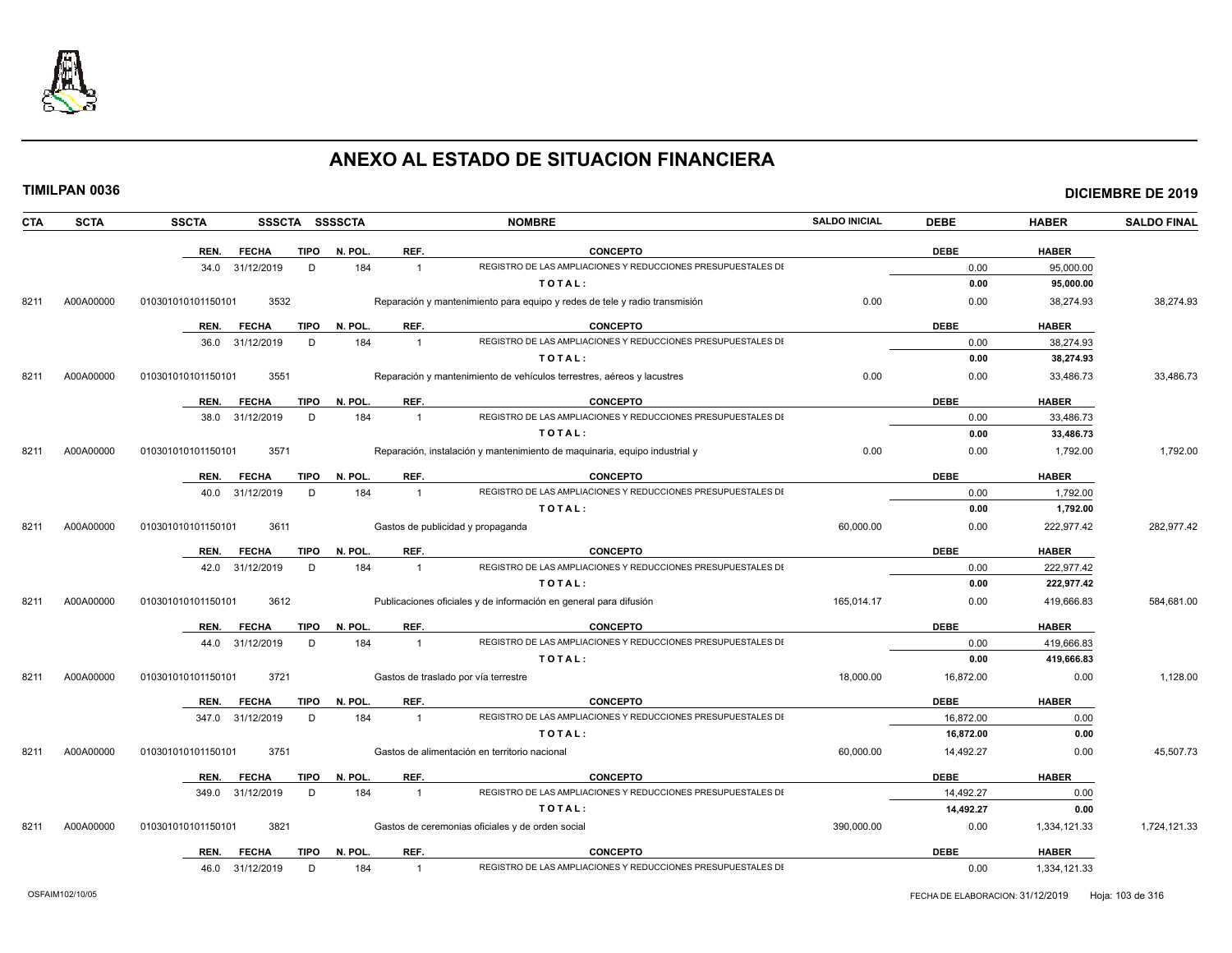

**DICIEMBRE DE 2019** 

|  | TIMILPAN 0036 |
|--|---------------|
|--|---------------|

| <b>CTA</b> | <b>SCTA</b> | <b>SSCTA</b>         | SSSCTA SSSSCTA |         |                      | <b>NOMBRE</b>                                                              | <b>SALDO INICIAL</b> | <b>DEBE</b> | <b>HABER</b> | <b>SALDO FINAL</b> |
|------------|-------------|----------------------|----------------|---------|----------------------|----------------------------------------------------------------------------|----------------------|-------------|--------------|--------------------|
|            |             | REN.<br><b>FECHA</b> | <b>TIPO</b>    | N. POL. | REF.                 | <b>CONCEPTO</b>                                                            |                      | <b>DEBE</b> | <b>HABER</b> |                    |
|            |             | 34.0<br>31/12/2019   | D              | 184     | $\mathbf{1}$         | REGISTRO DE LAS AMPLIACIONES Y REDUCCIONES PRESUPUESTALES DI               |                      | 0.00        | 95,000.00    |                    |
|            |             |                      |                |         |                      | TOTAL:                                                                     |                      | 0.00        | 95,000.00    |                    |
| 8211       | A00A00000   | 010301010101150101   | 3532           |         |                      | Reparación y mantenimiento para equipo y redes de tele y radio transmisión | 0.00                 | 0.00        | 38,274.93    | 38,274.93          |
|            |             | <b>FECHA</b><br>REN. | <b>TIPO</b>    | N. POL. | REF.                 | <b>CONCEPTO</b>                                                            |                      | <b>DEBE</b> | <b>HABER</b> |                    |
|            |             | 36.0<br>31/12/2019   | D              | 184     | $\overline{1}$       | REGISTRO DE LAS AMPLIACIONES Y REDUCCIONES PRESUPUESTALES DI               |                      | 0.00        | 38,274.93    |                    |
|            |             |                      |                |         |                      | TOTAL:                                                                     |                      | 0.00        | 38,274.93    |                    |
| 8211       | A00A00000   | 010301010101150101   | 3551           |         |                      | Reparación y mantenimiento de vehículos terrestres, aéreos y lacustres     | 0.00                 | 0.00        | 33,486.73    | 33,486.73          |
|            |             | REN.<br><b>FECHA</b> | TIPO           | N. POL. | REF.                 | <b>CONCEPTO</b>                                                            |                      | <b>DEBE</b> | <b>HABER</b> |                    |
|            |             | 38.0 31/12/2019      | D              | 184     | $\overline{1}$       | REGISTRO DE LAS AMPLIACIONES Y REDUCCIONES PRESUPUESTALES DI               |                      | 0.00        | 33,486.73    |                    |
|            |             |                      |                |         |                      | TOTAL:                                                                     |                      | 0.00        | 33,486.73    |                    |
| 8211       | A00A00000   | 010301010101150101   | 3571           |         |                      | Reparación, instalación y mantenimiento de maguinaria, equipo industrial y | 0.00                 | 0.00        | 1,792.00     | 1,792.00           |
|            |             | <b>FECHA</b><br>REN. | <b>TIPO</b>    | N. POL. | REF.                 | <b>CONCEPTO</b>                                                            |                      | <b>DEBE</b> | <b>HABER</b> |                    |
|            |             | 40.0<br>31/12/2019   | D              | 184     | $\mathbf{1}$         | REGISTRO DE LAS AMPLIACIONES Y REDUCCIONES PRESUPUESTALES DI               |                      | 0.00        | 1,792.00     |                    |
|            |             |                      |                |         |                      | TOTAL:                                                                     |                      | 0.00        | 1,792.00     |                    |
| 8211       | A00A00000   | 010301010101150101   | 3611           |         |                      | Gastos de publicidad y propaganda                                          | 60,000.00            | 0.00        | 222,977.42   | 282,977.42         |
|            |             | <b>FECHA</b><br>REN. | <b>TIPO</b>    | N. POL. | REF.                 | <b>CONCEPTO</b>                                                            |                      | <b>DEBE</b> | <b>HABER</b> |                    |
|            |             | 42.0 31/12/2019      | D              | 184     | $\blacktriangleleft$ | REGISTRO DE LAS AMPLIACIONES Y REDUCCIONES PRESUPUESTALES DI               |                      | 0.00        | 222,977.42   |                    |
|            |             |                      |                |         |                      | TOTAL:                                                                     |                      | 0.00        | 222,977.42   |                    |
| 8211       | A00A00000   | 010301010101150101   | 3612           |         |                      | Publicaciones oficiales y de información en general para difusión          | 165,014.17           | 0.00        | 419,666.83   | 584,681.00         |
|            |             | <b>FECHA</b><br>REN. | <b>TIPO</b>    | N. POL. | REF.                 | <b>CONCEPTO</b>                                                            |                      | <b>DEBE</b> | <b>HABER</b> |                    |
|            |             | 44.0 31/12/2019      | D              | 184     | $\mathbf{1}$         | REGISTRO DE LAS AMPLIACIONES Y REDUCCIONES PRESUPUESTALES DI               |                      | 0.00        | 419,666.83   |                    |
|            |             |                      |                |         |                      | TOTAL:                                                                     |                      | 0.00        | 419,666.83   |                    |
| 8211       | A00A00000   | 010301010101150101   | 3721           |         |                      | Gastos de traslado por vía terrestre                                       | 18.000.00            | 16,872.00   | 0.00         | 1,128.00           |
|            |             | REN.<br><b>FECHA</b> | <b>TIPO</b>    | N. POL. | REF.                 | <b>CONCEPTO</b>                                                            |                      | <b>DEBE</b> | <b>HABER</b> |                    |
|            |             | 347.0 31/12/2019     | D              | 184     | $\mathbf{1}$         | REGISTRO DE LAS AMPLIACIONES Y REDUCCIONES PRESUPUESTALES DI               |                      | 16,872.00   | 0.00         |                    |
|            |             |                      |                |         |                      | TOTAL:                                                                     |                      | 16,872.00   | 0.00         |                    |
| 8211       | A00A00000   | 010301010101150101   | 3751           |         |                      | Gastos de alimentación en territorio nacional                              | 60,000.00            | 14,492.27   | 0.00         | 45,507.73          |
|            |             | <b>FECHA</b><br>REN. | TIPO           | N. POL. | REF.                 | <b>CONCEPTO</b>                                                            |                      | <b>DEBE</b> | <b>HABER</b> |                    |
|            |             | 349.0 31/12/2019     | D              | 184     | $\mathbf{1}$         | REGISTRO DE LAS AMPLIACIONES Y REDUCCIONES PRESUPUESTALES DI               |                      | 14.492.27   | 0.00         |                    |
|            |             |                      |                |         |                      | TOTAL:                                                                     |                      | 14,492.27   | 0.00         |                    |
| 8211       | A00A00000   | 010301010101150101   | 3821           |         |                      | Gastos de ceremonias oficiales y de orden social                           | 390,000.00           | 0.00        | 1,334,121.33 | 1,724,121.33       |
|            |             | REN.<br><b>FECHA</b> | TIPO           | N. POL. | REF.                 | <b>CONCEPTO</b>                                                            |                      | <b>DEBE</b> | <b>HABER</b> |                    |
|            |             | 46.0 31/12/2019      | D              | 184     | $\mathbf{1}$         | REGISTRO DE LAS AMPLIACIONES Y REDUCCIONES PRESUPUESTALES DI               |                      | 0.00        | 1,334,121.33 |                    |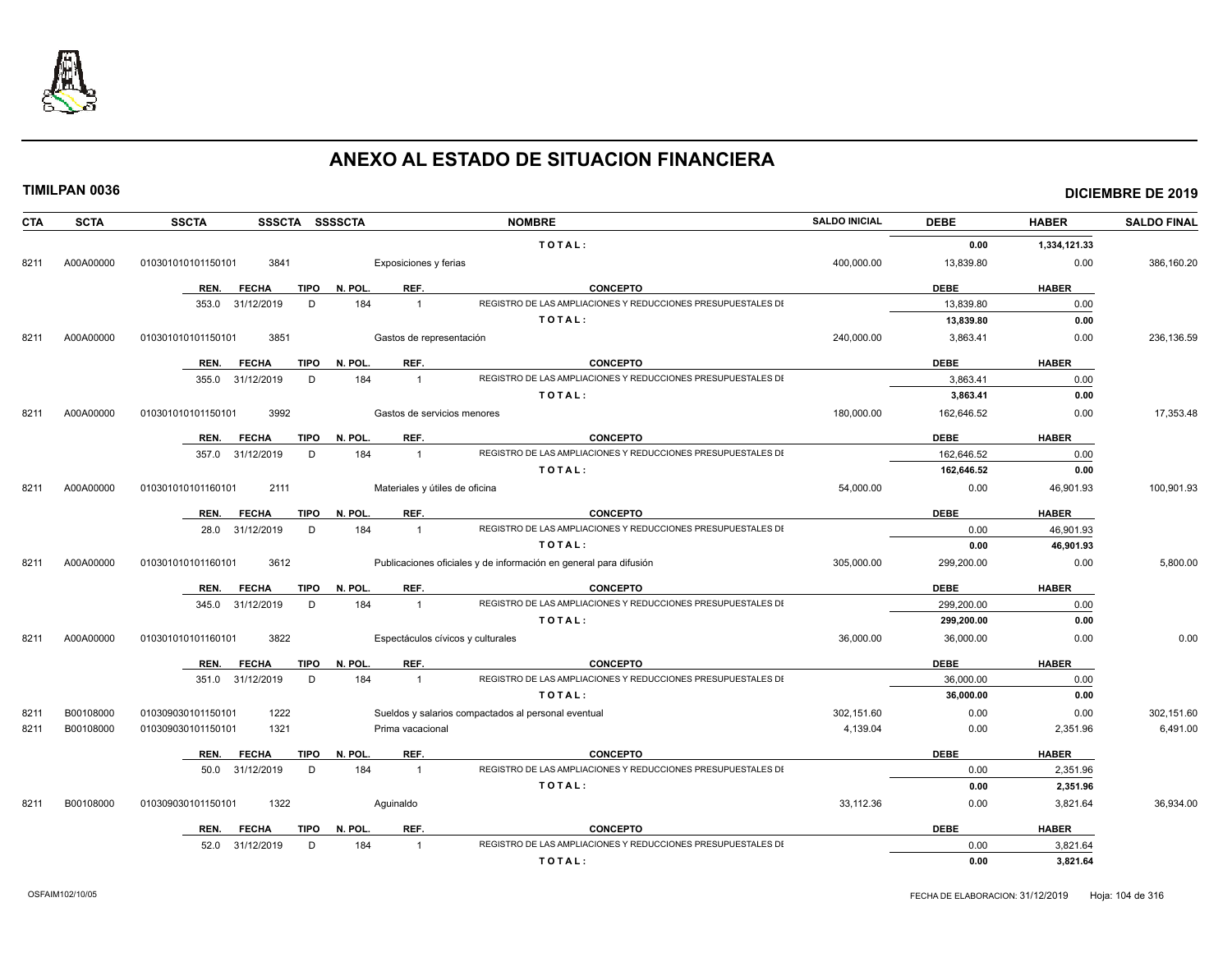

| <b>CTA</b> | <b>SCTA</b> | <b>SSCTA</b><br>SSSCTA SSSSCTA      |                                | <b>NOMBRE</b>                                                                   | <b>SALDO INICIAL</b> | <b>DEBE</b> | <b>HABER</b> | <b>SALDO FINAL</b> |
|------------|-------------|-------------------------------------|--------------------------------|---------------------------------------------------------------------------------|----------------------|-------------|--------------|--------------------|
|            |             |                                     |                                | TOTAL:                                                                          |                      | 0.00        | 1,334,121.33 |                    |
| 8211       | A00A00000   | 3841<br>010301010101150101          | Exposiciones y ferias          |                                                                                 | 400,000.00           | 13,839.80   | 0.00         | 386,160.20         |
|            |             | REN.<br><b>FECHA</b><br><b>TIPO</b> | REF.<br>N. POL.                | <b>CONCEPTO</b>                                                                 |                      | <b>DEBE</b> | <b>HABER</b> |                    |
|            |             | 31/12/2019<br>D<br>353.0            | 184<br>$\overline{1}$          | REGISTRO DE LAS AMPLIACIONES Y REDUCCIONES PRESUPUESTALES DI                    |                      | 13,839.80   | 0.00         |                    |
|            |             |                                     |                                | TOTAL:                                                                          |                      | 13.839.80   | 0.00         |                    |
| 8211       | A00A00000   | 3851<br>010301010101150101          | Gastos de representación       |                                                                                 | 240,000.00           | 3,863.41    | 0.00         | 236,136.59         |
|            |             |                                     |                                |                                                                                 |                      |             |              |                    |
|            |             | REN.<br><b>FECHA</b><br><b>TIPO</b> | REF.<br>N. POL.                | <b>CONCEPTO</b><br>REGISTRO DE LAS AMPLIACIONES Y REDUCCIONES PRESUPUESTALES DI |                      | <b>DEBE</b> | <b>HABER</b> |                    |
|            |             | D<br>355.0<br>31/12/2019            | 184<br>$\overline{1}$          |                                                                                 |                      | 3.863.41    | 0.00<br>0.00 |                    |
|            |             |                                     |                                | TOTAL:                                                                          |                      | 3,863.41    |              |                    |
| 8211       | A00A00000   | 3992<br>010301010101150101          | Gastos de servicios menores    |                                                                                 | 180,000.00           | 162,646.52  | 0.00         | 17,353.48          |
|            |             | <b>TIPO</b><br>REN.<br><b>FECHA</b> | N. POL.<br>REF.                | <b>CONCEPTO</b>                                                                 |                      | <b>DEBE</b> | <b>HABER</b> |                    |
|            |             | D<br>357.0<br>31/12/2019            | 184<br>$\mathbf{1}$            | REGISTRO DE LAS AMPLIACIONES Y REDUCCIONES PRESUPUESTALES DI                    |                      | 162.646.52  | 0.00         |                    |
|            |             |                                     |                                | TOTAL:                                                                          |                      | 162,646.52  | 0.00         |                    |
| 8211       | A00A00000   | 2111<br>010301010101160101          | Materiales y útiles de oficina |                                                                                 | 54,000.00            | 0.00        | 46,901.93    | 100,901.93         |
|            |             | REN.<br><b>FECHA</b><br><b>TIPO</b> | N. POL.<br>REF.                | <b>CONCEPTO</b>                                                                 |                      | <b>DEBE</b> | <b>HABER</b> |                    |
|            |             | 31/12/2019<br>D<br>28.0             | 184<br>$\overline{1}$          | REGISTRO DE LAS AMPLIACIONES Y REDUCCIONES PRESUPUESTALES DI                    |                      | 0.00        | 46,901.93    |                    |
|            |             |                                     |                                | TOTAL:                                                                          |                      | 0.00        | 46,901.93    |                    |
| 8211       | A00A00000   | 3612<br>010301010101160101          |                                | Publicaciones oficiales y de información en general para difusión               | 305,000.00           | 299,200.00  | 0.00         | 5,800.00           |
|            |             | <b>TIPO</b><br>REN.<br><b>FECHA</b> | REF.<br>N. POL.                | <b>CONCEPTO</b>                                                                 |                      | <b>DEBE</b> | <b>HABER</b> |                    |
|            |             | 31/12/2019<br>D<br>345.0            | 184<br>$\overline{1}$          | REGISTRO DE LAS AMPLIACIONES Y REDUCCIONES PRESUPUESTALES DI                    |                      | 299,200.00  | 0.00         |                    |
|            |             |                                     |                                | TOTAL:                                                                          |                      | 299,200.00  | 0.00         |                    |
| 8211       | A00A00000   | 3822<br>010301010101160101          |                                | Espectáculos cívicos y culturales                                               | 36,000.00            | 36,000.00   | 0.00         | 0.00               |
|            |             | <b>FECHA</b><br><b>TIPO</b><br>REN. | N. POL.<br>REF.                | <b>CONCEPTO</b>                                                                 |                      | <b>DEBE</b> | <b>HABER</b> |                    |
|            |             | D<br>351.0<br>31/12/2019            | 184<br>$\overline{1}$          | REGISTRO DE LAS AMPLIACIONES Y REDUCCIONES PRESUPUESTALES DI                    |                      | 36,000.00   | 0.00         |                    |
|            |             |                                     |                                | TOTAL:                                                                          |                      | 36,000.00   | 0.00         |                    |
| 821'       | B00108000   | 010309030101150101<br>1222          |                                | Sueldos y salarios compactados al personal eventual                             | 302,151.60           | 0.00        | 0.00         | 302,151.60         |
| 8211       | B00108000   | 010309030101150101<br>1321          | Prima vacacional               |                                                                                 | 4,139.04             | 0.00        | 2,351.96     | 6,491.00           |
|            |             |                                     |                                |                                                                                 |                      |             |              |                    |
|            |             | REN.<br><b>FECHA</b><br>TIPO        | N. POL.<br>REF.                | <b>CONCEPTO</b>                                                                 |                      | <b>DEBE</b> | <b>HABER</b> |                    |
|            |             | 31/12/2019<br>D<br>50.0             | 184<br>$\overline{1}$          | REGISTRO DE LAS AMPLIACIONES Y REDUCCIONES PRESUPUESTALES DI                    |                      | 0.00        | 2,351.96     |                    |
|            |             |                                     |                                | TOTAL:                                                                          |                      | 0.00        | 2,351.96     |                    |
| 8211       | B00108000   | 010309030101150101<br>1322          | Aquinaldo                      |                                                                                 | 33,112.36            | 0.00        | 3,821.64     | 36,934.00          |
|            |             | <b>TIPO</b><br>REN.<br><b>FECHA</b> | REF.<br>N. POL.                | <b>CONCEPTO</b>                                                                 |                      | <b>DEBE</b> | <b>HABER</b> |                    |
|            |             | 52.0<br>31/12/2019<br>D             | 184                            | REGISTRO DE LAS AMPLIACIONES Y REDUCCIONES PRESUPUESTALES DI                    |                      | 0.00        | 3,821.64     |                    |
|            |             |                                     |                                | TOTAL:                                                                          |                      | 0.00        | 3,821.64     |                    |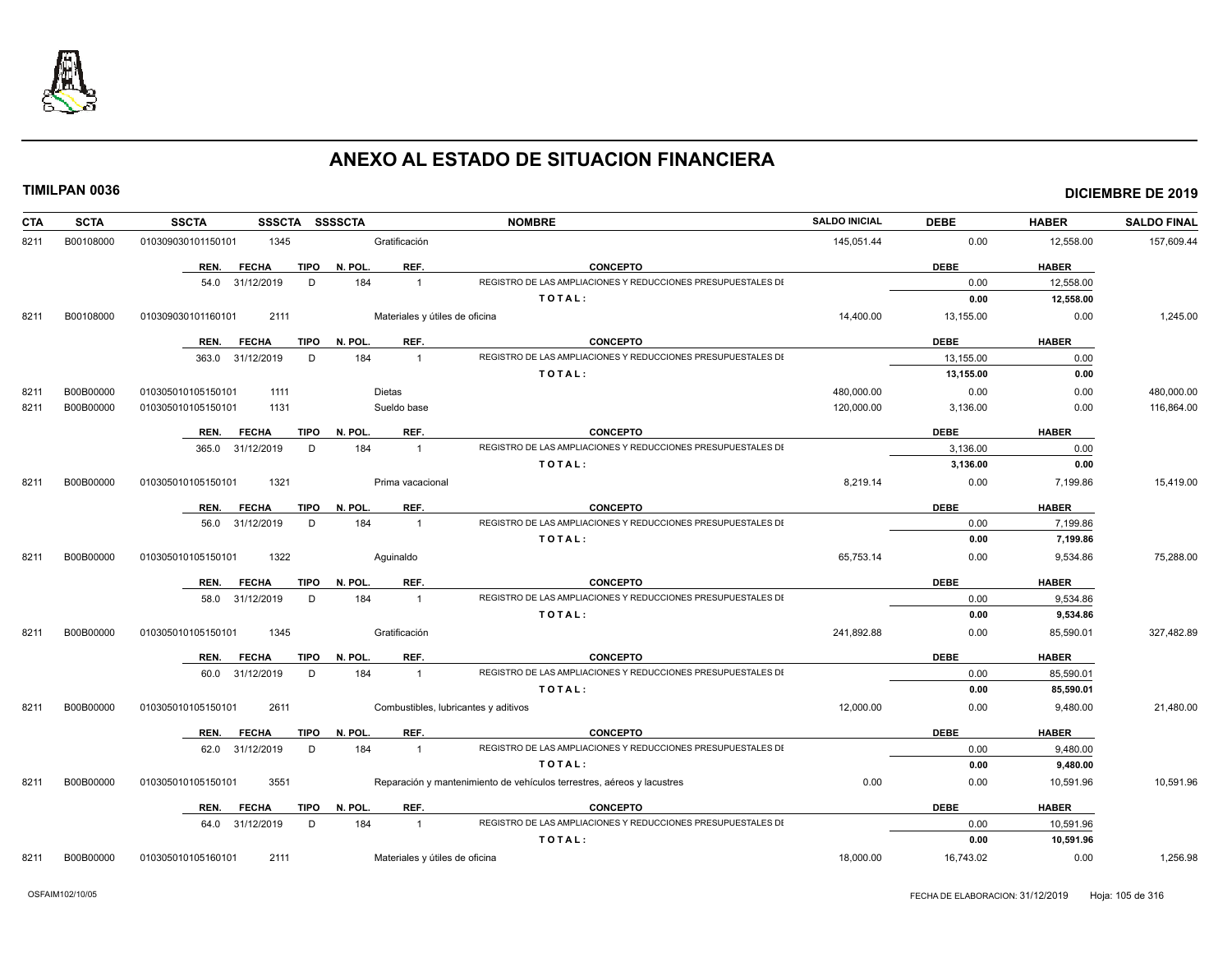

| <b>CTA</b> | <b>SCTA</b> | <b>SSCTA</b><br><b>SSSCTA</b>       | <b>SSSSCTA</b>                       | <b>NOMBRE</b>                                                          | <b>SALDO INICIAL</b> | <b>DEBE</b> | <b>HABER</b> | <b>SALDO FINAL</b> |
|------------|-------------|-------------------------------------|--------------------------------------|------------------------------------------------------------------------|----------------------|-------------|--------------|--------------------|
| 8211       | B00108000   | 1345<br>010309030101150101          | Gratificación                        |                                                                        | 145,051.44           | 0.00        | 12,558.00    | 157,609.44         |
|            |             | REN.<br><b>FECHA</b><br><b>TIPO</b> | N. POL<br>REF.                       | <b>CONCEPTO</b>                                                        |                      | <b>DEBE</b> | <b>HABER</b> |                    |
|            |             | 54.0 31/12/2019<br>D                | 184<br>$\overline{1}$                | REGISTRO DE LAS AMPLIACIONES Y REDUCCIONES PRESUPUESTALES DI           |                      | 0.00        | 12,558.00    |                    |
|            |             |                                     |                                      | TOTAL:                                                                 |                      | 0.00        | 12,558.00    |                    |
| 8211       | B00108000   | 010309030101160101<br>2111          | Materiales y útiles de oficina       |                                                                        | 14,400.00            | 13,155.00   | 0.00         | 1,245.00           |
|            |             | REN.<br><b>FECHA</b><br><b>TIPO</b> | REF.<br>N. POL.                      | <b>CONCEPTO</b>                                                        |                      | <b>DEBE</b> | <b>HABER</b> |                    |
|            |             | 363.0 31/12/2019<br>D               | 184<br>$\overline{1}$                | REGISTRO DE LAS AMPLIACIONES Y REDUCCIONES PRESUPUESTALES DI           |                      | 13,155.00   | 0.00         |                    |
|            |             |                                     |                                      | TOTAL:                                                                 |                      | 13,155.00   | 0.00         |                    |
| 8211       | B00B00000   | 010305010105150101<br>1111          | <b>Dietas</b>                        |                                                                        | 480,000.00           | 0.00        | 0.00         | 480,000.00         |
| 8211       | B00B00000   | 1131<br>010305010105150101          | Sueldo base                          |                                                                        | 120,000.00           | 3,136.00    | 0.00         | 116,864.00         |
|            |             | <b>FECHA</b><br><b>TIPO</b><br>REN. | REF.<br>N. POL.                      | <b>CONCEPTO</b>                                                        |                      | <b>DEBE</b> | <b>HABER</b> |                    |
|            |             | 365.0 31/12/2019<br>D               | 184<br>$\overline{1}$                | REGISTRO DE LAS AMPLIACIONES Y REDUCCIONES PRESUPUESTALES DI           |                      | 3.136.00    | 0.00         |                    |
|            |             |                                     |                                      | TOTAL:                                                                 |                      | 3,136.00    | 0.00         |                    |
| 8211       | B00B00000   | 1321<br>010305010105150101          | Prima vacacional                     |                                                                        | 8,219.14             | 0.00        | 7,199.86     | 15,419.00          |
|            |             | <b>TIPO</b><br>REN.<br><b>FECHA</b> | N. POL<br>REF.                       | <b>CONCEPTO</b>                                                        |                      | <b>DEBE</b> | <b>HABER</b> |                    |
|            |             | 56.0 31/12/2019<br>D                | 184<br>$\overline{1}$                | REGISTRO DE LAS AMPLIACIONES Y REDUCCIONES PRESUPUESTALES DI           |                      | 0.00        | 7,199.86     |                    |
|            |             |                                     |                                      | TOTAL:                                                                 |                      | 0.00        | 7,199.86     |                    |
| 8211       | B00B00000   | 1322<br>010305010105150101          | Aquinaldo                            |                                                                        | 65,753.14            | 0.00        | 9,534.86     | 75,288.00          |
|            |             | REN.<br><b>FECHA</b><br><b>TIPO</b> | REF.<br>N. POL                       | <b>CONCEPTO</b>                                                        |                      | <b>DEBE</b> | <b>HABER</b> |                    |
|            |             | 58.0 31/12/2019<br>D                | 184<br>$\overline{1}$                | REGISTRO DE LAS AMPLIACIONES Y REDUCCIONES PRESUPUESTALES DI           |                      | 0.00        | 9,534.86     |                    |
|            |             |                                     |                                      | TOTAL:                                                                 |                      | 0.00        | 9,534.86     |                    |
| 8211       | B00B00000   | 010305010105150101<br>1345          | Gratificación                        |                                                                        | 241,892.88           | 0.00        | 85,590.01    | 327,482.89         |
|            |             | REN.<br><b>FECHA</b><br><b>TIPO</b> | REF.<br>N. POL.                      | <b>CONCEPTO</b>                                                        |                      | <b>DEBE</b> | <b>HABER</b> |                    |
|            |             | 60.0 31/12/2019<br>D                | 184<br>$\overline{1}$                | REGISTRO DE LAS AMPLIACIONES Y REDUCCIONES PRESUPUESTALES DI           |                      | 0.00        | 85,590.01    |                    |
|            |             |                                     |                                      | TOTAL:                                                                 |                      | 0.00        | 85,590.01    |                    |
| 8211       | B00B00000   | 2611<br>010305010105150101          | Combustibles, lubricantes y aditivos |                                                                        | 12,000.00            | 0.00        | 9,480.00     | 21,480.00          |
|            |             | REN.<br><b>FECHA</b><br><b>TIPO</b> | REF.<br>N. POL                       | <b>CONCEPTO</b>                                                        |                      | <b>DEBE</b> | <b>HABER</b> |                    |
|            |             | 62.0 31/12/2019<br>D                | 184<br>$\overline{1}$                | REGISTRO DE LAS AMPLIACIONES Y REDUCCIONES PRESUPUESTALES DI           |                      | 0.00        | 9,480.00     |                    |
|            |             |                                     |                                      | TOTAL:                                                                 |                      | 0.00        | 9,480.00     |                    |
| 8211       | B00B00000   | 3551<br>010305010105150101          |                                      | Reparación y mantenimiento de vehículos terrestres, aéreos y lacustres | 0.00                 | 0.00        | 10,591.96    | 10,591.96          |
|            |             | REN.<br><b>FECHA</b><br><b>TIPO</b> | N. POL<br>REF.                       | <b>CONCEPTO</b>                                                        |                      | <b>DEBE</b> | <b>HABER</b> |                    |
|            |             | 64.0 31/12/2019<br>D                | 184<br>$\overline{1}$                | REGISTRO DE LAS AMPLIACIONES Y REDUCCIONES PRESUPUESTALES DI           |                      | 0.00        | 10,591.96    |                    |
|            |             |                                     |                                      | TOTAL:                                                                 |                      | 0.00        | 10,591.96    |                    |
| 8211       | B00B00000   | 010305010105160101<br>2111          | Materiales y útiles de oficina       |                                                                        | 18,000.00            | 16,743.02   | 0.00         | 1,256.98           |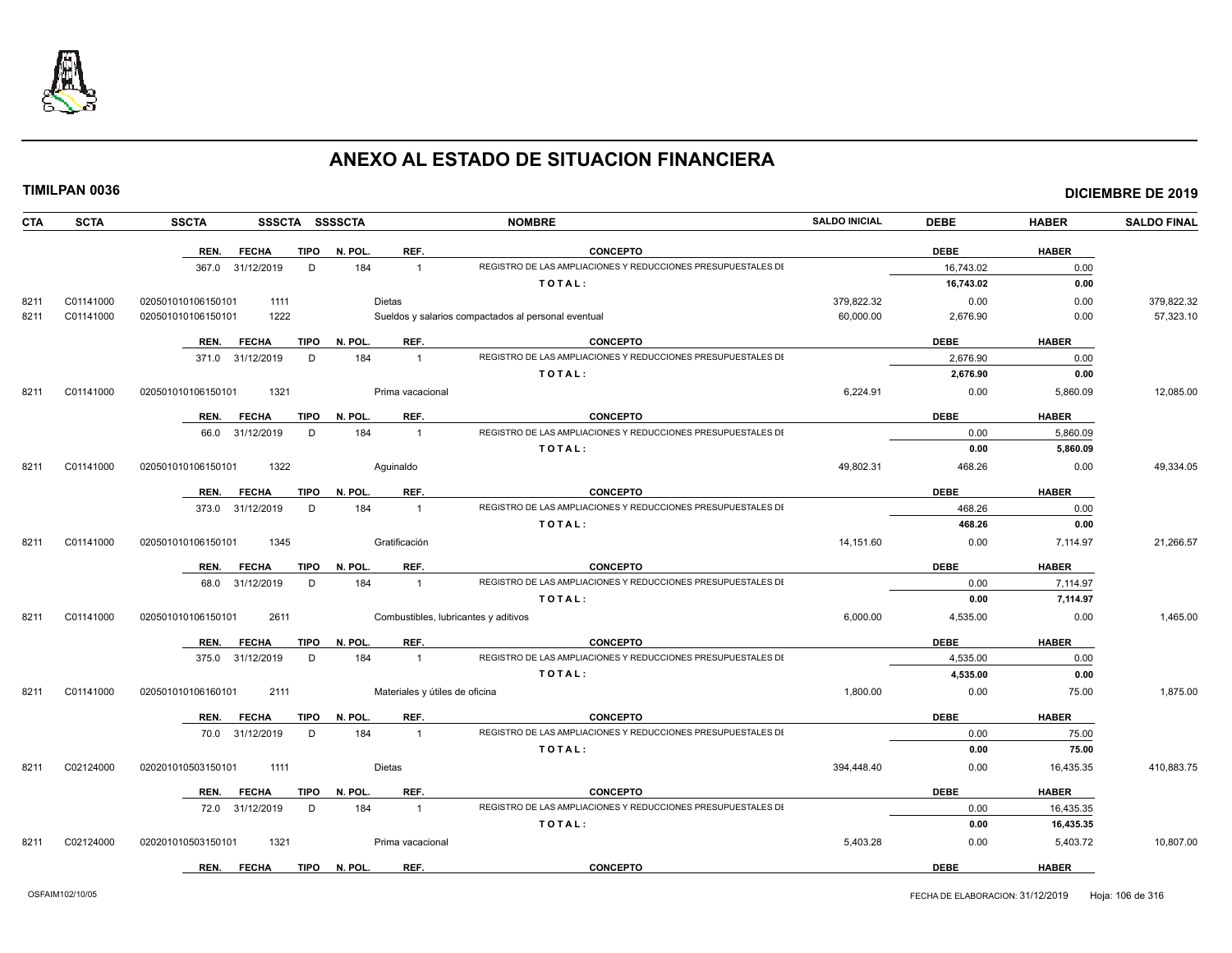

| <b>CTA</b> | <b>SCTA</b> | <b>SSCTA</b>         | SSSCTA SSSSCTA |              |                                | <b>NOMBRE</b>                                                | <b>SALDO INICIAL</b> | <b>DEBE</b> | <b>HABER</b> | <b>SALDO FINAL</b> |
|------------|-------------|----------------------|----------------|--------------|--------------------------------|--------------------------------------------------------------|----------------------|-------------|--------------|--------------------|
|            |             | REN.<br><b>FECHA</b> |                | TIPO N. POL. | REF.                           | <b>CONCEPTO</b>                                              |                      | <b>DEBE</b> | <b>HABER</b> |                    |
|            |             | 367.0 31/12/2019     | D              | 184          | $\overline{1}$                 | REGISTRO DE LAS AMPLIACIONES Y REDUCCIONES PRESUPUESTALES DI |                      | 16,743.02   | 0.00         |                    |
|            |             |                      |                |              |                                | TOTAL:                                                       |                      | 16,743.02   | 0.00         |                    |
| 8211       | C01141000   | 020501010106150101   | 1111           |              | <b>Dietas</b>                  |                                                              | 379,822.32           | 0.00        | 0.00         | 379,822.32         |
| 8211       | C01141000   | 020501010106150101   | 1222           |              |                                | Sueldos y salarios compactados al personal eventual          | 60,000.00            | 2,676.90    | 0.00         | 57,323.10          |
|            |             |                      |                |              |                                |                                                              |                      |             |              |                    |
|            |             | REN.<br><b>FECHA</b> | TIPO           | N. POL.      | REF.                           | <b>CONCEPTO</b>                                              |                      | <b>DEBE</b> | <b>HABER</b> |                    |
|            |             | 371.0 31/12/2019     | D              | 184          | $\mathbf{1}$                   | REGISTRO DE LAS AMPLIACIONES Y REDUCCIONES PRESUPUESTALES DI |                      | 2,676.90    | 0.00         |                    |
|            |             |                      |                |              |                                | TOTAL:                                                       |                      | 2,676.90    | 0.00         |                    |
| 8211       | C01141000   | 020501010106150101   | 1321           |              | Prima vacacional               |                                                              | 6,224.91             | 0.00        | 5,860.09     | 12,085.00          |
|            |             | <b>FECHA</b><br>REN. | <b>TIPO</b>    | N. POL.      | REF.                           | <b>CONCEPTO</b>                                              |                      | <b>DEBE</b> | <b>HABER</b> |                    |
|            |             | 31/12/2019<br>66.0   | D              | 184          | $\overline{1}$                 | REGISTRO DE LAS AMPLIACIONES Y REDUCCIONES PRESUPUESTALES DI |                      | 0.00        | 5,860.09     |                    |
|            |             |                      |                |              |                                | TOTAL:                                                       |                      | 0.00        | 5,860.09     |                    |
| 8211       | C01141000   | 020501010106150101   | 1322           |              | Aquinaldo                      |                                                              | 49,802.31            | 468.26      | 0.00         | 49,334.05          |
|            |             |                      |                |              |                                |                                                              |                      |             |              |                    |
|            |             | REN.<br><b>FECHA</b> | TIPO           | N. POL.      | REF.                           | <b>CONCEPTO</b>                                              |                      | <b>DEBE</b> | <b>HABER</b> |                    |
|            |             | 373.0 31/12/2019     | D              | 184          | $\overline{1}$                 | REGISTRO DE LAS AMPLIACIONES Y REDUCCIONES PRESUPUESTALES DI |                      | 468.26      | 0.00         |                    |
|            |             |                      |                |              |                                | TOTAL:                                                       |                      | 468.26      | 0.00         |                    |
| 8211       | C01141000   | 020501010106150101   | 1345           |              | Gratificación                  |                                                              | 14,151.60            | 0.00        | 7,114.97     | 21,266.57          |
|            |             | <b>FECHA</b><br>REN. | <b>TIPO</b>    | N. POL.      | REF.                           | <b>CONCEPTO</b>                                              |                      | <b>DEBE</b> | <b>HABER</b> |                    |
|            |             | 68.0 31/12/2019      | D              | 184          | $\mathbf{1}$                   | REGISTRO DE LAS AMPLIACIONES Y REDUCCIONES PRESUPUESTALES DI |                      | 0.00        | 7,114.97     |                    |
|            |             |                      |                |              |                                | TOTAL:                                                       |                      | 0.00        | 7,114.97     |                    |
| 8211       | C01141000   | 020501010106150101   | 2611           |              |                                | Combustibles, lubricantes y aditivos                         | 6,000.00             | 4,535.00    | 0.00         | 1,465.00           |
|            |             |                      |                |              |                                |                                                              |                      |             |              |                    |
|            |             | REN.<br><b>FECHA</b> | TIPO           | N. POL.      | REF.                           | <b>CONCEPTO</b>                                              |                      | <b>DEBE</b> | <b>HABER</b> |                    |
|            |             | 375.0 31/12/2019     | D              | 184          | $\mathbf{1}$                   | REGISTRO DE LAS AMPLIACIONES Y REDUCCIONES PRESUPUESTALES DI |                      | 4,535.00    | 0.00         |                    |
|            |             |                      |                |              |                                | TOTAL:                                                       |                      | 4,535.00    | 0.00         |                    |
| 8211       | C01141000   | 020501010106160101   | 2111           |              | Materiales y útiles de oficina |                                                              | 1,800.00             | 0.00        | 75.00        | 1,875.00           |
|            |             | <b>FECHA</b><br>REN. | TIPO           | N. POL.      | REF.                           | <b>CONCEPTO</b>                                              |                      | <b>DEBE</b> | <b>HABER</b> |                    |
|            |             | 70.0 31/12/2019      | D              | 184          | $\mathbf{1}$                   | REGISTRO DE LAS AMPLIACIONES Y REDUCCIONES PRESUPUESTALES DI |                      | 0.00        | 75.00        |                    |
|            |             |                      |                |              |                                | TOTAL:                                                       |                      | 0.00        | 75.00        |                    |
| 8211       | C02124000   | 020201010503150101   | 1111           |              | Dietas                         |                                                              | 394,448.40           | 0.00        | 16,435.35    | 410,883.75         |
|            |             |                      |                |              |                                |                                                              |                      |             |              |                    |
|            |             | REN.<br><b>FECHA</b> | TIPO           | N. POL.      | REF.                           | <b>CONCEPTO</b>                                              |                      | <b>DEBE</b> | <b>HABER</b> |                    |
|            |             | 72.0 31/12/2019      | D              | 184          | $\mathbf{1}$                   | REGISTRO DE LAS AMPLIACIONES Y REDUCCIONES PRESUPUESTALES DI |                      | 0.00        | 16,435.35    |                    |
|            |             |                      |                |              |                                | TOTAL:                                                       |                      | 0.00        | 16,435.35    |                    |
| 8211       | C02124000   | 020201010503150101   | 1321           |              | Prima vacacional               |                                                              | 5,403.28             | 0.00        | 5,403.72     | 10,807.00          |
|            |             | REN.<br><b>FECHA</b> | <b>TIPO</b>    | N. POL.      | REF.                           | <b>CONCEPTO</b>                                              |                      | <b>DEBE</b> | <b>HABER</b> |                    |
|            |             |                      |                |              |                                |                                                              |                      |             |              |                    |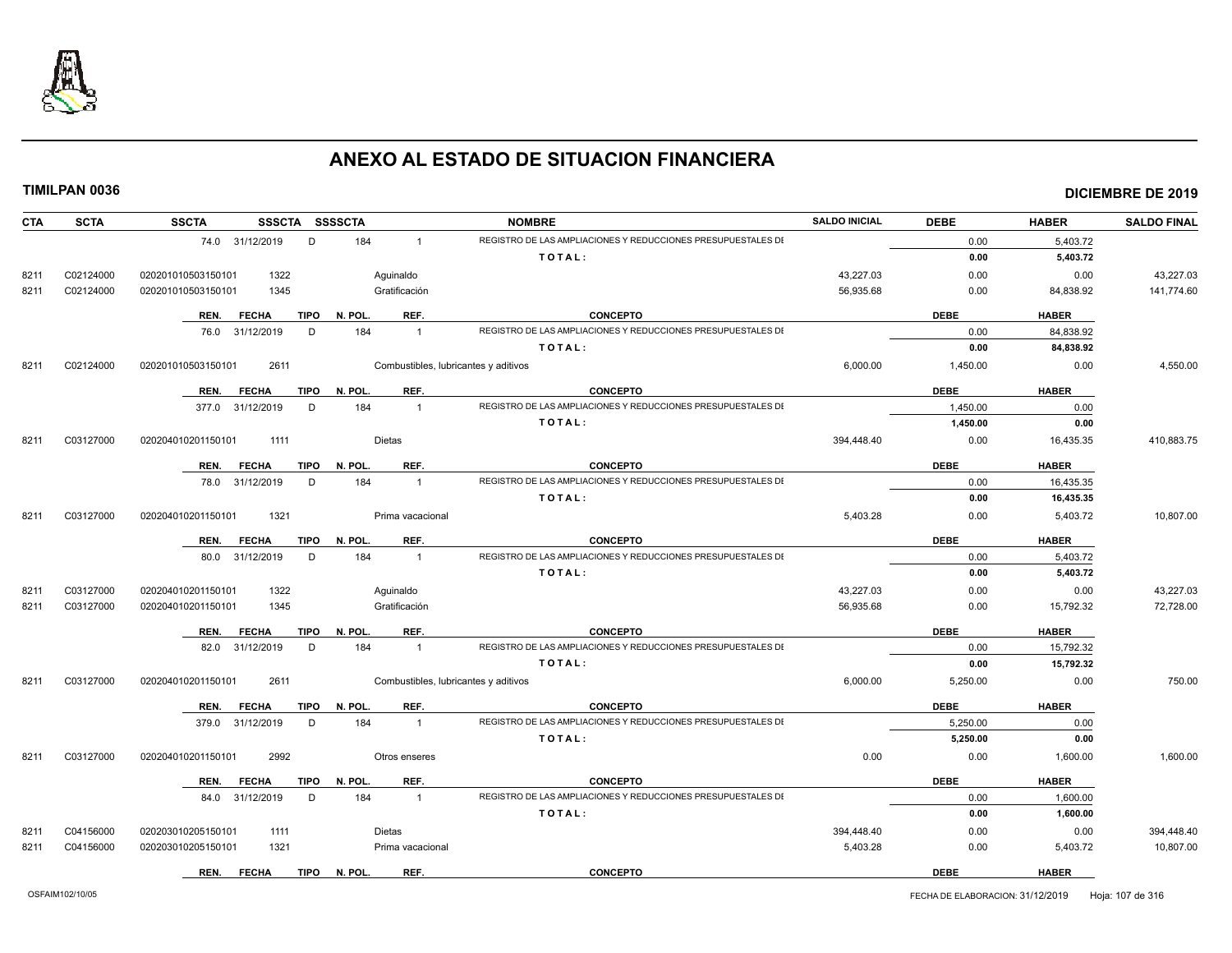

| <b>SCTA</b><br><b>CTA</b> | <b>SSCTA</b><br>SSSCTA SSSSCTA      |                                      | <b>NOMBRE</b>                                                | <b>SALDO INICIAL</b> | <b>DEBE</b> | <b>HABER</b> | <b>SALDO FINAL</b> |
|---------------------------|-------------------------------------|--------------------------------------|--------------------------------------------------------------|----------------------|-------------|--------------|--------------------|
|                           | 74.0 31/12/2019<br>D                | 184<br>$\overline{1}$                | REGISTRO DE LAS AMPLIACIONES Y REDUCCIONES PRESUPUESTALES DI |                      | 0.00        | 5,403.72     |                    |
|                           |                                     |                                      | TOTAL:                                                       |                      | 0.00        | 5,403.72     |                    |
| C02124000<br>8211         | 1322<br>020201010503150101          | Aguinaldo                            |                                                              | 43,227.03            | 0.00        | 0.00         | 43,227.03          |
| C02124000<br>8211         | 020201010503150101<br>1345          | Gratificación                        |                                                              | 56,935.68            | 0.00        | 84,838.92    | 141,774.60         |
|                           | REN. FECHA<br>TIPO                  | N. POL.<br>REF.                      | <b>CONCEPTO</b>                                              |                      | <b>DEBE</b> | <b>HABER</b> |                    |
|                           | 76.0 31/12/2019<br>D                | 184<br>$\overline{1}$                | REGISTRO DE LAS AMPLIACIONES Y REDUCCIONES PRESUPUESTALES DI |                      | 0.00        | 84,838.92    |                    |
|                           |                                     |                                      | TOTAL:                                                       |                      | 0.00        | 84,838.92    |                    |
| C02124000<br>8211         | 020201010503150101<br>2611          | Combustibles, lubricantes y aditivos |                                                              | 6,000.00             | 1,450.00    | 0.00         | 4,550.00           |
|                           | <b>TIPO</b><br>REN. FECHA           | REF.<br>N. POL.                      | <b>CONCEPTO</b>                                              |                      | <b>DEBE</b> | <b>HABER</b> |                    |
|                           | 377.0 31/12/2019<br>D               | 184<br>$\overline{1}$                | REGISTRO DE LAS AMPLIACIONES Y REDUCCIONES PRESUPUESTALES DI |                      | 1.450.00    | 0.00         |                    |
|                           |                                     |                                      | TOTAL:                                                       |                      | 1,450.00    | 0.00         |                    |
| C03127000<br>8211         | 020204010201150101<br>1111          | Dietas                               |                                                              | 394,448.40           | 0.00        | 16,435.35    | 410,883.75         |
|                           |                                     |                                      |                                                              |                      |             |              |                    |
|                           | REN. FECHA<br><b>TIPO</b>           | REF.<br>N. POL.                      | <b>CONCEPTO</b>                                              |                      | <b>DEBE</b> | <b>HABER</b> |                    |
|                           | 78.0 31/12/2019<br>D                | 184<br>$\overline{1}$                | REGISTRO DE LAS AMPLIACIONES Y REDUCCIONES PRESUPUESTALES DI |                      | 0.00        | 16.435.35    |                    |
|                           |                                     |                                      | TOTAL:                                                       |                      | 0.00        | 16,435.35    |                    |
| C03127000<br>8211         | 1321<br>020204010201150101          | Prima vacacional                     |                                                              | 5,403.28             | 0.00        | 5,403.72     | 10,807.00          |
|                           | REN. FECHA                          | TIPO N. POL.<br>REF.                 | <b>CONCEPTO</b>                                              |                      | <b>DEBE</b> | <b>HABER</b> |                    |
|                           | 80.0 31/12/2019<br>D                | 184<br>$\overline{1}$                | REGISTRO DE LAS AMPLIACIONES Y REDUCCIONES PRESUPUESTALES DI |                      | 0.00        | 5,403.72     |                    |
|                           |                                     |                                      | TOTAL:                                                       |                      | 0.00        | 5,403.72     |                    |
| C03127000<br>8211         | 020204010201150101<br>1322          | Aguinaldo                            |                                                              | 43,227.03            | 0.00        | 0.00         | 43,227.03          |
| C03127000<br>8211         | 020204010201150101<br>1345          | Gratificación                        |                                                              | 56,935.68            | 0.00        | 15,792.32    | 72,728.00          |
|                           | REN. FECHA<br><b>TIPO</b>           | REF.<br>N. POL.                      | <b>CONCEPTO</b>                                              |                      | <b>DEBE</b> | <b>HABER</b> |                    |
|                           | 82.0 31/12/2019<br>D                | 184<br>$\overline{1}$                | REGISTRO DE LAS AMPLIACIONES Y REDUCCIONES PRESUPUESTALES DI |                      | 0.00        | 15,792.32    |                    |
|                           |                                     |                                      | TOTAL:                                                       |                      | 0.00        | 15,792.32    |                    |
| C03127000<br>8211         | 2611<br>020204010201150101          | Combustibles, lubricantes y aditivos |                                                              | 6,000.00             | 5,250.00    | 0.00         | 750.00             |
|                           | <b>FECHA</b><br><b>TIPO</b><br>REN. | N. POL.<br>REF.                      | <b>CONCEPTO</b>                                              |                      | <b>DEBE</b> | <b>HABER</b> |                    |
|                           | 379.0 31/12/2019<br>D               | 184<br>$\overline{1}$                | REGISTRO DE LAS AMPLIACIONES Y REDUCCIONES PRESUPUESTALES DI |                      | 5.250.00    | 0.00         |                    |
|                           |                                     |                                      | TOTAL:                                                       |                      | 5,250.00    | 0.00         |                    |
| C03127000<br>8211         | 2992<br>020204010201150101          | Otros enseres                        |                                                              | 0.00                 | 0.00        | 1,600.00     | 1,600.00           |
|                           | <b>TIPO</b><br>REN. FECHA           | N. POL.<br>REF.                      | <b>CONCEPTO</b>                                              |                      | <b>DEBE</b> | <b>HABER</b> |                    |
|                           | 84.0 31/12/2019<br>D                | 184<br>$\overline{1}$                | REGISTRO DE LAS AMPLIACIONES Y REDUCCIONES PRESUPUESTALES DI |                      | 0.00        | 1,600.00     |                    |
|                           |                                     |                                      | TOTAL:                                                       |                      | 0.00        | 1,600.00     |                    |
| C04156000<br>8211         | 020203010205150101<br>1111          | Dietas                               |                                                              | 394,448.40           | 0.00        | 0.00         | 394,448.40         |
| C04156000<br>8211         | 020203010205150101<br>1321          | Prima vacacional                     |                                                              | 5,403.28             | 0.00        | 5,403.72     | 10,807.00          |
|                           | <b>FECHA</b><br>TIPO<br>REN.        | N. POL.<br>REF.                      | <b>CONCEPTO</b>                                              |                      | <b>DEBE</b> | <b>HABER</b> |                    |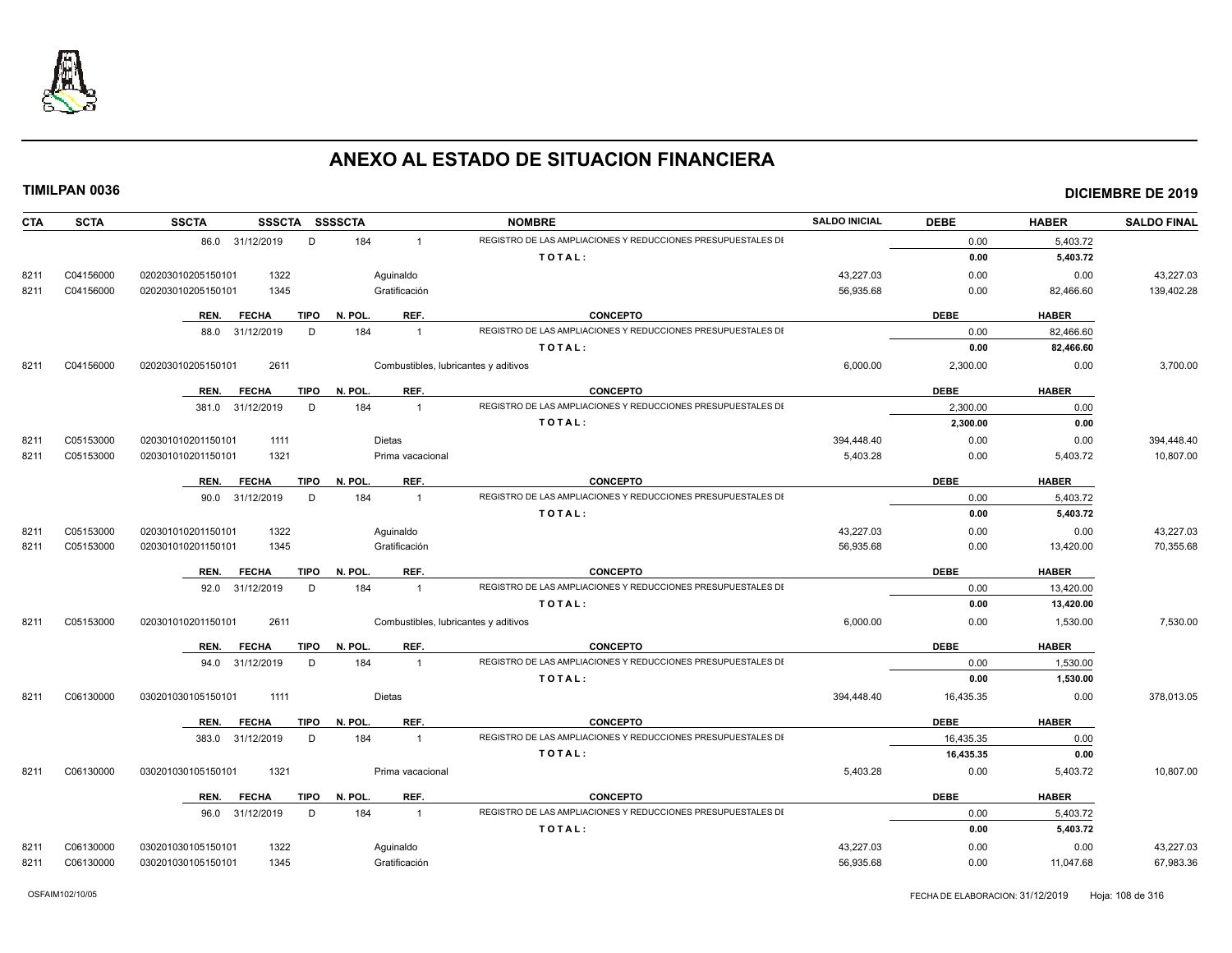

| <b>CTA</b> | <b>SCTA</b> | <b>SSCTA</b><br>SSSCTA SSSSCTA      |                                      | <b>NOMBRE</b>                                                | <b>SALDO INICIAL</b> | <b>DEBE</b> | <b>HABER</b> | <b>SALDO FINAL</b> |
|------------|-------------|-------------------------------------|--------------------------------------|--------------------------------------------------------------|----------------------|-------------|--------------|--------------------|
|            |             | D<br>86.0 31/12/2019                | 184<br>$\overline{1}$                | REGISTRO DE LAS AMPLIACIONES Y REDUCCIONES PRESUPUESTALES DI |                      | 0.00        | 5,403.72     |                    |
|            |             |                                     |                                      | TOTAL:                                                       |                      | 0.00        | 5,403.72     |                    |
| 8211       | C04156000   | 1322<br>020203010205150101          | Aquinaldo                            |                                                              | 43,227.03            | 0.00        | 0.00         | 43,227.03          |
| 8211       | C04156000   | 1345<br>020203010205150101          | Gratificación                        |                                                              | 56,935.68            | 0.00        | 82,466.60    | 139,402.28         |
|            |             | <b>TIPO</b><br>REN.<br><b>FECHA</b> | REF.<br>N. POL                       | <b>CONCEPTO</b>                                              |                      | <b>DEBE</b> | <b>HABER</b> |                    |
|            |             | D<br>88.0 31/12/2019                | 184<br>$\overline{1}$                | REGISTRO DE LAS AMPLIACIONES Y REDUCCIONES PRESUPUESTALES DI |                      | 0.00        | 82,466.60    |                    |
|            |             |                                     |                                      | TOTAL:                                                       |                      | 0.00        | 82,466.60    |                    |
| 8211       | C04156000   | 2611<br>020203010205150101          | Combustibles, lubricantes y aditivos |                                                              | 6,000.00             | 2,300.00    | 0.00         | 3,700.00           |
|            |             | TIPO<br>REN.<br><b>FECHA</b>        | REF.<br>N. POL                       | <b>CONCEPTO</b>                                              |                      | <b>DEBE</b> | <b>HABER</b> |                    |
|            |             | 31/12/2019<br>D<br>381.0            | 184<br>$\overline{1}$                | REGISTRO DE LAS AMPLIACIONES Y REDUCCIONES PRESUPUESTALES DI |                      | 2,300.00    | 0.00         |                    |
|            |             |                                     |                                      | TOTAL:                                                       |                      | 2,300.00    | 0.00         |                    |
| 8211       | C05153000   | 020301010201150101<br>1111          | <b>Dietas</b>                        |                                                              | 394,448.40           | 0.00        | 0.00         | 394,448.40         |
| 8211       | C05153000   | 1321<br>020301010201150101          | Prima vacacional                     |                                                              | 5,403.28             | 0.00        | 5,403.72     | 10,807.00          |
|            |             | <b>TIPO</b><br>REN.<br><b>FECHA</b> | REF.<br>N. POL.                      | <b>CONCEPTO</b>                                              |                      | <b>DEBE</b> | <b>HABER</b> |                    |
|            |             | 90.0 31/12/2019<br>D                | 184<br>$\overline{1}$                | REGISTRO DE LAS AMPLIACIONES Y REDUCCIONES PRESUPUESTALES DI |                      | 0.00        | 5.403.72     |                    |
|            |             |                                     |                                      | TOTAL:                                                       |                      | 0.00        | 5,403.72     |                    |
| 8211       | C05153000   | 020301010201150101<br>1322          | Aquinaldo                            |                                                              | 43,227.03            | 0.00        | 0.00         | 43,227.03          |
| 8211       | C05153000   | 020301010201150101<br>1345          | Gratificación                        |                                                              | 56,935.68            | 0.00        | 13,420.00    | 70,355.68          |
|            |             | <b>FECHA</b><br><b>TIPO</b><br>REN. | REF.<br>N. POL                       | <b>CONCEPTO</b>                                              |                      | <b>DEBE</b> | <b>HABER</b> |                    |
|            |             | 92.0 31/12/2019<br>D                | 184<br>$\mathbf{1}$                  | REGISTRO DE LAS AMPLIACIONES Y REDUCCIONES PRESUPUESTALES DI |                      | 0.00        | 13,420.00    |                    |
|            |             |                                     |                                      | TOTAL:                                                       |                      | 0.00        | 13,420.00    |                    |
| 8211       | C05153000   | 020301010201150101<br>2611          | Combustibles, lubricantes y aditivos |                                                              | 6,000.00             | 0.00        | 1,530.00     | 7,530.00           |
|            |             | <b>FECHA</b><br><b>TIPO</b><br>REN. | REF.<br>N. POL                       | <b>CONCEPTO</b>                                              |                      | <b>DEBE</b> | <b>HABER</b> |                    |
|            |             | D<br>94.0<br>31/12/2019             | 184<br>$\overline{1}$                | REGISTRO DE LAS AMPLIACIONES Y REDUCCIONES PRESUPUESTALES DI |                      | 0.00        | 1,530.00     |                    |
|            |             |                                     |                                      | TOTAL:                                                       |                      | 0.00        | 1,530.00     |                    |
| 8211       | C06130000   | 1111<br>030201030105150101          | <b>Dietas</b>                        |                                                              | 394,448.40           | 16,435.35   | 0.00         | 378,013.05         |
|            |             | <b>TIPO</b><br>REN.<br><b>FECHA</b> | REF.<br>N. POL                       | <b>CONCEPTO</b>                                              |                      | <b>DEBE</b> | <b>HABER</b> |                    |
|            |             | 383.0 31/12/2019<br>D               | 184<br>$\mathbf{1}$                  | REGISTRO DE LAS AMPLIACIONES Y REDUCCIONES PRESUPUESTALES DI |                      | 16,435.35   | 0.00         |                    |
|            |             |                                     |                                      | TOTAL:                                                       |                      | 16,435.35   | 0.00         |                    |
| 8211       | C06130000   | 1321<br>030201030105150101          | Prima vacacional                     |                                                              | 5,403.28             | 0.00        | 5,403.72     | 10,807.00          |
|            |             | <b>FECHA</b><br>TIPO<br>REN.        | REF.<br>N. POL.                      | <b>CONCEPTO</b>                                              |                      | <b>DEBE</b> | <b>HABER</b> |                    |
|            |             | 96.0 31/12/2019<br>D                | 184<br>$\overline{1}$                | REGISTRO DE LAS AMPLIACIONES Y REDUCCIONES PRESUPUESTALES DI |                      | 0.00        | 5,403.72     |                    |
|            |             |                                     |                                      | TOTAL:                                                       |                      | 0.00        | 5,403.72     |                    |
| 8211       | C06130000   | 1322<br>030201030105150101          | Aquinaldo                            |                                                              | 43.227.03            | 0.00        | 0.00         | 43.227.03          |
| 8211       | C06130000   | 030201030105150101<br>1345          | Gratificación                        |                                                              | 56,935.68            | 0.00        | 11,047.68    | 67,983.36          |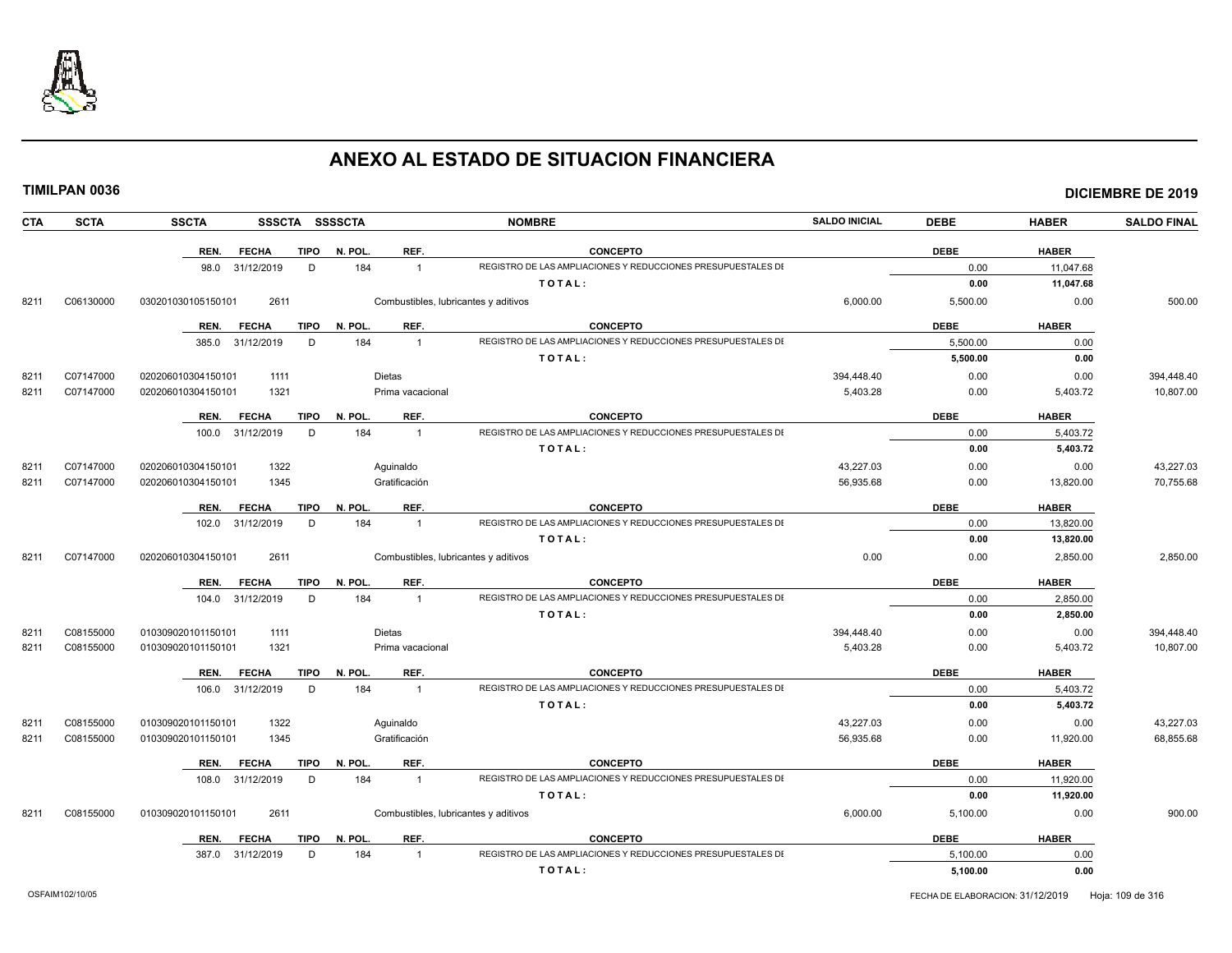

|      | <b>TIMILPAN 0036</b> |                    |                  |             |                |                                      |                                                              |                      |             |              | <b>DICIEMBRE DE 2019</b> |
|------|----------------------|--------------------|------------------|-------------|----------------|--------------------------------------|--------------------------------------------------------------|----------------------|-------------|--------------|--------------------------|
| CTA  | <b>SCTA</b>          | <b>SSCTA</b>       |                  |             | SSSCTA SSSSCTA |                                      | <b>NOMBRE</b>                                                | <b>SALDO INICIAL</b> | <b>DEBE</b> | <b>HABER</b> | <b>SALDO FINAL</b>       |
|      |                      | REN.               | <b>FECHA</b>     | <b>TIPO</b> | N. POL.        | REF.                                 | <b>CONCEPTO</b>                                              |                      | <b>DEBE</b> | <b>HABER</b> |                          |
|      |                      |                    | 98.0 31/12/2019  | D           | 184            | $\overline{1}$                       | REGISTRO DE LAS AMPLIACIONES Y REDUCCIONES PRESUPUESTALES DI |                      | 0.00        | 11,047.68    |                          |
|      |                      |                    |                  |             |                |                                      | TOTAL:                                                       |                      | 0.00        | 11,047.68    |                          |
| 8211 | C06130000            | 030201030105150101 | 2611             |             |                | Combustibles, lubricantes y aditivos |                                                              | 6,000.00             | 5,500.00    | 0.00         | 500.00                   |
|      |                      | REN.               | <b>FECHA</b>     | TIPO        | N. POL.        | REF.                                 | <b>CONCEPTO</b>                                              |                      | <b>DEBE</b> | <b>HABER</b> |                          |
|      |                      |                    | 385.0 31/12/2019 | D           | 184            | $\overline{1}$                       | REGISTRO DE LAS AMPLIACIONES Y REDUCCIONES PRESUPUESTALES DI |                      | 5,500.00    | 0.00         |                          |
|      |                      |                    |                  |             |                |                                      | TOTAL:                                                       |                      | 5,500.00    | 0.00         |                          |
| 8211 | C07147000            | 020206010304150101 | 1111             |             |                | <b>Dietas</b>                        |                                                              | 394,448.40           | 0.00        | 0.00         | 394,448.40               |
| 8211 | C07147000            | 020206010304150101 | 1321             |             |                | Prima vacacional                     |                                                              | 5,403.28             | 0.00        | 5,403.72     | 10,807.00                |
|      |                      | REN.               | <b>FECHA</b>     | TIPO        | N. POL.        | REF.                                 | <b>CONCEPTO</b>                                              |                      | <b>DEBE</b> | <b>HABER</b> |                          |
|      |                      |                    | 100.0 31/12/2019 | D           | 184            | $\overline{1}$                       | REGISTRO DE LAS AMPLIACIONES Y REDUCCIONES PRESUPUESTALES DI |                      | 0.00        | 5,403.72     |                          |
|      |                      |                    |                  |             |                |                                      | TOTAL:                                                       |                      | 0.00        | 5,403.72     |                          |
| 8211 | C07147000            | 020206010304150101 | 1322             |             |                | Aquinaldo                            |                                                              | 43,227.03            | 0.00        | 0.00         | 43,227.03                |
| 8211 | C07147000            | 020206010304150101 | 1345             |             |                | Gratificación                        |                                                              | 56,935.68            | 0.00        | 13,820.00    | 70,755.68                |
|      |                      | REN.               | <b>FECHA</b>     | <b>TIPO</b> | N. POL.        | REF.                                 | <b>CONCEPTO</b>                                              |                      | <b>DEBE</b> | <b>HABER</b> |                          |
|      |                      |                    | 102.0 31/12/2019 | D           | 184            | $\mathbf{1}$                         | REGISTRO DE LAS AMPLIACIONES Y REDUCCIONES PRESUPUESTALES DI |                      | 0.00        | 13,820.00    |                          |
|      |                      |                    |                  |             |                |                                      | TOTAL:                                                       |                      | 0.00        | 13,820.00    |                          |
| 8211 | C07147000            | 020206010304150101 | 2611             |             |                | Combustibles, lubricantes y aditivos |                                                              | 0.00                 | 0.00        | 2,850.00     | 2,850.00                 |
|      |                      | REN.               | <b>FECHA</b>     | <b>TIPO</b> | N. POL.        | REF.                                 | <b>CONCEPTO</b>                                              |                      | <b>DEBE</b> | <b>HABER</b> |                          |
|      |                      |                    | 104.0 31/12/2019 | D           | 184            | $\overline{1}$                       | REGISTRO DE LAS AMPLIACIONES Y REDUCCIONES PRESUPUESTALES DI |                      | 0.00        | 2,850.00     |                          |
|      |                      |                    |                  |             |                |                                      | TOTAL:                                                       |                      | 0.00        | 2,850.00     |                          |
| 8211 | C08155000            | 010309020101150101 | 1111             |             |                | <b>Dietas</b>                        |                                                              | 394,448.40           | 0.00        | 0.00         | 394,448.40               |
| 8211 | C08155000            | 010309020101150101 | 1321             |             |                | Prima vacacional                     |                                                              | 5,403.28             | 0.00        | 5,403.72     | 10,807.00                |
|      |                      | REN.               | <b>FECHA</b>     | <b>TIPO</b> | N. POL.        | REF.                                 | <b>CONCEPTO</b>                                              |                      | <b>DEBE</b> | <b>HABER</b> |                          |
|      |                      |                    | 106.0 31/12/2019 | D           | 184            | $\overline{1}$                       | REGISTRO DE LAS AMPLIACIONES Y REDUCCIONES PRESUPUESTALES DI |                      | 0.00        | 5,403.72     |                          |
|      |                      |                    |                  |             |                |                                      | TOTAL:                                                       |                      | 0.00        | 5,403.72     |                          |
| 8211 | C08155000            | 010309020101150101 | 1322             |             |                | Aquinaldo                            |                                                              | 43,227.03            | 0.00        | 0.00         | 43,227.03                |
| 8211 | C08155000            | 010309020101150101 | 1345             |             |                | Gratificación                        |                                                              | 56,935.68            | 0.00        | 11,920.00    | 68,855.68                |
|      |                      | REN.               | <b>FECHA</b>     | <b>TIPO</b> | N. POL.        | REF.                                 | <b>CONCEPTO</b>                                              |                      | <b>DEBE</b> | <b>HABER</b> |                          |
|      |                      |                    | 108.0 31/12/2019 | D           | 184            | $\overline{1}$                       | REGISTRO DE LAS AMPLIACIONES Y REDUCCIONES PRESUPUESTALES DI |                      | 0.00        | 11,920.00    |                          |
|      |                      |                    |                  |             |                |                                      | TOTAL:                                                       |                      | 0.00        | 11,920.00    |                          |
| 8211 | C08155000            | 010309020101150101 | 2611             |             |                | Combustibles, lubricantes y aditivos |                                                              | 6,000.00             | 5,100.00    | 0.00         | 900.00                   |
|      |                      | REN.               | <b>FECHA</b>     | <b>TIPO</b> | N. POL.        | REF.                                 | <b>CONCEPTO</b>                                              |                      | <b>DEBE</b> | <b>HABER</b> |                          |
|      |                      |                    | 387.0 31/12/2019 | D           | 184            | $\overline{1}$                       | REGISTRO DE LAS AMPLIACIONES Y REDUCCIONES PRESUPUESTALES DI |                      | 5.100.00    | 0.00         |                          |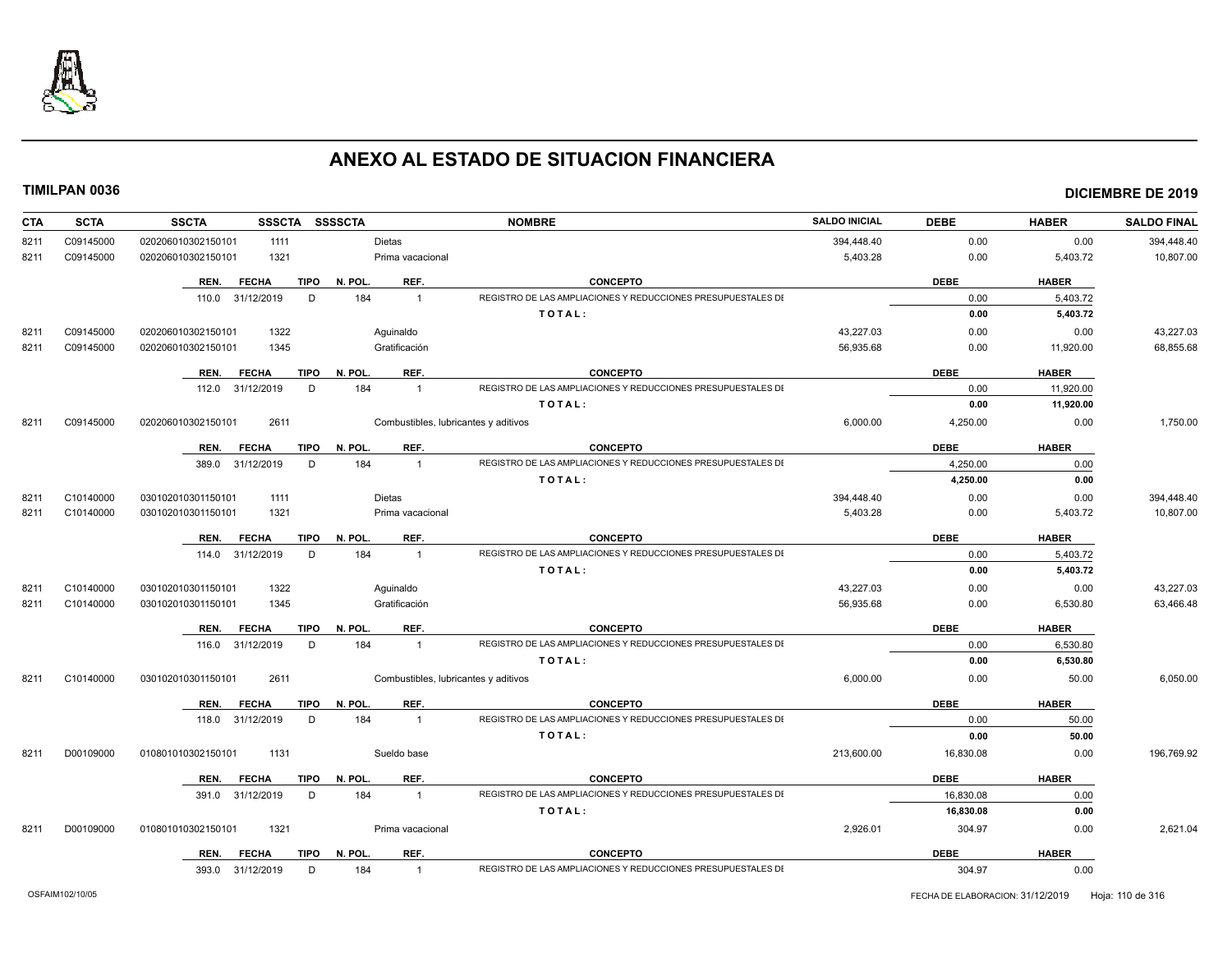

| C09145000<br>020206010302150101<br>1111<br>Dietas<br>394,448.40<br>0.00<br>0.00<br>394,448.40<br>8211<br>C09145000<br>1321<br>Prima vacacional<br>5,403.28<br>0.00<br>5,403.72<br>10,807.00<br>8211<br>020206010302150101<br>REF.<br><b>CONCEPTO</b><br><b>FECHA</b><br><b>TIPO</b><br>N. POL.<br><b>DEBE</b><br><b>HABER</b><br>REN.<br>REGISTRO DE LAS AMPLIACIONES Y REDUCCIONES PRESUPUESTALES DI<br>D<br>184<br>0.00<br>110.0 31/12/2019<br>$\overline{1}$<br>5,403.72<br>TOTAL:<br>0.00<br>5,403.72<br>43.227.03<br>C09145000<br>020206010302150101<br>1322<br>0.00<br>43,227.03<br>Aquinaldo<br>0.00<br>8211<br>C09145000<br>Gratificación<br>56,935.68<br>68,855.68<br>8211<br>020206010302150101<br>1345<br>0.00<br>11,920.00<br><b>FECHA</b><br>TIPO<br>N. POL.<br>REF.<br><b>CONCEPTO</b><br><b>DEBE</b><br><b>HABER</b><br>REN.<br>REGISTRO DE LAS AMPLIACIONES Y REDUCCIONES PRESUPUESTALES DI<br>184<br>112.0 31/12/2019<br>D<br>$\overline{1}$<br>0.00<br>11,920.00<br>TOTAL:<br>0.00<br>11,920.00<br>C09145000<br>020206010302150101<br>2611<br>Combustibles, lubricantes y aditivos<br>6,000.00<br>4,250.00<br>1,750.00<br>8211<br>0.00<br>N. POL.<br>REF.<br><b>CONCEPTO</b><br><b>DEBE</b><br><b>HABER</b><br>REN.<br><b>FECHA</b><br>TIPO<br>REGISTRO DE LAS AMPLIACIONES Y REDUCCIONES PRESUPUESTALES DI<br>184<br>389.0 31/12/2019<br>D<br>$\overline{1}$<br>4,250.00<br>0.00<br>0.00<br>TOTAL:<br>4,250.00<br>Dietas<br>394,448.40<br>0.00<br>394,448.40<br>8211<br>C10140000<br>030102010301150101<br>1111<br>0.00<br>5,403.28<br>8211<br>C10140000<br>030102010301150101<br>1321<br>Prima vacacional<br>0.00<br>5,403.72<br>10,807.00<br><b>DEBE</b><br><b>FECHA</b><br><b>TIPO</b><br>N. POL.<br>REF.<br><b>CONCEPTO</b><br><b>HABER</b><br>REN.<br>REGISTRO DE LAS AMPLIACIONES Y REDUCCIONES PRESUPUESTALES DI<br>D<br>184<br>114.0 31/12/2019<br>$\overline{1}$<br>0.00<br>5,403.72<br>TOTAL:<br>0.00<br>5,403.72<br>1322<br>43,227.03<br>43,227.03<br>C10140000<br>030102010301150101<br>Aquinaldo<br>0.00<br>0.00<br>8211<br>Gratificación<br>56,935.68<br>6,530.80<br>63,466.48<br>8211<br>C10140000<br>030102010301150101<br>1345<br>0.00<br><b>FECHA</b><br><b>TIPO</b><br>N. POL.<br>REF.<br><b>CONCEPTO</b><br><b>DEBE</b><br><b>HABER</b><br>REN.<br>REGISTRO DE LAS AMPLIACIONES Y REDUCCIONES PRESUPUESTALES DI<br>184<br>116.0 31/12/2019<br>D<br>0.00<br>6.530.80<br>$\overline{1}$<br>TOTAL:<br>6,530.80<br>0.00<br>C10140000<br>2611<br>Combustibles, lubricantes y aditivos<br>6,000.00<br>0.00<br>50.00<br>6,050.00<br>8211<br>030102010301150101<br><b>CONCEPTO</b><br><b>DEBE</b><br><b>HABER</b><br><b>TIPO</b><br>N. POL.<br>REF.<br>REN. FECHA<br>REGISTRO DE LAS AMPLIACIONES Y REDUCCIONES PRESUPUESTALES DI<br>184<br>118.0 31/12/2019<br>D<br>0.00<br>50.00<br>$\overline{1}$<br>TOTAL:<br>0.00<br>50.00<br>D00109000<br>010801010302150101<br>1131<br>213,600.00<br>0.00<br>196,769.92<br>8211<br>Sueldo base<br>16,830.08<br><b>TIPO</b><br>N. POL.<br>REF.<br><b>CONCEPTO</b><br><b>DEBE</b><br><b>HABER</b><br>REN.<br><b>FECHA</b><br>184<br>REGISTRO DE LAS AMPLIACIONES Y REDUCCIONES PRESUPUESTALES DI<br>391.0 31/12/2019<br>D<br>16.830.08<br>$\overline{1}$<br>0.00<br>TOTAL:<br>16,830.08<br>0.00<br>1321<br>2,926.01<br>304.97<br>2,621.04<br>8211<br>D00109000<br>010801010302150101<br>Prima vacacional<br>0.00<br><b>TIPO</b><br>N. POL.<br>REF.<br><b>CONCEPTO</b><br><b>DEBE</b><br><b>HABER</b><br><b>FECHA</b><br>REN.<br>REGISTRO DE LAS AMPLIACIONES Y REDUCCIONES PRESUPUESTALES DI<br>393.0 31/12/2019<br>D<br>184<br>304.97<br>0.00<br>$\overline{1}$ | <b>CTA</b> | <b>SCTA</b> | <b>SSSCTA</b><br><b>SSCTA</b> | <b>SSSSCTA</b> | <b>NOMBRE</b> | <b>SALDO INICIAL</b> | <b>DEBE</b> | <b>HABER</b> | <b>SALDO FINAL</b> |
|--------------------------------------------------------------------------------------------------------------------------------------------------------------------------------------------------------------------------------------------------------------------------------------------------------------------------------------------------------------------------------------------------------------------------------------------------------------------------------------------------------------------------------------------------------------------------------------------------------------------------------------------------------------------------------------------------------------------------------------------------------------------------------------------------------------------------------------------------------------------------------------------------------------------------------------------------------------------------------------------------------------------------------------------------------------------------------------------------------------------------------------------------------------------------------------------------------------------------------------------------------------------------------------------------------------------------------------------------------------------------------------------------------------------------------------------------------------------------------------------------------------------------------------------------------------------------------------------------------------------------------------------------------------------------------------------------------------------------------------------------------------------------------------------------------------------------------------------------------------------------------------------------------------------------------------------------------------------------------------------------------------------------------------------------------------------------------------------------------------------------------------------------------------------------------------------------------------------------------------------------------------------------------------------------------------------------------------------------------------------------------------------------------------------------------------------------------------------------------------------------------------------------------------------------------------------------------------------------------------------------------------------------------------------------------------------------------------------------------------------------------------------------------------------------------------------------------------------------------------------------------------------------------------------------------------------------------------------------------------------------------------------------------------------------------------------------------------------------------------------------------------------------------------------------------------------------------------------------------------------------------------------------------------------------------------------------------------------------------------------------------------------------------------------------------------------------------------------------------------------------------------------------------------------------------------------------------------------------------------------------------------|------------|-------------|-------------------------------|----------------|---------------|----------------------|-------------|--------------|--------------------|
|                                                                                                                                                                                                                                                                                                                                                                                                                                                                                                                                                                                                                                                                                                                                                                                                                                                                                                                                                                                                                                                                                                                                                                                                                                                                                                                                                                                                                                                                                                                                                                                                                                                                                                                                                                                                                                                                                                                                                                                                                                                                                                                                                                                                                                                                                                                                                                                                                                                                                                                                                                                                                                                                                                                                                                                                                                                                                                                                                                                                                                                                                                                                                                                                                                                                                                                                                                                                                                                                                                                                                                                                                                      |            |             |                               |                |               |                      |             |              |                    |
|                                                                                                                                                                                                                                                                                                                                                                                                                                                                                                                                                                                                                                                                                                                                                                                                                                                                                                                                                                                                                                                                                                                                                                                                                                                                                                                                                                                                                                                                                                                                                                                                                                                                                                                                                                                                                                                                                                                                                                                                                                                                                                                                                                                                                                                                                                                                                                                                                                                                                                                                                                                                                                                                                                                                                                                                                                                                                                                                                                                                                                                                                                                                                                                                                                                                                                                                                                                                                                                                                                                                                                                                                                      |            |             |                               |                |               |                      |             |              |                    |
|                                                                                                                                                                                                                                                                                                                                                                                                                                                                                                                                                                                                                                                                                                                                                                                                                                                                                                                                                                                                                                                                                                                                                                                                                                                                                                                                                                                                                                                                                                                                                                                                                                                                                                                                                                                                                                                                                                                                                                                                                                                                                                                                                                                                                                                                                                                                                                                                                                                                                                                                                                                                                                                                                                                                                                                                                                                                                                                                                                                                                                                                                                                                                                                                                                                                                                                                                                                                                                                                                                                                                                                                                                      |            |             |                               |                |               |                      |             |              |                    |
|                                                                                                                                                                                                                                                                                                                                                                                                                                                                                                                                                                                                                                                                                                                                                                                                                                                                                                                                                                                                                                                                                                                                                                                                                                                                                                                                                                                                                                                                                                                                                                                                                                                                                                                                                                                                                                                                                                                                                                                                                                                                                                                                                                                                                                                                                                                                                                                                                                                                                                                                                                                                                                                                                                                                                                                                                                                                                                                                                                                                                                                                                                                                                                                                                                                                                                                                                                                                                                                                                                                                                                                                                                      |            |             |                               |                |               |                      |             |              |                    |
|                                                                                                                                                                                                                                                                                                                                                                                                                                                                                                                                                                                                                                                                                                                                                                                                                                                                                                                                                                                                                                                                                                                                                                                                                                                                                                                                                                                                                                                                                                                                                                                                                                                                                                                                                                                                                                                                                                                                                                                                                                                                                                                                                                                                                                                                                                                                                                                                                                                                                                                                                                                                                                                                                                                                                                                                                                                                                                                                                                                                                                                                                                                                                                                                                                                                                                                                                                                                                                                                                                                                                                                                                                      |            |             |                               |                |               |                      |             |              |                    |
|                                                                                                                                                                                                                                                                                                                                                                                                                                                                                                                                                                                                                                                                                                                                                                                                                                                                                                                                                                                                                                                                                                                                                                                                                                                                                                                                                                                                                                                                                                                                                                                                                                                                                                                                                                                                                                                                                                                                                                                                                                                                                                                                                                                                                                                                                                                                                                                                                                                                                                                                                                                                                                                                                                                                                                                                                                                                                                                                                                                                                                                                                                                                                                                                                                                                                                                                                                                                                                                                                                                                                                                                                                      |            |             |                               |                |               |                      |             |              |                    |
|                                                                                                                                                                                                                                                                                                                                                                                                                                                                                                                                                                                                                                                                                                                                                                                                                                                                                                                                                                                                                                                                                                                                                                                                                                                                                                                                                                                                                                                                                                                                                                                                                                                                                                                                                                                                                                                                                                                                                                                                                                                                                                                                                                                                                                                                                                                                                                                                                                                                                                                                                                                                                                                                                                                                                                                                                                                                                                                                                                                                                                                                                                                                                                                                                                                                                                                                                                                                                                                                                                                                                                                                                                      |            |             |                               |                |               |                      |             |              |                    |
|                                                                                                                                                                                                                                                                                                                                                                                                                                                                                                                                                                                                                                                                                                                                                                                                                                                                                                                                                                                                                                                                                                                                                                                                                                                                                                                                                                                                                                                                                                                                                                                                                                                                                                                                                                                                                                                                                                                                                                                                                                                                                                                                                                                                                                                                                                                                                                                                                                                                                                                                                                                                                                                                                                                                                                                                                                                                                                                                                                                                                                                                                                                                                                                                                                                                                                                                                                                                                                                                                                                                                                                                                                      |            |             |                               |                |               |                      |             |              |                    |
|                                                                                                                                                                                                                                                                                                                                                                                                                                                                                                                                                                                                                                                                                                                                                                                                                                                                                                                                                                                                                                                                                                                                                                                                                                                                                                                                                                                                                                                                                                                                                                                                                                                                                                                                                                                                                                                                                                                                                                                                                                                                                                                                                                                                                                                                                                                                                                                                                                                                                                                                                                                                                                                                                                                                                                                                                                                                                                                                                                                                                                                                                                                                                                                                                                                                                                                                                                                                                                                                                                                                                                                                                                      |            |             |                               |                |               |                      |             |              |                    |
|                                                                                                                                                                                                                                                                                                                                                                                                                                                                                                                                                                                                                                                                                                                                                                                                                                                                                                                                                                                                                                                                                                                                                                                                                                                                                                                                                                                                                                                                                                                                                                                                                                                                                                                                                                                                                                                                                                                                                                                                                                                                                                                                                                                                                                                                                                                                                                                                                                                                                                                                                                                                                                                                                                                                                                                                                                                                                                                                                                                                                                                                                                                                                                                                                                                                                                                                                                                                                                                                                                                                                                                                                                      |            |             |                               |                |               |                      |             |              |                    |
|                                                                                                                                                                                                                                                                                                                                                                                                                                                                                                                                                                                                                                                                                                                                                                                                                                                                                                                                                                                                                                                                                                                                                                                                                                                                                                                                                                                                                                                                                                                                                                                                                                                                                                                                                                                                                                                                                                                                                                                                                                                                                                                                                                                                                                                                                                                                                                                                                                                                                                                                                                                                                                                                                                                                                                                                                                                                                                                                                                                                                                                                                                                                                                                                                                                                                                                                                                                                                                                                                                                                                                                                                                      |            |             |                               |                |               |                      |             |              |                    |
|                                                                                                                                                                                                                                                                                                                                                                                                                                                                                                                                                                                                                                                                                                                                                                                                                                                                                                                                                                                                                                                                                                                                                                                                                                                                                                                                                                                                                                                                                                                                                                                                                                                                                                                                                                                                                                                                                                                                                                                                                                                                                                                                                                                                                                                                                                                                                                                                                                                                                                                                                                                                                                                                                                                                                                                                                                                                                                                                                                                                                                                                                                                                                                                                                                                                                                                                                                                                                                                                                                                                                                                                                                      |            |             |                               |                |               |                      |             |              |                    |
|                                                                                                                                                                                                                                                                                                                                                                                                                                                                                                                                                                                                                                                                                                                                                                                                                                                                                                                                                                                                                                                                                                                                                                                                                                                                                                                                                                                                                                                                                                                                                                                                                                                                                                                                                                                                                                                                                                                                                                                                                                                                                                                                                                                                                                                                                                                                                                                                                                                                                                                                                                                                                                                                                                                                                                                                                                                                                                                                                                                                                                                                                                                                                                                                                                                                                                                                                                                                                                                                                                                                                                                                                                      |            |             |                               |                |               |                      |             |              |                    |
|                                                                                                                                                                                                                                                                                                                                                                                                                                                                                                                                                                                                                                                                                                                                                                                                                                                                                                                                                                                                                                                                                                                                                                                                                                                                                                                                                                                                                                                                                                                                                                                                                                                                                                                                                                                                                                                                                                                                                                                                                                                                                                                                                                                                                                                                                                                                                                                                                                                                                                                                                                                                                                                                                                                                                                                                                                                                                                                                                                                                                                                                                                                                                                                                                                                                                                                                                                                                                                                                                                                                                                                                                                      |            |             |                               |                |               |                      |             |              |                    |
|                                                                                                                                                                                                                                                                                                                                                                                                                                                                                                                                                                                                                                                                                                                                                                                                                                                                                                                                                                                                                                                                                                                                                                                                                                                                                                                                                                                                                                                                                                                                                                                                                                                                                                                                                                                                                                                                                                                                                                                                                                                                                                                                                                                                                                                                                                                                                                                                                                                                                                                                                                                                                                                                                                                                                                                                                                                                                                                                                                                                                                                                                                                                                                                                                                                                                                                                                                                                                                                                                                                                                                                                                                      |            |             |                               |                |               |                      |             |              |                    |
|                                                                                                                                                                                                                                                                                                                                                                                                                                                                                                                                                                                                                                                                                                                                                                                                                                                                                                                                                                                                                                                                                                                                                                                                                                                                                                                                                                                                                                                                                                                                                                                                                                                                                                                                                                                                                                                                                                                                                                                                                                                                                                                                                                                                                                                                                                                                                                                                                                                                                                                                                                                                                                                                                                                                                                                                                                                                                                                                                                                                                                                                                                                                                                                                                                                                                                                                                                                                                                                                                                                                                                                                                                      |            |             |                               |                |               |                      |             |              |                    |
|                                                                                                                                                                                                                                                                                                                                                                                                                                                                                                                                                                                                                                                                                                                                                                                                                                                                                                                                                                                                                                                                                                                                                                                                                                                                                                                                                                                                                                                                                                                                                                                                                                                                                                                                                                                                                                                                                                                                                                                                                                                                                                                                                                                                                                                                                                                                                                                                                                                                                                                                                                                                                                                                                                                                                                                                                                                                                                                                                                                                                                                                                                                                                                                                                                                                                                                                                                                                                                                                                                                                                                                                                                      |            |             |                               |                |               |                      |             |              |                    |
|                                                                                                                                                                                                                                                                                                                                                                                                                                                                                                                                                                                                                                                                                                                                                                                                                                                                                                                                                                                                                                                                                                                                                                                                                                                                                                                                                                                                                                                                                                                                                                                                                                                                                                                                                                                                                                                                                                                                                                                                                                                                                                                                                                                                                                                                                                                                                                                                                                                                                                                                                                                                                                                                                                                                                                                                                                                                                                                                                                                                                                                                                                                                                                                                                                                                                                                                                                                                                                                                                                                                                                                                                                      |            |             |                               |                |               |                      |             |              |                    |
|                                                                                                                                                                                                                                                                                                                                                                                                                                                                                                                                                                                                                                                                                                                                                                                                                                                                                                                                                                                                                                                                                                                                                                                                                                                                                                                                                                                                                                                                                                                                                                                                                                                                                                                                                                                                                                                                                                                                                                                                                                                                                                                                                                                                                                                                                                                                                                                                                                                                                                                                                                                                                                                                                                                                                                                                                                                                                                                                                                                                                                                                                                                                                                                                                                                                                                                                                                                                                                                                                                                                                                                                                                      |            |             |                               |                |               |                      |             |              |                    |
|                                                                                                                                                                                                                                                                                                                                                                                                                                                                                                                                                                                                                                                                                                                                                                                                                                                                                                                                                                                                                                                                                                                                                                                                                                                                                                                                                                                                                                                                                                                                                                                                                                                                                                                                                                                                                                                                                                                                                                                                                                                                                                                                                                                                                                                                                                                                                                                                                                                                                                                                                                                                                                                                                                                                                                                                                                                                                                                                                                                                                                                                                                                                                                                                                                                                                                                                                                                                                                                                                                                                                                                                                                      |            |             |                               |                |               |                      |             |              |                    |
|                                                                                                                                                                                                                                                                                                                                                                                                                                                                                                                                                                                                                                                                                                                                                                                                                                                                                                                                                                                                                                                                                                                                                                                                                                                                                                                                                                                                                                                                                                                                                                                                                                                                                                                                                                                                                                                                                                                                                                                                                                                                                                                                                                                                                                                                                                                                                                                                                                                                                                                                                                                                                                                                                                                                                                                                                                                                                                                                                                                                                                                                                                                                                                                                                                                                                                                                                                                                                                                                                                                                                                                                                                      |            |             |                               |                |               |                      |             |              |                    |
|                                                                                                                                                                                                                                                                                                                                                                                                                                                                                                                                                                                                                                                                                                                                                                                                                                                                                                                                                                                                                                                                                                                                                                                                                                                                                                                                                                                                                                                                                                                                                                                                                                                                                                                                                                                                                                                                                                                                                                                                                                                                                                                                                                                                                                                                                                                                                                                                                                                                                                                                                                                                                                                                                                                                                                                                                                                                                                                                                                                                                                                                                                                                                                                                                                                                                                                                                                                                                                                                                                                                                                                                                                      |            |             |                               |                |               |                      |             |              |                    |
|                                                                                                                                                                                                                                                                                                                                                                                                                                                                                                                                                                                                                                                                                                                                                                                                                                                                                                                                                                                                                                                                                                                                                                                                                                                                                                                                                                                                                                                                                                                                                                                                                                                                                                                                                                                                                                                                                                                                                                                                                                                                                                                                                                                                                                                                                                                                                                                                                                                                                                                                                                                                                                                                                                                                                                                                                                                                                                                                                                                                                                                                                                                                                                                                                                                                                                                                                                                                                                                                                                                                                                                                                                      |            |             |                               |                |               |                      |             |              |                    |
|                                                                                                                                                                                                                                                                                                                                                                                                                                                                                                                                                                                                                                                                                                                                                                                                                                                                                                                                                                                                                                                                                                                                                                                                                                                                                                                                                                                                                                                                                                                                                                                                                                                                                                                                                                                                                                                                                                                                                                                                                                                                                                                                                                                                                                                                                                                                                                                                                                                                                                                                                                                                                                                                                                                                                                                                                                                                                                                                                                                                                                                                                                                                                                                                                                                                                                                                                                                                                                                                                                                                                                                                                                      |            |             |                               |                |               |                      |             |              |                    |
|                                                                                                                                                                                                                                                                                                                                                                                                                                                                                                                                                                                                                                                                                                                                                                                                                                                                                                                                                                                                                                                                                                                                                                                                                                                                                                                                                                                                                                                                                                                                                                                                                                                                                                                                                                                                                                                                                                                                                                                                                                                                                                                                                                                                                                                                                                                                                                                                                                                                                                                                                                                                                                                                                                                                                                                                                                                                                                                                                                                                                                                                                                                                                                                                                                                                                                                                                                                                                                                                                                                                                                                                                                      |            |             |                               |                |               |                      |             |              |                    |
|                                                                                                                                                                                                                                                                                                                                                                                                                                                                                                                                                                                                                                                                                                                                                                                                                                                                                                                                                                                                                                                                                                                                                                                                                                                                                                                                                                                                                                                                                                                                                                                                                                                                                                                                                                                                                                                                                                                                                                                                                                                                                                                                                                                                                                                                                                                                                                                                                                                                                                                                                                                                                                                                                                                                                                                                                                                                                                                                                                                                                                                                                                                                                                                                                                                                                                                                                                                                                                                                                                                                                                                                                                      |            |             |                               |                |               |                      |             |              |                    |
|                                                                                                                                                                                                                                                                                                                                                                                                                                                                                                                                                                                                                                                                                                                                                                                                                                                                                                                                                                                                                                                                                                                                                                                                                                                                                                                                                                                                                                                                                                                                                                                                                                                                                                                                                                                                                                                                                                                                                                                                                                                                                                                                                                                                                                                                                                                                                                                                                                                                                                                                                                                                                                                                                                                                                                                                                                                                                                                                                                                                                                                                                                                                                                                                                                                                                                                                                                                                                                                                                                                                                                                                                                      |            |             |                               |                |               |                      |             |              |                    |
|                                                                                                                                                                                                                                                                                                                                                                                                                                                                                                                                                                                                                                                                                                                                                                                                                                                                                                                                                                                                                                                                                                                                                                                                                                                                                                                                                                                                                                                                                                                                                                                                                                                                                                                                                                                                                                                                                                                                                                                                                                                                                                                                                                                                                                                                                                                                                                                                                                                                                                                                                                                                                                                                                                                                                                                                                                                                                                                                                                                                                                                                                                                                                                                                                                                                                                                                                                                                                                                                                                                                                                                                                                      |            |             |                               |                |               |                      |             |              |                    |
|                                                                                                                                                                                                                                                                                                                                                                                                                                                                                                                                                                                                                                                                                                                                                                                                                                                                                                                                                                                                                                                                                                                                                                                                                                                                                                                                                                                                                                                                                                                                                                                                                                                                                                                                                                                                                                                                                                                                                                                                                                                                                                                                                                                                                                                                                                                                                                                                                                                                                                                                                                                                                                                                                                                                                                                                                                                                                                                                                                                                                                                                                                                                                                                                                                                                                                                                                                                                                                                                                                                                                                                                                                      |            |             |                               |                |               |                      |             |              |                    |
|                                                                                                                                                                                                                                                                                                                                                                                                                                                                                                                                                                                                                                                                                                                                                                                                                                                                                                                                                                                                                                                                                                                                                                                                                                                                                                                                                                                                                                                                                                                                                                                                                                                                                                                                                                                                                                                                                                                                                                                                                                                                                                                                                                                                                                                                                                                                                                                                                                                                                                                                                                                                                                                                                                                                                                                                                                                                                                                                                                                                                                                                                                                                                                                                                                                                                                                                                                                                                                                                                                                                                                                                                                      |            |             |                               |                |               |                      |             |              |                    |
|                                                                                                                                                                                                                                                                                                                                                                                                                                                                                                                                                                                                                                                                                                                                                                                                                                                                                                                                                                                                                                                                                                                                                                                                                                                                                                                                                                                                                                                                                                                                                                                                                                                                                                                                                                                                                                                                                                                                                                                                                                                                                                                                                                                                                                                                                                                                                                                                                                                                                                                                                                                                                                                                                                                                                                                                                                                                                                                                                                                                                                                                                                                                                                                                                                                                                                                                                                                                                                                                                                                                                                                                                                      |            |             |                               |                |               |                      |             |              |                    |
|                                                                                                                                                                                                                                                                                                                                                                                                                                                                                                                                                                                                                                                                                                                                                                                                                                                                                                                                                                                                                                                                                                                                                                                                                                                                                                                                                                                                                                                                                                                                                                                                                                                                                                                                                                                                                                                                                                                                                                                                                                                                                                                                                                                                                                                                                                                                                                                                                                                                                                                                                                                                                                                                                                                                                                                                                                                                                                                                                                                                                                                                                                                                                                                                                                                                                                                                                                                                                                                                                                                                                                                                                                      |            |             |                               |                |               |                      |             |              |                    |
|                                                                                                                                                                                                                                                                                                                                                                                                                                                                                                                                                                                                                                                                                                                                                                                                                                                                                                                                                                                                                                                                                                                                                                                                                                                                                                                                                                                                                                                                                                                                                                                                                                                                                                                                                                                                                                                                                                                                                                                                                                                                                                                                                                                                                                                                                                                                                                                                                                                                                                                                                                                                                                                                                                                                                                                                                                                                                                                                                                                                                                                                                                                                                                                                                                                                                                                                                                                                                                                                                                                                                                                                                                      |            |             |                               |                |               |                      |             |              |                    |
|                                                                                                                                                                                                                                                                                                                                                                                                                                                                                                                                                                                                                                                                                                                                                                                                                                                                                                                                                                                                                                                                                                                                                                                                                                                                                                                                                                                                                                                                                                                                                                                                                                                                                                                                                                                                                                                                                                                                                                                                                                                                                                                                                                                                                                                                                                                                                                                                                                                                                                                                                                                                                                                                                                                                                                                                                                                                                                                                                                                                                                                                                                                                                                                                                                                                                                                                                                                                                                                                                                                                                                                                                                      |            |             |                               |                |               |                      |             |              |                    |
|                                                                                                                                                                                                                                                                                                                                                                                                                                                                                                                                                                                                                                                                                                                                                                                                                                                                                                                                                                                                                                                                                                                                                                                                                                                                                                                                                                                                                                                                                                                                                                                                                                                                                                                                                                                                                                                                                                                                                                                                                                                                                                                                                                                                                                                                                                                                                                                                                                                                                                                                                                                                                                                                                                                                                                                                                                                                                                                                                                                                                                                                                                                                                                                                                                                                                                                                                                                                                                                                                                                                                                                                                                      |            |             |                               |                |               |                      |             |              |                    |
|                                                                                                                                                                                                                                                                                                                                                                                                                                                                                                                                                                                                                                                                                                                                                                                                                                                                                                                                                                                                                                                                                                                                                                                                                                                                                                                                                                                                                                                                                                                                                                                                                                                                                                                                                                                                                                                                                                                                                                                                                                                                                                                                                                                                                                                                                                                                                                                                                                                                                                                                                                                                                                                                                                                                                                                                                                                                                                                                                                                                                                                                                                                                                                                                                                                                                                                                                                                                                                                                                                                                                                                                                                      |            |             |                               |                |               |                      |             |              |                    |
|                                                                                                                                                                                                                                                                                                                                                                                                                                                                                                                                                                                                                                                                                                                                                                                                                                                                                                                                                                                                                                                                                                                                                                                                                                                                                                                                                                                                                                                                                                                                                                                                                                                                                                                                                                                                                                                                                                                                                                                                                                                                                                                                                                                                                                                                                                                                                                                                                                                                                                                                                                                                                                                                                                                                                                                                                                                                                                                                                                                                                                                                                                                                                                                                                                                                                                                                                                                                                                                                                                                                                                                                                                      |            |             |                               |                |               |                      |             |              |                    |
|                                                                                                                                                                                                                                                                                                                                                                                                                                                                                                                                                                                                                                                                                                                                                                                                                                                                                                                                                                                                                                                                                                                                                                                                                                                                                                                                                                                                                                                                                                                                                                                                                                                                                                                                                                                                                                                                                                                                                                                                                                                                                                                                                                                                                                                                                                                                                                                                                                                                                                                                                                                                                                                                                                                                                                                                                                                                                                                                                                                                                                                                                                                                                                                                                                                                                                                                                                                                                                                                                                                                                                                                                                      |            |             |                               |                |               |                      |             |              |                    |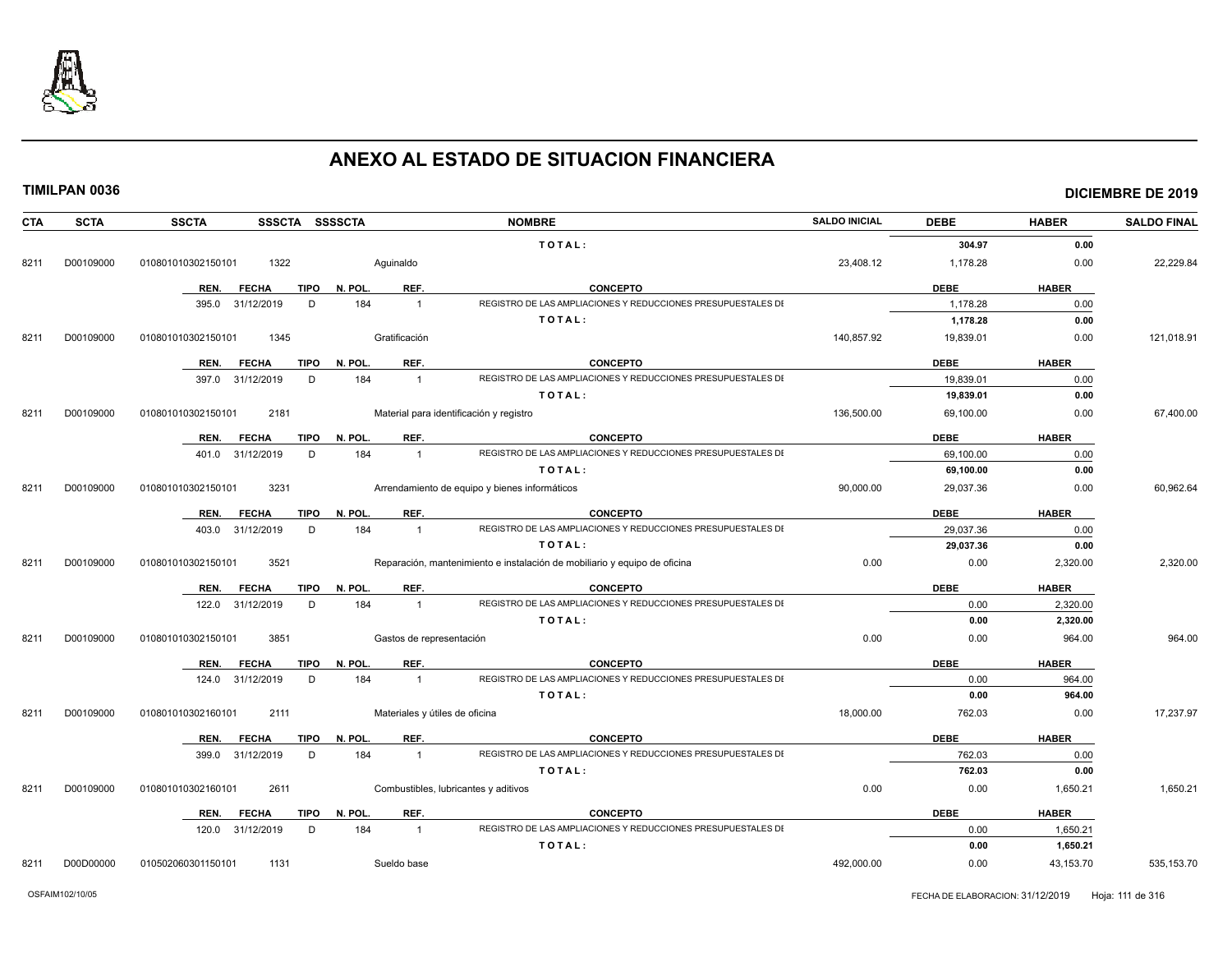

| <b>CTA</b> | <b>SCTA</b> | <b>SSCTA</b><br>SSSCTA SSSSCTA                        |                                        | <b>NOMBRE</b>                                                                   | <b>SALDO INICIAL</b> | <b>DEBE</b>         | <b>HABER</b>             | <b>SALDO FINAL</b> |
|------------|-------------|-------------------------------------------------------|----------------------------------------|---------------------------------------------------------------------------------|----------------------|---------------------|--------------------------|--------------------|
|            |             |                                                       |                                        | TOTAL:                                                                          |                      | 304.97              | 0.00                     |                    |
| 8211       | D00109000   | 010801010302150101<br>1322                            | Aguinaldo                              |                                                                                 | 23,408.12            | 1,178.28            | 0.00                     | 22,229.84          |
|            |             | REN.<br><b>FECHA</b><br>TIPO                          | N. POL.<br>REF.                        | <b>CONCEPTO</b>                                                                 |                      | <b>DEBE</b>         | <b>HABER</b>             |                    |
|            |             | 395.0 31/12/2019<br>D                                 | 184<br>$\mathbf{1}$                    | REGISTRO DE LAS AMPLIACIONES Y REDUCCIONES PRESUPUESTALES DI                    |                      | 1,178.28            | 0.00                     |                    |
|            |             |                                                       |                                        | TOTAL:                                                                          |                      | 1,178.28            | 0.00                     |                    |
| 8211       | D00109000   | 010801010302150101<br>1345                            | Gratificación                          |                                                                                 | 140.857.92           | 19,839.01           | 0.00                     | 121,018.91         |
|            |             |                                                       |                                        |                                                                                 |                      |                     |                          |                    |
|            |             | REN.<br><b>FECHA</b><br>TIPO                          | REF.<br>N. POL.                        | <b>CONCEPTO</b>                                                                 |                      | <b>DEBE</b>         | <b>HABER</b>             |                    |
|            |             | 397.0 31/12/2019<br>D                                 | 184<br>$\mathbf{1}$                    | REGISTRO DE LAS AMPLIACIONES Y REDUCCIONES PRESUPUESTALES DI                    |                      | 19.839.01           | 0.00                     |                    |
|            |             |                                                       |                                        | TOTAL:                                                                          |                      | 19,839.01           | 0.00                     |                    |
| 8211       | D00109000   | 010801010302150101<br>2181                            |                                        | Material para identificación y registro                                         | 136,500.00           | 69,100.00           | 0.00                     | 67,400.00          |
|            |             | <b>FECHA</b><br>TIPO<br>REN.                          | REF.<br>N. POL.                        | <b>CONCEPTO</b>                                                                 |                      | <b>DEBE</b>         | <b>HABER</b>             |                    |
|            |             | 401.0 31/12/2019<br>D                                 | 184<br>$\mathbf{1}$                    | REGISTRO DE LAS AMPLIACIONES Y REDUCCIONES PRESUPUESTALES DI                    |                      | 69,100.00           | 0.00                     |                    |
|            |             |                                                       |                                        | TOTAL:                                                                          |                      | 69,100.00           | 0.00                     |                    |
| 8211       | D00109000   | 010801010302150101<br>3231                            |                                        | Arrendamiento de equipo y bienes informáticos                                   | 90.000.00            | 29,037.36           | 0.00                     | 60,962.64          |
|            |             | <b>FECHA</b><br><b>TIPO</b><br>REN.                   | REF.<br>N. POL.                        | <b>CONCEPTO</b>                                                                 |                      | <b>DEBE</b>         | <b>HABER</b>             |                    |
|            |             | 403.0 31/12/2019<br>D                                 | 184<br>$\mathbf{1}$                    | REGISTRO DE LAS AMPLIACIONES Y REDUCCIONES PRESUPUESTALES DI                    |                      | 29,037.36           | 0.00                     |                    |
|            |             |                                                       |                                        | TOTAL:                                                                          |                      | 29,037.36           | 0.00                     |                    |
| 8211       | D00109000   | 3521<br>010801010302150101                            |                                        | Reparación, mantenimiento e instalación de mobiliario y equipo de oficina       | 0.00                 | 0.00                | 2,320.00                 | 2,320.00           |
|            |             |                                                       |                                        |                                                                                 |                      |                     |                          |                    |
|            |             | REN.<br><b>FECHA</b><br>TIPO<br>122.0 31/12/2019<br>D | N. POL.<br>REF.<br>184<br>$\mathbf{1}$ | <b>CONCEPTO</b><br>REGISTRO DE LAS AMPLIACIONES Y REDUCCIONES PRESUPUESTALES DI |                      | <b>DEBE</b><br>0.00 | <b>HABER</b><br>2,320.00 |                    |
|            |             |                                                       |                                        | TOTAL:                                                                          |                      | 0.00                | 2,320.00                 |                    |
| 8211       | D00109000   | 3851<br>010801010302150101                            | Gastos de representación               |                                                                                 | 0.00                 | 0.00                | 964.00                   | 964.00             |
|            |             |                                                       |                                        |                                                                                 |                      |                     |                          |                    |
|            |             | <b>FECHA</b><br><b>TIPO</b><br>REN.                   | REF.<br>N. POL.                        | <b>CONCEPTO</b>                                                                 |                      | <b>DEBE</b>         | <b>HABER</b>             |                    |
|            |             | 124.0 31/12/2019<br>D                                 | 184<br>$\mathbf{1}$                    | REGISTRO DE LAS AMPLIACIONES Y REDUCCIONES PRESUPUESTALES DI                    |                      | 0.00                | 964.00                   |                    |
|            |             |                                                       |                                        | TOTAL:                                                                          |                      | 0.00                | 964.00                   |                    |
| 8211       | D00109000   | 010801010302160101<br>2111                            | Materiales y útiles de oficina         |                                                                                 | 18.000.00            | 762.03              | 0.00                     | 17,237.97          |
|            |             | TIPO<br>REN.<br><b>FECHA</b>                          | REF.<br>N. POL.                        | <b>CONCEPTO</b>                                                                 |                      | <b>DEBE</b>         | <b>HABER</b>             |                    |
|            |             | 399.0 31/12/2019<br>D                                 | 184<br>$\overline{1}$                  | REGISTRO DE LAS AMPLIACIONES Y REDUCCIONES PRESUPUESTALES DI                    |                      | 762.03              | 0.00                     |                    |
|            |             |                                                       |                                        | TOTAL:                                                                          |                      | 762.03              | 0.00                     |                    |
| 8211       | D00109000   | 010801010302160101<br>2611                            |                                        | Combustibles, lubricantes y aditivos                                            | 0.00                 | 0.00                | 1,650.21                 | 1,650.21           |
|            |             | <b>FECHA</b><br>REN.<br>TIPO                          | REF.<br>N. POL.                        | <b>CONCEPTO</b>                                                                 |                      | <b>DEBE</b>         | <b>HABER</b>             |                    |
|            |             | 120.0 31/12/2019<br>D                                 | 184<br>$\mathbf{1}$                    | REGISTRO DE LAS AMPLIACIONES Y REDUCCIONES PRESUPUESTALES DI                    |                      | 0.00                | 1,650.21                 |                    |
|            |             |                                                       |                                        | TOTAL:                                                                          |                      | 0.00                | 1,650.21                 |                    |
| 8211       | D00D00000   | 010502060301150101<br>1131                            | Sueldo base                            |                                                                                 | 492,000.00           | 0.00                | 43,153.70                | 535, 153.70        |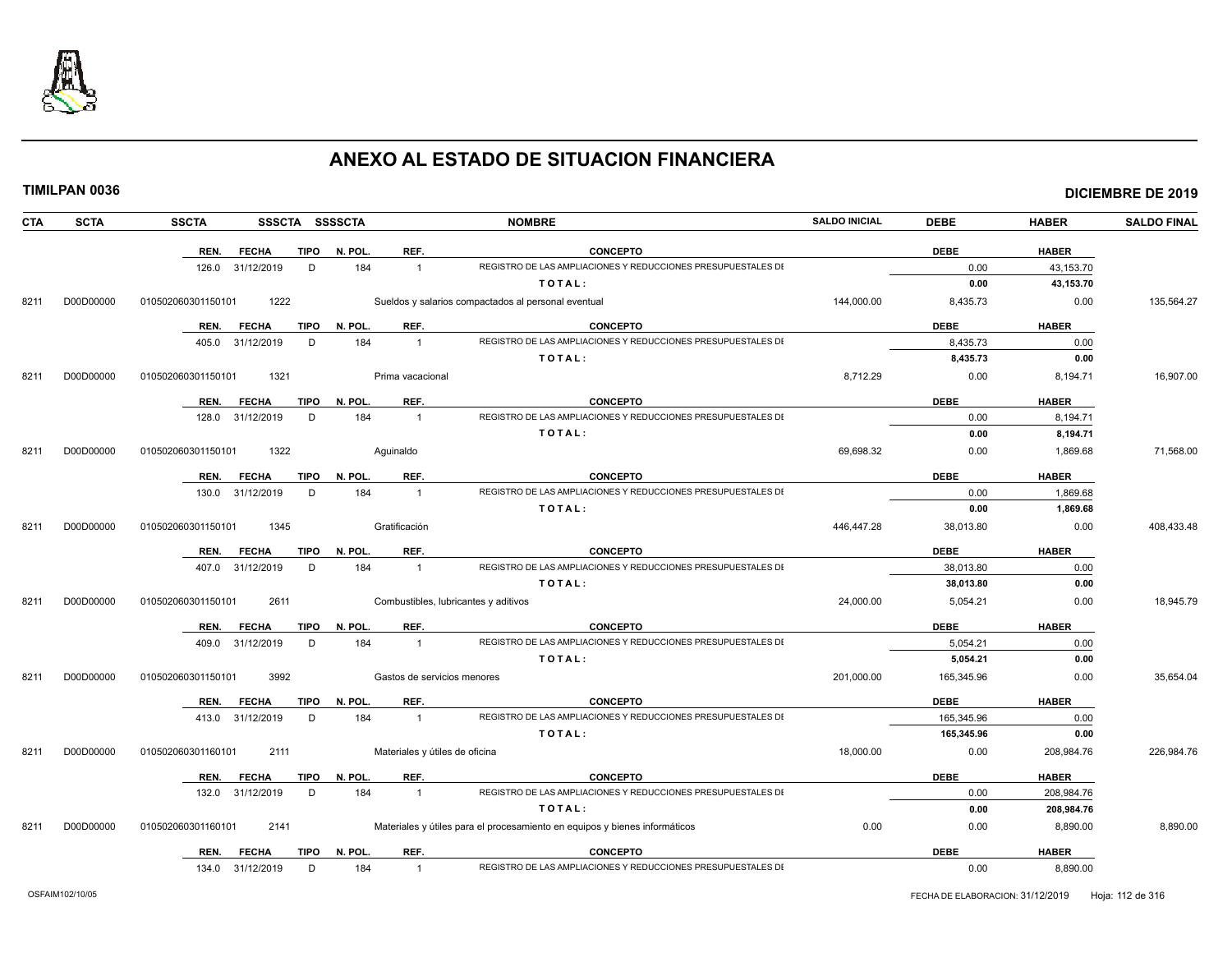

|--|

|  | TIMILPAN 0036 |
|--|---------------|
|--|---------------|

| <b>CTA</b> | <b>SCTA</b> | <b>SSCTA</b>       |                  |             | SSSCTA SSSSCTA |                  | <b>NOMBRE</b>                                                              | <b>SALDO INICIAL</b> | <b>DEBE</b> | <b>HABER</b> | <b>SALDO FINAL</b> |
|------------|-------------|--------------------|------------------|-------------|----------------|------------------|----------------------------------------------------------------------------|----------------------|-------------|--------------|--------------------|
|            |             | REN.               | <b>FECHA</b>     | <b>TIPO</b> | N. POL.        | REF.             | <b>CONCEPTO</b>                                                            |                      | <b>DEBE</b> | <b>HABER</b> |                    |
|            |             |                    | 126.0 31/12/2019 | D           | 184            | $\overline{1}$   | REGISTRO DE LAS AMPLIACIONES Y REDUCCIONES PRESUPUESTALES DI               |                      | 0.00        | 43,153.70    |                    |
|            |             |                    |                  |             |                |                  | TOTAL:                                                                     |                      | 0.00        | 43,153.70    |                    |
| 8211       | D00D00000   | 010502060301150101 | 1222             |             |                |                  | Sueldos y salarios compactados al personal eventual                        | 144.000.00           | 8,435.73    | 0.00         | 135,564.27         |
|            |             | REN.               | <b>FECHA</b>     | <b>TIPO</b> | N. POL.        | REF.             | <b>CONCEPTO</b>                                                            |                      | <b>DEBE</b> | <b>HABER</b> |                    |
|            |             | 405.0              | 31/12/2019       | D           | 184            | $\mathbf{1}$     | REGISTRO DE LAS AMPLIACIONES Y REDUCCIONES PRESUPUESTALES DI               |                      | 8,435.73    | 0.00         |                    |
|            |             |                    |                  |             |                |                  | TOTAL:                                                                     |                      | 8,435.73    | 0.00         |                    |
| 8211       | D00D00000   | 010502060301150101 | 1321             |             |                | Prima vacacional |                                                                            | 8,712.29             | 0.00        | 8,194.71     | 16,907.00          |
|            |             | REN.               | <b>FECHA</b>     | TIPO        | N. POL.        | REF.             | <b>CONCEPTO</b>                                                            |                      | <b>DEBE</b> | <b>HABER</b> |                    |
|            |             | 128.0              | 31/12/2019       | D           | 184            | $\overline{1}$   | REGISTRO DE LAS AMPLIACIONES Y REDUCCIONES PRESUPUESTALES DI               |                      | 0.00        | 8,194.71     |                    |
|            |             |                    |                  |             |                |                  | TOTAL:                                                                     |                      | 0.00        | 8,194.71     |                    |
| 8211       | D00D00000   | 010502060301150101 | 1322             |             |                | Aguinaldo        |                                                                            | 69,698.32            | 0.00        | 1,869.68     | 71,568.00          |
|            |             | REN.               | <b>FECHA</b>     | <b>TIPO</b> | N. POL.        | REF.             | <b>CONCEPTO</b>                                                            |                      | <b>DEBE</b> | <b>HABER</b> |                    |
|            |             | 130.0              | 31/12/2019       | D           | 184            | $\overline{1}$   | REGISTRO DE LAS AMPLIACIONES Y REDUCCIONES PRESUPUESTALES DI               |                      | 0.00        | 1,869.68     |                    |
|            |             |                    |                  |             |                |                  | TOTAL:                                                                     |                      | 0.00        | 1,869.68     |                    |
| 8211       | D00D00000   | 010502060301150101 | 1345             |             |                | Gratificación    |                                                                            | 446,447.28           | 38,013.80   | 0.00         | 408,433.48         |
|            |             | REN.               | <b>FECHA</b>     | TIPO        | N. POL.        | REF.             | <b>CONCEPTO</b>                                                            |                      | <b>DEBE</b> | <b>HABER</b> |                    |
|            |             | 407.0              | 31/12/2019       | D           | 184            | $\overline{1}$   | REGISTRO DE LAS AMPLIACIONES Y REDUCCIONES PRESUPUESTALES DI               |                      | 38,013.80   | 0.00         |                    |
|            |             |                    |                  |             |                |                  | TOTAL:                                                                     |                      | 38,013.80   | 0.00         |                    |
| 8211       | D00D00000   | 010502060301150101 | 2611             |             |                |                  | Combustibles, lubricantes y aditivos                                       | 24,000.00            | 5,054.21    | 0.00         | 18,945.79          |
|            |             | REN.               | <b>FECHA</b>     | TIPO        | N. POL.        | REF.             | <b>CONCEPTO</b>                                                            |                      | <b>DEBE</b> | <b>HABER</b> |                    |
|            |             | 409.0              | 31/12/2019       | D           | 184            | $\overline{1}$   | REGISTRO DE LAS AMPLIACIONES Y REDUCCIONES PRESUPUESTALES DI               |                      | 5,054.21    | 0.00         |                    |
|            |             |                    |                  |             |                |                  | TOTAL:                                                                     |                      | 5,054.21    | 0.00         |                    |
| 8211       | D00D00000   | 010502060301150101 | 3992             |             |                |                  | Gastos de servicios menores                                                | 201,000.00           | 165,345.96  | 0.00         | 35,654.04          |
|            |             | REN.               | <b>FECHA</b>     | <b>TIPO</b> | N. POL.        | REF.             | <b>CONCEPTO</b>                                                            |                      | <b>DEBE</b> | <b>HABER</b> |                    |
|            |             | 413.0              | 31/12/2019       | D           | 184            | $\overline{1}$   | REGISTRO DE LAS AMPLIACIONES Y REDUCCIONES PRESUPUESTALES DI               |                      | 165,345.96  | 0.00         |                    |
|            |             |                    |                  |             |                |                  | TOTAL:                                                                     |                      | 165,345.96  | 0.00         |                    |
| 8211       | D00D00000   | 010502060301160101 | 2111             |             |                |                  | Materiales y útiles de oficina                                             | 18,000.00            | 0.00        | 208,984.76   | 226,984.76         |
|            |             | REN.               | <b>FECHA</b>     | <b>TIPO</b> | N. POL         | REF.             | <b>CONCEPTO</b>                                                            |                      | <b>DEBE</b> | <b>HABER</b> |                    |
|            |             | 132.0              | 31/12/2019       | D           | 184            | $\overline{1}$   | REGISTRO DE LAS AMPLIACIONES Y REDUCCIONES PRESUPUESTALES DI               |                      | 0.00        | 208,984.76   |                    |
|            |             |                    |                  |             |                |                  | TOTAL:                                                                     |                      | 0.00        | 208,984.76   |                    |
| 8211       | D00D00000   | 010502060301160101 | 2141             |             |                |                  | Materiales y útiles para el procesamiento en equipos y bienes informáticos | 0.00                 | 0.00        | 8,890.00     | 8,890.00           |
|            |             | REN.               | <b>FECHA</b>     | TIPO        | N. POL.        | REF.             | <b>CONCEPTO</b>                                                            |                      | <b>DEBE</b> | <b>HABER</b> |                    |
|            |             |                    | 134.0 31/12/2019 | D           | 184            | $\overline{1}$   | REGISTRO DE LAS AMPLIACIONES Y REDUCCIONES PRESUPUESTALES DI               |                      | 0.00        | 8,890.00     |                    |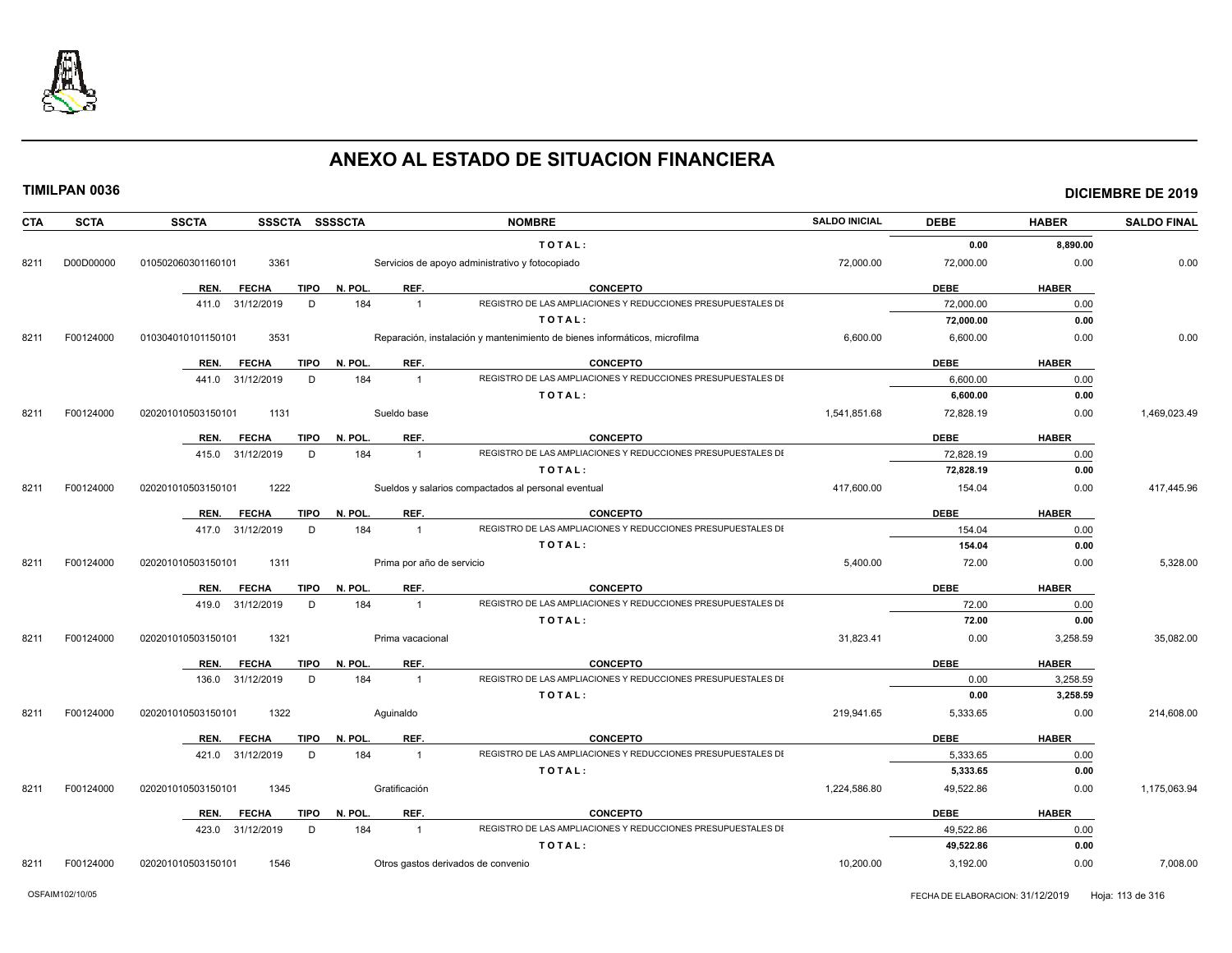

| <b>CTA</b> | <b>SCTA</b> | SSSCTA SSSSCTA<br><b>SSCTA</b>      |                                    | <b>NOMBRE</b>                                                              | <b>SALDO INICIAL</b> | <b>DEBE</b> | <b>HABER</b> | <b>SALDO FINAL</b> |
|------------|-------------|-------------------------------------|------------------------------------|----------------------------------------------------------------------------|----------------------|-------------|--------------|--------------------|
|            |             |                                     |                                    | TOTAL:                                                                     |                      | 0.00        | 8.890.00     |                    |
| 8211       | D00D00000   | 3361<br>010502060301160101          |                                    | Servicios de apoyo administrativo y fotocopiado                            | 72,000.00            | 72,000.00   | 0.00         | 0.00               |
|            |             | REN.<br><b>FECHA</b><br>TIPO        | REF.<br>N. POL.                    | <b>CONCEPTO</b>                                                            |                      | <b>DEBE</b> | <b>HABER</b> |                    |
|            |             | 31/12/2019<br>D<br>411.0            | 184<br>$\overline{1}$              | REGISTRO DE LAS AMPLIACIONES Y REDUCCIONES PRESUPUESTALES DI               |                      | 72,000.00   | 0.00         |                    |
|            |             |                                     |                                    | TOTAL:                                                                     |                      | 72,000.00   | 0.00         |                    |
| 8211       | F00124000   | 3531<br>010304010101150101          |                                    | Reparación, instalación y mantenimiento de bienes informáticos, microfilma | 6.600.00             | 6,600.00    | 0.00         | 0.00               |
|            |             | <b>FECHA</b><br>TIPO<br>REN.        | REF.<br>N. POL.                    | <b>CONCEPTO</b>                                                            |                      | <b>DEBE</b> | <b>HABER</b> |                    |
|            |             | 31/12/2019<br>D<br>441.0            | 184<br>$\overline{1}$              | REGISTRO DE LAS AMPLIACIONES Y REDUCCIONES PRESUPUESTALES DI               |                      | 6.600.00    | 0.00         |                    |
|            |             |                                     |                                    | TOTAL:                                                                     |                      | 6,600.00    | 0.00         |                    |
| 8211       | F00124000   | 1131<br>020201010503150101          | Sueldo base                        |                                                                            | 1,541,851.68         | 72,828.19   | 0.00         | 1,469,023.49       |
|            |             | <b>TIPO</b><br>REN.<br><b>FECHA</b> | REF.<br>N. POL.                    | <b>CONCEPTO</b>                                                            |                      | <b>DEBE</b> | <b>HABER</b> |                    |
|            |             | 31/12/2019<br>D<br>415.0            | 184<br>$\overline{1}$              | REGISTRO DE LAS AMPLIACIONES Y REDUCCIONES PRESUPUESTALES DI               |                      | 72,828.19   | 0.00         |                    |
|            |             |                                     |                                    | TOTAL:                                                                     |                      | 72.828.19   | 0.00         |                    |
| 8211       | F00124000   | 020201010503150101<br>1222          |                                    | Sueldos y salarios compactados al personal eventual                        | 417,600.00           | 154.04      | 0.00         | 417,445.96         |
|            |             | REN.<br><b>FECHA</b><br><b>TIPO</b> | REF.<br>N. POL.                    | <b>CONCEPTO</b>                                                            |                      | <b>DEBE</b> | <b>HABER</b> |                    |
|            |             | 417.0 31/12/2019<br>D               | 184<br>$\overline{1}$              | REGISTRO DE LAS AMPLIACIONES Y REDUCCIONES PRESUPUESTALES DI               |                      | 154.04      | 0.00         |                    |
|            |             |                                     |                                    | TOTAL:                                                                     |                      | 154.04      | 0.00         |                    |
| 8211       | F00124000   | 1311<br>020201010503150101          | Prima por año de servicio          |                                                                            | 5,400.00             | 72.00       | 0.00         | 5.328.00           |
|            |             | <b>FECHA</b><br>TIPO<br>REN.        | REF.<br>N. POL.                    | <b>CONCEPTO</b>                                                            |                      | <b>DEBE</b> | <b>HABER</b> |                    |
|            |             | 31/12/2019<br>D<br>419.0            | 184<br>$\overline{1}$              | REGISTRO DE LAS AMPLIACIONES Y REDUCCIONES PRESUPUESTALES DI               |                      | 72.00       | 0.00         |                    |
|            |             |                                     |                                    | TOTAL:                                                                     |                      | 72.00       | 0.00         |                    |
| 8211       | F00124000   | 1321<br>020201010503150101          | Prima vacacional                   |                                                                            | 31,823.41            | 0.00        | 3,258.59     | 35,082.00          |
|            |             | <b>TIPO</b><br>REN.<br><b>FECHA</b> | REF.<br>N. POL.                    | <b>CONCEPTO</b>                                                            |                      | <b>DEBE</b> | <b>HABER</b> |                    |
|            |             | 31/12/2019<br>136.0<br>D            | 184<br>$\mathbf{1}$                | REGISTRO DE LAS AMPLIACIONES Y REDUCCIONES PRESUPUESTALES DI               |                      | 0.00        | 3,258.59     |                    |
|            |             |                                     |                                    | TOTAL:                                                                     |                      | 0.00        | 3,258.59     |                    |
| 8211       | F00124000   | 1322<br>020201010503150101          | Aquinaldo                          |                                                                            | 219,941.65           | 5,333.65    | 0.00         | 214,608.00         |
|            |             | REN.<br><b>FECHA</b><br><b>TIPO</b> | REF.<br>N. POL.                    | <b>CONCEPTO</b>                                                            |                      | <b>DEBE</b> | <b>HABER</b> |                    |
|            |             | 31/12/2019<br>D<br>421.0            | 184<br>$\overline{1}$              | REGISTRO DE LAS AMPLIACIONES Y REDUCCIONES PRESUPUESTALES DI               |                      | 5,333.65    | 0.00         |                    |
|            |             |                                     |                                    | TOTAL:                                                                     |                      | 5,333.65    | 0.00         |                    |
| 8211       | F00124000   | 020201010503150101<br>1345          | Gratificación                      |                                                                            | 1.224.586.80         | 49,522.86   | 0.00         | 1,175,063.94       |
|            |             | <b>TIPO</b><br>REN.<br><b>FECHA</b> | REF.<br>N. POL                     | <b>CONCEPTO</b>                                                            |                      | <b>DEBE</b> | <b>HABER</b> |                    |
|            |             | 31/12/2019<br>423.0<br>D            | 184<br>$\mathbf{1}$                | REGISTRO DE LAS AMPLIACIONES Y REDUCCIONES PRESUPUESTALES DI               |                      | 49,522.86   | 0.00         |                    |
|            |             |                                     |                                    | TOTAL:                                                                     |                      | 49,522.86   | 0.00         |                    |
| 8211       | F00124000   | 1546<br>020201010503150101          | Otros gastos derivados de convenio |                                                                            | 10.200.00            | 3,192.00    | 0.00         | 7.008.00           |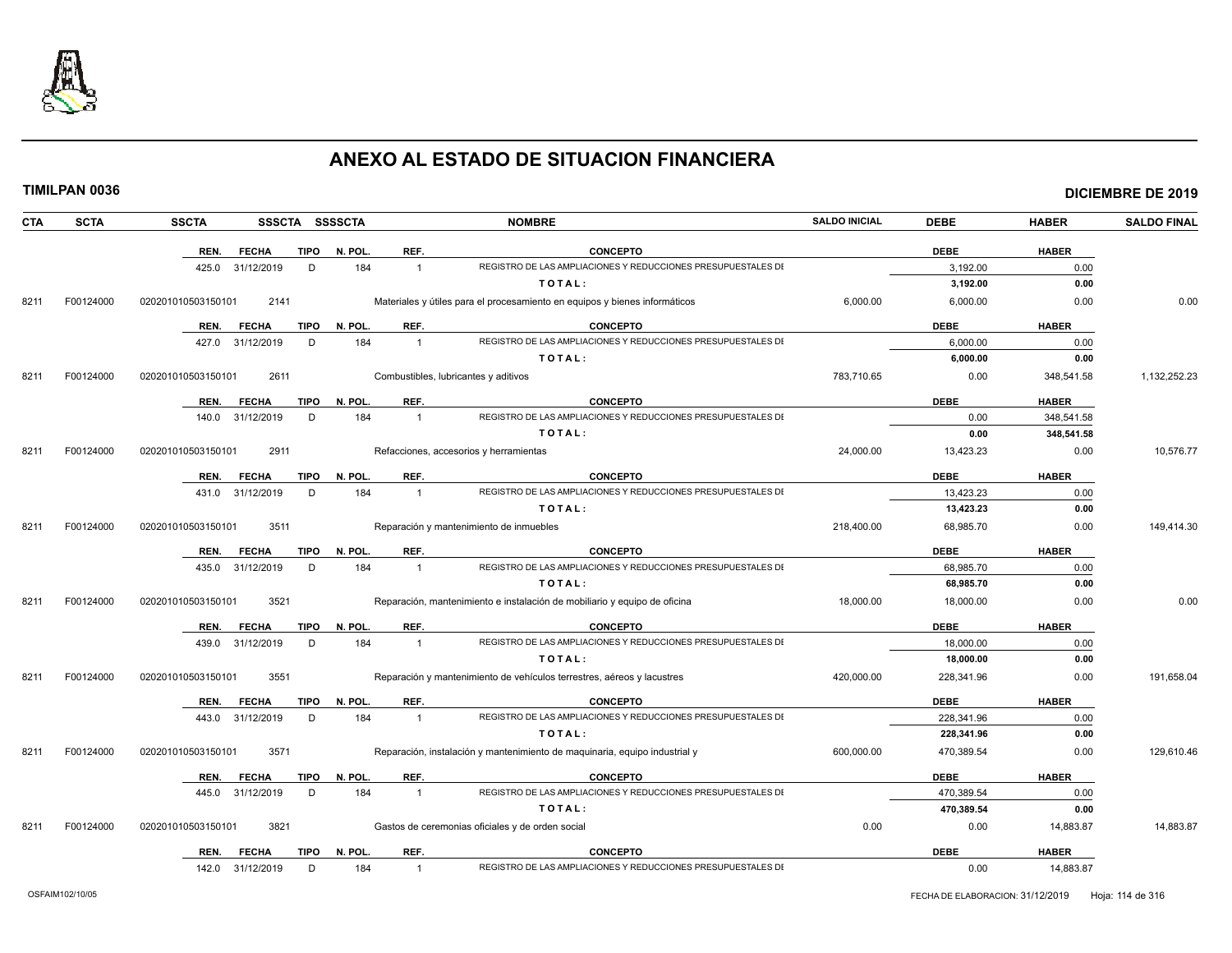

|--|

|  | TIMILPAN 0036 |
|--|---------------|
|--|---------------|

| CTA  | <b>SCTA</b> | <b>SSCTA</b>       | SSSCTA SSSSCTA              |         |                | <b>NOMBRE</b>                                                              | <b>SALDO INICIAL</b> | <b>DEBE</b> | <b>HABER</b> | <b>SALDO FINAL</b> |
|------|-------------|--------------------|-----------------------------|---------|----------------|----------------------------------------------------------------------------|----------------------|-------------|--------------|--------------------|
|      |             | REN.               | <b>TIPO</b><br><b>FECHA</b> | N. POL. | REF.           | <b>CONCEPTO</b>                                                            |                      | <b>DEBE</b> | <b>HABER</b> |                    |
|      |             | 425.0              | D<br>31/12/2019             | 184     | $\overline{1}$ | REGISTRO DE LAS AMPLIACIONES Y REDUCCIONES PRESUPUESTALES DI               |                      | 3,192.00    | 0.00         |                    |
|      |             |                    |                             |         |                | TOTAL:                                                                     |                      | 3,192.00    | 0.00         |                    |
| 8211 | F00124000   | 020201010503150101 | 2141                        |         |                | Materiales y útiles para el procesamiento en equipos y bienes informáticos | 6,000.00             | 6,000.00    | 0.00         | 0.00               |
|      |             | REN.               | <b>FECHA</b><br>TIPO        | N. POL. | REF.           | <b>CONCEPTO</b>                                                            |                      | <b>DEBE</b> | <b>HABER</b> |                    |
|      |             | 427.0              | 31/12/2019<br>D             | 184     | $\mathbf{1}$   | REGISTRO DE LAS AMPLIACIONES Y REDUCCIONES PRESUPUESTALES DI               |                      | 6,000.00    | 0.00         |                    |
|      |             |                    |                             |         |                | TOTAL:                                                                     |                      | 6,000.00    | 0.00         |                    |
| 8211 | F00124000   | 020201010503150101 | 2611                        |         |                | Combustibles, lubricantes y aditivos                                       | 783,710.65           | 0.00        | 348,541.58   | 1,132,252.23       |
|      |             | REN.               | <b>TIPO</b><br><b>FECHA</b> | N. POL. | REF.           | <b>CONCEPTO</b>                                                            |                      | <b>DEBE</b> | <b>HABER</b> |                    |
|      |             | 140.0              | 31/12/2019<br>D             | 184     | $\overline{1}$ | REGISTRO DE LAS AMPLIACIONES Y REDUCCIONES PRESUPUESTALES DI               |                      | 0.00        | 348,541.58   |                    |
|      |             |                    |                             |         |                | TOTAL:                                                                     |                      | 0.00        | 348,541.58   |                    |
| 8211 | F00124000   | 020201010503150101 | 2911                        |         |                | Refacciones, accesorios y herramientas                                     | 24,000.00            | 13,423.23   | 0.00         | 10,576.77          |
|      |             | REN.               | <b>TIPO</b><br><b>FECHA</b> | N. POL  | REF.           | <b>CONCEPTO</b>                                                            |                      | <b>DEBE</b> | <b>HABER</b> |                    |
|      |             | 431.0              | 31/12/2019<br>D             | 184     | $\mathbf{1}$   | REGISTRO DE LAS AMPLIACIONES Y REDUCCIONES PRESUPUESTALES DI               |                      | 13,423.23   | 0.00         |                    |
|      |             |                    |                             |         |                | TOTAL:                                                                     |                      | 13,423.23   | 0.00         |                    |
| 8211 | F00124000   | 020201010503150101 | 3511                        |         |                | Reparación y mantenimiento de inmuebles                                    | 218,400.00           | 68,985.70   | 0.00         | 149,414.30         |
|      |             | REN.               | <b>FECHA</b><br>TIPO        | N. POL  | REF.           | <b>CONCEPTO</b>                                                            |                      | <b>DEBE</b> | <b>HABER</b> |                    |
|      |             | 435.0              | 31/12/2019<br>D             | 184     | $\mathbf{1}$   | REGISTRO DE LAS AMPLIACIONES Y REDUCCIONES PRESUPUESTALES DI               |                      | 68.985.70   | 0.00         |                    |
|      |             |                    |                             |         |                | TOTAL:                                                                     |                      | 68,985.70   | 0.00         |                    |
| 8211 | F00124000   | 020201010503150101 | 3521                        |         |                | Reparación, mantenimiento e instalación de mobiliario y equipo de oficina  | 18.000.00            | 18,000.00   | 0.00         | 0.00               |
|      |             | REN.               | TIPO<br><b>FECHA</b>        | N. POL. | REF.           | <b>CONCEPTO</b>                                                            |                      | <b>DEBE</b> | <b>HABER</b> |                    |
|      |             | 439.0              | 31/12/2019<br>D             | 184     | $\mathbf{1}$   | REGISTRO DE LAS AMPLIACIONES Y REDUCCIONES PRESUPUESTALES DI               |                      | 18,000.00   | 0.00         |                    |
|      |             |                    |                             |         |                | TOTAL:                                                                     |                      | 18,000.00   | 0.00         |                    |
| 8211 | F00124000   | 020201010503150101 | 3551                        |         |                | Reparación y mantenimiento de vehículos terrestres, aéreos y lacustres     | 420,000.00           | 228,341.96  | 0.00         | 191,658.04         |
|      |             | REN.               | <b>TIPO</b><br><b>FECHA</b> | N. POL. | REF.           | <b>CONCEPTO</b>                                                            |                      | <b>DEBE</b> | <b>HABER</b> |                    |
|      |             | 443.0              | 31/12/2019<br>D             | 184     | $\mathbf{1}$   | REGISTRO DE LAS AMPLIACIONES Y REDUCCIONES PRESUPUESTALES DI               |                      | 228,341.96  | 0.00         |                    |
|      |             |                    |                             |         |                | TOTAL:                                                                     |                      | 228,341.96  | 0.00         |                    |
| 8211 | F00124000   | 020201010503150101 | 3571                        |         |                | Reparación, instalación y mantenimiento de maquinaria, equipo industrial y | 600,000.00           | 470,389.54  | 0.00         | 129,610.46         |
|      |             | REN.               | <b>TIPO</b><br><b>FECHA</b> | N. POL  | REF.           | <b>CONCEPTO</b>                                                            |                      | <b>DEBE</b> | <b>HABER</b> |                    |
|      |             | 445.0              | 31/12/2019<br>D             | 184     | $\mathbf{1}$   | REGISTRO DE LAS AMPLIACIONES Y REDUCCIONES PRESUPUESTALES DI               |                      | 470,389.54  | 0.00         |                    |
|      |             |                    |                             |         |                | TOTAL:                                                                     |                      | 470,389.54  | 0.00         |                    |
| 8211 | F00124000   | 020201010503150101 | 3821                        |         |                | Gastos de ceremonias oficiales y de orden social                           | 0.00                 | 0.00        | 14,883.87    | 14,883.87          |
|      |             | REN.               | <b>FECHA</b><br>TIPO        | N. POL. | REF.           | <b>CONCEPTO</b>                                                            |                      | <b>DEBE</b> | <b>HABER</b> |                    |
|      |             | 142.0              | 31/12/2019<br>D             | 184     | $\mathbf{1}$   | REGISTRO DE LAS AMPLIACIONES Y REDUCCIONES PRESUPUESTALES DI               |                      | 0.00        | 14,883.87    |                    |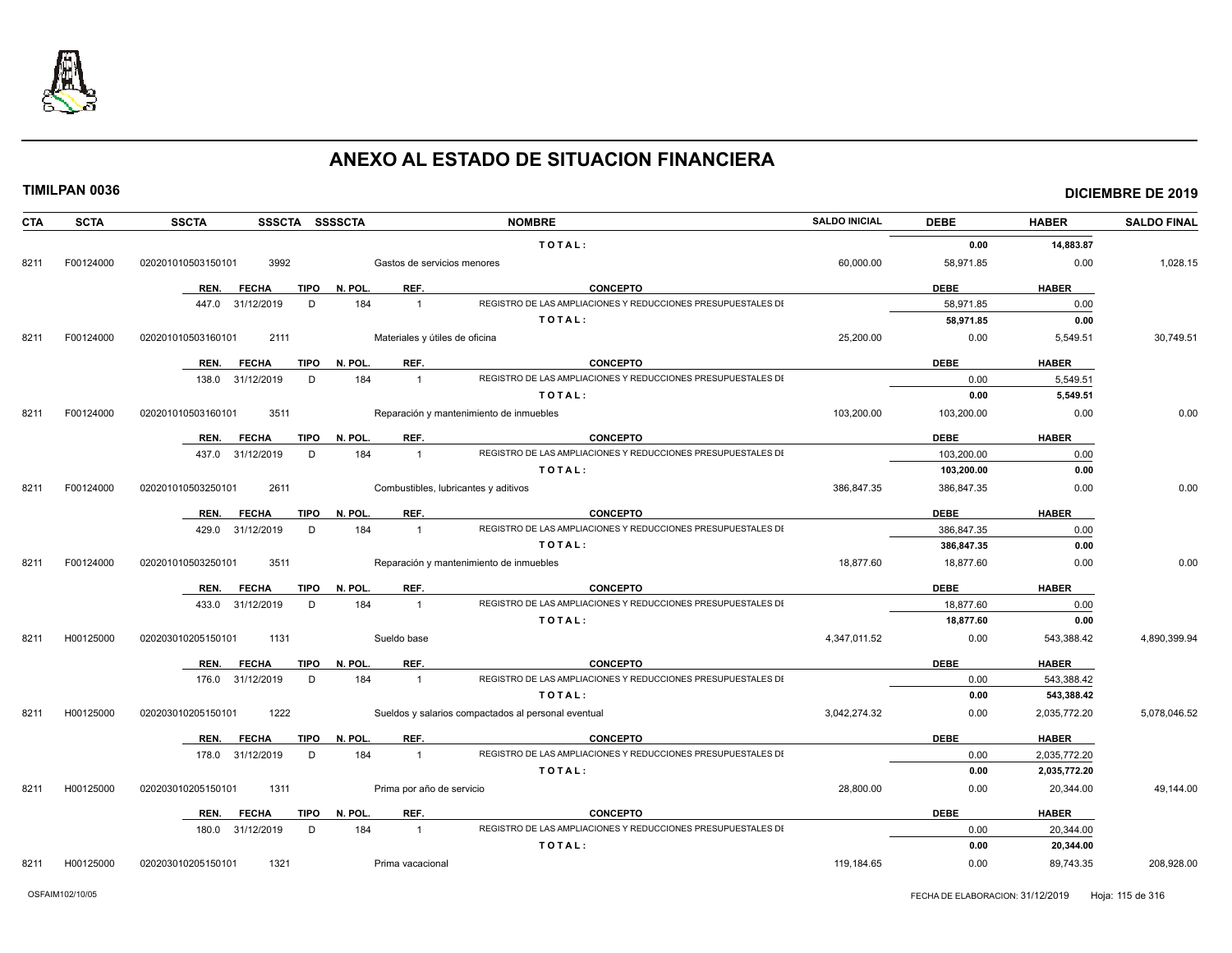

### **TIMILPAN 0036 DICIEMBRE DE 2019**

| CTA  | <b>SCTA</b> | <b>SSCTA</b><br>SSSCTA SSSSCTA      |                                | <b>NOMBRE</b>                                                                   | <b>SALDO INICIAL</b> | <b>DEBE</b>  | <b>HABER</b> | <b>SALDO FINAL</b> |
|------|-------------|-------------------------------------|--------------------------------|---------------------------------------------------------------------------------|----------------------|--------------|--------------|--------------------|
|      |             |                                     |                                | TOTAL:                                                                          |                      | 0.00         | 14,883.87    |                    |
| 8211 | F00124000   | 020201010503150101<br>3992          | Gastos de servicios menores    |                                                                                 | 60,000.00            | 58,971.85    | 0.00         | 1,028.15           |
|      |             | TIPO<br>REN.<br><b>FECHA</b>        | REF.<br>N. POL.                | <b>CONCEPTO</b>                                                                 |                      | <b>DEBE</b>  | <b>HABER</b> |                    |
|      |             | D<br>447.0 31/12/2019               | 184<br>$\overline{1}$          | REGISTRO DE LAS AMPLIACIONES Y REDUCCIONES PRESUPUESTALES DI                    |                      | 58,971.85    | 0.00         |                    |
|      |             |                                     |                                | TOTAL:                                                                          |                      | 58,971.85    | 0.00         |                    |
| 8211 | F00124000   | 2111<br>020201010503160101          | Materiales y útiles de oficina |                                                                                 | 25,200.00            | 0.00         | 5,549.51     | 30,749.51          |
|      |             |                                     |                                |                                                                                 |                      |              |              |                    |
|      |             | REN.<br><b>FECHA</b><br><b>TIPO</b> | REF.<br>N. POL.                | <b>CONCEPTO</b><br>REGISTRO DE LAS AMPLIACIONES Y REDUCCIONES PRESUPUESTALES DI |                      | <b>DEBE</b>  | <b>HABER</b> |                    |
|      |             | 138.0 31/12/2019<br>D               | 184<br>$\overline{1}$          |                                                                                 |                      | 0.00<br>0.00 | 5,549.51     |                    |
|      |             |                                     |                                | TOTAL:                                                                          |                      |              | 5,549.51     |                    |
| 8211 | F00124000   | 020201010503160101<br>3511          |                                | Reparación y mantenimiento de inmuebles                                         | 103,200.00           | 103,200.00   | 0.00         | 0.00               |
|      |             | REN.<br><b>FECHA</b><br><b>TIPO</b> | REF.<br>N. POL.                | <b>CONCEPTO</b>                                                                 |                      | <b>DEBE</b>  | <b>HABER</b> |                    |
|      |             | 437.0 31/12/2019<br>D               | 184<br>$\overline{1}$          | REGISTRO DE LAS AMPLIACIONES Y REDUCCIONES PRESUPUESTALES DI                    |                      | 103,200.00   | 0.00         |                    |
|      |             |                                     |                                | TOTAL:                                                                          |                      | 103,200.00   | 0.00         |                    |
| 8211 | F00124000   | 020201010503250101<br>2611          |                                | Combustibles, lubricantes y aditivos                                            | 386,847.35           | 386,847.35   | 0.00         | 0.00               |
|      |             | <b>TIPO</b><br>REN.<br><b>FECHA</b> | N. POL.<br>REF.                | <b>CONCEPTO</b>                                                                 |                      | <b>DEBE</b>  | <b>HABER</b> |                    |
|      |             | D<br>429.0 31/12/2019               | 184<br>$\overline{1}$          | REGISTRO DE LAS AMPLIACIONES Y REDUCCIONES PRESUPUESTALES DI                    |                      | 386,847.35   | 0.00         |                    |
|      |             |                                     |                                | TOTAL:                                                                          |                      | 386.847.35   | 0.00         |                    |
| 8211 | F00124000   | 020201010503250101<br>3511          |                                | Reparación y mantenimiento de inmuebles                                         | 18.877.60            | 18.877.60    | 0.00         | 0.00               |
|      |             | <b>FECHA</b><br><b>TIPO</b><br>REN. | N. POL.<br>REF.                | <b>CONCEPTO</b>                                                                 |                      | <b>DEBE</b>  | <b>HABER</b> |                    |
|      |             | 31/12/2019<br>D<br>433.0            | 184<br>$\overline{1}$          | REGISTRO DE LAS AMPLIACIONES Y REDUCCIONES PRESUPUESTALES DI                    |                      | 18,877.60    | 0.00         |                    |
|      |             |                                     |                                | TOTAL:                                                                          |                      | 18,877.60    | 0.00         |                    |
| 8211 | H00125000   | 1131<br>020203010205150101          | Sueldo base                    |                                                                                 | 4,347,011.52         | 0.00         | 543,388.42   | 4,890,399.94       |
|      |             |                                     |                                |                                                                                 |                      |              |              |                    |
|      |             | REN.<br><b>FECHA</b><br>TIPO        | N. POL.<br>REF.                | <b>CONCEPTO</b>                                                                 |                      | <b>DEBE</b>  | <b>HABER</b> |                    |
|      |             | 176.0 31/12/2019<br>D               | 184<br>$\overline{1}$          | REGISTRO DE LAS AMPLIACIONES Y REDUCCIONES PRESUPUESTALES DI                    |                      | 0.00         | 543,388.42   |                    |
|      |             |                                     |                                | TOTAL:                                                                          |                      | 0.00         | 543,388.42   |                    |
| 8211 | H00125000   | 1222<br>020203010205150101          |                                | Sueldos y salarios compactados al personal eventual                             | 3.042.274.32         | 0.00         | 2,035,772.20 | 5,078,046.52       |
|      |             | <b>FECHA</b><br><b>TIPO</b><br>REN. | REF.<br>N. POL.                | <b>CONCEPTO</b>                                                                 |                      | <b>DEBE</b>  | <b>HABER</b> |                    |
|      |             | 178.0 31/12/2019<br>D               | 184<br>$\overline{1}$          | REGISTRO DE LAS AMPLIACIONES Y REDUCCIONES PRESUPUESTALES DI                    |                      | 0.00         | 2,035,772.20 |                    |
|      |             |                                     |                                | TOTAL:                                                                          |                      | 0.00         | 2,035,772.20 |                    |
| 8211 | H00125000   | 020203010205150101<br>1311          | Prima por año de servicio      |                                                                                 | 28,800.00            | 0.00         | 20,344.00    | 49,144.00          |
|      |             | <b>FECHA</b><br>TIPO<br>REN.        | REF.<br>N. POL.                | <b>CONCEPTO</b>                                                                 |                      | <b>DEBE</b>  | <b>HABER</b> |                    |
|      |             | D<br>180.0 31/12/2019               | 184<br>$\overline{1}$          | REGISTRO DE LAS AMPLIACIONES Y REDUCCIONES PRESUPUESTALES DI                    |                      | 0.00         | 20,344.00    |                    |
|      |             |                                     |                                | TOTAL:                                                                          |                      | 0.00         | 20,344.00    |                    |

8211 H00125000 020203010205150101 1321 Prima vacacional 119,184.65 0.00 89,743.35 208,928.00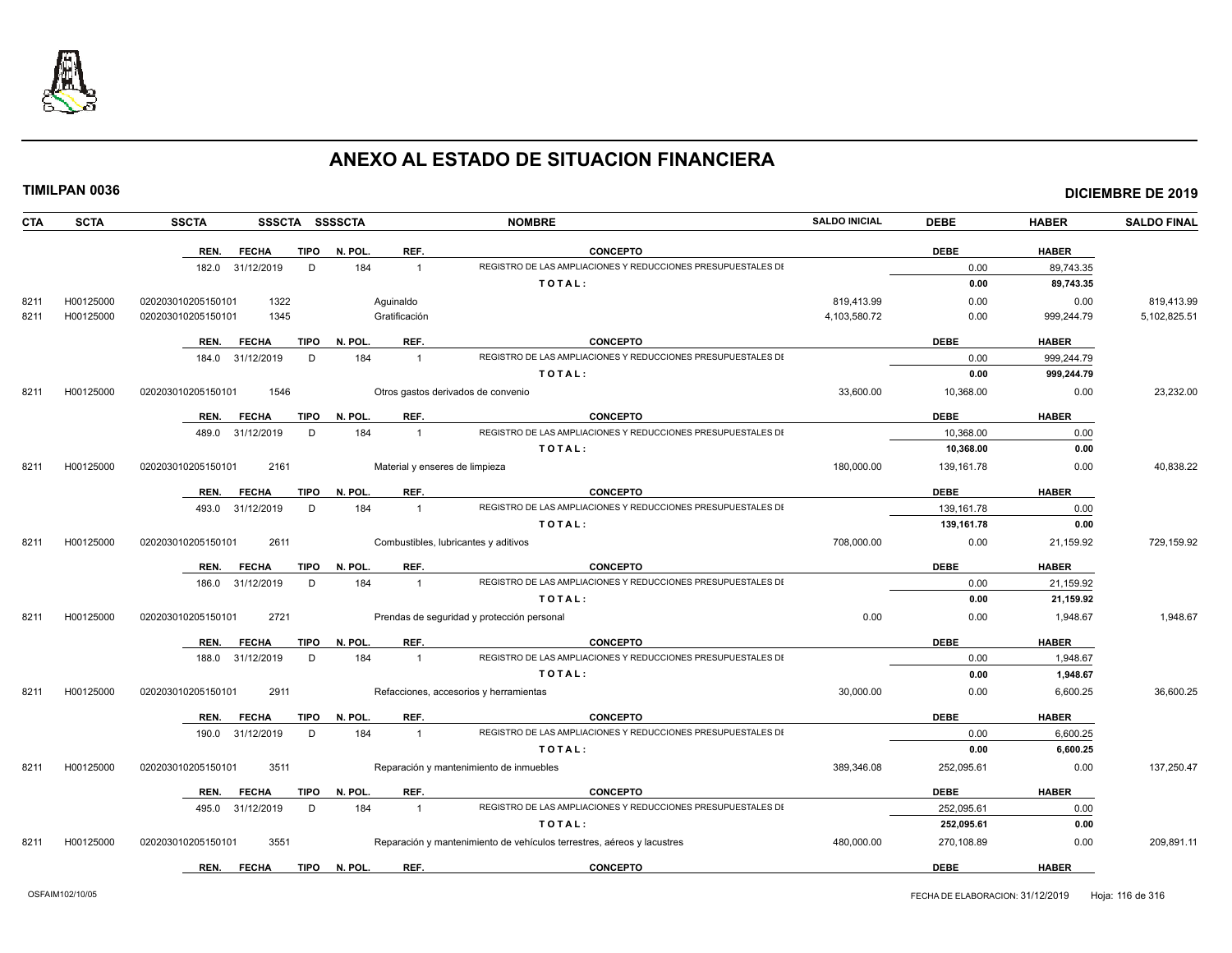

|--|

| CTA  | <b>SCTA</b> | <b>SSCTA</b><br>SSSCTA SSSSCTA      |         |                | <b>NOMBRE</b>                                                          | <b>SALDO INICIAL</b> | <b>DEBE</b> | <b>HABER</b> | <b>SALDO FINAL</b> |
|------|-------------|-------------------------------------|---------|----------------|------------------------------------------------------------------------|----------------------|-------------|--------------|--------------------|
|      |             | <b>FECHA</b><br><b>TIPO</b><br>REN. | N. POL. | REF.           | <b>CONCEPTO</b>                                                        |                      | <b>DEBE</b> | <b>HABER</b> |                    |
|      |             | 182.0 31/12/2019<br>D               | 184     | $\mathbf{1}$   | REGISTRO DE LAS AMPLIACIONES Y REDUCCIONES PRESUPUESTALES DI           |                      | 0.00        | 89,743.35    |                    |
|      |             |                                     |         |                | TOTAL:                                                                 |                      | 0.00        | 89,743.35    |                    |
| 8211 | H00125000   | 1322<br>020203010205150101          |         | Aguinaldo      |                                                                        | 819,413.99           | 0.00        | 0.00         | 819,413.99         |
| 8211 | H00125000   | 1345<br>020203010205150101          |         | Gratificación  |                                                                        | 4,103,580.72         | 0.00        | 999,244.79   | 5,102,825.51       |
|      |             | <b>TIPO</b><br>REN.<br><b>FECHA</b> | N. POL. | REF.           | <b>CONCEPTO</b>                                                        |                      | <b>DEBE</b> | <b>HABER</b> |                    |
|      |             | 184.0 31/12/2019<br>D               | 184     | $\mathbf{1}$   | REGISTRO DE LAS AMPLIACIONES Y REDUCCIONES PRESUPUESTALES DI           |                      | 0.00        | 999,244.79   |                    |
|      |             |                                     |         |                | TOTAL:                                                                 |                      | 0.00        | 999,244.79   |                    |
| 8211 | H00125000   | 1546<br>020203010205150101          |         |                | Otros gastos derivados de convenio                                     | 33,600.00            | 10,368.00   | 0.00         | 23,232.00          |
|      |             | <b>TIPO</b><br>REN.<br><b>FECHA</b> | N. POL. | REF.           | <b>CONCEPTO</b>                                                        |                      | <b>DEBE</b> | <b>HABER</b> |                    |
|      |             | D<br>489.0<br>31/12/2019            | 184     | $\overline{1}$ | REGISTRO DE LAS AMPLIACIONES Y REDUCCIONES PRESUPUESTALES DI           |                      | 10,368.00   | 0.00         |                    |
|      |             |                                     |         |                | TOTAL:                                                                 |                      | 10,368.00   | 0.00         |                    |
| 8211 | H00125000   | 2161<br>020203010205150101          |         |                | Material y enseres de limpieza                                         | 180,000.00           | 139,161.78  | 0.00         | 40,838.22          |
|      |             | <b>FECHA</b><br>TIPO<br>REN.        | N. POL. | REF.           | <b>CONCEPTO</b>                                                        |                      | <b>DEBE</b> | <b>HABER</b> |                    |
|      |             | 493.0<br>31/12/2019<br>D            | 184     | $\overline{1}$ | REGISTRO DE LAS AMPLIACIONES Y REDUCCIONES PRESUPUESTALES DI           |                      | 139, 161.78 | 0.00         |                    |
|      |             |                                     |         |                | TOTAL:                                                                 |                      | 139,161.78  | 0.00         |                    |
| 8211 | H00125000   | 020203010205150101<br>2611          |         |                | Combustibles, lubricantes y aditivos                                   | 708,000.00           | 0.00        | 21,159.92    | 729,159.92         |
|      |             | <b>TIPO</b><br>REN.<br><b>FECHA</b> | N. POL. | REF.           | <b>CONCEPTO</b>                                                        |                      | <b>DEBE</b> | <b>HABER</b> |                    |
|      |             | D<br>186.0<br>31/12/2019            | 184     | $\mathbf{1}$   | REGISTRO DE LAS AMPLIACIONES Y REDUCCIONES PRESUPUESTALES DI           |                      | 0.00        | 21,159.92    |                    |
|      |             |                                     |         |                | TOTAL:                                                                 |                      | 0.00        | 21,159.92    |                    |
| 8211 | H00125000   | 2721<br>020203010205150101          |         |                | Prendas de seguridad y protección personal                             | 0.00                 | 0.00        | 1,948.67     | 1,948.67           |
|      |             | REN.<br><b>FECHA</b><br><b>TIPO</b> | N. POL  | REF.           | <b>CONCEPTO</b>                                                        |                      | <b>DEBE</b> | <b>HABER</b> |                    |
|      |             | 188.0<br>31/12/2019<br>D            | 184     | $\overline{1}$ | REGISTRO DE LAS AMPLIACIONES Y REDUCCIONES PRESUPUESTALES DI           |                      | 0.00        | 1,948.67     |                    |
|      |             |                                     |         |                | TOTAL:                                                                 |                      | 0.00        | 1,948.67     |                    |
| 8211 | H00125000   | 2911<br>020203010205150101          |         |                | Refacciones, accesorios y herramientas                                 | 30,000.00            | 0.00        | 6,600.25     | 36,600.25          |
|      |             | <b>TIPO</b><br><b>FECHA</b><br>REN. | N. POL. | REF.           | <b>CONCEPTO</b>                                                        |                      | <b>DEBE</b> | <b>HABER</b> |                    |
|      |             | 190.0<br>31/12/2019<br>D            | 184     | $\overline{1}$ | REGISTRO DE LAS AMPLIACIONES Y REDUCCIONES PRESUPUESTALES DI           |                      | 0.00        | 6,600.25     |                    |
|      |             |                                     |         |                | TOTAL:                                                                 |                      | 0.00        | 6,600.25     |                    |
| 8211 | H00125000   | 3511<br>020203010205150101          |         |                | Reparación y mantenimiento de inmuebles                                | 389.346.08           | 252,095.61  | 0.00         | 137,250.47         |
|      |             | <b>FECHA</b><br><b>TIPO</b><br>REN. | N. POL. | REF.           | <b>CONCEPTO</b>                                                        |                      | <b>DEBE</b> | <b>HABER</b> |                    |
|      |             | 31/12/2019<br>D<br>495.0            | 184     | $\overline{1}$ | REGISTRO DE LAS AMPLIACIONES Y REDUCCIONES PRESUPUESTALES DI           |                      | 252,095.61  | 0.00         |                    |
|      |             |                                     |         |                | TOTAL:                                                                 |                      | 252,095.61  | 0.00         |                    |
| 8211 | H00125000   | 3551<br>020203010205150101          |         |                | Reparación y mantenimiento de vehículos terrestres, aéreos y lacustres | 480,000.00           | 270,108.89  | 0.00         | 209,891.11         |
|      |             | <b>FECHA</b><br>TIPO<br>REN.        | N. POL. | REF.           | <b>CONCEPTO</b>                                                        |                      | <b>DEBE</b> | <b>HABER</b> |                    |
|      |             |                                     |         |                |                                                                        |                      |             |              |                    |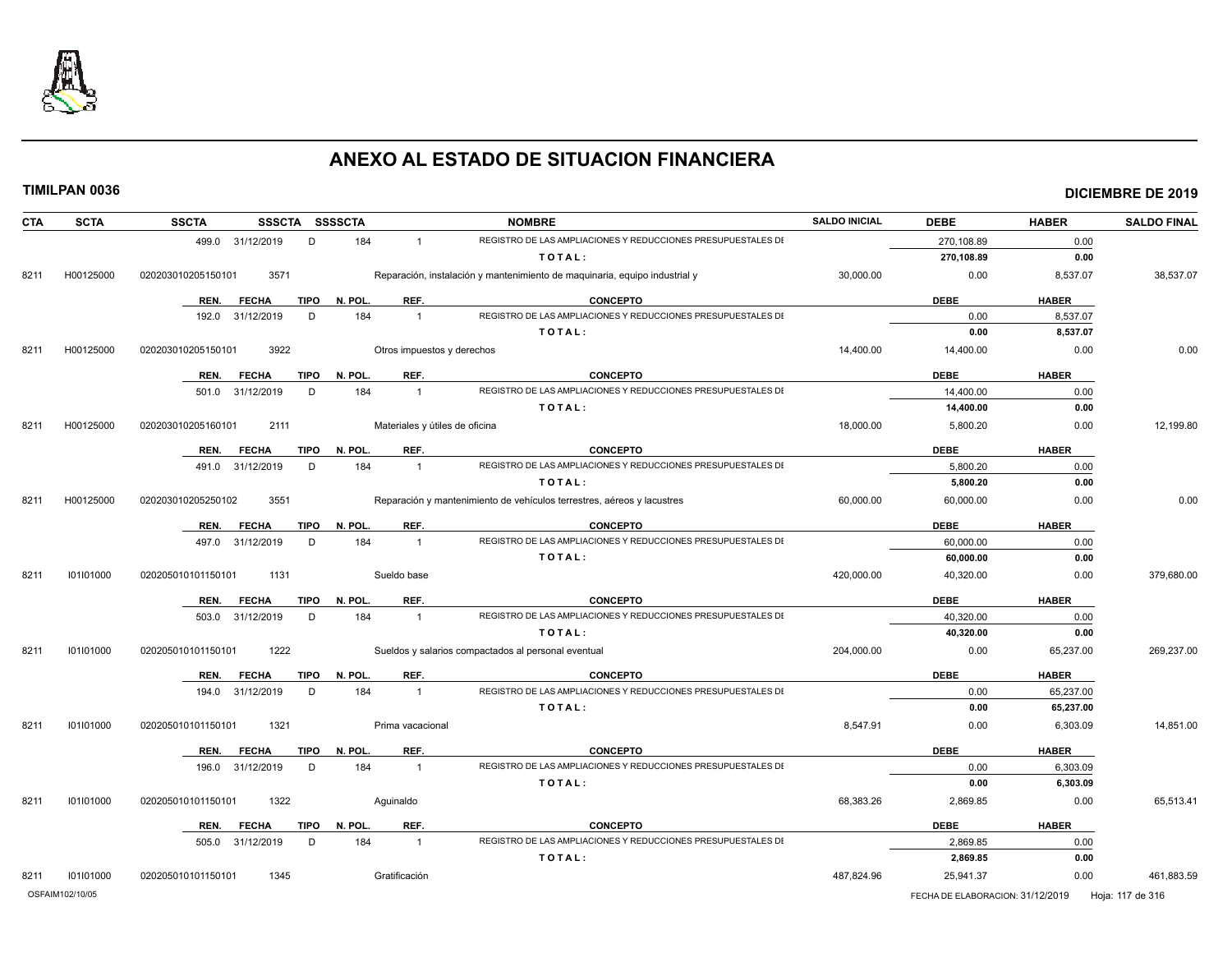

| <b>CTA</b> | <b>SCTA</b>     | <b>SSCTA</b>       | SSSCTA SSSSCTA |             |         |                                | <b>NOMBRE</b>                                                              | <b>SALDO INICIAL</b> | <b>DEBE</b>                      | <b>HABER</b> | <b>SALDO FINAL</b> |
|------------|-----------------|--------------------|----------------|-------------|---------|--------------------------------|----------------------------------------------------------------------------|----------------------|----------------------------------|--------------|--------------------|
|            |                 | 499.0 31/12/2019   |                | D           | 184     | $\overline{1}$                 | REGISTRO DE LAS AMPLIACIONES Y REDUCCIONES PRESUPUESTALES DI               |                      | 270,108.89                       | 0.00         |                    |
|            |                 |                    |                |             |         |                                | TOTAL:                                                                     |                      | 270,108.89                       | 0.00         |                    |
| 8211       | H00125000       | 020203010205150101 | 3571           |             |         |                                | Reparación, instalación y mantenimiento de maquinaria, equipo industrial y | 30,000.00            | 0.00                             | 8,537.07     | 38,537.07          |
|            |                 | REN.               | <b>FECHA</b>   | <b>TIPO</b> | N. POL. | REF.                           | <b>CONCEPTO</b>                                                            |                      | <b>DEBE</b>                      | <b>HABER</b> |                    |
|            |                 | 192.0              | 31/12/2019     | D           | 184     | $\overline{1}$                 | REGISTRO DE LAS AMPLIACIONES Y REDUCCIONES PRESUPUESTALES DI               |                      | 0.00                             | 8,537.07     |                    |
|            |                 |                    |                |             |         |                                | TOTAL:                                                                     |                      | 0.00                             | 8,537.07     |                    |
| 8211       | H00125000       | 020203010205150101 | 3922           |             |         | Otros impuestos y derechos     |                                                                            | 14,400.00            | 14,400.00                        | 0.00         | 0.00               |
|            |                 | REN.               | <b>FECHA</b>   | <b>TIPO</b> | N. POL. | REF.                           | <b>CONCEPTO</b>                                                            |                      | <b>DEBE</b>                      | <b>HABER</b> |                    |
|            |                 | 501.0              | 31/12/2019     | D           | 184     | $\overline{1}$                 | REGISTRO DE LAS AMPLIACIONES Y REDUCCIONES PRESUPUESTALES DI               |                      | 14,400.00                        | 0.00         |                    |
|            |                 |                    |                |             |         |                                | TOTAL:                                                                     |                      | 14,400.00                        | 0.00         |                    |
| 8211       | H00125000       | 020203010205160101 | 2111           |             |         | Materiales y útiles de oficina |                                                                            | 18,000.00            | 5,800.20                         | 0.00         | 12,199.80          |
|            |                 | REN.               | <b>FECHA</b>   | <b>TIPO</b> | N. POL. | REF.                           | <b>CONCEPTO</b>                                                            |                      | <b>DEBE</b>                      | <b>HABER</b> |                    |
|            |                 | 491.0              | 31/12/2019     | D           | 184     | $\overline{1}$                 | REGISTRO DE LAS AMPLIACIONES Y REDUCCIONES PRESUPUESTALES DI               |                      | 5,800.20                         | 0.00         |                    |
|            |                 |                    |                |             |         |                                | TOTAL:                                                                     |                      | 5,800.20                         | 0.00         |                    |
| 8211       | H00125000       | 020203010205250102 | 3551           |             |         |                                | Reparación y mantenimiento de vehículos terrestres, aéreos y lacustres     | 60,000.00            | 60,000.00                        | 0.00         | 0.00               |
|            |                 | REN.               | <b>FECHA</b>   | <b>TIPO</b> | N. POL. | REF.                           | <b>CONCEPTO</b>                                                            |                      | <b>DEBE</b>                      | <b>HABER</b> |                    |
|            |                 | 497.0              | 31/12/2019     | D           | 184     | $\overline{1}$                 | REGISTRO DE LAS AMPLIACIONES Y REDUCCIONES PRESUPUESTALES DI               |                      | 60,000.00                        | 0.00         |                    |
|            |                 |                    |                |             |         |                                | TOTAL:                                                                     |                      | 60,000.00                        | 0.00         |                    |
| 8211       | 101101000       | 020205010101150101 | 1131           |             |         | Sueldo base                    |                                                                            | 420,000.00           | 40,320.00                        | 0.00         | 379,680.00         |
|            |                 | REN.               | <b>FECHA</b>   | <b>TIPO</b> | N. POL. | REF.                           | <b>CONCEPTO</b>                                                            |                      | <b>DEBE</b>                      | <b>HABER</b> |                    |
|            |                 | 503.0              | 31/12/2019     | D           | 184     | $\overline{1}$                 | REGISTRO DE LAS AMPLIACIONES Y REDUCCIONES PRESUPUESTALES DI               |                      | 40,320.00                        | 0.00         |                    |
|            |                 |                    |                |             |         |                                | TOTAL:                                                                     |                      | 40,320.00                        | 0.00         |                    |
| 8211       | 101101000       | 020205010101150101 | 1222           |             |         |                                | Sueldos y salarios compactados al personal eventual                        | 204,000.00           | 0.00                             | 65,237.00    | 269,237.00         |
|            |                 | REN.               | <b>FECHA</b>   | <b>TIPO</b> | N. POL. | REF.                           | <b>CONCEPTO</b>                                                            |                      | <b>DEBE</b>                      | <b>HABER</b> |                    |
|            |                 | 194.0 31/12/2019   |                | D           | 184     | $\overline{1}$                 | REGISTRO DE LAS AMPLIACIONES Y REDUCCIONES PRESUPUESTALES DI               |                      | 0.00                             | 65,237.00    |                    |
|            |                 |                    |                |             |         |                                | TOTAL:                                                                     |                      | 0.00                             | 65,237.00    |                    |
| 8211       | 101101000       | 020205010101150101 | 1321           |             |         | Prima vacacional               |                                                                            | 8,547.91             | 0.00                             | 6,303.09     | 14,851.00          |
|            |                 | REN.               | <b>FECHA</b>   | <b>TIPO</b> | N. POL. | REF.                           | <b>CONCEPTO</b>                                                            |                      | <b>DEBE</b>                      | <b>HABER</b> |                    |
|            |                 | 196.0 31/12/2019   |                | D           | 184     | $\overline{1}$                 | REGISTRO DE LAS AMPLIACIONES Y REDUCCIONES PRESUPUESTALES DI               |                      | 0.00                             | 6,303.09     |                    |
|            |                 |                    |                |             |         |                                | TOTAL:                                                                     |                      | 0.00                             | 6,303.09     |                    |
| 8211       | 101101000       | 020205010101150101 | 1322           |             |         | Aquinaldo                      |                                                                            | 68,383.26            | 2,869.85                         | 0.00         | 65,513.41          |
|            |                 | REN.               | <b>FECHA</b>   | <b>TIPO</b> | N. POL. | REF.                           | <b>CONCEPTO</b>                                                            |                      | <b>DEBE</b>                      | <b>HABER</b> |                    |
|            |                 | 505.0 31/12/2019   |                | D           | 184     | $\overline{1}$                 | REGISTRO DE LAS AMPLIACIONES Y REDUCCIONES PRESUPUESTALES DI               |                      | 2,869.85                         | 0.00         |                    |
|            |                 |                    |                |             |         |                                | TOTAL:                                                                     |                      | 2,869.85                         | 0.00         |                    |
| 8211       | 101101000       | 020205010101150101 | 1345           |             |         | Gratificación                  |                                                                            | 487,824.96           | 25,941.37                        | 0.00         | 461,883.59         |
|            | OSFAIM102/10/05 |                    |                |             |         |                                |                                                                            |                      | FECHA DE ELABORACION: 31/12/2019 |              | Hoja: 117 de 316   |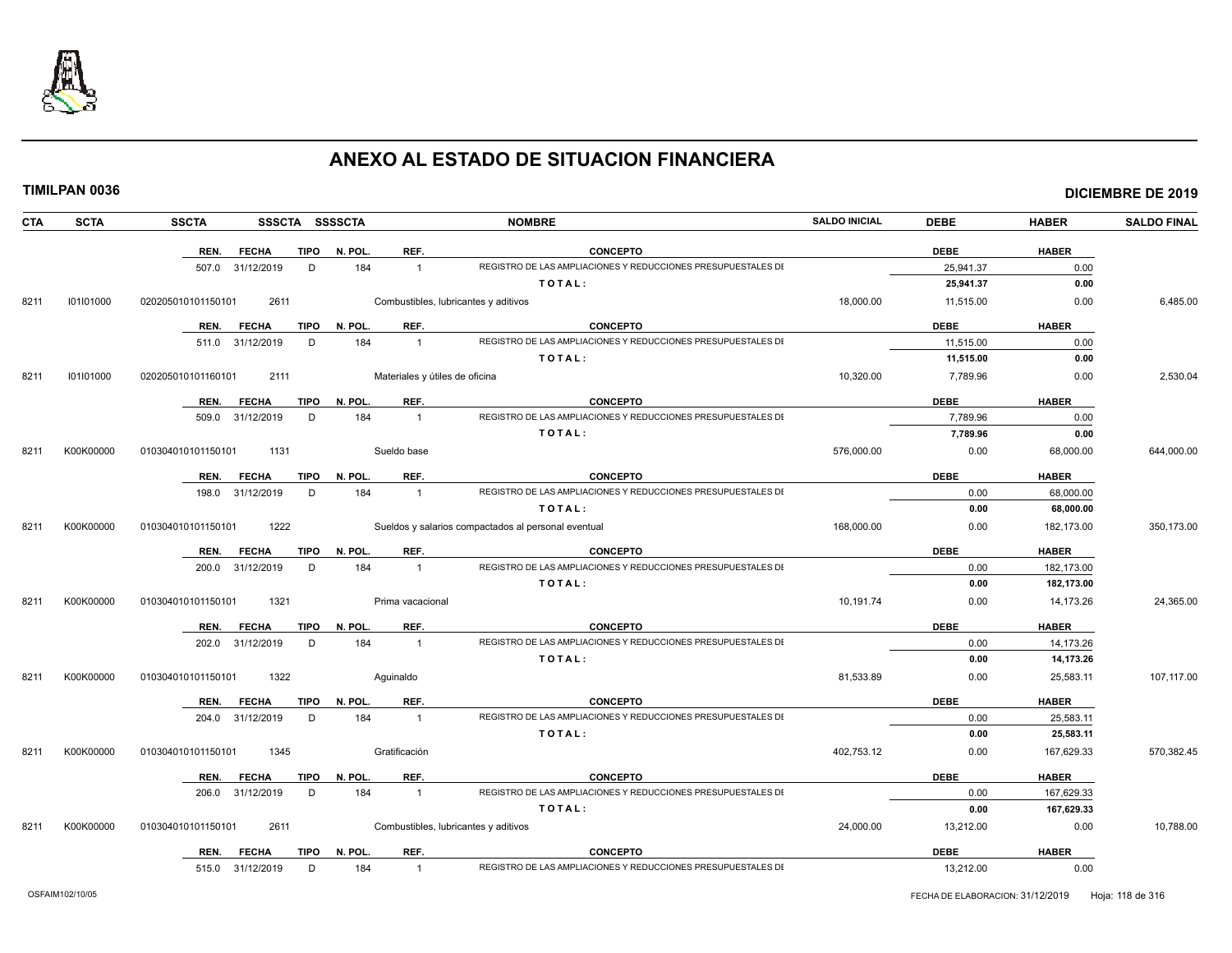

|--|

| TIMILPAN 0036 |  |  |  |  |  |  |  |
|---------------|--|--|--|--|--|--|--|
|---------------|--|--|--|--|--|--|--|

| <b>CTA</b> | <b>SCTA</b> | <b>SSCTA</b>         |             | SSSCTA SSSSCTA |                  | <b>NOMBRE</b>                                                | <b>SALDO INICIAL</b> | <b>DEBE</b> | <b>HABER</b> | <b>SALDO FINAL</b> |
|------------|-------------|----------------------|-------------|----------------|------------------|--------------------------------------------------------------|----------------------|-------------|--------------|--------------------|
|            |             | <b>FECHA</b><br>REN. | <b>TIPO</b> | N. POL.        | REF.             | <b>CONCEPTO</b>                                              |                      | <b>DEBE</b> | <b>HABER</b> |                    |
|            |             | 507.0 31/12/2019     | D           | 184            | $\overline{1}$   | REGISTRO DE LAS AMPLIACIONES Y REDUCCIONES PRESUPUESTALES DI |                      | 25,941.37   | 0.00         |                    |
|            |             |                      |             |                |                  | TOTAL:                                                       |                      | 25,941.37   | 0.00         |                    |
| 8211       | 101101000   | 020205010101150101   | 2611        |                |                  | Combustibles, lubricantes y aditivos                         | 18,000.00            | 11,515.00   | 0.00         | 6,485.00           |
|            |             | REN.<br><b>FECHA</b> | <b>TIPO</b> | N. POL.        | REF.             | <b>CONCEPTO</b>                                              |                      | <b>DEBE</b> | <b>HABER</b> |                    |
|            |             | 511.0 31/12/2019     | D           | 184            | $\mathbf{1}$     | REGISTRO DE LAS AMPLIACIONES Y REDUCCIONES PRESUPUESTALES DI |                      | 11,515.00   | 0.00         |                    |
|            |             |                      |             |                |                  | TOTAL:                                                       |                      | 11,515.00   | 0.00         |                    |
| 8211       | 101101000   | 020205010101160101   | 2111        |                |                  | Materiales y útiles de oficina                               | 10,320.00            | 7,789.96    | 0.00         | 2,530.04           |
|            |             | <b>FECHA</b><br>REN. | <b>TIPO</b> | N. POL.        | REF.             | CONCEPTO                                                     |                      | <b>DEBE</b> | <b>HABER</b> |                    |
|            |             | 509.0<br>31/12/2019  | D           | 184            | $\overline{1}$   | REGISTRO DE LAS AMPLIACIONES Y REDUCCIONES PRESUPUESTALES DI |                      | 7,789.96    | 0.00         |                    |
|            |             |                      |             |                |                  | TOTAL:                                                       |                      | 7,789.96    | 0.00         |                    |
| 8211       | K00K00000   | 010304010101150101   | 1131        |                | Sueldo base      |                                                              | 576,000.00           | 0.00        | 68,000.00    | 644,000.00         |
|            |             | <b>FECHA</b><br>REN. | <b>TIPO</b> | N. POL.        | REF.             | <b>CONCEPTO</b>                                              |                      | <b>DEBE</b> | <b>HABER</b> |                    |
|            |             | 198.0 31/12/2019     | D           | 184            | $\overline{1}$   | REGISTRO DE LAS AMPLIACIONES Y REDUCCIONES PRESUPUESTALES DI |                      | 0.00        | 68.000.00    |                    |
|            |             |                      |             |                |                  | TOTAL:                                                       |                      | 0.00        | 68,000.00    |                    |
| 8211       | K00K00000   | 010304010101150101   | 1222        |                |                  | Sueldos y salarios compactados al personal eventual          | 168,000.00           | 0.00        | 182,173.00   | 350,173.00         |
|            |             | REN.<br><b>FECHA</b> | TIPO        | N. POL.        | REF.             | <b>CONCEPTO</b>                                              |                      | <b>DEBE</b> | <b>HABER</b> |                    |
|            |             | 200.0 31/12/2019     | D           | 184            | $\mathbf{1}$     | REGISTRO DE LAS AMPLIACIONES Y REDUCCIONES PRESUPUESTALES DI |                      | 0.00        | 182,173.00   |                    |
|            |             |                      |             |                |                  | TOTAL:                                                       |                      | 0.00        | 182,173.00   |                    |
| 8211       | K00K00000   | 010304010101150101   | 1321        |                | Prima vacacional |                                                              | 10,191.74            | 0.00        | 14,173.26    | 24,365.00          |
|            |             | REN.<br>FECHA        |             | TIPO N. POL.   | REF.             | <b>CONCEPTO</b>                                              |                      | <b>DEBE</b> | <b>HABER</b> |                    |
|            |             | 202.0 31/12/2019     | D           | 184            | $\overline{1}$   | REGISTRO DE LAS AMPLIACIONES Y REDUCCIONES PRESUPUESTALES DI |                      | 0.00        | 14,173.26    |                    |
|            |             |                      |             |                |                  | TOTAL:                                                       |                      | 0.00        | 14,173.26    |                    |
| 8211       | K00K00000   | 010304010101150101   | 1322        |                | Aquinaldo        |                                                              | 81,533.89            | 0.00        | 25,583.11    | 107,117.00         |
|            |             | REN.<br><b>FECHA</b> | <b>TIPO</b> | N. POL.        | REF.             | <b>CONCEPTO</b>                                              |                      | <b>DEBE</b> | <b>HABER</b> |                    |
|            |             | 31/12/2019<br>204.0  | D           | 184            | $\overline{1}$   | REGISTRO DE LAS AMPLIACIONES Y REDUCCIONES PRESUPUESTALES DI |                      | 0.00        | 25,583.11    |                    |
|            |             |                      |             |                |                  | TOTAL:                                                       |                      | 0.00        | 25,583.11    |                    |
| 8211       | K00K00000   | 010304010101150101   | 1345        |                | Gratificación    |                                                              | 402,753.12           | 0.00        | 167,629.33   | 570,382.45         |
|            |             | REN.<br><b>FECHA</b> | <b>TIPO</b> | N. POL.        | REF.             | <b>CONCEPTO</b>                                              |                      | <b>DEBE</b> | <b>HABER</b> |                    |
|            |             | 206.0 31/12/2019     | D           | 184            | $\overline{1}$   | REGISTRO DE LAS AMPLIACIONES Y REDUCCIONES PRESUPUESTALES DI |                      | 0.00        | 167,629.33   |                    |
|            |             |                      |             |                |                  | TOTAL:                                                       |                      | 0.00        | 167,629.33   |                    |
| 8211       | K00K00000   | 010304010101150101   | 2611        |                |                  | Combustibles, lubricantes y aditivos                         | 24,000.00            | 13,212.00   | 0.00         | 10,788.00          |
|            |             | <b>FECHA</b><br>REN. | TIPO        | N. POL.        | REF.             | <b>CONCEPTO</b>                                              |                      | <b>DEBE</b> | <b>HABER</b> |                    |
|            |             | 515.0 31/12/2019     | D           | 184            |                  | REGISTRO DE LAS AMPLIACIONES Y REDUCCIONES PRESUPUESTALES DI |                      | 13,212.00   | 0.00         |                    |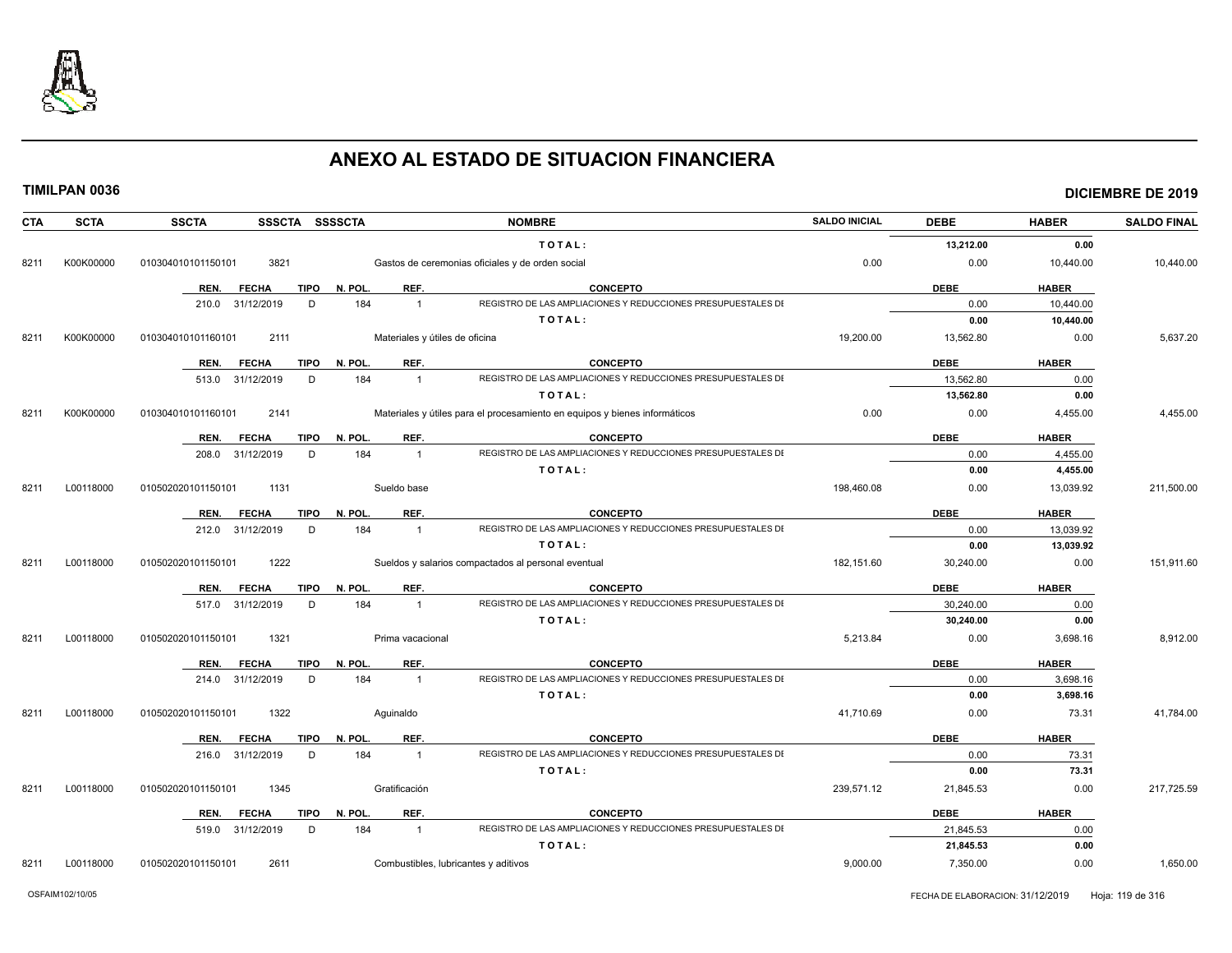

|  |  |  |  |  |  | TIMILPAN 0036 |  |
|--|--|--|--|--|--|---------------|--|
|  |  |  |  |  |  |               |  |

| TOTAL:<br>13,212.00<br>0.00<br>K00K00000<br>3821<br>Gastos de ceremonias oficiales y de orden social<br>0.00<br>0.00<br>10,440.00<br>8211<br>010304010101150101<br>REF.<br><b>TIPO</b><br>N. POL.<br><b>CONCEPTO</b><br><b>DEBE</b><br><b>HABER</b><br>REN.<br><b>FECHA</b><br>REGISTRO DE LAS AMPLIACIONES Y REDUCCIONES PRESUPUESTALES DI<br>31/12/2019<br>D<br>184<br>0.00<br>10,440.00<br>210.0<br>$\mathbf{1}$<br>TOTAL:<br>0.00<br>10,440.00<br>Materiales y útiles de oficina<br>19,200.00<br>K00K00000<br>2111<br>13,562.80<br>0.00<br>8211<br>010304010101160101<br>REF.<br><b>CONCEPTO</b><br><b>TIPO</b><br>N. POL.<br><b>DEBE</b><br><b>HABER</b><br>REN.<br><b>FECHA</b><br>REGISTRO DE LAS AMPLIACIONES Y REDUCCIONES PRESUPUESTALES DI<br>31/12/2019<br>D<br>184<br>13,562.80<br>0.00<br>513.0<br>$\mathbf{1}$<br>13,562.80<br>0.00<br>TOTAL:<br>K00K00000<br>2141<br>0.00<br>0.00<br>8211<br>010304010101160101<br>Materiales y útiles para el procesamiento en equipos y bienes informáticos<br>4,455.00<br>REF.<br><b>CONCEPTO</b><br><b>DEBE</b><br><b>HABER</b><br>REN.<br><b>FECHA</b><br>TIPO<br>N. POL.<br>REGISTRO DE LAS AMPLIACIONES Y REDUCCIONES PRESUPUESTALES DI<br>D<br>184<br>0.00<br>4,455.00<br>208.0<br>31/12/2019<br>$\mathbf{1}$<br>TOTAL:<br>0.00<br>4,455.00<br>L00118000<br>1131<br>198,460.08<br>8211<br>010502020101150101<br>Sueldo base<br>0.00<br>13,039.92<br>REF.<br><b>CONCEPTO</b><br><b>DEBE</b><br><b>TIPO</b><br>N. POL.<br><b>HABER</b><br>REN.<br><b>FECHA</b><br>REGISTRO DE LAS AMPLIACIONES Y REDUCCIONES PRESUPUESTALES DI<br>212.0 31/12/2019<br>D<br>184<br>0.00<br>13,039.92<br>$\overline{1}$<br>TOTAL:<br>0.00<br>13,039.92<br>8211<br>L00118000<br>1222<br>Sueldos y salarios compactados al personal eventual<br>182,151.60<br>30,240.00<br>0.00<br>010502020101150101<br>REF.<br><b>CONCEPTO</b><br><b>DEBE</b><br><b>HABER</b><br>REN.<br><b>FECHA</b><br>TIPO<br>N. POL.<br>REGISTRO DE LAS AMPLIACIONES Y REDUCCIONES PRESUPUESTALES DI<br>517.0 31/12/2019<br>D<br>184<br>30,240.00<br>0.00<br>$\mathbf{1}$ | 10,440.00<br>5,637.20 |
|-----------------------------------------------------------------------------------------------------------------------------------------------------------------------------------------------------------------------------------------------------------------------------------------------------------------------------------------------------------------------------------------------------------------------------------------------------------------------------------------------------------------------------------------------------------------------------------------------------------------------------------------------------------------------------------------------------------------------------------------------------------------------------------------------------------------------------------------------------------------------------------------------------------------------------------------------------------------------------------------------------------------------------------------------------------------------------------------------------------------------------------------------------------------------------------------------------------------------------------------------------------------------------------------------------------------------------------------------------------------------------------------------------------------------------------------------------------------------------------------------------------------------------------------------------------------------------------------------------------------------------------------------------------------------------------------------------------------------------------------------------------------------------------------------------------------------------------------------------------------------------------------------------------------------------------------------------------------------------------------------------------------------------------------------------------------------------------|-----------------------|
|                                                                                                                                                                                                                                                                                                                                                                                                                                                                                                                                                                                                                                                                                                                                                                                                                                                                                                                                                                                                                                                                                                                                                                                                                                                                                                                                                                                                                                                                                                                                                                                                                                                                                                                                                                                                                                                                                                                                                                                                                                                                                   |                       |
|                                                                                                                                                                                                                                                                                                                                                                                                                                                                                                                                                                                                                                                                                                                                                                                                                                                                                                                                                                                                                                                                                                                                                                                                                                                                                                                                                                                                                                                                                                                                                                                                                                                                                                                                                                                                                                                                                                                                                                                                                                                                                   |                       |
|                                                                                                                                                                                                                                                                                                                                                                                                                                                                                                                                                                                                                                                                                                                                                                                                                                                                                                                                                                                                                                                                                                                                                                                                                                                                                                                                                                                                                                                                                                                                                                                                                                                                                                                                                                                                                                                                                                                                                                                                                                                                                   |                       |
|                                                                                                                                                                                                                                                                                                                                                                                                                                                                                                                                                                                                                                                                                                                                                                                                                                                                                                                                                                                                                                                                                                                                                                                                                                                                                                                                                                                                                                                                                                                                                                                                                                                                                                                                                                                                                                                                                                                                                                                                                                                                                   |                       |
|                                                                                                                                                                                                                                                                                                                                                                                                                                                                                                                                                                                                                                                                                                                                                                                                                                                                                                                                                                                                                                                                                                                                                                                                                                                                                                                                                                                                                                                                                                                                                                                                                                                                                                                                                                                                                                                                                                                                                                                                                                                                                   |                       |
|                                                                                                                                                                                                                                                                                                                                                                                                                                                                                                                                                                                                                                                                                                                                                                                                                                                                                                                                                                                                                                                                                                                                                                                                                                                                                                                                                                                                                                                                                                                                                                                                                                                                                                                                                                                                                                                                                                                                                                                                                                                                                   |                       |
|                                                                                                                                                                                                                                                                                                                                                                                                                                                                                                                                                                                                                                                                                                                                                                                                                                                                                                                                                                                                                                                                                                                                                                                                                                                                                                                                                                                                                                                                                                                                                                                                                                                                                                                                                                                                                                                                                                                                                                                                                                                                                   |                       |
|                                                                                                                                                                                                                                                                                                                                                                                                                                                                                                                                                                                                                                                                                                                                                                                                                                                                                                                                                                                                                                                                                                                                                                                                                                                                                                                                                                                                                                                                                                                                                                                                                                                                                                                                                                                                                                                                                                                                                                                                                                                                                   |                       |
|                                                                                                                                                                                                                                                                                                                                                                                                                                                                                                                                                                                                                                                                                                                                                                                                                                                                                                                                                                                                                                                                                                                                                                                                                                                                                                                                                                                                                                                                                                                                                                                                                                                                                                                                                                                                                                                                                                                                                                                                                                                                                   |                       |
|                                                                                                                                                                                                                                                                                                                                                                                                                                                                                                                                                                                                                                                                                                                                                                                                                                                                                                                                                                                                                                                                                                                                                                                                                                                                                                                                                                                                                                                                                                                                                                                                                                                                                                                                                                                                                                                                                                                                                                                                                                                                                   |                       |
|                                                                                                                                                                                                                                                                                                                                                                                                                                                                                                                                                                                                                                                                                                                                                                                                                                                                                                                                                                                                                                                                                                                                                                                                                                                                                                                                                                                                                                                                                                                                                                                                                                                                                                                                                                                                                                                                                                                                                                                                                                                                                   | 4,455.00              |
|                                                                                                                                                                                                                                                                                                                                                                                                                                                                                                                                                                                                                                                                                                                                                                                                                                                                                                                                                                                                                                                                                                                                                                                                                                                                                                                                                                                                                                                                                                                                                                                                                                                                                                                                                                                                                                                                                                                                                                                                                                                                                   |                       |
|                                                                                                                                                                                                                                                                                                                                                                                                                                                                                                                                                                                                                                                                                                                                                                                                                                                                                                                                                                                                                                                                                                                                                                                                                                                                                                                                                                                                                                                                                                                                                                                                                                                                                                                                                                                                                                                                                                                                                                                                                                                                                   |                       |
|                                                                                                                                                                                                                                                                                                                                                                                                                                                                                                                                                                                                                                                                                                                                                                                                                                                                                                                                                                                                                                                                                                                                                                                                                                                                                                                                                                                                                                                                                                                                                                                                                                                                                                                                                                                                                                                                                                                                                                                                                                                                                   |                       |
|                                                                                                                                                                                                                                                                                                                                                                                                                                                                                                                                                                                                                                                                                                                                                                                                                                                                                                                                                                                                                                                                                                                                                                                                                                                                                                                                                                                                                                                                                                                                                                                                                                                                                                                                                                                                                                                                                                                                                                                                                                                                                   | 211,500.00            |
|                                                                                                                                                                                                                                                                                                                                                                                                                                                                                                                                                                                                                                                                                                                                                                                                                                                                                                                                                                                                                                                                                                                                                                                                                                                                                                                                                                                                                                                                                                                                                                                                                                                                                                                                                                                                                                                                                                                                                                                                                                                                                   |                       |
|                                                                                                                                                                                                                                                                                                                                                                                                                                                                                                                                                                                                                                                                                                                                                                                                                                                                                                                                                                                                                                                                                                                                                                                                                                                                                                                                                                                                                                                                                                                                                                                                                                                                                                                                                                                                                                                                                                                                                                                                                                                                                   |                       |
|                                                                                                                                                                                                                                                                                                                                                                                                                                                                                                                                                                                                                                                                                                                                                                                                                                                                                                                                                                                                                                                                                                                                                                                                                                                                                                                                                                                                                                                                                                                                                                                                                                                                                                                                                                                                                                                                                                                                                                                                                                                                                   |                       |
|                                                                                                                                                                                                                                                                                                                                                                                                                                                                                                                                                                                                                                                                                                                                                                                                                                                                                                                                                                                                                                                                                                                                                                                                                                                                                                                                                                                                                                                                                                                                                                                                                                                                                                                                                                                                                                                                                                                                                                                                                                                                                   | 151,911.60            |
|                                                                                                                                                                                                                                                                                                                                                                                                                                                                                                                                                                                                                                                                                                                                                                                                                                                                                                                                                                                                                                                                                                                                                                                                                                                                                                                                                                                                                                                                                                                                                                                                                                                                                                                                                                                                                                                                                                                                                                                                                                                                                   |                       |
|                                                                                                                                                                                                                                                                                                                                                                                                                                                                                                                                                                                                                                                                                                                                                                                                                                                                                                                                                                                                                                                                                                                                                                                                                                                                                                                                                                                                                                                                                                                                                                                                                                                                                                                                                                                                                                                                                                                                                                                                                                                                                   |                       |
| TOTAL:<br>30,240.00<br>0.00                                                                                                                                                                                                                                                                                                                                                                                                                                                                                                                                                                                                                                                                                                                                                                                                                                                                                                                                                                                                                                                                                                                                                                                                                                                                                                                                                                                                                                                                                                                                                                                                                                                                                                                                                                                                                                                                                                                                                                                                                                                       |                       |
|                                                                                                                                                                                                                                                                                                                                                                                                                                                                                                                                                                                                                                                                                                                                                                                                                                                                                                                                                                                                                                                                                                                                                                                                                                                                                                                                                                                                                                                                                                                                                                                                                                                                                                                                                                                                                                                                                                                                                                                                                                                                                   |                       |
| 5,213.84<br>8211<br>L00118000<br>010502020101150101<br>1321<br>Prima vacacional<br>0.00<br>3,698.16                                                                                                                                                                                                                                                                                                                                                                                                                                                                                                                                                                                                                                                                                                                                                                                                                                                                                                                                                                                                                                                                                                                                                                                                                                                                                                                                                                                                                                                                                                                                                                                                                                                                                                                                                                                                                                                                                                                                                                               | 8,912.00              |
| REF.<br><b>CONCEPTO</b><br><b>DEBE</b><br><b>HABER</b><br><b>TIPO</b><br>N. POL<br>REN.<br><b>FECHA</b>                                                                                                                                                                                                                                                                                                                                                                                                                                                                                                                                                                                                                                                                                                                                                                                                                                                                                                                                                                                                                                                                                                                                                                                                                                                                                                                                                                                                                                                                                                                                                                                                                                                                                                                                                                                                                                                                                                                                                                           |                       |
| 184<br>REGISTRO DE LAS AMPLIACIONES Y REDUCCIONES PRESUPUESTALES DI<br>31/12/2019<br>D<br>0.00<br>3,698.16<br>214.0<br>$\overline{1}$                                                                                                                                                                                                                                                                                                                                                                                                                                                                                                                                                                                                                                                                                                                                                                                                                                                                                                                                                                                                                                                                                                                                                                                                                                                                                                                                                                                                                                                                                                                                                                                                                                                                                                                                                                                                                                                                                                                                             |                       |
| TOTAL:<br>0.00<br>3,698.16                                                                                                                                                                                                                                                                                                                                                                                                                                                                                                                                                                                                                                                                                                                                                                                                                                                                                                                                                                                                                                                                                                                                                                                                                                                                                                                                                                                                                                                                                                                                                                                                                                                                                                                                                                                                                                                                                                                                                                                                                                                        |                       |
| 1322<br>41,710.69<br>8211<br>L00118000<br>010502020101150101<br>Aquinaldo<br>0.00<br>73.31                                                                                                                                                                                                                                                                                                                                                                                                                                                                                                                                                                                                                                                                                                                                                                                                                                                                                                                                                                                                                                                                                                                                                                                                                                                                                                                                                                                                                                                                                                                                                                                                                                                                                                                                                                                                                                                                                                                                                                                        | 41,784.00             |
| REF.<br><b>CONCEPTO</b><br><b>DEBE</b><br><b>HABER</b><br><b>TIPO</b><br>N. POL.<br>REN.<br><b>FECHA</b>                                                                                                                                                                                                                                                                                                                                                                                                                                                                                                                                                                                                                                                                                                                                                                                                                                                                                                                                                                                                                                                                                                                                                                                                                                                                                                                                                                                                                                                                                                                                                                                                                                                                                                                                                                                                                                                                                                                                                                          |                       |
| REGISTRO DE LAS AMPLIACIONES Y REDUCCIONES PRESUPUESTALES DI<br>184<br>0.00<br>73.31<br>216.0 31/12/2019<br>D<br>$\mathbf{1}$                                                                                                                                                                                                                                                                                                                                                                                                                                                                                                                                                                                                                                                                                                                                                                                                                                                                                                                                                                                                                                                                                                                                                                                                                                                                                                                                                                                                                                                                                                                                                                                                                                                                                                                                                                                                                                                                                                                                                     |                       |
| TOTAL:<br>0.00<br>73.31                                                                                                                                                                                                                                                                                                                                                                                                                                                                                                                                                                                                                                                                                                                                                                                                                                                                                                                                                                                                                                                                                                                                                                                                                                                                                                                                                                                                                                                                                                                                                                                                                                                                                                                                                                                                                                                                                                                                                                                                                                                           |                       |
| 239,571.12<br>L00118000<br>010502020101150101<br>1345<br>Gratificación<br>21,845.53<br>0.00<br>8211                                                                                                                                                                                                                                                                                                                                                                                                                                                                                                                                                                                                                                                                                                                                                                                                                                                                                                                                                                                                                                                                                                                                                                                                                                                                                                                                                                                                                                                                                                                                                                                                                                                                                                                                                                                                                                                                                                                                                                               | 217,725.59            |
| REF.<br><b>CONCEPTO</b><br><b>HABER</b><br><b>TIPO</b><br>N. POL.<br><b>DEBE</b><br>REN.<br><b>FECHA</b>                                                                                                                                                                                                                                                                                                                                                                                                                                                                                                                                                                                                                                                                                                                                                                                                                                                                                                                                                                                                                                                                                                                                                                                                                                                                                                                                                                                                                                                                                                                                                                                                                                                                                                                                                                                                                                                                                                                                                                          |                       |
| REGISTRO DE LAS AMPLIACIONES Y REDUCCIONES PRESUPUESTALES DI<br>519.0 31/12/2019<br>184<br>D<br>21,845.53<br>0.00<br>$\overline{1}$                                                                                                                                                                                                                                                                                                                                                                                                                                                                                                                                                                                                                                                                                                                                                                                                                                                                                                                                                                                                                                                                                                                                                                                                                                                                                                                                                                                                                                                                                                                                                                                                                                                                                                                                                                                                                                                                                                                                               |                       |
| TOTAL:<br>21,845.53<br>0.00                                                                                                                                                                                                                                                                                                                                                                                                                                                                                                                                                                                                                                                                                                                                                                                                                                                                                                                                                                                                                                                                                                                                                                                                                                                                                                                                                                                                                                                                                                                                                                                                                                                                                                                                                                                                                                                                                                                                                                                                                                                       |                       |
| L00118000<br>010502020101150101<br>2611<br>Combustibles, lubricantes y aditivos<br>9.000.00<br>7,350.00<br>0.00<br>8211                                                                                                                                                                                                                                                                                                                                                                                                                                                                                                                                                                                                                                                                                                                                                                                                                                                                                                                                                                                                                                                                                                                                                                                                                                                                                                                                                                                                                                                                                                                                                                                                                                                                                                                                                                                                                                                                                                                                                           |                       |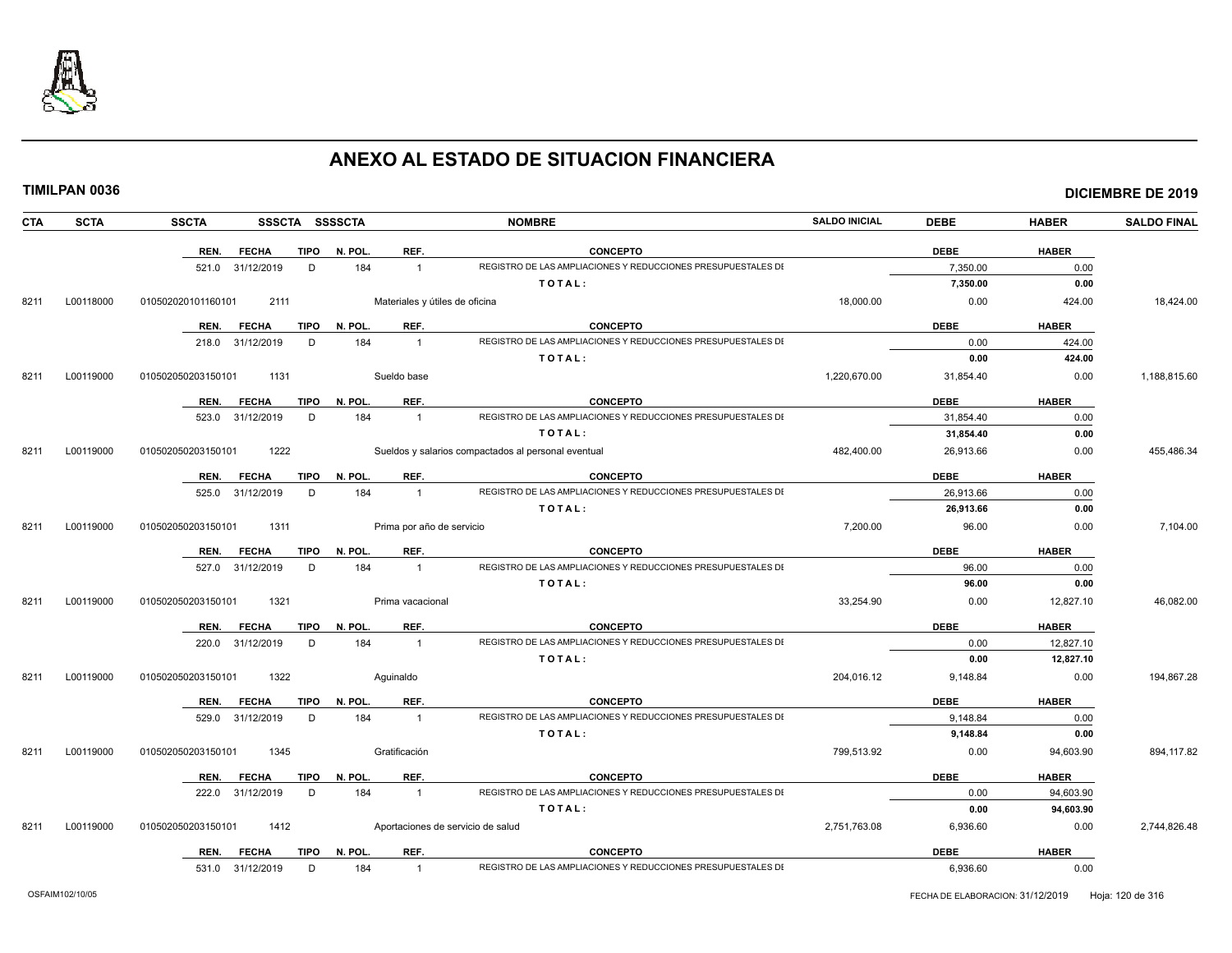

|--|

|  | TIMILPAN 0036 |
|--|---------------|
|--|---------------|

| CTA  | <b>SCTA</b> | <b>SSCTA</b><br>SSSCTA SSSSCTA      |                      | <b>NOMBRE</b>                                                                  | <b>SALDO INICIAL</b> | <b>DEBE</b> | <b>HABER</b> | <b>SALDO FINAL</b> |
|------|-------------|-------------------------------------|----------------------|--------------------------------------------------------------------------------|----------------------|-------------|--------------|--------------------|
|      |             | <b>FECHA</b><br><b>TIPO</b><br>REN. | N. POL.<br>REF.      | <b>CONCEPTO</b>                                                                |                      | <b>DEBE</b> | <b>HABER</b> |                    |
|      |             | 521.0 31/12/2019<br>D               | 184                  | REGISTRO DE LAS AMPLIACIONES Y REDUCCIONES PRESUPUESTALES DI<br>$\overline{1}$ |                      | 7,350.00    | 0.00         |                    |
|      |             |                                     |                      | TOTAL:                                                                         |                      | 7,350.00    | 0.00         |                    |
| 8211 | L00118000   | 2111<br>010502020101160101          |                      | Materiales y útiles de oficina                                                 | 18,000.00            | 0.00        | 424.00       | 18,424.00          |
|      |             | <b>FECHA</b><br><b>TIPO</b><br>REN. | N. POL.<br>REF.      | <b>CONCEPTO</b>                                                                |                      | <b>DEBE</b> | <b>HABER</b> |                    |
|      |             | 218.0 31/12/2019<br>D               | 184                  | REGISTRO DE LAS AMPLIACIONES Y REDUCCIONES PRESUPUESTALES DI<br>$\overline{1}$ |                      | 0.00        | 424.00       |                    |
|      |             |                                     |                      | TOTAL:                                                                         |                      | 0.00        | 424.00       |                    |
| 8211 | L00119000   | 1131<br>010502050203150101          | Sueldo base          |                                                                                | 1,220,670.00         | 31,854.40   | 0.00         | 1,188,815.60       |
|      |             | <b>FECHA</b><br><b>TIPO</b><br>REN. | N. POL.<br>REF.      | <b>CONCEPTO</b>                                                                |                      | <b>DEBE</b> | <b>HABER</b> |                    |
|      |             | 31/12/2019<br>D<br>523.0            | 184                  | REGISTRO DE LAS AMPLIACIONES Y REDUCCIONES PRESUPUESTALES DI<br>$\mathbf{1}$   |                      | 31,854.40   | 0.00         |                    |
|      |             |                                     |                      | TOTAL:                                                                         |                      | 31,854.40   | 0.00         |                    |
| 8211 | L00119000   | 010502050203150101<br>1222          |                      | Sueldos y salarios compactados al personal eventual                            | 482,400.00           | 26,913.66   | 0.00         | 455,486.34         |
|      |             | <b>FECHA</b><br><b>TIPO</b><br>REN. | N. POL.<br>REF.      | CONCEPTO                                                                       |                      | <b>DEBE</b> | <b>HABER</b> |                    |
|      |             | 525.0 31/12/2019<br>D               | 184                  | REGISTRO DE LAS AMPLIACIONES Y REDUCCIONES PRESUPUESTALES DI<br>$\overline{1}$ |                      | 26.913.66   | 0.00         |                    |
|      |             |                                     |                      | TOTAL:                                                                         |                      | 26,913.66   | 0.00         |                    |
| 8211 | L00119000   | 010502050203150101<br>1311          |                      | Prima por año de servicio                                                      | 7,200.00             | 96.00       | 0.00         | 7,104.00           |
|      |             | REN.<br><b>FECHA</b><br>TIPO        | REF.<br>N. POL.      | <b>CONCEPTO</b>                                                                |                      | <b>DEBE</b> | <b>HABER</b> |                    |
|      |             | 527.0 31/12/2019<br>D               | 184                  | REGISTRO DE LAS AMPLIACIONES Y REDUCCIONES PRESUPUESTALES DI<br>$\mathbf{1}$   |                      | 96.00       | 0.00         |                    |
|      |             |                                     |                      | TOTAL:                                                                         |                      | 96.00       | 0.00         |                    |
| 8211 | L00119000   | 010502050203150101<br>1321          | Prima vacacional     |                                                                                | 33,254.90            | 0.00        | 12,827.10    | 46,082.00          |
|      |             | <b>FECHA</b><br>REN.                | REF.<br>TIPO N. POL. | <b>CONCEPTO</b>                                                                |                      | <b>DEBE</b> | <b>HABER</b> |                    |
|      |             | 220.0 31/12/2019<br>D               | 184                  | REGISTRO DE LAS AMPLIACIONES Y REDUCCIONES PRESUPUESTALES DI<br>$\mathbf{1}$   |                      | 0.00        | 12,827.10    |                    |
|      |             |                                     |                      | TOTAL:                                                                         |                      | 0.00        | 12,827.10    |                    |
| 8211 | L00119000   | 1322<br>010502050203150101          | Aquinaldo            |                                                                                | 204,016.12           | 9,148.84    | 0.00         | 194,867.28         |
|      |             | <b>TIPO</b><br>REN.<br><b>FECHA</b> | N. POL.<br>REF.      | <b>CONCEPTO</b>                                                                |                      | <b>DEBE</b> | <b>HABER</b> |                    |
|      |             | 31/12/2019<br>D<br>529.0            | 184                  | REGISTRO DE LAS AMPLIACIONES Y REDUCCIONES PRESUPUESTALES DI<br>$\overline{1}$ |                      | 9,148.84    | 0.00         |                    |
|      |             |                                     |                      | TOTAL:                                                                         |                      | 9,148.84    | 0.00         |                    |
| 8211 | L00119000   | 010502050203150101<br>1345          | Gratificación        |                                                                                | 799,513.92           | 0.00        | 94,603.90    | 894,117.82         |
|      |             | <b>FECHA</b><br>TIPO<br>REN.        | N. POL.<br>REF.      | CONCEPTO                                                                       |                      | <b>DEBE</b> | <b>HABER</b> |                    |
|      |             | 222.0 31/12/2019<br>D               | 184                  | REGISTRO DE LAS AMPLIACIONES Y REDUCCIONES PRESUPUESTALES DI<br>$\mathbf{1}$   |                      | 0.00        | 94,603.90    |                    |
|      |             |                                     |                      | TOTAL:                                                                         |                      | 0.00        | 94,603.90    |                    |
| 8211 | L00119000   | 1412<br>010502050203150101          |                      | Aportaciones de servicio de salud                                              | 2,751,763.08         | 6,936.60    | 0.00         | 2,744,826.48       |
|      |             | <b>FECHA</b><br>TIPO<br>REN.        | N. POL.<br>REF.      | <b>CONCEPTO</b>                                                                |                      | <b>DEBE</b> | <b>HABER</b> |                    |
|      |             | 531.0 31/12/2019<br>D               | 184                  | REGISTRO DE LAS AMPLIACIONES Y REDUCCIONES PRESUPUESTALES DI<br>$\overline{1}$ |                      | 6,936.60    | 0.00         |                    |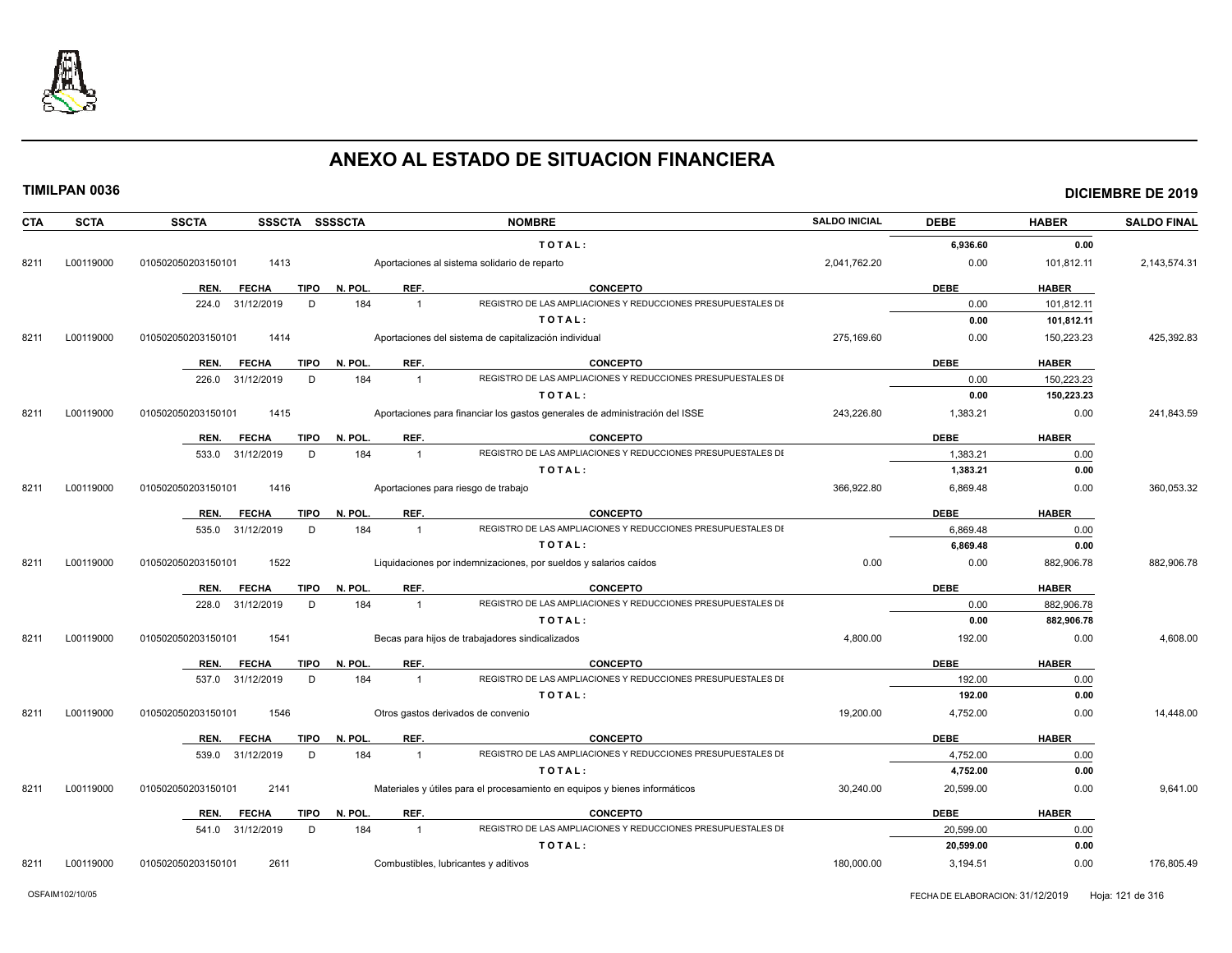

| <b>CTA</b> | <b>SCTA</b> | SSSCTA SSSSCTA<br><b>SSCTA</b>      |                       | <b>NOMBRE</b>                                                               | <b>SALDO INICIAL</b> | <b>DEBE</b> | <b>HABER</b> | <b>SALDO FINAL</b> |
|------------|-------------|-------------------------------------|-----------------------|-----------------------------------------------------------------------------|----------------------|-------------|--------------|--------------------|
|            |             |                                     |                       | TOTAL:                                                                      |                      | 6.936.60    | 0.00         |                    |
| 8211       | L00119000   | 1413<br>010502050203150101          |                       | Aportaciones al sistema solidario de reparto                                | 2,041,762.20         | 0.00        | 101,812.11   | 2,143,574.31       |
|            |             | REN.<br><b>FECHA</b><br>TIPO        | REF.<br>N. POL.       | <b>CONCEPTO</b>                                                             |                      | <b>DEBE</b> | <b>HABER</b> |                    |
|            |             | 31/12/2019<br>D<br>224.0            | 184<br>$\mathbf{1}$   | REGISTRO DE LAS AMPLIACIONES Y REDUCCIONES PRESUPUESTALES DI                |                      | 0.00        | 101,812.11   |                    |
|            |             |                                     |                       | TOTAL:                                                                      |                      | 0.00        | 101,812.11   |                    |
| 8211       | L00119000   | 010502050203150101<br>1414          |                       | Aportaciones del sistema de capitalización individual                       | 275.169.60           | 0.00        | 150,223.23   | 425.392.83         |
|            |             | <b>FECHA</b><br>TIPO<br>REN.        | REF.<br>N. POL.       | <b>CONCEPTO</b>                                                             |                      | <b>DEBE</b> | <b>HABER</b> |                    |
|            |             | 226.0<br>31/12/2019<br>D            | 184<br>$\mathbf{1}$   | REGISTRO DE LAS AMPLIACIONES Y REDUCCIONES PRESUPUESTALES DI                |                      | 0.00        | 150,223.23   |                    |
|            |             |                                     |                       | TOTAL:                                                                      |                      | 0.00        | 150,223.23   |                    |
| 8211       | L00119000   | 010502050203150101<br>1415          |                       | Aportaciones para financiar los gastos generales de administración del ISSE | 243,226.80           | 1,383.21    | 0.00         | 241,843.59         |
|            |             | <b>TIPO</b><br>REN.<br><b>FECHA</b> | REF.<br>N. POL.       | <b>CONCEPTO</b>                                                             |                      | <b>DEBE</b> | <b>HABER</b> |                    |
|            |             | 533.0<br>31/12/2019<br>D            | 184<br>$\overline{1}$ | REGISTRO DE LAS AMPLIACIONES Y REDUCCIONES PRESUPUESTALES DI                |                      | 1,383.21    | 0.00         |                    |
|            |             |                                     |                       | TOTAL:                                                                      |                      | 1,383.21    | 0.00         |                    |
| 8211       | L00119000   | 1416<br>010502050203150101          |                       | Aportaciones para riesgo de trabajo                                         | 366,922.80           | 6,869.48    | 0.00         | 360,053.32         |
|            |             | REN.<br><b>FECHA</b><br><b>TIPO</b> | REF.<br>N. POL.       | <b>CONCEPTO</b>                                                             |                      | <b>DEBE</b> | <b>HABER</b> |                    |
|            |             | 535.0<br>31/12/2019<br>D            | 184<br>$\overline{1}$ | REGISTRO DE LAS AMPLIACIONES Y REDUCCIONES PRESUPUESTALES DI                |                      | 6,869.48    | 0.00         |                    |
|            |             |                                     |                       | TOTAL:                                                                      |                      | 6,869.48    | 0.00         |                    |
| 8211       | L00119000   | 1522<br>010502050203150101          |                       | Liquidaciones por indemnizaciones, por sueldos y salarios caídos            | 0.00                 | 0.00        | 882.906.78   | 882.906.78         |
|            |             | <b>FECHA</b><br>TIPO<br>REN.        | REF.<br>N. POL.       | <b>CONCEPTO</b>                                                             |                      | <b>DEBE</b> | <b>HABER</b> |                    |
|            |             | 31/12/2019<br>D<br>228.0            | 184<br>$\mathbf{1}$   | REGISTRO DE LAS AMPLIACIONES Y REDUCCIONES PRESUPUESTALES DI                |                      | 0.00        | 882,906.78   |                    |
|            |             |                                     |                       | TOTAL:                                                                      |                      | 0.00        | 882,906.78   |                    |
| 8211       | L00119000   | 010502050203150101<br>1541          |                       | Becas para hijos de trabajadores sindicalizados                             | 4,800.00             | 192.00      | 0.00         | 4,608.00           |
|            |             | <b>TIPO</b><br>REN.<br><b>FECHA</b> | N. POL.<br>REF.       | <b>CONCEPTO</b>                                                             |                      | <b>DEBE</b> | <b>HABER</b> |                    |
|            |             | 537.0<br>31/12/2019<br>D            | 184<br>$\mathbf{1}$   | REGISTRO DE LAS AMPLIACIONES Y REDUCCIONES PRESUPUESTALES DI                |                      | 192.00      | 0.00         |                    |
|            |             |                                     |                       | TOTAL:                                                                      |                      | 192.00      | 0.00         |                    |
| 8211       | L00119000   | 1546<br>010502050203150101          |                       | Otros gastos derivados de convenio                                          | 19,200.00            | 4,752.00    | 0.00         | 14,448.00          |
|            |             | <b>FECHA</b><br>TIPO<br>REN.        | REF.<br>N. POL.       | <b>CONCEPTO</b>                                                             |                      | <b>DEBE</b> | <b>HABER</b> |                    |
|            |             | 31/12/2019<br>D<br>539.0            | 184<br>$\overline{1}$ | REGISTRO DE LAS AMPLIACIONES Y REDUCCIONES PRESUPUESTALES DI                |                      | 4,752.00    | 0.00         |                    |
|            |             |                                     |                       | TOTAL:                                                                      |                      | 4,752.00    | 0.00         |                    |
| 8211       | L00119000   | 010502050203150101<br>2141          |                       | Materiales y útiles para el procesamiento en equipos y bienes informáticos  | 30.240.00            | 20,599.00   | 0.00         | 9.641.00           |
|            |             | <b>FECHA</b><br><b>TIPO</b><br>REN. | REF.<br>N. POL.       | <b>CONCEPTO</b>                                                             |                      | <b>DEBE</b> | <b>HABER</b> |                    |
|            |             | 541.0 31/12/2019<br>D               | 184<br>$\overline{1}$ | REGISTRO DE LAS AMPLIACIONES Y REDUCCIONES PRESUPUESTALES DI                |                      | 20,599.00   | 0.00         |                    |
|            |             |                                     |                       | TOTAL:                                                                      |                      | 20,599.00   | 0.00         |                    |
| 8211       | L00119000   | 2611<br>010502050203150101          |                       | Combustibles, lubricantes y aditivos                                        | 180.000.00           | 3.194.51    | 0.00         | 176.805.49         |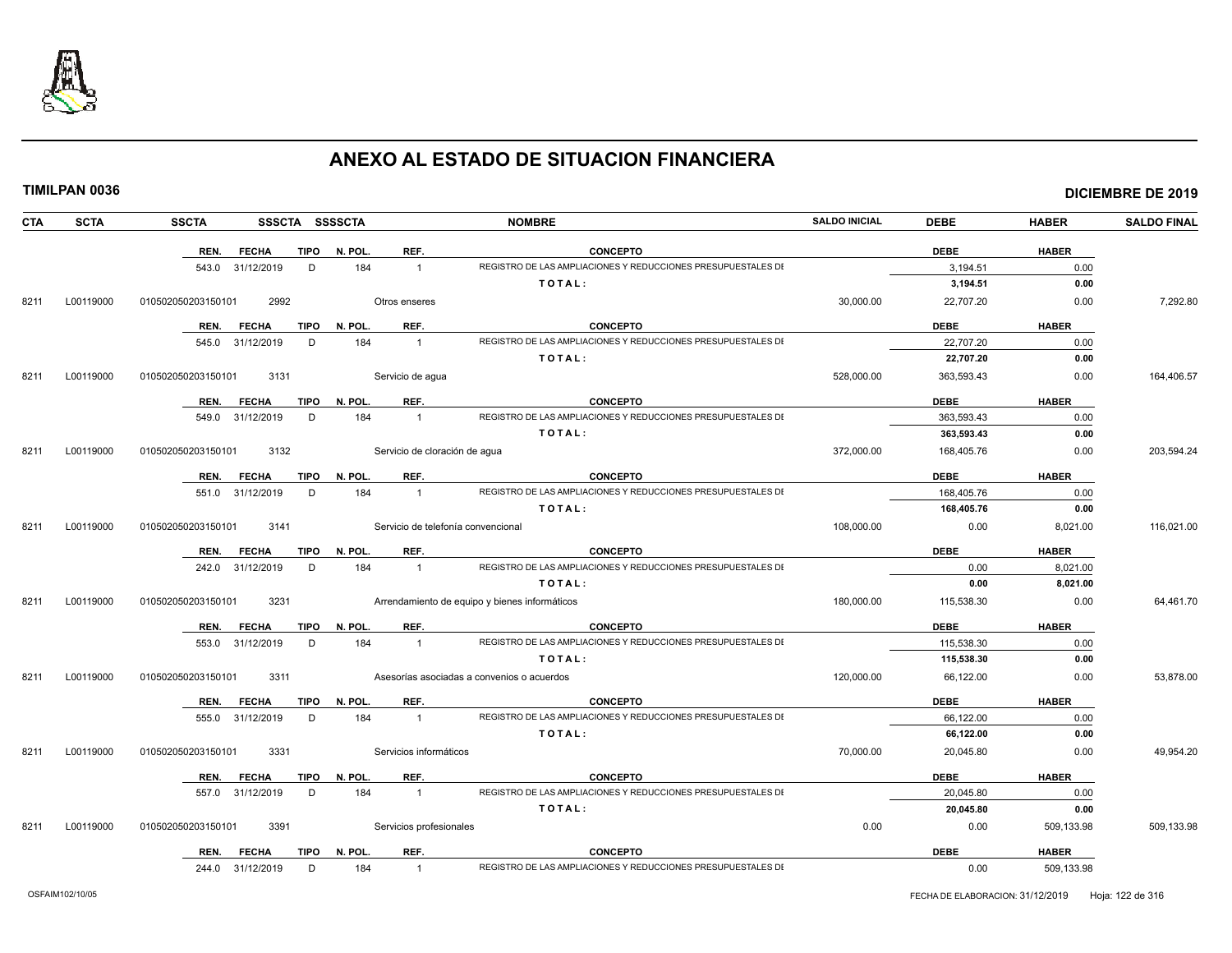

|  |  | TIMILPAN 0036 |
|--|--|---------------|
|  |  |               |

| <b>CTA</b> | <b>SCTA</b> | <b>SSCTA</b>       | SSSCTA SSSSCTA |             |                         | <b>NOMBRE</b>                                                | <b>SALDO INICIAL</b> | <b>DEBE</b> | <b>HABER</b> | <b>SALDO FINAL</b> |
|------------|-------------|--------------------|----------------|-------------|-------------------------|--------------------------------------------------------------|----------------------|-------------|--------------|--------------------|
|            |             | REN.               | <b>FECHA</b>   | <b>TIPO</b> | N. POL.<br>REF.         | <b>CONCEPTO</b>                                              |                      | <b>DEBE</b> | <b>HABER</b> |                    |
|            |             | 543.0 31/12/2019   |                | D           | 184<br>$\mathbf{1}$     | REGISTRO DE LAS AMPLIACIONES Y REDUCCIONES PRESUPUESTALES DI |                      | 3,194.51    | 0.00         |                    |
|            |             |                    |                |             |                         | TOTAL:                                                       |                      | 3,194.51    | 0.00         |                    |
| 8211       | L00119000   | 010502050203150101 | 2992           |             | Otros enseres           |                                                              | 30,000.00            | 22,707.20   | 0.00         | 7,292.80           |
|            |             | REN.               | <b>FECHA</b>   | <b>TIPO</b> | N. POL.<br>REF.         | <b>CONCEPTO</b>                                              |                      | <b>DEBE</b> | <b>HABER</b> |                    |
|            |             | 545.0              | 31/12/2019     | D           | 184<br>$\mathbf{1}$     | REGISTRO DE LAS AMPLIACIONES Y REDUCCIONES PRESUPUESTALES DI |                      | 22,707.20   | 0.00         |                    |
|            |             |                    |                |             |                         | TOTAL:                                                       |                      | 22,707.20   | 0.00         |                    |
| 8211       | L00119000   | 010502050203150101 | 3131           |             | Servicio de agua        |                                                              | 528.000.00           | 363,593.43  | 0.00         | 164.406.57         |
|            |             | REN.               | <b>FECHA</b>   | TIPO        | REF.<br>N. POL.         | CONCEPTO                                                     |                      | <b>DEBE</b> | <b>HABER</b> |                    |
|            |             | 549.0              | 31/12/2019     | D           | 184<br>$\mathbf{1}$     | REGISTRO DE LAS AMPLIACIONES Y REDUCCIONES PRESUPUESTALES DI |                      | 363,593.43  | 0.00         |                    |
|            |             |                    |                |             |                         | TOTAL:                                                       |                      | 363,593.43  | 0.00         |                    |
| 8211       | L00119000   | 010502050203150101 | 3132           |             |                         | Servicio de cloración de agua                                | 372,000.00           | 168,405.76  | 0.00         | 203,594.24         |
|            |             | REN.               | <b>FECHA</b>   | TIPO        | REF.<br>N. POL.         | <b>CONCEPTO</b>                                              |                      | <b>DEBE</b> | <b>HABER</b> |                    |
|            |             | 551.0 31/12/2019   |                | D           | 184<br>$\mathbf{1}$     | REGISTRO DE LAS AMPLIACIONES Y REDUCCIONES PRESUPUESTALES DI |                      | 168.405.76  | 0.00         |                    |
|            |             |                    |                |             |                         | TOTAL:                                                       |                      | 168,405.76  | 0.00         |                    |
| 8211       | L00119000   | 010502050203150101 | 3141           |             |                         | Servicio de telefonía convencional                           | 108,000.00           | 0.00        | 8,021.00     | 116,021.00         |
|            |             | REN.               | <b>FECHA</b>   | TIPO        | N. POL.<br>REF.         | <b>CONCEPTO</b>                                              |                      | <b>DEBE</b> | <b>HABER</b> |                    |
|            |             | 242.0 31/12/2019   |                | D           | 184<br>$\overline{1}$   | REGISTRO DE LAS AMPLIACIONES Y REDUCCIONES PRESUPUESTALES DI |                      | 0.00        | 8,021.00     |                    |
|            |             |                    |                |             |                         | TOTAL:                                                       |                      | 0.00        | 8,021.00     |                    |
| 8211       | L00119000   | 010502050203150101 | 3231           |             |                         | Arrendamiento de equipo y bienes informáticos                | 180,000.00           | 115,538.30  | 0.00         | 64,461.70          |
|            |             | REN.               | <b>FECHA</b>   | TIPO        | N. POL.<br>REF.         | <b>CONCEPTO</b>                                              |                      | <b>DEBE</b> | <b>HABER</b> |                    |
|            |             | 553.0 31/12/2019   |                | D           | 184<br>$\mathbf{1}$     | REGISTRO DE LAS AMPLIACIONES Y REDUCCIONES PRESUPUESTALES DI |                      | 115,538.30  | 0.00         |                    |
|            |             |                    |                |             |                         | TOTAL:                                                       |                      | 115,538.30  | 0.00         |                    |
| 8211       | L00119000   | 010502050203150101 | 3311           |             |                         | Asesorías asociadas a convenios o acuerdos                   | 120.000.00           | 66,122.00   | 0.00         | 53,878.00          |
|            |             | REN.               | <b>FECHA</b>   | TIPO        | N. POL.<br>REF.         | <b>CONCEPTO</b>                                              |                      | <b>DEBE</b> | <b>HABER</b> |                    |
|            |             | 555.0              | 31/12/2019     | D           | 184<br>$\mathbf{1}$     | REGISTRO DE LAS AMPLIACIONES Y REDUCCIONES PRESUPUESTALES DI |                      | 66,122.00   | 0.00         |                    |
|            |             |                    |                |             |                         | TOTAL:                                                       |                      | 66,122.00   | 0.00         |                    |
| 8211       | L00119000   | 010502050203150101 | 3331           |             | Servicios informáticos  |                                                              | 70,000.00            | 20,045.80   | 0.00         | 49,954.20          |
|            |             | REN.               | <b>FECHA</b>   | <b>TIPO</b> | N. POL.<br>REF.         | <b>CONCEPTO</b>                                              |                      | <b>DEBE</b> | <b>HABER</b> |                    |
|            |             | 557.0 31/12/2019   |                | D           | 184<br>$\mathbf{1}$     | REGISTRO DE LAS AMPLIACIONES Y REDUCCIONES PRESUPUESTALES DI |                      | 20.045.80   | 0.00         |                    |
|            |             |                    |                |             |                         | TOTAL:                                                       |                      | 20,045.80   | 0.00         |                    |
| 8211       | L00119000   | 010502050203150101 | 3391           |             | Servicios profesionales |                                                              | 0.00                 | 0.00        | 509,133.98   | 509,133.98         |
|            |             | REN.               | <b>FECHA</b>   | TIPO        | N. POL.<br>REF.         | <b>CONCEPTO</b>                                              |                      | <b>DEBE</b> | <b>HABER</b> |                    |
|            |             | 244.0 31/12/2019   |                | D           | 184<br>$\overline{1}$   | REGISTRO DE LAS AMPLIACIONES Y REDUCCIONES PRESUPUESTALES DI |                      | 0.00        | 509,133.98   |                    |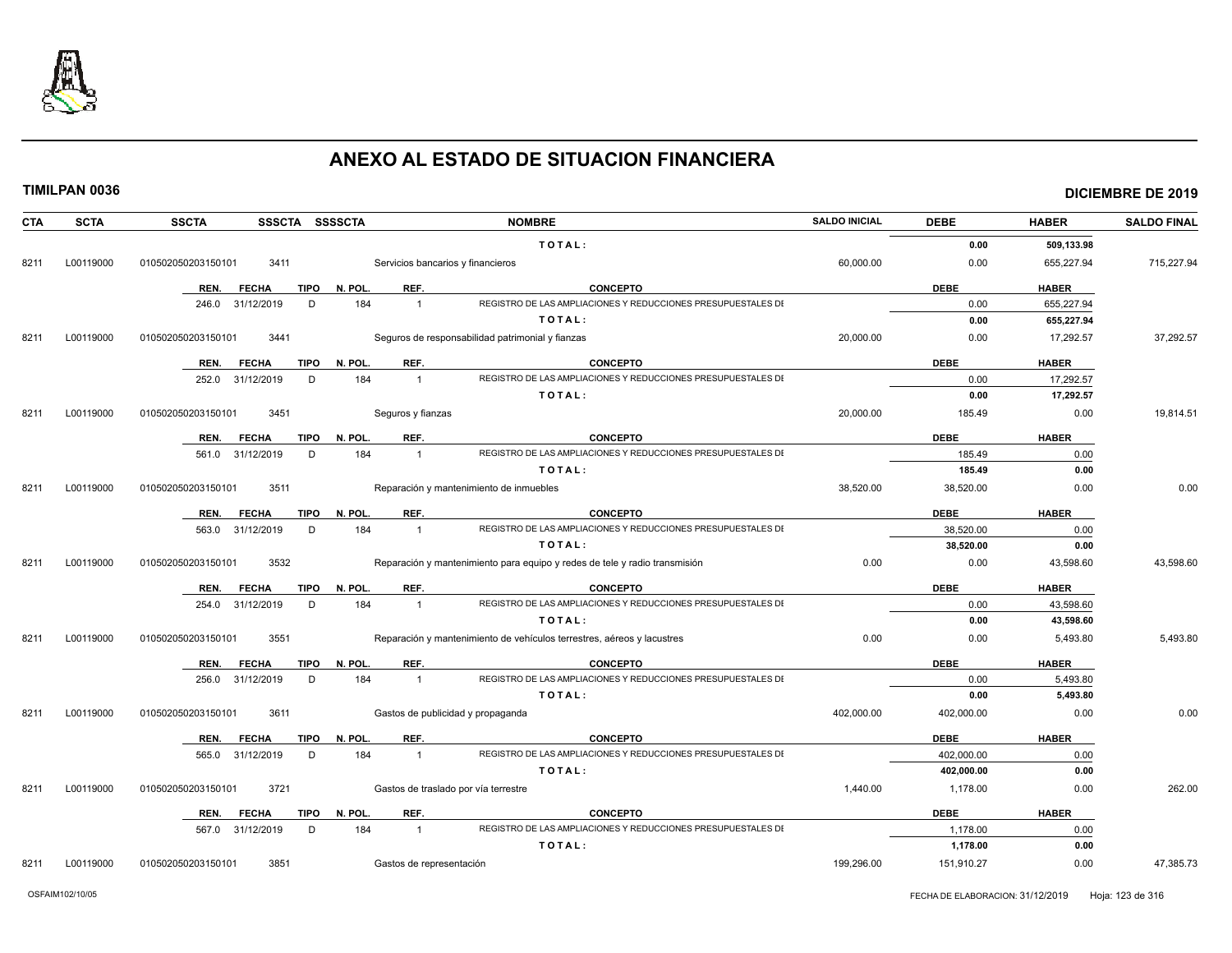

| <b>CTA</b> | <b>SCTA</b> | <b>SSCTA</b><br>SSSCTA SSSSCTA      |                                      | <b>NOMBRE</b>                                                              | <b>SALDO INICIAL</b> | <b>DEBE</b> | <b>HABER</b> | <b>SALDO FINAL</b> |
|------------|-------------|-------------------------------------|--------------------------------------|----------------------------------------------------------------------------|----------------------|-------------|--------------|--------------------|
|            |             |                                     |                                      | TOTAL:                                                                     |                      | 0.00        | 509.133.98   |                    |
| 8211       | L00119000   | 3411<br>010502050203150101          | Servicios bancarios y financieros    |                                                                            | 60,000.00            | 0.00        | 655,227.94   | 715,227.94         |
|            |             | REN.<br><b>FECHA</b><br>TIPO        | REF.<br>N. POL.                      | <b>CONCEPTO</b>                                                            |                      | <b>DEBE</b> | <b>HABER</b> |                    |
|            |             | 31/12/2019<br>D<br>246.0            | 184<br>$\overline{1}$                | REGISTRO DE LAS AMPLIACIONES Y REDUCCIONES PRESUPUESTALES DI               |                      | 0.00        | 655,227.94   |                    |
|            |             |                                     |                                      | TOTAL:                                                                     |                      | 0.00        | 655,227.94   |                    |
| 8211       | L00119000   | 3441<br>010502050203150101          |                                      | Seguros de responsabilidad patrimonial y fianzas                           | 20,000.00            | 0.00        | 17,292.57    | 37,292.57          |
|            |             | REN.<br><b>FECHA</b><br><b>TIPO</b> | N. POL.<br>REF.                      | <b>CONCEPTO</b>                                                            |                      | <b>DEBE</b> | <b>HABER</b> |                    |
|            |             | 31/12/2019<br>D<br>252.0            | 184<br>$\overline{1}$                | REGISTRO DE LAS AMPLIACIONES Y REDUCCIONES PRESUPUESTALES DI               |                      | 0.00        | 17.292.57    |                    |
|            |             |                                     |                                      | TOTAL:                                                                     |                      | 0.00        | 17,292.57    |                    |
| 8211       | L00119000   | 3451<br>010502050203150101          | Seguros y fianzas                    |                                                                            | 20,000.00            | 185.49      | 0.00         | 19,814.51          |
|            |             | <b>TIPO</b><br>REN.<br><b>FECHA</b> | N. POL.<br>REF.                      | <b>CONCEPTO</b>                                                            |                      | <b>DEBE</b> | <b>HABER</b> |                    |
|            |             | 31/12/2019<br>D<br>561.0            | 184<br>$\mathbf{1}$                  | REGISTRO DE LAS AMPLIACIONES Y REDUCCIONES PRESUPUESTALES DI               |                      | 185.49      | 0.00         |                    |
|            |             |                                     |                                      | TOTAL:                                                                     |                      | 185.49      | 0.00         |                    |
| 8211       | L00119000   | 010502050203150101<br>3511          |                                      | Reparación y mantenimiento de inmuebles                                    | 38,520.00            | 38,520.00   | 0.00         | 0.00               |
|            |             | REN.<br><b>FECHA</b><br>TIPO        | REF.<br>N. POL                       | <b>CONCEPTO</b>                                                            |                      | <b>DEBE</b> | <b>HABER</b> |                    |
|            |             | 563.0<br>31/12/2019<br>D            | 184<br>$\overline{1}$                | REGISTRO DE LAS AMPLIACIONES Y REDUCCIONES PRESUPUESTALES DI               |                      | 38,520.00   | 0.00         |                    |
|            |             |                                     |                                      | TOTAL:                                                                     |                      | 38,520.00   | 0.00         |                    |
| 8211       | L00119000   | 3532<br>010502050203150101          |                                      | Reparación y mantenimiento para equipo y redes de tele y radio transmisión | 0.00                 | 0.00        | 43,598.60    | 43,598.60          |
|            |             | REN.<br><b>FECHA</b><br><b>TIPO</b> | N. POL.<br>REF.                      | <b>CONCEPTO</b>                                                            |                      | <b>DEBE</b> | <b>HABER</b> |                    |
|            |             | 31/12/2019<br>D<br>254.0            | 184<br>$\overline{1}$                | REGISTRO DE LAS AMPLIACIONES Y REDUCCIONES PRESUPUESTALES DI               |                      | 0.00        | 43,598.60    |                    |
|            |             |                                     |                                      | TOTAL:                                                                     |                      | 0.00        | 43,598.60    |                    |
| 8211       | L00119000   | 3551<br>010502050203150101          |                                      | Reparación y mantenimiento de vehículos terrestres, aéreos y lacustres     | 0.00                 | 0.00        | 5,493.80     | 5,493.80           |
|            |             | <b>TIPO</b><br><b>FECHA</b><br>REN. | N. POL.<br>REF.                      | <b>CONCEPTO</b>                                                            |                      | <b>DEBE</b> | <b>HABER</b> |                    |
|            |             | D<br>31/12/2019<br>256.0            | 184<br>$\overline{1}$                | REGISTRO DE LAS AMPLIACIONES Y REDUCCIONES PRESUPUESTALES DI               |                      | 0.00        | 5,493.80     |                    |
|            |             |                                     |                                      | TOTAL:                                                                     |                      | 0.00        | 5,493.80     |                    |
| 8211       | L00119000   | 010502050203150101<br>3611          | Gastos de publicidad y propaganda    |                                                                            | 402,000.00           | 402,000.00  | 0.00         | 0.00               |
|            |             | <b>TIPO</b><br>REN.<br><b>FECHA</b> | REF.<br>N. POL                       | <b>CONCEPTO</b>                                                            |                      | <b>DEBE</b> | <b>HABER</b> |                    |
|            |             | 565.0<br>31/12/2019<br>D            | 184<br>$\mathbf{1}$                  | REGISTRO DE LAS AMPLIACIONES Y REDUCCIONES PRESUPUESTALES DI               |                      | 402,000.00  | 0.00         |                    |
|            |             |                                     |                                      | TOTAL:                                                                     |                      | 402,000.00  | 0.00         |                    |
| 8211       | L00119000   | 3721<br>010502050203150101          | Gastos de traslado por vía terrestre |                                                                            | 1,440.00             | 1,178.00    | 0.00         | 262.00             |
|            |             | TIPO<br>REN.<br><b>FECHA</b>        | REF.<br>N. POL.                      | <b>CONCEPTO</b>                                                            |                      | <b>DEBE</b> | <b>HABER</b> |                    |
|            |             | 567.0<br>31/12/2019<br>D            | 184<br>$\overline{1}$                | REGISTRO DE LAS AMPLIACIONES Y REDUCCIONES PRESUPUESTALES DI               |                      | 1,178.00    | 0.00         |                    |
|            |             |                                     |                                      | TOTAL:                                                                     |                      | 1,178.00    | 0.00         |                    |
| 8211       | L00119000   | 010502050203150101<br>3851          | Gastos de representación             |                                                                            | 199,296.00           | 151,910.27  | 0.00         | 47,385.73          |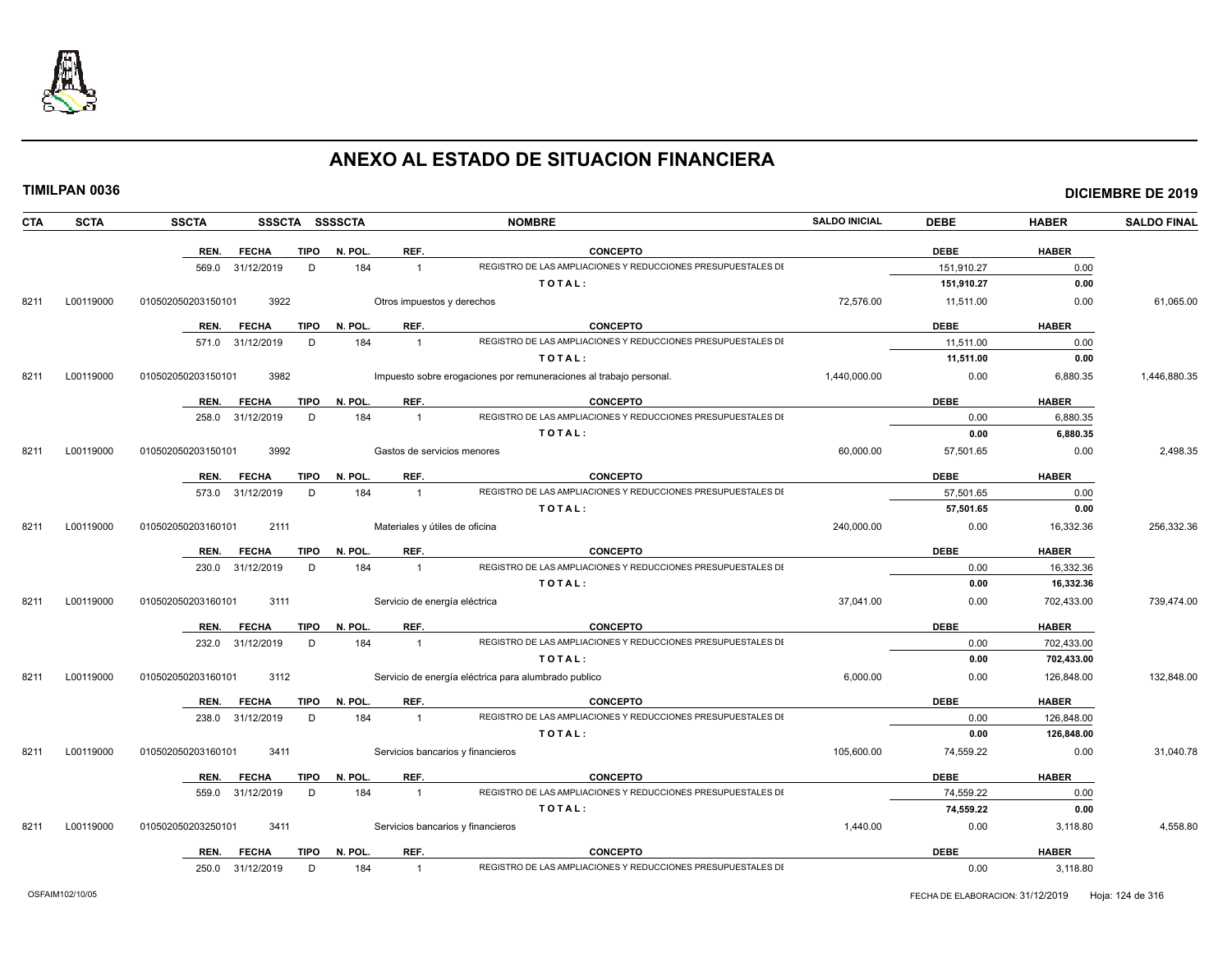

|--|

|  | TIMILPAN 0036 |
|--|---------------|
|--|---------------|

| CTA  | <b>SCTA</b> | <b>SSCTA</b><br>SSSCTA SSSSCTA      |         | <b>NOMBRE</b>                                                                  | <b>SALDO INICIAL</b> | <b>DEBE</b> | <b>HABER</b> | <b>SALDO FINAL</b> |
|------|-------------|-------------------------------------|---------|--------------------------------------------------------------------------------|----------------------|-------------|--------------|--------------------|
|      |             | <b>TIPO</b><br>REN.<br><b>FECHA</b> | N. POL. | <b>CONCEPTO</b><br>REF.                                                        |                      | <b>DEBE</b> | <b>HABER</b> |                    |
|      |             | 31/12/2019<br>D<br>569.0            | 184     | REGISTRO DE LAS AMPLIACIONES Y REDUCCIONES PRESUPUESTALES DI<br>$\mathbf{1}$   |                      | 151,910.27  | 0.00         |                    |
|      |             |                                     |         | TOTAL:                                                                         |                      | 151,910.27  | 0.00         |                    |
| 8211 | L00119000   | 3922<br>010502050203150101          |         | Otros impuestos y derechos                                                     | 72,576.00            | 11,511.00   | 0.00         | 61,065.00          |
|      |             | REN.<br><b>FECHA</b><br><b>TIPO</b> | N. POL. | REF.<br><b>CONCEPTO</b>                                                        |                      | <b>DEBE</b> | <b>HABER</b> |                    |
|      |             | D<br>571.0 31/12/2019               | 184     | REGISTRO DE LAS AMPLIACIONES Y REDUCCIONES PRESUPUESTALES DI<br>$\mathbf{1}$   |                      | 11,511.00   | 0.00         |                    |
|      |             |                                     |         | TOTAL:                                                                         |                      | 11,511.00   | 0.00         |                    |
| 821' | L00119000   | 3982<br>010502050203150101          |         | Impuesto sobre erogaciones por remuneraciones al trabajo personal.             | 1,440,000.00         | 0.00        | 6,880.35     | 1,446,880.35       |
|      |             | <b>FECHA</b><br><b>TIPO</b><br>REN. | N. POL. | REF.<br><b>CONCEPTO</b>                                                        |                      | <b>DEBE</b> | <b>HABER</b> |                    |
|      |             | D<br>258.0<br>31/12/2019            | 184     | REGISTRO DE LAS AMPLIACIONES Y REDUCCIONES PRESUPUESTALES DI<br>$\mathbf{1}$   |                      | 0.00        | 6,880.35     |                    |
|      |             |                                     |         | TOTAL:                                                                         |                      | 0.00        | 6,880.35     |                    |
| 8211 | L00119000   | 010502050203150101<br>3992          |         | Gastos de servicios menores                                                    | 60,000.00            | 57,501.65   | 0.00         | 2,498.35           |
|      |             | <b>FECHA</b><br>TIPO<br>REN.        | N. POL. | REF.<br><b>CONCEPTO</b>                                                        |                      | <b>DEBE</b> | <b>HABER</b> |                    |
|      |             | 31/12/2019<br>D<br>573.0            | 184     | REGISTRO DE LAS AMPLIACIONES Y REDUCCIONES PRESUPUESTALES DI<br>$\mathbf{1}$   |                      | 57,501.65   | 0.00         |                    |
|      |             |                                     |         | TOTAL:                                                                         |                      | 57,501.65   | 0.00         |                    |
| 8211 | L00119000   | 010502050203160101<br>2111          |         | Materiales y útiles de oficina                                                 | 240,000.00           | 0.00        | 16,332.36    | 256,332.36         |
|      |             | <b>FECHA</b><br><b>TIPO</b><br>REN. | N. POL. | REF.<br><b>CONCEPTO</b>                                                        |                      | <b>DEBE</b> | <b>HABER</b> |                    |
|      |             | 31/12/2019<br>230.0<br>D            | 184     | REGISTRO DE LAS AMPLIACIONES Y REDUCCIONES PRESUPUESTALES DI<br>$\mathbf{1}$   |                      | 0.00        | 16,332.36    |                    |
|      |             |                                     |         | TOTAL:                                                                         |                      | 0.00        | 16,332.36    |                    |
| 8211 | L00119000   | 3111<br>010502050203160101          |         | Servicio de energía eléctrica                                                  | 37,041.00            | 0.00        | 702,433.00   | 739,474.00         |
|      |             | <b>TIPO</b><br>REN.<br><b>FECHA</b> | N. POL. | REF.<br><b>CONCEPTO</b>                                                        |                      | <b>DEBE</b> | <b>HABER</b> |                    |
|      |             | 232.0 31/12/2019<br>D               | 184     | REGISTRO DE LAS AMPLIACIONES Y REDUCCIONES PRESUPUESTALES DI<br>$\overline{1}$ |                      | 0.00        | 702,433.00   |                    |
|      |             |                                     |         | TOTAL:                                                                         |                      | 0.00        | 702,433.00   |                    |
| 8211 | L00119000   | 010502050203160101<br>3112          |         | Servicio de energía eléctrica para alumbrado publico                           | 6,000.00             | 0.00        | 126,848.00   | 132,848.00         |
|      |             | <b>FECHA</b><br><b>TIPO</b><br>REN. | N. POL. | REF.<br><b>CONCEPTO</b>                                                        |                      | <b>DEBE</b> | <b>HABER</b> |                    |
|      |             | D<br>238.0<br>31/12/2019            | 184     | REGISTRO DE LAS AMPLIACIONES Y REDUCCIONES PRESUPUESTALES DI<br>$\mathbf{1}$   |                      | 0.00        | 126,848.00   |                    |
|      |             |                                     |         | TOTAL:                                                                         |                      | 0.00        | 126,848.00   |                    |
| 8211 | L00119000   | 3411<br>010502050203160101          |         | Servicios bancarios y financieros                                              | 105,600.00           | 74,559.22   | 0.00         | 31,040.78          |
|      |             | <b>FECHA</b><br><b>TIPO</b><br>REN. | N. POL. | REF.<br><b>CONCEPTO</b>                                                        |                      | <b>DEBE</b> | <b>HABER</b> |                    |
|      |             | D<br>559.0<br>31/12/2019            | 184     | REGISTRO DE LAS AMPLIACIONES Y REDUCCIONES PRESUPUESTALES DI<br>$\overline{1}$ |                      | 74,559.22   | 0.00         |                    |
|      |             |                                     |         | TOTAL:                                                                         |                      | 74,559.22   | 0.00         |                    |
| 8211 | L00119000   | 010502050203250101<br>3411          |         | Servicios bancarios y financieros                                              | 1,440.00             | 0.00        | 3,118.80     | 4,558.80           |
|      |             | TIPO<br>REN.<br><b>FECHA</b>        | N. POL. | REF.<br><b>CONCEPTO</b>                                                        |                      | <b>DEBE</b> | <b>HABER</b> |                    |
|      |             | D<br>250.0 31/12/2019               | 184     | REGISTRO DE LAS AMPLIACIONES Y REDUCCIONES PRESUPUESTALES DI<br>$\mathbf{1}$   |                      | 0.00        | 3,118.80     |                    |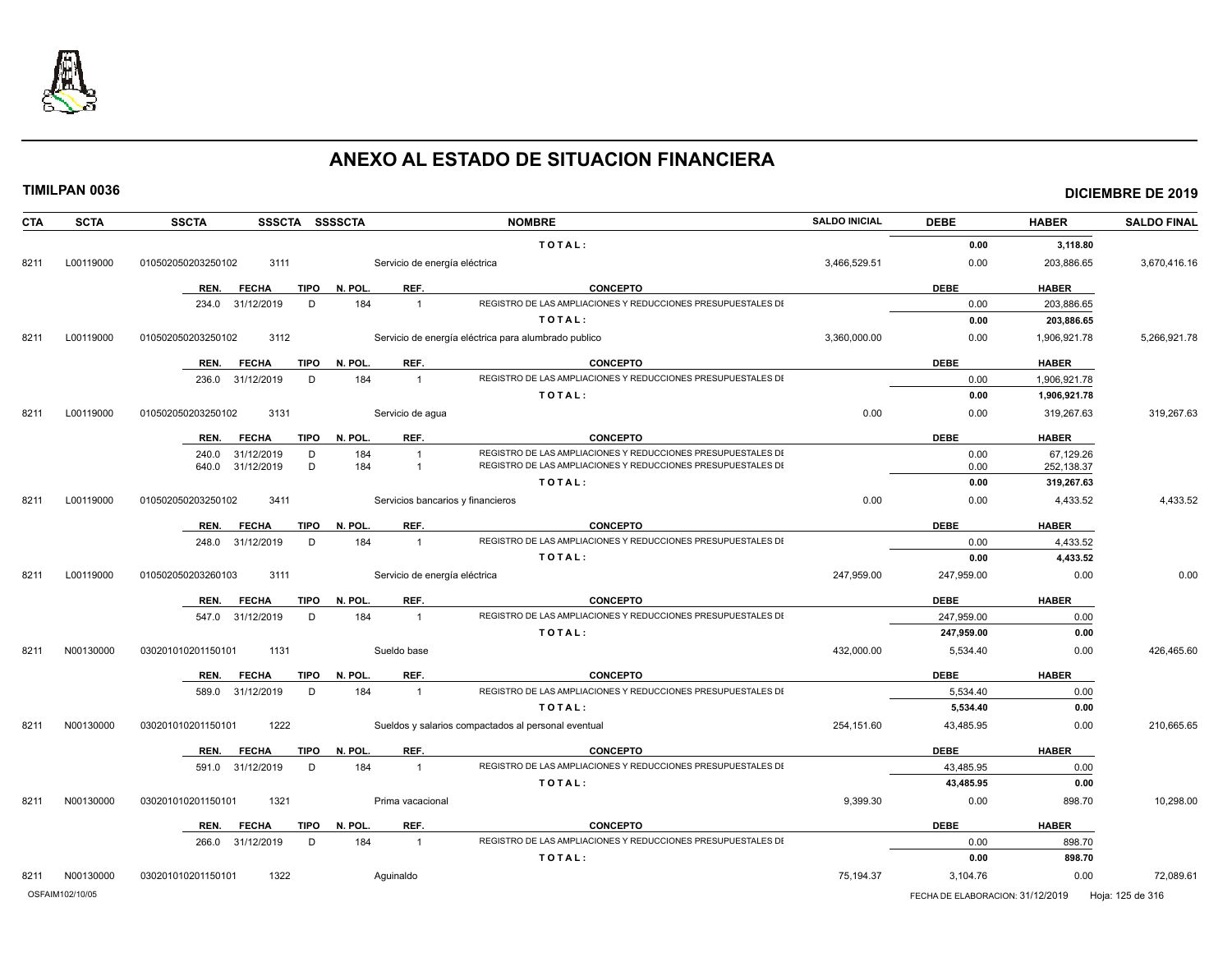

| <b>SCTA</b><br><b>CTA</b> | <b>SSCTA</b><br>SSSCTA SSSSCTA      |                                   | <b>NOMBRE</b>                                                          | <b>SALDO INICIAL</b> | <b>DEBE</b>                      | <b>HABER</b>             | <b>SALDO FINAL</b> |
|---------------------------|-------------------------------------|-----------------------------------|------------------------------------------------------------------------|----------------------|----------------------------------|--------------------------|--------------------|
|                           |                                     |                                   | TOTAL:                                                                 |                      | 0.00                             | 3,118.80                 |                    |
| L00119000<br>8211         | 3111<br>010502050203250102          | Servicio de energía eléctrica     |                                                                        | 3,466,529.51         | 0.00                             | 203,886.65               | 3,670,416.16       |
|                           | <b>TIPO</b><br>REN.<br><b>FECHA</b> | REF.<br>N. POL.                   | <b>CONCEPTO</b>                                                        |                      | <b>DEBE</b>                      | <b>HABER</b>             |                    |
|                           | 234.0 31/12/2019<br>D               | $\overline{1}$<br>184             | REGISTRO DE LAS AMPLIACIONES Y REDUCCIONES PRESUPUESTALES DI           |                      | 0.00                             | 203.886.65               |                    |
|                           |                                     |                                   | TOTAL:                                                                 |                      | 0.00                             | 203,886.65               |                    |
| L00119000<br>8211         | 010502050203250102<br>3112          |                                   | Servicio de energía eléctrica para alumbrado publico                   | 3,360,000.00         | 0.00                             | 1,906,921.78             | 5,266,921.78       |
|                           | TIPO<br>REN.<br><b>FECHA</b>        | REF.<br>N. POL.                   | <b>CONCEPTO</b>                                                        |                      | <b>DEBE</b>                      | <b>HABER</b>             |                    |
|                           | 236.0 31/12/2019<br>D               | $\overline{1}$<br>184             | REGISTRO DE LAS AMPLIACIONES Y REDUCCIONES PRESUPUESTALES DI           |                      | 0.00                             | 1,906,921.78             |                    |
|                           |                                     |                                   | TOTAL:                                                                 |                      | 0.00                             | 1,906,921.78             |                    |
| 8211<br>L00119000         | 3131<br>010502050203250102          | Servicio de aqua                  |                                                                        | 0.00                 | 0.00                             | 319.267.63               | 319.267.63         |
|                           | <b>TIPO</b><br>REN.<br><b>FECHA</b> | N. POL.<br>REF.                   | <b>CONCEPTO</b>                                                        |                      | <b>DEBE</b>                      | <b>HABER</b>             |                    |
|                           | 240.0<br>31/12/2019<br>D            | 184<br>$\overline{1}$             | REGISTRO DE LAS AMPLIACIONES Y REDUCCIONES PRESUPUESTALES DI           |                      | 0.00                             | 67,129.26                |                    |
|                           | 31/12/2019<br>D<br>640.0            | 184<br>$\overline{1}$             | REGISTRO DE LAS AMPLIACIONES Y REDUCCIONES PRESUPUESTALES DI<br>TOTAL: |                      | 0.00<br>0.00                     | 252,138.37<br>319,267.63 |                    |
|                           |                                     |                                   |                                                                        |                      |                                  |                          |                    |
| L00119000<br>8211         | 010502050203250102<br>3411          | Servicios bancarios y financieros |                                                                        | 0.00                 | 0.00                             | 4,433.52                 | 4,433.52           |
|                           | REN.<br><b>FECHA</b><br><b>TIPO</b> | REF.<br>N. POL.                   | <b>CONCEPTO</b>                                                        |                      | <b>DEBE</b>                      | <b>HABER</b>             |                    |
|                           | 248.0 31/12/2019<br>D               | 184<br>$\overline{1}$             | REGISTRO DE LAS AMPLIACIONES Y REDUCCIONES PRESUPUESTALES DI           |                      | 0.00                             | 4,433.52                 |                    |
|                           |                                     |                                   | TOTAL:                                                                 |                      | 0.00                             | 4,433.52                 |                    |
| 8211<br>L00119000         | 3111<br>010502050203260103          | Servicio de energía eléctrica     |                                                                        | 247,959.00           | 247,959.00                       | 0.00                     | 0.00               |
|                           | <b>TIPO</b><br>REN.<br><b>FECHA</b> | REF.<br>N. POL.                   | <b>CONCEPTO</b>                                                        |                      | <b>DEBE</b>                      | <b>HABER</b>             |                    |
|                           | 547.0 31/12/2019<br>D               | 184<br>$\overline{1}$             | REGISTRO DE LAS AMPLIACIONES Y REDUCCIONES PRESUPUESTALES DI           |                      | 247,959.00                       | 0.00                     |                    |
|                           |                                     |                                   | TOTAL:                                                                 |                      | 247,959.00                       | 0.00                     |                    |
| 8211<br>N00130000         | 030201010201150101<br>1131          | Sueldo base                       |                                                                        | 432,000.00           | 5,534.40                         | 0.00                     | 426,465.60         |
|                           | <b>TIPO</b><br>REN.<br><b>FECHA</b> | REF.<br>N. POL.                   | <b>CONCEPTO</b>                                                        |                      | <b>DEBE</b>                      | <b>HABER</b>             |                    |
|                           | D<br>589.0 31/12/2019               | 184<br>$\overline{1}$             | REGISTRO DE LAS AMPLIACIONES Y REDUCCIONES PRESUPUESTALES DI           |                      | 5,534.40                         | 0.00                     |                    |
|                           |                                     |                                   | TOTAL:                                                                 |                      | 5,534.40                         | 0.00                     |                    |
| 8211<br>N00130000         | 1222<br>030201010201150101          |                                   | Sueldos y salarios compactados al personal eventual                    | 254,151.60           | 43,485.95                        | 0.00                     | 210,665.65         |
|                           | <b>FECHA</b><br><b>TIPO</b><br>REN. | REF.<br>N. POL.                   | <b>CONCEPTO</b>                                                        |                      | <b>DEBE</b>                      | <b>HABER</b>             |                    |
|                           | 591.0 31/12/2019<br>D               | 184<br>$\overline{1}$             | REGISTRO DE LAS AMPLIACIONES Y REDUCCIONES PRESUPUESTALES DI           |                      | 43,485.95                        | 0.00                     |                    |
|                           |                                     |                                   | TOTAL:                                                                 |                      | 43,485.95                        | 0.00                     |                    |
| 8211<br>N00130000         | 1321<br>030201010201150101          | Prima vacacional                  |                                                                        | 9.399.30             | 0.00                             | 898.70                   | 10.298.00          |
|                           | <b>FECHA</b><br><b>TIPO</b><br>REN. | N. POL.<br>REF.                   | <b>CONCEPTO</b>                                                        |                      | <b>DEBE</b>                      | <b>HABER</b>             |                    |
|                           | 266.0 31/12/2019<br>D               | 184<br>$\overline{1}$             | REGISTRO DE LAS AMPLIACIONES Y REDUCCIONES PRESUPUESTALES DI           |                      | 0.00                             | 898.70                   |                    |
|                           |                                     |                                   | TOTAL:                                                                 |                      | 0.00                             | 898.70                   |                    |
| N00130000<br>8211         | 030201010201150101<br>1322          | Aguinaldo                         |                                                                        | 75,194.37            | 3,104.76                         | 0.00                     | 72,089.61          |
| OSFAIM102/10/05           |                                     |                                   |                                                                        |                      | FECHA DE ELABORACION: 31/12/2019 |                          | Hoja: 125 de 316   |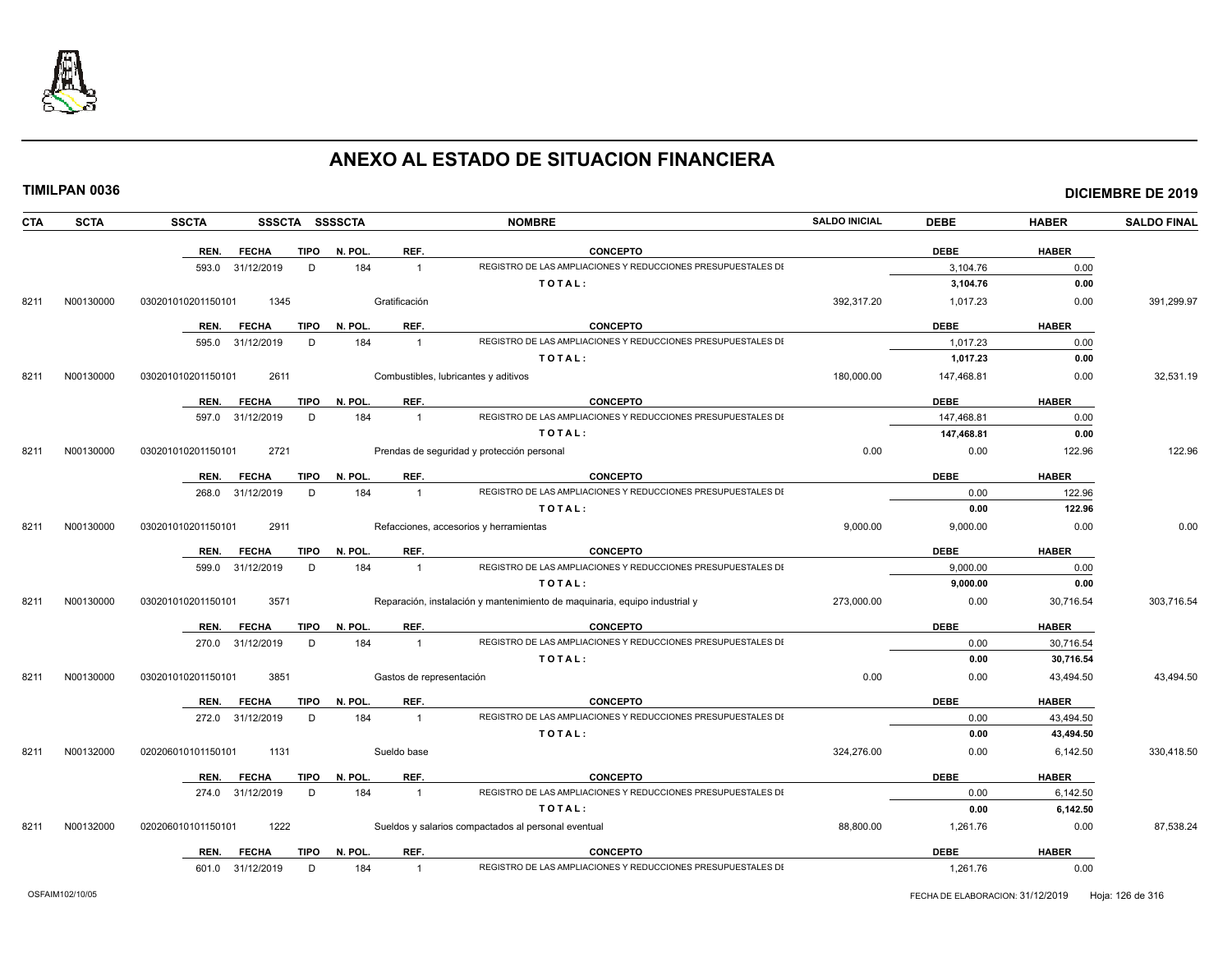

|  |  |  | TIMILPAN 0036 |
|--|--|--|---------------|
|  |  |  |               |
|  |  |  |               |

| CTA  | <b>SCTA</b> | <b>SSCTA</b>       | SSSCTA SSSSCTA              |         |                          | <b>NOMBRE</b>                                                              | <b>SALDO INICIAL</b> | <b>DEBE</b> | <b>HABER</b> | <b>SALDO FINAL</b> |
|------|-------------|--------------------|-----------------------------|---------|--------------------------|----------------------------------------------------------------------------|----------------------|-------------|--------------|--------------------|
|      |             | REN.               | <b>FECHA</b><br><b>TIPO</b> | N. POL. | REF.                     | <b>CONCEPTO</b>                                                            |                      | <b>DEBE</b> | <b>HABER</b> |                    |
|      |             | 593.0 31/12/2019   | D                           | 184     | $\mathbf{1}$             | REGISTRO DE LAS AMPLIACIONES Y REDUCCIONES PRESUPUESTALES DI               |                      | 3.104.76    | 0.00         |                    |
|      |             |                    |                             |         |                          | TOTAL:                                                                     |                      | 3,104.76    | 0.00         |                    |
| 8211 | N00130000   | 030201010201150101 | 1345                        |         | Gratificación            |                                                                            | 392.317.20           | 1,017.23    | 0.00         | 391,299.97         |
|      |             | REN.               | TIPO<br><b>FECHA</b>        | N. POL. | REF.                     | <b>CONCEPTO</b>                                                            |                      | <b>DEBE</b> | <b>HABER</b> |                    |
|      |             | 595.0 31/12/2019   | D                           | 184     | $\mathbf{1}$             | REGISTRO DE LAS AMPLIACIONES Y REDUCCIONES PRESUPUESTALES DI               |                      | 1,017.23    | 0.00         |                    |
|      |             |                    |                             |         |                          | TOTAL:                                                                     |                      | 1,017.23    | 0.00         |                    |
| 8211 | N00130000   | 030201010201150101 | 2611                        |         |                          | Combustibles, lubricantes y aditivos                                       | 180,000.00           | 147,468.81  | 0.00         | 32,531.19          |
|      |             | REN.               | <b>FECHA</b><br>TIPO        | N. POL. | REF.                     | <b>CONCEPTO</b>                                                            |                      | <b>DEBE</b> | <b>HABER</b> |                    |
|      |             | 597.0              | D<br>31/12/2019             | 184     | $\mathbf{1}$             | REGISTRO DE LAS AMPLIACIONES Y REDUCCIONES PRESUPUESTALES DI               |                      | 147.468.81  | 0.00         |                    |
|      |             |                    |                             |         |                          | TOTAL:                                                                     |                      | 147,468.81  | 0.00         |                    |
| 8211 | N00130000   | 030201010201150101 | 2721                        |         |                          | Prendas de seguridad y protección personal                                 | 0.00                 | 0.00        | 122.96       | 122.96             |
|      |             | REN.               | <b>FECHA</b><br>TIPO        | N. POL. | REF.                     | <b>CONCEPTO</b>                                                            |                      | <b>DEBE</b> | <b>HABER</b> |                    |
|      |             | 268.0              | D<br>31/12/2019             | 184     | $\mathbf{1}$             | REGISTRO DE LAS AMPLIACIONES Y REDUCCIONES PRESUPUESTALES DI               |                      | 0.00        | 122.96       |                    |
|      |             |                    |                             |         |                          | TOTAL:                                                                     |                      | 0.00        | 122.96       |                    |
| 8211 | N00130000   | 030201010201150101 | 2911                        |         |                          | Refacciones, accesorios y herramientas                                     | 9,000.00             | 9,000.00    | 0.00         | 0.00               |
|      |             | REN.               | <b>FECHA</b><br><b>TIPO</b> | N. POL. | REF.                     | <b>CONCEPTO</b>                                                            |                      | <b>DEBE</b> | <b>HABER</b> |                    |
|      |             | 599.0 31/12/2019   | D                           | 184     | $\mathbf{1}$             | REGISTRO DE LAS AMPLIACIONES Y REDUCCIONES PRESUPUESTALES DI               |                      | 9,000.00    | 0.00         |                    |
|      |             |                    |                             |         |                          | TOTAL:                                                                     |                      | 9,000.00    | 0.00         |                    |
| 8211 | N00130000   | 030201010201150101 | 3571                        |         |                          | Reparación, instalación y mantenimiento de maquinaria, equipo industrial y | 273,000.00           | 0.00        | 30,716.54    | 303,716.54         |
|      |             | REN.               | <b>FECHA</b><br>TIPO        | N. POL. | REF.                     | <b>CONCEPTO</b>                                                            |                      | <b>DEBE</b> | <b>HABER</b> |                    |
|      |             | 270.0 31/12/2019   | D                           | 184     | $\overline{1}$           | REGISTRO DE LAS AMPLIACIONES Y REDUCCIONES PRESUPUESTALES DI               |                      | 0.00        | 30,716.54    |                    |
|      |             |                    |                             |         |                          | TOTAL:                                                                     |                      | 0.00        | 30,716.54    |                    |
| 8211 | N00130000   | 030201010201150101 | 3851                        |         | Gastos de representación |                                                                            | 0.00                 | 0.00        | 43,494.50    | 43,494.50          |
|      |             | REN.               | <b>FECHA</b><br>TIPO        | N. POL. | REF.                     | <b>CONCEPTO</b>                                                            |                      | <b>DEBE</b> | <b>HABER</b> |                    |
|      |             | 272.0 31/12/2019   | D                           | 184     | $\overline{1}$           | REGISTRO DE LAS AMPLIACIONES Y REDUCCIONES PRESUPUESTALES DI               |                      | 0.00        | 43,494.50    |                    |
|      |             |                    |                             |         |                          | TOTAL:                                                                     |                      | 0.00        | 43,494.50    |                    |
| 8211 | N00132000   | 020206010101150101 | 1131                        |         | Sueldo base              |                                                                            | 324,276.00           | 0.00        | 6,142.50     | 330,418.50         |
|      |             | REN.               | <b>FECHA</b><br><b>TIPO</b> | N. POL. | REF.                     | <b>CONCEPTO</b>                                                            |                      | <b>DEBE</b> | <b>HABER</b> |                    |
|      |             | 274.0 31/12/2019   | D                           | 184     | $\mathbf{1}$             | REGISTRO DE LAS AMPLIACIONES Y REDUCCIONES PRESUPUESTALES DI               |                      | 0.00        | 6.142.50     |                    |
|      |             |                    |                             |         |                          | TOTAL:                                                                     |                      | 0.00        | 6,142.50     |                    |
| 8211 | N00132000   | 020206010101150101 | 1222                        |         |                          | Sueldos y salarios compactados al personal eventual                        | 88,800.00            | 1,261.76    | 0.00         | 87,538.24          |
|      |             | REN.               | TIPO<br>FECHA               | N. POL. | REF.                     | <b>CONCEPTO</b>                                                            |                      | <b>DEBE</b> | <b>HABER</b> |                    |
|      |             | 601.0 31/12/2019   | D                           | 184     | $\mathbf{1}$             | REGISTRO DE LAS AMPLIACIONES Y REDUCCIONES PRESUPUESTALES DI               |                      | 1,261.76    | 0.00         |                    |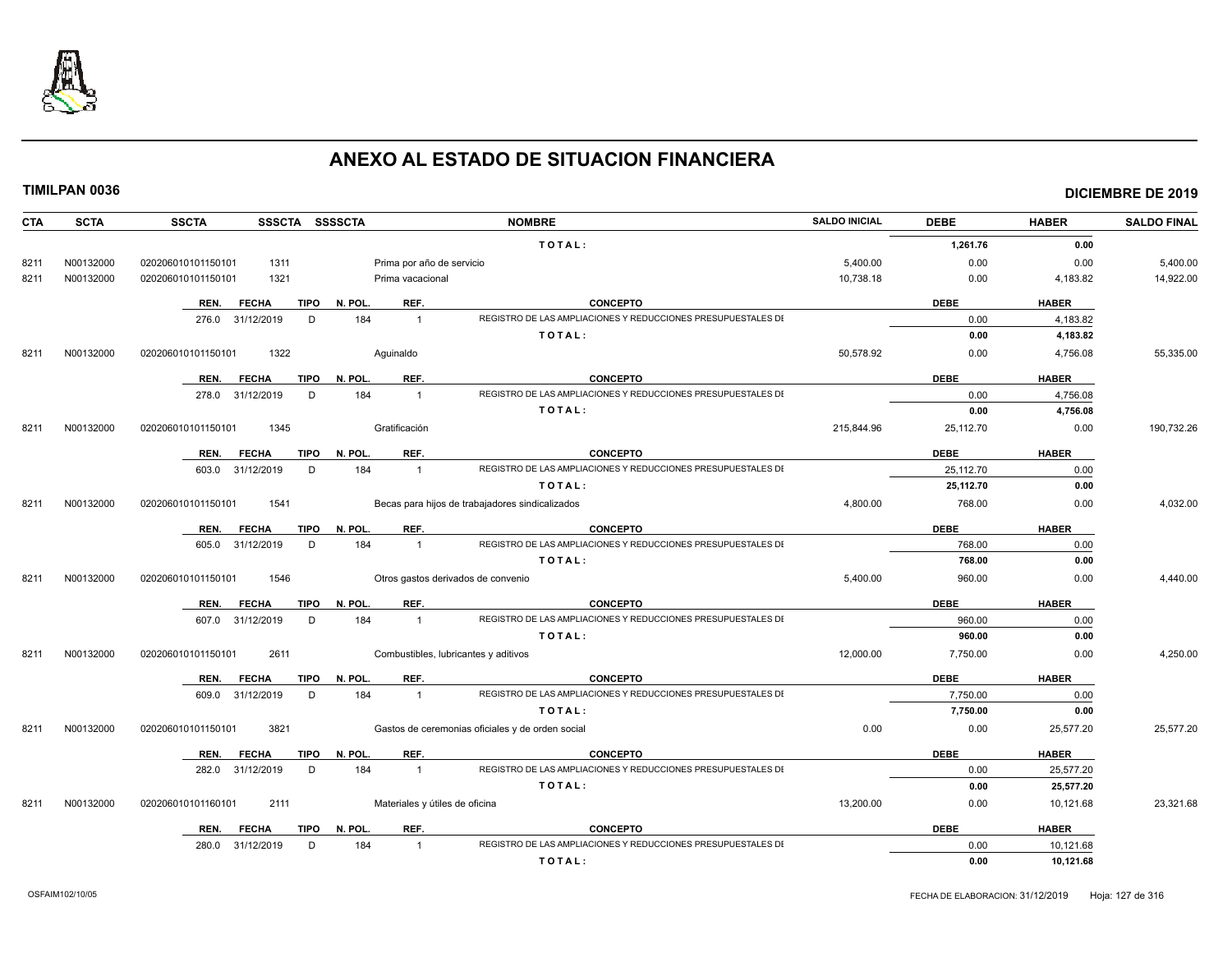

| <b>CTA</b> | <b>SCTA</b> | <b>SSCTA</b><br>SSSCTA SSSSCTA      |                                | <b>NOMBRE</b>                                                | <b>SALDO INICIAL</b> | <b>DEBE</b> | <b>HABER</b> | <b>SALDO FINAL</b> |
|------------|-------------|-------------------------------------|--------------------------------|--------------------------------------------------------------|----------------------|-------------|--------------|--------------------|
|            |             |                                     |                                | TOTAL:                                                       |                      | 1,261.76    | 0.00         |                    |
| 8211       | N00132000   | 1311<br>020206010101150101          | Prima por año de servicio      |                                                              | 5,400.00             | 0.00        | 0.00         | 5,400.00           |
| 8211       | N00132000   | 1321<br>020206010101150101          | Prima vacacional               |                                                              | 10,738.18            | 0.00        | 4,183.82     | 14,922.00          |
|            |             | <b>FECHA</b><br>TIPO<br>REN.        | REF.<br>N. POL.                | <b>CONCEPTO</b>                                              |                      | <b>DEBE</b> | <b>HABER</b> |                    |
|            |             | 276.0 31/12/2019<br>D               | 184<br>$\overline{1}$          | REGISTRO DE LAS AMPLIACIONES Y REDUCCIONES PRESUPUESTALES DI |                      | 0.00        | 4,183.82     |                    |
|            |             |                                     |                                | TOTAL:                                                       |                      | 0.00        | 4,183.82     |                    |
| 8211       | N00132000   | 1322<br>020206010101150101          | Aquinaldo                      |                                                              | 50,578.92            | 0.00        | 4,756.08     | 55,335.00          |
|            |             | <b>FECHA</b><br><b>TIPO</b><br>REN. | REF.<br>N. POL.                | <b>CONCEPTO</b>                                              |                      | <b>DEBE</b> | <b>HABER</b> |                    |
|            |             | 278.0 31/12/2019<br>D               | 184<br>$\overline{1}$          | REGISTRO DE LAS AMPLIACIONES Y REDUCCIONES PRESUPUESTALES DI |                      | 0.00        | 4,756.08     |                    |
|            |             |                                     |                                | TOTAL:                                                       |                      | 0.00        | 4,756.08     |                    |
| 8211       | N00132000   | 1345<br>020206010101150101          | Gratificación                  |                                                              | 215,844.96           | 25,112.70   | 0.00         | 190,732.26         |
|            |             | <b>FECHA</b><br>TIPO<br>REN.        | REF.<br>N. POL.                | <b>CONCEPTO</b>                                              |                      | <b>DEBE</b> | <b>HABER</b> |                    |
|            |             | 603.0 31/12/2019<br>D               | 184<br>$\overline{1}$          | REGISTRO DE LAS AMPLIACIONES Y REDUCCIONES PRESUPUESTALES DI |                      | 25,112.70   | 0.00         |                    |
|            |             |                                     |                                | TOTAL:                                                       |                      | 25,112.70   | 0.00         |                    |
| 8211       | N00132000   | 1541<br>020206010101150101          |                                | Becas para hijos de trabajadores sindicalizados              | 4,800.00             | 768.00      | 0.00         | 4,032.00           |
|            |             | <b>FECHA</b><br>TIPO<br>REN.        | REF.<br>N. POL.                | <b>CONCEPTO</b>                                              |                      | <b>DEBE</b> | <b>HABER</b> |                    |
|            |             | 605.0 31/12/2019<br>D               | 184<br>$\overline{1}$          | REGISTRO DE LAS AMPLIACIONES Y REDUCCIONES PRESUPUESTALES DI |                      | 768.00      | 0.00         |                    |
|            |             |                                     |                                | TOTAL:                                                       |                      | 768.00      | 0.00         |                    |
| 8211       | N00132000   | 1546<br>020206010101150101          |                                | Otros gastos derivados de convenio                           | 5,400.00             | 960.00      | 0.00         | 4,440.00           |
|            |             | <b>FECHA</b><br>TIPO<br>REN.        | REF.<br>N. POL.                | <b>CONCEPTO</b>                                              |                      | <b>DEBE</b> | <b>HABER</b> |                    |
|            |             | 607.0 31/12/2019<br>D               | 184<br>$\overline{1}$          | REGISTRO DE LAS AMPLIACIONES Y REDUCCIONES PRESUPUESTALES DI |                      | 960.00      | 0.00         |                    |
|            |             |                                     |                                | TOTAL:                                                       |                      | 960.00      | 0.00         |                    |
| 8211       | N00132000   | 2611<br>020206010101150101          |                                | Combustibles, lubricantes y aditivos                         | 12,000.00            | 7,750.00    | 0.00         | 4,250.00           |
|            |             | REN.<br><b>FECHA</b><br><b>TIPO</b> | N. POL.<br>REF.                | <b>CONCEPTO</b>                                              |                      | <b>DEBE</b> | <b>HABER</b> |                    |
|            |             | 609.0 31/12/2019<br>D               | 184<br>$\overline{1}$          | REGISTRO DE LAS AMPLIACIONES Y REDUCCIONES PRESUPUESTALES DI |                      | 7,750.00    | 0.00         |                    |
|            |             |                                     |                                | TOTAL:                                                       |                      | 7,750.00    | 0.00         |                    |
| 8211       | N00132000   | 020206010101150101<br>3821          |                                | Gastos de ceremonias oficiales y de orden social             | 0.00                 | 0.00        | 25,577.20    | 25,577.20          |
|            |             | <b>FECHA</b><br><b>TIPO</b><br>REN. | REF.<br>N. POL.                | <b>CONCEPTO</b>                                              |                      | <b>DEBE</b> | <b>HABER</b> |                    |
|            |             | 282.0 31/12/2019<br>D               | 184<br>$\overline{1}$          | REGISTRO DE LAS AMPLIACIONES Y REDUCCIONES PRESUPUESTALES DI |                      | 0.00        | 25,577.20    |                    |
|            |             |                                     |                                | TOTAL:                                                       |                      | 0.00        | 25,577.20    |                    |
| 8211       | N00132000   | 020206010101160101<br>2111          | Materiales y útiles de oficina |                                                              | 13,200.00            | 0.00        | 10,121.68    | 23,321.68          |
|            |             | <b>TIPO</b><br>REN.<br><b>FECHA</b> | REF.<br>N. POL.                | <b>CONCEPTO</b>                                              |                      | <b>DEBE</b> | <b>HABER</b> |                    |
|            |             | 280.0 31/12/2019<br>D.              | 184<br>$\overline{1}$          | REGISTRO DE LAS AMPLIACIONES Y REDUCCIONES PRESUPUESTALES DI |                      | 0.00        | 10,121.68    |                    |
|            |             |                                     |                                | TOTAL:                                                       |                      | 0.00        | 10,121.68    |                    |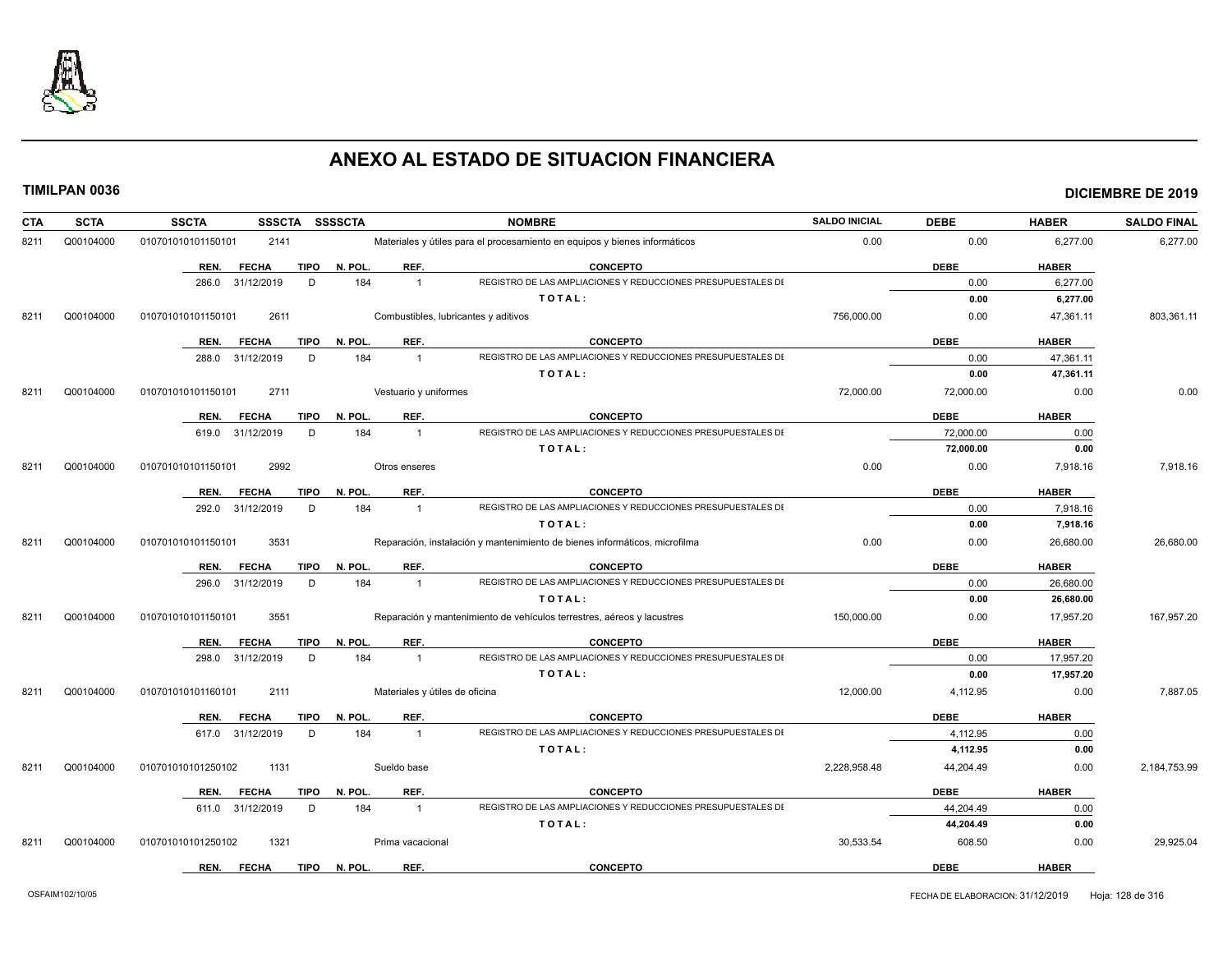

| <b>CTA</b> | <b>SCTA</b> | <b>SSSCTA</b><br><b>SSCTA</b>       | <b>SSSSCTA</b>                       | <b>NOMBRE</b>                                                              | <b>SALDO INICIAL</b> | <b>DEBE</b> | <b>HABER</b> | <b>SALDO FINAL</b> |
|------------|-------------|-------------------------------------|--------------------------------------|----------------------------------------------------------------------------|----------------------|-------------|--------------|--------------------|
| 8211       | Q00104000   | 010701010101150101<br>2141          |                                      | Materiales y útiles para el procesamiento en equipos y bienes informáticos | 0.00                 | 0.00        | 6,277.00     | 6,277.00           |
|            |             | <b>FECHA</b><br><b>TIPO</b><br>REN. | N. POL.<br>REF.                      | <b>CONCEPTO</b>                                                            |                      | <b>DEBE</b> | <b>HABER</b> |                    |
|            |             | 286.0 31/12/2019<br>D               | 184<br>$\overline{1}$                | REGISTRO DE LAS AMPLIACIONES Y REDUCCIONES PRESUPUESTALES DI               |                      | 0.00        | 6.277.00     |                    |
|            |             |                                     |                                      | TOTAL:                                                                     |                      | 0.00        | 6,277.00     |                    |
| 8211       | Q00104000   | 2611<br>010701010101150101          | Combustibles, lubricantes y aditivos |                                                                            | 756,000.00           | 0.00        | 47,361.11    | 803,361.11         |
|            |             | <b>FECHA</b><br><b>TIPO</b><br>REN. | N. POL.<br>REF.                      | <b>CONCEPTO</b>                                                            |                      | <b>DEBE</b> | <b>HABER</b> |                    |
|            |             | 288.0 31/12/2019<br>D               | 184<br>$\overline{1}$                | REGISTRO DE LAS AMPLIACIONES Y REDUCCIONES PRESUPUESTALES DI               |                      | 0.00        | 47,361.11    |                    |
|            |             |                                     |                                      | TOTAL:                                                                     |                      | 0.00        | 47,361.11    |                    |
| 8211       | Q00104000   | 2711<br>010701010101150101          | Vestuario y uniformes                |                                                                            | 72,000.00            | 72,000.00   | 0.00         | 0.00               |
|            |             | <b>FECHA</b><br><b>TIPO</b><br>REN. | REF.<br>N. POL.                      | <b>CONCEPTO</b>                                                            |                      | <b>DEBE</b> | <b>HABER</b> |                    |
|            |             | 619.0 31/12/2019<br>D               | 184<br>$\overline{1}$                | REGISTRO DE LAS AMPLIACIONES Y REDUCCIONES PRESUPUESTALES DI               |                      | 72.000.00   | 0.00         |                    |
|            |             |                                     |                                      | TOTAL:                                                                     |                      | 72,000.00   | 0.00         |                    |
| 8211       | Q00104000   | 2992<br>010701010101150101          | Otros enseres                        |                                                                            | 0.00                 | 0.00        | 7,918.16     | 7,918.16           |
|            |             | TIPO<br>REN.<br><b>FECHA</b>        | N. POL.<br>REF.                      | <b>CONCEPTO</b>                                                            |                      | <b>DEBE</b> | <b>HABER</b> |                    |
|            |             | 292.0 31/12/2019<br>D               | 184<br>$\overline{1}$                | REGISTRO DE LAS AMPLIACIONES Y REDUCCIONES PRESUPUESTALES DI               |                      | 0.00        | 7,918.16     |                    |
|            |             |                                     |                                      | TOTAL:                                                                     |                      | 0.00        | 7,918.16     |                    |
| 8211       | Q00104000   | 010701010101150101<br>3531          |                                      | Reparación, instalación y mantenimiento de bienes informáticos, microfilma | 0.00                 | 0.00        | 26,680.00    | 26,680.00          |
|            |             | <b>FECHA</b><br><b>TIPO</b><br>REN. | REF.<br>N. POL.                      | <b>CONCEPTO</b>                                                            |                      | <b>DEBE</b> | <b>HABER</b> |                    |
|            |             | 296.0 31/12/2019<br>D               | 184<br>$\overline{1}$                | REGISTRO DE LAS AMPLIACIONES Y REDUCCIONES PRESUPUESTALES DI               |                      | 0.00        | 26,680.00    |                    |
|            |             |                                     |                                      | TOTAL:                                                                     |                      | 0.00        | 26,680.00    |                    |
| 8211       | Q00104000   | 3551<br>010701010101150101          |                                      | Reparación y mantenimiento de vehículos terrestres, aéreos y lacustres     | 150,000.00           | 0.00        | 17,957.20    | 167,957.20         |
|            |             | <b>FECHA</b><br><b>TIPO</b><br>REN. | REF.<br>N. POL.                      | <b>CONCEPTO</b>                                                            |                      | <b>DEBE</b> | <b>HABER</b> |                    |
|            |             | 298.0 31/12/2019<br>D               | 184<br>$\overline{1}$                | REGISTRO DE LAS AMPLIACIONES Y REDUCCIONES PRESUPUESTALES DI               |                      | 0.00        | 17,957.20    |                    |
|            |             |                                     |                                      | TOTAL:                                                                     |                      | 0.00        | 17,957.20    |                    |
| 8211       | Q00104000   | 2111<br>010701010101160101          | Materiales y útiles de oficina       |                                                                            | 12,000.00            | 4,112.95    | 0.00         | 7,887.05           |
|            |             | <b>FECHA</b><br><b>TIPO</b><br>REN. | N. POL.<br>REF.                      | <b>CONCEPTO</b>                                                            |                      | <b>DEBE</b> | <b>HABER</b> |                    |
|            |             | 617.0 31/12/2019<br>D               | 184<br>$\overline{1}$                | REGISTRO DE LAS AMPLIACIONES Y REDUCCIONES PRESUPUESTALES DI               |                      | 4,112.95    | 0.00         |                    |
|            |             |                                     |                                      | TOTAL:                                                                     |                      | 4,112.95    | 0.00         |                    |
| 8211       | Q00104000   | 010701010101250102<br>1131          | Sueldo base                          |                                                                            | 2,228,958.48         | 44,204.49   | 0.00         | 2,184,753.99       |
|            |             | <b>FECHA</b><br><b>TIPO</b><br>REN. | REF.<br>N. POL.                      | <b>CONCEPTO</b>                                                            |                      | <b>DEBE</b> | <b>HABER</b> |                    |
|            |             | 611.0 31/12/2019<br>D               | 184<br>$\overline{1}$                | REGISTRO DE LAS AMPLIACIONES Y REDUCCIONES PRESUPUESTALES DI               |                      | 44.204.49   | 0.00         |                    |
|            |             |                                     |                                      | TOTAL:                                                                     |                      | 44,204.49   | 0.00         |                    |
| 8211       | Q00104000   | 010701010101250102<br>1321          | Prima vacacional                     |                                                                            | 30,533.54            | 608.50      | 0.00         | 29,925.04          |
|            |             | <b>FECHA</b><br>TIPO<br>REN.        | N. POL.<br>REF.                      | <b>CONCEPTO</b>                                                            |                      | <b>DEBE</b> | <b>HABER</b> |                    |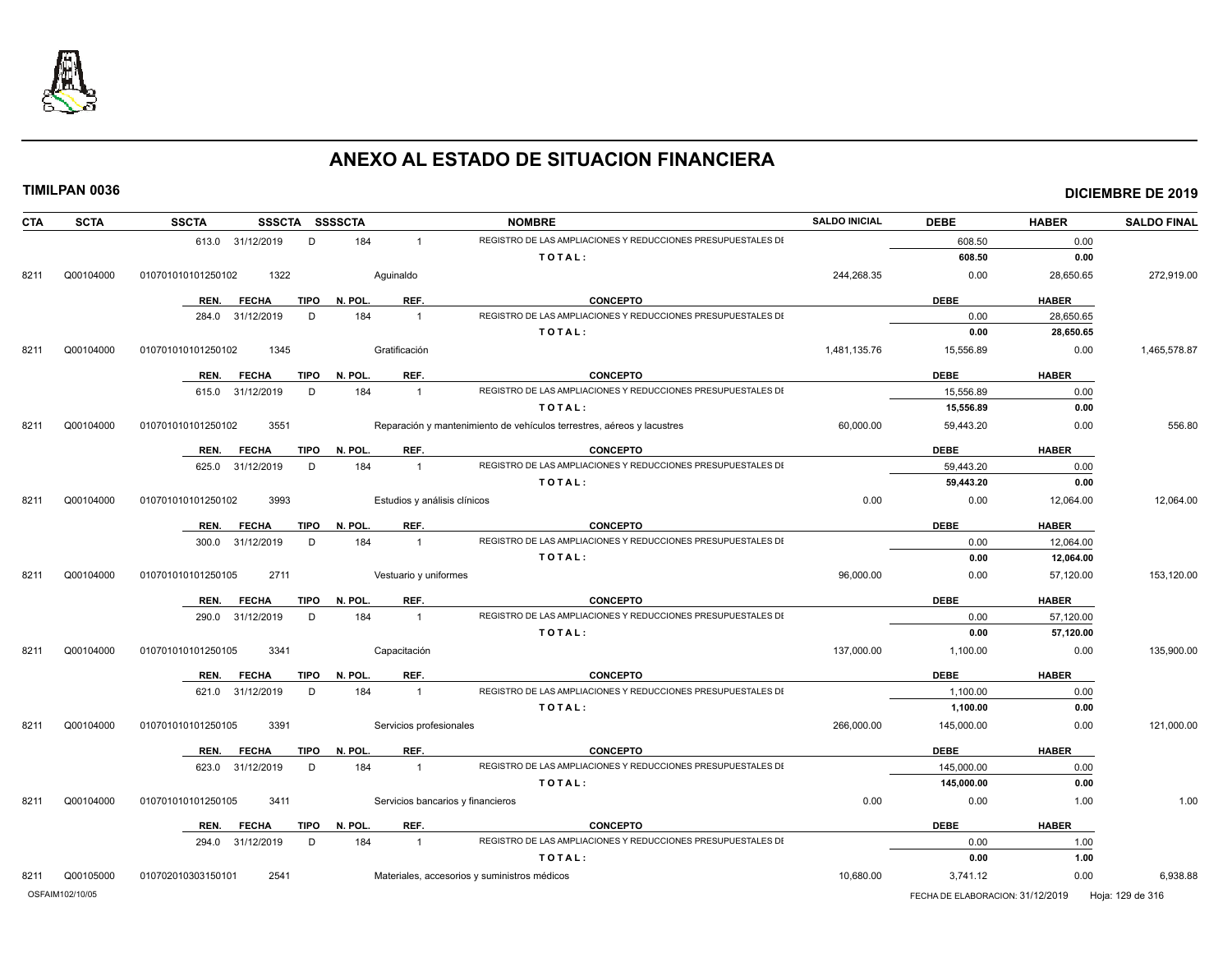

| <b>CTA</b> | <b>SCTA</b>     | <b>SSCTA</b>       |                  | SSSCTA SSSSCTA         |                              | <b>NOMBRE</b>                                                          | <b>SALDO INICIAL</b> | <b>DEBE</b>                      | <b>HABER</b> | <b>SALDO FINAL</b> |
|------------|-----------------|--------------------|------------------|------------------------|------------------------------|------------------------------------------------------------------------|----------------------|----------------------------------|--------------|--------------------|
|            |                 |                    | 613.0 31/12/2019 | 184<br>D               | $\mathbf{1}$                 | REGISTRO DE LAS AMPLIACIONES Y REDUCCIONES PRESUPUESTALES DI           |                      | 608.50                           | 0.00         |                    |
|            |                 |                    |                  |                        |                              | TOTAL:                                                                 |                      | 608.50                           | 0.00         |                    |
| 8211       | Q00104000       | 010701010101250102 | 1322             |                        | Aquinaldo                    |                                                                        | 244,268.35           | 0.00                             | 28,650.65    | 272,919.00         |
|            |                 | REN.               | <b>FECHA</b>     | <b>TIPO</b><br>N. POL. | REF.                         | <b>CONCEPTO</b>                                                        |                      | <b>DEBE</b>                      | <b>HABER</b> |                    |
|            |                 |                    | 284.0 31/12/2019 | D<br>184               | $\overline{1}$               | REGISTRO DE LAS AMPLIACIONES Y REDUCCIONES PRESUPUESTALES DI           |                      | 0.00                             | 28,650.65    |                    |
|            |                 |                    |                  |                        |                              | TOTAL:                                                                 |                      | 0.00                             | 28,650.65    |                    |
| 8211       | Q00104000       | 010701010101250102 | 1345             |                        | Gratificación                |                                                                        | 1,481,135.76         | 15,556.89                        | 0.00         | 1,465,578.87       |
|            |                 | REN.               | <b>FECHA</b>     | <b>TIPO</b><br>N. POL  | REF.                         | <b>CONCEPTO</b>                                                        |                      | <b>DEBE</b>                      | <b>HABER</b> |                    |
|            |                 |                    | 615.0 31/12/2019 | 184<br>D               | $\overline{1}$               | REGISTRO DE LAS AMPLIACIONES Y REDUCCIONES PRESUPUESTALES DI           |                      | 15,556.89                        | 0.00         |                    |
|            |                 |                    |                  |                        |                              | TOTAL:                                                                 |                      | 15,556.89                        | 0.00         |                    |
| 8211       | Q00104000       | 010701010101250102 | 3551             |                        |                              | Reparación y mantenimiento de vehículos terrestres, aéreos y lacustres | 60,000.00            | 59,443.20                        | 0.00         | 556.80             |
|            |                 |                    |                  |                        |                              |                                                                        |                      |                                  |              |                    |
|            |                 | REN.               | <b>FECHA</b>     | N. POL.<br>TIPO        | REF.                         | <b>CONCEPTO</b>                                                        |                      | <b>DEBE</b>                      | <b>HABER</b> |                    |
|            |                 | 625.0              | 31/12/2019       | 184<br>D               | $\overline{1}$               | REGISTRO DE LAS AMPLIACIONES Y REDUCCIONES PRESUPUESTALES DI           |                      | 59.443.20                        | 0.00         |                    |
|            |                 |                    |                  |                        |                              | TOTAL:                                                                 |                      | 59,443.20                        | 0.00         |                    |
| 8211       | Q00104000       | 010701010101250102 | 3993             |                        | Estudios y análisis clínicos |                                                                        | 0.00                 | 0.00                             | 12,064.00    | 12,064.00          |
|            |                 | REN.               | <b>FECHA</b>     | N. POL.<br>TIPO        | REF.                         | <b>CONCEPTO</b>                                                        |                      | <b>DEBE</b>                      | <b>HABER</b> |                    |
|            |                 | 300.0              | 31/12/2019       | 184<br>D               | $\mathbf{1}$                 | REGISTRO DE LAS AMPLIACIONES Y REDUCCIONES PRESUPUESTALES DI           |                      | 0.00                             | 12,064.00    |                    |
|            |                 |                    |                  |                        |                              | TOTAL:                                                                 |                      | 0.00                             | 12,064.00    |                    |
| 8211       | Q00104000       | 010701010101250105 | 2711             |                        | Vestuario y uniformes        |                                                                        | 96,000.00            | 0.00                             | 57,120.00    | 153,120.00         |
|            |                 | REN.               | <b>FECHA</b>     | <b>TIPO</b><br>N. POL  | REF.                         | <b>CONCEPTO</b>                                                        |                      | <b>DEBE</b>                      | <b>HABER</b> |                    |
|            |                 | 290.0              | 31/12/2019       | 184<br>D               | $\mathbf{1}$                 | REGISTRO DE LAS AMPLIACIONES Y REDUCCIONES PRESUPUESTALES DI           |                      | 0.00                             | 57,120.00    |                    |
|            |                 |                    |                  |                        |                              | TOTAL:                                                                 |                      | 0.00                             | 57,120.00    |                    |
| 8211       | Q00104000       | 010701010101250105 | 3341             |                        | Capacitación                 |                                                                        | 137,000.00           | 1,100.00                         | 0.00         | 135,900.00         |
|            |                 | REN.               | <b>FECHA</b>     | <b>TIPO</b><br>N. POL. | REF.                         | <b>CONCEPTO</b>                                                        |                      | <b>DEBE</b>                      | <b>HABER</b> |                    |
|            |                 |                    | 621.0 31/12/2019 | D<br>184               | $\mathbf{1}$                 | REGISTRO DE LAS AMPLIACIONES Y REDUCCIONES PRESUPUESTALES DI           |                      | 1,100.00                         | 0.00         |                    |
|            |                 |                    |                  |                        |                              | TOTAL:                                                                 |                      | 1,100.00                         | 0.00         |                    |
| 8211       | Q00104000       | 010701010101250105 | 3391             |                        | Servicios profesionales      |                                                                        | 266,000.00           | 145,000.00                       | 0.00         | 121,000.00         |
|            |                 |                    |                  | <b>TIPO</b>            | REF.                         | <b>CONCEPTO</b>                                                        |                      | <b>DEBE</b>                      | <b>HABER</b> |                    |
|            |                 | REN.               | <b>FECHA</b>     | N. POL.<br>D<br>184    | $\mathbf{1}$                 | REGISTRO DE LAS AMPLIACIONES Y REDUCCIONES PRESUPUESTALES DI           |                      | 145,000.00                       | 0.00         |                    |
|            |                 |                    | 623.0 31/12/2019 |                        |                              | TOTAL:                                                                 |                      | 145,000.00                       | 0.00         |                    |
|            |                 |                    |                  |                        |                              |                                                                        |                      |                                  |              |                    |
| 8211       | Q00104000       | 010701010101250105 | 3411             |                        |                              | Servicios bancarios y financieros                                      | 0.00                 | 0.00                             | 1.00         | 1.00               |
|            |                 | REN.               | <b>FECHA</b>     | N. POL.<br><b>TIPO</b> | REF.                         | <b>CONCEPTO</b>                                                        |                      | <b>DEBE</b>                      | <b>HABER</b> |                    |
|            |                 |                    | 294.0 31/12/2019 | D<br>184               | $\mathbf{1}$                 | REGISTRO DE LAS AMPLIACIONES Y REDUCCIONES PRESUPUESTALES DI           |                      | 0.00                             | 1.00         |                    |
|            |                 |                    |                  |                        |                              | TOTAL:                                                                 |                      | 0.00                             | 1.00         |                    |
| 8211       | Q00105000       | 010702010303150101 | 2541             |                        |                              | Materiales, accesorios y suministros médicos                           | 10,680.00            | 3,741.12                         | 0.00         | 6,938.88           |
|            | OSFAIM102/10/05 |                    |                  |                        |                              |                                                                        |                      | FECHA DE ELABORACION: 31/12/2019 |              | Hoja: 129 de 316   |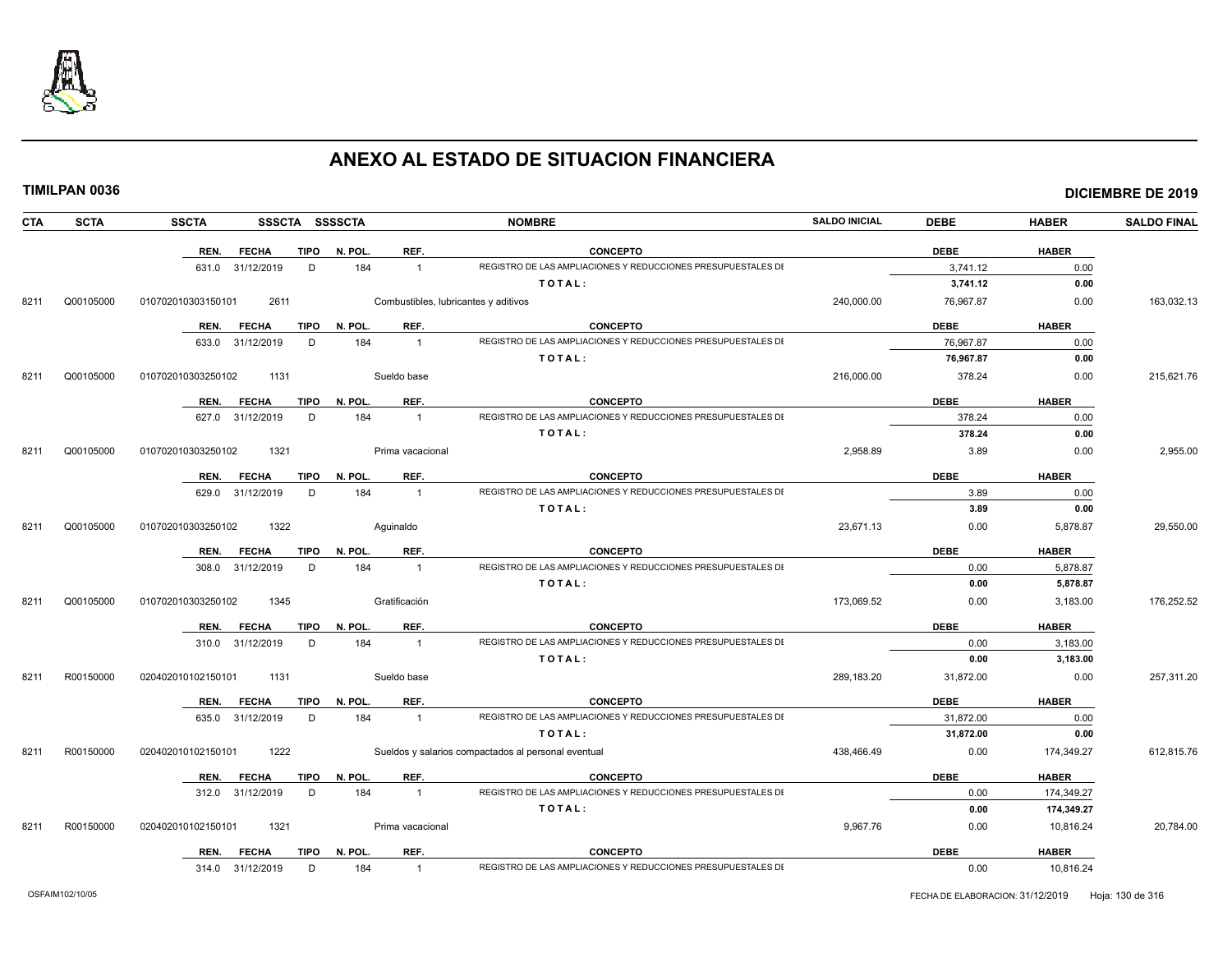

|--|

|  | TIMILPAN 0036 |
|--|---------------|
|--|---------------|

| <b>CTA</b> | <b>SCTA</b> | <b>SSCTA</b><br>SSSCTA SSSSCTA      |                                      | <b>NOMBRE</b>                                                | <b>SALDO INICIAL</b> | <b>DEBE</b> | <b>HABER</b> | <b>SALDO FINAL</b> |
|------------|-------------|-------------------------------------|--------------------------------------|--------------------------------------------------------------|----------------------|-------------|--------------|--------------------|
|            |             | REN.<br><b>FECHA</b><br>TIPO        | N. POL.<br>REF.                      | <b>CONCEPTO</b>                                              |                      | <b>DEBE</b> | <b>HABER</b> |                    |
|            |             | 631.0 31/12/2019<br>D               | 184<br>$\overline{1}$                | REGISTRO DE LAS AMPLIACIONES Y REDUCCIONES PRESUPUESTALES DI |                      | 3,741.12    | 0.00         |                    |
|            |             |                                     |                                      | TOTAL:                                                       |                      | 3,741.12    | 0.00         |                    |
| 8211       | Q00105000   | 010702010303150101<br>2611          | Combustibles, lubricantes y aditivos |                                                              | 240,000.00           | 76,967.87   | 0.00         | 163,032.13         |
|            |             | <b>FECHA</b><br><b>TIPO</b><br>REN. | N. POL.<br>REF.                      | <b>CONCEPTO</b>                                              |                      | <b>DEBE</b> | <b>HABER</b> |                    |
|            |             | 633.0 31/12/2019<br>D               | 184<br>$\mathbf{1}$                  | REGISTRO DE LAS AMPLIACIONES Y REDUCCIONES PRESUPUESTALES DI |                      | 76.967.87   | 0.00         |                    |
|            |             |                                     |                                      | TOTAL:                                                       |                      | 76,967.87   | 0.00         |                    |
| 8211       | Q00105000   | 1131<br>010702010303250102          | Sueldo base                          |                                                              | 216,000.00           | 378.24      | 0.00         | 215,621.76         |
|            |             | <b>FECHA</b><br>TIPO<br>REN.        | REF.<br>N. POL.                      | <b>CONCEPTO</b>                                              |                      | <b>DEBE</b> | <b>HABER</b> |                    |
|            |             | 627.0 31/12/2019<br>D               | 184<br>$\mathbf{1}$                  | REGISTRO DE LAS AMPLIACIONES Y REDUCCIONES PRESUPUESTALES DI |                      | 378.24      | 0.00         |                    |
|            |             |                                     |                                      | TOTAL:                                                       |                      | 378.24      | 0.00         |                    |
| 8211       | Q00105000   | 1321<br>010702010303250102          | Prima vacacional                     |                                                              | 2,958.89             | 3.89        | 0.00         | 2,955.00           |
|            |             | <b>FECHA</b><br>TIPO<br>REN.        | N. POL.<br>REF.                      | <b>CONCEPTO</b>                                              |                      | <b>DEBE</b> | <b>HABER</b> |                    |
|            |             | 629.0 31/12/2019<br>D               | 184<br>$\mathbf{1}$                  | REGISTRO DE LAS AMPLIACIONES Y REDUCCIONES PRESUPUESTALES DI |                      | 3.89        | 0.00         |                    |
|            |             |                                     |                                      | TOTAL:                                                       |                      | 3.89        | 0.00         |                    |
| 8211       | Q00105000   | 1322<br>010702010303250102          | Aquinaldo                            |                                                              | 23,671.13            | 0.00        | 5,878.87     | 29,550.00          |
|            |             | <b>FECHA</b><br>TIPO<br>REN.        | N. POL.<br>REF.                      | <b>CONCEPTO</b>                                              |                      | <b>DEBE</b> | <b>HABER</b> |                    |
|            |             | 308.0 31/12/2019<br>D               | 184<br>$\overline{1}$                | REGISTRO DE LAS AMPLIACIONES Y REDUCCIONES PRESUPUESTALES DI |                      | 0.00        | 5,878.87     |                    |
|            |             |                                     |                                      | TOTAL:                                                       |                      | 0.00        | 5,878.87     |                    |
| 8211       | Q00105000   | 010702010303250102<br>1345          | Gratificación                        |                                                              | 173,069.52           | 0.00        | 3,183.00     | 176,252.52         |
|            |             | REN.<br><b>FECHA</b><br>TIPO        | N. POL.<br>REF.                      | <b>CONCEPTO</b>                                              |                      | <b>DEBE</b> | <b>HABER</b> |                    |
|            |             | 310.0 31/12/2019<br>D               | 184<br>$\mathbf{1}$                  | REGISTRO DE LAS AMPLIACIONES Y REDUCCIONES PRESUPUESTALES DI |                      | 0.00        | 3,183.00     |                    |
|            |             |                                     |                                      | TOTAL:                                                       |                      | 0.00        | 3,183.00     |                    |
| 8211       | R00150000   | 1131<br>020402010102150101          | Sueldo base                          |                                                              | 289.183.20           | 31,872.00   | 0.00         | 257,311.20         |
|            |             | REN.<br><b>FECHA</b><br>TIPO        | N. POL.<br>REF.                      | <b>CONCEPTO</b>                                              |                      | <b>DEBE</b> | <b>HABER</b> |                    |
|            |             | 635.0 31/12/2019<br>D               | 184<br>$\mathbf{1}$                  | REGISTRO DE LAS AMPLIACIONES Y REDUCCIONES PRESUPUESTALES DI |                      | 31,872.00   | 0.00         |                    |
|            |             |                                     |                                      | TOTAL:                                                       |                      | 31,872.00   | 0.00         |                    |
| 8211       | R00150000   | 020402010102150101<br>1222          |                                      | Sueldos y salarios compactados al personal eventual          | 438,466.49           | 0.00        | 174,349.27   | 612,815.76         |
|            |             | <b>FECHA</b><br>REN.<br>TIPO        | REF.<br>N. POL.                      | <b>CONCEPTO</b>                                              |                      | <b>DEBE</b> | <b>HABER</b> |                    |
|            |             | 312.0 31/12/2019<br>D               | 184<br>$\mathbf{1}$                  | REGISTRO DE LAS AMPLIACIONES Y REDUCCIONES PRESUPUESTALES DI |                      | 0.00        | 174,349.27   |                    |
|            |             |                                     |                                      | TOTAL:                                                       |                      | 0.00        | 174,349.27   |                    |
| 8211       | R00150000   | 1321<br>020402010102150101          | Prima vacacional                     |                                                              | 9,967.76             | 0.00        | 10,816.24    | 20,784.00          |
|            |             | REN. FECHA<br>TIPO                  | REF.<br>N. POL.                      | <b>CONCEPTO</b>                                              |                      | <b>DEBE</b> | <b>HABER</b> |                    |
|            |             | 314.0 31/12/2019<br>D               | 184<br>$\overline{1}$                | REGISTRO DE LAS AMPLIACIONES Y REDUCCIONES PRESUPUESTALES DI |                      | 0.00        | 10,816.24    |                    |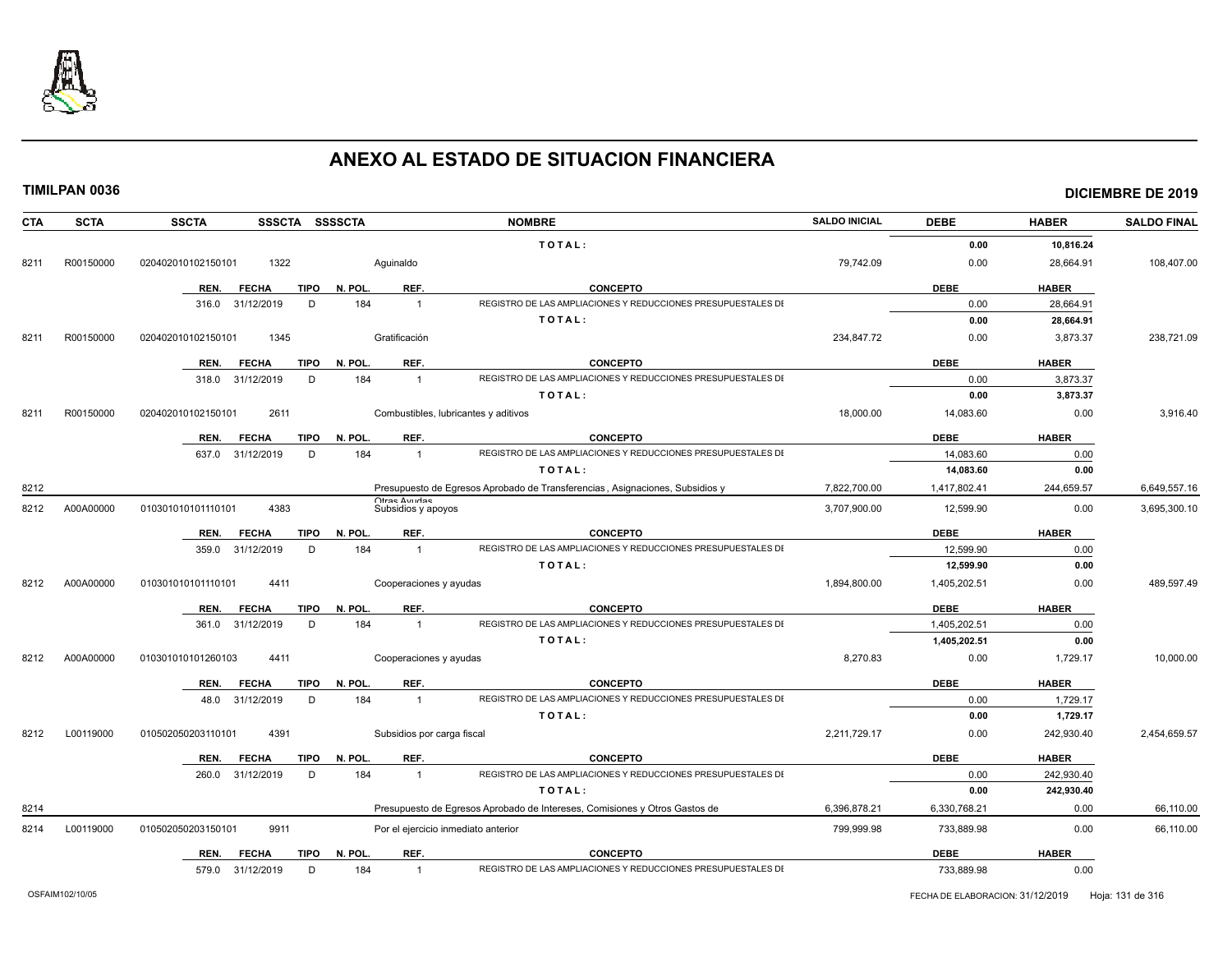

| <b>CTA</b> | <b>SCTA</b> | SSSCTA SSSSCTA<br><b>SSCTA</b>      |               | <b>NOMBRE</b>                                                                  | <b>SALDO INICIAL</b> | <b>DEBE</b>  | <b>HABER</b> | <b>SALDO FINAL</b> |
|------------|-------------|-------------------------------------|---------------|--------------------------------------------------------------------------------|----------------------|--------------|--------------|--------------------|
|            |             |                                     |               | TOTAL:                                                                         |                      | 0.00         | 10,816.24    |                    |
| 8211       | R00150000   | 1322<br>020402010102150101          | Aquinaldo     |                                                                                | 79,742.09            | 0.00         | 28,664.91    | 108,407.00         |
|            |             | <b>TIPO</b><br>REN.<br><b>FECHA</b> | N. POL        | REF.<br><b>CONCEPTO</b>                                                        |                      | <b>DEBE</b>  | <b>HABER</b> |                    |
|            |             | 31/12/2019<br>D<br>316.0            | 184           | REGISTRO DE LAS AMPLIACIONES Y REDUCCIONES PRESUPUESTALES DI<br>$\overline{1}$ |                      | 0.00         | 28.664.91    |                    |
|            |             |                                     |               | TOTAL:                                                                         |                      | 0.00         | 28,664.91    |                    |
| 8211       | R00150000   | 020402010102150101<br>1345          | Gratificación |                                                                                | 234,847.72           | 0.00         | 3,873.37     | 238,721.09         |
|            |             | REN.<br><b>TIPO</b><br><b>FECHA</b> | N. POL        | REF.<br><b>CONCEPTO</b>                                                        |                      | <b>DEBE</b>  | <b>HABER</b> |                    |
|            |             | 31/12/2019<br>D<br>318.0            | 184           | REGISTRO DE LAS AMPLIACIONES Y REDUCCIONES PRESUPUESTALES DI<br>$\overline{1}$ |                      | 0.00         | 3,873.37     |                    |
|            |             |                                     |               | TOTAL:                                                                         |                      | 0.00         | 3,873.37     |                    |
| 8211       | R00150000   | 020402010102150101<br>2611          |               | Combustibles, lubricantes y aditivos                                           | 18,000.00            | 14,083.60    | 0.00         | 3,916.40           |
|            |             | <b>TIPO</b><br>REN.<br><b>FECHA</b> | N. POL        | REF.<br><b>CONCEPTO</b>                                                        |                      | <b>DEBE</b>  | <b>HABER</b> |                    |
|            |             | 637.0<br>31/12/2019<br>D            | 184           | REGISTRO DE LAS AMPLIACIONES Y REDUCCIONES PRESUPUESTALES DI<br>$\overline{1}$ |                      | 14.083.60    | 0.00         |                    |
|            |             |                                     |               | TOTAL:                                                                         |                      | 14,083.60    | 0.00         |                    |
| 8212       |             |                                     |               | Presupuesto de Egresos Aprobado de Transferencias, Asignaciones, Subsidios y   | 7.822.700.00         | 1,417,802.41 | 244,659.57   | 6,649,557.16       |
| 8212       | A00A00000   | 4383<br>010301010101110101          |               | Otras Avudas<br>Subsidios y apoyos                                             | 3,707,900.00         | 12,599.90    | 0.00         | 3,695,300.10       |
|            |             | <b>TIPO</b><br>REN.<br><b>FECHA</b> | N. POL        | REF.<br><b>CONCEPTO</b>                                                        |                      | <b>DEBE</b>  | <b>HABER</b> |                    |
|            |             | D<br>359.0<br>31/12/2019            | 184           | REGISTRO DE LAS AMPLIACIONES Y REDUCCIONES PRESUPUESTALES DI<br>$\overline{1}$ |                      | 12,599.90    | 0.00         |                    |
|            |             |                                     |               | TOTAL:                                                                         |                      | 12,599.90    | 0.00         |                    |
| 8212       | A00A00000   | 4411<br>010301010101110101          |               | Cooperaciones y ayudas                                                         | 1,894,800.00         | 1,405,202.51 | 0.00         | 489,597.49         |
|            |             | REN.<br><b>TIPO</b><br><b>FECHA</b> | N. POL        | REF.<br><b>CONCEPTO</b>                                                        |                      | <b>DEBE</b>  | <b>HABER</b> |                    |
|            |             | 361.0<br>31/12/2019<br>D            | 184           | REGISTRO DE LAS AMPLIACIONES Y REDUCCIONES PRESUPUESTALES DI<br>$\mathbf{1}$   |                      | 1.405.202.51 | 0.00         |                    |
|            |             |                                     |               | TOTAL:                                                                         |                      | 1,405,202.51 | 0.00         |                    |
| 8212       | A00A00000   | 4411<br>010301010101260103          |               | Cooperaciones y ayudas                                                         | 8,270.83             | 0.00         | 1,729.17     | 10,000.00          |
|            |             | REN.<br><b>FECHA</b><br><b>TIPO</b> | N. POL        | REF.<br><b>CONCEPTO</b>                                                        |                      | <b>DEBE</b>  | <b>HABER</b> |                    |
|            |             | 48.0<br>31/12/2019<br>D             | 184           | REGISTRO DE LAS AMPLIACIONES Y REDUCCIONES PRESUPUESTALES DI<br>$\overline{1}$ |                      | 0.00         | 1,729.17     |                    |
|            |             |                                     |               | TOTAL:                                                                         |                      | 0.00         | 1,729.17     |                    |
| 8212       | L00119000   | 4391<br>010502050203110101          |               | Subsidios por carga fiscal                                                     | 2,211,729.17         | 0.00         | 242,930.40   | 2,454,659.57       |
|            |             | <b>TIPO</b><br>REN.<br><b>FECHA</b> | N. POL        | REF.<br><b>CONCEPTO</b>                                                        |                      | <b>DEBE</b>  | <b>HABER</b> |                    |
|            |             | D<br>260.0<br>31/12/2019            | 184           | REGISTRO DE LAS AMPLIACIONES Y REDUCCIONES PRESUPUESTALES DI<br>$\overline{1}$ |                      | 0.00         | 242,930.40   |                    |
|            |             |                                     |               | TOTAL:                                                                         |                      | 0.00         | 242,930.40   |                    |
| 8214       |             |                                     |               | Presupuesto de Egresos Aprobado de Intereses, Comisiones y Otros Gastos de     | 6,396,878.21         | 6,330,768.21 | 0.00         | 66,110.00          |
| 8214       | L00119000   | 9911<br>010502050203150101          |               | Por el ejercicio inmediato anterior                                            | 799,999.98           | 733,889.98   | 0.00         | 66,110.00          |
|            |             | <b>TIPO</b><br>REN.<br><b>FECHA</b> | N. POL        | REF.<br><b>CONCEPTO</b>                                                        |                      | <b>DEBE</b>  | <b>HABER</b> |                    |
|            |             | 31/12/2019<br>D<br>579.0            | 184           | REGISTRO DE LAS AMPLIACIONES Y REDUCCIONES PRESUPUESTALES DI<br>$\overline{1}$ |                      | 733,889.98   | 0.00         |                    |
|            |             |                                     |               |                                                                                |                      |              |              |                    |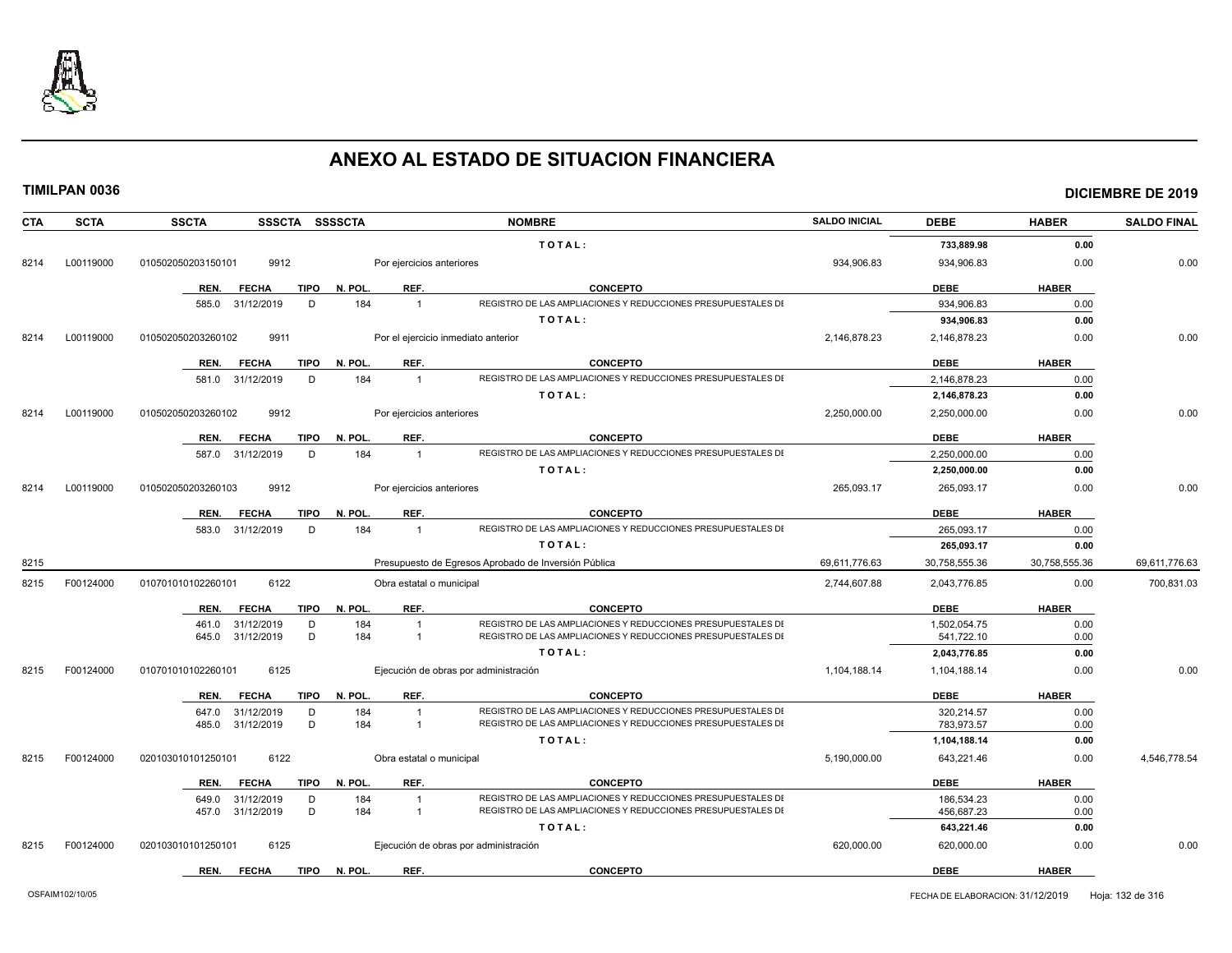

| <b>CTA</b> | <b>SCTA</b> | <b>SSCTA</b><br>SSSCTA SSSSCTA      |                                     | <b>NOMBRE</b>                                                | <b>SALDO INICIAL</b> | <b>DEBE</b>   | <b>HABER</b>  | <b>SALDO FINAL</b> |
|------------|-------------|-------------------------------------|-------------------------------------|--------------------------------------------------------------|----------------------|---------------|---------------|--------------------|
|            |             |                                     |                                     | TOTAL:                                                       |                      | 733,889.98    | 0.00          |                    |
| 8214       | L00119000   | 9912<br>010502050203150101          | Por ejercicios anteriores           |                                                              | 934,906.83           | 934,906.83    | 0.00          | 0.00               |
|            |             | <b>TIPO</b><br>REN.<br><b>FECHA</b> | REF.<br>N. POL.                     | <b>CONCEPTO</b>                                              |                      | <b>DEBE</b>   | <b>HABER</b>  |                    |
|            |             | 585.0<br>31/12/2019<br>D            | 184<br>$\overline{1}$               | REGISTRO DE LAS AMPLIACIONES Y REDUCCIONES PRESUPUESTALES DI |                      | 934.906.83    | 0.00          |                    |
|            |             |                                     |                                     | TOTAL:                                                       |                      | 934,906.83    | 0.00          |                    |
| 8214       | L00119000   | 010502050203260102<br>9911          | Por el ejercicio inmediato anterior |                                                              | 2,146,878.23         | 2,146,878.23  | 0.00          | 0.00               |
|            |             | <b>TIPO</b><br>REN.<br><b>FECHA</b> | N. POL.<br>REF.                     | <b>CONCEPTO</b>                                              |                      | <b>DEBE</b>   | <b>HABER</b>  |                    |
|            |             | 581.0 31/12/2019<br>D               | 184<br>$\overline{1}$               | REGISTRO DE LAS AMPLIACIONES Y REDUCCIONES PRESUPUESTALES DI |                      | 2,146,878.23  | 0.00          |                    |
|            |             |                                     |                                     | TOTAL:                                                       |                      | 2,146,878.23  | 0.00          |                    |
| 8214       | L00119000   | 9912<br>010502050203260102          | Por ejercicios anteriores           |                                                              | 2,250,000.00         | 2,250,000.00  | 0.00          | 0.00               |
|            |             | <b>FECHA</b><br>TIPO<br>REN.        | N. POL.<br>REF.                     | <b>CONCEPTO</b>                                              |                      | <b>DEBE</b>   | <b>HABER</b>  |                    |
|            |             | 31/12/2019<br>D<br>587.0            | 184<br>$\overline{1}$               | REGISTRO DE LAS AMPLIACIONES Y REDUCCIONES PRESUPUESTALES DI |                      | 2,250,000.00  | 0.00          |                    |
|            |             |                                     |                                     | TOTAL:                                                       |                      | 2,250,000.00  | 0.00          |                    |
| 8214       | L00119000   | 010502050203260103<br>9912          | Por ejercicios anteriores           |                                                              | 265,093.17           | 265,093.17    | 0.00          | 0.00               |
|            |             | REN.<br><b>FECHA</b><br>TIPO        | REF.<br>N. POL.                     | <b>CONCEPTO</b>                                              |                      | <b>DEBE</b>   | <b>HABER</b>  |                    |
|            |             | 583.0 31/12/2019<br>D               | 184<br>$\overline{1}$               | REGISTRO DE LAS AMPLIACIONES Y REDUCCIONES PRESUPUESTALES DI |                      | 265.093.17    | 0.00          |                    |
|            |             |                                     |                                     | TOTAL:                                                       |                      | 265,093.17    | 0.00          |                    |
| 8215       |             |                                     |                                     | Presupuesto de Egresos Aprobado de Inversión Pública         | 69,611,776.63        | 30,758,555.36 | 30,758,555.36 | 69,611,776.63      |
| 8215       | F00124000   | 010701010102260101<br>6122          | Obra estatal o municipal            |                                                              | 2,744,607.88         | 2,043,776.85  | 0.00          | 700,831.03         |
|            |             | <b>TIPO</b><br><b>FECHA</b><br>REN. | REF.<br>N. POL.                     | <b>CONCEPTO</b>                                              |                      | <b>DEBE</b>   | <b>HABER</b>  |                    |
|            |             | 461.0<br>31/12/2019<br>D            | 184<br>$\overline{1}$               | REGISTRO DE LAS AMPLIACIONES Y REDUCCIONES PRESUPUESTALES DI |                      | 1,502,054.75  | 0.00          |                    |
|            |             | 31/12/2019<br>D<br>645.0            | 184<br>$\overline{1}$               | REGISTRO DE LAS AMPLIACIONES Y REDUCCIONES PRESUPUESTALES DI |                      | 541,722.10    | 0.00          |                    |
|            |             |                                     |                                     | TOTAL:                                                       |                      | 2,043,776.85  | 0.00          |                    |
| 8215       | F00124000   | 010701010102260101<br>6125          |                                     | Ejecución de obras por administración                        | 1,104,188.14         | 1,104,188.14  | 0.00          | 0.00               |
|            |             | REN.<br><b>FECHA</b><br>TIPO        | N. POL.<br>REF.                     | <b>CONCEPTO</b>                                              |                      | <b>DEBE</b>   | <b>HABER</b>  |                    |
|            |             | 647.0<br>31/12/2019<br>D            | 184<br>$\overline{1}$               | REGISTRO DE LAS AMPLIACIONES Y REDUCCIONES PRESUPUESTALES DI |                      | 320,214.57    | 0.00          |                    |
|            |             | D<br>31/12/2019<br>485.0            | 184<br>$\overline{1}$               | REGISTRO DE LAS AMPLIACIONES Y REDUCCIONES PRESUPUESTALES DI |                      | 783,973.57    | 0.00          |                    |
|            |             |                                     |                                     | TOTAL:                                                       |                      | 1,104,188.14  | 0.00          |                    |
| 8215       | F00124000   | 020103010101250101<br>6122          | Obra estatal o municipal            |                                                              | 5,190,000.00         | 643,221.46    | 0.00          | 4,546,778.54       |
|            |             | REN.<br><b>FECHA</b><br>TIPO        | N. POL.<br>REF.                     | <b>CONCEPTO</b>                                              |                      | <b>DEBE</b>   | <b>HABER</b>  |                    |
|            |             | 31/12/2019<br>649.0<br>D            | 184                                 | REGISTRO DE LAS AMPLIACIONES Y REDUCCIONES PRESUPUESTALES DI |                      | 186,534.23    | 0.00          |                    |
|            |             | 31/12/2019<br>D<br>457.0            | 184<br>$\overline{1}$               | REGISTRO DE LAS AMPLIACIONES Y REDUCCIONES PRESUPUESTALES DI |                      | 456,687.23    | 0.00          |                    |
|            |             |                                     |                                     | TOTAL:                                                       |                      | 643,221.46    | 0.00          |                    |
| 8215       | F00124000   | 6125<br>020103010101250101          |                                     | Ejecución de obras por administración                        | 620,000.00           | 620,000.00    | 0.00          | 0.00               |
|            |             | REN.<br><b>FECHA</b><br><b>TIPO</b> | N. POL.<br>REF.                     | <b>CONCEPTO</b>                                              |                      | <b>DEBE</b>   | <b>HABER</b>  |                    |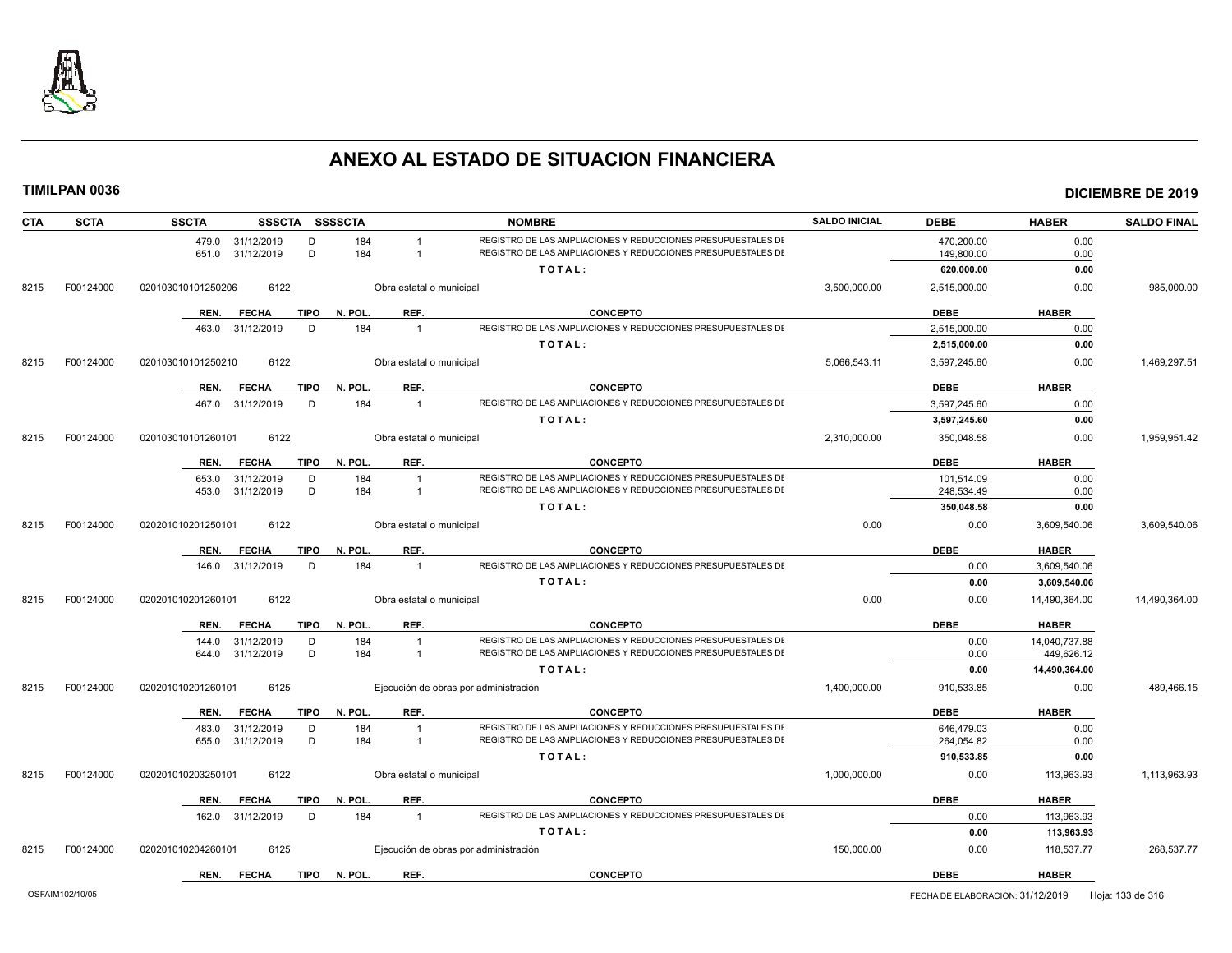

| REGISTRO DE LAS AMPLIACIONES Y REDUCCIONES PRESUPUESTALES DI<br>470,200.00<br>0.00<br>479.0<br>31/12/2019<br>D<br>184<br>D<br>184<br>REGISTRO DE LAS AMPLIACIONES Y REDUCCIONES PRESUPUESTALES DI<br>149,800.00<br>651.0<br>31/12/2019<br>$\overline{1}$<br>0.00<br>TOTAL:<br>620,000.00<br>0.00<br>F00124000<br>6122<br>3,500,000.00<br>2,515,000.00<br>0.00<br>8215<br>020103010101250206<br>Obra estatal o municipal<br><b>TIPO</b><br>N. POL.<br>REF.<br><b>CONCEPTO</b><br><b>DEBE</b><br><b>HABER</b><br><b>FECHA</b><br>REN.<br>REGISTRO DE LAS AMPLIACIONES Y REDUCCIONES PRESUPUESTALES DI<br>D<br>184<br>2,515,000.00<br>0.00<br>31/12/2019<br>463.0<br>$\overline{1}$<br>TOTAL:<br>2,515,000.00<br>0.00<br>F00124000<br>6122<br>5,066,543.11<br>020103010101250210<br>Obra estatal o municipal<br>3,597,245.60<br>0.00<br>8215<br>REF.<br><b>CONCEPTO</b><br><b>FECHA</b><br><b>TIPO</b><br>N. POL.<br><b>DEBE</b><br><b>HABER</b><br>REN.<br>REGISTRO DE LAS AMPLIACIONES Y REDUCCIONES PRESUPUESTALES DI<br>D<br>184<br>3,597,245.60<br>0.00<br>31/12/2019<br>$\overline{1}$<br>467.0<br>TOTAL:<br>3,597,245.60<br>0.00<br>F00124000<br>6122<br>2,310,000.00<br>350,048.58<br>020103010101260101<br>Obra estatal o municipal<br>0.00<br>8215<br>REF.<br><b>DEBE</b><br><b>HABER</b><br><b>FECHA</b><br><b>TIPO</b><br>N. POL<br><b>CONCEPTO</b><br>REN.<br>REGISTRO DE LAS AMPLIACIONES Y REDUCCIONES PRESUPUESTALES DI<br>31/12/2019<br>184<br>101,514.09<br>0.00<br>D<br>$\overline{1}$<br>653.0<br>184<br>REGISTRO DE LAS AMPLIACIONES Y REDUCCIONES PRESUPUESTALES DI<br>453.0<br>31/12/2019<br>D<br>248,534.49<br>0.00<br>$\overline{1}$<br>TOTAL:<br>350,048.58<br>0.00<br>F00124000<br>6122<br>0.00<br>020201010201250101<br>Obra estatal o municipal<br>0.00<br>3,609,540.06<br>8215<br>REF.<br><b>CONCEPTO</b><br><b>DEBE</b><br><b>FECHA</b><br><b>TIPO</b><br>N. POL.<br><b>HABER</b><br>REN. | 985,000.00<br>1,469,297.51<br>1,959,951.42 |
|-----------------------------------------------------------------------------------------------------------------------------------------------------------------------------------------------------------------------------------------------------------------------------------------------------------------------------------------------------------------------------------------------------------------------------------------------------------------------------------------------------------------------------------------------------------------------------------------------------------------------------------------------------------------------------------------------------------------------------------------------------------------------------------------------------------------------------------------------------------------------------------------------------------------------------------------------------------------------------------------------------------------------------------------------------------------------------------------------------------------------------------------------------------------------------------------------------------------------------------------------------------------------------------------------------------------------------------------------------------------------------------------------------------------------------------------------------------------------------------------------------------------------------------------------------------------------------------------------------------------------------------------------------------------------------------------------------------------------------------------------------------------------------------------------------------------------------------------------------------------------------------------------------------------------|--------------------------------------------|
|                                                                                                                                                                                                                                                                                                                                                                                                                                                                                                                                                                                                                                                                                                                                                                                                                                                                                                                                                                                                                                                                                                                                                                                                                                                                                                                                                                                                                                                                                                                                                                                                                                                                                                                                                                                                                                                                                                                       |                                            |
|                                                                                                                                                                                                                                                                                                                                                                                                                                                                                                                                                                                                                                                                                                                                                                                                                                                                                                                                                                                                                                                                                                                                                                                                                                                                                                                                                                                                                                                                                                                                                                                                                                                                                                                                                                                                                                                                                                                       |                                            |
|                                                                                                                                                                                                                                                                                                                                                                                                                                                                                                                                                                                                                                                                                                                                                                                                                                                                                                                                                                                                                                                                                                                                                                                                                                                                                                                                                                                                                                                                                                                                                                                                                                                                                                                                                                                                                                                                                                                       |                                            |
|                                                                                                                                                                                                                                                                                                                                                                                                                                                                                                                                                                                                                                                                                                                                                                                                                                                                                                                                                                                                                                                                                                                                                                                                                                                                                                                                                                                                                                                                                                                                                                                                                                                                                                                                                                                                                                                                                                                       |                                            |
|                                                                                                                                                                                                                                                                                                                                                                                                                                                                                                                                                                                                                                                                                                                                                                                                                                                                                                                                                                                                                                                                                                                                                                                                                                                                                                                                                                                                                                                                                                                                                                                                                                                                                                                                                                                                                                                                                                                       |                                            |
|                                                                                                                                                                                                                                                                                                                                                                                                                                                                                                                                                                                                                                                                                                                                                                                                                                                                                                                                                                                                                                                                                                                                                                                                                                                                                                                                                                                                                                                                                                                                                                                                                                                                                                                                                                                                                                                                                                                       |                                            |
|                                                                                                                                                                                                                                                                                                                                                                                                                                                                                                                                                                                                                                                                                                                                                                                                                                                                                                                                                                                                                                                                                                                                                                                                                                                                                                                                                                                                                                                                                                                                                                                                                                                                                                                                                                                                                                                                                                                       |                                            |
|                                                                                                                                                                                                                                                                                                                                                                                                                                                                                                                                                                                                                                                                                                                                                                                                                                                                                                                                                                                                                                                                                                                                                                                                                                                                                                                                                                                                                                                                                                                                                                                                                                                                                                                                                                                                                                                                                                                       |                                            |
|                                                                                                                                                                                                                                                                                                                                                                                                                                                                                                                                                                                                                                                                                                                                                                                                                                                                                                                                                                                                                                                                                                                                                                                                                                                                                                                                                                                                                                                                                                                                                                                                                                                                                                                                                                                                                                                                                                                       |                                            |
|                                                                                                                                                                                                                                                                                                                                                                                                                                                                                                                                                                                                                                                                                                                                                                                                                                                                                                                                                                                                                                                                                                                                                                                                                                                                                                                                                                                                                                                                                                                                                                                                                                                                                                                                                                                                                                                                                                                       |                                            |
|                                                                                                                                                                                                                                                                                                                                                                                                                                                                                                                                                                                                                                                                                                                                                                                                                                                                                                                                                                                                                                                                                                                                                                                                                                                                                                                                                                                                                                                                                                                                                                                                                                                                                                                                                                                                                                                                                                                       |                                            |
|                                                                                                                                                                                                                                                                                                                                                                                                                                                                                                                                                                                                                                                                                                                                                                                                                                                                                                                                                                                                                                                                                                                                                                                                                                                                                                                                                                                                                                                                                                                                                                                                                                                                                                                                                                                                                                                                                                                       |                                            |
|                                                                                                                                                                                                                                                                                                                                                                                                                                                                                                                                                                                                                                                                                                                                                                                                                                                                                                                                                                                                                                                                                                                                                                                                                                                                                                                                                                                                                                                                                                                                                                                                                                                                                                                                                                                                                                                                                                                       |                                            |
|                                                                                                                                                                                                                                                                                                                                                                                                                                                                                                                                                                                                                                                                                                                                                                                                                                                                                                                                                                                                                                                                                                                                                                                                                                                                                                                                                                                                                                                                                                                                                                                                                                                                                                                                                                                                                                                                                                                       |                                            |
|                                                                                                                                                                                                                                                                                                                                                                                                                                                                                                                                                                                                                                                                                                                                                                                                                                                                                                                                                                                                                                                                                                                                                                                                                                                                                                                                                                                                                                                                                                                                                                                                                                                                                                                                                                                                                                                                                                                       |                                            |
|                                                                                                                                                                                                                                                                                                                                                                                                                                                                                                                                                                                                                                                                                                                                                                                                                                                                                                                                                                                                                                                                                                                                                                                                                                                                                                                                                                                                                                                                                                                                                                                                                                                                                                                                                                                                                                                                                                                       |                                            |
|                                                                                                                                                                                                                                                                                                                                                                                                                                                                                                                                                                                                                                                                                                                                                                                                                                                                                                                                                                                                                                                                                                                                                                                                                                                                                                                                                                                                                                                                                                                                                                                                                                                                                                                                                                                                                                                                                                                       | 3,609,540.06                               |
|                                                                                                                                                                                                                                                                                                                                                                                                                                                                                                                                                                                                                                                                                                                                                                                                                                                                                                                                                                                                                                                                                                                                                                                                                                                                                                                                                                                                                                                                                                                                                                                                                                                                                                                                                                                                                                                                                                                       |                                            |
| REGISTRO DE LAS AMPLIACIONES Y REDUCCIONES PRESUPUESTALES DI<br>184<br>D<br>0.00<br>3,609,540.06<br>146.0<br>31/12/2019<br>$\overline{1}$                                                                                                                                                                                                                                                                                                                                                                                                                                                                                                                                                                                                                                                                                                                                                                                                                                                                                                                                                                                                                                                                                                                                                                                                                                                                                                                                                                                                                                                                                                                                                                                                                                                                                                                                                                             |                                            |
| TOTAL:<br>0.00<br>3,609,540.06                                                                                                                                                                                                                                                                                                                                                                                                                                                                                                                                                                                                                                                                                                                                                                                                                                                                                                                                                                                                                                                                                                                                                                                                                                                                                                                                                                                                                                                                                                                                                                                                                                                                                                                                                                                                                                                                                        |                                            |
| F00124000<br>6122<br>0.00<br>020201010201260101<br>Obra estatal o municipal<br>0.00<br>14,490,364.00<br>8215                                                                                                                                                                                                                                                                                                                                                                                                                                                                                                                                                                                                                                                                                                                                                                                                                                                                                                                                                                                                                                                                                                                                                                                                                                                                                                                                                                                                                                                                                                                                                                                                                                                                                                                                                                                                          | 14,490,364.00                              |
| <b>DEBE</b><br>REF.<br><b>CONCEPTO</b><br><b>HABER</b><br>REN.<br><b>FECHA</b><br>TIPO<br>N. POL                                                                                                                                                                                                                                                                                                                                                                                                                                                                                                                                                                                                                                                                                                                                                                                                                                                                                                                                                                                                                                                                                                                                                                                                                                                                                                                                                                                                                                                                                                                                                                                                                                                                                                                                                                                                                      |                                            |
| REGISTRO DE LAS AMPLIACIONES Y REDUCCIONES PRESUPUESTALES DI<br>31/12/2019<br>D<br>184<br>0.00<br>14,040,737.88<br>144.0<br>$\overline{1}$                                                                                                                                                                                                                                                                                                                                                                                                                                                                                                                                                                                                                                                                                                                                                                                                                                                                                                                                                                                                                                                                                                                                                                                                                                                                                                                                                                                                                                                                                                                                                                                                                                                                                                                                                                            |                                            |
| REGISTRO DE LAS AMPLIACIONES Y REDUCCIONES PRESUPUESTALES DI<br>31/12/2019<br>D<br>184<br>$\overline{1}$<br>0.00<br>449,626.12<br>644.0                                                                                                                                                                                                                                                                                                                                                                                                                                                                                                                                                                                                                                                                                                                                                                                                                                                                                                                                                                                                                                                                                                                                                                                                                                                                                                                                                                                                                                                                                                                                                                                                                                                                                                                                                                               |                                            |
| TOTAL:<br>14,490,364.00<br>0.00                                                                                                                                                                                                                                                                                                                                                                                                                                                                                                                                                                                                                                                                                                                                                                                                                                                                                                                                                                                                                                                                                                                                                                                                                                                                                                                                                                                                                                                                                                                                                                                                                                                                                                                                                                                                                                                                                       |                                            |
| F00124000<br>6125<br>1,400,000.00<br>910,533.85<br>0.00<br>8215<br>020201010201260101<br>Ejecución de obras por administración                                                                                                                                                                                                                                                                                                                                                                                                                                                                                                                                                                                                                                                                                                                                                                                                                                                                                                                                                                                                                                                                                                                                                                                                                                                                                                                                                                                                                                                                                                                                                                                                                                                                                                                                                                                        | 489,466.15                                 |
| REF.<br><b>TIPO</b><br>N. POL.<br><b>CONCEPTO</b><br><b>DEBE</b><br><b>HABER</b><br>REN.<br><b>FECHA</b>                                                                                                                                                                                                                                                                                                                                                                                                                                                                                                                                                                                                                                                                                                                                                                                                                                                                                                                                                                                                                                                                                                                                                                                                                                                                                                                                                                                                                                                                                                                                                                                                                                                                                                                                                                                                              |                                            |
| REGISTRO DE LAS AMPLIACIONES Y REDUCCIONES PRESUPUESTALES DI<br>D<br>184<br>646,479.03<br>0.00<br>483.0<br>31/12/2019<br>$\overline{1}$                                                                                                                                                                                                                                                                                                                                                                                                                                                                                                                                                                                                                                                                                                                                                                                                                                                                                                                                                                                                                                                                                                                                                                                                                                                                                                                                                                                                                                                                                                                                                                                                                                                                                                                                                                               |                                            |
| REGISTRO DE LAS AMPLIACIONES Y REDUCCIONES PRESUPUESTALES DI<br>D<br>184<br>655.0<br>31/12/2019<br>264,054.82<br>0.00<br>$\mathbf{1}$                                                                                                                                                                                                                                                                                                                                                                                                                                                                                                                                                                                                                                                                                                                                                                                                                                                                                                                                                                                                                                                                                                                                                                                                                                                                                                                                                                                                                                                                                                                                                                                                                                                                                                                                                                                 |                                            |
| 910,533.85<br>TOTAL:<br>0.00                                                                                                                                                                                                                                                                                                                                                                                                                                                                                                                                                                                                                                                                                                                                                                                                                                                                                                                                                                                                                                                                                                                                                                                                                                                                                                                                                                                                                                                                                                                                                                                                                                                                                                                                                                                                                                                                                          |                                            |
| F00124000<br>020201010203250101<br>6122<br>Obra estatal o municipal<br>1,000,000.00<br>0.00<br>113,963.93<br>8215                                                                                                                                                                                                                                                                                                                                                                                                                                                                                                                                                                                                                                                                                                                                                                                                                                                                                                                                                                                                                                                                                                                                                                                                                                                                                                                                                                                                                                                                                                                                                                                                                                                                                                                                                                                                     | 1,113,963.93                               |
| REF.<br><b>CONCEPTO</b><br><b>DEBE</b><br><b>HABER</b><br><b>TIPO</b><br>N. POL<br>REN.<br><b>FECHA</b>                                                                                                                                                                                                                                                                                                                                                                                                                                                                                                                                                                                                                                                                                                                                                                                                                                                                                                                                                                                                                                                                                                                                                                                                                                                                                                                                                                                                                                                                                                                                                                                                                                                                                                                                                                                                               |                                            |
| REGISTRO DE LAS AMPLIACIONES Y REDUCCIONES PRESUPUESTALES DI<br>D<br>184<br>0.00<br>31/12/2019<br>113,963.93<br>162.0<br>$\overline{1}$                                                                                                                                                                                                                                                                                                                                                                                                                                                                                                                                                                                                                                                                                                                                                                                                                                                                                                                                                                                                                                                                                                                                                                                                                                                                                                                                                                                                                                                                                                                                                                                                                                                                                                                                                                               |                                            |
| TOTAL:<br>0.00<br>113,963.93                                                                                                                                                                                                                                                                                                                                                                                                                                                                                                                                                                                                                                                                                                                                                                                                                                                                                                                                                                                                                                                                                                                                                                                                                                                                                                                                                                                                                                                                                                                                                                                                                                                                                                                                                                                                                                                                                          |                                            |
| 150.000.00<br>F00124000<br>020201010204260101<br>6125<br>Ejecución de obras por administración<br>0.00<br>118,537.77<br>8215                                                                                                                                                                                                                                                                                                                                                                                                                                                                                                                                                                                                                                                                                                                                                                                                                                                                                                                                                                                                                                                                                                                                                                                                                                                                                                                                                                                                                                                                                                                                                                                                                                                                                                                                                                                          |                                            |
| <b>FECHA</b><br><b>TIPO</b><br>N. POL<br>REF.<br><b>CONCEPTO</b><br><b>DEBE</b><br><b>HABER</b><br>REN.                                                                                                                                                                                                                                                                                                                                                                                                                                                                                                                                                                                                                                                                                                                                                                                                                                                                                                                                                                                                                                                                                                                                                                                                                                                                                                                                                                                                                                                                                                                                                                                                                                                                                                                                                                                                               | 268,537.77                                 |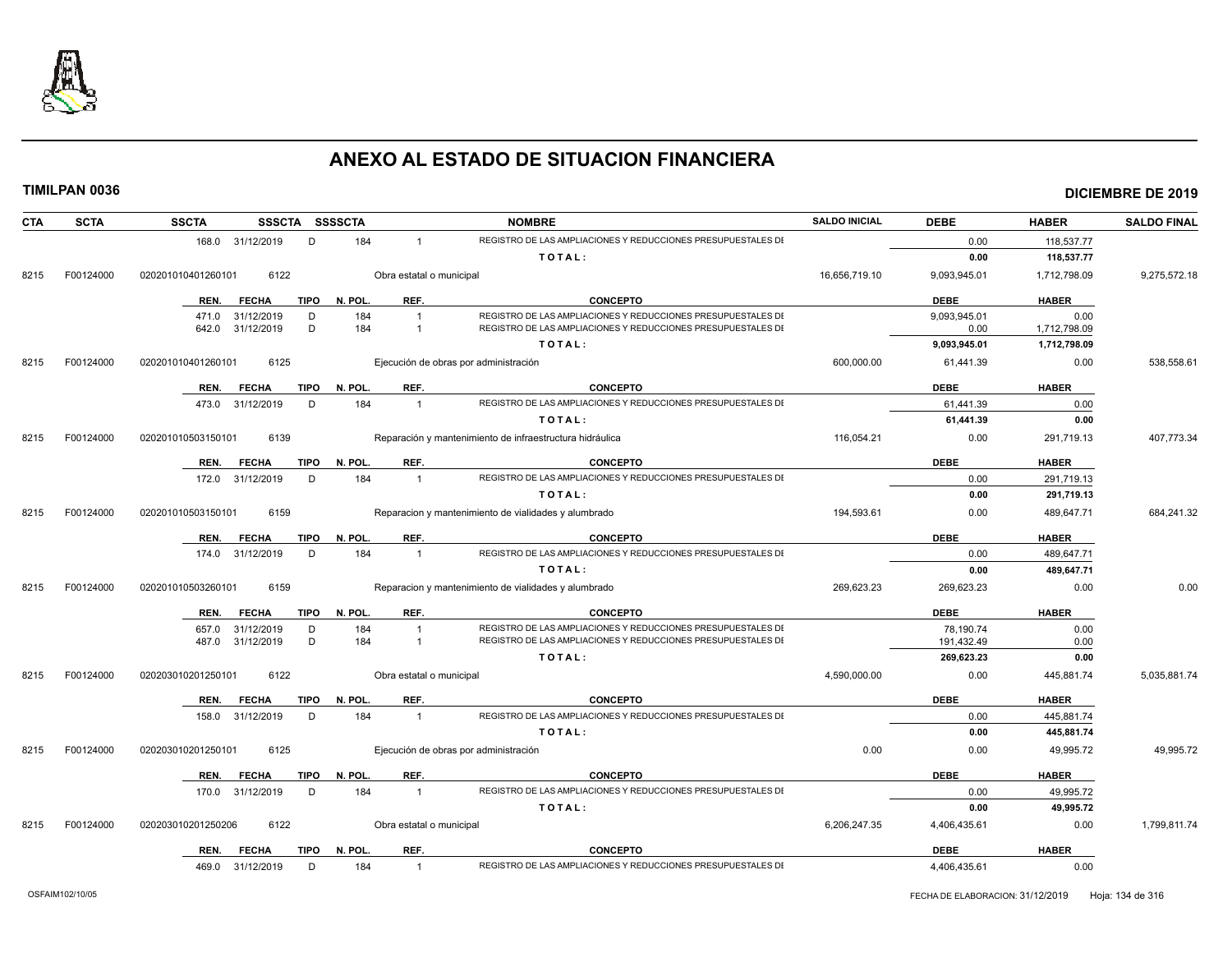

| CTA  | <b>SCTA</b> | <b>SSCTA</b>       | SSSCTA SSSSCTA |             |         |                          | <b>NOMBRE</b>                                                | <b>SALDO INICIAL</b> | <b>DEBE</b>  | <b>HABER</b> | <b>SALDO FINAL</b> |
|------|-------------|--------------------|----------------|-------------|---------|--------------------------|--------------------------------------------------------------|----------------------|--------------|--------------|--------------------|
|      |             | 168.0 31/12/2019   |                | D           | 184     | $\overline{1}$           | REGISTRO DE LAS AMPLIACIONES Y REDUCCIONES PRESUPUESTALES DI |                      | 0.00         | 118,537.77   |                    |
|      |             |                    |                |             |         |                          | TOTAL:                                                       |                      | 0.00         | 118,537.77   |                    |
| 8215 | F00124000   | 020201010401260101 | 6122           |             |         | Obra estatal o municipal |                                                              | 16,656,719.10        | 9,093,945.01 | 1,712,798.09 | 9,275,572.18       |
|      |             | REN.               | <b>FECHA</b>   | <b>TIPO</b> | N. POL. | REF.                     | <b>CONCEPTO</b>                                              |                      | <b>DEBE</b>  | <b>HABER</b> |                    |
|      |             | 471.0 31/12/2019   |                | D           | 184     | $\overline{1}$           | REGISTRO DE LAS AMPLIACIONES Y REDUCCIONES PRESUPUESTALES DI |                      | 9,093,945.01 | 0.00         |                    |
|      |             | 642.0 31/12/2019   |                | D           | 184     | $\overline{1}$           | REGISTRO DE LAS AMPLIACIONES Y REDUCCIONES PRESUPUESTALES DI |                      | 0.00         | 1,712,798.09 |                    |
|      |             |                    |                |             |         |                          | TOTAL:                                                       |                      | 9,093,945.01 | 1,712,798.09 |                    |
| 8215 | F00124000   | 020201010401260101 | 6125           |             |         |                          | Ejecución de obras por administración                        | 600.000.00           | 61,441.39    | 0.00         | 538.558.61         |
|      |             | REN.               | <b>FECHA</b>   | TIPO        | N. POL. | REF.                     | <b>CONCEPTO</b>                                              |                      | <b>DEBE</b>  | <b>HABER</b> |                    |
|      |             | 473.0 31/12/2019   |                | D           | 184     | $\overline{1}$           | REGISTRO DE LAS AMPLIACIONES Y REDUCCIONES PRESUPUESTALES DI |                      | 61,441.39    | 0.00         |                    |
|      |             |                    |                |             |         |                          | TOTAL:                                                       |                      | 61,441.39    | 0.00         |                    |
| 8215 | F00124000   | 020201010503150101 | 6139           |             |         |                          | Reparación y mantenimiento de infraestructura hidráulica     | 116,054.21           | 0.00         | 291,719.13   | 407,773.34         |
|      |             | REN.               | <b>FECHA</b>   | <b>TIPO</b> | N. POL. | REF.                     | <b>CONCEPTO</b>                                              |                      | <b>DEBE</b>  | <b>HABER</b> |                    |
|      |             | 172.0 31/12/2019   |                | D           | 184     | $\overline{1}$           | REGISTRO DE LAS AMPLIACIONES Y REDUCCIONES PRESUPUESTALES DI |                      | 0.00         | 291,719.13   |                    |
|      |             |                    |                |             |         |                          | TOTAL:                                                       |                      | 0.00         | 291,719.13   |                    |
| 8215 | F00124000   | 020201010503150101 | 6159           |             |         |                          | Reparacion y mantenimiento de vialidades y alumbrado         | 194,593.61           | 0.00         | 489,647.71   | 684,241.32         |
|      |             | REN.               | <b>FECHA</b>   | <b>TIPO</b> | N. POL. | REF.                     | <b>CONCEPTO</b>                                              |                      | <b>DEBE</b>  | <b>HABER</b> |                    |
|      |             | 174.0 31/12/2019   |                | D           | 184     | $\overline{1}$           | REGISTRO DE LAS AMPLIACIONES Y REDUCCIONES PRESUPUESTALES DI |                      | 0.00         | 489,647.71   |                    |
|      |             |                    |                |             |         |                          | TOTAL:                                                       |                      | 0.00         | 489,647.71   |                    |
| 8215 | F00124000   | 020201010503260101 | 6159           |             |         |                          | Reparacion y mantenimiento de vialidades y alumbrado         | 269,623.23           | 269,623.23   | 0.00         | 0.00               |
|      |             | REN.               | <b>FECHA</b>   | <b>TIPO</b> | N. POL. | REF.                     | <b>CONCEPTO</b>                                              |                      | <b>DEBE</b>  | <b>HABER</b> |                    |
|      |             | 657.0              | 31/12/2019     | D           | 184     | $\overline{1}$           | REGISTRO DE LAS AMPLIACIONES Y REDUCCIONES PRESUPUESTALES DI |                      | 78,190.74    | 0.00         |                    |
|      |             | 487.0              | 31/12/2019     | D           | 184     | $\overline{\mathbf{1}}$  | REGISTRO DE LAS AMPLIACIONES Y REDUCCIONES PRESUPUESTALES DI |                      | 191,432.49   | 0.00         |                    |
|      |             |                    |                |             |         |                          | TOTAL:                                                       |                      | 269,623.23   | 0.00         |                    |
| 8215 | F00124000   | 020203010201250101 | 6122           |             |         | Obra estatal o municipal |                                                              | 4,590,000.00         | 0.00         | 445,881.74   | 5,035,881.74       |
|      |             | REN.               | <b>FECHA</b>   | <b>TIPO</b> | N. POL. | REF.                     | <b>CONCEPTO</b>                                              |                      | <b>DEBE</b>  | <b>HABER</b> |                    |
|      |             | 158.0 31/12/2019   |                | D           | 184     | $\overline{1}$           | REGISTRO DE LAS AMPLIACIONES Y REDUCCIONES PRESUPUESTALES DI |                      | 0.00         | 445,881.74   |                    |
|      |             |                    |                |             |         |                          | TOTAL:                                                       |                      | 0.00         | 445,881.74   |                    |
| 8215 | F00124000   | 020203010201250101 | 6125           |             |         |                          | Ejecución de obras por administración                        | 0.00                 | 0.00         | 49,995.72    | 49,995.72          |
|      |             | REN.               | <b>FECHA</b>   | <b>TIPO</b> | N. POL. | REF.                     | <b>CONCEPTO</b>                                              |                      | <b>DEBE</b>  | <b>HABER</b> |                    |
|      |             | 170.0 31/12/2019   |                | D           | 184     | $\overline{1}$           | REGISTRO DE LAS AMPLIACIONES Y REDUCCIONES PRESUPUESTALES DI |                      | 0.00         | 49,995.72    |                    |
|      |             |                    |                |             |         |                          | TOTAL:                                                       |                      | 0.00         | 49,995.72    |                    |
| 8215 | F00124000   | 020203010201250206 | 6122           |             |         | Obra estatal o municipal |                                                              | 6,206,247.35         | 4,406,435.61 | 0.00         | 1,799,811.74       |
|      |             | REN.               | <b>FECHA</b>   | <b>TIPO</b> | N. POL. | REF.                     | <b>CONCEPTO</b>                                              |                      | <b>DEBE</b>  | <b>HABER</b> |                    |
|      |             | 469.0 31/12/2019   |                | D           | 184     | $\overline{1}$           | REGISTRO DE LAS AMPLIACIONES Y REDUCCIONES PRESUPUESTALES DI |                      | 4,406,435.61 | 0.00         |                    |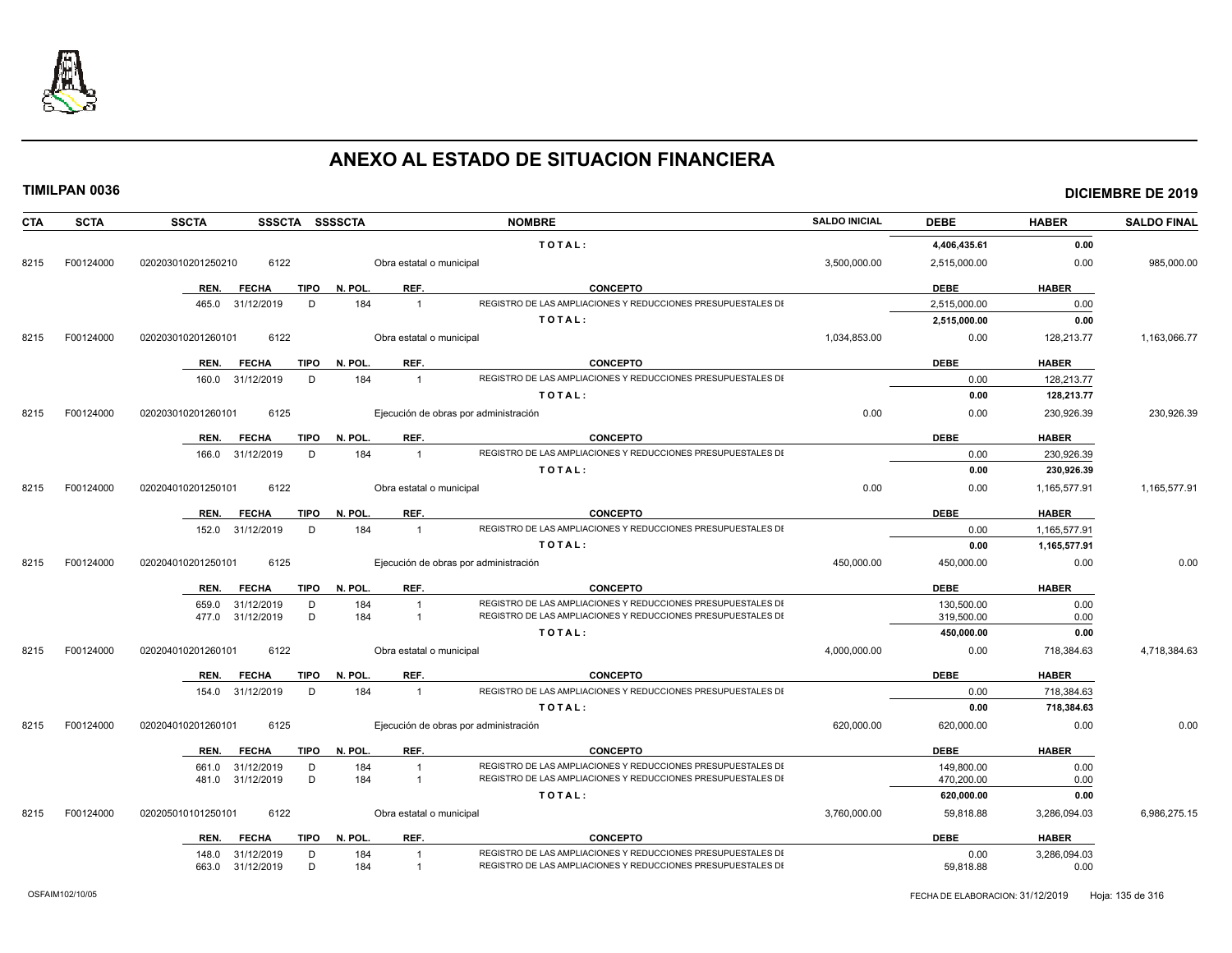

| <b>CTA</b> | <b>SCTA</b> | <b>SSCTA</b><br>SSSCTA SSSSCTA      |                          | <b>NOMBRE</b>                                                                                                                | <b>SALDO INICIAL</b> | <b>DEBE</b>  | <b>HABER</b> | <b>SALDO FINAL</b> |
|------------|-------------|-------------------------------------|--------------------------|------------------------------------------------------------------------------------------------------------------------------|----------------------|--------------|--------------|--------------------|
|            |             |                                     |                          | TOTAL:                                                                                                                       |                      | 4,406,435.61 | 0.00         |                    |
| 8215       | F00124000   | 6122<br>020203010201250210          | Obra estatal o municipal |                                                                                                                              | 3,500,000.00         | 2,515,000.00 | 0.00         | 985,000.00         |
|            |             | REN.<br><b>FECHA</b><br>TIPO        | REF.<br>N. POL.          | <b>CONCEPTO</b>                                                                                                              |                      | <b>DEBE</b>  | <b>HABER</b> |                    |
|            |             | 465.0 31/12/2019<br>D               | 184<br>$\overline{1}$    | REGISTRO DE LAS AMPLIACIONES Y REDUCCIONES PRESUPUESTALES DI                                                                 |                      | 2,515,000.00 | 0.00         |                    |
|            |             |                                     |                          | TOTAL:                                                                                                                       |                      | 2,515,000.00 | 0.00         |                    |
| 8215       | F00124000   | 6122<br>020203010201260101          | Obra estatal o municipal |                                                                                                                              | 1,034,853.00         | 0.00         | 128,213.77   | 1,163,066.77       |
|            |             | REN.<br>FECHA<br>TIPO               | N. POL.<br>REF.          | <b>CONCEPTO</b>                                                                                                              |                      | <b>DEBE</b>  | <b>HABER</b> |                    |
|            |             | 160.0 31/12/2019<br>D               | 184<br>$\overline{1}$    | REGISTRO DE LAS AMPLIACIONES Y REDUCCIONES PRESUPUESTALES DI                                                                 |                      | 0.00         | 128,213.77   |                    |
|            |             |                                     |                          | TOTAL:                                                                                                                       |                      | 0.00         | 128,213.77   |                    |
| 8215       | F00124000   | 6125<br>020203010201260101          |                          | Ejecución de obras por administración                                                                                        | 0.00                 | 0.00         | 230,926.39   | 230,926.39         |
|            |             | <b>FECHA</b><br><b>TIPO</b><br>REN. | N. POL.<br>REF.          | <b>CONCEPTO</b>                                                                                                              |                      | <b>DEBE</b>  | <b>HABER</b> |                    |
|            |             | 166.0 31/12/2019<br>D               | 184<br>$\overline{1}$    | REGISTRO DE LAS AMPLIACIONES Y REDUCCIONES PRESUPUESTALES DI                                                                 |                      | 0.00         | 230,926.39   |                    |
|            |             |                                     |                          | TOTAL:                                                                                                                       |                      | 0.00         | 230,926.39   |                    |
| 8215       | F00124000   | 6122<br>020204010201250101          | Obra estatal o municipal |                                                                                                                              | 0.00                 | 0.00         | 1,165,577.91 | 1,165,577.91       |
|            |             | <b>TIPO</b><br>REN.<br><b>FECHA</b> | REF.<br>N. POL.          | <b>CONCEPTO</b>                                                                                                              |                      | <b>DEBE</b>  | <b>HABER</b> |                    |
|            |             | 152.0 31/12/2019<br>D               | 184<br>$\overline{1}$    | REGISTRO DE LAS AMPLIACIONES Y REDUCCIONES PRESUPUESTALES DI                                                                 |                      | 0.00         | 1,165,577.91 |                    |
|            |             |                                     |                          | TOTAL:                                                                                                                       |                      | 0.00         | 1,165,577.91 |                    |
| 8215       | F00124000   | 6125<br>020204010201250101          |                          | Ejecución de obras por administración                                                                                        | 450,000.00           | 450,000.00   | 0.00         | 0.00               |
|            |             | <b>FECHA</b><br><b>TIPO</b><br>REN. | REF.<br>N. POL.          | <b>CONCEPTO</b>                                                                                                              |                      | <b>DEBE</b>  | <b>HABER</b> |                    |
|            |             | 31/12/2019<br>D<br>659.0            | 184<br>$\overline{1}$    | REGISTRO DE LAS AMPLIACIONES Y REDUCCIONES PRESUPUESTALES DI                                                                 |                      | 130,500.00   | 0.00         |                    |
|            |             | D<br>477.0 31/12/2019               | 184<br>$\overline{1}$    | REGISTRO DE LAS AMPLIACIONES Y REDUCCIONES PRESUPUESTALES DI                                                                 |                      | 319,500.00   | 0.00         |                    |
|            |             |                                     |                          | TOTAL:                                                                                                                       |                      | 450,000.00   | 0.00         |                    |
| 8215       | F00124000   | 6122<br>020204010201260101          | Obra estatal o municipal |                                                                                                                              | 4,000,000.00         | 0.00         | 718,384.63   | 4,718,384.63       |
|            |             | REN.<br><b>FECHA</b><br>TIPO        | REF.<br>N. POL.          | <b>CONCEPTO</b>                                                                                                              |                      | <b>DEBE</b>  | <b>HABER</b> |                    |
|            |             | 154.0 31/12/2019<br>D               | 184<br>$\overline{1}$    | REGISTRO DE LAS AMPLIACIONES Y REDUCCIONES PRESUPUESTALES DI                                                                 |                      | 0.00         | 718,384.63   |                    |
|            |             |                                     |                          | TOTAL:                                                                                                                       |                      | 0.00         | 718,384.63   |                    |
| 8215       | F00124000   | 6125<br>020204010201260101          |                          | Ejecución de obras por administración                                                                                        | 620,000.00           | 620,000.00   | 0.00         | 0.00               |
|            |             | REN.<br><b>FECHA</b><br>TIPO        | N. POL.<br>REF.          | <b>CONCEPTO</b>                                                                                                              |                      | <b>DEBE</b>  | <b>HABER</b> |                    |
|            |             | 661.0 31/12/2019<br>D               | 184<br>$\overline{1}$    | REGISTRO DE LAS AMPLIACIONES Y REDUCCIONES PRESUPUESTALES DI                                                                 |                      | 149,800.00   | 0.00         |                    |
|            |             | D<br>481.0 31/12/2019               | 184<br>$\overline{1}$    | REGISTRO DE LAS AMPLIACIONES Y REDUCCIONES PRESUPUESTALES DI                                                                 |                      | 470,200.00   | 0.00         |                    |
|            |             |                                     |                          | TOTAL:                                                                                                                       |                      | 620,000.00   | 0.00         |                    |
| 8215       | F00124000   | 020205010101250101<br>6122          | Obra estatal o municipal |                                                                                                                              | 3,760,000.00         | 59,818.88    | 3,286,094.03 | 6,986,275.15       |
|            |             | <b>FECHA</b><br>REN.                | TIPO N. POL.<br>REF.     | <b>CONCEPTO</b>                                                                                                              |                      | <b>DEBE</b>  | <b>HABER</b> |                    |
|            |             | 148.0 31/12/2019<br>D               | 184<br>$\overline{1}$    | REGISTRO DE LAS AMPLIACIONES Y REDUCCIONES PRESUPUESTALES DI<br>REGISTRO DE LAS AMPLIACIONES Y REDUCCIONES PRESUPUESTALES DI |                      | 0.00         | 3,286,094.03 |                    |
|            |             | D<br>663.0 31/12/2019               | 184<br>$\overline{1}$    |                                                                                                                              |                      | 59,818.88    | 0.00         |                    |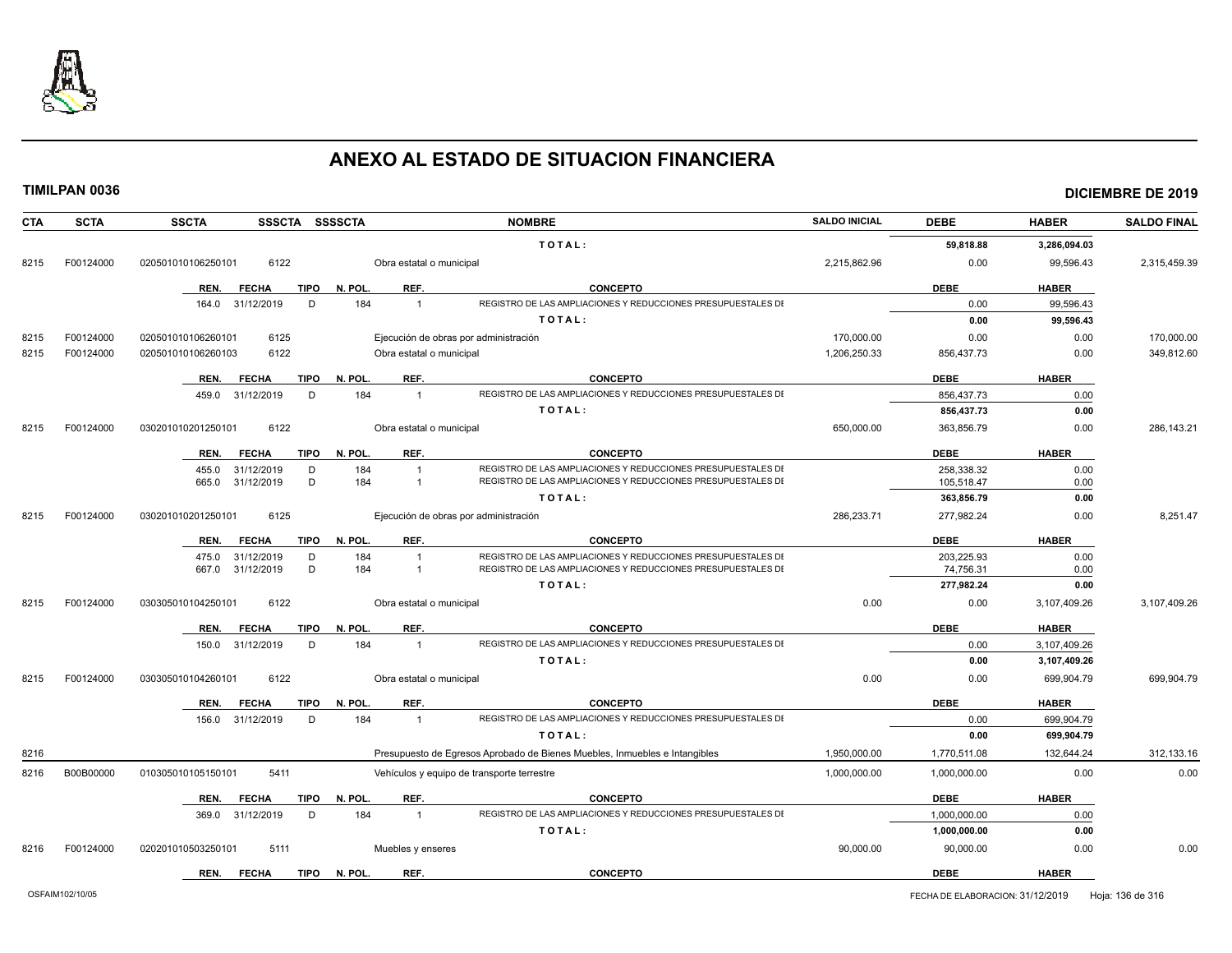

| <b>CTA</b> | <b>SCTA</b> | <b>SSSCTA</b><br><b>SSCTA</b>       | <b>SSSSCTA</b>           | <b>NOMBRE</b>                                                              | <b>SALDO INICIAL</b> | <b>DEBE</b>  | <b>HABER</b> | <b>SALDO FINAL</b> |
|------------|-------------|-------------------------------------|--------------------------|----------------------------------------------------------------------------|----------------------|--------------|--------------|--------------------|
|            |             |                                     |                          | TOTAL:                                                                     |                      | 59,818.88    | 3,286,094.03 |                    |
| 8215       | F00124000   | 6122<br>020501010106250101          | Obra estatal o municipal |                                                                            | 2,215,862.96         | 0.00         | 99,596.43    | 2,315,459.39       |
|            |             | <b>TIPO</b><br>REN.<br><b>FECHA</b> | REF.<br>N. POL.          | <b>CONCEPTO</b>                                                            |                      | <b>DEBE</b>  | <b>HABER</b> |                    |
|            |             | 31/12/2019<br>164.0<br>D            | 184<br>$\overline{1}$    | REGISTRO DE LAS AMPLIACIONES Y REDUCCIONES PRESUPUESTALES DI               |                      | 0.00         | 99.596.43    |                    |
|            |             |                                     |                          | TOTAL:                                                                     |                      | 0.00         | 99,596.43    |                    |
| 8215       | F00124000   | 6125<br>020501010106260101          |                          | Ejecución de obras por administración                                      | 170,000.00           | 0.00         | 0.00         | 170,000.00         |
| 8215       | F00124000   | 6122<br>020501010106260103          | Obra estatal o municipal |                                                                            | 1.206.250.33         | 856,437.73   | 0.00         | 349,812.60         |
|            |             | <b>TIPO</b><br>REN.<br><b>FECHA</b> | REF.<br>N. POL.          | <b>CONCEPTO</b>                                                            |                      | <b>DEBE</b>  | <b>HABER</b> |                    |
|            |             | 459.0<br>31/12/2019<br>D            | 184<br>$\overline{1}$    | REGISTRO DE LAS AMPLIACIONES Y REDUCCIONES PRESUPUESTALES DI               |                      | 856,437.73   | 0.00         |                    |
|            |             |                                     |                          | TOTAL:                                                                     |                      | 856,437.73   | 0.00         |                    |
|            |             |                                     |                          |                                                                            |                      |              |              |                    |
| 8215       | F00124000   | 6122<br>030201010201250101          | Obra estatal o municipal |                                                                            | 650,000.00           | 363,856.79   | 0.00         | 286,143.21         |
|            |             | REN.<br><b>FECHA</b><br>TIPO        | REF.<br>N. POL.          | <b>CONCEPTO</b>                                                            |                      | <b>DEBE</b>  | <b>HABER</b> |                    |
|            |             | 31/12/2019<br>455.0<br>D            | 184<br>$\overline{1}$    | REGISTRO DE LAS AMPLIACIONES Y REDUCCIONES PRESUPUESTALES DI               |                      | 258,338.32   | 0.00         |                    |
|            |             | D<br>665.0<br>31/12/2019            | 184<br>$\overline{1}$    | REGISTRO DE LAS AMPLIACIONES Y REDUCCIONES PRESUPUESTALES DI               |                      | 105,518.47   | 0.00         |                    |
|            |             |                                     |                          | TOTAL:                                                                     |                      | 363,856.79   | 0.00         |                    |
| 8215       | F00124000   | 6125<br>030201010201250101          |                          | Ejecución de obras por administración                                      | 286,233.71           | 277,982.24   | 0.00         | 8,251.47           |
|            |             | <b>FECHA</b><br><b>TIPO</b><br>REN. | REF.<br>N. POL.          | <b>CONCEPTO</b>                                                            |                      | <b>DEBE</b>  | <b>HABER</b> |                    |
|            |             | 31/12/2019<br>475.0<br>D            | 184<br>$\overline{1}$    | REGISTRO DE LAS AMPLIACIONES Y REDUCCIONES PRESUPUESTALES DI               |                      | 203.225.93   | 0.00         |                    |
|            |             | D<br>667.0<br>31/12/2019            | 184<br>$\overline{1}$    | REGISTRO DE LAS AMPLIACIONES Y REDUCCIONES PRESUPUESTALES DI               |                      | 74,756.31    | 0.00         |                    |
|            |             |                                     |                          | TOTAL:                                                                     |                      | 277,982.24   | 0.00         |                    |
| 8215       | F00124000   | 6122<br>030305010104250101          | Obra estatal o municipal |                                                                            | 0.00                 | 0.00         | 3,107,409.26 | 3,107,409.26       |
|            |             | REN.<br><b>FECHA</b><br><b>TIPO</b> | N. POL.<br>REF.          | <b>CONCEPTO</b>                                                            |                      | <b>DEBE</b>  | <b>HABER</b> |                    |
|            |             | 31/12/2019<br>D<br>150.0            | 184<br>$\overline{1}$    | REGISTRO DE LAS AMPLIACIONES Y REDUCCIONES PRESUPUESTALES DI               |                      | 0.00         | 3,107,409.26 |                    |
|            |             |                                     |                          | TOTAL:                                                                     |                      | 0.00         | 3,107,409.26 |                    |
| 8215       | F00124000   | 6122<br>030305010104260101          | Obra estatal o municipal |                                                                            | 0.00                 | 0.00         | 699,904.79   | 699,904.79         |
|            |             | REN.<br><b>FECHA</b><br>TIPO        | REF.<br>N. POL.          | <b>CONCEPTO</b>                                                            |                      | <b>DEBE</b>  | <b>HABER</b> |                    |
|            |             | 156.0 31/12/2019<br>D               | 184<br>$\overline{1}$    | REGISTRO DE LAS AMPLIACIONES Y REDUCCIONES PRESUPUESTALES DI               |                      | 0.00         | 699,904.79   |                    |
|            |             |                                     |                          | TOTAL:                                                                     |                      | 0.00         | 699,904.79   |                    |
| 8216       |             |                                     |                          | Presupuesto de Egresos Aprobado de Bienes Muebles, Inmuebles e Intangibles | 1,950,000.00         | 1,770,511.08 | 132,644.24   | 312,133.16         |
| 8216       | B00B00000   | 5411<br>010305010105150101          |                          | Vehículos y equipo de transporte terrestre                                 | 1,000,000.00         | 1,000,000.00 | 0.00         | 0.00               |
|            |             | <b>TIPO</b><br>REN.<br><b>FECHA</b> | N. POL.<br>REF.          | <b>CONCEPTO</b>                                                            |                      | <b>DEBE</b>  | <b>HABER</b> |                    |
|            |             | 31/12/2019<br>D<br>369.0            | 184<br>$\overline{1}$    | REGISTRO DE LAS AMPLIACIONES Y REDUCCIONES PRESUPUESTALES DI               |                      | 1,000,000.00 | 0.00         |                    |
|            |             |                                     |                          | TOTAL:                                                                     |                      | 1,000,000.00 | 0.00         |                    |
| 8216       | F00124000   | 5111<br>020201010503250101          | Muebles y enseres        |                                                                            | 90,000.00            | 90,000.00    | 0.00         | 0.00               |
|            |             | <b>TIPO</b><br>REN.<br><b>FECHA</b> | N. POL<br>REF.           | <b>CONCEPTO</b>                                                            |                      | <b>DEBE</b>  | <b>HABER</b> |                    |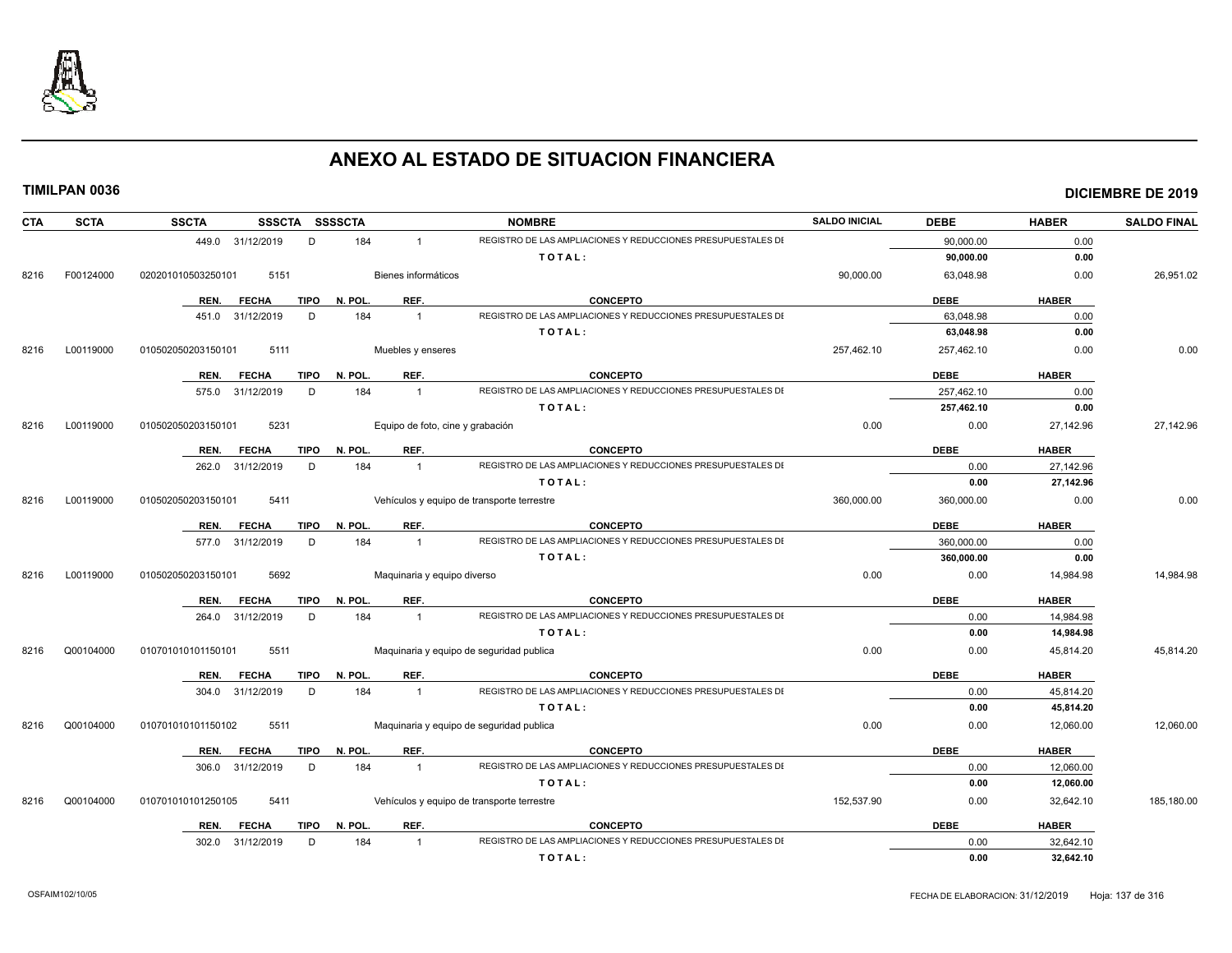

| <b>CTA</b> | <b>SCTA</b> | <b>SSCTA</b><br>SSSCTA SSSSCTA      |                             | <b>NOMBRE</b>                                                | <b>SALDO INICIAL</b> | <b>DEBE</b> | <b>HABER</b> | <b>SALDO FINAL</b> |
|------------|-------------|-------------------------------------|-----------------------------|--------------------------------------------------------------|----------------------|-------------|--------------|--------------------|
|            |             | 449.0 31/12/2019<br>D               | 184<br>$\mathbf{1}$         | REGISTRO DE LAS AMPLIACIONES Y REDUCCIONES PRESUPUESTALES DI |                      | 90,000.00   | 0.00         |                    |
|            |             |                                     |                             | TOTAL:                                                       |                      | 90,000.00   | 0.00         |                    |
| 8216       | F00124000   | 020201010503250101<br>5151          | Bienes informáticos         |                                                              | 90,000.00            | 63,048.98   | 0.00         | 26,951.02          |
|            |             | <b>FECHA</b><br><b>TIPO</b><br>REN. | REF.<br>N. POL              | <b>CONCEPTO</b>                                              |                      | <b>DEBE</b> | <b>HABER</b> |                    |
|            |             | 451.0 31/12/2019<br>D               | 184<br>$\mathbf{1}$         | REGISTRO DE LAS AMPLIACIONES Y REDUCCIONES PRESUPUESTALES DI |                      | 63,048.98   | 0.00         |                    |
|            |             |                                     |                             | TOTAL:                                                       |                      | 63,048.98   | 0.00         |                    |
| 8216       | L00119000   | 010502050203150101<br>5111          | Muebles y enseres           |                                                              | 257,462.10           | 257,462.10  | 0.00         | 0.00               |
|            |             | REN.<br><b>FECHA</b><br><b>TIPO</b> | N. POL.<br>REF.             | <b>CONCEPTO</b>                                              |                      | <b>DEBE</b> | <b>HABER</b> |                    |
|            |             | 575.0 31/12/2019<br>D               | 184<br>$\overline{1}$       | REGISTRO DE LAS AMPLIACIONES Y REDUCCIONES PRESUPUESTALES DI |                      | 257,462.10  | 0.00         |                    |
|            |             |                                     |                             | TOTAL:                                                       |                      | 257,462.10  | 0.00         |                    |
| 8216       | L00119000   | 5231<br>010502050203150101          |                             | Equipo de foto, cine y grabación                             | 0.00                 | 0.00        | 27.142.96    | 27.142.96          |
|            |             | <b>FECHA</b><br><b>TIPO</b><br>REN. | REF.<br>N. POL.             | <b>CONCEPTO</b>                                              |                      | <b>DEBE</b> | <b>HABER</b> |                    |
|            |             | D<br>262.0<br>31/12/2019            | 184<br>$\overline{1}$       | REGISTRO DE LAS AMPLIACIONES Y REDUCCIONES PRESUPUESTALES DI |                      | 0.00        | 27,142.96    |                    |
|            |             |                                     |                             | TOTAL:                                                       |                      | 0.00        | 27,142.96    |                    |
| 8216       | L00119000   | 5411<br>010502050203150101          |                             | Vehículos y equipo de transporte terrestre                   | 360,000.00           | 360,000.00  | 0.00         | 0.00               |
|            |             | <b>TIPO</b><br>REN.<br><b>FECHA</b> | REF.<br>N. POL.             | <b>CONCEPTO</b>                                              |                      | <b>DEBE</b> | <b>HABER</b> |                    |
|            |             | D<br>577.0 31/12/2019               | 184<br>$\overline{1}$       | REGISTRO DE LAS AMPLIACIONES Y REDUCCIONES PRESUPUESTALES DI |                      | 360,000.00  | 0.00         |                    |
|            |             |                                     |                             | TOTAL:                                                       |                      | 360,000.00  | 0.00         |                    |
| 8216       | L00119000   | 5692<br>010502050203150101          | Maquinaria y equipo diverso |                                                              | 0.00                 | 0.00        | 14,984.98    | 14.984.98          |
|            |             | <b>FECHA</b><br><b>TIPO</b><br>REN. | REF.<br>N. POL.             | <b>CONCEPTO</b>                                              |                      | <b>DEBE</b> | <b>HABER</b> |                    |
|            |             | 264.0 31/12/2019<br>D               | 184<br>$\overline{1}$       | REGISTRO DE LAS AMPLIACIONES Y REDUCCIONES PRESUPUESTALES DI |                      | 0.00        | 14,984.98    |                    |
|            |             |                                     |                             | TOTAL:                                                       |                      | 0.00        | 14,984.98    |                    |
| 8216       | Q00104000   | 5511<br>010701010101150101          |                             | Maquinaria y equipo de seguridad publica                     | 0.00                 | 0.00        | 45,814.20    | 45,814.20          |
|            |             | <b>TIPO</b><br>REN.<br><b>FECHA</b> | N. POL.<br>REF.             | <b>CONCEPTO</b>                                              |                      | <b>DEBE</b> | <b>HABER</b> |                    |
|            |             | 304.0 31/12/2019<br>D               | 184<br>$\overline{1}$       | REGISTRO DE LAS AMPLIACIONES Y REDUCCIONES PRESUPUESTALES DI |                      | 0.00        | 45,814.20    |                    |
|            |             |                                     |                             | TOTAL:                                                       |                      | 0.00        | 45,814.20    |                    |
| 8216       | Q00104000   | 5511<br>010701010101150102          |                             | Maquinaria y equipo de seguridad publica                     | 0.00                 | 0.00        | 12,060.00    | 12,060.00          |
|            |             | <b>FECHA</b><br><b>TIPO</b><br>REN. | N. POL.<br>REF.             | <b>CONCEPTO</b>                                              |                      | <b>DEBE</b> | <b>HABER</b> |                    |
|            |             | 306.0 31/12/2019<br>D               | 184<br>$\overline{1}$       | REGISTRO DE LAS AMPLIACIONES Y REDUCCIONES PRESUPUESTALES DI |                      | 0.00        | 12,060.00    |                    |
|            |             |                                     |                             | TOTAL:                                                       |                      | 0.00        | 12,060.00    |                    |
| 8216       | Q00104000   | 010701010101250105<br>5411          |                             | Vehículos y equipo de transporte terrestre                   | 152,537.90           | 0.00        | 32,642.10    | 185,180.00         |
|            |             | REN.<br><b>FECHA</b><br><b>TIPO</b> | REF.<br>N. POL              | <b>CONCEPTO</b>                                              |                      | <b>DEBE</b> | <b>HABER</b> |                    |
|            |             | 302.0 31/12/2019<br>D               | 184<br>$\overline{1}$       | REGISTRO DE LAS AMPLIACIONES Y REDUCCIONES PRESUPUESTALES DI |                      | 0.00        | 32,642.10    |                    |
|            |             |                                     |                             | TOTAL:                                                       |                      | 0.00        | 32,642.10    |                    |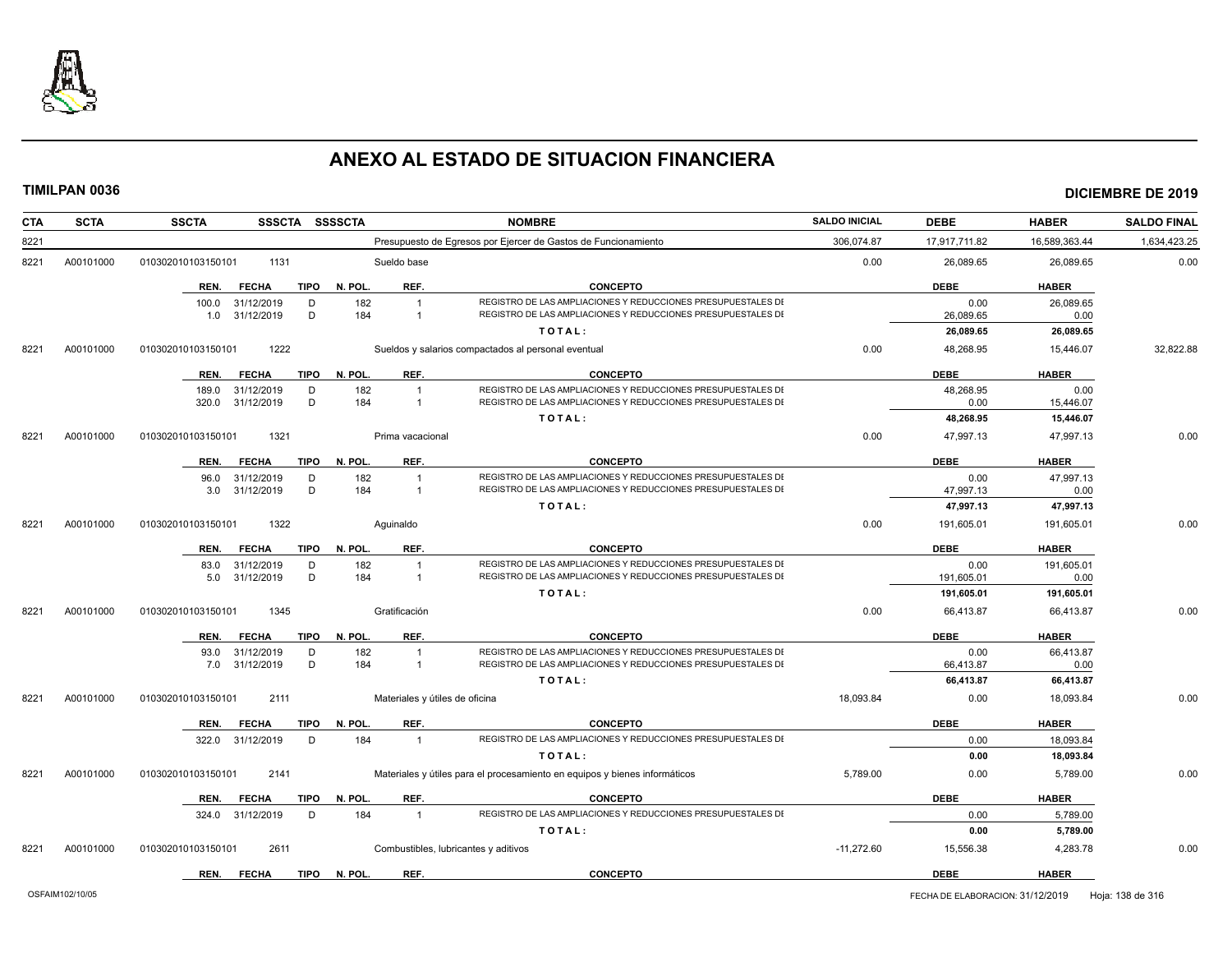

| CTA  | <b>SCTA</b> | <b>SSCTA</b><br>SSSCTA SSSSCTA      |              |                                | <b>NOMBRE</b>                                                              | <b>SALDO INICIAL</b> | <b>DEBE</b>   | <b>HABER</b>      | <b>SALDO FINAL</b> |
|------|-------------|-------------------------------------|--------------|--------------------------------|----------------------------------------------------------------------------|----------------------|---------------|-------------------|--------------------|
| 8221 |             |                                     |              |                                | Presupuesto de Egresos por Ejercer de Gastos de Funcionamiento             | 306,074.87           | 17,917,711.82 | 16,589,363.44     | 1,634,423.25       |
| 8221 | A00101000   | 1131<br>010302010103150101          |              | Sueldo base                    |                                                                            | 0.00                 | 26,089.65     | 26,089.65         | 0.00               |
|      |             | <b>TIPO</b><br><b>FECHA</b><br>REN. | N. POL.      | REF.                           | <b>CONCEPTO</b>                                                            |                      | <b>DEBE</b>   | <b>HABER</b>      |                    |
|      |             | D<br>100.0<br>31/12/2019            | 182          | $\overline{1}$                 | REGISTRO DE LAS AMPLIACIONES Y REDUCCIONES PRESUPUESTALES DI               |                      | 0.00          | 26,089.65         |                    |
|      |             | 31/12/2019<br>D<br>1.0              | 184          | $\mathbf{1}$                   | REGISTRO DE LAS AMPLIACIONES Y REDUCCIONES PRESUPUESTALES DI               |                      | 26,089.65     | 0.00              |                    |
|      |             |                                     |              |                                | TOTAL:                                                                     |                      | 26,089.65     | 26,089.65         |                    |
| 8221 | A00101000   | 010302010103150101<br>1222          |              |                                | Sueldos y salarios compactados al personal eventual                        | 0.00                 | 48,268.95     | 15,446.07         | 32,822.88          |
|      |             | <b>TIPO</b><br>REN.<br><b>FECHA</b> | N. POL.      | REF.                           | <b>CONCEPTO</b>                                                            |                      | <b>DEBE</b>   | <b>HABER</b>      |                    |
|      |             | D<br>189.0<br>31/12/2019            | 182          |                                | REGISTRO DE LAS AMPLIACIONES Y REDUCCIONES PRESUPUESTALES DI               |                      | 48,268.95     | 0.00              |                    |
|      |             | D<br>320.0<br>31/12/2019            | 184          | $\overline{1}$                 | REGISTRO DE LAS AMPLIACIONES Y REDUCCIONES PRESUPUESTALES DI               |                      | 0.00          | 15,446.07         |                    |
|      |             |                                     |              |                                | TOTAL:                                                                     |                      | 48,268.95     | 15,446.07         |                    |
| 8221 | A00101000   | 1321<br>010302010103150101          |              | Prima vacacional               |                                                                            | 0.00                 | 47,997.13     | 47,997.13         | 0.00               |
|      |             | <b>TIPO</b><br><b>FECHA</b><br>REN. | N. POL.      | REF.                           | <b>CONCEPTO</b>                                                            |                      | <b>DEBE</b>   | <b>HABER</b>      |                    |
|      |             | 31/12/2019<br>D<br>96.0             | 182          | $\overline{1}$                 | REGISTRO DE LAS AMPLIACIONES Y REDUCCIONES PRESUPUESTALES DI               |                      | 0.00          | 47,997.13         |                    |
|      |             | D<br>31/12/2019<br>3.0              | 184          | $\mathbf{1}$                   | REGISTRO DE LAS AMPLIACIONES Y REDUCCIONES PRESUPUESTALES DI               |                      | 47,997.13     | 0.00<br>47,997.13 |                    |
|      |             |                                     |              |                                | TOTAL:                                                                     |                      | 47,997.13     |                   |                    |
| 8221 | A00101000   | 1322<br>010302010103150101          |              | Aquinaldo                      |                                                                            | 0.00                 | 191.605.01    | 191,605.01        | 0.00               |
|      |             | <b>TIPO</b><br><b>FECHA</b><br>REN. | N. POL.      | REF.                           | <b>CONCEPTO</b>                                                            |                      | <b>DEBE</b>   | <b>HABER</b>      |                    |
|      |             | 31/12/2019<br>D<br>83.0             | 182          |                                | REGISTRO DE LAS AMPLIACIONES Y REDUCCIONES PRESUPUESTALES DI               |                      | 0.00          | 191,605.01        |                    |
|      |             | 31/12/2019<br>D<br>5.0              | 184          | -1                             | REGISTRO DE LAS AMPLIACIONES Y REDUCCIONES PRESUPUESTALES DI               |                      | 191,605.01    | 0.00              |                    |
|      |             |                                     |              |                                | TOTAL:                                                                     |                      | 191,605.01    | 191,605.01        |                    |
| 8221 | A00101000   | 1345<br>010302010103150101          |              | Gratificación                  |                                                                            | 0.00                 | 66,413.87     | 66,413.87         | 0.00               |
|      |             | <b>TIPO</b><br>REN.<br><b>FECHA</b> | N. POL.      | REF.                           | <b>CONCEPTO</b>                                                            |                      | <b>DEBE</b>   | <b>HABER</b>      |                    |
|      |             | 31/12/2019<br>D<br>93.0             | 182          | $\overline{1}$                 | REGISTRO DE LAS AMPLIACIONES Y REDUCCIONES PRESUPUESTALES DI               |                      | 0.00          | 66,413.87         |                    |
|      |             | D<br>31/12/2019<br>7.0              | 184          | $\overline{1}$                 | REGISTRO DE LAS AMPLIACIONES Y REDUCCIONES PRESUPUESTALES DI               |                      | 66,413.87     | 0.00              |                    |
|      |             |                                     |              |                                | TOTAL:                                                                     |                      | 66,413.87     | 66,413.87         |                    |
| 8221 | A00101000   | 010302010103150101<br>2111          |              | Materiales y útiles de oficina |                                                                            | 18.093.84            | 0.00          | 18,093.84         | 0.00               |
|      |             | <b>FECHA</b><br>TIPO<br>REN.        | N. POL.      | REF.                           | <b>CONCEPTO</b>                                                            |                      | <b>DEBE</b>   | <b>HABER</b>      |                    |
|      |             | 322.0<br>31/12/2019<br>D            | 184          | $\overline{1}$                 | REGISTRO DE LAS AMPLIACIONES Y REDUCCIONES PRESUPUESTALES DI               |                      | 0.00          | 18,093.84         |                    |
|      |             |                                     |              |                                | TOTAL:                                                                     |                      | 0.00          | 18,093.84         |                    |
| 8221 | A00101000   | 2141<br>010302010103150101          |              |                                | Materiales y útiles para el procesamiento en equipos y bienes informáticos | 5,789.00             | 0.00          | 5,789.00          | 0.00               |
|      |             | <b>FECHA</b><br><b>TIPO</b><br>REN. | N. POL.      | REF.                           | <b>CONCEPTO</b>                                                            |                      | <b>DEBE</b>   | <b>HABER</b>      |                    |
|      |             | 31/12/2019<br>D<br>324.0            | 184          | $\overline{1}$                 | REGISTRO DE LAS AMPLIACIONES Y REDUCCIONES PRESUPUESTALES DI               |                      | 0.00          | 5,789.00          |                    |
|      |             |                                     |              |                                | TOTAL:                                                                     |                      | 0.00          | 5,789.00          |                    |
| 8221 | A00101000   | 2611<br>010302010103150101          |              |                                | Combustibles, lubricantes y aditivos                                       | $-11,272.60$         | 15,556.38     | 4,283.78          | 0.00               |
|      |             | <b>FECHA</b><br>REN.                | TIPO N. POL. | REF.                           | <b>CONCEPTO</b>                                                            |                      | <b>DEBE</b>   | <b>HABER</b>      |                    |
|      |             |                                     |              |                                |                                                                            |                      |               |                   |                    |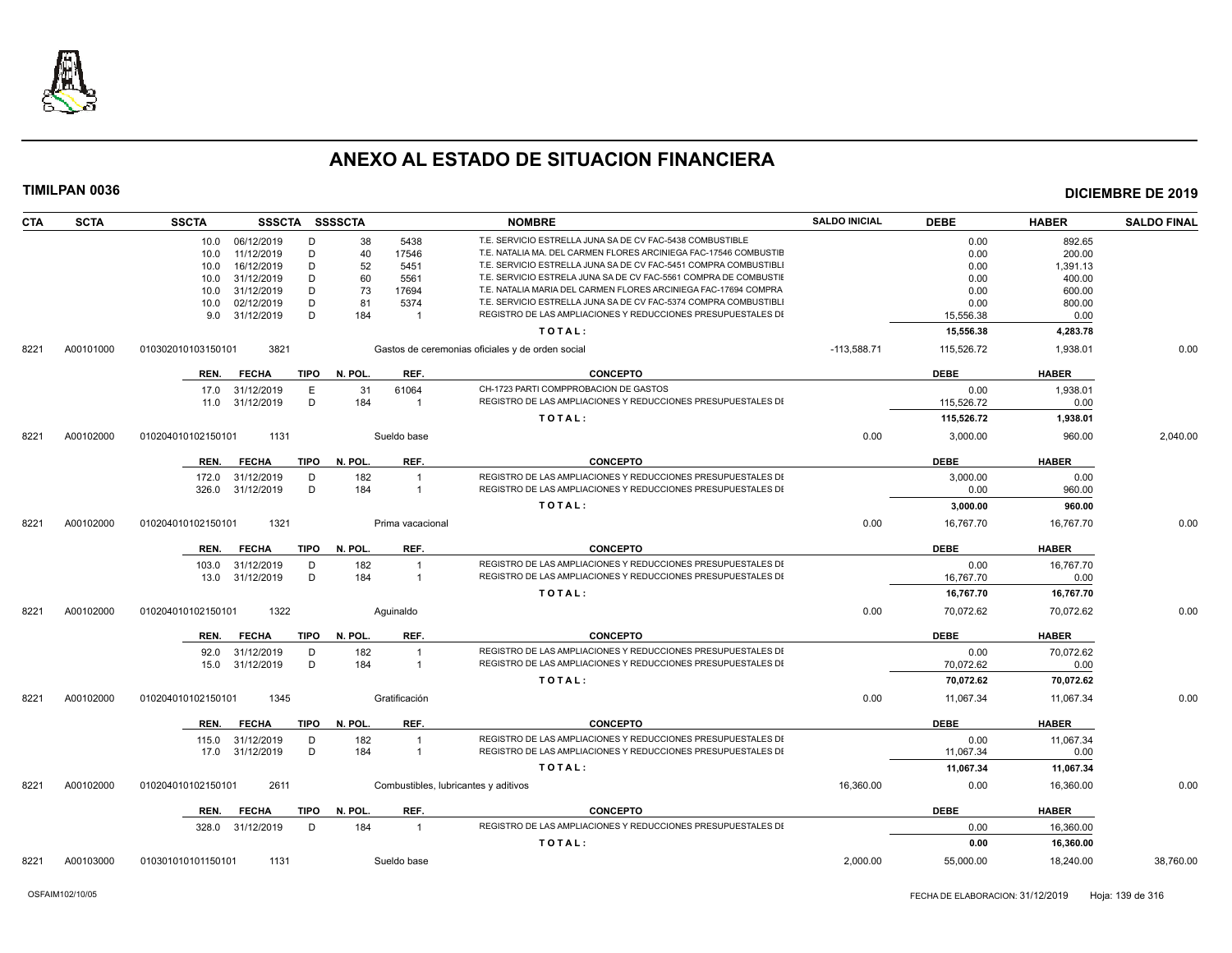

| CTA  | <b>SCTA</b> | <b>SSCTA</b>               | SSSCTA SSSSCTA         |                                      | <b>NOMBRE</b>                                                    | <b>SALDO INICIAL</b> | <b>DEBE</b> | <b>HABER</b> | <b>SALDO FINAL</b> |
|------|-------------|----------------------------|------------------------|--------------------------------------|------------------------------------------------------------------|----------------------|-------------|--------------|--------------------|
|      |             | 10.0 06/12/2019            | D<br>38                | 5438                                 | T.E. SERVICIO ESTRELLA JUNA SA DE CV FAC-5438 COMBUSTIBLE        |                      | 0.00        | 892.65       |                    |
|      |             | 11/12/2019<br>10.0         | D<br>40                | 17546                                | T.E. NATALIA MA. DEL CARMEN FLORES ARCINIEGA FAC-17546 COMBUSTIE |                      | 0.00        | 200.00       |                    |
|      |             | 16/12/2019<br>10.0         | D<br>52                | 5451                                 | T.E. SERVICIO ESTRELLA JUNA SA DE CV FAC-5451 COMPRA COMBUSTIBL  |                      | 0.00        | 1,391.13     |                    |
|      |             | 31/12/2019<br>10.0         | D<br>60                | 5561                                 | T.E. SERVICIO ESTRELA JUNA SA DE CV FAC-5561 COMPRA DE COMBUSTIE |                      | 0.00        | 400.00       |                    |
|      |             | 31/12/2019<br>10.0         | D<br>73                | 17694                                | T.E. NATALIA MARIA DEL CARMEN FLORES ARCINIEGA FAC-17694 COMPRA  |                      | 0.00        | 600.00       |                    |
|      |             | 02/12/2019<br>10.0         | D<br>81                | 5374                                 | T.E. SERVICIO ESTRELLA JUNA SA DE CV FAC-5374 COMPRA COMBUSTIBL  |                      | 0.00        | 800.00       |                    |
|      |             | 31/12/2019<br>9.0          | D<br>184               | $\overline{1}$                       | REGISTRO DE LAS AMPLIACIONES Y REDUCCIONES PRESUPUESTALES DI     |                      | 15,556.38   | 0.00         |                    |
|      |             |                            |                        |                                      | TOTAL:                                                           |                      | 15,556.38   | 4,283.78     |                    |
| 8221 | A00101000   | 3821<br>010302010103150101 |                        |                                      | Gastos de ceremonias oficiales y de orden social                 | $-113,588.71$        | 115,526.72  | 1,938.01     | 0.00               |
|      |             | <b>FECHA</b><br>REN.       | <b>TIPO</b><br>N. POL. | REF.                                 | <b>CONCEPTO</b>                                                  |                      | <b>DEBE</b> | <b>HABER</b> |                    |
|      |             | 17.0<br>31/12/2019         | 31<br>Е                | 61064                                | CH-1723 PARTI COMPPROBACION DE GASTOS                            |                      | 0.00        | 1,938.01     |                    |
|      |             | 31/12/2019<br>11.0         | D<br>184               | $\overline{1}$                       | REGISTRO DE LAS AMPLIACIONES Y REDUCCIONES PRESUPUESTALES DI     |                      | 115,526.72  | 0.00         |                    |
|      |             |                            |                        |                                      | TOTAL:                                                           |                      | 115,526.72  | 1,938.01     |                    |
| 8221 | A00102000   | 010204010102150101<br>1131 |                        | Sueldo base                          |                                                                  | 0.00                 | 3,000.00    | 960.00       | 2,040.00           |
|      |             | <b>FECHA</b><br>REN.       | <b>TIPO</b><br>N. POL. | REF.                                 | <b>CONCEPTO</b>                                                  |                      | <b>DEBE</b> | <b>HABER</b> |                    |
|      |             | 31/12/2019<br>172.0        | D<br>182               | $\overline{1}$                       | REGISTRO DE LAS AMPLIACIONES Y REDUCCIONES PRESUPUESTALES DI     |                      | 3,000.00    | 0.00         |                    |
|      |             | 31/12/2019<br>326.0        | D<br>184               | $\overline{1}$                       | REGISTRO DE LAS AMPLIACIONES Y REDUCCIONES PRESUPUESTALES DI     |                      | 0.00        | 960.00       |                    |
|      |             |                            |                        |                                      | TOTAL:                                                           |                      | 3,000.00    | 960.00       |                    |
| 8221 | A00102000   | 010204010102150101<br>1321 |                        | Prima vacacional                     |                                                                  | 0.00                 | 16.767.70   | 16.767.70    | 0.00               |
|      |             | REN.<br><b>FECHA</b>       | <b>TIPO</b><br>N. POL. | REF.                                 | <b>CONCEPTO</b>                                                  |                      | <b>DEBE</b> | <b>HABER</b> |                    |
|      |             | 31/12/2019<br>103.0        | 182<br>D               | $\overline{1}$                       | REGISTRO DE LAS AMPLIACIONES Y REDUCCIONES PRESUPUESTALES DI     |                      | 0.00        | 16,767.70    |                    |
|      |             | 31/12/2019<br>13.0         | D<br>184               | $\overline{1}$                       | REGISTRO DE LAS AMPLIACIONES Y REDUCCIONES PRESUPUESTALES DI     |                      | 16,767.70   | 0.00         |                    |
|      |             |                            |                        |                                      | TOTAL:                                                           |                      | 16,767.70   | 16,767.70    |                    |
|      |             |                            |                        |                                      |                                                                  |                      |             |              |                    |
| 8221 | A00102000   | 010204010102150101<br>1322 |                        | Aguinaldo                            |                                                                  | 0.00                 | 70,072.62   | 70,072.62    | 0.00               |
|      |             | <b>FECHA</b><br>REN.       | TIPO<br>N. POL.        | REF.                                 | <b>CONCEPTO</b>                                                  |                      | <b>DEBE</b> | <b>HABER</b> |                    |
|      |             | 31/12/2019<br>92.0         | D<br>182               | $\overline{1}$                       | REGISTRO DE LAS AMPLIACIONES Y REDUCCIONES PRESUPUESTALES DI     |                      | 0.00        | 70.072.62    |                    |
|      |             | 31/12/2019<br>15.0         | D<br>184               | $\overline{1}$                       | REGISTRO DE LAS AMPLIACIONES Y REDUCCIONES PRESUPUESTALES DI     |                      | 70,072.62   | 0.00         |                    |
|      |             |                            |                        |                                      | TOTAL:                                                           |                      | 70,072.62   | 70,072.62    |                    |
| 8221 | A00102000   | 1345<br>010204010102150101 |                        | Gratificación                        |                                                                  | 0.00                 | 11,067.34   | 11,067.34    | 0.00               |
|      |             | <b>FECHA</b><br>REN.       | N. POL.<br><b>TIPO</b> | REF.                                 | <b>CONCEPTO</b>                                                  |                      | <b>DEBE</b> | <b>HABER</b> |                    |
|      |             | 31/12/2019<br>115.0        | D<br>182               | $\overline{1}$                       | REGISTRO DE LAS AMPLIACIONES Y REDUCCIONES PRESUPUESTALES DI     |                      | 0.00        | 11,067.34    |                    |
|      |             | 31/12/2019<br>17.0         | D<br>184               | $\overline{1}$                       | REGISTRO DE LAS AMPLIACIONES Y REDUCCIONES PRESUPUESTALES DI     |                      | 11,067.34   | 0.00         |                    |
|      |             |                            |                        |                                      | TOTAL:                                                           |                      | 11,067.34   | 11,067.34    |                    |
| 8221 | A00102000   | 2611<br>010204010102150101 |                        | Combustibles, lubricantes y aditivos |                                                                  | 16,360.00            | 0.00        | 16,360.00    | 0.00               |
|      |             | REN.<br><b>FECHA</b>       | N. POL.<br>TIPO        | REF.                                 | <b>CONCEPTO</b>                                                  |                      | <b>DEBE</b> | <b>HABER</b> |                    |
|      |             |                            |                        |                                      |                                                                  |                      |             |              |                    |
|      |             | 328.0 31/12/2019           | D<br>184               | $\overline{1}$                       | REGISTRO DE LAS AMPLIACIONES Y REDUCCIONES PRESUPUESTALES DI     |                      | 0.00        | 16,360.00    |                    |
|      |             |                            |                        |                                      | TOTAL:                                                           |                      | 0.00        | 16,360.00    |                    |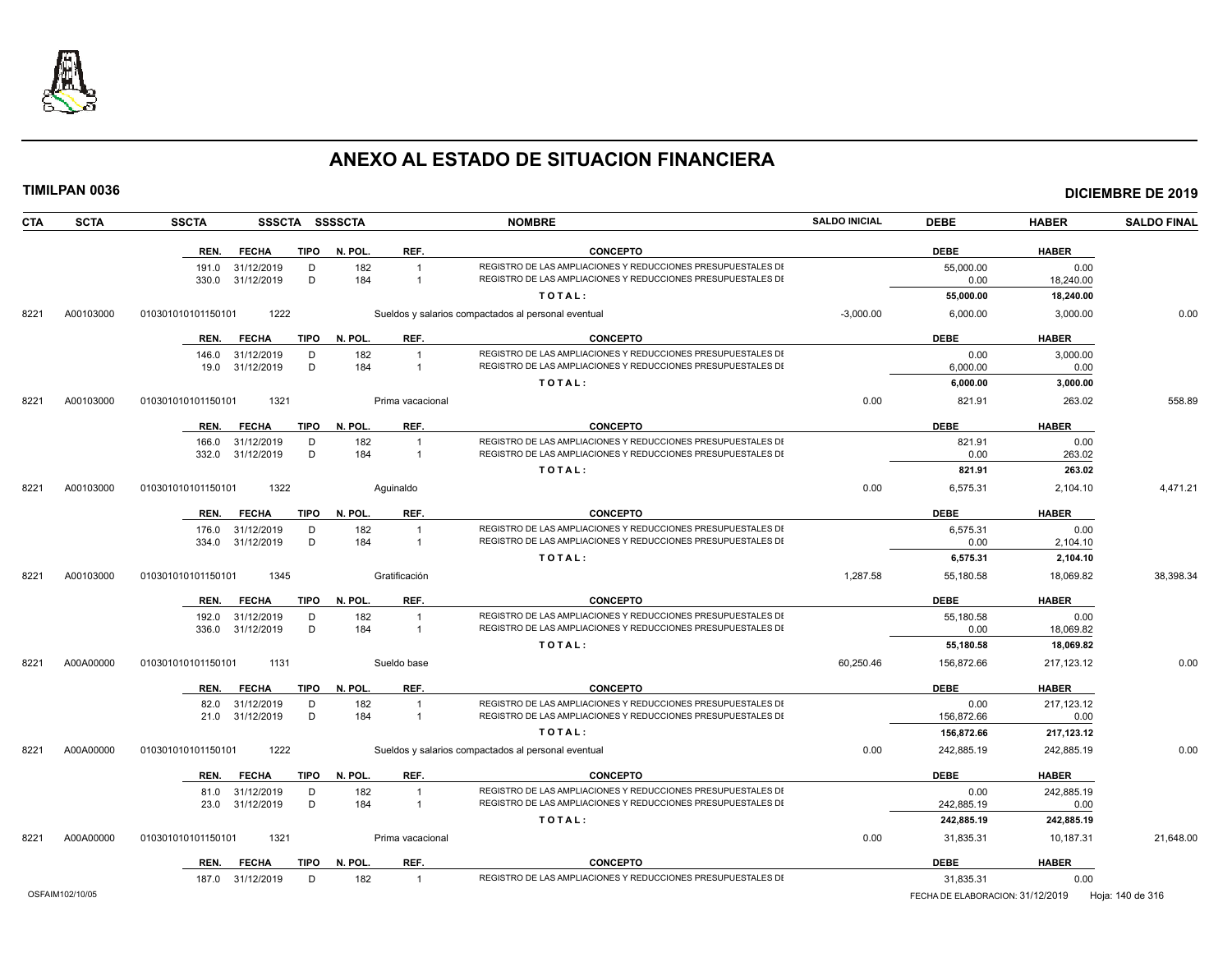

|            | TIMILPAN 0036 |                    |                                      |                |              |                                  |                                                                                                                              |                      |                    |                        | <b>DICIEMBRE DE 2019</b> |
|------------|---------------|--------------------|--------------------------------------|----------------|--------------|----------------------------------|------------------------------------------------------------------------------------------------------------------------------|----------------------|--------------------|------------------------|--------------------------|
| <b>CTA</b> | <b>SCTA</b>   | <b>SSCTA</b>       |                                      | SSSCTA SSSSCTA |              |                                  | <b>NOMBRE</b>                                                                                                                | <b>SALDO INICIAL</b> | <b>DEBE</b>        | <b>HABER</b>           | <b>SALDO FINAL</b>       |
|            |               | REN.               | <b>FECHA</b>                         |                | TIPO N. POL. | REF.                             | <b>CONCEPTO</b>                                                                                                              |                      | <b>DEBE</b>        | <b>HABER</b>           |                          |
|            |               |                    | 191.0 31/12/2019                     | D              | 182          | $\mathbf{1}$                     | REGISTRO DE LAS AMPLIACIONES Y REDUCCIONES PRESUPUESTALES DI                                                                 |                      | 55,000.00          | 0.00                   |                          |
|            |               | 330.0              | 31/12/2019                           | D              | 184          | $\overline{1}$                   | REGISTRO DE LAS AMPLIACIONES Y REDUCCIONES PRESUPUESTALES DI<br>TOTAL:                                                       |                      | 0.00<br>55,000.00  | 18,240.00<br>18,240.00 |                          |
|            |               |                    |                                      |                |              |                                  |                                                                                                                              |                      |                    |                        |                          |
| 8221       | A00103000     | 010301010101150101 |                                      | 1222           |              |                                  | Sueldos y salarios compactados al personal eventual                                                                          | $-3,000.00$          | 6.000.00           | 3,000.00               | 0.00                     |
|            |               |                    | REN. FECHA                           | TIPO           | N. POL.      | REF.                             | <b>CONCEPTO</b>                                                                                                              |                      | <b>DEBE</b>        | <b>HABER</b>           |                          |
|            |               |                    | 146.0 31/12/2019                     | D              | 182          | $\overline{1}$                   | REGISTRO DE LAS AMPLIACIONES Y REDUCCIONES PRESUPUESTALES DI                                                                 |                      | 0.00               | 3,000.00               |                          |
|            |               |                    | 19.0 31/12/2019                      | D              | 184          | $\mathbf{1}$                     | REGISTRO DE LAS AMPLIACIONES Y REDUCCIONES PRESUPUESTALES DI<br>TOTAL:                                                       |                      | 6,000.00           | 0.00                   |                          |
|            |               |                    |                                      |                |              |                                  |                                                                                                                              | 0.00                 | 6,000.00           | 3,000.00               |                          |
| 8221       | A00103000     | 010301010101150101 |                                      | 1321           |              | Prima vacacional                 |                                                                                                                              |                      | 821.91             | 263.02                 | 558.89                   |
|            |               | REN.               | <b>FECHA</b>                         | <b>TIPO</b>    | N. POL.      | REF.                             | <b>CONCEPTO</b>                                                                                                              |                      | <b>DEBE</b>        | <b>HABER</b>           |                          |
|            |               |                    | 166.0 31/12/2019                     | D              | 182          | $\overline{1}$                   | REGISTRO DE LAS AMPLIACIONES Y REDUCCIONES PRESUPUESTALES DI<br>REGISTRO DE LAS AMPLIACIONES Y REDUCCIONES PRESUPUESTALES DI |                      | 821.91             | 0.00                   |                          |
|            |               |                    | 332.0 31/12/2019                     | D              | 184          | $\mathbf{1}$                     | TOTAL:                                                                                                                       |                      | 0.00<br>821.91     | 263.02<br>263.02       |                          |
|            | A00103000     |                    |                                      |                |              |                                  |                                                                                                                              | 0.00                 | 6,575.31           |                        | 4,471.21                 |
| 8221       |               | 010301010101150101 |                                      | 1322           |              | Aguinaldo                        |                                                                                                                              |                      |                    | 2,104.10               |                          |
|            |               | REN.               | FECHA                                | <b>TIPO</b>    | N. POL.      | REF.                             | <b>CONCEPTO</b>                                                                                                              |                      | <b>DEBE</b>        | <b>HABER</b>           |                          |
|            |               | 176.0<br>334.0     | 31/12/2019                           | D<br>D         | 182<br>184   | $\overline{1}$<br>$\overline{1}$ | REGISTRO DE LAS AMPLIACIONES Y REDUCCIONES PRESUPUESTALES DI<br>REGISTRO DE LAS AMPLIACIONES Y REDUCCIONES PRESUPUESTALES DI |                      | 6,575.31<br>0.00   | 0.00                   |                          |
|            |               |                    | 31/12/2019                           |                |              |                                  | TOTAL:                                                                                                                       |                      | 6,575.31           | 2,104.10<br>2,104.10   |                          |
| 8221       | A00103000     | 010301010101150101 |                                      | 1345           |              | Gratificación                    |                                                                                                                              | 1,287.58             | 55,180.58          | 18.069.82              | 38,398.34                |
|            |               |                    |                                      |                |              |                                  |                                                                                                                              |                      |                    |                        |                          |
|            |               | REN.               | <b>FECHA</b>                         | <b>TIPO</b>    | N. POL.      | REF.                             | <b>CONCEPTO</b>                                                                                                              |                      | <b>DEBE</b>        | <b>HABER</b>           |                          |
|            |               |                    | 192.0 31/12/2019<br>336.0 31/12/2019 | D<br>D         | 182<br>184   | $\overline{1}$<br>$\mathbf{1}$   | REGISTRO DE LAS AMPLIACIONES Y REDUCCIONES PRESUPUESTALES DI<br>REGISTRO DE LAS AMPLIACIONES Y REDUCCIONES PRESUPUESTALES DI |                      | 55,180.58<br>0.00  | 0.00<br>18,069.82      |                          |
|            |               |                    |                                      |                |              |                                  | TOTAL:                                                                                                                       |                      | 55,180.58          | 18,069.82              |                          |
| 8221       | A00A00000     | 010301010101150101 |                                      | 1131           |              | Sueldo base                      |                                                                                                                              | 60,250.46            | 156,872.66         | 217, 123. 12           | 0.00                     |
|            |               |                    |                                      |                |              |                                  |                                                                                                                              |                      |                    |                        |                          |
|            |               | REN.               | <b>FECHA</b>                         | <b>TIPO</b>    | N. POL.      | REF.                             | <b>CONCEPTO</b>                                                                                                              |                      | <b>DEBE</b>        | <b>HABER</b>           |                          |
|            |               |                    | 82.0 31/12/2019<br>21.0 31/12/2019   | D<br>D         | 182<br>184   | $\overline{1}$<br>$\mathbf{1}$   | REGISTRO DE LAS AMPLIACIONES Y REDUCCIONES PRESUPUESTALES DI<br>REGISTRO DE LAS AMPLIACIONES Y REDUCCIONES PRESUPUESTALES DI |                      | 0.00<br>156,872.66 | 217, 123. 12<br>0.00   |                          |
|            |               |                    |                                      |                |              |                                  | TOTAL:                                                                                                                       |                      | 156,872.66         | 217,123.12             |                          |
| 8221       | A00A00000     | 010301010101150101 |                                      | 1222           |              |                                  | Sueldos y salarios compactados al personal eventual                                                                          | 0.00                 | 242,885.19         | 242,885.19             | 0.00                     |
|            |               | REN.               | FECHA                                | TIPO           | N. POL.      | REF.                             | <b>CONCEPTO</b>                                                                                                              |                      | <b>DEBE</b>        | <b>HABER</b>           |                          |
|            |               |                    | 81.0 31/12/2019                      | D              | 182          | $\mathbf{1}$                     | REGISTRO DE LAS AMPLIACIONES Y REDUCCIONES PRESUPUESTALES DI                                                                 |                      | 0.00               | 242,885.19             |                          |
|            |               |                    | 23.0 31/12/2019                      | D              | 184          | $\overline{1}$                   | REGISTRO DE LAS AMPLIACIONES Y REDUCCIONES PRESUPUESTALES DI                                                                 |                      | 242,885.19         | 0.00                   |                          |
|            |               |                    |                                      |                |              |                                  | TOTAL:                                                                                                                       |                      | 242,885.19         | 242,885.19             |                          |
| 8221       | A00A00000     | 010301010101150101 |                                      | 1321           |              | Prima vacacional                 |                                                                                                                              | 0.00                 | 31,835.31          | 10,187.31              | 21.648.00                |
|            |               | REN.               | <b>FECHA</b>                         | <b>TIPO</b>    | N. POL.      | REF.                             | <b>CONCEPTO</b>                                                                                                              |                      | <b>DEBE</b>        | <b>HABER</b>           |                          |
|            |               |                    | 187.0 31/12/2019                     | D              | 182          | $\overline{1}$                   | REGISTRO DE LAS AMPLIACIONES Y REDUCCIONES PRESUPUESTALES DI                                                                 |                      | 31.835.31          | 0.00                   |                          |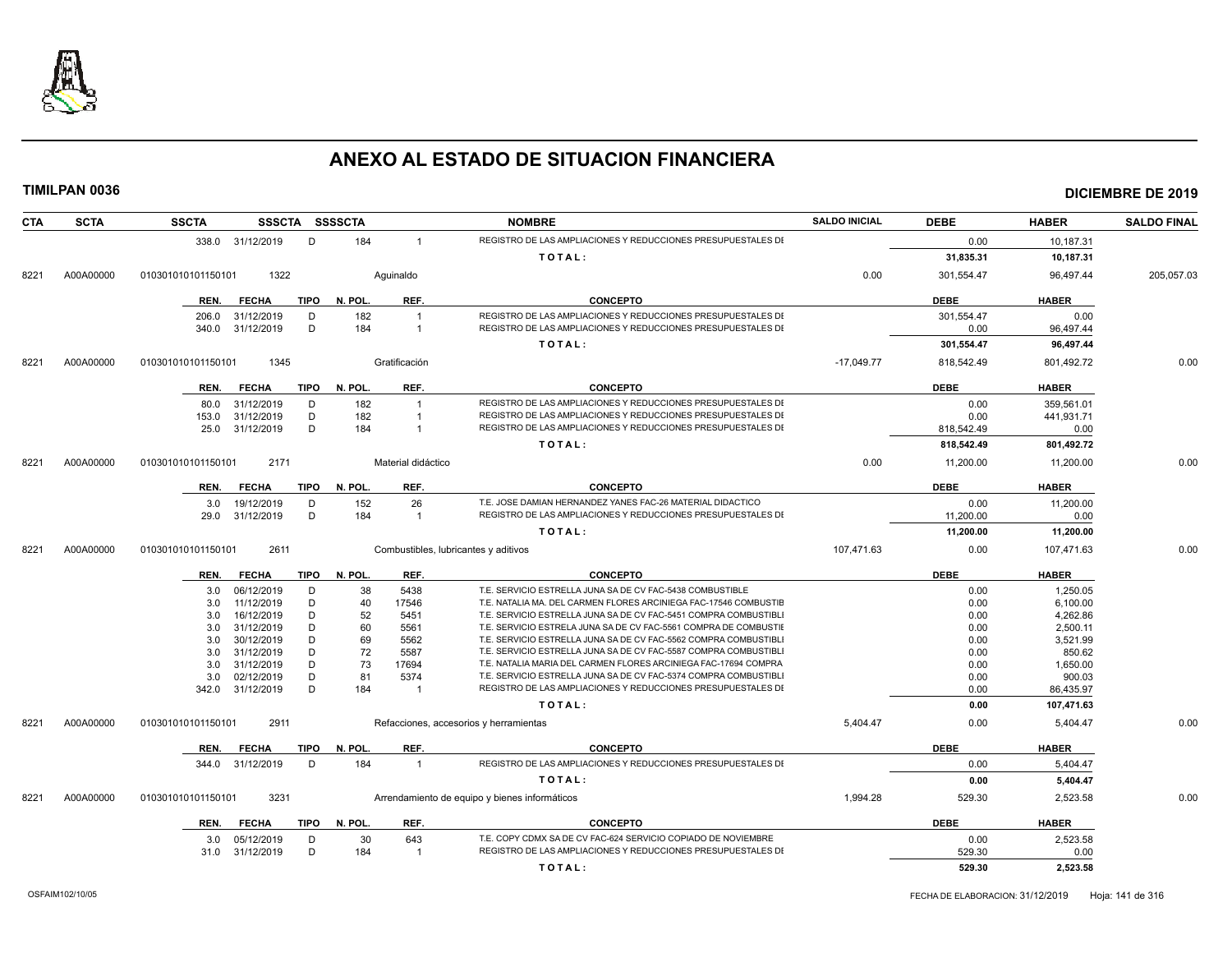

| <b>SCTA</b><br><b>CTA</b> | <b>SSCTA</b>               | SSSCTA SSSSCTA         |                    | <b>NOMBRE</b>                                                    | <b>SALDO INICIAL</b> | <b>DEBE</b> | <b>HABER</b> | <b>SALDO FINAL</b> |
|---------------------------|----------------------------|------------------------|--------------------|------------------------------------------------------------------|----------------------|-------------|--------------|--------------------|
|                           | 338.0 31/12/2019           | D<br>184               | $\mathbf{1}$       | REGISTRO DE LAS AMPLIACIONES Y REDUCCIONES PRESUPUESTALES DI     |                      | 0.00        | 10,187.31    |                    |
|                           |                            |                        |                    | TOTAL:                                                           |                      | 31,835.31   | 10,187.31    |                    |
| A00A00000<br>8221         | 010301010101150101<br>1322 |                        | Aquinaldo          |                                                                  | 0.00                 | 301,554.47  | 96,497.44    | 205,057.03         |
|                           | <b>FECHA</b><br>REN.       | <b>TIPO</b><br>N. POL. | REF.               | <b>CONCEPTO</b>                                                  |                      | <b>DEBE</b> | <b>HABER</b> |                    |
|                           | 31/12/2019<br>206.0        | 182<br>D               | $\overline{1}$     | REGISTRO DE LAS AMPLIACIONES Y REDUCCIONES PRESUPUESTALES DI     |                      | 301,554.47  | 0.00         |                    |
|                           | 31/12/2019<br>340.0        | D<br>184               | $\overline{1}$     | REGISTRO DE LAS AMPLIACIONES Y REDUCCIONES PRESUPUESTALES DI     |                      | 0.00        | 96,497.44    |                    |
|                           |                            |                        |                    | TOTAL:                                                           |                      | 301,554.47  | 96,497.44    |                    |
|                           |                            |                        |                    |                                                                  |                      |             |              |                    |
| A00A00000<br>8221         | 010301010101150101<br>1345 |                        | Gratificación      |                                                                  | $-17,049.77$         | 818,542.49  | 801,492.72   | 0.00               |
|                           | <b>FECHA</b><br>REN.       | TIPO<br>N. POL.        | REF.               | <b>CONCEPTO</b>                                                  |                      | <b>DEBE</b> | <b>HABER</b> |                    |
|                           | 31/12/2019<br>80.0         | D<br>182               | $\overline{1}$     | REGISTRO DE LAS AMPLIACIONES Y REDUCCIONES PRESUPUESTALES DI     |                      | 0.00        | 359,561.01   |                    |
|                           | 31/12/2019<br>153.0        | D<br>182               | $\overline{1}$     | REGISTRO DE LAS AMPLIACIONES Y REDUCCIONES PRESUPUESTALES DI     |                      | 0.00        | 441,931.71   |                    |
|                           | 31/12/2019<br>25.0         | D<br>184               | -1                 | REGISTRO DE LAS AMPLIACIONES Y REDUCCIONES PRESUPUESTALES DI     |                      | 818,542.49  | 0.00         |                    |
|                           |                            |                        |                    | TOTAL:                                                           |                      | 818.542.49  | 801,492.72   |                    |
| A00A00000<br>8221         | 2171<br>010301010101150101 |                        | Material didáctico |                                                                  | 0.00                 | 11,200.00   | 11,200.00    | 0.00               |
|                           | REN.<br><b>FECHA</b>       | <b>TIPO</b><br>N. POL. | REF.               | <b>CONCEPTO</b>                                                  |                      | <b>DEBE</b> | <b>HABER</b> |                    |
|                           | 3.0<br>19/12/2019          | 152<br>D               | 26                 | T.E. JOSE DAMIAN HERNANDEZ YANES FAC-26 MATERIAL DIDACTICO       |                      | 0.00        | 11,200.00    |                    |
|                           | 29.0 31/12/2019            | D<br>184               | $\overline{1}$     | REGISTRO DE LAS AMPLIACIONES Y REDUCCIONES PRESUPUESTALES DI     |                      | 11,200.00   | 0.00         |                    |
|                           |                            |                        |                    | TOTAL:                                                           |                      | 11,200.00   | 11,200.00    |                    |
| A00A00000<br>8221         | 2611<br>010301010101150101 |                        |                    | Combustibles, lubricantes y aditivos                             | 107,471.63           | 0.00        | 107,471.63   | 0.00               |
|                           | <b>FECHA</b><br>REN.       | <b>TIPO</b><br>N. POL. | REF.               | <b>CONCEPTO</b>                                                  |                      | <b>DEBE</b> | <b>HABER</b> |                    |
|                           | 06/12/2019<br>3.0          | D<br>38                | 5438               | T.E. SERVICIO ESTRELLA JUNA SA DE CV FAC-5438 COMBUSTIBLE        |                      | 0.00        | 1.250.05     |                    |
|                           | 11/12/2019<br>3.0          | D<br>40                | 17546              | T.E. NATALIA MA. DEL CARMEN FLORES ARCINIEGA FAC-17546 COMBUSTIE |                      | 0.00        | 6,100.00     |                    |
|                           | 16/12/2019<br>3.0          | D<br>52                | 5451               | T.E. SERVICIO ESTRELLA JUNA SA DE CV FAC-5451 COMPRA COMBUSTIBL  |                      | 0.00        | 4,262.86     |                    |
|                           | 31/12/2019<br>3.0          | D<br>60                | 5561               | T.E. SERVICIO ESTRELA JUNA SA DE CV FAC-5561 COMPRA DE COMBUSTIE |                      | 0.00        | 2,500.11     |                    |
|                           | 30/12/2019<br>3.0          | D<br>69                | 5562               | T.E. SERVICIO ESTRELLA JUNA SA DE CV FAC-5562 COMPRA COMBUSTIBL  |                      | 0.00        | 3,521.99     |                    |
|                           | 31/12/2019<br>3.0          | D<br>72                | 5587               | T.E. SERVICIO ESTRELLA JUNA SA DE CV FAC-5587 COMPRA COMBUSTIBL  |                      | 0.00        | 850.62       |                    |
|                           | 31/12/2019<br>3.0          | D<br>73                | 17694              | T.E. NATALIA MARIA DEL CARMEN FLORES ARCINIEGA FAC-17694 COMPRA  |                      | 0.00        | 1,650.00     |                    |
|                           | 02/12/2019<br>3.0          | D<br>81                | 5374               | T.E. SERVICIO ESTRELLA JUNA SA DE CV FAC-5374 COMPRA COMBUSTIBL  |                      | 0.00        | 900.03       |                    |
|                           | 31/12/2019<br>342.0        | D<br>184               | $\overline{1}$     | REGISTRO DE LAS AMPLIACIONES Y REDUCCIONES PRESUPUESTALES DI     |                      | 0.00        | 86,435.97    |                    |
|                           |                            |                        |                    | TOTAL:                                                           |                      | 0.00        | 107,471.63   |                    |
| A00A00000<br>8221         | 2911<br>010301010101150101 |                        |                    | Refacciones, accesorios y herramientas                           | 5,404.47             | 0.00        | 5,404.47     | 0.00               |
|                           | <b>FECHA</b><br>REN.       | <b>TIPO</b><br>N. POL. | REF.               | <b>CONCEPTO</b>                                                  |                      | <b>DEBE</b> | <b>HABER</b> |                    |
|                           | 31/12/2019<br>344.0        | 184<br>D               | $\overline{1}$     | REGISTRO DE LAS AMPLIACIONES Y REDUCCIONES PRESUPUESTALES DI     |                      | 0.00        | 5,404.47     |                    |
|                           |                            |                        |                    | TOTAL:                                                           |                      | 0.00        | 5,404.47     |                    |
| A00A00000<br>8221         | 010301010101150101<br>3231 |                        |                    | Arrendamiento de equipo y bienes informáticos                    | 1,994.28             | 529.30      | 2,523.58     | 0.00               |
|                           | <b>FECHA</b><br>REN.       | TIPO<br>N. POL.        | REF.               | <b>CONCEPTO</b>                                                  |                      | <b>DEBE</b> | <b>HABER</b> |                    |
|                           | 05/12/2019<br>3.0          | 30<br>D                | 643                | T.E. COPY CDMX SA DE CV FAC-624 SERVICIO COPIADO DE NOVIEMBRE    |                      | 0.00        | 2,523.58     |                    |
|                           | 31/12/2019<br>31.0         | D<br>184               | $\overline{1}$     | REGISTRO DE LAS AMPLIACIONES Y REDUCCIONES PRESUPUESTALES DI     |                      | 529.30      | 0.00         |                    |
|                           |                            |                        |                    | TOTAL:                                                           |                      | 529.30      | 2.523.58     |                    |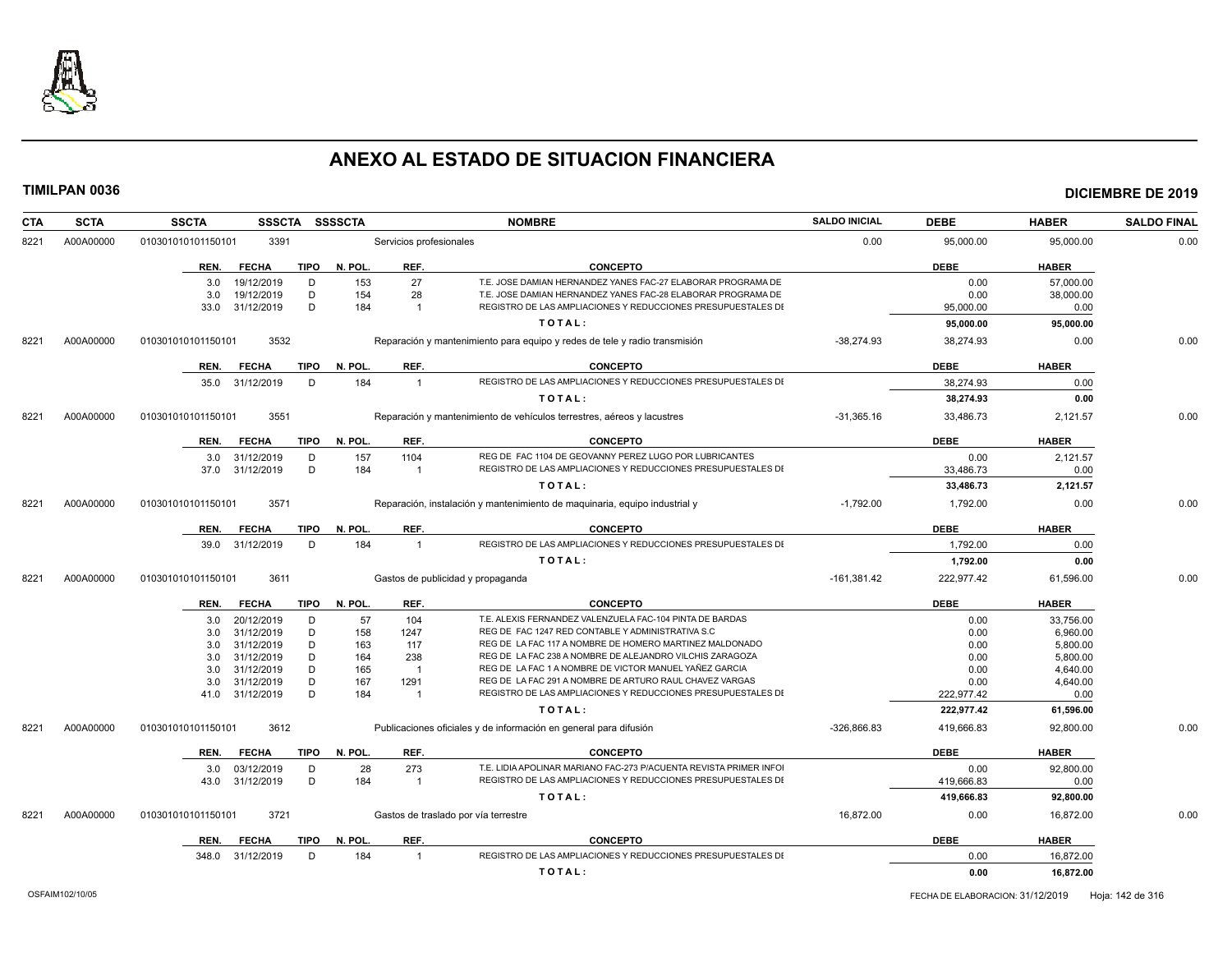

| CTA               | <b>SCTA</b> | <b>SSCTA</b>                            | <b>SSSCTA</b> | <b>SSSSCTA</b>          |                         | <b>NOMBRE</b>                                                                                                                      | <b>SALDO INICIAL</b> | <b>DEBE</b>              | <b>HABER</b>           | <b>SALDO FINAL</b> |
|-------------------|-------------|-----------------------------------------|---------------|-------------------------|-------------------------|------------------------------------------------------------------------------------------------------------------------------------|----------------------|--------------------------|------------------------|--------------------|
| A00A00000<br>8221 |             | 010301010101150101<br>3391              |               | Servicios profesionales |                         | 0.00                                                                                                                               | 95,000.00            | 95,000.00                | 0.00                   |                    |
|                   |             | <b>FECHA</b><br>REN.                    | <b>TIPO</b>   | N. POL.                 | REF.                    | <b>CONCEPTO</b>                                                                                                                    |                      | DEBE                     | <b>HABER</b>           |                    |
|                   |             | 19/12/2019<br>3.0                       | D             | 153                     | 27                      | T.E. JOSE DAMIAN HERNANDEZ YANES FAC-27 ELABORAR PROGRAMA DE                                                                       |                      | 0.00                     | 57,000.00              |                    |
|                   |             | 3.0<br>19/12/2019                       | D             | 154                     | 28                      | T.E. JOSE DAMIAN HERNANDEZ YANES FAC-28 ELABORAR PROGRAMA DE                                                                       |                      | 0.00                     | 38,000.00              |                    |
|                   |             | 31/12/2019<br>33.0                      | D             | 184                     | $\overline{1}$          | REGISTRO DE LAS AMPLIACIONES Y REDUCCIONES PRESUPUESTALES DI                                                                       |                      | 95,000.00                | 0.00                   |                    |
|                   |             |                                         |               |                         |                         | TOTAL:                                                                                                                             |                      | 95,000.00                | 95,000.00              |                    |
| 8221              | A00A00000   | 010301010101150101                      | 3532          |                         |                         | Reparación y mantenimiento para equipo y redes de tele y radio transmisión                                                         | $-38,274.93$         | 38,274.93                | 0.00                   | 0.00               |
|                   |             | <b>FECHA</b><br>REN.                    | <b>TIPO</b>   | N. POL.                 | REF.                    | <b>CONCEPTO</b>                                                                                                                    |                      | <b>DEBE</b>              | <b>HABER</b>           |                    |
|                   |             | 35.0 31/12/2019                         | D             | 184                     | $\overline{1}$          | REGISTRO DE LAS AMPLIACIONES Y REDUCCIONES PRESUPUESTALES DI                                                                       |                      | 38,274.93                | 0.00                   |                    |
|                   |             |                                         |               |                         |                         | TOTAL:                                                                                                                             |                      | 38,274.93                | 0.00                   |                    |
| 8221              | A00A00000   | 010301010101150101                      | 3551          |                         |                         | Reparación y mantenimiento de vehículos terrestres, aéreos y lacustres                                                             | $-31,365.16$         | 33,486.73                | 2,121.57               | 0.00               |
|                   |             | <b>FECHA</b><br>REN.                    | <b>TIPO</b>   | N. POL.                 | REF.                    | <b>CONCEPTO</b>                                                                                                                    |                      | <b>DEBE</b>              | <b>HABER</b>           |                    |
|                   |             | 31/12/2019<br>3.0                       | D             | 157                     | 1104                    | REG DE FAC 1104 DE GEOVANNY PEREZ LUGO POR LUBRICANTES                                                                             |                      | 0.00                     | 2,121.57               |                    |
|                   |             | 37.0 31/12/2019                         | D             | 184                     | $\overline{\mathbf{1}}$ | REGISTRO DE LAS AMPLIACIONES Y REDUCCIONES PRESUPUESTALES DI                                                                       |                      | 33,486.73                | 0.00                   |                    |
|                   |             |                                         |               |                         |                         | TOTAL:                                                                                                                             |                      | 33,486.73                | 2,121.57               |                    |
| 8221              | A00A00000   | 010301010101150101                      | 3571          |                         |                         | Reparación, instalación y mantenimiento de maquinaria, equipo industrial y                                                         | $-1,792.00$          | 1,792.00                 | 0.00                   | 0.00               |
|                   |             | <b>FECHA</b><br>REN.                    | <b>TIPO</b>   | N. POL.                 | REF.                    | <b>CONCEPTO</b>                                                                                                                    |                      | <b>DEBE</b>              | <b>HABER</b>           |                    |
|                   |             | 39.0 31/12/2019                         | D             | 184                     | $\overline{1}$          | REGISTRO DE LAS AMPLIACIONES Y REDUCCIONES PRESUPUESTALES DI                                                                       |                      | 1,792.00                 | 0.00                   |                    |
|                   |             |                                         |               |                         |                         | TOTAL:                                                                                                                             |                      | 1,792.00                 | 0.00                   |                    |
| 8221              | A00A00000   | 010301010101150101                      | 3611          |                         |                         | Gastos de publicidad y propaganda                                                                                                  | $-161,381.42$        | 222,977.42               | 61,596.00              | 0.00               |
|                   |             | <b>FECHA</b><br>REN.                    | TIPO          | N. POL.                 | REF.                    | <b>CONCEPTO</b>                                                                                                                    |                      | <b>DEBE</b>              | <b>HABER</b>           |                    |
|                   |             | 20/12/2019<br>3.0                       | D             | 57                      | 104                     | T.E. ALEXIS FERNANDEZ VALENZUELA FAC-104 PINTA DE BARDAS                                                                           |                      | 0.00                     | 33,756.00              |                    |
|                   |             | 31/12/2019<br>3.0                       | D             | 158                     | 1247                    | REG DE FAC 1247 RED CONTABLE Y ADMINISTRATIVA S.C                                                                                  |                      | 0.00                     | 6,960.00               |                    |
|                   |             | 31/12/2019<br>3.0                       | D             | 163                     | 117                     | REG DE LA FAC 117 A NOMBRE DE HOMERO MARTINEZ MALDONADO                                                                            |                      | 0.00                     | 5,800.00               |                    |
|                   |             | 31/12/2019<br>3.0                       | D             | 164                     | 238                     | REG DE LA FAC 238 A NOMBRE DE ALEJANDRO VILCHIS ZARAGOZA                                                                           |                      | 0.00                     | 5,800.00               |                    |
|                   |             | 31/12/2019<br>3.0                       | D             | 165                     | $\overline{1}$          | REG DE LA FAC 1 A NOMBRE DE VICTOR MANUEL YAÑEZ GARCIA<br>REG DE LA FAC 291 A NOMBRE DE ARTURO RAUL CHAVEZ VARGAS                  |                      | 0.00                     | 4,640.00               |                    |
|                   |             | 31/12/2019<br>3.0<br>31/12/2019<br>41.0 | D<br>D        | 167<br>184              | 1291<br>$\overline{1}$  | REGISTRO DE LAS AMPLIACIONES Y REDUCCIONES PRESUPUESTALES DI                                                                       |                      | 0.00<br>222,977.42       | 4,640.00<br>0.00       |                    |
|                   |             |                                         |               |                         |                         | TOTAL:                                                                                                                             |                      |                          |                        |                    |
| 8221              | A00A00000   | 010301010101150101                      | 3612          |                         |                         | Publicaciones oficiales y de información en general para difusión                                                                  | $-326,866.83$        | 222,977.42<br>419,666.83 | 61,596.00<br>92,800.00 | 0.00               |
|                   |             | <b>FECHA</b><br>REN.                    | <b>TIPO</b>   | N. POL.                 | REF.                    | <b>CONCEPTO</b>                                                                                                                    |                      | <b>DEBE</b>              | <b>HABER</b>           |                    |
|                   |             |                                         |               |                         |                         |                                                                                                                                    |                      |                          |                        |                    |
|                   |             | 03/12/2019<br>3.0<br>31/12/2019<br>43.0 | D<br>D        | 28<br>184               | 273<br>$\overline{1}$   | T.E. LIDIA APOLINAR MARIANO FAC-273 P/ACUENTA REVISTA PRIMER INFOI<br>REGISTRO DE LAS AMPLIACIONES Y REDUCCIONES PRESUPUESTALES DI |                      | 0.00<br>419,666.83       | 92,800.00<br>0.00      |                    |
|                   |             |                                         |               |                         |                         | TOTAL:                                                                                                                             |                      | 419,666.83               | 92,800.00              |                    |
| 8221              | A00A00000   | 010301010101150101                      | 3721          |                         |                         | Gastos de traslado por vía terrestre                                                                                               | 16,872.00            | 0.00                     | 16,872.00              | 0.00               |
|                   |             | <b>FECHA</b><br>REN.                    | TIPO          | N. POL.                 | REF.                    | <b>CONCEPTO</b>                                                                                                                    |                      | <b>DEBE</b>              | <b>HABER</b>           |                    |
|                   |             | 348.0<br>31/12/2019                     | D             | 184                     | $\overline{1}$          | REGISTRO DE LAS AMPLIACIONES Y REDUCCIONES PRESUPUESTALES DI                                                                       |                      | 0.00                     | 16,872.00              |                    |
|                   |             |                                         |               |                         |                         | TOTAL:                                                                                                                             |                      | 0.00                     | 16,872.00              |                    |
|                   |             |                                         |               |                         |                         |                                                                                                                                    |                      |                          |                        |                    |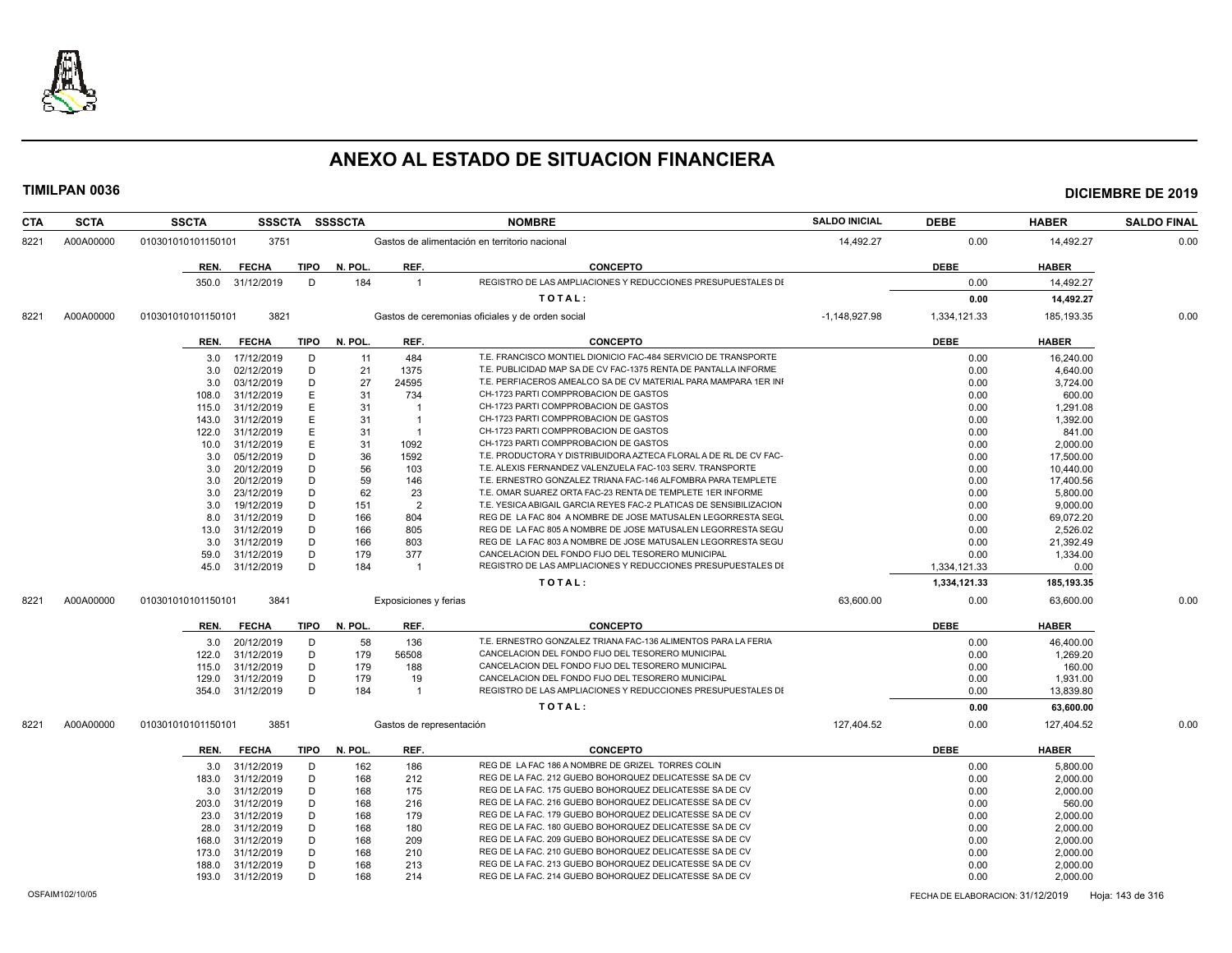

| CTA  | <b>SCTA</b> | <b>SSCTA</b>       | <b>SSSCTA</b>    |             | SSSSCTA |                                               | <b>NOMBRE</b>                                                      | <b>SALDO INICIAL</b> | <b>DEBE</b>  | <b>HABER</b> | <b>SALDO FINAL</b> |
|------|-------------|--------------------|------------------|-------------|---------|-----------------------------------------------|--------------------------------------------------------------------|----------------------|--------------|--------------|--------------------|
| 8221 | A00A00000   | 010301010101150101 | 3751             |             |         | Gastos de alimentación en territorio nacional |                                                                    | 14,492.27            | 0.00         | 14.492.27    | 0.00               |
|      |             | REN.               | <b>FECHA</b>     | TIPO        | N. POL. | REF.                                          | <b>CONCEPTO</b>                                                    |                      | <b>DEBE</b>  | <b>HABER</b> |                    |
|      |             |                    | 350.0 31/12/2019 | D           | 184     | $\overline{1}$                                | REGISTRO DE LAS AMPLIACIONES Y REDUCCIONES PRESUPUESTALES DI       |                      | 0.00         | 14,492.27    |                    |
|      |             |                    |                  |             |         |                                               |                                                                    |                      |              |              |                    |
|      |             |                    |                  |             |         |                                               | TOTAL:                                                             |                      | 0.00         | 14,492.27    |                    |
| 8221 | A00A00000   | 010301010101150101 | 3821             |             |         |                                               | Gastos de ceremonias oficiales y de orden social                   | $-1,148,927.98$      | 1,334,121.33 | 185, 193. 35 | 0.00               |
|      |             | REN.               | <b>FECHA</b>     | TIPO        | N. POL. | REF.                                          | <b>CONCEPTO</b>                                                    |                      | <b>DEBE</b>  | <b>HABER</b> |                    |
|      |             | 3.0                | 17/12/2019       | D           | 11      | 484                                           | T.E. FRANCISCO MONTIEL DIONICIO FAC-484 SERVICIO DE TRANSPORTE     |                      | 0.00         | 16,240.00    |                    |
|      |             | 3.0                | 02/12/2019       | D           | 21      | 1375                                          | T.E. PUBLICIDAD MAP SA DE CV FAC-1375 RENTA DE PANTALLA INFORME    |                      | 0.00         | 4.640.00     |                    |
|      |             | 3.0                | 03/12/2019       | D           | 27      | 24595                                         | T.E. PERFIACEROS AMEALCO SA DE CV MATERIAL PARA MAMPARA 1ER INI    |                      | 0.00         | 3,724.00     |                    |
|      |             | 108.0              | 31/12/2019       | Ε           | 31      | 734                                           | CH-1723 PARTI COMPPROBACION DE GASTOS                              |                      | 0.00         | 600.00       |                    |
|      |             | 115.0              | 31/12/2019       | E           | 31      | $\overline{\mathbf{1}}$                       | CH-1723 PARTI COMPPROBACION DE GASTOS                              |                      | 0.00         | 1,291.08     |                    |
|      |             | 143.0              | 31/12/2019       | Ε           | 31      | $\overline{1}$                                | CH-1723 PARTI COMPPROBACION DE GASTOS                              |                      | 0.00         | 1,392.00     |                    |
|      |             | 122.0              | 31/12/2019       | Ε           | 31      | $\overline{\mathbf{1}}$                       | CH-1723 PARTI COMPPROBACION DE GASTOS                              |                      | 0.00         | 841.00       |                    |
|      |             | 10.0               | 31/12/2019       | Е           | 31      | 1092                                          | CH-1723 PARTI COMPPROBACION DE GASTOS                              |                      | 0.00         | 2,000.00     |                    |
|      |             | 3.0                | 05/12/2019       | D           | 36      | 1592                                          | T.E. PRODUCTORA Y DISTRIBUIDORA AZTECA FLORAL A DE RL DE CV FAC-   |                      | 0.00         | 17,500.00    |                    |
|      |             | 3.0                | 20/12/2019       | D           | 56      | 103                                           | T.E. ALEXIS FERNANDEZ VALENZUELA FAC-103 SERV. TRANSPORTE          |                      | 0.00         | 10,440.00    |                    |
|      |             | 3.0                | 20/12/2019       | D           | 59      | 146                                           | T.E. ERNESTRO GONZALEZ TRIANA FAC-146 ALFOMBRA PARA TEMPLETE       |                      | 0.00         | 17,400.56    |                    |
|      |             | 3.0                | 23/12/2019       | D           | 62      | 23                                            | T.E. OMAR SUAREZ ORTA FAC-23 RENTA DE TEMPLETE 1ER INFORME         |                      | 0.00         | 5,800.00     |                    |
|      |             | 3.0                | 19/12/2019       | D           | 151     | $\overline{2}$                                | T.E. YESICA ABIGAIL GARCIA REYES FAC-2 PLATICAS DE SENSIBILIZACION |                      | 0.00         | 9,000.00     |                    |
|      |             | 8.0                | 31/12/2019       | D           | 166     | 804                                           | REG DE LA FAC 804 A NOMBRE DE JOSE MATUSALEN LEGORRESTA SEGL       |                      | 0.00         | 69,072.20    |                    |
|      |             | 13.0               | 31/12/2019       | D           | 166     | 805                                           | REG DE LA FAC 805 A NOMBRE DE JOSE MATUSALEN LEGORRESTA SEGU       |                      | 0.00         | 2,526.02     |                    |
|      |             | 3.0                | 31/12/2019       | D           | 166     | 803                                           | REG DE LA FAC 803 A NOMBRE DE JOSE MATUSALEN LEGORRESTA SEGU       |                      | 0.00         | 21,392.49    |                    |
|      |             |                    |                  | D           |         |                                               | CANCELACION DEL FONDO FIJO DEL TESORERO MUNICIPAL                  |                      |              |              |                    |
|      |             | 59.0               | 31/12/2019       | D           | 179     | 377                                           | REGISTRO DE LAS AMPLIACIONES Y REDUCCIONES PRESUPUESTALES DI       |                      | 0.00         | 1,334.00     |                    |
|      |             | 45.0               | 31/12/2019       |             | 184     | -1                                            |                                                                    |                      | 1,334,121.33 | 0.00         |                    |
|      |             |                    |                  |             |         |                                               | TOTAL:                                                             |                      | 1,334,121.33 | 185,193.35   |                    |
| 8221 | A00A00000   | 010301010101150101 | 3841             |             |         | Exposiciones y ferias                         |                                                                    | 63.600.00            | 0.00         | 63.600.00    | 0.00               |
|      |             | REN.               | <b>FECHA</b>     | <b>TIPO</b> | N. POL. | REF.                                          | <b>CONCEPTO</b>                                                    |                      | <b>DEBE</b>  | <b>HABER</b> |                    |
|      |             | 3.0                | 20/12/2019       | D           | 58      | 136                                           | T.E. ERNESTRO GONZALEZ TRIANA FAC-136 ALIMENTOS PARA LA FERIA      |                      | 0.00         | 46.400.00    |                    |
|      |             | 122.0              | 31/12/2019       | D           | 179     | 56508                                         | CANCELACION DEL FONDO FIJO DEL TESORERO MUNICIPAL                  |                      | 0.00         | 1,269.20     |                    |
|      |             | 115.0              | 31/12/2019       | D           | 179     | 188                                           | CANCELACION DEL FONDO FIJO DEL TESORERO MUNICIPAL                  |                      | 0.00         | 160.00       |                    |
|      |             | 129.0              | 31/12/2019       | D           | 179     | 19                                            | CANCELACION DEL FONDO FIJO DEL TESORERO MUNICIPAL                  |                      | 0.00         | 1,931.00     |                    |
|      |             | 354.0              | 31/12/2019       | D           | 184     | $\overline{1}$                                | REGISTRO DE LAS AMPLIACIONES Y REDUCCIONES PRESUPUESTALES DI       |                      | 0.00         | 13,839.80    |                    |
|      |             |                    |                  |             |         |                                               | TOTAL:                                                             |                      | 0.00         | 63,600.00    |                    |
| 8221 | A00A00000   | 010301010101150101 | 3851             |             |         | Gastos de representación                      |                                                                    | 127,404.52           | 0.00         | 127,404.52   | 0.00               |
|      |             | REN.               | <b>FECHA</b>     | <b>TIPO</b> | N. POL. | REF.                                          | <b>CONCEPTO</b>                                                    |                      | <b>DEBE</b>  | <b>HABER</b> |                    |
|      |             | 3.0                | 31/12/2019       | D           | 162     | 186                                           | REG DE LA FAC 186 A NOMBRE DE GRIZEL TORRES COLIN                  |                      | 0.00         | 5,800.00     |                    |
|      |             | 183.0              | 31/12/2019       | D           | 168     | 212                                           | REG DE LA FAC. 212 GUEBO BOHORQUEZ DELICATESSE SA DE CV            |                      | 0.00         | 2,000.00     |                    |
|      |             | 3.0                | 31/12/2019       | D           | 168     | 175                                           | REG DE LA FAC. 175 GUEBO BOHORQUEZ DELICATESSE SA DE CV            |                      | 0.00         | 2,000.00     |                    |
|      |             | 203.0              | 31/12/2019       | D           | 168     | 216                                           | REG DE LA FAC. 216 GUEBO BOHORQUEZ DELICATESSE SA DE CV            |                      | 0.00         | 560.00       |                    |
|      |             | 23.0               | 31/12/2019       | D           | 168     | 179                                           | REG DE LA FAC. 179 GUEBO BOHORQUEZ DELICATESSE SA DE CV            |                      | 0.00         | 2,000.00     |                    |
|      |             | 28.0               | 31/12/2019       | D           | 168     | 180                                           | REG DE LA FAC. 180 GUEBO BOHORQUEZ DELICATESSE SA DE CV            |                      | 0.00         | 2,000.00     |                    |
|      |             | 168.0              | 31/12/2019       | D           | 168     | 209                                           | REG DE LA FAC. 209 GUEBO BOHORQUEZ DELICATESSE SA DE CV            |                      | 0.00         | 2,000.00     |                    |
|      |             | 173.0              | 31/12/2019       | D           | 168     | 210                                           | REG DE LA FAC. 210 GUEBO BOHORQUEZ DELICATESSE SA DE CV            |                      | 0.00         | 2,000.00     |                    |
|      |             | 188.0              | 31/12/2019       | D           | 168     | 213                                           | REG DE LA FAC. 213 GUEBO BOHORQUEZ DELICATESSE SA DE CV            |                      | 0.00         | 2,000.00     |                    |
|      |             | 193.0              | 31/12/2019       | D           | 168     | 214                                           | REG DE LA FAC. 214 GUEBO BOHORQUEZ DELICATESSE SA DE CV            |                      | 0.00         | 2,000.00     |                    |
|      |             |                    |                  |             |         |                                               |                                                                    |                      |              |              |                    |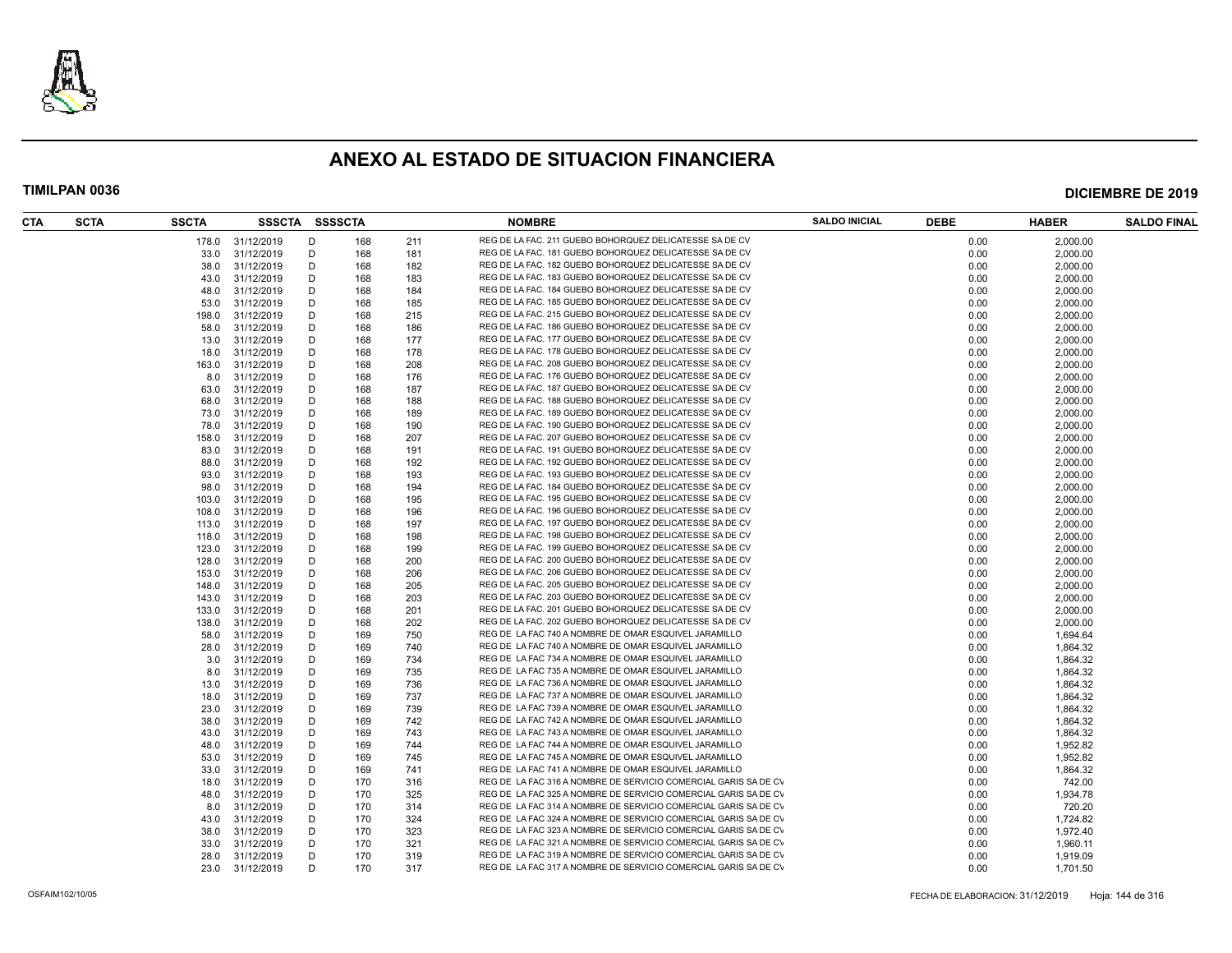

| CTA | <b>SCTA</b> | <b>SSCTA</b> | SSSCTA SSSSCTA   |   |     |     | <b>NOMBRE</b>                                                   | <b>SALDO INICIAL</b> | <b>DEBE</b> | <b>HABER</b> | <b>SALDO FINAL</b> |
|-----|-------------|--------------|------------------|---|-----|-----|-----------------------------------------------------------------|----------------------|-------------|--------------|--------------------|
|     |             |              | 178.0 31/12/2019 | D | 168 | 211 | REG DE LA FAC. 211 GUEBO BOHORQUEZ DELICATESSE SA DE CV         |                      | 0.00        | 2.000.00     |                    |
|     |             | 33.0         | 31/12/2019       | D | 168 | 181 | REG DE LA FAC. 181 GUEBO BOHORQUEZ DELICATESSE SA DE CV         |                      | 0.00        | 2,000.00     |                    |
|     |             | 38.0         | 31/12/2019       | D | 168 | 182 | REG DE LA FAC. 182 GUEBO BOHORQUEZ DELICATESSE SA DE CV         |                      | 0.00        | 2,000.00     |                    |
|     |             | 43.0         | 31/12/2019       | D | 168 | 183 | REG DE LA FAC. 183 GUEBO BOHORQUEZ DELICATESSE SA DE CV         |                      | 0.00        | 2,000.00     |                    |
|     |             | 48.0         | 31/12/2019       | D | 168 | 184 | REG DE LA FAC. 184 GUEBO BOHORQUEZ DELICATESSE SA DE CV         |                      | 0.00        | 2,000.00     |                    |
|     |             | 53.0         | 31/12/2019       | D | 168 | 185 | REG DE LA FAC. 185 GUEBO BOHORQUEZ DELICATESSE SA DE CV         |                      | 0.00        | 2,000.00     |                    |
|     |             | 198.0        | 31/12/2019       | D | 168 | 215 | REG DE LA FAC. 215 GUEBO BOHORQUEZ DELICATESSE SA DE CV         |                      | 0.00        | 2,000.00     |                    |
|     |             | 58.0         | 31/12/2019       | D | 168 | 186 | REG DE LA FAC. 186 GUEBO BOHORQUEZ DELICATESSE SA DE CV         |                      | 0.00        | 2,000.00     |                    |
|     |             | 13.0         | 31/12/2019       | D | 168 | 177 | REG DE LA FAC. 177 GUEBO BOHORQUEZ DELICATESSE SA DE CV         |                      | 0.00        | 2,000.00     |                    |
|     |             | 18.0         | 31/12/2019       | D | 168 | 178 | REG DE LA FAC. 178 GUEBO BOHORQUEZ DELICATESSE SA DE CV         |                      | 0.00        | 2,000.00     |                    |
|     |             | 163.0        | 31/12/2019       | D | 168 | 208 | REG DE LA FAC. 208 GUEBO BOHORQUEZ DELICATESSE SA DE CV         |                      | 0.00        | 2,000.00     |                    |
|     |             | 8.0          | 31/12/2019       | D | 168 | 176 | REG DE LA FAC. 176 GUEBO BOHORQUEZ DELICATESSE SA DE CV         |                      | 0.00        | 2,000.00     |                    |
|     |             | 63.0         | 31/12/2019       | D | 168 | 187 | REG DE LA FAC. 187 GUEBO BOHORQUEZ DELICATESSE SA DE CV         |                      | 0.00        | 2,000.00     |                    |
|     |             | 68.0         | 31/12/2019       | D | 168 | 188 | REG DE LA FAC. 188 GUEBO BOHORQUEZ DELICATESSE SA DE CV         |                      | 0.00        | 2,000.00     |                    |
|     |             | 73.0         | 31/12/2019       | D | 168 | 189 | REG DE LA FAC. 189 GUEBO BOHORQUEZ DELICATESSE SA DE CV         |                      | 0.00        |              |                    |
|     |             |              |                  |   |     |     |                                                                 |                      |             | 2,000.00     |                    |
|     |             | 78.0         | 31/12/2019       | D | 168 | 190 | REG DE LA FAC. 190 GUEBO BOHORQUEZ DELICATESSE SA DE CV         |                      | 0.00        | 2,000.00     |                    |
|     |             | 158.0        | 31/12/2019       | D | 168 | 207 | REG DE LA FAC. 207 GUEBO BOHORQUEZ DELICATESSE SA DE CV         |                      | 0.00        | 2,000.00     |                    |
|     |             | 83.0         | 31/12/2019       | D | 168 | 191 | REG DE LA FAC. 191 GUEBO BOHORQUEZ DELICATESSE SA DE CV         |                      | 0.00        | 2,000.00     |                    |
|     |             | 88.0         | 31/12/2019       | D | 168 | 192 | REG DE LA FAC. 192 GUEBO BOHORQUEZ DELICATESSE SA DE CV         |                      | 0.00        | 2,000.00     |                    |
|     |             | 93.0         | 31/12/2019       | D | 168 | 193 | REG DE LA FAC. 193 GUEBO BOHORQUEZ DELICATESSE SA DE CV         |                      | 0.00        | 2.000.00     |                    |
|     |             | 98.0         | 31/12/2019       | D | 168 | 194 | REG DE LA FAC. 184 GUEBO BOHORQUEZ DELICATESSE SA DE CV         |                      | 0.00        | 2,000.00     |                    |
|     |             | 103.0        | 31/12/2019       | D | 168 | 195 | REG DE LA FAC. 195 GUEBO BOHORQUEZ DELICATESSE SA DE CV         |                      | 0.00        | 2,000.00     |                    |
|     |             | 108.0        | 31/12/2019       | D | 168 | 196 | REG DE LA FAC. 196 GUEBO BOHORQUEZ DELICATESSE SA DE CV         |                      | 0.00        | 2,000.00     |                    |
|     |             | 113.0        | 31/12/2019       | D | 168 | 197 | REG DE LA FAC. 197 GUEBO BOHORQUEZ DELICATESSE SA DE CV         |                      | 0.00        | 2,000.00     |                    |
|     |             | 118.0        | 31/12/2019       | D | 168 | 198 | REG DE LA FAC. 198 GUEBO BOHORQUEZ DELICATESSE SA DE CV         |                      | 0.00        | 2,000.00     |                    |
|     |             | 123.0        | 31/12/2019       | D | 168 | 199 | REG DE LA FAC. 199 GUEBO BOHORQUEZ DELICATESSE SA DE CV         |                      | 0.00        | 2,000.00     |                    |
|     |             | 128.0        | 31/12/2019       | D | 168 | 200 | REG DE LA FAC. 200 GUEBO BOHORQUEZ DELICATESSE SA DE CV         |                      | 0.00        | 2,000.00     |                    |
|     |             | 153.0        | 31/12/2019       | D | 168 | 206 | REG DE LA FAC. 206 GUEBO BOHORQUEZ DELICATESSE SA DE CV         |                      | 0.00        | 2,000.00     |                    |
|     |             | 148.0        | 31/12/2019       | D | 168 | 205 | REG DE LA FAC. 205 GUEBO BOHORQUEZ DELICATESSE SA DE CV         |                      | 0.00        | 2,000.00     |                    |
|     |             | 143.0        | 31/12/2019       | D | 168 | 203 | REG DE LA FAC. 203 GUEBO BOHORQUEZ DELICATESSE SA DE CV         |                      | 0.00        | 2,000.00     |                    |
|     |             | 133.0        | 31/12/2019       | D | 168 | 201 | REG DE LA FAC. 201 GUEBO BOHORQUEZ DELICATESSE SA DE CV         |                      | 0.00        | 2,000.00     |                    |
|     |             | 138.0        | 31/12/2019       | D | 168 | 202 | REG DE LA FAC. 202 GUEBO BOHORQUEZ DELICATESSE SA DE CV         |                      | 0.00        | 2,000.00     |                    |
|     |             | 58.0         | 31/12/2019       | D | 169 | 750 | REG DE LA FAC 740 A NOMBRE DE OMAR ESQUIVEL JARAMILLO           |                      | 0.00        | 1,694.64     |                    |
|     |             | 28.0         | 31/12/2019       | D | 169 | 740 | REG DE LA FAC 740 A NOMBRE DE OMAR ESQUIVEL JARAMILLO           |                      | 0.00        | 1,864.32     |                    |
|     |             | 3.0          | 31/12/2019       | D | 169 | 734 | REG DE LA FAC 734 A NOMBRE DE OMAR ESQUIVEL JARAMILLO           |                      | 0.00        | 1,864.32     |                    |
|     |             | 8.0          | 31/12/2019       | D | 169 | 735 | REG DE LA FAC 735 A NOMBRE DE OMAR ESQUIVEL JARAMILLO           |                      | 0.00        | 1,864.32     |                    |
|     |             | 13.0         | 31/12/2019       | D | 169 | 736 | REG DE LA FAC 736 A NOMBRE DE OMAR ESQUIVEL JARAMILLO           |                      | 0.00        | 1,864.32     |                    |
|     |             | 18.0         | 31/12/2019       | D | 169 | 737 | REG DE LA FAC 737 A NOMBRE DE OMAR ESQUIVEL JARAMILLO           |                      | 0.00        | 1,864.32     |                    |
|     |             | 23.0         | 31/12/2019       | D | 169 | 739 | REG DE LA FAC 739 A NOMBRE DE OMAR ESQUIVEL JARAMILLO           |                      | 0.00        | 1,864.32     |                    |
|     |             | 38.0         | 31/12/2019       | D | 169 | 742 | REG DE LA FAC 742 A NOMBRE DE OMAR ESQUIVEL JARAMILLO           |                      | 0.00        | 1,864.32     |                    |
|     |             | 43.0         | 31/12/2019       | D | 169 | 743 | REG DE LA FAC 743 A NOMBRE DE OMAR ESQUIVEL JARAMILLO           |                      | 0.00        | 1,864.32     |                    |
|     |             | 48.0         | 31/12/2019       | D | 169 | 744 | REG DE LA FAC 744 A NOMBRE DE OMAR ESQUIVEL JARAMILLO           |                      | 0.00        |              |                    |
|     |             |              |                  |   |     |     | REG DE LA FAC 745 A NOMBRE DE OMAR ESQUIVEL JARAMILLO           |                      |             | 1,952.82     |                    |
|     |             | 53.0         | 31/12/2019       | D | 169 | 745 |                                                                 |                      | 0.00        | 1,952.82     |                    |
|     |             | 33.0         | 31/12/2019       | D | 169 | 741 | REG DE LA FAC 741 A NOMBRE DE OMAR ESQUIVEL JARAMILLO           |                      | 0.00        | 1,864.32     |                    |
|     |             | 18.0         | 31/12/2019       | D | 170 | 316 | REG DE LA FAC 316 A NOMBRE DE SERVICIO COMERCIAL GARIS SA DE CV |                      | 0.00        | 742.00       |                    |
|     |             | 48.0         | 31/12/2019       | D | 170 | 325 | REG DE LA FAC 325 A NOMBRE DE SERVICIO COMERCIAL GARIS SA DE CV |                      | 0.00        | 1,934.78     |                    |
|     |             | 8.0          | 31/12/2019       | D | 170 | 314 | REG DE LA FAC 314 A NOMBRE DE SERVICIO COMERCIAL GARIS SA DE CV |                      | 0.00        | 720.20       |                    |
|     |             | 43.0         | 31/12/2019       | D | 170 | 324 | REG DE LA FAC 324 A NOMBRE DE SERVICIO COMERCIAL GARIS SA DE CV |                      | 0.00        | 1,724.82     |                    |
|     |             | 38.0         | 31/12/2019       | D | 170 | 323 | REG DE LA FAC 323 A NOMBRE DE SERVICIO COMERCIAL GARIS SA DE CV |                      | 0.00        | 1,972.40     |                    |
|     |             | 33.0         | 31/12/2019       | D | 170 | 321 | REG DE LA FAC 321 A NOMBRE DE SERVICIO COMERCIAL GARIS SA DE CV |                      | 0.00        | 1,960.11     |                    |
|     |             | 28.0         | 31/12/2019       | D | 170 | 319 | REG DE LA FAC 319 A NOMBRE DE SERVICIO COMERCIAL GARIS SA DE CV |                      | 0.00        | 1,919.09     |                    |
|     |             |              | 23.0 31/12/2019  | D | 170 | 317 | REG DE LA FAC 317 A NOMBRE DE SERVICIO COMERCIAL GARIS SA DE CV |                      | 0.00        | 1,701.50     |                    |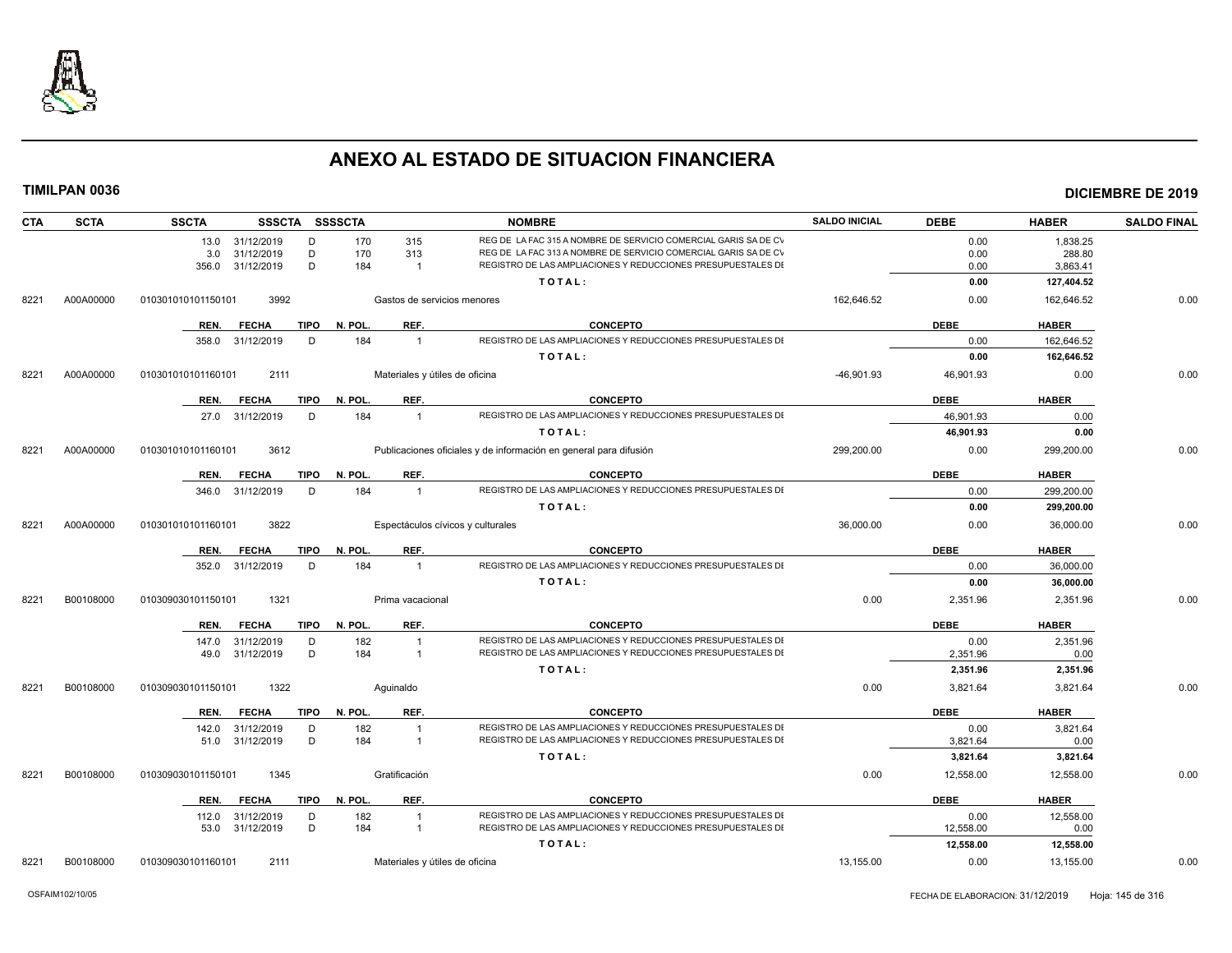

| <b>SCTA</b><br><b>CTA</b> |           | <b>SSCTA</b>       | <b>SSSCTA</b>   |             | <b>SSSSCTA</b> | <b>NOMBRE</b>                  |                                                                   | <b>SALDO INICIAL</b> | <b>DEBE</b> | <b>HABER</b> | <b>SALDO FINAL</b> |
|---------------------------|-----------|--------------------|-----------------|-------------|----------------|--------------------------------|-------------------------------------------------------------------|----------------------|-------------|--------------|--------------------|
|                           |           |                    | 13.0 31/12/2019 | D           | 170            | 315                            | REG DE LA FAC 315 A NOMBRE DE SERVICIO COMERCIAL GARIS SA DE CV   |                      | 0.00        | 1,838.25     |                    |
|                           |           | 3.0                | 31/12/2019      | D           | 170            | 313                            | REG DE LA FAC 313 A NOMBRE DE SERVICIO COMERCIAL GARIS SA DE CV   |                      | 0.00        | 288.80       |                    |
|                           |           | 356.0              | 31/12/2019      | D           | 184            | $\overline{1}$                 | REGISTRO DE LAS AMPLIACIONES Y REDUCCIONES PRESUPUESTALES DI      |                      | 0.00        | 3,863.41     |                    |
|                           |           |                    |                 |             |                |                                | TOTAL:                                                            |                      | 0.00        | 127,404.52   |                    |
| 8221                      | A00A00000 | 010301010101150101 | 3992            |             |                | Gastos de servicios menores    |                                                                   | 162,646.52           | 0.00        | 162,646.52   | 0.00               |
|                           |           | REN.               | <b>FECHA</b>    | <b>TIPO</b> | N. POL.        | REF.                           | <b>CONCEPTO</b>                                                   |                      | <b>DEBE</b> | <b>HABER</b> |                    |
|                           |           | 358.0              | 31/12/2019      | D           | 184            | $\overline{1}$                 | REGISTRO DE LAS AMPLIACIONES Y REDUCCIONES PRESUPUESTALES DI      |                      | 0.00        | 162,646.52   |                    |
|                           |           |                    |                 |             |                |                                | TOTAL:                                                            |                      | 0.00        | 162,646.52   |                    |
| 8221                      | A00A00000 | 010301010101160101 | 2111            |             |                | Materiales y útiles de oficina |                                                                   | $-46,901.93$         | 46,901.93   | 0.00         | 0.00               |
|                           |           | REN.               | <b>FECHA</b>    | <b>TIPO</b> | N. POL.        | REF.                           | <b>CONCEPTO</b>                                                   |                      | <b>DEBE</b> | <b>HABER</b> |                    |
|                           |           | 27.0               | 31/12/2019      | D           | 184            | $\overline{1}$                 | REGISTRO DE LAS AMPLIACIONES Y REDUCCIONES PRESUPUESTALES DI      |                      | 46,901.93   | 0.00         |                    |
|                           |           |                    |                 |             |                |                                | TOTAL:                                                            |                      | 46,901.93   | 0.00         |                    |
| 8221                      | A00A00000 | 010301010101160101 | 3612            |             |                |                                | Publicaciones oficiales y de información en general para difusión | 299,200.00           | 0.00        | 299,200.00   | 0.00               |
|                           |           | REN.               | <b>FECHA</b>    | TIPO        | N. POL         | REF.                           | <b>CONCEPTO</b>                                                   |                      | <b>DEBE</b> | <b>HABER</b> |                    |
|                           |           | 346.0              | 31/12/2019      | D           | 184            | $\overline{1}$                 | REGISTRO DE LAS AMPLIACIONES Y REDUCCIONES PRESUPUESTALES DI      |                      | 0.00        | 299,200.00   |                    |
|                           |           |                    |                 |             |                |                                | TOTAL:                                                            |                      | 0.00        | 299,200.00   |                    |
| 8221                      | A00A00000 | 010301010101160101 | 3822            |             |                |                                | Espectáculos cívicos y culturales                                 | 36,000.00            | 0.00        | 36,000.00    | 0.00               |
|                           |           | REN.               | <b>FECHA</b>    | <b>TIPO</b> | N. POL.        | REF.                           | <b>CONCEPTO</b>                                                   |                      | <b>DEBE</b> | <b>HABER</b> |                    |
|                           |           | 352.0              | 31/12/2019      | D           | 184            | $\overline{1}$                 | REGISTRO DE LAS AMPLIACIONES Y REDUCCIONES PRESUPUESTALES DI      |                      | 0.00        | 36,000.00    |                    |
|                           |           |                    |                 |             |                |                                | TOTAL:                                                            |                      | 0.00        | 36,000.00    |                    |
| 8221                      | B00108000 | 010309030101150101 | 1321            |             |                | Prima vacacional               |                                                                   | 0.00                 | 2,351.96    | 2,351.96     | 0.00               |
|                           |           | REN.               | <b>FECHA</b>    | <b>TIPO</b> | N. POL.        | REF.                           | <b>CONCEPTO</b>                                                   |                      | <b>DEBE</b> | <b>HABER</b> |                    |
|                           |           | 147.0              | 31/12/2019      | D           | 182            | $\overline{1}$                 | REGISTRO DE LAS AMPLIACIONES Y REDUCCIONES PRESUPUESTALES DI      |                      | 0.00        | 2,351.96     |                    |
|                           |           | 49.0               | 31/12/2019      | D           | 184            | $\overline{1}$                 | REGISTRO DE LAS AMPLIACIONES Y REDUCCIONES PRESUPUESTALES DI      |                      | 2,351.96    | 0.00         |                    |
|                           |           |                    |                 |             |                |                                | TOTAL:                                                            |                      | 2,351.96    | 2,351.96     |                    |
| 8221                      | B00108000 | 010309030101150101 | 1322            |             |                | Aquinaldo                      |                                                                   | 0.00                 | 3,821.64    | 3,821.64     | 0.00               |
|                           |           | REN.               | <b>FECHA</b>    | TIPO        | N. POL.        | REF.                           | <b>CONCEPTO</b>                                                   |                      | <b>DEBE</b> | <b>HABER</b> |                    |
|                           |           | 142.0              | 31/12/2019      | D           | 182            | $\overline{1}$                 | REGISTRO DE LAS AMPLIACIONES Y REDUCCIONES PRESUPUESTALES DI      |                      | 0.00        | 3,821.64     |                    |
|                           |           | 51.0               | 31/12/2019      | D           | 184            | $\overline{1}$                 | REGISTRO DE LAS AMPLIACIONES Y REDUCCIONES PRESUPUESTALES DI      |                      | 3,821.64    | 0.00         |                    |
|                           |           |                    |                 |             |                |                                | TOTAL:                                                            |                      | 3,821.64    | 3,821.64     |                    |
| 8221                      | B00108000 | 010309030101150101 | 1345            |             |                | Gratificación                  |                                                                   | 0.00                 | 12,558.00   | 12,558.00    | 0.00               |
|                           |           | REN.               | <b>FECHA</b>    | TIPO        | N. POL.        | REF.                           | <b>CONCEPTO</b>                                                   |                      | <b>DEBE</b> | <b>HABER</b> |                    |
|                           |           | 112.0              | 31/12/2019      | D           | 182            | $\overline{1}$                 | REGISTRO DE LAS AMPLIACIONES Y REDUCCIONES PRESUPUESTALES DI      |                      | 0.00        | 12,558.00    |                    |
|                           |           | 53.0               | 31/12/2019      | D           | 184            | $\overline{1}$                 | REGISTRO DE LAS AMPLIACIONES Y REDUCCIONES PRESUPUESTALES DI      |                      | 12,558.00   | 0.00         |                    |
|                           |           |                    |                 |             |                |                                | TOTAL:                                                            |                      | 12,558.00   | 12,558.00    |                    |
| 8221                      | B00108000 | 010309030101160101 | 2111            |             |                | Materiales y útiles de oficina |                                                                   | 13,155.00            | 0.00        | 13,155.00    | 0.00               |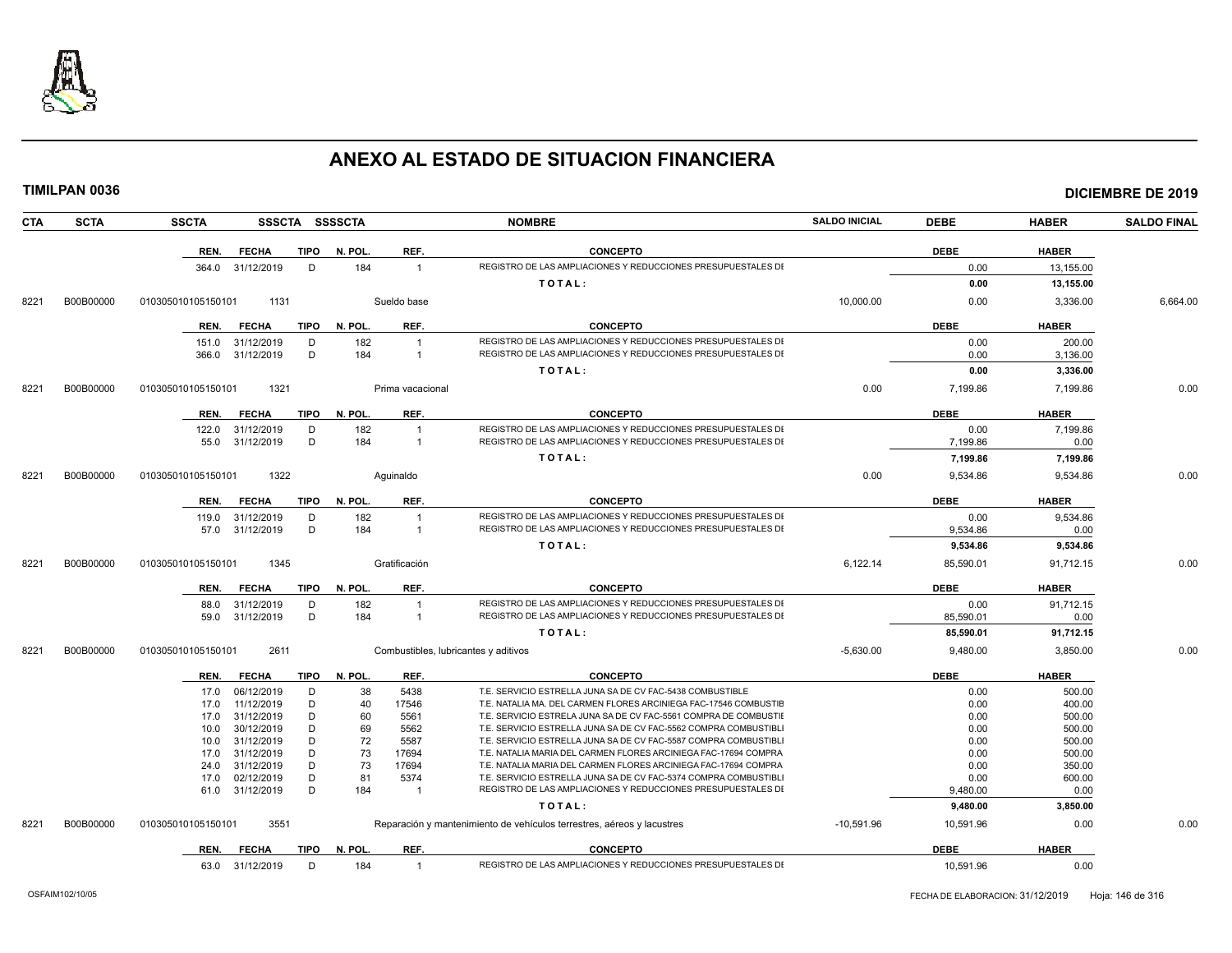

| <b>CTA</b> | <b>SCTA</b> | <b>SSCTA</b>       |                          |             | SSSCTA SSSSCTA |                  | <b>NOMBRE</b>                                                                                                                        | <b>SALDO INICIAL</b> | <b>DEBE</b>  | <b>HABER</b>     | <b>SALDO FINAL</b> |
|------------|-------------|--------------------|--------------------------|-------------|----------------|------------------|--------------------------------------------------------------------------------------------------------------------------------------|----------------------|--------------|------------------|--------------------|
|            |             | REN.               | <b>FECHA</b>             | <b>TIPO</b> | N. POL.        | REF.             | <b>CONCEPTO</b>                                                                                                                      |                      | <b>DEBE</b>  | <b>HABER</b>     |                    |
|            |             | 364.0              | 31/12/2019               | D           | 184            | $\overline{1}$   | REGISTRO DE LAS AMPLIACIONES Y REDUCCIONES PRESUPUESTALES DI                                                                         |                      | 0.00         | 13,155.00        |                    |
|            |             |                    |                          |             |                |                  | TOTAL:                                                                                                                               |                      | 0.00         | 13,155.00        |                    |
| 8221       | B00B00000   | 010305010105150101 | 1131                     |             |                | Sueldo base      |                                                                                                                                      | 10,000.00            | 0.00         | 3,336.00         | 6,664.00           |
|            |             | REN.               | <b>FECHA</b>             | <b>TIPO</b> | N. POL         | REF.             | <b>CONCEPTO</b>                                                                                                                      |                      | <b>DEBE</b>  | <b>HABER</b>     |                    |
|            |             | 151.0              | 31/12/2019               | D           | 182            | $\overline{1}$   | REGISTRO DE LAS AMPLIACIONES Y REDUCCIONES PRESUPUESTALES DI                                                                         |                      | 0.00         | 200.00           |                    |
|            |             | 366.0              | 31/12/2019               | D           | 184            | $\overline{1}$   | REGISTRO DE LAS AMPLIACIONES Y REDUCCIONES PRESUPUESTALES DI                                                                         |                      | 0.00         | 3,136.00         |                    |
|            |             |                    |                          |             |                |                  | TOTAL:                                                                                                                               |                      | 0.00         | 3,336.00         |                    |
| 8221       | B00B00000   | 010305010105150101 | 1321                     |             |                | Prima vacacional |                                                                                                                                      | 0.00                 | 7,199.86     | 7,199.86         | 0.00               |
|            |             | REN.               | <b>FECHA</b>             | <b>TIPO</b> | N. POL.        | REF.             | <b>CONCEPTO</b>                                                                                                                      |                      | <b>DEBE</b>  | <b>HABER</b>     |                    |
|            |             | 122.0              | 31/12/2019               | D           | 182            | $\overline{1}$   | REGISTRO DE LAS AMPLIACIONES Y REDUCCIONES PRESUPUESTALES DI                                                                         |                      | 0.00         | 7.199.86         |                    |
|            |             | 55.0               | 31/12/2019               | D           | 184            | $\overline{1}$   | REGISTRO DE LAS AMPLIACIONES Y REDUCCIONES PRESUPUESTALES DI                                                                         |                      | 7,199.86     | 0.00             |                    |
|            |             |                    |                          |             |                |                  | TOTAL:                                                                                                                               |                      | 7,199.86     | 7,199.86         |                    |
| 8221       | B00B00000   | 010305010105150101 | 1322                     |             |                | Aquinaldo        |                                                                                                                                      | 0.00                 | 9,534.86     | 9,534.86         | 0.00               |
|            |             | REN.               | <b>FECHA</b>             | <b>TIPO</b> | N. POL.        | REF.             | <b>CONCEPTO</b>                                                                                                                      |                      | <b>DEBE</b>  | <b>HABER</b>     |                    |
|            |             |                    |                          | D           | 182            | $\overline{1}$   | REGISTRO DE LAS AMPLIACIONES Y REDUCCIONES PRESUPUESTALES DI                                                                         |                      | 0.00         | 9,534.86         |                    |
|            |             | 119.0<br>57.0      | 31/12/2019<br>31/12/2019 | D           | 184            | $\mathbf{1}$     | REGISTRO DE LAS AMPLIACIONES Y REDUCCIONES PRESUPUESTALES DI                                                                         |                      | 9,534.86     | 0.00             |                    |
|            |             |                    |                          |             |                |                  | TOTAL:                                                                                                                               |                      | 9,534.86     | 9,534.86         |                    |
|            |             |                    |                          |             |                |                  |                                                                                                                                      |                      |              |                  |                    |
| 8221       | B00B00000   | 010305010105150101 | 1345                     |             |                | Gratificación    |                                                                                                                                      | 6,122.14             | 85,590.01    | 91,712.15        | 0.00               |
|            |             | REN.               | <b>FECHA</b>             | TIPO        | N. POL.        | REF.             | <b>CONCEPTO</b>                                                                                                                      |                      | <b>DEBE</b>  | <b>HABER</b>     |                    |
|            |             | 88.0               | 31/12/2019               | D           | 182            | $\overline{1}$   | REGISTRO DE LAS AMPLIACIONES Y REDUCCIONES PRESUPUESTALES DI                                                                         |                      | 0.00         | 91,712.15        |                    |
|            |             | 59.0               | 31/12/2019               | D           | 184            | $\mathbf{1}$     | REGISTRO DE LAS AMPLIACIONES Y REDUCCIONES PRESUPUESTALES DI                                                                         |                      | 85,590.01    | 0.00             |                    |
|            |             |                    |                          |             |                |                  | TOTAL:                                                                                                                               |                      | 85,590.01    | 91,712.15        |                    |
| 8221       | B00B00000   | 010305010105150101 | 2611                     |             |                |                  | Combustibles, lubricantes y aditivos                                                                                                 | $-5,630.00$          | 9,480.00     | 3,850.00         | 0.00               |
|            |             | REN.               | <b>FECHA</b>             | TIPO        | N. POL.        | REF.             | <b>CONCEPTO</b>                                                                                                                      |                      | <b>DEBE</b>  | <b>HABER</b>     |                    |
|            |             | 17.0               | 06/12/2019               | D           | 38             | 5438             | T.E. SERVICIO ESTRELLA JUNA SA DE CV FAC-5438 COMBUSTIBLE                                                                            |                      | 0.00         | 500.00           |                    |
|            |             | 17.0               | 11/12/2019               | D           | 40             | 17546            | T.E. NATALIA MA. DEL CARMEN FLORES ARCINIEGA FAC-17546 COMBUSTIE                                                                     |                      | 0.00         | 400.00           |                    |
|            |             | 17.0               | 31/12/2019               | D           | 60             | 5561             | T.E. SERVICIO ESTRELA JUNA SA DE CV FAC-5561 COMPRA DE COMBUSTII<br>T.E. SERVICIO ESTRELLA JUNA SA DE CV FAC-5562 COMPRA COMBUSTIBLI |                      | 0.00         | 500.00           |                    |
|            |             | 10.0<br>10.0       | 30/12/2019<br>31/12/2019 | D<br>D      | 69<br>72       | 5562<br>5587     | T.E. SERVICIO ESTRELLA JUNA SA DE CV FAC-5587 COMPRA COMBUSTIBLI                                                                     |                      | 0.00<br>0.00 | 500.00<br>500.00 |                    |
|            |             | 17.0               | 31/12/2019               | D           | 73             | 17694            | T.E. NATALIA MARIA DEL CARMEN FLORES ARCINIEGA FAC-17694 COMPRA                                                                      |                      | 0.00         | 500.00           |                    |
|            |             | 24.0               | 31/12/2019               | D           | 73             | 17694            | T.E. NATALIA MARIA DEL CARMEN FLORES ARCINIEGA FAC-17694 COMPRA                                                                      |                      | 0.00         | 350.00           |                    |
|            |             | 17.0               | 02/12/2019               | D           | 81             | 5374             | T.E. SERVICIO ESTRELLA JUNA SA DE CV FAC-5374 COMPRA COMBUSTIBL                                                                      |                      | 0.00         | 600.00           |                    |
|            |             | 61.0               | 31/12/2019               | D           | 184            | $\overline{1}$   | REGISTRO DE LAS AMPLIACIONES Y REDUCCIONES PRESUPUESTALES DI                                                                         |                      | 9,480.00     | 0.00             |                    |
|            |             |                    |                          |             |                |                  | TOTAL:                                                                                                                               |                      | 9,480.00     | 3,850.00         |                    |
| 8221       | B00B00000   | 010305010105150101 | 3551                     |             |                |                  | Reparación y mantenimiento de vehículos terrestres, aéreos y lacustres                                                               | $-10,591.96$         | 10,591.96    | 0.00             | 0.00               |
|            |             | REN.               | <b>FECHA</b>             | TIPO        | N. POL.        | REF.             | <b>CONCEPTO</b>                                                                                                                      |                      | <b>DEBE</b>  | <b>HABER</b>     |                    |
|            |             |                    | 63.0 31/12/2019          | D           | 184            | $\overline{1}$   | REGISTRO DE LAS AMPLIACIONES Y REDUCCIONES PRESUPUESTALES DI                                                                         |                      | 10,591.96    | 0.00             |                    |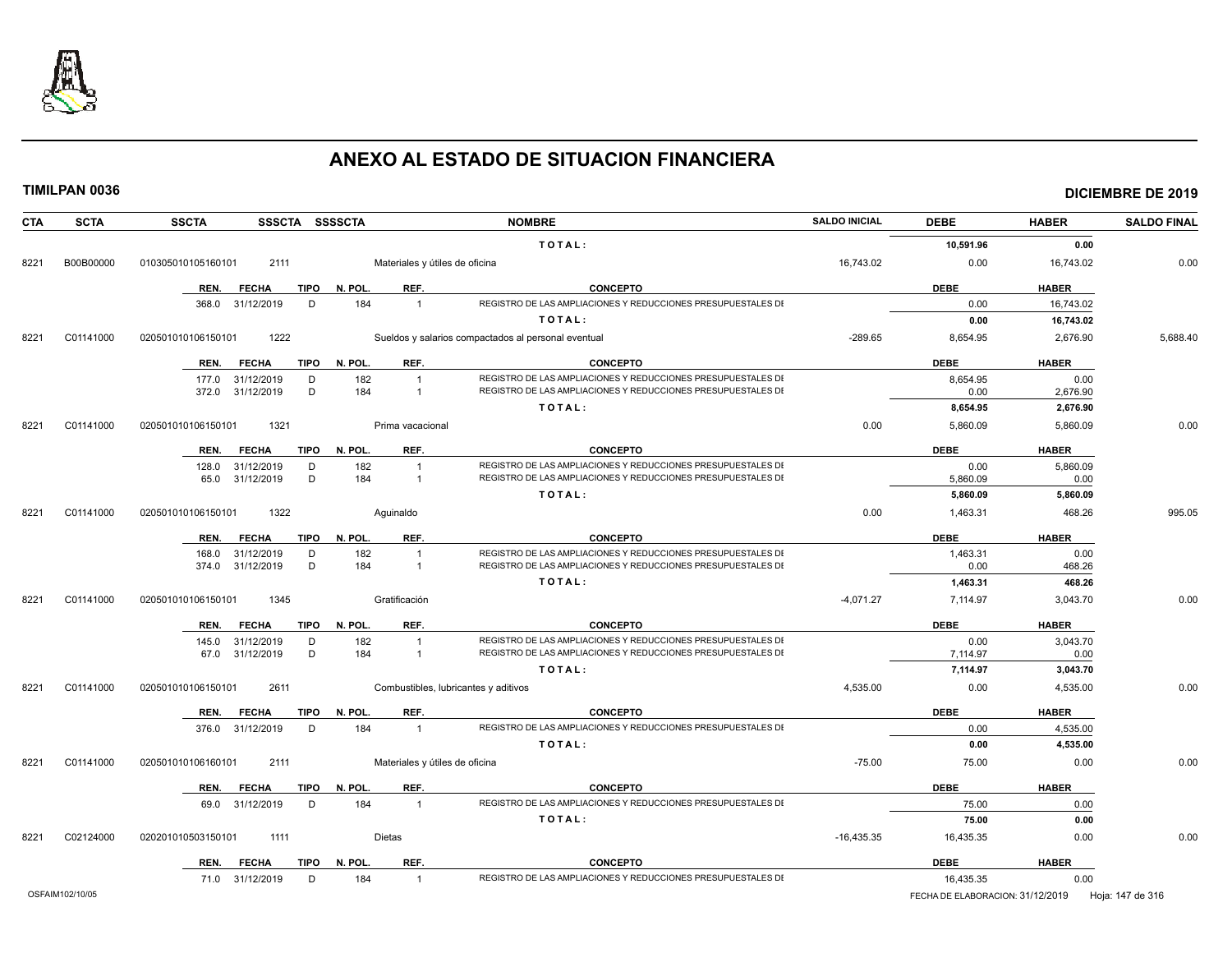

| <b>CTA</b> | <b>SCTA</b>     | <b>SSCTA</b><br>SSSCTA SSSSCTA                   |                                                | <b>NOMBRE</b>                                                                                                                | <b>SALDO INICIAL</b> | <b>DEBE</b>                      | <b>HABER</b>     | <b>SALDO FINAL</b> |
|------------|-----------------|--------------------------------------------------|------------------------------------------------|------------------------------------------------------------------------------------------------------------------------------|----------------------|----------------------------------|------------------|--------------------|
|            |                 |                                                  |                                                | TOTAL:                                                                                                                       |                      | 10,591.96                        | 0.00             |                    |
| 8221       | B00B00000       | 010305010105160101<br>2111                       | Materiales y útiles de oficina                 |                                                                                                                              | 16.743.02            | 0.00                             | 16,743.02        | 0.00               |
|            |                 | <b>TIPO</b><br>REN.<br><b>FECHA</b>              | REF.<br>N. POL.                                | <b>CONCEPTO</b>                                                                                                              |                      | <b>DEBE</b>                      | <b>HABER</b>     |                    |
|            |                 | 368.0 31/12/2019<br>D                            | 184<br>$\overline{1}$                          | REGISTRO DE LAS AMPLIACIONES Y REDUCCIONES PRESUPUESTALES DI                                                                 |                      | 0.00                             | 16,743.02        |                    |
|            |                 |                                                  |                                                | TOTAL:                                                                                                                       |                      | 0.00                             | 16,743.02        |                    |
| 8221       | C01141000       | 020501010106150101<br>1222                       |                                                | Sueldos y salarios compactados al personal eventual                                                                          | $-289.65$            | 8,654.95                         | 2,676.90         | 5,688.40           |
|            |                 | REN.<br><b>FECHA</b><br><b>TIPO</b>              | REF.<br>N. POL.                                | <b>CONCEPTO</b>                                                                                                              |                      | <b>DEBE</b>                      | <b>HABER</b>     |                    |
|            |                 | 177.0 31/12/2019<br>D                            | 182<br>$\overline{1}$                          | REGISTRO DE LAS AMPLIACIONES Y REDUCCIONES PRESUPUESTALES DI                                                                 |                      | 8,654.95                         | 0.00             |                    |
|            |                 | D<br>372.0 31/12/2019                            | 184<br>$\overline{1}$                          | REGISTRO DE LAS AMPLIACIONES Y REDUCCIONES PRESUPUESTALES DI                                                                 |                      | 0.00                             | 2,676.90         |                    |
|            |                 |                                                  |                                                | TOTAL:                                                                                                                       |                      | 8.654.95                         | 2,676.90         |                    |
| 8221       | C01141000       | 020501010106150101<br>1321                       | Prima vacacional                               |                                                                                                                              | 0.00                 | 5,860.09                         | 5,860.09         | 0.00               |
|            |                 | <b>FECHA</b><br>TIPO<br>REN.                     | REF.<br>N. POL.                                | <b>CONCEPTO</b>                                                                                                              |                      | <b>DEBE</b>                      | <b>HABER</b>     |                    |
|            |                 | 31/12/2019<br>D<br>128.0                         | 182<br>$\overline{1}$                          | REGISTRO DE LAS AMPLIACIONES Y REDUCCIONES PRESUPUESTALES DI                                                                 |                      | 0.00                             | 5,860.09         |                    |
|            |                 | D<br>65.0 31/12/2019                             | 184<br>$\overline{1}$                          | REGISTRO DE LAS AMPLIACIONES Y REDUCCIONES PRESUPUESTALES DI                                                                 |                      | 5,860.09                         | 0.00             |                    |
|            |                 |                                                  |                                                | TOTAL:                                                                                                                       |                      | 5,860.09                         | 5,860.09         |                    |
| 8221       | C01141000       | 020501010106150101<br>1322                       | Aquinaldo                                      |                                                                                                                              | 0.00                 | 1,463.31                         | 468.26           | 995.05             |
|            |                 | <b>TIPO</b><br>REN.<br><b>FECHA</b>              | N. POL.<br>REF.                                | <b>CONCEPTO</b>                                                                                                              |                      | <b>DEBE</b>                      | <b>HABER</b>     |                    |
|            |                 | 168.0<br>31/12/2019<br>D                         | 182<br>$\overline{1}$                          | REGISTRO DE LAS AMPLIACIONES Y REDUCCIONES PRESUPUESTALES DI                                                                 |                      | 1,463.31                         | 0.00             |                    |
|            |                 | 374.0 31/12/2019<br>D                            | 184<br>$\overline{1}$                          | REGISTRO DE LAS AMPLIACIONES Y REDUCCIONES PRESUPUESTALES DI                                                                 |                      | 0.00                             | 468.26           |                    |
|            |                 |                                                  |                                                | TOTAL:                                                                                                                       |                      | 1,463.31                         | 468.26           |                    |
| 8221       | C01141000       | 020501010106150101<br>1345                       | Gratificación                                  |                                                                                                                              | $-4,071.27$          | 7,114.97                         | 3,043.70         | 0.00               |
|            |                 | TIPO<br>REN.<br><b>FECHA</b>                     | REF.<br>N. POL.                                | <b>CONCEPTO</b>                                                                                                              |                      | <b>DEBE</b>                      | <b>HABER</b>     |                    |
|            |                 | 145.0<br>31/12/2019<br>D<br>67.0 31/12/2019<br>D | 182<br>$\overline{1}$<br>184<br>$\overline{1}$ | REGISTRO DE LAS AMPLIACIONES Y REDUCCIONES PRESUPUESTALES DI<br>REGISTRO DE LAS AMPLIACIONES Y REDUCCIONES PRESUPUESTALES DI |                      | 0.00                             | 3,043.70         |                    |
|            |                 |                                                  |                                                | TOTAL:                                                                                                                       |                      | 7,114.97<br>7,114.97             | 0.00<br>3,043.70 |                    |
| 8221       | C01141000       | 2611<br>020501010106150101                       |                                                | Combustibles, lubricantes y aditivos                                                                                         | 4,535.00             | 0.00                             | 4,535.00         | 0.00               |
|            |                 | <b>TIPO</b><br>REN.<br><b>FECHA</b>              | REF.<br>N. POL.                                | <b>CONCEPTO</b>                                                                                                              |                      | <b>DEBE</b>                      | <b>HABER</b>     |                    |
|            |                 | 376.0 31/12/2019<br>D                            | 184<br>$\overline{1}$                          | REGISTRO DE LAS AMPLIACIONES Y REDUCCIONES PRESUPUESTALES DI                                                                 |                      | 0.00                             | 4,535.00         |                    |
|            |                 |                                                  |                                                | TOTAL:                                                                                                                       |                      | 0.00                             | 4,535.00         |                    |
| 8221       | C01141000       | 020501010106160101<br>2111                       | Materiales y útiles de oficina                 |                                                                                                                              | $-75.00$             | 75.00                            | 0.00             | 0.00               |
|            |                 | TIPO<br>REN.<br><b>FECHA</b>                     | N. POL.<br>REF.                                | <b>CONCEPTO</b>                                                                                                              |                      | <b>DEBE</b>                      | <b>HABER</b>     |                    |
|            |                 | 69.0 31/12/2019<br>D                             | 184<br>$\overline{1}$                          | REGISTRO DE LAS AMPLIACIONES Y REDUCCIONES PRESUPUESTALES DI                                                                 |                      | 75.00                            | 0.00             |                    |
|            |                 |                                                  |                                                | TOTAL:                                                                                                                       |                      | 75.00                            | 0.00             |                    |
| 8221       | C02124000       | 020201010503150101<br>1111                       | Dietas                                         |                                                                                                                              | $-16,435.35$         | 16,435.35                        | 0.00             | 0.00               |
|            |                 | <b>TIPO</b><br>REN.<br><b>FECHA</b>              | REF.<br>N. POL.                                | <b>CONCEPTO</b>                                                                                                              |                      | <b>DEBE</b>                      | <b>HABER</b>     |                    |
|            |                 | 71.0 31/12/2019<br>D                             | 184<br>$\overline{1}$                          | REGISTRO DE LAS AMPLIACIONES Y REDUCCIONES PRESUPUESTALES DI                                                                 |                      | 16,435.35                        | 0.00             |                    |
|            | OSFAIM102/10/05 |                                                  |                                                |                                                                                                                              |                      | FECHA DE ELABORACION: 31/12/2019 |                  | Hoja: 147 de 316   |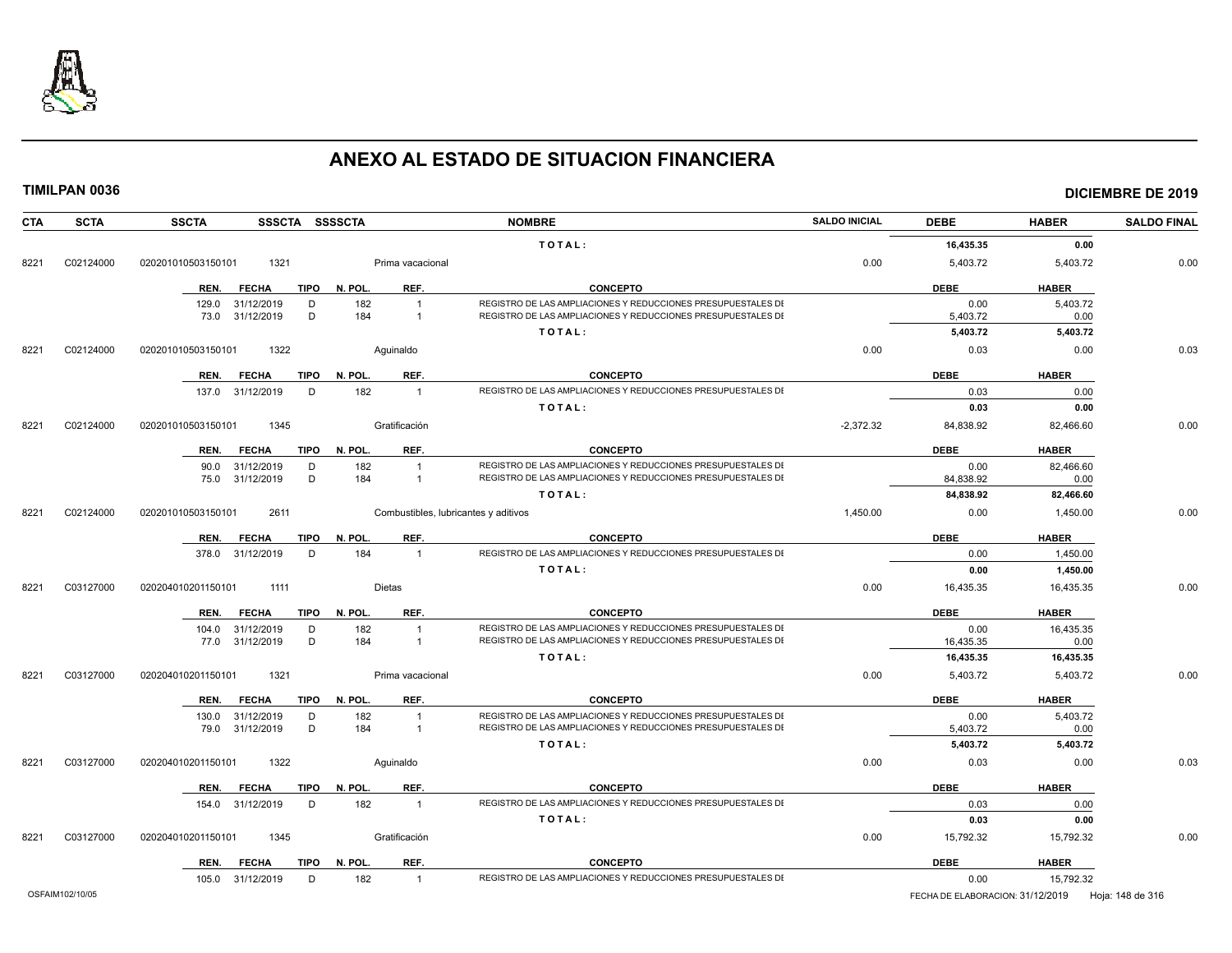

| <b>CTA</b> | <b>SCTA</b> | <b>SSCTA</b><br>SSSCTA SSSSCTA      |                                      | <b>NOMBRE</b>                                                                                                                | <b>SALDO INICIAL</b> | <b>DEBE</b>          | <b>HABER</b>     | <b>SALDO FINAL</b> |
|------------|-------------|-------------------------------------|--------------------------------------|------------------------------------------------------------------------------------------------------------------------------|----------------------|----------------------|------------------|--------------------|
|            |             |                                     |                                      | TOTAL:                                                                                                                       |                      | 16,435.35            | 0.00             |                    |
| 8221       | C02124000   | 020201010503150101<br>1321          | Prima vacacional                     |                                                                                                                              | 0.00                 | 5,403.72             | 5,403.72         | 0.00               |
|            |             | REN.<br><b>FECHA</b>                | TIPO N. POL.<br>REF.                 | <b>CONCEPTO</b>                                                                                                              |                      | <b>DEBE</b>          | <b>HABER</b>     |                    |
|            |             | 129.0 31/12/2019<br>D               | 182<br>$\overline{1}$                | REGISTRO DE LAS AMPLIACIONES Y REDUCCIONES PRESUPUESTALES DI                                                                 |                      | 0.00                 | 5,403.72         |                    |
|            |             | 73.0 31/12/2019<br>D                | 184<br>$\overline{1}$                | REGISTRO DE LAS AMPLIACIONES Y REDUCCIONES PRESUPUESTALES DI                                                                 |                      | 5,403.72             | 0.00             |                    |
|            |             |                                     |                                      | TOTAL:                                                                                                                       |                      | 5,403.72             | 5,403.72         |                    |
| 8221       | C02124000   | 020201010503150101<br>1322          | Aquinaldo                            |                                                                                                                              | 0.00                 | 0.03                 | 0.00             | 0.03               |
|            |             | <b>TIPO</b><br>REN.<br><b>FECHA</b> | REF.<br>N. POL.                      | <b>CONCEPTO</b>                                                                                                              |                      | <b>DEBE</b>          | <b>HABER</b>     |                    |
|            |             | 137.0 31/12/2019<br>D               | 182<br>$\overline{1}$                | REGISTRO DE LAS AMPLIACIONES Y REDUCCIONES PRESUPUESTALES DI                                                                 |                      | 0.03                 | 0.00             |                    |
|            |             |                                     |                                      | TOTAL:                                                                                                                       |                      | 0.03                 | 0.00             |                    |
| 8221       | C02124000   | 020201010503150101<br>1345          | Gratificación                        |                                                                                                                              | $-2,372.32$          | 84,838.92            | 82,466.60        | 0.00               |
|            |             | <b>FECHA</b><br>TIPO<br>REN.        | N. POL.<br>REF.                      | <b>CONCEPTO</b>                                                                                                              |                      | <b>DEBE</b>          | <b>HABER</b>     |                    |
|            |             | 31/12/2019<br>D<br>90.0             | 182<br>$\overline{1}$                | REGISTRO DE LAS AMPLIACIONES Y REDUCCIONES PRESUPUESTALES DI                                                                 |                      | 0.00                 | 82,466.60        |                    |
|            |             | D<br>75.0 31/12/2019                | 184<br>$\overline{1}$                | REGISTRO DE LAS AMPLIACIONES Y REDUCCIONES PRESUPUESTALES DI                                                                 |                      | 84,838.92            | 0.00             |                    |
|            |             |                                     |                                      | TOTAL:                                                                                                                       |                      | 84,838.92            | 82,466.60        |                    |
| 8221       | C02124000   | 020201010503150101<br>2611          | Combustibles, lubricantes y aditivos |                                                                                                                              | 1,450.00             | 0.00                 | 1,450.00         | 0.00               |
|            |             | <b>FECHA</b><br><b>TIPO</b><br>REN. | N. POL.<br>REF.                      | <b>CONCEPTO</b>                                                                                                              |                      | <b>DEBE</b>          | <b>HABER</b>     |                    |
|            |             | 378.0 31/12/2019<br>D               | 184<br>$\overline{1}$                | REGISTRO DE LAS AMPLIACIONES Y REDUCCIONES PRESUPUESTALES DI                                                                 |                      | 0.00                 | 1,450.00         |                    |
|            |             |                                     |                                      | TOTAL:                                                                                                                       |                      | 0.00                 | 1,450.00         |                    |
| 8221       | C03127000   | 020204010201150101<br>1111          | <b>Dietas</b>                        |                                                                                                                              | 0.00                 | 16,435.35            | 16,435.35        | 0.00               |
|            |             | <b>TIPO</b><br>REN.<br><b>FECHA</b> | REF.<br>N. POL.                      | <b>CONCEPTO</b>                                                                                                              |                      | <b>DEBE</b>          | <b>HABER</b>     |                    |
|            |             | 104.0 31/12/2019<br>D               | 182<br>$\overline{1}$                | REGISTRO DE LAS AMPLIACIONES Y REDUCCIONES PRESUPUESTALES DI                                                                 |                      | 0.00                 | 16,435.35        |                    |
|            |             | 77.0 31/12/2019<br>D                | 184<br>$\overline{1}$                | REGISTRO DE LAS AMPLIACIONES Y REDUCCIONES PRESUPUESTALES DI                                                                 |                      | 16,435.35            | 0.00             |                    |
|            |             |                                     |                                      | TOTAL:                                                                                                                       |                      | 16,435.35            | 16,435.35        |                    |
| 8221       | C03127000   | 020204010201150101<br>1321          | Prima vacacional                     |                                                                                                                              | 0.00                 | 5,403.72             | 5,403.72         | 0.00               |
|            |             | <b>FECHA</b><br>REN.                | REF.<br>TIPO N. POL.                 | <b>CONCEPTO</b>                                                                                                              |                      | <b>DEBE</b>          | <b>HABER</b>     |                    |
|            |             | 31/12/2019<br>130.0<br>D<br>D       | 182<br>$\overline{1}$<br>184         | REGISTRO DE LAS AMPLIACIONES Y REDUCCIONES PRESUPUESTALES DI<br>REGISTRO DE LAS AMPLIACIONES Y REDUCCIONES PRESUPUESTALES DI |                      | 0.00                 | 5,403.72         |                    |
|            |             | 79.0 31/12/2019                     | $\overline{1}$                       | TOTAL:                                                                                                                       |                      | 5,403.72<br>5,403.72 | 0.00<br>5,403.72 |                    |
| 8221       | C03127000   | 020204010201150101<br>1322          | Aguinaldo                            |                                                                                                                              | 0.00                 | 0.03                 | 0.00             | 0.03               |
|            |             |                                     |                                      |                                                                                                                              |                      |                      |                  |                    |
|            |             | REN.<br><b>FECHA</b><br>TIPO        | N. POL.<br>REF.                      | <b>CONCEPTO</b>                                                                                                              |                      | <b>DEBE</b>          | <b>HABER</b>     |                    |
|            |             | 154.0 31/12/2019<br>D               | 182<br>$\overline{1}$                | REGISTRO DE LAS AMPLIACIONES Y REDUCCIONES PRESUPUESTALES DI<br>TOTAL:                                                       |                      | 0.03<br>0.03         | 0.00<br>0.00     |                    |
| 8221       | C03127000   | 1345<br>020204010201150101          | Gratificación                        |                                                                                                                              | 0.00                 | 15,792.32            | 15,792.32        | 0.00               |
|            |             |                                     |                                      |                                                                                                                              |                      |                      |                  |                    |
|            |             | REN.<br><b>FECHA</b><br>TIPO        | N. POL.<br>REF.                      | <b>CONCEPTO</b>                                                                                                              |                      | <b>DEBE</b>          | <b>HABER</b>     |                    |
|            |             | 105.0 31/12/2019<br>D               | 182<br>$\overline{1}$                | REGISTRO DE LAS AMPLIACIONES Y REDUCCIONES PRESUPUESTALES DI                                                                 |                      | 0.00                 | 15,792.32        |                    |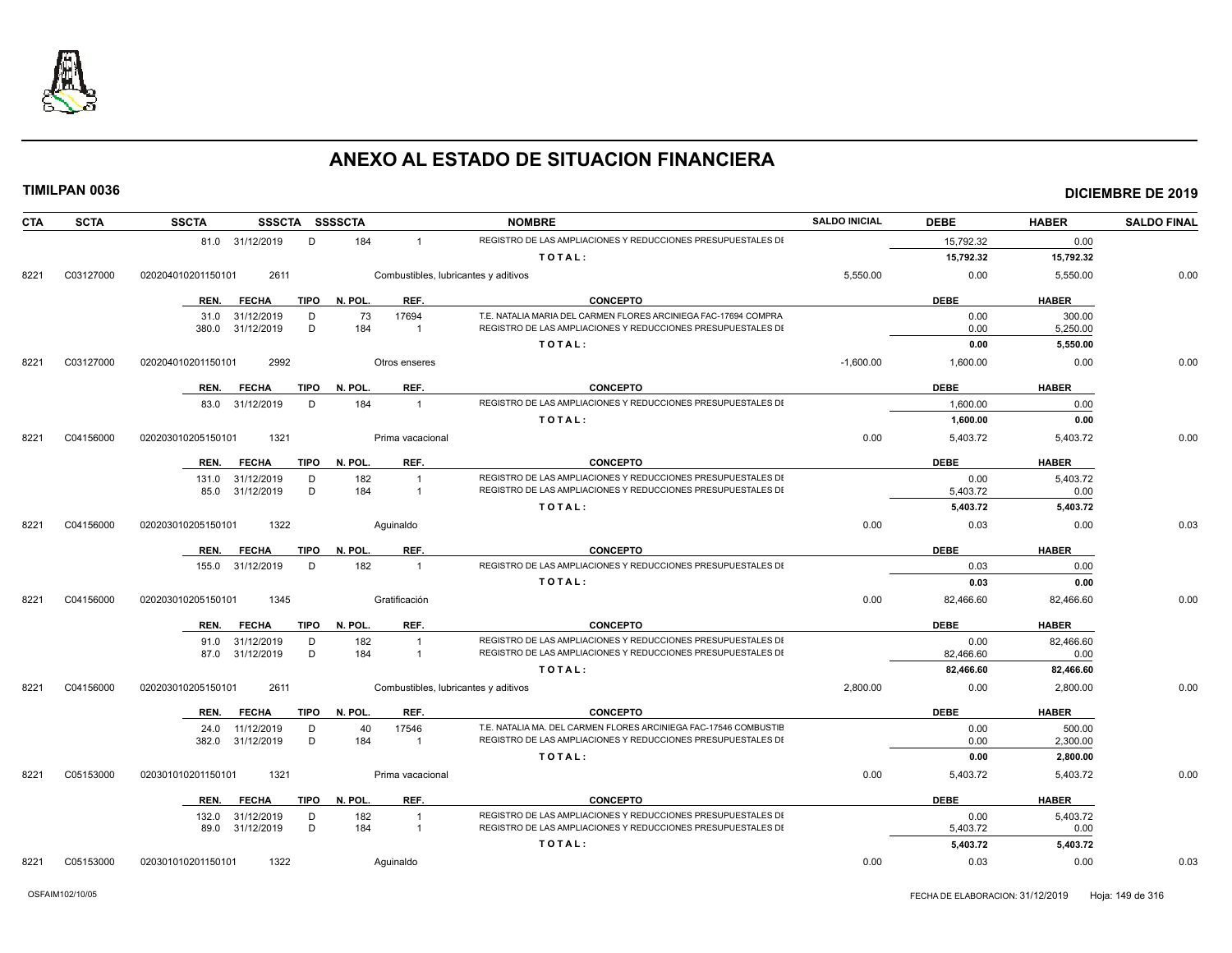

| <b>SCTA</b><br>CTA |           | <b>SSCTA</b><br>SSSCTA SSSSCTA      |         |                                      | <b>NOMBRE</b>                                                                                                                | <b>SALDO INICIAL</b> | <b>DEBE</b>          | <b>HABER</b>     | <b>SALDO FINAL</b> |
|--------------------|-----------|-------------------------------------|---------|--------------------------------------|------------------------------------------------------------------------------------------------------------------------------|----------------------|----------------------|------------------|--------------------|
|                    |           | 81.0 31/12/2019<br>D                | 184     | $\mathbf{1}$                         | REGISTRO DE LAS AMPLIACIONES Y REDUCCIONES PRESUPUESTALES DI                                                                 |                      | 15,792.32            | 0.00             |                    |
|                    |           |                                     |         |                                      | TOTAL:                                                                                                                       |                      | 15,792.32            | 15,792.32        |                    |
| 8221               | C03127000 | 2611<br>020204010201150101          |         | Combustibles, lubricantes y aditivos |                                                                                                                              | 5,550.00             | 0.00                 | 5,550.00         | 0.00               |
|                    |           | <b>FECHA</b><br>TIPO<br>REN.        | N. POL. | REF.                                 | <b>CONCEPTO</b>                                                                                                              |                      | <b>DEBE</b>          | <b>HABER</b>     |                    |
|                    |           | 31.0 31/12/2019<br>D                | 73      | 17694                                | T.E. NATALIA MARIA DEL CARMEN FLORES ARCINIEGA FAC-17694 COMPRA                                                              |                      | 0.00                 | 300.00           |                    |
|                    |           | 31/12/2019<br>D<br>380.0            | 184     | $\overline{1}$                       | REGISTRO DE LAS AMPLIACIONES Y REDUCCIONES PRESUPUESTALES DI                                                                 |                      | 0.00                 | 5,250.00         |                    |
|                    |           |                                     |         |                                      | TOTAL:                                                                                                                       |                      | 0.00                 | 5,550.00         |                    |
| 8221               | C03127000 | 2992<br>020204010201150101          |         | Otros enseres                        |                                                                                                                              | $-1,600.00$          | 1,600.00             | 0.00             | 0.00               |
|                    |           | <b>TIPO</b><br>REN.<br><b>FECHA</b> | N. POL. | REF.                                 | <b>CONCEPTO</b>                                                                                                              |                      | <b>DEBE</b>          | <b>HABER</b>     |                    |
|                    |           | 83.0 31/12/2019<br>D                | 184     | $\overline{1}$                       | REGISTRO DE LAS AMPLIACIONES Y REDUCCIONES PRESUPUESTALES DI                                                                 |                      | 1,600.00             | 0.00             |                    |
|                    |           |                                     |         |                                      | TOTAL:                                                                                                                       |                      | 1,600.00             | 0.00             |                    |
| 8221               | C04156000 | 1321<br>020203010205150101          |         | Prima vacacional                     |                                                                                                                              | 0.00                 | 5,403.72             | 5,403.72         | 0.00               |
|                    |           | <b>TIPO</b><br>REN.<br><b>FECHA</b> | N. POL. | REF.                                 | <b>CONCEPTO</b>                                                                                                              |                      | <b>DEBE</b>          | <b>HABER</b>     |                    |
|                    |           | 31/12/2019<br>D<br>131.0            | 182     | $\overline{1}$                       | REGISTRO DE LAS AMPLIACIONES Y REDUCCIONES PRESUPUESTALES DI                                                                 |                      | 0.00                 | 5,403.72         |                    |
|                    |           | D<br>85.0<br>31/12/2019             | 184     | $\overline{1}$                       | REGISTRO DE LAS AMPLIACIONES Y REDUCCIONES PRESUPUESTALES DI                                                                 |                      | 5,403.72             | 0.00             |                    |
|                    |           |                                     |         |                                      | TOTAL:                                                                                                                       |                      | 5,403.72             | 5,403.72         |                    |
| 8221               | C04156000 | 020203010205150101<br>1322          |         | Aquinaldo                            |                                                                                                                              | 0.00                 | 0.03                 | 0.00             | 0.03               |
|                    |           | <b>FECHA</b><br><b>TIPO</b><br>REN. | N. POL. | REF.                                 | <b>CONCEPTO</b>                                                                                                              |                      | <b>DEBE</b>          | <b>HABER</b>     |                    |
|                    |           | 31/12/2019<br>D<br>155.0            | 182     | $\overline{1}$                       | REGISTRO DE LAS AMPLIACIONES Y REDUCCIONES PRESUPUESTALES DI                                                                 |                      | 0.03                 | 0.00             |                    |
|                    |           |                                     |         |                                      | TOTAL:                                                                                                                       |                      | 0.03                 | 0.00             |                    |
| 8221               | C04156000 | 020203010205150101<br>1345          |         | Gratificación                        |                                                                                                                              | 0.00                 | 82,466.60            | 82,466.60        | 0.00               |
|                    |           | <b>FECHA</b><br><b>TIPO</b><br>REN. | N. POL. | REF.                                 | <b>CONCEPTO</b>                                                                                                              |                      | <b>DEBE</b>          | <b>HABER</b>     |                    |
|                    |           | 91.0 31/12/2019<br>D                | 182     | $\overline{1}$                       | REGISTRO DE LAS AMPLIACIONES Y REDUCCIONES PRESUPUESTALES DI                                                                 |                      | 0.00                 | 82,466.60        |                    |
|                    |           | D<br>87.0 31/12/2019                | 184     | $\overline{1}$                       | REGISTRO DE LAS AMPLIACIONES Y REDUCCIONES PRESUPUESTALES DI                                                                 |                      | 82.466.60            | 0.00             |                    |
|                    |           |                                     |         |                                      | TOTAL:                                                                                                                       |                      | 82,466.60            | 82,466.60        |                    |
| 8221               | C04156000 | 020203010205150101<br>2611          |         | Combustibles, lubricantes y aditivos |                                                                                                                              | 2,800.00             | 0.00                 | 2,800.00         | 0.00               |
|                    |           | <b>FECHA</b><br>TIPO<br>REN.        | N. POL. | REF.                                 | <b>CONCEPTO</b>                                                                                                              |                      | <b>DEBE</b>          | <b>HABER</b>     |                    |
|                    |           | 11/12/2019<br>D<br>24.0             | 40      | 17546                                | T.E. NATALIA MA. DEL CARMEN FLORES ARCINIEGA FAC-17546 COMBUSTIE                                                             |                      | 0.00                 | 500.00           |                    |
|                    |           | 31/12/2019<br>D<br>382.0            | 184     | $\overline{1}$                       | REGISTRO DE LAS AMPLIACIONES Y REDUCCIONES PRESUPUESTALES DI                                                                 |                      | 0.00                 | 2,300.00         |                    |
|                    |           |                                     |         |                                      | TOTAL:                                                                                                                       |                      | 0.00                 | 2,800.00         |                    |
| 8221               | C05153000 | 020301010201150101<br>1321          |         | Prima vacacional                     |                                                                                                                              | 0.00                 | 5,403.72             | 5,403.72         | 0.00               |
|                    |           | REN.<br><b>FECHA</b><br>TIPO        | N. POL. | REF.                                 | <b>CONCEPTO</b>                                                                                                              |                      | <b>DEBE</b>          | <b>HABER</b>     |                    |
|                    |           | 31/12/2019<br>D<br>132.0            | 182     | $\overline{1}$                       | REGISTRO DE LAS AMPLIACIONES Y REDUCCIONES PRESUPUESTALES DI<br>REGISTRO DE LAS AMPLIACIONES Y REDUCCIONES PRESUPUESTALES DI |                      | 0.00                 | 5,403.72         |                    |
|                    |           | D<br>89.0 31/12/2019                | 184     | $\overline{1}$                       | TOTAL:                                                                                                                       |                      | 5,403.72<br>5,403.72 | 0.00<br>5,403.72 |                    |
|                    |           |                                     |         |                                      |                                                                                                                              |                      |                      |                  |                    |
| 8221               | C05153000 | 020301010201150101<br>1322          |         | Aquinaldo                            |                                                                                                                              | 0.00                 | 0.03                 | 0.00             | 0.03               |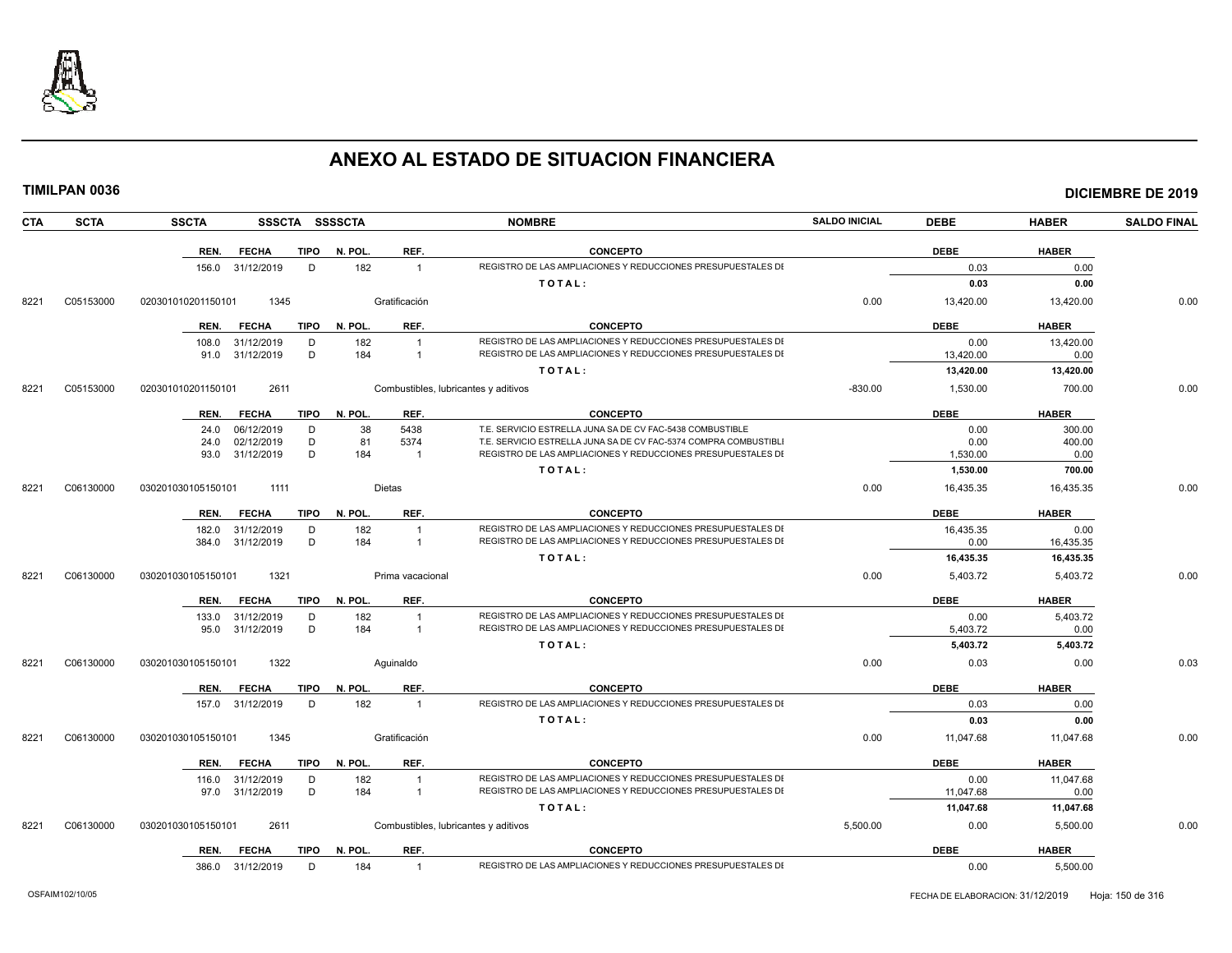

| <b>CTA</b> | <b>SCTA</b> | <b>SSCTA</b>         |      | SSSCTA SSSSCTA |                  | <b>NOMBRE</b>                                                    | <b>SALDO INICIAL</b> | <b>DEBE</b> | <b>HABER</b> | <b>SALDO FINAL</b> |
|------------|-------------|----------------------|------|----------------|------------------|------------------------------------------------------------------|----------------------|-------------|--------------|--------------------|
|            |             | REN. FECHA           |      | TIPO N. POL.   | REF.             | <b>CONCEPTO</b>                                                  |                      | <b>DEBE</b> | <b>HABER</b> |                    |
|            |             | 156.0 31/12/2019     | D    | 182            | $\overline{1}$   | REGISTRO DE LAS AMPLIACIONES Y REDUCCIONES PRESUPUESTALES DI     |                      | 0.03        | 0.00         |                    |
|            |             |                      |      |                |                  | TOTAL:                                                           |                      | 0.03        | 0.00         |                    |
| 8221       | C05153000   | 020301010201150101   | 1345 |                | Gratificación    |                                                                  | 0.00                 | 13,420.00   | 13,420.00    | 0.00               |
|            |             | <b>FECHA</b><br>REN. | TIPO | N. POL.        | REF.             | <b>CONCEPTO</b>                                                  |                      | <b>DEBE</b> | <b>HABER</b> |                    |
|            |             | 108.0 31/12/2019     | D    | 182            | $\overline{1}$   | REGISTRO DE LAS AMPLIACIONES Y REDUCCIONES PRESUPUESTALES DI     |                      | 0.00        | 13,420.00    |                    |
|            |             | 91.0 31/12/2019      | D    | 184            | $\overline{1}$   | REGISTRO DE LAS AMPLIACIONES Y REDUCCIONES PRESUPUESTALES DI     |                      | 13,420.00   | 0.00         |                    |
|            |             |                      |      |                |                  | TOTAL:                                                           |                      | 13,420.00   | 13,420.00    |                    |
| 8221       | C05153000   | 020301010201150101   | 2611 |                |                  | Combustibles, lubricantes y aditivos                             | $-830.00$            | 1,530.00    | 700.00       | 0.00               |
|            |             | FECHA<br>REN.        |      | TIPO N. POL.   | REF.             | <b>CONCEPTO</b>                                                  |                      | <b>DEBE</b> | <b>HABER</b> |                    |
|            |             | 06/12/2019<br>24.0   | D    | 38             | 5438             | T.E. SERVICIO ESTRELLA JUNA SA DE CV FAC-5438 COMBUSTIBLE        |                      | 0.00        | 300.00       |                    |
|            |             | 02/12/2019<br>24.0   | D    | 81             | 5374             | T.E. SERVICIO ESTRELLA JUNA SA DE CV FAC-5374 COMPRA COMBUSTIBLI |                      | 0.00        | 400.00       |                    |
|            |             | 93.0 31/12/2019      | D    | 184            | $\overline{1}$   | REGISTRO DE LAS AMPLIACIONES Y REDUCCIONES PRESUPUESTALES DI     |                      | 1,530.00    | 0.00         |                    |
|            |             |                      |      |                |                  | TOTAL:                                                           |                      | 1,530.00    | 700.00       |                    |
| 8221       | C06130000   | 030201030105150101   | 1111 |                | <b>Dietas</b>    |                                                                  | 0.00                 | 16,435.35   | 16,435.35    | 0.00               |
|            |             | <b>FECHA</b><br>REN. |      | TIPO N. POL.   | REF.             | <b>CONCEPTO</b>                                                  |                      | <b>DEBE</b> | <b>HABER</b> |                    |
|            |             | 31/12/2019<br>182.0  | D    | 182            |                  | REGISTRO DE LAS AMPLIACIONES Y REDUCCIONES PRESUPUESTALES DI     |                      | 16,435.35   | 0.00         |                    |
|            |             | 31/12/2019<br>384.0  | D    | 184            | $\overline{1}$   | REGISTRO DE LAS AMPLIACIONES Y REDUCCIONES PRESUPUESTALES DI     |                      | 0.00        | 16,435.35    |                    |
|            |             |                      |      |                |                  | TOTAL:                                                           |                      | 16,435.35   | 16,435.35    |                    |
| 8221       | C06130000   | 030201030105150101   | 1321 |                | Prima vacacional |                                                                  | 0.00                 | 5,403.72    | 5,403.72     | 0.00               |
|            |             | REN. FECHA           |      | TIPO N. POL.   | REF.             | <b>CONCEPTO</b>                                                  |                      | <b>DEBE</b> | <b>HABER</b> |                    |
|            |             | 133.0 31/12/2019     | D    | 182            | $\overline{1}$   | REGISTRO DE LAS AMPLIACIONES Y REDUCCIONES PRESUPUESTALES DI     |                      | 0.00        | 5,403.72     |                    |
|            |             | 95.0 31/12/2019      | D    | 184            | $\overline{1}$   | REGISTRO DE LAS AMPLIACIONES Y REDUCCIONES PRESUPUESTALES DI     |                      | 5,403.72    | 0.00         |                    |
|            |             |                      |      |                |                  | TOTAL:                                                           |                      | 5,403.72    | 5,403.72     |                    |
| 8221       | C06130000   | 030201030105150101   | 1322 |                | Aquinaldo        |                                                                  | 0.00                 | 0.03        | 0.00         | 0.03               |
|            |             | <b>FECHA</b><br>REN. | TIPO | N. POL.        | REF.             | <b>CONCEPTO</b>                                                  |                      | <b>DEBE</b> | <b>HABER</b> |                    |
|            |             | 157.0 31/12/2019     | D    | 182            | $\overline{1}$   | REGISTRO DE LAS AMPLIACIONES Y REDUCCIONES PRESUPUESTALES DI     |                      | 0.03        | 0.00         |                    |
|            |             |                      |      |                |                  | TOTAL:                                                           |                      | 0.03        | 0.00         |                    |
| 8221       | C06130000   | 030201030105150101   | 1345 |                | Gratificación    |                                                                  | 0.00                 | 11,047.68   | 11,047.68    | 0.00               |
|            |             | <b>FECHA</b><br>REN. |      | TIPO N. POL.   | REF.             | <b>CONCEPTO</b>                                                  |                      | <b>DEBE</b> | <b>HABER</b> |                    |
|            |             | 116.0 31/12/2019     | D    | 182            | $\overline{1}$   | REGISTRO DE LAS AMPLIACIONES Y REDUCCIONES PRESUPUESTALES DI     |                      | 0.00        | 11,047.68    |                    |
|            |             | 97.0 31/12/2019      | D    | 184            | $\overline{1}$   | REGISTRO DE LAS AMPLIACIONES Y REDUCCIONES PRESUPUESTALES DI     |                      | 11,047.68   | 0.00         |                    |
|            |             |                      |      |                |                  | TOTAL:                                                           |                      | 11,047.68   | 11,047.68    |                    |
| 8221       | C06130000   | 030201030105150101   | 2611 |                |                  | Combustibles, lubricantes y aditivos                             | 5,500.00             | 0.00        | 5,500.00     | 0.00               |
|            |             | <b>REN. FECHA</b>    |      | TIPO N. POL.   | REF.             | <b>CONCEPTO</b>                                                  |                      | <b>DEBE</b> | <b>HABER</b> |                    |
|            |             | 386.0 31/12/2019     | D    | 184            | $\overline{1}$   | REGISTRO DE LAS AMPLIACIONES Y REDUCCIONES PRESUPUESTALES DI     |                      | 0.00        | 5,500.00     |                    |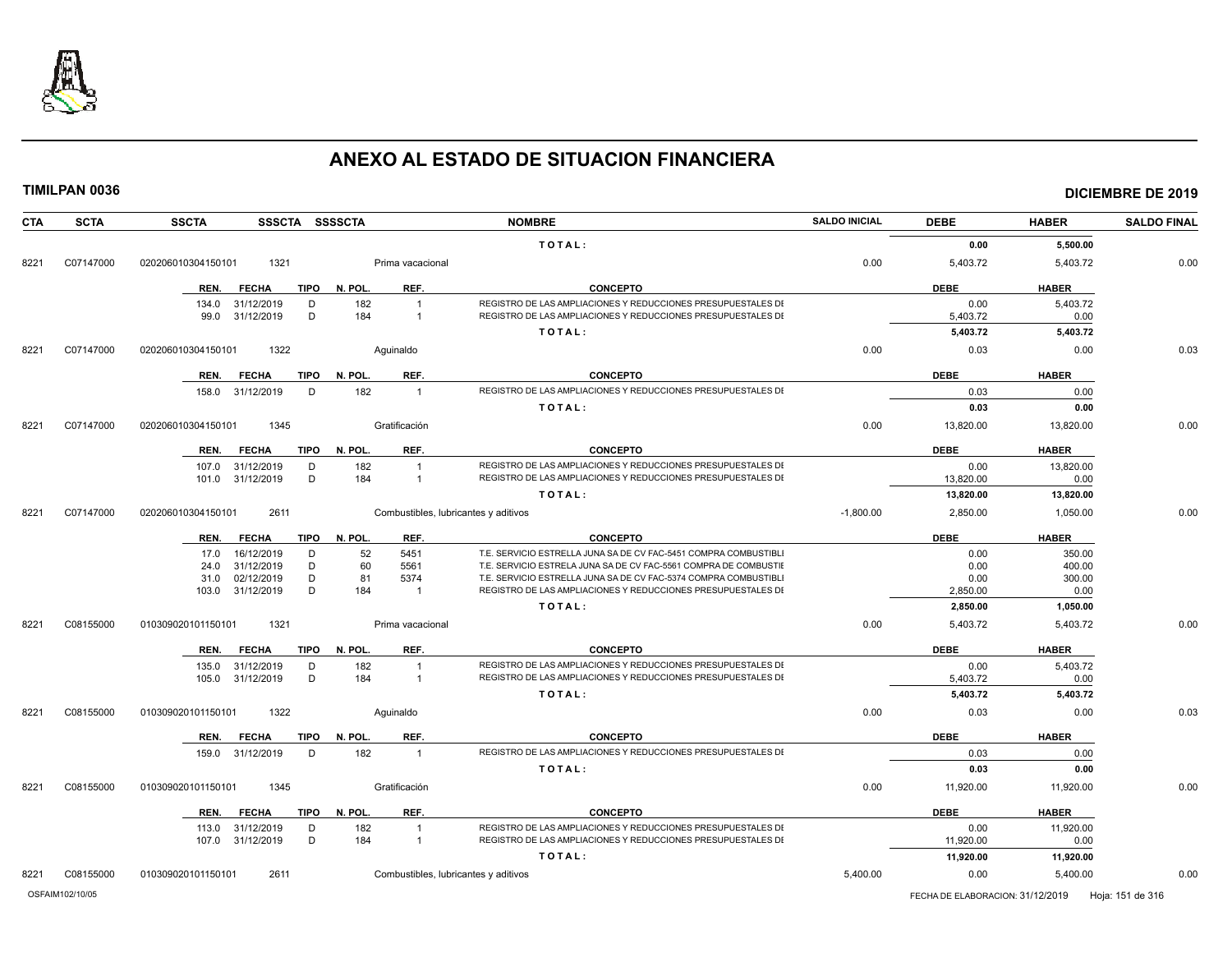

| CTA  | <b>SCTA</b> | <b>SSCTA</b><br>SSSCTA SSSSCTA |                                      | <b>NOMBRE</b>                                                    | <b>SALDO INICIAL</b> | <b>DEBE</b> | <b>HABER</b> | <b>SALDO FINAL</b> |
|------|-------------|--------------------------------|--------------------------------------|------------------------------------------------------------------|----------------------|-------------|--------------|--------------------|
|      |             |                                |                                      | TOTAL:                                                           |                      | 0.00        | 5,500.00     |                    |
| 8221 | C07147000   | 020206010304150101<br>1321     | Prima vacacional                     |                                                                  | 0.00                 | 5,403.72    | 5,403.72     | 0.00               |
|      |             | <b>FECHA</b><br>REN.<br>TIPO   | N. POL.<br>REF.                      | <b>CONCEPTO</b>                                                  |                      | <b>DEBE</b> | <b>HABER</b> |                    |
|      |             | D<br>134.0<br>31/12/2019       | 182<br>$\overline{1}$                | REGISTRO DE LAS AMPLIACIONES Y REDUCCIONES PRESUPUESTALES DI     |                      | 0.00        | 5,403.72     |                    |
|      |             | D<br>99.0<br>31/12/2019        | 184<br>$\mathbf{1}$                  | REGISTRO DE LAS AMPLIACIONES Y REDUCCIONES PRESUPUESTALES DI     |                      | 5,403.72    | 0.00         |                    |
|      |             |                                |                                      | TOTAL:                                                           |                      | 5,403.72    | 5,403.72     |                    |
| 8221 | C07147000   | 020206010304150101<br>1322     | Aquinaldo                            |                                                                  | 0.00                 | 0.03        | 0.00         | 0.03               |
|      |             | <b>FECHA</b><br>TIPO<br>REN.   | REF.<br>N. POL.                      | <b>CONCEPTO</b>                                                  |                      | <b>DEBE</b> | <b>HABER</b> |                    |
|      |             | 158.0<br>31/12/2019<br>D       | 182                                  | REGISTRO DE LAS AMPLIACIONES Y REDUCCIONES PRESUPUESTALES DI     |                      | 0.03        | 0.00         |                    |
|      |             |                                |                                      | TOTAL:                                                           |                      | 0.03        | 0.00         |                    |
| 8221 | C07147000   | 1345<br>020206010304150101     | Gratificación                        |                                                                  | 0.00                 | 13,820.00   | 13,820.00    | 0.00               |
|      |             | REN.<br><b>FECHA</b>           | REF.<br>TIPO N. POL.                 | <b>CONCEPTO</b>                                                  |                      | <b>DEBE</b> | <b>HABER</b> |                    |
|      |             | 31/12/2019<br>107.0<br>D       | 182<br>$\overline{1}$                | REGISTRO DE LAS AMPLIACIONES Y REDUCCIONES PRESUPUESTALES DI     |                      | 0.00        | 13,820.00    |                    |
|      |             | D<br>31/12/2019<br>101.0       | 184<br>$\mathbf{1}$                  | REGISTRO DE LAS AMPLIACIONES Y REDUCCIONES PRESUPUESTALES DI     |                      | 13.820.00   | 0.00         |                    |
|      |             |                                |                                      | TOTAL:                                                           |                      | 13,820.00   | 13,820.00    |                    |
| 8221 | C07147000   | 020206010304150101<br>2611     | Combustibles, lubricantes y aditivos |                                                                  | $-1,800.00$          | 2,850.00    | 1,050.00     | 0.00               |
|      |             | <b>FECHA</b><br>TIPO<br>REN.   | N. POL.<br>REF.                      | <b>CONCEPTO</b>                                                  |                      | <b>DEBE</b> | <b>HABER</b> |                    |
|      |             | 16/12/2019<br>D<br>17.0        | 52<br>5451                           | T.E. SERVICIO ESTRELLA JUNA SA DE CV FAC-5451 COMPRA COMBUSTIBLI |                      | 0.00        | 350.00       |                    |
|      |             | 31/12/2019<br>D<br>24.0        | 60<br>5561                           | T.E. SERVICIO ESTRELA JUNA SA DE CV FAC-5561 COMPRA DE COMBUSTIE |                      | 0.00        | 400.00       |                    |
|      |             | D<br>02/12/2019<br>31.0        | 81<br>5374                           | T.E. SERVICIO ESTRELLA JUNA SA DE CV FAC-5374 COMPRA COMBUSTIBLI |                      | 0.00        | 300.00       |                    |
|      |             | D<br>31/12/2019<br>103.0       | 184<br>$\mathbf{1}$                  | REGISTRO DE LAS AMPLIACIONES Y REDUCCIONES PRESUPUESTALES DI     |                      | 2,850.00    | 0.00         |                    |
|      |             |                                |                                      | TOTAL:                                                           |                      | 2,850.00    | 1,050.00     |                    |
| 8221 | C08155000   | 1321<br>010309020101150101     | Prima vacacional                     |                                                                  | 0.00                 | 5,403.72    | 5,403.72     | 0.00               |
|      |             | <b>FECHA</b><br>TIPO<br>REN.   | N. POL.<br>REF.                      | <b>CONCEPTO</b>                                                  |                      | <b>DEBE</b> | <b>HABER</b> |                    |
|      |             | 135.0<br>31/12/2019<br>D       | 182<br>$\overline{1}$                | REGISTRO DE LAS AMPLIACIONES Y REDUCCIONES PRESUPUESTALES DI     |                      | 0.00        | 5,403.72     |                    |
|      |             | D<br>31/12/2019<br>105.0       | 184<br>$\overline{1}$                | REGISTRO DE LAS AMPLIACIONES Y REDUCCIONES PRESUPUESTALES DI     |                      | 5,403.72    | 0.00         |                    |
|      |             |                                |                                      | TOTAL:                                                           |                      | 5,403.72    | 5,403.72     |                    |
| 8221 | C08155000   | 010309020101150101<br>1322     | Aquinaldo                            |                                                                  | 0.00                 | 0.03        | 0.00         | 0.03               |
|      |             | REN.<br><b>FECHA</b><br>TIPO   | N. POL.<br>REF.                      | <b>CONCEPTO</b>                                                  |                      | <b>DEBE</b> | <b>HABER</b> |                    |
|      |             | 31/12/2019<br>D<br>159.0       | 182<br>$\overline{1}$                | REGISTRO DE LAS AMPLIACIONES Y REDUCCIONES PRESUPUESTALES DI     |                      | 0.03        | 0.00         |                    |
|      |             |                                |                                      | TOTAL:                                                           |                      | 0.03        | 0.00         |                    |
| 8221 | C08155000   | 1345<br>010309020101150101     | Gratificación                        |                                                                  | 0.00                 | 11,920.00   | 11,920.00    | 0.00               |
|      |             | <b>FECHA</b><br>TIPO<br>REN.   | REF.<br>N. POL.                      | <b>CONCEPTO</b>                                                  |                      | <b>DEBE</b> | <b>HABER</b> |                    |
|      |             | 31/12/2019<br>D<br>113.0       | 182<br>$\mathbf{1}$                  | REGISTRO DE LAS AMPLIACIONES Y REDUCCIONES PRESUPUESTALES DI     |                      | 0.00        | 11,920.00    |                    |
|      |             | 31/12/2019<br>D<br>107.0       | 184<br>$\overline{1}$                | REGISTRO DE LAS AMPLIACIONES Y REDUCCIONES PRESUPUESTALES DI     |                      | 11,920.00   | 0.00         |                    |
|      |             |                                |                                      | TOTAL:                                                           |                      | 11,920.00   | 11,920.00    |                    |
| 8221 | C08155000   | 2611<br>010309020101150101     | Combustibles, lubricantes y aditivos |                                                                  | 5,400.00             | 0.00        | 5,400.00     | 0.00               |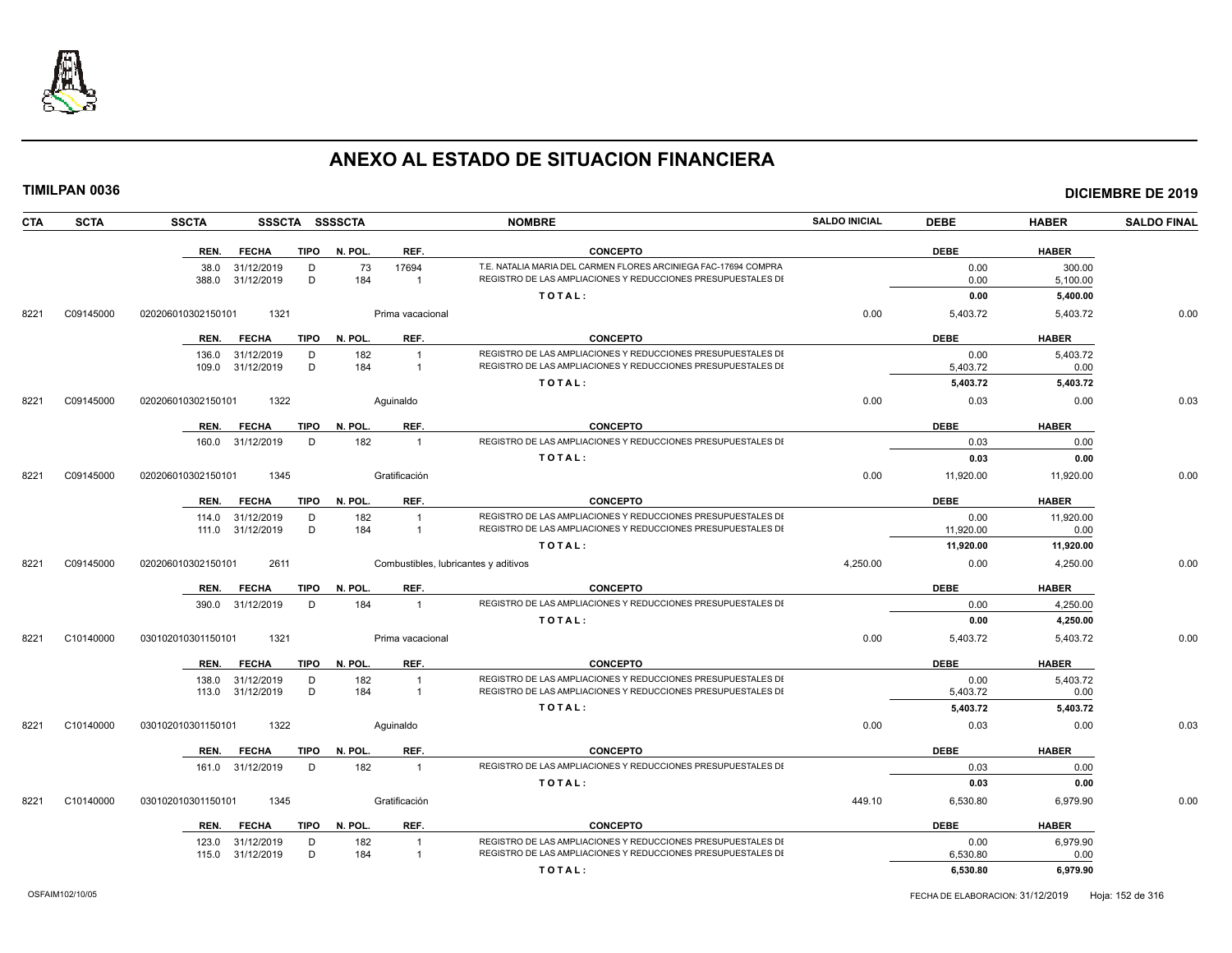

| CTA  | <b>SCTA</b> | <b>SSCTA</b><br>SSSCTA SSSSCTA                       |                                                | <b>NOMBRE</b>                                                                                                                   | <b>SALDO INICIAL</b> | <b>DEBE</b>      | <b>HABER</b>       | <b>SALDO FINAL</b> |
|------|-------------|------------------------------------------------------|------------------------------------------------|---------------------------------------------------------------------------------------------------------------------------------|----------------------|------------------|--------------------|--------------------|
|      |             | REN.<br><b>FECHA</b>                                 | REF.<br>TIPO N. POL.                           | <b>CONCEPTO</b>                                                                                                                 |                      | <b>DEBE</b>      | <b>HABER</b>       |                    |
|      |             | 31/12/2019<br>38.0<br>D<br>D<br>388.0<br>31/12/2019  | 73<br>17694<br>184<br>$\overline{1}$           | T.E. NATALIA MARIA DEL CARMEN FLORES ARCINIEGA FAC-17694 COMPRA<br>REGISTRO DE LAS AMPLIACIONES Y REDUCCIONES PRESUPUESTALES DI |                      | 0.00<br>0.00     | 300.00<br>5,100.00 |                    |
|      |             |                                                      |                                                | TOTAL:                                                                                                                          |                      | 0.00             | 5,400.00           |                    |
| 8221 | C09145000   | 1321<br>020206010302150101                           | Prima vacacional                               |                                                                                                                                 | 0.00                 | 5,403.72         | 5,403.72           | 0.00               |
|      |             |                                                      |                                                |                                                                                                                                 |                      |                  |                    |                    |
|      |             | <b>FECHA</b><br><b>TIPO</b><br>REN.                  | N. POL.<br>REF.                                | <b>CONCEPTO</b>                                                                                                                 |                      | <b>DEBE</b>      | <b>HABER</b>       |                    |
|      |             | 31/12/2019<br>136.0<br>D<br>D<br>109.0<br>31/12/2019 | 182<br>$\overline{1}$<br>184<br>$\overline{1}$ | REGISTRO DE LAS AMPLIACIONES Y REDUCCIONES PRESUPUESTALES DI<br>REGISTRO DE LAS AMPLIACIONES Y REDUCCIONES PRESUPUESTALES DI    |                      | 0.00<br>5,403.72 | 5.403.72<br>0.00   |                    |
|      |             |                                                      |                                                | TOTAL:                                                                                                                          |                      | 5,403.72         | 5,403.72           |                    |
| 8221 | C09145000   | 020206010302150101<br>1322                           | Aguinaldo                                      |                                                                                                                                 | 0.00                 | 0.03             | 0.00               | 0.03               |
|      |             |                                                      |                                                |                                                                                                                                 |                      |                  |                    |                    |
|      |             | <b>FECHA</b><br>REN.                                 | REF.<br>TIPO N. POL.                           | <b>CONCEPTO</b>                                                                                                                 |                      | <b>DEBE</b>      | <b>HABER</b>       |                    |
|      |             | 160.0 31/12/2019<br>D                                | 182<br>$\overline{1}$                          | REGISTRO DE LAS AMPLIACIONES Y REDUCCIONES PRESUPUESTALES DI                                                                    |                      | 0.03             | 0.00               |                    |
|      |             |                                                      |                                                | TOTAL:                                                                                                                          |                      | 0.03             | 0.00               |                    |
| 8221 | C09145000   | 1345<br>020206010302150101                           | Gratificación                                  |                                                                                                                                 | 0.00                 | 11,920.00        | 11,920.00          | 0.00               |
|      |             | REN.<br>FECHA                                        | TIPO N. POL.<br>REF.                           | <b>CONCEPTO</b>                                                                                                                 |                      | <b>DEBE</b>      | <b>HABER</b>       |                    |
|      |             | 31/12/2019<br>114.0<br>D                             | 182<br>$\overline{1}$                          | REGISTRO DE LAS AMPLIACIONES Y REDUCCIONES PRESUPUESTALES DI                                                                    |                      | 0.00             | 11,920.00          |                    |
|      |             | D<br>111.0 31/12/2019                                | 184<br>$\overline{1}$                          | REGISTRO DE LAS AMPLIACIONES Y REDUCCIONES PRESUPUESTALES DI                                                                    |                      | 11,920.00        | 0.00               |                    |
|      |             |                                                      |                                                | TOTAL:                                                                                                                          |                      | 11,920.00        | 11,920.00          |                    |
| 8221 | C09145000   | 2611<br>020206010302150101                           | Combustibles, lubricantes y aditivos           |                                                                                                                                 | 4,250.00             | 0.00             | 4,250.00           | 0.00               |
|      |             | <b>FECHA</b><br>TIPO<br>REN.                         | REF.<br>N. POL.                                | <b>CONCEPTO</b>                                                                                                                 |                      | <b>DEBE</b>      | <b>HABER</b>       |                    |
|      |             | 390.0 31/12/2019<br>D                                | 184<br>$\overline{1}$                          | REGISTRO DE LAS AMPLIACIONES Y REDUCCIONES PRESUPUESTALES DI                                                                    |                      | 0.00             | 4,250.00           |                    |
|      |             |                                                      |                                                | TOTAL:                                                                                                                          |                      | 0.00             | 4,250.00           |                    |
| 8221 | C10140000   | 030102010301150101<br>1321                           | Prima vacacional                               |                                                                                                                                 | 0.00                 | 5,403.72         | 5,403.72           | 0.00               |
|      |             | <b>FECHA</b><br>REN.                                 | REF.<br>TIPO N. POL.                           | <b>CONCEPTO</b>                                                                                                                 |                      | <b>DEBE</b>      | <b>HABER</b>       |                    |
|      |             | 31/12/2019<br>D<br>138.0                             | 182<br>$\overline{1}$                          | REGISTRO DE LAS AMPLIACIONES Y REDUCCIONES PRESUPUESTALES DI                                                                    |                      | 0.00             | 5,403.72           |                    |
|      |             | 113.0 31/12/2019<br>D                                | 184<br>$\overline{1}$                          | REGISTRO DE LAS AMPLIACIONES Y REDUCCIONES PRESUPUESTALES DI                                                                    |                      | 5,403.72         | 0.00               |                    |
|      |             |                                                      |                                                | TOTAL:                                                                                                                          |                      | 5,403.72         | 5,403.72           |                    |
| 8221 | C10140000   | 1322<br>030102010301150101                           | Aquinaldo                                      |                                                                                                                                 | 0.00                 | 0.03             | 0.00               | 0.03               |
|      |             | <b>FECHA</b><br>TIPO<br>REN.                         | N. POL.<br>REF.                                | <b>CONCEPTO</b>                                                                                                                 |                      | <b>DEBE</b>      | <b>HABER</b>       |                    |
|      |             | 161.0 31/12/2019<br>D                                | 182<br>$\overline{1}$                          | REGISTRO DE LAS AMPLIACIONES Y REDUCCIONES PRESUPUESTALES DI                                                                    |                      | 0.03             | 0.00               |                    |
|      |             |                                                      |                                                | TOTAL:                                                                                                                          |                      | 0.03             | 0.00               |                    |
| 8221 | C10140000   | 030102010301150101<br>1345                           | Gratificación                                  |                                                                                                                                 | 449.10               | 6,530.80         | 6,979.90           | 0.00               |
|      |             | <b>TIPO</b><br><b>FECHA</b><br>REN.                  | N. POL.<br>REF.                                | <b>CONCEPTO</b>                                                                                                                 |                      | <b>DEBE</b>      | <b>HABER</b>       |                    |
|      |             | 31/12/2019<br>123.0<br>D                             | 182<br>$\overline{1}$                          | REGISTRO DE LAS AMPLIACIONES Y REDUCCIONES PRESUPUESTALES DI                                                                    |                      | 0.00             | 6,979.90           |                    |
|      |             | 115.0 31/12/2019<br>D                                | 184<br>$\overline{1}$                          | REGISTRO DE LAS AMPLIACIONES Y REDUCCIONES PRESUPUESTALES DI                                                                    |                      | 6,530.80         | 0.00               |                    |
|      |             |                                                      |                                                | TOTAL:                                                                                                                          |                      | 6,530.80         | 6,979.90           |                    |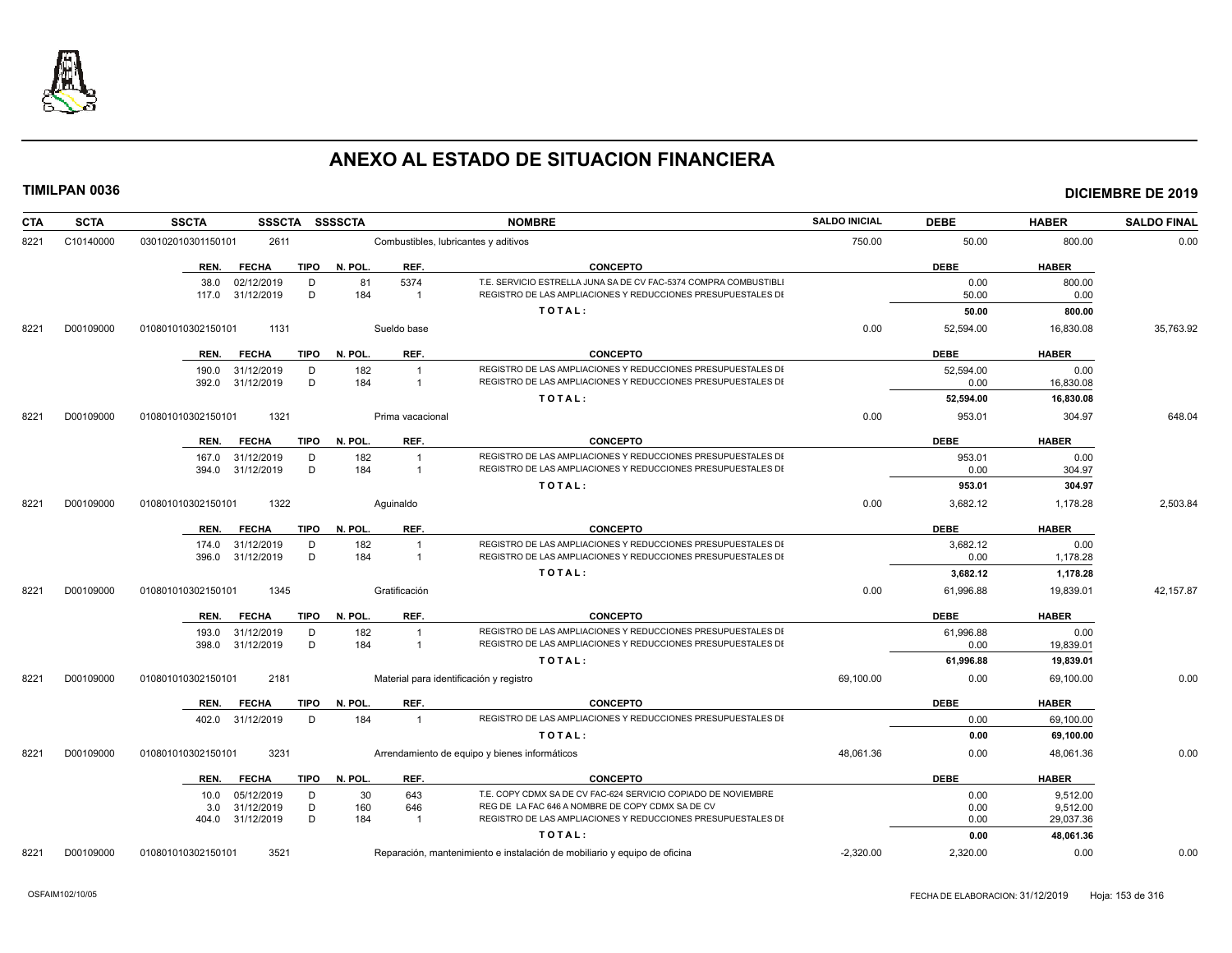

| <b>CTA</b> | <b>SCTA</b> | SSSCTA SSSSCTA<br><b>SSCTA</b>      |                       | <b>NOMBRE</b>                                                             | <b>SALDO INICIAL</b> | <b>DEBE</b> | <b>HABER</b> | <b>SALDO FINAL</b> |
|------------|-------------|-------------------------------------|-----------------------|---------------------------------------------------------------------------|----------------------|-------------|--------------|--------------------|
| 8221       | C10140000   | 2611<br>030102010301150101          |                       | Combustibles, lubricantes y aditivos                                      |                      | 50.00       | 800.00       | 0.00               |
|            |             | <b>FECHA</b><br><b>TIPO</b><br>REN. | N. POL.<br>REF.       | <b>CONCEPTO</b>                                                           |                      | <b>DEBE</b> | <b>HABER</b> |                    |
|            |             | 02/12/2019<br>D<br>38.0             | 81<br>5374            | T.E. SERVICIO ESTRELLA JUNA SA DE CV FAC-5374 COMPRA COMBUSTIBLI          |                      | 0.00        | 800.00       |                    |
|            |             | D<br>117.0 31/12/2019               | 184<br>$\overline{1}$ | REGISTRO DE LAS AMPLIACIONES Y REDUCCIONES PRESUPUESTALES DI              |                      | 50.00       | 0.00         |                    |
|            |             |                                     |                       | TOTAL:                                                                    |                      | 50.00       | 800.00       |                    |
| 8221       | D00109000   | 010801010302150101<br>1131          | Sueldo base           |                                                                           | 0.00                 | 52,594.00   | 16,830.08    | 35,763.92          |
|            |             | <b>FECHA</b><br>TIPO<br>REN.        | N. POL.<br>REF.       | <b>CONCEPTO</b>                                                           |                      | <b>DEBE</b> | <b>HABER</b> |                    |
|            |             | 31/12/2019<br>D<br>190.0            | 182                   | REGISTRO DE LAS AMPLIACIONES Y REDUCCIONES PRESUPUESTALES DI              |                      | 52,594.00   | 0.00         |                    |
|            |             | D<br>31/12/2019<br>392.0            | 184                   | REGISTRO DE LAS AMPLIACIONES Y REDUCCIONES PRESUPUESTALES DI              |                      | 0.00        | 16,830.08    |                    |
|            |             |                                     |                       | TOTAL:                                                                    |                      | 52,594.00   | 16,830.08    |                    |
| 8221       | D00109000   | 1321<br>010801010302150101          | Prima vacacional      |                                                                           | 0.00                 | 953.01      | 304.97       | 648.04             |
|            |             | <b>FECHA</b><br>TIPO<br>REN.        | REF.<br>N. POL.       | <b>CONCEPTO</b>                                                           |                      | <b>DEBE</b> | <b>HABER</b> |                    |
|            |             | 31/12/2019<br>D<br>167.0            | 182<br>-1             | REGISTRO DE LAS AMPLIACIONES Y REDUCCIONES PRESUPUESTALES DI              |                      | 953.01      | 0.00         |                    |
|            |             | 31/12/2019<br>D<br>394.0            | 184<br>$\overline{1}$ | REGISTRO DE LAS AMPLIACIONES Y REDUCCIONES PRESUPUESTALES DI              |                      | 0.00        | 304.97       |                    |
|            |             |                                     |                       | TOTAL:                                                                    |                      | 953.01      | 304.97       |                    |
| 8221       | D00109000   | 1322<br>010801010302150101          | Aquinaldo             |                                                                           | 0.00                 | 3,682.12    | 1,178.28     | 2,503.84           |
|            |             | <b>FECHA</b><br>TIPO<br>REN.        | N. POL.<br>REF.       | <b>CONCEPTO</b>                                                           |                      | <b>DEBE</b> | <b>HABER</b> |                    |
|            |             | 174.0<br>31/12/2019<br>D            | 182<br>$\overline{1}$ | REGISTRO DE LAS AMPLIACIONES Y REDUCCIONES PRESUPUESTALES DI              |                      | 3,682.12    | 0.00         |                    |
|            |             | D<br>31/12/2019<br>396.0            | 184<br>$\overline{1}$ | REGISTRO DE LAS AMPLIACIONES Y REDUCCIONES PRESUPUESTALES DI              |                      | 0.00        | 1,178.28     |                    |
|            |             |                                     |                       | TOTAL:                                                                    |                      | 3,682.12    | 1,178.28     |                    |
| 8221       | D00109000   | 1345<br>010801010302150101          | Gratificación         |                                                                           | 0.00                 | 61,996.88   | 19,839.01    | 42,157.87          |
|            |             | <b>FECHA</b><br>REN.                | TIPO N. POL.<br>REF.  | <b>CONCEPTO</b>                                                           |                      | <b>DEBE</b> | <b>HABER</b> |                    |
|            |             | 31/12/2019<br>193.0<br>D            | 182<br>$\overline{1}$ | REGISTRO DE LAS AMPLIACIONES Y REDUCCIONES PRESUPUESTALES DI              |                      | 61,996.88   | 0.00         |                    |
|            |             | D<br>398.0 31/12/2019               | 184<br>$\overline{1}$ | REGISTRO DE LAS AMPLIACIONES Y REDUCCIONES PRESUPUESTALES DI              |                      | 0.00        | 19,839.01    |                    |
|            |             |                                     |                       | TOTAL:                                                                    |                      | 61,996.88   | 19,839.01    |                    |
| 8221       | D00109000   | 2181<br>010801010302150101          |                       | Material para identificación y registro                                   | 69,100.00            | 0.00        | 69,100.00    | 0.00               |
|            |             | <b>FECHA</b><br>TIPO<br>REN.        | REF.<br>N. POL.       | <b>CONCEPTO</b>                                                           |                      | <b>DEBE</b> | <b>HABER</b> |                    |
|            |             | 402.0 31/12/2019<br>D               | 184<br>$\overline{1}$ | REGISTRO DE LAS AMPLIACIONES Y REDUCCIONES PRESUPUESTALES DI              |                      | 0.00        | 69,100.00    |                    |
|            |             |                                     |                       | TOTAL:                                                                    |                      | 0.00        | 69,100.00    |                    |
| 8221       | D00109000   | 3231<br>010801010302150101          |                       | Arrendamiento de equipo y bienes informáticos                             | 48,061.36            | 0.00        | 48,061.36    | 0.00               |
|            |             | REN. FECHA<br>TIPO                  | REF.<br>N. POL.       | <b>CONCEPTO</b>                                                           |                      | <b>DEBE</b> | <b>HABER</b> |                    |
|            |             | 05/12/2019<br>D<br>10.0             | 30<br>643             | T.E. COPY CDMX SA DE CV FAC-624 SERVICIO COPIADO DE NOVIEMBRE             |                      | 0.00        | 9.512.00     |                    |
|            |             | 31/12/2019<br>D<br>3.0              | 160<br>646            | REG DE LA FAC 646 A NOMBRE DE COPY CDMX SA DE CV                          |                      | 0.00        | 9,512.00     |                    |
|            |             | 404.0 31/12/2019<br>D               | 184<br>$\overline{1}$ | REGISTRO DE LAS AMPLIACIONES Y REDUCCIONES PRESUPUESTALES DI              |                      | 0.00        | 29,037.36    |                    |
|            |             |                                     |                       | TOTAL:                                                                    |                      | 0.00        | 48,061.36    |                    |
| 8221       | D00109000   | 3521<br>010801010302150101          |                       | Reparación, mantenimiento e instalación de mobiliario y equipo de oficina | $-2,320.00$          | 2,320.00    | 0.00         | 0.00               |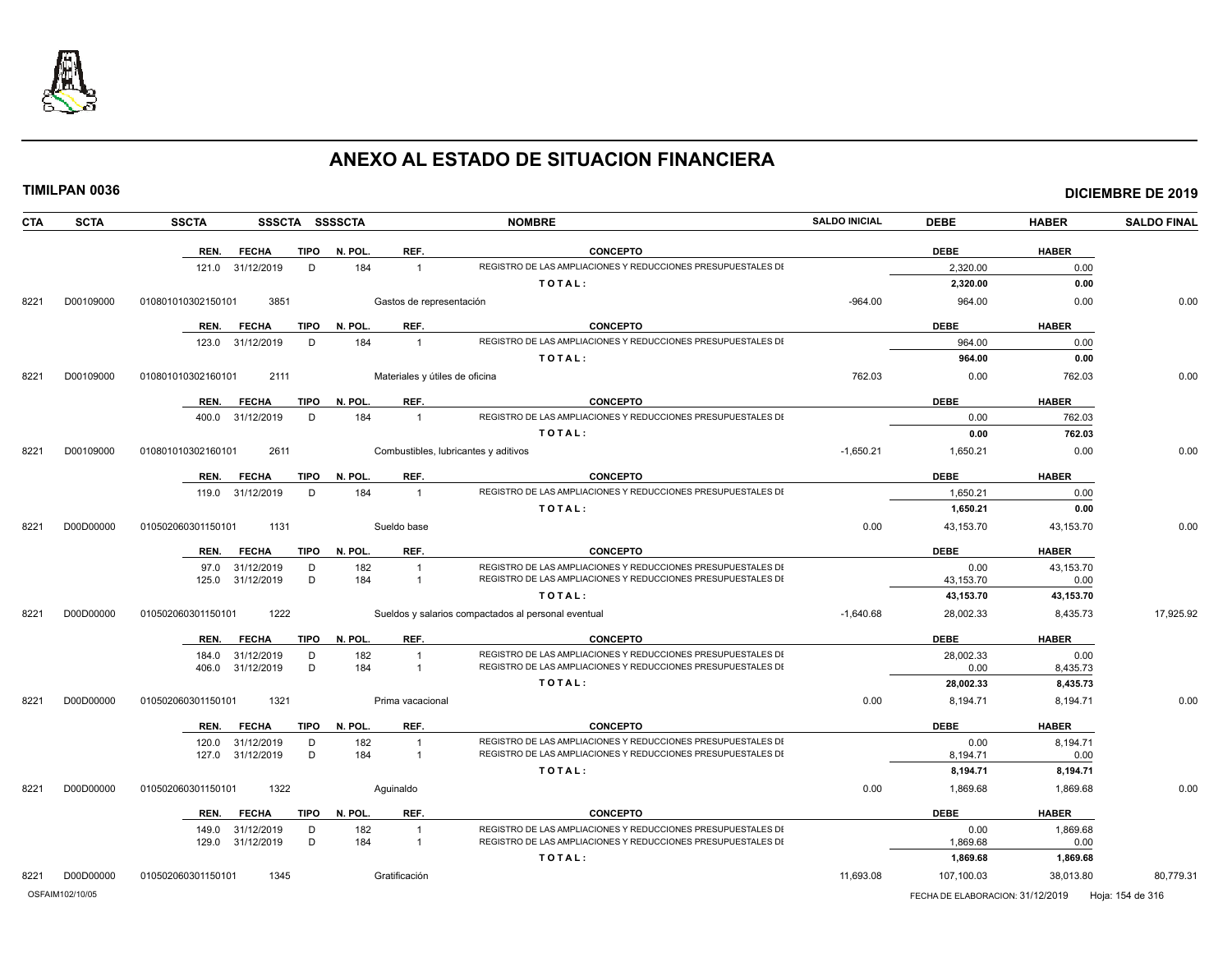

|--|

|  |  |  | TIMILPAN 0036 |
|--|--|--|---------------|
|  |  |  |               |
|  |  |  |               |

| <b>CTA</b> | <b>SCTA</b> | <b>SSCTA</b><br>SSSCTA SSSSCTA      | <b>NOMBRE</b> |                                |                                                                                                                              | <b>SALDO INICIAL</b> | <b>DEBE</b>       | <b>HABER</b>         | <b>SALDO FINAL</b> |
|------------|-------------|-------------------------------------|---------------|--------------------------------|------------------------------------------------------------------------------------------------------------------------------|----------------------|-------------------|----------------------|--------------------|
|            |             | <b>TIPO</b><br>REN.<br><b>FECHA</b> | N. POL.       | REF.                           | <b>CONCEPTO</b>                                                                                                              |                      | <b>DEBE</b>       | <b>HABER</b>         |                    |
|            |             | D<br>31/12/2019<br>121.0            | 184           |                                | REGISTRO DE LAS AMPLIACIONES Y REDUCCIONES PRESUPUESTALES DI                                                                 |                      | 2,320.00          | 0.00                 |                    |
|            |             |                                     |               |                                | TOTAL:                                                                                                                       |                      | 2,320.00          | 0.00                 |                    |
| 8221       | D00109000   | 3851<br>010801010302150101          |               | Gastos de representación       |                                                                                                                              | $-964.00$            | 964.00            | 0.00                 | 0.00               |
|            |             | REN.<br><b>FECHA</b>                | TIPO N. POL.  | REF.                           | <b>CONCEPTO</b>                                                                                                              |                      | <b>DEBE</b>       | <b>HABER</b>         |                    |
|            |             | 31/12/2019<br>D<br>123.0            | 184           | $\overline{1}$                 | REGISTRO DE LAS AMPLIACIONES Y REDUCCIONES PRESUPUESTALES DI                                                                 |                      | 964.00            | 0.00                 |                    |
|            |             |                                     |               |                                | TOTAL:                                                                                                                       |                      | 964.00            | 0.00                 |                    |
| 8221       | D00109000   | 2111<br>010801010302160101          |               | Materiales y útiles de oficina |                                                                                                                              | 762.03               | 0.00              | 762.03               | 0.00               |
|            |             | <b>TIPO</b><br>REN.<br><b>FECHA</b> | N. POL.       | REF.                           | <b>CONCEPTO</b>                                                                                                              |                      | <b>DEBE</b>       | <b>HABER</b>         |                    |
|            |             | 31/12/2019<br>D<br>400.0            | 184           | $\overline{1}$                 | REGISTRO DE LAS AMPLIACIONES Y REDUCCIONES PRESUPUESTALES DI                                                                 |                      | 0.00              | 762.03               |                    |
|            |             |                                     |               |                                | TOTAL:                                                                                                                       |                      | 0.00              | 762.03               |                    |
| 8221       | D00109000   | 2611<br>010801010302160101          |               |                                | Combustibles, lubricantes y aditivos                                                                                         | $-1,650.21$          | 1,650.21          | 0.00                 | 0.00               |
|            |             | <b>TIPO</b><br><b>FECHA</b><br>REN. | N. POL.       | REF.                           | <b>CONCEPTO</b>                                                                                                              |                      | <b>DEBE</b>       | <b>HABER</b>         |                    |
|            |             | 31/12/2019<br>D<br>119.0            | 184           | $\overline{1}$                 | REGISTRO DE LAS AMPLIACIONES Y REDUCCIONES PRESUPUESTALES DI                                                                 |                      | 1.650.21          | 0.00                 |                    |
|            |             |                                     |               |                                | TOTAL:                                                                                                                       |                      | 1,650.21          | 0.00                 |                    |
| 8221       | D00D00000   | 1131<br>010502060301150101          |               | Sueldo base                    |                                                                                                                              | 0.00                 | 43,153.70         | 43.153.70            | 0.00               |
|            |             | <b>TIPO</b><br>REN.<br><b>FECHA</b> | N. POL.       | REF.                           | <b>CONCEPTO</b>                                                                                                              |                      | <b>DEBE</b>       | <b>HABER</b>         |                    |
|            |             | 31/12/2019<br>D<br>97.0             | 182           | $\overline{1}$                 | REGISTRO DE LAS AMPLIACIONES Y REDUCCIONES PRESUPUESTALES DI                                                                 |                      | 0.00              | 43,153.70            |                    |
|            |             | 31/12/2019<br>D<br>125.0            | 184           | $\overline{1}$                 | REGISTRO DE LAS AMPLIACIONES Y REDUCCIONES PRESUPUESTALES DI                                                                 |                      | 43,153.70         | 0.00                 |                    |
|            |             |                                     |               |                                | TOTAL:                                                                                                                       |                      | 43,153.70         | 43,153.70            |                    |
| 8221       | D00D00000   | 010502060301150101<br>1222          |               |                                | Sueldos y salarios compactados al personal eventual                                                                          | $-1,640.68$          | 28,002.33         | 8,435.73             | 17,925.92          |
|            |             | <b>FECHA</b><br><b>TIPO</b><br>REN. | N. POL.       | REF.                           | <b>CONCEPTO</b>                                                                                                              |                      | <b>DEBE</b>       | <b>HABER</b>         |                    |
|            |             | 31/12/2019<br>D<br>184.0<br>D       | 182<br>184    | -1                             | REGISTRO DE LAS AMPLIACIONES Y REDUCCIONES PRESUPUESTALES DI<br>REGISTRO DE LAS AMPLIACIONES Y REDUCCIONES PRESUPUESTALES DI |                      | 28,002.33<br>0.00 | 0.00                 |                    |
|            |             | 406.0<br>31/12/2019                 |               |                                | TOTAL:                                                                                                                       |                      | 28,002.33         | 8,435.73<br>8,435.73 |                    |
| 8221       | D00D00000   | 010502060301150101<br>1321          |               | Prima vacacional               |                                                                                                                              | 0.00                 | 8,194.71          | 8,194.71             | 0.00               |
|            |             | <b>FECHA</b><br><b>TIPO</b><br>REN. | N. POL.       | REF.                           | <b>CONCEPTO</b>                                                                                                              |                      | <b>DEBE</b>       | <b>HABER</b>         |                    |
|            |             | 120.0<br>31/12/2019<br>D            | 182           | -1                             | REGISTRO DE LAS AMPLIACIONES Y REDUCCIONES PRESUPUESTALES DI                                                                 |                      | 0.00              | 8,194.71             |                    |
|            |             | 31/12/2019<br>D<br>127.0            | 184           | $\overline{1}$                 | REGISTRO DE LAS AMPLIACIONES Y REDUCCIONES PRESUPUESTALES DI                                                                 |                      | 8,194.71          | 0.00                 |                    |
|            |             |                                     |               |                                | TOTAL:                                                                                                                       |                      | 8,194.71          | 8,194.71             |                    |
| 8221       | D00D00000   | 1322<br>010502060301150101          | Aquinaldo     |                                |                                                                                                                              | 0.00                 | 1,869.68          | 1,869.68             | 0.00               |
|            |             | REN.<br><b>FECHA</b><br>TIPO        | N. POL.       | REF.                           | <b>CONCEPTO</b>                                                                                                              |                      | <b>DEBE</b>       | <b>HABER</b>         |                    |
|            |             | D<br>149.0<br>31/12/2019            | 182           | $\mathbf{1}$                   | REGISTRO DE LAS AMPLIACIONES Y REDUCCIONES PRESUPUESTALES DI                                                                 |                      | 0.00              | 1,869.68             |                    |
|            |             | D<br>31/12/2019<br>129.0            | 184           | $\mathbf{1}$                   | REGISTRO DE LAS AMPLIACIONES Y REDUCCIONES PRESUPUESTALES DI                                                                 |                      | 1,869.68          | 0.00                 |                    |
|            |             |                                     |               |                                | TOTAL:                                                                                                                       |                      | 1,869.68          | 1,869.68             |                    |
| 8221       | D00D00000   | 1345<br>010502060301150101          |               | Gratificación                  |                                                                                                                              | 11,693.08            | 107,100.03        | 38,013.80            | 80,779.31          |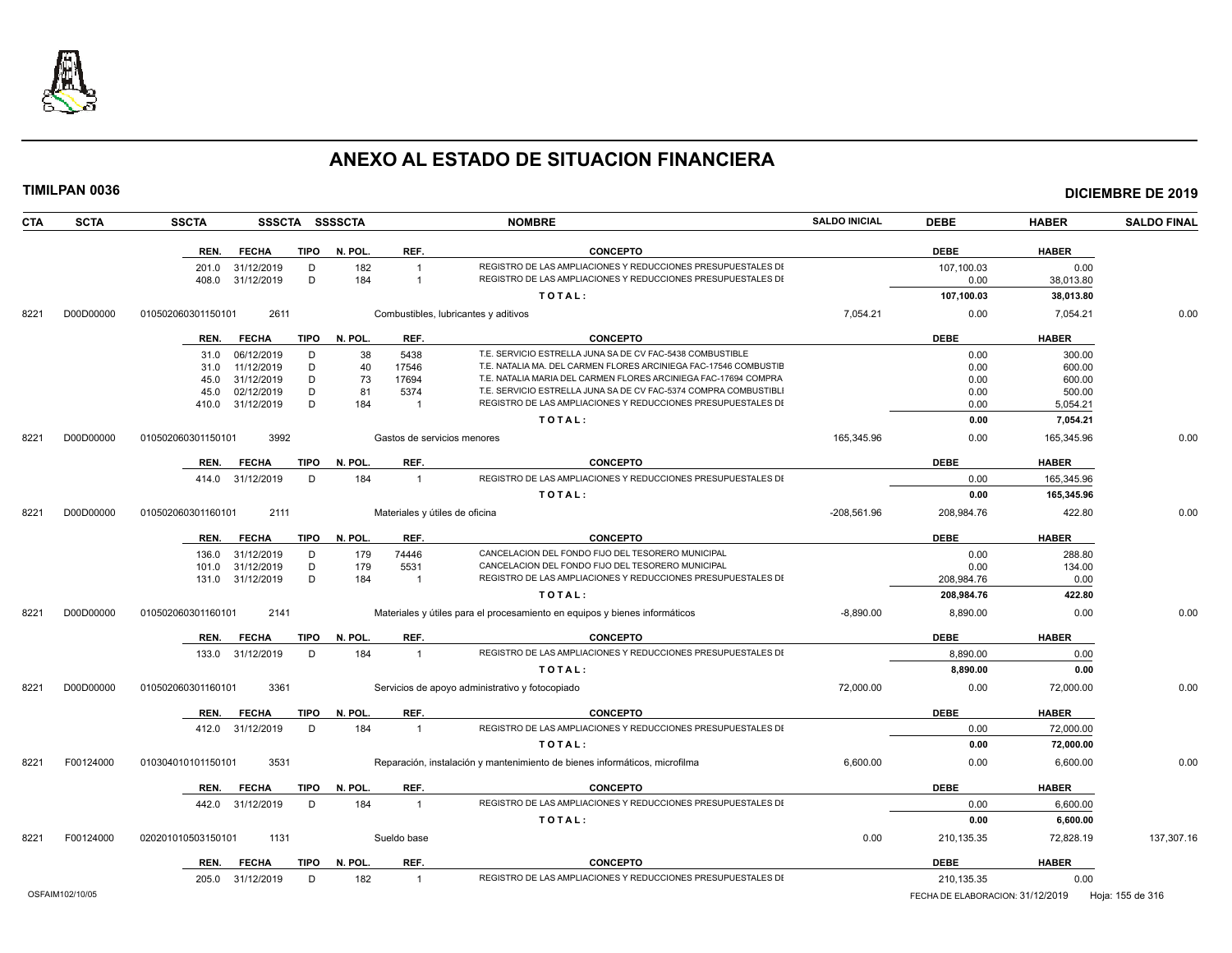

| <b>TIMILPAN 0036</b> |                    |                  |             |                |                                |                                                                                                                                 |                      |              |                      | <b>DICIEMBRE DE 2019</b> |
|----------------------|--------------------|------------------|-------------|----------------|--------------------------------|---------------------------------------------------------------------------------------------------------------------------------|----------------------|--------------|----------------------|--------------------------|
| CTA<br><b>SCTA</b>   | <b>SSCTA</b>       |                  |             | SSSCTA SSSSCTA |                                | <b>NOMBRE</b>                                                                                                                   | <b>SALDO INICIAL</b> | <b>DEBE</b>  | <b>HABER</b>         | <b>SALDO FINAL</b>       |
|                      | REN.               | <b>FECHA</b>     |             | TIPO N. POL.   | REF.                           | <b>CONCEPTO</b>                                                                                                                 |                      | <b>DEBE</b>  | <b>HABER</b>         |                          |
|                      | 201.0              | 31/12/2019       | D           | 182            | $\overline{1}$                 | REGISTRO DE LAS AMPLIACIONES Y REDUCCIONES PRESUPUESTALES DI                                                                    |                      | 107,100.03   | 0.00                 |                          |
|                      | 408.0              | 31/12/2019       | D           | 184            | $\overline{1}$                 | REGISTRO DE LAS AMPLIACIONES Y REDUCCIONES PRESUPUESTALES DI                                                                    |                      | 0.00         | 38,013.80            |                          |
|                      |                    |                  |             |                |                                | TOTAL:                                                                                                                          |                      | 107,100.03   | 38,013.80            |                          |
| D00D00000<br>8221    | 010502060301150101 | 2611             |             |                |                                | Combustibles, lubricantes y aditivos                                                                                            | 7,054.21             | 0.00         | 7,054.21             | 0.00                     |
|                      | REN.               | <b>FECHA</b>     | <b>TIPO</b> | N. POL.        | REF.                           | <b>CONCEPTO</b>                                                                                                                 |                      | <b>DEBE</b>  | <b>HABER</b>         |                          |
|                      |                    | 31.0 06/12/2019  | D           | 38             | 5438                           | T.E. SERVICIO ESTRELLA JUNA SA DE CV FAC-5438 COMBUSTIBLE                                                                       |                      | 0.00         | 300.00               |                          |
|                      | 31.0               | 11/12/2019       | D           | 40             | 17546                          | T.E. NATALIA MA. DEL CARMEN FLORES ARCINIEGA FAC-17546 COMBUSTIE                                                                |                      | 0.00         | 600.00               |                          |
|                      | 45.0               | 31/12/2019       | D           | 73             | 17694                          | T.E. NATALIA MARIA DEL CARMEN FLORES ARCINIEGA FAC-17694 COMPRA                                                                 |                      | 0.00         | 600.00               |                          |
|                      | 45.0               | 02/12/2019       | D<br>D      | 81<br>184      | 5374<br>$\overline{1}$         | T.E. SERVICIO ESTRELLA JUNA SA DE CV FAC-5374 COMPRA COMBUSTIBL<br>REGISTRO DE LAS AMPLIACIONES Y REDUCCIONES PRESUPUESTALES DI |                      | 0.00<br>0.00 | 500.00               |                          |
|                      |                    | 410.0 31/12/2019 |             |                |                                | TOTAL:                                                                                                                          |                      | 0.00         | 5,054.21<br>7,054.21 |                          |
| D00D00000<br>8221    | 010502060301150101 | 3992             |             |                | Gastos de servicios menores    |                                                                                                                                 | 165.345.96           | 0.00         | 165,345.96           | 0.00                     |
|                      |                    |                  |             |                |                                |                                                                                                                                 |                      |              |                      |                          |
|                      | REN.               | <b>FECHA</b>     | <b>TIPO</b> | N. POL.        | REF.                           | <b>CONCEPTO</b><br>REGISTRO DE LAS AMPLIACIONES Y REDUCCIONES PRESUPUESTALES DI                                                 |                      | <b>DEBE</b>  | <b>HABER</b>         |                          |
|                      |                    | 414.0 31/12/2019 | D           | 184            | $\overline{1}$                 |                                                                                                                                 |                      | 0.00         | 165,345.96           |                          |
|                      |                    |                  |             |                |                                | TOTAL:                                                                                                                          |                      | 0.00         | 165,345.96           |                          |
| 8221<br>D00D00000    | 010502060301160101 | 2111             |             |                | Materiales y útiles de oficina |                                                                                                                                 | $-208.561.96$        | 208,984.76   | 422.80               | 0.00                     |
|                      | REN.               | <b>FECHA</b>     | <b>TIPO</b> | N. POL.        | REF.                           | <b>CONCEPTO</b>                                                                                                                 |                      | <b>DEBE</b>  | <b>HABER</b>         |                          |
|                      | 136.0              | 31/12/2019       | D           | 179            | 74446                          | CANCELACION DEL FONDO FIJO DEL TESORERO MUNICIPAL                                                                               |                      | 0.00         | 288.80               |                          |
|                      | 101.0              | 31/12/2019       | D           | 179            | 5531                           | CANCELACION DEL FONDO FIJO DEL TESORERO MUNICIPAL                                                                               |                      | 0.00         | 134.00               |                          |
|                      | 131.0              | 31/12/2019       | D           | 184            | $\overline{1}$                 | REGISTRO DE LAS AMPLIACIONES Y REDUCCIONES PRESUPUESTALES DI                                                                    |                      | 208,984.76   | 0.00                 |                          |
|                      |                    |                  |             |                |                                | TOTAL:                                                                                                                          |                      | 208,984.76   | 422.80               |                          |
| 8221<br>D00D00000    | 010502060301160101 | 2141             |             |                |                                | Materiales y útiles para el procesamiento en equipos y bienes informáticos                                                      | $-8,890.00$          | 8,890.00     | 0.00                 | 0.00                     |
|                      | REN.               | <b>FECHA</b>     | <b>TIPO</b> | N. POL.        | REF.                           | <b>CONCEPTO</b>                                                                                                                 |                      | <b>DEBE</b>  | <b>HABER</b>         |                          |
|                      |                    | 133.0 31/12/2019 | D           | 184            | $\overline{1}$                 | REGISTRO DE LAS AMPLIACIONES Y REDUCCIONES PRESUPUESTALES DI                                                                    |                      | 8,890.00     | 0.00                 |                          |
|                      |                    |                  |             |                |                                | TOTAL:                                                                                                                          |                      | 8,890.00     | 0.00                 |                          |
| 8221<br>D00D00000    | 010502060301160101 | 3361             |             |                |                                | Servicios de apoyo administrativo y fotocopiado                                                                                 | 72,000.00            | 0.00         | 72,000.00            | 0.00                     |
|                      | REN.               | <b>FECHA</b>     | <b>TIPO</b> | N. POL.        | REF.                           | <b>CONCEPTO</b>                                                                                                                 |                      | <b>DEBE</b>  | <b>HABER</b>         |                          |
|                      |                    | 412.0 31/12/2019 | D           | 184            | $\overline{1}$                 | REGISTRO DE LAS AMPLIACIONES Y REDUCCIONES PRESUPUESTALES DI                                                                    |                      | 0.00         | 72,000.00            |                          |
|                      |                    |                  |             |                |                                | TOTAL:                                                                                                                          |                      | 0.00         | 72,000.00            |                          |
| 8221<br>F00124000    | 010304010101150101 | 3531             |             |                |                                | Reparación, instalación y mantenimiento de bienes informáticos, microfilma                                                      | 6,600.00             | 0.00         | 6,600.00             | 0.00                     |
|                      | REN.               | <b>FECHA</b>     | <b>TIPO</b> | N. POL.        | REF.                           | <b>CONCEPTO</b>                                                                                                                 |                      | <b>DEBE</b>  | <b>HABER</b>         |                          |
|                      |                    | 442.0 31/12/2019 | D           | 184            | $\overline{1}$                 | REGISTRO DE LAS AMPLIACIONES Y REDUCCIONES PRESUPUESTALES DI                                                                    |                      | 0.00         | 6,600.00             |                          |
|                      |                    |                  |             |                |                                | TOTAL:                                                                                                                          |                      | 0.00         | 6,600.00             |                          |
| F00124000<br>8221    | 020201010503150101 | 1131             |             |                | Sueldo base                    |                                                                                                                                 | 0.00                 | 210,135.35   | 72,828.19            | 137,307.16               |
|                      | REN.               | <b>FECHA</b>     | TIPO        | N. POL.        | REF.                           | <b>CONCEPTO</b>                                                                                                                 |                      | <b>DEBE</b>  | <b>HABER</b>         |                          |
|                      |                    | 205.0 31/12/2019 | D.          | 182            | $\overline{1}$                 | REGISTRO DE LAS AMPLIACIONES Y REDUCCIONES PRESUPUESTALES DI                                                                    |                      | 210.135.35   | 0.00                 |                          |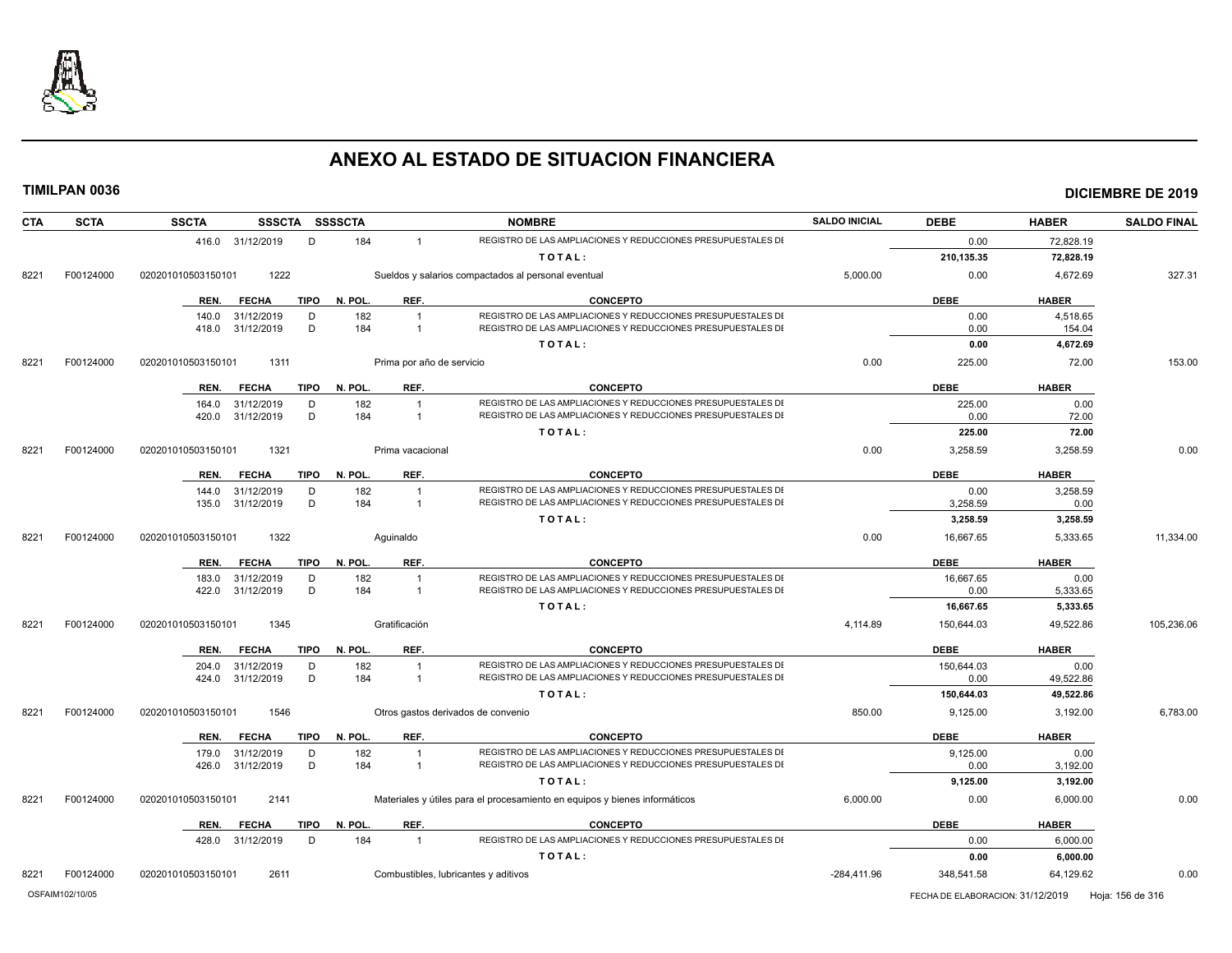

| <b>CTA</b> | <b>SCTA</b> | <b>SSCTA</b>                        | SSSCTA SSSSCTA         |                                      | <b>NOMBRE</b>                                                              | <b>SALDO INICIAL</b> | <b>DEBE</b> | <b>HABER</b> | <b>SALDO FINAL</b> |
|------------|-------------|-------------------------------------|------------------------|--------------------------------------|----------------------------------------------------------------------------|----------------------|-------------|--------------|--------------------|
|            |             | 416.0 31/12/2019                    | 184<br>D               |                                      | REGISTRO DE LAS AMPLIACIONES Y REDUCCIONES PRESUPUESTALES DI               |                      | 0.00        | 72,828.19    |                    |
|            |             |                                     |                        |                                      | TOTAL:                                                                     |                      | 210,135.35  | 72,828.19    |                    |
| 8221       | F00124000   | 1222<br>020201010503150101          |                        |                                      | Sueldos y salarios compactados al personal eventual                        | 5,000.00             | 0.00        | 4.672.69     | 327.31             |
|            |             | <b>TIPO</b><br>REN.<br><b>FECHA</b> | N. POL.                | REF.                                 | <b>CONCEPTO</b>                                                            |                      | <b>DEBE</b> | <b>HABER</b> |                    |
|            |             | 31/12/2019<br>140.0                 | D<br>182               | $\overline{1}$                       | REGISTRO DE LAS AMPLIACIONES Y REDUCCIONES PRESUPUESTALES DI               |                      | 0.00        | 4,518.65     |                    |
|            |             | 31/12/2019<br>418.0                 | D<br>184               | -1                                   | REGISTRO DE LAS AMPLIACIONES Y REDUCCIONES PRESUPUESTALES DI               |                      | 0.00        | 154.04       |                    |
|            |             |                                     |                        |                                      | TOTAL:                                                                     |                      | 0.00        | 4,672.69     |                    |
| 8221       | F00124000   | 1311<br>020201010503150101          |                        | Prima por año de servicio            |                                                                            | 0.00                 | 225.00      | 72.00        | 153.00             |
|            |             | <b>FECHA</b><br>REN.                | N. POL.<br><b>TIPO</b> | REF.                                 | <b>CONCEPTO</b>                                                            |                      | <b>DEBE</b> | <b>HABER</b> |                    |
|            |             | 31/12/2019<br>164.0                 | 182<br>D               |                                      | REGISTRO DE LAS AMPLIACIONES Y REDUCCIONES PRESUPUESTALES DI               |                      | 225.00      | 0.00         |                    |
|            |             | 31/12/2019<br>420.0                 | D<br>184               |                                      | REGISTRO DE LAS AMPLIACIONES Y REDUCCIONES PRESUPUESTALES DI               |                      | 0.00        | 72.00        |                    |
|            |             |                                     |                        |                                      | TOTAL:                                                                     |                      | 225.00      | 72.00        |                    |
| 8221       | F00124000   | 020201010503150101<br>1321          |                        | Prima vacacional                     |                                                                            | 0.00                 | 3,258.59    | 3,258.59     | 0.00               |
|            |             | REN.<br><b>FECHA</b>                | N. POL.<br><b>TIPO</b> | REF.                                 | <b>CONCEPTO</b>                                                            |                      | <b>DEBE</b> | <b>HABER</b> |                    |
|            |             | 31/12/2019<br>144.0                 | 182<br>D               | -1                                   | REGISTRO DE LAS AMPLIACIONES Y REDUCCIONES PRESUPUESTALES DI               |                      | 0.00        | 3,258.59     |                    |
|            |             | 31/12/2019<br>135.0                 | D<br>184               | $\overline{1}$                       | REGISTRO DE LAS AMPLIACIONES Y REDUCCIONES PRESUPUESTALES DI               |                      | 3,258.59    | 0.00         |                    |
|            |             |                                     |                        |                                      | TOTAL:                                                                     |                      | 3,258.59    | 3,258.59     |                    |
| 8221       | F00124000   | 1322<br>020201010503150101          |                        | Aguinaldo                            |                                                                            | 0.00                 | 16,667.65   | 5,333.65     | 11,334.00          |
|            |             | <b>FECHA</b><br><b>TIPO</b><br>REN. | N. POL.                | REF.                                 | <b>CONCEPTO</b>                                                            |                      | <b>DEBE</b> | <b>HABER</b> |                    |
|            |             | 183.0<br>31/12/2019                 | D<br>182               | -1                                   | REGISTRO DE LAS AMPLIACIONES Y REDUCCIONES PRESUPUESTALES DI               |                      | 16,667.65   | 0.00         |                    |
|            |             | 422.0<br>31/12/2019                 | D<br>184               | -1                                   | REGISTRO DE LAS AMPLIACIONES Y REDUCCIONES PRESUPUESTALES DI               |                      | 0.00        | 5,333.65     |                    |
|            |             |                                     |                        |                                      | TOTAL:                                                                     |                      | 16,667.65   | 5,333.65     |                    |
| 8221       | F00124000   | 1345<br>020201010503150101          |                        | Gratificación                        |                                                                            | 4,114.89             | 150,644.03  | 49,522.86    | 105,236.06         |
|            |             | REN.<br><b>FECHA</b>                | N. POL.<br><b>TIPO</b> | REF.                                 | <b>CONCEPTO</b>                                                            |                      | <b>DEBE</b> | <b>HABER</b> |                    |
|            |             | 31/12/2019<br>204.0                 | 182<br>D               |                                      | REGISTRO DE LAS AMPLIACIONES Y REDUCCIONES PRESUPUESTALES DI               |                      | 150,644.03  | 0.00         |                    |
|            |             | 31/12/2019<br>424.0                 | D<br>184               | -1                                   | REGISTRO DE LAS AMPLIACIONES Y REDUCCIONES PRESUPUESTALES DI               |                      | 0.00        | 49,522.86    |                    |
|            |             |                                     |                        |                                      | TOTAL:                                                                     |                      | 150,644.03  | 49,522.86    |                    |
|            |             |                                     |                        |                                      |                                                                            |                      |             |              |                    |
| 8221       | F00124000   | 1546<br>020201010503150101          |                        | Otros gastos derivados de convenio   |                                                                            | 850.00               | 9,125.00    | 3,192.00     |                    |
|            |             | <b>FECHA</b><br><b>TIPO</b><br>REN. | N. POL.                | REF.                                 | <b>CONCEPTO</b>                                                            |                      | <b>DEBE</b> | <b>HABER</b> |                    |
|            |             | 31/12/2019<br>179.0                 | D<br>182               | -1                                   | REGISTRO DE LAS AMPLIACIONES Y REDUCCIONES PRESUPUESTALES DI               |                      | 9,125.00    | 0.00         |                    |
|            |             | 31/12/2019<br>426.0                 | D<br>184               | $\overline{1}$                       | REGISTRO DE LAS AMPLIACIONES Y REDUCCIONES PRESUPUESTALES DI               |                      | 0.00        | 3,192.00     |                    |
|            |             |                                     |                        |                                      | TOTAL:                                                                     |                      | 9,125.00    | 3,192.00     |                    |
| 8221       | F00124000   | 020201010503150101<br>2141          |                        |                                      | Materiales y útiles para el procesamiento en equipos y bienes informáticos | 6,000.00             | 0.00        | 6,000.00     |                    |
|            |             | <b>TIPO</b><br>REN.<br><b>FECHA</b> | N. POL.                | REF.                                 | <b>CONCEPTO</b>                                                            |                      | <b>DEBE</b> | <b>HABER</b> |                    |
|            |             | 31/12/2019<br>428.0                 | 184<br>D               | $\overline{1}$                       | REGISTRO DE LAS AMPLIACIONES Y REDUCCIONES PRESUPUESTALES DI               |                      | 0.00        | 6,000.00     |                    |
|            |             |                                     |                        |                                      | TOTAL:                                                                     |                      | 0.00        | 6,000.00     | 6,783.00<br>0.00   |
| 8221       | F00124000   | 2611<br>020201010503150101          |                        | Combustibles, lubricantes y aditivos |                                                                            | $-284,411.96$        | 348,541.58  | 64,129.62    | 0.00               |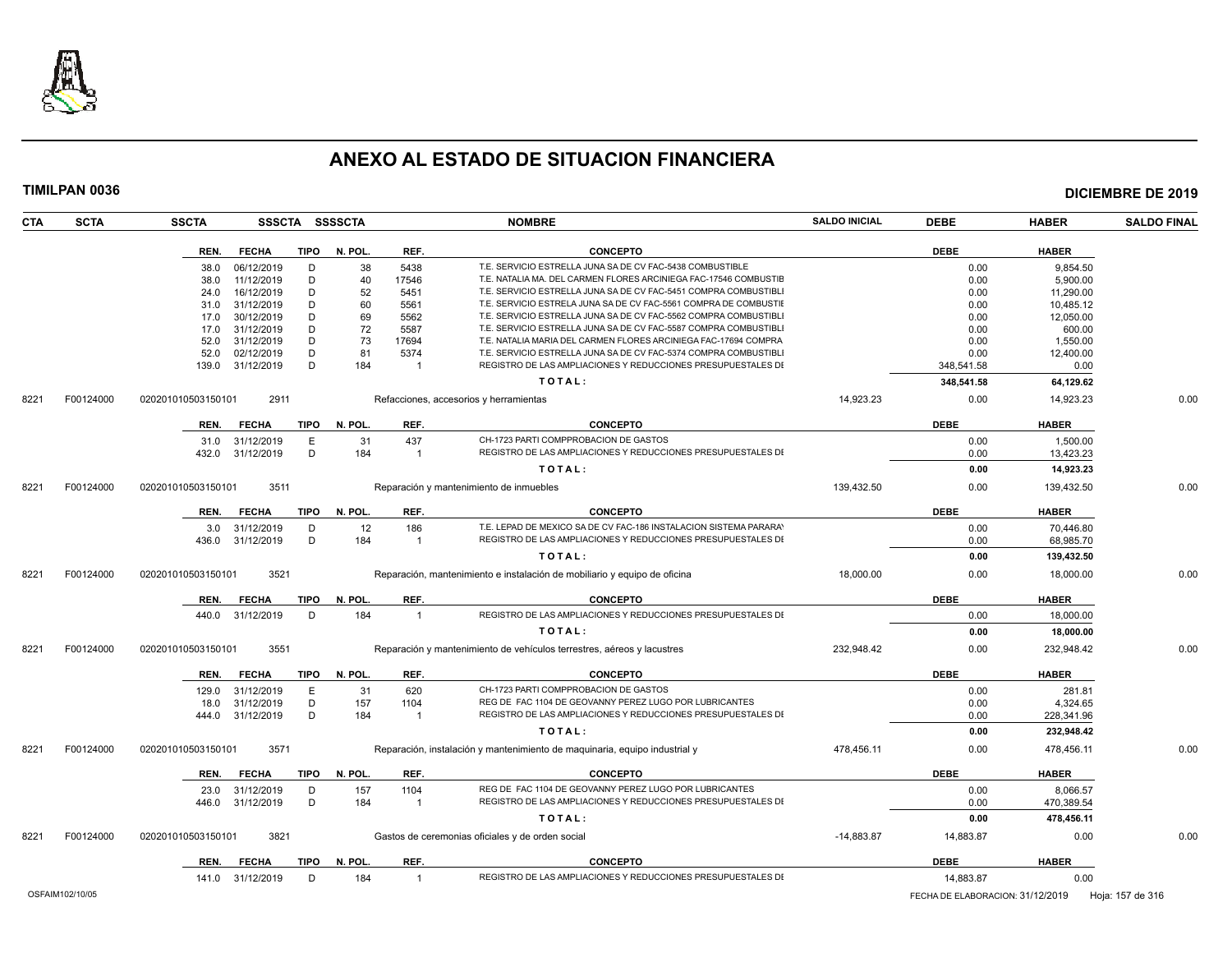

| <b>DEBE</b><br><b>FECHA</b><br><b>TIPO</b><br>N. POL.<br>REF.<br><b>CONCEPTO</b><br><b>HABER</b><br>REN.<br>38<br>5438<br>T.E. SERVICIO ESTRELLA JUNA SA DE CV FAC-5438 COMBUSTIBLE<br>9,854.50<br>06/12/2019<br>D<br>0.00<br>38.0<br>11/12/2019<br>D<br>40<br>17546<br>T.E. NATALIA MA. DEL CARMEN FLORES ARCINIEGA FAC-17546 COMBUSTIE<br>0.00<br>5,900.00<br>38.0<br>D<br>52<br>T.E. SERVICIO ESTRELLA JUNA SA DE CV FAC-5451 COMPRA COMBUSTIBLI<br>16/12/2019<br>5451<br>0.00<br>11.290.00<br>24.0<br>31/12/2019<br>D<br>60<br>T.E. SERVICIO ESTRELA JUNA SA DE CV FAC-5561 COMPRA DE COMBUSTIE<br>10,485.12<br>5561<br>0.00<br>31.0<br>30/12/2019<br>69<br>T.E. SERVICIO ESTRELLA JUNA SA DE CV FAC-5562 COMPRA COMBUSTIBLI<br>17.0<br>D<br>5562<br>0.00<br>12,050.00<br>72<br>T.E. SERVICIO ESTRELLA JUNA SA DE CV FAC-5587 COMPRA COMBUSTIBLI<br>31/12/2019<br>D<br>5587<br>0.00<br>600.00<br>17.0<br>31/12/2019<br>D<br>73<br>T.E. NATALIA MARIA DEL CARMEN FLORES ARCINIEGA FAC-17694 COMPRA<br>52.0<br>17694<br>0.00<br>1,550.00<br>D<br>81<br>T.E. SERVICIO ESTRELLA JUNA SA DE CV FAC-5374 COMPRA COMBUSTIBLI<br>52.0<br>02/12/2019<br>5374<br>0.00<br>12,400.00<br>D<br>184<br>REGISTRO DE LAS AMPLIACIONES Y REDUCCIONES PRESUPUESTALES DI<br>139.0<br>31/12/2019<br>348.541.58<br>0.00<br>- 1<br>TOTAL:<br>348,541.58<br>64,129.62<br>14,923.23<br>14,923.23<br>F00124000<br>020201010503150101<br>2911<br>Refacciones, accesorios y herramientas<br>0.00<br>N. POL.<br>REF.<br><b>CONCEPTO</b><br><b>DEBE</b><br><b>HABER</b><br>REN.<br><b>FECHA</b><br>TIPO<br>E<br>31<br>437<br>CH-1723 PARTI COMPPROBACION DE GASTOS<br>31/12/2019<br>0.00<br>1,500.00<br>31.0<br>REGISTRO DE LAS AMPLIACIONES Y REDUCCIONES PRESUPUESTALES DI<br>432.0<br>31/12/2019<br>D<br>184<br>0.00<br>13,423.23<br>$\overline{1}$<br>TOTAL:<br>14,923.23<br>0.00<br>139,432.50<br>020201010503150101<br>3511<br>0.00<br>139,432.50<br>F00124000<br>Reparación y mantenimiento de inmuebles<br>N. POL.<br><b>DEBE</b><br><b>HABER</b><br>REN.<br><b>FECHA</b><br><b>TIPO</b><br>REF.<br><b>CONCEPTO</b><br>T.E. LEPAD DE MEXICO SA DE CV FAC-186 INSTALACION SISTEMA PARARAY<br>31/12/2019<br>D<br>12<br>186<br>0.00<br>70,446.80<br>3.0<br>D<br>REGISTRO DE LAS AMPLIACIONES Y REDUCCIONES PRESUPUESTALES DI<br>31/12/2019<br>184<br>0.00<br>68,985.70<br>436.0<br>$\overline{1}$<br>139,432.50<br>TOTAL:<br>0.00<br>F00124000<br>3521<br>18,000.00<br>18,000.00<br>020201010503150101<br>Reparación, mantenimiento e instalación de mobiliario y equipo de oficina<br>0.00<br><b>DEBE</b><br><b>FECHA</b><br><b>TIPO</b><br>N. POL.<br>REF.<br><b>CONCEPTO</b><br><b>HABER</b><br>REN.<br>REGISTRO DE LAS AMPLIACIONES Y REDUCCIONES PRESUPUESTALES DI<br>31/12/2019<br>D<br>184<br>$\overline{1}$<br>0.00<br>18,000.00<br>440.0<br>TOTAL:<br>0.00<br>18,000.00<br>3551<br>232,948.42<br>F00124000<br>020201010503150101<br>Reparación y mantenimiento de vehículos terrestres, aéreos y lacustres<br>0.00<br>232,948.42<br><b>DEBE</b><br>N. POL.<br>REF.<br><b>CONCEPTO</b><br><b>HABER</b><br>REN.<br><b>FECHA</b><br>TIPO<br>E<br>620<br>CH-1723 PARTI COMPPROBACION DE GASTOS<br>31/12/2019<br>31<br>0.00<br>281.81<br>129.0<br>D<br>157<br>REG DE FAC 1104 DE GEOVANNY PEREZ LUGO POR LUBRICANTES<br>18.0<br>31/12/2019<br>1104<br>0.00<br>4,324.65<br>D<br>184<br>REGISTRO DE LAS AMPLIACIONES Y REDUCCIONES PRESUPUESTALES DI<br>31/12/2019<br>0.00<br>228,341.96<br>444.0<br>-1<br>TOTAL:<br>0.00<br>232,948.42<br>F00124000<br>020201010503150101<br>3571<br>Reparación, instalación y mantenimiento de maquinaria, equipo industrial y<br>478,456.11<br>0.00<br>478,456.11<br>N. POL.<br>REF.<br><b>CONCEPTO</b><br><b>DEBE</b><br><b>HABER</b><br>REN.<br><b>FECHA</b><br>TIPO<br>REG DE FAC 1104 DE GEOVANNY PEREZ LUGO POR LUBRICANTES<br>8,066.57<br>31/12/2019<br>D<br>157<br>1104<br>0.00<br>23.0<br>D<br>REGISTRO DE LAS AMPLIACIONES Y REDUCCIONES PRESUPUESTALES DI<br>31/12/2019<br>184<br>0.00<br>470,389.54<br>446.0<br>-1<br>478,456.11<br>TOTAL:<br>0.00<br>3821<br>Gastos de ceremonias oficiales y de orden social<br>$-14,883.87$<br>14,883.87<br>0.00<br>F00124000<br>020201010503150101<br><b>DEBE</b><br><b>HABER</b><br><b>FECHA</b><br>N. POL.<br>REF.<br><b>CONCEPTO</b><br>REN.<br><b>TIPO</b><br>REGISTRO DE LAS AMPLIACIONES Y REDUCCIONES PRESUPUESTALES DI<br>31/12/2019<br>D<br>184<br>14,883.87<br>0.00<br>141.0<br>$\overline{1}$<br>OSFAIM102/10/05<br>FECHA DE ELABORACION: 31/12/2019<br>Hoja: 157 de 316 | CTA  | <b>SCTA</b> | <b>SSCTA</b> |  | SSSCTA SSSSCTA | <b>NOMBRE</b> | <b>SALDO INICIAL</b> | <b>DEBE</b> | <b>HABER</b> | <b>SALDO FINAL</b> |
|----------------------------------------------------------------------------------------------------------------------------------------------------------------------------------------------------------------------------------------------------------------------------------------------------------------------------------------------------------------------------------------------------------------------------------------------------------------------------------------------------------------------------------------------------------------------------------------------------------------------------------------------------------------------------------------------------------------------------------------------------------------------------------------------------------------------------------------------------------------------------------------------------------------------------------------------------------------------------------------------------------------------------------------------------------------------------------------------------------------------------------------------------------------------------------------------------------------------------------------------------------------------------------------------------------------------------------------------------------------------------------------------------------------------------------------------------------------------------------------------------------------------------------------------------------------------------------------------------------------------------------------------------------------------------------------------------------------------------------------------------------------------------------------------------------------------------------------------------------------------------------------------------------------------------------------------------------------------------------------------------------------------------------------------------------------------------------------------------------------------------------------------------------------------------------------------------------------------------------------------------------------------------------------------------------------------------------------------------------------------------------------------------------------------------------------------------------------------------------------------------------------------------------------------------------------------------------------------------------------------------------------------------------------------------------------------------------------------------------------------------------------------------------------------------------------------------------------------------------------------------------------------------------------------------------------------------------------------------------------------------------------------------------------------------------------------------------------------------------------------------------------------------------------------------------------------------------------------------------------------------------------------------------------------------------------------------------------------------------------------------------------------------------------------------------------------------------------------------------------------------------------------------------------------------------------------------------------------------------------------------------------------------------------------------------------------------------------------------------------------------------------------------------------------------------------------------------------------------------------------------------------------------------------------------------------------------------------------------------------------------------------------------------------------------------------------------------------------------------------------------------------------------------------------------------------------------------------------------------------------------------------------------------------------------------------------------------------------------------------------------------------------------------------------------------------------------------------------------------------------------------------------------------------------------|------|-------------|--------------|--|----------------|---------------|----------------------|-------------|--------------|--------------------|
|                                                                                                                                                                                                                                                                                                                                                                                                                                                                                                                                                                                                                                                                                                                                                                                                                                                                                                                                                                                                                                                                                                                                                                                                                                                                                                                                                                                                                                                                                                                                                                                                                                                                                                                                                                                                                                                                                                                                                                                                                                                                                                                                                                                                                                                                                                                                                                                                                                                                                                                                                                                                                                                                                                                                                                                                                                                                                                                                                                                                                                                                                                                                                                                                                                                                                                                                                                                                                                                                                                                                                                                                                                                                                                                                                                                                                                                                                                                                                                                                                                                                                                                                                                                                                                                                                                                                                                                                                                                                                                                                                    |      |             |              |  |                |               |                      |             |              |                    |
|                                                                                                                                                                                                                                                                                                                                                                                                                                                                                                                                                                                                                                                                                                                                                                                                                                                                                                                                                                                                                                                                                                                                                                                                                                                                                                                                                                                                                                                                                                                                                                                                                                                                                                                                                                                                                                                                                                                                                                                                                                                                                                                                                                                                                                                                                                                                                                                                                                                                                                                                                                                                                                                                                                                                                                                                                                                                                                                                                                                                                                                                                                                                                                                                                                                                                                                                                                                                                                                                                                                                                                                                                                                                                                                                                                                                                                                                                                                                                                                                                                                                                                                                                                                                                                                                                                                                                                                                                                                                                                                                                    |      |             |              |  |                |               |                      |             |              |                    |
|                                                                                                                                                                                                                                                                                                                                                                                                                                                                                                                                                                                                                                                                                                                                                                                                                                                                                                                                                                                                                                                                                                                                                                                                                                                                                                                                                                                                                                                                                                                                                                                                                                                                                                                                                                                                                                                                                                                                                                                                                                                                                                                                                                                                                                                                                                                                                                                                                                                                                                                                                                                                                                                                                                                                                                                                                                                                                                                                                                                                                                                                                                                                                                                                                                                                                                                                                                                                                                                                                                                                                                                                                                                                                                                                                                                                                                                                                                                                                                                                                                                                                                                                                                                                                                                                                                                                                                                                                                                                                                                                                    |      |             |              |  |                |               |                      |             |              |                    |
|                                                                                                                                                                                                                                                                                                                                                                                                                                                                                                                                                                                                                                                                                                                                                                                                                                                                                                                                                                                                                                                                                                                                                                                                                                                                                                                                                                                                                                                                                                                                                                                                                                                                                                                                                                                                                                                                                                                                                                                                                                                                                                                                                                                                                                                                                                                                                                                                                                                                                                                                                                                                                                                                                                                                                                                                                                                                                                                                                                                                                                                                                                                                                                                                                                                                                                                                                                                                                                                                                                                                                                                                                                                                                                                                                                                                                                                                                                                                                                                                                                                                                                                                                                                                                                                                                                                                                                                                                                                                                                                                                    |      |             |              |  |                |               |                      |             |              |                    |
|                                                                                                                                                                                                                                                                                                                                                                                                                                                                                                                                                                                                                                                                                                                                                                                                                                                                                                                                                                                                                                                                                                                                                                                                                                                                                                                                                                                                                                                                                                                                                                                                                                                                                                                                                                                                                                                                                                                                                                                                                                                                                                                                                                                                                                                                                                                                                                                                                                                                                                                                                                                                                                                                                                                                                                                                                                                                                                                                                                                                                                                                                                                                                                                                                                                                                                                                                                                                                                                                                                                                                                                                                                                                                                                                                                                                                                                                                                                                                                                                                                                                                                                                                                                                                                                                                                                                                                                                                                                                                                                                                    |      |             |              |  |                |               |                      |             |              |                    |
|                                                                                                                                                                                                                                                                                                                                                                                                                                                                                                                                                                                                                                                                                                                                                                                                                                                                                                                                                                                                                                                                                                                                                                                                                                                                                                                                                                                                                                                                                                                                                                                                                                                                                                                                                                                                                                                                                                                                                                                                                                                                                                                                                                                                                                                                                                                                                                                                                                                                                                                                                                                                                                                                                                                                                                                                                                                                                                                                                                                                                                                                                                                                                                                                                                                                                                                                                                                                                                                                                                                                                                                                                                                                                                                                                                                                                                                                                                                                                                                                                                                                                                                                                                                                                                                                                                                                                                                                                                                                                                                                                    |      |             |              |  |                |               |                      |             |              |                    |
|                                                                                                                                                                                                                                                                                                                                                                                                                                                                                                                                                                                                                                                                                                                                                                                                                                                                                                                                                                                                                                                                                                                                                                                                                                                                                                                                                                                                                                                                                                                                                                                                                                                                                                                                                                                                                                                                                                                                                                                                                                                                                                                                                                                                                                                                                                                                                                                                                                                                                                                                                                                                                                                                                                                                                                                                                                                                                                                                                                                                                                                                                                                                                                                                                                                                                                                                                                                                                                                                                                                                                                                                                                                                                                                                                                                                                                                                                                                                                                                                                                                                                                                                                                                                                                                                                                                                                                                                                                                                                                                                                    |      |             |              |  |                |               |                      |             |              |                    |
|                                                                                                                                                                                                                                                                                                                                                                                                                                                                                                                                                                                                                                                                                                                                                                                                                                                                                                                                                                                                                                                                                                                                                                                                                                                                                                                                                                                                                                                                                                                                                                                                                                                                                                                                                                                                                                                                                                                                                                                                                                                                                                                                                                                                                                                                                                                                                                                                                                                                                                                                                                                                                                                                                                                                                                                                                                                                                                                                                                                                                                                                                                                                                                                                                                                                                                                                                                                                                                                                                                                                                                                                                                                                                                                                                                                                                                                                                                                                                                                                                                                                                                                                                                                                                                                                                                                                                                                                                                                                                                                                                    |      |             |              |  |                |               |                      |             |              |                    |
|                                                                                                                                                                                                                                                                                                                                                                                                                                                                                                                                                                                                                                                                                                                                                                                                                                                                                                                                                                                                                                                                                                                                                                                                                                                                                                                                                                                                                                                                                                                                                                                                                                                                                                                                                                                                                                                                                                                                                                                                                                                                                                                                                                                                                                                                                                                                                                                                                                                                                                                                                                                                                                                                                                                                                                                                                                                                                                                                                                                                                                                                                                                                                                                                                                                                                                                                                                                                                                                                                                                                                                                                                                                                                                                                                                                                                                                                                                                                                                                                                                                                                                                                                                                                                                                                                                                                                                                                                                                                                                                                                    |      |             |              |  |                |               |                      |             |              |                    |
|                                                                                                                                                                                                                                                                                                                                                                                                                                                                                                                                                                                                                                                                                                                                                                                                                                                                                                                                                                                                                                                                                                                                                                                                                                                                                                                                                                                                                                                                                                                                                                                                                                                                                                                                                                                                                                                                                                                                                                                                                                                                                                                                                                                                                                                                                                                                                                                                                                                                                                                                                                                                                                                                                                                                                                                                                                                                                                                                                                                                                                                                                                                                                                                                                                                                                                                                                                                                                                                                                                                                                                                                                                                                                                                                                                                                                                                                                                                                                                                                                                                                                                                                                                                                                                                                                                                                                                                                                                                                                                                                                    |      |             |              |  |                |               |                      |             |              |                    |
|                                                                                                                                                                                                                                                                                                                                                                                                                                                                                                                                                                                                                                                                                                                                                                                                                                                                                                                                                                                                                                                                                                                                                                                                                                                                                                                                                                                                                                                                                                                                                                                                                                                                                                                                                                                                                                                                                                                                                                                                                                                                                                                                                                                                                                                                                                                                                                                                                                                                                                                                                                                                                                                                                                                                                                                                                                                                                                                                                                                                                                                                                                                                                                                                                                                                                                                                                                                                                                                                                                                                                                                                                                                                                                                                                                                                                                                                                                                                                                                                                                                                                                                                                                                                                                                                                                                                                                                                                                                                                                                                                    |      |             |              |  |                |               |                      |             |              |                    |
|                                                                                                                                                                                                                                                                                                                                                                                                                                                                                                                                                                                                                                                                                                                                                                                                                                                                                                                                                                                                                                                                                                                                                                                                                                                                                                                                                                                                                                                                                                                                                                                                                                                                                                                                                                                                                                                                                                                                                                                                                                                                                                                                                                                                                                                                                                                                                                                                                                                                                                                                                                                                                                                                                                                                                                                                                                                                                                                                                                                                                                                                                                                                                                                                                                                                                                                                                                                                                                                                                                                                                                                                                                                                                                                                                                                                                                                                                                                                                                                                                                                                                                                                                                                                                                                                                                                                                                                                                                                                                                                                                    | 8221 |             |              |  |                |               |                      |             |              | 0.00               |
|                                                                                                                                                                                                                                                                                                                                                                                                                                                                                                                                                                                                                                                                                                                                                                                                                                                                                                                                                                                                                                                                                                                                                                                                                                                                                                                                                                                                                                                                                                                                                                                                                                                                                                                                                                                                                                                                                                                                                                                                                                                                                                                                                                                                                                                                                                                                                                                                                                                                                                                                                                                                                                                                                                                                                                                                                                                                                                                                                                                                                                                                                                                                                                                                                                                                                                                                                                                                                                                                                                                                                                                                                                                                                                                                                                                                                                                                                                                                                                                                                                                                                                                                                                                                                                                                                                                                                                                                                                                                                                                                                    |      |             |              |  |                |               |                      |             |              |                    |
|                                                                                                                                                                                                                                                                                                                                                                                                                                                                                                                                                                                                                                                                                                                                                                                                                                                                                                                                                                                                                                                                                                                                                                                                                                                                                                                                                                                                                                                                                                                                                                                                                                                                                                                                                                                                                                                                                                                                                                                                                                                                                                                                                                                                                                                                                                                                                                                                                                                                                                                                                                                                                                                                                                                                                                                                                                                                                                                                                                                                                                                                                                                                                                                                                                                                                                                                                                                                                                                                                                                                                                                                                                                                                                                                                                                                                                                                                                                                                                                                                                                                                                                                                                                                                                                                                                                                                                                                                                                                                                                                                    |      |             |              |  |                |               |                      |             |              |                    |
|                                                                                                                                                                                                                                                                                                                                                                                                                                                                                                                                                                                                                                                                                                                                                                                                                                                                                                                                                                                                                                                                                                                                                                                                                                                                                                                                                                                                                                                                                                                                                                                                                                                                                                                                                                                                                                                                                                                                                                                                                                                                                                                                                                                                                                                                                                                                                                                                                                                                                                                                                                                                                                                                                                                                                                                                                                                                                                                                                                                                                                                                                                                                                                                                                                                                                                                                                                                                                                                                                                                                                                                                                                                                                                                                                                                                                                                                                                                                                                                                                                                                                                                                                                                                                                                                                                                                                                                                                                                                                                                                                    |      |             |              |  |                |               |                      |             |              |                    |
|                                                                                                                                                                                                                                                                                                                                                                                                                                                                                                                                                                                                                                                                                                                                                                                                                                                                                                                                                                                                                                                                                                                                                                                                                                                                                                                                                                                                                                                                                                                                                                                                                                                                                                                                                                                                                                                                                                                                                                                                                                                                                                                                                                                                                                                                                                                                                                                                                                                                                                                                                                                                                                                                                                                                                                                                                                                                                                                                                                                                                                                                                                                                                                                                                                                                                                                                                                                                                                                                                                                                                                                                                                                                                                                                                                                                                                                                                                                                                                                                                                                                                                                                                                                                                                                                                                                                                                                                                                                                                                                                                    |      |             |              |  |                |               |                      |             |              |                    |
|                                                                                                                                                                                                                                                                                                                                                                                                                                                                                                                                                                                                                                                                                                                                                                                                                                                                                                                                                                                                                                                                                                                                                                                                                                                                                                                                                                                                                                                                                                                                                                                                                                                                                                                                                                                                                                                                                                                                                                                                                                                                                                                                                                                                                                                                                                                                                                                                                                                                                                                                                                                                                                                                                                                                                                                                                                                                                                                                                                                                                                                                                                                                                                                                                                                                                                                                                                                                                                                                                                                                                                                                                                                                                                                                                                                                                                                                                                                                                                                                                                                                                                                                                                                                                                                                                                                                                                                                                                                                                                                                                    | 8221 |             |              |  |                |               |                      |             |              | 0.00               |
|                                                                                                                                                                                                                                                                                                                                                                                                                                                                                                                                                                                                                                                                                                                                                                                                                                                                                                                                                                                                                                                                                                                                                                                                                                                                                                                                                                                                                                                                                                                                                                                                                                                                                                                                                                                                                                                                                                                                                                                                                                                                                                                                                                                                                                                                                                                                                                                                                                                                                                                                                                                                                                                                                                                                                                                                                                                                                                                                                                                                                                                                                                                                                                                                                                                                                                                                                                                                                                                                                                                                                                                                                                                                                                                                                                                                                                                                                                                                                                                                                                                                                                                                                                                                                                                                                                                                                                                                                                                                                                                                                    |      |             |              |  |                |               |                      |             |              |                    |
|                                                                                                                                                                                                                                                                                                                                                                                                                                                                                                                                                                                                                                                                                                                                                                                                                                                                                                                                                                                                                                                                                                                                                                                                                                                                                                                                                                                                                                                                                                                                                                                                                                                                                                                                                                                                                                                                                                                                                                                                                                                                                                                                                                                                                                                                                                                                                                                                                                                                                                                                                                                                                                                                                                                                                                                                                                                                                                                                                                                                                                                                                                                                                                                                                                                                                                                                                                                                                                                                                                                                                                                                                                                                                                                                                                                                                                                                                                                                                                                                                                                                                                                                                                                                                                                                                                                                                                                                                                                                                                                                                    |      |             |              |  |                |               |                      |             |              |                    |
|                                                                                                                                                                                                                                                                                                                                                                                                                                                                                                                                                                                                                                                                                                                                                                                                                                                                                                                                                                                                                                                                                                                                                                                                                                                                                                                                                                                                                                                                                                                                                                                                                                                                                                                                                                                                                                                                                                                                                                                                                                                                                                                                                                                                                                                                                                                                                                                                                                                                                                                                                                                                                                                                                                                                                                                                                                                                                                                                                                                                                                                                                                                                                                                                                                                                                                                                                                                                                                                                                                                                                                                                                                                                                                                                                                                                                                                                                                                                                                                                                                                                                                                                                                                                                                                                                                                                                                                                                                                                                                                                                    |      |             |              |  |                |               |                      |             |              |                    |
|                                                                                                                                                                                                                                                                                                                                                                                                                                                                                                                                                                                                                                                                                                                                                                                                                                                                                                                                                                                                                                                                                                                                                                                                                                                                                                                                                                                                                                                                                                                                                                                                                                                                                                                                                                                                                                                                                                                                                                                                                                                                                                                                                                                                                                                                                                                                                                                                                                                                                                                                                                                                                                                                                                                                                                                                                                                                                                                                                                                                                                                                                                                                                                                                                                                                                                                                                                                                                                                                                                                                                                                                                                                                                                                                                                                                                                                                                                                                                                                                                                                                                                                                                                                                                                                                                                                                                                                                                                                                                                                                                    |      |             |              |  |                |               |                      |             |              |                    |
|                                                                                                                                                                                                                                                                                                                                                                                                                                                                                                                                                                                                                                                                                                                                                                                                                                                                                                                                                                                                                                                                                                                                                                                                                                                                                                                                                                                                                                                                                                                                                                                                                                                                                                                                                                                                                                                                                                                                                                                                                                                                                                                                                                                                                                                                                                                                                                                                                                                                                                                                                                                                                                                                                                                                                                                                                                                                                                                                                                                                                                                                                                                                                                                                                                                                                                                                                                                                                                                                                                                                                                                                                                                                                                                                                                                                                                                                                                                                                                                                                                                                                                                                                                                                                                                                                                                                                                                                                                                                                                                                                    | 8221 |             |              |  |                |               |                      |             |              | 0.00               |
|                                                                                                                                                                                                                                                                                                                                                                                                                                                                                                                                                                                                                                                                                                                                                                                                                                                                                                                                                                                                                                                                                                                                                                                                                                                                                                                                                                                                                                                                                                                                                                                                                                                                                                                                                                                                                                                                                                                                                                                                                                                                                                                                                                                                                                                                                                                                                                                                                                                                                                                                                                                                                                                                                                                                                                                                                                                                                                                                                                                                                                                                                                                                                                                                                                                                                                                                                                                                                                                                                                                                                                                                                                                                                                                                                                                                                                                                                                                                                                                                                                                                                                                                                                                                                                                                                                                                                                                                                                                                                                                                                    |      |             |              |  |                |               |                      |             |              |                    |
|                                                                                                                                                                                                                                                                                                                                                                                                                                                                                                                                                                                                                                                                                                                                                                                                                                                                                                                                                                                                                                                                                                                                                                                                                                                                                                                                                                                                                                                                                                                                                                                                                                                                                                                                                                                                                                                                                                                                                                                                                                                                                                                                                                                                                                                                                                                                                                                                                                                                                                                                                                                                                                                                                                                                                                                                                                                                                                                                                                                                                                                                                                                                                                                                                                                                                                                                                                                                                                                                                                                                                                                                                                                                                                                                                                                                                                                                                                                                                                                                                                                                                                                                                                                                                                                                                                                                                                                                                                                                                                                                                    |      |             |              |  |                |               |                      |             |              |                    |
|                                                                                                                                                                                                                                                                                                                                                                                                                                                                                                                                                                                                                                                                                                                                                                                                                                                                                                                                                                                                                                                                                                                                                                                                                                                                                                                                                                                                                                                                                                                                                                                                                                                                                                                                                                                                                                                                                                                                                                                                                                                                                                                                                                                                                                                                                                                                                                                                                                                                                                                                                                                                                                                                                                                                                                                                                                                                                                                                                                                                                                                                                                                                                                                                                                                                                                                                                                                                                                                                                                                                                                                                                                                                                                                                                                                                                                                                                                                                                                                                                                                                                                                                                                                                                                                                                                                                                                                                                                                                                                                                                    |      |             |              |  |                |               |                      |             |              |                    |
|                                                                                                                                                                                                                                                                                                                                                                                                                                                                                                                                                                                                                                                                                                                                                                                                                                                                                                                                                                                                                                                                                                                                                                                                                                                                                                                                                                                                                                                                                                                                                                                                                                                                                                                                                                                                                                                                                                                                                                                                                                                                                                                                                                                                                                                                                                                                                                                                                                                                                                                                                                                                                                                                                                                                                                                                                                                                                                                                                                                                                                                                                                                                                                                                                                                                                                                                                                                                                                                                                                                                                                                                                                                                                                                                                                                                                                                                                                                                                                                                                                                                                                                                                                                                                                                                                                                                                                                                                                                                                                                                                    | 8221 |             |              |  |                |               |                      |             |              | 0.00               |
|                                                                                                                                                                                                                                                                                                                                                                                                                                                                                                                                                                                                                                                                                                                                                                                                                                                                                                                                                                                                                                                                                                                                                                                                                                                                                                                                                                                                                                                                                                                                                                                                                                                                                                                                                                                                                                                                                                                                                                                                                                                                                                                                                                                                                                                                                                                                                                                                                                                                                                                                                                                                                                                                                                                                                                                                                                                                                                                                                                                                                                                                                                                                                                                                                                                                                                                                                                                                                                                                                                                                                                                                                                                                                                                                                                                                                                                                                                                                                                                                                                                                                                                                                                                                                                                                                                                                                                                                                                                                                                                                                    |      |             |              |  |                |               |                      |             |              |                    |
|                                                                                                                                                                                                                                                                                                                                                                                                                                                                                                                                                                                                                                                                                                                                                                                                                                                                                                                                                                                                                                                                                                                                                                                                                                                                                                                                                                                                                                                                                                                                                                                                                                                                                                                                                                                                                                                                                                                                                                                                                                                                                                                                                                                                                                                                                                                                                                                                                                                                                                                                                                                                                                                                                                                                                                                                                                                                                                                                                                                                                                                                                                                                                                                                                                                                                                                                                                                                                                                                                                                                                                                                                                                                                                                                                                                                                                                                                                                                                                                                                                                                                                                                                                                                                                                                                                                                                                                                                                                                                                                                                    |      |             |              |  |                |               |                      |             |              |                    |
|                                                                                                                                                                                                                                                                                                                                                                                                                                                                                                                                                                                                                                                                                                                                                                                                                                                                                                                                                                                                                                                                                                                                                                                                                                                                                                                                                                                                                                                                                                                                                                                                                                                                                                                                                                                                                                                                                                                                                                                                                                                                                                                                                                                                                                                                                                                                                                                                                                                                                                                                                                                                                                                                                                                                                                                                                                                                                                                                                                                                                                                                                                                                                                                                                                                                                                                                                                                                                                                                                                                                                                                                                                                                                                                                                                                                                                                                                                                                                                                                                                                                                                                                                                                                                                                                                                                                                                                                                                                                                                                                                    |      |             |              |  |                |               |                      |             |              |                    |
|                                                                                                                                                                                                                                                                                                                                                                                                                                                                                                                                                                                                                                                                                                                                                                                                                                                                                                                                                                                                                                                                                                                                                                                                                                                                                                                                                                                                                                                                                                                                                                                                                                                                                                                                                                                                                                                                                                                                                                                                                                                                                                                                                                                                                                                                                                                                                                                                                                                                                                                                                                                                                                                                                                                                                                                                                                                                                                                                                                                                                                                                                                                                                                                                                                                                                                                                                                                                                                                                                                                                                                                                                                                                                                                                                                                                                                                                                                                                                                                                                                                                                                                                                                                                                                                                                                                                                                                                                                                                                                                                                    |      |             |              |  |                |               |                      |             |              |                    |
|                                                                                                                                                                                                                                                                                                                                                                                                                                                                                                                                                                                                                                                                                                                                                                                                                                                                                                                                                                                                                                                                                                                                                                                                                                                                                                                                                                                                                                                                                                                                                                                                                                                                                                                                                                                                                                                                                                                                                                                                                                                                                                                                                                                                                                                                                                                                                                                                                                                                                                                                                                                                                                                                                                                                                                                                                                                                                                                                                                                                                                                                                                                                                                                                                                                                                                                                                                                                                                                                                                                                                                                                                                                                                                                                                                                                                                                                                                                                                                                                                                                                                                                                                                                                                                                                                                                                                                                                                                                                                                                                                    |      |             |              |  |                |               |                      |             |              |                    |
|                                                                                                                                                                                                                                                                                                                                                                                                                                                                                                                                                                                                                                                                                                                                                                                                                                                                                                                                                                                                                                                                                                                                                                                                                                                                                                                                                                                                                                                                                                                                                                                                                                                                                                                                                                                                                                                                                                                                                                                                                                                                                                                                                                                                                                                                                                                                                                                                                                                                                                                                                                                                                                                                                                                                                                                                                                                                                                                                                                                                                                                                                                                                                                                                                                                                                                                                                                                                                                                                                                                                                                                                                                                                                                                                                                                                                                                                                                                                                                                                                                                                                                                                                                                                                                                                                                                                                                                                                                                                                                                                                    | 8221 |             |              |  |                |               |                      |             |              | 0.00               |
|                                                                                                                                                                                                                                                                                                                                                                                                                                                                                                                                                                                                                                                                                                                                                                                                                                                                                                                                                                                                                                                                                                                                                                                                                                                                                                                                                                                                                                                                                                                                                                                                                                                                                                                                                                                                                                                                                                                                                                                                                                                                                                                                                                                                                                                                                                                                                                                                                                                                                                                                                                                                                                                                                                                                                                                                                                                                                                                                                                                                                                                                                                                                                                                                                                                                                                                                                                                                                                                                                                                                                                                                                                                                                                                                                                                                                                                                                                                                                                                                                                                                                                                                                                                                                                                                                                                                                                                                                                                                                                                                                    |      |             |              |  |                |               |                      |             |              |                    |
|                                                                                                                                                                                                                                                                                                                                                                                                                                                                                                                                                                                                                                                                                                                                                                                                                                                                                                                                                                                                                                                                                                                                                                                                                                                                                                                                                                                                                                                                                                                                                                                                                                                                                                                                                                                                                                                                                                                                                                                                                                                                                                                                                                                                                                                                                                                                                                                                                                                                                                                                                                                                                                                                                                                                                                                                                                                                                                                                                                                                                                                                                                                                                                                                                                                                                                                                                                                                                                                                                                                                                                                                                                                                                                                                                                                                                                                                                                                                                                                                                                                                                                                                                                                                                                                                                                                                                                                                                                                                                                                                                    |      |             |              |  |                |               |                      |             |              |                    |
|                                                                                                                                                                                                                                                                                                                                                                                                                                                                                                                                                                                                                                                                                                                                                                                                                                                                                                                                                                                                                                                                                                                                                                                                                                                                                                                                                                                                                                                                                                                                                                                                                                                                                                                                                                                                                                                                                                                                                                                                                                                                                                                                                                                                                                                                                                                                                                                                                                                                                                                                                                                                                                                                                                                                                                                                                                                                                                                                                                                                                                                                                                                                                                                                                                                                                                                                                                                                                                                                                                                                                                                                                                                                                                                                                                                                                                                                                                                                                                                                                                                                                                                                                                                                                                                                                                                                                                                                                                                                                                                                                    |      |             |              |  |                |               |                      |             |              |                    |
|                                                                                                                                                                                                                                                                                                                                                                                                                                                                                                                                                                                                                                                                                                                                                                                                                                                                                                                                                                                                                                                                                                                                                                                                                                                                                                                                                                                                                                                                                                                                                                                                                                                                                                                                                                                                                                                                                                                                                                                                                                                                                                                                                                                                                                                                                                                                                                                                                                                                                                                                                                                                                                                                                                                                                                                                                                                                                                                                                                                                                                                                                                                                                                                                                                                                                                                                                                                                                                                                                                                                                                                                                                                                                                                                                                                                                                                                                                                                                                                                                                                                                                                                                                                                                                                                                                                                                                                                                                                                                                                                                    |      |             |              |  |                |               |                      |             |              |                    |
|                                                                                                                                                                                                                                                                                                                                                                                                                                                                                                                                                                                                                                                                                                                                                                                                                                                                                                                                                                                                                                                                                                                                                                                                                                                                                                                                                                                                                                                                                                                                                                                                                                                                                                                                                                                                                                                                                                                                                                                                                                                                                                                                                                                                                                                                                                                                                                                                                                                                                                                                                                                                                                                                                                                                                                                                                                                                                                                                                                                                                                                                                                                                                                                                                                                                                                                                                                                                                                                                                                                                                                                                                                                                                                                                                                                                                                                                                                                                                                                                                                                                                                                                                                                                                                                                                                                                                                                                                                                                                                                                                    | 8221 |             |              |  |                |               |                      |             |              | 0.00               |
|                                                                                                                                                                                                                                                                                                                                                                                                                                                                                                                                                                                                                                                                                                                                                                                                                                                                                                                                                                                                                                                                                                                                                                                                                                                                                                                                                                                                                                                                                                                                                                                                                                                                                                                                                                                                                                                                                                                                                                                                                                                                                                                                                                                                                                                                                                                                                                                                                                                                                                                                                                                                                                                                                                                                                                                                                                                                                                                                                                                                                                                                                                                                                                                                                                                                                                                                                                                                                                                                                                                                                                                                                                                                                                                                                                                                                                                                                                                                                                                                                                                                                                                                                                                                                                                                                                                                                                                                                                                                                                                                                    |      |             |              |  |                |               |                      |             |              |                    |
|                                                                                                                                                                                                                                                                                                                                                                                                                                                                                                                                                                                                                                                                                                                                                                                                                                                                                                                                                                                                                                                                                                                                                                                                                                                                                                                                                                                                                                                                                                                                                                                                                                                                                                                                                                                                                                                                                                                                                                                                                                                                                                                                                                                                                                                                                                                                                                                                                                                                                                                                                                                                                                                                                                                                                                                                                                                                                                                                                                                                                                                                                                                                                                                                                                                                                                                                                                                                                                                                                                                                                                                                                                                                                                                                                                                                                                                                                                                                                                                                                                                                                                                                                                                                                                                                                                                                                                                                                                                                                                                                                    |      |             |              |  |                |               |                      |             |              |                    |
|                                                                                                                                                                                                                                                                                                                                                                                                                                                                                                                                                                                                                                                                                                                                                                                                                                                                                                                                                                                                                                                                                                                                                                                                                                                                                                                                                                                                                                                                                                                                                                                                                                                                                                                                                                                                                                                                                                                                                                                                                                                                                                                                                                                                                                                                                                                                                                                                                                                                                                                                                                                                                                                                                                                                                                                                                                                                                                                                                                                                                                                                                                                                                                                                                                                                                                                                                                                                                                                                                                                                                                                                                                                                                                                                                                                                                                                                                                                                                                                                                                                                                                                                                                                                                                                                                                                                                                                                                                                                                                                                                    |      |             |              |  |                |               |                      |             |              |                    |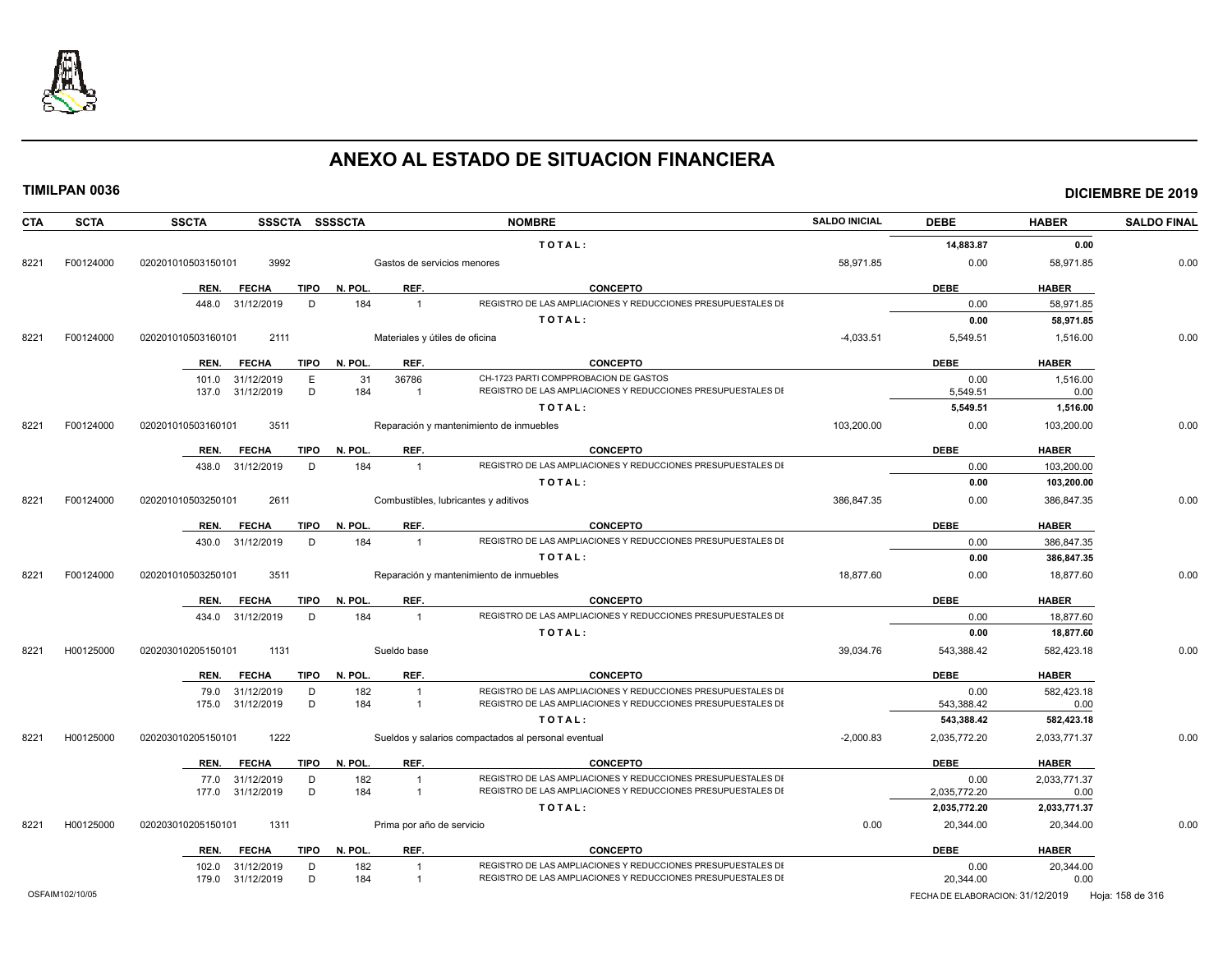

| <b>CTA</b>      | <b>SCTA</b> | SSSCTA SSSSCTA<br><b>SSCTA</b>      |         |                                | <b>NOMBRE</b>                                                                                                                | <b>SALDO INICIAL</b> | <b>DEBE</b>                      | <b>HABER</b> | <b>SALDO FINAL</b> |
|-----------------|-------------|-------------------------------------|---------|--------------------------------|------------------------------------------------------------------------------------------------------------------------------|----------------------|----------------------------------|--------------|--------------------|
|                 |             |                                     |         |                                | TOTAL:                                                                                                                       |                      | 14,883.87                        | 0.00         |                    |
| 8221            | F00124000   | 3992<br>020201010503150101          |         | Gastos de servicios menores    |                                                                                                                              | 58,971.85            | 0.00                             | 58,971.85    | 0.00               |
|                 |             | <b>FECHA</b><br><b>TIPO</b><br>REN. | N. POL. | REF.                           | <b>CONCEPTO</b>                                                                                                              |                      | <b>DEBE</b>                      | <b>HABER</b> |                    |
|                 |             | 448.0 31/12/2019<br>D               | 184     | $\overline{1}$                 | REGISTRO DE LAS AMPLIACIONES Y REDUCCIONES PRESUPUESTALES DI                                                                 |                      | 0.00                             | 58,971.85    |                    |
|                 |             |                                     |         |                                | TOTAL:                                                                                                                       |                      | 0.00                             | 58,971.85    |                    |
| 8221            | F00124000   | 2111<br>020201010503160101          |         | Materiales y útiles de oficina |                                                                                                                              | $-4,033.51$          | 5,549.51                         | 1,516.00     | 0.00               |
|                 |             | REN.<br><b>FECHA</b><br>TIPO        | N. POL. | REF.                           | <b>CONCEPTO</b>                                                                                                              |                      | <b>DEBE</b>                      | <b>HABER</b> |                    |
|                 |             | 31/12/2019<br>E<br>101.0            | 31      | 36786                          | CH-1723 PARTI COMPPROBACION DE GASTOS                                                                                        |                      | 0.00                             | 1,516.00     |                    |
|                 |             | D<br>137.0<br>31/12/2019            | 184     | $\overline{1}$                 | REGISTRO DE LAS AMPLIACIONES Y REDUCCIONES PRESUPUESTALES DI                                                                 |                      | 5,549.51                         | 0.00         |                    |
|                 |             |                                     |         |                                | TOTAL:                                                                                                                       |                      | 5,549.51                         | 1,516.00     |                    |
| 8221            | F00124000   | 020201010503160101<br>3511          |         |                                | Reparación y mantenimiento de inmuebles                                                                                      | 103,200.00           | 0.00                             | 103,200.00   | 0.00               |
|                 |             | <b>FECHA</b><br>TIPO<br>REN.        | N. POL. | REF.                           | <b>CONCEPTO</b>                                                                                                              |                      | <b>DEBE</b>                      | <b>HABER</b> |                    |
|                 |             | D<br>438.0 31/12/2019               | 184     | $\overline{1}$                 | REGISTRO DE LAS AMPLIACIONES Y REDUCCIONES PRESUPUESTALES DI                                                                 |                      | 0.00                             | 103,200.00   |                    |
|                 |             |                                     |         |                                | TOTAL:                                                                                                                       |                      | 0.00                             | 103,200.00   |                    |
| 8221            | F00124000   | 020201010503250101<br>2611          |         |                                | Combustibles, lubricantes y aditivos                                                                                         | 386,847.35           | 0.00                             | 386,847.35   | 0.00               |
|                 |             | TIPO<br>REN.<br><b>FECHA</b>        | N. POL. | REF.                           | <b>CONCEPTO</b>                                                                                                              |                      | <b>DEBE</b>                      | <b>HABER</b> |                    |
|                 |             | 430.0 31/12/2019<br>D               | 184     | $\overline{1}$                 | REGISTRO DE LAS AMPLIACIONES Y REDUCCIONES PRESUPUESTALES DI                                                                 |                      | 0.00                             | 386,847.35   |                    |
|                 |             |                                     |         |                                | TOTAL:                                                                                                                       |                      | 0.00                             | 386,847.35   |                    |
| 8221            | F00124000   | 3511<br>020201010503250101          |         |                                | Reparación y mantenimiento de inmuebles                                                                                      | 18,877.60            | 0.00                             | 18,877.60    | 0.00               |
|                 |             | <b>TIPO</b><br>REN.<br><b>FECHA</b> | N. POL  | REF.                           | <b>CONCEPTO</b>                                                                                                              |                      | <b>DEBE</b>                      | <b>HABER</b> |                    |
|                 |             | 434.0 31/12/2019<br>D               | 184     | $\overline{1}$                 | REGISTRO DE LAS AMPLIACIONES Y REDUCCIONES PRESUPUESTALES DI                                                                 |                      | 0.00                             | 18,877.60    |                    |
|                 |             |                                     |         |                                | TOTAL:                                                                                                                       |                      | 0.00                             | 18,877.60    |                    |
| 8221            | H00125000   | 020203010205150101<br>1131          |         | Sueldo base                    |                                                                                                                              | 39,034.76            | 543,388.42                       | 582,423.18   | 0.00               |
|                 |             | REN.<br><b>FECHA</b><br>TIPO        | N. POL. | REF.                           | <b>CONCEPTO</b>                                                                                                              |                      | <b>DEBE</b>                      | <b>HABER</b> |                    |
|                 |             | 79.0<br>31/12/2019<br>D             | 182     | $\overline{1}$                 | REGISTRO DE LAS AMPLIACIONES Y REDUCCIONES PRESUPUESTALES DI                                                                 |                      | 0.00                             | 582,423.18   |                    |
|                 |             | 175.0 31/12/2019<br>D               | 184     | $\overline{1}$                 | REGISTRO DE LAS AMPLIACIONES Y REDUCCIONES PRESUPUESTALES DI                                                                 |                      | 543,388.42                       | 0.00         |                    |
|                 |             |                                     |         |                                | TOTAL:                                                                                                                       |                      | 543,388.42                       | 582,423.18   |                    |
| 8221            | H00125000   | 1222<br>020203010205150101          |         |                                | Sueldos y salarios compactados al personal eventual                                                                          | $-2,000.83$          | 2,035,772.20                     | 2,033,771.37 | 0.00               |
|                 |             | <b>FECHA</b><br>TIPO<br>REN.        | N. POL. | REF.                           | <b>CONCEPTO</b>                                                                                                              |                      | <b>DEBE</b>                      | <b>HABER</b> |                    |
|                 |             | 31/12/2019<br>D<br>77.0             | 182     | $\overline{1}$                 | REGISTRO DE LAS AMPLIACIONES Y REDUCCIONES PRESUPUESTALES DI                                                                 |                      | 0.00                             | 2.033.771.37 |                    |
|                 |             | D<br>177.0 31/12/2019               | 184     | $\overline{1}$                 | REGISTRO DE LAS AMPLIACIONES Y REDUCCIONES PRESUPUESTALES DI                                                                 |                      | 2,035,772.20                     | 0.00         |                    |
|                 |             |                                     |         |                                | TOTAL:                                                                                                                       |                      | 2,035,772.20                     | 2,033,771.37 |                    |
| 8221            | H00125000   | 1311<br>020203010205150101          |         | Prima por año de servicio      |                                                                                                                              | 0.00                 | 20,344.00                        | 20,344.00    | 0.00               |
|                 |             | <b>FECHA</b><br><b>TIPO</b><br>REN. | N. POL. | REF.                           | <b>CONCEPTO</b>                                                                                                              |                      | <b>DEBE</b>                      | <b>HABER</b> |                    |
|                 |             | 31/12/2019<br>D<br>102.0            | 182     | $\overline{1}$                 | REGISTRO DE LAS AMPLIACIONES Y REDUCCIONES PRESUPUESTALES DI<br>REGISTRO DE LAS AMPLIACIONES Y REDUCCIONES PRESUPUESTALES DI |                      | 0.00                             | 20,344.00    |                    |
|                 |             | D<br>179.0 31/12/2019               | 184     | $\overline{1}$                 |                                                                                                                              |                      | 20,344.00                        | 0.00         |                    |
| OSFAIM102/10/05 |             |                                     |         |                                |                                                                                                                              |                      | FECHA DE ELABORACION: 31/12/2019 |              | Hoja: 158 de 316   |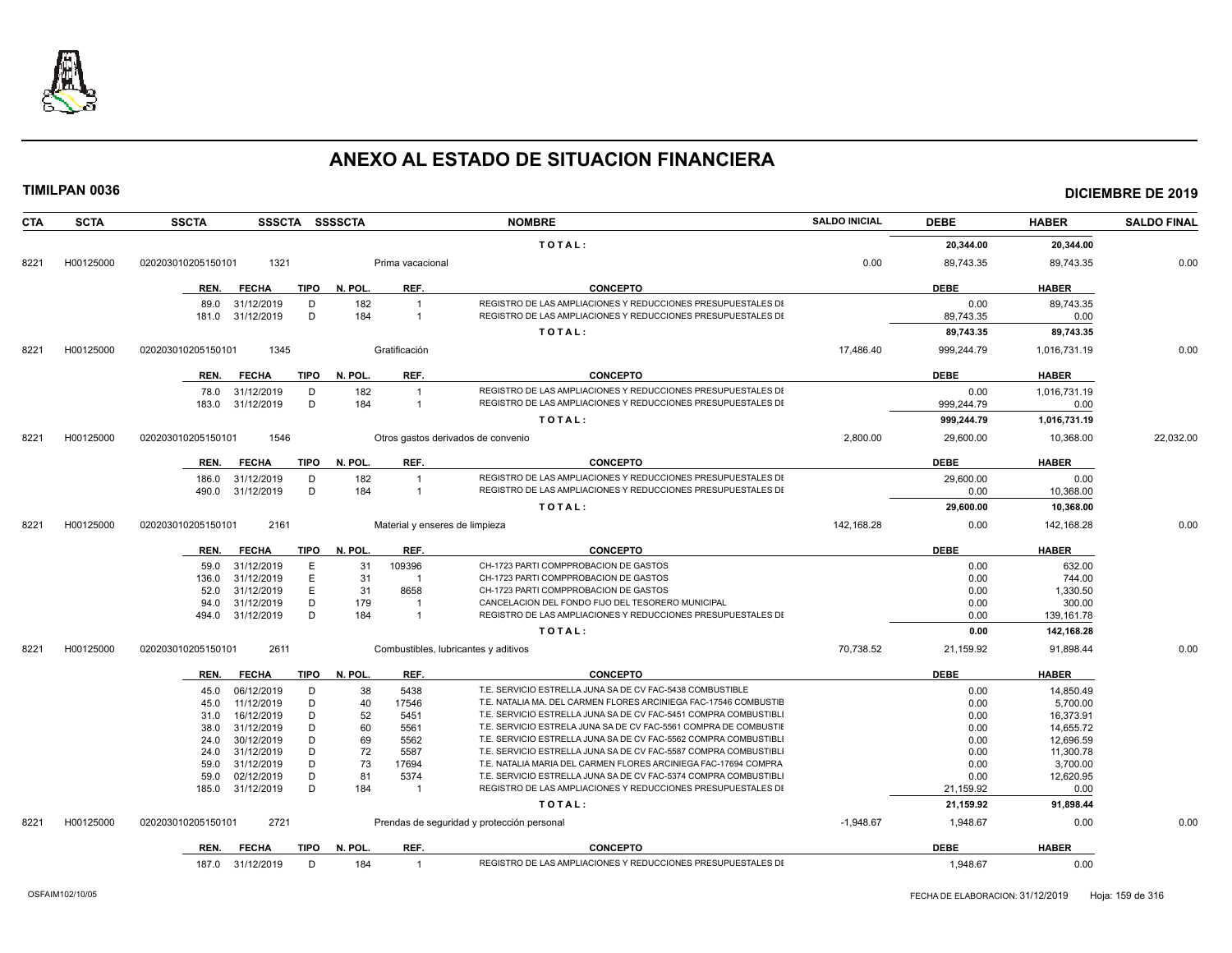

**TIMILPAN 0036 DICIEMBRE DE 2019**

**CTA SCTA SSCTA SSSCTA SSSSCTA NOMBRE SALDO INICIAL DEBE HABER SALDO FINAL T O T A L : 20,344.00 20,344.00** 8221 H00125000 020203010205150101 1321 Prima vacacional 0.00 89,743.35 89,743.35 0.00 **REN. FECHA TIPO N. POL. REF. CONCEPTO DEBE HABER** 89.0 31/12/2019 D 182 1 REGISTRO DE LAS AMPLIACIONES Y REDUCCIONES PRESUPUESTALES DE LAS CUENTAS DE EGRESOS 0.00 89,743.35 181.0 31/12/2019 D 184 1 REGISTRO DE LAS AMPLIACIONES Y REDUCCIONES PRESUPUESTALES DE LAS CUENTAS DE EGRESOS 89,743.35 0.00 **T O T A L : 89,743.35 89,743.35** 8221 H00125000 020203010205150101 1345 Gratificación 17,486.40 999,244.79 1,016,731.19 0.00 **REN. FECHA TIPO N. POL. REF. CONCEPTO DEBE HABER** 78.0 31/12/2019 D 182 1 REGISTRO DE LAS AMPLIACIONES Y REDUCCIONES PRESUPUESTALES DE LAS CUENTAS DE EGRESOS 0.00 1,016,731.19 183.0 31/12/2019 D 184 1 REGISTRO DE LAS AMPLIACIONES Y REDUCCIONES PRESUPUESTALES DI 200 **T O T A L : 999,244.79 1,016,731.19** 8221 H00125000 020203010205150101 1546 Otros gastos derivados de convenio 2,800.00 29,600.00 10,368.00 22,032.00 **REN. FECHA TIPO N. POL. REF. CONCEPTO DEBE HABER** 186.0 31/12/2019 D 182 1 REGISTRO DE LAS AMPLIACIONES Y REDUCCIONES PRESUPUESTALES DE LAS CONTROLLES DE LAS ANNE 490.0 31/12/2019 D 184 1 REGISTRO DE LAS AMPLIACIONES Y REDUCCIONES PRESUPUESTALES DI 200 10,368.00 **T O T A L : 29,600.00 10,368.00** 8221 H00125000 020203010205150101 2161 Material y enseres de limpieza 142,168.28 142,168.28 0.00 142,168.28 0.00 142,168.28 0.00 142,168.28 0.00 142,168.28 0.00 142,168.28 0.00 142,168.28 0.00 142,168.28 0.00 142,168.28 0. **REN. FECHA TIPO N. POL. REF. CONCEPTO DEBE HABER** 59.0 31/12/2019 E 31 109396 CH-1723 PARTI COMPPROBACION DE GASTOS<br>136.0 31/12/2019 E 31 1 CH-1723 PARTI COMPPROBACION DE GASTOS CHE SOLO 1999 0.00 744.00 1 CH-1723 PARTI COMPPROBACION DE GASTOS 52.0 31/12/2019 E 31 8658 CH-1723 PARTI COMPPROBACION DE GASTOS<br>1,330.50 94.0 31/12/2019 D 179 1 CANCELACION DEL FONDO FIJO DEL TESORERO MUNICIPAL 94.0 31/12/2019 D 179 1 CANCELACION DEL FONDO FIJO DEL TESORERO MUNICIPAL 494.0 31/12/2019 D 184 1 REGISTRO DE LAS AMPLIACIONES Y REDUCCIONES PRESUPUESTALES DE LAS AMPLIACIONES Y REDUCCIONES PRESUPUESTALES DE LAS AMPLIACIONES PRESUPUESTALES DE LAS AMPLIACIONES PRESUPUESTALES DE LA SANTO DE LAS A **T O T A L : 0.00 142,168.28** 8221 H00125000 020203010205150101 2611 Combustibles, lubricantes y aditivos 70,738.52 21,159.92 91,898.44 0.00 **REN. FECHA TIPO N. POL. REF. CONCEPTO DEBE HABER** 45.0 06/12/2019 D 38 5438 T.E. SERVICIO ESTRELLA JUNA SA DE CV FAC-5438 COMBUSTIBLE 0.00 14,850.49 45.0 11/12/2019 D 40 17546 T.E. NATALIA MA. DEL CARMEN FLORES ARCINIEGA FAC-17546 COMBUSTIE<br>31.0 16/12/2019 D 52 5451 T.E. SERVICIO ESTRELLA JUNA SA DE CV FAC-5451 COMPRA COMBUSTIBLI COMPONENTIBLI (0.00 16.373.91 31.0 16/12/2019 D 52 5451 T.E. SERVICIO ESTRELLA JUNA SA DE CV FAC-5451 COMPRA COMBUSTIBLI COMBUSTIBLE 0.00 16.373.91 38.0 31/12/2019 D 60 5561 T.E. SERVICIO ESTRELA JUNA SA DE CV FAC-5561 COMPRA DE COMBUSTIE 6.00 14,655.72 24.0 30/12/2019 D 69 5562 T.E. SERVICIO ESTRELLA JUNA SA DE CV FAC-5562 COMPRA COMBUSTIBLI COMBUSTIBLE 0.00 12,696.59 24.0 31/12/2019 D 72 5587 T.E. SERVICIO ESTRELLA JUNA SA DE CV FAC-5587 COMPRA COMBUSTIBLI 200 0 11,300.78 59.0 31/12/2019 D 73 17694 T.E. NATALIA MARIA DEL CARMEN FLORES ARCINIEGA FAC-17694 COMPRA COMBUSTIBLE 0.00 3,700.00 59.0 02/12/2019 D 81 5374 T.E. SERVICIO ESTRELLA JUNA SA DE CV FAC-5374 COMPRA COMBUSTIBLI 6.00 00 12,620.95<br>185.0 31/12/2019 D 184 1 REGISTRO DE LAS AMPLIACIONES Y REDUCCIONES PRESUPUESTALES DI 21.159.92 0.00 00 00 185.0 31/12/2019 D 184 1 REGISTRO DE LAS AMPLIACIONES Y REDUCCIONES PRESUPUESTALES DI 21,159.92 21,159.92 0.00 **T O T A L : 21,159.92 91,898.44** 8221 H00125000 020203010205150101 2721 Prendas de seguridad y protección personal - - - - - - - - - - - 1,948.67 1,948.67 0.00 0.00 0.00 0.00 0.00

**REN. FECHA TIPO N. POL. REF. CONCEPTO DEBE HABER**

187.0 31/12/2019 D 184 1 REGISTRO DE LAS AMPLIACIONES Y REDUCCIONES PRESUPUESTALES DI 1948.67 1,948.67 0.00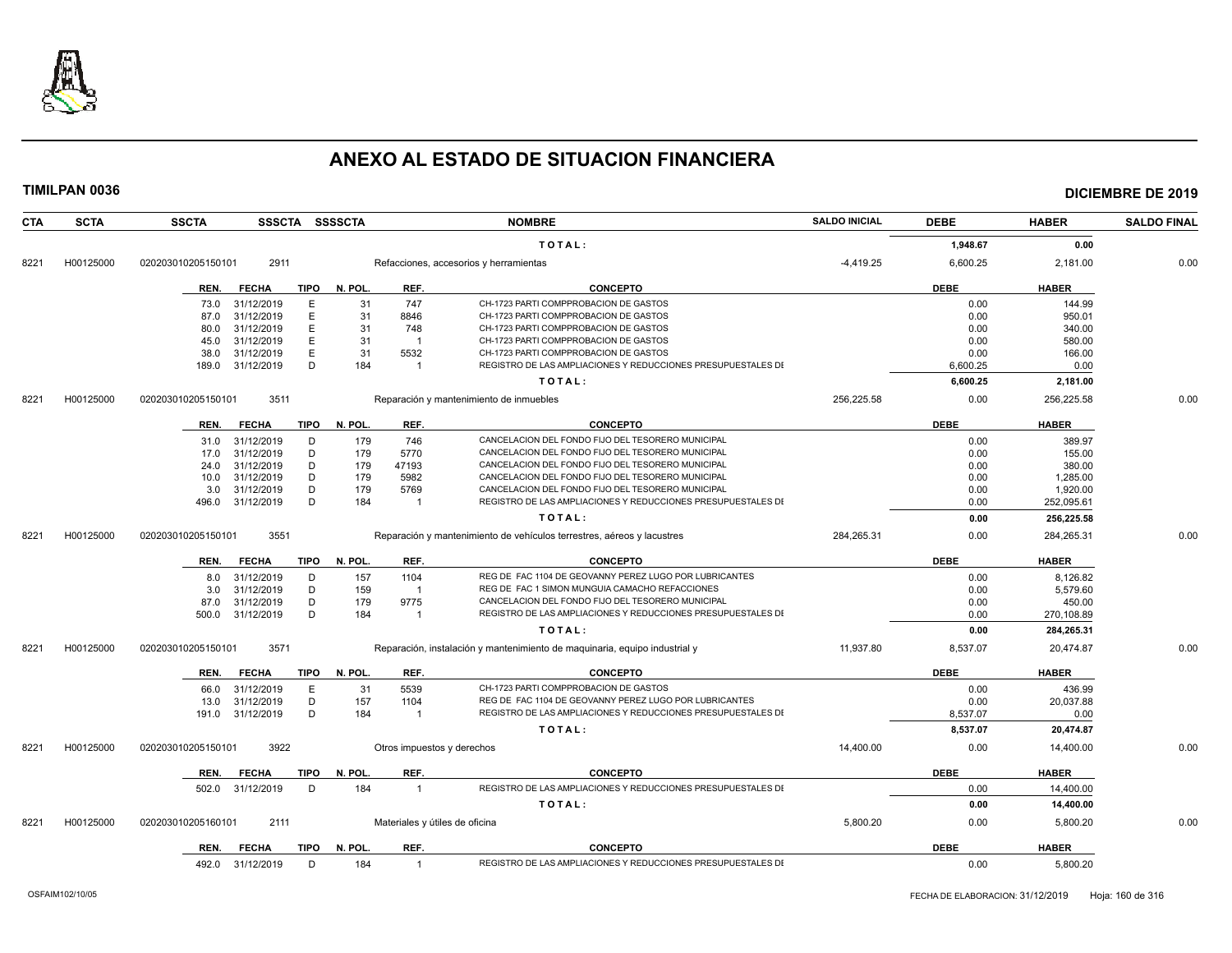

| CTA  | <b>SCTA</b> | <b>SSCTA</b>       | <b>SSSCTA</b> |             | <b>SSSSCTA</b> |                | <b>NOMBRE</b>                                                              | <b>SALDO INICIAL</b> | <b>DEBE</b> | <b>HABER</b> | <b>SALDO FINAL</b> |
|------|-------------|--------------------|---------------|-------------|----------------|----------------|----------------------------------------------------------------------------|----------------------|-------------|--------------|--------------------|
|      |             |                    |               |             |                |                | TOTAL:                                                                     |                      | 1.948.67    | 0.00         |                    |
| 8221 | H00125000   | 020203010205150101 | 2911          |             |                |                | Refacciones, accesorios y herramientas                                     | $-4,419.25$          | 6,600.25    | 2,181.00     | 0.00               |
|      |             | REN.               | <b>FECHA</b>  | TIPO        | N. POL.        | REF.           | <b>CONCEPTO</b>                                                            |                      | <b>DEBE</b> | <b>HABER</b> |                    |
|      |             | 73.0               | 31/12/2019    | Е           | 31             | 747            | CH-1723 PARTI COMPPROBACION DE GASTOS                                      |                      | 0.00        | 144.99       |                    |
|      |             | 87.0               | 31/12/2019    | Е           | 31             | 8846           | CH-1723 PARTI COMPPROBACION DE GASTOS                                      |                      | 0.00        | 950.01       |                    |
|      |             | 80.0               | 31/12/2019    | E           | 31             | 748            | CH-1723 PARTI COMPPROBACION DE GASTOS                                      |                      | 0.00        | 340.00       |                    |
|      |             | 45.0               | 31/12/2019    | E           | 31             | $\overline{1}$ | CH-1723 PARTI COMPPROBACION DE GASTOS                                      |                      | 0.00        | 580.00       |                    |
|      |             | 38.0               | 31/12/2019    | E           | 31             | 5532           | CH-1723 PARTI COMPPROBACION DE GASTOS                                      |                      | 0.00        | 166.00       |                    |
|      |             | 189.0              | 31/12/2019    | D           | 184            | $\overline{1}$ | REGISTRO DE LAS AMPLIACIONES Y REDUCCIONES PRESUPUESTALES DI               |                      | 6.600.25    | 0.00         |                    |
|      |             |                    |               |             |                |                | TOTAL:                                                                     |                      | 6,600.25    | 2,181.00     |                    |
| 8221 | H00125000   | 020203010205150101 | 3511          |             |                |                | Reparación y mantenimiento de inmuebles                                    | 256,225.58           | 0.00        | 256,225.58   | 0.00               |
|      |             | REN.               | <b>FECHA</b>  | TIPO        | N. POL.        | REF.           | <b>CONCEPTO</b>                                                            |                      | <b>DEBE</b> | <b>HABER</b> |                    |
|      |             | 31.0               | 31/12/2019    | D           | 179            | 746            | CANCELACION DEL FONDO FIJO DEL TESORERO MUNICIPAL                          |                      | 0.00        | 389.97       |                    |
|      |             | 17.0               | 31/12/2019    | D           | 179            | 5770           | CANCELACION DEL FONDO FIJO DEL TESORERO MUNICIPAL                          |                      | 0.00        | 155.00       |                    |
|      |             | 24.0               | 31/12/2019    | D           | 179            | 47193          | CANCELACION DEL FONDO FIJO DEL TESORERO MUNICIPAL                          |                      | 0.00        | 380.00       |                    |
|      |             | 10.0               | 31/12/2019    | D           | 179            | 5982           | CANCELACION DEL FONDO FIJO DEL TESORERO MUNICIPAL                          |                      | 0.00        | 1,285.00     |                    |
|      |             | 3.0                | 31/12/2019    | D           | 179            | 5769           | CANCELACION DEL FONDO FIJO DEL TESORERO MUNICIPAL                          |                      | 0.00        | 1,920.00     |                    |
|      |             | 496.0              | 31/12/2019    | D           | 184            | -1             | REGISTRO DE LAS AMPLIACIONES Y REDUCCIONES PRESUPUESTALES DI               |                      | 0.00        | 252,095.61   |                    |
|      |             |                    |               |             |                |                | TOTAL:                                                                     |                      | 0.00        | 256,225.58   |                    |
| 8221 | H00125000   | 020203010205150101 | 3551          |             |                |                | Reparación y mantenimiento de vehículos terrestres, aéreos y lacustres     | 284,265.31           | 0.00        | 284,265.31   | 0.00               |
|      |             | REN.               | <b>FECHA</b>  | TIPO        | N. POL.        | REF.           | <b>CONCEPTO</b>                                                            |                      | <b>DEBE</b> | <b>HABER</b> |                    |
|      |             | 8.0                | 31/12/2019    | D           | 157            | 1104           | REG DE FAC 1104 DE GEOVANNY PEREZ LUGO POR LUBRICANTES                     |                      | 0.00        | 8.126.82     |                    |
|      |             | 3.0                | 31/12/2019    | D           | 159            | $\overline{1}$ | REG DE FAC 1 SIMON MUNGUIA CAMACHO REFACCIONES                             |                      | 0.00        | 5,579.60     |                    |
|      |             | 87.0               | 31/12/2019    | D           | 179            | 9775           | CANCELACION DEL FONDO FIJO DEL TESORERO MUNICIPAL                          |                      | 0.00        | 450.00       |                    |
|      |             | 500.0              | 31/12/2019    | D           | 184            | $\overline{1}$ | REGISTRO DE LAS AMPLIACIONES Y REDUCCIONES PRESUPUESTALES DI               |                      | 0.00        | 270,108.89   |                    |
|      |             |                    |               |             |                |                | TOTAL:                                                                     |                      | 0.00        | 284,265.31   |                    |
| 8221 | H00125000   | 020203010205150101 | 3571          |             |                |                | Reparación, instalación y mantenimiento de maquinaria, equipo industrial y | 11.937.80            | 8,537.07    | 20.474.87    | 0.00               |
|      |             | REN.               | <b>FECHA</b>  | TIPO        | N. POL.        | REF.           | <b>CONCEPTO</b>                                                            |                      | <b>DEBE</b> | <b>HABER</b> |                    |
|      |             | 66.0               | 31/12/2019    | Е           | 31             | 5539           | CH-1723 PARTI COMPPROBACION DE GASTOS                                      |                      | 0.00        | 436.99       |                    |
|      |             | 13.0               | 31/12/2019    | D           | 157            | 1104           | REG DE FAC 1104 DE GEOVANNY PEREZ LUGO POR LUBRICANTES                     |                      | 0.00        | 20,037.88    |                    |
|      |             | 191.0              | 31/12/2019    | D           | 184            | $\overline{1}$ | REGISTRO DE LAS AMPLIACIONES Y REDUCCIONES PRESUPUESTALES DI               |                      | 8.537.07    | 0.00         |                    |
|      |             |                    |               |             |                |                | TOTAL:                                                                     |                      | 8,537.07    | 20,474.87    |                    |
| 8221 | H00125000   | 020203010205150101 | 3922          |             |                |                | Otros impuestos y derechos                                                 | 14,400.00            | 0.00        | 14,400.00    | 0.00               |
|      |             | REN.               | <b>FECHA</b>  | <b>TIPO</b> | N. POL.        | REF.           | <b>CONCEPTO</b>                                                            |                      | <b>DEBE</b> | <b>HABER</b> |                    |
|      |             | 502.0              | 31/12/2019    | D           | 184            | $\mathbf{1}$   | REGISTRO DE LAS AMPLIACIONES Y REDUCCIONES PRESUPUESTALES DI               |                      | 0.00        | 14.400.00    |                    |
|      |             |                    |               |             |                |                | TOTAL:                                                                     |                      | 0.00        | 14,400.00    |                    |
| 8221 | H00125000   | 020203010205160101 | 2111          |             |                |                | Materiales y útiles de oficina                                             | 5,800.20             | 0.00        | 5,800.20     | 0.00               |
|      |             |                    |               |             |                |                |                                                                            |                      |             |              |                    |
|      |             | REN.               | <b>FECHA</b>  | TIPO        | N. POL.        | REF.           | <b>CONCEPTO</b>                                                            |                      | <b>DEBE</b> | <b>HABER</b> |                    |
|      |             | 492.0              | 31/12/2019    | D           | 184            | $\overline{1}$ | REGISTRO DE LAS AMPLIACIONES Y REDUCCIONES PRESUPUESTALES DI               |                      | 0.00        | 5,800.20     |                    |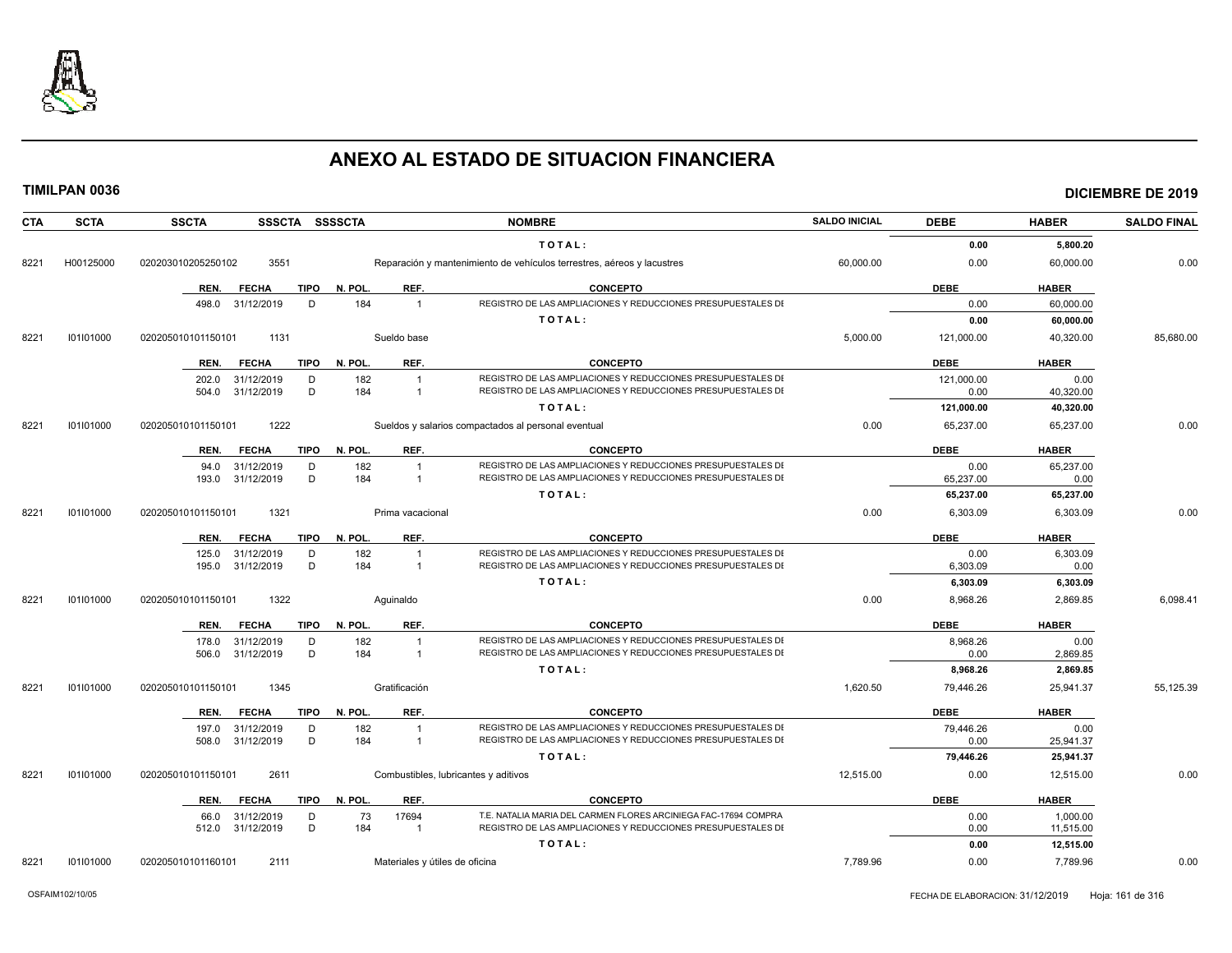

| <b>CTA</b> | <b>SCTA</b> | <b>SSCTA</b><br>SSSCTA SSSSCTA                    |                                | <b>NOMBRE</b>                                                          | <b>SALDO INICIAL</b> | <b>DEBE</b>        | <b>HABER</b> | <b>SALDO FINAL</b> |
|------------|-------------|---------------------------------------------------|--------------------------------|------------------------------------------------------------------------|----------------------|--------------------|--------------|--------------------|
|            |             |                                                   |                                | TOTAL:                                                                 |                      | 0.00               | 5,800.20     |                    |
| 8221       | H00125000   | 3551<br>020203010205250102                        |                                | Reparación y mantenimiento de vehículos terrestres, aéreos y lacustres | 60,000.00            | 0.00               | 60,000.00    | 0.00               |
|            |             | <b>TIPO</b><br>REN.<br><b>FECHA</b>               | N. POL.<br>REF.                | <b>CONCEPTO</b>                                                        |                      | <b>DEBE</b>        | <b>HABER</b> |                    |
|            |             | 498.0<br>31/12/2019<br>D                          | 184<br>$\overline{1}$          | REGISTRO DE LAS AMPLIACIONES Y REDUCCIONES PRESUPUESTALES DI           |                      | 0.00               | 60,000.00    |                    |
|            |             |                                                   |                                | TOTAL:                                                                 |                      | 0.00               | 60,000.00    |                    |
| 8221       | 101101000   | 1131<br>020205010101150101                        | Sueldo base                    |                                                                        | 5,000.00             | 121,000.00         | 40,320.00    | 85,680.00          |
|            |             | <b>FECHA</b><br>TIPO<br>REN.                      | REF.<br>N. POL.                | <b>CONCEPTO</b>                                                        |                      | <b>DEBE</b>        | <b>HABER</b> |                    |
|            |             |                                                   | 182<br>$\overline{1}$          | REGISTRO DE LAS AMPLIACIONES Y REDUCCIONES PRESUPUESTALES DI           |                      |                    | 0.00         |                    |
|            |             | 31/12/2019<br>D<br>202.0<br>D<br>504.0 31/12/2019 | 184<br>$\overline{1}$          | REGISTRO DE LAS AMPLIACIONES Y REDUCCIONES PRESUPUESTALES DI           |                      | 121,000.00<br>0.00 | 40,320.00    |                    |
|            |             |                                                   |                                | TOTAL:                                                                 |                      | 121,000.00         | 40,320.00    |                    |
| 8221       | 101101000   | 1222<br>020205010101150101                        |                                | Sueldos y salarios compactados al personal eventual                    | 0.00                 | 65,237.00          | 65,237.00    | 0.00               |
|            |             | <b>TIPO</b><br><b>FECHA</b><br>REN.               | N. POL.<br>REF.                | <b>CONCEPTO</b>                                                        |                      | <b>DEBE</b>        | <b>HABER</b> |                    |
|            |             | 31/12/2019<br>D<br>94.0                           | 182<br>$\overline{1}$          | REGISTRO DE LAS AMPLIACIONES Y REDUCCIONES PRESUPUESTALES DI           |                      | 0.00               | 65,237.00    |                    |
|            |             | D<br>31/12/2019<br>193.0                          | 184<br>$\overline{1}$          | REGISTRO DE LAS AMPLIACIONES Y REDUCCIONES PRESUPUESTALES DI           |                      | 65,237.00          | 0.00         |                    |
|            |             |                                                   |                                | TOTAL:                                                                 |                      | 65,237.00          | 65,237.00    |                    |
| 8221       | 101101000   | 020205010101150101<br>1321                        | Prima vacacional               |                                                                        | 0.00                 | 6,303.09           | 6,303.09     | 0.00               |
|            |             | <b>FECHA</b><br>TIPO<br>REN.                      | REF.<br>N. POL.                | <b>CONCEPTO</b>                                                        |                      | <b>DEBE</b>        | <b>HABER</b> |                    |
|            |             | 31/12/2019<br>D<br>125.0                          | 182<br>$\overline{1}$          | REGISTRO DE LAS AMPLIACIONES Y REDUCCIONES PRESUPUESTALES DI           |                      | 0.00               | 6,303.09     |                    |
|            |             | 31/12/2019<br>D<br>195.0                          | 184<br>$\overline{1}$          | REGISTRO DE LAS AMPLIACIONES Y REDUCCIONES PRESUPUESTALES DI           |                      | 6,303.09           | 0.00         |                    |
|            |             |                                                   |                                | TOTAL:                                                                 |                      | 6,303.09           | 6,303.09     |                    |
| 8221       | 101101000   | 1322<br>020205010101150101                        | Aquinaldo                      |                                                                        | 0.00                 | 8,968.26           | 2,869.85     | 6,098.41           |
|            |             | REN.<br><b>FECHA</b><br><b>TIPO</b>               | N. POL.<br>REF.                | <b>CONCEPTO</b>                                                        |                      | <b>DEBE</b>        | <b>HABER</b> |                    |
|            |             | 31/12/2019<br>D<br>178.0                          | 182<br>$\overline{1}$          | REGISTRO DE LAS AMPLIACIONES Y REDUCCIONES PRESUPUESTALES DI           |                      | 8,968.26           | 0.00         |                    |
|            |             | 31/12/2019<br>D<br>506.0                          | 184<br>$\overline{1}$          | REGISTRO DE LAS AMPLIACIONES Y REDUCCIONES PRESUPUESTALES DI           |                      | 0.00               | 2,869.85     |                    |
|            |             |                                                   |                                | TOTAL:                                                                 |                      | 8,968.26           | 2,869.85     |                    |
| 8221       | 101101000   | 1345<br>020205010101150101                        | Gratificación                  |                                                                        | 1,620.50             | 79,446.26          | 25,941.37    | 55,125.39          |
|            |             | <b>FECHA</b><br><b>TIPO</b><br>REN.               | N. POL.<br>REF.                | <b>CONCEPTO</b>                                                        |                      | <b>DEBE</b>        | <b>HABER</b> |                    |
|            |             | 31/12/2019<br>D<br>197.0                          | 182<br>$\overline{1}$          | REGISTRO DE LAS AMPLIACIONES Y REDUCCIONES PRESUPUESTALES DI           |                      | 79,446.26          | 0.00         |                    |
|            |             | D<br>31/12/2019<br>508.0                          | 184<br>$\overline{1}$          | REGISTRO DE LAS AMPLIACIONES Y REDUCCIONES PRESUPUESTALES DI           |                      | 0.00               | 25,941.37    |                    |
|            |             |                                                   |                                | TOTAL:                                                                 |                      | 79,446.26          | 25,941.37    |                    |
| 8221       | 101101000   | 2611<br>020205010101150101                        |                                | Combustibles, lubricantes y aditivos                                   | 12,515.00            | 0.00               | 12,515.00    | 0.00               |
|            |             | <b>TIPO</b><br>REN.<br><b>FECHA</b>               | N. POL.<br>REF.                | <b>CONCEPTO</b>                                                        |                      | <b>DEBE</b>        | <b>HABER</b> |                    |
|            |             | 31/12/2019<br>D<br>66.0                           | 73<br>17694                    | T.E. NATALIA MARIA DEL CARMEN FLORES ARCINIEGA FAC-17694 COMPRA        |                      | 0.00               | 1,000.00     |                    |
|            |             | D<br>31/12/2019<br>512.0                          | 184<br>$\overline{1}$          | REGISTRO DE LAS AMPLIACIONES Y REDUCCIONES PRESUPUESTALES DI           |                      | 0.00               | 11,515.00    |                    |
|            |             |                                                   |                                | TOTAL:                                                                 |                      | 0.00               | 12,515.00    |                    |
| 8221       | 101101000   | 020205010101160101<br>2111                        | Materiales y útiles de oficina |                                                                        | 7,789.96             | 0.00               | 7,789.96     | 0.00               |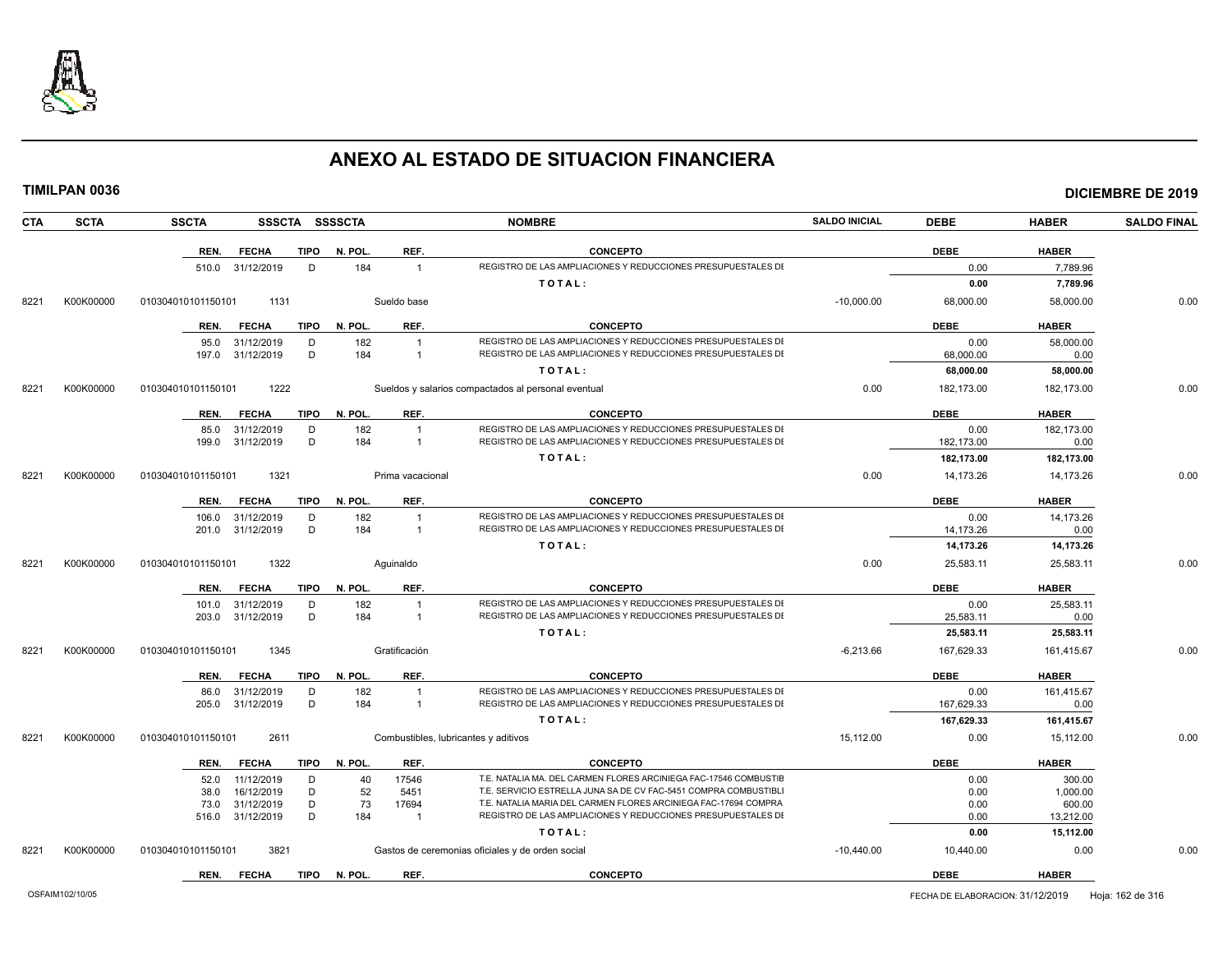

| CTA  | <b>SCTA</b> | <b>SSCTA</b>                              | SSSCTA SSSSCTA |           |                         | <b>NOMBRE</b>                                                                                                                   | <b>SALDO INICIAL</b> | <b>DEBE</b>  | <b>HABER</b>        | <b>SALDO FINAL</b> |
|------|-------------|-------------------------------------------|----------------|-----------|-------------------------|---------------------------------------------------------------------------------------------------------------------------------|----------------------|--------------|---------------------|--------------------|
|      |             | REN.<br><b>FECHA</b>                      | <b>TIPO</b>    | N. POL.   | REF.                    | <b>CONCEPTO</b>                                                                                                                 |                      | <b>DEBE</b>  | <b>HABER</b>        |                    |
|      |             | 31/12/2019<br>510.0                       | D              | 184       | $\mathbf{1}$            | REGISTRO DE LAS AMPLIACIONES Y REDUCCIONES PRESUPUESTALES DI                                                                    |                      | 0.00         | 7,789.96            |                    |
|      |             |                                           |                |           |                         | TOTAL:                                                                                                                          |                      | 0.00         | 7,789.96            |                    |
| 8221 | K00K00000   | 010304010101150101                        | 1131           |           | Sueldo base             |                                                                                                                                 | $-10,000.00$         | 68,000.00    | 58,000.00           | 0.00               |
|      |             | REN.<br><b>FECHA</b>                      | <b>TIPO</b>    | N. POL    | REF.                    | <b>CONCEPTO</b>                                                                                                                 |                      | <b>DEBE</b>  | <b>HABER</b>        |                    |
|      |             | 95.0<br>31/12/2019                        | D              | 182       | $\mathbf{1}$            | REGISTRO DE LAS AMPLIACIONES Y REDUCCIONES PRESUPUESTALES DI                                                                    |                      | 0.00         | 58,000.00           |                    |
|      |             | 197.0<br>31/12/2019                       | D              | 184       | $\overline{1}$          | REGISTRO DE LAS AMPLIACIONES Y REDUCCIONES PRESUPUESTALES DI                                                                    |                      | 68,000.00    | 0.00                |                    |
|      |             |                                           |                |           |                         | TOTAL:                                                                                                                          |                      | 68,000.00    | 58,000.00           |                    |
| 8221 | K00K00000   | 010304010101150101                        | 1222           |           |                         | Sueldos y salarios compactados al personal eventual                                                                             | 0.00                 | 182,173.00   | 182,173.00          | 0.00               |
|      |             | REN.<br><b>FECHA</b>                      | <b>TIPO</b>    | N. POL.   | REF.                    | <b>CONCEPTO</b>                                                                                                                 |                      | <b>DEBE</b>  | <b>HABER</b>        |                    |
|      |             | 31/12/2019<br>85.0                        | D              | 182       | $\overline{1}$          | REGISTRO DE LAS AMPLIACIONES Y REDUCCIONES PRESUPUESTALES DI                                                                    |                      | 0.00         | 182.173.00          |                    |
|      |             | 31/12/2019<br>199.0                       | D              | 184       | $\mathbf{1}$            | REGISTRO DE LAS AMPLIACIONES Y REDUCCIONES PRESUPUESTALES DI                                                                    |                      | 182,173.00   | 0.00                |                    |
|      |             |                                           |                |           |                         | TOTAL:                                                                                                                          |                      | 182,173.00   | 182,173.00          |                    |
| 8221 | K00K00000   | 010304010101150101                        | 1321           |           | Prima vacacional        |                                                                                                                                 | 0.00                 | 14,173.26    | 14,173.26           | 0.00               |
|      |             | REN.<br><b>FECHA</b>                      | <b>TIPO</b>    | N. POL.   | REF.                    | <b>CONCEPTO</b>                                                                                                                 |                      | <b>DEBE</b>  | <b>HABER</b>        |                    |
|      |             | 31/12/2019<br>106.0                       | D              | 182       | $\overline{1}$          | REGISTRO DE LAS AMPLIACIONES Y REDUCCIONES PRESUPUESTALES DI                                                                    |                      | 0.00         | 14.173.26           |                    |
|      |             | 31/12/2019<br>201.0                       | D              | 184       | $\mathbf{1}$            | REGISTRO DE LAS AMPLIACIONES Y REDUCCIONES PRESUPUESTALES DI                                                                    |                      | 14,173.26    | 0.00                |                    |
|      |             |                                           |                |           |                         | TOTAL:                                                                                                                          |                      | 14,173.26    | 14,173.26           |                    |
| 8221 | K00K00000   | 010304010101150101                        | 1322           |           | Aquinaldo               |                                                                                                                                 | 0.00                 | 25,583.11    | 25,583.11           | 0.00               |
|      |             | <b>FECHA</b><br>REN.                      | <b>TIPO</b>    | N. POL.   | REF.                    | <b>CONCEPTO</b>                                                                                                                 |                      | <b>DEBE</b>  | <b>HABER</b>        |                    |
|      |             | 31/12/2019<br>101.0                       | D              | 182       | $\overline{1}$          | REGISTRO DE LAS AMPLIACIONES Y REDUCCIONES PRESUPUESTALES DI                                                                    |                      | 0.00         | 25,583.11           |                    |
|      |             | 31/12/2019<br>203.0                       | D              | 184       | $\mathbf{1}$            | REGISTRO DE LAS AMPLIACIONES Y REDUCCIONES PRESUPUESTALES DI                                                                    |                      | 25,583.11    | 0.00                |                    |
|      |             |                                           |                |           |                         | TOTAL:                                                                                                                          |                      | 25,583.11    | 25,583.11           |                    |
| 8221 | K00K00000   | 010304010101150101                        | 1345           |           | Gratificación           |                                                                                                                                 | $-6,213.66$          | 167,629.33   | 161,415.67          | 0.00               |
|      |             | REN.<br><b>FECHA</b>                      | <b>TIPO</b>    | N. POL.   | REF.                    | <b>CONCEPTO</b>                                                                                                                 |                      | <b>DEBE</b>  | <b>HABER</b>        |                    |
|      |             | 31/12/2019<br>86.0                        | D              | 182       | $\mathbf{1}$            | REGISTRO DE LAS AMPLIACIONES Y REDUCCIONES PRESUPUESTALES DI                                                                    |                      | 0.00         | 161,415.67          |                    |
|      |             | 31/12/2019<br>205.0                       | D              | 184       | $\mathbf{1}$            | REGISTRO DE LAS AMPLIACIONES Y REDUCCIONES PRESUPUESTALES DI                                                                    |                      | 167,629.33   | 0.00                |                    |
|      |             |                                           |                |           |                         | TOTAL:                                                                                                                          |                      | 167,629.33   | 161,415.67          |                    |
| 8221 | K00K00000   | 010304010101150101                        | 2611           |           |                         | Combustibles, lubricantes y aditivos                                                                                            | 15.112.00            | 0.00         | 15.112.00           | 0.00               |
|      |             | <b>FECHA</b><br>REN.                      | <b>TIPO</b>    | N. POL.   | REF.                    | <b>CONCEPTO</b>                                                                                                                 |                      | <b>DEBE</b>  | <b>HABER</b>        |                    |
|      |             | 11/12/2019<br>52.0                        | D              | 40        | 17546                   | T.E. NATALIA MA. DEL CARMEN FLORES ARCINIEGA FAC-17546 COMBUSTIE                                                                |                      | 0.00         | 300.00              |                    |
|      |             | 38.0<br>16/12/2019                        | D              | 52        | 5451                    | T.E. SERVICIO ESTRELLA JUNA SA DE CV FAC-5451 COMPRA COMBUSTIBLI                                                                |                      | 0.00         | 1,000.00            |                    |
|      |             | 31/12/2019<br>73.0<br>31/12/2019<br>516.0 | D<br>D         | 73<br>184 | 17694<br>$\overline{1}$ | T.E. NATALIA MARIA DEL CARMEN FLORES ARCINIEGA FAC-17694 COMPRA<br>REGISTRO DE LAS AMPLIACIONES Y REDUCCIONES PRESUPUESTALES DI |                      | 0.00<br>0.00 | 600.00<br>13,212.00 |                    |
|      |             |                                           |                |           |                         | TOTAL:                                                                                                                          |                      | 0.00         | 15,112.00           |                    |
| 8221 | K00K00000   | 010304010101150101                        | 3821           |           |                         | Gastos de ceremonias oficiales y de orden social                                                                                | $-10,440.00$         | 10,440.00    | 0.00                | 0.00               |
|      |             | <b>FECHA</b><br>REN.                      | <b>TIPO</b>    | N. POL.   | REF.                    | <b>CONCEPTO</b>                                                                                                                 |                      | <b>DEBE</b>  | <b>HABER</b>        |                    |
|      |             |                                           |                |           |                         |                                                                                                                                 |                      |              |                     |                    |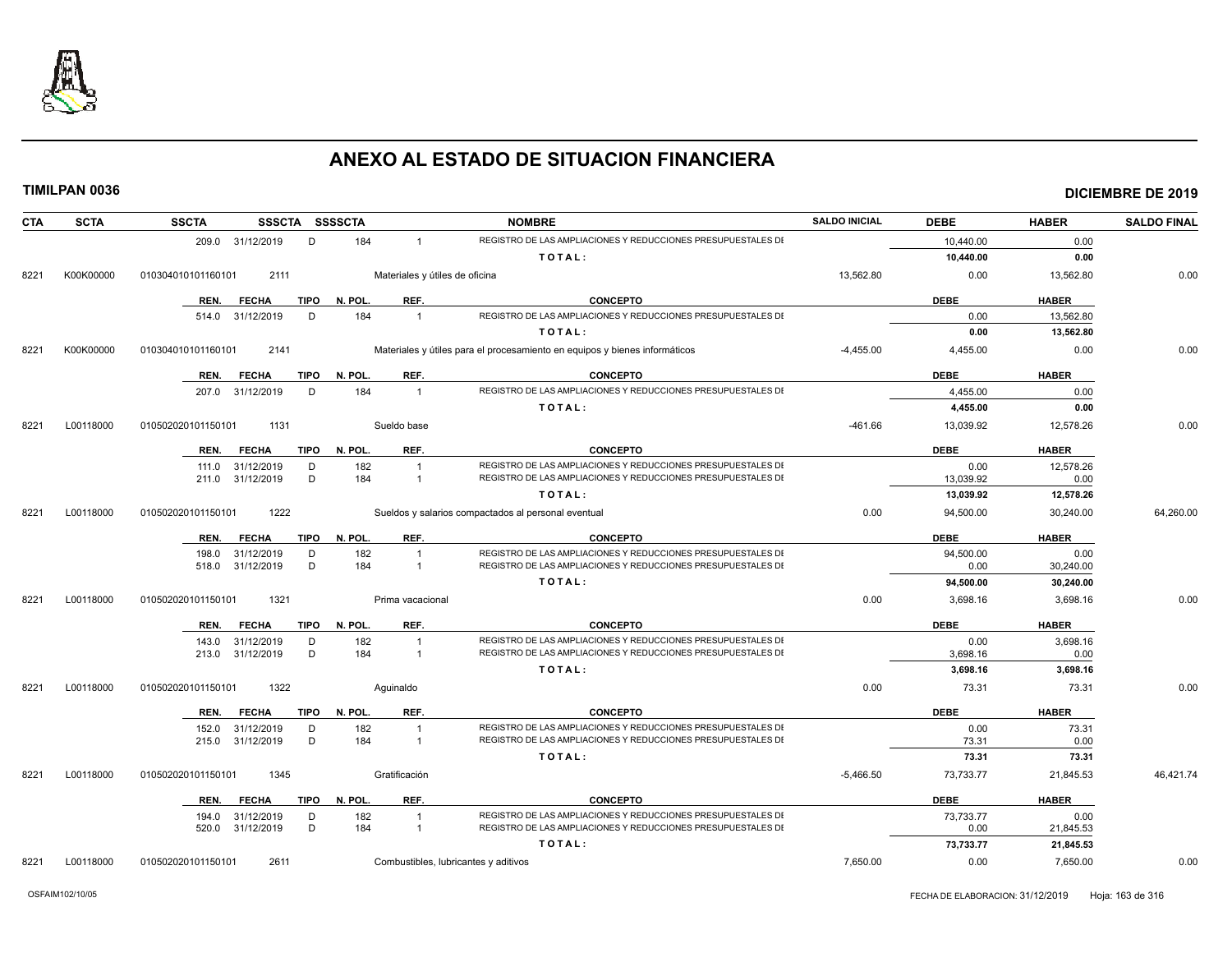

| <b>CTA</b> | <b>SCTA</b> | <b>SSCTA</b>       |                          |        | SSSCTA SSSSCTA |                                | <b>NOMBRE</b>                                                                                                                | <b>SALDO INICIAL</b> | <b>DEBE</b>       | <b>HABER</b>      | <b>SALDO FINAL</b> |
|------------|-------------|--------------------|--------------------------|--------|----------------|--------------------------------|------------------------------------------------------------------------------------------------------------------------------|----------------------|-------------------|-------------------|--------------------|
|            |             |                    | 209.0 31/12/2019         | D      | 184            | $\mathbf{1}$                   | REGISTRO DE LAS AMPLIACIONES Y REDUCCIONES PRESUPUESTALES DI                                                                 |                      | 10,440.00         | 0.00              |                    |
|            |             |                    |                          |        |                |                                | TOTAL:                                                                                                                       |                      | 10,440.00         | 0.00              |                    |
| 8221       | K00K00000   | 010304010101160101 | 2111                     |        |                | Materiales y útiles de oficina |                                                                                                                              | 13,562.80            | 0.00              | 13,562.80         | 0.00               |
|            |             | REN.               | <b>FECHA</b>             | TIPO   | N. POL.        | REF.                           | <b>CONCEPTO</b>                                                                                                              |                      | <b>DEBE</b>       | <b>HABER</b>      |                    |
|            |             |                    | 514.0 31/12/2019         | D      | 184            | $\mathbf{1}$                   | REGISTRO DE LAS AMPLIACIONES Y REDUCCIONES PRESUPUESTALES DI                                                                 |                      | 0.00              | 13,562.80         |                    |
|            |             |                    |                          |        |                |                                | TOTAL:                                                                                                                       |                      | 0.00              | 13,562.80         |                    |
| 8221       | K00K00000   | 010304010101160101 | 2141                     |        |                |                                | Materiales y útiles para el procesamiento en equipos y bienes informáticos                                                   | $-4,455.00$          | 4,455.00          | 0.00              | 0.00               |
|            |             | REN.               | <b>FECHA</b>             | TIPO   | N. POL.        | REF.                           | <b>CONCEPTO</b>                                                                                                              |                      | <b>DEBE</b>       | <b>HABER</b>      |                    |
|            |             | 207.0              | 31/12/2019               | D      | 184            | $\overline{1}$                 | REGISTRO DE LAS AMPLIACIONES Y REDUCCIONES PRESUPUESTALES DI                                                                 |                      | 4.455.00          | 0.00              |                    |
|            |             |                    |                          |        |                |                                | TOTAL:                                                                                                                       |                      | 4,455.00          | 0.00              |                    |
| 8221       | L00118000   | 010502020101150101 | 1131                     |        |                | Sueldo base                    |                                                                                                                              | $-461.66$            | 13,039.92         | 12,578.26         | 0.00               |
|            |             | REN.               | <b>FECHA</b>             | TIPO   | N. POL.        | REF.                           | <b>CONCEPTO</b>                                                                                                              |                      | <b>DEBE</b>       | <b>HABER</b>      |                    |
|            |             | 111.0              | 31/12/2019               | D      | 182            | $\mathbf{1}$                   | REGISTRO DE LAS AMPLIACIONES Y REDUCCIONES PRESUPUESTALES DI                                                                 |                      | 0.00              | 12,578.26         |                    |
|            |             | 211.0              | 31/12/2019               | D      | 184            | $\overline{1}$                 | REGISTRO DE LAS AMPLIACIONES Y REDUCCIONES PRESUPUESTALES DI                                                                 |                      | 13.039.92         | 0.00              |                    |
|            |             |                    |                          |        |                |                                | TOTAL:                                                                                                                       |                      | 13,039.92         | 12,578.26         |                    |
| 8221       | L00118000   | 010502020101150101 | 1222                     |        |                |                                | Sueldos y salarios compactados al personal eventual                                                                          | 0.00                 | 94,500.00         | 30,240.00         | 64,260.00          |
|            |             | REN.               | <b>FECHA</b>             | TIPO   | N. POL.        | REF.                           | <b>CONCEPTO</b>                                                                                                              |                      | <b>DEBE</b>       | <b>HABER</b>      |                    |
|            |             | 198.0              | 31/12/2019               | D      | 182            | $\mathbf{1}$                   | REGISTRO DE LAS AMPLIACIONES Y REDUCCIONES PRESUPUESTALES DI                                                                 |                      | 94,500.00         | 0.00              |                    |
|            |             | 518.0              | 31/12/2019               | D      | 184            | $\overline{1}$                 | REGISTRO DE LAS AMPLIACIONES Y REDUCCIONES PRESUPUESTALES DI                                                                 |                      | 0.00              | 30,240.00         |                    |
|            |             |                    |                          |        |                |                                | TOTAL:                                                                                                                       |                      | 94,500.00         | 30,240.00         |                    |
| 8221       | L00118000   | 010502020101150101 | 1321                     |        |                | Prima vacacional               |                                                                                                                              | 0.00                 | 3,698.16          | 3,698.16          | 0.00               |
|            |             | REN.               | <b>FECHA</b>             | TIPO   | N. POL.        | REF.                           | <b>CONCEPTO</b>                                                                                                              |                      | <b>DEBE</b>       | <b>HABER</b>      |                    |
|            |             | 143.0              | 31/12/2019               | D      | 182            | $\mathbf{1}$                   | REGISTRO DE LAS AMPLIACIONES Y REDUCCIONES PRESUPUESTALES DI                                                                 |                      | 0.00              | 3,698.16          |                    |
|            |             | 213.0              | 31/12/2019               | D      | 184            | $\overline{1}$                 | REGISTRO DE LAS AMPLIACIONES Y REDUCCIONES PRESUPUESTALES DI                                                                 |                      | 3.698.16          | 0.00              |                    |
|            |             |                    |                          |        |                |                                | TOTAL:                                                                                                                       |                      | 3,698.16          | 3,698.16          |                    |
| 8221       | L00118000   | 010502020101150101 | 1322                     |        |                | Aguinaldo                      |                                                                                                                              | 0.00                 | 73.31             | 73.31             | 0.00               |
|            |             | REN.               | <b>FECHA</b>             | TIPO   | N. POL.        | REF.                           | <b>CONCEPTO</b>                                                                                                              |                      | <b>DEBE</b>       | <b>HABER</b>      |                    |
|            |             | 152.0              | 31/12/2019               | D      | 182            | $\overline{1}$                 | REGISTRO DE LAS AMPLIACIONES Y REDUCCIONES PRESUPUESTALES DI<br>REGISTRO DE LAS AMPLIACIONES Y REDUCCIONES PRESUPUESTALES DI |                      | 0.00              | 73.31             |                    |
|            |             | 215.0              | 31/12/2019               | D      | 184            | $\overline{1}$                 |                                                                                                                              |                      | 73.31             | 0.00              |                    |
|            |             |                    |                          |        |                |                                | TOTAL:                                                                                                                       |                      | 73.31             | 73.31             |                    |
| 8221       | L00118000   | 010502020101150101 | 1345                     |        |                | Gratificación                  |                                                                                                                              | $-5,466.50$          | 73,733.77         | 21,845.53         | 46,421.74          |
|            |             | REN.               | <b>FECHA</b>             | TIPO   | N. POL.        | REF.                           | <b>CONCEPTO</b>                                                                                                              |                      | <b>DEBE</b>       | <b>HABER</b>      |                    |
|            |             | 194.0<br>520.0     | 31/12/2019<br>31/12/2019 | D<br>D | 182<br>184     | $\mathbf{1}$<br>$\mathbf{1}$   | REGISTRO DE LAS AMPLIACIONES Y REDUCCIONES PRESUPUESTALES DI<br>REGISTRO DE LAS AMPLIACIONES Y REDUCCIONES PRESUPUESTALES DI |                      | 73,733.77<br>0.00 | 0.00<br>21,845.53 |                    |
|            |             |                    |                          |        |                |                                | TOTAL:                                                                                                                       |                      | 73,733.77         | 21,845.53         |                    |
| 8221       | L00118000   | 010502020101150101 | 2611                     |        |                |                                | Combustibles, lubricantes y aditivos                                                                                         | 7,650.00             | 0.00              | 7,650.00          | 0.00               |
|            |             |                    |                          |        |                |                                |                                                                                                                              |                      |                   |                   |                    |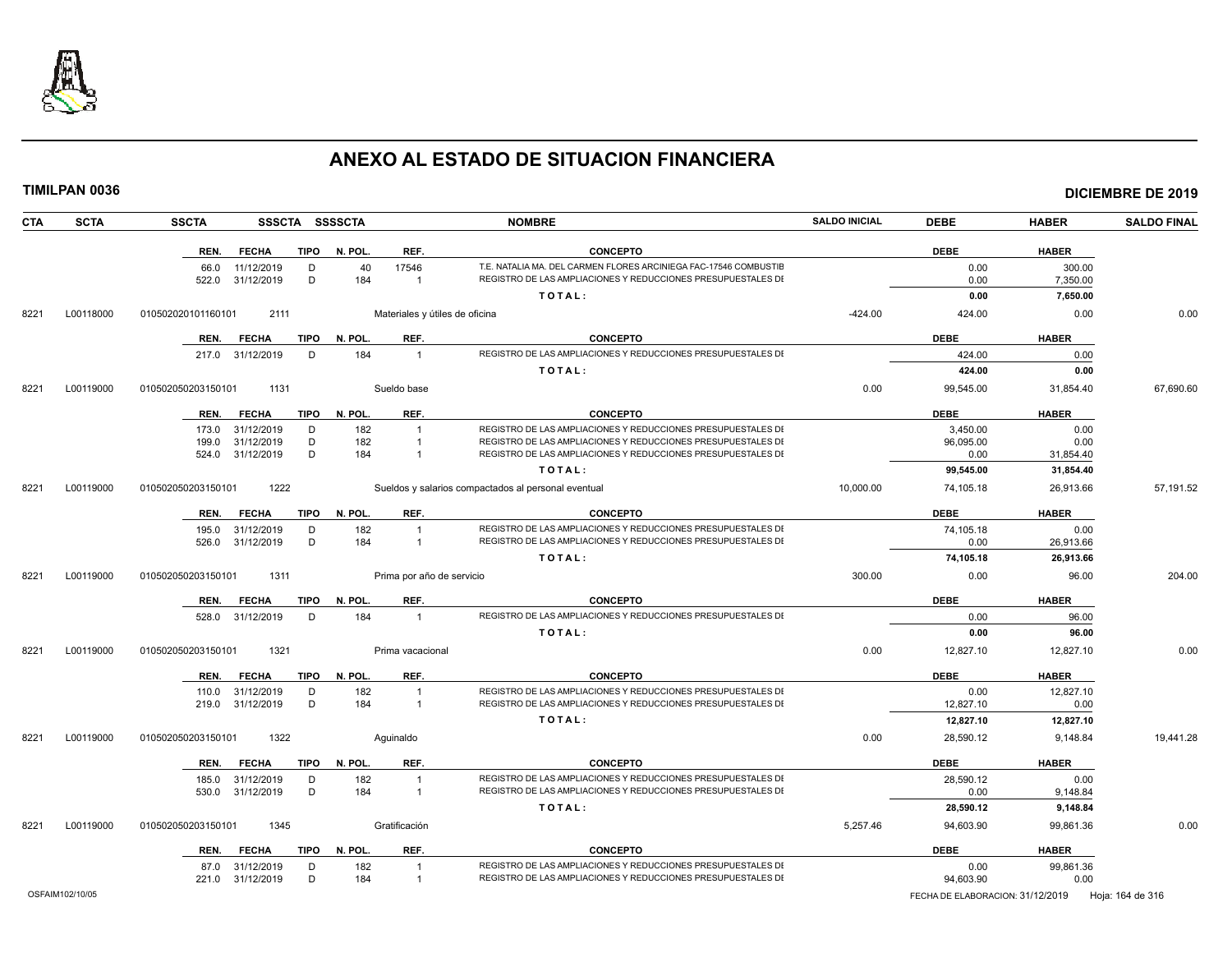

| TIMILPAN 0036      |                    |                          |             |                |                                  |                                                                                                                                  |                      |                   |                    | <b>DICIEMBRE DE 2019</b> |
|--------------------|--------------------|--------------------------|-------------|----------------|----------------------------------|----------------------------------------------------------------------------------------------------------------------------------|----------------------|-------------------|--------------------|--------------------------|
| CTA<br><b>SCTA</b> | <b>SSCTA</b>       |                          |             | SSSCTA SSSSCTA |                                  | <b>NOMBRE</b>                                                                                                                    | <b>SALDO INICIAL</b> | <b>DEBE</b>       | <b>HABER</b>       | <b>SALDO FINAL</b>       |
|                    |                    | REN. FECHA               |             | TIPO N. POL.   | REF.                             | <b>CONCEPTO</b>                                                                                                                  |                      | <b>DEBE</b>       | <b>HABER</b>       |                          |
|                    | 66.0<br>522.0      | 11/12/2019<br>31/12/2019 | D<br>D      | 40<br>184      | 17546<br>$\overline{1}$          | T.E. NATALIA MA. DEL CARMEN FLORES ARCINIEGA FAC-17546 COMBUSTIE<br>REGISTRO DE LAS AMPLIACIONES Y REDUCCIONES PRESUPUESTALES DI |                      | 0.00<br>0.00      | 300.00<br>7,350.00 |                          |
|                    |                    |                          |             |                |                                  | TOTAL:                                                                                                                           |                      | 0.00              | 7,650.00           |                          |
|                    |                    |                          |             |                |                                  |                                                                                                                                  |                      |                   |                    |                          |
| 8221<br>L00118000  | 010502020101160101 | 2111                     |             |                | Materiales y útiles de oficina   |                                                                                                                                  | $-424.00$            | 424.00            | 0.00               | 0.00                     |
|                    |                    | REN. FECHA               | TIPO        | N. POL.        | REF.                             | <b>CONCEPTO</b>                                                                                                                  |                      | <b>DEBE</b>       | <b>HABER</b>       |                          |
|                    |                    | 217.0 31/12/2019         | D           | 184            | $\overline{1}$                   | REGISTRO DE LAS AMPLIACIONES Y REDUCCIONES PRESUPUESTALES DI                                                                     |                      | 424.00            | 0.00               |                          |
|                    |                    |                          |             |                |                                  | TOTAL:                                                                                                                           |                      | 424.00            | 0.00               |                          |
| 8221<br>L00119000  | 010502050203150101 | 1131                     |             |                | Sueldo base                      |                                                                                                                                  | 0.00                 | 99,545.00         | 31,854.40          | 67,690.60                |
|                    | REN.               | <b>FECHA</b>             | TIPO        | N. POL.        | REF.                             | <b>CONCEPTO</b>                                                                                                                  |                      | <b>DEBE</b>       | <b>HABER</b>       |                          |
|                    | 173.0              | 31/12/2019               | D           | 182            | $\overline{1}$                   | REGISTRO DE LAS AMPLIACIONES Y REDUCCIONES PRESUPUESTALES DI                                                                     |                      | 3,450.00          | 0.00               |                          |
|                    | 199.0              | 31/12/2019               | D<br>D      | 182<br>184     | $\overline{1}$<br>$\overline{1}$ | REGISTRO DE LAS AMPLIACIONES Y REDUCCIONES PRESUPUESTALES DI<br>REGISTRO DE LAS AMPLIACIONES Y REDUCCIONES PRESUPUESTALES DI     |                      | 96,095.00         | 0.00               |                          |
|                    | 524.0              | 31/12/2019               |             |                |                                  |                                                                                                                                  |                      | 0.00              | 31,854.40          |                          |
|                    |                    |                          |             |                |                                  | TOTAL:                                                                                                                           |                      | 99,545.00         | 31,854.40          |                          |
| L00119000<br>8221  | 010502050203150101 | 1222                     |             |                |                                  | Sueldos y salarios compactados al personal eventual                                                                              | 10,000.00            | 74,105.18         | 26,913.66          | 57,191.52                |
|                    |                    | REN. FECHA               | TIPO        | N. POL.        | REF.                             | <b>CONCEPTO</b>                                                                                                                  |                      | <b>DEBE</b>       | <b>HABER</b>       |                          |
|                    | 195.0              | 31/12/2019               | D           | 182            | $\overline{1}$                   | REGISTRO DE LAS AMPLIACIONES Y REDUCCIONES PRESUPUESTALES DI                                                                     |                      | 74,105.18         | 0.00               |                          |
|                    | 526.0              | 31/12/2019               | D           | 184            | $\overline{1}$                   | REGISTRO DE LAS AMPLIACIONES Y REDUCCIONES PRESUPUESTALES DI                                                                     |                      | 0.00              | 26,913.66          |                          |
|                    |                    |                          |             |                |                                  | TOTAL:                                                                                                                           |                      | 74,105.18         | 26,913.66          |                          |
| L00119000<br>8221  | 010502050203150101 | 1311                     |             |                | Prima por año de servicio        |                                                                                                                                  | 300.00               | 0.00              | 96.00              | 204.00                   |
|                    | REN.               | <b>FECHA</b>             | <b>TIPO</b> | N. POL.        | REF.                             | <b>CONCEPTO</b>                                                                                                                  |                      | <b>DEBE</b>       | <b>HABER</b>       |                          |
|                    |                    | 528.0 31/12/2019         | D           | 184            | $\overline{1}$                   | REGISTRO DE LAS AMPLIACIONES Y REDUCCIONES PRESUPUESTALES DI                                                                     |                      | 0.00              | 96.00              |                          |
|                    |                    |                          |             |                |                                  | TOTAL:                                                                                                                           |                      | 0.00              | 96.00              |                          |
| L00119000<br>8221  | 010502050203150101 | 1321                     |             |                | Prima vacacional                 |                                                                                                                                  | 0.00                 | 12,827.10         | 12,827.10          | 0.00                     |
|                    | REN.               | <b>FECHA</b>             | <b>TIPO</b> | N. POL.        | REF.                             | <b>CONCEPTO</b>                                                                                                                  |                      | <b>DEBE</b>       | <b>HABER</b>       |                          |
|                    |                    | 110.0 31/12/2019         | D           | 182            |                                  | REGISTRO DE LAS AMPLIACIONES Y REDUCCIONES PRESUPUESTALES DI<br>REGISTRO DE LAS AMPLIACIONES Y REDUCCIONES PRESUPUESTALES DI     |                      | 0.00              | 12,827.10          |                          |
|                    | 219.0              | 31/12/2019               | D           | 184            | $\overline{1}$                   |                                                                                                                                  |                      | 12,827.10         | 0.00               |                          |
|                    |                    |                          |             |                |                                  | TOTAL:                                                                                                                           |                      | 12,827.10         | 12,827.10          |                          |
| 8221<br>L00119000  | 010502050203150101 | 1322                     |             |                | Aquinaldo                        |                                                                                                                                  | 0.00                 | 28,590.12         | 9,148.84           | 19,441.28                |
|                    |                    | REN. FECHA               | TIPO        | N. POL.        | REF.                             | <b>CONCEPTO</b>                                                                                                                  |                      | <b>DEBE</b>       | <b>HABER</b>       |                          |
|                    | 185.0<br>530.0     | 31/12/2019<br>31/12/2019 | D<br>D      | 182<br>184     | $\overline{1}$<br>$\overline{1}$ | REGISTRO DE LAS AMPLIACIONES Y REDUCCIONES PRESUPUESTALES DI<br>REGISTRO DE LAS AMPLIACIONES Y REDUCCIONES PRESUPUESTALES DI     |                      | 28,590.12<br>0.00 | 0.00<br>9,148.84   |                          |
|                    |                    |                          |             |                |                                  | TOTAL:                                                                                                                           |                      | 28,590.12         | 9,148.84           |                          |
| L00119000<br>8221  | 010502050203150101 | 1345                     |             |                | Gratificación                    |                                                                                                                                  | 5.257.46             | 94,603.90         | 99.861.36          | 0.00                     |
|                    | REN.               | <b>FECHA</b>             | <b>TIPO</b> | N. POL.        | REF.                             | <b>CONCEPTO</b>                                                                                                                  |                      | <b>DEBE</b>       | <b>HABER</b>       |                          |
|                    |                    | 87.0 31/12/2019          | D           | 182            | $\overline{1}$                   | REGISTRO DE LAS AMPLIACIONES Y REDUCCIONES PRESUPUESTALES DI                                                                     |                      | 0.00              | 99,861.36          |                          |
|                    |                    | 221.0 31/12/2019         | D           | 184            | $\overline{1}$                   | REGISTRO DE LAS AMPLIACIONES Y REDUCCIONES PRESUPUESTALES DI                                                                     |                      | 94,603.90         | 0.00               |                          |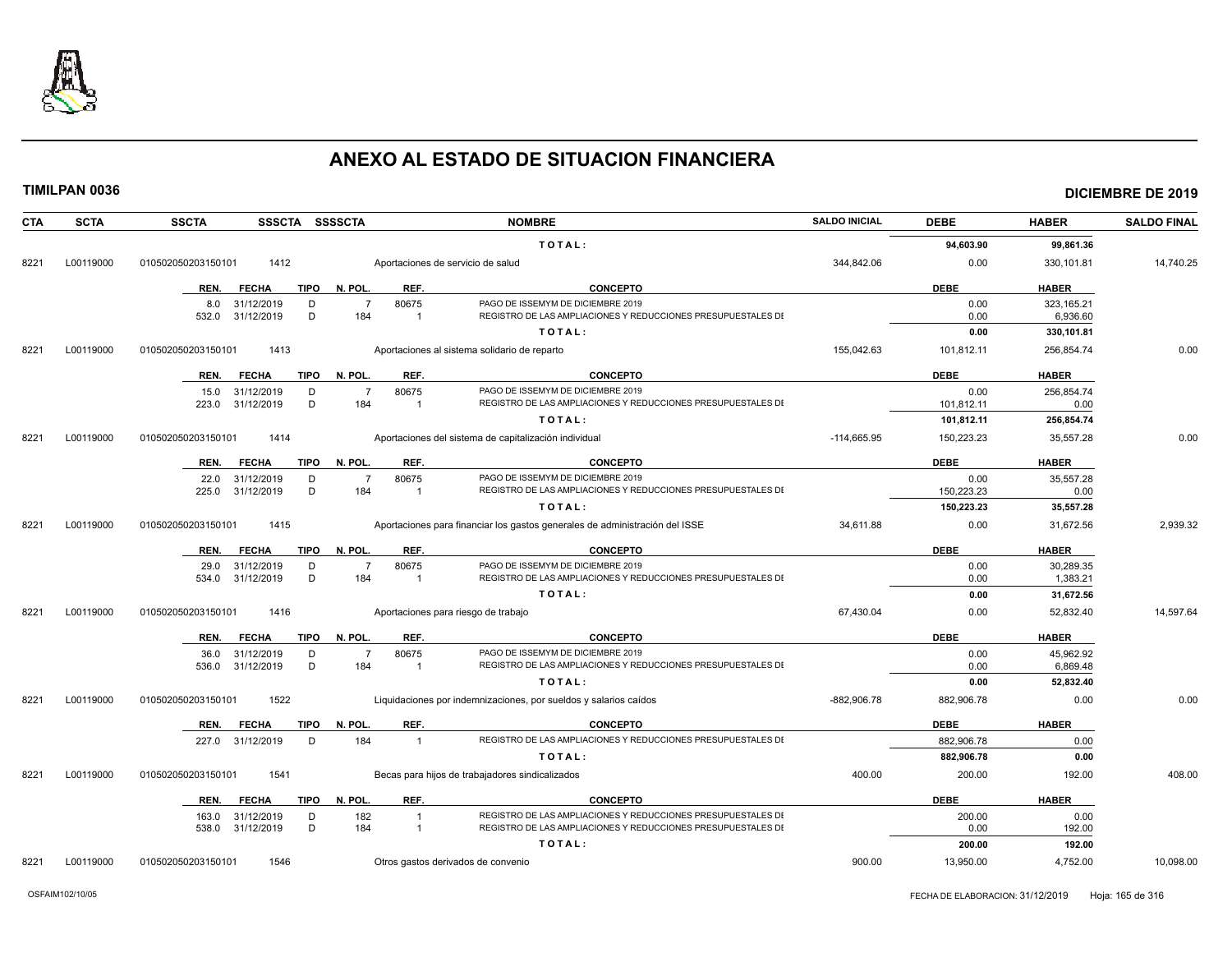

| <b>CTA</b> | <b>SCTA</b> | <b>SSCTA</b><br>SSSCTA SSSSCTA      |                         | <b>NOMBRE</b>                                                               | <b>SALDO INICIAL</b> | <b>DEBE</b> | <b>HABER</b> | <b>SALDO FINAL</b> |
|------------|-------------|-------------------------------------|-------------------------|-----------------------------------------------------------------------------|----------------------|-------------|--------------|--------------------|
|            |             |                                     |                         | TOTAL:                                                                      |                      | 94,603.90   | 99,861.36    |                    |
| 8221       | L00119000   | 010502050203150101<br>1412          |                         | Aportaciones de servicio de salud                                           | 344,842.06           | 0.00        | 330,101.81   | 14,740.25          |
|            |             | REN.<br><b>FECHA</b><br>TIPO        | N. POL.<br>REF.         | <b>CONCEPTO</b>                                                             |                      | <b>DEBE</b> | <b>HABER</b> |                    |
|            |             | 31/12/2019<br>D<br>8.0              | 80675<br>$\overline{7}$ | PAGO DE ISSEMYM DE DICIEMBRE 2019                                           |                      | 0.00        | 323.165.21   |                    |
|            |             | D<br>31/12/2019<br>532.0            | 184<br>$\overline{1}$   | REGISTRO DE LAS AMPLIACIONES Y REDUCCIONES PRESUPUESTALES DI                |                      | 0.00        | 6,936.60     |                    |
|            |             |                                     |                         | TOTAL:                                                                      |                      | 0.00        | 330,101.81   |                    |
| 8221       | L00119000   | 010502050203150101<br>1413          |                         | Aportaciones al sistema solidario de reparto                                | 155,042.63           | 101,812.11  | 256,854.74   | 0.00               |
|            |             | <b>FECHA</b><br><b>TIPO</b><br>REN. | REF.<br>N. POL.         | <b>CONCEPTO</b>                                                             |                      | <b>DEBE</b> | <b>HABER</b> |                    |
|            |             | 15.0<br>31/12/2019<br>D             | 80675<br>$\overline{7}$ | PAGO DE ISSEMYM DE DICIEMBRE 2019                                           |                      | 0.00        | 256,854.74   |                    |
|            |             | 31/12/2019<br>D<br>223.0            | 184<br>$\mathbf{1}$     | REGISTRO DE LAS AMPLIACIONES Y REDUCCIONES PRESUPUESTALES DI                |                      | 101.812.11  | 0.00         |                    |
|            |             |                                     |                         | TOTAL:                                                                      |                      | 101,812.11  | 256,854.74   |                    |
| 8221       | L00119000   | 1414<br>010502050203150101          |                         | Aportaciones del sistema de capitalización individual                       | $-114,665.95$        | 150,223.23  | 35,557.28    | 0.00               |
|            |             | <b>FECHA</b><br><b>TIPO</b><br>REN. | N. POL.<br>REF.         | <b>CONCEPTO</b>                                                             |                      | <b>DEBE</b> | <b>HABER</b> |                    |
|            |             | 31/12/2019<br>D<br>22.0             | 80675<br>$\overline{7}$ | PAGO DE ISSEMYM DE DICIEMBRE 2019                                           |                      | 0.00        | 35,557.28    |                    |
|            |             | 31/12/2019<br>D<br>225.0            | 184<br>$\mathbf{1}$     | REGISTRO DE LAS AMPLIACIONES Y REDUCCIONES PRESUPUESTALES DI                |                      | 150,223.23  | 0.00         |                    |
|            |             |                                     |                         | TOTAL:                                                                      |                      | 150,223.23  | 35,557.28    |                    |
| 8221       | L00119000   | 1415<br>010502050203150101          |                         | Aportaciones para financiar los gastos generales de administración del ISSE | 34,611.88            | 0.00        | 31,672.56    | 2,939.32           |
|            |             | REN.<br><b>FECHA</b><br>TIPO        | N. POL.<br>REF.         | <b>CONCEPTO</b>                                                             |                      | <b>DEBE</b> | <b>HABER</b> |                    |
|            |             | 29.0<br>31/12/2019<br>D             | $\overline{7}$<br>80675 | PAGO DE ISSEMYM DE DICIEMBRE 2019                                           |                      | 0.00        | 30,289.35    |                    |
|            |             | D<br>31/12/2019<br>534.0            | 184<br>-1               | REGISTRO DE LAS AMPLIACIONES Y REDUCCIONES PRESUPUESTALES DI                |                      | 0.00        | 1,383.21     |                    |
|            |             |                                     |                         | TOTAL:                                                                      |                      | 0.00        | 31,672.56    |                    |
| 8221       | L00119000   | 1416<br>010502050203150101          |                         | Aportaciones para riesgo de trabajo                                         | 67,430.04            | 0.00        | 52,832.40    | 14,597.64          |
|            |             | REN.<br><b>FECHA</b><br><b>TIPO</b> | N. POL.<br>REF.         | <b>CONCEPTO</b>                                                             |                      | <b>DEBE</b> | <b>HABER</b> |                    |
|            |             | 36.0<br>31/12/2019<br>D             | 80675<br>$\overline{7}$ | PAGO DE ISSEMYM DE DICIEMBRE 2019                                           |                      | 0.00        | 45.962.92    |                    |
|            |             | 31/12/2019<br>D<br>536.0            | 184<br>$\mathbf{1}$     | REGISTRO DE LAS AMPLIACIONES Y REDUCCIONES PRESUPUESTALES DI                |                      | 0.00        | 6,869.48     |                    |
|            |             |                                     |                         | TOTAL:                                                                      |                      | 0.00        | 52,832.40    |                    |
| 8221       | L00119000   | 1522<br>010502050203150101          |                         | Liquidaciones por indemnizaciones, por sueldos y salarios caídos            | -882,906.78          | 882,906.78  | 0.00         | 0.00               |
|            |             | <b>FECHA</b><br><b>TIPO</b><br>REN. | REF.<br>N. POL.         | <b>CONCEPTO</b>                                                             |                      | <b>DEBE</b> | <b>HABER</b> |                    |
|            |             | 227.0 31/12/2019<br>D               | 184<br>$\mathbf{1}$     | REGISTRO DE LAS AMPLIACIONES Y REDUCCIONES PRESUPUESTALES DI                |                      | 882,906.78  | 0.00         |                    |
|            |             |                                     |                         | TOTAL:                                                                      |                      | 882,906.78  | 0.00         |                    |
| 8221       | L00119000   | 010502050203150101<br>1541          |                         | Becas para hijos de trabajadores sindicalizados                             | 400.00               | 200.00      | 192.00       | 408.00             |
|            |             | <b>FECHA</b><br>TIPO<br>REN.        | N. POL.<br>REF.         | <b>CONCEPTO</b>                                                             |                      | <b>DEBE</b> | <b>HABER</b> |                    |
|            |             | 31/12/2019<br>D<br>163.0            | 182<br>$\mathbf{1}$     | REGISTRO DE LAS AMPLIACIONES Y REDUCCIONES PRESUPUESTALES DI                |                      | 200.00      | 0.00         |                    |
|            |             | D<br>538.0<br>31/12/2019            | 184<br>$\mathbf{1}$     | REGISTRO DE LAS AMPLIACIONES Y REDUCCIONES PRESUPUESTALES DI                |                      | 0.00        | 192.00       |                    |
|            |             |                                     |                         | TOTAL:                                                                      |                      | 200.00      | 192.00       |                    |
| 8221       | L00119000   | 010502050203150101<br>1546          |                         | Otros gastos derivados de convenio                                          | 900.00               | 13,950.00   | 4,752.00     | 10,098.00          |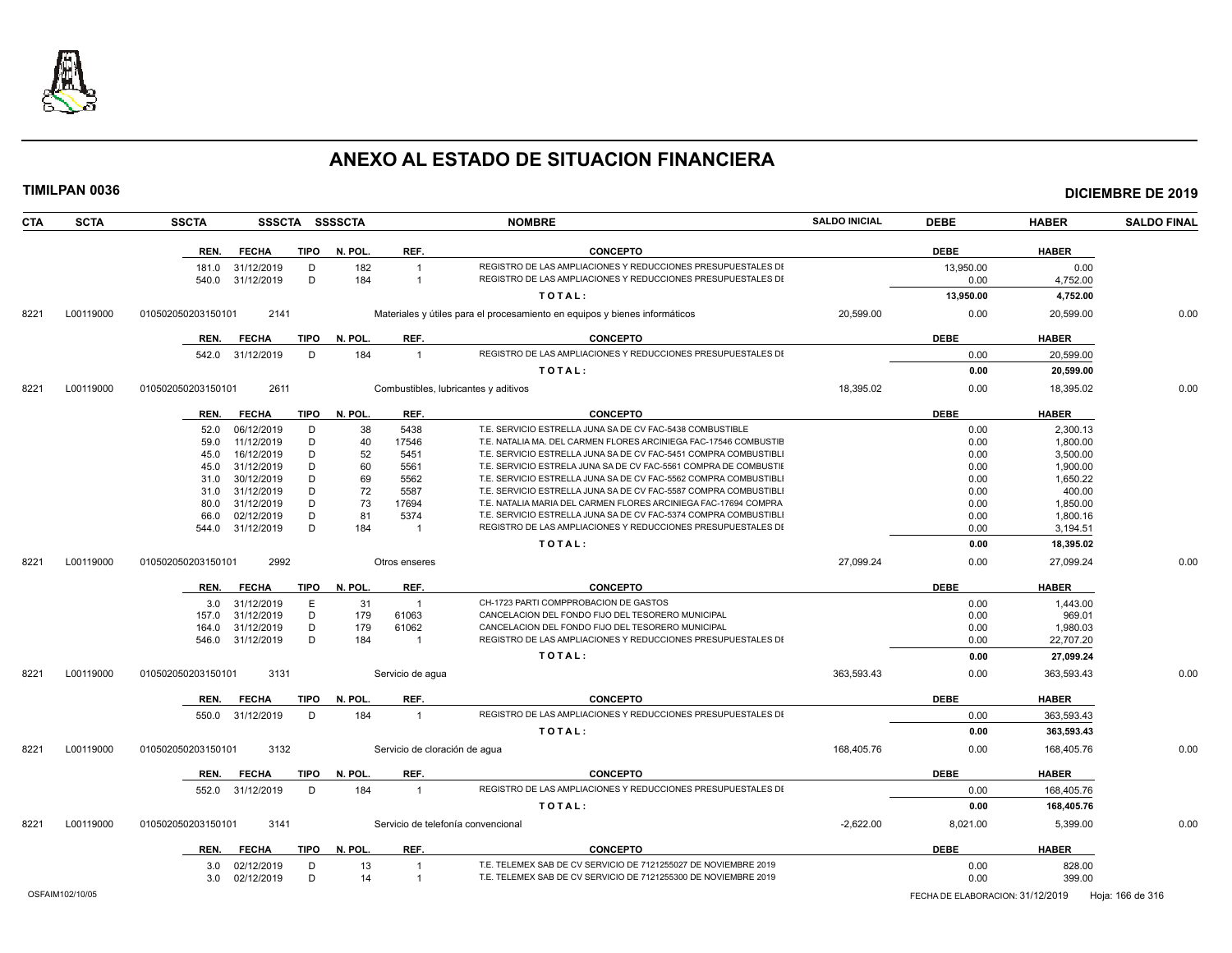

| <b>CTA</b> | <b>SCTA</b> | <b>SSCTA</b><br>SSSCTA SSSSCTA      |                                | <b>NOMBRE</b>                                                              | <b>SALDO INICIAL</b> | <b>DEBE</b> | <b>HABER</b> | <b>SALDO FINAL</b> |
|------------|-------------|-------------------------------------|--------------------------------|----------------------------------------------------------------------------|----------------------|-------------|--------------|--------------------|
|            |             | REN.<br><b>FECHA</b><br>TIPO        | N. POL.<br>REF.                | <b>CONCEPTO</b>                                                            |                      | <b>DEBE</b> | <b>HABER</b> |                    |
|            |             | 31/12/2019<br>D<br>181.0            | 182<br>$\overline{1}$          | REGISTRO DE LAS AMPLIACIONES Y REDUCCIONES PRESUPUESTALES DI               |                      | 13,950.00   | 0.00         |                    |
|            |             | D<br>31/12/2019<br>540.0            | 184<br>$\overline{\mathbf{1}}$ | REGISTRO DE LAS AMPLIACIONES Y REDUCCIONES PRESUPUESTALES DI               |                      | 0.00        | 4,752.00     |                    |
|            |             |                                     |                                | TOTAL:                                                                     |                      | 13,950.00   | 4,752.00     |                    |
| 8221       | L00119000   | 010502050203150101<br>2141          |                                | Materiales y útiles para el procesamiento en equipos y bienes informáticos | 20,599.00            | 0.00        | 20,599.00    | 0.00               |
|            |             | <b>TIPO</b><br>REN.<br><b>FECHA</b> | REF.<br>N. POL.                | <b>CONCEPTO</b>                                                            |                      | <b>DEBE</b> | <b>HABER</b> |                    |
|            |             | 542.0 31/12/2019<br>D               | 184<br>$\overline{1}$          | REGISTRO DE LAS AMPLIACIONES Y REDUCCIONES PRESUPUESTALES DI               |                      | 0.00        | 20,599.00    |                    |
|            |             |                                     |                                | TOTAL:                                                                     |                      | 0.00        | 20,599.00    |                    |
| 8221       | L00119000   | 2611<br>010502050203150101          |                                | Combustibles, lubricantes y aditivos                                       | 18,395.02            | 0.00        | 18,395.02    | 0.00               |
|            |             |                                     |                                |                                                                            |                      |             |              |                    |
|            |             | <b>FECHA</b><br><b>TIPO</b><br>REN. | REF.<br>N. POL.                | <b>CONCEPTO</b>                                                            |                      | <b>DEBE</b> | <b>HABER</b> |                    |
|            |             | D<br>52.0<br>06/12/2019             | 38<br>5438                     | T.E. SERVICIO ESTRELLA JUNA SA DE CV FAC-5438 COMBUSTIBLE                  |                      | 0.00        | 2,300.13     |                    |
|            |             | 11/12/2019<br>D<br>59.0             | 17546<br>40                    | T.E. NATALIA MA. DEL CARMEN FLORES ARCINIEGA FAC-17546 COMBUSTIE           |                      | 0.00        | 1.800.00     |                    |
|            |             | 16/12/2019<br>D<br>45.0             | 52<br>5451                     | T.E. SERVICIO ESTRELLA JUNA SA DE CV FAC-5451 COMPRA COMBUSTIBL            |                      | 0.00        | 3,500.00     |                    |
|            |             | D<br>31/12/2019<br>45.0             | 60<br>5561                     | T.E. SERVICIO ESTRELA JUNA SA DE CV FAC-5561 COMPRA DE COMBUSTIE           |                      | 0.00        | 1,900.00     |                    |
|            |             | D<br>30/12/2019<br>31.0             | 69<br>5562                     | T.E. SERVICIO ESTRELLA JUNA SA DE CV FAC-5562 COMPRA COMBUSTIBLI           |                      | 0.00        | 1,650.22     |                    |
|            |             | 31/12/2019<br>D<br>31.0             | 72<br>5587                     | T.E. SERVICIO ESTRELLA JUNA SA DE CV FAC-5587 COMPRA COMBUSTIBL            |                      | 0.00        | 400.00       |                    |
|            |             | 31/12/2019<br>D<br>80.0             | 73<br>17694                    | T.E. NATALIA MARIA DEL CARMEN FLORES ARCINIEGA FAC-17694 COMPRA            |                      | 0.00        | 1,850.00     |                    |
|            |             | 02/12/2019<br>D<br>66.0             | 81<br>5374                     | T.E. SERVICIO ESTRELLA JUNA SA DE CV FAC-5374 COMPRA COMBUSTIBLI           |                      | 0.00        | 1,800.16     |                    |
|            |             | D<br>31/12/2019<br>544.0            | 184<br>$\overline{1}$          | REGISTRO DE LAS AMPLIACIONES Y REDUCCIONES PRESUPUESTALES DI               |                      | 0.00        | 3,194.51     |                    |
|            |             |                                     |                                | TOTAL:                                                                     |                      | 0.00        | 18,395.02    |                    |
| 8221       | L00119000   | 010502050203150101<br>2992          | Otros enseres                  |                                                                            | 27,099.24            | 0.00        | 27,099.24    | 0.00               |
|            |             | <b>FECHA</b><br>TIPO<br>REN.        | REF.<br>N. POL.                | <b>CONCEPTO</b>                                                            |                      | <b>DEBE</b> | <b>HABER</b> |                    |
|            |             | 31/12/2019<br>E<br>3.0              | 31<br>$\overline{1}$           | CH-1723 PARTI COMPPROBACION DE GASTOS                                      |                      | 0.00        | 1.443.00     |                    |
|            |             | D<br>31/12/2019<br>157.0            | 179<br>61063                   | CANCELACION DEL FONDO FIJO DEL TESORERO MUNICIPAL                          |                      | 0.00        | 969.01       |                    |
|            |             | 31/12/2019<br>D<br>164.0            | 179<br>61062                   | CANCELACION DEL FONDO FIJO DEL TESORERO MUNICIPAL                          |                      | 0.00        | 1.980.03     |                    |
|            |             | D<br>31/12/2019<br>546.0            | 184<br>$\overline{1}$          | REGISTRO DE LAS AMPLIACIONES Y REDUCCIONES PRESUPUESTALES DI               |                      | 0.00        | 22,707.20    |                    |
|            |             |                                     |                                | TOTAL:                                                                     |                      | 0.00        | 27,099.24    |                    |
| 8221       | L00119000   | 3131<br>010502050203150101          | Servicio de agua               |                                                                            | 363,593.43           | 0.00        | 363,593.43   | 0.00               |
|            |             | <b>TIPO</b><br>REN.<br><b>FECHA</b> | N. POL.<br>REF.                | <b>CONCEPTO</b>                                                            |                      | <b>DEBE</b> | <b>HABER</b> |                    |
|            |             | 550.0 31/12/2019<br>D               | 184<br>$\overline{1}$          | REGISTRO DE LAS AMPLIACIONES Y REDUCCIONES PRESUPUESTALES DI               |                      | 0.00        | 363,593.43   |                    |
|            |             |                                     |                                | TOTAL:                                                                     |                      | 0.00        | 363,593.43   |                    |
| 8221       | L00119000   | 3132<br>010502050203150101          |                                | Servicio de cloración de agua                                              | 168,405.76           | 0.00        | 168,405.76   | 0.00               |
|            |             | <b>FECHA</b><br><b>TIPO</b><br>REN. | REF.<br>N. POL.                | <b>CONCEPTO</b>                                                            |                      | <b>DEBE</b> | <b>HABER</b> |                    |
|            |             | 31/12/2019<br>D<br>552.0            | 184<br>$\overline{1}$          | REGISTRO DE LAS AMPLIACIONES Y REDUCCIONES PRESUPUESTALES DI               |                      | 0.00        | 168,405.76   |                    |
|            |             |                                     |                                | TOTAL:                                                                     |                      | 0.00        | 168,405.76   |                    |
| 8221       | L00119000   | 3141<br>010502050203150101          |                                | Servicio de telefonía convencional                                         | $-2,622.00$          | 8,021.00    | 5,399.00     | 0.00               |
|            |             | REN.<br><b>FECHA</b>                | TIPO N. POL.<br>REF.           | <b>CONCEPTO</b>                                                            |                      | <b>DEBE</b> | <b>HABER</b> |                    |
|            |             | 02/12/2019<br>D<br>3.0              | 13<br>$\overline{1}$           | T.E. TELEMEX SAB DE CV SERVICIO DE 7121255027 DE NOVIEMBRE 2019            |                      | 0.00        | 828.00       |                    |
|            |             | D<br>02/12/2019<br>3.0              | 14<br>$\overline{1}$           | T.E. TELEMEX SAB DE CV SERVICIO DE 7121255300 DE NOVIEMBRE 2019            |                      | 0.00        | 399.00       |                    |
|            |             |                                     |                                |                                                                            |                      |             |              |                    |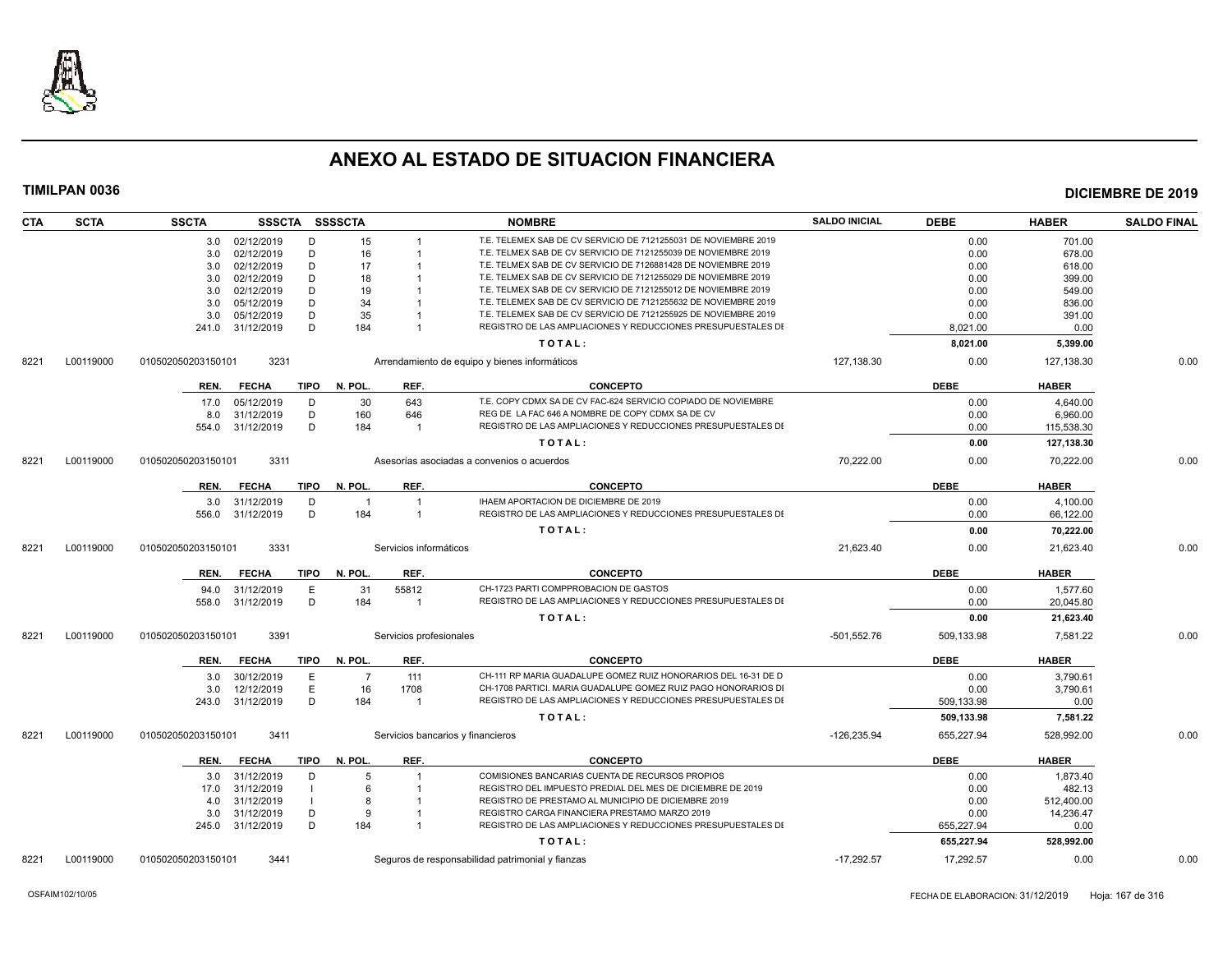

| <b>CTA</b> | <b>SCTA</b> | <b>SSCTA</b>       |                | SSSCTA SSSSCTA         |                         | <b>NOMBRE</b>                                                   | <b>SALDO INICIAL</b> | <b>DEBE</b> | <b>HABER</b> | <b>SALDO FINAL</b> |
|------------|-------------|--------------------|----------------|------------------------|-------------------------|-----------------------------------------------------------------|----------------------|-------------|--------------|--------------------|
|            |             |                    | 3.0 02/12/2019 | D<br>15                |                         | T.E. TELEMEX SAB DE CV SERVICIO DE 7121255031 DE NOVIEMBRE 2019 |                      | 0.00        | 701.00       |                    |
|            |             | 3.0                | 02/12/2019     | D<br>16                |                         | T.E. TELMEX SAB DE CV SERVICIO DE 7121255039 DE NOVIEMBRE 2019  |                      | 0.00        | 678.00       |                    |
|            |             | 3.0                | 02/12/2019     | D<br>17                |                         | T.E. TELMEX SAB DE CV SERVICIO DE 7126881428 DE NOVIEMBRE 2019  |                      | 0.00        | 618.00       |                    |
|            |             | 3.0                | 02/12/2019     | D<br>18                |                         | T.E. TELMEX SAB DE CV SERVICIO DE 7121255029 DE NOVIEMBRE 2019  |                      | 0.00        | 399.00       |                    |
|            |             | 3.0                | 02/12/2019     | D<br>19                |                         | T.E. TELMEX SAB DE CV SERVICIO DE 7121255012 DE NOVIEMBRE 2019  |                      | 0.00        | 549.00       |                    |
|            |             | 3.0                | 05/12/2019     | D<br>34                |                         | T.E. TELEMEX SAB DE CV SERVICIO DE 7121255632 DE NOVIEMBRE 2019 |                      | 0.00        | 836.00       |                    |
|            |             | 3.0                | 05/12/2019     | D<br>35                |                         | T.E. TELEMEX SAB DE CV SERVICIO DE 7121255925 DE NOVIEMBRE 2019 |                      | 0.00        | 391.00       |                    |
|            |             | 241.0 31/12/2019   |                | D<br>184               | -1                      | REGISTRO DE LAS AMPLIACIONES Y REDUCCIONES PRESUPUESTALES DI    |                      | 8,021.00    | 0.00         |                    |
|            |             |                    |                |                        |                         | TOTAL:                                                          |                      | 8,021.00    | 5,399.00     |                    |
| 8221       | L00119000   | 010502050203150101 | 3231           |                        |                         | Arrendamiento de equipo y bienes informáticos                   | 127,138.30           | 0.00        | 127,138.30   | 0.00               |
|            |             | REN.               | <b>FECHA</b>   | TIPO<br>N. POL.        | REF.                    | <b>CONCEPTO</b>                                                 |                      | <b>DEBE</b> | <b>HABER</b> |                    |
|            |             | 17.0               | 05/12/2019     | D<br>30                | 643                     | T.E. COPY CDMX SA DE CV FAC-624 SERVICIO COPIADO DE NOVIEMBRE   |                      | 0.00        | 4,640.00     |                    |
|            |             | 8.0                | 31/12/2019     | D<br>160               | 646                     | REG DE LA FAC 646 A NOMBRE DE COPY CDMX SA DE CV                |                      | 0.00        | 6,960.00     |                    |
|            |             | 554.0              | 31/12/2019     | D<br>184               | $\overline{1}$          | REGISTRO DE LAS AMPLIACIONES Y REDUCCIONES PRESUPUESTALES DI    |                      | 0.00        | 115,538.30   |                    |
|            |             |                    |                |                        |                         | TOTAL:                                                          |                      | 0.00        | 127,138.30   |                    |
| 8221       | L00119000   | 010502050203150101 | 3311           |                        |                         | Asesorías asociadas a convenios o acuerdos                      | 70.222.00            | 0.00        | 70.222.00    | 0.00               |
|            |             | REN.               | <b>FECHA</b>   | N. POL.<br><b>TIPO</b> | REF.                    | <b>CONCEPTO</b>                                                 |                      | <b>DEBE</b> | <b>HABER</b> |                    |
|            |             | 3.0                | 31/12/2019     | D<br>$\overline{1}$    | $\overline{1}$          | IHAEM APORTACION DE DICIEMBRE DE 2019                           |                      | 0.00        | 4.100.00     |                    |
|            |             | 556.0              | 31/12/2019     | D<br>184               | -1                      | REGISTRO DE LAS AMPLIACIONES Y REDUCCIONES PRESUPUESTALES DI    |                      | 0.00        | 66,122.00    |                    |
|            |             |                    |                |                        |                         | TOTAL:                                                          |                      | 0.00        | 70,222.00    |                    |
|            |             |                    |                |                        |                         |                                                                 |                      |             |              |                    |
| 8221       | L00119000   | 010502050203150101 | 3331           |                        | Servicios informáticos  |                                                                 | 21,623.40            | 0.00        | 21,623.40    | 0.00               |
|            |             | REN.               | <b>FECHA</b>   | TIPO<br>N. POL.        | REF.                    | <b>CONCEPTO</b>                                                 |                      | <b>DEBE</b> | <b>HABER</b> |                    |
|            |             | 94.0               | 31/12/2019     | E<br>31                | 55812                   | CH-1723 PARTI COMPPROBACION DE GASTOS                           |                      | 0.00        | 1.577.60     |                    |
|            |             | 558.0              | 31/12/2019     | D<br>184               | $\overline{1}$          | REGISTRO DE LAS AMPLIACIONES Y REDUCCIONES PRESUPUESTALES DI    |                      | 0.00        | 20,045.80    |                    |
|            |             |                    |                |                        |                         | TOTAL:                                                          |                      | 0.00        | 21,623.40    |                    |
| 8221       | L00119000   | 010502050203150101 | 3391           |                        | Servicios profesionales |                                                                 | $-501,552.76$        | 509,133.98  | 7,581.22     | 0.00               |
|            |             | REN.               | <b>FECHA</b>   | N. POL.<br>TIPO        | REF.                    | <b>CONCEPTO</b>                                                 |                      | <b>DEBE</b> | <b>HABER</b> |                    |
|            |             | 3.0                | 30/12/2019     | E<br>$\overline{7}$    | 111                     | CH-111 RP MARIA GUADALUPE GOMEZ RUIZ HONORARIOS DEL 16-31 DE D  |                      | 0.00        | 3,790.61     |                    |
|            |             | 3.0                | 12/12/2019     | E<br>16                | 1708                    | CH-1708 PARTICI. MARIA GUADALUPE GOMEZ RUIZ PAGO HONORARIOS DI  |                      | 0.00        | 3,790.61     |                    |
|            |             | 243.0              | 31/12/2019     | D<br>184               | $\overline{1}$          | REGISTRO DE LAS AMPLIACIONES Y REDUCCIONES PRESUPUESTALES DI    |                      | 509,133.98  | 0.00         |                    |
|            |             |                    |                |                        |                         | TOTAL:                                                          |                      | 509,133.98  | 7,581.22     |                    |
|            |             |                    |                |                        |                         |                                                                 |                      |             |              | 0.00               |
| 8221       | L00119000   | 010502050203150101 | 3411           |                        |                         | Servicios bancarios y financieros                               | $-126,235.94$        | 655,227.94  | 528,992.00   |                    |
|            |             | REN.               | <b>FECHA</b>   | TIPO N. POL.           | REF.                    | <b>CONCEPTO</b>                                                 |                      | <b>DEBE</b> | <b>HABER</b> |                    |
|            |             | 3.0                | 31/12/2019     | D<br>5                 | -1                      | COMISIONES BANCARIAS CUENTA DE RECURSOS PROPIOS                 |                      | 0.00        | 1,873.40     |                    |
|            |             | 17.0               | 31/12/2019     | 6                      |                         | REGISTRO DEL IMPUESTO PREDIAL DEL MES DE DICIEMBRE DE 2019      |                      | 0.00        | 482.13       |                    |
|            |             | 4.0                | 31/12/2019     | 8                      |                         | REGISTRO DE PRESTAMO AL MUNICIPIO DE DICIEMBRE 2019             |                      | 0.00        | 512,400.00   |                    |
|            |             | 3.0                | 31/12/2019     | D<br>9                 |                         | REGISTRO CARGA FINANCIERA PRESTAMO MARZO 2019                   |                      | 0.00        | 14,236.47    |                    |
|            |             | 245.0              | 31/12/2019     | D<br>184               |                         | REGISTRO DE LAS AMPLIACIONES Y REDUCCIONES PRESUPUESTALES DI    |                      | 655,227.94  | 0.00         |                    |
|            |             |                    |                |                        |                         | TOTAL:                                                          |                      | 655,227.94  | 528,992.00   |                    |
| 8221       | L00119000   | 010502050203150101 | 3441           |                        |                         | Seguros de responsabilidad patrimonial y fianzas                | $-17,292.57$         | 17,292.57   | 0.00         | 0.00               |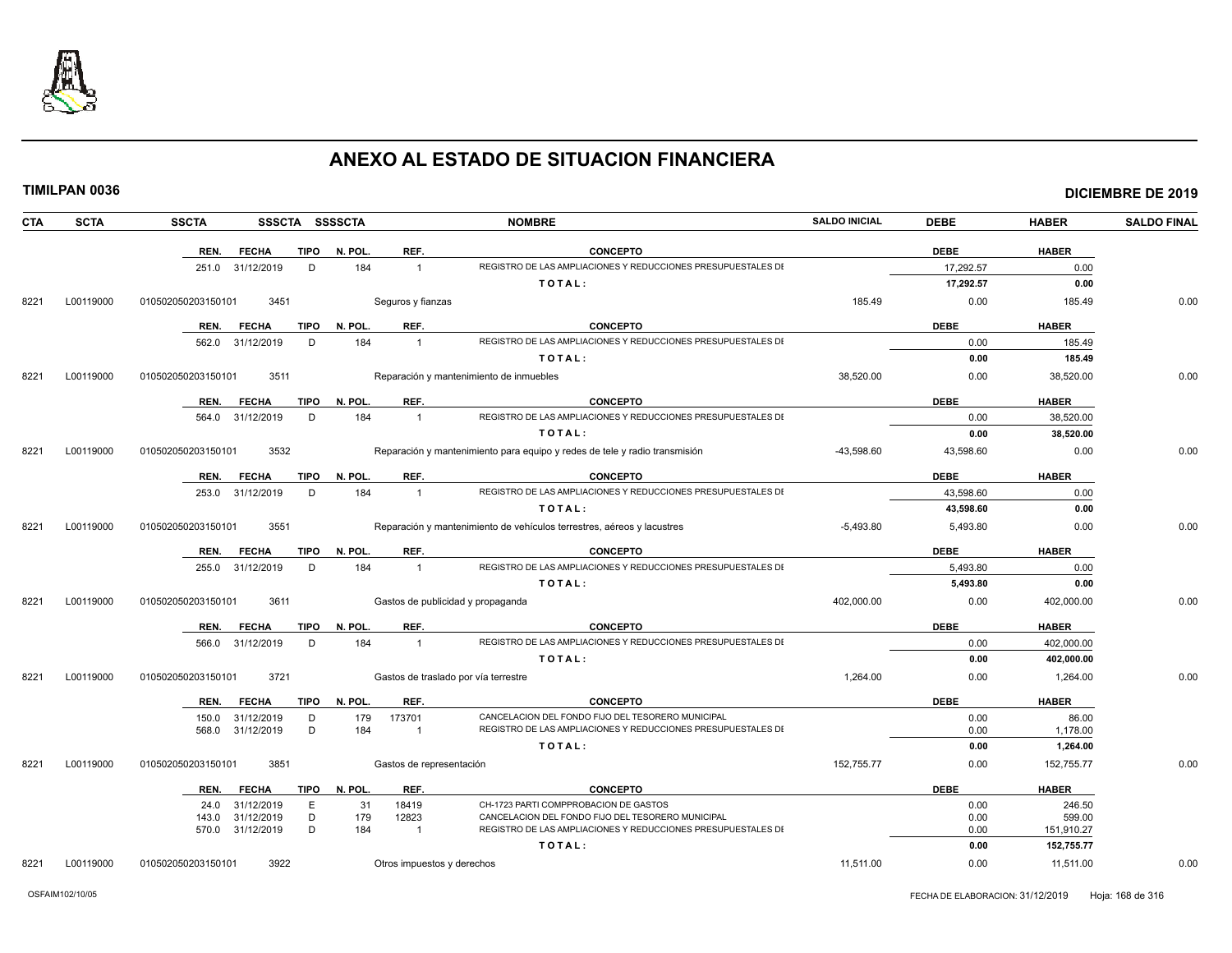

|  | TIMILPAN 0036 |  |  |
|--|---------------|--|--|
|  |               |  |  |

| <b>CTA</b> | <b>SCTA</b> | <b>SSCTA</b>       | SSSCTA SSSSCTA           |              |                                       | <b>NOMBRE</b>                                                                                                     | <b>SALDO INICIAL</b> | <b>DEBE</b>  | <b>HABER</b>         | <b>SALDO FINAL</b> |
|------------|-------------|--------------------|--------------------------|--------------|---------------------------------------|-------------------------------------------------------------------------------------------------------------------|----------------------|--------------|----------------------|--------------------|
|            |             | REN.               | <b>FECHA</b>             | <b>TIPO</b>  | N. POL.<br>REF.                       | <b>CONCEPTO</b>                                                                                                   |                      | <b>DEBE</b>  | <b>HABER</b>         |                    |
|            |             | 251.0 31/12/2019   |                          | D            | 184<br>$\overline{1}$                 | REGISTRO DE LAS AMPLIACIONES Y REDUCCIONES PRESUPUESTALES DI                                                      |                      | 17.292.57    | 0.00                 |                    |
|            |             |                    |                          |              |                                       | TOTAL:                                                                                                            |                      | 17,292.57    | 0.00                 |                    |
| 8221       | L00119000   | 010502050203150101 | 3451                     |              | Seguros y fianzas                     |                                                                                                                   | 185.49               | 0.00         | 185.49               | 0.00               |
|            |             | REN.               | <b>FECHA</b>             | <b>TIPO</b>  | N. POL.<br>REF.                       | <b>CONCEPTO</b>                                                                                                   |                      | <b>DEBE</b>  | <b>HABER</b>         |                    |
|            |             | 562.0              | 31/12/2019               | D            | 184<br>$\overline{1}$                 | REGISTRO DE LAS AMPLIACIONES Y REDUCCIONES PRESUPUESTALES DI                                                      |                      | 0.00         | 185.49               |                    |
|            |             |                    |                          |              |                                       | TOTAL:                                                                                                            |                      | 0.00         | 185.49               |                    |
| 8221       | L00119000   | 010502050203150101 | 3511                     |              |                                       | Reparación y mantenimiento de inmuebles                                                                           | 38.520.00            | 0.00         | 38,520.00            | 0.00               |
|            |             | REN.               | <b>FECHA</b>             | <b>TIPO</b>  | N. POL.<br>REF.                       | <b>CONCEPTO</b>                                                                                                   |                      | <b>DEBE</b>  | <b>HABER</b>         |                    |
|            |             | 564.0              | 31/12/2019               | D            | 184<br>$\mathbf{1}$                   | REGISTRO DE LAS AMPLIACIONES Y REDUCCIONES PRESUPUESTALES DI                                                      |                      | 0.00         | 38,520.00            |                    |
|            |             |                    |                          |              |                                       | TOTAL:                                                                                                            |                      | 0.00         | 38,520.00            |                    |
| 8221       | L00119000   | 010502050203150101 | 3532                     |              |                                       | Reparación y mantenimiento para equipo y redes de tele y radio transmisión                                        | $-43,598.60$         | 43,598.60    | 0.00                 | 0.00               |
|            |             | REN.               | <b>FECHA</b>             | <b>TIPO</b>  | REF.<br>N. POL.                       | <b>CONCEPTO</b>                                                                                                   |                      | <b>DEBE</b>  | <b>HABER</b>         |                    |
|            |             | 253.0 31/12/2019   |                          | D            | 184<br>$\overline{1}$                 | REGISTRO DE LAS AMPLIACIONES Y REDUCCIONES PRESUPUESTALES DI                                                      |                      | 43,598.60    | 0.00                 |                    |
|            |             |                    |                          |              |                                       | TOTAL:                                                                                                            |                      | 43,598.60    | 0.00                 |                    |
| 8221       | L00119000   | 010502050203150101 | 3551                     |              |                                       | Reparación y mantenimiento de vehículos terrestres, aéreos y lacustres                                            | $-5,493.80$          | 5,493.80     | 0.00                 | 0.00               |
|            |             | REN.               | <b>FECHA</b>             | TIPO N. POL. | REF.                                  | <b>CONCEPTO</b>                                                                                                   |                      | <b>DEBE</b>  | <b>HABER</b>         |                    |
|            |             | 255.0              | 31/12/2019               | D            | 184<br>$\mathbf{1}$                   | REGISTRO DE LAS AMPLIACIONES Y REDUCCIONES PRESUPUESTALES DI                                                      |                      | 5,493.80     | 0.00                 |                    |
|            |             |                    |                          |              |                                       | TOTAL:                                                                                                            |                      | 5,493.80     | 0.00                 |                    |
| 8221       | L00119000   | 010502050203150101 | 3611                     |              |                                       | Gastos de publicidad y propaganda                                                                                 | 402,000.00           | 0.00         | 402,000.00           | 0.00               |
|            |             | REN.               | <b>FECHA</b>             | <b>TIPO</b>  | REF.<br>N. POL.                       | <b>CONCEPTO</b>                                                                                                   |                      | <b>DEBE</b>  | <b>HABER</b>         |                    |
|            |             | 566.0              | 31/12/2019               | D            | 184<br>$\overline{1}$                 | REGISTRO DE LAS AMPLIACIONES Y REDUCCIONES PRESUPUESTALES DI                                                      |                      | 0.00         | 402,000.00           |                    |
|            |             |                    |                          |              |                                       | TOTAL:                                                                                                            |                      | 0.00         | 402,000.00           |                    |
| 8221       | L00119000   | 010502050203150101 | 3721                     |              |                                       | Gastos de traslado por vía terrestre                                                                              | 1,264.00             | 0.00         | 1,264.00             | 0.00               |
|            |             | REN.               | <b>FECHA</b>             | <b>TIPO</b>  | N. POL.<br>REF.                       | <b>CONCEPTO</b>                                                                                                   |                      | <b>DEBE</b>  | <b>HABER</b>         |                    |
|            |             | 150.0              | 31/12/2019               | D            | 179<br>173701                         | CANCELACION DEL FONDO FIJO DEL TESORERO MUNICIPAL                                                                 |                      | 0.00         | 86.00                |                    |
|            |             | 568.0              | 31/12/2019               | D            | 184<br>$\overline{1}$                 | REGISTRO DE LAS AMPLIACIONES Y REDUCCIONES PRESUPUESTALES DI                                                      |                      | 0.00         | 1,178.00             |                    |
|            |             |                    |                          |              |                                       | TOTAL:                                                                                                            |                      | 0.00         | 1,264.00             |                    |
| 8221       | L00119000   | 010502050203150101 | 3851                     |              | Gastos de representación              |                                                                                                                   | 152,755.77           | 0.00         | 152,755.77           | 0.00               |
|            |             | REN.               | <b>FECHA</b>             | <b>TIPO</b>  | N. POL.<br>REF.                       | <b>CONCEPTO</b>                                                                                                   |                      | <b>DEBE</b>  | <b>HABER</b>         |                    |
|            |             | 24.0               | 31/12/2019               | E            | 31<br>18419                           | CH-1723 PARTI COMPPROBACION DE GASTOS                                                                             |                      | 0.00         | 246.50               |                    |
|            |             | 143.0<br>570.0     | 31/12/2019<br>31/12/2019 | D<br>D       | 179<br>12823<br>184<br>$\overline{1}$ | CANCELACION DEL FONDO FIJO DEL TESORERO MUNICIPAL<br>REGISTRO DE LAS AMPLIACIONES Y REDUCCIONES PRESUPUESTALES DI |                      | 0.00<br>0.00 | 599.00<br>151,910.27 |                    |
|            |             |                    |                          |              |                                       | TOTAL:                                                                                                            |                      | 0.00         | 152,755.77           |                    |
| 8221       | L00119000   | 010502050203150101 | 3922                     |              | Otros impuestos y derechos            |                                                                                                                   | 11.511.00            | 0.00         | 11.511.00            | 0.00               |
|            |             |                    |                          |              |                                       |                                                                                                                   |                      |              |                      |                    |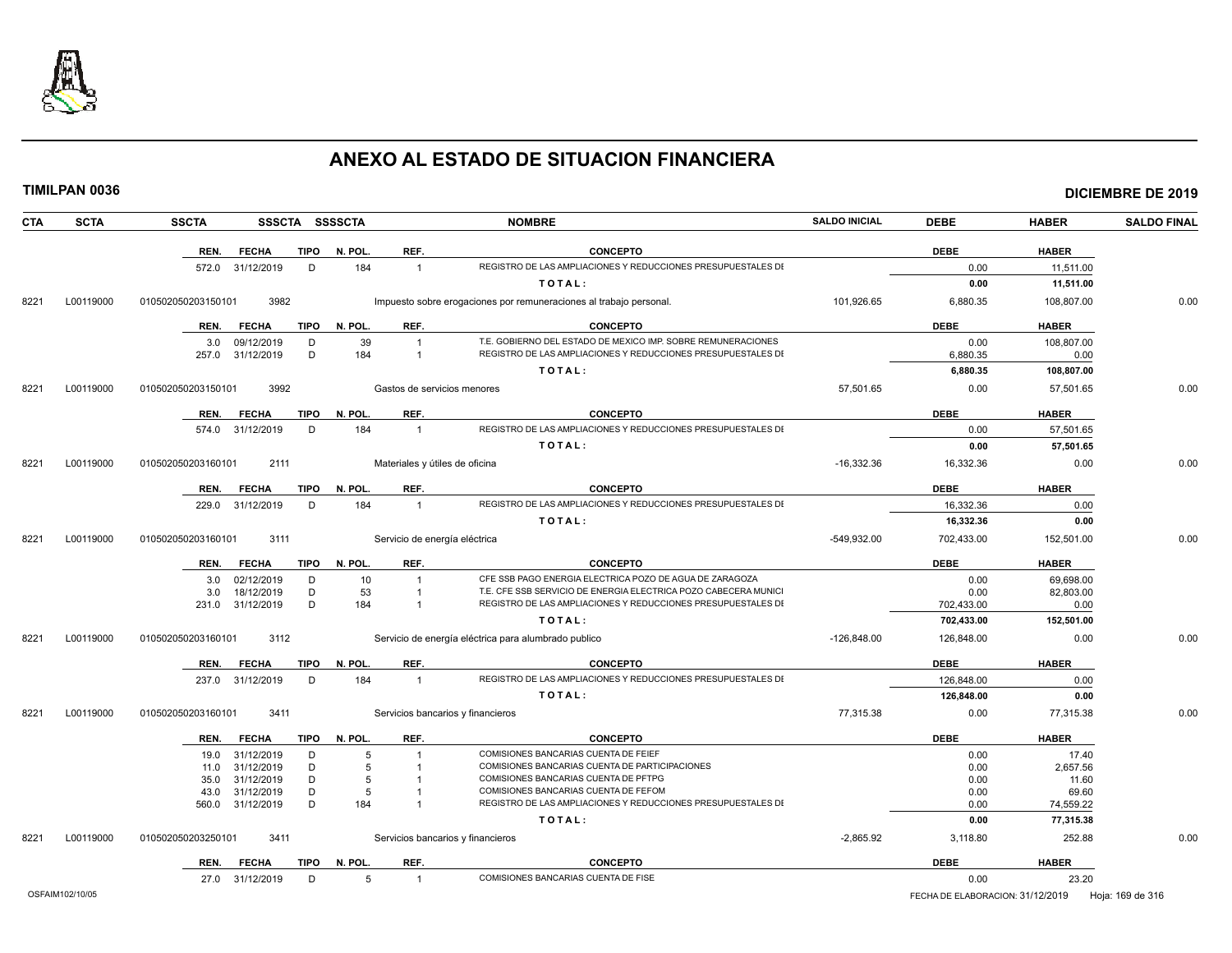

|            | <b>TIMILPAN 0036</b> |                    |                                |             |                |                                  |                                                                                                                                 |                      |                    |                    | <b>DICIEMBRE DE 2019</b> |
|------------|----------------------|--------------------|--------------------------------|-------------|----------------|----------------------------------|---------------------------------------------------------------------------------------------------------------------------------|----------------------|--------------------|--------------------|--------------------------|
| <b>CTA</b> | <b>SCTA</b>          | <b>SSCTA</b>       |                                |             | SSSCTA SSSSCTA |                                  | <b>NOMBRE</b>                                                                                                                   | <b>SALDO INICIAL</b> | <b>DEBE</b>        | <b>HABER</b>       | <b>SALDO FINAL</b>       |
|            |                      | REN.               | <b>FECHA</b>                   | TIPO        | N. POL.        | REF.                             | <b>CONCEPTO</b>                                                                                                                 |                      | <b>DEBE</b>        | <b>HABER</b>       |                          |
|            |                      |                    | 572.0 31/12/2019               | D           | 184            | $\overline{1}$                   | REGISTRO DE LAS AMPLIACIONES Y REDUCCIONES PRESUPUESTALES DI                                                                    |                      | 0.00               | 11,511.00          |                          |
|            |                      |                    |                                |             |                |                                  | TOTAL:                                                                                                                          |                      | 0.00               | 11,511.00          |                          |
| 8221       | L00119000            | 010502050203150101 | 3982                           |             |                |                                  | Impuesto sobre erogaciones por remuneraciones al trabajo personal.                                                              | 101,926.65           | 6,880.35           | 108,807.00         | 0.00                     |
|            |                      | REN.               | <b>FECHA</b>                   | TIPO        | N. POL.        | REF.                             | <b>CONCEPTO</b>                                                                                                                 |                      | <b>DEBE</b>        | <b>HABER</b>       |                          |
|            |                      | 3.0                | 09/12/2019<br>257.0 31/12/2019 | D<br>D      | 39<br>184      | $\overline{1}$                   | T.E. GOBIERNO DEL ESTADO DE MEXICO IMP. SOBRE REMUNERACIONES<br>REGISTRO DE LAS AMPLIACIONES Y REDUCCIONES PRESUPUESTALES DI    |                      | 0.00<br>6,880.35   | 108,807.00<br>0.00 |                          |
|            |                      |                    |                                |             |                |                                  | TOTAL:                                                                                                                          |                      | 6,880.35           | 108,807.00         |                          |
| 8221       | L00119000            | 010502050203150101 | 3992                           |             |                | Gastos de servicios menores      |                                                                                                                                 | 57,501.65            | 0.00               | 57,501.65          | 0.00                     |
|            |                      | REN.               | <b>FECHA</b>                   | <b>TIPO</b> | N. POL.        | REF.                             | <b>CONCEPTO</b>                                                                                                                 |                      | <b>DEBE</b>        | <b>HABER</b>       |                          |
|            |                      |                    | 574.0 31/12/2019               | D           | 184            | $\overline{1}$                   | REGISTRO DE LAS AMPLIACIONES Y REDUCCIONES PRESUPUESTALES DI                                                                    |                      | 0.00               | 57,501.65          |                          |
|            |                      |                    |                                |             |                |                                  | TOTAL:                                                                                                                          |                      | 0.00               | 57,501.65          |                          |
| 8221       | L00119000            | 010502050203160101 | 2111                           |             |                | Materiales y útiles de oficina   |                                                                                                                                 | $-16.332.36$         | 16,332.36          | 0.00               | 0.00                     |
|            |                      |                    |                                |             |                |                                  |                                                                                                                                 |                      |                    |                    |                          |
|            |                      | REN.               | <b>FECHA</b>                   | <b>TIPO</b> | N. POL.        | REF.                             | <b>CONCEPTO</b>                                                                                                                 |                      | <b>DEBE</b>        | <b>HABER</b>       |                          |
|            |                      |                    | 229.0 31/12/2019               | D           | 184            | $\overline{1}$                   | REGISTRO DE LAS AMPLIACIONES Y REDUCCIONES PRESUPUESTALES DI                                                                    |                      | 16,332.36          | 0.00               |                          |
|            |                      |                    |                                |             |                |                                  | TOTAL:                                                                                                                          |                      | 16,332.36          | 0.00               |                          |
| 8221       | L00119000            | 010502050203160101 | 3111                           |             |                | Servicio de energía eléctrica    |                                                                                                                                 | $-549,932.00$        | 702,433.00         | 152,501.00         | 0.00                     |
|            |                      | REN.               | <b>FECHA</b>                   | <b>TIPO</b> | N. POL.        | REF.                             | <b>CONCEPTO</b>                                                                                                                 |                      | <b>DEBE</b>        | <b>HABER</b>       |                          |
|            |                      |                    | 3.0 02/12/2019                 | D           | 10             |                                  | CFE SSB PAGO ENERGIA ELECTRICA POZO DE AGUA DE ZARAGOZA                                                                         |                      | 0.00               | 69.698.00          |                          |
|            |                      | 3.0<br>231.0       | 18/12/2019<br>31/12/2019       | D<br>D      | 53<br>184      | $\mathbf{1}$<br>$\mathbf{1}$     | T.E. CFE SSB SERVICIO DE ENERGIA ELECTRICA POZO CABECERA MUNICI<br>REGISTRO DE LAS AMPLIACIONES Y REDUCCIONES PRESUPUESTALES DI |                      | 0.00<br>702,433.00 | 82.803.00<br>0.00  |                          |
|            |                      |                    |                                |             |                |                                  | TOTAL:                                                                                                                          |                      | 702,433.00         | 152,501.00         |                          |
| 8221       |                      |                    |                                |             |                |                                  |                                                                                                                                 | $-126.848.00$        |                    | 0.00               |                          |
|            | L00119000            | 010502050203160101 | 3112                           |             |                |                                  | Servicio de energía eléctrica para alumbrado publico                                                                            |                      | 126,848.00         |                    | 0.00                     |
|            |                      | REN.               | <b>FECHA</b>                   | <b>TIPO</b> | N. POL.        | REF.                             | <b>CONCEPTO</b>                                                                                                                 |                      | <b>DEBE</b>        | <b>HABER</b>       |                          |
|            |                      |                    | 237.0 31/12/2019               | D           | 184            | $\overline{1}$                   | REGISTRO DE LAS AMPLIACIONES Y REDUCCIONES PRESUPUESTALES DI                                                                    |                      | 126,848.00         | 0.00               |                          |
|            |                      |                    |                                |             |                |                                  | TOTAL:                                                                                                                          |                      | 126,848.00         | 0.00               |                          |
| 8221       | L00119000            | 010502050203160101 | 3411                           |             |                |                                  | Servicios bancarios y financieros                                                                                               | 77,315.38            | 0.00               | 77,315.38          | 0.00                     |
|            |                      | REN.               | <b>FECHA</b>                   | <b>TIPO</b> | N. POL.        | REF.                             | <b>CONCEPTO</b>                                                                                                                 |                      | <b>DEBE</b>        | <b>HABER</b>       |                          |
|            |                      |                    | 19.0 31/12/2019                | D           | 5              | $\overline{1}$                   | COMISIONES BANCARIAS CUENTA DE FEIEF                                                                                            |                      | 0.00               | 17.40              |                          |
|            |                      | 11.0               | 31/12/2019                     | D           | 5              | $\overline{1}$                   | COMISIONES BANCARIAS CUENTA DE PARTICIPACIONES                                                                                  |                      | 0.00               | 2.657.56           |                          |
|            |                      | 35.0               | 31/12/2019                     | D<br>D      | 5<br>5         | $\overline{1}$<br>$\overline{1}$ | COMISIONES BANCARIAS CUENTA DE PFTPG<br>COMISIONES BANCARIAS CUENTA DE FEFOM                                                    |                      | 0.00               | 11.60              |                          |
|            |                      | 43.0               | 31/12/2019<br>560.0 31/12/2019 | D           | 184            | $\overline{1}$                   | REGISTRO DE LAS AMPLIACIONES Y REDUCCIONES PRESUPUESTALES DI                                                                    |                      | 0.00<br>0.00       | 69.60<br>74,559.22 |                          |
|            |                      |                    |                                |             |                |                                  | TOTAL:                                                                                                                          |                      | 0.00               | 77,315.38          |                          |
| 8221       | L00119000            | 010502050203250101 | 3411                           |             |                |                                  | Servicios bancarios y financieros                                                                                               | $-2.865.92$          | 3,118.80           | 252.88             | 0.00                     |
|            |                      | REN.               | <b>FECHA</b>                   | <b>TIPO</b> | N. POL.        | REF.                             | <b>CONCEPTO</b>                                                                                                                 |                      | <b>DEBE</b>        | <b>HABER</b>       |                          |
|            |                      |                    | 27.0 31/12/2019                | D           | 5              |                                  | COMISIONES BANCARIAS CUENTA DE FISE                                                                                             |                      | 0.00               | 23.20              |                          |
|            |                      |                    |                                |             |                |                                  |                                                                                                                                 |                      |                    |                    |                          |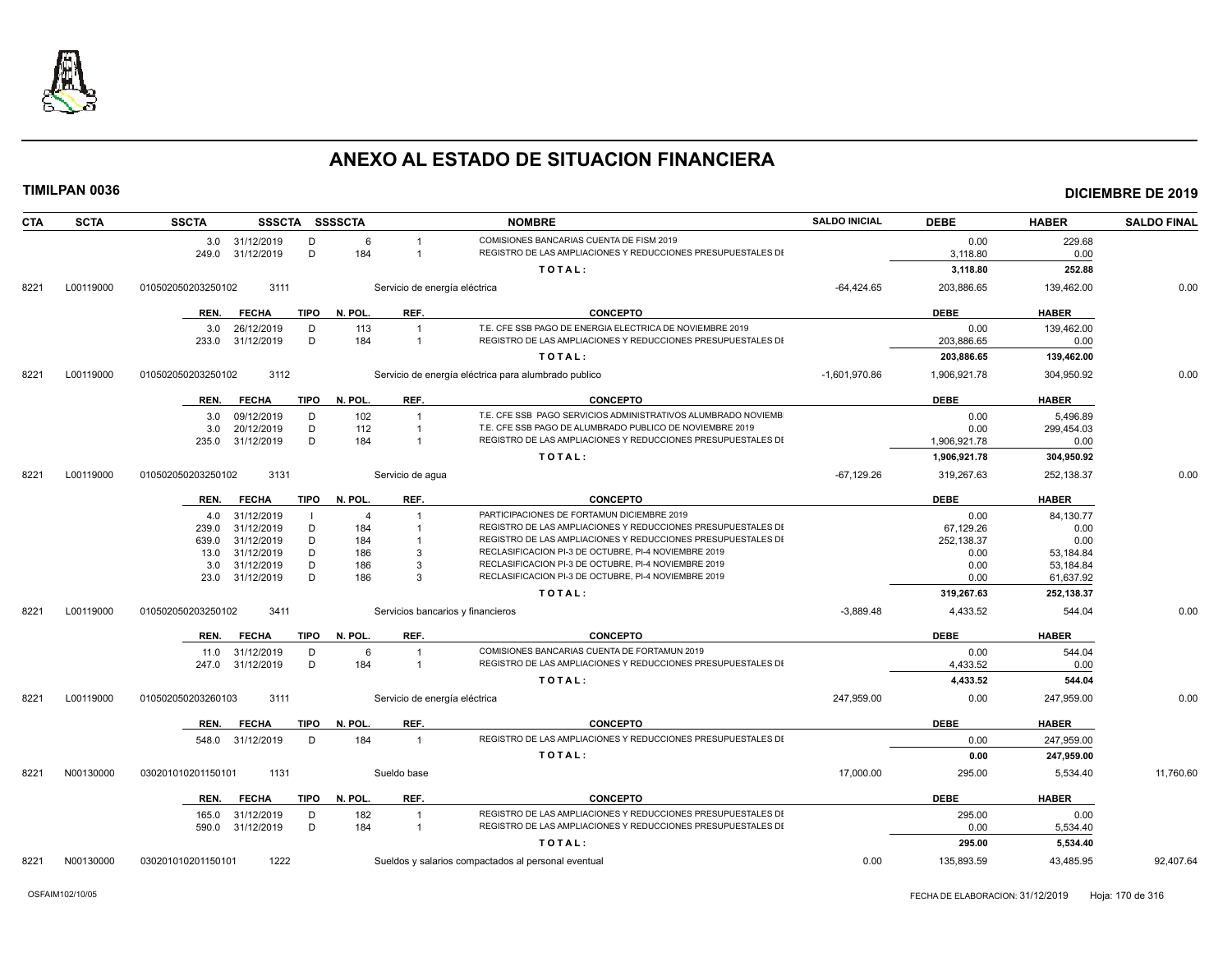

| <b>CTA</b> | <b>SCTA</b> | <b>SSCTA</b>                              | SSSCTA SSSSCTA         |                               | <b>NOMBRE</b>                                                                                                | <b>SALDO INICIAL</b> | <b>DEBE</b>      | <b>HABER</b>           | <b>SALDO FINAL</b> |
|------------|-------------|-------------------------------------------|------------------------|-------------------------------|--------------------------------------------------------------------------------------------------------------|----------------------|------------------|------------------------|--------------------|
|            |             | 3.0 31/12/2019                            | D                      | 6                             | COMISIONES BANCARIAS CUENTA DE FISM 2019                                                                     |                      | 0.00             | 229.68                 |                    |
|            |             | 249.0<br>31/12/2019                       | D<br>184               |                               | REGISTRO DE LAS AMPLIACIONES Y REDUCCIONES PRESUPUESTALES DI                                                 |                      | 3,118.80         | 0.00                   |                    |
|            |             |                                           |                        |                               | TOTAL:                                                                                                       |                      | 3,118.80         | 252.88                 |                    |
| 8221       | L00119000   | 010502050203250102<br>3111                |                        | Servicio de energía eléctrica |                                                                                                              | $-64,424.65$         | 203,886.65       | 139,462.00             | 0.00               |
|            |             | <b>FECHA</b><br>REN.                      | <b>TIPO</b><br>N. POL. | REF.                          | <b>CONCEPTO</b>                                                                                              |                      | <b>DEBE</b>      | <b>HABER</b>           |                    |
|            |             | 26/12/2019<br>3.0                         | D<br>113               |                               | T.E. CFE SSB PAGO DE ENERGIA ELECTRICA DE NOVIEMBRE 2019                                                     |                      | 0.00             | 139,462.00             |                    |
|            |             | 31/12/2019<br>233.0                       | D<br>184               |                               | REGISTRO DE LAS AMPLIACIONES Y REDUCCIONES PRESUPUESTALES DI                                                 |                      | 203,886.65       | 0.00                   |                    |
|            |             |                                           |                        |                               | TOTAL:                                                                                                       |                      | 203,886.65       | 139,462.00             |                    |
| 8221       | L00119000   | 3112<br>010502050203250102                |                        |                               | Servicio de energía eléctrica para alumbrado publico                                                         | $-1,601,970.86$      | 1,906,921.78     | 304,950.92             | 0.00               |
|            |             | REN.<br><b>FECHA</b>                      | <b>TIPO</b><br>N. POL. | REF.                          | <b>CONCEPTO</b>                                                                                              |                      | <b>DEBE</b>      | <b>HABER</b>           |                    |
|            |             | 09/12/2019<br>3.0                         | D<br>102               |                               | T.E. CFE SSB PAGO SERVICIOS ADMINISTRATIVOS ALUMBRADO NOVIEMB                                                |                      | 0.00             | 5,496.89               |                    |
|            |             | 20/12/2019<br>3.0                         | D<br>112               | $\overline{1}$                | T.E. CFE SSB PAGO DE ALUMBRADO PUBLICO DE NOVIEMBRE 2019                                                     |                      | 0.00             | 299,454.03             |                    |
|            |             | 235.0<br>31/12/2019                       | D<br>184               | $\overline{1}$                | REGISTRO DE LAS AMPLIACIONES Y REDUCCIONES PRESUPUESTALES DI                                                 |                      | 1,906,921.78     | 0.00                   |                    |
|            |             |                                           |                        |                               | TOTAL:                                                                                                       |                      | 1,906,921.78     | 304,950.92             |                    |
| 8221       | L00119000   | 3131<br>010502050203250102                |                        | Servicio de aqua              |                                                                                                              | $-67,129.26$         | 319,267.63       | 252,138.37             | 0.00               |
|            |             | <b>FECHA</b><br>REN.                      | TIPO N. POL.           | REF.                          | <b>CONCEPTO</b>                                                                                              |                      | <b>DEBE</b>      | <b>HABER</b>           |                    |
|            |             | 31/12/2019<br>4.0                         |                        | $\overline{4}$                | PARTICIPACIONES DE FORTAMUN DICIEMBRE 2019                                                                   |                      | 0.00             | 84,130.77              |                    |
|            |             | 31/12/2019<br>239.0                       | D<br>184               |                               | REGISTRO DE LAS AMPLIACIONES Y REDUCCIONES PRESUPUESTALES DI                                                 |                      | 67,129.26        | 0.00                   |                    |
|            |             | 31/12/2019<br>639.0                       | D<br>184               |                               | REGISTRO DE LAS AMPLIACIONES Y REDUCCIONES PRESUPUESTALES DI                                                 |                      | 252,138.37       | 0.00                   |                    |
|            |             | 31/12/2019<br>13.0<br>31/12/2019<br>3.0   | D<br>186<br>D<br>186   | 3<br>-3                       | RECLASIFICACION PI-3 DE OCTUBRE, PI-4 NOVIEMBRE 2019<br>RECLASIFICACION PI-3 DE OCTUBRE, PI-4 NOVIEMBRE 2019 |                      | 0.00             | 53,184.84              |                    |
|            |             | 31/12/2019<br>23.0                        | D<br>186               | 3                             | RECLASIFICACION PI-3 DE OCTUBRE, PI-4 NOVIEMBRE 2019                                                         |                      | 0.00<br>0.00     | 53,184.84<br>61,637.92 |                    |
|            |             |                                           |                        |                               | TOTAL:                                                                                                       |                      | 319,267.63       | 252,138.37             |                    |
| 8221       | L00119000   | 010502050203250102<br>3411                |                        |                               | Servicios bancarios y financieros                                                                            | $-3,889.48$          | 4,433.52         | 544.04                 | 0.00               |
|            |             | REN.<br><b>FECHA</b>                      | N. POL.<br><b>TIPO</b> | REF.                          | <b>CONCEPTO</b>                                                                                              |                      | <b>DEBE</b>      | <b>HABER</b>           |                    |
|            |             |                                           |                        | 6                             | COMISIONES BANCARIAS CUENTA DE FORTAMUN 2019                                                                 |                      |                  |                        |                    |
|            |             | 31/12/2019<br>11.0<br>31/12/2019<br>247.0 | D<br>184<br>D          | $\overline{1}$                | REGISTRO DE LAS AMPLIACIONES Y REDUCCIONES PRESUPUESTALES DI                                                 |                      | 0.00<br>4,433.52 | 544.04<br>0.00         |                    |
|            |             |                                           |                        |                               | TOTAL:                                                                                                       |                      | 4,433.52         | 544.04                 |                    |
| 8221       | L00119000   | 010502050203260103<br>3111                |                        | Servicio de energía eléctrica |                                                                                                              | 247.959.00           | 0.00             | 247.959.00             | 0.00               |
|            |             |                                           |                        |                               |                                                                                                              |                      |                  |                        |                    |
|            |             | REN.<br><b>FECHA</b>                      | TIPO<br>N. POL.        | REF.                          | <b>CONCEPTO</b>                                                                                              |                      | <b>DEBE</b>      | <b>HABER</b>           |                    |
|            |             | 548.0<br>31/12/2019                       | 184<br>D               | $\mathbf{1}$                  | REGISTRO DE LAS AMPLIACIONES Y REDUCCIONES PRESUPUESTALES DI                                                 |                      | 0.00             | 247,959.00             |                    |
|            |             |                                           |                        |                               | TOTAL:                                                                                                       |                      | 0.00             | 247,959.00             |                    |
| 8221       | N00130000   | 1131<br>030201010201150101                |                        | Sueldo base                   |                                                                                                              | 17,000.00            | 295.00           | 5,534.40               | 11,760.60          |
|            |             | <b>FECHA</b><br>REN.                      | <b>TIPO</b><br>N. POL. | REF.                          | <b>CONCEPTO</b>                                                                                              |                      | <b>DEBE</b>      | <b>HABER</b>           |                    |
|            |             | 31/12/2019<br>165.0                       | D<br>182               | $\overline{1}$                | REGISTRO DE LAS AMPLIACIONES Y REDUCCIONES PRESUPUESTALES DI                                                 |                      | 295.00           | 0.00                   |                    |
|            |             | 31/12/2019<br>590.0                       | D<br>184               | $\mathbf{1}$                  | REGISTRO DE LAS AMPLIACIONES Y REDUCCIONES PRESUPUESTALES DI                                                 |                      | 0.00             | 5,534.40               |                    |
|            |             |                                           |                        |                               | TOTAL:                                                                                                       |                      | 295.00           | 5,534.40               |                    |
| 8221       | N00130000   | 1222<br>030201010201150101                |                        |                               | Sueldos y salarios compactados al personal eventual                                                          | 0.00                 | 135.893.59       | 43.485.95              | 92.407.64          |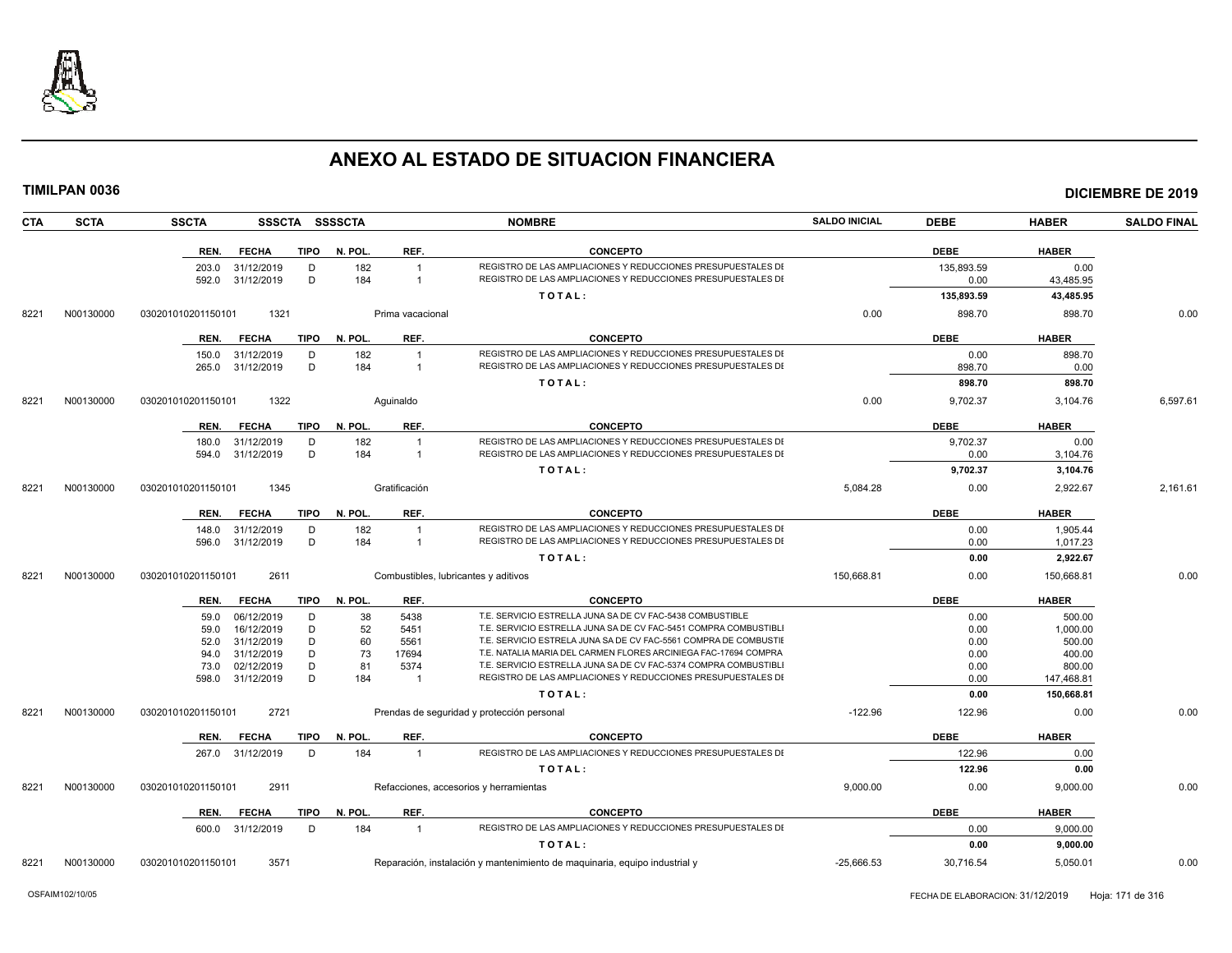

|      | TIMILPAN 0036 |                    |                                |             |                |                                      |                                                                                                                                     |                      |                    |                      | <b>DICIEMBRE DE 2019</b> |
|------|---------------|--------------------|--------------------------------|-------------|----------------|--------------------------------------|-------------------------------------------------------------------------------------------------------------------------------------|----------------------|--------------------|----------------------|--------------------------|
| CTA  | <b>SCTA</b>   | <b>SSCTA</b>       |                                |             | SSSCTA SSSSCTA |                                      | <b>NOMBRE</b>                                                                                                                       | <b>SALDO INICIAL</b> | <b>DEBE</b>        | <b>HABER</b>         | <b>SALDO FINAL</b>       |
|      |               | REN.               | <b>FECHA</b>                   | <b>TIPO</b> | N. POL.        | REF.                                 | <b>CONCEPTO</b>                                                                                                                     |                      | <b>DEBE</b>        | <b>HABER</b>         |                          |
|      |               | 592.0              | 203.0 31/12/2019<br>31/12/2019 | D<br>D      | 182<br>184     | $\overline{1}$<br>$\mathbf{1}$       | REGISTRO DE LAS AMPLIACIONES Y REDUCCIONES PRESUPUESTALES DI<br>REGISTRO DE LAS AMPLIACIONES Y REDUCCIONES PRESUPUESTALES DI        |                      | 135,893.59<br>0.00 | 0.00<br>43,485.95    |                          |
|      |               |                    |                                |             |                |                                      | TOTAL:                                                                                                                              |                      | 135,893.59         | 43,485.95            |                          |
| 8221 | N00130000     | 030201010201150101 | 1321                           |             |                | Prima vacacional                     |                                                                                                                                     | 0.00                 | 898.70             | 898.70               | 0.00                     |
|      |               | REN.               | <b>FECHA</b>                   | TIPO        | N. POL.        | REF.                                 | <b>CONCEPTO</b>                                                                                                                     |                      | <b>DEBE</b>        | <b>HABER</b>         |                          |
|      |               |                    | 150.0 31/12/2019               | D           | 182            | $\overline{1}$                       | REGISTRO DE LAS AMPLIACIONES Y REDUCCIONES PRESUPUESTALES DI                                                                        |                      | 0.00               | 898.70               |                          |
|      |               | 265.0              | 31/12/2019                     | D           | 184            | $\overline{1}$                       | REGISTRO DE LAS AMPLIACIONES Y REDUCCIONES PRESUPUESTALES DI                                                                        |                      | 898.70             | 0.00                 |                          |
|      |               |                    |                                |             |                |                                      | TOTAL:                                                                                                                              |                      | 898.70             | 898.70               |                          |
| 8221 | N00130000     | 030201010201150101 | 1322                           |             |                | Aquinaldo                            |                                                                                                                                     | 0.00                 | 9,702.37           | 3,104.76             | 6,597.61                 |
|      |               | REN.               | <b>FECHA</b>                   | TIPO        | N. POL.        | REF.                                 | <b>CONCEPTO</b>                                                                                                                     |                      | <b>DEBE</b>        | <b>HABER</b>         |                          |
|      |               | 180.0              | 31/12/2019                     | D           | 182            | $\overline{1}$                       | REGISTRO DE LAS AMPLIACIONES Y REDUCCIONES PRESUPUESTALES DI                                                                        |                      | 9,702.37           | 0.00                 |                          |
|      |               | 594.0              | 31/12/2019                     | D           | 184            | $\overline{1}$                       | REGISTRO DE LAS AMPLIACIONES Y REDUCCIONES PRESUPUESTALES DI                                                                        |                      | 0.00               | 3,104.76             |                          |
|      |               |                    |                                |             |                |                                      | TOTAL:                                                                                                                              |                      | 9,702.37           | 3,104.76             |                          |
| 8221 | N00130000     | 030201010201150101 | 1345                           |             |                | Gratificación                        |                                                                                                                                     | 5,084.28             | 0.00               | 2,922.67             | 2,161.61                 |
|      |               | REN.               | <b>FECHA</b>                   | TIPO        | N. POL.        | REF.                                 | <b>CONCEPTO</b>                                                                                                                     |                      | <b>DEBE</b>        | <b>HABER</b>         |                          |
|      |               | 148.0              | 31/12/2019                     | D           | 182            | $\overline{1}$                       | REGISTRO DE LAS AMPLIACIONES Y REDUCCIONES PRESUPUESTALES DI                                                                        |                      | 0.00               | 1,905.44             |                          |
|      |               | 596.0              | 31/12/2019                     | D           | 184            | $\overline{1}$                       | REGISTRO DE LAS AMPLIACIONES Y REDUCCIONES PRESUPUESTALES DI                                                                        |                      | 0.00               | 1,017.23             |                          |
|      |               |                    |                                |             |                |                                      | TOTAL:                                                                                                                              |                      | 0.00               | 2,922.67             |                          |
| 8221 | N00130000     | 030201010201150101 | 2611                           |             |                | Combustibles, lubricantes y aditivos |                                                                                                                                     | 150,668.81           | 0.00               | 150,668.81           | 0.00                     |
|      |               | REN.               | <b>FECHA</b>                   | TIPO        | N. POL.        | REF.                                 | <b>CONCEPTO</b>                                                                                                                     |                      | <b>DEBE</b>        | <b>HABER</b>         |                          |
|      |               | 59.0               | 06/12/2019                     | D           | 38             | 5438                                 | T.E. SERVICIO ESTRELLA JUNA SA DE CV FAC-5438 COMBUSTIBLE                                                                           |                      | 0.00               | 500.00               |                          |
|      |               | 59.0               | 16/12/2019                     | D           | 52             | 5451                                 | T.E. SERVICIO ESTRELLA JUNA SA DE CV FAC-5451 COMPRA COMBUSTIBL                                                                     |                      | 0.00               | 1.000.00             |                          |
|      |               | 52.0               | 31/12/2019                     | D           | 60             | 5561                                 | T.E. SERVICIO ESTRELA JUNA SA DE CV FAC-5561 COMPRA DE COMBUSTIE                                                                    |                      | 0.00               | 500.00               |                          |
|      |               | 94.0               | 31/12/2019                     | D           | 73             | 17694                                | T.E. NATALIA MARIA DEL CARMEN FLORES ARCINIEGA FAC-17694 COMPRA<br>T.E. SERVICIO ESTRELLA JUNA SA DE CV FAC-5374 COMPRA COMBUSTIBLI |                      | 0.00               | 400.00               |                          |
|      |               | 73.0<br>598.0      | 02/12/2019<br>31/12/2019       | D<br>D      | 81<br>184      | 5374<br>$\overline{1}$               | REGISTRO DE LAS AMPLIACIONES Y REDUCCIONES PRESUPUESTALES DI                                                                        |                      | 0.00<br>0.00       | 800.00<br>147,468.81 |                          |
|      |               |                    |                                |             |                |                                      | TOTAL:                                                                                                                              |                      | 0.00               | 150,668.81           |                          |
| 8221 | N00130000     | 030201010201150101 | 2721                           |             |                |                                      | Prendas de seguridad y protección personal                                                                                          | $-122.96$            | 122.96             | 0.00                 | 0.00                     |
|      |               | REN.               | <b>FECHA</b>                   | <b>TIPO</b> | N. POL.        | REF.                                 | <b>CONCEPTO</b>                                                                                                                     |                      | <b>DEBE</b>        | <b>HABER</b>         |                          |
|      |               |                    | 267.0 31/12/2019               | D           | 184            | $\overline{1}$                       | REGISTRO DE LAS AMPLIACIONES Y REDUCCIONES PRESUPUESTALES DI                                                                        |                      | 122.96             | 0.00                 |                          |
|      |               |                    |                                |             |                |                                      | TOTAL:                                                                                                                              |                      | 122.96             | 0.00                 |                          |
| 8221 | N00130000     | 030201010201150101 | 2911                           |             |                |                                      | Refacciones, accesorios y herramientas                                                                                              | 9,000.00             | 0.00               | 9,000.00             | 0.00                     |
|      |               | REN.               | <b>FECHA</b>                   | TIPO        | N. POL.        | REF.                                 | <b>CONCEPTO</b>                                                                                                                     |                      | <b>DEBE</b>        | <b>HABER</b>         |                          |
|      |               |                    | 600.0 31/12/2019               | D           | 184            | $\overline{1}$                       | REGISTRO DE LAS AMPLIACIONES Y REDUCCIONES PRESUPUESTALES DI                                                                        |                      | 0.00               | 9,000.00             |                          |
|      |               |                    |                                |             |                |                                      | TOTAL:                                                                                                                              |                      | 0.00               | 9,000.00             |                          |
|      |               |                    |                                |             |                |                                      |                                                                                                                                     |                      |                    |                      |                          |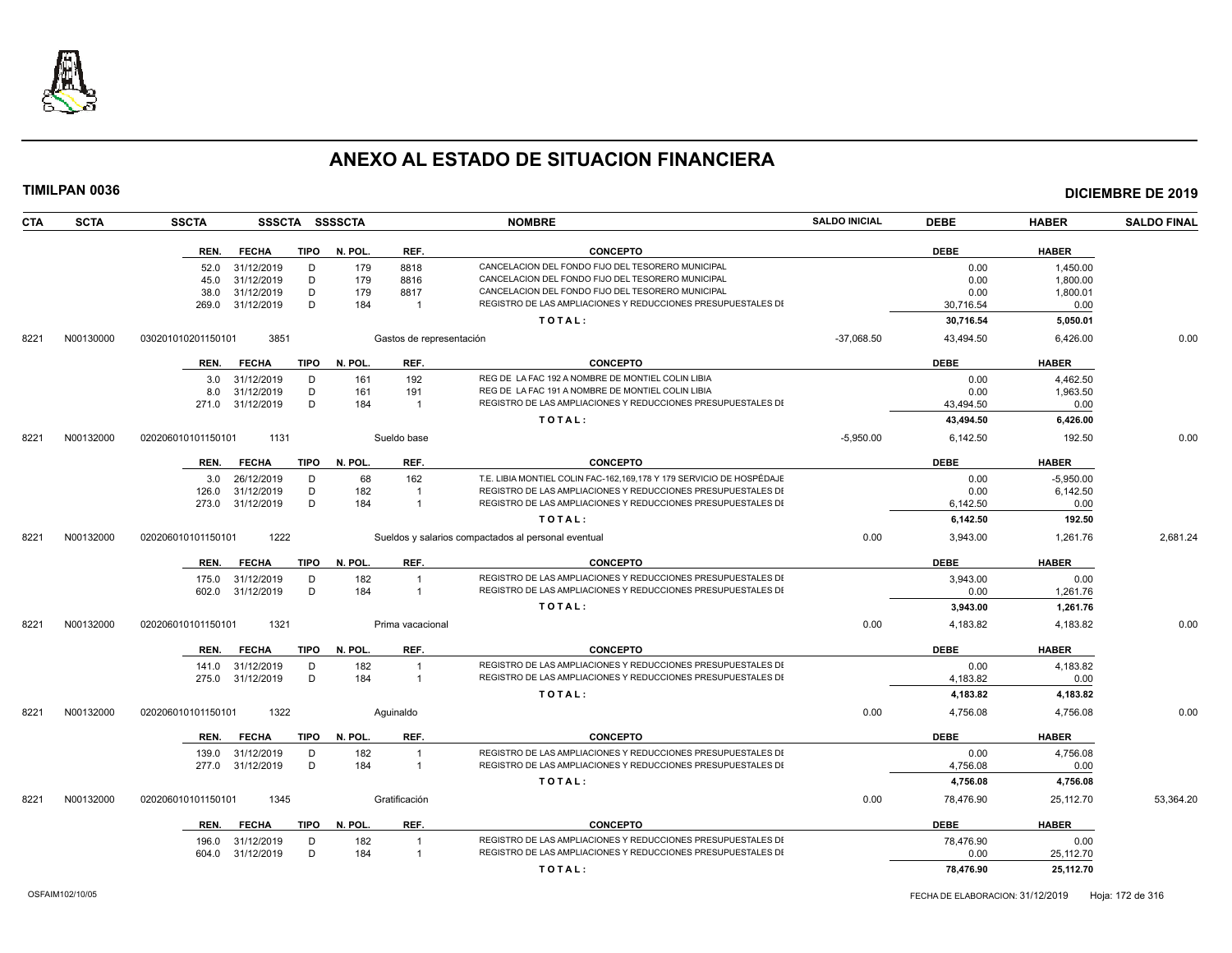

| <b>CTA</b> | <b>SCTA</b> | <b>SSCTA</b><br>SSSCTA SSSSCTA      |         |                          | <b>NOMBRE</b>                                                        | <b>SALDO INICIAL</b> | <b>DEBE</b> | <b>HABER</b> | <b>SALDO FINAL</b> |
|------------|-------------|-------------------------------------|---------|--------------------------|----------------------------------------------------------------------|----------------------|-------------|--------------|--------------------|
|            |             | <b>FECHA</b><br><b>TIPO</b><br>REN. | N. POL. | REF.                     | <b>CONCEPTO</b>                                                      |                      | <b>DEBE</b> | <b>HABER</b> |                    |
|            |             | 31/12/2019<br>D<br>52.0             | 179     | 8818                     | CANCELACION DEL FONDO FIJO DEL TESORERO MUNICIPAL                    |                      | 0.00        | 1,450.00     |                    |
|            |             | D<br>31/12/2019<br>45.0             | 179     | 8816                     | CANCELACION DEL FONDO FIJO DEL TESORERO MUNICIPAL                    |                      | 0.00        | 1,800.00     |                    |
|            |             | D<br>31/12/2019<br>38.0             | 179     | 8817                     | CANCELACION DEL FONDO FIJO DEL TESORERO MUNICIPAL                    |                      | 0.00        | 1,800.01     |                    |
|            |             | D<br>31/12/2019<br>269.0            | 184     |                          | REGISTRO DE LAS AMPLIACIONES Y REDUCCIONES PRESUPUESTALES DI         |                      | 30,716.54   | 0.00         |                    |
|            |             |                                     |         |                          | TOTAL:                                                               |                      | 30,716.54   | 5,050.01     |                    |
| 8221       | N00130000   | 030201010201150101<br>3851          |         | Gastos de representación |                                                                      | $-37,068.50$         | 43,494.50   | 6,426.00     | 0.00               |
|            |             | <b>TIPO</b><br>REN.<br><b>FECHA</b> | N. POL. | REF.                     | <b>CONCEPTO</b>                                                      |                      | <b>DEBE</b> | <b>HABER</b> |                    |
|            |             | 31/12/2019<br>D<br>3.0              | 161     | 192                      | REG DE LA FAC 192 A NOMBRE DE MONTIEL COLIN LIBIA                    |                      | 0.00        | 4.462.50     |                    |
|            |             | D<br>31/12/2019<br>8.0              | 161     | 191                      | REG DE LA FAC 191 A NOMBRE DE MONTIEL COLIN LIBIA                    |                      | 0.00        | 1,963.50     |                    |
|            |             | D<br>31/12/2019<br>271.0            | 184     | $\overline{1}$           | REGISTRO DE LAS AMPLIACIONES Y REDUCCIONES PRESUPUESTALES DI         |                      | 43.494.50   | 0.00         |                    |
|            |             |                                     |         |                          | TOTAL:                                                               |                      | 43,494.50   | 6,426.00     |                    |
| 8221       | N00132000   | 020206010101150101<br>1131          |         | Sueldo base              |                                                                      | $-5,950.00$          | 6,142.50    | 192.50       | 0.00               |
|            |             | TIPO<br>REN.<br><b>FECHA</b>        | N. POL. | REF.                     | <b>CONCEPTO</b>                                                      |                      | <b>DEBE</b> | <b>HABER</b> |                    |
|            |             | 26/12/2019<br>D<br>3.0              | 68      | 162                      | T.E. LIBIA MONTIEL COLIN FAC-162,169,178 Y 179 SERVICIO DE HOSPÉDAJE |                      | 0.00        | $-5,950.00$  |                    |
|            |             | 31/12/2019<br>D<br>126.0            | 182     |                          | REGISTRO DE LAS AMPLIACIONES Y REDUCCIONES PRESUPUESTALES DI         |                      | 0.00        | 6,142.50     |                    |
|            |             | D<br>273.0 31/12/2019               | 184     | $\overline{1}$           | REGISTRO DE LAS AMPLIACIONES Y REDUCCIONES PRESUPUESTALES DI         |                      | 6,142.50    | 0.00         |                    |
|            |             |                                     |         |                          | TOTAL:                                                               |                      | 6,142.50    | 192.50       |                    |
| 8221       | N00132000   | 1222<br>020206010101150101          |         |                          | Sueldos y salarios compactados al personal eventual                  | 0.00                 | 3,943.00    | 1,261.76     | 2,681.24           |
|            |             | <b>FECHA</b><br><b>TIPO</b><br>REN. | N. POL. | REF.                     | <b>CONCEPTO</b>                                                      |                      | <b>DEBE</b> | <b>HABER</b> |                    |
|            |             | 31/12/2019<br>D<br>175.0            | 182     | -1                       | REGISTRO DE LAS AMPLIACIONES Y REDUCCIONES PRESUPUESTALES DI         |                      | 3.943.00    | 0.00         |                    |
|            |             | D<br>31/12/2019<br>602.0            | 184     | -1                       | REGISTRO DE LAS AMPLIACIONES Y REDUCCIONES PRESUPUESTALES DI         |                      | 0.00        | 1,261.76     |                    |
|            |             |                                     |         |                          | TOTAL:                                                               |                      | 3,943.00    | 1,261.76     |                    |
| 8221       | N00132000   | 020206010101150101<br>1321          |         | Prima vacacional         |                                                                      | 0.00                 | 4,183.82    | 4,183.82     | 0.00               |
|            |             | <b>TIPO</b><br><b>FECHA</b><br>REN. | N. POL. | REF.                     | <b>CONCEPTO</b>                                                      |                      | <b>DEBE</b> | <b>HABER</b> |                    |
|            |             | 31/12/2019<br>D<br>141.0            | 182     |                          | REGISTRO DE LAS AMPLIACIONES Y REDUCCIONES PRESUPUESTALES DI         |                      | 0.00        | 4,183.82     |                    |
|            |             | D<br>31/12/2019<br>275.0            | 184     | $\overline{1}$           | REGISTRO DE LAS AMPLIACIONES Y REDUCCIONES PRESUPUESTALES DI         |                      | 4,183.82    | 0.00         |                    |
|            |             |                                     |         |                          | TOTAL:                                                               |                      | 4,183.82    | 4,183.82     |                    |
| 8221       | N00132000   | 1322<br>020206010101150101          |         | Aquinaldo                |                                                                      | 0.00                 | 4,756.08    | 4.756.08     | 0.00               |
|            |             | <b>FECHA</b><br><b>TIPO</b><br>REN. | N. POL. | REF.                     | <b>CONCEPTO</b>                                                      |                      | <b>DEBE</b> | <b>HABER</b> |                    |
|            |             | 139.0<br>31/12/2019<br>D            | 182     | -1                       | REGISTRO DE LAS AMPLIACIONES Y REDUCCIONES PRESUPUESTALES DI         |                      | 0.00        | 4.756.08     |                    |
|            |             | D<br>31/12/2019<br>277.0            | 184     | $\overline{1}$           | REGISTRO DE LAS AMPLIACIONES Y REDUCCIONES PRESUPUESTALES DI         |                      | 4,756.08    | 0.00         |                    |
|            |             |                                     |         |                          | TOTAL:                                                               |                      | 4,756.08    | 4,756.08     |                    |
| 8221       | N00132000   | 020206010101150101<br>1345          |         | Gratificación            |                                                                      | 0.00                 | 78,476.90   | 25,112.70    | 53,364.20          |
|            |             | <b>TIPO</b><br>REN.<br><b>FECHA</b> | N. POL. | REF.                     | <b>CONCEPTO</b>                                                      |                      | <b>DEBE</b> | <b>HABER</b> |                    |
|            |             | 31/12/2019<br>D<br>196.0            | 182     |                          | REGISTRO DE LAS AMPLIACIONES Y REDUCCIONES PRESUPUESTALES DI         |                      | 78,476.90   | 0.00         |                    |
|            |             | D<br>31/12/2019<br>604.0            | 184     | $\overline{1}$           | REGISTRO DE LAS AMPLIACIONES Y REDUCCIONES PRESUPUESTALES DI         |                      | 0.00        | 25,112.70    |                    |
|            |             |                                     |         |                          | TOTAL:                                                               |                      | 78,476.90   | 25,112.70    |                    |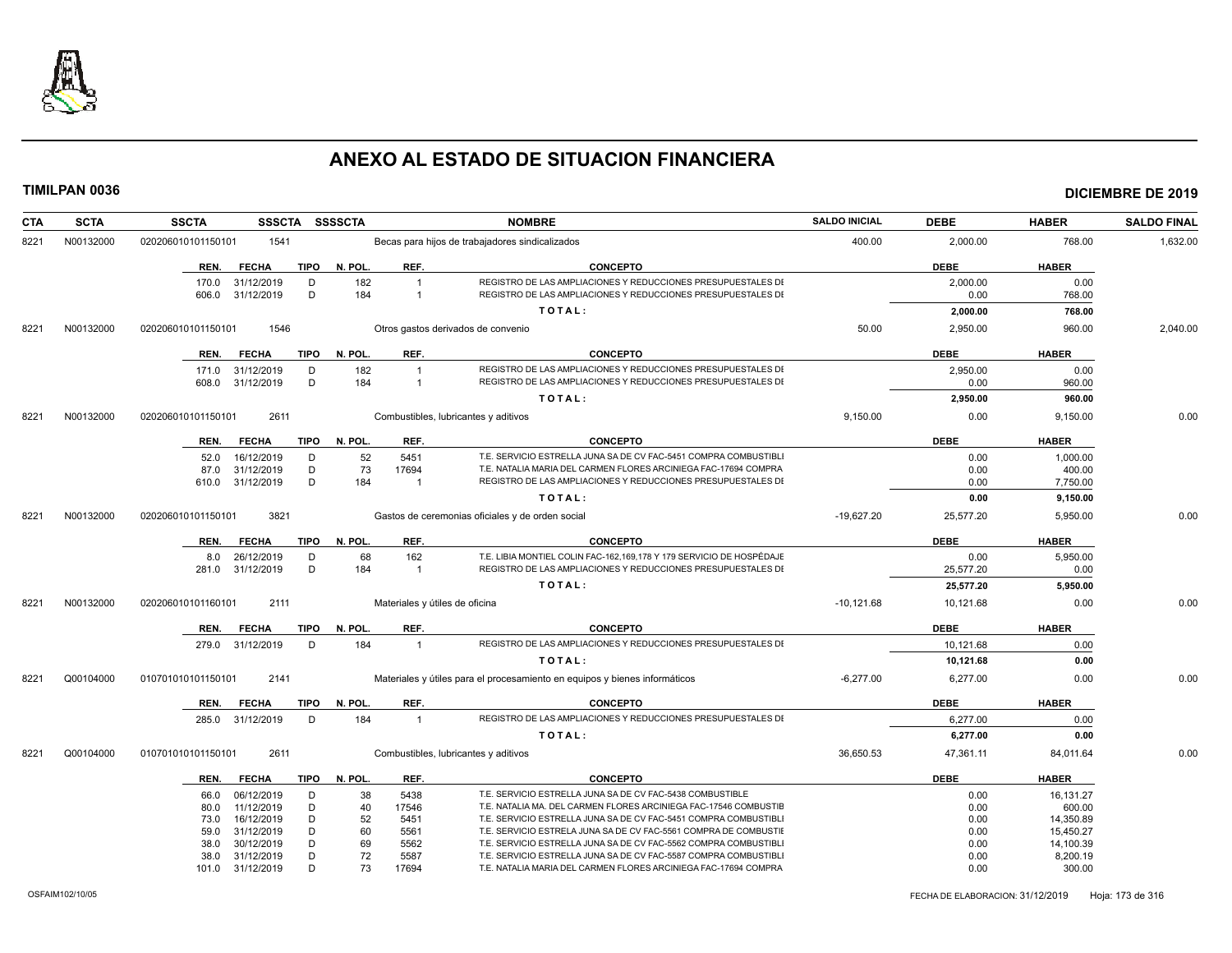

| <b>CTA</b> | <b>SCTA</b> | <b>SSCTA</b>                               |             | SSSCTA SSSSCTA |                                  | <b>NOMBRE</b>                                                                                                                | <b>SALDO INICIAL</b> | <b>DEBE</b>      | <b>HABER</b>   | <b>SALDO FINAL</b> |
|------------|-------------|--------------------------------------------|-------------|----------------|----------------------------------|------------------------------------------------------------------------------------------------------------------------------|----------------------|------------------|----------------|--------------------|
| 8221       | N00132000   | 1541<br>020206010101150101                 |             |                |                                  | Becas para hijos de trabajadores sindicalizados                                                                              | 400.00               | 2,000.00         | 768.00         | 1,632.00           |
|            |             | <b>FECHA</b><br>REN.                       | <b>TIPO</b> | N. POL.        | REF.                             | <b>CONCEPTO</b>                                                                                                              |                      | <b>DEBE</b>      | <b>HABER</b>   |                    |
|            |             | 31/12/2019<br>170.0<br>31/12/2019<br>606.0 | D<br>D      | 182<br>184     | $\overline{1}$<br>$\overline{1}$ | REGISTRO DE LAS AMPLIACIONES Y REDUCCIONES PRESUPUESTALES DI<br>REGISTRO DE LAS AMPLIACIONES Y REDUCCIONES PRESUPUESTALES DI |                      | 2,000.00<br>0.00 | 0.00<br>768.00 |                    |
|            |             |                                            |             |                |                                  | TOTAL:                                                                                                                       |                      | 2,000.00         | 768.00         |                    |
| 8221       | N00132000   | 1546<br>020206010101150101                 |             |                |                                  | Otros gastos derivados de convenio                                                                                           | 50.00                | 2,950.00         | 960.00         | 2,040.00           |
|            |             | REN.<br><b>FECHA</b>                       | <b>TIPO</b> | N. POL.        | REF.                             | <b>CONCEPTO</b>                                                                                                              |                      | <b>DEBE</b>      | <b>HABER</b>   |                    |
|            |             | 31/12/2019<br>171.0                        | D           | 182            | $\overline{1}$                   | REGISTRO DE LAS AMPLIACIONES Y REDUCCIONES PRESUPUESTALES DI                                                                 |                      | 2,950.00         | 0.00           |                    |
|            |             | 31/12/2019<br>608.0                        | D           | 184            | $\overline{1}$                   | REGISTRO DE LAS AMPLIACIONES Y REDUCCIONES PRESUPUESTALES DI                                                                 |                      | 0.00             | 960.00         |                    |
|            |             |                                            |             |                |                                  | TOTAL:                                                                                                                       |                      | 2,950.00         | 960.00         |                    |
| 8221       | N00132000   | 020206010101150101<br>2611                 |             |                |                                  | Combustibles, lubricantes y aditivos                                                                                         | 9,150.00             | 0.00             | 9,150.00       | 0.00               |
|            |             | <b>FECHA</b><br>REN.                       | TIPO        | N. POL.        | REF.                             | <b>CONCEPTO</b>                                                                                                              |                      | <b>DEBE</b>      | <b>HABER</b>   |                    |
|            |             | 16/12/2019<br>52.0                         | D           | 52             | 5451                             | T.E. SERVICIO ESTRELLA JUNA SA DE CV FAC-5451 COMPRA COMBUSTIBLI                                                             |                      | 0.00             | 1,000.00       |                    |
|            |             | 31/12/2019<br>87.0                         | D           | 73             | 17694                            | T.E. NATALIA MARIA DEL CARMEN FLORES ARCINIEGA FAC-17694 COMPRA                                                              |                      | 0.00             | 400.00         |                    |
|            |             | 31/12/2019<br>610.0                        | D           | 184            | $\overline{1}$                   | REGISTRO DE LAS AMPLIACIONES Y REDUCCIONES PRESUPUESTALES DI                                                                 |                      | 0.00             | 7,750.00       |                    |
|            |             |                                            |             |                |                                  | TOTAL:                                                                                                                       |                      | 0.00             | 9,150.00       |                    |
| 8221       | N00132000   | 3821<br>020206010101150101                 |             |                |                                  | Gastos de ceremonias oficiales y de orden social                                                                             | $-19.627.20$         | 25,577.20        | 5,950.00       | 0.00               |
|            |             | <b>FECHA</b><br>REN.                       | TIPO        | N. POL.        | REF.                             | <b>CONCEPTO</b>                                                                                                              |                      | <b>DEBE</b>      | <b>HABER</b>   |                    |
|            |             | 26/12/2019<br>8.0                          | D           | 68             | 162                              | T.E. LIBIA MONTIEL COLIN FAC-162,169,178 Y 179 SERVICIO DE HOSPÉDAJE                                                         |                      | 0.00             | 5,950.00       |                    |
|            |             | 31/12/2019<br>281.0                        | D           | 184            | $\overline{1}$                   | REGISTRO DE LAS AMPLIACIONES Y REDUCCIONES PRESUPUESTALES DI                                                                 |                      | 25,577.20        | 0.00           |                    |
|            |             |                                            |             |                |                                  | TOTAL:                                                                                                                       |                      | 25,577.20        | 5,950.00       |                    |
| 8221       | N00132000   | 2111<br>020206010101160101                 |             |                |                                  | Materiales y útiles de oficina                                                                                               | $-10,121.68$         | 10,121.68        | 0.00           | 0.00               |
|            |             | <b>FECHA</b><br>REN.                       | <b>TIPO</b> | N. POL.        | REF.                             | <b>CONCEPTO</b>                                                                                                              |                      | <b>DEBE</b>      | <b>HABER</b>   |                    |
|            |             | 31/12/2019<br>279.0                        | D           | 184            | $\overline{1}$                   | REGISTRO DE LAS AMPLIACIONES Y REDUCCIONES PRESUPUESTALES DI                                                                 |                      | 10,121.68        | 0.00           |                    |
|            |             |                                            |             |                |                                  | TOTAL:                                                                                                                       |                      | 10,121.68        | 0.00           |                    |
| 8221       | Q00104000   | 2141<br>010701010101150101                 |             |                |                                  | Materiales y útiles para el procesamiento en equipos y bienes informáticos                                                   | $-6.277.00$          | 6.277.00         | 0.00           | 0.00               |
|            |             | <b>FECHA</b><br>REN.                       | <b>TIPO</b> | N. POL.        | REF.                             | <b>CONCEPTO</b>                                                                                                              |                      | <b>DEBE</b>      | <b>HABER</b>   |                    |
|            |             | 31/12/2019<br>285.0                        | D           | 184            | $\overline{1}$                   | REGISTRO DE LAS AMPLIACIONES Y REDUCCIONES PRESUPUESTALES DI                                                                 |                      | 6,277.00         | 0.00           |                    |
|            |             |                                            |             |                |                                  | TOTAL:                                                                                                                       |                      | 6,277.00         | 0.00           |                    |
| 8221       | Q00104000   | 010701010101150101<br>2611                 |             |                |                                  | Combustibles, lubricantes y aditivos                                                                                         | 36,650.53            | 47,361.11        | 84,011.64      | 0.00               |
|            |             | <b>FECHA</b><br>REN.                       | TIPO        | N. POL.        | REF.                             | <b>CONCEPTO</b>                                                                                                              |                      | <b>DEBE</b>      | <b>HABER</b>   |                    |
|            |             | 06/12/2019<br>66.0                         | D           | 38             | 5438                             | T.E. SERVICIO ESTRELLA JUNA SA DE CV FAC-5438 COMBUSTIBLE                                                                    |                      | 0.00             | 16,131.27      |                    |
|            |             | 11/12/2019<br>80.0                         | D           | 40             | 17546                            | T.E. NATALIA MA. DEL CARMEN FLORES ARCINIEGA FAC-17546 COMBUSTIE                                                             |                      | 0.00             | 600.00         |                    |
|            |             | 73.0<br>16/12/2019                         | D           | 52             | 5451                             | T.E. SERVICIO ESTRELLA JUNA SA DE CV FAC-5451 COMPRA COMBUSTIBLI                                                             |                      | 0.00             | 14,350.89      |                    |
|            |             | 31/12/2019<br>59.0                         | D           | 60             | 5561                             | T.E. SERVICIO ESTRELA JUNA SA DE CV FAC-5561 COMPRA DE COMBUSTIE                                                             |                      | 0.00             | 15,450.27      |                    |
|            |             | 30/12/2019<br>38.0                         | D           | 69             | 5562                             | T.E. SERVICIO ESTRELLA JUNA SA DE CV FAC-5562 COMPRA COMBUSTIBLI                                                             |                      | 0.00             | 14,100.39      |                    |
|            |             | 31/12/2019<br>38.0                         | D           | 72             | 5587                             | T.E. SERVICIO ESTRELLA JUNA SA DE CV FAC-5587 COMPRA COMBUSTIBLI                                                             |                      | 0.00             | 8,200.19       |                    |
|            |             | 31/12/2019<br>101.0                        | D           | 73             | 17694                            | T.E. NATALIA MARIA DEL CARMEN FLORES ARCINIEGA FAC-17694 COMPRA                                                              |                      | 0.00             | 300.00         |                    |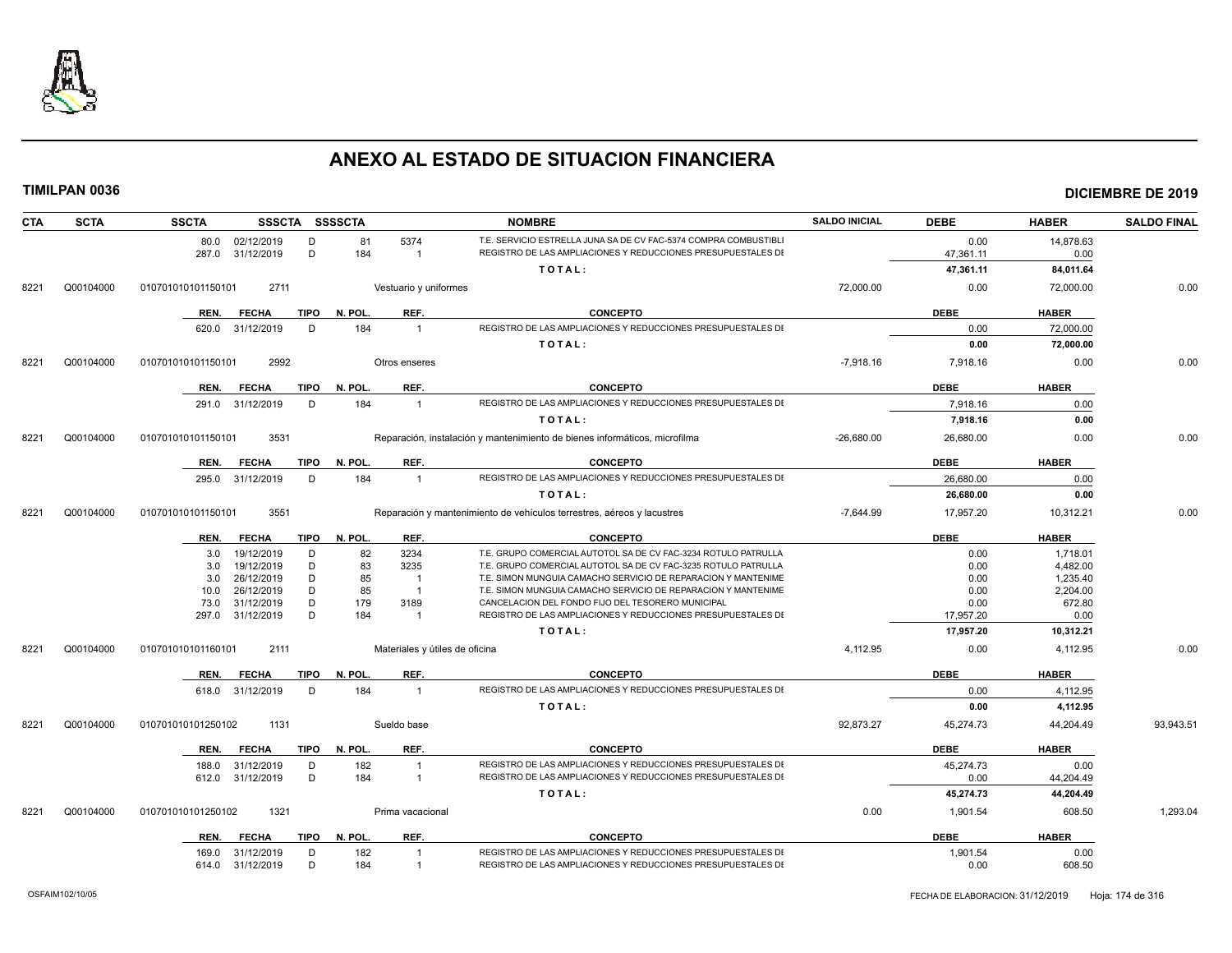

| <b>CTA</b> | <b>SCTA</b> | <b>SSCTA</b>                             |             | SSSCTA SSSSCTA |                                | <b>NOMBRE</b>                                                                                                                | <b>SALDO INICIAL</b> | <b>DEBE</b>  | <b>HABER</b>       | <b>SALDO FINAL</b> |
|------------|-------------|------------------------------------------|-------------|----------------|--------------------------------|------------------------------------------------------------------------------------------------------------------------------|----------------------|--------------|--------------------|--------------------|
|            |             | 80.0 02/12/2019                          | D           | 81             | 5374                           | T.E. SERVICIO ESTRELLA JUNA SA DE CV FAC-5374 COMPRA COMBUSTIBLI                                                             |                      | 0.00         | 14,878.63          |                    |
|            |             | 287.0 31/12/2019                         | D           | 184            | $\overline{1}$                 | REGISTRO DE LAS AMPLIACIONES Y REDUCCIONES PRESUPUESTALES DI                                                                 |                      | 47,361.11    | 0.00               |                    |
|            |             |                                          |             |                |                                | TOTAL:                                                                                                                       |                      | 47,361.11    | 84,011.64          |                    |
| 8221       | Q00104000   | 2711<br>010701010101150101               |             |                | Vestuario y uniformes          |                                                                                                                              | 72,000.00            | 0.00         | 72,000.00          | 0.00               |
|            |             | <b>FECHA</b><br>REN.                     | <b>TIPO</b> | N. POL.        | REF.                           | <b>CONCEPTO</b>                                                                                                              |                      | <b>DEBE</b>  | <b>HABER</b>       |                    |
|            |             | 620.0 31/12/2019                         | D           | 184            | $\overline{1}$                 | REGISTRO DE LAS AMPLIACIONES Y REDUCCIONES PRESUPUESTALES DI                                                                 |                      | 0.00         | 72,000.00          |                    |
|            |             |                                          |             |                |                                | TOTAL:                                                                                                                       |                      | 0.00         | 72,000.00          |                    |
| 8221       | Q00104000   | 010701010101150101<br>2992               |             |                | Otros enseres                  |                                                                                                                              | $-7,918.16$          | 7,918.16     | 0.00               | 0.00               |
|            |             | <b>FECHA</b><br>REN.                     | <b>TIPO</b> | N. POL.        | REF.                           | <b>CONCEPTO</b>                                                                                                              |                      | <b>DEBE</b>  | <b>HABER</b>       |                    |
|            |             | 291.0 31/12/2019                         | D           | 184            | $\overline{1}$                 | REGISTRO DE LAS AMPLIACIONES Y REDUCCIONES PRESUPUESTALES DI                                                                 |                      | 7,918.16     | 0.00               |                    |
|            |             |                                          |             |                |                                | TOTAL:                                                                                                                       |                      | 7,918.16     | 0.00               |                    |
| 8221       | Q00104000   | 3531<br>010701010101150101               |             |                |                                | Reparación, instalación y mantenimiento de bienes informáticos, microfilma                                                   | $-26,680.00$         | 26,680.00    | 0.00               | 0.00               |
|            |             | REN.<br><b>FECHA</b>                     | TIPO        | N. POL.        | REF.                           | <b>CONCEPTO</b>                                                                                                              |                      | <b>DEBE</b>  | <b>HABER</b>       |                    |
|            |             | 295.0 31/12/2019                         | D           | 184            | $\overline{1}$                 | REGISTRO DE LAS AMPLIACIONES Y REDUCCIONES PRESUPUESTALES DI                                                                 |                      | 26,680.00    | 0.00               |                    |
|            |             |                                          |             |                |                                | TOTAL:                                                                                                                       |                      | 26,680.00    | 0.00               |                    |
| 8221       | Q00104000   | 010701010101150101<br>3551               |             |                |                                | Reparación y mantenimiento de vehículos terrestres, aéreos y lacustres                                                       | $-7,644.99$          | 17,957.20    | 10,312.21          | 0.00               |
|            |             | <b>FECHA</b><br>REN.                     | TIPO        | N. POL.        | REF.                           | <b>CONCEPTO</b>                                                                                                              |                      | <b>DEBE</b>  | <b>HABER</b>       |                    |
|            |             | 19/12/2019<br>3.0                        | D           | 82             | 3234                           | T.E. GRUPO COMERCIAL AUTOTOL SA DE CV FAC-3234 ROTULO PATRULLA                                                               |                      | 0.00         | 1,718.01           |                    |
|            |             | 19/12/2019<br>3.0                        | D           | 83             | 3235                           | T.E. GRUPO COMERCIAL AUTOTOL SA DE CV FAC-3235 ROTULO PATRULLA                                                               |                      | 0.00         | 4,482.00           |                    |
|            |             | 26/12/2019<br>3.0                        | D           | 85             | $\overline{1}$                 | T.E. SIMON MUNGUIA CAMACHO SERVICIO DE REPARACION Y MANTENIME                                                                |                      | 0.00         | 1,235.40           |                    |
|            |             | 26/12/2019<br>10.0<br>31/12/2019<br>73.0 | D<br>D      | 85<br>179      | $\overline{1}$<br>3189         | T.E. SIMON MUNGUIA CAMACHO SERVICIO DE REPARACION Y MANTENIME<br>CANCELACION DEL FONDO FIJO DEL TESORERO MUNICIPAL           |                      | 0.00<br>0.00 | 2,204.00<br>672.80 |                    |
|            |             | 31/12/2019<br>297.0                      | D           | 184            | -1                             | REGISTRO DE LAS AMPLIACIONES Y REDUCCIONES PRESUPUESTALES DI                                                                 |                      | 17,957.20    | 0.00               |                    |
|            |             |                                          |             |                |                                | TOTAL:                                                                                                                       |                      | 17,957.20    | 10,312.21          |                    |
| 8221       | Q00104000   | 010701010101160101<br>2111               |             |                | Materiales y útiles de oficina |                                                                                                                              | 4,112.95             | 0.00         | 4,112.95           | 0.00               |
|            |             | REN.<br><b>FECHA</b>                     | <b>TIPO</b> | N. POL.        | REF.                           | <b>CONCEPTO</b>                                                                                                              |                      | <b>DEBE</b>  | <b>HABER</b>       |                    |
|            |             | 618.0 31/12/2019                         | D           | 184            | $\overline{1}$                 | REGISTRO DE LAS AMPLIACIONES Y REDUCCIONES PRESUPUESTALES DI                                                                 |                      | 0.00         | 4,112.95           |                    |
|            |             |                                          |             |                |                                | TOTAL:                                                                                                                       |                      | 0.00         | 4,112.95           |                    |
| 8221       | Q00104000   | 1131<br>010701010101250102               |             |                | Sueldo base                    |                                                                                                                              | 92.873.27            | 45,274.73    | 44,204.49          | 93.943.51          |
|            |             |                                          |             |                |                                |                                                                                                                              |                      |              |                    |                    |
|            |             | REN.<br><b>FECHA</b>                     | TIPO        | N. POL.        | REF.                           | <b>CONCEPTO</b>                                                                                                              |                      | <b>DEBE</b>  | <b>HABER</b>       |                    |
|            |             | 31/12/2019<br>188.0                      | D           | 182            | $\overline{1}$                 | REGISTRO DE LAS AMPLIACIONES Y REDUCCIONES PRESUPUESTALES DI<br>REGISTRO DE LAS AMPLIACIONES Y REDUCCIONES PRESUPUESTALES DI |                      | 45,274.73    | 0.00               |                    |
|            |             | 612.0 31/12/2019                         | D           | 184            | $\overline{1}$                 | TOTAL:                                                                                                                       |                      | 0.00         | 44,204.49          |                    |
|            |             |                                          |             |                |                                |                                                                                                                              |                      | 45,274.73    | 44,204.49          |                    |
| 8221       | Q00104000   | 1321<br>010701010101250102               |             |                | Prima vacacional               |                                                                                                                              | 0.00                 | 1,901.54     | 608.50             | 1,293.04           |
|            |             | REN.<br><b>FECHA</b>                     | <b>TIPO</b> | N. POL.        | REF.                           | <b>CONCEPTO</b>                                                                                                              |                      | <b>DEBE</b>  | <b>HABER</b>       |                    |
|            |             | 31/12/2019<br>169.0                      | D           | 182            | $\mathbf{1}$                   | REGISTRO DE LAS AMPLIACIONES Y REDUCCIONES PRESUPUESTALES DI                                                                 |                      | 1,901.54     | 0.00               |                    |
|            |             | 614.0 31/12/2019                         | D           | 184            | $\overline{1}$                 | REGISTRO DE LAS AMPLIACIONES Y REDUCCIONES PRESUPUESTALES DI                                                                 |                      | 0.00         | 608.50             |                    |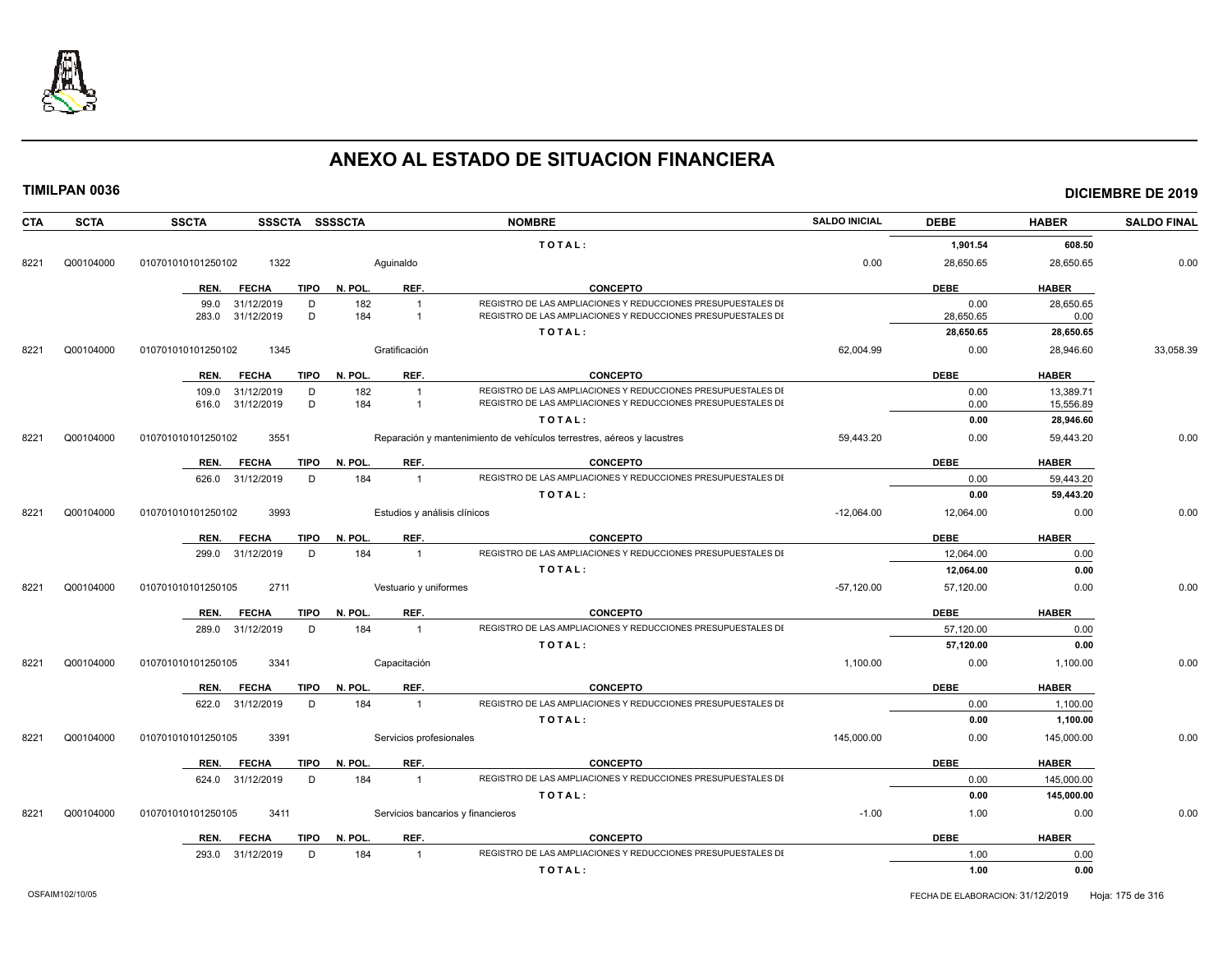

| CTA  | <b>SCTA</b> | <b>SSCTA</b><br>SSSCTA SSSSCTA      |                              | <b>NOMBRE</b>                                                          | <b>SALDO INICIAL</b> | <b>DEBE</b> | <b>HABER</b> | <b>SALDO FINAL</b> |
|------|-------------|-------------------------------------|------------------------------|------------------------------------------------------------------------|----------------------|-------------|--------------|--------------------|
|      |             |                                     |                              | TOTAL:                                                                 |                      | 1,901.54    | 608.50       |                    |
| 8221 | Q00104000   | 1322<br>010701010101250102          | Aguinaldo                    |                                                                        | 0.00                 | 28,650.65   | 28,650.65    | 0.00               |
|      |             | <b>FECHA</b><br><b>TIPO</b><br>REN. | REF.<br>N. POL.              | <b>CONCEPTO</b>                                                        |                      | <b>DEBE</b> | <b>HABER</b> |                    |
|      |             | 31/12/2019<br>D<br>99.0             | 182<br>$\overline{1}$        | REGISTRO DE LAS AMPLIACIONES Y REDUCCIONES PRESUPUESTALES DI           |                      | 0.00        | 28,650.65    |                    |
|      |             | D<br>283.0<br>31/12/2019            | 184<br>$\mathbf{1}$          | REGISTRO DE LAS AMPLIACIONES Y REDUCCIONES PRESUPUESTALES DI           |                      | 28,650.65   | 0.00         |                    |
|      |             |                                     |                              | TOTAL:                                                                 |                      | 28,650.65   | 28,650.65    |                    |
| 8221 | Q00104000   | 1345<br>010701010101250102          | Gratificación                |                                                                        | 62,004.99            | 0.00        | 28,946.60    | 33,058.39          |
|      |             | <b>FECHA</b><br>TIPO<br>REN.        | N. POL.<br>REF.              | <b>CONCEPTO</b>                                                        |                      | <b>DEBE</b> | <b>HABER</b> |                    |
|      |             | 31/12/2019<br>D<br>109.0            | 182                          | REGISTRO DE LAS AMPLIACIONES Y REDUCCIONES PRESUPUESTALES DI           |                      | 0.00        | 13.389.71    |                    |
|      |             | 31/12/2019<br>D<br>616.0            | 184<br>$\mathbf{1}$          | REGISTRO DE LAS AMPLIACIONES Y REDUCCIONES PRESUPUESTALES DI           |                      | 0.00        | 15,556.89    |                    |
|      |             |                                     |                              | TOTAL:                                                                 |                      | 0.00        | 28,946.60    |                    |
| 8221 | Q00104000   | 010701010101250102<br>3551          |                              | Reparación y mantenimiento de vehículos terrestres, aéreos y lacustres | 59,443.20            | 0.00        | 59,443.20    | 0.00               |
|      |             | <b>FECHA</b><br><b>TIPO</b><br>REN. | REF.<br>N. POL.              | <b>CONCEPTO</b>                                                        |                      | <b>DEBE</b> | <b>HABER</b> |                    |
|      |             | D<br>626.0<br>31/12/2019            | 184<br>$\overline{1}$        | REGISTRO DE LAS AMPLIACIONES Y REDUCCIONES PRESUPUESTALES DI           |                      | 0.00        | 59.443.20    |                    |
|      |             |                                     |                              | TOTAL:                                                                 |                      | 0.00        | 59,443.20    |                    |
| 8221 | Q00104000   | 3993<br>010701010101250102          | Estudios y análisis clínicos |                                                                        | $-12,064.00$         | 12,064.00   | 0.00         | 0.00               |
|      |             | <b>TIPO</b><br>REN.<br><b>FECHA</b> | REF.<br>N. POL.              | <b>CONCEPTO</b>                                                        |                      | <b>DEBE</b> | <b>HABER</b> |                    |
|      |             | 31/12/2019<br>D<br>299.0            | 184<br>$\overline{1}$        | REGISTRO DE LAS AMPLIACIONES Y REDUCCIONES PRESUPUESTALES DI           |                      | 12.064.00   | 0.00         |                    |
|      |             |                                     |                              | TOTAL:                                                                 |                      | 12,064.00   | 0.00         |                    |
| 8221 | Q00104000   | 2711<br>010701010101250105          | Vestuario y uniformes        |                                                                        | $-57.120.00$         | 57,120.00   | 0.00         | 0.00               |
|      |             | <b>TIPO</b><br>REN.<br><b>FECHA</b> | REF.<br>N. POL.              | <b>CONCEPTO</b>                                                        |                      | <b>DEBE</b> | <b>HABER</b> |                    |
|      |             | 31/12/2019<br>D<br>289.0            | 184<br>$\overline{1}$        | REGISTRO DE LAS AMPLIACIONES Y REDUCCIONES PRESUPUESTALES DI           |                      | 57,120.00   | 0.00         |                    |
|      |             |                                     |                              | TOTAL:                                                                 |                      | 57,120.00   | 0.00         |                    |
| 8221 | Q00104000   | 3341<br>010701010101250105          | Capacitación                 |                                                                        | 1,100.00             | 0.00        | 1,100.00     | 0.00               |
|      |             | <b>TIPO</b><br><b>FECHA</b><br>REN. | REF.<br>N. POL.              | <b>CONCEPTO</b>                                                        |                      | <b>DEBE</b> | <b>HABER</b> |                    |
|      |             | D<br>31/12/2019<br>622.0            | 184<br>$\mathbf{1}$          | REGISTRO DE LAS AMPLIACIONES Y REDUCCIONES PRESUPUESTALES DI           |                      | 0.00        | 1,100.00     |                    |
|      |             |                                     |                              | TOTAL:                                                                 |                      | 0.00        | 1,100.00     |                    |
| 8221 | Q00104000   | 3391<br>010701010101250105          | Servicios profesionales      |                                                                        | 145,000.00           | 0.00        | 145,000.00   | 0.00               |
|      |             | REN.<br><b>FECHA</b><br><b>TIPO</b> | N. POL<br>REF.               | <b>CONCEPTO</b>                                                        |                      | <b>DEBE</b> | <b>HABER</b> |                    |
|      |             | D<br>31/12/2019<br>624.0            | 184<br>$\mathbf{1}$          | REGISTRO DE LAS AMPLIACIONES Y REDUCCIONES PRESUPUESTALES DI           |                      | 0.00        | 145,000.00   |                    |
|      |             |                                     |                              | TOTAL:                                                                 |                      | 0.00        | 145,000.00   |                    |
| 8221 | Q00104000   | 3411<br>010701010101250105          |                              | Servicios bancarios y financieros                                      | $-1.00$              | 1.00        | 0.00         | 0.00               |
|      |             | <b>FECHA</b><br><b>TIPO</b><br>REN. | REF.<br>N. POL.              | <b>CONCEPTO</b>                                                        |                      | <b>DEBE</b> | <b>HABER</b> |                    |
|      |             | 293.0<br>31/12/2019<br>D            | 184<br>$\overline{1}$        | REGISTRO DE LAS AMPLIACIONES Y REDUCCIONES PRESUPUESTALES DI           |                      | 1.00        | 0.00         |                    |
|      |             |                                     |                              | TOTAL:                                                                 |                      | 1.00        | 0.00         |                    |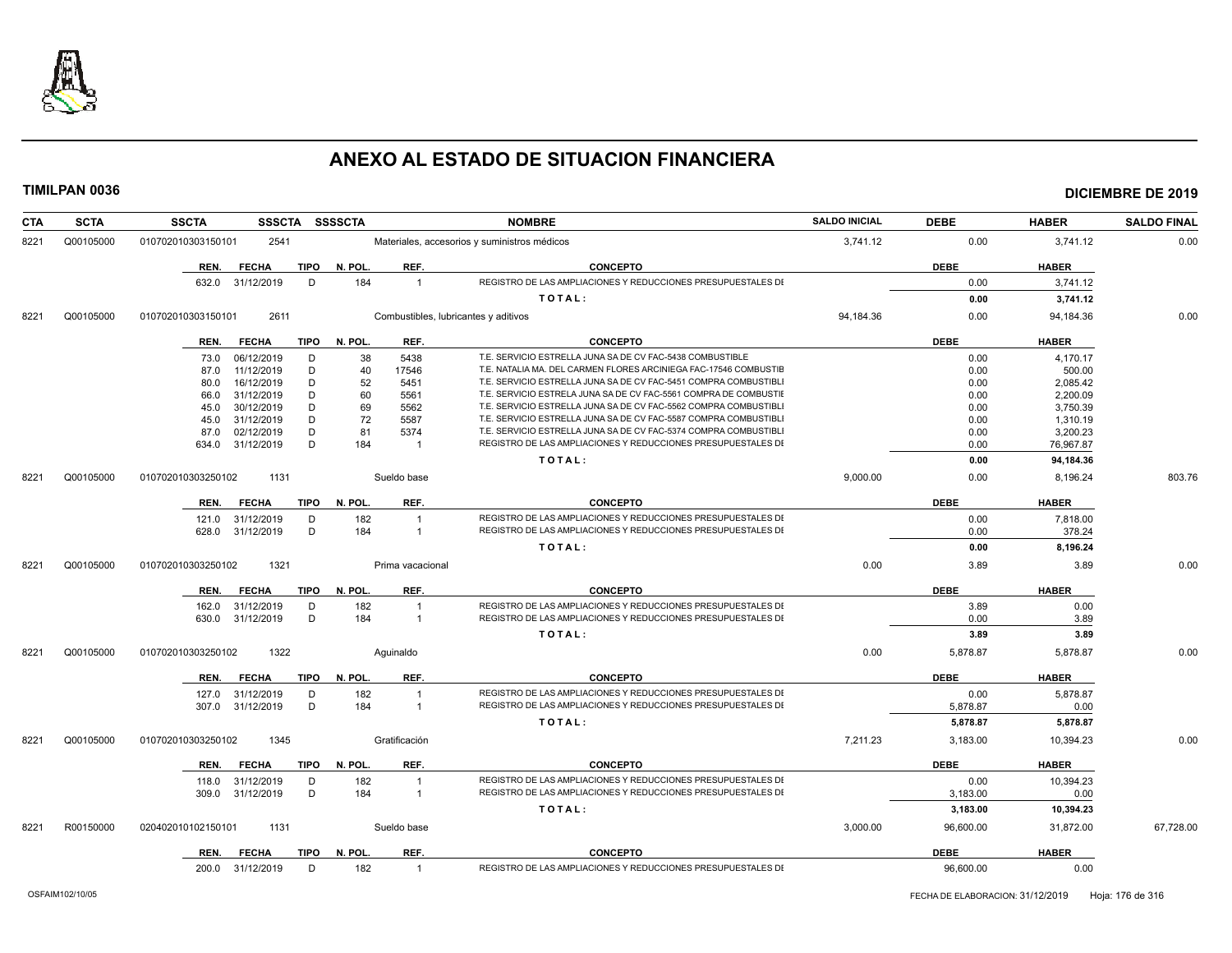

| <b>CTA</b> | <b>SCTA</b> | <b>SSCTA</b><br><b>SSSCTA</b>       | <b>SSSSCTA</b>                 | <b>NOMBRE</b>                                                    | <b>SALDO INICIAL</b> | <b>DEBE</b> | <b>HABER</b> | <b>SALDO FINAL</b> |
|------------|-------------|-------------------------------------|--------------------------------|------------------------------------------------------------------|----------------------|-------------|--------------|--------------------|
| 8221       | Q00105000   | 2541<br>010702010303150101          |                                | Materiales, accesorios y suministros médicos                     | 3,741.12             | 0.00        | 3,741.12     | 0.00               |
|            |             | <b>FECHA</b><br><b>TIPO</b><br>REN. | N. POL.<br>REF.                | <b>CONCEPTO</b>                                                  |                      | <b>DEBE</b> | <b>HABER</b> |                    |
|            |             | 632.0 31/12/2019<br>D               | 184<br>$\overline{1}$          | REGISTRO DE LAS AMPLIACIONES Y REDUCCIONES PRESUPUESTALES DI     |                      | 0.00        | 3,741.12     |                    |
|            |             |                                     |                                | TOTAL:                                                           |                      | 0.00        | 3,741.12     |                    |
| 8221       | Q00105000   | 2611<br>010702010303150101          |                                | Combustibles, lubricantes y aditivos                             | 94,184.36            | 0.00        | 94,184.36    | 0.00               |
|            |             | <b>FECHA</b><br>TIPO<br>REN.        | N. POL.<br>REF.                | <b>CONCEPTO</b>                                                  |                      | <b>DEBE</b> | <b>HABER</b> |                    |
|            |             | D<br>06/12/2019<br>73.0             | 38<br>5438                     | T.E. SERVICIO ESTRELLA JUNA SA DE CV FAC-5438 COMBUSTIBLE        |                      | 0.00        | 4,170.17     |                    |
|            |             | 11/12/2019<br>D<br>87.0             | 40<br>17546                    | T.E. NATALIA MA. DEL CARMEN FLORES ARCINIEGA FAC-17546 COMBUSTIE |                      | 0.00        | 500.00       |                    |
|            |             | D<br>16/12/2019<br>80.0             | 52<br>5451                     | T.E. SERVICIO ESTRELLA JUNA SA DE CV FAC-5451 COMPRA COMBUSTIBLI |                      | 0.00        | 2,085.42     |                    |
|            |             | 31/12/2019<br>D<br>66.0             | 5561<br>60                     | T.E. SERVICIO ESTRELA JUNA SA DE CV FAC-5561 COMPRA DE COMBUSTIE |                      | 0.00        | 2,200.09     |                    |
|            |             | D<br>30/12/2019<br>45.0             | 69<br>5562                     | T.E. SERVICIO ESTRELLA JUNA SA DE CV FAC-5562 COMPRA COMBUSTIBL  |                      | 0.00        | 3,750.39     |                    |
|            |             | D<br>31/12/2019<br>45.0             | 72<br>5587                     | T.E. SERVICIO ESTRELLA JUNA SA DE CV FAC-5587 COMPRA COMBUSTIBL  |                      | 0.00        | 1,310.19     |                    |
|            |             | 02/12/2019<br>D<br>87.0             | 81<br>5374                     | T.E. SERVICIO ESTRELLA JUNA SA DE CV FAC-5374 COMPRA COMBUSTIBLI |                      | 0.00        | 3,200.23     |                    |
|            |             | D<br>634.0 31/12/2019               | 184<br>$\overline{1}$          | REGISTRO DE LAS AMPLIACIONES Y REDUCCIONES PRESUPUESTALES DI     |                      | 0.00        | 76,967.87    |                    |
|            |             |                                     |                                | TOTAL:                                                           |                      | 0.00        | 94,184.36    |                    |
| 8221       | Q00105000   | 010702010303250102<br>1131          | Sueldo base                    |                                                                  | 9,000.00             | 0.00        | 8,196.24     | 803.76             |
|            |             | <b>FECHA</b><br>TIPO<br>REN.        | N. POL.<br>REF.                | <b>CONCEPTO</b>                                                  |                      | <b>DEBE</b> | <b>HABER</b> |                    |
|            |             | 121.0 31/12/2019<br>D               | 182<br>$\overline{1}$          | REGISTRO DE LAS AMPLIACIONES Y REDUCCIONES PRESUPUESTALES DI     |                      | 0.00        | 7,818.00     |                    |
|            |             | D<br>628.0 31/12/2019               | 184<br>$\overline{1}$          | REGISTRO DE LAS AMPLIACIONES Y REDUCCIONES PRESUPUESTALES DI     |                      | 0.00        | 378.24       |                    |
|            |             |                                     |                                | TOTAL:                                                           |                      | 0.00        | 8,196.24     |                    |
| 8221       | Q00105000   | 1321<br>010702010303250102          | Prima vacacional               |                                                                  | 0.00                 | 3.89        | 3.89         | 0.00               |
|            |             | <b>FECHA</b><br>TIPO<br>REN.        | N. POL.<br>REF.                | <b>CONCEPTO</b>                                                  |                      | <b>DEBE</b> | <b>HABER</b> |                    |
|            |             | 31/12/2019<br>D<br>162.0            | 182<br>$\overline{1}$          | REGISTRO DE LAS AMPLIACIONES Y REDUCCIONES PRESUPUESTALES DI     |                      | 3.89        | 0.00         |                    |
|            |             | D<br>630.0 31/12/2019               | 184<br>$\overline{1}$          | REGISTRO DE LAS AMPLIACIONES Y REDUCCIONES PRESUPUESTALES DI     |                      | 0.00        | 3.89         |                    |
|            |             |                                     |                                | TOTAL:                                                           |                      | 3.89        | 3.89         |                    |
| 8221       | Q00105000   | 1322<br>010702010303250102          | Aquinaldo                      |                                                                  | 0.00                 | 5,878.87    | 5,878.87     | 0.00               |
|            |             | <b>FECHA</b><br>TIPO<br>REN.        | N. POL.<br>REF.                | <b>CONCEPTO</b>                                                  |                      | <b>DEBE</b> | <b>HABER</b> |                    |
|            |             | 31/12/2019<br>D<br>127.0            | 182<br>$\overline{\mathbf{1}}$ | REGISTRO DE LAS AMPLIACIONES Y REDUCCIONES PRESUPUESTALES DI     |                      | 0.00        | 5,878.87     |                    |
|            |             | D<br>31/12/2019<br>307.0            | 184<br>$\overline{1}$          | REGISTRO DE LAS AMPLIACIONES Y REDUCCIONES PRESUPUESTALES DI     |                      | 5,878.87    | 0.00         |                    |
|            |             |                                     |                                | TOTAL:                                                           |                      | 5,878.87    | 5,878.87     |                    |
| 8221       | Q00105000   | 010702010303250102<br>1345          | Gratificación                  |                                                                  | 7,211.23             | 3,183.00    | 10,394.23    | 0.00               |
|            |             | <b>FECHA</b><br>TIPO<br>REN.        | N. POL.<br>REF.                | <b>CONCEPTO</b>                                                  |                      | <b>DEBE</b> | <b>HABER</b> |                    |
|            |             | 31/12/2019<br>D<br>118.0            | 182                            | REGISTRO DE LAS AMPLIACIONES Y REDUCCIONES PRESUPUESTALES DI     |                      | 0.00        | 10,394.23    |                    |
|            |             | 31/12/2019<br>D<br>309.0            | 184<br>$\overline{1}$          | REGISTRO DE LAS AMPLIACIONES Y REDUCCIONES PRESUPUESTALES DI     |                      | 3,183.00    | 0.00         |                    |
|            |             |                                     |                                | TOTAL:                                                           |                      | 3,183.00    | 10,394.23    |                    |
| 8221       | R00150000   | 020402010102150101<br>1131          | Sueldo base                    |                                                                  | 3,000.00             | 96,600.00   | 31,872.00    | 67,728.00          |
|            |             | <b>FECHA</b><br>TIPO<br>REN.        | N. POL.<br>REF.                | <b>CONCEPTO</b>                                                  |                      | <b>DEBE</b> | <b>HABER</b> |                    |
|            |             | 200.0 31/12/2019<br>D               | 182<br>$\overline{1}$          | REGISTRO DE LAS AMPLIACIONES Y REDUCCIONES PRESUPUESTALES DI     |                      | 96,600.00   | 0.00         |                    |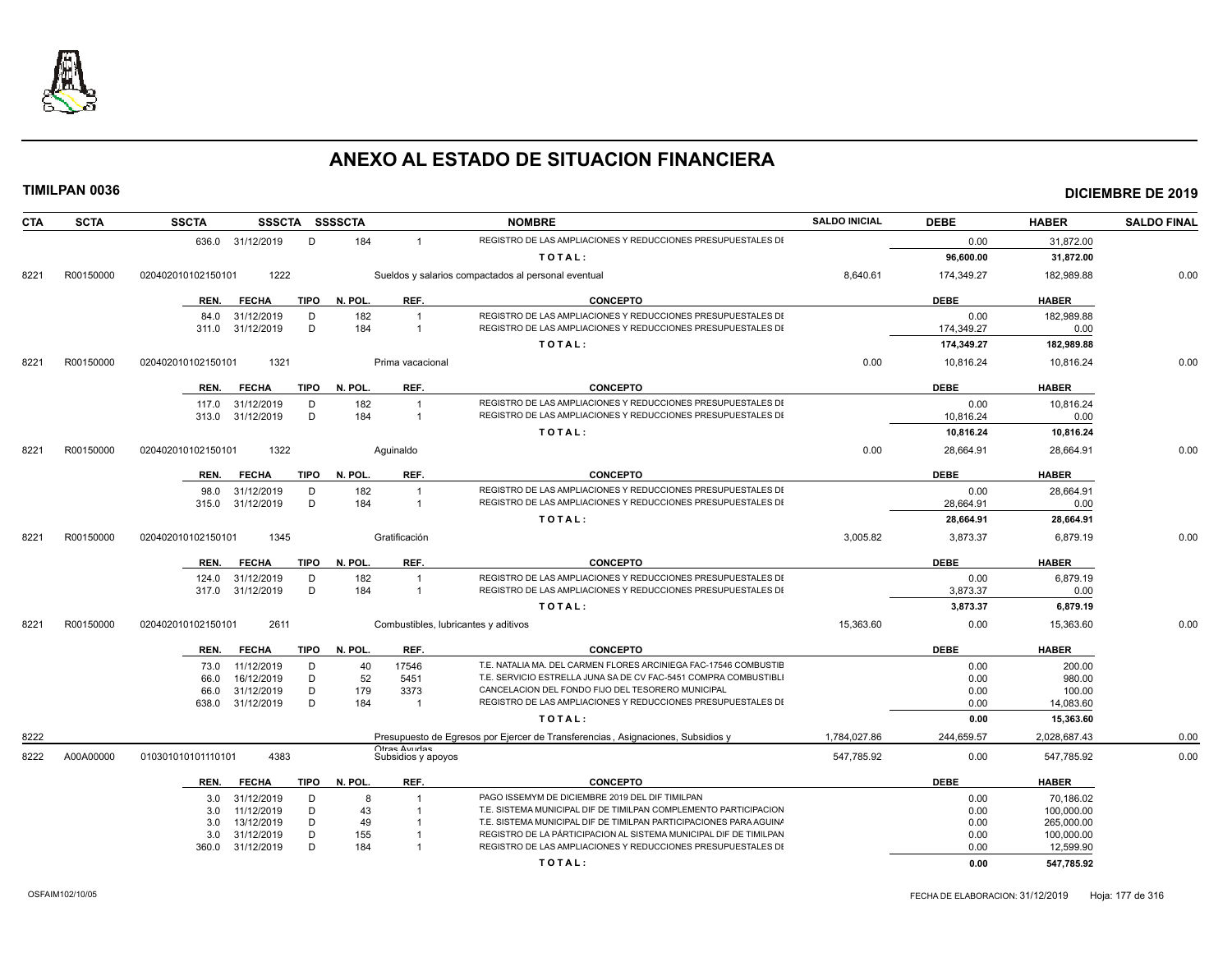

| <b>CTA</b> | <b>SCTA</b> | <b>SSCTA</b>                              |             | SSSCTA SSSSCTA |                        | <b>NOMBRE</b>                                                                                                                           | <b>SALDO INICIAL</b> | <b>DEBE</b>  | <b>HABER</b>             | <b>SALDO FINAL</b> |
|------------|-------------|-------------------------------------------|-------------|----------------|------------------------|-----------------------------------------------------------------------------------------------------------------------------------------|----------------------|--------------|--------------------------|--------------------|
|            |             | 636.0 31/12/2019                          | D           | 184            | $\mathbf{1}$           | REGISTRO DE LAS AMPLIACIONES Y REDUCCIONES PRESUPUESTALES DI                                                                            |                      | 0.00         | 31,872.00                |                    |
|            |             |                                           |             |                |                        | TOTAL:                                                                                                                                  |                      | 96,600.00    | 31,872.00                |                    |
| 8221       | R00150000   | 020402010102150101                        | 1222        |                |                        | Sueldos y salarios compactados al personal eventual                                                                                     | 8,640.61             | 174,349.27   | 182,989.88               | 0.00               |
|            |             | REN.<br><b>FECHA</b>                      | <b>TIPO</b> | N. POL.        | REF.                   | <b>CONCEPTO</b>                                                                                                                         |                      | <b>DEBE</b>  | <b>HABER</b>             |                    |
|            |             | 31/12/2019<br>84.0                        | D           | 182            | $\overline{1}$         | REGISTRO DE LAS AMPLIACIONES Y REDUCCIONES PRESUPUESTALES DI                                                                            |                      | 0.00         | 182,989.88               |                    |
|            |             | 31/12/2019<br>311.0                       | D           | 184            | $\overline{1}$         | REGISTRO DE LAS AMPLIACIONES Y REDUCCIONES PRESUPUESTALES DI                                                                            |                      | 174,349.27   | 0.00                     |                    |
|            |             |                                           |             |                |                        | TOTAL:                                                                                                                                  |                      | 174,349.27   | 182,989.88               |                    |
| 8221       | R00150000   | 020402010102150101                        | 1321        |                | Prima vacacional       |                                                                                                                                         | 0.00                 | 10,816.24    | 10,816.24                | 0.00               |
|            |             | <b>FECHA</b><br>REN.                      | <b>TIPO</b> | N. POL.        | REF.                   | <b>CONCEPTO</b>                                                                                                                         |                      | <b>DEBE</b>  | <b>HABER</b>             |                    |
|            |             | 31/12/2019<br>117.0                       | D           | 182            | $\overline{1}$         | REGISTRO DE LAS AMPLIACIONES Y REDUCCIONES PRESUPUESTALES DI                                                                            |                      | 0.00         | 10,816.24                |                    |
|            |             | 31/12/2019<br>313.0                       | D           | 184            | $\overline{1}$         | REGISTRO DE LAS AMPLIACIONES Y REDUCCIONES PRESUPUESTALES DI                                                                            |                      | 10,816.24    | 0.00                     |                    |
|            |             |                                           |             |                |                        | TOTAL:                                                                                                                                  |                      | 10,816.24    | 10,816.24                |                    |
| 8221       | R00150000   | 020402010102150101                        | 1322        |                | Aquinaldo              |                                                                                                                                         | 0.00                 | 28,664.91    | 28,664.91                | 0.00               |
|            |             | REN.<br><b>FECHA</b>                      | <b>TIPO</b> | N. POL.        | REF.                   | <b>CONCEPTO</b>                                                                                                                         |                      | <b>DEBE</b>  | <b>HABER</b>             |                    |
|            |             | 98.0<br>31/12/2019                        | D           | 182            | $\overline{1}$         | REGISTRO DE LAS AMPLIACIONES Y REDUCCIONES PRESUPUESTALES DI                                                                            |                      | 0.00         | 28,664.91                |                    |
|            |             | 31/12/2019<br>315.0                       | D           | 184            | $\overline{1}$         | REGISTRO DE LAS AMPLIACIONES Y REDUCCIONES PRESUPUESTALES DI                                                                            |                      | 28,664.91    | 0.00                     |                    |
|            |             |                                           |             |                |                        | TOTAL:                                                                                                                                  |                      | 28,664.91    | 28,664.91                |                    |
| 8221       | R00150000   | 020402010102150101                        | 1345        |                | Gratificación          |                                                                                                                                         | 3,005.82             | 3,873.37     | 6,879.19                 | 0.00               |
|            |             | REN.<br><b>FECHA</b>                      | <b>TIPO</b> | N. POL.        | REF.                   | <b>CONCEPTO</b>                                                                                                                         |                      | <b>DEBE</b>  | <b>HABER</b>             |                    |
|            |             | 31/12/2019<br>124.0                       | D           | 182            |                        | REGISTRO DE LAS AMPLIACIONES Y REDUCCIONES PRESUPUESTALES DI                                                                            |                      | 0.00         | 6,879.19                 |                    |
|            |             | 317.0 31/12/2019                          | D           | 184            | $\overline{1}$         | REGISTRO DE LAS AMPLIACIONES Y REDUCCIONES PRESUPUESTALES DI                                                                            |                      | 3,873.37     | 0.00                     |                    |
|            |             |                                           |             |                |                        | TOTAL:                                                                                                                                  |                      | 3,873.37     | 6,879.19                 |                    |
| 8221       | R00150000   | 020402010102150101                        | 2611        |                |                        | Combustibles, lubricantes y aditivos                                                                                                    | 15,363.60            | 0.00         | 15,363.60                | 0.00               |
|            |             | <b>FECHA</b><br>REN.                      | <b>TIPO</b> | N. POL.        | REF.                   | <b>CONCEPTO</b>                                                                                                                         |                      | <b>DEBE</b>  | <b>HABER</b>             |                    |
|            |             | 11/12/2019<br>73.0                        | D           | 40             | 17546                  | T.E. NATALIA MA. DEL CARMEN FLORES ARCINIEGA FAC-17546 COMBUSTIE                                                                        |                      | 0.00         | 200.00                   |                    |
|            |             | 16/12/2019<br>66.0                        | D           | 52             | 5451                   | T.E. SERVICIO ESTRELLA JUNA SA DE CV FAC-5451 COMPRA COMBUSTIBL                                                                         |                      | 0.00         | 980.00                   |                    |
|            |             | 31/12/2019<br>66.0<br>31/12/2019<br>638.0 | D<br>D      | 179<br>184     | 3373<br>$\overline{1}$ | CANCELACION DEL FONDO FIJO DEL TESORERO MUNICIPAL<br>REGISTRO DE LAS AMPLIACIONES Y REDUCCIONES PRESUPUESTALES DI                       |                      | 0.00<br>0.00 | 100.00<br>14.083.60      |                    |
|            |             |                                           |             |                |                        |                                                                                                                                         |                      | 0.00         | 15,363.60                |                    |
|            |             |                                           |             |                |                        | TOTAL:                                                                                                                                  |                      |              |                          |                    |
| 8222       |             |                                           |             |                | Otrae Avridae          | Presupuesto de Egresos por Ejercer de Transferencias, Asignaciones, Subsidios y                                                         | 1,784,027.86         | 244,659.57   | 2,028,687.43             | 0.00               |
| 8222       | A00A00000   | 010301010101110101                        | 4383        |                | Subsidios y apoyos     |                                                                                                                                         | 547,785.92           | 0.00         | 547,785.92               | 0.00               |
|            |             | <b>FECHA</b><br>REN.                      | TIPO        | N. POL.        | REF.                   | <b>CONCEPTO</b>                                                                                                                         |                      | <b>DEBE</b>  | <b>HABER</b>             |                    |
|            |             | 31/12/2019<br>3.0                         | D           | $\mathsf{R}$   |                        | PAGO ISSEMYM DE DICIEMBRE 2019 DEL DIF TIMILPAN                                                                                         |                      | 0.00         | 70.186.02                |                    |
|            |             | 11/12/2019<br>3.0                         | D           | 43             | $\overline{1}$         | T.E. SISTEMA MUNICIPAL DIF DE TIMILPAN COMPLEMENTO PARTICIPACION                                                                        |                      | 0.00         | 100,000.00               |                    |
|            |             | 13/12/2019<br>3.0<br>31/12/2019<br>3.0    | D<br>D      | 49<br>155      |                        | T.E. SISTEMA MUNICIPAL DIF DE TIMILPAN PARTICIPACIONES PARA AGUIN/<br>REGISTRO DE LA PÁRTICIPACION AL SISTEMA MUNICIPAL DIF DE TIMILPAN |                      | 0.00<br>0.00 | 265,000.00<br>100,000.00 |                    |
|            |             | 31/12/2019<br>360.0                       | D           | 184            |                        | REGISTRO DE LAS AMPLIACIONES Y REDUCCIONES PRESUPUESTALES DI                                                                            |                      | 0.00         | 12,599.90                |                    |
|            |             |                                           |             |                |                        | TOTAL:                                                                                                                                  |                      | 0.00         | 547,785.92               |                    |
|            |             |                                           |             |                |                        |                                                                                                                                         |                      |              |                          |                    |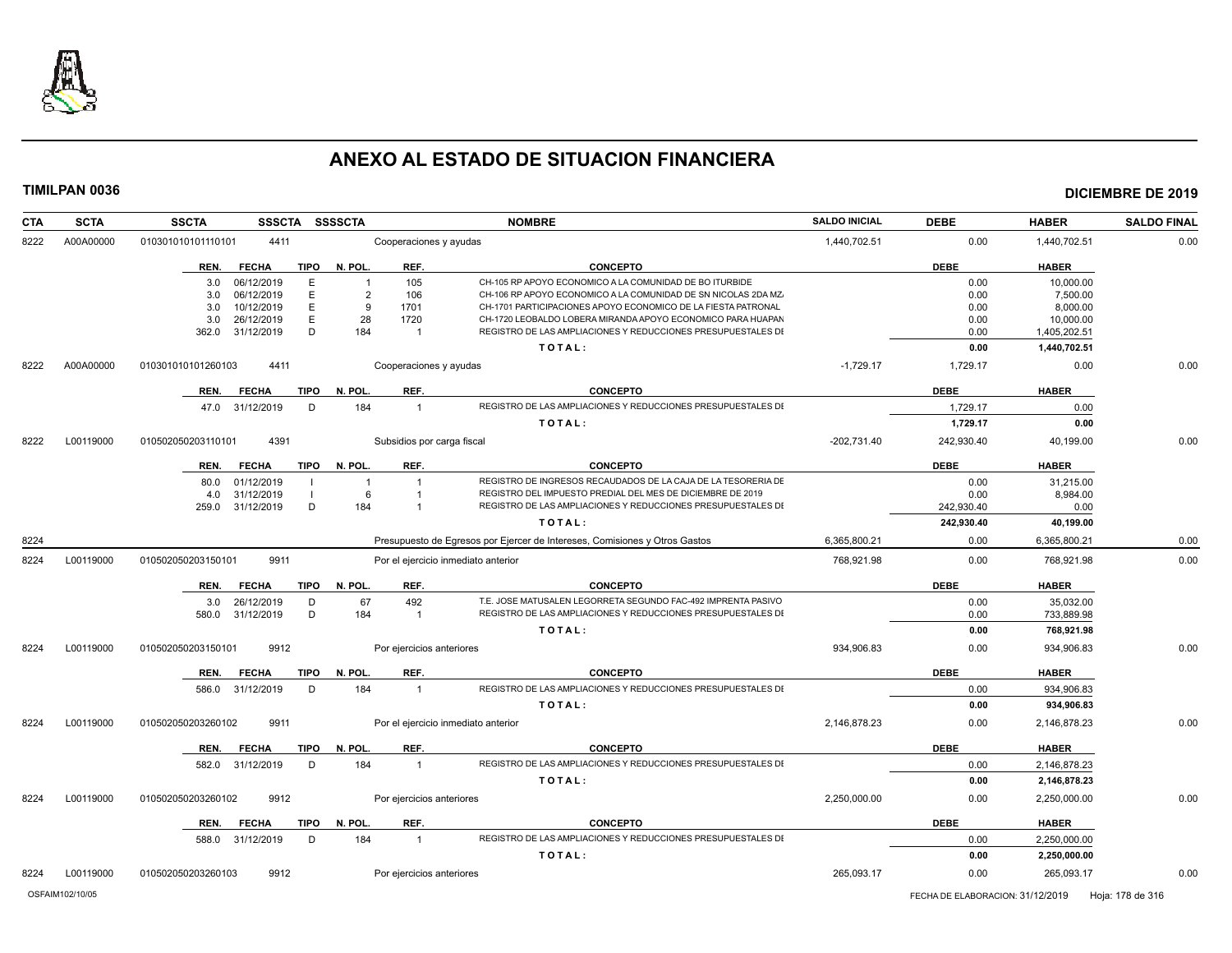

| <b>CTA</b> | <b>SCTA</b> | <b>SSSCTA</b><br><b>SSCTA</b>       | <b>SSSSCTA</b>         | <b>NOMBRE</b>                                                                   | <b>SALDO INICIAL</b> | <b>DEBE</b> | <b>HABER</b> | <b>SALDO FINAL</b> |
|------------|-------------|-------------------------------------|------------------------|---------------------------------------------------------------------------------|----------------------|-------------|--------------|--------------------|
| 8222       | A00A00000   | 4411<br>010301010101110101          |                        | Cooperaciones y ayudas                                                          | 1,440,702.51         | 0.00        | 1,440,702.51 | 0.00               |
|            |             | <b>FECHA</b><br>REN.                | <b>TIPO</b><br>N. POL. | REF.<br><b>CONCEPTO</b>                                                         |                      | <b>DEBE</b> | <b>HABER</b> |                    |
|            |             | 06/12/2019<br>3.0                   | E<br>$\overline{1}$    | CH-105 RP APOYO ECONOMICO A LA COMUNIDAD DE BO ITURBIDE<br>105                  |                      | 0.00        | 10.000.00    |                    |
|            |             | 06/12/2019<br>3.0                   | E<br>$\overline{2}$    | CH-106 RP APOYO ECONOMICO A LA COMUNIDAD DE SN NICOLAS 2DA MZ.<br>106           |                      | 0.00        | 7,500.00     |                    |
|            |             | 10/12/2019<br>3.0                   | E<br>-9                | 1701<br>CH-1701 PARTICIPACIONES APOYO ECONOMICO DE LA FIESTA PATRONAL           |                      | 0.00        | 8,000.00     |                    |
|            |             | 26/12/2019<br>3.0                   | E<br>28                | CH-1720 LEOBALDO LOBERA MIRANDA APOYO ECONOMICO PARA HUAPAN<br>1720             |                      | 0.00        | 10,000.00    |                    |
|            |             | 362.0<br>31/12/2019                 | D<br>184               | REGISTRO DE LAS AMPLIACIONES Y REDUCCIONES PRESUPUESTALES DI<br>- 1             |                      | 0.00        | 1,405,202.51 |                    |
|            |             |                                     |                        | TOTAL:                                                                          |                      | 0.00        | 1,440,702.51 |                    |
| 8222       | A00A00000   | 4411<br>010301010101260103          |                        | Cooperaciones y ayudas                                                          | $-1,729.17$          | 1,729.17    | 0.00         | 0.00               |
|            |             | <b>FECHA</b><br><b>TIPO</b><br>REN. | N. POL.                | REF.<br><b>CONCEPTO</b>                                                         |                      | <b>DEBE</b> | <b>HABER</b> |                    |
|            |             | 47.0 31/12/2019                     | 184<br>D               | REGISTRO DE LAS AMPLIACIONES Y REDUCCIONES PRESUPUESTALES DI<br>$\overline{1}$  |                      | 1,729.17    | 0.00         |                    |
|            |             |                                     |                        | TOTAL:                                                                          |                      | 1,729.17    | 0.00         |                    |
| 8222       | L00119000   | 4391<br>010502050203110101          |                        | Subsidios por carga fiscal                                                      | $-202,731.40$        | 242,930.40  | 40,199.00    | 0.00               |
|            |             | <b>FECHA</b><br>REN.                | <b>TIPO</b><br>N. POL. | REF.<br><b>CONCEPTO</b>                                                         |                      | <b>DEBE</b> | <b>HABER</b> |                    |
|            |             | 01/12/2019<br>80.0                  |                        | REGISTRO DE INGRESOS RECAUDADOS DE LA CAJA DE LA TESORERIA DE<br>$\overline{1}$ |                      | 0.00        | 31,215.00    |                    |
|            |             | 31/12/2019<br>4.0                   | 6                      | REGISTRO DEL IMPUESTO PREDIAL DEL MES DE DICIEMBRE DE 2019<br>-1                |                      | 0.00        | 8,984.00     |                    |
|            |             | 259.0<br>31/12/2019                 | D<br>184               | REGISTRO DE LAS AMPLIACIONES Y REDUCCIONES PRESUPUESTALES DI<br>-1              |                      | 242,930.40  | 0.00         |                    |
|            |             |                                     |                        | TOTAL:                                                                          |                      | 242,930.40  | 40,199.00    |                    |
| 8224       |             |                                     |                        | Presupuesto de Egresos por Ejercer de Intereses, Comisiones y Otros Gastos      | 6,365,800.21         | 0.00        | 6,365,800.21 | 0.00               |
| 8224       | L00119000   | 010502050203150101<br>9911          |                        | Por el ejercicio inmediato anterior                                             | 768.921.98           | 0.00        | 768.921.98   | 0.00               |
|            |             | <b>FECHA</b><br>REN.                | <b>TIPO</b><br>N. POL. | REF.<br><b>CONCEPTO</b>                                                         |                      | <b>DEBE</b> | <b>HABER</b> |                    |
|            |             | 26/12/2019<br>3.0                   | D<br>67                | T.E. JOSE MATUSALEN LEGORRETA SEGUNDO FAC-492 IMPRENTA PASIVO<br>492            |                      | 0.00        | 35,032.00    |                    |
|            |             | 31/12/2019<br>580.0                 | D<br>184               | REGISTRO DE LAS AMPLIACIONES Y REDUCCIONES PRESUPUESTALES DI<br>$\overline{1}$  |                      | 0.00        | 733,889.98   |                    |
|            |             |                                     |                        | TOTAL:                                                                          |                      | 0.00        | 768,921.98   |                    |
| 8224       | L00119000   | 010502050203150101<br>9912          |                        | Por ejercicios anteriores                                                       | 934.906.83           | 0.00        | 934,906.83   | 0.00               |
|            |             | REN.<br><b>FECHA</b>                | <b>TIPO</b><br>N. POL. | <b>CONCEPTO</b><br>REF.                                                         |                      | <b>DEBE</b> | <b>HABER</b> |                    |
|            |             | 31/12/2019<br>586.0                 | D<br>184               | REGISTRO DE LAS AMPLIACIONES Y REDUCCIONES PRESUPUESTALES DI<br>$\overline{1}$  |                      | 0.00        | 934,906.83   |                    |
|            |             |                                     |                        | TOTAL:                                                                          |                      | 0.00        | 934,906.83   |                    |
| 8224       | L00119000   | 9911<br>010502050203260102          |                        | Por el ejercicio inmediato anterior                                             | 2,146,878.23         | 0.00        | 2,146,878.23 | 0.00               |
|            |             | <b>FECHA</b><br>REN.                | N. POL.<br><b>TIPO</b> | REF.<br><b>CONCEPTO</b>                                                         |                      | <b>DEBE</b> | <b>HABER</b> |                    |
|            |             | 31/12/2019<br>582.0                 | D<br>184               | REGISTRO DE LAS AMPLIACIONES Y REDUCCIONES PRESUPUESTALES DI<br>$\overline{1}$  |                      | 0.00        | 2,146,878.23 |                    |
|            |             |                                     |                        | TOTAL:                                                                          |                      | 0.00        | 2,146,878.23 |                    |
| 8224       | L00119000   | 9912<br>010502050203260102          |                        | Por ejercicios anteriores                                                       | 2,250,000.00         | 0.00        | 2,250,000.00 | 0.00               |
|            |             | REN.<br><b>FECHA</b><br><b>TIPO</b> | N. POL.                | REF.<br><b>CONCEPTO</b>                                                         |                      | <b>DEBE</b> | <b>HABER</b> |                    |
|            |             | 588.0<br>31/12/2019                 | D<br>184               | REGISTRO DE LAS AMPLIACIONES Y REDUCCIONES PRESUPUESTALES DI<br>$\overline{1}$  |                      | 0.00        | 2,250,000.00 |                    |
|            |             |                                     |                        | TOTAL:                                                                          |                      | 0.00        | 2,250,000.00 |                    |
| 8224       | L00119000   | 010502050203260103<br>9912          |                        | Por ejercicios anteriores                                                       | 265.093.17           | 0.00        | 265,093.17   | 0.00               |
|            |             |                                     |                        |                                                                                 |                      |             |              |                    |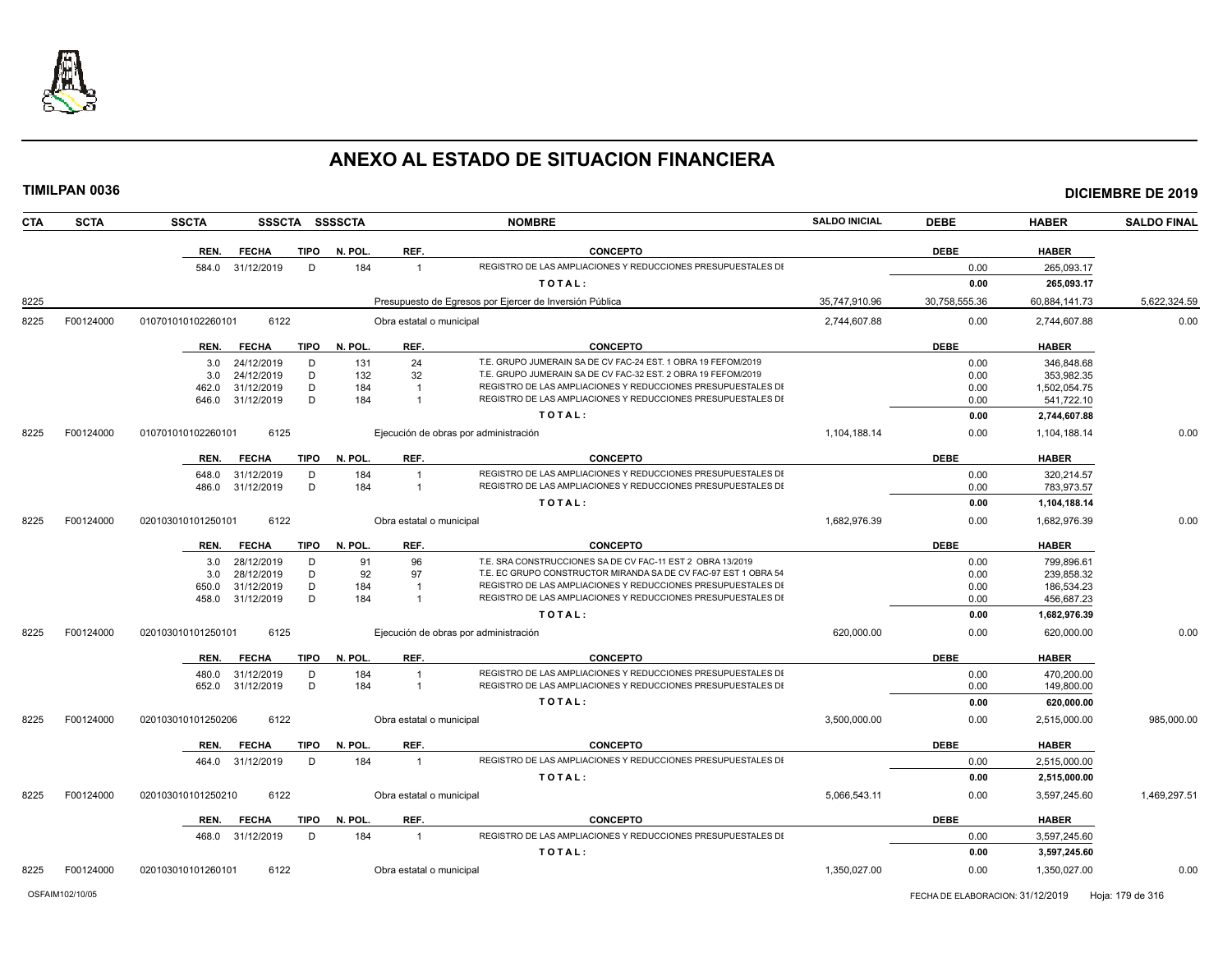

| <b>CTA</b>        | <b>SCTA</b> | <b>SSCTA</b>               |                  |             | SSSCTA SSSSCTA           |                          | <b>NOMBRE</b>                                                   | <b>SALDO INICIAL</b> | <b>DEBE</b>   | <b>HABER</b>  | <b>SALDO FINAL</b> |
|-------------------|-------------|----------------------------|------------------|-------------|--------------------------|--------------------------|-----------------------------------------------------------------|----------------------|---------------|---------------|--------------------|
|                   |             | REN.                       | <b>FECHA</b>     | <b>TIPO</b> | N. POL.                  | REF.                     | <b>CONCEPTO</b>                                                 |                      | <b>DEBE</b>   | <b>HABER</b>  |                    |
|                   |             | 584.0                      | 31/12/2019       | D           | 184                      | $\overline{1}$           | REGISTRO DE LAS AMPLIACIONES Y REDUCCIONES PRESUPUESTALES DI    |                      | 0.00          | 265,093.17    |                    |
|                   |             |                            |                  |             |                          |                          | TOTAL:                                                          |                      | 0.00          | 265.093.17    |                    |
| 8225              |             |                            |                  |             |                          |                          | Presupuesto de Egresos por Ejercer de Inversión Pública         | 35,747,910.96        | 30,758,555.36 | 60,884,141.73 | 5,622,324.59       |
| 8225              | F00124000   | 010701010102260101         | 6122             |             |                          | Obra estatal o municipal |                                                                 | 2.744.607.88         | 0.00          | 2.744.607.88  | 0.00               |
|                   |             | REN.                       | <b>FECHA</b>     | <b>TIPO</b> | N. POL                   | REF.                     | <b>CONCEPTO</b>                                                 |                      | <b>DEBE</b>   | <b>HABER</b>  |                    |
|                   |             | 3.0                        | 24/12/2019       | D           | 131                      | 24                       | T.E. GRUPO JUMERAIN SA DE CV FAC-24 EST. 1 OBRA 19 FEFOM/2019   |                      | 0.00          | 346.848.68    |                    |
|                   |             | 3.0                        | 24/12/2019       | D           | 132                      | 32                       | T.E. GRUPO JUMERAIN SA DE CV FAC-32 EST. 2 OBRA 19 FEFOM/2019   |                      | 0.00          | 353,982.35    |                    |
|                   |             | 462.0                      | 31/12/2019       | D           | 184                      | $\overline{1}$           | REGISTRO DE LAS AMPLIACIONES Y REDUCCIONES PRESUPUESTALES DI    |                      | 0.00          | 1,502,054.75  |                    |
|                   |             | 646.0                      | 31/12/2019       | D           | 184                      | $\overline{1}$           | REGISTRO DE LAS AMPLIACIONES Y REDUCCIONES PRESUPUESTALES DI    |                      | 0.00          | 541,722.10    |                    |
|                   |             |                            |                  |             |                          |                          | TOTAL:                                                          |                      | 0.00          | 2,744,607.88  |                    |
| 8225              | F00124000   | 010701010102260101         | 6125             |             |                          |                          | Ejecución de obras por administración                           | 1,104,188.14         | 0.00          | 1,104,188.14  | 0.00               |
|                   |             | REN.                       | <b>FECHA</b>     | <b>TIPO</b> | N. POL.                  | REF.                     | <b>CONCEPTO</b>                                                 |                      | <b>DEBE</b>   | <b>HABER</b>  |                    |
|                   |             | 648.0                      | 31/12/2019       | D           | 184                      | $\overline{1}$           | REGISTRO DE LAS AMPLIACIONES Y REDUCCIONES PRESUPUESTALES DI    |                      | 0.00          | 320,214.57    |                    |
|                   |             | 486.0                      | 31/12/2019       | D           | 184                      | $\overline{1}$           | REGISTRO DE LAS AMPLIACIONES Y REDUCCIONES PRESUPUESTALES DI    |                      | 0.00          | 783,973.57    |                    |
|                   |             |                            |                  |             |                          |                          | TOTAL:                                                          |                      | 0.00          | 1,104,188.14  |                    |
| F00124000<br>8225 |             | 6122<br>020103010101250101 |                  |             |                          | Obra estatal o municipal |                                                                 | 1,682,976.39         | 0.00          | 1,682,976.39  | 0.00               |
|                   |             | REN.                       | <b>FECHA</b>     | <b>TIPO</b> | N. POL.                  | REF.                     | <b>CONCEPTO</b>                                                 |                      | <b>DEBE</b>   | <b>HABER</b>  |                    |
|                   |             | 3.0                        | 28/12/2019       | D           | 91                       | 96                       | T.E. SRA CONSTRUCCIONES SA DE CV FAC-11 EST 2 OBRA 13/2019      |                      | 0.00          | 799,896.61    |                    |
|                   |             | 3.0                        | 28/12/2019       | D           | 92                       | 97                       | T.E. EC GRUPO CONSTRUCTOR MIRANDA SA DE CV FAC-97 EST 1 OBRA 54 |                      | 0.00          | 239,858.32    |                    |
|                   |             | 650.0                      | 31/12/2019       | D           | 184                      | $\overline{\mathbf{1}}$  | REGISTRO DE LAS AMPLIACIONES Y REDUCCIONES PRESUPUESTALES DI    |                      | 0.00          | 186,534.23    |                    |
|                   |             | 458.0                      | 31/12/2019       | D           | 184                      |                          | REGISTRO DE LAS AMPLIACIONES Y REDUCCIONES PRESUPUESTALES DI    |                      | 0.00          | 456,687.23    |                    |
|                   |             |                            |                  |             |                          |                          | TOTAL:                                                          |                      | 0.00          | 1,682,976.39  |                    |
| 8225              | F00124000   | 020103010101250101<br>6125 |                  |             |                          |                          | Ejecución de obras por administración                           | 620,000.00           | 0.00          | 620,000.00    | 0.00               |
|                   |             |                            |                  |             |                          |                          |                                                                 |                      |               |               |                    |
|                   |             | REN.                       | <b>FECHA</b>     | <b>TIPO</b> | N. POL.                  | REF.                     | <b>CONCEPTO</b>                                                 |                      | <b>DEBE</b>   | <b>HABER</b>  |                    |
|                   |             | 480.0                      | 31/12/2019       | D           | 184                      |                          | REGISTRO DE LAS AMPLIACIONES Y REDUCCIONES PRESUPUESTALES DI    |                      | 0.00          | 470,200.00    |                    |
|                   |             | 652.0                      | 31/12/2019       | D           | 184                      | $\overline{1}$           | REGISTRO DE LAS AMPLIACIONES Y REDUCCIONES PRESUPUESTALES DI    |                      | 0.00          | 149,800.00    |                    |
|                   |             |                            |                  |             | TOTAL:                   |                          |                                                                 |                      | 0.00          | 620,000.00    |                    |
| 8225              | F00124000   | 020103010101250206         | 6122             |             | Obra estatal o municipal |                          | 3,500,000.00                                                    | 0.00                 | 2,515,000.00  | 985,000.00    |                    |
|                   |             | REN.                       | <b>FECHA</b>     | <b>TIPO</b> | N. POL                   | REF.                     | <b>CONCEPTO</b>                                                 |                      | <b>DEBE</b>   | <b>HABER</b>  |                    |
|                   |             |                            | 464.0 31/12/2019 | D           | 184                      | $\overline{1}$           | REGISTRO DE LAS AMPLIACIONES Y REDUCCIONES PRESUPUESTALES DI    |                      | 0.00          | 2,515,000.00  |                    |
|                   |             |                            |                  |             |                          |                          | TOTAL:                                                          |                      | 0.00          | 2,515,000.00  |                    |
| 8225              | F00124000   | 020103010101250210         | 6122             |             |                          | Obra estatal o municipal |                                                                 | 5.066.543.11         | 0.00          | 3.597.245.60  | 1,469,297.51       |
|                   |             | REN.                       | <b>FECHA</b>     | <b>TIPO</b> | N. POL.                  | REF.                     | <b>CONCEPTO</b>                                                 |                      | <b>DEBE</b>   | <b>HABER</b>  |                    |
|                   |             | 468.0                      | 31/12/2019       | D           | 184                      | $\overline{1}$           | REGISTRO DE LAS AMPLIACIONES Y REDUCCIONES PRESUPUESTALES DI    |                      | 0.00          | 3,597,245.60  |                    |
|                   |             |                            |                  |             |                          |                          | TOTAL:                                                          |                      | 0.00          | 3,597,245.60  |                    |
| 8225              | F00124000   | 020103010101260101         | 6122             |             |                          | Obra estatal o municipal |                                                                 | 1,350,027.00         | 0.00          | 1,350,027.00  | 0.00               |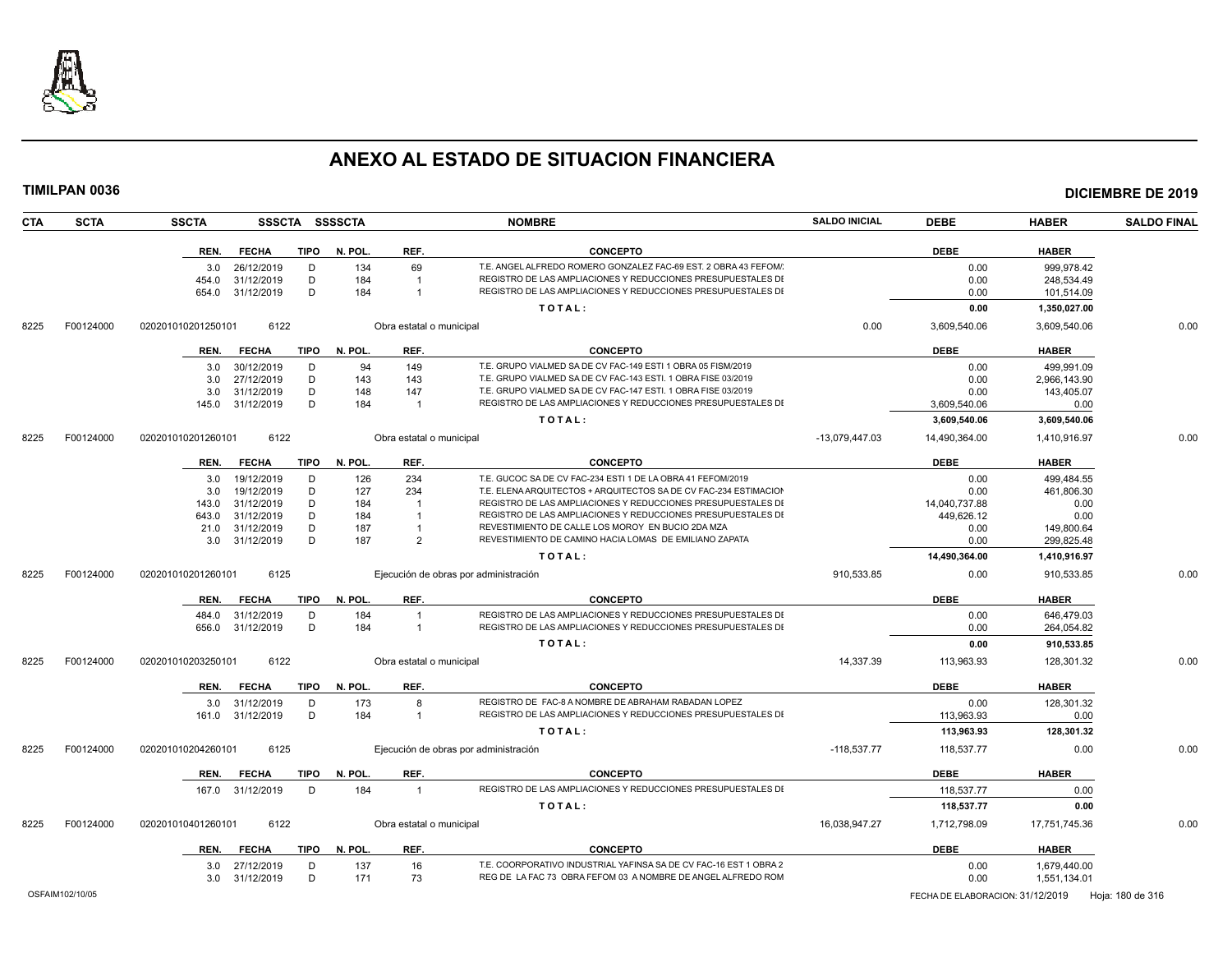

| <b>TIMILPAN 0036</b>      |                            |                  |                |              |                          |                                                                                                             |                      |               |               | <b>DICIEMBRE DE 2019</b> |
|---------------------------|----------------------------|------------------|----------------|--------------|--------------------------|-------------------------------------------------------------------------------------------------------------|----------------------|---------------|---------------|--------------------------|
| <b>SCTA</b><br><b>CTA</b> | <b>SSCTA</b>               |                  | SSSCTA SSSSCTA |              | <b>NOMBRE</b>            |                                                                                                             | <b>SALDO INICIAL</b> | <b>DEBE</b>   | <b>HABER</b>  | <b>SALDO FINAL</b>       |
|                           | REN.                       | <b>FECHA</b>     | <b>TIPO</b>    | N. POL.      | REF.                     | <b>CONCEPTO</b>                                                                                             |                      | <b>DEBE</b>   | <b>HABER</b>  |                          |
|                           |                            | 3.0 26/12/2019   | D              | 134          | 69                       | T.E. ANGEL ALFREDO ROMERO GONZALEZ FAC-69 EST. 2 OBRA 43 FEFOM/                                             |                      | 0.00          | 999,978.42    |                          |
|                           | 454.0                      | 31/12/2019       | D              | 184          | $\overline{\mathbf{1}}$  | REGISTRO DE LAS AMPLIACIONES Y REDUCCIONES PRESUPUESTALES DI                                                |                      | 0.00          | 248,534.49    |                          |
|                           | 654.0                      | 31/12/2019       | D              | 184          | $\mathbf{1}$             | REGISTRO DE LAS AMPLIACIONES Y REDUCCIONES PRESUPUESTALES DI                                                |                      | 0.00          | 101,514.09    |                          |
|                           |                            |                  |                |              |                          | TOTAL:                                                                                                      |                      | 0.00          | 1,350,027.00  |                          |
| F00124000<br>8225         | 020201010201250101         |                  | 6122           |              |                          | Obra estatal o municipal                                                                                    |                      | 3,609,540.06  | 3,609,540.06  | 0.00                     |
|                           | REN.                       | <b>FECHA</b>     | TIPO           | N. POL.      | REF.                     | <b>CONCEPTO</b>                                                                                             |                      | <b>DEBE</b>   | <b>HABER</b>  |                          |
|                           | 3.0                        | 30/12/2019       | D              | 94           | 149                      | T.E. GRUPO VIALMED SA DE CV FAC-149 ESTI 1 OBRA 05 FISM/2019                                                |                      | 0.00          | 499.991.09    |                          |
|                           | 3.0                        | 27/12/2019       | D              | 143          | 143                      | T.E. GRUPO VIALMED SA DE CV FAC-143 ESTI. 1 OBRA FISE 03/2019                                               |                      | 0.00          | 2,966,143.90  |                          |
|                           | 3.0                        | 31/12/2019       | D              | 148          | 147                      | T.E. GRUPO VIALMED SA DE CV FAC-147 ESTI. 1 OBRA FISE 03/2019                                               |                      | 0.00          | 143,405.07    |                          |
|                           | 145.0                      | 31/12/2019       | D              | 184          | $\overline{1}$           | REGISTRO DE LAS AMPLIACIONES Y REDUCCIONES PRESUPUESTALES DI                                                |                      | 3,609,540.06  | 0.00          |                          |
|                           |                            |                  |                |              |                          | TOTAL:                                                                                                      |                      | 3,609,540.06  | 3,609,540.06  |                          |
| F00124000<br>8225         | 020201010201260101         |                  | 6122           |              | Obra estatal o municipal |                                                                                                             | -13.079.447.03       | 14,490,364.00 | 1,410,916.97  | 0.00                     |
|                           | REN.                       | <b>FECHA</b>     | <b>TIPO</b>    | N. POL.      | REF.                     | <b>CONCEPTO</b>                                                                                             |                      | <b>DEBE</b>   | <b>HABER</b>  |                          |
|                           | 3.0                        | 19/12/2019       | D              | 126          | 234                      | T.E. GUCOC SA DE CV FAC-234 ESTI 1 DE LA OBRA 41 FEFOM/2019                                                 |                      | 0.00          | 499,484.55    |                          |
|                           | 3.0                        | 19/12/2019       | D              | 127          | 234                      | T.E. ELENA ARQUITECTOS + ARQUITECTOS SA DE CV FAC-234 ESTIMACION                                            |                      | 0.00          | 461,806.30    |                          |
|                           | 143.0                      | 31/12/2019       | D              | 184          | $\overline{1}$           | REGISTRO DE LAS AMPLIACIONES Y REDUCCIONES PRESUPUESTALES DI                                                |                      | 14,040,737.88 | 0.00          |                          |
|                           | 643.0                      | 31/12/2019       | D              | 184          | $\overline{1}$           | REGISTRO DE LAS AMPLIACIONES Y REDUCCIONES PRESUPUESTALES DI                                                |                      | 449,626.12    | 0.00          |                          |
|                           | 21.0                       | 31/12/2019       | D<br>D         | 187          | $\mathbf{1}$             | REVESTIMIENTO DE CALLE LOS MOROY EN BUCIO 2DA MZA<br>REVESTIMIENTO DE CAMINO HACIA LOMAS DE EMILIANO ZAPATA |                      | 0.00          | 149,800.64    |                          |
|                           | 3.0                        | 31/12/2019       |                | 187          | $\overline{2}$           |                                                                                                             |                      | 0.00          | 299,825.48    |                          |
|                           |                            |                  |                |              |                          | TOTAL:                                                                                                      |                      | 14,490,364.00 | 1,410,916.97  |                          |
| 8225<br>F00124000         | 6125<br>020201010201260101 |                  |                |              |                          | Ejecución de obras por administración                                                                       | 910,533.85           | 0.00          | 910,533.85    | 0.00                     |
|                           | REN.                       | <b>FECHA</b>     | <b>TIPO</b>    | N. POL.      | REF.                     | <b>CONCEPTO</b>                                                                                             |                      | <b>DEBE</b>   | <b>HABER</b>  |                          |
|                           |                            | 484.0 31/12/2019 | D              | 184          | $\overline{1}$           | REGISTRO DE LAS AMPLIACIONES Y REDUCCIONES PRESUPUESTALES DI                                                |                      | 0.00          | 646,479.03    |                          |
|                           | 656.0                      | 31/12/2019       | D              | 184          | $\overline{1}$           | REGISTRO DE LAS AMPLIACIONES Y REDUCCIONES PRESUPUESTALES DI                                                |                      | 0.00          | 264,054.82    |                          |
|                           |                            |                  |                |              |                          | TOTAL:                                                                                                      |                      | 0.00          | 910,533.85    |                          |
| 8225<br>F00124000         | 020201010203250101         |                  | 6122           |              | Obra estatal o municipal |                                                                                                             | 14,337.39            | 113,963.93    | 128,301.32    | 0.00                     |
|                           | REN.                       | FECHA            | TIPO           | N. POL.      | REF.                     | <b>CONCEPTO</b>                                                                                             |                      | <b>DEBE</b>   | <b>HABER</b>  |                          |
|                           |                            | 3.0 31/12/2019   | D              | 173          | 8                        | REGISTRO DE FAC-8 A NOMBRE DE ABRAHAM RABADAN LOPEZ                                                         |                      | 0.00          | 128,301.32    |                          |
|                           | 161.0                      | 31/12/2019       | D              | 184          | $\mathbf{1}$             | REGISTRO DE LAS AMPLIACIONES Y REDUCCIONES PRESUPUESTALES DI                                                |                      | 113,963.93    | 0.00          |                          |
|                           |                            |                  |                |              |                          | TOTAL:                                                                                                      |                      | 113,963.93    | 128,301.32    |                          |
| 8225<br>F00124000         | 020201010204260101         |                  | 6125           |              |                          | Ejecución de obras por administración                                                                       | $-118.537.77$        | 118,537.77    | 0.00          | 0.00                     |
|                           | REN.                       | <b>FECHA</b>     | <b>TIPO</b>    | N. POL.      | REF.                     | <b>CONCEPTO</b>                                                                                             |                      | <b>DEBE</b>   | <b>HABER</b>  |                          |
|                           |                            | 167.0 31/12/2019 | D              | 184          | $\overline{1}$           | REGISTRO DE LAS AMPLIACIONES Y REDUCCIONES PRESUPUESTALES DI                                                |                      | 118,537.77    | 0.00          |                          |
|                           |                            |                  |                |              |                          | TOTAL:                                                                                                      |                      | 118,537.77    | 0.00          |                          |
| F00124000<br>8225         | 020201010401260101         |                  | 6122           |              | Obra estatal o municipal |                                                                                                             | 16,038,947.27        | 1,712,798.09  | 17,751,745.36 | 0.00                     |
|                           | REN.                       | <b>FECHA</b>     |                | TIPO N. POL. | REF.                     | <b>CONCEPTO</b>                                                                                             |                      | <b>DEBE</b>   | <b>HABER</b>  |                          |
|                           |                            | 3.0 27/12/2019   | D              | 137          | 16                       | T.E. COORPORATIVO INDUSTRIAL YAFINSA SA DE CV FAC-16 EST 1 OBRA 2                                           |                      | 0.00          | 1,679,440.00  |                          |

3.0 31/12/2019 D 171 73 REG DE LA FAC 73 OBRA FEFOM 03 A NOMBRE DE ANGEL ALFREDO ROM 0.00 1,551,134.01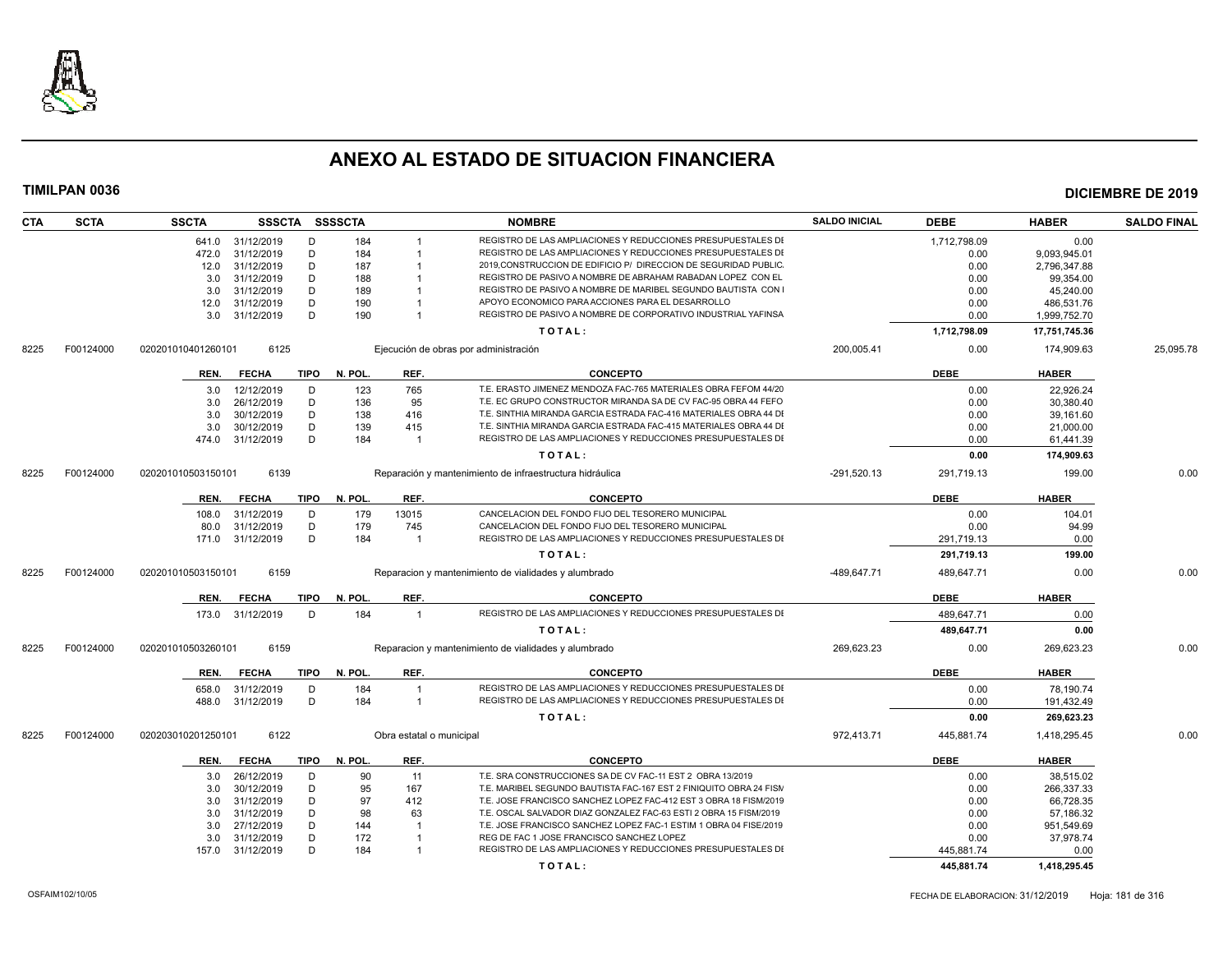

| <b>CTA</b> | <b>SCTA</b> | <b>SSCTA</b>       |                            |                  | SSSCTA SSSSCTA |                          | <b>NOMBRE</b>                                                                   | <b>SALDO INICIAL</b> | <b>DEBE</b>               | <b>HABER</b>         | <b>SALDO FINAL</b> |
|------------|-------------|--------------------|----------------------------|------------------|----------------|--------------------------|---------------------------------------------------------------------------------|----------------------|---------------------------|----------------------|--------------------|
|            |             |                    | 641.0 31/12/2019           | D                | 184            |                          | REGISTRO DE LAS AMPLIACIONES Y REDUCCIONES PRESUPUESTALES DI                    |                      | 1,712,798.09              | 0.00                 |                    |
|            |             | 472.0              | 31/12/2019                 | D                | 184            |                          | REGISTRO DE LAS AMPLIACIONES Y REDUCCIONES PRESUPUESTALES DI                    |                      | 0.00                      | 9,093,945.01         |                    |
|            |             | 12.0               | 31/12/2019                 | D                | 187            |                          | 2019.CONSTRUCCION DE EDIFICIO P/ DIRECCION DE SEGURIDAD PUBLIC                  |                      | 0.00                      | 2,796,347.88         |                    |
|            |             | 3.0                | 31/12/2019                 | D                | 188            |                          | REGISTRO DE PASIVO A NOMBRE DE ABRAHAM RABADAN LOPEZ CON EL                     |                      | 0.00                      | 99,354.00            |                    |
|            |             | 3.0                | 31/12/2019                 | D                | 189            |                          | REGISTRO DE PASIVO A NOMBRE DE MARIBEL SEGUNDO BAUTISTA CON                     |                      | 0.00                      | 45,240.00            |                    |
|            |             | 12.0               | 31/12/2019                 | D                | 190            |                          | APOYO ECONOMICO PARA ACCIONES PARA EL DESARROLLO                                |                      | 0.00                      | 486,531.76           |                    |
|            |             | 3.0                | 31/12/2019                 | D                | 190            | $\overline{1}$           | REGISTRO DE PASIVO A NOMBRE DE CORPORATIVO INDUSTRIAL YAFINSA                   |                      | 0.00                      | 1,999,752.70         |                    |
|            |             |                    |                            |                  |                |                          | TOTAL:                                                                          |                      | 1,712,798.09              | 17,751,745.36        |                    |
| 8225       | F00124000   | 020201010401260101 | 6125                       |                  |                |                          | Ejecución de obras por administración                                           | 200,005.41           | 0.00                      | 174.909.63           | 25,095.78          |
|            |             |                    |                            |                  |                |                          |                                                                                 |                      |                           |                      |                    |
|            |             | REN.               | <b>FECHA</b>               | TIPO             | N. POL.        | REF.                     | <b>CONCEPTO</b>                                                                 |                      | <b>DEBE</b>               | <b>HABER</b>         |                    |
|            |             | 3.0                | 12/12/2019                 | D                | 123            | 765                      | T.E. ERASTO JIMENEZ MENDOZA FAC-765 MATERIALES OBRA FEFOM 44/20                 |                      | 0.00                      | 22.926.24            |                    |
|            |             | 3.0                | 26/12/2019                 | D                | 136            | 95                       | T.E. EC GRUPO CONSTRUCTOR MIRANDA SA DE CV FAC-95 OBRA 44 FEFO                  |                      | 0.00                      | 30,380.40            |                    |
|            |             | 3.0                | 30/12/2019                 | D                | 138            | 416                      | T.E. SINTHIA MIRANDA GARCIA ESTRADA FAC-416 MATERIALES OBRA 44 DI               |                      | 0.00                      | 39,161.60            |                    |
|            |             | 3.0                | 30/12/2019                 | D                | 139            | 415                      | T.E. SINTHIA MIRANDA GARCIA ESTRADA FAC-415 MATERIALES OBRA 44 DI               |                      | 0.00                      | 21,000.00            |                    |
|            |             | 474.0              | 31/12/2019                 | D                | 184            | -1                       | REGISTRO DE LAS AMPLIACIONES Y REDUCCIONES PRESUPUESTALES DI                    |                      | 0.00                      | 61,441.39            |                    |
|            |             |                    |                            |                  |                |                          | TOTAL:                                                                          |                      | 0.00                      | 174,909.63           |                    |
| 8225       | F00124000   | 020201010503150101 | 6139                       |                  |                |                          | Reparación y mantenimiento de infraestructura hidráulica                        | $-291,520.13$        | 291,719.13                | 199.00               | 0.00               |
|            |             | REN.               | <b>FECHA</b>               | <b>TIPO</b>      | N. POL.        | REF.                     | <b>CONCEPTO</b>                                                                 |                      | <b>DEBE</b>               | <b>HABER</b>         |                    |
|            |             | 108.0              | 31/12/2019                 | D                | 179            | 13015                    | CANCELACION DEL FONDO FIJO DEL TESORERO MUNICIPAL                               |                      | 0.00                      | 104.01               |                    |
|            |             | 80.0               | 31/12/2019                 | D                | 179            | 745                      | CANCELACION DEL FONDO FIJO DEL TESORERO MUNICIPAL                               |                      | 0.00                      | 94.99                |                    |
|            |             | 171.0              | 31/12/2019                 | D                | 184            | $\overline{1}$           | REGISTRO DE LAS AMPLIACIONES Y REDUCCIONES PRESUPUESTALES DI                    |                      | 291,719.13                | 0.00                 |                    |
|            |             |                    |                            |                  |                |                          | TOTAL:                                                                          |                      | 291.719.13                | 199.00               |                    |
| 8225       | F00124000   | 020201010503150101 | 6159                       |                  |                |                          | Reparacion y mantenimiento de vialidades y alumbrado                            | -489.647.71          | 489.647.71                | 0.00                 | 0.00               |
|            |             |                    |                            |                  |                |                          |                                                                                 |                      |                           |                      |                    |
|            |             | REN.<br>173.0      | <b>FECHA</b><br>31/12/2019 | <b>TIPO</b><br>D | N. POL.<br>184 | REF.<br>$\overline{1}$   | <b>CONCEPTO</b><br>REGISTRO DE LAS AMPLIACIONES Y REDUCCIONES PRESUPUESTALES DI |                      | <b>DEBE</b><br>489.647.71 | <b>HABER</b><br>0.00 |                    |
|            |             |                    |                            |                  |                |                          | TOTAL:                                                                          |                      |                           |                      |                    |
|            |             |                    |                            |                  |                |                          |                                                                                 |                      | 489,647.71                | 0.00                 |                    |
| 8225       | F00124000   | 020201010503260101 | 6159                       |                  |                |                          | Reparacion y mantenimiento de vialidades y alumbrado                            | 269,623.23           | 0.00                      | 269,623.23           | 0.00               |
|            |             | REN.               | <b>FECHA</b>               | <b>TIPO</b>      | N. POL.        | REF.                     | <b>CONCEPTO</b>                                                                 |                      | <b>DEBE</b>               | <b>HABER</b>         |                    |
|            |             | 658.0              | 31/12/2019                 | D                | 184            | $\overline{1}$           | REGISTRO DE LAS AMPLIACIONES Y REDUCCIONES PRESUPUESTALES DI                    |                      | 0.00                      | 78,190.74            |                    |
|            |             | 488.0              | 31/12/2019                 | D                | 184            | $\overline{1}$           | REGISTRO DE LAS AMPLIACIONES Y REDUCCIONES PRESUPUESTALES DI                    |                      | 0.00                      | 191,432.49           |                    |
|            |             |                    |                            |                  |                |                          | TOTAL:                                                                          |                      | 0.00                      | 269,623.23           |                    |
| 8225       | F00124000   | 020203010201250101 | 6122                       |                  |                | Obra estatal o municipal |                                                                                 | 972,413.71           | 445,881.74                | 1,418,295.45         | 0.00               |
|            |             | REN.               | <b>FECHA</b>               | <b>TIPO</b>      | N. POL.        | REF.                     | <b>CONCEPTO</b>                                                                 |                      | <b>DEBE</b>               | <b>HABER</b>         |                    |
|            |             |                    |                            |                  |                |                          |                                                                                 |                      |                           |                      |                    |
|            |             | 3.0                | 26/12/2019                 | D                | 90             | 11                       | T.E. SRA CONSTRUCCIONES SA DE CV FAC-11 EST 2 OBRA 13/2019                      |                      | 0.00                      | 38.515.02            |                    |
|            |             | 3.0                | 30/12/2019                 | D                | 95             | 167                      | T.E. MARIBEL SEGUNDO BAUTISTA FAC-167 EST 2 FINIQUITO OBRA 24 FISM              |                      | 0.00                      | 266,337.33           |                    |
|            |             | 3.0                | 31/12/2019                 | D                | 97             | 412                      | T.E. JOSE FRANCISCO SANCHEZ LOPEZ FAC-412 EST 3 OBRA 18 FISM/2019               |                      | 0.00                      | 66,728.35            |                    |
|            |             | 3.0                | 31/12/2019                 | D                | 98             | 63                       | T.E. OSCAL SALVADOR DIAZ GONZALEZ FAC-63 ESTI 2 OBRA 15 FISM/2019               |                      | 0.00                      | 57,186.32            |                    |
|            |             | 3.0                | 27/12/2019                 | D                | 144            |                          | T.E. JOSE FRANCISCO SANCHEZ LOPEZ FAC-1 ESTIM 1 OBRA 04 FISE/2019               |                      | 0.00                      | 951,549.69           |                    |
|            |             | 3.0                | 31/12/2019                 | D                | 172            |                          | REG DE FAC 1 JOSE FRANCISCO SANCHEZ LOPEZ                                       |                      | 0.00                      | 37,978.74            |                    |
|            |             | 157.0              | 31/12/2019                 | D                | 184            | -1                       | REGISTRO DE LAS AMPLIACIONES Y REDUCCIONES PRESUPUESTALES DI                    |                      | 445.881.74                | 0.00                 |                    |
|            |             |                    |                            |                  |                |                          | TOTAL:                                                                          |                      | 445,881.74                | 1,418,295.45         |                    |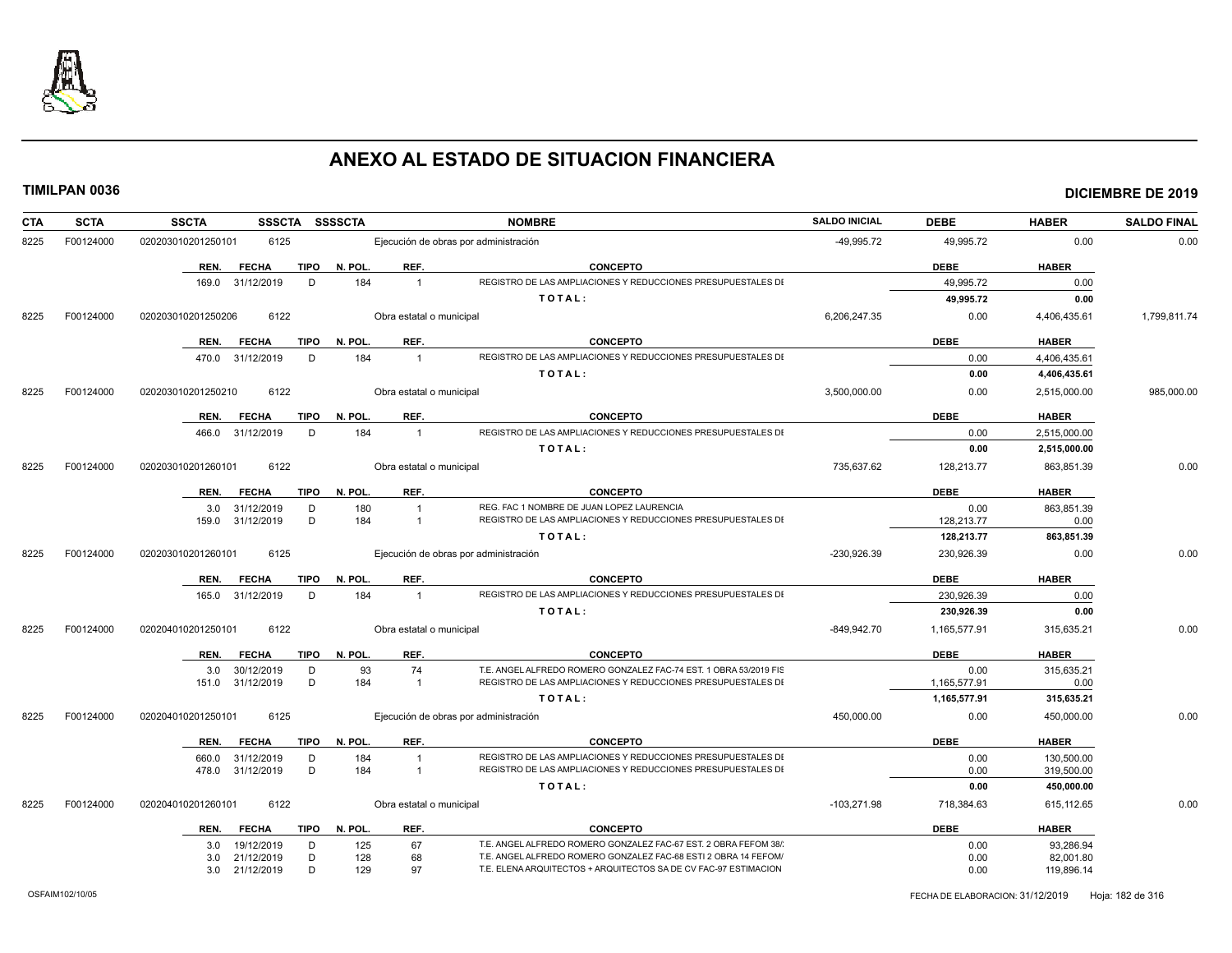

| CTA  | <b>SCTA</b> | <b>SSCTA</b>                        |             | SSSCTA SSSSCTA |                          | <b>NOMBRE</b>                                                                                                                      | <b>SALDO INICIAL</b> | <b>DEBE</b>  | <b>HABER</b>            | <b>SALDO FINAL</b> |
|------|-------------|-------------------------------------|-------------|----------------|--------------------------|------------------------------------------------------------------------------------------------------------------------------------|----------------------|--------------|-------------------------|--------------------|
| 8225 | F00124000   | 6125<br>020203010201250101          |             |                |                          | Ejecución de obras por administración                                                                                              | -49.995.72           | 49,995.72    | 0.00                    | 0.00               |
|      |             | REN.<br><b>FECHA</b>                | <b>TIPO</b> | N. POL.        | REF.                     | <b>CONCEPTO</b>                                                                                                                    |                      | <b>DEBE</b>  | <b>HABER</b>            |                    |
|      |             | 169.0 31/12/2019                    | D           | 184            | $\overline{1}$           | REGISTRO DE LAS AMPLIACIONES Y REDUCCIONES PRESUPUESTALES DI                                                                       |                      | 49,995.72    | 0.00                    |                    |
|      |             |                                     |             |                |                          | TOTAL:                                                                                                                             |                      | 49,995.72    | 0.00                    |                    |
| 8225 | F00124000   | 6122<br>020203010201250206          |             |                | Obra estatal o municipal |                                                                                                                                    | 6,206,247.35         | 0.00         | 4,406,435.61            | 1,799,811.74       |
|      |             | REN.<br><b>FECHA</b>                | <b>TIPO</b> | N. POL.        | REF.                     | <b>CONCEPTO</b>                                                                                                                    |                      | <b>DEBE</b>  | <b>HABER</b>            |                    |
|      |             | 31/12/2019<br>470.0                 | D           | 184            | $\overline{1}$           | REGISTRO DE LAS AMPLIACIONES Y REDUCCIONES PRESUPUESTALES DI                                                                       |                      | 0.00         | 4,406,435.61            |                    |
|      |             |                                     |             |                |                          | TOTAL:                                                                                                                             |                      | 0.00         | 4,406,435.61            |                    |
| 8225 | F00124000   | 6122<br>020203010201250210          |             |                | Obra estatal o municipal |                                                                                                                                    | 3,500,000.00         | 0.00         | 2,515,000.00            | 985,000.00         |
|      |             | REN.<br><b>FECHA</b>                | <b>TIPO</b> | N. POL.        | REF.                     | <b>CONCEPTO</b>                                                                                                                    |                      | <b>DEBE</b>  | <b>HABER</b>            |                    |
|      |             | 31/12/2019<br>466.0                 | D           | 184            | $\overline{1}$           | REGISTRO DE LAS AMPLIACIONES Y REDUCCIONES PRESUPUESTALES DI                                                                       |                      | 0.00         | 2,515,000.00            |                    |
|      |             |                                     |             |                |                          | TOTAL:                                                                                                                             |                      | 0.00         | 2,515,000.00            |                    |
| 8225 | F00124000   | 020203010201260101<br>6122          |             |                | Obra estatal o municipal |                                                                                                                                    | 735.637.62           | 128,213.77   | 863.851.39              | 0.00               |
|      |             | <b>FECHA</b><br>REN.                | <b>TIPO</b> | N. POL.        | REF.                     | <b>CONCEPTO</b>                                                                                                                    |                      | <b>DEBE</b>  | <b>HABER</b>            |                    |
|      |             | 31/12/2019<br>3.0                   | D           | 180            | $\overline{1}$           | REG. FAC 1 NOMBRE DE JUAN LOPEZ LAURENCIA                                                                                          |                      | 0.00         | 863,851.39              |                    |
|      |             | 31/12/2019<br>159.0                 | D           | 184            | -1                       | REGISTRO DE LAS AMPLIACIONES Y REDUCCIONES PRESUPUESTALES DI                                                                       |                      | 128,213.77   | 0.00                    |                    |
|      |             |                                     |             |                |                          | TOTAL:                                                                                                                             |                      | 128,213.77   | 863,851.39              |                    |
| 8225 | F00124000   | 020203010201260101<br>6125          |             |                |                          | Ejecución de obras por administración                                                                                              | $-230,926.39$        | 230,926.39   | 0.00                    | 0.00               |
|      |             | REN.<br><b>FECHA</b>                | <b>TIPO</b> | N. POL.        | REF.                     | <b>CONCEPTO</b>                                                                                                                    |                      | <b>DEBE</b>  | <b>HABER</b>            |                    |
|      |             | 31/12/2019<br>165.0                 | D           | 184            | $\overline{1}$           | REGISTRO DE LAS AMPLIACIONES Y REDUCCIONES PRESUPUESTALES DI                                                                       |                      | 230,926.39   | 0.00                    |                    |
|      |             |                                     |             |                |                          | TOTAL:                                                                                                                             |                      | 230,926.39   | 0.00                    |                    |
| 8225 | F00124000   | 6122<br>020204010201250101          |             |                | Obra estatal o municipal |                                                                                                                                    | $-849,942.70$        | 1,165,577.91 | 315,635.21              | 0.00               |
|      |             | <b>FECHA</b><br>REN.                | <b>TIPO</b> | N. POL.        | REF.                     | <b>CONCEPTO</b>                                                                                                                    |                      | <b>DEBE</b>  | <b>HABER</b>            |                    |
|      |             | 30/12/2019<br>3.0                   | D           | 93             | 74                       | T.E. ANGEL ALFREDO ROMERO GONZALEZ FAC-74 EST. 1 OBRA 53/2019 FIS                                                                  |                      | 0.00         | 315,635.21              |                    |
|      |             | 151.0 31/12/2019                    | D           | 184            | $\overline{1}$           | REGISTRO DE LAS AMPLIACIONES Y REDUCCIONES PRESUPUESTALES DI                                                                       |                      | 1,165,577.91 | 0.00                    |                    |
|      |             |                                     |             |                |                          | TOTAL:                                                                                                                             |                      | 1,165,577.91 | 315,635.21              |                    |
| 8225 | F00124000   | 6125<br>020204010201250101          |             |                |                          | Ejecución de obras por administración                                                                                              | 450,000.00           | 0.00         | 450,000.00              | 0.00               |
|      |             | REN.<br><b>FECHA</b>                | <b>TIPO</b> | N. POL.        | REF.                     | <b>CONCEPTO</b>                                                                                                                    |                      | <b>DEBE</b>  | <b>HABER</b>            |                    |
|      |             | 31/12/2019<br>660.0                 | D           | 184            | $\overline{1}$           | REGISTRO DE LAS AMPLIACIONES Y REDUCCIONES PRESUPUESTALES DI                                                                       |                      | 0.00         | 130,500.00              |                    |
|      |             | 31/12/2019<br>478.0                 | D           | 184            | $\overline{1}$           | REGISTRO DE LAS AMPLIACIONES Y REDUCCIONES PRESUPUESTALES DI                                                                       |                      | 0.00         | 319,500.00              |                    |
|      |             |                                     |             |                |                          | TOTAL:                                                                                                                             |                      | 0.00         | 450,000.00              |                    |
| 8225 | F00124000   | 020204010201260101<br>6122          |             |                | Obra estatal o municipal |                                                                                                                                    | $-103,271.98$        | 718,384.63   | 615,112.65              | 0.00               |
|      |             | REN.<br><b>FECHA</b>                | <b>TIPO</b> | N. POL.        | REF.                     | <b>CONCEPTO</b>                                                                                                                    |                      | <b>DEBE</b>  | <b>HABER</b>            |                    |
|      |             | 19/12/2019<br>3.0                   | D           | 125            | 67                       | T.E. ANGEL ALFREDO ROMERO GONZALEZ FAC-67 EST. 2 OBRA FEFOM 38/<br>T.E. ANGEL ALFREDO ROMERO GONZALEZ FAC-68 ESTI 2 OBRA 14 FEFOM/ |                      | 0.00         | 93,286.94               |                    |
|      |             | 21/12/2019<br>3.0<br>3.0 21/12/2019 | D<br>D      | 128<br>129     | 68<br>97                 | T.E. ELENA ARQUITECTOS + ARQUITECTOS SA DE CV FAC-97 ESTIMACION                                                                    |                      | 0.00<br>0.00 | 82,001.80<br>119,896.14 |                    |
|      |             |                                     |             |                |                          |                                                                                                                                    |                      |              |                         |                    |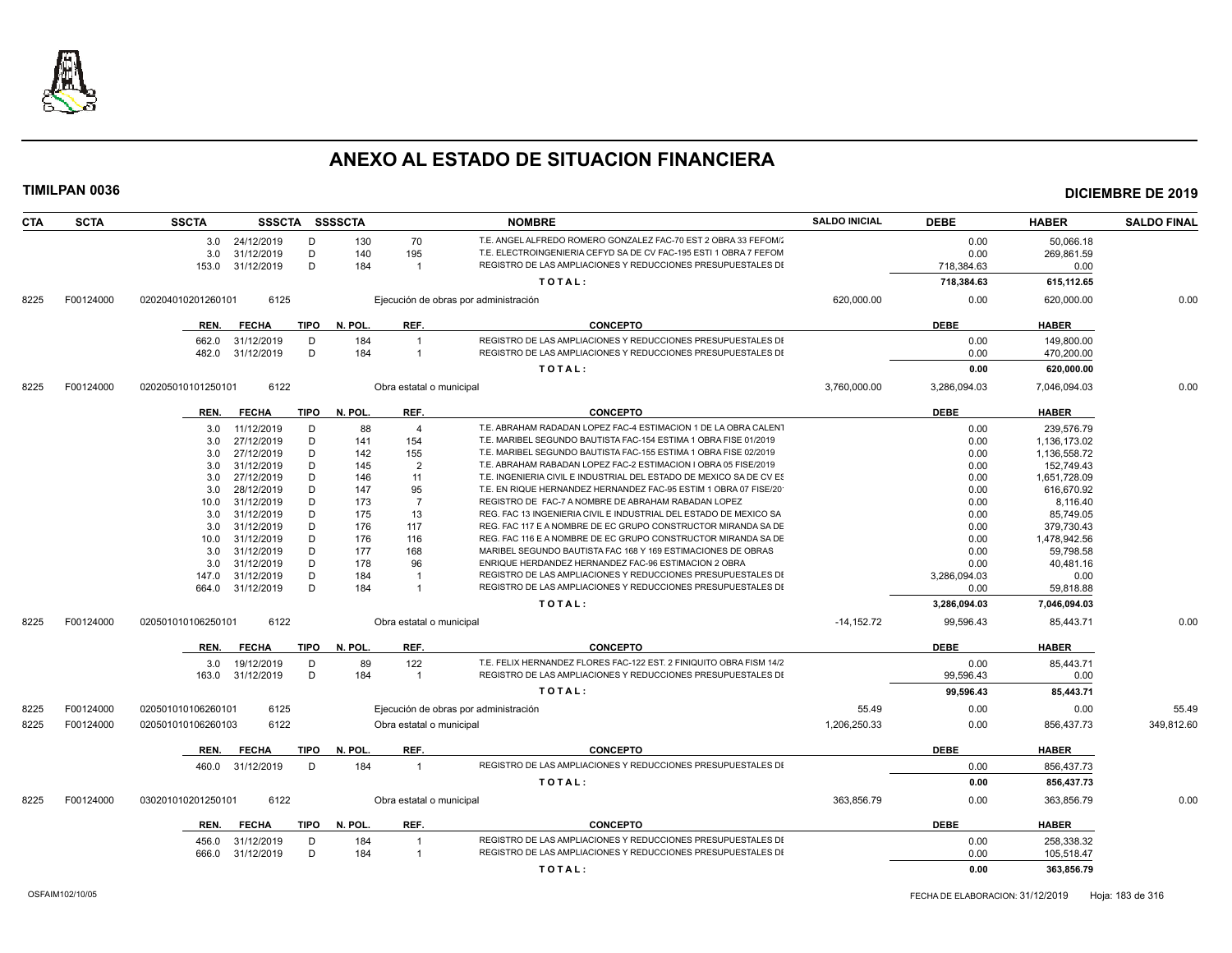

| <b>CTA</b> | <b>SCTA</b> | <b>SSCTA</b>       | <b>SSSCTA</b> |             | SSSSCTA |                          | <b>NOMBRE</b>                                                       | <b>SALDO INICIAL</b> | <b>DEBE</b>  | <b>HABER</b> | <b>SALDO FINAL</b> |
|------------|-------------|--------------------|---------------|-------------|---------|--------------------------|---------------------------------------------------------------------|----------------------|--------------|--------------|--------------------|
|            |             | 3.0                | 24/12/2019    | D           | 130     | 70                       | T.E. ANGEL ALFREDO ROMERO GONZALEZ FAC-70 EST 2 OBRA 33 FEFOM/      |                      | 0.00         | 50,066.18    |                    |
|            |             | 3.0                | 31/12/2019    | D           | 140     | 195                      | T.E. ELECTROINGENIERIA CEFYD SA DE CV FAC-195 ESTI 1 OBRA 7 FEFOM   |                      | 0.00         | 269,861.59   |                    |
|            |             | 153.0              | 31/12/2019    | D           | 184     | $\overline{1}$           | REGISTRO DE LAS AMPLIACIONES Y REDUCCIONES PRESUPUESTALES DI        |                      | 718,384.63   | 0.00         |                    |
|            |             |                    |               |             |         |                          | TOTAL:                                                              |                      | 718,384.63   | 615,112.65   |                    |
| 8225       | F00124000   | 020204010201260101 | 6125          |             |         |                          | Ejecución de obras por administración                               | 620,000.00           | 0.00         | 620,000.00   | 0.00               |
|            |             |                    |               |             |         |                          |                                                                     |                      | <b>DEBE</b>  |              |                    |
|            |             | REN.               | <b>FECHA</b>  | TIPO        | N. POL. | REF.                     | <b>CONCEPTO</b>                                                     |                      |              | <b>HABER</b> |                    |
|            |             | 662.0              | 31/12/2019    | D           | 184     | $\overline{1}$           | REGISTRO DE LAS AMPLIACIONES Y REDUCCIONES PRESUPUESTALES DI        |                      | 0.00         | 149,800.00   |                    |
|            |             | 482.0              | 31/12/2019    | D           | 184     | $\overline{1}$           | REGISTRO DE LAS AMPLIACIONES Y REDUCCIONES PRESUPUESTALES DI        |                      | 0.00         | 470,200.00   |                    |
|            |             |                    |               |             |         |                          | TOTAL:                                                              |                      | 0.00         | 620,000.00   |                    |
| 8225       | F00124000   | 020205010101250101 | 6122          |             |         | Obra estatal o municipal |                                                                     | 3,760,000.00         | 3,286,094.03 | 7,046,094.03 | 0.00               |
|            |             | REN.               | <b>FECHA</b>  | TIPO        | N. POL. | REF.                     | <b>CONCEPTO</b>                                                     |                      | <b>DEBE</b>  | <b>HABER</b> |                    |
|            |             | 3.0                | 11/12/2019    | D           | 88      | $\overline{4}$           | T.E. ABRAHAM RADADAN LOPEZ FAC-4 ESTIMACION 1 DE LA OBRA CALENT     |                      | 0.00         | 239,576.79   |                    |
|            |             | 3.0                | 27/12/2019    | D           | 141     | 154                      | T.E. MARIBEL SEGUNDO BAUTISTA FAC-154 ESTIMA 1 OBRA FISE 01/2019    |                      | 0.00         | 1,136,173.02 |                    |
|            |             | 3.0                | 27/12/2019    | D           | 142     | 155                      | T.E. MARIBEL SEGUNDO BAUTISTA FAC-155 ESTIMA 1 OBRA FISE 02/2019    |                      | 0.00         | 1,136,558.72 |                    |
|            |             | 3.0                | 31/12/2019    | D           | 145     | $\overline{2}$           | T.E. ABRAHAM RABADAN LOPEZ FAC-2 ESTIMACION I OBRA 05 FISE/2019     |                      | 0.00         | 152,749.43   |                    |
|            |             | 3.0                | 27/12/2019    | D           | 146     | 11                       | T.E. INGENIERIA CIVIL E INDUSTRIAL DEL ESTADO DE MEXICO SA DE CV ES |                      | 0.00         | 1,651,728.09 |                    |
|            |             | 3.0                | 28/12/2019    | D           | 147     | 95                       | T.E. EN RIQUE HERNANDEZ HERNANDEZ FAC-95 ESTIM 1 OBRA 07 FISE/20    |                      | 0.00         | 616,670.92   |                    |
|            |             | 10.0               | 31/12/2019    | D           | 173     | $\overline{7}$           | REGISTRO DE FAC-7 A NOMBRE DE ABRAHAM RABADAN LOPEZ                 |                      | 0.00         | 8.116.40     |                    |
|            |             | 3.0                | 31/12/2019    | D           | 175     | 13                       | REG. FAC 13 INGENIERIA CIVIL E INDUSTRIAL DEL ESTADO DE MEXICO SA   |                      | 0.00         | 85,749.05    |                    |
|            |             | 3.0                | 31/12/2019    | D           | 176     | 117                      | REG. FAC 117 E A NOMBRE DE EC GRUPO CONSTRUCTOR MIRANDA SA DE       |                      | 0.00         | 379,730.43   |                    |
|            |             | 10.0               | 31/12/2019    | D           | 176     | 116                      | REG. FAC 116 E A NOMBRE DE EC GRUPO CONSTRUCTOR MIRANDA SA DE       |                      | 0.00         | 1,478,942.56 |                    |
|            |             | 3.0                | 31/12/2019    | D           | 177     | 168                      | MARIBEL SEGUNDO BAUTISTA FAC 168 Y 169 ESTIMACIONES DE OBRAS        |                      | 0.00         | 59,798.58    |                    |
|            |             | 3.0                | 31/12/2019    | D           | 178     | 96                       | ENRIQUE HERDANDEZ HERNANDEZ FAC-96 ESTIMACION 2 OBRA                |                      | 0.00         | 40,481.16    |                    |
|            |             | 147.0              | 31/12/2019    | D           | 184     | $\overline{1}$           | REGISTRO DE LAS AMPLIACIONES Y REDUCCIONES PRESUPUESTALES DI        |                      | 3,286,094.03 | 0.00         |                    |
|            |             | 664.0              | 31/12/2019    | D           | 184     | $\overline{1}$           | REGISTRO DE LAS AMPLIACIONES Y REDUCCIONES PRESUPUESTALES DI        |                      | 0.00         | 59,818.88    |                    |
|            |             |                    |               |             |         |                          | TOTAL:                                                              |                      | 3,286,094.03 | 7,046,094.03 |                    |
| 8225       | F00124000   | 020501010106250101 | 6122          |             |         | Obra estatal o municipal |                                                                     | $-14, 152.72$        | 99,596.43    | 85,443.71    | 0.00               |
|            |             | REN.               | <b>FECHA</b>  | <b>TIPO</b> | N. POL. | REF.                     | <b>CONCEPTO</b>                                                     |                      | <b>DEBE</b>  | <b>HABER</b> |                    |
|            |             | 3.0                | 19/12/2019    | D           | 89      | 122                      | T.E. FELIX HERNANDEZ FLORES FAC-122 EST. 2 FINIQUITO OBRA FISM 14/2 |                      | 0.00         | 85,443.71    |                    |
|            |             | 163.0              | 31/12/2019    | D           | 184     | $\overline{1}$           | REGISTRO DE LAS AMPLIACIONES Y REDUCCIONES PRESUPUESTALES DI        |                      | 99,596.43    | 0.00         |                    |
|            |             |                    |               |             |         |                          | TOTAL:                                                              |                      | 99,596.43    | 85,443.71    |                    |
| 8225       | F00124000   | 020501010106260101 | 6125          |             |         |                          | Ejecución de obras por administración                               | 55.49                | 0.00         | 0.00         | 55.49              |
| 8225       | F00124000   | 020501010106260103 | 6122          |             |         | Obra estatal o municipal |                                                                     | 1,206,250.33         | 0.00         | 856,437.73   | 349,812.60         |
|            |             |                    |               |             |         |                          |                                                                     |                      |              |              |                    |
|            |             | REN.               | <b>FECHA</b>  | TIPO        | N. POL. | REF.                     | <b>CONCEPTO</b>                                                     |                      | <b>DEBE</b>  | <b>HABER</b> |                    |
|            |             | 460.0              | 31/12/2019    | D           | 184     | $\overline{1}$           | REGISTRO DE LAS AMPLIACIONES Y REDUCCIONES PRESUPUESTALES DI        |                      | 0.00         | 856,437.73   |                    |
|            |             |                    |               |             |         |                          | TOTAL:                                                              |                      | 0.00         | 856,437.73   |                    |
| 8225       | F00124000   | 030201010201250101 | 6122          |             |         | Obra estatal o municipal |                                                                     | 363.856.79           | 0.00         | 363,856.79   | 0.00               |
|            |             | REN.               | <b>FECHA</b>  | <b>TIPO</b> | N. POL. | REF.                     | <b>CONCEPTO</b>                                                     |                      | <b>DEBE</b>  | <b>HABER</b> |                    |
|            |             | 456.0              | 31/12/2019    | D           | 184     | $\overline{1}$           | REGISTRO DE LAS AMPLIACIONES Y REDUCCIONES PRESUPUESTALES DI        |                      | 0.00         | 258,338.32   |                    |
|            |             | 666.0              | 31/12/2019    | D           | 184     | $\overline{1}$           | REGISTRO DE LAS AMPLIACIONES Y REDUCCIONES PRESUPUESTALES DI        |                      | 0.00         | 105,518.47   |                    |
|            |             |                    |               |             |         |                          | TOTAL:                                                              |                      | 0.00         | 363,856.79   |                    |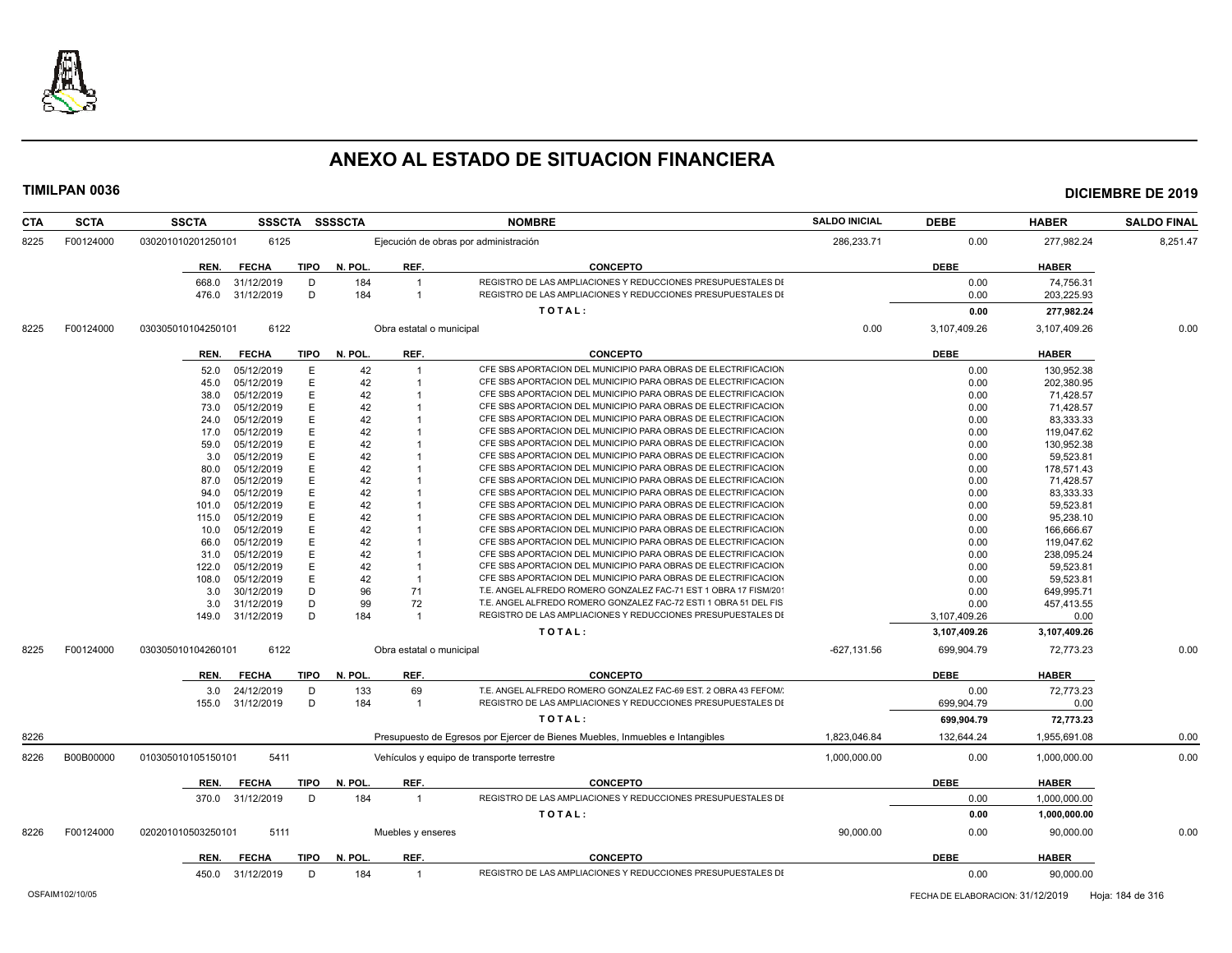

| <b>CTA</b> | <b>SCTA</b> | <b>SSCTA</b><br>SSSCTA     | <b>SSSSCTA</b>         |                                       | <b>NOMBRE</b>                                                                 | <b>SALDO INICIAL</b> | <b>DEBE</b>  | <b>HABER</b> | <b>SALDO FINAL</b> |
|------------|-------------|----------------------------|------------------------|---------------------------------------|-------------------------------------------------------------------------------|----------------------|--------------|--------------|--------------------|
| 8225       | F00124000   | 030201010201250101<br>6125 |                        | Ejecución de obras por administración |                                                                               | 286,233.71           | 0.00         | 277,982.24   | 8,251.47           |
|            |             | <b>FECHA</b><br>REN.       | <b>TIPO</b><br>N. POL  | REF.                                  | <b>CONCEPTO</b>                                                               |                      | <b>DEBE</b>  | <b>HABER</b> |                    |
|            |             | 31/12/2019<br>668.0        | D<br>184               | $\overline{1}$                        | REGISTRO DE LAS AMPLIACIONES Y REDUCCIONES PRESUPUESTALES DI                  |                      | 0.00         | 74,756.31    |                    |
|            |             | 31/12/2019<br>476.0        | D<br>184               | $\overline{1}$                        | REGISTRO DE LAS AMPLIACIONES Y REDUCCIONES PRESUPUESTALES DI                  |                      | 0.00         | 203,225.93   |                    |
|            |             |                            |                        |                                       | TOTAL:                                                                        |                      | 0.00         | 277,982.24   |                    |
| 8225       | F00124000   | 6122<br>030305010104250101 |                        | Obra estatal o municipal              |                                                                               | 0.00                 | 3,107,409.26 | 3,107,409.26 | 0.00               |
|            |             | <b>FECHA</b><br>REN.       | <b>TIPO</b><br>N. POL. | REF.                                  | <b>CONCEPTO</b>                                                               |                      | <b>DEBE</b>  | <b>HABER</b> |                    |
|            |             | 05/12/2019<br>52.0         | E<br>42                | $\overline{1}$                        | CFE SBS APORTACION DEL MUNICIPIO PARA OBRAS DE ELECTRIFICACION                |                      | 0.00         | 130.952.38   |                    |
|            |             | 05/12/2019<br>45.0         | E<br>42                |                                       | CFE SBS APORTACION DEL MUNICIPIO PARA OBRAS DE ELECTRIFICACION                |                      | 0.00         | 202,380.95   |                    |
|            |             | 05/12/2019<br>38.0         | 42<br>E                |                                       | CFE SBS APORTACION DEL MUNICIPIO PARA OBRAS DE ELECTRIFICACION                |                      | 0.00         | 71,428.57    |                    |
|            |             | 05/12/2019<br>73.0         | Е<br>42                |                                       | CFE SBS APORTACION DEL MUNICIPIO PARA OBRAS DE ELECTRIFICACION                |                      | 0.00         | 71,428.57    |                    |
|            |             | 05/12/2019<br>24.0         | 42                     |                                       | CFE SBS APORTACION DEL MUNICIPIO PARA OBRAS DE ELECTRIFICACION                |                      | 0.00         | 83,333.33    |                    |
|            |             | 05/12/2019<br>17.0         | 42<br>Е                |                                       | CFE SBS APORTACION DEL MUNICIPIO PARA OBRAS DE ELECTRIFICACION                |                      | 0.00         | 119,047.62   |                    |
|            |             | 05/12/2019<br>59.0         | 42                     |                                       | CFE SBS APORTACION DEL MUNICIPIO PARA OBRAS DE ELECTRIFICACION                |                      | 0.00         | 130,952.38   |                    |
|            |             | 05/12/2019<br>3.0          | 42                     |                                       | CFE SBS APORTACION DEL MUNICIPIO PARA OBRAS DE ELECTRIFICACION                |                      | 0.00         | 59,523.81    |                    |
|            |             | 05/12/2019<br>80.0         | 42                     |                                       | CFE SBS APORTACION DEL MUNICIPIO PARA OBRAS DE ELECTRIFICACION                |                      | 0.00         | 178,571.43   |                    |
|            |             | 05/12/2019<br>87.0         | 42                     |                                       | CFE SBS APORTACION DEL MUNICIPIO PARA OBRAS DE ELECTRIFICACION                |                      | 0.00         | 71,428.57    |                    |
|            |             | 05/12/2019<br>94.0         | 42                     |                                       | CFE SBS APORTACION DEL MUNICIPIO PARA OBRAS DE ELECTRIFICACION                |                      | 0.00         | 83.333.33    |                    |
|            |             | 05/12/2019<br>101.0        | 42                     |                                       | CFE SBS APORTACION DEL MUNICIPIO PARA OBRAS DE ELECTRIFICACION                |                      | 0.00         | 59,523.81    |                    |
|            |             | 05/12/2019<br>115.0        | 42                     |                                       | CFE SBS APORTACION DEL MUNICIPIO PARA OBRAS DE ELECTRIFICACION                |                      | 0.00         | 95,238.10    |                    |
|            |             | 05/12/2019<br>10.0         | Е<br>42                |                                       | CFE SBS APORTACION DEL MUNICIPIO PARA OBRAS DE ELECTRIFICACION                |                      | 0.00         | 166,666.67   |                    |
|            |             | 05/12/2019<br>66.0         | 42                     |                                       | CFE SBS APORTACION DEL MUNICIPIO PARA OBRAS DE ELECTRIFICACION                |                      | 0.00         | 119,047.62   |                    |
|            |             | 05/12/2019<br>31.0         | 42<br>Е                |                                       | CFE SBS APORTACION DEL MUNICIPIO PARA OBRAS DE ELECTRIFICACION                |                      | 0.00         | 238,095.24   |                    |
|            |             | 05/12/2019<br>122.0        | E<br>42                |                                       | CFE SBS APORTACION DEL MUNICIPIO PARA OBRAS DE ELECTRIFICACION                |                      | 0.00         | 59,523.81    |                    |
|            |             | 05/12/2019<br>108.0        | 42<br>F                | $\overline{1}$                        | CFE SBS APORTACION DEL MUNICIPIO PARA OBRAS DE ELECTRIFICACION                |                      | 0.00         | 59,523.81    |                    |
|            |             | 30/12/2019<br>3.0          | D<br>96                | 71                                    | T.E. ANGEL ALFREDO ROMERO GONZALEZ FAC-71 EST 1 OBRA 17 FISM/20               |                      | 0.00         | 649.995.71   |                    |
|            |             | 31/12/2019<br>3.0          | D<br>99                | 72                                    | T.E. ANGEL ALFREDO ROMERO GONZALEZ FAC-72 ESTI 1 OBRA 51 DEL FIS              |                      | 0.00         | 457,413.55   |                    |
|            |             | 31/12/2019<br>149.0        | D<br>184               | $\overline{1}$                        | REGISTRO DE LAS AMPLIACIONES Y REDUCCIONES PRESUPUESTALES DI                  |                      | 3,107,409.26 | 0.00         |                    |
|            |             |                            |                        |                                       | TOTAL:                                                                        |                      | 3,107,409.26 | 3,107,409.26 |                    |
| 8225       | F00124000   | 6122<br>030305010104260101 |                        | Obra estatal o municipal              |                                                                               | $-627, 131.56$       | 699.904.79   | 72.773.23    | 0.00               |
|            |             | REN.<br><b>FECHA</b>       | <b>TIPO</b><br>N. POL. | REF.                                  | <b>CONCEPTO</b>                                                               |                      | <b>DEBE</b>  | <b>HABER</b> |                    |
|            |             | 24/12/2019<br>3.0          | 133<br>D               | 69                                    | T.E. ANGEL ALFREDO ROMERO GONZALEZ FAC-69 EST. 2 OBRA 43 FEFOM/               |                      | 0.00         | 72,773.23    |                    |
|            |             | 155.0 31/12/2019           | D<br>184               | $\overline{1}$                        | REGISTRO DE LAS AMPLIACIONES Y REDUCCIONES PRESUPUESTALES DI                  |                      | 699,904.79   | 0.00         |                    |
|            |             |                            |                        |                                       | TOTAL:                                                                        |                      | 699,904.79   | 72,773.23    |                    |
| 8226       |             |                            |                        |                                       | Presupuesto de Egresos por Ejercer de Bienes Muebles, Inmuebles e Intangibles | 1,823,046.84         | 132,644.24   | 1,955,691.08 | 0.00               |
| 8226       | B00B00000   | 5411<br>010305010105150101 |                        |                                       | Vehículos y equipo de transporte terrestre                                    | 1.000.000.00         | 0.00         | 1,000,000.00 | 0.00               |
|            |             | REN.<br><b>FECHA</b>       | <b>TIPO</b><br>N. POL  | REF.                                  | <b>CONCEPTO</b>                                                               |                      | <b>DEBE</b>  | <b>HABER</b> |                    |
|            |             | 31/12/2019<br>370.0        | 184<br>D               | $\overline{1}$                        | REGISTRO DE LAS AMPLIACIONES Y REDUCCIONES PRESUPUESTALES DI                  |                      | 0.00         | 1,000,000.00 |                    |
|            |             |                            |                        |                                       | TOTAL:                                                                        |                      | 0.00         | 1,000,000.00 |                    |
| 8226       | F00124000   | 5111<br>020201010503250101 |                        | Muebles y enseres                     |                                                                               | 90,000.00            | 0.00         | 90,000.00    | 0.00               |
|            |             | REN.                       | <b>TIPO</b>            | REF.                                  |                                                                               |                      | <b>DEBE</b>  |              |                    |
|            |             | <b>FECHA</b>               | N. POL                 |                                       | <b>CONCEPTO</b>                                                               |                      |              | <b>HABER</b> |                    |
|            |             | 450.0 31/12/2019           | D<br>184               | $\overline{1}$                        | REGISTRO DE LAS AMPLIACIONES Y REDUCCIONES PRESUPUESTALES DI                  |                      | 0.00         | 90.000.00    |                    |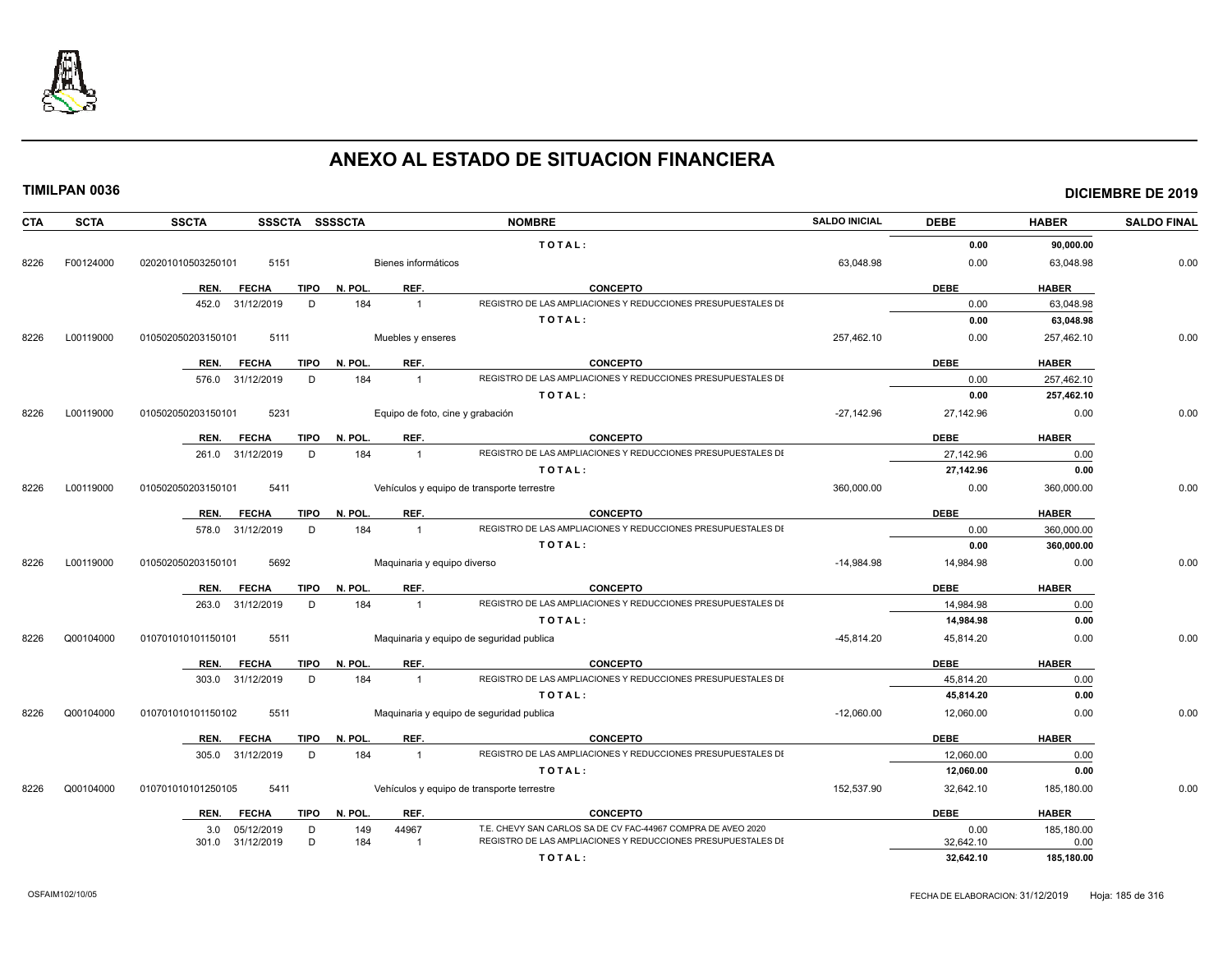

| <b>CTA</b> | <b>SCTA</b> | <b>SSCTA</b><br>SSSCTA SSSSCTA           |                                  | <b>NOMBRE</b>                                                                   | <b>SALDO INICIAL</b> | <b>DEBE</b>            | <b>HABER</b> | <b>SALDO FINAL</b> |
|------------|-------------|------------------------------------------|----------------------------------|---------------------------------------------------------------------------------|----------------------|------------------------|--------------|--------------------|
|            |             |                                          |                                  | TOTAL:                                                                          |                      | 0.00                   | 90,000.00    |                    |
| 8226       | F00124000   | 020201010503250101<br>5151               | Bienes informáticos              |                                                                                 | 63,048.98            | 0.00                   | 63,048.98    | 0.00               |
|            |             | REN.<br><b>FECHA</b><br>TIPO             | REF.<br>N. POL.                  | <b>CONCEPTO</b>                                                                 |                      | <b>DEBE</b>            | <b>HABER</b> |                    |
|            |             | 452.0 31/12/2019<br>D                    | 184<br>$\overline{1}$            | REGISTRO DE LAS AMPLIACIONES Y REDUCCIONES PRESUPUESTALES DI                    |                      | 0.00                   | 63,048.98    |                    |
|            |             |                                          |                                  | TOTAL:                                                                          |                      | 0.00                   | 63,048.98    |                    |
| 8226       | L00119000   | 010502050203150101<br>5111               | Muebles y enseres                |                                                                                 | 257,462.10           | 0.00                   | 257,462.10   | 0.00               |
|            |             |                                          |                                  |                                                                                 |                      |                        |              |                    |
|            |             | <b>FECHA</b><br><b>TIPO</b><br>REN.      | REF.<br>N. POL.                  | <b>CONCEPTO</b>                                                                 |                      | <b>DEBE</b>            | <b>HABER</b> |                    |
|            |             | 576.0 31/12/2019<br>D                    | 184<br>$\overline{1}$            | REGISTRO DE LAS AMPLIACIONES Y REDUCCIONES PRESUPUESTALES DI                    |                      | 0.00                   | 257,462.10   |                    |
|            |             |                                          |                                  | TOTAL:                                                                          |                      | 0.00                   | 257,462.10   |                    |
| 8226       | L00119000   | 010502050203150101<br>5231               | Equipo de foto, cine y grabación |                                                                                 | $-27,142.96$         | 27,142.96              | 0.00         | 0.00               |
|            |             | <b>TIPO</b><br>REN.<br><b>FECHA</b>      | N. POL.<br>REF.                  | <b>CONCEPTO</b>                                                                 |                      | <b>DEBE</b>            | <b>HABER</b> |                    |
|            |             | 261.0 31/12/2019<br>D                    | 184<br>$\overline{1}$            | REGISTRO DE LAS AMPLIACIONES Y REDUCCIONES PRESUPUESTALES DI                    |                      | 27,142.96              | 0.00         |                    |
|            |             |                                          |                                  | TOTAL:                                                                          |                      | 27,142.96              | 0.00         |                    |
| 8226       | L00119000   | 5411<br>010502050203150101               |                                  | Vehículos y equipo de transporte terrestre                                      | 360,000.00           | 0.00                   | 360,000.00   | 0.00               |
|            |             | REN. FECHA<br><b>TIPO</b>                | REF.<br>N. POL.                  | <b>CONCEPTO</b>                                                                 |                      | <b>DEBE</b>            | <b>HABER</b> |                    |
|            |             | 578.0 31/12/2019<br>D                    | 184<br>$\overline{1}$            | REGISTRO DE LAS AMPLIACIONES Y REDUCCIONES PRESUPUESTALES DI                    |                      | 0.00                   | 360,000.00   |                    |
|            |             |                                          |                                  | TOTAL:                                                                          |                      | 0.00                   | 360,000.00   |                    |
| 8226       | L00119000   | 5692<br>010502050203150101               | Maquinaria y equipo diverso      |                                                                                 | $-14,984.98$         | 14,984.98              | 0.00         | 0.00               |
|            |             |                                          |                                  |                                                                                 |                      |                        |              |                    |
|            |             | <b>TIPO</b><br>REN.<br><b>FECHA</b><br>D | N. POL.<br>REF.                  | <b>CONCEPTO</b><br>REGISTRO DE LAS AMPLIACIONES Y REDUCCIONES PRESUPUESTALES DI |                      | <b>DEBE</b>            | <b>HABER</b> |                    |
|            |             | 263.0 31/12/2019                         | 184<br>$\overline{1}$            | TOTAL:                                                                          |                      | 14.984.98<br>14,984.98 | 0.00<br>0.00 |                    |
|            |             |                                          |                                  |                                                                                 |                      |                        |              |                    |
| 8226       | Q00104000   | 010701010101150101<br>5511               |                                  | Maquinaria y equipo de seguridad publica                                        | $-45.814.20$         | 45,814.20              | 0.00         | 0.00               |
|            |             | <b>FECHA</b><br>TIPO<br>REN.             | REF.<br>N. POL.                  | <b>CONCEPTO</b>                                                                 |                      | <b>DEBE</b>            | <b>HABER</b> |                    |
|            |             | 303.0 31/12/2019<br>D                    | 184<br>$\overline{1}$            | REGISTRO DE LAS AMPLIACIONES Y REDUCCIONES PRESUPUESTALES DI                    |                      | 45,814.20              | 0.00         |                    |
|            |             |                                          |                                  | TOTAL:                                                                          |                      | 45,814.20              | 0.00         |                    |
| 8226       | Q00104000   | 5511<br>010701010101150102               |                                  | Maquinaria y equipo de seguridad publica                                        | $-12,060.00$         | 12,060.00              | 0.00         | 0.00               |
|            |             | <b>TIPO</b><br>REN.<br><b>FECHA</b>      | REF.<br>N. POL.                  | <b>CONCEPTO</b>                                                                 |                      | <b>DEBE</b>            | <b>HABER</b> |                    |
|            |             | 305.0 31/12/2019<br>D                    | 184<br>$\overline{1}$            | REGISTRO DE LAS AMPLIACIONES Y REDUCCIONES PRESUPUESTALES DI                    |                      | 12,060.00              | 0.00         |                    |
|            |             |                                          |                                  | TOTAL:                                                                          |                      | 12,060.00              | 0.00         |                    |
| 8226       | Q00104000   | 010701010101250105<br>5411               |                                  | Vehículos y equipo de transporte terrestre                                      | 152,537.90           | 32,642.10              | 185,180.00   | 0.00               |
|            |             | TIPO<br>REN.<br><b>FECHA</b>             | N. POL.<br>REF.                  | <b>CONCEPTO</b>                                                                 |                      | <b>DEBE</b>            | <b>HABER</b> |                    |
|            |             | 05/12/2019<br>D<br>3.0                   | 44967<br>149                     | T.E. CHEVY SAN CARLOS SA DE CV FAC-44967 COMPRA DE AVEO 2020                    |                      | 0.00                   | 185,180.00   |                    |
|            |             | D<br>301.0 31/12/2019                    | 184<br>$\overline{1}$            | REGISTRO DE LAS AMPLIACIONES Y REDUCCIONES PRESUPUESTALES DI                    |                      | 32.642.10              | 0.00         |                    |
|            |             |                                          |                                  | TOTAL:                                                                          |                      | 32.642.10              | 185,180.00   |                    |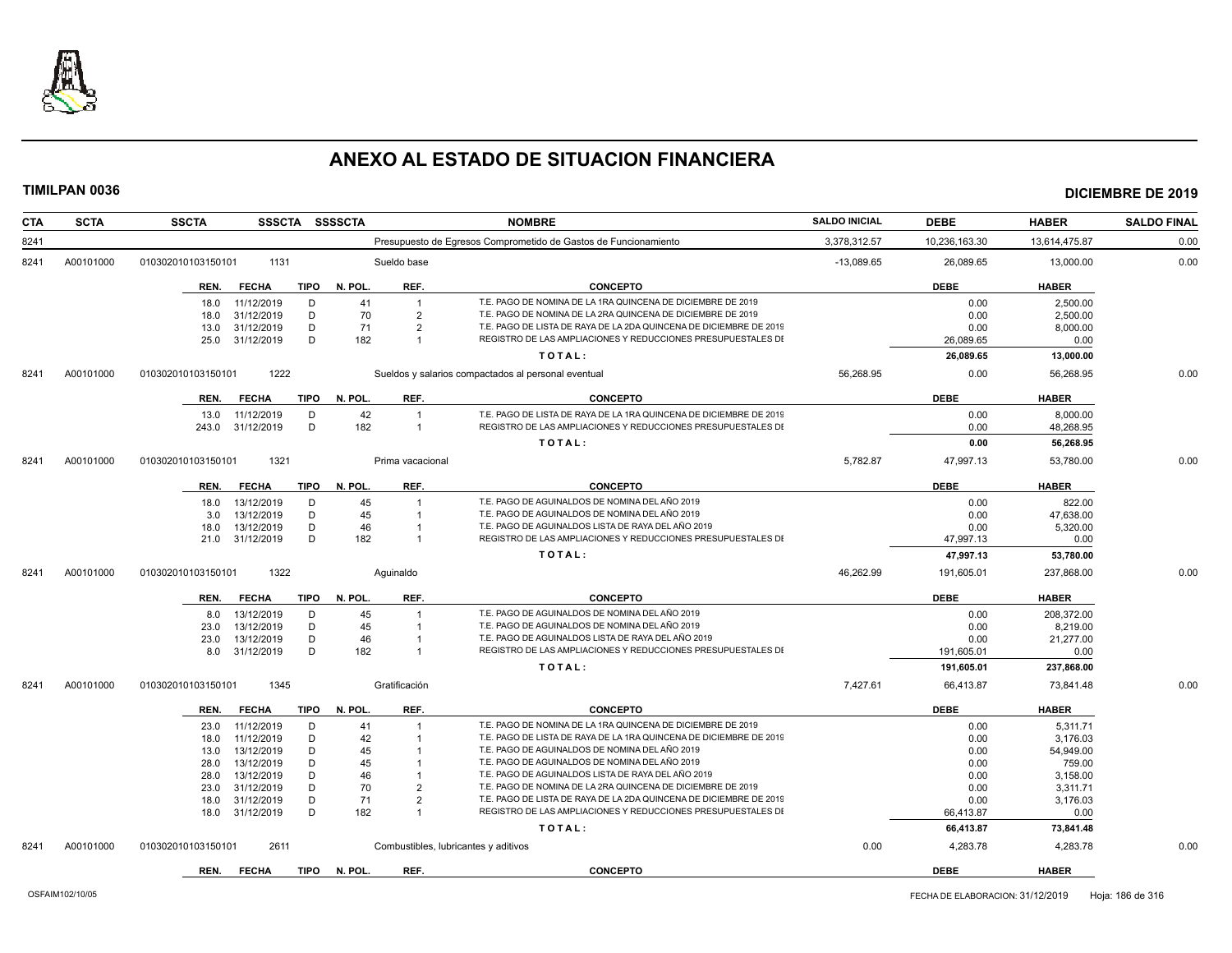

| <b>CTA</b> | <b>SCTA</b> | <b>SSCTA</b>               | SSSCTA SSSSCTA         |                                      | <b>NOMBRE</b>                                                                                                                      | <b>SALDO INICIAL</b> | <b>DEBE</b>   | <b>HABER</b>  | <b>SALDO FINAL</b> |
|------------|-------------|----------------------------|------------------------|--------------------------------------|------------------------------------------------------------------------------------------------------------------------------------|----------------------|---------------|---------------|--------------------|
| 8241       |             |                            |                        |                                      | Presupuesto de Egresos Comprometido de Gastos de Funcionamiento                                                                    | 3,378,312.57         | 10,236,163.30 | 13,614,475.87 | 0.00               |
| 8241       | A00101000   | 1131<br>010302010103150101 |                        | Sueldo base                          |                                                                                                                                    | $-13,089.65$         | 26,089.65     | 13,000.00     | 0.00               |
|            |             | REN.<br><b>FECHA</b>       | <b>TIPO</b><br>N. POL. | REF.                                 | <b>CONCEPTO</b>                                                                                                                    |                      | <b>DEBE</b>   | <b>HABER</b>  |                    |
|            |             | 11/12/2019<br>18.0         | D<br>41                |                                      | T.E. PAGO DE NOMINA DE LA 1RA QUINCENA DE DICIEMBRE DE 2019                                                                        |                      | 0.00          | 2,500.00      |                    |
|            |             | 31/12/2019<br>18.0         | D<br>70                | $\overline{2}$                       | T.E. PAGO DE NOMINA DE LA 2RA QUINCENA DE DICIEMBRE DE 2019                                                                        |                      | 0.00          | 2,500.00      |                    |
|            |             | 31/12/2019<br>13.0         | D<br>71                | $\overline{2}$                       | T.E. PAGO DE LISTA DE RAYA DE LA 2DA QUINCENA DE DICIEMBRE DE 2019                                                                 |                      | 0.00          | 8,000.00      |                    |
|            |             | 31/12/2019<br>25.0         | D<br>182               |                                      | REGISTRO DE LAS AMPLIACIONES Y REDUCCIONES PRESUPUESTALES DI                                                                       |                      | 26,089.65     | 0.00          |                    |
|            |             |                            |                        |                                      | TOTAL:                                                                                                                             |                      | 26,089.65     | 13,000.00     |                    |
| 8241       | A00101000   | 1222<br>010302010103150101 |                        |                                      | Sueldos y salarios compactados al personal eventual                                                                                | 56,268.95            | 0.00          | 56.268.95     | 0.00               |
|            |             | <b>FECHA</b><br>REN.       | <b>TIPO</b><br>N. POL. | REF.                                 | <b>CONCEPTO</b>                                                                                                                    |                      | <b>DEBE</b>   | <b>HABER</b>  |                    |
|            |             | 11/12/2019<br>13.0         | 42<br>D                |                                      | T.E. PAGO DE LISTA DE RAYA DE LA 1RA QUINCENA DE DICIEMBRE DE 2019                                                                 |                      | 0.00          | 8,000.00      |                    |
|            |             | 243.0<br>31/12/2019        | D<br>182               | $\mathbf{1}$                         | REGISTRO DE LAS AMPLIACIONES Y REDUCCIONES PRESUPUESTALES DI                                                                       |                      | 0.00          | 48,268.95     |                    |
|            |             |                            |                        |                                      | TOTAL:                                                                                                                             |                      | 0.00          | 56,268.95     |                    |
|            |             |                            |                        |                                      |                                                                                                                                    |                      |               |               |                    |
| 8241       | A00101000   | 010302010103150101<br>1321 |                        | Prima vacacional                     |                                                                                                                                    | 5,782.87             | 47,997.13     | 53,780.00     | 0.00               |
|            |             | REN.<br><b>FECHA</b>       | TIPO N. POL.           | REF.                                 | <b>CONCEPTO</b>                                                                                                                    |                      | <b>DEBE</b>   | <b>HABER</b>  |                    |
|            |             | 13/12/2019<br>18.0         | 45<br>D                | $\overline{1}$                       | T.E. PAGO DE AGUINALDOS DE NOMINA DEL AÑO 2019                                                                                     |                      | 0.00          | 822.00        |                    |
|            |             | 13/12/2019<br>3.0          | D<br>45                | $\overline{1}$                       | T.E. PAGO DE AGUINALDOS DE NOMINA DEL AÑO 2019                                                                                     |                      | 0.00          | 47.638.00     |                    |
|            |             | 13/12/2019<br>18.0         | D<br>46                | -1                                   | T.E. PAGO DE AGUINALDOS LISTA DE RAYA DEL AÑO 2019                                                                                 |                      | 0.00          | 5,320.00      |                    |
|            |             | 31/12/2019<br>21.0         | D<br>182               |                                      | REGISTRO DE LAS AMPLIACIONES Y REDUCCIONES PRESUPUESTALES DI                                                                       |                      | 47,997.13     | 0.00          |                    |
|            |             |                            |                        |                                      | TOTAL:                                                                                                                             |                      | 47,997.13     | 53,780.00     |                    |
| 8241       | A00101000   | 1322<br>010302010103150101 |                        | Aquinaldo                            |                                                                                                                                    | 46.262.99            | 191,605.01    | 237,868.00    | 0.00               |
|            |             | REN.<br><b>FECHA</b>       | N. POL.<br>TIPO        | REF.                                 | <b>CONCEPTO</b>                                                                                                                    |                      | <b>DEBE</b>   | <b>HABER</b>  |                    |
|            |             | 13/12/2019<br>8.0          | 45<br>D                | $\overline{1}$                       | T.E. PAGO DE AGUINALDOS DE NOMINA DEL AÑO 2019                                                                                     |                      | 0.00          | 208,372.00    |                    |
|            |             | 13/12/2019<br>23.0         | D<br>45                | $\mathbf{1}$                         | T.E. PAGO DE AGUINALDOS DE NOMINA DEL AÑO 2019                                                                                     |                      | 0.00          | 8.219.00      |                    |
|            |             | 23.0<br>13/12/2019         | D<br>46                | -1                                   | T.E. PAGO DE AGUINALDOS LISTA DE RAYA DEL AÑO 2019                                                                                 |                      | 0.00          | 21,277.00     |                    |
|            |             | 31/12/2019<br>8.0          | D<br>182               | $\overline{1}$                       | REGISTRO DE LAS AMPLIACIONES Y REDUCCIONES PRESUPUESTALES DI                                                                       |                      | 191,605.01    | 0.00          |                    |
|            |             |                            |                        |                                      | TOTAL:                                                                                                                             |                      | 191,605.01    | 237,868.00    |                    |
| 8241       | A00101000   | 010302010103150101<br>1345 |                        | Gratificación                        |                                                                                                                                    | 7,427.61             | 66,413.87     | 73,841.48     | 0.00               |
|            |             | <b>FECHA</b><br>REN.       | N. POL.<br><b>TIPO</b> | REF.                                 | <b>CONCEPTO</b>                                                                                                                    |                      | <b>DEBE</b>   | <b>HABER</b>  |                    |
|            |             | 11/12/2019<br>23.0         | D<br>41                |                                      | T.E. PAGO DE NOMINA DE LA 1RA QUINCENA DE DICIEMBRE DE 2019                                                                        |                      | 0.00          | 5,311.71      |                    |
|            |             | 11/12/2019<br>18.0         | D<br>42                |                                      | T.E. PAGO DE LISTA DE RAYA DE LA 1RA QUINCENA DE DICIEMBRE DE 2019                                                                 |                      | 0.00          | 3,176.03      |                    |
|            |             | 13/12/2019<br>13.0         | 45<br>D                |                                      | T.E. PAGO DE AGUINALDOS DE NOMINA DEL AÑO 2019                                                                                     |                      | 0.00          | 54,949.00     |                    |
|            |             | 13/12/2019<br>28.0         | D<br>45                |                                      | T.E. PAGO DE AGUINALDOS DE NOMINA DEL AÑO 2019                                                                                     |                      | 0.00          | 759.00        |                    |
|            |             | 13/12/2019<br>28.0         | 46<br>D                |                                      | T.E. PAGO DE AGUINALDOS LISTA DE RAYA DEL AÑO 2019                                                                                 |                      | 0.00          | 3,158.00      |                    |
|            |             | 31/12/2019<br>23.0         | 70<br>D                | $\overline{2}$                       | T.E. PAGO DE NOMINA DE LA 2RA QUINCENA DE DICIEMBRE DE 2019                                                                        |                      | 0.00          | 3,311.71      |                    |
|            |             | 31/12/2019<br>18.0         | D<br>71                | $\overline{2}$<br>$\overline{1}$     | T.E. PAGO DE LISTA DE RAYA DE LA 2DA QUINCENA DE DICIEMBRE DE 2019<br>REGISTRO DE LAS AMPLIACIONES Y REDUCCIONES PRESUPUESTALES DI |                      | 0.00          | 3,176.03      |                    |
|            |             | 31/12/2019<br>18.0         | D<br>182               |                                      |                                                                                                                                    |                      | 66,413.87     | 0.00          |                    |
|            |             |                            |                        |                                      | TOTAL:                                                                                                                             |                      | 66,413.87     | 73,841.48     |                    |
| 8241       | A00101000   | 010302010103150101<br>2611 |                        | Combustibles, lubricantes y aditivos |                                                                                                                                    | 0.00                 | 4,283.78      | 4,283.78      | 0.00               |
|            |             | REN. FECHA                 | TIPO N. POL.           | REF.                                 | <b>CONCEPTO</b>                                                                                                                    |                      | <b>DEBE</b>   | <b>HABER</b>  |                    |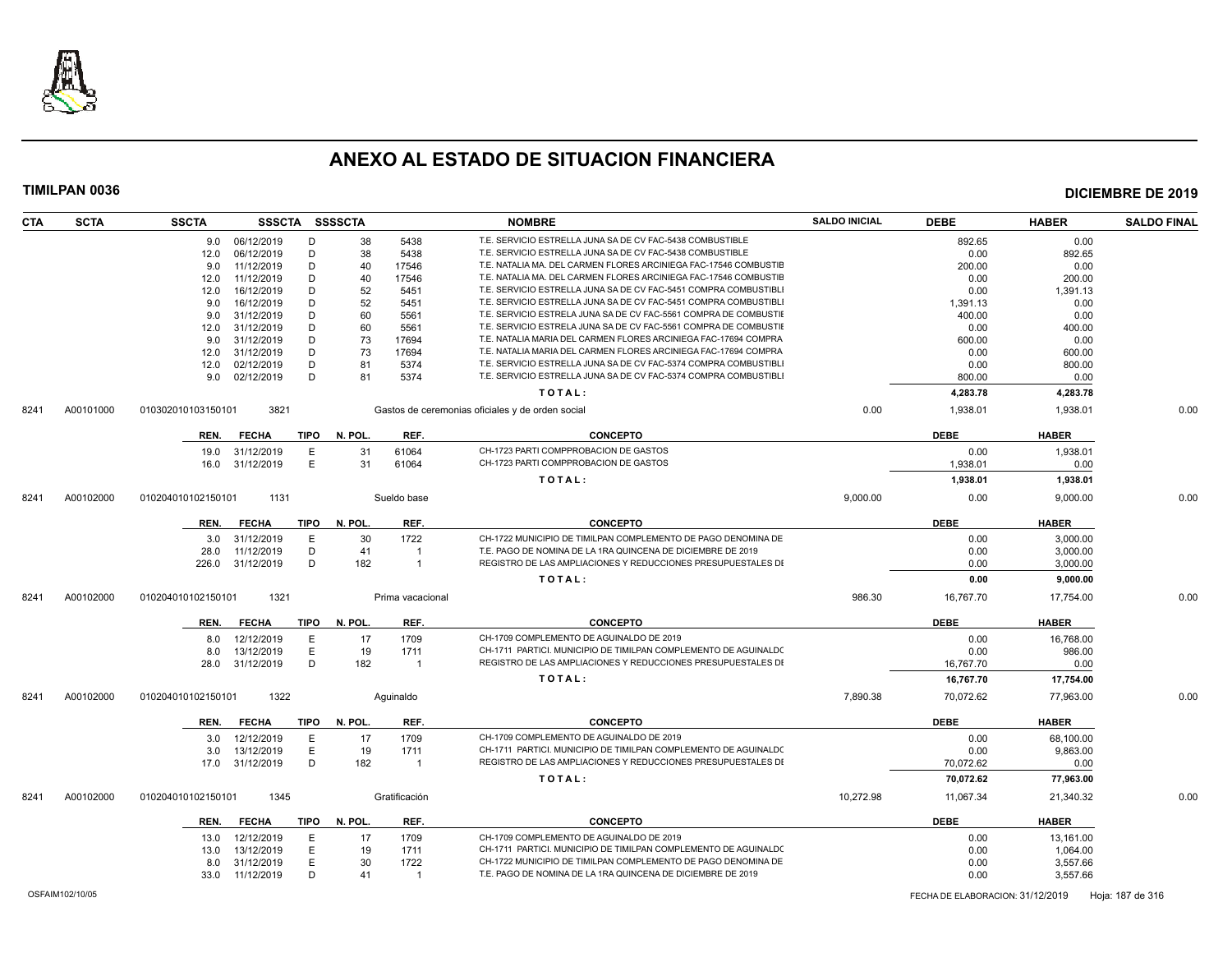

| <b>CTA</b> | <b>SCTA</b> | <b>SSCTA</b>       | SSSCTA SSSSCTA  |             |              |                  | <b>NOMBRE</b>                                                    | <b>SALDO INICIAL</b> | <b>DEBE</b> | <b>HABER</b> | <b>SALDO FINAL</b> |
|------------|-------------|--------------------|-----------------|-------------|--------------|------------------|------------------------------------------------------------------|----------------------|-------------|--------------|--------------------|
|            |             |                    | 9.0 06/12/2019  | D           | 38           | 5438             | T.E. SERVICIO ESTRELLA JUNA SA DE CV FAC-5438 COMBUSTIBLE        |                      | 892.65      | 0.00         |                    |
|            |             | 12.0               | 06/12/2019      | D           | 38           | 5438             | T.E. SERVICIO ESTRELLA JUNA SA DE CV FAC-5438 COMBUSTIBLE        |                      | 0.00        | 892.65       |                    |
|            |             | 9.0                | 11/12/2019      | D           | 40           | 17546            | T.E. NATALIA MA. DEL CARMEN FLORES ARCINIEGA FAC-17546 COMBUSTIE |                      | 200.00      | 0.00         |                    |
|            |             | 12.0               | 11/12/2019      | D           | 40           | 17546            | T.E. NATALIA MA. DEL CARMEN FLORES ARCINIEGA FAC-17546 COMBUSTIE |                      | 0.00        | 200.00       |                    |
|            |             | 12.0               | 16/12/2019      | D           | 52           | 5451             | T.E. SERVICIO ESTRELLA JUNA SA DE CV FAC-5451 COMPRA COMBUSTIBLI |                      | 0.00        | 1,391.13     |                    |
|            |             | 9.0                | 16/12/2019      | D           | 52           | 5451             | T.E. SERVICIO ESTRELLA JUNA SA DE CV FAC-5451 COMPRA COMBUSTIBLI |                      | 1,391.13    | 0.00         |                    |
|            |             | 9.0                | 31/12/2019      | D           | 60           | 5561             | T.E. SERVICIO ESTRELA JUNA SA DE CV FAC-5561 COMPRA DE COMBUSTIE |                      | 400.00      | 0.00         |                    |
|            |             | 12.0               | 31/12/2019      | D           | 60           | 5561             | T.E. SERVICIO ESTRELA JUNA SA DE CV FAC-5561 COMPRA DE COMBUSTIE |                      | 0.00        | 400.00       |                    |
|            |             | 9.0                | 31/12/2019      | D           | 73           | 17694            | T.E. NATALIA MARIA DEL CARMEN FLORES ARCINIEGA FAC-17694 COMPRA  |                      | 600.00      | 0.00         |                    |
|            |             | 12.0               | 31/12/2019      | D           | 73           | 17694            | T.E. NATALIA MARIA DEL CARMEN FLORES ARCINIEGA FAC-17694 COMPRA  |                      | 0.00        | 600.00       |                    |
|            |             | 12.0               | 02/12/2019      | D           | 81           | 5374             | T.E. SERVICIO ESTRELLA JUNA SA DE CV FAC-5374 COMPRA COMBUSTIBLI |                      | 0.00        | 800.00       |                    |
|            |             | 9.0                | 02/12/2019      | D           | 81           | 5374             | T.E. SERVICIO ESTRELLA JUNA SA DE CV FAC-5374 COMPRA COMBUSTIBLI |                      | 800.00      | 0.00         |                    |
|            |             |                    |                 |             |              |                  | TOTAL:                                                           |                      | 4,283.78    | 4,283.78     |                    |
| 8241       | A00101000   | 010302010103150101 | 3821            |             |              |                  | Gastos de ceremonias oficiales y de orden social                 | 0.00                 | 1,938.01    | 1,938.01     | 0.00               |
|            |             | REN.               | <b>FECHA</b>    | TIPO        | N. POL.      | REF.             | <b>CONCEPTO</b>                                                  |                      | <b>DEBE</b> | <b>HABER</b> |                    |
|            |             | 19.0               | 31/12/2019      | E           | 31           | 61064            | CH-1723 PARTI COMPPROBACION DE GASTOS                            |                      | 0.00        | 1,938.01     |                    |
|            |             | 16.0               | 31/12/2019      | E           | 31           | 61064            | CH-1723 PARTI COMPPROBACION DE GASTOS                            |                      | 1.938.01    | 0.00         |                    |
|            |             |                    |                 |             |              |                  | TOTAL:                                                           |                      | 1,938.01    | 1,938.01     |                    |
| 8241       | A00102000   | 010204010102150101 | 1131            |             |              | Sueldo base      |                                                                  | 9,000.00             | 0.00        | 9,000.00     | 0.00               |
|            |             | REN.               | <b>FECHA</b>    |             | TIPO N. POL. | REF.             | <b>CONCEPTO</b>                                                  |                      | <b>DEBE</b> | <b>HABER</b> |                    |
|            |             |                    |                 |             |              |                  |                                                                  |                      |             |              |                    |
|            |             | 3.0                | 31/12/2019      | E.          | 30           | 1722             | CH-1722 MUNICIPIO DE TIMILPAN COMPLEMENTO DE PAGO DENOMINA DE    |                      | 0.00        | 3,000.00     |                    |
|            |             | 28.0               | 11/12/2019      | D           | 41           | $\overline{1}$   | T.E. PAGO DE NOMINA DE LA 1RA QUINCENA DE DICIEMBRE DE 2019      |                      | 0.00        | 3,000.00     |                    |
|            |             | 226.0              | 31/12/2019      | D           | 182          | $\overline{1}$   | REGISTRO DE LAS AMPLIACIONES Y REDUCCIONES PRESUPUESTALES DI     |                      | 0.00        | 3,000.00     |                    |
|            |             |                    |                 |             |              |                  | TOTAL:                                                           |                      | 0.00        | 9,000.00     |                    |
| 8241       | A00102000   | 010204010102150101 | 1321            |             |              | Prima vacacional |                                                                  | 986.30               | 16,767.70   | 17,754.00    | 0.00               |
|            |             | REN.               | <b>FECHA</b>    | <b>TIPO</b> | N. POL.      | REF.             | <b>CONCEPTO</b>                                                  |                      | <b>DEBE</b> | <b>HABER</b> |                    |
|            |             | 8.0                | 12/12/2019      | E.          | 17           | 1709             | CH-1709 COMPLEMENTO DE AGUINALDO DE 2019                         |                      | 0.00        | 16,768.00    |                    |
|            |             | 8.0                | 13/12/2019      | E           | 19           | 1711             | CH-1711 PARTICI. MUNICIPIO DE TIMILPAN COMPLEMENTO DE AGUINALDO  |                      | 0.00        | 986.00       |                    |
|            |             | 28.0               | 31/12/2019      | D           | 182          | $\overline{1}$   | REGISTRO DE LAS AMPLIACIONES Y REDUCCIONES PRESUPUESTALES DI     |                      | 16,767.70   | 0.00         |                    |
|            |             |                    |                 |             |              |                  | TOTAL:                                                           |                      | 16,767.70   | 17,754.00    |                    |
| 8241       | A00102000   | 010204010102150101 | 1322            |             |              | Aquinaldo        |                                                                  | 7,890.38             | 70,072.62   | 77,963.00    | 0.00               |
|            |             | REN.               | <b>FECHA</b>    | <b>TIPO</b> | N. POL.      | REF.             | <b>CONCEPTO</b>                                                  |                      | <b>DEBE</b> | <b>HABER</b> |                    |
|            |             | 3.0                | 12/12/2019      | E           | 17           | 1709             | CH-1709 COMPLEMENTO DE AGUINALDO DE 2019                         |                      | 0.00        | 68.100.00    |                    |
|            |             | 3.0                | 13/12/2019      | E.          | 19           | 1711             | CH-1711 PARTICI, MUNICIPIO DE TIMILPAN COMPLEMENTO DE AGUINALDO  |                      | 0.00        | 9,863.00     |                    |
|            |             |                    | 17.0 31/12/2019 | D           | 182          | $\overline{1}$   | REGISTRO DE LAS AMPLIACIONES Y REDUCCIONES PRESUPUESTALES DI     |                      | 70.072.62   | 0.00         |                    |
|            |             |                    |                 |             |              |                  | TOTAL:                                                           |                      | 70.072.62   | 77,963.00    |                    |
| 8241       | A00102000   | 010204010102150101 | 1345            |             |              | Gratificación    |                                                                  | 10,272.98            | 11,067.34   | 21,340.32    | 0.00               |
|            |             | REN.               | <b>FECHA</b>    | TIPO        | N. POL.      | REF.             | <b>CONCEPTO</b>                                                  |                      | <b>DEBE</b> | <b>HABER</b> |                    |
|            |             |                    |                 |             |              |                  |                                                                  |                      |             |              |                    |
|            |             | 13.0               | 12/12/2019      | E           | 17           | 1709             | CH-1709 COMPLEMENTO DE AGUINALDO DE 2019                         |                      | 0.00        | 13.161.00    |                    |
|            |             | 13.0               | 13/12/2019      | E           | 19           | 1711             | CH-1711 PARTICI. MUNICIPIO DE TIMILPAN COMPLEMENTO DE AGUINALDO  |                      | 0.00        | 1,064.00     |                    |
|            |             | 8.0                | 31/12/2019      | E.          | 30           | 1722             | CH-1722 MUNICIPIO DE TIMILPAN COMPLEMENTO DE PAGO DENOMINA DE    |                      | 0.00        | 3,557.66     |                    |
|            |             | 33.0               | 11/12/2019      | D           | 41           | $\overline{1}$   | T.E. PAGO DE NOMINA DE LA 1RA QUINCENA DE DICIEMBRE DE 2019      |                      | 0.00        | 3,557.66     |                    |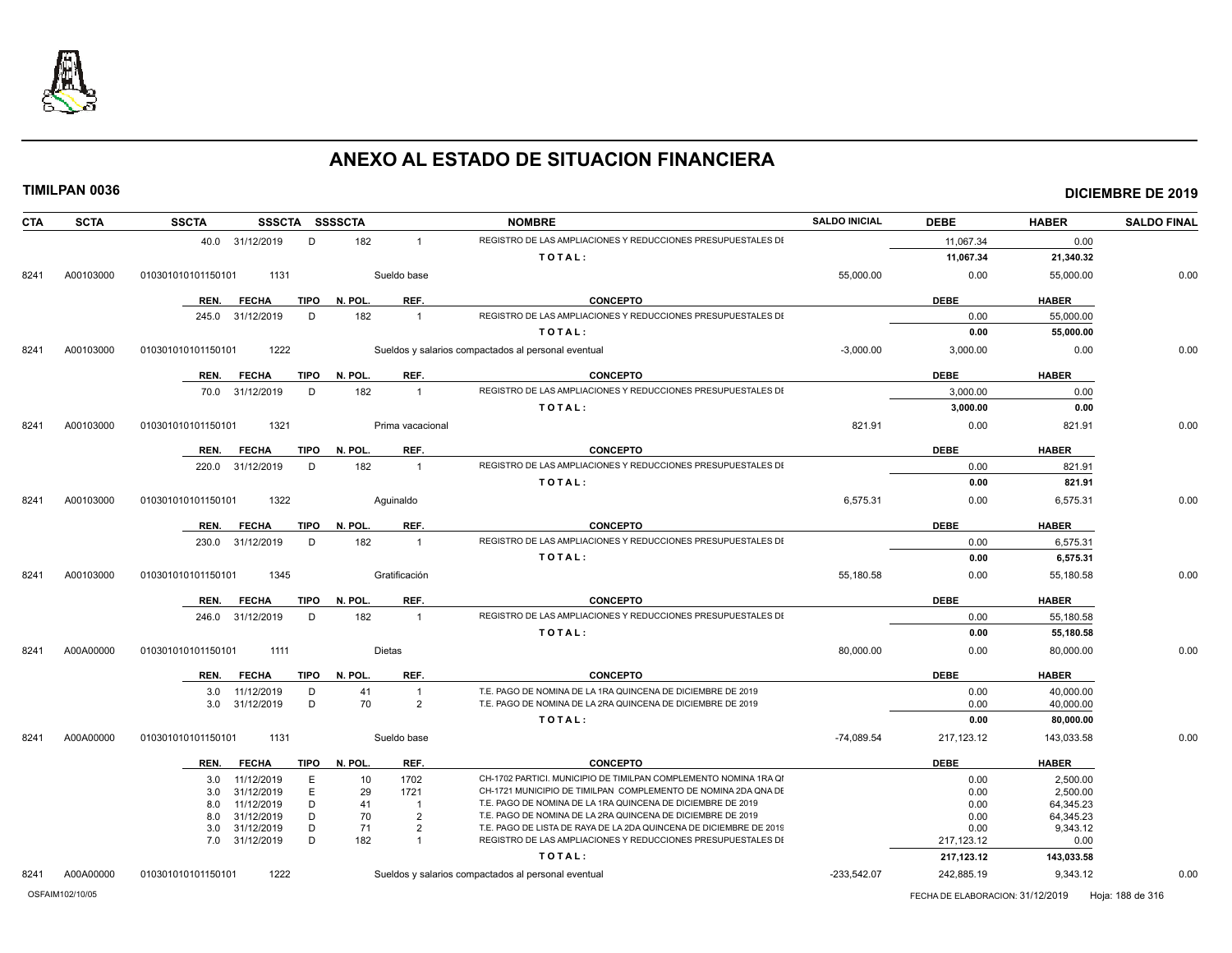

| <b>SCTA</b><br><b>CTA</b> | <b>SSCTA</b>       |                   |             | SSSCTA SSSSCTA |                  | <b>NOMBRE</b>                                                         | <b>SALDO INICIAL</b> | <b>DEBE</b>  | <b>HABER</b>           | <b>SALDO FINAL</b> |
|---------------------------|--------------------|-------------------|-------------|----------------|------------------|-----------------------------------------------------------------------|----------------------|--------------|------------------------|--------------------|
|                           |                    | 40.0 31/12/2019   | D           | 182            | $\overline{1}$   | REGISTRO DE LAS AMPLIACIONES Y REDUCCIONES PRESUPUESTALES DI          |                      | 11,067.34    | 0.00                   |                    |
|                           |                    |                   |             |                |                  | TOTAL:                                                                |                      | 11,067.34    | 21,340.32              |                    |
| A00103000<br>8241         | 010301010101150101 | 1131              |             |                | Sueldo base      |                                                                       | 55,000.00            | 0.00         | 55,000.00              | 0.00               |
|                           | REN.               | <b>FECHA</b>      | <b>TIPO</b> | N. POL.        | REF.             | <b>CONCEPTO</b>                                                       |                      | <b>DEBE</b>  | <b>HABER</b>           |                    |
|                           | 245.0              | 31/12/2019        | D           | 182            | $\overline{1}$   | REGISTRO DE LAS AMPLIACIONES Y REDUCCIONES PRESUPUESTALES DI          |                      | 0.00         | 55,000.00              |                    |
|                           |                    |                   |             |                |                  | TOTAL:                                                                |                      | 0.00         | 55,000.00              |                    |
| A00103000<br>8241         | 010301010101150101 | 1222              |             |                |                  | Sueldos y salarios compactados al personal eventual                   | $-3.000.00$          | 3,000.00     | 0.00                   | 0.00               |
|                           | REN.               | <b>FECHA</b>      | <b>TIPO</b> | N. POL.        | REF.             | <b>CONCEPTO</b>                                                       |                      | <b>DEBE</b>  | <b>HABER</b>           |                    |
|                           |                    | 70.0 31/12/2019   | D           | 182            | $\overline{1}$   | REGISTRO DE LAS AMPLIACIONES Y REDUCCIONES PRESUPUESTALES DI          |                      | 3,000.00     | 0.00                   |                    |
|                           |                    |                   |             |                |                  | TOTAL:                                                                |                      | 3,000.00     | 0.00                   |                    |
| A00103000<br>8241         | 010301010101150101 | 1321              |             |                | Prima vacacional |                                                                       | 821.91               | 0.00         | 821.91                 | 0.00               |
|                           | REN.               | <b>FECHA</b>      | TIPO        | N. POL.        | REF.             | CONCEPTO                                                              |                      | <b>DEBE</b>  | <b>HABER</b>           |                    |
|                           |                    | 220.0 31/12/2019  | D           | 182            | $\overline{1}$   | REGISTRO DE LAS AMPLIACIONES Y REDUCCIONES PRESUPUESTALES DI          |                      | 0.00         | 821.91                 |                    |
|                           |                    |                   |             |                |                  | TOTAL:                                                                |                      | 0.00         | 821.91                 |                    |
| A00103000<br>8241         | 010301010101150101 | 1322              |             |                | Aguinaldo        |                                                                       | 6,575.31             | 0.00         | 6,575.31               | 0.00               |
|                           | REN.               | <b>FECHA</b>      | TIPO        | N. POL.        | REF.             | <b>CONCEPTO</b>                                                       |                      | <b>DEBE</b>  | <b>HABER</b>           |                    |
|                           |                    | 230.0 31/12/2019  | D           | 182            | $\overline{1}$   | REGISTRO DE LAS AMPLIACIONES Y REDUCCIONES PRESUPUESTALES DI          |                      | 0.00         | 6,575.31               |                    |
|                           |                    |                   |             |                |                  | TOTAL:                                                                |                      | 0.00         | 6,575.31               |                    |
| A00103000<br>8241         | 010301010101150101 | 1345              |             |                | Gratificación    |                                                                       | 55,180.58            | 0.00         | 55,180.58              | 0.00               |
|                           | REN.               | <b>FECHA</b>      | <b>TIPO</b> | N. POL.        | REF.             | <b>CONCEPTO</b>                                                       |                      | <b>DEBE</b>  | <b>HABER</b>           |                    |
|                           |                    | 246.0 31/12/2019  | D           | 182            | $\overline{1}$   | REGISTRO DE LAS AMPLIACIONES Y REDUCCIONES PRESUPUESTALES DI          |                      | 0.00         | 55,180.58              |                    |
|                           |                    |                   |             |                |                  | TOTAL:                                                                |                      | 0.00         | 55,180.58              |                    |
| A00A00000<br>8241         | 010301010101150101 | 1111              |             |                | Dietas           |                                                                       | 80,000.00            | 0.00         | 80,000.00              | 0.00               |
|                           | REN.               | <b>FECHA</b>      | TIPO        | N. POL.        | REF.             | <b>CONCEPTO</b>                                                       |                      | <b>DEBE</b>  | <b>HABER</b>           |                    |
|                           |                    | 11/12/2019<br>3.0 | D           | 41             | $\overline{1}$   | T.E. PAGO DE NOMINA DE LA 1RA QUINCENA DE DICIEMBRE DE 2019           |                      | 0.00         | 40,000.00              |                    |
|                           |                    | 31/12/2019<br>3.0 | D           | 70             | $\overline{2}$   | T.E. PAGO DE NOMINA DE LA 2RA QUINCENA DE DICIEMBRE DE 2019<br>TOTAL: |                      | 0.00<br>0.00 | 40,000.00<br>80,000.00 |                    |
| A00A00000<br>8241         | 010301010101150101 | 1131              |             |                | Sueldo base      |                                                                       | $-74,089.54$         | 217,123.12   | 143,033.58             | 0.00               |
|                           | REN.               | <b>FECHA</b>      | <b>TIPO</b> | N. POL.        | REF.             | <b>CONCEPTO</b>                                                       |                      | <b>DEBE</b>  | <b>HABER</b>           |                    |
|                           |                    | 11/12/2019<br>3.0 | Ε           | 10             | 1702             | CH-1702 PARTICI. MUNICIPIO DE TIMILPAN COMPLEMENTO NOMINA 1RA QI      |                      | 0.00         | 2,500.00               |                    |
|                           |                    | 31/12/2019<br>3.0 | Ε           | 29             | 1721             | CH-1721 MUNICIPIO DE TIMILPAN COMPLEMENTO DE NOMINA 2DA QNA DE        |                      | 0.00         | 2.500.00               |                    |
|                           | 8.0                | 11/12/2019        | D           | 41             | -1               | T.E. PAGO DE NOMINA DE LA 1RA QUINCENA DE DICIEMBRE DE 2019           |                      | 0.00         | 64,345.23              |                    |
|                           |                    | 31/12/2019<br>8.0 | D           | 70             | $\overline{2}$   | T.E. PAGO DE NOMINA DE LA 2RA QUINCENA DE DICIEMBRE DE 2019           |                      | 0.00         | 64,345.23              |                    |
|                           |                    | 31/12/2019<br>3.0 | D           | 71             | $\overline{2}$   | T.E. PAGO DE LISTA DE RAYA DE LA 2DA QUINCENA DE DICIEMBRE DE 2019    |                      | 0.00         | 9,343.12               |                    |
|                           |                    | 31/12/2019<br>7.0 | D           | 182            | $\overline{1}$   | REGISTRO DE LAS AMPLIACIONES Y REDUCCIONES PRESUPUESTALES DI          |                      | 217, 123.12  | 0.00                   |                    |
|                           |                    |                   |             |                |                  | TOTAL:                                                                |                      | 217,123.12   | 143,033.58             |                    |
| A00A00000<br>8241         | 010301010101150101 | 1222              |             |                |                  | Sueldos y salarios compactados al personal eventual                   | $-233,542.07$        | 242,885.19   | 9,343.12               | 0.00               |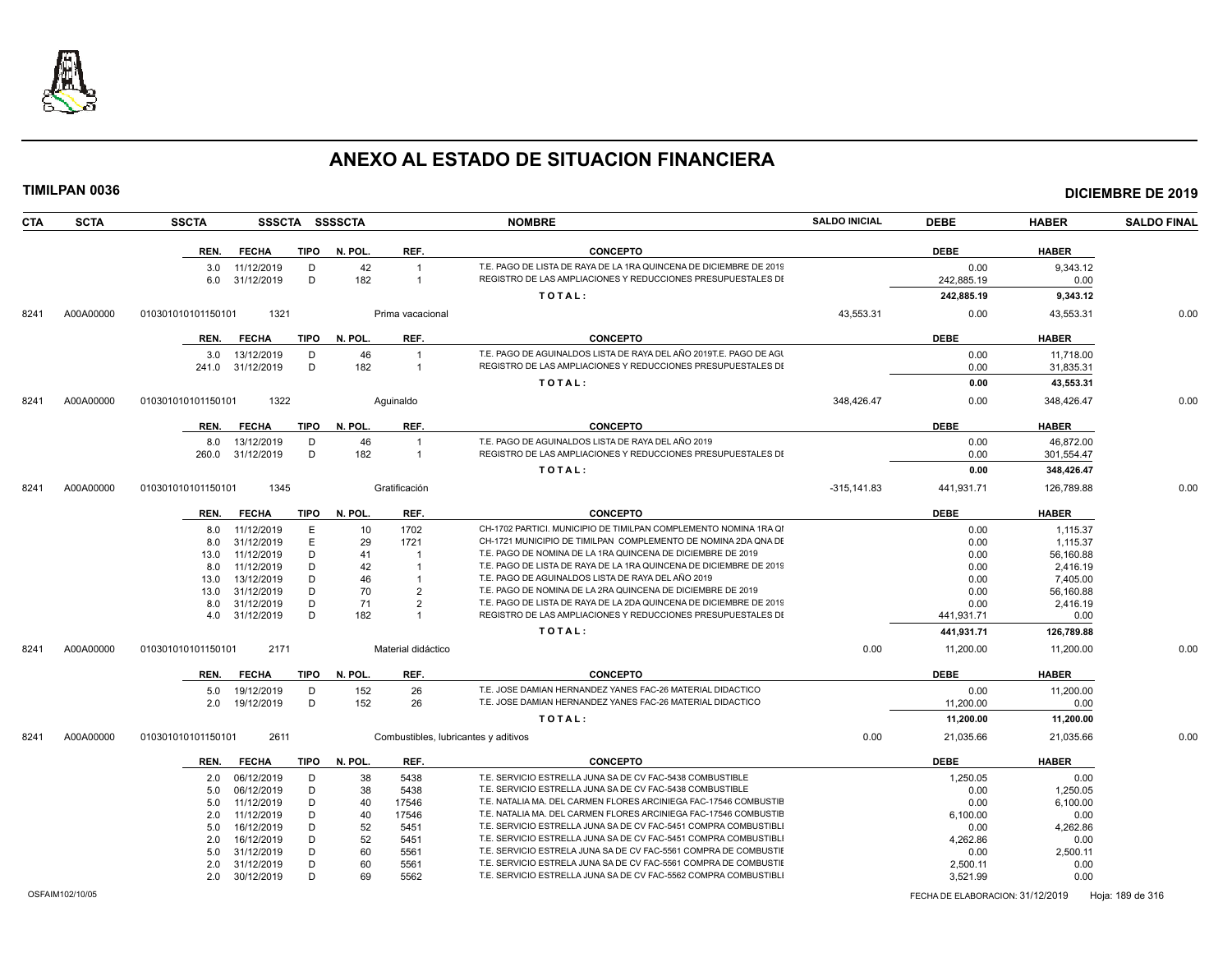

|      | TIMILPAN 0036 |                    |                          |             |                |                                              |                                                                                                                                     |                      |                    |                       | <b>DICIEMBRE DE 2019</b> |
|------|---------------|--------------------|--------------------------|-------------|----------------|----------------------------------------------|-------------------------------------------------------------------------------------------------------------------------------------|----------------------|--------------------|-----------------------|--------------------------|
| CTA  | <b>SCTA</b>   | <b>SSCTA</b>       |                          |             | SSSCTA SSSSCTA |                                              | <b>NOMBRE</b>                                                                                                                       | <b>SALDO INICIAL</b> | <b>DEBE</b>        | <b>HABER</b>          | <b>SALDO FINAL</b>       |
|      |               |                    | REN. FECHA               |             | TIPO N. POL.   | REF.                                         | <b>CONCEPTO</b>                                                                                                                     |                      | <b>DEBE</b>        | <b>HABER</b>          |                          |
|      |               | 3.0<br>6.0         | 11/12/2019<br>31/12/2019 | D<br>D      | 182            | 42<br>$\overline{1}$<br>$\overline{1}$       | T.E. PAGO DE LISTA DE RAYA DE LA 1RA QUINCENA DE DICIEMBRE DE 2019<br>REGISTRO DE LAS AMPLIACIONES Y REDUCCIONES PRESUPUESTALES DI  |                      | 0.00<br>242,885.19 | 9,343.12<br>0.00      |                          |
|      |               |                    |                          |             |                |                                              | TOTAL:                                                                                                                              |                      | 242,885.19         | 9,343.12              |                          |
| 8241 | A00A00000     | 010301010101150101 |                          | 1321        |                | Prima vacacional                             |                                                                                                                                     | 43,553.31            | 0.00               | 43,553.31             | 0.00                     |
|      |               | REN.               | <b>FECHA</b>             | <b>TIPO</b> | N. POL.        | REF.                                         | <b>CONCEPTO</b>                                                                                                                     |                      | <b>DEBE</b>        | <b>HABER</b>          |                          |
|      |               |                    | 3.0 13/12/2019           | D           |                | 46<br>$\overline{1}$                         | T.E. PAGO DE AGUINALDOS LISTA DE RAYA DEL AÑO 2019T.E. PAGO DE AGI                                                                  |                      | 0.00               | 11.718.00             |                          |
|      |               | 241.0              | 31/12/2019               | D           | 182            | $\overline{1}$                               | REGISTRO DE LAS AMPLIACIONES Y REDUCCIONES PRESUPUESTALES DI                                                                        |                      | 0.00               | 31,835.31             |                          |
|      |               |                    |                          |             |                |                                              | TOTAL:                                                                                                                              |                      | 0.00               | 43,553.31             |                          |
| 8241 | A00A00000     | 010301010101150101 |                          | 1322        |                | Aguinaldo                                    |                                                                                                                                     | 348,426.47           | 0.00               | 348,426.47            | 0.00                     |
|      |               | REN.               | <b>FECHA</b>             | TIPO        | N. POL.        | REF.                                         | <b>CONCEPTO</b>                                                                                                                     |                      | <b>DEBE</b>        | <b>HABER</b>          |                          |
|      |               |                    | 13/12/2019               | D           |                | 46<br>$\overline{1}$                         | T.E. PAGO DE AGUINALDOS LISTA DE RAYA DEL AÑO 2019                                                                                  |                      | 0.00               | 46,872.00             |                          |
|      |               | 8.0<br>260.0       | 31/12/2019               | D           | 182            | $\overline{1}$                               | REGISTRO DE LAS AMPLIACIONES Y REDUCCIONES PRESUPUESTALES DI                                                                        |                      | 0.00               | 301,554.47            |                          |
|      |               |                    |                          |             |                |                                              | TOTAL:                                                                                                                              |                      | 0.00               | 348,426.47            |                          |
| 8241 | A00A00000     | 010301010101150101 |                          | 1345        |                | Gratificación                                |                                                                                                                                     | $-315, 141.83$       | 441,931.71         | 126,789.88            | 0.00                     |
|      |               |                    |                          |             |                |                                              |                                                                                                                                     |                      |                    |                       |                          |
|      |               | REN.               | <b>FECHA</b>             | TIPO        | N. POL.        | REF.                                         | <b>CONCEPTO</b>                                                                                                                     |                      | <b>DEBE</b>        | <b>HABER</b>          |                          |
|      |               | 8.0                | 11/12/2019               |             | E              | 1702<br>10                                   | CH-1702 PARTICI. MUNICIPIO DE TIMILPAN COMPLEMENTO NOMINA 1RA QI                                                                    |                      | 0.00               | 1.115.37              |                          |
|      |               | 8.0                | 31/12/2019               |             | E              | 29<br>1721                                   | CH-1721 MUNICIPIO DE TIMILPAN COMPLEMENTO DE NOMINA 2DA QNA DE                                                                      |                      | 0.00               | 1,115.37              |                          |
|      |               | 13.0               | 11/12/2019               |             | D<br>D         | 41<br>$\overline{1}$<br>42<br>$\overline{1}$ | T.E. PAGO DE NOMINA DE LA 1RA QUINCENA DE DICIEMBRE DE 2019<br>T.E. PAGO DE LISTA DE RAYA DE LA 1RA QUINCENA DE DICIEMBRE DE 2019   |                      | 0.00               | 56,160.88             |                          |
|      |               | 8.0                | 11/12/2019<br>13/12/2019 |             | D              | 46<br>$\overline{1}$                         | T.E. PAGO DE AGUINALDOS LISTA DE RAYA DEL AÑO 2019                                                                                  |                      | 0.00               | 2,416.19              |                          |
|      |               | 13.0               | 31/12/2019               |             | D              | 70<br>2                                      | T.E. PAGO DE NOMINA DE LA 2RA QUINCENA DE DICIEMBRE DE 2019                                                                         |                      | 0.00               | 7,405.00<br>56,160.88 |                          |
|      |               | 13.0<br>8.0        | 31/12/2019               |             | D              | 71<br>$\overline{2}$                         | T.E. PAGO DE LISTA DE RAYA DE LA 2DA QUINCENA DE DICIEMBRE DE 2019                                                                  |                      | 0.00<br>0.00       | 2,416.19              |                          |
|      |               | 4.0                | 31/12/2019               | D           |                | 182<br>$\mathbf{1}$                          | REGISTRO DE LAS AMPLIACIONES Y REDUCCIONES PRESUPUESTALES DI                                                                        |                      | 441,931.71         | 0.00                  |                          |
|      |               |                    |                          |             |                |                                              | TOTAL:                                                                                                                              |                      | 441,931.71         | 126,789.88            |                          |
| 8241 | A00A00000     | 010301010101150101 |                          | 2171        |                | Material didáctico                           |                                                                                                                                     | 0.00                 | 11,200.00          | 11,200.00             | 0.00                     |
|      |               | REN.               | <b>FECHA</b>             | TIPO        | N. POL.        | REF.                                         | <b>CONCEPTO</b>                                                                                                                     |                      | <b>DEBE</b>        | <b>HABER</b>          |                          |
|      |               | 5.0                | 19/12/2019               | D           | 152            | 26                                           | T.E. JOSE DAMIAN HERNANDEZ YANES FAC-26 MATERIAL DIDACTICO                                                                          |                      | 0.00               | 11,200.00             |                          |
|      |               | 2.0                | 19/12/2019               | D           | 152            | 26                                           | T.E. JOSE DAMIAN HERNANDEZ YANES FAC-26 MATERIAL DIDACTICO                                                                          |                      | 11,200.00          | 0.00                  |                          |
|      |               |                    |                          |             |                |                                              | TOTAL:                                                                                                                              |                      | 11,200.00          | 11,200.00             |                          |
| 8241 | A00A00000     | 010301010101150101 |                          | 2611        |                | Combustibles, lubricantes y aditivos         |                                                                                                                                     | 0.00                 | 21,035.66          | 21,035.66             | 0.00                     |
|      |               | REN.               | <b>FECHA</b>             | <b>TIPO</b> | N. POL.        | REF.                                         | <b>CONCEPTO</b>                                                                                                                     |                      | <b>DEBE</b>        | <b>HABER</b>          |                          |
|      |               | 2.0                | 06/12/2019               | D           |                | 38<br>5438                                   | T.E. SERVICIO ESTRELLA JUNA SA DE CV FAC-5438 COMBUSTIBLE                                                                           |                      | 1.250.05           | 0.00                  |                          |
|      |               | 5.0                | 06/12/2019               |             | D              | 38<br>5438                                   | T.E. SERVICIO ESTRELLA JUNA SA DE CV FAC-5438 COMBUSTIBLE                                                                           |                      | 0.00               | 1,250.05              |                          |
|      |               | 5.0                | 11/12/2019               |             | D              | 17546<br>40                                  | T.E. NATALIA MA. DEL CARMEN FLORES ARCINIEGA FAC-17546 COMBUSTIE                                                                    |                      | 0.00               | 6,100.00              |                          |
|      |               | 2.0                | 11/12/2019               |             | D              | 17546<br>40                                  | T.E. NATALIA MA. DEL CARMEN FLORES ARCINIEGA FAC-17546 COMBUSTIE                                                                    |                      | 6,100.00           | 0.00                  |                          |
|      |               | 5.0                | 16/12/2019               |             | D              | 52<br>5451                                   | T.E. SERVICIO ESTRELLA JUNA SA DE CV FAC-5451 COMPRA COMBUSTIBL                                                                     |                      | 0.00               | 4,262.86              |                          |
|      |               | 2.0                | 16/12/2019               |             | D              | 52<br>5451                                   | T.E. SERVICIO ESTRELLA JUNA SA DE CV FAC-5451 COMPRA COMBUSTIBLI                                                                    |                      | 4,262.86           | 0.00                  |                          |
|      |               | 5.0                | 31/12/2019               |             | D              | 60<br>5561                                   | T.E. SERVICIO ESTRELA JUNA SA DE CV FAC-5561 COMPRA DE COMBUSTIE                                                                    |                      | 0.00               | 2,500.11              |                          |
|      |               | 2.0                | 31/12/2019               |             | D              | 60<br>5561                                   | T.E. SERVICIO ESTRELA JUNA SA DE CV FAC-5561 COMPRA DE COMBUSTIE<br>T.E. SERVICIO ESTRELLA JUNA SA DE CV FAC-5562 COMPRA COMBUSTIBL |                      | 2,500.11           | 0.00                  |                          |
|      |               | 2.0                | 30/12/2019               |             | D              | 69<br>5562                                   |                                                                                                                                     |                      | 3.521.99           | 0.00                  |                          |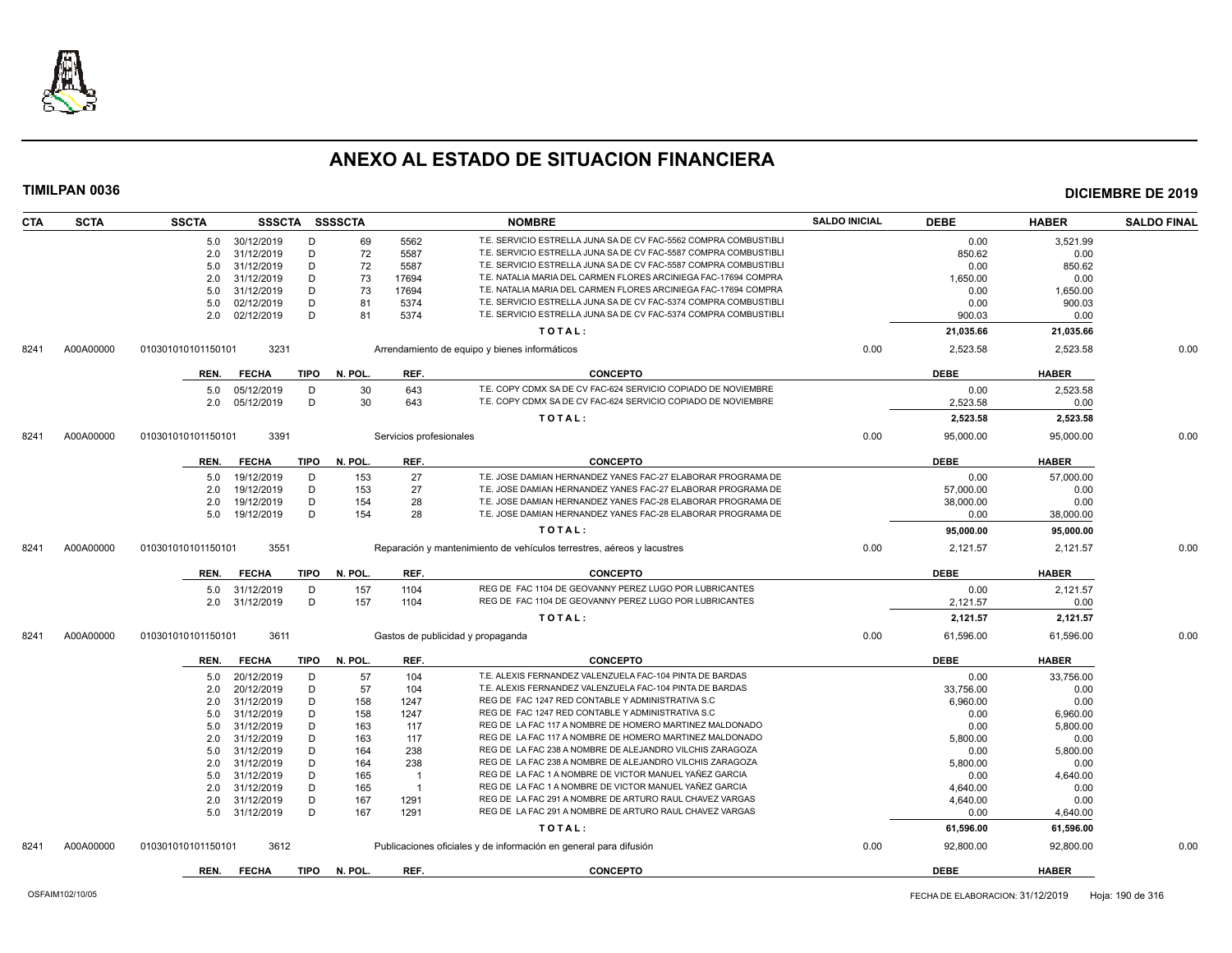

| <b>CTA</b> | <b>SCTA</b> | <b>SSCTA</b>       |                |             | SSSCTA SSSSCTA |                         | <b>NOMBRE</b>                                                          | <b>SALDO INICIAL</b> | <b>DEBE</b> | <b>HABER</b> | <b>SALDO FINAL</b> |
|------------|-------------|--------------------|----------------|-------------|----------------|-------------------------|------------------------------------------------------------------------|----------------------|-------------|--------------|--------------------|
|            |             |                    | 5.0 30/12/2019 | D           | 69             | 5562                    | T.E. SERVICIO ESTRELLA JUNA SA DE CV FAC-5562 COMPRA COMBUSTIBLI       |                      | 0.00        | 3.521.99     |                    |
|            |             | 2.0                | 31/12/2019     | D           | 72             | 5587                    | T.E. SERVICIO ESTRELLA JUNA SA DE CV FAC-5587 COMPRA COMBUSTIBL        |                      | 850.62      | 0.00         |                    |
|            |             | 5.0                | 31/12/2019     | D           | 72             | 5587                    | T.E. SERVICIO ESTRELLA JUNA SA DE CV FAC-5587 COMPRA COMBUSTIBLI       |                      | 0.00        | 850.62       |                    |
|            |             | 2.0                | 31/12/2019     | D           | 73             | 17694                   | T.E. NATALIA MARIA DEL CARMEN FLORES ARCINIEGA FAC-17694 COMPRA        |                      | 1,650.00    | 0.00         |                    |
|            |             | 5.0                | 31/12/2019     | D           | 73             | 17694                   | T.E. NATALIA MARIA DEL CARMEN FLORES ARCINIEGA FAC-17694 COMPRA        |                      | 0.00        | 1,650.00     |                    |
|            |             | 5.0                | 02/12/2019     | D           | 81             | 5374                    | T.E. SERVICIO ESTRELLA JUNA SA DE CV FAC-5374 COMPRA COMBUSTIBLI       |                      | 0.00        | 900.03       |                    |
|            |             | 2.0                | 02/12/2019     | D           | 81             | 5374                    | T.E. SERVICIO ESTRELLA JUNA SA DE CV FAC-5374 COMPRA COMBUSTIBLI       |                      | 900.03      | 0.00         |                    |
|            |             |                    |                |             |                |                         | TOTAL:                                                                 |                      | 21,035.66   | 21,035.66    |                    |
| 8241       | A00A00000   | 010301010101150101 | 3231           |             |                |                         | Arrendamiento de equipo y bienes informáticos                          | 0.00                 | 2,523.58    | 2,523.58     | 0.00               |
|            |             | REN.               | <b>FECHA</b>   | TIPO        | N. POL.        | REF.                    | <b>CONCEPTO</b>                                                        |                      | <b>DEBE</b> | <b>HABER</b> |                    |
|            |             | 5.0                | 05/12/2019     | D           | 30             | 643                     | T.E. COPY CDMX SA DE CV FAC-624 SERVICIO COPIADO DE NOVIEMBRE          |                      | 0.00        | 2.523.58     |                    |
|            |             | 2.0                | 05/12/2019     | D           | 30             | 643                     | T.E. COPY CDMX SA DE CV FAC-624 SERVICIO COPIADO DE NOVIEMBRE          |                      | 2,523.58    | 0.00         |                    |
|            |             |                    |                |             |                |                         | TOTAL:                                                                 |                      | 2,523.58    | 2,523.58     |                    |
| 8241       | A00A00000   | 010301010101150101 | 3391           |             |                | Servicios profesionales |                                                                        | 0.00                 | 95,000.00   | 95,000.00    | 0.00               |
|            |             | REN.               | <b>FECHA</b>   | TIPO        | N. POL.        | REF.                    | <b>CONCEPTO</b>                                                        |                      | <b>DEBE</b> | <b>HABER</b> |                    |
|            |             | 5.0                | 19/12/2019     | D           | 153            | 27                      | T.E. JOSE DAMIAN HERNANDEZ YANES FAC-27 ELABORAR PROGRAMA DE           |                      | 0.00        | 57,000.00    |                    |
|            |             | 2.0                | 19/12/2019     | D           | 153            | 27                      | T.E. JOSE DAMIAN HERNANDEZ YANES FAC-27 ELABORAR PROGRAMA DE           |                      | 57,000.00   | 0.00         |                    |
|            |             | 2.0                | 19/12/2019     | D           | 154            | 28                      | T.E. JOSE DAMIAN HERNANDEZ YANES FAC-28 ELABORAR PROGRAMA DE           |                      | 38,000.00   | 0.00         |                    |
|            |             | 5.0                | 19/12/2019     | D           | 154            | 28                      | T.E. JOSE DAMIAN HERNANDEZ YANES FAC-28 ELABORAR PROGRAMA DE           |                      | 0.00        | 38,000.00    |                    |
|            |             |                    |                |             |                |                         | TOTAL:                                                                 |                      | 95,000.00   | 95,000.00    |                    |
| 8241       | A00A00000   | 010301010101150101 | 3551           |             |                |                         | Reparación y mantenimiento de vehículos terrestres, aéreos y lacustres | 0.00                 | 2,121.57    | 2,121.57     | 0.00               |
|            |             |                    |                |             |                | REF.                    | <b>CONCEPTO</b>                                                        |                      | <b>DEBE</b> |              |                    |
|            |             | REN.               | <b>FECHA</b>   | TIPO        | N. POL.        |                         |                                                                        |                      |             | <b>HABER</b> |                    |
|            |             | 5.0                | 31/12/2019     | D           | 157            | 1104                    | REG DE FAC 1104 DE GEOVANNY PEREZ LUGO POR LUBRICANTES                 |                      | 0.00        | 2,121.57     |                    |
|            |             | 2.0                | 31/12/2019     | D           | 157            | 1104                    | REG DE FAC 1104 DE GEOVANNY PEREZ LUGO POR LUBRICANTES                 |                      | 2,121.57    | 0.00         |                    |
|            |             |                    |                |             |                |                         | TOTAL:                                                                 |                      | 2,121.57    | 2,121.57     |                    |
| 8241       | A00A00000   | 010301010101150101 | 3611           |             |                |                         | Gastos de publicidad y propaganda                                      | 0.00                 | 61,596.00   | 61,596.00    | 0.00               |
|            |             | REN.               | <b>FECHA</b>   | <b>TIPO</b> | N. POL.        | REF.                    | <b>CONCEPTO</b>                                                        |                      | <b>DEBE</b> | <b>HABER</b> |                    |
|            |             | 5.0                | 20/12/2019     | D           | 57             | 104                     | T.E. ALEXIS FERNANDEZ VALENZUELA FAC-104 PINTA DE BARDAS               |                      | 0.00        | 33,756.00    |                    |
|            |             | 2.0                | 20/12/2019     | D           | 57             | 104                     | T.E. ALEXIS FERNANDEZ VALENZUELA FAC-104 PINTA DE BARDAS               |                      | 33,756.00   | 0.00         |                    |
|            |             | 2.0                | 31/12/2019     | D           | 158            | 1247                    | REG DE FAC 1247 RED CONTABLE Y ADMINISTRATIVA S.C                      |                      | 6,960.00    | 0.00         |                    |
|            |             | 5.0                | 31/12/2019     | D           | 158            | 1247                    | REG DE FAC 1247 RED CONTABLE Y ADMINISTRATIVA S.C                      |                      | 0.00        | 6,960.00     |                    |
|            |             | 5.0                | 31/12/2019     | D           | 163            | 117                     | REG DE LA FAC 117 A NOMBRE DE HOMERO MARTINEZ MALDONADO                |                      | 0.00        | 5,800.00     |                    |
|            |             | 2.0                | 31/12/2019     | D           | 163            | 117                     | REG DE LA FAC 117 A NOMBRE DE HOMERO MARTINEZ MALDONADO                |                      | 5.800.00    | 0.00         |                    |
|            |             | 5.0                | 31/12/2019     | D           | 164            | 238                     | REG DE LA FAC 238 A NOMBRE DE ALEJANDRO VILCHIS ZARAGOZA               |                      | 0.00        | 5,800.00     |                    |
|            |             | 2.0                | 31/12/2019     | D           | 164            | 238                     | REG DE LA FAC 238 A NOMBRE DE ALEJANDRO VILCHIS ZARAGOZA               |                      | 5.800.00    | 0.00         |                    |
|            |             | 5.0                | 31/12/2019     | D           | 165            | $\overline{1}$          | REG DE LA FAC 1 A NOMBRE DE VICTOR MANUEL YAÑEZ GARCIA                 |                      | 0.00        | 4,640.00     |                    |
|            |             | 2.0                | 31/12/2019     | D           | 165            | $\overline{1}$          | REG DE LA FAC 1 A NOMBRE DE VICTOR MANUEL YAÑEZ GARCIA                 |                      | 4,640.00    | 0.00         |                    |
|            |             | 2.0                | 31/12/2019     | D           | 167            | 1291                    | REG DE LA FAC 291 A NOMBRE DE ARTURO RAUL CHAVEZ VARGAS                |                      | 4,640.00    | 0.00         |                    |
|            |             | 5.0                | 31/12/2019     | D           | 167            | 1291                    | REG DE LA FAC 291 A NOMBRE DE ARTURO RAUL CHAVEZ VARGAS                |                      | 0.00        | 4,640.00     |                    |
|            |             |                    |                |             |                |                         | TOTAL:                                                                 |                      | 61,596.00   | 61,596.00    |                    |
| 8241       | A00A00000   | 010301010101150101 | 3612           |             |                |                         | Publicaciones oficiales y de información en general para difusión      | 0.00                 | 92,800.00   | 92,800.00    | 0.00               |
|            |             | REN.               | <b>FECHA</b>   | <b>TIPO</b> | N. POL         | REF.                    | <b>CONCEPTO</b>                                                        |                      | <b>DEBE</b> | <b>HABER</b> |                    |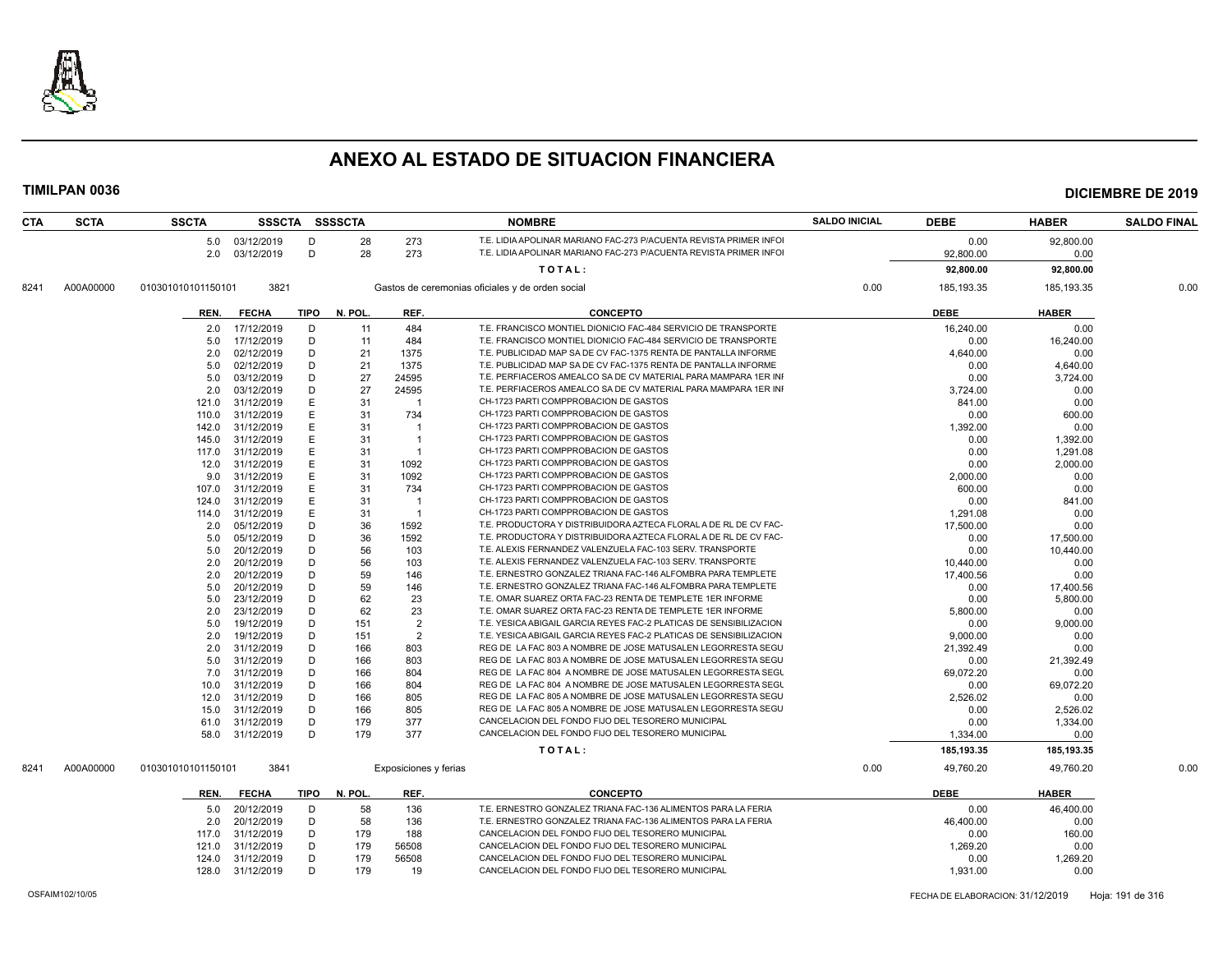

| <b>CTA</b> | <b>SCTA</b> | <b>SSCTA</b>       |                 |             | SSSCTA SSSSCTA |                       | <b>NOMBRE</b>                                                      | <b>SALDO INICIAL</b> | <b>DEBE</b>  | <b>HABER</b> | <b>SALDO FINAL</b> |
|------------|-------------|--------------------|-----------------|-------------|----------------|-----------------------|--------------------------------------------------------------------|----------------------|--------------|--------------|--------------------|
|            |             |                    | 5.0 03/12/2019  | D           | 28             | 273                   | T.E. LIDIA APOLINAR MARIANO FAC-273 P/ACUENTA REVISTA PRIMER INFOI |                      | 0.00         | 92,800.00    |                    |
|            |             |                    | 2.0 03/12/2019  | D           | 28             | 273                   | T.E. LIDIA APOLINAR MARIANO FAC-273 P/ACUENTA REVISTA PRIMER INFOI |                      | 92,800.00    | 0.00         |                    |
|            |             |                    |                 |             |                |                       | TOTAL:                                                             |                      | 92,800.00    | 92,800.00    |                    |
|            |             |                    |                 |             |                |                       |                                                                    |                      |              |              |                    |
| 8241       | A00A00000   | 010301010101150101 | 3821            |             |                |                       | Gastos de ceremonias oficiales y de orden social                   | 0.00                 | 185, 193. 35 | 185, 193. 35 | 0.00               |
|            |             | REN.               | <b>FECHA</b>    | <b>TIPO</b> | N. POL.        | REF.                  | <b>CONCEPTO</b>                                                    |                      | <b>DEBE</b>  | <b>HABER</b> |                    |
|            |             | 2.0                | 17/12/2019      | D           | 11             | 484                   | T.E. FRANCISCO MONTIEL DIONICIO FAC-484 SERVICIO DE TRANSPORTE     |                      | 16,240.00    | 0.00         |                    |
|            |             | 5.0                | 17/12/2019      | D           | 11             | 484                   | T.E. FRANCISCO MONTIEL DIONICIO FAC-484 SERVICIO DE TRANSPORTE     |                      | 0.00         | 16,240.00    |                    |
|            |             | 2.0                | 02/12/2019      | D           | 21             | 1375                  | T.E. PUBLICIDAD MAP SA DE CV FAC-1375 RENTA DE PANTALLA INFORME    |                      | 4,640.00     | 0.00         |                    |
|            |             | 5.0                | 02/12/2019      | D           | 21             | 1375                  | T.E. PUBLICIDAD MAP SA DE CV FAC-1375 RENTA DE PANTALLA INFORME    |                      | 0.00         | 4,640.00     |                    |
|            |             | 5.0                | 03/12/2019      | D           | 27             | 24595                 | T.E. PERFIACEROS AMEALCO SA DE CV MATERIAL PARA MAMPARA 1ER INI    |                      | 0.00         | 3,724.00     |                    |
|            |             | 2.0                | 03/12/2019      | D           | 27             | 24595                 | T.E. PERFIACEROS AMEALCO SA DE CV MATERIAL PARA MAMPARA 1ER INI    |                      | 3,724.00     | 0.00         |                    |
|            |             | 121.0              | 31/12/2019      | E           | 31             | $\mathbf{1}$          | CH-1723 PARTI COMPPROBACION DE GASTOS                              |                      | 841.00       | 0.00         |                    |
|            |             | 110.0              | 31/12/2019      | E.          | 31             | 734                   | CH-1723 PARTI COMPPROBACION DE GASTOS                              |                      | 0.00         | 600.00       |                    |
|            |             | 142.0              | 31/12/2019      | E           | 31             | $\mathbf{1}$          | CH-1723 PARTI COMPPROBACION DE GASTOS                              |                      | 1,392.00     | 0.00         |                    |
|            |             | 145.0              | 31/12/2019      | E           | 31             | $\overline{1}$        | CH-1723 PARTI COMPPROBACION DE GASTOS                              |                      | 0.00         | 1,392.00     |                    |
|            |             | 117.0              | 31/12/2019      | E           | 31             | -1                    | CH-1723 PARTI COMPPROBACION DE GASTOS                              |                      | 0.00         | 1,291.08     |                    |
|            |             | 12.0               | 31/12/2019      | E           | 31             | 1092                  | CH-1723 PARTI COMPPROBACION DE GASTOS                              |                      | 0.00         | 2,000.00     |                    |
|            |             | 9.0                | 31/12/2019      | E           | 31             | 1092                  | CH-1723 PARTI COMPPROBACION DE GASTOS                              |                      | 2,000.00     | 0.00         |                    |
|            |             | 107.0              | 31/12/2019      | E           | 31             | 734                   | CH-1723 PARTI COMPPROBACION DE GASTOS                              |                      | 600.00       | 0.00         |                    |
|            |             | 124.0              | 31/12/2019      | E           | 31             | $\overline{1}$        | CH-1723 PARTI COMPPROBACION DE GASTOS                              |                      | 0.00         | 841.00       |                    |
|            |             | 114.0              | 31/12/2019      | E.          | 31             | $\overline{1}$        | CH-1723 PARTI COMPPROBACION DE GASTOS                              |                      | 1,291.08     | 0.00         |                    |
|            |             | 2.0                | 05/12/2019      | D           | 36             | 1592                  | T.E. PRODUCTORA Y DISTRIBUIDORA AZTECA FLORAL A DE RL DE CV FAC-   |                      | 17,500.00    | 0.00         |                    |
|            |             | 5.0                | 05/12/2019      | D           | 36             | 1592                  | T.E. PRODUCTORA Y DISTRIBUIDORA AZTECA FLORAL A DE RL DE CV FAC-   |                      | 0.00         | 17,500.00    |                    |
|            |             | 5.0                | 20/12/2019      | D           | 56             | 103                   | T.E. ALEXIS FERNANDEZ VALENZUELA FAC-103 SERV. TRANSPORTE          |                      | 0.00         | 10,440.00    |                    |
|            |             | 2.0                | 20/12/2019      | D           | 56             | 103                   | T.E. ALEXIS FERNANDEZ VALENZUELA FAC-103 SERV. TRANSPORTE          |                      | 10,440.00    | 0.00         |                    |
|            |             | 2.0                | 20/12/2019      | D           | 59             | 146                   | T.E. ERNESTRO GONZALEZ TRIANA FAC-146 ALFOMBRA PARA TEMPLETE       |                      | 17,400.56    | 0.00         |                    |
|            |             | 5.0                | 20/12/2019      | D           | 59             | 146                   | T.E. ERNESTRO GONZALEZ TRIANA FAC-146 ALFOMBRA PARA TEMPLETE       |                      | 0.00         | 17,400.56    |                    |
|            |             | 5.0                | 23/12/2019      | D           | 62             | 23                    | T.E. OMAR SUAREZ ORTA FAC-23 RENTA DE TEMPLETE 1ER INFORME         |                      | 0.00         | 5,800.00     |                    |
|            |             | 2.0                | 23/12/2019      | D           | 62             | 23                    | T.E. OMAR SUAREZ ORTA FAC-23 RENTA DE TEMPLETE 1ER INFORME         |                      | 5,800.00     | 0.00         |                    |
|            |             | 5.0                | 19/12/2019      | D           | 151            | $\overline{2}$        | T.E. YESICA ABIGAIL GARCIA REYES FAC-2 PLATICAS DE SENSIBILIZACION |                      | 0.00         | 9,000.00     |                    |
|            |             | 2.0                | 19/12/2019      | D           | 151            | 2                     | T.E. YESICA ABIGAIL GARCIA REYES FAC-2 PLATICAS DE SENSIBILIZACION |                      | 9,000.00     | 0.00         |                    |
|            |             | 2.0                | 31/12/2019      | D           | 166            | 803                   | REG DE LA FAC 803 A NOMBRE DE JOSE MATUSALEN LEGORRESTA SEGU       |                      | 21,392.49    | 0.00         |                    |
|            |             | 5.0                | 31/12/2019      | D           | 166            | 803                   | REG DE LA FAC 803 A NOMBRE DE JOSE MATUSALEN LEGORRESTA SEGU       |                      | 0.00         | 21,392.49    |                    |
|            |             | 7.0                | 31/12/2019      | D           | 166            | 804                   | REG DE LA FAC 804 A NOMBRE DE JOSE MATUSALEN LEGORRESTA SEGU       |                      | 69.072.20    | 0.00         |                    |
|            |             | 10.0               | 31/12/2019      | D           | 166            | 804                   | REG DE LA FAC 804 A NOMBRE DE JOSE MATUSALEN LEGORRESTA SEGU       |                      | 0.00         | 69,072.20    |                    |
|            |             | 12.0               | 31/12/2019      | D           | 166            | 805                   | REG DE LA FAC 805 A NOMBRE DE JOSE MATUSALEN LEGORRESTA SEGU       |                      | 2,526.02     | 0.00         |                    |
|            |             | 15.0               | 31/12/2019      | D           | 166            | 805                   | REG DE LA FAC 805 A NOMBRE DE JOSE MATUSALEN LEGORRESTA SEGU       |                      | 0.00         | 2,526.02     |                    |
|            |             | 61.0               | 31/12/2019      | D           | 179            | 377                   | CANCELACION DEL FONDO FIJO DEL TESORERO MUNICIPAL                  |                      | 0.00         | 1,334.00     |                    |
|            |             |                    | 58.0 31/12/2019 | D           | 179            | 377                   | CANCELACION DEL FONDO FIJO DEL TESORERO MUNICIPAL                  |                      | 1,334.00     | 0.00         |                    |
|            |             |                    |                 |             |                |                       | TOTAL:                                                             |                      | 185, 193.35  | 185,193.35   |                    |
| 8241       | A00A00000   | 010301010101150101 | 3841            |             |                | Exposiciones y ferias |                                                                    | 0.00                 | 49,760.20    | 49,760.20    | 0.00               |
|            |             |                    |                 |             |                |                       |                                                                    |                      |              |              |                    |
|            |             | REN.               | <b>FECHA</b>    | <b>TIPO</b> | N. POL.        | REF.                  | <b>CONCEPTO</b>                                                    |                      | <b>DEBE</b>  | <b>HABER</b> |                    |
|            |             | 5.0                | 20/12/2019      | D           | 58             | 136                   | T.E. ERNESTRO GONZALEZ TRIANA FAC-136 ALIMENTOS PARA LA FERIA      |                      | 0.00         | 46,400.00    |                    |
|            |             | 2.0                | 20/12/2019      | D           | 58             | 136                   | T.E. ERNESTRO GONZALEZ TRIANA FAC-136 ALIMENTOS PARA LA FERIA      |                      | 46,400.00    | 0.00         |                    |
|            |             | 117.0              | 31/12/2019      | D           | 179            | 188                   | CANCELACION DEL FONDO FIJO DEL TESORERO MUNICIPAL                  |                      | 0.00         | 160.00       |                    |
|            |             | 121.0              | 31/12/2019      | D           | 179            | 56508                 | CANCELACION DEL FONDO FIJO DEL TESORERO MUNICIPAL                  |                      | 1,269.20     | 0.00         |                    |
|            |             | 124.0              | 31/12/2019      | D           | 179            | 56508                 | CANCELACION DEL FONDO FIJO DEL TESORERO MUNICIPAL                  |                      | 0.00         | 1,269.20     |                    |
|            |             | 128.0              | 31/12/2019      | D           | 179            | 19                    | CANCELACION DEL FONDO FIJO DEL TESORERO MUNICIPAL                  |                      | 1,931.00     | 0.00         |                    |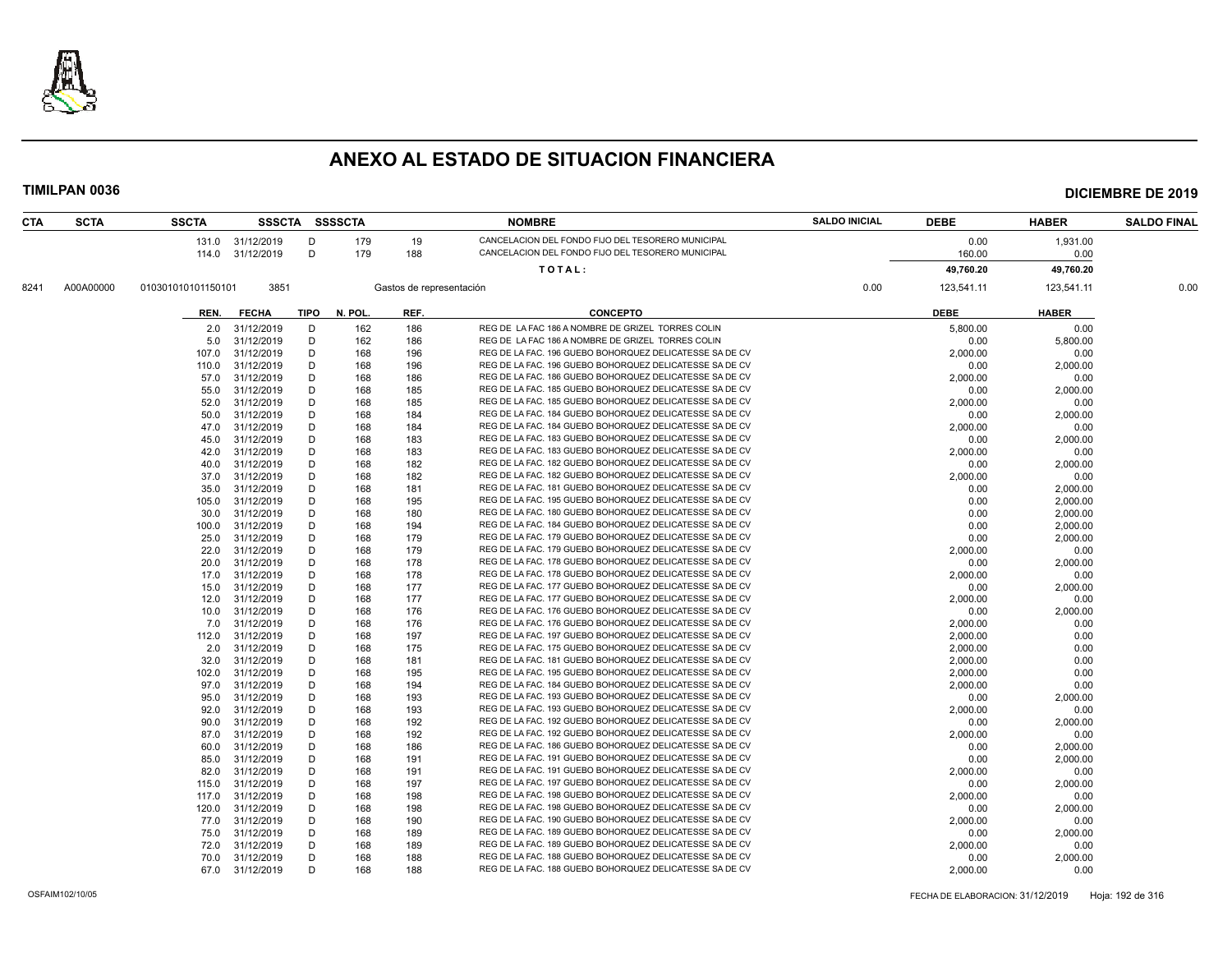

| CTA  | <b>SCTA</b> | <b>SSCTA</b>       |                          |             | SSSCTA SSSSCTA |                          | <b>NOMBRE</b>                                                                                                      | <b>SALDO INICIAL</b> | <b>DEBE</b>      | <b>HABER</b>     | <b>SALDO FINAL</b> |
|------|-------------|--------------------|--------------------------|-------------|----------------|--------------------------|--------------------------------------------------------------------------------------------------------------------|----------------------|------------------|------------------|--------------------|
|      |             |                    | 131.0 31/12/2019         | D           | 179            | 19                       | CANCELACION DEL FONDO FIJO DEL TESORERO MUNICIPAL                                                                  |                      | 0.00             | 1,931.00         |                    |
|      |             | 114.0              | 31/12/2019               | D           | 179            | 188                      | CANCELACION DEL FONDO FIJO DEL TESORERO MUNICIPAL                                                                  |                      | 160.00           | 0.00             |                    |
|      |             |                    |                          |             |                |                          | TOTAL:                                                                                                             |                      | 49,760.20        | 49,760.20        |                    |
| 8241 | A00A00000   | 010301010101150101 | 3851                     |             |                | Gastos de representación |                                                                                                                    | 0.00                 | 123,541.11       | 123,541.11       | 0.00               |
|      |             | REN.               | <b>FECHA</b>             | <b>TIPO</b> | N. POL.        | REF.                     | <b>CONCEPTO</b>                                                                                                    |                      | <b>DEBE</b>      | <b>HABER</b>     |                    |
|      |             |                    |                          |             |                |                          |                                                                                                                    |                      |                  |                  |                    |
|      |             | 2.0                | 31/12/2019               | D           | 162            | 186                      | REG DE LA FAC 186 A NOMBRE DE GRIZEL TORRES COLIN                                                                  |                      | 5,800.00         | 0.00             |                    |
|      |             | 5.0                | 31/12/2019               | D           | 162            | 186                      | REG DE LA FAC 186 A NOMBRE DE GRIZEL TORRES COLIN                                                                  |                      | 0.00             | 5,800.00         |                    |
|      |             | 107.0              | 31/12/2019               | D           | 168            | 196                      | REG DE LA FAC. 196 GUEBO BOHORQUEZ DELICATESSE SA DE CV                                                            |                      | 2,000.00         | 0.00             |                    |
|      |             | 110.0              | 31/12/2019               | D           | 168            | 196                      | REG DE LA FAC. 196 GUEBO BOHORQUEZ DELICATESSE SA DE CV                                                            |                      | 0.00             | 2,000.00         |                    |
|      |             | 57.0               | 31/12/2019               | D           | 168            | 186                      | REG DE LA FAC. 186 GUEBO BOHORQUEZ DELICATESSE SA DE CV                                                            |                      | 2,000.00         | 0.00             |                    |
|      |             | 55.0               | 31/12/2019               | D           | 168            | 185                      | REG DE LA FAC. 185 GUEBO BOHORQUEZ DELICATESSE SA DE CV                                                            |                      | 0.00             | 2,000.00         |                    |
|      |             | 52.0               | 31/12/2019               | D           | 168            | 185                      | REG DE LA FAC. 185 GUEBO BOHORQUEZ DELICATESSE SA DE CV                                                            |                      | 2,000.00         | 0.00             |                    |
|      |             | 50.0               | 31/12/2019               | D           | 168            | 184                      | REG DE LA FAC. 184 GUEBO BOHORQUEZ DELICATESSE SA DE CV                                                            |                      | 0.00             | 2,000.00         |                    |
|      |             | 47.0               | 31/12/2019               | D           | 168            | 184                      | REG DE LA FAC. 184 GUEBO BOHORQUEZ DELICATESSE SA DE CV                                                            |                      | 2,000.00         | 0.00             |                    |
|      |             | 45.0               | 31/12/2019               | D           | 168            | 183                      | REG DE LA FAC. 183 GUEBO BOHORQUEZ DELICATESSE SA DE CV                                                            |                      | 0.00             | 2,000.00         |                    |
|      |             | 42.0               | 31/12/2019               | D           | 168            | 183                      | REG DE LA FAC. 183 GUEBO BOHORQUEZ DELICATESSE SA DE CV                                                            |                      | 2,000.00         | 0.00             |                    |
|      |             | 40.0               | 31/12/2019               | D           | 168            | 182                      | REG DE LA FAC. 182 GUEBO BOHORQUEZ DELICATESSE SA DE CV                                                            |                      | 0.00             | 2,000.00         |                    |
|      |             | 37.0               | 31/12/2019               | D           | 168            | 182                      | REG DE LA FAC. 182 GUEBO BOHORQUEZ DELICATESSE SA DE CV                                                            |                      | 2,000.00         | 0.00             |                    |
|      |             | 35.0               | 31/12/2019               | D           | 168            | 181                      | REG DE LA FAC. 181 GUEBO BOHORQUEZ DELICATESSE SA DE CV                                                            |                      | 0.00             | 2,000.00         |                    |
|      |             | 105.0              | 31/12/2019               | D           | 168            | 195                      | REG DE LA FAC. 195 GUEBO BOHORQUEZ DELICATESSE SA DE CV                                                            |                      | 0.00             | 2,000.00         |                    |
|      |             | 30.0               | 31/12/2019               | D           | 168            | 180                      | REG DE LA FAC. 180 GUEBO BOHORQUEZ DELICATESSE SA DE CV                                                            |                      | 0.00             | 2,000.00         |                    |
|      |             | 100.0              | 31/12/2019               | D           | 168            | 194                      | REG DE LA FAC. 184 GUEBO BOHORQUEZ DELICATESSE SA DE CV                                                            |                      | 0.00             | 2,000.00         |                    |
|      |             | 25.0               | 31/12/2019               | D           | 168            | 179                      | REG DE LA FAC. 179 GUEBO BOHORQUEZ DELICATESSE SA DE CV<br>REG DE LA FAC. 179 GUEBO BOHORQUEZ DELICATESSE SA DE CV |                      | 0.00             | 2,000.00         |                    |
|      |             | 22.0               | 31/12/2019               | D           | 168            | 179                      | REG DE LA FAC. 178 GUEBO BOHORQUEZ DELICATESSE SA DE CV                                                            |                      | 2,000.00         | 0.00             |                    |
|      |             | 20.0               | 31/12/2019               | D<br>D      | 168            | 178                      | REG DE LA FAC. 178 GUEBO BOHORQUEZ DELICATESSE SA DE CV                                                            |                      | 0.00             | 2,000.00         |                    |
|      |             | 17.0<br>15.0       | 31/12/2019<br>31/12/2019 | D           | 168<br>168     | 178<br>177               | REG DE LA FAC. 177 GUEBO BOHORQUEZ DELICATESSE SA DE CV                                                            |                      | 2.000.00<br>0.00 | 0.00<br>2,000.00 |                    |
|      |             | 12.0               | 31/12/2019               | D           | 168            | 177                      | REG DE LA FAC. 177 GUEBO BOHORQUEZ DELICATESSE SA DE CV                                                            |                      | 2,000.00         | 0.00             |                    |
|      |             |                    |                          | D           |                | 176                      | REG DE LA FAC. 176 GUEBO BOHORQUEZ DELICATESSE SA DE CV                                                            |                      |                  |                  |                    |
|      |             | 10.0<br>7.0        | 31/12/2019<br>31/12/2019 | D           | 168<br>168     | 176                      | REG DE LA FAC. 176 GUEBO BOHORQUEZ DELICATESSE SA DE CV                                                            |                      | 0.00<br>2,000.00 | 2,000.00<br>0.00 |                    |
|      |             | 112.0              | 31/12/2019               | D           | 168            | 197                      | REG DE LA FAC. 197 GUEBO BOHORQUEZ DELICATESSE SA DE CV                                                            |                      | 2,000.00         | 0.00             |                    |
|      |             | 2.0                | 31/12/2019               | D           | 168            | 175                      | REG DE LA FAC. 175 GUEBO BOHORQUEZ DELICATESSE SA DE CV                                                            |                      | 2,000.00         | 0.00             |                    |
|      |             | 32.0               | 31/12/2019               | D           | 168            | 181                      | REG DE LA FAC. 181 GUEBO BOHORQUEZ DELICATESSE SA DE CV                                                            |                      | 2,000.00         | 0.00             |                    |
|      |             | 102.0              | 31/12/2019               | D           | 168            | 195                      | REG DE LA FAC. 195 GUEBO BOHORQUEZ DELICATESSE SA DE CV                                                            |                      | 2,000.00         | 0.00             |                    |
|      |             | 97.0               | 31/12/2019               | D           | 168            | 194                      | REG DE LA FAC. 184 GUEBO BOHORQUEZ DELICATESSE SA DE CV                                                            |                      | 2,000.00         | 0.00             |                    |
|      |             | 95.0               | 31/12/2019               | D           | 168            | 193                      | REG DE LA FAC. 193 GUEBO BOHORQUEZ DELICATESSE SA DE CV                                                            |                      | 0.00             | 2,000.00         |                    |
|      |             | 92.0               | 31/12/2019               | D           | 168            | 193                      | REG DE LA FAC. 193 GUEBO BOHORQUEZ DELICATESSE SA DE CV                                                            |                      | 2,000.00         | 0.00             |                    |
|      |             | 90.0               | 31/12/2019               | D           | 168            | 192                      | REG DE LA FAC. 192 GUEBO BOHORQUEZ DELICATESSE SA DE CV                                                            |                      | 0.00             | 2,000.00         |                    |
|      |             | 87.0               | 31/12/2019               | D           | 168            | 192                      | REG DE LA FAC. 192 GUEBO BOHORQUEZ DELICATESSE SA DE CV                                                            |                      | 2,000.00         | 0.00             |                    |
|      |             | 60.0               | 31/12/2019               | D           | 168            | 186                      | REG DE LA FAC. 186 GUEBO BOHORQUEZ DELICATESSE SA DE CV                                                            |                      | 0.00             | 2,000.00         |                    |
|      |             | 85.0               | 31/12/2019               | D           | 168            | 191                      | REG DE LA FAC. 191 GUEBO BOHORQUEZ DELICATESSE SA DE CV                                                            |                      | 0.00             | 2,000.00         |                    |
|      |             | 82.0               | 31/12/2019               | D           | 168            | 191                      | REG DE LA FAC. 191 GUEBO BOHORQUEZ DELICATESSE SA DE CV                                                            |                      | 2,000.00         | 0.00             |                    |
|      |             | 115.0              | 31/12/2019               | D           | 168            | 197                      | REG DE LA FAC. 197 GUEBO BOHORQUEZ DELICATESSE SA DE CV                                                            |                      | 0.00             | 2,000.00         |                    |
|      |             | 117.0              | 31/12/2019               | D           | 168            | 198                      | REG DE LA FAC. 198 GUEBO BOHORQUEZ DELICATESSE SA DE CV                                                            |                      | 2,000.00         | 0.00             |                    |
|      |             | 120.0              | 31/12/2019               | D           | 168            | 198                      | REG DE LA FAC. 198 GUEBO BOHORQUEZ DELICATESSE SA DE CV                                                            |                      | 0.00             | 2,000.00         |                    |
|      |             | 77.0               | 31/12/2019               | D           | 168            | 190                      | REG DE LA FAC. 190 GUEBO BOHORQUEZ DELICATESSE SA DE CV                                                            |                      | 2,000.00         | 0.00             |                    |
|      |             | 75.0               | 31/12/2019               | D           | 168            | 189                      | REG DE LA FAC. 189 GUEBO BOHORQUEZ DELICATESSE SA DE CV                                                            |                      | 0.00             | 2,000.00         |                    |
|      |             | 72.0               | 31/12/2019               | D           | 168            | 189                      | REG DE LA FAC. 189 GUEBO BOHORQUEZ DELICATESSE SA DE CV                                                            |                      | 2,000.00         | 0.00             |                    |
|      |             | 70.0               | 31/12/2019               | D           | 168            | 188                      | REG DE LA FAC. 188 GUEBO BOHORQUEZ DELICATESSE SA DE CV                                                            |                      | 0.00             | 2,000.00         |                    |
|      |             |                    | 67.0 31/12/2019          | D           | 168            | 188                      | REG DE LA FAC. 188 GUEBO BOHORQUEZ DELICATESSE SA DE CV                                                            |                      | 2,000.00         | 0.00             |                    |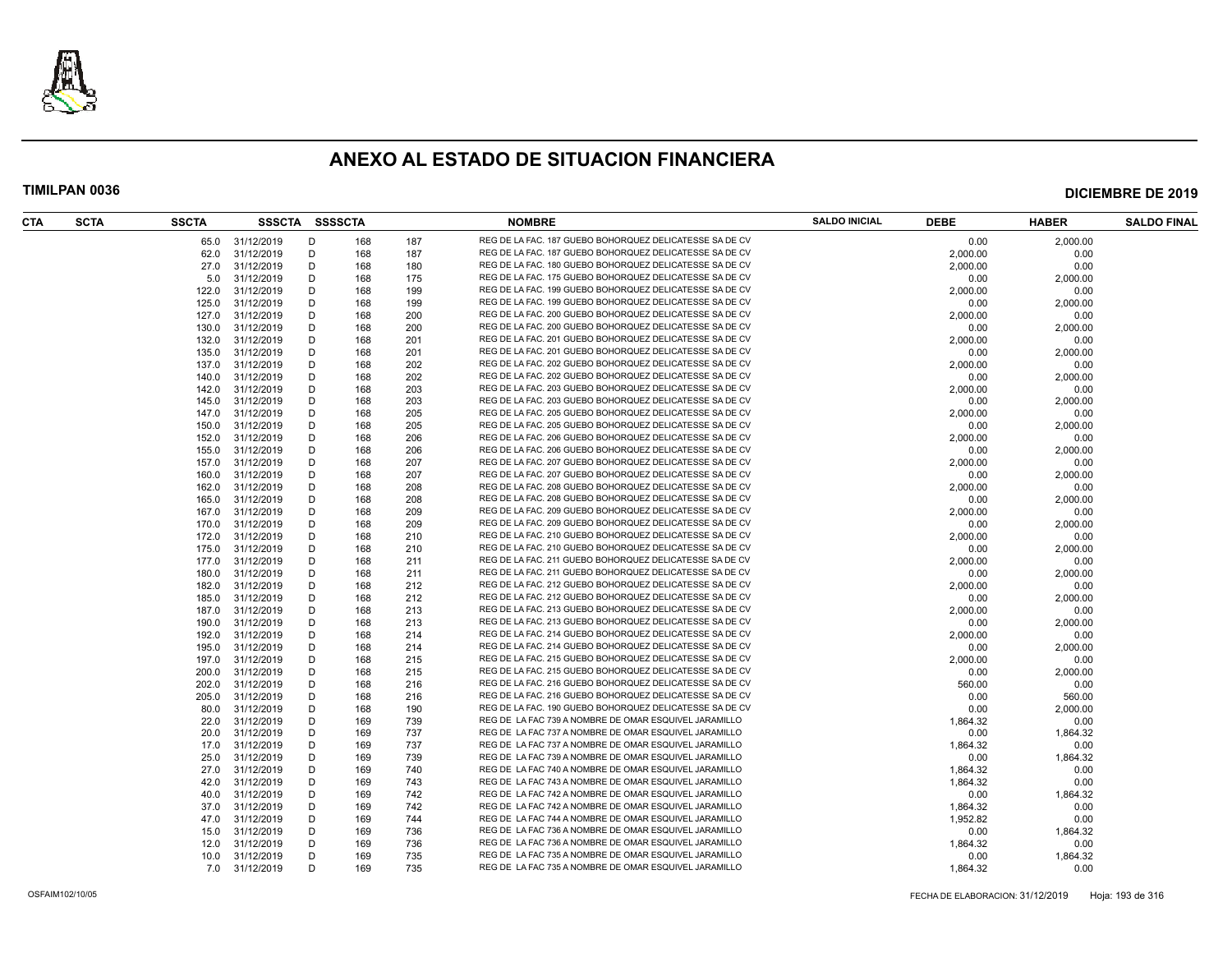

| CTA | <b>SCTA</b> | <b>SSCTA</b> | SSSCTA SSSSCTA  |   |     |     | <b>NOMBRE</b>                                           | <b>SALDO INICIAL</b> | <b>DEBE</b> | <b>HABER</b>     | <b>SALDO FINAL</b> |
|-----|-------------|--------------|-----------------|---|-----|-----|---------------------------------------------------------|----------------------|-------------|------------------|--------------------|
|     |             |              | 65.0 31/12/2019 | D | 168 | 187 | REG DE LA FAC. 187 GUEBO BOHORQUEZ DELICATESSE SA DE CV |                      | 0.00        | 2,000.00         |                    |
|     |             | 62.0         | 31/12/2019      | D | 168 | 187 | REG DE LA FAC. 187 GUEBO BOHORQUEZ DELICATESSE SA DE CV |                      | 2,000.00    | 0.00             |                    |
|     |             | 27.0         | 31/12/2019      | D | 168 | 180 | REG DE LA FAC. 180 GUEBO BOHORQUEZ DELICATESSE SA DE CV |                      | 2,000.00    | 0.00             |                    |
|     |             | 5.0          | 31/12/2019      | D | 168 | 175 | REG DE LA FAC. 175 GUEBO BOHORQUEZ DELICATESSE SA DE CV |                      | 0.00        | 2,000.00         |                    |
|     |             | 122.0        | 31/12/2019      | D | 168 | 199 | REG DE LA FAC. 199 GUEBO BOHORQUEZ DELICATESSE SA DE CV |                      | 2,000.00    | 0.00             |                    |
|     |             | 125.0        | 31/12/2019      | D | 168 | 199 | REG DE LA FAC. 199 GUEBO BOHORQUEZ DELICATESSE SA DE CV |                      | 0.00        | 2,000.00         |                    |
|     |             | 127.0        | 31/12/2019      | D | 168 | 200 | REG DE LA FAC. 200 GUEBO BOHORQUEZ DELICATESSE SA DE CV |                      | 2,000.00    | 0.00             |                    |
|     |             | 130.0        | 31/12/2019      | D | 168 | 200 | REG DE LA FAC. 200 GUEBO BOHORQUEZ DELICATESSE SA DE CV |                      | 0.00        | 2,000.00         |                    |
|     |             | 132.0        | 31/12/2019      | D | 168 | 201 | REG DE LA FAC. 201 GUEBO BOHORQUEZ DELICATESSE SA DE CV |                      | 2,000.00    | 0.00             |                    |
|     |             | 135.0        | 31/12/2019      | D | 168 | 201 | REG DE LA FAC. 201 GUEBO BOHORQUEZ DELICATESSE SA DE CV |                      | 0.00        | 2,000.00         |                    |
|     |             | 137.0        | 31/12/2019      | D | 168 | 202 | REG DE LA FAC. 202 GUEBO BOHORQUEZ DELICATESSE SA DE CV |                      | 2,000.00    | 0.00             |                    |
|     |             | 140.0        | 31/12/2019      | D | 168 | 202 | REG DE LA FAC. 202 GUEBO BOHORQUEZ DELICATESSE SA DE CV |                      |             |                  |                    |
|     |             |              |                 | D |     | 203 | REG DE LA FAC. 203 GUEBO BOHORQUEZ DELICATESSE SA DE CV |                      | 0.00        | 2,000.00<br>0.00 |                    |
|     |             | 142.0        | 31/12/2019      |   | 168 |     |                                                         |                      | 2,000.00    |                  |                    |
|     |             | 145.0        | 31/12/2019      | D | 168 | 203 | REG DE LA FAC. 203 GUEBO BOHORQUEZ DELICATESSE SA DE CV |                      | 0.00        | 2,000.00         |                    |
|     |             | 147.0        | 31/12/2019      | D | 168 | 205 | REG DE LA FAC. 205 GUEBO BOHORQUEZ DELICATESSE SA DE CV |                      | 2,000.00    | 0.00             |                    |
|     |             | 150.0        | 31/12/2019      | D | 168 | 205 | REG DE LA FAC. 205 GUEBO BOHORQUEZ DELICATESSE SA DE CV |                      | 0.00        | 2,000.00         |                    |
|     |             | 152.0        | 31/12/2019      | D | 168 | 206 | REG DE LA FAC. 206 GUEBO BOHORQUEZ DELICATESSE SA DE CV |                      | 2.000.00    | 0.00             |                    |
|     |             | 155.0        | 31/12/2019      | D | 168 | 206 | REG DE LA FAC. 206 GUEBO BOHORQUEZ DELICATESSE SA DE CV |                      | 0.00        | 2,000.00         |                    |
|     |             | 157.0        | 31/12/2019      | D | 168 | 207 | REG DE LA FAC. 207 GUEBO BOHORQUEZ DELICATESSE SA DE CV |                      | 2,000.00    | 0.00             |                    |
|     |             | 160.0        | 31/12/2019      | D | 168 | 207 | REG DE LA FAC. 207 GUEBO BOHORQUEZ DELICATESSE SA DE CV |                      | 0.00        | 2,000.00         |                    |
|     |             | 162.0        | 31/12/2019      | D | 168 | 208 | REG DE LA FAC. 208 GUEBO BOHORQUEZ DELICATESSE SA DE CV |                      | 2,000.00    | 0.00             |                    |
|     |             | 165.0        | 31/12/2019      | D | 168 | 208 | REG DE LA FAC. 208 GUEBO BOHORQUEZ DELICATESSE SA DE CV |                      | 0.00        | 2,000.00         |                    |
|     |             | 167.0        | 31/12/2019      | D | 168 | 209 | REG DE LA FAC. 209 GUEBO BOHORQUEZ DELICATESSE SA DE CV |                      | 2,000.00    | 0.00             |                    |
|     |             | 170.0        | 31/12/2019      | D | 168 | 209 | REG DE LA FAC. 209 GUEBO BOHORQUEZ DELICATESSE SA DE CV |                      | 0.00        | 2,000.00         |                    |
|     |             | 172.0        | 31/12/2019      | D | 168 | 210 | REG DE LA FAC. 210 GUEBO BOHORQUEZ DELICATESSE SA DE CV |                      | 2,000.00    | 0.00             |                    |
|     |             | 175.0        | 31/12/2019      | D | 168 | 210 | REG DE LA FAC. 210 GUEBO BOHORQUEZ DELICATESSE SA DE CV |                      | 0.00        | 2,000.00         |                    |
|     |             | 177.0        | 31/12/2019      | D | 168 | 211 | REG DE LA FAC. 211 GUEBO BOHORQUEZ DELICATESSE SA DE CV |                      | 2,000.00    | 0.00             |                    |
|     |             | 180.0        | 31/12/2019      | D | 168 | 211 | REG DE LA FAC. 211 GUEBO BOHORQUEZ DELICATESSE SA DE CV |                      | 0.00        | 2,000.00         |                    |
|     |             | 182.0        | 31/12/2019      | D | 168 | 212 | REG DE LA FAC. 212 GUEBO BOHORQUEZ DELICATESSE SA DE CV |                      | 2,000.00    | 0.00             |                    |
|     |             | 185.0        | 31/12/2019      | D | 168 | 212 | REG DE LA FAC. 212 GUEBO BOHORQUEZ DELICATESSE SA DE CV |                      | 0.00        | 2,000.00         |                    |
|     |             | 187.0        | 31/12/2019      | D | 168 | 213 | REG DE LA FAC. 213 GUEBO BOHORQUEZ DELICATESSE SA DE CV |                      | 2,000.00    | 0.00             |                    |
|     |             | 190.0        | 31/12/2019      | D | 168 | 213 | REG DE LA FAC. 213 GUEBO BOHORQUEZ DELICATESSE SA DE CV |                      | 0.00        | 2,000.00         |                    |
|     |             | 192.0        | 31/12/2019      | D | 168 | 214 | REG DE LA FAC. 214 GUEBO BOHORQUEZ DELICATESSE SA DE CV |                      | 2,000.00    | 0.00             |                    |
|     |             | 195.0        | 31/12/2019      | D | 168 | 214 | REG DE LA FAC. 214 GUEBO BOHORQUEZ DELICATESSE SA DE CV |                      | 0.00        | 2,000.00         |                    |
|     |             |              |                 | D |     |     | REG DE LA FAC. 215 GUEBO BOHORQUEZ DELICATESSE SA DE CV |                      |             |                  |                    |
|     |             | 197.0        | 31/12/2019      |   | 168 | 215 | REG DE LA FAC. 215 GUEBO BOHORQUEZ DELICATESSE SA DE CV |                      | 2,000.00    | 0.00             |                    |
|     |             | 200.0        | 31/12/2019      | D | 168 | 215 |                                                         |                      | 0.00        | 2,000.00         |                    |
|     |             | 202.0        | 31/12/2019      | D | 168 | 216 | REG DE LA FAC. 216 GUEBO BOHORQUEZ DELICATESSE SA DE CV |                      | 560.00      | 0.00             |                    |
|     |             | 205.0        | 31/12/2019      | D | 168 | 216 | REG DE LA FAC. 216 GUEBO BOHORQUEZ DELICATESSE SA DE CV |                      | 0.00        | 560.00           |                    |
|     |             | 80.0         | 31/12/2019      | D | 168 | 190 | REG DE LA FAC. 190 GUEBO BOHORQUEZ DELICATESSE SA DE CV |                      | 0.00        | 2,000.00         |                    |
|     |             | 22.0         | 31/12/2019      | D | 169 | 739 | REG DE LA FAC 739 A NOMBRE DE OMAR ESQUIVEL JARAMILLO   |                      | 1,864.32    | 0.00             |                    |
|     |             | 20.0         | 31/12/2019      | D | 169 | 737 | REG DE LA FAC 737 A NOMBRE DE OMAR ESQUIVEL JARAMILLO   |                      | 0.00        | 1,864.32         |                    |
|     |             | 17.0         | 31/12/2019      | D | 169 | 737 | REG DE LA FAC 737 A NOMBRE DE OMAR ESQUIVEL JARAMILLO   |                      | 1,864.32    | 0.00             |                    |
|     |             | 25.0         | 31/12/2019      | D | 169 | 739 | REG DE LA FAC 739 A NOMBRE DE OMAR ESQUIVEL JARAMILLO   |                      | 0.00        | 1,864.32         |                    |
|     |             | 27.0         | 31/12/2019      | D | 169 | 740 | REG DE LA FAC 740 A NOMBRE DE OMAR ESQUIVEL JARAMILLO   |                      | 1,864.32    | 0.00             |                    |
|     |             | 42.0         | 31/12/2019      | D | 169 | 743 | REG DE LA FAC 743 A NOMBRE DE OMAR ESQUIVEL JARAMILLO   |                      | 1,864.32    | 0.00             |                    |
|     |             | 40.0         | 31/12/2019      | D | 169 | 742 | REG DE LA FAC 742 A NOMBRE DE OMAR ESQUIVEL JARAMILLO   |                      | 0.00        | 1,864.32         |                    |
|     |             | 37.0         | 31/12/2019      | D | 169 | 742 | REG DE LA FAC 742 A NOMBRE DE OMAR ESQUIVEL JARAMILLO   |                      | 1,864.32    | 0.00             |                    |
|     |             | 47.0         | 31/12/2019      | D | 169 | 744 | REG DE LA FAC 744 A NOMBRE DE OMAR ESQUIVEL JARAMILLO   |                      | 1,952.82    | 0.00             |                    |
|     |             | 15.0         | 31/12/2019      | D | 169 | 736 | REG DE LA FAC 736 A NOMBRE DE OMAR ESQUIVEL JARAMILLO   |                      | 0.00        | 1,864.32         |                    |
|     |             | 12.0         | 31/12/2019      | D | 169 | 736 | REG DE LA FAC 736 A NOMBRE DE OMAR ESQUIVEL JARAMILLO   |                      | 1.864.32    | 0.00             |                    |
|     |             | 10.0         | 31/12/2019      | D | 169 | 735 | REG DE LA FAC 735 A NOMBRE DE OMAR ESQUIVEL JARAMILLO   |                      | 0.00        | 1,864.32         |                    |
|     |             |              | 7.0 31/12/2019  | D | 169 | 735 | REG DE LA FAC 735 A NOMBRE DE OMAR ESQUIVEL JARAMILLO   |                      | 1,864.32    | 0.00             |                    |
|     |             |              |                 |   |     |     |                                                         |                      |             |                  |                    |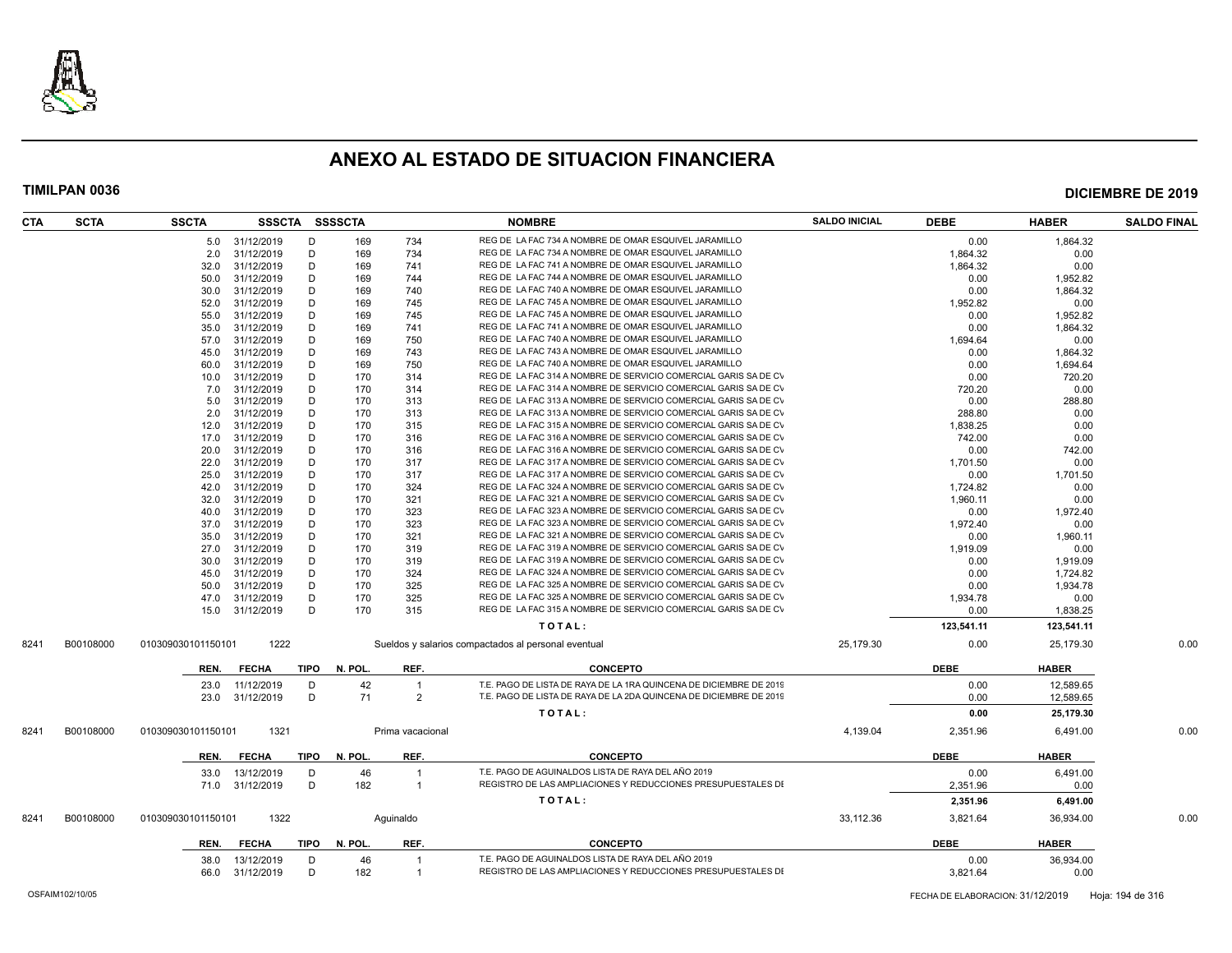

| CTA  | <b>SCTA</b> | <b>SSCTA</b>       |                |             | SSSCTA SSSSCTA |                  | <b>NOMBRE</b>                                                                                                                      | <b>SALDO INICIAL</b> | <b>DEBE</b> | <b>HABER</b> | <b>SALDO FINAL</b> |
|------|-------------|--------------------|----------------|-------------|----------------|------------------|------------------------------------------------------------------------------------------------------------------------------------|----------------------|-------------|--------------|--------------------|
|      |             |                    | 5.0 31/12/2019 | D           | 169            | 734              | REG DE LA FAC 734 A NOMBRE DE OMAR ESQUIVEL JARAMILLO                                                                              |                      | 0.00        | 1,864.32     |                    |
|      |             | 2.0                | 31/12/2019     | D           | 169            | 734              | REG DE LA FAC 734 A NOMBRE DE OMAR ESQUIVEL JARAMILLO                                                                              |                      | 1,864.32    | 0.00         |                    |
|      |             | 32.0               | 31/12/2019     | D           | 169            | 741              | REG DE LA FAC 741 A NOMBRE DE OMAR ESQUIVEL JARAMILLO                                                                              |                      | 1.864.32    | 0.00         |                    |
|      |             | 50.0               | 31/12/2019     | D           | 169            | 744              | REG DE LA FAC 744 A NOMBRE DE OMAR ESQUIVEL JARAMILLO                                                                              |                      | 0.00        | 1,952.82     |                    |
|      |             | 30.0               | 31/12/2019     | D           | 169            | 740              | REG DE LA FAC 740 A NOMBRE DE OMAR ESQUIVEL JARAMILLO                                                                              |                      | 0.00        | 1,864.32     |                    |
|      |             | 52.0               | 31/12/2019     | D           | 169            | 745              | REG DE LA FAC 745 A NOMBRE DE OMAR ESQUIVEL JARAMILLO                                                                              |                      | 1,952.82    | 0.00         |                    |
|      |             | 55.0               | 31/12/2019     | D           | 169            | 745              | REG DE LA FAC 745 A NOMBRE DE OMAR ESQUIVEL JARAMILLO                                                                              |                      | 0.00        | 1,952.82     |                    |
|      |             | 35.0               | 31/12/2019     | D           | 169            | 741              | REG DE LA FAC 741 A NOMBRE DE OMAR ESQUIVEL JARAMILLO                                                                              |                      | 0.00        | 1,864.32     |                    |
|      |             | 57.0               | 31/12/2019     | D           | 169            | 750              | REG DE LA FAC 740 A NOMBRE DE OMAR ESQUIVEL JARAMILLO                                                                              |                      | 1,694.64    | 0.00         |                    |
|      |             | 45.0               | 31/12/2019     | D           | 169            | 743              | REG DE LA FAC 743 A NOMBRE DE OMAR ESQUIVEL JARAMILLO                                                                              |                      | 0.00        | 1,864.32     |                    |
|      |             | 60.0               | 31/12/2019     | D           | 169            | 750              | REG DE LA FAC 740 A NOMBRE DE OMAR ESQUIVEL JARAMILLO                                                                              |                      | 0.00        | 1,694.64     |                    |
|      |             | 10.0               | 31/12/2019     | D           | 170            | 314              | REG DE LA FAC 314 A NOMBRE DE SERVICIO COMERCIAL GARIS SA DE CV                                                                    |                      | 0.00        | 720.20       |                    |
|      |             | 7.0                | 31/12/2019     | D           | 170            | 314              | REG DE LA FAC 314 A NOMBRE DE SERVICIO COMERCIAL GARIS SA DE CV                                                                    |                      | 720.20      | 0.00         |                    |
|      |             | 5.0                | 31/12/2019     | D           | 170            | 313              | REG DE LA FAC 313 A NOMBRE DE SERVICIO COMERCIAL GARIS SA DE CV                                                                    |                      | 0.00        | 288.80       |                    |
|      |             | 2.0                | 31/12/2019     | D           | 170            | 313              | REG DE LA FAC 313 A NOMBRE DE SERVICIO COMERCIAL GARIS SA DE CV                                                                    |                      | 288.80      | 0.00         |                    |
|      |             | 12.0               | 31/12/2019     | D           | 170            | 315              | REG DE LA FAC 315 A NOMBRE DE SERVICIO COMERCIAL GARIS SA DE CV                                                                    |                      | 1,838.25    | 0.00         |                    |
|      |             | 17.0               | 31/12/2019     | D           | 170            | 316              | REG DE LA FAC 316 A NOMBRE DE SERVICIO COMERCIAL GARIS SA DE CV                                                                    |                      | 742.00      | 0.00         |                    |
|      |             | 20.0               | 31/12/2019     | D           | 170            | 316              | REG DE LA FAC 316 A NOMBRE DE SERVICIO COMERCIAL GARIS SA DE CV                                                                    |                      | 0.00        | 742.00       |                    |
|      |             | 22.0               | 31/12/2019     | D           | 170            | 317              | REG DE LA FAC 317 A NOMBRE DE SERVICIO COMERCIAL GARIS SA DE CV                                                                    |                      | 1,701.50    | 0.00         |                    |
|      |             | 25.0               | 31/12/2019     | D           | 170            | 317              | REG DE LA FAC 317 A NOMBRE DE SERVICIO COMERCIAL GARIS SA DE CV                                                                    |                      | 0.00        | 1,701.50     |                    |
|      |             | 42.0               | 31/12/2019     | D           | 170            | 324              | REG DE LA FAC 324 A NOMBRE DE SERVICIO COMERCIAL GARIS SA DE CV                                                                    |                      | 1,724.82    | 0.00         |                    |
|      |             | 32.0               | 31/12/2019     | D           | 170            | 321              | REG DE LA FAC 321 A NOMBRE DE SERVICIO COMERCIAL GARIS SA DE CV                                                                    |                      | 1,960.11    | 0.00         |                    |
|      |             | 40.0               | 31/12/2019     | D           | 170            | 323              | REG DE LA FAC 323 A NOMBRE DE SERVICIO COMERCIAL GARIS SA DE CV                                                                    |                      | 0.00        | 1,972.40     |                    |
|      |             | 37.0               | 31/12/2019     | D           | 170            | 323              | REG DE LA FAC 323 A NOMBRE DE SERVICIO COMERCIAL GARIS SA DE CV                                                                    |                      | 1.972.40    | 0.00         |                    |
|      |             | 35.0               | 31/12/2019     | D           | 170            | 321              | REG DE LA FAC 321 A NOMBRE DE SERVICIO COMERCIAL GARIS SA DE CV                                                                    |                      | 0.00        | 1,960.11     |                    |
|      |             |                    | 31/12/2019     | D           | 170            | 319              | REG DE LA FAC 319 A NOMBRE DE SERVICIO COMERCIAL GARIS SA DE CV                                                                    |                      |             | 0.00         |                    |
|      |             | 27.0               |                |             |                |                  | REG DE LA FAC 319 A NOMBRE DE SERVICIO COMERCIAL GARIS SA DE CV                                                                    |                      | 1,919.09    |              |                    |
|      |             | 30.0               | 31/12/2019     | D           | 170            | 319              |                                                                                                                                    |                      | 0.00        | 1,919.09     |                    |
|      |             | 45.0               | 31/12/2019     | D           | 170            | 324              | REG DE LA FAC 324 A NOMBRE DE SERVICIO COMERCIAL GARIS SA DE CV<br>REG DE LA FAC 325 A NOMBRE DE SERVICIO COMERCIAL GARIS SA DE CV |                      | 0.00        | 1,724.82     |                    |
|      |             | 50.0               | 31/12/2019     | D           | 170            | 325              | REG DE LA FAC 325 A NOMBRE DE SERVICIO COMERCIAL GARIS SA DE CV                                                                    |                      | 0.00        | 1,934.78     |                    |
|      |             | 47.0               | 31/12/2019     | D           | 170            | 325              |                                                                                                                                    |                      | 1,934.78    | 0.00         |                    |
|      |             | 15.0               | 31/12/2019     | D           | 170            | 315              | REG DE LA FAC 315 A NOMBRE DE SERVICIO COMERCIAL GARIS SA DE CV                                                                    |                      | 0.00        | 1,838.25     |                    |
|      |             |                    |                |             |                |                  | TOTAL:                                                                                                                             |                      | 123,541.11  | 123,541.11   |                    |
| 8241 | B00108000   | 010309030101150101 | 1222           |             |                |                  | Sueldos y salarios compactados al personal eventual                                                                                | 25,179.30            | 0.00        | 25,179.30    | 0.00               |
|      |             | REN.               | <b>FECHA</b>   | TIPO        | N. POL         | REF.             | <b>CONCEPTO</b>                                                                                                                    |                      | <b>DEBE</b> | <b>HABER</b> |                    |
|      |             | 23.0               | 11/12/2019     | D           | 42             | $\mathbf{1}$     | T.E. PAGO DE LISTA DE RAYA DE LA 1RA QUINCENA DE DICIEMBRE DE 2019                                                                 |                      | 0.00        | 12,589.65    |                    |
|      |             | 23.0               | 31/12/2019     | D           | 71             | $\overline{2}$   | T.E. PAGO DE LISTA DE RAYA DE LA 2DA QUINCENA DE DICIEMBRE DE 2019                                                                 |                      | 0.00        | 12,589.65    |                    |
|      |             |                    |                |             |                |                  | TOTAL:                                                                                                                             |                      | 0.00        | 25,179.30    |                    |
| 8241 | B00108000   | 010309030101150101 | 1321           |             |                | Prima vacacional |                                                                                                                                    | 4,139.04             | 2,351.96    | 6,491.00     | 0.00               |
|      |             | REN.               | <b>FECHA</b>   | TIPO        | N. POL         | REF.             | <b>CONCEPTO</b>                                                                                                                    |                      | <b>DEBE</b> | <b>HABER</b> |                    |
|      |             | 33.0               | 13/12/2019     | D           | 46             | $\overline{1}$   | T.E. PAGO DE AGUINALDOS LISTA DE RAYA DEL AÑO 2019                                                                                 |                      | 0.00        | 6.491.00     |                    |
|      |             | 71.0               | 31/12/2019     | D           | 182            | $\mathbf{1}$     | REGISTRO DE LAS AMPLIACIONES Y REDUCCIONES PRESUPUESTALES DI                                                                       |                      | 2,351.96    | 0.00         |                    |
|      |             |                    |                |             |                |                  |                                                                                                                                    |                      |             |              |                    |
|      |             |                    |                |             |                |                  | TOTAL:                                                                                                                             |                      | 2,351.96    | 6,491.00     |                    |
| 8241 | B00108000   | 010309030101150101 | 1322           |             |                | Aquinaldo        |                                                                                                                                    | 33,112.36            | 3,821.64    | 36,934.00    | 0.00               |
|      |             | REN.               | <b>FECHA</b>   | <b>TIPO</b> | N. POL         | REF.             | <b>CONCEPTO</b>                                                                                                                    |                      | <b>DEBE</b> | <b>HABER</b> |                    |
|      |             | 38.0               | 13/12/2019     | D           | 46             | $\overline{1}$   | T.E. PAGO DE AGUINALDOS LISTA DE RAYA DEL AÑO 2019                                                                                 |                      | 0.00        | 36,934.00    |                    |
|      |             | 66.0               | 31/12/2019     | D           | 182            | $\overline{1}$   | REGISTRO DE LAS AMPLIACIONES Y REDUCCIONES PRESUPUESTALES DI                                                                       |                      | 3,821.64    | 0.00         |                    |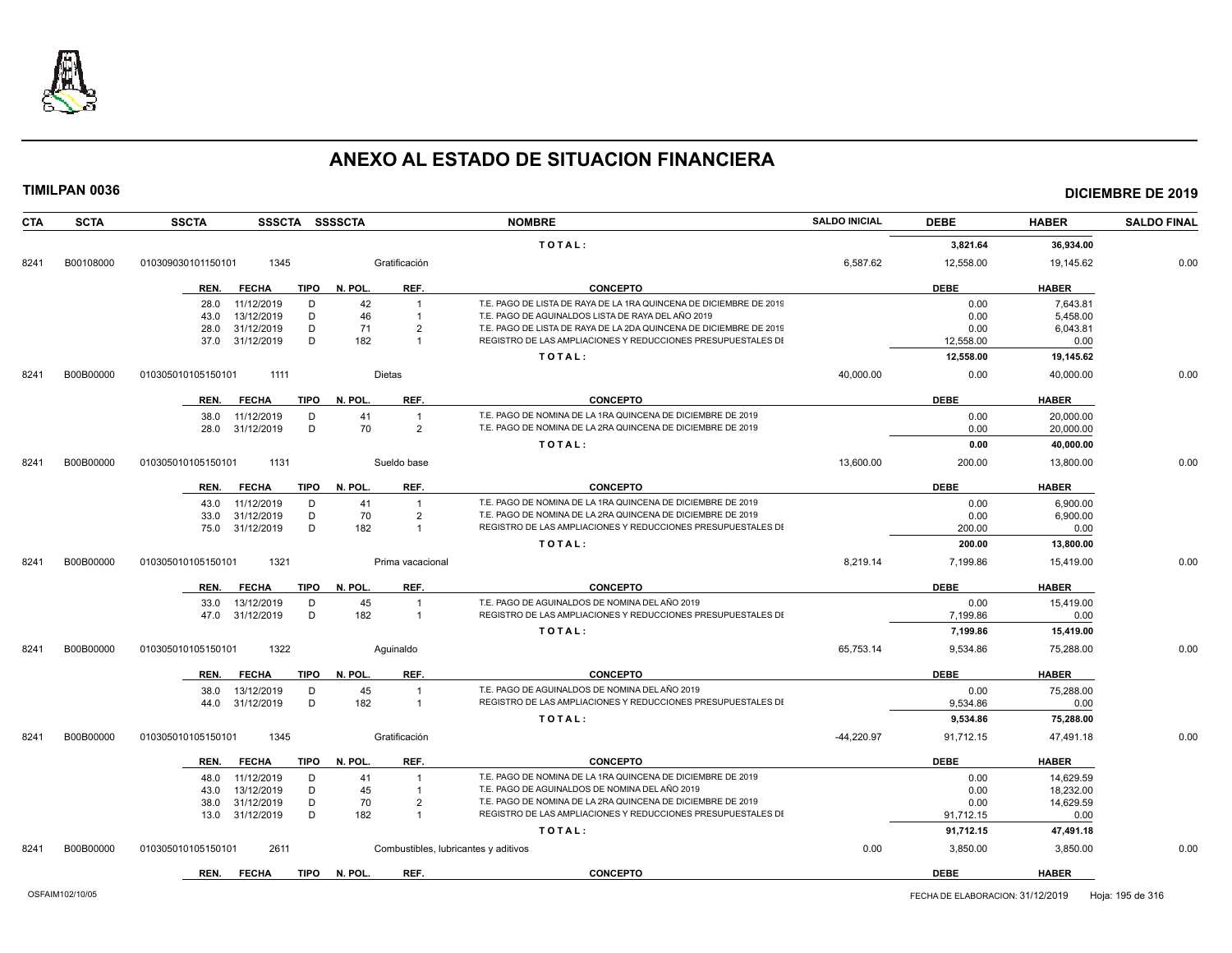

| <b>CTA</b> | <b>SCTA</b> | SSSCTA SSSSCTA<br><b>SSCTA</b>      |                                      | <b>NOMBRE</b>                                                      | <b>SALDO INICIAL</b> | <b>DEBE</b> | <b>HABER</b> | <b>SALDO FINAL</b> |
|------------|-------------|-------------------------------------|--------------------------------------|--------------------------------------------------------------------|----------------------|-------------|--------------|--------------------|
|            |             |                                     |                                      | TOTAL:                                                             |                      | 3,821.64    | 36.934.00    |                    |
| 8241       | B00108000   | 1345<br>010309030101150101          | Gratificación                        |                                                                    | 6,587.62             | 12,558.00   | 19,145.62    | 0.00               |
|            |             | <b>FECHA</b><br>TIPO<br>REN.        | N. POL.<br>REF.                      | <b>CONCEPTO</b>                                                    |                      | <b>DEBE</b> | <b>HABER</b> |                    |
|            |             | 11/12/2019<br>D<br>28.0             | 42                                   | T.E. PAGO DE LISTA DE RAYA DE LA 1RA QUINCENA DE DICIEMBRE DE 2019 |                      | 0.00        | 7,643.81     |                    |
|            |             | 13/12/2019<br>D<br>43.0             | 46                                   | T.E. PAGO DE AGUINALDOS LISTA DE RAYA DEL AÑO 2019                 |                      | 0.00        | 5,458.00     |                    |
|            |             | 31/12/2019<br>D<br>28.0             | 71<br>$\overline{2}$                 | T.E. PAGO DE LISTA DE RAYA DE LA 2DA QUINCENA DE DICIEMBRE DE 2019 |                      | 0.00        | 6,043.81     |                    |
|            |             | D<br>31/12/2019<br>37.0             | 182<br>$\overline{1}$                | REGISTRO DE LAS AMPLIACIONES Y REDUCCIONES PRESUPUESTALES DI       |                      | 12,558.00   | 0.00         |                    |
|            |             |                                     |                                      | TOTAL:                                                             |                      | 12,558.00   | 19,145.62    |                    |
| 8241       | B00B00000   | 010305010105150101<br>1111          | <b>Dietas</b>                        |                                                                    | 40,000.00            | 0.00        | 40,000.00    | 0.00               |
|            |             | REN.<br><b>FECHA</b><br>TIPO        | N. POL.<br>REF.                      | <b>CONCEPTO</b>                                                    |                      | <b>DEBE</b> | <b>HABER</b> |                    |
|            |             | 11/12/2019<br>D<br>38.0             | 41<br>$\overline{1}$                 | T.E. PAGO DE NOMINA DE LA 1RA QUINCENA DE DICIEMBRE DE 2019        |                      | 0.00        | 20,000.00    |                    |
|            |             | 31/12/2019<br>D<br>28.0             | 70<br>$\overline{2}$                 | T.E. PAGO DE NOMINA DE LA 2RA QUINCENA DE DICIEMBRE DE 2019        |                      | 0.00        | 20,000.00    |                    |
|            |             |                                     |                                      | TOTAL:                                                             |                      | 0.00        | 40,000.00    |                    |
| 8241       | B00B00000   | 010305010105150101<br>1131          | Sueldo base                          |                                                                    | 13,600.00            | 200.00      | 13,800.00    | 0.00               |
|            |             | <b>FECHA</b><br><b>TIPO</b><br>REN. | N. POL.<br>REF.                      | <b>CONCEPTO</b>                                                    |                      | <b>DEBE</b> | <b>HABER</b> |                    |
|            |             | 11/12/2019<br>D<br>43.0             | 41<br>$\overline{1}$                 | T.E. PAGO DE NOMINA DE LA 1RA QUINCENA DE DICIEMBRE DE 2019        |                      | 0.00        | 6.900.00     |                    |
|            |             | 31/12/2019<br>D<br>33.0             | 70<br>$\overline{2}$                 | T.E. PAGO DE NOMINA DE LA 2RA QUINCENA DE DICIEMBRE DE 2019        |                      | 0.00        | 6,900.00     |                    |
|            |             | D<br>31/12/2019<br>75.0             | 182<br>$\mathbf{1}$                  | REGISTRO DE LAS AMPLIACIONES Y REDUCCIONES PRESUPUESTALES DI       |                      | 200.00      | 0.00         |                    |
|            |             |                                     |                                      | TOTAL:                                                             |                      | 200.00      | 13,800.00    |                    |
| 8241       | B00B00000   | 1321<br>010305010105150101          | Prima vacacional                     |                                                                    | 8,219.14             | 7,199.86    | 15,419.00    | 0.00               |
|            |             | REN.<br><b>FECHA</b><br>TIPO        | REF.<br>N. POL.                      | <b>CONCEPTO</b>                                                    |                      | <b>DEBE</b> | <b>HABER</b> |                    |
|            |             | 13/12/2019<br>D<br>33.0             | 45                                   | T.E. PAGO DE AGUINALDOS DE NOMINA DEL AÑO 2019                     |                      | 0.00        | 15,419.00    |                    |
|            |             | 47.0 31/12/2019<br>D                | 182<br>$\overline{1}$                | REGISTRO DE LAS AMPLIACIONES Y REDUCCIONES PRESUPUESTALES DI       |                      | 7,199.86    | 0.00         |                    |
|            |             |                                     |                                      | TOTAL:                                                             |                      | 7,199.86    | 15,419.00    |                    |
| 8241       | B00B00000   | 1322<br>010305010105150101          | Aquinaldo                            |                                                                    | 65,753.14            | 9,534.86    | 75,288.00    | 0.00               |
|            |             | <b>FECHA</b><br>TIPO<br>REN.        | REF.<br>N. POL.                      | <b>CONCEPTO</b>                                                    |                      | <b>DEBE</b> | <b>HABER</b> |                    |
|            |             | 13/12/2019<br>D<br>38.0             | 45<br>$\overline{1}$                 | T.E. PAGO DE AGUINALDOS DE NOMINA DEL AÑO 2019                     |                      | 0.00        | 75,288.00    |                    |
|            |             | D<br>31/12/2019<br>44.0             | 182<br>$\overline{1}$                | REGISTRO DE LAS AMPLIACIONES Y REDUCCIONES PRESUPUESTALES DI       |                      | 9,534.86    | 0.00         |                    |
|            |             |                                     |                                      | TOTAL:                                                             |                      | 9,534.86    | 75,288.00    |                    |
| 8241       | B00B00000   | 1345<br>010305010105150101          | Gratificación                        |                                                                    | $-44,220.97$         | 91,712.15   | 47,491.18    | 0.00               |
|            |             | <b>FECHA</b><br><b>TIPO</b><br>REN. | N. POL.<br>REF.                      | <b>CONCEPTO</b>                                                    |                      | <b>DEBE</b> | <b>HABER</b> |                    |
|            |             | 11/12/2019<br>D<br>48.0             | 41                                   | T.E. PAGO DE NOMINA DE LA 1RA QUINCENA DE DICIEMBRE DE 2019        |                      | 0.00        | 14.629.59    |                    |
|            |             | 13/12/2019<br>D<br>43.0             | 45                                   | T.E. PAGO DE AGUINALDOS DE NOMINA DEL AÑO 2019                     |                      | 0.00        | 18,232.00    |                    |
|            |             | 31/12/2019<br>D<br>38.0             | 70<br>$\mathcal{P}$                  | T.E. PAGO DE NOMINA DE LA 2RA QUINCENA DE DICIEMBRE DE 2019        |                      | 0.00        | 14,629.59    |                    |
|            |             | D<br>31/12/2019<br>13.0             | 182<br>$\overline{1}$                | REGISTRO DE LAS AMPLIACIONES Y REDUCCIONES PRESUPUESTALES DI       |                      | 91,712.15   | 0.00         |                    |
|            |             |                                     |                                      | TOTAL:                                                             |                      | 91,712.15   | 47,491.18    |                    |
| 8241       | B00B00000   | 010305010105150101<br>2611          | Combustibles, lubricantes y aditivos |                                                                    | 0.00                 | 3,850.00    | 3,850.00     | 0.00               |
|            |             | <b>FECHA</b><br>REN.                | TIPO N. POL.<br>REF.                 | <b>CONCEPTO</b>                                                    |                      | <b>DEBE</b> | <b>HABER</b> |                    |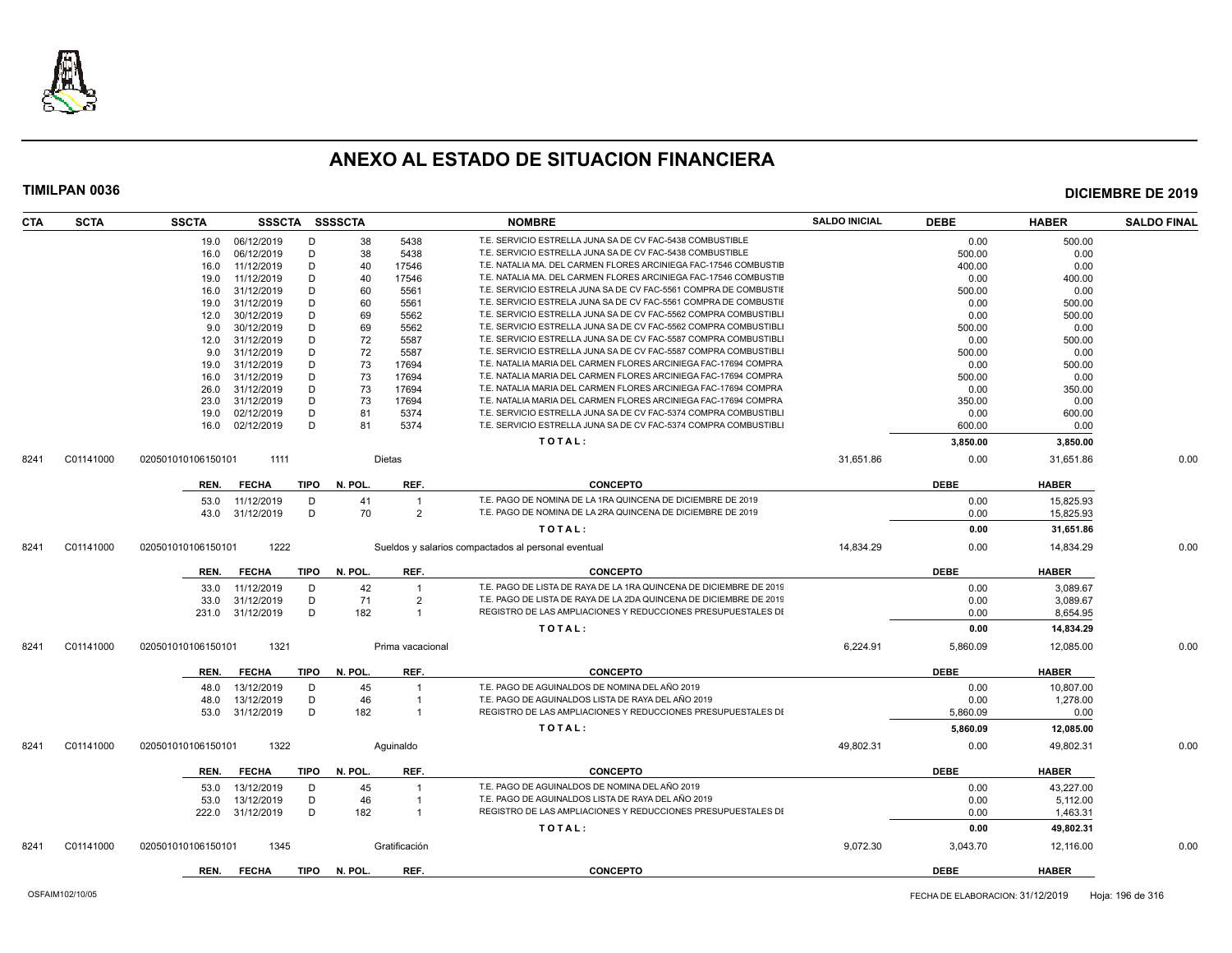

| <b>CTA</b> | <b>SCTA</b> | <b>SSCTA</b>       | <b>SSSCTA</b> |             | <b>SSSSCTA</b> |                  | <b>NOMBRE</b>                                                      | <b>SALDO INICIAL</b> | <b>DEBE</b> | <b>HABER</b> | <b>SALDO FINAL</b> |
|------------|-------------|--------------------|---------------|-------------|----------------|------------------|--------------------------------------------------------------------|----------------------|-------------|--------------|--------------------|
|            |             | 19.0               | 06/12/2019    | D           | 38             | 5438             | T.E. SERVICIO ESTRELLA JUNA SA DE CV FAC-5438 COMBUSTIBLE          |                      | 0.00        | 500.00       |                    |
|            |             | 16.0               | 06/12/2019    | D           | 38             | 5438             | T.E. SERVICIO ESTRELLA JUNA SA DE CV FAC-5438 COMBUSTIBLE          |                      | 500.00      | 0.00         |                    |
|            |             | 16.0               | 11/12/2019    | D           | 40             | 17546            | T.E. NATALIA MA. DEL CARMEN FLORES ARCINIEGA FAC-17546 COMBUSTIE   |                      | 400.00      | 0.00         |                    |
|            |             | 19.0               | 11/12/2019    | D           | 40             | 17546            | T.E. NATALIA MA. DEL CARMEN FLORES ARCINIEGA FAC-17546 COMBUSTIE   |                      | 0.00        | 400.00       |                    |
|            |             | 16.0               | 31/12/2019    | D           | 60             | 5561             | T.E. SERVICIO ESTRELA JUNA SA DE CV FAC-5561 COMPRA DE COMBUSTII   |                      | 500.00      | 0.00         |                    |
|            |             | 19.0               | 31/12/2019    | D           | 60             | 5561             | T.E. SERVICIO ESTRELA JUNA SA DE CV FAC-5561 COMPRA DE COMBUSTIE   |                      | 0.00        | 500.00       |                    |
|            |             | 12.0               | 30/12/2019    | D           | 69             | 5562             | T.E. SERVICIO ESTRELLA JUNA SA DE CV FAC-5562 COMPRA COMBUSTIBL    |                      | 0.00        | 500.00       |                    |
|            |             | 9.0                | 30/12/2019    | D           | 69             | 5562             | T.E. SERVICIO ESTRELLA JUNA SA DE CV FAC-5562 COMPRA COMBUSTIBLI   |                      | 500.00      | 0.00         |                    |
|            |             | 12.0               | 31/12/2019    | D           | 72             | 5587             | T.E. SERVICIO ESTRELLA JUNA SA DE CV FAC-5587 COMPRA COMBUSTIBL    |                      | 0.00        | 500.00       |                    |
|            |             | 9.0                | 31/12/2019    | D           | 72             | 5587             | T.E. SERVICIO ESTRELLA JUNA SA DE CV FAC-5587 COMPRA COMBUSTIBLI   |                      | 500.00      | 0.00         |                    |
|            |             | 19.0               | 31/12/2019    | D           | 73             | 17694            | T.E. NATALIA MARIA DEL CARMEN FLORES ARCINIEGA FAC-17694 COMPRA    |                      | 0.00        | 500.00       |                    |
|            |             | 16.0               | 31/12/2019    | D           | 73             | 17694            | T.E. NATALIA MARIA DEL CARMEN FLORES ARCINIEGA FAC-17694 COMPRA    |                      | 500.00      | 0.00         |                    |
|            |             | 26.0               | 31/12/2019    | D           | 73             | 17694            | T.E. NATALIA MARIA DEL CARMEN FLORES ARCINIEGA FAC-17694 COMPRA    |                      | 0.00        | 350.00       |                    |
|            |             | 23.0               | 31/12/2019    | D           | 73             | 17694            | T.E. NATALIA MARIA DEL CARMEN FLORES ARCINIEGA FAC-17694 COMPRA    |                      | 350.00      | 0.00         |                    |
|            |             | 19.0               | 02/12/2019    | D           | 81             | 5374             | T.E. SERVICIO ESTRELLA JUNA SA DE CV FAC-5374 COMPRA COMBUSTIBLI   |                      | 0.00        | 600.00       |                    |
|            |             | 16.0               | 02/12/2019    | D           | 81             | 5374             | T.E. SERVICIO ESTRELLA JUNA SA DE CV FAC-5374 COMPRA COMBUSTIBL    |                      | 600.00      | 0.00         |                    |
|            |             |                    |               |             |                |                  | TOTAL:                                                             |                      | 3,850.00    | 3,850.00     |                    |
| 8241       | C01141000   | 020501010106150101 | 1111          |             |                | <b>Dietas</b>    |                                                                    | 31,651.86            | 0.00        | 31,651.86    | 0.00               |
|            |             | REN.               | <b>FECHA</b>  | <b>TIPO</b> | N. POL.        | REF.             | <b>CONCEPTO</b>                                                    |                      | <b>DEBE</b> | <b>HABER</b> |                    |
|            |             | 53.0               | 11/12/2019    | D           | 41             | $\overline{1}$   | T.E. PAGO DE NOMINA DE LA 1RA QUINCENA DE DICIEMBRE DE 2019        |                      | 0.00        | 15,825.93    |                    |
|            |             | 43.0               | 31/12/2019    | D           | 70             | $\overline{2}$   | T.E. PAGO DE NOMINA DE LA 2RA QUINCENA DE DICIEMBRE DE 2019        |                      | 0.00        | 15,825.93    |                    |
|            |             |                    |               |             |                |                  | TOTAL:                                                             |                      | 0.00        | 31,651.86    |                    |
| 8241       | C01141000   | 020501010106150101 | 1222          |             |                |                  | Sueldos y salarios compactados al personal eventual                | 14,834.29            | 0.00        | 14,834.29    | 0.00               |
|            |             | REN.               | <b>FECHA</b>  | <b>TIPO</b> | N. POL.        | REF.             | <b>CONCEPTO</b>                                                    |                      | <b>DEBE</b> | <b>HABER</b> |                    |
|            |             | 33.0               | 11/12/2019    | D           | 42             |                  | T.E. PAGO DE LISTA DE RAYA DE LA 1RA QUINCENA DE DICIEMBRE DE 2019 |                      | 0.00        | 3.089.67     |                    |
|            |             | 33.0               | 31/12/2019    | D           | 71             | $\overline{2}$   | T.E. PAGO DE LISTA DE RAYA DE LA 2DA QUINCENA DE DICIEMBRE DE 2019 |                      | 0.00        | 3,089.67     |                    |
|            |             | 231.0              | 31/12/2019    | D           | 182            | $\mathbf{1}$     | REGISTRO DE LAS AMPLIACIONES Y REDUCCIONES PRESUPUESTALES DI       |                      | 0.00        | 8,654.95     |                    |
|            |             |                    |               |             |                |                  | TOTAL:                                                             |                      | 0.00        | 14,834.29    |                    |
| 8241       | C01141000   | 020501010106150101 | 1321          |             |                | Prima vacacional |                                                                    | 6,224.91             | 5,860.09    | 12.085.00    | 0.00               |
|            |             |                    | <b>FECHA</b>  | <b>TIPO</b> |                | REF.             | <b>CONCEPTO</b>                                                    |                      | <b>DEBE</b> |              |                    |
|            |             | REN.               |               |             | N. POL.        |                  |                                                                    |                      |             | <b>HABER</b> |                    |
|            |             | 48.0               | 13/12/2019    | D           | 45             | $\overline{1}$   | T.E. PAGO DE AGUINALDOS DE NOMINA DEL AÑO 2019                     |                      | 0.00        | 10,807.00    |                    |
|            |             | 48.0               | 13/12/2019    | D           | 46             | $\overline{1}$   | T.E. PAGO DE AGUINALDOS LISTA DE RAYA DEL AÑO 2019                 |                      | 0.00        | 1,278.00     |                    |
|            |             | 53.0               | 31/12/2019    | D           | 182            | $\overline{1}$   | REGISTRO DE LAS AMPLIACIONES Y REDUCCIONES PRESUPUESTALES DI       |                      | 5,860.09    | 0.00         |                    |
|            |             |                    |               |             |                |                  | TOTAL:                                                             |                      | 5,860.09    | 12,085.00    |                    |
| 8241       | C01141000   | 020501010106150101 | 1322          |             |                | Aquinaldo        |                                                                    | 49,802.31            | 0.00        | 49,802.31    | 0.00               |
|            |             | REN.               | <b>FECHA</b>  | <b>TIPO</b> | N. POL.        | REF.             | <b>CONCEPTO</b>                                                    |                      | <b>DEBE</b> | <b>HABER</b> |                    |
|            |             | 53.0               | 13/12/2019    | D           | 45             |                  | T.E. PAGO DE AGUINALDOS DE NOMINA DEL AÑO 2019                     |                      | 0.00        | 43,227.00    |                    |
|            |             | 53.0               | 13/12/2019    | D           | 46             | $\overline{1}$   | T.E. PAGO DE AGUINALDOS LISTA DE RAYA DEL AÑO 2019                 |                      | 0.00        | 5,112.00     |                    |
|            |             | 222.0              | 31/12/2019    | D           | 182            | $\overline{1}$   | REGISTRO DE LAS AMPLIACIONES Y REDUCCIONES PRESUPUESTALES DI       |                      | 0.00        | 1,463.31     |                    |
|            |             |                    |               |             |                |                  | TOTAL:                                                             |                      | 0.00        | 49,802.31    |                    |
| 8241       | C01141000   | 020501010106150101 | 1345          |             |                | Gratificación    |                                                                    | 9,072.30             | 3,043.70    | 12,116.00    | 0.00               |
|            |             |                    |               |             |                |                  |                                                                    |                      |             |              |                    |
|            |             | REN.               | <b>FECHA</b>  | <b>TIPO</b> | N. POL         | REF.             | <b>CONCEPTO</b>                                                    |                      | <b>DEBE</b> | <b>HABER</b> |                    |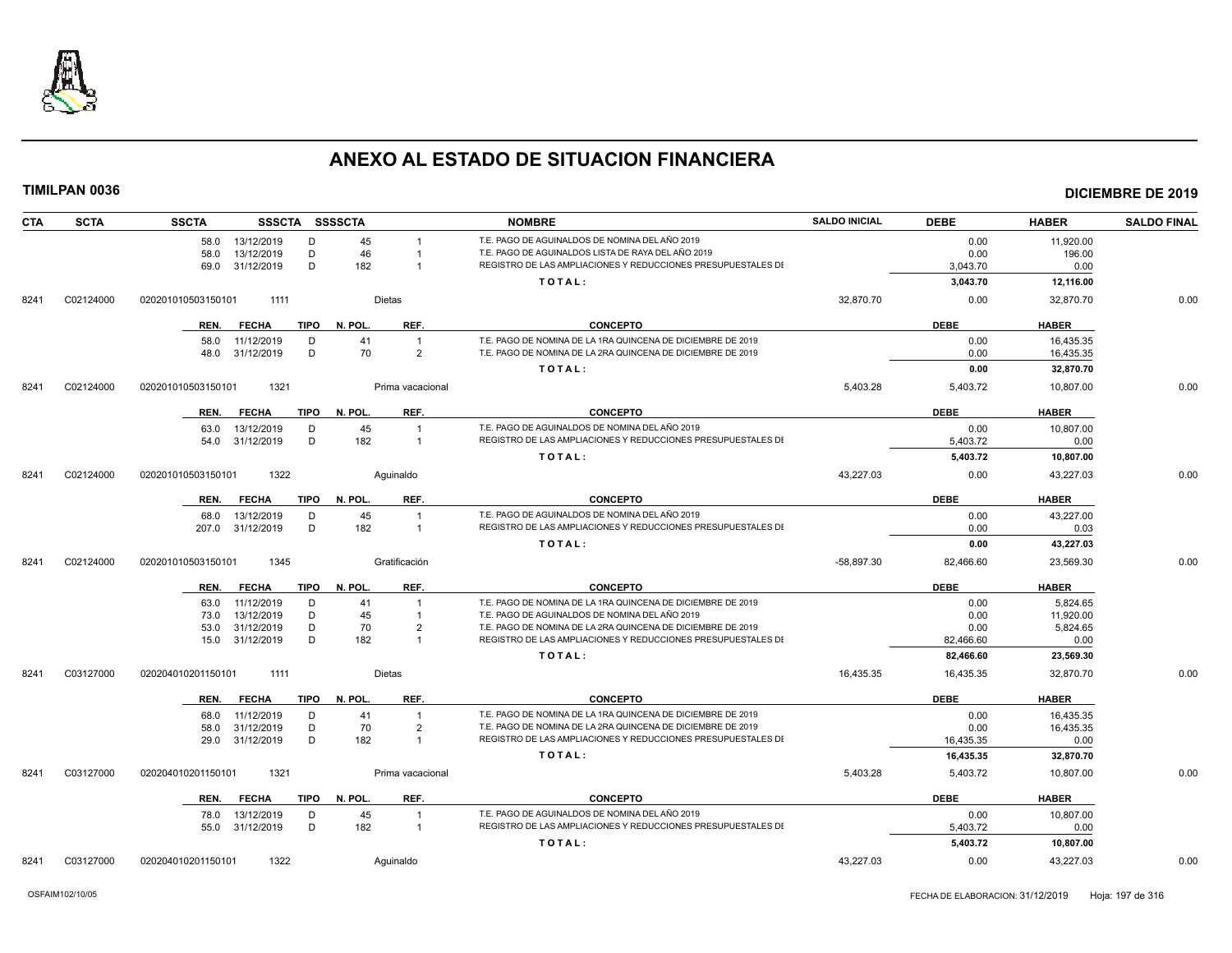

| CTA  | <b>SCTA</b> | <b>SSCTA</b>       | SSSCTA SSSSCTA       |              |                  | <b>NOMBRE</b>                                                | <b>SALDO INICIAL</b> | <b>DEBE</b> | <b>HABER</b> | <b>SALDO FINAL</b> |
|------|-------------|--------------------|----------------------|--------------|------------------|--------------------------------------------------------------|----------------------|-------------|--------------|--------------------|
|      |             | 58.0               | 13/12/2019<br>D      | 45           |                  | T.E. PAGO DE AGUINALDOS DE NOMINA DEL AÑO 2019               |                      | 0.00        | 11.920.00    |                    |
|      |             | 58.0               | D<br>13/12/2019      | 46           |                  | T.E. PAGO DE AGUINALDOS LISTA DE RAYA DEL AÑO 2019           |                      | 0.00        | 196.00       |                    |
|      |             | 69.0               | D<br>31/12/2019      | 182          |                  | REGISTRO DE LAS AMPLIACIONES Y REDUCCIONES PRESUPUESTALES DI |                      | 3,043.70    | 0.00         |                    |
|      |             |                    |                      |              |                  | TOTAL:                                                       |                      | 3,043.70    | 12,116.00    |                    |
| 8241 | C02124000   | 020201010503150101 | 1111                 |              | Dietas           |                                                              | 32,870.70            | 0.00        | 32,870.70    | 0.00               |
|      |             | REN.               | <b>FECHA</b><br>TIPO | N. POL.      | REF.             | <b>CONCEPTO</b>                                              |                      | <b>DEBE</b> | <b>HABER</b> |                    |
|      |             | 58.0               | 11/12/2019<br>D      | 41           | $\overline{1}$   | T.E. PAGO DE NOMINA DE LA 1RA QUINCENA DE DICIEMBRE DE 2019  |                      | 0.00        | 16,435.35    |                    |
|      |             | 48.0               | D<br>31/12/2019      | 70           | $\overline{2}$   | T.E. PAGO DE NOMINA DE LA 2RA QUINCENA DE DICIEMBRE DE 2019  |                      | 0.00        | 16,435.35    |                    |
|      |             |                    |                      |              |                  | TOTAL:                                                       |                      | 0.00        | 32,870.70    |                    |
| 8241 | C02124000   | 020201010503150101 | 1321                 |              | Prima vacacional |                                                              | 5,403.28             | 5,403.72    | 10,807.00    | 0.00               |
|      |             | REN.               | <b>FECHA</b><br>TIPO | N. POL.      | REF.             | <b>CONCEPTO</b>                                              |                      | <b>DEBE</b> | <b>HABER</b> |                    |
|      |             | 63.0               | 13/12/2019<br>D      | 45           | $\overline{1}$   | T.E. PAGO DE AGUINALDOS DE NOMINA DEL AÑO 2019               |                      | 0.00        | 10,807.00    |                    |
|      |             |                    | D<br>54.0 31/12/2019 | 182          | $\overline{1}$   | REGISTRO DE LAS AMPLIACIONES Y REDUCCIONES PRESUPUESTALES DI |                      | 5,403.72    | 0.00         |                    |
|      |             |                    |                      |              |                  | TOTAL:                                                       |                      | 5,403.72    | 10,807.00    |                    |
| 8241 | C02124000   | 020201010503150101 | 1322                 |              | Aquinaldo        |                                                              | 43,227.03            | 0.00        | 43,227.03    | 0.00               |
|      |             | REN.               | <b>FECHA</b><br>TIPO | N. POL.      | REF.             | <b>CONCEPTO</b>                                              |                      | <b>DEBE</b> | <b>HABER</b> |                    |
|      |             | 68.0               | 13/12/2019<br>D      | 45           | $\overline{1}$   | T.E. PAGO DE AGUINALDOS DE NOMINA DEL AÑO 2019               |                      | 0.00        | 43,227.00    |                    |
|      |             | 207.0              | D<br>31/12/2019      | 182          | $\overline{1}$   | REGISTRO DE LAS AMPLIACIONES Y REDUCCIONES PRESUPUESTALES DI |                      | 0.00        | 0.03         |                    |
|      |             |                    |                      |              |                  | TOTAL:                                                       |                      | 0.00        | 43,227.03    |                    |
| 8241 | C02124000   | 020201010503150101 | 1345                 |              | Gratificación    |                                                              | $-58,897.30$         | 82,466.60   | 23,569.30    | 0.00               |
|      |             | REN.               | FECHA                | TIPO N. POL. | REF.             | <b>CONCEPTO</b>                                              |                      | <b>DEBE</b> | <b>HABER</b> |                    |
|      |             | 63.0               | 11/12/2019<br>D      | 41           | $\overline{1}$   | T.E. PAGO DE NOMINA DE LA 1RA QUINCENA DE DICIEMBRE DE 2019  |                      | 0.00        | 5.824.65     |                    |
|      |             | 73.0               | 13/12/2019<br>D      | 45           |                  | T.E. PAGO DE AGUINALDOS DE NOMINA DEL AÑO 2019               |                      | 0.00        | 11,920.00    |                    |
|      |             | 53.0               | D<br>31/12/2019      | 70           | $\overline{2}$   | T.E. PAGO DE NOMINA DE LA 2RA QUINCENA DE DICIEMBRE DE 2019  |                      | 0.00        | 5.824.65     |                    |
|      |             |                    | D<br>15.0 31/12/2019 | 182          | $\overline{1}$   | REGISTRO DE LAS AMPLIACIONES Y REDUCCIONES PRESUPUESTALES DI |                      | 82,466.60   | 0.00         |                    |
|      |             |                    |                      |              |                  | TOTAL:                                                       |                      | 82,466.60   | 23,569.30    |                    |
| 8241 | C03127000   | 020204010201150101 | 1111                 |              | <b>Dietas</b>    |                                                              | 16,435.35            | 16,435.35   | 32,870.70    | 0.00               |
|      |             | REN.               | <b>FECHA</b><br>TIPO | N. POL.      | REF.             | <b>CONCEPTO</b>                                              |                      | <b>DEBE</b> | <b>HABER</b> |                    |
|      |             | 68.0               | 11/12/2019<br>D      | 41           | $\overline{1}$   | T.E. PAGO DE NOMINA DE LA 1RA QUINCENA DE DICIEMBRE DE 2019  |                      | 0.00        | 16.435.35    |                    |
|      |             | 58.0               | 31/12/2019<br>D      | 70           | $\overline{2}$   | T.E. PAGO DE NOMINA DE LA 2RA QUINCENA DE DICIEMBRE DE 2019  |                      | 0.00        | 16,435.35    |                    |
|      |             |                    | D<br>29.0 31/12/2019 | 182          | $\overline{1}$   | REGISTRO DE LAS AMPLIACIONES Y REDUCCIONES PRESUPUESTALES DI |                      | 16,435.35   | 0.00         |                    |
|      |             |                    |                      |              |                  | TOTAL:                                                       |                      | 16,435.35   | 32,870.70    |                    |
| 8241 | C03127000   | 020204010201150101 | 1321                 |              | Prima vacacional |                                                              | 5,403.28             | 5,403.72    | 10,807.00    | 0.00               |
|      |             | REN.               | <b>FECHA</b><br>TIPO | N. POL.      | REF.             | <b>CONCEPTO</b>                                              |                      | <b>DEBE</b> | <b>HABER</b> |                    |
|      |             | 78.0               | 13/12/2019<br>D      | 45           | $\overline{1}$   | T.E. PAGO DE AGUINALDOS DE NOMINA DEL AÑO 2019               |                      | 0.00        | 10,807.00    |                    |
|      |             |                    | D<br>55.0 31/12/2019 | 182          | $\overline{1}$   | REGISTRO DE LAS AMPLIACIONES Y REDUCCIONES PRESUPUESTALES DI |                      | 5,403.72    | 0.00         |                    |
|      |             |                    |                      |              |                  | TOTAL:                                                       |                      | 5,403.72    | 10,807.00    |                    |
| 8241 | C03127000   | 020204010201150101 | 1322                 |              | Aquinaldo        |                                                              | 43,227.03            | 0.00        | 43,227.03    | 0.00               |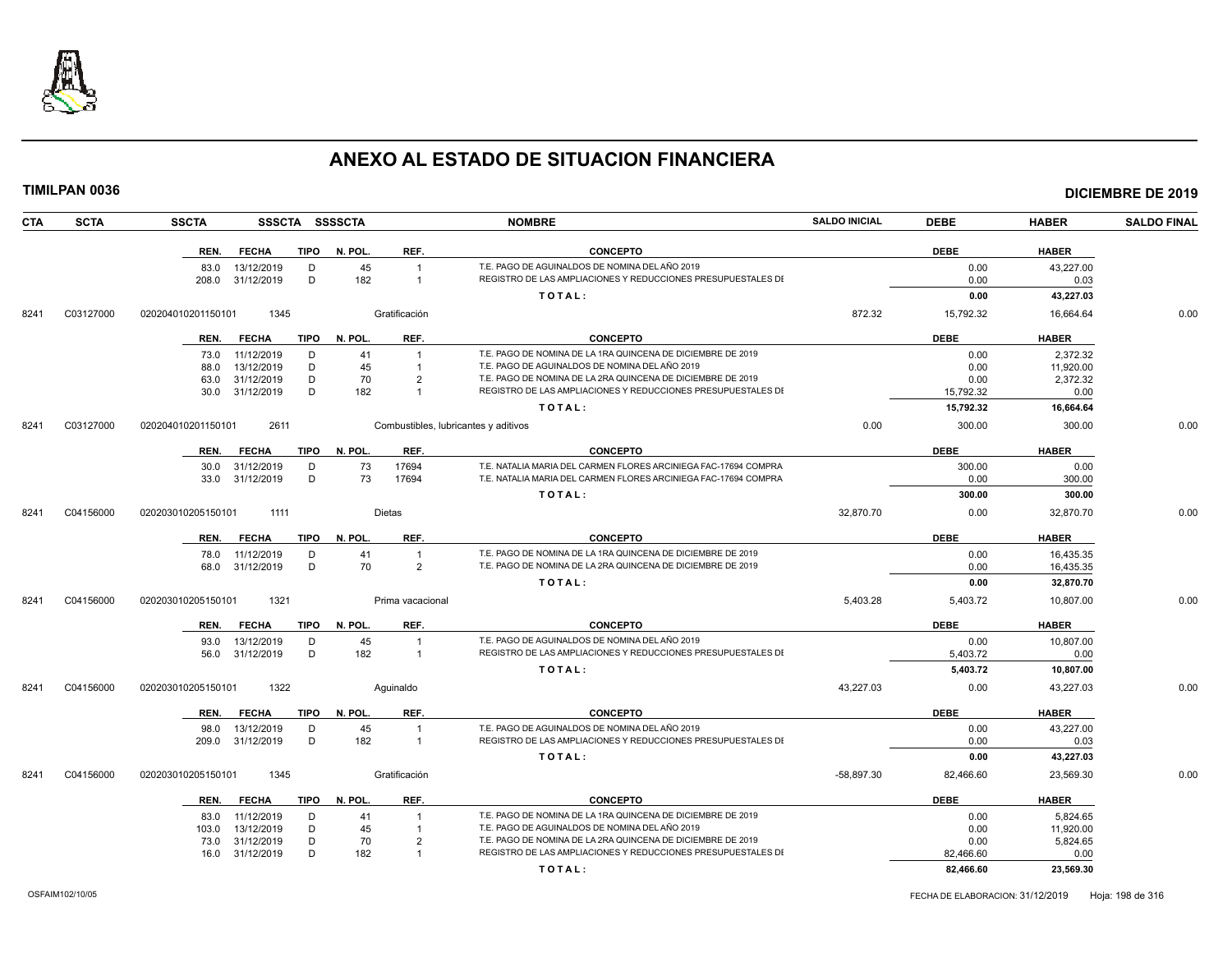

| TIMILPAN 0036      |                    |                 |             |                |                                      |                                                                 |                      |             |              | <b>DICIEMBRE DE 2019</b> |
|--------------------|--------------------|-----------------|-------------|----------------|--------------------------------------|-----------------------------------------------------------------|----------------------|-------------|--------------|--------------------------|
| CTA<br><b>SCTA</b> | <b>SSCTA</b>       |                 |             | SSSCTA SSSSCTA |                                      | <b>NOMBRE</b>                                                   | <b>SALDO INICIAL</b> | <b>DEBE</b> | <b>HABER</b> | <b>SALDO FINAL</b>       |
|                    | REN.               | <b>FECHA</b>    | <b>TIPO</b> | N. POL.        | REF.                                 | <b>CONCEPTO</b>                                                 |                      | <b>DEBE</b> | <b>HABER</b> |                          |
|                    |                    | 83.0 13/12/2019 | D           | 45             | $\overline{1}$                       | T.E. PAGO DE AGUINALDOS DE NOMINA DEL AÑO 2019                  |                      | 0.00        | 43,227.00    |                          |
|                    | 208.0              | 31/12/2019      | D           | 182            | $\overline{1}$                       | REGISTRO DE LAS AMPLIACIONES Y REDUCCIONES PRESUPUESTALES DI    |                      | 0.00        | 0.03         |                          |
|                    |                    |                 |             |                |                                      | TOTAL:                                                          |                      | 0.00        | 43,227.03    |                          |
| C03127000<br>8241  | 020204010201150101 | 1345            |             |                | Gratificación                        |                                                                 | 872.32               | 15,792.32   | 16,664.64    | 0.00                     |
|                    |                    | REN. FECHA      | TIPO        | N. POL.        | REF.                                 | <b>CONCEPTO</b>                                                 |                      | <b>DEBE</b> | <b>HABER</b> |                          |
|                    | 73.0               | 11/12/2019      | D           | 41             | $\overline{1}$                       | T.E. PAGO DE NOMINA DE LA 1RA QUINCENA DE DICIEMBRE DE 2019     |                      | 0.00        | 2,372.32     |                          |
|                    | 88.0               | 13/12/2019      | D           | 45             | $\overline{1}$                       | T.E. PAGO DE AGUINALDOS DE NOMINA DEL AÑO 2019                  |                      | 0.00        | 11,920.00    |                          |
|                    | 63.0               | 31/12/2019      | D           | 70             | $\overline{2}$                       | T.E. PAGO DE NOMINA DE LA 2RA QUINCENA DE DICIEMBRE DE 2019     |                      | 0.00        | 2,372.32     |                          |
|                    | 30.0               | 31/12/2019      | D           | 182            | $\overline{1}$                       | REGISTRO DE LAS AMPLIACIONES Y REDUCCIONES PRESUPUESTALES DI    |                      | 15,792.32   | 0.00         |                          |
|                    |                    |                 |             |                |                                      | TOTAL:                                                          |                      | 15,792.32   | 16,664.64    |                          |
| C03127000<br>8241  | 020204010201150101 | 2611            |             |                | Combustibles, lubricantes y aditivos |                                                                 | 0.00                 | 300.00      | 300.00       | 0.00                     |
|                    | REN.               | <b>FECHA</b>    | <b>TIPO</b> | N. POL.        | REF.                                 | <b>CONCEPTO</b>                                                 |                      | <b>DEBE</b> | <b>HABER</b> |                          |
|                    |                    | 30.0 31/12/2019 | D           | 73             | 17694                                | T.E. NATALIA MARIA DEL CARMEN FLORES ARCINIEGA FAC-17694 COMPRA |                      | 300.00      | 0.00         |                          |
|                    | 33.0               | 31/12/2019      | D           | 73             | 17694                                | T.E. NATALIA MARIA DEL CARMEN FLORES ARCINIEGA FAC-17694 COMPRA |                      | 0.00        | 300.00       |                          |
|                    |                    |                 |             |                |                                      | TOTAL:                                                          |                      | 300.00      | 300.00       |                          |
| C04156000<br>8241  | 020203010205150101 | 1111            |             |                | Dietas                               |                                                                 | 32,870.70            | 0.00        | 32,870.70    | 0.00                     |
|                    | REN.               | <b>FECHA</b>    | TIPO        | N. POL.        | REF.                                 | <b>CONCEPTO</b>                                                 |                      | <b>DEBE</b> | <b>HABER</b> |                          |
|                    | 78.0               | 11/12/2019      | D           | 41             | $\overline{1}$                       | T.E. PAGO DE NOMINA DE LA 1RA QUINCENA DE DICIEMBRE DE 2019     |                      | 0.00        | 16,435.35    |                          |
|                    | 68.0               | 31/12/2019      | D           | 70             | $\overline{2}$                       | T.E. PAGO DE NOMINA DE LA 2RA QUINCENA DE DICIEMBRE DE 2019     |                      | 0.00        | 16,435.35    |                          |
|                    |                    |                 |             |                |                                      | TOTAL:                                                          |                      | 0.00        | 32,870.70    |                          |
| C04156000<br>8241  | 020203010205150101 | 1321            |             |                | Prima vacacional                     |                                                                 | 5,403.28             | 5,403.72    | 10,807.00    | 0.00                     |
|                    |                    | REN. FECHA      |             | TIPO N. POL.   | REF.                                 | <b>CONCEPTO</b>                                                 |                      | <b>DEBE</b> | <b>HABER</b> |                          |
|                    | 93.0               | 13/12/2019      | D           | 45             | $\overline{1}$                       | T.E. PAGO DE AGUINALDOS DE NOMINA DEL AÑO 2019                  |                      | 0.00        | 10,807.00    |                          |
|                    | 56.0               | 31/12/2019      | D           | 182            | $\overline{1}$                       | REGISTRO DE LAS AMPLIACIONES Y REDUCCIONES PRESUPUESTALES DI    |                      | 5,403.72    | 0.00         |                          |
|                    |                    |                 |             |                |                                      | TOTAL:                                                          |                      | 5,403.72    | 10,807.00    |                          |
| C04156000<br>8241  | 020203010205150101 | 1322            |             |                | Aguinaldo                            |                                                                 | 43,227.03            | 0.00        | 43,227.03    | 0.00                     |
|                    | REN.               | <b>FECHA</b>    | TIPO        | N. POL.        | REF.                                 | <b>CONCEPTO</b>                                                 |                      | <b>DEBE</b> | <b>HABER</b> |                          |
|                    | 98.0               | 13/12/2019      | D           | 45             |                                      | T.E. PAGO DE AGUINALDOS DE NOMINA DEL AÑO 2019                  |                      | 0.00        | 43,227.00    |                          |
|                    | 209.0              | 31/12/2019      | D           | 182            | $\overline{1}$                       | REGISTRO DE LAS AMPLIACIONES Y REDUCCIONES PRESUPUESTALES DI    |                      | 0.00        | 0.03         |                          |
|                    |                    |                 |             |                |                                      | TOTAL:                                                          |                      | 0.00        | 43,227.03    |                          |
| C04156000<br>8241  | 020203010205150101 | 1345            |             |                | Gratificación                        |                                                                 | $-58,897.30$         | 82,466.60   | 23,569.30    | 0.00                     |
|                    |                    | REN. FECHA      | TIPO        | N. POL.        | REF.                                 | <b>CONCEPTO</b>                                                 |                      | <b>DEBE</b> | <b>HABER</b> |                          |
|                    |                    | 83.0 11/12/2019 | D           | 41             |                                      | T.E. PAGO DE NOMINA DE LA 1RA QUINCENA DE DICIEMBRE DE 2019     |                      | 0.00        | 5,824.65     |                          |
|                    | 103.0              | 13/12/2019      | D           | 45             | $\overline{1}$                       | T.E. PAGO DE AGUINALDOS DE NOMINA DEL AÑO 2019                  |                      | 0.00        | 11,920.00    |                          |
|                    | 73.0               | 31/12/2019      | D           | 70             | $\overline{2}$                       | T.E. PAGO DE NOMINA DE LA 2RA QUINCENA DE DICIEMBRE DE 2019     |                      | 0.00        | 5,824.65     |                          |
|                    |                    | 16.0 31/12/2019 | D           | 182            |                                      | REGISTRO DE LAS AMPLIACIONES Y REDUCCIONES PRESUPUESTALES DI    |                      | 82,466.60   | 0.00         |                          |

**T O T A L : 82,466.60 23,569.30**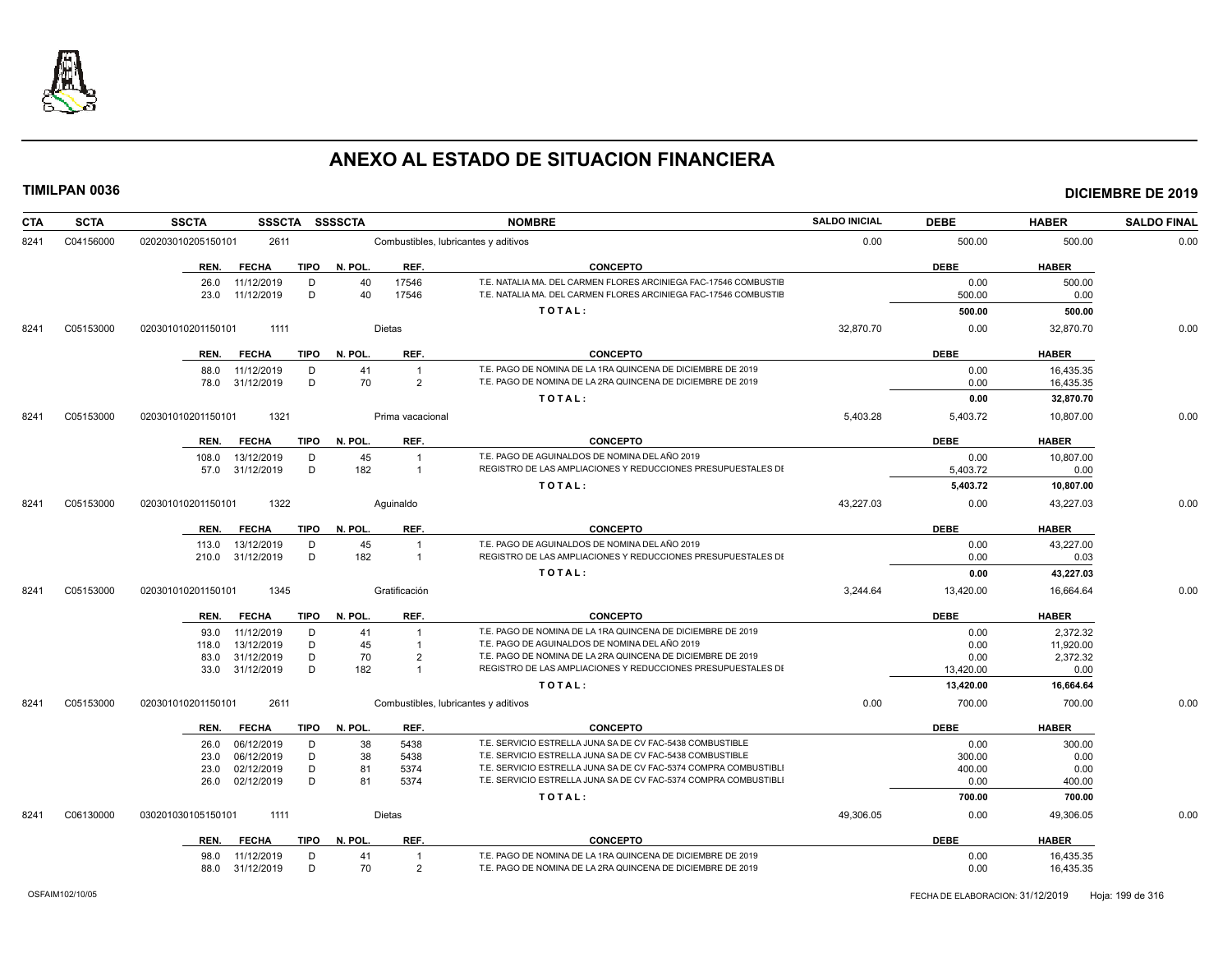

| <b>SCTA</b> | <b>SSCTA</b><br><b>SSSCTA</b> |                                                                                                                                                                                                                                                                                      |                                                                                                                                                                             | <b>NOMBRE</b>                                                                                                                                                                                                 | <b>SALDO INICIAL</b>                                                                                                                                                                                                                                                                                                                                                                                                                                                                                                                                                                                                                                                  | <b>DEBE</b>           | <b>HABER</b>                                                                                                                                                             | <b>SALDO FINAL</b>                                                                                                                                               |
|-------------|-------------------------------|--------------------------------------------------------------------------------------------------------------------------------------------------------------------------------------------------------------------------------------------------------------------------------------|-----------------------------------------------------------------------------------------------------------------------------------------------------------------------------|---------------------------------------------------------------------------------------------------------------------------------------------------------------------------------------------------------------|-----------------------------------------------------------------------------------------------------------------------------------------------------------------------------------------------------------------------------------------------------------------------------------------------------------------------------------------------------------------------------------------------------------------------------------------------------------------------------------------------------------------------------------------------------------------------------------------------------------------------------------------------------------------------|-----------------------|--------------------------------------------------------------------------------------------------------------------------------------------------------------------------|------------------------------------------------------------------------------------------------------------------------------------------------------------------|
| C04156000   | 020203010205150101<br>2611    |                                                                                                                                                                                                                                                                                      |                                                                                                                                                                             |                                                                                                                                                                                                               | 0.00                                                                                                                                                                                                                                                                                                                                                                                                                                                                                                                                                                                                                                                                  | 500.00                | 500.00                                                                                                                                                                   | 0.00                                                                                                                                                             |
|             | REN.<br><b>FECHA</b>          | N. POL.                                                                                                                                                                                                                                                                              | REF.                                                                                                                                                                        | <b>CONCEPTO</b>                                                                                                                                                                                               |                                                                                                                                                                                                                                                                                                                                                                                                                                                                                                                                                                                                                                                                       | <b>DEBE</b>           | <b>HABER</b>                                                                                                                                                             |                                                                                                                                                                  |
|             | 11/12/2019<br>D<br>26.0<br>D  |                                                                                                                                                                                                                                                                                      | 17546                                                                                                                                                                       | T.E. NATALIA MA. DEL CARMEN FLORES ARCINIEGA FAC-17546 COMBUSTIE<br>T.E. NATALIA MA. DEL CARMEN FLORES ARCINIEGA FAC-17546 COMBUSTIE                                                                          |                                                                                                                                                                                                                                                                                                                                                                                                                                                                                                                                                                                                                                                                       | 0.00                  | 500.00                                                                                                                                                                   |                                                                                                                                                                  |
|             |                               |                                                                                                                                                                                                                                                                                      |                                                                                                                                                                             | TOTAL:                                                                                                                                                                                                        |                                                                                                                                                                                                                                                                                                                                                                                                                                                                                                                                                                                                                                                                       | 500.00                | 500.00                                                                                                                                                                   |                                                                                                                                                                  |
| C05153000   | 020301010201150101<br>1111    |                                                                                                                                                                                                                                                                                      |                                                                                                                                                                             |                                                                                                                                                                                                               | 32,870.70                                                                                                                                                                                                                                                                                                                                                                                                                                                                                                                                                                                                                                                             | 0.00                  | 32,870.70                                                                                                                                                                | 0.00                                                                                                                                                             |
|             | <b>FECHA</b><br>REN.          | N. POL.                                                                                                                                                                                                                                                                              | REF.                                                                                                                                                                        | <b>CONCEPTO</b>                                                                                                                                                                                               |                                                                                                                                                                                                                                                                                                                                                                                                                                                                                                                                                                                                                                                                       | <b>DEBE</b>           | <b>HABER</b>                                                                                                                                                             |                                                                                                                                                                  |
|             | 11/12/2019<br>D<br>88.0       | 41                                                                                                                                                                                                                                                                                   | $\overline{1}$                                                                                                                                                              | T.E. PAGO DE NOMINA DE LA 1RA QUINCENA DE DICIEMBRE DE 2019                                                                                                                                                   |                                                                                                                                                                                                                                                                                                                                                                                                                                                                                                                                                                                                                                                                       | 0.00                  | 16.435.35                                                                                                                                                                |                                                                                                                                                                  |
|             |                               |                                                                                                                                                                                                                                                                                      |                                                                                                                                                                             |                                                                                                                                                                                                               |                                                                                                                                                                                                                                                                                                                                                                                                                                                                                                                                                                                                                                                                       |                       | 16,435.35                                                                                                                                                                |                                                                                                                                                                  |
|             |                               |                                                                                                                                                                                                                                                                                      |                                                                                                                                                                             |                                                                                                                                                                                                               |                                                                                                                                                                                                                                                                                                                                                                                                                                                                                                                                                                                                                                                                       |                       |                                                                                                                                                                          |                                                                                                                                                                  |
| C05153000   | 1321<br>020301010201150101    |                                                                                                                                                                                                                                                                                      |                                                                                                                                                                             |                                                                                                                                                                                                               | 5.403.28                                                                                                                                                                                                                                                                                                                                                                                                                                                                                                                                                                                                                                                              | 5.403.72              | 10.807.00                                                                                                                                                                | 0.00                                                                                                                                                             |
|             | <b>FECHA</b><br>REN.          | N. POL.                                                                                                                                                                                                                                                                              | REF.                                                                                                                                                                        | <b>CONCEPTO</b>                                                                                                                                                                                               |                                                                                                                                                                                                                                                                                                                                                                                                                                                                                                                                                                                                                                                                       | <b>DEBE</b>           | <b>HABER</b>                                                                                                                                                             |                                                                                                                                                                  |
|             | 108.0<br>13/12/2019<br>D      |                                                                                                                                                                                                                                                                                      | $\overline{1}$                                                                                                                                                              | T.E. PAGO DE AGUINALDOS DE NOMINA DEL AÑO 2019                                                                                                                                                                |                                                                                                                                                                                                                                                                                                                                                                                                                                                                                                                                                                                                                                                                       | 0.00                  | 10,807.00                                                                                                                                                                |                                                                                                                                                                  |
|             |                               |                                                                                                                                                                                                                                                                                      |                                                                                                                                                                             |                                                                                                                                                                                                               |                                                                                                                                                                                                                                                                                                                                                                                                                                                                                                                                                                                                                                                                       |                       |                                                                                                                                                                          |                                                                                                                                                                  |
|             |                               |                                                                                                                                                                                                                                                                                      |                                                                                                                                                                             |                                                                                                                                                                                                               |                                                                                                                                                                                                                                                                                                                                                                                                                                                                                                                                                                                                                                                                       |                       |                                                                                                                                                                          |                                                                                                                                                                  |
|             | 020301010201150101            |                                                                                                                                                                                                                                                                                      |                                                                                                                                                                             |                                                                                                                                                                                                               |                                                                                                                                                                                                                                                                                                                                                                                                                                                                                                                                                                                                                                                                       |                       | 43.227.03                                                                                                                                                                | 0.00                                                                                                                                                             |
|             | <b>FECHA</b><br>REN.          | N. POL.                                                                                                                                                                                                                                                                              | REF.                                                                                                                                                                        | <b>CONCEPTO</b>                                                                                                                                                                                               |                                                                                                                                                                                                                                                                                                                                                                                                                                                                                                                                                                                                                                                                       | <b>DEBE</b>           | <b>HABER</b>                                                                                                                                                             |                                                                                                                                                                  |
|             | 13/12/2019<br>D<br>113.0      |                                                                                                                                                                                                                                                                                      | $\overline{1}$                                                                                                                                                              | T.E. PAGO DE AGUINALDOS DE NOMINA DEL AÑO 2019                                                                                                                                                                |                                                                                                                                                                                                                                                                                                                                                                                                                                                                                                                                                                                                                                                                       | 0.00                  | 43,227.00                                                                                                                                                                |                                                                                                                                                                  |
|             | 210.0                         |                                                                                                                                                                                                                                                                                      | $\overline{1}$                                                                                                                                                              |                                                                                                                                                                                                               |                                                                                                                                                                                                                                                                                                                                                                                                                                                                                                                                                                                                                                                                       |                       |                                                                                                                                                                          |                                                                                                                                                                  |
|             |                               |                                                                                                                                                                                                                                                                                      |                                                                                                                                                                             |                                                                                                                                                                                                               |                                                                                                                                                                                                                                                                                                                                                                                                                                                                                                                                                                                                                                                                       |                       |                                                                                                                                                                          |                                                                                                                                                                  |
|             | 020301010201150101            |                                                                                                                                                                                                                                                                                      |                                                                                                                                                                             |                                                                                                                                                                                                               |                                                                                                                                                                                                                                                                                                                                                                                                                                                                                                                                                                                                                                                                       |                       |                                                                                                                                                                          | 0.00                                                                                                                                                             |
|             | <b>FECHA</b><br>REN.          | N. POL.                                                                                                                                                                                                                                                                              | REF.                                                                                                                                                                        | <b>CONCEPTO</b>                                                                                                                                                                                               |                                                                                                                                                                                                                                                                                                                                                                                                                                                                                                                                                                                                                                                                       | <b>DEBE</b>           | <b>HABER</b>                                                                                                                                                             |                                                                                                                                                                  |
|             | 11/12/2019<br>D<br>93.0       | 41                                                                                                                                                                                                                                                                                   | $\overline{1}$                                                                                                                                                              | T.E. PAGO DE NOMINA DE LA 1RA QUINCENA DE DICIEMBRE DE 2019                                                                                                                                                   |                                                                                                                                                                                                                                                                                                                                                                                                                                                                                                                                                                                                                                                                       | 0.00                  | 2,372.32                                                                                                                                                                 |                                                                                                                                                                  |
|             | 118.0                         |                                                                                                                                                                                                                                                                                      | $\overline{1}$                                                                                                                                                              |                                                                                                                                                                                                               |                                                                                                                                                                                                                                                                                                                                                                                                                                                                                                                                                                                                                                                                       |                       |                                                                                                                                                                          |                                                                                                                                                                  |
|             |                               |                                                                                                                                                                                                                                                                                      |                                                                                                                                                                             |                                                                                                                                                                                                               |                                                                                                                                                                                                                                                                                                                                                                                                                                                                                                                                                                                                                                                                       |                       |                                                                                                                                                                          |                                                                                                                                                                  |
|             |                               |                                                                                                                                                                                                                                                                                      |                                                                                                                                                                             |                                                                                                                                                                                                               |                                                                                                                                                                                                                                                                                                                                                                                                                                                                                                                                                                                                                                                                       |                       |                                                                                                                                                                          |                                                                                                                                                                  |
| C05153000   | 2611<br>020301010201150101    |                                                                                                                                                                                                                                                                                      |                                                                                                                                                                             |                                                                                                                                                                                                               | 0.00                                                                                                                                                                                                                                                                                                                                                                                                                                                                                                                                                                                                                                                                  | 700.00                | 700.00                                                                                                                                                                   | 0.00                                                                                                                                                             |
|             |                               |                                                                                                                                                                                                                                                                                      |                                                                                                                                                                             |                                                                                                                                                                                                               |                                                                                                                                                                                                                                                                                                                                                                                                                                                                                                                                                                                                                                                                       |                       |                                                                                                                                                                          |                                                                                                                                                                  |
|             |                               |                                                                                                                                                                                                                                                                                      |                                                                                                                                                                             |                                                                                                                                                                                                               |                                                                                                                                                                                                                                                                                                                                                                                                                                                                                                                                                                                                                                                                       |                       |                                                                                                                                                                          |                                                                                                                                                                  |
|             |                               |                                                                                                                                                                                                                                                                                      |                                                                                                                                                                             |                                                                                                                                                                                                               |                                                                                                                                                                                                                                                                                                                                                                                                                                                                                                                                                                                                                                                                       |                       |                                                                                                                                                                          |                                                                                                                                                                  |
|             |                               |                                                                                                                                                                                                                                                                                      |                                                                                                                                                                             | T.E. SERVICIO ESTRELLA JUNA SA DE CV FAC-5374 COMPRA COMBUSTIBLI                                                                                                                                              |                                                                                                                                                                                                                                                                                                                                                                                                                                                                                                                                                                                                                                                                       |                       |                                                                                                                                                                          |                                                                                                                                                                  |
|             | D<br>02/12/2019<br>26.0       | 81                                                                                                                                                                                                                                                                                   | 5374                                                                                                                                                                        | T.E. SERVICIO ESTRELLA JUNA SA DE CV FAC-5374 COMPRA COMBUSTIBL                                                                                                                                               |                                                                                                                                                                                                                                                                                                                                                                                                                                                                                                                                                                                                                                                                       | 0.00                  | 400.00                                                                                                                                                                   |                                                                                                                                                                  |
|             |                               |                                                                                                                                                                                                                                                                                      |                                                                                                                                                                             | TOTAL:                                                                                                                                                                                                        |                                                                                                                                                                                                                                                                                                                                                                                                                                                                                                                                                                                                                                                                       | 700.00                | 700.00                                                                                                                                                                   |                                                                                                                                                                  |
| C06130000   | 030201030105150101<br>1111    |                                                                                                                                                                                                                                                                                      |                                                                                                                                                                             |                                                                                                                                                                                                               | 49,306.05                                                                                                                                                                                                                                                                                                                                                                                                                                                                                                                                                                                                                                                             | 0.00                  | 49,306.05                                                                                                                                                                | 0.00                                                                                                                                                             |
|             | <b>FECHA</b><br>REN.          | N. POL.                                                                                                                                                                                                                                                                              | REF.                                                                                                                                                                        | <b>CONCEPTO</b>                                                                                                                                                                                               |                                                                                                                                                                                                                                                                                                                                                                                                                                                                                                                                                                                                                                                                       | <b>DEBE</b>           | <b>HABER</b>                                                                                                                                                             |                                                                                                                                                                  |
|             | 11/12/2019<br>D<br>98.0       | 41                                                                                                                                                                                                                                                                                   | $\overline{1}$                                                                                                                                                              | T.E. PAGO DE NOMINA DE LA 1RA QUINCENA DE DICIEMBRE DE 2019                                                                                                                                                   |                                                                                                                                                                                                                                                                                                                                                                                                                                                                                                                                                                                                                                                                       | 0.00                  | 16,435.35                                                                                                                                                                |                                                                                                                                                                  |
|             | D<br>31/12/2019<br>88.0       |                                                                                                                                                                                                                                                                                      | $\overline{2}$                                                                                                                                                              | T.E. PAGO DE NOMINA DE LA 2RA QUINCENA DE DICIEMBRE DE 2019                                                                                                                                                   |                                                                                                                                                                                                                                                                                                                                                                                                                                                                                                                                                                                                                                                                       | 0.00                  | 16,435.35                                                                                                                                                                |                                                                                                                                                                  |
|             | C05153000<br>C05153000        | 11/12/2019<br>23.0<br>D<br>78.0 31/12/2019<br>D<br>57.0 31/12/2019<br>1322<br>D<br>31/12/2019<br>1345<br>13/12/2019<br>D<br>31/12/2019<br>D<br>83.0<br>D<br>33.0 31/12/2019<br>REN.<br><b>FECHA</b><br>06/12/2019<br>D<br>26.0<br>D<br>23.0<br>06/12/2019<br>02/12/2019<br>D<br>23.0 | <b>SSSSCTA</b><br><b>TIPO</b><br>40<br>40<br><b>TIPO</b><br><b>TIPO</b><br>45<br><b>TIPO</b><br>45<br><b>TIPO</b><br>45<br><b>TIPO</b><br>N. POL.<br>38<br>38<br>81<br>TIPO | 17546<br><b>Dietas</b><br>70<br>$\overline{2}$<br>182<br>$\overline{1}$<br>Aquinaldo<br>182<br>Gratificación<br>70<br>$\overline{2}$<br>182<br>$\overline{1}$<br>REF.<br>5438<br>5438<br>5374<br>Dietas<br>70 | Combustibles, lubricantes y aditivos<br>T.E. PAGO DE NOMINA DE LA 2RA QUINCENA DE DICIEMBRE DE 2019<br>TOTAL:<br>Prima vacacional<br>REGISTRO DE LAS AMPLIACIONES Y REDUCCIONES PRESUPUESTALES DI<br>TOTAL:<br>REGISTRO DE LAS AMPLIACIONES Y REDUCCIONES PRESUPUESTALES DI<br>TOTAL:<br>T.E. PAGO DE AGUINALDOS DE NOMINA DEL AÑO 2019<br>T.E. PAGO DE NOMINA DE LA 2RA QUINCENA DE DICIEMBRE DE 2019<br>REGISTRO DE LAS AMPLIACIONES Y REDUCCIONES PRESUPUESTALES DI<br>TOTAL:<br>Combustibles, lubricantes y aditivos<br><b>CONCEPTO</b><br>T.E. SERVICIO ESTRELLA JUNA SA DE CV FAC-5438 COMBUSTIBLE<br>T.E. SERVICIO ESTRELLA JUNA SA DE CV FAC-5438 COMBUSTIBLE | 43,227.03<br>3.244.64 | 500.00<br>0.00<br>0.00<br>5,403.72<br>5,403.72<br>0.00<br>0.00<br>0.00<br>13,420.00<br>0.00<br>0.00<br>13,420.00<br>13,420.00<br><b>DEBE</b><br>0.00<br>300.00<br>400.00 | 0.00<br>32,870.70<br>0.00<br>10,807.00<br>0.03<br>43,227.03<br>16,664.64<br>11,920.00<br>2,372.32<br>0.00<br>16,664.64<br><b>HABER</b><br>300.00<br>0.00<br>0.00 |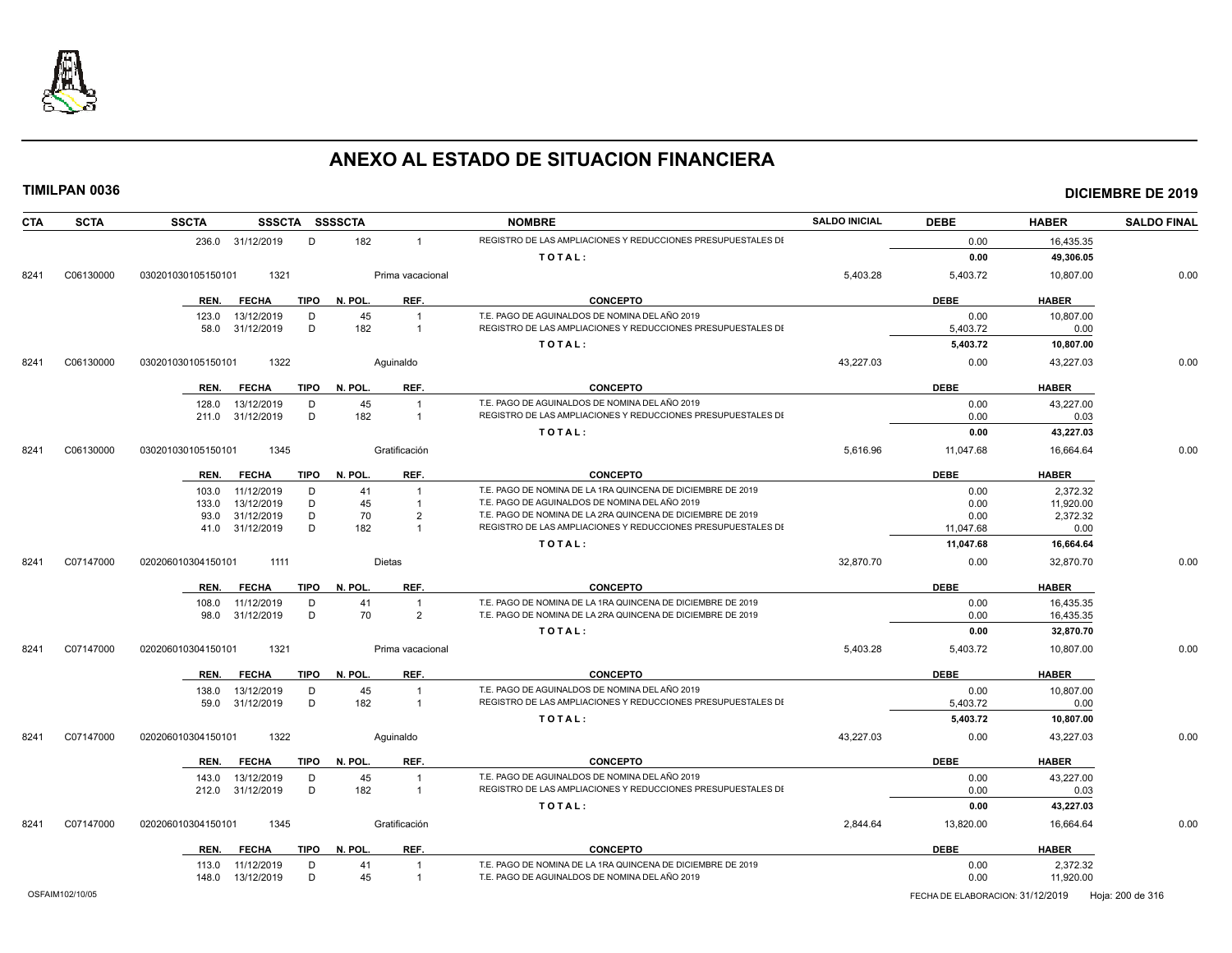

| <b>SCTA</b><br><b>CTA</b> | <b>SSCTA</b>       |                   |             | SSSCTA SSSSCTA |                         | <b>NOMBRE</b>                                                | <b>SALDO INICIAL</b> | <b>DEBE</b> | <b>HABER</b> | <b>SALDO FINAL</b> |
|---------------------------|--------------------|-------------------|-------------|----------------|-------------------------|--------------------------------------------------------------|----------------------|-------------|--------------|--------------------|
|                           |                    | 236.0 31/12/2019  | D           | 182            | $\overline{1}$          | REGISTRO DE LAS AMPLIACIONES Y REDUCCIONES PRESUPUESTALES DI |                      | 0.00        | 16,435.35    |                    |
|                           |                    |                   |             |                |                         | TOTAL:                                                       |                      | 0.00        | 49,306.05    |                    |
| C06130000<br>8241         | 030201030105150101 | 1321              |             |                | Prima vacacional        |                                                              | 5,403.28             | 5,403.72    | 10,807.00    | 0.00               |
|                           | REN.               | <b>FECHA</b>      | <b>TIPO</b> | N. POL         | REF.                    | <b>CONCEPTO</b>                                              |                      | <b>DEBE</b> | <b>HABER</b> |                    |
|                           | 123.0              | 13/12/2019        | D           | 45             | $\overline{1}$          | T.E. PAGO DE AGUINALDOS DE NOMINA DEL AÑO 2019               |                      | 0.00        | 10,807.00    |                    |
|                           | 58.0               | 31/12/2019        | D           | 182            | $\overline{1}$          | REGISTRO DE LAS AMPLIACIONES Y REDUCCIONES PRESUPUESTALES DI |                      | 5,403.72    | 0.00         |                    |
|                           |                    |                   |             |                |                         | TOTAL:                                                       |                      | 5,403.72    | 10,807.00    |                    |
| C06130000<br>8241         | 030201030105150101 | 1322              |             |                | Aquinaldo               |                                                              | 43,227.03            | 0.00        | 43,227.03    | 0.00               |
|                           | REN.               | <b>FECHA</b>      | <b>TIPO</b> | N. POL.        | REF.                    | <b>CONCEPTO</b>                                              |                      | <b>DEBE</b> | <b>HABER</b> |                    |
|                           | 128.0              | 13/12/2019        | D           | 45             | $\overline{\mathbf{1}}$ | T.E. PAGO DE AGUINALDOS DE NOMINA DEL AÑO 2019               |                      | 0.00        | 43,227.00    |                    |
|                           | 211.0              | 31/12/2019        | D           | 182            | $\overline{1}$          | REGISTRO DE LAS AMPLIACIONES Y REDUCCIONES PRESUPUESTALES DI |                      | 0.00        | 0.03         |                    |
|                           |                    |                   |             |                |                         | TOTAL:                                                       |                      | 0.00        | 43,227.03    |                    |
| C06130000<br>8241         | 030201030105150101 | 1345              |             |                | Gratificación           |                                                              | 5,616.96             | 11,047.68   | 16,664.64    | 0.00               |
|                           | REN.               | <b>FECHA</b>      | <b>TIPO</b> | N. POL.        | REF.                    | <b>CONCEPTO</b>                                              |                      | <b>DEBE</b> | <b>HABER</b> |                    |
|                           | 103.0              | 11/12/2019        | D           | 41             | $\overline{1}$          | T.E. PAGO DE NOMINA DE LA 1RA QUINCENA DE DICIEMBRE DE 2019  |                      | 0.00        | 2,372.32     |                    |
|                           | 133.0              | 13/12/2019        | D           | 45             | $\overline{1}$          | T.E. PAGO DE AGUINALDOS DE NOMINA DEL AÑO 2019               |                      | 0.00        | 11,920.00    |                    |
|                           | 93.0               | 31/12/2019        | D           | 70             | $\overline{2}$          | T.E. PAGO DE NOMINA DE LA 2RA QUINCENA DE DICIEMBRE DE 2019  |                      | 0.00        | 2,372.32     |                    |
|                           |                    | 41.0 31/12/2019   | D           | 182            | $\overline{1}$          | REGISTRO DE LAS AMPLIACIONES Y REDUCCIONES PRESUPUESTALES DI |                      | 11,047.68   | 0.00         |                    |
|                           |                    |                   |             |                |                         | TOTAL:                                                       |                      | 11,047.68   | 16,664.64    |                    |
| 8241<br>C07147000         | 020206010304150101 | 1111              |             |                | <b>Dietas</b>           |                                                              | 32,870.70            | 0.00        | 32,870.70    | 0.00               |
|                           | REN.               | <b>FECHA</b>      | <b>TIPO</b> | N. POL.        | REF.                    | <b>CONCEPTO</b>                                              |                      | <b>DEBE</b> | <b>HABER</b> |                    |
|                           | 108.0              | 11/12/2019        | D           | 41             | $\overline{1}$          | T.E. PAGO DE NOMINA DE LA 1RA QUINCENA DE DICIEMBRE DE 2019  |                      | 0.00        | 16.435.35    |                    |
|                           | 98.0               | 31/12/2019        | D           | 70             | 2                       | T.E. PAGO DE NOMINA DE LA 2RA QUINCENA DE DICIEMBRE DE 2019  |                      | 0.00        | 16,435.35    |                    |
|                           |                    |                   |             |                |                         | TOTAL:                                                       |                      | 0.00        | 32,870.70    |                    |
| C07147000<br>8241         | 020206010304150101 | 1321              |             |                | Prima vacacional        |                                                              | 5,403.28             | 5,403.72    | 10,807.00    | 0.00               |
|                           | REN.               | <b>FECHA</b>      | <b>TIPO</b> | N. POL.        | REF.                    | <b>CONCEPTO</b>                                              |                      | <b>DEBE</b> | <b>HABER</b> |                    |
|                           | 138.0              | 13/12/2019        | D           | 45             | $\overline{1}$          | T.E. PAGO DE AGUINALDOS DE NOMINA DEL AÑO 2019               |                      | 0.00        | 10,807.00    |                    |
|                           |                    | 59.0 31/12/2019   | D           | 182            | $\overline{1}$          | REGISTRO DE LAS AMPLIACIONES Y REDUCCIONES PRESUPUESTALES DI |                      | 5,403.72    | 0.00         |                    |
|                           |                    |                   |             |                |                         | TOTAL:                                                       |                      | 5,403.72    | 10,807.00    |                    |
| C07147000<br>8241         | 020206010304150101 | 1322              |             |                | Aquinaldo               |                                                              | 43,227.03            | 0.00        | 43,227.03    | 0.00               |
|                           | REN.               | <b>FECHA</b>      | TIPO        | N. POL         | REF.                    | <b>CONCEPTO</b>                                              |                      | <b>DEBE</b> | <b>HABER</b> |                    |
|                           | 143.0              | 13/12/2019        | D           | 45             |                         | T.E. PAGO DE AGUINALDOS DE NOMINA DEL AÑO 2019               |                      | 0.00        | 43,227.00    |                    |
|                           |                    | 212.0 31/12/2019  | D           | 182            | $\overline{1}$          | REGISTRO DE LAS AMPLIACIONES Y REDUCCIONES PRESUPUESTALES DI |                      | 0.00        | 0.03         |                    |
|                           |                    |                   |             |                |                         | TOTAL:                                                       |                      | 0.00        | 43,227.03    |                    |
| 8241<br>C07147000         | 020206010304150101 | 1345              |             |                | Gratificación           |                                                              | 2,844.64             | 13,820.00   | 16,664.64    | 0.00               |
|                           | REN.               | <b>FECHA</b>      | TIPO        | N. POL.        | REF.                    | <b>CONCEPTO</b>                                              |                      | <b>DEBE</b> | <b>HABER</b> |                    |
|                           | 113.0              | 11/12/2019        | D           | 41             | $\overline{\mathbf{1}}$ | T.E. PAGO DE NOMINA DE LA 1RA QUINCENA DE DICIEMBRE DE 2019  |                      | 0.00        | 2,372.32     |                    |
|                           |                    | 148.0  13/12/2019 | D           | 45             | $\overline{1}$          | T.E. PAGO DE AGUINALDOS DE NOMINA DEL AÑO 2019               |                      | 0.00        | 11,920.00    |                    |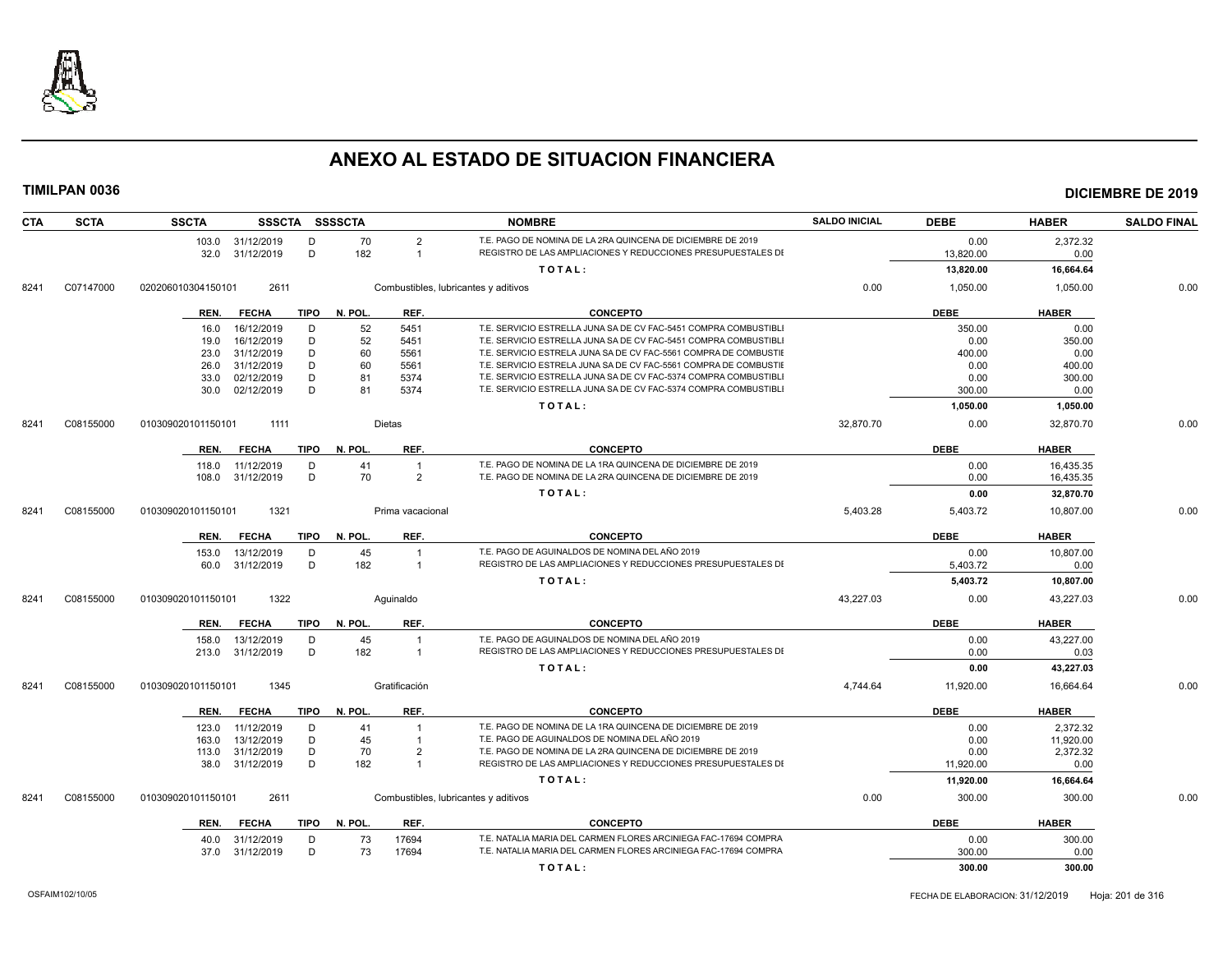

| <b>CTA</b> | <b>SCTA</b> | <b>SSCTA</b>               | SSSCTA SSSSCTA         |                  | <b>NOMBRE</b>                                                    | <b>SALDO INICIAL</b> | <b>DEBE</b>      | <b>HABER</b>          | <b>SALDO FINAL</b> |
|------------|-------------|----------------------------|------------------------|------------------|------------------------------------------------------------------|----------------------|------------------|-----------------------|--------------------|
|            |             | 103.0 31/12/2019           | 70<br>D                | $\overline{2}$   | T.E. PAGO DE NOMINA DE LA 2RA QUINCENA DE DICIEMBRE DE 2019      |                      | 0.00             | 2,372.32              |                    |
|            |             | 32.0 31/12/2019            | D<br>182               | $\overline{1}$   | REGISTRO DE LAS AMPLIACIONES Y REDUCCIONES PRESUPUESTALES DI     |                      | 13,820.00        | 0.00                  |                    |
|            |             |                            |                        |                  | TOTAL:                                                           |                      | 13,820.00        | 16,664.64             |                    |
| 8241       | C07147000   | 2611<br>020206010304150101 |                        |                  | Combustibles, lubricantes y aditivos                             | 0.00                 | 1,050.00         | 1,050.00              | 0.00               |
|            |             | <b>FECHA</b><br>REN.       | TIPO<br>N. POL.        | REF.             | <b>CONCEPTO</b>                                                  |                      | <b>DEBE</b>      | <b>HABER</b>          |                    |
|            |             | 16/12/2019<br>16.0         | 52<br>D                | 5451             | T.E. SERVICIO ESTRELLA JUNA SA DE CV FAC-5451 COMPRA COMBUSTIBLI |                      | 350.00           | 0.00                  |                    |
|            |             | 16/12/2019<br>19.0         | D<br>52                | 5451             | T.E. SERVICIO ESTRELLA JUNA SA DE CV FAC-5451 COMPRA COMBUSTIBL  |                      | 0.00             | 350.00                |                    |
|            |             | 31/12/2019<br>23.0         | 60<br>D                | 5561             | T.E. SERVICIO ESTRELA JUNA SA DE CV FAC-5561 COMPRA DE COMBUSTIE |                      | 400.00           | 0.00                  |                    |
|            |             | 31/12/2019<br>26.0         | D<br>60                | 5561             | T.E. SERVICIO ESTRELA JUNA SA DE CV FAC-5561 COMPRA DE COMBUSTIE |                      | 0.00             | 400.00                |                    |
|            |             | 02/12/2019<br>33.0         | D<br>81                | 5374             | T.E. SERVICIO ESTRELLA JUNA SA DE CV FAC-5374 COMPRA COMBUSTIBLI |                      | 0.00             | 300.00                |                    |
|            |             | 30.0 02/12/2019            | D<br>81                | 5374             | T.E. SERVICIO ESTRELLA JUNA SA DE CV FAC-5374 COMPRA COMBUSTIBL  |                      | 300.00           | 0.00                  |                    |
| 8241       | C08155000   | 1111                       |                        | <b>Dietas</b>    | TOTAL:                                                           | 32,870.70            | 1,050.00<br>0.00 | 1,050.00<br>32,870.70 | 0.00               |
|            |             | 010309020101150101         |                        |                  |                                                                  |                      |                  |                       |                    |
|            |             | <b>FECHA</b><br>REN.       | <b>TIPO</b><br>N. POL. | REF.             | <b>CONCEPTO</b>                                                  |                      | <b>DEBE</b>      | <b>HABER</b>          |                    |
|            |             | 11/12/2019<br>118.0        | D<br>41                |                  | T.E. PAGO DE NOMINA DE LA 1RA QUINCENA DE DICIEMBRE DE 2019      |                      | 0.00             | 16,435.35             |                    |
|            |             | 108.0 31/12/2019           | 70<br>D                | $\overline{2}$   | T.E. PAGO DE NOMINA DE LA 2RA QUINCENA DE DICIEMBRE DE 2019      |                      | 0.00             | 16,435.35             |                    |
|            |             |                            |                        |                  | TOTAL:                                                           |                      | 0.00             | 32,870.70             |                    |
| 8241       | C08155000   | 1321<br>010309020101150101 |                        | Prima vacacional |                                                                  | 5,403.28             | 5,403.72         | 10,807.00             | 0.00               |
|            |             | REN.<br><b>FECHA</b>       | TIPO N. POL.           | REF.             | <b>CONCEPTO</b>                                                  |                      | <b>DEBE</b>      | <b>HABER</b>          |                    |
|            |             | 13/12/2019<br>153.0        | 45<br>D                | $\overline{1}$   | T.E. PAGO DE AGUINALDOS DE NOMINA DEL AÑO 2019                   |                      | 0.00             | 10.807.00             |                    |
|            |             | 60.0 31/12/2019            | 182<br>D               | $\overline{1}$   | REGISTRO DE LAS AMPLIACIONES Y REDUCCIONES PRESUPUESTALES DI     |                      | 5,403.72         | 0.00                  |                    |
|            |             |                            |                        |                  | TOTAL:                                                           |                      | 5,403.72         | 10,807.00             |                    |
| 8241       | C08155000   | 1322<br>010309020101150101 |                        | Aquinaldo        |                                                                  | 43,227.03            | 0.00             | 43,227.03             | 0.00               |
|            |             | <b>FECHA</b><br>REN.       | <b>TIPO</b><br>N. POL. | REF.             | <b>CONCEPTO</b>                                                  |                      | <b>DEBE</b>      | <b>HABER</b>          |                    |
|            |             | 13/12/2019<br>158.0        | 45<br>D                | $\overline{1}$   | T.E. PAGO DE AGUINALDOS DE NOMINA DEL AÑO 2019                   |                      | 0.00             | 43.227.00             |                    |
|            |             | 31/12/2019<br>213.0        | 182<br>D               | $\overline{1}$   | REGISTRO DE LAS AMPLIACIONES Y REDUCCIONES PRESUPUESTALES DI     |                      | 0.00             | 0.03                  |                    |
|            |             |                            |                        |                  | TOTAL:                                                           |                      | 0.00             | 43,227.03             |                    |
| 8241       | C08155000   | 1345<br>010309020101150101 |                        | Gratificación    |                                                                  | 4,744.64             | 11,920.00        | 16,664.64             | 0.00               |
|            |             | <b>FECHA</b><br>REN.       | TIPO<br>N. POL.        | REF.             | <b>CONCEPTO</b>                                                  |                      | <b>DEBE</b>      | <b>HABER</b>          |                    |
|            |             | 11/12/2019<br>123.0        | D<br>41                |                  | T.E. PAGO DE NOMINA DE LA 1RA QUINCENA DE DICIEMBRE DE 2019      |                      | 0.00             | 2.372.32              |                    |
|            |             | 13/12/2019<br>163.0        | D<br>45                |                  | T.E. PAGO DE AGUINALDOS DE NOMINA DEL AÑO 2019                   |                      | 0.00             | 11,920.00             |                    |
|            |             | 31/12/2019<br>113.0        | D<br>70                | $\overline{2}$   | T.E. PAGO DE NOMINA DE LA 2RA QUINCENA DE DICIEMBRE DE 2019      |                      | 0.00             | 2,372.32              |                    |
|            |             | 38.0 31/12/2019            | D<br>182               | $\overline{1}$   | REGISTRO DE LAS AMPLIACIONES Y REDUCCIONES PRESUPUESTALES DI     |                      | 11,920.00        | 0.00                  |                    |
|            |             |                            |                        |                  | TOTAL:                                                           |                      | 11,920.00        | 16,664.64             |                    |
| 8241       | C08155000   | 010309020101150101<br>2611 |                        |                  | Combustibles, lubricantes y aditivos                             | 0.00                 | 300.00           | 300.00                | 0.00               |
|            |             | <b>FECHA</b><br>REN.       | TIPO N. POL.           | REF.             | <b>CONCEPTO</b>                                                  |                      | <b>DEBE</b>      | <b>HABER</b>          |                    |
|            |             | 31/12/2019<br>40.0         | 73<br>D                | 17694            | T.E. NATALIA MARIA DEL CARMEN FLORES ARCINIEGA FAC-17694 COMPRA  |                      | 0.00             | 300.00                |                    |
|            |             | 37.0 31/12/2019            | D<br>73                | 17694            | T.E. NATALIA MARIA DEL CARMEN FLORES ARCINIEGA FAC-17694 COMPRA  |                      | 300.00           | 0.00                  |                    |
|            |             |                            |                        |                  | TOTAL:                                                           |                      | 300.00           | 300.00                |                    |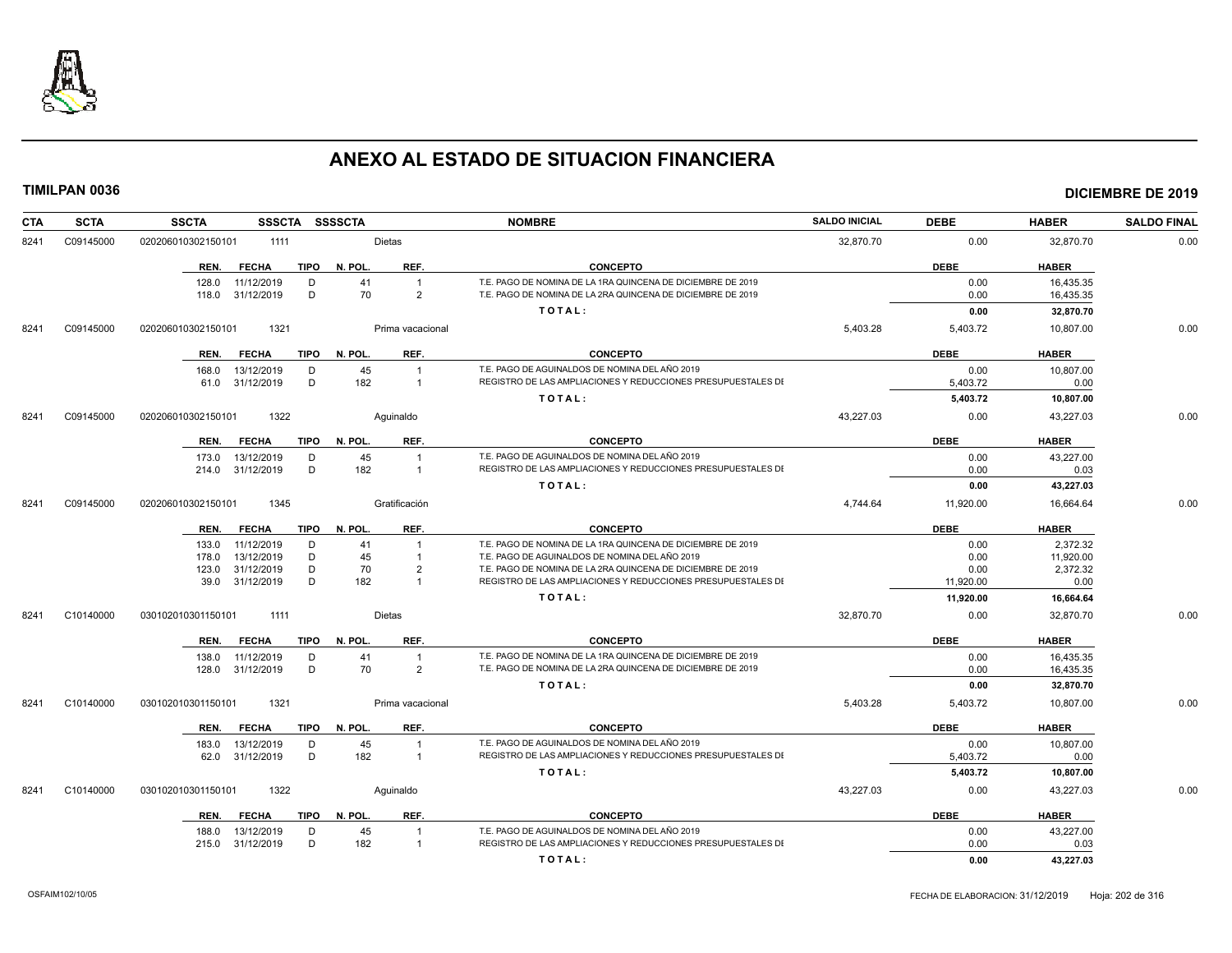

| <b>CTA</b> | <b>SCTA</b> | <b>SSCTA</b><br><b>SSSCTA</b>       | <b>SSSSCTA</b>        | <b>NOMBRE</b>                                                | <b>SALDO INICIAL</b> | <b>DEBE</b> | <b>HABER</b> | <b>SALDO FINAL</b> |
|------------|-------------|-------------------------------------|-----------------------|--------------------------------------------------------------|----------------------|-------------|--------------|--------------------|
| 8241       | C09145000   | 020206010302150101<br>1111          | <b>Dietas</b>         |                                                              | 32,870.70            | 0.00        | 32,870.70    | 0.00               |
|            |             | <b>FECHA</b><br><b>TIPO</b><br>REN. | REF.<br>N. POL.       | <b>CONCEPTO</b>                                              |                      | <b>DEBE</b> | <b>HABER</b> |                    |
|            |             | 11/12/2019<br>D<br>128.0            | 41                    | T.E. PAGO DE NOMINA DE LA 1RA QUINCENA DE DICIEMBRE DE 2019  |                      | 0.00        | 16,435.35    |                    |
|            |             | 31/12/2019<br>D<br>118.0            | 70<br>$\overline{2}$  | T.E. PAGO DE NOMINA DE LA 2RA QUINCENA DE DICIEMBRE DE 2019  |                      | 0.00        | 16,435.35    |                    |
|            |             |                                     |                       | TOTAL:                                                       |                      | 0.00        | 32.870.70    |                    |
| 8241       | C09145000   | 1321<br>020206010302150101          | Prima vacacional      |                                                              | 5,403.28             | 5,403.72    | 10,807.00    | 0.00               |
|            |             | REN.<br><b>FECHA</b><br>TIPO        | REF.<br>N. POL.       | <b>CONCEPTO</b>                                              |                      | <b>DEBE</b> | <b>HABER</b> |                    |
|            |             | 13/12/2019<br>D<br>168.0            | 45                    | T.E. PAGO DE AGUINALDOS DE NOMINA DEL AÑO 2019               |                      | 0.00        | 10,807.00    |                    |
|            |             | 31/12/2019<br>D<br>61.0             | 182<br>$\overline{1}$ | REGISTRO DE LAS AMPLIACIONES Y REDUCCIONES PRESUPUESTALES DI |                      | 5,403.72    | 0.00         |                    |
|            |             |                                     |                       | TOTAL:                                                       |                      | 5,403.72    | 10,807.00    |                    |
| 8241       | C09145000   | 1322<br>020206010302150101          | Aguinaldo             |                                                              | 43,227.03            | 0.00        | 43,227.03    | 0.00               |
|            |             | REN.<br><b>FECHA</b><br>TIPO        | N. POL.<br>REF.       | <b>CONCEPTO</b>                                              |                      | <b>DEBE</b> | <b>HABER</b> |                    |
|            |             | 13/12/2019<br>173.0<br>D            | 45                    | T.E. PAGO DE AGUINALDOS DE NOMINA DEL AÑO 2019               |                      | 0.00        | 43,227.00    |                    |
|            |             | 31/12/2019<br>D<br>214.0            | 182<br>$\overline{1}$ | REGISTRO DE LAS AMPLIACIONES Y REDUCCIONES PRESUPUESTALES DI |                      | 0.00        | 0.03         |                    |
|            |             |                                     |                       | TOTAL:                                                       |                      | 0.00        | 43,227.03    |                    |
| 8241       | C09145000   | 020206010302150101<br>1345          | Gratificación         |                                                              | 4,744.64             | 11,920.00   | 16,664.64    | 0.00               |
|            |             | REN.<br><b>FECHA</b><br>TIPO        | N. POL.<br>REF.       | <b>CONCEPTO</b>                                              |                      | <b>DEBE</b> | <b>HABER</b> |                    |
|            |             | 11/12/2019<br>D<br>133.0            | 41                    | T.E. PAGO DE NOMINA DE LA 1RA QUINCENA DE DICIEMBRE DE 2019  |                      | 0.00        | 2,372.32     |                    |
|            |             | 13/12/2019<br>D<br>178.0            | 45                    | T.E. PAGO DE AGUINALDOS DE NOMINA DEL AÑO 2019               |                      | 0.00        | 11,920.00    |                    |
|            |             | D<br>123.0<br>31/12/2019            | 70<br>$\overline{2}$  | T.E. PAGO DE NOMINA DE LA 2RA QUINCENA DE DICIEMBRE DE 2019  |                      | 0.00        | 2,372.32     |                    |
|            |             | 39.0 31/12/2019<br>D                | 182<br>$\overline{1}$ | REGISTRO DE LAS AMPLIACIONES Y REDUCCIONES PRESUPUESTALES DI |                      | 11,920.00   | 0.00         |                    |
|            |             |                                     |                       | TOTAL:                                                       |                      | 11,920.00   | 16,664.64    |                    |
| 8241       | C10140000   | 030102010301150101<br>1111          | Dietas                |                                                              | 32,870.70            | 0.00        | 32,870.70    | 0.00               |
|            |             | <b>FECHA</b><br><b>TIPO</b><br>REN. | N. POL.<br>REF.       | <b>CONCEPTO</b>                                              |                      | <b>DEBE</b> | <b>HABER</b> |                    |
|            |             | 138.0<br>11/12/2019<br>D            | 41<br>$\overline{1}$  | T.E. PAGO DE NOMINA DE LA 1RA QUINCENA DE DICIEMBRE DE 2019  |                      | 0.00        | 16,435.35    |                    |
|            |             | 31/12/2019<br>D<br>128.0            | 70<br>$\overline{2}$  | T.E. PAGO DE NOMINA DE LA 2RA QUINCENA DE DICIEMBRE DE 2019  |                      | 0.00        | 16,435.35    |                    |
|            |             |                                     |                       | TOTAL:                                                       |                      | 0.00        | 32,870.70    |                    |
| 8241       | C10140000   | 1321<br>030102010301150101          | Prima vacacional      |                                                              | 5.403.28             | 5,403.72    | 10.807.00    | 0.00               |
|            |             | <b>TIPO</b><br>REN.<br><b>FECHA</b> | N. POL.<br>REF.       | <b>CONCEPTO</b>                                              |                      | <b>DEBE</b> | <b>HABER</b> |                    |
|            |             | 13/12/2019<br>183.0<br>D            | 45<br>$\overline{1}$  | T.E. PAGO DE AGUINALDOS DE NOMINA DEL AÑO 2019               |                      | 0.00        | 10,807.00    |                    |
|            |             | D<br>62.0 31/12/2019                | 182<br>$\overline{1}$ | REGISTRO DE LAS AMPLIACIONES Y REDUCCIONES PRESUPUESTALES DI |                      | 5,403.72    | 0.00         |                    |
|            |             |                                     |                       | TOTAL:                                                       |                      | 5,403.72    | 10,807.00    |                    |
| 8241       | C10140000   | 030102010301150101<br>1322          | Aquinaldo             |                                                              | 43.227.03            | 0.00        | 43.227.03    | 0.00               |
|            |             | <b>TIPO</b><br>REN.<br><b>FECHA</b> | N. POL.<br>REF.       | <b>CONCEPTO</b>                                              |                      | DEBE        | <b>HABER</b> |                    |
|            |             | 188.0<br>13/12/2019<br>D            | 45<br>-1              | T.E. PAGO DE AGUINALDOS DE NOMINA DEL AÑO 2019               |                      | 0.00        | 43,227.00    |                    |
|            |             | 31/12/2019<br>D<br>215.0            | 182<br>$\overline{1}$ | REGISTRO DE LAS AMPLIACIONES Y REDUCCIONES PRESUPUESTALES DI |                      | 0.00        | 0.03         |                    |
|            |             |                                     |                       | TOTAL:                                                       |                      | 0.00        | 43,227.03    |                    |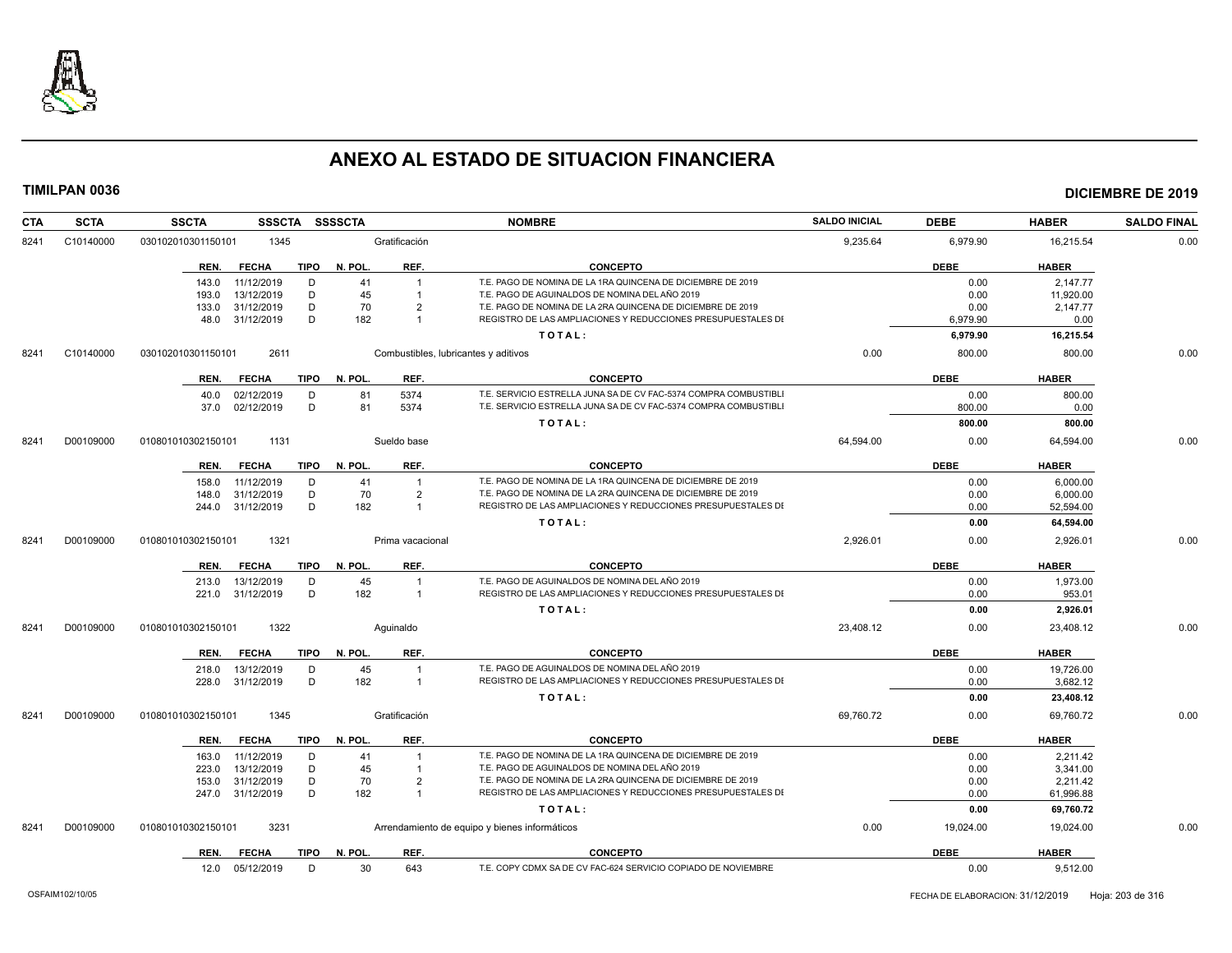

| CTA  | <b>SCTA</b> | <b>SSCTA</b><br><b>SSSCTA</b>                        | SSSSCTA                       | <b>NOMBRE</b>                                                    | <b>SALDO INICIAL</b> | <b>DEBE</b>  | <b>HABER</b>         | <b>SALDO FINAL</b> |
|------|-------------|------------------------------------------------------|-------------------------------|------------------------------------------------------------------|----------------------|--------------|----------------------|--------------------|
| 8241 | C10140000   | 1345<br>030102010301150101                           | Gratificación                 |                                                                  | 9,235.64             | 6,979.90     | 16,215.54            | 0.00               |
|      |             | TIPO<br>REN.<br>FECHA                                | REF.<br>N. POL.               | <b>CONCEPTO</b>                                                  |                      | <b>DEBE</b>  | <b>HABER</b>         |                    |
|      |             | 11/12/2019<br>D<br>143.0                             | 41<br>$\overline{1}$          | T.E. PAGO DE NOMINA DE LA 1RA QUINCENA DE DICIEMBRE DE 2019      |                      | 0.00         | 2.147.77             |                    |
|      |             | D<br>13/12/2019<br>193.0                             | 45<br>$\overline{1}$          | T.E. PAGO DE AGUINALDOS DE NOMINA DEL AÑO 2019                   |                      | 0.00         | 11.920.00            |                    |
|      |             | 31/12/2019<br>D<br>133.0                             | 70<br>$\overline{2}$          | T.E. PAGO DE NOMINA DE LA 2RA QUINCENA DE DICIEMBRE DE 2019      |                      | 0.00         | 2,147.77             |                    |
|      |             | D<br>48.0 31/12/2019                                 | 182<br>$\overline{1}$         | REGISTRO DE LAS AMPLIACIONES Y REDUCCIONES PRESUPUESTALES DI     |                      | 6,979.90     | 0.00                 |                    |
|      |             |                                                      |                               | TOTAL:                                                           |                      | 6,979.90     | 16,215.54            |                    |
| 8241 | C10140000   | 2611<br>030102010301150101                           |                               | Combustibles, lubricantes y aditivos                             | 0.00                 | 800.00       | 800.00               | 0.00               |
|      |             | <b>FECHA</b><br>REN.                                 | TIPO N. POL.<br>REF.          | <b>CONCEPTO</b>                                                  |                      | <b>DEBE</b>  | <b>HABER</b>         |                    |
|      |             | 02/12/2019<br>D<br>40.0                              | 5374<br>81                    | T.E. SERVICIO ESTRELLA JUNA SA DE CV FAC-5374 COMPRA COMBUSTIBLI |                      | 0.00         | 800.00               |                    |
|      |             | 02/12/2019<br>D<br>37.0                              | 81<br>5374                    | T.E. SERVICIO ESTRELLA JUNA SA DE CV FAC-5374 COMPRA COMBUSTIBL  |                      | 800.00       | 0.00                 |                    |
|      |             |                                                      |                               | TOTAL:                                                           |                      | 800.00       | 800.00               |                    |
| 8241 | D00109000   | 1131<br>010801010302150101                           | Sueldo base                   |                                                                  | 64,594.00            | 0.00         | 64.594.00            | 0.00               |
|      |             | <b>FECHA</b><br>REN.<br>TIPO                         | REF.<br>N. POL.               | <b>CONCEPTO</b>                                                  |                      | <b>DEBE</b>  | <b>HABER</b>         |                    |
|      |             | 11/12/2019<br>D<br>158.0                             | 41<br>$\overline{1}$          | T.E. PAGO DE NOMINA DE LA 1RA QUINCENA DE DICIEMBRE DE 2019      |                      | 0.00         | 6,000.00             |                    |
|      |             | 31/12/2019<br>D<br>148.0                             | 70<br>$\overline{2}$          | T.E. PAGO DE NOMINA DE LA 2RA QUINCENA DE DICIEMBRE DE 2019      |                      | 0.00         | 6.000.00             |                    |
|      |             | D<br>31/12/2019<br>244.0                             | 182<br>$\overline{1}$         | REGISTRO DE LAS AMPLIACIONES Y REDUCCIONES PRESUPUESTALES DI     |                      | 0.00         | 52,594.00            |                    |
|      |             |                                                      |                               | TOTAL:                                                           |                      | 0.00         | 64,594.00            |                    |
| 8241 | D00109000   | 010801010302150101<br>1321                           | Prima vacacional              |                                                                  | 2,926.01             | 0.00         | 2,926.01             | 0.00               |
|      |             | <b>FECHA</b><br>TIPO<br>REN.                         | REF.<br>N. POL.               | <b>CONCEPTO</b>                                                  |                      | <b>DEBE</b>  | <b>HABER</b>         |                    |
|      |             | 13/12/2019<br>D<br>213.0                             | 45<br>$\overline{1}$          | T.E. PAGO DE AGUINALDOS DE NOMINA DEL AÑO 2019                   |                      | 0.00         | 1,973.00             |                    |
|      |             | 221.0 31/12/2019<br>D                                | 182<br>$\overline{1}$         | REGISTRO DE LAS AMPLIACIONES Y REDUCCIONES PRESUPUESTALES DI     |                      | 0.00         | 953.01               |                    |
|      |             |                                                      |                               | TOTAL:                                                           |                      | 0.00         | 2,926.01             |                    |
| 8241 | D00109000   | 1322<br>010801010302150101                           | Aguinaldo                     |                                                                  | 23,408.12            | 0.00         | 23,408.12            | 0.00               |
|      |             | REN.<br><b>FECHA</b><br>TIPO                         | N. POL.<br>REF.               | <b>CONCEPTO</b>                                                  |                      | <b>DEBE</b>  | <b>HABER</b>         |                    |
|      |             | D<br>13/12/2019<br>218.0                             | 45<br>$\overline{1}$          | T.E. PAGO DE AGUINALDOS DE NOMINA DEL AÑO 2019                   |                      | 0.00         | 19,726.00            |                    |
|      |             | D<br>228.0 31/12/2019                                | 182<br>$\overline{1}$         | REGISTRO DE LAS AMPLIACIONES Y REDUCCIONES PRESUPUESTALES DI     |                      | 0.00         | 3,682.12             |                    |
|      |             |                                                      |                               | TOTAL:                                                           |                      | 0.00         | 23,408.12            |                    |
| 8241 | D00109000   | 1345<br>010801010302150101                           | Gratificación                 |                                                                  | 69,760.72            | 0.00         | 69,760.72            | 0.00               |
|      |             | <b>FECHA</b><br><b>TIPO</b><br>REN.                  | N. POL.<br>REF.               | <b>CONCEPTO</b>                                                  |                      | <b>DEBE</b>  | <b>HABER</b>         |                    |
|      |             |                                                      | 41<br>$\overline{1}$          | T.E. PAGO DE NOMINA DE LA 1RA QUINCENA DE DICIEMBRE DE 2019      |                      |              |                      |                    |
|      |             | 11/12/2019<br>D<br>163.0<br>13/12/2019<br>D<br>223.0 | 45<br>$\overline{\mathbf{1}}$ | T.E. PAGO DE AGUINALDOS DE NOMINA DEL AÑO 2019                   |                      | 0.00<br>0.00 | 2,211.42<br>3,341.00 |                    |
|      |             | D<br>31/12/2019<br>153.0                             | 70<br>$\overline{2}$          | T.E. PAGO DE NOMINA DE LA 2RA QUINCENA DE DICIEMBRE DE 2019      |                      | 0.00         | 2,211.42             |                    |
|      |             | D<br>31/12/2019<br>247.0                             | 182<br>$\overline{1}$         | REGISTRO DE LAS AMPLIACIONES Y REDUCCIONES PRESUPUESTALES DI     |                      | 0.00         | 61,996.88            |                    |
|      |             |                                                      |                               | TOTAL:                                                           |                      | 0.00         | 69,760.72            |                    |
| 8241 | D00109000   | 3231<br>010801010302150101                           |                               | Arrendamiento de equipo y bienes informáticos                    | 0.00                 | 19,024.00    | 19,024.00            | 0.00               |
|      |             | <b>FECHA</b><br>TIPO<br>REN.                         | N. POL.<br>REF.               | <b>CONCEPTO</b>                                                  |                      | <b>DEBE</b>  | <b>HABER</b>         |                    |
|      |             | 12.0 05/12/2019<br>D                                 | 30<br>643                     | T.E. COPY CDMX SA DE CV FAC-624 SERVICIO COPIADO DE NOVIEMBRE    |                      | 0.00         | 9,512.00             |                    |
|      |             |                                                      |                               |                                                                  |                      |              |                      |                    |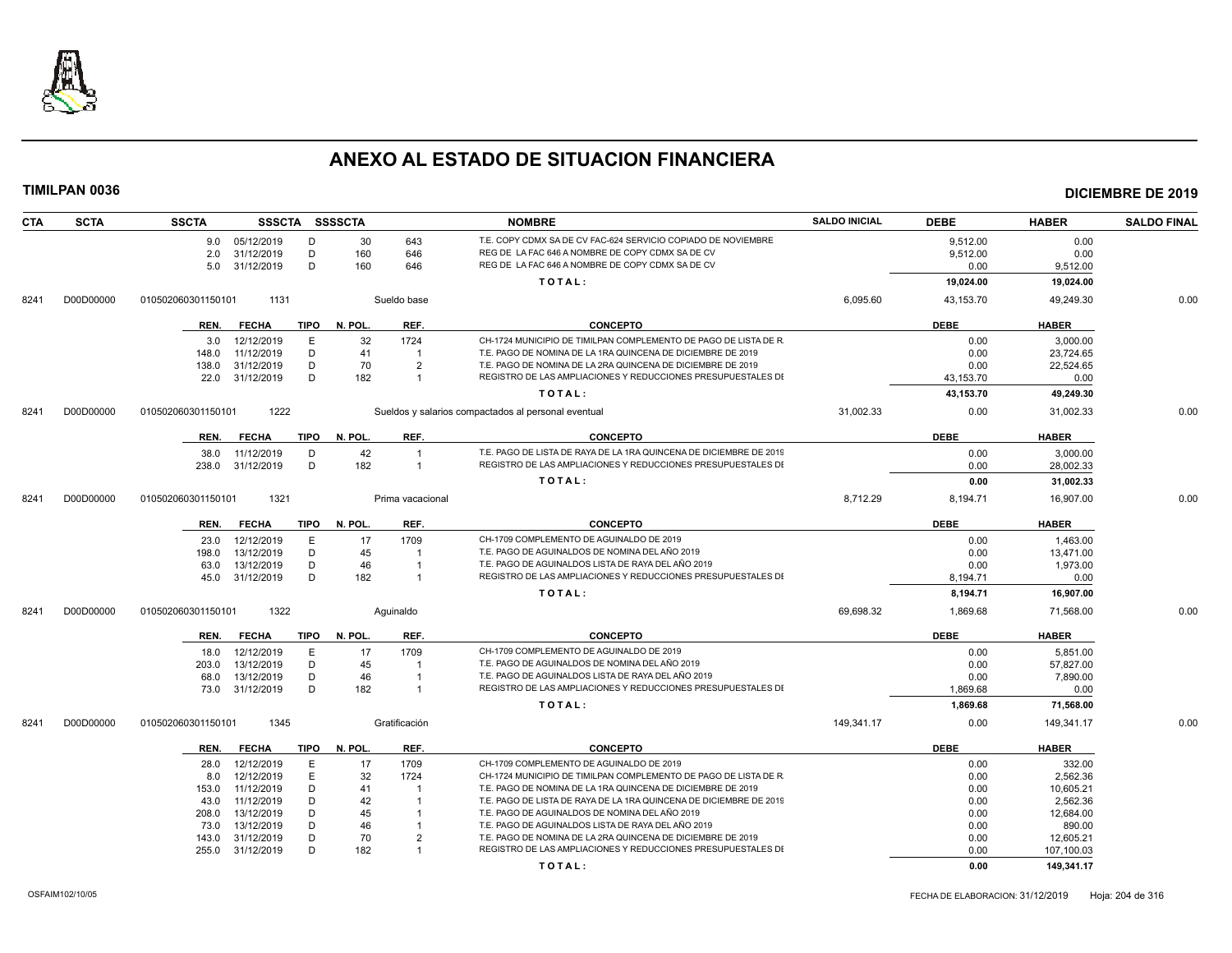

| <b>CTA</b> | <b>SCTA</b> | <b>SSCTA</b>       |                 |             | SSSCTA SSSSCTA |                                  | <b>NOMBRE</b>                                                                                                      | <b>SALDO INICIAL</b> | <b>DEBE</b> | <b>HABER</b> | <b>SALDO FINAL</b> |
|------------|-------------|--------------------|-----------------|-------------|----------------|----------------------------------|--------------------------------------------------------------------------------------------------------------------|----------------------|-------------|--------------|--------------------|
|            |             |                    | 9.0 05/12/2019  | D           | 30             | 643                              | T.E. COPY CDMX SA DE CV FAC-624 SERVICIO COPIADO DE NOVIEMBRE                                                      |                      | 9.512.00    | 0.00         |                    |
|            |             | 2.0                | 31/12/2019      | D           | 160            | 646                              | REG DE LA FAC 646 A NOMBRE DE COPY CDMX SA DE CV                                                                   |                      | 9,512.00    | 0.00         |                    |
|            |             |                    | 5.0 31/12/2019  | D           | 160            | 646                              | REG DE LA FAC 646 A NOMBRE DE COPY CDMX SA DE CV                                                                   |                      | 0.00        | 9,512.00     |                    |
|            |             |                    |                 |             |                |                                  | TOTAL:                                                                                                             |                      | 19,024.00   | 19,024.00    |                    |
| 8241       | D00D00000   | 010502060301150101 | 1131            |             |                | Sueldo base                      |                                                                                                                    | 6,095.60             | 43,153.70   | 49,249.30    | 0.00               |
|            |             | REN.               | <b>FECHA</b>    | <b>TIPO</b> | N. POL.        | REF.                             | <b>CONCEPTO</b>                                                                                                    |                      | <b>DEBE</b> | <b>HABER</b> |                    |
|            |             | 3.0                | 12/12/2019      | E           | 32             | 1724                             | CH-1724 MUNICIPIO DE TIMILPAN COMPLEMENTO DE PAGO DE LISTA DE R                                                    |                      | 0.00        | 3,000.00     |                    |
|            |             | 148.0              | 11/12/2019      | D           | 41             | - 1                              | T.E. PAGO DE NOMINA DE LA 1RA QUINCENA DE DICIEMBRE DE 2019                                                        |                      | 0.00        | 23.724.65    |                    |
|            |             | 138.0              | 31/12/2019      | D           | 70             | $\overline{2}$                   | T.E. PAGO DE NOMINA DE LA 2RA QUINCENA DE DICIEMBRE DE 2019                                                        |                      | 0.00        | 22,524.65    |                    |
|            |             |                    | 22.0 31/12/2019 | D           | 182            | $\mathbf{1}$                     | REGISTRO DE LAS AMPLIACIONES Y REDUCCIONES PRESUPUESTALES DI                                                       |                      | 43,153.70   | 0.00         |                    |
|            |             |                    |                 |             |                |                                  | TOTAL:                                                                                                             |                      | 43,153.70   | 49,249.30    |                    |
| 8241       | D00D00000   | 010502060301150101 | 1222            |             |                |                                  | Sueldos y salarios compactados al personal eventual                                                                | 31,002.33            | 0.00        | 31.002.33    | 0.00               |
|            |             | REN.               | <b>FECHA</b>    | TIPO        | N. POL.        | REF.                             | <b>CONCEPTO</b>                                                                                                    |                      | <b>DEBE</b> | <b>HABER</b> |                    |
|            |             | 38.0               | 11/12/2019      | D           | 42             |                                  | T.E. PAGO DE LISTA DE RAYA DE LA 1RA QUINCENA DE DICIEMBRE DE 2019                                                 |                      | 0.00        | 3,000.00     |                    |
|            |             | 238.0              | 31/12/2019      | D           | 182            | $\overline{1}$                   | REGISTRO DE LAS AMPLIACIONES Y REDUCCIONES PRESUPUESTALES DI                                                       |                      | 0.00        | 28,002.33    |                    |
|            |             |                    |                 |             |                |                                  | TOTAL:                                                                                                             |                      | 0.00        | 31,002.33    |                    |
| 8241       | D00D00000   | 010502060301150101 | 1321            |             |                | Prima vacacional                 |                                                                                                                    | 8.712.29             | 8.194.71    | 16.907.00    | 0.00               |
|            |             |                    |                 |             |                |                                  |                                                                                                                    |                      |             |              |                    |
|            |             | REN.               | <b>FECHA</b>    | TIPO        | N. POL.        | REF.                             | <b>CONCEPTO</b>                                                                                                    |                      | <b>DEBE</b> | <b>HABER</b> |                    |
|            |             | 23.0               | 12/12/2019      | E           | 17             | 1709                             | CH-1709 COMPLEMENTO DE AGUINALDO DE 2019                                                                           |                      | 0.00        | 1.463.00     |                    |
|            |             | 198.0              | 13/12/2019      | D           | 45             | $\overline{1}$                   | T.E. PAGO DE AGUINALDOS DE NOMINA DEL AÑO 2019                                                                     |                      | 0.00        | 13,471.00    |                    |
|            |             | 63.0               | 13/12/2019      | D<br>D      | 46<br>182      | $\overline{1}$<br>$\overline{1}$ | T.E. PAGO DE AGUINALDOS LISTA DE RAYA DEL AÑO 2019<br>REGISTRO DE LAS AMPLIACIONES Y REDUCCIONES PRESUPUESTALES DI |                      | 0.00        | 1,973.00     |                    |
|            |             |                    | 45.0 31/12/2019 |             |                |                                  |                                                                                                                    |                      | 8,194.71    | 0.00         |                    |
|            |             |                    |                 |             |                |                                  | TOTAL:                                                                                                             |                      | 8,194.71    | 16,907.00    |                    |
| 8241       | D00D00000   | 010502060301150101 | 1322            |             |                | Aquinaldo                        |                                                                                                                    | 69,698.32            | 1,869.68    | 71,568.00    | 0.00               |
|            |             | REN.               | <b>FECHA</b>    | TIPO        | N. POL.        | REF.                             | <b>CONCEPTO</b>                                                                                                    |                      | <b>DEBE</b> | <b>HABER</b> |                    |
|            |             | 18.0               | 12/12/2019      | E           | 17             | 1709                             | CH-1709 COMPLEMENTO DE AGUINALDO DE 2019                                                                           |                      | 0.00        | 5,851.00     |                    |
|            |             | 203.0              | 13/12/2019      | D           | 45             |                                  | T.E. PAGO DE AGUINALDOS DE NOMINA DEL AÑO 2019                                                                     |                      | 0.00        | 57,827.00    |                    |
|            |             | 68.0               | 13/12/2019      | D           | 46             |                                  | T.E. PAGO DE AGUINALDOS LISTA DE RAYA DEL AÑO 2019                                                                 |                      | 0.00        | 7,890.00     |                    |
|            |             |                    | 73.0 31/12/2019 | D           | 182            | $\overline{1}$                   | REGISTRO DE LAS AMPLIACIONES Y REDUCCIONES PRESUPUESTALES DI                                                       |                      | 1,869.68    | 0.00         |                    |
|            |             |                    |                 |             |                |                                  | TOTAL:                                                                                                             |                      | 1,869.68    | 71,568.00    |                    |
| 8241       | D00D00000   | 010502060301150101 | 1345            |             |                | Gratificación                    |                                                                                                                    | 149,341.17           | 0.00        | 149.341.17   | 0.00               |
|            |             | REN.               | FECHA           | TIPO        | N. POL.        | REF.                             | <b>CONCEPTO</b>                                                                                                    |                      | <b>DEBE</b> | <b>HABER</b> |                    |
|            |             | 28.0               | 12/12/2019      | E           | 17             | 1709                             | CH-1709 COMPLEMENTO DE AGUINALDO DE 2019                                                                           |                      | 0.00        | 332.00       |                    |
|            |             | 8.0                | 12/12/2019      | E.          | 32             | 1724                             | CH-1724 MUNICIPIO DE TIMILPAN COMPLEMENTO DE PAGO DE LISTA DE R                                                    |                      | 0.00        | 2,562.36     |                    |
|            |             | 153.0              | 11/12/2019      | D           | 41             | - 1                              | T.E. PAGO DE NOMINA DE LA 1RA QUINCENA DE DICIEMBRE DE 2019                                                        |                      | 0.00        | 10,605.21    |                    |
|            |             | 43.0               | 11/12/2019      | D           | 42             | - 1                              | T.E. PAGO DE LISTA DE RAYA DE LA 1RA QUINCENA DE DICIEMBRE DE 2019                                                 |                      | 0.00        | 2,562.36     |                    |
|            |             | 208.0              | 13/12/2019      | D           | 45             |                                  | T.E. PAGO DE AGUINALDOS DE NOMINA DEL AÑO 2019                                                                     |                      | 0.00        | 12,684.00    |                    |
|            |             | 73.0               | 13/12/2019      | D           | 46             |                                  | T.E. PAGO DE AGUINALDOS LISTA DE RAYA DEL AÑO 2019                                                                 |                      | 0.00        | 890.00       |                    |
|            |             | 143.0              | 31/12/2019      | D           | 70             | $\overline{2}$                   | T.E. PAGO DE NOMINA DE LA 2RA QUINCENA DE DICIEMBRE DE 2019                                                        |                      | 0.00        | 12,605.21    |                    |
|            |             | 255.0              | 31/12/2019      | D           | 182            | $\overline{1}$                   | REGISTRO DE LAS AMPLIACIONES Y REDUCCIONES PRESUPUESTALES DI                                                       |                      | 0.00        | 107,100.03   |                    |
|            |             |                    |                 |             |                |                                  | TOTAL:                                                                                                             |                      | 0.00        | 149,341.17   |                    |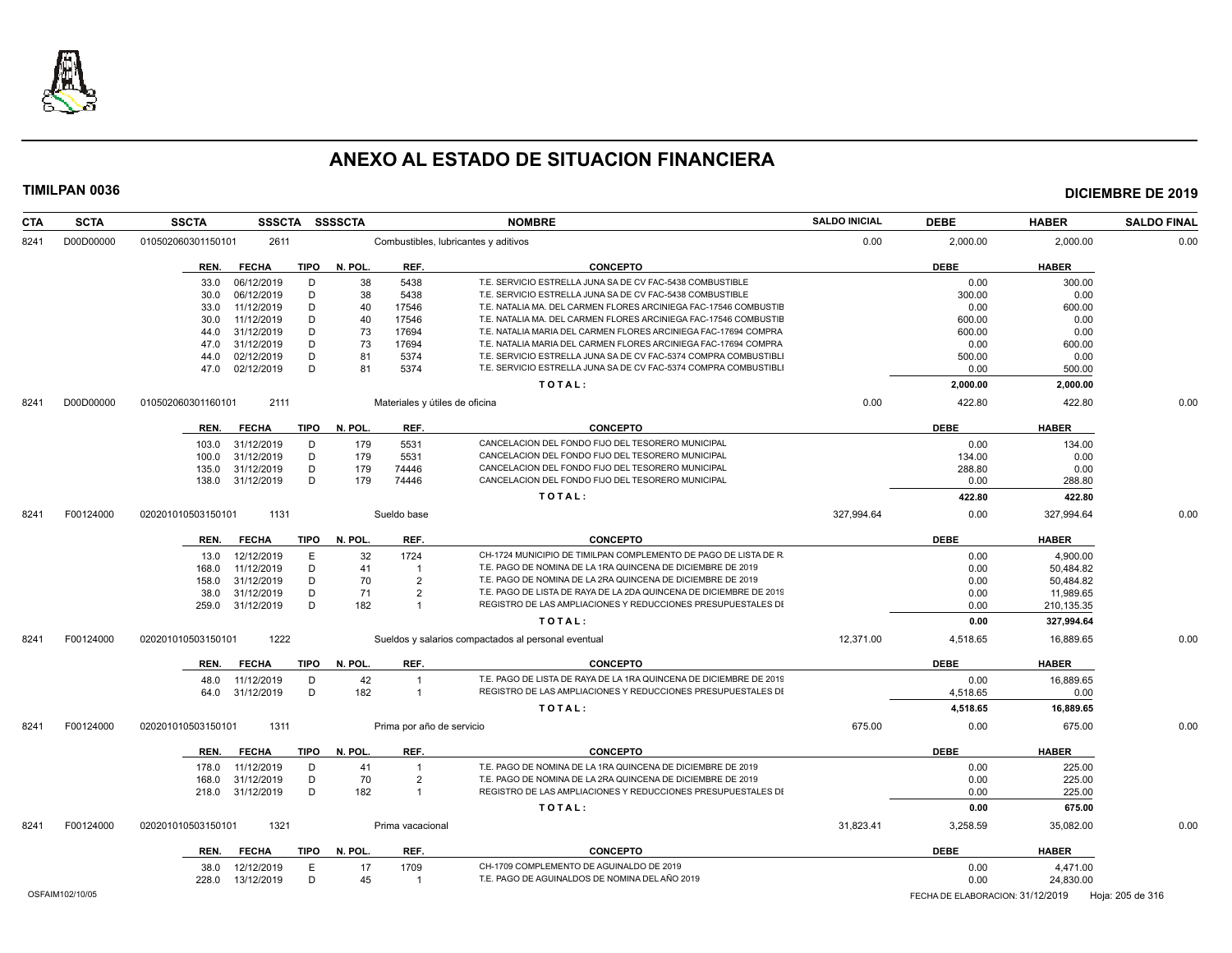

| <b>CTA</b> | <b>SCTA</b> | <b>SSCTA</b>               |             | SSSCTA SSSSCTA |                                      | <b>NOMBRE</b>                                                      | <b>SALDO INICIAL</b> | <b>DEBE</b> | <b>HABER</b> | <b>SALDO FINAL</b> |
|------------|-------------|----------------------------|-------------|----------------|--------------------------------------|--------------------------------------------------------------------|----------------------|-------------|--------------|--------------------|
| 8241       | D00D00000   | 010502060301150101<br>2611 |             |                | Combustibles, lubricantes y aditivos |                                                                    | 0.00                 | 2,000.00    | 2,000.00     | 0.00               |
|            |             | <b>FECHA</b><br>REN.       | <b>TIPO</b> | N. POL.        | REF.                                 | <b>CONCEPTO</b>                                                    |                      | <b>DEBE</b> | <b>HABER</b> |                    |
|            |             | 06/12/2019<br>33.0         | D           | 38             | 5438                                 | T.E. SERVICIO ESTRELLA JUNA SA DE CV FAC-5438 COMBUSTIBLE          |                      | 0.00        | 300.00       |                    |
|            |             | 06/12/2019<br>30.0         | D           | 38             | 5438                                 | T.E. SERVICIO ESTRELLA JUNA SA DE CV FAC-5438 COMBUSTIBLE          |                      | 300.00      | 0.00         |                    |
|            |             | 11/12/2019<br>33.0         | D           | 40             | 17546                                | T.E. NATALIA MA. DEL CARMEN FLORES ARCINIEGA FAC-17546 COMBUSTIE   |                      | 0.00        | 600.00       |                    |
|            |             | 11/12/2019<br>30.0         | D           | 40             | 17546                                | T.E. NATALIA MA. DEL CARMEN FLORES ARCINIEGA FAC-17546 COMBUSTIE   |                      | 600.00      | 0.00         |                    |
|            |             | 31/12/2019<br>44.0         | D           | 73             | 17694                                | T.E. NATALIA MARIA DEL CARMEN FLORES ARCINIEGA FAC-17694 COMPRA    |                      | 600.00      | 0.00         |                    |
|            |             | 31/12/2019<br>47.0         | D           | 73             | 17694                                | T.E. NATALIA MARIA DEL CARMEN FLORES ARCINIEGA FAC-17694 COMPRA    |                      | 0.00        | 600.00       |                    |
|            |             | 02/12/2019<br>44.0         | D           | 81             | 5374                                 | T.E. SERVICIO ESTRELLA JUNA SA DE CV FAC-5374 COMPRA COMBUSTIBLI   |                      | 500.00      | 0.00         |                    |
|            |             | 02/12/2019<br>47.0         | D           | 81             | 5374                                 | T.E. SERVICIO ESTRELLA JUNA SA DE CV FAC-5374 COMPRA COMBUSTIBLI   |                      | 0.00        | 500.00       |                    |
|            |             |                            |             |                |                                      | TOTAL:                                                             |                      | 2,000.00    | 2,000.00     |                    |
| 8241       | D00D00000   | 2111<br>010502060301160101 |             |                | Materiales y útiles de oficina       |                                                                    | 0.00                 | 422.80      | 422.80       | 0.00               |
|            |             | <b>FECHA</b><br>REN.       | <b>TIPO</b> | N. POL.        | REF.                                 | <b>CONCEPTO</b>                                                    |                      | <b>DEBE</b> | <b>HABER</b> |                    |
|            |             | 31/12/2019<br>103.0        | D           | 179            | 5531                                 | CANCELACION DEL FONDO FIJO DEL TESORERO MUNICIPAL                  |                      | 0.00        | 134.00       |                    |
|            |             | 31/12/2019<br>100.0        | D           | 179            | 5531                                 | CANCELACION DEL FONDO FIJO DEL TESORERO MUNICIPAL                  |                      | 134.00      | 0.00         |                    |
|            |             | 31/12/2019<br>135.0        | D           | 179            | 74446                                | CANCELACION DEL FONDO FIJO DEL TESORERO MUNICIPAL                  |                      | 288.80      | 0.00         |                    |
|            |             | 31/12/2019<br>138.0        | D           | 179            | 74446                                | CANCELACION DEL FONDO FIJO DEL TESORERO MUNICIPAL                  |                      | 0.00        | 288.80       |                    |
|            |             |                            |             |                |                                      | TOTAL:                                                             |                      | 422.80      | 422.80       |                    |
| 8241       | F00124000   | 1131<br>020201010503150101 |             |                | Sueldo base                          |                                                                    | 327,994.64           | 0.00        | 327,994.64   | 0.00               |
|            |             | <b>FECHA</b><br>REN.       | TIPO        | N. POL.        | REF.                                 | <b>CONCEPTO</b>                                                    |                      | <b>DEBE</b> | <b>HABER</b> |                    |
|            |             | 12/12/2019<br>13.0         | Ε           | 32             | 1724                                 | CH-1724 MUNICIPIO DE TIMILPAN COMPLEMENTO DE PAGO DE LISTA DE R    |                      | 0.00        | 4.900.00     |                    |
|            |             | 11/12/2019<br>168.0        | D           | 41             | $\overline{1}$                       | T.E. PAGO DE NOMINA DE LA 1RA QUINCENA DE DICIEMBRE DE 2019        |                      | 0.00        | 50,484.82    |                    |
|            |             | 31/12/2019<br>158.0        | D           | 70             | $\overline{2}$                       | T.E. PAGO DE NOMINA DE LA 2RA QUINCENA DE DICIEMBRE DE 2019        |                      | 0.00        | 50,484.82    |                    |
|            |             | 38.0<br>31/12/2019         | D           | 71             | $\overline{2}$                       | T.E. PAGO DE LISTA DE RAYA DE LA 2DA QUINCENA DE DICIEMBRE DE 2019 |                      | 0.00        | 11,989.65    |                    |
|            |             | 31/12/2019<br>259.0        | D           | 182            | $\overline{1}$                       | REGISTRO DE LAS AMPLIACIONES Y REDUCCIONES PRESUPUESTALES DI       |                      | 0.00        | 210,135.35   |                    |
|            |             |                            |             |                |                                      | TOTAL:                                                             |                      | 0.00        | 327,994.64   |                    |
| 8241       | F00124000   | 1222<br>020201010503150101 |             |                |                                      | Sueldos y salarios compactados al personal eventual                | 12,371.00            | 4,518.65    | 16,889.65    | 0.00               |
|            |             | REN.<br><b>FECHA</b>       | TIPO        | N. POL.        | REF.                                 | <b>CONCEPTO</b>                                                    |                      | <b>DEBE</b> | <b>HABER</b> |                    |
|            |             | 11/12/2019<br>48.0         | D           | 42             |                                      | T.E. PAGO DE LISTA DE RAYA DE LA 1RA QUINCENA DE DICIEMBRE DE 2019 |                      | 0.00        | 16,889.65    |                    |
|            |             | 64.0 31/12/2019            | D           | 182            | $\overline{1}$                       | REGISTRO DE LAS AMPLIACIONES Y REDUCCIONES PRESUPUESTALES DI       |                      | 4.518.65    | 0.00         |                    |
|            |             |                            |             |                |                                      |                                                                    |                      |             |              |                    |
|            |             |                            |             |                |                                      | TOTAL:                                                             |                      | 4,518.65    | 16,889.65    |                    |
| 8241       | F00124000   | 1311<br>020201010503150101 |             |                | Prima por año de servicio            |                                                                    | 675.00               | 0.00        | 675.00       | 0.00               |
|            |             | REN.<br><b>FECHA</b>       | TIPO        | N. POL.        | REF.                                 | <b>CONCEPTO</b>                                                    |                      | <b>DEBE</b> | <b>HABER</b> |                    |
|            |             | 11/12/2019<br>178.0        | D           | 41             | $\overline{1}$                       | T.E. PAGO DE NOMINA DE LA 1RA QUINCENA DE DICIEMBRE DE 2019        |                      | 0.00        | 225.00       |                    |
|            |             | 31/12/2019<br>168.0        | D           | 70             | $\overline{2}$                       | T.E. PAGO DE NOMINA DE LA 2RA QUINCENA DE DICIEMBRE DE 2019        |                      | 0.00        | 225.00       |                    |
|            |             | 218.0 31/12/2019           | D           | 182            | $\overline{1}$                       | REGISTRO DE LAS AMPLIACIONES Y REDUCCIONES PRESUPUESTALES DI       |                      | 0.00        | 225.00       |                    |
|            |             |                            |             |                |                                      | TOTAL:                                                             |                      | 0.00        | 675.00       |                    |
| 8241       | F00124000   | 1321<br>020201010503150101 |             |                | Prima vacacional                     |                                                                    | 31,823.41            | 3,258.59    | 35,082.00    | 0.00               |
|            |             |                            |             |                | REF.                                 | <b>CONCEPTO</b>                                                    |                      | <b>DEBE</b> |              |                    |
|            |             | <b>FECHA</b><br>REN.       | <b>TIPO</b> | N. POL.        |                                      |                                                                    |                      |             | <b>HABER</b> |                    |
|            |             | 12/12/2019<br>38.0         | E           | 17             | 1709                                 | CH-1709 COMPLEMENTO DE AGUINALDO DE 2019                           |                      | 0.00        | 4,471.00     |                    |
|            |             | 228.0 13/12/2019           | D           | 45             | $\overline{1}$                       | T.E. PAGO DE AGUINALDOS DE NOMINA DEL AÑO 2019                     |                      | 0.00        | 24,830.00    |                    |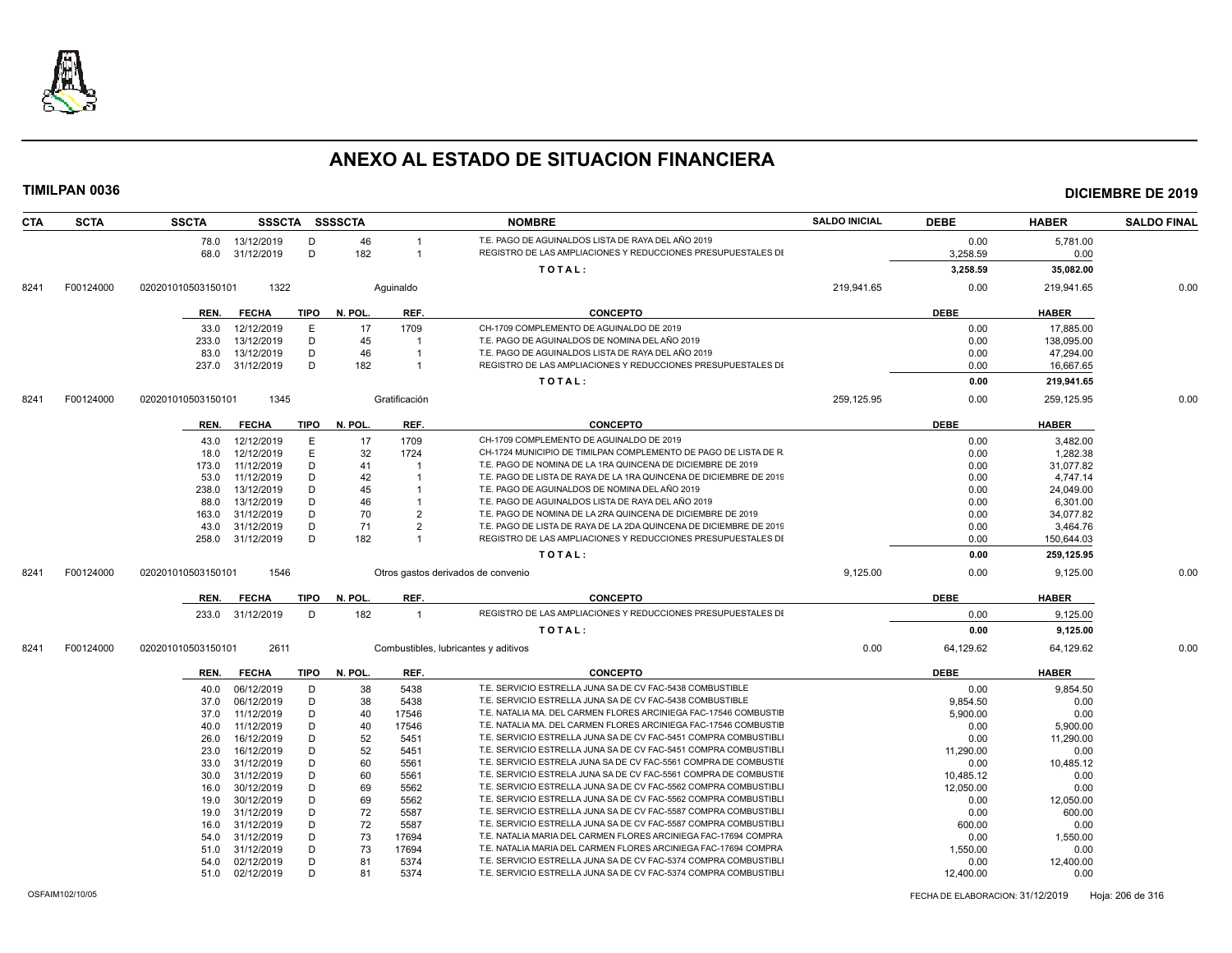

| <b>CTA</b> | <b>SCTA</b> | <b>SSCTA</b>       |                          |             | SSSCTA SSSSCTA |                | <b>NOMBRE</b>                                                      | <b>SALDO INICIAL</b> | <b>DEBE</b>      | <b>HABER</b>     | <b>SALDO FINAL</b> |
|------------|-------------|--------------------|--------------------------|-------------|----------------|----------------|--------------------------------------------------------------------|----------------------|------------------|------------------|--------------------|
|            |             |                    | 78.0 13/12/2019          | D           | 46             |                | T.E. PAGO DE AGUINALDOS LISTA DE RAYA DEL AÑO 2019                 |                      | 0.00             | 5.781.00         |                    |
|            |             | 68.0               | 31/12/2019               | D           | 182            | $\overline{1}$ | REGISTRO DE LAS AMPLIACIONES Y REDUCCIONES PRESUPUESTALES DI       |                      | 3,258.59         | 0.00             |                    |
|            |             |                    |                          |             |                |                | TOTAL:                                                             |                      | 3,258.59         | 35,082.00        |                    |
| 8241       | F00124000   | 020201010503150101 | 1322                     |             |                | Aquinaldo      |                                                                    | 219,941.65           | 0.00             | 219,941.65       | 0.00               |
|            |             | REN.               | <b>FECHA</b>             | TIPO        | N. POL.        | REF.           | <b>CONCEPTO</b>                                                    |                      | <b>DEBE</b>      | <b>HABER</b>     |                    |
|            |             | 33.0               | 12/12/2019               | Е           | 17             | 1709           | CH-1709 COMPLEMENTO DE AGUINALDO DE 2019                           |                      | 0.00             | 17,885.00        |                    |
|            |             | 233.0              | 13/12/2019               | D           | 45             |                | T.E. PAGO DE AGUINALDOS DE NOMINA DEL AÑO 2019                     |                      | 0.00             | 138,095.00       |                    |
|            |             | 83.0               | 13/12/2019               | D           | 46             | $\overline{1}$ | T.E. PAGO DE AGUINALDOS LISTA DE RAYA DEL AÑO 2019                 |                      | 0.00             | 47,294.00        |                    |
|            |             |                    | 237.0 31/12/2019         | D           | 182            | $\overline{1}$ | REGISTRO DE LAS AMPLIACIONES Y REDUCCIONES PRESUPUESTALES DI       |                      | 0.00             | 16,667.65        |                    |
|            |             |                    |                          |             |                |                | TOTAL:                                                             |                      | 0.00             | 219,941.65       |                    |
| 8241       | F00124000   | 020201010503150101 | 1345                     |             |                | Gratificación  |                                                                    | 259,125.95           | 0.00             | 259,125.95       | 0.00               |
|            |             | REN.               | <b>FECHA</b>             | <b>TIPO</b> | N. POL.        | REF.           | <b>CONCEPTO</b>                                                    |                      | <b>DEBE</b>      | <b>HABER</b>     |                    |
|            |             | 43.0               | 12/12/2019               | E           | 17             | 1709           | CH-1709 COMPLEMENTO DE AGUINALDO DE 2019                           |                      | 0.00             | 3,482.00         |                    |
|            |             | 18.0               | 12/12/2019               | E           | 32             | 1724           | CH-1724 MUNICIPIO DE TIMILPAN COMPLEMENTO DE PAGO DE LISTA DE R    |                      | 0.00             | 1,282.38         |                    |
|            |             | 173.0              | 11/12/2019               | D           | 41             |                | T.E. PAGO DE NOMINA DE LA 1RA QUINCENA DE DICIEMBRE DE 2019        |                      | 0.00             | 31,077.82        |                    |
|            |             | 53.0               | 11/12/2019               | D           | 42             |                | T.E. PAGO DE LISTA DE RAYA DE LA 1RA QUINCENA DE DICIEMBRE DE 2019 |                      | 0.00             | 4,747.14         |                    |
|            |             | 238.0              | 13/12/2019               | D           | 45             |                | T.E. PAGO DE AGUINALDOS DE NOMINA DEL AÑO 2019                     |                      | 0.00             | 24,049.00        |                    |
|            |             | 88.0               | 13/12/2019               | D           | 46             |                | T.E. PAGO DE AGUINALDOS LISTA DE RAYA DEL AÑO 2019                 |                      | 0.00             | 6,301.00         |                    |
|            |             | 163.0              | 31/12/2019               | D           | 70             | $\overline{2}$ | T.E. PAGO DE NOMINA DE LA 2RA QUINCENA DE DICIEMBRE DE 2019        |                      | 0.00             | 34,077.82        |                    |
|            |             | 43.0               | 31/12/2019               | D           | 71             | $\overline{2}$ | T.E. PAGO DE LISTA DE RAYA DE LA 2DA QUINCENA DE DICIEMBRE DE 2019 |                      | 0.00             | 3,464.76         |                    |
|            |             | 258.0              | 31/12/2019               | D           | 182            |                | REGISTRO DE LAS AMPLIACIONES Y REDUCCIONES PRESUPUESTALES DI       |                      | 0.00             | 150,644.03       |                    |
|            |             |                    |                          |             |                |                | TOTAL:                                                             |                      | 0.00             | 259,125.95       |                    |
| 8241       | F00124000   | 020201010503150101 | 1546                     |             |                |                | Otros gastos derivados de convenio                                 | 9,125.00             | 0.00             | 9,125.00         | 0.00               |
|            |             | REN.               | <b>FECHA</b>             | TIPO        | N. POL.        | REF.           | <b>CONCEPTO</b>                                                    |                      | <b>DEBE</b>      | <b>HABER</b>     |                    |
|            |             | 233.0              | 31/12/2019               | D           | 182            | $\overline{1}$ | REGISTRO DE LAS AMPLIACIONES Y REDUCCIONES PRESUPUESTALES DI       |                      | 0.00             | 9,125.00         |                    |
|            |             |                    |                          |             |                |                | TOTAL:                                                             |                      | 0.00             | 9,125.00         |                    |
| 8241       | F00124000   | 020201010503150101 | 2611                     |             |                |                | Combustibles, lubricantes y aditivos                               | 0.00                 | 64,129.62        | 64,129.62        | 0.00               |
|            |             | REN.               | <b>FECHA</b>             | TIPO        | N. POL.        | REF.           | <b>CONCEPTO</b>                                                    |                      | <b>DEBE</b>      | <b>HABER</b>     |                    |
|            |             |                    |                          |             |                |                | T.E. SERVICIO ESTRELLA JUNA SA DE CV FAC-5438 COMBUSTIBLE          |                      |                  |                  |                    |
|            |             | 40.0               | 06/12/2019               | D           | 38             | 5438           | T.E. SERVICIO ESTRELLA JUNA SA DE CV FAC-5438 COMBUSTIBLE          |                      | 0.00             | 9,854.50         |                    |
|            |             | 37.0               | 06/12/2019               | D<br>D      | 38             | 5438           | T.E. NATALIA MA. DEL CARMEN FLORES ARCINIEGA FAC-17546 COMBUSTIE   |                      | 9.854.50         | 0.00             |                    |
|            |             | 37.0<br>40.0       | 11/12/2019<br>11/12/2019 | D           | 40<br>40       | 17546<br>17546 | T.E. NATALIA MA. DEL CARMEN FLORES ARCINIEGA FAC-17546 COMBUSTIE   |                      | 5,900.00<br>0.00 | 0.00<br>5,900.00 |                    |
|            |             | 26.0               | 16/12/2019               | D           | 52             | 5451           | T.E. SERVICIO ESTRELLA JUNA SA DE CV FAC-5451 COMPRA COMBUSTIBL    |                      | 0.00             | 11,290.00        |                    |
|            |             | 23.0               | 16/12/2019               | D           | 52             | 5451           | T.E. SERVICIO ESTRELLA JUNA SA DE CV FAC-5451 COMPRA COMBUSTIBLI   |                      | 11,290.00        | 0.00             |                    |
|            |             | 33.0               | 31/12/2019               | D           | 60             | 5561           | T.E. SERVICIO ESTRELA JUNA SA DE CV FAC-5561 COMPRA DE COMBUSTIE   |                      | 0.00             | 10,485.12        |                    |
|            |             | 30.0               | 31/12/2019               | D           | 60             | 5561           | T.E. SERVICIO ESTRELA JUNA SA DE CV FAC-5561 COMPRA DE COMBUSTIE   |                      | 10,485.12        | 0.00             |                    |
|            |             | 16.0               | 30/12/2019               | D           | 69             | 5562           | T.E. SERVICIO ESTRELLA JUNA SA DE CV FAC-5562 COMPRA COMBUSTIBL    |                      | 12,050.00        | 0.00             |                    |
|            |             | 19.0               | 30/12/2019               | D           | 69             | 5562           | T.E. SERVICIO ESTRELLA JUNA SA DE CV FAC-5562 COMPRA COMBUSTIBLI   |                      | 0.00             | 12,050.00        |                    |
|            |             | 19.0               | 31/12/2019               | D           | 72             | 5587           | T.E. SERVICIO ESTRELLA JUNA SA DE CV FAC-5587 COMPRA COMBUSTIBL    |                      | 0.00             | 600.00           |                    |
|            |             | 16.0               | 31/12/2019               | D           | 72             | 5587           | T.E. SERVICIO ESTRELLA JUNA SA DE CV FAC-5587 COMPRA COMBUSTIBL    |                      | 600.00           | 0.00             |                    |
|            |             | 54.0               | 31/12/2019               | D           | 73             | 17694          | T.E. NATALIA MARIA DEL CARMEN FLORES ARCINIEGA FAC-17694 COMPRA    |                      | 0.00             | 1,550.00         |                    |
|            |             | 51.0               | 31/12/2019               | D           | 73             | 17694          | T.E. NATALIA MARIA DEL CARMEN FLORES ARCINIEGA FAC-17694 COMPRA    |                      | 1,550.00         | 0.00             |                    |
|            |             | 54.0               | 02/12/2019               | D           | 81             | 5374           | T.E. SERVICIO ESTRELLA JUNA SA DE CV FAC-5374 COMPRA COMBUSTIBL    |                      | 0.00             | 12,400.00        |                    |
|            |             | 51.0               | 02/12/2019               | D           | 81             | 5374           | T.E. SERVICIO ESTRELLA JUNA SA DE CV FAC-5374 COMPRA COMBUSTIBL    |                      | 12,400.00        | 0.00             |                    |
|            |             |                    |                          |             |                |                |                                                                    |                      |                  |                  |                    |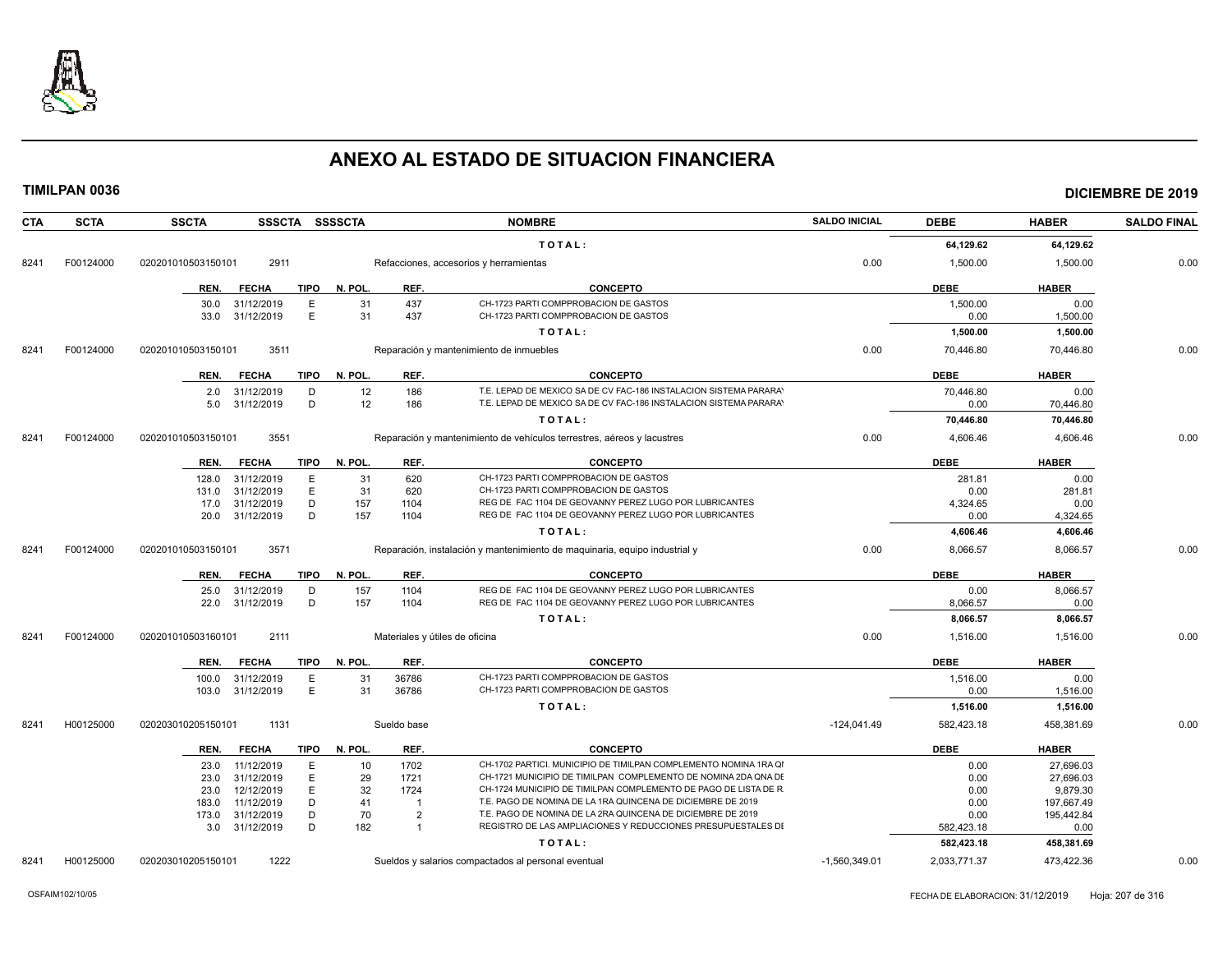

| <b>CTA</b> | <b>SCTA</b> | <b>SSCTA</b>       |                          |             | SSSCTA SSSSCTA |                                | <b>NOMBRE</b>                                                                                                                      | <b>SALDO INICIAL</b> | <b>DEBE</b>      | <b>HABER</b>           | <b>SALDO FINAL</b> |
|------------|-------------|--------------------|--------------------------|-------------|----------------|--------------------------------|------------------------------------------------------------------------------------------------------------------------------------|----------------------|------------------|------------------------|--------------------|
|            |             |                    |                          |             |                |                                |                                                                                                                                    |                      |                  |                        |                    |
|            |             |                    |                          |             |                |                                | TOTAL:                                                                                                                             |                      | 64,129.62        | 64,129.62              |                    |
| 8241       | F00124000   | 020201010503150101 | 2911                     |             |                |                                | Refacciones, accesorios y herramientas                                                                                             | 0.00                 | 1,500.00         | 1,500.00               | 0.00               |
|            |             | REN.               | <b>FECHA</b>             | <b>TIPO</b> | N. POL.        | REF.                           | <b>CONCEPTO</b>                                                                                                                    |                      | <b>DEBE</b>      | <b>HABER</b>           |                    |
|            |             | 30.0               | 31/12/2019               | Е           | 31             | 437                            | CH-1723 PARTI COMPPROBACION DE GASTOS                                                                                              |                      | 1,500.00         | 0.00                   |                    |
|            |             | 33.0               | 31/12/2019               | E           | 31             | 437                            | CH-1723 PARTI COMPPROBACION DE GASTOS                                                                                              |                      | 0.00             | 1,500.00               |                    |
|            |             |                    |                          |             |                |                                | TOTAL:                                                                                                                             |                      | 1,500.00         | 1,500.00               |                    |
| 8241       | F00124000   | 020201010503150101 | 3511                     |             |                |                                | Reparación y mantenimiento de inmuebles                                                                                            | 0.00                 | 70,446.80        | 70,446.80              | 0.00               |
|            |             | REN.               | <b>FECHA</b>             | TIPO        | N. POL.        | REF.                           | <b>CONCEPTO</b>                                                                                                                    |                      | <b>DEBE</b>      | <b>HABER</b>           |                    |
|            |             | 2.0                | 31/12/2019               | D           | 12             | 186                            | T.E. LEPAD DE MEXICO SA DE CV FAC-186 INSTALACION SISTEMA PARARA'                                                                  |                      | 70,446.80        | 0.00                   |                    |
|            |             | 5.0                | 31/12/2019               | D           | 12             | 186                            | T.E. LEPAD DE MEXICO SA DE CV FAC-186 INSTALACION SISTEMA PARARA'                                                                  |                      | 0.00             | 70,446.80              |                    |
|            |             |                    |                          |             |                |                                | TOTAL:                                                                                                                             |                      | 70,446.80        | 70,446.80              |                    |
| 8241       | F00124000   | 020201010503150101 | 3551                     |             |                |                                | Reparación y mantenimiento de vehículos terrestres, aéreos y lacustres                                                             | 0.00                 | 4,606.46         | 4,606.46               | 0.00               |
|            |             | REN.               | <b>FECHA</b>             | <b>TIPO</b> | N. POL.        | REF.                           | <b>CONCEPTO</b>                                                                                                                    |                      | <b>DEBE</b>      | <b>HABER</b>           |                    |
|            |             |                    | 128.0 31/12/2019         | E           | 31             | 620                            | CH-1723 PARTI COMPPROBACION DE GASTOS                                                                                              |                      | 281.81           | 0.00                   |                    |
|            |             | 131.0              | 31/12/2019               | E           | 31             | 620                            | CH-1723 PARTI COMPPROBACION DE GASTOS                                                                                              |                      | 0.00             | 281.81                 |                    |
|            |             | 17.0<br>20.0       | 31/12/2019<br>31/12/2019 | D<br>D      | 157<br>157     | 1104<br>1104                   | REG DE FAC 1104 DE GEOVANNY PEREZ LUGO POR LUBRICANTES<br>REG DE FAC 1104 DE GEOVANNY PEREZ LUGO POR LUBRICANTES                   |                      | 4,324.65<br>0.00 | 0.00<br>4,324.65       |                    |
|            |             |                    |                          |             |                |                                | TOTAL:                                                                                                                             |                      | 4,606.46         | 4,606.46               |                    |
| 8241       | F00124000   | 020201010503150101 | 3571                     |             |                |                                | Reparación, instalación y mantenimiento de maquinaria, equipo industrial y                                                         | 0.00                 | 8,066.57         | 8,066.57               | 0.00               |
|            |             |                    |                          |             |                |                                |                                                                                                                                    |                      |                  |                        |                    |
|            |             | REN.               | <b>FECHA</b>             | <b>TIPO</b> | N. POL.        | REF.                           | <b>CONCEPTO</b>                                                                                                                    |                      | <b>DEBE</b>      | <b>HABER</b>           |                    |
|            |             | 25.0<br>22.0       | 31/12/2019<br>31/12/2019 | D<br>D      | 157<br>157     | 1104<br>1104                   | REG DE FAC 1104 DE GEOVANNY PEREZ LUGO POR LUBRICANTES<br>REG DE FAC 1104 DE GEOVANNY PEREZ LUGO POR LUBRICANTES                   |                      | 0.00<br>8,066.57 | 8,066.57<br>0.00       |                    |
|            |             |                    |                          |             |                |                                | TOTAL:                                                                                                                             |                      | 8,066.57         | 8,066.57               |                    |
| 8241       | F00124000   | 020201010503160101 | 2111                     |             |                | Materiales y útiles de oficina |                                                                                                                                    | 0.00                 | 1,516.00         | 1,516.00               | 0.00               |
|            |             |                    |                          |             |                |                                |                                                                                                                                    |                      |                  |                        |                    |
|            |             |                    | REN. FECHA               | TIPO        | N. POL.        | REF.                           | <b>CONCEPTO</b>                                                                                                                    |                      | <b>DEBE</b>      | <b>HABER</b>           |                    |
|            |             | 100.0<br>103.0     | 31/12/2019<br>31/12/2019 | Е<br>E      | 31<br>31       | 36786<br>36786                 | CH-1723 PARTI COMPPROBACION DE GASTOS<br>CH-1723 PARTI COMPPROBACION DE GASTOS                                                     |                      | 1,516.00<br>0.00 | 0.00<br>1,516.00       |                    |
|            |             |                    |                          |             |                |                                | TOTAL:                                                                                                                             |                      | 1,516.00         | 1,516.00               |                    |
| 8241       | H00125000   | 020203010205150101 | 1131                     |             |                | Sueldo base                    |                                                                                                                                    | $-124,041.49$        | 582,423.18       | 458,381.69             | 0.00               |
|            |             |                    |                          |             |                |                                |                                                                                                                                    |                      |                  |                        |                    |
|            |             | REN.               | <b>FECHA</b>             | TIPO        | N. POL.        | REF.                           | <b>CONCEPTO</b>                                                                                                                    |                      | <b>DEBE</b>      | <b>HABER</b>           |                    |
|            |             | 23.0<br>23.0       | 11/12/2019<br>31/12/2019 | E<br>E      | 10<br>29       | 1702<br>1721                   | CH-1702 PARTICI. MUNICIPIO DE TIMILPAN COMPLEMENTO NOMINA 1RA QI<br>CH-1721 MUNICIPIO DE TIMILPAN COMPLEMENTO DE NOMINA 2DA QNA DE |                      | 0.00<br>0.00     | 27,696.03<br>27,696.03 |                    |
|            |             | 23.0               | 12/12/2019               | Ε           | 32             | 1724                           | CH-1724 MUNICIPIO DE TIMILPAN COMPLEMENTO DE PAGO DE LISTA DE R                                                                    |                      | 0.00             | 9,879.30               |                    |
|            |             | 183.0              | 11/12/2019               | D           | 41             | $\overline{1}$                 | T.E. PAGO DE NOMINA DE LA 1RA QUINCENA DE DICIEMBRE DE 2019                                                                        |                      | 0.00             | 197,667.49             |                    |
|            |             | 173.0              | 31/12/2019               | D           | 70             | $\overline{2}$                 | T.E. PAGO DE NOMINA DE LA 2RA QUINCENA DE DICIEMBRE DE 2019                                                                        |                      | 0.00             | 195,442.84             |                    |
|            |             | 3.0                | 31/12/2019               | D           | 182            | $\overline{1}$                 | REGISTRO DE LAS AMPLIACIONES Y REDUCCIONES PRESUPUESTALES DI                                                                       |                      | 582,423.18       | 0.00                   |                    |
|            |             |                    |                          |             |                |                                | TOTAL:                                                                                                                             |                      | 582,423.18       | 458,381.69             |                    |
| 8241       | H00125000   | 020203010205150101 | 1222                     |             |                |                                | Sueldos y salarios compactados al personal eventual                                                                                | $-1,560,349.01$      | 2,033,771.37     | 473,422.36             | 0.00               |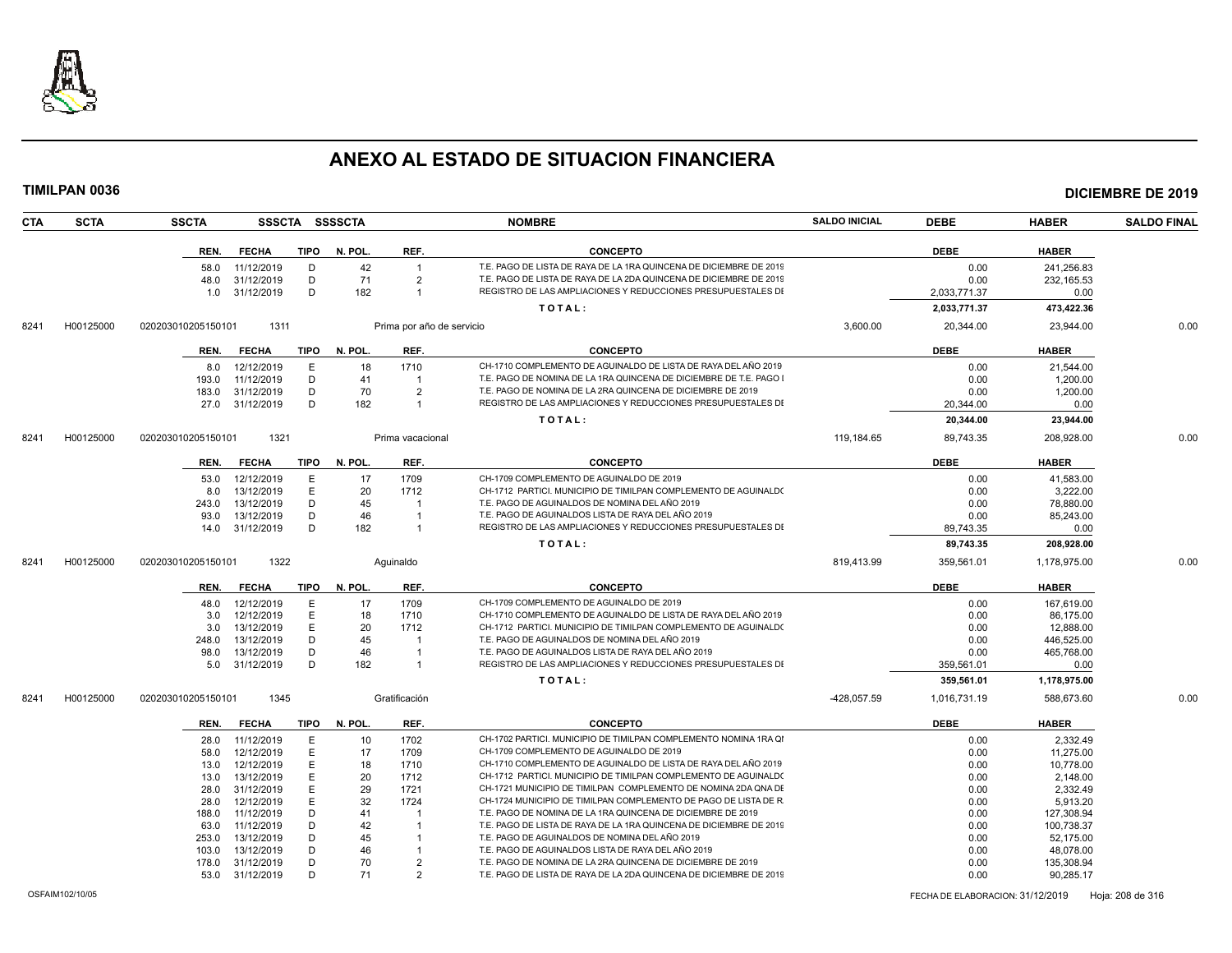

|      | TIMILPAN 0036 |                    |                          |             |                |                           |                                                                                                                                   |                      |              |                         | <b>DICIEMBRE DE 2019</b> |
|------|---------------|--------------------|--------------------------|-------------|----------------|---------------------------|-----------------------------------------------------------------------------------------------------------------------------------|----------------------|--------------|-------------------------|--------------------------|
| CTA  | <b>SCTA</b>   | <b>SSCTA</b>       |                          |             | SSSCTA SSSSCTA |                           | <b>NOMBRE</b>                                                                                                                     | <b>SALDO INICIAL</b> | <b>DEBE</b>  | <b>HABER</b>            | <b>SALDO FINAL</b>       |
|      |               |                    | REN. FECHA               | TIPO        | N. POL.        | REF.                      | <b>CONCEPTO</b>                                                                                                                   |                      | <b>DEBE</b>  | <b>HABER</b>            |                          |
|      |               | 58.0               | 11/12/2019               | D           | 42             | $\overline{1}$            | T.E. PAGO DE LISTA DE RAYA DE LA 1RA QUINCENA DE DICIEMBRE DE 2019                                                                |                      | 0.00         | 241,256.83              |                          |
|      |               | 48.0               | 31/12/2019               | D           | 71             | $\overline{2}$            | T.E. PAGO DE LISTA DE RAYA DE LA 2DA QUINCENA DE DICIEMBRE DE 2019                                                                |                      | 0.00         | 232,165.53              |                          |
|      |               | 1.0                | 31/12/2019               | D           | 182            | $\overline{1}$            | REGISTRO DE LAS AMPLIACIONES Y REDUCCIONES PRESUPUESTALES DI                                                                      |                      | 2.033.771.37 | 0.00                    |                          |
|      |               |                    |                          |             |                |                           | TOTAL:                                                                                                                            |                      | 2,033,771.37 | 473,422.36              |                          |
| 8241 | H00125000     | 020203010205150101 | 1311                     |             |                | Prima por año de servicio |                                                                                                                                   | 3,600.00             | 20,344.00    | 23,944.00               | 0.00                     |
|      |               |                    | REN. FECHA               | TIPO        | N. POL.        | REF.                      | <b>CONCEPTO</b>                                                                                                                   |                      | <b>DEBE</b>  | <b>HABER</b>            |                          |
|      |               | 8.0                | 12/12/2019               | E           | 18             | 1710                      | CH-1710 COMPLEMENTO DE AGUINALDO DE LISTA DE RAYA DEL AÑO 2019                                                                    |                      | 0.00         | 21,544.00               |                          |
|      |               | 193.0              | 11/12/2019               | D           | 41             |                           | T.E. PAGO DE NOMINA DE LA 1RA QUINCENA DE DICIEMBRE DE T.E. PAGO I                                                                |                      | 0.00         | 1,200.00                |                          |
|      |               | 183.0              | 31/12/2019               | D           | 70             | $\overline{2}$            | T.E. PAGO DE NOMINA DE LA 2RA QUINCENA DE DICIEMBRE DE 2019                                                                       |                      | 0.00         | 1.200.00                |                          |
|      |               | 27.0               | 31/12/2019               | D           | 182            | $\overline{1}$            | REGISTRO DE LAS AMPLIACIONES Y REDUCCIONES PRESUPUESTALES DI                                                                      |                      | 20,344.00    | 0.00                    |                          |
|      |               |                    |                          |             |                |                           | TOTAL:                                                                                                                            |                      | 20,344.00    | 23,944.00               |                          |
| 8241 | H00125000     | 020203010205150101 | 1321                     |             |                | Prima vacacional          |                                                                                                                                   | 119,184.65           | 89,743.35    | 208,928.00              | 0.00                     |
|      |               | REN.               | <b>FECHA</b>             | TIPO        | N. POL.        | REF.                      | <b>CONCEPTO</b>                                                                                                                   |                      | <b>DEBE</b>  | <b>HABER</b>            |                          |
|      |               | 53.0               | 12/12/2019               | E           | 17             | 1709                      | CH-1709 COMPLEMENTO DE AGUINALDO DE 2019                                                                                          |                      | 0.00         | 41,583.00               |                          |
|      |               | 8.0                | 13/12/2019               | E.          | 20             | 1712                      | CH-1712 PARTICI. MUNICIPIO DE TIMILPAN COMPLEMENTO DE AGUINALDO                                                                   |                      | 0.00         | 3.222.00                |                          |
|      |               | 243.0              | 13/12/2019               | D           | 45             |                           | T.E. PAGO DE AGUINALDOS DE NOMINA DEL AÑO 2019                                                                                    |                      | 0.00         | 78,880.00               |                          |
|      |               | 93.0               | 13/12/2019               | D           | 46             |                           | T.E. PAGO DE AGUINALDOS LISTA DE RAYA DEL AÑO 2019                                                                                |                      | 0.00         | 85,243.00               |                          |
|      |               | 14.0               | 31/12/2019               | D           | 182            | $\overline{1}$            | REGISTRO DE LAS AMPLIACIONES Y REDUCCIONES PRESUPUESTALES DI                                                                      |                      | 89,743.35    | 0.00                    |                          |
|      |               |                    |                          |             |                |                           | TOTAL:                                                                                                                            |                      | 89,743.35    | 208,928.00              |                          |
| 8241 | H00125000     | 020203010205150101 | 1322                     |             |                | Aquinaldo                 |                                                                                                                                   | 819,413.99           | 359,561.01   | 1,178,975.00            | 0.00                     |
|      |               | REN.               | <b>FECHA</b>             | <b>TIPO</b> | N. POL.        | REF.                      | <b>CONCEPTO</b>                                                                                                                   |                      | <b>DEBE</b>  | <b>HABER</b>            |                          |
|      |               | 48.0               | 12/12/2019               | E           | 17             | 1709                      | CH-1709 COMPLEMENTO DE AGUINALDO DE 2019                                                                                          |                      | 0.00         | 167,619.00              |                          |
|      |               | 3.0                | 12/12/2019               | Е           | 18             | 1710                      | CH-1710 COMPLEMENTO DE AGUINALDO DE LISTA DE RAYA DEL AÑO 2019                                                                    |                      | 0.00         | 86,175.00               |                          |
|      |               | 3.0                | 13/12/2019               | E.          | 20             | 1712                      | CH-1712 PARTICI, MUNICIPIO DE TIMILPAN COMPLEMENTO DE AGUINALDO                                                                   |                      | 0.00         | 12,888.00               |                          |
|      |               | 248.0              | 13/12/2019               | D           | 45             |                           | T.E. PAGO DE AGUINALDOS DE NOMINA DEL AÑO 2019                                                                                    |                      | 0.00         | 446,525.00              |                          |
|      |               | 98.0               | 13/12/2019               | D           | 46             |                           | T.E. PAGO DE AGUINALDOS LISTA DE RAYA DEL AÑO 2019                                                                                |                      | 0.00         | 465,768.00              |                          |
|      |               | 5.0                | 31/12/2019               | D           | 182            | $\overline{1}$            | REGISTRO DE LAS AMPLIACIONES Y REDUCCIONES PRESUPUESTALES DI                                                                      |                      | 359,561.01   | 0.00                    |                          |
|      |               |                    |                          |             |                |                           | TOTAL:                                                                                                                            |                      | 359,561.01   | 1,178,975.00            |                          |
| 8241 | H00125000     | 020203010205150101 | 1345                     |             |                | Gratificación             |                                                                                                                                   | -428,057.59          | 1,016,731.19 | 588,673.60              | 0.00                     |
|      |               | REN.               | <b>FECHA</b>             | <b>TIPO</b> | N. POL.        | REF.                      | <b>CONCEPTO</b>                                                                                                                   |                      | <b>DEBE</b>  | <b>HABER</b>            |                          |
|      |               | 28.0               | 11/12/2019               | E           | 10             | 1702                      | CH-1702 PARTICI. MUNICIPIO DE TIMILPAN COMPLEMENTO NOMINA 1RA QI                                                                  |                      | 0.00         | 2,332.49                |                          |
|      |               | 58.0               | 12/12/2019               | Е           | 17             | 1709                      | CH-1709 COMPLEMENTO DE AGUINALDO DE 2019                                                                                          |                      | 0.00         | 11,275.00               |                          |
|      |               | 13.0               | 12/12/2019               | Е           | 18             | 1710                      | CH-1710 COMPLEMENTO DE AGUINALDO DE LISTA DE RAYA DEL AÑO 2019                                                                    |                      | 0.00         | 10,778.00               |                          |
|      |               | 13.0               | 13/12/2019               | Е           | 20             | 1712                      | CH-1712 PARTICI. MUNICIPIO DE TIMILPAN COMPLEMENTO DE AGUINALDO                                                                   |                      | 0.00         | 2.148.00                |                          |
|      |               | 28.0               | 31/12/2019               | Е           | 29             | 1721                      | CH-1721 MUNICIPIO DE TIMILPAN COMPLEMENTO DE NOMINA 2DA QNA DE                                                                    |                      | 0.00         | 2,332.49                |                          |
|      |               | 28.0               | 12/12/2019               | E           | 32             | 1724                      | CH-1724 MUNICIPIO DE TIMILPAN COMPLEMENTO DE PAGO DE LISTA DE R                                                                   |                      | 0.00         | 5,913.20                |                          |
|      |               | 188.0              | 11/12/2019               | D           | 41             |                           | T.E. PAGO DE NOMINA DE LA 1RA QUINCENA DE DICIEMBRE DE 2019<br>T.E. PAGO DE LISTA DE RAYA DE LA 1RA QUINCENA DE DICIEMBRE DE 2019 |                      | 0.00         | 127,308.94              |                          |
|      |               | 63.0               | 11/12/2019               | D<br>D      | 42<br>45       |                           | T.E. PAGO DE AGUINALDOS DE NOMINA DEL AÑO 2019                                                                                    |                      | 0.00         | 100,738.37              |                          |
|      |               | 253.0<br>103.0     | 13/12/2019<br>13/12/2019 | D           | 46             |                           | T.E. PAGO DE AGUINALDOS LISTA DE RAYA DEL AÑO 2019                                                                                |                      | 0.00<br>0.00 | 52,175.00               |                          |
|      |               | 178.0              | 31/12/2019               | D           | 70             | 2                         | T.E. PAGO DE NOMINA DE LA 2RA QUINCENA DE DICIEMBRE DE 2019                                                                       |                      | 0.00         | 48,078.00<br>135,308.94 |                          |
|      |               |                    | 53.0 31/12/2019          | D           | 71             |                           | T.E. PAGO DE LISTA DE RAYA DE LA 2DA QUINCENA DE DICIEMBRE DE 2019                                                                |                      | 0.00         | 90,285.17               |                          |
|      |               |                    |                          |             |                |                           |                                                                                                                                   |                      |              |                         |                          |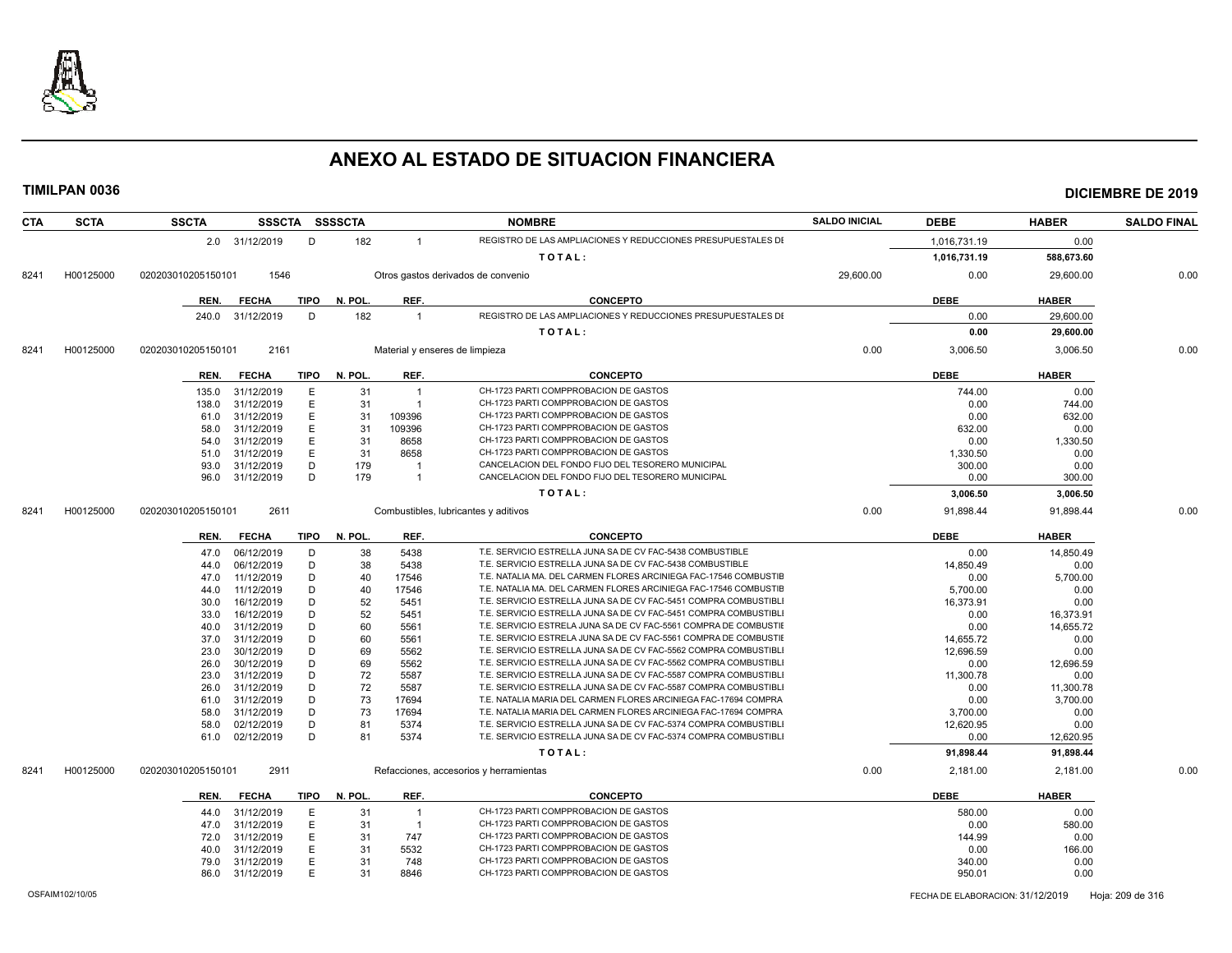

| <b>CTA</b> | <b>SCTA</b> | <b>SSCTA</b>       |                |             | SSSCTA SSSSCTA |                | <b>NOMBRE</b>                                                    | <b>SALDO INICIAL</b> | <b>DEBE</b>  | <b>HABER</b> | <b>SALDO FINAL</b> |
|------------|-------------|--------------------|----------------|-------------|----------------|----------------|------------------------------------------------------------------|----------------------|--------------|--------------|--------------------|
|            |             |                    | 2.0 31/12/2019 | D           | 182            | $\overline{1}$ | REGISTRO DE LAS AMPLIACIONES Y REDUCCIONES PRESUPUESTALES DI     |                      | 1,016,731.19 | 0.00         |                    |
|            |             |                    |                |             |                |                | TOTAL:                                                           |                      | 1,016,731.19 | 588,673.60   |                    |
| 8241       | H00125000   | 020203010205150101 | 1546           |             |                |                | Otros gastos derivados de convenio                               | 29,600.00            | 0.00         | 29,600.00    | 0.00               |
|            |             | REN.               | <b>FECHA</b>   | <b>TIPO</b> | N. POL.        | REF.           | <b>CONCEPTO</b>                                                  |                      | <b>DEBE</b>  | <b>HABER</b> |                    |
|            |             |                    |                |             |                |                | REGISTRO DE LAS AMPLIACIONES Y REDUCCIONES PRESUPUESTALES DI     |                      |              |              |                    |
|            |             | 240.0              | 31/12/2019     | D           | 182            | $\overline{1}$ |                                                                  |                      | 0.00         | 29,600.00    |                    |
|            |             |                    |                |             |                |                | TOTAL:                                                           |                      | 0.00         | 29,600.00    |                    |
| 8241       | H00125000   | 020203010205150101 | 2161           |             |                |                | Material y enseres de limpieza                                   | 0.00                 | 3,006.50     | 3,006.50     | 0.00               |
|            |             | REN.               | <b>FECHA</b>   | <b>TIPO</b> | N. POL.        | REF.           | <b>CONCEPTO</b>                                                  |                      | <b>DEBE</b>  | <b>HABER</b> |                    |
|            |             | 135.0              | 31/12/2019     | Ε           | 31             | $\overline{1}$ | CH-1723 PARTI COMPPROBACION DE GASTOS                            |                      | 744.00       | 0.00         |                    |
|            |             | 138.0              | 31/12/2019     | E           | 31             | $\overline{1}$ | CH-1723 PARTI COMPPROBACION DE GASTOS                            |                      | 0.00         | 744.00       |                    |
|            |             | 61.0               | 31/12/2019     | Е           | 31             | 109396         | CH-1723 PARTI COMPPROBACION DE GASTOS                            |                      | 0.00         | 632.00       |                    |
|            |             | 58.0               | 31/12/2019     | E           | 31             | 109396         | CH-1723 PARTI COMPPROBACION DE GASTOS                            |                      | 632.00       | 0.00         |                    |
|            |             | 54.0               | 31/12/2019     | Ε           | 31             | 8658           | CH-1723 PARTI COMPPROBACION DE GASTOS                            |                      | 0.00         | 1,330.50     |                    |
|            |             | 51.0               | 31/12/2019     | E           | 31             | 8658           | CH-1723 PARTI COMPPROBACION DE GASTOS                            |                      | 1,330.50     | 0.00         |                    |
|            |             | 93.0               | 31/12/2019     | D           | 179            | - 1            | CANCELACION DEL FONDO FIJO DEL TESORERO MUNICIPAL                |                      | 300.00       | 0.00         |                    |
|            |             | 96.0               | 31/12/2019     | D           | 179            | $\overline{1}$ | CANCELACION DEL FONDO FIJO DEL TESORERO MUNICIPAL                |                      | 0.00         | 300.00       |                    |
|            |             |                    |                |             |                |                | TOTAL:                                                           |                      | 3,006.50     | 3,006.50     |                    |
| 8241       | H00125000   | 020203010205150101 | 2611           |             |                |                | Combustibles, lubricantes y aditivos                             | 0.00                 | 91,898.44    | 91,898.44    | 0.00               |
|            |             | REN.               | <b>FECHA</b>   | TIPO        | N. POL.        | REF.           | <b>CONCEPTO</b>                                                  |                      | <b>DEBE</b>  | <b>HABER</b> |                    |
|            |             | 47.0               | 06/12/2019     | D           | 38             | 5438           | T.E. SERVICIO ESTRELLA JUNA SA DE CV FAC-5438 COMBUSTIBLE        |                      | 0.00         | 14,850.49    |                    |
|            |             | 44.0               | 06/12/2019     | D           | 38             | 5438           | T.E. SERVICIO ESTRELLA JUNA SA DE CV FAC-5438 COMBUSTIBLE        |                      | 14,850.49    | 0.00         |                    |
|            |             | 47.0               | 11/12/2019     | D           | 40             | 17546          | T.E. NATALIA MA. DEL CARMEN FLORES ARCINIEGA FAC-17546 COMBUSTIE |                      | 0.00         | 5,700.00     |                    |
|            |             | 44.0               | 11/12/2019     | D           | 40             | 17546          | T.E. NATALIA MA. DEL CARMEN FLORES ARCINIEGA FAC-17546 COMBUSTIE |                      | 5,700.00     | 0.00         |                    |
|            |             | 30.0               | 16/12/2019     | D           | 52             | 5451           | T.E. SERVICIO ESTRELLA JUNA SA DE CV FAC-5451 COMPRA COMBUSTIBLI |                      | 16,373.91    | 0.00         |                    |
|            |             | 33.0               | 16/12/2019     | D           | 52             | 5451           | T.E. SERVICIO ESTRELLA JUNA SA DE CV FAC-5451 COMPRA COMBUSTIBLI |                      | 0.00         |              |                    |
|            |             |                    |                |             |                |                | T.E. SERVICIO ESTRELA JUNA SA DE CV FAC-5561 COMPRA DE COMBUSTIE |                      |              | 16,373.91    |                    |
|            |             | 40.0               | 31/12/2019     | D           | 60             | 5561           |                                                                  |                      | 0.00         | 14,655.72    |                    |
|            |             | 37.0               | 31/12/2019     | D           | 60             | 5561           | T.E. SERVICIO ESTRELA JUNA SA DE CV FAC-5561 COMPRA DE COMBUSTIE |                      | 14,655.72    | 0.00         |                    |
|            |             | 23.0               | 30/12/2019     | D           | 69             | 5562           | T.E. SERVICIO ESTRELLA JUNA SA DE CV FAC-5562 COMPRA COMBUSTIBLI |                      | 12,696.59    | 0.00         |                    |
|            |             | 26.0               | 30/12/2019     | D           | 69             | 5562           | T.E. SERVICIO ESTRELLA JUNA SA DE CV FAC-5562 COMPRA COMBUSTIBLI |                      | 0.00         | 12,696.59    |                    |
|            |             | 23.0               | 31/12/2019     | D           | 72             | 5587           | T.E. SERVICIO ESTRELLA JUNA SA DE CV FAC-5587 COMPRA COMBUSTIBLI |                      | 11,300.78    | 0.00         |                    |
|            |             | 26.0               | 31/12/2019     | D           | 72             | 5587           | T.E. SERVICIO ESTRELLA JUNA SA DE CV FAC-5587 COMPRA COMBUSTIBLI |                      | 0.00         | 11,300.78    |                    |
|            |             | 61.0               | 31/12/2019     | D           | 73             | 17694          | T.E. NATALIA MARIA DEL CARMEN FLORES ARCINIEGA FAC-17694 COMPRA  |                      | 0.00         | 3,700.00     |                    |
|            |             | 58.0               | 31/12/2019     | D           | 73             | 17694          | T.E. NATALIA MARIA DEL CARMEN FLORES ARCINIEGA FAC-17694 COMPRA  |                      | 3,700.00     | 0.00         |                    |
|            |             | 58.0               | 02/12/2019     | D           | 81             | 5374           | T.E. SERVICIO ESTRELLA JUNA SA DE CV FAC-5374 COMPRA COMBUSTIBLI |                      | 12,620.95    | 0.00         |                    |
|            |             | 61.0               | 02/12/2019     | D           | 81             | 5374           | T.E. SERVICIO ESTRELLA JUNA SA DE CV FAC-5374 COMPRA COMBUSTIBLI |                      | 0.00         | 12,620.95    |                    |
|            |             |                    |                |             |                |                | TOTAL:                                                           |                      | 91,898.44    | 91,898.44    |                    |
| 8241       | H00125000   | 020203010205150101 | 2911           |             |                |                | Refacciones, accesorios y herramientas                           | 0.00                 | 2,181.00     | 2,181.00     | 0.00               |
|            |             | REN.               | <b>FECHA</b>   | TIPO        | N. POL.        | REF.           | <b>CONCEPTO</b>                                                  |                      | <b>DEBE</b>  | <b>HABER</b> |                    |
|            |             | 44.0               | 31/12/2019     | E           | 31             | $\overline{1}$ | CH-1723 PARTI COMPPROBACION DE GASTOS                            |                      | 580.00       | 0.00         |                    |
|            |             | 47.0               | 31/12/2019     | E           | 31             | $\overline{1}$ | CH-1723 PARTI COMPPROBACION DE GASTOS                            |                      | 0.00         | 580.00       |                    |
|            |             | 72.0               | 31/12/2019     | E           | 31             | 747            | CH-1723 PARTI COMPPROBACION DE GASTOS                            |                      | 144.99       | 0.00         |                    |
|            |             | 40.0               | 31/12/2019     | E           | 31             | 5532           | CH-1723 PARTI COMPPROBACION DE GASTOS                            |                      | 0.00         | 166.00       |                    |
|            |             | 79.0               | 31/12/2019     | Ε           | 31             | 748            | CH-1723 PARTI COMPPROBACION DE GASTOS                            |                      | 340.00       | 0.00         |                    |
|            |             | 86.0               | 31/12/2019     | E           | 31             | 8846           | CH-1723 PARTI COMPPROBACION DE GASTOS                            |                      | 950.01       | 0.00         |                    |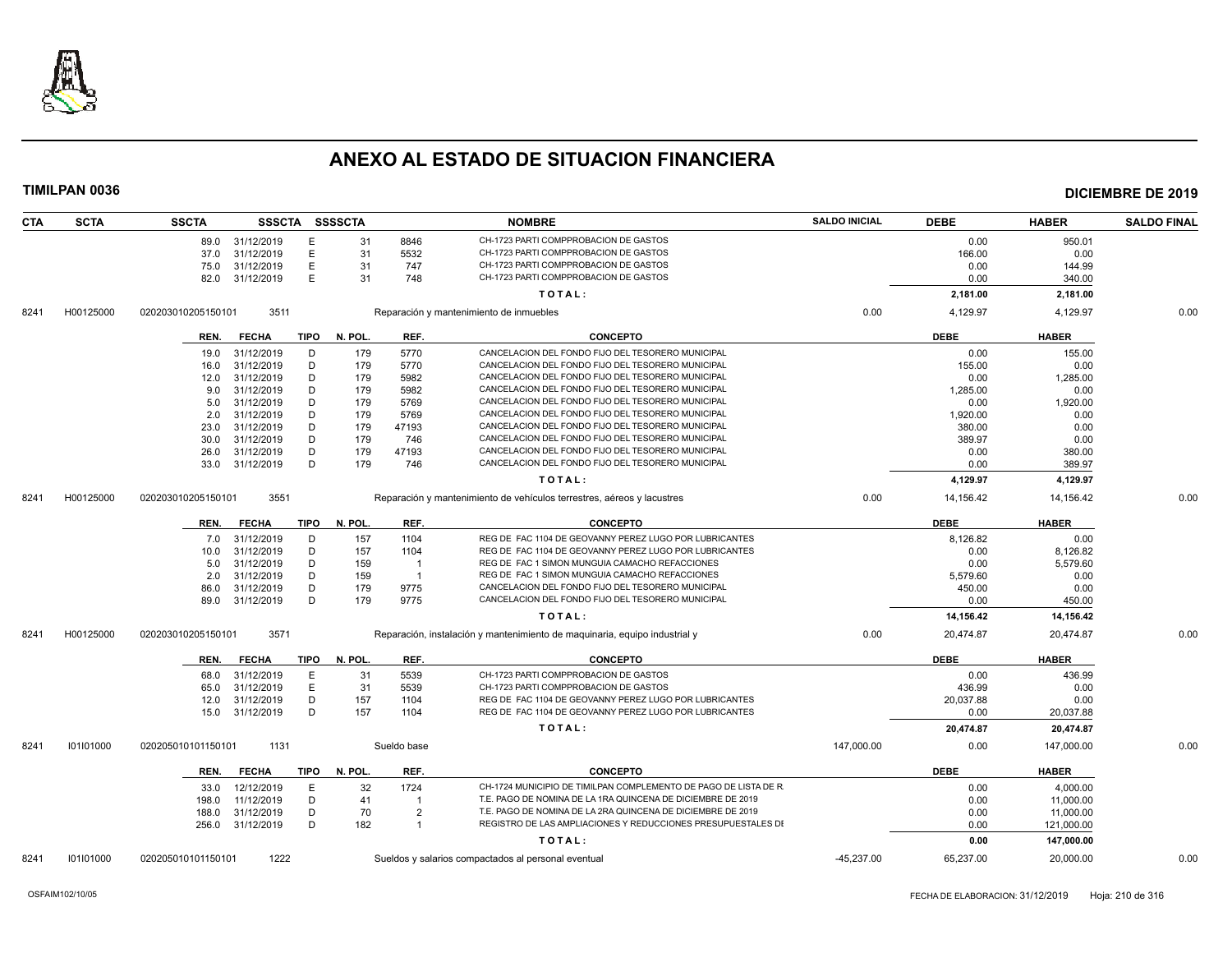

| <b>CTA</b> | <b>SCTA</b> | <b>SSCTA</b>       |                          |             | SSSCTA SSSSCTA |                                  | <b>NOMBRE</b>                                                              | <b>SALDO INICIAL</b> | <b>DEBE</b>  | <b>HABER</b>             | <b>SALDO FINAL</b> |
|------------|-------------|--------------------|--------------------------|-------------|----------------|----------------------------------|----------------------------------------------------------------------------|----------------------|--------------|--------------------------|--------------------|
|            |             |                    | 89.0 31/12/2019          | Ε           | 31             | 8846                             | CH-1723 PARTI COMPPROBACION DE GASTOS                                      |                      | 0.00         | 950.01                   |                    |
|            |             | 37.0               | 31/12/2019               | E           | 31             | 5532                             | CH-1723 PARTI COMPPROBACION DE GASTOS                                      |                      | 166.00       | 0.00                     |                    |
|            |             | 75.0               | 31/12/2019               | E           | 31             | 747                              | CH-1723 PARTI COMPPROBACION DE GASTOS                                      |                      | 0.00         | 144.99                   |                    |
|            |             | 82.0               | 31/12/2019               | E           | 31             | 748                              | CH-1723 PARTI COMPPROBACION DE GASTOS                                      |                      | 0.00         | 340.00                   |                    |
|            |             |                    |                          |             |                |                                  | TOTAL:                                                                     |                      | 2,181.00     | 2,181.00                 |                    |
| 8241       | H00125000   | 020203010205150101 | 3511                     |             |                |                                  | Reparación y mantenimiento de inmuebles                                    | 0.00                 | 4,129.97     | 4,129.97                 | 0.00               |
|            |             | REN.               | <b>FECHA</b>             | <b>TIPO</b> | N. POL.        | REF.                             | <b>CONCEPTO</b>                                                            |                      | <b>DEBE</b>  | <b>HABER</b>             |                    |
|            |             | 19.0               | 31/12/2019               | D           | 179            | 5770                             | CANCELACION DEL FONDO FIJO DEL TESORERO MUNICIPAL                          |                      | 0.00         | 155.00                   |                    |
|            |             | 16.0               | 31/12/2019               | D           | 179            | 5770                             | CANCELACION DEL FONDO FIJO DEL TESORERO MUNICIPAL                          |                      | 155.00       | 0.00                     |                    |
|            |             | 12.0               | 31/12/2019               | D           | 179            | 5982                             | CANCELACION DEL FONDO FIJO DEL TESORERO MUNICIPAL                          |                      | 0.00         | 1,285.00                 |                    |
|            |             | 9.0                | 31/12/2019               | D           | 179            | 5982                             | CANCELACION DEL FONDO FIJO DEL TESORERO MUNICIPAL                          |                      | 1,285.00     | 0.00                     |                    |
|            |             | 5.0                | 31/12/2019               | D           | 179            | 5769                             | CANCELACION DEL FONDO FIJO DEL TESORERO MUNICIPAL                          |                      | 0.00         | 1,920.00                 |                    |
|            |             | 2.0                | 31/12/2019               | D           | 179            | 5769                             | CANCELACION DEL FONDO FIJO DEL TESORERO MUNICIPAL                          |                      | 1,920.00     | 0.00                     |                    |
|            |             | 23.0               | 31/12/2019               | D           | 179            | 47193                            | CANCELACION DEL FONDO FIJO DEL TESORERO MUNICIPAL                          |                      | 380.00       | 0.00                     |                    |
|            |             | 30.0               | 31/12/2019               | D           | 179            | 746                              | CANCELACION DEL FONDO FIJO DEL TESORERO MUNICIPAL                          |                      | 389.97       | 0.00                     |                    |
|            |             | 26.0               | 31/12/2019               | D           | 179            | 47193                            | CANCELACION DEL FONDO FIJO DEL TESORERO MUNICIPAL                          |                      | 0.00         | 380.00                   |                    |
|            |             | 33.0               | 31/12/2019               | D           | 179            | 746                              | CANCELACION DEL FONDO FIJO DEL TESORERO MUNICIPAL                          |                      | 0.00         | 389.97                   |                    |
|            |             |                    |                          |             |                |                                  | TOTAL:                                                                     |                      | 4,129.97     | 4,129.97                 |                    |
| 8241       | H00125000   | 020203010205150101 | 3551                     |             |                |                                  | Reparación y mantenimiento de vehículos terrestres, aéreos y lacustres     | 0.00                 | 14,156.42    | 14,156.42                | 0.00               |
|            |             |                    |                          |             |                |                                  |                                                                            |                      |              |                          |                    |
|            |             | REN.               | <b>FECHA</b>             | TIPO        | N. POL.        | REF.                             | <b>CONCEPTO</b>                                                            |                      | <b>DEBE</b>  | <b>HABER</b>             |                    |
|            |             | 7.0                | 31/12/2019               | D           | 157            | 1104                             | REG DE FAC 1104 DE GEOVANNY PEREZ LUGO POR LUBRICANTES                     |                      | 8,126.82     | 0.00                     |                    |
|            |             | 10.0               | 31/12/2019               | D           | 157            | 1104                             | REG DE FAC 1104 DE GEOVANNY PEREZ LUGO POR LUBRICANTES                     |                      | 0.00         | 8,126.82                 |                    |
|            |             | 5.0                | 31/12/2019               | D           | 159            | $\overline{1}$                   | REG DE FAC 1 SIMON MUNGUIA CAMACHO REFACCIONES                             |                      | 0.00         | 5,579.60                 |                    |
|            |             | 2.0                | 31/12/2019               | D           | 159            | $\overline{1}$                   | REG DE FAC 1 SIMON MUNGUIA CAMACHO REFACCIONES                             |                      | 5,579.60     | 0.00                     |                    |
|            |             | 86.0               | 31/12/2019               | D           | 179            | 9775                             | CANCELACION DEL FONDO FIJO DEL TESORERO MUNICIPAL                          |                      | 450.00       | 0.00                     |                    |
|            |             | 89.0               | 31/12/2019               | D           | 179            | 9775                             | CANCELACION DEL FONDO FIJO DEL TESORERO MUNICIPAL                          |                      | 0.00         | 450.00                   |                    |
|            |             |                    |                          |             |                |                                  | TOTAL:                                                                     |                      | 14,156.42    | 14,156.42                |                    |
| 8241       | H00125000   | 020203010205150101 | 3571                     |             |                |                                  | Reparación, instalación y mantenimiento de maquinaria, equipo industrial y | 0.00                 | 20,474.87    | 20,474.87                | 0.00               |
|            |             | REN.               | <b>FECHA</b>             | TIPO        | N. POL.        | REF.                             | <b>CONCEPTO</b>                                                            |                      | <b>DEBE</b>  | <b>HABER</b>             |                    |
|            |             | 68.0               | 31/12/2019               | E           | 31             | 5539                             | CH-1723 PARTI COMPPROBACION DE GASTOS                                      |                      | 0.00         | 436.99                   |                    |
|            |             | 65.0               | 31/12/2019               | E           | 31             | 5539                             | CH-1723 PARTI COMPPROBACION DE GASTOS                                      |                      | 436.99       | 0.00                     |                    |
|            |             | 12.0               | 31/12/2019               | D           | 157            | 1104                             | REG DE FAC 1104 DE GEOVANNY PEREZ LUGO POR LUBRICANTES                     |                      | 20,037.88    | 0.00                     |                    |
|            |             | 15.0               | 31/12/2019               | D           | 157            | 1104                             | REG DE FAC 1104 DE GEOVANNY PEREZ LUGO POR LUBRICANTES                     |                      | 0.00         | 20,037.88                |                    |
|            |             |                    |                          |             |                |                                  | TOTAL:                                                                     |                      | 20,474.87    | 20,474.87                |                    |
| 8241       | 101101000   | 020205010101150101 | 1131                     |             |                | Sueldo base                      |                                                                            | 147,000.00           | 0.00         | 147,000.00               | 0.00               |
|            |             | REN.               | <b>FECHA</b>             | TIPO        | N. POL.        | REF.                             | <b>CONCEPTO</b>                                                            |                      | <b>DEBE</b>  | <b>HABER</b>             |                    |
|            |             |                    |                          |             |                | 1724                             | CH-1724 MUNICIPIO DE TIMILPAN COMPLEMENTO DE PAGO DE LISTA DE R            |                      |              |                          |                    |
|            |             | 33.0               | 12/12/2019<br>11/12/2019 | E<br>D      | 32<br>41       | $\overline{1}$                   | T.E. PAGO DE NOMINA DE LA 1RA QUINCENA DE DICIEMBRE DE 2019                |                      | 0.00<br>0.00 | 4,000.00                 |                    |
|            |             | 198.0              |                          |             |                |                                  | T.E. PAGO DE NOMINA DE LA 2RA QUINCENA DE DICIEMBRE DE 2019                |                      |              | 11,000.00                |                    |
|            |             | 188.0              | 31/12/2019               | D<br>D      | 70<br>182      | $\overline{2}$<br>$\overline{1}$ | REGISTRO DE LAS AMPLIACIONES Y REDUCCIONES PRESUPUESTALES DI               |                      | 0.00<br>0.00 | 11,000.00                |                    |
|            |             |                    | 256.0 31/12/2019         |             |                |                                  | TOTAL:                                                                     |                      | 0.00         | 121,000.00<br>147,000.00 |                    |
|            |             |                    |                          |             |                |                                  |                                                                            |                      |              |                          |                    |
| 8241       | 101101000   | 020205010101150101 | 1222                     |             |                |                                  | Sueldos y salarios compactados al personal eventual                        | $-45,237.00$         | 65,237.00    | 20,000.00                | 0.00               |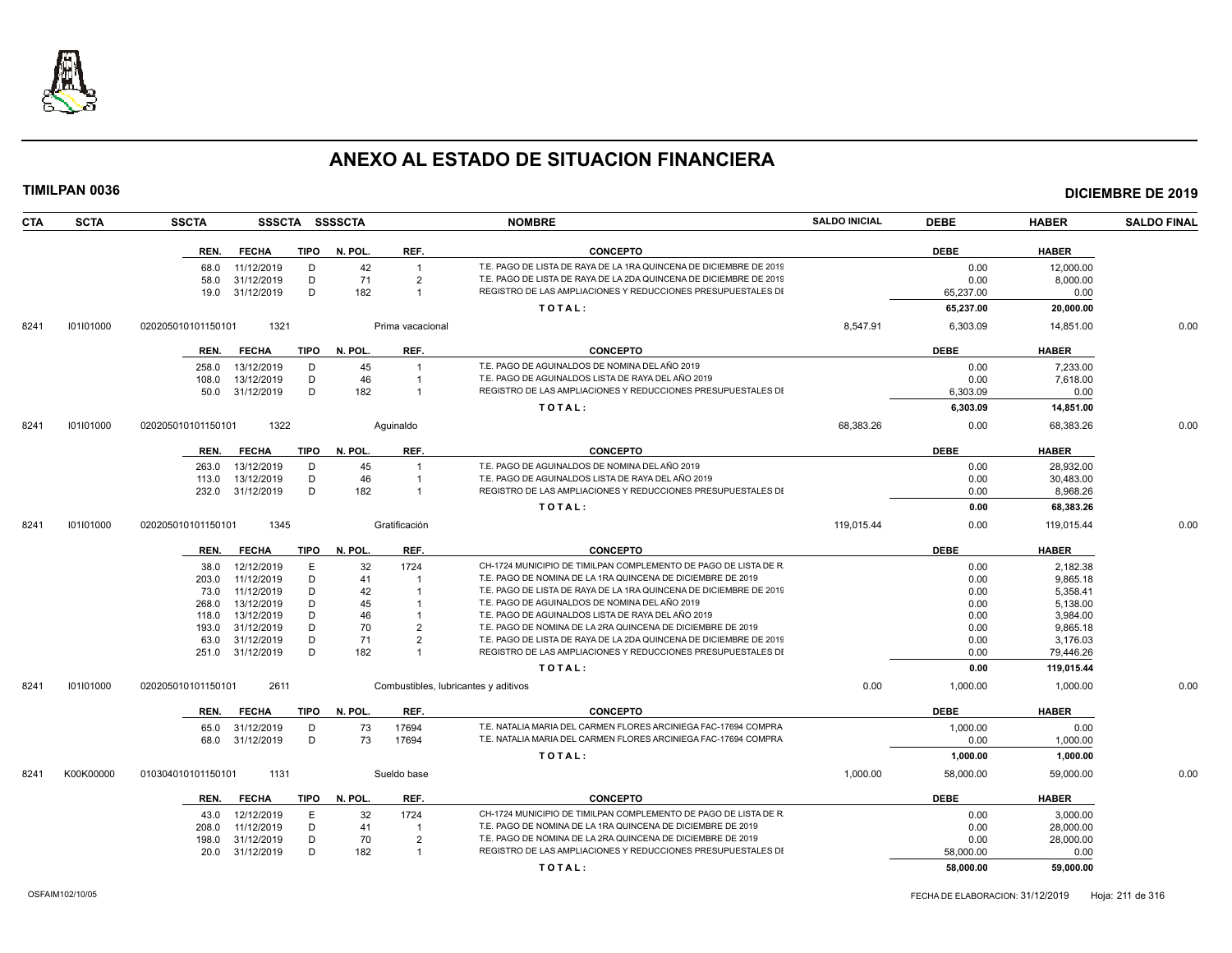

| <b>SCTA</b><br><b>CTA</b> | <b>SSCTA</b>       |                    |             | SSSCTA SSSSCTA |                  | <b>NOMBRE</b>                                                      | <b>SALDO INICIAL</b> | <b>DEBE</b> | <b>HABER</b> | <b>SALDO FINAL</b> |
|---------------------------|--------------------|--------------------|-------------|----------------|------------------|--------------------------------------------------------------------|----------------------|-------------|--------------|--------------------|
|                           | REN.               | <b>FECHA</b>       | <b>TIPO</b> | N. POL.        | REF.             | <b>CONCEPTO</b>                                                    |                      | <b>DEBE</b> | <b>HABER</b> |                    |
|                           |                    | 11/12/2019<br>68.0 | D           | 42             | $\overline{1}$   | T.E. PAGO DE LISTA DE RAYA DE LA 1RA QUINCENA DE DICIEMBRE DE 2019 |                      | 0.00        | 12,000.00    |                    |
|                           |                    | 58.0<br>31/12/2019 | D           | 71             | $\overline{2}$   | T.E. PAGO DE LISTA DE RAYA DE LA 2DA QUINCENA DE DICIEMBRE DE 2019 |                      | 0.00        | 8,000.00     |                    |
|                           |                    | 31/12/2019<br>19.0 | D           | 182            | $\overline{1}$   | REGISTRO DE LAS AMPLIACIONES Y REDUCCIONES PRESUPUESTALES DI       |                      | 65,237.00   | 0.00         |                    |
|                           |                    |                    |             |                |                  | TOTAL:                                                             |                      | 65,237.00   | 20,000.00    |                    |
| 101101000<br>8241         | 020205010101150101 | 1321               |             |                | Prima vacacional |                                                                    | 8,547.91             | 6,303.09    | 14,851.00    | 0.00               |
|                           | REN.               | <b>FECHA</b>       | <b>TIPO</b> | N. POL.        | REF.             | <b>CONCEPTO</b>                                                    |                      | <b>DEBE</b> | <b>HABER</b> |                    |
|                           | 258.0              | 13/12/2019         | D           | 45             | $\overline{1}$   | T.E. PAGO DE AGUINALDOS DE NOMINA DEL AÑO 2019                     |                      | 0.00        | 7.233.00     |                    |
|                           | 108.0              | 13/12/2019         | D           | 46             | -1               | T.E. PAGO DE AGUINALDOS LISTA DE RAYA DEL AÑO 2019                 |                      | 0.00        | 7,618.00     |                    |
|                           |                    | 31/12/2019<br>50.0 | D           | 182            | $\overline{1}$   | REGISTRO DE LAS AMPLIACIONES Y REDUCCIONES PRESUPUESTALES DI       |                      | 6,303.09    | 0.00         |                    |
|                           |                    |                    |             |                |                  | TOTAL:                                                             |                      | 6,303.09    | 14,851.00    |                    |
| 101101000<br>8241         | 020205010101150101 | 1322               |             |                | Aquinaldo        |                                                                    | 68.383.26            | 0.00        | 68.383.26    | 0.00               |
|                           |                    |                    |             |                |                  |                                                                    |                      |             |              |                    |
|                           | REN.               | <b>FECHA</b>       | <b>TIPO</b> | N. POL.        | REF.             | <b>CONCEPTO</b>                                                    |                      | <b>DEBE</b> | <b>HABER</b> |                    |
|                           | 263.0              | 13/12/2019         | D           | 45             | $\overline{1}$   | T.E. PAGO DE AGUINALDOS DE NOMINA DEL AÑO 2019                     |                      | 0.00        | 28,932.00    |                    |
|                           | 113.0              | 13/12/2019         | D           | 46             | $\overline{1}$   | T.E. PAGO DE AGUINALDOS LISTA DE RAYA DEL AÑO 2019                 |                      | 0.00        | 30,483.00    |                    |
|                           | 232.0              | 31/12/2019         | D           | 182            | $\overline{1}$   | REGISTRO DE LAS AMPLIACIONES Y REDUCCIONES PRESUPUESTALES DI       |                      | 0.00        | 8,968.26     |                    |
|                           |                    |                    |             |                |                  | TOTAL:                                                             |                      | 0.00        | 68,383.26    |                    |
| 101101000<br>8241         | 020205010101150101 | 1345               |             |                | Gratificación    |                                                                    | 119,015.44           | 0.00        | 119,015.44   | 0.00               |
|                           | REN.               | <b>FECHA</b>       | <b>TIPO</b> | N. POL.        | REF.             | <b>CONCEPTO</b>                                                    |                      | <b>DEBE</b> | <b>HABER</b> |                    |
|                           |                    | 12/12/2019<br>38.0 | Ε           | 32             | 1724             | CH-1724 MUNICIPIO DE TIMILPAN COMPLEMENTO DE PAGO DE LISTA DE R    |                      | 0.00        | 2,182.38     |                    |
|                           | 203.0              | 11/12/2019         | D           | 41             |                  | T.E. PAGO DE NOMINA DE LA 1RA QUINCENA DE DICIEMBRE DE 2019        |                      | 0.00        | 9.865.18     |                    |
|                           |                    | 11/12/2019<br>73.0 | D           | 42             |                  | T.E. PAGO DE LISTA DE RAYA DE LA 1RA QUINCENA DE DICIEMBRE DE 2019 |                      | 0.00        | 5,358.41     |                    |
|                           | 268.0              | 13/12/2019         | D           | 45             |                  | T.E. PAGO DE AGUINALDOS DE NOMINA DEL AÑO 2019                     |                      | 0.00        | 5,138.00     |                    |
|                           | 118.0              | 13/12/2019         | D.          | 46             |                  | T.E. PAGO DE AGUINALDOS LISTA DE RAYA DEL AÑO 2019                 |                      | 0.00        | 3,984.00     |                    |
|                           | 193.0              | 31/12/2019         | D           | 70             | $\overline{2}$   | T.E. PAGO DE NOMINA DE LA 2RA QUINCENA DE DICIEMBRE DE 2019        |                      | 0.00        | 9,865.18     |                    |
|                           |                    | 63.0<br>31/12/2019 | D           | 71             | $\overline{2}$   | T.E. PAGO DE LISTA DE RAYA DE LA 2DA QUINCENA DE DICIEMBRE DE 2019 |                      | 0.00        | 3,176.03     |                    |
|                           |                    | 251.0 31/12/2019   | D           | 182            | $\overline{1}$   | REGISTRO DE LAS AMPLIACIONES Y REDUCCIONES PRESUPUESTALES DI       |                      | 0.00        | 79,446.26    |                    |
|                           |                    |                    |             |                |                  | TOTAL:                                                             |                      | 0.00        | 119,015.44   |                    |
| 101101000<br>8241         | 020205010101150101 | 2611               |             |                |                  | Combustibles, lubricantes y aditivos                               | 0.00                 | 1,000.00    | 1,000.00     | 0.00               |
|                           | REN.               | <b>FECHA</b>       | TIPO        | N. POL.        | REF.             | <b>CONCEPTO</b>                                                    |                      | <b>DEBE</b> | <b>HABER</b> |                    |
|                           |                    | 31/12/2019<br>65.0 | D           | 73             | 17694            | T.E. NATALIA MARIA DEL CARMEN FLORES ARCINIEGA FAC-17694 COMPRA    |                      | 1,000.00    | 0.00         |                    |
|                           |                    | 31/12/2019<br>68.0 | D           | 73             | 17694            | T.E. NATALIA MARIA DEL CARMEN FLORES ARCINIEGA FAC-17694 COMPRA    |                      | 0.00        | 1.000.00     |                    |
|                           |                    |                    |             |                |                  | TOTAL:                                                             |                      | 1,000.00    | 1,000.00     |                    |
|                           | 010304010101150101 | 1131               |             |                | Sueldo base      |                                                                    | 1,000.00             | 58,000.00   | 59,000.00    | 0.00               |
| 8241<br>K00K00000         |                    |                    |             |                |                  |                                                                    |                      | <b>DEBE</b> | <b>HABER</b> |                    |
|                           | REN.               | <b>FECHA</b>       | <b>TIPO</b> | N. POL.        | REF.             | <b>CONCEPTO</b>                                                    |                      |             |              |                    |
|                           |                    | 12/12/2019<br>43.0 | E           | 32             | 1724             | CH-1724 MUNICIPIO DE TIMILPAN COMPLEMENTO DE PAGO DE LISTA DE R    |                      | 0.00        | 3,000.00     |                    |
|                           | 208.0              | 11/12/2019         | D           | 41             | $\overline{1}$   | T.E. PAGO DE NOMINA DE LA 1RA QUINCENA DE DICIEMBRE DE 2019        |                      | 0.00        | 28,000.00    |                    |
|                           | 198.0              | 31/12/2019         | D           | 70             | $\overline{2}$   | T.E. PAGO DE NOMINA DE LA 2RA QUINCENA DE DICIEMBRE DE 2019        |                      | 0.00        | 28,000.00    |                    |
|                           |                    | 20.0 31/12/2019    | D           | 182            | $\overline{1}$   | REGISTRO DE LAS AMPLIACIONES Y REDUCCIONES PRESUPUESTALES DI       |                      | 58,000.00   | 0.00         |                    |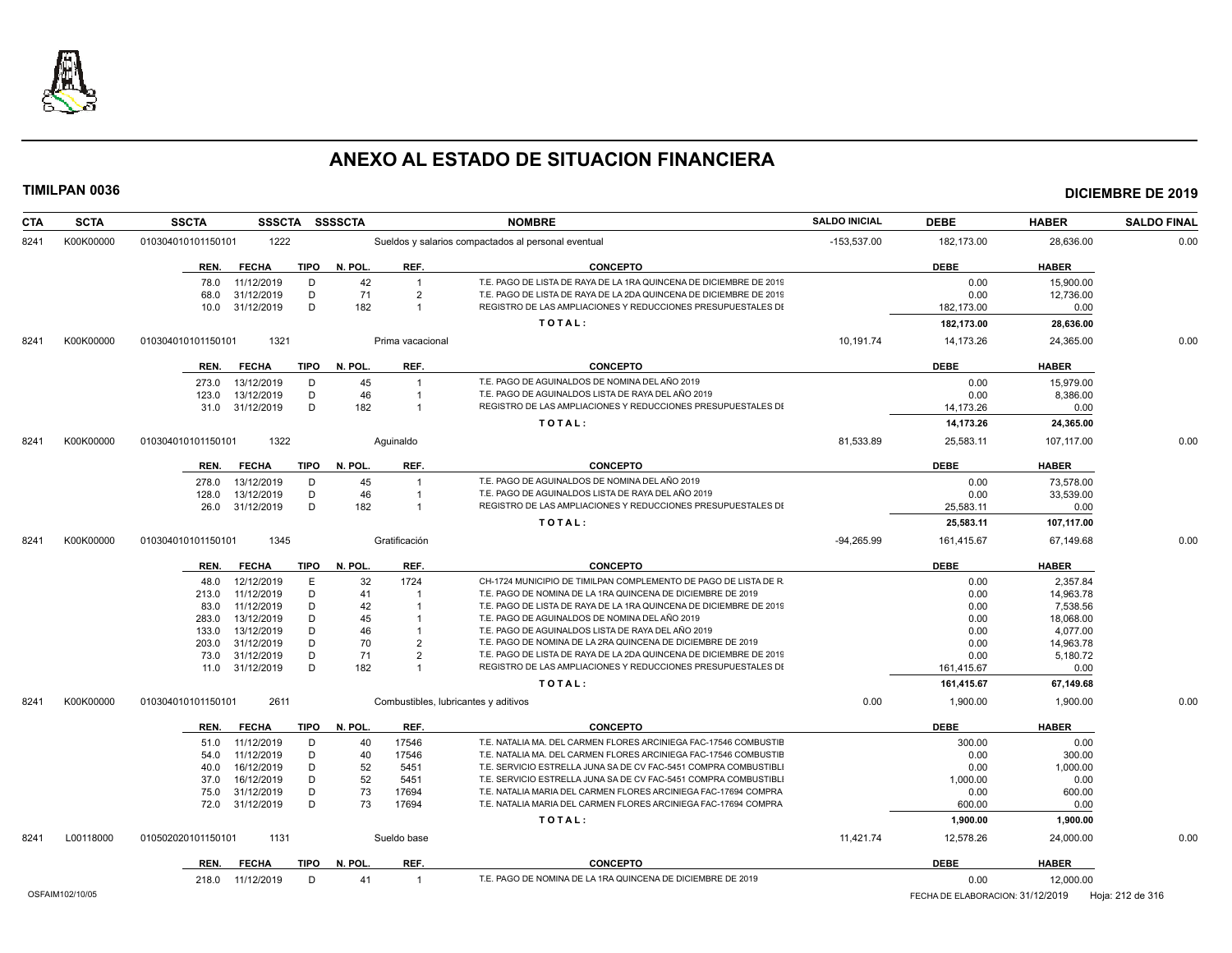

| <b>CTA</b> | <b>SCTA</b>     | <b>SSCTA</b><br><b>SSSCTA</b>       | <b>SSSSCTA</b>        | <b>NOMBRE</b>                                                      | <b>SALDO INICIAL</b> | <b>DEBE</b>                      | <b>HABER</b> | <b>SALDO FINAL</b> |
|------------|-----------------|-------------------------------------|-----------------------|--------------------------------------------------------------------|----------------------|----------------------------------|--------------|--------------------|
| 8241       | K00K00000       | 010304010101150101<br>1222          |                       | Sueldos y salarios compactados al personal eventual                | $-153,537.00$        | 182,173.00                       | 28,636.00    | 0.00               |
|            |                 | <b>FECHA</b><br>TIPO<br>REN.        | N. POL.<br>REF.       | <b>CONCEPTO</b>                                                    |                      | <b>DEBE</b>                      | <b>HABER</b> |                    |
|            |                 | D<br>78.0<br>11/12/2019             | 42<br>$\overline{1}$  | T.E. PAGO DE LISTA DE RAYA DE LA 1RA QUINCENA DE DICIEMBRE DE 2019 |                      | 0.00                             | 15.900.00    |                    |
|            |                 | 31/12/2019<br>D<br>68.0             | 71<br>$\overline{2}$  | T.E. PAGO DE LISTA DE RAYA DE LA 2DA QUINCENA DE DICIEMBRE DE 2019 |                      | 0.00                             | 12,736.00    |                    |
|            |                 | D<br>10.0<br>31/12/2019             | 182<br>$\overline{1}$ | REGISTRO DE LAS AMPLIACIONES Y REDUCCIONES PRESUPUESTALES DI       |                      | 182,173.00                       | 0.00         |                    |
|            |                 |                                     |                       | TOTAL:                                                             |                      | 182,173.00                       | 28,636.00    |                    |
| 8241       | K00K00000       | 1321<br>010304010101150101          | Prima vacacional      |                                                                    | 10,191.74            | 14,173.26                        | 24,365.00    | 0.00               |
|            |                 | <b>FECHA</b><br><b>TIPO</b><br>REN. | N. POL.<br>REF.       | <b>CONCEPTO</b>                                                    |                      | <b>DEBE</b>                      | <b>HABER</b> |                    |
|            |                 | 13/12/2019<br>D<br>273.0            | 45<br>$\overline{1}$  | T.E. PAGO DE AGUINALDOS DE NOMINA DEL AÑO 2019                     |                      | 0.00                             | 15,979.00    |                    |
|            |                 | D<br>13/12/2019<br>123.0            | 46<br>$\overline{1}$  | T.E. PAGO DE AGUINALDOS LISTA DE RAYA DEL AÑO 2019                 |                      | 0.00                             | 8,386.00     |                    |
|            |                 | D<br>31.0 31/12/2019                | 182<br>$\overline{1}$ | REGISTRO DE LAS AMPLIACIONES Y REDUCCIONES PRESUPUESTALES DI       |                      | 14,173.26                        | 0.00         |                    |
|            |                 |                                     |                       | TOTAL:                                                             |                      | 14,173.26                        | 24,365.00    |                    |
| 8241       | K00K00000       | 1322<br>010304010101150101          | Aquinaldo             |                                                                    | 81,533.89            | 25,583.11                        | 107,117.00   | 0.00               |
|            |                 | <b>FECHA</b><br>TIPO<br>REN.        | REF.<br>N. POL.       | <b>CONCEPTO</b>                                                    |                      | <b>DEBE</b>                      | <b>HABER</b> |                    |
|            |                 | 13/12/2019<br>D<br>278.0            | 45<br>$\overline{1}$  | T.E. PAGO DE AGUINALDOS DE NOMINA DEL AÑO 2019                     |                      | 0.00                             | 73.578.00    |                    |
|            |                 | 13/12/2019<br>D<br>128.0            | 46                    | T.E. PAGO DE AGUINALDOS LISTA DE RAYA DEL AÑO 2019                 |                      | 0.00                             | 33,539.00    |                    |
|            |                 | 31/12/2019<br>D<br>26.0             | 182<br>$\overline{1}$ | REGISTRO DE LAS AMPLIACIONES Y REDUCCIONES PRESUPUESTALES DI       |                      | 25,583.11                        | 0.00         |                    |
|            |                 |                                     |                       | TOTAL:                                                             |                      | 25,583.11                        | 107,117.00   |                    |
| 8241       | K00K00000       | 1345<br>010304010101150101          | Gratificación         |                                                                    | $-94,265.99$         | 161,415.67                       | 67,149.68    | 0.00               |
|            |                 | <b>TIPO</b><br>REN.<br><b>FECHA</b> | N. POL.<br>REF.       | <b>CONCEPTO</b>                                                    |                      | <b>DEBE</b>                      | <b>HABER</b> |                    |
|            |                 | 12/12/2019<br>E<br>48.0             | 32<br>1724            | CH-1724 MUNICIPIO DE TIMILPAN COMPLEMENTO DE PAGO DE LISTA DE R    |                      | 0.00                             | 2.357.84     |                    |
|            |                 | D<br>11/12/2019<br>213.0            | 41                    | T.E. PAGO DE NOMINA DE LA 1RA QUINCENA DE DICIEMBRE DE 2019        |                      | 0.00                             | 14,963.78    |                    |
|            |                 | 11/12/2019<br>D<br>83.0             | 42                    | T.E. PAGO DE LISTA DE RAYA DE LA 1RA QUINCENA DE DICIEMBRE DE 2019 |                      | 0.00                             | 7,538.56     |                    |
|            |                 | 13/12/2019<br>D<br>283.0            | 45                    | T.E. PAGO DE AGUINALDOS DE NOMINA DEL AÑO 2019                     |                      | 0.00                             | 18,068.00    |                    |
|            |                 | D<br>13/12/2019<br>133.0            | 46                    | T.E. PAGO DE AGUINALDOS LISTA DE RAYA DEL AÑO 2019                 |                      | 0.00                             | 4.077.00     |                    |
|            |                 | 31/12/2019<br>D<br>203.0            | 70<br>$\overline{2}$  | T.E. PAGO DE NOMINA DE LA 2RA QUINCENA DE DICIEMBRE DE 2019        |                      | 0.00                             | 14,963.78    |                    |
|            |                 | 31/12/2019<br>D<br>73.0             | 71<br>$\overline{2}$  | T.E. PAGO DE LISTA DE RAYA DE LA 2DA QUINCENA DE DICIEMBRE DE 2019 |                      | 0.00                             | 5,180.72     |                    |
|            |                 | D<br>31/12/2019<br>11.0             | 182<br>$\overline{1}$ | REGISTRO DE LAS AMPLIACIONES Y REDUCCIONES PRESUPUESTALES DI       |                      | 161,415.67                       | 0.00         |                    |
|            |                 |                                     |                       | TOTAL:                                                             |                      | 161,415.67                       | 67,149.68    |                    |
| 8241       | K00K00000       | 010304010101150101<br>2611          |                       | Combustibles, lubricantes y aditivos                               | 0.00                 | 1,900.00                         | 1,900.00     | 0.00               |
|            |                 | REN.<br><b>FECHA</b><br>TIPO        | N. POL.<br>REF.       | <b>CONCEPTO</b>                                                    |                      | <b>DEBE</b>                      | <b>HABER</b> |                    |
|            |                 | 11/12/2019<br>D<br>51.0             | 40<br>17546           | T.E. NATALIA MA. DEL CARMEN FLORES ARCINIEGA FAC-17546 COMBUSTIE   |                      | 300.00                           | 0.00         |                    |
|            |                 | 11/12/2019<br>D<br>54.0             | 40<br>17546           | T.E. NATALIA MA. DEL CARMEN FLORES ARCINIEGA FAC-17546 COMBUSTIE   |                      | 0.00                             | 300.00       |                    |
|            |                 | D<br>16/12/2019<br>40.0             | 52<br>5451            | T.E. SERVICIO ESTRELLA JUNA SA DE CV FAC-5451 COMPRA COMBUSTIBLI   |                      | 0.00                             | 1,000.00     |                    |
|            |                 | 16/12/2019<br>D<br>37.0             | 52<br>5451            | T.E. SERVICIO ESTRELLA JUNA SA DE CV FAC-5451 COMPRA COMBUSTIBL    |                      | 1,000.00                         | 0.00         |                    |
|            |                 | 31/12/2019<br>D<br>75.0             | 73<br>17694           | T.E. NATALIA MARIA DEL CARMEN FLORES ARCINIEGA FAC-17694 COMPRA    |                      | 0.00                             | 600.00       |                    |
|            |                 | D<br>72.0 31/12/2019                | 73<br>17694           | T.E. NATALIA MARIA DEL CARMEN FLORES ARCINIEGA FAC-17694 COMPRA    |                      | 600.00                           | 0.00         |                    |
|            |                 |                                     |                       | TOTAL:                                                             |                      | 1,900.00                         | 1,900.00     |                    |
| 8241       | L00118000       | 1131<br>010502020101150101          | Sueldo base           |                                                                    | 11,421.74            | 12,578.26                        | 24,000.00    | 0.00               |
|            |                 | <b>FECHA</b><br>TIPO<br>REN.        | REF.<br>N. POL.       | <b>CONCEPTO</b>                                                    |                      | <b>DEBE</b>                      | <b>HABER</b> |                    |
|            |                 | D<br>218.0<br>11/12/2019            | 41<br>$\overline{1}$  | T.E. PAGO DE NOMINA DE LA 1RA QUINCENA DE DICIEMBRE DE 2019        |                      | 0.00                             | 12,000.00    |                    |
|            | OSFAIM102/10/05 |                                     |                       |                                                                    |                      | FECHA DE ELABORACION: 31/12/2019 |              | Hoja: 212 de 316   |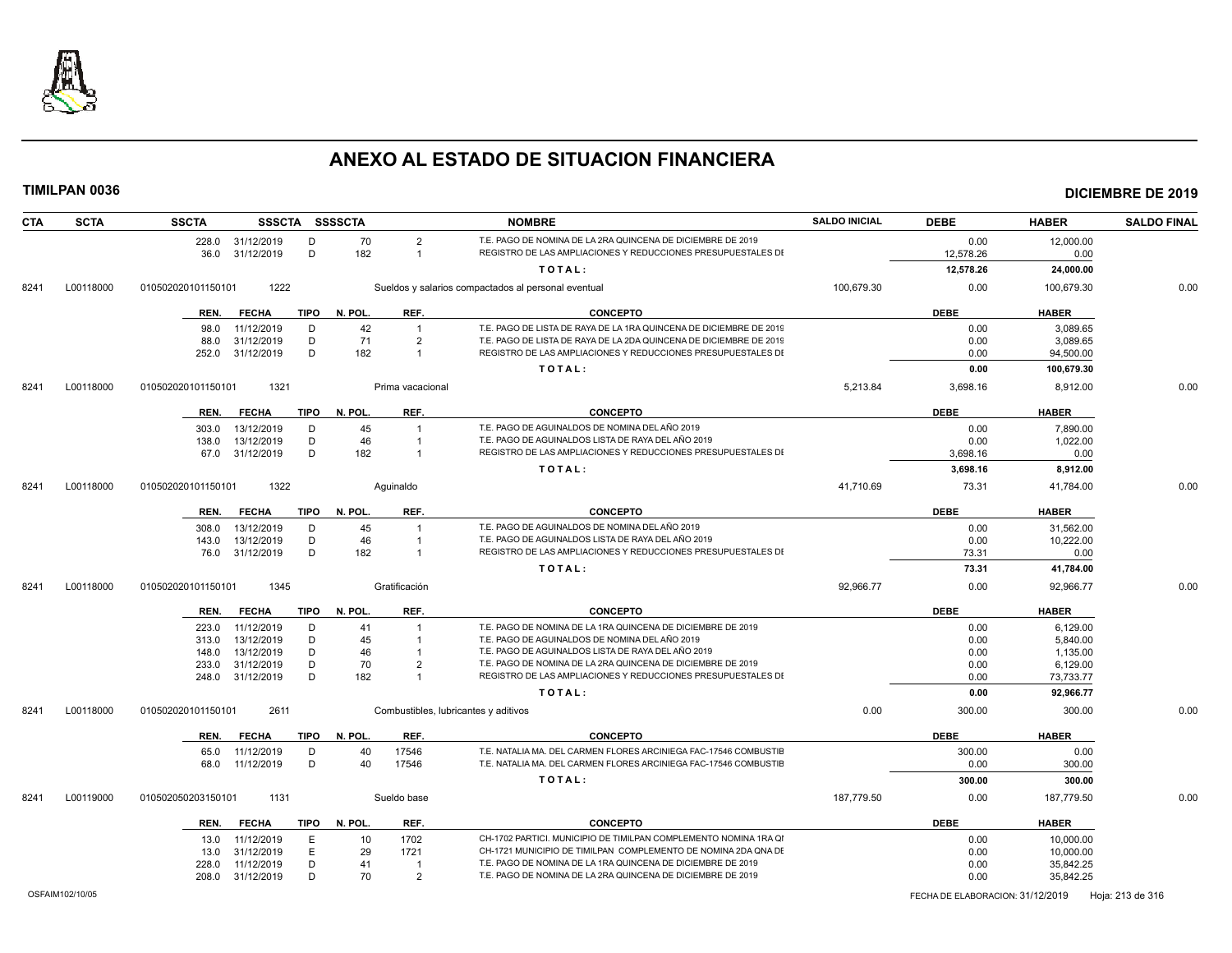

| <b>CTA</b> | <b>SCTA</b> | <b>SSCTA</b>       | <b>SSSCTA</b>    |             | <b>SSSSCTA</b> |                  | <b>NOMBRE</b>                                                      | <b>SALDO INICIAL</b> | <b>DEBE</b> | <b>HABER</b> | <b>SALDO FINAL</b> |
|------------|-------------|--------------------|------------------|-------------|----------------|------------------|--------------------------------------------------------------------|----------------------|-------------|--------------|--------------------|
|            |             |                    | 228.0 31/12/2019 | D           | 70             | $\overline{2}$   | T.E. PAGO DE NOMINA DE LA 2RA QUINCENA DE DICIEMBRE DE 2019        |                      | 0.00        | 12,000.00    |                    |
|            |             |                    | 36.0 31/12/2019  | D           | 182            | $\overline{1}$   | REGISTRO DE LAS AMPLIACIONES Y REDUCCIONES PRESUPUESTALES DI       |                      | 12,578.26   | 0.00         |                    |
|            |             |                    |                  |             |                |                  | TOTAL:                                                             |                      | 12,578.26   | 24,000.00    |                    |
| 8241       | L00118000   | 010502020101150101 | 1222             |             |                |                  | Sueldos y salarios compactados al personal eventual                | 100,679.30           | 0.00        | 100,679.30   | 0.00               |
|            |             | REN.               | <b>FECHA</b>     | TIPO        | N. POL.        | REF.             | <b>CONCEPTO</b>                                                    |                      | <b>DEBE</b> | <b>HABER</b> |                    |
|            |             | 98.0               | 11/12/2019       | D           | 42             | $\overline{1}$   | T.E. PAGO DE LISTA DE RAYA DE LA 1RA QUINCENA DE DICIEMBRE DE 2019 |                      | 0.00        | 3.089.65     |                    |
|            |             | 88.0               | 31/12/2019       | D           | 71             | $\overline{2}$   | T.E. PAGO DE LISTA DE RAYA DE LA 2DA QUINCENA DE DICIEMBRE DE 2019 |                      | 0.00        | 3,089.65     |                    |
|            |             | 252.0              | 31/12/2019       | D           | 182            | $\overline{1}$   | REGISTRO DE LAS AMPLIACIONES Y REDUCCIONES PRESUPUESTALES DI       |                      | 0.00        | 94,500.00    |                    |
|            |             |                    |                  |             |                |                  | TOTAL:                                                             |                      | 0.00        | 100,679.30   |                    |
| 8241       | L00118000   | 010502020101150101 | 1321             |             |                | Prima vacacional |                                                                    | 5,213.84             | 3,698.16    | 8,912.00     | 0.00               |
|            |             | REN.               | <b>FECHA</b>     | TIPO        | N. POL.        | REF.             | <b>CONCEPTO</b>                                                    |                      | <b>DEBE</b> | <b>HABER</b> |                    |
|            |             | 303.0              | 13/12/2019       | D           | 45             |                  | T.E. PAGO DE AGUINALDOS DE NOMINA DEL AÑO 2019                     |                      | 0.00        | 7.890.00     |                    |
|            |             | 138.0              | 13/12/2019       | D           | 46             | $\overline{1}$   | T.E. PAGO DE AGUINALDOS LISTA DE RAYA DEL AÑO 2019                 |                      | 0.00        | 1,022.00     |                    |
|            |             | 67.0               | 31/12/2019       | D           | 182            | $\overline{1}$   | REGISTRO DE LAS AMPLIACIONES Y REDUCCIONES PRESUPUESTALES DI       |                      | 3,698.16    | 0.00         |                    |
|            |             |                    |                  |             |                |                  | TOTAL:                                                             |                      | 3,698.16    | 8,912.00     |                    |
| 8241       | L00118000   | 010502020101150101 | 1322             |             |                | Aquinaldo        |                                                                    | 41,710.69            | 73.31       | 41,784.00    | 0.00               |
|            |             | REN.               | <b>FECHA</b>     | TIPO        | N. POL.        | REF.             | <b>CONCEPTO</b>                                                    |                      | <b>DEBE</b> | <b>HABER</b> |                    |
|            |             | 308.0              | 13/12/2019       | D           | 45             |                  | T.E. PAGO DE AGUINALDOS DE NOMINA DEL AÑO 2019                     |                      | 0.00        | 31,562.00    |                    |
|            |             | 143.0              | 13/12/2019       | D           | 46             | $\overline{1}$   | T.E. PAGO DE AGUINALDOS LISTA DE RAYA DEL AÑO 2019                 |                      | 0.00        | 10,222.00    |                    |
|            |             | 76.0               | 31/12/2019       | D           | 182            | $\overline{1}$   | REGISTRO DE LAS AMPLIACIONES Y REDUCCIONES PRESUPUESTALES DI       |                      | 73.31       | 0.00         |                    |
|            |             |                    |                  |             |                |                  | TOTAL:                                                             |                      | 73.31       | 41,784.00    |                    |
| 8241       | L00118000   | 010502020101150101 | 1345             |             |                | Gratificación    |                                                                    | 92,966.77            | 0.00        | 92.966.77    | 0.00               |
|            |             | REN.               | <b>FECHA</b>     | TIPO        | N. POL.        | REF.             | <b>CONCEPTO</b>                                                    |                      | <b>DEBE</b> | <b>HABER</b> |                    |
|            |             | 223.0              | 11/12/2019       | D           | 41             |                  | T.E. PAGO DE NOMINA DE LA 1RA QUINCENA DE DICIEMBRE DE 2019        |                      | 0.00        | 6.129.00     |                    |
|            |             | 313.0              | 13/12/2019       | D           | 45             |                  | T.E. PAGO DE AGUINALDOS DE NOMINA DEL AÑO 2019                     |                      | 0.00        | 5,840.00     |                    |
|            |             | 148.0              | 13/12/2019       | D           | 46             |                  | T.E. PAGO DE AGUINALDOS LISTA DE RAYA DEL AÑO 2019                 |                      | 0.00        | 1,135.00     |                    |
|            |             | 233.0              | 31/12/2019       | D           | 70             | $\overline{2}$   | T.E. PAGO DE NOMINA DE LA 2RA QUINCENA DE DICIEMBRE DE 2019        |                      | 0.00        | 6.129.00     |                    |
|            |             | 248.0              | 31/12/2019       | D           | 182            |                  | REGISTRO DE LAS AMPLIACIONES Y REDUCCIONES PRESUPUESTALES DI       |                      | 0.00        | 73,733.77    |                    |
|            |             |                    |                  |             |                |                  | TOTAL:                                                             |                      | 0.00        | 92,966.77    |                    |
| 8241       | L00118000   | 010502020101150101 | 2611             |             |                |                  | Combustibles, lubricantes y aditivos                               | 0.00                 | 300.00      | 300.00       | 0.00               |
|            |             | REN.               | <b>FECHA</b>     | TIPO        | N. POL.        | REF.             | <b>CONCEPTO</b>                                                    |                      | <b>DEBE</b> | <b>HABER</b> |                    |
|            |             | 65.0               | 11/12/2019       | D           | 40             | 17546            | T.E. NATALIA MA. DEL CARMEN FLORES ARCINIEGA FAC-17546 COMBUSTIE   |                      | 300.00      | 0.00         |                    |
|            |             | 68.0               | 11/12/2019       | D           | 40             | 17546            | T.E. NATALIA MA. DEL CARMEN FLORES ARCINIEGA FAC-17546 COMBUSTIE   |                      | 0.00        | 300.00       |                    |
|            |             |                    |                  |             |                |                  | TOTAL:                                                             |                      | 300.00      | 300.00       |                    |
| 8241       | L00119000   | 010502050203150101 | 1131             |             |                | Sueldo base      |                                                                    | 187.779.50           | 0.00        | 187.779.50   | 0.00               |
|            |             | REN.               | <b>FECHA</b>     | <b>TIPO</b> | N. POL.        | REF.             | <b>CONCEPTO</b>                                                    |                      | <b>DEBE</b> | <b>HABER</b> |                    |
|            |             | 13.0               | 11/12/2019       | E           | 10             | 1702             | CH-1702 PARTICI. MUNICIPIO DE TIMILPAN COMPLEMENTO NOMINA 1RA QI   |                      | 0.00        | 10,000.00    |                    |
|            |             | 13.0               | 31/12/2019       | Е           | 29             | 1721             | CH-1721 MUNICIPIO DE TIMILPAN COMPLEMENTO DE NOMINA 2DA QNA DE     |                      | 0.00        | 10,000.00    |                    |
|            |             | 228.0              | 11/12/2019       | D           | 41             | $\overline{1}$   | T.E. PAGO DE NOMINA DE LA 1RA QUINCENA DE DICIEMBRE DE 2019        |                      | 0.00        | 35,842.25    |                    |
|            |             |                    | 208.0 31/12/2019 | D           | 70             | $\overline{2}$   | T.E. PAGO DE NOMINA DE LA 2RA QUINCENA DE DICIEMBRE DE 2019        |                      | 0.00        | 35,842.25    |                    |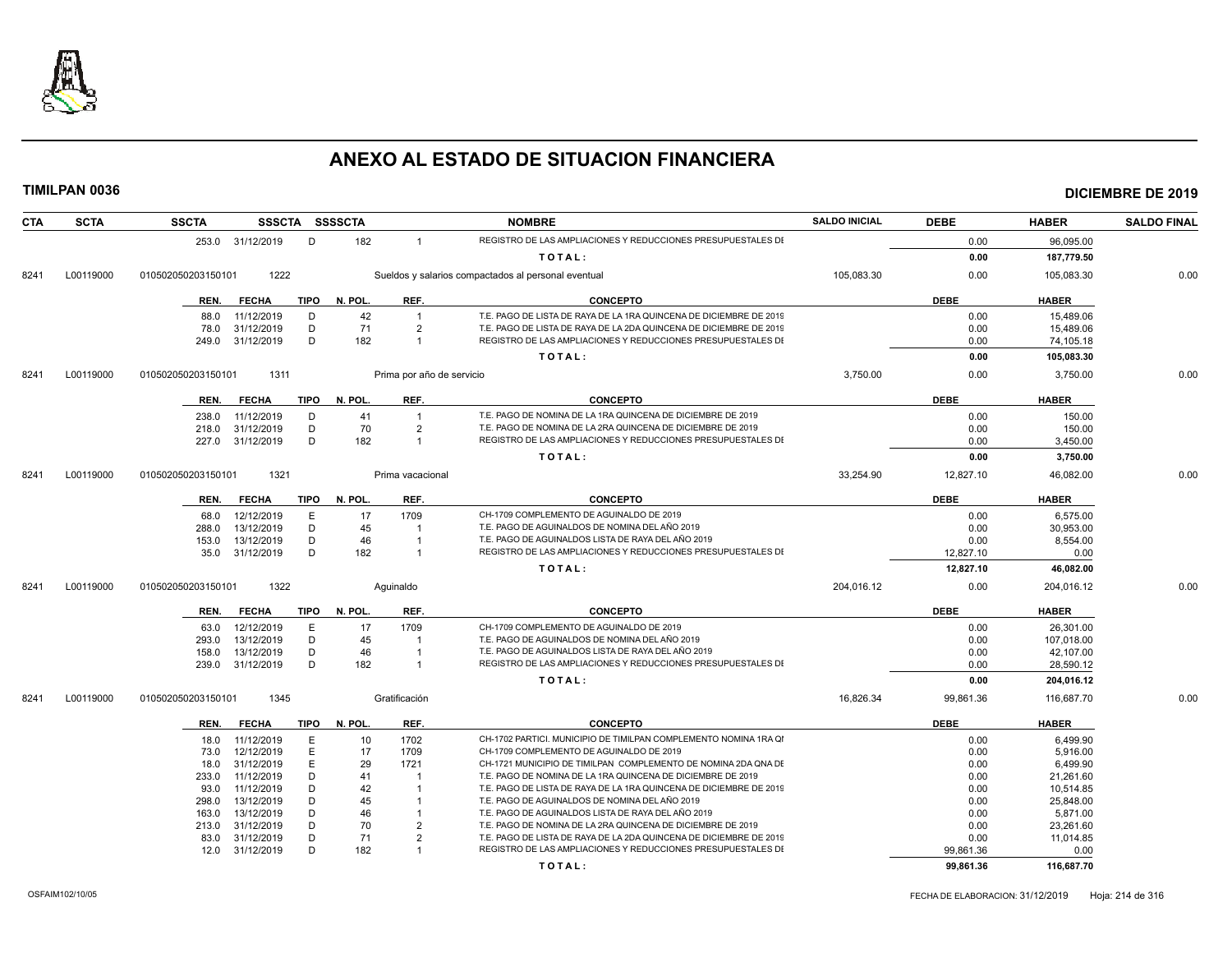

| <b>CTA</b> | <b>SCTA</b> | <b>SSCTA</b>       |                  |             | SSSCTA SSSSCTA |                           | <b>NOMBRE</b>                                                      | <b>SALDO INICIAL</b> | <b>DEBE</b> | <b>HABER</b> | <b>SALDO FINAL</b> |
|------------|-------------|--------------------|------------------|-------------|----------------|---------------------------|--------------------------------------------------------------------|----------------------|-------------|--------------|--------------------|
|            |             |                    | 253.0 31/12/2019 | D           | 182            | $\overline{1}$            | REGISTRO DE LAS AMPLIACIONES Y REDUCCIONES PRESUPUESTALES DI       |                      | 0.00        | 96.095.00    |                    |
|            |             |                    |                  |             |                |                           | TOTAL:                                                             |                      | 0.00        | 187,779.50   |                    |
| 8241       | L00119000   | 010502050203150101 | 1222             |             |                |                           | Sueldos y salarios compactados al personal eventual                | 105,083.30           | 0.00        | 105,083.30   | 0.00               |
|            |             | REN.               | <b>FECHA</b>     | <b>TIPO</b> | N. POL.        | REF.                      | <b>CONCEPTO</b>                                                    |                      | <b>DEBE</b> | <b>HABER</b> |                    |
|            |             | 88.0               | 11/12/2019       | D           | 42             | $\overline{1}$            | T.E. PAGO DE LISTA DE RAYA DE LA 1RA QUINCENA DE DICIEMBRE DE 2019 |                      | 0.00        | 15.489.06    |                    |
|            |             | 78.0               | 31/12/2019       | D           | 71             | $\overline{2}$            | T.E. PAGO DE LISTA DE RAYA DE LA 2DA QUINCENA DE DICIEMBRE DE 2019 |                      | 0.00        | 15,489.06    |                    |
|            |             | 249.0              | 31/12/2019       | D           | 182            | $\overline{1}$            | REGISTRO DE LAS AMPLIACIONES Y REDUCCIONES PRESUPUESTALES DI       |                      | 0.00        | 74,105.18    |                    |
|            |             |                    |                  |             |                |                           | TOTAL:                                                             |                      | 0.00        | 105,083.30   |                    |
|            |             |                    |                  |             |                |                           |                                                                    |                      |             |              |                    |
| 8241       | L00119000   | 010502050203150101 | 1311             |             |                | Prima por año de servicio |                                                                    | 3,750.00             | 0.00        | 3,750.00     | 0.00               |
|            |             | REN.               | <b>FECHA</b>     | <b>TIPO</b> | N. POL.        | REF.                      | <b>CONCEPTO</b>                                                    |                      | <b>DEBE</b> | <b>HABER</b> |                    |
|            |             | 238.0              | 11/12/2019       | D           | 41             | $\overline{1}$            | T.E. PAGO DE NOMINA DE LA 1RA QUINCENA DE DICIEMBRE DE 2019        |                      | 0.00        | 150.00       |                    |
|            |             | 218.0              | 31/12/2019       | D           | 70             | $\overline{2}$            | T.E. PAGO DE NOMINA DE LA 2RA QUINCENA DE DICIEMBRE DE 2019        |                      | 0.00        | 150.00       |                    |
|            |             |                    | 227.0 31/12/2019 | D           | 182            | $\overline{1}$            | REGISTRO DE LAS AMPLIACIONES Y REDUCCIONES PRESUPUESTALES DI       |                      | 0.00        | 3,450.00     |                    |
|            |             |                    |                  |             |                |                           | TOTAL:                                                             |                      | 0.00        | 3,750.00     |                    |
| 8241       | L00119000   | 010502050203150101 | 1321             |             |                | Prima vacacional          |                                                                    | 33,254.90            | 12,827.10   | 46.082.00    | 0.00               |
|            |             | REN.               | <b>FECHA</b>     | TIPO        | N. POL.        | REF.                      | <b>CONCEPTO</b>                                                    |                      | <b>DEBE</b> | <b>HABER</b> |                    |
|            |             | 68.0               | 12/12/2019       | E           | 17             | 1709                      | CH-1709 COMPLEMENTO DE AGUINALDO DE 2019                           |                      | 0.00        | 6.575.00     |                    |
|            |             | 288.0              | 13/12/2019       | D           | 45             |                           | T.E. PAGO DE AGUINALDOS DE NOMINA DEL AÑO 2019                     |                      | 0.00        | 30.953.00    |                    |
|            |             | 153.0              | 13/12/2019       | D           | 46             |                           | T.E. PAGO DE AGUINALDOS LISTA DE RAYA DEL AÑO 2019                 |                      | 0.00        | 8,554.00     |                    |
|            |             | 35.0               | 31/12/2019       | D           | 182            | -1                        | REGISTRO DE LAS AMPLIACIONES Y REDUCCIONES PRESUPUESTALES DI       |                      | 12,827.10   | 0.00         |                    |
|            |             |                    |                  |             |                |                           | TOTAL:                                                             |                      | 12,827.10   | 46,082.00    |                    |
| 8241       | L00119000   | 010502050203150101 | 1322             |             |                | Aquinaldo                 |                                                                    | 204,016.12           | 0.00        | 204,016.12   | 0.00               |
|            |             | REN.               | <b>FECHA</b>     | <b>TIPO</b> | N. POL.        | REF.                      | <b>CONCEPTO</b>                                                    |                      | <b>DEBE</b> | <b>HABER</b> |                    |
|            |             | 63.0               | 12/12/2019       | E           | 17             | 1709                      | CH-1709 COMPLEMENTO DE AGUINALDO DE 2019                           |                      | 0.00        | 26,301.00    |                    |
|            |             | 293.0              | 13/12/2019       | D           | 45             | $\overline{1}$            | T.E. PAGO DE AGUINALDOS DE NOMINA DEL AÑO 2019                     |                      | 0.00        | 107,018.00   |                    |
|            |             | 158.0              | 13/12/2019       | D           | 46             |                           | T.E. PAGO DE AGUINALDOS LISTA DE RAYA DEL AÑO 2019                 |                      | 0.00        | 42.107.00    |                    |
|            |             | 239.0              | 31/12/2019       | D           | 182            | $\overline{1}$            | REGISTRO DE LAS AMPLIACIONES Y REDUCCIONES PRESUPUESTALES DI       |                      | 0.00        | 28,590.12    |                    |
|            |             |                    |                  |             |                |                           | TOTAL:                                                             |                      | 0.00        | 204,016.12   |                    |
| 8241       | L00119000   | 010502050203150101 | 1345             |             |                | Gratificación             |                                                                    | 16,826.34            | 99,861.36   | 116,687.70   | 0.00               |
|            |             | REN.               | <b>FECHA</b>     | <b>TIPO</b> | N. POL.        | REF.                      | <b>CONCEPTO</b>                                                    |                      | <b>DEBE</b> | <b>HABER</b> |                    |
|            |             | 18.0               | 11/12/2019       | E           | 10             | 1702                      | CH-1702 PARTICI. MUNICIPIO DE TIMILPAN COMPLEMENTO NOMINA 1RA QI   |                      | 0.00        | 6,499.90     |                    |
|            |             | 73.0               | 12/12/2019       | E           | 17             | 1709                      | CH-1709 COMPLEMENTO DE AGUINALDO DE 2019                           |                      | 0.00        | 5,916.00     |                    |
|            |             | 18.0               | 31/12/2019       | E           | 29             | 1721                      | CH-1721 MUNICIPIO DE TIMILPAN COMPLEMENTO DE NOMINA 2DA QNA DE     |                      | 0.00        | 6.499.90     |                    |
|            |             | 233.0              | 11/12/2019       | D           | 41             |                           | T.E. PAGO DE NOMINA DE LA 1RA QUINCENA DE DICIEMBRE DE 2019        |                      | 0.00        | 21,261.60    |                    |
|            |             | 93.0               | 11/12/2019       | D           | 42             | -1                        | T.E. PAGO DE LISTA DE RAYA DE LA 1RA QUINCENA DE DICIEMBRE DE 2019 |                      | 0.00        | 10.514.85    |                    |
|            |             | 298.0              | 13/12/2019       | D           | 45             |                           | T.E. PAGO DE AGUINALDOS DE NOMINA DEL AÑO 2019                     |                      | 0.00        | 25,848.00    |                    |
|            |             | 163.0              | 13/12/2019       | D           | 46             |                           | T.E. PAGO DE AGUINALDOS LISTA DE RAYA DEL AÑO 2019                 |                      | 0.00        | 5,871.00     |                    |
|            |             | 213.0              | 31/12/2019       | D           | 70             | $\overline{2}$            | T.E. PAGO DE NOMINA DE LA 2RA QUINCENA DE DICIEMBRE DE 2019        |                      | 0.00        | 23,261.60    |                    |
|            |             | 83.0               | 31/12/2019       | D           | 71             | $\mathcal{P}$             | T.E. PAGO DE LISTA DE RAYA DE LA 2DA QUINCENA DE DICIEMBRE DE 2019 |                      | 0.00        | 11,014.85    |                    |
|            |             | 12.0               | 31/12/2019       | D           | 182            | $\overline{1}$            | REGISTRO DE LAS AMPLIACIONES Y REDUCCIONES PRESUPUESTALES DI       |                      | 99.861.36   | 0.00         |                    |
|            |             |                    |                  |             |                |                           | TOTAL:                                                             |                      | 99.861.36   | 116,687.70   |                    |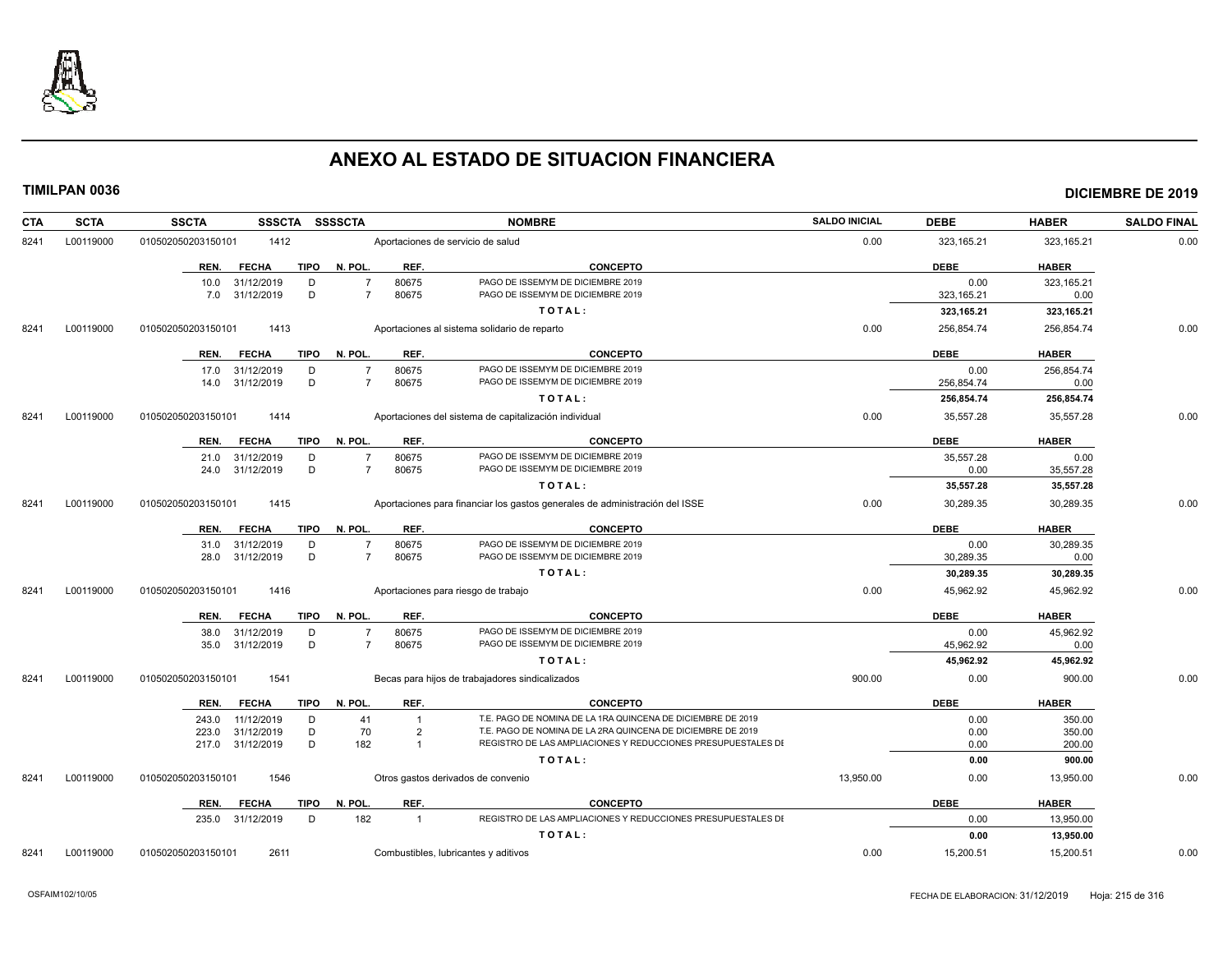

| <b>CTA</b> | <b>SCTA</b> | <b>SSCTA</b><br>SSSCTA SSSSCTA                    |                                                    | <b>NOMBRE</b>                                                                                                               | <b>SALDO INICIAL</b> | <b>DEBE</b>               | <b>HABER</b>           | <b>SALDO FINAL</b> |
|------------|-------------|---------------------------------------------------|----------------------------------------------------|-----------------------------------------------------------------------------------------------------------------------------|----------------------|---------------------------|------------------------|--------------------|
| 8241       | L00119000   | 010502050203150101<br>1412                        |                                                    | Aportaciones de servicio de salud                                                                                           | 0.00                 | 323, 165.21               | 323,165.21             | 0.00               |
|            |             | <b>FECHA</b><br>REN.                              | TIPO N. POL.<br>REF.                               | <b>CONCEPTO</b>                                                                                                             |                      | <b>DEBE</b>               | <b>HABER</b>           |                    |
|            |             | 10.0 31/12/2019<br>D<br>D                         | 80675<br>$\overline{7}$<br>$\overline{7}$          | PAGO DE ISSEMYM DE DICIEMBRE 2019<br>PAGO DE ISSEMYM DE DICIEMBRE 2019                                                      |                      | 0.00                      | 323,165.21             |                    |
|            |             | 7.0 31/12/2019                                    | 80675                                              | TOTAL:                                                                                                                      |                      | 323, 165.21<br>323,165.21 | 0.00<br>323,165.21     |                    |
| 8241       | L00119000   | 1413<br>010502050203150101                        |                                                    | Aportaciones al sistema solidario de reparto                                                                                | 0.00                 | 256,854.74                | 256,854.74             | 0.00               |
|            |             |                                                   |                                                    |                                                                                                                             |                      |                           |                        |                    |
|            |             | <b>FECHA</b><br>REN.                              | REF.<br>TIPO N. POL.                               | <b>CONCEPTO</b>                                                                                                             |                      | <b>DEBE</b>               | <b>HABER</b>           |                    |
|            |             | 17.0 31/12/2019<br>D<br>D                         | 80675<br>$\overline{7}$<br>80675<br>$\overline{7}$ | PAGO DE ISSEMYM DE DICIEMBRE 2019<br>PAGO DE ISSEMYM DE DICIEMBRE 2019                                                      |                      | 0.00                      | 256,854.74             |                    |
|            |             | 14.0 31/12/2019                                   |                                                    | TOTAL:                                                                                                                      |                      | 256,854.74<br>256,854.74  | 0.00<br>256,854.74     |                    |
| 8241       | L00119000   | 1414<br>010502050203150101                        |                                                    | Aportaciones del sistema de capitalización individual                                                                       | 0.00                 | 35,557.28                 | 35,557.28              | 0.00               |
|            |             |                                                   |                                                    |                                                                                                                             |                      |                           |                        |                    |
|            |             | <b>FECHA</b><br><b>TIPO</b><br>REN.               | N. POL.<br>REF.                                    | <b>CONCEPTO</b>                                                                                                             |                      | <b>DEBE</b>               | <b>HABER</b>           |                    |
|            |             | 21.0 31/12/2019<br>D<br>D                         | 80675<br>$\overline{7}$<br>$\overline{7}$          | PAGO DE ISSEMYM DE DICIEMBRE 2019<br>PAGO DE ISSEMYM DE DICIEMBRE 2019                                                      |                      | 35,557.28<br>0.00         | 0.00                   |                    |
|            |             | 24.0 31/12/2019                                   | 80675                                              | TOTAL:                                                                                                                      |                      | 35,557.28                 | 35,557.28<br>35,557.28 |                    |
| 8241       | L00119000   | 010502050203150101<br>1415                        |                                                    | Aportaciones para financiar los gastos generales de administración del ISSE                                                 | 0.00                 | 30,289.35                 | 30,289.35              | 0.00               |
|            |             |                                                   |                                                    |                                                                                                                             |                      |                           |                        |                    |
|            |             | <b>FECHA</b><br>TIPO<br>REN.                      | REF.<br>N. POL.                                    | <b>CONCEPTO</b>                                                                                                             |                      | <b>DEBE</b>               | <b>HABER</b>           |                    |
|            |             | 31.0 31/12/2019<br>D                              | 80675<br>$\overline{7}$                            | PAGO DE ISSEMYM DE DICIEMBRE 2019<br>PAGO DE ISSEMYM DE DICIEMBRE 2019                                                      |                      | 0.00                      | 30,289.35              |                    |
|            |             | D<br>31/12/2019<br>28.0                           | 80675<br>7                                         | TOTAL:                                                                                                                      |                      | 30,289.35<br>30,289.35    | 0.00<br>30,289.35      |                    |
| 8241       | L00119000   | 1416                                              |                                                    |                                                                                                                             | 0.00                 | 45,962.92                 | 45,962.92              | 0.00               |
|            |             | 010502050203150101                                |                                                    | Aportaciones para riesgo de trabajo                                                                                         |                      |                           |                        |                    |
|            |             | <b>FECHA</b><br>TIPO<br>REN.                      | N. POL.<br>REF.                                    | <b>CONCEPTO</b>                                                                                                             |                      | <b>DEBE</b>               | <b>HABER</b>           |                    |
|            |             | 38.0 31/12/2019<br>D<br>D                         | 80675<br>7                                         | PAGO DE ISSEMYM DE DICIEMBRE 2019<br>PAGO DE ISSEMYM DE DICIEMBRE 2019                                                      |                      | 0.00                      | 45.962.92              |                    |
|            |             | 31/12/2019<br>35.0                                | 80675                                              | TOTAL:                                                                                                                      |                      | 45,962.92<br>45,962.92    | 0.00<br>45,962.92      |                    |
| 8241       | L00119000   | 010502050203150101<br>1541                        |                                                    | Becas para hijos de trabajadores sindicalizados                                                                             | 900.00               | 0.00                      | 900.00                 | 0.00               |
|            |             |                                                   |                                                    |                                                                                                                             |                      |                           |                        |                    |
|            |             | <b>FECHA</b><br><b>TIPO</b><br>REN.               | REF.<br>N. POL.                                    | <b>CONCEPTO</b>                                                                                                             |                      | <b>DEBE</b>               | <b>HABER</b>           |                    |
|            |             | 11/12/2019<br>243.0<br>D                          | 41<br>$\overline{1}$                               | T.E. PAGO DE NOMINA DE LA 1RA QUINCENA DE DICIEMBRE DE 2019                                                                 |                      | 0.00                      | 350.00                 |                    |
|            |             | D<br>31/12/2019<br>223.0<br>D<br>217.0 31/12/2019 | 70<br>$\overline{2}$<br>182<br>$\overline{1}$      | T.E. PAGO DE NOMINA DE LA 2RA QUINCENA DE DICIEMBRE DE 2019<br>REGISTRO DE LAS AMPLIACIONES Y REDUCCIONES PRESUPUESTALES DI |                      | 0.00<br>0.00              | 350.00<br>200.00       |                    |
|            |             |                                                   |                                                    | TOTAL:                                                                                                                      |                      | 0.00                      | 900.00                 |                    |
| 8241       | L00119000   | 010502050203150101<br>1546                        |                                                    | Otros gastos derivados de convenio                                                                                          | 13,950.00            | 0.00                      | 13,950.00              | 0.00               |
|            |             |                                                   |                                                    |                                                                                                                             |                      |                           |                        |                    |
|            |             | <b>TIPO</b><br>REN.<br><b>FECHA</b>               | N. POL.<br>REF.<br>182<br>$\overline{1}$           | <b>CONCEPTO</b><br>REGISTRO DE LAS AMPLIACIONES Y REDUCCIONES PRESUPUESTALES DI                                             |                      | <b>DEBE</b><br>0.00       | <b>HABER</b>           |                    |
|            |             | 235.0 31/12/2019<br>D                             |                                                    | TOTAL:                                                                                                                      |                      | 0.00                      | 13,950.00<br>13,950.00 |                    |
| 8241       | L00119000   | 010502050203150101<br>2611                        |                                                    | Combustibles, lubricantes y aditivos                                                                                        | 0.00                 | 15,200.51                 | 15,200.51              | 0.00               |
|            |             |                                                   |                                                    |                                                                                                                             |                      |                           |                        |                    |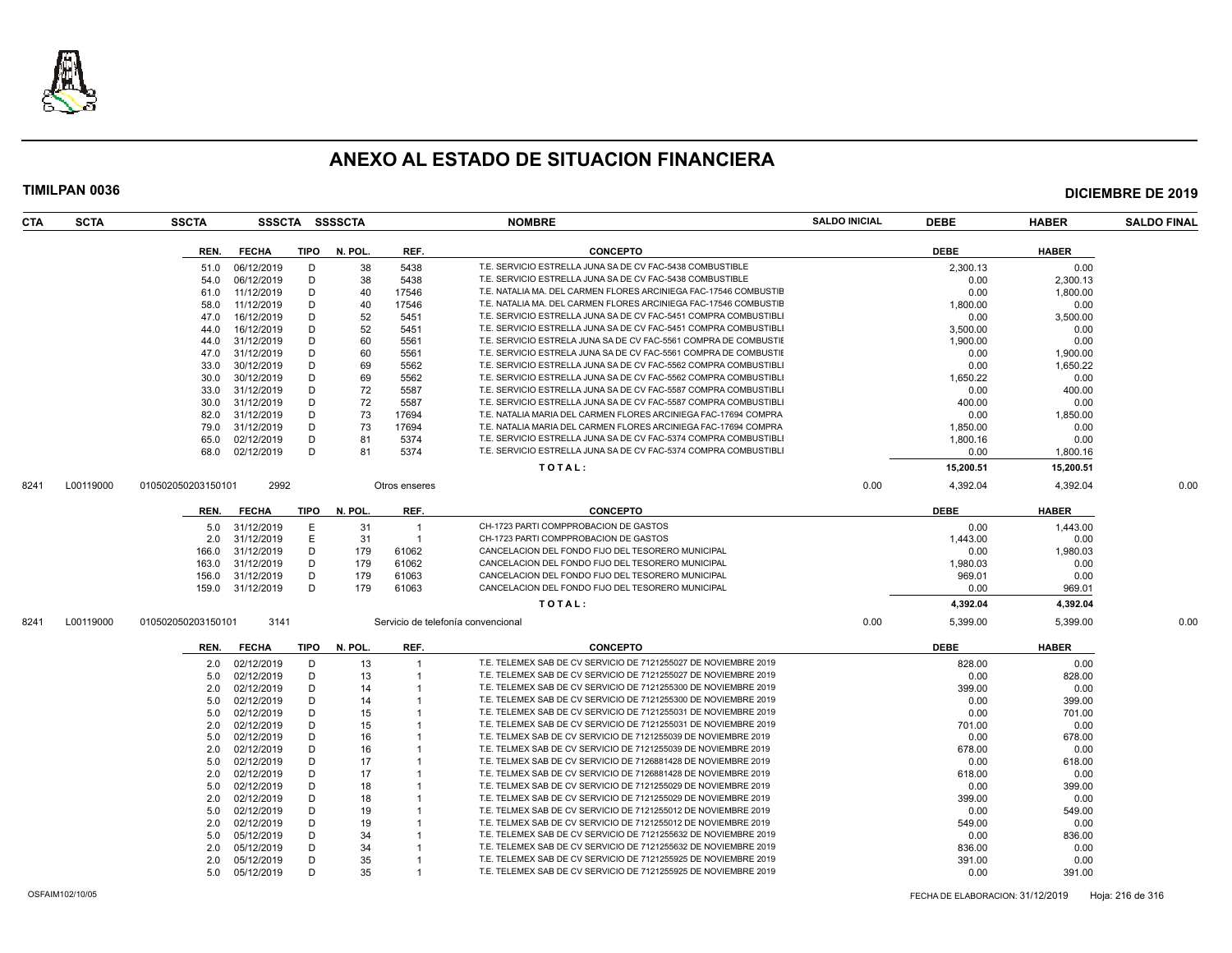

| <b>CTA</b> | <b>SCTA</b> | <b>SSCTA</b>       |                  |      | SSSCTA SSSSCTA |                | <b>NOMBRE</b>                                                    | <b>SALDO INICIAL</b> | <b>DEBE</b>      | <b>HABER</b> | <b>SALDO FINAL</b> |
|------------|-------------|--------------------|------------------|------|----------------|----------------|------------------------------------------------------------------|----------------------|------------------|--------------|--------------------|
|            |             | REN.               | <b>FECHA</b>     | TIPO | N. POL.        | REF.           | <b>CONCEPTO</b>                                                  |                      | <b>DEBE</b>      | <b>HABER</b> |                    |
|            |             | 51.0               | 06/12/2019       | D    | 38             | 5438           | T.E. SERVICIO ESTRELLA JUNA SA DE CV FAC-5438 COMBUSTIBLE        |                      | 2,300.13         | 0.00         |                    |
|            |             | 54.0               | 06/12/2019       | D    | 38             | 5438           | T.E. SERVICIO ESTRELLA JUNA SA DE CV FAC-5438 COMBUSTIBLE        |                      | 0.00             | 2,300.13     |                    |
|            |             | 61.0               | 11/12/2019       | D    | 40             | 17546          | T.E. NATALIA MA. DEL CARMEN FLORES ARCINIEGA FAC-17546 COMBUSTIE |                      | 0.00             | 1,800.00     |                    |
|            |             | 58.0               | 11/12/2019       | D    | 40             | 17546          | T.E. NATALIA MA. DEL CARMEN FLORES ARCINIEGA FAC-17546 COMBUSTIE |                      | 1,800.00         | 0.00         |                    |
|            |             | 47.0               | 16/12/2019       | D    | 52             | 5451           | T.E. SERVICIO ESTRELLA JUNA SA DE CV FAC-5451 COMPRA COMBUSTIBL  |                      | 0.00             | 3,500.00     |                    |
|            |             | 44.0               | 16/12/2019       | D    | 52             | 5451           | T.E. SERVICIO ESTRELLA JUNA SA DE CV FAC-5451 COMPRA COMBUSTIBLI |                      | 3,500.00         | 0.00         |                    |
|            |             | 44.0               | 31/12/2019       | D    | 60             | 5561           | T.E. SERVICIO ESTRELA JUNA SA DE CV FAC-5561 COMPRA DE COMBUSTIE |                      | 1,900.00         | 0.00         |                    |
|            |             | 47.0               | 31/12/2019       | D    | 60             | 5561           | T.E. SERVICIO ESTRELA JUNA SA DE CV FAC-5561 COMPRA DE COMBUSTIE |                      | 0.00             | 1,900.00     |                    |
|            |             | 33.0               | 30/12/2019       | D    | 69             | 5562           | T.E. SERVICIO ESTRELLA JUNA SA DE CV FAC-5562 COMPRA COMBUSTIBLI |                      | 0.00             | 1,650.22     |                    |
|            |             | 30.0               | 30/12/2019       | D    | 69             | 5562           | T.E. SERVICIO ESTRELLA JUNA SA DE CV FAC-5562 COMPRA COMBUSTIBLI |                      | 1.650.22         | 0.00         |                    |
|            |             | 33.0               | 31/12/2019       | D    | 72             | 5587           | T.E. SERVICIO ESTRELLA JUNA SA DE CV FAC-5587 COMPRA COMBUSTIBL  |                      | 0.00             | 400.00       |                    |
|            |             | 30.0               | 31/12/2019       | D    | 72             | 5587           | T.E. SERVICIO ESTRELLA JUNA SA DE CV FAC-5587 COMPRA COMBUSTIBLI |                      | 400.00           | 0.00         |                    |
|            |             | 82.0               | 31/12/2019       | D    | 73             | 17694          | T.E. NATALIA MARIA DEL CARMEN FLORES ARCINIEGA FAC-17694 COMPRA  |                      | 0.00             | 1,850.00     |                    |
|            |             | 79.0               | 31/12/2019       | D    | 73             | 17694          | T.E. NATALIA MARIA DEL CARMEN FLORES ARCINIEGA FAC-17694 COMPRA  |                      | 1,850.00         | 0.00         |                    |
|            |             | 65.0               | 02/12/2019       | D    | 81             | 5374           | T.E. SERVICIO ESTRELLA JUNA SA DE CV FAC-5374 COMPRA COMBUSTIBLI |                      |                  | 0.00         |                    |
|            |             | 68.0               | 02/12/2019       | D    | 81             | 5374           | T.E. SERVICIO ESTRELLA JUNA SA DE CV FAC-5374 COMPRA COMBUSTIBLI |                      | 1,800.16<br>0.00 | 1,800.16     |                    |
|            |             |                    |                  |      |                |                | TOTAL:                                                           |                      | 15,200.51        | 15,200.51    |                    |
|            |             |                    | 2992             |      |                |                |                                                                  |                      |                  |              |                    |
| 8241       | L00119000   | 010502050203150101 |                  |      |                | Otros enseres  |                                                                  | 0.00                 | 4,392.04         | 4.392.04     | 0.00               |
|            |             | REN.               | <b>FECHA</b>     | TIPO | N. POL.        | REF.           | <b>CONCEPTO</b>                                                  |                      | <b>DEBE</b>      | <b>HABER</b> |                    |
|            |             | 5.0                | 31/12/2019       | E    | 31             | $\overline{1}$ | CH-1723 PARTI COMPPROBACION DE GASTOS                            |                      | 0.00             | 1,443.00     |                    |
|            |             | 2.0                | 31/12/2019       | E.   | 31             | $\overline{1}$ | CH-1723 PARTI COMPPROBACION DE GASTOS                            |                      | 1,443.00         | 0.00         |                    |
|            |             | 166.0              | 31/12/2019       | D    | 179            | 61062          | CANCELACION DEL FONDO FIJO DEL TESORERO MUNICIPAL                |                      | 0.00             | 1,980.03     |                    |
|            |             | 163.0              | 31/12/2019       | D    | 179            | 61062          | CANCELACION DEL FONDO FIJO DEL TESORERO MUNICIPAL                |                      | 1.980.03         | 0.00         |                    |
|            |             | 156.0              | 31/12/2019       | D    | 179            | 61063          | CANCELACION DEL FONDO FIJO DEL TESORERO MUNICIPAL                |                      | 969.01           | 0.00         |                    |
|            |             |                    | 159.0 31/12/2019 | D    | 179            | 61063          | CANCELACION DEL FONDO FIJO DEL TESORERO MUNICIPAL                |                      | 0.00             | 969.01       |                    |
|            |             |                    |                  |      |                |                | TOTAL:                                                           |                      | 4,392.04         | 4,392.04     |                    |
| 8241       | L00119000   | 010502050203150101 | 3141             |      |                |                | Servicio de telefonía convencional                               | 0.00                 | 5,399.00         | 5,399.00     | 0.00               |
|            |             | REN.               | <b>FECHA</b>     |      | TIPO N. POL.   | REF.           | <b>CONCEPTO</b>                                                  |                      | <b>DEBE</b>      | <b>HABER</b> |                    |
|            |             | 2.0                | 02/12/2019       | D    | 13             | $\overline{1}$ | T.E. TELEMEX SAB DE CV SERVICIO DE 7121255027 DE NOVIEMBRE 2019  |                      | 828.00           | 0.00         |                    |
|            |             | 5.0                | 02/12/2019       | D    | 13             |                | T.E. TELEMEX SAB DE CV SERVICIO DE 7121255027 DE NOVIEMBRE 2019  |                      | 0.00             | 828.00       |                    |
|            |             | 2.0                | 02/12/2019       | D    | 14             |                | T.E. TELEMEX SAB DE CV SERVICIO DE 7121255300 DE NOVIEMBRE 2019  |                      | 399.00           | 0.00         |                    |
|            |             | 5.0                | 02/12/2019       | D    | 14             |                | T.E. TELEMEX SAB DE CV SERVICIO DE 7121255300 DE NOVIEMBRE 2019  |                      | 0.00             | 399.00       |                    |
|            |             | 5.0                | 02/12/2019       | D    | 15             |                | T.E. TELEMEX SAB DE CV SERVICIO DE 7121255031 DE NOVIEMBRE 2019  |                      | 0.00             | 701.00       |                    |
|            |             | 2.0                | 02/12/2019       | D    | 15             |                | T.E. TELEMEX SAB DE CV SERVICIO DE 7121255031 DE NOVIEMBRE 2019  |                      | 701.00           | 0.00         |                    |
|            |             | 5.0                | 02/12/2019       | D    | 16             |                | T.E. TELMEX SAB DE CV SERVICIO DE 7121255039 DE NOVIEMBRE 2019   |                      | 0.00             | 678.00       |                    |
|            |             | 2.0                | 02/12/2019       | D    | 16             |                | T.E. TELMEX SAB DE CV SERVICIO DE 7121255039 DE NOVIEMBRE 2019   |                      | 678.00           | 0.00         |                    |
|            |             | 5.0                | 02/12/2019       | D    | 17             |                | T.E. TELMEX SAB DE CV SERVICIO DE 7126881428 DE NOVIEMBRE 2019   |                      | 0.00             | 618.00       |                    |
|            |             | 2.0                | 02/12/2019       | D    | 17             |                | T.E. TELMEX SAB DE CV SERVICIO DE 7126881428 DE NOVIEMBRE 2019   |                      | 618.00           | 0.00         |                    |
|            |             | 5.0                | 02/12/2019       | D    | 18             |                | T.E. TELMEX SAB DE CV SERVICIO DE 7121255029 DE NOVIEMBRE 2019   |                      | 0.00             | 399.00       |                    |
|            |             | 2.0                | 02/12/2019       | D    | 18             |                | T.E. TELMEX SAB DE CV SERVICIO DE 7121255029 DE NOVIEMBRE 2019   |                      | 399.00           | 0.00         |                    |
|            |             | 5.0                | 02/12/2019       | D    | 19             |                | T.E. TELMEX SAB DE CV SERVICIO DE 7121255012 DE NOVIEMBRE 2019   |                      | 0.00             | 549.00       |                    |
|            |             | 2.0                | 02/12/2019       | D    | 19             |                | T.E. TELMEX SAB DE CV SERVICIO DE 7121255012 DE NOVIEMBRE 2019   |                      | 549.00           | 0.00         |                    |
|            |             | 5.0                | 05/12/2019       | D    | 34             |                | T.E. TELEMEX SAB DE CV SERVICIO DE 7121255632 DE NOVIEMBRE 2019  |                      | 0.00             | 836.00       |                    |
|            |             | 2.0                | 05/12/2019       | D    | 34             |                | T.E. TELEMEX SAB DE CV SERVICIO DE 7121255632 DE NOVIEMBRE 2019  |                      | 836.00           | 0.00         |                    |
|            |             | 2.0                | 05/12/2019       | D    | 35             |                | T.E. TELEMEX SAB DE CV SERVICIO DE 7121255925 DE NOVIEMBRE 2019  |                      | 391.00           | 0.00         |                    |
|            |             |                    | 5.0 05/12/2019   | D    | 35             |                | T.E. TELEMEX SAB DE CV SERVICIO DE 7121255925 DE NOVIEMBRE 2019  |                      | 0.00             | 391.00       |                    |
|            |             |                    |                  |      |                |                |                                                                  |                      |                  |              |                    |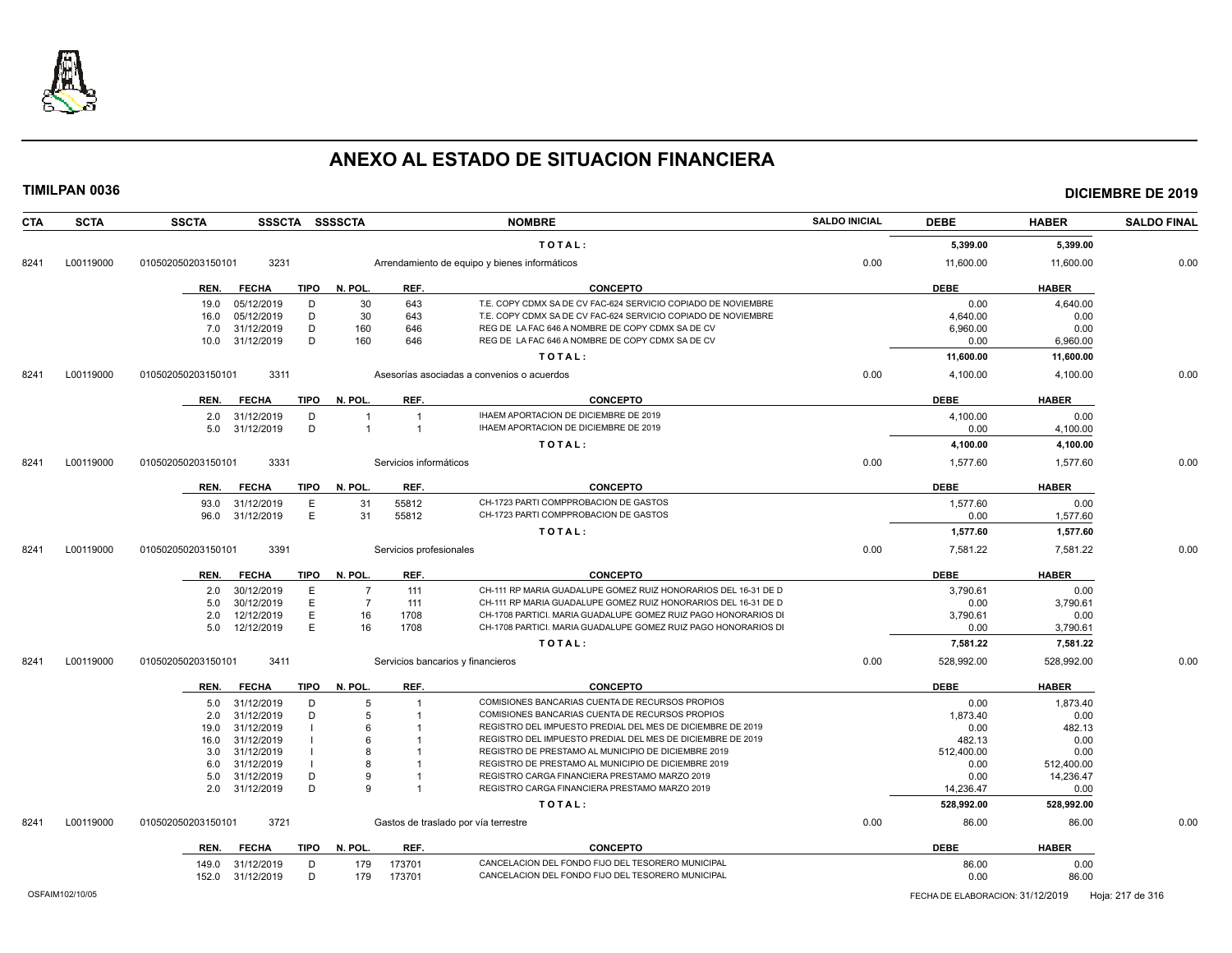

**TIMILPAN 0036 DICIEMBRE DE 2019**

### **CTA SCTA SSCTA SSSCTA SSSSCTA NOMBRE SALDO INICIAL DEBE HABER SALDO FINAL T O T A L : 5,399.00 5,399.00** 8241 L00119000 010502050203150101 3231 Arrendamiento de equipo y bienes informáticos 0.00 11,600.00 11,600.00 0.00 **REN. FECHA TIPO N. POL. REF. CONCEPTO DEBE HABER** 19.0 05/12/2019 D 30 643 T.E. COPY CDMX SA DE CV FAC-624 SERVICIO COPIADO DE NOVIEMBRE 19.00 0.00 4,640.00 1,640<br>16.0 05/12/2019 D 30 643 T.E. COPY CDMX SA DE CV FAC-624 SERVICIO COPIADO DE NOVIEMBRE 19.00 4.640.00 0.00 0. 16.0 05/12/2019 D 30 643 T.E. COPY CDMX SA DE CV FAC-624 SERVICIO COPIADO DE NOVIEMBRE 4,640.00 4,640.00 0.00 7.0 31/12/2019 D 160 646 REG DE LA FAC 646 A NOMBRE DE COPY CDMX SA DE CV 6 6,960.00 6,960.00 0.00 10.0 31/12/2019 D 160 646 REG DE LA FAC 646 A NOMBRE DE COPY CDMX SA DE CV 0.00 6,960.00 6,960.00 **T O T A L : 11,600.00 11,600.00** 8241 L00119000 010502050203150101 3311 Asesorías asociadas a convenios o acuerdos 0.00 4,100.00 4,100.00 0.00 **REN. FECHA TIPO N. POL. REF. CONCEPTO DEBE HABER** 2.0 31/12/2019 D 1 1 IHAEM APORTACION DE DICIEMBRE DE 2019<br>5.0 31/12/2019 D 1 1 IHAEM APORTACION DE DICIEMBRE DE 2019 10.00 0.00 1 100.00 4.100.00 5.0 31/12/2019 D 1 1 IHAEM APORTACION DE DICIEMBRE DE 2019 0.00 4,100.00 **T O T A L : 4,100.00 4,100.00** 8241 L00119000 010502050203150101 3331 Servicios informáticos 0.00 1,577.60 1,577.60 0.00 **REN. FECHA TIPO N. POL. REF. CONCEPTO DEBE HABER** 93.0 31/12/2019 E 31 55812 CH-1723 PARTI COMPPROBACION DE GASTOS 1,577.60 0.00 ertical external of the 31 state of the 31 state of the 31 state of the 31 state of the 31 state of the 31 state of the 31 state of the 31 state of the 31 state of the 31 state of the 31 state of the 31 state of the 31 sta **T O T A L : 1,577.60 1,577.60** 8241 L00119000 010502050203150101 3391 Servicios profesionales 0.00 7,581.22 7,581.22 0.00 **REN. FECHA TIPO N. POL. REF. CONCEPTO DEBE HABER** 2.0 30/12/2019 E 7 111 CH-111 RP MARIA GUADALUPE GOMEZ RUIZ HONORARIOS DEL 16-31 DE D<br>2.0 30/12/2019 E 7 111 CH-111 RP MARIA GUADALUPE GOMEZ RUIZ HONORARIOS DEL 16-31 DE D 5.0 30/12/2019 E 7 111 CH-111 RP MARIA GUADALUPE GOMEZ RUIZ HONORARIOS DEL 16-31 DE D<br>D.00 2.0 12/12/2019 E 16 1708 CH-1708 PARTICI. MARIA GUADALUPE GOMEZ RUIZ PAGO HONORARIOS DI 3,790.61 3,790.61 0.00 5.0 12/12/2019 E 16 1708 CH-1708 PARTICI. MARIA GUADALUPE GOMEZ RUIZ PAGO HONORARIOS DI CHEMBRE 2000 3.790.61 **T O T A L : 7,581.22 7,581.22** 8241 L00119000 010502050203150101 3411 Servicios bancarios y financieros 0.00 528,992.00 528,992.00 0.00 **REN. FECHA TIPO N. POL. REF. CONCEPTO DEBE HABER** 5.0 31/12/2019 D 5 1 COMISIONES BANCARIAS CUENTA DE RECURSOS PROPIOS 6 1.873.40 0.00 1,873.40<br>2.0 31/12/2019 D 5 1 COMISIONES BANCARIAS CUENTA DE RECURSOS PROPIOS 1.873.40 0.00 1.873.40 0.00 2.0 31/12/2019 D 5 1 COMISIONES BANCARIAS CUENTA DE RECURSOS PROPIOS 1,873.40 0.00 19.0 31/12/2019 I 6 1 REGISTRO DEL IMPUESTO PREDIAL DEL MES DE DICIEMBRE DE 2019 0.00 482.13 16.0 31/12/2019 I 6 1 REGISTRO DEL IMPUESTO PREDIAL DEL MES DE DICIEMBRE DE 2019 482.13 0.00 3.0 31/12/2019 I 8 1 REGISTRO DE PRESTAMO AL MUNICIPIO DE DICIEMBRE 2019 512,400.00 512,400.00 0.00 6.0 31/12/2019 I 8 1 REGISTRO DE PRESTAMO AL MUNICIPIO DE DICIEMBRE 2019 0.00 512.400.00 512.400.00 5.0 31/12/2019 D 9 1 REGISTRO CARGA FINANCIERA PRESTAMO MARZO 2019<br>2.0 31/12/2019 D 9 1 REGISTRO CARGA FINANCIERA PRESTAMO MARZO 2019 14.236.47 0.00 2.0 31/12/2019 D 9 1 REGISTRO CARGA FINANCIERA PRESTAMO MARZO 2019 14,236.47 0.00 **T O T A L : 528,992.00 528,992.00** 8241 L00119000 010502050203150101 3721 Gastos de traslado por vía terrestre componente componente de 0.00 86.00 86.00 86.00 86.00 86.00 **REN. FECHA TIPO N. POL. REF. CONCEPTO DEBE HABER** 149.0 31/12/2019 D 179 173701 CANCELACION DEL FONDO FIJO DEL TESORERO MUNICIPAL<br>152.0 31/12/2019 D 179 173701 CANCELACION DEL FONDO FIJO DEL TESORERO MUNICIPAL 152.0 31/12/2019 D 179 173701 CANCELACION DEL FONDO FIJO DEL TESORERO MUNICIPAL **CANCELACION DEL TESORERO MUNICIPAL**

OSFAIM102/10/05 FECHA DE ELABORACION: 31/12/2019 Hoja: 217 de 316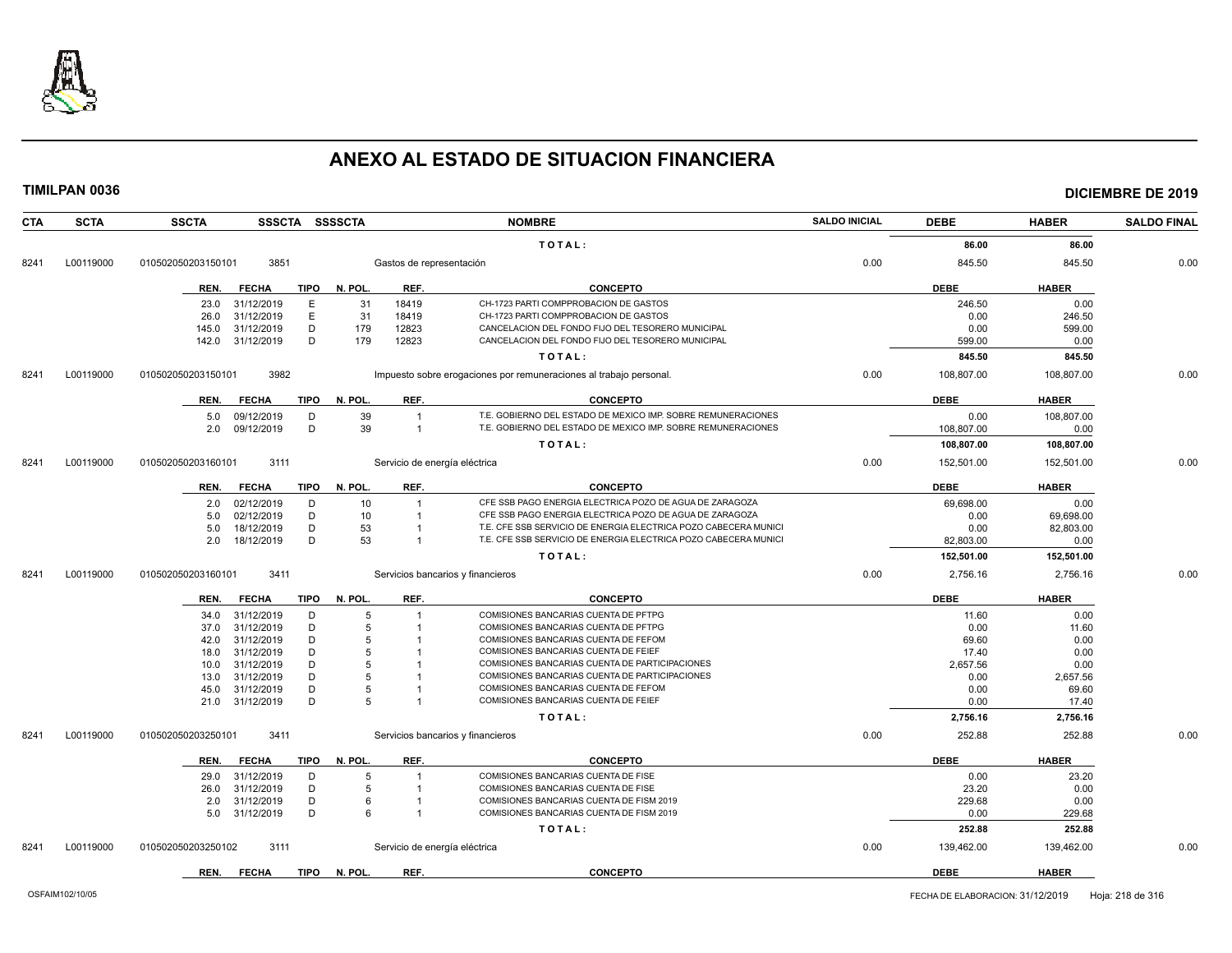

**TIMILPAN 0036 DICIEMBRE DE 2019**

| <b>CTA</b> | <b>SCTA</b> | <b>SSCTA</b>       |              |             | SSSCTA SSSSCTA |                               | <b>NOMBRE</b>                                                      | <b>SALDO INICIAL</b> | <b>DEBE</b> | <b>HABER</b> | <b>SALDO FINAL</b> |
|------------|-------------|--------------------|--------------|-------------|----------------|-------------------------------|--------------------------------------------------------------------|----------------------|-------------|--------------|--------------------|
|            |             |                    |              |             |                |                               | TOTAL:                                                             |                      | 86.00       | 86.00        |                    |
| 8241       | L00119000   | 010502050203150101 | 3851         |             |                | Gastos de representación      |                                                                    | 0.00                 | 845.50      | 845.50       | 0.00               |
|            |             | REN.               | <b>FECHA</b> | <b>TIPO</b> | N. POL.        | REF.                          | <b>CONCEPTO</b>                                                    |                      | <b>DEBE</b> | <b>HABER</b> |                    |
|            |             | 23.0               | 31/12/2019   | E           | 31             | 18419                         | CH-1723 PARTI COMPPROBACION DE GASTOS                              |                      | 246.50      | 0.00         |                    |
|            |             | 26.0               | 31/12/2019   | E           | 31             | 18419                         | CH-1723 PARTI COMPPROBACION DE GASTOS                              |                      | 0.00        | 246.50       |                    |
|            |             | 145.0              | 31/12/2019   | D           | 179            | 12823                         | CANCELACION DEL FONDO FIJO DEL TESORERO MUNICIPAL                  |                      | 0.00        | 599.00       |                    |
|            |             | 142.0              | 31/12/2019   | D           | 179            | 12823                         | CANCELACION DEL FONDO FIJO DEL TESORERO MUNICIPAL                  |                      | 599.00      | 0.00         |                    |
|            |             |                    |              |             |                |                               | TOTAL:                                                             |                      | 845.50      | 845.50       |                    |
| 8241       | L00119000   | 010502050203150101 | 3982         |             |                |                               | Impuesto sobre erogaciones por remuneraciones al trabajo personal. | 0.00                 | 108,807.00  | 108,807.00   | 0.00               |
|            |             | REN.               | <b>FECHA</b> | <b>TIPO</b> | N. POL.        | REF.                          | <b>CONCEPTO</b>                                                    |                      | <b>DEBE</b> | <b>HABER</b> |                    |
|            |             | 5.0                | 09/12/2019   | D           | 39             |                               | T.E. GOBIERNO DEL ESTADO DE MEXICO IMP. SOBRE REMUNERACIONES       |                      | 0.00        | 108.807.00   |                    |
|            |             | 2.0                | 09/12/2019   | D           | 39             | $\overline{1}$                | T.E. GOBIERNO DEL ESTADO DE MEXICO IMP. SOBRE REMUNERACIONES       |                      | 108,807.00  | 0.00         |                    |
|            |             |                    |              |             |                |                               | TOTAL:                                                             |                      | 108,807.00  | 108,807.00   |                    |
|            |             |                    |              |             |                |                               |                                                                    | 0.00                 |             |              | 0.00               |
| 8241       | L00119000   | 010502050203160101 | 3111         |             |                | Servicio de energía eléctrica |                                                                    |                      | 152,501.00  | 152,501.00   |                    |
|            |             | REN.               | <b>FECHA</b> | <b>TIPO</b> | N. POL.        | REF.                          | <b>CONCEPTO</b>                                                    |                      | <b>DEBE</b> | <b>HABER</b> |                    |
|            |             | 2.0                | 02/12/2019   | D           | 10             |                               | CFE SSB PAGO ENERGIA ELECTRICA POZO DE AGUA DE ZARAGOZA            |                      | 69,698.00   | 0.00         |                    |
|            |             | 5.0                | 02/12/2019   | D           | 10             |                               | CFE SSB PAGO ENERGIA ELECTRICA POZO DE AGUA DE ZARAGOZA            |                      | 0.00        | 69,698.00    |                    |
|            |             | 5.0                | 18/12/2019   | D           | 53             |                               | T.E. CFE SSB SERVICIO DE ENERGIA ELECTRICA POZO CABECERA MUNICI    |                      | 0.00        | 82,803.00    |                    |
|            |             | 2.0                | 18/12/2019   | D           | 53             |                               | T.E. CFE SSB SERVICIO DE ENERGIA ELECTRICA POZO CABECERA MUNICI    |                      | 82,803.00   | 0.00         |                    |
|            |             |                    |              |             |                |                               | TOTAL:                                                             |                      | 152,501.00  | 152,501.00   |                    |
| 8241       | L00119000   | 010502050203160101 | 3411         |             |                |                               | Servicios bancarios y financieros                                  | 0.00                 | 2,756.16    | 2,756.16     | 0.00               |
|            |             | REN.               | <b>FECHA</b> | TIPO        | N. POL.        | REF.                          | <b>CONCEPTO</b>                                                    |                      | <b>DEBE</b> | <b>HABER</b> |                    |
|            |             | 34.0               | 31/12/2019   | D           | 5              |                               | COMISIONES BANCARIAS CUENTA DE PFTPG                               |                      | 11.60       | 0.00         |                    |
|            |             | 37.0               | 31/12/2019   | D           | 5              |                               | COMISIONES BANCARIAS CUENTA DE PFTPG                               |                      | 0.00        | 11.60        |                    |
|            |             | 42.0               | 31/12/2019   | D           | 5              |                               | COMISIONES BANCARIAS CUENTA DE FEFOM                               |                      | 69.60       | 0.00         |                    |
|            |             | 18.0               | 31/12/2019   | D           | 5              |                               | COMISIONES BANCARIAS CUENTA DE FEIEF                               |                      | 17.40       | 0.00         |                    |
|            |             | 10.0               | 31/12/2019   | D           | 5              |                               | COMISIONES BANCARIAS CUENTA DE PARTICIPACIONES                     |                      | 2,657.56    | 0.00         |                    |
|            |             | 13.0               | 31/12/2019   | D           | 5              |                               | COMISIONES BANCARIAS CUENTA DE PARTICIPACIONES                     |                      | 0.00        | 2,657.56     |                    |
|            |             | 45.0               | 31/12/2019   | D           | 5              |                               | COMISIONES BANCARIAS CUENTA DE FEFOM                               |                      | 0.00        | 69.60        |                    |
|            |             | 21.0               | 31/12/2019   | D           | 5              |                               | COMISIONES BANCARIAS CUENTA DE FEIEF                               |                      | 0.00        | 17.40        |                    |
|            |             |                    |              |             |                |                               | TOTAL:                                                             |                      | 2,756.16    | 2,756.16     |                    |
| 8241       | L00119000   | 010502050203250101 | 3411         |             |                |                               | Servicios bancarios y financieros                                  | 0.00                 | 252.88      | 252.88       | 0.00               |
|            |             | REN.               | <b>FECHA</b> | <b>TIPO</b> | N. POL.        | REF.                          | <b>CONCEPTO</b>                                                    |                      | <b>DEBE</b> | <b>HABER</b> |                    |
|            |             | 29.0               | 31/12/2019   | D           | 5              |                               | COMISIONES BANCARIAS CUENTA DE FISE                                |                      | 0.00        | 23.20        |                    |
|            |             | 26.0               | 31/12/2019   | D           | 5              |                               | COMISIONES BANCARIAS CUENTA DE FISE                                |                      | 23.20       | 0.00         |                    |
|            |             | 2.0                | 31/12/2019   | D           | 6              |                               | COMISIONES BANCARIAS CUENTA DE FISM 2019                           |                      | 229.68      | 0.00         |                    |
|            |             | 5.0                | 31/12/2019   | D           | 6              |                               | COMISIONES BANCARIAS CUENTA DE FISM 2019                           |                      | 0.00        | 229.68       |                    |
|            |             |                    |              |             |                |                               | TOTAL:                                                             |                      | 252.88      | 252.88       |                    |
| 8241       | L00119000   | 010502050203250102 | 3111         |             |                | Servicio de energía eléctrica |                                                                    | 0.00                 | 139,462.00  | 139,462.00   | 0.00               |
|            |             |                    |              |             |                |                               |                                                                    |                      |             |              |                    |

**REN. FECHA TIPO N. POL. REF. CONCEPTO DEBE HABER**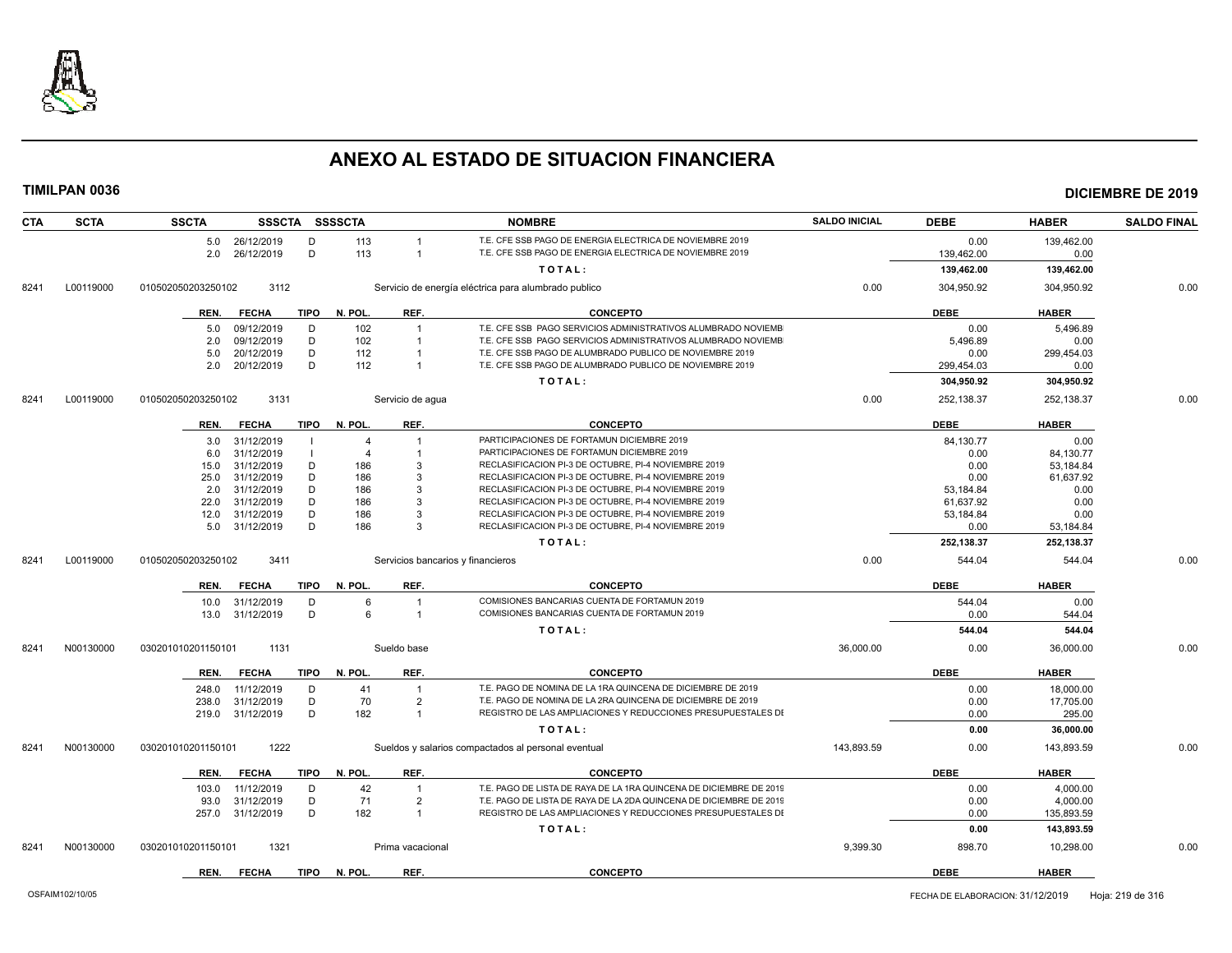

| <b>CTA</b> | <b>SCTA</b> | <b>SSCTA</b>       |                               |             | SSSCTA SSSSCTA |                                  | <b>NOMBRE</b>                                                                                                | <b>SALDO INICIAL</b> | <b>DEBE</b>       | <b>HABER</b>        | <b>SALDO FINAL</b> |
|------------|-------------|--------------------|-------------------------------|-------------|----------------|----------------------------------|--------------------------------------------------------------------------------------------------------------|----------------------|-------------------|---------------------|--------------------|
|            |             |                    | 5.0 26/12/2019                | D           | 113            |                                  | T.E. CFE SSB PAGO DE ENERGIA ELECTRICA DE NOVIEMBRE 2019                                                     |                      | 0.00              | 139,462.00          |                    |
|            |             |                    | 2.0 26/12/2019                | D           | 113            | $\overline{1}$                   | T.E. CFE SSB PAGO DE ENERGIA ELECTRICA DE NOVIEMBRE 2019                                                     |                      | 139,462.00        | 0.00                |                    |
|            |             |                    |                               |             |                |                                  | TOTAL:                                                                                                       |                      | 139,462.00        | 139,462.00          |                    |
| 8241       | L00119000   | 010502050203250102 | 3112                          |             |                |                                  | Servicio de energía eléctrica para alumbrado publico                                                         | 0.00                 | 304,950.92        | 304,950.92          | 0.00               |
|            |             | REN.               | <b>FECHA</b>                  | <b>TIPO</b> | N. POL.        | REF.                             | <b>CONCEPTO</b>                                                                                              |                      | <b>DEBE</b>       | <b>HABER</b>        |                    |
|            |             | 5.0                | 09/12/2019                    | D           | 102            | $\overline{1}$                   | T.E. CFE SSB PAGO SERVICIOS ADMINISTRATIVOS ALUMBRADO NOVIEMB                                                |                      | 0.00              | 5,496.89            |                    |
|            |             | 2.0                | 09/12/2019                    | D           | 102            | $\overline{1}$                   | T.E. CFE SSB PAGO SERVICIOS ADMINISTRATIVOS ALUMBRADO NOVIEMB                                                |                      | 5.496.89          | 0.00                |                    |
|            |             | 5.0                | 20/12/2019                    | D           | 112            |                                  | T.E. CFE SSB PAGO DE ALUMBRADO PUBLICO DE NOVIEMBRE 2019                                                     |                      | 0.00              | 299,454.03          |                    |
|            |             | 2.0                | 20/12/2019                    | D           | 112            | $\overline{1}$                   | T.E. CFE SSB PAGO DE ALUMBRADO PUBLICO DE NOVIEMBRE 2019                                                     |                      | 299,454.03        | 0.00                |                    |
|            |             |                    |                               |             |                |                                  | TOTAL:                                                                                                       |                      | 304,950.92        | 304,950.92          |                    |
| 8241       | L00119000   | 010502050203250102 | 3131                          |             |                | Servicio de aqua                 |                                                                                                              | 0.00                 | 252,138.37        | 252,138.37          | 0.00               |
|            |             | REN.               | <b>FECHA</b>                  | TIPO        | N. POL.        | REF.                             | <b>CONCEPTO</b>                                                                                              |                      | <b>DEBE</b>       | <b>HABER</b>        |                    |
|            |             | 3.0                | 31/12/2019                    |             | $\overline{4}$ | $\overline{1}$                   | PARTICIPACIONES DE FORTAMUN DICIEMBRE 2019                                                                   |                      | 84,130.77         | 0.00                |                    |
|            |             | 6.0                | 31/12/2019                    |             | $\overline{4}$ |                                  | PARTICIPACIONES DE FORTAMUN DICIEMBRE 2019                                                                   |                      | 0.00              | 84,130.77           |                    |
|            |             | 15.0               | 31/12/2019                    | D           | 186            | 3                                | RECLASIFICACION PI-3 DE OCTUBRE, PI-4 NOVIEMBRE 2019                                                         |                      | 0.00              | 53,184.84           |                    |
|            |             | 25.0               | 31/12/2019<br>31/12/2019      | D<br>D      | 186<br>186     | 3<br>3                           | RECLASIFICACION PI-3 DE OCTUBRE, PI-4 NOVIEMBRE 2019<br>RECLASIFICACION PI-3 DE OCTUBRE, PI-4 NOVIEMBRE 2019 |                      | 0.00<br>53,184.84 | 61,637.92<br>0.00   |                    |
|            |             | 2.0<br>22.0        | 31/12/2019                    | D           | 186            | 3                                | RECLASIFICACION PI-3 DE OCTUBRE, PI-4 NOVIEMBRE 2019                                                         |                      | 61,637.92         | 0.00                |                    |
|            |             | 12.0               | 31/12/2019                    | D           | 186            | 3                                | RECLASIFICACION PI-3 DE OCTUBRE, PI-4 NOVIEMBRE 2019                                                         |                      | 53,184.84         | 0.00                |                    |
|            |             |                    | 5.0 31/12/2019                | D           | 186            | $\mathcal{R}$                    | RECLASIFICACION PI-3 DE OCTUBRE, PI-4 NOVIEMBRE 2019                                                         |                      | 0.00              | 53,184.84           |                    |
|            |             |                    |                               |             |                |                                  | TOTAL:                                                                                                       |                      | 252,138.37        | 252,138.37          |                    |
| 8241       | L00119000   | 010502050203250102 | 3411                          |             |                |                                  | Servicios bancarios y financieros                                                                            | 0.00                 | 544.04            | 544.04              | 0.00               |
|            |             | REN.               | <b>FECHA</b>                  | TIPO        | N. POL.        | REF.                             | <b>CONCEPTO</b>                                                                                              |                      | <b>DEBE</b>       | <b>HABER</b>        |                    |
|            |             |                    |                               |             |                |                                  |                                                                                                              |                      |                   |                     |                    |
|            |             | 10.0               | 31/12/2019<br>13.0 31/12/2019 | D<br>D      | 6<br>6         | $\overline{1}$<br>$\overline{1}$ | COMISIONES BANCARIAS CUENTA DE FORTAMUN 2019<br>COMISIONES BANCARIAS CUENTA DE FORTAMUN 2019                 |                      | 544.04<br>0.00    | 0.00<br>544.04      |                    |
|            |             |                    |                               |             |                |                                  |                                                                                                              |                      |                   |                     |                    |
| 8241       | N00130000   | 030201010201150101 | 1131                          |             |                | Sueldo base                      | TOTAL:                                                                                                       | 36.000.00            | 544.04<br>0.00    | 544.04<br>36.000.00 | 0.00               |
|            |             |                    |                               |             |                |                                  |                                                                                                              |                      |                   |                     |                    |
|            |             | REN.               | <b>FECHA</b>                  | TIPO        | N. POL.        | REF.                             | <b>CONCEPTO</b>                                                                                              |                      | <b>DEBE</b>       | <b>HABER</b>        |                    |
|            |             | 248.0              | 11/12/2019                    | D           | 41             | $\overline{1}$                   | T.E. PAGO DE NOMINA DE LA 1RA QUINCENA DE DICIEMBRE DE 2019                                                  |                      | 0.00              | 18,000.00           |                    |
|            |             | 238.0              | 31/12/2019                    | D           | 70             | $\overline{2}$                   | T.E. PAGO DE NOMINA DE LA 2RA QUINCENA DE DICIEMBRE DE 2019                                                  |                      | 0.00              | 17,705.00           |                    |
|            |             |                    | 219.0 31/12/2019              | D           | 182            | $\overline{1}$                   | REGISTRO DE LAS AMPLIACIONES Y REDUCCIONES PRESUPUESTALES DI                                                 |                      | 0.00              | 295.00              |                    |
|            |             |                    |                               |             |                |                                  | TOTAL:                                                                                                       |                      | 0.00              | 36,000.00           |                    |
| 8241       | N00130000   | 030201010201150101 | 1222                          |             |                |                                  | Sueldos y salarios compactados al personal eventual                                                          | 143.893.59           | 0.00              | 143,893.59          | 0.00               |
|            |             | REN.               | <b>FECHA</b>                  | TIPO        | N. POL.        | REF.                             | <b>CONCEPTO</b>                                                                                              |                      | <b>DEBE</b>       | <b>HABER</b>        |                    |
|            |             | 103.0              | 11/12/2019                    | D           | 42             | $\overline{1}$                   | T.E. PAGO DE LISTA DE RAYA DE LA 1RA QUINCENA DE DICIEMBRE DE 2019                                           |                      | 0.00              | 4,000.00            |                    |
|            |             | 93.0               | 31/12/2019                    | D           | 71             | $\overline{2}$                   | T.E. PAGO DE LISTA DE RAYA DE LA 2DA QUINCENA DE DICIEMBRE DE 2019                                           |                      | 0.00              | 4,000.00            |                    |
|            |             | 257.0              | 31/12/2019                    | D           | 182            | $\overline{1}$                   | REGISTRO DE LAS AMPLIACIONES Y REDUCCIONES PRESUPUESTALES DI                                                 |                      | 0.00              | 135,893.59          |                    |
|            |             |                    |                               |             |                |                                  | TOTAL:                                                                                                       |                      | 0.00              | 143,893.59          |                    |
| 8241       | N00130000   | 030201010201150101 | 1321                          |             |                | Prima vacacional                 |                                                                                                              | 9,399.30             | 898.70            | 10,298.00           | 0.00               |
|            |             | REN.               | <b>FECHA</b>                  | TIPO        | N. POL.        | REF.                             | <b>CONCEPTO</b>                                                                                              |                      | <b>DEBE</b>       | <b>HABER</b>        |                    |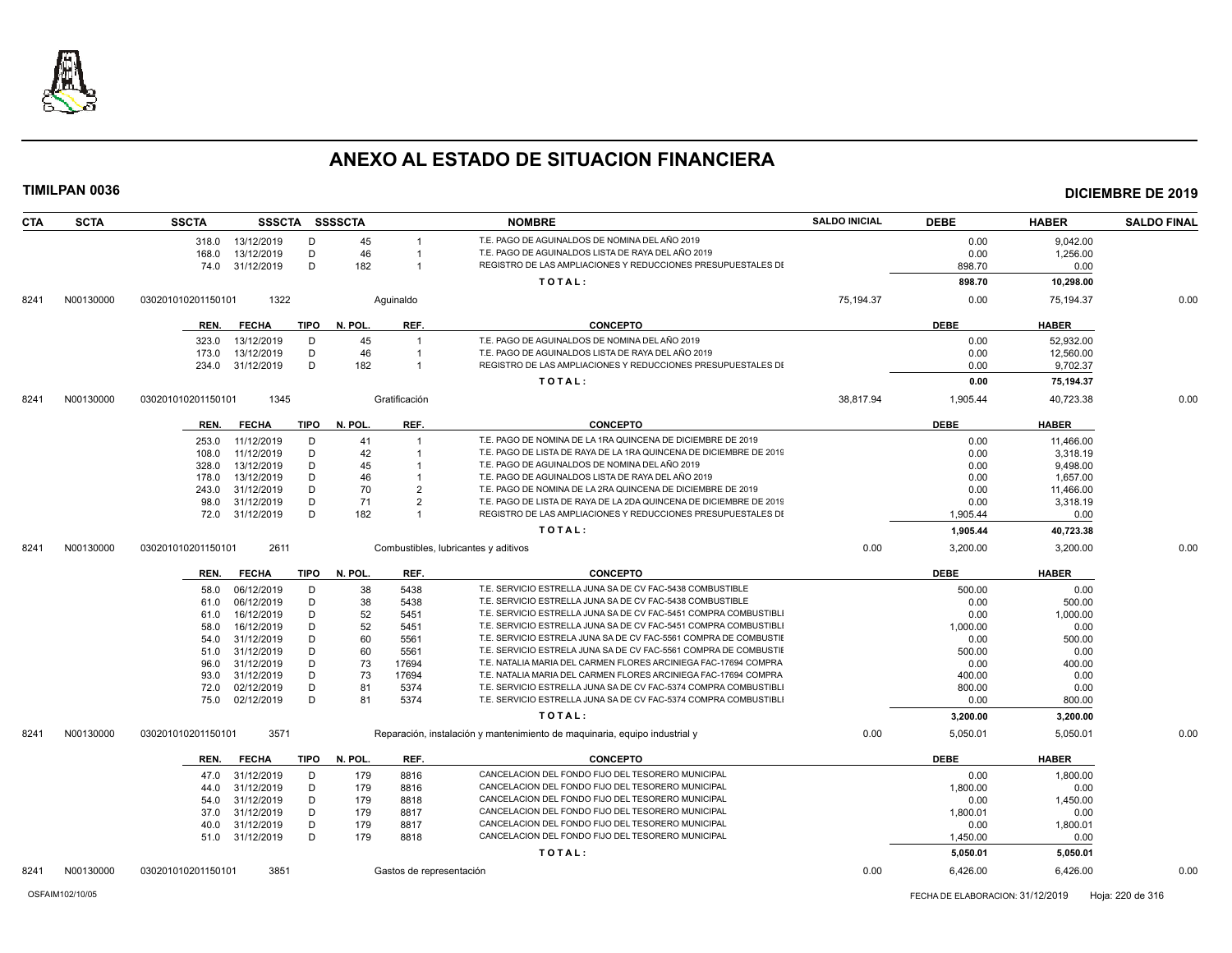

| <b>CTA</b> | <b>SCTA</b> | <b>SSCTA</b>       |              |             | SSSCTA SSSSCTA |                | <b>NOMBRE</b>                                                              | <b>SALDO INICIAL</b> | <b>DEBE</b> | <b>HABER</b> | <b>SALDO FINAL</b> |
|------------|-------------|--------------------|--------------|-------------|----------------|----------------|----------------------------------------------------------------------------|----------------------|-------------|--------------|--------------------|
|            |             | 318.0              | 13/12/2019   | D           | 45             |                | T.E. PAGO DE AGUINALDOS DE NOMINA DEL AÑO 2019                             |                      | 0.00        | 9,042.00     |                    |
|            |             | 168.0              | 13/12/2019   | D           | 46             |                | T.E. PAGO DE AGUINALDOS LISTA DE RAYA DEL AÑO 2019                         |                      | 0.00        | 1,256.00     |                    |
|            |             | 74.0               | 31/12/2019   | D           | 182            |                | REGISTRO DE LAS AMPLIACIONES Y REDUCCIONES PRESUPUESTALES DI               |                      | 898.70      | 0.00         |                    |
|            |             |                    |              |             |                |                | TOTAL:                                                                     |                      | 898.70      | 10,298.00    |                    |
| 8241       | N00130000   | 030201010201150101 | 1322         |             |                | Aquinaldo      |                                                                            | 75,194.37            | 0.00        | 75,194.37    | 0.00               |
|            |             | REN.               | <b>FECHA</b> | <b>TIPO</b> | N. POL.        | REF.           | <b>CONCEPTO</b>                                                            |                      | <b>DEBE</b> | <b>HABER</b> |                    |
|            |             | 323.0              | 13/12/2019   | D           | 45             |                | T.E. PAGO DE AGUINALDOS DE NOMINA DEL AÑO 2019                             |                      | 0.00        | 52,932.00    |                    |
|            |             | 173.0              | 13/12/2019   | D           | 46             |                | T.E. PAGO DE AGUINALDOS LISTA DE RAYA DEL AÑO 2019                         |                      | 0.00        | 12,560.00    |                    |
|            |             | 234.0              | 31/12/2019   | D           | 182            | $\overline{1}$ | REGISTRO DE LAS AMPLIACIONES Y REDUCCIONES PRESUPUESTALES DI               |                      | 0.00        | 9,702.37     |                    |
|            |             |                    |              |             |                |                | TOTAL:                                                                     |                      | 0.00        | 75,194.37    |                    |
| 8241       | N00130000   | 030201010201150101 | 1345         |             |                | Gratificación  |                                                                            | 38.817.94            | 1,905.44    | 40,723.38    | 0.00               |
|            |             |                    |              |             |                |                |                                                                            |                      |             |              |                    |
|            |             | REN.               | <b>FECHA</b> | <b>TIPO</b> | N. POL.        | REF.           | <b>CONCEPTO</b>                                                            |                      | <b>DEBE</b> | <b>HABER</b> |                    |
|            |             | 253.0              | 11/12/2019   | D           | 41             |                | T.E. PAGO DE NOMINA DE LA 1RA QUINCENA DE DICIEMBRE DE 2019                |                      | 0.00        | 11,466.00    |                    |
|            |             | 108.0              | 11/12/2019   | D           | 42             |                | T.E. PAGO DE LISTA DE RAYA DE LA 1RA QUINCENA DE DICIEMBRE DE 2019         |                      | 0.00        | 3,318.19     |                    |
|            |             | 328.0              | 13/12/2019   | D           | 45             |                | T.E. PAGO DE AGUINALDOS DE NOMINA DEL AÑO 2019                             |                      | 0.00        | 9,498.00     |                    |
|            |             | 178.0              | 13/12/2019   | D           | 46             |                | T.E. PAGO DE AGUINALDOS LISTA DE RAYA DEL AÑO 2019                         |                      | 0.00        | 1,657.00     |                    |
|            |             | 243.0              | 31/12/2019   | D           | 70             | $\overline{2}$ | T.E. PAGO DE NOMINA DE LA 2RA QUINCENA DE DICIEMBRE DE 2019                |                      | 0.00        | 11,466.00    |                    |
|            |             | 98.0               | 31/12/2019   | D           | 71             | $\overline{2}$ | T.E. PAGO DE LISTA DE RAYA DE LA 2DA QUINCENA DE DICIEMBRE DE 2019         |                      | 0.00        | 3,318.19     |                    |
|            |             | 72.0               | 31/12/2019   | D           | 182            | $\overline{1}$ | REGISTRO DE LAS AMPLIACIONES Y REDUCCIONES PRESUPUESTALES DI               |                      | 1,905.44    | 0.00         |                    |
|            |             |                    |              |             |                |                | TOTAL:                                                                     |                      | 1,905.44    | 40,723.38    |                    |
| 8241       | N00130000   | 030201010201150101 | 2611         |             |                |                | Combustibles, lubricantes y aditivos                                       | 0.00                 | 3,200.00    | 3,200.00     | 0.00               |
|            |             | REN.               | <b>FECHA</b> | <b>TIPO</b> | N. POL.        | REF.           | <b>CONCEPTO</b>                                                            |                      | <b>DEBE</b> | <b>HABER</b> |                    |
|            |             | 58.0               | 06/12/2019   | D           | 38             | 5438           | T.E. SERVICIO ESTRELLA JUNA SA DE CV FAC-5438 COMBUSTIBLE                  |                      | 500.00      | 0.00         |                    |
|            |             | 61.0               | 06/12/2019   | D           | 38             | 5438           | T.E. SERVICIO ESTRELLA JUNA SA DE CV FAC-5438 COMBUSTIBLE                  |                      | 0.00        | 500.00       |                    |
|            |             | 61.0               | 16/12/2019   | D           | 52             | 5451           | T.E. SERVICIO ESTRELLA JUNA SA DE CV FAC-5451 COMPRA COMBUSTIBLI           |                      | 0.00        | 1,000.00     |                    |
|            |             | 58.0               | 16/12/2019   | D           | 52             | 5451           | T.E. SERVICIO ESTRELLA JUNA SA DE CV FAC-5451 COMPRA COMBUSTIBLI           |                      | 1,000.00    | 0.00         |                    |
|            |             | 54.0               | 31/12/2019   | D           | 60             | 5561           | T.E. SERVICIO ESTRELA JUNA SA DE CV FAC-5561 COMPRA DE COMBUSTII           |                      | 0.00        | 500.00       |                    |
|            |             | 51.0               | 31/12/2019   | D           | 60             | 5561           | T.E. SERVICIO ESTRELA JUNA SA DE CV FAC-5561 COMPRA DE COMBUSTIE           |                      | 500.00      | 0.00         |                    |
|            |             | 96.0               | 31/12/2019   | D           | 73             | 17694          | T.E. NATALIA MARIA DEL CARMEN FLORES ARCINIEGA FAC-17694 COMPRA            |                      | 0.00        | 400.00       |                    |
|            |             | 93.0               | 31/12/2019   | D           | 73             | 17694          | T.E. NATALIA MARIA DEL CARMEN FLORES ARCINIEGA FAC-17694 COMPRA            |                      | 400.00      | 0.00         |                    |
|            |             | 72.0               | 02/12/2019   | D           | 81             | 5374           | T.E. SERVICIO ESTRELLA JUNA SA DE CV FAC-5374 COMPRA COMBUSTIBLI           |                      | 800.00      | 0.00         |                    |
|            |             | 75.0               | 02/12/2019   | D           | 81             | 5374           | T.E. SERVICIO ESTRELLA JUNA SA DE CV FAC-5374 COMPRA COMBUSTIBLI           |                      | 0.00        | 800.00       |                    |
|            |             |                    |              |             |                |                | TOTAL:                                                                     |                      | 3,200.00    | 3,200.00     |                    |
| 8241       | N00130000   | 030201010201150101 | 3571         |             |                |                | Reparación, instalación y mantenimiento de maquinaria, equipo industrial y | 0.00                 | 5,050.01    | 5,050.01     | 0.00               |
|            |             | REN.               | <b>FECHA</b> | <b>TIPO</b> | N. POL.        | REF.           | <b>CONCEPTO</b>                                                            |                      | <b>DEBE</b> | <b>HABER</b> |                    |
|            |             | 47.0               | 31/12/2019   | D           | 179            | 8816           | CANCELACION DEL FONDO FIJO DEL TESORERO MUNICIPAL                          |                      | 0.00        | 1.800.00     |                    |
|            |             | 44.0               | 31/12/2019   | D           | 179            | 8816           | CANCELACION DEL FONDO FIJO DEL TESORERO MUNICIPAL                          |                      | 1,800.00    | 0.00         |                    |
|            |             | 54.0               | 31/12/2019   | D           | 179            | 8818           | CANCELACION DEL FONDO FIJO DEL TESORERO MUNICIPAL                          |                      | 0.00        | 1,450.00     |                    |
|            |             | 37.0               | 31/12/2019   | D           | 179            | 8817           | CANCELACION DEL FONDO FIJO DEL TESORERO MUNICIPAL                          |                      | 1,800.01    | 0.00         |                    |
|            |             | 40.0               | 31/12/2019   | D           | 179            | 8817           | CANCELACION DEL FONDO FIJO DEL TESORERO MUNICIPAL                          |                      | 0.00        | 1,800.01     |                    |
|            |             | 51.0               | 31/12/2019   | D           | 179            | 8818           | CANCELACION DEL FONDO FIJO DEL TESORERO MUNICIPAL                          |                      | 1,450.00    | 0.00         |                    |
|            |             |                    |              |             |                |                | TOTAL:                                                                     |                      | 5,050.01    | 5,050.01     |                    |
| 8241       | N00130000   | 030201010201150101 | 3851         |             |                |                | Gastos de representación                                                   | 0.00                 | 6,426.00    | 6,426.00     | 0.00               |
|            |             |                    |              |             |                |                |                                                                            |                      |             |              |                    |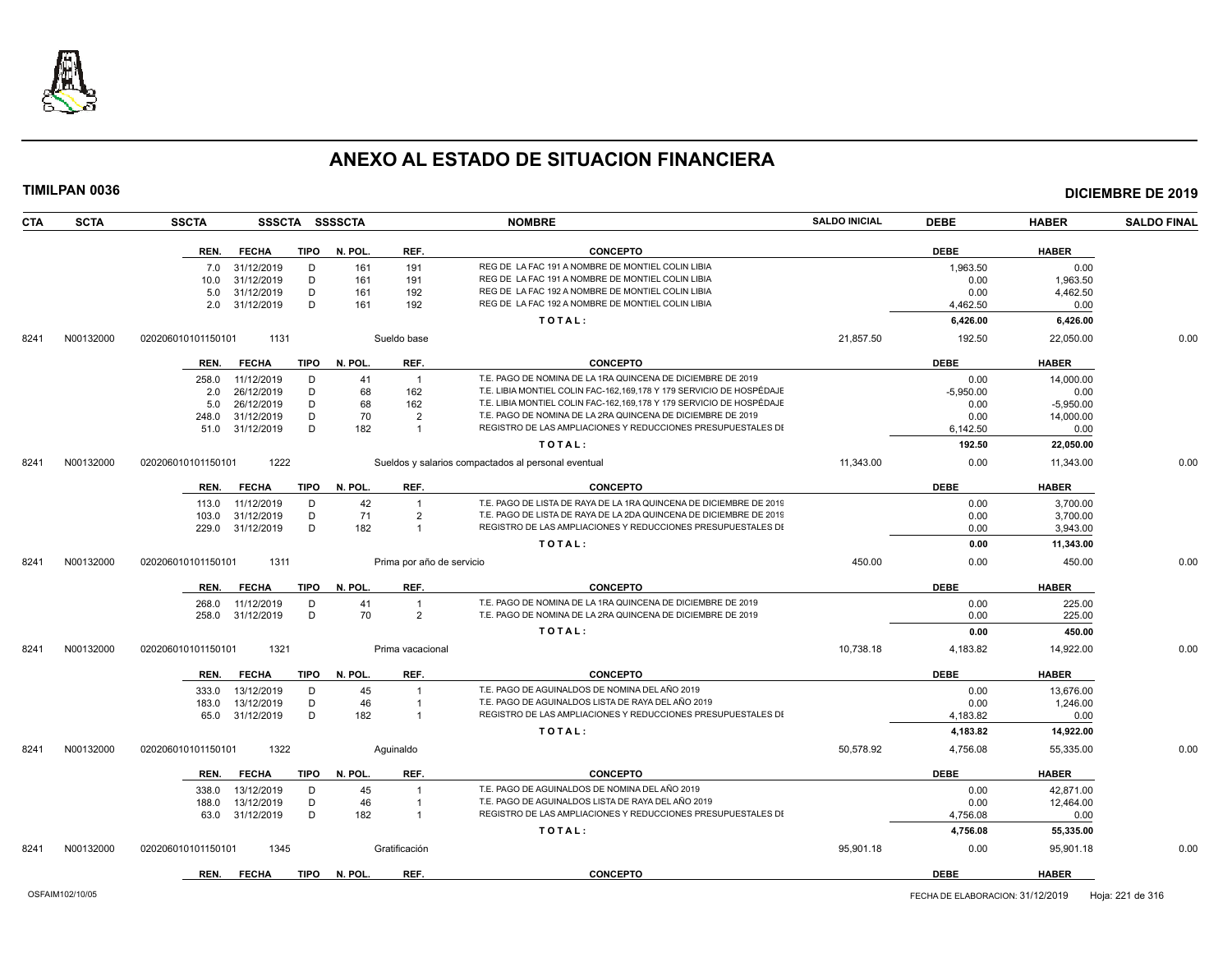

| <b>SCTA</b><br><b>CTA</b> | <b>SSCTA</b><br>SSSCTA SSSSCTA      |                       | <b>NOMBRE</b>                                                        | <b>SALDO INICIAL</b> | <b>DEBE</b> | <b>HABER</b> | <b>SALDO FINAL</b> |
|---------------------------|-------------------------------------|-----------------------|----------------------------------------------------------------------|----------------------|-------------|--------------|--------------------|
|                           | REN.<br><b>FECHA</b><br>TIPO        | N. POL.<br>REF.       | <b>CONCEPTO</b>                                                      |                      | <b>DEBE</b> | <b>HABER</b> |                    |
|                           | D<br>7.0 31/12/2019                 | 161<br>191            | REG DE LA FAC 191 A NOMBRE DE MONTIEL COLIN LIBIA                    |                      | 1,963.50    | 0.00         |                    |
|                           | 31/12/2019<br>D<br>10.0             | 161<br>191            | REG DE LA FAC 191 A NOMBRE DE MONTIEL COLIN LIBIA                    |                      | 0.00        | 1,963.50     |                    |
|                           | D<br>31/12/2019<br>5.0              | 161<br>192            | REG DE LA FAC 192 A NOMBRE DE MONTIEL COLIN LIBIA                    |                      | 0.00        | 4,462.50     |                    |
|                           | 31/12/2019<br>D<br>2.0              | 161<br>192            | REG DE LA FAC 192 A NOMBRE DE MONTIEL COLIN LIBIA                    |                      | 4,462.50    | 0.00         |                    |
|                           |                                     |                       | TOTAL:                                                               |                      | 6,426.00    | 6,426.00     |                    |
| N00132000<br>8241         | 1131<br>020206010101150101          | Sueldo base           |                                                                      | 21,857.50            | 192.50      | 22,050.00    | 0.00               |
|                           | REN.<br><b>FECHA</b><br>TIPO        | REF.<br>N. POL.       | <b>CONCEPTO</b>                                                      |                      | <b>DEBE</b> | <b>HABER</b> |                    |
|                           | D<br>258.0<br>11/12/2019            | 41<br>$\overline{1}$  | T.E. PAGO DE NOMINA DE LA 1RA QUINCENA DE DICIEMBRE DE 2019          |                      | 0.00        | 14,000.00    |                    |
|                           | 26/12/2019<br>D<br>2.0              | 68<br>162             | T.E. LIBIA MONTIEL COLIN FAC-162,169,178 Y 179 SERVICIO DE HOSPÉDAJE |                      | $-5.950.00$ | 0.00         |                    |
|                           | 26/12/2019<br>D<br>5.0              | 68<br>162             | T.E. LIBIA MONTIEL COLIN FAC-162.169.178 Y 179 SERVICIO DE HOSPÉDAJE |                      | 0.00        | $-5.950.00$  |                    |
|                           | 31/12/2019<br>D<br>248.0            | 70<br>$\overline{2}$  | T.E. PAGO DE NOMINA DE LA 2RA QUINCENA DE DICIEMBRE DE 2019          |                      | 0.00        | 14.000.00    |                    |
|                           | D<br>51.0 31/12/2019                | 182<br>$\overline{1}$ | REGISTRO DE LAS AMPLIACIONES Y REDUCCIONES PRESUPUESTALES DI         |                      | 6,142.50    | 0.00         |                    |
|                           |                                     |                       | TOTAL:                                                               |                      | 192.50      | 22,050.00    |                    |
| N00132000<br>8241         | 1222<br>020206010101150101          |                       | Sueldos y salarios compactados al personal eventual                  | 11,343.00            | 0.00        | 11,343.00    | 0.00               |
|                           | <b>FECHA</b><br>TIPO<br>REN.        | N. POL.<br>REF.       | <b>CONCEPTO</b>                                                      |                      | <b>DEBE</b> | <b>HABER</b> |                    |
|                           | 11/12/2019<br>D<br>113.0            | 42<br>$\overline{1}$  | T.E. PAGO DE LISTA DE RAYA DE LA 1RA QUINCENA DE DICIEMBRE DE 2019   |                      | 0.00        | 3,700.00     |                    |
|                           | D<br>31/12/2019<br>103.0            | 71<br>$\overline{2}$  | T.E. PAGO DE LISTA DE RAYA DE LA 2DA QUINCENA DE DICIEMBRE DE 2019   |                      | 0.00        | 3,700.00     |                    |
|                           | D<br>31/12/2019<br>229.0            | 182<br>$\overline{1}$ | REGISTRO DE LAS AMPLIACIONES Y REDUCCIONES PRESUPUESTALES DI         |                      | 0.00        | 3,943.00     |                    |
|                           |                                     |                       | TOTAL:                                                               |                      | 0.00        | 11,343.00    |                    |
| N00132000<br>8241         | 1311<br>020206010101150101          |                       | Prima por año de servicio                                            | 450.00               | 0.00        | 450.00       | 0.00               |
|                           | REN.<br><b>FECHA</b><br>TIPO        | N. POL.<br>REF.       | <b>CONCEPTO</b>                                                      |                      | <b>DEBE</b> | <b>HABER</b> |                    |
|                           | 11/12/2019<br>D<br>268.0            | 41<br>$\overline{1}$  | T.E. PAGO DE NOMINA DE LA 1RA QUINCENA DE DICIEMBRE DE 2019          |                      | 0.00        | 225.00       |                    |
|                           | D<br>31/12/2019<br>258.0            | 70<br>$\overline{2}$  | T.E. PAGO DE NOMINA DE LA 2RA QUINCENA DE DICIEMBRE DE 2019          |                      | 0.00        | 225.00       |                    |
|                           |                                     |                       | TOTAL:                                                               |                      | 0.00        | 450.00       |                    |
| N00132000<br>8241         | 1321<br>020206010101150101          | Prima vacacional      |                                                                      | 10,738.18            | 4,183.82    | 14,922.00    | 0.00               |
|                           | <b>FECHA</b><br><b>TIPO</b><br>REN. | N. POL.<br>REF.       | <b>CONCEPTO</b>                                                      |                      | <b>DEBE</b> | <b>HABER</b> |                    |
|                           | 13/12/2019<br>D<br>333.0            | 45<br>$\overline{1}$  | T.E. PAGO DE AGUINALDOS DE NOMINA DEL AÑO 2019                       |                      | 0.00        | 13,676.00    |                    |
|                           | D<br>183.0<br>13/12/2019            | 46<br>$\overline{1}$  | T.E. PAGO DE AGUINALDOS LISTA DE RAYA DEL AÑO 2019                   |                      | 0.00        | 1,246.00     |                    |
|                           | D<br>65.0 31/12/2019                | 182<br>$\overline{1}$ | REGISTRO DE LAS AMPLIACIONES Y REDUCCIONES PRESUPUESTALES DI         |                      | 4,183.82    | 0.00         |                    |
|                           |                                     |                       | TOTAL:                                                               |                      | 4,183.82    | 14,922.00    |                    |
| N00132000<br>8241         | 1322<br>020206010101150101          | Aquinaldo             |                                                                      | 50,578.92            | 4,756.08    | 55,335.00    | 0.00               |
|                           | <b>FECHA</b><br>TIPO<br>REN.        | N. POL.<br>REF.       | <b>CONCEPTO</b>                                                      |                      | <b>DEBE</b> | <b>HABER</b> |                    |
|                           | 13/12/2019<br>D<br>338.0            | 45<br>$\overline{1}$  | T.E. PAGO DE AGUINALDOS DE NOMINA DEL AÑO 2019                       |                      | 0.00        | 42,871.00    |                    |
|                           | 13/12/2019<br>D<br>188.0            | 46<br>$\overline{1}$  | T.E. PAGO DE AGUINALDOS LISTA DE RAYA DEL AÑO 2019                   |                      | 0.00        | 12,464.00    |                    |
|                           | D<br>31/12/2019<br>63.0             | 182<br>$\overline{1}$ | REGISTRO DE LAS AMPLIACIONES Y REDUCCIONES PRESUPUESTALES DI         |                      | 4,756.08    | 0.00         |                    |
|                           |                                     |                       | TOTAL:                                                               |                      | 4,756.08    | 55,335.00    |                    |
| N00132000<br>8241         | 020206010101150101<br>1345          | Gratificación         |                                                                      | 95,901.18            | 0.00        | 95,901.18    | 0.00               |
|                           | <b>FECHA</b><br><b>TIPO</b><br>REN. | N. POL.<br>REF.       | <b>CONCEPTO</b>                                                      |                      | <b>DEBE</b> | <b>HABER</b> |                    |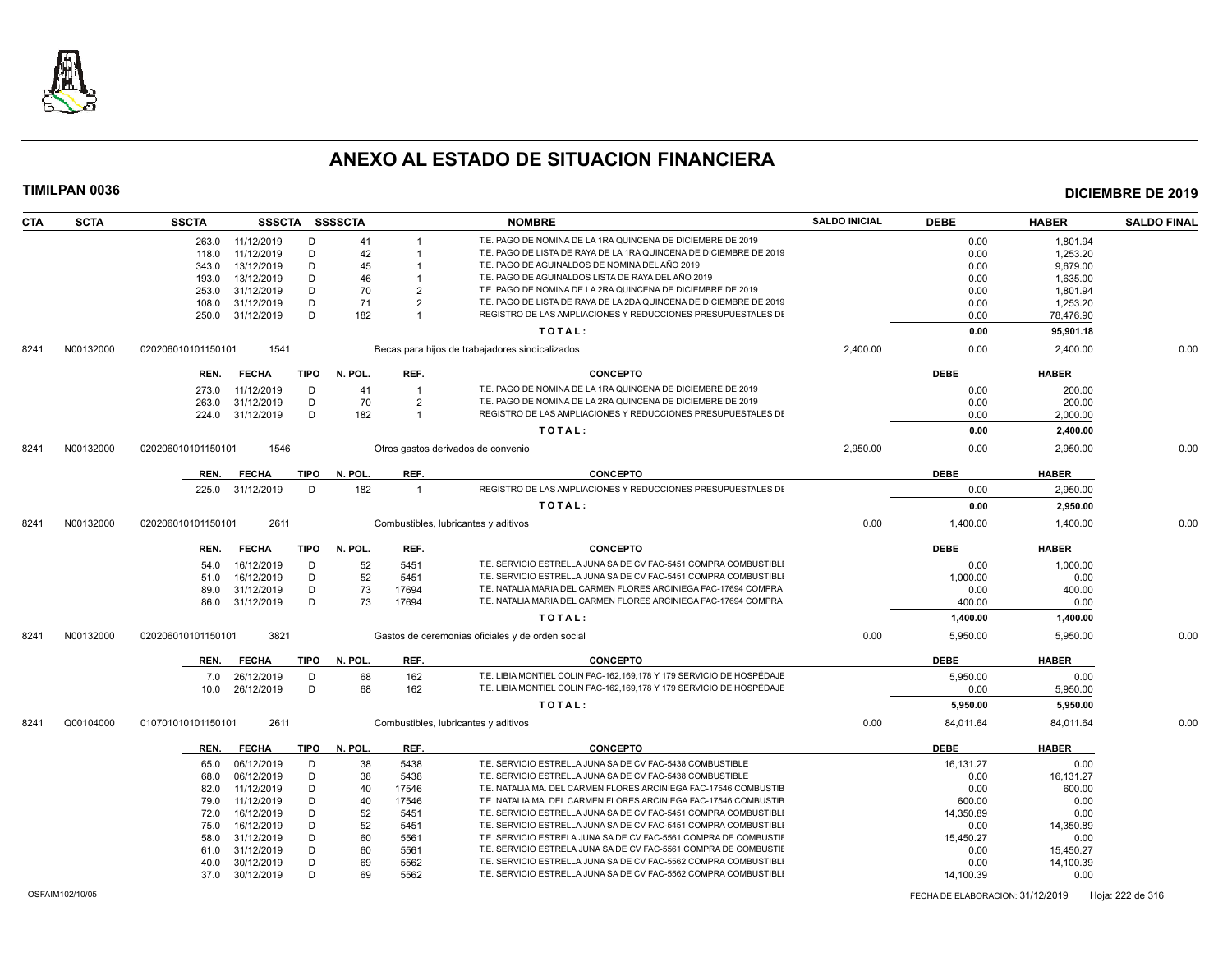

| <b>CTA</b> | <b>SCTA</b>     | <b>SSCTA</b>       |              |             | SSSCTA SSSSCTA |                | <b>NOMBRE</b>                                                        | <b>SALDO INICIAL</b> | <b>DEBE</b>                      | <b>HABER</b> | <b>SALDO FINAL</b> |
|------------|-----------------|--------------------|--------------|-------------|----------------|----------------|----------------------------------------------------------------------|----------------------|----------------------------------|--------------|--------------------|
|            |                 | 263.0              | 11/12/2019   | D           | 41             |                | T.E. PAGO DE NOMINA DE LA 1RA QUINCENA DE DICIEMBRE DE 2019          |                      | 0.00                             | 1,801.94     |                    |
|            |                 | 118.0              | 11/12/2019   | D           | 42             |                | T.E. PAGO DE LISTA DE RAYA DE LA 1RA QUINCENA DE DICIEMBRE DE 2019   |                      | 0.00                             | 1,253.20     |                    |
|            |                 | 343.0              | 13/12/2019   | D           | 45             |                | T.E. PAGO DE AGUINALDOS DE NOMINA DEL AÑO 2019                       |                      | 0.00                             | 9,679.00     |                    |
|            |                 | 193.0              | 13/12/2019   | D           | 46             |                | T.E. PAGO DE AGUINALDOS LISTA DE RAYA DEL AÑO 2019                   |                      | 0.00                             | 1,635.00     |                    |
|            |                 | 253.0              | 31/12/2019   | D           | 70             | $\overline{2}$ | T.E. PAGO DE NOMINA DE LA 2RA QUINCENA DE DICIEMBRE DE 2019          |                      | 0.00                             | 1,801.94     |                    |
|            |                 | 108.0              | 31/12/2019   | D           | 71             | $\overline{2}$ | T.E. PAGO DE LISTA DE RAYA DE LA 2DA QUINCENA DE DICIEMBRE DE 2019   |                      | 0.00                             | 1,253.20     |                    |
|            |                 | 250.0              | 31/12/2019   | D           | 182            | $\overline{1}$ | REGISTRO DE LAS AMPLIACIONES Y REDUCCIONES PRESUPUESTALES DI         |                      | 0.00                             | 78,476.90    |                    |
|            |                 |                    |              |             |                |                | TOTAL:                                                               |                      | 0.00                             | 95,901.18    |                    |
| 8241       | N00132000       | 020206010101150101 | 1541         |             |                |                | Becas para hijos de trabajadores sindicalizados                      | 2,400.00             | 0.00                             | 2,400.00     | 0.00               |
|            |                 |                    |              |             |                |                |                                                                      |                      |                                  |              |                    |
|            |                 | REN.               | <b>FECHA</b> | <b>TIPO</b> | N. POL         | REF.           | <b>CONCEPTO</b>                                                      |                      | <b>DEBE</b>                      | <b>HABER</b> |                    |
|            |                 | 273.0              | 11/12/2019   | D           | 41             | $\overline{1}$ | T.E. PAGO DE NOMINA DE LA 1RA QUINCENA DE DICIEMBRE DE 2019          |                      | 0.00                             | 200.00       |                    |
|            |                 | 263.0              | 31/12/2019   | D           | 70             | $\overline{2}$ | T.E. PAGO DE NOMINA DE LA 2RA QUINCENA DE DICIEMBRE DE 2019          |                      | 0.00                             | 200.00       |                    |
|            |                 | 224.0              | 31/12/2019   | D           | 182            | $\overline{1}$ | REGISTRO DE LAS AMPLIACIONES Y REDUCCIONES PRESUPUESTALES DI         |                      | 0.00                             | 2,000.00     |                    |
|            |                 |                    |              |             |                |                | TOTAL:                                                               |                      | 0.00                             | 2,400.00     |                    |
| 8241       | N00132000       | 020206010101150101 | 1546         |             |                |                | Otros gastos derivados de convenio                                   | 2,950.00             | 0.00                             | 2,950.00     | 0.00               |
|            |                 | REN.               | <b>FECHA</b> | <b>TIPO</b> | N. POL.        | REF.           | <b>CONCEPTO</b>                                                      |                      | <b>DEBE</b>                      | <b>HABER</b> |                    |
|            |                 | 225.0              | 31/12/2019   | D           | 182            | $\overline{1}$ | REGISTRO DE LAS AMPLIACIONES Y REDUCCIONES PRESUPUESTALES DI         |                      | 0.00                             | 2,950.00     |                    |
|            |                 |                    |              |             |                |                | TOTAL:                                                               |                      | 0.00                             | 2,950.00     |                    |
| 8241       | N00132000       | 020206010101150101 | 2611         |             |                |                | Combustibles, lubricantes y aditivos                                 | 0.00                 | 1,400.00                         | 1.400.00     | 0.00               |
|            |                 |                    |              |             |                |                |                                                                      |                      |                                  |              |                    |
|            |                 | REN.               | <b>FECHA</b> | TIPO        | N. POL.        | REF.           | <b>CONCEPTO</b>                                                      |                      | <b>DEBE</b>                      | <b>HABER</b> |                    |
|            |                 | 54.0               | 16/12/2019   | D           | 52             | 5451           | T.E. SERVICIO ESTRELLA JUNA SA DE CV FAC-5451 COMPRA COMBUSTIBLI     |                      | 0.00                             | 1.000.00     |                    |
|            |                 | 51.0               | 16/12/2019   | D           | 52             | 5451           | T.E. SERVICIO ESTRELLA JUNA SA DE CV FAC-5451 COMPRA COMBUSTIBLI     |                      | 1,000.00                         | 0.00         |                    |
|            |                 | 89.0               | 31/12/2019   | D           | 73             | 17694          | T.E. NATALIA MARIA DEL CARMEN FLORES ARCINIEGA FAC-17694 COMPRA      |                      | 0.00                             | 400.00       |                    |
|            |                 | 86.0               | 31/12/2019   | D           | 73             | 17694          | T.E. NATALIA MARIA DEL CARMEN FLORES ARCINIEGA FAC-17694 COMPRA      |                      | 400.00                           | 0.00         |                    |
|            |                 |                    |              |             |                |                | TOTAL:                                                               |                      | 1,400.00                         | 1,400.00     |                    |
| 8241       | N00132000       | 020206010101150101 | 3821         |             |                |                | Gastos de ceremonias oficiales y de orden social                     | 0.00                 | 5,950.00                         | 5,950.00     | 0.00               |
|            |                 | REN.               | <b>FECHA</b> | <b>TIPO</b> | N. POL.        | REF.           | <b>CONCEPTO</b>                                                      |                      | <b>DEBE</b>                      | <b>HABER</b> |                    |
|            |                 |                    |              |             |                |                |                                                                      |                      |                                  |              |                    |
|            |                 | 7.0                | 26/12/2019   | D           | 68             | 162            | T.E. LIBIA MONTIEL COLIN FAC-162,169,178 Y 179 SERVICIO DE HOSPÉDAJE |                      | 5,950.00                         | 0.00         |                    |
|            |                 | 10.0               | 26/12/2019   | D           | 68             | 162            | T.E. LIBIA MONTIEL COLIN FAC-162,169,178 Y 179 SERVICIO DE HOSPÉDAJE |                      | 0.00                             | 5,950.00     |                    |
|            |                 |                    |              |             |                |                | TOTAL:                                                               |                      | 5.950.00                         | 5,950.00     |                    |
| 8241       | Q00104000       | 010701010101150101 | 2611         |             |                |                | Combustibles, lubricantes y aditivos                                 | 0.00                 | 84,011.64                        | 84,011.64    | 0.00               |
|            |                 | REN.               | <b>FECHA</b> | <b>TIPO</b> | N. POL.        | REF.           | <b>CONCEPTO</b>                                                      |                      | <b>DEBE</b>                      | <b>HABER</b> |                    |
|            |                 | 65.0               | 06/12/2019   | D           | 38             | 5438           | T.E. SERVICIO ESTRELLA JUNA SA DE CV FAC-5438 COMBUSTIBLE            |                      | 16,131.27                        | 0.00         |                    |
|            |                 | 68.0               | 06/12/2019   | D           | 38             | 5438           | T.E. SERVICIO ESTRELLA JUNA SA DE CV FAC-5438 COMBUSTIBLE            |                      | 0.00                             | 16,131.27    |                    |
|            |                 | 82.0               | 11/12/2019   | D           | 40             | 17546          | T.E. NATALIA MA. DEL CARMEN FLORES ARCINIEGA FAC-17546 COMBUSTIE     |                      | 0.00                             | 600.00       |                    |
|            |                 | 79.0               | 11/12/2019   | D           | 40             | 17546          | T.E. NATALIA MA. DEL CARMEN FLORES ARCINIEGA FAC-17546 COMBUSTIE     |                      | 600.00                           | 0.00         |                    |
|            |                 | 72.0               | 16/12/2019   | D           | 52             | 5451           | T.E. SERVICIO ESTRELLA JUNA SA DE CV FAC-5451 COMPRA COMBUSTIBLI     |                      | 14.350.89                        | 0.00         |                    |
|            |                 | 75.0               | 16/12/2019   | D           | 52             | 5451           | T.E. SERVICIO ESTRELLA JUNA SA DE CV FAC-5451 COMPRA COMBUSTIBLI     |                      | 0.00                             | 14,350.89    |                    |
|            |                 | 58.0               | 31/12/2019   | D           | 60             | 5561           | T.E. SERVICIO ESTRELA JUNA SA DE CV FAC-5561 COMPRA DE COMBUSTIE     |                      | 15,450.27                        | 0.00         |                    |
|            |                 | 61.0               | 31/12/2019   | D           | 60             | 5561           | T.E. SERVICIO ESTRELA JUNA SA DE CV FAC-5561 COMPRA DE COMBUSTII     |                      | 0.00                             | 15,450.27    |                    |
|            |                 | 40.0               | 30/12/2019   | D           | 69             | 5562           | T.E. SERVICIO ESTRELLA JUNA SA DE CV FAC-5562 COMPRA COMBUSTIBLI     |                      | 0.00                             | 14,100.39    |                    |
|            |                 | 37.0               | 30/12/2019   | D           | 69             | 5562           | T.E. SERVICIO ESTRELLA JUNA SA DE CV FAC-5562 COMPRA COMBUSTIBLI     |                      | 14,100.39                        | 0.00         |                    |
|            | OSFAIM102/10/05 |                    |              |             |                |                |                                                                      |                      | FECHA DE ELABORACION: 31/12/2019 |              | Hoja: 222 de 316   |
|            |                 |                    |              |             |                |                |                                                                      |                      |                                  |              |                    |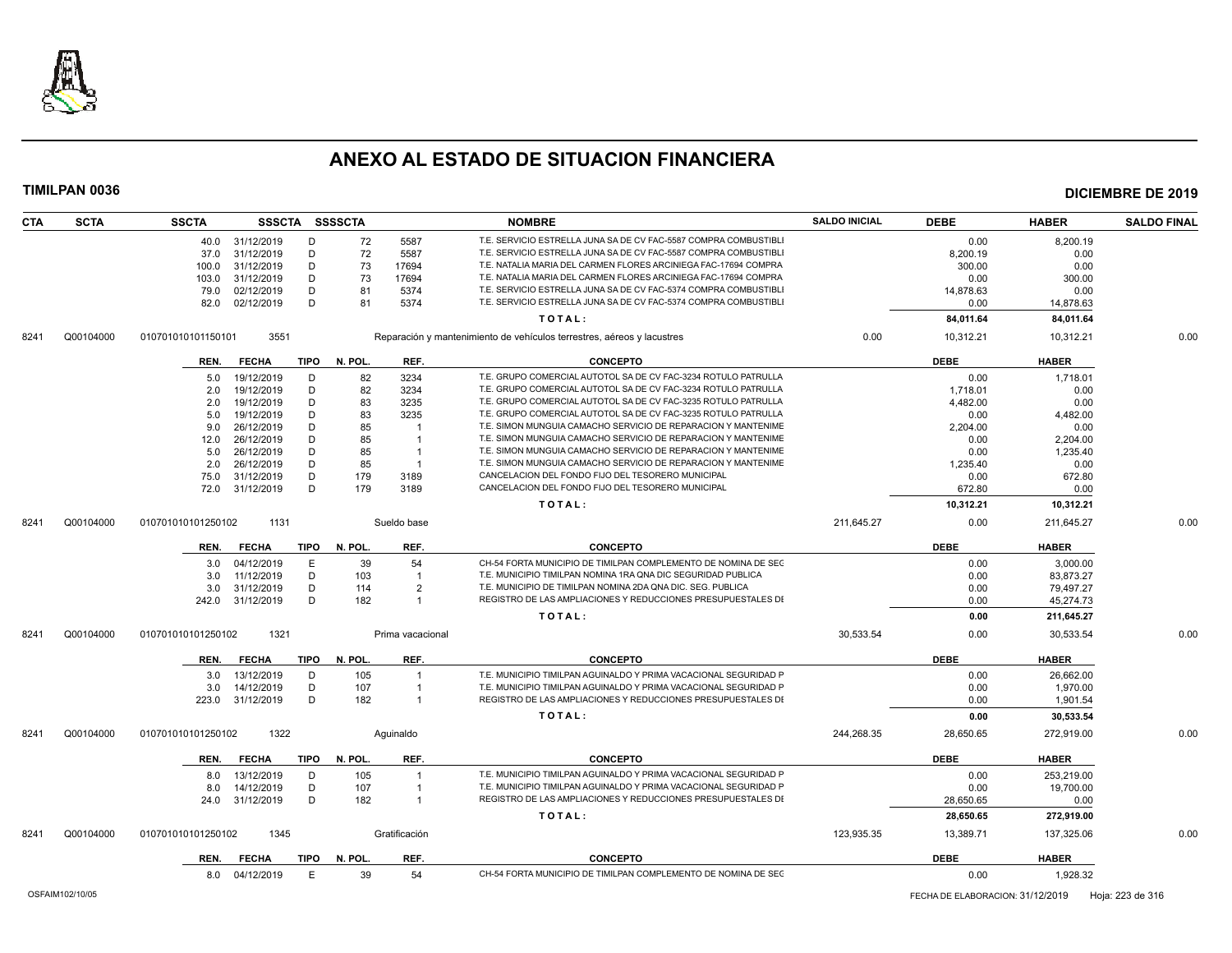

| <b>SCTA</b><br><b>CTA</b> | <b>SSCTA</b>       |                 |             | SSSCTA SSSSCTA |                  | <b>NOMBRE</b>                                                          | <b>SALDO INICIAL</b> | <b>DEBE</b> | <b>HABER</b> | <b>SALDO FINAL</b> |
|---------------------------|--------------------|-----------------|-------------|----------------|------------------|------------------------------------------------------------------------|----------------------|-------------|--------------|--------------------|
|                           |                    | 40.0 31/12/2019 | D           | 72             | 5587             | T.E. SERVICIO ESTRELLA JUNA SA DE CV FAC-5587 COMPRA COMBUSTIBLI       |                      | 0.00        | 8,200.19     |                    |
|                           | 37.0               | 31/12/2019      | D           | 72             | 5587             | T.E. SERVICIO ESTRELLA JUNA SA DE CV FAC-5587 COMPRA COMBUSTIBLI       |                      | 8,200.19    | 0.00         |                    |
|                           | 100.0              | 31/12/2019      | D           | 73             | 17694            | T.E. NATALIA MARIA DEL CARMEN FLORES ARCINIEGA FAC-17694 COMPRA        |                      | 300.00      | 0.00         |                    |
|                           | 103.0              | 31/12/2019      | D           | 73             | 17694            | T.E. NATALIA MARIA DEL CARMEN FLORES ARCINIEGA FAC-17694 COMPRA        |                      | 0.00        | 300.00       |                    |
|                           | 79.0               | 02/12/2019      | D           | 81             | 5374             | T.E. SERVICIO ESTRELLA JUNA SA DE CV FAC-5374 COMPRA COMBUSTIBLI       |                      | 14,878.63   | 0.00         |                    |
|                           | 82.0               | 02/12/2019      | D           | 81             | 5374             | T.E. SERVICIO ESTRELLA JUNA SA DE CV FAC-5374 COMPRA COMBUSTIBLI       |                      | 0.00        | 14,878.63    |                    |
|                           |                    |                 |             |                |                  | TOTAL:                                                                 |                      | 84,011.64   | 84,011.64    |                    |
| Q00104000<br>8241         | 010701010101150101 | 3551            |             |                |                  | Reparación y mantenimiento de vehículos terrestres, aéreos y lacustres | 0.00                 | 10,312.21   | 10,312.21    | 0.00               |
|                           | REN.               | <b>FECHA</b>    |             | TIPO N. POL.   | REF.             | <b>CONCEPTO</b>                                                        |                      | <b>DEBE</b> | <b>HABER</b> |                    |
|                           | 5.0                | 19/12/2019      | D           | 82             | 3234             | T.E. GRUPO COMERCIAL AUTOTOL SA DE CV FAC-3234 ROTULO PATRULLA         |                      | 0.00        | 1,718.01     |                    |
|                           | 2.0                | 19/12/2019      | D           | 82             | 3234             | T.E. GRUPO COMERCIAL AUTOTOL SA DE CV FAC-3234 ROTULO PATRULLA         |                      | 1.718.01    | 0.00         |                    |
|                           | 2.0                | 19/12/2019      | D           | 83             | 3235             | T.E. GRUPO COMERCIAL AUTOTOL SA DE CV FAC-3235 ROTULO PATRULLA         |                      | 4,482.00    | 0.00         |                    |
|                           | 5.0                | 19/12/2019      | D           | 83             | 3235             | T.E. GRUPO COMERCIAL AUTOTOL SA DE CV FAC-3235 ROTULO PATRULLA         |                      | 0.00        | 4,482.00     |                    |
|                           | 9.0                | 26/12/2019      | D           | 85             | -1               | T.E. SIMON MUNGUIA CAMACHO SERVICIO DE REPARACION Y MANTENIME          |                      | 2,204.00    | 0.00         |                    |
|                           | 12.0               | 26/12/2019      | D           | 85             | $\mathbf{1}$     | T.E. SIMON MUNGUIA CAMACHO SERVICIO DE REPARACION Y MANTENIME          |                      | 0.00        | 2,204.00     |                    |
|                           | 5.0                | 26/12/2019      | D           | 85             | $\mathbf{1}$     | T.E. SIMON MUNGUIA CAMACHO SERVICIO DE REPARACION Y MANTENIME          |                      | 0.00        | 1,235.40     |                    |
|                           | 2.0                | 26/12/2019      | D           | 85             | $\overline{1}$   | T.E. SIMON MUNGUIA CAMACHO SERVICIO DE REPARACION Y MANTENIME          |                      | 1,235.40    | 0.00         |                    |
|                           | 75.0               | 31/12/2019      | D           | 179            | 3189             | CANCELACION DEL FONDO FIJO DEL TESORERO MUNICIPAL                      |                      | 0.00        | 672.80       |                    |
|                           |                    | 72.0 31/12/2019 | D           | 179            | 3189             | CANCELACION DEL FONDO FIJO DEL TESORERO MUNICIPAL                      |                      | 672.80      | 0.00         |                    |
|                           |                    |                 |             |                |                  | TOTAL:                                                                 |                      | 10,312.21   | 10,312.21    |                    |
| Q00104000<br>8241         | 010701010101250102 | 1131            |             |                | Sueldo base      |                                                                        | 211,645.27           | 0.00        | 211,645.27   | 0.00               |
|                           | REN.               | <b>FECHA</b>    | TIPO        | N. POL.        | REF.             | <b>CONCEPTO</b>                                                        |                      | DEBE        | <b>HABER</b> |                    |
|                           | 3.0                | 04/12/2019      | E           | 39             | 54               | CH-54 FORTA MUNICIPIO DE TIMILPAN COMPLEMENTO DE NOMINA DE SEC         |                      | 0.00        | 3,000.00     |                    |
|                           | 3.0                | 11/12/2019      | D           | 103            | $\overline{1}$   | T.E. MUNICIPIO TIMILPAN NOMINA 1RA QNA DIC SEGURIDAD PUBLICA           |                      | 0.00        | 83,873.27    |                    |
|                           | 3.0                | 31/12/2019      | D           | 114            | $\overline{2}$   | T.E. MUNICIPIO DE TIMILPAN NOMINA 2DA QNA DIC. SEG. PUBLICA            |                      | 0.00        | 79,497.27    |                    |
|                           | 242.0              | 31/12/2019      | D           | 182            | $\overline{1}$   | REGISTRO DE LAS AMPLIACIONES Y REDUCCIONES PRESUPUESTALES DI           |                      | 0.00        | 45,274.73    |                    |
|                           |                    |                 |             |                |                  | TOTAL:                                                                 |                      | 0.00        | 211,645.27   |                    |
| Q00104000<br>8241         | 010701010101250102 | 1321            |             |                | Prima vacacional |                                                                        | 30,533.54            | 0.00        | 30,533.54    | 0.00               |
|                           | REN.               | <b>FECHA</b>    | TIPO        | N. POL.        | REF.             | <b>CONCEPTO</b>                                                        |                      | <b>DEBE</b> | <b>HABER</b> |                    |
|                           | 3.0                | 13/12/2019      | D           | 105            | $\overline{1}$   | T.E. MUNICIPIO TIMILPAN AGUINALDO Y PRIMA VACACIONAL SEGURIDAD P       |                      | 0.00        | 26.662.00    |                    |
|                           | 3.0                | 14/12/2019      | D           | 107            | $\overline{1}$   | T.E. MUNICIPIO TIMILPAN AGUINALDO Y PRIMA VACACIONAL SEGURIDAD P       |                      | 0.00        | 1,970.00     |                    |
|                           | 223.0              | 31/12/2019      | D           | 182            | $\overline{1}$   | REGISTRO DE LAS AMPLIACIONES Y REDUCCIONES PRESUPUESTALES DI           |                      | 0.00        | 1,901.54     |                    |
|                           |                    |                 |             |                |                  | TOTAL:                                                                 |                      | 0.00        | 30,533.54    |                    |
| Q00104000<br>8241         | 010701010101250102 | 1322            |             |                | Aquinaldo        |                                                                        | 244,268.35           | 28,650.65   | 272,919.00   | 0.00               |
|                           | REN.               | <b>FECHA</b>    | TIPO        | N. POL.        | REF.             | <b>CONCEPTO</b>                                                        |                      | <b>DEBE</b> | <b>HABER</b> |                    |
|                           | 8.0                | 13/12/2019      | D           | 105            | $\mathbf{1}$     | T.E. MUNICIPIO TIMILPAN AGUINALDO Y PRIMA VACACIONAL SEGURIDAD F       |                      | 0.00        | 253,219.00   |                    |
|                           | 8.0                | 14/12/2019      | D           | 107            | $\mathbf{1}$     | T.E. MUNICIPIO TIMILPAN AGUINALDO Y PRIMA VACACIONAL SEGURIDAD P       |                      | 0.00        | 19,700.00    |                    |
|                           |                    |                 | D           | 182            |                  | REGISTRO DE LAS AMPLIACIONES Y REDUCCIONES PRESUPUESTALES DI           |                      |             |              |                    |
|                           | 24.0               | 31/12/2019      |             |                |                  |                                                                        |                      | 28,650.65   | 0.00         |                    |
|                           |                    |                 |             |                |                  | TOTAL:                                                                 |                      | 28,650.65   | 272,919.00   |                    |
| Q00104000<br>8241         | 010701010101250102 | 1345            |             |                | Gratificación    |                                                                        | 123,935.35           | 13,389.71   | 137,325.06   | 0.00               |
|                           | REN.               | <b>FECHA</b>    | <b>TIPO</b> | N. POL.        | REF.             | <b>CONCEPTO</b>                                                        |                      | <b>DEBE</b> | <b>HABER</b> |                    |
|                           |                    | 8.0 04/12/2019  | Ε           | 39             | 54               | CH-54 FORTA MUNICIPIO DE TIMILPAN COMPLEMENTO DE NOMINA DE SEC         |                      | 0.00        | 1,928.32     |                    |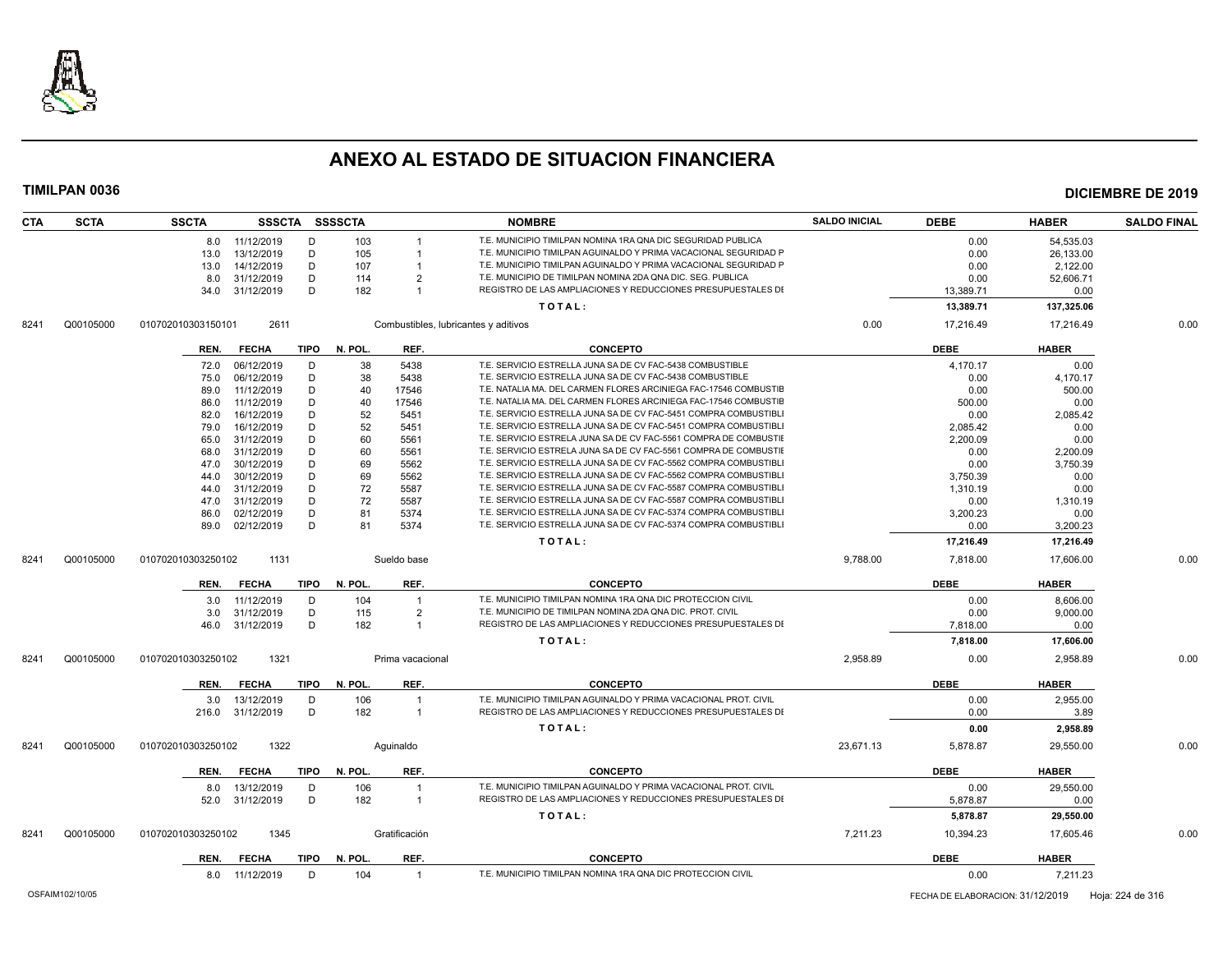

| <b>CTA</b> | <b>SCTA</b> | <b>SSCTA</b>       |                |             | SSSCTA SSSSCTA |                                      | <b>NOMBRE</b>                                                    | <b>SALDO INICIAL</b> | <b>DEBE</b> | <b>HABER</b> | <b>SALDO FINAL</b> |
|------------|-------------|--------------------|----------------|-------------|----------------|--------------------------------------|------------------------------------------------------------------|----------------------|-------------|--------------|--------------------|
|            |             |                    | 8.0 11/12/2019 | D           | 103            |                                      | T.E. MUNICIPIO TIMILPAN NOMINA 1RA QNA DIC SEGURIDAD PUBLICA     |                      | 0.00        | 54.535.03    |                    |
|            |             | 13.0               | 13/12/2019     | D           | 105            |                                      | T.E. MUNICIPIO TIMILPAN AGUINALDO Y PRIMA VACACIONAL SEGURIDAD P |                      | 0.00        | 26,133.00    |                    |
|            |             | 13.0               | 14/12/2019     | D           | 107            |                                      | T.E. MUNICIPIO TIMILPAN AGUINALDO Y PRIMA VACACIONAL SEGURIDAD P |                      | 0.00        | 2.122.00     |                    |
|            |             | 8.0                | 31/12/2019     | D           | 114            | 2                                    | T.E. MUNICIPIO DE TIMILPAN NOMINA 2DA QNA DIC. SEG. PUBLICA      |                      | 0.00        | 52,606.71    |                    |
|            |             | 34.0               | 31/12/2019     | D           | 182            | $\overline{1}$                       | REGISTRO DE LAS AMPLIACIONES Y REDUCCIONES PRESUPUESTALES DI     |                      | 13,389.71   | 0.00         |                    |
|            |             |                    |                |             |                |                                      | TOTAL:                                                           |                      | 13,389.71   | 137,325.06   |                    |
| 8241       | Q00105000   | 010702010303150101 | 2611           |             |                | Combustibles, lubricantes y aditivos |                                                                  | 0.00                 | 17.216.49   | 17.216.49    | 0.00               |
|            |             | REN.               | <b>FECHA</b>   | <b>TIPO</b> | N. POL         | REF.                                 | <b>CONCEPTO</b>                                                  |                      | <b>DEBE</b> | <b>HABER</b> |                    |
|            |             | 72.0               | 06/12/2019     | D           | 38             | 5438                                 | T.E. SERVICIO ESTRELLA JUNA SA DE CV FAC-5438 COMBUSTIBLE        |                      | 4.170.17    | 0.00         |                    |
|            |             | 75.0               | 06/12/2019     | D           | 38             | 5438                                 | T.E. SERVICIO ESTRELLA JUNA SA DE CV FAC-5438 COMBUSTIBLE        |                      | 0.00        | 4,170.17     |                    |
|            |             | 89.0               | 11/12/2019     | D           | 40             | 17546                                | T.E. NATALIA MA. DEL CARMEN FLORES ARCINIEGA FAC-17546 COMBUSTIE |                      | 0.00        | 500.00       |                    |
|            |             | 86.0               | 11/12/2019     | D           | 40             | 17546                                | T.E. NATALIA MA. DEL CARMEN FLORES ARCINIEGA FAC-17546 COMBUSTIE |                      | 500.00      | 0.00         |                    |
|            |             | 82.0               | 16/12/2019     | D           | 52             | 5451                                 | T.E. SERVICIO ESTRELLA JUNA SA DE CV FAC-5451 COMPRA COMBUSTIBLI |                      | 0.00        | 2,085.42     |                    |
|            |             | 79.0               | 16/12/2019     | D           | 52             | 5451                                 | T.E. SERVICIO ESTRELLA JUNA SA DE CV FAC-5451 COMPRA COMBUSTIBLI |                      | 2.085.42    | 0.00         |                    |
|            |             | 65.0               | 31/12/2019     | D           | 60             | 5561                                 | T.E. SERVICIO ESTRELA JUNA SA DE CV FAC-5561 COMPRA DE COMBUSTIE |                      | 2.200.09    | 0.00         |                    |
|            |             | 68.0               | 31/12/2019     | D           | 60             | 5561                                 | T.E. SERVICIO ESTRELA JUNA SA DE CV FAC-5561 COMPRA DE COMBUSTIE |                      | 0.00        | 2,200.09     |                    |
|            |             | 47.0               | 30/12/2019     | D           | 69             | 5562                                 | T.E. SERVICIO ESTRELLA JUNA SA DE CV FAC-5562 COMPRA COMBUSTIBLI |                      | 0.00        | 3,750.39     |                    |
|            |             | 44.0               | 30/12/2019     | D           | 69             | 5562                                 | T.E. SERVICIO ESTRELLA JUNA SA DE CV FAC-5562 COMPRA COMBUSTIBLI |                      | 3,750.39    | 0.00         |                    |
|            |             | 44.0               | 31/12/2019     | D           | 72             | 5587                                 | T.E. SERVICIO ESTRELLA JUNA SA DE CV FAC-5587 COMPRA COMBUSTIBLI |                      | 1,310.19    | 0.00         |                    |
|            |             | 47.0               | 31/12/2019     | D           | 72             | 5587                                 | T.E. SERVICIO ESTRELLA JUNA SA DE CV FAC-5587 COMPRA COMBUSTIBLI |                      | 0.00        | 1,310.19     |                    |
|            |             | 86.0               | 02/12/2019     | D           | 81             | 5374                                 | T.E. SERVICIO ESTRELLA JUNA SA DE CV FAC-5374 COMPRA COMBUSTIBLI |                      | 3,200.23    | 0.00         |                    |
|            |             | 89.0               | 02/12/2019     | D           | 81             | 5374                                 | T.E. SERVICIO ESTRELLA JUNA SA DE CV FAC-5374 COMPRA COMBUSTIBLI |                      | 0.00        | 3,200.23     |                    |
|            |             |                    |                |             |                |                                      | TOTAL:                                                           |                      | 17,216.49   | 17,216.49    |                    |
|            | Q00105000   | 010702010303250102 | 1131           |             |                | Sueldo base                          |                                                                  | 9,788.00             | 7,818.00    | 17,606.00    | 0.00               |
| 8241       |             |                    |                |             |                |                                      |                                                                  |                      |             |              |                    |
|            |             | REN.               | <b>FECHA</b>   | <b>TIPO</b> | N. POL         | REF.                                 | <b>CONCEPTO</b>                                                  |                      | <b>DEBE</b> | <b>HABER</b> |                    |
|            |             | 3.0                | 11/12/2019     | D           | 104            | $\overline{1}$                       | T.E. MUNICIPIO TIMILPAN NOMINA 1RA QNA DIC PROTECCION CIVIL      |                      | 0.00        | 8.606.00     |                    |
|            |             | 3.0                | 31/12/2019     | D           | 115            | 2                                    | T.E. MUNICIPIO DE TIMILPAN NOMINA 2DA QNA DIC. PROT. CIVIL       |                      | 0.00        | 9,000.00     |                    |
|            |             | 46.0               | 31/12/2019     | D           | 182            | $\mathbf{1}$                         | REGISTRO DE LAS AMPLIACIONES Y REDUCCIONES PRESUPUESTALES DI     |                      | 7,818.00    | 0.00         |                    |
|            |             |                    |                |             |                |                                      | TOTAL:                                                           |                      | 7,818.00    | 17,606.00    |                    |
| 8241       | Q00105000   | 010702010303250102 | 1321           |             |                | Prima vacacional                     |                                                                  | 2.958.89             | 0.00        | 2.958.89     | 0.00               |
|            |             | REN.               | <b>FECHA</b>   |             | TIPO N. POL.   | REF.                                 | <b>CONCEPTO</b>                                                  |                      | <b>DEBE</b> | <b>HABER</b> |                    |
|            |             | 3.0                | 13/12/2019     | D           | 106            | $\overline{1}$                       | T.E. MUNICIPIO TIMILPAN AGUINALDO Y PRIMA VACACIONAL PROT. CIVIL |                      | 0.00        | 2,955.00     |                    |
|            |             | 216.0              | 31/12/2019     | D           | 182            | $\overline{1}$                       | REGISTRO DE LAS AMPLIACIONES Y REDUCCIONES PRESUPUESTALES DI     |                      | 0.00        | 3.89         |                    |
|            |             |                    |                |             |                |                                      | TOTAL:                                                           |                      | 0.00        | 2,958.89     |                    |
| 8241       | Q00105000   | 010702010303250102 | 1322           |             |                | Aquinaldo                            |                                                                  | 23.671.13            | 5.878.87    | 29.550.00    | 0.00               |
|            |             | REN.               | <b>FECHA</b>   | <b>TIPO</b> | N. POL.        | REF.                                 | <b>CONCEPTO</b>                                                  |                      | <b>DEBE</b> | <b>HABER</b> |                    |
|            |             | 8.0                | 13/12/2019     | D           | 106            |                                      | T.E. MUNICIPIO TIMILPAN AGUINALDO Y PRIMA VACACIONAL PROT. CIVIL |                      | 0.00        | 29,550.00    |                    |
|            |             | 52.0               | 31/12/2019     | D           | 182            | $\overline{1}$                       | REGISTRO DE LAS AMPLIACIONES Y REDUCCIONES PRESUPUESTALES DI     |                      | 5,878.87    | 0.00         |                    |
|            |             |                    |                |             |                |                                      | TOTAL:                                                           |                      | 5,878.87    | 29,550.00    |                    |
| 8241       | Q00105000   | 010702010303250102 | 1345           |             |                | Gratificación                        |                                                                  | 7.211.23             | 10,394.23   | 17.605.46    | 0.00               |
|            |             | REN.               | <b>FECHA</b>   | <b>TIPO</b> | N. POL.        | REF.                                 | <b>CONCEPTO</b>                                                  |                      | <b>DEBE</b> | <b>HABER</b> |                    |
|            |             |                    | 8.0 11/12/2019 | D           | 104            | $\overline{1}$                       | T.E. MUNICIPIO TIMILPAN NOMINA 1RA QNA DIC PROTECCION CIVIL      |                      | 0.00        | 7,211.23     |                    |
|            |             |                    |                |             |                |                                      |                                                                  |                      |             |              |                    |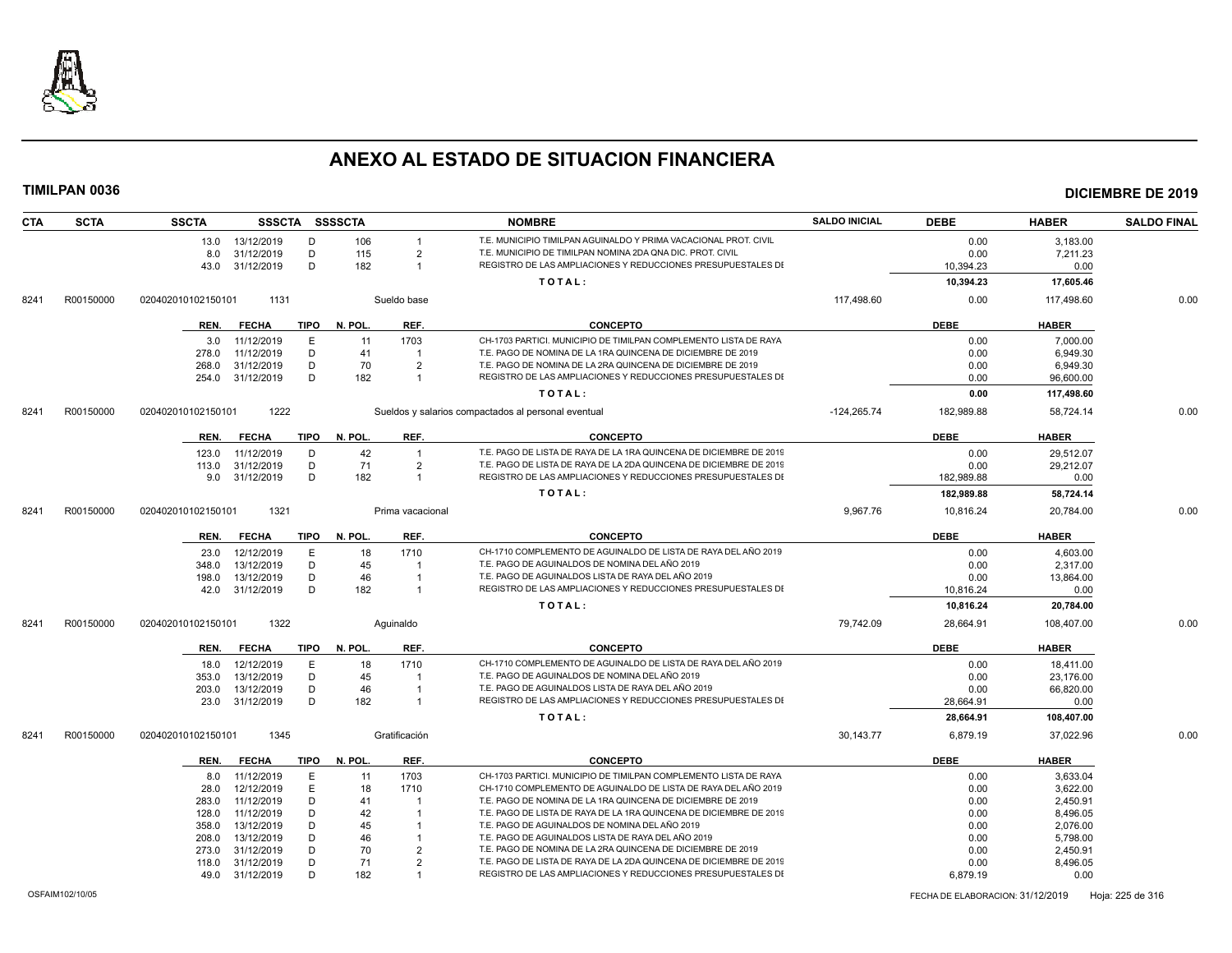

| <b>CTA</b> | <b>SCTA</b> | <b>SSCTA</b>       |              |             | SSSCTA SSSSCTA |                  | <b>NOMBRE</b>                                                      | <b>SALDO INICIAL</b> | <b>DEBE</b> | <b>HABER</b> | <b>SALDO FINAL</b> |
|------------|-------------|--------------------|--------------|-------------|----------------|------------------|--------------------------------------------------------------------|----------------------|-------------|--------------|--------------------|
|            |             | 13.0               | 13/12/2019   | D           | 106            |                  | T.E. MUNICIPIO TIMILPAN AGUINALDO Y PRIMA VACACIONAL PROT. CIVIL   |                      | 0.00        | 3,183.00     |                    |
|            |             | 8.0                | 31/12/2019   | D           | 115            | $\overline{2}$   | T.E. MUNICIPIO DE TIMILPAN NOMINA 2DA QNA DIC. PROT. CIVIL         |                      | 0.00        | 7,211.23     |                    |
|            |             | 43.0               | 31/12/2019   | D           | 182            | $\overline{1}$   | REGISTRO DE LAS AMPLIACIONES Y REDUCCIONES PRESUPUESTALES DI       |                      | 10,394.23   | 0.00         |                    |
|            |             |                    |              |             |                |                  | TOTAL:                                                             |                      | 10,394.23   | 17,605.46    |                    |
| 8241       | R00150000   | 020402010102150101 | 1131         |             |                | Sueldo base      |                                                                    | 117,498.60           | 0.00        | 117,498.60   | 0.00               |
|            |             | REN.               | <b>FECHA</b> | TIPO        | N. POL.        | REF.             | <b>CONCEPTO</b>                                                    |                      | <b>DEBE</b> | <b>HABER</b> |                    |
|            |             | 3.0                | 11/12/2019   | E           | 11             | 1703             | CH-1703 PARTICI. MUNICIPIO DE TIMILPAN COMPLEMENTO LISTA DE RAYA   |                      | 0.00        | 7,000.00     |                    |
|            |             | 278.0              | 11/12/2019   | D           | 41             |                  | T.E. PAGO DE NOMINA DE LA 1RA QUINCENA DE DICIEMBRE DE 2019        |                      | 0.00        | 6.949.30     |                    |
|            |             | 268.0              | 31/12/2019   | D           | 70             | $\overline{2}$   | T.E. PAGO DE NOMINA DE LA 2RA QUINCENA DE DICIEMBRE DE 2019        |                      | 0.00        | 6,949.30     |                    |
|            |             | 254.0              | 31/12/2019   | D           | 182            | $\overline{1}$   | REGISTRO DE LAS AMPLIACIONES Y REDUCCIONES PRESUPUESTALES DI       |                      | 0.00        | 96,600.00    |                    |
|            |             |                    |              |             |                |                  | TOTAL:                                                             |                      | 0.00        | 117,498.60   |                    |
| 8241       | R00150000   | 020402010102150101 | 1222         |             |                |                  | Sueldos y salarios compactados al personal eventual                | $-124,265.74$        | 182,989.88  | 58,724.14    | 0.00               |
|            |             | REN.               | FECHA        | TIPO        | N. POL.        | REF.             | <b>CONCEPTO</b>                                                    |                      | <b>DEBE</b> | <b>HABER</b> |                    |
|            |             | 123.0              | 11/12/2019   | D           | 42             | $\overline{1}$   | T.E. PAGO DE LISTA DE RAYA DE LA 1RA QUINCENA DE DICIEMBRE DE 2019 |                      | 0.00        | 29,512.07    |                    |
|            |             | 113.0              | 31/12/2019   | D           | 71             | $\overline{2}$   | T.E. PAGO DE LISTA DE RAYA DE LA 2DA QUINCENA DE DICIEMBRE DE 2019 |                      | 0.00        | 29,212.07    |                    |
|            |             | 9.0                | 31/12/2019   | D           | 182            | $\overline{1}$   | REGISTRO DE LAS AMPLIACIONES Y REDUCCIONES PRESUPUESTALES DI       |                      | 182,989.88  | 0.00         |                    |
|            |             |                    |              |             |                |                  | TOTAL:                                                             |                      | 182,989.88  | 58,724.14    |                    |
| 8241       | R00150000   | 020402010102150101 | 1321         |             |                | Prima vacacional |                                                                    | 9,967.76             | 10,816.24   | 20,784.00    | 0.00               |
|            |             |                    |              |             |                |                  |                                                                    |                      |             |              |                    |
|            |             | REN.               | <b>FECHA</b> | <b>TIPO</b> | N. POL.        | REF.             | <b>CONCEPTO</b>                                                    |                      | <b>DEBE</b> | <b>HABER</b> |                    |
|            |             | 23.0               | 12/12/2019   | E           | 18             | 1710             | CH-1710 COMPLEMENTO DE AGUINALDO DE LISTA DE RAYA DEL AÑO 2019     |                      | 0.00        | 4,603.00     |                    |
|            |             | 348.0              | 13/12/2019   | D           | 45             |                  | T.E. PAGO DE AGUINALDOS DE NOMINA DEL AÑO 2019                     |                      | 0.00        | 2,317.00     |                    |
|            |             | 198.0              | 13/12/2019   | D           | 46             | $\overline{1}$   | T.E. PAGO DE AGUINALDOS LISTA DE RAYA DEL AÑO 2019                 |                      | 0.00        | 13,864.00    |                    |
|            |             | 42.0               | 31/12/2019   | D           | 182            | $\overline{1}$   | REGISTRO DE LAS AMPLIACIONES Y REDUCCIONES PRESUPUESTALES DI       |                      | 10,816.24   | 0.00         |                    |
|            |             |                    |              |             |                |                  | TOTAL:                                                             |                      | 10,816.24   | 20,784.00    |                    |
| 8241       | R00150000   | 020402010102150101 | 1322         |             |                | Aquinaldo        |                                                                    | 79.742.09            | 28,664.91   | 108.407.00   | 0.00               |
|            |             | REN.               | <b>FECHA</b> | TIPO        | N. POL.        | REF.             | <b>CONCEPTO</b>                                                    |                      | <b>DEBE</b> | <b>HABER</b> |                    |
|            |             | 18.0               | 12/12/2019   | E           | 18             | 1710             | CH-1710 COMPLEMENTO DE AGUINALDO DE LISTA DE RAYA DEL AÑO 2019     |                      | 0.00        | 18,411.00    |                    |
|            |             | 353.0              | 13/12/2019   | D           | 45             |                  | T.E. PAGO DE AGUINALDOS DE NOMINA DEL AÑO 2019                     |                      | 0.00        | 23,176.00    |                    |
|            |             | 203.0              | 13/12/2019   | D           | 46             |                  | T.E. PAGO DE AGUINALDOS LISTA DE RAYA DEL AÑO 2019                 |                      | 0.00        | 66,820.00    |                    |
|            |             | 23.0               | 31/12/2019   | D           | 182            | $\overline{1}$   | REGISTRO DE LAS AMPLIACIONES Y REDUCCIONES PRESUPUESTALES DI       |                      | 28,664.91   | 0.00         |                    |
|            |             |                    |              |             |                |                  | TOTAL:                                                             |                      | 28,664.91   | 108,407.00   |                    |
| 8241       | R00150000   | 020402010102150101 | 1345         |             |                | Gratificación    |                                                                    | 30,143.77            | 6,879.19    | 37,022.96    | 0.00               |
|            |             | REN.               | <b>FECHA</b> | <b>TIPO</b> | N. POL.        | REF.             | <b>CONCEPTO</b>                                                    |                      | <b>DEBE</b> | <b>HABER</b> |                    |
|            |             | 8.0                | 11/12/2019   | E           | 11             | 1703             | CH-1703 PARTICI. MUNICIPIO DE TIMILPAN COMPLEMENTO LISTA DE RAYA   |                      | 0.00        | 3.633.04     |                    |
|            |             | 28.0               | 12/12/2019   | E           | 18             | 1710             | CH-1710 COMPLEMENTO DE AGUINALDO DE LISTA DE RAYA DEL AÑO 2019     |                      | 0.00        | 3,622.00     |                    |
|            |             | 283.0              | 11/12/2019   | D           | 41             |                  | T.E. PAGO DE NOMINA DE LA 1RA QUINCENA DE DICIEMBRE DE 2019        |                      | 0.00        | 2.450.91     |                    |
|            |             | 128.0              | 11/12/2019   | D           | 42             |                  | T.E. PAGO DE LISTA DE RAYA DE LA 1RA QUINCENA DE DICIEMBRE DE 2019 |                      | 0.00        | 8,496.05     |                    |
|            |             | 358.0              | 13/12/2019   | D           | 45             |                  | T.E. PAGO DE AGUINALDOS DE NOMINA DEL AÑO 2019                     |                      | 0.00        | 2,076.00     |                    |
|            |             | 208.0              | 13/12/2019   | D           | 46             |                  | T.E. PAGO DE AGUINALDOS LISTA DE RAYA DEL AÑO 2019                 |                      | 0.00        | 5,798.00     |                    |
|            |             | 273.0              | 31/12/2019   | D           | 70             | $\mathcal{P}$    | T.E. PAGO DE NOMINA DE LA 2RA QUINCENA DE DICIEMBRE DE 2019        |                      | 0.00        | 2,450.91     |                    |
|            |             | 118.0              | 31/12/2019   | D           | 71             | $\overline{2}$   | T.E. PAGO DE LISTA DE RAYA DE LA 2DA QUINCENA DE DICIEMBRE DE 2019 |                      | 0.00        | 8,496.05     |                    |
|            |             | 49.0               | 31/12/2019   | D           | 182            | $\overline{1}$   | REGISTRO DE LAS AMPLIACIONES Y REDUCCIONES PRESUPUESTALES DI       |                      | 6,879.19    | 0.00         |                    |
|            |             |                    |              |             |                |                  |                                                                    |                      |             |              |                    |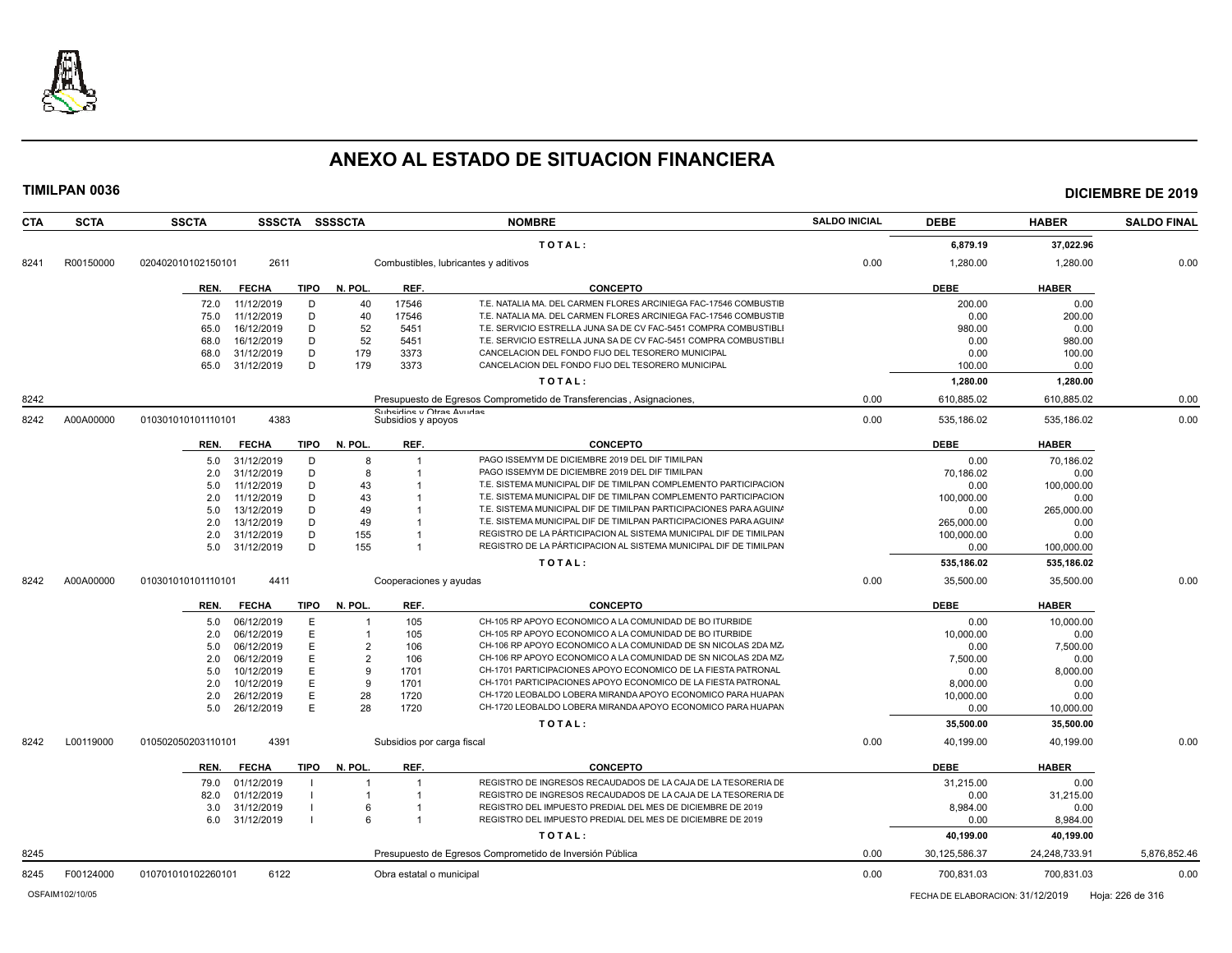

| <b>CTA</b><br><b>SCTA</b> | <b>SSCTA</b><br>SSSCTA SSSSCTA      |                                | <b>NOMBRE</b>                                                        | <b>SALDO INICIAL</b> | <b>DEBE</b>   | <b>HABER</b>  | <b>SALDO FINAL</b> |
|---------------------------|-------------------------------------|--------------------------------|----------------------------------------------------------------------|----------------------|---------------|---------------|--------------------|
|                           |                                     |                                | TOTAL:                                                               |                      | 6,879.19      | 37,022.96     |                    |
| R00150000<br>8241         | 020402010102150101<br>2611          |                                | Combustibles, lubricantes y aditivos                                 | 0.00                 | 1,280.00      | 1,280.00      | 0.00               |
|                           | <b>FECHA</b><br><b>TIPO</b><br>REN. | N. POL.<br>REF.                | <b>CONCEPTO</b>                                                      |                      | <b>DEBE</b>   | <b>HABER</b>  |                    |
|                           | 72.0<br>11/12/2019<br>D             | 17546<br>40                    | T.E. NATALIA MA. DEL CARMEN FLORES ARCINIEGA FAC-17546 COMBUSTIE     |                      | 200.00        | 0.00          |                    |
|                           | D<br>11/12/2019<br>75.0             | 40<br>17546                    | T.E. NATALIA MA. DEL CARMEN FLORES ARCINIEGA FAC-17546 COMBUSTIE     |                      | 0.00          | 200.00        |                    |
|                           | 16/12/2019<br>D<br>65.0             | 52<br>5451                     | T.E. SERVICIO ESTRELLA JUNA SA DE CV FAC-5451 COMPRA COMBUSTIBLI     |                      | 980.00        | 0.00          |                    |
|                           | D<br>68.0<br>16/12/2019             | 52<br>5451                     | T.E. SERVICIO ESTRELLA JUNA SA DE CV FAC-5451 COMPRA COMBUSTIBLI     |                      | 0.00          | 980.00        |                    |
|                           | 31/12/2019<br>D<br>68.0             | 179<br>3373                    | CANCELACION DEL FONDO FIJO DEL TESORERO MUNICIPAL                    |                      | 0.00          | 100.00        |                    |
|                           | 31/12/2019<br>D<br>65.0             | 179<br>3373                    | CANCELACION DEL FONDO FIJO DEL TESORERO MUNICIPAL                    |                      | 100.00        | 0.00          |                    |
|                           |                                     |                                | TOTAL:                                                               |                      | 1,280.00      | 1,280.00      |                    |
| 8242                      |                                     |                                | Presupuesto de Egresos Comprometido de Transferencias, Asignaciones, | 0.00                 | 610,885.02    | 610,885.02    | 0.00               |
| A00A00000<br>8242         | 4383<br>010301010101110101          | Subsidios y apoyos             | Subeidine y Otrae Avudae                                             | 0.00                 | 535.186.02    | 535.186.02    | 0.00               |
|                           | <b>TIPO</b><br>REN.<br><b>FECHA</b> | N. POL.<br>REF.                | <b>CONCEPTO</b>                                                      |                      | <b>DEBE</b>   | <b>HABER</b>  |                    |
|                           | 31/12/2019<br>D<br>5.0              | 8                              | PAGO ISSEMYM DE DICIEMBRE 2019 DEL DIF TIMILPAN<br>$\mathbf 1$       |                      | 0.00          | 70.186.02     |                    |
|                           | D<br>31/12/2019<br>2.0              | 8                              | PAGO ISSEMYM DE DICIEMBRE 2019 DEL DIF TIMILPAN                      |                      | 70.186.02     | 0.00          |                    |
|                           | 11/12/2019<br>D<br>5.0              | 43                             | T.E. SISTEMA MUNICIPAL DIF DE TIMILPAN COMPLEMENTO PARTICIPACION     |                      | 0.00          | 100.000.00    |                    |
|                           | D<br>2.0<br>11/12/2019              | 43                             | T.E. SISTEMA MUNICIPAL DIF DE TIMILPAN COMPLEMENTO PARTICIPACION     |                      | 100,000.00    | 0.00          |                    |
|                           | 13/12/2019<br>D<br>5.0              | 49                             | T.E. SISTEMA MUNICIPAL DIF DE TIMILPAN PARTICIPACIONES PARA AGUIN/   |                      | 0.00          | 265,000.00    |                    |
|                           | 13/12/2019<br>D<br>2.0              | 49                             | T.E. SISTEMA MUNICIPAL DIF DE TIMILPAN PARTICIPACIONES PARA AGUIN/   |                      | 265,000.00    | 0.00          |                    |
|                           | D<br>2.0<br>31/12/2019              | 155                            | REGISTRO DE LA PÁRTICIPACION AL SISTEMA MUNICIPAL DIF DE TIMILPAN    |                      | 100.000.00    | 0.00          |                    |
|                           | D<br>31/12/2019<br>5.0              | 155                            | REGISTRO DE LA PÁRTICIPACION AL SISTEMA MUNICIPAL DIF DE TIMILPAN    |                      | 0.00          | 100,000.00    |                    |
|                           |                                     |                                | TOTAL:                                                               |                      | 535,186.02    | 535,186.02    |                    |
| A00A00000<br>8242         | 4411<br>010301010101110101          |                                | Cooperaciones y ayudas                                               | 0.00                 | 35.500.00     | 35.500.00     | 0.00               |
|                           | <b>TIPO</b><br>REN.<br><b>FECHA</b> | REF.<br>N. POL.                | <b>CONCEPTO</b>                                                      |                      | <b>DEBE</b>   | <b>HABER</b>  |                    |
|                           | 06/12/2019<br>Е<br>5.0              | 105<br>$\overline{\mathbf{1}}$ | CH-105 RP APOYO ECONOMICO A LA COMUNIDAD DE BO ITURBIDE              |                      | 0.00          | 10.000.00     |                    |
|                           | E<br>06/12/2019<br>2.0              | 105<br>$\overline{1}$          | CH-105 RP APOYO ECONOMICO A LA COMUNIDAD DE BO ITURBIDE              |                      | 10.000.00     | 0.00          |                    |
|                           | 06/12/2019<br>E<br>5.0              | $\overline{2}$<br>106          | CH-106 RP APOYO ECONOMICO A LA COMUNIDAD DE SN NICOLAS 2DA MZ.       |                      | 0.00          | 7,500.00      |                    |
|                           | 06/12/2019<br>E<br>2.0              | $\mathcal{P}$<br>106           | CH-106 RP APOYO ECONOMICO A LA COMUNIDAD DE SN NICOLAS 2DA MZ.       |                      | 7.500.00      | 0.00          |                    |
|                           | E<br>10/12/2019<br>5.0              | 9<br>1701                      | CH-1701 PARTICIPACIONES APOYO ECONOMICO DE LA FIESTA PATRONAL        |                      | 0.00          | 8,000.00      |                    |
|                           | 2.0<br>10/12/2019<br>Е              | 9<br>1701                      | CH-1701 PARTICIPACIONES APOYO ECONOMICO DE LA FIESTA PATRONAL        |                      | 8,000.00      | 0.00          |                    |
|                           | 26/12/2019<br>E<br>2.0              | 28<br>1720                     | CH-1720 LEOBALDO LOBERA MIRANDA APOYO ECONOMICO PARA HUAPAN          |                      | 10.000.00     | 0.00          |                    |
|                           | E<br>26/12/2019<br>5.0              | 28<br>1720                     | CH-1720 LEOBALDO LOBERA MIRANDA APOYO ECONOMICO PARA HUAPAN          |                      | 0.00          | 10,000.00     |                    |
|                           |                                     |                                | TOTAL:                                                               |                      | 35,500.00     | 35,500.00     |                    |
| L00119000<br>8242         | 4391<br>010502050203110101          |                                | Subsidios por carga fiscal                                           | 0.00                 | 40.199.00     | 40.199.00     | 0.00               |
|                           | <b>FECHA</b><br><b>TIPO</b><br>REN. | N. POL.<br>REF.                | <b>CONCEPTO</b>                                                      |                      | <b>DEBE</b>   | <b>HABER</b>  |                    |
|                           | 01/12/2019<br>79.0                  | -1                             | REGISTRO DE INGRESOS RECAUDADOS DE LA CAJA DE LA TESORERIA DE        |                      | 31,215.00     | 0.00          |                    |
|                           | 01/12/2019<br>82.0                  | $\mathbf{1}$                   | REGISTRO DE INGRESOS RECAUDADOS DE LA CAJA DE LA TESORERIA DE<br>-1  |                      | 0.00          | 31,215.00     |                    |
|                           | 31/12/2019<br>3.0                   | 6                              | REGISTRO DEL IMPUESTO PREDIAL DEL MES DE DICIEMBRE DE 2019           |                      | 8,984.00      | 0.00          |                    |
|                           | 31/12/2019<br>6.0                   | 6                              | REGISTRO DEL IMPUESTO PREDIAL DEL MES DE DICIEMBRE DE 2019           |                      | 0.00          | 8,984.00      |                    |
|                           |                                     |                                | TOTAL:                                                               |                      | 40,199.00     | 40,199.00     |                    |
|                           |                                     |                                | Presupuesto de Egresos Comprometido de Inversión Pública             | 0.00                 | 30,125,586.37 | 24,248,733.91 | 5,876,852.46       |
| 8245                      |                                     |                                |                                                                      |                      |               |               |                    |
| F00124000<br>8245         | 010701010102260101<br>6122          |                                | Obra estatal o municipal                                             | 0.00                 | 700,831.03    | 700,831.03    | 0.00               |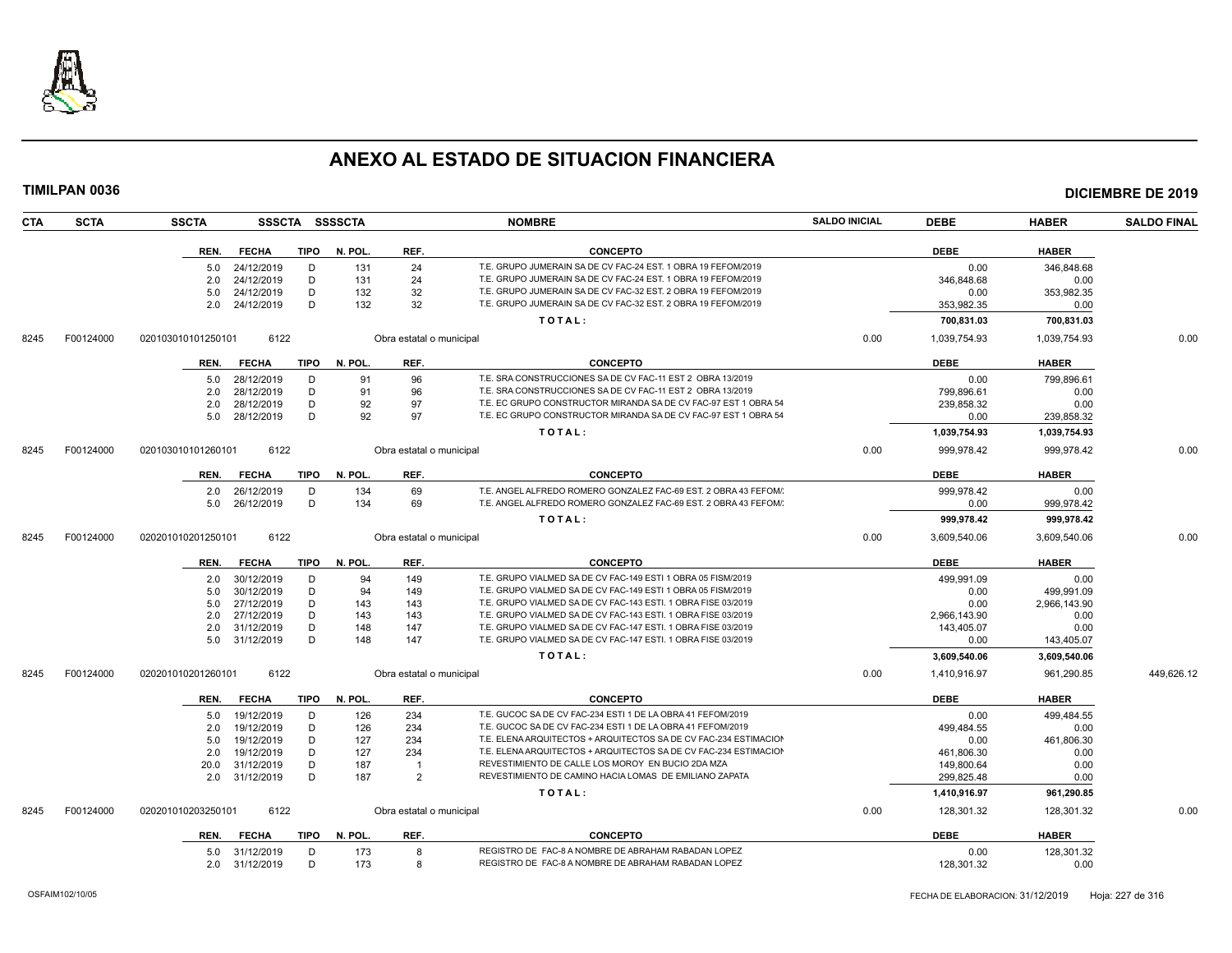

|            | <b>TIMILPAN 0036</b> |                    |                |             |                |                          |                                                                  |                      |              |              | <b>DICIEMBRE DE 2019</b> |
|------------|----------------------|--------------------|----------------|-------------|----------------|--------------------------|------------------------------------------------------------------|----------------------|--------------|--------------|--------------------------|
| <b>CTA</b> | <b>SCTA</b>          | <b>SSCTA</b>       |                |             | SSSCTA SSSSCTA |                          | <b>NOMBRE</b>                                                    | <b>SALDO INICIAL</b> | <b>DEBE</b>  | <b>HABER</b> | <b>SALDO FINAL</b>       |
|            |                      | REN.               | <b>FECHA</b>   | <b>TIPO</b> | N. POL.        | REF.                     | <b>CONCEPTO</b>                                                  |                      | <b>DEBE</b>  | <b>HABER</b> |                          |
|            |                      | 5.0                | 24/12/2019     | D           | 131            | 24                       | T.E. GRUPO JUMERAIN SA DE CV FAC-24 EST. 1 OBRA 19 FEFOM/2019    |                      | 0.00         | 346.848.68   |                          |
|            |                      | 2.0                | 24/12/2019     | D           | 131            | 24                       | T.E. GRUPO JUMERAIN SA DE CV FAC-24 EST. 1 OBRA 19 FEFOM/2019    |                      | 346,848.68   | 0.00         |                          |
|            |                      | 5.0                | 24/12/2019     | D           | 132            | 32                       | T.E. GRUPO JUMERAIN SA DE CV FAC-32 EST. 2 OBRA 19 FEFOM/2019    |                      | 0.00         | 353,982.35   |                          |
|            |                      | 2.0                | 24/12/2019     | D           | 132            | 32                       | T.E. GRUPO JUMERAIN SA DE CV FAC-32 EST. 2 OBRA 19 FEFOM/2019    |                      | 353,982.35   | 0.00         |                          |
|            |                      |                    |                |             |                |                          | TOTAL:                                                           |                      | 700.831.03   | 700,831.03   |                          |
| 8245       | F00124000            | 020103010101250101 | 6122           |             |                | Obra estatal o municipal |                                                                  | 0.00                 | 1,039,754.93 | 1,039,754.93 | 0.00                     |
|            |                      | REN.               | <b>FECHA</b>   | <b>TIPO</b> | N. POL.        | REF.                     | <b>CONCEPTO</b>                                                  |                      | <b>DEBE</b>  | <b>HABER</b> |                          |
|            |                      | 5.0                | 28/12/2019     | D           | 91             | 96                       | T.E. SRA CONSTRUCCIONES SA DE CV FAC-11 EST 2 OBRA 13/2019       |                      | 0.00         | 799.896.61   |                          |
|            |                      | 2.0                | 28/12/2019     | D           | 91             | 96                       | T.E. SRA CONSTRUCCIONES SA DE CV FAC-11 EST 2 OBRA 13/2019       |                      | 799,896.61   | 0.00         |                          |
|            |                      | 2.0                | 28/12/2019     | D           | 92             | 97                       | T.E. EC GRUPO CONSTRUCTOR MIRANDA SA DE CV FAC-97 EST 1 OBRA 54  |                      | 239.858.32   | 0.00         |                          |
|            |                      | 5.0                | 28/12/2019     | D           | 92             | 97                       | T.E. EC GRUPO CONSTRUCTOR MIRANDA SA DE CV FAC-97 EST 1 OBRA 54  |                      | 0.00         | 239,858.32   |                          |
|            |                      |                    |                |             |                |                          | TOTAL:                                                           |                      | 1,039,754.93 | 1,039,754.93 |                          |
| 8245       | F00124000            | 020103010101260101 | 6122           |             |                | Obra estatal o municipal |                                                                  | 0.00                 | 999,978.42   | 999,978.42   | 0.00                     |
|            |                      | REN.               | <b>FECHA</b>   | <b>TIPO</b> | N. POL.        | REF.                     | <b>CONCEPTO</b>                                                  |                      | <b>DEBE</b>  | <b>HABER</b> |                          |
|            |                      | 2.0                | 26/12/2019     | D           | 134            | 69                       | T.E. ANGEL ALFREDO ROMERO GONZALEZ FAC-69 EST. 2 OBRA 43 FEFOM/  |                      | 999.978.42   | 0.00         |                          |
|            |                      | 5.0                | 26/12/2019     | D           | 134            | 69                       | T.E. ANGEL ALFREDO ROMERO GONZALEZ FAC-69 EST. 2 OBRA 43 FEFOM/  |                      | 0.00         | 999,978.42   |                          |
|            |                      |                    |                |             |                |                          | TOTAL:                                                           |                      | 999,978.42   | 999,978.42   |                          |
| 8245       | F00124000            | 020201010201250101 | 6122           |             |                | Obra estatal o municipal |                                                                  | 0.00                 | 3.609.540.06 | 3.609.540.06 | 0.00                     |
|            |                      |                    |                |             |                |                          |                                                                  |                      |              |              |                          |
|            |                      | REN.               | <b>FECHA</b>   | <b>TIPO</b> | N. POL.        | REF.                     | <b>CONCEPTO</b>                                                  |                      | <b>DEBE</b>  | <b>HABER</b> |                          |
|            |                      | 2.0                | 30/12/2019     | D           | 94             | 149                      | T.E. GRUPO VIALMED SA DE CV FAC-149 ESTI 1 OBRA 05 FISM/2019     |                      | 499.991.09   | 0.00         |                          |
|            |                      | 5.0                | 30/12/2019     | D           | 94             | 149                      | T.E. GRUPO VIALMED SA DE CV FAC-149 ESTI 1 OBRA 05 FISM/2019     |                      | 0.00         | 499,991.09   |                          |
|            |                      | 5.0                | 27/12/2019     | D           | 143            | 143                      | T.E. GRUPO VIALMED SA DE CV FAC-143 ESTI. 1 OBRA FISE 03/2019    |                      | 0.00         | 2,966,143.90 |                          |
|            |                      | 2.0                | 27/12/2019     | D           | 143            | 143                      | T.E. GRUPO VIALMED SA DE CV FAC-143 ESTI. 1 OBRA FISE 03/2019    |                      | 2,966,143.90 | 0.00         |                          |
|            |                      | 2.0                | 31/12/2019     | D           | 148            | 147                      | T.E. GRUPO VIALMED SA DE CV FAC-147 ESTI. 1 OBRA FISE 03/2019    |                      | 143,405.07   | 0.00         |                          |
|            |                      | 5.0                | 31/12/2019     | D           | 148            | 147                      | T.E. GRUPO VIALMED SA DE CV FAC-147 ESTI. 1 OBRA FISE 03/2019    |                      | 0.00         | 143,405.07   |                          |
|            |                      |                    |                |             |                |                          | TOTAL:                                                           |                      | 3,609,540.06 | 3,609,540.06 |                          |
| 8245       | F00124000            | 020201010201260101 | 6122           |             |                | Obra estatal o municipal |                                                                  | 0.00                 | 1,410,916.97 | 961.290.85   | 449.626.12               |
|            |                      | REN.               | <b>FECHA</b>   | <b>TIPO</b> | N. POL.        | REF.                     | <b>CONCEPTO</b>                                                  |                      | <b>DEBE</b>  | <b>HABER</b> |                          |
|            |                      | 5.0                | 19/12/2019     | D           | 126            | 234                      | T.E. GUCOC SA DE CV FAC-234 ESTI 1 DE LA OBRA 41 FEFOM/2019      |                      | 0.00         | 499,484.55   |                          |
|            |                      | 2.0                | 19/12/2019     | D           | 126            | 234                      | T.E. GUCOC SA DE CV FAC-234 ESTI 1 DE LA OBRA 41 FEFOM/2019      |                      | 499,484.55   | 0.00         |                          |
|            |                      | 5.0                | 19/12/2019     | D           | 127            | 234                      | T.E. ELENA ARQUITECTOS + ARQUITECTOS SA DE CV FAC-234 ESTIMACION |                      | 0.00         | 461,806.30   |                          |
|            |                      | 2.0                | 19/12/2019     | D           | 127            | 234                      | T.E. ELENA ARQUITECTOS + ARQUITECTOS SA DE CV FAC-234 ESTIMACION |                      | 461,806.30   | 0.00         |                          |
|            |                      | 20.0               | 31/12/2019     | D           | 187            | $\overline{1}$           | REVESTIMIENTO DE CALLE LOS MOROY EN BUCIO 2DA MZA                |                      | 149,800.64   | 0.00         |                          |
|            |                      | 2.0                | 31/12/2019     | D           | 187            | $\overline{2}$           | REVESTIMIENTO DE CAMINO HACIA LOMAS DE EMILIANO ZAPATA           |                      | 299,825.48   | 0.00         |                          |
|            |                      |                    |                |             |                |                          | TOTAL:                                                           |                      | 1,410,916.97 | 961,290.85   |                          |
| 8245       | F00124000            | 020201010203250101 | 6122           |             |                | Obra estatal o municipal |                                                                  | 0.00                 | 128,301.32   | 128,301.32   | 0.00                     |
|            |                      | REN.               | <b>FECHA</b>   | TIPO        | N. POL.        | REF.                     | <b>CONCEPTO</b>                                                  |                      | <b>DEBE</b>  | <b>HABER</b> |                          |
|            |                      |                    | 5.0 31/12/2019 | D           | 173            | 8                        | REGISTRO DE FAC-8 A NOMBRE DE ABRAHAM RABADAN LOPEZ              |                      | 0.00         | 128,301.32   |                          |
|            |                      | 2.0                | 31/12/2019     | D           | 173            | -8                       | REGISTRO DE FAC-8 A NOMBRE DE ABRAHAM RABADAN LOPEZ              |                      | 128,301.32   | 0.00         |                          |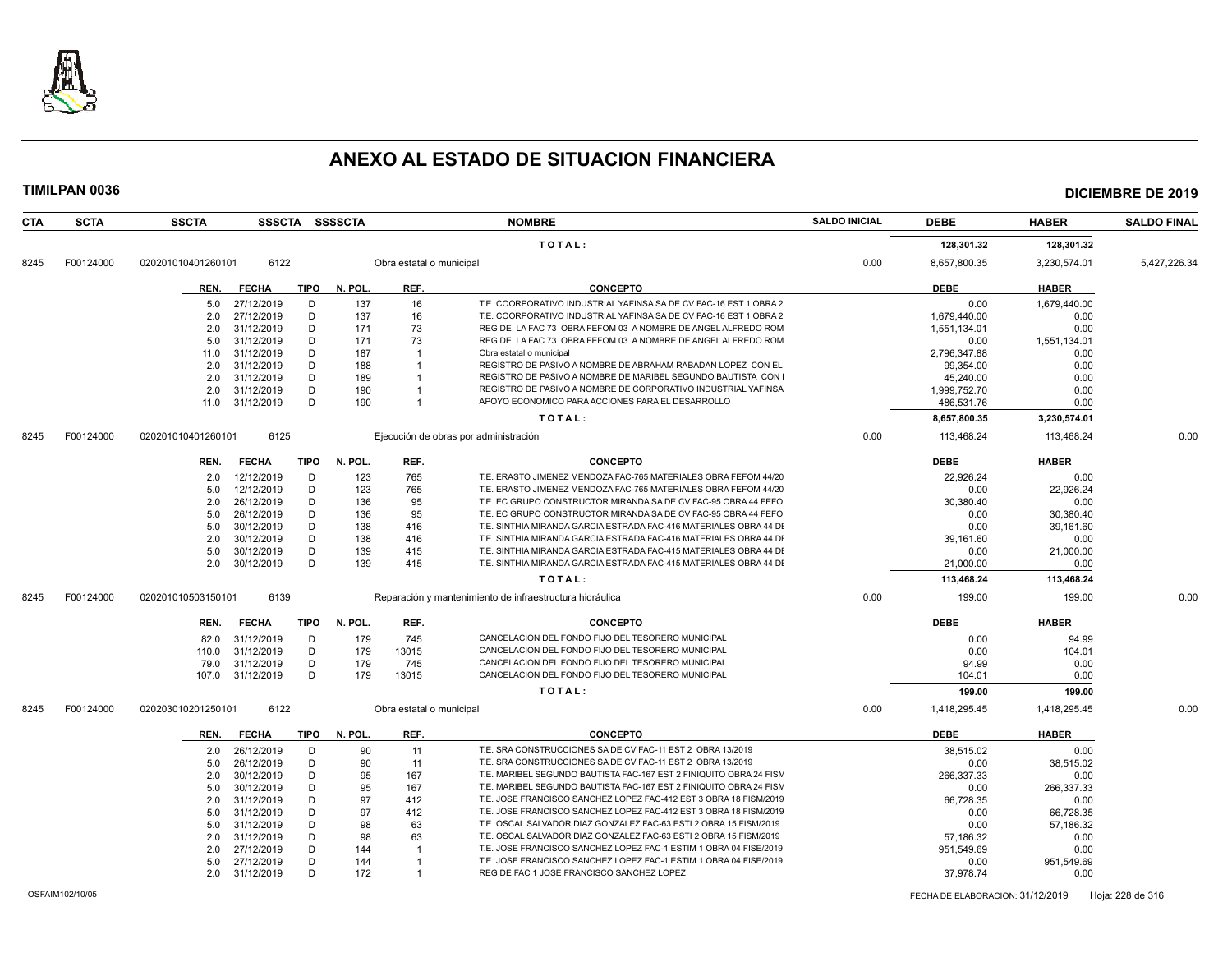

| <b>SCTA</b> | <b>SSCTA</b>       |      |                                                                                                                                                                                                                                                                                                                                                                                                                                                                                                                                   |                                                                          |                                    | <b>NOMBRE</b>                                                      | <b>SALDO INICIAL</b>                                                                                                                                                                                                                                                                                                                                                                                                                                                                       | <b>DEBE</b>  | <b>HABER</b>              | <b>SALDO FINAL</b>                      |
|-------------|--------------------|------|-----------------------------------------------------------------------------------------------------------------------------------------------------------------------------------------------------------------------------------------------------------------------------------------------------------------------------------------------------------------------------------------------------------------------------------------------------------------------------------------------------------------------------------|--------------------------------------------------------------------------|------------------------------------|--------------------------------------------------------------------|--------------------------------------------------------------------------------------------------------------------------------------------------------------------------------------------------------------------------------------------------------------------------------------------------------------------------------------------------------------------------------------------------------------------------------------------------------------------------------------------|--------------|---------------------------|-----------------------------------------|
|             |                    |      |                                                                                                                                                                                                                                                                                                                                                                                                                                                                                                                                   |                                                                          |                                    | TOTAL:                                                             |                                                                                                                                                                                                                                                                                                                                                                                                                                                                                            | 128,301.32   | 128,301.32                |                                         |
| F00124000   | 020201010401260101 | 6122 |                                                                                                                                                                                                                                                                                                                                                                                                                                                                                                                                   |                                                                          |                                    |                                                                    | 0.00                                                                                                                                                                                                                                                                                                                                                                                                                                                                                       | 8,657,800.35 | 3,230,574.01              | 5,427,226.34                            |
|             | REN.               |      |                                                                                                                                                                                                                                                                                                                                                                                                                                                                                                                                   | N. POL.                                                                  | REF.                               | <b>CONCEPTO</b>                                                    |                                                                                                                                                                                                                                                                                                                                                                                                                                                                                            | <b>DEBE</b>  | <b>HABER</b>              |                                         |
|             | 5.0                |      | D                                                                                                                                                                                                                                                                                                                                                                                                                                                                                                                                 | 137                                                                      | 16                                 | T.E. COORPORATIVO INDUSTRIAL YAFINSA SA DE CV FAC-16 EST 1 OBRA 2  |                                                                                                                                                                                                                                                                                                                                                                                                                                                                                            | 0.00         | 1.679.440.00              |                                         |
|             | 2.0                |      | D                                                                                                                                                                                                                                                                                                                                                                                                                                                                                                                                 | 137                                                                      | 16                                 | T.E. COORPORATIVO INDUSTRIAL YAFINSA SA DE CV FAC-16 EST 1 OBRA 2  |                                                                                                                                                                                                                                                                                                                                                                                                                                                                                            | 1,679,440.00 | 0.00                      |                                         |
|             | 2.0                |      | D                                                                                                                                                                                                                                                                                                                                                                                                                                                                                                                                 | 171                                                                      | 73                                 | REG DE LA FAC 73 OBRA FEFOM 03 A NOMBRE DE ANGEL ALFREDO ROM       |                                                                                                                                                                                                                                                                                                                                                                                                                                                                                            | 1,551,134.01 | 0.00                      |                                         |
|             | 5.0                |      | D                                                                                                                                                                                                                                                                                                                                                                                                                                                                                                                                 | 171                                                                      | 73                                 | REG DE LA FAC 73 OBRA FEFOM 03 A NOMBRE DE ANGEL ALFREDO ROM       |                                                                                                                                                                                                                                                                                                                                                                                                                                                                                            | 0.00         | 1,551,134.01              |                                         |
|             | 11.0               |      | D                                                                                                                                                                                                                                                                                                                                                                                                                                                                                                                                 | 187                                                                      |                                    | Obra estatal o municipal                                           |                                                                                                                                                                                                                                                                                                                                                                                                                                                                                            | 2.796.347.88 | 0.00                      |                                         |
|             | 2.0                |      | D                                                                                                                                                                                                                                                                                                                                                                                                                                                                                                                                 | 188                                                                      |                                    | REGISTRO DE PASIVO A NOMBRE DE ABRAHAM RABADAN LOPEZ CON EL        |                                                                                                                                                                                                                                                                                                                                                                                                                                                                                            | 99,354.00    | 0.00                      |                                         |
|             | 2.0                |      | D                                                                                                                                                                                                                                                                                                                                                                                                                                                                                                                                 | 189                                                                      |                                    | REGISTRO DE PASIVO A NOMBRE DE MARIBEL SEGUNDO BAUTISTA CON        |                                                                                                                                                                                                                                                                                                                                                                                                                                                                                            | 45,240.00    | 0.00                      |                                         |
|             | 2.0                |      | D                                                                                                                                                                                                                                                                                                                                                                                                                                                                                                                                 | 190                                                                      |                                    | REGISTRO DE PASIVO A NOMBRE DE CORPORATIVO INDUSTRIAL YAFINSA      |                                                                                                                                                                                                                                                                                                                                                                                                                                                                                            | 1,999,752.70 | 0.00                      |                                         |
|             |                    |      | D                                                                                                                                                                                                                                                                                                                                                                                                                                                                                                                                 | 190                                                                      | $\overline{1}$                     | APOYO ECONOMICO PARA ACCIONES PARA EL DESARROLLO                   |                                                                                                                                                                                                                                                                                                                                                                                                                                                                                            | 486,531.76   | 0.00                      |                                         |
|             |                    |      |                                                                                                                                                                                                                                                                                                                                                                                                                                                                                                                                   |                                                                          |                                    | TOTAL:                                                             |                                                                                                                                                                                                                                                                                                                                                                                                                                                                                            | 8,657,800.35 | 3,230,574.01              |                                         |
| F00124000   | 020201010401260101 | 6125 |                                                                                                                                                                                                                                                                                                                                                                                                                                                                                                                                   |                                                                          |                                    |                                                                    | 0.00                                                                                                                                                                                                                                                                                                                                                                                                                                                                                       | 113,468.24   | 113,468.24                | 0.00                                    |
|             | REN.               |      |                                                                                                                                                                                                                                                                                                                                                                                                                                                                                                                                   | N. POL.                                                                  | REF.                               | <b>CONCEPTO</b>                                                    |                                                                                                                                                                                                                                                                                                                                                                                                                                                                                            | <b>DEBE</b>  | <b>HABER</b>              |                                         |
|             | 2.0                |      | D                                                                                                                                                                                                                                                                                                                                                                                                                                                                                                                                 | 123                                                                      | 765                                | T.E. ERASTO JIMENEZ MENDOZA FAC-765 MATERIALES OBRA FEFOM 44/20    |                                                                                                                                                                                                                                                                                                                                                                                                                                                                                            | 22.926.24    | 0.00                      |                                         |
|             | 5.0                |      | D                                                                                                                                                                                                                                                                                                                                                                                                                                                                                                                                 | 123                                                                      | 765                                | T.E. ERASTO JIMENEZ MENDOZA FAC-765 MATERIALES OBRA FEFOM 44/20    |                                                                                                                                                                                                                                                                                                                                                                                                                                                                                            | 0.00         | 22,926.24                 |                                         |
|             | 2.0                |      | D                                                                                                                                                                                                                                                                                                                                                                                                                                                                                                                                 | 136                                                                      | 95                                 | T.E. EC GRUPO CONSTRUCTOR MIRANDA SA DE CV FAC-95 OBRA 44 FEFO     |                                                                                                                                                                                                                                                                                                                                                                                                                                                                                            | 30.380.40    | 0.00                      |                                         |
|             | 5.0                |      | D                                                                                                                                                                                                                                                                                                                                                                                                                                                                                                                                 | 136                                                                      | 95                                 | T.E. EC GRUPO CONSTRUCTOR MIRANDA SA DE CV FAC-95 OBRA 44 FEFO     |                                                                                                                                                                                                                                                                                                                                                                                                                                                                                            | 0.00         | 30,380.40                 |                                         |
|             | 5.0                |      | D                                                                                                                                                                                                                                                                                                                                                                                                                                                                                                                                 | 138                                                                      | 416                                | T.E. SINTHIA MIRANDA GARCIA ESTRADA FAC-416 MATERIALES OBRA 44 DI  |                                                                                                                                                                                                                                                                                                                                                                                                                                                                                            | 0.00         | 39,161.60                 |                                         |
|             | 2.0                |      | D                                                                                                                                                                                                                                                                                                                                                                                                                                                                                                                                 | 138                                                                      | 416                                | T.E. SINTHIA MIRANDA GARCIA ESTRADA FAC-416 MATERIALES OBRA 44 DI  |                                                                                                                                                                                                                                                                                                                                                                                                                                                                                            | 39,161.60    | 0.00                      |                                         |
|             | 5.0                |      | D                                                                                                                                                                                                                                                                                                                                                                                                                                                                                                                                 | 139                                                                      | 415                                | T.E. SINTHIA MIRANDA GARCIA ESTRADA FAC-415 MATERIALES OBRA 44 DI  |                                                                                                                                                                                                                                                                                                                                                                                                                                                                                            | 0.00         | 21,000.00                 |                                         |
|             | 2.0                |      | D                                                                                                                                                                                                                                                                                                                                                                                                                                                                                                                                 | 139                                                                      | 415                                | T.E. SINTHIA MIRANDA GARCIA ESTRADA FAC-415 MATERIALES OBRA 44 DI  |                                                                                                                                                                                                                                                                                                                                                                                                                                                                                            | 21,000.00    | 0.00                      |                                         |
|             |                    |      |                                                                                                                                                                                                                                                                                                                                                                                                                                                                                                                                   |                                                                          |                                    | TOTAL:                                                             |                                                                                                                                                                                                                                                                                                                                                                                                                                                                                            | 113,468.24   | 113,468.24                |                                         |
| F00124000   | 020201010503150101 | 6139 |                                                                                                                                                                                                                                                                                                                                                                                                                                                                                                                                   |                                                                          |                                    |                                                                    | 0.00                                                                                                                                                                                                                                                                                                                                                                                                                                                                                       | 199.00       | 199.00                    | 0.00                                    |
|             | REN.               |      |                                                                                                                                                                                                                                                                                                                                                                                                                                                                                                                                   | N. POL.                                                                  | REF.                               | <b>CONCEPTO</b>                                                    |                                                                                                                                                                                                                                                                                                                                                                                                                                                                                            | <b>DEBE</b>  | <b>HABER</b>              |                                         |
|             | 82.0               |      | D                                                                                                                                                                                                                                                                                                                                                                                                                                                                                                                                 | 179                                                                      | 745                                | CANCELACION DEL FONDO FIJO DEL TESORERO MUNICIPAL                  |                                                                                                                                                                                                                                                                                                                                                                                                                                                                                            | 0.00         | 94.99                     |                                         |
|             | 110.0              |      | D                                                                                                                                                                                                                                                                                                                                                                                                                                                                                                                                 | 179                                                                      | 13015                              | CANCELACION DEL FONDO FIJO DEL TESORERO MUNICIPAL                  |                                                                                                                                                                                                                                                                                                                                                                                                                                                                                            | 0.00         | 104.01                    |                                         |
|             | 79.0               |      | D                                                                                                                                                                                                                                                                                                                                                                                                                                                                                                                                 | 179                                                                      | 745                                | CANCELACION DEL FONDO FIJO DEL TESORERO MUNICIPAL                  |                                                                                                                                                                                                                                                                                                                                                                                                                                                                                            | 94.99        | 0.00                      |                                         |
|             | 107.0              |      | D                                                                                                                                                                                                                                                                                                                                                                                                                                                                                                                                 | 179                                                                      | 13015                              | CANCELACION DEL FONDO FIJO DEL TESORERO MUNICIPAL                  |                                                                                                                                                                                                                                                                                                                                                                                                                                                                                            | 104.01       | 0.00                      |                                         |
|             |                    |      |                                                                                                                                                                                                                                                                                                                                                                                                                                                                                                                                   |                                                                          |                                    | TOTAL:                                                             |                                                                                                                                                                                                                                                                                                                                                                                                                                                                                            | 199.00       | 199.00                    |                                         |
| F00124000   | 020203010201250101 | 6122 |                                                                                                                                                                                                                                                                                                                                                                                                                                                                                                                                   |                                                                          |                                    |                                                                    | 0.00                                                                                                                                                                                                                                                                                                                                                                                                                                                                                       | 1,418,295.45 | 1,418,295.45              | 0.00                                    |
|             | REN.               |      |                                                                                                                                                                                                                                                                                                                                                                                                                                                                                                                                   | N. POL.                                                                  | REF.                               | <b>CONCEPTO</b>                                                    |                                                                                                                                                                                                                                                                                                                                                                                                                                                                                            | <b>DEBE</b>  | <b>HABER</b>              |                                         |
|             | 2.0                |      | D                                                                                                                                                                                                                                                                                                                                                                                                                                                                                                                                 | 90                                                                       | 11                                 | T.E. SRA CONSTRUCCIONES SA DE CV FAC-11 EST 2 OBRA 13/2019         |                                                                                                                                                                                                                                                                                                                                                                                                                                                                                            | 38.515.02    | 0.00                      |                                         |
|             | 5.0                |      | D                                                                                                                                                                                                                                                                                                                                                                                                                                                                                                                                 | 90                                                                       | 11                                 | T.E. SRA CONSTRUCCIONES SA DE CV FAC-11 EST 2 OBRA 13/2019         |                                                                                                                                                                                                                                                                                                                                                                                                                                                                                            | 0.00         | 38,515.02                 |                                         |
|             | 2.0                |      | D                                                                                                                                                                                                                                                                                                                                                                                                                                                                                                                                 | 95                                                                       | 167                                | T.E. MARIBEL SEGUNDO BAUTISTA FAC-167 EST 2 FINIQUITO OBRA 24 FISM |                                                                                                                                                                                                                                                                                                                                                                                                                                                                                            | 266,337.33   | 0.00                      |                                         |
|             | 5.0                |      | D                                                                                                                                                                                                                                                                                                                                                                                                                                                                                                                                 | 95                                                                       | 167                                | T.E. MARIBEL SEGUNDO BAUTISTA FAC-167 EST 2 FINIQUITO OBRA 24 FISM |                                                                                                                                                                                                                                                                                                                                                                                                                                                                                            | 0.00         | 266,337.33                |                                         |
|             | 2.0                |      | D                                                                                                                                                                                                                                                                                                                                                                                                                                                                                                                                 | 97                                                                       | 412                                | T.E. JOSE FRANCISCO SANCHEZ LOPEZ FAC-412 EST 3 OBRA 18 FISM/2019  |                                                                                                                                                                                                                                                                                                                                                                                                                                                                                            | 66.728.35    | 0.00                      |                                         |
|             | 5.0                |      | D                                                                                                                                                                                                                                                                                                                                                                                                                                                                                                                                 | 97                                                                       | 412                                | T.E. JOSE FRANCISCO SANCHEZ LOPEZ FAC-412 EST 3 OBRA 18 FISM/2019  |                                                                                                                                                                                                                                                                                                                                                                                                                                                                                            | 0.00         | 66,728.35                 |                                         |
|             | 5.0                |      |                                                                                                                                                                                                                                                                                                                                                                                                                                                                                                                                   |                                                                          |                                    |                                                                    |                                                                                                                                                                                                                                                                                                                                                                                                                                                                                            |              |                           |                                         |
|             | 2.0                |      | D                                                                                                                                                                                                                                                                                                                                                                                                                                                                                                                                 | 98                                                                       | 63                                 |                                                                    |                                                                                                                                                                                                                                                                                                                                                                                                                                                                                            | 57,186.32    | 0.00                      |                                         |
|             | 2.0                |      |                                                                                                                                                                                                                                                                                                                                                                                                                                                                                                                                   | 144                                                                      |                                    |                                                                    |                                                                                                                                                                                                                                                                                                                                                                                                                                                                                            | 951.549.69   |                           |                                         |
|             | 5.0                |      |                                                                                                                                                                                                                                                                                                                                                                                                                                                                                                                                   |                                                                          |                                    |                                                                    |                                                                                                                                                                                                                                                                                                                                                                                                                                                                                            |              |                           |                                         |
|             |                    |      |                                                                                                                                                                                                                                                                                                                                                                                                                                                                                                                                   |                                                                          |                                    |                                                                    |                                                                                                                                                                                                                                                                                                                                                                                                                                                                                            |              |                           |                                         |
|             |                    | 2.0  | <b>FECHA</b><br>27/12/2019<br>27/12/2019<br>31/12/2019<br>31/12/2019<br>31/12/2019<br>31/12/2019<br>31/12/2019<br>31/12/2019<br>11.0 31/12/2019<br><b>FECHA</b><br>12/12/2019<br>12/12/2019<br>26/12/2019<br>26/12/2019<br>30/12/2019<br>30/12/2019<br>30/12/2019<br>30/12/2019<br><b>FECHA</b><br>31/12/2019<br>31/12/2019<br>31/12/2019<br>31/12/2019<br><b>FECHA</b><br>26/12/2019<br>26/12/2019<br>30/12/2019<br>30/12/2019<br>31/12/2019<br>31/12/2019<br>31/12/2019<br>31/12/2019<br>27/12/2019<br>27/12/2019<br>31/12/2019 | <b>SSSCTA</b><br>TIPO<br><b>TIPO</b><br>TIPO<br>TIPO<br>D<br>D<br>D<br>D | <b>SSSSCTA</b><br>98<br>144<br>172 | 63<br>$\overline{1}$                                               | Obra estatal o municipal<br>Ejecución de obras por administración<br>Reparación y mantenimiento de infraestructura hidráulica<br>Obra estatal o municipal<br>T.E. OSCAL SALVADOR DIAZ GONZALEZ FAC-63 ESTI 2 OBRA 15 FISM/2019<br>T.E. OSCAL SALVADOR DIAZ GONZALEZ FAC-63 ESTI 2 OBRA 15 FISM/2019<br>T.E. JOSE FRANCISCO SANCHEZ LOPEZ FAC-1 ESTIM 1 OBRA 04 FISE/2019<br>T.E. JOSE FRANCISCO SANCHEZ LOPEZ FAC-1 ESTIM 1 OBRA 04 FISE/2019<br>REG DE FAC 1 JOSE FRANCISCO SANCHEZ LOPEZ |              | 0.00<br>0.00<br>37,978.74 | 57,186.32<br>0.00<br>951,549.69<br>0.00 |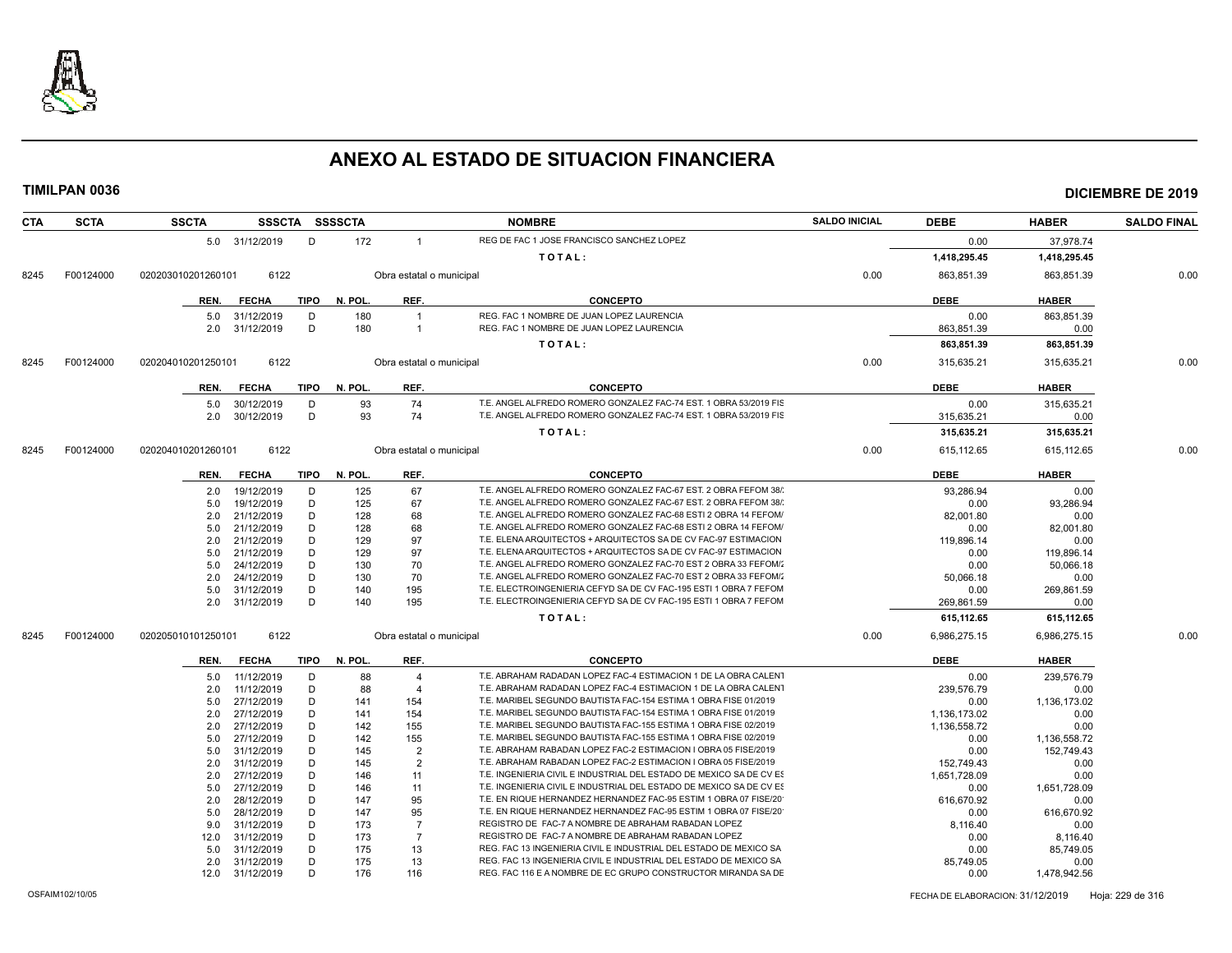

**TIMILPAN 0036 DICIEMBRE DE 2019**

| CTA  | <b>SCTA</b> | <b>SSCTA</b>       |                          |             | SSSCTA SSSSCTA |                          | <b>NOMBRE</b>                                                                          | <b>SALDO INICIAL</b> | <b>DEBE</b>        | <b>HABER</b>       | <b>SALDO FINAL</b> |
|------|-------------|--------------------|--------------------------|-------------|----------------|--------------------------|----------------------------------------------------------------------------------------|----------------------|--------------------|--------------------|--------------------|
|      |             |                    | 5.0 31/12/2019           | D           | 172            | $\overline{1}$           | REG DE FAC 1 JOSE FRANCISCO SANCHEZ LOPEZ                                              |                      | 0.00               | 37,978.74          |                    |
|      |             |                    |                          |             |                |                          | TOTAL:                                                                                 |                      | 1,418,295.45       | 1,418,295.45       |                    |
| 8245 | F00124000   | 020203010201260101 | 6122                     |             |                | Obra estatal o municipal |                                                                                        | 0.00                 | 863,851.39         | 863,851.39         | 0.00               |
|      |             | REN.               | <b>FECHA</b>             | <b>TIPO</b> | N. POL.        | REF.                     | <b>CONCEPTO</b>                                                                        |                      | <b>DEBE</b>        | <b>HABER</b>       |                    |
|      |             |                    |                          |             |                | $\overline{1}$           |                                                                                        |                      |                    |                    |                    |
|      |             | 5.0<br>2.0         | 31/12/2019<br>31/12/2019 | D<br>D      | 180<br>180     | $\overline{1}$           | REG. FAC 1 NOMBRE DE JUAN LOPEZ LAURENCIA<br>REG. FAC 1 NOMBRE DE JUAN LOPEZ LAURENCIA |                      | 0.00<br>863,851.39 | 863,851.39<br>0.00 |                    |
|      |             |                    |                          |             |                |                          | TOTAL:                                                                                 |                      | 863.851.39         | 863.851.39         |                    |
|      |             |                    |                          |             |                |                          |                                                                                        |                      |                    |                    |                    |
| 8245 | F00124000   | 020204010201250101 | 6122                     |             |                | Obra estatal o municipal |                                                                                        | 0.00                 | 315,635.21         | 315,635.21         | 0.00               |
|      |             | REN.               | FECHA                    | TIPO        | N. POL.        | REF.                     | <b>CONCEPTO</b>                                                                        |                      | <b>DEBE</b>        | <b>HABER</b>       |                    |
|      |             | 5.0                | 30/12/2019               | D           | 93             | 74                       | T.E. ANGEL ALFREDO ROMERO GONZALEZ FAC-74 EST. 1 OBRA 53/2019 FIS                      |                      | 0.00               | 315,635.21         |                    |
|      |             | 2.0                | 30/12/2019               | D           | 93             | 74                       | T.E. ANGEL ALFREDO ROMERO GONZALEZ FAC-74 EST. 1 OBRA 53/2019 FIS                      |                      | 315,635.21         | 0.00               |                    |
|      |             |                    |                          |             |                |                          | TOTAL:                                                                                 |                      | 315,635.21         | 315,635.21         |                    |
| 8245 | F00124000   | 020204010201260101 | 6122                     |             |                | Obra estatal o municipal |                                                                                        | 0.00                 | 615, 112.65        | 615, 112.65        | 0.00               |
|      |             | REN.               | FECHA                    | <b>TIPO</b> | N. POL.        | REF.                     | <b>CONCEPTO</b>                                                                        |                      | <b>DEBE</b>        | <b>HABER</b>       |                    |
|      |             |                    | 2.0 19/12/2019           | D           | 125            | 67                       | T.E. ANGEL ALFREDO ROMERO GONZALEZ FAC-67 EST. 2 OBRA FEFOM 38/                        |                      | 93.286.94          | 0.00               |                    |
|      |             | 5.0                | 19/12/2019               | D           | 125            | 67                       | T.E. ANGEL ALFREDO ROMERO GONZALEZ FAC-67 EST, 2 OBRA FEFOM 38/                        |                      | 0.00               | 93.286.94          |                    |
|      |             | 2.0                | 21/12/2019               | D           | 128            | 68                       | T.E. ANGEL ALFREDO ROMERO GONZALEZ FAC-68 ESTI 2 OBRA 14 FEFOM/                        |                      | 82,001.80          | 0.00               |                    |
|      |             | 5.0                | 21/12/2019               | D           | 128            | 68                       | T.E. ANGEL ALFREDO ROMERO GONZALEZ FAC-68 ESTI 2 OBRA 14 FEFOM/                        |                      | 0.00               | 82,001.80          |                    |
|      |             | 2.0                | 21/12/2019               | D           | 129            | 97                       | T.E. ELENA ARQUITECTOS + ARQUITECTOS SA DE CV FAC-97 ESTIMACION                        |                      | 119,896.14         | 0.00               |                    |
|      |             | 5.0                | 21/12/2019               | D           | 129            | 97                       | T.E. ELENA ARQUITECTOS + ARQUITECTOS SA DE CV FAC-97 ESTIMACION                        |                      | 0.00               | 119,896.14         |                    |
|      |             | 5.0                | 24/12/2019               | D           | 130            | 70                       | T.E. ANGEL ALFREDO ROMERO GONZALEZ FAC-70 EST 2 OBRA 33 FEFOM/                         |                      | 0.00               | 50,066.18          |                    |
|      |             | 2.0                | 24/12/2019               | D           | 130            | 70                       | T.E. ANGEL ALFREDO ROMERO GONZALEZ FAC-70 EST 2 OBRA 33 FEFOM/                         |                      | 50,066.18          | 0.00               |                    |
|      |             | 5.0                | 31/12/2019               | D           | 140            | 195                      | T.E. ELECTROINGENIERIA CEFYD SA DE CV FAC-195 ESTI 1 OBRA 7 FEFOM                      |                      | 0.00               | 269,861.59         |                    |
|      |             | 2.0                | 31/12/2019               | D           | 140            | 195                      | T.E. ELECTROINGENIERIA CEFYD SA DE CV FAC-195 ESTI 1 OBRA 7 FEFOM                      |                      | 269,861.59         | 0.00               |                    |
|      |             |                    |                          |             |                |                          | TOTAL:                                                                                 |                      | 615,112.65         | 615,112.65         |                    |
| 8245 | F00124000   | 020205010101250101 | 6122                     |             |                | Obra estatal o municipal |                                                                                        | 0.00                 | 6,986,275.15       | 6,986,275.15       | 0.00               |
|      |             | REN.               | <b>FECHA</b>             | <b>TIPO</b> | N. POL.        | REF.                     | <b>CONCEPTO</b>                                                                        |                      | <b>DEBE</b>        | <b>HABER</b>       |                    |
|      |             | 5.0                | 11/12/2019               | D           | 88             | $\overline{\mathbf{4}}$  | T.E. ABRAHAM RADADAN LOPEZ FAC-4 ESTIMACION 1 DE LA OBRA CALENT                        |                      | 0.00               | 239,576.79         |                    |
|      |             | 2.0                | 11/12/2019               | D           | 88             | $\overline{\mathbf{4}}$  | T.E. ABRAHAM RADADAN LOPEZ FAC-4 ESTIMACION 1 DE LA OBRA CALENT                        |                      | 239,576.79         | 0.00               |                    |
|      |             | 5.0                | 27/12/2019               | D           | 141            | 154                      | T.E. MARIBEL SEGUNDO BAUTISTA FAC-154 ESTIMA 1 OBRA FISE 01/2019                       |                      | 0.00               | 1,136,173.02       |                    |
|      |             | 2.0                | 27/12/2019               | D           | 141            | 154                      | T.E. MARIBEL SEGUNDO BAUTISTA FAC-154 ESTIMA 1 OBRA FISE 01/2019                       |                      | 1,136,173.02       | 0.00               |                    |
|      |             | 2.0                | 27/12/2019               | D           | 142            | 155                      | T.E. MARIBEL SEGUNDO BAUTISTA FAC-155 ESTIMA 1 OBRA FISE 02/2019                       |                      | 1,136,558.72       | 0.00               |                    |
|      |             | 5.0                | 27/12/2019               | D           | 142            | 155                      | T.E. MARIBEL SEGUNDO BAUTISTA FAC-155 ESTIMA 1 OBRA FISE 02/2019                       |                      | 0.00               | 1,136,558.72       |                    |
|      |             | 5.0                | 31/12/2019               | D           | 145            | $\overline{2}$           | T.E. ABRAHAM RABADAN LOPEZ FAC-2 ESTIMACION I OBRA 05 FISE/2019                        |                      | 0.00               | 152,749.43         |                    |
|      |             | 2.0                | 31/12/2019               | D           | 145            | $\overline{2}$           | T.E. ABRAHAM RABADAN LOPEZ FAC-2 ESTIMACION I OBRA 05 FISE/2019                        |                      | 152,749.43         | 0.00               |                    |
|      |             | 2.0                | 27/12/2019               | D           | 146            | 11                       | T.E. INGENIERIA CIVIL E INDUSTRIAL DEL ESTADO DE MEXICO SA DE CV ES                    |                      | 1.651.728.09       | 0.00               |                    |
|      |             | 5.0                | 27/12/2019               | D           | 146            | 11                       | T.E. INGENIERIA CIVIL E INDUSTRIAL DEL ESTADO DE MEXICO SA DE CV ES                    |                      | 0.00               | 1,651,728.09       |                    |
|      |             | 2.0                | 28/12/2019               | D           | 147            | 95                       | T.E. EN RIQUE HERNANDEZ HERNANDEZ FAC-95 ESTIM 1 OBRA 07 FISE/20                       |                      | 616,670.92         | 0.00               |                    |
|      |             | 5.0                | 28/12/2019               | D           | 147            | 95                       | T.E. EN RIQUE HERNANDEZ HERNANDEZ FAC-95 ESTIM 1 OBRA 07 FISE/20                       |                      | 0.00               | 616,670.92         |                    |
|      |             | 9.0                | 31/12/2019               | D           | 173            | $\overline{7}$           | REGISTRO DE FAC-7 A NOMBRE DE ABRAHAM RABADAN LOPEZ                                    |                      | 8,116.40           | 0.00               |                    |
|      |             | 12.0               | 31/12/2019               | D           | 173            | $\overline{7}$           | REGISTRO DE FAC-7 A NOMBRE DE ABRAHAM RABADAN LOPEZ                                    |                      | 0.00               | 8,116.40           |                    |
|      |             | 5.0                | 31/12/2019               | D           | 175            | 13                       | REG. FAC 13 INGENIERIA CIVIL E INDUSTRIAL DEL ESTADO DE MEXICO SA                      |                      | 0.00               | 85,749.05          |                    |
|      |             | 2.0                | 31/12/2019               | D           | 175            | 13                       | REG. FAC 13 INGENIERIA CIVIL E INDUSTRIAL DEL ESTADO DE MEXICO SA                      |                      | 85,749.05          | 0.00               |                    |

 2.0 31/12/2019 D 175 13 REG. FAC 13 INGENIERIA CIVIL E INDUSTRIAL DEL ESTADO DE MEXICO SA DE CV 85,749.05 0.00 REG. FAC 116 E A NOMBRE DE EC GRUPO CONSTRUCTOR MIRANDA SA DE

OSFAIM102/10/05 FECHA DE ELABORACION: 31/12/2019 Hoja: 229 de 316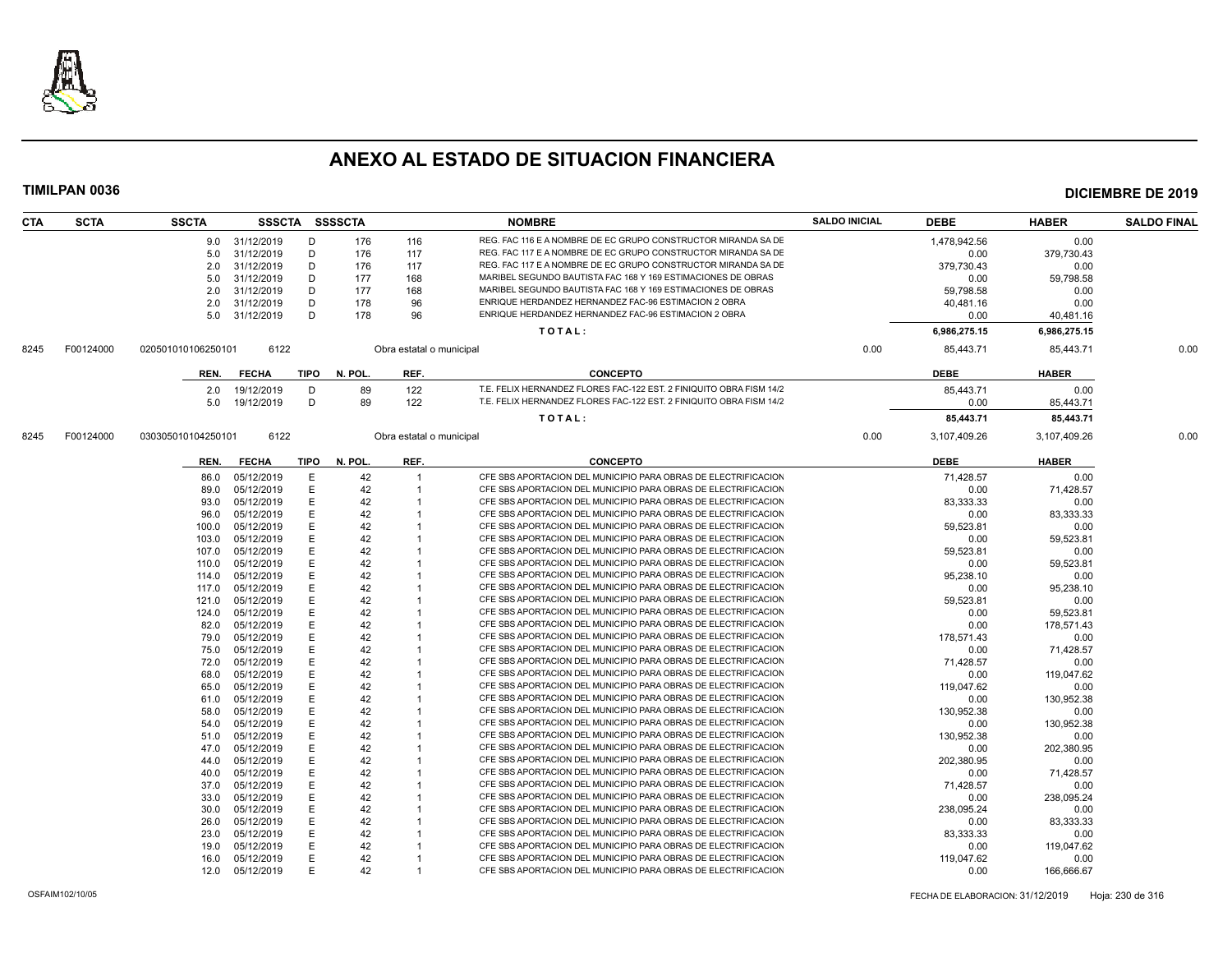

| <b>CTA</b> | <b>SCTA</b> | <b>SSCTA</b>       |                          |             | SSSCTA SSSSCTA |                          | <b>NOMBRE</b>                                                       | <b>SALDO INICIAL</b> | <b>DEBE</b>        | <b>HABER</b>       | <b>SALDO FINAL</b> |
|------------|-------------|--------------------|--------------------------|-------------|----------------|--------------------------|---------------------------------------------------------------------|----------------------|--------------------|--------------------|--------------------|
|            |             |                    | 9.0 31/12/2019           | D           | 176            | 116                      | REG. FAC 116 E A NOMBRE DE EC GRUPO CONSTRUCTOR MIRANDA SA DE       |                      | 1.478.942.56       | 0.00               |                    |
|            |             | 5.0                | 31/12/2019               | D           | 176            | 117                      | REG. FAC 117 E A NOMBRE DE EC GRUPO CONSTRUCTOR MIRANDA SA DE       |                      | 0.00               | 379,730.43         |                    |
|            |             | 2.0                | 31/12/2019               | D           | 176            | 117                      | REG. FAC 117 E A NOMBRE DE EC GRUPO CONSTRUCTOR MIRANDA SA DE       |                      | 379,730.43         | 0.00               |                    |
|            |             | 5.0                | 31/12/2019               | D           | 177            | 168                      | MARIBEL SEGUNDO BAUTISTA FAC 168 Y 169 ESTIMACIONES DE OBRAS        |                      | 0.00               | 59,798.58          |                    |
|            |             | 2.0                | 31/12/2019               | D           | 177            | 168                      | MARIBEL SEGUNDO BAUTISTA FAC 168 Y 169 ESTIMACIONES DE OBRAS        |                      | 59.798.58          | 0.00               |                    |
|            |             | 2.0                | 31/12/2019               | D           | 178            | 96                       | ENRIQUE HERDANDEZ HERNANDEZ FAC-96 ESTIMACION 2 OBRA                |                      | 40,481.16          | 0.00               |                    |
|            |             |                    | 5.0 31/12/2019           | D           | 178            | 96                       | ENRIQUE HERDANDEZ HERNANDEZ FAC-96 ESTIMACION 2 OBRA                |                      | 0.00               | 40,481.16          |                    |
|            |             |                    |                          |             |                |                          | TOTAL:                                                              |                      | 6,986,275.15       | 6,986,275.15       |                    |
| 8245       | F00124000   | 020501010106250101 | 6122                     |             |                | Obra estatal o municipal |                                                                     | 0.00                 | 85,443.71          | 85,443.71          | 0.00               |
|            |             |                    |                          |             |                |                          |                                                                     |                      |                    |                    |                    |
|            |             | REN.               | <b>FECHA</b>             | TIPO        | N. POL.        | REF.                     | <b>CONCEPTO</b>                                                     |                      | <b>DEBE</b>        | <b>HABER</b>       |                    |
|            |             | 2.0                | 19/12/2019               | D           | 89             | 122                      | T.E. FELIX HERNANDEZ FLORES FAC-122 EST, 2 FINIQUITO OBRA FISM 14/2 |                      | 85.443.71          | 0.00               |                    |
|            |             | 5.0                | 19/12/2019               | D           | 89             | 122                      | T.E. FELIX HERNANDEZ FLORES FAC-122 EST. 2 FINIQUITO OBRA FISM 14/2 |                      | 0.00               | 85,443.71          |                    |
|            |             |                    |                          |             |                |                          | TOTAL:                                                              |                      | 85,443.71          | 85,443.71          |                    |
| 8245       | F00124000   | 030305010104250101 | 6122                     |             |                | Obra estatal o municipal |                                                                     | 0.00                 | 3,107,409.26       | 3,107,409.26       | 0.00               |
|            |             | REN.               | <b>FECHA</b>             | <b>TIPO</b> | N. POL.        | REF.                     | <b>CONCEPTO</b>                                                     |                      | <b>DEBE</b>        | <b>HABER</b>       |                    |
|            |             | 86.0               | 05/12/2019               | Е           | 42             | $\overline{1}$           | CFE SBS APORTACION DEL MUNICIPIO PARA OBRAS DE ELECTRIFICACION      |                      | 71,428.57          | 0.00               |                    |
|            |             | 89.0               | 05/12/2019               | E           | 42             |                          | CFE SBS APORTACION DEL MUNICIPIO PARA OBRAS DE ELECTRIFICACION      |                      | 0.00               | 71.428.57          |                    |
|            |             | 93.0               | 05/12/2019               | Е           | 42             |                          | CFE SBS APORTACION DEL MUNICIPIO PARA OBRAS DE ELECTRIFICACION      |                      | 83,333.33          | 0.00               |                    |
|            |             | 96.0               | 05/12/2019               | E           | 42             |                          | CFE SBS APORTACION DEL MUNICIPIO PARA OBRAS DE ELECTRIFICACION      |                      | 0.00               | 83,333.33          |                    |
|            |             | 100.0              | 05/12/2019               | Е           | 42             |                          | CFE SBS APORTACION DEL MUNICIPIO PARA OBRAS DE ELECTRIFICACION      |                      | 59,523.81          | 0.00               |                    |
|            |             | 103.0              | 05/12/2019               | E           | 42             |                          | CFE SBS APORTACION DEL MUNICIPIO PARA OBRAS DE ELECTRIFICACION      |                      | 0.00               | 59,523.81          |                    |
|            |             | 107.0              | 05/12/2019               | E           | 42             |                          | CFE SBS APORTACION DEL MUNICIPIO PARA OBRAS DE ELECTRIFICACION      |                      | 59,523.81          | 0.00               |                    |
|            |             | 110.0              | 05/12/2019               | E           | 42             |                          | CFE SBS APORTACION DEL MUNICIPIO PARA OBRAS DE ELECTRIFICACION      |                      | 0.00               | 59,523.81          |                    |
|            |             | 114.0              | 05/12/2019               | E           | 42             |                          | CFE SBS APORTACION DEL MUNICIPIO PARA OBRAS DE ELECTRIFICACION      |                      | 95,238.10          | 0.00               |                    |
|            |             | 117.0              | 05/12/2019               | E           | 42             |                          | CFE SBS APORTACION DEL MUNICIPIO PARA OBRAS DE ELECTRIFICACION      |                      | 0.00               | 95,238.10          |                    |
|            |             | 121.0              | 05/12/2019               | E           | 42             |                          | CFE SBS APORTACION DEL MUNICIPIO PARA OBRAS DE ELECTRIFICACION      |                      | 59,523.81          | 0.00               |                    |
|            |             | 124.0              | 05/12/2019               | E           | 42             |                          | CFE SBS APORTACION DEL MUNICIPIO PARA OBRAS DE ELECTRIFICACION      |                      | 0.00               | 59,523.81          |                    |
|            |             | 82.0               | 05/12/2019               | E           | 42             |                          | CFE SBS APORTACION DEL MUNICIPIO PARA OBRAS DE ELECTRIFICACION      |                      | 0.00               | 178,571.43         |                    |
|            |             |                    | 05/12/2019               | E           | 42             |                          | CFE SBS APORTACION DEL MUNICIPIO PARA OBRAS DE ELECTRIFICACION      |                      | 178.571.43         | 0.00               |                    |
|            |             | 79.0               |                          | E           |                |                          | CFE SBS APORTACION DEL MUNICIPIO PARA OBRAS DE ELECTRIFICACION      |                      |                    |                    |                    |
|            |             | 75.0               | 05/12/2019               | E           | 42<br>42       |                          | CFE SBS APORTACION DEL MUNICIPIO PARA OBRAS DE ELECTRIFICACION      |                      | 0.00               | 71,428.57          |                    |
|            |             | 72.0               | 05/12/2019               | E           |                |                          | CFE SBS APORTACION DEL MUNICIPIO PARA OBRAS DE ELECTRIFICACION      |                      | 71,428.57          | 0.00               |                    |
|            |             | 68.0<br>65.0       | 05/12/2019<br>05/12/2019 | F           | 42<br>42       |                          | CFE SBS APORTACION DEL MUNICIPIO PARA OBRAS DE ELECTRIFICACION      |                      | 0.00               | 119,047.62         |                    |
|            |             |                    |                          | E           | 42             |                          | CFE SBS APORTACION DEL MUNICIPIO PARA OBRAS DE ELECTRIFICACION      |                      | 119,047.62         | 0.00               |                    |
|            |             | 61.0               | 05/12/2019               | E           |                |                          | CFE SBS APORTACION DEL MUNICIPIO PARA OBRAS DE ELECTRIFICACION      |                      | 0.00               | 130,952.38         |                    |
|            |             | 58.0<br>54.0       | 05/12/2019<br>05/12/2019 | E           | 42<br>42       |                          | CFE SBS APORTACION DEL MUNICIPIO PARA OBRAS DE ELECTRIFICACION      |                      | 130,952.38         | 0.00               |                    |
|            |             |                    |                          | E           | 42             |                          | CFE SBS APORTACION DEL MUNICIPIO PARA OBRAS DE ELECTRIFICACION      |                      | 0.00<br>130.952.38 | 130,952.38<br>0.00 |                    |
|            |             | 51.0               | 05/12/2019               |             |                |                          | CFE SBS APORTACION DEL MUNICIPIO PARA OBRAS DE ELECTRIFICACION      |                      |                    |                    |                    |
|            |             | 47.0               | 05/12/2019               | E           | 42             |                          | CFE SBS APORTACION DEL MUNICIPIO PARA OBRAS DE ELECTRIFICACION      |                      | 0.00               | 202,380.95         |                    |
|            |             | 44.0               | 05/12/2019               | E           | 42             |                          | CFE SBS APORTACION DEL MUNICIPIO PARA OBRAS DE ELECTRIFICACION      |                      | 202,380.95         | 0.00               |                    |
|            |             | 40.0               | 05/12/2019               | Е           | 42             |                          | CFE SBS APORTACION DEL MUNICIPIO PARA OBRAS DE ELECTRIFICACION      |                      | 0.00               | 71,428.57          |                    |
|            |             | 37.0               | 05/12/2019               | E           | 42             |                          |                                                                     |                      | 71.428.57          | 0.00               |                    |
|            |             | 33.0               | 05/12/2019               | E           | 42             |                          | CFE SBS APORTACION DEL MUNICIPIO PARA OBRAS DE ELECTRIFICACION      |                      | 0.00               | 238,095.24         |                    |
|            |             | 30.0               | 05/12/2019               | E           | 42             |                          | CFE SBS APORTACION DEL MUNICIPIO PARA OBRAS DE ELECTRIFICACION      |                      | 238,095.24         | 0.00               |                    |
|            |             | 26.0               | 05/12/2019               | E           | 42             |                          | CFE SBS APORTACION DEL MUNICIPIO PARA OBRAS DE ELECTRIFICACION      |                      | 0.00               | 83,333.33          |                    |
|            |             | 23.0               | 05/12/2019               |             | 42             |                          | CFE SBS APORTACION DEL MUNICIPIO PARA OBRAS DE ELECTRIFICACION      |                      | 83.333.33          | 0.00               |                    |
|            |             | 19.0               | 05/12/2019               | F           | 42             |                          | CFE SBS APORTACION DEL MUNICIPIO PARA OBRAS DE ELECTRIFICACION      |                      | 0.00               | 119,047.62         |                    |
|            |             | 16.0               | 05/12/2019               | E           | 42             |                          | CFE SBS APORTACION DEL MUNICIPIO PARA OBRAS DE ELECTRIFICACION      |                      | 119,047.62         | 0.00               |                    |
|            |             |                    | 12.0 05/12/2019          | F           | 42             |                          | CFE SBS APORTACION DEL MUNICIPIO PARA OBRAS DE ELECTRIFICACION      |                      | 0.00               | 166,666.67         |                    |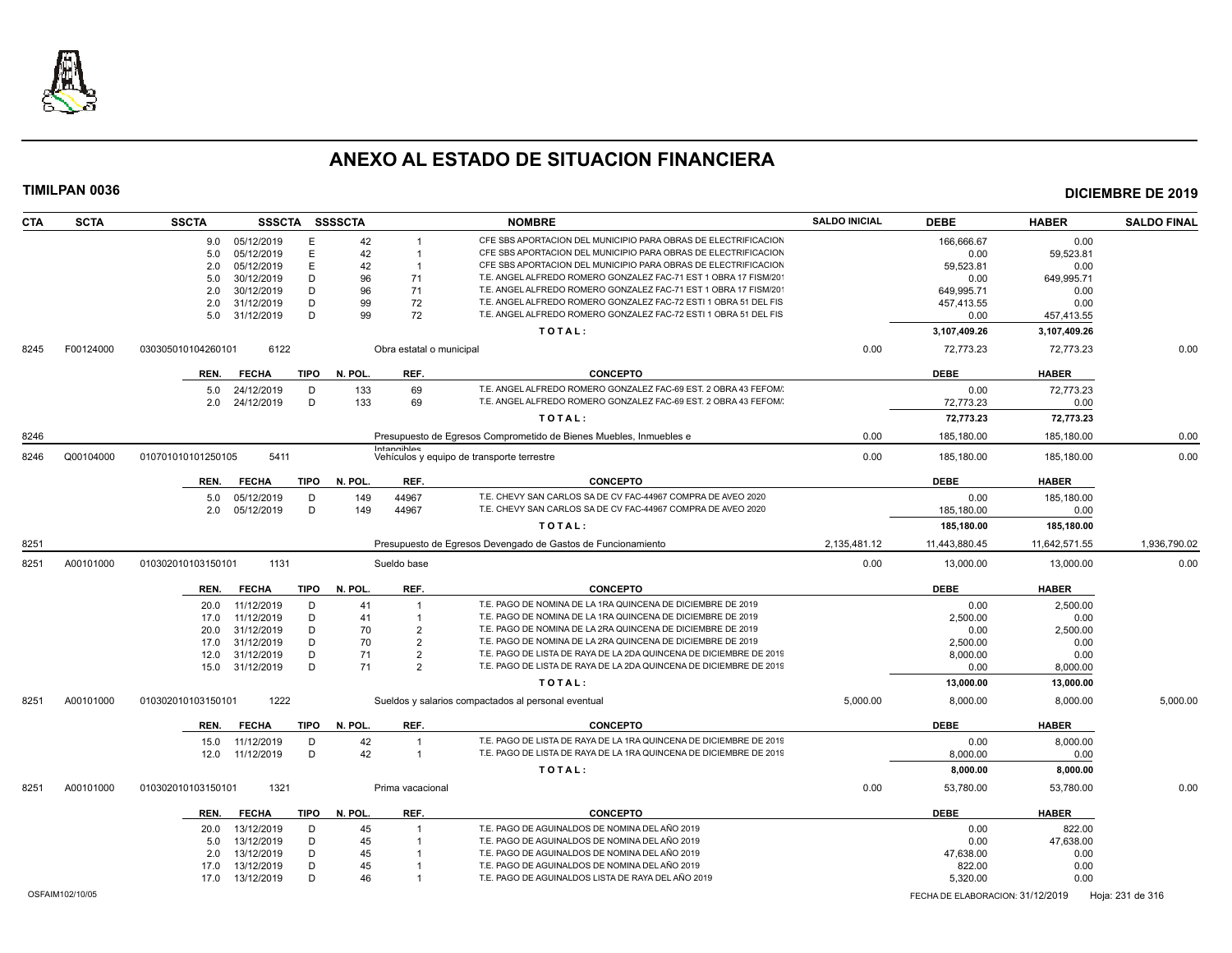

| CTA  | <b>SCTA</b>     | <b>SSCTA</b>       |              |             | SSSCTA SSSSCTA |                          | <b>NOMBRE</b>                                                                                        | <b>SALDO INICIAL</b> | <b>DEBE</b>                      | <b>HABER</b>  | <b>SALDO FINAL</b> |
|------|-----------------|--------------------|--------------|-------------|----------------|--------------------------|------------------------------------------------------------------------------------------------------|----------------------|----------------------------------|---------------|--------------------|
|      |                 | 9.0                | 05/12/2019   | E           | 42             |                          | CFE SBS APORTACION DEL MUNICIPIO PARA OBRAS DE ELECTRIFICACION                                       |                      | 166,666.67                       | 0.00          |                    |
|      |                 | 5.0                | 05/12/2019   | E           | 42             |                          | CFE SBS APORTACION DEL MUNICIPIO PARA OBRAS DE ELECTRIFICACION                                       |                      | 0.00                             | 59,523.81     |                    |
|      |                 | 2.0                | 05/12/2019   | E           | 42             | $\overline{1}$           | CFE SBS APORTACION DEL MUNICIPIO PARA OBRAS DE ELECTRIFICACION                                       |                      | 59,523.81                        | 0.00          |                    |
|      |                 | 5.0                | 30/12/2019   | D           | 96             | 71                       | T.E. ANGEL ALFREDO ROMERO GONZALEZ FAC-71 EST 1 OBRA 17 FISM/201                                     |                      | 0.00                             | 649,995.71    |                    |
|      |                 | 2.0                | 30/12/2019   | D           | 96             | 71                       | T.E. ANGEL ALFREDO ROMERO GONZALEZ FAC-71 EST 1 OBRA 17 FISM/201                                     |                      | 649.995.71                       | 0.00          |                    |
|      |                 | 2.0                | 31/12/2019   | D           | 99             | 72                       | T.E. ANGEL ALFREDO ROMERO GONZALEZ FAC-72 ESTI 1 OBRA 51 DEL FIS                                     |                      | 457,413.55                       | 0.00          |                    |
|      |                 | 5.0                | 31/12/2019   | D           | 99             | 72                       | T.E. ANGEL ALFREDO ROMERO GONZALEZ FAC-72 ESTI 1 OBRA 51 DEL FIS                                     |                      | 0.00                             | 457,413.55    |                    |
|      |                 |                    |              |             |                |                          | TOTAL:                                                                                               |                      | 3,107,409.26                     | 3,107,409.26  |                    |
| 8245 | F00124000       | 030305010104260101 | 6122         |             |                | Obra estatal o municipal |                                                                                                      | 0.00                 | 72,773.23                        | 72,773.23     | 0.00               |
|      |                 | REN.               | <b>FECHA</b> | <b>TIPO</b> | N. POL.        | REF.                     | <b>CONCEPTO</b>                                                                                      |                      | <b>DEBE</b>                      | <b>HABER</b>  |                    |
|      |                 | 5.0                | 24/12/2019   | D           | 133            | 69                       | T.E. ANGEL ALFREDO ROMERO GONZALEZ FAC-69 EST. 2 OBRA 43 FEFOM/                                      |                      | 0.00                             | 72,773.23     |                    |
|      |                 | 2.0                | 24/12/2019   | D           | 133            | 69                       | T.E. ANGEL ALFREDO ROMERO GONZALEZ FAC-69 EST. 2 OBRA 43 FEFOM/                                      |                      | 72,773.23                        | 0.00          |                    |
|      |                 |                    |              |             |                |                          |                                                                                                      |                      |                                  |               |                    |
|      |                 |                    |              |             |                |                          | TOTAL:                                                                                               |                      | 72,773.23                        | 72,773.23     |                    |
| 8246 |                 |                    |              |             |                | Intangibles              | Presupuesto de Egresos Comprometido de Bienes Muebles, Inmuebles e                                   | 0.00                 | 185,180.00                       | 185,180.00    | 0.00               |
| 8246 | Q00104000       | 010701010101250105 | 5411         |             |                |                          | Vehículos y equipo de transporte terrestre                                                           | 0.00                 | 185,180.00                       | 185,180.00    | 0.00               |
|      |                 | REN.               | <b>FECHA</b> | <b>TIPO</b> | N. POL.        | REF.                     | <b>CONCEPTO</b>                                                                                      |                      | <b>DEBE</b>                      | <b>HABER</b>  |                    |
|      |                 | 5.0                | 05/12/2019   | D           | 149            | 44967                    | T.E. CHEVY SAN CARLOS SA DE CV FAC-44967 COMPRA DE AVEO 2020                                         |                      | 0.00                             | 185,180.00    |                    |
|      |                 | 2.0                | 05/12/2019   | D           | 149            | 44967                    | T.E. CHEVY SAN CARLOS SA DE CV FAC-44967 COMPRA DE AVEO 2020                                         |                      | 185,180.00                       | 0.00          |                    |
|      |                 |                    |              |             |                |                          | TOTAL:                                                                                               |                      | 185,180.00                       | 185,180.00    |                    |
| 8251 |                 |                    |              |             |                |                          | Presupuesto de Egresos Devengado de Gastos de Funcionamiento                                         | 2,135,481.12         | 11,443,880.45                    | 11,642,571.55 | 1,936,790.02       |
|      |                 |                    |              |             |                |                          |                                                                                                      |                      |                                  |               |                    |
| 8251 | A00101000       | 010302010103150101 | 1131         |             |                | Sueldo base              |                                                                                                      | 0.00                 | 13,000.00                        | 13,000.00     | 0.00               |
|      |                 | REN.               | <b>FECHA</b> | <b>TIPO</b> | N. POL.        | REF.                     | <b>CONCEPTO</b>                                                                                      |                      | <b>DEBE</b>                      | <b>HABER</b>  |                    |
|      |                 | 20.0               | 11/12/2019   | D           | 41             |                          | T.E. PAGO DE NOMINA DE LA 1RA QUINCENA DE DICIEMBRE DE 2019                                          |                      | 0.00                             | 2,500.00      |                    |
|      |                 | 17.0               | 11/12/2019   | D           | 41             |                          | T.E. PAGO DE NOMINA DE LA 1RA QUINCENA DE DICIEMBRE DE 2019                                          |                      | 2,500.00                         | 0.00          |                    |
|      |                 | 20.0               | 31/12/2019   | D           | 70             | $\overline{2}$           | T.E. PAGO DE NOMINA DE LA 2RA QUINCENA DE DICIEMBRE DE 2019                                          |                      | 0.00                             | 2,500.00      |                    |
|      |                 | 17.0               | 31/12/2019   | D           | 70             | $\overline{2}$           | T.E. PAGO DE NOMINA DE LA 2RA QUINCENA DE DICIEMBRE DE 2019                                          |                      | 2,500.00                         | 0.00          |                    |
|      |                 | 12.0               | 31/12/2019   | D           | 71             | $\overline{2}$           | T.E. PAGO DE LISTA DE RAYA DE LA 2DA QUINCENA DE DICIEMBRE DE 2019                                   |                      | 8,000.00                         | 0.00          |                    |
|      |                 | 15.0               | 31/12/2019   | D           | 71             | $\overline{2}$           | T.E. PAGO DE LISTA DE RAYA DE LA 2DA QUINCENA DE DICIEMBRE DE 2019                                   |                      | 0.00                             | 8,000.00      |                    |
|      |                 |                    |              |             |                |                          | TOTAL:                                                                                               |                      | 13,000.00                        | 13,000.00     |                    |
| 8251 | A00101000       | 010302010103150101 | 1222         |             |                |                          | Sueldos y salarios compactados al personal eventual                                                  | 5,000.00             | 8,000.00                         | 8,000.00      | 5,000.00           |
|      |                 | REN.               | <b>FECHA</b> | <b>TIPO</b> | N. POL.        | REF.                     | <b>CONCEPTO</b>                                                                                      |                      | <b>DEBE</b>                      | <b>HABER</b>  |                    |
|      |                 | 15.0               | 11/12/2019   | D           | 42             |                          | T.E. PAGO DE LISTA DE RAYA DE LA 1RA QUINCENA DE DICIEMBRE DE 2019                                   |                      | 0.00                             | 8,000.00      |                    |
|      |                 | 12.0               | 11/12/2019   | D           | 42             |                          | T.E. PAGO DE LISTA DE RAYA DE LA 1RA QUINCENA DE DICIEMBRE DE 2019                                   |                      | 8,000.00                         | 0.00          |                    |
|      |                 |                    |              |             |                |                          | TOTAL:                                                                                               |                      | 8,000.00                         | 8,000.00      |                    |
| 8251 | A00101000       | 010302010103150101 | 1321         |             |                | Prima vacacional         |                                                                                                      | 0.00                 | 53,780.00                        | 53,780.00     | 0.00               |
|      |                 |                    |              |             |                |                          |                                                                                                      |                      |                                  |               |                    |
|      |                 | REN.               | <b>FECHA</b> | TIPO        | N. POL.        | REF.                     | <b>CONCEPTO</b>                                                                                      |                      | <b>DEBE</b>                      | <b>HABER</b>  |                    |
|      |                 | 20.0               | 13/12/2019   | D           | 45             | -1                       | T.E. PAGO DE AGUINALDOS DE NOMINA DEL AÑO 2019                                                       |                      | 0.00                             | 822.00        |                    |
|      |                 | 5.0                | 13/12/2019   | D           | 45             |                          | T.E. PAGO DE AGUINALDOS DE NOMINA DEL AÑO 2019                                                       |                      | 0.00                             | 47,638.00     |                    |
|      |                 | 2.0                | 13/12/2019   | D           | 45             |                          | T.E. PAGO DE AGUINALDOS DE NOMINA DEL AÑO 2019                                                       |                      | 47,638.00                        | 0.00          |                    |
|      |                 | 17.0               | 13/12/2019   | D           | 45             |                          | T.E. PAGO DE AGUINALDOS DE NOMINA DEL AÑO 2019<br>T.E. PAGO DE AGUINALDOS LISTA DE RAYA DEL AÑO 2019 |                      | 822.00                           | 0.00          |                    |
|      |                 | 17.0               | 13/12/2019   | D           | 46             |                          |                                                                                                      |                      | 5,320.00                         | 0.00          |                    |
|      | OSFAIM102/10/05 |                    |              |             |                |                          |                                                                                                      |                      | FECHA DE ELABORACION: 31/12/2019 |               | Hoja: 231 de 316   |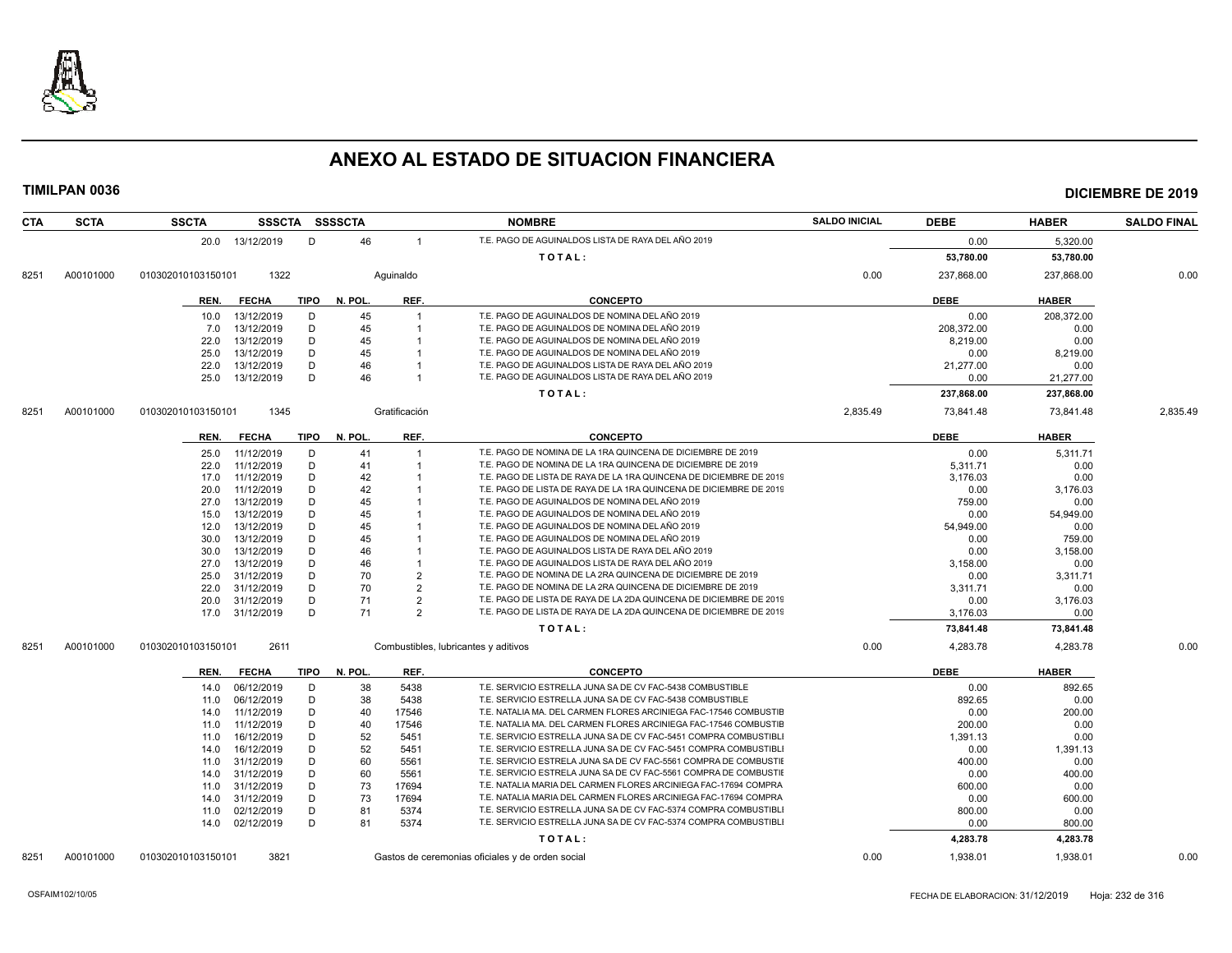

| <b>CTA</b> | <b>SCTA</b> | <b>SSCTA</b>       |              |             | SSSCTA SSSSCTA |                | <b>NOMBRE</b>                                                      | <b>SALDO INICIAL</b> | <b>DEBE</b> | <b>HABER</b> | <b>SALDO FINAL</b> |
|------------|-------------|--------------------|--------------|-------------|----------------|----------------|--------------------------------------------------------------------|----------------------|-------------|--------------|--------------------|
|            |             | 20.0 13/12/2019    |              | D           | 46             | $\overline{1}$ | T.E. PAGO DE AGUINALDOS LISTA DE RAYA DEL AÑO 2019                 |                      | 0.00        | 5,320.00     |                    |
|            |             |                    |              |             |                |                | TOTAL:                                                             |                      | 53,780.00   | 53,780.00    |                    |
| 8251       | A00101000   | 010302010103150101 | 1322         |             |                | Aquinaldo      |                                                                    | 0.00                 | 237,868.00  | 237,868.00   | 0.00               |
|            |             | REN.               | <b>FECHA</b> | <b>TIPO</b> | N. POL.        | REF.           | <b>CONCEPTO</b>                                                    |                      | <b>DEBE</b> | <b>HABER</b> |                    |
|            |             | 10.0               | 13/12/2019   | D           | 45             |                | T.E. PAGO DE AGUINALDOS DE NOMINA DEL AÑO 2019                     |                      | 0.00        | 208,372.00   |                    |
|            |             | 7.0                | 13/12/2019   | D           | 45             |                | T.E. PAGO DE AGUINALDOS DE NOMINA DEL AÑO 2019                     |                      | 208.372.00  | 0.00         |                    |
|            |             | 22.0               | 13/12/2019   | D           | 45             |                | T.E. PAGO DE AGUINALDOS DE NOMINA DEL AÑO 2019                     |                      | 8,219.00    | 0.00         |                    |
|            |             | 25.0               | 13/12/2019   | D           | 45             |                | T.E. PAGO DE AGUINALDOS DE NOMINA DEL AÑO 2019                     |                      | 0.00        | 8,219.00     |                    |
|            |             | 22.0               | 13/12/2019   | D           | 46             |                | T.E. PAGO DE AGUINALDOS LISTA DE RAYA DEL AÑO 2019                 |                      | 21,277.00   | 0.00         |                    |
|            |             | 25.0 13/12/2019    |              | D           | 46             |                | T.E. PAGO DE AGUINALDOS LISTA DE RAYA DEL AÑO 2019                 |                      | 0.00        | 21,277.00    |                    |
|            |             |                    |              |             |                |                |                                                                    |                      |             |              |                    |
|            |             |                    |              |             |                |                | TOTAL:                                                             |                      | 237,868.00  | 237,868.00   |                    |
| 8251       | A00101000   | 010302010103150101 | 1345         |             |                | Gratificación  |                                                                    | 2,835.49             | 73,841.48   | 73.841.48    | 2.835.49           |
|            |             | REN.               | <b>FECHA</b> | <b>TIPO</b> | N. POL.        | REF.           | <b>CONCEPTO</b>                                                    |                      | <b>DEBE</b> | <b>HABER</b> |                    |
|            |             | 25.0               | 11/12/2019   | D           | 41             | $\overline{1}$ | T.E. PAGO DE NOMINA DE LA 1RA QUINCENA DE DICIEMBRE DE 2019        |                      | 0.00        | 5.311.71     |                    |
|            |             | 22.0               | 11/12/2019   | D           | 41             |                | T.E. PAGO DE NOMINA DE LA 1RA QUINCENA DE DICIEMBRE DE 2019        |                      | 5,311.71    | 0.00         |                    |
|            |             | 17.0               | 11/12/2019   | D           | 42             |                | T.E. PAGO DE LISTA DE RAYA DE LA 1RA QUINCENA DE DICIEMBRE DE 2019 |                      | 3.176.03    | 0.00         |                    |
|            |             | 20.0               | 11/12/2019   | D           | 42             |                | T.E. PAGO DE LISTA DE RAYA DE LA 1RA QUINCENA DE DICIEMBRE DE 2019 |                      | 0.00        | 3,176.03     |                    |
|            |             | 27.0               | 13/12/2019   | D           | 45             |                | T.E. PAGO DE AGUINALDOS DE NOMINA DEL AÑO 2019                     |                      | 759.00      | 0.00         |                    |
|            |             | 15.0               | 13/12/2019   | D           | 45             |                | T.E. PAGO DE AGUINALDOS DE NOMINA DEL AÑO 2019                     |                      | 0.00        | 54.949.00    |                    |
|            |             | 12.0               | 13/12/2019   | D           | 45             |                | T.E. PAGO DE AGUINALDOS DE NOMINA DEL AÑO 2019                     |                      | 54,949.00   | 0.00         |                    |
|            |             | 30.0               | 13/12/2019   | D           | 45             |                | T.E. PAGO DE AGUINALDOS DE NOMINA DEL AÑO 2019                     |                      | 0.00        | 759.00       |                    |
|            |             | 30.0               | 13/12/2019   | D           | 46             |                | T.E. PAGO DE AGUINALDOS LISTA DE RAYA DEL AÑO 2019                 |                      | 0.00        | 3,158.00     |                    |
|            |             | 27.0               | 13/12/2019   | D           | 46             |                | T.E. PAGO DE AGUINALDOS LISTA DE RAYA DEL AÑO 2019                 |                      | 3,158.00    | 0.00         |                    |
|            |             | 25.0               | 31/12/2019   | D           | 70             | $\overline{2}$ | T.E. PAGO DE NOMINA DE LA 2RA QUINCENA DE DICIEMBRE DE 2019        |                      | 0.00        | 3,311.71     |                    |
|            |             | 22.0               | 31/12/2019   | D           | 70             | $\overline{2}$ | T.E. PAGO DE NOMINA DE LA 2RA QUINCENA DE DICIEMBRE DE 2019        |                      | 3.311.71    | 0.00         |                    |
|            |             | 20.0               | 31/12/2019   | D           | 71             | $\overline{2}$ | T.E. PAGO DE LISTA DE RAYA DE LA 2DA QUINCENA DE DICIEMBRE DE 2019 |                      | 0.00        | 3,176.03     |                    |
|            |             | 17.0               | 31/12/2019   | D           | 71             | $\overline{2}$ | T.E. PAGO DE LISTA DE RAYA DE LA 2DA QUINCENA DE DICIEMBRE DE 2019 |                      | 3,176.03    | 0.00         |                    |
|            |             |                    |              |             |                |                | TOTAL:                                                             |                      | 73,841.48   | 73,841.48    |                    |
| 8251       | A00101000   | 010302010103150101 | 2611         |             |                |                | Combustibles, lubricantes y aditivos                               | 0.00                 | 4,283.78    | 4,283.78     | 0.00               |
|            |             | REN.               | <b>FECHA</b> | TIPO        | N. POL.        | REF.           | <b>CONCEPTO</b>                                                    |                      | <b>DEBE</b> | <b>HABER</b> |                    |
|            |             | 14.0               | 06/12/2019   | D           | 38             | 5438           | T.E. SERVICIO ESTRELLA JUNA SA DE CV FAC-5438 COMBUSTIBLE          |                      | 0.00        | 892.65       |                    |
|            |             | 11.0               | 06/12/2019   | D           | 38             | 5438           | T.E. SERVICIO ESTRELLA JUNA SA DE CV FAC-5438 COMBUSTIBLE          |                      | 892.65      | 0.00         |                    |
|            |             | 14.0               | 11/12/2019   | D           | 40             | 17546          | T.E. NATALIA MA. DEL CARMEN FLORES ARCINIEGA FAC-17546 COMBUSTIE   |                      | 0.00        | 200.00       |                    |
|            |             | 11.0               | 11/12/2019   | D           | 40             | 17546          | T.E. NATALIA MA. DEL CARMEN FLORES ARCINIEGA FAC-17546 COMBUSTIE   |                      | 200.00      | 0.00         |                    |
|            |             | 11.0               | 16/12/2019   | D           | 52             | 5451           | T.E. SERVICIO ESTRELLA JUNA SA DE CV FAC-5451 COMPRA COMBUSTIBL    |                      | 1,391.13    | 0.00         |                    |
|            |             | 14.0               | 16/12/2019   | D           | 52             | 5451           | T.E. SERVICIO ESTRELLA JUNA SA DE CV FAC-5451 COMPRA COMBUSTIBL    |                      | 0.00        | 1,391.13     |                    |
|            |             | 11.0               | 31/12/2019   | D           | 60             | 5561           | T.E. SERVICIO ESTRELA JUNA SA DE CV FAC-5561 COMPRA DE COMBUSTIE   |                      | 400.00      | 0.00         |                    |
|            |             | 14.0               | 31/12/2019   | D           | 60             | 5561           | T.E. SERVICIO ESTRELA JUNA SA DE CV FAC-5561 COMPRA DE COMBUSTIE   |                      | 0.00        | 400.00       |                    |
|            |             | 11.0               | 31/12/2019   | D           | 73             | 17694          | T.E. NATALIA MARIA DEL CARMEN FLORES ARCINIEGA FAC-17694 COMPRA    |                      | 600.00      | 0.00         |                    |
|            |             | 14.0               | 31/12/2019   | D           | 73             | 17694          | T.E. NATALIA MARIA DEL CARMEN FLORES ARCINIEGA FAC-17694 COMPRA    |                      | 0.00        | 600.00       |                    |
|            |             | 11.0               | 02/12/2019   | D           | 81             | 5374           | T.E. SERVICIO ESTRELLA JUNA SA DE CV FAC-5374 COMPRA COMBUSTIBL    |                      | 800.00      | 0.00         |                    |
|            |             | 14.0 02/12/2019    |              | D           | 81             | 5374           | T.E. SERVICIO ESTRELLA JUNA SA DE CV FAC-5374 COMPRA COMBUSTIBL    |                      | 0.00        | 800.00       |                    |
|            |             |                    |              |             |                |                | TOTAL:                                                             |                      | 4,283.78    | 4,283.78     |                    |
| 8251       | A00101000   | 010302010103150101 | 3821         |             |                |                | Gastos de ceremonias oficiales y de orden social                   | 0.00                 | 1,938.01    | 1,938.01     | 0.00               |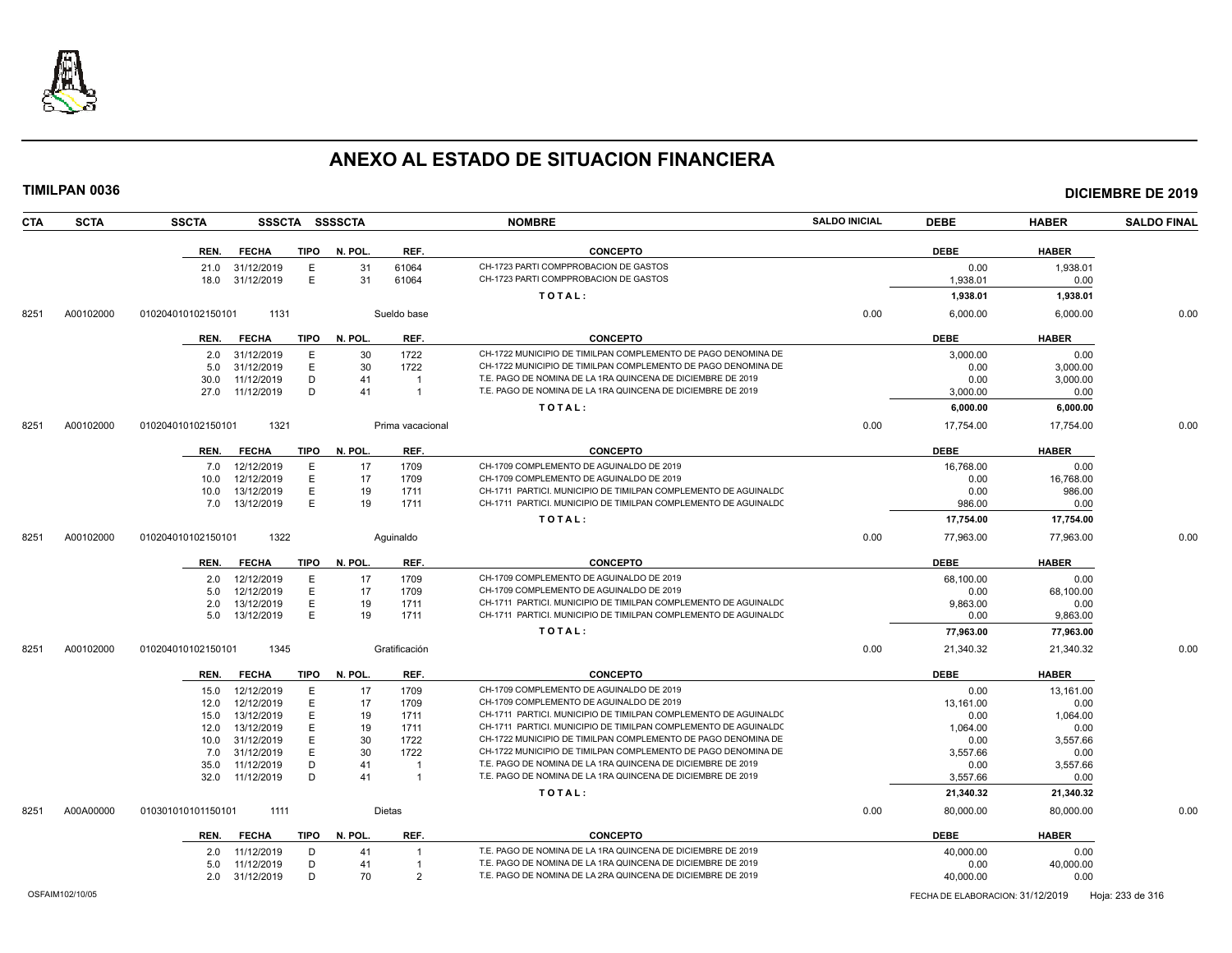

|      | <b>TIMILPAN 0036</b> |                    |                                    |             |                |                  |                                                                                                                                  |                      |                  |                  | <b>DICIEMBRE DE 2019</b> |
|------|----------------------|--------------------|------------------------------------|-------------|----------------|------------------|----------------------------------------------------------------------------------------------------------------------------------|----------------------|------------------|------------------|--------------------------|
| CTA  | <b>SCTA</b>          | <b>SSCTA</b>       |                                    |             | SSSCTA SSSSCTA |                  | <b>NOMBRE</b>                                                                                                                    | <b>SALDO INICIAL</b> | <b>DEBE</b>      | <b>HABER</b>     | <b>SALDO FINAL</b>       |
|      |                      | REN.               | FECHA                              | TIPO        | N. POL.        | REF.             | <b>CONCEPTO</b>                                                                                                                  |                      | <b>DEBE</b>      | <b>HABER</b>     |                          |
|      |                      |                    | 21.0 31/12/2019<br>18.0 31/12/2019 | Е<br>E      | 31<br>31       | 61064<br>61064   | CH-1723 PARTI COMPPROBACION DE GASTOS<br>CH-1723 PARTI COMPPROBACION DE GASTOS                                                   |                      | 0.00<br>1,938.01 | 1,938.01<br>0.00 |                          |
|      |                      |                    |                                    |             |                |                  |                                                                                                                                  |                      |                  |                  |                          |
|      |                      |                    |                                    |             |                |                  | TOTAL:                                                                                                                           |                      | 1,938.01         | 1,938.01         |                          |
| 8251 | A00102000            | 010204010102150101 | 1131                               |             |                | Sueldo base      |                                                                                                                                  | 0.00                 | 6,000.00         | 6,000.00         | 0.00                     |
|      |                      | REN.               | <b>FECHA</b>                       | <b>TIPO</b> | N. POL.        | REF.             | <b>CONCEPTO</b>                                                                                                                  |                      | <b>DEBE</b>      | <b>HABER</b>     |                          |
|      |                      |                    | 2.0 31/12/2019                     | E           | 30             | 1722             | CH-1722 MUNICIPIO DE TIMILPAN COMPLEMENTO DE PAGO DENOMINA DE                                                                    |                      | 3.000.00         | 0.00             |                          |
|      |                      | 5.0                | 31/12/2019                         | E           | 30             | 1722             | CH-1722 MUNICIPIO DE TIMILPAN COMPLEMENTO DE PAGO DENOMINA DE                                                                    |                      | 0.00             | 3.000.00         |                          |
|      |                      | 30.0               | 11/12/2019                         | D           | 41             | $\overline{1}$   | T.E. PAGO DE NOMINA DE LA 1RA QUINCENA DE DICIEMBRE DE 2019                                                                      |                      | 0.00             | 3,000.00         |                          |
|      |                      |                    | 27.0 11/12/2019                    | D           | 41             | $\overline{1}$   | T.E. PAGO DE NOMINA DE LA 1RA QUINCENA DE DICIEMBRE DE 2019                                                                      |                      | 3,000.00         | 0.00             |                          |
|      |                      |                    |                                    |             |                |                  | TOTAL:                                                                                                                           |                      | 6,000.00         | 6,000.00         |                          |
| 8251 | A00102000            | 010204010102150101 | 1321                               |             |                | Prima vacacional |                                                                                                                                  | 0.00                 | 17,754.00        | 17,754.00        | 0.00                     |
|      |                      | REN.               | <b>FECHA</b>                       | TIPO        | N. POL.        | REF.             | <b>CONCEPTO</b>                                                                                                                  |                      | <b>DEBE</b>      | <b>HABER</b>     |                          |
|      |                      |                    | 7.0 12/12/2019                     | E           | 17             | 1709             | CH-1709 COMPLEMENTO DE AGUINALDO DE 2019                                                                                         |                      | 16,768.00        | 0.00             |                          |
|      |                      | 10.0               | 12/12/2019                         | E           | 17             | 1709             | CH-1709 COMPLEMENTO DE AGUINALDO DE 2019                                                                                         |                      | 0.00             | 16,768.00        |                          |
|      |                      | 10.0               | 13/12/2019                         | E           | 19             | 1711             | CH-1711 PARTICI. MUNICIPIO DE TIMILPAN COMPLEMENTO DE AGUINALDO                                                                  |                      | 0.00             | 986.00           |                          |
|      |                      |                    | 7.0 13/12/2019                     | E           | 19             | 1711             | CH-1711 PARTICI, MUNICIPIO DE TIMILPAN COMPLEMENTO DE AGUINALDO                                                                  |                      | 986.00           | 0.00             |                          |
|      |                      |                    |                                    |             |                |                  | TOTAL:                                                                                                                           |                      | 17,754.00        | 17,754.00        |                          |
| 8251 | A00102000            | 010204010102150101 | 1322                               |             |                | Aguinaldo        |                                                                                                                                  | 0.00                 | 77,963.00        | 77,963.00        | 0.00                     |
|      |                      | REN.               | <b>FECHA</b>                       | TIPO        | N. POL.        | REF.             | <b>CONCEPTO</b>                                                                                                                  |                      | <b>DEBE</b>      | <b>HABER</b>     |                          |
|      |                      | 2.0                | 12/12/2019                         | Ε           | 17             | 1709             | CH-1709 COMPLEMENTO DE AGUINALDO DE 2019                                                                                         |                      | 68,100.00        | 0.00             |                          |
|      |                      | 5.0                | 12/12/2019                         | E           | 17             | 1709             | CH-1709 COMPLEMENTO DE AGUINALDO DE 2019                                                                                         |                      | 0.00             | 68,100.00        |                          |
|      |                      | 2.0                | 13/12/2019                         | E.          | 19             | 1711             | CH-1711 PARTICI. MUNICIPIO DE TIMILPAN COMPLEMENTO DE AGUINALDO                                                                  |                      | 9.863.00         | 0.00             |                          |
|      |                      | 5.0                | 13/12/2019                         | E.          | 19             | 1711             | CH-1711 PARTICI. MUNICIPIO DE TIMILPAN COMPLEMENTO DE AGUINALDO                                                                  |                      | 0.00             | 9,863.00         |                          |
|      |                      |                    |                                    |             |                |                  | TOTAL:                                                                                                                           |                      | 77,963.00        | 77,963.00        |                          |
| 8251 | A00102000            | 010204010102150101 | 1345                               |             |                | Gratificación    |                                                                                                                                  | 0.00                 | 21,340.32        | 21,340.32        | 0.00                     |
|      |                      | REN.               | FECHA                              | TIPO        | N. POL.        | REF.             | <b>CONCEPTO</b>                                                                                                                  |                      | <b>DEBE</b>      | <b>HABER</b>     |                          |
|      |                      | 15.0               | 12/12/2019                         | Ε           | 17             | 1709             | CH-1709 COMPLEMENTO DE AGUINALDO DE 2019                                                                                         |                      | 0.00             | 13,161.00        |                          |
|      |                      | 12.0               | 12/12/2019                         | E.          | 17             | 1709             | CH-1709 COMPLEMENTO DE AGUINALDO DE 2019                                                                                         |                      | 13,161.00        | 0.00             |                          |
|      |                      | 15.0               | 13/12/2019                         | E.          | 19             | 1711             | CH-1711 PARTICI. MUNICIPIO DE TIMILPAN COMPLEMENTO DE AGUINALDO                                                                  |                      | 0.00             | 1,064.00         |                          |
|      |                      | 12.0               | 13/12/2019                         | Ε<br>E      | 19<br>30       | 1711             | CH-1711 PARTICI. MUNICIPIO DE TIMILPAN COMPLEMENTO DE AGUINALDO<br>CH-1722 MUNICIPIO DE TIMILPAN COMPLEMENTO DE PAGO DENOMINA DE |                      | 1,064.00         | 0.00             |                          |
|      |                      | 10.0<br>7.0        | 31/12/2019<br>31/12/2019           | E           | 30             | 1722<br>1722     | CH-1722 MUNICIPIO DE TIMILPAN COMPLEMENTO DE PAGO DENOMINA DE                                                                    |                      | 0.00<br>3.557.66 | 3,557.66<br>0.00 |                          |
|      |                      | 35.0               | 11/12/2019                         | D           | 41             | $\overline{1}$   | T.E. PAGO DE NOMINA DE LA 1RA QUINCENA DE DICIEMBRE DE 2019                                                                      |                      | 0.00             | 3,557.66         |                          |
|      |                      | 32.0               | 11/12/2019                         | D           | 41             | $\overline{1}$   | T.E. PAGO DE NOMINA DE LA 1RA QUINCENA DE DICIEMBRE DE 2019                                                                      |                      | 3,557.66         | 0.00             |                          |
|      |                      |                    |                                    |             |                |                  | TOTAL:                                                                                                                           |                      | 21,340.32        | 21,340.32        |                          |
| 8251 | A00A00000            | 010301010101150101 | 1111                               |             |                | Dietas           |                                                                                                                                  | 0.00                 | 80,000.00        | 80,000.00        | 0.00                     |
|      |                      | REN.               | <b>FECHA</b>                       | TIPO        | N. POL.        | REF.             | <b>CONCEPTO</b>                                                                                                                  |                      | <b>DEBE</b>      | <b>HABER</b>     |                          |
|      |                      | 2.0                | 11/12/2019                         | D           | 41             | $\overline{1}$   | T.E. PAGO DE NOMINA DE LA 1RA QUINCENA DE DICIEMBRE DE 2019                                                                      |                      | 40,000.00        | 0.00             |                          |
|      |                      | 5.0                | 11/12/2019                         | D           | 41             | $\overline{1}$   | T.E. PAGO DE NOMINA DE LA 1RA QUINCENA DE DICIEMBRE DE 2019                                                                      |                      | 0.00             | 40,000.00        |                          |
|      |                      |                    | 2.0 31/12/2019                     | D           | 70             | $\overline{2}$   | T.E. PAGO DE NOMINA DE LA 2RA QUINCENA DE DICIEMBRE DE 2019                                                                      |                      | 40.000.00        | 0.00             |                          |
|      |                      |                    |                                    |             |                |                  |                                                                                                                                  |                      |                  |                  |                          |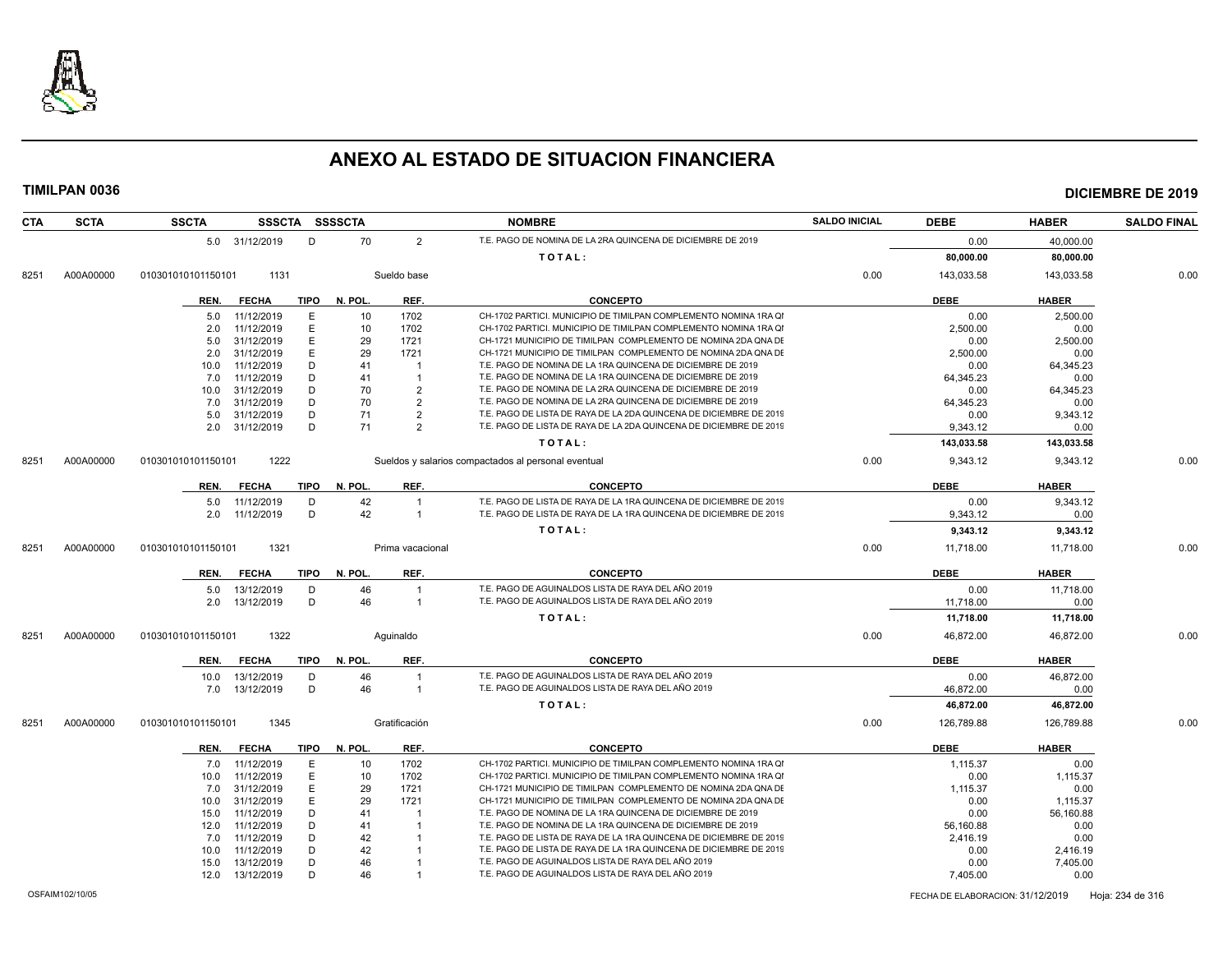

|            | TIMILPAN 0036 |                    |                |             |                |                         |                                                                    |                      |             |              | <b>DICIEMBRE DE 2019</b> |
|------------|---------------|--------------------|----------------|-------------|----------------|-------------------------|--------------------------------------------------------------------|----------------------|-------------|--------------|--------------------------|
| <b>CTA</b> | <b>SCTA</b>   | <b>SSCTA</b>       |                |             | SSSCTA SSSSCTA |                         | <b>NOMBRE</b>                                                      | <b>SALDO INICIAL</b> | <b>DEBE</b> | <b>HABER</b> | <b>SALDO FINAL</b>       |
|            |               |                    | 5.0 31/12/2019 | D           | 70             | $\overline{2}$          | T.E. PAGO DE NOMINA DE LA 2RA QUINCENA DE DICIEMBRE DE 2019        |                      | 0.00        | 40,000.00    |                          |
|            |               |                    |                |             |                |                         | TOTAL:                                                             |                      | 80,000.00   | 80,000.00    |                          |
| 8251       | A00A00000     | 010301010101150101 | 1131           |             |                | Sueldo base             |                                                                    | 0.00                 | 143,033.58  | 143,033.58   | 0.00                     |
|            |               | REN.               | FECHA          | TIPO        | N. POL.        | REF.                    | <b>CONCEPTO</b>                                                    |                      | <b>DEBE</b> | <b>HABER</b> |                          |
|            |               | 5.0                | 11/12/2019     | E           | 10             | 1702                    | CH-1702 PARTICI. MUNICIPIO DE TIMILPAN COMPLEMENTO NOMINA 1RA QI   |                      | 0.00        | 2,500.00     |                          |
|            |               | 2.0                | 11/12/2019     | E           | 10             | 1702                    | CH-1702 PARTICI, MUNICIPIO DE TIMILPAN COMPLEMENTO NOMINA 1RA QI   |                      | 2.500.00    | 0.00         |                          |
|            |               | 5.0                | 31/12/2019     | E           | 29             | 1721                    | CH-1721 MUNICIPIO DE TIMILPAN COMPLEMENTO DE NOMINA 2DA QNA DE     |                      | 0.00        | 2,500.00     |                          |
|            |               | 2.0                | 31/12/2019     | E           | 29             | 1721                    | CH-1721 MUNICIPIO DE TIMILPAN COMPLEMENTO DE NOMINA 2DA QNA DE     |                      | 2,500.00    | 0.00         |                          |
|            |               | 10.0               | 11/12/2019     | D           | 41             | $\overline{1}$          | T.E. PAGO DE NOMINA DE LA 1RA QUINCENA DE DICIEMBRE DE 2019        |                      | 0.00        | 64,345.23    |                          |
|            |               | 7.0                | 11/12/2019     | D           | 41             | $\mathbf{1}$            | T.E. PAGO DE NOMINA DE LA 1RA QUINCENA DE DICIEMBRE DE 2019        |                      | 64,345.23   | 0.00         |                          |
|            |               | 10.0               | 31/12/2019     | D           | 70             | $\overline{2}$          | T.E. PAGO DE NOMINA DE LA 2RA QUINCENA DE DICIEMBRE DE 2019        |                      | 0.00        | 64.345.23    |                          |
|            |               | 7.0                | 31/12/2019     | D           | 70             | $\overline{2}$          | T.E. PAGO DE NOMINA DE LA 2RA QUINCENA DE DICIEMBRE DE 2019        |                      | 64,345.23   | 0.00         |                          |
|            |               | 5.0                | 31/12/2019     | D           | 71             | $\overline{2}$          | T.E. PAGO DE LISTA DE RAYA DE LA 2DA QUINCENA DE DICIEMBRE DE 2019 |                      | 0.00        | 9,343.12     |                          |
|            |               | 2.0                | 31/12/2019     | D           | 71             | $\overline{2}$          | T.E. PAGO DE LISTA DE RAYA DE LA 2DA QUINCENA DE DICIEMBRE DE 2019 |                      | 9,343.12    | 0.00         |                          |
|            |               |                    |                |             |                |                         | TOTAL:                                                             |                      | 143,033.58  | 143,033.58   |                          |
| 8251       | A00A00000     | 010301010101150101 | 1222           |             |                |                         | Sueldos y salarios compactados al personal eventual                | 0.00                 | 9,343.12    | 9,343.12     | 0.00                     |
|            |               | REN.               | <b>FECHA</b>   | <b>TIPO</b> | N. POL.        | REF.                    | <b>CONCEPTO</b>                                                    |                      | <b>DEBE</b> | <b>HABER</b> |                          |
|            |               | 5.0                | 11/12/2019     | D           | 42             | $\overline{1}$          | T.E. PAGO DE LISTA DE RAYA DE LA 1RA QUINCENA DE DICIEMBRE DE 2019 |                      | 0.00        | 9,343.12     |                          |
|            |               | 2.0                | 11/12/2019     | D           | 42             | $\overline{1}$          | T.E. PAGO DE LISTA DE RAYA DE LA 1RA QUINCENA DE DICIEMBRE DE 2019 |                      | 9,343.12    | 0.00         |                          |
|            |               |                    |                |             |                |                         | TOTAL:                                                             |                      | 9,343.12    | 9,343.12     |                          |
| 8251       | A00A00000     | 010301010101150101 | 1321           |             |                | Prima vacacional        |                                                                    | 0.00                 | 11,718.00   | 11,718.00    | 0.00                     |
|            |               | REN.               | <b>FECHA</b>   | TIPO        | N. POL         | REF.                    | <b>CONCEPTO</b>                                                    |                      | <b>DEBE</b> | <b>HABER</b> |                          |
|            |               | 5.0                | 13/12/2019     | D           | 46             | $\overline{1}$          | T.E. PAGO DE AGUINALDOS LISTA DE RAYA DEL AÑO 2019                 |                      | 0.00        | 11,718.00    |                          |
|            |               | 2.0                | 13/12/2019     | D           | 46             | $\mathbf{1}$            | T.E. PAGO DE AGUINALDOS LISTA DE RAYA DEL AÑO 2019                 |                      | 11.718.00   | 0.00         |                          |
|            |               |                    |                |             |                |                         | TOTAL:                                                             |                      | 11,718.00   | 11,718.00    |                          |
| 8251       | A00A00000     | 010301010101150101 | 1322           |             |                | Aquinaldo               |                                                                    | 0.00                 | 46,872.00   | 46,872.00    | 0.00                     |
|            |               | REN.               | <b>FECHA</b>   | TIPO        | N. POL.        | REF.                    | <b>CONCEPTO</b>                                                    |                      | <b>DEBE</b> | <b>HABER</b> |                          |
|            |               | 10.0               | 13/12/2019     | D           | 46             | $\mathbf{1}$            | T.E. PAGO DE AGUINALDOS LISTA DE RAYA DEL AÑO 2019                 |                      | 0.00        | 46,872.00    |                          |
|            |               | 7.0                | 13/12/2019     | D           | 46             | $\overline{1}$          | T.E. PAGO DE AGUINALDOS LISTA DE RAYA DEL AÑO 2019                 |                      | 46,872.00   | 0.00         |                          |
|            |               |                    |                |             |                |                         | TOTAL:                                                             |                      | 46,872.00   | 46,872.00    |                          |
| 8251       | A00A00000     | 010301010101150101 | 1345           |             |                | Gratificación           |                                                                    | 0.00                 | 126,789.88  | 126,789.88   | 0.00                     |
|            |               | REN.               | <b>FECHA</b>   | <b>TIPO</b> | N. POL.        | REF.                    | <b>CONCEPTO</b>                                                    |                      | <b>DEBE</b> | <b>HABER</b> |                          |
|            |               |                    | 7.0 11/12/2019 | E           | 10             | 1702                    | CH-1702 PARTICI. MUNICIPIO DE TIMILPAN COMPLEMENTO NOMINA 1RA QI   |                      | 1,115.37    | 0.00         |                          |
|            |               | 10.0               | 11/12/2019     | E           | 10             | 1702                    | CH-1702 PARTICI. MUNICIPIO DE TIMILPAN COMPLEMENTO NOMINA 1RA QI   |                      | 0.00        | 1,115.37     |                          |
|            |               | 7.0                | 31/12/2019     | E           | 29             | 1721                    | CH-1721 MUNICIPIO DE TIMILPAN COMPLEMENTO DE NOMINA 2DA QNA DE     |                      | 1,115.37    | 0.00         |                          |
|            |               | 10.0               | 31/12/2019     | E           | 29             | 1721                    | CH-1721 MUNICIPIO DE TIMILPAN COMPLEMENTO DE NOMINA 2DA QNA DE     |                      | 0.00        | 1,115.37     |                          |
|            |               | 15.0               | 11/12/2019     | D           | 41             | $\overline{\mathbf{1}}$ | T.E. PAGO DE NOMINA DE LA 1RA QUINCENA DE DICIEMBRE DE 2019        |                      | 0.00        | 56,160.88    |                          |
|            |               | 12.0               | 11/12/2019     | D           | 41             | $\mathbf{1}$            | T.E. PAGO DE NOMINA DE LA 1RA QUINCENA DE DICIEMBRE DE 2019        |                      | 56,160.88   | 0.00         |                          |
|            |               | 7.0                | 11/12/2019     | D           | 42             |                         | T.E. PAGO DE LISTA DE RAYA DE LA 1RA QUINCENA DE DICIEMBRE DE 2019 |                      | 2,416.19    | 0.00         |                          |
|            |               | 10.0               | 11/12/2019     | D           | 42             |                         | T.E. PAGO DE LISTA DE RAYA DE LA 1RA QUINCENA DE DICIEMBRE DE 2019 |                      | 0.00        | 2,416.19     |                          |
|            |               | 15.0               | 13/12/2019     | D           | 46             |                         | T.E. PAGO DE AGUINALDOS LISTA DE RAYA DEL AÑO 2019                 |                      | 0.00        | 7,405.00     |                          |
|            |               | 12.0               | 13/12/2019     | D           | 46             |                         | T.E. PAGO DE AGUINALDOS LISTA DE RAYA DEL AÑO 2019                 |                      | 7,405.00    | 0.00         |                          |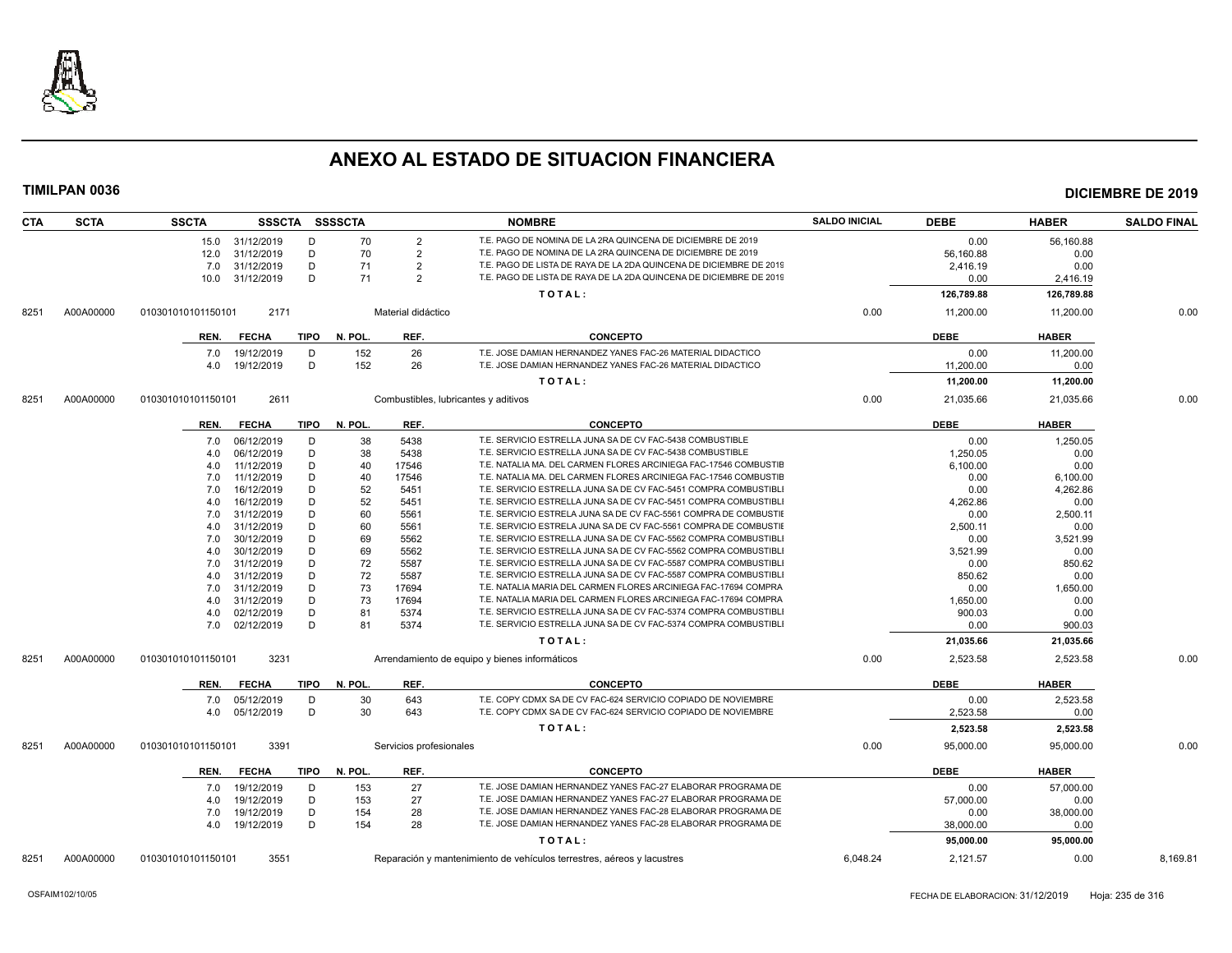

| <b>CTA</b> | <b>SCTA</b> | <b>SSCTA</b><br><b>SSSCTA</b> | <b>SSSSCTA</b>          | <b>NOMBRE</b>                                                          | <b>SALDO INICIAL</b> | <b>DEBE</b> | <b>HABER</b> | <b>SALDO FINAL</b> |
|------------|-------------|-------------------------------|-------------------------|------------------------------------------------------------------------|----------------------|-------------|--------------|--------------------|
|            |             | 15.0 31/12/2019<br>D          | 70<br>$\overline{2}$    | T.E. PAGO DE NOMINA DE LA 2RA QUINCENA DE DICIEMBRE DE 2019            |                      | 0.00        | 56,160.88    |                    |
|            |             | D<br>12.0 31/12/2019          | 70<br>$\overline{2}$    | T.E. PAGO DE NOMINA DE LA 2RA QUINCENA DE DICIEMBRE DE 2019            |                      | 56,160.88   | 0.00         |                    |
|            |             | 31/12/2019<br>D<br>7.0        | 71<br>$\overline{2}$    | T.E. PAGO DE LISTA DE RAYA DE LA 2DA QUINCENA DE DICIEMBRE DE 2019     |                      | 2,416.19    | 0.00         |                    |
|            |             | D<br>31/12/2019<br>10.0       | 71<br>$\overline{2}$    | T.E. PAGO DE LISTA DE RAYA DE LA 2DA QUINCENA DE DICIEMBRE DE 2019     |                      | 0.00        | 2,416.19     |                    |
|            |             |                               |                         | TOTAL:                                                                 |                      | 126,789.88  | 126,789.88   |                    |
| 8251       | A00A00000   | 2171<br>010301010101150101    | Material didáctico      |                                                                        | 0.00                 | 11,200.00   | 11,200.00    | 0.00               |
|            |             | <b>FECHA</b><br>TIPO<br>REN.  | REF.<br>N. POL.         | <b>CONCEPTO</b>                                                        |                      | <b>DEBE</b> | <b>HABER</b> |                    |
|            |             | 19/12/2019<br>D<br>7.0        | 152<br>26               | T.E. JOSE DAMIAN HERNANDEZ YANES FAC-26 MATERIAL DIDACTICO             |                      | 0.00        | 11,200.00    |                    |
|            |             | D<br>19/12/2019<br>4.0        | 152<br>26               | T.E. JOSE DAMIAN HERNANDEZ YANES FAC-26 MATERIAL DIDACTICO             |                      | 11,200.00   | 0.00         |                    |
|            |             |                               |                         |                                                                        |                      |             |              |                    |
|            |             |                               |                         | TOTAL:                                                                 |                      | 11,200.00   | 11,200.00    |                    |
| 8251       | A00A00000   | 2611<br>010301010101150101    |                         | Combustibles, lubricantes y aditivos                                   | 0.00                 | 21,035.66   | 21,035.66    | 0.00               |
|            |             | <b>FECHA</b><br>TIPO<br>REN.  | N. POL.<br>REF.         | <b>CONCEPTO</b>                                                        |                      | <b>DEBE</b> | <b>HABER</b> |                    |
|            |             | 06/12/2019<br>D<br>7.0        | 38<br>5438              | T.E. SERVICIO ESTRELLA JUNA SA DE CV FAC-5438 COMBUSTIBLE              |                      | 0.00        | 1,250.05     |                    |
|            |             | 06/12/2019<br>D<br>4.0        | 38<br>5438              | T.E. SERVICIO ESTRELLA JUNA SA DE CV FAC-5438 COMBUSTIBLE              |                      | 1,250.05    | 0.00         |                    |
|            |             | D<br>11/12/2019<br>4.0        | 40<br>17546             | T.E. NATALIA MA. DEL CARMEN FLORES ARCINIEGA FAC-17546 COMBUSTIE       |                      | 6,100.00    | 0.00         |                    |
|            |             | D<br>11/12/2019<br>7.0        | 40<br>17546             | T.E. NATALIA MA. DEL CARMEN FLORES ARCINIEGA FAC-17546 COMBUSTIE       |                      | 0.00        | 6,100.00     |                    |
|            |             | D<br>16/12/2019<br>7.0        | 52<br>5451              | T.E. SERVICIO ESTRELLA JUNA SA DE CV FAC-5451 COMPRA COMBUSTIBL        |                      | 0.00        | 4,262.86     |                    |
|            |             | 16/12/2019<br>D<br>4.0        | 52<br>5451              | T.E. SERVICIO ESTRELLA JUNA SA DE CV FAC-5451 COMPRA COMBUSTIBLI       |                      | 4,262.86    | 0.00         |                    |
|            |             | 31/12/2019<br>D<br>7.0        | 60<br>5561              | T.E. SERVICIO ESTRELA JUNA SA DE CV FAC-5561 COMPRA DE COMBUSTIE       |                      | 0.00        | 2,500.11     |                    |
|            |             | 31/12/2019<br>D<br>4.0        | 60<br>5561              | T.E. SERVICIO ESTRELA JUNA SA DE CV FAC-5561 COMPRA DE COMBUSTII       |                      | 2,500.11    | 0.00         |                    |
|            |             | D<br>30/12/2019<br>7.0        | 69<br>5562              | T.E. SERVICIO ESTRELLA JUNA SA DE CV FAC-5562 COMPRA COMBUSTIBL        |                      | 0.00        | 3,521.99     |                    |
|            |             | D<br>30/12/2019<br>4.0        | 69<br>5562              | T.E. SERVICIO ESTRELLA JUNA SA DE CV FAC-5562 COMPRA COMBUSTIBL        |                      | 3,521.99    | 0.00         |                    |
|            |             | D<br>31/12/2019<br>7.0        | 72<br>5587              | T.E. SERVICIO ESTRELLA JUNA SA DE CV FAC-5587 COMPRA COMBUSTIBLI       |                      | 0.00        | 850.62       |                    |
|            |             | 31/12/2019<br>D<br>4.0        | 72<br>5587              | T.E. SERVICIO ESTRELLA JUNA SA DE CV FAC-5587 COMPRA COMBUSTIBLI       |                      | 850.62      | 0.00         |                    |
|            |             | D<br>31/12/2019<br>7.0        | 73<br>17694             | T.E. NATALIA MARIA DEL CARMEN FLORES ARCINIEGA FAC-17694 COMPRA        |                      | 0.00        | 1,650.00     |                    |
|            |             | 31/12/2019<br>D<br>4.0        | 73<br>17694             | T.E. NATALIA MARIA DEL CARMEN FLORES ARCINIEGA FAC-17694 COMPRA        |                      | 1,650.00    | 0.00         |                    |
|            |             | D<br>02/12/2019<br>4.0        | 81<br>5374              | T.E. SERVICIO ESTRELLA JUNA SA DE CV FAC-5374 COMPRA COMBUSTIBLI       |                      | 900.03      | 0.00         |                    |
|            |             | D<br>7.0<br>02/12/2019        | 81<br>5374              | T.E. SERVICIO ESTRELLA JUNA SA DE CV FAC-5374 COMPRA COMBUSTIBLI       |                      | 0.00        | 900.03       |                    |
|            |             |                               |                         | TOTAL:                                                                 |                      | 21,035.66   | 21,035.66    |                    |
| 8251       | A00A00000   | 3231<br>010301010101150101    |                         | Arrendamiento de equipo y bienes informáticos                          | 0.00                 | 2,523.58    | 2,523.58     | 0.00               |
|            |             | TIPO<br>REN.<br><b>FECHA</b>  | N. POL.<br>REF.         | <b>CONCEPTO</b>                                                        |                      | <b>DEBE</b> | <b>HABER</b> |                    |
|            |             | 05/12/2019<br>D<br>7.0        | 30<br>643               | T.E. COPY CDMX SA DE CV FAC-624 SERVICIO COPIADO DE NOVIEMBRE          |                      | 0.00        | 2,523.58     |                    |
|            |             | D<br>05/12/2019<br>4.0        | 30<br>643               | T.E. COPY CDMX SA DE CV FAC-624 SERVICIO COPIADO DE NOVIEMBRE          |                      | 2,523.58    | 0.00         |                    |
|            |             |                               |                         | TOTAL:                                                                 |                      | 2,523.58    | 2,523.58     |                    |
| 8251       | A00A00000   | 3391<br>010301010101150101    | Servicios profesionales |                                                                        | 0.00                 | 95,000.00   | 95,000.00    | 0.00               |
|            |             |                               |                         |                                                                        |                      |             |              |                    |
|            |             | TIPO<br><b>FECHA</b><br>REN.  | REF.<br>N. POL.         | <b>CONCEPTO</b>                                                        |                      | <b>DEBE</b> | <b>HABER</b> |                    |
|            |             | 19/12/2019<br>D<br>7.0        | 27<br>153               | T.E. JOSE DAMIAN HERNANDEZ YANES FAC-27 ELABORAR PROGRAMA DE           |                      | 0.00        | 57,000.00    |                    |
|            |             | D<br>19/12/2019<br>4.0        | 27<br>153               | T.E. JOSE DAMIAN HERNANDEZ YANES FAC-27 ELABORAR PROGRAMA DE           |                      | 57,000.00   | 0.00         |                    |
|            |             | D<br>19/12/2019<br>7.0        | 154<br>28               | T.E. JOSE DAMIAN HERNANDEZ YANES FAC-28 ELABORAR PROGRAMA DE           |                      | 0.00        | 38,000.00    |                    |
|            |             | D<br>19/12/2019<br>4.0        | 154<br>28               | T.E. JOSE DAMIAN HERNANDEZ YANES FAC-28 ELABORAR PROGRAMA DE           |                      | 38,000.00   | 0.00         |                    |
|            |             |                               |                         | TOTAL:                                                                 |                      | 95,000.00   | 95,000.00    |                    |
| 8251       | A00A00000   | 3551<br>010301010101150101    |                         | Reparación y mantenimiento de vehículos terrestres, aéreos y lacustres | 6,048.24             | 2,121.57    | 0.00         | 8,169.81           |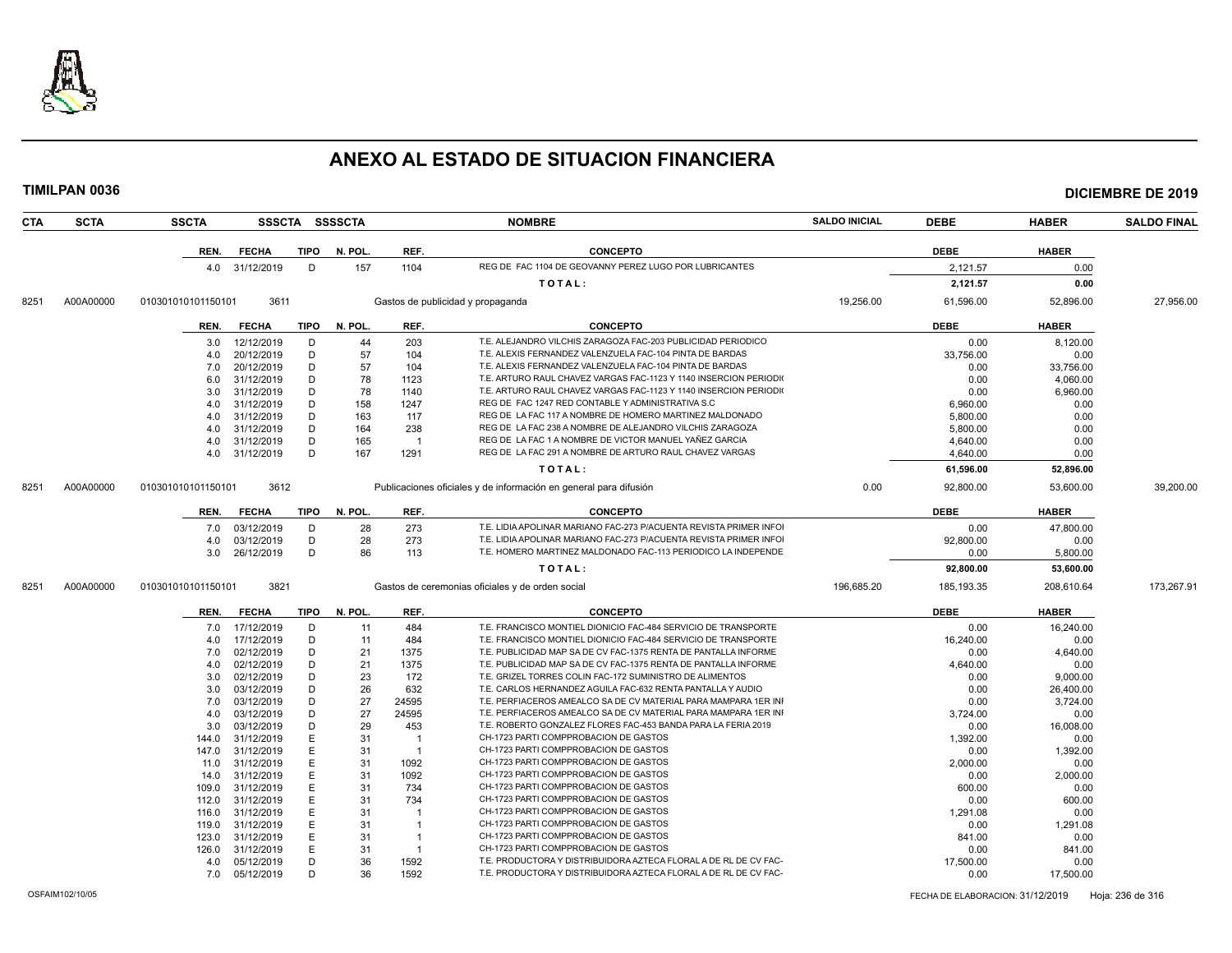

| <b>SSCTA</b> |              |                                                                                                                                                                                                                                                                                                                             |                                                                      |                                                                                                                   | <b>NOMBRE</b>                                                    | <b>SALDO INICIAL</b>                                                                                                                                                                                                                                                                                                                                                                                                                                                                                                                                                                                                                                                                                                                                                                                                            | <b>DEBE</b>             | <b>HABER</b>                                                                                              | <b>SALDO FINAL</b>                                                                                                |
|--------------|--------------|-----------------------------------------------------------------------------------------------------------------------------------------------------------------------------------------------------------------------------------------------------------------------------------------------------------------------------|----------------------------------------------------------------------|-------------------------------------------------------------------------------------------------------------------|------------------------------------------------------------------|---------------------------------------------------------------------------------------------------------------------------------------------------------------------------------------------------------------------------------------------------------------------------------------------------------------------------------------------------------------------------------------------------------------------------------------------------------------------------------------------------------------------------------------------------------------------------------------------------------------------------------------------------------------------------------------------------------------------------------------------------------------------------------------------------------------------------------|-------------------------|-----------------------------------------------------------------------------------------------------------|-------------------------------------------------------------------------------------------------------------------|
|              | <b>FECHA</b> |                                                                                                                                                                                                                                                                                                                             | N. POL.                                                              | REF.                                                                                                              | <b>CONCEPTO</b>                                                  |                                                                                                                                                                                                                                                                                                                                                                                                                                                                                                                                                                                                                                                                                                                                                                                                                                 | <b>DEBE</b>             | <b>HABER</b>                                                                                              |                                                                                                                   |
|              |              | D                                                                                                                                                                                                                                                                                                                           | 157                                                                  | 1104                                                                                                              | REG DE FAC 1104 DE GEOVANNY PEREZ LUGO POR LUBRICANTES           |                                                                                                                                                                                                                                                                                                                                                                                                                                                                                                                                                                                                                                                                                                                                                                                                                                 |                         |                                                                                                           |                                                                                                                   |
|              |              |                                                                                                                                                                                                                                                                                                                             |                                                                      |                                                                                                                   |                                                                  |                                                                                                                                                                                                                                                                                                                                                                                                                                                                                                                                                                                                                                                                                                                                                                                                                                 |                         |                                                                                                           |                                                                                                                   |
|              |              |                                                                                                                                                                                                                                                                                                                             |                                                                      |                                                                                                                   |                                                                  |                                                                                                                                                                                                                                                                                                                                                                                                                                                                                                                                                                                                                                                                                                                                                                                                                                 |                         |                                                                                                           |                                                                                                                   |
|              |              |                                                                                                                                                                                                                                                                                                                             |                                                                      |                                                                                                                   |                                                                  |                                                                                                                                                                                                                                                                                                                                                                                                                                                                                                                                                                                                                                                                                                                                                                                                                                 |                         |                                                                                                           | 27.956.00                                                                                                         |
| REN.         | <b>FECHA</b> |                                                                                                                                                                                                                                                                                                                             | N. POL.                                                              | REF.                                                                                                              | <b>CONCEPTO</b>                                                  |                                                                                                                                                                                                                                                                                                                                                                                                                                                                                                                                                                                                                                                                                                                                                                                                                                 | <b>DEBE</b>             | <b>HABER</b>                                                                                              |                                                                                                                   |
|              | 12/12/2019   | D                                                                                                                                                                                                                                                                                                                           | 44                                                                   | 203                                                                                                               | T.E. ALEJANDRO VILCHIS ZARAGOZA FAC-203 PUBLICIDAD PERIODICO     |                                                                                                                                                                                                                                                                                                                                                                                                                                                                                                                                                                                                                                                                                                                                                                                                                                 | 0.00                    | 8,120.00                                                                                                  |                                                                                                                   |
| 4.0          | 20/12/2019   | D                                                                                                                                                                                                                                                                                                                           | 57                                                                   | 104                                                                                                               |                                                                  |                                                                                                                                                                                                                                                                                                                                                                                                                                                                                                                                                                                                                                                                                                                                                                                                                                 | 33,756.00               | 0.00                                                                                                      |                                                                                                                   |
| 7.0          | 20/12/2019   | D                                                                                                                                                                                                                                                                                                                           | 57                                                                   | 104                                                                                                               | T.E. ALEXIS FERNANDEZ VALENZUELA FAC-104 PINTA DE BARDAS         |                                                                                                                                                                                                                                                                                                                                                                                                                                                                                                                                                                                                                                                                                                                                                                                                                                 | 0.00                    | 33,756.00                                                                                                 |                                                                                                                   |
| 6.0          | 31/12/2019   | D                                                                                                                                                                                                                                                                                                                           | 78                                                                   | 1123                                                                                                              | T.E. ARTURO RAUL CHAVEZ VARGAS FAC-1123 Y 1140 INSERCION PERIODI |                                                                                                                                                                                                                                                                                                                                                                                                                                                                                                                                                                                                                                                                                                                                                                                                                                 | 0.00                    | 4,060.00                                                                                                  |                                                                                                                   |
| 3.0          | 31/12/2019   | D                                                                                                                                                                                                                                                                                                                           | 78                                                                   | 1140                                                                                                              | T.E. ARTURO RAUL CHAVEZ VARGAS FAC-1123 Y 1140 INSERCION PERIODI |                                                                                                                                                                                                                                                                                                                                                                                                                                                                                                                                                                                                                                                                                                                                                                                                                                 | 0.00                    | 6,960.00                                                                                                  |                                                                                                                   |
|              | 31/12/2019   | D                                                                                                                                                                                                                                                                                                                           | 158                                                                  | 1247                                                                                                              | REG DE FAC 1247 RED CONTABLE Y ADMINISTRATIVA S.C.               |                                                                                                                                                                                                                                                                                                                                                                                                                                                                                                                                                                                                                                                                                                                                                                                                                                 | 6.960.00                | 0.00                                                                                                      |                                                                                                                   |
| 4.0          | 31/12/2019   | D                                                                                                                                                                                                                                                                                                                           | 163                                                                  | 117                                                                                                               | REG DE LA FAC 117 A NOMBRE DE HOMERO MARTINEZ MALDONADO          |                                                                                                                                                                                                                                                                                                                                                                                                                                                                                                                                                                                                                                                                                                                                                                                                                                 | 5,800.00                | 0.00                                                                                                      |                                                                                                                   |
|              | 31/12/2019   | D                                                                                                                                                                                                                                                                                                                           | 164                                                                  | 238                                                                                                               | REG DE LA FAC 238 A NOMBRE DE ALEJANDRO VILCHIS ZARAGOZA         |                                                                                                                                                                                                                                                                                                                                                                                                                                                                                                                                                                                                                                                                                                                                                                                                                                 | 5,800.00                | 0.00                                                                                                      |                                                                                                                   |
| 4.0          |              | D                                                                                                                                                                                                                                                                                                                           | 165                                                                  | - 1                                                                                                               | REG DE LA FAC 1 A NOMBRE DE VICTOR MANUEL YAÑEZ GARCIA           |                                                                                                                                                                                                                                                                                                                                                                                                                                                                                                                                                                                                                                                                                                                                                                                                                                 | 4,640.00                | 0.00                                                                                                      |                                                                                                                   |
|              | 31/12/2019   | D                                                                                                                                                                                                                                                                                                                           | 167                                                                  | 1291                                                                                                              | REG DE LA FAC 291 A NOMBRE DE ARTURO RAUL CHAVEZ VARGAS          |                                                                                                                                                                                                                                                                                                                                                                                                                                                                                                                                                                                                                                                                                                                                                                                                                                 | 4,640.00                | 0.00                                                                                                      |                                                                                                                   |
|              |              |                                                                                                                                                                                                                                                                                                                             |                                                                      |                                                                                                                   | TOTAL:                                                           |                                                                                                                                                                                                                                                                                                                                                                                                                                                                                                                                                                                                                                                                                                                                                                                                                                 | 61,596.00               | 52,896.00                                                                                                 |                                                                                                                   |
|              |              |                                                                                                                                                                                                                                                                                                                             |                                                                      |                                                                                                                   |                                                                  | 0.00                                                                                                                                                                                                                                                                                                                                                                                                                                                                                                                                                                                                                                                                                                                                                                                                                            | 92,800.00               | 53,600.00                                                                                                 | 39,200.00                                                                                                         |
|              |              |                                                                                                                                                                                                                                                                                                                             |                                                                      |                                                                                                                   |                                                                  |                                                                                                                                                                                                                                                                                                                                                                                                                                                                                                                                                                                                                                                                                                                                                                                                                                 |                         |                                                                                                           |                                                                                                                   |
|              |              |                                                                                                                                                                                                                                                                                                                             |                                                                      |                                                                                                                   |                                                                  |                                                                                                                                                                                                                                                                                                                                                                                                                                                                                                                                                                                                                                                                                                                                                                                                                                 |                         |                                                                                                           |                                                                                                                   |
|              |              |                                                                                                                                                                                                                                                                                                                             |                                                                      |                                                                                                                   |                                                                  |                                                                                                                                                                                                                                                                                                                                                                                                                                                                                                                                                                                                                                                                                                                                                                                                                                 |                         |                                                                                                           |                                                                                                                   |
|              |              |                                                                                                                                                                                                                                                                                                                             |                                                                      |                                                                                                                   |                                                                  |                                                                                                                                                                                                                                                                                                                                                                                                                                                                                                                                                                                                                                                                                                                                                                                                                                 |                         |                                                                                                           |                                                                                                                   |
|              |              |                                                                                                                                                                                                                                                                                                                             |                                                                      |                                                                                                                   |                                                                  |                                                                                                                                                                                                                                                                                                                                                                                                                                                                                                                                                                                                                                                                                                                                                                                                                                 |                         |                                                                                                           |                                                                                                                   |
|              |              |                                                                                                                                                                                                                                                                                                                             |                                                                      |                                                                                                                   |                                                                  |                                                                                                                                                                                                                                                                                                                                                                                                                                                                                                                                                                                                                                                                                                                                                                                                                                 |                         |                                                                                                           |                                                                                                                   |
|              |              |                                                                                                                                                                                                                                                                                                                             |                                                                      |                                                                                                                   |                                                                  |                                                                                                                                                                                                                                                                                                                                                                                                                                                                                                                                                                                                                                                                                                                                                                                                                                 |                         |                                                                                                           | 173,267.91                                                                                                        |
| REN.         | <b>FECHA</b> |                                                                                                                                                                                                                                                                                                                             | N. POL.                                                              | REF.                                                                                                              | <b>CONCEPTO</b>                                                  |                                                                                                                                                                                                                                                                                                                                                                                                                                                                                                                                                                                                                                                                                                                                                                                                                                 | <b>DEBE</b>             | <b>HABER</b>                                                                                              |                                                                                                                   |
|              | 17/12/2019   | D                                                                                                                                                                                                                                                                                                                           | 11                                                                   | 484                                                                                                               |                                                                  |                                                                                                                                                                                                                                                                                                                                                                                                                                                                                                                                                                                                                                                                                                                                                                                                                                 | 0.00                    | 16,240.00                                                                                                 |                                                                                                                   |
|              | 17/12/2019   | D                                                                                                                                                                                                                                                                                                                           | 11                                                                   | 484                                                                                                               | T.E. FRANCISCO MONTIEL DIONICIO FAC-484 SERVICIO DE TRANSPORTE   |                                                                                                                                                                                                                                                                                                                                                                                                                                                                                                                                                                                                                                                                                                                                                                                                                                 | 16,240.00               | 0.00                                                                                                      |                                                                                                                   |
| 7.0          | 02/12/2019   | D                                                                                                                                                                                                                                                                                                                           | 21                                                                   | 1375                                                                                                              |                                                                  |                                                                                                                                                                                                                                                                                                                                                                                                                                                                                                                                                                                                                                                                                                                                                                                                                                 | 0.00                    | 4,640.00                                                                                                  |                                                                                                                   |
| 4.0          | 02/12/2019   | D                                                                                                                                                                                                                                                                                                                           | 21                                                                   | 1375                                                                                                              |                                                                  |                                                                                                                                                                                                                                                                                                                                                                                                                                                                                                                                                                                                                                                                                                                                                                                                                                 | 4,640.00                | 0.00                                                                                                      |                                                                                                                   |
| 3.0          |              | D                                                                                                                                                                                                                                                                                                                           |                                                                      | 172                                                                                                               |                                                                  |                                                                                                                                                                                                                                                                                                                                                                                                                                                                                                                                                                                                                                                                                                                                                                                                                                 | 0.00                    | 9,000.00                                                                                                  |                                                                                                                   |
| 3.0          |              |                                                                                                                                                                                                                                                                                                                             |                                                                      |                                                                                                                   | T.E. CARLOS HERNANDEZ AGUILA FAC-632 RENTA PANTALLA Y AUDIO      |                                                                                                                                                                                                                                                                                                                                                                                                                                                                                                                                                                                                                                                                                                                                                                                                                                 | 0.00                    | 26,400.00                                                                                                 |                                                                                                                   |
|              |              |                                                                                                                                                                                                                                                                                                                             |                                                                      |                                                                                                                   |                                                                  |                                                                                                                                                                                                                                                                                                                                                                                                                                                                                                                                                                                                                                                                                                                                                                                                                                 | 0.00                    |                                                                                                           |                                                                                                                   |
| 4.0          | 03/12/2019   | D                                                                                                                                                                                                                                                                                                                           |                                                                      | 24595                                                                                                             | T.E. PERFIACEROS AMEALCO SA DE CV MATERIAL PARA MAMPARA 1ER INI  |                                                                                                                                                                                                                                                                                                                                                                                                                                                                                                                                                                                                                                                                                                                                                                                                                                 | 3,724.00                | 0.00                                                                                                      |                                                                                                                   |
| 3.0          | 03/12/2019   | D                                                                                                                                                                                                                                                                                                                           | 29                                                                   | 453                                                                                                               | T.E. ROBERTO GONZALEZ FLORES FAC-453 BANDA PARA LA FERIA 2019    |                                                                                                                                                                                                                                                                                                                                                                                                                                                                                                                                                                                                                                                                                                                                                                                                                                 | 0.00                    | 16,008.00                                                                                                 |                                                                                                                   |
|              | 31/12/2019   | E                                                                                                                                                                                                                                                                                                                           | 31                                                                   | - 1                                                                                                               | CH-1723 PARTI COMPPROBACION DE GASTOS                            |                                                                                                                                                                                                                                                                                                                                                                                                                                                                                                                                                                                                                                                                                                                                                                                                                                 | 1,392.00                | 0.00                                                                                                      |                                                                                                                   |
| 147.0        | 31/12/2019   |                                                                                                                                                                                                                                                                                                                             | 31                                                                   | $\overline{1}$                                                                                                    | CH-1723 PARTI COMPPROBACION DE GASTOS                            |                                                                                                                                                                                                                                                                                                                                                                                                                                                                                                                                                                                                                                                                                                                                                                                                                                 | 0.00                    | 1,392.00                                                                                                  |                                                                                                                   |
|              | 31/12/2019   | E                                                                                                                                                                                                                                                                                                                           | 31                                                                   | 1092                                                                                                              | CH-1723 PARTI COMPPROBACION DE GASTOS                            |                                                                                                                                                                                                                                                                                                                                                                                                                                                                                                                                                                                                                                                                                                                                                                                                                                 | 2,000.00                | 0.00                                                                                                      |                                                                                                                   |
|              | 31/12/2019   | E                                                                                                                                                                                                                                                                                                                           | 31                                                                   | 1092                                                                                                              | CH-1723 PARTI COMPPROBACION DE GASTOS                            |                                                                                                                                                                                                                                                                                                                                                                                                                                                                                                                                                                                                                                                                                                                                                                                                                                 | 0.00                    | 2,000.00                                                                                                  |                                                                                                                   |
|              | 31/12/2019   | E                                                                                                                                                                                                                                                                                                                           | 31                                                                   | 734                                                                                                               | CH-1723 PARTI COMPPROBACION DE GASTOS                            |                                                                                                                                                                                                                                                                                                                                                                                                                                                                                                                                                                                                                                                                                                                                                                                                                                 | 600.00                  | 0.00                                                                                                      |                                                                                                                   |
|              | 31/12/2019   | E                                                                                                                                                                                                                                                                                                                           | 31                                                                   | 734                                                                                                               | CH-1723 PARTI COMPPROBACION DE GASTOS                            |                                                                                                                                                                                                                                                                                                                                                                                                                                                                                                                                                                                                                                                                                                                                                                                                                                 | 0.00                    | 600.00                                                                                                    |                                                                                                                   |
|              | 31/12/2019   | E                                                                                                                                                                                                                                                                                                                           | 31                                                                   | -1                                                                                                                | CH-1723 PARTI COMPPROBACION DE GASTOS                            |                                                                                                                                                                                                                                                                                                                                                                                                                                                                                                                                                                                                                                                                                                                                                                                                                                 | 1,291.08                | 0.00                                                                                                      |                                                                                                                   |
| 119.0        | 31/12/2019   | E                                                                                                                                                                                                                                                                                                                           | 31                                                                   |                                                                                                                   | CH-1723 PARTI COMPPROBACION DE GASTOS                            |                                                                                                                                                                                                                                                                                                                                                                                                                                                                                                                                                                                                                                                                                                                                                                                                                                 | 0.00                    | 1,291.08                                                                                                  |                                                                                                                   |
|              | 31/12/2019   | E                                                                                                                                                                                                                                                                                                                           | 31                                                                   | $\overline{1}$                                                                                                    | CH-1723 PARTI COMPPROBACION DE GASTOS                            |                                                                                                                                                                                                                                                                                                                                                                                                                                                                                                                                                                                                                                                                                                                                                                                                                                 | 841.00                  | 0.00                                                                                                      |                                                                                                                   |
| 126.0        | 31/12/2019   | E                                                                                                                                                                                                                                                                                                                           | 31                                                                   | $\overline{1}$                                                                                                    | CH-1723 PARTI COMPPROBACION DE GASTOS                            |                                                                                                                                                                                                                                                                                                                                                                                                                                                                                                                                                                                                                                                                                                                                                                                                                                 | 0.00                    | 841.00                                                                                                    |                                                                                                                   |
| 4.0          | 05/12/2019   | D                                                                                                                                                                                                                                                                                                                           | 36                                                                   | 1592                                                                                                              | T.E. PRODUCTORA Y DISTRIBUIDORA AZTECA FLORAL A DE RL DE CV FAC- |                                                                                                                                                                                                                                                                                                                                                                                                                                                                                                                                                                                                                                                                                                                                                                                                                                 | 17,500.00               | 0.00                                                                                                      |                                                                                                                   |
|              |              | D                                                                                                                                                                                                                                                                                                                           | 36                                                                   | 1592                                                                                                              | T.E. PRODUCTORA Y DISTRIBUIDORA AZTECA FLORAL A DE RL DE CV FAC- |                                                                                                                                                                                                                                                                                                                                                                                                                                                                                                                                                                                                                                                                                                                                                                                                                                 | 0.00                    | 17,500.00                                                                                                 |                                                                                                                   |
|              | REN.<br>4.0  | REN.<br>010301010101150101<br>3.0<br>4.0<br>4.0<br>31/12/2019<br>4.0<br>010301010101150101<br><b>FECHA</b><br>03/12/2019<br>7.0<br>03/12/2019<br>26/12/2019<br>3.0<br>010301010101150101<br>7.0<br>4.0<br>02/12/2019<br>03/12/2019<br>03/12/2019<br>7.0<br>144.0<br>11.0<br>14.0<br>109.0<br>112.0<br>116.0<br>123.0<br>7.0 | 4.0 31/12/2019<br>3611<br>3612<br>D<br>D<br>D<br>3821<br>D<br>D<br>E | SSSCTA SSSSCTA<br>TIPO<br><b>TIPO</b><br><b>TIPO</b><br>N. POL.<br>28<br>28<br>86<br>TIPO<br>23<br>26<br>27<br>27 | REF.<br>273<br>273<br>113<br>632<br>24595                        | TOTAL:<br>Gastos de publicidad y propaganda<br>T.E. ALEXIS FERNANDEZ VALENZUELA FAC-104 PINTA DE BARDAS<br>Publicaciones oficiales y de información en general para difusión<br><b>CONCEPTO</b><br>T.E. LIDIA APOLINAR MARIANO FAC-273 P/ACUENTA REVISTA PRIMER INFOI<br>T.E. LIDIA APOLINAR MARIANO FAC-273 P/ACUENTA REVISTA PRIMER INFOI<br>T.E. HOMERO MARTINEZ MALDONADO FAC-113 PERIODICO LA INDEPENDE<br>TOTAL:<br>Gastos de ceremonias oficiales y de orden social<br>T.E. FRANCISCO MONTIEL DIONICIO FAC-484 SERVICIO DE TRANSPORTE<br>T.E. PUBLICIDAD MAP SA DE CV FAC-1375 RENTA DE PANTALLA INFORME<br>T.E. PUBLICIDAD MAP SA DE CV FAC-1375 RENTA DE PANTALLA INFORME<br>T.E. GRIZEL TORRES COLIN FAC-172 SUMINISTRO DE ALIMENTOS<br>T.E. PERFIACEROS AMEALCO SA DE CV MATERIAL PARA MAMPARA 1ER INI<br>05/12/2019 | 19,256.00<br>196,685.20 | 2,121.57<br>2,121.57<br>61,596.00<br><b>DEBE</b><br>0.00<br>92,800.00<br>0.00<br>92,800.00<br>185, 193.35 | 0.00<br>0.00<br>52.896.00<br><b>HABER</b><br>47,800.00<br>0.00<br>5,800.00<br>53,600.00<br>208,610.64<br>3,724.00 |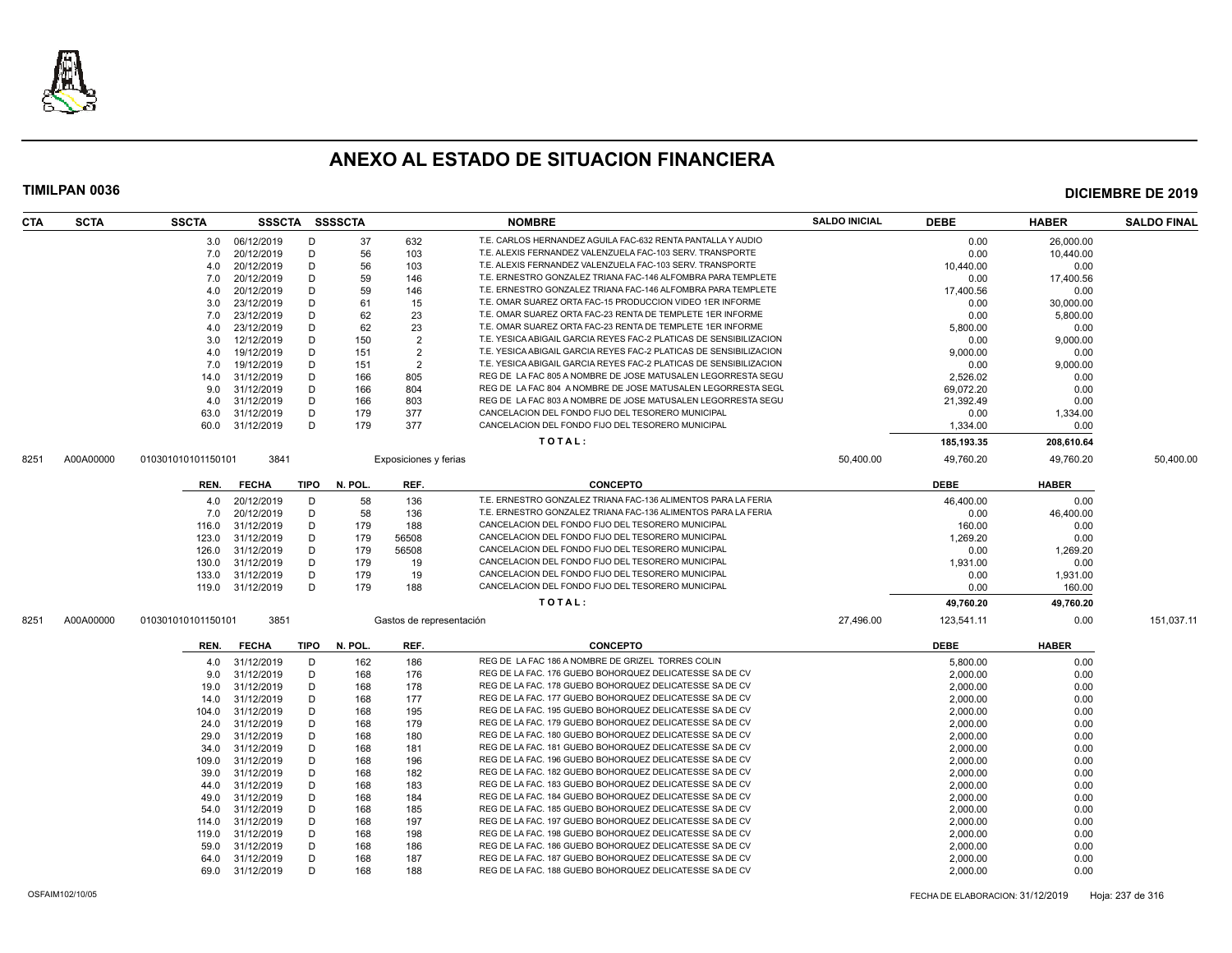

| <b>CTA</b> | <b>SCTA</b> | <b>SSCTA</b>       |                 |      | SSSCTA SSSSCTA |                          | <b>NOMBRE</b>                                                      | <b>SALDO INICIAL</b> | <b>DEBE</b> | <b>HABER</b> | <b>SALDO FINAL</b> |
|------------|-------------|--------------------|-----------------|------|----------------|--------------------------|--------------------------------------------------------------------|----------------------|-------------|--------------|--------------------|
|            |             |                    | 3.0 06/12/2019  | D    | 37             | 632                      | T.E. CARLOS HERNANDEZ AGUILA FAC-632 RENTA PANTALLA Y AUDIO        |                      | 0.00        | 26.000.00    |                    |
|            |             | 7.0                | 20/12/2019      | D    | 56             | 103                      | T.E. ALEXIS FERNANDEZ VALENZUELA FAC-103 SERV. TRANSPORTE          |                      | 0.00        | 10,440.00    |                    |
|            |             | 4.0                | 20/12/2019      | D    | 56             | 103                      | T.E. ALEXIS FERNANDEZ VALENZUELA FAC-103 SERV. TRANSPORTE          |                      | 10,440.00   | 0.00         |                    |
|            |             | 7.0                | 20/12/2019      | D    | 59             | 146                      | T.E. ERNESTRO GONZALEZ TRIANA FAC-146 ALFOMBRA PARA TEMPLETE       |                      | 0.00        | 17,400.56    |                    |
|            |             | 4.0                | 20/12/2019      | D    | 59             | 146                      | T.E. ERNESTRO GONZALEZ TRIANA FAC-146 ALFOMBRA PARA TEMPLETE       |                      | 17.400.56   | 0.00         |                    |
|            |             | 3.0                | 23/12/2019      | D    | 61             | 15                       | T.E. OMAR SUAREZ ORTA FAC-15 PRODUCCION VIDEO 1ER INFORME          |                      | 0.00        | 30,000.00    |                    |
|            |             | 7.0                | 23/12/2019      | D    | 62             | 23                       | T.E. OMAR SUAREZ ORTA FAC-23 RENTA DE TEMPLETE 1ER INFORME         |                      | 0.00        | 5,800.00     |                    |
|            |             | 4.0                | 23/12/2019      | D    | 62             | 23                       | T.E. OMAR SUAREZ ORTA FAC-23 RENTA DE TEMPLETE 1ER INFORME         |                      | 5,800.00    | 0.00         |                    |
|            |             | 3.0                | 12/12/2019      | D    | 150            | $\overline{2}$           | T.E. YESICA ABIGAIL GARCIA REYES FAC-2 PLATICAS DE SENSIBILIZACION |                      | 0.00        | 9,000.00     |                    |
|            |             | 4.0                | 19/12/2019      | D    | 151            | $\overline{2}$           | T.E. YESICA ABIGAIL GARCIA REYES FAC-2 PLATICAS DE SENSIBILIZACION |                      | 9,000.00    | 0.00         |                    |
|            |             | 7.0                | 19/12/2019      | D    | 151            | $\overline{2}$           | T.E. YESICA ABIGAIL GARCIA REYES FAC-2 PLATICAS DE SENSIBILIZACION |                      | 0.00        | 9,000.00     |                    |
|            |             | 14.0               | 31/12/2019      | D    | 166            | 805                      | REG DE LA FAC 805 A NOMBRE DE JOSE MATUSALEN LEGORRESTA SEGU       |                      | 2,526.02    | 0.00         |                    |
|            |             | 9.0                | 31/12/2019      | D    | 166            | 804                      | REG DE LA FAC 804 A NOMBRE DE JOSE MATUSALEN LEGORRESTA SEGU       |                      | 69,072.20   | 0.00         |                    |
|            |             | 4.0                | 31/12/2019      | D    | 166            | 803                      | REG DE LA FAC 803 A NOMBRE DE JOSE MATUSALEN LEGORRESTA SEGU       |                      | 21,392.49   | 0.00         |                    |
|            |             | 63.0               | 31/12/2019      | D    | 179            | 377                      | CANCELACION DEL FONDO FIJO DEL TESORERO MUNICIPAL                  |                      | 0.00        | 1,334.00     |                    |
|            |             | 60.0               | 31/12/2019      | D    | 179            | 377                      | CANCELACION DEL FONDO FIJO DEL TESORERO MUNICIPAL                  |                      | 1,334.00    | 0.00         |                    |
|            |             |                    |                 |      |                |                          | TOTAL:                                                             |                      | 185, 193.35 | 208,610.64   |                    |
| 8251       | A00A00000   | 010301010101150101 | 3841            |      |                | Exposiciones y ferias    |                                                                    | 50,400.00            | 49,760.20   | 49,760.20    | 50,400.00          |
|            |             |                    |                 |      |                |                          |                                                                    |                      |             |              |                    |
|            |             | REN.               | <b>FECHA</b>    |      | TIPO N. POL.   | REF.                     | <b>CONCEPTO</b>                                                    |                      | <b>DEBE</b> | <b>HABER</b> |                    |
|            |             | 4.0                | 20/12/2019      | D    | 58             | 136                      | T.E. ERNESTRO GONZALEZ TRIANA FAC-136 ALIMENTOS PARA LA FERIA      |                      | 46,400.00   | 0.00         |                    |
|            |             | 7.0                | 20/12/2019      | D    | 58             | 136                      | T.E. ERNESTRO GONZALEZ TRIANA FAC-136 ALIMENTOS PARA LA FERIA      |                      | 0.00        | 46,400.00    |                    |
|            |             | 116.0              | 31/12/2019      | D    | 179            | 188                      | CANCELACION DEL FONDO FIJO DEL TESORERO MUNICIPAL                  |                      | 160.00      | 0.00         |                    |
|            |             | 123.0              | 31/12/2019      | D    | 179            | 56508                    | CANCELACION DEL FONDO FIJO DEL TESORERO MUNICIPAL                  |                      | 1,269.20    | 0.00         |                    |
|            |             | 126.0              | 31/12/2019      | D    | 179            | 56508                    | CANCELACION DEL FONDO FIJO DEL TESORERO MUNICIPAL                  |                      | 0.00        | 1,269.20     |                    |
|            |             | 130.0              | 31/12/2019      | D    | 179            | 19                       | CANCELACION DEL FONDO FIJO DEL TESORERO MUNICIPAL                  |                      | 1,931.00    | 0.00         |                    |
|            |             | 133.0              | 31/12/2019      | D    | 179            | 19                       | CANCELACION DEL FONDO FIJO DEL TESORERO MUNICIPAL                  |                      | 0.00        | 1,931.00     |                    |
|            |             | 119.0              | 31/12/2019      | D    | 179            | 188                      | CANCELACION DEL FONDO FIJO DEL TESORERO MUNICIPAL                  |                      | 0.00        | 160.00       |                    |
|            |             |                    |                 |      |                |                          | TOTAL:                                                             |                      | 49,760.20   | 49,760.20    |                    |
| 8251       | A00A00000   | 010301010101150101 | 3851            |      |                | Gastos de representación |                                                                    | 27,496.00            | 123,541.11  | 0.00         | 151,037.11         |
|            |             | REN.               | <b>FECHA</b>    | TIPO | N. POL.        | REF.                     | <b>CONCEPTO</b>                                                    |                      | <b>DEBE</b> | <b>HABER</b> |                    |
|            |             | 4.0                | 31/12/2019      | D    | 162            | 186                      | REG DE LA FAC 186 A NOMBRE DE GRIZEL TORRES COLIN                  |                      | 5,800.00    | 0.00         |                    |
|            |             | 9.0                | 31/12/2019      | D    | 168            | 176                      | REG DE LA FAC. 176 GUEBO BOHORQUEZ DELICATESSE SA DE CV            |                      | 2,000.00    | 0.00         |                    |
|            |             | 19.0               | 31/12/2019      | D    | 168            | 178                      | REG DE LA FAC. 178 GUEBO BOHORQUEZ DELICATESSE SA DE CV            |                      | 2,000.00    | 0.00         |                    |
|            |             | 14.0               | 31/12/2019      | D    | 168            | 177                      | REG DE LA FAC. 177 GUEBO BOHORQUEZ DELICATESSE SA DE CV            |                      | 2,000.00    | 0.00         |                    |
|            |             | 104.0              | 31/12/2019      | D    | 168            | 195                      | REG DE LA FAC. 195 GUEBO BOHORQUEZ DELICATESSE SA DE CV            |                      | 2,000.00    | 0.00         |                    |
|            |             | 24.0               | 31/12/2019      | D    | 168            | 179                      | REG DE LA FAC. 179 GUEBO BOHORQUEZ DELICATESSE SA DE CV            |                      | 2,000.00    | 0.00         |                    |
|            |             | 29.0               | 31/12/2019      | D    | 168            | 180                      | REG DE LA FAC. 180 GUEBO BOHORQUEZ DELICATESSE SA DE CV            |                      | 2,000.00    | 0.00         |                    |
|            |             | 34.0               | 31/12/2019      | D    | 168            | 181                      | REG DE LA FAC. 181 GUEBO BOHORQUEZ DELICATESSE SA DE CV            |                      | 2,000.00    | 0.00         |                    |
|            |             | 109.0              | 31/12/2019      | D    | 168            | 196                      | REG DE LA FAC. 196 GUEBO BOHORQUEZ DELICATESSE SA DE CV            |                      | 2,000.00    | 0.00         |                    |
|            |             | 39.0               | 31/12/2019      | D    | 168            | 182                      | REG DE LA FAC. 182 GUEBO BOHORQUEZ DELICATESSE SA DE CV            |                      | 2,000.00    | 0.00         |                    |
|            |             | 44.0               | 31/12/2019      | D    | 168            | 183                      | REG DE LA FAC. 183 GUEBO BOHORQUEZ DELICATESSE SA DE CV            |                      | 2,000.00    | 0.00         |                    |
|            |             | 49.0               | 31/12/2019      | D    | 168            | 184                      | REG DE LA FAC. 184 GUEBO BOHORQUEZ DELICATESSE SA DE CV            |                      | 2,000.00    | 0.00         |                    |
|            |             | 54.0               | 31/12/2019      | D    | 168            | 185                      | REG DE LA FAC. 185 GUEBO BOHORQUEZ DELICATESSE SA DE CV            |                      | 2.000.00    | 0.00         |                    |
|            |             | 114.0              | 31/12/2019      | D    | 168            | 197                      | REG DE LA FAC. 197 GUEBO BOHORQUEZ DELICATESSE SA DE CV            |                      | 2,000.00    | 0.00         |                    |
|            |             | 119.0              | 31/12/2019      | D    | 168            | 198                      | REG DE LA FAC. 198 GUEBO BOHORQUEZ DELICATESSE SA DE CV            |                      | 2,000.00    | 0.00         |                    |
|            |             | 59.0               | 31/12/2019      | D    | 168            | 186                      | REG DE LA FAC. 186 GUEBO BOHORQUEZ DELICATESSE SA DE CV            |                      | 2,000.00    | 0.00         |                    |
|            |             | 64.0               | 31/12/2019      | D    | 168            | 187                      | REG DE LA FAC. 187 GUEBO BOHORQUEZ DELICATESSE SA DE CV            |                      | 2,000.00    | 0.00         |                    |
|            |             |                    | 69.0 31/12/2019 | D    | 168            | 188                      | REG DE LA FAC. 188 GUEBO BOHORQUEZ DELICATESSE SA DE CV            |                      | 2,000.00    | 0.00         |                    |
|            |             |                    |                 |      |                |                          |                                                                    |                      |             |              |                    |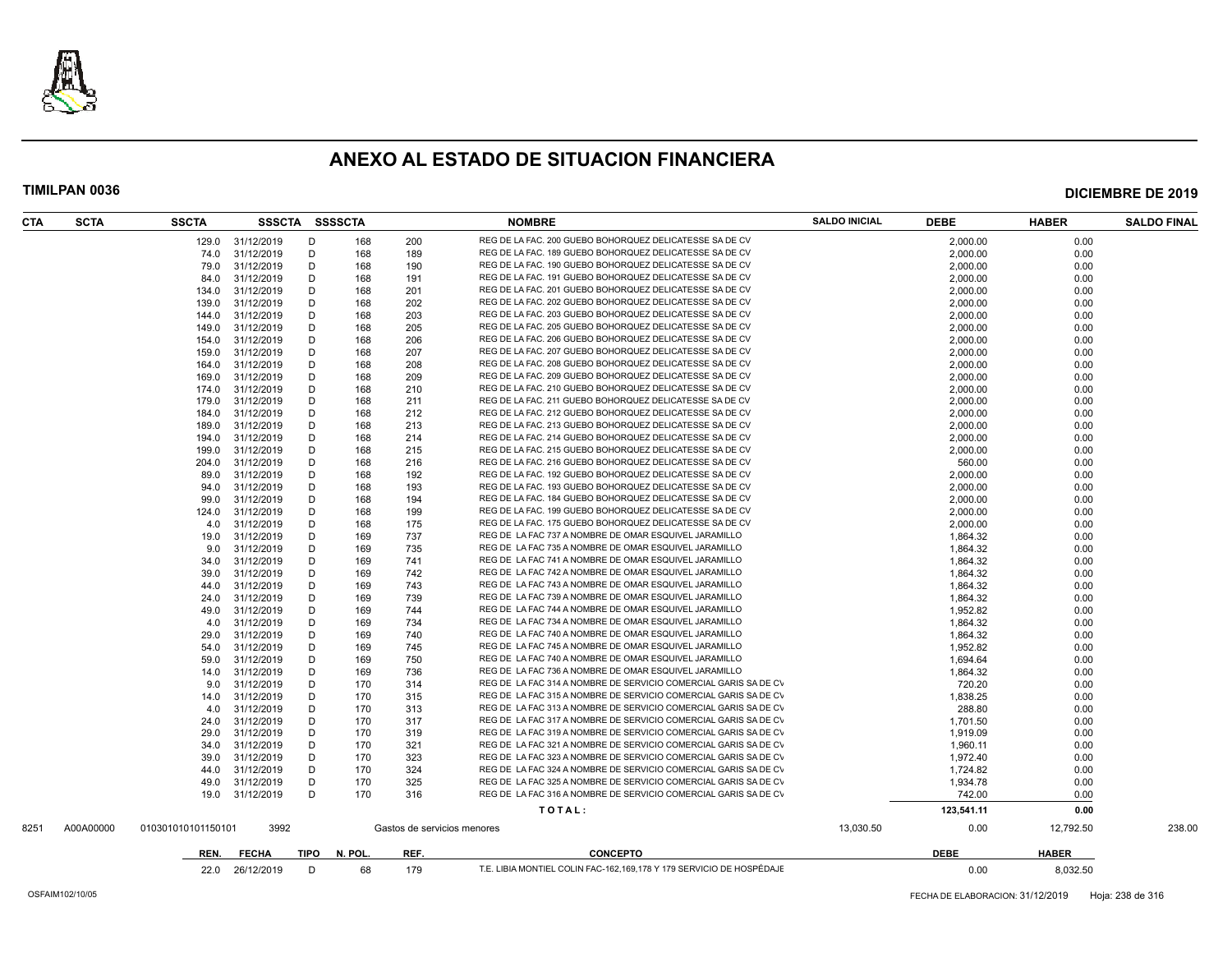

| CTA  | <b>SCTA</b> | <b>SSCTA</b>       | SSSCTA SSSSCTA |      |         |                             | <b>NOMBRE</b>                                                        | <b>SALDO INICIAL</b> | <b>DEBE</b> | <b>HABER</b> | <b>SALDO FINAL</b> |
|------|-------------|--------------------|----------------|------|---------|-----------------------------|----------------------------------------------------------------------|----------------------|-------------|--------------|--------------------|
|      |             | 129.0              | 31/12/2019     | D    | 168     | 200                         | REG DE LA FAC. 200 GUEBO BOHORQUEZ DELICATESSE SA DE CV              |                      | 2,000.00    | 0.00         |                    |
|      |             | 74.0               | 31/12/2019     | D    | 168     | 189                         | REG DE LA FAC. 189 GUEBO BOHORQUEZ DELICATESSE SA DE CV              |                      | 2,000.00    | 0.00         |                    |
|      |             | 79.0               | 31/12/2019     | D    | 168     | 190                         | REG DE LA FAC. 190 GUEBO BOHORQUEZ DELICATESSE SA DE CV              |                      | 2,000.00    | 0.00         |                    |
|      |             | 84.0               | 31/12/2019     | D    | 168     | 191                         | REG DE LA FAC. 191 GUEBO BOHORQUEZ DELICATESSE SA DE CV              |                      | 2,000.00    | 0.00         |                    |
|      |             | 134.0              | 31/12/2019     | D    | 168     | 201                         | REG DE LA FAC. 201 GUEBO BOHORQUEZ DELICATESSE SA DE CV              |                      | 2,000.00    | 0.00         |                    |
|      |             | 139.0              | 31/12/2019     | D    | 168     | 202                         | REG DE LA FAC. 202 GUEBO BOHORQUEZ DELICATESSE SA DE CV              |                      | 2,000.00    | 0.00         |                    |
|      |             | 144.0              | 31/12/2019     | D    | 168     | 203                         | REG DE LA FAC. 203 GUEBO BOHORQUEZ DELICATESSE SA DE CV              |                      | 2,000.00    | 0.00         |                    |
|      |             | 149.0              | 31/12/2019     | D    | 168     | 205                         | REG DE LA FAC. 205 GUEBO BOHORQUEZ DELICATESSE SA DE CV              |                      | 2,000.00    | 0.00         |                    |
|      |             | 154.0              | 31/12/2019     | D    | 168     | 206                         | REG DE LA FAC. 206 GUEBO BOHORQUEZ DELICATESSE SA DE CV              |                      | 2,000.00    | 0.00         |                    |
|      |             | 159.0              | 31/12/2019     | D    | 168     | 207                         | REG DE LA FAC. 207 GUEBO BOHORQUEZ DELICATESSE SA DE CV              |                      | 2,000.00    | 0.00         |                    |
|      |             | 164.0              | 31/12/2019     | D    | 168     | 208                         | REG DE LA FAC. 208 GUEBO BOHORQUEZ DELICATESSE SA DE CV              |                      | 2,000.00    | 0.00         |                    |
|      |             | 169.0              | 31/12/2019     | D    | 168     | 209                         | REG DE LA FAC. 209 GUEBO BOHORQUEZ DELICATESSE SA DE CV              |                      | 2,000.00    | 0.00         |                    |
|      |             | 174.0              | 31/12/2019     | D    | 168     | 210                         | REG DE LA FAC. 210 GUEBO BOHORQUEZ DELICATESSE SA DE CV              |                      | 2,000.00    | 0.00         |                    |
|      |             | 179.0              | 31/12/2019     | D    | 168     | 211                         | REG DE LA FAC. 211 GUEBO BOHORQUEZ DELICATESSE SA DE CV              |                      | 2,000.00    | 0.00         |                    |
|      |             | 184.0              | 31/12/2019     | D    | 168     | 212                         | REG DE LA FAC. 212 GUEBO BOHORQUEZ DELICATESSE SA DE CV              |                      | 2,000.00    | 0.00         |                    |
|      |             | 189.0              | 31/12/2019     | D    | 168     | 213                         | REG DE LA FAC. 213 GUEBO BOHORQUEZ DELICATESSE SA DE CV              |                      | 2,000.00    | 0.00         |                    |
|      |             | 194.0              | 31/12/2019     | D    | 168     | 214                         | REG DE LA FAC. 214 GUEBO BOHORQUEZ DELICATESSE SA DE CV              |                      | 2,000.00    | 0.00         |                    |
|      |             | 199.0              | 31/12/2019     | D    | 168     | 215                         | REG DE LA FAC. 215 GUEBO BOHORQUEZ DELICATESSE SA DE CV              |                      | 2,000.00    | 0.00         |                    |
|      |             | 204.0              | 31/12/2019     | D    | 168     | 216                         | REG DE LA FAC. 216 GUEBO BOHORQUEZ DELICATESSE SA DE CV              |                      | 560.00      | 0.00         |                    |
|      |             | 89.0               | 31/12/2019     | D    | 168     | 192                         | REG DE LA FAC. 192 GUEBO BOHORQUEZ DELICATESSE SA DE CV              |                      | 2,000.00    | 0.00         |                    |
|      |             | 94.0               | 31/12/2019     | D    | 168     | 193                         | REG DE LA FAC. 193 GUEBO BOHORQUEZ DELICATESSE SA DE CV              |                      | 2,000.00    | 0.00         |                    |
|      |             | 99.0               | 31/12/2019     | D    | 168     | 194                         | REG DE LA FAC. 184 GUEBO BOHORQUEZ DELICATESSE SA DE CV              |                      | 2,000.00    | 0.00         |                    |
|      |             | 124.0              | 31/12/2019     | D    | 168     | 199                         | REG DE LA FAC. 199 GUEBO BOHORQUEZ DELICATESSE SA DE CV              |                      | 2,000.00    | 0.00         |                    |
|      |             | 4.0                | 31/12/2019     | D    | 168     | 175                         | REG DE LA FAC. 175 GUEBO BOHORQUEZ DELICATESSE SA DE CV              |                      | 2,000.00    | 0.00         |                    |
|      |             | 19.0               | 31/12/2019     | D    | 169     | 737                         | REG DE LA FAC 737 A NOMBRE DE OMAR ESQUIVEL JARAMILLO                |                      | 1,864.32    | 0.00         |                    |
|      |             | 9.0                | 31/12/2019     | D    | 169     | 735                         | REG DE LA FAC 735 A NOMBRE DE OMAR ESQUIVEL JARAMILLO                |                      | 1,864.32    | 0.00         |                    |
|      |             | 34.0               | 31/12/2019     | D    | 169     | 741                         | REG DE LA FAC 741 A NOMBRE DE OMAR ESQUIVEL JARAMILLO                |                      | 1,864.32    | 0.00         |                    |
|      |             | 39.0               | 31/12/2019     | D    | 169     | 742                         | REG DE LA FAC 742 A NOMBRE DE OMAR ESQUIVEL JARAMILLO                |                      | 1,864.32    | 0.00         |                    |
|      |             | 44.0               | 31/12/2019     | D    | 169     | 743                         | REG DE LA FAC 743 A NOMBRE DE OMAR ESQUIVEL JARAMILLO                |                      | 1,864.32    | 0.00         |                    |
|      |             | 24.0               | 31/12/2019     | D    | 169     | 739                         | REG DE LA FAC 739 A NOMBRE DE OMAR ESQUIVEL JARAMILLO                |                      | 1,864.32    | 0.00         |                    |
|      |             | 49.0               | 31/12/2019     | D    | 169     | 744                         | REG DE LA FAC 744 A NOMBRE DE OMAR ESQUIVEL JARAMILLO                |                      | 1,952.82    | 0.00         |                    |
|      |             | 4.0                | 31/12/2019     | D    | 169     | 734                         | REG DE LA FAC 734 A NOMBRE DE OMAR ESQUIVEL JARAMILLO                |                      | 1,864.32    | 0.00         |                    |
|      |             | 29.0               | 31/12/2019     | D    | 169     | 740                         | REG DE LA FAC 740 A NOMBRE DE OMAR ESQUIVEL JARAMILLO                |                      | 1,864.32    | 0.00         |                    |
|      |             | 54.0               | 31/12/2019     | D    | 169     | 745                         | REG DE LA FAC 745 A NOMBRE DE OMAR ESQUIVEL JARAMILLO                |                      | 1,952.82    | 0.00         |                    |
|      |             | 59.0               | 31/12/2019     | D    | 169     | 750                         | REG DE LA FAC 740 A NOMBRE DE OMAR ESQUIVEL JARAMILLO                |                      | 1.694.64    | 0.00         |                    |
|      |             | 14.0               | 31/12/2019     | D    | 169     | 736                         | REG DE LA FAC 736 A NOMBRE DE OMAR ESQUIVEL JARAMILLO                |                      | 1,864.32    | 0.00         |                    |
|      |             | 9.0                | 31/12/2019     | D    | 170     | 314                         | REG DE LA FAC 314 A NOMBRE DE SERVICIO COMERCIAL GARIS SA DE CV      |                      | 720.20      | 0.00         |                    |
|      |             | 14.0               | 31/12/2019     | D    | 170     | 315                         | REG DE LA FAC 315 A NOMBRE DE SERVICIO COMERCIAL GARIS SA DE CV      |                      | 1,838.25    | 0.00         |                    |
|      |             | 4.0                | 31/12/2019     | D    | 170     | 313                         | REG DE LA FAC 313 A NOMBRE DE SERVICIO COMERCIAL GARIS SA DE CV      |                      | 288.80      | 0.00         |                    |
|      |             | 24.0               | 31/12/2019     | D    | 170     | 317                         | REG DE LA FAC 317 A NOMBRE DE SERVICIO COMERCIAL GARIS SA DE CV      |                      | 1.701.50    | 0.00         |                    |
|      |             | 29.0               | 31/12/2019     | D    | 170     | 319                         | REG DE LA FAC 319 A NOMBRE DE SERVICIO COMERCIAL GARIS SA DE CV      |                      | 1,919.09    | 0.00         |                    |
|      |             | 34.0               | 31/12/2019     | D    | 170     | 321                         | REG DE LA FAC 321 A NOMBRE DE SERVICIO COMERCIAL GARIS SA DE CV      |                      | 1,960.11    | 0.00         |                    |
|      |             | 39.0               | 31/12/2019     | D    | 170     | 323                         | REG DE LA FAC 323 A NOMBRE DE SERVICIO COMERCIAL GARIS SA DE CV      |                      | 1,972.40    | 0.00         |                    |
|      |             | 44.0               | 31/12/2019     | D    | 170     | 324                         | REG DE LA FAC 324 A NOMBRE DE SERVICIO COMERCIAL GARIS SA DE CV      |                      | 1.724.82    | 0.00         |                    |
|      |             | 49.0               | 31/12/2019     | D    | 170     | 325                         | REG DE LA FAC 325 A NOMBRE DE SERVICIO COMERCIAL GARIS SA DE CV      |                      | 1,934.78    | 0.00         |                    |
|      |             | 19.0               | 31/12/2019     | D    | 170     | 316                         | REG DE LA FAC 316 A NOMBRE DE SERVICIO COMERCIAL GARIS SA DE CV      |                      | 742.00      | 0.00         |                    |
|      |             |                    |                |      |         |                             | TOTAL:                                                               |                      | 123,541.11  | 0.00         |                    |
| 8251 | A00A00000   | 010301010101150101 | 3992           |      |         | Gastos de servicios menores |                                                                      | 13,030.50            | 0.00        | 12,792.50    | 238.00             |
|      |             |                    |                |      |         |                             |                                                                      |                      |             |              |                    |
|      |             | REN.               | <b>FECHA</b>   | TIPO | N. POL. | REF.                        | <b>CONCEPTO</b>                                                      |                      | <b>DEBE</b> | <b>HABER</b> |                    |
|      |             | 22.0               | 26/12/2019     | D    | 68      | 179                         | T.E. LIBIA MONTIEL COLIN FAC-162,169,178 Y 179 SERVICIO DE HOSPÉDAJE |                      | 0.00        | 8.032.50     |                    |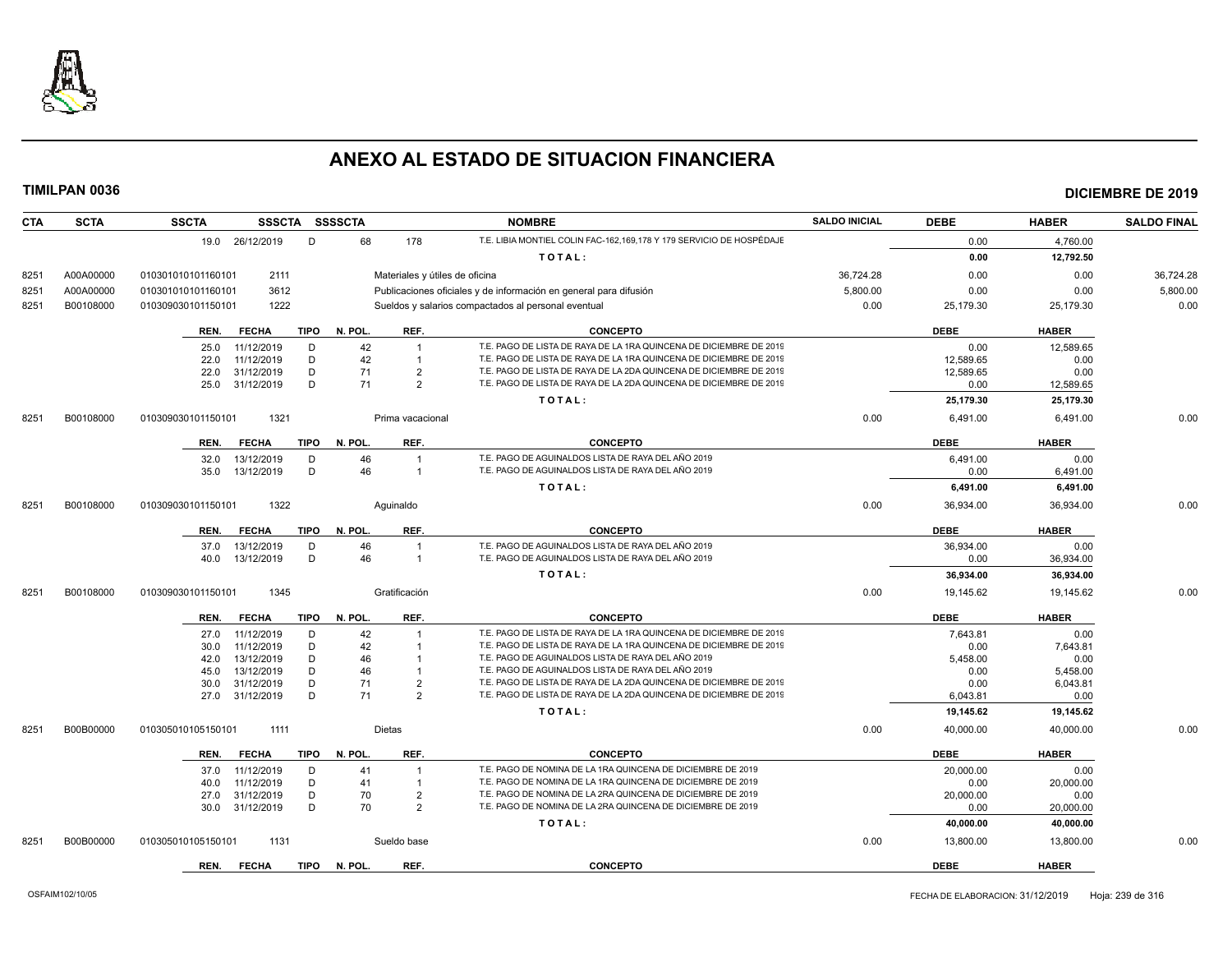

| <b>SCTA</b><br><b>CTA</b> | <b>SSCTA</b><br>SSSCTA SSSSCTA       |                                | <b>NOMBRE</b>                                                        | <b>SALDO INICIAL</b> | <b>DEBE</b> | <b>HABER</b> | <b>SALDO FINAL</b> |
|---------------------------|--------------------------------------|--------------------------------|----------------------------------------------------------------------|----------------------|-------------|--------------|--------------------|
|                           | 19.0 26/12/2019<br>D                 | 68<br>178                      | T.E. LIBIA MONTIEL COLIN FAC-162,169,178 Y 179 SERVICIO DE HOSPÉDAJE |                      | 0.00        | 4,760.00     |                    |
|                           |                                      |                                | TOTAL:                                                               |                      | 0.00        | 12,792.50    |                    |
| A00A00000<br>8251         | 2111<br>010301010101160101           | Materiales y útiles de oficina |                                                                      | 36,724.28            | 0.00        | 0.00         | 36,724.28          |
| A00A00000<br>8251         | 3612<br>010301010101160101           |                                | Publicaciones oficiales y de información en general para difusión    | 5.800.00             | 0.00        | 0.00         | 5,800.00           |
| B00108000<br>8251         | 1222<br>010309030101150101           |                                | Sueldos y salarios compactados al personal eventual                  | 0.00                 | 25,179.30   | 25,179.30    | 0.00               |
|                           |                                      |                                |                                                                      |                      |             |              |                    |
|                           | <b>FECHA</b><br><b>TIPO</b><br>REN.  | N. POL.<br>REF.                | <b>CONCEPTO</b>                                                      |                      | <b>DEBE</b> | <b>HABER</b> |                    |
|                           | 11/12/2019<br>D<br>25.0              | 42                             | T.E. PAGO DE LISTA DE RAYA DE LA 1RA QUINCENA DE DICIEMBRE DE 2019   |                      | 0.00        | 12.589.65    |                    |
|                           | 11/12/2019<br>D<br>22.0              | 42<br>$\overline{1}$           | T.E. PAGO DE LISTA DE RAYA DE LA 1RA QUINCENA DE DICIEMBRE DE 2019   |                      | 12,589.65   | 0.00         |                    |
|                           | D<br>31/12/2019<br>22.0              | 71<br>$\overline{2}$           | T.E. PAGO DE LISTA DE RAYA DE LA 2DA QUINCENA DE DICIEMBRE DE 2019   |                      | 12,589.65   | 0.00         |                    |
|                           | D<br>31/12/2019<br>25.0              | 71<br>$\mathcal{P}$            | T.E. PAGO DE LISTA DE RAYA DE LA 2DA QUINCENA DE DICIEMBRE DE 2019   |                      | 0.00        | 12,589.65    |                    |
|                           |                                      |                                | TOTAL:                                                               |                      | 25,179.30   | 25,179.30    |                    |
| B00108000<br>8251         | 1321<br>010309030101150101           | Prima vacacional               |                                                                      | 0.00                 | 6,491.00    | 6,491.00     | 0.00               |
|                           | <b>TIPO</b><br>REN.<br><b>FECHA</b>  | N. POL.<br>REF.                | <b>CONCEPTO</b>                                                      |                      | <b>DEBE</b> | <b>HABER</b> |                    |
|                           | 13/12/2019<br>D<br>32.0              | 46<br>$\overline{1}$           | T.E. PAGO DE AGUINALDOS LISTA DE RAYA DEL AÑO 2019                   |                      | 6,491.00    | 0.00         |                    |
|                           | D<br>13/12/2019<br>35.0              | 46<br>$\overline{1}$           | T.E. PAGO DE AGUINALDOS LISTA DE RAYA DEL AÑO 2019                   |                      | 0.00        | 6,491.00     |                    |
|                           |                                      |                                | TOTAL:                                                               |                      | 6,491.00    | 6,491.00     |                    |
| B00108000<br>8251         | 1322<br>010309030101150101           | Aquinaldo                      |                                                                      | 0.00                 | 36,934.00   | 36,934.00    | 0.00               |
|                           | <b>FECHA</b><br><b>TIPO</b><br>REN.  | N. POL.<br>REF.                | <b>CONCEPTO</b>                                                      |                      | <b>DEBE</b> | <b>HABER</b> |                    |
|                           | 13/12/2019<br>D<br>37.0              | 46<br>$\overline{1}$           | T.E. PAGO DE AGUINALDOS LISTA DE RAYA DEL AÑO 2019                   |                      | 36,934.00   | 0.00         |                    |
|                           | D<br>13/12/2019<br>40.0              | 46<br>$\overline{1}$           | T.E. PAGO DE AGUINALDOS LISTA DE RAYA DEL AÑO 2019                   |                      | 0.00        | 36,934.00    |                    |
|                           |                                      |                                | TOTAL:                                                               |                      | 36,934.00   | 36,934.00    |                    |
| B00108000<br>8251         | 1345<br>010309030101150101           | Gratificación                  |                                                                      | 0.00                 | 19,145.62   | 19,145.62    | 0.00               |
|                           | <b>FECHA</b><br>TIPO<br>REN.         | REF.<br>N. POL.                | <b>CONCEPTO</b>                                                      |                      | <b>DEBE</b> | <b>HABER</b> |                    |
|                           | 11/12/2019<br>D<br>27.0              | 42<br>$\overline{1}$           | T.E. PAGO DE LISTA DE RAYA DE LA 1RA QUINCENA DE DICIEMBRE DE 2019   |                      | 7,643.81    | 0.00         |                    |
|                           | 11/12/2019<br>D<br>30.0              | 42                             | T.E. PAGO DE LISTA DE RAYA DE LA 1RA QUINCENA DE DICIEMBRE DE 2019   |                      | 0.00        | 7,643.81     |                    |
|                           | 13/12/2019<br>D<br>42.0              | 46                             | T.E. PAGO DE AGUINALDOS LISTA DE RAYA DEL AÑO 2019                   |                      | 5,458.00    | 0.00         |                    |
|                           | 13/12/2019<br>D<br>45.0              | 46                             | T.E. PAGO DE AGUINALDOS LISTA DE RAYA DEL AÑO 2019                   |                      | 0.00        | 5,458.00     |                    |
|                           | D<br>31/12/2019<br>30.0              | 71<br>$\overline{2}$           | T.E. PAGO DE LISTA DE RAYA DE LA 2DA QUINCENA DE DICIEMBRE DE 2019   |                      | 0.00        | 6,043.81     |                    |
|                           | D<br>27.0<br>31/12/2019              | 71<br>$\mathcal{P}$            | T.E. PAGO DE LISTA DE RAYA DE LA 2DA QUINCENA DE DICIEMBRE DE 2019   |                      | 6,043.81    | 0.00         |                    |
|                           |                                      |                                | TOTAL:                                                               |                      | 19,145.62   | 19,145.62    |                    |
| 8251<br>B00B00000         | 010305010105150101<br>1111           | <b>Dietas</b>                  |                                                                      | 0.00                 | 40,000.00   | 40,000.00    | 0.00               |
|                           | <b>FECHA</b><br><b>TIPO</b><br>REN.  | N. POL.<br>REF.                | <b>CONCEPTO</b>                                                      |                      | <b>DEBE</b> | <b>HABER</b> |                    |
|                           | 37.0<br>11/12/2019<br>D              | 41<br>$\overline{1}$           | T.E. PAGO DE NOMINA DE LA 1RA QUINCENA DE DICIEMBRE DE 2019          |                      | 20,000.00   | 0.00         |                    |
|                           | 11/12/2019<br>D<br>40.0              | 41<br>$\overline{1}$           | T.E. PAGO DE NOMINA DE LA 1RA QUINCENA DE DICIEMBRE DE 2019          |                      | 0.00        | 20,000.00    |                    |
|                           | D<br>31/12/2019<br>27.0              | 70<br>$\overline{2}$           | T.E. PAGO DE NOMINA DE LA 2RA QUINCENA DE DICIEMBRE DE 2019          |                      | 20,000.00   | 0.00         |                    |
|                           | D<br>31/12/2019<br>30.0              | 70<br>$\overline{2}$           | T.E. PAGO DE NOMINA DE LA 2RA QUINCENA DE DICIEMBRE DE 2019          |                      | 0.00        | 20,000.00    |                    |
|                           |                                      |                                | TOTAL:                                                               |                      | 40,000.00   | 40,000.00    |                    |
| B00B00000<br>8251         | 010305010105150101<br>1131           | Sueldo base                    |                                                                      | 0.00                 | 13,800.00   | 13,800.00    | 0.00               |
|                           | <b>FECHA</b><br>TIPO N. POL.<br>REN. | REF.                           | <b>CONCEPTO</b>                                                      |                      | <b>DEBE</b> | <b>HABER</b> |                    |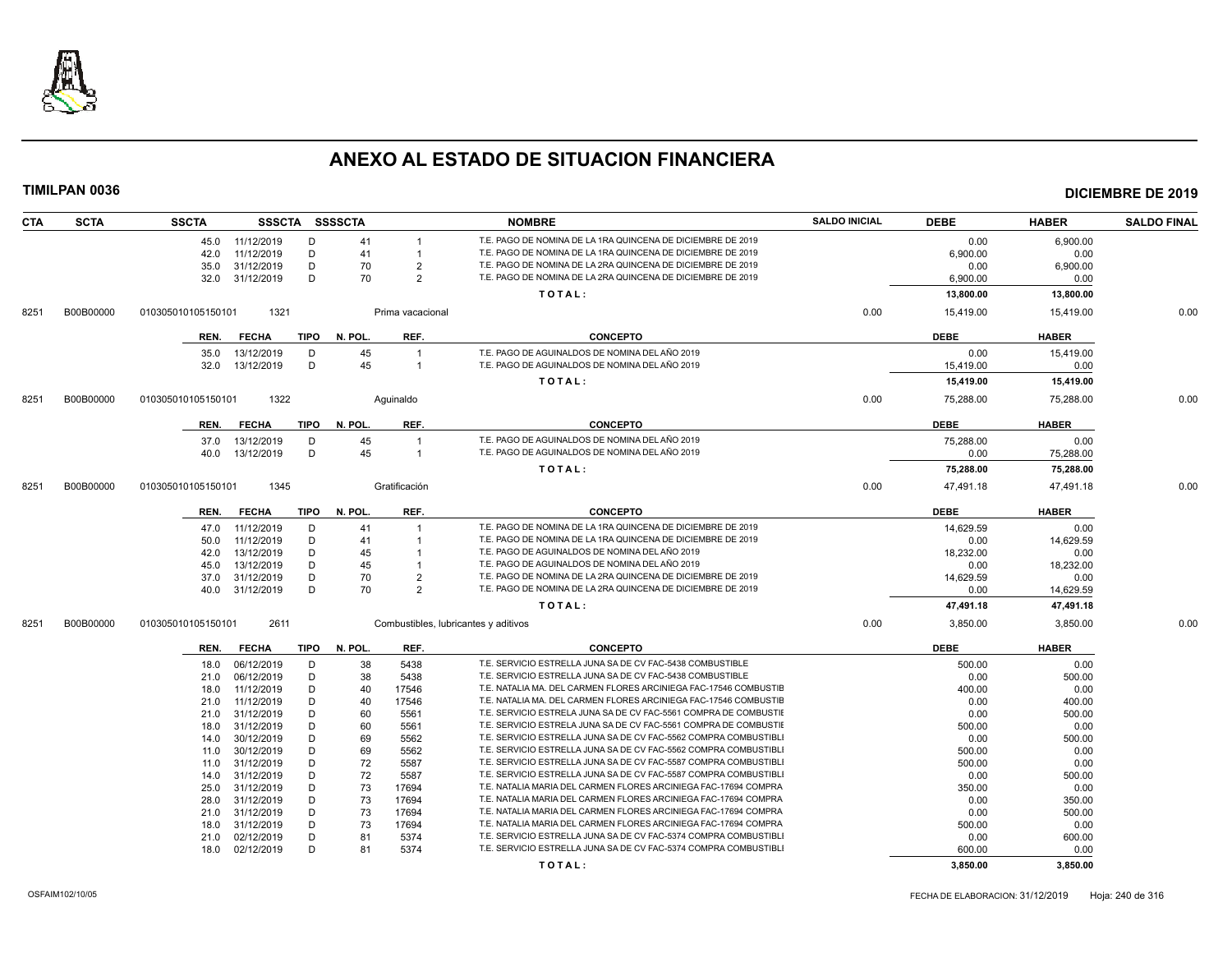

| <b>CTA</b> | <b>SCTA</b> | <b>SSCTA</b>       |                          |        | SSSCTA SSSSCTA |                         | <b>NOMBRE</b>                                                                                                                      | <b>SALDO INICIAL</b> | <b>DEBE</b>    | <b>HABER</b>     | <b>SALDO FINAL</b> |
|------------|-------------|--------------------|--------------------------|--------|----------------|-------------------------|------------------------------------------------------------------------------------------------------------------------------------|----------------------|----------------|------------------|--------------------|
|            |             |                    | 45.0 11/12/2019          | D      | 41             |                         | T.E. PAGO DE NOMINA DE LA 1RA QUINCENA DE DICIEMBRE DE 2019                                                                        |                      | 0.00           | 6,900.00         |                    |
|            |             | 42.0               | 11/12/2019               | D      | 41             | $\mathbf{1}$            | T.E. PAGO DE NOMINA DE LA 1RA QUINCENA DE DICIEMBRE DE 2019                                                                        |                      | 6,900.00       | 0.00             |                    |
|            |             | 35.0               | 31/12/2019               | D      | 70             | $\overline{2}$          | T.E. PAGO DE NOMINA DE LA 2RA QUINCENA DE DICIEMBRE DE 2019                                                                        |                      | 0.00           | 6,900.00         |                    |
|            |             | 32.0               | 31/12/2019               | D      | 70             | $\overline{2}$          | T.E. PAGO DE NOMINA DE LA 2RA QUINCENA DE DICIEMBRE DE 2019                                                                        |                      | 6,900.00       | 0.00             |                    |
|            |             |                    |                          |        |                |                         | TOTAL:                                                                                                                             |                      | 13,800.00      | 13,800.00        |                    |
| 8251       | B00B00000   | 010305010105150101 | 1321                     |        |                | Prima vacacional        |                                                                                                                                    | 0.00                 | 15.419.00      | 15.419.00        | 0.00               |
|            |             | REN.               | <b>FECHA</b>             | TIPO   | N. POL.        | REF.                    | <b>CONCEPTO</b>                                                                                                                    |                      | <b>DEBE</b>    | <b>HABER</b>     |                    |
|            |             | 35.0               | 13/12/2019               | D      | 45             | $\overline{\mathbf{1}}$ | T.E. PAGO DE AGUINALDOS DE NOMINA DEL AÑO 2019                                                                                     |                      | 0.00           | 15,419.00        |                    |
|            |             | 32.0               | 13/12/2019               | D      | 45             | $\overline{1}$          | T.E. PAGO DE AGUINALDOS DE NOMINA DEL AÑO 2019                                                                                     |                      | 15,419.00      | 0.00             |                    |
|            |             |                    |                          |        |                |                         | TOTAL:                                                                                                                             |                      | 15,419.00      | 15,419.00        |                    |
| 8251       | B00B00000   | 010305010105150101 | 1322                     |        |                | Aquinaldo               |                                                                                                                                    | 0.00                 | 75,288.00      | 75,288.00        | 0.00               |
|            |             | REN.               | <b>FECHA</b>             | TIPO   | N. POL.        | REF.                    | <b>CONCEPTO</b>                                                                                                                    |                      | <b>DEBE</b>    | <b>HABER</b>     |                    |
|            |             | 37.0               | 13/12/2019               | D      | 45             | $\overline{1}$          | T.E. PAGO DE AGUINALDOS DE NOMINA DEL AÑO 2019                                                                                     |                      | 75,288.00      | 0.00             |                    |
|            |             |                    | 40.0 13/12/2019          | D      | 45             | $\overline{1}$          | T.E. PAGO DE AGUINALDOS DE NOMINA DEL AÑO 2019                                                                                     |                      | 0.00           | 75,288.00        |                    |
|            |             |                    |                          |        |                |                         | TOTAL:                                                                                                                             |                      | 75,288.00      | 75,288.00        |                    |
| 8251       | B00B00000   | 010305010105150101 | 1345                     |        |                | Gratificación           |                                                                                                                                    | 0.00                 | 47,491.18      | 47,491.18        | 0.00               |
|            |             |                    |                          |        |                |                         |                                                                                                                                    |                      |                |                  |                    |
|            |             | REN.               | <b>FECHA</b>             | TIPO   | N. POL.        | REF.                    | <b>CONCEPTO</b>                                                                                                                    |                      | <b>DEBE</b>    | <b>HABER</b>     |                    |
|            |             | 47.0               | 11/12/2019               | D      | 41             |                         | T.E. PAGO DE NOMINA DE LA 1RA QUINCENA DE DICIEMBRE DE 2019                                                                        |                      | 14,629.59      | 0.00             |                    |
|            |             | 50.0               | 11/12/2019               | D      | 41             |                         | T.E. PAGO DE NOMINA DE LA 1RA QUINCENA DE DICIEMBRE DE 2019                                                                        |                      | 0.00           | 14,629.59        |                    |
|            |             | 42.0               | 13/12/2019               | D      | 45             |                         | T.E. PAGO DE AGUINALDOS DE NOMINA DEL AÑO 2019                                                                                     |                      | 18,232.00      | 0.00             |                    |
|            |             | 45.0               | 13/12/2019               | D      | 45             |                         | T.E. PAGO DE AGUINALDOS DE NOMINA DEL AÑO 2019                                                                                     |                      | 0.00           | 18,232.00        |                    |
|            |             | 37.0               | 31/12/2019               | D      | 70             | $\overline{2}$          | T.E. PAGO DE NOMINA DE LA 2RA QUINCENA DE DICIEMBRE DE 2019                                                                        |                      | 14,629.59      | 0.00             |                    |
|            |             | 40.0               | 31/12/2019               | D      | 70             | $\overline{2}$          | T.E. PAGO DE NOMINA DE LA 2RA QUINCENA DE DICIEMBRE DE 2019                                                                        |                      | 0.00           | 14,629.59        |                    |
|            |             |                    |                          |        |                |                         | TOTAL:                                                                                                                             |                      | 47,491.18      | 47,491.18        |                    |
| 8251       | B00B00000   | 010305010105150101 | 2611                     |        |                |                         | Combustibles, lubricantes y aditivos                                                                                               | 0.00                 | 3,850.00       | 3,850.00         | 0.00               |
|            |             | REN.               | <b>FECHA</b>             | TIPO   | N. POL.        | REF.                    | <b>CONCEPTO</b>                                                                                                                    |                      | <b>DEBE</b>    | <b>HABER</b>     |                    |
|            |             | 18.0               | 06/12/2019               | D      | 38             | 5438                    | T.E. SERVICIO ESTRELLA JUNA SA DE CV FAC-5438 COMBUSTIBLE                                                                          |                      | 500.00         | 0.00             |                    |
|            |             | 21.0               | 06/12/2019               | D      | 38             | 5438                    | T.E. SERVICIO ESTRELLA JUNA SA DE CV FAC-5438 COMBUSTIBLE                                                                          |                      | 0.00           | 500.00           |                    |
|            |             | 18.0               | 11/12/2019               | D      | 40             | 17546                   | T.E. NATALIA MA. DEL CARMEN FLORES ARCINIEGA FAC-17546 COMBUSTIE                                                                   |                      | 400.00         | 0.00             |                    |
|            |             | 21.0               | 11/12/2019               | D      | 40             | 17546                   | T.E. NATALIA MA. DEL CARMEN FLORES ARCINIEGA FAC-17546 COMBUSTIE                                                                   |                      | 0.00           | 400.00           |                    |
|            |             | 21.0               | 31/12/2019               | D      | 60             | 5561                    | T.E. SERVICIO ESTRELA JUNA SA DE CV FAC-5561 COMPRA DE COMBUSTII                                                                   |                      | 0.00           | 500.00           |                    |
|            |             | 18.0               | 31/12/2019               | D      | 60             | 5561                    | T.E. SERVICIO ESTRELA JUNA SA DE CV FAC-5561 COMPRA DE COMBUSTIE                                                                   |                      | 500.00         | 0.00             |                    |
|            |             | 14.0               | 30/12/2019               | D      | 69             | 5562                    | T.E. SERVICIO ESTRELLA JUNA SA DE CV FAC-5562 COMPRA COMBUSTIBL                                                                    |                      | 0.00           | 500.00           |                    |
|            |             | 11.0               | 30/12/2019               | D      | 69             | 5562                    | T.E. SERVICIO ESTRELLA JUNA SA DE CV FAC-5562 COMPRA COMBUSTIBL                                                                    |                      | 500.00         | 0.00             |                    |
|            |             | 11.0               | 31/12/2019               | D      | 72             | 5587                    | T.E. SERVICIO ESTRELLA JUNA SA DE CV FAC-5587 COMPRA COMBUSTIBLI                                                                   |                      | 500.00         | 0.00             |                    |
|            |             | 14.0               | 31/12/2019               | D      | 72             | 5587                    | T.E. SERVICIO ESTRELLA JUNA SA DE CV FAC-5587 COMPRA COMBUSTIBLI                                                                   |                      | 0.00           | 500.00           |                    |
|            |             | 25.0               | 31/12/2019               | D      | 73             | 17694                   | T.E. NATALIA MARIA DEL CARMEN FLORES ARCINIEGA FAC-17694 COMPRA                                                                    |                      | 350.00         | 0.00             |                    |
|            |             | 28.0               | 31/12/2019<br>31/12/2019 | D<br>D | 73<br>73       | 17694<br>17694          | T.E. NATALIA MARIA DEL CARMEN FLORES ARCINIEGA FAC-17694 COMPRA<br>T.E. NATALIA MARIA DEL CARMEN FLORES ARCINIEGA FAC-17694 COMPRA |                      | 0.00<br>0.00   | 350.00<br>500.00 |                    |
|            |             | 21.0<br>18.0       | 31/12/2019               | D      | 73             | 17694                   | T.E. NATALIA MARIA DEL CARMEN FLORES ARCINIEGA FAC-17694 COMPRA                                                                    |                      |                |                  |                    |
|            |             | 21.0               | 02/12/2019               | D      | 81             | 5374                    | T.E. SERVICIO ESTRELLA JUNA SA DE CV FAC-5374 COMPRA COMBUSTIBLI                                                                   |                      | 500.00<br>0.00 | 0.00<br>600.00   |                    |
|            |             | 18.0               | 02/12/2019               | D      | 81             | 5374                    | T.E. SERVICIO ESTRELLA JUNA SA DE CV FAC-5374 COMPRA COMBUSTIBL                                                                    |                      | 600.00         | 0.00             |                    |
|            |             |                    |                          |        |                |                         | TOTAL:                                                                                                                             |                      | 3,850.00       | 3.850.00         |                    |
|            |             |                    |                          |        |                |                         |                                                                                                                                    |                      |                |                  |                    |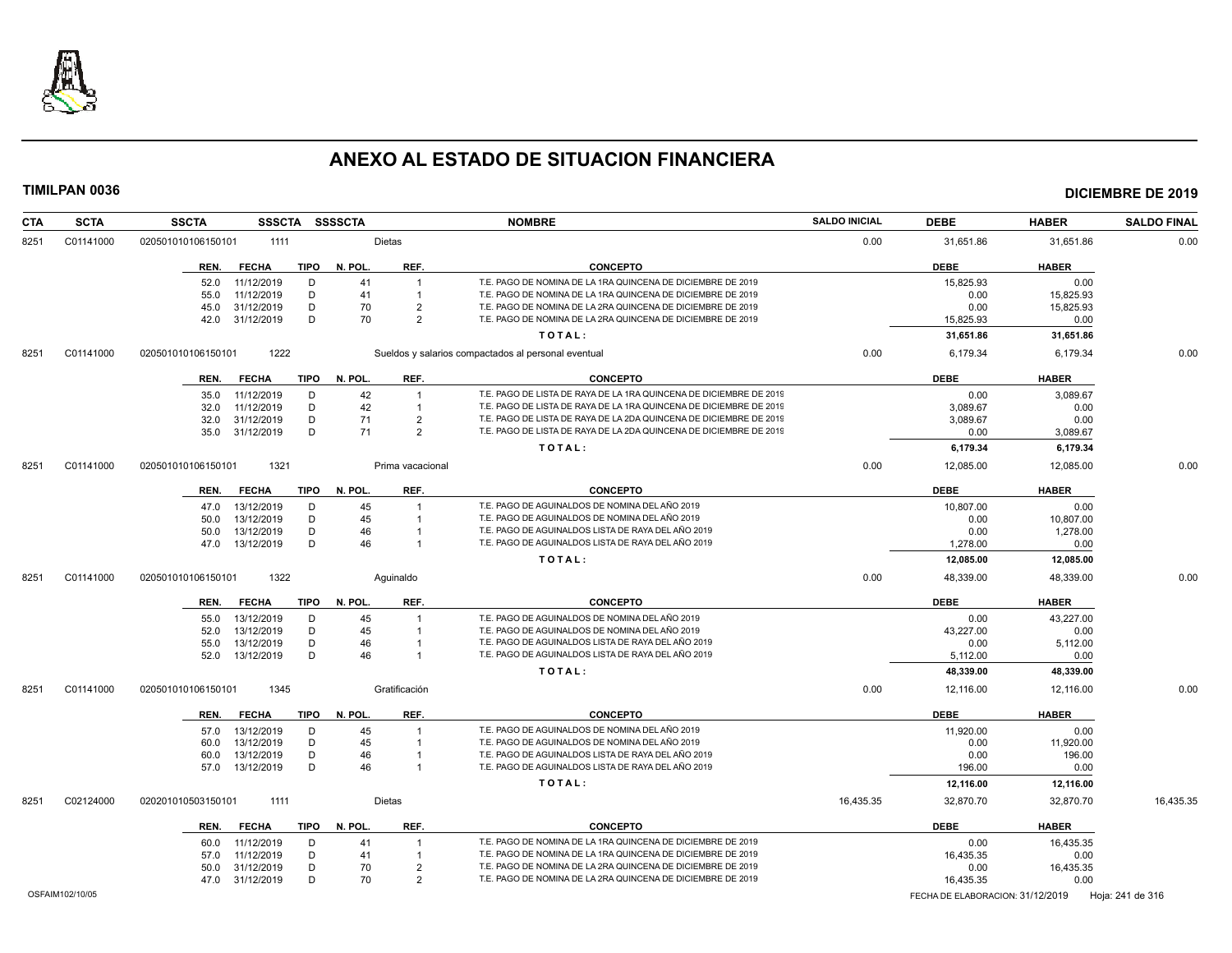

| <b>CTA</b> | <b>SCTA</b>     | <b>SSCTA</b><br><b>SSSCTA</b>       | <b>SSSSCTA</b>       | <b>NOMBRE</b>                                                      | <b>SALDO INICIAL</b> | <b>DEBE</b>                      | <b>HABER</b> | <b>SALDO FINAL</b> |
|------------|-----------------|-------------------------------------|----------------------|--------------------------------------------------------------------|----------------------|----------------------------------|--------------|--------------------|
| 8251       | C01141000       | 020501010106150101<br>1111          | Dietas               |                                                                    | 0.00                 | 31,651.86                        | 31,651.86    | 0.00               |
|            |                 | <b>FECHA</b><br><b>TIPO</b><br>REN. | REF.<br>N. POL.      | <b>CONCEPTO</b>                                                    |                      | <b>DEBE</b>                      | <b>HABER</b> |                    |
|            |                 | 11/12/2019<br>D<br>52.0             | 41<br>$\overline{1}$ | T.E. PAGO DE NOMINA DE LA 1RA QUINCENA DE DICIEMBRE DE 2019        |                      | 15,825.93                        | 0.00         |                    |
|            |                 | 11/12/2019<br>D<br>55.0             | 41                   | T.E. PAGO DE NOMINA DE LA 1RA QUINCENA DE DICIEMBRE DE 2019        |                      | 0.00                             | 15,825.93    |                    |
|            |                 | D<br>31/12/2019<br>45.0             | 70<br>$\overline{2}$ | T.E. PAGO DE NOMINA DE LA 2RA QUINCENA DE DICIEMBRE DE 2019        |                      | 0.00                             | 15,825.93    |                    |
|            |                 | D<br>31/12/2019<br>42.0             | 70<br>$\overline{2}$ | T.E. PAGO DE NOMINA DE LA 2RA QUINCENA DE DICIEMBRE DE 2019        |                      | 15,825.93                        | 0.00         |                    |
|            |                 |                                     |                      | TOTAL:                                                             |                      | 31,651.86                        | 31,651.86    |                    |
| 8251       | C01141000       | 1222<br>020501010106150101          |                      | Sueldos y salarios compactados al personal eventual                | 0.00                 | 6,179.34                         | 6,179.34     | 0.00               |
|            |                 | <b>TIPO</b><br><b>FECHA</b><br>REN. | REF.<br>N. POL       | <b>CONCEPTO</b>                                                    |                      | <b>DEBE</b>                      | <b>HABER</b> |                    |
|            |                 | 11/12/2019<br>D<br>35.0             | 42<br>$\overline{1}$ | T.E. PAGO DE LISTA DE RAYA DE LA 1RA QUINCENA DE DICIEMBRE DE 2019 |                      | 0.00                             | 3,089.67     |                    |
|            |                 | 11/12/2019<br>D<br>32.0             | 42<br>$\overline{1}$ | T.E. PAGO DE LISTA DE RAYA DE LA 1RA QUINCENA DE DICIEMBRE DE 2019 |                      | 3,089.67                         | 0.00         |                    |
|            |                 | 31/12/2019<br>D<br>32.0             | 71<br>$\overline{2}$ | T.E. PAGO DE LISTA DE RAYA DE LA 2DA QUINCENA DE DICIEMBRE DE 2019 |                      | 3,089.67                         | 0.00         |                    |
|            |                 | D<br>31/12/2019<br>35.0             | 71<br>$\overline{2}$ | T.E. PAGO DE LISTA DE RAYA DE LA 2DA QUINCENA DE DICIEMBRE DE 2019 |                      | 0.00                             | 3,089.67     |                    |
|            |                 |                                     |                      | TOTAL:                                                             |                      | 6,179.34                         | 6,179.34     |                    |
| 8251       | C01141000       | 1321<br>020501010106150101          | Prima vacacional     |                                                                    | 0.00                 | 12,085.00                        | 12,085.00    | 0.00               |
|            |                 | <b>FECHA</b><br><b>TIPO</b><br>REN. | REF.<br>N. POL       | <b>CONCEPTO</b>                                                    |                      | <b>DEBE</b>                      | <b>HABER</b> |                    |
|            |                 | 13/12/2019<br>D<br>47.0             | 45                   | T.E. PAGO DE AGUINALDOS DE NOMINA DEL AÑO 2019                     |                      | 10,807.00                        | 0.00         |                    |
|            |                 | 13/12/2019<br>D<br>50.0             | 45                   | T.E. PAGO DE AGUINALDOS DE NOMINA DEL AÑO 2019                     |                      | 0.00                             | 10,807.00    |                    |
|            |                 | D<br>13/12/2019<br>50.0             | 46<br>$\mathbf{1}$   | T.E. PAGO DE AGUINALDOS LISTA DE RAYA DEL AÑO 2019                 |                      | 0.00                             | 1,278.00     |                    |
|            |                 | D<br>13/12/2019<br>47.0             | 46<br>$\overline{1}$ | T.E. PAGO DE AGUINALDOS LISTA DE RAYA DEL AÑO 2019                 |                      | 1,278.00                         | 0.00         |                    |
|            |                 |                                     |                      | TOTAL:                                                             |                      | 12,085.00                        | 12,085.00    |                    |
| 8251       | C01141000       | 1322<br>020501010106150101          | Aquinaldo            |                                                                    | 0.00                 | 48,339.00                        | 48,339.00    | 0.00               |
|            |                 | <b>TIPO</b><br>REN.<br><b>FECHA</b> | REF.<br>N. POL.      | <b>CONCEPTO</b>                                                    |                      | <b>DEBE</b>                      | <b>HABER</b> |                    |
|            |                 | 55.0<br>13/12/2019<br>D             | 45<br>$\overline{1}$ | T.E. PAGO DE AGUINALDOS DE NOMINA DEL AÑO 2019                     |                      | 0.00                             | 43,227.00    |                    |
|            |                 | 13/12/2019<br>D<br>52.0             | 45<br>$\overline{1}$ | T.E. PAGO DE AGUINALDOS DE NOMINA DEL AÑO 2019                     |                      | 43,227.00                        | 0.00         |                    |
|            |                 | D<br>13/12/2019<br>55.0             | 46                   | T.E. PAGO DE AGUINALDOS LISTA DE RAYA DEL AÑO 2019                 |                      | 0.00                             | 5,112.00     |                    |
|            |                 | D<br>52.0<br>13/12/2019             | 46<br>$\overline{1}$ | T.E. PAGO DE AGUINALDOS LISTA DE RAYA DEL AÑO 2019                 |                      | 5,112.00                         | 0.00         |                    |
|            |                 |                                     |                      | TOTAL:                                                             |                      | 48,339.00                        | 48,339.00    |                    |
| 8251       | C01141000       | 020501010106150101<br>1345          | Gratificación        |                                                                    | 0.00                 | 12,116.00                        | 12,116.00    | 0.00               |
|            |                 | <b>TIPO</b><br><b>FECHA</b><br>REN. | N. POL.<br>REF.      | <b>CONCEPTO</b>                                                    |                      | <b>DEBE</b>                      | <b>HABER</b> |                    |
|            |                 | 13/12/2019<br>D<br>57.0             | 45                   | T.E. PAGO DE AGUINALDOS DE NOMINA DEL AÑO 2019                     |                      | 11,920.00                        | 0.00         |                    |
|            |                 | D<br>13/12/2019<br>60.0             | 45<br>$\overline{1}$ | T.E. PAGO DE AGUINALDOS DE NOMINA DEL AÑO 2019                     |                      | 0.00                             | 11,920.00    |                    |
|            |                 | D<br>13/12/2019<br>60.0             | 46<br>-1             | T.E. PAGO DE AGUINALDOS LISTA DE RAYA DEL AÑO 2019                 |                      | 0.00                             | 196.00       |                    |
|            |                 | 13/12/2019<br>D<br>57.0             | 46<br>$\overline{1}$ | T.E. PAGO DE AGUINALDOS LISTA DE RAYA DEL AÑO 2019                 |                      | 196.00                           | 0.00         |                    |
|            |                 |                                     |                      | TOTAL:                                                             |                      | 12,116.00                        | 12,116.00    |                    |
| 8251       | C02124000       | 1111<br>020201010503150101          | Dietas               |                                                                    | 16,435.35            | 32,870.70                        | 32,870.70    | 16,435.35          |
|            |                 | <b>TIPO</b><br>REN.<br><b>FECHA</b> | N. POL.<br>REF.      | <b>CONCEPTO</b>                                                    |                      | <b>DEBE</b>                      | <b>HABER</b> |                    |
|            |                 | D<br>11/12/2019<br>60.0             | 41<br>-1             | T.E. PAGO DE NOMINA DE LA 1RA QUINCENA DE DICIEMBRE DE 2019        |                      | 0.00                             | 16,435.35    |                    |
|            |                 | 11/12/2019<br>D<br>57.0             | 41<br>-1             | T.E. PAGO DE NOMINA DE LA 1RA QUINCENA DE DICIEMBRE DE 2019        |                      | 16,435.35                        | 0.00         |                    |
|            |                 | D<br>31/12/2019<br>50.0             | 70<br>$\overline{2}$ | T.E. PAGO DE NOMINA DE LA 2RA QUINCENA DE DICIEMBRE DE 2019        |                      | 0.00                             | 16,435.35    |                    |
|            |                 | 31/12/2019<br>D<br>47.0             | 70<br>$\overline{2}$ | T.E. PAGO DE NOMINA DE LA 2RA QUINCENA DE DICIEMBRE DE 2019        |                      | 16,435.35                        | 0.00         |                    |
|            | OSFAIM102/10/05 |                                     |                      |                                                                    |                      | FECHA DE ELABORACION: 31/12/2019 |              | Hoja: 241 de 316   |
|            |                 |                                     |                      |                                                                    |                      |                                  |              |                    |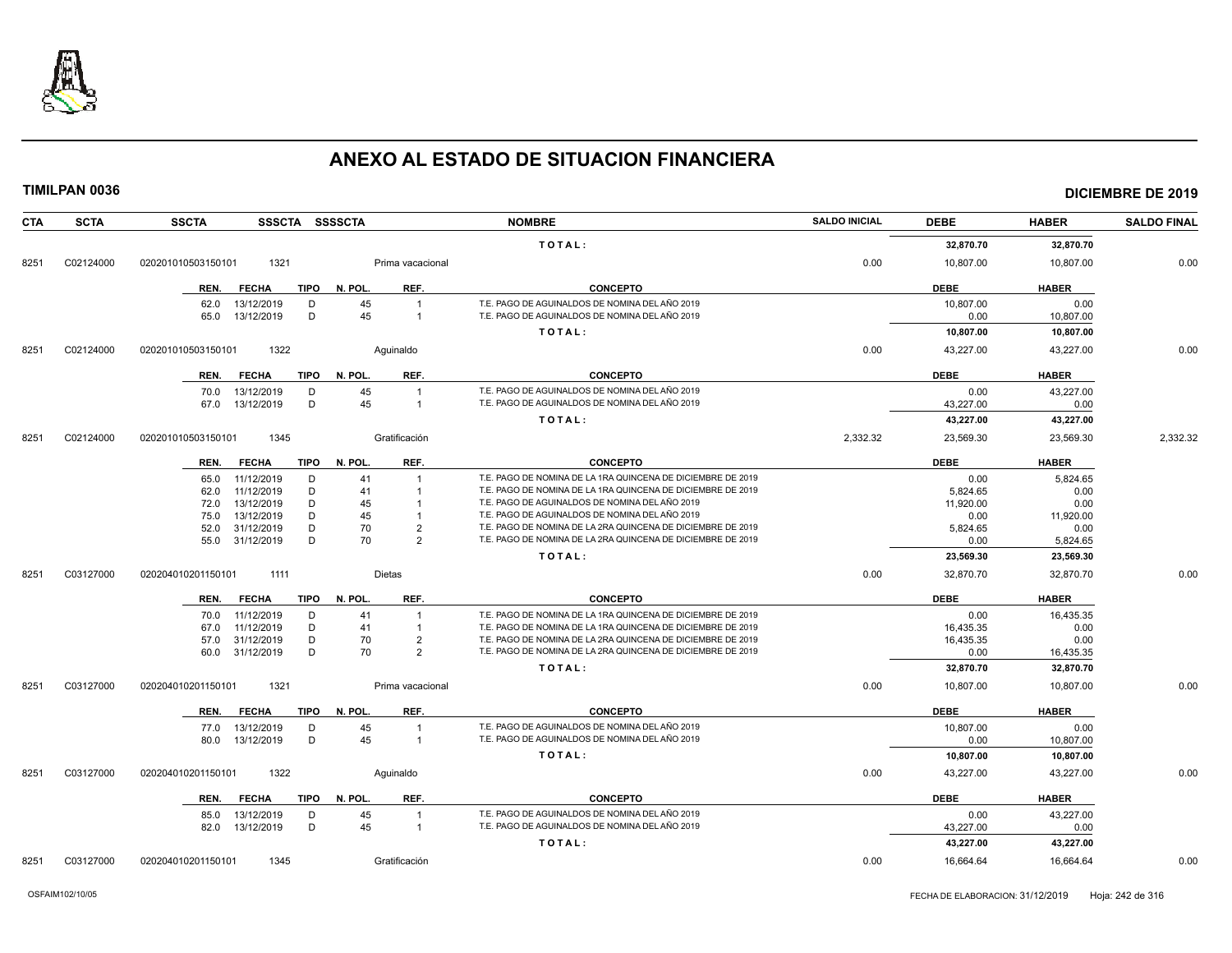

| <b>CTA</b> | <b>SCTA</b> | <b>SSCTA</b><br><b>SSSCTA</b> | <b>SSSSCTA</b>       | <b>NOMBRE</b>                                                                                                              | <b>SALDO INICIAL</b> | <b>DEBE</b> | <b>HABER</b> | <b>SALDO FINAL</b> |
|------------|-------------|-------------------------------|----------------------|----------------------------------------------------------------------------------------------------------------------------|----------------------|-------------|--------------|--------------------|
|            |             |                               |                      | TOTAL:                                                                                                                     |                      | 32,870.70   | 32,870.70    |                    |
| 8251       | C02124000   | 1321<br>020201010503150101    | Prima vacacional     |                                                                                                                            | 0.00                 | 10,807.00   | 10,807.00    | 0.00               |
|            |             | REN.<br><b>FECHA</b>          | REF.<br>TIPO N. POL. | <b>CONCEPTO</b>                                                                                                            |                      | <b>DEBE</b> | <b>HABER</b> |                    |
|            |             | 13/12/2019<br>D<br>62.0       | 45<br>$\overline{1}$ | T.E. PAGO DE AGUINALDOS DE NOMINA DEL AÑO 2019                                                                             |                      | 10.807.00   | 0.00         |                    |
|            |             | D<br>65.0<br>13/12/2019       | 45<br>$\overline{1}$ | T.E. PAGO DE AGUINALDOS DE NOMINA DEL AÑO 2019                                                                             |                      | 0.00        | 10,807.00    |                    |
|            |             |                               |                      | TOTAL:                                                                                                                     |                      | 10,807.00   | 10,807.00    |                    |
| 8251       | C02124000   | 1322<br>020201010503150101    | Aquinaldo            |                                                                                                                            | 0.00                 | 43,227.00   | 43.227.00    | 0.00               |
|            |             | REN.<br><b>FECHA</b>          | REF.<br>TIPO N. POL. | <b>CONCEPTO</b>                                                                                                            |                      | <b>DEBE</b> | <b>HABER</b> |                    |
|            |             | 70.0<br>13/12/2019<br>D       | 45<br>$\mathbf{1}$   | T.E. PAGO DE AGUINALDOS DE NOMINA DEL AÑO 2019                                                                             |                      | 0.00        | 43,227.00    |                    |
|            |             | D<br>67.0<br>13/12/2019       | 45<br>$\overline{1}$ | T.E. PAGO DE AGUINALDOS DE NOMINA DEL AÑO 2019                                                                             |                      | 43,227.00   | 0.00         |                    |
|            |             |                               |                      | TOTAL:                                                                                                                     |                      | 43,227.00   | 43,227.00    |                    |
| 8251       | C02124000   | 020201010503150101<br>1345    | Gratificación        |                                                                                                                            | 2,332.32             | 23,569.30   | 23,569.30    | 2,332.32           |
|            |             | <b>FECHA</b><br>REN.<br>TIPO  | N. POL.<br>REF.      | <b>CONCEPTO</b>                                                                                                            |                      | <b>DEBE</b> | <b>HABER</b> |                    |
|            |             | 65.0<br>11/12/2019<br>D       | 41                   | T.E. PAGO DE NOMINA DE LA 1RA QUINCENA DE DICIEMBRE DE 2019                                                                |                      | 0.00        | 5,824.65     |                    |
|            |             | 11/12/2019<br>D<br>62.0       | 41                   | T.E. PAGO DE NOMINA DE LA 1RA QUINCENA DE DICIEMBRE DE 2019                                                                |                      | 5.824.65    | 0.00         |                    |
|            |             | D<br>13/12/2019<br>72.0       | 45                   | T.E. PAGO DE AGUINALDOS DE NOMINA DEL AÑO 2019                                                                             |                      | 11,920.00   | 0.00         |                    |
|            |             | D<br>13/12/2019<br>75.0       | 45                   | T.E. PAGO DE AGUINALDOS DE NOMINA DEL AÑO 2019                                                                             |                      | 0.00        | 11,920.00    |                    |
|            |             | 31/12/2019<br>D<br>52.0       | 70<br>$\overline{2}$ | T.E. PAGO DE NOMINA DE LA 2RA QUINCENA DE DICIEMBRE DE 2019                                                                |                      | 5,824.65    | 0.00         |                    |
|            |             | 31/12/2019<br>D<br>55.0       | 70<br>$\mathcal{P}$  | T.E. PAGO DE NOMINA DE LA 2RA QUINCENA DE DICIEMBRE DE 2019                                                                |                      | 0.00        | 5,824.65     |                    |
|            |             |                               |                      | TOTAL:                                                                                                                     |                      | 23,569.30   | 23,569.30    |                    |
| 8251       | C03127000   | 020204010201150101<br>1111    | Dietas               |                                                                                                                            | 0.00                 | 32,870.70   | 32.870.70    | 0.00               |
|            |             | <b>FECHA</b><br>TIPO<br>REN.  | REF.<br>N. POL.      | <b>CONCEPTO</b>                                                                                                            |                      | <b>DEBE</b> | <b>HABER</b> |                    |
|            |             | 70.0<br>11/12/2019<br>D       | 41                   | T.E. PAGO DE NOMINA DE LA 1RA QUINCENA DE DICIEMBRE DE 2019                                                                |                      | 0.00        | 16,435.35    |                    |
|            |             | D<br>11/12/2019<br>67.0       | 41<br>$\mathbf{1}$   | T.E. PAGO DE NOMINA DE LA 1RA QUINCENA DE DICIEMBRE DE 2019                                                                |                      | 16,435.35   | 0.00         |                    |
|            |             | D<br>31/12/2019<br>57.0       | 70<br>$\overline{2}$ | T.E. PAGO DE NOMINA DE LA 2RA QUINCENA DE DICIEMBRE DE 2019<br>T.E. PAGO DE NOMINA DE LA 2RA QUINCENA DE DICIEMBRE DE 2019 |                      | 16,435.35   | 0.00         |                    |
|            |             | D<br>60.0 31/12/2019          | 70<br>$\overline{2}$ |                                                                                                                            |                      | 0.00        | 16,435.35    |                    |
|            |             |                               |                      | TOTAL:                                                                                                                     |                      | 32,870.70   | 32,870.70    |                    |
| 8251       | C03127000   | 1321<br>020204010201150101    | Prima vacacional     |                                                                                                                            | 0.00                 | 10,807.00   | 10,807.00    | 0.00               |
|            |             | <b>FECHA</b><br>TIPO<br>REN.  | REF.<br>N. POL.      | <b>CONCEPTO</b>                                                                                                            |                      | <b>DEBE</b> | <b>HABER</b> |                    |
|            |             | 77.0<br>13/12/2019<br>D       | 45<br>$\overline{1}$ | T.E. PAGO DE AGUINALDOS DE NOMINA DEL AÑO 2019                                                                             |                      | 10.807.00   | 0.00         |                    |
|            |             | D<br>13/12/2019<br>80.0       | 45<br>$\overline{1}$ | T.E. PAGO DE AGUINALDOS DE NOMINA DEL AÑO 2019                                                                             |                      | 0.00        | 10,807.00    |                    |
|            |             |                               |                      | TOTAL:                                                                                                                     |                      | 10,807.00   | 10,807.00    |                    |
| 8251       | C03127000   | 1322<br>020204010201150101    | Aquinaldo            |                                                                                                                            | 0.00                 | 43,227.00   | 43,227.00    | 0.00               |
|            |             | <b>FECHA</b><br>TIPO<br>REN.  | N. POL.<br>REF.      | <b>CONCEPTO</b>                                                                                                            |                      | <b>DEBE</b> | <b>HABER</b> |                    |
|            |             | 13/12/2019<br>D<br>85.0       | 45<br>-1             | T.E. PAGO DE AGUINALDOS DE NOMINA DEL AÑO 2019                                                                             |                      | 0.00        | 43,227.00    |                    |
|            |             | D<br>13/12/2019<br>82.0       | 45<br>$\mathbf{1}$   | T.E. PAGO DE AGUINALDOS DE NOMINA DEL AÑO 2019                                                                             |                      | 43,227.00   | 0.00         |                    |
|            |             |                               |                      | TOTAL:                                                                                                                     |                      | 43,227.00   | 43,227.00    |                    |
| 8251       | C03127000   | 020204010201150101<br>1345    | Gratificación        |                                                                                                                            | 0.00                 | 16,664.64   | 16,664.64    | 0.00               |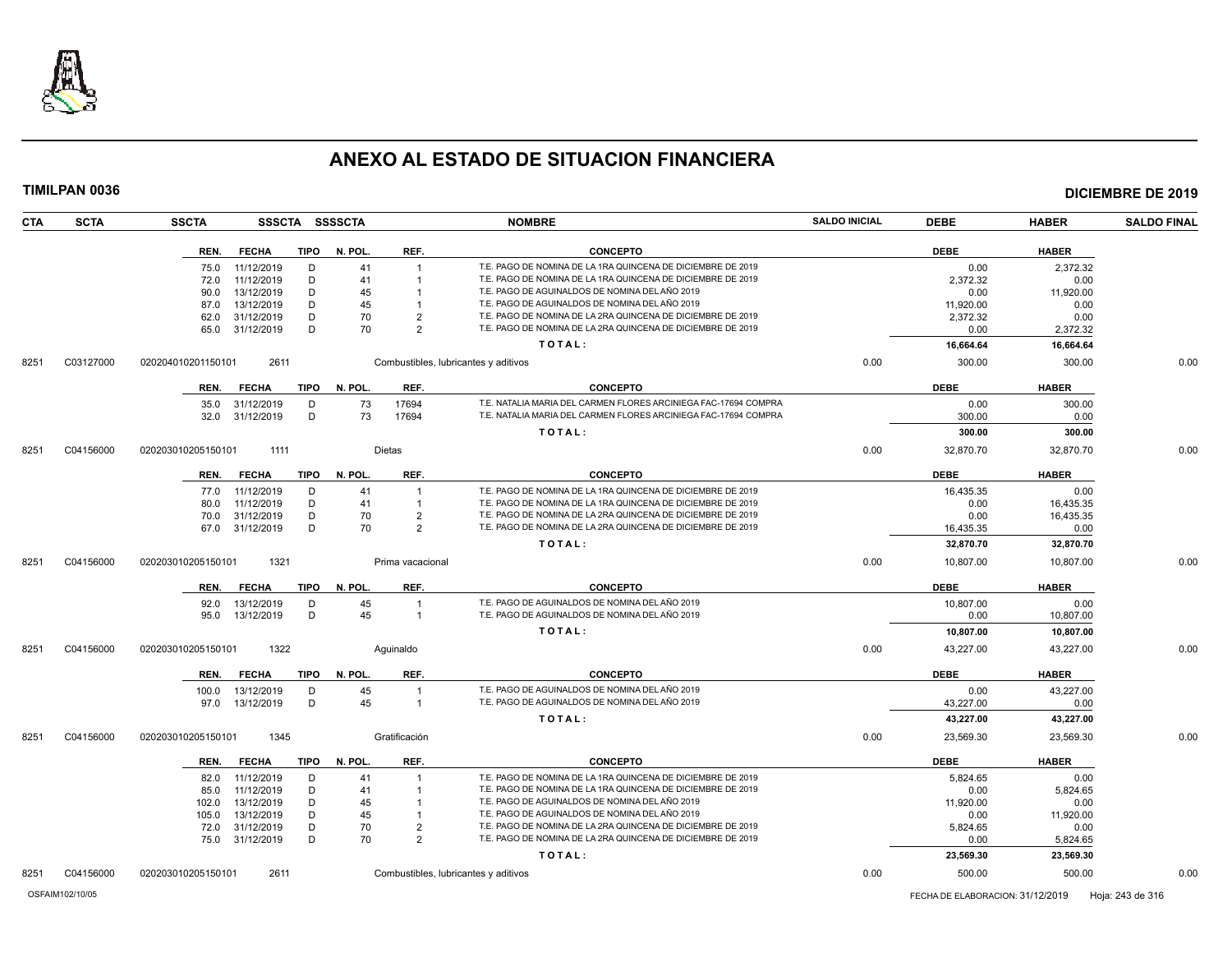

| <b>CTA</b> | <b>SCTA</b> | <b>SSCTA</b>       |              |             | SSSCTA SSSSCTA |                                 | <b>NOMBRE</b>                                                                                                              | <b>SALDO INICIAL</b> | <b>DEBE</b> | <b>HABER</b> | <b>SALDO FINAL</b> |
|------------|-------------|--------------------|--------------|-------------|----------------|---------------------------------|----------------------------------------------------------------------------------------------------------------------------|----------------------|-------------|--------------|--------------------|
|            |             | REN.               | <b>FECHA</b> | TIPO        | N. POL.        | REF.                            | <b>CONCEPTO</b>                                                                                                            |                      | <b>DEBE</b> | <b>HABER</b> |                    |
|            |             | 75.0               | 11/12/2019   | D           | 41             | $\overline{1}$                  | T.E. PAGO DE NOMINA DE LA 1RA QUINCENA DE DICIEMBRE DE 2019                                                                |                      | 0.00        | 2,372.32     |                    |
|            |             | 72.0               | 11/12/2019   | D           | 41             |                                 | T.E. PAGO DE NOMINA DE LA 1RA QUINCENA DE DICIEMBRE DE 2019                                                                |                      | 2.372.32    | 0.00         |                    |
|            |             | 90.0               | 13/12/2019   | D           | 45             |                                 | T.E. PAGO DE AGUINALDOS DE NOMINA DEL AÑO 2019                                                                             |                      | 0.00        | 11,920.00    |                    |
|            |             | 87.0               | 13/12/2019   | D           | 45             |                                 | T.E. PAGO DE AGUINALDOS DE NOMINA DEL AÑO 2019                                                                             |                      | 11,920.00   | 0.00         |                    |
|            |             | 62.0               | 31/12/2019   | D<br>D      | 70<br>70       | $\overline{2}$<br>$\mathcal{P}$ | T.E. PAGO DE NOMINA DE LA 2RA QUINCENA DE DICIEMBRE DE 2019<br>T.E. PAGO DE NOMINA DE LA 2RA QUINCENA DE DICIEMBRE DE 2019 |                      | 2,372.32    | 0.00         |                    |
|            |             | 65.0               | 31/12/2019   |             |                |                                 |                                                                                                                            |                      | 0.00        | 2,372.32     |                    |
|            |             |                    |              |             |                |                                 | TOTAL:                                                                                                                     |                      | 16,664.64   | 16,664.64    |                    |
| 8251       | C03127000   | 020204010201150101 | 2611         |             |                |                                 | Combustibles, lubricantes y aditivos                                                                                       | 0.00                 | 300.00      | 300.00       | 0.00               |
|            |             | REN.               | <b>FECHA</b> | <b>TIPO</b> | N. POL.        | REF.                            | <b>CONCEPTO</b>                                                                                                            |                      | <b>DEBE</b> | <b>HABER</b> |                    |
|            |             | 35.0               | 31/12/2019   | D           | 73             | 17694                           | T.E. NATALIA MARIA DEL CARMEN FLORES ARCINIEGA FAC-17694 COMPRA                                                            |                      | 0.00        | 300.00       |                    |
|            |             | 32.0               | 31/12/2019   | D           | 73             | 17694                           | T.E. NATALIA MARIA DEL CARMEN FLORES ARCINIEGA FAC-17694 COMPRA                                                            |                      | 300.00      | 0.00         |                    |
|            |             |                    |              |             |                |                                 | TOTAL:                                                                                                                     |                      | 300.00      | 300.00       |                    |
| 8251       | C04156000   | 020203010205150101 | 1111         |             |                | <b>Dietas</b>                   |                                                                                                                            | 0.00                 | 32,870.70   | 32,870.70    | 0.00               |
|            |             | REN.               | <b>FECHA</b> | <b>TIPO</b> | N. POL.        | REF.                            | <b>CONCEPTO</b>                                                                                                            |                      | <b>DEBE</b> | <b>HABER</b> |                    |
|            |             | 77.0               | 11/12/2019   | D           | 41             |                                 | T.E. PAGO DE NOMINA DE LA 1RA QUINCENA DE DICIEMBRE DE 2019                                                                |                      | 16,435.35   | 0.00         |                    |
|            |             | 80.0               | 11/12/2019   | D           | 41             |                                 | T.E. PAGO DE NOMINA DE LA 1RA QUINCENA DE DICIEMBRE DE 2019                                                                |                      | 0.00        | 16,435.35    |                    |
|            |             | 70.0               | 31/12/2019   | D           | 70             | $\mathcal{P}$                   | T.E. PAGO DE NOMINA DE LA 2RA QUINCENA DE DICIEMBRE DE 2019                                                                |                      | 0.00        | 16,435.35    |                    |
|            |             | 67.0               | 31/12/2019   | D           | 70             | $\mathcal{P}$                   | T.E. PAGO DE NOMINA DE LA 2RA QUINCENA DE DICIEMBRE DE 2019                                                                |                      | 16,435.35   | 0.00         |                    |
|            |             |                    |              |             |                |                                 | TOTAL:                                                                                                                     |                      | 32,870.70   | 32,870.70    |                    |
| 8251       | C04156000   | 020203010205150101 | 1321         |             |                | Prima vacacional                |                                                                                                                            | 0.00                 | 10,807.00   | 10,807.00    | 0.00               |
|            |             | REN.               | <b>FECHA</b> | <b>TIPO</b> | N. POL.        | REF.                            | <b>CONCEPTO</b>                                                                                                            |                      | <b>DEBE</b> | <b>HABER</b> |                    |
|            |             | 92.0               | 13/12/2019   | D           | 45             |                                 | T.E. PAGO DE AGUINALDOS DE NOMINA DEL AÑO 2019                                                                             |                      | 10,807.00   | 0.00         |                    |
|            |             | 95.0               | 13/12/2019   | D           | 45             | $\overline{1}$                  | T.E. PAGO DE AGUINALDOS DE NOMINA DEL AÑO 2019                                                                             |                      | 0.00        | 10,807.00    |                    |
|            |             |                    |              |             |                |                                 | TOTAL:                                                                                                                     |                      | 10,807.00   | 10,807.00    |                    |
| 8251       | C04156000   | 020203010205150101 | 1322         |             |                | Aquinaldo                       |                                                                                                                            | 0.00                 | 43,227.00   | 43,227.00    | 0.00               |
|            |             | REN.               | <b>FECHA</b> | <b>TIPO</b> | N. POL.        | REF.                            | <b>CONCEPTO</b>                                                                                                            |                      | <b>DEBE</b> | <b>HABER</b> |                    |
|            |             | 100.0              | 13/12/2019   | D           | 45             | -1                              | T.E. PAGO DE AGUINALDOS DE NOMINA DEL AÑO 2019                                                                             |                      | 0.00        | 43.227.00    |                    |
|            |             | 97.0               | 13/12/2019   | D           | 45             | -1                              | T.E. PAGO DE AGUINALDOS DE NOMINA DEL AÑO 2019                                                                             |                      | 43,227.00   | 0.00         |                    |
|            |             |                    |              |             |                |                                 | TOTAL:                                                                                                                     |                      | 43,227.00   | 43,227.00    |                    |
| 8251       | C04156000   | 020203010205150101 | 1345         |             |                | Gratificación                   |                                                                                                                            | 0.00                 | 23,569.30   | 23,569.30    | 0.00               |
|            |             | REN.               | <b>FECHA</b> | <b>TIPO</b> | N. POL.        | REF.                            | <b>CONCEPTO</b>                                                                                                            |                      | <b>DEBE</b> | <b>HABER</b> |                    |
|            |             | 82.0               | 11/12/2019   | D           | 41             |                                 | T.E. PAGO DE NOMINA DE LA 1RA QUINCENA DE DICIEMBRE DE 2019                                                                |                      | 5,824.65    | 0.00         |                    |
|            |             | 85.0               | 11/12/2019   | D           | 41             |                                 | T.E. PAGO DE NOMINA DE LA 1RA QUINCENA DE DICIEMBRE DE 2019                                                                |                      | 0.00        | 5,824.65     |                    |
|            |             | 102.0              | 13/12/2019   | D           | 45             |                                 | T.E. PAGO DE AGUINALDOS DE NOMINA DEL AÑO 2019                                                                             |                      | 11,920.00   | 0.00         |                    |
|            |             | 105.0              | 13/12/2019   | D           | 45             |                                 | T.E. PAGO DE AGUINALDOS DE NOMINA DEL AÑO 2019                                                                             |                      | 0.00        | 11,920.00    |                    |
|            |             | 72.0               | 31/12/2019   | D           | 70             | $\overline{2}$                  | T.E. PAGO DE NOMINA DE LA 2RA QUINCENA DE DICIEMBRE DE 2019                                                                |                      | 5,824.65    | 0.00         |                    |
|            |             | 75.0               | 31/12/2019   | D           | 70             | $\overline{2}$                  | T.E. PAGO DE NOMINA DE LA 2RA QUINCENA DE DICIEMBRE DE 2019                                                                |                      | 0.00        | 5,824.65     |                    |
|            |             |                    |              |             |                |                                 | TOTAL:                                                                                                                     |                      | 23,569.30   | 23,569.30    |                    |
| 8251       | C04156000   | 020203010205150101 | 2611         |             |                |                                 | Combustibles, lubricantes y aditivos                                                                                       | 0.00                 | 500.00      | 500.00       | 0.00               |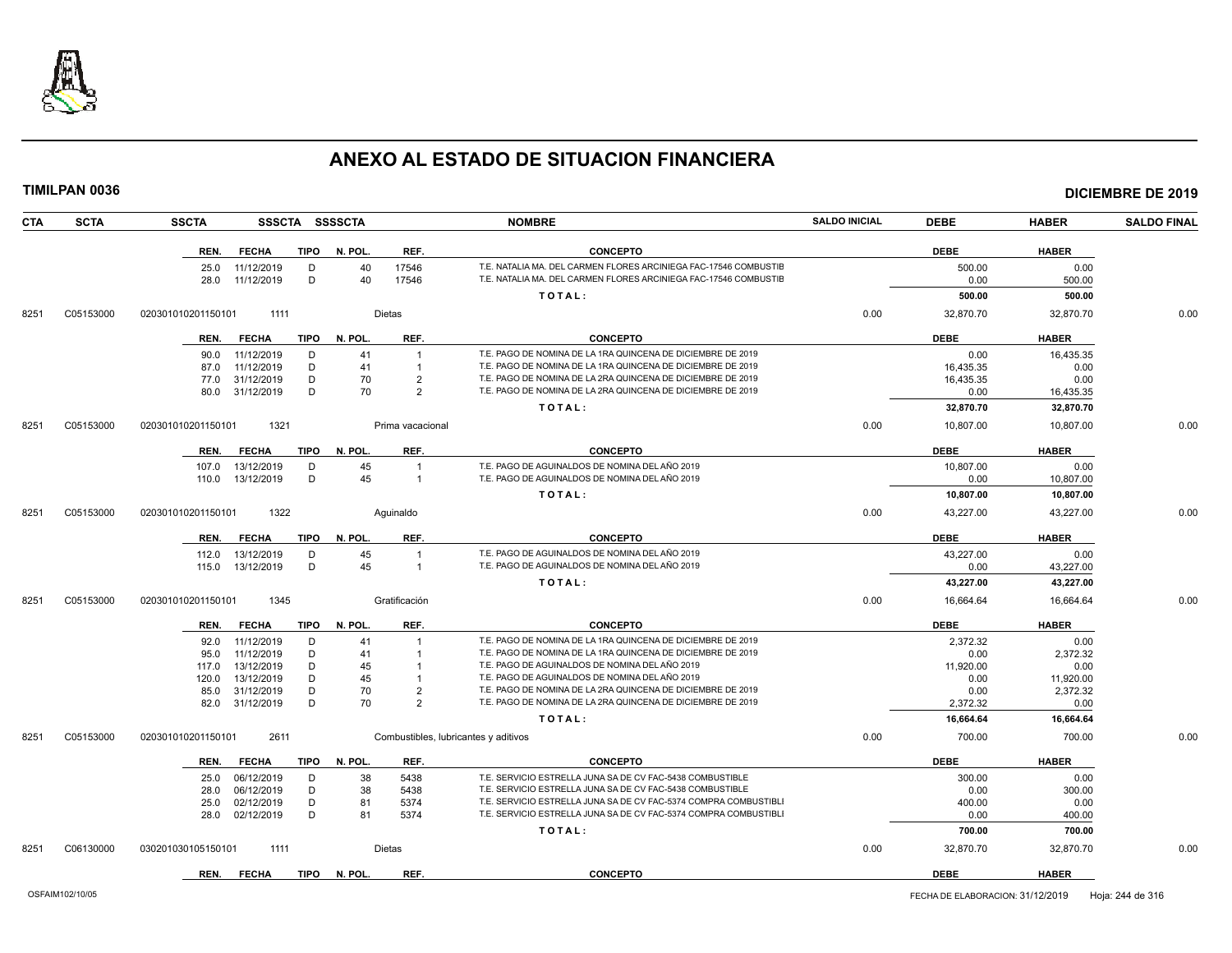

|            |             |                    |                          |             |                |                                      |                                                                                                                                      |                      |                  |                  | <b>DICIEMBRE DE 2019</b> |
|------------|-------------|--------------------|--------------------------|-------------|----------------|--------------------------------------|--------------------------------------------------------------------------------------------------------------------------------------|----------------------|------------------|------------------|--------------------------|
| <b>CTA</b> | <b>SCTA</b> | <b>SSCTA</b>       |                          |             | SSSCTA SSSSCTA |                                      | <b>NOMBRE</b>                                                                                                                        | <b>SALDO INICIAL</b> | <b>DEBE</b>      | <b>HABER</b>     | <b>SALDO FINAL</b>       |
|            |             | REN.               | <b>FECHA</b>             | <b>TIPO</b> | N. POL.        | REF.                                 | <b>CONCEPTO</b>                                                                                                                      |                      | <b>DEBE</b>      | <b>HABER</b>     |                          |
|            |             | 25.0               | 11/12/2019               | D           | 40             | 17546                                | T.E. NATALIA MA. DEL CARMEN FLORES ARCINIEGA FAC-17546 COMBUSTIE                                                                     |                      | 500.00           | 0.00             |                          |
|            |             | 28.0               | 11/12/2019               | D           | 40             | 17546                                | T.E. NATALIA MA. DEL CARMEN FLORES ARCINIEGA FAC-17546 COMBUSTIE<br>TOTAL:                                                           |                      | 0.00<br>500.00   | 500.00<br>500.00 |                          |
|            |             |                    |                          |             |                |                                      |                                                                                                                                      |                      |                  |                  |                          |
| 8251       | C05153000   | 020301010201150101 | 1111                     |             |                | <b>Dietas</b>                        |                                                                                                                                      | 0.00                 | 32,870.70        | 32,870.70        | 0.00                     |
|            |             | REN.               | <b>FECHA</b>             | TIPO        | N. POL.        | REF.                                 | <b>CONCEPTO</b>                                                                                                                      |                      | <b>DEBE</b>      | <b>HABER</b>     |                          |
|            |             | 90.0               | 11/12/2019               | D           | 41             | $\overline{1}$                       | T.E. PAGO DE NOMINA DE LA 1RA QUINCENA DE DICIEMBRE DE 2019                                                                          |                      | 0.00             | 16,435.35        |                          |
|            |             | 87.0               | 11/12/2019               | D           | 41             | $\overline{1}$                       | T.E. PAGO DE NOMINA DE LA 1RA QUINCENA DE DICIEMBRE DE 2019                                                                          |                      | 16.435.35        | 0.00             |                          |
|            |             | 77.0               | 31/12/2019               | D           | 70             | $\overline{2}$                       | T.E. PAGO DE NOMINA DE LA 2RA QUINCENA DE DICIEMBRE DE 2019                                                                          |                      | 16,435.35        | 0.00             |                          |
|            |             | 80.0               | 31/12/2019               | D           | 70             | $\overline{2}$                       | T.E. PAGO DE NOMINA DE LA 2RA QUINCENA DE DICIEMBRE DE 2019                                                                          |                      | 0.00             | 16,435.35        |                          |
|            |             |                    |                          |             |                |                                      | TOTAL:                                                                                                                               |                      | 32,870.70        | 32,870.70        |                          |
| 8251       | C05153000   | 020301010201150101 | 1321                     |             |                | Prima vacacional                     |                                                                                                                                      | 0.00                 | 10,807.00        | 10,807.00        | 0.00                     |
|            |             | REN.               | <b>FECHA</b>             | TIPO        | N. POL.        | REF.                                 | <b>CONCEPTO</b>                                                                                                                      |                      | <b>DEBE</b>      | <b>HABER</b>     |                          |
|            |             | 107.0              | 13/12/2019               | D           | 45             | $\overline{1}$                       | T.E. PAGO DE AGUINALDOS DE NOMINA DEL AÑO 2019                                                                                       |                      | 10,807.00        | 0.00             |                          |
|            |             | 110.0              | 13/12/2019               | D           | 45             | $\overline{1}$                       | T.E. PAGO DE AGUINALDOS DE NOMINA DEL AÑO 2019                                                                                       |                      | 0.00             | 10,807.00        |                          |
|            |             |                    |                          |             |                |                                      | TOTAL:                                                                                                                               |                      | 10,807.00        | 10,807.00        |                          |
| 8251       | C05153000   | 020301010201150101 | 1322                     |             |                | Aquinaldo                            |                                                                                                                                      | 0.00                 | 43,227.00        | 43,227.00        | 0.00                     |
|            |             | REN.               | FECHA                    | TIPO        | N. POL.        | REF.                                 | <b>CONCEPTO</b>                                                                                                                      |                      | <b>DEBE</b>      | <b>HABER</b>     |                          |
|            |             | 112.0              | 13/12/2019               | D           | 45             | $\overline{1}$                       | T.E. PAGO DE AGUINALDOS DE NOMINA DEL AÑO 2019                                                                                       |                      | 43.227.00        | 0.00             |                          |
|            |             | 115.0              | 13/12/2019               | D           | 45             | $\overline{1}$                       | T.E. PAGO DE AGUINALDOS DE NOMINA DEL AÑO 2019                                                                                       |                      | 0.00             | 43,227.00        |                          |
|            |             |                    |                          |             |                |                                      | TOTAL:                                                                                                                               |                      | 43,227.00        | 43,227.00        |                          |
| 8251       | C05153000   | 020301010201150101 | 1345                     |             |                | Gratificación                        |                                                                                                                                      | 0.00                 | 16,664.64        | 16,664.64        | 0.00                     |
|            |             | REN.               | <b>FECHA</b>             | <b>TIPO</b> | N. POL.        | REF.                                 | <b>CONCEPTO</b>                                                                                                                      |                      | <b>DEBE</b>      | <b>HABER</b>     |                          |
|            |             | 92.0               | 11/12/2019               | D           | 41             |                                      | T.E. PAGO DE NOMINA DE LA 1RA QUINCENA DE DICIEMBRE DE 2019                                                                          |                      | 2.372.32         | 0.00             |                          |
|            |             | 95.0               | 11/12/2019               | D           | 41             | $\overline{1}$                       | T.E. PAGO DE NOMINA DE LA 1RA QUINCENA DE DICIEMBRE DE 2019                                                                          |                      | 0.00             | 2,372.32         |                          |
|            |             | 117.0              | 13/12/2019               | D           | 45             | $\overline{1}$                       | T.E. PAGO DE AGUINALDOS DE NOMINA DEL AÑO 2019                                                                                       |                      | 11,920.00        | 0.00             |                          |
|            |             | 120.0              | 13/12/2019               | D           | 45             | $\overline{1}$                       | T.E. PAGO DE AGUINALDOS DE NOMINA DEL AÑO 2019                                                                                       |                      | 0.00             | 11,920.00        |                          |
|            |             | 85.0<br>82.0       | 31/12/2019<br>31/12/2019 | D<br>D      | 70<br>70       | $\overline{2}$<br>$\overline{2}$     | T.E. PAGO DE NOMINA DE LA 2RA QUINCENA DE DICIEMBRE DE 2019<br>T.E. PAGO DE NOMINA DE LA 2RA QUINCENA DE DICIEMBRE DE 2019           |                      | 0.00<br>2,372.32 | 2,372.32<br>0.00 |                          |
|            |             |                    |                          |             |                |                                      | TOTAL:                                                                                                                               |                      | 16.664.64        | 16.664.64        |                          |
|            |             |                    |                          |             |                |                                      |                                                                                                                                      |                      |                  |                  |                          |
| 8251       | C05153000   | 020301010201150101 | 2611                     |             |                | Combustibles, lubricantes y aditivos |                                                                                                                                      | 0.00                 | 700.00           | 700.00           | 0.00                     |
|            |             | REN.               | <b>FECHA</b>             | TIPO        | N. POL.        | REF.                                 | <b>CONCEPTO</b>                                                                                                                      |                      | <b>DEBE</b>      | <b>HABER</b>     |                          |
|            |             | 25.0               | 06/12/2019               | D           | 38             | 5438                                 | T.E. SERVICIO ESTRELLA JUNA SA DE CV FAC-5438 COMBUSTIBLE                                                                            |                      | 300.00           | 0.00             |                          |
|            |             | 28.0               | 06/12/2019               | D           | 38             | 5438                                 | T.E. SERVICIO ESTRELLA JUNA SA DE CV FAC-5438 COMBUSTIBLE                                                                            |                      | 0.00             | 300.00           |                          |
|            |             | 25.0               | 02/12/2019               | D<br>D      | 81<br>81       | 5374                                 | T.E. SERVICIO ESTRELLA JUNA SA DE CV FAC-5374 COMPRA COMBUSTIBLI<br>T.E. SERVICIO ESTRELLA JUNA SA DE CV FAC-5374 COMPRA COMBUSTIBLI |                      | 400.00           | 0.00             |                          |
|            |             | 28.0               | 02/12/2019               |             |                | 5374                                 |                                                                                                                                      |                      | 0.00             | 400.00           |                          |
|            |             |                    |                          |             |                |                                      | TOTAL:                                                                                                                               |                      | 700.00           | 700.00           |                          |
| 8251       | C06130000   | 030201030105150101 | 1111                     |             |                | <b>Dietas</b>                        |                                                                                                                                      | 0.00                 | 32,870.70        | 32,870.70        | 0.00                     |
|            |             |                    |                          |             |                |                                      |                                                                                                                                      |                      |                  |                  |                          |

**REN. FECHA TIPO N. POL. REF. CONCEPTO DEBE HABER**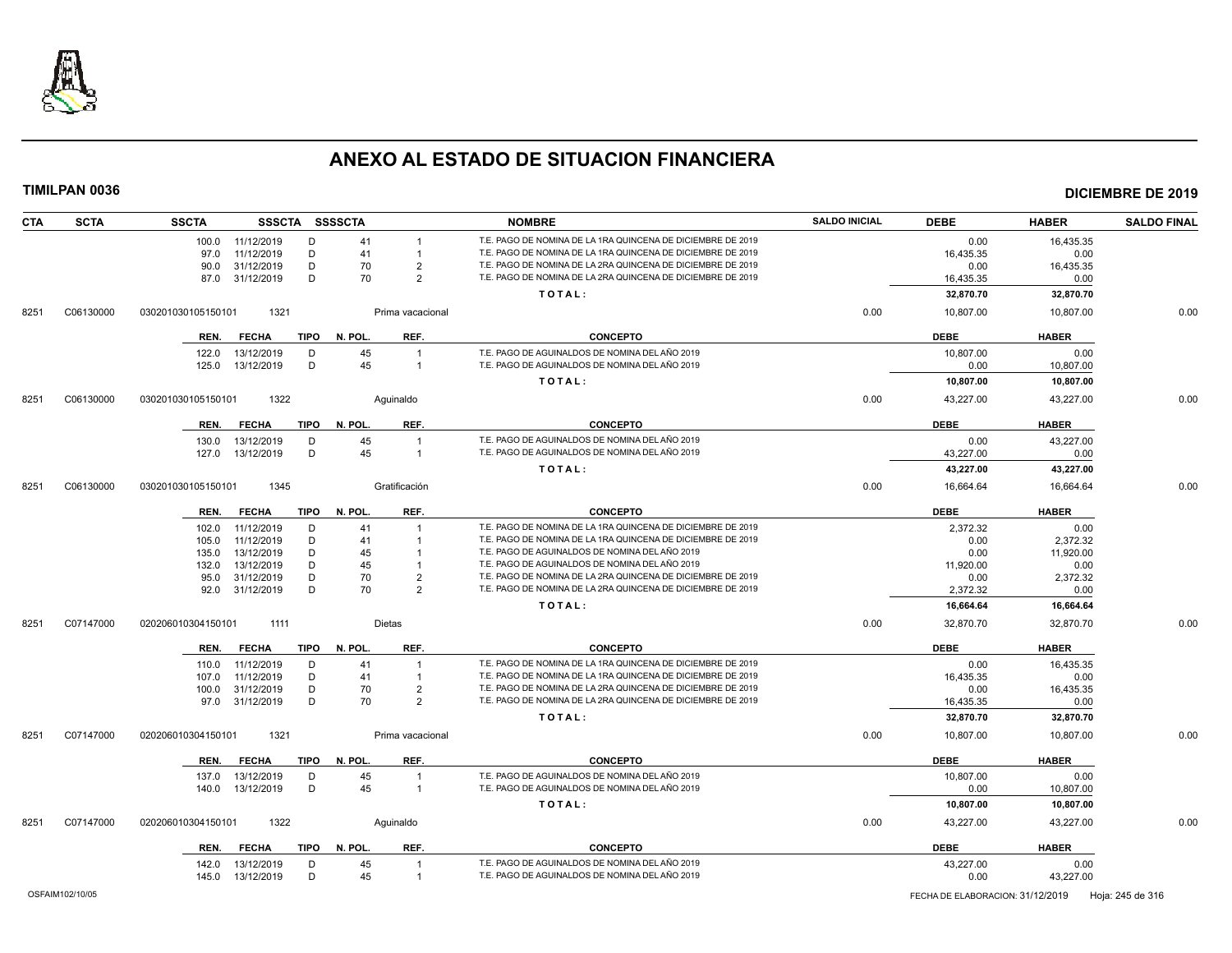

| <b>CTA</b> | <b>SCTA</b> | <b>SSCTA</b>                           | SSSCTA SSSSCTA     |                                  | <b>NOMBRE</b>                                                                                                              | <b>SALDO INICIAL</b> | <b>DEBE</b>            | <b>HABER</b>      | <b>SALDO FINAL</b> |
|------------|-------------|----------------------------------------|--------------------|----------------------------------|----------------------------------------------------------------------------------------------------------------------------|----------------------|------------------------|-------------------|--------------------|
|            |             | 11/12/2019<br>100.0                    | D<br>41            | $\overline{1}$                   | T.E. PAGO DE NOMINA DE LA 1RA QUINCENA DE DICIEMBRE DE 2019                                                                |                      | 0.00                   | 16,435.35         |                    |
|            |             | 11/12/2019<br>97.0                     | D<br>41            | $\overline{1}$                   | T.E. PAGO DE NOMINA DE LA 1RA QUINCENA DE DICIEMBRE DE 2019                                                                |                      | 16,435.35              | 0.00              |                    |
|            |             | 90.0 31/12/2019                        | D<br>70            | $\overline{2}$                   | T.E. PAGO DE NOMINA DE LA 2RA QUINCENA DE DICIEMBRE DE 2019                                                                |                      | 0.00                   | 16,435.35         |                    |
|            |             | 87.0 31/12/2019                        | D<br>70            | $\overline{2}$                   | T.E. PAGO DE NOMINA DE LA 2RA QUINCENA DE DICIEMBRE DE 2019                                                                |                      | 16,435.35              | 0.00              |                    |
|            |             |                                        |                    |                                  | TOTAL:                                                                                                                     |                      | 32,870.70              | 32,870.70         |                    |
| 8251       | C06130000   | 1321<br>030201030105150101             |                    | Prima vacacional                 |                                                                                                                            | 0.00                 | 10,807.00              | 10,807.00         | 0.00               |
|            |             | <b>FECHA</b><br>TIPO<br>REN.           | N. POL.            | REF.                             | <b>CONCEPTO</b>                                                                                                            |                      | <b>DEBE</b>            | <b>HABER</b>      |                    |
|            |             | 13/12/2019<br>122.0                    | 45<br>D            | $\overline{1}$                   | T.E. PAGO DE AGUINALDOS DE NOMINA DEL AÑO 2019                                                                             |                      | 10,807.00              | 0.00              |                    |
|            |             | 125.0  13/12/2019                      | 45<br>D            | $\overline{1}$                   | T.E. PAGO DE AGUINALDOS DE NOMINA DEL AÑO 2019                                                                             |                      | 0.00                   | 10,807.00         |                    |
|            |             |                                        |                    |                                  | TOTAL:                                                                                                                     |                      | 10,807.00              | 10,807.00         |                    |
| 8251       | C06130000   | 1322<br>030201030105150101             | Aquinaldo          |                                  |                                                                                                                            | 0.00                 | 43,227.00              | 43,227.00         | 0.00               |
|            |             | <b>FECHA</b><br>TIPO<br>REN.           | N. POL.            | REF.                             | <b>CONCEPTO</b>                                                                                                            |                      | <b>DEBE</b>            | <b>HABER</b>      |                    |
|            |             | 13/12/2019<br>130.0                    | 45<br>D            | $\mathbf{1}$                     | T.E. PAGO DE AGUINALDOS DE NOMINA DEL AÑO 2019                                                                             |                      | 0.00                   | 43,227.00         |                    |
|            |             | 127.0<br>13/12/2019                    | D<br>45            | $\overline{1}$                   | T.E. PAGO DE AGUINALDOS DE NOMINA DEL AÑO 2019                                                                             |                      | 43,227.00              | 0.00              |                    |
|            |             |                                        |                    |                                  | TOTAL:                                                                                                                     |                      | 43,227.00              | 43,227.00         |                    |
| 8251       | C06130000   | 1345<br>030201030105150101             | Gratificación      |                                  |                                                                                                                            | 0.00                 | 16,664.64              | 16,664.64         | 0.00               |
|            |             | <b>FECHA</b><br><b>TIPO</b><br>REN.    | N. POL.            | REF.                             | <b>CONCEPTO</b>                                                                                                            |                      | <b>DEBE</b>            | <b>HABER</b>      |                    |
|            |             | 11/12/2019<br>102.0                    | D<br>41            |                                  | T.E. PAGO DE NOMINA DE LA 1RA QUINCENA DE DICIEMBRE DE 2019                                                                |                      | 2,372.32               | 0.00              |                    |
|            |             | 11/12/2019<br>105.0                    | D<br>41            | $\overline{1}$                   | T.E. PAGO DE NOMINA DE LA 1RA QUINCENA DE DICIEMBRE DE 2019                                                                |                      | 0.00                   | 2,372.32          |                    |
|            |             | 13/12/2019<br>135.0                    | D<br>45            |                                  | T.E. PAGO DE AGUINALDOS DE NOMINA DEL AÑO 2019                                                                             |                      | 0.00                   | 11,920.00         |                    |
|            |             | 13/12/2019<br>132.0                    | D<br>45            | $\overline{1}$                   | T.E. PAGO DE AGUINALDOS DE NOMINA DEL AÑO 2019                                                                             |                      | 11,920.00              | 0.00              |                    |
|            |             | 31/12/2019<br>95.0                     | D<br>70            | $\overline{2}$                   | T.E. PAGO DE NOMINA DE LA 2RA QUINCENA DE DICIEMBRE DE 2019                                                                |                      | 0.00                   | 2,372.32          |                    |
|            |             | 92.0 31/12/2019                        | 70<br>D            | $\overline{2}$                   | T.E. PAGO DE NOMINA DE LA 2RA QUINCENA DE DICIEMBRE DE 2019                                                                |                      | 2,372.32               | 0.00              |                    |
|            |             |                                        |                    |                                  | TOTAL:                                                                                                                     |                      | 16,664.64              | 16,664.64         |                    |
| 8251       | C07147000   | 020206010304150101<br>1111             | Dietas             |                                  |                                                                                                                            | 0.00                 | 32,870.70              | 32,870.70         | 0.00               |
|            |             | <b>FECHA</b><br>TIPO<br>REN.           | N. POL.            | REF.                             | <b>CONCEPTO</b>                                                                                                            |                      | <b>DEBE</b>            | <b>HABER</b>      |                    |
|            |             | 11/12/2019<br>110.0                    | D<br>41            |                                  | T.E. PAGO DE NOMINA DE LA 1RA QUINCENA DE DICIEMBRE DE 2019                                                                |                      | 0.00                   | 16,435.35         |                    |
|            |             | 11/12/2019<br>107.0                    | D<br>41            | $\overline{1}$                   | T.E. PAGO DE NOMINA DE LA 1RA QUINCENA DE DICIEMBRE DE 2019                                                                |                      | 16,435.35              | 0.00              |                    |
|            |             | 31/12/2019<br>100.0<br>97.0 31/12/2019 | D<br>70<br>D<br>70 | $\overline{2}$<br>$\overline{2}$ | T.E. PAGO DE NOMINA DE LA 2RA QUINCENA DE DICIEMBRE DE 2019<br>T.E. PAGO DE NOMINA DE LA 2RA QUINCENA DE DICIEMBRE DE 2019 |                      | 0.00                   | 16,435.35         |                    |
|            |             |                                        |                    |                                  | TOTAL:                                                                                                                     |                      | 16,435.35<br>32,870.70 | 0.00<br>32,870.70 |                    |
| 8251       | C07147000   | 1321<br>020206010304150101             |                    | Prima vacacional                 |                                                                                                                            | 0.00                 | 10,807.00              | 10,807.00         | 0.00               |
|            |             |                                        |                    |                                  |                                                                                                                            |                      |                        |                   |                    |
|            |             | <b>FECHA</b><br>REN.                   | TIPO N. POL.       | REF.                             | <b>CONCEPTO</b>                                                                                                            |                      | <b>DEBE</b>            | <b>HABER</b>      |                    |
|            |             | 13/12/2019<br>137.0                    | 45<br>D            | $\overline{1}$                   | T.E. PAGO DE AGUINALDOS DE NOMINA DEL AÑO 2019                                                                             |                      | 10,807.00              | 0.00              |                    |
|            |             | 140.0  13/12/2019                      | D<br>45            | $\overline{1}$                   | T.E. PAGO DE AGUINALDOS DE NOMINA DEL AÑO 2019                                                                             |                      | 0.00                   | 10,807.00         |                    |
|            |             |                                        |                    |                                  | TOTAL:                                                                                                                     |                      | 10,807.00              | 10,807.00         |                    |
| 8251       | C07147000   | 020206010304150101<br>1322             | Aguinaldo          |                                  |                                                                                                                            | 0.00                 | 43,227.00              | 43,227.00         | 0.00               |
|            |             | <b>FECHA</b><br>REN.                   | TIPO N. POL.       | REF.                             | <b>CONCEPTO</b>                                                                                                            |                      | <b>DEBE</b>            | <b>HABER</b>      |                    |
|            |             | 13/12/2019<br>142.0                    | 45<br>D            | $\overline{1}$                   | T.E. PAGO DE AGUINALDOS DE NOMINA DEL AÑO 2019                                                                             |                      | 43,227.00              | 0.00              |                    |
|            |             | 145.0  13/12/2019                      | D<br>45            | $\overline{1}$                   | T.E. PAGO DE AGUINALDOS DE NOMINA DEL AÑO 2019                                                                             |                      | 0.00                   | 43,227.00         |                    |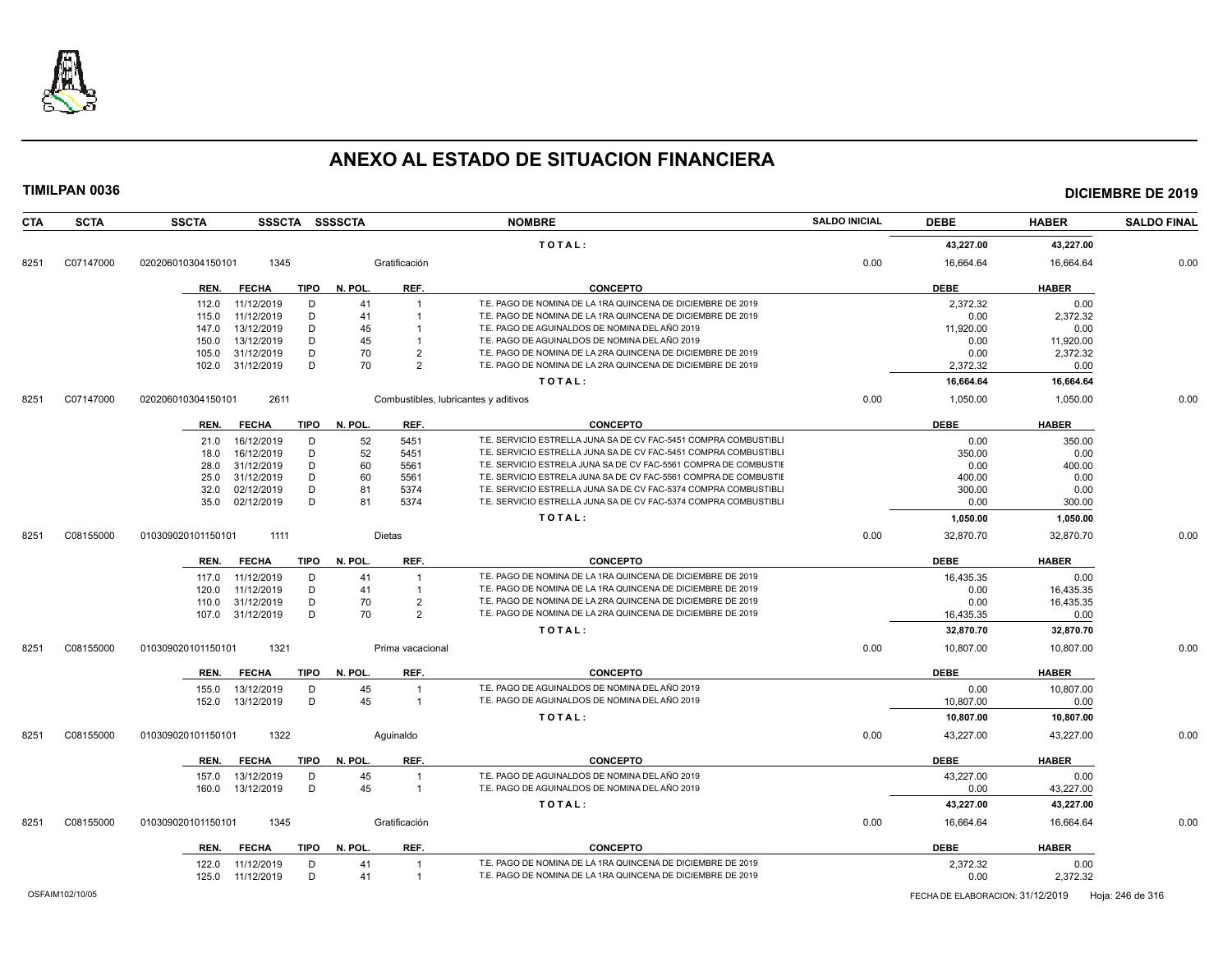

| <b>CTA</b> | <b>SCTA</b> | <b>SSCTA</b>               |             | SSSCTA SSSSCTA |                  | <b>NOMBRE</b>                                                    | <b>SALDO INICIAL</b> | <b>DEBE</b> | <b>HABER</b> | <b>SALDO FINAL</b> |
|------------|-------------|----------------------------|-------------|----------------|------------------|------------------------------------------------------------------|----------------------|-------------|--------------|--------------------|
|            |             |                            |             |                |                  | TOTAL:                                                           |                      | 43,227.00   | 43,227.00    |                    |
| 8251       | C07147000   | 1345<br>020206010304150101 |             |                | Gratificación    |                                                                  | 0.00                 | 16,664.64   | 16,664.64    | 0.00               |
|            |             | REN.<br><b>FECHA</b>       | TIPO        | N. POL.        | REF.             | <b>CONCEPTO</b>                                                  |                      | <b>DEBE</b> | <b>HABER</b> |                    |
|            |             | 11/12/2019<br>112.0        | D           | 41             |                  | T.E. PAGO DE NOMINA DE LA 1RA QUINCENA DE DICIEMBRE DE 2019      |                      | 2,372.32    | 0.00         |                    |
|            |             | 11/12/2019<br>115.0        | D           | 41             |                  | T.E. PAGO DE NOMINA DE LA 1RA QUINCENA DE DICIEMBRE DE 2019      |                      | 0.00        | 2,372.32     |                    |
|            |             | 13/12/2019<br>147.0        | D           | 45             |                  | T.E. PAGO DE AGUINALDOS DE NOMINA DEL AÑO 2019                   |                      | 11,920.00   | 0.00         |                    |
|            |             | 13/12/2019<br>150.0        | D           | 45             |                  | T.E. PAGO DE AGUINALDOS DE NOMINA DEL AÑO 2019                   |                      | 0.00        | 11,920.00    |                    |
|            |             | 31/12/2019<br>105.0        | D           | 70             | $\overline{2}$   | T.E. PAGO DE NOMINA DE LA 2RA QUINCENA DE DICIEMBRE DE 2019      |                      | 0.00        | 2,372.32     |                    |
|            |             | 31/12/2019<br>102.0        | D           | 70             | $\overline{2}$   | T.E. PAGO DE NOMINA DE LA 2RA QUINCENA DE DICIEMBRE DE 2019      |                      | 2,372.32    | 0.00         |                    |
|            |             |                            |             |                |                  | TOTAL:                                                           |                      | 16,664.64   | 16,664.64    |                    |
| 8251       | C07147000   | 2611<br>020206010304150101 |             |                |                  | Combustibles, lubricantes y aditivos                             | 0.00                 | 1,050.00    | 1,050.00     | 0.00               |
|            |             | <b>FECHA</b><br>REN.       | <b>TIPO</b> | N. POL.        | REF.             | <b>CONCEPTO</b>                                                  |                      | <b>DEBE</b> | <b>HABER</b> |                    |
|            |             | 16/12/2019<br>21.0         | D           | 52             | 5451             | T.E. SERVICIO ESTRELLA JUNA SA DE CV FAC-5451 COMPRA COMBUSTIBLI |                      | 0.00        | 350.00       |                    |
|            |             | 16/12/2019<br>18.0         | D           | 52             | 5451             | T.E. SERVICIO ESTRELLA JUNA SA DE CV FAC-5451 COMPRA COMBUSTIBLI |                      | 350.00      | 0.00         |                    |
|            |             | 31/12/2019<br>28.0         | D           | 60             | 5561             | T.E. SERVICIO ESTRELA JUNA SA DE CV FAC-5561 COMPRA DE COMBUSTIE |                      | 0.00        | 400.00       |                    |
|            |             | 31/12/2019<br>25.0         | D           | 60             | 5561             | T.E. SERVICIO ESTRELA JUNA SA DE CV FAC-5561 COMPRA DE COMBUSTIE |                      | 400.00      | 0.00         |                    |
|            |             | 02/12/2019<br>32.0         | D           | 81             | 5374             | T.E. SERVICIO ESTRELLA JUNA SA DE CV FAC-5374 COMPRA COMBUSTIBLI |                      | 300.00      | 0.00         |                    |
|            |             | 02/12/2019<br>35.0         | D           | 81             | 5374             | T.E. SERVICIO ESTRELLA JUNA SA DE CV FAC-5374 COMPRA COMBUSTIBLI |                      | 0.00        | 300.00       |                    |
|            |             |                            |             |                |                  | TOTAL:                                                           |                      | 1,050.00    | 1,050.00     |                    |
| 8251       | C08155000   | 1111<br>010309020101150101 |             |                | Dietas           |                                                                  | 0.00                 | 32,870.70   | 32,870.70    | 0.00               |
|            |             | <b>FECHA</b><br>REN.       | TIPO        | N. POL.        | REF.             | <b>CONCEPTO</b>                                                  |                      | <b>DEBE</b> | <b>HABER</b> |                    |
|            |             | 11/12/2019<br>117.0        | D           | 41             |                  | T.E. PAGO DE NOMINA DE LA 1RA QUINCENA DE DICIEMBRE DE 2019      |                      | 16,435.35   | 0.00         |                    |
|            |             | 120.0<br>11/12/2019        | D           | 41             |                  | T.E. PAGO DE NOMINA DE LA 1RA QUINCENA DE DICIEMBRE DE 2019      |                      | 0.00        | 16,435.35    |                    |
|            |             | 31/12/2019<br>110.0        | D           | 70             | $\overline{2}$   | T.E. PAGO DE NOMINA DE LA 2RA QUINCENA DE DICIEMBRE DE 2019      |                      | 0.00        | 16,435.35    |                    |
|            |             | 31/12/2019<br>107.0        | D           | 70             | $\overline{2}$   | T.E. PAGO DE NOMINA DE LA 2RA QUINCENA DE DICIEMBRE DE 2019      |                      | 16,435.35   | 0.00         |                    |
|            |             |                            |             |                |                  | TOTAL:                                                           |                      | 32.870.70   | 32,870.70    |                    |
| 8251       | C08155000   | 1321<br>010309020101150101 |             |                | Prima vacacional |                                                                  | 0.00                 | 10,807.00   | 10,807.00    | 0.00               |
|            |             | REN.<br><b>FECHA</b>       | <b>TIPO</b> | N. POL.        | REF.             | <b>CONCEPTO</b>                                                  |                      | <b>DEBE</b> | <b>HABER</b> |                    |
|            |             | 155.0<br>13/12/2019        | D           | 45             | $\overline{1}$   | T.E. PAGO DE AGUINALDOS DE NOMINA DEL AÑO 2019                   |                      | 0.00        | 10,807.00    |                    |
|            |             | 152.0<br>13/12/2019        | D           | 45             | $\overline{1}$   | T.E. PAGO DE AGUINALDOS DE NOMINA DEL AÑO 2019                   |                      | 10,807.00   | 0.00         |                    |
|            |             |                            |             |                |                  | TOTAL:                                                           |                      | 10,807.00   | 10,807.00    |                    |
| 8251       | C08155000   | 1322<br>010309020101150101 |             |                | Aquinaldo        |                                                                  | 0.00                 | 43,227.00   | 43,227.00    | 0.00               |
|            |             | <b>FECHA</b><br>REN.       | <b>TIPO</b> | N. POL.        | REF.             | <b>CONCEPTO</b>                                                  |                      | <b>DEBE</b> | <b>HABER</b> |                    |
|            |             | 13/12/2019<br>157.0        | D           | 45             | -1               | T.E. PAGO DE AGUINALDOS DE NOMINA DEL AÑO 2019                   |                      | 43,227.00   | 0.00         |                    |
|            |             | 13/12/2019<br>160.0        | D           | 45             | $\mathbf{1}$     | T.E. PAGO DE AGUINALDOS DE NOMINA DEL AÑO 2019                   |                      | 0.00        | 43,227.00    |                    |
|            |             |                            |             |                |                  | TOTAL:                                                           |                      | 43,227.00   | 43,227.00    |                    |
| 8251       | C08155000   | 010309020101150101<br>1345 |             |                | Gratificación    |                                                                  | 0.00                 | 16,664.64   | 16,664.64    | 0.00               |
|            |             | <b>FECHA</b><br>REN.       | TIPO        | N. POL.        | REF.             | <b>CONCEPTO</b>                                                  |                      | <b>DEBE</b> | <b>HABER</b> |                    |
|            |             | 11/12/2019<br>122.0        | D           | 41             |                  | T.E. PAGO DE NOMINA DE LA 1RA QUINCENA DE DICIEMBRE DE 2019      |                      | 2,372.32    | 0.00         |                    |
|            |             | 125.0 11/12/2019           | D           | 41             | $\overline{1}$   | T.E. PAGO DE NOMINA DE LA 1RA QUINCENA DE DICIEMBRE DE 2019      |                      | 0.00        | 2,372.32     |                    |
|            |             |                            |             |                |                  |                                                                  |                      |             |              |                    |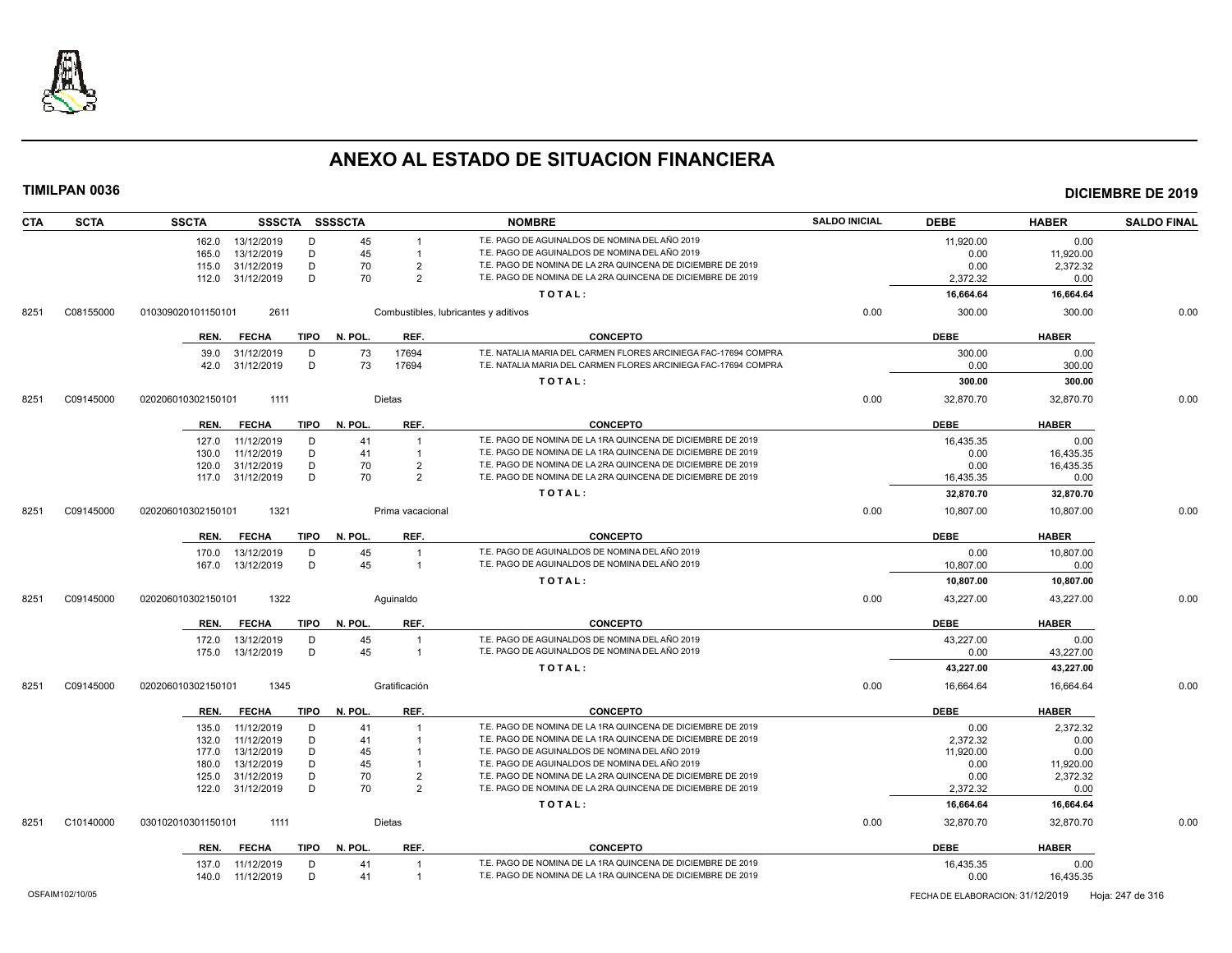

| <b>CTA</b> | <b>SCTA</b> | <b>SSCTA</b>       |                          |             | SSSCTA SSSSCTA |                                  | <b>NOMBRE</b>                                                                                                              | <b>SALDO INICIAL</b> | <b>DEBE</b>       | <b>HABER</b>      | <b>SALDO FINAL</b> |
|------------|-------------|--------------------|--------------------------|-------------|----------------|----------------------------------|----------------------------------------------------------------------------------------------------------------------------|----------------------|-------------------|-------------------|--------------------|
|            |             |                    | 162.0 13/12/2019         | D           | 45             |                                  | T.E. PAGO DE AGUINALDOS DE NOMINA DEL AÑO 2019                                                                             |                      | 11.920.00         | 0.00              |                    |
|            |             | 165.0              | 13/12/2019               | D           | 45             | $\mathbf{1}$                     | T.E. PAGO DE AGUINALDOS DE NOMINA DEL AÑO 2019                                                                             |                      | 0.00              | 11,920.00         |                    |
|            |             | 115.0              | 31/12/2019               | D           | 70             | $\overline{2}$                   | T.E. PAGO DE NOMINA DE LA 2RA QUINCENA DE DICIEMBRE DE 2019                                                                |                      | 0.00              | 2,372.32          |                    |
|            |             |                    | 112.0 31/12/2019         | D           | 70             | $\mathcal{P}$                    | T.E. PAGO DE NOMINA DE LA 2RA QUINCENA DE DICIEMBRE DE 2019                                                                |                      | 2,372.32          | 0.00              |                    |
|            |             |                    |                          |             |                |                                  | TOTAL:                                                                                                                     |                      | 16,664.64         | 16,664.64         |                    |
| 8251       | C08155000   | 010309020101150101 | 2611                     |             |                |                                  | Combustibles, lubricantes y aditivos                                                                                       | 0.00                 | 300.00            | 300.00            | 0.00               |
|            |             | REN.               | <b>FECHA</b>             | TIPO        | N. POL.        | REF.                             | <b>CONCEPTO</b>                                                                                                            |                      | <b>DEBE</b>       | <b>HABER</b>      |                    |
|            |             | 39.0               | 31/12/2019               | D           | 73             | 17694                            | T.E. NATALIA MARIA DEL CARMEN FLORES ARCINIEGA FAC-17694 COMPRA                                                            |                      | 300.00            | 0.00              |                    |
|            |             |                    | 42.0 31/12/2019          | D           | 73             | 17694                            | T.E. NATALIA MARIA DEL CARMEN FLORES ARCINIEGA FAC-17694 COMPRA                                                            |                      | 0.00              | 300.00            |                    |
|            |             |                    |                          |             |                |                                  | TOTAL:                                                                                                                     |                      | 300.00            | 300.00            |                    |
| 8251       | C09145000   | 020206010302150101 | 1111                     |             |                | <b>Dietas</b>                    |                                                                                                                            | 0.00                 | 32,870.70         | 32,870.70         | 0.00               |
|            |             |                    | <b>FECHA</b>             | TIPO        | N. POL.        | REF.                             | <b>CONCEPTO</b>                                                                                                            |                      | <b>DEBE</b>       | <b>HABER</b>      |                    |
|            |             | REN.               |                          |             |                |                                  |                                                                                                                            |                      |                   |                   |                    |
|            |             | 127.0              | 11/12/2019               | D           | 41             |                                  | T.E. PAGO DE NOMINA DE LA 1RA QUINCENA DE DICIEMBRE DE 2019                                                                |                      | 16,435.35         | 0.00              |                    |
|            |             | 130.0              | 11/12/2019               | D           | 41             | $\overline{1}$                   | T.E. PAGO DE NOMINA DE LA 1RA QUINCENA DE DICIEMBRE DE 2019<br>T.E. PAGO DE NOMINA DE LA 2RA QUINCENA DE DICIEMBRE DE 2019 |                      | 0.00              | 16,435.35         |                    |
|            |             | 120.0<br>117.0     | 31/12/2019<br>31/12/2019 | D<br>D      | 70<br>70       | $\overline{2}$<br>$\overline{2}$ | T.E. PAGO DE NOMINA DE LA 2RA QUINCENA DE DICIEMBRE DE 2019                                                                |                      | 0.00<br>16,435.35 | 16,435.35<br>0.00 |                    |
|            |             |                    |                          |             |                |                                  |                                                                                                                            |                      |                   |                   |                    |
|            |             |                    |                          |             |                |                                  | TOTAL:                                                                                                                     |                      | 32,870.70         | 32,870.70         |                    |
| 8251       | C09145000   | 020206010302150101 | 1321                     |             |                | Prima vacacional                 |                                                                                                                            | 0.00                 | 10,807.00         | 10,807.00         | 0.00               |
|            |             | REN.               | <b>FECHA</b>             | <b>TIPO</b> | N. POL.        | REF.                             | <b>CONCEPTO</b>                                                                                                            |                      | <b>DEBE</b>       | <b>HABER</b>      |                    |
|            |             | 170.0              | 13/12/2019               | D           | 45             | $\overline{1}$                   | T.E. PAGO DE AGUINALDOS DE NOMINA DEL AÑO 2019                                                                             |                      | 0.00              | 10,807.00         |                    |
|            |             |                    | 167.0 13/12/2019         | D           | 45             | $\overline{1}$                   | T.E. PAGO DE AGUINALDOS DE NOMINA DEL AÑO 2019                                                                             |                      | 10,807.00         | 0.00              |                    |
|            |             |                    |                          |             |                |                                  | TOTAL:                                                                                                                     |                      | 10,807.00         | 10,807.00         |                    |
| 8251       | C09145000   | 020206010302150101 | 1322                     |             |                | Aquinaldo                        |                                                                                                                            | 0.00                 | 43,227.00         | 43,227.00         | 0.00               |
|            |             | REN.               | <b>FECHA</b>             | <b>TIPO</b> | N. POL.        | REF.                             | <b>CONCEPTO</b>                                                                                                            |                      | <b>DEBE</b>       | <b>HABER</b>      |                    |
|            |             | 172.0              | 13/12/2019               | D           | 45             | $\overline{1}$                   | T.E. PAGO DE AGUINALDOS DE NOMINA DEL AÑO 2019                                                                             |                      | 43,227.00         | 0.00              |                    |
|            |             | 175.0              | 13/12/2019               | D           | 45             | $\overline{\mathbf{1}}$          | T.E. PAGO DE AGUINALDOS DE NOMINA DEL AÑO 2019                                                                             |                      | 0.00              | 43,227.00         |                    |
|            |             |                    |                          |             |                |                                  | TOTAL:                                                                                                                     |                      | 43,227.00         | 43,227.00         |                    |
|            |             |                    |                          |             |                |                                  |                                                                                                                            |                      |                   |                   |                    |
| 8251       | C09145000   | 020206010302150101 | 1345                     |             |                | Gratificación                    |                                                                                                                            | 0.00                 | 16.664.64         | 16.664.64         | 0.00               |
|            |             | REN.               | <b>FECHA</b>             | <b>TIPO</b> | N. POL.        | REF.                             | <b>CONCEPTO</b>                                                                                                            |                      | <b>DEBE</b>       | <b>HABER</b>      |                    |
|            |             | 135.0              | 11/12/2019               | D           | 41             | $\overline{1}$                   | T.E. PAGO DE NOMINA DE LA 1RA QUINCENA DE DICIEMBRE DE 2019                                                                |                      | 0.00              | 2,372.32          |                    |
|            |             | 132.0              | 11/12/2019               | D           | 41             |                                  | T.E. PAGO DE NOMINA DE LA 1RA QUINCENA DE DICIEMBRE DE 2019                                                                |                      | 2.372.32          | 0.00              |                    |
|            |             | 177.0              | 13/12/2019               | D           | 45             |                                  | T.E. PAGO DE AGUINALDOS DE NOMINA DEL AÑO 2019                                                                             |                      | 11,920.00         | 0.00              |                    |
|            |             | 180.0              | 13/12/2019               | D           | 45             |                                  | T.E. PAGO DE AGUINALDOS DE NOMINA DEL AÑO 2019                                                                             |                      | 0.00              | 11,920.00         |                    |
|            |             | 125.0              | 31/12/2019               | D           | 70             | $\overline{2}$                   | T.E. PAGO DE NOMINA DE LA 2RA QUINCENA DE DICIEMBRE DE 2019                                                                |                      | 0.00              | 2,372.32          |                    |
|            |             | 122.0              | 31/12/2019               | D           | 70             | $\mathcal{P}$                    | T.E. PAGO DE NOMINA DE LA 2RA QUINCENA DE DICIEMBRE DE 2019                                                                |                      | 2.372.32          | 0.00              |                    |
|            |             |                    |                          |             |                |                                  | TOTAL:                                                                                                                     |                      | 16,664.64         | 16,664.64         |                    |
| 8251       | C10140000   | 030102010301150101 | 1111                     |             |                | Dietas                           |                                                                                                                            | 0.00                 | 32,870.70         | 32,870.70         | 0.00               |
|            |             | REN.               | <b>FECHA</b>             | TIPO        | N. POL.        | REF.                             | <b>CONCEPTO</b>                                                                                                            |                      | <b>DEBE</b>       | <b>HABER</b>      |                    |
|            |             | 137.0              | 11/12/2019               | D           | 41             |                                  | T.E. PAGO DE NOMINA DE LA 1RA QUINCENA DE DICIEMBRE DE 2019                                                                |                      | 16,435.35         | 0.00              |                    |
|            |             | 140.0              | 11/12/2019               | D           | 41             | $\overline{1}$                   | T.E. PAGO DE NOMINA DE LA 1RA QUINCENA DE DICIEMBRE DE 2019                                                                |                      | 0.00              | 16,435.35         |                    |
|            |             |                    |                          |             |                |                                  |                                                                                                                            |                      |                   |                   |                    |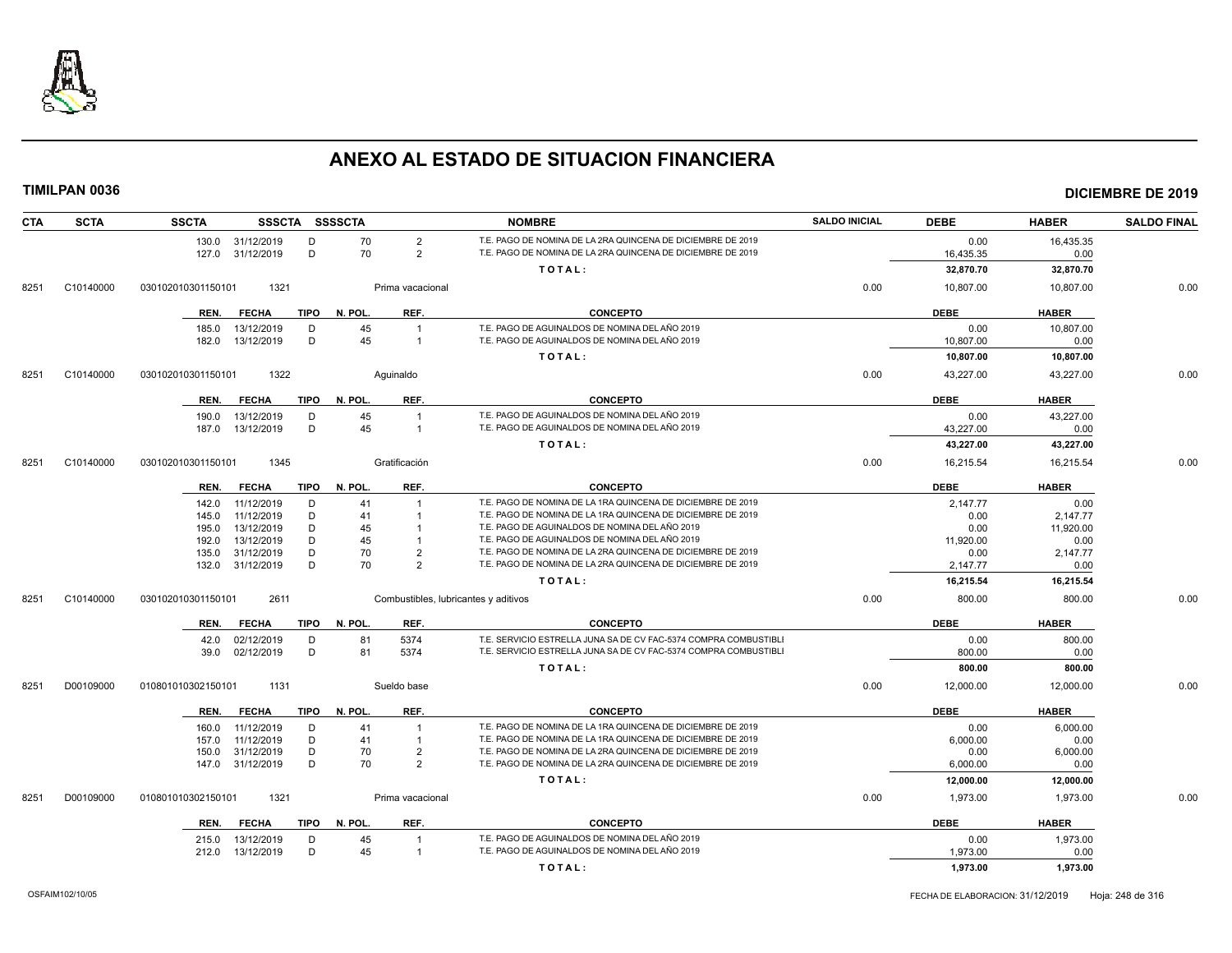

| <b>CTA</b> | <b>SCTA</b> | <b>SSCTA</b>                        | SSSCTA SSSSCTA                            | <b>NOMBRE</b>                                                                                                              | <b>SALDO INICIAL</b> | <b>DEBE</b> | <b>HABER</b> | <b>SALDO FINAL</b> |
|------------|-------------|-------------------------------------|-------------------------------------------|----------------------------------------------------------------------------------------------------------------------------|----------------------|-------------|--------------|--------------------|
|            |             | 130.0 31/12/2019                    | 70<br>$\overline{2}$<br>D                 | T.E. PAGO DE NOMINA DE LA 2RA QUINCENA DE DICIEMBRE DE 2019                                                                |                      | 0.00        | 16,435.35    |                    |
|            |             | 127.0 31/12/2019                    | D<br>70<br>$\overline{2}$                 | T.E. PAGO DE NOMINA DE LA 2RA QUINCENA DE DICIEMBRE DE 2019                                                                |                      | 16,435.35   | 0.00         |                    |
|            |             |                                     |                                           | TOTAL:                                                                                                                     |                      | 32,870.70   | 32,870.70    |                    |
| 8251       | C10140000   | 1321<br>030102010301150101          | Prima vacacional                          |                                                                                                                            | 0.00                 | 10,807.00   | 10,807.00    | 0.00               |
|            |             | <b>FECHA</b><br>TIPO<br>REN.        | REF.<br>N. POL.                           | CONCEPTO                                                                                                                   |                      | <b>DEBE</b> | <b>HABER</b> |                    |
|            |             | 13/12/2019<br>185.0                 | 45<br>D<br>$\overline{1}$                 | T.E. PAGO DE AGUINALDOS DE NOMINA DEL AÑO 2019                                                                             |                      | 0.00        | 10,807.00    |                    |
|            |             | 13/12/2019<br>182.0                 | D<br>45<br>$\mathbf{1}$                   | T.E. PAGO DE AGUINALDOS DE NOMINA DEL AÑO 2019                                                                             |                      | 10,807.00   | 0.00         |                    |
|            |             |                                     |                                           | TOTAL:                                                                                                                     |                      | 10,807.00   | 10,807.00    |                    |
| 8251       | C10140000   | 030102010301150101<br>1322          | Aquinaldo                                 |                                                                                                                            | 0.00                 | 43,227.00   | 43,227.00    | 0.00               |
|            |             | <b>FECHA</b><br><b>TIPO</b><br>REN. | REF.<br>N. POL.                           | CONCEPTO                                                                                                                   |                      | <b>DEBE</b> | <b>HABER</b> |                    |
|            |             | 13/12/2019<br>190.0                 | 45<br>D                                   | T.E. PAGO DE AGUINALDOS DE NOMINA DEL AÑO 2019                                                                             |                      | 0.00        | 43,227.00    |                    |
|            |             | 13/12/2019<br>187.0                 | D<br>45<br>$\overline{1}$                 | T.E. PAGO DE AGUINALDOS DE NOMINA DEL AÑO 2019                                                                             |                      | 43,227.00   | 0.00         |                    |
|            |             |                                     |                                           | TOTAL:                                                                                                                     |                      | 43,227.00   | 43,227.00    |                    |
| 8251       | C10140000   | 1345<br>030102010301150101          | Gratificación                             |                                                                                                                            | 0.00                 | 16,215.54   | 16,215.54    | 0.00               |
|            |             | <b>TIPO</b><br>REN.<br><b>FECHA</b> | N. POL.<br>REF.                           | <b>CONCEPTO</b>                                                                                                            |                      | <b>DEBE</b> | <b>HABER</b> |                    |
|            |             | 142.0<br>11/12/2019                 | D<br>41<br>$\overline{1}$                 | T.E. PAGO DE NOMINA DE LA 1RA QUINCENA DE DICIEMBRE DE 2019                                                                |                      | 2,147.77    | 0.00         |                    |
|            |             | 11/12/2019<br>145.0                 | D<br>41<br>$\overline{1}$                 | T.E. PAGO DE NOMINA DE LA 1RA QUINCENA DE DICIEMBRE DE 2019                                                                |                      | 0.00        | 2,147.77     |                    |
|            |             | 13/12/2019<br>195.0                 | D<br>45                                   | T.E. PAGO DE AGUINALDOS DE NOMINA DEL AÑO 2019                                                                             |                      | 0.00        | 11,920.00    |                    |
|            |             | 13/12/2019<br>192.0                 | D<br>45                                   | T.E. PAGO DE AGUINALDOS DE NOMINA DEL AÑO 2019                                                                             |                      | 11,920.00   | 0.00         |                    |
|            |             | 31/12/2019<br>135.0                 | D<br>70<br>$\overline{2}$                 | T.E. PAGO DE NOMINA DE LA 2RA QUINCENA DE DICIEMBRE DE 2019                                                                |                      | 0.00        | 2,147.77     |                    |
|            |             | 132.0 31/12/2019                    | 70<br>D<br>$\overline{2}$                 | T.E. PAGO DE NOMINA DE LA 2RA QUINCENA DE DICIEMBRE DE 2019                                                                |                      | 2,147.77    | 0.00         |                    |
|            |             |                                     |                                           | TOTAL:                                                                                                                     |                      | 16,215.54   | 16,215.54    |                    |
| 8251       | C10140000   | 2611<br>030102010301150101          | Combustibles, lubricantes y aditivos      |                                                                                                                            | 0.00                 | 800.00      | 800.00       | 0.00               |
|            |             | <b>FECHA</b><br><b>TIPO</b><br>REN. | REF.<br>N. POL.                           | <b>CONCEPTO</b>                                                                                                            |                      | <b>DEBE</b> | <b>HABER</b> |                    |
|            |             | 02/12/2019<br>42.0                  | 5374<br>81<br>D                           | T.E. SERVICIO ESTRELLA JUNA SA DE CV FAC-5374 COMPRA COMBUSTIBLI                                                           |                      | 0.00        | 800.00       |                    |
|            |             | 02/12/2019<br>39.0                  | D<br>81<br>5374                           | T.E. SERVICIO ESTRELLA JUNA SA DE CV FAC-5374 COMPRA COMBUSTIBLI                                                           |                      | 800.00      | 0.00         |                    |
|            |             |                                     |                                           | TOTAL:                                                                                                                     |                      | 800.00      | 800.00       |                    |
| 8251       | D00109000   | 1131<br>010801010302150101          | Sueldo base                               |                                                                                                                            | 0.00                 | 12,000.00   | 12,000.00    | 0.00               |
|            |             | <b>FECHA</b><br>TIPO<br>REN.        | REF.<br>N. POL.                           | <b>CONCEPTO</b>                                                                                                            |                      | <b>DEBE</b> | <b>HABER</b> |                    |
|            |             | 11/12/2019<br>160.0                 | D<br>41                                   | T.E. PAGO DE NOMINA DE LA 1RA QUINCENA DE DICIEMBRE DE 2019                                                                |                      | 0.00        | 6,000.00     |                    |
|            |             | 11/12/2019<br>157.0                 | D<br>41                                   | T.E. PAGO DE NOMINA DE LA 1RA QUINCENA DE DICIEMBRE DE 2019                                                                |                      | 6,000.00    | 0.00         |                    |
|            |             | 31/12/2019<br>150.0                 | D<br>70<br>$\overline{2}$<br>D<br>70<br>2 | T.E. PAGO DE NOMINA DE LA 2RA QUINCENA DE DICIEMBRE DE 2019<br>T.E. PAGO DE NOMINA DE LA 2RA QUINCENA DE DICIEMBRE DE 2019 |                      | 0.00        | 6,000.00     |                    |
|            |             | 147.0 31/12/2019                    |                                           |                                                                                                                            |                      | 6,000.00    | 0.00         |                    |
|            |             |                                     |                                           | TOTAL:                                                                                                                     |                      | 12,000.00   | 12,000.00    |                    |
| 8251       | D00109000   | 1321<br>010801010302150101          | Prima vacacional                          |                                                                                                                            | 0.00                 | 1,973.00    | 1,973.00     | 0.00               |
|            |             | <b>FECHA</b><br><b>TIPO</b><br>REN. | REF.<br>N. POL.                           | <b>CONCEPTO</b>                                                                                                            |                      | <b>DEBE</b> | <b>HABER</b> |                    |
|            |             | 13/12/2019<br>215.0                 | 45<br>D                                   | T.E. PAGO DE AGUINALDOS DE NOMINA DEL AÑO 2019                                                                             |                      | 0.00        | 1,973.00     |                    |
|            |             | 212.0 13/12/2019                    | D<br>45<br>$\overline{1}$                 | T.E. PAGO DE AGUINALDOS DE NOMINA DEL AÑO 2019                                                                             |                      | 1,973.00    | 0.00         |                    |
|            |             |                                     |                                           | TOTAL:                                                                                                                     |                      | 1,973.00    | 1,973.00     |                    |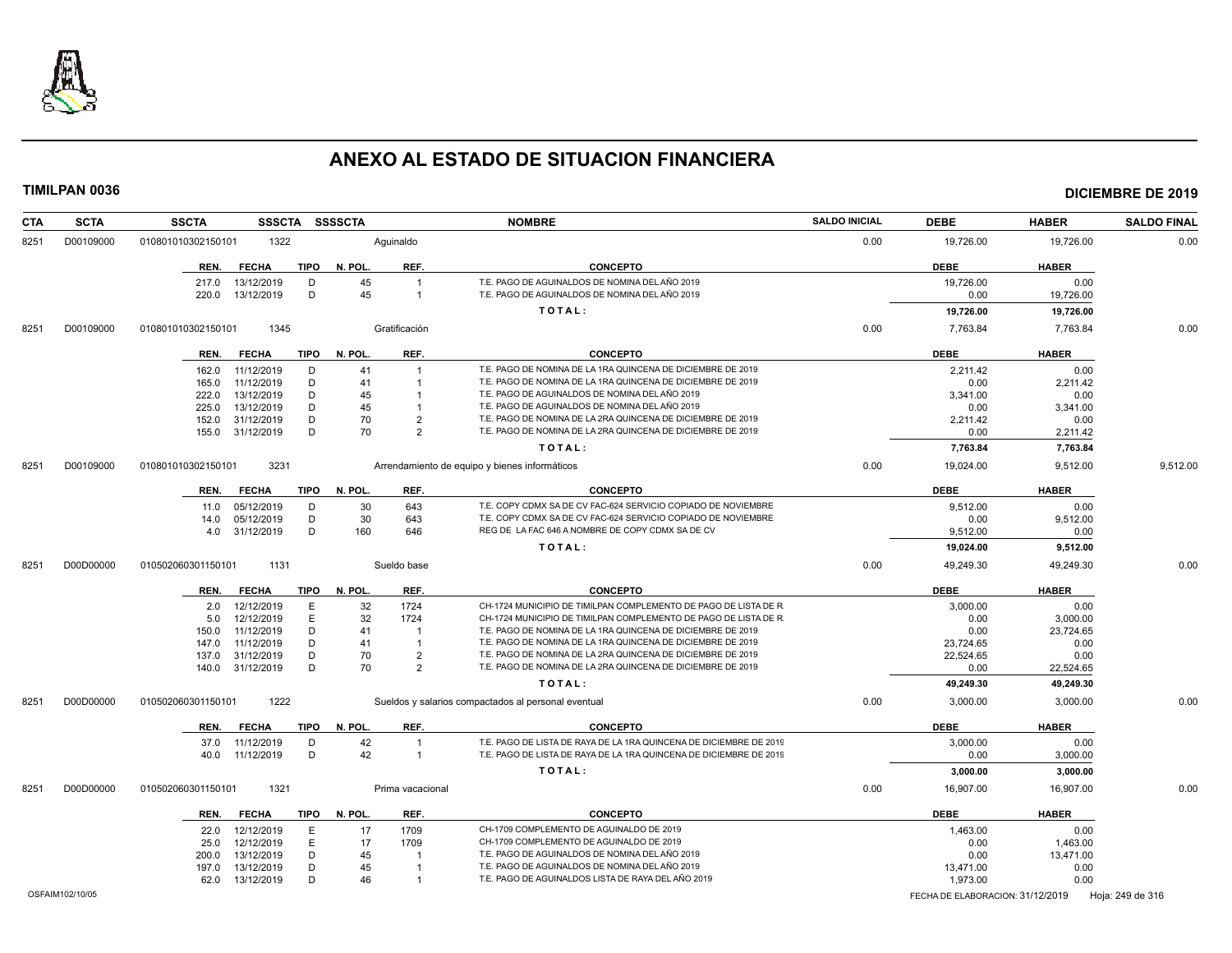

| CTA  | <b>SCTA</b>     | SSSCTA SSSSCTA<br><b>SSCTA</b>      |                      | <b>NOMBRE</b>                                                      | <b>SALDO INICIAL</b> | <b>DEBE</b>                      | <b>HABER</b> | <b>SALDO FINAL</b> |
|------|-----------------|-------------------------------------|----------------------|--------------------------------------------------------------------|----------------------|----------------------------------|--------------|--------------------|
| 8251 | D00109000       | 010801010302150101<br>1322          | Aquinaldo            |                                                                    | 0.00                 | 19,726.00                        | 19,726.00    | 0.00               |
|      |                 | <b>TIPO</b><br>REN.<br><b>FECHA</b> | REF.<br>N. POL.      | <b>CONCEPTO</b>                                                    |                      | <b>DEBE</b>                      | <b>HABER</b> |                    |
|      |                 | 217.0<br>13/12/2019<br>D            | 45<br>$\overline{1}$ | T.E. PAGO DE AGUINALDOS DE NOMINA DEL AÑO 2019                     |                      | 19,726.00                        | 0.00         |                    |
|      |                 | D<br>220.0<br>13/12/2019            | 45<br>$\overline{1}$ | T.E. PAGO DE AGUINALDOS DE NOMINA DEL AÑO 2019                     |                      | 0.00                             | 19,726.00    |                    |
|      |                 |                                     |                      | TOTAL:                                                             |                      | 19,726.00                        | 19,726.00    |                    |
|      |                 |                                     |                      |                                                                    |                      |                                  |              |                    |
| 8251 | D00109000       | 010801010302150101<br>1345          | Gratificación        |                                                                    | 0.00                 | 7,763.84                         | 7,763.84     | 0.00               |
|      |                 | <b>TIPO</b><br>REN.<br><b>FECHA</b> | N. POL.<br>REF.      | <b>CONCEPTO</b>                                                    |                      | <b>DEBE</b>                      | <b>HABER</b> |                    |
|      |                 | 162.0<br>11/12/2019<br>D            | 41<br>$\overline{1}$ | T.E. PAGO DE NOMINA DE LA 1RA QUINCENA DE DICIEMBRE DE 2019        |                      | 2,211.42                         | 0.00         |                    |
|      |                 | 11/12/2019<br>D<br>165.0            | 41<br>$\mathbf{1}$   | T.E. PAGO DE NOMINA DE LA 1RA QUINCENA DE DICIEMBRE DE 2019        |                      | 0.00                             | 2.211.42     |                    |
|      |                 | 13/12/2019<br>D<br>222.0            | 45                   | T.E. PAGO DE AGUINALDOS DE NOMINA DEL AÑO 2019                     |                      | 3,341.00                         | 0.00         |                    |
|      |                 | 13/12/2019<br>D<br>225.0            | 45                   | T.E. PAGO DE AGUINALDOS DE NOMINA DEL AÑO 2019                     |                      | 0.00                             | 3,341.00     |                    |
|      |                 | D<br>152.0<br>31/12/2019            | 70<br>$\overline{2}$ | T.E. PAGO DE NOMINA DE LA 2RA QUINCENA DE DICIEMBRE DE 2019        |                      | 2,211.42                         | 0.00         |                    |
|      |                 | 31/12/2019<br>D<br>155.0            | 70<br>$\mathcal{P}$  | T.E. PAGO DE NOMINA DE LA 2RA QUINCENA DE DICIEMBRE DE 2019        |                      | 0.00                             | 2,211.42     |                    |
|      |                 |                                     |                      | TOTAL:                                                             |                      | 7,763.84                         | 7,763.84     |                    |
| 8251 | D00109000       | 3231<br>010801010302150101          |                      | Arrendamiento de equipo y bienes informáticos                      | 0.00                 | 19,024.00                        | 9,512.00     | 9,512.00           |
|      |                 | <b>TIPO</b><br>REN.<br><b>FECHA</b> | N. POL.<br>REF.      | <b>CONCEPTO</b>                                                    |                      | <b>DEBE</b>                      | <b>HABER</b> |                    |
|      |                 | 05/12/2019<br>D<br>11.0             | 30<br>643            | T.E. COPY CDMX SA DE CV FAC-624 SERVICIO COPIADO DE NOVIEMBRE      |                      | 9,512.00                         | 0.00         |                    |
|      |                 | 05/12/2019<br>D<br>14.0             | 30<br>643            | T.E. COPY CDMX SA DE CV FAC-624 SERVICIO COPIADO DE NOVIEMBRE      |                      | 0.00                             | 9,512.00     |                    |
|      |                 | D<br>31/12/2019<br>4.0              | 160<br>646           | REG DE LA FAC 646 A NOMBRE DE COPY CDMX SA DE CV                   |                      | 9,512.00                         | 0.00         |                    |
|      |                 |                                     |                      | TOTAL:                                                             |                      | 19,024.00                        | 9,512.00     |                    |
| 8251 | D00D00000       | 1131<br>010502060301150101          | Sueldo base          |                                                                    | 0.00                 | 49,249.30                        | 49,249.30    | 0.00               |
|      |                 |                                     |                      |                                                                    |                      |                                  |              |                    |
|      |                 | TIPO<br><b>FECHA</b><br>REN.        | N. POL<br>REF.       | <b>CONCEPTO</b>                                                    |                      | <b>DEBE</b>                      | <b>HABER</b> |                    |
|      |                 | 12/12/2019<br>Ε<br>2.0              | 32<br>1724           | CH-1724 MUNICIPIO DE TIMILPAN COMPLEMENTO DE PAGO DE LISTA DE R    |                      | 3,000.00                         | 0.00         |                    |
|      |                 | E<br>12/12/2019<br>5.0              | 32<br>1724           | CH-1724 MUNICIPIO DE TIMILPAN COMPLEMENTO DE PAGO DE LISTA DE R    |                      | 0.00                             | 3,000.00     |                    |
|      |                 | 11/12/2019<br>D<br>150.0            | 41<br>-1             | T.E. PAGO DE NOMINA DE LA 1RA QUINCENA DE DICIEMBRE DE 2019        |                      | 0.00                             | 23,724.65    |                    |
|      |                 | 11/12/2019<br>D<br>147.0            | 41<br>-1             | T.E. PAGO DE NOMINA DE LA 1RA QUINCENA DE DICIEMBRE DE 2019        |                      | 23.724.65                        | 0.00         |                    |
|      |                 | D<br>137.0<br>31/12/2019            | 70<br>$\overline{2}$ | T.E. PAGO DE NOMINA DE LA 2RA QUINCENA DE DICIEMBRE DE 2019        |                      | 22,524.65                        | 0.00         |                    |
|      |                 | 31/12/2019<br>D<br>140.0            | 70<br>$\overline{2}$ | T.E. PAGO DE NOMINA DE LA 2RA QUINCENA DE DICIEMBRE DE 2019        |                      | 0.00                             | 22,524.65    |                    |
|      |                 |                                     |                      | TOTAL:                                                             |                      | 49,249.30                        | 49,249.30    |                    |
| 8251 | D00D00000       | 1222<br>010502060301150101          |                      | Sueldos y salarios compactados al personal eventual                | 0.00                 | 3,000.00                         | 3,000.00     | 0.00               |
|      |                 | <b>TIPO</b><br>REN.<br><b>FECHA</b> | REF.<br>N. POL       | <b>CONCEPTO</b>                                                    |                      | <b>DEBE</b>                      | <b>HABER</b> |                    |
|      |                 | D<br>37.0<br>11/12/2019             | 42<br>$\overline{1}$ | T.E. PAGO DE LISTA DE RAYA DE LA 1RA QUINCENA DE DICIEMBRE DE 2019 |                      | 3,000.00                         | 0.00         |                    |
|      |                 | 11/12/2019<br>D<br>40.0             | 42<br>$\overline{1}$ | T.E. PAGO DE LISTA DE RAYA DE LA 1RA QUINCENA DE DICIEMBRE DE 2019 |                      | 0.00                             | 3,000.00     |                    |
|      |                 |                                     |                      | TOTAL:                                                             |                      | 3,000.00                         | 3,000.00     |                    |
| 8251 | D00D00000       | 010502060301150101<br>1321          | Prima vacacional     |                                                                    | 0.00                 | 16,907.00                        | 16,907.00    | 0.00               |
|      |                 | <b>TIPO</b><br>REN.<br><b>FECHA</b> | REF.<br>N. POL       | <b>CONCEPTO</b>                                                    |                      | <b>DEBE</b>                      | <b>HABER</b> |                    |
|      |                 | E<br>22.0<br>12/12/2019             | 1709<br>17           | CH-1709 COMPLEMENTO DE AGUINALDO DE 2019                           |                      | 1,463.00                         | 0.00         |                    |
|      |                 | 12/12/2019<br>E<br>25.0             | 17<br>1709           | CH-1709 COMPLEMENTO DE AGUINALDO DE 2019                           |                      | 0.00                             | 1,463.00     |                    |
|      |                 | 13/12/2019<br>D<br>200.0            | 45                   | T.E. PAGO DE AGUINALDOS DE NOMINA DEL AÑO 2019                     |                      | 0.00                             | 13,471.00    |                    |
|      |                 | D<br>197.0<br>13/12/2019            | 45                   | T.E. PAGO DE AGUINALDOS DE NOMINA DEL AÑO 2019                     |                      | 13,471.00                        | 0.00         |                    |
|      |                 | D<br>13/12/2019<br>62.0             | 46<br>$\overline{1}$ | T.E. PAGO DE AGUINALDOS LISTA DE RAYA DEL AÑO 2019                 |                      | 1,973.00                         | 0.00         |                    |
|      | OSFAIM102/10/05 |                                     |                      |                                                                    |                      | FECHA DE ELABORACION: 31/12/2019 |              |                    |
|      |                 |                                     |                      |                                                                    |                      |                                  |              | Hoja: 249 de 316   |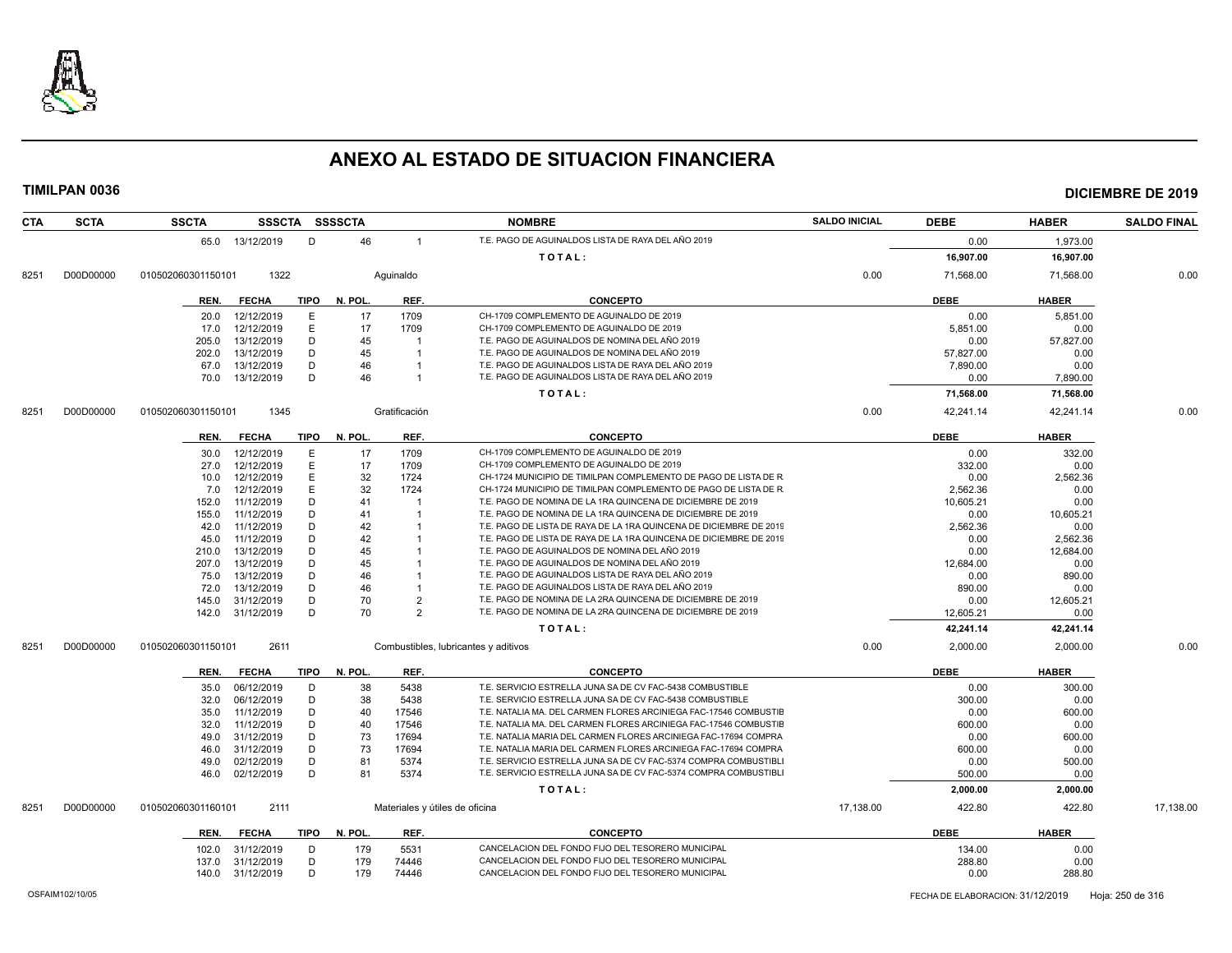

### **TIMILPAN 0036 DICIEMBRE DE 2019**

| <b>CTA</b> | <b>SCTA</b> | <b>SSCTA</b>       |                  |             | SSSCTA SSSSCTA |                         | <b>NOMBRE</b>                                                      | <b>SALDO INICIAL</b> | <b>DEBE</b> | <b>HABER</b> | <b>SALDO FINAL</b> |
|------------|-------------|--------------------|------------------|-------------|----------------|-------------------------|--------------------------------------------------------------------|----------------------|-------------|--------------|--------------------|
|            |             |                    | 65.0 13/12/2019  | D           | 46             | $\overline{1}$          | T.E. PAGO DE AGUINALDOS LISTA DE RAYA DEL AÑO 2019                 |                      | 0.00        | 1,973.00     |                    |
|            |             |                    |                  |             |                |                         | TOTAL:                                                             |                      | 16,907.00   | 16,907.00    |                    |
|            |             |                    | 1322             |             |                |                         |                                                                    | 0.00                 | 71,568.00   | 71,568.00    | 0.00               |
| 8251       | D00D00000   | 010502060301150101 |                  |             |                | Aquinaldo               |                                                                    |                      |             |              |                    |
|            |             | REN.               | <b>FECHA</b>     | TIPO        | N. POL.        | REF.                    | <b>CONCEPTO</b>                                                    |                      | <b>DEBE</b> | <b>HABER</b> |                    |
|            |             | 20.0               | 12/12/2019       | Ε           | 17             | 1709                    | CH-1709 COMPLEMENTO DE AGUINALDO DE 2019                           |                      | 0.00        | 5,851.00     |                    |
|            |             | 17.0               | 12/12/2019       | E           | 17             | 1709                    | CH-1709 COMPLEMENTO DE AGUINALDO DE 2019                           |                      | 5,851.00    | 0.00         |                    |
|            |             | 205.0              | 13/12/2019       | D           | 45             |                         | T.E. PAGO DE AGUINALDOS DE NOMINA DEL AÑO 2019                     |                      | 0.00        | 57,827.00    |                    |
|            |             | 202.0              | 13/12/2019       | D           | 45             | $\overline{\mathbf{1}}$ | T.E. PAGO DE AGUINALDOS DE NOMINA DEL AÑO 2019                     |                      | 57,827.00   | 0.00         |                    |
|            |             | 67.0               | 13/12/2019       | D           | 46             |                         | T.E. PAGO DE AGUINALDOS LISTA DE RAYA DEL AÑO 2019                 |                      | 7,890.00    | 0.00         |                    |
|            |             | 70.0               | 13/12/2019       | D           | 46             |                         | T.E. PAGO DE AGUINALDOS LISTA DE RAYA DEL AÑO 2019                 |                      | 0.00        | 7,890.00     |                    |
|            |             |                    |                  |             |                |                         | TOTAL:                                                             |                      | 71,568.00   | 71,568.00    |                    |
| 8251       | D00D00000   | 010502060301150101 | 1345             |             |                | Gratificación           |                                                                    | 0.00                 | 42,241.14   | 42,241.14    | 0.00               |
|            |             |                    |                  |             |                |                         |                                                                    |                      |             |              |                    |
|            |             | REN.               | <b>FECHA</b>     | TIPO        | N. POL.        | REF.                    | <b>CONCEPTO</b>                                                    |                      | <b>DEBE</b> | <b>HABER</b> |                    |
|            |             | 30.0               | 12/12/2019       | E           | 17             | 1709                    | CH-1709 COMPLEMENTO DE AGUINALDO DE 2019                           |                      | 0.00        | 332.00       |                    |
|            |             | 27.0               | 12/12/2019       | E           | 17             | 1709                    | CH-1709 COMPLEMENTO DE AGUINALDO DE 2019                           |                      | 332.00      | 0.00         |                    |
|            |             | 10.0               | 12/12/2019       | E           | 32             | 1724                    | CH-1724 MUNICIPIO DE TIMILPAN COMPLEMENTO DE PAGO DE LISTA DE R    |                      | 0.00        | 2,562.36     |                    |
|            |             | 7.0                | 12/12/2019       | E           | 32             | 1724                    | CH-1724 MUNICIPIO DE TIMILPAN COMPLEMENTO DE PAGO DE LISTA DE R    |                      | 2.562.36    | 0.00         |                    |
|            |             | 152.0              | 11/12/2019       | D           | 41             |                         | T.E. PAGO DE NOMINA DE LA 1RA QUINCENA DE DICIEMBRE DE 2019        |                      | 10,605.21   | 0.00         |                    |
|            |             | 155.0              | 11/12/2019       | D           | 41             |                         | T.E. PAGO DE NOMINA DE LA 1RA QUINCENA DE DICIEMBRE DE 2019        |                      | 0.00        | 10,605.21    |                    |
|            |             | 42.0               | 11/12/2019       | D           | 42             |                         | T.E. PAGO DE LISTA DE RAYA DE LA 1RA QUINCENA DE DICIEMBRE DE 2019 |                      | 2,562.36    | 0.00         |                    |
|            |             | 45.0               | 11/12/2019       | D           | 42             |                         | T.E. PAGO DE LISTA DE RAYA DE LA 1RA QUINCENA DE DICIEMBRE DE 2019 |                      | 0.00        | 2.562.36     |                    |
|            |             | 210.0              | 13/12/2019       | D           | 45             |                         | T.E. PAGO DE AGUINALDOS DE NOMINA DEL AÑO 2019                     |                      | 0.00        | 12,684.00    |                    |
|            |             | 207.0              | 13/12/2019       | D           | 45             |                         | T.E. PAGO DE AGUINALDOS DE NOMINA DEL AÑO 2019                     |                      | 12,684.00   | 0.00         |                    |
|            |             | 75.0               | 13/12/2019       | D           | 46             |                         | T.E. PAGO DE AGUINALDOS LISTA DE RAYA DEL AÑO 2019                 |                      | 0.00        | 890.00       |                    |
|            |             | 72.0               | 13/12/2019       | D           | 46             |                         | T.E. PAGO DE AGUINALDOS LISTA DE RAYA DEL AÑO 2019                 |                      | 890.00      | 0.00         |                    |
|            |             | 145.0              | 31/12/2019       | D           | 70             | $\overline{2}$          | T.E. PAGO DE NOMINA DE LA 2RA QUINCENA DE DICIEMBRE DE 2019        |                      | 0.00        | 12,605.21    |                    |
|            |             | 142.0              | 31/12/2019       | D           | 70             | $\mathcal{P}$           | T.E. PAGO DE NOMINA DE LA 2RA QUINCENA DE DICIEMBRE DE 2019        |                      | 12,605.21   | 0.00         |                    |
|            |             |                    |                  |             |                |                         | TOTAL:                                                             |                      | 42,241.14   | 42,241.14    |                    |
| 8251       | D00D00000   | 010502060301150101 | 2611             |             |                |                         | Combustibles, lubricantes y aditivos                               | 0.00                 | 2,000.00    | 2.000.00     | 0.00               |
|            |             | REN.               | <b>FECHA</b>     | <b>TIPO</b> | N. POL.        | REF.                    | <b>CONCEPTO</b>                                                    |                      | <b>DEBE</b> | <b>HABER</b> |                    |
|            |             | 35.0               | 06/12/2019       | D           | 38             | 5438                    | T.E. SERVICIO ESTRELLA JUNA SA DE CV FAC-5438 COMBUSTIBLE          |                      | 0.00        | 300.00       |                    |
|            |             | 32.0               | 06/12/2019       | D           | 38             | 5438                    | T.E. SERVICIO ESTRELLA JUNA SA DE CV FAC-5438 COMBUSTIBLE          |                      | 300.00      | 0.00         |                    |
|            |             | 35.0               | 11/12/2019       | D           | 40             | 17546                   | T.E. NATALIA MA. DEL CARMEN FLORES ARCINIEGA FAC-17546 COMBUSTIE   |                      | 0.00        | 600.00       |                    |
|            |             | 32.0               | 11/12/2019       | D           | 40             | 17546                   | T.E. NATALIA MA. DEL CARMEN FLORES ARCINIEGA FAC-17546 COMBUSTIE   |                      | 600.00      | 0.00         |                    |
|            |             | 49.0               | 31/12/2019       | D           | 73             | 17694                   | T.E. NATALIA MARIA DEL CARMEN FLORES ARCINIEGA FAC-17694 COMPRA    |                      | 0.00        | 600.00       |                    |
|            |             | 46.0               | 31/12/2019       | D           | 73             | 17694                   | T.E. NATALIA MARIA DEL CARMEN FLORES ARCINIEGA FAC-17694 COMPRA    |                      | 600.00      | 0.00         |                    |
|            |             | 49.0               | 02/12/2019       | D           | 81             | 5374                    | T.E. SERVICIO ESTRELLA JUNA SA DE CV FAC-5374 COMPRA COMBUSTIBLI   |                      | 0.00        | 500.00       |                    |
|            |             | 46.0               | 02/12/2019       | D           | 81             | 5374                    | T.E. SERVICIO ESTRELLA JUNA SA DE CV FAC-5374 COMPRA COMBUSTIBL    |                      | 500.00      | 0.00         |                    |
|            |             |                    |                  |             |                |                         | TOTAL:                                                             |                      | 2,000.00    | 2,000.00     |                    |
| 8251       | D00D00000   | 010502060301160101 | 2111             |             |                |                         | Materiales y útiles de oficina                                     | 17,138.00            | 422.80      | 422.80       | 17,138.00          |
|            |             |                    |                  |             |                |                         |                                                                    |                      |             |              |                    |
|            |             | REN.               | <b>FECHA</b>     | TIPO        | N. POL.        | REF.                    | <b>CONCEPTO</b>                                                    |                      | <b>DEBE</b> | <b>HABER</b> |                    |
|            |             | 102.0              | 31/12/2019       | D           | 179            | 5531                    | CANCELACION DEL FONDO FIJO DEL TESORERO MUNICIPAL                  |                      | 134.00      | 0.00         |                    |
|            |             | 137.0              | 31/12/2019       | D           | 179            | 74446                   | CANCELACION DEL FONDO FIJO DEL TESORERO MUNICIPAL                  |                      | 288.80      | 0.00         |                    |
|            |             |                    | 140.0 31/12/2019 | D           | 179            | 74446                   | CANCELACION DEL FONDO FIJO DEL TESORERO MUNICIPAL                  |                      | 0.00        | 288.80       |                    |

OSFAIM102/10/05 FECHA DE ELABORACION: 31/12/2019 Hoja: 250 de 316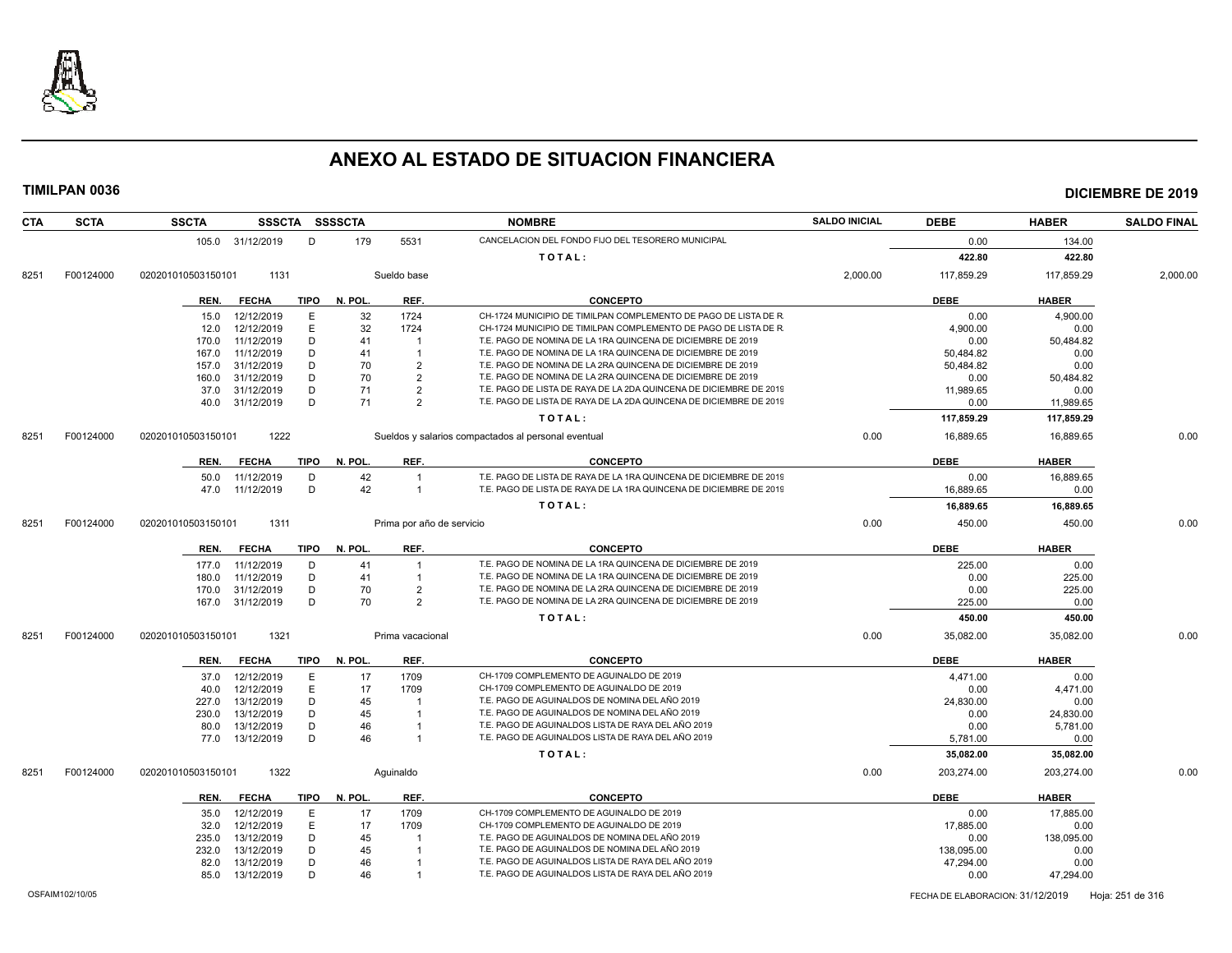

**TIMILPAN 0036 DICIEMBRE DE 2019**

### **CTA SCTA SSCTA SSSCTA SSSSCTA NOMBRE SALDO INICIAL DEBE HABER SALDO FINAL** 105.0 31/12/2019 D 179 5531 CANCELACION DEL FONDO FIJO DEL TESORERO MUNICIPAL **CANCELACION DEL TESORERO MUNICIPAL T O T A L : 422.80 422.80** 8251 F00124000 020201010503150101 1131 Sueldo base 2,000.00 117,859.29 117,859.29 2,000.00 **REN. FECHA TIPO N. POL. REF. CONCEPTO DEBE HABER** 15.0 12/12/2019 E 32 1724 CH-1724 MUNICIPIO DE TIMILPAN COMPLEMENTO DE PAGO DE LISTA DE R<br>D.00 4.900.00 12.0 12/12/2019 E 32 1724 CH-1724 MUNICIPIO DE TIMILPAN COMPLEMENTO DE PAGO DE LISTA DE R<br>D.00 0.00 0.00 0.00 170.0 11/12/2019 D 41 1 T.E. PAGO DE NOMINA DE LA 1RA QUINCENA DE DICIEMBRE DE 2019 0.00 50,484.82<br>167.0 11/12/2019 D 41 1 T.E. PAGO DE NOMINA DE LA 1RA QUINCENA DE DICIEMBRE DE 2019 50.484.82 50.484.82 0.00 167.0 11/12/2019 D 41 1 T.E. PAGO DE NOMINA DE LA 1RA QUINCENA DE DICIEMBRE DE 2019 50,484.82 0.00 157.0 31/12/2019 D 70 2 T.E. PAGO DE NOMINA DE LA 2RA QUINCENA DE DICIEMBRE DE 2019 50,484.82 0.00 160.0 31/12/2019 D 70 2 T.E. PAGO DE NOMINA DE LA 2RA QUINCENA DE DICIEMBRE DE 2019 0.00 50,484.82 37.0 31/12/2019 D 71 2 T.E. PAGO DE LISTA DE RAYA DE LA 2DA QUINCENA DE DICIEMBRE DE 2019 11,989.65 11,989.65 0.00 40.0 31/12/2019 D 71 2 T.E. PAGO DE LISTA DE RAYA DE LA 2DA QUINCENA DE DICIEMBRE DE 2019 0.00 10.00 11,989.65 **T O T A L : 117,859.29 117,859.29** 8251 F00124000 020201010503150101 1222 Sueldos y salarios compactados al personal eventual 0.00 16,889.65 16,889.65 0.00 **REN. FECHA TIPO N. POL. REF. CONCEPTO DEBE HABER** 50.0 11/12/2019 D 42 1 T.E. PAGO DE LISTA DE RAYA DE LA 1RA QUINCENA DE DICIEMBRE DE 2019 0.00 16,889.65 0.00<br>47.0 11/12/2019 D 42 1 T.E. PAGO DE LISTA DE RAYA DE LA 1RA QUINCENA DE DICIEMBRE DE 2019 10.00 16.889.65 0.00 47.0 11/12/2019 D 42 1 T.E. PAGO DE LISTA DE RAYA DE LA 1RA QUINCENA DE DICIEMBRE DE 2019 16,889.65 16,889.65 0.00 **T O T A L : 16,889.65 16,889.65** 8251 F00124000 020201010503150101 1311 Prima por año de servicio de controllado e a controllado de servicio de mando de servicio de controllado de servicio de controllado de servicio de controllado de servicio de controlla **REN. FECHA TIPO N. POL. REF. CONCEPTO DEBE HABER** 177.0 11/12/2019 D 41 1 T.E. PAGO DE NOMINA DE LA 1RA QUINCENA DE DICIEMBRE DE 2019 225.00 225.00 0.00 180.0 11/12/2019 D 41 1 T.E. PAGO DE NOMINA DE LA 1RA QUINCENA DE DICIEMBRE DE 2019 0.00 225.00 170.0 31/12/2019 D 70 2 T.E. PAGO DE NOMINA DE LA 2RA QUINCENA DE DICIEMBRE DE 2019 0.00 225.00 167.0 31/12/2019 D 70 2 T.E. PAGO DE NOMINA DE LA 2RA QUINCENA DE DICIEMBRE DE 2019 225.00 0.00 **T O T A L : 450.00 450.00** 8251 F00124000 020201010503150101 1321 Prima vacacional Prima vacacional Development of the state of the state of the state of the state of the state of the state of the state of the state of the state of the state of the **REN. FECHA TIPO N. POL. REF. CONCEPTO DEBE HABER** 37.0 12/12/2019 E 17 1709 CH-1709 COMPLEMENTO DE AGUINALDO DE 2019 4471.00 44471.00 0.00 40.0 12/12/2019 E 17 1709 CH-1709 COMPLEMENTO DE AGUINALDO DE 2019 0.00 4.471.00 227.0 13/12/2019 D 45 1 T.E. PAGO DE AGUINALDOS DE NOMINA DEL AÑO 2019 24,830.00 0.00 230.0 13/12/2019 D 45 1 T.E. PAGO DE AGUINALDOS DE NOMINA DEL AÑO 2019 0.00 24,830.00 80.0 13/12/2019 D 46 1 T.E. PAGO DE AGUINALDOS LISTA DE RAYA DEL AÑO 2019 0.00 5,781.00 5,781.00 77.0 13/12/2019 D 46 1 T.E. PAGO DE AGUINALDOS LISTA DE RAYA DEL AÑO 2019 5,781.00 0.00 **T O T A L : 35,082.00 35,082.00** 8251 F00124000 020201010503150101 1322 Aguinaldo 0.00 203,274.00 203,274.00 0.00 **REN. FECHA TIPO N. POL. REF. CONCEPTO DEBE HABER** 35.0 12/12/2019 E 17 1709 CH-1709 COMPLEMENTO DE AGUINALDO DE 2019 0.00 17,885.00 32.0 12/12/2019 E 17 1709 CH-1709 COMPLEMENTO DE AGUINALDO DE 2019 17,885.00 17,885.00 0.00 235.0 13/12/2019 D 45 1 T.E. PAGO DE AGUINALDOS DE NOMINA DEL AÑO 2019 0.00 138,095.00 138,095.00 232.0 13/12/2019 D 45 1 T.E. PAGO DE AGUINALDOS DE NOMINA DEL AÑO 2019 138,095.00 138,095.00 0.00 82.0 13/12/2019 D 46 1 T.E. PAGO DE AGUINALDOS LISTA DE RAYA DEL AÑO 2019 47,294.00 0.00 0.00 0.00<br>85.0 13/12/2019 D 46 1 T.E. PAGO DE AGUINALDOS LISTA DE RAYA DEL AÑO 2019

85.0 13/12/2019 D 46 1 T.E. PAGO DE AGUINALDOS LISTA DE RAYA DEL AÑO 2019 0.00 47,294.00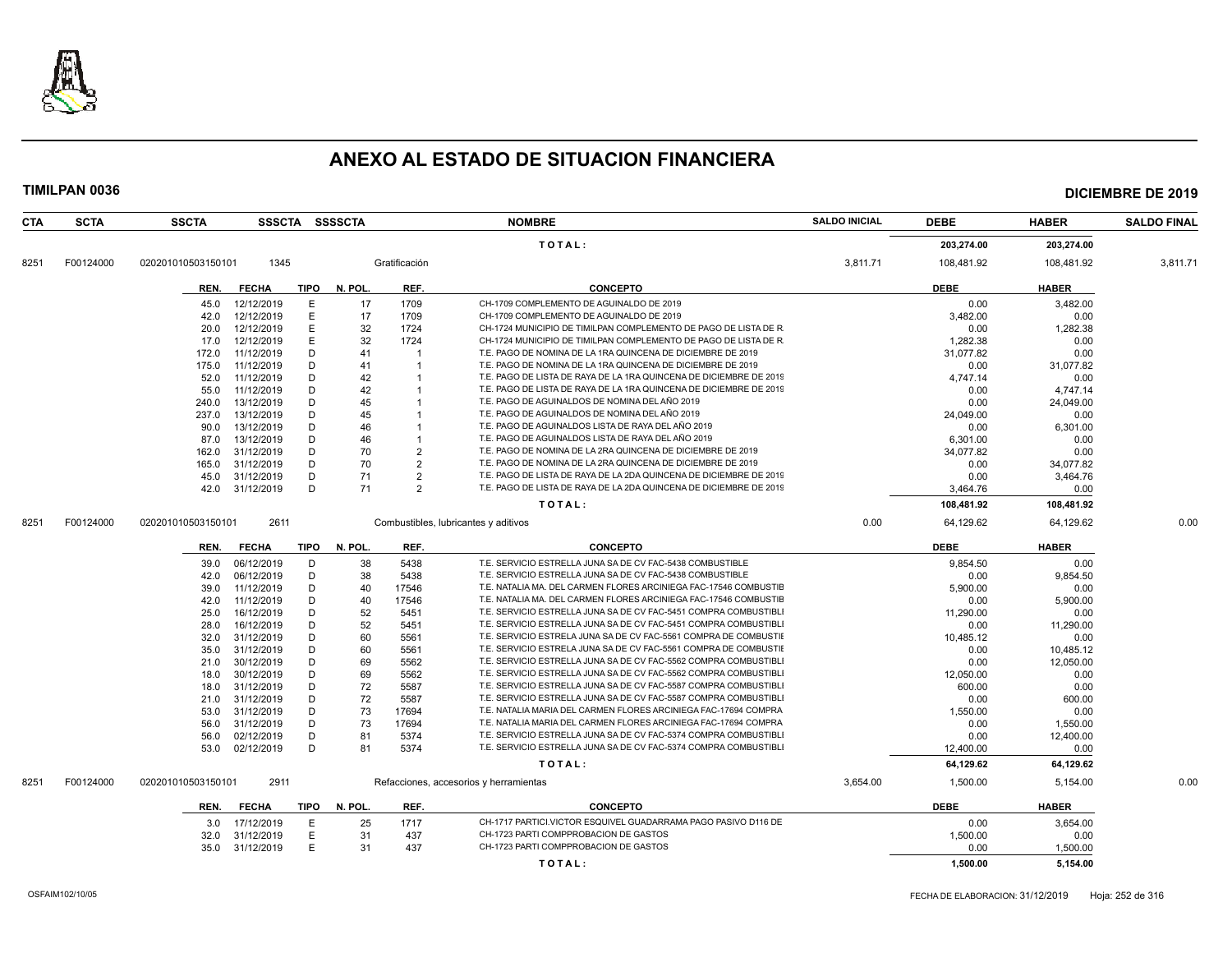

|      | <b>SCTA</b> | <b>SSCTA</b>       |              |             | SSSCTA SSSSCTA |                | <b>NOMBRE</b>                                                      | <b>SALDO INICIAL</b> | <b>DEBE</b> | <b>HABER</b> | <b>SALDO FINAL</b> |
|------|-------------|--------------------|--------------|-------------|----------------|----------------|--------------------------------------------------------------------|----------------------|-------------|--------------|--------------------|
|      |             |                    |              |             |                |                | TOTAL:                                                             |                      | 203,274.00  | 203,274.00   |                    |
| 8251 | F00124000   | 020201010503150101 | 1345         |             |                | Gratificación  |                                                                    | 3,811.71             | 108,481.92  | 108,481.92   | 3,811.71           |
|      |             | REN.               | <b>FECHA</b> | TIPO        | N. POL.        | REF.           | <b>CONCEPTO</b>                                                    |                      | <b>DEBE</b> | <b>HABER</b> |                    |
|      |             | 45.0               | 12/12/2019   | E           | 17             | 1709           | CH-1709 COMPLEMENTO DE AGUINALDO DE 2019                           |                      | 0.00        | 3.482.00     |                    |
|      |             | 42.0               | 12/12/2019   | E           | 17             | 1709           | CH-1709 COMPLEMENTO DE AGUINALDO DE 2019                           |                      | 3,482.00    | 0.00         |                    |
|      |             | 20.0               | 12/12/2019   | E           | 32             | 1724           | CH-1724 MUNICIPIO DE TIMILPAN COMPLEMENTO DE PAGO DE LISTA DE R    |                      | 0.00        | 1,282.38     |                    |
|      |             | 17.0               | 12/12/2019   | Е           | 32             | 1724           | CH-1724 MUNICIPIO DE TIMILPAN COMPLEMENTO DE PAGO DE LISTA DE R    |                      | 1,282.38    | 0.00         |                    |
|      |             | 172.0              | 11/12/2019   | D           | 41             | -1             | T.E. PAGO DE NOMINA DE LA 1RA QUINCENA DE DICIEMBRE DE 2019        |                      | 31,077.82   | 0.00         |                    |
|      |             | 175.0              | 11/12/2019   | D           | 41             | 1              | T.E. PAGO DE NOMINA DE LA 1RA QUINCENA DE DICIEMBRE DE 2019        |                      | 0.00        | 31,077.82    |                    |
|      |             | 52.0               | 11/12/2019   | D           | 42             |                | T.E. PAGO DE LISTA DE RAYA DE LA 1RA QUINCENA DE DICIEMBRE DE 2019 |                      | 4.747.14    | 0.00         |                    |
|      |             | 55.0               | 11/12/2019   | D           | 42             |                | T.E. PAGO DE LISTA DE RAYA DE LA 1RA QUINCENA DE DICIEMBRE DE 2019 |                      | 0.00        | 4,747.14     |                    |
|      |             | 240.0              | 13/12/2019   | D           | 45             |                | T.E. PAGO DE AGUINALDOS DE NOMINA DEL AÑO 2019                     |                      | 0.00        | 24,049.00    |                    |
|      |             | 237.0              | 13/12/2019   | D           | 45             |                | T.E. PAGO DE AGUINALDOS DE NOMINA DEL AÑO 2019                     |                      | 24,049.00   | 0.00         |                    |
|      |             | 90.0               | 13/12/2019   | D           | 46             |                | T.E. PAGO DE AGUINALDOS LISTA DE RAYA DEL AÑO 2019                 |                      | 0.00        | 6,301.00     |                    |
|      |             | 87.0               | 13/12/2019   | D           | 46             | $\mathbf{1}$   | T.E. PAGO DE AGUINALDOS LISTA DE RAYA DEL AÑO 2019                 |                      | 6.301.00    | 0.00         |                    |
|      |             | 162.0              | 31/12/2019   | D           | 70             | $\overline{2}$ | T.E. PAGO DE NOMINA DE LA 2RA QUINCENA DE DICIEMBRE DE 2019        |                      | 34,077.82   | 0.00         |                    |
|      |             | 165.0              | 31/12/2019   | D           | 70             | $\overline{2}$ | T.E. PAGO DE NOMINA DE LA 2RA QUINCENA DE DICIEMBRE DE 2019        |                      | 0.00        | 34,077.82    |                    |
|      |             | 45.0               | 31/12/2019   | D           | 71             | $\overline{2}$ | T.E. PAGO DE LISTA DE RAYA DE LA 2DA QUINCENA DE DICIEMBRE DE 2019 |                      | 0.00        | 3,464.76     |                    |
|      |             | 42.0               | 31/12/2019   | D           | 71             | $\overline{2}$ | T.E. PAGO DE LISTA DE RAYA DE LA 2DA QUINCENA DE DICIEMBRE DE 2019 |                      | 3.464.76    | 0.00         |                    |
|      |             |                    |              |             |                |                | TOTAL:                                                             |                      | 108,481.92  | 108,481.92   |                    |
| 8251 | F00124000   | 020201010503150101 | 2611         |             |                |                | Combustibles, lubricantes y aditivos                               | 0.00                 | 64,129.62   | 64,129.62    | 0.00               |
|      |             | REN.               | <b>FECHA</b> | <b>TIPO</b> | N. POL.        | REF.           | <b>CONCEPTO</b>                                                    |                      | <b>DEBE</b> | <b>HABER</b> |                    |
|      |             | 39.0               | 06/12/2019   | D           | 38             | 5438           | T.E. SERVICIO ESTRELLA JUNA SA DE CV FAC-5438 COMBUSTIBLE          |                      | 9,854.50    | 0.00         |                    |
|      |             | 42.0               | 06/12/2019   | D           | 38             | 5438           | T.E. SERVICIO ESTRELLA JUNA SA DE CV FAC-5438 COMBUSTIBLE          |                      | 0.00        | 9,854.50     |                    |
|      |             | 39.0               | 11/12/2019   | D           | 40             | 17546          | T.E. NATALIA MA. DEL CARMEN FLORES ARCINIEGA FAC-17546 COMBUSTIE   |                      | 5,900.00    | 0.00         |                    |
|      |             |                    |              |             |                |                |                                                                    |                      |             |              |                    |
|      |             | 42.0               | 11/12/2019   | D           | 40             | 17546          | T.E. NATALIA MA. DEL CARMEN FLORES ARCINIEGA FAC-17546 COMBUSTIE   |                      | 0.00        | 5.900.00     |                    |
|      |             | 25.0               | 16/12/2019   | D           | 52             | 5451           | T.E. SERVICIO ESTRELLA JUNA SA DE CV FAC-5451 COMPRA COMBUSTIBL    |                      | 11,290.00   | 0.00         |                    |
|      |             | 28.0               | 16/12/2019   | D           | 52             | 5451           | T.E. SERVICIO ESTRELLA JUNA SA DE CV FAC-5451 COMPRA COMBUSTIBL    |                      | 0.00        | 11,290.00    |                    |
|      |             | 32.0               | 31/12/2019   | D           | 60             | 5561           | T.E. SERVICIO ESTRELA JUNA SA DE CV FAC-5561 COMPRA DE COMBUSTIE   |                      | 10,485.12   | 0.00         |                    |
|      |             | 35.0               | 31/12/2019   | D           | 60             | 5561           | T.E. SERVICIO ESTRELA JUNA SA DE CV FAC-5561 COMPRA DE COMBUSTIE   |                      | 0.00        | 10,485.12    |                    |
|      |             | 21.0               | 30/12/2019   | D           | 69             | 5562           | T.E. SERVICIO ESTRELLA JUNA SA DE CV FAC-5562 COMPRA COMBUSTIBLI   |                      | 0.00        | 12,050.00    |                    |
|      |             | 18.0               | 30/12/2019   | D           | 69             | 5562           | T.E. SERVICIO ESTRELLA JUNA SA DE CV FAC-5562 COMPRA COMBUSTIBL    |                      | 12,050.00   | 0.00         |                    |
|      |             | 18.0               | 31/12/2019   | D           | 72             | 5587           | T.E. SERVICIO ESTRELLA JUNA SA DE CV FAC-5587 COMPRA COMBUSTIBL    |                      | 600.00      | 0.00         |                    |
|      |             | 21.0               | 31/12/2019   | D           | 72             | 5587           | T.E. SERVICIO ESTRELLA JUNA SA DE CV FAC-5587 COMPRA COMBUSTIBL    |                      | 0.00        | 600.00       |                    |
|      |             | 53.0               | 31/12/2019   | D           | 73             | 17694          | T.E. NATALIA MARIA DEL CARMEN FLORES ARCINIEGA FAC-17694 COMPRA    |                      | 1,550.00    | 0.00         |                    |
|      |             | 56.0               | 31/12/2019   | D           | 73             | 17694          | T.E. NATALIA MARIA DEL CARMEN FLORES ARCINIEGA FAC-17694 COMPRA    |                      | 0.00        | 1,550.00     |                    |
|      |             | 56.0               | 02/12/2019   | D           | 81             | 5374           | T.E. SERVICIO ESTRELLA JUNA SA DE CV FAC-5374 COMPRA COMBUSTIBLI   |                      | 0.00        | 12,400.00    |                    |
|      |             | 53.0               | 02/12/2019   | D           | 81             | 5374           | T.E. SERVICIO ESTRELLA JUNA SA DE CV FAC-5374 COMPRA COMBUSTIBL    |                      | 12,400.00   | 0.00         |                    |
|      |             |                    |              |             |                |                | TOTAL:                                                             |                      | 64,129.62   | 64,129.62    |                    |
| 8251 | F00124000   | 020201010503150101 | 2911         |             |                |                | Refacciones, accesorios y herramientas                             | 3,654.00             | 1,500.00    | 5,154.00     | 0.00               |
|      |             | REN.               | <b>FECHA</b> | TIPO        | N. POL.        | REF.           | <b>CONCEPTO</b>                                                    |                      | <b>DEBE</b> | <b>HABER</b> |                    |
|      |             | 3.0                | 17/12/2019   | Ε           | 25             | 1717           | CH-1717 PARTICI.VICTOR ESQUIVEL GUADARRAMA PAGO PASIVO D116 DE     |                      | 0.00        | 3,654.00     |                    |
|      |             | 32.0               | 31/12/2019   | E           | 31             | 437            | CH-1723 PARTI COMPPROBACION DE GASTOS                              |                      | 1,500.00    | 0.00         |                    |
|      |             | 35.0               | 31/12/2019   | E           | 31             | 437            | CH-1723 PARTI COMPPROBACION DE GASTOS                              |                      | 0.00        | 1,500.00     |                    |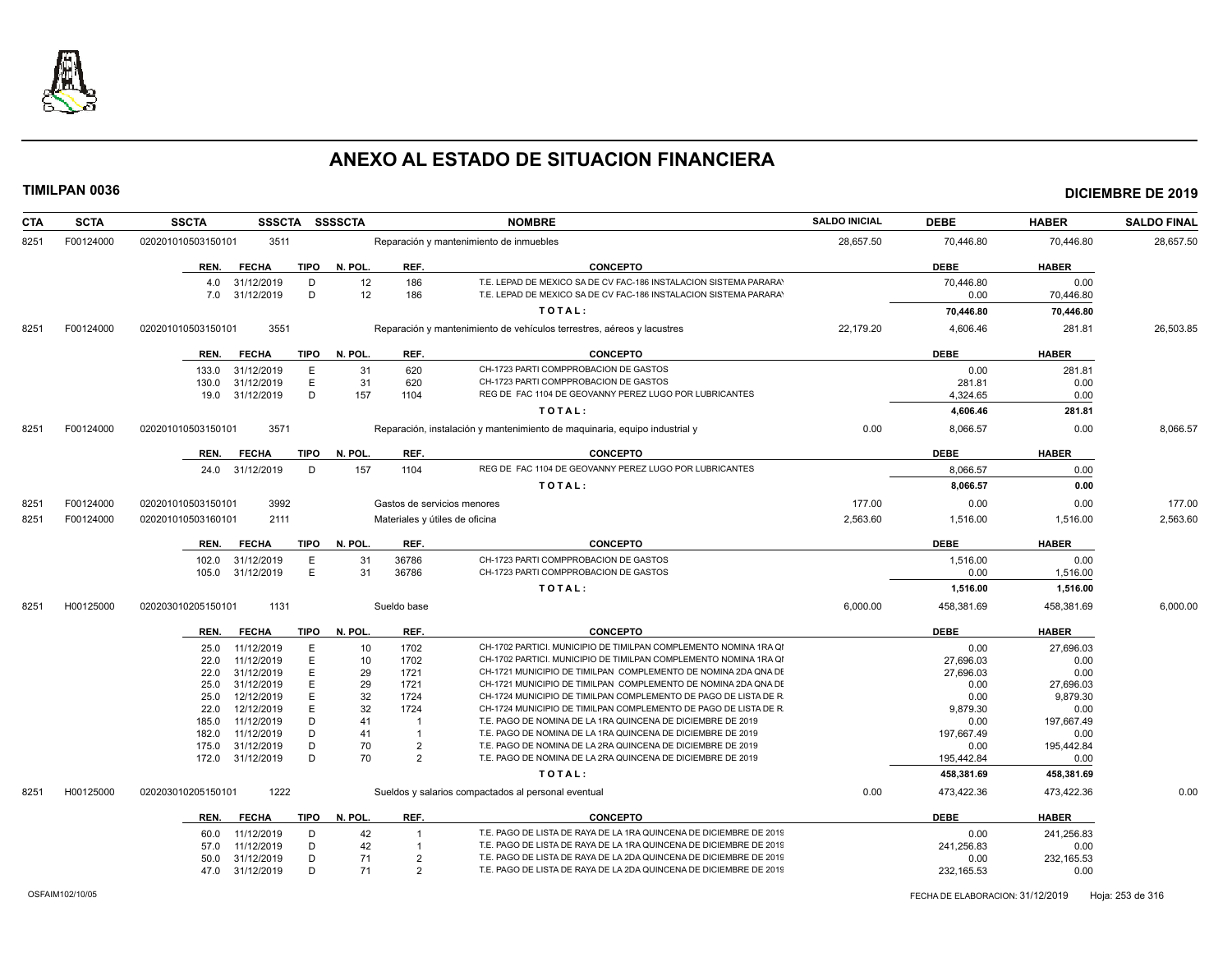

| <b>CTA</b> | <b>SCTA</b> | <b>SSCTA</b>       | <b>SSSCTA</b>            |             | SSSSCTA  |                         | <b>NOMBRE</b>                                                                                                                          | <b>SALDO INICIAL</b> | <b>DEBE</b>       | <b>HABER</b>      | <b>SALDO FINAL</b> |
|------------|-------------|--------------------|--------------------------|-------------|----------|-------------------------|----------------------------------------------------------------------------------------------------------------------------------------|----------------------|-------------------|-------------------|--------------------|
| 8251       | F00124000   | 020201010503150101 | 3511                     |             |          |                         | Reparación y mantenimiento de inmuebles                                                                                                | 28,657.50            | 70,446.80         | 70,446.80         | 28,657.50          |
|            |             | REN.               | <b>FECHA</b>             | <b>TIPO</b> | N. POL.  | REF.                    | <b>CONCEPTO</b>                                                                                                                        |                      | <b>DEBE</b>       | <b>HABER</b>      |                    |
|            |             | 4.0<br>7.0         | 31/12/2019<br>31/12/2019 | D<br>D      | 12<br>12 | 186<br>186              | T.E. LEPAD DE MEXICO SA DE CV FAC-186 INSTALACION SISTEMA PARARA'<br>T.E. LEPAD DE MEXICO SA DE CV FAC-186 INSTALACION SISTEMA PARARA' |                      | 70,446.80<br>0.00 | 0.00<br>70,446.80 |                    |
|            |             |                    |                          |             |          |                         | TOTAL:                                                                                                                                 |                      | 70,446.80         | 70,446.80         |                    |
| 8251       | F00124000   | 020201010503150101 | 3551                     |             |          |                         | Reparación y mantenimiento de vehículos terrestres, aéreos y lacustres                                                                 | 22,179.20            | 4,606.46          | 281.81            | 26,503.85          |
|            |             | REN.               | <b>FECHA</b>             | TIPO        | N. POL.  | REF.                    | <b>CONCEPTO</b>                                                                                                                        |                      | <b>DEBE</b>       | <b>HABER</b>      |                    |
|            |             | 133.0              | 31/12/2019               | E           | 31       | 620                     | CH-1723 PARTI COMPPROBACION DE GASTOS                                                                                                  |                      | 0.00              | 281.81            |                    |
|            |             | 130.0              | 31/12/2019               | E           | 31       | 620                     | CH-1723 PARTI COMPPROBACION DE GASTOS                                                                                                  |                      | 281.81            | 0.00              |                    |
|            |             |                    | 19.0 31/12/2019          | D           | 157      | 1104                    | REG DE FAC 1104 DE GEOVANNY PEREZ LUGO POR LUBRICANTES                                                                                 |                      | 4,324.65          | 0.00              |                    |
|            |             |                    |                          |             |          |                         | TOTAL:                                                                                                                                 |                      | 4,606.46          | 281.81            |                    |
| 8251       | F00124000   | 020201010503150101 | 3571                     |             |          |                         | Reparación, instalación y mantenimiento de maquinaria, equipo industrial y                                                             | 0.00                 | 8,066.57          | 0.00              | 8,066.57           |
|            |             | REN.               | <b>FECHA</b>             | <b>TIPO</b> | N. POL.  | REF.                    | <b>CONCEPTO</b>                                                                                                                        |                      | <b>DEBE</b>       | <b>HABER</b>      |                    |
|            |             |                    | 24.0 31/12/2019          | D           | 157      | 1104                    | REG DE FAC 1104 DE GEOVANNY PEREZ LUGO POR LUBRICANTES                                                                                 |                      | 8,066.57          | 0.00              |                    |
|            |             |                    |                          |             |          |                         | TOTAL:                                                                                                                                 |                      | 8,066.57          | 0.00              |                    |
| 8251       | F00124000   | 020201010503150101 | 3992                     |             |          |                         | Gastos de servicios menores                                                                                                            | 177.00               | 0.00              | 0.00              | 177.00             |
| 8251       | F00124000   | 020201010503160101 | 2111                     |             |          |                         | Materiales y útiles de oficina                                                                                                         | 2,563.60             | 1,516.00          | 1,516.00          | 2,563.60           |
|            |             |                    | <b>FECHA</b>             | TIPO        | N. POL.  | REF.                    | <b>CONCEPTO</b>                                                                                                                        |                      | <b>DEBE</b>       | <b>HABER</b>      |                    |
|            |             | REN.<br>102.0      | 31/12/2019               | Е           | 31       | 36786                   | CH-1723 PARTI COMPPROBACION DE GASTOS                                                                                                  |                      |                   | 0.00              |                    |
|            |             | 105.0              | 31/12/2019               | Ε           | 31       | 36786                   | CH-1723 PARTI COMPPROBACION DE GASTOS                                                                                                  |                      | 1,516.00<br>0.00  | 1,516.00          |                    |
|            |             |                    |                          |             |          |                         | TOTAL:                                                                                                                                 |                      | 1,516.00          | 1,516.00          |                    |
| 8251       | H00125000   | 020203010205150101 | 1131                     |             |          | Sueldo base             |                                                                                                                                        | 6,000.00             | 458,381.69        | 458,381.69        | 6,000.00           |
|            |             | REN.               | <b>FECHA</b>             | TIPO        | N. POL.  | REF.                    | <b>CONCEPTO</b>                                                                                                                        |                      | <b>DEBE</b>       | <b>HABER</b>      |                    |
|            |             | 25.0               | 11/12/2019               | E           | 10       | 1702                    | CH-1702 PARTICI. MUNICIPIO DE TIMILPAN COMPLEMENTO NOMINA 1RA QI                                                                       |                      | 0.00              | 27,696.03         |                    |
|            |             | 22.0               | 11/12/2019               | E           | 10       | 1702                    | CH-1702 PARTICI. MUNICIPIO DE TIMILPAN COMPLEMENTO NOMINA 1RA QI                                                                       |                      | 27,696.03         | 0.00              |                    |
|            |             | 22.0               | 31/12/2019               | E           | 29       | 1721                    | CH-1721 MUNICIPIO DE TIMILPAN COMPLEMENTO DE NOMINA 2DA QNA DE                                                                         |                      | 27,696.03         | 0.00              |                    |
|            |             | 25.0               | 31/12/2019               | E           | 29       | 1721                    | CH-1721 MUNICIPIO DE TIMILPAN COMPLEMENTO DE NOMINA 2DA QNA DI                                                                         |                      | 0.00              | 27,696.03         |                    |
|            |             | 25.0               | 12/12/2019               | E           | 32       | 1724                    | CH-1724 MUNICIPIO DE TIMILPAN COMPLEMENTO DE PAGO DE LISTA DE R                                                                        |                      | 0.00              | 9,879.30          |                    |
|            |             | 22.0               | 12/12/2019               | E           | 32       | 1724                    | CH-1724 MUNICIPIO DE TIMILPAN COMPLEMENTO DE PAGO DE LISTA DE R                                                                        |                      | 9,879.30          | 0.00              |                    |
|            |             | 185.0              | 11/12/2019               | D           | 41       | -1                      | T.E. PAGO DE NOMINA DE LA 1RA QUINCENA DE DICIEMBRE DE 2019                                                                            |                      | 0.00              | 197.667.49        |                    |
|            |             | 182.0              | 11/12/2019               | D           | 41       | $\overline{\mathbf{1}}$ | T.E. PAGO DE NOMINA DE LA 1RA QUINCENA DE DICIEMBRE DE 2019                                                                            |                      | 197,667.49        | 0.00              |                    |
|            |             | 175.0              | 31/12/2019               | D           | 70       | $\overline{2}$          | T.E. PAGO DE NOMINA DE LA 2RA QUINCENA DE DICIEMBRE DE 2019                                                                            |                      | 0.00              | 195,442.84        |                    |
|            |             | 172.0              | 31/12/2019               | D           | 70       | $\overline{2}$          | T.E. PAGO DE NOMINA DE LA 2RA QUINCENA DE DICIEMBRE DE 2019                                                                            |                      | 195,442.84        | 0.00              |                    |
|            |             |                    |                          |             |          |                         | TOTAL:                                                                                                                                 |                      | 458,381.69        | 458,381.69        |                    |
| 8251       | H00125000   | 020203010205150101 | 1222                     |             |          |                         | Sueldos y salarios compactados al personal eventual                                                                                    | 0.00                 | 473,422.36        | 473,422.36        | 0.00               |
|            |             | REN.               | <b>FECHA</b>             | <b>TIPO</b> | N. POL.  | REF.                    | <b>CONCEPTO</b>                                                                                                                        |                      | <b>DEBE</b>       | <b>HABER</b>      |                    |
|            |             | 60.0               | 11/12/2019               | D           | 42       |                         | T.E. PAGO DE LISTA DE RAYA DE LA 1RA QUINCENA DE DICIEMBRE DE 2019                                                                     |                      | 0.00              | 241,256.83        |                    |
|            |             | 57.0               | 11/12/2019               | D           | 42       |                         | T.E. PAGO DE LISTA DE RAYA DE LA 1RA QUINCENA DE DICIEMBRE DE 2019                                                                     |                      | 241,256.83        | 0.00              |                    |
|            |             | 50.0               | 31/12/2019               | D           | 71       | $\overline{2}$          | T.E. PAGO DE LISTA DE RAYA DE LA 2DA QUINCENA DE DICIEMBRE DE 2019                                                                     |                      | 0.00              | 232, 165.53       |                    |
|            |             |                    | 47.0 31/12/2019          | D           | 71       | $\overline{2}$          | T.E. PAGO DE LISTA DE RAYA DE LA 2DA QUINCENA DE DICIEMBRE DE 2019                                                                     |                      | 232, 165.53       | 0.00              |                    |
|            |             |                    |                          |             |          |                         |                                                                                                                                        |                      |                   |                   |                    |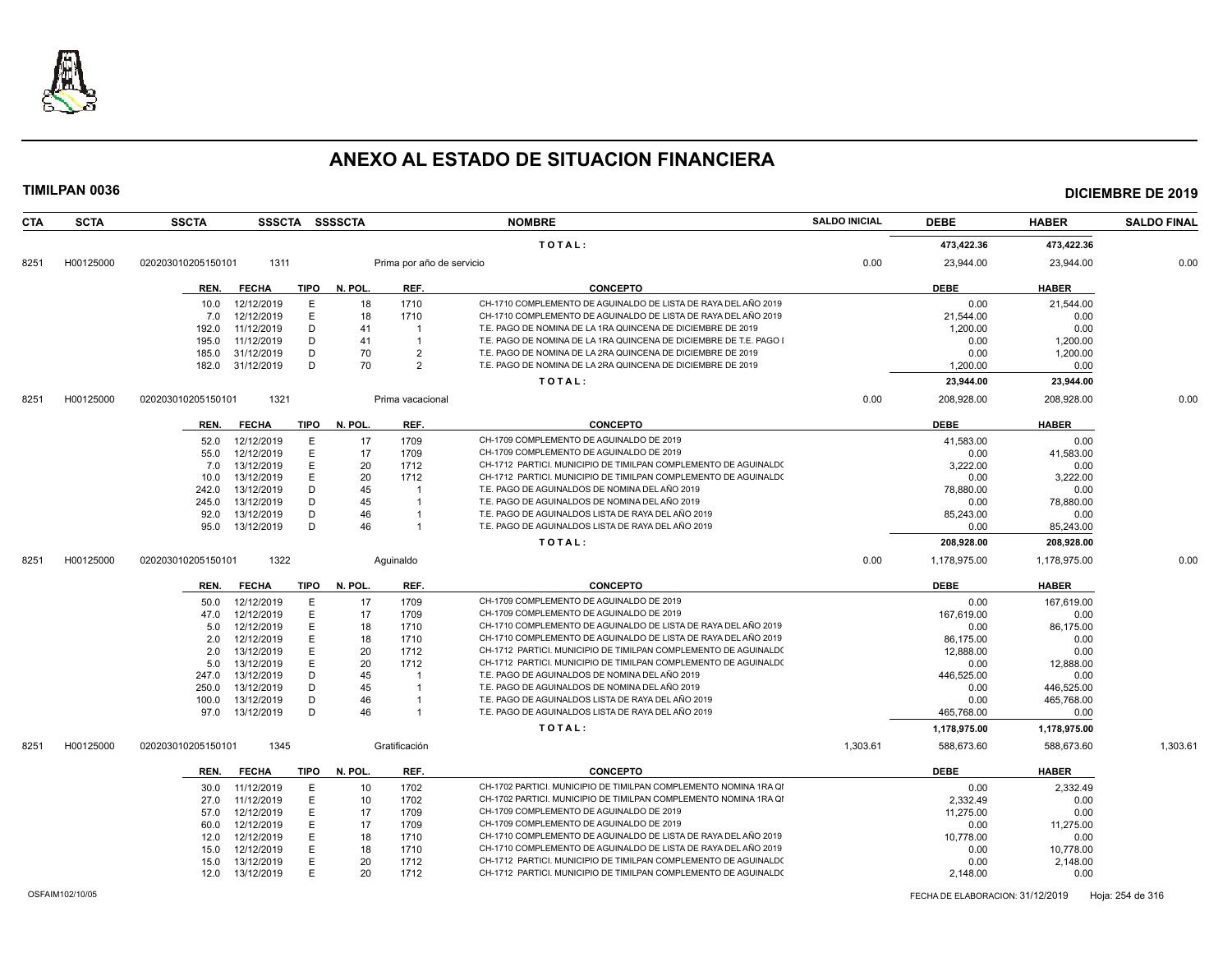

|                   | <b>SSCTA</b>       |                          |             | SSSCTA SSSSCTA |                           | <b>NOMBRE</b>                                                                                                                      | <b>SALDO INICIAL</b> | <b>DEBE</b>      | <b>HABER</b>     | <b>SALDO FINAL</b> |
|-------------------|--------------------|--------------------------|-------------|----------------|---------------------------|------------------------------------------------------------------------------------------------------------------------------------|----------------------|------------------|------------------|--------------------|
|                   |                    |                          |             |                |                           | TOTAL:                                                                                                                             |                      | 473.422.36       | 473,422.36       |                    |
| H00125000<br>8251 | 020203010205150101 | 1311                     |             |                | Prima por año de servicio |                                                                                                                                    | 0.00                 | 23,944.00        | 23,944.00        | 0.00               |
|                   | REN.               | <b>FECHA</b>             | <b>TIPO</b> | N. POL.        | REF.                      | <b>CONCEPTO</b>                                                                                                                    |                      | <b>DEBE</b>      | <b>HABER</b>     |                    |
|                   | 10.0               | 12/12/2019               | E           | 18             | 1710                      | CH-1710 COMPLEMENTO DE AGUINALDO DE LISTA DE RAYA DEL AÑO 2019                                                                     |                      | 0.00             | 21,544.00        |                    |
|                   | 7.0                | 12/12/2019               | E           | 18             | 1710                      | CH-1710 COMPLEMENTO DE AGUINALDO DE LISTA DE RAYA DEL AÑO 2019                                                                     |                      | 21.544.00        | 0.00             |                    |
|                   | 192.0              | 11/12/2019               | D           | 41             |                           | T.E. PAGO DE NOMINA DE LA 1RA QUINCENA DE DICIEMBRE DE 2019                                                                        |                      | 1,200.00         | 0.00             |                    |
|                   | 195.0              | 11/12/2019               | D           | 41             | $\overline{\mathbf{1}}$   | T.E. PAGO DE NOMINA DE LA 1RA QUINCENA DE DICIEMBRE DE T.E. PAGO I                                                                 |                      | 0.00             | 1,200.00         |                    |
|                   | 185.0              | 31/12/2019               | D           | 70             | $\overline{2}$            | T.E. PAGO DE NOMINA DE LA 2RA QUINCENA DE DICIEMBRE DE 2019                                                                        |                      | 0.00             | 1,200.00         |                    |
|                   | 182.0              | 31/12/2019               | D           | 70             | $\overline{2}$            | T.E. PAGO DE NOMINA DE LA 2RA QUINCENA DE DICIEMBRE DE 2019                                                                        |                      | 1,200.00         | 0.00             |                    |
|                   |                    |                          |             |                |                           | TOTAL:                                                                                                                             |                      | 23,944.00        | 23,944.00        |                    |
| H00125000<br>8251 | 020203010205150101 | 1321                     |             |                | Prima vacacional          |                                                                                                                                    | 0.00                 | 208,928.00       | 208,928.00       | 0.00               |
|                   |                    |                          |             |                |                           |                                                                                                                                    |                      |                  |                  |                    |
|                   | REN.               | <b>FECHA</b>             | <b>TIPO</b> | N. POL.        | REF.                      | <b>CONCEPTO</b>                                                                                                                    |                      | <b>DEBE</b>      | <b>HABER</b>     |                    |
|                   | 52.0               | 12/12/2019               | Е           | 17             | 1709                      | CH-1709 COMPLEMENTO DE AGUINALDO DE 2019                                                                                           |                      | 41,583.00        | 0.00             |                    |
|                   | 55.0               | 12/12/2019               | E           | 17             | 1709                      | CH-1709 COMPLEMENTO DE AGUINALDO DE 2019                                                                                           |                      | 0.00             | 41.583.00        |                    |
|                   | 7.0                | 13/12/2019               | E           | 20             | 1712                      | CH-1712 PARTICI. MUNICIPIO DE TIMILPAN COMPLEMENTO DE AGUINALD(                                                                    |                      | 3,222.00         | 0.00             |                    |
|                   | 10.0               | 13/12/2019               | E           | 20             | 1712                      | CH-1712 PARTICI. MUNICIPIO DE TIMILPAN COMPLEMENTO DE AGUINALD(                                                                    |                      | 0.00             | 3,222.00         |                    |
|                   | 242.0              | 13/12/2019               | D           | 45             |                           | T.E. PAGO DE AGUINALDOS DE NOMINA DEL AÑO 2019                                                                                     |                      | 78.880.00        | 0.00             |                    |
|                   | 245.0              | 13/12/2019               | D           | 45             | $\overline{1}$            | T.E. PAGO DE AGUINALDOS DE NOMINA DEL AÑO 2019                                                                                     |                      | 0.00             | 78,880.00        |                    |
|                   | 92.0               | 13/12/2019               | D           | 46             |                           | T.E. PAGO DE AGUINALDOS LISTA DE RAYA DEL AÑO 2019                                                                                 |                      | 85,243.00        | 0.00             |                    |
|                   | 95.0               | 13/12/2019               | D           | 46             |                           | T.E. PAGO DE AGUINALDOS LISTA DE RAYA DEL AÑO 2019                                                                                 |                      | 0.00             | 85,243.00        |                    |
|                   |                    |                          |             |                |                           | TOTAL:                                                                                                                             |                      | 208,928.00       | 208,928.00       |                    |
| H00125000<br>8251 | 020203010205150101 | 1322                     |             |                | Aquinaldo                 |                                                                                                                                    | 0.00                 | 1,178,975.00     | 1,178,975.00     | 0.00               |
|                   | REN.               | <b>FECHA</b>             | TIPO        | N. POL.        | REF.                      | <b>CONCEPTO</b>                                                                                                                    |                      | <b>DEBE</b>      | <b>HABER</b>     |                    |
|                   | 50.0               | 12/12/2019               | Е           | 17             | 1709                      | CH-1709 COMPLEMENTO DE AGUINALDO DE 2019                                                                                           |                      | 0.00             | 167,619.00       |                    |
|                   | 47.0               | 12/12/2019               | E           | 17             | 1709                      | CH-1709 COMPLEMENTO DE AGUINALDO DE 2019                                                                                           |                      | 167,619.00       | 0.00             |                    |
|                   | 5.0                | 12/12/2019               | E           | 18             | 1710                      | CH-1710 COMPLEMENTO DE AGUINALDO DE LISTA DE RAYA DEL AÑO 2019                                                                     |                      | 0.00             | 86,175.00        |                    |
|                   | 2.0                | 12/12/2019               | E           | 18             | 1710                      | CH-1710 COMPLEMENTO DE AGUINALDO DE LISTA DE RAYA DEL AÑO 2019                                                                     |                      | 86,175.00        | 0.00             |                    |
|                   | 2.0                | 13/12/2019               | E           | 20             | 1712                      | CH-1712 PARTICI. MUNICIPIO DE TIMILPAN COMPLEMENTO DE AGUINALD(                                                                    |                      | 12,888.00        | 0.00             |                    |
|                   | 5.0                | 13/12/2019               | E           | 20             | 1712                      | CH-1712 PARTICI. MUNICIPIO DE TIMILPAN COMPLEMENTO DE AGUINALD(                                                                    |                      | 0.00             | 12,888.00        |                    |
|                   | 247.0              | 13/12/2019               | D           | 45             |                           | T.E. PAGO DE AGUINALDOS DE NOMINA DEL AÑO 2019                                                                                     |                      | 446,525.00       | 0.00             |                    |
|                   | 250.0              | 13/12/2019               | D           | 45             | -1                        | T.E. PAGO DE AGUINALDOS DE NOMINA DEL AÑO 2019                                                                                     |                      | 0.00             | 446,525.00       |                    |
|                   | 100.0              | 13/12/2019               | D           | 46             |                           | T.E. PAGO DE AGUINALDOS LISTA DE RAYA DEL AÑO 2019                                                                                 |                      | 0.00             | 465,768.00       |                    |
|                   | 97.0               | 13/12/2019               | D           | 46             | $\overline{1}$            | T.E. PAGO DE AGUINALDOS LISTA DE RAYA DEL AÑO 2019                                                                                 |                      | 465,768.00       | 0.00             |                    |
|                   |                    |                          |             |                |                           | TOTAL:                                                                                                                             |                      | 1,178,975.00     | 1,178,975.00     |                    |
|                   |                    |                          |             |                |                           |                                                                                                                                    |                      |                  |                  |                    |
| H00125000<br>8251 | 020203010205150101 | 1345                     |             |                | Gratificación             |                                                                                                                                    | 1,303.61             | 588,673.60       | 588.673.60       | 1,303.61           |
|                   | REN.               | <b>FECHA</b>             | <b>TIPO</b> | N. POL.        | REF.                      | <b>CONCEPTO</b>                                                                                                                    |                      | <b>DEBE</b>      | <b>HABER</b>     |                    |
|                   | 30.0               | 11/12/2019               | E           | 10             | 1702                      | CH-1702 PARTICI. MUNICIPIO DE TIMILPAN COMPLEMENTO NOMINA 1RA QI                                                                   |                      | 0.00             | 2,332.49         |                    |
|                   | 27.0               | 11/12/2019               | E           | 10             | 1702                      | CH-1702 PARTICI, MUNICIPIO DE TIMILPAN COMPLEMENTO NOMINA 1RA QI                                                                   |                      | 2.332.49         | 0.00             |                    |
|                   | 57.0               | 12/12/2019               | E           | 17             | 1709                      | CH-1709 COMPLEMENTO DE AGUINALDO DE 2019                                                                                           |                      | 11.275.00        | 0.00             |                    |
|                   | 60.0               | 12/12/2019               | E           | 17             | 1709                      | CH-1709 COMPLEMENTO DE AGUINALDO DE 2019                                                                                           |                      | 0.00             | 11,275.00        |                    |
|                   | 12.0               | 12/12/2019               | E           | 18             | 1710                      | CH-1710 COMPLEMENTO DE AGUINALDO DE LISTA DE RAYA DEL AÑO 2019                                                                     |                      | 10.778.00        | 0.00             |                    |
|                   | 15.0               | 12/12/2019               | E           | 18             | 1710                      | CH-1710 COMPLEMENTO DE AGUINALDO DE LISTA DE RAYA DEL AÑO 2019                                                                     |                      | 0.00             | 10,778.00        |                    |
|                   | 15.0<br>12.0       | 13/12/2019<br>13/12/2019 | Е<br>E      | 20<br>20       | 1712<br>1712              | CH-1712 PARTICI. MUNICIPIO DE TIMILPAN COMPLEMENTO DE AGUINALD(<br>CH-1712 PARTICI, MUNICIPIO DE TIMILPAN COMPLEMENTO DE AGUINALDO |                      | 0.00<br>2,148.00 | 2,148.00<br>0.00 |                    |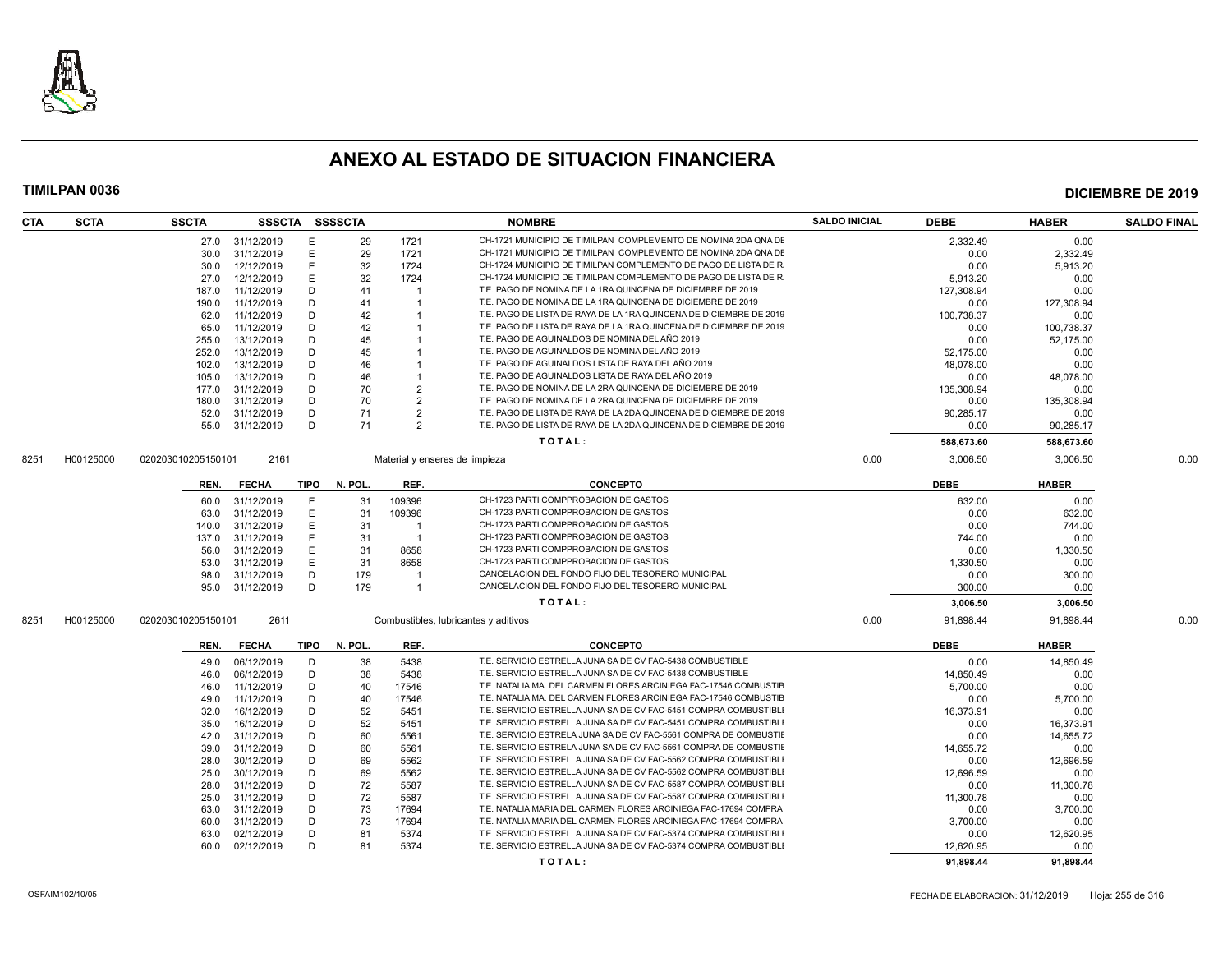

| CTA  | <b>SCTA</b> | <b>SSCTA</b>       | SSSCTA          |        | <b>SSSSCTA</b> |                | <b>NOMBRE</b>                                                                                                                 | <b>SALDO INICIAL</b> | <b>DEBE</b> | <b>HABER</b> | <b>SALDO FINAL</b> |
|------|-------------|--------------------|-----------------|--------|----------------|----------------|-------------------------------------------------------------------------------------------------------------------------------|----------------------|-------------|--------------|--------------------|
|      |             |                    | 27.0 31/12/2019 | E      | 29             | 1721           | CH-1721 MUNICIPIO DE TIMILPAN COMPLEMENTO DE NOMINA 2DA QNA DE                                                                |                      | 2,332.49    | 0.00         |                    |
|      |             | 30.0               | 31/12/2019      | E      | 29             | 1721           | CH-1721 MUNICIPIO DE TIMILPAN COMPLEMENTO DE NOMINA 2DA QNA DE                                                                |                      | 0.00        | 2.332.49     |                    |
|      |             | 30.0               | 12/12/2019      | E      | 32             | 1724           | CH-1724 MUNICIPIO DE TIMILPAN COMPLEMENTO DE PAGO DE LISTA DE R                                                               |                      | 0.00        | 5,913.20     |                    |
|      |             | 27.0               | 12/12/2019      | E      | 32             | 1724           | CH-1724 MUNICIPIO DE TIMILPAN COMPLEMENTO DE PAGO DE LISTA DE R                                                               |                      | 5.913.20    | 0.00         |                    |
|      |             | 187.0              | 11/12/2019      | D      | 41             |                | T.E. PAGO DE NOMINA DE LA 1RA QUINCENA DE DICIEMBRE DE 2019                                                                   |                      | 127.308.94  | 0.00         |                    |
|      |             | 190.0              | 11/12/2019      | D      | 41             |                | T.E. PAGO DE NOMINA DE LA 1RA QUINCENA DE DICIEMBRE DE 2019                                                                   |                      | 0.00        | 127,308.94   |                    |
|      |             | 62.0               | 11/12/2019      | D      | 42             |                | T.E. PAGO DE LISTA DE RAYA DE LA 1RA QUINCENA DE DICIEMBRE DE 2019                                                            |                      | 100,738.37  | 0.00         |                    |
|      |             | 65.0               | 11/12/2019      | D      | 42             |                | T.E. PAGO DE LISTA DE RAYA DE LA 1RA QUINCENA DE DICIEMBRE DE 2019                                                            |                      | 0.00        | 100,738.37   |                    |
|      |             | 255.0              | 13/12/2019      | D      | 45             |                | T.E. PAGO DE AGUINALDOS DE NOMINA DEL AÑO 2019                                                                                |                      | 0.00        | 52,175.00    |                    |
|      |             | 252.0              | 13/12/2019      | D      | 45             |                | T.E. PAGO DE AGUINALDOS DE NOMINA DEL AÑO 2019                                                                                |                      | 52.175.00   | 0.00         |                    |
|      |             | 102.0              | 13/12/2019      | D      | 46             |                | T.E. PAGO DE AGUINALDOS LISTA DE RAYA DEL AÑO 2019                                                                            |                      | 48,078.00   | 0.00         |                    |
|      |             | 105.0              | 13/12/2019      | D      | 46             |                | T.E. PAGO DE AGUINALDOS LISTA DE RAYA DEL AÑO 2019                                                                            |                      | 0.00        | 48,078.00    |                    |
|      |             | 177.0              | 31/12/2019      | D      | 70             | $\overline{2}$ | T.E. PAGO DE NOMINA DE LA 2RA QUINCENA DE DICIEMBRE DE 2019                                                                   |                      | 135,308.94  | 0.00         |                    |
|      |             | 180.0              | 31/12/2019      | D      | 70             | $\overline{2}$ | T.E. PAGO DE NOMINA DE LA 2RA QUINCENA DE DICIEMBRE DE 2019                                                                   |                      | 0.00        | 135,308.94   |                    |
|      |             | 52.0               | 31/12/2019      | D      | 71             | $\overline{2}$ | T.E. PAGO DE LISTA DE RAYA DE LA 2DA QUINCENA DE DICIEMBRE DE 2019                                                            |                      | 90.285.17   | 0.00         |                    |
|      |             | 55.0               | 31/12/2019      | D      | 71             | $\overline{2}$ | T.E. PAGO DE LISTA DE RAYA DE LA 2DA QUINCENA DE DICIEMBRE DE 2019                                                            |                      | 0.00        | 90,285.17    |                    |
|      |             |                    |                 |        |                |                | TOTAL:                                                                                                                        |                      | 588,673.60  | 588,673.60   |                    |
| 8251 | H00125000   | 020203010205150101 | 2161            |        |                |                | Material y enseres de limpieza                                                                                                | 0.00                 | 3,006.50    | 3,006.50     | 0.00               |
|      |             | REN.               | <b>FECHA</b>    | TIPO   | N. POL.        | REF.           | <b>CONCEPTO</b>                                                                                                               |                      | <b>DEBE</b> | <b>HABER</b> |                    |
|      |             | 60.0               | 31/12/2019      | E      | 31             | 109396         | CH-1723 PARTI COMPPROBACION DE GASTOS                                                                                         |                      | 632.00      | 0.00         |                    |
|      |             | 63.0               | 31/12/2019      | E      | 31             | 109396         | CH-1723 PARTI COMPPROBACION DE GASTOS                                                                                         |                      | 0.00        | 632.00       |                    |
|      |             | 140.0              | 31/12/2019      | E      | 31             |                | CH-1723 PARTI COMPPROBACION DE GASTOS                                                                                         |                      | 0.00        | 744.00       |                    |
|      |             | 137.0              | 31/12/2019      | E      | 31             | $\overline{1}$ | CH-1723 PARTI COMPPROBACION DE GASTOS                                                                                         |                      | 744.00      | 0.00         |                    |
|      |             | 56.0               | 31/12/2019      | E      | 31             | 8658           | CH-1723 PARTI COMPPROBACION DE GASTOS                                                                                         |                      | 0.00        | 1,330.50     |                    |
|      |             | 53.0               | 31/12/2019      | Е      | 31             | 8658           | CH-1723 PARTI COMPPROBACION DE GASTOS                                                                                         |                      | 1.330.50    | 0.00         |                    |
|      |             | 98.0               | 31/12/2019      | D      | 179            | $\overline{1}$ | CANCELACION DEL FONDO FIJO DEL TESORERO MUNICIPAL                                                                             |                      | 0.00        | 300.00       |                    |
|      |             | 95.0               | 31/12/2019      | D      | 179            |                | CANCELACION DEL FONDO FIJO DEL TESORERO MUNICIPAL                                                                             |                      | 300.00      | 0.00         |                    |
|      |             |                    |                 |        |                |                | TOTAL:                                                                                                                        |                      | 3,006.50    | 3,006.50     |                    |
| 8251 | H00125000   | 020203010205150101 | 2611            |        |                |                | Combustibles, lubricantes y aditivos                                                                                          | 0.00                 | 91,898.44   | 91,898.44    | 0.00               |
|      |             | REN.               | <b>FECHA</b>    | TIPO   | N. POL.        | REF.           | <b>CONCEPTO</b>                                                                                                               |                      | <b>DEBE</b> | <b>HABER</b> |                    |
|      |             |                    |                 |        |                |                | T.E. SERVICIO ESTRELLA JUNA SA DE CV FAC-5438 COMBUSTIBLE                                                                     |                      |             |              |                    |
|      |             | 49.0               | 06/12/2019      | D      | 38             | 5438           |                                                                                                                               |                      | 0.00        | 14,850.49    |                    |
|      |             | 46.0               | 06/12/2019      | D      | 38             | 5438           | T.E. SERVICIO ESTRELLA JUNA SA DE CV FAC-5438 COMBUSTIBLE<br>T.E. NATALIA MA. DEL CARMEN FLORES ARCINIEGA FAC-17546 COMBUSTIE |                      | 14,850.49   | 0.00         |                    |
|      |             | 46.0               | 11/12/2019      | D<br>D | 40             | 17546<br>17546 | T.E. NATALIA MA. DEL CARMEN FLORES ARCINIEGA FAC-17546 COMBUSTIE                                                              |                      | 5,700.00    | 0.00         |                    |
|      |             | 49.0               | 11/12/2019      |        | 40             |                | T.E. SERVICIO ESTRELLA JUNA SA DE CV FAC-5451 COMPRA COMBUSTIBLI                                                              |                      | 0.00        | 5,700.00     |                    |
|      |             | 32.0               | 16/12/2019      | D      | 52             | 5451           |                                                                                                                               |                      | 16,373.91   | 0.00         |                    |
|      |             | 35.0               | 16/12/2019      | D      | 52             | 5451           | T.E. SERVICIO ESTRELLA JUNA SA DE CV FAC-5451 COMPRA COMBUSTIBLI                                                              |                      | 0.00        | 16,373.91    |                    |
|      |             | 42.0               | 31/12/2019      | D      | 60             | 5561           | T.E. SERVICIO ESTRELA JUNA SA DE CV FAC-5561 COMPRA DE COMBUSTIE                                                              |                      | 0.00        | 14,655.72    |                    |
|      |             | 39.0               | 31/12/2019      | D      | 60             | 5561           | T.E. SERVICIO ESTRELA JUNA SA DE CV FAC-5561 COMPRA DE COMBUSTIE                                                              |                      | 14.655.72   | 0.00         |                    |
|      |             | 28.0               | 30/12/2019      | D      | 69             | 5562           | T.E. SERVICIO ESTRELLA JUNA SA DE CV FAC-5562 COMPRA COMBUSTIBLI                                                              |                      | 0.00        | 12,696.59    |                    |
|      |             | 25.0               | 30/12/2019      | D      | 69             | 5562           | T.E. SERVICIO ESTRELLA JUNA SA DE CV FAC-5562 COMPRA COMBUSTIBLI                                                              |                      | 12.696.59   | 0.00         |                    |
|      |             | 28.0               | 31/12/2019      | D      | 72             | 5587           | T.E. SERVICIO ESTRELLA JUNA SA DE CV FAC-5587 COMPRA COMBUSTIBLI                                                              |                      | 0.00        | 11,300.78    |                    |
|      |             | 25.0               | 31/12/2019      | D      | 72             | 5587           | T.E. SERVICIO ESTRELLA JUNA SA DE CV FAC-5587 COMPRA COMBUSTIBLI                                                              |                      | 11,300.78   | 0.00         |                    |
|      |             | 63.0               | 31/12/2019      | D      | 73             | 17694          | T.E. NATALIA MARIA DEL CARMEN FLORES ARCINIEGA FAC-17694 COMPRA                                                               |                      | 0.00        | 3,700.00     |                    |
|      |             | 60.0               | 31/12/2019      | D      | 73             | 17694          | T.E. NATALIA MARIA DEL CARMEN FLORES ARCINIEGA FAC-17694 COMPRA                                                               |                      | 3,700.00    | 0.00         |                    |
|      |             | 63.0               | 02/12/2019      | D      | 81             | 5374           | T.E. SERVICIO ESTRELLA JUNA SA DE CV FAC-5374 COMPRA COMBUSTIBLI                                                              |                      | 0.00        | 12,620.95    |                    |
|      |             | 60.0               | 02/12/2019      | D      | 81             | 5374           | T.E. SERVICIO ESTRELLA JUNA SA DE CV FAC-5374 COMPRA COMBUSTIBLI                                                              |                      | 12.620.95   | 0.00         |                    |
|      |             |                    |                 |        |                |                | TOTAL:                                                                                                                        |                      | 91,898.44   | 91,898.44    |                    |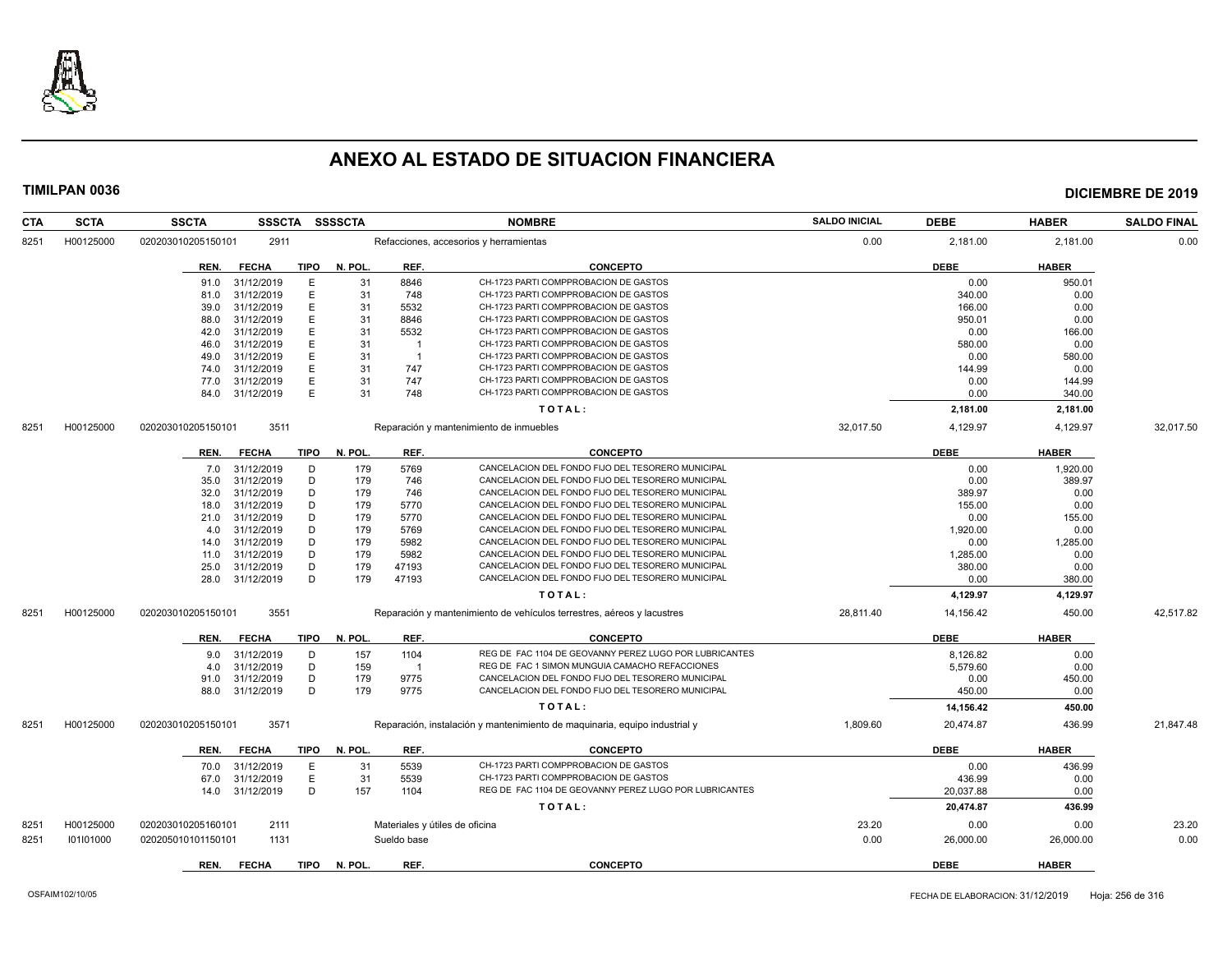

| CTA<br><b>SCTA</b> | <b>SSCTA</b>       | <b>SSSCTA</b>   |             | <b>SSSSCTA</b> |                | <b>NOMBRE</b>                                                              | <b>SALDO INICIAL</b> | <b>DEBE</b> | <b>HABER</b> | <b>SALDO FINAL</b> |
|--------------------|--------------------|-----------------|-------------|----------------|----------------|----------------------------------------------------------------------------|----------------------|-------------|--------------|--------------------|
| H00125000<br>8251  | 020203010205150101 | 2911            |             |                |                | Refacciones, accesorios y herramientas                                     | 0.00                 | 2,181.00    | 2,181.00     | 0.00               |
|                    | REN.               | <b>FECHA</b>    | <b>TIPO</b> | N. POL.        | REF.           | <b>CONCEPTO</b>                                                            |                      | <b>DEBE</b> | <b>HABER</b> |                    |
|                    | 91.0               | 31/12/2019      | E           | 31             | 8846           | CH-1723 PARTI COMPPROBACION DE GASTOS                                      |                      | 0.00        | 950.01       |                    |
|                    | 81.0               | 31/12/2019      | E           | 31             | 748            | CH-1723 PARTI COMPPROBACION DE GASTOS                                      |                      | 340.00      | 0.00         |                    |
|                    | 39.0               | 31/12/2019      | E           | 31             | 5532           | CH-1723 PARTI COMPPROBACION DE GASTOS                                      |                      | 166.00      | 0.00         |                    |
|                    | 88.0               | 31/12/2019      | E           | 31             | 8846           | CH-1723 PARTI COMPPROBACION DE GASTOS                                      |                      | 950.01      | 0.00         |                    |
|                    | 42.0               | 31/12/2019      | E           | 31             | 5532           | CH-1723 PARTI COMPPROBACION DE GASTOS                                      |                      | 0.00        | 166.00       |                    |
|                    | 46.0               | 31/12/2019      | E           | 31             | -1             | CH-1723 PARTI COMPPROBACION DE GASTOS                                      |                      | 580.00      | 0.00         |                    |
|                    | 49.0               | 31/12/2019      | E           | 31             | $\overline{1}$ | CH-1723 PARTI COMPPROBACION DE GASTOS                                      |                      | 0.00        | 580.00       |                    |
|                    | 74.0               | 31/12/2019      | E           | 31             | 747            | CH-1723 PARTI COMPPROBACION DE GASTOS                                      |                      | 144.99      | 0.00         |                    |
|                    | 77.0               | 31/12/2019      | E           | 31             | 747            | CH-1723 PARTI COMPPROBACION DE GASTOS                                      |                      | 0.00        | 144.99       |                    |
|                    | 84.0               | 31/12/2019      | E           | 31             | 748            | CH-1723 PARTI COMPPROBACION DE GASTOS                                      |                      | 0.00        | 340.00       |                    |
|                    |                    |                 |             |                |                | TOTAL:                                                                     |                      | 2,181.00    | 2,181.00     |                    |
| H00125000<br>8251  | 020203010205150101 | 3511            |             |                |                | Reparación y mantenimiento de inmuebles                                    | 32.017.50            | 4,129.97    | 4,129.97     | 32.017.50          |
|                    | REN.               | FECHA           | TIPO        | N. POL.        | REF.           | <b>CONCEPTO</b>                                                            |                      | DEBE        | <b>HABER</b> |                    |
|                    | 7.0                | 31/12/2019      | D           | 179            | 5769           | CANCELACION DEL FONDO FIJO DEL TESORERO MUNICIPAL                          |                      | 0.00        | 1,920.00     |                    |
|                    | 35.0               | 31/12/2019      | D           | 179            | 746            | CANCELACION DEL FONDO FIJO DEL TESORERO MUNICIPAL                          |                      | 0.00        | 389.97       |                    |
|                    | 32.0               | 31/12/2019      | D           | 179            | 746            | CANCELACION DEL FONDO FIJO DEL TESORERO MUNICIPAL                          |                      | 389.97      | 0.00         |                    |
|                    | 18.0               | 31/12/2019      | D           | 179            | 5770           | CANCELACION DEL FONDO FIJO DEL TESORERO MUNICIPAL                          |                      | 155.00      | 0.00         |                    |
|                    | 21.0               | 31/12/2019      | D           | 179            | 5770           | CANCELACION DEL FONDO FIJO DEL TESORERO MUNICIPAL                          |                      | 0.00        | 155.00       |                    |
|                    | 4.0                | 31/12/2019      | D           | 179            | 5769           | CANCELACION DEL FONDO FIJO DEL TESORERO MUNICIPAL                          |                      | 1,920.00    | 0.00         |                    |
|                    | 14.0               | 31/12/2019      | D           | 179            | 5982           | CANCELACION DEL FONDO FIJO DEL TESORERO MUNICIPAL                          |                      | 0.00        | 1,285.00     |                    |
|                    | 11.0               | 31/12/2019      | D           | 179            | 5982           | CANCELACION DEL FONDO FIJO DEL TESORERO MUNICIPAL                          |                      | 1,285.00    | 0.00         |                    |
|                    | 25.0               | 31/12/2019      | D           | 179            | 47193          | CANCELACION DEL FONDO FIJO DEL TESORERO MUNICIPAL                          |                      | 380.00      | 0.00         |                    |
|                    | 28.0               | 31/12/2019      | D           | 179            | 47193          | CANCELACION DEL FONDO FIJO DEL TESORERO MUNICIPAL                          |                      | 0.00        | 380.00       |                    |
|                    |                    |                 |             |                |                | TOTAL:                                                                     |                      | 4,129.97    | 4,129.97     |                    |
| H00125000<br>8251  | 020203010205150101 | 3551            |             |                |                | Reparación y mantenimiento de vehículos terrestres, aéreos y lacustres     | 28,811.40            | 14,156.42   | 450.00       | 42,517.82          |
|                    | REN.               | <b>FECHA</b>    | <b>TIPO</b> | N. POL.        | REF.           | <b>CONCEPTO</b>                                                            |                      | <b>DEBE</b> | <b>HABER</b> |                    |
|                    | 9.0                | 31/12/2019      | D           | 157            | 1104           | REG DE FAC 1104 DE GEOVANNY PEREZ LUGO POR LUBRICANTES                     |                      | 8,126.82    | 0.00         |                    |
|                    | 4.0                | 31/12/2019      | D           | 159            | $\overline{1}$ | REG DE FAC 1 SIMON MUNGUIA CAMACHO REFACCIONES                             |                      | 5,579.60    | 0.00         |                    |
|                    | 91.0               | 31/12/2019      | D           | 179            | 9775           | CANCELACION DEL FONDO FIJO DEL TESORERO MUNICIPAL                          |                      | 0.00        | 450.00       |                    |
|                    |                    | 88.0 31/12/2019 | D           | 179            | 9775           | CANCELACION DEL FONDO FIJO DEL TESORERO MUNICIPAL                          |                      | 450.00      | 0.00         |                    |
|                    |                    |                 |             |                |                | TOTAL:                                                                     |                      | 14,156.42   | 450.00       |                    |
| H00125000<br>8251  | 020203010205150101 | 3571            |             |                |                | Reparación, instalación y mantenimiento de maquinaria, equipo industrial y | 1,809.60             | 20,474.87   | 436.99       | 21,847.48          |
|                    | REN.               | <b>FECHA</b>    | <b>TIPO</b> | N. POL.        | REF.           | <b>CONCEPTO</b>                                                            |                      | <b>DEBE</b> | <b>HABER</b> |                    |
|                    | 70.0               | 31/12/2019      | E           | 31             | 5539           | CH-1723 PARTI COMPPROBACION DE GASTOS                                      |                      | 0.00        | 436.99       |                    |
|                    | 67.0               | 31/12/2019      | Е           | 31             | 5539           | CH-1723 PARTI COMPPROBACION DE GASTOS                                      |                      | 436.99      | 0.00         |                    |
|                    | 14.0               | 31/12/2019      | D           | 157            | 1104           | REG DE FAC 1104 DE GEOVANNY PEREZ LUGO POR LUBRICANTES                     |                      | 20,037.88   | 0.00         |                    |
|                    |                    |                 |             |                |                | TOTAL:                                                                     |                      | 20,474.87   | 436.99       |                    |
| H00125000<br>8251  | 020203010205160101 | 2111            |             |                |                | Materiales y útiles de oficina                                             | 23.20                | 0.00        | 0.00         | 23.20              |
| 8251<br>101101000  | 020205010101150101 | 1131            |             |                | Sueldo base    |                                                                            | 0.00                 | 26,000.00   | 26,000.00    | 0.00               |
|                    | REN.               | <b>FECHA</b>    | <b>TIPO</b> | N. POL.        | REF.           | <b>CONCEPTO</b>                                                            |                      | <b>DEBE</b> | <b>HABER</b> |                    |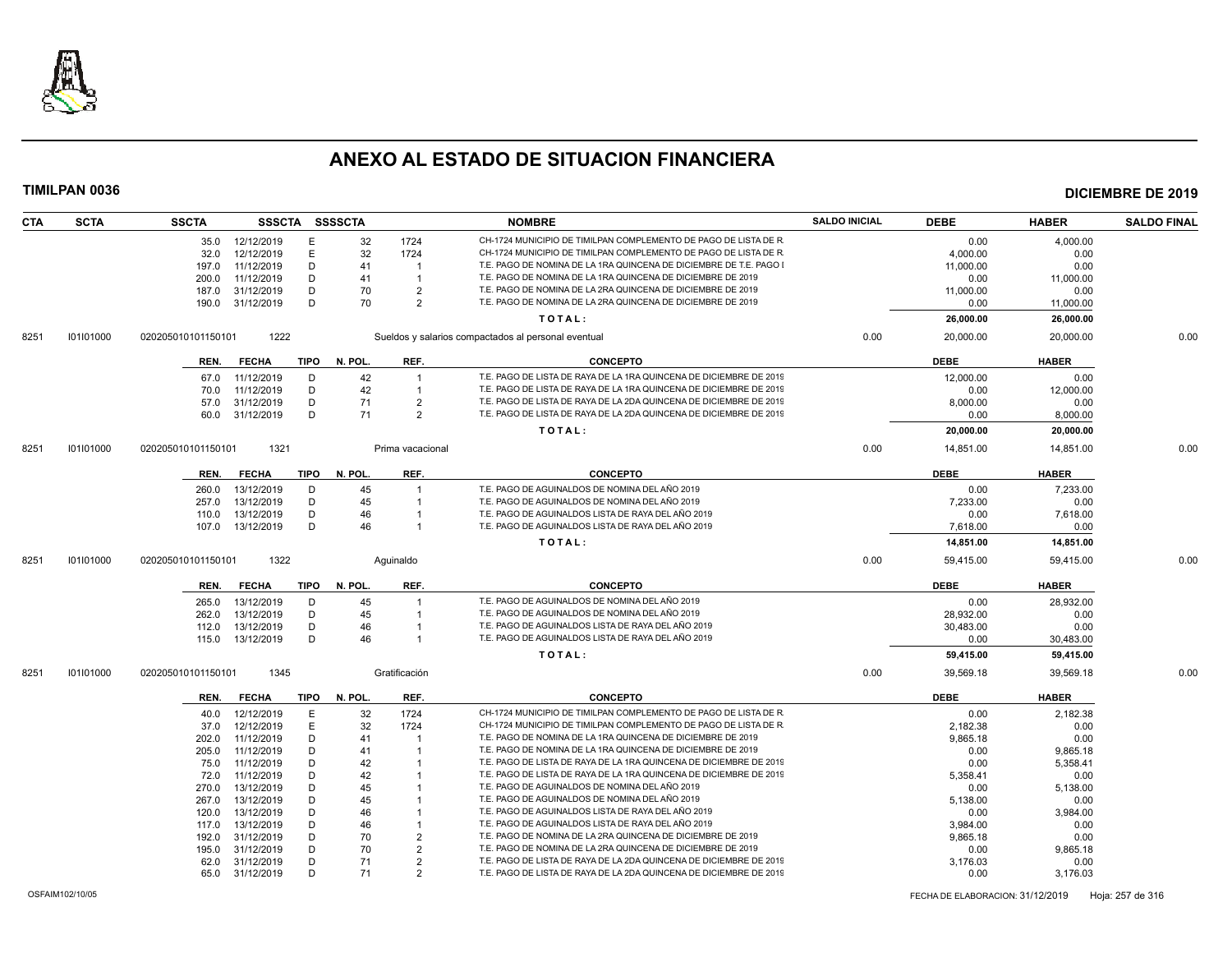

|                   | <b>SSCTA</b>       |                          |             | SSSCTA SSSSCTA |                     | <b>NOMBRE</b>                                                                                                                            | <b>SALDO INICIAL</b> | <b>DEBE</b>            | <b>HABER</b>           | <b>SALDO FINAL</b> |
|-------------------|--------------------|--------------------------|-------------|----------------|---------------------|------------------------------------------------------------------------------------------------------------------------------------------|----------------------|------------------------|------------------------|--------------------|
|                   | 35.0               | 12/12/2019               | E           | 32             | 1724                | CH-1724 MUNICIPIO DE TIMILPAN COMPLEMENTO DE PAGO DE LISTA DE R                                                                          |                      | 0.00                   | 4,000.00               |                    |
|                   | 32.0               | 12/12/2019               | E           | 32             | 1724                | CH-1724 MUNICIPIO DE TIMILPAN COMPLEMENTO DE PAGO DE LISTA DE R                                                                          |                      | 4.000.00               | 0.00                   |                    |
|                   | 197.0              | 11/12/2019               | D           | 41             | $\overline{1}$      | T.E. PAGO DE NOMINA DE LA 1RA QUINCENA DE DICIEMBRE DE T.E. PAGO                                                                         |                      | 11,000.00              | 0.00                   |                    |
|                   | 200.0              | 11/12/2019               | D           | 41             | -1                  | T.E. PAGO DE NOMINA DE LA 1RA QUINCENA DE DICIEMBRE DE 2019                                                                              |                      | 0.00                   | 11,000.00              |                    |
|                   | 187.0              | 31/12/2019               | D           | 70             | $\overline{2}$      | T.E. PAGO DE NOMINA DE LA 2RA QUINCENA DE DICIEMBRE DE 2019                                                                              |                      | 11,000.00              | 0.00                   |                    |
|                   | 190.0              | 31/12/2019               | D           | 70             | $\mathcal{P}$       | T.E. PAGO DE NOMINA DE LA 2RA QUINCENA DE DICIEMBRE DE 2019                                                                              |                      | 0.00                   | 11,000.00              |                    |
|                   |                    |                          |             |                |                     | TOTAL:                                                                                                                                   |                      | 26,000.00              | 26,000.00              |                    |
| 101101000<br>8251 | 020205010101150101 | 1222                     |             |                |                     | Sueldos y salarios compactados al personal eventual                                                                                      | 0.00                 | 20,000.00              | 20,000.00              | 0.00               |
|                   | REN.               | <b>FECHA</b>             | <b>TIPO</b> | N. POL.        | REF.                | <b>CONCEPTO</b>                                                                                                                          |                      | <b>DEBE</b>            | <b>HABER</b>           |                    |
|                   |                    |                          |             |                |                     |                                                                                                                                          |                      |                        |                        |                    |
|                   | 67.0               | 11/12/2019               | D           | 42             | $\overline{1}$      | T.E. PAGO DE LISTA DE RAYA DE LA 1RA QUINCENA DE DICIEMBRE DE 2019                                                                       |                      | 12,000.00              | 0.00                   |                    |
|                   | 70.0               | 11/12/2019               | D           | 42             | $\overline{1}$      | T.E. PAGO DE LISTA DE RAYA DE LA 1RA QUINCENA DE DICIEMBRE DE 2019                                                                       |                      | 0.00                   | 12,000.00              |                    |
|                   | 57.0               | 31/12/2019               | D           | 71             | 2                   | T.E. PAGO DE LISTA DE RAYA DE LA 2DA QUINCENA DE DICIEMBRE DE 2019                                                                       |                      | 8.000.00               | 0.00                   |                    |
|                   | 60.0               | 31/12/2019               | D           | 71             | $\overline{2}$      | T.E. PAGO DE LISTA DE RAYA DE LA 2DA QUINCENA DE DICIEMBRE DE 2019                                                                       |                      | 0.00                   | 8,000.00               |                    |
|                   |                    |                          |             |                |                     | TOTAL:                                                                                                                                   |                      | 20,000.00              | 20,000.00              |                    |
| 101101000<br>8251 | 020205010101150101 | 1321                     |             |                | Prima vacacional    |                                                                                                                                          | 0.00                 | 14.851.00              | 14.851.00              | 0.00               |
|                   | REN.               | <b>FECHA</b>             | <b>TIPO</b> | N. POL.        | REF.                | <b>CONCEPTO</b>                                                                                                                          |                      | <b>DEBE</b>            | <b>HABER</b>           |                    |
|                   | 260.0              | 13/12/2019               | D           | 45             | -1                  | T.E. PAGO DE AGUINALDOS DE NOMINA DEL AÑO 2019                                                                                           |                      | 0.00                   | 7.233.00               |                    |
|                   | 257.0              | 13/12/2019               | D           | 45             | -1                  | T.E. PAGO DE AGUINALDOS DE NOMINA DEL AÑO 2019                                                                                           |                      | 7,233.00               | 0.00                   |                    |
|                   | 110.0              | 13/12/2019               | D           | 46             | -1                  | T.E. PAGO DE AGUINALDOS LISTA DE RAYA DEL AÑO 2019                                                                                       |                      | 0.00                   | 7,618.00               |                    |
|                   | 107.0              | 13/12/2019               | D           | 46             | $\overline{1}$      | T.E. PAGO DE AGUINALDOS LISTA DE RAYA DEL AÑO 2019                                                                                       |                      | 7.618.00               | 0.00                   |                    |
|                   |                    |                          |             |                |                     | TOTAL:                                                                                                                                   |                      | 14,851.00              | 14,851.00              |                    |
| 101101000<br>8251 | 020205010101150101 | 1322                     |             |                | Aquinaldo           |                                                                                                                                          | 0.00                 | 59,415.00              | 59,415.00              | 0.00               |
|                   | REN.               | <b>FECHA</b>             | TIPO        | N. POL.        | REF.                | <b>CONCEPTO</b>                                                                                                                          |                      | <b>DEBE</b>            | <b>HABER</b>           |                    |
|                   | 265.0              | 13/12/2019               | D           | 45             | $\overline{1}$      | T.E. PAGO DE AGUINALDOS DE NOMINA DEL AÑO 2019                                                                                           |                      | 0.00                   | 28,932.00              |                    |
|                   |                    |                          |             | 45             | -1                  | T.E. PAGO DE AGUINALDOS DE NOMINA DEL AÑO 2019                                                                                           |                      | 28.932.00              | 0.00                   |                    |
|                   |                    |                          |             |                |                     |                                                                                                                                          |                      |                        |                        |                    |
|                   | 262.0              | 13/12/2019               | D           |                |                     |                                                                                                                                          |                      |                        |                        |                    |
|                   | 112.0              | 13/12/2019               | D           | 46             | -1                  | T.E. PAGO DE AGUINALDOS LISTA DE RAYA DEL AÑO 2019                                                                                       |                      | 30,483.00              | 0.00                   |                    |
|                   | 115.0              | 13/12/2019               | D           | 46             | $\overline{1}$      | T.E. PAGO DE AGUINALDOS LISTA DE RAYA DEL AÑO 2019                                                                                       |                      | 0.00                   | 30,483.00              |                    |
| 8251<br>101101000 | 020205010101150101 | 1345                     |             |                | Gratificación       | TOTAL:                                                                                                                                   | 0.00                 | 59,415.00<br>39,569.18 | 59,415.00<br>39,569.18 | 0.00               |
|                   |                    |                          |             |                |                     |                                                                                                                                          |                      |                        |                        |                    |
|                   | REN.               | <b>FECHA</b>             | TIPO        | N. POL.        | REF.                | <b>CONCEPTO</b>                                                                                                                          |                      | <b>DEBE</b>            | <b>HABER</b>           |                    |
|                   | 40.0               | 12/12/2019               | E           | 32             | 1724                | CH-1724 MUNICIPIO DE TIMILPAN COMPLEMENTO DE PAGO DE LISTA DE R                                                                          |                      | 0.00                   | 2,182.38               |                    |
|                   | 37.0               | 12/12/2019               | E           | 32             | 1724<br>-1          | CH-1724 MUNICIPIO DE TIMILPAN COMPLEMENTO DE PAGO DE LISTA DE R<br>T.E. PAGO DE NOMINA DE LA 1RA QUINCENA DE DICIEMBRE DE 2019           |                      | 2,182.38               | 0.00                   |                    |
|                   | 202.0              | 11/12/2019               | D<br>D      | 41<br>41       | -1                  | T.E. PAGO DE NOMINA DE LA 1RA QUINCENA DE DICIEMBRE DE 2019                                                                              |                      | 9,865.18               | 0.00                   |                    |
|                   | 205.0              | 11/12/2019               |             |                |                     |                                                                                                                                          |                      | 0.00                   | 9,865.18               |                    |
|                   | 75.0               | 11/12/2019               | D           | 42             |                     | T.E. PAGO DE LISTA DE RAYA DE LA 1RA QUINCENA DE DICIEMBRE DE 2019<br>T.E. PAGO DE LISTA DE RAYA DE LA 1RA QUINCENA DE DICIEMBRE DE 2019 |                      | 0.00                   | 5,358.41               |                    |
|                   | 72.0               | 11/12/2019               | D           | 42             |                     | T.E. PAGO DE AGUINALDOS DE NOMINA DEL AÑO 2019                                                                                           |                      | 5,358.41               | 0.00                   |                    |
|                   | 270.0              | 13/12/2019               | D           | 45             |                     |                                                                                                                                          |                      | 0.00                   | 5,138.00               |                    |
|                   | 267.0              | 13/12/2019               | D           | 45             |                     | T.E. PAGO DE AGUINALDOS DE NOMINA DEL AÑO 2019                                                                                           |                      | 5,138.00               | 0.00                   |                    |
|                   | 120.0              | 13/12/2019               | D           | 46             | -1                  | T.E. PAGO DE AGUINALDOS LISTA DE RAYA DEL AÑO 2019                                                                                       |                      | 0.00                   | 3,984.00               |                    |
|                   | 117.0              | 13/12/2019               | D           | 46             |                     | T.E. PAGO DE AGUINALDOS LISTA DE RAYA DEL AÑO 2019                                                                                       |                      | 3,984.00               | 0.00                   |                    |
|                   | 192.0              | 31/12/2019               | D           | 70             | $\overline{2}$      | T.E. PAGO DE NOMINA DE LA 2RA QUINCENA DE DICIEMBRE DE 2019                                                                              |                      | 9,865.18               | 0.00                   |                    |
|                   | 195.0              | 31/12/2019               | D           | 70             | 2                   | T.E. PAGO DE NOMINA DE LA 2RA QUINCENA DE DICIEMBRE DE 2019                                                                              |                      | 0.00                   | 9,865.18               |                    |
|                   | 62.0<br>65.0       | 31/12/2019<br>31/12/2019 | D<br>D      | 71<br>71       | $\overline{2}$<br>2 | T.E. PAGO DE LISTA DE RAYA DE LA 2DA QUINCENA DE DICIEMBRE DE 2019<br>T.E. PAGO DE LISTA DE RAYA DE LA 2DA QUINCENA DE DICIEMBRE DE 2019 |                      | 3,176.03<br>0.00       | 0.00<br>3,176.03       |                    |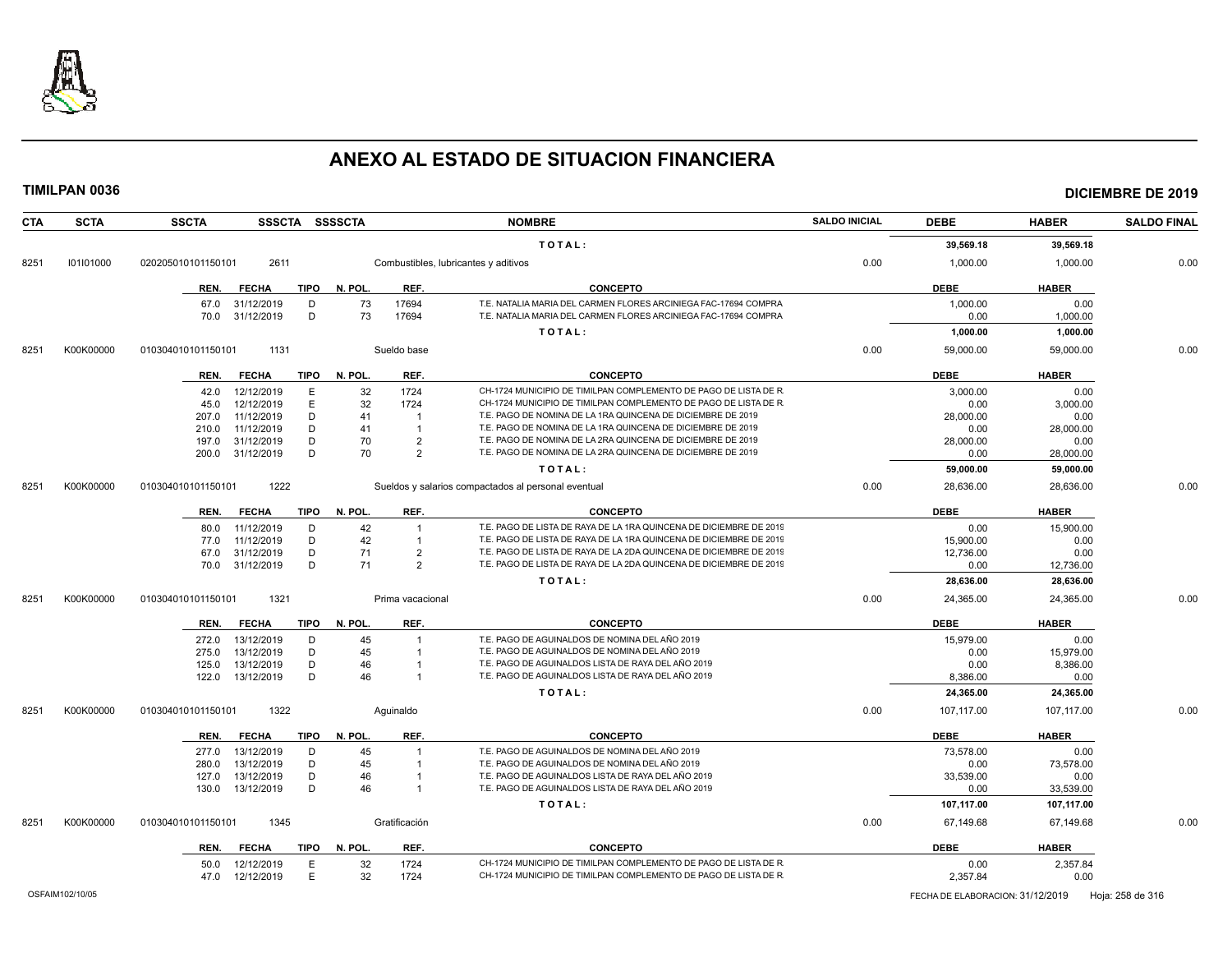

| CTA  | <b>SCTA</b> | <b>SSCTA</b>       |              |             | SSSCTA SSSSCTA |                  | <b>NOMBRE</b>                                                      | <b>SALDO INICIAL</b> | <b>DEBE</b> | <b>HABER</b> | <b>SALDO FINAL</b> |
|------|-------------|--------------------|--------------|-------------|----------------|------------------|--------------------------------------------------------------------|----------------------|-------------|--------------|--------------------|
|      |             |                    |              |             |                |                  | TOTAL:                                                             |                      | 39,569.18   | 39,569.18    |                    |
| 8251 | 101101000   | 020205010101150101 | 2611         |             |                |                  | Combustibles, lubricantes y aditivos                               | 0.00                 | 1,000.00    | 1,000.00     | 0.00               |
|      |             | REN.               | <b>FECHA</b> | <b>TIPO</b> | N. POL.        | REF.             | <b>CONCEPTO</b>                                                    |                      | <b>DEBE</b> | <b>HABER</b> |                    |
|      |             | 67.0               | 31/12/2019   | D           | 73             | 17694            | T.E. NATALIA MARIA DEL CARMEN FLORES ARCINIEGA FAC-17694 COMPRA    |                      | 1,000.00    | 0.00         |                    |
|      |             | 70.0               | 31/12/2019   | D           | 73             | 17694            | T.E. NATALIA MARIA DEL CARMEN FLORES ARCINIEGA FAC-17694 COMPRA    |                      | 0.00        | 1,000.00     |                    |
|      |             |                    |              |             |                |                  | TOTAL:                                                             |                      | 1,000.00    | 1,000.00     |                    |
| 8251 | K00K00000   | 010304010101150101 | 1131         |             |                | Sueldo base      |                                                                    | 0.00                 | 59,000.00   | 59,000.00    | 0.00               |
|      |             | REN.               | <b>FECHA</b> | TIPO        | N. POL.        | REF.             | <b>CONCEPTO</b>                                                    |                      | <b>DEBE</b> | <b>HABER</b> |                    |
|      |             | 42.0               | 12/12/2019   | E           | 32             | 1724             | CH-1724 MUNICIPIO DE TIMILPAN COMPLEMENTO DE PAGO DE LISTA DE R    |                      | 3,000.00    | 0.00         |                    |
|      |             | 45.0               | 12/12/2019   | $\mathsf E$ | 32             | 1724             | CH-1724 MUNICIPIO DE TIMILPAN COMPLEMENTO DE PAGO DE LISTA DE R    |                      | 0.00        | 3,000.00     |                    |
|      |             | 207.0              | 11/12/2019   | D           | 41             | $\overline{1}$   | T.E. PAGO DE NOMINA DE LA 1RA QUINCENA DE DICIEMBRE DE 2019        |                      | 28,000.00   | 0.00         |                    |
|      |             | 210.0              | 11/12/2019   | D           | 41             | $\overline{1}$   | T.E. PAGO DE NOMINA DE LA 1RA QUINCENA DE DICIEMBRE DE 2019        |                      | 0.00        | 28,000.00    |                    |
|      |             | 197.0              | 31/12/2019   | D           | 70             | $\overline{2}$   | T.E. PAGO DE NOMINA DE LA 2RA QUINCENA DE DICIEMBRE DE 2019        |                      | 28,000.00   | 0.00         |                    |
|      |             | 200.0              | 31/12/2019   | D           | 70             | $\overline{2}$   | T.E. PAGO DE NOMINA DE LA 2RA QUINCENA DE DICIEMBRE DE 2019        |                      | 0.00        | 28,000.00    |                    |
|      |             |                    |              |             |                |                  | TOTAL:                                                             |                      | 59,000.00   | 59,000.00    |                    |
| 8251 | K00K00000   | 010304010101150101 | 1222         |             |                |                  | Sueldos y salarios compactados al personal eventual                | 0.00                 | 28,636.00   | 28,636.00    | 0.00               |
|      |             | REN.               | <b>FECHA</b> | <b>TIPO</b> | N. POL.        | REF.             | <b>CONCEPTO</b>                                                    |                      | <b>DEBE</b> | <b>HABER</b> |                    |
|      |             | 80.0               | 11/12/2019   | D           | 42             |                  | T.E. PAGO DE LISTA DE RAYA DE LA 1RA QUINCENA DE DICIEMBRE DE 2019 |                      | 0.00        | 15,900.00    |                    |
|      |             | 77.0               | 11/12/2019   | D           | 42             |                  | T.E. PAGO DE LISTA DE RAYA DE LA 1RA QUINCENA DE DICIEMBRE DE 2019 |                      | 15,900.00   | 0.00         |                    |
|      |             | 67.0               | 31/12/2019   | D           | 71             | $\overline{2}$   | T.E. PAGO DE LISTA DE RAYA DE LA 2DA QUINCENA DE DICIEMBRE DE 2019 |                      | 12,736.00   | 0.00         |                    |
|      |             | 70.0               | 31/12/2019   | D           | 71             | 2                | T.E. PAGO DE LISTA DE RAYA DE LA 2DA QUINCENA DE DICIEMBRE DE 2019 |                      | 0.00        | 12,736.00    |                    |
|      |             |                    |              |             |                |                  | TOTAL:                                                             |                      | 28,636.00   | 28,636.00    |                    |
| 8251 | K00K00000   | 010304010101150101 | 1321         |             |                | Prima vacacional |                                                                    | 0.00                 | 24,365.00   | 24,365.00    | 0.00               |
|      |             | REN.               | <b>FECHA</b> | <b>TIPO</b> | N. POL.        | REF.             | <b>CONCEPTO</b>                                                    |                      | <b>DEBE</b> | <b>HABER</b> |                    |
|      |             | 272.0              | 13/12/2019   | D           | 45             |                  | T.E. PAGO DE AGUINALDOS DE NOMINA DEL AÑO 2019                     |                      | 15,979.00   | 0.00         |                    |
|      |             | 275.0              | 13/12/2019   | D           | 45             | $\overline{1}$   | T.E. PAGO DE AGUINALDOS DE NOMINA DEL AÑO 2019                     |                      | 0.00        | 15,979.00    |                    |
|      |             | 125.0              | 13/12/2019   | D           | 46             |                  | T.E. PAGO DE AGUINALDOS LISTA DE RAYA DEL AÑO 2019                 |                      | 0.00        | 8,386.00     |                    |
|      |             | 122.0              | 13/12/2019   | D           | 46             | $\overline{1}$   | T.E. PAGO DE AGUINALDOS LISTA DE RAYA DEL AÑO 2019                 |                      | 8,386.00    | 0.00         |                    |
|      |             |                    |              |             |                |                  | TOTAL:                                                             |                      | 24,365.00   | 24,365.00    |                    |
| 8251 | K00K00000   | 010304010101150101 | 1322         |             |                | Aquinaldo        |                                                                    | 0.00                 | 107,117.00  | 107,117.00   | 0.00               |
|      |             | REN.               | <b>FECHA</b> | TIPO        | N. POL.        | REF.             | <b>CONCEPTO</b>                                                    |                      | <b>DEBE</b> | <b>HABER</b> |                    |
|      |             | 277.0              | 13/12/2019   | D           | 45             |                  | T.E. PAGO DE AGUINALDOS DE NOMINA DEL AÑO 2019                     |                      | 73.578.00   | 0.00         |                    |
|      |             | 280.0              | 13/12/2019   | D           | 45             |                  | T.E. PAGO DE AGUINALDOS DE NOMINA DEL AÑO 2019                     |                      | 0.00        | 73,578.00    |                    |
|      |             | 127.0              | 13/12/2019   | D           | 46             |                  | T.E. PAGO DE AGUINALDOS LISTA DE RAYA DEL AÑO 2019                 |                      | 33,539.00   | 0.00         |                    |
|      |             | 130.0              | 13/12/2019   | D           | 46             | $\overline{1}$   | T.E. PAGO DE AGUINALDOS LISTA DE RAYA DEL AÑO 2019                 |                      | 0.00        | 33,539.00    |                    |
|      |             |                    |              |             |                |                  | TOTAL:                                                             |                      | 107,117.00  | 107,117.00   |                    |
| 8251 | K00K00000   | 010304010101150101 | 1345         |             |                | Gratificación    |                                                                    | 0.00                 | 67,149.68   | 67,149.68    | 0.00               |
|      |             | REN.               | <b>FECHA</b> | <b>TIPO</b> | N. POL.        | REF.             | <b>CONCEPTO</b>                                                    |                      | <b>DEBE</b> | <b>HABER</b> |                    |
|      |             | 50.0               | 12/12/2019   | E           | 32             | 1724             | CH-1724 MUNICIPIO DE TIMILPAN COMPLEMENTO DE PAGO DE LISTA DE R    |                      | 0.00        | 2,357.84     |                    |
|      |             | 47.0               | 12/12/2019   | E           | 32             | 1724             | CH-1724 MUNICIPIO DE TIMILPAN COMPLEMENTO DE PAGO DE LISTA DE R    |                      | 2,357.84    | 0.00         |                    |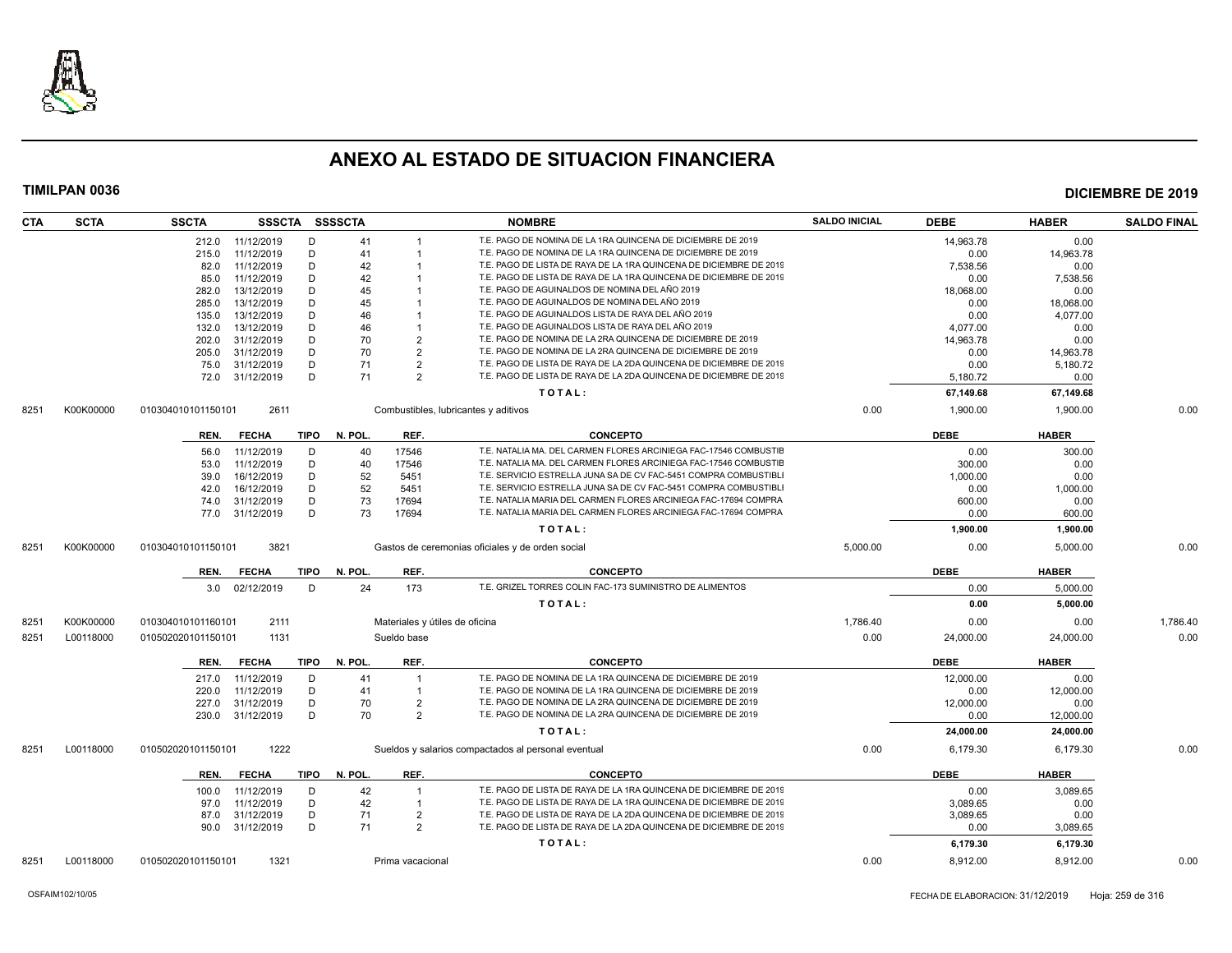

| <b>CTA</b> | <b>SCTA</b> | <b>SSCTA</b>       |                  |             | SSSCTA SSSSCTA |                                | <b>NOMBRE</b>                                                      | <b>SALDO INICIAL</b> | <b>DEBE</b> | <b>HABER</b> | <b>SALDO FINAL</b> |
|------------|-------------|--------------------|------------------|-------------|----------------|--------------------------------|--------------------------------------------------------------------|----------------------|-------------|--------------|--------------------|
|            |             |                    | 212.0 11/12/2019 | D           | 41             |                                | T.E. PAGO DE NOMINA DE LA 1RA QUINCENA DE DICIEMBRE DE 2019        |                      | 14,963.78   | 0.00         |                    |
|            |             | 215.0              | 11/12/2019       | D           | 41             |                                | T.E. PAGO DE NOMINA DE LA 1RA QUINCENA DE DICIEMBRE DE 2019        |                      | 0.00        | 14,963.78    |                    |
|            |             | 82.0               | 11/12/2019       | D           | 42             |                                | T.E. PAGO DE LISTA DE RAYA DE LA 1RA QUINCENA DE DICIEMBRE DE 2019 |                      | 7,538.56    | 0.00         |                    |
|            |             | 85.0               | 11/12/2019       | D           | 42             |                                | T.E. PAGO DE LISTA DE RAYA DE LA 1RA QUINCENA DE DICIEMBRE DE 2019 |                      | 0.00        | 7,538.56     |                    |
|            |             | 282.0              | 13/12/2019       | D           | 45             |                                | T.E. PAGO DE AGUINALDOS DE NOMINA DEL AÑO 2019                     |                      | 18,068.00   | 0.00         |                    |
|            |             | 285.0              | 13/12/2019       | D           | 45             |                                | T.E. PAGO DE AGUINALDOS DE NOMINA DEL AÑO 2019                     |                      | 0.00        | 18,068.00    |                    |
|            |             | 135.0              | 13/12/2019       | D           | 46             |                                | T.E. PAGO DE AGUINALDOS LISTA DE RAYA DEL AÑO 2019                 |                      | 0.00        | 4,077.00     |                    |
|            |             | 132.0              | 13/12/2019       | D           | 46             |                                | T.E. PAGO DE AGUINALDOS LISTA DE RAYA DEL AÑO 2019                 |                      | 4,077.00    | 0.00         |                    |
|            |             | 202.0              | 31/12/2019       | D           | 70             | $\overline{2}$                 | T.E. PAGO DE NOMINA DE LA 2RA QUINCENA DE DICIEMBRE DE 2019        |                      | 14,963.78   | 0.00         |                    |
|            |             | 205.0              | 31/12/2019       | D           | 70             | $\overline{2}$                 | T.E. PAGO DE NOMINA DE LA 2RA QUINCENA DE DICIEMBRE DE 2019        |                      | 0.00        | 14,963.78    |                    |
|            |             | 75.0               | 31/12/2019       | D           | 71             | $\overline{2}$                 | T.E. PAGO DE LISTA DE RAYA DE LA 2DA QUINCENA DE DICIEMBRE DE 2019 |                      | 0.00        | 5,180.72     |                    |
|            |             | 72.0               | 31/12/2019       | D           | 71             | $\overline{2}$                 | T.E. PAGO DE LISTA DE RAYA DE LA 2DA QUINCENA DE DICIEMBRE DE 2019 |                      | 5,180.72    | 0.00         |                    |
|            |             |                    |                  |             |                |                                | TOTAL:                                                             |                      | 67,149.68   | 67,149.68    |                    |
| 8251       | K00K00000   | 010304010101150101 | 2611             |             |                |                                | Combustibles, lubricantes y aditivos                               | 0.00                 | 1,900.00    | 1,900.00     | 0.00               |
|            |             |                    |                  |             |                |                                |                                                                    |                      |             |              |                    |
|            |             | REN.               | <b>FECHA</b>     | TIPO        | N. POL.        | REF.                           | <b>CONCEPTO</b>                                                    |                      | <b>DEBE</b> | <b>HABER</b> |                    |
|            |             | 56.0               | 11/12/2019       | D           | 40             | 17546                          | T.E. NATALIA MA. DEL CARMEN FLORES ARCINIEGA FAC-17546 COMBUSTIE   |                      | 0.00        | 300.00       |                    |
|            |             | 53.0               | 11/12/2019       | D           | 40             | 17546                          | T.E. NATALIA MA. DEL CARMEN FLORES ARCINIEGA FAC-17546 COMBUSTIE   |                      | 300.00      | 0.00         |                    |
|            |             | 39.0               | 16/12/2019       | D           | 52             | 5451                           | T.E. SERVICIO ESTRELLA JUNA SA DE CV FAC-5451 COMPRA COMBUSTIBL    |                      | 1,000.00    | 0.00         |                    |
|            |             | 42.0               | 16/12/2019       | D           | 52             | 5451                           | T.E. SERVICIO ESTRELLA JUNA SA DE CV FAC-5451 COMPRA COMBUSTIBLI   |                      | 0.00        | 1,000.00     |                    |
|            |             | 74.0               | 31/12/2019       | D           | 73             | 17694                          | T.E. NATALIA MARIA DEL CARMEN FLORES ARCINIEGA FAC-17694 COMPRA    |                      | 600.00      | 0.00         |                    |
|            |             |                    | 77.0 31/12/2019  | D           | 73             | 17694                          | T.E. NATALIA MARIA DEL CARMEN FLORES ARCINIEGA FAC-17694 COMPRA    |                      | 0.00        | 600.00       |                    |
|            |             |                    |                  |             |                |                                | TOTAL:                                                             |                      | 1,900.00    | 1,900.00     |                    |
| 8251       | K00K00000   | 010304010101150101 | 3821             |             |                |                                | Gastos de ceremonias oficiales y de orden social                   | 5,000.00             | 0.00        | 5,000.00     | 0.00               |
|            |             | REN.               | <b>FECHA</b>     | TIPO        | N. POL.        | REF.                           | <b>CONCEPTO</b>                                                    |                      | <b>DEBE</b> | <b>HABER</b> |                    |
|            |             |                    | 3.0 02/12/2019   | D           | 24             | 173                            | T.E. GRIZEL TORRES COLIN FAC-173 SUMINISTRO DE ALIMENTOS           |                      | 0.00        | 5.000.00     |                    |
|            |             |                    |                  |             |                |                                | TOTAL:                                                             |                      | 0.00        | 5,000.00     |                    |
| 8251       | K00K00000   | 010304010101160101 | 2111             |             |                | Materiales y útiles de oficina |                                                                    | 1,786.40             | 0.00        | 0.00         | 1,786.40           |
| 8251       | L00118000   | 010502020101150101 | 1131             |             |                | Sueldo base                    |                                                                    | 0.00                 | 24,000.00   | 24,000.00    | 0.00               |
|            |             | REN.               | <b>FECHA</b>     | TIPO        | N. POL.        | REF.                           | <b>CONCEPTO</b>                                                    |                      | DEBE        | <b>HABER</b> |                    |
|            |             | 217.0              | 11/12/2019       | D           | 41             |                                | T.E. PAGO DE NOMINA DE LA 1RA QUINCENA DE DICIEMBRE DE 2019        |                      | 12,000.00   | 0.00         |                    |
|            |             | 220.0              | 11/12/2019       | D           | 41             | $\overline{1}$                 | T.E. PAGO DE NOMINA DE LA 1RA QUINCENA DE DICIEMBRE DE 2019        |                      | 0.00        | 12.000.00    |                    |
|            |             | 227.0              | 31/12/2019       | D           | 70             | $\overline{2}$                 | T.E. PAGO DE NOMINA DE LA 2RA QUINCENA DE DICIEMBRE DE 2019        |                      | 12,000.00   | 0.00         |                    |
|            |             | 230.0              | 31/12/2019       | D           | 70             | $\overline{2}$                 | T.E. PAGO DE NOMINA DE LA 2RA QUINCENA DE DICIEMBRE DE 2019        |                      | 0.00        | 12,000.00    |                    |
|            |             |                    |                  |             |                |                                | TOTAL:                                                             |                      | 24,000.00   | 24,000.00    |                    |
| 8251       | L00118000   | 010502020101150101 | 1222             |             |                |                                | Sueldos y salarios compactados al personal eventual                | 0.00                 | 6,179.30    | 6,179.30     | 0.00               |
|            |             |                    |                  |             |                |                                |                                                                    |                      |             |              |                    |
|            |             | REN.               | <b>FECHA</b>     | <b>TIPO</b> | N. POL.        | REF.                           | <b>CONCEPTO</b>                                                    |                      | <b>DEBE</b> | <b>HABER</b> |                    |
|            |             | 100.0              | 11/12/2019       | D           | 42             | $\mathbf{1}$                   | T.E. PAGO DE LISTA DE RAYA DE LA 1RA QUINCENA DE DICIEMBRE DE 2019 |                      | 0.00        | 3,089.65     |                    |
|            |             | 97.0               | 11/12/2019       | D           | 42             | $\overline{1}$                 | T.E. PAGO DE LISTA DE RAYA DE LA 1RA QUINCENA DE DICIEMBRE DE 2019 |                      | 3.089.65    | 0.00         |                    |
|            |             | 87.0               | 31/12/2019       | D           | 71             | $\overline{2}$                 | T.E. PAGO DE LISTA DE RAYA DE LA 2DA QUINCENA DE DICIEMBRE DE 2019 |                      | 3,089.65    | 0.00         |                    |
|            |             |                    | 90.0 31/12/2019  | D           | 71             | $\overline{2}$                 | T.E. PAGO DE LISTA DE RAYA DE LA 2DA QUINCENA DE DICIEMBRE DE 2019 |                      | 0.00        | 3,089.65     |                    |
|            |             |                    |                  |             |                |                                | TOTAL:                                                             |                      | 6,179.30    | 6,179.30     |                    |
| 8251       | L00118000   | 010502020101150101 | 1321             |             |                | Prima vacacional               |                                                                    | 0.00                 | 8,912.00    | 8.912.00     | 0.00               |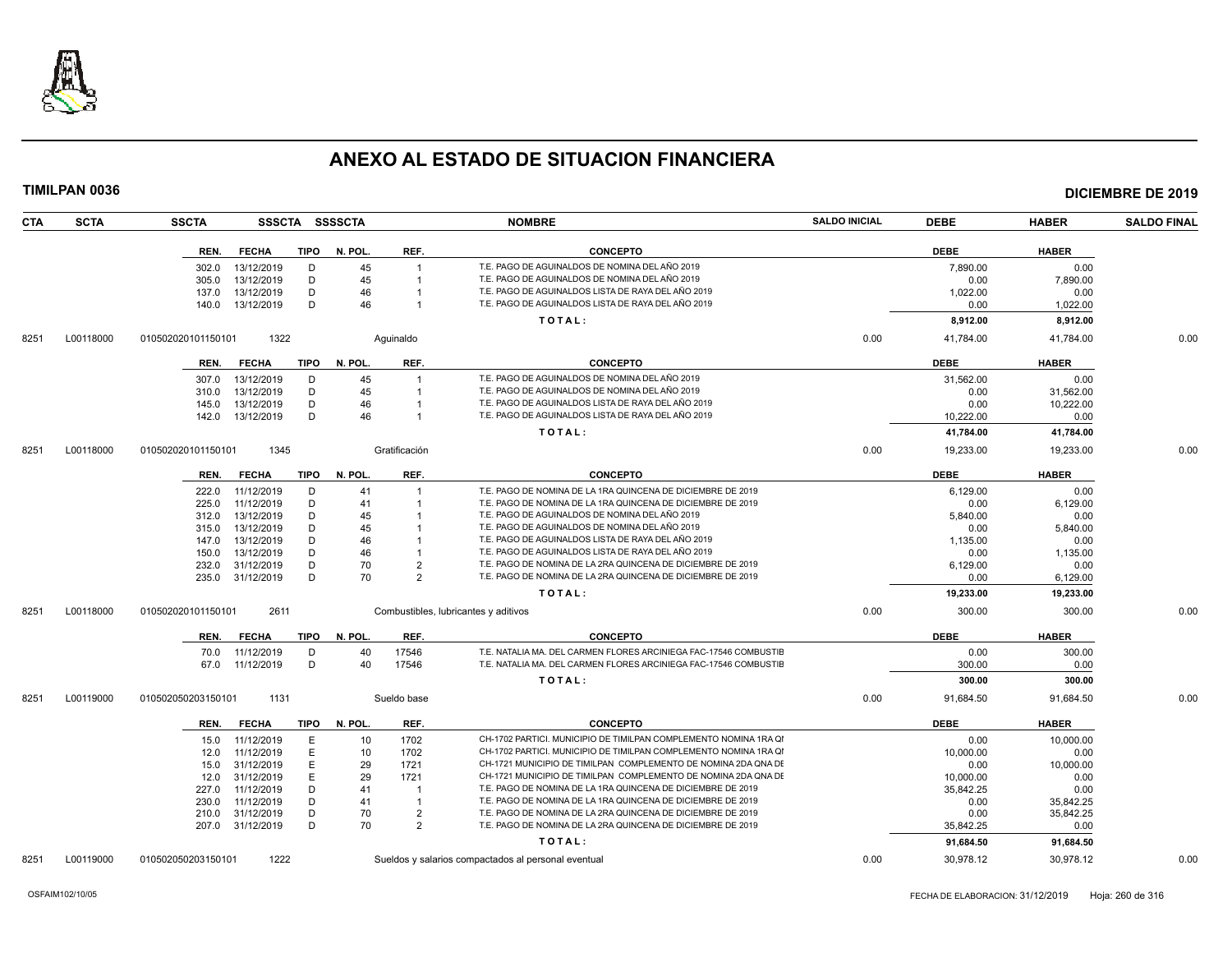

| <b>CTA</b> | <b>SCTA</b> | <b>SSCTA</b>                               | SSSCTA SSSSCTA         |                      | <b>NOMBRE</b>                                                    | <b>SALDO INICIAL</b> | <b>DEBE</b>      | <b>HABER</b>     | <b>SALDO FINAL</b> |
|------------|-------------|--------------------------------------------|------------------------|----------------------|------------------------------------------------------------------|----------------------|------------------|------------------|--------------------|
|            |             | <b>FECHA</b><br>REN.                       | <b>TIPO</b><br>N. POL. | REF.                 | <b>CONCEPTO</b>                                                  |                      | <b>DEBE</b>      | <b>HABER</b>     |                    |
|            |             | 13/12/2019<br>302.0                        | D                      | 45                   | T.E. PAGO DE AGUINALDOS DE NOMINA DEL AÑO 2019                   |                      | 7,890.00         | 0.00             |                    |
|            |             | 305.0<br>13/12/2019                        | D                      | 45                   | T.E. PAGO DE AGUINALDOS DE NOMINA DEL AÑO 2019                   |                      | 0.00             | 7.890.00         |                    |
|            |             | 13/12/2019<br>137.0                        | D                      | 46                   | T.E. PAGO DE AGUINALDOS LISTA DE RAYA DEL AÑO 2019               |                      | 1,022.00         | 0.00             |                    |
|            |             | 13/12/2019<br>140.0                        | D                      | 46                   | T.E. PAGO DE AGUINALDOS LISTA DE RAYA DEL AÑO 2019               |                      | 0.00             | 1,022.00         |                    |
|            |             |                                            |                        |                      | TOTAL:                                                           |                      | 8,912.00         | 8,912.00         |                    |
| 8251       | L00118000   | 010502020101150101<br>1322                 |                        | Aquinaldo            |                                                                  | 0.00                 | 41,784.00        | 41,784.00        | 0.00               |
|            |             | <b>FECHA</b><br>REN.                       | <b>TIPO</b><br>N. POL  | REF.                 | <b>CONCEPTO</b>                                                  |                      | <b>DEBE</b>      | <b>HABER</b>     |                    |
|            |             | 13/12/2019<br>307.0                        | D                      | 45                   | T.E. PAGO DE AGUINALDOS DE NOMINA DEL AÑO 2019                   |                      | 31,562.00        | 0.00             |                    |
|            |             | 13/12/2019<br>310.0                        | D                      | 45                   | T.E. PAGO DE AGUINALDOS DE NOMINA DEL AÑO 2019                   |                      | 0.00             | 31,562.00        |                    |
|            |             | 145.0<br>13/12/2019                        | D                      | 46                   | T.E. PAGO DE AGUINALDOS LISTA DE RAYA DEL AÑO 2019               |                      | 0.00             | 10,222.00        |                    |
|            |             | 13/12/2019<br>142.0                        | D                      | 46                   | T.E. PAGO DE AGUINALDOS LISTA DE RAYA DEL AÑO 2019               |                      | 10,222.00        | 0.00             |                    |
|            |             |                                            |                        |                      | TOTAL:                                                           |                      | 41,784.00        | 41,784.00        |                    |
| 8251       | L00118000   | 1345<br>010502020101150101                 |                        | Gratificación        |                                                                  | 0.00                 | 19,233.00        | 19,233.00        | 0.00               |
|            |             | <b>FECHA</b><br>REN.                       | TIPO<br>N. POL.        | REF.                 | <b>CONCEPTO</b>                                                  |                      | <b>DEBE</b>      | <b>HABER</b>     |                    |
|            |             |                                            |                        |                      | T.E. PAGO DE NOMINA DE LA 1RA QUINCENA DE DICIEMBRE DE 2019      |                      |                  |                  |                    |
|            |             | 11/12/2019<br>222.0                        | D                      | 41                   | T.E. PAGO DE NOMINA DE LA 1RA QUINCENA DE DICIEMBRE DE 2019      |                      | 6,129.00         | 0.00             |                    |
|            |             | 225.0<br>11/12/2019<br>13/12/2019          | D<br>D                 | 41<br>45             | T.E. PAGO DE AGUINALDOS DE NOMINA DEL AÑO 2019                   |                      | 0.00             | 6,129.00         |                    |
|            |             | 312.0<br>13/12/2019<br>315.0               | D                      | 45                   | T.E. PAGO DE AGUINALDOS DE NOMINA DEL AÑO 2019                   |                      | 5,840.00<br>0.00 | 0.00<br>5,840.00 |                    |
|            |             |                                            | D                      | 46                   | T.E. PAGO DE AGUINALDOS LISTA DE RAYA DEL AÑO 2019               |                      |                  |                  |                    |
|            |             | 13/12/2019<br>147.0<br>13/12/2019<br>150.0 | D                      | 46                   | T.E. PAGO DE AGUINALDOS LISTA DE RAYA DEL AÑO 2019               |                      | 1,135.00<br>0.00 | 0.00<br>1.135.00 |                    |
|            |             | 31/12/2019<br>232.0                        | D                      | 70<br>$\overline{2}$ | T.E. PAGO DE NOMINA DE LA 2RA QUINCENA DE DICIEMBRE DE 2019      |                      | 6,129.00         | 0.00             |                    |
|            |             | 31/12/2019<br>235.0                        | D                      | 70<br>$\overline{2}$ | T.E. PAGO DE NOMINA DE LA 2RA QUINCENA DE DICIEMBRE DE 2019      |                      | 0.00             |                  |                    |
|            |             |                                            |                        |                      |                                                                  |                      |                  | 6,129.00         |                    |
|            |             |                                            |                        |                      | TOTAL:                                                           |                      | 19,233.00        | 19,233.00        |                    |
| 8251       | L00118000   | 2611<br>010502020101150101                 |                        |                      | Combustibles, lubricantes y aditivos                             | 0.00                 | 300.00           | 300.00           | 0.00               |
|            |             | <b>FECHA</b><br>REN.                       | <b>TIPO</b><br>N. POL. | REF.                 | <b>CONCEPTO</b>                                                  |                      | <b>DEBE</b>      | <b>HABER</b>     |                    |
|            |             | 70.0<br>11/12/2019                         | D                      | 17546<br>40          | T.E. NATALIA MA. DEL CARMEN FLORES ARCINIEGA FAC-17546 COMBUSTIE |                      | 0.00             | 300.00           |                    |
|            |             | 11/12/2019<br>67.0                         | D                      | 17546<br>40          | T.E. NATALIA MA. DEL CARMEN FLORES ARCINIEGA FAC-17546 COMBUSTIE |                      | 300.00           | 0.00             |                    |
|            |             |                                            |                        |                      | TOTAL:                                                           |                      | 300.00           | 300.00           |                    |
| 8251       | L00119000   | 1131<br>010502050203150101                 |                        | Sueldo base          |                                                                  | 0.00                 | 91,684.50        | 91,684.50        | 0.00               |
|            |             | <b>FECHA</b><br>REN.                       | <b>TIPO</b><br>N. POL. | REF.                 | <b>CONCEPTO</b>                                                  |                      | <b>DEBE</b>      | <b>HABER</b>     |                    |
|            |             | 11/12/2019<br>15.0                         | Ε                      | 1702<br>10           | CH-1702 PARTICI. MUNICIPIO DE TIMILPAN COMPLEMENTO NOMINA 1RA QI |                      | 0.00             | 10,000.00        |                    |
|            |             | 11/12/2019<br>12.0                         | E                      | 10<br>1702           | CH-1702 PARTICI. MUNICIPIO DE TIMILPAN COMPLEMENTO NOMINA 1RA QI |                      | 10,000.00        | 0.00             |                    |
|            |             | 31/12/2019<br>15.0                         | E                      | 29<br>1721           | CH-1721 MUNICIPIO DE TIMILPAN COMPLEMENTO DE NOMINA 2DA QNA DE   |                      | 0.00             | 10,000.00        |                    |
|            |             | 31/12/2019<br>12.0                         | Ε                      | 29<br>1721           | CH-1721 MUNICIPIO DE TIMILPAN COMPLEMENTO DE NOMINA 2DA QNA DE   |                      | 10,000.00        | 0.00             |                    |
|            |             | 11/12/2019<br>227.0                        | D                      | 41<br>-1             | T.E. PAGO DE NOMINA DE LA 1RA QUINCENA DE DICIEMBRE DE 2019      |                      | 35,842.25        | 0.00             |                    |
|            |             | 11/12/2019<br>230.0                        | D                      | 41<br>$\overline{1}$ | T.E. PAGO DE NOMINA DE LA 1RA QUINCENA DE DICIEMBRE DE 2019      |                      | 0.00             | 35,842.25        |                    |
|            |             | 31/12/2019<br>210.0                        | D                      | 70<br>$\overline{2}$ | T.E. PAGO DE NOMINA DE LA 2RA QUINCENA DE DICIEMBRE DE 2019      |                      | 0.00             | 35,842.25        |                    |
|            |             | 207.0<br>31/12/2019                        | D                      | 70<br>2              | T.E. PAGO DE NOMINA DE LA 2RA QUINCENA DE DICIEMBRE DE 2019      |                      | 35,842.25        | 0.00             |                    |
|            |             |                                            |                        |                      | TOTAL:                                                           |                      | 91,684.50        | 91,684.50        |                    |
| 8251       | L00119000   | 1222<br>010502050203150101                 |                        |                      | Sueldos y salarios compactados al personal eventual              | 0.00                 | 30,978.12        | 30,978.12        | 0.00               |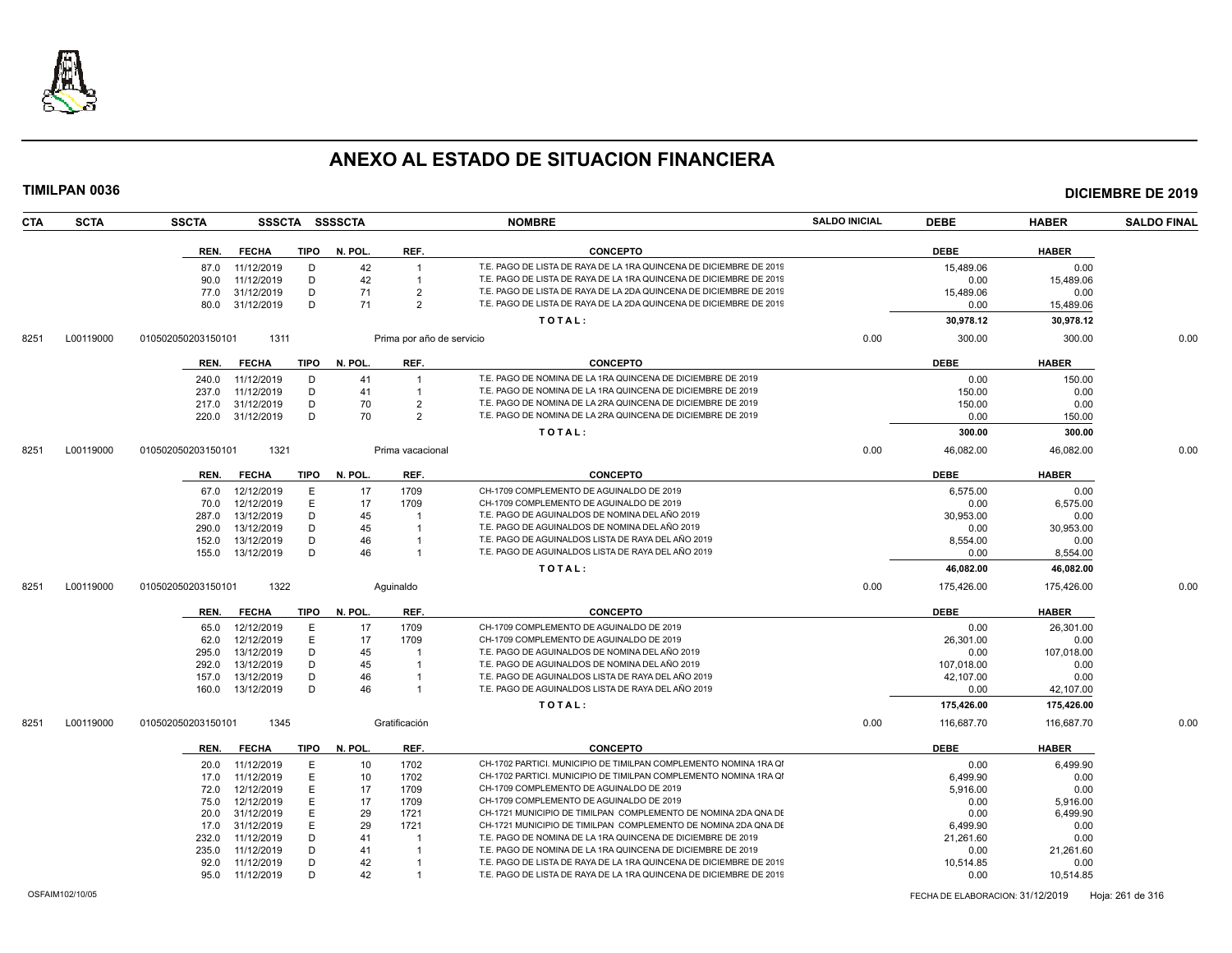

| <b>SCTA</b><br><b>CTA</b> | <b>SSCTA</b>       | <b>SSSCTA</b> |             | <b>SSSSCTA</b> |                           | <b>NOMBRE</b>                                                      | <b>SALDO INICIAL</b> | <b>DEBE</b>                      | <b>HABER</b> | <b>SALDO FINAL</b> |
|---------------------------|--------------------|---------------|-------------|----------------|---------------------------|--------------------------------------------------------------------|----------------------|----------------------------------|--------------|--------------------|
|                           | REN.               | <b>FECHA</b>  | <b>TIPO</b> | N. POL.        | REF.                      | <b>CONCEPTO</b>                                                    |                      | <b>DEBE</b>                      | <b>HABER</b> |                    |
|                           | 87.0               | 11/12/2019    | D           | 42             | $\overline{1}$            | T.E. PAGO DE LISTA DE RAYA DE LA 1RA QUINCENA DE DICIEMBRE DE 2019 |                      | 15,489.06                        | 0.00         |                    |
|                           | 90.0               | 11/12/2019    | D           | 42             |                           | T.E. PAGO DE LISTA DE RAYA DE LA 1RA QUINCENA DE DICIEMBRE DE 2019 |                      | 0.00                             | 15.489.06    |                    |
|                           | 77.0               | 31/12/2019    | D           | 71             | $\overline{2}$            | T.E. PAGO DE LISTA DE RAYA DE LA 2DA QUINCENA DE DICIEMBRE DE 2019 |                      | 15,489.06                        | 0.00         |                    |
|                           | 80.0               | 31/12/2019    | D           | 71             | $\overline{2}$            | T.E. PAGO DE LISTA DE RAYA DE LA 2DA QUINCENA DE DICIEMBRE DE 2019 |                      | 0.00                             | 15,489.06    |                    |
|                           |                    |               |             |                |                           | TOTAL:                                                             |                      | 30,978.12                        | 30,978.12    |                    |
|                           |                    |               |             |                |                           |                                                                    |                      |                                  |              |                    |
| L00119000<br>8251         | 010502050203150101 | 1311          |             |                | Prima por año de servicio |                                                                    | 0.00                 | 300.00                           | 300.00       | 0.00               |
|                           | REN.               | <b>FECHA</b>  | TIPO        | N. POL.        | REF.                      | <b>CONCEPTO</b>                                                    |                      | <b>DEBE</b>                      | <b>HABER</b> |                    |
|                           | 240.0              | 11/12/2019    | D           | 41             |                           | T.E. PAGO DE NOMINA DE LA 1RA QUINCENA DE DICIEMBRE DE 2019        |                      | 0.00                             | 150.00       |                    |
|                           | 237.0              | 11/12/2019    | D           | 41             | $\overline{1}$            | T.E. PAGO DE NOMINA DE LA 1RA QUINCENA DE DICIEMBRE DE 2019        |                      | 150.00                           | 0.00         |                    |
|                           | 217.0              | 31/12/2019    | D           | 70             | $\overline{2}$            | T.E. PAGO DE NOMINA DE LA 2RA QUINCENA DE DICIEMBRE DE 2019        |                      | 150.00                           | 0.00         |                    |
|                           | 220.0              | 31/12/2019    | D           | 70             | $\overline{2}$            | T.E. PAGO DE NOMINA DE LA 2RA QUINCENA DE DICIEMBRE DE 2019        |                      | 0.00                             | 150.00       |                    |
|                           |                    |               |             |                |                           | TOTAL:                                                             |                      | 300.00                           | 300.00       |                    |
| L00119000<br>8251         | 010502050203150101 | 1321          |             |                | Prima vacacional          |                                                                    | 0.00                 | 46,082.00                        | 46,082.00    | 0.00               |
|                           | REN.               | <b>FECHA</b>  | TIPO        | N. POL.        | REF.                      | <b>CONCEPTO</b>                                                    |                      | <b>DEBE</b>                      | <b>HABER</b> |                    |
|                           | 67.0               | 12/12/2019    | E           | 17             | 1709                      | CH-1709 COMPLEMENTO DE AGUINALDO DE 2019                           |                      | 6,575.00                         | 0.00         |                    |
|                           | 70.0               | 12/12/2019    | E           | 17             | 1709                      | CH-1709 COMPLEMENTO DE AGUINALDO DE 2019                           |                      | 0.00                             | 6,575.00     |                    |
|                           | 287.0              | 13/12/2019    | D           | 45             |                           | T.E. PAGO DE AGUINALDOS DE NOMINA DEL AÑO 2019                     |                      | 30.953.00                        | 0.00         |                    |
|                           | 290.0              | 13/12/2019    | D           | 45             |                           | T.E. PAGO DE AGUINALDOS DE NOMINA DEL AÑO 2019                     |                      | 0.00                             | 30,953.00    |                    |
|                           | 152.0              | 13/12/2019    | D           | 46             |                           | T.E. PAGO DE AGUINALDOS LISTA DE RAYA DEL AÑO 2019                 |                      | 8,554.00                         | 0.00         |                    |
|                           | 155.0              | 13/12/2019    | D           | 46             |                           | T.E. PAGO DE AGUINALDOS LISTA DE RAYA DEL AÑO 2019                 |                      | 0.00                             | 8,554.00     |                    |
|                           |                    |               |             |                |                           | TOTAL:                                                             |                      | 46,082.00                        | 46,082.00    |                    |
| L00119000<br>8251         | 010502050203150101 | 1322          |             |                | Aquinaldo                 |                                                                    | 0.00                 | 175,426.00                       | 175,426.00   | 0.00               |
|                           | REN.               | <b>FECHA</b>  | <b>TIPO</b> | N. POL.        | REF.                      | <b>CONCEPTO</b>                                                    |                      | <b>DEBE</b>                      | <b>HABER</b> |                    |
|                           | 65.0               | 12/12/2019    | E           | 17             | 1709                      | CH-1709 COMPLEMENTO DE AGUINALDO DE 2019                           |                      | 0.00                             | 26,301.00    |                    |
|                           | 62.0               | 12/12/2019    | E           | 17             | 1709                      | CH-1709 COMPLEMENTO DE AGUINALDO DE 2019                           |                      | 26,301.00                        | 0.00         |                    |
|                           | 295.0              | 13/12/2019    | D           | 45             |                           | T.E. PAGO DE AGUINALDOS DE NOMINA DEL AÑO 2019                     |                      | 0.00                             | 107,018.00   |                    |
|                           | 292.0              | 13/12/2019    | D           | 45             |                           | T.E. PAGO DE AGUINALDOS DE NOMINA DEL AÑO 2019                     |                      | 107,018.00                       | 0.00         |                    |
|                           | 157.0              | 13/12/2019    | D           | 46             |                           | T.E. PAGO DE AGUINALDOS LISTA DE RAYA DEL AÑO 2019                 |                      | 42,107.00                        | 0.00         |                    |
|                           | 160.0              | 13/12/2019    | D           | 46             | $\overline{1}$            | T.E. PAGO DE AGUINALDOS LISTA DE RAYA DEL AÑO 2019                 |                      | 0.00                             | 42,107.00    |                    |
|                           |                    |               |             |                |                           | TOTAL:                                                             |                      | 175,426.00                       | 175,426.00   |                    |
| L00119000<br>8251         | 010502050203150101 | 1345          |             |                | Gratificación             |                                                                    | 0.00                 | 116,687.70                       | 116,687.70   | 0.00               |
|                           | REN.               | <b>FECHA</b>  | TIPO        | N. POL.        | REF.                      | <b>CONCEPTO</b>                                                    |                      | <b>DEBE</b>                      | <b>HABER</b> |                    |
|                           | 20.0               | 11/12/2019    | Ε           | 10             | 1702                      | CH-1702 PARTICI. MUNICIPIO DE TIMILPAN COMPLEMENTO NOMINA 1RA QI   |                      | 0.00                             | 6,499.90     |                    |
|                           | 17.0               | 11/12/2019    | E           | 10             | 1702                      | CH-1702 PARTICI, MUNICIPIO DE TIMILPAN COMPLEMENTO NOMINA 1RA QI   |                      | 6.499.90                         | 0.00         |                    |
|                           | 72.0               | 12/12/2019    | E           | 17             | 1709                      | CH-1709 COMPLEMENTO DE AGUINALDO DE 2019                           |                      | 5,916.00                         | 0.00         |                    |
|                           | 75.0               | 12/12/2019    | E           | 17             | 1709                      | CH-1709 COMPLEMENTO DE AGUINALDO DE 2019                           |                      | 0.00                             | 5,916.00     |                    |
|                           | 20.0               | 31/12/2019    | E           | 29             | 1721                      | CH-1721 MUNICIPIO DE TIMILPAN COMPLEMENTO DE NOMINA 2DA QNA DE     |                      | 0.00                             | 6,499.90     |                    |
|                           | 17.0               | 31/12/2019    | E           | 29             | 1721                      | CH-1721 MUNICIPIO DE TIMILPAN COMPLEMENTO DE NOMINA 2DA QNA DI     |                      | 6.499.90                         | 0.00         |                    |
|                           | 232.0              | 11/12/2019    | D           | 41             |                           | T.E. PAGO DE NOMINA DE LA 1RA QUINCENA DE DICIEMBRE DE 2019        |                      | 21,261.60                        | 0.00         |                    |
|                           | 235.0              | 11/12/2019    | D           | 41             | $\overline{1}$            | T.E. PAGO DE NOMINA DE LA 1RA QUINCENA DE DICIEMBRE DE 2019        |                      | 0.00                             | 21,261.60    |                    |
|                           | 92.0               | 11/12/2019    | D           | 42             |                           | T.E. PAGO DE LISTA DE RAYA DE LA 1RA QUINCENA DE DICIEMBRE DE 2019 |                      | 10,514.85                        | 0.00         |                    |
|                           | 95.0               | 11/12/2019    | D           | 42             |                           | T.E. PAGO DE LISTA DE RAYA DE LA 1RA QUINCENA DE DICIEMBRE DE 2019 |                      | 0.00                             | 10,514.85    |                    |
| OSFAIM102/10/05           |                    |               |             |                |                           |                                                                    |                      | FECHA DE ELABORACION: 31/12/2019 |              | Hoja: 261 de 316   |
|                           |                    |               |             |                |                           |                                                                    |                      |                                  |              |                    |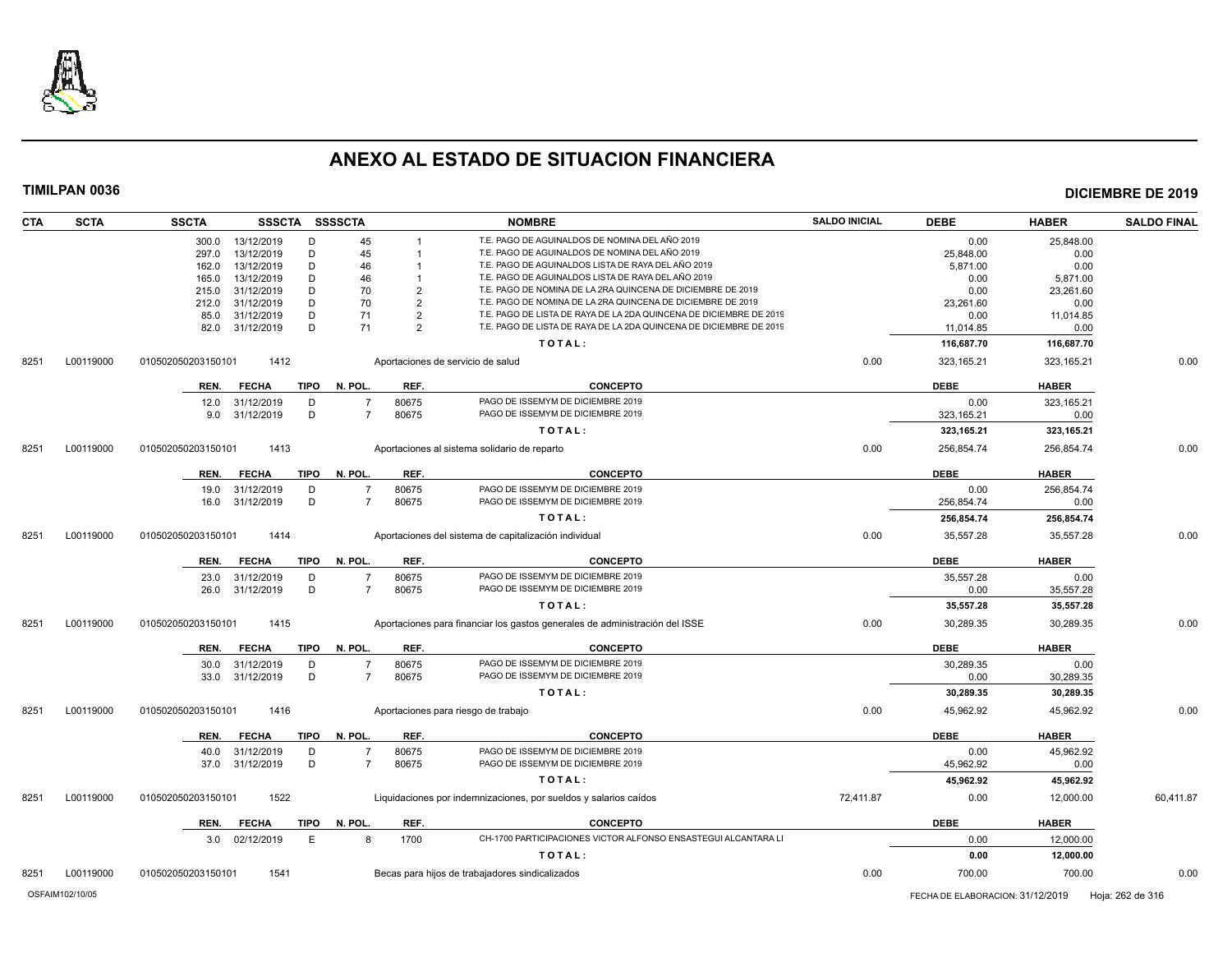

| T.E. PAGO DE AGUINALDOS DE NOMINA DEL AÑO 2019<br>13/12/2019<br>D<br>45<br>0.00<br>25,848.00<br>300.0<br>$\mathbf{1}$<br>45<br>T.E. PAGO DE AGUINALDOS DE NOMINA DEL AÑO 2019<br>13/12/2019<br>D<br>25,848.00<br>0.00<br>297.0<br>$\mathbf{1}$<br>T.E. PAGO DE AGUINALDOS LISTA DE RAYA DEL AÑO 2019<br>13/12/2019<br>D<br>46<br>5,871.00<br>0.00<br>162.0<br>13/12/2019<br>D<br>T.E. PAGO DE AGUINALDOS LISTA DE RAYA DEL AÑO 2019<br>46<br>0.00<br>5,871.00<br>165.0<br>T.E. PAGO DE NOMINA DE LA 2RA QUINCENA DE DICIEMBRE DE 2019<br>31/12/2019<br>D<br>70<br>$\overline{2}$<br>0.00<br>23,261.60<br>215.0<br>70<br>$\overline{2}$<br>T.E. PAGO DE NOMINA DE LA 2RA QUINCENA DE DICIEMBRE DE 2019<br>31/12/2019<br>D<br>23,261.60<br>0.00<br>212.0<br>T.E. PAGO DE LISTA DE RAYA DE LA 2DA QUINCENA DE DICIEMBRE DE 2019<br>85.0<br>31/12/2019<br>D<br>71<br>$\overline{2}$<br>11,014.85<br>0.00<br>D<br>T.E. PAGO DE LISTA DE RAYA DE LA 2DA QUINCENA DE DICIEMBRE DE 2019<br>31/12/2019<br>71<br>2<br>0.00<br>82.0<br>11,014.85<br>TOTAL:<br>116,687.70<br>116,687.70<br>L00119000<br>010502050203150101<br>1412<br>Aportaciones de servicio de salud<br>0.00<br>323,165.21<br>323,165.21<br><b>DEBE</b><br><b>FECHA</b><br><b>TIPO</b><br>N. POL.<br>REF.<br><b>CONCEPTO</b><br><b>HABER</b><br>REN.<br>80675<br>31/12/2019<br>D<br>PAGO DE ISSEMYM DE DICIEMBRE 2019<br>0.00<br>323,165.21<br>12.0<br>D<br>PAGO DE ISSEMYM DE DICIEMBRE 2019<br>31/12/2019<br>80675<br>323,165.21<br>0.00<br>9.0<br>$\overline{7}$<br>TOTAL:<br>323,165.21<br>323,165.21<br>L00119000<br>010502050203150101<br>1413<br>Aportaciones al sistema solidario de reparto<br>0.00<br>256,854.74<br>256,854.74<br><b>CONCEPTO</b><br><b>DEBE</b><br><b>FECHA</b><br><b>TIPO</b><br>N. POL.<br>REF.<br><b>HABER</b><br>REN.<br>80675<br>PAGO DE ISSEMYM DE DICIEMBRE 2019<br>0.00<br>31/12/2019<br>D<br>256,854.74<br>19.0<br>D<br>PAGO DE ISSEMYM DE DICIEMBRE 2019<br>31/12/2019<br>$\overline{7}$<br>80675<br>256,854.74<br>16.0<br>0.00<br>TOTAL:<br>256,854.74<br>256,854.74<br>1414<br>0.00<br>35,557.28<br>35,557.28<br>L00119000<br>010502050203150101<br>Aportaciones del sistema de capitalización individual<br>N. POL.<br>REF.<br><b>CONCEPTO</b><br><b>DEBE</b><br><b>HABER</b><br>REN.<br><b>FECHA</b><br><b>TIPO</b><br>PAGO DE ISSEMYM DE DICIEMBRE 2019<br>80675<br>35,557.28<br>0.00<br>23.0<br>31/12/2019<br>D<br>$\overline{7}$<br>31/12/2019<br>D<br>PAGO DE ISSEMYM DE DICIEMBRE 2019<br>80675<br>35,557.28<br>26.0<br>0.00<br>TOTAL:<br>35,557.28<br>35,557.28<br>L00119000<br>1415<br>Aportaciones para financiar los gastos generales de administración del ISSE<br>0.00<br>30,289.35<br>30,289.35<br>010502050203150101<br>N. POL.<br><b>DEBE</b><br><b>HABER</b><br><b>FECHA</b><br><b>TIPO</b><br>REF.<br><b>CONCEPTO</b><br>REN.<br>PAGO DE ISSEMYM DE DICIEMBRE 2019<br>31/12/2019<br>D<br>80675<br>30,289.35<br>0.00<br>30.0<br>PAGO DE ISSEMYM DE DICIEMBRE 2019<br>31/12/2019<br>D<br>80675<br>30,289.35<br>33.0<br>$\overline{7}$<br>0.00<br>TOTAL:<br>30,289.35<br>30,289.35<br>0.00<br>45,962.92<br>45,962.92<br>L00119000<br>1416<br>Aportaciones para riesgo de trabajo<br>010502050203150101<br>N. POL.<br>REF.<br><b>CONCEPTO</b><br><b>DEBE</b><br><b>HABER</b><br><b>FECHA</b><br>TIPO<br>REN.<br>PAGO DE ISSEMYM DE DICIEMBRE 2019<br>31/12/2019<br>D<br>$\overline{7}$<br>80675<br>0.00<br>45,962.92<br>40.0<br>PAGO DE ISSEMYM DE DICIEMBRE 2019<br>31/12/2019<br>D<br>80675<br>45,962.92<br>0.00<br>37.0<br>TOTAL:<br>45,962.92<br>45,962.92<br>1522<br>72,411.87<br>L00119000<br>010502050203150101<br>Liquidaciones por indemnizaciones, por sueldos y salarios caídos<br>0.00<br>12,000.00<br><b>FECHA</b><br><b>TIPO</b><br>N. POL.<br>REF.<br><b>CONCEPTO</b><br><b>DEBE</b><br><b>HABER</b><br>REN.<br>CH-1700 PARTICIPACIONES VICTOR ALFONSO ENSASTEGUI ALCANTARA LI<br>E<br>1700<br>0.00<br>02/12/2019<br>8<br>12,000.00<br>3.0<br>TOTAL:<br>0.00<br>12,000.00<br>1541<br>Becas para hijos de trabajadores sindicalizados<br>0.00<br>700.00<br>L00119000<br>010502050203150101<br>700.00 | <b>CTA</b> | <b>SCTA</b>     | <b>SSCTA</b> | SSSCTA SSSSCTA |  | <b>NOMBRE</b> | <b>SALDO INICIAL</b> | <b>DEBE</b>                      | <b>HABER</b> | <b>SALDO FINAL</b> |
|--------------------------------------------------------------------------------------------------------------------------------------------------------------------------------------------------------------------------------------------------------------------------------------------------------------------------------------------------------------------------------------------------------------------------------------------------------------------------------------------------------------------------------------------------------------------------------------------------------------------------------------------------------------------------------------------------------------------------------------------------------------------------------------------------------------------------------------------------------------------------------------------------------------------------------------------------------------------------------------------------------------------------------------------------------------------------------------------------------------------------------------------------------------------------------------------------------------------------------------------------------------------------------------------------------------------------------------------------------------------------------------------------------------------------------------------------------------------------------------------------------------------------------------------------------------------------------------------------------------------------------------------------------------------------------------------------------------------------------------------------------------------------------------------------------------------------------------------------------------------------------------------------------------------------------------------------------------------------------------------------------------------------------------------------------------------------------------------------------------------------------------------------------------------------------------------------------------------------------------------------------------------------------------------------------------------------------------------------------------------------------------------------------------------------------------------------------------------------------------------------------------------------------------------------------------------------------------------------------------------------------------------------------------------------------------------------------------------------------------------------------------------------------------------------------------------------------------------------------------------------------------------------------------------------------------------------------------------------------------------------------------------------------------------------------------------------------------------------------------------------------------------------------------------------------------------------------------------------------------------------------------------------------------------------------------------------------------------------------------------------------------------------------------------------------------------------------------------------------------------------------------------------------------------------------------------------------------------------------------------------------------------------------------------------------------------------------------------------------------------------------------------------------------------------------------------------------------------------------------------------------------------------------------------------------------------------------------------------------------------------------------------------------------------------------------------------------------------------------------------------------|------------|-----------------|--------------|----------------|--|---------------|----------------------|----------------------------------|--------------|--------------------|
|                                                                                                                                                                                                                                                                                                                                                                                                                                                                                                                                                                                                                                                                                                                                                                                                                                                                                                                                                                                                                                                                                                                                                                                                                                                                                                                                                                                                                                                                                                                                                                                                                                                                                                                                                                                                                                                                                                                                                                                                                                                                                                                                                                                                                                                                                                                                                                                                                                                                                                                                                                                                                                                                                                                                                                                                                                                                                                                                                                                                                                                                                                                                                                                                                                                                                                                                                                                                                                                                                                                                                                                                                                                                                                                                                                                                                                                                                                                                                                                                                                                                                                                                |            |                 |              |                |  |               |                      |                                  |              |                    |
|                                                                                                                                                                                                                                                                                                                                                                                                                                                                                                                                                                                                                                                                                                                                                                                                                                                                                                                                                                                                                                                                                                                                                                                                                                                                                                                                                                                                                                                                                                                                                                                                                                                                                                                                                                                                                                                                                                                                                                                                                                                                                                                                                                                                                                                                                                                                                                                                                                                                                                                                                                                                                                                                                                                                                                                                                                                                                                                                                                                                                                                                                                                                                                                                                                                                                                                                                                                                                                                                                                                                                                                                                                                                                                                                                                                                                                                                                                                                                                                                                                                                                                                                |            |                 |              |                |  |               |                      |                                  |              |                    |
|                                                                                                                                                                                                                                                                                                                                                                                                                                                                                                                                                                                                                                                                                                                                                                                                                                                                                                                                                                                                                                                                                                                                                                                                                                                                                                                                                                                                                                                                                                                                                                                                                                                                                                                                                                                                                                                                                                                                                                                                                                                                                                                                                                                                                                                                                                                                                                                                                                                                                                                                                                                                                                                                                                                                                                                                                                                                                                                                                                                                                                                                                                                                                                                                                                                                                                                                                                                                                                                                                                                                                                                                                                                                                                                                                                                                                                                                                                                                                                                                                                                                                                                                |            |                 |              |                |  |               |                      |                                  |              |                    |
|                                                                                                                                                                                                                                                                                                                                                                                                                                                                                                                                                                                                                                                                                                                                                                                                                                                                                                                                                                                                                                                                                                                                                                                                                                                                                                                                                                                                                                                                                                                                                                                                                                                                                                                                                                                                                                                                                                                                                                                                                                                                                                                                                                                                                                                                                                                                                                                                                                                                                                                                                                                                                                                                                                                                                                                                                                                                                                                                                                                                                                                                                                                                                                                                                                                                                                                                                                                                                                                                                                                                                                                                                                                                                                                                                                                                                                                                                                                                                                                                                                                                                                                                |            |                 |              |                |  |               |                      |                                  |              |                    |
|                                                                                                                                                                                                                                                                                                                                                                                                                                                                                                                                                                                                                                                                                                                                                                                                                                                                                                                                                                                                                                                                                                                                                                                                                                                                                                                                                                                                                                                                                                                                                                                                                                                                                                                                                                                                                                                                                                                                                                                                                                                                                                                                                                                                                                                                                                                                                                                                                                                                                                                                                                                                                                                                                                                                                                                                                                                                                                                                                                                                                                                                                                                                                                                                                                                                                                                                                                                                                                                                                                                                                                                                                                                                                                                                                                                                                                                                                                                                                                                                                                                                                                                                |            |                 |              |                |  |               |                      |                                  |              |                    |
|                                                                                                                                                                                                                                                                                                                                                                                                                                                                                                                                                                                                                                                                                                                                                                                                                                                                                                                                                                                                                                                                                                                                                                                                                                                                                                                                                                                                                                                                                                                                                                                                                                                                                                                                                                                                                                                                                                                                                                                                                                                                                                                                                                                                                                                                                                                                                                                                                                                                                                                                                                                                                                                                                                                                                                                                                                                                                                                                                                                                                                                                                                                                                                                                                                                                                                                                                                                                                                                                                                                                                                                                                                                                                                                                                                                                                                                                                                                                                                                                                                                                                                                                |            |                 |              |                |  |               |                      |                                  |              |                    |
|                                                                                                                                                                                                                                                                                                                                                                                                                                                                                                                                                                                                                                                                                                                                                                                                                                                                                                                                                                                                                                                                                                                                                                                                                                                                                                                                                                                                                                                                                                                                                                                                                                                                                                                                                                                                                                                                                                                                                                                                                                                                                                                                                                                                                                                                                                                                                                                                                                                                                                                                                                                                                                                                                                                                                                                                                                                                                                                                                                                                                                                                                                                                                                                                                                                                                                                                                                                                                                                                                                                                                                                                                                                                                                                                                                                                                                                                                                                                                                                                                                                                                                                                |            |                 |              |                |  |               |                      |                                  |              |                    |
|                                                                                                                                                                                                                                                                                                                                                                                                                                                                                                                                                                                                                                                                                                                                                                                                                                                                                                                                                                                                                                                                                                                                                                                                                                                                                                                                                                                                                                                                                                                                                                                                                                                                                                                                                                                                                                                                                                                                                                                                                                                                                                                                                                                                                                                                                                                                                                                                                                                                                                                                                                                                                                                                                                                                                                                                                                                                                                                                                                                                                                                                                                                                                                                                                                                                                                                                                                                                                                                                                                                                                                                                                                                                                                                                                                                                                                                                                                                                                                                                                                                                                                                                |            |                 |              |                |  |               |                      |                                  |              |                    |
|                                                                                                                                                                                                                                                                                                                                                                                                                                                                                                                                                                                                                                                                                                                                                                                                                                                                                                                                                                                                                                                                                                                                                                                                                                                                                                                                                                                                                                                                                                                                                                                                                                                                                                                                                                                                                                                                                                                                                                                                                                                                                                                                                                                                                                                                                                                                                                                                                                                                                                                                                                                                                                                                                                                                                                                                                                                                                                                                                                                                                                                                                                                                                                                                                                                                                                                                                                                                                                                                                                                                                                                                                                                                                                                                                                                                                                                                                                                                                                                                                                                                                                                                |            |                 |              |                |  |               |                      |                                  |              |                    |
|                                                                                                                                                                                                                                                                                                                                                                                                                                                                                                                                                                                                                                                                                                                                                                                                                                                                                                                                                                                                                                                                                                                                                                                                                                                                                                                                                                                                                                                                                                                                                                                                                                                                                                                                                                                                                                                                                                                                                                                                                                                                                                                                                                                                                                                                                                                                                                                                                                                                                                                                                                                                                                                                                                                                                                                                                                                                                                                                                                                                                                                                                                                                                                                                                                                                                                                                                                                                                                                                                                                                                                                                                                                                                                                                                                                                                                                                                                                                                                                                                                                                                                                                | 8251       |                 |              |                |  |               |                      |                                  |              | 0.00               |
|                                                                                                                                                                                                                                                                                                                                                                                                                                                                                                                                                                                                                                                                                                                                                                                                                                                                                                                                                                                                                                                                                                                                                                                                                                                                                                                                                                                                                                                                                                                                                                                                                                                                                                                                                                                                                                                                                                                                                                                                                                                                                                                                                                                                                                                                                                                                                                                                                                                                                                                                                                                                                                                                                                                                                                                                                                                                                                                                                                                                                                                                                                                                                                                                                                                                                                                                                                                                                                                                                                                                                                                                                                                                                                                                                                                                                                                                                                                                                                                                                                                                                                                                |            |                 |              |                |  |               |                      |                                  |              |                    |
|                                                                                                                                                                                                                                                                                                                                                                                                                                                                                                                                                                                                                                                                                                                                                                                                                                                                                                                                                                                                                                                                                                                                                                                                                                                                                                                                                                                                                                                                                                                                                                                                                                                                                                                                                                                                                                                                                                                                                                                                                                                                                                                                                                                                                                                                                                                                                                                                                                                                                                                                                                                                                                                                                                                                                                                                                                                                                                                                                                                                                                                                                                                                                                                                                                                                                                                                                                                                                                                                                                                                                                                                                                                                                                                                                                                                                                                                                                                                                                                                                                                                                                                                |            |                 |              |                |  |               |                      |                                  |              |                    |
|                                                                                                                                                                                                                                                                                                                                                                                                                                                                                                                                                                                                                                                                                                                                                                                                                                                                                                                                                                                                                                                                                                                                                                                                                                                                                                                                                                                                                                                                                                                                                                                                                                                                                                                                                                                                                                                                                                                                                                                                                                                                                                                                                                                                                                                                                                                                                                                                                                                                                                                                                                                                                                                                                                                                                                                                                                                                                                                                                                                                                                                                                                                                                                                                                                                                                                                                                                                                                                                                                                                                                                                                                                                                                                                                                                                                                                                                                                                                                                                                                                                                                                                                |            |                 |              |                |  |               |                      |                                  |              |                    |
|                                                                                                                                                                                                                                                                                                                                                                                                                                                                                                                                                                                                                                                                                                                                                                                                                                                                                                                                                                                                                                                                                                                                                                                                                                                                                                                                                                                                                                                                                                                                                                                                                                                                                                                                                                                                                                                                                                                                                                                                                                                                                                                                                                                                                                                                                                                                                                                                                                                                                                                                                                                                                                                                                                                                                                                                                                                                                                                                                                                                                                                                                                                                                                                                                                                                                                                                                                                                                                                                                                                                                                                                                                                                                                                                                                                                                                                                                                                                                                                                                                                                                                                                |            |                 |              |                |  |               |                      |                                  |              |                    |
|                                                                                                                                                                                                                                                                                                                                                                                                                                                                                                                                                                                                                                                                                                                                                                                                                                                                                                                                                                                                                                                                                                                                                                                                                                                                                                                                                                                                                                                                                                                                                                                                                                                                                                                                                                                                                                                                                                                                                                                                                                                                                                                                                                                                                                                                                                                                                                                                                                                                                                                                                                                                                                                                                                                                                                                                                                                                                                                                                                                                                                                                                                                                                                                                                                                                                                                                                                                                                                                                                                                                                                                                                                                                                                                                                                                                                                                                                                                                                                                                                                                                                                                                | 8251       |                 |              |                |  |               |                      |                                  |              | 0.00               |
|                                                                                                                                                                                                                                                                                                                                                                                                                                                                                                                                                                                                                                                                                                                                                                                                                                                                                                                                                                                                                                                                                                                                                                                                                                                                                                                                                                                                                                                                                                                                                                                                                                                                                                                                                                                                                                                                                                                                                                                                                                                                                                                                                                                                                                                                                                                                                                                                                                                                                                                                                                                                                                                                                                                                                                                                                                                                                                                                                                                                                                                                                                                                                                                                                                                                                                                                                                                                                                                                                                                                                                                                                                                                                                                                                                                                                                                                                                                                                                                                                                                                                                                                |            |                 |              |                |  |               |                      |                                  |              |                    |
|                                                                                                                                                                                                                                                                                                                                                                                                                                                                                                                                                                                                                                                                                                                                                                                                                                                                                                                                                                                                                                                                                                                                                                                                                                                                                                                                                                                                                                                                                                                                                                                                                                                                                                                                                                                                                                                                                                                                                                                                                                                                                                                                                                                                                                                                                                                                                                                                                                                                                                                                                                                                                                                                                                                                                                                                                                                                                                                                                                                                                                                                                                                                                                                                                                                                                                                                                                                                                                                                                                                                                                                                                                                                                                                                                                                                                                                                                                                                                                                                                                                                                                                                |            |                 |              |                |  |               |                      |                                  |              |                    |
|                                                                                                                                                                                                                                                                                                                                                                                                                                                                                                                                                                                                                                                                                                                                                                                                                                                                                                                                                                                                                                                                                                                                                                                                                                                                                                                                                                                                                                                                                                                                                                                                                                                                                                                                                                                                                                                                                                                                                                                                                                                                                                                                                                                                                                                                                                                                                                                                                                                                                                                                                                                                                                                                                                                                                                                                                                                                                                                                                                                                                                                                                                                                                                                                                                                                                                                                                                                                                                                                                                                                                                                                                                                                                                                                                                                                                                                                                                                                                                                                                                                                                                                                |            |                 |              |                |  |               |                      |                                  |              |                    |
|                                                                                                                                                                                                                                                                                                                                                                                                                                                                                                                                                                                                                                                                                                                                                                                                                                                                                                                                                                                                                                                                                                                                                                                                                                                                                                                                                                                                                                                                                                                                                                                                                                                                                                                                                                                                                                                                                                                                                                                                                                                                                                                                                                                                                                                                                                                                                                                                                                                                                                                                                                                                                                                                                                                                                                                                                                                                                                                                                                                                                                                                                                                                                                                                                                                                                                                                                                                                                                                                                                                                                                                                                                                                                                                                                                                                                                                                                                                                                                                                                                                                                                                                |            |                 |              |                |  |               |                      |                                  |              |                    |
|                                                                                                                                                                                                                                                                                                                                                                                                                                                                                                                                                                                                                                                                                                                                                                                                                                                                                                                                                                                                                                                                                                                                                                                                                                                                                                                                                                                                                                                                                                                                                                                                                                                                                                                                                                                                                                                                                                                                                                                                                                                                                                                                                                                                                                                                                                                                                                                                                                                                                                                                                                                                                                                                                                                                                                                                                                                                                                                                                                                                                                                                                                                                                                                                                                                                                                                                                                                                                                                                                                                                                                                                                                                                                                                                                                                                                                                                                                                                                                                                                                                                                                                                | 8251       |                 |              |                |  |               |                      |                                  |              | 0.00               |
|                                                                                                                                                                                                                                                                                                                                                                                                                                                                                                                                                                                                                                                                                                                                                                                                                                                                                                                                                                                                                                                                                                                                                                                                                                                                                                                                                                                                                                                                                                                                                                                                                                                                                                                                                                                                                                                                                                                                                                                                                                                                                                                                                                                                                                                                                                                                                                                                                                                                                                                                                                                                                                                                                                                                                                                                                                                                                                                                                                                                                                                                                                                                                                                                                                                                                                                                                                                                                                                                                                                                                                                                                                                                                                                                                                                                                                                                                                                                                                                                                                                                                                                                |            |                 |              |                |  |               |                      |                                  |              |                    |
|                                                                                                                                                                                                                                                                                                                                                                                                                                                                                                                                                                                                                                                                                                                                                                                                                                                                                                                                                                                                                                                                                                                                                                                                                                                                                                                                                                                                                                                                                                                                                                                                                                                                                                                                                                                                                                                                                                                                                                                                                                                                                                                                                                                                                                                                                                                                                                                                                                                                                                                                                                                                                                                                                                                                                                                                                                                                                                                                                                                                                                                                                                                                                                                                                                                                                                                                                                                                                                                                                                                                                                                                                                                                                                                                                                                                                                                                                                                                                                                                                                                                                                                                |            |                 |              |                |  |               |                      |                                  |              |                    |
|                                                                                                                                                                                                                                                                                                                                                                                                                                                                                                                                                                                                                                                                                                                                                                                                                                                                                                                                                                                                                                                                                                                                                                                                                                                                                                                                                                                                                                                                                                                                                                                                                                                                                                                                                                                                                                                                                                                                                                                                                                                                                                                                                                                                                                                                                                                                                                                                                                                                                                                                                                                                                                                                                                                                                                                                                                                                                                                                                                                                                                                                                                                                                                                                                                                                                                                                                                                                                                                                                                                                                                                                                                                                                                                                                                                                                                                                                                                                                                                                                                                                                                                                |            |                 |              |                |  |               |                      |                                  |              |                    |
|                                                                                                                                                                                                                                                                                                                                                                                                                                                                                                                                                                                                                                                                                                                                                                                                                                                                                                                                                                                                                                                                                                                                                                                                                                                                                                                                                                                                                                                                                                                                                                                                                                                                                                                                                                                                                                                                                                                                                                                                                                                                                                                                                                                                                                                                                                                                                                                                                                                                                                                                                                                                                                                                                                                                                                                                                                                                                                                                                                                                                                                                                                                                                                                                                                                                                                                                                                                                                                                                                                                                                                                                                                                                                                                                                                                                                                                                                                                                                                                                                                                                                                                                |            |                 |              |                |  |               |                      |                                  |              |                    |
|                                                                                                                                                                                                                                                                                                                                                                                                                                                                                                                                                                                                                                                                                                                                                                                                                                                                                                                                                                                                                                                                                                                                                                                                                                                                                                                                                                                                                                                                                                                                                                                                                                                                                                                                                                                                                                                                                                                                                                                                                                                                                                                                                                                                                                                                                                                                                                                                                                                                                                                                                                                                                                                                                                                                                                                                                                                                                                                                                                                                                                                                                                                                                                                                                                                                                                                                                                                                                                                                                                                                                                                                                                                                                                                                                                                                                                                                                                                                                                                                                                                                                                                                |            |                 |              |                |  |               |                      |                                  |              |                    |
|                                                                                                                                                                                                                                                                                                                                                                                                                                                                                                                                                                                                                                                                                                                                                                                                                                                                                                                                                                                                                                                                                                                                                                                                                                                                                                                                                                                                                                                                                                                                                                                                                                                                                                                                                                                                                                                                                                                                                                                                                                                                                                                                                                                                                                                                                                                                                                                                                                                                                                                                                                                                                                                                                                                                                                                                                                                                                                                                                                                                                                                                                                                                                                                                                                                                                                                                                                                                                                                                                                                                                                                                                                                                                                                                                                                                                                                                                                                                                                                                                                                                                                                                | 8251       |                 |              |                |  |               |                      |                                  |              | 0.00               |
|                                                                                                                                                                                                                                                                                                                                                                                                                                                                                                                                                                                                                                                                                                                                                                                                                                                                                                                                                                                                                                                                                                                                                                                                                                                                                                                                                                                                                                                                                                                                                                                                                                                                                                                                                                                                                                                                                                                                                                                                                                                                                                                                                                                                                                                                                                                                                                                                                                                                                                                                                                                                                                                                                                                                                                                                                                                                                                                                                                                                                                                                                                                                                                                                                                                                                                                                                                                                                                                                                                                                                                                                                                                                                                                                                                                                                                                                                                                                                                                                                                                                                                                                |            |                 |              |                |  |               |                      |                                  |              |                    |
|                                                                                                                                                                                                                                                                                                                                                                                                                                                                                                                                                                                                                                                                                                                                                                                                                                                                                                                                                                                                                                                                                                                                                                                                                                                                                                                                                                                                                                                                                                                                                                                                                                                                                                                                                                                                                                                                                                                                                                                                                                                                                                                                                                                                                                                                                                                                                                                                                                                                                                                                                                                                                                                                                                                                                                                                                                                                                                                                                                                                                                                                                                                                                                                                                                                                                                                                                                                                                                                                                                                                                                                                                                                                                                                                                                                                                                                                                                                                                                                                                                                                                                                                |            |                 |              |                |  |               |                      |                                  |              |                    |
|                                                                                                                                                                                                                                                                                                                                                                                                                                                                                                                                                                                                                                                                                                                                                                                                                                                                                                                                                                                                                                                                                                                                                                                                                                                                                                                                                                                                                                                                                                                                                                                                                                                                                                                                                                                                                                                                                                                                                                                                                                                                                                                                                                                                                                                                                                                                                                                                                                                                                                                                                                                                                                                                                                                                                                                                                                                                                                                                                                                                                                                                                                                                                                                                                                                                                                                                                                                                                                                                                                                                                                                                                                                                                                                                                                                                                                                                                                                                                                                                                                                                                                                                |            |                 |              |                |  |               |                      |                                  |              |                    |
|                                                                                                                                                                                                                                                                                                                                                                                                                                                                                                                                                                                                                                                                                                                                                                                                                                                                                                                                                                                                                                                                                                                                                                                                                                                                                                                                                                                                                                                                                                                                                                                                                                                                                                                                                                                                                                                                                                                                                                                                                                                                                                                                                                                                                                                                                                                                                                                                                                                                                                                                                                                                                                                                                                                                                                                                                                                                                                                                                                                                                                                                                                                                                                                                                                                                                                                                                                                                                                                                                                                                                                                                                                                                                                                                                                                                                                                                                                                                                                                                                                                                                                                                |            |                 |              |                |  |               |                      |                                  |              |                    |
|                                                                                                                                                                                                                                                                                                                                                                                                                                                                                                                                                                                                                                                                                                                                                                                                                                                                                                                                                                                                                                                                                                                                                                                                                                                                                                                                                                                                                                                                                                                                                                                                                                                                                                                                                                                                                                                                                                                                                                                                                                                                                                                                                                                                                                                                                                                                                                                                                                                                                                                                                                                                                                                                                                                                                                                                                                                                                                                                                                                                                                                                                                                                                                                                                                                                                                                                                                                                                                                                                                                                                                                                                                                                                                                                                                                                                                                                                                                                                                                                                                                                                                                                | 8251       |                 |              |                |  |               |                      |                                  |              | 0.00               |
|                                                                                                                                                                                                                                                                                                                                                                                                                                                                                                                                                                                                                                                                                                                                                                                                                                                                                                                                                                                                                                                                                                                                                                                                                                                                                                                                                                                                                                                                                                                                                                                                                                                                                                                                                                                                                                                                                                                                                                                                                                                                                                                                                                                                                                                                                                                                                                                                                                                                                                                                                                                                                                                                                                                                                                                                                                                                                                                                                                                                                                                                                                                                                                                                                                                                                                                                                                                                                                                                                                                                                                                                                                                                                                                                                                                                                                                                                                                                                                                                                                                                                                                                |            |                 |              |                |  |               |                      |                                  |              |                    |
|                                                                                                                                                                                                                                                                                                                                                                                                                                                                                                                                                                                                                                                                                                                                                                                                                                                                                                                                                                                                                                                                                                                                                                                                                                                                                                                                                                                                                                                                                                                                                                                                                                                                                                                                                                                                                                                                                                                                                                                                                                                                                                                                                                                                                                                                                                                                                                                                                                                                                                                                                                                                                                                                                                                                                                                                                                                                                                                                                                                                                                                                                                                                                                                                                                                                                                                                                                                                                                                                                                                                                                                                                                                                                                                                                                                                                                                                                                                                                                                                                                                                                                                                |            |                 |              |                |  |               |                      |                                  |              |                    |
|                                                                                                                                                                                                                                                                                                                                                                                                                                                                                                                                                                                                                                                                                                                                                                                                                                                                                                                                                                                                                                                                                                                                                                                                                                                                                                                                                                                                                                                                                                                                                                                                                                                                                                                                                                                                                                                                                                                                                                                                                                                                                                                                                                                                                                                                                                                                                                                                                                                                                                                                                                                                                                                                                                                                                                                                                                                                                                                                                                                                                                                                                                                                                                                                                                                                                                                                                                                                                                                                                                                                                                                                                                                                                                                                                                                                                                                                                                                                                                                                                                                                                                                                |            |                 |              |                |  |               |                      |                                  |              |                    |
|                                                                                                                                                                                                                                                                                                                                                                                                                                                                                                                                                                                                                                                                                                                                                                                                                                                                                                                                                                                                                                                                                                                                                                                                                                                                                                                                                                                                                                                                                                                                                                                                                                                                                                                                                                                                                                                                                                                                                                                                                                                                                                                                                                                                                                                                                                                                                                                                                                                                                                                                                                                                                                                                                                                                                                                                                                                                                                                                                                                                                                                                                                                                                                                                                                                                                                                                                                                                                                                                                                                                                                                                                                                                                                                                                                                                                                                                                                                                                                                                                                                                                                                                |            |                 |              |                |  |               |                      |                                  |              |                    |
|                                                                                                                                                                                                                                                                                                                                                                                                                                                                                                                                                                                                                                                                                                                                                                                                                                                                                                                                                                                                                                                                                                                                                                                                                                                                                                                                                                                                                                                                                                                                                                                                                                                                                                                                                                                                                                                                                                                                                                                                                                                                                                                                                                                                                                                                                                                                                                                                                                                                                                                                                                                                                                                                                                                                                                                                                                                                                                                                                                                                                                                                                                                                                                                                                                                                                                                                                                                                                                                                                                                                                                                                                                                                                                                                                                                                                                                                                                                                                                                                                                                                                                                                |            |                 |              |                |  |               |                      |                                  |              |                    |
|                                                                                                                                                                                                                                                                                                                                                                                                                                                                                                                                                                                                                                                                                                                                                                                                                                                                                                                                                                                                                                                                                                                                                                                                                                                                                                                                                                                                                                                                                                                                                                                                                                                                                                                                                                                                                                                                                                                                                                                                                                                                                                                                                                                                                                                                                                                                                                                                                                                                                                                                                                                                                                                                                                                                                                                                                                                                                                                                                                                                                                                                                                                                                                                                                                                                                                                                                                                                                                                                                                                                                                                                                                                                                                                                                                                                                                                                                                                                                                                                                                                                                                                                | 8251       |                 |              |                |  |               |                      |                                  |              | 60,411.87          |
|                                                                                                                                                                                                                                                                                                                                                                                                                                                                                                                                                                                                                                                                                                                                                                                                                                                                                                                                                                                                                                                                                                                                                                                                                                                                                                                                                                                                                                                                                                                                                                                                                                                                                                                                                                                                                                                                                                                                                                                                                                                                                                                                                                                                                                                                                                                                                                                                                                                                                                                                                                                                                                                                                                                                                                                                                                                                                                                                                                                                                                                                                                                                                                                                                                                                                                                                                                                                                                                                                                                                                                                                                                                                                                                                                                                                                                                                                                                                                                                                                                                                                                                                |            |                 |              |                |  |               |                      |                                  |              |                    |
|                                                                                                                                                                                                                                                                                                                                                                                                                                                                                                                                                                                                                                                                                                                                                                                                                                                                                                                                                                                                                                                                                                                                                                                                                                                                                                                                                                                                                                                                                                                                                                                                                                                                                                                                                                                                                                                                                                                                                                                                                                                                                                                                                                                                                                                                                                                                                                                                                                                                                                                                                                                                                                                                                                                                                                                                                                                                                                                                                                                                                                                                                                                                                                                                                                                                                                                                                                                                                                                                                                                                                                                                                                                                                                                                                                                                                                                                                                                                                                                                                                                                                                                                |            |                 |              |                |  |               |                      |                                  |              |                    |
|                                                                                                                                                                                                                                                                                                                                                                                                                                                                                                                                                                                                                                                                                                                                                                                                                                                                                                                                                                                                                                                                                                                                                                                                                                                                                                                                                                                                                                                                                                                                                                                                                                                                                                                                                                                                                                                                                                                                                                                                                                                                                                                                                                                                                                                                                                                                                                                                                                                                                                                                                                                                                                                                                                                                                                                                                                                                                                                                                                                                                                                                                                                                                                                                                                                                                                                                                                                                                                                                                                                                                                                                                                                                                                                                                                                                                                                                                                                                                                                                                                                                                                                                |            |                 |              |                |  |               |                      |                                  |              |                    |
|                                                                                                                                                                                                                                                                                                                                                                                                                                                                                                                                                                                                                                                                                                                                                                                                                                                                                                                                                                                                                                                                                                                                                                                                                                                                                                                                                                                                                                                                                                                                                                                                                                                                                                                                                                                                                                                                                                                                                                                                                                                                                                                                                                                                                                                                                                                                                                                                                                                                                                                                                                                                                                                                                                                                                                                                                                                                                                                                                                                                                                                                                                                                                                                                                                                                                                                                                                                                                                                                                                                                                                                                                                                                                                                                                                                                                                                                                                                                                                                                                                                                                                                                | 8251       |                 |              |                |  |               |                      |                                  |              | 0.00               |
|                                                                                                                                                                                                                                                                                                                                                                                                                                                                                                                                                                                                                                                                                                                                                                                                                                                                                                                                                                                                                                                                                                                                                                                                                                                                                                                                                                                                                                                                                                                                                                                                                                                                                                                                                                                                                                                                                                                                                                                                                                                                                                                                                                                                                                                                                                                                                                                                                                                                                                                                                                                                                                                                                                                                                                                                                                                                                                                                                                                                                                                                                                                                                                                                                                                                                                                                                                                                                                                                                                                                                                                                                                                                                                                                                                                                                                                                                                                                                                                                                                                                                                                                |            | OSFAIM102/10/05 |              |                |  |               |                      | FECHA DE ELABORACION: 31/12/2019 |              | Hoja: 262 de 316   |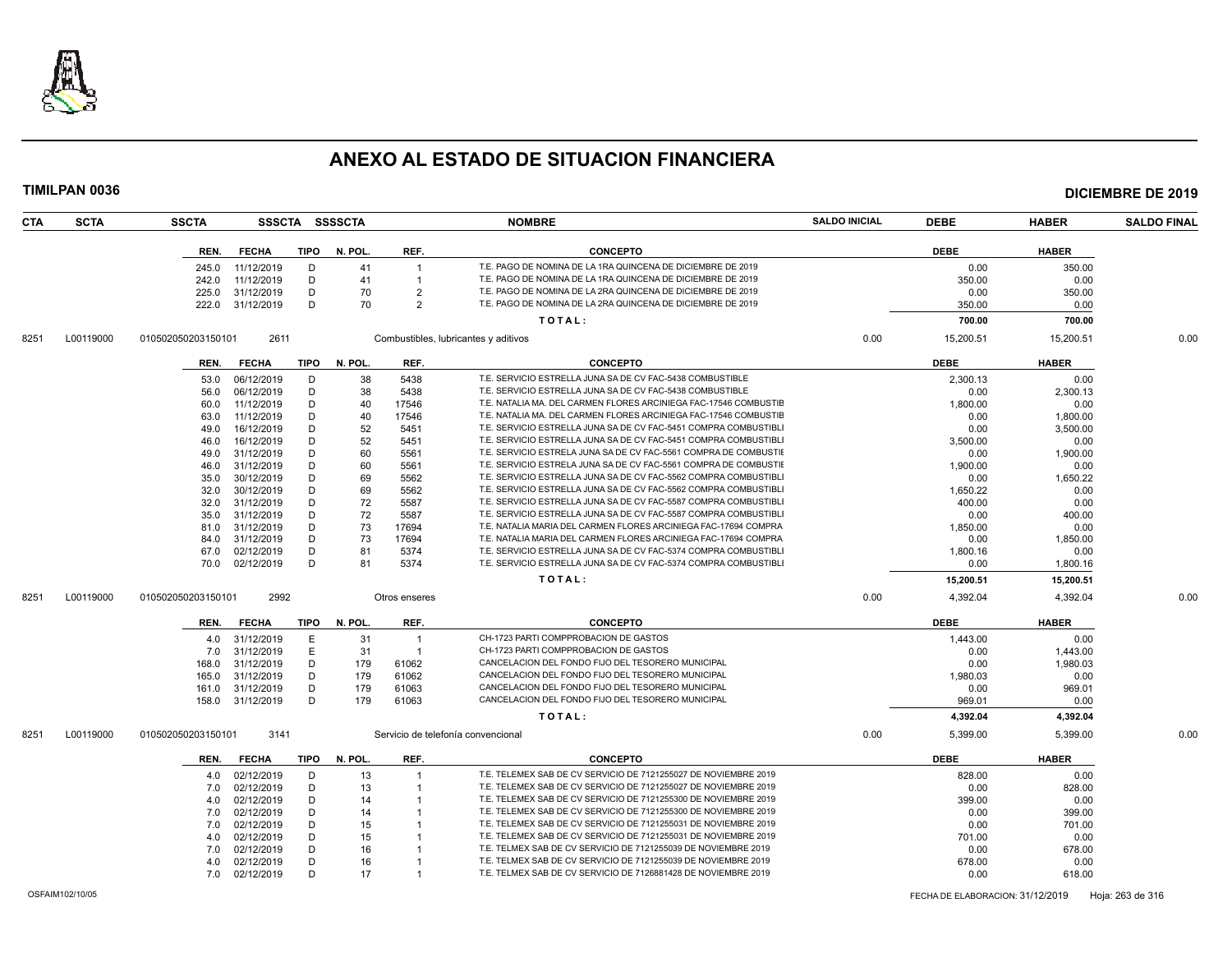

| CTA  | <b>SCTA</b> | <b>SSCTA</b>       |                          |             | SSSCTA SSSSCTA |                | <b>NOMBRE</b>                                                    | <b>SALDO INICIAL</b> | <b>DEBE</b>    | <b>HABER</b>   | <b>SALDO FINAL</b> |
|------|-------------|--------------------|--------------------------|-------------|----------------|----------------|------------------------------------------------------------------|----------------------|----------------|----------------|--------------------|
|      |             | REN.               | <b>FECHA</b>             | <b>TIPO</b> | N. POL.        | REF.           | <b>CONCEPTO</b>                                                  |                      | <b>DEBE</b>    | <b>HABER</b>   |                    |
|      |             | 245.0              | 11/12/2019               | D           | 41             | $\overline{1}$ | T.E. PAGO DE NOMINA DE LA 1RA QUINCENA DE DICIEMBRE DE 2019      |                      | 0.00           | 350.00         |                    |
|      |             | 242.0              | 11/12/2019               | D           | 41             | $\overline{1}$ | T.E. PAGO DE NOMINA DE LA 1RA QUINCENA DE DICIEMBRE DE 2019      |                      | 350.00         | 0.00           |                    |
|      |             | 225.0              | 31/12/2019               | D           | 70             | $\overline{2}$ | T.E. PAGO DE NOMINA DE LA 2RA QUINCENA DE DICIEMBRE DE 2019      |                      | 0.00           | 350.00         |                    |
|      |             | 222.0              | 31/12/2019               | D           | 70             | $\overline{2}$ | T.E. PAGO DE NOMINA DE LA 2RA QUINCENA DE DICIEMBRE DE 2019      |                      | 350.00         | 0.00           |                    |
|      |             |                    |                          |             |                |                | TOTAL:                                                           |                      | 700.00         | 700.00         |                    |
| 8251 | L00119000   | 010502050203150101 | 2611                     |             |                |                | Combustibles, lubricantes y aditivos                             | 0.00                 | 15,200.51      | 15,200.51      | 0.00               |
|      |             | REN.               | <b>FECHA</b>             | <b>TIPO</b> | N. POL.        | REF.           | <b>CONCEPTO</b>                                                  |                      | <b>DEBE</b>    | <b>HABER</b>   |                    |
|      |             | 53.0               | 06/12/2019               | D           | 38             | 5438           | T.E. SERVICIO ESTRELLA JUNA SA DE CV FAC-5438 COMBUSTIBLE        |                      | 2,300.13       | 0.00           |                    |
|      |             | 56.0               | 06/12/2019               | D           | 38             | 5438           | T.E. SERVICIO ESTRELLA JUNA SA DE CV FAC-5438 COMBUSTIBLE        |                      | 0.00           | 2,300.13       |                    |
|      |             | 60.0               | 11/12/2019               | D           | 40             | 17546          | T.E. NATALIA MA. DEL CARMEN FLORES ARCINIEGA FAC-17546 COMBUSTIE |                      | 1,800.00       | 0.00           |                    |
|      |             | 63.0               | 11/12/2019               | D           | 40             | 17546          | T.E. NATALIA MA. DEL CARMEN FLORES ARCINIEGA FAC-17546 COMBUSTIE |                      | 0.00           | 1,800.00       |                    |
|      |             | 49.0               | 16/12/2019               | D           | 52             | 5451           | T.E. SERVICIO ESTRELLA JUNA SA DE CV FAC-5451 COMPRA COMBUSTIBLI |                      | 0.00           | 3,500.00       |                    |
|      |             | 46.0               | 16/12/2019               | D           | 52             | 5451           | T.E. SERVICIO ESTRELLA JUNA SA DE CV FAC-5451 COMPRA COMBUSTIBL  |                      | 3,500.00       | 0.00           |                    |
|      |             | 49.0               | 31/12/2019               | D           | 60             | 5561           | T.E. SERVICIO ESTRELA JUNA SA DE CV FAC-5561 COMPRA DE COMBUSTII |                      | 0.00           | 1,900.00       |                    |
|      |             | 46.0               | 31/12/2019               | D           | 60             | 5561           | T.E. SERVICIO ESTRELA JUNA SA DE CV FAC-5561 COMPRA DE COMBUSTII |                      | 1,900.00       | 0.00           |                    |
|      |             | 35.0               | 30/12/2019               | D           | 69             | 5562           | T.E. SERVICIO ESTRELLA JUNA SA DE CV FAC-5562 COMPRA COMBUSTIBLI |                      | 0.00           | 1,650.22       |                    |
|      |             | 32.0               | 30/12/2019               | D           | 69             | 5562           | T.E. SERVICIO ESTRELLA JUNA SA DE CV FAC-5562 COMPRA COMBUSTIBL  |                      | 1,650.22       | 0.00           |                    |
|      |             | 32.0               | 31/12/2019               | D           | 72             | 5587           | T.E. SERVICIO ESTRELLA JUNA SA DE CV FAC-5587 COMPRA COMBUSTIBL  |                      | 400.00         | 0.00           |                    |
|      |             | 35.0               | 31/12/2019               | D           | 72             | 5587           | T.E. SERVICIO ESTRELLA JUNA SA DE CV FAC-5587 COMPRA COMBUSTIBLI |                      | 0.00           | 400.00         |                    |
|      |             | 81.0               | 31/12/2019               | D           | 73             | 17694          | T.E. NATALIA MARIA DEL CARMEN FLORES ARCINIEGA FAC-17694 COMPRA  |                      | 1,850.00       | 0.00           |                    |
|      |             | 84.0               | 31/12/2019               | D           | 73             | 17694          | T.E. NATALIA MARIA DEL CARMEN FLORES ARCINIEGA FAC-17694 COMPRA  |                      | 0.00           | 1,850.00       |                    |
|      |             | 67.0               | 02/12/2019               | D           | 81             | 5374           | T.E. SERVICIO ESTRELLA JUNA SA DE CV FAC-5374 COMPRA COMBUSTIBLI |                      | 1,800.16       | 0.00           |                    |
|      |             | 70.0               | 02/12/2019               | D           | 81             | 5374           | T.E. SERVICIO ESTRELLA JUNA SA DE CV FAC-5374 COMPRA COMBUSTIBLI |                      | 0.00           | 1,800.16       |                    |
|      |             |                    |                          |             |                |                | TOTAL:                                                           |                      | 15,200.51      | 15,200.51      |                    |
| 8251 | L00119000   | 010502050203150101 | 2992                     |             |                | Otros enseres  |                                                                  | 0.00                 | 4,392.04       | 4,392.04       | 0.00               |
|      |             | REN.               | <b>FECHA</b>             | <b>TIPO</b> | N. POL         | REF.           | <b>CONCEPTO</b>                                                  |                      | <b>DEBE</b>    | <b>HABER</b>   |                    |
|      |             | 4.0                | 31/12/2019               | E           | 31             | $\overline{1}$ | CH-1723 PARTI COMPPROBACION DE GASTOS                            |                      | 1,443.00       | 0.00           |                    |
|      |             | 7.0                | 31/12/2019               | E           | 31             | $\overline{1}$ | CH-1723 PARTI COMPPROBACION DE GASTOS                            |                      | 0.00           | 1,443.00       |                    |
|      |             | 168.0              | 31/12/2019               | D           | 179            | 61062          | CANCELACION DEL FONDO FIJO DEL TESORERO MUNICIPAL                |                      | 0.00           | 1,980.03       |                    |
|      |             | 165.0              | 31/12/2019               | D           | 179            | 61062          | CANCELACION DEL FONDO FIJO DEL TESORERO MUNICIPAL                |                      | 1,980.03       | 0.00           |                    |
|      |             | 161.0              | 31/12/2019               | D           | 179            | 61063          | CANCELACION DEL FONDO FIJO DEL TESORERO MUNICIPAL                |                      | 0.00           | 969.01         |                    |
|      |             | 158.0              | 31/12/2019               | D           | 179            | 61063          | CANCELACION DEL FONDO FIJO DEL TESORERO MUNICIPAL                |                      | 969.01         | 0.00           |                    |
|      |             |                    |                          |             |                |                | TOTAL:                                                           |                      | 4,392.04       | 4,392.04       |                    |
|      |             |                    |                          |             |                |                |                                                                  |                      |                |                |                    |
| 8251 | L00119000   | 010502050203150101 | 3141                     |             |                |                | Servicio de telefonía convencional                               | 0.00                 | 5,399.00       | 5,399.00       | 0.00               |
|      |             | REN.               | <b>FECHA</b>             | <b>TIPO</b> | N. POL         | REF.           | <b>CONCEPTO</b>                                                  |                      | <b>DEBE</b>    | <b>HABER</b>   |                    |
|      |             | 4.0                | 02/12/2019               | D           | 13             | $\overline{1}$ | T.E. TELEMEX SAB DE CV SERVICIO DE 7121255027 DE NOVIEMBRE 2019  |                      | 828.00         | 0.00           |                    |
|      |             | 7.0                |                          | D           |                |                | T.E. TELEMEX SAB DE CV SERVICIO DE 7121255027 DE NOVIEMBRE 2019  |                      | 0.00           |                |                    |
|      |             | 4.0                | 02/12/2019               |             | 13<br>14       |                | T.E. TELEMEX SAB DE CV SERVICIO DE 7121255300 DE NOVIEMBRE 2019  |                      |                | 828.00         |                    |
|      |             | 7.0                | 02/12/2019<br>02/12/2019 | D<br>D      | 14             |                | T.E. TELEMEX SAB DE CV SERVICIO DE 7121255300 DE NOVIEMBRE 2019  |                      | 399.00<br>0.00 | 0.00<br>399.00 |                    |
|      |             | 7.0                | 02/12/2019               | D           | 15             |                | T.E. TELEMEX SAB DE CV SERVICIO DE 7121255031 DE NOVIEMBRE 2019  |                      | 0.00           | 701.00         |                    |
|      |             | 4.0                | 02/12/2019               | D           | 15             |                | T.E. TELEMEX SAB DE CV SERVICIO DE 7121255031 DE NOVIEMBRE 2019  |                      | 701.00         | 0.00           |                    |
|      |             | 7.0                | 02/12/2019               | D           | 16             |                | T.E. TELMEX SAB DE CV SERVICIO DE 7121255039 DE NOVIEMBRE 2019   |                      | 0.00           | 678.00         |                    |
|      |             | 4.0                | 02/12/2019               | D           | 16             |                | T.E. TELMEX SAB DE CV SERVICIO DE 7121255039 DE NOVIEMBRE 2019   |                      | 678.00         | 0.00           |                    |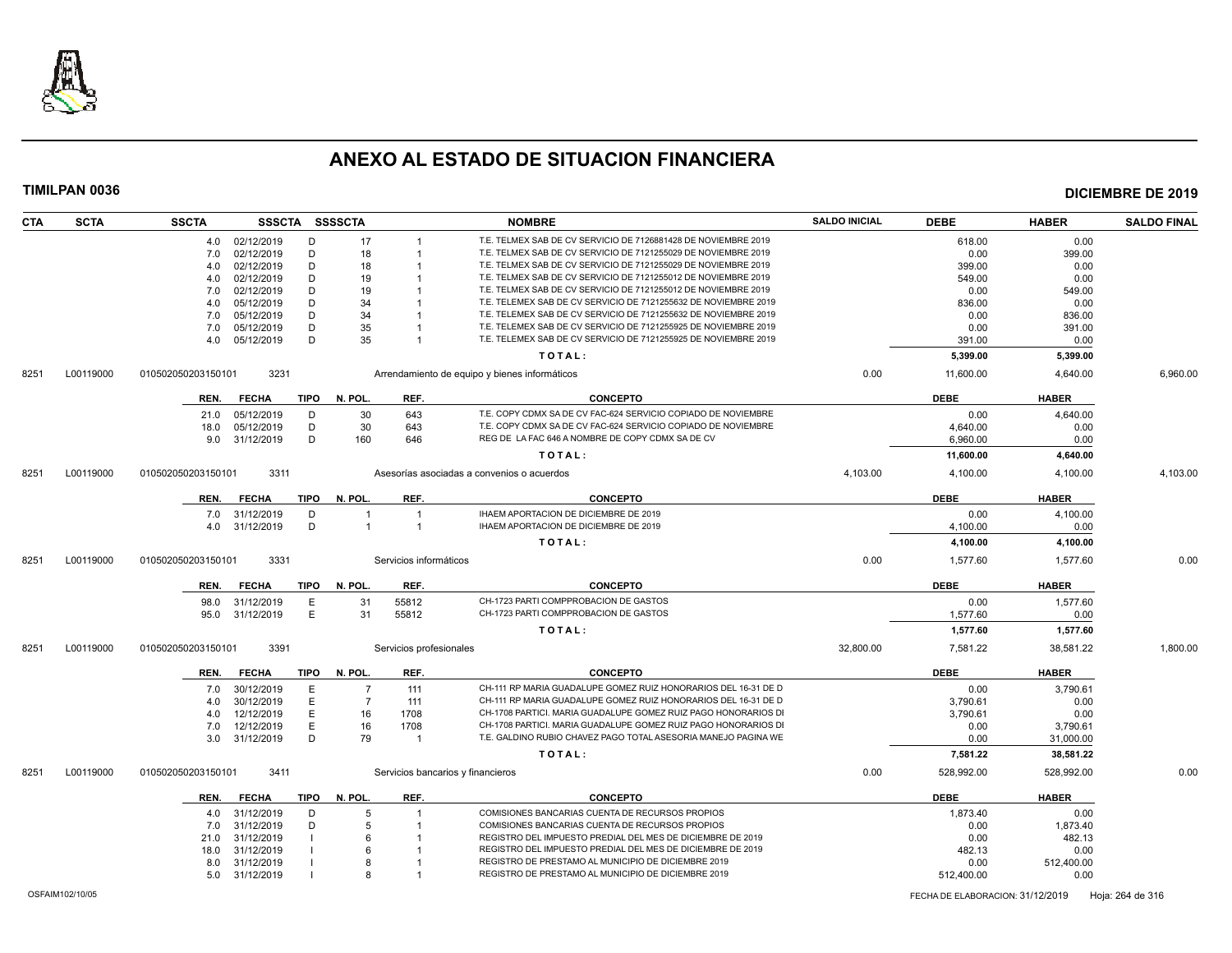

| <b>CTA</b> | <b>SCTA</b> | <b>SSCTA</b>       | SSSCTA SSSSCTA |             |                |                                   | <b>NOMBRE</b>                                                   | <b>SALDO INICIAL</b> | <b>DEBE</b> | <b>HABER</b> | <b>SALDO FINAL</b> |
|------------|-------------|--------------------|----------------|-------------|----------------|-----------------------------------|-----------------------------------------------------------------|----------------------|-------------|--------------|--------------------|
|            |             |                    | 4.0 02/12/2019 | D           | 17             | $\overline{1}$                    | T.E. TELMEX SAB DE CV SERVICIO DE 7126881428 DE NOVIEMBRE 2019  |                      | 618.00      | 0.00         |                    |
|            |             | 7.0                | 02/12/2019     | D           | 18             |                                   | T.E. TELMEX SAB DE CV SERVICIO DE 7121255029 DE NOVIEMBRE 2019  |                      | 0.00        | 399.00       |                    |
|            |             | 4.0                | 02/12/2019     | D           | 18             |                                   | T.E. TELMEX SAB DE CV SERVICIO DE 7121255029 DE NOVIEMBRE 2019  |                      | 399.00      | 0.00         |                    |
|            |             | 4.0                | 02/12/2019     | D           | 19             |                                   | T.E. TELMEX SAB DE CV SERVICIO DE 7121255012 DE NOVIEMBRE 2019  |                      | 549.00      | 0.00         |                    |
|            |             | 7.0                | 02/12/2019     | D           | 19             |                                   | T.E. TELMEX SAB DE CV SERVICIO DE 7121255012 DE NOVIEMBRE 2019  |                      | 0.00        | 549.00       |                    |
|            |             | 4.0                | 05/12/2019     | D           | 34             |                                   | T.E. TELEMEX SAB DE CV SERVICIO DE 7121255632 DE NOVIEMBRE 2019 |                      | 836.00      | 0.00         |                    |
|            |             | 7.0                | 05/12/2019     | D           | 34             |                                   | T.E. TELEMEX SAB DE CV SERVICIO DE 7121255632 DE NOVIEMBRE 2019 |                      | 0.00        | 836.00       |                    |
|            |             | 7.0                | 05/12/2019     | D           | 35             |                                   | T.E. TELEMEX SAB DE CV SERVICIO DE 7121255925 DE NOVIEMBRE 2019 |                      | 0.00        | 391.00       |                    |
|            |             | 4.0                | 05/12/2019     | D           | 35             | $\overline{1}$                    | T.E. TELEMEX SAB DE CV SERVICIO DE 7121255925 DE NOVIEMBRE 2019 |                      | 391.00      | 0.00         |                    |
|            |             |                    |                |             |                |                                   | TOTAL:                                                          |                      | 5,399.00    | 5,399.00     |                    |
| 8251       | L00119000   | 010502050203150101 | 3231           |             |                |                                   | Arrendamiento de equipo y bienes informáticos                   | 0.00                 | 11,600.00   | 4,640.00     | 6,960.00           |
|            |             | REN.               | <b>FECHA</b>   | TIPO        | N. POL.        | REF.                              | <b>CONCEPTO</b>                                                 |                      | <b>DEBE</b> | <b>HABER</b> |                    |
|            |             | 21.0               | 05/12/2019     | D           | 30             | 643                               | T.E. COPY CDMX SA DE CV FAC-624 SERVICIO COPIADO DE NOVIEMBRE   |                      | 0.00        | 4,640.00     |                    |
|            |             | 18.0               | 05/12/2019     | D           | 30             | 643                               | T.E. COPY CDMX SA DE CV FAC-624 SERVICIO COPIADO DE NOVIEMBRE   |                      | 4,640.00    | 0.00         |                    |
|            |             | 9.0                | 31/12/2019     | D           | 160            | 646                               | REG DE LA FAC 646 A NOMBRE DE COPY CDMX SA DE CV                |                      | 6,960.00    | 0.00         |                    |
|            |             |                    |                |             |                |                                   | TOTAL:                                                          |                      | 11,600.00   | 4,640.00     |                    |
| 8251       | L00119000   | 010502050203150101 | 3311           |             |                |                                   | Asesorías asociadas a convenios o acuerdos                      | 4,103.00             | 4,100.00    | 4,100.00     | 4,103.00           |
|            |             |                    |                |             |                |                                   |                                                                 |                      |             |              |                    |
|            |             | REN.               | <b>FECHA</b>   | <b>TIPO</b> | N. POL.        | REF.                              | <b>CONCEPTO</b>                                                 |                      | <b>DEBE</b> | <b>HABER</b> |                    |
|            |             | 7.0                | 31/12/2019     | D           | $\overline{1}$ | $\overline{1}$                    | IHAEM APORTACION DE DICIEMBRE DE 2019                           |                      | 0.00        | 4,100.00     |                    |
|            |             |                    | 4.0 31/12/2019 | D           | $\overline{1}$ | $\overline{1}$                    | IHAEM APORTACION DE DICIEMBRE DE 2019                           |                      | 4,100.00    | 0.00         |                    |
|            |             |                    |                |             |                |                                   | TOTAL:                                                          |                      | 4,100.00    | 4,100.00     |                    |
| 8251       | L00119000   | 010502050203150101 | 3331           |             |                | Servicios informáticos            |                                                                 | 0.00                 | 1,577.60    | 1,577.60     | 0.00               |
|            |             |                    |                |             |                |                                   |                                                                 |                      |             |              |                    |
|            |             | REN.               | <b>FECHA</b>   | <b>TIPO</b> | N. POL.        | REF.                              | <b>CONCEPTO</b>                                                 |                      | <b>DEBE</b> | <b>HABER</b> |                    |
|            |             | 98.0               | 31/12/2019     | E           | 31             | 55812                             | CH-1723 PARTI COMPPROBACION DE GASTOS                           |                      | 0.00        | 1,577.60     |                    |
|            |             | 95.0               | 31/12/2019     | E           | 31             | 55812                             | CH-1723 PARTI COMPPROBACION DE GASTOS                           |                      | 1,577.60    | 0.00         |                    |
|            |             |                    |                |             |                |                                   | TOTAL:                                                          |                      | 1,577.60    | 1,577.60     |                    |
| 8251       | L00119000   | 010502050203150101 | 3391           |             |                | Servicios profesionales           |                                                                 | 32,800.00            | 7,581.22    | 38,581.22    | 1,800.00           |
|            |             | REN.               | <b>FECHA</b>   | TIPO        | N. POL.        | REF.                              | <b>CONCEPTO</b>                                                 |                      | <b>DEBE</b> | <b>HABER</b> |                    |
|            |             | 7.0                | 30/12/2019     | E.          | $\overline{7}$ | 111                               | CH-111 RP MARIA GUADALUPE GOMEZ RUIZ HONORARIOS DEL 16-31 DE D  |                      | 0.00        | 3,790.61     |                    |
|            |             | 4.0                | 30/12/2019     | E           | $\overline{7}$ | 111                               | CH-111 RP MARIA GUADALUPE GOMEZ RUIZ HONORARIOS DEL 16-31 DE D  |                      | 3.790.61    | 0.00         |                    |
|            |             | 4.0                | 12/12/2019     | E           | 16             | 1708                              | CH-1708 PARTICI. MARIA GUADALUPE GOMEZ RUIZ PAGO HONORARIOS DI  |                      | 3,790.61    | 0.00         |                    |
|            |             | 7.0                | 12/12/2019     | E           | 16             | 1708                              | CH-1708 PARTICI. MARIA GUADALUPE GOMEZ RUIZ PAGO HONORARIOS DI  |                      | 0.00        | 3,790.61     |                    |
|            |             | 3.0                | 31/12/2019     | D           | 79             | $\mathbf{1}$                      | T.E. GALDINO RUBIO CHAVEZ PAGO TOTAL ASESORIA MANEJO PAGINA WE  |                      | 0.00        | 31,000.00    |                    |
|            |             |                    |                |             |                |                                   | TOTAL:                                                          |                      | 7,581.22    | 38,581.22    |                    |
| 8251       | L00119000   | 010502050203150101 | 3411           |             |                | Servicios bancarios y financieros |                                                                 | 0.00                 | 528,992.00  | 528,992.00   | 0.00               |
|            |             |                    |                |             |                |                                   |                                                                 |                      |             |              |                    |
|            |             | REN.               | <b>FECHA</b>   | <b>TIPO</b> | N. POL.        | REF.                              | <b>CONCEPTO</b>                                                 |                      | <b>DEBE</b> | <b>HABER</b> |                    |
|            |             | 4.0                | 31/12/2019     | D           | 5              |                                   | COMISIONES BANCARIAS CUENTA DE RECURSOS PROPIOS                 |                      | 1,873.40    | 0.00         |                    |
|            |             | 7.0                | 31/12/2019     | D           | 5              |                                   | COMISIONES BANCARIAS CUENTA DE RECURSOS PROPIOS                 |                      | 0.00        | 1,873.40     |                    |
|            |             | 21.0               | 31/12/2019     |             | 6              |                                   | REGISTRO DEL IMPUESTO PREDIAL DEL MES DE DICIEMBRE DE 2019      |                      | 0.00        | 482.13       |                    |
|            |             | 18.0               | 31/12/2019     |             |                |                                   | REGISTRO DEL IMPUESTO PREDIAL DEL MES DE DICIEMBRE DE 2019      |                      | 482.13      | 0.00         |                    |
|            |             | 8.0                | 31/12/2019     |             |                |                                   | REGISTRO DE PRESTAMO AL MUNICIPIO DE DICIEMBRE 2019             |                      | 0.00        | 512,400.00   |                    |
|            |             |                    | 5.0 31/12/2019 |             | 8              |                                   | REGISTRO DE PRESTAMO AL MUNICIPIO DE DICIEMBRE 2019             |                      | 512,400.00  | 0.00         |                    |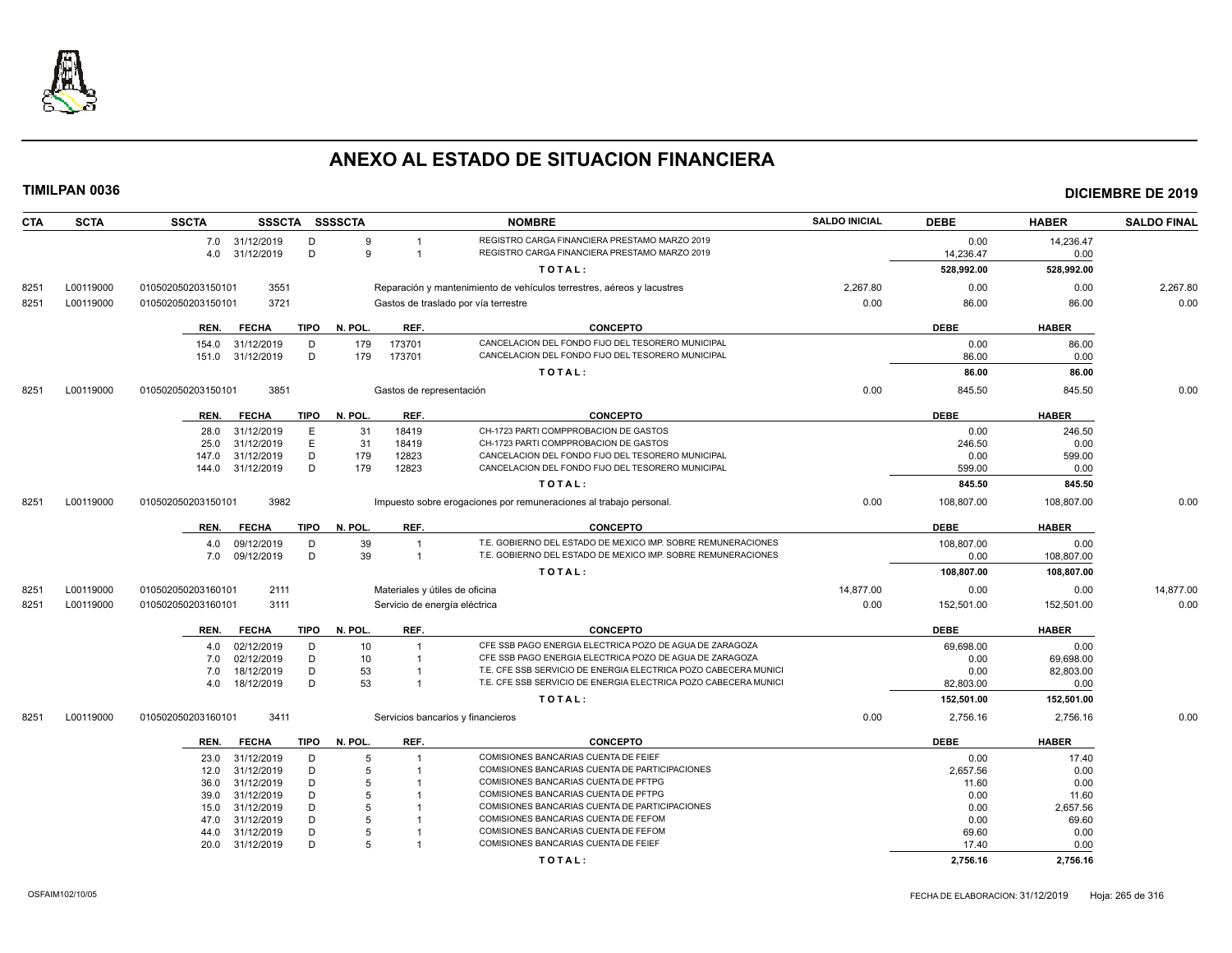

| <b>CTA</b> | <b>SCTA</b> | <b>SSCTA</b>              | SSSCTA SSSSCTA                |            |                          | <b>NOMBRE</b>                                                                                                      | <b>SALDO INICIAL</b> | <b>DEBE</b>    | <b>HABER</b>           | <b>SALDO FINAL</b> |
|------------|-------------|---------------------------|-------------------------------|------------|--------------------------|--------------------------------------------------------------------------------------------------------------------|----------------------|----------------|------------------------|--------------------|
|            |             | 7.0 31/12/2019            | D                             | 9          |                          | REGISTRO CARGA FINANCIERA PRESTAMO MARZO 2019                                                                      |                      | 0.00           | 14,236.47              |                    |
|            |             | 4.0                       | D<br>31/12/2019               | q          | $\overline{1}$           | REGISTRO CARGA FINANCIERA PRESTAMO MARZO 2019                                                                      |                      | 14,236.47      | 0.00                   |                    |
|            |             |                           |                               |            |                          | TOTAL:                                                                                                             |                      | 528,992.00     | 528,992.00             |                    |
| 8251       | L00119000   | 010502050203150101        | 3551                          |            |                          | Reparación y mantenimiento de vehículos terrestres, aéreos y lacustres                                             | 2,267.80             | 0.00           | 0.00                   | 2,267.80           |
| 8251       | L00119000   | 010502050203150101        | 3721                          |            |                          | Gastos de traslado por vía terrestre                                                                               | 0.00                 | 86.00          | 86.00                  | 0.00               |
|            |             |                           |                               |            |                          |                                                                                                                    |                      |                |                        |                    |
|            |             | REN.                      | <b>TIPO</b><br><b>FECHA</b>   | N. POL.    | REF.                     | <b>CONCEPTO</b>                                                                                                    |                      | <b>DEBE</b>    | <b>HABER</b>           |                    |
|            |             | 154.0                     | 31/12/2019<br>D               | 179        | 173701                   | CANCELACION DEL FONDO FIJO DEL TESORERO MUNICIPAL                                                                  |                      | 0.00           | 86.00                  |                    |
|            |             | 151.0                     | D<br>31/12/2019               | 179        | 173701                   | CANCELACION DEL FONDO FIJO DEL TESORERO MUNICIPAL                                                                  |                      | 86.00          | 0.00                   |                    |
|            |             |                           |                               |            |                          | TOTAL:                                                                                                             |                      | 86.00          | 86.00                  |                    |
| 8251       | L00119000   | 010502050203150101        | 3851                          |            | Gastos de representación |                                                                                                                    | 0.00                 | 845.50         | 845.50                 | 0.00               |
|            |             |                           |                               |            |                          |                                                                                                                    |                      |                |                        |                    |
|            |             | REN.                      | <b>FECHA</b><br>TIPO          | N. POL.    | REF.                     | <b>CONCEPTO</b>                                                                                                    |                      | <b>DEBE</b>    | <b>HABER</b>           |                    |
|            |             | 28.0                      | 31/12/2019<br>E               | 31         | 18419                    | CH-1723 PARTI COMPPROBACION DE GASTOS                                                                              |                      | 0.00           | 246.50                 |                    |
|            |             | 25.0                      | E<br>31/12/2019               | 31         | 18419                    | CH-1723 PARTI COMPPROBACION DE GASTOS                                                                              |                      | 246.50         | 0.00                   |                    |
|            |             | 147.0<br>144.0 31/12/2019 | 31/12/2019<br>D<br>D          | 179<br>179 | 12823<br>12823           | CANCELACION DEL FONDO FIJO DEL TESORERO MUNICIPAL<br>CANCELACION DEL FONDO FIJO DEL TESORERO MUNICIPAL             |                      | 0.00<br>599.00 | 599.00<br>0.00         |                    |
|            |             |                           |                               |            |                          |                                                                                                                    |                      |                |                        |                    |
|            |             |                           |                               |            |                          | TOTAL:                                                                                                             |                      | 845.50         | 845.50                 |                    |
| 8251       | L00119000   | 010502050203150101        | 3982                          |            |                          | Impuesto sobre erogaciones por remuneraciones al trabajo personal.                                                 | 0.00                 | 108,807.00     | 108,807.00             | 0.00               |
|            |             | REN.                      | <b>FECHA</b><br><b>TIPO</b>   | N. POL.    | REF.                     | <b>CONCEPTO</b>                                                                                                    |                      | <b>DEBE</b>    | <b>HABER</b>           |                    |
|            |             | 4.0                       | 09/12/2019<br>D               | 39         |                          | T.E. GOBIERNO DEL ESTADO DE MEXICO IMP. SOBRE REMUNERACIONES                                                       |                      | 108,807.00     | 0.00                   |                    |
|            |             | 7.0 09/12/2019            | D                             | 39         | $\overline{1}$           | T.E. GOBIERNO DEL ESTADO DE MEXICO IMP. SOBRE REMUNERACIONES                                                       |                      | 0.00           | 108,807.00             |                    |
|            |             |                           |                               |            |                          | TOTAL:                                                                                                             |                      | 108,807.00     | 108,807.00             |                    |
| 8251       | L00119000   | 010502050203160101        | 2111                          |            |                          | Materiales y útiles de oficina                                                                                     | 14,877.00            | 0.00           | 0.00                   | 14,877.00          |
| 8251       | L00119000   | 010502050203160101        | 3111                          |            |                          | Servicio de energía eléctrica                                                                                      | 0.00                 | 152,501.00     | 152,501.00             | 0.00               |
|            |             |                           |                               |            |                          |                                                                                                                    |                      |                |                        |                    |
|            |             | REN.                      | <b>TIPO</b><br><b>FECHA</b>   | N. POL.    | REF.                     | <b>CONCEPTO</b>                                                                                                    |                      | <b>DEBE</b>    | <b>HABER</b>           |                    |
|            |             | 4.0                       | 02/12/2019<br>D<br>D          | 10<br>10   | -1                       | CFE SSB PAGO ENERGIA ELECTRICA POZO DE AGUA DE ZARAGOZA<br>CFE SSB PAGO ENERGIA ELECTRICA POZO DE AGUA DE ZARAGOZA |                      | 69,698.00      | 0.00                   |                    |
|            |             | 7.0<br>7.0                | 02/12/2019<br>18/12/2019<br>D | 53         |                          | T.E. CFE SSB SERVICIO DE ENERGIA ELECTRICA POZO CABECERA MUNICI                                                    |                      | 0.00<br>0.00   | 69,698.00<br>82,803.00 |                    |
|            |             | 4.0                       | D<br>18/12/2019               | 53         |                          | T.E. CFE SSB SERVICIO DE ENERGIA ELECTRICA POZO CABECERA MUNICI                                                    |                      | 82,803.00      | 0.00                   |                    |
|            |             |                           |                               |            |                          | TOTAL:                                                                                                             |                      | 152,501.00     | 152,501.00             |                    |
|            |             |                           |                               |            |                          |                                                                                                                    |                      |                |                        |                    |
| 8251       | L00119000   | 010502050203160101        | 3411                          |            |                          | Servicios bancarios y financieros                                                                                  | 0.00                 | 2,756.16       | 2,756.16               | 0.00               |
|            |             | REN.                      | <b>FECHA</b><br>TIPO          | N. POL.    | REF.                     | <b>CONCEPTO</b>                                                                                                    |                      | <b>DEBE</b>    | <b>HABER</b>           |                    |
|            |             | 23.0                      | 31/12/2019<br>D               | 5          |                          | COMISIONES BANCARIAS CUENTA DE FEIEF                                                                               |                      | 0.00           | 17.40                  |                    |
|            |             | 12.0                      | D<br>31/12/2019               | 5          |                          | COMISIONES BANCARIAS CUENTA DE PARTICIPACIONES                                                                     |                      | 2,657.56       | 0.00                   |                    |
|            |             | 36.0                      | 31/12/2019<br>D               | 5          |                          | COMISIONES BANCARIAS CUENTA DE PFTPG                                                                               |                      | 11.60          | 0.00                   |                    |
|            |             | 39.0                      | D<br>31/12/2019               | 5          |                          | COMISIONES BANCARIAS CUENTA DE PFTPG                                                                               |                      | 0.00           | 11.60                  |                    |
|            |             | 15.0                      | D<br>31/12/2019               | 5          |                          | COMISIONES BANCARIAS CUENTA DE PARTICIPACIONES                                                                     |                      | 0.00           | 2,657.56               |                    |
|            |             | 47.0                      | 31/12/2019<br>D               |            |                          | COMISIONES BANCARIAS CUENTA DE FEFOM                                                                               |                      | 0.00           | 69.60                  |                    |
|            |             | 44.0                      | D<br>31/12/2019               | 5          |                          | COMISIONES BANCARIAS CUENTA DE FEFOM                                                                               |                      | 69.60          | 0.00                   |                    |
|            |             | 20.0                      | 31/12/2019<br>D               | 5          |                          | COMISIONES BANCARIAS CUENTA DE FEIEF                                                                               |                      | 17.40          | 0.00                   |                    |
|            |             |                           |                               |            |                          | TOTAL:                                                                                                             |                      | 2,756.16       | 2,756.16               |                    |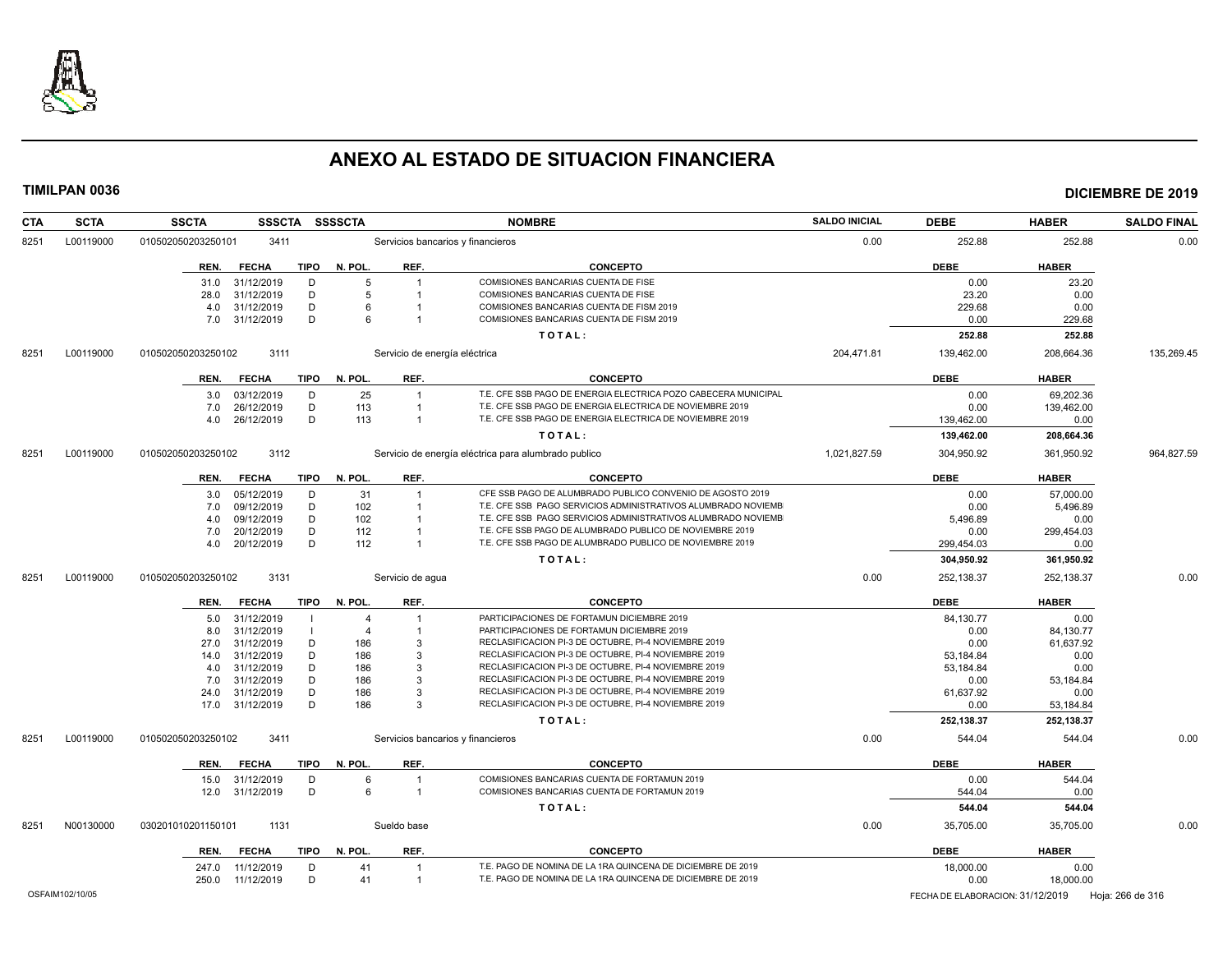

| <b>CTA</b> | <b>SCTA</b>     | <b>SSCTA</b><br><b>SSSCTA</b> | <b>SSSSCTA</b> |                               | <b>NOMBRE</b>                                                  | <b>SALDO INICIAL</b> | <b>DEBE</b>                      | <b>HABER</b> | <b>SALDO FINAL</b> |
|------------|-----------------|-------------------------------|----------------|-------------------------------|----------------------------------------------------------------|----------------------|----------------------------------|--------------|--------------------|
| 8251       | L00119000       | 010502050203250101<br>3411    |                |                               | Servicios bancarios y financieros                              | 0.00                 | 252.88                           | 252.88       | 0.00               |
|            |                 | <b>TIPO</b><br>REN.<br>FECHA  | N. POL.        | REF.                          | <b>CONCEPTO</b>                                                |                      | <b>DEBE</b>                      | <b>HABER</b> |                    |
|            |                 | 31.0<br>31/12/2019<br>D       | 5              | -1                            | COMISIONES BANCARIAS CUENTA DE FISE                            |                      | 0.00                             | 23.20        |                    |
|            |                 | 31/12/2019<br>D<br>28.0       | 5              | -1                            | COMISIONES BANCARIAS CUENTA DE FISE                            |                      | 23.20                            | 0.00         |                    |
|            |                 | 31/12/2019<br>D<br>4.0        | 6              |                               | COMISIONES BANCARIAS CUENTA DE FISM 2019                       |                      | 229.68                           | 0.00         |                    |
|            |                 | D<br>31/12/2019<br>7.0        | 6              |                               | COMISIONES BANCARIAS CUENTA DE FISM 2019                       |                      | 0.00                             | 229.68       |                    |
|            |                 |                               |                |                               | TOTAL:                                                         |                      | 252.88                           | 252.88       |                    |
| 8251       | L00119000       | 010502050203250102<br>3111    |                | Servicio de energía eléctrica |                                                                | 204,471.81           | 139,462.00                       | 208,664.36   | 135,269.45         |
|            |                 | <b>FECHA</b><br>TIPO<br>REN.  | N. POL.        | REF.                          | <b>CONCEPTO</b>                                                |                      | <b>DEBE</b>                      | <b>HABER</b> |                    |
|            |                 | 03/12/2019<br>D<br>3.0        | 25             | $\overline{1}$                | T.E. CFE SSB PAGO DE ENERGIA ELECTRICA POZO CABECERA MUNICIPAL |                      | 0.00                             | 69.202.36    |                    |
|            |                 | D<br>7.0<br>26/12/2019        | 113            | $\overline{1}$                | T.E. CFE SSB PAGO DE ENERGIA ELECTRICA DE NOVIEMBRE 2019       |                      | 0.00                             | 139,462.00   |                    |
|            |                 | 26/12/2019<br>D<br>4.0        | 113            | $\overline{1}$                | T.E. CFE SSB PAGO DE ENERGIA ELECTRICA DE NOVIEMBRE 2019       |                      | 139,462.00                       | 0.00         |                    |
|            |                 |                               |                |                               | TOTAL:                                                         |                      | 139,462.00                       | 208,664.36   |                    |
| 8251       | L00119000       | 010502050203250102<br>3112    |                |                               | Servicio de energía eléctrica para alumbrado publico           | 1,021,827.59         | 304,950.92                       | 361,950.92   | 964,827.59         |
|            |                 | REN.<br><b>FECHA</b><br>TIPO  | N. POL.        | REF.                          | <b>CONCEPTO</b>                                                |                      | <b>DEBE</b>                      | <b>HABER</b> |                    |
|            |                 | 3.0<br>05/12/2019<br>D        | 31             | $\overline{1}$                | CFE SSB PAGO DE ALUMBRADO PUBLICO CONVENIO DE AGOSTO 2019      |                      | 0.00                             | 57,000.00    |                    |
|            |                 | 09/12/2019<br>D<br>7.0        | 102            | -1                            | T.E. CFE SSB PAGO SERVICIOS ADMINISTRATIVOS ALUMBRADO NOVIEMB  |                      | 0.00                             | 5,496.89     |                    |
|            |                 | 09/12/2019<br>D<br>4.0        | 102            | -1                            | T.E. CFE SSB PAGO SERVICIOS ADMINISTRATIVOS ALUMBRADO NOVIEMB  |                      | 5,496.89                         | 0.00         |                    |
|            |                 | D<br>7.0<br>20/12/2019        | 112            |                               | T.E. CFE SSB PAGO DE ALUMBRADO PUBLICO DE NOVIEMBRE 2019       |                      | 0.00                             | 299,454.03   |                    |
|            |                 | 20/12/2019<br>D<br>4.0        | 112            | -1                            | T.E. CFE SSB PAGO DE ALUMBRADO PUBLICO DE NOVIEMBRE 2019       |                      | 299,454.03                       | 0.00         |                    |
|            |                 |                               |                |                               | TOTAL:                                                         |                      | 304,950.92                       | 361,950.92   |                    |
| 8251       | L00119000       | 3131<br>010502050203250102    |                | Servicio de agua              |                                                                | 0.00                 | 252,138.37                       | 252,138.37   | 0.00               |
|            |                 |                               |                |                               |                                                                |                      |                                  |              |                    |
|            |                 | TIPO<br>REN.<br><b>FECHA</b>  | N. POL.        | REF.                          | <b>CONCEPTO</b>                                                |                      | <b>DEBE</b>                      | <b>HABER</b> |                    |
|            |                 | 31/12/2019<br>5.0             | $\overline{4}$ |                               | PARTICIPACIONES DE FORTAMUN DICIEMBRE 2019                     |                      | 84,130.77                        | 0.00         |                    |
|            |                 | 31/12/2019<br>8.0             | $\overline{4}$ | -1                            | PARTICIPACIONES DE FORTAMUN DICIEMBRE 2019                     |                      | 0.00                             | 84,130.77    |                    |
|            |                 | 31/12/2019<br>D<br>27.0       | 186            | 3                             | RECLASIFICACION PI-3 DE OCTUBRE, PI-4 NOVIEMBRE 2019           |                      | 0.00                             | 61,637.92    |                    |
|            |                 | D<br>14.0<br>31/12/2019       | 186            | 3                             | RECLASIFICACION PI-3 DE OCTUBRE, PI-4 NOVIEMBRE 2019           |                      | 53,184.84                        | 0.00         |                    |
|            |                 | 31/12/2019<br>D<br>4.0        | 186            | 3                             | RECLASIFICACION PI-3 DE OCTUBRE, PI-4 NOVIEMBRE 2019           |                      | 53,184.84                        | 0.00         |                    |
|            |                 | 31/12/2019<br>D<br>7.0        | 186            | 3                             | RECLASIFICACION PI-3 DE OCTUBRE, PI-4 NOVIEMBRE 2019           |                      | 0.00                             | 53,184.84    |                    |
|            |                 | D<br>24.0<br>31/12/2019<br>D  | 186            | 3<br>3                        | RECLASIFICACION PI-3 DE OCTUBRE, PI-4 NOVIEMBRE 2019           |                      | 61,637.92                        | 0.00         |                    |
|            |                 | 31/12/2019<br>17.0            | 186            |                               | RECLASIFICACION PI-3 DE OCTUBRE, PI-4 NOVIEMBRE 2019           |                      | 0.00                             | 53,184.84    |                    |
|            |                 |                               |                |                               | TOTAL:                                                         |                      | 252,138.37                       | 252,138.37   |                    |
| 8251       | L00119000       | 3411<br>010502050203250102    |                |                               | Servicios bancarios y financieros                              | 0.00                 | 544.04                           | 544.04       | 0.00               |
|            |                 | TIPO<br>REN.<br><b>FECHA</b>  | N. POL.        | REF.                          | <b>CONCEPTO</b>                                                |                      | <b>DEBE</b>                      | <b>HABER</b> |                    |
|            |                 | 15.0<br>31/12/2019<br>D       | 6              | $\overline{1}$                | COMISIONES BANCARIAS CUENTA DE FORTAMUN 2019                   |                      | 0.00                             | 544.04       |                    |
|            |                 | D<br>31/12/2019<br>12.0       | 6              | $\overline{\mathbf{1}}$       | COMISIONES BANCARIAS CUENTA DE FORTAMUN 2019                   |                      | 544.04                           | 0.00         |                    |
|            |                 |                               |                |                               | TOTAL:                                                         |                      | 544.04                           | 544.04       |                    |
| 8251       | N00130000       | 030201010201150101<br>1131    |                | Sueldo base                   |                                                                | 0.00                 | 35.705.00                        | 35,705.00    | 0.00               |
|            |                 | TIPO<br>REN.<br><b>FECHA</b>  | N. POL.        | REF.                          | <b>CONCEPTO</b>                                                |                      | <b>DEBE</b>                      | <b>HABER</b> |                    |
|            |                 | 247.0<br>11/12/2019<br>D      | 41             | $\overline{1}$                | T.E. PAGO DE NOMINA DE LA 1RA QUINCENA DE DICIEMBRE DE 2019    |                      | 18,000.00                        | 0.00         |                    |
|            |                 | 11/12/2019<br>D<br>250.0      | 41             | $\overline{1}$                | T.E. PAGO DE NOMINA DE LA 1RA QUINCENA DE DICIEMBRE DE 2019    |                      | 0.00                             | 18,000.00    |                    |
|            | OSFAIM102/10/05 |                               |                |                               |                                                                |                      | FECHA DE ELABORACION: 31/12/2019 |              | Hoja: 266 de 316   |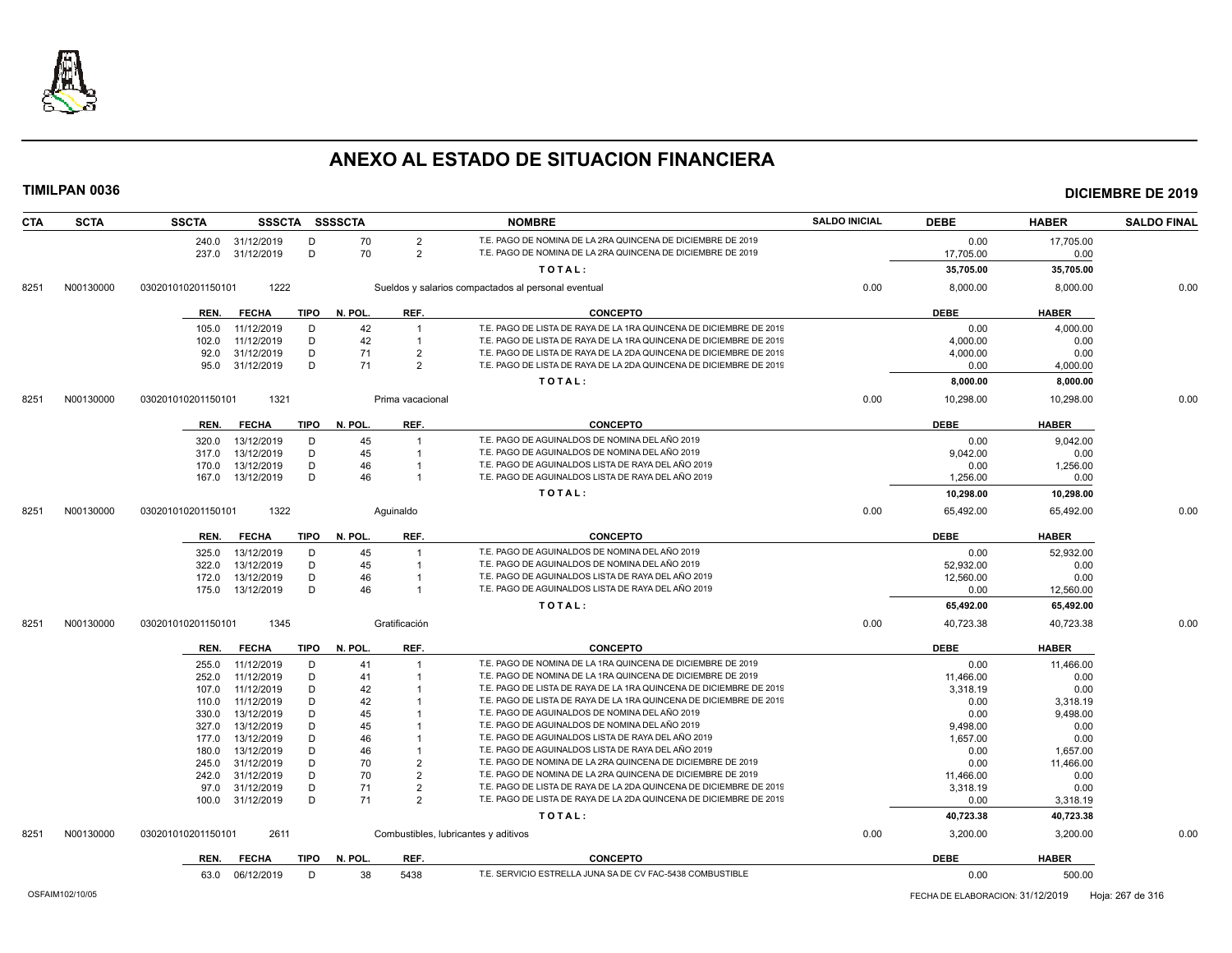

### **TIMILPAN 0036 DICIEMBRE DE 2019**

| <b>CTA</b> | <b>SCTA</b> | <b>SSCTA</b>       |                          |             | SSSCTA SSSSCTA |                  | <b>NOMBRE</b>                                                                                                                            | <b>SALDO INICIAL</b> | <b>DEBE</b>      | <b>HABER</b>     | <b>SALDO FINAL</b> |
|------------|-------------|--------------------|--------------------------|-------------|----------------|------------------|------------------------------------------------------------------------------------------------------------------------------------------|----------------------|------------------|------------------|--------------------|
|            |             |                    | 240.0 31/12/2019         | D           | 70             | $\overline{2}$   | T.E. PAGO DE NOMINA DE LA 2RA QUINCENA DE DICIEMBRE DE 2019                                                                              |                      | 0.00             | 17,705.00        |                    |
|            |             |                    | 237.0 31/12/2019         | D           | 70             | 2                | T.E. PAGO DE NOMINA DE LA 2RA QUINCENA DE DICIEMBRE DE 2019                                                                              |                      | 17,705.00        | 0.00             |                    |
|            |             |                    |                          |             |                |                  | TOTAL:                                                                                                                                   |                      | 35,705.00        | 35,705.00        |                    |
| 8251       | N00130000   | 030201010201150101 | 1222                     |             |                |                  | Sueldos y salarios compactados al personal eventual                                                                                      | 0.00                 | 8,000.00         | 8,000.00         | 0.00               |
|            |             | REN.               | <b>FECHA</b>             | <b>TIPO</b> | N. POL.        | REF.             | <b>CONCEPTO</b>                                                                                                                          |                      | <b>DEBE</b>      | <b>HABER</b>     |                    |
|            |             |                    |                          | D           |                |                  |                                                                                                                                          |                      |                  |                  |                    |
|            |             | 105.0<br>102.0     | 11/12/2019<br>11/12/2019 | D           | 42<br>42       | $\overline{1}$   | T.E. PAGO DE LISTA DE RAYA DE LA 1RA QUINCENA DE DICIEMBRE DE 2019<br>T.E. PAGO DE LISTA DE RAYA DE LA 1RA QUINCENA DE DICIEMBRE DE 2019 |                      | 0.00<br>4,000.00 | 4,000.00<br>0.00 |                    |
|            |             | 92.0               | 31/12/2019               | D           | 71             | $\overline{2}$   | T.E. PAGO DE LISTA DE RAYA DE LA 2DA QUINCENA DE DICIEMBRE DE 2019                                                                       |                      | 4,000.00         | 0.00             |                    |
|            |             | 95.0               | 31/12/2019               | D           | 71             | $\overline{2}$   | T.E. PAGO DE LISTA DE RAYA DE LA 2DA QUINCENA DE DICIEMBRE DE 2019                                                                       |                      | 0.00             | 4,000.00         |                    |
|            |             |                    |                          |             |                |                  | TOTAL:                                                                                                                                   |                      | 8,000.00         | 8,000.00         |                    |
| 8251       | N00130000   | 030201010201150101 | 1321                     |             |                | Prima vacacional |                                                                                                                                          | 0.00                 | 10,298.00        | 10,298.00        | 0.00               |
|            |             |                    |                          |             |                |                  |                                                                                                                                          |                      |                  |                  |                    |
|            |             | REN.               | <b>FECHA</b>             | <b>TIPO</b> | N. POL.        | REF.             | <b>CONCEPTO</b>                                                                                                                          |                      | <b>DEBE</b>      | <b>HABER</b>     |                    |
|            |             | 320.0              | 13/12/2019               | D           | 45             |                  | T.E. PAGO DE AGUINALDOS DE NOMINA DEL AÑO 2019                                                                                           |                      | 0.00             | 9,042.00         |                    |
|            |             | 317.0              | 13/12/2019               | D           | 45             | $\overline{1}$   | T.E. PAGO DE AGUINALDOS DE NOMINA DEL AÑO 2019                                                                                           |                      | 9,042.00         | 0.00             |                    |
|            |             | 170.0              | 13/12/2019               | D           | 46             |                  | T.E. PAGO DE AGUINALDOS LISTA DE RAYA DEL AÑO 2019                                                                                       |                      | 0.00             | 1,256.00         |                    |
|            |             | 167.0              | 13/12/2019               | D           | 46             |                  | T.E. PAGO DE AGUINALDOS LISTA DE RAYA DEL AÑO 2019                                                                                       |                      | 1,256.00         | 0.00             |                    |
|            |             |                    |                          |             |                |                  | TOTAL:                                                                                                                                   |                      | 10,298.00        | 10,298.00        |                    |
| 8251       | N00130000   | 030201010201150101 | 1322                     |             |                | Aguinaldo        |                                                                                                                                          | 0.00                 | 65,492.00        | 65,492.00        | 0.00               |
|            |             | REN.               | <b>FECHA</b>             | <b>TIPO</b> | N. POL.        | REF.             | <b>CONCEPTO</b>                                                                                                                          |                      | <b>DEBE</b>      | <b>HABER</b>     |                    |
|            |             | 325.0              | 13/12/2019               | D           | 45             |                  | T.E. PAGO DE AGUINALDOS DE NOMINA DEL AÑO 2019                                                                                           |                      | 0.00             | 52,932.00        |                    |
|            |             | 322.0              | 13/12/2019               | D           | 45             | $\overline{1}$   | T.E. PAGO DE AGUINALDOS DE NOMINA DEL AÑO 2019                                                                                           |                      | 52,932.00        | 0.00             |                    |
|            |             | 172.0              | 13/12/2019               | D           | 46             |                  | T.E. PAGO DE AGUINALDOS LISTA DE RAYA DEL AÑO 2019                                                                                       |                      | 12,560.00        | 0.00             |                    |
|            |             | 175.0              | 13/12/2019               | D           | 46             | $\overline{1}$   | T.E. PAGO DE AGUINALDOS LISTA DE RAYA DEL AÑO 2019                                                                                       |                      | 0.00             | 12,560.00        |                    |
|            |             |                    |                          |             |                |                  | TOTAL:                                                                                                                                   |                      | 65,492.00        | 65,492.00        |                    |
| 8251       | N00130000   | 030201010201150101 | 1345                     |             |                | Gratificación    |                                                                                                                                          | 0.00                 | 40,723.38        | 40,723.38        | 0.00               |
|            |             | REN.               | <b>FECHA</b>             |             | TIPO N. POL.   | REF.             | <b>CONCEPTO</b>                                                                                                                          |                      | <b>DEBE</b>      | <b>HABER</b>     |                    |
|            |             | 255.0              | 11/12/2019               | D           | 41             |                  | T.E. PAGO DE NOMINA DE LA 1RA QUINCENA DE DICIEMBRE DE 2019                                                                              |                      | 0.00             | 11,466.00        |                    |
|            |             | 252.0              | 11/12/2019               | D           | 41             |                  | T.E. PAGO DE NOMINA DE LA 1RA QUINCENA DE DICIEMBRE DE 2019                                                                              |                      | 11,466.00        | 0.00             |                    |
|            |             | 107.0              | 11/12/2019               | D           | 42             |                  | T.E. PAGO DE LISTA DE RAYA DE LA 1RA QUINCENA DE DICIEMBRE DE 2019                                                                       |                      | 3,318.19         | 0.00             |                    |
|            |             | 110.0              | 11/12/2019               | D           | 42             |                  | T.E. PAGO DE LISTA DE RAYA DE LA 1RA QUINCENA DE DICIEMBRE DE 2019                                                                       |                      | 0.00             | 3,318.19         |                    |
|            |             | 330.0              | 13/12/2019               | D           | 45             |                  | T.E. PAGO DE AGUINALDOS DE NOMINA DEL AÑO 2019                                                                                           |                      | 0.00             | 9,498.00         |                    |
|            |             | 327.0              | 13/12/2019               | D           | 45             |                  | T.E. PAGO DE AGUINALDOS DE NOMINA DEL AÑO 2019                                                                                           |                      | 9,498.00         | 0.00             |                    |
|            |             | 177.0              | 13/12/2019               | D           | 46             |                  | T.E. PAGO DE AGUINALDOS LISTA DE RAYA DEL AÑO 2019                                                                                       |                      | 1.657.00         | 0.00             |                    |
|            |             | 180.0              | 13/12/2019               | D           | 46             |                  | T.E. PAGO DE AGUINALDOS LISTA DE RAYA DEL AÑO 2019                                                                                       |                      | 0.00             | 1,657.00         |                    |
|            |             | 245.0              | 31/12/2019               | D           | 70             | $\overline{2}$   | T.E. PAGO DE NOMINA DE LA 2RA QUINCENA DE DICIEMBRE DE 2019                                                                              |                      | 0.00             | 11,466.00        |                    |
|            |             | 242.0              | 31/12/2019               | D           | 70             | $\overline{2}$   | T.E. PAGO DE NOMINA DE LA 2RA QUINCENA DE DICIEMBRE DE 2019                                                                              |                      | 11,466.00        | 0.00             |                    |
|            |             | 97.0               | 31/12/2019               | D           | 71             | $\overline{2}$   | T.E. PAGO DE LISTA DE RAYA DE LA 2DA QUINCENA DE DICIEMBRE DE 2019                                                                       |                      | 3,318.19         | 0.00             |                    |
|            |             | 100.0              | 31/12/2019               | D           | 71             | $\overline{2}$   | T.E. PAGO DE LISTA DE RAYA DE LA 2DA QUINCENA DE DICIEMBRE DE 2019                                                                       |                      | 0.00             | 3,318.19         |                    |
|            |             |                    |                          |             |                |                  | TOTAL:                                                                                                                                   |                      | 40,723.38        | 40,723.38        |                    |
| 8251       | N00130000   | 030201010201150101 | 2611                     |             |                |                  | Combustibles, lubricantes y aditivos                                                                                                     | 0.00                 | 3,200.00         | 3,200.00         | 0.00               |
|            |             | REN.               | <b>FECHA</b>             | <b>TIPO</b> | N. POL.        | REF.             | <b>CONCEPTO</b>                                                                                                                          |                      | <b>DEBE</b>      | <b>HABER</b>     |                    |
|            |             |                    | 63.0 06/12/2019          | D           | 38             | 5438             | T.E. SERVICIO ESTRELLA JUNA SA DE CV FAC-5438 COMBUSTIBLE                                                                                |                      | 0.00             | 500.00           |                    |
|            |             |                    |                          |             |                |                  |                                                                                                                                          |                      |                  |                  |                    |

OSFAIM102/10/05 FECHA DE ELABORACION: 31/12/2019 Hoja: 267 de 316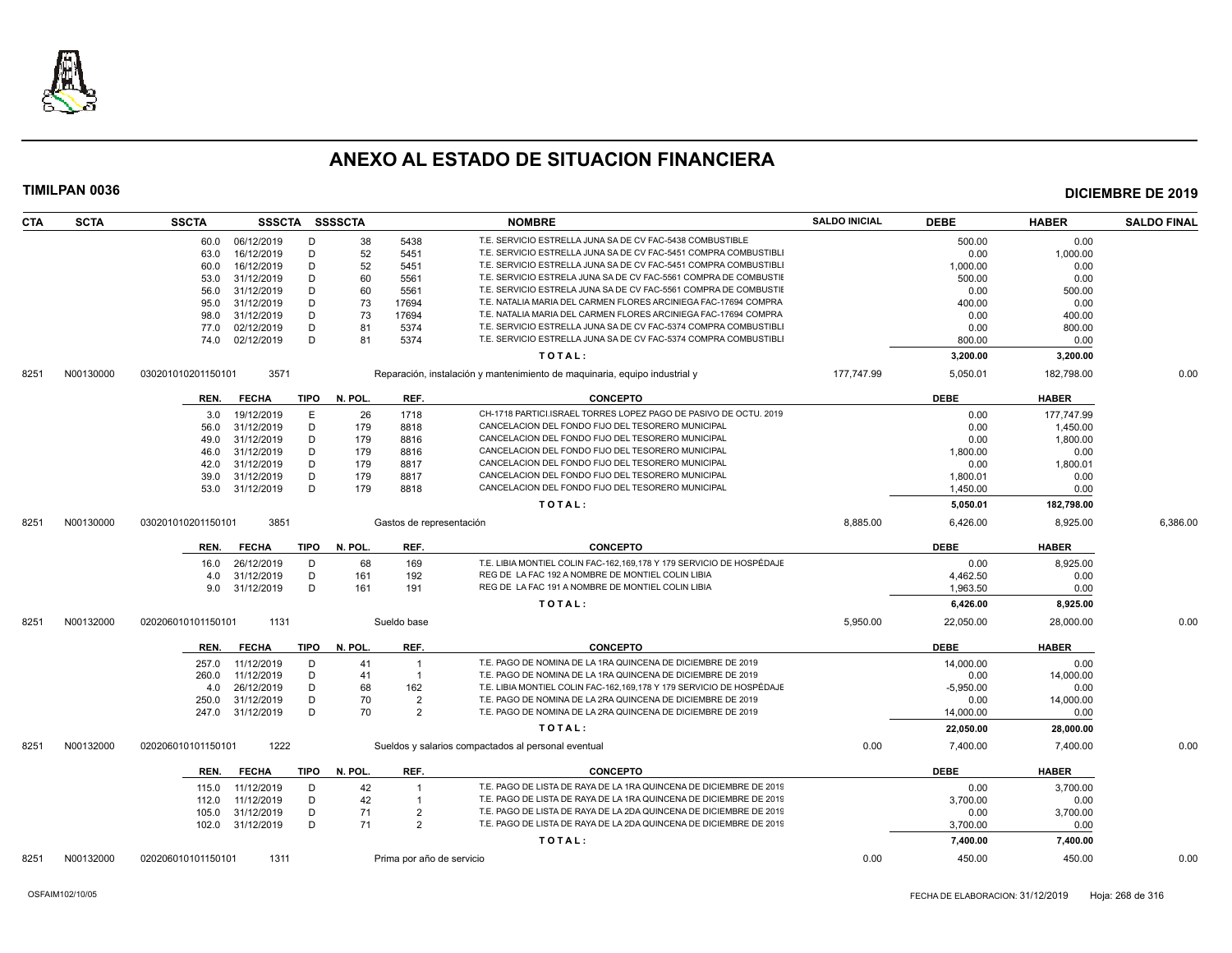

| CTA  | <b>SCTA</b> | <b>SSCTA</b>       |              |             | SSSCTA SSSSCTA |                           | <b>NOMBRE</b>                                                              | <b>SALDO INICIAL</b> | <b>DEBE</b> | <b>HABER</b> | <b>SALDO FINAL</b> |
|------|-------------|--------------------|--------------|-------------|----------------|---------------------------|----------------------------------------------------------------------------|----------------------|-------------|--------------|--------------------|
|      |             | 60.0               | 06/12/2019   | D           | 38             | 5438                      | T.E. SERVICIO ESTRELLA JUNA SA DE CV FAC-5438 COMBUSTIBLE                  |                      | 500.00      | 0.00         |                    |
|      |             | 63.0               | 16/12/2019   | D           | 52             | 5451                      | T.E. SERVICIO ESTRELLA JUNA SA DE CV FAC-5451 COMPRA COMBUSTIBLI           |                      | 0.00        | 1,000.00     |                    |
|      |             | 60.0               | 16/12/2019   | D           | 52             | 5451                      | T.E. SERVICIO ESTRELLA JUNA SA DE CV FAC-5451 COMPRA COMBUSTIBLI           |                      | 1,000.00    | 0.00         |                    |
|      |             | 53.0               | 31/12/2019   | D           | 60             | 5561                      | T.E. SERVICIO ESTRELA JUNA SA DE CV FAC-5561 COMPRA DE COMBUSTIE           |                      | 500.00      | 0.00         |                    |
|      |             | 56.0               | 31/12/2019   | D           | 60             | 5561                      | T.E. SERVICIO ESTRELA JUNA SA DE CV FAC-5561 COMPRA DE COMBUSTIE           |                      | 0.00        | 500.00       |                    |
|      |             | 95.0               | 31/12/2019   | D           | 73             | 17694                     | T.E. NATALIA MARIA DEL CARMEN FLORES ARCINIEGA FAC-17694 COMPRA            |                      | 400.00      | 0.00         |                    |
|      |             | 98.0               | 31/12/2019   | D           | 73             | 17694                     | T.E. NATALIA MARIA DEL CARMEN FLORES ARCINIEGA FAC-17694 COMPRA            |                      | 0.00        | 400.00       |                    |
|      |             | 77.0               | 02/12/2019   | D           | 81             | 5374                      | T.E. SERVICIO ESTRELLA JUNA SA DE CV FAC-5374 COMPRA COMBUSTIBLI           |                      | 0.00        | 800.00       |                    |
|      |             | 74.0               | 02/12/2019   | D           | 81             | 5374                      | T.E. SERVICIO ESTRELLA JUNA SA DE CV FAC-5374 COMPRA COMBUSTIBLI           |                      | 800.00      | 0.00         |                    |
|      |             |                    |              |             |                |                           | TOTAL:                                                                     |                      | 3,200.00    | 3,200.00     |                    |
| 8251 | N00130000   | 030201010201150101 | 3571         |             |                |                           | Reparación, instalación y mantenimiento de maquinaria, equipo industrial y | 177,747.99           | 5,050.01    | 182,798.00   | 0.00               |
|      |             | REN.               | <b>FECHA</b> | TIPO        | N. POL.        | REF.                      | <b>CONCEPTO</b>                                                            |                      | <b>DEBE</b> | <b>HABER</b> |                    |
|      |             |                    | 19/12/2019   | E           | 26             | 1718                      | CH-1718 PARTICI.ISRAEL TORRES LOPEZ PAGO DE PASIVO DE OCTU. 2019           |                      | 0.00        | 177.747.99   |                    |
|      |             | 3.0                |              |             |                |                           | CANCELACION DEL FONDO FIJO DEL TESORERO MUNICIPAL                          |                      |             |              |                    |
|      |             | 56.0               | 31/12/2019   | D           | 179            | 8818                      | CANCELACION DEL FONDO FIJO DEL TESORERO MUNICIPAL                          |                      | 0.00        | 1.450.00     |                    |
|      |             | 49.0               | 31/12/2019   | D           | 179            | 8816                      |                                                                            |                      | 0.00        | 1,800.00     |                    |
|      |             | 46.0               | 31/12/2019   | D           | 179            | 8816                      | CANCELACION DEL FONDO FIJO DEL TESORERO MUNICIPAL                          |                      | 1,800.00    | 0.00         |                    |
|      |             | 42.0               | 31/12/2019   | D           | 179            | 8817                      | CANCELACION DEL FONDO FIJO DEL TESORERO MUNICIPAL                          |                      | 0.00        | 1,800.01     |                    |
|      |             | 39.0               | 31/12/2019   | D           | 179            | 8817                      | CANCELACION DEL FONDO FIJO DEL TESORERO MUNICIPAL                          |                      | 1,800.01    | 0.00         |                    |
|      |             | 53.0               | 31/12/2019   | D           | 179            | 8818                      | CANCELACION DEL FONDO FIJO DEL TESORERO MUNICIPAL                          |                      | 1,450.00    | 0.00         |                    |
|      |             |                    |              |             |                |                           | TOTAL:                                                                     |                      | 5,050.01    | 182,798.00   |                    |
| 8251 | N00130000   | 030201010201150101 | 3851         |             |                | Gastos de representación  |                                                                            | 8,885.00             | 6,426.00    | 8,925.00     | 6,386.00           |
|      |             | REN.               | <b>FECHA</b> | <b>TIPO</b> | N. POL.        | REF.                      | <b>CONCEPTO</b>                                                            |                      | <b>DEBE</b> | <b>HABER</b> |                    |
|      |             | 16.0               | 26/12/2019   | D           | 68             | 169                       | T.E. LIBIA MONTIEL COLIN FAC-162.169.178 Y 179 SERVICIO DE HOSPÉDAJE       |                      | 0.00        | 8,925.00     |                    |
|      |             | 4.0                | 31/12/2019   | D           | 161            | 192                       | REG DE LA FAC 192 A NOMBRE DE MONTIEL COLIN LIBIA                          |                      | 4,462.50    | 0.00         |                    |
|      |             | 9.0                | 31/12/2019   | D           | 161            | 191                       | REG DE LA FAC 191 A NOMBRE DE MONTIEL COLIN LIBIA                          |                      | 1,963.50    | 0.00         |                    |
|      |             |                    |              |             |                |                           | TOTAL:                                                                     |                      | 6,426.00    | 8,925.00     |                    |
| 8251 | N00132000   | 020206010101150101 | 1131         |             |                | Sueldo base               |                                                                            | 5,950.00             | 22,050.00   | 28,000.00    | 0.00               |
|      |             | REN.               | <b>FECHA</b> | <b>TIPO</b> | N. POL.        | REF.                      | <b>CONCEPTO</b>                                                            |                      | <b>DEBE</b> | <b>HABER</b> |                    |
|      |             | 257.0              | 11/12/2019   | D           | 41             | $\overline{1}$            | T.E. PAGO DE NOMINA DE LA 1RA QUINCENA DE DICIEMBRE DE 2019                |                      | 14,000.00   | 0.00         |                    |
|      |             | 260.0              | 11/12/2019   | D           | 41             | $\overline{1}$            | T.E. PAGO DE NOMINA DE LA 1RA QUINCENA DE DICIEMBRE DE 2019                |                      | 0.00        | 14,000.00    |                    |
|      |             | 4.0                | 26/12/2019   | D           | 68             | 162                       | T.E. LIBIA MONTIEL COLIN FAC-162,169,178 Y 179 SERVICIO DE HOSPÉDAJE       |                      | $-5.950.00$ | 0.00         |                    |
|      |             | 250.0              | 31/12/2019   | D           | 70             | $\overline{2}$            | T.E. PAGO DE NOMINA DE LA 2RA QUINCENA DE DICIEMBRE DE 2019                |                      | 0.00        | 14,000.00    |                    |
|      |             | 247.0              | 31/12/2019   | D           | 70             | $\overline{2}$            | T.E. PAGO DE NOMINA DE LA 2RA QUINCENA DE DICIEMBRE DE 2019                |                      | 14,000.00   | 0.00         |                    |
|      |             |                    |              |             |                |                           |                                                                            |                      |             |              |                    |
|      |             |                    |              |             |                |                           | TOTAL:                                                                     |                      | 22,050.00   | 28,000.00    |                    |
| 8251 | N00132000   | 020206010101150101 | 1222         |             |                |                           | Sueldos y salarios compactados al personal eventual                        | 0.00                 | 7,400.00    | 7,400.00     | 0.00               |
|      |             | REN.               | <b>FECHA</b> | <b>TIPO</b> | N. POL.        | REF.                      | <b>CONCEPTO</b>                                                            |                      | <b>DEBE</b> | <b>HABER</b> |                    |
|      |             | 115.0              | 11/12/2019   | D           | 42             |                           | T.E. PAGO DE LISTA DE RAYA DE LA 1RA QUINCENA DE DICIEMBRE DE 2019         |                      | 0.00        | 3.700.00     |                    |
|      |             | 112.0              | 11/12/2019   | D           | 42             | $\overline{1}$            | T.E. PAGO DE LISTA DE RAYA DE LA 1RA QUINCENA DE DICIEMBRE DE 2019         |                      | 3,700.00    | 0.00         |                    |
|      |             | 105.0              | 31/12/2019   | D           | 71             | $\overline{2}$            | T.E. PAGO DE LISTA DE RAYA DE LA 2DA QUINCENA DE DICIEMBRE DE 2019         |                      | 0.00        | 3,700.00     |                    |
|      |             | 102.0              | 31/12/2019   | D           | 71             | $\mathcal{P}$             | T.E. PAGO DE LISTA DE RAYA DE LA 2DA QUINCENA DE DICIEMBRE DE 2019         |                      | 3,700.00    | 0.00         |                    |
|      |             |                    |              |             |                |                           | TOTAL:                                                                     |                      | 7,400.00    | 7,400.00     |                    |
| 8251 | N00132000   | 020206010101150101 | 1311         |             |                | Prima por año de servicio |                                                                            | 0.00                 | 450.00      | 450.00       | 0.00               |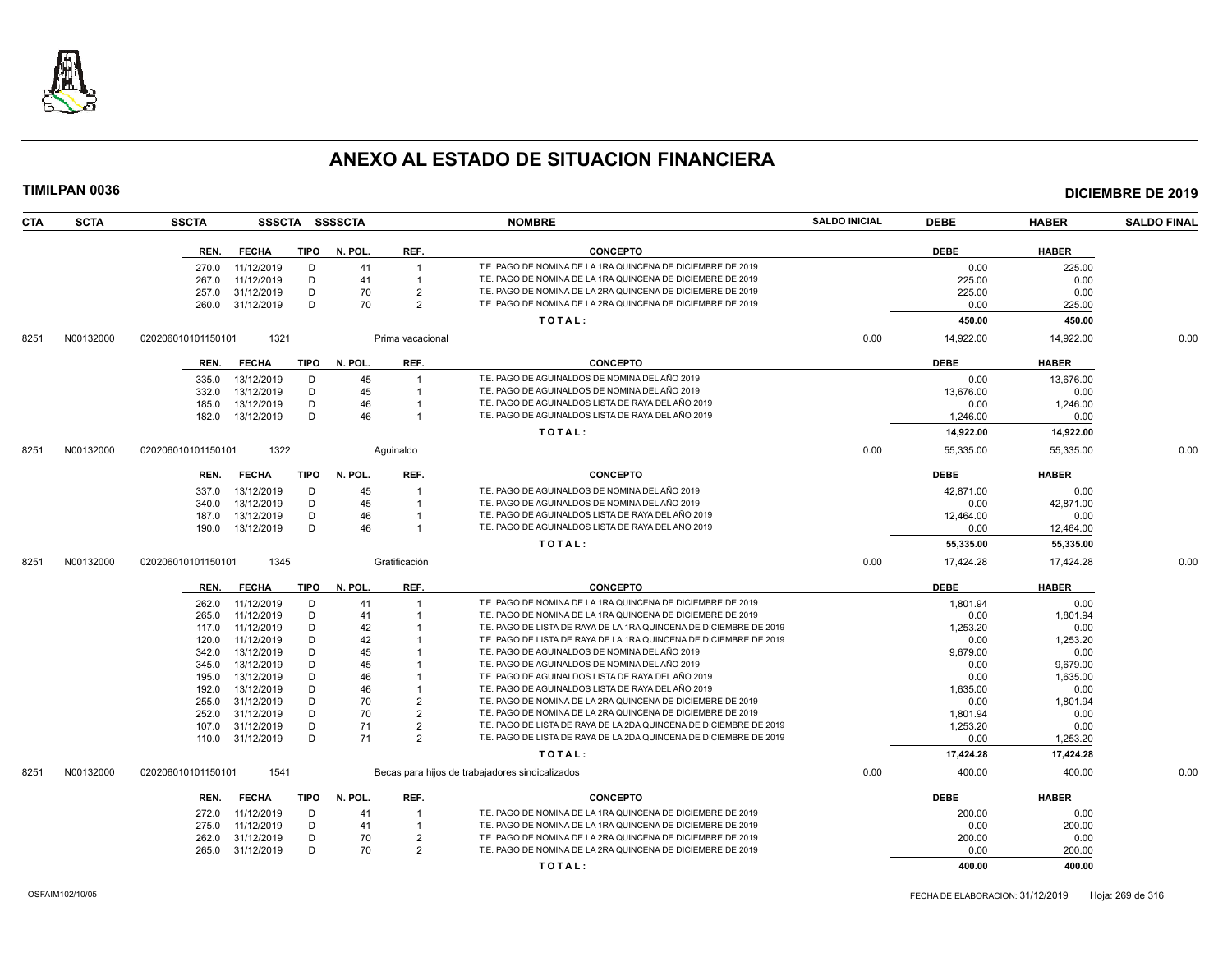

| <b>CTA</b> | <b>SCTA</b> | <b>SSCTA</b>               |             | SSSCTA SSSSCTA |                  | <b>NOMBRE</b>                                                      | <b>SALDO INICIAL</b> | <b>DEBE</b> | <b>HABER</b> | <b>SALDO FINAL</b> |
|------------|-------------|----------------------------|-------------|----------------|------------------|--------------------------------------------------------------------|----------------------|-------------|--------------|--------------------|
|            |             | <b>FECHA</b><br>REN.       | <b>TIPO</b> | N. POL.        | REF.             | <b>CONCEPTO</b>                                                    |                      | <b>DEBE</b> | <b>HABER</b> |                    |
|            |             | 11/12/2019<br>270.0        | D           | 41             | $\overline{1}$   | T.E. PAGO DE NOMINA DE LA 1RA QUINCENA DE DICIEMBRE DE 2019        |                      | 0.00        | 225.00       |                    |
|            |             | 11/12/2019<br>267.0        | D           | 41             |                  | T.E. PAGO DE NOMINA DE LA 1RA QUINCENA DE DICIEMBRE DE 2019        |                      | 225.00      | 0.00         |                    |
|            |             | 31/12/2019<br>257.0        | D           | 70             | $\overline{2}$   | T.E. PAGO DE NOMINA DE LA 2RA QUINCENA DE DICIEMBRE DE 2019        |                      | 225.00      | 0.00         |                    |
|            |             | 260.0<br>31/12/2019        | D           | 70             | $\overline{2}$   | T.E. PAGO DE NOMINA DE LA 2RA QUINCENA DE DICIEMBRE DE 2019        |                      | 0.00        | 225.00       |                    |
|            |             |                            |             |                |                  | TOTAL:                                                             |                      | 450.00      | 450.00       |                    |
| 8251       | N00132000   | 1321<br>020206010101150101 |             |                | Prima vacacional |                                                                    | 0.00                 | 14,922.00   | 14,922.00    | 0.00               |
|            |             | <b>FECHA</b><br>REN.       | TIPO        | N. POL.        | REF.             | <b>CONCEPTO</b>                                                    |                      | <b>DEBE</b> | <b>HABER</b> |                    |
|            |             |                            |             |                |                  |                                                                    |                      |             |              |                    |
|            |             | 13/12/2019<br>335.0        | D           | 45             |                  | T.E. PAGO DE AGUINALDOS DE NOMINA DEL AÑO 2019                     |                      | 0.00        | 13.676.00    |                    |
|            |             | 13/12/2019<br>332.0        | D           | 45             |                  | T.E. PAGO DE AGUINALDOS DE NOMINA DEL AÑO 2019                     |                      | 13,676.00   | 0.00         |                    |
|            |             | 13/12/2019<br>185.0        | D           | 46             |                  | T.E. PAGO DE AGUINALDOS LISTA DE RAYA DEL AÑO 2019                 |                      | 0.00        | 1,246.00     |                    |
|            |             | 182.0<br>13/12/2019        | D           | 46             |                  | T.E. PAGO DE AGUINALDOS LISTA DE RAYA DEL AÑO 2019                 |                      | 1,246.00    | 0.00         |                    |
|            |             |                            |             |                |                  | TOTAL:                                                             |                      | 14,922.00   | 14,922.00    |                    |
| 8251       | N00132000   | 1322<br>020206010101150101 |             |                | Aquinaldo        |                                                                    | 0.00                 | 55,335.00   | 55,335.00    | 0.00               |
|            |             | <b>FECHA</b><br>REN.       | <b>TIPO</b> | N. POL.        | REF.             | <b>CONCEPTO</b>                                                    |                      | <b>DEBE</b> | <b>HABER</b> |                    |
|            |             | 13/12/2019<br>337.0        | D           | 45             |                  | T.E. PAGO DE AGUINALDOS DE NOMINA DEL AÑO 2019                     |                      | 42,871.00   | 0.00         |                    |
|            |             | 13/12/2019<br>340.0        | D           | 45             |                  | T.E. PAGO DE AGUINALDOS DE NOMINA DEL AÑO 2019                     |                      | 0.00        | 42,871.00    |                    |
|            |             | 13/12/2019<br>187.0        | D           | 46             |                  | T.E. PAGO DE AGUINALDOS LISTA DE RAYA DEL AÑO 2019                 |                      | 12,464.00   | 0.00         |                    |
|            |             | 13/12/2019<br>190.0        | D           | 46             |                  | T.E. PAGO DE AGUINALDOS LISTA DE RAYA DEL AÑO 2019                 |                      | 0.00        | 12,464.00    |                    |
|            |             |                            |             |                |                  | TOTAL:                                                             |                      | 55,335.00   | 55,335.00    |                    |
| 8251       | N00132000   | 1345<br>020206010101150101 |             |                | Gratificación    |                                                                    | 0.00                 | 17,424.28   | 17,424.28    | 0.00               |
|            |             | REN.<br><b>FECHA</b>       |             | TIPO N. POL.   | REF.             | <b>CONCEPTO</b>                                                    |                      | <b>DEBE</b> | <b>HABER</b> |                    |
|            |             | 11/12/2019<br>262.0        | D           | 41             |                  | T.E. PAGO DE NOMINA DE LA 1RA QUINCENA DE DICIEMBRE DE 2019        |                      | 1,801.94    | 0.00         |                    |
|            |             | 11/12/2019<br>265.0        | D           | 41             |                  | T.E. PAGO DE NOMINA DE LA 1RA QUINCENA DE DICIEMBRE DE 2019        |                      | 0.00        | 1,801.94     |                    |
|            |             | 11/12/2019<br>117.0        | D           | 42             |                  | T.E. PAGO DE LISTA DE RAYA DE LA 1RA QUINCENA DE DICIEMBRE DE 2019 |                      | 1,253.20    | 0.00         |                    |
|            |             | 11/12/2019<br>120.0        | D           | 42             |                  | T.E. PAGO DE LISTA DE RAYA DE LA 1RA QUINCENA DE DICIEMBRE DE 2019 |                      | 0.00        | 1,253.20     |                    |
|            |             | 13/12/2019<br>342.0        | D           | 45             |                  | T.E. PAGO DE AGUINALDOS DE NOMINA DEL AÑO 2019                     |                      | 9,679.00    | 0.00         |                    |
|            |             | 13/12/2019<br>345.0        | D           | 45             |                  | T.E. PAGO DE AGUINALDOS DE NOMINA DEL AÑO 2019                     |                      | 0.00        | 9,679.00     |                    |
|            |             | 13/12/2019<br>195.0        | D           | 46             |                  | T.E. PAGO DE AGUINALDOS LISTA DE RAYA DEL AÑO 2019                 |                      | 0.00        | 1,635.00     |                    |
|            |             | 13/12/2019<br>192.0        | D           | 46             |                  | T.E. PAGO DE AGUINALDOS LISTA DE RAYA DEL AÑO 2019                 |                      | 1,635.00    | 0.00         |                    |
|            |             | 255.0<br>31/12/2019        | D           | 70             | $\overline{2}$   | T.E. PAGO DE NOMINA DE LA 2RA QUINCENA DE DICIEMBRE DE 2019        |                      | 0.00        | 1,801.94     |                    |
|            |             | 31/12/2019<br>252.0        | D           | 70             | $\overline{2}$   | T.E. PAGO DE NOMINA DE LA 2RA QUINCENA DE DICIEMBRE DE 2019        |                      | 1,801.94    | 0.00         |                    |
|            |             | 31/12/2019<br>107.0        | D           | 71             | $\overline{2}$   | T.E. PAGO DE LISTA DE RAYA DE LA 2DA QUINCENA DE DICIEMBRE DE 2019 |                      | 1,253.20    | 0.00         |                    |
|            |             | 110.0<br>31/12/2019        | D           | 71             | $\overline{2}$   | T.E. PAGO DE LISTA DE RAYA DE LA 2DA QUINCENA DE DICIEMBRE DE 2019 |                      | 0.00        | 1,253.20     |                    |
|            |             |                            |             |                |                  | TOTAL:                                                             |                      | 17,424.28   | 17,424.28    |                    |
| 8251       | N00132000   | 020206010101150101<br>1541 |             |                |                  | Becas para hijos de trabajadores sindicalizados                    | 0.00                 | 400.00      | 400.00       | 0.00               |
|            |             | REN.<br><b>FECHA</b>       | <b>TIPO</b> | N. POL.        | REF.             | <b>CONCEPTO</b>                                                    |                      | <b>DEBE</b> | <b>HABER</b> |                    |
|            |             |                            |             |                |                  |                                                                    |                      |             |              |                    |
|            |             | 11/12/2019<br>272.0        | D           | 41             |                  | T.E. PAGO DE NOMINA DE LA 1RA QUINCENA DE DICIEMBRE DE 2019        |                      | 200.00      | 0.00         |                    |
|            |             | 11/12/2019<br>275.0        | D           | 41             |                  | T.E. PAGO DE NOMINA DE LA 1RA QUINCENA DE DICIEMBRE DE 2019        |                      | 0.00        | 200.00       |                    |
|            |             | 31/12/2019<br>262.0        | D           | 70             | $\overline{2}$   | T.E. PAGO DE NOMINA DE LA 2RA QUINCENA DE DICIEMBRE DE 2019        |                      | 200.00      | 0.00         |                    |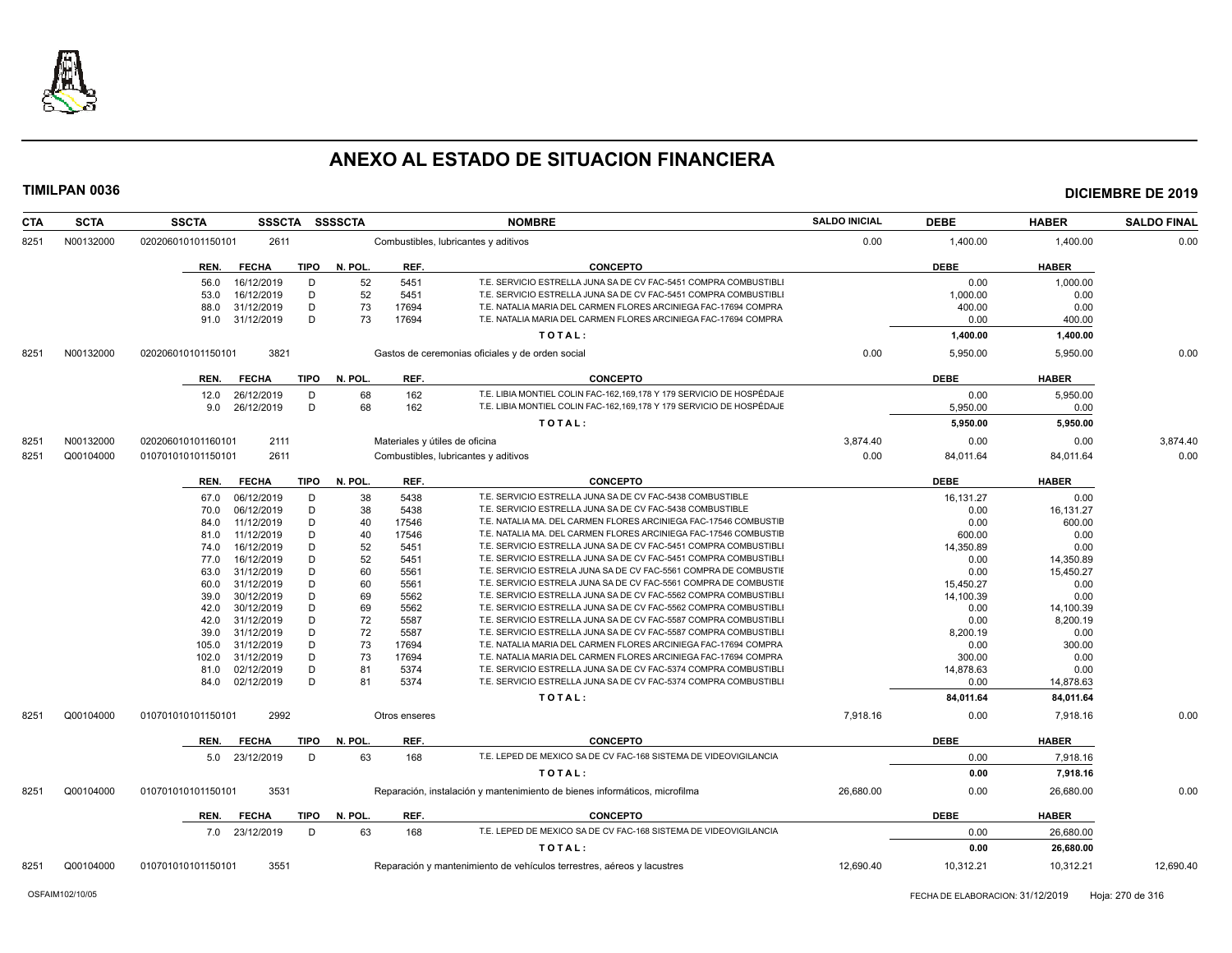

| <b>CTA</b> | <b>SCTA</b> | <b>SSCTA</b>       | <b>SSSCTA</b>  |             | SSSSCTA |               | <b>NOMBRE</b>                                                              | <b>SALDO INICIAL</b> | <b>DEBE</b> | <b>HABER</b> | <b>SALDO FINAL</b> |
|------------|-------------|--------------------|----------------|-------------|---------|---------------|----------------------------------------------------------------------------|----------------------|-------------|--------------|--------------------|
| 8251       | N00132000   | 020206010101150101 | 2611           |             |         |               | Combustibles, lubricantes y aditivos                                       | 0.00                 | 1,400.00    | 1,400.00     | 0.00               |
|            |             | REN.               | <b>FECHA</b>   | <b>TIPO</b> | N. POL. | REF.          | <b>CONCEPTO</b>                                                            |                      | <b>DEBE</b> | <b>HABER</b> |                    |
|            |             | 56.0               | 16/12/2019     | D           | 52      | 5451          | T.E. SERVICIO ESTRELLA JUNA SA DE CV FAC-5451 COMPRA COMBUSTIBLI           |                      | 0.00        | 1,000.00     |                    |
|            |             | 53.0               | 16/12/2019     | D           | 52      | 5451          | T.E. SERVICIO ESTRELLA JUNA SA DE CV FAC-5451 COMPRA COMBUSTIBLI           |                      | 1,000.00    | 0.00         |                    |
|            |             | 88.0               | 31/12/2019     | D           | 73      | 17694         | T.E. NATALIA MARIA DEL CARMEN FLORES ARCINIEGA FAC-17694 COMPRA            |                      | 400.00      | 0.00         |                    |
|            |             | 91.0 31/12/2019    |                | D           | 73      | 17694         | T.E. NATALIA MARIA DEL CARMEN FLORES ARCINIEGA FAC-17694 COMPRA            |                      | 0.00        | 400.00       |                    |
|            |             |                    |                |             |         |               | TOTAL:                                                                     |                      | 1,400.00    | 1,400.00     |                    |
| 8251       | N00132000   | 020206010101150101 | 3821           |             |         |               | Gastos de ceremonias oficiales y de orden social                           | 0.00                 | 5,950.00    | 5,950.00     | 0.00               |
|            |             | REN.               | <b>FECHA</b>   | TIPO        | N. POL. | REF.          | <b>CONCEPTO</b>                                                            |                      | <b>DEBE</b> | <b>HABER</b> |                    |
|            |             | 12.0               | 26/12/2019     | D           | 68      | 162           | T.E. LIBIA MONTIEL COLIN FAC-162,169,178 Y 179 SERVICIO DE HOSPÉDAJE       |                      | 0.00        | 5,950.00     |                    |
|            |             | 9.0                | 26/12/2019     | D           | 68      | 162           | T.E. LIBIA MONTIEL COLIN FAC-162,169,178 Y 179 SERVICIO DE HOSPÉDAJE       |                      | 5,950.00    | 0.00         |                    |
|            |             |                    |                |             |         |               | TOTAL:                                                                     |                      | 5,950.00    | 5,950.00     |                    |
|            |             |                    |                |             |         |               |                                                                            |                      |             |              |                    |
| 8251       | N00132000   | 020206010101160101 | 2111           |             |         |               | Materiales y útiles de oficina                                             | 3,874.40             | 0.00        | 0.00         | 3,874.40           |
| 8251       | Q00104000   | 010701010101150101 | 2611           |             |         |               | Combustibles, lubricantes y aditivos                                       | 0.00                 | 84,011.64   | 84,011.64    | 0.00               |
|            |             | REN.               | <b>FECHA</b>   | TIPO        | N. POL. | REF.          | <b>CONCEPTO</b>                                                            |                      | <b>DEBE</b> | <b>HABER</b> |                    |
|            |             | 67.0               | 06/12/2019     | D           | 38      | 5438          | T.E. SERVICIO ESTRELLA JUNA SA DE CV FAC-5438 COMBUSTIBLE                  |                      | 16,131.27   | 0.00         |                    |
|            |             | 70.0               | 06/12/2019     | D           | 38      | 5438          | T.E. SERVICIO ESTRELLA JUNA SA DE CV FAC-5438 COMBUSTIBLE                  |                      | 0.00        | 16,131.27    |                    |
|            |             | 84.0               | 11/12/2019     | D           | 40      | 17546         | T.E. NATALIA MA. DEL CARMEN FLORES ARCINIEGA FAC-17546 COMBUSTIE           |                      | 0.00        | 600.00       |                    |
|            |             | 81.0               | 11/12/2019     | D           | 40      | 17546         | T.E. NATALIA MA. DEL CARMEN FLORES ARCINIEGA FAC-17546 COMBUSTIE           |                      | 600.00      | 0.00         |                    |
|            |             | 74.0               | 16/12/2019     | D           | 52      | 5451          | T.E. SERVICIO ESTRELLA JUNA SA DE CV FAC-5451 COMPRA COMBUSTIBLI           |                      | 14,350.89   | 0.00         |                    |
|            |             | 77.0               | 16/12/2019     | D           | 52      | 5451          | T.E. SERVICIO ESTRELLA JUNA SA DE CV FAC-5451 COMPRA COMBUSTIBL            |                      | 0.00        | 14,350.89    |                    |
|            |             | 63.0               | 31/12/2019     | D           | 60      | 5561          | T.E. SERVICIO ESTRELA JUNA SA DE CV FAC-5561 COMPRA DE COMBUSTIE           |                      | 0.00        | 15,450.27    |                    |
|            |             | 60.0               | 31/12/2019     | D           | 60      | 5561          | T.E. SERVICIO ESTRELA JUNA SA DE CV FAC-5561 COMPRA DE COMBUSTIE           |                      | 15,450.27   | 0.00         |                    |
|            |             | 39.0               | 30/12/2019     | D           | 69      | 5562          | T.E. SERVICIO ESTRELLA JUNA SA DE CV FAC-5562 COMPRA COMBUSTIBLI           |                      | 14,100.39   | 0.00         |                    |
|            |             | 42.0               | 30/12/2019     | D           | 69      | 5562          | T.E. SERVICIO ESTRELLA JUNA SA DE CV FAC-5562 COMPRA COMBUSTIBL            |                      | 0.00        | 14,100.39    |                    |
|            |             | 42.0               | 31/12/2019     | D           | 72      | 5587          | T.E. SERVICIO ESTRELLA JUNA SA DE CV FAC-5587 COMPRA COMBUSTIBL            |                      | 0.00        | 8,200.19     |                    |
|            |             | 39.0               | 31/12/2019     | D           | 72      | 5587          | T.E. SERVICIO ESTRELLA JUNA SA DE CV FAC-5587 COMPRA COMBUSTIBL            |                      | 8,200.19    | 0.00         |                    |
|            |             | 105.0              | 31/12/2019     | D           | 73      | 17694         | T.E. NATALIA MARIA DEL CARMEN FLORES ARCINIEGA FAC-17694 COMPRA            |                      | 0.00        | 300.00       |                    |
|            |             | 102.0              | 31/12/2019     | D           | 73      | 17694         | T.E. NATALIA MARIA DEL CARMEN FLORES ARCINIEGA FAC-17694 COMPRA            |                      | 300.00      | 0.00         |                    |
|            |             | 81.0               | 02/12/2019     | D           | 81      | 5374          | T.E. SERVICIO ESTRELLA JUNA SA DE CV FAC-5374 COMPRA COMBUSTIBL            |                      | 14,878.63   | 0.00         |                    |
|            |             | 84.0 02/12/2019    |                | D           | 81      | 5374          | T.E. SERVICIO ESTRELLA JUNA SA DE CV FAC-5374 COMPRA COMBUSTIBL            |                      | 0.00        | 14,878.63    |                    |
|            |             |                    |                |             |         |               | TOTAL:                                                                     |                      | 84,011.64   | 84,011.64    |                    |
| 8251       | Q00104000   | 010701010101150101 | 2992           |             |         | Otros enseres |                                                                            | 7,918.16             | 0.00        | 7,918.16     | 0.00               |
|            |             | REN.               | <b>FECHA</b>   | TIPO        | N. POL. | REF.          | <b>CONCEPTO</b>                                                            |                      | <b>DEBE</b> | <b>HABER</b> |                    |
|            |             |                    | 5.0 23/12/2019 | D           | 63      | 168           | T.E. LEPED DE MEXICO SA DE CV FAC-168 SISTEMA DE VIDEOVIGILANCIA           |                      | 0.00        | 7,918.16     |                    |
|            |             |                    |                |             |         |               | TOTAL:                                                                     |                      | 0.00        | 7,918.16     |                    |
| 8251       | Q00104000   | 010701010101150101 | 3531           |             |         |               | Reparación, instalación y mantenimiento de bienes informáticos, microfilma | 26,680.00            | 0.00        | 26,680.00    | 0.00               |
|            |             | REN.               | <b>FECHA</b>   | <b>TIPO</b> | N. POL. | REF.          | <b>CONCEPTO</b>                                                            |                      | <b>DEBE</b> | <b>HABER</b> |                    |
|            |             | 7.0 23/12/2019     |                | D           | 63      | 168           | T.E. LEPED DE MEXICO SA DE CV FAC-168 SISTEMA DE VIDEOVIGILANCIA           |                      | 0.00        | 26,680.00    |                    |
|            |             |                    |                |             |         |               | TOTAL:                                                                     |                      | 0.00        | 26,680.00    |                    |
| 8251       | Q00104000   | 010701010101150101 | 3551           |             |         |               | Reparación y mantenimiento de vehículos terrestres, aéreos y lacustres     | 12.690.40            | 10,312.21   | 10.312.21    | 12.690.40          |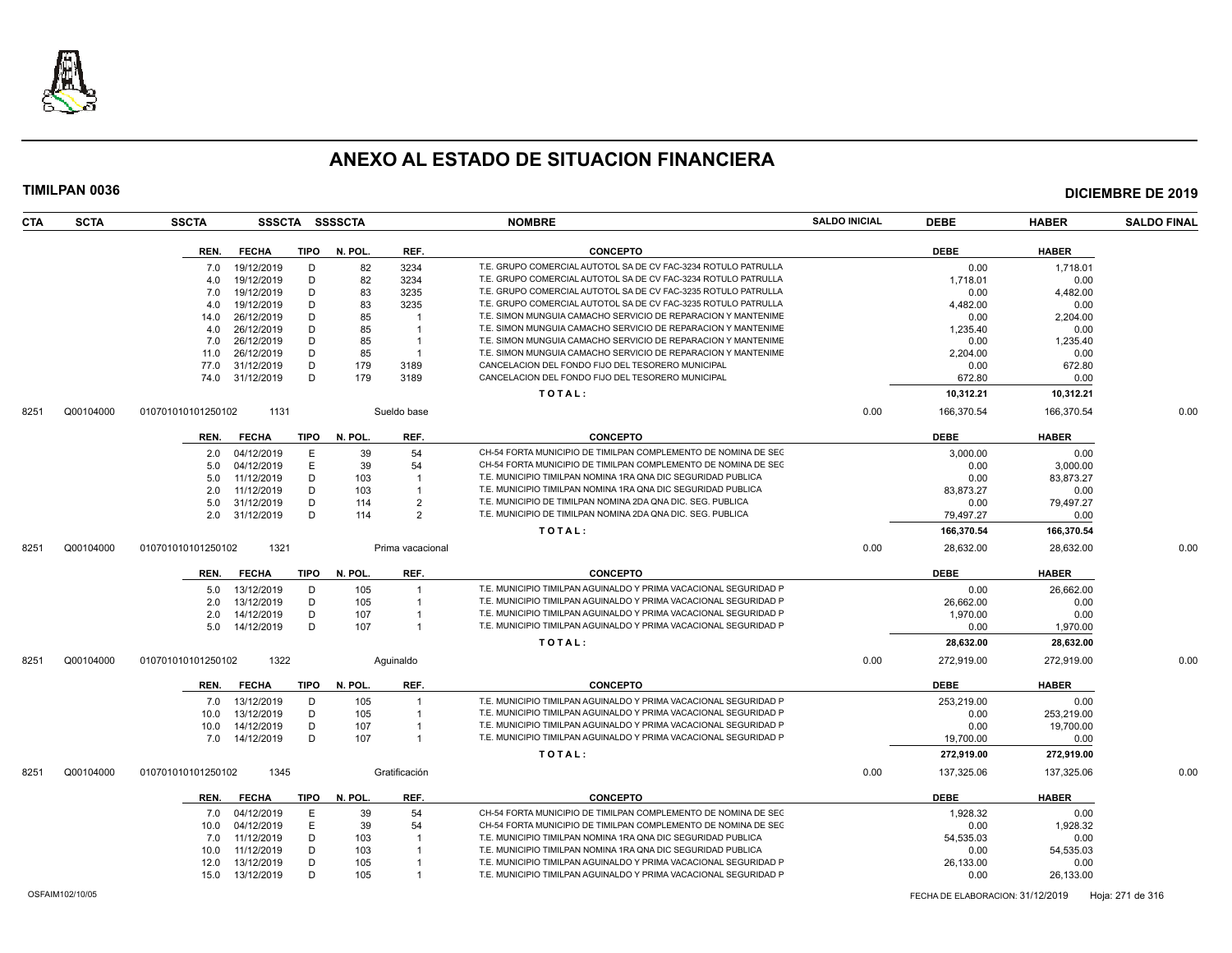

| CTA  | <b>SCTA</b> | <b>SSCTA</b>       |                |             | SSSCTA SSSSCTA |                  | <b>NOMBRE</b>                                                    | <b>SALDO INICIAL</b> | <b>DEBE</b> | <b>HABER</b> | <b>SALDO FINAL</b> |
|------|-------------|--------------------|----------------|-------------|----------------|------------------|------------------------------------------------------------------|----------------------|-------------|--------------|--------------------|
|      |             | REN.               | <b>FECHA</b>   | TIPO        | N. POL.        | REF.             | <b>CONCEPTO</b>                                                  |                      | <b>DEBE</b> | <b>HABER</b> |                    |
|      |             | 7.0                | 19/12/2019     | D           | 82             | 3234             | T.E. GRUPO COMERCIAL AUTOTOL SA DE CV FAC-3234 ROTULO PATRULLA   |                      | 0.00        | 1,718.01     |                    |
|      |             | 4.0                | 19/12/2019     | D           | 82             | 3234             | T.E. GRUPO COMERCIAL AUTOTOL SA DE CV FAC-3234 ROTULO PATRULLA   |                      | 1.718.01    | 0.00         |                    |
|      |             | 7.0                | 19/12/2019     | D           | 83             | 3235             | T.E. GRUPO COMERCIAL AUTOTOL SA DE CV FAC-3235 ROTULO PATRULLA   |                      | 0.00        | 4,482.00     |                    |
|      |             | 4.0                | 19/12/2019     | D           | 83             | 3235             | T.E. GRUPO COMERCIAL AUTOTOL SA DE CV FAC-3235 ROTULO PATRULLA   |                      | 4,482.00    | 0.00         |                    |
|      |             | 14.0               | 26/12/2019     | D           | 85             |                  | T.E. SIMON MUNGUIA CAMACHO SERVICIO DE REPARACION Y MANTENIME    |                      | 0.00        | 2,204.00     |                    |
|      |             | 4.0                | 26/12/2019     | D           | 85             |                  | T.E. SIMON MUNGUIA CAMACHO SERVICIO DE REPARACION Y MANTENIME    |                      | 1,235.40    | 0.00         |                    |
|      |             | 7.0                | 26/12/2019     | D           | 85             |                  | T.E. SIMON MUNGUIA CAMACHO SERVICIO DE REPARACION Y MANTENIME    |                      | 0.00        | 1.235.40     |                    |
|      |             | 11.0               | 26/12/2019     | D           | 85             | $\overline{1}$   | T.E. SIMON MUNGUIA CAMACHO SERVICIO DE REPARACION Y MANTENIME    |                      | 2,204.00    | 0.00         |                    |
|      |             | 77.0               | 31/12/2019     | D           | 179            | 3189             | CANCELACION DEL FONDO FIJO DEL TESORERO MUNICIPAL                |                      | 0.00        | 672.80       |                    |
|      |             | 74.0               | 31/12/2019     | D           | 179            | 3189             | CANCELACION DEL FONDO FIJO DEL TESORERO MUNICIPAL                |                      | 672.80      | 0.00         |                    |
|      |             |                    |                |             |                |                  | TOTAL:                                                           |                      | 10,312.21   | 10,312.21    |                    |
| 8251 | Q00104000   | 010701010101250102 | 1131           |             |                | Sueldo base      |                                                                  | 0.00                 | 166,370.54  | 166,370.54   | 0.00               |
|      |             | REN.               | <b>FECHA</b>   | TIPO        | N. POL.        | REF.             | <b>CONCEPTO</b>                                                  |                      | DEBE        | <b>HABER</b> |                    |
|      |             | 2.0                | 04/12/2019     | E           | 39             | 54               | CH-54 FORTA MUNICIPIO DE TIMILPAN COMPLEMENTO DE NOMINA DE SEC   |                      | 3,000.00    | 0.00         |                    |
|      |             | 5.0                | 04/12/2019     | E           | 39             | 54               | CH-54 FORTA MUNICIPIO DE TIMILPAN COMPLEMENTO DE NOMINA DE SEC   |                      | 0.00        | 3.000.00     |                    |
|      |             | 5.0                | 11/12/2019     | D           | 103            |                  | T.E. MUNICIPIO TIMILPAN NOMINA 1RA QNA DIC SEGURIDAD PUBLICA     |                      | 0.00        | 83,873.27    |                    |
|      |             | 2.0                | 11/12/2019     | D           | 103            |                  | T.E. MUNICIPIO TIMILPAN NOMINA 1RA QNA DIC SEGURIDAD PUBLICA     |                      | 83,873.27   | 0.00         |                    |
|      |             | 5.0                | 31/12/2019     | D           | 114            | $\overline{2}$   | T.E. MUNICIPIO DE TIMILPAN NOMINA 2DA QNA DIC. SEG. PUBLICA      |                      | 0.00        | 79,497.27    |                    |
|      |             | 2.0                | 31/12/2019     | D           | 114            | $\overline{2}$   | T.E. MUNICIPIO DE TIMILPAN NOMINA 2DA QNA DIC. SEG. PUBLICA      |                      | 79.497.27   | 0.00         |                    |
|      |             |                    |                |             |                |                  | TOTAL:                                                           |                      | 166,370.54  | 166,370.54   |                    |
| 8251 | Q00104000   | 010701010101250102 | 1321           |             |                | Prima vacacional |                                                                  | 0.00                 | 28,632.00   | 28,632.00    | 0.00               |
|      |             | REN.               | <b>FECHA</b>   | TIPO        | N. POL.        | REF.             | <b>CONCEPTO</b>                                                  |                      | <b>DEBE</b> | <b>HABER</b> |                    |
|      |             | 5.0                | 13/12/2019     | D           | 105            |                  | T.E. MUNICIPIO TIMILPAN AGUINALDO Y PRIMA VACACIONAL SEGURIDAD P |                      | 0.00        | 26,662.00    |                    |
|      |             | 2.0                | 13/12/2019     | D           | 105            |                  | T.E. MUNICIPIO TIMILPAN AGUINALDO Y PRIMA VACACIONAL SEGURIDAD F |                      | 26.662.00   | 0.00         |                    |
|      |             | 2.0                | 14/12/2019     | D           | 107            |                  | T.E. MUNICIPIO TIMILPAN AGUINALDO Y PRIMA VACACIONAL SEGURIDAD P |                      | 1,970.00    | 0.00         |                    |
|      |             | 5.0                | 14/12/2019     | D           | 107            | $\overline{1}$   | T.E. MUNICIPIO TIMILPAN AGUINALDO Y PRIMA VACACIONAL SEGURIDAD F |                      | 0.00        | 1,970.00     |                    |
|      |             |                    |                |             |                |                  | TOTAL:                                                           |                      | 28,632.00   | 28,632.00    |                    |
| 8251 | Q00104000   | 010701010101250102 | 1322           |             |                | Aguinaldo        |                                                                  | 0.00                 | 272,919.00  | 272,919.00   | 0.00               |
|      |             | REN.               | <b>FECHA</b>   | TIPO        | N. POL.        | REF.             | <b>CONCEPTO</b>                                                  |                      | <b>DEBE</b> | <b>HABER</b> |                    |
|      |             | 7.0                | 13/12/2019     | D           | 105            | $\mathbf{1}$     | T.E. MUNICIPIO TIMILPAN AGUINALDO Y PRIMA VACACIONAL SEGURIDAD P |                      | 253,219.00  | 0.00         |                    |
|      |             | 10.0               | 13/12/2019     | D           | 105            | $\overline{1}$   | T.E. MUNICIPIO TIMILPAN AGUINALDO Y PRIMA VACACIONAL SEGURIDAD P |                      | 0.00        | 253,219.00   |                    |
|      |             | 10.0               | 14/12/2019     | D           | 107            | -1               | T.E. MUNICIPIO TIMILPAN AGUINALDO Y PRIMA VACACIONAL SEGURIDAD P |                      | 0.00        | 19,700.00    |                    |
|      |             | 7.0                | 14/12/2019     | D           | 107            | $\overline{1}$   | T.E. MUNICIPIO TIMILPAN AGUINALDO Y PRIMA VACACIONAL SEGURIDAD P |                      | 19,700.00   | 0.00         |                    |
|      |             |                    |                |             |                |                  | TOTAL:                                                           |                      | 272,919.00  | 272,919.00   |                    |
|      |             |                    | 1345           |             |                |                  |                                                                  | 0.00                 |             |              | 0.00               |
| 8251 | Q00104000   | 010701010101250102 |                |             |                | Gratificación    |                                                                  |                      | 137,325.06  | 137,325.06   |                    |
|      |             | REN.               | <b>FECHA</b>   | <b>TIPO</b> | N. POL.        | REF.             | <b>CONCEPTO</b>                                                  |                      | <b>DEBE</b> | <b>HABER</b> |                    |
|      |             |                    | 7.0 04/12/2019 | E           | 39             | 54               | CH-54 FORTA MUNICIPIO DE TIMILPAN COMPLEMENTO DE NOMINA DE SEC   |                      | 1,928.32    | 0.00         |                    |
|      |             | 10.0               | 04/12/2019     | E           | 39             | 54               | CH-54 FORTA MUNICIPIO DE TIMILPAN COMPLEMENTO DE NOMINA DE SEC   |                      | 0.00        | 1,928.32     |                    |
|      |             | 7.0                | 11/12/2019     | D           | 103            |                  | T.E. MUNICIPIO TIMILPAN NOMINA 1RA QNA DIC SEGURIDAD PUBLICA     |                      | 54.535.03   | 0.00         |                    |
|      |             | 10.0               | 11/12/2019     | D           | 103            |                  | T.E. MUNICIPIO TIMILPAN NOMINA 1RA QNA DIC SEGURIDAD PUBLICA     |                      | 0.00        | 54,535.03    |                    |
|      |             | 12.0               | 13/12/2019     | D           | 105            |                  | T.E. MUNICIPIO TIMILPAN AGUINALDO Y PRIMA VACACIONAL SEGURIDAD P |                      | 26.133.00   | 0.00         |                    |
|      |             | 15.0               | 13/12/2019     | D           | 105            |                  | T.E. MUNICIPIO TIMILPAN AGUINALDO Y PRIMA VACACIONAL SEGURIDAD F |                      | 0.00        | 26,133.00    |                    |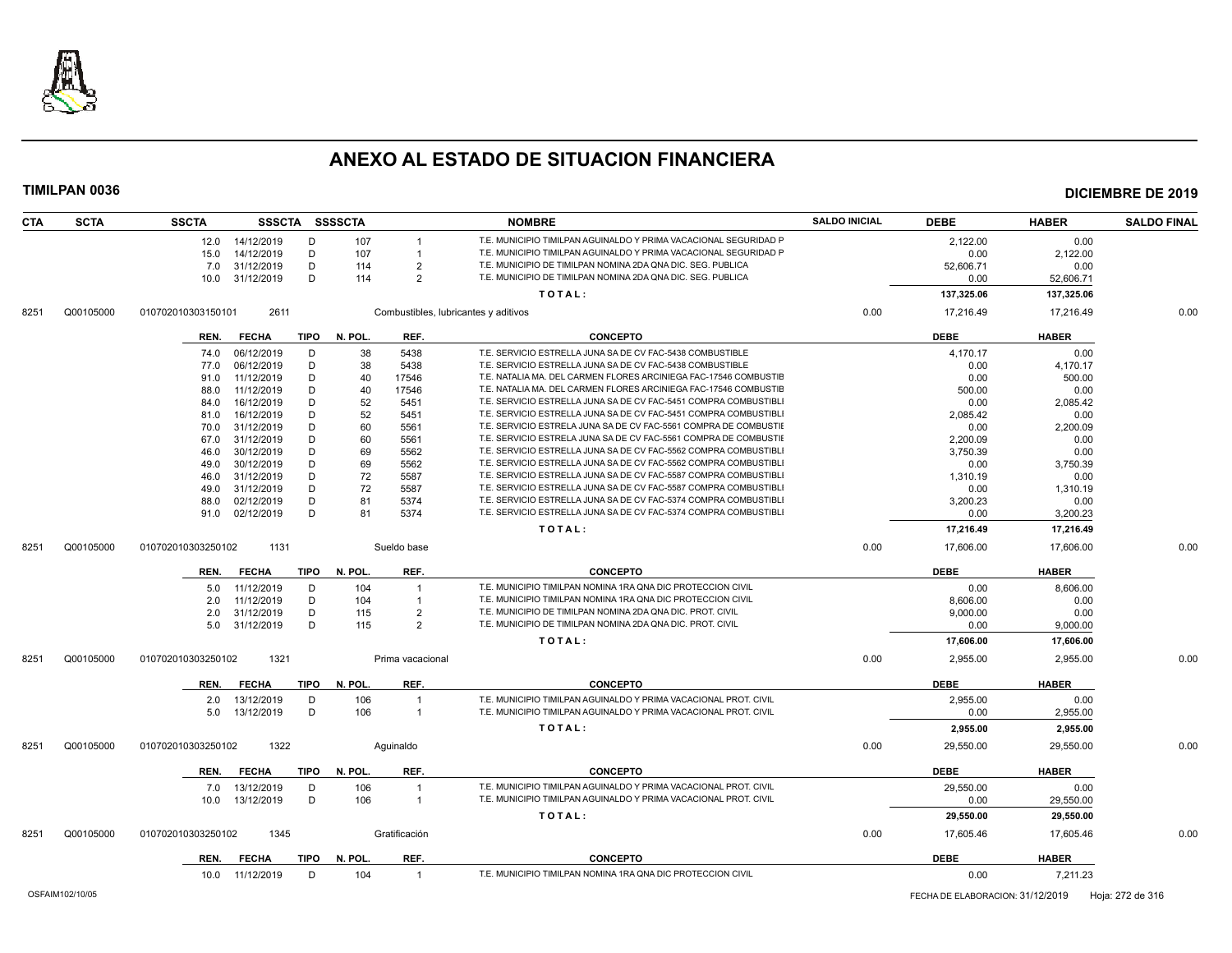

| <b>CTA</b> | <b>SCTA</b> | <b>SSCTA</b>               |             | SSSCTA SSSSCTA |                                      | <b>NOMBRE</b>                                                    | <b>SALDO INICIAL</b> | <b>DEBE</b> | <b>HABER</b> | <b>SALDO FINAL</b> |
|------------|-------------|----------------------------|-------------|----------------|--------------------------------------|------------------------------------------------------------------|----------------------|-------------|--------------|--------------------|
|            |             | 12.0 14/12/2019            | D           | 107            |                                      | T.E. MUNICIPIO TIMILPAN AGUINALDO Y PRIMA VACACIONAL SEGURIDAD P |                      | 2,122.00    | 0.00         |                    |
|            |             | 14/12/2019<br>15.0         | D           | 107            |                                      | T.E. MUNICIPIO TIMILPAN AGUINALDO Y PRIMA VACACIONAL SEGURIDAD P |                      | 0.00        | 2,122.00     |                    |
|            |             | 31/12/2019<br>7.0          | D           | 114            | $\overline{2}$                       | T.E. MUNICIPIO DE TIMILPAN NOMINA 2DA QNA DIC. SEG. PUBLICA      |                      | 52,606.71   | 0.00         |                    |
|            |             | 31/12/2019<br>10.0         | D           | 114            | $\overline{2}$                       | T.E. MUNICIPIO DE TIMILPAN NOMINA 2DA QNA DIC. SEG. PUBLICA      |                      | 0.00        | 52,606.71    |                    |
|            |             |                            |             |                |                                      | TOTAL:                                                           |                      | 137,325.06  | 137,325.06   |                    |
| 8251       | Q00105000   | 010702010303150101<br>2611 |             |                | Combustibles, lubricantes y aditivos |                                                                  | 0.00                 | 17,216.49   | 17,216.49    | 0.00               |
|            |             | <b>FECHA</b><br>REN.       | TIPO        | N. POL.        | REF.                                 | <b>CONCEPTO</b>                                                  |                      | <b>DEBE</b> | <b>HABER</b> |                    |
|            |             | 06/12/2019<br>74.0         | D           | 38             | 5438                                 | T.E. SERVICIO ESTRELLA JUNA SA DE CV FAC-5438 COMBUSTIBLE        |                      | 4.170.17    | 0.00         |                    |
|            |             | 77.0<br>06/12/2019         | D           | 38             | 5438                                 | T.E. SERVICIO ESTRELLA JUNA SA DE CV FAC-5438 COMBUSTIBLE        |                      | 0.00        | 4,170.17     |                    |
|            |             | 11/12/2019<br>91.0         | D           | 40             | 17546                                | T.E. NATALIA MA. DEL CARMEN FLORES ARCINIEGA FAC-17546 COMBUSTIE |                      | 0.00        | 500.00       |                    |
|            |             | 88.0<br>11/12/2019         | D           | 40             | 17546                                | T.E. NATALIA MA. DEL CARMEN FLORES ARCINIEGA FAC-17546 COMBUSTIE |                      | 500.00      | 0.00         |                    |
|            |             | 16/12/2019<br>84.0         | D           | 52             | 5451                                 | T.E. SERVICIO ESTRELLA JUNA SA DE CV FAC-5451 COMPRA COMBUSTIBLI |                      | 0.00        | 2,085.42     |                    |
|            |             | 16/12/2019<br>81.0         | D           | 52             | 5451                                 | T.E. SERVICIO ESTRELLA JUNA SA DE CV FAC-5451 COMPRA COMBUSTIBL  |                      | 2,085.42    | 0.00         |                    |
|            |             | 31/12/2019<br>70.0         | D           | 60             | 5561                                 | T.E. SERVICIO ESTRELA JUNA SA DE CV FAC-5561 COMPRA DE COMBUSTIE |                      | 0.00        | 2,200.09     |                    |
|            |             | 31/12/2019<br>67.0         | D           | 60             | 5561                                 | T.E. SERVICIO ESTRELA JUNA SA DE CV FAC-5561 COMPRA DE COMBUSTII |                      | 2.200.09    | 0.00         |                    |
|            |             | 30/12/2019<br>46.0         | D           | 69             | 5562                                 | T.E. SERVICIO ESTRELLA JUNA SA DE CV FAC-5562 COMPRA COMBUSTIBLI |                      | 3,750.39    | 0.00         |                    |
|            |             | 30/12/2019<br>49.0         | D           | 69             | 5562                                 | T.E. SERVICIO ESTRELLA JUNA SA DE CV FAC-5562 COMPRA COMBUSTIBL  |                      | 0.00        | 3,750.39     |                    |
|            |             | 31/12/2019<br>46.0         | D           | 72             | 5587                                 | T.E. SERVICIO ESTRELLA JUNA SA DE CV FAC-5587 COMPRA COMBUSTIBL  |                      | 1,310.19    | 0.00         |                    |
|            |             | 31/12/2019<br>49.0         | D           | 72             | 5587                                 | T.E. SERVICIO ESTRELLA JUNA SA DE CV FAC-5587 COMPRA COMBUSTIBLI |                      | 0.00        | 1,310.19     |                    |
|            |             | 02/12/2019<br>88.0         | D           | 81             | 5374                                 | T.E. SERVICIO ESTRELLA JUNA SA DE CV FAC-5374 COMPRA COMBUSTIBLI |                      | 3,200.23    | 0.00         |                    |
|            |             | 02/12/2019<br>91.0         | D           | 81             | 5374                                 | T.E. SERVICIO ESTRELLA JUNA SA DE CV FAC-5374 COMPRA COMBUSTIBL  |                      | 0.00        | 3,200.23     |                    |
|            |             |                            |             |                |                                      | TOTAL:                                                           |                      | 17,216.49   | 17,216.49    |                    |
| 8251       | Q00105000   | 1131<br>010702010303250102 |             |                | Sueldo base                          |                                                                  | 0.00                 | 17,606.00   | 17,606.00    | 0.00               |
|            |             | <b>FECHA</b><br>REN.       | TIPO        | N. POL.        | REF.                                 | <b>CONCEPTO</b>                                                  |                      | <b>DEBE</b> | <b>HABER</b> |                    |
|            |             | 11/12/2019<br>5.0          | D           | 104            | $\overline{1}$                       | T.E. MUNICIPIO TIMILPAN NOMINA 1RA QNA DIC PROTECCION CIVIL      |                      | 0.00        | 8,606.00     |                    |
|            |             | 11/12/2019<br>2.0          | D           | 104            | $\overline{1}$                       | T.E. MUNICIPIO TIMILPAN NOMINA 1RA QNA DIC PROTECCION CIVIL      |                      | 8.606.00    | 0.00         |                    |
|            |             | 31/12/2019<br>2.0          | D           | 115            | $\overline{2}$                       | T.E. MUNICIPIO DE TIMILPAN NOMINA 2DA QNA DIC. PROT. CIVIL       |                      | 9,000.00    | 0.00         |                    |
|            |             | 5.0 31/12/2019             | D           | 115            | $\overline{2}$                       | T.E. MUNICIPIO DE TIMILPAN NOMINA 2DA QNA DIC. PROT. CIVIL       |                      | 0.00        | 9,000.00     |                    |
|            |             |                            |             |                |                                      | TOTAL:                                                           |                      | 17,606.00   | 17,606.00    |                    |
| 8251       | Q00105000   | 1321<br>010702010303250102 |             |                | Prima vacacional                     |                                                                  | 0.00                 | 2.955.00    | 2.955.00     | 0.00               |
|            |             | <b>FECHA</b><br>REN.       |             | TIPO N. POL.   | REF.                                 | <b>CONCEPTO</b>                                                  |                      | <b>DEBE</b> | <b>HABER</b> |                    |
|            |             | 13/12/2019<br>2.0          | D           | 106            | $\overline{1}$                       | T.E. MUNICIPIO TIMILPAN AGUINALDO Y PRIMA VACACIONAL PROT. CIVIL |                      | 2,955.00    | 0.00         |                    |
|            |             | 13/12/2019<br>5.0          | D           | 106            | $\overline{1}$                       | T.E. MUNICIPIO TIMILPAN AGUINALDO Y PRIMA VACACIONAL PROT. CIVIL |                      | 0.00        | 2,955.00     |                    |
|            |             |                            |             |                |                                      | TOTAL:                                                           |                      | 2,955.00    | 2,955.00     |                    |
| 8251       | Q00105000   | 1322<br>010702010303250102 |             |                | Aquinaldo                            |                                                                  | 0.00                 | 29,550.00   | 29.550.00    | 0.00               |
|            |             | REN.<br><b>FECHA</b>       | <b>TIPO</b> | N. POL.        | REF.                                 | <b>CONCEPTO</b>                                                  |                      | <b>DEBE</b> | <b>HABER</b> |                    |
|            |             | 13/12/2019<br>7.0          | D           | 106            |                                      | T.E. MUNICIPIO TIMILPAN AGUINALDO Y PRIMA VACACIONAL PROT. CIVIL |                      | 29,550.00   | 0.00         |                    |
|            |             | 13/12/2019<br>10.0         | D           | 106            | $\overline{1}$                       | T.E. MUNICIPIO TIMILPAN AGUINALDO Y PRIMA VACACIONAL PROT. CIVIL |                      | 0.00        | 29,550.00    |                    |
|            |             |                            |             |                |                                      | TOTAL:                                                           |                      | 29,550.00   | 29,550.00    |                    |
| 8251       | Q00105000   | 1345<br>010702010303250102 |             |                | Gratificación                        |                                                                  | 0.00                 | 17,605.46   | 17.605.46    | 0.00               |
|            |             | REN.<br><b>FECHA</b>       | TIPO        | N. POL.        | REF.                                 | <b>CONCEPTO</b>                                                  |                      | <b>DEBE</b> | <b>HABER</b> |                    |
|            |             | 10.0 11/12/2019            | D           | 104            | $\overline{1}$                       | T.E. MUNICIPIO TIMILPAN NOMINA 1RA QNA DIC PROTECCION CIVIL      |                      | 0.00        | 7,211.23     |                    |
|            |             |                            |             |                |                                      |                                                                  |                      |             |              |                    |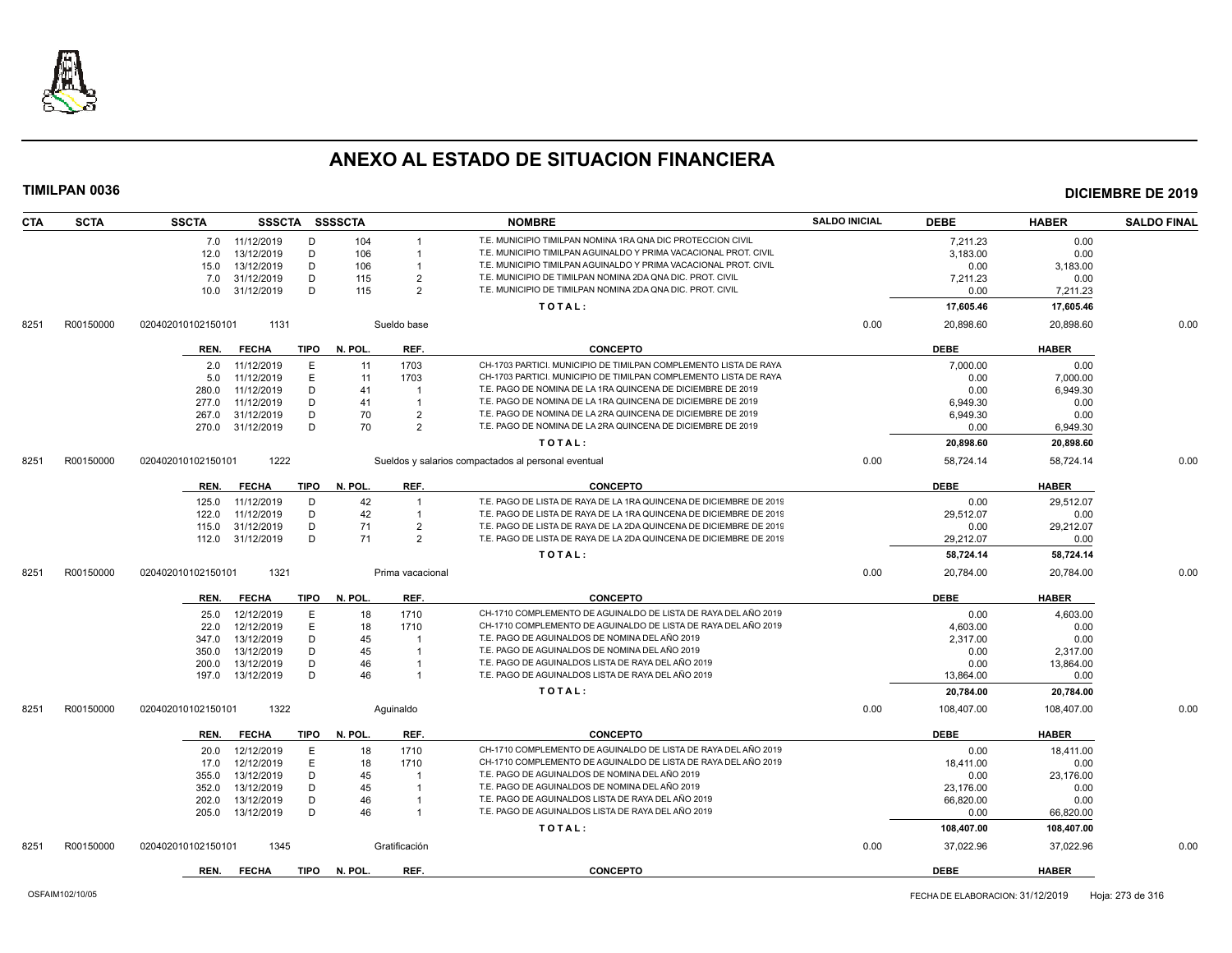

| <b>CTA</b> | <b>SCTA</b> | <b>SSCTA</b>       | SSSCTA SSSSCTA   |             |         |                  | <b>NOMBRE</b>                                                      | <b>SALDO INICIAL</b> | <b>DEBE</b> | <b>HABER</b> | <b>SALDO FINAL</b> |
|------------|-------------|--------------------|------------------|-------------|---------|------------------|--------------------------------------------------------------------|----------------------|-------------|--------------|--------------------|
|            |             |                    | 7.0 11/12/2019   | D           | 104     |                  | T.E. MUNICIPIO TIMILPAN NOMINA 1RA QNA DIC PROTECCION CIVIL        |                      | 7.211.23    | 0.00         |                    |
|            |             | 12.0               | 13/12/2019       | D           | 106     | $\overline{1}$   | T.E. MUNICIPIO TIMILPAN AGUINALDO Y PRIMA VACACIONAL PROT. CIVIL   |                      | 3,183.00    | 0.00         |                    |
|            |             | 15.0               | 13/12/2019       | D           | 106     |                  | T.E. MUNICIPIO TIMILPAN AGUINALDO Y PRIMA VACACIONAL PROT. CIVIL   |                      | 0.00        | 3,183.00     |                    |
|            |             | 7.0                | 31/12/2019       | D           | 115     | $\overline{2}$   | T.E. MUNICIPIO DE TIMILPAN NOMINA 2DA QNA DIC. PROT. CIVIL         |                      | 7,211.23    | 0.00         |                    |
|            |             | 10.0               | 31/12/2019       | D           | 115     | $\overline{2}$   | T.E. MUNICIPIO DE TIMILPAN NOMINA 2DA QNA DIC. PROT. CIVIL         |                      | 0.00        | 7,211.23     |                    |
|            |             |                    |                  |             |         |                  | TOTAL:                                                             |                      | 17,605.46   | 17,605.46    |                    |
| 8251       | R00150000   | 020402010102150101 | 1131             |             |         | Sueldo base      |                                                                    | 0.00                 | 20,898.60   | 20.898.60    | 0.00               |
|            |             | REN.               | <b>FECHA</b>     | <b>TIPO</b> | N. POL. | REF.             | <b>CONCEPTO</b>                                                    |                      | <b>DEBE</b> | <b>HABER</b> |                    |
|            |             | 2.0                | 11/12/2019       | Е           | 11      | 1703             | CH-1703 PARTICI. MUNICIPIO DE TIMILPAN COMPLEMENTO LISTA DE RAYA   |                      | 7,000.00    | 0.00         |                    |
|            |             | 5.0                | 11/12/2019       | E           | 11      | 1703             | CH-1703 PARTICI. MUNICIPIO DE TIMILPAN COMPLEMENTO LISTA DE RAYA   |                      | 0.00        | 7,000.00     |                    |
|            |             | 280.0              | 11/12/2019       | D           | 41      | $\overline{1}$   | T.E. PAGO DE NOMINA DE LA 1RA QUINCENA DE DICIEMBRE DE 2019        |                      | 0.00        | 6,949.30     |                    |
|            |             | 277.0              | 11/12/2019       | D           | 41      | $\overline{1}$   | T.E. PAGO DE NOMINA DE LA 1RA QUINCENA DE DICIEMBRE DE 2019        |                      | 6,949.30    | 0.00         |                    |
|            |             | 267.0              | 31/12/2019       | D           | 70      | $\overline{2}$   | T.E. PAGO DE NOMINA DE LA 2RA QUINCENA DE DICIEMBRE DE 2019        |                      | 6,949.30    | 0.00         |                    |
|            |             |                    | 270.0 31/12/2019 | D           | 70      | $\overline{2}$   | T.E. PAGO DE NOMINA DE LA 2RA QUINCENA DE DICIEMBRE DE 2019        |                      | 0.00        | 6,949.30     |                    |
|            |             |                    |                  |             |         |                  | TOTAL:                                                             |                      | 20,898.60   | 20,898.60    |                    |
| 8251       | R00150000   | 020402010102150101 | 1222             |             |         |                  | Sueldos y salarios compactados al personal eventual                | 0.00                 | 58,724.14   | 58,724.14    | 0.00               |
|            |             | REN.               | <b>FECHA</b>     | TIPO        | N. POL. | REF.             | <b>CONCEPTO</b>                                                    |                      | <b>DEBE</b> | <b>HABER</b> |                    |
|            |             | 125.0              | 11/12/2019       | D           | 42      | $\overline{1}$   | T.E. PAGO DE LISTA DE RAYA DE LA 1RA QUINCENA DE DICIEMBRE DE 2019 |                      | 0.00        | 29,512.07    |                    |
|            |             | 122.0              | 11/12/2019       | D           | 42      |                  | T.E. PAGO DE LISTA DE RAYA DE LA 1RA QUINCENA DE DICIEMBRE DE 2019 |                      | 29.512.07   | 0.00         |                    |
|            |             | 115.0              | 31/12/2019       | D           | 71      | $\overline{2}$   | T.E. PAGO DE LISTA DE RAYA DE LA 2DA QUINCENA DE DICIEMBRE DE 2019 |                      | 0.00        | 29,212.07    |                    |
|            |             | 112.0              | 31/12/2019       | D           | 71      | $\overline{2}$   | T.E. PAGO DE LISTA DE RAYA DE LA 2DA QUINCENA DE DICIEMBRE DE 2019 |                      | 29,212.07   | 0.00         |                    |
|            |             |                    |                  |             |         |                  | TOTAL:                                                             |                      | 58,724.14   | 58,724.14    |                    |
| 8251       | R00150000   | 020402010102150101 | 1321             |             |         | Prima vacacional |                                                                    | 0.00                 | 20,784.00   | 20,784.00    | 0.00               |
|            |             | REN.               | <b>FECHA</b>     | TIPO        | N. POL. | REF.             | <b>CONCEPTO</b>                                                    |                      | <b>DEBE</b> | <b>HABER</b> |                    |
|            |             | 25.0               | 12/12/2019       | Ε           | 18      | 1710             | CH-1710 COMPLEMENTO DE AGUINALDO DE LISTA DE RAYA DEL AÑO 2019     |                      | 0.00        | 4,603.00     |                    |
|            |             | 22.0               | 12/12/2019       | E           | 18      | 1710             | CH-1710 COMPLEMENTO DE AGUINALDO DE LISTA DE RAYA DEL AÑO 2019     |                      | 4,603.00    | 0.00         |                    |
|            |             | 347.0              | 13/12/2019       | D           | 45      |                  | T.E. PAGO DE AGUINALDOS DE NOMINA DEL AÑO 2019                     |                      | 2.317.00    | 0.00         |                    |
|            |             | 350.0              | 13/12/2019       | D           | 45      |                  | T.E. PAGO DE AGUINALDOS DE NOMINA DEL AÑO 2019                     |                      | 0.00        | 2,317.00     |                    |
|            |             | 200.0              | 13/12/2019       | D           | 46      |                  | T.E. PAGO DE AGUINALDOS LISTA DE RAYA DEL AÑO 2019                 |                      | 0.00        | 13,864.00    |                    |
|            |             | 197.0              | 13/12/2019       | D           | 46      | $\overline{1}$   | T.E. PAGO DE AGUINALDOS LISTA DE RAYA DEL AÑO 2019                 |                      | 13,864.00   | 0.00         |                    |
|            |             |                    |                  |             |         |                  | TOTAL:                                                             |                      | 20,784.00   | 20,784.00    |                    |
| 8251       | R00150000   | 020402010102150101 | 1322             |             |         | Aquinaldo        |                                                                    | 0.00                 | 108,407.00  | 108.407.00   | 0.00               |
|            |             | REN.               | <b>FECHA</b>     | TIPO        | N. POL. | REF.             | <b>CONCEPTO</b>                                                    |                      | <b>DEBE</b> | <b>HABER</b> |                    |
|            |             | 20.0               | 12/12/2019       | E           | 18      | 1710             | CH-1710 COMPLEMENTO DE AGUINALDO DE LISTA DE RAYA DEL AÑO 2019     |                      | 0.00        | 18,411.00    |                    |
|            |             | 17.0               | 12/12/2019       | E           | 18      | 1710             | CH-1710 COMPLEMENTO DE AGUINALDO DE LISTA DE RAYA DEL AÑO 2019     |                      | 18.411.00   | 0.00         |                    |
|            |             | 355.0              | 13/12/2019       | D           | 45      |                  | T.E. PAGO DE AGUINALDOS DE NOMINA DEL AÑO 2019                     |                      | 0.00        | 23,176.00    |                    |
|            |             | 352.0              | 13/12/2019       | D           | 45      |                  | T.E. PAGO DE AGUINALDOS DE NOMINA DEL AÑO 2019                     |                      | 23,176.00   | 0.00         |                    |
|            |             | 202.0              | 13/12/2019       | D           | 46      |                  | T.E. PAGO DE AGUINALDOS LISTA DE RAYA DEL AÑO 2019                 |                      | 66,820.00   | 0.00         |                    |
|            |             | 205.0              | 13/12/2019       | D           | 46      | $\overline{1}$   | T.E. PAGO DE AGUINALDOS LISTA DE RAYA DEL AÑO 2019                 |                      | 0.00        | 66,820.00    |                    |
|            |             |                    |                  |             |         |                  | TOTAL:                                                             |                      | 108,407.00  | 108,407.00   |                    |
| 8251       | R00150000   | 020402010102150101 | 1345             |             |         | Gratificación    |                                                                    | 0.00                 | 37,022.96   | 37,022.96    | 0.00               |
|            |             | REN.               | <b>FECHA</b>     | <b>TIPO</b> | N. POL  | REF.             | <b>CONCEPTO</b>                                                    |                      | <b>DEBE</b> | <b>HABER</b> |                    |
|            |             |                    |                  |             |         |                  |                                                                    |                      |             |              |                    |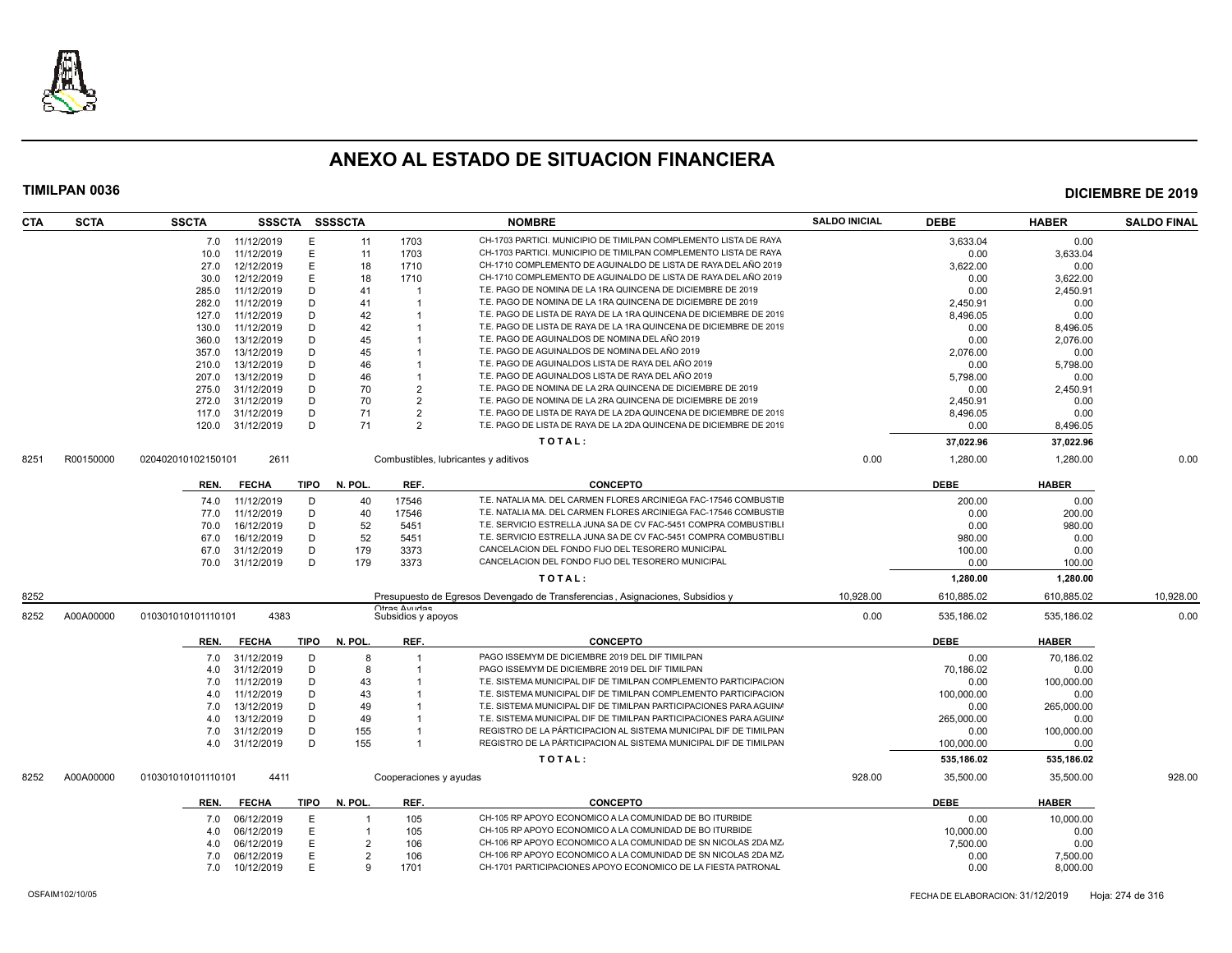

| <b>SCTA</b><br>CTA | <b>SSCTA</b>       |                |             | SSSCTA SSSSCTA |                        | <b>NOMBRE</b>                                                                 | <b>SALDO INICIAL</b> | <b>DEBE</b> | <b>HABER</b> | <b>SALDO FINAL</b> |
|--------------------|--------------------|----------------|-------------|----------------|------------------------|-------------------------------------------------------------------------------|----------------------|-------------|--------------|--------------------|
|                    |                    | 7.0 11/12/2019 | Е           | 11             | 1703                   | CH-1703 PARTICI. MUNICIPIO DE TIMILPAN COMPLEMENTO LISTA DE RAYA              |                      | 3.633.04    | 0.00         |                    |
|                    | 10.0               | 11/12/2019     | E           | 11             | 1703                   | CH-1703 PARTICI. MUNICIPIO DE TIMILPAN COMPLEMENTO LISTA DE RAYA              |                      | 0.00        | 3,633.04     |                    |
|                    | 27.0               | 12/12/2019     | E           | 18             | 1710                   | CH-1710 COMPLEMENTO DE AGUINALDO DE LISTA DE RAYA DEL AÑO 2019                |                      | 3.622.00    | 0.00         |                    |
|                    | 30.0               | 12/12/2019     | E           | 18             | 1710                   | CH-1710 COMPLEMENTO DE AGUINALDO DE LISTA DE RAYA DEL AÑO 2019                |                      | 0.00        | 3,622.00     |                    |
|                    | 285.0              | 11/12/2019     | D           | 41             |                        | T.E. PAGO DE NOMINA DE LA 1RA QUINCENA DE DICIEMBRE DE 2019                   |                      | 0.00        | 2.450.91     |                    |
|                    | 282.0              | 11/12/2019     | D           | 41             |                        | T.E. PAGO DE NOMINA DE LA 1RA QUINCENA DE DICIEMBRE DE 2019                   |                      | 2,450.91    | 0.00         |                    |
|                    | 127.0              | 11/12/2019     | D           | 42             |                        | T.E. PAGO DE LISTA DE RAYA DE LA 1RA QUINCENA DE DICIEMBRE DE 2019            |                      | 8,496.05    | 0.00         |                    |
|                    | 130.0              | 11/12/2019     | D           | 42             |                        | T.E. PAGO DE LISTA DE RAYA DE LA 1RA QUINCENA DE DICIEMBRE DE 2019            |                      | 0.00        | 8,496.05     |                    |
|                    | 360.0              | 13/12/2019     | D           | 45             |                        | T.E. PAGO DE AGUINALDOS DE NOMINA DEL AÑO 2019                                |                      | 0.00        | 2.076.00     |                    |
|                    | 357.0              | 13/12/2019     | D           | 45             |                        | T.E. PAGO DE AGUINALDOS DE NOMINA DEL AÑO 2019                                |                      | 2,076.00    | 0.00         |                    |
|                    | 210.0              | 13/12/2019     | D           | 46             |                        | T.E. PAGO DE AGUINALDOS LISTA DE RAYA DEL AÑO 2019                            |                      | 0.00        | 5,798.00     |                    |
|                    | 207.0              | 13/12/2019     | D           | 46             |                        | T.E. PAGO DE AGUINALDOS LISTA DE RAYA DEL AÑO 2019                            |                      | 5,798.00    | 0.00         |                    |
|                    | 275.0              | 31/12/2019     | D           | 70             | $\mathcal{P}$          | T.E. PAGO DE NOMINA DE LA 2RA QUINCENA DE DICIEMBRE DE 2019                   |                      | 0.00        | 2.450.91     |                    |
|                    | 272.0              | 31/12/2019     | D           | 70             | $\overline{2}$         | T.E. PAGO DE NOMINA DE LA 2RA QUINCENA DE DICIEMBRE DE 2019                   |                      | 2,450.91    | 0.00         |                    |
|                    | 117.0              | 31/12/2019     | D           | 71             | $\mathcal{P}$          | T.E. PAGO DE LISTA DE RAYA DE LA 2DA QUINCENA DE DICIEMBRE DE 2019            |                      | 8,496.05    | 0.00         |                    |
|                    | 120.0              | 31/12/2019     | D           | 71             | $\mathcal{P}$          | T.E. PAGO DE LISTA DE RAYA DE LA 2DA QUINCENA DE DICIEMBRE DE 2019            |                      | 0.00        | 8,496.05     |                    |
|                    |                    |                |             |                |                        | TOTAL:                                                                        |                      | 37,022.96   | 37,022.96    |                    |
| R00150000<br>8251  | 020402010102150101 | 2611           |             |                |                        | Combustibles, lubricantes y aditivos                                          | 0.00                 | 1,280.00    | 1,280.00     | 0.00               |
|                    | REN.               | <b>FECHA</b>   | TIPO        | N. POL.        | REF.                   | <b>CONCEPTO</b>                                                               |                      | <b>DEBE</b> | <b>HABER</b> |                    |
|                    | 74.0               | 11/12/2019     | D           | 40             | 17546                  | T.E. NATALIA MA. DEL CARMEN FLORES ARCINIEGA FAC-17546 COMBUSTIE              |                      | 200.00      | 0.00         |                    |
|                    | 77.0               | 11/12/2019     | D           | 40             | 17546                  | T.E. NATALIA MA. DEL CARMEN FLORES ARCINIEGA FAC-17546 COMBUSTIE              |                      | 0.00        | 200.00       |                    |
|                    | 70.0               | 16/12/2019     | D           | 52             | 5451                   | T.E. SERVICIO ESTRELLA JUNA SA DE CV FAC-5451 COMPRA COMBUSTIBLI              |                      | 0.00        | 980.00       |                    |
|                    | 67.0               | 16/12/2019     | D           | 52             | 5451                   | T.E. SERVICIO ESTRELLA JUNA SA DE CV FAC-5451 COMPRA COMBUSTIBLI              |                      | 980.00      | 0.00         |                    |
|                    | 67.0               | 31/12/2019     | D           | 179            | 3373                   | CANCELACION DEL FONDO FIJO DEL TESORERO MUNICIPAL                             |                      | 100.00      | 0.00         |                    |
|                    | 70.0               | 31/12/2019     | D           | 179            | 3373                   | CANCELACION DEL FONDO FIJO DEL TESORERO MUNICIPAL                             |                      | 0.00        | 100.00       |                    |
|                    |                    |                |             |                |                        |                                                                               |                      |             |              |                    |
|                    |                    |                |             |                |                        | TOTAL:                                                                        |                      | 1,280.00    | 1.280.00     |                    |
| 8252               |                    |                |             |                | Otrae Avrudae          | Presupuesto de Egresos Devengado de Transferencias, Asignaciones, Subsidios y | 10,928.00            | 610,885.02  | 610,885.02   | 10,928.00          |
| A00A00000<br>8252  | 010301010101110101 | 4383           |             |                | Subsidios y apoyos     |                                                                               | 0.00                 | 535,186.02  | 535,186.02   | 0.00               |
|                    | REN.               | <b>FECHA</b>   | TIPO        | N. POL.        | REF.                   | <b>CONCEPTO</b>                                                               |                      | <b>DEBE</b> | <b>HABER</b> |                    |
|                    | 7.0                | 31/12/2019     | D           | 8              |                        | PAGO ISSEMYM DE DICIEMBRE 2019 DEL DIF TIMILPAN                               |                      | 0.00        | 70,186.02    |                    |
|                    | 4.0                | 31/12/2019     | D           | 8              |                        | PAGO ISSEMYM DE DICIEMBRE 2019 DEL DIF TIMILPAN                               |                      | 70.186.02   | 0.00         |                    |
|                    | 7.0                | 11/12/2019     | D           | 43             |                        | T.E. SISTEMA MUNICIPAL DIF DE TIMILPAN COMPLEMENTO PARTICIPACION              |                      | 0.00        | 100.000.00   |                    |
|                    | 4.0                | 11/12/2019     | D           | 43             |                        | T.E. SISTEMA MUNICIPAL DIF DE TIMILPAN COMPLEMENTO PARTICIPACION              |                      | 100,000.00  | 0.00         |                    |
|                    | 7.0                | 13/12/2019     | D           | 49             |                        | T.E. SISTEMA MUNICIPAL DIF DE TIMILPAN PARTICIPACIONES PARA AGUINA            |                      | 0.00        | 265.000.00   |                    |
|                    | 4.0                | 13/12/2019     | D           | 49             |                        | T.E. SISTEMA MUNICIPAL DIF DE TIMILPAN PARTICIPACIONES PARA AGUINA            |                      | 265.000.00  | 0.00         |                    |
|                    | 7.0                | 31/12/2019     | D           | 155            |                        | REGISTRO DE LA PÁRTICIPACION AL SISTEMA MUNICIPAL DIF DE TIMILPAN             |                      | 0.00        | 100.000.00   |                    |
|                    | 4.0                | 31/12/2019     | D           | 155            |                        | REGISTRO DE LA PÁRTICIPACION AL SISTEMA MUNICIPAL DIF DE TIMILPAN             |                      | 100,000.00  | 0.00         |                    |
|                    |                    |                |             |                |                        | TOTAL:                                                                        |                      | 535,186.02  | 535,186.02   |                    |
| A00A00000<br>8252  | 010301010101110101 | 4411           |             |                | Cooperaciones y ayudas |                                                                               | 928.00               | 35,500.00   | 35,500.00    | 928.00             |
|                    | REN.               | <b>FECHA</b>   | <b>TIPO</b> | N. POL.        | REF.                   | <b>CONCEPTO</b>                                                               |                      | <b>DEBE</b> | <b>HABER</b> |                    |
|                    | 7.0                | 06/12/2019     | E           |                | 105                    | CH-105 RP APOYO ECONOMICO A LA COMUNIDAD DE BO ITURBIDE                       |                      | 0.00        | 10,000.00    |                    |
|                    | 4.0                | 06/12/2019     | E           |                | 105                    | CH-105 RP APOYO ECONOMICO A LA COMUNIDAD DE BO ITURBIDE                       |                      | 10,000.00   | 0.00         |                    |
|                    | 4.0                | 06/12/2019     | Е           | $\overline{2}$ | 106                    | CH-106 RP APOYO ECONOMICO A LA COMUNIDAD DE SN NICOLAS 2DA MZ.                |                      | 7,500.00    | 0.00         |                    |
|                    | 7.0                | 06/12/2019     | E           | $\overline{2}$ | 106                    | CH-106 RP APOYO ECONOMICO A LA COMUNIDAD DE SN NICOLAS 2DA MZ.                |                      | 0.00        | 7,500.00     |                    |
|                    | 7.0                | 10/12/2019     | E           | $\mathbf{q}$   | 1701                   | CH-1701 PARTICIPACIONES APOYO ECONOMICO DE LA FIESTA PATRONAL                 |                      | 0.00        | 8,000.00     |                    |
|                    |                    |                |             |                |                        |                                                                               |                      |             |              |                    |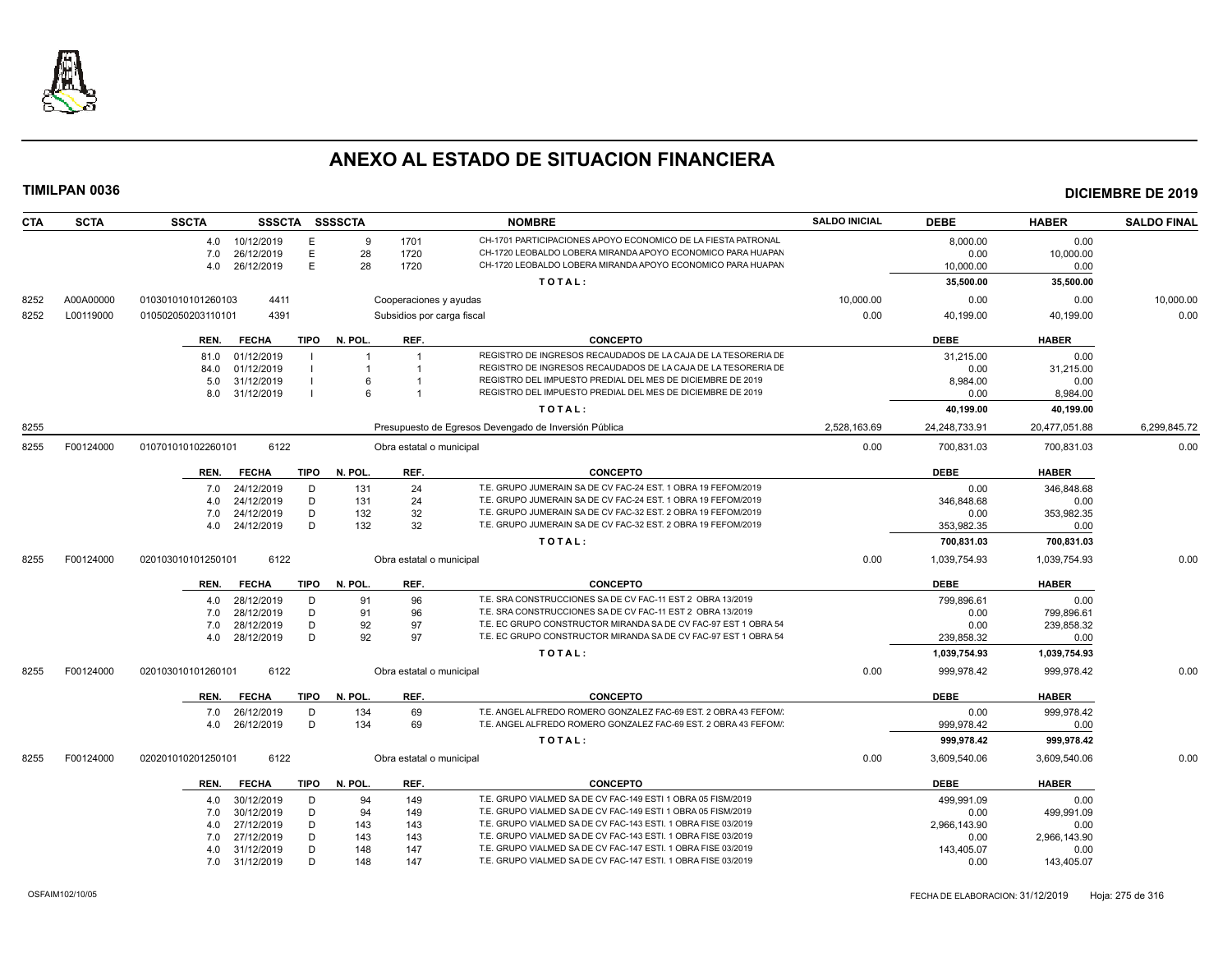

| <b>CTA</b> | <b>SCTA</b> | <b>SSCTA</b>       | <b>SSSCTA</b> |      | <b>SSSSCTA</b> |                            | <b>NOMBRE</b>                                                   | <b>SALDO INICIAL</b> | <b>DEBE</b>   | <b>HABER</b>  | <b>SALDO FINAL</b> |
|------------|-------------|--------------------|---------------|------|----------------|----------------------------|-----------------------------------------------------------------|----------------------|---------------|---------------|--------------------|
|            |             | 4.0                | 10/12/2019    | E    | 9              | 1701                       | CH-1701 PARTICIPACIONES APOYO ECONOMICO DE LA FIESTA PATRONAL   |                      | 8,000.00      | 0.00          |                    |
|            |             | 7.0                | 26/12/2019    | E    | 28             | 1720                       | CH-1720 LEOBALDO LOBERA MIRANDA APOYO ECONOMICO PARA HUAPAN     |                      | 0.00          | 10,000.00     |                    |
|            |             | 4.0                | 26/12/2019    | E.   | 28             | 1720                       | CH-1720 LEOBALDO LOBERA MIRANDA APOYO ECONOMICO PARA HUAPAN     |                      | 10,000.00     | 0.00          |                    |
|            |             |                    |               |      |                |                            | TOTAL:                                                          |                      | 35,500.00     | 35,500.00     |                    |
| 8252       | A00A00000   | 010301010101260103 | 4411          |      |                | Cooperaciones y ayudas     |                                                                 | 10,000.00            | 0.00          | 0.00          | 10,000.00          |
| 8252       | L00119000   | 010502050203110101 | 4391          |      |                | Subsidios por carga fiscal |                                                                 | 0.00                 | 40,199.00     | 40,199.00     | 0.00               |
|            |             | REN.               | <b>FECHA</b>  | TIPO | N. POL.        | REF.                       | <b>CONCEPTO</b>                                                 |                      | <b>DEBE</b>   | <b>HABER</b>  |                    |
|            |             | 81.0               | 01/12/2019    |      |                | $\overline{1}$             | REGISTRO DE INGRESOS RECAUDADOS DE LA CAJA DE LA TESORERIA DE   |                      | 31.215.00     | 0.00          |                    |
|            |             | 84.0               | 01/12/2019    |      |                |                            | REGISTRO DE INGRESOS RECAUDADOS DE LA CAJA DE LA TESORERIA DE   |                      | 0.00          | 31,215.00     |                    |
|            |             | 5.0                | 31/12/2019    |      |                |                            | REGISTRO DEL IMPUESTO PREDIAL DEL MES DE DICIEMBRE DE 2019      |                      | 8,984.00      | 0.00          |                    |
|            |             | 8.0                | 31/12/2019    |      | 6              | $\overline{1}$             | REGISTRO DEL IMPUESTO PREDIAL DEL MES DE DICIEMBRE DE 2019      |                      | 0.00          | 8,984.00      |                    |
|            |             |                    |               |      |                |                            | TOTAL:                                                          |                      | 40,199.00     | 40,199.00     |                    |
| 8255       |             |                    |               |      |                |                            | Presupuesto de Egresos Devengado de Inversión Pública           | 2,528,163.69         | 24,248,733.91 | 20,477,051.88 | 6,299,845.72       |
| 8255       | F00124000   | 010701010102260101 | 6122          |      |                | Obra estatal o municipal   |                                                                 | 0.00                 | 700,831.03    | 700,831.03    | 0.00               |
|            |             | REN.               | <b>FECHA</b>  | TIPO | N. POL.        | REF.                       | <b>CONCEPTO</b>                                                 |                      | <b>DEBE</b>   | <b>HABER</b>  |                    |
|            |             | 7.0                | 24/12/2019    | D    | 131            | 24                         | T.E. GRUPO JUMERAIN SA DE CV FAC-24 EST. 1 OBRA 19 FEFOM/2019   |                      | 0.00          | 346,848.68    |                    |
|            |             | 4.0                | 24/12/2019    | D    | 131            | 24                         | T.E. GRUPO JUMERAIN SA DE CV FAC-24 EST. 1 OBRA 19 FEFOM/2019   |                      | 346,848.68    | 0.00          |                    |
|            |             | 7.0                | 24/12/2019    | D    | 132            | 32                         | T.E. GRUPO JUMERAIN SA DE CV FAC-32 EST. 2 OBRA 19 FEFOM/2019   |                      | 0.00          | 353,982.35    |                    |
|            |             | 4.0                | 24/12/2019    | D    | 132            | 32                         | T.E. GRUPO JUMERAIN SA DE CV FAC-32 EST. 2 OBRA 19 FEFOM/2019   |                      | 353,982.35    | 0.00          |                    |
|            |             |                    |               |      |                |                            | TOTAL:                                                          |                      | 700,831.03    | 700,831.03    |                    |
| 8255       | F00124000   | 020103010101250101 | 6122          |      |                | Obra estatal o municipal   |                                                                 | 0.00                 | 1,039,754.93  | 1,039,754.93  | 0.00               |
|            |             | REN.               | <b>FECHA</b>  | TIPO | N. POL.        | REF.                       | <b>CONCEPTO</b>                                                 |                      | <b>DEBE</b>   | <b>HABER</b>  |                    |
|            |             | 4.0                | 28/12/2019    | D    | 91             | 96                         | T.E. SRA CONSTRUCCIONES SA DE CV FAC-11 EST 2 OBRA 13/2019      |                      | 799.896.61    | 0.00          |                    |
|            |             | 7.0                | 28/12/2019    | D    | 91             | 96                         | T.E. SRA CONSTRUCCIONES SA DE CV FAC-11 EST 2 OBRA 13/2019      |                      | 0.00          | 799,896.61    |                    |
|            |             | 7.0                | 28/12/2019    | D    | 92             | 97                         | T.E. EC GRUPO CONSTRUCTOR MIRANDA SA DE CV FAC-97 EST 1 OBRA 54 |                      | 0.00          | 239,858.32    |                    |
|            |             | 4.0                | 28/12/2019    | D    | 92             | 97                         | T.E. EC GRUPO CONSTRUCTOR MIRANDA SA DE CV FAC-97 EST 1 OBRA 54 |                      | 239,858.32    | 0.00          |                    |
|            |             |                    |               |      |                |                            | TOTAL:                                                          |                      | 1,039,754.93  | 1,039,754.93  |                    |
| 8255       | F00124000   | 020103010101260101 | 6122          |      |                | Obra estatal o municipal   |                                                                 | 0.00                 | 999.978.42    | 999.978.42    | 0.00               |
|            |             | REN.               | <b>FECHA</b>  | TIPO | N. POL.        | REF.                       | <b>CONCEPTO</b>                                                 |                      | <b>DEBE</b>   | <b>HABER</b>  |                    |
|            |             | 7.0                | 26/12/2019    | D    | 134            | 69                         | T.E. ANGEL ALFREDO ROMERO GONZALEZ FAC-69 EST. 2 OBRA 43 FEFOM/ |                      | 0.00          | 999,978.42    |                    |
|            |             | 4.0                | 26/12/2019    | D    | 134            | 69                         | T.E. ANGEL ALFREDO ROMERO GONZALEZ FAC-69 EST. 2 OBRA 43 FEFOM/ |                      | 999,978.42    | 0.00          |                    |
|            |             |                    |               |      |                |                            | TOTAL:                                                          |                      | 999,978.42    | 999,978.42    |                    |
| 8255       | F00124000   | 020201010201250101 | 6122          |      |                | Obra estatal o municipal   |                                                                 | 0.00                 | 3,609,540.06  | 3,609,540.06  | 0.00               |
|            |             | REN.               | <b>FECHA</b>  |      | TIPO N. POL.   | REF.                       | <b>CONCEPTO</b>                                                 |                      | <b>DEBE</b>   | <b>HABER</b>  |                    |
|            |             | 4.0                | 30/12/2019    | D    | 94             | 149                        | T.E. GRUPO VIALMED SA DE CV FAC-149 ESTI 1 OBRA 05 FISM/2019    |                      | 499,991.09    | 0.00          |                    |
|            |             | 7.0                | 30/12/2019    | D    | 94             | 149                        | T.E. GRUPO VIALMED SA DE CV FAC-149 ESTI 1 OBRA 05 FISM/2019    |                      | 0.00          | 499.991.09    |                    |
|            |             | 4.0                | 27/12/2019    | D    | 143            | 143                        | T.E. GRUPO VIALMED SA DE CV FAC-143 ESTI. 1 OBRA FISE 03/2019   |                      | 2,966,143.90  | 0.00          |                    |
|            |             | 7.0                | 27/12/2019    | D    | 143            | 143                        | T.E. GRUPO VIALMED SA DE CV FAC-143 ESTI. 1 OBRA FISE 03/2019   |                      | 0.00          | 2,966,143.90  |                    |
|            |             | 4.0                | 31/12/2019    | D    | 148            | 147                        | T.E. GRUPO VIALMED SA DE CV FAC-147 ESTI. 1 OBRA FISE 03/2019   |                      | 143,405.07    | 0.00          |                    |
|            |             | 7.0                | 31/12/2019    | D    | 148            | 147                        | T.E. GRUPO VIALMED SA DE CV FAC-147 ESTI. 1 OBRA FISE 03/2019   |                      | 0.00          | 143,405.07    |                    |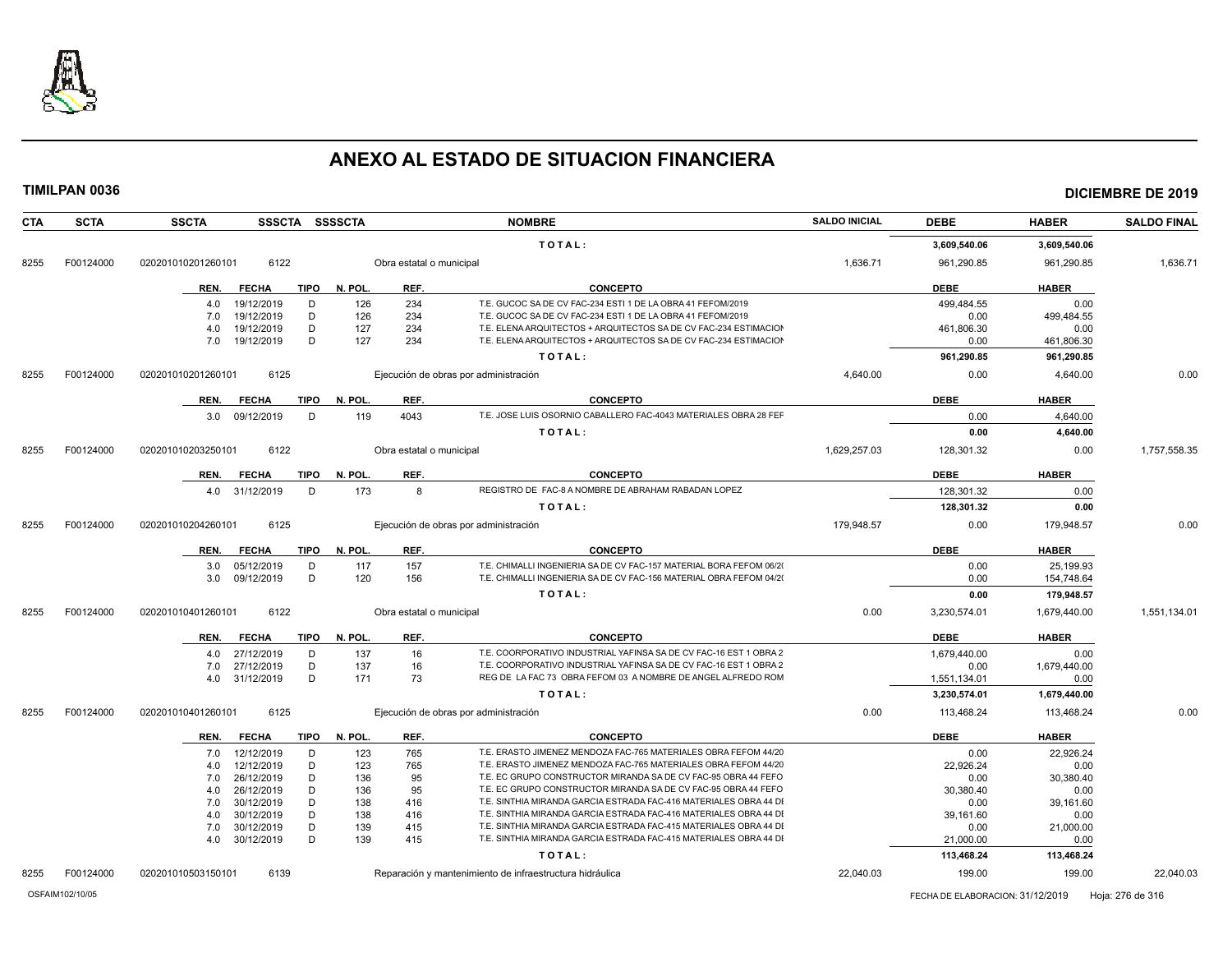

**TIMILPAN 0036 DICIEMBRE DE 2019**

### **T O T A L : 3,609,540.06 3,609,540.06** 8255 F00124000 020201010201260101 6122 Obra estatal o municipal 1,636.71 961,290.85 961,290.85 1,636.71 **REN. FECHA TIPO N. POL. REF. CONCEPTO DEBE HABER** 4.0 19/12/2019 D 126 234 T.E. GUCOC SA DE CV FAC-234 ESTI 1 DE LA OBRA 41 FEFOM/2019 499,484.55 0.00 7.0 19/12/2019 D 126 234 T.E. GUCOC SA DE CV FAC-234 ESTI 1 DE LA OBRA 41 FEFOM/2019 0.00 499,484.55 4.0 19/12/2019 D 127 234 T.E. ELENA ARQUITECTOS + ARQUITECTOS SA DE CV FAC-234 ESTIMACION OBRA 16 FEFOM/2019 461,806.30 0.00 7.0 19/12/2019 D 127 234 T.E. ELENA ARQUITECTOS + ARQUITECTOS SA DE CV FAC-234 ESTIMACION OBRA 16 FEFOM/2019 0.00 461,806.30 **T O T A L : 961,290.85 961,290.85** 8255 F00124000 020201010201260101 6125 Ejecución de obras por administración 400 and 4,640.00 4,640.00 0.00 4,640.00 0.00 4,640.00 0.00 4,640.00 0.00 **REN. FECHA TIPO N. POL. REF. CONCEPTO DEBE HABER** 3.0 09/12/2019 D 119 4043 T.E. JOSE LUIS OSORNIO CABALLERO FAC-4043 MATERIALES OBRA 28 FEF 2010 0.00 4,640.00 **T O T A L : 0.00 4,640.00** 8255 F00124000 020201010203250101 6122 Obra estatal o municipal 1,629,257.03 128,301.32 0.00 1,757,558.35 **REN. FECHA TIPO N. POL. REF. CONCEPTO DEBE HABER** 4.0 31/12/2019 D 173 8 REGISTRO DE FAC-8 A NOMBRE DE ABRAHAM RABADAN LOPEZ 128,301.32 0.00 **T O T A L : 128,301.32 0.00** 8255 F00124000 020201010204260101 6125 Ejecución de obras por administración 179,948.57 0.00 179,948.57 0.00 **REN. FECHA TIPO N. POL. REF. CONCEPTO DEBE HABER** 3.0 05/12/2019 D 117 157 T.E. CHIMALLI INGENIERIA SA DE CV FAC-157 MATERIAL BORA FEFOM 06/20<br>3.0 09/12/2019 D 120 156 T.E. CHIMALLI INGENIERIA SA DE CV FAC-156 MATERIAL OBRA FEFOM 04/20 T.E. CHIMALLI INGENIERIA SA DE CV FAC-156 MATERIAL OBRA FEFOM 04/20<br>
0.00 154,748.64 **T O T A L : 0.00 179,948.57** 8255 F00124000 020201010401260101 6122 Obra estatal o municipal 0.00 3,230,574.01 1,679,440.00 1,551,134.01 **REN. FECHA TIPO N. POL. REF. CONCEPTO DEBE HABER** 4.0 27/12/2019 D 137 16 T.E. COORPORATIVO INDUSTRIAL YAFINSA SA DE CV FAC-16 EST 1 OBRA 2 FEFOM 2000 1,679,440.00 0.00 7.0 27/12/2019 D 137 16 T.E. COORPORATIVO INDUSTRIAL YAFINSA SA DE CV FAC-16 EST 1 OBRA 2 0.00 1,679,440.00<br>20.00 1,551,134.01 1,579,440.00 REG DE LA FAC 73 OBRA FEFOM 03 A NOMBRE DE ANGEL ALFREDO ROM 1 1,571,134.01 1, 4.0 31/12/2019 D 171 73 REG DE LA FAC 73 OBRA FEFOM 03 A NOMBRE DE ANGEL ALFREDO ROM 1,551,134.01 0.00 **T O T A L : 3,230,574.01 1,679,440.00** 8255 F00124000 020201010401260101 6125 Ejecución de obras por administración 0.00 113,468.24 113,468.24 0.00 **REN. FECHA TIPO N. POL. REF. CONCEPTO DEBE HABER** 7.0 12/12/2019 D 123 765 T.E. ERASTO JIMENEZ MENDOZA FAC-765 MATERIALES OBRA FEFOM 44/20<br>
22.926.24 4.0 12/12/2019 D 123 765 T.E. ERASTO JIMENEZ MENDOZA FAC-765 MATERIALES OBRA FEFOM 44/2019 22,926.24 0.00 7.0 26/12/2019 D 136 95 T.E. EC GRUPO CONSTRUCTOR MIRANDA SA DE CV FAC-95 OBRA 44 FEFOM 2019 0.00 30,380.40 4.0 26/12/2019 D 136 95 T.E. EC GRUPO CONSTRUCTOR MIRANDA SA DE CV FAC-95 OBRA 44 FEFO 30.380.40 30.380.40 0.00 7.0 30/12/2019 D 138 416 T.E. SINTHIA MIRANDA GARCIA ESTRADA FAC-416 MATERIALES OBRA 44 DI 0.00 39,161.60 4.0 30/12/2019 D 138 416 T.E. SINTHIA MIRANDA GARCIA ESTRADA FAC-416 MATERIALES OBRA 44 DI 39,161.60 39,161.60 0.00 7.0 30/12/2019 D 139 415 T.E. SINTHIA MIRANDA GARCIA ESTRADA FAC-415 MATERIALES OBRA 44 DI 0.00 21,000.00 21,000 4.0 30/12/2019 D 139 415 T.E. SINTHIA MIRANDA GARCIA ESTRADA FAC-415 MATERIALES OBRA 44 DI 21,000.00 21,000.00 0.00 **T O T A L : 113,468.24 113,468.24**

**CTA SCTA SSCTA SSSCTA SSSSCTA NOMBRE SALDO INICIAL DEBE HABER SALDO FINAL**

OSFAIM102/10/05 FECHA DE ELABORACION: 31/12/2019 Hoja: 276 de 316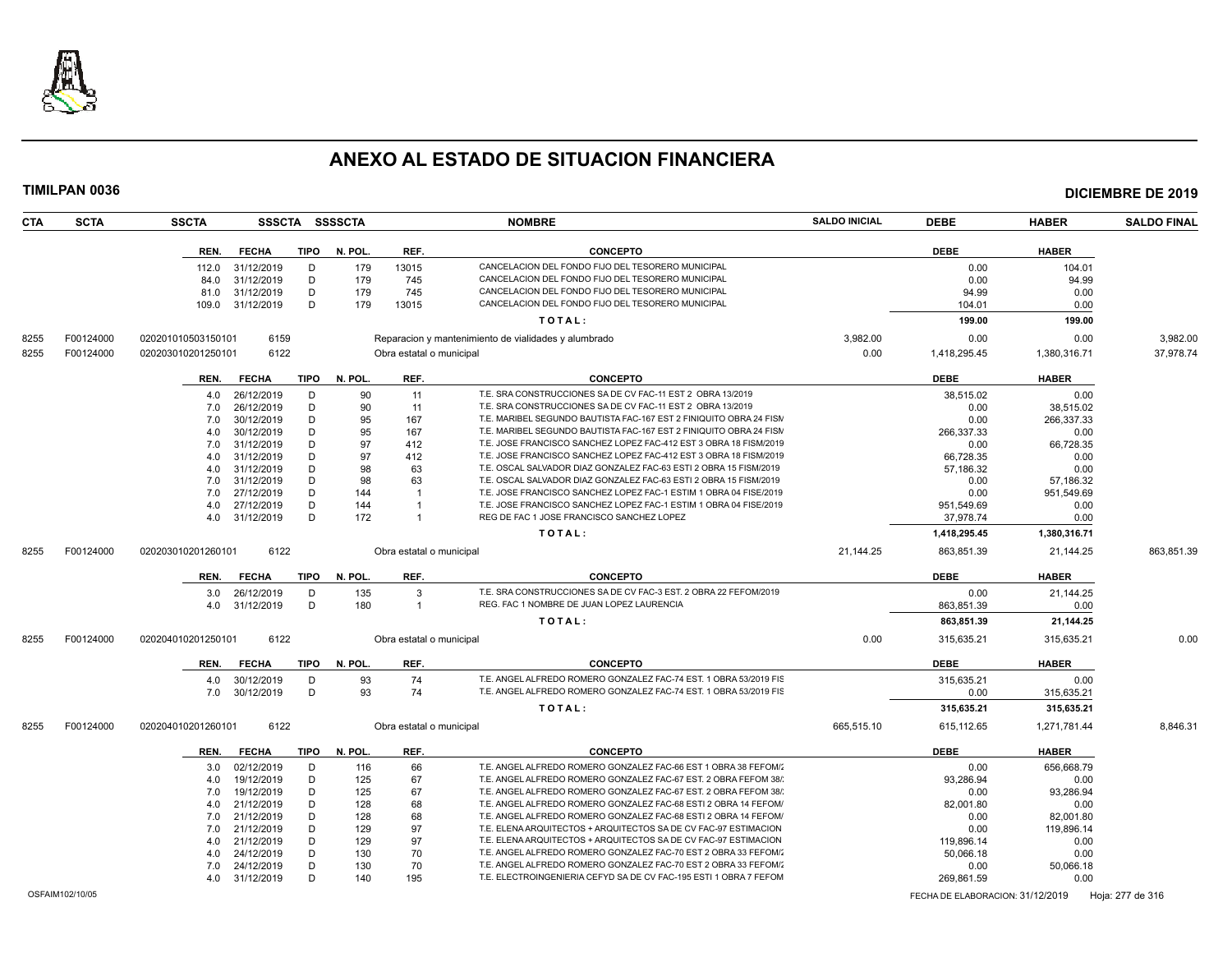

| <b>CTA</b> | <b>SCTA</b>     | <b>SSCTA</b>       |              |             | SSSCTA SSSSCTA |                          | <b>NOMBRE</b>                                                      | <b>SALDO INICIAL</b> | <b>DEBE</b>                      | <b>HABER</b> | <b>SALDO FINAL</b> |
|------------|-----------------|--------------------|--------------|-------------|----------------|--------------------------|--------------------------------------------------------------------|----------------------|----------------------------------|--------------|--------------------|
|            |                 | REN.               | <b>FECHA</b> | <b>TIPO</b> | N. POL.        | REF.                     | <b>CONCEPTO</b>                                                    |                      | <b>DEBE</b>                      | <b>HABER</b> |                    |
|            |                 | 112.0              | 31/12/2019   | D           | 179            | 13015                    | CANCELACION DEL FONDO FIJO DEL TESORERO MUNICIPAL                  |                      | 0.00                             | 104.01       |                    |
|            |                 | 84.0               | 31/12/2019   | D           | 179            | 745                      | CANCELACION DEL FONDO FIJO DEL TESORERO MUNICIPAL                  |                      | 0.00                             | 94.99        |                    |
|            |                 | 81.0               | 31/12/2019   | D           | 179            | 745                      | CANCELACION DEL FONDO FIJO DEL TESORERO MUNICIPAL                  |                      | 94.99                            | 0.00         |                    |
|            |                 | 109.0              | 31/12/2019   | D           | 179            | 13015                    | CANCELACION DEL FONDO FIJO DEL TESORERO MUNICIPAL                  |                      | 104.01                           | 0.00         |                    |
|            |                 |                    |              |             |                |                          | TOTAL:                                                             |                      | 199.00                           | 199.00       |                    |
| 8255       | F00124000       | 020201010503150101 | 6159         |             |                |                          | Reparacion y mantenimiento de vialidades y alumbrado               | 3.982.00             | 0.00                             | 0.00         | 3.982.00           |
| 8255       | F00124000       | 020203010201250101 | 6122         |             |                | Obra estatal o municipal |                                                                    | 0.00                 | 1,418,295.45                     | 1,380,316.71 | 37,978.74          |
|            |                 | REN.               | <b>FECHA</b> | <b>TIPO</b> | N. POL.        | REF.                     | <b>CONCEPTO</b>                                                    |                      | <b>DEBE</b>                      | <b>HABER</b> |                    |
|            |                 | 4.0                | 26/12/2019   | D           | 90             | 11                       | T.E. SRA CONSTRUCCIONES SA DE CV FAC-11 EST 2 OBRA 13/2019         |                      | 38,515.02                        | 0.00         |                    |
|            |                 | 7.0                | 26/12/2019   | D           | 90             | 11                       | T.E. SRA CONSTRUCCIONES SA DE CV FAC-11 EST 2 OBRA 13/2019         |                      | 0.00                             | 38,515.02    |                    |
|            |                 | 7.0                | 30/12/2019   | D           | 95             | 167                      | T.E. MARIBEL SEGUNDO BAUTISTA FAC-167 EST 2 FINIQUITO OBRA 24 FISM |                      | 0.00                             | 266,337.33   |                    |
|            |                 | 4.0                | 30/12/2019   | D           | 95             | 167                      | T.E. MARIBEL SEGUNDO BAUTISTA FAC-167 EST 2 FINIQUITO OBRA 24 FISM |                      | 266,337.33                       | 0.00         |                    |
|            |                 | 7.0                | 31/12/2019   | D           | 97             | 412                      | T.E. JOSE FRANCISCO SANCHEZ LOPEZ FAC-412 EST 3 OBRA 18 FISM/2019  |                      | 0.00                             | 66,728.35    |                    |
|            |                 | 4.0                | 31/12/2019   | D           | 97             | 412                      | T.E. JOSE FRANCISCO SANCHEZ LOPEZ FAC-412 EST 3 OBRA 18 FISM/2019  |                      | 66.728.35                        | 0.00         |                    |
|            |                 | 4.0                | 31/12/2019   | D           | 98             | 63                       | T.E. OSCAL SALVADOR DIAZ GONZALEZ FAC-63 ESTI 2 OBRA 15 FISM/2019  |                      | 57,186.32                        | 0.00         |                    |
|            |                 | 7.0                | 31/12/2019   | D           | 98             | 63                       | T.E. OSCAL SALVADOR DIAZ GONZALEZ FAC-63 ESTI 2 OBRA 15 FISM/2019  |                      | 0.00                             | 57,186.32    |                    |
|            |                 | 7.0                | 27/12/2019   | D           | 144            | -1                       | T.E. JOSE FRANCISCO SANCHEZ LOPEZ FAC-1 ESTIM 1 OBRA 04 FISE/2019  |                      | 0.00                             | 951,549.69   |                    |
|            |                 | 4.0                | 27/12/2019   | D           | 144            | $\overline{1}$           | T.E. JOSE FRANCISCO SANCHEZ LOPEZ FAC-1 ESTIM 1 OBRA 04 FISE/2019  |                      | 951.549.69                       | 0.00         |                    |
|            |                 | 4.0                | 31/12/2019   | D           | 172            | $\overline{1}$           | REG DE FAC 1 JOSE FRANCISCO SANCHEZ LOPEZ                          |                      | 37,978.74                        | 0.00         |                    |
|            |                 |                    |              |             |                |                          | TOTAL:                                                             |                      | 1.418.295.45                     | 1,380,316.71 |                    |
| 8255       | F00124000       | 020203010201260101 | 6122         |             |                | Obra estatal o municipal |                                                                    | 21,144.25            | 863,851.39                       | 21,144.25    | 863,851.39         |
|            |                 | REN.               | <b>FECHA</b> | <b>TIPO</b> | N. POL         | REF.                     | <b>CONCEPTO</b>                                                    |                      | <b>DEBE</b>                      | <b>HABER</b> |                    |
|            |                 | 3.0                | 26/12/2019   | D           | 135            | 3                        | T.E. SRA CONSTRUCCIONES SA DE CV FAC-3 EST. 2 OBRA 22 FEFOM/2019   |                      | 0.00                             | 21.144.25    |                    |
|            |                 | 4.0                | 31/12/2019   | D           | 180            | $\mathbf{1}$             | REG. FAC 1 NOMBRE DE JUAN LOPEZ LAURENCIA                          |                      | 863,851.39                       | 0.00         |                    |
|            |                 |                    |              |             |                |                          | TOTAL:                                                             |                      | 863,851.39                       | 21,144.25    |                    |
| 8255       | F00124000       | 020204010201250101 | 6122         |             |                | Obra estatal o municipal |                                                                    | 0.00                 | 315,635.21                       | 315,635.21   | 0.00               |
|            |                 | REN.               | <b>FECHA</b> | <b>TIPO</b> | N. POL.        | REF.                     | <b>CONCEPTO</b>                                                    |                      | <b>DEBE</b>                      | <b>HABER</b> |                    |
|            |                 | 4.0                | 30/12/2019   | D           | 93             | 74                       | T.E. ANGEL ALFREDO ROMERO GONZALEZ FAC-74 EST. 1 OBRA 53/2019 FIS  |                      | 315,635.21                       | 0.00         |                    |
|            |                 | 7.0                | 30/12/2019   | D           | 93             | 74                       | T.E. ANGEL ALFREDO ROMERO GONZALEZ FAC-74 EST. 1 OBRA 53/2019 FIS  |                      | 0.00                             | 315,635.21   |                    |
|            |                 |                    |              |             |                |                          | TOTAL:                                                             |                      | 315,635.21                       | 315,635.21   |                    |
| 8255       | F00124000       | 020204010201260101 | 6122         |             |                | Obra estatal o municipal |                                                                    | 665,515.10           | 615,112.65                       | 1,271,781.44 | 8,846.31           |
|            |                 | REN.               | <b>FECHA</b> | <b>TIPO</b> | N. POL.        | REF.                     | <b>CONCEPTO</b>                                                    |                      | <b>DEBE</b>                      | <b>HABER</b> |                    |
|            |                 | 3.0                | 02/12/2019   | D           | 116            | 66                       | T.E. ANGEL ALFREDO ROMERO GONZALEZ FAC-66 EST 1 OBRA 38 FEFOM/     |                      | 0.00                             | 656,668.79   |                    |
|            |                 | 4.0                | 19/12/2019   | D           | 125            | 67                       | T.E. ANGEL ALFREDO ROMERO GONZALEZ FAC-67 EST. 2 OBRA FEFOM 38/    |                      | 93.286.94                        | 0.00         |                    |
|            |                 | 7.0                | 19/12/2019   | D           | 125            | 67                       | T.E. ANGEL ALFREDO ROMERO GONZALEZ FAC-67 EST. 2 OBRA FEFOM 38/    |                      | 0.00                             | 93,286.94    |                    |
|            |                 | 4.0                | 21/12/2019   | D           | 128            | 68                       | T.E. ANGEL ALFREDO ROMERO GONZALEZ FAC-68 ESTI 2 OBRA 14 FEFOM/    |                      | 82,001.80                        | 0.00         |                    |
|            |                 | 7.0                | 21/12/2019   | D           | 128            | 68                       | T.E. ANGEL ALFREDO ROMERO GONZALEZ FAC-68 ESTI 2 OBRA 14 FEFOM/    |                      | 0.00                             | 82.001.80    |                    |
|            |                 | 7.0                | 21/12/2019   | D           | 129            | 97                       | T.E. ELENA ARQUITECTOS + ARQUITECTOS SA DE CV FAC-97 ESTIMACION    |                      | 0.00                             | 119,896.14   |                    |
|            |                 | 4.0                | 21/12/2019   | D           | 129            | 97                       | T.E. ELENA ARQUITECTOS + ARQUITECTOS SA DE CV FAC-97 ESTIMACION    |                      | 119,896.14                       | 0.00         |                    |
|            |                 | 4.0                | 24/12/2019   | D           | 130            | 70                       | T.E. ANGEL ALFREDO ROMERO GONZALEZ FAC-70 EST 2 OBRA 33 FEFOM/     |                      | 50,066.18                        | 0.00         |                    |
|            |                 | 7.0                | 24/12/2019   | D           | 130            | 70                       | T.E. ANGEL ALFREDO ROMERO GONZALEZ FAC-70 EST 2 OBRA 33 FEFOM/2    |                      | 0.00                             | 50,066.18    |                    |
|            |                 | 4.0                | 31/12/2019   | D           | 140            | 195                      | T.E. ELECTROINGENIERIA CEFYD SA DE CV FAC-195 ESTI 1 OBRA 7 FEFOM  |                      | 269.861.59                       | 0.00         |                    |
|            | OSFAIM102/10/05 |                    |              |             |                |                          |                                                                    |                      | FECHA DE ELABORACION: 31/12/2019 |              | Hoja: 277 de 316   |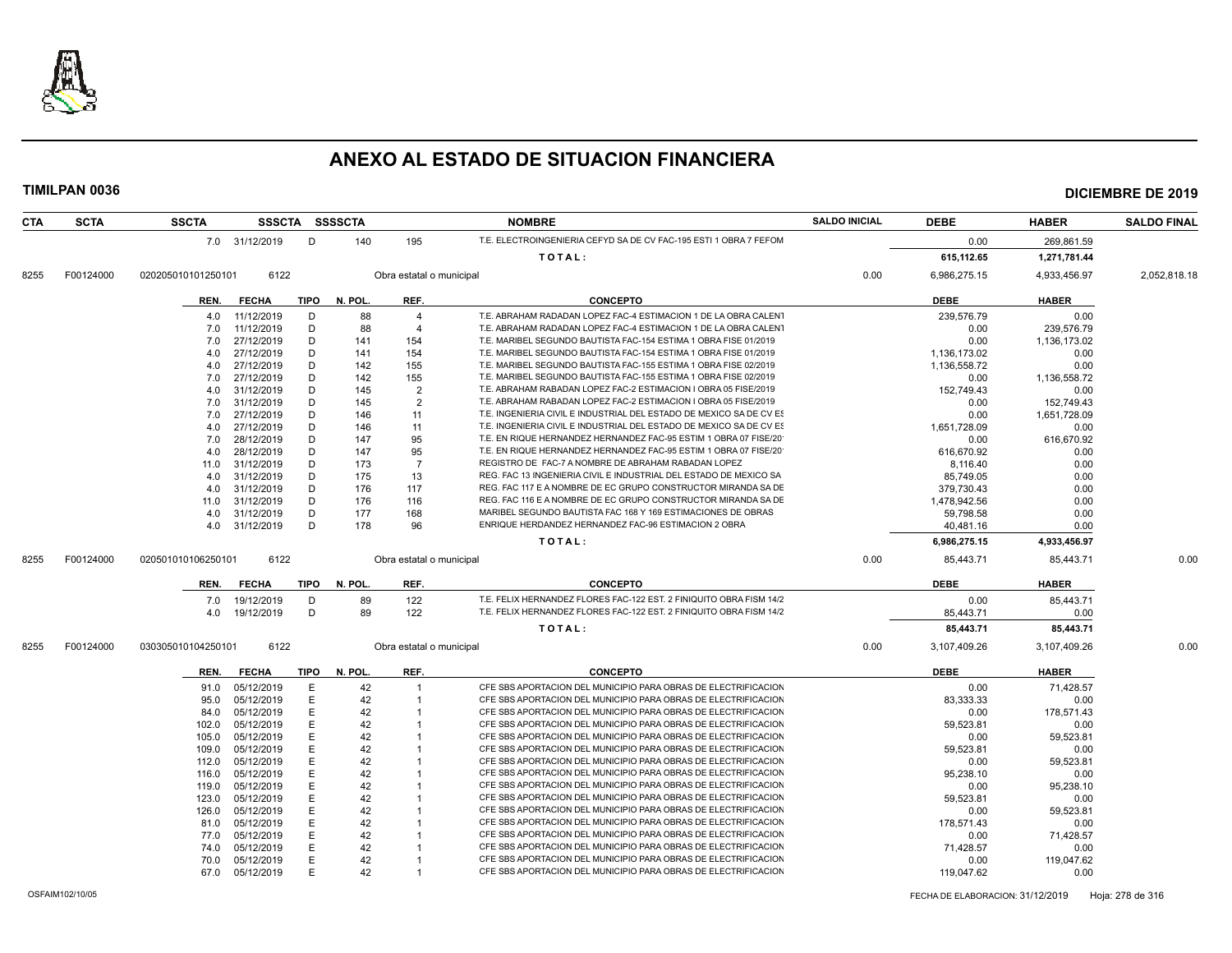

### **CTA SCTA SSCTA SSSCTA SSSSCTA NOMBRE SALDO INICIAL DEBE HABER SALDO FINAL** 7.0 31/12/2019 D 140 195 T.E. ELECTROINGENIERIA CEFYD SA DE CV FAC-195 ESTI 1 OBRA 7 FEFOM 2019 0.00 269,861.59 **T O T A L : 615,112.65 1,271,781.44** 8255 F00124000 020205010101250101 6122 Obra estatal o municipal 0.00 6,986,275.15 4,933,456.97 2,052,818.18 **REN. FECHA TIPO N. POL. REF. CONCEPTO DEBE HABER** 4.0 11/12/2019 D 88 4 T.E. ABRAHAM RADADAN LOPEZ FAC-4 ESTIMACION 1 DE LA OBRA CALENT 239,576.79 239,576.79 0.00 7.0 11/12/2019 D 88 4 T.E. ABRAHAM RADADAN LOPEZ FAC-4 ESTIMACION 1 DE LA OBRA CALENT COM 209,576.79 7.0 27/12/2019 D 141 154 T.E. MARIBEL SEGUNDO BAUTISTA FAC-154 ESTIMA 1 OBRA FISE 01/2019 0.00 1,136,173.02 1,136,173.02<br>4.0 27/12/2019 D 141 154 T.E. MARIBEL SEGUNDO BAUTISTA FAC-154 ESTIMA 1 OBRA FISE 01/2019 1,136,173.0 4.0 27/12/2019 D 141 154 T.E. MARIBEL SEGUNDO BAUTISTA FAC-154 ESTIMA 1 OBRA FISE 01/2019 1,136,173.02 0.00 4.0 27/12/2019 D 142 155 T.E. MARIBEL SEGUNDO BAUTISTA FAC-155 ESTIMA 1 OBRA FISE 02/2019 1,136,558.72 0.00 7.0 27/12/2019 D 142 155 T.E. MARIBEL SEGUNDO BAUTISTA FAC-155 ESTIMA 1 OBRA FISE 02/2019 0.00 1,136,558.72 4.0 31/12/2019 D 145 2 T.E. ABRAHAM RABADAN LOPEZ FAC-2 ESTIMACION I OBRA 05 FISE/2019 152,749.43 0.00 7.0 31/12/2019 D 145 2 T.E. ABRAHAM RABADAN LOPEZ FAC-2 ESTIMACION I OBRA 05 FISE/2019 0.00 152,749.43 7.0 27/12/2019 D 146 11 T.E. INGENIERIA CIVIL E INDUSTRIAL DEL ESTADO DE MEXICO SA DE CV ESTIMAL DEL ESTADO COME 4.0 27/12/2019 D 146 11 T.E. INGENIERIA CIVIL E INDUSTRIAL DEL ESTADO DE MEXICO SA DE CV ESTIM 1,651,728.09 0.00 7.0 28/12/2019 D 147 95 T.E. EN RIQUE HERNANDEZ HERNANDEZ FAC-95 ESTIM 1 OBRA 07 FISE/20<br>10.00 147 95 T.E. EN RIQUE HERNANDEZ HERNANDEZ FAC-95 ESTIM 1 OBRA 07 FISE/20 616,670.92 616,670.92 T.E. EN RIQUE HERNANDEZ HERNANDEZ FAC-95 ESTIM 1 OBRA 07 FISE/20 11.0 31/12/2019 D 173 7 REGISTRO DE FAC-7 A NOMBRE DE ABRAHAM RABADAN LOPEZ (1999) 8,116.40 8,116.40<br>1.0 31/12/2019 D 175 13 REG. FAC 13 INGENIERIA CIVIL E INDUSTRIAL DEL ESTADO DE MEXICO SA (1995,749.05 85,749 4.0 31/12/2019 D 175 13 REG. FAC 13 INGENIERIA CIVIL E INDUSTRIAL DEL ESTADO DE MEXICO SA 4.0 31/12/2019 D 176 117 REG. FAC 117 E A NOMBRE DE EC GRUPO CONSTRUCTOR MIRANDA SA DE CONSTRUCTOR MIRANDA SA DE 11.0 31/12/2019 D 176 116 REG. FAC 116 E A NOMBRE DE EC GRUPO CONSTRUCTOR MIRANDA SA DE 1,478,942.56 0.00 4.0 31/12/2019 D 177 168 MARIBEL SEGUNDO BAUTISTA FAC 168 Y 169 ESTIMACIONES DE OBRAS 59,798.58 0.00 4.0 31/12/2019 D 178 96 ENRIQUE HERDANDEZ HERNANDEZ FAC-96 ESTIMACION 2 OBRA 40,481.16 0.00 **T O T A L : 6,986,275.15 4,933,456.97** 8255 F00124000 020501010106250101 6122 Obra estatal o municipal 0.00 85,443.71 85,443.71 0.00 **REN. FECHA TIPO N. POL. REF. CONCEPTO DEBE HABER** 7.0 19/12/2019 D 89 122 T.E. FELIX HERNANDEZ FLORES FAC-122 EST. 2 FINIQUITO OBRA FISM 14/2 0.00 85,443.71 0.00<br>1.0.0 19/12/2019 D 89 122 T.E. FELIX HERNANDEZ FLORES FAC-122 EST. 2 FINIQUITO OBRA FISM 14/2 4.0 19/12/2019 D 89 122 T.E. FELIX HERNANDEZ FLORES FAC-122 EST. 2 FINIQUITO OBRA FISM 14/2019 85,443.71 0.00 **T O T A L : 85,443.71 85,443.71** 8255 F00124000 030305010104250101 6122 Obra estatal o municipal 0.00 3,107,409.26 3,107,409.26 0.00 **REN. FECHA TIPO N. POL. REF. CONCEPTO DEBE HABER** 91.0 05/12/2019 E 42 1 CFE SBS APORTACION DEL MUNICIPIO PARA OBRAS DE ELECTRIFICACION 0.00 71,428.57 95.0 05/12/2019 E 42 1 CFE SBS APORTACION DEL MUNICIPIO PARA OBRAS DE ELECTRIFICACION CONSTRUES 83.333.33 0.00 84.0 05/12/2019 E 42 1 CFE SBS APORTACION DEL MUNICIPIO PARA OBRAS DE ELECTRIFICACION COM 178,571.43<br>102.0 05/12/2019 E 42 1 CFE SBS APORTACION DEL MUNICIPIO PARA OBRAS DE ELECTRIFICACION 59.523.81 0.00 59.523.8 102.0 12.0 059.523.81 OFE SBS APORTACION DEL MUNICIPIO PARA OBRAS DE ELECTRIFICACION 59,523.81 105.0 05/12/2019 E 42 1 CFE SBS APORTACION DEL MUNICIPIO PARA OBRAS DE ELECTRIFICACION 0.00 59,523.81 0.00 59,523.81<br>109.0 05/12/2019 E 42 1 CFE SBS APORTACION DEL MUNICIPIO PARA OBRAS DE ELECTRIFICACION 59,523.81 0.00 59, 109.0 05/12/2019 E 42 1 CFE SBS APORTACION DEL MUNICIPIO PARA OBRAS DE ELECTRIFICACION 59,523.81 0.00 112.0 05/12/2019 E 42 1 CFE SBS APORTACION DEL MUNICIPIO PARA OBRAS DE ELECTRIFICACION CON 59.523.81 116.0 05/12/2019 E 42 1 CFE SBS APORTACION DEL MUNICIPIO PARA OBRAS DE ELECTRIFICACION 95,238.10 0.00 119.0 05/12/2019 E 42 1 CFE SBS APORTACION DEL MUNICIPIO PARA OBRAS DE ELECTRIFICACION CON 0.00 95.238.10 123.0 05/12/2019 E 42 1 CFE SBS APORTACION DEL MUNICIPIO PARA OBRAS DE ELECTRIFICACION 59,523.81 0.00 126.0 05/12/2019 E 42 1 CFE SBS APORTACION DEL MUNICIPIO PARA OBRAS DE ELECTRIFICACION 0.00 59,523.81 81.0 05/12/2019 E 42 1 CFE SBS APORTACION DEL MUNICIPIO PARA OBRAS DE ELECTRIFICACION 178,571.43 0.00<br>77.0 05/12/2019 E 42 1 CFE SBS APORTACION DEL MUNICIPIO PARA OBRAS DE ELECTRIFICACION 0.00 71.428.57 77.0 05/12/2019 F 42 1 CFE SBS APORTACION DEL MUNICIPIO PARA OBRAS DE ELECTRIFICACION 6.00 70 71,42 74.0 05/12/2019 E 42 1 CFE SBS APORTACION DEL MUNICIPIO PARA OBRAS DE ELECTRIFICACION 71,428.57 0.00

 70.0 05/12/2019 E 42 1 CFE SBS APORTACION DEL MUNICIPIO PARA OBRAS DE ELECTRIFICACION 0.00 119,047.62 67.0 05/12/2019 E 42 1 CFE SBS APORTACION DEL MUNICIPIO PARA OBRAS DE ELECTRIFICACION 119,047.62 0.00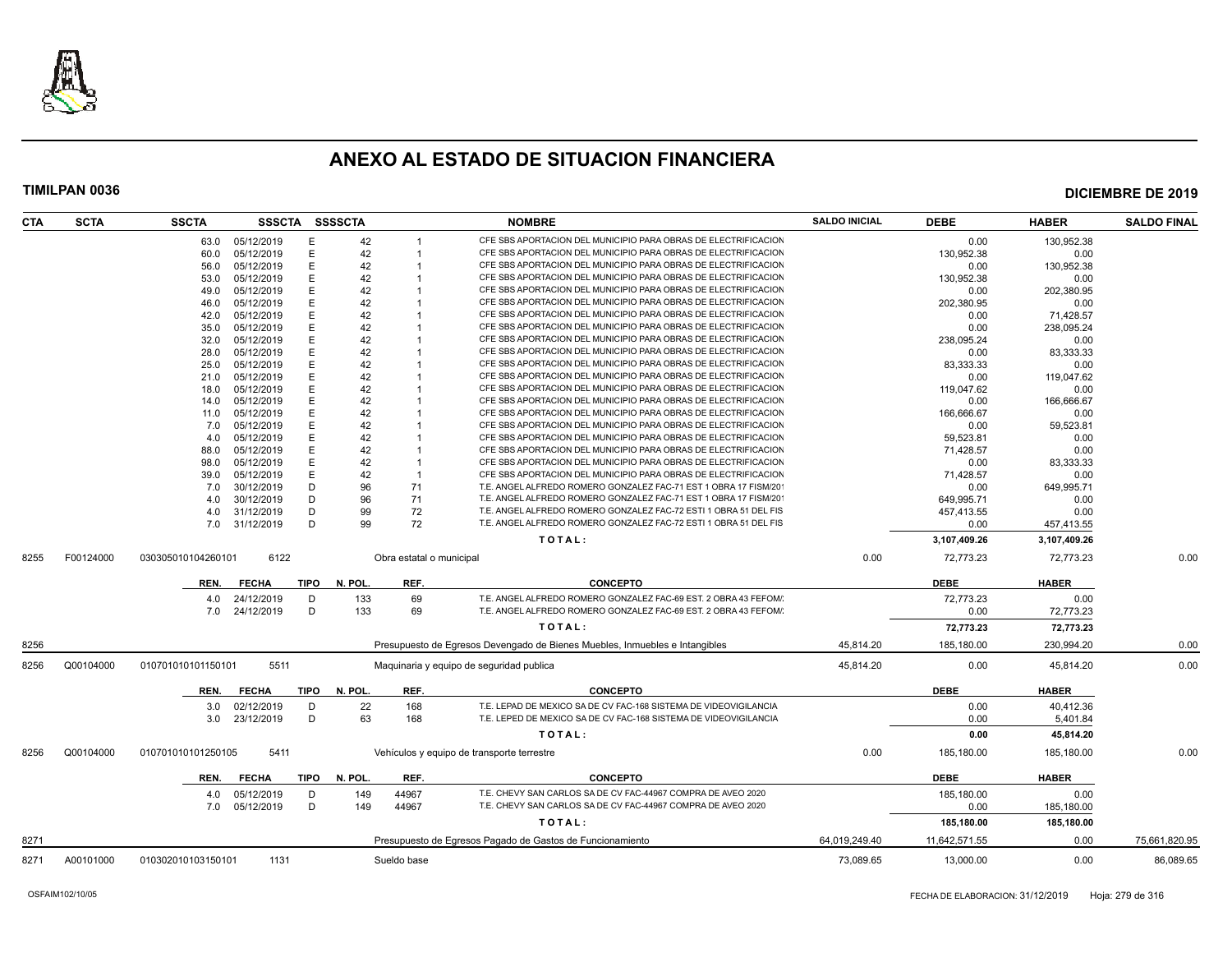

| CTA  | <b>SCTA</b> | <b>SSCTA</b>       | SSSCTA SSSSCTA |             |         |                          | <b>NOMBRE</b>                                                               | <b>SALDO INICIAL</b> | <b>DEBE</b>   | <b>HABER</b> | <b>SALDO FINAL</b> |
|------|-------------|--------------------|----------------|-------------|---------|--------------------------|-----------------------------------------------------------------------------|----------------------|---------------|--------------|--------------------|
|      |             | 63.0               | 05/12/2019     | Е           | 42      |                          | CFE SBS APORTACION DEL MUNICIPIO PARA OBRAS DE ELECTRIFICACION              |                      | 0.00          | 130,952.38   |                    |
|      |             | 60.0               | 05/12/2019     | E           | 42      |                          | CFE SBS APORTACION DEL MUNICIPIO PARA OBRAS DE ELECTRIFICACION              |                      | 130,952.38    | 0.00         |                    |
|      |             | 56.0               | 05/12/2019     | E           | 42      |                          | CFE SBS APORTACION DEL MUNICIPIO PARA OBRAS DE ELECTRIFICACION              |                      | 0.00          | 130.952.38   |                    |
|      |             | 53.0               | 05/12/2019     | Е           | 42      |                          | CFE SBS APORTACION DEL MUNICIPIO PARA OBRAS DE ELECTRIFICACION              |                      | 130,952.38    | 0.00         |                    |
|      |             | 49.0               | 05/12/2019     | E           | 42      |                          | CFE SBS APORTACION DEL MUNICIPIO PARA OBRAS DE ELECTRIFICACION              |                      | 0.00          | 202,380.95   |                    |
|      |             | 46.0               | 05/12/2019     | E           | 42      |                          | CFE SBS APORTACION DEL MUNICIPIO PARA OBRAS DE ELECTRIFICACION              |                      | 202,380.95    | 0.00         |                    |
|      |             | 42.0               | 05/12/2019     | E           | 42      |                          | CFE SBS APORTACION DEL MUNICIPIO PARA OBRAS DE ELECTRIFICACION              |                      | 0.00          | 71,428.57    |                    |
|      |             | 35.0               | 05/12/2019     | Е           | 42      |                          | CFE SBS APORTACION DEL MUNICIPIO PARA OBRAS DE ELECTRIFICACION              |                      | 0.00          | 238,095.24   |                    |
|      |             | 32.0               | 05/12/2019     | E           | 42      |                          | CFE SBS APORTACION DEL MUNICIPIO PARA OBRAS DE ELECTRIFICACION              |                      | 238,095.24    | 0.00         |                    |
|      |             | 28.0               | 05/12/2019     | E           | 42      |                          | CFE SBS APORTACION DEL MUNICIPIO PARA OBRAS DE ELECTRIFICACION              |                      | 0.00          | 83,333.33    |                    |
|      |             | 25.0               | 05/12/2019     | E           | 42      |                          | CFE SBS APORTACION DEL MUNICIPIO PARA OBRAS DE ELECTRIFICACION              |                      | 83,333.33     | 0.00         |                    |
|      |             | 21.0               | 05/12/2019     | E           | 42      |                          | CFE SBS APORTACION DEL MUNICIPIO PARA OBRAS DE ELECTRIFICACION              |                      | 0.00          | 119.047.62   |                    |
|      |             | 18.0               | 05/12/2019     | E           | 42      |                          | CFE SBS APORTACION DEL MUNICIPIO PARA OBRAS DE ELECTRIFICACION              |                      | 119,047.62    | 0.00         |                    |
|      |             | 14.0               | 05/12/2019     | E           | 42      |                          | CFE SBS APORTACION DEL MUNICIPIO PARA OBRAS DE ELECTRIFICACION              |                      | 0.00          | 166,666.67   |                    |
|      |             | 11.0               | 05/12/2019     | E           | 42      |                          | CFE SBS APORTACION DEL MUNICIPIO PARA OBRAS DE ELECTRIFICACION              |                      | 166,666.67    | 0.00         |                    |
|      |             | 7.0                | 05/12/2019     | E           | 42      |                          | CFE SBS APORTACION DEL MUNICIPIO PARA OBRAS DE ELECTRIFICACION              |                      | 0.00          | 59,523.81    |                    |
|      |             | 4.0                | 05/12/2019     | E           | 42      |                          | CFE SBS APORTACION DEL MUNICIPIO PARA OBRAS DE ELECTRIFICACION              |                      | 59,523.81     | 0.00         |                    |
|      |             | 88.0               | 05/12/2019     | E           | 42      |                          | CFE SBS APORTACION DEL MUNICIPIO PARA OBRAS DE ELECTRIFICACION              |                      | 71.428.57     | 0.00         |                    |
|      |             | 98.0               | 05/12/2019     | E           | 42      |                          | CFE SBS APORTACION DEL MUNICIPIO PARA OBRAS DE ELECTRIFICACION              |                      | 0.00          | 83,333.33    |                    |
|      |             | 39.0               | 05/12/2019     | E           | 42      | -1                       | CFE SBS APORTACION DEL MUNICIPIO PARA OBRAS DE ELECTRIFICACION              |                      | 71,428.57     | 0.00         |                    |
|      |             | 7.0                | 30/12/2019     | D           | 96      | 71                       | T.E. ANGEL ALFREDO ROMERO GONZALEZ FAC-71 EST 1 OBRA 17 FISM/20             |                      | 0.00          | 649,995.71   |                    |
|      |             | 4.0                | 30/12/2019     | D           | 96      | 71                       | T.E. ANGEL ALFREDO ROMERO GONZALEZ FAC-71 EST 1 OBRA 17 FISM/20             |                      | 649,995.71    | 0.00         |                    |
|      |             | 4.0                | 31/12/2019     | D           | 99      | 72                       | T.E. ANGEL ALFREDO ROMERO GONZALEZ FAC-72 ESTI 1 OBRA 51 DEL FIS            |                      | 457,413.55    | 0.00         |                    |
|      |             | 7.0                | 31/12/2019     | D           | 99      | 72                       | T.E. ANGEL ALFREDO ROMERO GONZALEZ FAC-72 ESTI 1 OBRA 51 DEL FIS            |                      | 0.00          | 457,413.55   |                    |
|      |             |                    |                |             |         |                          |                                                                             |                      |               |              |                    |
|      |             |                    |                |             |         |                          | TOTAL:                                                                      |                      | 3,107,409.26  | 3,107,409.26 |                    |
| 8255 | F00124000   | 030305010104260101 | 6122           |             |         | Obra estatal o municipal |                                                                             | 0.00                 | 72,773.23     | 72,773.23    | 0.00               |
|      |             | REN.               | <b>FECHA</b>   | TIPO        | N. POL. | REF.                     | <b>CONCEPTO</b>                                                             |                      | <b>DEBE</b>   | <b>HABER</b> |                    |
|      |             | 4.0                | 24/12/2019     | D           | 133     | 69                       | T.E. ANGEL ALFREDO ROMERO GONZALEZ FAC-69 EST. 2 OBRA 43 FEFOM/             |                      | 72.773.23     | 0.00         |                    |
|      |             | 7.0                | 24/12/2019     | D           | 133     | 69                       | T.E. ANGEL ALFREDO ROMERO GONZALEZ FAC-69 EST. 2 OBRA 43 FEFOM/             |                      | 0.00          | 72,773.23    |                    |
|      |             |                    |                |             |         |                          | TOTAL:                                                                      |                      | 72,773.23     | 72,773.23    |                    |
| 8256 |             |                    |                |             |         |                          | Presupuesto de Egresos Devengado de Bienes Muebles, Inmuebles e Intangibles | 45.814.20            | 185,180.00    | 230.994.20   | 0.00               |
| 8256 | Q00104000   | 010701010101150101 | 5511           |             |         |                          | Maquinaria y equipo de seguridad publica                                    | 45,814.20            | 0.00          | 45,814.20    | 0.00               |
|      |             |                    |                |             |         |                          |                                                                             |                      |               |              |                    |
|      |             | REN.               | <b>FECHA</b>   | TIPO        | N. POL. | REF.                     | <b>CONCEPTO</b>                                                             |                      | <b>DEBE</b>   | <b>HABER</b> |                    |
|      |             | 3.0                | 02/12/2019     | D           | 22      | 168                      | T.E. LEPAD DE MEXICO SA DE CV FAC-168 SISTEMA DE VIDEOVIGILANCIA            |                      | 0.00          | 40,412.36    |                    |
|      |             | 3.0                | 23/12/2019     | D           | 63      | 168                      | T.E. LEPED DE MEXICO SA DE CV FAC-168 SISTEMA DE VIDEOVIGILANCIA            |                      | 0.00          | 5,401.84     |                    |
|      |             |                    |                |             |         |                          | TOTAL:                                                                      |                      | 0.00          | 45,814.20    |                    |
| 8256 | Q00104000   | 010701010101250105 | 5411           |             |         |                          | Vehículos y equipo de transporte terrestre                                  | 0.00                 | 185,180.00    | 185.180.00   | 0.00               |
|      |             |                    |                |             |         |                          |                                                                             |                      |               |              |                    |
|      |             | REN.               | <b>FECHA</b>   | <b>TIPO</b> | N. POL. | REF.                     | <b>CONCEPTO</b>                                                             |                      | <b>DEBE</b>   | <b>HABER</b> |                    |
|      |             | 4.0                | 05/12/2019     | D           | 149     | 44967                    | T.E. CHEVY SAN CARLOS SA DE CV FAC-44967 COMPRA DE AVEO 2020                |                      | 185.180.00    | 0.00         |                    |
|      |             | 7.0                | 05/12/2019     | D           | 149     | 44967                    | T.E. CHEVY SAN CARLOS SA DE CV FAC-44967 COMPRA DE AVEO 2020                |                      | 0.00          | 185,180.00   |                    |
|      |             |                    |                |             |         |                          | TOTAL:                                                                      |                      | 185,180.00    | 185,180.00   |                    |
| 8271 |             |                    |                |             |         |                          | Presupuesto de Egresos Pagado de Gastos de Funcionamiento                   | 64.019.249.40        | 11,642,571.55 | 0.00         | 75,661,820.95      |
| 8271 | A00101000   | 010302010103150101 | 1131           |             |         | Sueldo base              |                                                                             | 73,089.65            | 13,000.00     | 0.00         | 86,089.65          |
|      |             |                    |                |             |         |                          |                                                                             |                      |               |              |                    |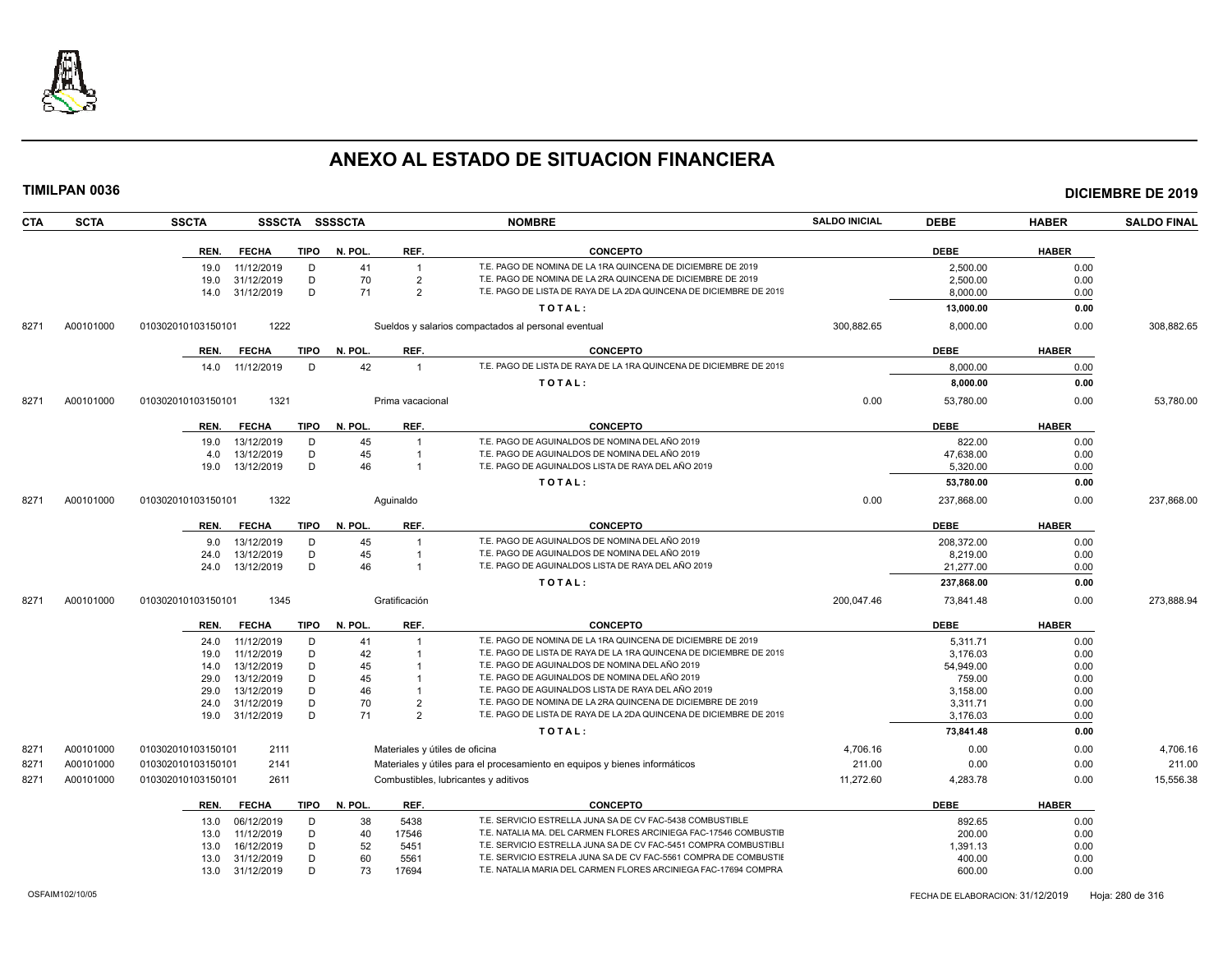

|      | TIMILPAN 0036 |                    |                          |                |             |          |                                      |                                                                                                                                   |                      |                       |              | <b>DICIEMBRE DE 2019</b> |
|------|---------------|--------------------|--------------------------|----------------|-------------|----------|--------------------------------------|-----------------------------------------------------------------------------------------------------------------------------------|----------------------|-----------------------|--------------|--------------------------|
| CTA  | <b>SCTA</b>   | <b>SSCTA</b>       |                          | SSSCTA SSSSCTA |             |          |                                      | <b>NOMBRE</b>                                                                                                                     | <b>SALDO INICIAL</b> | <b>DEBE</b>           | <b>HABER</b> | <b>SALDO FINAL</b>       |
|      |               | REN.               | <b>FECHA</b>             |                | <b>TIPO</b> | N. POL.  | REF.                                 | <b>CONCEPTO</b>                                                                                                                   |                      | <b>DEBE</b>           | <b>HABER</b> |                          |
|      |               | 19.0               | 11/12/2019               |                | D           | 41       | $\overline{1}$                       | T.E. PAGO DE NOMINA DE LA 1RA QUINCENA DE DICIEMBRE DE 2019                                                                       |                      | 2,500.00              | 0.00         |                          |
|      |               | 19.0               | 31/12/2019               |                | D           | 70       | 2                                    | T.E. PAGO DE NOMINA DE LA 2RA QUINCENA DE DICIEMBRE DE 2019                                                                       |                      | 2.500.00              | 0.00         |                          |
|      |               | 14.0               | 31/12/2019               |                | D           | 71       | $\overline{2}$                       | T.E. PAGO DE LISTA DE RAYA DE LA 2DA QUINCENA DE DICIEMBRE DE 2019                                                                |                      | 8,000.00              | 0.00         |                          |
|      |               |                    |                          |                |             |          |                                      | TOTAL:                                                                                                                            |                      | 13,000.00             | 0.00         |                          |
| 8271 | A00101000     | 010302010103150101 |                          | 1222           |             |          |                                      | Sueldos y salarios compactados al personal eventual                                                                               | 300.882.65           | 8,000.00              | 0.00         | 308.882.65               |
|      |               | REN.               | <b>FECHA</b>             |                | <b>TIPO</b> | N. POL   | REF.                                 | <b>CONCEPTO</b>                                                                                                                   |                      | <b>DEBE</b>           | <b>HABER</b> |                          |
|      |               | 14.0               | 11/12/2019               |                | D           | 42       | $\overline{1}$                       | T.E. PAGO DE LISTA DE RAYA DE LA 1RA QUINCENA DE DICIEMBRE DE 2019                                                                |                      | 8,000.00              | 0.00         |                          |
|      |               |                    |                          |                |             |          |                                      | TOTAL:                                                                                                                            |                      | 8,000.00              | 0.00         |                          |
| 8271 | A00101000     | 010302010103150101 |                          | 1321           |             |          | Prima vacacional                     |                                                                                                                                   | 0.00                 | 53,780.00             | 0.00         | 53,780.00                |
|      |               |                    | <b>FECHA</b>             |                | <b>TIPO</b> | N. POL.  | REF.                                 | <b>CONCEPTO</b>                                                                                                                   |                      | <b>DEBE</b>           | <b>HABER</b> |                          |
|      |               | REN.               |                          |                |             |          |                                      |                                                                                                                                   |                      |                       |              |                          |
|      |               | 19.0               | 13/12/2019               |                | D           | 45       | $\overline{1}$                       | T.E. PAGO DE AGUINALDOS DE NOMINA DEL AÑO 2019<br>T.E. PAGO DE AGUINALDOS DE NOMINA DEL AÑO 2019                                  |                      | 822.00                | 0.00         |                          |
|      |               | 4.0<br>19.0        | 13/12/2019<br>13/12/2019 |                | D<br>D      | 45<br>46 | $\overline{1}$<br>$\overline{1}$     | T.E. PAGO DE AGUINALDOS LISTA DE RAYA DEL AÑO 2019                                                                                |                      | 47,638.00<br>5,320.00 | 0.00<br>0.00 |                          |
|      |               |                    |                          |                |             |          |                                      | TOTAL:                                                                                                                            |                      | 53,780.00             | 0.00         |                          |
| 8271 | A00101000     | 010302010103150101 |                          | 1322           |             |          | Aguinaldo                            |                                                                                                                                   | 0.00                 | 237,868.00            | 0.00         | 237,868.00               |
|      |               |                    |                          |                |             |          |                                      |                                                                                                                                   |                      |                       |              |                          |
|      |               | REN.               | <b>FECHA</b>             |                | TIPO        | N. POL.  | REF.                                 | <b>CONCEPTO</b>                                                                                                                   |                      | <b>DEBE</b>           | <b>HABER</b> |                          |
|      |               | 9.0                | 13/12/2019               |                | D           | 45       | $\overline{1}$                       | T.E. PAGO DE AGUINALDOS DE NOMINA DEL AÑO 2019                                                                                    |                      | 208,372.00            | 0.00         |                          |
|      |               | 24.0               | 13/12/2019               |                | D           | 45       | $\overline{1}$                       | T.E. PAGO DE AGUINALDOS DE NOMINA DEL AÑO 2019                                                                                    |                      | 8,219.00              | 0.00         |                          |
|      |               | 24.0               | 13/12/2019               |                | D           | 46       | $\overline{1}$                       | T.E. PAGO DE AGUINALDOS LISTA DE RAYA DEL AÑO 2019                                                                                |                      | 21,277.00             | 0.00         |                          |
|      |               |                    |                          |                |             |          |                                      | TOTAL:                                                                                                                            |                      | 237,868.00            | 0.00         |                          |
| 8271 | A00101000     | 010302010103150101 |                          | 1345           |             |          | Gratificación                        |                                                                                                                                   | 200,047.46           | 73,841.48             | 0.00         | 273.888.94               |
|      |               | REN.               | <b>FECHA</b>             |                | <b>TIPO</b> | N. POL.  | REF.                                 | <b>CONCEPTO</b>                                                                                                                   |                      | <b>DEBE</b>           | <b>HABER</b> |                          |
|      |               | 24.0               | 11/12/2019               |                | D           | 41       |                                      | T.E. PAGO DE NOMINA DE LA 1RA QUINCENA DE DICIEMBRE DE 2019                                                                       |                      | 5.311.71              | 0.00         |                          |
|      |               | 19.0               | 11/12/2019               |                | D           | 42       |                                      | T.E. PAGO DE LISTA DE RAYA DE LA 1RA QUINCENA DE DICIEMBRE DE 2019                                                                |                      | 3,176.03              | 0.00         |                          |
|      |               | 14.0               | 13/12/2019               |                | D           | 45       | $\overline{1}$                       | T.E. PAGO DE AGUINALDOS DE NOMINA DEL AÑO 2019                                                                                    |                      | 54,949.00             | 0.00         |                          |
|      |               | 29.0               | 13/12/2019               |                | D           | 45       |                                      | T.E. PAGO DE AGUINALDOS DE NOMINA DEL AÑO 2019                                                                                    |                      | 759.00                | 0.00         |                          |
|      |               | 29.0               | 13/12/2019               |                | D           | 46       | $\overline{1}$                       | T.E. PAGO DE AGUINALDOS LISTA DE RAYA DEL AÑO 2019                                                                                |                      | 3,158.00              | 0.00         |                          |
|      |               | 24.0<br>19.0       | 31/12/2019<br>31/12/2019 |                | D<br>D      | 70<br>71 | $\overline{2}$<br>$\overline{2}$     | T.E. PAGO DE NOMINA DE LA 2RA QUINCENA DE DICIEMBRE DE 2019<br>T.E. PAGO DE LISTA DE RAYA DE LA 2DA QUINCENA DE DICIEMBRE DE 2019 |                      | 3,311.71<br>3,176.03  | 0.00<br>0.00 |                          |
|      |               |                    |                          |                |             |          |                                      | TOTAL:                                                                                                                            |                      | 73,841.48             | 0.00         |                          |
| 8271 | A00101000     | 010302010103150101 |                          | 2111           |             |          | Materiales y útiles de oficina       |                                                                                                                                   | 4,706.16             | 0.00                  | 0.00         | 4,706.16                 |
| 8271 | A00101000     | 010302010103150101 |                          | 2141           |             |          |                                      | Materiales y útiles para el procesamiento en equipos y bienes informáticos                                                        | 211.00               | 0.00                  | 0.00         | 211.00                   |
| 8271 | A00101000     | 010302010103150101 |                          | 2611           |             |          | Combustibles, lubricantes y aditivos |                                                                                                                                   | 11.272.60            | 4,283.78              | 0.00         | 15.556.38                |
|      |               | REN.               | <b>FECHA</b>             |                | <b>TIPO</b> | N. POL.  | REF.                                 | <b>CONCEPTO</b>                                                                                                                   |                      | <b>DEBE</b>           | <b>HABER</b> |                          |
|      |               |                    | 06/12/2019               |                | D           |          | 5438                                 | T.E. SERVICIO ESTRELLA JUNA SA DE CV FAC-5438 COMBUSTIBLE                                                                         |                      | 892.65                |              |                          |
|      |               | 13.0<br>13.0       | 11/12/2019               |                | D           | 38<br>40 | 17546                                | T.E. NATALIA MA. DEL CARMEN FLORES ARCINIEGA FAC-17546 COMBUSTIE                                                                  |                      | 200.00                | 0.00<br>0.00 |                          |
|      |               | 13.0               | 16/12/2019               |                | D           | 52       | 5451                                 | T.E. SERVICIO ESTRELLA JUNA SA DE CV FAC-5451 COMPRA COMBUSTIBL                                                                   |                      | 1,391.13              | 0.00         |                          |
|      |               | 13.0               | 31/12/2019               |                | D           | 60       | 5561                                 | T.E. SERVICIO ESTRELA JUNA SA DE CV FAC-5561 COMPRA DE COMBUSTIE                                                                  |                      | 400.00                | 0.00         |                          |
|      |               | 13.0               | 31/12/2019               |                | D           | 73       | 17694                                | T.E. NATALIA MARIA DEL CARMEN FLORES ARCINIEGA FAC-17694 COMPRA                                                                   |                      | 600.00                | 0.00         |                          |
|      |               |                    |                          |                |             |          |                                      |                                                                                                                                   |                      |                       |              |                          |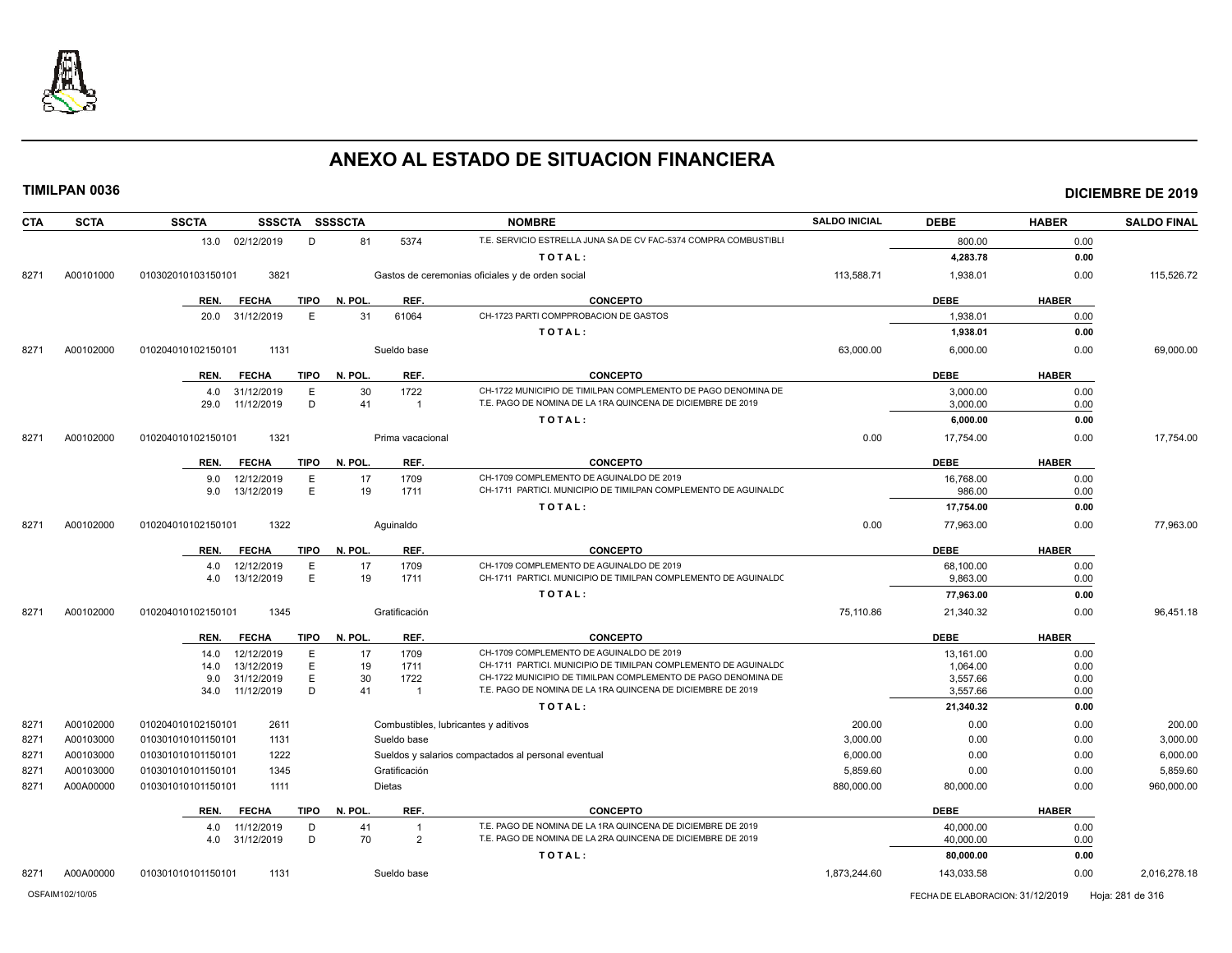

| <b>CTA</b> | <b>SCTA</b> | <b>SSCTA</b>       |                 |             | SSSCTA SSSSCTA |                  | <b>NOMBRE</b>                                                         | <b>SALDO INICIAL</b> | <b>DEBE</b> | <b>HABER</b> | <b>SALDO FINAL</b> |
|------------|-------------|--------------------|-----------------|-------------|----------------|------------------|-----------------------------------------------------------------------|----------------------|-------------|--------------|--------------------|
|            |             |                    | 13.0 02/12/2019 | D           | 81             | 5374             | T.E. SERVICIO ESTRELLA JUNA SA DE CV FAC-5374 COMPRA COMBUSTIBLI      |                      | 800.00      | 0.00         |                    |
|            |             |                    |                 |             |                |                  | TOTAL:                                                                |                      | 4,283.78    | 0.00         |                    |
| 8271       | A00101000   | 010302010103150101 | 3821            |             |                |                  | Gastos de ceremonias oficiales y de orden social                      | 113,588.71           | 1,938.01    | 0.00         | 115,526.72         |
|            |             | REN.               | <b>FECHA</b>    | <b>TIPO</b> | N. POL.        | REF.             | <b>CONCEPTO</b>                                                       |                      | <b>DEBE</b> | <b>HABER</b> |                    |
|            |             |                    | 20.0 31/12/2019 | E           | 31             | 61064            | CH-1723 PARTI COMPPROBACION DE GASTOS                                 |                      | 1,938.01    | 0.00         |                    |
|            |             |                    |                 |             |                |                  | TOTAL:                                                                |                      | 1,938.01    | 0.00         |                    |
| 8271       | A00102000   | 010204010102150101 | 1131            |             |                | Sueldo base      |                                                                       | 63,000.00            | 6,000.00    | 0.00         | 69,000.00          |
|            |             | REN.               | <b>FECHA</b>    | <b>TIPO</b> | N. POL.        | REF.             | <b>CONCEPTO</b>                                                       |                      | <b>DEBE</b> | <b>HABER</b> |                    |
|            |             | 4.0                | 31/12/2019      | Ε           | 30             | 1722             | CH-1722 MUNICIPIO DE TIMILPAN COMPLEMENTO DE PAGO DENOMINA DE         |                      | 3,000.00    | 0.00         |                    |
|            |             | 29.0               | 11/12/2019      | D           | 41             | $\overline{1}$   | T.E. PAGO DE NOMINA DE LA 1RA QUINCENA DE DICIEMBRE DE 2019           |                      | 3,000.00    | 0.00         |                    |
|            |             |                    |                 |             |                |                  | TOTAL:                                                                |                      | 6,000.00    | 0.00         |                    |
| 8271       | A00102000   | 010204010102150101 | 1321            |             |                | Prima vacacional |                                                                       | 0.00                 | 17,754.00   | 0.00         | 17.754.00          |
|            |             | REN.               | <b>FECHA</b>    | TIPO        | N. POL.        | REF.             | <b>CONCEPTO</b>                                                       |                      | <b>DEBE</b> | <b>HABER</b> |                    |
|            |             | 9.0                | 12/12/2019      | E           | 17             | 1709             | CH-1709 COMPLEMENTO DE AGUINALDO DE 2019                              |                      | 16,768.00   | 0.00         |                    |
|            |             | 9.0                | 13/12/2019      | E           | 19             | 1711             | CH-1711 PARTICI. MUNICIPIO DE TIMILPAN COMPLEMENTO DE AGUINALDO       |                      | 986.00      | 0.00         |                    |
|            |             |                    |                 |             |                |                  | TOTAL:                                                                |                      | 17,754.00   | 0.00         |                    |
| 8271       | A00102000   | 010204010102150101 | 1322            |             |                | Aquinaldo        |                                                                       | 0.00                 | 77,963.00   | 0.00         | 77,963.00          |
|            |             | REN.               | <b>FECHA</b>    | TIPO        | N. POL.        | REF.             | <b>CONCEPTO</b>                                                       |                      | <b>DEBE</b> | <b>HABER</b> |                    |
|            |             | 4.0                | 12/12/2019      | E           | 17             | 1709             | CH-1709 COMPLEMENTO DE AGUINALDO DE 2019                              |                      | 68.100.00   | 0.00         |                    |
|            |             | 4.0                | 13/12/2019      | E           | 19             | 1711             | CH-1711 PARTICI. MUNICIPIO DE TIMILPAN COMPLEMENTO DE AGUINALDO       |                      | 9,863.00    | 0.00         |                    |
|            |             |                    |                 |             |                |                  | TOTAL:                                                                |                      | 77,963.00   | 0.00         |                    |
| 8271       | A00102000   | 010204010102150101 | 1345            |             |                | Gratificación    |                                                                       | 75,110.86            | 21,340.32   | 0.00         | 96,451.18          |
|            |             | REN.               | <b>FECHA</b>    | TIPO        | N. POL.        | REF.             | <b>CONCEPTO</b>                                                       |                      | <b>DEBE</b> | <b>HABER</b> |                    |
|            |             | 14.0               | 12/12/2019      | E           | 17             | 1709             | CH-1709 COMPLEMENTO DE AGUINALDO DE 2019                              |                      | 13,161.00   | 0.00         |                    |
|            |             | 14.0               | 13/12/2019      | E           | 19             | 1711             | CH-1711 PARTICI. MUNICIPIO DE TIMILPAN COMPLEMENTO DE AGUINALDO       |                      | 1,064.00    | 0.00         |                    |
|            |             | 9.0                | 31/12/2019      | E           | 30<br>41       | 1722             | CH-1722 MUNICIPIO DE TIMILPAN COMPLEMENTO DE PAGO DENOMINA DE         |                      | 3,557.66    | 0.00         |                    |
|            |             | 34.0               | 11/12/2019      | D           |                | $\overline{1}$   | T.E. PAGO DE NOMINA DE LA 1RA QUINCENA DE DICIEMBRE DE 2019           |                      | 3,557.66    | 0.00         |                    |
|            |             |                    |                 |             |                |                  | TOTAL:                                                                |                      | 21,340.32   | 0.00         |                    |
| 8271       | A00102000   | 010204010102150101 | 2611            |             |                |                  | Combustibles, lubricantes y aditivos                                  | 200.00               | 0.00        | 0.00         | 200.00             |
| 8271       | A00103000   | 010301010101150101 | 1131            |             |                | Sueldo base      |                                                                       | 3,000.00             | 0.00        | 0.00         | 3,000.00           |
| 8271       | A00103000   | 010301010101150101 | 1222            |             |                |                  | Sueldos y salarios compactados al personal eventual                   | 6,000.00             | 0.00        | 0.00         | 6,000.00           |
| 8271       | A00103000   | 010301010101150101 | 1345            |             |                | Gratificación    |                                                                       | 5,859.60             | 0.00        | 0.00         | 5,859.60           |
| 8271       | A00A00000   | 010301010101150101 | 1111            |             |                | Dietas           |                                                                       | 880,000.00           | 80,000.00   | 0.00         | 960,000.00         |
|            |             | REN.               | <b>FECHA</b>    | <b>TIPO</b> | N. POL.        | REF.             | <b>CONCEPTO</b>                                                       |                      | <b>DEBE</b> | <b>HABER</b> |                    |
|            |             | 4.0                | 11/12/2019      | D           | 41             | $\overline{1}$   | T.E. PAGO DE NOMINA DE LA 1RA QUINCENA DE DICIEMBRE DE 2019           |                      | 40,000.00   | 0.00         |                    |
|            |             | 4.0                | 31/12/2019      | D           | 70             | $\overline{2}$   | T.E. PAGO DE NOMINA DE LA 2RA QUINCENA DE DICIEMBRE DE 2019<br>TOTAL: |                      | 40,000.00   | 0.00         |                    |
|            |             |                    |                 |             |                |                  |                                                                       |                      | 80,000.00   | 0.00         |                    |
| 8271       | A00A00000   | 010301010101150101 | 1131            |             |                | Sueldo base      |                                                                       | 1,873,244.60         | 143,033.58  | 0.00         | 2,016,278.18       |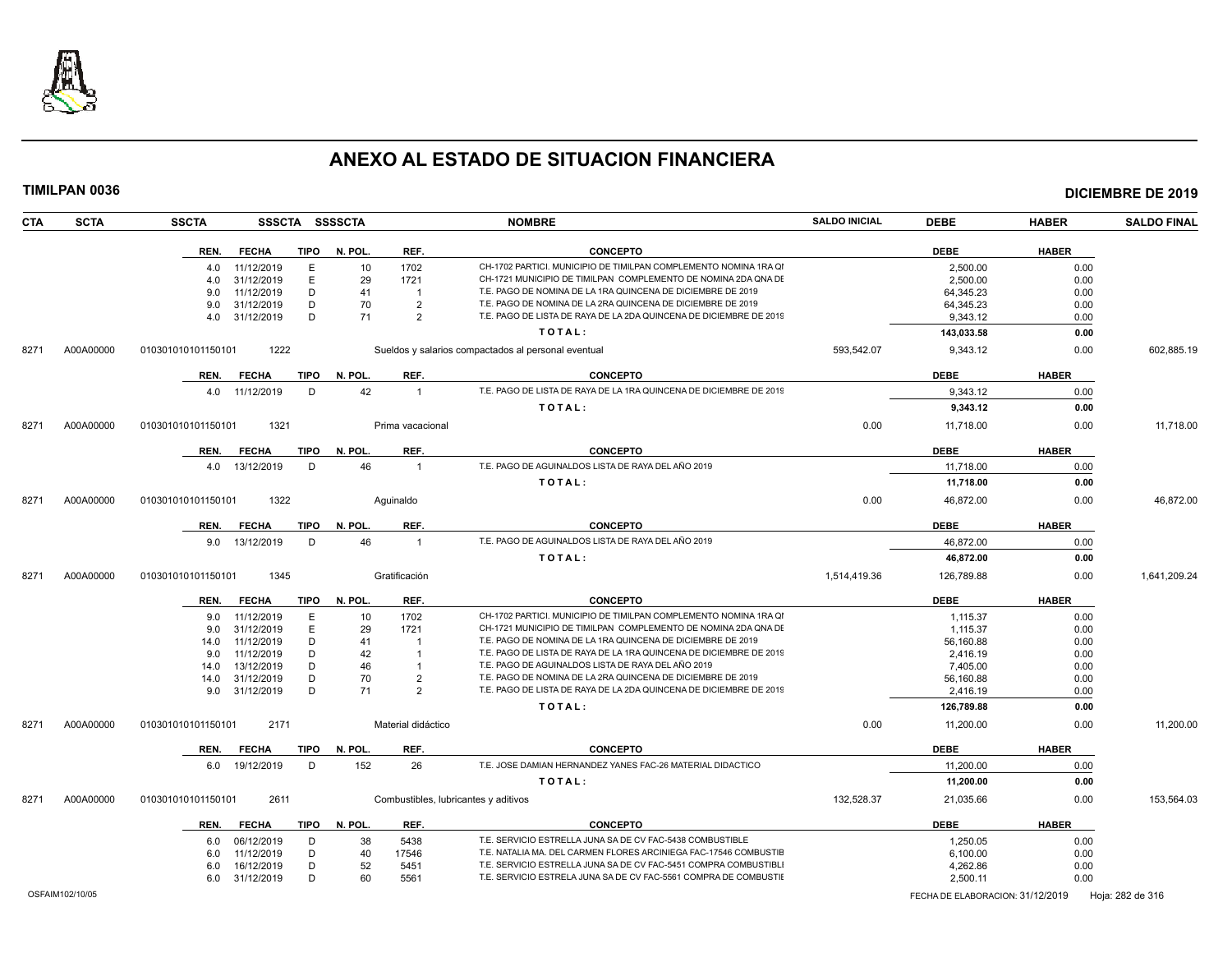

| <b>CTA</b> | <b>SCTA</b>     | <b>SSCTA</b><br>SSSCTA SSSSCTA      |         |                                      | <b>NOMBRE</b>                                                      | <b>SALDO INICIAL</b> | <b>DEBE</b>                      | <b>HABER</b> | <b>SALDO FINAL</b> |
|------------|-----------------|-------------------------------------|---------|--------------------------------------|--------------------------------------------------------------------|----------------------|----------------------------------|--------------|--------------------|
|            |                 | REN.<br><b>FECHA</b><br>TIPO        | N. POL. | REF.                                 | <b>CONCEPTO</b>                                                    |                      | <b>DEBE</b>                      | <b>HABER</b> |                    |
|            |                 | 11/12/2019<br>E<br>4.0              | 10      | 1702                                 | CH-1702 PARTICI. MUNICIPIO DE TIMILPAN COMPLEMENTO NOMINA 1RA QI   |                      | 2,500.00                         | 0.00         |                    |
|            |                 | 31/12/2019<br>E.<br>4.0             | 29      | 1721                                 | CH-1721 MUNICIPIO DE TIMILPAN COMPLEMENTO DE NOMINA 2DA QNA DE     |                      | 2,500.00                         | 0.00         |                    |
|            |                 | 11/12/2019<br>D<br>9.0              | 41      | $\overline{1}$                       | T.E. PAGO DE NOMINA DE LA 1RA QUINCENA DE DICIEMBRE DE 2019        |                      | 64.345.23                        | 0.00         |                    |
|            |                 | D<br>31/12/2019<br>9.0              | 70      | $\overline{2}$                       | T.E. PAGO DE NOMINA DE LA 2RA QUINCENA DE DICIEMBRE DE 2019        |                      | 64,345.23                        | 0.00         |                    |
|            |                 | 31/12/2019<br>D<br>4.0              | 71      | $\overline{2}$                       | T.E. PAGO DE LISTA DE RAYA DE LA 2DA QUINCENA DE DICIEMBRE DE 2019 |                      | 9,343.12                         | 0.00         |                    |
|            |                 |                                     |         |                                      | TOTAL:                                                             |                      | 143,033.58                       | 0.00         |                    |
| 8271       | A00A00000       | 1222<br>010301010101150101          |         |                                      | Sueldos y salarios compactados al personal eventual                | 593,542.07           | 9,343.12                         | 0.00         | 602,885.19         |
|            |                 | REN.<br><b>FECHA</b><br>TIPO        | N. POL. | REF.                                 | <b>CONCEPTO</b>                                                    |                      | <b>DEBE</b>                      | <b>HABER</b> |                    |
|            |                 | 11/12/2019<br>D<br>4.0              | 42      | $\overline{1}$                       | T.E. PAGO DE LISTA DE RAYA DE LA 1RA QUINCENA DE DICIEMBRE DE 2019 |                      | 9,343.12                         | 0.00         |                    |
|            |                 |                                     |         |                                      | TOTAL:                                                             |                      | 9,343.12                         | 0.00         |                    |
| 8271       | A00A00000       | 010301010101150101<br>1321          |         | Prima vacacional                     |                                                                    | 0.00                 | 11,718.00                        | 0.00         | 11,718.00          |
|            |                 |                                     |         |                                      |                                                                    |                      |                                  |              |                    |
|            |                 | REN.<br><b>FECHA</b><br>TIPO        | N. POL. | REF.                                 | <b>CONCEPTO</b>                                                    |                      | <b>DEBE</b>                      | <b>HABER</b> |                    |
|            |                 | 13/12/2019<br>D<br>4.0              | 46      | $\overline{1}$                       | T.E. PAGO DE AGUINALDOS LISTA DE RAYA DEL AÑO 2019                 |                      | 11,718.00                        | 0.00         |                    |
|            |                 |                                     |         |                                      | TOTAL:                                                             |                      | 11,718.00                        | 0.00         |                    |
| 8271       | A00A00000       | 1322<br>010301010101150101          |         | Aquinaldo                            |                                                                    | 0.00                 | 46,872.00                        | 0.00         | 46,872.00          |
|            |                 | <b>TIPO</b><br>REN.<br><b>FECHA</b> | N. POL. | REF.                                 | <b>CONCEPTO</b>                                                    |                      | <b>DEBE</b>                      | <b>HABER</b> |                    |
|            |                 | 13/12/2019<br>D<br>9.0              | 46      | $\overline{1}$                       | T.E. PAGO DE AGUINALDOS LISTA DE RAYA DEL AÑO 2019                 |                      | 46,872.00                        | 0.00         |                    |
|            |                 |                                     |         |                                      | TOTAL:                                                             |                      | 46,872.00                        | 0.00         |                    |
| 8271       | A00A00000       | 010301010101150101<br>1345          |         | Gratificación                        |                                                                    | 1,514,419.36         | 126,789.88                       | 0.00         | 1,641,209.24       |
|            |                 | <b>TIPO</b><br>REN.<br><b>FECHA</b> | N. POL. | REF.                                 | <b>CONCEPTO</b>                                                    |                      | <b>DEBE</b>                      | <b>HABER</b> |                    |
|            |                 | E<br>9.0<br>11/12/2019              | 10      | 1702                                 | CH-1702 PARTICI. MUNICIPIO DE TIMILPAN COMPLEMENTO NOMINA 1RA QI   |                      | 1,115.37                         | 0.00         |                    |
|            |                 | 31/12/2019<br>E.<br>9.0             | 29      | 1721                                 | CH-1721 MUNICIPIO DE TIMILPAN COMPLEMENTO DE NOMINA 2DA QNA DE     |                      | 1,115.37                         | 0.00         |                    |
|            |                 | 11/12/2019<br>D<br>14.0             | 41      | - 1                                  | T.E. PAGO DE NOMINA DE LA 1RA QUINCENA DE DICIEMBRE DE 2019        |                      | 56,160.88                        | 0.00         |                    |
|            |                 | D<br>9.0<br>11/12/2019              | 42      |                                      | T.E. PAGO DE LISTA DE RAYA DE LA 1RA QUINCENA DE DICIEMBRE DE 2019 |                      | 2,416.19                         | 0.00         |                    |
|            |                 | D<br>13/12/2019<br>14.0             | 46      | $\overline{1}$                       | T.E. PAGO DE AGUINALDOS LISTA DE RAYA DEL AÑO 2019                 |                      | 7,405.00                         | 0.00         |                    |
|            |                 | 31/12/2019<br>D<br>14.0             | 70      | $\overline{2}$                       | T.E. PAGO DE NOMINA DE LA 2RA QUINCENA DE DICIEMBRE DE 2019        |                      | 56,160.88                        | 0.00         |                    |
|            |                 | D<br>31/12/2019<br>9.0              | 71      | 2                                    | T.E. PAGO DE LISTA DE RAYA DE LA 2DA QUINCENA DE DICIEMBRE DE 2019 |                      | 2.416.19                         | 0.00         |                    |
|            |                 |                                     |         |                                      | TOTAL:                                                             |                      | 126,789.88                       | 0.00         |                    |
| 8271       | A00A00000       | 2171<br>010301010101150101          |         | Material didáctico                   |                                                                    | 0.00                 | 11,200.00                        | 0.00         | 11,200.00          |
|            |                 | TIPO<br>REN.<br><b>FECHA</b>        | N. POL. | REF.                                 | <b>CONCEPTO</b>                                                    |                      | <b>DEBE</b>                      | <b>HABER</b> |                    |
|            |                 | 6.0 19/12/2019<br>D                 | 152     | 26                                   | T.E. JOSE DAMIAN HERNANDEZ YANES FAC-26 MATERIAL DIDACTICO         |                      | 11,200.00                        | 0.00         |                    |
|            |                 |                                     |         |                                      | TOTAL:                                                             |                      | 11,200.00                        | 0.00         |                    |
| 8271       | A00A00000       | 2611<br>010301010101150101          |         | Combustibles, lubricantes y aditivos |                                                                    | 132,528.37           | 21,035.66                        | 0.00         | 153,564.03         |
|            |                 | REN.<br><b>FECHA</b><br>TIPO        | N. POL. | REF.                                 | <b>CONCEPTO</b>                                                    |                      | <b>DEBE</b>                      | <b>HABER</b> |                    |
|            |                 | 06/12/2019<br>D<br>6.0              | 38      | 5438                                 | T.E. SERVICIO ESTRELLA JUNA SA DE CV FAC-5438 COMBUSTIBLE          |                      | 1,250.05                         | 0.00         |                    |
|            |                 | D<br>11/12/2019<br>6.0              | 40      | 17546                                | T.E. NATALIA MA. DEL CARMEN FLORES ARCINIEGA FAC-17546 COMBUSTIE   |                      | 6,100.00                         | 0.00         |                    |
|            |                 | 16/12/2019<br>D<br>6.0              | 52      | 5451                                 | T.E. SERVICIO ESTRELLA JUNA SA DE CV FAC-5451 COMPRA COMBUSTIBLI   |                      | 4,262.86                         | 0.00         |                    |
|            |                 | D<br>6.0 31/12/2019                 | 60      | 5561                                 | T.E. SERVICIO ESTRELA JUNA SA DE CV FAC-5561 COMPRA DE COMBUSTIE   |                      | 2,500.11                         | 0.00         |                    |
|            | OSFAIM102/10/05 |                                     |         |                                      |                                                                    |                      | FECHA DE ELABORACION: 31/12/2019 |              | Hoja: 282 de 316   |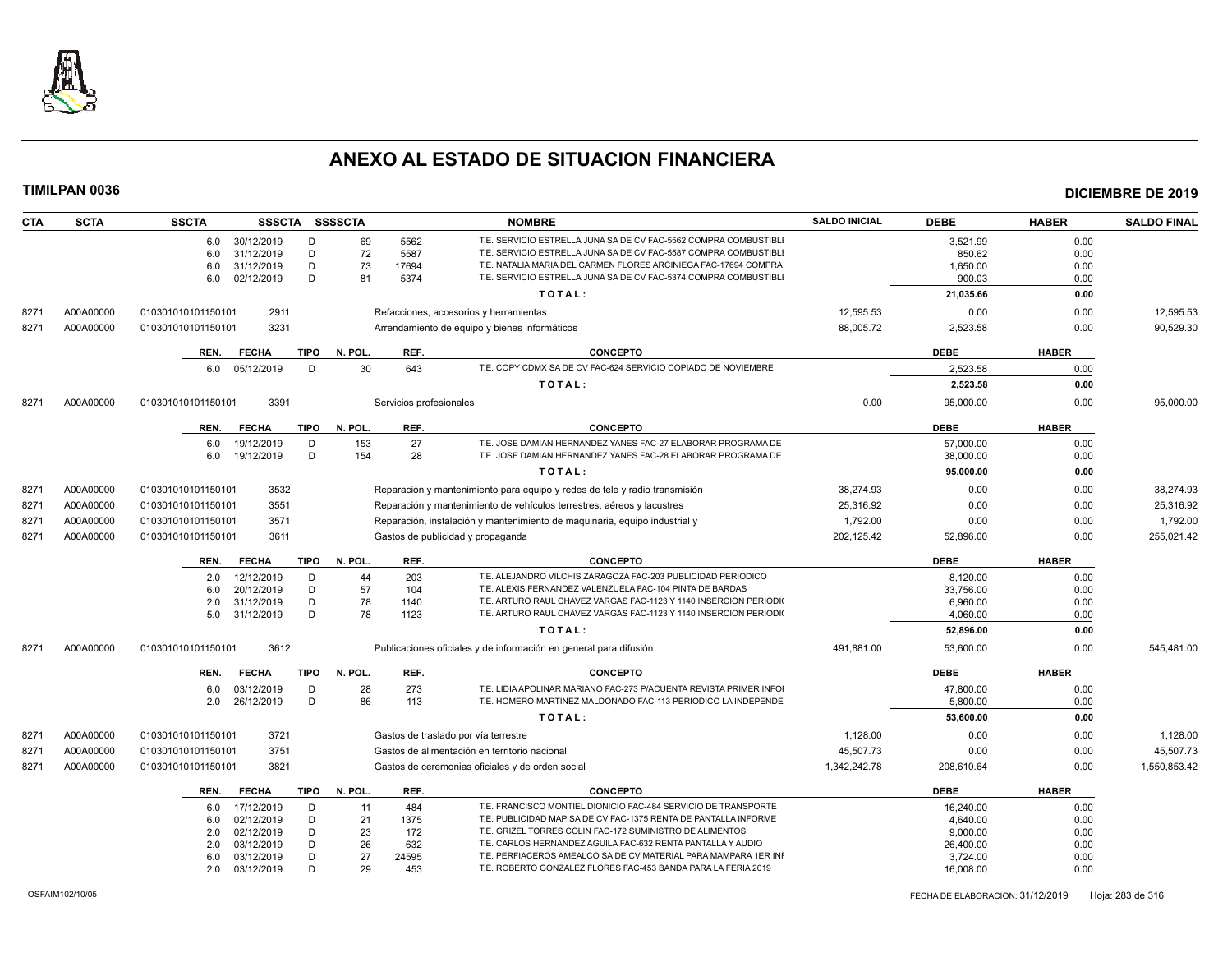

| <b>CTA</b> | <b>SCTA</b> | <b>SSCTA</b><br>SSSCTA SSSSCTA |             |         |                         | <b>NOMBRE</b>                                                              | <b>SALDO INICIAL</b> | <b>DEBE</b> | <b>HABER</b> | <b>SALDO FINAL</b> |
|------------|-------------|--------------------------------|-------------|---------|-------------------------|----------------------------------------------------------------------------|----------------------|-------------|--------------|--------------------|
|            |             | 30/12/2019<br>6.0              | D           | 69      | 5562                    | T.E. SERVICIO ESTRELLA JUNA SA DE CV FAC-5562 COMPRA COMBUSTIBLI           |                      | 3,521.99    | 0.00         |                    |
|            |             | 31/12/2019<br>6.0              | D           | 72      | 5587                    | T.E. SERVICIO ESTRELLA JUNA SA DE CV FAC-5587 COMPRA COMBUSTIBLI           |                      | 850.62      | 0.00         |                    |
|            |             | 6.0<br>31/12/2019              | D           | 73      | 17694                   | T.E. NATALIA MARIA DEL CARMEN FLORES ARCINIEGA FAC-17694 COMPRA            |                      | 1,650.00    | 0.00         |                    |
|            |             | 6.0<br>02/12/2019              | D           | 81      | 5374                    | T.E. SERVICIO ESTRELLA JUNA SA DE CV FAC-5374 COMPRA COMBUSTIBLI           |                      | 900.03      | 0.00         |                    |
|            |             |                                |             |         |                         | TOTAL:                                                                     |                      | 21,035.66   | 0.00         |                    |
| 8271       | A00A00000   | 2911<br>010301010101150101     |             |         |                         | Refacciones, accesorios y herramientas                                     | 12,595.53            | 0.00        | 0.00         | 12,595.53          |
| 8271       | A00A00000   | 3231<br>010301010101150101     |             |         |                         | Arrendamiento de equipo y bienes informáticos                              | 88,005.72            | 2,523.58    | 0.00         | 90,529.30          |
|            |             | REN.<br><b>FECHA</b>           | TIPO        | N. POL  | REF.                    | <b>CONCEPTO</b>                                                            |                      | <b>DEBE</b> | <b>HABER</b> |                    |
|            |             | 05/12/2019<br>6.0              | D           | 30      | 643                     | T.E. COPY CDMX SA DE CV FAC-624 SERVICIO COPIADO DE NOVIEMBRE              |                      | 2,523.58    | 0.00         |                    |
|            |             |                                |             |         |                         | TOTAL:                                                                     |                      | 2,523.58    | 0.00         |                    |
| 8271       | A00A00000   | 3391<br>010301010101150101     |             |         | Servicios profesionales |                                                                            | 0.00                 | 95,000.00   | 0.00         | 95,000.00          |
|            |             | REN.<br><b>FECHA</b>           | <b>TIPO</b> | N. POL. | REF.                    | <b>CONCEPTO</b>                                                            |                      | <b>DEBE</b> | <b>HABER</b> |                    |
|            |             | 19/12/2019<br>6.0              | D           | 153     | 27                      | T.E. JOSE DAMIAN HERNANDEZ YANES FAC-27 ELABORAR PROGRAMA DE               |                      | 57,000.00   | 0.00         |                    |
|            |             | 19/12/2019<br>6.0              | D           | 154     | 28                      | T.E. JOSE DAMIAN HERNANDEZ YANES FAC-28 ELABORAR PROGRAMA DE               |                      | 38,000.00   | 0.00         |                    |
|            |             |                                |             |         |                         | TOTAL:                                                                     |                      | 95,000.00   | 0.00         |                    |
| 8271       | A00A00000   | 3532<br>010301010101150101     |             |         |                         | Reparación y mantenimiento para equipo y redes de tele y radio transmisión | 38.274.93            | 0.00        | 0.00         | 38.274.93          |
| 8271       | A00A00000   | 3551<br>010301010101150101     |             |         |                         | Reparación y mantenimiento de vehículos terrestres, aéreos y lacustres     | 25,316.92            | 0.00        | 0.00         | 25,316.92          |
| 8271       | A00A00000   | 3571<br>010301010101150101     |             |         |                         | Reparación, instalación y mantenimiento de maquinaria, equipo industrial y | 1,792.00             | 0.00        | 0.00         | 1,792.00           |
| 8271       | A00A00000   | 010301010101150101<br>3611     |             |         |                         | Gastos de publicidad y propaganda                                          | 202,125.42           | 52,896.00   | 0.00         | 255,021.42         |
|            |             |                                |             |         |                         |                                                                            |                      |             |              |                    |
|            |             | <b>FECHA</b><br>REN.           | TIPO        | N. POL. | REF.                    | <b>CONCEPTO</b>                                                            |                      | <b>DEBE</b> | <b>HABER</b> |                    |
|            |             | 12/12/2019<br>2.0              | D           | 44      | 203                     | T.E. ALEJANDRO VILCHIS ZARAGOZA FAC-203 PUBLICIDAD PERIODICO               |                      | 8.120.00    | 0.00         |                    |
|            |             | 20/12/2019<br>6.0              | D           | 57      | 104                     | T.E. ALEXIS FERNANDEZ VALENZUELA FAC-104 PINTA DE BARDAS                   |                      | 33,756.00   | 0.00         |                    |
|            |             | 2.0<br>31/12/2019              | D           | 78      | 1140                    | T.E. ARTURO RAUL CHAVEZ VARGAS FAC-1123 Y 1140 INSERCION PERIODI           |                      | 6,960.00    | 0.00         |                    |
|            |             | 5.0<br>31/12/2019              | D           | 78      | 1123                    | T.E. ARTURO RAUL CHAVEZ VARGAS FAC-1123 Y 1140 INSERCION PERIODI           |                      | 4,060.00    | 0.00         |                    |
|            |             |                                |             |         |                         | TOTAL:                                                                     |                      | 52,896.00   | 0.00         |                    |
| 8271       | A00A00000   | 3612<br>010301010101150101     |             |         |                         | Publicaciones oficiales y de información en general para difusión          | 491,881.00           | 53,600.00   | 0.00         | 545,481.00         |
|            |             | <b>FECHA</b><br>REN.           | TIPO        | N. POL. | REF.                    | <b>CONCEPTO</b>                                                            |                      | <b>DEBE</b> | <b>HABER</b> |                    |
|            |             | 03/12/2019<br>6.0              | D           | 28      | 273                     | T.E. LIDIA APOLINAR MARIANO FAC-273 P/ACUENTA REVISTA PRIMER INFO          |                      | 47,800.00   | 0.00         |                    |
|            |             | 26/12/2019<br>2.0              | D           | 86      | 113                     | T.E. HOMERO MARTINEZ MALDONADO FAC-113 PERIODICO LA INDEPENDE              |                      | 5,800.00    | 0.00         |                    |
|            |             |                                |             |         |                         | TOTAL:                                                                     |                      | 53,600.00   | 0.00         |                    |
| 8271       | A00A00000   | 3721<br>010301010101150101     |             |         |                         | Gastos de traslado por vía terrestre                                       | 1,128.00             | 0.00        | 0.00         | 1,128.00           |
| 8271       | A00A00000   | 3751<br>010301010101150101     |             |         |                         | Gastos de alimentación en territorio nacional                              | 45,507.73            | 0.00        | 0.00         | 45,507.73          |
| 8271       | A00A00000   | 3821<br>010301010101150101     |             |         |                         | Gastos de ceremonias oficiales y de orden social                           | 1,342,242.78         | 208,610.64  | 0.00         | 1,550,853.42       |
|            |             | REN.<br><b>FECHA</b>           | <b>TIPO</b> | N. POL. | REF.                    | <b>CONCEPTO</b>                                                            |                      | <b>DEBE</b> | <b>HABER</b> |                    |
|            |             | 17/12/2019<br>6.0              | D           | 11      | 484                     | T.E. FRANCISCO MONTIEL DIONICIO FAC-484 SERVICIO DE TRANSPORTE             |                      | 16,240.00   | 0.00         |                    |
|            |             | 02/12/2019<br>6.0              | D           | 21      | 1375                    | T.E. PUBLICIDAD MAP SA DE CV FAC-1375 RENTA DE PANTALLA INFORME            |                      | 4,640.00    | 0.00         |                    |
|            |             | 02/12/2019<br>2.0              | D           | 23      | 172                     | T.E. GRIZEL TORRES COLIN FAC-172 SUMINISTRO DE ALIMENTOS                   |                      | 9,000.00    | 0.00         |                    |
|            |             | 03/12/2019<br>2.0              | D           | 26      | 632                     | T.E. CARLOS HERNANDEZ AGUILA FAC-632 RENTA PANTALLA Y AUDIO                |                      | 26,400.00   | 0.00         |                    |
|            |             | 03/12/2019<br>6.0              | D           | 27      | 24595                   | T.E. PERFIACEROS AMEALCO SA DE CV MATERIAL PARA MAMPARA 1ER INI            |                      | 3,724.00    | 0.00         |                    |
|            |             | 03/12/2019<br>2.0              | D           | 29      | 453                     | T.E. ROBERTO GONZALEZ FLORES FAC-453 BANDA PARA LA FERIA 2019              |                      | 16,008.00   | 0.00         |                    |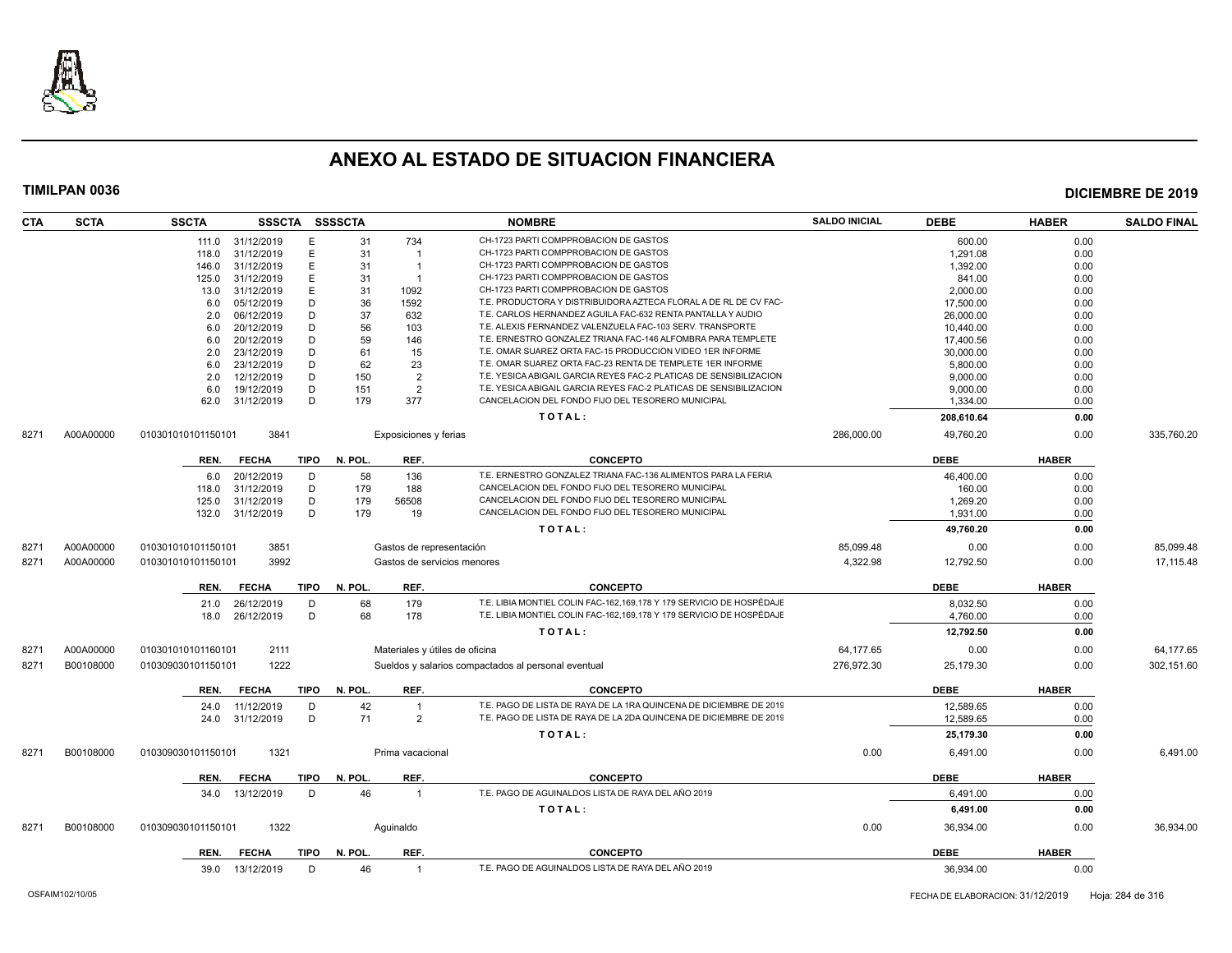

| <b>CTA</b> | <b>SCTA</b> | <b>SSCTA</b>       | SSSCTA SSSSCTA   |             |         |                                | <b>NOMBRE</b>                                                        | <b>SALDO INICIAL</b> | <b>DEBE</b> | <b>HABER</b> | <b>SALDO FINAL</b> |
|------------|-------------|--------------------|------------------|-------------|---------|--------------------------------|----------------------------------------------------------------------|----------------------|-------------|--------------|--------------------|
|            |             |                    | 111.0 31/12/2019 | Е           | 31      | 734                            | CH-1723 PARTI COMPPROBACION DE GASTOS                                |                      | 600.00      | 0.00         |                    |
|            |             | 118.0              | 31/12/2019       | E.          | 31      | $\overline{1}$                 | CH-1723 PARTI COMPPROBACION DE GASTOS                                |                      | 1,291.08    | 0.00         |                    |
|            |             | 146.0              | 31/12/2019       | E.          | 31      | $\overline{1}$                 | CH-1723 PARTI COMPPROBACION DE GASTOS                                |                      | 1,392.00    | 0.00         |                    |
|            |             | 125.0              | 31/12/2019       | E.          | 31      | - 1                            | CH-1723 PARTI COMPPROBACION DE GASTOS                                |                      | 841.00      | 0.00         |                    |
|            |             | 13.0               | 31/12/2019       | E.          | 31      | 1092                           | CH-1723 PARTI COMPPROBACION DE GASTOS                                |                      | 2,000.00    | 0.00         |                    |
|            |             | 6.0                | 05/12/2019       | D           | 36      | 1592                           | T.E. PRODUCTORA Y DISTRIBUIDORA AZTECA FLORAL A DE RL DE CV FAC-     |                      | 17,500.00   | 0.00         |                    |
|            |             | 2.0                | 06/12/2019       | D           | 37      | 632                            | T.E. CARLOS HERNANDEZ AGUILA FAC-632 RENTA PANTALLA Y AUDIO          |                      | 26,000.00   | 0.00         |                    |
|            |             | 6.0                | 20/12/2019       | D           | 56      | 103                            | T.E. ALEXIS FERNANDEZ VALENZUELA FAC-103 SERV. TRANSPORTE            |                      | 10,440.00   | 0.00         |                    |
|            |             | 6.0                | 20/12/2019       | D           | 59      | 146                            | T.E. ERNESTRO GONZALEZ TRIANA FAC-146 ALFOMBRA PARA TEMPLETE         |                      | 17.400.56   | 0.00         |                    |
|            |             | 2.0                | 23/12/2019       | D           | 61      | 15                             | T.E. OMAR SUAREZ ORTA FAC-15 PRODUCCION VIDEO 1ER INFORME            |                      | 30,000.00   | 0.00         |                    |
|            |             | 6.0                | 23/12/2019       | D           | 62      | 23                             | T.E. OMAR SUAREZ ORTA FAC-23 RENTA DE TEMPLETE 1ER INFORME           |                      | 5,800.00    | 0.00         |                    |
|            |             | 2.0                | 12/12/2019       | D           | 150     | $\overline{2}$                 | T.E. YESICA ABIGAIL GARCIA REYES FAC-2 PLATICAS DE SENSIBILIZACION   |                      | 9,000.00    | 0.00         |                    |
|            |             | 6.0                | 19/12/2019       | D           | 151     | $\overline{2}$                 | T.E. YESICA ABIGAIL GARCIA REYES FAC-2 PLATICAS DE SENSIBILIZACION   |                      | 9,000.00    | 0.00         |                    |
|            |             | 62.0               | 31/12/2019       | D           | 179     | 377                            | CANCELACION DEL FONDO FIJO DEL TESORERO MUNICIPAL                    |                      | 1,334.00    | 0.00         |                    |
|            |             |                    |                  |             |         |                                | TOTAL:                                                               |                      | 208,610.64  | 0.00         |                    |
| 8271       | A00A00000   | 010301010101150101 | 3841             |             |         | Exposiciones y ferias          |                                                                      | 286,000.00           | 49.760.20   | 0.00         | 335.760.20         |
|            |             | REN.               | <b>FECHA</b>     | TIPO        | N. POL. | REF.                           | <b>CONCEPTO</b>                                                      |                      | <b>DEBE</b> | <b>HABER</b> |                    |
|            |             | 6.0                | 20/12/2019       | D           | 58      | 136                            | T.E. ERNESTRO GONZALEZ TRIANA FAC-136 ALIMENTOS PARA LA FERIA        |                      | 46,400.00   | 0.00         |                    |
|            |             | 118.0              | 31/12/2019       | D           | 179     | 188                            | CANCELACION DEL FONDO FIJO DEL TESORERO MUNICIPAL                    |                      | 160.00      | 0.00         |                    |
|            |             | 125.0              | 31/12/2019       | D           | 179     | 56508                          | CANCELACION DEL FONDO FIJO DEL TESORERO MUNICIPAL                    |                      | 1,269.20    | 0.00         |                    |
|            |             | 132.0              | 31/12/2019       | D           | 179     | 19                             | CANCELACION DEL FONDO FIJO DEL TESORERO MUNICIPAL                    |                      | 1.931.00    | 0.00         |                    |
|            |             |                    |                  |             |         |                                | TOTAL:                                                               |                      | 49,760.20   | 0.00         |                    |
| 8271       | A00A00000   | 010301010101150101 | 3851             |             |         | Gastos de representación       |                                                                      | 85,099.48            | 0.00        | 0.00         | 85,099.48          |
| 8271       | A00A00000   | 010301010101150101 | 3992             |             |         | Gastos de servicios menores    |                                                                      | 4,322.98             | 12,792.50   | 0.00         | 17,115.48          |
|            |             |                    |                  |             |         |                                |                                                                      |                      |             |              |                    |
|            |             | REN.               | <b>FECHA</b>     | <b>TIPO</b> | N. POL. | REF.                           | <b>CONCEPTO</b>                                                      |                      | <b>DEBE</b> | <b>HABER</b> |                    |
|            |             | 21.0               | 26/12/2019       | D           | 68      | 179                            | T.E. LIBIA MONTIEL COLIN FAC-162,169,178 Y 179 SERVICIO DE HOSPÉDAJE |                      | 8,032.50    | 0.00         |                    |
|            |             | 18.0               | 26/12/2019       | D           | 68      | 178                            | T.E. LIBIA MONTIEL COLIN FAC-162,169,178 Y 179 SERVICIO DE HOSPÉDAJE |                      | 4,760.00    | 0.00         |                    |
|            |             |                    |                  |             |         |                                | TOTAL:                                                               |                      | 12.792.50   | 0.00         |                    |
| 827'       | A00A00000   | 010301010101160101 | 2111             |             |         | Materiales y útiles de oficina |                                                                      | 64,177.65            | 0.00        | 0.00         | 64,177.65          |
| 8271       | B00108000   | 010309030101150101 | 1222             |             |         |                                | Sueldos y salarios compactados al personal eventual                  | 276,972.30           | 25,179.30   | 0.00         | 302,151.60         |
|            |             | REN.               | <b>FECHA</b>     | <b>TIPO</b> | N. POL. | REF.                           | <b>CONCEPTO</b>                                                      |                      | <b>DEBE</b> | <b>HABER</b> |                    |
|            |             | 24.0               | 11/12/2019       | D           | 42      |                                | T.E. PAGO DE LISTA DE RAYA DE LA 1RA QUINCENA DE DICIEMBRE DE 2019   |                      | 12,589.65   | 0.00         |                    |
|            |             |                    | 24.0 31/12/2019  | D           | 71      | 2                              | T.E. PAGO DE LISTA DE RAYA DE LA 2DA QUINCENA DE DICIEMBRE DE 2019   |                      | 12.589.65   | 0.00         |                    |
|            |             |                    |                  |             |         |                                |                                                                      |                      |             |              |                    |
|            |             |                    |                  |             |         |                                | TOTAL:                                                               |                      | 25,179.30   | 0.00         |                    |
| 8271       | B00108000   | 010309030101150101 | 1321             |             |         | Prima vacacional               |                                                                      | 0.00                 | 6,491.00    | 0.00         | 6,491.00           |
|            |             | REN.               | <b>FECHA</b>     | TIPO        | N. POL. | REF.                           | <b>CONCEPTO</b>                                                      |                      | <b>DEBE</b> | <b>HABER</b> |                    |
|            |             | 34.0               | 13/12/2019       | D           | 46      | $\overline{1}$                 | T.E. PAGO DE AGUINALDOS LISTA DE RAYA DEL AÑO 2019                   |                      | 6,491.00    | 0.00         |                    |
|            |             |                    |                  |             |         |                                | TOTAL:                                                               |                      | 6,491.00    | 0.00         |                    |
| 8271       | B00108000   | 010309030101150101 | 1322             |             |         | Aquinaldo                      |                                                                      | 0.00                 | 36,934.00   | 0.00         | 36,934.00          |
|            |             | REN.               | <b>FECHA</b>     | TIPO        | N. POL. | REF.                           | <b>CONCEPTO</b>                                                      |                      | <b>DEBE</b> | <b>HABER</b> |                    |
|            |             |                    | 39.0 13/12/2019  | D           | 46      | $\overline{1}$                 | T.E. PAGO DE AGUINALDOS LISTA DE RAYA DEL AÑO 2019                   |                      | 36,934.00   | 0.00         |                    |
|            |             |                    |                  |             |         |                                |                                                                      |                      |             |              |                    |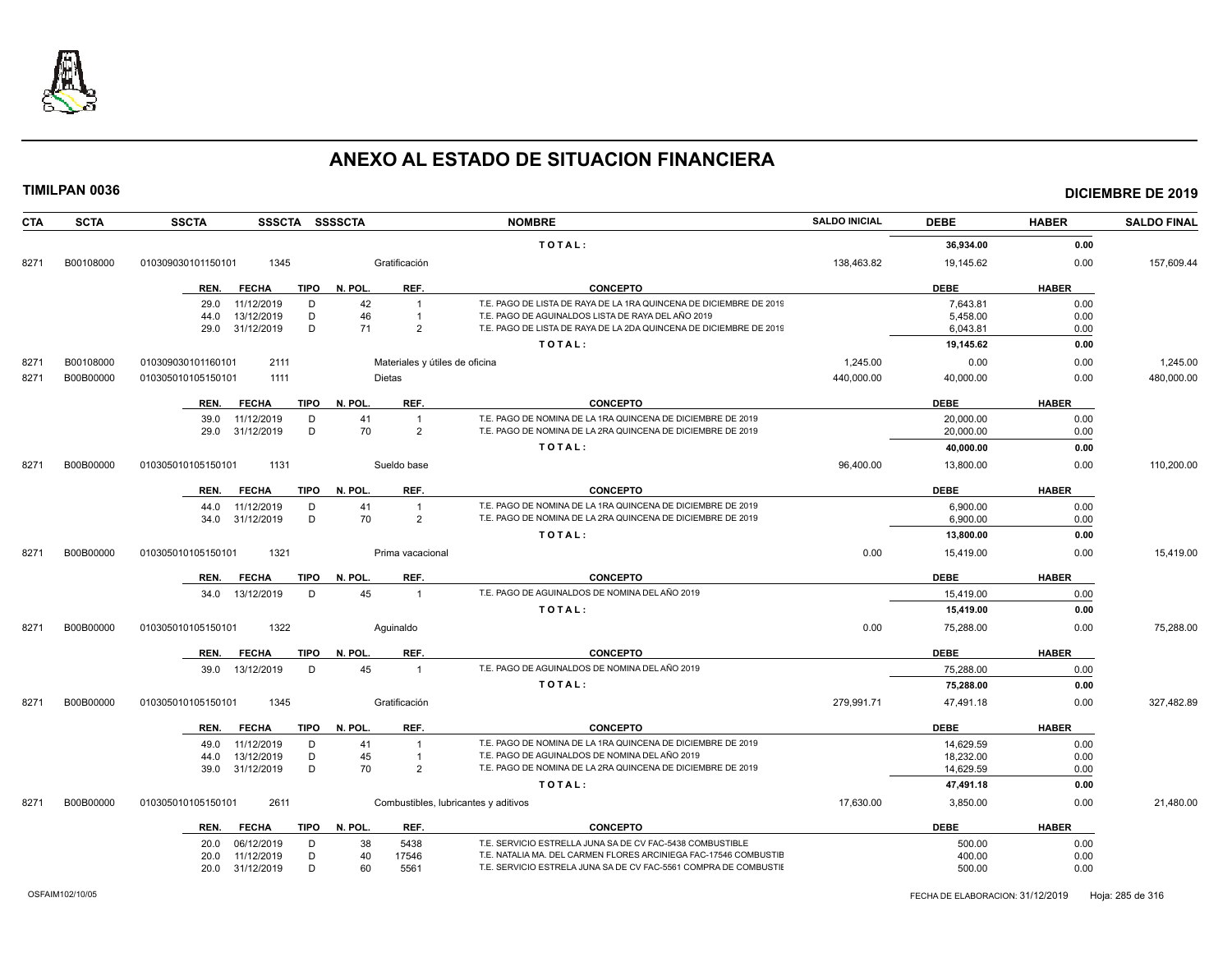

| <b>CTA</b> | <b>SCTA</b> | <b>SSCTA</b><br>SSSCTA SSSSCTA      |         |                  | <b>NOMBRE</b>                                                      | <b>SALDO INICIAL</b> | <b>DEBE</b> | <b>HABER</b> | <b>SALDO FINAL</b> |
|------------|-------------|-------------------------------------|---------|------------------|--------------------------------------------------------------------|----------------------|-------------|--------------|--------------------|
|            |             |                                     |         |                  | TOTAL:                                                             |                      | 36,934.00   | 0.00         |                    |
| 8271       | B00108000   | 010309030101150101<br>1345          |         | Gratificación    |                                                                    | 138,463.82           | 19,145.62   | 0.00         | 157,609.44         |
|            |             | <b>TIPO</b><br>REN.<br><b>FECHA</b> | N. POL. | REF.             | <b>CONCEPTO</b>                                                    |                      | <b>DEBE</b> | <b>HABER</b> |                    |
|            |             | 11/12/2019<br>D<br>29.0             | 42      |                  | T.E. PAGO DE LISTA DE RAYA DE LA 1RA QUINCENA DE DICIEMBRE DE 2019 |                      | 7,643.81    | 0.00         |                    |
|            |             | 13/12/2019<br>D<br>44.0             | 46      |                  | T.E. PAGO DE AGUINALDOS LISTA DE RAYA DEL AÑO 2019                 |                      | 5,458.00    | 0.00         |                    |
|            |             | D<br>31/12/2019<br>29.0             | 71      | 2                | T.E. PAGO DE LISTA DE RAYA DE LA 2DA QUINCENA DE DICIEMBRE DE 2019 |                      | 6,043.81    | 0.00         |                    |
|            |             |                                     |         |                  | TOTAL:                                                             |                      | 19,145.62   | 0.00         |                    |
| 8271       | B00108000   | 2111<br>010309030101160101          |         |                  | Materiales y útiles de oficina                                     | 1,245.00             | 0.00        | 0.00         | 1,245.00           |
| 8271       | B00B00000   | 010305010105150101<br>1111          |         | <b>Dietas</b>    |                                                                    | 440,000.00           | 40,000.00   | 0.00         | 480,000.00         |
|            |             | REN.<br><b>FECHA</b><br><b>TIPO</b> | N. POL. | REF.             | <b>CONCEPTO</b>                                                    |                      | <b>DEBE</b> | <b>HABER</b> |                    |
|            |             | 11/12/2019<br>D<br>39.0             | 41      | $\overline{1}$   | T.E. PAGO DE NOMINA DE LA 1RA QUINCENA DE DICIEMBRE DE 2019        |                      | 20,000.00   | 0.00         |                    |
|            |             | 31/12/2019<br>D<br>29.0             | 70      | 2                | T.E. PAGO DE NOMINA DE LA 2RA QUINCENA DE DICIEMBRE DE 2019        |                      | 20,000.00   | 0.00         |                    |
|            |             |                                     |         |                  | TOTAL:                                                             |                      | 40,000.00   | 0.00         |                    |
| 8271       | B00B00000   | 1131<br>010305010105150101          |         | Sueldo base      |                                                                    | 96,400.00            | 13,800.00   | 0.00         | 110,200.00         |
|            |             | REN.<br><b>FECHA</b><br><b>TIPO</b> | N. POL. | REF.             | <b>CONCEPTO</b>                                                    |                      | <b>DEBE</b> | <b>HABER</b> |                    |
|            |             | 11/12/2019<br>D<br>44.0             | 41      | $\mathbf{1}$     | T.E. PAGO DE NOMINA DE LA 1RA QUINCENA DE DICIEMBRE DE 2019        |                      | 6,900.00    | 0.00         |                    |
|            |             | 31/12/2019<br>D<br>34.0             | 70      | $\overline{2}$   | T.E. PAGO DE NOMINA DE LA 2RA QUINCENA DE DICIEMBRE DE 2019        |                      | 6,900.00    | 0.00         |                    |
|            |             |                                     |         |                  | TOTAL:                                                             |                      | 13,800.00   | 0.00         |                    |
| 8271       | B00B00000   | 1321<br>010305010105150101          |         | Prima vacacional |                                                                    | 0.00                 | 15,419.00   | 0.00         | 15,419.00          |
|            |             | <b>TIPO</b><br>REN.<br><b>FECHA</b> | N. POL. | REF.             | <b>CONCEPTO</b>                                                    |                      | <b>DEBE</b> | <b>HABER</b> |                    |
|            |             | 13/12/2019<br>D<br>34.0             | 45      | $\overline{1}$   | T.E. PAGO DE AGUINALDOS DE NOMINA DEL AÑO 2019                     |                      | 15,419.00   | 0.00         |                    |
|            |             |                                     |         |                  | TOTAL:                                                             |                      | 15,419.00   | 0.00         |                    |
| 8271       | B00B00000   | 1322<br>010305010105150101          |         | Aquinaldo        |                                                                    | 0.00                 | 75.288.00   | 0.00         | 75.288.00          |
|            |             | <b>TIPO</b><br>REN.<br><b>FECHA</b> | N. POL  | REF.             | <b>CONCEPTO</b>                                                    |                      | <b>DEBE</b> | <b>HABER</b> |                    |
|            |             | 13/12/2019<br>D<br>39.0             | 45      | $\overline{1}$   | T.E. PAGO DE AGUINALDOS DE NOMINA DEL AÑO 2019                     |                      | 75,288.00   | 0.00         |                    |
|            |             |                                     |         |                  | TOTAL:                                                             |                      | 75,288.00   | 0.00         |                    |
| 8271       | B00B00000   | 1345<br>010305010105150101          |         | Gratificación    |                                                                    | 279,991.71           | 47,491.18   | 0.00         | 327,482.89         |
|            |             | <b>TIPO</b><br><b>FECHA</b><br>REN. | N. POL. | REF.             | <b>CONCEPTO</b>                                                    |                      | <b>DEBE</b> | <b>HABER</b> |                    |
|            |             | D<br>11/12/2019<br>49.0             | 41      |                  | T.E. PAGO DE NOMINA DE LA 1RA QUINCENA DE DICIEMBRE DE 2019        |                      | 14,629.59   | 0.00         |                    |
|            |             | 13/12/2019<br>D<br>44.0             | 45      |                  | T.E. PAGO DE AGUINALDOS DE NOMINA DEL AÑO 2019                     |                      | 18,232.00   | 0.00         |                    |
|            |             | D<br>39.0<br>31/12/2019             | 70      | 2                | T.E. PAGO DE NOMINA DE LA 2RA QUINCENA DE DICIEMBRE DE 2019        |                      | 14,629.59   | 0.00         |                    |
|            |             |                                     |         |                  | TOTAL:                                                             |                      | 47,491.18   | 0.00         |                    |
| 8271       | B00B00000   | 2611<br>010305010105150101          |         |                  | Combustibles, lubricantes y aditivos                               | 17,630.00            | 3,850.00    | 0.00         | 21,480.00          |
|            |             | <b>TIPO</b><br>REN.<br><b>FECHA</b> | N. POL. | REF.             | <b>CONCEPTO</b>                                                    |                      | <b>DEBE</b> | <b>HABER</b> |                    |
|            |             | 06/12/2019<br>D<br>20.0             | 38      | 5438             | T.E. SERVICIO ESTRELLA JUNA SA DE CV FAC-5438 COMBUSTIBLE          |                      | 500.00      | 0.00         |                    |
|            |             | D<br>11/12/2019<br>20.0             | 40      | 17546            | T.E. NATALIA MA. DEL CARMEN FLORES ARCINIEGA FAC-17546 COMBUSTIE   |                      | 400.00      | 0.00         |                    |
|            |             | D<br>31/12/2019<br>20.0             | 60      | 5561             | T.E. SERVICIO ESTRELA JUNA SA DE CV FAC-5561 COMPRA DE COMBUSTIE   |                      | 500.00      | 0.00         |                    |
|            |             |                                     |         |                  |                                                                    |                      |             |              |                    |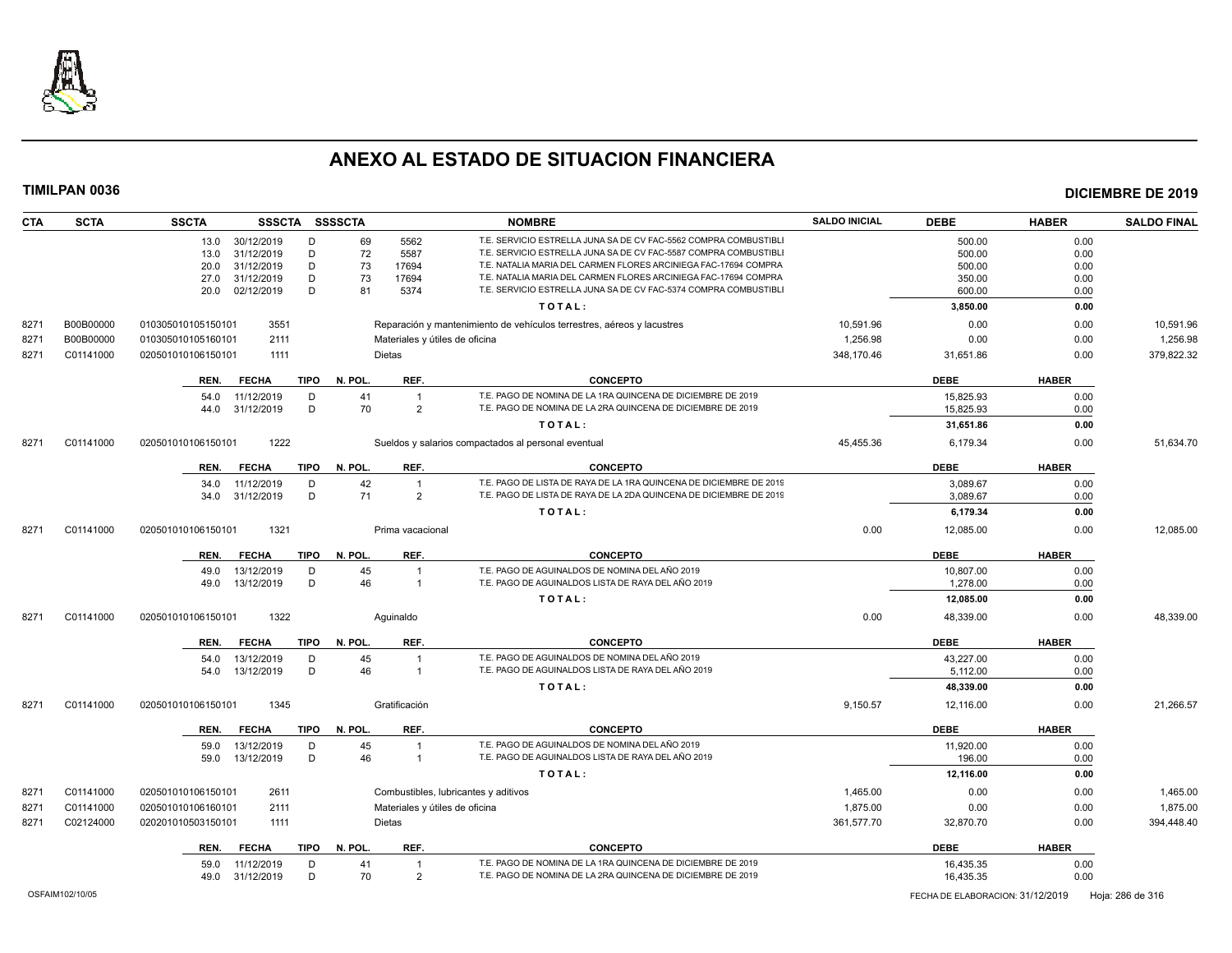

| <b>CTA</b> | <b>SCTA</b>     | <b>SSCTA</b><br>SSSCTA SSSSCTA      |                                      | <b>NOMBRE</b>                                                          | <b>SALDO INICIAL</b> | <b>DEBE</b>                      | <b>HABER</b> | <b>SALDO FINAL</b> |
|------------|-----------------|-------------------------------------|--------------------------------------|------------------------------------------------------------------------|----------------------|----------------------------------|--------------|--------------------|
|            |                 | 30/12/2019<br>13.0<br>D             | 5562<br>69                           | T.E. SERVICIO ESTRELLA JUNA SA DE CV FAC-5562 COMPRA COMBUSTIBLI       |                      | 500.00                           | 0.00         |                    |
|            |                 | 31/12/2019<br>D<br>13.0             | 72<br>5587                           | T.E. SERVICIO ESTRELLA JUNA SA DE CV FAC-5587 COMPRA COMBUSTIBLI       |                      | 500.00                           | 0.00         |                    |
|            |                 | 31/12/2019<br>D<br>20.0             | 73<br>17694                          | T.E. NATALIA MARIA DEL CARMEN FLORES ARCINIEGA FAC-17694 COMPRA        |                      | 500.00                           | 0.00         |                    |
|            |                 | D<br>27.0<br>31/12/2019             | 73<br>17694                          | T.E. NATALIA MARIA DEL CARMEN FLORES ARCINIEGA FAC-17694 COMPRA        |                      | 350.00                           | 0.00         |                    |
|            |                 | D<br>20.0<br>02/12/2019             | 81<br>5374                           | T.E. SERVICIO ESTRELLA JUNA SA DE CV FAC-5374 COMPRA COMBUSTIBLI       |                      | 600.00                           | 0.00         |                    |
|            |                 |                                     |                                      | TOTAL:                                                                 |                      | 3,850.00                         | 0.00         |                    |
| 8271       | B00B00000       | 3551<br>010305010105150101          |                                      | Reparación y mantenimiento de vehículos terrestres, aéreos y lacustres | 10,591.96            | 0.00                             | 0.00         | 10,591.96          |
| 8271       | B00B00000       | 2111<br>010305010105160101          | Materiales y útiles de oficina       |                                                                        | 1.256.98             | 0.00                             | 0.00         | 1.256.98           |
| 8271       | C01141000       | 1111<br>020501010106150101          | Dietas                               |                                                                        | 348,170.46           | 31,651.86                        | 0.00         | 379,822.32         |
|            |                 | <b>FECHA</b><br>TIPO<br>REN.        | N. POL.<br>REF.                      | <b>CONCEPTO</b>                                                        |                      | <b>DEBE</b>                      | <b>HABER</b> |                    |
|            |                 | 54.0<br>11/12/2019<br>D             | 41<br>$\overline{1}$                 | T.E. PAGO DE NOMINA DE LA 1RA QUINCENA DE DICIEMBRE DE 2019            |                      | 15,825.93                        | 0.00         |                    |
|            |                 | 31/12/2019<br>D<br>44.0             | 70<br>$\overline{2}$                 | T.E. PAGO DE NOMINA DE LA 2RA QUINCENA DE DICIEMBRE DE 2019            |                      | 15,825.93                        | 0.00         |                    |
|            |                 |                                     |                                      | TOTAL:                                                                 |                      | 31,651.86                        | 0.00         |                    |
| 8271       | C01141000       | 1222<br>020501010106150101          |                                      | Sueldos y salarios compactados al personal eventual                    | 45,455.36            | 6,179.34                         | 0.00         | 51,634.70          |
|            |                 | <b>FECHA</b><br><b>TIPO</b><br>REN. | N. POL.<br>REF.                      | <b>CONCEPTO</b>                                                        |                      | <b>DEBE</b>                      | <b>HABER</b> |                    |
|            |                 | 11/12/2019<br>D<br>34.0             | 42<br>$\overline{1}$                 | T.E. PAGO DE LISTA DE RAYA DE LA 1RA QUINCENA DE DICIEMBRE DE 2019     |                      | 3,089.67                         | 0.00         |                    |
|            |                 | 31/12/2019<br>D<br>34.0             | 71<br>$\overline{2}$                 | T.E. PAGO DE LISTA DE RAYA DE LA 2DA QUINCENA DE DICIEMBRE DE 2019     |                      | 3,089.67                         | 0.00         |                    |
|            |                 |                                     |                                      | TOTAL:                                                                 |                      | 6,179.34                         | 0.00         |                    |
| 8271       | C01141000       | 1321<br>020501010106150101          | Prima vacacional                     |                                                                        | 0.00                 | 12,085.00                        | 0.00         | 12,085.00          |
|            |                 | <b>FECHA</b><br>TIPO<br>REN.        | N. POL.<br>REF.                      | <b>CONCEPTO</b>                                                        |                      | <b>DEBE</b>                      | <b>HABER</b> |                    |
|            |                 | 49.0<br>13/12/2019<br>D             | 45<br>$\overline{1}$                 | T.E. PAGO DE AGUINALDOS DE NOMINA DEL AÑO 2019                         |                      | 10,807.00                        | 0.00         |                    |
|            |                 | 13/12/2019<br>D<br>49.0             | 46<br>$\overline{1}$                 | T.E. PAGO DE AGUINALDOS LISTA DE RAYA DEL AÑO 2019                     |                      | 1,278.00                         | 0.00         |                    |
|            |                 |                                     |                                      | TOTAL:                                                                 |                      | 12,085.00                        | 0.00         |                    |
| 8271       | C01141000       | 1322<br>020501010106150101          | Aguinaldo                            |                                                                        | 0.00                 | 48,339.00                        | 0.00         | 48,339.00          |
|            |                 | <b>FECHA</b><br>TIPO<br>REN.        | N. POL.<br>REF.                      | <b>CONCEPTO</b>                                                        |                      | <b>DEBE</b>                      | <b>HABER</b> |                    |
|            |                 | 54.0<br>13/12/2019<br>D             | 45                                   | T.E. PAGO DE AGUINALDOS DE NOMINA DEL AÑO 2019                         |                      | 43,227.00                        | 0.00         |                    |
|            |                 | 13/12/2019<br>D<br>54.0             | 46<br>$\overline{1}$                 | T.E. PAGO DE AGUINALDOS LISTA DE RAYA DEL AÑO 2019                     |                      | 5,112.00                         | 0.00         |                    |
|            |                 |                                     |                                      | TOTAL:                                                                 |                      | 48,339.00                        | 0.00         |                    |
| 8271       | C01141000       | 020501010106150101<br>1345          | Gratificación                        |                                                                        | 9,150.57             | 12,116.00                        | 0.00         | 21,266.57          |
|            |                 | <b>FECHA</b><br>TIPO<br>REN.        | REF.<br>N. POL.                      | <b>CONCEPTO</b>                                                        |                      | <b>DEBE</b>                      | <b>HABER</b> |                    |
|            |                 | 59.0<br>13/12/2019<br>D             | 45<br>$\overline{1}$                 | T.E. PAGO DE AGUINALDOS DE NOMINA DEL AÑO 2019                         |                      | 11,920.00                        | 0.00         |                    |
|            |                 | D<br>59.0<br>13/12/2019             | 46<br>$\overline{1}$                 | T.E. PAGO DE AGUINALDOS LISTA DE RAYA DEL AÑO 2019                     |                      | 196.00                           | 0.00         |                    |
|            |                 |                                     |                                      | TOTAL:                                                                 |                      | 12,116.00                        | 0.00         |                    |
| 8271       | C01141000       | 2611<br>020501010106150101          | Combustibles, lubricantes y aditivos |                                                                        | 1,465.00             | 0.00                             | 0.00         | 1,465.00           |
| 8271       | C01141000       | 020501010106160101<br>2111          | Materiales y útiles de oficina       |                                                                        | 1,875.00             | 0.00                             | 0.00         | 1,875.00           |
| 8271       | C02124000       | 020201010503150101<br>1111          | Dietas                               |                                                                        | 361,577.70           | 32,870.70                        | 0.00         | 394,448.40         |
|            |                 | REN.<br><b>FECHA</b>                | TIPO N. POL<br>REF.                  | <b>CONCEPTO</b>                                                        |                      | <b>DEBE</b>                      | <b>HABER</b> |                    |
|            |                 | 11/12/2019<br>D<br>59.0             | 41<br>$\overline{1}$                 | T.E. PAGO DE NOMINA DE LA 1RA QUINCENA DE DICIEMBRE DE 2019            |                      | 16,435.35                        | 0.00         |                    |
|            |                 | D<br>49.0<br>31/12/2019             | 70<br>$\overline{2}$                 | T.E. PAGO DE NOMINA DE LA 2RA QUINCENA DE DICIEMBRE DE 2019            |                      | 16,435.35                        | 0.00         |                    |
|            | OSFAIM102/10/05 |                                     |                                      |                                                                        |                      | FECHA DE ELABORACION: 31/12/2019 |              | Hoja: 286 de 316   |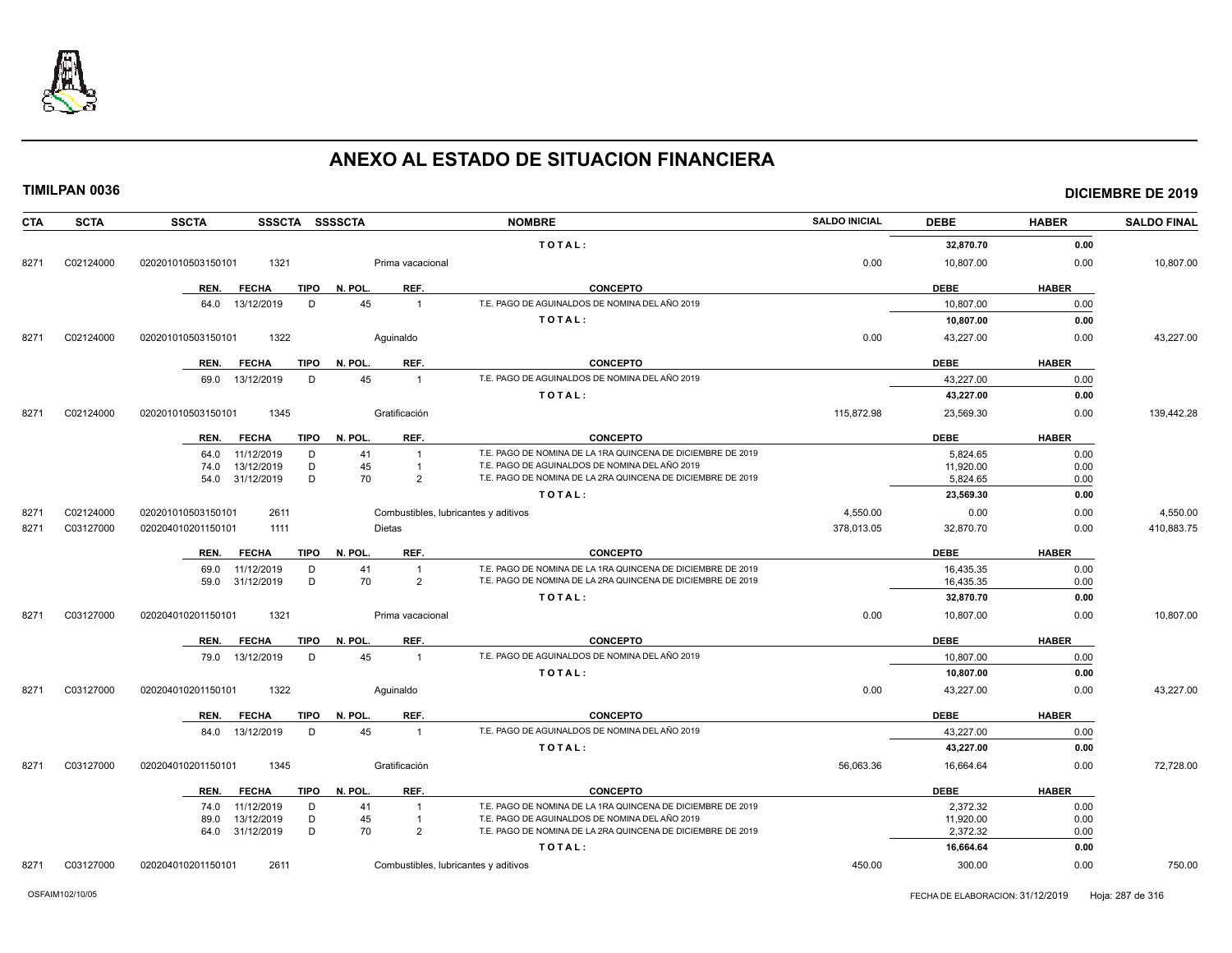

| <b>CTA</b> | <b>SCTA</b> | <b>SSCTA</b><br>SSSCTA SSSSCTA      |                                      | <b>NOMBRE</b>                                               | <b>SALDO INICIAL</b> | <b>DEBE</b> | <b>HABER</b> | <b>SALDO FINAL</b> |
|------------|-------------|-------------------------------------|--------------------------------------|-------------------------------------------------------------|----------------------|-------------|--------------|--------------------|
|            |             |                                     |                                      | TOTAL:                                                      |                      | 32,870.70   | 0.00         |                    |
| 8271       | C02124000   | 1321<br>020201010503150101          | Prima vacacional                     |                                                             | 0.00                 | 10,807.00   | 0.00         | 10,807.00          |
|            |             | <b>TIPO</b><br>REN.<br><b>FECHA</b> | REF.<br>N. POL.                      | <b>CONCEPTO</b>                                             |                      | <b>DEBE</b> | <b>HABER</b> |                    |
|            |             | 13/12/2019<br>D<br>64.0             | 45<br>$\overline{1}$                 | T.E. PAGO DE AGUINALDOS DE NOMINA DEL AÑO 2019              |                      | 10,807.00   | 0.00         |                    |
|            |             |                                     |                                      | TOTAL:                                                      |                      | 10,807.00   | 0.00         |                    |
|            |             |                                     |                                      |                                                             |                      |             |              |                    |
| 8271       | C02124000   | 1322<br>020201010503150101          | Aguinaldo                            |                                                             | 0.00                 | 43,227.00   | 0.00         | 43,227.00          |
|            |             | <b>TIPO</b><br>REN.<br><b>FECHA</b> | REF.<br>N. POL.                      | <b>CONCEPTO</b>                                             |                      | <b>DEBE</b> | <b>HABER</b> |                    |
|            |             | D<br>69.0<br>13/12/2019             | 45<br>$\overline{1}$                 | T.E. PAGO DE AGUINALDOS DE NOMINA DEL AÑO 2019              |                      | 43,227.00   | 0.00         |                    |
|            |             |                                     |                                      | TOTAL:                                                      |                      | 43,227.00   | 0.00         |                    |
| 8271       | C02124000   | 020201010503150101<br>1345          | Gratificación                        |                                                             | 115,872.98           | 23,569.30   | 0.00         | 139,442.28         |
|            |             | <b>FECHA</b><br><b>TIPO</b><br>REN. | N. POL.<br>REF.                      | <b>CONCEPTO</b>                                             |                      | <b>DEBE</b> | <b>HABER</b> |                    |
|            |             | 11/12/2019<br>D<br>64.0             | 41<br>$\mathbf{1}$                   | T.E. PAGO DE NOMINA DE LA 1RA QUINCENA DE DICIEMBRE DE 2019 |                      | 5,824.65    | 0.00         |                    |
|            |             | 13/12/2019<br>D<br>74.0             | 45<br>$\overline{1}$                 | T.E. PAGO DE AGUINALDOS DE NOMINA DEL AÑO 2019              |                      | 11,920.00   | 0.00         |                    |
|            |             | D<br>31/12/2019<br>54.0             | 70<br>$\overline{2}$                 | T.E. PAGO DE NOMINA DE LA 2RA QUINCENA DE DICIEMBRE DE 2019 |                      | 5,824.65    | 0.00         |                    |
|            |             |                                     |                                      | TOTAL:                                                      |                      | 23,569.30   | 0.00         |                    |
| 8271       | C02124000   | 020201010503150101<br>2611          | Combustibles, lubricantes y aditivos |                                                             | 4,550.00             | 0.00        | 0.00         | 4,550.00           |
| 8271       | C03127000   | 1111<br>020204010201150101          | Dietas                               |                                                             | 378,013.05           | 32,870.70   | 0.00         | 410,883.75         |
|            |             | <b>FECHA</b><br><b>TIPO</b><br>REN. | N. POL.<br>REF.                      | <b>CONCEPTO</b>                                             |                      | <b>DEBE</b> | <b>HABER</b> |                    |
|            |             | 11/12/2019<br>D<br>69.0             | 41<br>$\overline{1}$                 | T.E. PAGO DE NOMINA DE LA 1RA QUINCENA DE DICIEMBRE DE 2019 |                      | 16,435.35   | 0.00         |                    |
|            |             | D<br>59.0<br>31/12/2019             | 70<br>$\overline{2}$                 | T.E. PAGO DE NOMINA DE LA 2RA QUINCENA DE DICIEMBRE DE 2019 |                      | 16,435.35   | 0.00         |                    |
|            |             |                                     |                                      | TOTAL:                                                      |                      | 32,870.70   | 0.00         |                    |
| 8271       | C03127000   | 1321<br>020204010201150101          | Prima vacacional                     |                                                             | 0.00                 | 10,807.00   | 0.00         | 10,807.00          |
|            |             | REN.<br><b>FECHA</b><br>TIPO        | REF.<br>N. POL.                      | <b>CONCEPTO</b>                                             |                      | <b>DEBE</b> | <b>HABER</b> |                    |
|            |             | 13/12/2019<br>D<br>79.0             | 45<br>$\overline{1}$                 | T.E. PAGO DE AGUINALDOS DE NOMINA DEL AÑO 2019              |                      | 10,807.00   | 0.00         |                    |
|            |             |                                     |                                      | TOTAL:                                                      |                      | 10,807.00   | 0.00         |                    |
| 8271       | C03127000   | 1322<br>020204010201150101          | Aquinaldo                            |                                                             | 0.00                 | 43,227.00   | 0.00         | 43,227.00          |
|            |             | <b>TIPO</b><br>REN.<br><b>FECHA</b> | N. POL.<br>REF.                      | <b>CONCEPTO</b>                                             |                      | <b>DEBE</b> | <b>HABER</b> |                    |
|            |             | 84.0 13/12/2019<br>D                | 45<br>$\overline{1}$                 | T.E. PAGO DE AGUINALDOS DE NOMINA DEL AÑO 2019              |                      | 43,227.00   | 0.00         |                    |
|            |             |                                     |                                      | TOTAL:                                                      |                      | 43,227.00   | 0.00         |                    |
| 8271       | C03127000   | 020204010201150101<br>1345          | Gratificación                        |                                                             | 56,063.36            | 16,664.64   | 0.00         | 72,728.00          |
|            |             | <b>FECHA</b><br>REN.<br>TIPO        | N. POL.<br>REF.                      | <b>CONCEPTO</b>                                             |                      | <b>DEBE</b> | <b>HABER</b> |                    |
|            |             | 11/12/2019<br>74.0<br>D             | 41<br>$\overline{1}$                 | T.E. PAGO DE NOMINA DE LA 1RA QUINCENA DE DICIEMBRE DE 2019 |                      | 2,372.32    | 0.00         |                    |
|            |             | D<br>13/12/2019<br>89.0             | 45<br>-1                             | T.E. PAGO DE AGUINALDOS DE NOMINA DEL AÑO 2019              |                      | 11,920.00   | 0.00         |                    |
|            |             | D<br>31/12/2019<br>64.0             | 70<br>$\overline{2}$                 | T.E. PAGO DE NOMINA DE LA 2RA QUINCENA DE DICIEMBRE DE 2019 |                      | 2,372.32    | 0.00         |                    |
|            |             |                                     |                                      | TOTAL:                                                      |                      | 16,664.64   | 0.00         |                    |
| 8271       | C03127000   | 020204010201150101<br>2611          | Combustibles, lubricantes y aditivos |                                                             | 450.00               | 300.00      | 0.00         | 750.00             |
|            |             |                                     |                                      |                                                             |                      |             |              |                    |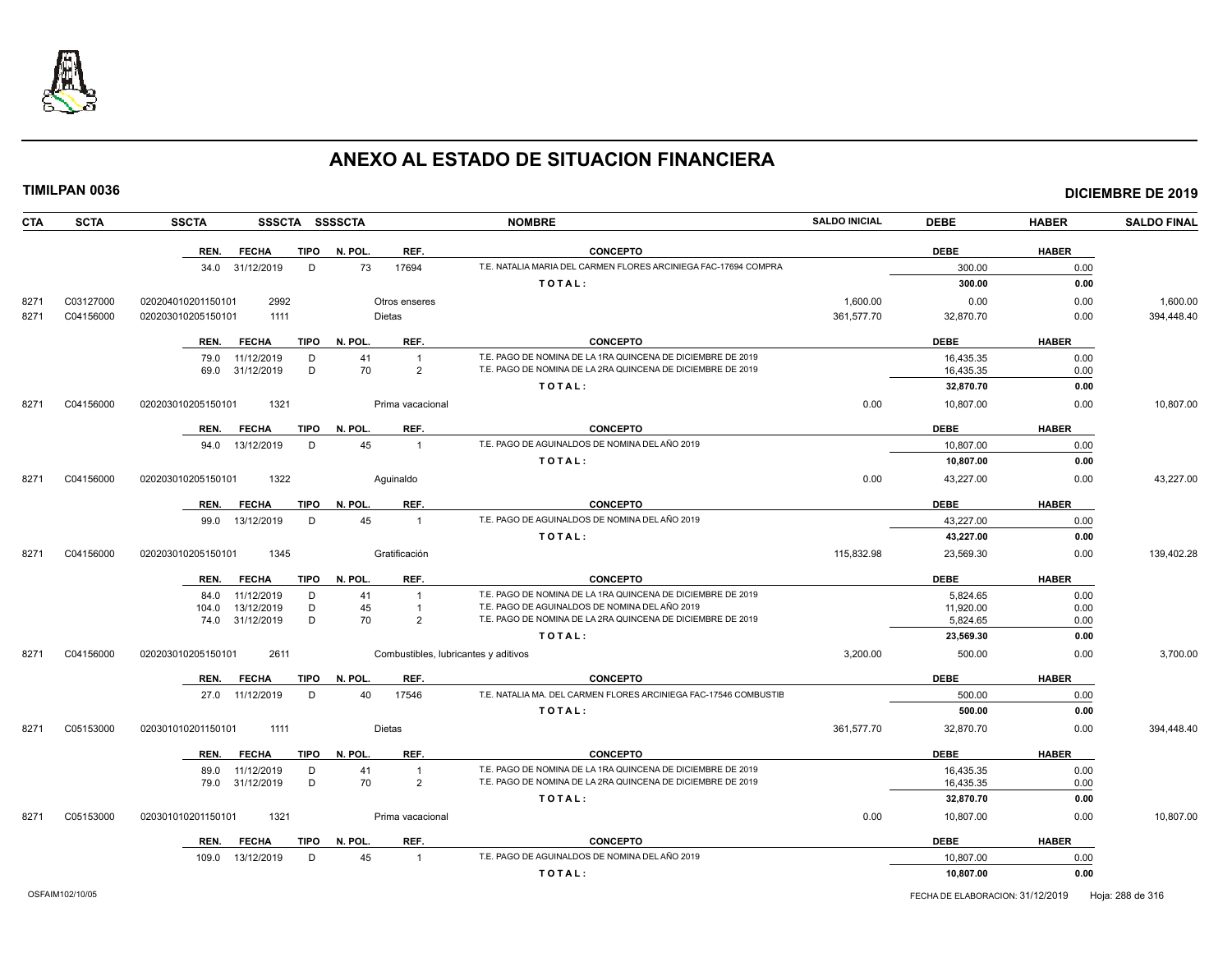

| <b>CTA</b> | <b>SCTA</b> | <b>SSCTA</b><br>SSSCTA SSSSCTA      |                                      | <b>NOMBRE</b>                                                    | <b>SALDO INICIAL</b> | <b>DEBE</b> | <b>HABER</b> | <b>SALDO FINAL</b> |
|------------|-------------|-------------------------------------|--------------------------------------|------------------------------------------------------------------|----------------------|-------------|--------------|--------------------|
|            |             | REN.<br><b>FECHA</b><br>TIPO        | N. POL.<br>REF.                      | <b>CONCEPTO</b>                                                  |                      | <b>DEBE</b> | <b>HABER</b> |                    |
|            |             | 34.0 31/12/2019<br>D                | 73<br>17694                          | T.E. NATALIA MARIA DEL CARMEN FLORES ARCINIEGA FAC-17694 COMPRA  |                      | 300.00      | 0.00         |                    |
|            |             |                                     |                                      | TOTAL:                                                           |                      | 300.00      | 0.00         |                    |
| 8271       | C03127000   | 2992<br>020204010201150101          | Otros enseres                        |                                                                  | 1,600.00             | 0.00        | 0.00         | 1,600.00           |
| 8271       | C04156000   | 020203010205150101<br>1111          | Dietas                               |                                                                  | 361,577.70           | 32,870.70   | 0.00         | 394,448.40         |
|            |             |                                     |                                      |                                                                  |                      |             |              |                    |
|            |             | <b>FECHA</b><br><b>TIPO</b><br>REN. | N. POL.<br>REF.                      | <b>CONCEPTO</b>                                                  |                      | <b>DEBE</b> | <b>HABER</b> |                    |
|            |             | D<br>79.0<br>11/12/2019             | 41<br>$\overline{1}$                 | T.E. PAGO DE NOMINA DE LA 1RA QUINCENA DE DICIEMBRE DE 2019      |                      | 16,435.35   | 0.00         |                    |
|            |             | 69.0 31/12/2019<br>D                | 70<br>$\overline{2}$                 | T.E. PAGO DE NOMINA DE LA 2RA QUINCENA DE DICIEMBRE DE 2019      |                      | 16,435.35   | 0.00         |                    |
|            |             |                                     |                                      | TOTAL:                                                           |                      | 32,870.70   | 0.00         |                    |
| 8271       | C04156000   | 1321<br>020203010205150101          | Prima vacacional                     |                                                                  | 0.00                 | 10,807.00   | 0.00         | 10,807.00          |
|            |             | REN.<br><b>FECHA</b><br>TIPO        | REF.<br>N. POL.                      | <b>CONCEPTO</b>                                                  |                      | <b>DEBE</b> | <b>HABER</b> |                    |
|            |             | D<br>94.0 13/12/2019                | 45<br>$\overline{1}$                 | T.E. PAGO DE AGUINALDOS DE NOMINA DEL AÑO 2019                   |                      | 10,807.00   | 0.00         |                    |
|            |             |                                     |                                      | TOTAL:                                                           |                      | 10,807.00   | 0.00         |                    |
| 8271       | C04156000   | 1322<br>020203010205150101          | Aguinaldo                            |                                                                  | 0.00                 | 43,227.00   | 0.00         | 43,227.00          |
|            |             |                                     |                                      |                                                                  |                      |             |              |                    |
|            |             | FECHA<br>REN.                       | TIPO N. POL.<br>REF.                 | <b>CONCEPTO</b>                                                  |                      | <b>DEBE</b> | <b>HABER</b> |                    |
|            |             | 99.0 13/12/2019<br>D                | 45<br>$\overline{1}$                 | T.E. PAGO DE AGUINALDOS DE NOMINA DEL AÑO 2019                   |                      | 43,227.00   | 0.00         |                    |
|            |             |                                     |                                      | TOTAL:                                                           |                      | 43,227.00   | 0.00         |                    |
| 8271       | C04156000   | 1345<br>020203010205150101          | Gratificación                        |                                                                  | 115,832.98           | 23,569.30   | 0.00         | 139,402.28         |
|            |             | <b>FECHA</b><br>TIPO<br>REN.        | N. POL.<br>REF.                      | <b>CONCEPTO</b>                                                  |                      | <b>DEBE</b> | <b>HABER</b> |                    |
|            |             | 11/12/2019<br>D<br>84.0             | 41<br>$\overline{1}$                 | T.E. PAGO DE NOMINA DE LA 1RA QUINCENA DE DICIEMBRE DE 2019      |                      | 5,824.65    | 0.00         |                    |
|            |             | 13/12/2019<br>D<br>104.0            | 45<br>$\overline{1}$                 | T.E. PAGO DE AGUINALDOS DE NOMINA DEL AÑO 2019                   |                      | 11,920.00   | 0.00         |                    |
|            |             | D<br>31/12/2019<br>74.0             | 70<br>$\overline{2}$                 | T.E. PAGO DE NOMINA DE LA 2RA QUINCENA DE DICIEMBRE DE 2019      |                      | 5,824.65    | 0.00         |                    |
|            |             |                                     |                                      | TOTAL:                                                           |                      | 23,569.30   | 0.00         |                    |
| 8271       | C04156000   | 2611<br>020203010205150101          | Combustibles, lubricantes y aditivos |                                                                  | 3,200.00             | 500.00      | 0.00         | 3,700.00           |
|            |             | <b>FECHA</b><br><b>TIPO</b><br>REN. | N. POL.<br>REF.                      | <b>CONCEPTO</b>                                                  |                      | <b>DEBE</b> | <b>HABER</b> |                    |
|            |             | 27.0 11/12/2019<br>D                | 40<br>17546                          | T.E. NATALIA MA. DEL CARMEN FLORES ARCINIEGA FAC-17546 COMBUSTIE |                      | 500.00      | 0.00         |                    |
|            |             |                                     |                                      | TOTAL:                                                           |                      | 500.00      | 0.00         |                    |
| 8271       | C05153000   | 020301010201150101<br>1111          | Dietas                               |                                                                  | 361,577.70           | 32,870.70   | 0.00         | 394,448.40         |
|            |             | <b>FECHA</b><br>TIPO<br>REN.        | N. POL.<br>REF.                      | <b>CONCEPTO</b>                                                  |                      | <b>DEBE</b> | <b>HABER</b> |                    |
|            |             | 11/12/2019<br>D<br>89.0             | 41<br>$\overline{1}$                 | T.E. PAGO DE NOMINA DE LA 1RA QUINCENA DE DICIEMBRE DE 2019      |                      | 16,435.35   | 0.00         |                    |
|            |             | D<br>79.0 31/12/2019                | 70<br>2                              | T.E. PAGO DE NOMINA DE LA 2RA QUINCENA DE DICIEMBRE DE 2019      |                      | 16,435.35   | 0.00         |                    |
|            |             |                                     |                                      | TOTAL:                                                           |                      | 32,870.70   | 0.00         |                    |
| 8271       | C05153000   | 1321<br>020301010201150101          | Prima vacacional                     |                                                                  | 0.00                 | 10,807.00   | 0.00         | 10,807.00          |
|            |             | <b>FECHA</b><br>TIPO<br>REN.        | N. POL.<br>REF.                      | <b>CONCEPTO</b>                                                  |                      | <b>DEBE</b> | <b>HABER</b> |                    |
|            |             | 13/12/2019<br>D<br>109.0            | 45<br>$\overline{1}$                 | T.E. PAGO DE AGUINALDOS DE NOMINA DEL AÑO 2019                   |                      | 10,807.00   | 0.00         |                    |
|            |             |                                     |                                      | TOTAL:                                                           |                      | 10,807.00   | 0.00         |                    |
|            |             |                                     |                                      |                                                                  |                      |             |              |                    |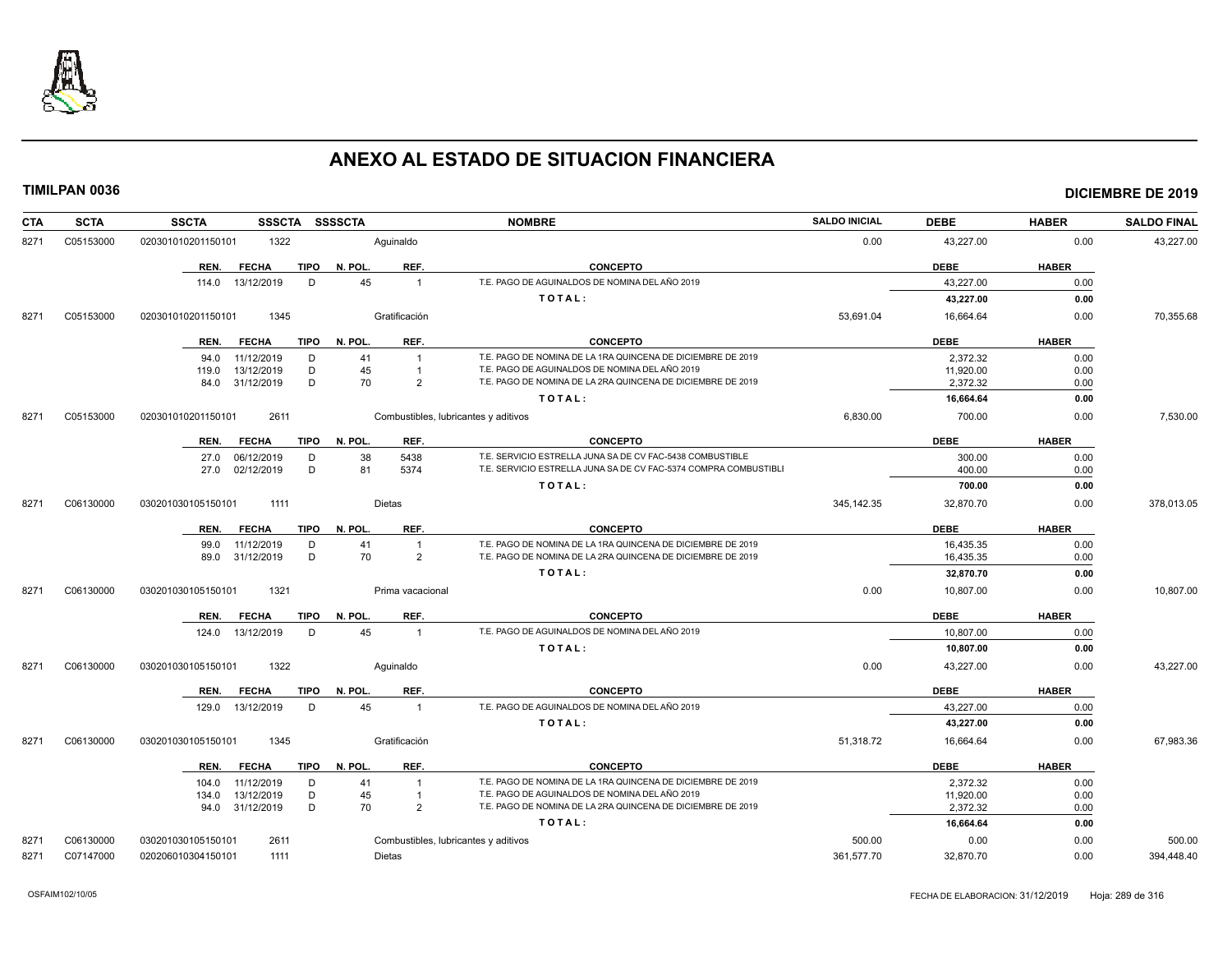

| <b>CTA</b> | <b>SCTA</b> | <b>SSCTA</b><br><b>SSSCTA</b>       | <b>SSSSCTA</b>                       | <b>NOMBRE</b>                                                    | <b>SALDO INICIAL</b> | <b>DEBE</b> | <b>HABER</b> | <b>SALDO FINAL</b> |
|------------|-------------|-------------------------------------|--------------------------------------|------------------------------------------------------------------|----------------------|-------------|--------------|--------------------|
| 8271       | C05153000   | 020301010201150101<br>1322          | Aquinaldo                            |                                                                  | 0.00                 | 43,227.00   | 0.00         | 43,227.00          |
|            |             | <b>FECHA</b><br><b>TIPO</b><br>REN. | N. POL.<br>REF.                      | <b>CONCEPTO</b>                                                  |                      | <b>DEBE</b> | <b>HABER</b> |                    |
|            |             | 13/12/2019<br>D<br>114.0            | 45<br>$\overline{1}$                 | T.E. PAGO DE AGUINALDOS DE NOMINA DEL AÑO 2019                   |                      | 43.227.00   | 0.00         |                    |
|            |             |                                     |                                      | TOTAL:                                                           |                      | 43,227.00   | 0.00         |                    |
| 8271       | C05153000   | 020301010201150101<br>1345          | Gratificación                        |                                                                  | 53,691.04            | 16,664.64   | 0.00         | 70,355.68          |
|            |             | <b>FECHA</b><br>TIPO<br>REN.        | REF.<br>N. POL.                      | <b>CONCEPTO</b>                                                  |                      | <b>DEBE</b> | <b>HABER</b> |                    |
|            |             | 11/12/2019<br>D<br>94.0             | 41<br>$\overline{1}$                 | T.E. PAGO DE NOMINA DE LA 1RA QUINCENA DE DICIEMBRE DE 2019      |                      | 2,372.32    | 0.00         |                    |
|            |             | 13/12/2019<br>D<br>119.0            | 45<br>$\overline{1}$                 | T.E. PAGO DE AGUINALDOS DE NOMINA DEL AÑO 2019                   |                      | 11,920.00   | 0.00         |                    |
|            |             | D<br>31/12/2019<br>84.0             | 70<br>$\overline{2}$                 | T.E. PAGO DE NOMINA DE LA 2RA QUINCENA DE DICIEMBRE DE 2019      |                      | 2.372.32    | 0.00         |                    |
|            |             |                                     |                                      | TOTAL:                                                           |                      | 16,664.64   | 0.00         |                    |
| 8271       | C05153000   | 020301010201150101<br>2611          | Combustibles, lubricantes y aditivos |                                                                  | 6,830.00             | 700.00      | 0.00         | 7,530.00           |
|            |             | REN.<br><b>FECHA</b><br><b>TIPO</b> | N. POL.<br>REF.                      | <b>CONCEPTO</b>                                                  |                      | <b>DEBE</b> | <b>HABER</b> |                    |
|            |             | 06/12/2019<br>D<br>27.0             | 5438<br>38                           | T.E. SERVICIO ESTRELLA JUNA SA DE CV FAC-5438 COMBUSTIBLE        |                      | 300.00      | 0.00         |                    |
|            |             | 02/12/2019<br>D<br>27.0             | 81<br>5374                           | T.E. SERVICIO ESTRELLA JUNA SA DE CV FAC-5374 COMPRA COMBUSTIBLI |                      | 400.00      | 0.00         |                    |
|            |             |                                     |                                      | TOTAL:                                                           |                      | 700.00      | 0.00         |                    |
| 8271       | C06130000   | 030201030105150101<br>1111          | Dietas                               |                                                                  | 345,142.35           | 32,870.70   | 0.00         | 378,013.05         |
|            |             | <b>FECHA</b><br><b>TIPO</b><br>REN. | REF.<br>N. POL.                      | <b>CONCEPTO</b>                                                  |                      | <b>DEBE</b> | <b>HABER</b> |                    |
|            |             | 11/12/2019<br>D<br>99.0             | 41                                   | T.E. PAGO DE NOMINA DE LA 1RA QUINCENA DE DICIEMBRE DE 2019      |                      | 16,435.35   | 0.00         |                    |
|            |             | 31/12/2019<br>D<br>89.0             | 70<br>$\overline{2}$                 | T.E. PAGO DE NOMINA DE LA 2RA QUINCENA DE DICIEMBRE DE 2019      |                      | 16,435.35   | 0.00         |                    |
|            |             |                                     |                                      | TOTAL:                                                           |                      | 32,870.70   | 0.00         |                    |
| 8271       | C06130000   | 1321<br>030201030105150101          | Prima vacacional                     |                                                                  | 0.00                 | 10,807.00   | 0.00         | 10,807.00          |
|            |             | <b>FECHA</b><br><b>TIPO</b><br>REN. | REF.<br>N. POL.                      | <b>CONCEPTO</b>                                                  |                      | <b>DEBE</b> | <b>HABER</b> |                    |
|            |             | 13/12/2019<br>D<br>124.0            | 45<br>$\overline{1}$                 | T.E. PAGO DE AGUINALDOS DE NOMINA DEL AÑO 2019                   |                      | 10,807.00   | 0.00         |                    |
|            |             |                                     |                                      | TOTAL:                                                           |                      | 10,807.00   | 0.00         |                    |
| 8271       | C06130000   | 030201030105150101<br>1322          | Aquinaldo                            |                                                                  | 0.00                 | 43,227.00   | 0.00         | 43,227.00          |
|            |             | REN.<br><b>FECHA</b><br>TIPO        | N. POL.<br>REF.                      | <b>CONCEPTO</b>                                                  |                      | <b>DEBE</b> | <b>HABER</b> |                    |
|            |             | 13/12/2019<br>D<br>129.0            | 45<br>$\overline{1}$                 | T.E. PAGO DE AGUINALDOS DE NOMINA DEL AÑO 2019                   |                      | 43,227.00   | 0.00         |                    |
|            |             |                                     |                                      | TOTAL:                                                           |                      | 43,227.00   | 0.00         |                    |
| 8271       | C06130000   | 1345<br>030201030105150101          | Gratificación                        |                                                                  | 51,318.72            | 16,664.64   | 0.00         | 67,983.36          |
|            |             | <b>FECHA</b><br>TIPO<br>REN.        | N. POL.<br>REF.                      | <b>CONCEPTO</b>                                                  |                      | <b>DEBE</b> | <b>HABER</b> |                    |
|            |             | 11/12/2019<br>D<br>104.0            | 41<br>$\overline{1}$                 | T.E. PAGO DE NOMINA DE LA 1RA QUINCENA DE DICIEMBRE DE 2019      |                      | 2,372.32    | 0.00         |                    |
|            |             | D<br>13/12/2019<br>134.0            | 45                                   | T.E. PAGO DE AGUINALDOS DE NOMINA DEL AÑO 2019                   |                      | 11.920.00   | 0.00         |                    |
|            |             | D<br>94.0 31/12/2019                | 70<br>$\overline{2}$                 | T.E. PAGO DE NOMINA DE LA 2RA QUINCENA DE DICIEMBRE DE 2019      |                      | 2,372.32    | 0.00         |                    |
|            |             |                                     |                                      | TOTAL:                                                           |                      | 16,664.64   | 0.00         |                    |
| 8271       | C06130000   | 2611<br>030201030105150101          | Combustibles, lubricantes y aditivos |                                                                  | 500.00               | 0.00        | 0.00         | 500.00             |
| 8271       | C07147000   | 020206010304150101<br>1111          | Dietas                               |                                                                  | 361.577.70           | 32.870.70   | 0.00         | 394.448.40         |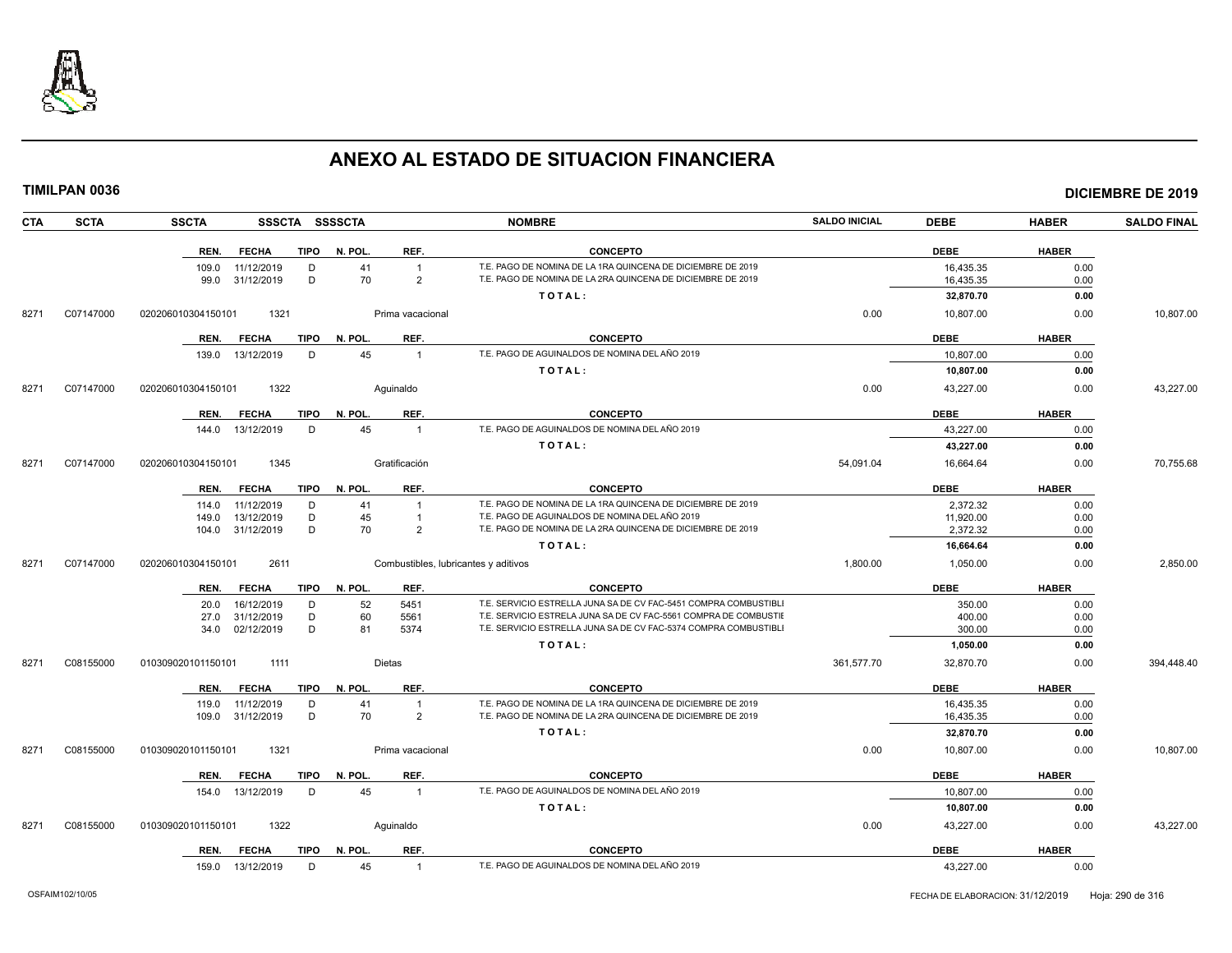

| <b>CTA</b> | <b>SCTA</b> | <b>SSCTA</b>               |             | SSSCTA SSSSCTA |                                      | <b>NOMBRE</b>                                                    | <b>SALDO INICIAL</b> | <b>DEBE</b> | <b>HABER</b> | <b>SALDO FINAL</b> |
|------------|-------------|----------------------------|-------------|----------------|--------------------------------------|------------------------------------------------------------------|----------------------|-------------|--------------|--------------------|
|            |             | <b>FECHA</b><br>REN.       | <b>TIPO</b> | N. POL.        | REF.                                 | <b>CONCEPTO</b>                                                  |                      | <b>DEBE</b> | <b>HABER</b> |                    |
|            |             | 109.0<br>11/12/2019        | D           | 41             | $\overline{1}$                       | T.E. PAGO DE NOMINA DE LA 1RA QUINCENA DE DICIEMBRE DE 2019      |                      | 16,435.35   | 0.00         |                    |
|            |             | 31/12/2019<br>99.0         | D           | 70             | $\overline{2}$                       | T.E. PAGO DE NOMINA DE LA 2RA QUINCENA DE DICIEMBRE DE 2019      |                      | 16,435.35   | 0.00         |                    |
|            |             |                            |             |                |                                      | TOTAL:                                                           |                      | 32,870.70   | 0.00         |                    |
| 8271       | C07147000   | 1321<br>020206010304150101 |             |                | Prima vacacional                     |                                                                  | 0.00                 | 10,807.00   | 0.00         | 10,807.00          |
|            |             | <b>FECHA</b><br>REN.       | <b>TIPO</b> | N. POL.        | REF.                                 | <b>CONCEPTO</b>                                                  |                      | <b>DEBE</b> | <b>HABER</b> |                    |
|            |             | 13/12/2019<br>139.0        | D           | 45             | $\overline{1}$                       | T.E. PAGO DE AGUINALDOS DE NOMINA DEL AÑO 2019                   |                      | 10.807.00   | 0.00         |                    |
|            |             |                            |             |                |                                      | TOTAL:                                                           |                      | 10,807.00   | 0.00         |                    |
| 8271       | C07147000   | 1322<br>020206010304150101 |             |                | Aguinaldo                            |                                                                  | 0.00                 | 43,227.00   | 0.00         | 43,227.00          |
|            |             | <b>FECHA</b><br>REN.       | TIPO        | N. POL.        | REF.                                 | <b>CONCEPTO</b>                                                  |                      | <b>DEBE</b> | <b>HABER</b> |                    |
|            |             | 13/12/2019<br>144.0        | D           | 45             | $\overline{1}$                       | T.E. PAGO DE AGUINALDOS DE NOMINA DEL AÑO 2019                   |                      | 43,227.00   | 0.00         |                    |
|            |             |                            |             |                |                                      | TOTAL:                                                           |                      | 43,227.00   | 0.00         |                    |
| 8271       | C07147000   | 1345<br>020206010304150101 |             |                | Gratificación                        |                                                                  | 54,091.04            | 16,664.64   | 0.00         | 70,755.68          |
|            |             | <b>FECHA</b><br>REN.       | TIPO        | N. POL.        | REF.                                 | <b>CONCEPTO</b>                                                  |                      | <b>DEBE</b> | <b>HABER</b> |                    |
|            |             | 11/12/2019<br>114.0        | D           | 41             | $\overline{1}$                       | T.E. PAGO DE NOMINA DE LA 1RA QUINCENA DE DICIEMBRE DE 2019      |                      | 2,372.32    | 0.00         |                    |
|            |             | 149.0<br>13/12/2019        | D           | 45             | $\overline{1}$                       | T.E. PAGO DE AGUINALDOS DE NOMINA DEL AÑO 2019                   |                      | 11,920.00   | 0.00         |                    |
|            |             | 104.0 31/12/2019           | D           | 70             | $\overline{2}$                       | T.E. PAGO DE NOMINA DE LA 2RA QUINCENA DE DICIEMBRE DE 2019      |                      | 2,372.32    | 0.00         |                    |
|            |             |                            |             |                |                                      | TOTAL:                                                           |                      | 16,664.64   | 0.00         |                    |
| 8271       | C07147000   | 2611<br>020206010304150101 |             |                | Combustibles, lubricantes y aditivos |                                                                  | 1,800.00             | 1,050.00    | 0.00         | 2,850.00           |
|            |             | <b>FECHA</b><br>REN.       | TIPO        | N. POL.        | REF.                                 | <b>CONCEPTO</b>                                                  |                      | <b>DEBE</b> | <b>HABER</b> |                    |
|            |             | 16/12/2019<br>20.0         | D           | 52             | 5451                                 | T.E. SERVICIO ESTRELLA JUNA SA DE CV FAC-5451 COMPRA COMBUSTIBLI |                      | 350.00      | 0.00         |                    |
|            |             | 31/12/2019<br>27.0         | D           | 60             | 5561                                 | T.E. SERVICIO ESTRELA JUNA SA DE CV FAC-5561 COMPRA DE COMBUSTII |                      | 400.00      | 0.00         |                    |
|            |             | 34.0 02/12/2019            | D           | 81             | 5374                                 | T.E. SERVICIO ESTRELLA JUNA SA DE CV FAC-5374 COMPRA COMBUSTIBLI |                      | 300.00      | 0.00         |                    |
|            |             |                            |             |                |                                      | TOTAL:                                                           |                      | 1,050.00    | 0.00         |                    |
| 8271       | C08155000   | 010309020101150101<br>1111 |             |                | Dietas                               |                                                                  | 361,577.70           | 32,870.70   | 0.00         | 394,448.40         |
|            |             | <b>FECHA</b><br>REN.       | <b>TIPO</b> | N. POL.        | REF.                                 | <b>CONCEPTO</b>                                                  |                      | <b>DEBE</b> | <b>HABER</b> |                    |
|            |             | 11/12/2019<br>119.0        | D           | 41             | $\overline{1}$                       | T.E. PAGO DE NOMINA DE LA 1RA QUINCENA DE DICIEMBRE DE 2019      |                      | 16,435.35   | 0.00         |                    |
|            |             | 109.0 31/12/2019           | D           | 70             | $\overline{2}$                       | T.E. PAGO DE NOMINA DE LA 2RA QUINCENA DE DICIEMBRE DE 2019      |                      | 16,435.35   | 0.00         |                    |
|            |             |                            |             |                |                                      | TOTAL:                                                           |                      | 32,870.70   | 0.00         |                    |
| 8271       | C08155000   | 1321<br>010309020101150101 |             |                | Prima vacacional                     |                                                                  | 0.00                 | 10,807.00   | 0.00         | 10.807.00          |
|            |             | <b>FECHA</b><br>REN.       | <b>TIPO</b> | N. POL.        | REF.                                 | <b>CONCEPTO</b>                                                  |                      | <b>DEBE</b> | <b>HABER</b> |                    |
|            |             | 13/12/2019<br>154.0        | D           | 45             | $\overline{1}$                       | T.E. PAGO DE AGUINALDOS DE NOMINA DEL AÑO 2019                   |                      | 10,807.00   | 0.00         |                    |
|            |             |                            |             |                |                                      | TOTAL:                                                           |                      | 10,807.00   | 0.00         |                    |
| 8271       | C08155000   | 1322<br>010309020101150101 |             |                | Aguinaldo                            |                                                                  | 0.00                 | 43,227.00   | 0.00         | 43,227.00          |
|            |             | REN.<br><b>FECHA</b>       | TIPO        | N. POL.        | REF.                                 | <b>CONCEPTO</b>                                                  |                      | <b>DEBE</b> | <b>HABER</b> |                    |
|            |             | 159.0 13/12/2019           | D           | 45             | $\overline{1}$                       | T.E. PAGO DE AGUINALDOS DE NOMINA DEL AÑO 2019                   |                      | 43,227.00   | 0.00         |                    |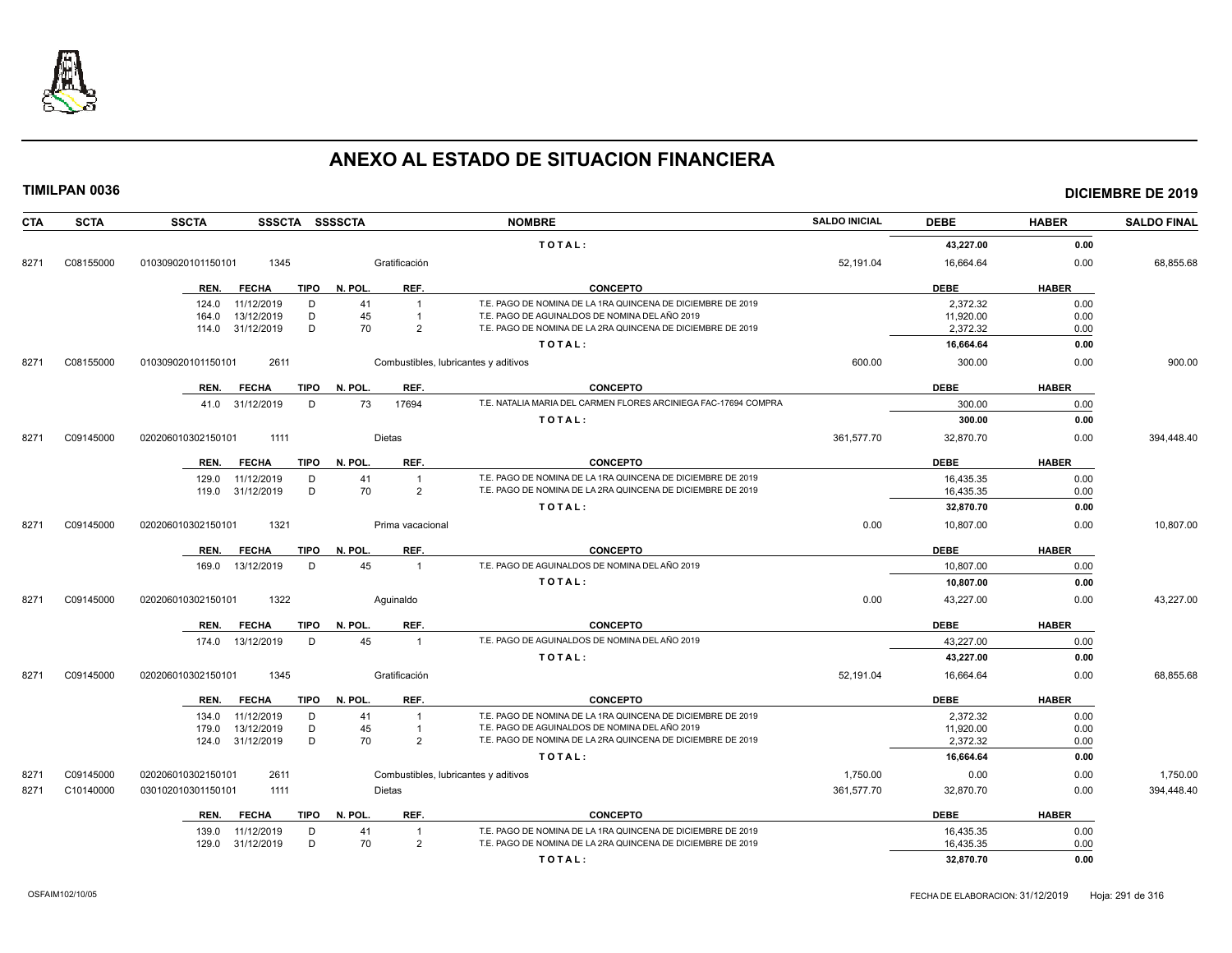

| <b>CTA</b> | <b>SCTA</b> | <b>SSCTA</b><br>SSSCTA SSSSCTA      |                                      | <b>NOMBRE</b>                                                   | <b>SALDO INICIAL</b> | <b>DEBE</b> | <b>HABER</b> | <b>SALDO FINAL</b> |
|------------|-------------|-------------------------------------|--------------------------------------|-----------------------------------------------------------------|----------------------|-------------|--------------|--------------------|
|            |             |                                     |                                      | TOTAL:                                                          |                      | 43,227.00   | 0.00         |                    |
| 8271       | C08155000   | 010309020101150101<br>1345          | Gratificación                        |                                                                 | 52,191.04            | 16,664.64   | 0.00         | 68,855.68          |
|            |             | <b>TIPO</b><br>REN.<br>FECHA        | N. POL.<br>REF.                      | <b>CONCEPTO</b>                                                 |                      | <b>DEBE</b> | <b>HABER</b> |                    |
|            |             | 11/12/2019<br>124.0<br>D            | 41<br>$\overline{1}$                 | T.E. PAGO DE NOMINA DE LA 1RA QUINCENA DE DICIEMBRE DE 2019     |                      | 2.372.32    | 0.00         |                    |
|            |             | 13/12/2019<br>D<br>164.0            | 45<br>$\overline{1}$                 | T.E. PAGO DE AGUINALDOS DE NOMINA DEL AÑO 2019                  |                      | 11,920.00   | 0.00         |                    |
|            |             | 31/12/2019<br>D<br>114.0            | 70<br>2                              | T.E. PAGO DE NOMINA DE LA 2RA QUINCENA DE DICIEMBRE DE 2019     |                      | 2,372.32    | 0.00         |                    |
|            |             |                                     |                                      | TOTAL:                                                          |                      | 16,664.64   | 0.00         |                    |
| 8271       | C08155000   | 2611<br>010309020101150101          | Combustibles, lubricantes y aditivos |                                                                 | 600.00               | 300.00      | 0.00         | 900.00             |
|            |             | <b>FECHA</b><br>REN.                | REF.<br>TIPO N. POL.                 | <b>CONCEPTO</b>                                                 |                      | <b>DEBE</b> | <b>HABER</b> |                    |
|            |             | 41.0 31/12/2019<br>D                | 17694<br>73                          | T.E. NATALIA MARIA DEL CARMEN FLORES ARCINIEGA FAC-17694 COMPRA |                      | 300.00      | 0.00         |                    |
|            |             |                                     |                                      | TOTAL:                                                          |                      | 300.00      | 0.00         |                    |
| 8271       | C09145000   | 020206010302150101<br>1111          | Dietas                               |                                                                 | 361,577.70           | 32,870.70   | 0.00         | 394,448.40         |
|            |             | <b>FECHA</b><br><b>TIPO</b><br>REN. | N. POL.<br>REF.                      | <b>CONCEPTO</b>                                                 |                      | <b>DEBE</b> | <b>HABER</b> |                    |
|            |             | D<br>11/12/2019<br>129.0            | 41<br>$\overline{1}$                 | T.E. PAGO DE NOMINA DE LA 1RA QUINCENA DE DICIEMBRE DE 2019     |                      | 16,435.35   | 0.00         |                    |
|            |             | 119.0 31/12/2019<br>D               | 70<br>$\overline{2}$                 | T.E. PAGO DE NOMINA DE LA 2RA QUINCENA DE DICIEMBRE DE 2019     |                      | 16,435.35   | 0.00         |                    |
|            |             |                                     |                                      | TOTAL:                                                          |                      | 32,870.70   | 0.00         |                    |
| 8271       | C09145000   | 1321<br>020206010302150101          | Prima vacacional                     |                                                                 | 0.00                 | 10,807.00   | 0.00         | 10,807.00          |
|            |             | REN.<br><b>FECHA</b><br>TIPO        | REF.<br>N. POL.                      | <b>CONCEPTO</b>                                                 |                      | <b>DEBE</b> | <b>HABER</b> |                    |
|            |             | 13/12/2019<br>D<br>169.0            | 45<br>$\overline{1}$                 | T.E. PAGO DE AGUINALDOS DE NOMINA DEL AÑO 2019                  |                      | 10.807.00   | 0.00         |                    |
|            |             |                                     |                                      | TOTAL:                                                          |                      | 10,807.00   | 0.00         |                    |
| 8271       | C09145000   | 020206010302150101<br>1322          | Aguinaldo                            |                                                                 | 0.00                 | 43,227.00   | 0.00         | 43,227.00          |
|            |             | <b>TIPO</b><br>REN.<br><b>FECHA</b> | N. POL.<br>REF.                      | <b>CONCEPTO</b>                                                 |                      | <b>DEBE</b> | <b>HABER</b> |                    |
|            |             | 13/12/2019<br>D<br>174.0            | 45<br>$\overline{1}$                 | T.E. PAGO DE AGUINALDOS DE NOMINA DEL AÑO 2019                  |                      | 43.227.00   | 0.00         |                    |
|            |             |                                     |                                      | TOTAL:                                                          |                      | 43,227.00   | 0.00         |                    |
| 8271       | C09145000   | 020206010302150101<br>1345          | Gratificación                        |                                                                 | 52,191.04            | 16,664.64   | 0.00         | 68,855.68          |
|            |             | <b>FECHA</b><br>TIPO<br>REN.        | N. POL.<br>REF.                      | <b>CONCEPTO</b>                                                 |                      | <b>DEBE</b> | <b>HABER</b> |                    |
|            |             | 11/12/2019<br>D<br>134.0            | 41<br>$\overline{1}$                 | T.E. PAGO DE NOMINA DE LA 1RA QUINCENA DE DICIEMBRE DE 2019     |                      | 2,372.32    | 0.00         |                    |
|            |             | 13/12/2019<br>D<br>179.0            | 45<br>$\mathbf{1}$                   | T.E. PAGO DE AGUINALDOS DE NOMINA DEL AÑO 2019                  |                      | 11,920.00   | 0.00         |                    |
|            |             | D<br>124.0 31/12/2019               | 70<br>$\overline{2}$                 | T.E. PAGO DE NOMINA DE LA 2RA QUINCENA DE DICIEMBRE DE 2019     |                      | 2,372.32    | 0.00         |                    |
|            |             |                                     |                                      | TOTAL:                                                          |                      | 16,664.64   | 0.00         |                    |
| 827'       | C09145000   | 020206010302150101<br>2611          | Combustibles, lubricantes y aditivos |                                                                 | 1,750.00             | 0.00        | 0.00         | 1,750.00           |
| 8271       | C10140000   | 030102010301150101<br>1111          | <b>Dietas</b>                        |                                                                 | 361.577.70           | 32,870.70   | 0.00         | 394,448.40         |
|            |             | <b>FECHA</b><br><b>TIPO</b><br>REN. | N. POL.<br>REF.                      | <b>CONCEPTO</b>                                                 |                      | <b>DEBE</b> | <b>HABER</b> |                    |
|            |             | 139.0<br>11/12/2019<br>D            | 41<br>$\overline{1}$                 | T.E. PAGO DE NOMINA DE LA 1RA QUINCENA DE DICIEMBRE DE 2019     |                      | 16,435.35   | 0.00         |                    |
|            |             | D<br>31/12/2019<br>129.0            | 70<br>$\overline{2}$                 | T.E. PAGO DE NOMINA DE LA 2RA QUINCENA DE DICIEMBRE DE 2019     |                      | 16,435.35   | 0.00         |                    |
|            |             |                                     |                                      | TOTAL:                                                          |                      | 32,870.70   | 0.00         |                    |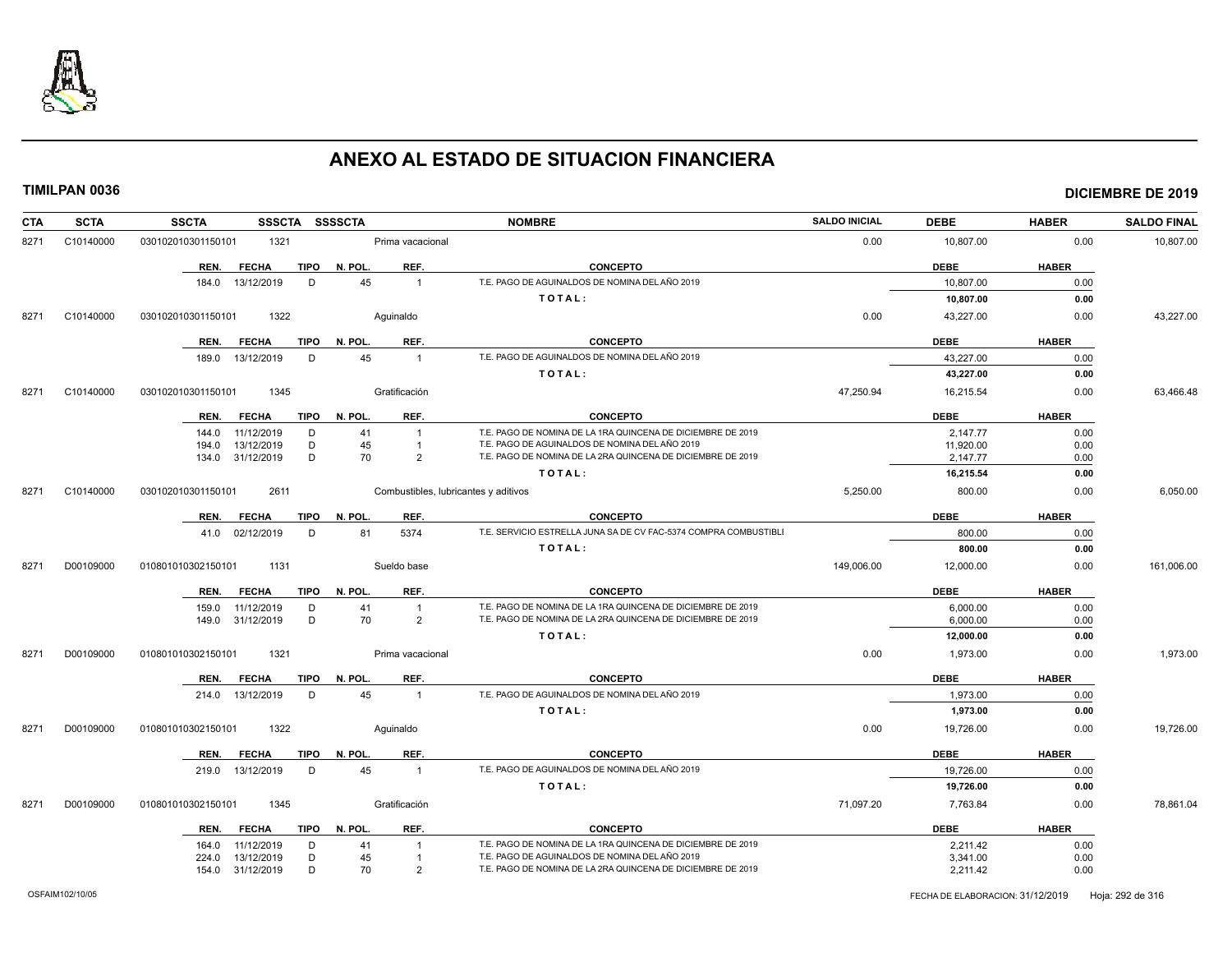

| <b>CTA</b> | <b>SCTA</b> | <b>SSCTA</b><br>SSSCTA SSSSCTA      |                                      | <b>NOMBRE</b>                                                    | <b>SALDO INICIAL</b> | <b>DEBE</b> | <b>HABER</b> | <b>SALDO FINAL</b> |
|------------|-------------|-------------------------------------|--------------------------------------|------------------------------------------------------------------|----------------------|-------------|--------------|--------------------|
| 8271       | C10140000   | 1321<br>030102010301150101          | Prima vacacional                     |                                                                  | 0.00                 | 10,807.00   | 0.00         | 10,807.00          |
|            |             | <b>TIPO</b><br>REN.<br><b>FECHA</b> | N. POL.<br>REF.                      | <b>CONCEPTO</b>                                                  |                      | <b>DEBE</b> | <b>HABER</b> |                    |
|            |             | 13/12/2019<br>D<br>184.0            | 45<br>$\overline{1}$                 | T.E. PAGO DE AGUINALDOS DE NOMINA DEL AÑO 2019                   |                      | 10,807.00   | 0.00         |                    |
|            |             |                                     |                                      | TOTAL:                                                           |                      | 10,807.00   | 0.00         |                    |
| 8271       | C10140000   | 1322<br>030102010301150101          | Aquinaldo                            |                                                                  | 0.00                 | 43,227.00   | 0.00         | 43,227.00          |
|            |             | <b>FECHA</b><br>TIPO<br>REN.        | REF.<br>N. POL.                      | <b>CONCEPTO</b>                                                  |                      | <b>DEBE</b> | <b>HABER</b> |                    |
|            |             | D<br>13/12/2019<br>189.0            | 45<br>$\overline{1}$                 | T.E. PAGO DE AGUINALDOS DE NOMINA DEL AÑO 2019                   |                      | 43,227.00   | 0.00         |                    |
|            |             |                                     |                                      | TOTAL:                                                           |                      | 43,227.00   | 0.00         |                    |
| 8271       | C10140000   | 1345<br>030102010301150101          | Gratificación                        |                                                                  | 47,250.94            | 16,215.54   | 0.00         | 63,466.48          |
|            |             | <b>TIPO</b><br>REN.<br><b>FECHA</b> | N. POL.<br>REF.                      | <b>CONCEPTO</b>                                                  |                      | <b>DEBE</b> | <b>HABER</b> |                    |
|            |             | 11/12/2019<br>D<br>144.0            | 41<br>$\overline{1}$                 | T.E. PAGO DE NOMINA DE LA 1RA QUINCENA DE DICIEMBRE DE 2019      |                      | 2,147.77    | 0.00         |                    |
|            |             | 13/12/2019<br>D<br>194.0            | 45<br>$\overline{1}$                 | T.E. PAGO DE AGUINALDOS DE NOMINA DEL AÑO 2019                   |                      | 11,920.00   | 0.00         |                    |
|            |             | D<br>31/12/2019<br>134.0            | 70<br>$\mathcal{P}$                  | T.E. PAGO DE NOMINA DE LA 2RA QUINCENA DE DICIEMBRE DE 2019      |                      | 2,147.77    | 0.00         |                    |
|            |             |                                     |                                      | TOTAL:                                                           |                      | 16,215.54   | 0.00         |                    |
| 8271       | C10140000   | 030102010301150101<br>2611          | Combustibles, lubricantes y aditivos |                                                                  | 5,250.00             | 800.00      | 0.00         | 6,050.00           |
|            |             | <b>TIPO</b><br>REN.<br><b>FECHA</b> | REF.<br>N. POL.                      | <b>CONCEPTO</b>                                                  |                      | <b>DEBE</b> | <b>HABER</b> |                    |
|            |             | 41.0 02/12/2019<br>D                | 5374<br>81                           | T.E. SERVICIO ESTRELLA JUNA SA DE CV FAC-5374 COMPRA COMBUSTIBLI |                      | 800.00      | 0.00         |                    |
|            |             |                                     |                                      | TOTAL:                                                           |                      | 800.00      | 0.00         |                    |
| 8271       | D00109000   | 1131<br>010801010302150101          | Sueldo base                          |                                                                  | 149,006.00           | 12,000.00   | 0.00         | 161,006.00         |
|            |             | <b>FECHA</b><br><b>TIPO</b><br>REN. | N. POL.<br>REF.                      | <b>CONCEPTO</b>                                                  |                      | <b>DEBE</b> | <b>HABER</b> |                    |
|            |             | 159.0<br>11/12/2019<br>D            | 41<br>$\overline{1}$                 | T.E. PAGO DE NOMINA DE LA 1RA QUINCENA DE DICIEMBRE DE 2019      |                      | 6.000.00    | 0.00         |                    |
|            |             | D<br>31/12/2019<br>149.0            | 70<br>$\overline{2}$                 | T.E. PAGO DE NOMINA DE LA 2RA QUINCENA DE DICIEMBRE DE 2019      |                      | 6,000.00    | 0.00         |                    |
|            |             |                                     |                                      | TOTAL:                                                           |                      | 12,000.00   | 0.00         |                    |
| 8271       | D00109000   | 1321<br>010801010302150101          | Prima vacacional                     |                                                                  | 0.00                 | 1,973.00    | 0.00         | 1,973.00           |
|            |             | <b>FECHA</b><br><b>TIPO</b><br>REN. | REF.<br>N. POL.                      | <b>CONCEPTO</b>                                                  |                      | <b>DEBE</b> | <b>HABER</b> |                    |
|            |             | 214.0 13/12/2019<br>D               | 45<br>$\overline{1}$                 | T.E. PAGO DE AGUINALDOS DE NOMINA DEL AÑO 2019                   |                      | 1.973.00    | 0.00         |                    |
|            |             |                                     |                                      | TOTAL:                                                           |                      | 1,973.00    | 0.00         |                    |
| 8271       | D00109000   | 1322<br>010801010302150101          | Aguinaldo                            |                                                                  | 0.00                 | 19,726.00   | 0.00         | 19,726.00          |
|            |             | <b>FECHA</b><br><b>TIPO</b><br>REN. | N. POL.<br>REF.                      | <b>CONCEPTO</b>                                                  |                      | <b>DEBE</b> | <b>HABER</b> |                    |
|            |             | 13/12/2019<br>D<br>219.0            | 45<br>$\overline{1}$                 | T.E. PAGO DE AGUINALDOS DE NOMINA DEL AÑO 2019                   |                      | 19,726.00   | 0.00         |                    |
|            |             |                                     |                                      | TOTAL:                                                           |                      | 19,726.00   | 0.00         |                    |
| 8271       | D00109000   | 1345<br>010801010302150101          | Gratificación                        |                                                                  | 71,097.20            | 7,763.84    | 0.00         | 78,861.04          |
|            |             | REN.<br><b>FECHA</b><br>TIPO        | N. POL.<br>REF.                      | <b>CONCEPTO</b>                                                  |                      | <b>DEBE</b> | <b>HABER</b> |                    |
|            |             | 11/12/2019<br>D<br>164.0            | 41<br>$\overline{1}$                 | T.E. PAGO DE NOMINA DE LA 1RA QUINCENA DE DICIEMBRE DE 2019      |                      | 2,211.42    | 0.00         |                    |
|            |             | D<br>13/12/2019<br>224.0            | 45<br>$\overline{1}$                 | T.E. PAGO DE AGUINALDOS DE NOMINA DEL AÑO 2019                   |                      | 3,341.00    | 0.00         |                    |
|            |             | D<br>154.0 31/12/2019               | 70<br>$\overline{2}$                 | T.E. PAGO DE NOMINA DE LA 2RA QUINCENA DE DICIEMBRE DE 2019      |                      | 2,211.42    | 0.00         |                    |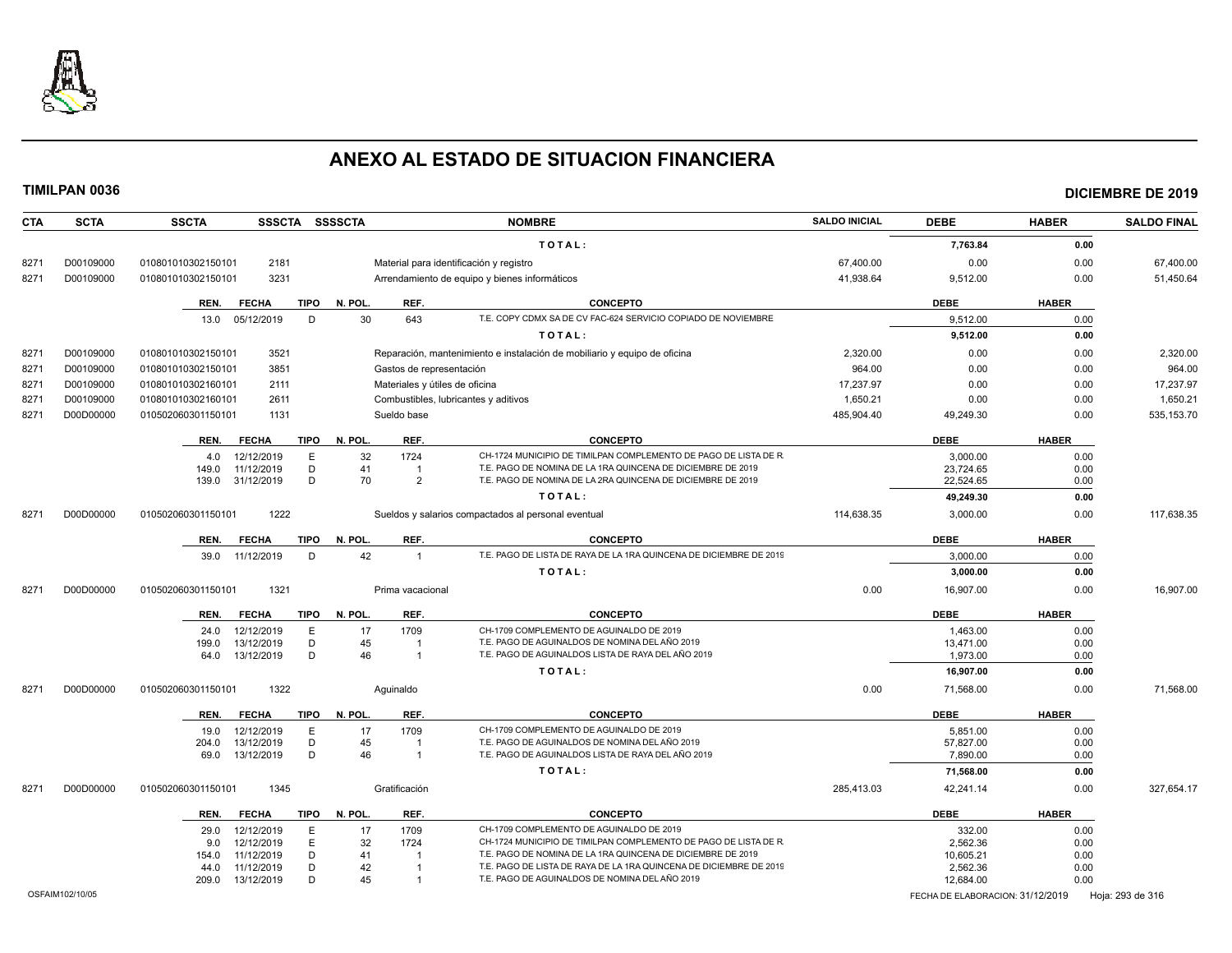

**CTA SCTA SSCTA SSSCTA SSSSCTA NOMBRE SALDO INICIAL DEBE HABER SALDO FINAL**

**TIMILPAN 0036 DICIEMBRE DE 2019**

### **T O T A L : 7,763.84 0.00** 8271 D00109000 010801010302150101 2181 Material para identificación y registro 67,400.00 0.00 0.00 67,400.00 8271 D00109000 010801010302150101 3231 Arrendamiento de equipo y bienes informáticos 41,938.64 9,512.00 0.00 51,450.64 **REN. FECHA TIPO N. POL. REF. CONCEPTO DEBE HABER** 13.0 05/12/2019 D 30 643 T.E. COPY CDMX SA DE CV FAC-624 SERVICIO COPIADO DE NOVIEMBRE 9,512.00 9,512.00 0.00 **T O T A L : 9,512.00 0.00** 8271 D00109000 010801010302150101 3521 Reparación, mantenimiento e instalación de mobiliario y equipo de oficina 2,320.00 0.00 0.00 2,320.00 8271 D00109000 010801010302150101 3851 Gastos de representación 964.00 0.00 0.00 964.00 8271 D00109000 010801010302160101 2111 Materiales y útiles de oficina transitional de contente de contente de contente de contente de contente de contente de contente de contente de contente de contente de contente de cont 8271 D00109000 010801010302160101 2611 Combustibles, lubricantes y aditivos 1,650.21 0.00 0.00 1,650.21 8271 D00D00000 010502060301150101 1131 Sueldo base 485,904.40 49,249.30 535,153.70 **REN. FECHA TIPO N. POL. REF. CONCEPTO DEBE HABER** 4.0 12/12/2019 E 32 1724 CH-1724 MUNICIPIO DE TIMILPAN COMPLEMENTO DE PAGO DE LISTA DE R<br>4.0 12/12/2019 E 3.000.00 149.0 11/12/2019 D 41 1 T.E. PAGO DE NOMINA DE LA 1RA QUINCENA DE DICIEMBRE DE 2019 23.724.65 23.724.65 0.00 139.0 31/12/2019 D 70 2 T.E. PAGO DE NOMINA DE LA 2RA QUINCENA DE DICIEMBRE DE 2019 22,524.65 22,524.65 0.00 **T O T A L : 49,249.30 0.00** 8271 D00D00000 010502060301150101 1222 Sueldos y salarios compactados al personal eventual 114,638.35 3,000,00 0.00 117,638.35 **REN. FECHA TIPO N. POL. REF. CONCEPTO DEBE HABER** 39.0 11/12/2019 D 42 1 T.E. PAGO DE LISTA DE RAYA DE LA 1RA QUINCENA DE DICIEMBRE DE 2019 3,000.00 3,000.00 0.00 **T O T A L** : **3,000.00** 0.000 0.000 0.000 0.000 0.000 0.000 0.000 0.000 0.000 0.000 0.000 0.000 0.000 0.000 0.000 0.000 0.000 0.000 0.000 0.000 0.000 0.000 0.000 0.000 0.000 0.000 0.000 0.000 0.000 0.000 0.000 0.000 0.000 8271 D00D00000 010502060301150101 1321 Prima vacacional Prima vacacional Development of the control of the control or the control or the control or the control or the control or the control or the control or the control or **REN. FECHA TIPO N. POL. REF. CONCEPTO DEBE HABER** 24.0 12/12/2019 E 17 1709 CH-1709 COMPLEMENTO DE AGUINALDO DE 2019 1,463.00 0.00 199.0 13/12/2019 D 45 1 T.E. PAGO DE AGUINALDOS DE NOMINA DEL AÑO 2019<br>199.0 13/12/2019 D 46 1 T.E. PAGO DE AGUINALDOS LISTA DE RAYA DEL AÑO 2019 1 1.973.00 1.973.00 0.00 64.0 13/12/2019 D 46 1 T.E. PAGO DE AGUINALDOS LISTA DE RAYA DEL AÑO 2019 13/73.00 1973.00 0.00 **T O T A L : 16,907.00 0.00** 8271 D00D00000 010502060301150101 1322 Aguinaldo 0.00 71,568.00 0.00 71,568.00 **REN. FECHA TIPO N. POL. REF. CONCEPTO DEBE HABER** 19.0 12/12/2019 E 17 1709 CH-1709 COMPLEMENTO DE AGUINALDO DE 2019 SASSES EN LA SASSESSE DO COO 204.0 13/12/2019 D 45 1 T.E. PAGO DE AGUINALDOS DE NOMINA DEL AÑO 2019 57,827.00 0.00 69.0 13/12/2019 D 46 1 T.E. PAGO DE AGUINALDOS LISTA DE RAYA DEL AÑO 2019 7590.00 7,890.00 0.00 **T O T A L : 71,568.00 0.00** 8271 D00D00000 010502060301150101 1345 Gratificación 285,413.03 42,241.14 0.00 327,654.17 **REN. FECHA TIPO N. POL. REF. CONCEPTO DEBE HABER** 29.0 12/12/2019 E 17 1709 CH-1709 COMPLEMENTO DE AGUINALDO DE 2019<br>12/12/2019 E 32 1724 CH-1724 MUNICIPIO DE TIMILPAN COMPLEMENTO DE PAGO DE LISTA DE R 2 SAC 36 2.562.36 0.00 9.0 12/12/2019 E 32 1724 CH-1724 MUNICIPIO DE TIMILPAN COMPLEMENTO DE PAGO DE LISTA DE R<br>D.00 154.0 11/12/2019 D 41 1 T.E. PAGO DE NOMINA DE LA 1RA QUINCENA DE DICIEMBRE DE 2019 10,605.21 10,605.21 0.00

44.0 11/12/2019 D 42 1 T.E. PAGO DE LISTA DE RAYA DE LA 1RA QUINCENA DE DICIEMBRE DE 2019 2,562.36 2.562.36 0.00 209.0 13/12/2019 D 45 1 T.E. PAGO DE AGUINALDOS DE NOMINA DEL AÑO 2019 12,684.00 0.00

OSFAIM102/10/05 FECHA DE ELABORACION: 31/12/2019 Hoja: 293 de 316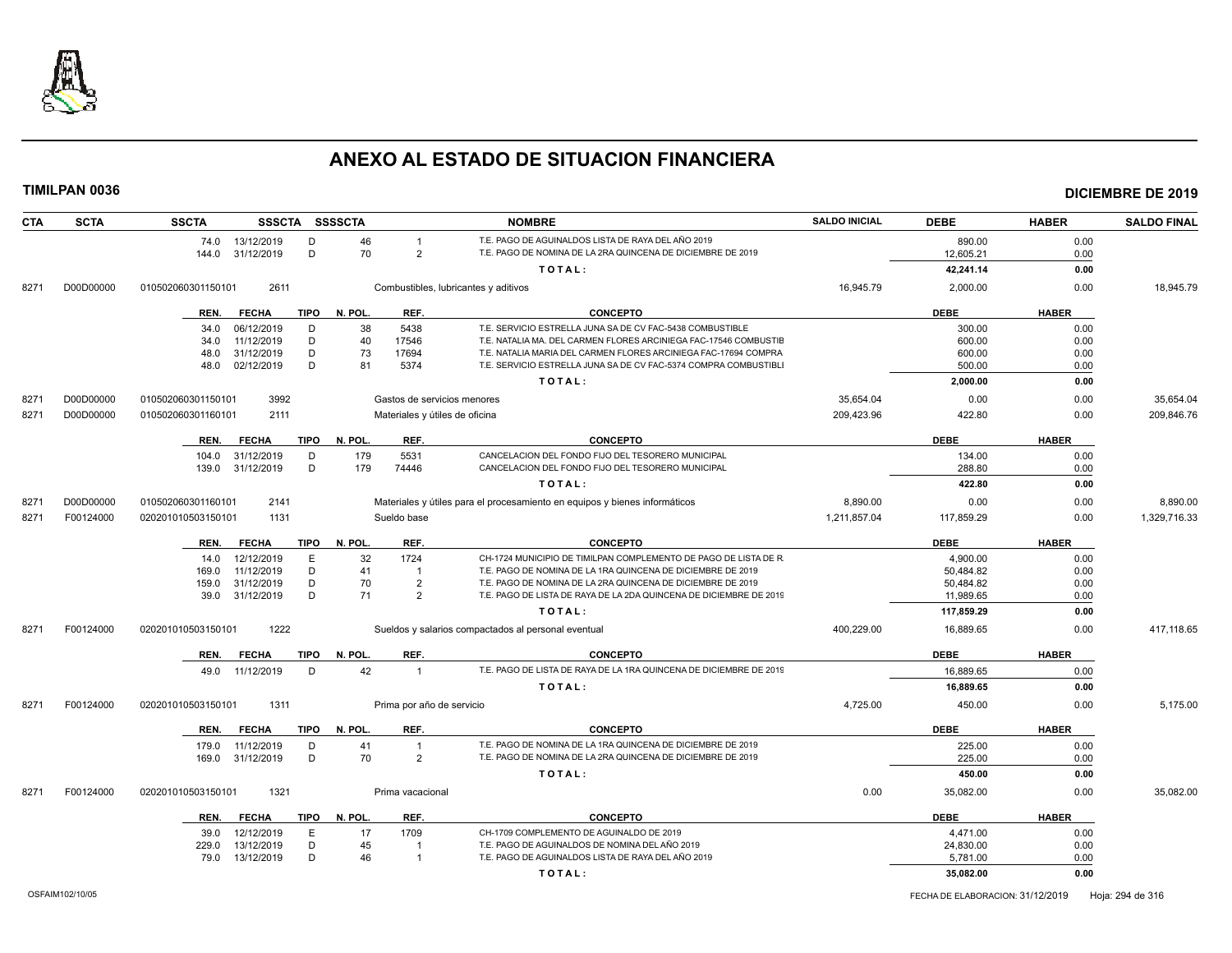

| T.E. PAGO DE AGUINALDOS LISTA DE RAYA DEL AÑO 2019<br>13/12/2019<br>D<br>46<br>890.00<br>0.00<br>74.0<br>$\overline{1}$<br>D<br>70<br>T.E. PAGO DE NOMINA DE LA 2RA QUINCENA DE DICIEMBRE DE 2019<br>$\overline{2}$<br>144.0<br>31/12/2019<br>12,605.21<br>0.00<br>TOTAL:<br>42,241.14<br>0.00<br>D00D00000<br>010502060301150101<br>2611<br>16,945.79<br>2,000.00<br>0.00<br>18,945.79<br>8271<br>Combustibles, lubricantes y aditivos<br><b>DEBE</b><br><b>HABER</b><br><b>FECHA</b><br><b>TIPO</b><br>N. POL.<br>REF.<br><b>CONCEPTO</b><br>REN.<br>38<br>5438<br>T.E. SERVICIO ESTRELLA JUNA SA DE CV FAC-5438 COMBUSTIBLE<br>300.00<br>0.00<br>06/12/2019<br>34.0<br>D<br>11/12/2019<br>D<br>40<br>17546<br>T.E. NATALIA MA. DEL CARMEN FLORES ARCINIEGA FAC-17546 COMBUSTIE<br>600.00<br>0.00<br>34.0<br>D<br>31/12/2019<br>73<br>17694<br>T.E. NATALIA MARIA DEL CARMEN FLORES ARCINIEGA FAC-17694 COMPRA<br>600.00<br>0.00<br>48.0<br>02/12/2019<br>D<br>81<br>5374<br>T.E. SERVICIO ESTRELLA JUNA SA DE CV FAC-5374 COMPRA COMBUSTIBL<br>500.00<br>48.0<br>0.00<br>TOTAL:<br>2,000.00<br>0.00<br>D00D00000<br>3992<br>35,654.04<br>0.00<br>0.00<br>35,654.04<br>010502060301150101<br>Gastos de servicios menores<br>8271<br>209,423.96<br>422.80<br>D00D00000<br>010502060301160101<br>2111<br>Materiales y útiles de oficina<br>0.00<br>209,846.76<br>8271<br><b>FECHA</b><br><b>TIPO</b><br>N. POL.<br><b>CONCEPTO</b><br><b>DEBE</b><br><b>HABER</b><br>REN.<br>REF.<br>5531<br>CANCELACION DEL FONDO FIJO DEL TESORERO MUNICIPAL<br>31/12/2019<br>D<br>179<br>134.00<br>0.00<br>104.0<br>D<br>CANCELACION DEL FONDO FIJO DEL TESORERO MUNICIPAL<br>31/12/2019<br>179<br>74446<br>288.80<br>0.00<br>139.0<br>TOTAL:<br>422.80<br>0.00<br>D00D00000<br>8,890.00<br>8,890.00<br>010502060301160101<br>2141<br>Materiales y útiles para el procesamiento en equipos y bienes informáticos<br>0.00<br>0.00<br>8271<br>F00124000<br>1131<br>Sueldo base<br>1,211,857.04<br>117,859.29<br>0.00<br>1,329,716.33<br>8271<br>020201010503150101<br>REF.<br><b>DEBE</b><br><b>HABER</b><br><b>FECHA</b><br>TIPO<br>N. POL.<br><b>CONCEPTO</b><br>REN.<br>CH-1724 MUNICIPIO DE TIMILPAN COMPLEMENTO DE PAGO DE LISTA DE R<br>12/12/2019<br>E<br>32<br>1724<br>0.00<br>4,900.00<br>14.0<br>41<br>11/12/2019<br>D<br>T.E. PAGO DE NOMINA DE LA 1RA QUINCENA DE DICIEMBRE DE 2019<br>50,484.82<br>0.00<br>169.0<br>$\overline{1}$<br>T.E. PAGO DE NOMINA DE LA 2RA QUINCENA DE DICIEMBRE DE 2019<br>31/12/2019<br>D<br>70<br>$\overline{2}$<br>50,484.82<br>0.00<br>159.0<br>D<br>T.E. PAGO DE LISTA DE RAYA DE LA 2DA QUINCENA DE DICIEMBRE DE 2019<br>71<br>$\overline{2}$<br>31/12/2019<br>11,989.65<br>0.00<br>39.0<br>TOTAL:<br>117,859.29<br>0.00<br>1222<br>400,229.00<br>417,118.65<br>F00124000<br>020201010503150101<br>16,889.65<br>0.00<br>8271<br>Sueldos y salarios compactados al personal eventual<br>REF.<br><b>CONCEPTO</b><br>N. POL.<br><b>DEBE</b><br><b>HABER</b><br>REN.<br><b>FECHA</b><br>TIPO<br>42<br>T.E. PAGO DE LISTA DE RAYA DE LA 1RA QUINCENA DE DICIEMBRE DE 2019<br>11/12/2019<br>D<br>16,889.65<br>0.00<br>$\overline{1}$<br>49.0<br>TOTAL:<br>16,889.65<br>0.00<br>F00124000<br>020201010503150101<br>1311<br>4,725.00<br>450.00<br>0.00<br>5,175.00<br>8271<br>Prima por año de servicio<br>REF.<br><b>DEBE</b><br><b>HABER</b><br><b>TIPO</b><br>N. POL.<br><b>CONCEPTO</b><br>REN.<br><b>FECHA</b><br>D<br>41<br>T.E. PAGO DE NOMINA DE LA 1RA QUINCENA DE DICIEMBRE DE 2019<br>225.00<br>0.00<br>11/12/2019<br>179.0<br>70<br>31/12/2019<br>D<br>$\overline{2}$<br>T.E. PAGO DE NOMINA DE LA 2RA QUINCENA DE DICIEMBRE DE 2019<br>225.00<br>169.0<br>0.00<br>TOTAL:<br>450.00<br>0.00<br>1321<br>0.00<br>35,082.00<br>35.082.00<br>F00124000<br>020201010503150101<br>Prima vacacional<br>0.00<br>8271<br>N. POL.<br>REF.<br><b>DEBE</b><br><b>HABER</b><br><b>FECHA</b><br>TIPO<br><b>CONCEPTO</b><br>REN.<br>CH-1709 COMPLEMENTO DE AGUINALDO DE 2019<br>E<br>17<br>1709<br>4,471.00<br>12/12/2019<br>0.00<br>39.0 | <b>CTA</b> | <b>SCTA</b> | SSSCTA SSSSCTA<br><b>SSCTA</b> | <b>NOMBRE</b>                                  | <b>SALDO INICIAL</b> | <b>DEBE</b> | <b>HABER</b> | <b>SALDO FINAL</b> |
|--------------------------------------------------------------------------------------------------------------------------------------------------------------------------------------------------------------------------------------------------------------------------------------------------------------------------------------------------------------------------------------------------------------------------------------------------------------------------------------------------------------------------------------------------------------------------------------------------------------------------------------------------------------------------------------------------------------------------------------------------------------------------------------------------------------------------------------------------------------------------------------------------------------------------------------------------------------------------------------------------------------------------------------------------------------------------------------------------------------------------------------------------------------------------------------------------------------------------------------------------------------------------------------------------------------------------------------------------------------------------------------------------------------------------------------------------------------------------------------------------------------------------------------------------------------------------------------------------------------------------------------------------------------------------------------------------------------------------------------------------------------------------------------------------------------------------------------------------------------------------------------------------------------------------------------------------------------------------------------------------------------------------------------------------------------------------------------------------------------------------------------------------------------------------------------------------------------------------------------------------------------------------------------------------------------------------------------------------------------------------------------------------------------------------------------------------------------------------------------------------------------------------------------------------------------------------------------------------------------------------------------------------------------------------------------------------------------------------------------------------------------------------------------------------------------------------------------------------------------------------------------------------------------------------------------------------------------------------------------------------------------------------------------------------------------------------------------------------------------------------------------------------------------------------------------------------------------------------------------------------------------------------------------------------------------------------------------------------------------------------------------------------------------------------------------------------------------------------------------------------------------------------------------------------------------------------------------------------------------------------------------------------------------------------------------------------------------------------------------------------------------------------------------------------------------------------------------------------------------------------------------------------------------------------------------------------------------------------------------------------------------------------------------------------------------|------------|-------------|--------------------------------|------------------------------------------------|----------------------|-------------|--------------|--------------------|
|                                                                                                                                                                                                                                                                                                                                                                                                                                                                                                                                                                                                                                                                                                                                                                                                                                                                                                                                                                                                                                                                                                                                                                                                                                                                                                                                                                                                                                                                                                                                                                                                                                                                                                                                                                                                                                                                                                                                                                                                                                                                                                                                                                                                                                                                                                                                                                                                                                                                                                                                                                                                                                                                                                                                                                                                                                                                                                                                                                                                                                                                                                                                                                                                                                                                                                                                                                                                                                                                                                                                                                                                                                                                                                                                                                                                                                                                                                                                                                                                                                                              |            |             |                                |                                                |                      |             |              |                    |
|                                                                                                                                                                                                                                                                                                                                                                                                                                                                                                                                                                                                                                                                                                                                                                                                                                                                                                                                                                                                                                                                                                                                                                                                                                                                                                                                                                                                                                                                                                                                                                                                                                                                                                                                                                                                                                                                                                                                                                                                                                                                                                                                                                                                                                                                                                                                                                                                                                                                                                                                                                                                                                                                                                                                                                                                                                                                                                                                                                                                                                                                                                                                                                                                                                                                                                                                                                                                                                                                                                                                                                                                                                                                                                                                                                                                                                                                                                                                                                                                                                                              |            |             |                                |                                                |                      |             |              |                    |
|                                                                                                                                                                                                                                                                                                                                                                                                                                                                                                                                                                                                                                                                                                                                                                                                                                                                                                                                                                                                                                                                                                                                                                                                                                                                                                                                                                                                                                                                                                                                                                                                                                                                                                                                                                                                                                                                                                                                                                                                                                                                                                                                                                                                                                                                                                                                                                                                                                                                                                                                                                                                                                                                                                                                                                                                                                                                                                                                                                                                                                                                                                                                                                                                                                                                                                                                                                                                                                                                                                                                                                                                                                                                                                                                                                                                                                                                                                                                                                                                                                                              |            |             |                                |                                                |                      |             |              |                    |
|                                                                                                                                                                                                                                                                                                                                                                                                                                                                                                                                                                                                                                                                                                                                                                                                                                                                                                                                                                                                                                                                                                                                                                                                                                                                                                                                                                                                                                                                                                                                                                                                                                                                                                                                                                                                                                                                                                                                                                                                                                                                                                                                                                                                                                                                                                                                                                                                                                                                                                                                                                                                                                                                                                                                                                                                                                                                                                                                                                                                                                                                                                                                                                                                                                                                                                                                                                                                                                                                                                                                                                                                                                                                                                                                                                                                                                                                                                                                                                                                                                                              |            |             |                                |                                                |                      |             |              |                    |
|                                                                                                                                                                                                                                                                                                                                                                                                                                                                                                                                                                                                                                                                                                                                                                                                                                                                                                                                                                                                                                                                                                                                                                                                                                                                                                                                                                                                                                                                                                                                                                                                                                                                                                                                                                                                                                                                                                                                                                                                                                                                                                                                                                                                                                                                                                                                                                                                                                                                                                                                                                                                                                                                                                                                                                                                                                                                                                                                                                                                                                                                                                                                                                                                                                                                                                                                                                                                                                                                                                                                                                                                                                                                                                                                                                                                                                                                                                                                                                                                                                                              |            |             |                                |                                                |                      |             |              |                    |
|                                                                                                                                                                                                                                                                                                                                                                                                                                                                                                                                                                                                                                                                                                                                                                                                                                                                                                                                                                                                                                                                                                                                                                                                                                                                                                                                                                                                                                                                                                                                                                                                                                                                                                                                                                                                                                                                                                                                                                                                                                                                                                                                                                                                                                                                                                                                                                                                                                                                                                                                                                                                                                                                                                                                                                                                                                                                                                                                                                                                                                                                                                                                                                                                                                                                                                                                                                                                                                                                                                                                                                                                                                                                                                                                                                                                                                                                                                                                                                                                                                                              |            |             |                                |                                                |                      |             |              |                    |
|                                                                                                                                                                                                                                                                                                                                                                                                                                                                                                                                                                                                                                                                                                                                                                                                                                                                                                                                                                                                                                                                                                                                                                                                                                                                                                                                                                                                                                                                                                                                                                                                                                                                                                                                                                                                                                                                                                                                                                                                                                                                                                                                                                                                                                                                                                                                                                                                                                                                                                                                                                                                                                                                                                                                                                                                                                                                                                                                                                                                                                                                                                                                                                                                                                                                                                                                                                                                                                                                                                                                                                                                                                                                                                                                                                                                                                                                                                                                                                                                                                                              |            |             |                                |                                                |                      |             |              |                    |
|                                                                                                                                                                                                                                                                                                                                                                                                                                                                                                                                                                                                                                                                                                                                                                                                                                                                                                                                                                                                                                                                                                                                                                                                                                                                                                                                                                                                                                                                                                                                                                                                                                                                                                                                                                                                                                                                                                                                                                                                                                                                                                                                                                                                                                                                                                                                                                                                                                                                                                                                                                                                                                                                                                                                                                                                                                                                                                                                                                                                                                                                                                                                                                                                                                                                                                                                                                                                                                                                                                                                                                                                                                                                                                                                                                                                                                                                                                                                                                                                                                                              |            |             |                                |                                                |                      |             |              |                    |
|                                                                                                                                                                                                                                                                                                                                                                                                                                                                                                                                                                                                                                                                                                                                                                                                                                                                                                                                                                                                                                                                                                                                                                                                                                                                                                                                                                                                                                                                                                                                                                                                                                                                                                                                                                                                                                                                                                                                                                                                                                                                                                                                                                                                                                                                                                                                                                                                                                                                                                                                                                                                                                                                                                                                                                                                                                                                                                                                                                                                                                                                                                                                                                                                                                                                                                                                                                                                                                                                                                                                                                                                                                                                                                                                                                                                                                                                                                                                                                                                                                                              |            |             |                                |                                                |                      |             |              |                    |
|                                                                                                                                                                                                                                                                                                                                                                                                                                                                                                                                                                                                                                                                                                                                                                                                                                                                                                                                                                                                                                                                                                                                                                                                                                                                                                                                                                                                                                                                                                                                                                                                                                                                                                                                                                                                                                                                                                                                                                                                                                                                                                                                                                                                                                                                                                                                                                                                                                                                                                                                                                                                                                                                                                                                                                                                                                                                                                                                                                                                                                                                                                                                                                                                                                                                                                                                                                                                                                                                                                                                                                                                                                                                                                                                                                                                                                                                                                                                                                                                                                                              |            |             |                                |                                                |                      |             |              |                    |
|                                                                                                                                                                                                                                                                                                                                                                                                                                                                                                                                                                                                                                                                                                                                                                                                                                                                                                                                                                                                                                                                                                                                                                                                                                                                                                                                                                                                                                                                                                                                                                                                                                                                                                                                                                                                                                                                                                                                                                                                                                                                                                                                                                                                                                                                                                                                                                                                                                                                                                                                                                                                                                                                                                                                                                                                                                                                                                                                                                                                                                                                                                                                                                                                                                                                                                                                                                                                                                                                                                                                                                                                                                                                                                                                                                                                                                                                                                                                                                                                                                                              |            |             |                                |                                                |                      |             |              |                    |
|                                                                                                                                                                                                                                                                                                                                                                                                                                                                                                                                                                                                                                                                                                                                                                                                                                                                                                                                                                                                                                                                                                                                                                                                                                                                                                                                                                                                                                                                                                                                                                                                                                                                                                                                                                                                                                                                                                                                                                                                                                                                                                                                                                                                                                                                                                                                                                                                                                                                                                                                                                                                                                                                                                                                                                                                                                                                                                                                                                                                                                                                                                                                                                                                                                                                                                                                                                                                                                                                                                                                                                                                                                                                                                                                                                                                                                                                                                                                                                                                                                                              |            |             |                                |                                                |                      |             |              |                    |
|                                                                                                                                                                                                                                                                                                                                                                                                                                                                                                                                                                                                                                                                                                                                                                                                                                                                                                                                                                                                                                                                                                                                                                                                                                                                                                                                                                                                                                                                                                                                                                                                                                                                                                                                                                                                                                                                                                                                                                                                                                                                                                                                                                                                                                                                                                                                                                                                                                                                                                                                                                                                                                                                                                                                                                                                                                                                                                                                                                                                                                                                                                                                                                                                                                                                                                                                                                                                                                                                                                                                                                                                                                                                                                                                                                                                                                                                                                                                                                                                                                                              |            |             |                                |                                                |                      |             |              |                    |
|                                                                                                                                                                                                                                                                                                                                                                                                                                                                                                                                                                                                                                                                                                                                                                                                                                                                                                                                                                                                                                                                                                                                                                                                                                                                                                                                                                                                                                                                                                                                                                                                                                                                                                                                                                                                                                                                                                                                                                                                                                                                                                                                                                                                                                                                                                                                                                                                                                                                                                                                                                                                                                                                                                                                                                                                                                                                                                                                                                                                                                                                                                                                                                                                                                                                                                                                                                                                                                                                                                                                                                                                                                                                                                                                                                                                                                                                                                                                                                                                                                                              |            |             |                                |                                                |                      |             |              |                    |
|                                                                                                                                                                                                                                                                                                                                                                                                                                                                                                                                                                                                                                                                                                                                                                                                                                                                                                                                                                                                                                                                                                                                                                                                                                                                                                                                                                                                                                                                                                                                                                                                                                                                                                                                                                                                                                                                                                                                                                                                                                                                                                                                                                                                                                                                                                                                                                                                                                                                                                                                                                                                                                                                                                                                                                                                                                                                                                                                                                                                                                                                                                                                                                                                                                                                                                                                                                                                                                                                                                                                                                                                                                                                                                                                                                                                                                                                                                                                                                                                                                                              |            |             |                                |                                                |                      |             |              |                    |
|                                                                                                                                                                                                                                                                                                                                                                                                                                                                                                                                                                                                                                                                                                                                                                                                                                                                                                                                                                                                                                                                                                                                                                                                                                                                                                                                                                                                                                                                                                                                                                                                                                                                                                                                                                                                                                                                                                                                                                                                                                                                                                                                                                                                                                                                                                                                                                                                                                                                                                                                                                                                                                                                                                                                                                                                                                                                                                                                                                                                                                                                                                                                                                                                                                                                                                                                                                                                                                                                                                                                                                                                                                                                                                                                                                                                                                                                                                                                                                                                                                                              |            |             |                                |                                                |                      |             |              |                    |
|                                                                                                                                                                                                                                                                                                                                                                                                                                                                                                                                                                                                                                                                                                                                                                                                                                                                                                                                                                                                                                                                                                                                                                                                                                                                                                                                                                                                                                                                                                                                                                                                                                                                                                                                                                                                                                                                                                                                                                                                                                                                                                                                                                                                                                                                                                                                                                                                                                                                                                                                                                                                                                                                                                                                                                                                                                                                                                                                                                                                                                                                                                                                                                                                                                                                                                                                                                                                                                                                                                                                                                                                                                                                                                                                                                                                                                                                                                                                                                                                                                                              |            |             |                                |                                                |                      |             |              |                    |
|                                                                                                                                                                                                                                                                                                                                                                                                                                                                                                                                                                                                                                                                                                                                                                                                                                                                                                                                                                                                                                                                                                                                                                                                                                                                                                                                                                                                                                                                                                                                                                                                                                                                                                                                                                                                                                                                                                                                                                                                                                                                                                                                                                                                                                                                                                                                                                                                                                                                                                                                                                                                                                                                                                                                                                                                                                                                                                                                                                                                                                                                                                                                                                                                                                                                                                                                                                                                                                                                                                                                                                                                                                                                                                                                                                                                                                                                                                                                                                                                                                                              |            |             |                                |                                                |                      |             |              |                    |
|                                                                                                                                                                                                                                                                                                                                                                                                                                                                                                                                                                                                                                                                                                                                                                                                                                                                                                                                                                                                                                                                                                                                                                                                                                                                                                                                                                                                                                                                                                                                                                                                                                                                                                                                                                                                                                                                                                                                                                                                                                                                                                                                                                                                                                                                                                                                                                                                                                                                                                                                                                                                                                                                                                                                                                                                                                                                                                                                                                                                                                                                                                                                                                                                                                                                                                                                                                                                                                                                                                                                                                                                                                                                                                                                                                                                                                                                                                                                                                                                                                                              |            |             |                                |                                                |                      |             |              |                    |
|                                                                                                                                                                                                                                                                                                                                                                                                                                                                                                                                                                                                                                                                                                                                                                                                                                                                                                                                                                                                                                                                                                                                                                                                                                                                                                                                                                                                                                                                                                                                                                                                                                                                                                                                                                                                                                                                                                                                                                                                                                                                                                                                                                                                                                                                                                                                                                                                                                                                                                                                                                                                                                                                                                                                                                                                                                                                                                                                                                                                                                                                                                                                                                                                                                                                                                                                                                                                                                                                                                                                                                                                                                                                                                                                                                                                                                                                                                                                                                                                                                                              |            |             |                                |                                                |                      |             |              |                    |
|                                                                                                                                                                                                                                                                                                                                                                                                                                                                                                                                                                                                                                                                                                                                                                                                                                                                                                                                                                                                                                                                                                                                                                                                                                                                                                                                                                                                                                                                                                                                                                                                                                                                                                                                                                                                                                                                                                                                                                                                                                                                                                                                                                                                                                                                                                                                                                                                                                                                                                                                                                                                                                                                                                                                                                                                                                                                                                                                                                                                                                                                                                                                                                                                                                                                                                                                                                                                                                                                                                                                                                                                                                                                                                                                                                                                                                                                                                                                                                                                                                                              |            |             |                                |                                                |                      |             |              |                    |
|                                                                                                                                                                                                                                                                                                                                                                                                                                                                                                                                                                                                                                                                                                                                                                                                                                                                                                                                                                                                                                                                                                                                                                                                                                                                                                                                                                                                                                                                                                                                                                                                                                                                                                                                                                                                                                                                                                                                                                                                                                                                                                                                                                                                                                                                                                                                                                                                                                                                                                                                                                                                                                                                                                                                                                                                                                                                                                                                                                                                                                                                                                                                                                                                                                                                                                                                                                                                                                                                                                                                                                                                                                                                                                                                                                                                                                                                                                                                                                                                                                                              |            |             |                                |                                                |                      |             |              |                    |
|                                                                                                                                                                                                                                                                                                                                                                                                                                                                                                                                                                                                                                                                                                                                                                                                                                                                                                                                                                                                                                                                                                                                                                                                                                                                                                                                                                                                                                                                                                                                                                                                                                                                                                                                                                                                                                                                                                                                                                                                                                                                                                                                                                                                                                                                                                                                                                                                                                                                                                                                                                                                                                                                                                                                                                                                                                                                                                                                                                                                                                                                                                                                                                                                                                                                                                                                                                                                                                                                                                                                                                                                                                                                                                                                                                                                                                                                                                                                                                                                                                                              |            |             |                                |                                                |                      |             |              |                    |
|                                                                                                                                                                                                                                                                                                                                                                                                                                                                                                                                                                                                                                                                                                                                                                                                                                                                                                                                                                                                                                                                                                                                                                                                                                                                                                                                                                                                                                                                                                                                                                                                                                                                                                                                                                                                                                                                                                                                                                                                                                                                                                                                                                                                                                                                                                                                                                                                                                                                                                                                                                                                                                                                                                                                                                                                                                                                                                                                                                                                                                                                                                                                                                                                                                                                                                                                                                                                                                                                                                                                                                                                                                                                                                                                                                                                                                                                                                                                                                                                                                                              |            |             |                                |                                                |                      |             |              |                    |
|                                                                                                                                                                                                                                                                                                                                                                                                                                                                                                                                                                                                                                                                                                                                                                                                                                                                                                                                                                                                                                                                                                                                                                                                                                                                                                                                                                                                                                                                                                                                                                                                                                                                                                                                                                                                                                                                                                                                                                                                                                                                                                                                                                                                                                                                                                                                                                                                                                                                                                                                                                                                                                                                                                                                                                                                                                                                                                                                                                                                                                                                                                                                                                                                                                                                                                                                                                                                                                                                                                                                                                                                                                                                                                                                                                                                                                                                                                                                                                                                                                                              |            |             |                                |                                                |                      |             |              |                    |
|                                                                                                                                                                                                                                                                                                                                                                                                                                                                                                                                                                                                                                                                                                                                                                                                                                                                                                                                                                                                                                                                                                                                                                                                                                                                                                                                                                                                                                                                                                                                                                                                                                                                                                                                                                                                                                                                                                                                                                                                                                                                                                                                                                                                                                                                                                                                                                                                                                                                                                                                                                                                                                                                                                                                                                                                                                                                                                                                                                                                                                                                                                                                                                                                                                                                                                                                                                                                                                                                                                                                                                                                                                                                                                                                                                                                                                                                                                                                                                                                                                                              |            |             |                                |                                                |                      |             |              |                    |
|                                                                                                                                                                                                                                                                                                                                                                                                                                                                                                                                                                                                                                                                                                                                                                                                                                                                                                                                                                                                                                                                                                                                                                                                                                                                                                                                                                                                                                                                                                                                                                                                                                                                                                                                                                                                                                                                                                                                                                                                                                                                                                                                                                                                                                                                                                                                                                                                                                                                                                                                                                                                                                                                                                                                                                                                                                                                                                                                                                                                                                                                                                                                                                                                                                                                                                                                                                                                                                                                                                                                                                                                                                                                                                                                                                                                                                                                                                                                                                                                                                                              |            |             |                                |                                                |                      |             |              |                    |
|                                                                                                                                                                                                                                                                                                                                                                                                                                                                                                                                                                                                                                                                                                                                                                                                                                                                                                                                                                                                                                                                                                                                                                                                                                                                                                                                                                                                                                                                                                                                                                                                                                                                                                                                                                                                                                                                                                                                                                                                                                                                                                                                                                                                                                                                                                                                                                                                                                                                                                                                                                                                                                                                                                                                                                                                                                                                                                                                                                                                                                                                                                                                                                                                                                                                                                                                                                                                                                                                                                                                                                                                                                                                                                                                                                                                                                                                                                                                                                                                                                                              |            |             |                                |                                                |                      |             |              |                    |
|                                                                                                                                                                                                                                                                                                                                                                                                                                                                                                                                                                                                                                                                                                                                                                                                                                                                                                                                                                                                                                                                                                                                                                                                                                                                                                                                                                                                                                                                                                                                                                                                                                                                                                                                                                                                                                                                                                                                                                                                                                                                                                                                                                                                                                                                                                                                                                                                                                                                                                                                                                                                                                                                                                                                                                                                                                                                                                                                                                                                                                                                                                                                                                                                                                                                                                                                                                                                                                                                                                                                                                                                                                                                                                                                                                                                                                                                                                                                                                                                                                                              |            |             |                                |                                                |                      |             |              |                    |
|                                                                                                                                                                                                                                                                                                                                                                                                                                                                                                                                                                                                                                                                                                                                                                                                                                                                                                                                                                                                                                                                                                                                                                                                                                                                                                                                                                                                                                                                                                                                                                                                                                                                                                                                                                                                                                                                                                                                                                                                                                                                                                                                                                                                                                                                                                                                                                                                                                                                                                                                                                                                                                                                                                                                                                                                                                                                                                                                                                                                                                                                                                                                                                                                                                                                                                                                                                                                                                                                                                                                                                                                                                                                                                                                                                                                                                                                                                                                                                                                                                                              |            |             |                                |                                                |                      |             |              |                    |
|                                                                                                                                                                                                                                                                                                                                                                                                                                                                                                                                                                                                                                                                                                                                                                                                                                                                                                                                                                                                                                                                                                                                                                                                                                                                                                                                                                                                                                                                                                                                                                                                                                                                                                                                                                                                                                                                                                                                                                                                                                                                                                                                                                                                                                                                                                                                                                                                                                                                                                                                                                                                                                                                                                                                                                                                                                                                                                                                                                                                                                                                                                                                                                                                                                                                                                                                                                                                                                                                                                                                                                                                                                                                                                                                                                                                                                                                                                                                                                                                                                                              |            |             |                                |                                                |                      |             |              |                    |
|                                                                                                                                                                                                                                                                                                                                                                                                                                                                                                                                                                                                                                                                                                                                                                                                                                                                                                                                                                                                                                                                                                                                                                                                                                                                                                                                                                                                                                                                                                                                                                                                                                                                                                                                                                                                                                                                                                                                                                                                                                                                                                                                                                                                                                                                                                                                                                                                                                                                                                                                                                                                                                                                                                                                                                                                                                                                                                                                                                                                                                                                                                                                                                                                                                                                                                                                                                                                                                                                                                                                                                                                                                                                                                                                                                                                                                                                                                                                                                                                                                                              |            |             |                                |                                                |                      |             |              |                    |
|                                                                                                                                                                                                                                                                                                                                                                                                                                                                                                                                                                                                                                                                                                                                                                                                                                                                                                                                                                                                                                                                                                                                                                                                                                                                                                                                                                                                                                                                                                                                                                                                                                                                                                                                                                                                                                                                                                                                                                                                                                                                                                                                                                                                                                                                                                                                                                                                                                                                                                                                                                                                                                                                                                                                                                                                                                                                                                                                                                                                                                                                                                                                                                                                                                                                                                                                                                                                                                                                                                                                                                                                                                                                                                                                                                                                                                                                                                                                                                                                                                                              |            |             |                                |                                                |                      |             |              |                    |
|                                                                                                                                                                                                                                                                                                                                                                                                                                                                                                                                                                                                                                                                                                                                                                                                                                                                                                                                                                                                                                                                                                                                                                                                                                                                                                                                                                                                                                                                                                                                                                                                                                                                                                                                                                                                                                                                                                                                                                                                                                                                                                                                                                                                                                                                                                                                                                                                                                                                                                                                                                                                                                                                                                                                                                                                                                                                                                                                                                                                                                                                                                                                                                                                                                                                                                                                                                                                                                                                                                                                                                                                                                                                                                                                                                                                                                                                                                                                                                                                                                                              |            |             |                                |                                                |                      |             |              |                    |
|                                                                                                                                                                                                                                                                                                                                                                                                                                                                                                                                                                                                                                                                                                                                                                                                                                                                                                                                                                                                                                                                                                                                                                                                                                                                                                                                                                                                                                                                                                                                                                                                                                                                                                                                                                                                                                                                                                                                                                                                                                                                                                                                                                                                                                                                                                                                                                                                                                                                                                                                                                                                                                                                                                                                                                                                                                                                                                                                                                                                                                                                                                                                                                                                                                                                                                                                                                                                                                                                                                                                                                                                                                                                                                                                                                                                                                                                                                                                                                                                                                                              |            |             |                                |                                                |                      |             |              |                    |
|                                                                                                                                                                                                                                                                                                                                                                                                                                                                                                                                                                                                                                                                                                                                                                                                                                                                                                                                                                                                                                                                                                                                                                                                                                                                                                                                                                                                                                                                                                                                                                                                                                                                                                                                                                                                                                                                                                                                                                                                                                                                                                                                                                                                                                                                                                                                                                                                                                                                                                                                                                                                                                                                                                                                                                                                                                                                                                                                                                                                                                                                                                                                                                                                                                                                                                                                                                                                                                                                                                                                                                                                                                                                                                                                                                                                                                                                                                                                                                                                                                                              |            |             |                                |                                                |                      |             |              |                    |
|                                                                                                                                                                                                                                                                                                                                                                                                                                                                                                                                                                                                                                                                                                                                                                                                                                                                                                                                                                                                                                                                                                                                                                                                                                                                                                                                                                                                                                                                                                                                                                                                                                                                                                                                                                                                                                                                                                                                                                                                                                                                                                                                                                                                                                                                                                                                                                                                                                                                                                                                                                                                                                                                                                                                                                                                                                                                                                                                                                                                                                                                                                                                                                                                                                                                                                                                                                                                                                                                                                                                                                                                                                                                                                                                                                                                                                                                                                                                                                                                                                                              |            |             |                                |                                                |                      |             |              |                    |
| D<br>45<br>24,830.00<br>0.00<br>229.0<br>13/12/2019                                                                                                                                                                                                                                                                                                                                                                                                                                                                                                                                                                                                                                                                                                                                                                                                                                                                                                                                                                                                                                                                                                                                                                                                                                                                                                                                                                                                                                                                                                                                                                                                                                                                                                                                                                                                                                                                                                                                                                                                                                                                                                                                                                                                                                                                                                                                                                                                                                                                                                                                                                                                                                                                                                                                                                                                                                                                                                                                                                                                                                                                                                                                                                                                                                                                                                                                                                                                                                                                                                                                                                                                                                                                                                                                                                                                                                                                                                                                                                                                          |            |             |                                | T.E. PAGO DE AGUINALDOS DE NOMINA DEL AÑO 2019 |                      |             |              |                    |
| T.E. PAGO DE AGUINALDOS LISTA DE RAYA DEL AÑO 2019<br>D<br>46<br>13/12/2019<br>5,781.00<br>0.00<br>79.0<br>$\overline{1}$                                                                                                                                                                                                                                                                                                                                                                                                                                                                                                                                                                                                                                                                                                                                                                                                                                                                                                                                                                                                                                                                                                                                                                                                                                                                                                                                                                                                                                                                                                                                                                                                                                                                                                                                                                                                                                                                                                                                                                                                                                                                                                                                                                                                                                                                                                                                                                                                                                                                                                                                                                                                                                                                                                                                                                                                                                                                                                                                                                                                                                                                                                                                                                                                                                                                                                                                                                                                                                                                                                                                                                                                                                                                                                                                                                                                                                                                                                                                    |            |             |                                |                                                |                      |             |              |                    |
| TOTAL:<br>35,082.00<br>0.00                                                                                                                                                                                                                                                                                                                                                                                                                                                                                                                                                                                                                                                                                                                                                                                                                                                                                                                                                                                                                                                                                                                                                                                                                                                                                                                                                                                                                                                                                                                                                                                                                                                                                                                                                                                                                                                                                                                                                                                                                                                                                                                                                                                                                                                                                                                                                                                                                                                                                                                                                                                                                                                                                                                                                                                                                                                                                                                                                                                                                                                                                                                                                                                                                                                                                                                                                                                                                                                                                                                                                                                                                                                                                                                                                                                                                                                                                                                                                                                                                                  |            |             |                                |                                                |                      |             |              |                    |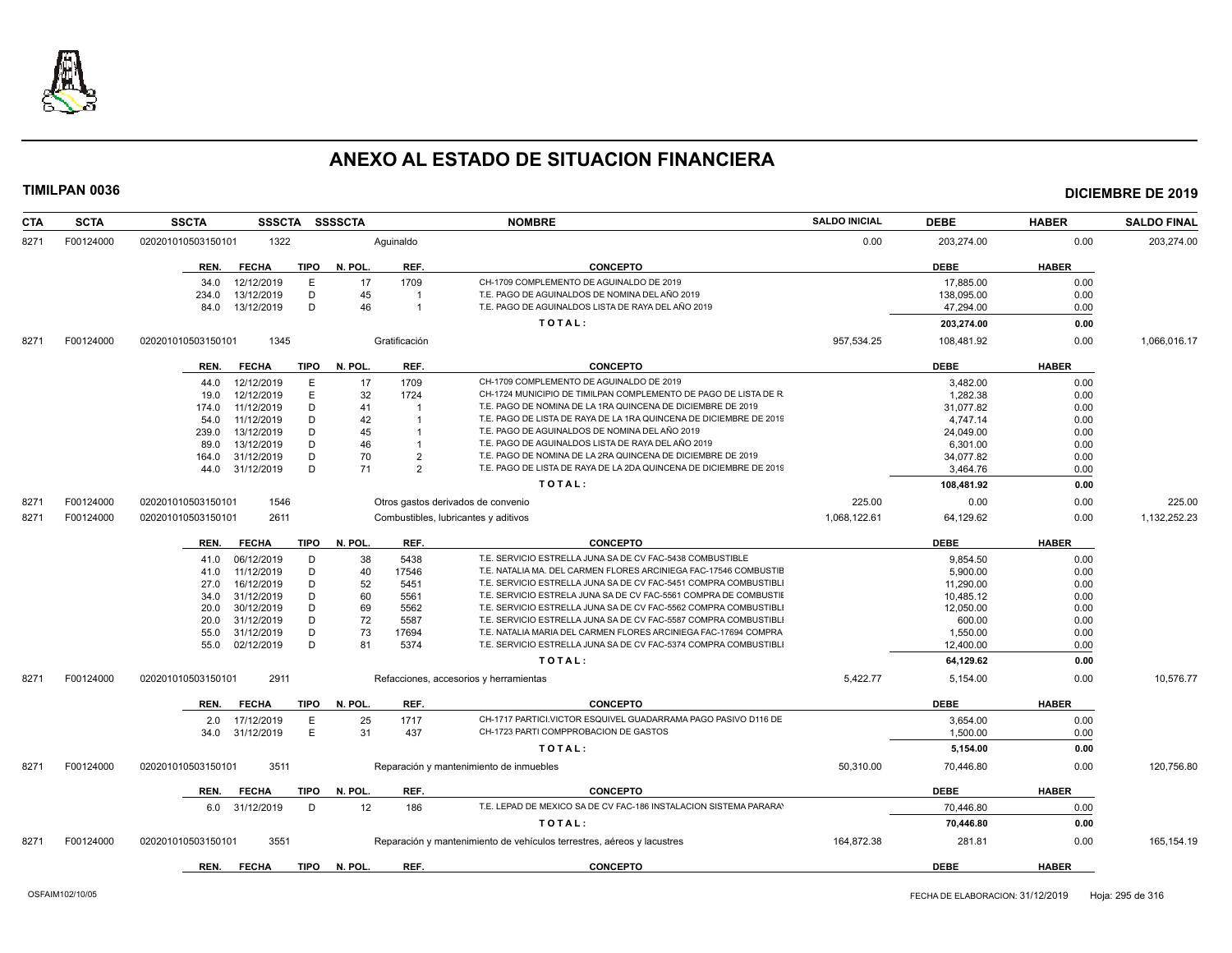

| <b>CTA</b> | <b>SCTA</b> | <b>SSCTA</b><br><b>SSSCTA</b>       | <b>SSSSCTA</b>       | <b>NOMBRE</b>                                                          | <b>SALDO INICIAL</b> | <b>DEBE</b> | <b>HABER</b> | <b>SALDO FINAL</b> |
|------------|-------------|-------------------------------------|----------------------|------------------------------------------------------------------------|----------------------|-------------|--------------|--------------------|
| 8271       | F00124000   | 1322<br>020201010503150101          | Aquinaldo            |                                                                        | 0.00                 | 203,274.00  | 0.00         | 203,274.00         |
|            |             | REN.<br><b>FECHA</b><br>TIPO        | N. POL<br>REF.       | <b>CONCEPTO</b>                                                        |                      | <b>DEBE</b> | <b>HABER</b> |                    |
|            |             | E<br>34.0<br>12/12/2019             | 17<br>1709           | CH-1709 COMPLEMENTO DE AGUINALDO DE 2019                               |                      | 17,885.00   | 0.00         |                    |
|            |             | D<br>234.0<br>13/12/2019            | 45<br>$\overline{1}$ | T.E. PAGO DE AGUINALDOS DE NOMINA DEL AÑO 2019                         |                      | 138,095.00  | 0.00         |                    |
|            |             | 13/12/2019<br>D<br>84.0             | 46<br>$\overline{1}$ | T.E. PAGO DE AGUINALDOS LISTA DE RAYA DEL AÑO 2019                     |                      | 47,294.00   | 0.00         |                    |
|            |             |                                     |                      | TOTAL:                                                                 |                      | 203.274.00  | 0.00         |                    |
| 8271       | F00124000   | 1345<br>020201010503150101          | Gratificación        |                                                                        | 957,534.25           | 108,481.92  | 0.00         | 1,066,016.17       |
|            |             | <b>FECHA</b><br><b>TIPO</b><br>REN. | N. POL.<br>REF.      | <b>CONCEPTO</b>                                                        |                      | DEBE        | <b>HABER</b> |                    |
|            |             | 12/12/2019<br>E<br>44.0             | 17<br>1709           | CH-1709 COMPLEMENTO DE AGUINALDO DE 2019                               |                      | 3.482.00    | 0.00         |                    |
|            |             | E<br>12/12/2019<br>19.0             | 32<br>1724           | CH-1724 MUNICIPIO DE TIMILPAN COMPLEMENTO DE PAGO DE LISTA DE R        |                      | 1,282.38    | 0.00         |                    |
|            |             | 11/12/2019<br>D<br>174.0            | 41                   | T.E. PAGO DE NOMINA DE LA 1RA QUINCENA DE DICIEMBRE DE 2019            |                      | 31,077.82   | 0.00         |                    |
|            |             | 11/12/2019<br>D<br>54.0             | 42                   | T.E. PAGO DE LISTA DE RAYA DE LA 1RA QUINCENA DE DICIEMBRE DE 2019     |                      | 4,747.14    | 0.00         |                    |
|            |             | D<br>13/12/2019<br>239.0            | 45                   | T.E. PAGO DE AGUINALDOS DE NOMINA DEL AÑO 2019                         |                      | 24,049.00   | 0.00         |                    |
|            |             | 13/12/2019<br>D<br>89.0             | 46<br>$\overline{1}$ | T.E. PAGO DE AGUINALDOS LISTA DE RAYA DEL AÑO 2019                     |                      | 6,301.00    | 0.00         |                    |
|            |             | D<br>31/12/2019<br>164.0            | 70<br>$\overline{2}$ | T.E. PAGO DE NOMINA DE LA 2RA QUINCENA DE DICIEMBRE DE 2019            |                      | 34,077.82   | 0.00         |                    |
|            |             | 31/12/2019<br>D<br>44.0             | 71<br>2              | T.E. PAGO DE LISTA DE RAYA DE LA 2DA QUINCENA DE DICIEMBRE DE 2019     |                      | 3.464.76    | 0.00         |                    |
|            |             |                                     |                      | TOTAL:                                                                 |                      |             |              |                    |
|            |             |                                     |                      |                                                                        |                      | 108,481.92  | 0.00         |                    |
| 8271       | F00124000   | 1546<br>020201010503150101          |                      | Otros gastos derivados de convenio                                     | 225.00               | 0.00        | 0.00         | 225.00             |
| 8271       | F00124000   | 2611<br>020201010503150101          |                      | Combustibles, lubricantes y aditivos                                   | 1,068,122.61         | 64,129.62   | 0.00         | 1,132,252.23       |
|            |             | <b>FECHA</b><br><b>TIPO</b><br>REN. | N. POL.<br>REF.      | <b>CONCEPTO</b>                                                        |                      | DEBE        | <b>HABER</b> |                    |
|            |             | 06/12/2019<br>D<br>41.0             | 38<br>5438           | T.E. SERVICIO ESTRELLA JUNA SA DE CV FAC-5438 COMBUSTIBLE              |                      | 9.854.50    | 0.00         |                    |
|            |             | 11/12/2019<br>D<br>41.0             | 40<br>17546          | T.E. NATALIA MA. DEL CARMEN FLORES ARCINIEGA FAC-17546 COMBUSTIE       |                      | 5,900.00    | 0.00         |                    |
|            |             | 16/12/2019<br>D<br>27.0             | 52<br>5451           | T.E. SERVICIO ESTRELLA JUNA SA DE CV FAC-5451 COMPRA COMBUSTIBLI       |                      | 11,290.00   | 0.00         |                    |
|            |             | 31/12/2019<br>D<br>34.0             | 60<br>5561           | T.E. SERVICIO ESTRELA JUNA SA DE CV FAC-5561 COMPRA DE COMBUSTII       |                      | 10,485.12   | 0.00         |                    |
|            |             | 30/12/2019<br>D<br>20.0             | 69<br>5562           | T.E. SERVICIO ESTRELLA JUNA SA DE CV FAC-5562 COMPRA COMBUSTIBL        |                      | 12,050.00   | 0.00         |                    |
|            |             | 31/12/2019<br>D<br>20.0             | 72<br>5587           | T.E. SERVICIO ESTRELLA JUNA SA DE CV FAC-5587 COMPRA COMBUSTIBLI       |                      | 600.00      | 0.00         |                    |
|            |             | 31/12/2019<br>D<br>55.0             | 73<br>17694          | T.E. NATALIA MARIA DEL CARMEN FLORES ARCINIEGA FAC-17694 COMPRA        |                      | 1,550.00    | 0.00         |                    |
|            |             | 02/12/2019<br>D<br>55.0             | 81<br>5374           | T.E. SERVICIO ESTRELLA JUNA SA DE CV FAC-5374 COMPRA COMBUSTIBLI       |                      | 12,400.00   | 0.00         |                    |
|            |             |                                     |                      | TOTAL:                                                                 |                      | 64,129.62   | 0.00         |                    |
| 8271       | F00124000   | 2911<br>020201010503150101          |                      | Refacciones, accesorios y herramientas                                 | 5,422.77             | 5,154.00    | 0.00         | 10,576.77          |
|            |             | <b>FECHA</b><br><b>TIPO</b><br>REN. | REF.<br>N. POL.      | <b>CONCEPTO</b>                                                        |                      | <b>DEBE</b> | <b>HABER</b> |                    |
|            |             | 17/12/2019<br>E<br>2.0              | 25<br>1717           | CH-1717 PARTICI.VICTOR ESQUIVEL GUADARRAMA PAGO PASIVO D116 DE         |                      | 3,654.00    | 0.00         |                    |
|            |             | E<br>34.0<br>31/12/2019             | 31<br>437            | CH-1723 PARTI COMPPROBACION DE GASTOS                                  |                      | 1,500.00    | 0.00         |                    |
|            |             |                                     |                      | TOTAL:                                                                 |                      | 5,154.00    | 0.00         |                    |
| 8271       | F00124000   | 020201010503150101<br>3511          |                      | Reparación y mantenimiento de inmuebles                                | 50,310.00            | 70,446.80   | 0.00         | 120,756.80         |
|            |             | <b>TIPO</b><br>REN.<br><b>FECHA</b> | REF.<br>N. POL       | <b>CONCEPTO</b>                                                        |                      | <b>DEBE</b> | <b>HABER</b> |                    |
|            |             | 31/12/2019<br>D<br>6.0              | 12<br>186            | T.E. LEPAD DE MEXICO SA DE CV FAC-186 INSTALACION SISTEMA PARARAY      |                      | 70.446.80   | 0.00         |                    |
|            |             |                                     |                      | TOTAL:                                                                 |                      | 70,446.80   | 0.00         |                    |
| 8271       | F00124000   | 3551<br>020201010503150101          |                      | Reparación y mantenimiento de vehículos terrestres, aéreos y lacustres | 164,872.38           | 281.81      | 0.00         | 165,154.19         |
|            |             | <b>FECHA</b><br><b>TIPO</b>         | N. POL<br>REF.       | <b>CONCEPTO</b>                                                        |                      | <b>DEBE</b> | <b>HABER</b> |                    |
|            |             | REN.                                |                      |                                                                        |                      |             |              |                    |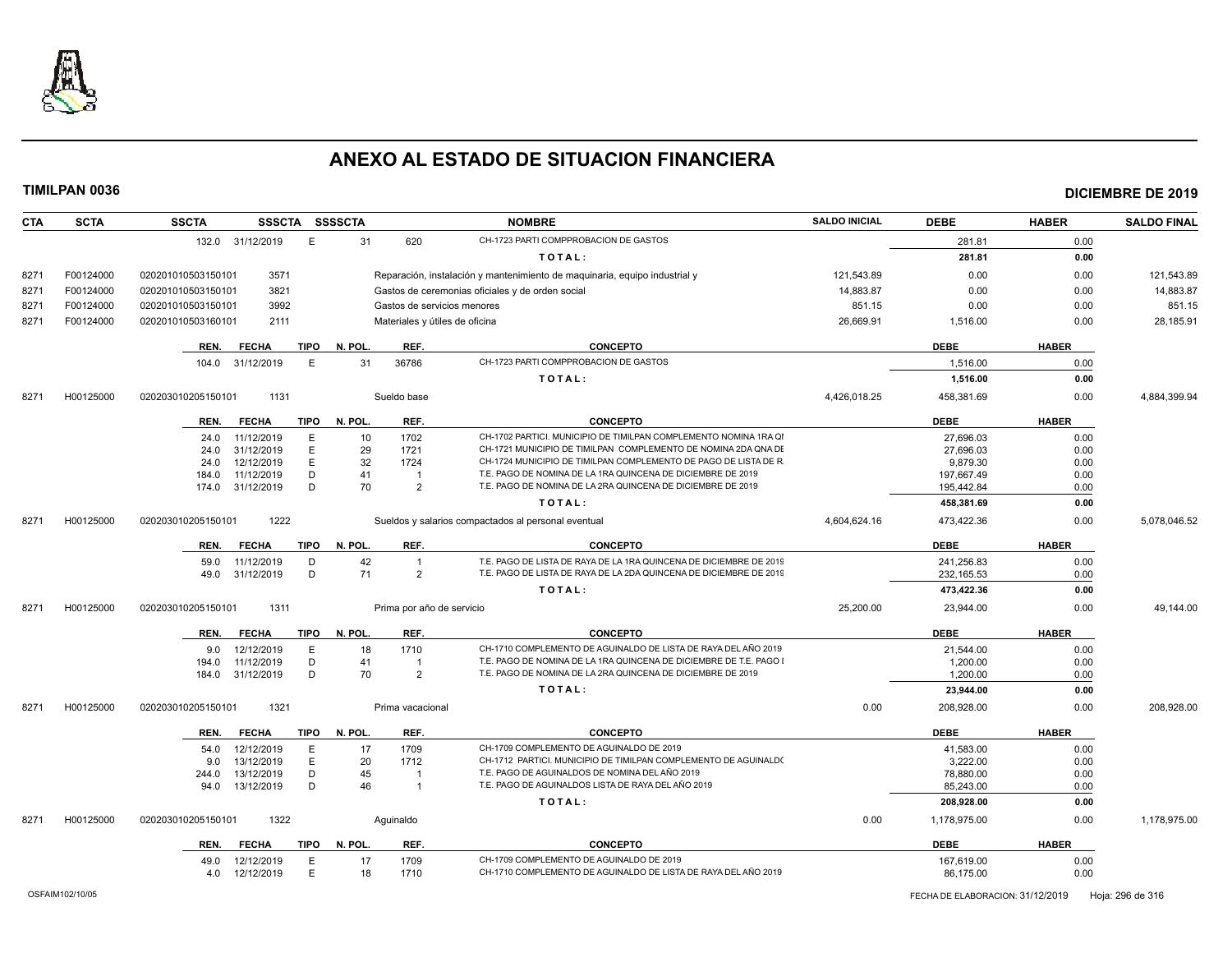

| <b>CTA</b> | <b>SCTA</b> | <b>SSCTA</b>       | SSSCTA SSSSCTA                     |          |                                | <b>NOMBRE</b>                                                                                                                            | <b>SALDO INICIAL</b> | <b>DEBE</b>               | <b>HABER</b> | <b>SALDO FINAL</b> |
|------------|-------------|--------------------|------------------------------------|----------|--------------------------------|------------------------------------------------------------------------------------------------------------------------------------------|----------------------|---------------------------|--------------|--------------------|
|            |             | 132.0 31/12/2019   | E                                  | 31       | 620                            | CH-1723 PARTI COMPPROBACION DE GASTOS                                                                                                    |                      | 281.81                    | 0.00         |                    |
|            |             |                    |                                    |          |                                | TOTAL:                                                                                                                                   |                      | 281.81                    | 0.00         |                    |
| 8271       | F00124000   | 020201010503150101 | 3571                               |          |                                | Reparación, instalación y mantenimiento de maquinaria, equipo industrial y                                                               | 121,543.89           | 0.00                      | 0.00         | 121,543.89         |
| 8271       | F00124000   | 020201010503150101 | 3821                               |          |                                | Gastos de ceremonias oficiales y de orden social                                                                                         | 14,883.87            | 0.00                      | 0.00         | 14,883.87          |
| 8271       | F00124000   | 020201010503150101 | 3992                               |          | Gastos de servicios menores    |                                                                                                                                          | 851.15               | 0.00                      | 0.00         | 851.15             |
| 8271       | F00124000   | 020201010503160101 | 2111                               |          | Materiales y útiles de oficina |                                                                                                                                          | 26,669.91            | 1,516.00                  | 0.00         | 28,185.91          |
|            |             |                    |                                    |          |                                |                                                                                                                                          |                      |                           |              |                    |
|            |             | REN.               | <b>TIPO</b><br><b>FECHA</b>        | N. POL.  | REF.                           | <b>CONCEPTO</b>                                                                                                                          |                      | <b>DEBE</b>               | <b>HABER</b> |                    |
|            |             | 104.0              | E<br>31/12/2019                    | 31       | 36786                          | CH-1723 PARTI COMPPROBACION DE GASTOS                                                                                                    |                      | 1,516.00                  | 0.00         |                    |
|            |             |                    |                                    |          |                                | TOTAL:                                                                                                                                   |                      | 1,516.00                  | 0.00         |                    |
| 8271       | H00125000   | 020203010205150101 | 1131                               |          | Sueldo base                    |                                                                                                                                          | 4,426,018.25         | 458,381.69                | 0.00         | 4,884,399.94       |
|            |             | REN.               | <b>FECHA</b><br><b>TIPO</b>        | N. POL.  | REF.                           | <b>CONCEPTO</b>                                                                                                                          |                      | <b>DEBE</b>               | <b>HABER</b> |                    |
|            |             | 24.0               | 11/12/2019<br>E                    | 10       | 1702                           | CH-1702 PARTICI. MUNICIPIO DE TIMILPAN COMPLEMENTO NOMINA 1RA QI                                                                         |                      | 27,696.03                 | 0.00         |                    |
|            |             | 24.0               | E<br>31/12/2019                    | 29       | 1721                           | CH-1721 MUNICIPIO DE TIMILPAN COMPLEMENTO DE NOMINA 2DA QNA DE                                                                           |                      | 27,696.03                 | 0.00         |                    |
|            |             | 24.0               | E<br>12/12/2019                    | 32       | 1724                           | CH-1724 MUNICIPIO DE TIMILPAN COMPLEMENTO DE PAGO DE LISTA DE R                                                                          |                      | 9,879.30                  | 0.00         |                    |
|            |             | 184.0              | 11/12/2019<br>D                    | 41       | $\overline{1}$                 | T.E. PAGO DE NOMINA DE LA 1RA QUINCENA DE DICIEMBRE DE 2019                                                                              |                      | 197,667.49                | 0.00         |                    |
|            |             | 174.0              | 31/12/2019<br>D                    | 70       | $\overline{2}$                 | T.E. PAGO DE NOMINA DE LA 2RA QUINCENA DE DICIEMBRE DE 2019                                                                              |                      | 195,442.84                | 0.00         |                    |
|            |             |                    |                                    |          |                                | TOTAL:                                                                                                                                   |                      | 458,381.69                | 0.00         |                    |
| 8271       | H00125000   | 020203010205150101 | 1222                               |          |                                | Sueldos y salarios compactados al personal eventual                                                                                      | 4,604,624.16         | 473,422.36                | 0.00         | 5,078,046.52       |
|            |             |                    |                                    |          |                                |                                                                                                                                          |                      |                           |              |                    |
|            |             | REN.               | <b>FECHA</b><br><b>TIPO</b>        | N. POL.  | REF.                           | <b>CONCEPTO</b>                                                                                                                          |                      | <b>DEBE</b>               | <b>HABER</b> |                    |
|            |             | 59.0<br>49.0       | 11/12/2019<br>D<br>D<br>31/12/2019 | 42<br>71 | $\overline{1}$<br>2            | T.E. PAGO DE LISTA DE RAYA DE LA 1RA QUINCENA DE DICIEMBRE DE 2019<br>T.E. PAGO DE LISTA DE RAYA DE LA 2DA QUINCENA DE DICIEMBRE DE 2019 |                      | 241,256.83<br>232, 165.53 | 0.00<br>0.00 |                    |
|            |             |                    |                                    |          |                                | TOTAL:                                                                                                                                   |                      | 473,422.36                | 0.00         |                    |
|            |             |                    |                                    |          |                                |                                                                                                                                          |                      |                           |              |                    |
| 8271       | H00125000   | 020203010205150101 | 1311                               |          | Prima por año de servicio      |                                                                                                                                          | 25,200.00            | 23,944.00                 | 0.00         | 49,144.00          |
|            |             | REN.               | <b>FECHA</b><br>TIPO               | N. POL   | REF.                           | <b>CONCEPTO</b>                                                                                                                          |                      | <b>DEBE</b>               | <b>HABER</b> |                    |
|            |             | 9.0                | 12/12/2019<br>E                    | 18       | 1710                           | CH-1710 COMPLEMENTO DE AGUINALDO DE LISTA DE RAYA DEL AÑO 2019                                                                           |                      | 21,544.00                 | 0.00         |                    |
|            |             | 194.0              | D<br>11/12/2019                    | 41       | $\overline{1}$                 | T.E. PAGO DE NOMINA DE LA 1RA QUINCENA DE DICIEMBRE DE T.E. PAGO                                                                         |                      | 1,200.00                  | 0.00         |                    |
|            |             | 184.0              | D<br>31/12/2019                    | 70       | $\overline{2}$                 | T.E. PAGO DE NOMINA DE LA 2RA QUINCENA DE DICIEMBRE DE 2019                                                                              |                      | 1,200.00                  | 0.00         |                    |
|            |             |                    |                                    |          |                                | TOTAL:                                                                                                                                   |                      | 23,944.00                 | 0.00         |                    |
| 8271       | H00125000   | 020203010205150101 | 1321                               |          | Prima vacacional               |                                                                                                                                          | 0.00                 | 208,928.00                | 0.00         | 208,928.00         |
|            |             |                    |                                    |          |                                |                                                                                                                                          |                      |                           |              |                    |
|            |             | REN.               | <b>TIPO</b><br><b>FECHA</b>        | N. POL.  | REF.                           | <b>CONCEPTO</b>                                                                                                                          |                      | <b>DEBE</b>               | <b>HABER</b> |                    |
|            |             | 54.0               | 12/12/2019<br>Ε<br>13/12/2019      | 17<br>20 | 1709<br>1712                   | CH-1709 COMPLEMENTO DE AGUINALDO DE 2019<br>CH-1712 PARTICI. MUNICIPIO DE TIMILPAN COMPLEMENTO DE AGUINALDO                              |                      | 41,583.00                 | 0.00         |                    |
|            |             | 9.0                | E<br>D                             |          |                                | T.E. PAGO DE AGUINALDOS DE NOMINA DEL AÑO 2019                                                                                           |                      | 3,222.00                  | 0.00         |                    |
|            |             | 244.0              | 13/12/2019                         | 45       | -1                             |                                                                                                                                          |                      | 78,880.00                 | 0.00         |                    |
|            |             | 94.0               | 13/12/2019<br>D                    | 46       | $\overline{1}$                 | T.E. PAGO DE AGUINALDOS LISTA DE RAYA DEL AÑO 2019                                                                                       |                      | 85,243.00                 | 0.00         |                    |
|            |             |                    |                                    |          |                                | TOTAL:                                                                                                                                   |                      | 208,928.00                | 0.00         |                    |
| 8271       | H00125000   | 020203010205150101 | 1322                               |          | Aquinaldo                      |                                                                                                                                          | 0.00                 | 1,178,975.00              | 0.00         | 1,178,975.00       |
|            |             | REN.               | <b>FECHA</b><br>TIPO               | N. POL.  | REF.                           | <b>CONCEPTO</b>                                                                                                                          |                      | <b>DEBE</b>               | <b>HABER</b> |                    |
|            |             | 49.0               | 12/12/2019<br>E.                   | 17       | 1709                           | CH-1709 COMPLEMENTO DE AGUINALDO DE 2019                                                                                                 |                      | 167,619.00                | 0.00         |                    |
|            |             | 4.0                | E<br>12/12/2019                    | 18       | 1710                           | CH-1710 COMPLEMENTO DE AGUINALDO DE LISTA DE RAYA DEL AÑO 2019                                                                           |                      | 86,175.00                 | 0.00         |                    |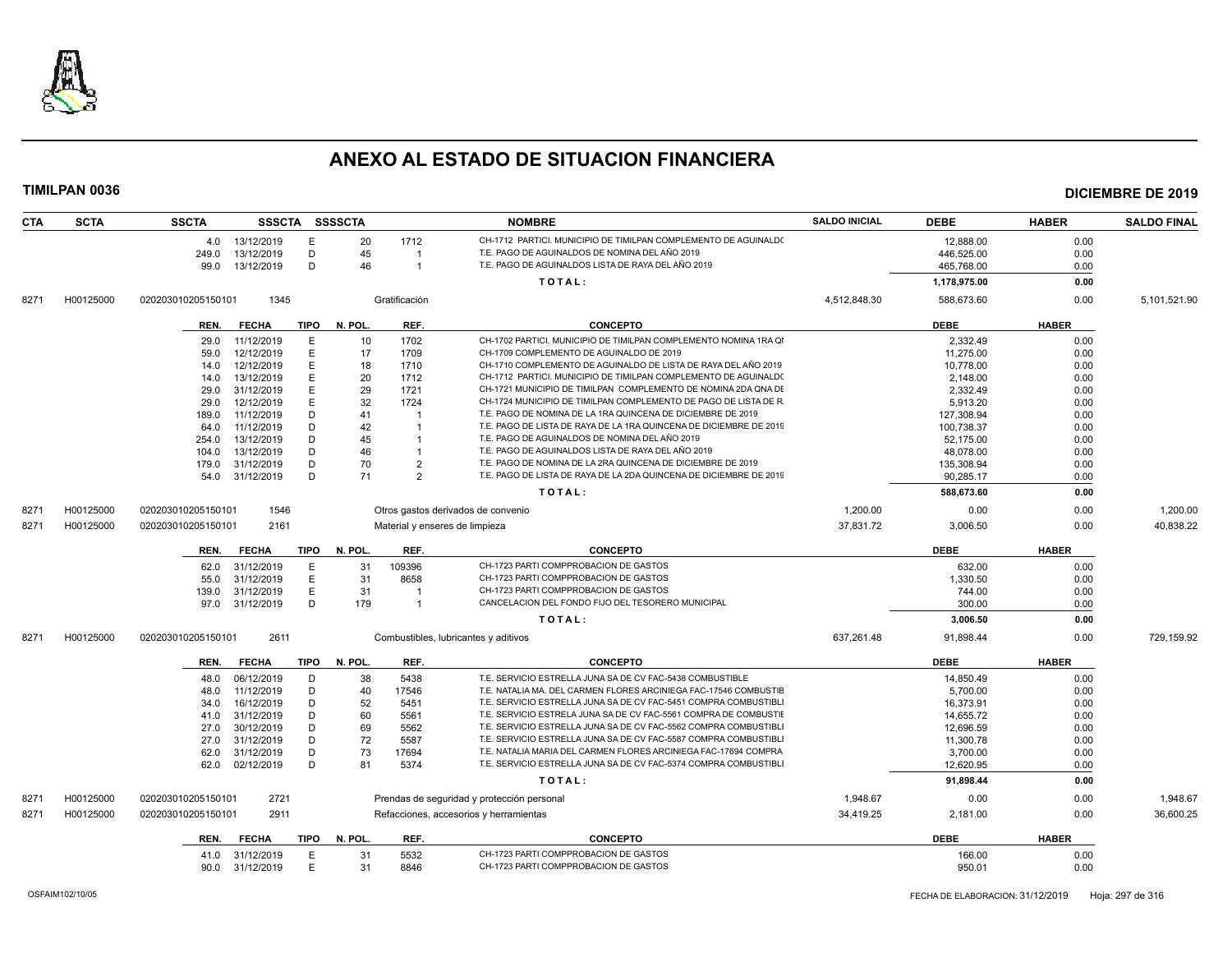

| CTA  | <b>SCTA</b> | <b>SSCTA</b>       | <b>SSSCTA</b>            |             | <b>SSSSCTA</b> |                | <b>NOMBRE</b>                                                                  | <b>SALDO INICIAL</b> | <b>DEBE</b>           | <b>HABER</b> | <b>SALDO FINAL</b> |
|------|-------------|--------------------|--------------------------|-------------|----------------|----------------|--------------------------------------------------------------------------------|----------------------|-----------------------|--------------|--------------------|
|      |             | 4.0                | 13/12/2019               | E           | 20             | 1712           | CH-1712 PARTICI, MUNICIPIO DE TIMILPAN COMPLEMENTO DE AGUINALDO                |                      | 12,888.00             | 0.00         |                    |
|      |             | 249.0              | 13/12/2019               | D           | 45             | -1             | T.E. PAGO DE AGUINALDOS DE NOMINA DEL AÑO 2019                                 |                      | 446,525.00            | 0.00         |                    |
|      |             | 99.0               | 13/12/2019               | D           | 46             | $\mathbf{1}$   | T.E. PAGO DE AGUINALDOS LISTA DE RAYA DEL AÑO 2019                             |                      | 465,768.00            | 0.00         |                    |
|      |             |                    |                          |             |                |                | TOTAL:                                                                         |                      | 1,178,975.00          | 0.00         |                    |
| 8271 | H00125000   | 020203010205150101 | 1345                     |             |                | Gratificación  |                                                                                | 4,512,848.30         | 588,673.60            | 0.00         | 5,101,521.90       |
|      |             |                    | <b>FECHA</b>             | <b>TIPO</b> | N. POL.        | REF.           | <b>CONCEPTO</b>                                                                |                      | <b>DEBE</b>           | <b>HABER</b> |                    |
|      |             | REN.               |                          |             |                |                |                                                                                |                      |                       |              |                    |
|      |             | 29.0               | 11/12/2019               | E           | 10             | 1702           | CH-1702 PARTICI. MUNICIPIO DE TIMILPAN COMPLEMENTO NOMINA 1RA QI               |                      | 2,332.49              | 0.00         |                    |
|      |             | 59.0               | 12/12/2019               | E           | 17             | 1709           | CH-1709 COMPLEMENTO DE AGUINALDO DE 2019                                       |                      | 11,275.00             | 0.00         |                    |
|      |             | 14.0               | 12/12/2019               | E           | 18             | 1710           | CH-1710 COMPLEMENTO DE AGUINALDO DE LISTA DE RAYA DEL AÑO 2019                 |                      | 10,778.00             | 0.00         |                    |
|      |             | 14.0               | 13/12/2019               | E           | 20             | 1712           | CH-1712 PARTICI. MUNICIPIO DE TIMILPAN COMPLEMENTO DE AGUINALDO                |                      | 2,148.00              | 0.00         |                    |
|      |             | 29.0               | 31/12/2019               | E           | 29             | 1721           | CH-1721 MUNICIPIO DE TIMILPAN COMPLEMENTO DE NOMINA 2DA QNA DE                 |                      | 2,332.49              | 0.00         |                    |
|      |             | 29.0               | 12/12/2019               | E           | 32             | 1724           | CH-1724 MUNICIPIO DE TIMILPAN COMPLEMENTO DE PAGO DE LISTA DE R                |                      | 5,913.20              | 0.00         |                    |
|      |             | 189.0              | 11/12/2019               | D           | 41             | $\overline{1}$ | T.E. PAGO DE NOMINA DE LA 1RA QUINCENA DE DICIEMBRE DE 2019                    |                      | 127,308.94            | 0.00         |                    |
|      |             | 64.0               | 11/12/2019               | D           | 42             | $\overline{1}$ | T.E. PAGO DE LISTA DE RAYA DE LA 1RA QUINCENA DE DICIEMBRE DE 2019             |                      | 100,738.37            | 0.00         |                    |
|      |             | 254.0              | 13/12/2019               | D           | 45             |                | T.E. PAGO DE AGUINALDOS DE NOMINA DEL AÑO 2019                                 |                      | 52.175.00             | 0.00         |                    |
|      |             | 104.0              | 13/12/2019               | D           | 46             | $\mathbf{1}$   | T.E. PAGO DE AGUINALDOS LISTA DE RAYA DEL AÑO 2019                             |                      | 48,078.00             | 0.00         |                    |
|      |             | 179.0              | 31/12/2019               | D           | 70             | $\overline{2}$ | T.E. PAGO DE NOMINA DE LA 2RA QUINCENA DE DICIEMBRE DE 2019                    |                      | 135,308.94            | 0.00         |                    |
|      |             | 54.0               | 31/12/2019               | D           | 71             | $\overline{2}$ | T.E. PAGO DE LISTA DE RAYA DE LA 2DA QUINCENA DE DICIEMBRE DE 2019             |                      | 90,285.17             | 0.00         |                    |
|      |             |                    |                          |             |                |                | TOTAL:                                                                         |                      | 588,673.60            | 0.00         |                    |
| 8271 | H00125000   | 020203010205150101 | 1546                     |             |                |                | Otros gastos derivados de convenio                                             | 1,200.00             | 0.00                  | 0.00         | 1,200.00           |
| 8271 | H00125000   | 020203010205150101 | 2161                     |             |                |                | Material y enseres de limpieza                                                 | 37,831.72            | 3,006.50              | 0.00         | 40,838.22          |
|      |             | REN.               | <b>FECHA</b>             | <b>TIPO</b> | N. POL.        | REF.           | <b>CONCEPTO</b>                                                                |                      | <b>DEBE</b>           | <b>HABER</b> |                    |
|      |             | 62.0               | 31/12/2019               | E           | 31             | 109396         | CH-1723 PARTI COMPPROBACION DE GASTOS                                          |                      | 632.00                | 0.00         |                    |
|      |             |                    | 31/12/2019               | E           | 31             | 8658           | CH-1723 PARTI COMPPROBACION DE GASTOS                                          |                      | 1,330.50              | 0.00         |                    |
|      |             | 55.0               |                          | E           | 31             | -1             | CH-1723 PARTI COMPPROBACION DE GASTOS                                          |                      |                       | 0.00         |                    |
|      |             | 139.0              | 31/12/2019<br>31/12/2019 | D           | 179            | $\mathbf{1}$   | CANCELACION DEL FONDO FIJO DEL TESORERO MUNICIPAL                              |                      | 744.00<br>300.00      | 0.00         |                    |
|      |             | 97.0               |                          |             |                |                |                                                                                |                      |                       |              |                    |
| 8271 | H00125000   | 020203010205150101 | 2611                     |             |                |                | TOTAL:                                                                         | 637.261.48           | 3,006.50<br>91,898.44 | 0.00<br>0.00 | 729,159.92         |
|      |             |                    |                          |             |                |                | Combustibles, lubricantes y aditivos                                           |                      |                       |              |                    |
|      |             | REN.               | <b>FECHA</b>             | TIPO        | N. POL.        | REF.           | <b>CONCEPTO</b>                                                                |                      | <b>DEBE</b>           | <b>HABER</b> |                    |
|      |             | 48.0               | 06/12/2019               | D           | 38             | 5438           | T.E. SERVICIO ESTRELLA JUNA SA DE CV FAC-5438 COMBUSTIBLE                      |                      | 14,850.49             | 0.00         |                    |
|      |             | 48.0               | 11/12/2019               | D           | 40             | 17546          | T.E. NATALIA MA. DEL CARMEN FLORES ARCINIEGA FAC-17546 COMBUSTIE               |                      | 5,700.00              | 0.00         |                    |
|      |             | 34.0               | 16/12/2019               | D           | 52             | 5451           | T.E. SERVICIO ESTRELLA JUNA SA DE CV FAC-5451 COMPRA COMBUSTIBLI               |                      | 16,373.91             | 0.00         |                    |
|      |             | 41.0               | 31/12/2019               | D           | 60             | 5561           | T.E. SERVICIO ESTRELA JUNA SA DE CV FAC-5561 COMPRA DE COMBUSTIE               |                      | 14,655.72             | 0.00         |                    |
|      |             | 27.0               | 30/12/2019               | D           | 69             | 5562           | T.E. SERVICIO ESTRELLA JUNA SA DE CV FAC-5562 COMPRA COMBUSTIBLI               |                      | 12.696.59             | 0.00         |                    |
|      |             | 27.0               | 31/12/2019               | D           | 72             | 5587           | T.E. SERVICIO ESTRELLA JUNA SA DE CV FAC-5587 COMPRA COMBUSTIBLI               |                      | 11,300.78             | 0.00         |                    |
|      |             | 62.0               | 31/12/2019               | D           | 73             | 17694          | T.E. NATALIA MARIA DEL CARMEN FLORES ARCINIEGA FAC-17694 COMPRA                |                      | 3,700.00              | 0.00         |                    |
|      |             | 62.0               | 02/12/2019               | D           | 81             | 5374           | T.E. SERVICIO ESTRELLA JUNA SA DE CV FAC-5374 COMPRA COMBUSTIBLI               |                      | 12,620.95             | 0.00         |                    |
|      |             |                    |                          |             |                |                | TOTAL:                                                                         |                      | 91,898.44             | 0.00         |                    |
| 827' | H00125000   | 020203010205150101 | 2721                     |             |                |                | Prendas de seguridad y protección personal                                     | 1,948.67             | 0.00                  | 0.00         | 1,948.67           |
| 8271 | H00125000   | 020203010205150101 | 2911                     |             |                |                | Refacciones, accesorios y herramientas                                         | 34,419.25            | 2,181.00              | 0.00         | 36,600.25          |
|      |             |                    |                          |             |                |                |                                                                                |                      |                       |              |                    |
|      |             |                    |                          |             |                |                |                                                                                |                      |                       |              |                    |
|      |             | REN.               | <b>FECHA</b>             | TIPO        | N. POL.        | REF.           | <b>CONCEPTO</b>                                                                |                      | <b>DEBE</b>           | <b>HABER</b> |                    |
|      |             | 41.0<br>90.0       | 31/12/2019<br>31/12/2019 | E<br>E      | 31<br>31       | 5532<br>8846   | CH-1723 PARTI COMPPROBACION DE GASTOS<br>CH-1723 PARTI COMPPROBACION DE GASTOS |                      | 166.00<br>950.01      | 0.00<br>0.00 |                    |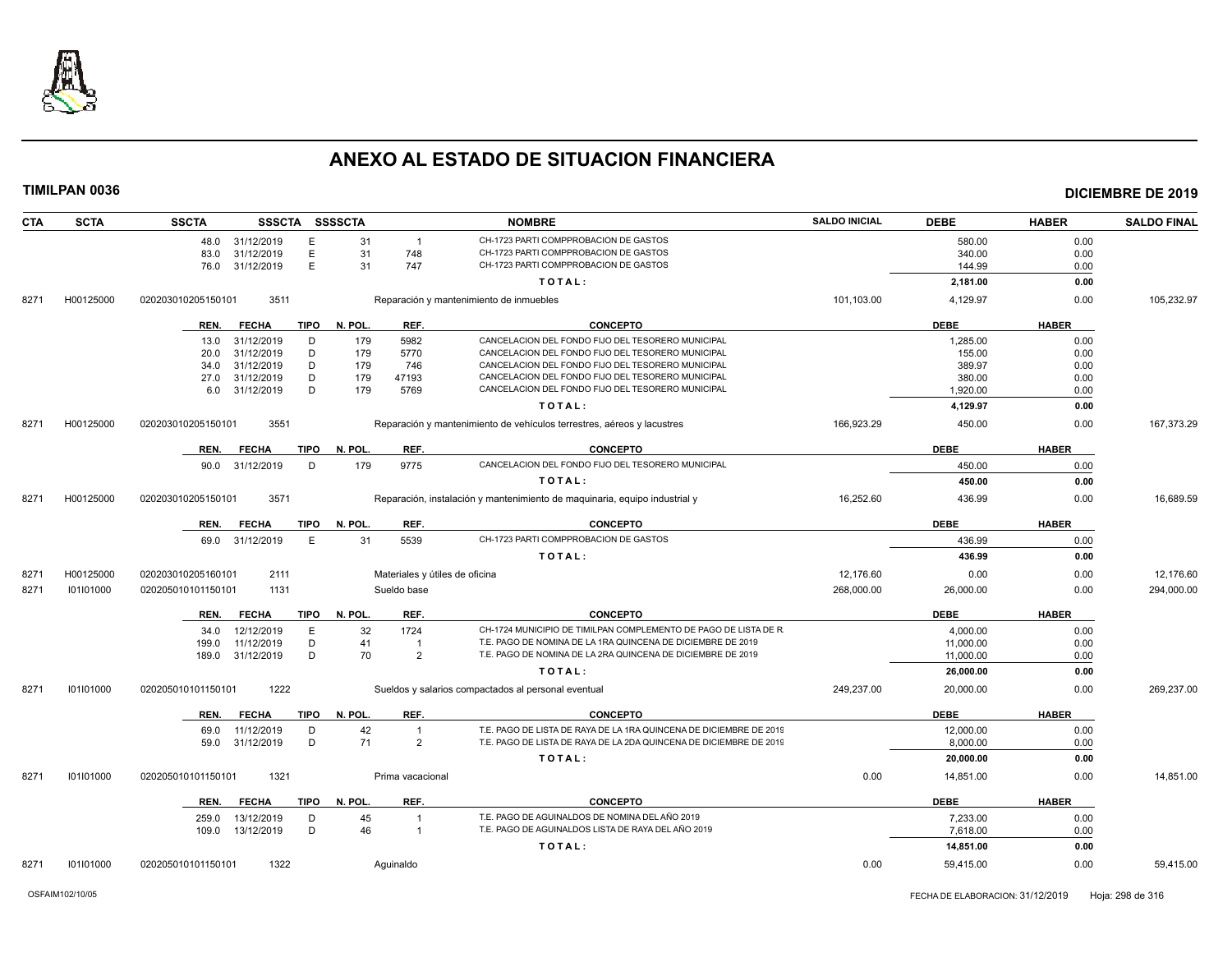

| <b>CTA</b> | <b>SCTA</b> | <b>SSCTA</b>         | <b>SSSCTA</b>   | <b>SSSSCTA</b> |                                | <b>NOMBRE</b>                                                              | <b>SALDO INICIAL</b> | <b>DEBE</b> | <b>HABER</b> | <b>SALDO FINAL</b> |
|------------|-------------|----------------------|-----------------|----------------|--------------------------------|----------------------------------------------------------------------------|----------------------|-------------|--------------|--------------------|
|            |             | 48.0<br>31/12/2019   | E               | 31             | $\overline{1}$                 | CH-1723 PARTI COMPPROBACION DE GASTOS                                      |                      | 580.00      | 0.00         |                    |
|            |             | 83.0<br>31/12/2019   | Ε               | 31             | 748                            | CH-1723 PARTI COMPPROBACION DE GASTOS                                      |                      | 340.00      | 0.00         |                    |
|            |             | 31/12/2019<br>76.0   | E               | 31             | 747                            | CH-1723 PARTI COMPPROBACION DE GASTOS                                      |                      | 144.99      | 0.00         |                    |
|            |             |                      |                 |                |                                | TOTAL:                                                                     |                      | 2,181.00    | 0.00         |                    |
| 8271       | H00125000   | 020203010205150101   | 3511            |                |                                | Reparación y mantenimiento de inmuebles                                    | 101,103.00           | 4,129.97    | 0.00         | 105,232.97         |
|            |             | REN.<br><b>FECHA</b> | <b>TIPO</b>     | N. POL.        | REF.                           | <b>CONCEPTO</b>                                                            |                      | <b>DEBE</b> | <b>HABER</b> |                    |
|            |             | 31/12/2019<br>13.0   | D               | 179            | 5982                           | CANCELACION DEL FONDO FIJO DEL TESORERO MUNICIPAL                          |                      | 1,285.00    | 0.00         |                    |
|            |             | 31/12/2019<br>20.0   | D               | 179            | 5770                           | CANCELACION DEL FONDO FIJO DEL TESORERO MUNICIPAL                          |                      | 155.00      | 0.00         |                    |
|            |             | 31/12/2019<br>34.0   | D               | 179            | 746                            | CANCELACION DEL FONDO FIJO DEL TESORERO MUNICIPAL                          |                      | 389.97      | 0.00         |                    |
|            |             | 27.0<br>31/12/2019   | D               | 179            | 47193                          | CANCELACION DEL FONDO FIJO DEL TESORERO MUNICIPAL                          |                      | 380.00      | 0.00         |                    |
|            |             | 31/12/2019<br>6.0    | D               | 179            | 5769                           | CANCELACION DEL FONDO FIJO DEL TESORERO MUNICIPAL                          |                      | 1,920.00    | 0.00         |                    |
|            |             |                      |                 |                |                                | TOTAL:                                                                     |                      | 4,129.97    | 0.00         |                    |
| 8271       | H00125000   | 020203010205150101   | 3551            |                |                                | Reparación y mantenimiento de vehículos terrestres, aéreos y lacustres     | 166,923.29           | 450.00      | 0.00         | 167,373.29         |
|            |             |                      |                 |                |                                |                                                                            |                      |             |              |                    |
|            |             | <b>FECHA</b><br>REN. | <b>TIPO</b>     | N. POL.        | REF.                           | <b>CONCEPTO</b>                                                            |                      | <b>DEBE</b> | <b>HABER</b> |                    |
|            |             | 31/12/2019<br>90.0   | D               | 179            | 9775                           | CANCELACION DEL FONDO FIJO DEL TESORERO MUNICIPAL                          |                      | 450.00      | 0.00         |                    |
|            |             |                      |                 |                |                                | TOTAL:                                                                     |                      | 450.00      | 0.00         |                    |
| 8271       | H00125000   | 020203010205150101   | 3571            |                |                                | Reparación, instalación y mantenimiento de maquinaria, equipo industrial y | 16,252.60            | 436.99      | 0.00         | 16,689.59          |
|            |             | <b>FECHA</b><br>REN. | <b>TIPO</b>     | N. POL         | REF.                           | <b>CONCEPTO</b>                                                            |                      | <b>DEBE</b> | <b>HABER</b> |                    |
|            |             | 31/12/2019<br>69.0   | E               | 31             | 5539                           | CH-1723 PARTI COMPPROBACION DE GASTOS                                      |                      | 436.99      | 0.00         |                    |
|            |             |                      |                 |                |                                | TOTAL:                                                                     |                      | 436.99      | 0.00         |                    |
| 8271       | H00125000   | 020203010205160101   | 2111            |                | Materiales y útiles de oficina |                                                                            | 12,176.60            | 0.00        | 0.00         | 12,176.60          |
| 8271       | 101101000   | 020205010101150101   | 1131            |                | Sueldo base                    |                                                                            | 268,000.00           | 26,000.00   | 0.00         | 294,000.00         |
|            |             | <b>FECHA</b><br>REN. | <b>TIPO</b>     | N. POL.        | REF.                           | <b>CONCEPTO</b>                                                            |                      | <b>DEBE</b> | <b>HABER</b> |                    |
|            |             | 34.0                 | 12/12/2019<br>E | 32             | 1724                           | CH-1724 MUNICIPIO DE TIMILPAN COMPLEMENTO DE PAGO DE LISTA DE R            |                      | 4,000.00    | 0.00         |                    |
|            |             | 199.0                | 11/12/2019<br>D | 41             | $\overline{1}$                 | T.E. PAGO DE NOMINA DE LA 1RA QUINCENA DE DICIEMBRE DE 2019                |                      | 11,000.00   | 0.00         |                    |
|            |             | 31/12/2019<br>189.0  | D               | 70             | 2                              | T.E. PAGO DE NOMINA DE LA 2RA QUINCENA DE DICIEMBRE DE 2019                |                      | 11,000.00   | 0.00         |                    |
|            |             |                      |                 |                |                                | TOTAL:                                                                     |                      | 26,000.00   | 0.00         |                    |
| 8271       | 101101000   | 020205010101150101   | 1222            |                |                                | Sueldos y salarios compactados al personal eventual                        | 249,237.00           | 20,000.00   | 0.00         | 269,237.00         |
|            |             | <b>FECHA</b><br>REN. | <b>TIPO</b>     | N. POL         | REF.                           | <b>CONCEPTO</b>                                                            |                      | <b>DEBE</b> | <b>HABER</b> |                    |
|            |             | 69.0                 | 11/12/2019<br>D | 42             | $\overline{1}$                 | T.E. PAGO DE LISTA DE RAYA DE LA 1RA QUINCENA DE DICIEMBRE DE 2019         |                      | 12,000.00   | 0.00         |                    |
|            |             | 31/12/2019<br>59.0   | D               | 71             | $\overline{2}$                 | T.E. PAGO DE LISTA DE RAYA DE LA 2DA QUINCENA DE DICIEMBRE DE 2019         |                      | 8,000.00    | 0.00         |                    |
|            |             |                      |                 |                |                                | TOTAL:                                                                     |                      | 20,000.00   | 0.00         |                    |
| 8271       | 101101000   | 020205010101150101   | 1321            |                | Prima vacacional               |                                                                            | 0.00                 | 14,851.00   | 0.00         | 14,851.00          |
|            |             |                      |                 |                |                                |                                                                            |                      |             |              |                    |
|            |             | <b>FECHA</b><br>REN. | TIPO            | N. POL.        | REF.                           | <b>CONCEPTO</b>                                                            |                      | <b>DEBE</b> | <b>HABER</b> |                    |
|            |             | 259.0                | 13/12/2019<br>D | 45             | $\overline{1}$                 | T.E. PAGO DE AGUINALDOS DE NOMINA DEL AÑO 2019                             |                      | 7,233.00    | 0.00         |                    |
|            |             | 13/12/2019<br>109.0  | D               | 46             | $\overline{1}$                 | T.E. PAGO DE AGUINALDOS LISTA DE RAYA DEL AÑO 2019                         |                      | 7,618.00    | 0.00         |                    |
|            |             |                      |                 |                |                                | TOTAL:                                                                     |                      | 14,851.00   | 0.00         |                    |
| 8271       | 101101000   | 020205010101150101   | 1322            |                | Aquinaldo                      |                                                                            | 0.00                 | 59,415.00   | 0.00         | 59,415.00          |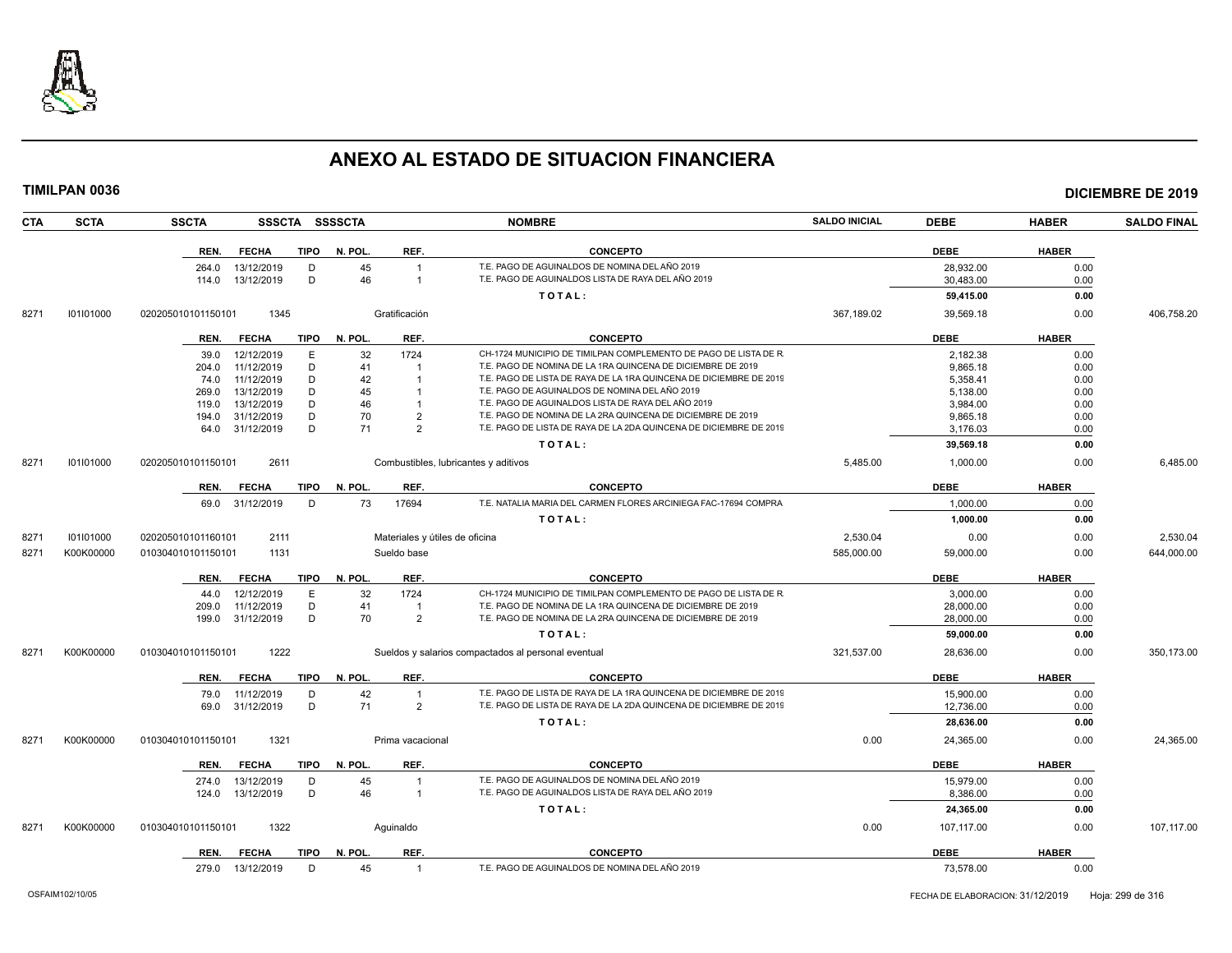

| <b>TIMILPAN 0036</b> |             |                    |                  |      |                |                                |                                                                    |                      |             |              | <b>DICIEMBRE DE 2019</b> |  |
|----------------------|-------------|--------------------|------------------|------|----------------|--------------------------------|--------------------------------------------------------------------|----------------------|-------------|--------------|--------------------------|--|
| <b>CTA</b>           | <b>SCTA</b> | <b>SSCTA</b>       |                  |      | SSSCTA SSSSCTA |                                | <b>NOMBRE</b>                                                      | <b>SALDO INICIAL</b> | <b>DEBE</b> | <b>HABER</b> | <b>SALDO FINAL</b>       |  |
|                      |             | REN.               | <b>FECHA</b>     | TIPO | N. POL.        | REF.                           | <b>CONCEPTO</b>                                                    |                      | <b>DEBE</b> | <b>HABER</b> |                          |  |
|                      |             | 264.0              | 13/12/2019       | D    | 45             | $\overline{1}$                 | T.E. PAGO DE AGUINALDOS DE NOMINA DEL AÑO 2019                     |                      | 28,932.00   | 0.00         |                          |  |
|                      |             | 114.0              | 13/12/2019       | D    | 46             | $\overline{1}$                 | T.E. PAGO DE AGUINALDOS LISTA DE RAYA DEL AÑO 2019                 |                      | 30,483.00   | 0.00         |                          |  |
|                      |             |                    |                  |      |                |                                | TOTAL:                                                             |                      | 59,415.00   | 0.00         |                          |  |
| 8271                 | 101101000   | 020205010101150101 | 1345             |      |                | Gratificación                  |                                                                    | 367,189.02           | 39,569.18   | 0.00         | 406,758.20               |  |
|                      |             | REN.               | <b>FECHA</b>     | TIPO | N. POL.        | REF.                           | <b>CONCEPTO</b>                                                    |                      | <b>DEBE</b> | <b>HABER</b> |                          |  |
|                      |             | 39.0               | 12/12/2019       | Ε    | 32             | 1724                           | CH-1724 MUNICIPIO DE TIMILPAN COMPLEMENTO DE PAGO DE LISTA DE R    |                      | 2,182.38    | 0.00         |                          |  |
|                      |             | 204.0              | 11/12/2019       | D    | 41             | $\overline{1}$                 | T.E. PAGO DE NOMINA DE LA 1RA QUINCENA DE DICIEMBRE DE 2019        |                      | 9,865.18    | 0.00         |                          |  |
|                      |             | 74.0               | 11/12/2019       | D    | 42             | $\overline{1}$                 | T.E. PAGO DE LISTA DE RAYA DE LA 1RA QUINCENA DE DICIEMBRE DE 2019 |                      | 5,358.41    | 0.00         |                          |  |
|                      |             | 269.0              | 13/12/2019       | D    | 45             | $\overline{1}$                 | T.E. PAGO DE AGUINALDOS DE NOMINA DEL AÑO 2019                     |                      | 5,138.00    | 0.00         |                          |  |
|                      |             | 119.0              | 13/12/2019       | D    | 46             | $\mathbf{1}$                   | T.E. PAGO DE AGUINALDOS LISTA DE RAYA DEL AÑO 2019                 |                      | 3,984.00    | 0.00         |                          |  |
|                      |             | 194.0              | 31/12/2019       | D    | 70             | $\overline{2}$                 | T.E. PAGO DE NOMINA DE LA 2RA QUINCENA DE DICIEMBRE DE 2019        |                      | 9,865.18    | 0.00         |                          |  |
|                      |             | 64.0               | 31/12/2019       | D    | 71             | $\overline{2}$                 | T.E. PAGO DE LISTA DE RAYA DE LA 2DA QUINCENA DE DICIEMBRE DE 2019 |                      | 3,176.03    | 0.00         |                          |  |
|                      |             |                    |                  |      |                |                                | TOTAL:                                                             |                      | 39,569.18   | 0.00         |                          |  |
| 8271                 | 101101000   | 020205010101150101 | 2611             |      |                |                                | Combustibles, lubricantes y aditivos                               | 5,485.00             | 1,000.00    | 0.00         | 6,485.00                 |  |
|                      |             | REN.               | <b>FECHA</b>     | TIPO | N. POL.        | REF.                           | <b>CONCEPTO</b>                                                    |                      | <b>DEBE</b> | <b>HABER</b> |                          |  |
|                      |             |                    |                  |      |                |                                | T.E. NATALIA MARIA DEL CARMEN FLORES ARCINIEGA FAC-17694 COMPRA    |                      |             |              |                          |  |
|                      |             |                    | 69.0 31/12/2019  | D    | 73             | 17694                          |                                                                    |                      | 1.000.00    | 0.00         |                          |  |
|                      |             |                    |                  |      |                |                                | TOTAL:                                                             |                      | 1,000.00    | 0.00         |                          |  |
| 8271                 | 101101000   | 020205010101160101 | 2111             |      |                | Materiales y útiles de oficina |                                                                    | 2,530.04             | 0.00        | 0.00         | 2,530.04                 |  |
| 8271                 | K00K00000   | 010304010101150101 | 1131             |      |                | Sueldo base                    |                                                                    | 585,000.00           | 59,000.00   | 0.00         | 644,000.00               |  |
|                      |             | REN.               | FECHA            | TIPO | N. POL.        | REF.                           | <b>CONCEPTO</b>                                                    |                      | <b>DEBE</b> | <b>HABER</b> |                          |  |
|                      |             | 44.0               | 12/12/2019       | E    | 32             | 1724                           | CH-1724 MUNICIPIO DE TIMILPAN COMPLEMENTO DE PAGO DE LISTA DE R    |                      | 3,000.00    | 0.00         |                          |  |
|                      |             | 209.0              | 11/12/2019       | D    | 41             | $\overline{1}$                 | T.E. PAGO DE NOMINA DE LA 1RA QUINCENA DE DICIEMBRE DE 2019        |                      | 28,000.00   | 0.00         |                          |  |
|                      |             | 199.0              | 31/12/2019       | D    | 70             | $\overline{2}$                 | T.E. PAGO DE NOMINA DE LA 2RA QUINCENA DE DICIEMBRE DE 2019        |                      | 28,000.00   | 0.00         |                          |  |
|                      |             |                    |                  |      |                |                                | TOTAL:                                                             |                      | 59,000.00   | 0.00         |                          |  |
| 8271                 | K00K00000   | 010304010101150101 | 1222             |      |                |                                | Sueldos y salarios compactados al personal eventual                | 321,537.00           | 28,636.00   | 0.00         | 350,173.00               |  |
|                      |             | REN.               | <b>FECHA</b>     | TIPO | N. POL.        | REF.                           | <b>CONCEPTO</b>                                                    |                      | <b>DEBE</b> | <b>HABER</b> |                          |  |
|                      |             | 79.0               | 11/12/2019       | D    | 42             | $\overline{1}$                 | T.E. PAGO DE LISTA DE RAYA DE LA 1RA QUINCENA DE DICIEMBRE DE 2019 |                      | 15,900.00   | 0.00         |                          |  |
|                      |             | 69.0               | 31/12/2019       | D    | 71             | $\overline{2}$                 | T.E. PAGO DE LISTA DE RAYA DE LA 2DA QUINCENA DE DICIEMBRE DE 2019 |                      | 12,736.00   | 0.00         |                          |  |
|                      |             |                    |                  |      |                |                                | TOTAL:                                                             |                      | 28,636.00   | 0.00         |                          |  |
| 8271                 | K00K00000   | 010304010101150101 | 1321             |      |                | Prima vacacional               |                                                                    | 0.00                 | 24,365.00   | 0.00         | 24,365.00                |  |
|                      |             | REN.               | <b>FECHA</b>     | TIPO | N. POL.        | REF.                           | <b>CONCEPTO</b>                                                    |                      | <b>DEBE</b> | <b>HABER</b> |                          |  |
|                      |             |                    | 274.0 13/12/2019 | D    | 45             | $\overline{1}$                 | T.E. PAGO DE AGUINALDOS DE NOMINA DEL AÑO 2019                     |                      | 15,979.00   | 0.00         |                          |  |
|                      |             | 124.0              | 13/12/2019       | D    | 46             | $\overline{1}$                 | T.E. PAGO DE AGUINALDOS LISTA DE RAYA DEL AÑO 2019                 |                      | 8,386.00    | 0.00         |                          |  |
|                      |             |                    |                  |      |                |                                | TOTAL:                                                             |                      | 24,365.00   | 0.00         |                          |  |
| 8271                 | K00K00000   | 010304010101150101 | 1322             |      |                | Aquinaldo                      |                                                                    | 0.00                 | 107,117.00  | 0.00         | 107,117.00               |  |
|                      |             |                    | REN. FECHA       |      | TIPO N. POL.   | REF.                           | <b>CONCEPTO</b>                                                    |                      | <b>DEBE</b> | <b>HABER</b> |                          |  |
|                      |             |                    |                  |      |                |                                |                                                                    |                      |             |              |                          |  |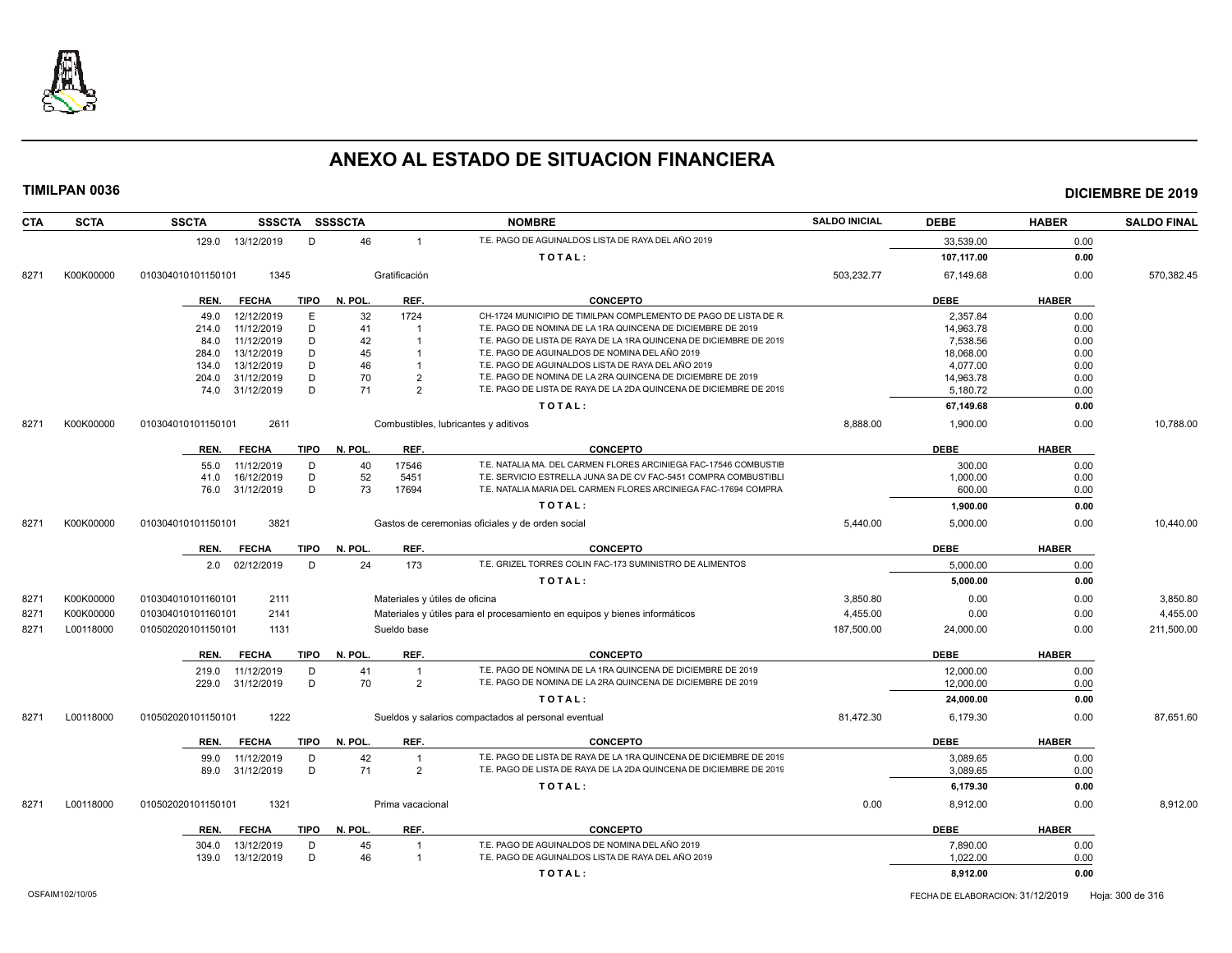

| <b>CTA</b> | <b>SCTA</b> | <b>SSCTA</b><br>SSSCTA SSSSCTA        |                                | <b>NOMBRE</b>                                                                                                                     | <b>SALDO INICIAL</b> | <b>DEBE</b>           | <b>HABER</b> | <b>SALDO FINAL</b> |
|------------|-------------|---------------------------------------|--------------------------------|-----------------------------------------------------------------------------------------------------------------------------------|----------------------|-----------------------|--------------|--------------------|
|            |             | 129.0 13/12/2019<br>D                 | 46                             | T.E. PAGO DE AGUINALDOS LISTA DE RAYA DEL AÑO 2019                                                                                |                      | 33,539.00             | 0.00         |                    |
|            |             |                                       |                                | TOTAL:                                                                                                                            |                      | 107,117.00            | 0.00         |                    |
| 8271       | K00K00000   | 010304010101150101<br>1345            | Gratificación                  |                                                                                                                                   | 503,232.77           | 67,149.68             | 0.00         | 570,382.45         |
|            |             | <b>FECHA</b><br><b>TIPO</b><br>REN.   | N. POL.<br>REF.                | <b>CONCEPTO</b>                                                                                                                   |                      | <b>DEBE</b>           | <b>HABER</b> |                    |
|            |             |                                       |                                |                                                                                                                                   |                      |                       |              |                    |
|            |             | 12/12/2019<br>E<br>49.0               | 32<br>1724                     | CH-1724 MUNICIPIO DE TIMILPAN COMPLEMENTO DE PAGO DE LISTA DE R                                                                   |                      | 2,357.84              | 0.00         |                    |
|            |             | D<br>11/12/2019<br>214.0<br>D         | 41<br>42                       | T.E. PAGO DE NOMINA DE LA 1RA QUINCENA DE DICIEMBRE DE 2019<br>T.E. PAGO DE LISTA DE RAYA DE LA 1RA QUINCENA DE DICIEMBRE DE 2019 |                      | 14,963.78             | 0.00         |                    |
|            |             | 11/12/2019<br>84.0<br>13/12/2019<br>D | 45                             | T.E. PAGO DE AGUINALDOS DE NOMINA DEL AÑO 2019                                                                                    |                      | 7,538.56<br>18,068.00 | 0.00<br>0.00 |                    |
|            |             | 284.0<br>13/12/2019<br>D<br>134.0     | 46                             | T.E. PAGO DE AGUINALDOS LISTA DE RAYA DEL AÑO 2019                                                                                |                      | 4,077.00              | 0.00         |                    |
|            |             | D<br>31/12/2019<br>204.0              | 70<br>$\overline{2}$           | T.E. PAGO DE NOMINA DE LA 2RA QUINCENA DE DICIEMBRE DE 2019                                                                       |                      | 14,963.78             | 0.00         |                    |
|            |             | 31/12/2019<br>D<br>74.0               | 71<br>$\mathcal{P}$            | T.E. PAGO DE LISTA DE RAYA DE LA 2DA QUINCENA DE DICIEMBRE DE 2019                                                                |                      | 5,180.72              | 0.00         |                    |
|            |             |                                       |                                | TOTAL:                                                                                                                            |                      | 67,149.68             | 0.00         |                    |
| 8271       | K00K00000   | 2611<br>010304010101150101            |                                | Combustibles, lubricantes y aditivos                                                                                              | 8,888.00             | 1,900.00              | 0.00         | 10,788.00          |
|            |             |                                       |                                |                                                                                                                                   |                      |                       |              |                    |
|            |             | REN.<br><b>FECHA</b><br><b>TIPO</b>   | N. POL.<br>REF.                | <b>CONCEPTO</b>                                                                                                                   |                      | <b>DEBE</b>           | <b>HABER</b> |                    |
|            |             | 11/12/2019<br>D<br>55.0               | 40<br>17546                    | T.E. NATALIA MA. DEL CARMEN FLORES ARCINIEGA FAC-17546 COMBUSTIE                                                                  |                      | 300.00                | 0.00         |                    |
|            |             | 16/12/2019<br>D<br>41.0               | 52<br>5451                     | T.E. SERVICIO ESTRELLA JUNA SA DE CV FAC-5451 COMPRA COMBUSTIBL                                                                   |                      | 1,000.00              | 0.00         |                    |
|            |             | 31/12/2019<br>D<br>76.0               | 73<br>17694                    | T.E. NATALIA MARIA DEL CARMEN FLORES ARCINIEGA FAC-17694 COMPRA                                                                   |                      | 600.00                | 0.00         |                    |
|            |             |                                       |                                | TOTAL:                                                                                                                            |                      | 1,900.00              | 0.00         |                    |
| 8271       | K00K00000   | 3821<br>010304010101150101            |                                | Gastos de ceremonias oficiales y de orden social                                                                                  | 5.440.00             | 5.000.00              | 0.00         | 10.440.00          |
|            |             | <b>TIPO</b><br>REN.<br><b>FECHA</b>   | REF.<br>N. POL.                | <b>CONCEPTO</b>                                                                                                                   |                      | <b>DEBE</b>           | <b>HABER</b> |                    |
|            |             | 02/12/2019<br>D<br>2.0                | 173<br>24                      | T.E. GRIZEL TORRES COLIN FAC-173 SUMINISTRO DE ALIMENTOS                                                                          |                      | 5,000.00              | 0.00         |                    |
|            |             |                                       |                                | TOTAL:                                                                                                                            |                      | 5,000.00              | 0.00         |                    |
| 8271       | K00K00000   | 010304010101160101<br>2111            | Materiales y útiles de oficina |                                                                                                                                   | 3,850.80             | 0.00                  | 0.00         | 3,850.80           |
| 8271       | K00K00000   | 010304010101160101<br>2141            |                                | Materiales y útiles para el procesamiento en equipos y bienes informáticos                                                        | 4,455.00             | 0.00                  | 0.00         | 4,455.00           |
| 8271       | L00118000   | 1131<br>010502020101150101            | Sueldo base                    |                                                                                                                                   | 187,500.00           | 24,000.00             | 0.00         | 211,500.00         |
|            |             |                                       |                                |                                                                                                                                   |                      |                       |              |                    |
|            |             | <b>FECHA</b><br><b>TIPO</b><br>REN.   | N. POL.<br>REF.                | <b>CONCEPTO</b>                                                                                                                   |                      | DEBE                  | <b>HABER</b> |                    |
|            |             | 11/12/2019<br>D<br>219.0              | 41<br>$\overline{1}$           | T.E. PAGO DE NOMINA DE LA 1RA QUINCENA DE DICIEMBRE DE 2019                                                                       |                      | 12,000.00             | 0.00         |                    |
|            |             | D<br>31/12/2019<br>229.0              | 70<br>$\overline{2}$           | T.E. PAGO DE NOMINA DE LA 2RA QUINCENA DE DICIEMBRE DE 2019                                                                       |                      | 12,000.00             | 0.00         |                    |
|            |             |                                       |                                | TOTAL:                                                                                                                            |                      | 24,000.00             | 0.00         |                    |
| 8271       | L00118000   | 010502020101150101<br>1222            |                                | Sueldos y salarios compactados al personal eventual                                                                               | 81,472.30            | 6,179.30              | 0.00         | 87,651.60          |
|            |             | REN.<br><b>FECHA</b><br><b>TIPO</b>   | N. POL.<br>REF.                | <b>CONCEPTO</b>                                                                                                                   |                      | <b>DEBE</b>           | <b>HABER</b> |                    |
|            |             | 11/12/2019<br>D<br>99.0               | 42<br>$\overline{1}$           | T.E. PAGO DE LISTA DE RAYA DE LA 1RA QUINCENA DE DICIEMBRE DE 2019                                                                |                      | 3,089.65              | 0.00         |                    |
|            |             | D<br>89.0<br>31/12/2019               | 71<br>$\overline{2}$           | T.E. PAGO DE LISTA DE RAYA DE LA 2DA QUINCENA DE DICIEMBRE DE 2019                                                                |                      | 3,089.65              | 0.00         |                    |
|            |             |                                       |                                | TOTAL:                                                                                                                            |                      | 6,179.30              | 0.00         |                    |
| 8271       | L00118000   | 1321<br>010502020101150101            | Prima vacacional               |                                                                                                                                   | 0.00                 | 8,912.00              | 0.00         | 8,912.00           |
|            |             |                                       |                                |                                                                                                                                   |                      |                       |              |                    |
|            |             | <b>TIPO</b><br><b>FECHA</b><br>REN.   | N. POL.<br>REF.                | <b>CONCEPTO</b>                                                                                                                   |                      | <b>DEBE</b>           | <b>HABER</b> |                    |
|            |             | 13/12/2019<br>D<br>304.0              | 45                             | T.E. PAGO DE AGUINALDOS DE NOMINA DEL AÑO 2019                                                                                    |                      | 7,890.00              | 0.00         |                    |
|            |             | D<br>13/12/2019<br>139.0              | 46<br>$\overline{1}$           | T.E. PAGO DE AGUINALDOS LISTA DE RAYA DEL AÑO 2019                                                                                |                      | 1,022.00              | 0.00         |                    |
|            |             |                                       |                                | TOTAL:                                                                                                                            |                      | 8.912.00              | 0.00         |                    |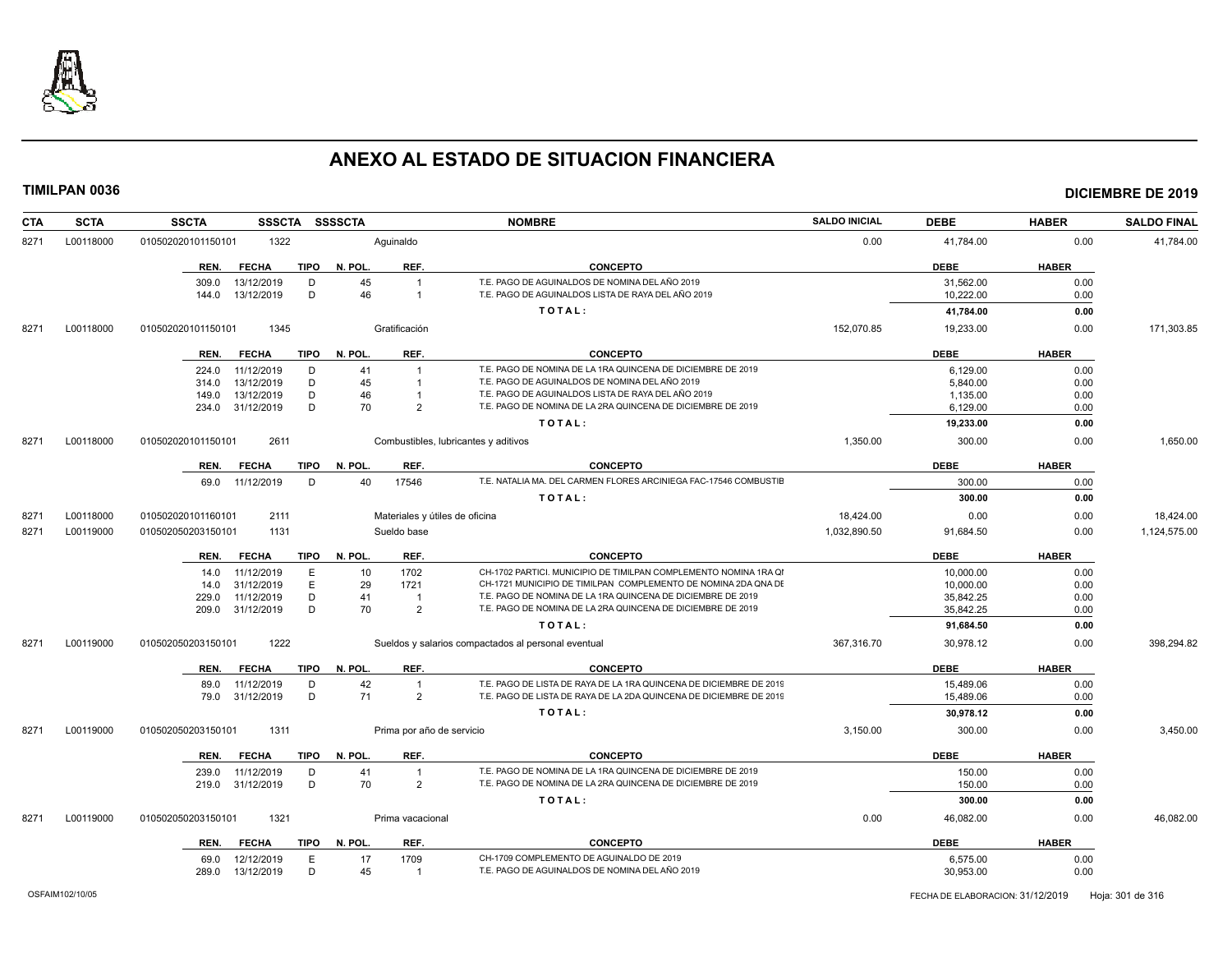

| <b>CTA</b> | <b>SCTA</b> | <b>SSCTA</b><br><b>SSSCTA</b>                        | <b>SSSSCTA</b>                               | <b>NOMBRE</b>                                                                                        | <b>SALDO INICIAL</b> | <b>DEBE</b>            | <b>HABER</b> | <b>SALDO FINAL</b> |
|------------|-------------|------------------------------------------------------|----------------------------------------------|------------------------------------------------------------------------------------------------------|----------------------|------------------------|--------------|--------------------|
| 8271       | L00118000   | 1322<br>010502020101150101                           | Aguinaldo                                    |                                                                                                      | 0.00                 | 41,784.00              | 0.00         | 41,784.00          |
|            |             | <b>TIPO</b><br>REN.<br><b>FECHA</b>                  | N. POL.<br>REF.                              | <b>CONCEPTO</b>                                                                                      |                      | <b>DEBE</b>            | <b>HABER</b> |                    |
|            |             | 13/12/2019<br>309.0<br>D<br>D<br>13/12/2019<br>144.0 | 45<br>$\overline{1}$<br>46<br>$\overline{1}$ | T.E. PAGO DE AGUINALDOS DE NOMINA DEL AÑO 2019<br>T.E. PAGO DE AGUINALDOS LISTA DE RAYA DEL AÑO 2019 |                      | 31.562.00<br>10,222.00 | 0.00<br>0.00 |                    |
|            |             |                                                      |                                              | TOTAL:                                                                                               |                      | 41,784.00              | 0.00         |                    |
| 8271       | L00118000   | 010502020101150101<br>1345                           | Gratificación                                |                                                                                                      | 152,070.85           | 19,233.00              | 0.00         | 171,303.85         |
|            |             |                                                      |                                              |                                                                                                      |                      |                        |              |                    |
|            |             | <b>FECHA</b><br><b>TIPO</b><br>REN.                  | REF.<br>N. POL.                              | <b>CONCEPTO</b><br>T.E. PAGO DE NOMINA DE LA 1RA QUINCENA DE DICIEMBRE DE 2019                       |                      | <b>DEBE</b>            | <b>HABER</b> |                    |
|            |             | 11/12/2019<br>D<br>224.0<br>13/12/2019<br>D<br>314.0 | 41<br>$\overline{1}$<br>45<br>$\overline{1}$ | T.E. PAGO DE AGUINALDOS DE NOMINA DEL AÑO 2019                                                       |                      | 6,129.00<br>5,840.00   | 0.00<br>0.00 |                    |
|            |             | 13/12/2019<br>D<br>149.0                             | 46<br>$\overline{1}$                         | T.E. PAGO DE AGUINALDOS LISTA DE RAYA DEL AÑO 2019                                                   |                      | 1,135.00               | 0.00         |                    |
|            |             | 31/12/2019<br>D<br>234.0                             | 70<br>$\overline{2}$                         | T.E. PAGO DE NOMINA DE LA 2RA QUINCENA DE DICIEMBRE DE 2019                                          |                      | 6,129.00               | 0.00         |                    |
|            |             |                                                      |                                              | TOTAL:                                                                                               |                      | 19,233.00              | 0.00         |                    |
| 8271       | L00118000   | 2611<br>010502020101150101                           | Combustibles, lubricantes y aditivos         |                                                                                                      | 1,350.00             | 300.00                 | 0.00         | 1,650.00           |
|            |             | <b>TIPO</b><br>REN.<br><b>FECHA</b>                  | N. POL.<br>REF.                              | <b>CONCEPTO</b>                                                                                      |                      | <b>DEBE</b>            | <b>HABER</b> |                    |
|            |             | 11/12/2019<br>D<br>69.0                              | 17546<br>40                                  | T.E. NATALIA MA. DEL CARMEN FLORES ARCINIEGA FAC-17546 COMBUSTIE                                     |                      | 300.00                 | 0.00         |                    |
|            |             |                                                      |                                              | TOTAL:                                                                                               |                      | 300.00                 | 0.00         |                    |
| 8271       | L00118000   | 010502020101160101<br>2111                           | Materiales y útiles de oficina               |                                                                                                      | 18,424.00            | 0.00                   | 0.00         | 18,424.00          |
| 8271       | L00119000   | 010502050203150101<br>1131                           | Sueldo base                                  |                                                                                                      | 1,032,890.50         | 91,684.50              | 0.00         | 1,124,575.00       |
|            |             | TIPO<br>REN.<br><b>FECHA</b>                         | N. POL.<br>REF.                              | <b>CONCEPTO</b>                                                                                      |                      | <b>DEBE</b>            | <b>HABER</b> |                    |
|            |             | 11/12/2019<br>E<br>14.0                              | 10<br>1702                                   | CH-1702 PARTICI. MUNICIPIO DE TIMILPAN COMPLEMENTO NOMINA 1RA QI                                     |                      | 10,000.00              | 0.00         |                    |
|            |             | 31/12/2019<br>E.<br>14.0                             | 29<br>1721                                   | CH-1721 MUNICIPIO DE TIMILPAN COMPLEMENTO DE NOMINA 2DA QNA DE                                       |                      | 10,000.00              | 0.00         |                    |
|            |             | 11/12/2019<br>D<br>229.0                             | 41<br>$\overline{1}$                         | T.E. PAGO DE NOMINA DE LA 1RA QUINCENA DE DICIEMBRE DE 2019                                          |                      | 35,842.25              | 0.00         |                    |
|            |             | D<br>31/12/2019<br>209.0                             | 70<br>$\overline{2}$                         | T.E. PAGO DE NOMINA DE LA 2RA QUINCENA DE DICIEMBRE DE 2019                                          |                      | 35,842.25              | 0.00         |                    |
|            |             |                                                      |                                              | TOTAL:                                                                                               |                      | 91,684.50              | 0.00         |                    |
| 8271       | L00119000   | 1222<br>010502050203150101                           |                                              | Sueldos y salarios compactados al personal eventual                                                  | 367,316.70           | 30,978.12              | 0.00         | 398,294.82         |
|            |             | <b>FECHA</b><br><b>TIPO</b><br>REN.                  | N. POL.<br>REF.                              | <b>CONCEPTO</b>                                                                                      |                      | <b>DEBE</b>            | <b>HABER</b> |                    |
|            |             | 11/12/2019<br>D<br>89.0                              | 42<br>$\overline{1}$                         | T.E. PAGO DE LISTA DE RAYA DE LA 1RA QUINCENA DE DICIEMBRE DE 2019                                   |                      | 15,489.06              | 0.00         |                    |
|            |             | 79.0 31/12/2019<br>D                                 | 71<br>$\overline{2}$                         | T.E. PAGO DE LISTA DE RAYA DE LA 2DA QUINCENA DE DICIEMBRE DE 2019                                   |                      | 15,489.06              | 0.00         |                    |
|            |             |                                                      |                                              | TOTAL:                                                                                               |                      | 30,978.12              | 0.00         |                    |
| 8271       | L00119000   | 1311<br>010502050203150101                           | Prima por año de servicio                    |                                                                                                      | 3,150.00             | 300.00                 | 0.00         | 3,450.00           |
|            |             | <b>FECHA</b><br>TIPO<br>REN.                         | N. POL.<br>REF.                              | <b>CONCEPTO</b>                                                                                      |                      | <b>DEBE</b>            | <b>HABER</b> |                    |
|            |             | 11/12/2019<br>D<br>239.0                             | 41<br>$\overline{1}$                         | T.E. PAGO DE NOMINA DE LA 1RA QUINCENA DE DICIEMBRE DE 2019                                          |                      | 150.00                 | 0.00         |                    |
|            |             | 219.0 31/12/2019<br>D                                | 70<br>$\overline{2}$                         | T.E. PAGO DE NOMINA DE LA 2RA QUINCENA DE DICIEMBRE DE 2019                                          |                      | 150.00                 | 0.00         |                    |
|            |             |                                                      |                                              | TOTAL:                                                                                               |                      | 300.00                 | 0.00         |                    |
| 8271       | L00119000   | 1321<br>010502050203150101                           | Prima vacacional                             |                                                                                                      | 0.00                 | 46,082.00              | 0.00         | 46.082.00          |
|            |             | <b>FECHA</b><br>REN.                                 | REF.<br>TIPO N. POL.                         | <b>CONCEPTO</b>                                                                                      |                      | <b>DEBE</b>            | <b>HABER</b> |                    |
|            |             |                                                      |                                              | CH-1709 COMPLEMENTO DE AGUINALDO DE 2019                                                             |                      |                        |              |                    |
|            |             | 12/12/2019<br>E<br>69.0<br>13/12/2019<br>D<br>289.0  | 17<br>1709<br>45<br>$\overline{1}$           | T.E. PAGO DE AGUINALDOS DE NOMINA DEL AÑO 2019                                                       |                      | 6,575.00<br>30,953.00  | 0.00<br>0.00 |                    |
|            |             |                                                      |                                              |                                                                                                      |                      |                        |              |                    |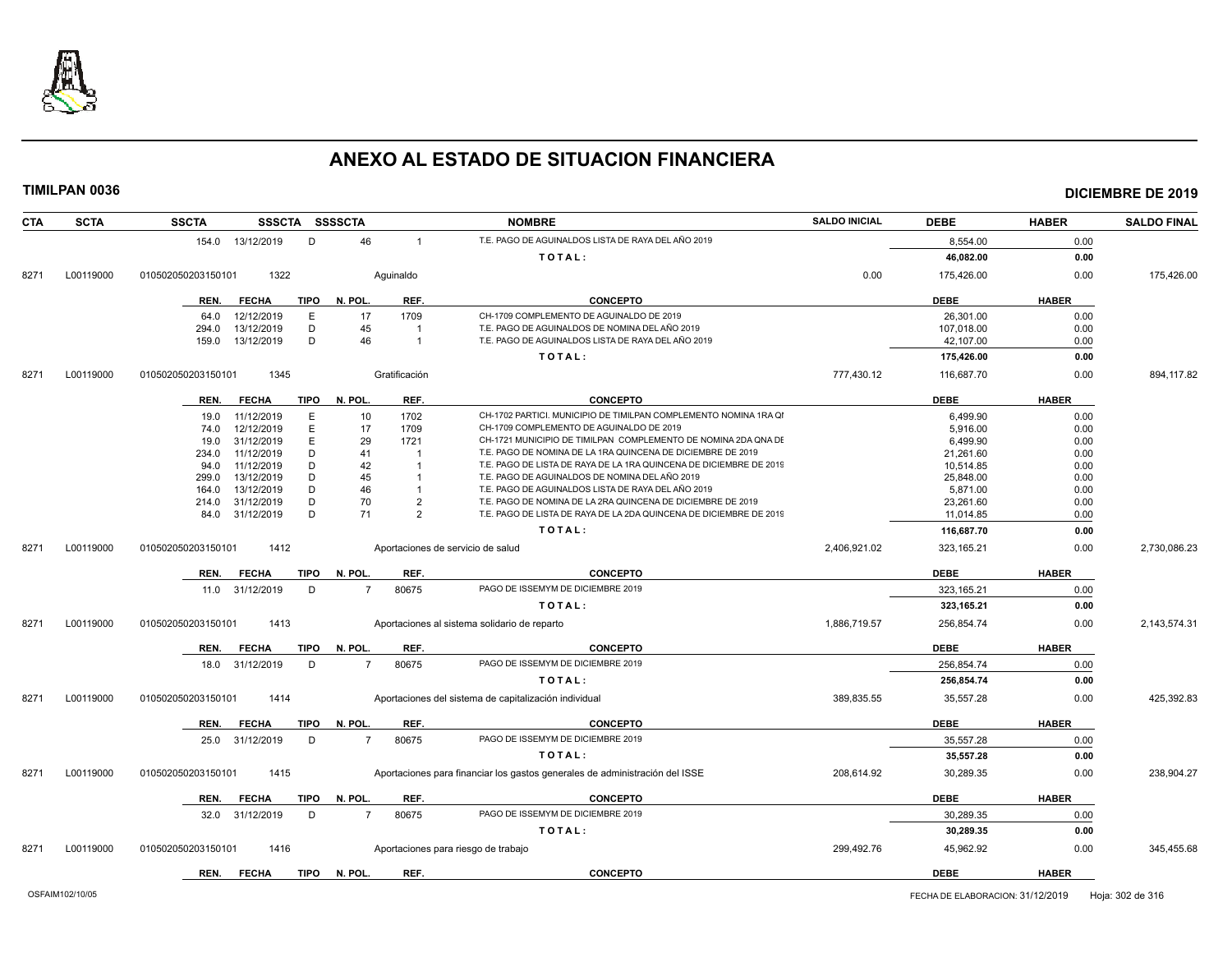

| <b>SCTA</b><br>CTA | <b>SSCTA</b>               | SSSCTA SSSSCTA         |                         | <b>NOMBRE</b>                                                               | <b>SALDO INICIAL</b> | <b>DEBE</b> | <b>HABER</b> | <b>SALDO FINAL</b> |
|--------------------|----------------------------|------------------------|-------------------------|-----------------------------------------------------------------------------|----------------------|-------------|--------------|--------------------|
|                    | 154.0 13/12/2019           | D                      | 46<br>$\overline{1}$    | T.E. PAGO DE AGUINALDOS LISTA DE RAYA DEL AÑO 2019                          |                      | 8,554.00    | 0.00         |                    |
|                    |                            |                        |                         | TOTAL:                                                                      |                      | 46,082.00   | 0.00         |                    |
| L00119000<br>8271  | 1322<br>010502050203150101 |                        | Aquinaldo               |                                                                             | 0.00                 | 175,426.00  | 0.00         | 175,426.00         |
|                    | REN.<br><b>FECHA</b>       | TIPO<br>N. POL.        | REF.                    | <b>CONCEPTO</b>                                                             |                      | <b>DEBE</b> | <b>HABER</b> |                    |
|                    | 12/12/2019<br>64.0         | E                      | 1709<br>17              | CH-1709 COMPLEMENTO DE AGUINALDO DE 2019                                    |                      | 26,301.00   | 0.00         |                    |
|                    | 13/12/2019<br>294.0        | D                      | 45                      | T.E. PAGO DE AGUINALDOS DE NOMINA DEL AÑO 2019                              |                      | 107,018.00  | 0.00         |                    |
|                    | 13/12/2019<br>159.0        | D                      | 46<br>$\overline{1}$    | T.E. PAGO DE AGUINALDOS LISTA DE RAYA DEL AÑO 2019                          |                      | 42,107.00   | 0.00         |                    |
|                    |                            |                        |                         | TOTAL:                                                                      |                      | 175,426.00  | 0.00         |                    |
| L00119000<br>8271  | 1345<br>010502050203150101 |                        | Gratificación           |                                                                             | 777,430.12           | 116,687.70  | 0.00         | 894,117.82         |
|                    | <b>FECHA</b><br>REN.       | <b>TIPO</b><br>N. POL. | REF.                    | <b>CONCEPTO</b>                                                             |                      | <b>DEBE</b> | <b>HABER</b> |                    |
|                    | 11/12/2019<br>19.0         | E                      | 1702<br>10              | CH-1702 PARTICI. MUNICIPIO DE TIMILPAN COMPLEMENTO NOMINA 1RA QI            |                      | 6.499.90    | 0.00         |                    |
|                    | 12/12/2019<br>74.0         | E                      | 17<br>1709              | CH-1709 COMPLEMENTO DE AGUINALDO DE 2019                                    |                      | 5.916.00    | 0.00         |                    |
|                    | 31/12/2019<br>19.0         | E                      | 29<br>1721              | CH-1721 MUNICIPIO DE TIMILPAN COMPLEMENTO DE NOMINA 2DA QNA DE              |                      | 6,499.90    | 0.00         |                    |
|                    | 11/12/2019<br>234.0        | D                      | 41<br>-1                | T.E. PAGO DE NOMINA DE LA 1RA QUINCENA DE DICIEMBRE DE 2019                 |                      | 21,261.60   | 0.00         |                    |
|                    | 11/12/2019<br>94.0         | D                      | 42<br>-1                | T.E. PAGO DE LISTA DE RAYA DE LA 1RA QUINCENA DE DICIEMBRE DE 2019          |                      | 10,514.85   | 0.00         |                    |
|                    | 13/12/2019<br>299.0        | D                      | 45                      | T.E. PAGO DE AGUINALDOS DE NOMINA DEL AÑO 2019                              |                      | 25,848.00   | 0.00         |                    |
|                    | 13/12/2019<br>164.0        | D                      | 46                      | T.E. PAGO DE AGUINALDOS LISTA DE RAYA DEL AÑO 2019                          |                      | 5,871.00    | 0.00         |                    |
|                    | 31/12/2019<br>214.0        | D                      | 70<br>$\overline{2}$    | T.E. PAGO DE NOMINA DE LA 2RA QUINCENA DE DICIEMBRE DE 2019                 |                      | 23,261.60   | 0.00         |                    |
|                    | 31/12/2019<br>84.0         | D                      | 71<br>2                 | T.E. PAGO DE LISTA DE RAYA DE LA 2DA QUINCENA DE DICIEMBRE DE 2019          |                      | 11.014.85   | 0.00         |                    |
|                    |                            |                        |                         | TOTAL:                                                                      |                      | 116,687.70  | 0.00         |                    |
| L00119000<br>8271  | 010502050203150101<br>1412 |                        |                         | Aportaciones de servicio de salud                                           | 2,406,921.02         | 323,165.21  | 0.00         | 2,730,086.23       |
|                    | <b>FECHA</b><br>REN.       | <b>TIPO</b><br>N. POL. | REF.                    | <b>CONCEPTO</b>                                                             |                      | <b>DEBE</b> | <b>HABER</b> |                    |
|                    | 31/12/2019<br>11.0         | D                      | 80675<br>$\overline{7}$ | PAGO DE ISSEMYM DE DICIEMBRE 2019                                           |                      | 323, 165.21 | 0.00         |                    |
|                    |                            |                        |                         | TOTAL:                                                                      |                      | 323,165.21  | 0.00         |                    |
| L00119000<br>8271  | 1413<br>010502050203150101 |                        |                         | Aportaciones al sistema solidario de reparto                                | 1,886,719.57         | 256,854.74  | 0.00         | 2,143,574.31       |
|                    | REN.<br><b>FECHA</b>       | N. POL.<br>TIPO        | REF.                    | <b>CONCEPTO</b>                                                             |                      | <b>DEBE</b> | <b>HABER</b> |                    |
|                    | 18.0 31/12/2019            | D                      | 80675<br>$\overline{7}$ | PAGO DE ISSEMYM DE DICIEMBRE 2019                                           |                      | 256.854.74  | 0.00         |                    |
|                    |                            |                        |                         | TOTAL:                                                                      |                      | 256,854.74  | 0.00         |                    |
| L00119000<br>8271  | 010502050203150101<br>1414 |                        |                         | Aportaciones del sistema de capitalización individual                       | 389,835.55           | 35,557.28   | 0.00         | 425,392.83         |
|                    | <b>FECHA</b><br>REN.       | <b>TIPO</b><br>N. POL. | REF.                    | <b>CONCEPTO</b>                                                             |                      | <b>DEBE</b> | <b>HABER</b> |                    |
|                    | 31/12/2019<br>25.0         | D                      | 80675<br>$\overline{7}$ | PAGO DE ISSEMYM DE DICIEMBRE 2019                                           |                      | 35,557.28   | 0.00         |                    |
|                    |                            |                        |                         | TOTAL:                                                                      |                      | 35,557.28   | 0.00         |                    |
| 8271<br>L00119000  | 010502050203150101<br>1415 |                        |                         | Aportaciones para financiar los gastos generales de administración del ISSE | 208,614.92           | 30,289.35   | 0.00         | 238.904.27         |
|                    | <b>FECHA</b><br>REN.       | <b>TIPO</b><br>N. POL. | REF.                    | <b>CONCEPTO</b>                                                             |                      | <b>DEBE</b> | <b>HABER</b> |                    |
|                    | 31/12/2019<br>32.0         | D                      | 80675<br>$\overline{7}$ | PAGO DE ISSEMYM DE DICIEMBRE 2019                                           |                      | 30,289.35   | 0.00         |                    |
|                    |                            |                        |                         | TOTAL:                                                                      |                      | 30,289.35   | 0.00         |                    |
| 8271<br>L00119000  | 010502050203150101<br>1416 |                        |                         | Aportaciones para riesgo de trabajo                                         | 299,492.76           | 45,962.92   | 0.00         | 345,455.68         |
|                    | <b>FECHA</b><br>REN.       | <b>TIPO</b><br>N. POL. | REF.                    | <b>CONCEPTO</b>                                                             |                      | <b>DEBE</b> | <b>HABER</b> |                    |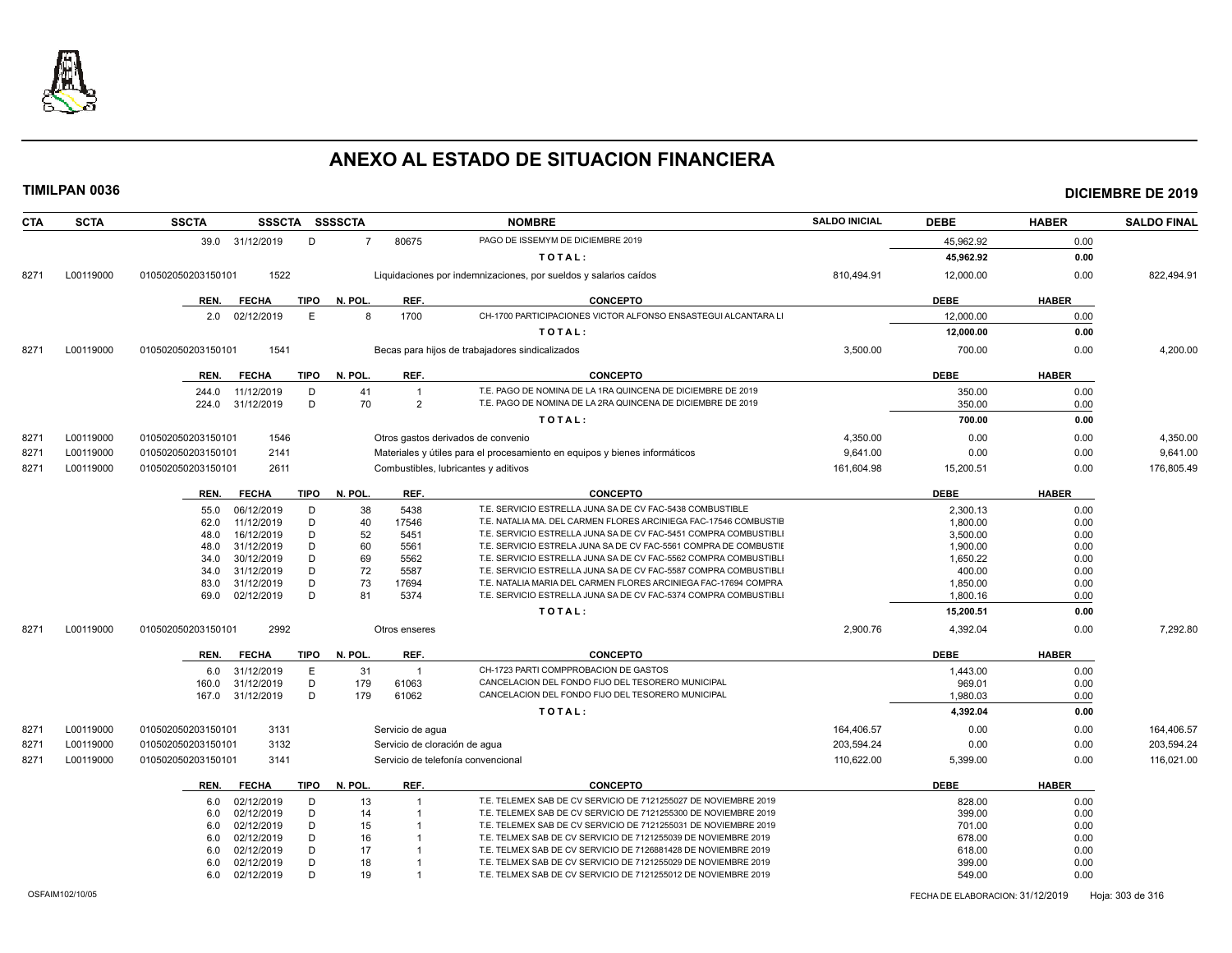

| <b>CTA</b> | <b>SCTA</b> | <b>SSCTA</b><br>SSSCTA SSSSCTA                     |                |                  | <b>NOMBRE</b>                                                              | <b>SALDO INICIAL</b> | <b>DEBE</b>          | <b>HABER</b> | <b>SALDO FINAL</b> |
|------------|-------------|----------------------------------------------------|----------------|------------------|----------------------------------------------------------------------------|----------------------|----------------------|--------------|--------------------|
|            |             | 39.0 31/12/2019<br>D                               | $\overline{7}$ | 80675            | PAGO DE ISSEMYM DE DICIEMBRE 2019                                          |                      | 45.962.92            | 0.00         |                    |
|            |             |                                                    |                |                  | TOTAL:                                                                     |                      | 45,962.92            | 0.00         |                    |
| 8271       | L00119000   | 1522<br>010502050203150101                         |                |                  | Liquidaciones por indemnizaciones, por sueldos y salarios caídos           | 810,494.91           | 12,000.00            | 0.00         | 822,494.91         |
|            |             | <b>FECHA</b><br><b>TIPO</b><br>REN.                | N. POL         | REF.             | <b>CONCEPTO</b>                                                            |                      | <b>DEBE</b>          | <b>HABER</b> |                    |
|            |             | 02/12/2019<br>E<br>2.0                             | 8              | 1700             | CH-1700 PARTICIPACIONES VICTOR ALFONSO ENSASTEGUI ALCANTARA LI             |                      | 12,000.00            | 0.00         |                    |
|            |             |                                                    |                |                  | TOTAL:                                                                     |                      | 12,000.00            | 0.00         |                    |
|            |             |                                                    |                |                  |                                                                            |                      |                      |              |                    |
| 8271       | L00119000   | 1541<br>010502050203150101                         |                |                  | Becas para hijos de trabajadores sindicalizados                            | 3,500.00             | 700.00               | 0.00         | 4,200.00           |
|            |             | <b>TIPO</b><br>REN.<br><b>FECHA</b>                | N. POL         | REF.             | <b>CONCEPTO</b>                                                            |                      | <b>DEBE</b>          | <b>HABER</b> |                    |
|            |             | 11/12/2019<br>D<br>244.0                           | 41             | 1                | T.E. PAGO DE NOMINA DE LA 1RA QUINCENA DE DICIEMBRE DE 2019                |                      | 350.00               | 0.00         |                    |
|            |             | D<br>224.0<br>31/12/2019                           | 70             | 2                | T.E. PAGO DE NOMINA DE LA 2RA QUINCENA DE DICIEMBRE DE 2019                |                      | 350.00               | 0.00         |                    |
|            |             |                                                    |                |                  | TOTAL:                                                                     |                      | 700.00               | 0.00         |                    |
| 8271       | L00119000   | 1546<br>010502050203150101                         |                |                  | Otros gastos derivados de convenio                                         | 4,350.00             | 0.00                 | 0.00         | 4,350.00           |
| 8271       | L00119000   | 2141<br>010502050203150101                         |                |                  | Materiales y útiles para el procesamiento en equipos y bienes informáticos | 9,641.00             | 0.00                 | 0.00         | 9,641.00           |
| 8271       | L00119000   | 010502050203150101<br>2611                         |                |                  | Combustibles, lubricantes y aditivos                                       | 161,604.98           | 15,200.51            | 0.00         | 176,805.49         |
|            |             | <b>FECHA</b><br><b>TIPO</b><br>REN.                | N. POL.        | REF.             | <b>CONCEPTO</b>                                                            |                      | <b>DEBE</b>          | <b>HABER</b> |                    |
|            |             |                                                    |                |                  | T.E. SERVICIO ESTRELLA JUNA SA DE CV FAC-5438 COMBUSTIBLE                  |                      |                      |              |                    |
|            |             | 06/12/2019<br>D<br>55.0<br>11/12/2019<br>D<br>62.0 | 38<br>40       | 5438<br>17546    | T.E. NATALIA MA. DEL CARMEN FLORES ARCINIEGA FAC-17546 COMBUSTIE           |                      | 2,300.13<br>1,800.00 | 0.00<br>0.00 |                    |
|            |             | D<br>16/12/2019<br>48.0                            | 52             | 5451             | T.E. SERVICIO ESTRELLA JUNA SA DE CV FAC-5451 COMPRA COMBUSTIBLI           |                      | 3,500.00             | 0.00         |                    |
|            |             | D<br>31/12/2019<br>48.0                            | 60             | 5561             | T.E. SERVICIO ESTRELA JUNA SA DE CV FAC-5561 COMPRA DE COMBUSTII           |                      | 1,900.00             | 0.00         |                    |
|            |             | 30/12/2019<br>D<br>34.0                            | 69             | 5562             | T.E. SERVICIO ESTRELLA JUNA SA DE CV FAC-5562 COMPRA COMBUSTIBLI           |                      | 1,650.22             | 0.00         |                    |
|            |             | 31/12/2019<br>D<br>34.0                            | 72             | 5587             | T.E. SERVICIO ESTRELLA JUNA SA DE CV FAC-5587 COMPRA COMBUSTIBLI           |                      | 400.00               | 0.00         |                    |
|            |             | 31/12/2019<br>D<br>83.0                            | 73             | 17694            | T.E. NATALIA MARIA DEL CARMEN FLORES ARCINIEGA FAC-17694 COMPRA            |                      | 1.850.00             | 0.00         |                    |
|            |             | D<br>69.0<br>02/12/2019                            | 81             | 5374             | T.E. SERVICIO ESTRELLA JUNA SA DE CV FAC-5374 COMPRA COMBUSTIBLI           |                      | 1,800.16             | 0.00         |                    |
|            |             |                                                    |                |                  | TOTAL:                                                                     |                      | 15,200.51            | 0.00         |                    |
| 8271       | L00119000   | 2992<br>010502050203150101                         |                | Otros enseres    |                                                                            | 2,900.76             | 4,392.04             | 0.00         | 7,292.80           |
|            |             | <b>FECHA</b><br><b>TIPO</b><br>REN.                | N. POL.        | REF.             | <b>CONCEPTO</b>                                                            |                      | <b>DEBE</b>          | <b>HABER</b> |                    |
|            |             | 31/12/2019<br>E<br>6.0                             | 31             | $\overline{1}$   | CH-1723 PARTI COMPPROBACION DE GASTOS                                      |                      | 1,443.00             | 0.00         |                    |
|            |             | 31/12/2019<br>D<br>160.0                           | 179            | 61063            | CANCELACION DEL FONDO FIJO DEL TESORERO MUNICIPAL                          |                      | 969.01               | 0.00         |                    |
|            |             | D<br>167.0<br>31/12/2019                           | 179            | 61062            | CANCELACION DEL FONDO FIJO DEL TESORERO MUNICIPAL                          |                      | 1,980.03             | 0.00         |                    |
|            |             |                                                    |                |                  | TOTAL:                                                                     |                      | 4,392.04             | 0.00         |                    |
| 8271       | L00119000   | 3131<br>010502050203150101                         |                | Servicio de aqua |                                                                            | 164,406.57           | 0.00                 | 0.00         | 164,406.57         |
| 8271       | L00119000   | 3132<br>010502050203150101                         |                |                  | Servicio de cloración de agua                                              | 203,594.24           | 0.00                 | 0.00         | 203,594.24         |
| 8271       | L00119000   | 010502050203150101<br>3141                         |                |                  | Servicio de telefonía convencional                                         | 110,622.00           | 5,399.00             | 0.00         | 116,021.00         |
|            |             | <b>FECHA</b><br><b>TIPO</b><br>REN.                | N. POL.        | REF.             | <b>CONCEPTO</b>                                                            |                      | <b>DEBE</b>          | <b>HABER</b> |                    |
|            |             | 02/12/2019<br>D<br>6.0                             | 13             | 1                | T.E. TELEMEX SAB DE CV SERVICIO DE 7121255027 DE NOVIEMBRE 2019            |                      | 828.00               | 0.00         |                    |
|            |             | D<br>02/12/2019<br>6.0                             | 14             |                  | T.E. TELEMEX SAB DE CV SERVICIO DE 7121255300 DE NOVIEMBRE 2019            |                      | 399.00               | 0.00         |                    |
|            |             | 02/12/2019<br>D<br>6.0                             | 15             |                  | T.E. TELEMEX SAB DE CV SERVICIO DE 7121255031 DE NOVIEMBRE 2019            |                      | 701.00               | 0.00         |                    |
|            |             | D<br>02/12/2019<br>6.0                             | 16             |                  | T.E. TELMEX SAB DE CV SERVICIO DE 7121255039 DE NOVIEMBRE 2019             |                      | 678.00               | 0.00         |                    |
|            |             | D<br>02/12/2019<br>6.0                             | 17             |                  | T.E. TELMEX SAB DE CV SERVICIO DE 7126881428 DE NOVIEMBRE 2019             |                      | 618.00               | 0.00         |                    |
|            |             | D<br>02/12/2019<br>6.0                             | 18             |                  | T.E. TELMEX SAB DE CV SERVICIO DE 7121255029 DE NOVIEMBRE 2019             |                      | 399.00               | 0.00         |                    |
|            |             | 02/12/2019<br>D<br>6.0                             | 19             |                  | T.E. TELMEX SAB DE CV SERVICIO DE 7121255012 DE NOVIEMBRE 2019             |                      | 549.00               | 0.00         |                    |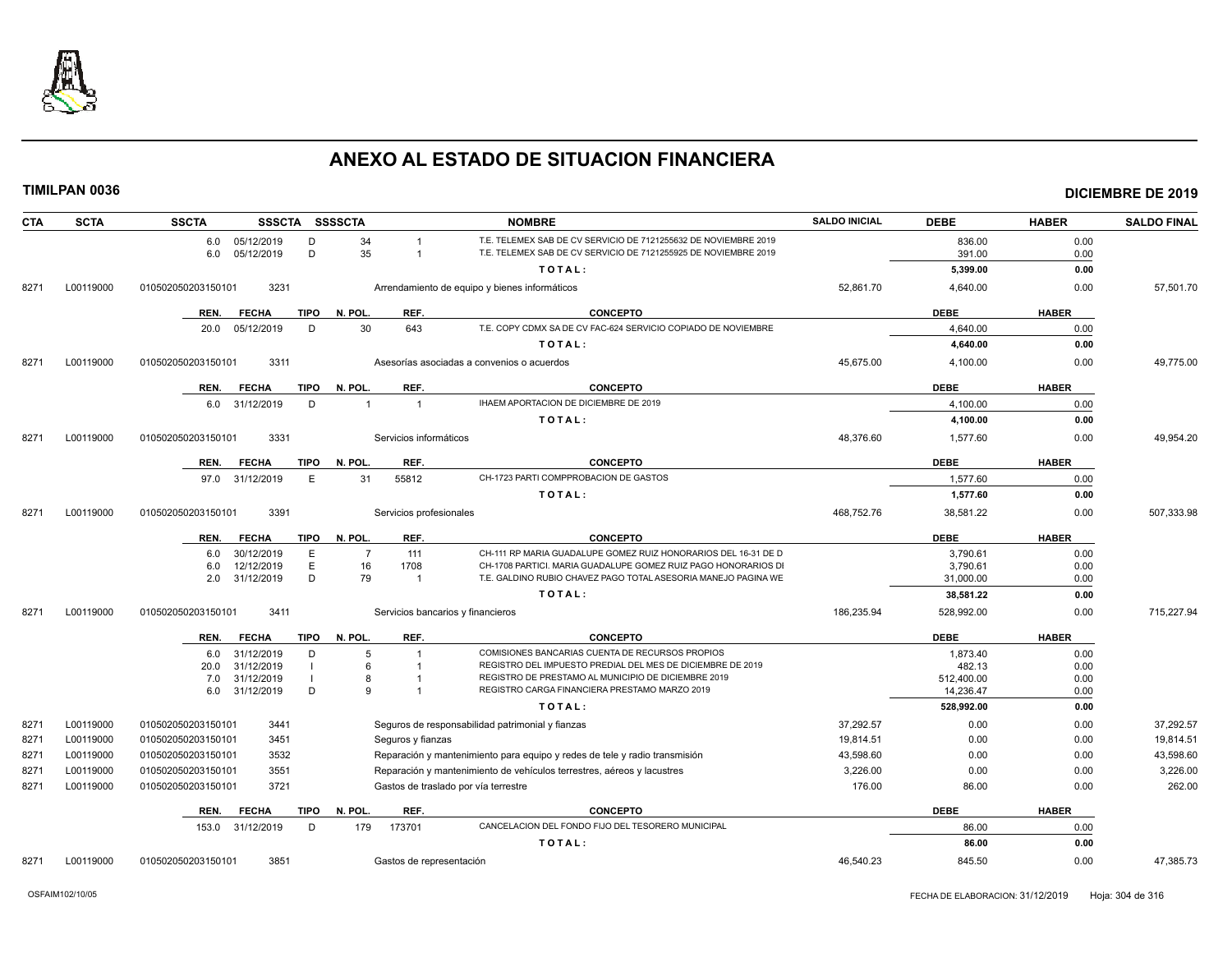

| <b>CTA</b> | <b>SCTA</b> | <b>SSCTA</b><br>SSSCTA SSSSCTA                |                                      | <b>NOMBRE</b>                                                                                                                      | <b>SALDO INICIAL</b> | <b>DEBE</b>             | <b>HABER</b> | <b>SALDO FINAL</b> |
|------------|-------------|-----------------------------------------------|--------------------------------------|------------------------------------------------------------------------------------------------------------------------------------|----------------------|-------------------------|--------------|--------------------|
|            |             | 6.0 05/12/2019<br>D<br>D<br>05/12/2019<br>6.0 | 34<br>35                             | T.E. TELEMEX SAB DE CV SERVICIO DE 7121255632 DE NOVIEMBRE 2019<br>T.E. TELEMEX SAB DE CV SERVICIO DE 7121255925 DE NOVIEMBRE 2019 |                      | 836.00<br>391.00        | 0.00<br>0.00 |                    |
|            |             |                                               |                                      | TOTAL:                                                                                                                             |                      | 5,399.00                | 0.00         |                    |
| 8271       | L00119000   | 3231<br>010502050203150101                    |                                      | Arrendamiento de equipo y bienes informáticos                                                                                      | 52,861.70            | 4,640.00                | 0.00         | 57,501.70          |
|            |             | <b>TIPO</b><br>REN.<br><b>FECHA</b>           | REF.<br>N. POL.                      | <b>CONCEPTO</b>                                                                                                                    |                      | <b>DEBE</b>             | <b>HABER</b> |                    |
|            |             | 05/12/2019<br>D<br>20.0                       | 30<br>643                            | T.E. COPY CDMX SA DE CV FAC-624 SERVICIO COPIADO DE NOVIEMBRE                                                                      |                      | 4.640.00                | 0.00         |                    |
|            |             |                                               |                                      | TOTAL:                                                                                                                             |                      | 4,640.00                | 0.00         |                    |
| 8271       | L00119000   | 3311<br>010502050203150101                    |                                      | Asesorías asociadas a convenios o acuerdos                                                                                         | 45,675.00            | 4,100.00                | 0.00         | 49,775.00          |
|            |             | <b>FECHA</b><br>TIPO<br>REN.                  | N. POL.<br>REF.                      | <b>CONCEPTO</b>                                                                                                                    |                      | DEBE                    | <b>HABER</b> |                    |
|            |             | 31/12/2019<br>D<br>6.0                        | $\overline{1}$<br>$\overline{1}$     | IHAEM APORTACION DE DICIEMBRE DE 2019                                                                                              |                      | 4,100.00                | 0.00         |                    |
|            |             |                                               |                                      | TOTAL:                                                                                                                             |                      | 4,100.00                | 0.00         |                    |
| 8271       | L00119000   | 3331<br>010502050203150101                    | Servicios informáticos               |                                                                                                                                    | 48,376.60            | 1,577.60                | 0.00         | 49,954.20          |
|            |             | <b>TIPO</b><br>REN.<br><b>FECHA</b>           | REF.<br>N. POL.                      | <b>CONCEPTO</b>                                                                                                                    |                      | <b>DEBE</b>             | <b>HABER</b> |                    |
|            |             | E<br>31/12/2019<br>97.0                       | 31<br>55812                          | CH-1723 PARTI COMPPROBACION DE GASTOS                                                                                              |                      | 1,577.60                | 0.00         |                    |
|            |             |                                               |                                      | TOTAL:                                                                                                                             |                      | 1,577.60                | 0.00         |                    |
| 8271       | L00119000   | 3391<br>010502050203150101                    | Servicios profesionales              |                                                                                                                                    | 468,752.76           | 38,581.22               | 0.00         | 507,333.98         |
|            |             | <b>TIPO</b><br><b>FECHA</b><br>REN.           | N. POL.<br>REF.                      | <b>CONCEPTO</b>                                                                                                                    |                      | <b>DEBE</b>             | <b>HABER</b> |                    |
|            |             | 30/12/2019<br>E<br>6.0                        | 111<br>$\overline{7}$                | CH-111 RP MARIA GUADALUPE GOMEZ RUIZ HONORARIOS DEL 16-31 DE D                                                                     |                      | 3,790.61                | 0.00         |                    |
|            |             | E<br>6.0<br>12/12/2019<br>D                   | 16<br>1708                           | CH-1708 PARTICI. MARIA GUADALUPE GOMEZ RUIZ PAGO HONORARIOS DI                                                                     |                      | 3.790.61                | 0.00         |                    |
|            |             | 2.0<br>31/12/2019                             | 79<br>$\overline{1}$                 | T.E. GALDINO RUBIO CHAVEZ PAGO TOTAL ASESORIA MANEJO PAGINA WE                                                                     |                      | 31,000.00               | 0.00         |                    |
| 8271       | L00119000   | 3411<br>010502050203150101                    | Servicios bancarios y financieros    | TOTAL:                                                                                                                             | 186,235.94           | 38,581.22<br>528,992.00 | 0.00<br>0.00 | 715,227.94         |
|            |             |                                               |                                      |                                                                                                                                    |                      |                         |              |                    |
|            |             | <b>FECHA</b><br><b>TIPO</b><br>REN.           | REF.<br>N. POL.                      | <b>CONCEPTO</b>                                                                                                                    |                      | <b>DEBE</b>             | <b>HABER</b> |                    |
|            |             | 31/12/2019<br>D<br>6.0<br>31/12/2019<br>20.0  | 5<br>6                               | COMISIONES BANCARIAS CUENTA DE RECURSOS PROPIOS<br>REGISTRO DEL IMPUESTO PREDIAL DEL MES DE DICIEMBRE DE 2019                      |                      | 1,873.40<br>482.13      | 0.00<br>0.00 |                    |
|            |             | 31/12/2019<br>7.0                             | 8                                    | REGISTRO DE PRESTAMO AL MUNICIPIO DE DICIEMBRE 2019                                                                                |                      | 512,400.00              | 0.00         |                    |
|            |             | 31/12/2019<br>D<br>6.0                        | q                                    | REGISTRO CARGA FINANCIERA PRESTAMO MARZO 2019                                                                                      |                      | 14,236.47               | 0.00         |                    |
|            |             |                                               |                                      | TOTAL:                                                                                                                             |                      | 528.992.00              | 0.00         |                    |
| 8271       | L00119000   | 010502050203150101<br>3441                    |                                      | Seguros de responsabilidad patrimonial y fianzas                                                                                   | 37,292.57            | 0.00                    | 0.00         | 37,292.57          |
| 8271       | L00119000   | 010502050203150101<br>3451                    | Seguros y fianzas                    |                                                                                                                                    | 19,814.51            | 0.00                    | 0.00         | 19,814.51          |
| 8271       | L00119000   | 3532<br>010502050203150101                    |                                      | Reparación y mantenimiento para equipo y redes de tele y radio transmisión                                                         | 43,598.60            | 0.00                    | 0.00         | 43,598.60          |
| 8271       | L00119000   | 010502050203150101<br>3551                    |                                      | Reparación y mantenimiento de vehículos terrestres, aéreos y lacustres                                                             | 3,226.00             | 0.00                    | 0.00         | 3,226.00           |
| 8271       | L00119000   | 010502050203150101<br>3721                    | Gastos de traslado por vía terrestre |                                                                                                                                    | 176.00               | 86.00                   | 0.00         | 262.00             |
|            |             | REN.<br><b>FECHA</b><br><b>TIPO</b>           | REF.<br>N. POL.                      | <b>CONCEPTO</b>                                                                                                                    |                      | <b>DEBE</b>             | <b>HABER</b> |                    |
|            |             | 153.0<br>31/12/2019<br>D                      | 179<br>173701                        | CANCELACION DEL FONDO FIJO DEL TESORERO MUNICIPAL                                                                                  |                      | 86.00                   | 0.00         |                    |
|            |             |                                               |                                      | TOTAL:                                                                                                                             |                      | 86.00                   | 0.00         |                    |
| 8271       | L00119000   | 010502050203150101<br>3851                    | Gastos de representación             |                                                                                                                                    | 46,540.23            | 845.50                  | 0.00         | 47,385.73          |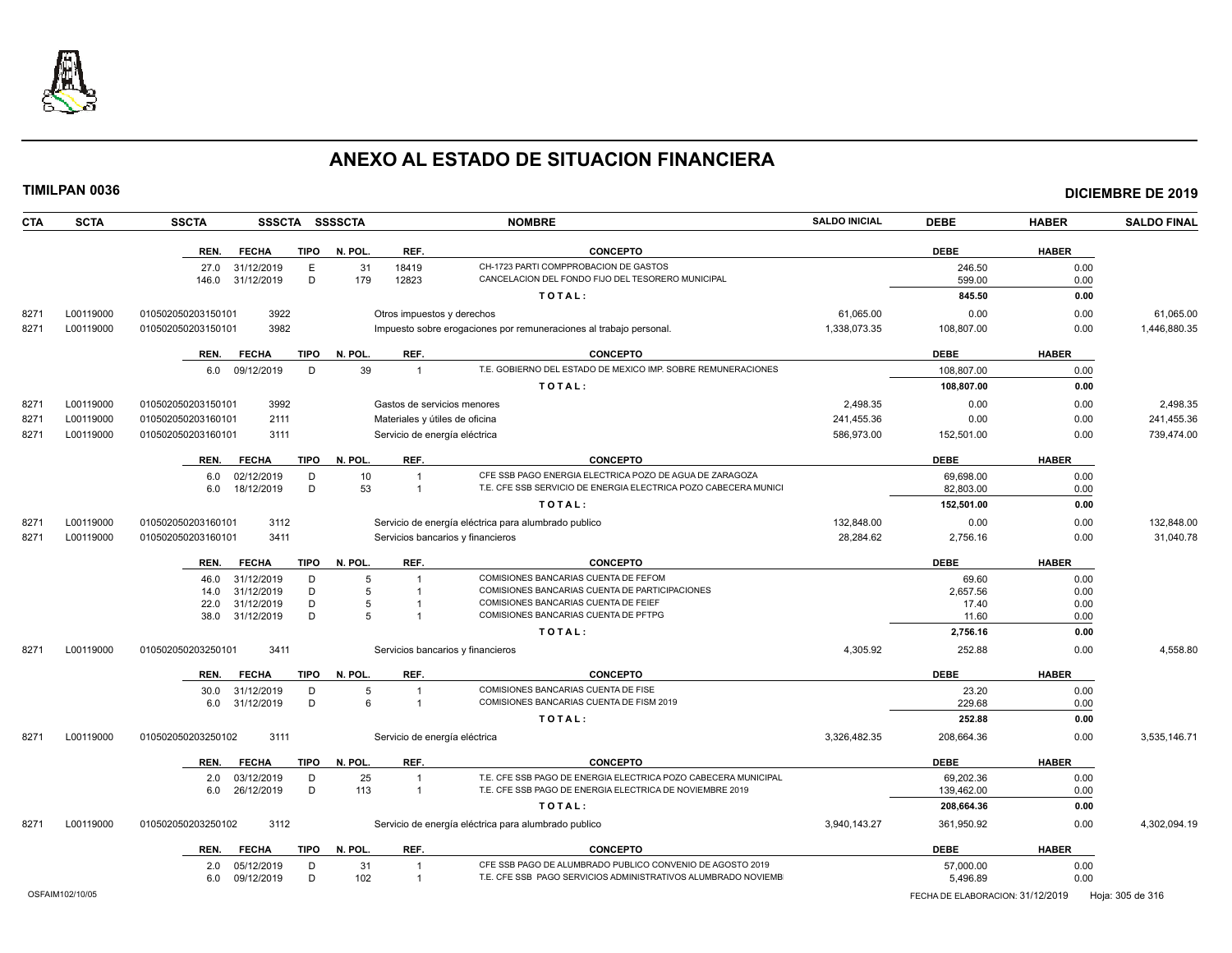

| <b>CTA</b> | <b>SCTA</b>     | <b>SSCTA</b><br><b>SSSCTA</b>       | <b>SSSSCTA</b>  |                                | <b>NOMBRE</b>                                                      | <b>SALDO INICIAL</b> | <b>DEBE</b>                      | <b>HABER</b> | <b>SALDO FINAL</b> |
|------------|-----------------|-------------------------------------|-----------------|--------------------------------|--------------------------------------------------------------------|----------------------|----------------------------------|--------------|--------------------|
|            |                 | REN.<br><b>FECHA</b><br><b>TIPO</b> | N. POL.         | REF.                           | <b>CONCEPTO</b>                                                    |                      | <b>DEBE</b>                      | <b>HABER</b> |                    |
|            |                 | E<br>27.0<br>31/12/2019             | 31              | 18419                          | CH-1723 PARTI COMPPROBACION DE GASTOS                              |                      | 246.50                           | 0.00         |                    |
|            |                 | D<br>31/12/2019<br>146.0            | 179             | 12823                          | CANCELACION DEL FONDO FIJO DEL TESORERO MUNICIPAL                  |                      | 599.00                           | 0.00         |                    |
|            |                 |                                     |                 |                                | TOTAL:                                                             |                      | 845.50                           | 0.00         |                    |
| 8271       | L00119000       | 3922<br>010502050203150101          |                 | Otros impuestos y derechos     |                                                                    | 61,065.00            | 0.00                             | 0.00         | 61,065.00          |
| 8271       | L00119000       | 3982<br>010502050203150101          |                 |                                | Impuesto sobre erogaciones por remuneraciones al trabajo personal. | 1,338,073.35         | 108,807.00                       | 0.00         | 1,446,880.35       |
|            |                 | <b>FECHA</b><br><b>TIPO</b><br>REN. | N. POL.         | REF.                           | <b>CONCEPTO</b>                                                    |                      | <b>DEBE</b>                      | <b>HABER</b> |                    |
|            |                 | D<br>6.0<br>09/12/2019              | 39              | $\overline{1}$                 | T.E. GOBIERNO DEL ESTADO DE MEXICO IMP. SOBRE REMUNERACIONES       |                      | 108,807.00                       | 0.00         |                    |
|            |                 |                                     |                 |                                | TOTAL:                                                             |                      | 108,807.00                       | 0.00         |                    |
| 8271       | L00119000       | 3992<br>010502050203150101          |                 | Gastos de servicios menores    |                                                                    | 2,498.35             | 0.00                             | 0.00         | 2,498.35           |
| 8271       | L00119000       | 2111<br>010502050203160101          |                 | Materiales y útiles de oficina |                                                                    | 241,455.36           | 0.00                             | 0.00         | 241,455.36         |
| 8271       | L00119000       | 010502050203160101<br>3111          |                 | Servicio de energía eléctrica  |                                                                    | 586,973.00           | 152,501.00                       | 0.00         | 739,474.00         |
|            |                 | REN.<br><b>FECHA</b>                | TIPO N. POL.    | REF.                           | <b>CONCEPTO</b>                                                    |                      | <b>DEBE</b>                      | <b>HABER</b> |                    |
|            |                 | 02/12/2019<br>D<br>6.0              | 10              | $\overline{1}$                 | CFE SSB PAGO ENERGIA ELECTRICA POZO DE AGUA DE ZARAGOZA            |                      | 69,698.00                        | 0.00         |                    |
|            |                 | 18/12/2019<br>D<br>6.0              | 53              | $\overline{1}$                 | T.E. CFE SSB SERVICIO DE ENERGIA ELECTRICA POZO CABECERA MUNICI    |                      | 82,803.00                        | 0.00         |                    |
|            |                 |                                     |                 |                                | TOTAL:                                                             |                      | 152,501.00                       | 0.00         |                    |
| 8271       | L00119000       | 010502050203160101<br>3112          |                 |                                | Servicio de energía eléctrica para alumbrado publico               | 132,848.00           | 0.00                             | 0.00         | 132.848.00         |
| 8271       | L00119000       | 3411<br>010502050203160101          |                 |                                | Servicios bancarios y financieros                                  | 28,284.62            | 2,756.16                         | 0.00         | 31,040.78          |
|            |                 | REN.<br><b>FECHA</b><br><b>TIPO</b> | N. POL.         | REF.                           | <b>CONCEPTO</b>                                                    |                      | <b>DEBE</b>                      | <b>HABER</b> |                    |
|            |                 | 46.0<br>31/12/2019<br>D             | 5               |                                | COMISIONES BANCARIAS CUENTA DE FEFOM                               |                      | 69.60                            | 0.00         |                    |
|            |                 | 31/12/2019<br>D<br>14.0             | 5               |                                | COMISIONES BANCARIAS CUENTA DE PARTICIPACIONES                     |                      | 2,657.56                         | 0.00         |                    |
|            |                 | D<br>22.0<br>31/12/2019             | 5               |                                | COMISIONES BANCARIAS CUENTA DE FEIEF                               |                      | 17.40                            | 0.00         |                    |
|            |                 | D<br>38.0<br>31/12/2019             | 5               |                                | COMISIONES BANCARIAS CUENTA DE PFTPG                               |                      | 11.60                            | 0.00         |                    |
|            |                 |                                     |                 |                                | TOTAL:                                                             |                      | 2,756.16                         | 0.00         |                    |
| 8271       | L00119000       | 3411<br>010502050203250101          |                 |                                | Servicios bancarios y financieros                                  | 4,305.92             | 252.88                           | 0.00         | 4,558.80           |
|            |                 | <b>TIPO</b><br>REN.<br><b>FECHA</b> | N. POL.         | REF.                           | <b>CONCEPTO</b>                                                    |                      | <b>DEBE</b>                      | <b>HABER</b> |                    |
|            |                 | 30.0<br>31/12/2019<br>D             | 5               |                                | COMISIONES BANCARIAS CUENTA DE FISE                                |                      | 23.20                            | 0.00         |                    |
|            |                 | D<br>31/12/2019<br>6.0              | $6\overline{6}$ | $\overline{1}$                 | COMISIONES BANCARIAS CUENTA DE FISM 2019                           |                      | 229.68                           | 0.00         |                    |
|            |                 |                                     |                 |                                | TOTAL:                                                             |                      | 252.88                           | 0.00         |                    |
| 8271       | L00119000       | 3111<br>010502050203250102          |                 | Servicio de energía eléctrica  |                                                                    | 3,326,482.35         | 208,664.36                       | 0.00         | 3,535,146.71       |
|            |                 | <b>FECHA</b><br><b>TIPO</b><br>REN. | N. POL.         | REF.                           | <b>CONCEPTO</b>                                                    |                      | <b>DEBE</b>                      | <b>HABER</b> |                    |
|            |                 | 03/12/2019<br>D<br>2.0              | 25              | $\overline{1}$                 | T.E. CFE SSB PAGO DE ENERGIA ELECTRICA POZO CABECERA MUNICIPAL     |                      | 69,202.36                        | 0.00         |                    |
|            |                 | 26/12/2019<br>D<br>6.0              | 113             | $\overline{1}$                 | T.E. CFE SSB PAGO DE ENERGIA ELECTRICA DE NOVIEMBRE 2019           |                      | 139,462.00                       | 0.00         |                    |
|            |                 |                                     |                 |                                | TOTAL:                                                             |                      | 208,664.36                       | 0.00         |                    |
| 8271       | L00119000       | 010502050203250102<br>3112          |                 |                                | Servicio de energía eléctrica para alumbrado publico               | 3,940,143.27         | 361,950.92                       | 0.00         | 4,302,094.19       |
|            |                 | <b>FECHA</b><br><b>TIPO</b><br>REN. | N. POL.         | REF.                           | <b>CONCEPTO</b>                                                    |                      | <b>DEBE</b>                      | <b>HABER</b> |                    |
|            |                 | 05/12/2019<br>D<br>2.0              | 31              | $\overline{1}$                 | CFE SSB PAGO DE ALUMBRADO PUBLICO CONVENIO DE AGOSTO 2019          |                      | 57,000.00                        | 0.00         |                    |
|            |                 | 09/12/2019<br>D<br>6.0              | 102             | $\overline{1}$                 | T.E. CFE SSB PAGO SERVICIOS ADMINISTRATIVOS ALUMBRADO NOVIEMB      |                      | 5,496.89                         | 0.00         |                    |
|            | OSFAIM102/10/05 |                                     |                 |                                |                                                                    |                      | FECHA DE ELABORACION: 31/12/2019 |              | Hoja: 305 de 316   |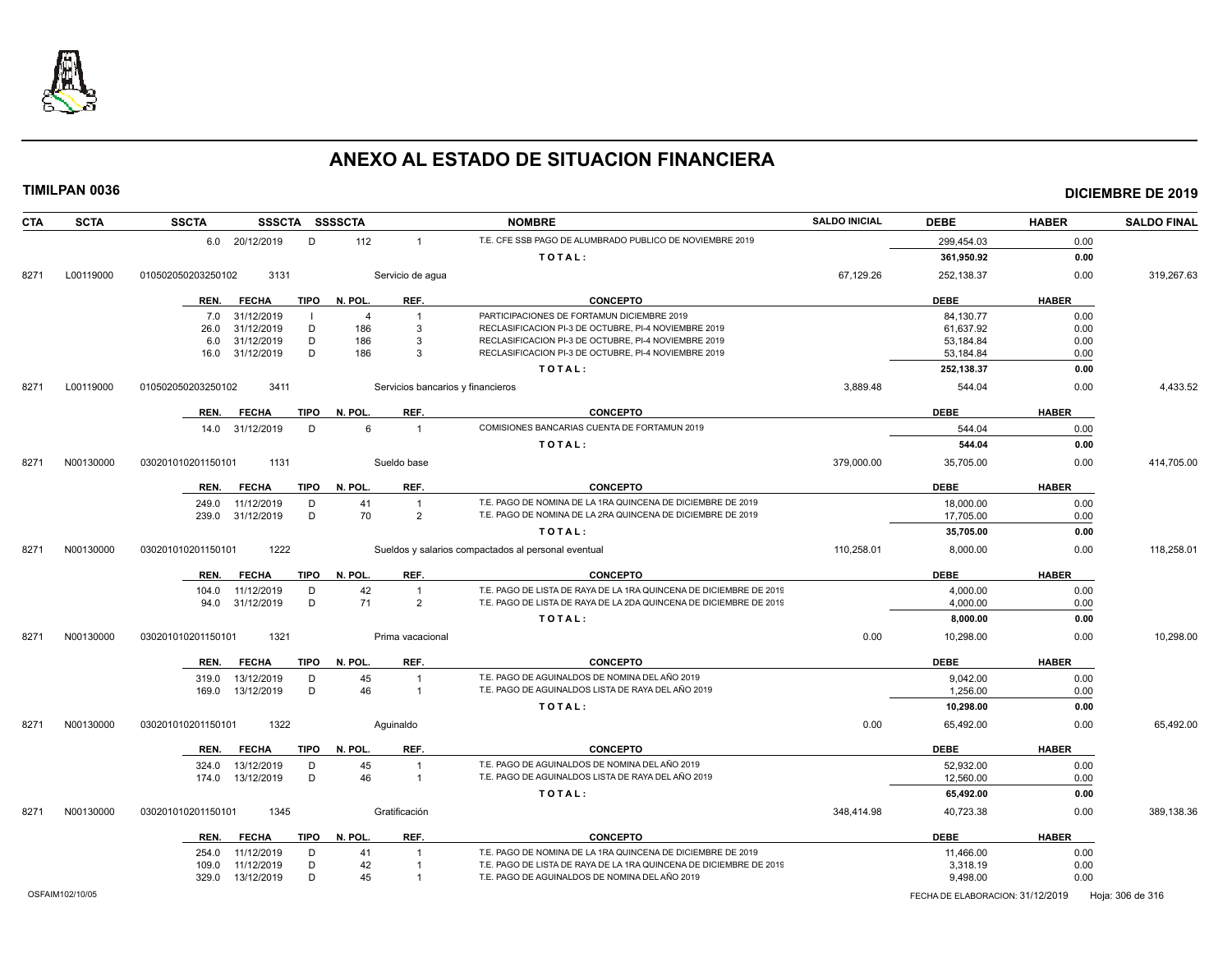

| <b>CTA</b> | <b>SCTA</b> | <b>SSCTA</b><br>SSSCTA SSSSCTA      |                |                                   | <b>NOMBRE</b>                                                      | <b>SALDO INICIAL</b> | <b>DEBE</b> | <b>HABER</b> | <b>SALDO FINAL</b> |
|------------|-------------|-------------------------------------|----------------|-----------------------------------|--------------------------------------------------------------------|----------------------|-------------|--------------|--------------------|
|            |             | 6.0 20/12/2019<br>D                 | 112            | $\overline{1}$                    | T.E. CFE SSB PAGO DE ALUMBRADO PUBLICO DE NOVIEMBRE 2019           |                      | 299,454.03  | 0.00         |                    |
|            |             |                                     |                |                                   | TOTAL:                                                             |                      | 361,950.92  | 0.00         |                    |
| 8271       | L00119000   | 010502050203250102<br>3131          |                | Servicio de agua                  |                                                                    | 67,129.26            | 252,138.37  | 0.00         | 319,267.63         |
|            |             | <b>TIPO</b><br>REN.<br><b>FECHA</b> | N. POL.        | REF.                              | <b>CONCEPTO</b>                                                    |                      | <b>DEBE</b> | <b>HABER</b> |                    |
|            |             | 31/12/2019<br>7.0                   | $\overline{4}$ | $\overline{1}$                    | PARTICIPACIONES DE FORTAMUN DICIEMBRE 2019                         |                      | 84,130.77   | 0.00         |                    |
|            |             | 31/12/2019<br>D<br>26.0             | 186            | 3                                 | RECLASIFICACION PI-3 DE OCTUBRE, PI-4 NOVIEMBRE 2019               |                      | 61,637.92   | 0.00         |                    |
|            |             | 31/12/2019<br>D<br>6.0              | 186            | 3                                 | RECLASIFICACION PI-3 DE OCTUBRE, PI-4 NOVIEMBRE 2019               |                      | 53.184.84   | 0.00         |                    |
|            |             | D<br>31/12/2019<br>16.0             | 186            | 3                                 | RECLASIFICACION PI-3 DE OCTUBRE, PI-4 NOVIEMBRE 2019               |                      | 53,184.84   | 0.00         |                    |
|            |             |                                     |                |                                   | TOTAL:                                                             |                      | 252,138.37  | 0.00         |                    |
| 8271       | L00119000   | 010502050203250102<br>3411          |                | Servicios bancarios y financieros |                                                                    | 3,889.48             | 544.04      | 0.00         | 4,433.52           |
|            |             | <b>FECHA</b><br><b>TIPO</b><br>REN. | N. POL.        | REF.                              | <b>CONCEPTO</b>                                                    |                      | <b>DEBE</b> | <b>HABER</b> |                    |
|            |             | 14.0 31/12/2019<br>D                | 6              | $\overline{1}$                    | COMISIONES BANCARIAS CUENTA DE FORTAMUN 2019                       |                      | 544.04      | 0.00         |                    |
|            |             |                                     |                |                                   | TOTAL:                                                             |                      | 544.04      | 0.00         |                    |
| 8271       | N00130000   | 1131<br>030201010201150101          |                | Sueldo base                       |                                                                    | 379,000.00           | 35,705.00   | 0.00         | 414,705.00         |
|            |             | <b>FECHA</b><br><b>TIPO</b><br>REN. | N. POL.        | REF.                              | CONCEPTO                                                           |                      | <b>DEBE</b> | <b>HABER</b> |                    |
|            |             | 11/12/2019<br>D<br>249.0            | 41             | $\overline{1}$                    | T.E. PAGO DE NOMINA DE LA 1RA QUINCENA DE DICIEMBRE DE 2019        |                      | 18,000.00   | 0.00         |                    |
|            |             | 31/12/2019<br>D<br>239.0            | 70             | $\overline{2}$                    | T.E. PAGO DE NOMINA DE LA 2RA QUINCENA DE DICIEMBRE DE 2019        |                      | 17,705.00   | 0.00         |                    |
|            |             |                                     |                |                                   | TOTAL:                                                             |                      | 35,705.00   | 0.00         |                    |
| 8271       | N00130000   | 1222<br>030201010201150101          |                |                                   | Sueldos y salarios compactados al personal eventual                | 110,258.01           | 8,000.00    | 0.00         | 118,258.01         |
|            |             | REN.<br><b>FECHA</b><br><b>TIPO</b> | N. POL.        | REF.                              | <b>CONCEPTO</b>                                                    |                      | <b>DEBE</b> | <b>HABER</b> |                    |
|            |             | 11/12/2019<br>104.0<br>D            | 42             | $\overline{1}$                    | T.E. PAGO DE LISTA DE RAYA DE LA 1RA QUINCENA DE DICIEMBRE DE 2019 |                      | 4,000.00    | 0.00         |                    |
|            |             | D<br>31/12/2019<br>94.0             | 71             | $\overline{2}$                    | T.E. PAGO DE LISTA DE RAYA DE LA 2DA QUINCENA DE DICIEMBRE DE 2019 |                      | 4,000.00    | 0.00         |                    |
|            |             |                                     |                |                                   | TOTAL:                                                             |                      | 8,000.00    | 0.00         |                    |
| 8271       | N00130000   | 1321<br>030201010201150101          |                | Prima vacacional                  |                                                                    | 0.00                 | 10,298.00   | 0.00         | 10,298.00          |
|            |             | REN.<br><b>FECHA</b><br>TIPO        | N. POL         | REF.                              | <b>CONCEPTO</b>                                                    |                      | <b>DEBE</b> | <b>HABER</b> |                    |
|            |             | 13/12/2019<br>D<br>319.0            | 45             | $\overline{1}$                    | T.E. PAGO DE AGUINALDOS DE NOMINA DEL AÑO 2019                     |                      | 9.042.00    | 0.00         |                    |
|            |             | D<br>13/12/2019<br>169.0            | 46             | $\overline{1}$                    | T.E. PAGO DE AGUINALDOS LISTA DE RAYA DEL AÑO 2019                 |                      | 1,256.00    | 0.00         |                    |
|            |             |                                     |                |                                   | TOTAL:                                                             |                      | 10,298.00   | 0.00         |                    |
| 8271       | N00130000   | 030201010201150101<br>1322          | Aguinaldo      |                                   |                                                                    | 0.00                 | 65,492.00   | 0.00         | 65,492.00          |
|            |             | <b>TIPO</b><br>REN.<br><b>FECHA</b> | N. POL         | REF.                              | <b>CONCEPTO</b>                                                    |                      | <b>DEBE</b> | <b>HABER</b> |                    |
|            |             | 13/12/2019<br>324.0<br>D            | 45             | $\overline{1}$                    | T.E. PAGO DE AGUINALDOS DE NOMINA DEL AÑO 2019                     |                      | 52.932.00   | 0.00         |                    |
|            |             | D<br>174.0  13/12/2019              | 46             | $\overline{1}$                    | T.E. PAGO DE AGUINALDOS LISTA DE RAYA DEL AÑO 2019                 |                      | 12,560.00   | 0.00         |                    |
|            |             |                                     |                |                                   | TOTAL:                                                             |                      | 65,492.00   | 0.00         |                    |
| 8271       | N00130000   | 1345<br>030201010201150101          |                | Gratificación                     |                                                                    | 348,414.98           | 40,723.38   | 0.00         | 389,138.36         |
|            |             | REN.<br><b>FECHA</b><br>TIPO        | N. POL.        | REF.                              | <b>CONCEPTO</b>                                                    |                      | <b>DEBE</b> | <b>HABER</b> |                    |
|            |             | 11/12/2019<br>D<br>254.0            | 41             |                                   | T.E. PAGO DE NOMINA DE LA 1RA QUINCENA DE DICIEMBRE DE 2019        |                      | 11,466.00   | 0.00         |                    |
|            |             | D<br>11/12/2019<br>109.0            | 42             |                                   | T.E. PAGO DE LISTA DE RAYA DE LA 1RA QUINCENA DE DICIEMBRE DE 2019 |                      | 3,318.19    | 0.00         |                    |
|            |             | 329.0<br>13/12/2019<br>D            | 45             |                                   | T.E. PAGO DE AGUINALDOS DE NOMINA DEL AÑO 2019                     |                      | 9,498.00    | 0.00         |                    |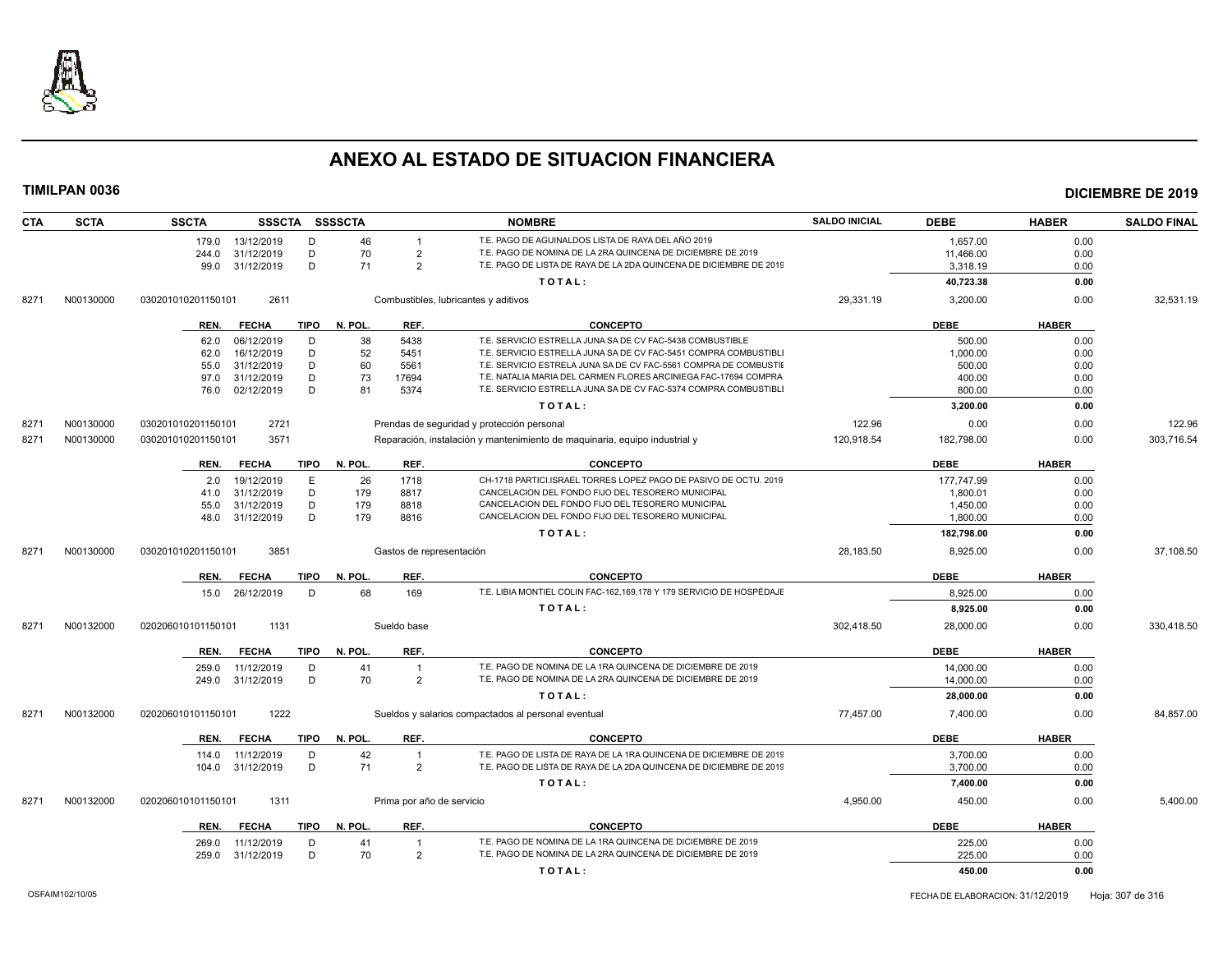

| <b>CTA</b> | <b>SCTA</b> | <b>SSCTA</b>       | <b>SSSCTA</b> |             | <b>SSSSCTA</b> |                           | <b>NOMBRE</b>                                                                  | <b>SALDO INICIAL</b> | <b>DEBE</b> | <b>HABER</b> | <b>SALDO FINAL</b> |
|------------|-------------|--------------------|---------------|-------------|----------------|---------------------------|--------------------------------------------------------------------------------|----------------------|-------------|--------------|--------------------|
|            |             | 179.0              | 13/12/2019    | D           | 46             | $\mathbf{1}$              | T.E. PAGO DE AGUINALDOS LISTA DE RAYA DEL AÑO 2019                             |                      | 1,657.00    | 0.00         |                    |
|            |             | 244.0              | 31/12/2019    | D           | 70             | $\overline{2}$            | T.E. PAGO DE NOMINA DE LA 2RA QUINCENA DE DICIEMBRE DE 2019                    |                      | 11.466.00   | 0.00         |                    |
|            |             | 99.0               | 31/12/2019    | D           | 71             | $\overline{2}$            | T.E. PAGO DE LISTA DE RAYA DE LA 2DA QUINCENA DE DICIEMBRE DE 2019             |                      | 3,318.19    | 0.00         |                    |
|            |             |                    |               |             |                |                           | TOTAL:                                                                         |                      | 40,723.38   | 0.00         |                    |
| 8271       | N00130000   | 030201010201150101 | 2611          |             |                |                           | Combustibles, lubricantes y aditivos                                           | 29,331.19            | 3,200.00    | 0.00         | 32,531.19          |
|            |             | REN.               | <b>FECHA</b>  | TIPO        | N. POL.        | REF.                      | <b>CONCEPTO</b>                                                                |                      | <b>DEBE</b> | <b>HABER</b> |                    |
|            |             | 62.0               | 06/12/2019    | D           | 38             | 5438                      | T.E. SERVICIO ESTRELLA JUNA SA DE CV FAC-5438 COMBUSTIBLE                      |                      | 500.00      | 0.00         |                    |
|            |             | 62.0               | 16/12/2019    | D           | 52             | 5451                      | T.E. SERVICIO ESTRELLA JUNA SA DE CV FAC-5451 COMPRA COMBUSTIBL                |                      | 1,000.00    | 0.00         |                    |
|            |             | 55.0               | 31/12/2019    | D           | 60             | 5561                      | T.E. SERVICIO ESTRELA JUNA SA DE CV FAC-5561 COMPRA DE COMBUSTII               |                      | 500.00      | 0.00         |                    |
|            |             | 97.0               | 31/12/2019    | D           | 73             | 17694                     | T.E. NATALIA MARIA DEL CARMEN FLORES ARCINIEGA FAC-17694 COMPRA                |                      | 400.00      | 0.00         |                    |
|            |             | 76.0               | 02/12/2019    | D           | 81             | 5374                      | T.E. SERVICIO ESTRELLA JUNA SA DE CV FAC-5374 COMPRA COMBUSTIBL                |                      | 800.00      | 0.00         |                    |
|            |             |                    |               |             |                |                           | TOTAL:                                                                         |                      | 3,200.00    | 0.00         |                    |
| 8271       | N00130000   | 030201010201150101 | 2721          |             |                |                           | Prendas de seguridad y protección personal                                     | 122.96               | 0.00        | 0.00         | 122.96             |
| 8271       | N00130000   | 030201010201150101 | 3571          |             |                |                           | Reparación, instalación y mantenimiento de maquinaria, equipo industrial y     | 120,918.54           | 182,798.00  | 0.00         | 303,716.54         |
|            |             | REN.               | <b>FECHA</b>  | TIPO        | N. POL.        | REF.                      | <b>CONCEPTO</b>                                                                |                      | <b>DEBE</b> | <b>HABER</b> |                    |
|            |             | 2.0                | 19/12/2019    | E           | 26             | 1718                      | CH-1718 PARTICI.ISRAEL TORRES LOPEZ PAGO DE PASIVO DE OCTU. 2019               |                      | 177,747.99  | 0.00         |                    |
|            |             | 41.0               | 31/12/2019    | D           | 179            | 8817                      | CANCELACION DEL FONDO FIJO DEL TESORERO MUNICIPAL                              |                      | 1,800.01    | 0.00         |                    |
|            |             | 55.0               | 31/12/2019    | D           | 179            | 8818                      | CANCELACION DEL FONDO FIJO DEL TESORERO MUNICIPAL                              |                      | 1,450.00    | 0.00         |                    |
|            |             | 48.0               | 31/12/2019    | D           | 179            | 8816                      | CANCELACION DEL FONDO FIJO DEL TESORERO MUNICIPAL                              |                      | 1,800.00    | 0.00         |                    |
|            |             |                    |               |             |                |                           | TOTAL:                                                                         |                      | 182,798.00  | 0.00         |                    |
| 8271       | N00130000   | 030201010201150101 | 3851          |             |                | Gastos de representación  |                                                                                | 28,183.50            | 8,925.00    | 0.00         | 37,108.50          |
|            |             |                    |               |             |                |                           |                                                                                |                      |             |              |                    |
|            |             | REN.               | <b>FECHA</b>  | <b>TIPO</b> | N. POL.        | REF.                      | <b>CONCEPTO</b>                                                                |                      | <b>DEBE</b> | <b>HABER</b> |                    |
|            |             | 15.0               | 26/12/2019    | D           | 68             | 169                       | T.E. LIBIA MONTIEL COLIN FAC-162,169,178 Y 179 SERVICIO DE HOSPÉDAJE<br>TOTAL: |                      | 8,925.00    | 0.00<br>0.00 |                    |
|            |             |                    |               |             |                |                           |                                                                                |                      | 8,925.00    |              |                    |
| 8271       | N00132000   | 020206010101150101 | 1131          |             |                | Sueldo base               |                                                                                | 302,418.50           | 28,000.00   | 0.00         | 330,418.50         |
|            |             | REN.               | <b>FECHA</b>  | <b>TIPO</b> | N. POL.        | REF.                      | <b>CONCEPTO</b>                                                                |                      | <b>DEBE</b> | <b>HABER</b> |                    |
|            |             | 259.0              | 11/12/2019    | D           | 41             | $\overline{1}$            | T.E. PAGO DE NOMINA DE LA 1RA QUINCENA DE DICIEMBRE DE 2019                    |                      | 14.000.00   | 0.00         |                    |
|            |             | 249.0              | 31/12/2019    | D           | 70             | $\overline{2}$            | T.E. PAGO DE NOMINA DE LA 2RA QUINCENA DE DICIEMBRE DE 2019                    |                      | 14,000.00   | 0.00         |                    |
|            |             |                    |               |             |                |                           | TOTAL:                                                                         |                      | 28,000.00   | 0.00         |                    |
| 8271       | N00132000   | 020206010101150101 | 1222          |             |                |                           | Sueldos y salarios compactados al personal eventual                            | 77,457.00            | 7,400.00    | 0.00         | 84,857.00          |
|            |             | REN.               | <b>FECHA</b>  | <b>TIPO</b> | N. POL.        | REF.                      | <b>CONCEPTO</b>                                                                |                      | <b>DEBE</b> | <b>HABER</b> |                    |
|            |             | 114.0              | 11/12/2019    | D           | 42             |                           | T.E. PAGO DE LISTA DE RAYA DE LA 1RA QUINCENA DE DICIEMBRE DE 2019             |                      | 3,700.00    | 0.00         |                    |
|            |             | 104.0              | 31/12/2019    | D           | 71             | $\overline{2}$            | T.E. PAGO DE LISTA DE RAYA DE LA 2DA QUINCENA DE DICIEMBRE DE 2019             |                      | 3,700.00    | 0.00         |                    |
|            |             |                    |               |             |                |                           | TOTAL:                                                                         |                      | 7,400.00    | 0.00         |                    |
| 8271       | N00132000   | 020206010101150101 | 1311          |             |                | Prima por año de servicio |                                                                                | 4.950.00             | 450.00      | 0.00         | 5.400.00           |
|            |             | REN.               | <b>FECHA</b>  | TIPO        | N. POL.        | REF.                      | <b>CONCEPTO</b>                                                                |                      | <b>DEBE</b> | <b>HABER</b> |                    |
|            |             | 269.0              | 11/12/2019    | D           | 41             | $\overline{1}$            | T.E. PAGO DE NOMINA DE LA 1RA QUINCENA DE DICIEMBRE DE 2019                    |                      | 225.00      | 0.00         |                    |
|            |             | 259.0              | 31/12/2019    | D           | 70             | $\overline{2}$            | T.E. PAGO DE NOMINA DE LA 2RA QUINCENA DE DICIEMBRE DE 2019                    |                      | 225.00      | 0.00         |                    |
|            |             |                    |               |             |                |                           | TOTAL:                                                                         |                      | 450.00      | 0.00         |                    |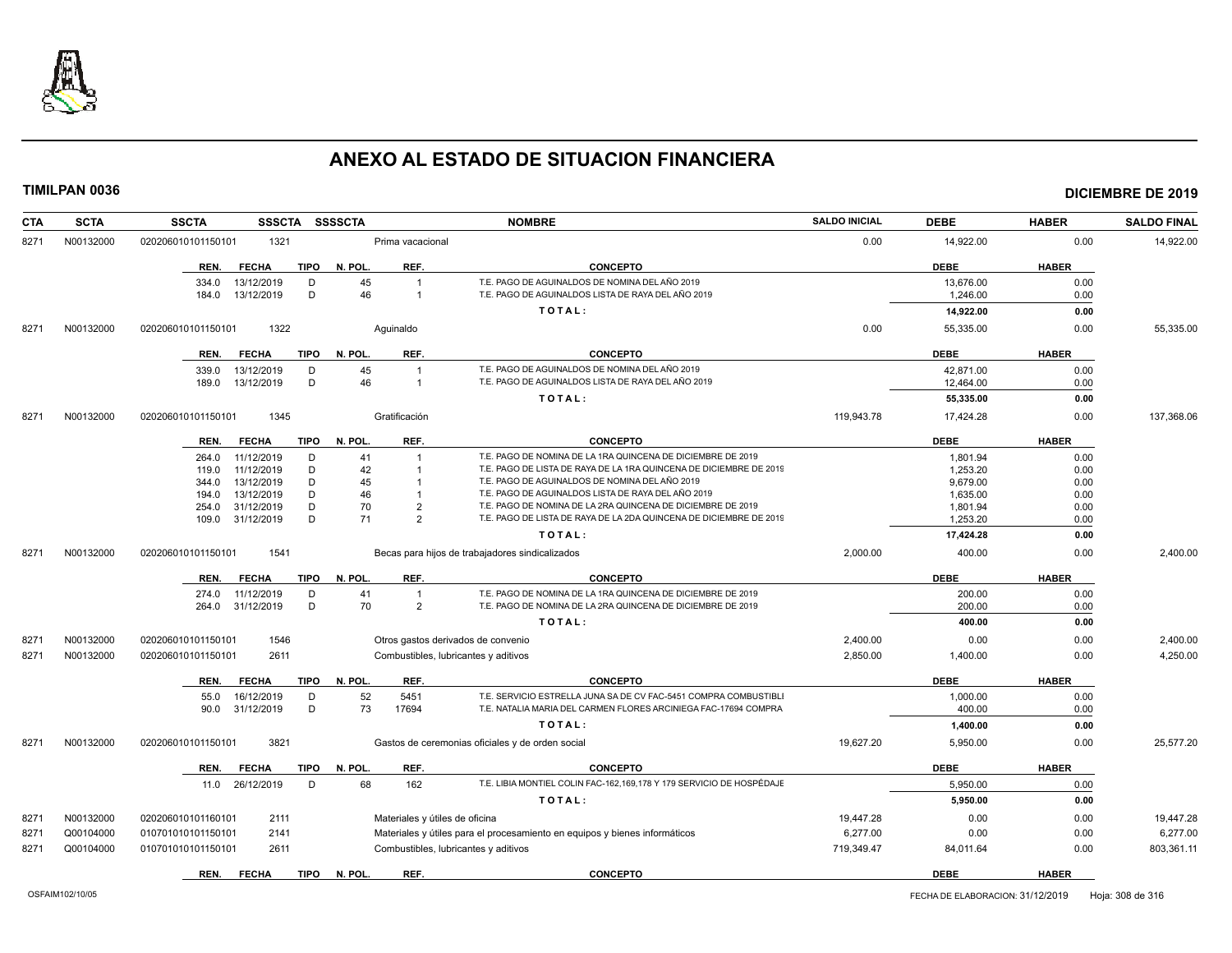

| N00132000<br>1321<br>14,922.00<br>0.00<br>8271<br>020206010101150101<br>Prima vacacional<br>0.00<br><b>CONCEPTO</b><br>TIPO<br>N. POL.<br>REF.<br><b>DEBE</b><br><b>HABER</b><br>REN.<br><b>FECHA</b><br>T.E. PAGO DE AGUINALDOS DE NOMINA DEL AÑO 2019<br>D<br>45<br>13,676.00<br>0.00<br>13/12/2019<br>334.0<br>$\overline{1}$<br>T.E. PAGO DE AGUINALDOS LISTA DE RAYA DEL AÑO 2019<br>13/12/2019<br>D<br>46<br>$\overline{1}$<br>1,246.00<br>0.00<br>184.0<br>TOTAL:<br>14,922.00<br>0.00<br>1322<br>0.00<br>N00132000<br>Aguinaldo<br>55,335.00<br>0.00<br>55,335.00<br>8271<br>020206010101150101<br>REF.<br><b>CONCEPTO</b><br><b>HABER</b><br><b>FECHA</b><br>TIPO<br>N. POL.<br>DEBE<br>REN.<br>45<br>T.E. PAGO DE AGUINALDOS DE NOMINA DEL AÑO 2019<br>13/12/2019<br>D<br>42,871.00<br>0.00<br>339.0<br>$\overline{1}$<br>D<br>46<br>T.E. PAGO DE AGUINALDOS LISTA DE RAYA DEL AÑO 2019<br>13/12/2019<br>12,464.00<br>0.00<br>189.0<br>$\overline{1}$<br>TOTAL:<br>55,335.00<br>0.00<br>1345<br>Gratificación<br>119,943.78<br>17,424.28<br>N00132000<br>020206010101150101<br>0.00<br>8271<br><b>FECHA</b><br>TIPO<br>N. POL.<br>REF.<br><b>CONCEPTO</b><br>DEBE<br><b>HABER</b><br>REN.<br>T.E. PAGO DE NOMINA DE LA 1RA QUINCENA DE DICIEMBRE DE 2019<br>D<br>1,801.94<br>11/12/2019<br>41<br>0.00<br>264.0<br>$\overline{1}$<br>11/12/2019<br>D<br>T.E. PAGO DE LISTA DE RAYA DE LA 1RA QUINCENA DE DICIEMBRE DE 2019<br>42<br>1,253.20<br>0.00<br>119.0<br>45<br>T.E. PAGO DE AGUINALDOS DE NOMINA DEL AÑO 2019<br>13/12/2019<br>D<br>9,679.00<br>0.00<br>344.0<br>D<br>46<br>T.E. PAGO DE AGUINALDOS LISTA DE RAYA DEL AÑO 2019<br>13/12/2019<br>0.00<br>194.0<br>1,635.00<br>31/12/2019<br>D<br>70<br>T.E. PAGO DE NOMINA DE LA 2RA QUINCENA DE DICIEMBRE DE 2019<br>$\overline{2}$<br>1,801.94<br>0.00<br>254.0<br>D<br>T.E. PAGO DE LISTA DE RAYA DE LA 2DA QUINCENA DE DICIEMBRE DE 2019<br>31/12/2019<br>71<br>$\mathcal{P}$<br>1,253.20<br>0.00<br>109.0<br>TOTAL:<br>17,424.28<br>0.00<br>1541<br>2,000.00<br>400.00<br>8271<br>N00132000<br>020206010101150101<br>Becas para hijos de trabajadores sindicalizados<br>0.00<br><b>DEBE</b><br><b>FECHA</b><br>TIPO<br>N. POL.<br>REF.<br><b>CONCEPTO</b><br><b>HABER</b><br>REN.<br>T.E. PAGO DE NOMINA DE LA 1RA QUINCENA DE DICIEMBRE DE 2019<br>0.00<br>11/12/2019<br>D<br>41<br>$\overline{1}$<br>200.00<br>274.0<br>T.E. PAGO DE NOMINA DE LA 2RA QUINCENA DE DICIEMBRE DE 2019<br>D<br>70<br>$\overline{2}$<br>0.00<br>264.0<br>31/12/2019<br>200.00<br>400.00<br>0.00<br>TOTAL:<br>N00132000<br>1546<br>2,400.00<br>0.00<br>0.00<br>020206010101150101<br>Otros gastos derivados de convenio<br>8271<br>2,850.00<br>8271<br>N00132000<br>020206010101150101<br>2611<br>Combustibles, lubricantes y aditivos<br>1,400.00<br>0.00<br>N. POL.<br><b>DEBE</b><br><b>HABER</b><br><b>FECHA</b><br><b>TIPO</b><br>REF.<br><b>CONCEPTO</b><br>REN.<br>52<br>5451<br>T.E. SERVICIO ESTRELLA JUNA SA DE CV FAC-5451 COMPRA COMBUSTIBLI<br>55.0<br>16/12/2019<br>D<br>1,000.00<br>0.00<br>73<br>T.E. NATALIA MARIA DEL CARMEN FLORES ARCINIEGA FAC-17694 COMPRA<br>D<br>17694<br>31/12/2019<br>400.00<br>0.00<br>90.0<br>TOTAL:<br>1,400.00<br>0.00<br>N00132000<br>3821<br>19,627.20<br>5,950.00<br>8271<br>020206010101150101<br>Gastos de ceremonias oficiales y de orden social<br>0.00<br><b>TIPO</b><br>N. POL.<br>REF.<br><b>CONCEPTO</b><br><b>DEBE</b><br><b>HABER</b><br>REN.<br><b>FECHA</b><br>T.E. LIBIA MONTIEL COLIN FAC-162,169,178 Y 179 SERVICIO DE HOSPÉDAJE<br>D<br>68<br>162<br>5.950.00<br>11.0 26/12/2019<br>0.00<br>TOTAL:<br>5,950.00<br>0.00<br>N00132000<br>2111<br>Materiales y útiles de oficina<br>19,447.28<br>0.00<br>0.00<br>8271<br>020206010101160101<br>Q00104000<br>2141<br>Materiales y útiles para el procesamiento en equipos y bienes informáticos<br>6,277.00<br>0.00<br>827'<br>010701010101150101<br>0.00<br>Q00104000<br>719,349.47<br>8271<br>010701010101150101<br>2611<br>Combustibles, lubricantes y aditivos<br>84,011.64<br>0.00<br><b>FECHA</b><br>TIPO<br>N. POL.<br>REF.<br><b>CONCEPTO</b><br><b>DEBE</b><br><b>HABER</b><br>REN. | <b>CTA</b> | <b>SCTA</b> | <b>SSCTA</b><br><b>SSSCTA</b> | <b>SSSSCTA</b> | <b>NOMBRE</b> | <b>SALDO INICIAL</b> | <b>DEBE</b> | <b>HABER</b> | <b>SALDO FINAL</b> |
|-------------------------------------------------------------------------------------------------------------------------------------------------------------------------------------------------------------------------------------------------------------------------------------------------------------------------------------------------------------------------------------------------------------------------------------------------------------------------------------------------------------------------------------------------------------------------------------------------------------------------------------------------------------------------------------------------------------------------------------------------------------------------------------------------------------------------------------------------------------------------------------------------------------------------------------------------------------------------------------------------------------------------------------------------------------------------------------------------------------------------------------------------------------------------------------------------------------------------------------------------------------------------------------------------------------------------------------------------------------------------------------------------------------------------------------------------------------------------------------------------------------------------------------------------------------------------------------------------------------------------------------------------------------------------------------------------------------------------------------------------------------------------------------------------------------------------------------------------------------------------------------------------------------------------------------------------------------------------------------------------------------------------------------------------------------------------------------------------------------------------------------------------------------------------------------------------------------------------------------------------------------------------------------------------------------------------------------------------------------------------------------------------------------------------------------------------------------------------------------------------------------------------------------------------------------------------------------------------------------------------------------------------------------------------------------------------------------------------------------------------------------------------------------------------------------------------------------------------------------------------------------------------------------------------------------------------------------------------------------------------------------------------------------------------------------------------------------------------------------------------------------------------------------------------------------------------------------------------------------------------------------------------------------------------------------------------------------------------------------------------------------------------------------------------------------------------------------------------------------------------------------------------------------------------------------------------------------------------------------------------------------------------------------------------------------------------------------------------------------------------------------------------------------------------------------------------------------------------------------------------------------------------------------------------------------------------------------------------------------------------------------------------------------------------------------------------------------------------------------------------------------------------------------|------------|-------------|-------------------------------|----------------|---------------|----------------------|-------------|--------------|--------------------|
|                                                                                                                                                                                                                                                                                                                                                                                                                                                                                                                                                                                                                                                                                                                                                                                                                                                                                                                                                                                                                                                                                                                                                                                                                                                                                                                                                                                                                                                                                                                                                                                                                                                                                                                                                                                                                                                                                                                                                                                                                                                                                                                                                                                                                                                                                                                                                                                                                                                                                                                                                                                                                                                                                                                                                                                                                                                                                                                                                                                                                                                                                                                                                                                                                                                                                                                                                                                                                                                                                                                                                                                                                                                                                                                                                                                                                                                                                                                                                                                                                                                                                                                                                             |            |             |                               |                |               |                      |             |              | 14,922.00          |
|                                                                                                                                                                                                                                                                                                                                                                                                                                                                                                                                                                                                                                                                                                                                                                                                                                                                                                                                                                                                                                                                                                                                                                                                                                                                                                                                                                                                                                                                                                                                                                                                                                                                                                                                                                                                                                                                                                                                                                                                                                                                                                                                                                                                                                                                                                                                                                                                                                                                                                                                                                                                                                                                                                                                                                                                                                                                                                                                                                                                                                                                                                                                                                                                                                                                                                                                                                                                                                                                                                                                                                                                                                                                                                                                                                                                                                                                                                                                                                                                                                                                                                                                                             |            |             |                               |                |               |                      |             |              |                    |
|                                                                                                                                                                                                                                                                                                                                                                                                                                                                                                                                                                                                                                                                                                                                                                                                                                                                                                                                                                                                                                                                                                                                                                                                                                                                                                                                                                                                                                                                                                                                                                                                                                                                                                                                                                                                                                                                                                                                                                                                                                                                                                                                                                                                                                                                                                                                                                                                                                                                                                                                                                                                                                                                                                                                                                                                                                                                                                                                                                                                                                                                                                                                                                                                                                                                                                                                                                                                                                                                                                                                                                                                                                                                                                                                                                                                                                                                                                                                                                                                                                                                                                                                                             |            |             |                               |                |               |                      |             |              |                    |
|                                                                                                                                                                                                                                                                                                                                                                                                                                                                                                                                                                                                                                                                                                                                                                                                                                                                                                                                                                                                                                                                                                                                                                                                                                                                                                                                                                                                                                                                                                                                                                                                                                                                                                                                                                                                                                                                                                                                                                                                                                                                                                                                                                                                                                                                                                                                                                                                                                                                                                                                                                                                                                                                                                                                                                                                                                                                                                                                                                                                                                                                                                                                                                                                                                                                                                                                                                                                                                                                                                                                                                                                                                                                                                                                                                                                                                                                                                                                                                                                                                                                                                                                                             |            |             |                               |                |               |                      |             |              |                    |
|                                                                                                                                                                                                                                                                                                                                                                                                                                                                                                                                                                                                                                                                                                                                                                                                                                                                                                                                                                                                                                                                                                                                                                                                                                                                                                                                                                                                                                                                                                                                                                                                                                                                                                                                                                                                                                                                                                                                                                                                                                                                                                                                                                                                                                                                                                                                                                                                                                                                                                                                                                                                                                                                                                                                                                                                                                                                                                                                                                                                                                                                                                                                                                                                                                                                                                                                                                                                                                                                                                                                                                                                                                                                                                                                                                                                                                                                                                                                                                                                                                                                                                                                                             |            |             |                               |                |               |                      |             |              |                    |
|                                                                                                                                                                                                                                                                                                                                                                                                                                                                                                                                                                                                                                                                                                                                                                                                                                                                                                                                                                                                                                                                                                                                                                                                                                                                                                                                                                                                                                                                                                                                                                                                                                                                                                                                                                                                                                                                                                                                                                                                                                                                                                                                                                                                                                                                                                                                                                                                                                                                                                                                                                                                                                                                                                                                                                                                                                                                                                                                                                                                                                                                                                                                                                                                                                                                                                                                                                                                                                                                                                                                                                                                                                                                                                                                                                                                                                                                                                                                                                                                                                                                                                                                                             |            |             |                               |                |               |                      |             |              |                    |
|                                                                                                                                                                                                                                                                                                                                                                                                                                                                                                                                                                                                                                                                                                                                                                                                                                                                                                                                                                                                                                                                                                                                                                                                                                                                                                                                                                                                                                                                                                                                                                                                                                                                                                                                                                                                                                                                                                                                                                                                                                                                                                                                                                                                                                                                                                                                                                                                                                                                                                                                                                                                                                                                                                                                                                                                                                                                                                                                                                                                                                                                                                                                                                                                                                                                                                                                                                                                                                                                                                                                                                                                                                                                                                                                                                                                                                                                                                                                                                                                                                                                                                                                                             |            |             |                               |                |               |                      |             |              |                    |
|                                                                                                                                                                                                                                                                                                                                                                                                                                                                                                                                                                                                                                                                                                                                                                                                                                                                                                                                                                                                                                                                                                                                                                                                                                                                                                                                                                                                                                                                                                                                                                                                                                                                                                                                                                                                                                                                                                                                                                                                                                                                                                                                                                                                                                                                                                                                                                                                                                                                                                                                                                                                                                                                                                                                                                                                                                                                                                                                                                                                                                                                                                                                                                                                                                                                                                                                                                                                                                                                                                                                                                                                                                                                                                                                                                                                                                                                                                                                                                                                                                                                                                                                                             |            |             |                               |                |               |                      |             |              |                    |
|                                                                                                                                                                                                                                                                                                                                                                                                                                                                                                                                                                                                                                                                                                                                                                                                                                                                                                                                                                                                                                                                                                                                                                                                                                                                                                                                                                                                                                                                                                                                                                                                                                                                                                                                                                                                                                                                                                                                                                                                                                                                                                                                                                                                                                                                                                                                                                                                                                                                                                                                                                                                                                                                                                                                                                                                                                                                                                                                                                                                                                                                                                                                                                                                                                                                                                                                                                                                                                                                                                                                                                                                                                                                                                                                                                                                                                                                                                                                                                                                                                                                                                                                                             |            |             |                               |                |               |                      |             |              |                    |
|                                                                                                                                                                                                                                                                                                                                                                                                                                                                                                                                                                                                                                                                                                                                                                                                                                                                                                                                                                                                                                                                                                                                                                                                                                                                                                                                                                                                                                                                                                                                                                                                                                                                                                                                                                                                                                                                                                                                                                                                                                                                                                                                                                                                                                                                                                                                                                                                                                                                                                                                                                                                                                                                                                                                                                                                                                                                                                                                                                                                                                                                                                                                                                                                                                                                                                                                                                                                                                                                                                                                                                                                                                                                                                                                                                                                                                                                                                                                                                                                                                                                                                                                                             |            |             |                               |                |               |                      |             |              |                    |
|                                                                                                                                                                                                                                                                                                                                                                                                                                                                                                                                                                                                                                                                                                                                                                                                                                                                                                                                                                                                                                                                                                                                                                                                                                                                                                                                                                                                                                                                                                                                                                                                                                                                                                                                                                                                                                                                                                                                                                                                                                                                                                                                                                                                                                                                                                                                                                                                                                                                                                                                                                                                                                                                                                                                                                                                                                                                                                                                                                                                                                                                                                                                                                                                                                                                                                                                                                                                                                                                                                                                                                                                                                                                                                                                                                                                                                                                                                                                                                                                                                                                                                                                                             |            |             |                               |                |               |                      |             |              |                    |
|                                                                                                                                                                                                                                                                                                                                                                                                                                                                                                                                                                                                                                                                                                                                                                                                                                                                                                                                                                                                                                                                                                                                                                                                                                                                                                                                                                                                                                                                                                                                                                                                                                                                                                                                                                                                                                                                                                                                                                                                                                                                                                                                                                                                                                                                                                                                                                                                                                                                                                                                                                                                                                                                                                                                                                                                                                                                                                                                                                                                                                                                                                                                                                                                                                                                                                                                                                                                                                                                                                                                                                                                                                                                                                                                                                                                                                                                                                                                                                                                                                                                                                                                                             |            |             |                               |                |               |                      |             |              | 137,368.06         |
|                                                                                                                                                                                                                                                                                                                                                                                                                                                                                                                                                                                                                                                                                                                                                                                                                                                                                                                                                                                                                                                                                                                                                                                                                                                                                                                                                                                                                                                                                                                                                                                                                                                                                                                                                                                                                                                                                                                                                                                                                                                                                                                                                                                                                                                                                                                                                                                                                                                                                                                                                                                                                                                                                                                                                                                                                                                                                                                                                                                                                                                                                                                                                                                                                                                                                                                                                                                                                                                                                                                                                                                                                                                                                                                                                                                                                                                                                                                                                                                                                                                                                                                                                             |            |             |                               |                |               |                      |             |              |                    |
|                                                                                                                                                                                                                                                                                                                                                                                                                                                                                                                                                                                                                                                                                                                                                                                                                                                                                                                                                                                                                                                                                                                                                                                                                                                                                                                                                                                                                                                                                                                                                                                                                                                                                                                                                                                                                                                                                                                                                                                                                                                                                                                                                                                                                                                                                                                                                                                                                                                                                                                                                                                                                                                                                                                                                                                                                                                                                                                                                                                                                                                                                                                                                                                                                                                                                                                                                                                                                                                                                                                                                                                                                                                                                                                                                                                                                                                                                                                                                                                                                                                                                                                                                             |            |             |                               |                |               |                      |             |              |                    |
|                                                                                                                                                                                                                                                                                                                                                                                                                                                                                                                                                                                                                                                                                                                                                                                                                                                                                                                                                                                                                                                                                                                                                                                                                                                                                                                                                                                                                                                                                                                                                                                                                                                                                                                                                                                                                                                                                                                                                                                                                                                                                                                                                                                                                                                                                                                                                                                                                                                                                                                                                                                                                                                                                                                                                                                                                                                                                                                                                                                                                                                                                                                                                                                                                                                                                                                                                                                                                                                                                                                                                                                                                                                                                                                                                                                                                                                                                                                                                                                                                                                                                                                                                             |            |             |                               |                |               |                      |             |              |                    |
|                                                                                                                                                                                                                                                                                                                                                                                                                                                                                                                                                                                                                                                                                                                                                                                                                                                                                                                                                                                                                                                                                                                                                                                                                                                                                                                                                                                                                                                                                                                                                                                                                                                                                                                                                                                                                                                                                                                                                                                                                                                                                                                                                                                                                                                                                                                                                                                                                                                                                                                                                                                                                                                                                                                                                                                                                                                                                                                                                                                                                                                                                                                                                                                                                                                                                                                                                                                                                                                                                                                                                                                                                                                                                                                                                                                                                                                                                                                                                                                                                                                                                                                                                             |            |             |                               |                |               |                      |             |              |                    |
|                                                                                                                                                                                                                                                                                                                                                                                                                                                                                                                                                                                                                                                                                                                                                                                                                                                                                                                                                                                                                                                                                                                                                                                                                                                                                                                                                                                                                                                                                                                                                                                                                                                                                                                                                                                                                                                                                                                                                                                                                                                                                                                                                                                                                                                                                                                                                                                                                                                                                                                                                                                                                                                                                                                                                                                                                                                                                                                                                                                                                                                                                                                                                                                                                                                                                                                                                                                                                                                                                                                                                                                                                                                                                                                                                                                                                                                                                                                                                                                                                                                                                                                                                             |            |             |                               |                |               |                      |             |              |                    |
|                                                                                                                                                                                                                                                                                                                                                                                                                                                                                                                                                                                                                                                                                                                                                                                                                                                                                                                                                                                                                                                                                                                                                                                                                                                                                                                                                                                                                                                                                                                                                                                                                                                                                                                                                                                                                                                                                                                                                                                                                                                                                                                                                                                                                                                                                                                                                                                                                                                                                                                                                                                                                                                                                                                                                                                                                                                                                                                                                                                                                                                                                                                                                                                                                                                                                                                                                                                                                                                                                                                                                                                                                                                                                                                                                                                                                                                                                                                                                                                                                                                                                                                                                             |            |             |                               |                |               |                      |             |              |                    |
|                                                                                                                                                                                                                                                                                                                                                                                                                                                                                                                                                                                                                                                                                                                                                                                                                                                                                                                                                                                                                                                                                                                                                                                                                                                                                                                                                                                                                                                                                                                                                                                                                                                                                                                                                                                                                                                                                                                                                                                                                                                                                                                                                                                                                                                                                                                                                                                                                                                                                                                                                                                                                                                                                                                                                                                                                                                                                                                                                                                                                                                                                                                                                                                                                                                                                                                                                                                                                                                                                                                                                                                                                                                                                                                                                                                                                                                                                                                                                                                                                                                                                                                                                             |            |             |                               |                |               |                      |             |              |                    |
|                                                                                                                                                                                                                                                                                                                                                                                                                                                                                                                                                                                                                                                                                                                                                                                                                                                                                                                                                                                                                                                                                                                                                                                                                                                                                                                                                                                                                                                                                                                                                                                                                                                                                                                                                                                                                                                                                                                                                                                                                                                                                                                                                                                                                                                                                                                                                                                                                                                                                                                                                                                                                                                                                                                                                                                                                                                                                                                                                                                                                                                                                                                                                                                                                                                                                                                                                                                                                                                                                                                                                                                                                                                                                                                                                                                                                                                                                                                                                                                                                                                                                                                                                             |            |             |                               |                |               |                      |             |              |                    |
|                                                                                                                                                                                                                                                                                                                                                                                                                                                                                                                                                                                                                                                                                                                                                                                                                                                                                                                                                                                                                                                                                                                                                                                                                                                                                                                                                                                                                                                                                                                                                                                                                                                                                                                                                                                                                                                                                                                                                                                                                                                                                                                                                                                                                                                                                                                                                                                                                                                                                                                                                                                                                                                                                                                                                                                                                                                                                                                                                                                                                                                                                                                                                                                                                                                                                                                                                                                                                                                                                                                                                                                                                                                                                                                                                                                                                                                                                                                                                                                                                                                                                                                                                             |            |             |                               |                |               |                      |             |              | 2,400.00           |
|                                                                                                                                                                                                                                                                                                                                                                                                                                                                                                                                                                                                                                                                                                                                                                                                                                                                                                                                                                                                                                                                                                                                                                                                                                                                                                                                                                                                                                                                                                                                                                                                                                                                                                                                                                                                                                                                                                                                                                                                                                                                                                                                                                                                                                                                                                                                                                                                                                                                                                                                                                                                                                                                                                                                                                                                                                                                                                                                                                                                                                                                                                                                                                                                                                                                                                                                                                                                                                                                                                                                                                                                                                                                                                                                                                                                                                                                                                                                                                                                                                                                                                                                                             |            |             |                               |                |               |                      |             |              |                    |
|                                                                                                                                                                                                                                                                                                                                                                                                                                                                                                                                                                                                                                                                                                                                                                                                                                                                                                                                                                                                                                                                                                                                                                                                                                                                                                                                                                                                                                                                                                                                                                                                                                                                                                                                                                                                                                                                                                                                                                                                                                                                                                                                                                                                                                                                                                                                                                                                                                                                                                                                                                                                                                                                                                                                                                                                                                                                                                                                                                                                                                                                                                                                                                                                                                                                                                                                                                                                                                                                                                                                                                                                                                                                                                                                                                                                                                                                                                                                                                                                                                                                                                                                                             |            |             |                               |                |               |                      |             |              |                    |
|                                                                                                                                                                                                                                                                                                                                                                                                                                                                                                                                                                                                                                                                                                                                                                                                                                                                                                                                                                                                                                                                                                                                                                                                                                                                                                                                                                                                                                                                                                                                                                                                                                                                                                                                                                                                                                                                                                                                                                                                                                                                                                                                                                                                                                                                                                                                                                                                                                                                                                                                                                                                                                                                                                                                                                                                                                                                                                                                                                                                                                                                                                                                                                                                                                                                                                                                                                                                                                                                                                                                                                                                                                                                                                                                                                                                                                                                                                                                                                                                                                                                                                                                                             |            |             |                               |                |               |                      |             |              |                    |
|                                                                                                                                                                                                                                                                                                                                                                                                                                                                                                                                                                                                                                                                                                                                                                                                                                                                                                                                                                                                                                                                                                                                                                                                                                                                                                                                                                                                                                                                                                                                                                                                                                                                                                                                                                                                                                                                                                                                                                                                                                                                                                                                                                                                                                                                                                                                                                                                                                                                                                                                                                                                                                                                                                                                                                                                                                                                                                                                                                                                                                                                                                                                                                                                                                                                                                                                                                                                                                                                                                                                                                                                                                                                                                                                                                                                                                                                                                                                                                                                                                                                                                                                                             |            |             |                               |                |               |                      |             |              |                    |
|                                                                                                                                                                                                                                                                                                                                                                                                                                                                                                                                                                                                                                                                                                                                                                                                                                                                                                                                                                                                                                                                                                                                                                                                                                                                                                                                                                                                                                                                                                                                                                                                                                                                                                                                                                                                                                                                                                                                                                                                                                                                                                                                                                                                                                                                                                                                                                                                                                                                                                                                                                                                                                                                                                                                                                                                                                                                                                                                                                                                                                                                                                                                                                                                                                                                                                                                                                                                                                                                                                                                                                                                                                                                                                                                                                                                                                                                                                                                                                                                                                                                                                                                                             |            |             |                               |                |               |                      |             |              | 2,400.00           |
|                                                                                                                                                                                                                                                                                                                                                                                                                                                                                                                                                                                                                                                                                                                                                                                                                                                                                                                                                                                                                                                                                                                                                                                                                                                                                                                                                                                                                                                                                                                                                                                                                                                                                                                                                                                                                                                                                                                                                                                                                                                                                                                                                                                                                                                                                                                                                                                                                                                                                                                                                                                                                                                                                                                                                                                                                                                                                                                                                                                                                                                                                                                                                                                                                                                                                                                                                                                                                                                                                                                                                                                                                                                                                                                                                                                                                                                                                                                                                                                                                                                                                                                                                             |            |             |                               |                |               |                      |             |              | 4,250.00           |
|                                                                                                                                                                                                                                                                                                                                                                                                                                                                                                                                                                                                                                                                                                                                                                                                                                                                                                                                                                                                                                                                                                                                                                                                                                                                                                                                                                                                                                                                                                                                                                                                                                                                                                                                                                                                                                                                                                                                                                                                                                                                                                                                                                                                                                                                                                                                                                                                                                                                                                                                                                                                                                                                                                                                                                                                                                                                                                                                                                                                                                                                                                                                                                                                                                                                                                                                                                                                                                                                                                                                                                                                                                                                                                                                                                                                                                                                                                                                                                                                                                                                                                                                                             |            |             |                               |                |               |                      |             |              |                    |
|                                                                                                                                                                                                                                                                                                                                                                                                                                                                                                                                                                                                                                                                                                                                                                                                                                                                                                                                                                                                                                                                                                                                                                                                                                                                                                                                                                                                                                                                                                                                                                                                                                                                                                                                                                                                                                                                                                                                                                                                                                                                                                                                                                                                                                                                                                                                                                                                                                                                                                                                                                                                                                                                                                                                                                                                                                                                                                                                                                                                                                                                                                                                                                                                                                                                                                                                                                                                                                                                                                                                                                                                                                                                                                                                                                                                                                                                                                                                                                                                                                                                                                                                                             |            |             |                               |                |               |                      |             |              |                    |
|                                                                                                                                                                                                                                                                                                                                                                                                                                                                                                                                                                                                                                                                                                                                                                                                                                                                                                                                                                                                                                                                                                                                                                                                                                                                                                                                                                                                                                                                                                                                                                                                                                                                                                                                                                                                                                                                                                                                                                                                                                                                                                                                                                                                                                                                                                                                                                                                                                                                                                                                                                                                                                                                                                                                                                                                                                                                                                                                                                                                                                                                                                                                                                                                                                                                                                                                                                                                                                                                                                                                                                                                                                                                                                                                                                                                                                                                                                                                                                                                                                                                                                                                                             |            |             |                               |                |               |                      |             |              |                    |
|                                                                                                                                                                                                                                                                                                                                                                                                                                                                                                                                                                                                                                                                                                                                                                                                                                                                                                                                                                                                                                                                                                                                                                                                                                                                                                                                                                                                                                                                                                                                                                                                                                                                                                                                                                                                                                                                                                                                                                                                                                                                                                                                                                                                                                                                                                                                                                                                                                                                                                                                                                                                                                                                                                                                                                                                                                                                                                                                                                                                                                                                                                                                                                                                                                                                                                                                                                                                                                                                                                                                                                                                                                                                                                                                                                                                                                                                                                                                                                                                                                                                                                                                                             |            |             |                               |                |               |                      |             |              |                    |
|                                                                                                                                                                                                                                                                                                                                                                                                                                                                                                                                                                                                                                                                                                                                                                                                                                                                                                                                                                                                                                                                                                                                                                                                                                                                                                                                                                                                                                                                                                                                                                                                                                                                                                                                                                                                                                                                                                                                                                                                                                                                                                                                                                                                                                                                                                                                                                                                                                                                                                                                                                                                                                                                                                                                                                                                                                                                                                                                                                                                                                                                                                                                                                                                                                                                                                                                                                                                                                                                                                                                                                                                                                                                                                                                                                                                                                                                                                                                                                                                                                                                                                                                                             |            |             |                               |                |               |                      |             |              | 25,577.20          |
|                                                                                                                                                                                                                                                                                                                                                                                                                                                                                                                                                                                                                                                                                                                                                                                                                                                                                                                                                                                                                                                                                                                                                                                                                                                                                                                                                                                                                                                                                                                                                                                                                                                                                                                                                                                                                                                                                                                                                                                                                                                                                                                                                                                                                                                                                                                                                                                                                                                                                                                                                                                                                                                                                                                                                                                                                                                                                                                                                                                                                                                                                                                                                                                                                                                                                                                                                                                                                                                                                                                                                                                                                                                                                                                                                                                                                                                                                                                                                                                                                                                                                                                                                             |            |             |                               |                |               |                      |             |              |                    |
|                                                                                                                                                                                                                                                                                                                                                                                                                                                                                                                                                                                                                                                                                                                                                                                                                                                                                                                                                                                                                                                                                                                                                                                                                                                                                                                                                                                                                                                                                                                                                                                                                                                                                                                                                                                                                                                                                                                                                                                                                                                                                                                                                                                                                                                                                                                                                                                                                                                                                                                                                                                                                                                                                                                                                                                                                                                                                                                                                                                                                                                                                                                                                                                                                                                                                                                                                                                                                                                                                                                                                                                                                                                                                                                                                                                                                                                                                                                                                                                                                                                                                                                                                             |            |             |                               |                |               |                      |             |              |                    |
|                                                                                                                                                                                                                                                                                                                                                                                                                                                                                                                                                                                                                                                                                                                                                                                                                                                                                                                                                                                                                                                                                                                                                                                                                                                                                                                                                                                                                                                                                                                                                                                                                                                                                                                                                                                                                                                                                                                                                                                                                                                                                                                                                                                                                                                                                                                                                                                                                                                                                                                                                                                                                                                                                                                                                                                                                                                                                                                                                                                                                                                                                                                                                                                                                                                                                                                                                                                                                                                                                                                                                                                                                                                                                                                                                                                                                                                                                                                                                                                                                                                                                                                                                             |            |             |                               |                |               |                      |             |              |                    |
|                                                                                                                                                                                                                                                                                                                                                                                                                                                                                                                                                                                                                                                                                                                                                                                                                                                                                                                                                                                                                                                                                                                                                                                                                                                                                                                                                                                                                                                                                                                                                                                                                                                                                                                                                                                                                                                                                                                                                                                                                                                                                                                                                                                                                                                                                                                                                                                                                                                                                                                                                                                                                                                                                                                                                                                                                                                                                                                                                                                                                                                                                                                                                                                                                                                                                                                                                                                                                                                                                                                                                                                                                                                                                                                                                                                                                                                                                                                                                                                                                                                                                                                                                             |            |             |                               |                |               |                      |             |              |                    |
|                                                                                                                                                                                                                                                                                                                                                                                                                                                                                                                                                                                                                                                                                                                                                                                                                                                                                                                                                                                                                                                                                                                                                                                                                                                                                                                                                                                                                                                                                                                                                                                                                                                                                                                                                                                                                                                                                                                                                                                                                                                                                                                                                                                                                                                                                                                                                                                                                                                                                                                                                                                                                                                                                                                                                                                                                                                                                                                                                                                                                                                                                                                                                                                                                                                                                                                                                                                                                                                                                                                                                                                                                                                                                                                                                                                                                                                                                                                                                                                                                                                                                                                                                             |            |             |                               |                |               |                      |             |              | 19,447.28          |
|                                                                                                                                                                                                                                                                                                                                                                                                                                                                                                                                                                                                                                                                                                                                                                                                                                                                                                                                                                                                                                                                                                                                                                                                                                                                                                                                                                                                                                                                                                                                                                                                                                                                                                                                                                                                                                                                                                                                                                                                                                                                                                                                                                                                                                                                                                                                                                                                                                                                                                                                                                                                                                                                                                                                                                                                                                                                                                                                                                                                                                                                                                                                                                                                                                                                                                                                                                                                                                                                                                                                                                                                                                                                                                                                                                                                                                                                                                                                                                                                                                                                                                                                                             |            |             |                               |                |               |                      |             |              | 6,277.00           |
|                                                                                                                                                                                                                                                                                                                                                                                                                                                                                                                                                                                                                                                                                                                                                                                                                                                                                                                                                                                                                                                                                                                                                                                                                                                                                                                                                                                                                                                                                                                                                                                                                                                                                                                                                                                                                                                                                                                                                                                                                                                                                                                                                                                                                                                                                                                                                                                                                                                                                                                                                                                                                                                                                                                                                                                                                                                                                                                                                                                                                                                                                                                                                                                                                                                                                                                                                                                                                                                                                                                                                                                                                                                                                                                                                                                                                                                                                                                                                                                                                                                                                                                                                             |            |             |                               |                |               |                      |             |              | 803,361.11         |
|                                                                                                                                                                                                                                                                                                                                                                                                                                                                                                                                                                                                                                                                                                                                                                                                                                                                                                                                                                                                                                                                                                                                                                                                                                                                                                                                                                                                                                                                                                                                                                                                                                                                                                                                                                                                                                                                                                                                                                                                                                                                                                                                                                                                                                                                                                                                                                                                                                                                                                                                                                                                                                                                                                                                                                                                                                                                                                                                                                                                                                                                                                                                                                                                                                                                                                                                                                                                                                                                                                                                                                                                                                                                                                                                                                                                                                                                                                                                                                                                                                                                                                                                                             |            |             |                               |                |               |                      |             |              |                    |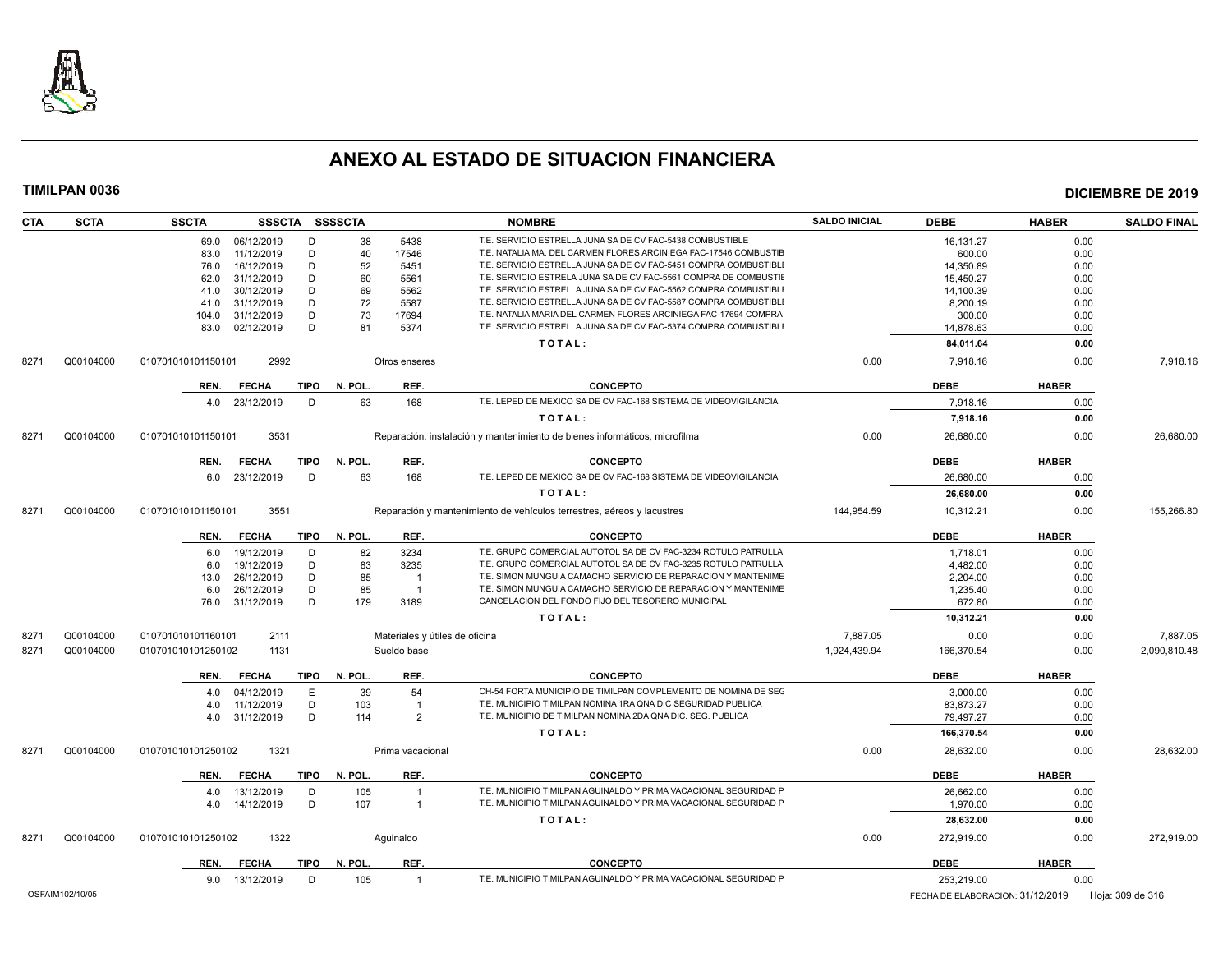

| <b>CTA</b> | <b>SCTA</b>     | <b>SSCTA</b>       | SSSCTA SSSSCTA  |             |              |                  | <b>NOMBRE</b>                                                              | <b>SALDO INICIAL</b> | <b>DEBE</b>                      | <b>HABER</b> | <b>SALDO FINAL</b> |
|------------|-----------------|--------------------|-----------------|-------------|--------------|------------------|----------------------------------------------------------------------------|----------------------|----------------------------------|--------------|--------------------|
|            |                 | 69.0               | 06/12/2019      | D           | 38           | 5438             | T.E. SERVICIO ESTRELLA JUNA SA DE CV FAC-5438 COMBUSTIBLE                  |                      | 16,131.27                        | 0.00         |                    |
|            |                 | 83.0               | 11/12/2019      | D           | 40           | 17546            | T.E. NATALIA MA. DEL CARMEN FLORES ARCINIEGA FAC-17546 COMBUSTIE           |                      | 600.00                           | 0.00         |                    |
|            |                 | 76.0               | 16/12/2019      | D           | 52           | 5451             | T.E. SERVICIO ESTRELLA JUNA SA DE CV FAC-5451 COMPRA COMBUSTIBLI           |                      | 14,350.89                        | 0.00         |                    |
|            |                 | 62.0               | 31/12/2019      | D           | 60           | 5561             | T.E. SERVICIO ESTRELA JUNA SA DE CV FAC-5561 COMPRA DE COMBUSTIE           |                      | 15,450.27                        | 0.00         |                    |
|            |                 | 41.0               | 30/12/2019      | D           | 69           | 5562             | T.E. SERVICIO ESTRELLA JUNA SA DE CV FAC-5562 COMPRA COMBUSTIBLI           |                      | 14,100.39                        | 0.00         |                    |
|            |                 | 41.0               | 31/12/2019      | D           | 72           | 5587             | T.E. SERVICIO ESTRELLA JUNA SA DE CV FAC-5587 COMPRA COMBUSTIBLI           |                      | 8,200.19                         | 0.00         |                    |
|            |                 | 104.0              | 31/12/2019      | D           | 73           | 17694            | T.E. NATALIA MARIA DEL CARMEN FLORES ARCINIEGA FAC-17694 COMPRA            |                      | 300.00                           | 0.00         |                    |
|            |                 | 83.0               | 02/12/2019      | D           | 81           | 5374             | T.E. SERVICIO ESTRELLA JUNA SA DE CV FAC-5374 COMPRA COMBUSTIBLI           |                      | 14,878.63                        | 0.00         |                    |
|            |                 |                    |                 |             |              |                  | TOTAL:                                                                     |                      | 84,011.64                        | 0.00         |                    |
| 8271       | Q00104000       | 010701010101150101 | 2992            |             |              | Otros enseres    |                                                                            | 0.00                 | 7,918.16                         | 0.00         | 7,918.16           |
|            |                 | REN.               | <b>FECHA</b>    | <b>TIPO</b> | N. POL.      | REF.             | <b>CONCEPTO</b>                                                            |                      | <b>DEBE</b>                      | <b>HABER</b> |                    |
|            |                 | 4.0                | 23/12/2019      | D           | 63           | 168              | T.E. LEPED DE MEXICO SA DE CV FAC-168 SISTEMA DE VIDEOVIGILANCIA           |                      | 7,918.16                         | 0.00         |                    |
|            |                 |                    |                 |             |              |                  | TOTAL:                                                                     |                      | 7,918.16                         | 0.00         |                    |
| 8271       | Q00104000       | 010701010101150101 | 3531            |             |              |                  | Reparación, instalación y mantenimiento de bienes informáticos, microfilma | 0.00                 | 26,680.00                        | 0.00         | 26,680.00          |
|            |                 | REN.               | <b>FECHA</b>    |             | TIPO N. POL. | REF.             | <b>CONCEPTO</b>                                                            |                      | <b>DEBE</b>                      | <b>HABER</b> |                    |
|            |                 | 6.0                | 23/12/2019      | D           | 63           | 168              | T.E. LEPED DE MEXICO SA DE CV FAC-168 SISTEMA DE VIDEOVIGILANCIA           |                      | 26,680.00                        | 0.00         |                    |
|            |                 |                    |                 |             |              |                  | TOTAL:                                                                     |                      | 26,680.00                        | 0.00         |                    |
| 8271       | Q00104000       | 010701010101150101 | 3551            |             |              |                  | Reparación y mantenimiento de vehículos terrestres, aéreos y lacustres     | 144,954.59           | 10,312.21                        | 0.00         | 155,266.80         |
|            |                 |                    |                 |             |              |                  |                                                                            |                      |                                  |              |                    |
|            |                 | REN.               | <b>FECHA</b>    | TIPO        | N. POL.      | REF.             | <b>CONCEPTO</b>                                                            |                      | <b>DEBE</b>                      | <b>HABER</b> |                    |
|            |                 | 6.0                | 19/12/2019      | D           | 82           | 3234             | T.E. GRUPO COMERCIAL AUTOTOL SA DE CV FAC-3234 ROTULO PATRULLA             |                      | 1,718.01                         | 0.00         |                    |
|            |                 | 6.0                | 19/12/2019      | D           | 83           | 3235             | T.E. GRUPO COMERCIAL AUTOTOL SA DE CV FAC-3235 ROTULO PATRULLA             |                      | 4,482.00                         | 0.00         |                    |
|            |                 | 13.0               | 26/12/2019      | D           | 85           | $\overline{1}$   | T.E. SIMON MUNGUIA CAMACHO SERVICIO DE REPARACION Y MANTENIME              |                      | 2.204.00                         | 0.00         |                    |
|            |                 | 6.0                | 26/12/2019      | D           | 85           | $\overline{1}$   | T.E. SIMON MUNGUIA CAMACHO SERVICIO DE REPARACION Y MANTENIME              |                      | 1,235.40                         | 0.00         |                    |
|            |                 |                    | 76.0 31/12/2019 | D           | 179          | 3189             | CANCELACION DEL FONDO FIJO DEL TESORERO MUNICIPAL                          |                      | 672.80                           | 0.00         |                    |
|            |                 |                    |                 |             |              |                  | TOTAL:                                                                     |                      | 10,312.21                        | 0.00         |                    |
| 8271       | Q00104000       | 010701010101160101 | 2111            |             |              |                  | Materiales y útiles de oficina                                             | 7,887.05             | 0.00                             | 0.00         | 7,887.05           |
| 8271       | Q00104000       | 010701010101250102 | 1131            |             |              | Sueldo base      |                                                                            | 1,924,439.94         | 166,370.54                       | 0.00         | 2,090,810.48       |
|            |                 | REN.               | <b>FECHA</b>    | <b>TIPO</b> | N. POL.      | REF.             | <b>CONCEPTO</b>                                                            |                      | <b>DEBE</b>                      | <b>HABER</b> |                    |
|            |                 | 4.0                | 04/12/2019      | E           | 39           | 54               | CH-54 FORTA MUNICIPIO DE TIMILPAN COMPLEMENTO DE NOMINA DE SEC             |                      | 3,000.00                         | 0.00         |                    |
|            |                 | 4.0                | 11/12/2019      | D           | 103          | $\overline{1}$   | T.E. MUNICIPIO TIMILPAN NOMINA 1RA QNA DIC SEGURIDAD PUBLICA               |                      | 83,873.27                        | 0.00         |                    |
|            |                 | 4.0                | 31/12/2019      | D           | 114          | $\overline{2}$   | T.E. MUNICIPIO DE TIMILPAN NOMINA 2DA QNA DIC. SEG. PUBLICA                |                      | 79,497.27                        | 0.00         |                    |
|            |                 |                    |                 |             |              |                  | TOTAL:                                                                     |                      | 166,370.54                       | 0.00         |                    |
| 8271       | Q00104000       | 010701010101250102 | 1321            |             |              | Prima vacacional |                                                                            | 0.00                 | 28,632.00                        | 0.00         | 28,632.00          |
|            |                 | REN.               | <b>FECHA</b>    | TIPO        | N. POL.      | REF.             | <b>CONCEPTO</b>                                                            |                      | <b>DEBE</b>                      | <b>HABER</b> |                    |
|            |                 | 4.0                | 13/12/2019      | D           | 105          | $\overline{1}$   | T.E. MUNICIPIO TIMILPAN AGUINALDO Y PRIMA VACACIONAL SEGURIDAD F           |                      | 26,662.00                        | 0.00         |                    |
|            |                 | 4.0                | 14/12/2019      | D           | 107          | $\overline{1}$   | T.E. MUNICIPIO TIMILPAN AGUINALDO Y PRIMA VACACIONAL SEGURIDAD F           |                      | 1,970.00                         | 0.00         |                    |
|            |                 |                    |                 |             |              |                  | TOTAL:                                                                     |                      | 28,632.00                        | 0.00         |                    |
| 8271       | Q00104000       | 010701010101250102 | 1322            |             |              | Aquinaldo        |                                                                            | 0.00                 | 272,919.00                       | 0.00         | 272,919.00         |
|            |                 |                    |                 |             |              |                  |                                                                            |                      |                                  |              |                    |
|            |                 | REN.               | <b>FECHA</b>    | TIPO        | N. POL.      | REF.             | <b>CONCEPTO</b>                                                            |                      | <b>DEBE</b>                      | <b>HABER</b> |                    |
|            |                 |                    | 9.0 13/12/2019  | Ð           | 105          | $\overline{1}$   | T.E. MUNICIPIO TIMILPAN AGUINALDO Y PRIMA VACACIONAL SEGURIDAD F           |                      | 253,219.00                       | 0.00         |                    |
|            | OSFAIM102/10/05 |                    |                 |             |              |                  |                                                                            |                      | FECHA DE ELABORACION: 31/12/2019 |              | Hoja: 309 de 316   |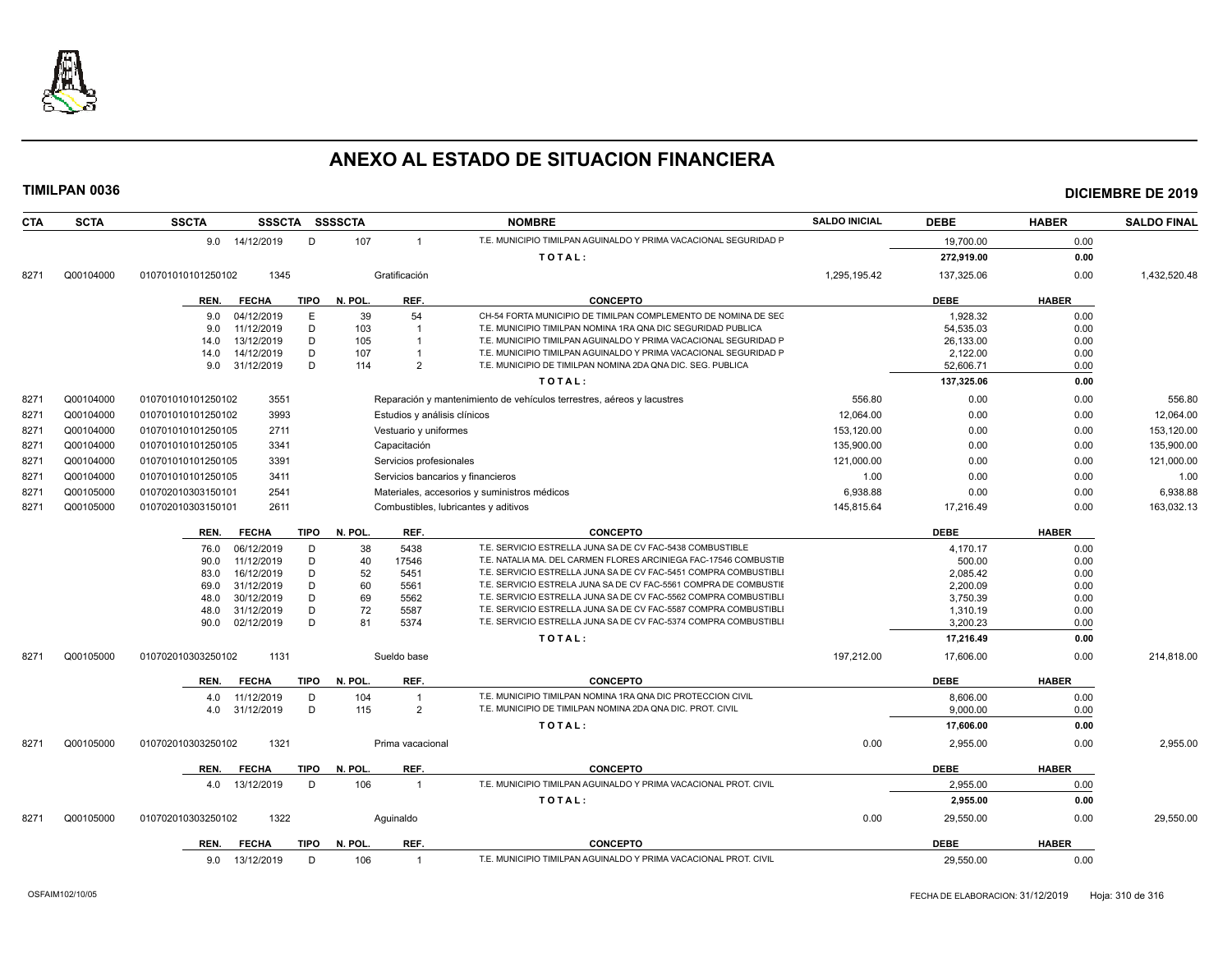

| <b>CTA</b> | <b>SCTA</b> | <b>SSCTA</b><br>SSSCTA SSSSCTA                     |                                      | <b>NOMBRE</b>                                                                                                                        | <b>SALDO INICIAL</b> | <b>DEBE</b>          | <b>HABER</b> | <b>SALDO FINAL</b> |
|------------|-------------|----------------------------------------------------|--------------------------------------|--------------------------------------------------------------------------------------------------------------------------------------|----------------------|----------------------|--------------|--------------------|
|            |             | D<br>9.0 14/12/2019                                | 107<br>$\mathbf{1}$                  | T.E. MUNICIPIO TIMILPAN AGUINALDO Y PRIMA VACACIONAL SEGURIDAD P                                                                     |                      | 19,700.00            | 0.00         |                    |
|            |             |                                                    |                                      | TOTAL:                                                                                                                               |                      | 272,919.00           | 0.00         |                    |
| 8271       | Q00104000   | 010701010101250102<br>1345                         | Gratificación                        |                                                                                                                                      | 1,295,195.42         | 137,325.06           | 0.00         | 1,432,520.48       |
|            |             | <b>FECHA</b><br><b>TIPO</b><br>REN.                | REF.<br>N. POL.                      | <b>CONCEPTO</b>                                                                                                                      |                      | <b>DEBE</b>          | <b>HABER</b> |                    |
|            |             | 04/12/2019<br>E<br>9.0                             | 39<br>54                             | CH-54 FORTA MUNICIPIO DE TIMILPAN COMPLEMENTO DE NOMINA DE SEC                                                                       |                      | 1,928.32             | 0.00         |                    |
|            |             | D<br>11/12/2019<br>9.0                             | 103<br>$\overline{1}$                | T.E. MUNICIPIO TIMILPAN NOMINA 1RA QNA DIC SEGURIDAD PUBLICA                                                                         |                      | 54,535.03            | 0.00         |                    |
|            |             | D<br>13/12/2019<br>14.0                            | 105<br>-1                            | T.E. MUNICIPIO TIMILPAN AGUINALDO Y PRIMA VACACIONAL SEGURIDAD P                                                                     |                      | 26.133.00            | 0.00         |                    |
|            |             | D<br>14/12/2019<br>14.0                            | 107                                  | T.E. MUNICIPIO TIMILPAN AGUINALDO Y PRIMA VACACIONAL SEGURIDAD P                                                                     |                      | 2,122.00             | 0.00         |                    |
|            |             | 31/12/2019<br>D<br>9.0                             | 114<br>$\mathcal{P}$                 | T.E. MUNICIPIO DE TIMILPAN NOMINA 2DA QNA DIC. SEG. PUBLICA                                                                          |                      | 52,606.71            | 0.00         |                    |
|            |             |                                                    |                                      | TOTAL:                                                                                                                               |                      | 137,325.06           | 0.00         |                    |
| 8271       | Q00104000   | 3551<br>010701010101250102                         |                                      | Reparación y mantenimiento de vehículos terrestres, aéreos y lacustres                                                               | 556.80               | 0.00                 | 0.00         | 556.80             |
| 8271       | Q00104000   | 010701010101250102<br>3993                         | Estudios y análisis clínicos         |                                                                                                                                      | 12,064.00            | 0.00                 | 0.00         | 12,064.00          |
| 8271       | Q00104000   | 2711<br>010701010101250105                         | Vestuario y uniformes                |                                                                                                                                      | 153,120.00           | 0.00                 | 0.00         | 153,120.00         |
| 8271       | Q00104000   | 010701010101250105<br>3341                         | Capacitación                         |                                                                                                                                      | 135,900.00           | 0.00                 | 0.00         | 135,900.00         |
| 8271       | Q00104000   | 3391<br>010701010101250105                         | Servicios profesionales              |                                                                                                                                      | 121,000.00           | 0.00                 | 0.00         | 121,000.00         |
| 8271       | Q00104000   | 010701010101250105<br>3411                         | Servicios bancarios y financieros    |                                                                                                                                      | 1.00                 | 0.00                 | 0.00         | 1.00               |
| 8271       | Q00105000   | 010702010303150101<br>2541                         |                                      | Materiales, accesorios y suministros médicos                                                                                         | 6,938.88             | 0.00                 | 0.00         | 6,938.88           |
| 8271       | Q00105000   | 010702010303150101<br>2611                         | Combustibles, lubricantes y aditivos |                                                                                                                                      | 145,815.64           | 17,216.49            | 0.00         | 163,032.13         |
|            |             | <b>FECHA</b><br>REN.                               | TIPO N. POL.<br>REF.                 | <b>CONCEPTO</b>                                                                                                                      |                      | <b>DEBE</b>          | <b>HABER</b> |                    |
|            |             | 06/12/2019<br>D<br>76.0                            | 5438<br>38                           | T.E. SERVICIO ESTRELLA JUNA SA DE CV FAC-5438 COMBUSTIBLE                                                                            |                      | 4,170.17             | 0.00         |                    |
|            |             | 11/12/2019<br>D<br>90.0                            | 40<br>17546                          | T.E. NATALIA MA. DEL CARMEN FLORES ARCINIEGA FAC-17546 COMBUSTIE                                                                     |                      | 500.00               | 0.00         |                    |
|            |             | 16/12/2019<br>D<br>83.0                            | 52<br>5451                           | T.E. SERVICIO ESTRELLA JUNA SA DE CV FAC-5451 COMPRA COMBUSTIBLI                                                                     |                      | 2.085.42             | 0.00         |                    |
|            |             | 31/12/2019<br>D<br>69.0                            | 60<br>5561                           | T.E. SERVICIO ESTRELA JUNA SA DE CV FAC-5561 COMPRA DE COMBUSTIE                                                                     |                      | 2,200.09             | 0.00         |                    |
|            |             | 30/12/2019<br>D<br>48.0                            | 69<br>5562                           | T.E. SERVICIO ESTRELLA JUNA SA DE CV FAC-5562 COMPRA COMBUSTIBLI                                                                     |                      | 3,750.39             | 0.00         |                    |
|            |             | 31/12/2019<br>D<br>48.0<br>D<br>02/12/2019<br>90.0 | 72<br>5587<br>81<br>5374             | T.E. SERVICIO ESTRELLA JUNA SA DE CV FAC-5587 COMPRA COMBUSTIBLI<br>T.E. SERVICIO ESTRELLA JUNA SA DE CV FAC-5374 COMPRA COMBUSTIBLI |                      | 1,310.19<br>3,200.23 | 0.00<br>0.00 |                    |
|            |             |                                                    |                                      | TOTAL:                                                                                                                               |                      | 17,216.49            | 0.00         |                    |
|            |             | 1131                                               | Sueldo base                          |                                                                                                                                      |                      |                      | 0.00         |                    |
| 8271       | Q00105000   | 010702010303250102                                 |                                      |                                                                                                                                      | 197,212.00           | 17,606.00            |              | 214,818.00         |
|            |             | <b>FECHA</b><br><b>TIPO</b><br>REN.                | N. POL.<br>REF.                      | <b>CONCEPTO</b>                                                                                                                      |                      | <b>DEBE</b>          | <b>HABER</b> |                    |
|            |             | 11/12/2019<br>D<br>4.0                             | 104<br>$\overline{1}$                | T.E. MUNICIPIO TIMILPAN NOMINA 1RA QNA DIC PROTECCION CIVIL<br>T.E. MUNICIPIO DE TIMILPAN NOMINA 2DA QNA DIC. PROT. CIVIL            |                      | 8,606.00             | 0.00         |                    |
|            |             | D<br>31/12/2019<br>4.0                             | 115<br>2                             |                                                                                                                                      |                      | 9.000.00             | 0.00         |                    |
|            |             |                                                    |                                      | TOTAL:                                                                                                                               |                      | 17,606.00            | 0.00         |                    |
| 8271       | Q00105000   | 1321<br>010702010303250102                         | Prima vacacional                     |                                                                                                                                      | 0.00                 | 2,955.00             | 0.00         | 2,955.00           |
|            |             | REN.<br><b>FECHA</b><br><b>TIPO</b>                | N. POL.<br>REF.                      | <b>CONCEPTO</b>                                                                                                                      |                      | <b>DEBE</b>          | <b>HABER</b> |                    |
|            |             | 13/12/2019<br>D<br>4.0                             | 106<br>$\overline{1}$                | T.E. MUNICIPIO TIMILPAN AGUINALDO Y PRIMA VACACIONAL PROT. CIVIL                                                                     |                      | 2.955.00             | 0.00         |                    |
|            |             |                                                    |                                      | TOTAL:                                                                                                                               |                      | 2,955.00             | 0.00         |                    |
| 8271       | Q00105000   | 010702010303250102<br>1322                         | Aquinaldo                            |                                                                                                                                      | 0.00                 | 29,550.00            | 0.00         | 29,550.00          |
|            |             | <b>TIPO</b><br>REN.<br><b>FECHA</b>                | N. POL.<br>REF.                      | <b>CONCEPTO</b>                                                                                                                      |                      | <b>DEBE</b>          | <b>HABER</b> |                    |
|            |             | 9.0<br>13/12/2019<br>D                             | 106                                  | T.E. MUNICIPIO TIMILPAN AGUINALDO Y PRIMA VACACIONAL PROT. CIVIL                                                                     |                      | 29,550.00            | 0.00         |                    |
|            |             |                                                    |                                      |                                                                                                                                      |                      |                      |              |                    |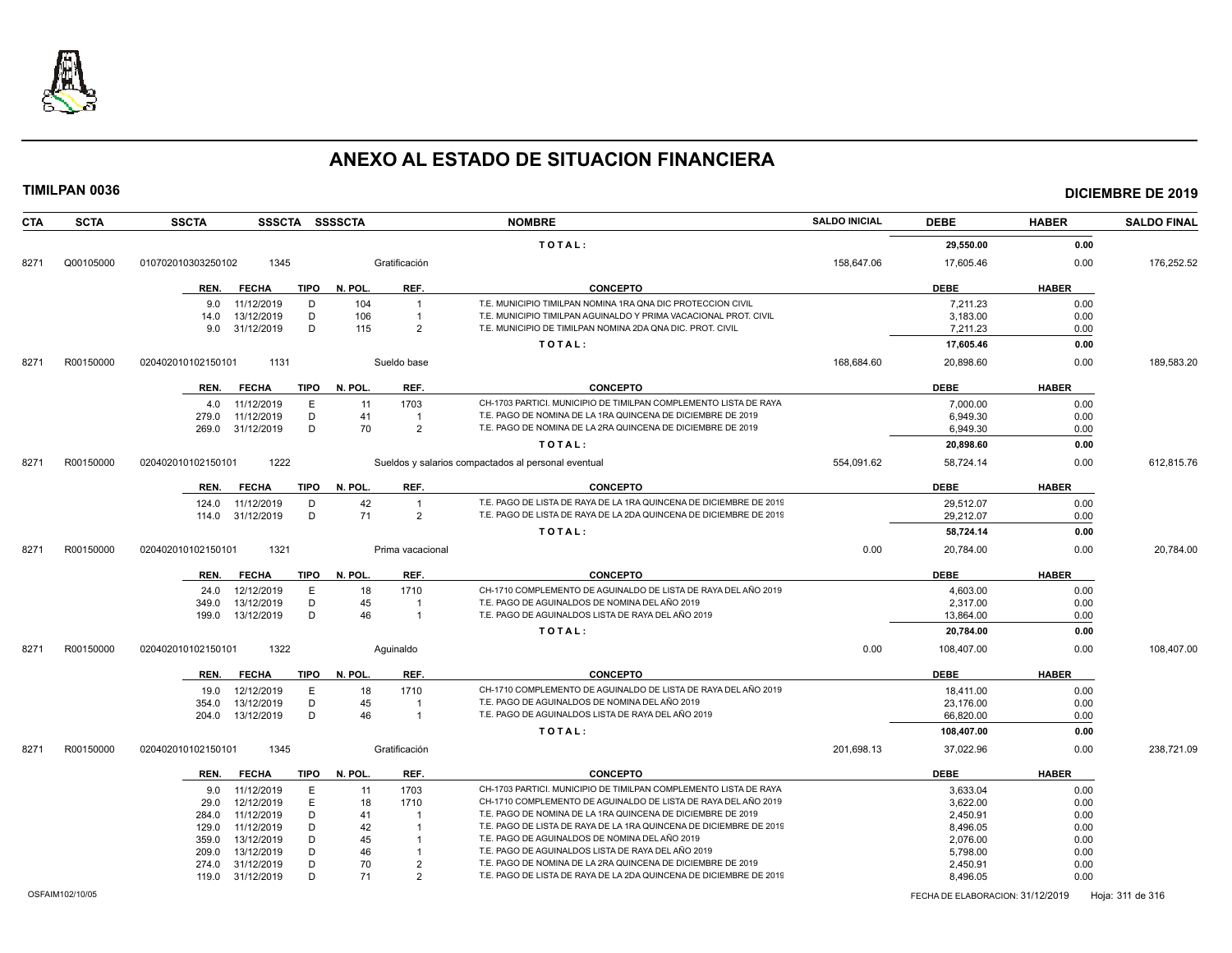

| <b>SCTA</b><br><b>CTA</b> | <b>SSCTA</b>       | SSSCTA SSSSCTA              |         |                  | <b>NOMBRE</b>                                                      | <b>SALDO INICIAL</b> | <b>DEBE</b>                      | <b>HABER</b> | <b>SALDO FINAL</b> |
|---------------------------|--------------------|-----------------------------|---------|------------------|--------------------------------------------------------------------|----------------------|----------------------------------|--------------|--------------------|
|                           |                    |                             |         |                  | TOTAL:                                                             |                      | 29,550.00                        | 0.00         |                    |
| Q00105000<br>8271         | 010702010303250102 | 1345                        |         | Gratificación    |                                                                    | 158,647.06           | 17,605.46                        | 0.00         | 176,252.52         |
|                           | REN.               | <b>FECHA</b><br><b>TIPO</b> | N. POL. | REF.             | <b>CONCEPTO</b>                                                    |                      | <b>DEBE</b>                      | <b>HABER</b> |                    |
|                           | 9.0                | 11/12/2019<br>D             | 104     | $\overline{1}$   | T.E. MUNICIPIO TIMILPAN NOMINA 1RA QNA DIC PROTECCION CIVIL        |                      | 7,211.23                         | 0.00         |                    |
|                           | 14.0               | D<br>13/12/2019             | 106     |                  | T.E. MUNICIPIO TIMILPAN AGUINALDO Y PRIMA VACACIONAL PROT. CIVIL   |                      | 3.183.00                         | 0.00         |                    |
|                           | 9.0                | D<br>31/12/2019             | 115     | $\overline{2}$   | T.E. MUNICIPIO DE TIMILPAN NOMINA 2DA QNA DIC. PROT. CIVIL         |                      | 7,211.23                         | 0.00         |                    |
|                           |                    |                             |         |                  | TOTAL:                                                             |                      | 17,605.46                        | 0.00         |                    |
| R00150000<br>8271         | 020402010102150101 | 1131                        |         | Sueldo base      |                                                                    | 168,684.60           | 20,898.60                        | 0.00         | 189,583.20         |
|                           | REN.               | <b>FECHA</b><br>TIPO        | N. POL. | REF.             | <b>CONCEPTO</b>                                                    |                      | <b>DEBE</b>                      | <b>HABER</b> |                    |
|                           | 4.0                | 11/12/2019<br>E             | 11      | 1703             | CH-1703 PARTICI. MUNICIPIO DE TIMILPAN COMPLEMENTO LISTA DE RAYA   |                      | 7,000.00                         | 0.00         |                    |
|                           | 279.0              | D<br>11/12/2019             | 41      |                  | T.E. PAGO DE NOMINA DE LA 1RA QUINCENA DE DICIEMBRE DE 2019        |                      | 6.949.30                         | 0.00         |                    |
|                           | 269.0              | 31/12/2019<br>D             | 70      | $\overline{2}$   | T.E. PAGO DE NOMINA DE LA 2RA QUINCENA DE DICIEMBRE DE 2019        |                      | 6.949.30                         | 0.00         |                    |
|                           |                    |                             |         |                  | TOTAL:                                                             |                      | 20,898.60                        | 0.00         |                    |
| 8271<br>R00150000         | 020402010102150101 | 1222                        |         |                  | Sueldos y salarios compactados al personal eventual                | 554,091.62           | 58,724.14                        | 0.00         | 612,815.76         |
|                           | REN.               | <b>FECHA</b><br><b>TIPO</b> | N. POL. | REF.             | <b>CONCEPTO</b>                                                    |                      | <b>DEBE</b>                      | <b>HABER</b> |                    |
|                           | 124.0              | 11/12/2019<br>D             | 42      | $\overline{1}$   | T.E. PAGO DE LISTA DE RAYA DE LA 1RA QUINCENA DE DICIEMBRE DE 2019 |                      | 29,512.07                        | 0.00         |                    |
|                           | 114.0              | D<br>31/12/2019             | 71      | $\overline{2}$   | T.E. PAGO DE LISTA DE RAYA DE LA 2DA QUINCENA DE DICIEMBRE DE 2019 |                      | 29,212.07                        | 0.00         |                    |
|                           |                    |                             |         |                  | TOTAL:                                                             |                      | 58,724.14                        | 0.00         |                    |
| 8271<br>R00150000         | 020402010102150101 | 1321                        |         | Prima vacacional |                                                                    | 0.00                 | 20,784.00                        | 0.00         | 20,784.00          |
|                           |                    |                             |         |                  |                                                                    |                      |                                  |              |                    |
|                           | REN.               | <b>FECHA</b><br>TIPO        | N. POL. | REF.             | <b>CONCEPTO</b>                                                    |                      | <b>DEBE</b>                      | <b>HABER</b> |                    |
|                           | 24.0               | 12/12/2019<br>E             | 18      | 1710             | CH-1710 COMPLEMENTO DE AGUINALDO DE LISTA DE RAYA DEL AÑO 2019     |                      | 4,603.00                         | 0.00         |                    |
|                           | 349.0              | D<br>13/12/2019             | 45      |                  | T.E. PAGO DE AGUINALDOS DE NOMINA DEL AÑO 2019                     |                      | 2,317.00                         | 0.00         |                    |
|                           | 199.0              | D<br>13/12/2019             | 46      | $\overline{1}$   | T.E. PAGO DE AGUINALDOS LISTA DE RAYA DEL AÑO 2019                 |                      | 13,864.00                        | 0.00         |                    |
|                           |                    |                             |         |                  | TOTAL:                                                             |                      | 20,784.00                        | 0.00         |                    |
| R00150000<br>8271         | 020402010102150101 | 1322                        |         | Aguinaldo        |                                                                    | 0.00                 | 108,407.00                       | 0.00         | 108,407.00         |
|                           | REN.               | <b>FECHA</b><br>TIPO        | N. POL. | REF.             | <b>CONCEPTO</b>                                                    |                      | <b>DEBE</b>                      | <b>HABER</b> |                    |
|                           | 19.0               | 12/12/2019<br>E             | 18      | 1710             | CH-1710 COMPLEMENTO DE AGUINALDO DE LISTA DE RAYA DEL AÑO 2019     |                      | 18,411.00                        | 0.00         |                    |
|                           | 354.0              | 13/12/2019<br>D             | 45      |                  | T.E. PAGO DE AGUINALDOS DE NOMINA DEL AÑO 2019                     |                      | 23,176.00                        | 0.00         |                    |
|                           | 204.0              | 13/12/2019<br>D             | 46      | $\overline{1}$   | T.E. PAGO DE AGUINALDOS LISTA DE RAYA DEL AÑO 2019                 |                      | 66,820.00                        | 0.00         |                    |
|                           |                    |                             |         |                  | TOTAL:                                                             |                      | 108,407.00                       | 0.00         |                    |
| 8271<br>R00150000         | 020402010102150101 | 1345                        |         | Gratificación    |                                                                    | 201,698.13           | 37,022.96                        | 0.00         | 238,721.09         |
|                           | REN.               | <b>FECHA</b><br><b>TIPO</b> | N. POL. | REF.             | <b>CONCEPTO</b>                                                    |                      | <b>DEBE</b>                      | <b>HABER</b> |                    |
|                           | 9.0                | 11/12/2019<br>E             | 11      | 1703             | CH-1703 PARTICI. MUNICIPIO DE TIMILPAN COMPLEMENTO LISTA DE RAYA   |                      | 3,633.04                         | 0.00         |                    |
|                           | 29.0               | E<br>12/12/2019             | 18      | 1710             | CH-1710 COMPLEMENTO DE AGUINALDO DE LISTA DE RAYA DEL AÑO 2019     |                      | 3.622.00                         | 0.00         |                    |
|                           | 284.0              | 11/12/2019<br>D             | 41      |                  | T.E. PAGO DE NOMINA DE LA 1RA QUINCENA DE DICIEMBRE DE 2019        |                      | 2,450.91                         | 0.00         |                    |
|                           | 129.0              | 11/12/2019<br>D             | 42      | $\mathbf{1}$     | T.E. PAGO DE LISTA DE RAYA DE LA 1RA QUINCENA DE DICIEMBRE DE 2019 |                      | 8,496.05                         | 0.00         |                    |
|                           | 359.0              | D<br>13/12/2019             | 45      |                  | T.E. PAGO DE AGUINALDOS DE NOMINA DEL AÑO 2019                     |                      | 2.076.00                         | 0.00         |                    |
|                           | 209.0              | D<br>13/12/2019             | 46      |                  | T.E. PAGO DE AGUINALDOS LISTA DE RAYA DEL AÑO 2019                 |                      | 5,798.00                         | 0.00         |                    |
|                           | 274.0              | D<br>31/12/2019             | 70      | $\overline{2}$   | T.E. PAGO DE NOMINA DE LA 2RA QUINCENA DE DICIEMBRE DE 2019        |                      | 2,450.91                         | 0.00         |                    |
|                           | 119.0              | D<br>31/12/2019             | 71      | $\overline{2}$   | T.E. PAGO DE LISTA DE RAYA DE LA 2DA QUINCENA DE DICIEMBRE DE 2019 |                      | 8.496.05                         | 0.00         |                    |
| OSFAIM102/10/05           |                    |                             |         |                  |                                                                    |                      | FECHA DE ELABORACION: 31/12/2019 |              | Hoja: 311 de 316   |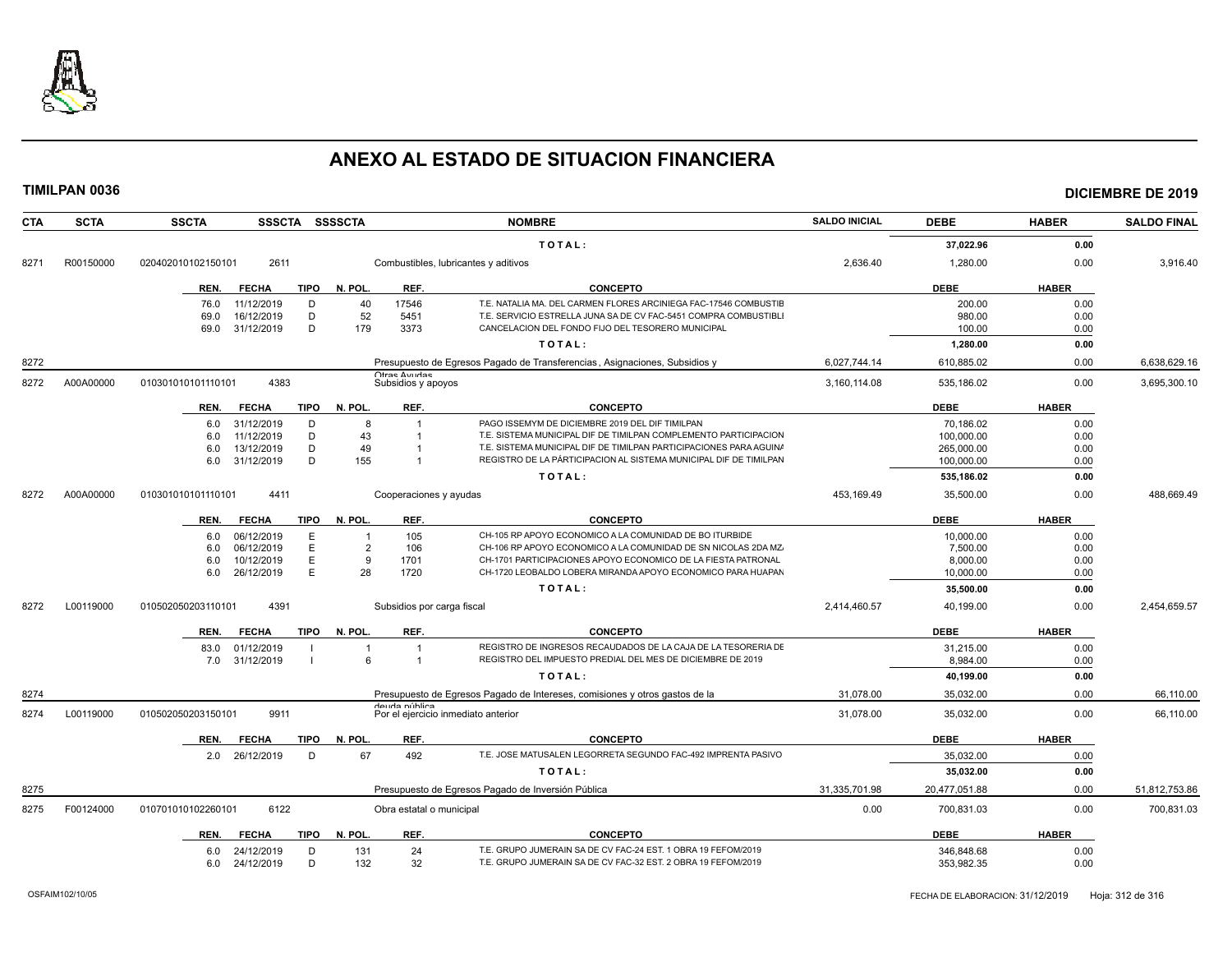

| <b>CTA</b> | <b>SCTA</b> | <b>SSSCTA</b><br><b>SSCTA</b>       | <b>SSSSCTA</b>          |                                     | <b>NOMBRE</b>                                                               | <b>SALDO INICIAL</b> | <b>DEBE</b>   | <b>HABER</b> | <b>SALDO FINAL</b> |
|------------|-------------|-------------------------------------|-------------------------|-------------------------------------|-----------------------------------------------------------------------------|----------------------|---------------|--------------|--------------------|
|            |             |                                     |                         |                                     | TOTAL:                                                                      |                      | 37,022.96     | 0.00         |                    |
| 8271       | R00150000   | 2611<br>020402010102150101          |                         |                                     | Combustibles, lubricantes y aditivos                                        | 2.636.40             | 1,280.00      | 0.00         | 3.916.40           |
|            |             | <b>FECHA</b><br>TIPO<br>REN.        | N. POL.                 | REF.                                | <b>CONCEPTO</b>                                                             |                      | <b>DEBE</b>   | <b>HABER</b> |                    |
|            |             | 11/12/2019<br>D<br>76.0             | 40                      | 17546                               | T.E. NATALIA MA. DEL CARMEN FLORES ARCINIEGA FAC-17546 COMBUSTIE            |                      | 200.00        | 0.00         |                    |
|            |             | D<br>69.0<br>16/12/2019             | 52                      | 5451                                | T.E. SERVICIO ESTRELLA JUNA SA DE CV FAC-5451 COMPRA COMBUSTIBLI            |                      | 980.00        | 0.00         |                    |
|            |             | D<br>31/12/2019<br>69.0             | 179                     | 3373                                | CANCELACION DEL FONDO FIJO DEL TESORERO MUNICIPAL                           |                      | 100.00        | 0.00         |                    |
|            |             |                                     |                         |                                     | TOTAL:                                                                      |                      | 1,280.00      | 0.00         |                    |
| 8272       |             |                                     |                         |                                     | Presupuesto de Egresos Pagado de Transferencias, Asignaciones, Subsidios y  | 6,027,744.14         | 610,885.02    | 0.00         | 6,638,629.16       |
| 8272       | A00A00000   | 4383<br>010301010101110101          |                         | Otrae Avridae<br>Subsidios y apoyos |                                                                             | 3,160,114.08         | 535,186.02    | 0.00         | 3,695,300.10       |
|            |             | <b>TIPO</b><br>REN.<br><b>FECHA</b> | N. POL.                 | REF.                                | <b>CONCEPTO</b>                                                             |                      | <b>DEBE</b>   | <b>HABER</b> |                    |
|            |             | 31/12/2019<br>D<br>6.0              | 8                       |                                     | PAGO ISSEMYM DE DICIEMBRE 2019 DEL DIF TIMILPAN                             |                      | 70,186.02     | 0.00         |                    |
|            |             | 11/12/2019<br>D<br>6.0              | 43                      | $\overline{1}$                      | T.E. SISTEMA MUNICIPAL DIF DE TIMILPAN COMPLEMENTO PARTICIPACION            |                      | 100,000.00    | 0.00         |                    |
|            |             | D<br>13/12/2019<br>6.0              | 49                      |                                     | T.E. SISTEMA MUNICIPAL DIF DE TIMILPAN PARTICIPACIONES PARA AGUINA          |                      | 265,000.00    | 0.00         |                    |
|            |             | D<br>31/12/2019<br>6.0              | 155                     |                                     | REGISTRO DE LA PÁRTICIPACION AL SISTEMA MUNICIPAL DIF DE TIMILPAN           |                      | 100,000.00    | 0.00         |                    |
|            |             |                                     |                         |                                     | TOTAL:                                                                      |                      | 535,186.02    | 0.00         |                    |
| 8272       | A00A00000   | 4411<br>010301010101110101          |                         | Cooperaciones y ayudas              |                                                                             | 453,169.49           | 35,500.00     | 0.00         | 488,669.49         |
|            |             | <b>FECHA</b><br><b>TIPO</b><br>REN. | N. POL.                 | REF.                                | <b>CONCEPTO</b>                                                             |                      | <b>DEBE</b>   | <b>HABER</b> |                    |
|            |             | 06/12/2019<br>Е<br>6.0              | $\overline{\mathbf{1}}$ | 105                                 | CH-105 RP APOYO ECONOMICO A LA COMUNIDAD DE BO ITURBIDE                     |                      | 10,000.00     | 0.00         |                    |
|            |             | E<br>06/12/2019<br>6.0              | $\overline{2}$          | 106                                 | CH-106 RP APOYO ECONOMICO A LA COMUNIDAD DE SN NICOLAS 2DA MZ.              |                      | 7,500.00      | 0.00         |                    |
|            |             | 10/12/2019<br>E<br>6.0              | 9                       | 1701                                | CH-1701 PARTICIPACIONES APOYO ECONOMICO DE LA FIESTA PATRONAL               |                      | 8,000.00      | 0.00         |                    |
|            |             | E<br>26/12/2019<br>6.0              | 28                      | 1720                                | CH-1720 LEOBALDO LOBERA MIRANDA APOYO ECONOMICO PARA HUAPAN                 |                      | 10,000.00     | 0.00         |                    |
|            |             |                                     |                         |                                     | TOTAL:                                                                      |                      | 35,500.00     | 0.00         |                    |
| 8272       | L00119000   | 4391<br>010502050203110101          |                         | Subsidios por carga fiscal          |                                                                             | 2.414.460.57         | 40.199.00     | 0.00         | 2.454.659.57       |
|            |             | <b>FECHA</b><br>TIPO<br>REN.        | N. POL.                 | REF.                                | <b>CONCEPTO</b>                                                             |                      | <b>DEBE</b>   | <b>HABER</b> |                    |
|            |             | 01/12/2019<br>83.0                  | $\overline{\mathbf{1}}$ |                                     | REGISTRO DE INGRESOS RECAUDADOS DE LA CAJA DE LA TESORERIA DE               |                      | 31,215.00     | 0.00         |                    |
|            |             | 7.0 31/12/2019                      | 6                       | $\overline{1}$                      | REGISTRO DEL IMPUESTO PREDIAL DEL MES DE DICIEMBRE DE 2019                  |                      | 8,984.00      | 0.00         |                    |
|            |             |                                     |                         |                                     | TOTAL:                                                                      |                      | 40,199.00     | 0.00         |                    |
| 8274       |             |                                     |                         |                                     | Presupuesto de Egresos Pagado de Intereses, comisiones y otros gastos de la | 31.078.00            | 35.032.00     | 0.00         | 66,110.00          |
| 8274       | L00119000   | 010502050203150101<br>9911          |                         | dauda núhlica                       | Por el ejercicio inmediato anterior                                         | 31,078.00            | 35,032.00     | 0.00         | 66,110.00          |
|            |             | REN.<br><b>FECHA</b><br>TIPO        | N. POL.                 | REF.                                | <b>CONCEPTO</b>                                                             |                      | <b>DEBE</b>   | <b>HABER</b> |                    |
|            |             | 2.0 26/12/2019<br>D                 | 67                      | 492                                 | T.E. JOSE MATUSALEN LEGORRETA SEGUNDO FAC-492 IMPRENTA PASIVO               |                      | 35,032.00     | 0.00         |                    |
|            |             |                                     |                         |                                     | TOTAL:                                                                      |                      | 35,032.00     | 0.00         |                    |
| 8275       |             |                                     |                         |                                     | Presupuesto de Egresos Pagado de Inversión Pública                          | 31,335,701.98        | 20,477,051.88 | 0.00         | 51,812,753.86      |
| 8275       | F00124000   | 6122<br>010701010102260101          |                         | Obra estatal o municipal            |                                                                             | 0.00                 | 700,831.03    | 0.00         | 700,831.03         |
|            |             | <b>FECHA</b><br><b>TIPO</b><br>REN. | N. POL.                 | REF.                                | <b>CONCEPTO</b>                                                             |                      | <b>DEBE</b>   | <b>HABER</b> |                    |
|            |             | 24/12/2019<br>D<br>6.0              | 131                     | 24                                  | T.E. GRUPO JUMERAIN SA DE CV FAC-24 EST. 1 OBRA 19 FEFOM/2019               |                      | 346.848.68    | 0.00         |                    |
|            |             | D<br>24/12/2019<br>6.0              | 132                     | 32                                  | T.E. GRUPO JUMERAIN SA DE CV FAC-32 EST. 2 OBRA 19 FEFOM/2019               |                      | 353,982.35    | 0.00         |                    |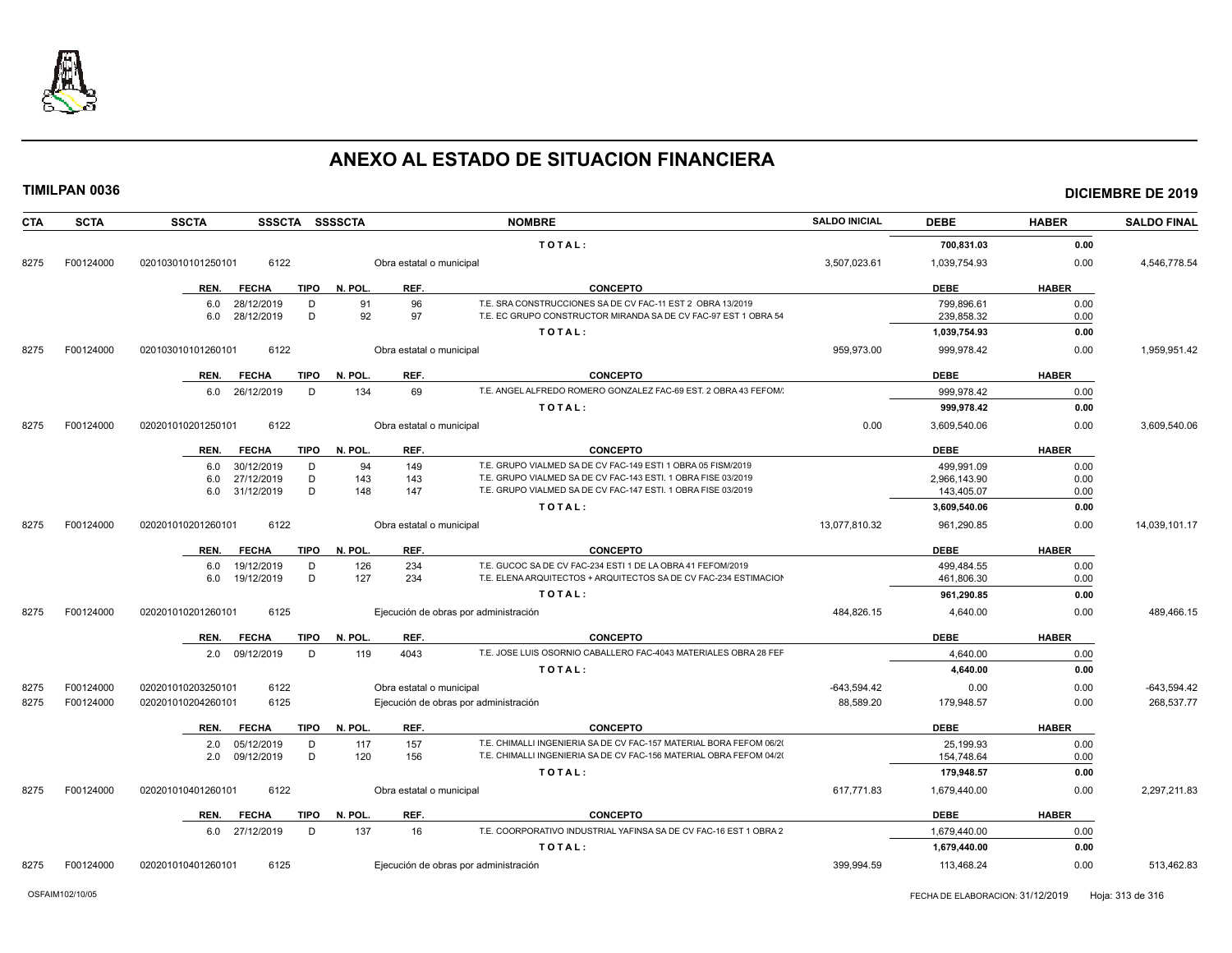

| CTA  | <b>SCTA</b> | <b>SSSCTA</b><br><b>SSCTA</b>       | <b>SSSSCTA</b>           | <b>NOMBRE</b>                                                       | <b>SALDO INICIAL</b> | <b>DEBE</b>  | <b>HABER</b> | <b>SALDO FINAL</b> |
|------|-------------|-------------------------------------|--------------------------|---------------------------------------------------------------------|----------------------|--------------|--------------|--------------------|
|      |             |                                     |                          | TOTAL:                                                              |                      | 700,831.03   | 0.00         |                    |
| 8275 | F00124000   | 6122<br>020103010101250101          | Obra estatal o municipal |                                                                     | 3,507,023.61         | 1,039,754.93 | 0.00         | 4,546,778.54       |
|      |             | <b>FECHA</b><br><b>TIPO</b><br>REN. | N. POL.<br>REF.          | <b>CONCEPTO</b>                                                     |                      | <b>DEBE</b>  | <b>HABER</b> |                    |
|      |             | 28/12/2019<br>6.0<br>D              | 96<br>91                 | T.E. SRA CONSTRUCCIONES SA DE CV FAC-11 EST 2 OBRA 13/2019          |                      | 799,896.61   | 0.00         |                    |
|      |             | 28/12/2019<br>D<br>6.0              | 92<br>97                 | T.E. EC GRUPO CONSTRUCTOR MIRANDA SA DE CV FAC-97 EST 1 OBRA 54     |                      | 239.858.32   | 0.00         |                    |
|      |             |                                     |                          | TOTAL:                                                              |                      | 1,039,754.93 | 0.00         |                    |
| 8275 | F00124000   | 6122<br>020103010101260101          | Obra estatal o municipal |                                                                     | 959,973.00           | 999,978.42   | 0.00         | 1,959,951.42       |
|      |             | <b>FECHA</b><br><b>TIPO</b><br>REN. | N. POL.<br>REF.          | <b>CONCEPTO</b>                                                     |                      | <b>DEBE</b>  | <b>HABER</b> |                    |
|      |             | 26/12/2019<br>D<br>6.0              | 69<br>134                | T.E. ANGEL ALFREDO ROMERO GONZALEZ FAC-69 EST. 2 OBRA 43 FEFOM/     |                      | 999.978.42   | 0.00         |                    |
|      |             |                                     |                          | TOTAL:                                                              |                      | 999,978.42   | 0.00         |                    |
| 8275 | F00124000   | 6122<br>020201010201250101          | Obra estatal o municipal |                                                                     | 0.00                 | 3,609,540.06 | 0.00         | 3,609,540.06       |
|      |             | <b>FECHA</b><br><b>TIPO</b><br>REN. | N. POL.<br>REF.          | <b>CONCEPTO</b>                                                     |                      | <b>DEBE</b>  | <b>HABER</b> |                    |
|      |             | 30/12/2019<br>D<br>6.0              | 149<br>94                | T.E. GRUPO VIALMED SA DE CV FAC-149 ESTI 1 OBRA 05 FISM/2019        |                      | 499.991.09   | 0.00         |                    |
|      |             | D<br>6.0<br>27/12/2019              | 143<br>143               | T.E. GRUPO VIALMED SA DE CV FAC-143 ESTI. 1 OBRA FISE 03/2019       |                      | 2,966,143.90 | 0.00         |                    |
|      |             | 31/12/2019<br>D<br>6.0              | 148<br>147               | T.E. GRUPO VIALMED SA DE CV FAC-147 ESTI. 1 OBRA FISE 03/2019       |                      | 143,405.07   | 0.00         |                    |
|      |             |                                     |                          | TOTAL:                                                              |                      | 3,609,540.06 | 0.00         |                    |
| 8275 | F00124000   | 020201010201260101<br>6122          | Obra estatal o municipal |                                                                     | 13,077,810.32        | 961,290.85   | 0.00         | 14,039,101.17      |
|      |             | REN.<br><b>FECHA</b><br><b>TIPO</b> | N. POL.<br>REF.          | <b>CONCEPTO</b>                                                     |                      | <b>DEBE</b>  | <b>HABER</b> |                    |
|      |             | 19/12/2019<br>D<br>6.0              | 234<br>126               | T.E. GUCOC SA DE CV FAC-234 ESTI 1 DE LA OBRA 41 FEFOM/2019         |                      | 499,484.55   | 0.00         |                    |
|      |             | 6.0<br>19/12/2019<br>D              | 127<br>234               | T.E. ELENA ARQUITECTOS + ARQUITECTOS SA DE CV FAC-234 ESTIMACION    |                      | 461,806.30   | 0.00         |                    |
|      |             |                                     |                          | TOTAL:                                                              |                      | 961,290.85   | 0.00         |                    |
| 8275 | F00124000   | 020201010201260101<br>6125          |                          | Ejecución de obras por administración                               | 484.826.15           | 4,640.00     | 0.00         | 489.466.15         |
|      |             | REN.<br><b>FECHA</b><br><b>TIPO</b> | N. POL.<br>REF.          | <b>CONCEPTO</b>                                                     |                      | <b>DEBE</b>  | <b>HABER</b> |                    |
|      |             | 2.0 09/12/2019<br>D                 | 4043<br>119              | T.E. JOSE LUIS OSORNIO CABALLERO FAC-4043 MATERIALES OBRA 28 FEF    |                      | 4.640.00     | 0.00         |                    |
|      |             |                                     |                          | TOTAL:                                                              |                      | 4.640.00     | 0.00         |                    |
| 8275 | F00124000   | 6122<br>020201010203250101          | Obra estatal o municipal |                                                                     | $-643,594.42$        | 0.00         | 0.00         | $-643,594.42$      |
| 8275 | F00124000   | 6125<br>020201010204260101          |                          | Ejecución de obras por administración                               | 88,589.20            | 179,948.57   | 0.00         | 268,537.77         |
|      |             | REN.<br><b>FECHA</b><br><b>TIPO</b> | N. POL.<br>REF.          | <b>CONCEPTO</b>                                                     |                      | <b>DEBE</b>  | <b>HABER</b> |                    |
|      |             | 05/12/2019<br>2.0<br>D              | 157<br>117               | T.E. CHIMALLI INGENIERIA SA DE CV FAC-157 MATERIAL BORA FEFOM 06/20 |                      | 25.199.93    | 0.00         |                    |
|      |             | D<br>2.0<br>09/12/2019              | 120<br>156               | T.E. CHIMALLI INGENIERIA SA DE CV FAC-156 MATERIAL OBRA FEFOM 04/20 |                      | 154,748.64   | 0.00         |                    |
|      |             |                                     |                          | TOTAL:                                                              |                      | 179,948.57   | 0.00         |                    |
| 8275 | F00124000   | 020201010401260101<br>6122          | Obra estatal o municipal |                                                                     | 617.771.83           | 1,679,440.00 | 0.00         | 2.297.211.83       |
|      |             | <b>FECHA</b><br><b>TIPO</b><br>REN. | REF.<br>N. POL.          | <b>CONCEPTO</b>                                                     |                      | <b>DEBE</b>  | <b>HABER</b> |                    |
|      |             | 6.0 27/12/2019<br>D                 | 137<br>16                | T.E. COORPORATIVO INDUSTRIAL YAFINSA SA DE CV FAC-16 EST 1 OBRA 2   |                      | 1,679,440.00 | 0.00         |                    |
|      |             |                                     |                          | TOTAL:                                                              |                      | 1,679,440.00 | 0.00         |                    |
| 8275 | F00124000   | 020201010401260101<br>6125          |                          | Ejecución de obras por administración                               | 399.994.59           | 113,468.24   | 0.00         | 513,462.83         |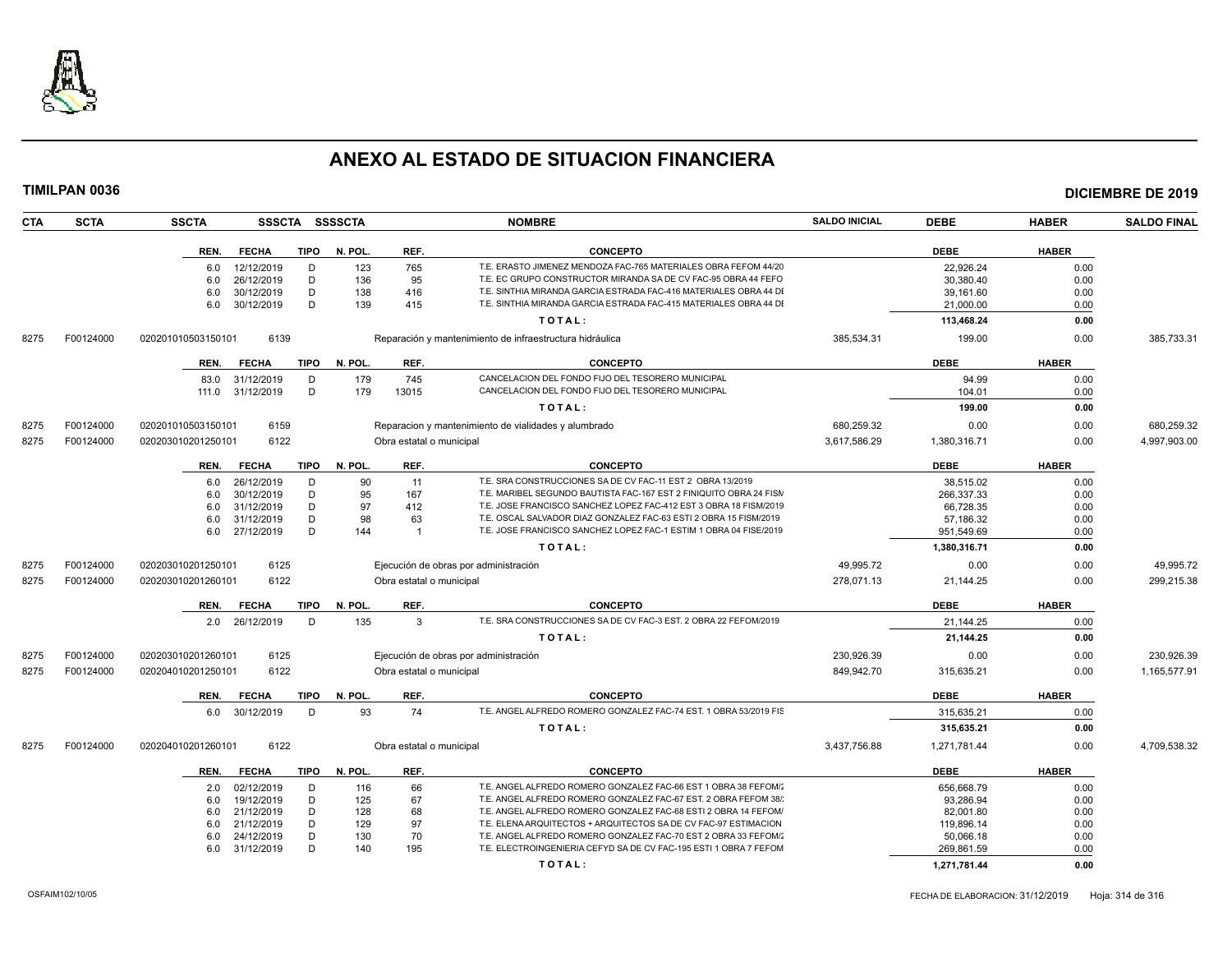

| <b>CTA</b><br><b>SCTA</b> |           | <b>SSCTA</b><br>SSSCTA SSSSCTA              |            | <b>NOMBRE</b>            |                                                                    | <b>SALDO INICIAL</b> | <b>DEBE</b>             | <b>HABER</b> | <b>SALDO FINAL</b> |
|---------------------------|-----------|---------------------------------------------|------------|--------------------------|--------------------------------------------------------------------|----------------------|-------------------------|--------------|--------------------|
|                           |           | REN.<br><b>FECHA</b><br><b>TIPO</b>         | N. POL.    | REF.                     | <b>CONCEPTO</b>                                                    |                      | <b>DEBE</b>             | <b>HABER</b> |                    |
|                           |           | 12/12/2019<br>6.0<br>D                      | 123        | 765                      | T.E. ERASTO JIMENEZ MENDOZA FAC-765 MATERIALES OBRA FEFOM 44/20    |                      | 22,926.24               | 0.00         |                    |
|                           |           | 26/12/2019<br>D<br>6.0                      | 136        | 95                       | T.E. EC GRUPO CONSTRUCTOR MIRANDA SA DE CV FAC-95 OBRA 44 FEFO     |                      | 30,380.40               | 0.00         |                    |
|                           |           | D<br>6.0<br>30/12/2019                      | 138        | 416                      | T.E. SINTHIA MIRANDA GARCIA ESTRADA FAC-416 MATERIALES OBRA 44 DI  |                      | 39,161.60               | 0.00         |                    |
|                           |           | D<br>6.0<br>30/12/2019                      | 139        | 415                      | T.E. SINTHIA MIRANDA GARCIA ESTRADA FAC-415 MATERIALES OBRA 44 DI  |                      | 21,000.00               | 0.00         |                    |
|                           |           |                                             |            |                          | TOTAL:                                                             |                      | 113,468.24              | 0.00         |                    |
| 8275                      | F00124000 | 6139<br>020201010503150101                  |            |                          | Reparación y mantenimiento de infraestructura hidráulica           | 385,534.31           | 199.00                  | 0.00         | 385,733.31         |
|                           |           | <b>FECHA</b><br><b>TIPO</b><br>REN.         | N. POL.    | REF.                     | <b>CONCEPTO</b>                                                    |                      | <b>DEBE</b>             | <b>HABER</b> |                    |
|                           |           | 83.0<br>31/12/2019<br>D                     | 179        | 745                      | CANCELACION DEL FONDO FIJO DEL TESORERO MUNICIPAL                  |                      | 94.99                   | 0.00         |                    |
|                           |           | D<br>31/12/2019<br>111.0                    | 179        | 13015                    | CANCELACION DEL FONDO FIJO DEL TESORERO MUNICIPAL                  |                      | 104.01                  | 0.00         |                    |
|                           |           |                                             |            |                          | TOTAL:                                                             |                      | 199.00                  |              |                    |
|                           |           |                                             |            |                          |                                                                    |                      |                         | 0.00         |                    |
| 8275                      | F00124000 | 6159<br>020201010503150101                  |            |                          | Reparacion y mantenimiento de vialidades y alumbrado               | 680,259.32           | 0.00                    | 0.00         | 680,259.32         |
| 8275                      | F00124000 | 6122<br>020203010201250101                  |            | Obra estatal o municipal |                                                                    | 3,617,586.29         | 1,380,316.71            | 0.00         | 4,997,903.00       |
|                           |           | REN.<br><b>FECHA</b><br><b>TIPO</b>         | N. POL.    | REF.                     | <b>CONCEPTO</b>                                                    |                      | <b>DEBE</b>             | <b>HABER</b> |                    |
|                           |           | 26/12/2019<br>D<br>6.0                      | 90         | 11                       | T.E. SRA CONSTRUCCIONES SA DE CV FAC-11 EST 2 OBRA 13/2019         |                      | 38,515.02               | 0.00         |                    |
|                           |           | 30/12/2019<br>6.0<br>D                      | 95         | 167                      | T.E. MARIBEL SEGUNDO BAUTISTA FAC-167 EST 2 FINIQUITO OBRA 24 FISM |                      | 266,337.33              | 0.00         |                    |
|                           |           | D<br>31/12/2019<br>6.0                      | 97         | 412                      | T.E. JOSE FRANCISCO SANCHEZ LOPEZ FAC-412 EST 3 OBRA 18 FISM/2019  |                      | 66.728.35               | 0.00         |                    |
|                           |           | 31/12/2019<br>D<br>6.0                      | 98         | 63                       | T.E. OSCAL SALVADOR DIAZ GONZALEZ FAC-63 ESTI 2 OBRA 15 FISM/2019  |                      | 57.186.32               | 0.00         |                    |
|                           |           | D.<br>27/12/2019<br>6.0                     | 144        | $\overline{1}$           | T.E. JOSE FRANCISCO SANCHEZ LOPEZ FAC-1 ESTIM 1 OBRA 04 FISE/2019  |                      | 951,549.69              | 0.00         |                    |
|                           |           |                                             |            |                          | TOTAL:                                                             |                      | 1,380,316.71            | 0.00         |                    |
| 8275                      | F00124000 | 6125<br>020203010201250101                  |            |                          | Ejecución de obras por administración                              | 49.995.72            | 0.00                    | 0.00         | 49.995.72          |
| 8275                      | F00124000 | 6122<br>020203010201260101                  |            | Obra estatal o municipal |                                                                    | 278,071.13           | 21,144.25               | 0.00         | 299,215.38         |
|                           |           | <b>FECHA</b><br><b>TIPO</b><br>REN.         | N. POL.    | REF.                     | <b>CONCEPTO</b>                                                    |                      | <b>DEBE</b>             | <b>HABER</b> |                    |
|                           |           | 2.0 26/12/2019<br>D                         | 135        | $\mathbf{3}$             | T.E. SRA CONSTRUCCIONES SA DE CV FAC-3 EST. 2 OBRA 22 FEFOM/2019   |                      | 21,144.25               | 0.00         |                    |
|                           |           |                                             |            |                          | TOTAL:                                                             |                      | 21,144.25               | 0.00         |                    |
| 8275                      | F00124000 | 6125<br>020203010201260101                  |            |                          | Ejecución de obras por administración                              | 230.926.39           | 0.00                    | 0.00         | 230.926.39         |
| 8275<br>F00124000         |           | 6122<br>020204010201250101                  |            | Obra estatal o municipal |                                                                    | 849,942.70           | 315,635.21              | 0.00         | 1,165,577.91       |
|                           |           | REN.<br><b>FECHA</b><br>TIPO                | N. POL.    | REF.                     | <b>CONCEPTO</b>                                                    |                      | <b>DEBE</b>             | <b>HABER</b> |                    |
|                           |           | 6.0 30/12/2019<br>D.                        | 93         | 74                       | T.E. ANGEL ALFREDO ROMERO GONZALEZ FAC-74 EST. 1 OBRA 53/2019 FIS  |                      | 315,635.21              | 0.00         |                    |
|                           |           |                                             |            |                          | TOTAL:                                                             |                      | 315,635.21              | 0.00         |                    |
| 8275                      | F00124000 | 6122<br>020204010201260101                  |            | Obra estatal o municipal |                                                                    | 3,437,756.88         | 1,271,781.44            | 0.00         | 4,709,538.32       |
|                           |           |                                             | N. POL.    | REF.                     | <b>CONCEPTO</b>                                                    |                      | <b>DEBE</b>             | <b>HABER</b> |                    |
|                           |           | <b>FECHA</b><br><b>TIPO</b><br>REN.         |            |                          | T.E. ANGEL ALFREDO ROMERO GONZALEZ FAC-66 EST 1 OBRA 38 FEFOM/     |                      |                         |              |                    |
|                           |           | 02/12/2019<br>D<br>2.0<br>D                 | 116        | 66                       | T.E. ANGEL ALFREDO ROMERO GONZALEZ FAC-67 EST. 2 OBRA FEFOM 38/    |                      | 656,668.79              | 0.00         |                    |
|                           |           | 19/12/2019<br>6.0<br>D                      | 125<br>128 | 67<br>68                 | T.E. ANGEL ALFREDO ROMERO GONZALEZ FAC-68 ESTI 2 OBRA 14 FEFOM/    |                      | 93,286.94               | 0.00         |                    |
|                           |           | 21/12/2019<br>6.0<br>D                      |            | 97                       | T.E. ELENA ARQUITECTOS + ARQUITECTOS SA DE CV FAC-97 ESTIMACION    |                      | 82,001.80               | 0.00         |                    |
|                           |           | 21/12/2019<br>6.0<br>D<br>24/12/2019<br>6.0 | 129<br>130 | 70                       | T.E. ANGEL ALFREDO ROMERO GONZALEZ FAC-70 EST 2 OBRA 33 FEFOM/     |                      | 119,896.14<br>50,066.18 | 0.00<br>0.00 |                    |
|                           |           | D.<br>6.0<br>31/12/2019                     | 140        | 195                      | T.E. ELECTROINGENIERIA CEFYD SA DE CV FAC-195 ESTI 1 OBRA 7 FEFOM  |                      | 269.861.59              | 0.00         |                    |
|                           |           |                                             |            |                          |                                                                    |                      |                         |              |                    |
|                           |           |                                             |            |                          | TOTAL:                                                             |                      | 1,271,781.44            | 0.00         |                    |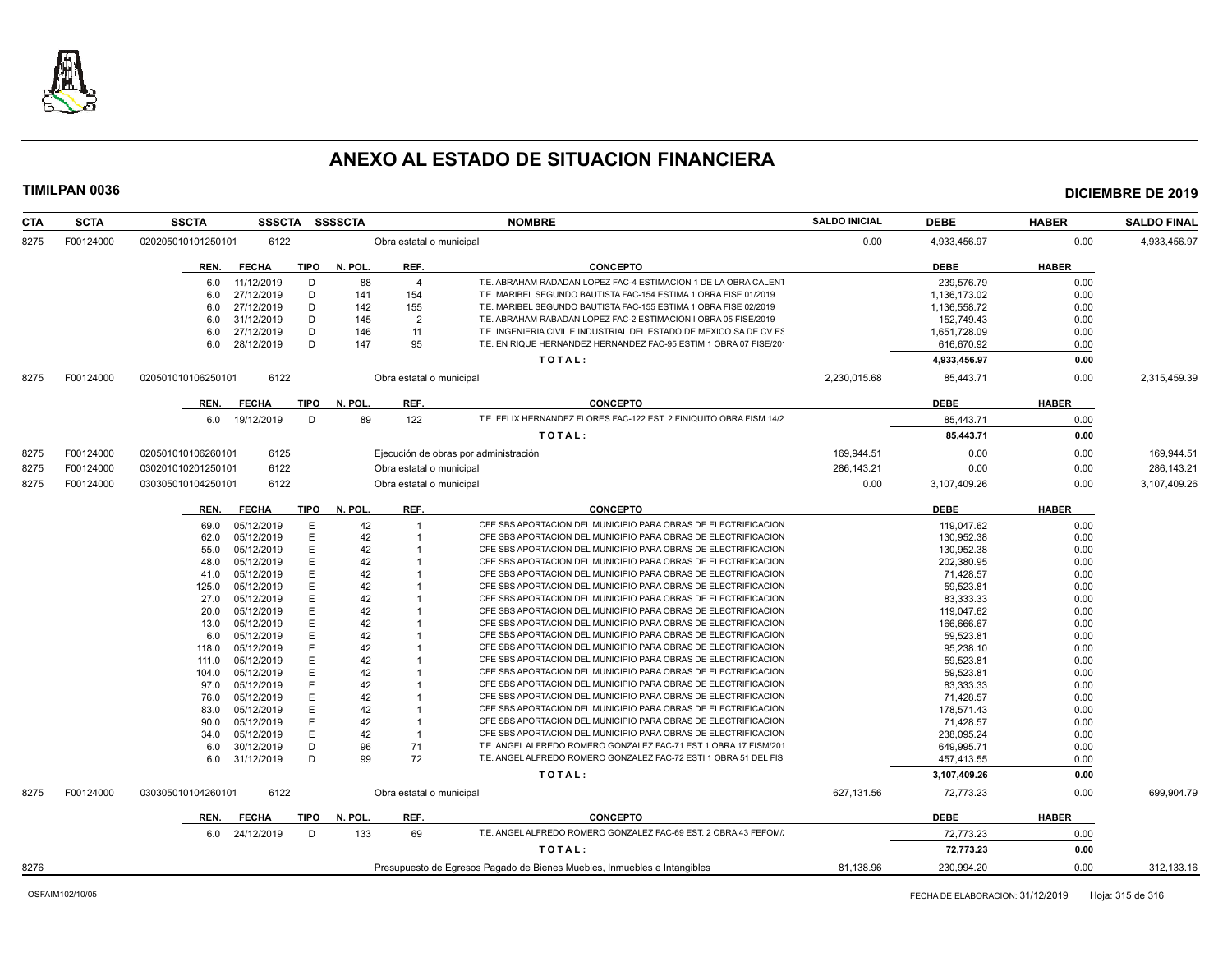

| <b>CTA</b> | <b>SCTA</b> | <b>SSCTA</b><br><b>SSSCTA</b>                                            |             | <b>SSSSCTA</b> | <b>NOMBRE</b>            |                                                                     | <b>SALDO INICIAL</b> | <b>DEBE</b>  | <b>HABER</b> | <b>SALDO FINAL</b> |
|------------|-------------|--------------------------------------------------------------------------|-------------|----------------|--------------------------|---------------------------------------------------------------------|----------------------|--------------|--------------|--------------------|
| 8275       | F00124000   | 6122<br>020205010101250101                                               |             |                | Obra estatal o municipal |                                                                     | 0.00                 | 4,933,456.97 | 0.00         | 4,933,456.97       |
|            |             | REN.<br><b>FECHA</b>                                                     | <b>TIPO</b> | N. POL.        | REF.                     | <b>CONCEPTO</b>                                                     |                      | <b>DEBE</b>  | <b>HABER</b> |                    |
|            |             | 11/12/2019<br>6.0                                                        | D           | 88             | $\overline{4}$           | T.E. ABRAHAM RADADAN LOPEZ FAC-4 ESTIMACION 1 DE LA OBRA CALENT     |                      | 239,576.79   | 0.00         |                    |
|            |             | 27/12/2019<br>6.0                                                        | D           | 141            | 154                      | T.E. MARIBEL SEGUNDO BAUTISTA FAC-154 ESTIMA 1 OBRA FISE 01/2019    |                      | 1,136,173.02 | 0.00         |                    |
|            |             | 27/12/2019<br>6.0                                                        | D           | 142            | 155                      | T.E. MARIBEL SEGUNDO BAUTISTA FAC-155 ESTIMA 1 OBRA FISE 02/2019    |                      | 1,136,558.72 | 0.00         |                    |
|            |             | 31/12/2019<br>6.0                                                        | D           | 145            | $\overline{2}$           | T.E. ABRAHAM RABADAN LOPEZ FAC-2 ESTIMACION I OBRA 05 FISE/2019     |                      | 152.749.43   | 0.00         |                    |
|            |             | 27/12/2019<br>6.0                                                        | D           | 146            | 11                       | T.E. INGENIERIA CIVIL E INDUSTRIAL DEL ESTADO DE MEXICO SA DE CV ES |                      | 1,651,728.09 | 0.00         |                    |
|            |             | 28/12/2019<br>6.0                                                        | D           | 147            | 95                       | T.E. EN RIQUE HERNANDEZ HERNANDEZ FAC-95 ESTIM 1 OBRA 07 FISE/20    |                      | 616,670.92   | 0.00         |                    |
|            |             |                                                                          |             |                |                          | TOTAL:                                                              |                      | 4,933,456.97 | 0.00         |                    |
| 8275       | F00124000   | 6122<br>020501010106250101                                               |             |                | Obra estatal o municipal |                                                                     | 2,230,015.68         | 85,443.71    | 0.00         | 2,315,459.39       |
|            |             | <b>FECHA</b><br>REN.                                                     | <b>TIPO</b> | N. POL.        | REF.                     | <b>CONCEPTO</b>                                                     |                      | <b>DEBE</b>  | <b>HABER</b> |                    |
|            |             | 19/12/2019<br>6.0                                                        | D           | 89             | 122                      | T.E. FELIX HERNANDEZ FLORES FAC-122 EST. 2 FINIQUITO OBRA FISM 14/2 |                      | 85,443.71    | 0.00         |                    |
|            |             |                                                                          |             |                |                          | TOTAL:                                                              |                      | 85,443.71    | 0.00         |                    |
| 8275       | F00124000   | 6125<br>020501010106260101                                               |             |                |                          | Ejecución de obras por administración                               | 169,944.51           | 0.00         | 0.00         | 169,944.51         |
| 8275       | F00124000   | 6122<br>030201010201250101                                               |             |                | Obra estatal o municipal |                                                                     | 286,143.21           | 0.00         | 0.00         | 286,143.21         |
| 8275       | F00124000   | 6122<br>030305010104250101                                               |             |                | Obra estatal o municipal |                                                                     | 0.00                 | 3,107,409.26 | 0.00         | 3,107,409.26       |
|            |             |                                                                          |             |                | REF.                     |                                                                     |                      |              | <b>HABER</b> |                    |
|            |             | <b>FECHA</b><br>REN.                                                     | TIPO        | N. POL.        |                          | <b>CONCEPTO</b>                                                     |                      | <b>DEBE</b>  |              |                    |
|            |             | 05/12/2019<br>69.0                                                       | E           | 42             | $\overline{1}$           | CFE SBS APORTACION DEL MUNICIPIO PARA OBRAS DE ELECTRIFICACION      |                      | 119,047.62   | 0.00         |                    |
|            |             | 62.0<br>05/12/2019                                                       | E           | 42             |                          | CFE SBS APORTACION DEL MUNICIPIO PARA OBRAS DE ELECTRIFICACION      |                      | 130,952.38   | 0.00         |                    |
|            |             | 05/12/2019<br>55.0                                                       | E           | 42             |                          | CFE SBS APORTACION DEL MUNICIPIO PARA OBRAS DE ELECTRIFICACION      |                      | 130.952.38   | 0.00         |                    |
|            |             | 05/12/2019<br>48.0                                                       | E           | 42             |                          | CFE SBS APORTACION DEL MUNICIPIO PARA OBRAS DE ELECTRIFICACION      |                      | 202,380.95   | 0.00         |                    |
|            |             | 05/12/2019<br>41.0                                                       | E           | 42             |                          | CFE SBS APORTACION DEL MUNICIPIO PARA OBRAS DE ELECTRIFICACION      |                      | 71,428.57    | 0.00         |                    |
|            |             | 05/12/2019<br>125.0                                                      |             | 42             |                          | CFE SBS APORTACION DEL MUNICIPIO PARA OBRAS DE ELECTRIFICACION      |                      | 59,523.81    | 0.00         |                    |
|            |             | 05/12/2019<br>27.0                                                       | E           | 42             |                          | CFE SBS APORTACION DEL MUNICIPIO PARA OBRAS DE ELECTRIFICACION      |                      | 83,333.33    | 0.00         |                    |
|            |             | 05/12/2019<br>20.0                                                       | E           | 42             |                          | CFE SBS APORTACION DEL MUNICIPIO PARA OBRAS DE ELECTRIFICACION      |                      | 119.047.62   | 0.00         |                    |
|            |             | 05/12/2019<br>13.0                                                       | Е           | 42             |                          | CFE SBS APORTACION DEL MUNICIPIO PARA OBRAS DE ELECTRIFICACION      |                      | 166,666.67   | 0.00         |                    |
|            |             | 05/12/2019<br>6.0                                                        | E           | 42             |                          | CFE SBS APORTACION DEL MUNICIPIO PARA OBRAS DE ELECTRIFICACION      |                      | 59.523.81    | 0.00         |                    |
|            |             | 05/12/2019<br>118.0                                                      |             | 42             |                          | CFE SBS APORTACION DEL MUNICIPIO PARA OBRAS DE ELECTRIFICACION      |                      | 95,238.10    | 0.00         |                    |
|            |             | 05/12/2019<br>111.0                                                      | E           | 42             |                          | CFE SBS APORTACION DEL MUNICIPIO PARA OBRAS DE ELECTRIFICACION      |                      | 59,523.81    | 0.00         |                    |
|            |             | 05/12/2019<br>104.0                                                      | E           | 42             |                          | CFE SBS APORTACION DEL MUNICIPIO PARA OBRAS DE ELECTRIFICACION      |                      | 59.523.81    | 0.00         |                    |
|            |             | 05/12/2019<br>97.0                                                       | E           | 42             |                          | CFE SBS APORTACION DEL MUNICIPIO PARA OBRAS DE ELECTRIFICACION      |                      | 83,333.33    | 0.00         |                    |
|            |             | 05/12/2019<br>76.0                                                       | E           | 42             |                          | CFE SBS APORTACION DEL MUNICIPIO PARA OBRAS DE ELECTRIFICACION      |                      | 71,428.57    | 0.00         |                    |
|            |             | 05/12/2019<br>83.0                                                       |             | 42             |                          | CFE SBS APORTACION DEL MUNICIPIO PARA OBRAS DE ELECTRIFICACION      |                      | 178,571.43   | 0.00         |                    |
|            |             | 05/12/2019<br>90.0                                                       | Е           | 42             |                          | CFE SBS APORTACION DEL MUNICIPIO PARA OBRAS DE ELECTRIFICACION      |                      | 71,428.57    | 0.00         |                    |
|            |             | 05/12/2019<br>34.0                                                       | E           | 42             |                          | CFE SBS APORTACION DEL MUNICIPIO PARA OBRAS DE ELECTRIFICACION      |                      | 238.095.24   | 0.00         |                    |
|            |             | 30/12/2019<br>6.0                                                        | D           | 96             | 71                       | T.E. ANGEL ALFREDO ROMERO GONZALEZ FAC-71 EST 1 OBRA 17 FISM/20     |                      | 649,995.71   | 0.00         |                    |
|            |             | 31/12/2019<br>6.0                                                        | D           | 99             | 72                       | T.E. ANGEL ALFREDO ROMERO GONZALEZ FAC-72 ESTI 1 OBRA 51 DEL FIS    |                      | 457,413.55   | 0.00         |                    |
|            |             |                                                                          |             |                |                          | TOTAL:                                                              |                      | 3,107,409.26 | 0.00         |                    |
| 8275       | F00124000   | 030305010104260101<br>6122                                               |             |                | Obra estatal o municipal |                                                                     | 627,131.56           | 72,773.23    | 0.00         | 699,904.79         |
|            |             | REN.<br><b>FECHA</b>                                                     | <b>TIPO</b> | N. POL.        | REF.                     | <b>CONCEPTO</b>                                                     |                      | <b>DEBE</b>  | <b>HABER</b> |                    |
|            |             | 6.0 24/12/2019                                                           | D           | 133            | 69                       | T.E. ANGEL ALFREDO ROMERO GONZALEZ FAC-69 EST. 2 OBRA 43 FEFOM/     |                      | 72,773.23    | 0.00         |                    |
|            |             |                                                                          |             |                |                          | TOTAL:                                                              |                      | 72,773.23    | 0.00         |                    |
| 8276       |             | Presupuesto de Egresos Pagado de Bienes Muebles, Inmuebles e Intangibles |             |                |                          |                                                                     |                      | 230,994.20   | 0.00         | 312,133.16         |